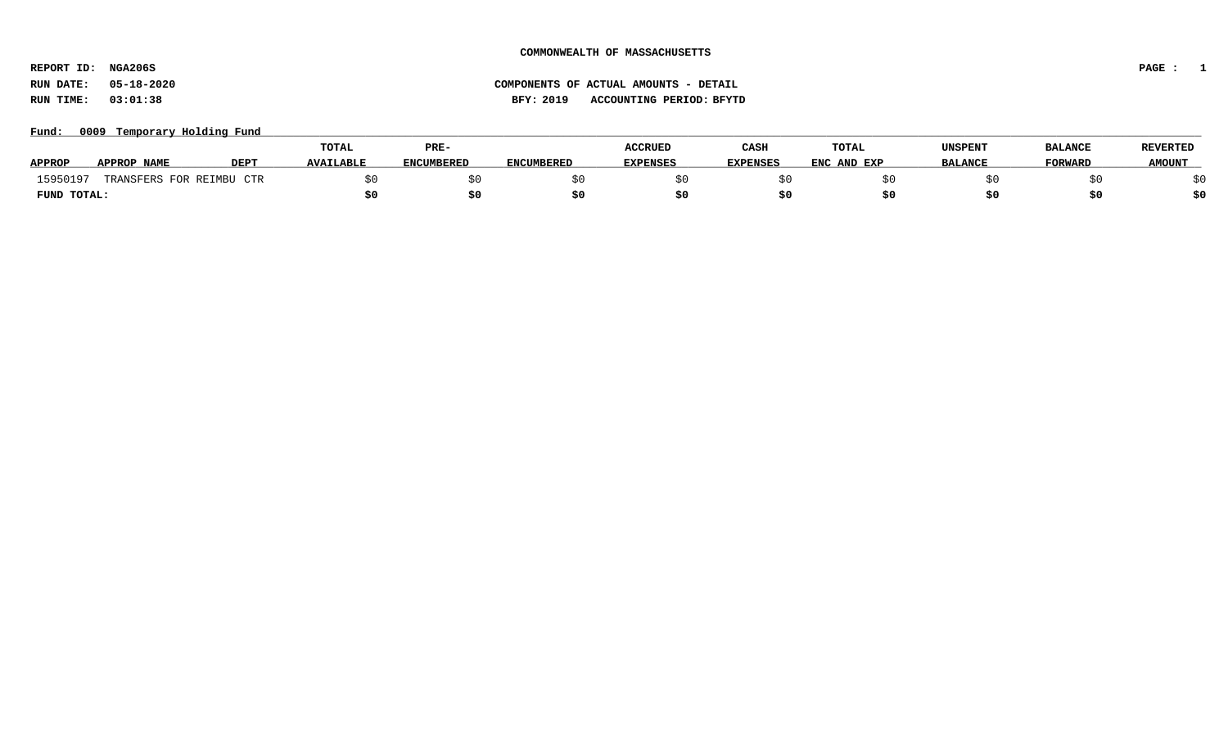**REPORT ID: NGA206S PAGE : 1**

### **RUN DATE: 05-18-2020 COMPONENTS OF ACTUAL AMOUNTS - DETAIL RUN TIME: 03:01:38 BFY: 2019 ACCOUNTING PERIOD: BFYTD**

Fund: 0009 Temporary Holding Fund

|               |                      |             | <b>TOTAL</b>     | PRE-       |                   | <b>ACCRUED</b>  | CASH            | <b>TOTAL</b> | <b>UNSPENT</b> | <b>BALANCE</b> | <b>REVERTED</b> |
|---------------|----------------------|-------------|------------------|------------|-------------------|-----------------|-----------------|--------------|----------------|----------------|-----------------|
| <b>APPROP</b> | APPROP NAME          | <b>DEPT</b> | <b>AVAILABLE</b> | ENCUMBERED | <b>ENCUMBERED</b> | <b>EXPENSES</b> | <b>EXPENSES</b> | ENC AND EXP  | <b>BALANCE</b> | <b>FORWARD</b> | <b>AMOUNT</b>   |
| 15950197      | TRANSFERS FOR REIMBU | CTR         |                  |            |                   |                 |                 |              |                |                |                 |
| FUND TOTAL:   |                      |             |                  |            |                   |                 |                 |              |                | S0             |                 |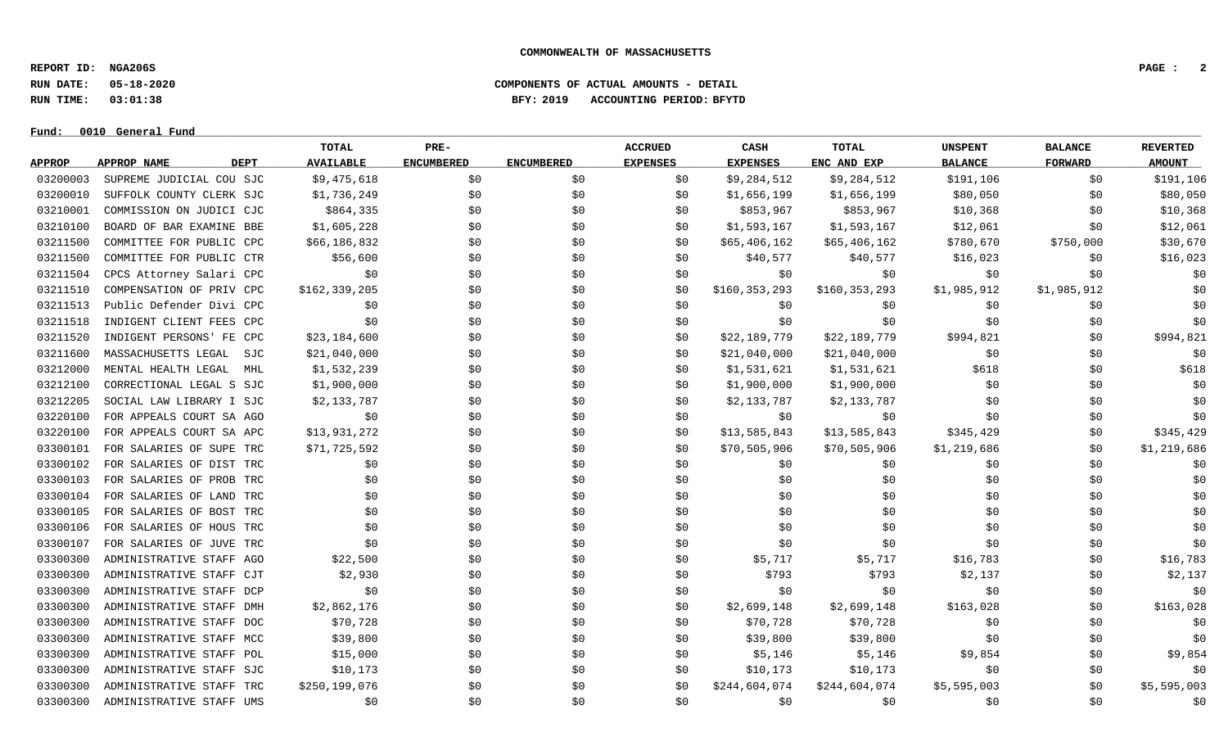**REPORT ID: NGA206S PAGE : 2**

**RUN DATE: 05-18-2020 COMPONENTS OF ACTUAL AMOUNTS - DETAIL**

**RUN TIME: 03:01:38 BFY: 2019 ACCOUNTING PERIOD: BFYTD**

**Fund: \_\_\_\_\_\_\_\_\_\_\_\_\_\_\_\_\_\_\_\_\_\_\_\_\_\_\_\_\_\_\_\_\_\_\_\_\_\_\_\_\_\_\_\_\_\_\_\_\_\_\_\_\_\_\_\_\_\_\_\_\_\_\_\_\_\_\_\_\_\_\_\_\_\_\_\_\_\_\_\_\_\_\_\_\_\_\_\_\_\_\_\_\_\_\_\_\_\_\_\_\_\_\_\_\_\_\_\_\_\_\_\_\_\_\_\_\_\_\_\_\_\_\_\_\_\_\_\_\_\_\_\_\_\_\_\_\_\_\_\_\_\_\_\_\_\_\_\_\_\_\_\_\_\_\_\_\_\_\_\_\_\_\_\_\_\_\_\_\_\_\_\_\_\_\_\_\_\_ 0010 General Fund**

## **TOTAL PRE- ACCRUED CASH TOTAL UNSPENT BALANCE REVERTED** <u>APPROP APPROPNAME – DEPT AVAILABLE ENCUMBERED ENCUMBERED EXPENSES EXPENSES ENCANDEXP BALANCE – FORWARD – AMOUNT</u> 03200003 SUPREME JUDICIAL COU SJC \$9.475,618 \$0 \$0 \$0 \$0 \$0 \$9.284,512 \$9.284,512 \$191,106 \$0 \$191,106 \$0 \$191,106 03200010 SUFFOLK COUNTY CLERK SJC \$1,736,249 \$0 \$0 \$0 \$1,656,199 \$1,656,199 \$80,050 \$0 \$0 \$80,050 \$0 03210001 COMMISSION ON JUDICI CJC \$864,335 \$0 \$0 \$0 \$853,967 \$853,967 \$853,967 \$10,368 \$0 \$10,368 \$10,368 03210100 BOARD OF BAR EXAMINE BBE \$1,605,228 \$0 \$0 \$0 \$1,593,167 \$1,593,167 \$12,061 \$0 \$12,061 03211500 COMMITTEE FOR PUBLIC CPC \$66.186.832 \$0 \$0 \$0 \$0 \$65.406.162 \$65.406.162 \$780.670 \$750.000 \$30.670 03211500 COMMITTEE FOR PUBLIC CTR \$56,600 \$0 \$0 \$0 \$40,577 \$40,577 \$16,023 \$0 \$0 \$16,023 03211504 CPCS Attorney Salari CPC \$0 \$0 \$0 \$0 \$0 \$0 \$0 \$0 \$0 03211510 COMPENSATION OF PRIV CPC \$162,339,205 \$0 \$0 \$0 \$0 \$160,353,293 \$160,353,293 \$1,985,912 \$1,985,912 \$1,985,912 03211513 Public Defender Divi CPC \$0 \$0 \$0 \$0 \$0 \$0 \$0 \$0 \$0 03211518 INDIGENT CLIENT FEES CPC \$0 \$0 \$0 \$0 \$0 \$0 \$0 \$0 \$0 03211520 INDIGENT PERSONS' FE CPC \$23,184,600 \$0 \$0 \$0 \$0 \$22,189,779 \$22,189,779 \$994,821 \$0 \$994,821 03211600 MASSACHUSETTS LEGAL SJC \$21,040,000 \$0 \$0 \$0 \$21,040,000 \$21,040,000 \$0 \$0 \$0 \$0 \$0 \$0 03212000 MENTAL HEALTH LEGAL MHL \$1,532,239 \$0 \$0 \$0 \$1,531,621 \$1,531,621 \$618 \$618 \$0 \$618 03212100 CORRECTIONAL LEGAL S SJC \$1,900,000 \$0 \$0 \$0 \$1,900,000 \$1,900,000 \$0 \$0 \$0 03212205 SOCIAL LAW LIBRARY I SJC \$2,133,787 \$0 \$0 \$0 \$2,133,787 \$2,133,787 \$0 \$0 \$0 \$0 \$0 \$0 \$0 03220100 FOR APPEALS COURT SA AGO \$0 \$0 \$0 \$0 \$0 \$0 \$0 \$0 \$0 03220100 FOR APPEALS COURT SA APC \$13,931,272 \$0 \$0 \$0 \$13,585,843 \$13,585,843 \$345,429 \$0 \$345,429 03300101 FOR SALARIES OF SUPE TRC \$71,725,592 \$0 \$0 \$0 \$0 \$70,505,906 \$70,505,906 \$1,219,686 \$0 \$1,219,686 03300102 FOR SALARIES OF DIST TRC \$0 \$0 \$0 \$0 \$0 \$0 \$0 \$0 \$0 03300103 FOR SALARIES OF PROB TRC \$0 \$0 \$0 \$0 \$0 \$0 \$0 \$0 \$0 03300104 FOR SALARIES OF LAND TRC \$0 \$0 \$0 \$0 \$0 \$0 \$0 \$0 \$0 03300105 FOR SALARIES OF BOST TRC \$0 \$0 \$0 \$0 \$0 \$0 \$0 \$0 \$0 03300106 FOR SALARIES OF HOUS TRC \$0 \$0 \$0 \$0 \$0 \$0 \$0 \$0 \$0 03300107 FOR SALARIES OF JUVE TRC \$0 \$0 \$0 \$0 \$0 \$0 \$0 \$0 \$0 03300300 ADMINISTRATIVE STAFF AGO \$22,500 \$0 \$0 \$0 \$16,717 \$5,717 \$16,783 \$0 \$16,783 \$0 \$16,783 03300300 ADMINISTRATIVE STAFF CJT \$2,930 \$0 \$0 \$0 \$793 \$793 \$2,137 \$2,137 \$0 \$2,137 03300300 ADMINISTRATIVE STAFF DCP \$0 \$0 \$0 \$0 \$0 \$0 \$0 \$0 \$0 03300300 ADMINISTRATIVE STAFF DMH \$2,862,176 \$0 \$0 \$0 \$1,699,148 \$2,699,148 \$163,028 \$163,028 \$163,028 \$163,028 03300300 ADMINISTRATIVE STAFF DOC \$70,728 \$0 \$0 \$0 \$0 \$70,728 \$70,728 \$0 \$0 \$0 \$0 \$0 \$0 03300300 ADMINISTRATIVE STAFF MCC \$39,800 \$0 \$0 \$0 \$39,800 \$39,800 \$39,800 \$0 \$0 \$0 \$0 \$0 03300300 ADMINISTRATIVE STAFF POL \$15,000 \$0 \$0 \$0 \$0 \$5,146 \$5,146 \$9,854 \$0 \$9,854 \$0 \$9,854 03300300 ADMINISTRATIVE STAFF SJC \$10.173 \$0 \$0 \$0 \$10.173 \$10.173 \$0 \$0 \$0 \$0 \$0 03300300 ADMINISTRATIVE STAFF TRC \$250,199,076 \$0 \$0 \$0 \$0 \$0 \$244,604,074 \$244,604,074 \$5,595,003 \$0 \$5,595,003 03300300 ADMINISTRATIVE STAFF UMS \$0 \$0 \$0 \$0 \$0 \$0 \$0 \$0 \$0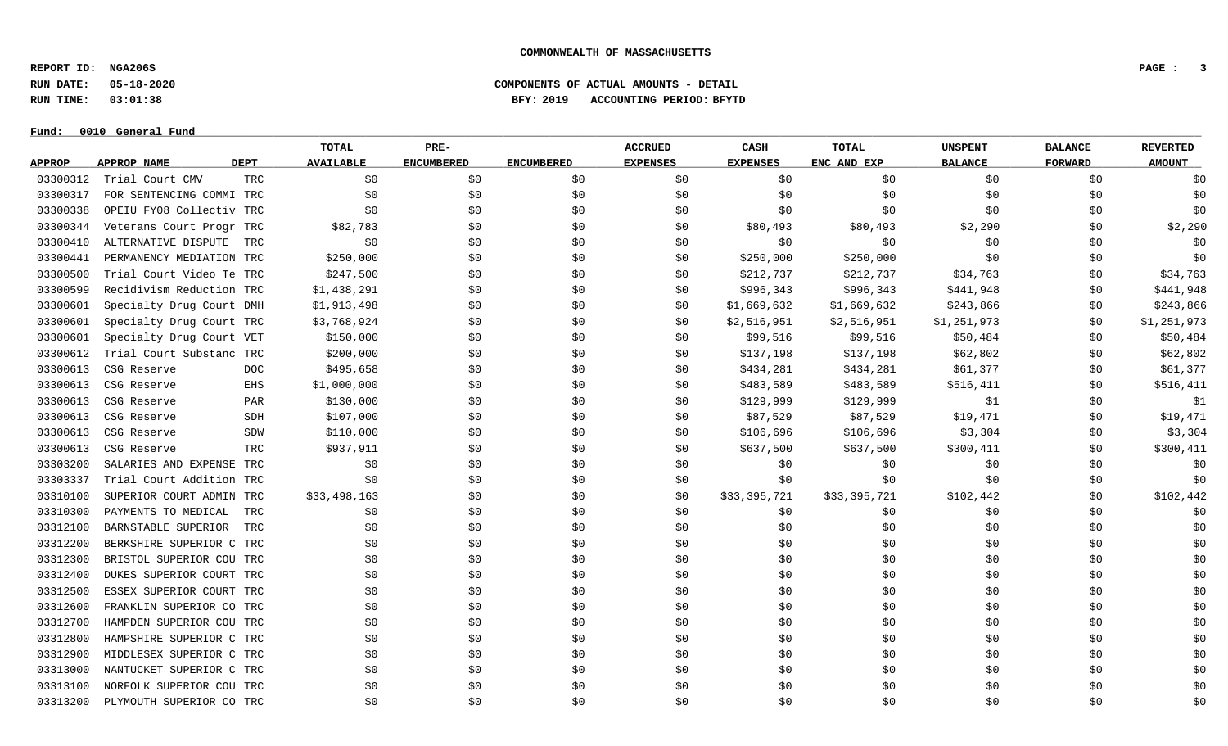**REPORT ID: NGA206S PAGE : 3**

**RUN DATE: 05-18-2020 COMPONENTS OF ACTUAL AMOUNTS - DETAIL**

**RUN TIME: 03:01:38 BFY: 2019 ACCOUNTING PERIOD: BFYTD**

|               |                          |             | TOTAL            | PRE-              |                   | <b>ACCRUED</b>  | CASH            | TOTAL        | <b>UNSPENT</b> | <b>BALANCE</b> | <b>REVERTED</b> |
|---------------|--------------------------|-------------|------------------|-------------------|-------------------|-----------------|-----------------|--------------|----------------|----------------|-----------------|
| <b>APPROP</b> | APPROP NAME              | <b>DEPT</b> | <b>AVAILABLE</b> | <b>ENCUMBERED</b> | <b>ENCUMBERED</b> | <b>EXPENSES</b> | <b>EXPENSES</b> | ENC AND EXP  | <b>BALANCE</b> | <b>FORWARD</b> | <b>AMOUNT</b>   |
| 03300312      | Trial Court CMV          | <b>TRC</b>  | \$0              | \$0               | \$0               | \$0             | \$0             | \$0          | \$0            | \$0            | \$0             |
| 03300317      | FOR SENTENCING COMMI TRC |             | \$0              | \$0\$             | \$0               | \$0             | \$0             | \$0          | \$0            | \$0            | \$0             |
| 03300338      | OPEIU FY08 Collectiv TRC |             | \$0              | \$0               | \$0               | \$0             | \$0             | \$0          | \$0            | \$0            | \$0             |
| 03300344      | Veterans Court Progr TRC |             | \$82,783         | \$0\$             | \$0               | \$0             | \$80,493        | \$80,493     | \$2,290        | \$0            | \$2,290         |
| 03300410      | ALTERNATIVE DISPUTE      | TRC         | \$0              | \$0               | \$0               | \$0             | \$0             | \$0          | \$0            | \$0            | \$0             |
| 03300441      | PERMANENCY MEDIATION TRC |             | \$250,000        | \$0               | \$0               | \$0             | \$250,000       | \$250,000    | \$0            | \$0            | \$0             |
| 03300500      | Trial Court Video Te TRC |             | \$247,500        | \$0               | \$0               | \$0             | \$212,737       | \$212,737    | \$34,763       | \$0            | \$34,763        |
| 03300599      | Recidivism Reduction TRC |             | \$1,438,291      | \$0               | \$0               | \$0             | \$996,343       | \$996,343    | \$441,948      | \$0            | \$441,948       |
| 03300601      | Specialty Drug Court DMH |             | \$1,913,498      | \$0               | \$0               | \$0             | \$1,669,632     | \$1,669,632  | \$243,866      | \$0            | \$243,866       |
| 03300601      | Specialty Drug Court TRC |             | \$3,768,924      | \$0               | \$0               | \$0             | \$2,516,951     | \$2,516,951  | \$1,251,973    | \$0            | \$1,251,973     |
| 03300601      | Specialty Drug Court VET |             | \$150,000        | \$0               | \$0               | \$0             | \$99,516        | \$99,516     | \$50,484       | \$0            | \$50,484        |
| 03300612      | Trial Court Substanc TRC |             | \$200,000        | \$0\$             | \$0               | \$0             | \$137,198       | \$137,198    | \$62,802       | \$0            | \$62,802        |
| 03300613      | CSG Reserve              | DOC         | \$495,658        | \$0               | \$0               | \$0             | \$434,281       | \$434,281    | \$61,377       | \$0            | \$61,377        |
| 03300613      | CSG Reserve              | EHS         | \$1,000,000      | \$0               | \$0               | \$0             | \$483,589       | \$483,589    | \$516,411      | \$0            | \$516,411       |
| 03300613      | CSG Reserve              | PAR         | \$130,000        | \$0               | \$0               | \$0             | \$129,999       | \$129,999    | \$1            | \$0            | \$1             |
| 03300613      | CSG Reserve              | SDH         | \$107,000        | \$0               | \$0               | \$0             | \$87,529        | \$87,529     | \$19,471       | \$0            | \$19,471        |
| 03300613      | CSG Reserve              | SDW         | \$110,000        | \$0               | \$0               | \$0             | \$106,696       | \$106,696    | \$3,304        | \$0            | \$3,304         |
| 03300613      | CSG Reserve              | TRC         | \$937,911        | \$0               | \$0               | \$0             | \$637,500       | \$637,500    | \$300,411      | \$0            | \$300,411       |
| 03303200      | SALARIES AND EXPENSE TRC |             | \$0              | \$0               | \$0               | \$0             | \$0             | \$0          | \$0            | \$0            | \$0             |
| 03303337      | Trial Court Addition TRC |             | \$0              | \$0               | \$0               | \$0             | \$0             | \$0          | \$0            | \$0            | \$0             |
| 03310100      | SUPERIOR COURT ADMIN TRC |             | \$33,498,163     | \$0\$             | \$0               | \$0             | \$33,395,721    | \$33,395,721 | \$102,442      | \$0            | \$102,442       |
| 03310300      | PAYMENTS TO MEDICAL      | TRC         | \$0              | \$0               | \$0               | \$0             | \$0             | \$0          | \$0            | \$0            | \$0             |
| 03312100      | BARNSTABLE SUPERIOR      | TRC         | \$0              | \$0               | \$0               | \$0             | \$0             | \$0          | \$0            | \$0            | \$0             |
| 03312200      | BERKSHIRE SUPERIOR C TRC |             | \$0              | \$0               | \$0               | \$0             | \$0             | \$0          | \$0            | \$0            | \$0             |
| 03312300      | BRISTOL SUPERIOR COU TRC |             | \$0              | \$0               | \$0               | \$0             | \$0             | \$0          | \$0            | \$0            | \$0             |
| 03312400      | DUKES SUPERIOR COURT TRC |             | \$0              | \$0               | \$0               | \$0             | \$0             | \$0          | \$0            | \$0            | \$0             |
| 03312500      | ESSEX SUPERIOR COURT TRC |             | \$0              | \$0               | \$0               | \$0             | \$0             | \$0          | \$0            | \$0            | \$0             |
| 03312600      | FRANKLIN SUPERIOR CO TRC |             | \$0              | \$0               | \$0               | \$0             | \$0             | \$0          | \$0            | \$0            | \$0             |
| 03312700      | HAMPDEN SUPERIOR COU TRC |             | \$0              | \$0               | \$0               | \$0             | \$0             | \$0          | \$0            | \$0            | \$0             |
| 03312800      | HAMPSHIRE SUPERIOR C TRC |             | \$0              | \$0               | \$0               | \$0             | \$0             | \$0          | \$0            | \$0            | \$0             |
| 03312900      | MIDDLESEX SUPERIOR C TRC |             | \$0              | \$0               | \$0               | \$0             | \$0             | \$0          | \$0            | \$0            | \$0             |
| 03313000      | NANTUCKET SUPERIOR C TRC |             | \$0              | \$0               | \$0               | \$0             | \$0             | \$0          | \$0            | \$0            | \$0             |
| 03313100      | NORFOLK SUPERIOR COU TRC |             | \$0              | \$0\$             | \$0               | \$0             | \$0             | \$0          | \$0            | \$0            | \$0             |
| 03313200      | PLYMOUTH SUPERIOR CO TRC |             | \$0              | \$0               | \$0               | \$0             | \$0             | \$0          | \$0            | \$0            | \$0             |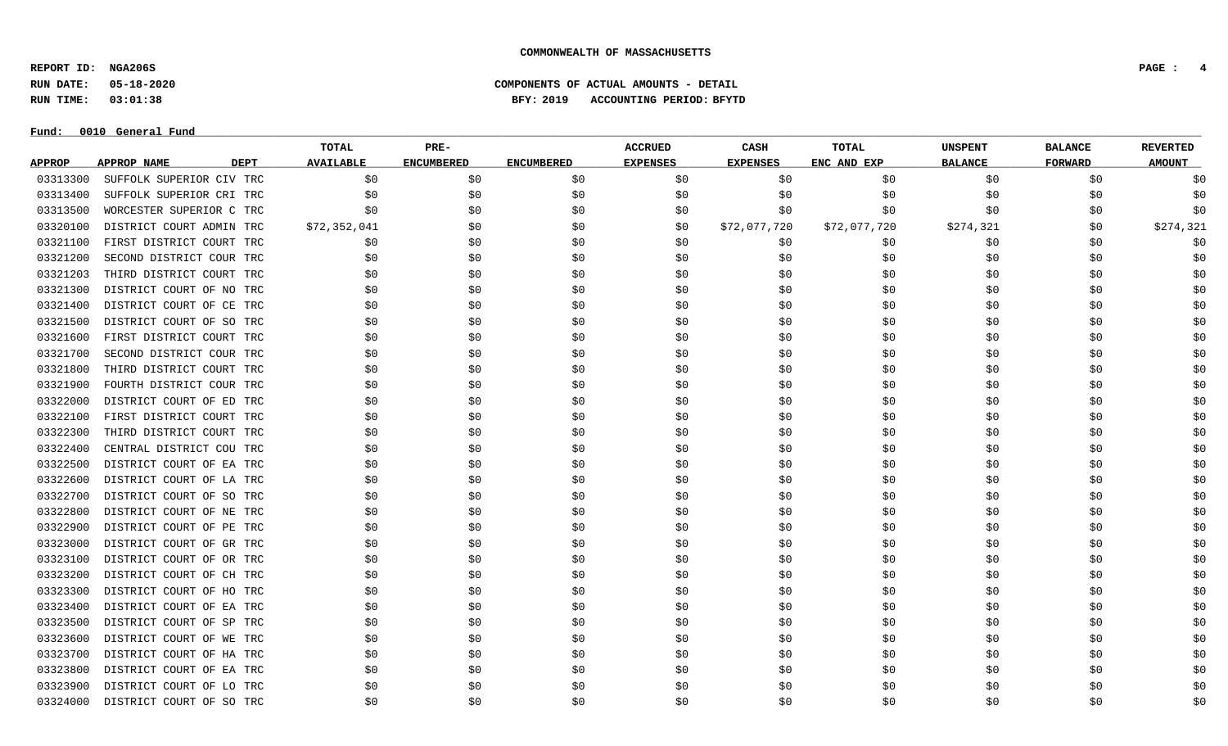**REPORT ID: NGA206S PAGE : 4**

**RUN DATE: 05-18-2020 COMPONENTS OF ACTUAL AMOUNTS - DETAIL**

**RUN TIME: 03:01:38 BFY: 2019 ACCOUNTING PERIOD: BFYTD**

|               |                            | TOTAL            | PRE-              |                   | <b>ACCRUED</b>  | CASH            | TOTAL        | <b>UNSPENT</b> | <b>BALANCE</b> | <b>REVERTED</b> |
|---------------|----------------------------|------------------|-------------------|-------------------|-----------------|-----------------|--------------|----------------|----------------|-----------------|
| <b>APPROP</b> | APPROP NAME<br><b>DEPT</b> | <b>AVAILABLE</b> | <b>ENCUMBERED</b> | <b>ENCUMBERED</b> | <b>EXPENSES</b> | <b>EXPENSES</b> | ENC AND EXP  | <b>BALANCE</b> | <b>FORWARD</b> | <b>AMOUNT</b>   |
| 03313300      | SUFFOLK SUPERIOR CIV TRC   | \$0              | \$0               | \$0               | \$0             | \$0             | \$0          | \$0            | \$0            | $\$0$           |
| 03313400      | SUFFOLK SUPERIOR CRI TRC   | \$0              | \$0               | \$0               | \$0             | \$0             | \$0          | \$0            | \$0            | \$0             |
| 03313500      | WORCESTER SUPERIOR C TRC   | \$0              | \$0               | \$0               | \$0             | \$0             | \$0          | \$0            | \$0            | \$0             |
| 03320100      | DISTRICT COURT ADMIN TRC   | \$72,352,041     | \$0               | \$0               | \$0             | \$72,077,720    | \$72,077,720 | \$274,321      | \$0            | \$274,321       |
| 03321100      | FIRST DISTRICT COURT TRC   | \$0              | \$0               | \$0               | \$0             | \$0             | \$0          | \$0            | \$0            | \$0             |
| 03321200      | SECOND DISTRICT COUR TRC   | \$0              | \$0               | \$0               | \$0             | \$0             | \$0          | \$0            | \$0            | \$0             |
| 03321203      | THIRD DISTRICT COURT TRC   | \$0              | \$0               | \$0               | \$0             | \$0             | \$0          | \$0            | \$0            | \$0             |
| 03321300      | DISTRICT COURT OF NO TRC   | \$0              | \$0               | \$0               | \$0             | \$0             | \$0          | \$0            | \$0            | \$0             |
| 03321400      | DISTRICT COURT OF CE TRC   | \$0              | \$0               | \$0               | \$0             | \$0             | \$0          | \$0            | \$0            | \$0             |
| 03321500      | DISTRICT COURT OF SO TRC   | \$0              | \$0               | \$0               | \$0             | \$0             | \$0          | \$0            | \$0            | \$0             |
| 03321600      | FIRST DISTRICT COURT TRC   | \$0              | \$0               | Ş0                | \$0             | \$0             | \$0          | \$0            | \$0            | \$0             |
| 03321700      | SECOND DISTRICT COUR TRC   | \$0              | \$0               | \$0               | \$0             | \$0             | \$0          | \$0            | \$0            | \$0             |
| 03321800      | THIRD DISTRICT COURT TRC   | \$0              | \$0               | \$0               | \$0             | \$0\$           | \$0          | \$0            | \$0            | \$0             |
| 03321900      | FOURTH DISTRICT COUR TRC   | \$0              | \$0               | \$0               | \$0             | \$0             | \$0          | \$0            | \$0            | \$0             |
| 03322000      | DISTRICT COURT OF ED TRC   | S0               | \$0               | \$0               | \$0             | \$0             | \$0          | \$0            | \$0            | \$0             |
| 03322100      | FIRST DISTRICT COURT TRC   | \$0              | \$0               | \$0               | \$0             | \$0             | \$0          | \$0            | \$0            | \$0             |
| 03322300      | THIRD DISTRICT COURT TRC   | \$0              | \$0               | \$0               | \$0             | \$0\$           | \$0          | \$0            | \$0\$          | \$0             |
| 03322400      | CENTRAL DISTRICT COU TRC   | \$0              | \$0               | \$0               | \$0             | \$0             | \$0          | \$0            | \$0            | \$0             |
| 03322500      | DISTRICT COURT OF EA TRC   | \$0              | \$0               | \$0               | \$0             | \$0\$           | \$0          | \$0            | \$0\$          | \$0             |
| 03322600      | DISTRICT COURT OF LA TRC   | \$0              | \$0               | \$0               | \$0             | \$0\$           | \$0          | \$0            | \$0            | \$0             |
| 03322700      | DISTRICT COURT OF SO TRC   | \$0              | \$0               | \$0               | \$0             | \$0             | \$0          | \$0            | \$0            | \$0             |
| 03322800      | DISTRICT COURT OF NE TRC   | \$0              | \$0               | \$0               | \$0             | \$0             | \$0          | \$0            | \$0            | \$0             |
| 03322900      | DISTRICT COURT OF PE TRC   | \$0              | \$0               | \$0               | \$0             | \$0             | \$0          | \$0            | \$0            | \$0             |
| 03323000      | DISTRICT COURT OF GR TRC   | \$0              | \$0               | \$0               | \$0             | \$0             | \$0          | \$0            | \$0            | \$0             |
| 03323100      | DISTRICT COURT OF OR TRC   | \$0              | \$0               | \$0               | \$0             | \$0             | \$0          | \$0            | \$0            | \$0             |
| 03323200      | DISTRICT COURT OF CH TRC   | \$0              | \$0               | \$0               | \$0             | \$0             | \$0          | \$0            | \$0            | \$0             |
| 03323300      | DISTRICT COURT OF HO TRC   | \$0              | \$0               | \$0               | \$0             | \$0             | \$0          | \$0            | \$0            | \$0             |
| 03323400      | DISTRICT COURT OF EA TRC   | S0               | \$0               | \$0               | \$0             | \$0             | \$0          | \$0            | \$0            | \$0             |
| 03323500      | DISTRICT COURT OF SP TRC   | \$0              | \$0               | \$0               | \$0             | \$0             | \$0          | \$0            | \$0            | \$0             |
| 03323600      | DISTRICT COURT OF WE TRC   | \$0              | \$0               | \$0               | \$0             | \$0             | \$0          | \$0            | \$0            | \$0             |
| 03323700      | DISTRICT COURT OF HA TRC   | \$0              | \$0               | \$0               | \$0             | \$0             | \$0          | \$0            | \$0            | \$0             |
| 03323800      | DISTRICT COURT OF EA TRC   | \$0              | \$0               | \$0               | \$0             | \$0             | \$0          | \$0            | \$0            | \$0             |
| 03323900      | DISTRICT COURT OF LO TRC   | \$0              | \$0               | \$0               | \$0             | \$0             | \$0          | \$0            | \$0            | \$0             |
| 03324000      | DISTRICT COURT OF SO TRC   | S0               | \$0               | \$0               | \$0             | \$0             | \$0          | \$0            | \$0            | \$0             |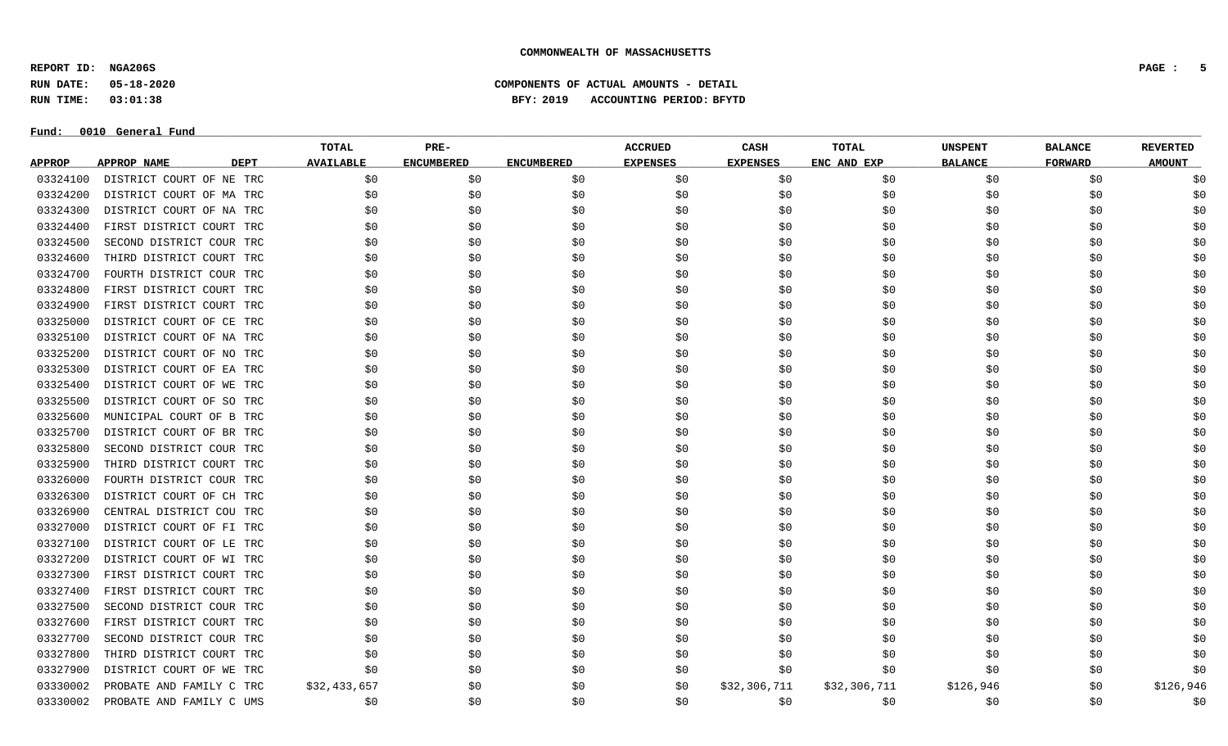**REPORT ID: NGA206S PAGE : 5**

### **RUN DATE: 05-18-2020 COMPONENTS OF ACTUAL AMOUNTS - DETAIL RUN TIME: 03:01:38 BFY: 2019 ACCOUNTING PERIOD: BFYTD**

|               |                                   | TOTAL            | $PRE-$            |                   | <b>ACCRUED</b>  | CASH            | <b>TOTAL</b> | <b>UNSPENT</b> | <b>BALANCE</b> | <b>REVERTED</b> |
|---------------|-----------------------------------|------------------|-------------------|-------------------|-----------------|-----------------|--------------|----------------|----------------|-----------------|
| <b>APPROP</b> | <b>DEPT</b><br><b>APPROP NAME</b> | <b>AVAILABLE</b> | <b>ENCUMBERED</b> | <b>ENCUMBERED</b> | <b>EXPENSES</b> | <b>EXPENSES</b> | ENC AND EXP  | <b>BALANCE</b> | FORWARD        | <b>AMOUNT</b>   |
| 03324100      | DISTRICT COURT OF NE TRC          | \$0              | \$0               | \$0               | \$0             | \$0             | \$0          | \$0            | \$0            | \$0             |
| 03324200      | DISTRICT COURT OF MA TRC          | \$0              | \$0               | \$0               | \$0             | \$0             | \$0          | \$0            | \$0            | \$0             |
| 03324300      | DISTRICT COURT OF NA TRC          | \$0              | \$0               | \$0               | \$0             | \$0             | \$0          | \$0            | \$0            | \$0             |
| 03324400      | FIRST DISTRICT COURT TRC          | \$0              | \$0               | \$0               | \$0             | \$0             | \$0          | \$0            | \$0            | \$0             |
| 03324500      | SECOND DISTRICT COUR TRC          | \$0              | \$0               | \$0               | \$0             | \$0             | \$0          | \$0            | \$0            | \$0             |
| 03324600      | THIRD DISTRICT COURT TRC          | \$0              | \$0               | \$0               | \$0             | \$0             | \$0          | \$0            | \$0            | \$0             |
| 03324700      | FOURTH DISTRICT COUR TRC          | \$0              | \$0               | \$0               | \$0             | \$0             | \$0          | \$0            | \$0            | \$0             |
| 03324800      | FIRST DISTRICT COURT TRC          | \$0              | \$0               | \$0               | \$0             | \$0             | \$0          | \$0            | \$0            | \$0             |
| 03324900      | FIRST DISTRICT COURT TRC          | \$0              | \$0               | \$0               | \$0             | \$0             | \$0          | \$0            | \$0            | \$0             |
| 03325000      | DISTRICT COURT OF CE TRC          | \$0              | \$0               | \$0               | \$0             | \$0             | \$0          | \$0            | \$0            | \$0             |
| 03325100      | DISTRICT COURT OF NA TRC          | \$0              | \$0               | \$0               | \$0             | \$0             | \$0          | \$0            | \$0            | \$0             |
| 03325200      | DISTRICT COURT OF NO TRC          | \$0              | \$0               | \$0               | \$0             | \$0             | \$0          | \$0            | \$0            | \$0             |
| 03325300      | DISTRICT COURT OF EA TRC          | \$0              | \$0               | \$0               | \$0             | \$0             | \$0          | \$0            | \$0            | \$0             |
| 03325400      | DISTRICT COURT OF WE TRC          | \$0              | \$0               | \$0               | \$0             | \$0             | \$0          | \$0            | \$0            | \$0             |
| 03325500      | DISTRICT COURT OF SO TRC          | \$0              | \$0               | \$0               | \$0             | \$0             | \$0          | \$0            | \$0            | \$0             |
| 03325600      | MUNICIPAL COURT OF B TRC          | \$0              | \$0               | \$0               | \$0             | \$0             | \$0          | \$0            | \$0            | \$0             |
| 03325700      | DISTRICT COURT OF BR TRC          | \$0              | \$0               | \$0               | \$0             | \$0             | \$0          | \$0            | \$0            | \$0             |
| 03325800      | SECOND DISTRICT COUR TRC          | \$0              | \$0               | \$0               | \$0             | \$0             | \$0          | \$0            | \$0            | \$0             |
| 03325900      | THIRD DISTRICT COURT TRC          | \$0              | \$0               | \$0               | \$0             | \$0             | \$0          | \$0            | \$0            | \$0             |
| 03326000      | FOURTH DISTRICT COUR TRC          | \$0              | \$0               | \$0               | \$0             | \$0             | \$0          | \$0            | \$0            | \$0             |
| 03326300      | DISTRICT COURT OF CH TRC          | \$0              | \$0               | \$0               | \$0             | \$0             | \$0          | \$0            | \$0            | \$0             |
| 03326900      | CENTRAL DISTRICT COU TRC          | \$0              | \$0               | \$0               | \$0             | \$0             | \$0          | \$0            | \$0            | \$0             |
| 03327000      | DISTRICT COURT OF FI TRC          | \$0              | \$0               | \$0               | \$0             | \$0             | \$0          | \$0            | \$0            | \$0             |
| 03327100      | DISTRICT COURT OF LE TRC          | \$0              | \$0               | \$0               | \$0             | \$0             | \$0          | \$0            | \$0            | \$0             |
| 03327200      | DISTRICT COURT OF WI TRC          | \$0              | \$0               | \$0               | \$0             | \$0             | \$0          | \$0            | \$0            | \$0             |
| 03327300      | FIRST DISTRICT COURT TRC          | \$0              | \$0               | \$0               | \$0             | \$0             | \$0          | \$0            | \$0            | \$0             |
| 03327400      | FIRST DISTRICT COURT TRC          | \$0              | \$0               | \$0               | \$0             | \$0             | \$0          | \$0            | \$0            | \$0             |
| 03327500      | SECOND DISTRICT COUR TRC          | \$0              | \$0               | \$0               | \$0             | \$0             | \$0          | \$0            | \$0            | \$0             |
| 03327600      | FIRST DISTRICT COURT TRC          | \$0              | \$0               | \$0               | \$0             | \$0             | \$0          | \$0            | \$0            | \$0             |
| 03327700      | SECOND DISTRICT COUR TRC          | \$0              | \$0               | \$0               | \$0             | \$0             | \$0          | \$0            | \$0            | \$0             |
| 03327800      | THIRD DISTRICT COURT TRC          | \$0              | \$0               | \$0               | \$0             | \$0             | \$0          | \$0            | \$0            | \$0             |
| 03327900      | DISTRICT COURT OF WE TRC          | \$0              | \$0               | \$0               | \$0             | \$0             | \$0          | \$0            | \$0            | \$0             |
| 03330002      | PROBATE AND FAMILY C TRC          | \$32,433,657     | \$0               | \$0               | \$0             | \$32,306,711    | \$32,306,711 | \$126,946      | \$0            | \$126,946       |
| 03330002      | PROBATE AND FAMILY C UMS          | \$0              | \$0               | \$0               | \$0             | \$0             | \$0          | \$0            | \$0            | \$0             |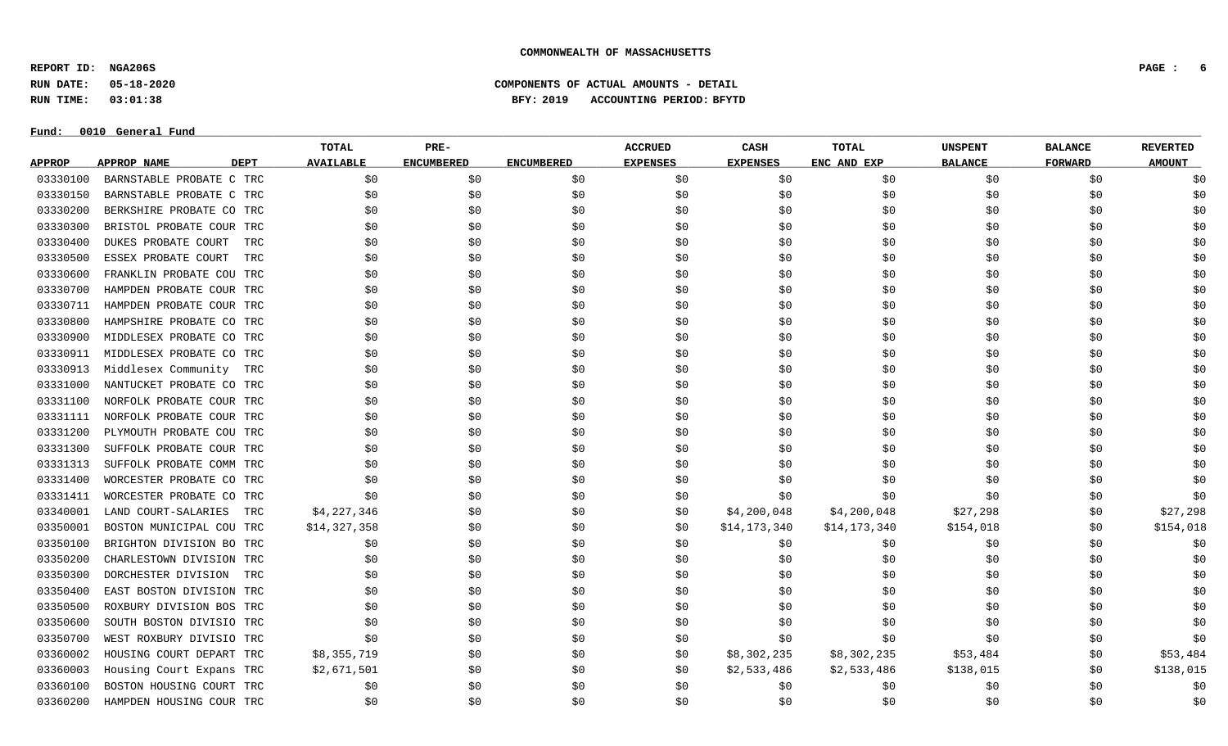**REPORT ID: NGA206S PAGE : 6**

**RUN DATE: 05-18-2020 COMPONENTS OF ACTUAL AMOUNTS - DETAIL**

**RUN TIME: 03:01:38 BFY: 2019 ACCOUNTING PERIOD: BFYTD**

#### $Fund: 0010$  General Fund

## **TOTAL PRE- ACCRUED CASH TOTAL UNSPENT BALANCE REVERTED** <u>APPROP APPROPNAME – DEPT AVAILABLE ENCUMBERED ENCUMBERED EXPENSES EXPENSES ENCANDEXP BALANCE – FORWARD – AMOUNT</u> 03330100 BARNSTABLE PROBATE C TRC \$0 \$0 \$0 \$0 \$0 \$0 \$0 \$0 \$0 03330150 BARNSTABLE PROBATE C TRC \$0 \$0 \$0 \$0 \$0 \$0 \$0 \$0 \$0 03330200 BERKSHIRE PROBATE CO TRC \$0 \$0 \$0 \$0 \$0 \$0 \$0 \$0 \$0 03330300 BRISTOL PROBATE COUR TRC \$0 \$0 \$0 \$0 \$0 \$0 \$0 \$0 \$0 03330400 DUKES PROBATE COURT TRC \$0 \$0 \$0 \$0 \$0 \$0 \$0 \$0 \$0 03330500 ESSEX PROBATE COURT TRC \$0 \$0 \$0 \$0 \$0 \$0 \$0 \$0 \$0 03330600 FRANKLIN PROBATE COU TRC \$0 \$0 \$0 \$0 \$0 \$0 \$0 \$0 \$0 03330700 HAMPDEN PROBATE COUR TRC \$0 \$0 \$0 \$0 \$0 \$0 \$0 \$0 \$0 03330711 HAMPDEN PROBATE COUR TRC \$0 \$0 \$0 \$0 \$0 \$0 \$0 \$0 \$0 03330800 HAMPSHIRE PROBATE CO TRC \$0 \$0 \$0 \$0 \$0 \$0 \$0 \$0 \$0 03330900 MIDDLESEX PROBATE CO TRC \$0 \$0 \$0 \$0 \$0 \$0 \$0 \$0 \$0 03330911 MIDDLESEX PROBATE CO TRC \$0 \$0 \$0 \$0 \$0 \$0 \$0 \$0 \$0 03330913 Middlesex Community TRC \$0 \$0 \$0 \$0 \$0 \$0 \$0 \$0 \$0 \$0 03331000 NANTUCKET PROBATE CO TRC \$0 \$0 \$0 \$0 \$0 \$0 \$0 \$0 \$0 03331100 NORFOLK PROBATE COUR TRC \$0 \$0 \$0 \$0 \$0 \$0 \$0 \$0 \$0 03331111 NORFOLK PROBATE COUR TRC \$0 \$0 \$0 \$0 \$0 \$0 \$0 \$0 \$0 03331200 PLYMOUTH PROBATE COU TRC \$0 \$0 \$0 \$0 \$0 \$0 \$0 \$0 \$0 03331300 SUFFOLK PROBATE COUR TRC \$0 \$0 \$0 \$0 \$0 \$0 \$0 \$0 \$0 03331313 SUFFOLK PROBATE COMM TRC \$0 \$0 \$0 \$0 \$0 \$0 \$0 \$0 \$0 03331400 WORCESTER PROBATE CO TRC \$0 \$0 \$0 \$0 \$0 \$0 \$0 \$0 \$0 03331411 WORCESTER PROBATE CO TRC \$0 \$0 \$0 \$0 \$0 \$0 \$0 \$0 \$0 03340001 LAND COURT-SALARIES TRC \$4,227,346 \$0 \$0 \$0 \$1,200,048 \$4,200,048 \$27,298 \$0 \$27,298 \$0 \$27,298 03350001 BOSTON MUNICIPAL COU TRC \$14,327,358 \$0 \$0 \$0 \$0 \$14,173,340 \$14,173,340 \$154,018 \$0 \$154,018 \$0 \$154 03350100 BRIGHTON DIVISION BO TRC \$0 \$0 \$0 \$0 \$0 \$0 \$0 \$0 \$0 03350200 CHARLESTOWN DIVISION TRC \$0 \$0 \$0 \$0 \$0 \$0 \$0 \$0 \$0 03350300 DORCHESTER DIVISION TRC \$0 \$0 \$0 \$0 \$0 \$0 \$0 \$0 \$0 03350400 EAST BOSTON DIVISION TRC \$0 \$0 \$0 \$0 \$0 \$0 \$0 \$0 \$0 03350500 ROXBURY DIVISION BOS TRC \$0 \$0 \$0 \$0 \$0 \$0 \$0 \$0 \$0 03350600 SOUTH BOSTON DIVISIO TRC \$0 \$0 \$0 \$0 \$0 \$0 \$0 \$0 \$0 03350700 WEST ROXBURY DIVISIO TRC \$0 \$0 \$0 \$0 \$0 \$0 \$0 \$0 \$0 03360002 HOUSING COURT DEPART TRC \$8,355,719 \$0 \$0 \$0 \$0 \$8,302,235 \$8,302,235 \$53,484 \$0 \$53,484 03360003 Housing Court Expans TRC \$2,671,501 \$0 \$0 \$0 \$2,533,486 \$2,533,486 \$138,015 \$0 \$138,015 \$0 \$138,015 03360100 BOSTON HOUSING COURT TRC \$0 \$0 \$0 \$0 \$0 \$0 \$0 \$0 \$0 03360200 HAMPDEN HOUSING COUR TRC \$0 \$0 \$0 \$0 \$0 \$0 \$0 \$0 \$0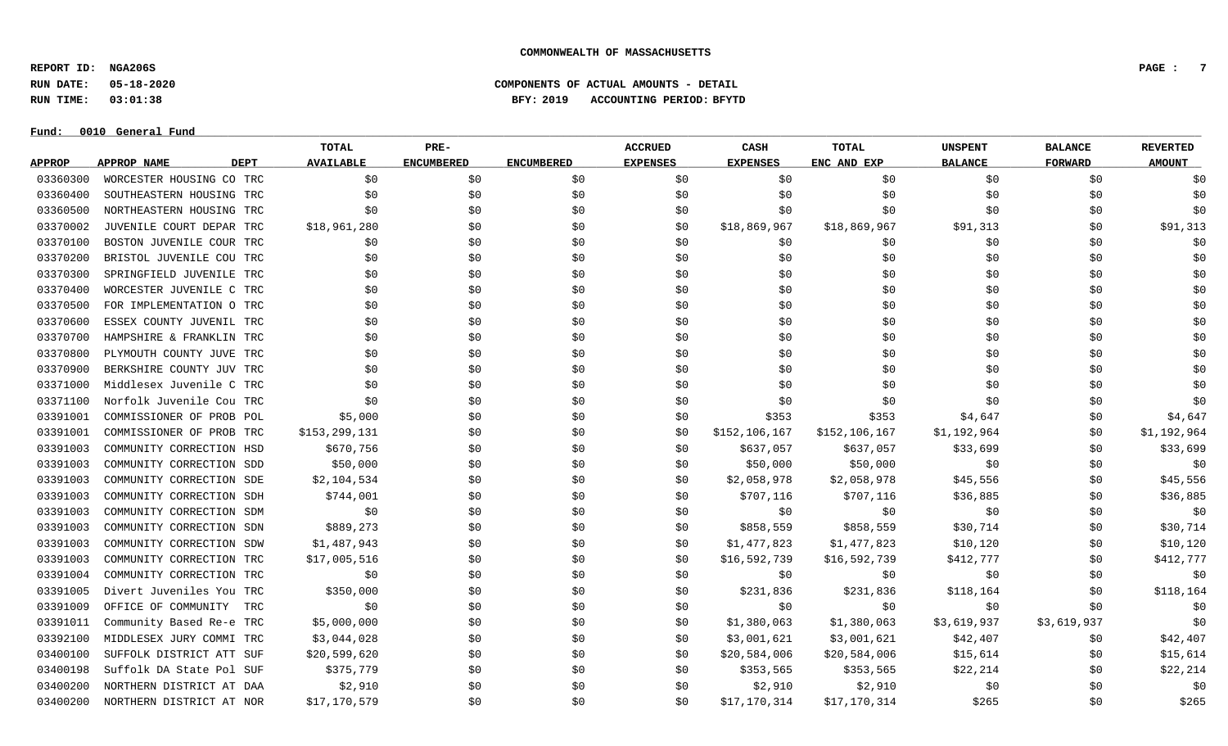**REPORT ID: NGA206S PAGE : 7**

**RUN DATE: 05-18-2020 COMPONENTS OF ACTUAL AMOUNTS - DETAIL**

**RUN TIME: 03:01:38 BFY: 2019 ACCOUNTING PERIOD: BFYTD**

#### $Fund: 0010$  General Fund

## **TOTAL PRE- ACCRUED CASH TOTAL UNSPENT BALANCE REVERTED** <u>APPROP APPROPNAME – DEPT AVAILABLE ENCUMBERED ENCUMBERED EXPENSES EXPENSES ENCANDEXP BALANCE – FORWARD – AMOUNT</u> 03360300 WORCESTER HOUSING CO TRC \$0 \$0 \$0 \$0 \$0 \$0 \$0 \$0 \$0 03360400 SOUTHEASTERN HOUSING TRC \$0 \$0 \$0 \$0 \$0 \$0 \$0 \$0 \$0 03360500 NORTHEASTERN HOUSING TRC \$0 \$0 \$0 \$0 \$0 \$0 \$0 \$0 \$0 03370002 JUVENILE COURT DEPAR TRC \$18,961,280 \$0 \$0 \$0 \$0 \$18,869,967 \$18,869,967 \$91,313 \$0 \$91,313 03370100 BOSTON JUVENILE COUR TRC \$0 \$0 \$0 \$0 \$0 \$0 \$0 \$0 \$0 03370200 BRISTOL JUVENILE COU TRC \$0 \$0 \$0 \$0 \$0 \$0 \$0 \$0 \$0 03370300 SPRINGFIELD JUVENILE TRC \$0 \$0 \$0 \$0 \$0 \$0 \$0 \$0 \$0 03370400 WORCESTER JUVENILE C TRC \$0 \$0 \$0 \$0 \$0 \$0 \$0 \$0 \$0 03370500 FOR IMPLEMENTATION O TRC \$0 \$0 \$0 \$0 \$0 \$0 \$0 \$0 \$0 03370600 ESSEX COUNTY JUVENIL TRC \$0 \$0 \$0 \$0 \$0 \$0 \$0 \$0 \$0 03370700 HAMPSHIRE & FRANKLIN TRC \$0 \$0 \$0 \$0 \$0 \$0 \$0 \$0 \$0 03370800 PLYMOUTH COUNTY JUVE TRC \$0 \$0 \$0 \$0 \$0 \$0 \$0 \$0 \$0 03370900 BERKSHIRE COUNTY JUV TRC \$0 \$0 \$0 \$0 \$0 \$0 \$0 \$0 \$0 03371000 Middlesex Juvenile C TRC \$0 \$0 \$0 \$0 \$0 \$0 \$0 \$0 \$0 03371100 Norfolk Juvenile Cou TRC \$0 \$0 \$0 \$0 \$0 \$0 \$0 \$0 \$0 03391001 COMMISSIONER OF PROB POL \$5,000 \$0 \$0 \$0 \$353 \$4,647 \$364,647 \$0 \$4,647 03391001 COMMISSIONER OF PROB TRC \$153,299,131 \$0 \$0 \$0 \$0 \$152,106,167 \$152,106,167 \$1,192,964 \$0 \$1,192,964 03391003 COMMUNITY CORRECTION HSD \$670,756 \$0 \$0 \$0 \$0 \$637,057 \$637,057 \$633,699 \$0 \$33,699 \$0 \$33,699 03391003 COMMUNITY CORRECTION SDD \$50,000 \$0 \$0 \$50,000 \$0 \$0 \$0 \$0 03391003 COMMUNITY CORRECTION SDE \$2,104,534 \$0 \$0 \$0 \$2,058,978 \$2,058,978 \$15,556 \$1 \$45,556 \$0 \$45,556 03391003 COMMUNITY CORRECTION SDH \$744,001 \$0 \$0 \$90 \$707,116 \$707,116 \$36,885 \$0 \$36,885 \$0 \$36,885 03391003 COMMUNITY CORRECTION SDM \$0 \$0 \$0 \$0 \$0 \$0 \$0 \$0 \$0 03391003 COMMUNITY CORRECTION SDN \$889,273 \$0 \$0 \$0 \$858,559 \$858,559 \$30,714 \$0 \$30,714 \$0 \$30,714 03391003 COMMUNITY CORRECTION SDW \$1,487,943 \$0 \$0 \$0 \$1,477,823 \$1,477,823 \$10,120 \$0 \$10,120 \$0 \$10,120 03391003 COMMUNITY CORRECTION TRC \$17,005,516 \$0 \$0 \$0 \$16,592,739 \$16,592,739 \$412,777 \$60 \$412,777 03391004 COMMUNITY CORRECTION TRC \$0 \$0 \$0 \$0 \$0 \$0 \$0 \$0 \$0 03391005 Divert Juveniles You TRC \$350,000 \$0 \$0 \$0 \$231,836 \$231,836 \$118,164 \$0 \$118,164 \$0 \$118,164 03391009 OFFICE OF COMMUNITY TRC \$0 \$0 \$0 \$0 \$0 \$0 \$0 \$0 \$0 03391011 Community Based Re-e TRC \$5,000,000 \$0 \$0 \$0 \$0 \$1,380,063 \$1,380,063 \$3,619,937 \$3,619,937 \$3,619,937 03392100 MIDDLESEX JURY COMMI TRC \$3,044,028 \$0 \$0 \$0 \$1,001,621 \$3,001,621 \$42,407 \$12,407 \$0 \$42,407 03400100 SUFFOLK DISTRICT ATT SUF \$20,599,620 \$0 \$0 \$0 \$0 \$20,584,006 \$20,584,006 \$15,614 \$0 \$15,614 03400198 Suffolk DA State Pol SUF \$375,779 \$0 \$0 \$0 \$353,565 \$353,565 \$22,214 \$0 \$22,214 03400200 NORTHERN DISTRICT AT DAA \$2,910 \$0 \$0 \$0 \$2,910 \$2,910 \$2,910 \$0 \$0 \$0 \$0 03400200 NORTHERN DISTRICT AT NOR \$17,170,579 \$0 \$0 \$0 \$17,170,314 \$17,170,314 \$265 \$0 \$265 \$0 \$265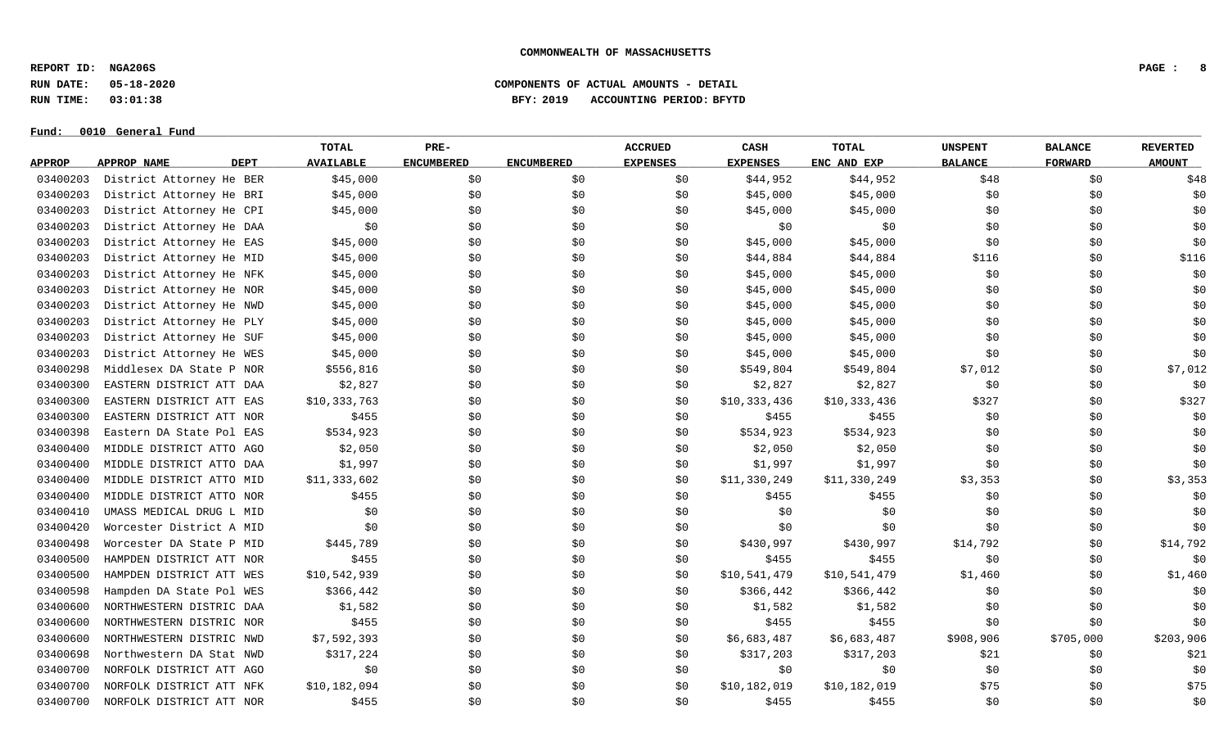**REPORT ID: NGA206S PAGE : 8**

**RUN DATE: 05-18-2020 COMPONENTS OF ACTUAL AMOUNTS - DETAIL**

**RUN TIME: 03:01:38 BFY: 2019 ACCOUNTING PERIOD: BFYTD**

#### $Fund: 0010$  General Fund

## **TOTAL PRE- ACCRUED CASH TOTAL UNSPENT BALANCE REVERTED** <u>APPROP APPROPNAME – DEPT AVAILABLE ENCUMBERED ENCUMBERED EXPENSES EXPENSES ENCANDEXP BALANCE – FORWARD – AMOUNT</u> 03400203 District Attorney He BER \$45,000 \$0 \$0 \$0 \$44,952 \$44,952 \$48 \$0 \$48 03400203 District Attorney He BRI \$45,000 \$0 \$0 \$0 \$0 \$15,000 \$45,000 \$45,000 \$0 \$0 \$0 \$0 \$0 03400203 District Attorney He CPI \$45,000 \$0 \$0 \$0 \$0 \$15,000 \$45,000 \$45,000 \$0 \$0 \$0 \$0 \$0 03400203 District Attorney He DAA \$0 \$0 \$0 \$0 \$0 \$0 \$0 \$0 \$0 03400203 District Attorney He EAS \$45,000 \$0 \$0 \$0 \$0 \$45,000 \$45,000 \$45,000 \$0 \$0 \$0 \$0 \$0 03400203 District Attorney He MID \$45,000 \$0 \$0 \$0 \$644,884 \$44,884 \$44,884 \$116 \$0 \$116 \$0 \$116 03400203 District Attorney He NFK \$45,000 \$0 \$0 \$0 \$0 \$45,000 \$45,000 \$45,000 \$0 \$0 \$0 \$0 \$0 03400203 District Attorney He NOR \$45,000 \$0 \$0 \$0 \$0 \$45,000 \$45,000 \$45,000 \$0 \$0 \$0 \$0 \$0 03400203 District Attorney He NWD \$45,000 \$0 \$0 \$0 \$0 \$45,000 \$45,000 \$45,000 \$0 \$0 \$0 \$0 \$0 03400203 District Attorney He PLY \$45,000 \$0 \$0 \$0 \$0 \$45,000 \$45,000 \$45,000 \$0 \$0 \$0 \$0 \$0 03400203 District Attorney He SUF \$45,000 \$0 \$0 \$0 \$0 \$15,000 \$45,000 \$45,000 \$0 \$0 \$0 \$0 \$0 03400203 District Attorney He WES \$45,000 \$0 \$0 \$0 \$0 \$45,000 \$45,000 \$45,000 \$0 \$0 \$0 \$0 \$0 03400298 Middlesex DA State P NOR \$556,816 \$0 \$0 \$549,804 \$549,804 \$549,804 \$7,012 \$0 \$7,012 03400300 EASTERN DISTRICT ATT DAA \$2,827 \$0 \$0 \$0 \$2,827 \$2,827 \$2,827 \$0 \$0 \$0 \$0 03400300 EASTERN DISTRICT ATT EAS \$10,333,763 \$0 \$0 \$0 \$10,333,436 \$10,333,436 \$10,333,436 \$327 \$0 \$327 03400300 EASTERN DISTRICT ATT NOR \$455 \$1955 \$0 \$0 \$0 \$455 \$455 \$1, \$0 \$0 \$0 \$0 \$0 03400398 Eastern DA State Pol EAS \$534,923 \$0 \$0 \$0 \$534,923 \$534,923 \$0 \$0 \$0 \$0 \$0 \$0 03400400 MIDDLE DISTRICT ATTO AGO \$2,050 \$0 \$0 \$0 \$2,050 \$2,050 \$2,050 \$0 \$0 \$0 \$0 \$0 \$0 03400400 MIDDLE DISTRICT ATTO DAA \$1,997 \$0 \$0 \$0 \$1,997 \$1,997 \$1,997 \$0 \$0 \$0 \$0 03400400 MIDDLE DISTRICT ATTO MID \$11,333,602 \$0 \$0 \$0 \$11,330,249 \$11,330,249 \$3,353 \$0 \$3,353 03400400 MIDDLE DISTRICT ATTO NOR \$455 \$0 \$0 \$0 \$0 \$455 \$455 \$155 \$0 \$0 \$0 \$0 \$0 03400410 UMASS MEDICAL DRUG L MID \$0 \$0 \$0 \$0 \$0 \$0 \$0 \$0 \$0 03400420 Worcester District A MID \$0 \$0 \$0 \$0 \$0 \$0 \$0 \$0 \$0 03400498 Worcester DA State P MID \$445,789 \$0 \$0 \$0 \$430,997 \$430,997 \$14,792 \$0 \$14,792 03400500 HAMPDEN DISTRICT ATT NOR \$455 \$1,59 \$0 \$0 \$0 \$455 \$455 \$1,50 \$0 \$0 \$0 \$0 \$0 \$0 \$0 \$0 \$0 \$0 \$1 \$1 \$1 \$ 03400500 HAMPDEN DISTRICT ATT WES \$10,542,939 \$0 \$0 \$0 \$0 \$10,541,479 \$10,541,479 \$1,460 \$1,460 \$0 \$1,460 03400598 Hampden DA State Pol WES \$366,442 \$0 \$0 \$0 \$366,442 \$366,442 \$366,442 \$0 \$0 \$0 \$0 \$0 \$0 03400600 NORTHWESTERN DISTRIC DAA \$1,582 \$0 \$0 \$0 \$1,582 \$1,582 \$1,582 \$0 \$0 \$0 \$0 03400600 NORTHWESTERN DISTRIC NOR \$455 \$0 \$0 \$0 \$155 \$455 \$1 \$1 \$0 \$0 \$0 \$0 \$0 \$0 03400600 NORTHWESTERN DISTRIC NWD \$7,592,393 \$0 \$0 \$0 \$0 \$0 \$6,683,487 \$6,683,487 \$908,906 \$705,000 \$203,906 03400698 Northwestern DA Stat NWD \$317,224 \$0 \$0 \$0 \$317,203 \$317,203 \$317,203 \$21 \$0 \$21 03400700 NORFOLK DISTRICT ATT AGO \$0 \$0 \$0 \$0 \$0 \$0 \$0 \$0 \$0 03400700 NORFOLK DISTRICT ATT NFK \$10,182,094 \$0 \$0 \$0 \$10,182,019 \$10,182,019 \$10,182,019 \$75 \$0 \$75 03400700 NORFOLK DISTRICT ATT NOR \$455 \$0 \$0 \$0 \$455 \$455 \$0 \$0 \$0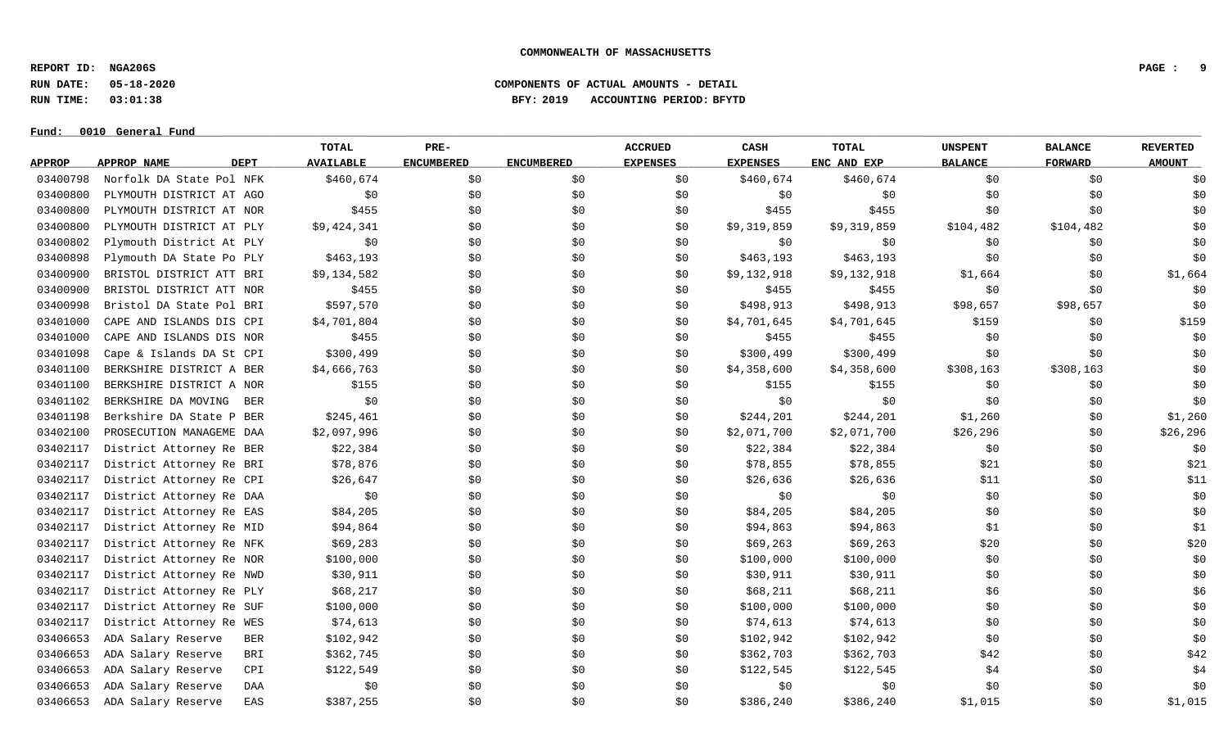**REPORT ID: NGA206S PAGE : 9**

**RUN DATE: 05-18-2020 COMPONENTS OF ACTUAL AMOUNTS - DETAIL**

**RUN TIME: 03:01:38 BFY: 2019 ACCOUNTING PERIOD: BFYTD**

#### $Fund: 0010$  General Fund

## **TOTAL PRE- ACCRUED CASH TOTAL UNSPENT BALANCE REVERTED** <u>APPROP APPROPNAME – DEPT AVAILABLE ENCUMBERED ENCUMBERED EXPENSES EXPENSES ENCANDEXP BALANCE – FORWARD – AMOUNT</u> 03400798 Norfolk DA State Pol NFK \$460,674 \$0 \$0 \$0 \$0 \$460,674 \$460,674 \$0 \$0 \$0 \$0 \$0 03400800 PLYMOUTH DISTRICT AT AGO \$0 \$0 \$0 \$0 \$0 \$0 \$0 \$0 \$0 03400800 PLYMOUTH DISTRICT AT NOR \$455 \$1 \$0 \$0 \$0 \$155 \$455 \$155 \$0 \$0 \$0 \$0 \$0 \$0 03400800 PLYMOUTH DISTRICT AT PLY \$9,424,341 \$0 \$0 \$0 \$9,319,859 \$9,319,859 \$104,482 \$104,482 \$104,482 \$104,482 03400802 Plymouth District At PLY \$0 \$0 \$0 \$0 \$0 \$0 \$0 \$0 \$0 03400898 Plymouth DA State Po PLY \$463,193 \$0 \$0 \$0 \$0 \$463,193 \$463,193 \$0 \$0 \$0 \$0 \$0 \$0 03400900 BRISTOL DISTRICT ATT BRI \$9,134,582 \$0 \$0 \$0 \$9,132,918 \$9,132,918 \$1,664 \$1,664 \$0 \$1,666 03400900 BRISTOL DISTRICT ATT NOR \$455 \$0 \$0 \$0 \$0 \$455 \$455 \$1 \$0 \$0 \$0 \$0 \$0 03400998 Bristol DA State Pol BRI \$597,570 \$0 \$0 \$0 \$498,913 \$498,913 \$498,913 \$98,657 \$98,657 \$98,657 \$98 03401000 CAPE AND ISLANDS DIS CPI \$4,701,804 \$0 \$0 \$0 \$1,701,645 \$4,701,645 \$159 \$159 \$0 \$159 03401000 CAPE AND ISLANDS DIS NOR \$455 \$0 \$0 \$0 \$0 \$455 \$455 \$155 \$0 \$0 \$0 \$0 \$0 \$0 03401098 Cape & Islands DA St CPI \$300,499 \$0 \$0 \$0 \$300,499 \$300,499 \$300,499 \$0 \$0 \$0 \$0 \$0 \$0 03401100 BERKSHIRE DISTRICT A BER \$4,666,763 \$0 \$0 \$0 \$1,358,600 \$4,358,600 \$308,163 \$308,163 \$308,163 \$0 03401100 BERKSHIRE DISTRICT A NOR \$155 \$1.55 \$0 \$0 \$155 \$155 \$155 \$155 \$0 \$0 \$0 \$0 03401102 BERKSHIRE DA MOVING BER \$0 \$0 \$0 \$0 \$0 \$0 \$0 \$0 \$0 03401198 Berkshire DA State P BER \$245,461 \$0 \$0 \$0 \$244,201 \$244,201 \$1,260 \$1,260 \$0 \$1,260 03402100 PROSECUTION MANAGEME DAA \$2,097,996 \$0 \$0 \$0 \$0 \$2,071,700 \$2,071,700 \$26,296 \$0 \$26,296 03402117 District Attorney Re BER \$22,384 \$0 \$0 \$0 \$22,384 \$22,384 \$22,384 \$0 \$0 \$0 \$0 \$0 \$0 03402117 District Attorney Re BRI 578,876 \$0 \$0 \$0 \$78,855 \$78,855 \$21 \$0 \$21 \$0 \$21 03402117 District Attorney Re CPI \$26,647 \$0 \$0 \$0 \$26,636 \$26,636 \$26,636 \$11 \$0 \$11 03402117 District Attorney Re DAA \$0 \$0 \$0 \$0 \$0 \$0 \$0 \$0 \$0 03402117 District Attorney Re EAS \$84,205 \$0 \$0 \$0 \$84,205 \$84,205 \$84,205 \$84,205 \$0 \$0 \$0 \$0 \$0 \$0 03402117 District Attorney Re MID \$94,864 \$0 \$0 \$0 \$94,863 \$94,863 \$94,863 \$1 \$0 \$1 \$0 \$1 03402117 District Attorney Re NFK \$69,283 \$0 \$0 \$0 \$69,263 \$69,263 \$69,263 \$20 \$0 \$0 \$20 03402117 District Attorney Re NOR \$100,000 \$0 \$0 \$0 \$100,000 \$100,000 \$100,000 \$0 \$0 \$0 \$0 \$0 03402117 District Attorney Re NWD \$30,911 \$0 \$0 \$0 \$0 \$30,911 \$30,911 \$0 \$0 \$0 \$0 03402117 District Attorney Re PLY \$68,217 \$0 \$0 \$0 \$68,211 \$68,211 \$68,211 \$6 \$0 \$0 \$6 03402117 District Attorney Re SUF \$100,000 \$0 \$0 \$0 \$0 \$100,000 \$100,000 \$0 \$0 \$0 \$0 \$0 \$0 03402117 District Attorney Re WES \$74,613 \$0 \$0 \$0 \$74,613 \$74,613 \$0 \$0 \$0 03406653 ADA Salary Reserve BER \$102,942 \$0 \$0 \$0 \$102,942 \$102,942 \$102,942 \$0 \$0 \$0 \$0 03406653 ADA Salary Reserve BRI \$362,745 \$0 \$0 \$0 \$362,703 \$362,703 \$42 \$0 \$0 \$42 03406653 ADA Salary Reserve CPI \$122,549 \$0 \$0 \$0 \$122,545 \$122,545 \$122,545 \$4 \$0 \$4 03406653 ADA Salary Reserve DAA \$0 \$0 \$0 \$0 \$0 \$0 \$0 \$0 \$0 03406653 ADA Salary Reserve EAS \$387,255 \$0 \$0 \$0 \$386,240 \$386,240 \$1,015 \$0 \$1,015 \$0 \$1,015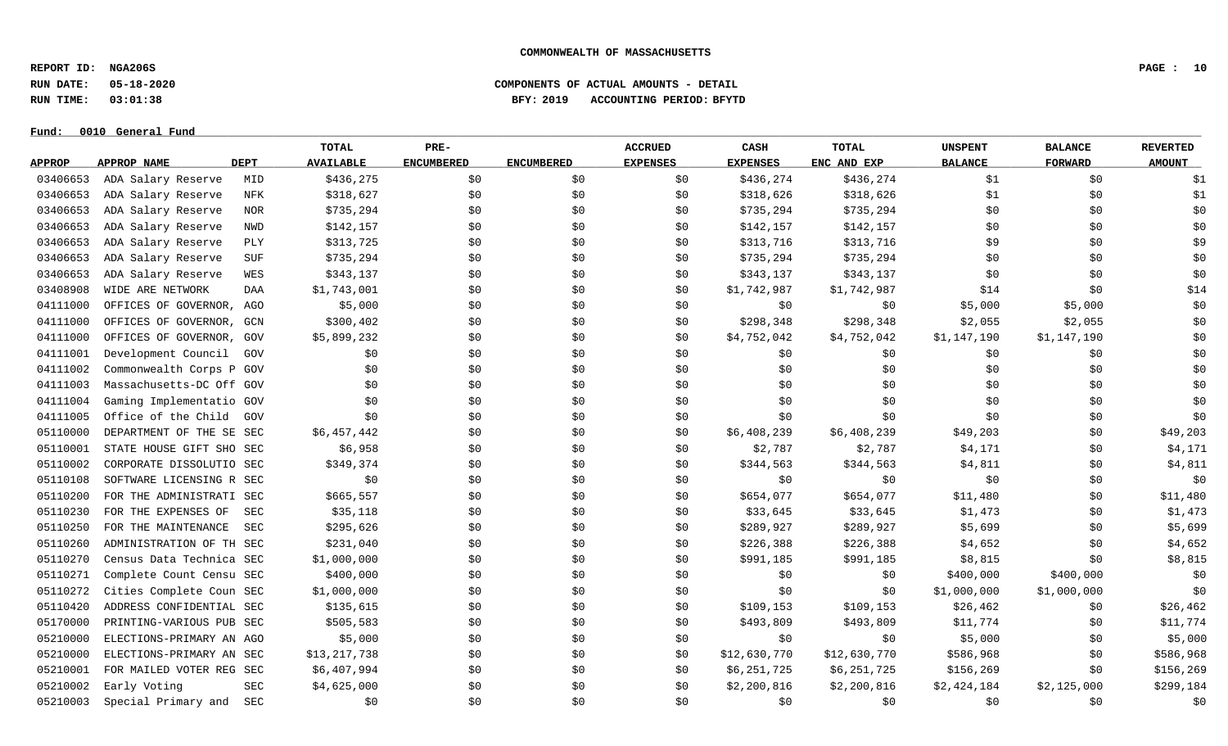**REPORT ID: NGA206S PAGE : 10**

**RUN DATE: 05-18-2020 COMPONENTS OF ACTUAL AMOUNTS - DETAIL**

**RUN TIME: 03:01:38 BFY: 2019 ACCOUNTING PERIOD: BFYTD**

 $Fund: 0010$  General Fund

## **TOTAL PRE- ACCRUED CASH TOTAL UNSPENT BALANCE REVERTED** <u>APPROP APPROPNAME – DEPT AVAILABLE ENCUMBERED ENCUMBERED EXPENSES EXPENSES ENCANDEXP BALANCE – FORWARD – AMOUNT</u> 03406653 ADA Salary Reserve MID \$436,275 \$0 \$0 \$0 \$436,274 \$436,274 \$436,274 \$1 \$1 \$0 \$1 03406653 ADA Salary Reserve NFK \$318,627 \$0 \$0 \$0 \$318,626 \$318,626 \$318,626 \$1 \$0 \$0 \$1 03406653 ADA Salary Reserve NOR \$735,294 \$0 \$0 \$0 \$735,294 \$735,294 \$735,294 \$0 \$0 \$0 \$0 \$0 03406653 ADA Salary Reserve NWD \$142,157 \$0 \$0 \$0 \$142,157 \$142,157 \$142,157 \$0 \$0 \$0 \$0 03406653 ADA Salary Reserve PLY \$313,725 \$0 \$0 \$0 \$313,716 \$313,716 \$9 \$9 \$0 \$9 03406653 ADA Salary Reserve SUF \$735,294 \$0 \$0 \$0 \$735,294 \$735,294 \$735,294 \$0 \$0 \$0 \$0 \$0 03406653 ADA Salary Reserve WES \$343,137 \$0 \$0 \$0 \$343,137 \$343,137 \$343,137 \$0 \$0 \$0 \$0 \$0 03408908 WIDEARENETWORK DAA \$1,743,001 \$0 \$0 \$0 \$1,742,987 \$1,742,987 \$14 \$0 \$0 \$14 04111000 OFFICES OF GOVERNOR, AGO \$5,000 \$0 \$0 \$0 \$0 \$0 \$0 \$5,000 \$5,000 \$5,000 \$0 \$0 04111000 OFFICES OF GOVERNOR, GCN \$300,402 \$0 \$0 \$0 \$298,348 \$298,348 \$2,055 \$2,055 \$2,055 \$0 04111000 OFFICES OF GOVERNOR, GOV \$5,899,232 \$0 \$0 \$0 \$4,752,042 \$4,752,042 \$1,147,190 \$1,147,190 \$1,147,190 \$0 04111001 Development Council GOV \$0 \$0 \$0 \$0 \$0 \$0 \$0 \$0 \$0 04111002 Commonwealth Corps P GOV \$0 \$0 \$0 \$0 \$0 \$0 \$0 \$0 \$0 04111003 Massachusetts-DC Off GOV \$0 \$0 \$0 \$0 \$0 \$0 \$0 \$0 \$0 04111004 Gaming Implementatio GOV \$0 \$0 \$0 \$0 \$0 \$0 \$0 \$0 \$0 04111005 Office of the Child GOV \$0 \$0 \$0 \$0 \$0 \$0 \$0 \$0 \$0 05110000 DEPARTMENT OF THE SE SEC \$6,457,442 \$0 \$0 \$0 \$0 \$6,408,239 \$6,408,239 \$49,203 \$19,203 \$0 \$49,203 05110001 STATE HOUSE GIFT SHO SEC  $\lessgtr 56,958$  \$0 \$2,787 \$2,787 \$4,171 \$0 \$4,171 05110002 CORPORATE DISSOLUTIO SEC \$349,374 \$0 \$0 \$344,563 \$344,563 \$4,811 \$0 \$4,811 \$0 \$4,811 05110108 SOFTWARE LICENSING R SEC \$0 \$0 \$0 \$0 \$0 \$0 \$0 \$0 \$0 05110200 FOR THE ADMINISTRATI SEC \$665,557 \$0 \$0 \$0 \$0 \$654,077 \$654,077 \$11,480 \$0 \$11,480 \$0 \$11,480 05110230 FOR THE EXPENSES OF SEC \$35,118 \$0 \$0 \$30 \$33,645 \$33,645 \$33,645 \$1,473 \$0 \$1,473 05110250 FOR THE MAINTENANCE SEC \$295,626 \$0 \$0 \$0 \$289,927 \$289,927 \$5,699 \$5,699 \$5,699 \$5,699 \$5,699 \$5,699 05110260 ADMINISTRATION OF TH SEC \$231,040 \$0 \$0 \$226,388 \$226,388 \$4,652 \$4,652 \$0 \$4,652 05110270 Census Data Technica SEC \$1,000,000 \$0 \$0 \$0 \$0 \$991,185 \$991,185 \$8,815 \$0 \$0 \$8,815 \$0 \$8,815 05110271 Complete Count Censu SEC \$400,000 \$0 \$0 \$0 \$0 \$0 \$0 \$0 \$400,000 \$400,000 \$400,000 \$0 05110272 Cities Complete Coun SEC \$1,000,000 \$0 \$0 \$0 \$0 \$0 \$0 \$1,000,000 \$1,000,000 \$1,000,000 \$0 05110420 ADDRESS CONFIDENTIAL SEC \$135,615 \$0 \$0 \$0 \$109,153 \$109,153 \$26,462 \$0 \$26,462 05170000 PRINTING-VARIOUS PUB SEC \$505,583 \$0 \$0 \$0 \$493,809 \$493,809 \$493,809 \$11,774 \$0 \$11,774 05210000 ELECTIONS-PRIMARY AN AGO \$5,000 \$0 \$0 \$0 \$0 \$0 \$0 \$5,000 \$5,000 \$0 \$5,000 \$0 \$5,000 05210000 ELECTIONS-PRIMARY AN SEC \$13,217,738 \$0 \$0 \$0 \$13,630,770 \$12,630,770 \$12,630,770 \$586,968 \$0 \$586,968 05210001 FOR MAILED VOTER REG SEC \$6,407,994 \$0 \$0 \$0 \$0 \$6,251,725 \$6,251,725 \$156,269 \$156,269 \$156,269 \$156,269 05210002 Early Voting SEC \$4,625,000 \$0 \$0 \$0 \$2,200,816 \$2,200,816 \$2,424,184 \$2,125,000 \$299,184 05210003 Special Primary and SEC \$0 \$0 \$0 \$0 \$0 \$0 \$0 \$0 \$0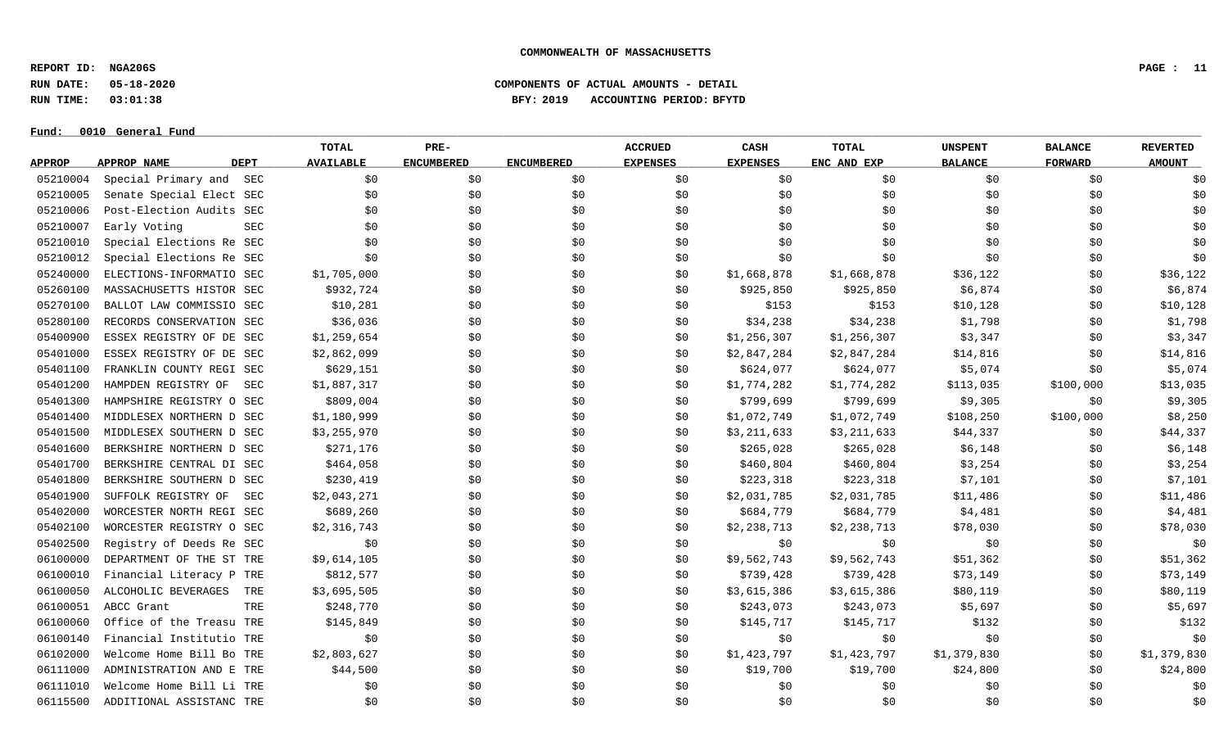**REPORT ID: NGA206S PAGE : 11**

**RUN DATE: 05-18-2020 COMPONENTS OF ACTUAL AMOUNTS - DETAIL**

**RUN TIME: 03:01:38 BFY: 2019 ACCOUNTING PERIOD: BFYTD**

#### $Fund: 0010$  General Fund

## **TOTAL PRE- ACCRUED CASH TOTAL UNSPENT BALANCE REVERTED** <u>APPROP APPROPNAME – DEPT AVAILABLE ENCUMBERED ENCUMBERED EXPENSES EXPENSES ENCANDEXP BALANCE – FORWARD – AMOUNT</u> 05210004 Special Primary and SEC \$0 \$0 \$0 \$0 \$0 \$0 \$0 \$0 \$0 05210005 Senate Special Elect SEC \$0 \$0 \$0 \$0 \$0 \$0 \$0 \$0 \$0 05210006 Post-Election Audits SEC \$0 \$0 \$0 \$0 \$0 \$0 \$0 \$0 \$0 05210007 Early Voting SEC \$0 \$0 \$0 \$0 \$0 \$0 \$0 \$0 \$0 05210010 Special Elections Re SEC \$0 \$0 \$0 \$0 \$0 \$0 \$0 \$0 \$0 05210012 Special Elections Re SEC \$0 \$0 \$0 \$0 \$0 \$0 \$0 \$0 \$0 05240000 ELECTIONS-INFORMATIO SEC \$1,705,000 \$0 \$0 \$0 \$1,668,878 \$1,668,878 \$36,122 \$0 \$36,122 \$0 \$36,122 05260100 MASSACHUSETTS HISTOR SEC \$932.724 \$0 \$0 \$0 \$0 \$925.850 \$925,850 \$6.874 \$0 \$0 \$6.874 05270100 BALLOT LAW COMMISSIO SEC \$10,281 \$0 \$0 \$0 \$153 \$153 \$10,128 \$0 \$10,128 \$0 \$10,128 05280100 RECORDS CONSERVATION SEC \$36,036 \$0 \$0 \$0 \$34,238 \$34,238 \$1,798 \$1,798 \$0 \$1,798 05400900 ESSEX REGISTRY OF DE SEC \$1,259,654 \$0 \$0 \$0 \$1,256,307 \$1,256,307 \$3,347 \$3,347 \$0 \$3,347 05401000 ESSEX REGISTRY OF DE SEC \$2,862,099 \$0 \$0 \$0 \$2,847,284 \$2,847,284 \$14,816 \$0 \$14,816 \$0 \$14,816 05401100 FRANKLIN COUNTY REGI SEC \$629,151 \$0 \$0 \$0 \$624,077 \$624,077 \$5,074 \$5,074 \$0 \$5,074 05401200 HAMPDEN REGISTRY OF SEC \$1,887,317 \$0 \$0 \$0 \$1,774,282 \$1,774,282 \$113,035 \$100,000 \$13,035 05401300 HAMPSHIRE REGISTRY O SEC \$809,004 \$0 \$0 \$0 \$799,699 \$799,699 \$9,305 \$9,305 \$0 \$9,305 05401400 MIDDLESEX NORTHERN D SEC \$1,180,999 \$0 \$0 \$0 \$0 \$1,072,749 \$1,072,749 \$108,250 \$100,000 \$8,250 05401500 MIDDLESEX SOUTHERN D SEC \$3,255,970 \$0 \$0 \$0 \$3,211,633 \$3,211,633 \$44,337 \$0 \$44,337 05401600 BERKSHIRE NORTHERN D SEC \$271,176 \$0 \$0 \$0 \$265,028 \$265,028 \$6,148 \$6,148 \$0 \$6,148 05401700 BERKSHIRE CENTRAL DI SEC \$464,058 \$0 \$0 \$0 \$460,804 \$460,804 \$3,254 \$3,254 \$0 \$3,254 05401800 BERKSHIRE SOUTHERN D SEC \$230,419 \$0 \$0 \$0 \$223,318 \$223,318 \$7,101 \$7,101 \$0 \$7,101 05401900 SUFFOLK REGISTRY OF SEC \$2,043,271 \$0 \$0 \$0 \$2,031,785 \$2,031,785 \$11,486 \$11,486 \$0 \$11,486 05402000 WORCESTERNORTHREGISEC \$689,260 \$0 \$0 \$0 \$684,779 \$684,779 \$4,481 \$0 \$4,481 05402100 WORCESTER REGISTRY O SEC \$2,316,743 \$0 \$0 \$0 \$2,238,713 \$2,238,713 \$2,238,713 \$78,030 \$0 \$78,030 05402500 Registry of Deeds Re SEC \$0 \$0 \$0 \$0 \$0 \$0 \$0 \$0 \$0 06100000 DEPARTMENT OF THE ST TRE \$9,614,105 \$0 \$0 \$0 \$0 \$0 \$9,562,743 \$9,562,743 \$51,362 \$0 \$51,362 06100010 Financial Literacy P TRE \$812,577 \$0 \$0 \$0 \$739,428 \$739,428 \$739,428 \$73,149 \$0 \$73,149 06100050 ALCOHOLIC BEVERAGES TRE \$3,695,505 \$0 \$0 \$0 \$3,615,386 \$3,615,386 \$80,119 \$0 \$0 \$80,119 06100051 ABCC Grant \$248,770 \$0 \$243,073 \$5,697 \$0 \$5,697 \$9 \$5,697 \$5,697 06100060 Office of the Treasu TRE \$145,849 \$0 \$0 \$0 \$145,717 \$145,717 \$132 \$0 \$132 06100140 Financial Institutio TRE \$0 \$0 \$0 \$0 \$0 \$0 \$0 \$0 \$0 06102000 Welcome Home Bill Bo TRE \$2,803,627 \$0 \$0 \$0 \$1,423,797 \$1,423,797 \$1,379,830 \$0 \$1,379,830 06111000 ADMINISTRATION AND E TRE \$44,500 \$0 \$0 \$0 \$19,700 \$19,700 \$19,700 \$24,800 \$0 \$24,800 \$24,800 06111010 Welcome Home Bill Li TRE \$0 \$0 \$0 \$0 \$0 \$0 \$0 \$0 \$0 06115500 ADDITIONAL ASSISTANC TRE \$0 \$0 \$0 \$0 \$0 \$0 \$0 \$0 \$0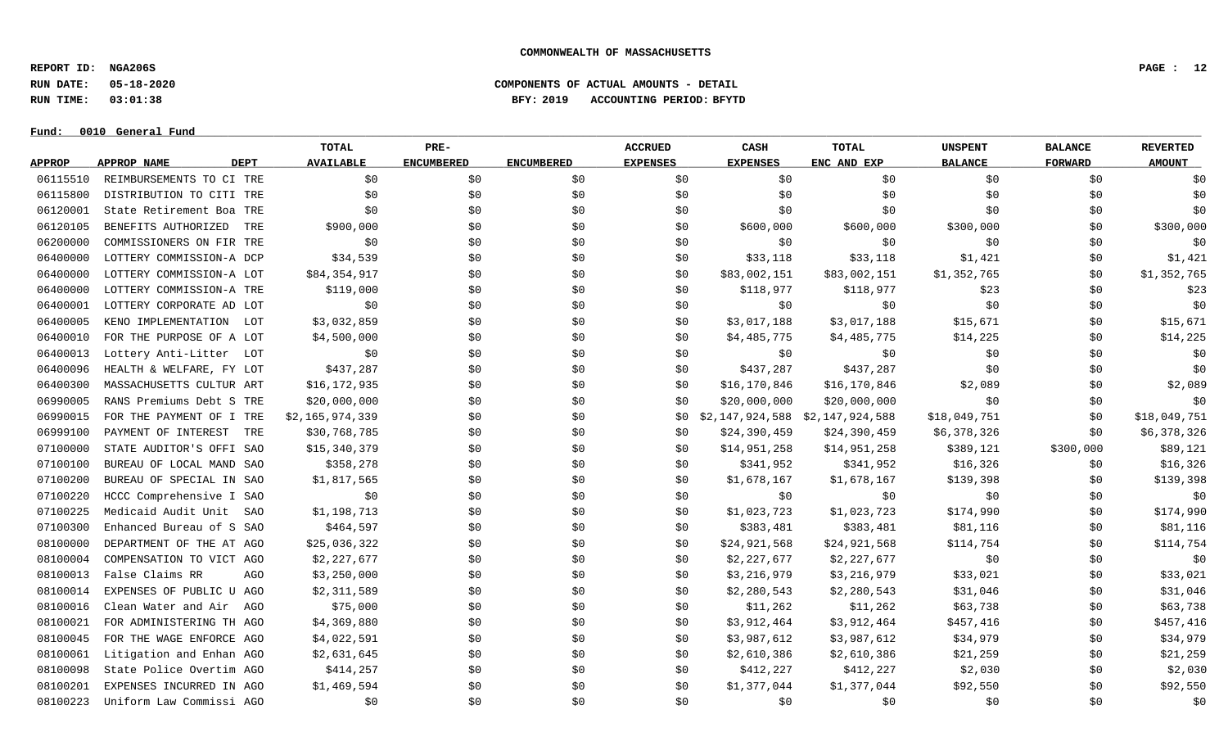**REPORT ID: NGA206S PAGE : 12**

**RUN DATE: 05-18-2020 COMPONENTS OF ACTUAL AMOUNTS - DETAIL**

**RUN TIME: 03:01:38 BFY: 2019 ACCOUNTING PERIOD: BFYTD**

#### $Fund: 0010$  General Fund

## **TOTAL PRE- ACCRUED CASH TOTAL UNSPENT BALANCE REVERTED** <u>APPROP APPROPNAME – DEPT AVAILABLE ENCUMBERED ENCUMBERED EXPENSES EXPENSES ENCANDEXP BALANCE – FORWARD – AMOUNT</u> 06115510 REIMBURSEMENTS TO CI TRE \$0 \$0 \$0 \$0 \$0 \$0 \$0 \$0 \$0 06115800 DISTRIBUTION TO CITI TRE \$0 \$0 \$0 \$0 \$0 \$0 \$0 \$0 \$0 06120001 State Retirement Boa TRE \$0 \$0 \$0 \$0 \$0 \$0 \$0 \$0 \$0 06120105 BENEFITS AUTHORIZED TRE \$900,000 \$ \$ \$ \$600,000 \$300,000 \$00 \$300,000 06200000 COMMISSIONERS ON FIR TRE \$0 \$0 \$0 \$0 \$0 \$0 \$0 \$0 \$0 06400000 LOTTERY COMMISSION-A DCP \$34,539 \$0 \$0 \$0 \$33,118 \$33,118 \$1,421 \$1,421 \$0 \$1,421 06400000 LOTTERY COMMISSION-A LOT \$84,354,917 \$0 \$0 \$0 \$0 \$83,002,151 \$83,002,151 \$1,352,765 \$0 \$1,352,765 06400000 LOTTERY COMMISSION-A TRE \$119,000 \$0 \$0 \$0 \$118,977 \$118,977 \$118,977 \$23 \$0 \$23 06400001 LOTTERY CORPORATE AD LOT \$0 \$0 \$0 \$0 \$0 \$0 \$0 \$0 \$0 06400005 KENO IMPLEMENTATION LOT \$3,032,859 \$0 \$0 \$0 \$15,017,188 \$3,017,188 \$3,017,188 \$15,671 \$0 \$15,671 06400010 FOR THE PURPOSE OF A LOT \$4,500,000 \$0 \$0 \$0 \$14,485,775 \$4,485,775 \$4,485,775 \$14,225 \$0 \$14,225 06400013 Lottery Anti-Litter LOT \$0 \$0 \$0 \$0 \$0 \$0 \$0 \$0 \$0 06400096 HEALTH & WELFARE, FY LOT \$437,287 \$0 \$0 \$0 \$137,287 \$437,287 \$137,287 \$0 \$0 \$0 \$0 06400300 MASSACHUSETTS CULTUR ART \$16.172.935 \$0 \$0 \$0 \$16.170.846 \$16.170.846 \$2.089 \$2.089 \$0 \$2.089 06990005 RANS Premiums Debt S TRE \$20,000,000 \$0 \$0 \$0 \$0 \$20,000,000 \$20,000,000 \$20,000,000 \$0 \$0 \$0 \$0 \$0 \$0 06990015 FOR THE PAYMENT OF I TRE \$2,165,974,339 \$0 \$0 \$0 \$0 \$0 \$0 \$2,147,924,588 \$2,147,924,588 \$18,049,751 \$0 \$18,049,751 06999100 PAYMENT OF INTEREST TRE \$30,768,785 \$0 \$0 \$0 \$0 \$24,390,459 \$24,390,459 \$6,378,326 \$0 \$6,378,326 07100000 STATE AUDITOR'S OFFI SAO \$15,340,379 \$0 \$0 \$0 \$0 \$14,951,258 \$14,951,258 \$389,121 \$300,000 \$89,121 07100100 BUREAU OF LOCAL MAND SAO \$358,278 \$0 \$0 \$0 \$341,952 \$341,952 \$16,326 \$16,326 \$0 \$16,326 07100200 BUREAU OF SPECIAL IN SAO \$1,817,565 \$0 \$0 \$0 \$1,678,167 \$1,678,167 \$1,678,167 \$139,398 \$0 \$139,398 07100220 HCCC Comprehensive I SAO \$0 \$0 \$0 \$0 \$0 \$0 \$0 \$0 \$0 07100225 Medicaid Audit Unit SAO \$1,198,713 \$0 \$0 \$0 \$1,023,723 \$1,023,723 \$174,990 \$174,990 \$174,990 \$174,990 07100300 Enhanced Bureau of S SAO \$464,597 \$0 \$0 \$0 \$383,481 \$383,481 \$81,116 \$0 \$81,116 \$0 \$81,116 08100000 DEPARTMENT OF THE AT AGO \$25,036,322 \$0 \$0 \$0 \$0 \$24,921,568 \$24,921,568 \$114,754 \$0 \$114,754 08100004 COMPENSATION TO VICT AGO \$2,227,677 \$2,200 \$0 \$0 \$1,227,677 \$2,227,677 \$0 \$0 \$0 \$0 \$0 \$0 08100013 False Claims RR AGO \$3,250,000 \$0 \$0 \$0 \$3,216,979 \$3,216,979 \$33,021 \$0 \$0 \$33,021 08100014 EXPENSES OF PUBLIC U AGO \$2,311,589 \$0 \$0 \$0 \$2,280,543 \$2,280,543 \$31,046 \$9 \$31,046 \$31,046 08100016 Clean Water and Air AGO \$75,000 \$0 \$0 \$0 \$0 \$11,262 \$11,262 \$63,738 \$0 \$63,738 08100021 FOR ADMINISTERING TH AGO \$4,369,880 \$0 \$0 \$0 \$3,912,464 \$3,912,464 \$457,416 \$0 \$457,416 \$0 \$457,416 08100045 FOR THE WAGE ENFORCE AGO \$4,022,591 \$0 \$0 \$0 \$3,987,612 \$3,987,612 \$34,979 \$0 \$34,979 08100061 Litigation and Enhan AGO \$2,631,645 \$0 \$0 \$0 \$2,610,386 \$2,610,386 \$21,259 \$0 \$21,259 08100098 State Police Overtim AGO \$414,257 \$0 \$0 \$0 \$412,227 \$412,227 \$2,030 \$0 \$2,030 08100201 EXPENSES INCURRED IN AGO \$1,469,594 \$0 \$0 \$0 \$0 \$1,377,044 \$1,377,044 \$92,550 \$0 \$92,550 08100223 Uniform Law Commissi AGO \$0 \$0 \$0 \$0 \$0 \$0 \$0 \$0 \$0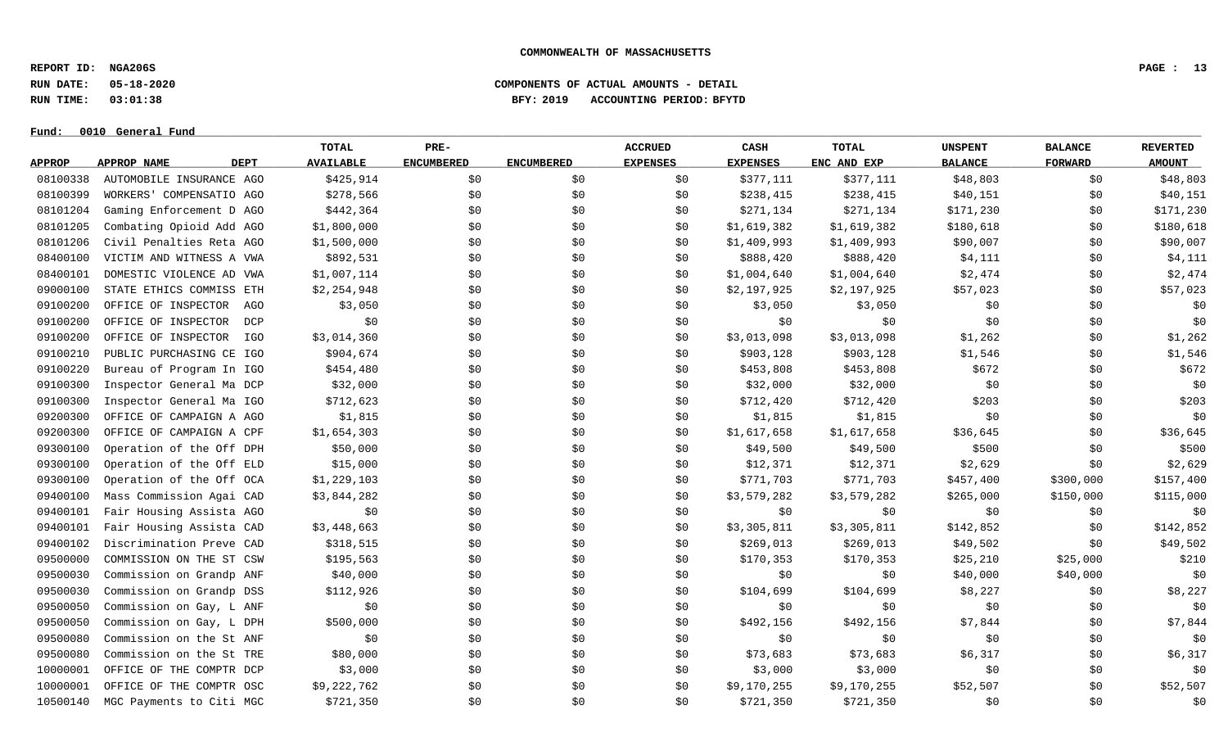**REPORT ID: NGA206S PAGE : 13**

**RUN DATE: 05-18-2020 COMPONENTS OF ACTUAL AMOUNTS - DETAIL**

**RUN TIME: 03:01:38 BFY: 2019 ACCOUNTING PERIOD: BFYTD**

 $Fund: 0010$  General Fund

## **TOTAL PRE- ACCRUED CASH TOTAL UNSPENT BALANCE REVERTED** <u>APPROP APPROPNAME – DEPT AVAILABLE ENCUMBERED ENCUMBERED EXPENSES EXPENSES ENCANDEXP BALANCE – FORWARD – AMOUNT</u> 08100338 AUTOMOBILE INSURANCE AGO \$425,914 \$0 \$0 \$377,111 \$377,111 \$377,111 \$48,803 \$0 \$48,803 08100399 WORKERS' COMPENSATIO AGO \$278,566 \$0 \$0 \$0 \$238,415 \$238,415 \$238,415 \$40,151 \$0 \$40,151 08101204 Gaming Enforcement D AGO \$442,364 \$0 \$0 \$0 \$271,134 \$271,134 \$171,230 \$0 \$171,230 08101205 Combating Opioid Add AGO \$1,800,000 \$0 \$0 \$0 \$1,619,382 \$1,619,382 \$180,618 \$0 \$180,618 \$0 \$180,618 08101206 Civil Penalties Reta AGO \$1,500,000 \$0 \$0 \$0 \$0 \$0 \$1,409,993 \$1,409,993 \$90,007 \$0 \$90,007 08400100 VICTIM AND WITNESS A VWA \$892,531 \$0 \$0 \$0 \$888,420 \$888,420 \$888,420 \$4,111 \$0 \$0 \$4,111 08400101 DOMESTIC VIOLENCE AD VWA \$1,007,114 \$0 \$0 \$0 \$1,004,640 \$1,004,640 \$2,474 \$0 \$2,474 09000100 STATE ETHICS COMMISS ETH \$2,254,948 \$0 \$0 \$0 \$2,197,925 \$2,197,925 \$2,197,925 \$57,023 \$0 \$57,023 09100200 OFFICE OF INSPECTOR AGO \$3,050 \$0 \$0 \$0 \$3,050 \$3,050 \$3,050 \$9 \$0 \$0 \$0 09100200 OFFICE OF INSPECTOR DCP \$0 \$0 \$0 \$0 \$0 \$0 \$0 \$0 \$0 09100200 OFFICE OF INSPECTOR IGO \$3,014,360 \$0 \$0 \$0 \$3,013,098 \$3,013,098 \$1,262 \$1,262 \$0 \$1,262 09100210 PUBLIC PURCHASING CE IGO \$904,674 \$0 \$0 \$0 \$0 \$903,128 \$903,128 \$1,546 \$1,546 \$0 \$1,546 09100220 Bureau of Program In IGO \$454,480 \$0 \$0 \$0 \$453,808 \$453,808 \$453,808 \$672 \$0 \$60 \$672 09100300 Inspector General Ma DCP \$32,000 \$0 \$0 \$0 \$0 \$32,000 \$32,000 \$0 \$0 \$0 \$0 \$0 \$0 09100300 Inspector General Ma IGO \$712,623 \$0 \$0 \$0 \$712,420 \$712,420 \$712,420 \$203 \$0 \$203 09200300 OFFICE OF CAMPAIGN A AGO \$1,815 \$0 \$0 \$0 \$1,815 \$1,815 \$1,815 \$0 \$0 \$0 \$0 09200300 OFFICE OF CAMPAIGN A CPF \$1,654,303 \$0 \$0 \$0 \$1,617,658 \$1,617,658 \$36,645 \$36,645 \$0 \$36,645 09300100 Operation of the Off DPH \$50,000 \$0 \$0 \$0 \$19,500 \$49,500 \$49,500 \$500 \$500 \$0 \$500 09300100 Operation of the Off ELD \$15,000 \$0 \$0 \$0 \$12,371 \$12,371 \$2,629 \$0 \$2,629 09300100 Operation of the Off OCA \$1,229,103 \$0 \$0 \$0 \$0 \$771,703 \$771,703 \$457,400 \$300,000 \$157,400 09400100 Mass Commission Agai CAD \$3,844,282 \$0 \$0 \$0 \$3,579,282 \$3,579,282 \$265,000 \$150,000 \$115,000 09400101 Fair Housing Assista AGO \$0 \$0 \$0 \$0 \$0 \$0 \$0 \$0 \$0 09400101 Fair Housing Assista CAD \$3,448,663 \$0 \$0 \$0 \$3,305,811 \$3,305,811 \$142,852 \$0 \$142,852 09400102 Discrimination Preve CAD \$318,515 \$0 \$0 \$0 \$269,013 \$269,013 \$49,502 \$0 \$49,502 09500000 COMMISSION ON THE ST CSW \$195,563 \$0 \$0 \$0 \$170,353 \$170,353 \$25,210 \$25,000 \$210 09500030 Commission on Grandp ANF \$40,000 \$0 \$0 \$0 \$0 \$0 \$0 \$0 \$40,000 \$40,000 \$40,000 \$0 09500030 Commission on Grandp DSS \$112,926 \$0 \$0 \$0 \$104,699 \$104,699 \$8,227 \$0 \$0 \$8,227 09500050 Commission on Gay, L ANF \$0 \$0 \$0 \$0 \$0 \$0 \$0 \$0 \$0 09500050 Commission on Gay, L DPH \$500,000 \$0 \$0 \$0 \$992,156 \$492,156 \$7,844 \$0 \$0 \$7,844 09500080 Commission on the St ANF \$0 \$0 \$0 \$0 \$0 \$0 \$0 \$0 \$0 09500080 Commission on the St TRE 580,000 \$0 \$0 \$0 \$0 \$73,683 \$73,683 \$6,317 \$0 \$6,317 10000001 OFFICE OF THE COMPTR DCP \$3,000 \$0 \$0 \$0 \$3,000 \$3,000 \$0 \$0 \$0 10000001 OFFICE OF THE COMPTR OSC \$9,222,762 \$0 \$0 \$0 \$0 \$0,170,255 \$9,170,255 \$52,507 \$0 \$52,507 10500140 MGC Payments to Citi MGC \$721,350 \$0 \$0 \$0 \$721,350 \$721,350 \$721,350 \$0 \$0 \$0 \$0 \$0 \$0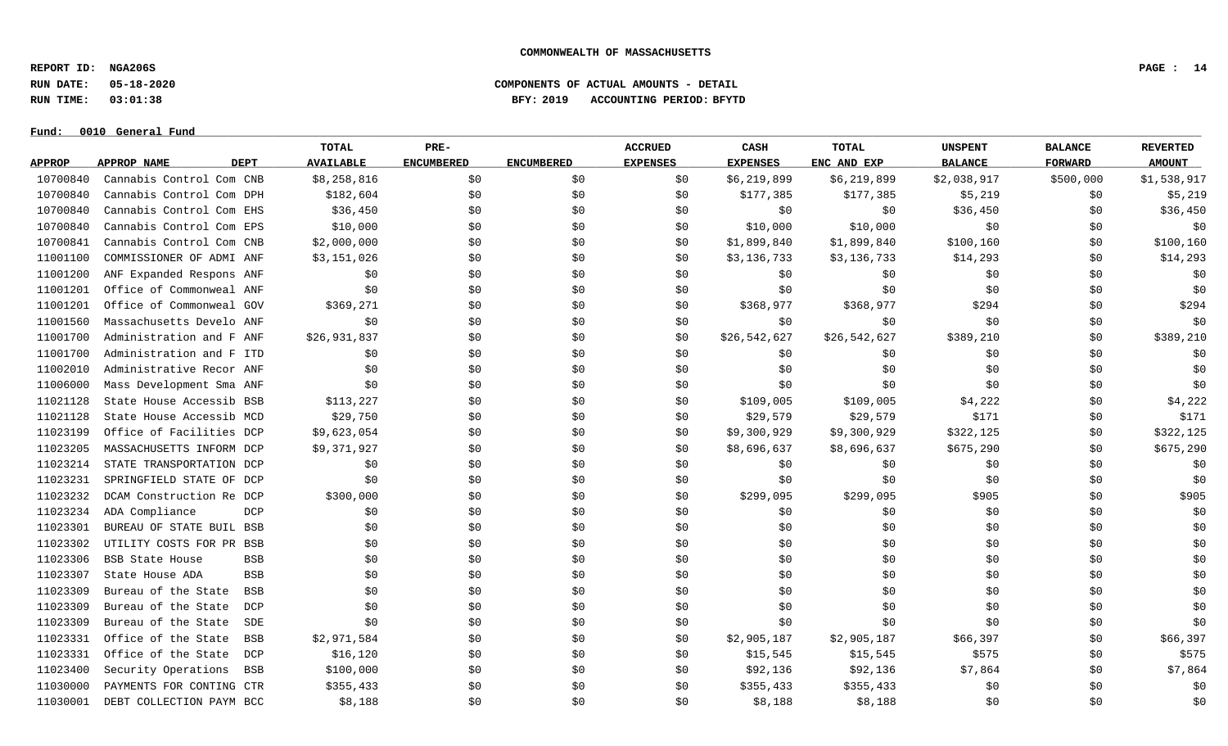**REPORT ID: NGA206S PAGE : 14**

**RUN DATE: 05-18-2020 COMPONENTS OF ACTUAL AMOUNTS - DETAIL**

**RUN TIME: 03:01:38 BFY: 2019 ACCOUNTING PERIOD: BFYTD**

|               |                            | TOTAL                     | PRE-              |                   | <b>ACCRUED</b>  | CASH            | <b>TOTAL</b> | <b>UNSPENT</b> | <b>BALANCE</b> | <b>REVERTED</b> |
|---------------|----------------------------|---------------------------|-------------------|-------------------|-----------------|-----------------|--------------|----------------|----------------|-----------------|
| <b>APPROP</b> | APPROP NAME<br><b>DEPT</b> | <b>AVAILABLE</b>          | <b>ENCUMBERED</b> | <b>ENCUMBERED</b> | <b>EXPENSES</b> | <b>EXPENSES</b> | ENC AND EXP  | <b>BALANCE</b> | <b>FORWARD</b> | <b>AMOUNT</b>   |
| 10700840      | Cannabis Control Com CNB   | \$8,258,816               | \$0               | \$0               | \$0             | \$6,219,899     | \$6,219,899  | \$2,038,917    | \$500,000      | \$1,538,917     |
| 10700840      | Cannabis Control Com DPH   | \$182,604                 | \$0               | \$0               | \$0             | \$177,385       | \$177,385    | \$5,219        | \$0            | \$5,219         |
| 10700840      | Cannabis Control Com EHS   | \$36,450                  | \$0               | \$0               | \$0             | \$0             | \$0          | \$36,450       | \$0            | \$36,450        |
| 10700840      | Cannabis Control Com EPS   | \$10,000                  | \$0               | \$0               | \$0             | \$10,000        | \$10,000     | \$0            | \$0            | \$0             |
| 10700841      | Cannabis Control Com CNB   | \$2,000,000               | \$0               | \$0               | \$0             | \$1,899,840     | \$1,899,840  | \$100, 160     | \$0            | \$100, 160      |
| 11001100      | COMMISSIONER OF ADMI ANF   | \$3,151,026               | \$0               | \$0               | \$0             | \$3,136,733     | \$3,136,733  | \$14,293       | \$0            | \$14,293        |
| 11001200      | ANF Expanded Respons ANF   | \$0                       | \$0               | \$0               | \$0             | \$0             | \$0          | \$0            | \$0            | \$0             |
| 11001201      | Office of Commonweal ANF   | \$0                       | \$0               | \$0               | \$0             | \$0             | \$0          | \$0            | \$0            | \$0             |
| 11001201      | Office of Commonweal GOV   | \$369,271                 | \$0               | \$0               | \$0             | \$368,977       | \$368,977    | \$294          | \$0            | \$294           |
| 11001560      | Massachusetts Develo ANF   | \$0                       | \$0               | \$0               | \$0             | \$0             | \$0          | \$0            | \$0            | \$0             |
| 11001700      | Administration and F ANF   | \$26,931,837              | \$0               | \$0               | \$0             | \$26,542,627    | \$26,542,627 | \$389,210      | \$0            | \$389,210       |
| 11001700      | Administration and F ITD   | \$0                       | \$0               | \$0               | \$0             | \$0             | \$0          | \$0            | \$0            | \$0             |
| 11002010      | Administrative Recor ANF   | \$0                       | \$0               | \$0               | \$0             | \$0             | \$0          | \$0            | \$0            | \$0             |
| 11006000      | Mass Development Sma ANF   | \$0                       | \$0               | \$0               | \$0             | \$0             | \$0          | \$0            | \$0            | \$0             |
| 11021128      | State House Accessib BSB   | \$113,227                 | \$0               | \$0               | \$0             | \$109,005       | \$109,005    | \$4,222        | \$0            | \$4,222         |
| 11021128      | State House Accessib MCD   | \$29,750                  | \$0               | \$0               | \$0             | \$29,579        | \$29,579     | \$171          | \$0            | \$171           |
| 11023199      | Office of Facilities DCP   | \$9,623,054               | \$0               | \$0               | \$0             | \$9,300,929     | \$9,300,929  | \$322,125      | \$0            | \$322,125       |
| 11023205      | MASSACHUSETTS INFORM DCP   | \$9,371,927               | \$0               | \$0               | \$0             | \$8,696,637     | \$8,696,637  | \$675,290      | \$0            | \$675,290       |
| 11023214      | STATE TRANSPORTATION DCP   | \$0                       | \$0               | \$0               | \$0             | \$0             | \$0          | \$0            | \$0            | \$0             |
| 11023231      | SPRINGFIELD STATE OF DCP   | \$0                       | \$0               | \$0               | \$0             | \$0             | \$0          | \$0            | \$0            | \$0             |
| 11023232      | DCAM Construction Re DCP   | \$300,000                 | \$0               | \$0               | \$0             | \$299,095       | \$299,095    | \$905          | \$0            | \$905           |
| 11023234      | ADA Compliance             | DCP<br>\$0                | \$0               | \$0               | \$0             | \$0             | \$0          | \$0            | \$0            | \$0             |
| 11023301      | BUREAU OF STATE BUIL BSB   | \$0                       | \$0               | \$0               | \$0             | \$0             | \$0          | \$0            | \$0            | \$0\$           |
| 11023302      | UTILITY COSTS FOR PR BSB   | \$0                       | \$0               | \$0               | \$0             | \$0             | \$0          | \$0            | \$0            | \$0             |
| 11023306      | <b>BSB State House</b>     | \$0<br><b>BSB</b>         | \$0               | \$0               | \$0             | \$0             | \$0          | \$0            | \$0            | \$0             |
| 11023307      | State House ADA            | \$0<br><b>BSB</b>         | \$0               | \$0               | \$0             | \$0             | \$0          | \$0            | \$0            | \$0             |
| 11023309      | Bureau of the State        | <b>BSB</b><br>\$0         | \$0               | \$0               | \$0             | \$0             | \$0          | \$0            | \$0            | \$0             |
| 11023309      | Bureau of the State        | DCP<br>\$0                | \$0               | \$0               | \$0             | \$0             | \$0          | \$0            | \$0            | \$0             |
| 11023309      | Bureau of the State        | \$0<br>SDE                | \$0               | \$0               | \$0             | \$0             | \$0          | \$0            | \$0            | \$0             |
| 11023331      | Office of the State        | \$2,971,584<br><b>BSB</b> | \$0               | \$0               | \$0             | \$2,905,187     | \$2,905,187  | \$66,397       | \$0            | \$66,397        |
| 11023331      | Office of the State        | \$16, 120<br>DCP          | \$0               | \$0               | \$0             | \$15,545        | \$15,545     | \$575          | \$0            | \$575           |
| 11023400      | Security Operations        | \$100,000<br><b>BSB</b>   | \$0               | \$0               | \$0             | \$92,136        | \$92,136     | \$7,864        | \$0            | \$7,864         |
| 11030000      | PAYMENTS FOR CONTING CTR   | \$355,433                 | \$0               | \$0               | \$0             | \$355,433       | \$355,433    | \$0            | \$0            | \$0             |
| 11030001      | DEBT COLLECTION PAYM BCC   | \$8,188                   | \$0               | \$0               | \$0             | \$8,188         | \$8,188      | \$0            | \$0            | \$0             |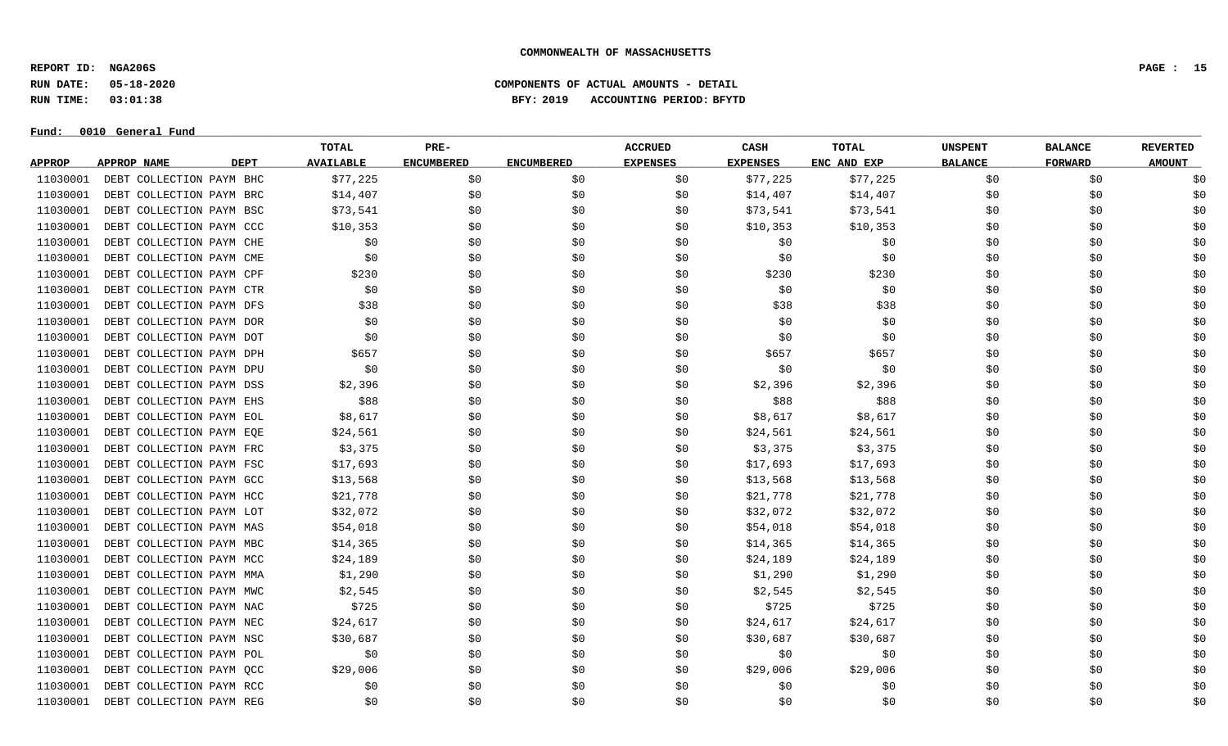**REPORT ID: NGA206S PAGE : 15**

### **RUN DATE: 05-18-2020 COMPONENTS OF ACTUAL AMOUNTS - DETAIL RUN TIME: 03:01:38 BFY: 2019 ACCOUNTING PERIOD: BFYTD**

| Fund:         | 0010 General Fund        |                  |                   |                   |                 |                 |              |                |                |                 |
|---------------|--------------------------|------------------|-------------------|-------------------|-----------------|-----------------|--------------|----------------|----------------|-----------------|
|               |                          | <b>TOTAL</b>     | PRE-              |                   | <b>ACCRUED</b>  | CASH            | <b>TOTAL</b> | <b>UNSPENT</b> | <b>BALANCE</b> | <b>REVERTED</b> |
| <b>APPROP</b> | APPROP NAME<br>DEPT      | <b>AVAILABLE</b> | <b>ENCUMBERED</b> | <b>ENCUMBERED</b> | <b>EXPENSES</b> | <b>EXPENSES</b> | ENC AND EXP  | <b>BALANCE</b> | <b>FORWARD</b> | <b>AMOUNT</b>   |
| 11030001      | DEBT COLLECTION PAYM BHC | \$77,225         | \$0               | \$0               | \$0             | \$77,225        | \$77,225     | \$0            | \$0            | \$0             |
| 11030001      | DEBT COLLECTION PAYM BRC | \$14,407         | \$0               | \$0               | \$0             | \$14,407        | \$14,407     | \$0            | \$0            | \$0             |
| 11030001      | DEBT COLLECTION PAYM BSC | \$73,541         | \$0               | \$0               | \$0             | \$73,541        | \$73,541     | \$0            | \$0            | \$0             |
| 11030001      | DEBT COLLECTION PAYM CCC | \$10,353         | \$0               | \$0               | \$0             | \$10,353        | \$10,353     | \$0            | \$0            | \$0             |
| 11030001      | DEBT COLLECTION PAYM CHE | \$0              | \$0               | \$0               | \$0             | \$0             | \$0          | \$0            | \$0            | \$0             |
| 11030001      | DEBT COLLECTION PAYM CME | \$0              | \$0               | \$0               | \$0             | \$0             | \$0          | \$0            | \$0            | \$0             |
| 11030001      | DEBT COLLECTION PAYM CPF | \$230            | \$0               | \$0               | \$0             | \$230           | \$230        | \$0            | \$0            | \$0             |
| 11030001      | DEBT COLLECTION PAYM CTR | \$0              | \$0               | \$0               | \$0             | \$0             | \$0          | \$0            | \$0            | \$0             |
| 11030001      | DEBT COLLECTION PAYM DFS | \$38             | \$0               | \$0               | \$0             | \$38            | \$38         | \$0            | \$0            | \$0             |
| 11030001      | DEBT COLLECTION PAYM DOR | \$0              | \$0               | \$0               | \$0             | \$0             | \$0          | \$0            | \$0            | \$0             |
| 11030001      | DEBT COLLECTION PAYM DOT | \$0              | \$0               | \$0               | \$0             | \$0             | \$0          | \$0            | \$0            | \$0             |
| 11030001      | DEBT COLLECTION PAYM DPH | \$657            | \$0               | \$0               | \$0             | \$657           | \$657        | \$0            | \$0            | \$0             |
| 11030001      | DEBT COLLECTION PAYM DPU | \$0              | \$0               | \$0               | \$0             | \$0             | \$0          | \$0            | \$0            | \$0             |
| 11030001      | DEBT COLLECTION PAYM DSS | \$2,396          | \$0               | \$0               | \$0             | \$2,396         | \$2,396      | \$0            | \$0            | \$0             |
| 11030001      | DEBT COLLECTION PAYM EHS | \$88             | \$0               | \$0               | \$0             | \$88            | \$88         | \$0            | \$0            | \$0             |
| 11030001      | DEBT COLLECTION PAYM EOL | \$8,617          | \$0               | \$0               | \$0             | \$8,617         | \$8,617      | \$0            | \$0            | \$0             |
| 11030001      | DEBT COLLECTION PAYM EQE | \$24,561         | \$0               | \$0               | \$0             | \$24,561        | \$24,561     | \$0            | \$0            | \$0             |
| 11030001      | DEBT COLLECTION PAYM FRC | \$3,375          | \$0               | \$0               | \$0             | \$3,375         | \$3,375      | \$0            | \$0            | \$0             |
| 11030001      | DEBT COLLECTION PAYM FSC | \$17,693         | \$0               | \$0               | \$0             | \$17,693        | \$17,693     | \$0            | \$0            | \$0             |
| 11030001      | DEBT COLLECTION PAYM GCC | \$13,568         | \$0               | \$0               | \$0             | \$13,568        | \$13,568     | \$0            | \$0            | \$0             |
| 11030001      | DEBT COLLECTION PAYM HCC | \$21,778         | \$0               | \$0               | \$0             | \$21,778        | \$21,778     | \$0            | \$0            | \$0             |
| 11030001      | DEBT COLLECTION PAYM LOT | \$32,072         | \$0               | \$0               | \$0             | \$32,072        | \$32,072     | \$0            | \$0            | \$0             |
| 11030001      | DEBT COLLECTION PAYM MAS | \$54,018         | \$0               | \$0               | \$0             | \$54,018        | \$54,018     | \$0            | \$0            | \$0             |
| 11030001      | DEBT COLLECTION PAYM MBC | \$14,365         | \$0               | \$0               | \$0             | \$14,365        | \$14,365     | \$0            | \$0            | \$0             |
| 11030001      | DEBT COLLECTION PAYM MCC | \$24,189         | \$0               | \$0               | \$0             | \$24,189        | \$24,189     | \$0            | \$0            | \$0             |
| 11030001      | DEBT COLLECTION PAYM MMA | \$1,290          | \$0               | \$0               | \$0             | \$1,290         | \$1,290      | \$0            | \$0            | \$0             |
| 11030001      | DEBT COLLECTION PAYM MWC | \$2,545          | \$0               | \$0               | \$0             | \$2,545         | \$2,545      | \$0            | \$0            | \$0             |
| 11030001      | DEBT COLLECTION PAYM NAC | \$725            | \$0               | \$0               | \$0             | \$725           | \$725        | \$0            | \$0            | \$0             |
| 11030001      | DEBT COLLECTION PAYM NEC | \$24,617         | \$0               | \$0               | \$0             | \$24,617        | \$24,617     | \$0            | \$0            | \$0             |
| 11030001      | DEBT COLLECTION PAYM NSC | \$30,687         | \$0               | \$0               | \$0             | \$30,687        | \$30,687     | \$0            | \$0            | \$0             |
| 11030001      | DEBT COLLECTION PAYM POL | \$0              | \$0               | \$0               | \$0             | \$0             | \$0          | \$0            | \$0            | \$0             |
| 11030001      | DEBT COLLECTION PAYM QCC | \$29,006         | \$0               | \$0               | \$0             | \$29,006        | \$29,006     | \$0            | \$0            | \$0             |
| 11030001      | DEBT COLLECTION PAYM RCC | \$0              | \$0               | \$0               | \$0             | \$0             | \$0          | \$0            | \$0            | \$0             |
| 11030001      | DEBT COLLECTION PAYM REG | \$0              | \$0               | \$0               | \$0             | \$0             | \$0          | \$0            | \$0            | \$0             |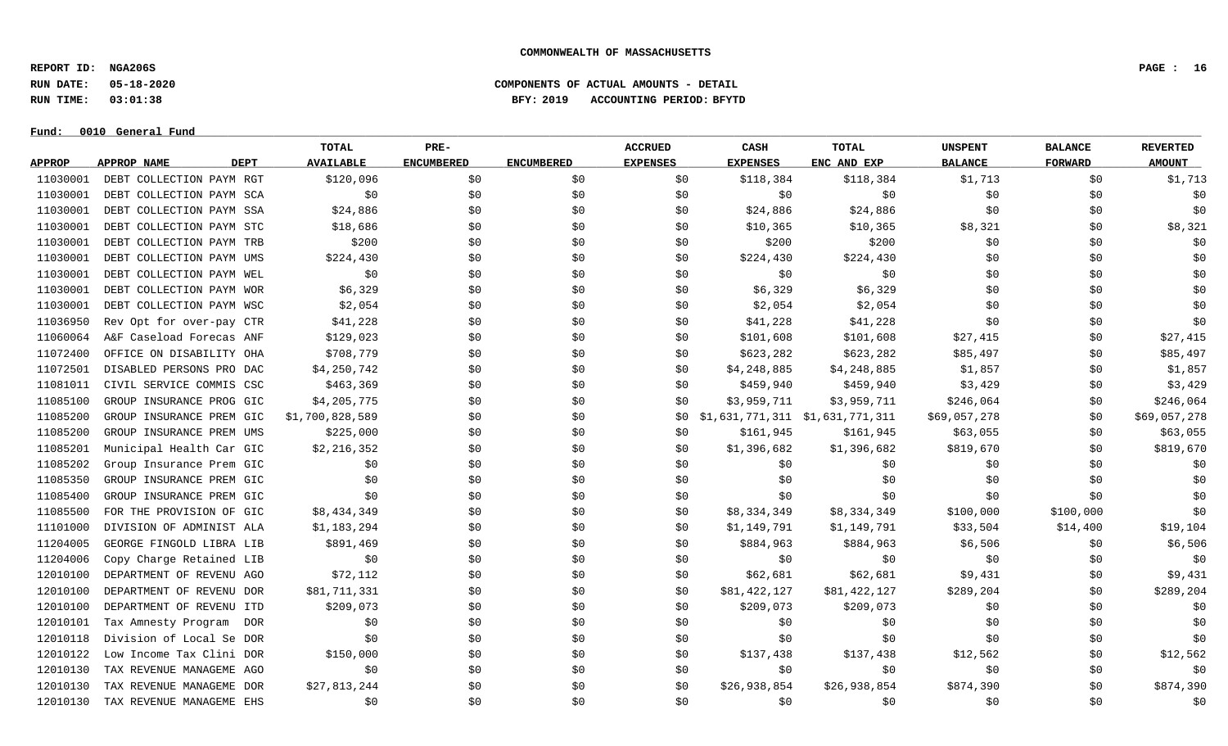**REPORT ID: NGA206S PAGE : 16**

**RUN DATE: 05-18-2020 COMPONENTS OF ACTUAL AMOUNTS - DETAIL**

**RUN TIME: 03:01:38 BFY: 2019 ACCOUNTING PERIOD: BFYTD**

 $Fund: 0010$  General Fund

## **TOTAL PRE- ACCRUED CASH TOTAL UNSPENT BALANCE REVERTED** <u>APPROP APPROPNAME – DEPT AVAILABLE ENCUMBERED ENCUMBERED EXPENSES EXPENSES ENCANDEXP BALANCE – FORWARD – AMOUNT</u> 11030001 DEBT COLLECTION PAYM RGT \$120,096 \$0 \$0 \$0 \$118,384 \$118,384 \$1,713 \$0 \$1,713 11030001 DEBT COLLECTION PAYM SCA \$0 \$0 \$0 \$0 \$0 \$0 \$0 \$0 \$0 11030001 DEBT COLLECTION PAYM SSA \$24,886 \$0 \$0 \$0 \$24,886 \$24,886 \$24,886 \$0 \$0 \$0 \$0 \$0 \$0 \$0 \$0 \$0 \$0 \$0 \$1 11030001 DEBT COLLECTION PAYM STC \$18,686 \$0 \$0 \$0 \$10,365 \$10,365 \$8,321 \$0 \$8,321 11030001 DEBT COLLECTION PAYM TRB \$200 \$0 \$0 \$0 \$200 \$200 \$0 \$0 \$0 11030001 DEBT COLLECTION PAYM UMS \$224,430 \$0 \$0 \$0 \$224,430 \$224,430 \$224,430 \$0 \$0 \$0 \$0 \$0 \$0 11030001 DEBT COLLECTION PAYM WEL \$0 \$0 \$0 \$0 \$0 \$0 \$0 \$0 \$0 11030001 DEBT COLLECTION PAYM WOR \$6,329 \$0 \$0 \$0 \$6,329 \$6,329 \$6,329 \$0 \$0 \$0 \$0 11030001 DEBT COLLECTION PAYM WSC  $\lesssim 2,054$  \$0 \$0 \$2,054 \$2,054 \$2,054 \$0 \$0 \$0 \$0 11036950 Rev Opt for over-pay CTR \$41,228 \$0 \$0 \$0 \$41,228 \$41,228 \$41,228 \$0 \$0 \$0 \$0 \$0 11060064 A&F Caseload Forecas ANF \$129,023 \$0 \$0 \$101,608 \$101,608 \$101,608 \$27,415 \$0 \$27,415 11072400 OFFICE ON DISABILITY OHA \$708,779 \$0 \$0 \$0 \$623,282 \$623,282 \$623,282 \$85,497 \$0 \$85,497 11072501 DISABLED PERSONS PRO DAC \$4,250,742 \$0 \$0 \$0 \$1,248,885 \$4,248,885 \$1,857 \$1,857 \$0 \$1,857 11081011 CIVIL SERVICE COMMIS CSC \$463,369 \$0 \$0 \$0 \$459,940 \$459,940 \$3,429 \$3,429 \$0 \$3,429 11085100 GROUP INSURANCE PROG GIC \$4,205,775 \$0 \$0 \$0 \$0 \$3,959,711 \$3,959,711 \$246,064 \$0 \$246,064 11085200 GROUP INSURANCE PREM GIC \$1,700,828,589 \$0 \$0 \$0 \$0 \$0 \$0 \$1,631,771,311 \$1,631,771,311 \$69,057,278 \$0 \$0 \$69,057,278 11085200 GROUP INSURANCE PREM UMS \$225,000 \$0 \$0 \$0 \$161,945 \$161,945 \$161,945 \$63,055 \$0 \$63,055 11085201 Municipal Health Car GIC \$2,216,352 \$0 \$0 \$0 \$1,396,682 \$1,396,682 \$819,670 \$819,670 \$819,670 11085202 Group Insurance Prem GIC \$0 \$0 \$0 \$0 \$0 \$0 \$0 \$0 \$0 11085350 GROUP INSURANCE PREM GIC \$0 \$0 \$0 \$0 \$0 \$0 \$0 \$0 \$0 11085400 GROUP INSURANCE PREM GIC \$0 \$0 \$0 \$0 \$0 \$0 \$0 \$0 \$0 11085500 FOR THE PROVISION OF GIC \$8,434,349 \$0 \$0 \$0 \$8,334,349 \$8,334,349 \$100,000 \$100,000 \$0 11101000 DIVISION OF ADMINIST ALA \$1,183,294 \$0 \$0 \$0 \$1,149,791 \$1,149,791 \$33,504 \$14,400 \$19,104 11204005 GEORGE FINGOLD LIBRA LIB \$891,469 \$0 \$0 \$0 \$884,963 \$884,963 \$884,963 \$6,506 \$0 \$6,506 \$6,506 11204006 Copy Charge Retained LIB \$0 \$0 \$0 \$0 \$0 \$0 \$0 \$0 \$0 12010100 DEPARTMENT OF REVENU AGO \$72,112 \$0 \$0 \$0 \$62,681 \$62,681 \$9,431 \$9,431 \$0 \$9,431 12010100 DEPARTMENT OF REVENU DOR \$81,711,331 \$0 \$0 \$0 \$0 \$81,422,127 \$81,422,127 \$289,204 \$0 \$289,204 \$289,204 12010100 DEPARTMENT OF REVENU ITD \$209,073 \$0 \$0 \$0 \$209,073 \$209,073 \$0 \$0 \$0 \$0 \$0 \$0 12010101 Tax Amnesty Program DOR \$0 \$0 \$0 \$0 \$0 \$0 \$0 \$0 \$0 12010118 Division of Local Se DOR \$0 \$0 \$0 \$0 \$0 \$0 \$0 \$0 \$0 12010122 Low Income Tax Clini DOR \$150,000 \$0 \$0 \$0 \$137,438 \$137,438 \$12,562 \$0 \$12,562 12010130 TAX REVENUE MANAGEME AGO \$0 \$0 \$0 \$0 \$0 \$0 \$0 \$0 \$0 12010130 TAX REVENUE MANAGEME DOR \$27,813,244 \$0 \$0 \$0 \$26,938,854 \$26,938,854 \$874,390 \$0 \$874,390 \$874,390 12010130 TAX REVENUE MANAGEME EHS \$0 \$0 \$0 \$0 \$0 \$0 \$0 \$0 \$0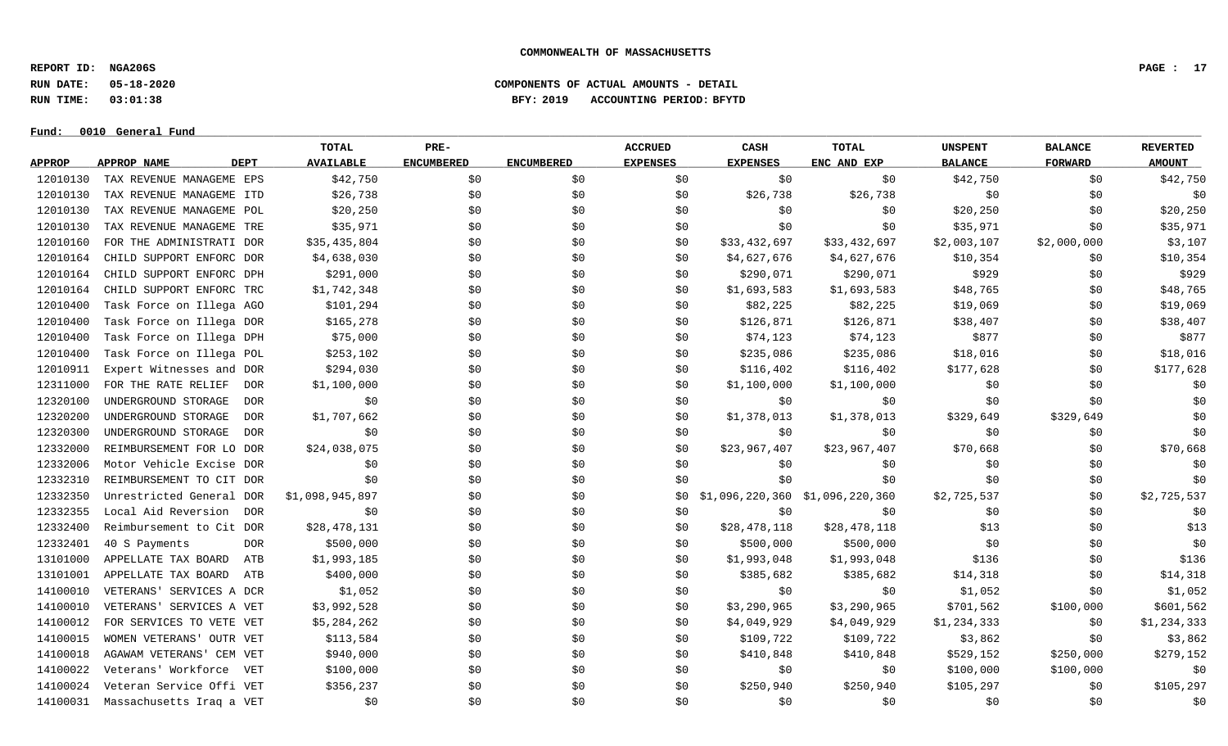**REPORT ID: NGA206S PAGE : 17**

**RUN DATE: 05-18-2020 COMPONENTS OF ACTUAL AMOUNTS - DETAIL**

**RUN TIME: 03:01:38 BFY: 2019 ACCOUNTING PERIOD: BFYTD**

 $Fund: 0010$  General Fund

## **TOTAL PRE- ACCRUED CASH TOTAL UNSPENT BALANCE REVERTED** <u>APPROP APPROPNAME – DEPT AVAILABLE ENCUMBERED ENCUMBERED EXPENSES EXPENSES ENCANDEXP BALANCE – FORWARD – AMOUNT</u> 12010130 TAX REVENUE MANAGEME EPS \$42,750 \$0 \$0 \$0 \$0 \$0 \$12,750 \$0 \$42,750 \$0 \$42,750 12010130 TAX REVENUE MANAGEME ITD \$26.738 \$0 \$0 \$0 \$26.738 \$26.738 \$26.738 \$0 \$0 \$0 \$0 \$0 12010130 TAX REVENUE MANAGEME POL \$20,250 \$0 \$0 \$0 \$0 \$0 \$20,250 \$0 \$20,250 12010130 TAX REVENUE MANAGEME TRE \$35,971 \$0 \$0 \$0 \$0 \$0 \$9 \$35,971 \$0 \$35,971 \$0 \$35,971 12010160 FOR THE ADMINISTRATI DOR \$35,435,804 \$0 \$0 \$0 \$33,432,697 \$33,432,697 \$2,003,107 \$2,000,000 \$3,107 12010164 CHILD SUPPORT ENFORC DOR \$4,638,030 \$0 \$0 \$10,354 \$0 \$4,627,676 \$4,627,676 \$10,354 \$0 \$10,354 12010164 CHILD SUPPORT ENFORC DPH \$291,000 \$0 \$0 \$0 \$290,071 \$290,071 \$929 \$0 \$929 12010164 CHILD SUPPORT ENFORC TRC \$1,742,348 \$0 \$0 \$0 \$1,693,583 \$1,693,583 \$48,765 \$0 \$48,765 12010400 Task Force on Illega AGO \$101,294 \$0 \$0 \$0 \$82,225 \$82,225 \$82,225 \$19,069 \$0 \$19,069 12010400 Task Force on Illega DOR \$165,278 \$0 \$0 \$0 \$126,871 \$126,871 \$126,871 \$38,407 \$0 \$38,407 12010400 Task Force on Illega DPH \$75,000 \$0 \$0 \$0 \$0 \$74,123 \$74,123 \$877 \$0 \$877 \$0 \$877 12010400 Task Force on Illega POL \$253,102 \$0 \$0 \$0 \$235,086 \$235,086 \$18,016 \$18,016 \$0 \$18,016 12010911 Expert Witnesses and DOR \$294,030 \$0 \$0 \$0 \$116,402 \$116,402 \$116,402 \$177,628 \$0 \$177,628 12311000 FOR THE RATE RELIEF DOR \$1,100,000 \$0 \$0 \$1,100,000 \$1,100,000 \$0 \$0 \$0 12320100 UNDERGROUND STORAGE DOR \$0 \$0 \$0 \$0 \$0 \$0 \$0 \$0 \$0 12320200 UNDERGROUND STORAGE DOR \$1,707,662 \$0 \$0 \$0 \$1,378,013 \$1,378,013 \$329,649 \$329,649 \$329,649 \$0 12320300 UNDERGROUND STORAGE DOR \$0 \$0 \$0 \$0 \$0 \$0 \$0 \$0 \$0 12332000 REIMBURSEMENT FOR LO DOR \$24,038,075 \$0 \$0 \$0 \$23,967,407 \$23,967,407 \$70,668 \$0 \$70,668 12332006 Motor Vehicle Excise DOR \$0 \$0 \$0 \$0 \$0 \$0 \$0 \$0 \$0 12332310 REIMBURSEMENT TO CIT DOR \$0 \$0 \$0 \$0 \$0 \$0 \$0 \$0 \$0 12332350 Unrestricted General DOR \$1,098,945,897 \$0 \$0 \$0 \$0 \$0 \$1,096,220,360 \$1,096,220,360 \$2,725,537 \$0 \$2,725,537 12332355 Local Aid Reversion DOR \$0 \$0 \$0 \$0 \$0 \$0 \$0 \$0 \$0 12332400 Reimbursement to Cit DOR \$28,478,131 \$0 \$0 \$0 \$28,478,118 \$28,478,118 \$13 \$0 \$13 \$0 \$13 12332401 40 S Payments DOR \$500,000 \$0 \$0 \$0 \$500,000 \$500,000 \$0 \$0 \$0 13101000 APPELLATE TAX BOARD ATB \$1,993,185 \$0 \$0 \$0 \$1,993,048 \$1,993,048 \$1,993,048 \$136 \$136 \$0 \$136 13101001 APPELLATE TAX BOARD ATB \$400,000 \$0 \$0 \$0 \$385,682 \$385,682 \$14,318 \$0 \$14,318 \$0 \$14,318 14100010 VETERANS' SERVICES A DCR \$1,052 \$0 \$0 \$0 \$0 \$0 \$1,052 \$0 \$1,052 14100010 VETERANS' SERVICES A VET \$3,992,528 \$0 \$0 \$0 \$3,290,965 \$3,290,965 \$701,562 \$100,000 \$601,562 14100012 FOR SERVICES TO VETE VET \$5,284,262 \$0 \$0 \$0 \$1,049,929 \$4,049,929 \$1,234,333 \$0 \$1,234,333 14100015 WOMEN VETERANS' OUTR VET \$113,584 \$0 \$0 \$0 \$109,722 \$109,722 \$3,862 \$3,862 \$0 \$3,862 14100018 AGAWAM VETERANS' CEM VET \$940,000 \$0 \$0 \$0 \$410,848 \$410,848 \$529,152 \$250,000 \$279,152 14100022 Veterans' Workforce VET \$100,000 \$0 \$0 \$0 \$0 \$0 \$0 \$100,000 \$100,000 \$100,000 \$100,000 \$0 14100024 Veteran Service Offi VET \$356,237 \$0 \$0 \$0 \$250,940 \$250,940 \$250,940 \$105,297 \$0 \$105,297 14100031 Massachusetts Iraq a VET \$0 \$0 \$0 \$0 \$0 \$0 \$0 \$0 \$0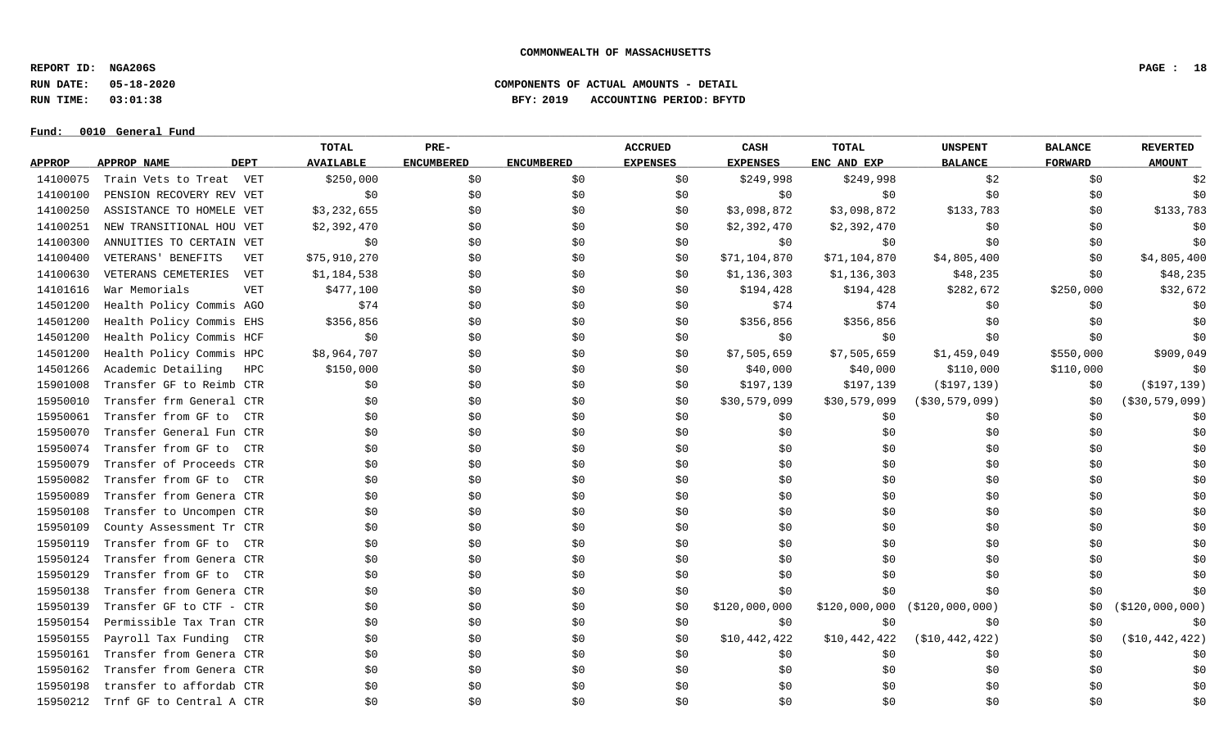**REPORT ID: NGA206S PAGE : 18**

**RUN DATE: 05-18-2020 COMPONENTS OF ACTUAL AMOUNTS - DETAIL**

**RUN TIME: 03:01:38 BFY: 2019 ACCOUNTING PERIOD: BFYTD**

 $Fund: 0010$  General Fund

## **TOTAL PRE- ACCRUED CASH TOTAL UNSPENT BALANCE REVERTED** <u>APPROP APPROPNAME – DEPT AVAILABLE ENCUMBERED ENCUMBERED EXPENSES EXPENSES ENCANDEXP BALANCE – FORWARD – AMOUNT</u> 14100075 Train Vets to Treat VET \$250,000 \$0 \$0 \$249,998 \$299,998 \$2 \$2 14100100 PENSION RECOVERY REV VET \$0 \$0 \$0 \$0 \$0 \$0 \$0 \$0 \$0 14100250 ASSISTANCE TO HOMELE VET \$3,232,655 \$0 \$0 \$0 \$1,098,872 \$3,098,872 \$133,783 \$0 \$133,783 14100251 NEW TRANSITIONAL HOU VET \$2,392,470 \$0 \$0 \$0 \$2,392,470 \$2,392,470 \$2,392,470 \$0 \$0 \$0 \$0 14100300 ANNUITIES TO CERTAIN VET \$0 \$0 \$0 \$0 \$0 \$0 \$0 \$0 \$0 14100400 VETERANS'BENEFITS VET \$75,910,270 \$0 \$0 \$0 \$0 \$71,104,870 \$71,104,870 \$4,805,400 \$0 \$4,805,400 \$4,805,400 14100630 VETERANS CEMETERIES VET \$1,184,538 \$0 \$0 \$0 \$1,136,303 \$1,136,303 \$48,235 \$48,235 \$0 \$48,235 14101616 War Memorials \$477,100 \$0 \$0 \$194,428 \$282,672 \$250,000 \$32,672 14501200 Health Policy Commis AGO \$74 \$0 \$0 \$0 \$70 \$74 \$74 \$74 \$0 \$0 \$0 \$0 \$0 14501200 Health Policy Commis EHS \$356,856 \$356,856 \$356,856 \$356,856 \$0 \$0 \$0 \$0 \$0 \$0 \$0 \$0 \$0 \$0 14501200 Health Policy Commis HCF \$0 \$0 \$0 \$0 \$0 \$0 \$0 \$0 \$0 14501200 Health Policy Commis HPC \$8,964,707 \$0 \$0 \$0 \$0 \$1,505,659 \$7,505,659 \$1,459,049 \$550,000 \$909,049 14501266 Academic Detailing HPC \$150,000 \$0 \$0 \$0 \$40,000 \$40,000 \$110,000 \$110,000 \$110,000 \$110,000 \$0 15901008 Transfer GF to Reimb CTR  $\lesssim 0$  \$0 \$0 \$197,139 \$197,139 (\$197,139) \$0 (\$197,139) \$0 (\$197,139) 15950010 Transfer frm General CTR  $$0$  \$0 \$0 \$0 \$0 \$0 \$30,579,099 \$30,579,099 (\$30,579,099) \$0 (\$30,579,099) 15950061 Transfer from GF to CTR \$0 \$0 \$0 \$0 \$0 \$0 \$0 \$0 \$0 15950070 Transfer General Fun CTR \$0 \$0 \$0 \$0 \$0 \$0 \$0 \$0 \$0 15950074 Transfer from GF to CTR \$0 \$0 \$0 \$0 \$0 \$0 \$0 \$0 \$0 15950079 Transfer of Proceeds CTR \$0 \$0 \$0 \$0 \$0 \$0 \$0 \$0 \$0 15950082 Transfer from GF to CTR \$0 \$0 \$0 \$0 \$0 \$0 \$0 \$0 \$0 15950089 Transfer from Genera CTR \$0 \$0 \$0 \$0 \$0 \$0 \$0 \$0 \$0 15950108 Transfer to Uncompen CTR \$0 \$0 \$0 \$0 \$0 \$0 \$0 \$0 \$0 15950109 County Assessment Tr CTR \$0 \$0 \$0 \$0 \$0 \$0 \$0 \$0 \$0 15950119 Transfer from GF to CTR \$0 \$0 \$0 \$0 \$0 \$0 \$0 \$0 \$0 15950124 Transfer from Genera CTR \$0 \$0 \$0 \$0 \$0 \$0 \$0 \$0 \$0 15950129 Transfer from GF to CTR \$0 \$0 \$0 \$0 \$0 \$0 \$0 \$0 \$0 15950138 Transfer from Genera CTR \$0 \$0 \$0 \$0 \$0 \$0 \$0 \$0 \$0 15950139 Transfer GF to CTF - CTR  $$0$  \$0 \$0 \$0 \$0 \$120,000,000 \$120,000,000 \$120,000,000) \$0 (\$120,000,000) 15950154 Permissible Tax Tran CTR \$0 \$0 \$0 \$0 \$0 \$0 \$0 \$0 \$0 15950155 Payroll Tax Funding CTR \$0 \$0 \$0 \$0 \$10,442,422 \$10,442,422 (\$10,442,422) \$0 (\$10,442,422) 15950161 Transfer from Genera CTR \$0 \$0 \$0 \$0 \$0 \$0 \$0 \$0 \$0 15950162 Transfer from Genera CTR \$0 \$0 \$0 \$0 \$0 \$0 \$0 \$0 \$0 15950198 transfer to affordab CTR \$0 \$0 \$0 \$0 \$0 \$0 \$0 \$0 \$0 15950212 Trnf GF to Central A CTR \$0 \$0 \$0 \$0 \$0 \$0 \$0 \$0 \$0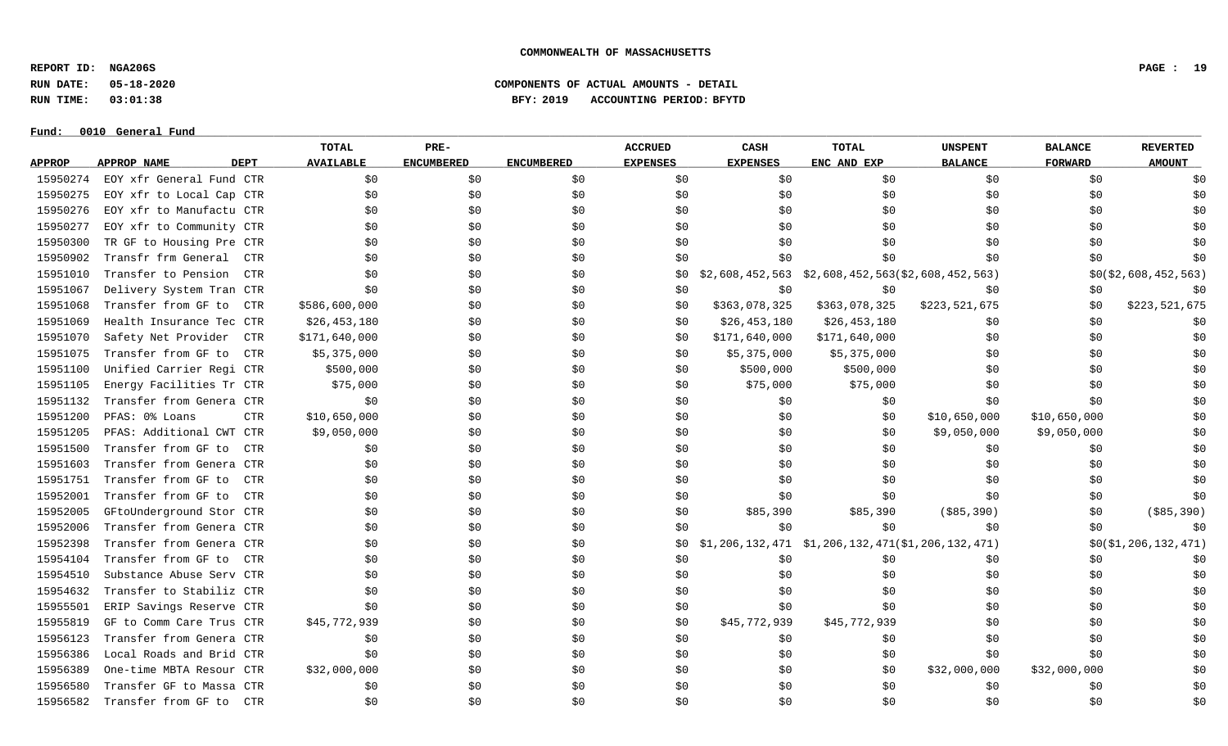**REPORT ID: NGA206S PAGE : 19**

**RUN DATE: 05-18-2020 COMPONENTS OF ACTUAL AMOUNTS - DETAIL**

**RUN TIME: 03:01:38 BFY: 2019 ACCOUNTING PERIOD: BFYTD**

#### $Fund: 0010$  General Fund

## **TOTAL PRE- ACCRUED CASH TOTAL UNSPENT BALANCE REVERTED** <u>APPROP APPROPNAME – DEPT AVAILABLE ENCUMBERED ENCUMBERED EXPENSES EXPENSES ENCANDEXP BALANCE – FORWARD – AMOUNT</u> 15950274 EOY xfr General Fund CTR \$0 \$0 \$0 \$0 \$0 \$0 \$0 \$0 \$0 15950275 EOY xfr to Local Cap CTR \$0 \$0 \$0 \$0 \$0 \$0 \$0 \$0 \$0 15950276 EOY xfr to Manufactu CTR \$0 \$0 \$0 \$0 \$0 \$0 \$0 \$0 \$0 15950277 EOY xfr to Community CTR \$0 \$0 \$0 \$0 \$0 \$0 \$0 \$0 \$0 15950300 TR GF to Housing Pre CTR \$0 \$0 \$0 \$0 \$0 \$0 \$0 \$0 \$0 15950902 Transfr frm General CTR \$0 \$0 \$0 \$0 \$0 \$0 \$0 \$0 \$0 15951010 Transfer to Pension CTR \$0 \$0 \$0 \$0 \$0 \$0 \$0 \$2,608,452,563 \$2,608,452,563 (\$2,608,452,563) \$0 \$0 \$0,8452,563 15951067 Delivery System Tran CTR \$0 \$0 \$0 \$0 \$0 \$0 \$0 \$0 \$0 15951068 Transfer from GF to CTR \$586,600,000 \$0 \$0 \$0 \$363,078,325 \$363,078,325 \$223,521,675 \$0 \$223,521,675 15951069 Health Insurance Tec CTR \$26,453,180 \$0 \$0 \$0 \$26,453,180 \$26,453,180 \$26,453,180 \$0 \$0 \$0 \$0 \$0 \$0 15951070 Safety Net Provider CTR \$171,640,000 \$0 \$0 \$171,640,000 \$0 \$0 \$0 15951075 Transfer from GF to CTR \$5,375,000 \$0 \$0 \$0 \$0 \$1,375,000 \$5,375,000 \$0 \$0 \$0 \$0 \$0 \$0 \$0 \$0 15951100 Unified Carrier Regi CTR \$500,000 \$0 \$0 \$0 \$500,000 \$500,000 \$0 \$0 \$0 15951105 Energy Facilities Tr CTR 575,000 \$0 \$0 \$0 \$0 \$15,000 \$75,000 \$75,000 \$0 \$0 \$0 \$0 \$0 15951132 Transfer from Genera CTR \$0 \$0 \$0 \$0 \$0 \$0 \$0 \$0 \$0 15951200 PFAS: 0% Loans \$10,650,000 \$0 \$0 \$0 \$10,650,000 \$10,650,000 \$10,650,000 \$0 15951205 PFAS: Additional CWT CTR \$9,050,000 \$0 \$0 \$0 \$0 \$0 \$9,050,000 \$9,050,000 \$0 15951500 Transfer from GF to CTR \$0 \$0 \$0 \$0 \$0 \$0 \$0 \$0 \$0 15951603 Transfer from Genera CTR \$0 \$0 \$0 \$0 \$0 \$0 \$0 \$0 \$0 15951751 Transfer from GF to CTR \$0 \$0 \$0 \$0 \$0 \$0 \$0 \$0 \$0 15952001 Transfer from GF to CTR \$0 \$0 \$0 \$0 \$0 \$0 \$0 \$0 \$0 15952005 GFtoUnderground Stor CTR \$0 \$0 \$0 \$0 \$85,390 \$85,390 \$85,390 (\$85,390 \$85,390 \$0 (\$85,390) 15952006 Transfer from Genera CTR \$0 \$0 \$0 \$0 \$0 \$0 \$0 \$0 \$0 15952398 Transfer from Genera CTR \$0 \$0 \$0 \$0 \$1,206,132,471 \$1,206,132,471 (\$1,206,132,471) \$0 (\$1,206,132,471) 15954104 Transfer from GF to CTR \$0 \$0 \$0 \$0 \$0 \$0 \$0 \$0 \$0 15954510 Substance Abuse Serv CTR \$0 \$0 \$0 \$0 \$0 \$0 \$0 \$0 \$0 15954632 Transfer to Stabiliz CTR \$0 \$0 \$0 \$0 \$0 \$0 \$0 \$0 \$0 15955501 ERIP Savings Reserve CTR \$0 \$0 \$0 \$0 \$0 \$0 \$0 \$0 \$0 15955819 GF to Comm Care Trus CTR \$45,772,939 \$0 \$0 \$0 \$15,772,939 \$45,772,939 \$15,772,939 \$0 \$0 \$0 \$0 \$0 15956123 Transfer from Genera CTR \$0 \$0 \$0 \$0 \$0 \$0 \$0 \$0 \$0 15956386 Local Roads and Brid CTR \$0 \$0 \$0 \$0 \$0 \$0 \$0 \$0 \$0 15956389 One-time MBTA Resour CTR \$32,000,000 \$0 \$0 \$0 \$0 \$0 \$0 \$0 \$32,000,000 \$32,000,000 \$32,000,000 \$0 15956580 Transfer GF to Massa CTR \$0 \$0 \$0 \$0 \$0 \$0 \$0 \$0 \$0 15956582 Transfer from GF to CTR \$0 \$0 \$0 \$0 \$0 \$0 \$0 \$0 \$0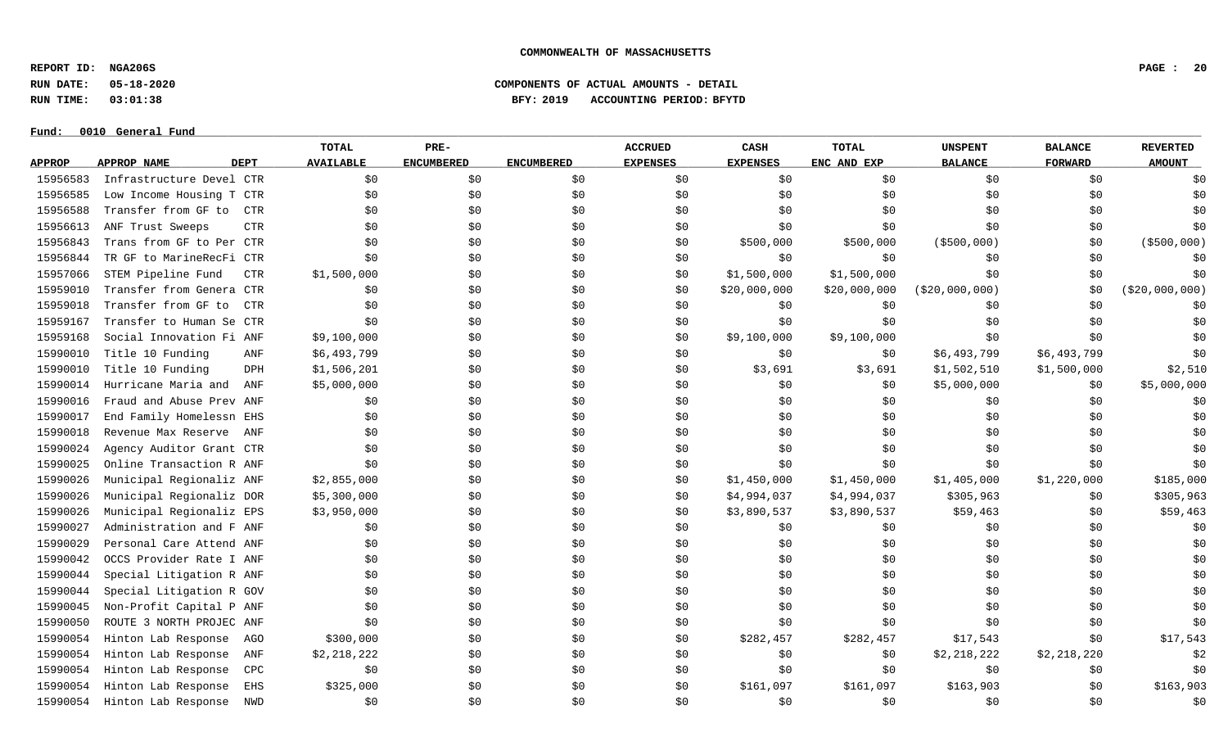**REPORT ID: NGA206S PAGE : 20**

**RUN DATE: 05-18-2020 COMPONENTS OF ACTUAL AMOUNTS - DETAIL**

**RUN TIME: 03:01:38 BFY: 2019 ACCOUNTING PERIOD: BFYTD**

#### $Fund: 0010$  General Fund

## **TOTAL PRE- ACCRUED CASH TOTAL UNSPENT BALANCE REVERTED** <u>APPROP APPROPNAME – DEPT AVAILABLE ENCUMBERED ENCUMBERED EXPENSES EXPENSES ENCANDEXP BALANCE – FORWARD – AMOUNT</u> 15956583 Infrastructure Devel CTR \$0 \$0 \$0 \$0 \$0 \$0 \$0 \$0 \$0 15956585 Low Income Housing T CTR \$0 \$0 \$0 \$0 \$0 \$0 \$0 \$0 \$0 15956588 Transfer from GF to CTR \$0 \$0 \$0 \$0 \$0 \$0 \$0 \$0 \$0 15956613 ANF Trust Sweeps CTR \$0 \$0 \$0 \$0 \$0 \$0 \$0 \$0 \$0 15956843 Trans from GF to Per CTR \$0 \$0 \$0 \$0 \$500,000 \$500,000 (\$500,000) \$0 (\$500,000) 15956844 TR GF to MarineRecFi CTR \$0 \$0 \$0 \$0 \$0 \$0 \$0 \$0 \$0 15957066 STEM Pipeline Fund CTR \$1,500,000 \$0 \$0 \$0 \$1,500,000 \$1,500,000 \$1,500,000 \$0 \$0 \$0 \$0 \$0 15959010 Transfer from Genera CTR \$0 \$0 \$0 \$0 \$20,000,000 \$20,000,000 (\$20,000,000) \$0 (\$20,000,000) 15959018 Transfer from GF to CTR \$0 \$0 \$0 \$0 \$0 \$0 \$0 \$0 \$0 15959167 Transfer to Human Se CTR \$0 \$0 \$0 \$0 \$0 \$0 \$0 \$0 \$0 15959168 Social Innovation Fi ANF \$9,100,000 \$0 \$0 \$0 \$9,100,000 \$9,100,000 \$0 \$0 \$0 15990010 Title 10 Funding ANF \$6,493,799 \$0 \$0 \$0 \$0 \$0 \$0 \$6,493,799 \$6,493,799 \$6,493,799 \$0 15990010 Title 10 Funding DPH \$1,506,201 \$0 \$0 \$0 \$3,691 \$3,691 \$1,502,510 \$1,500,000 \$2,510 15990014 Hurricane Maria and ANF \$5,000,000 \$0 \$0 \$0 \$0 \$0 \$0 \$5,000,000 \$0 \$1,000,000 \$0 \$5,000,000 \$5,000,000 15990016 Fraud and Abuse Prev ANF \$0 \$0 \$0 \$0 \$0 \$0 \$0 \$0 \$0 15990017 End Family Homelessn EHS \$0 \$0 \$0 \$0 \$0 \$0 \$0 \$0 \$0 15990018 Revenue Max Reserve ANF \$0 \$0 \$0 \$0 \$0 \$0 \$0 \$0 \$0 15990024 Agency Auditor Grant CTR \$0 \$0 \$0 \$0 \$0 \$0 \$0 \$0 \$0 15990025 Online Transaction R ANF \$0 \$0 \$0 \$0 \$0 \$0 \$0 \$0 \$0 15990026 Municipal Regionaliz ANF \$2,855,000 \$0 \$0 \$0 \$1,450,000 \$1,450,000 \$1,405,000 \$1,220,000 \$185,000 15990026 Municipal Regionaliz DOR \$5,300,000 \$0 \$0 \$0 \$1,994,037 \$4,994,037 \$305,963 \$0 \$305,963 \$0 \$305,963 15990026 Municipal Regionaliz EPS \$3,950,000 \$0 \$0 \$0 \$3,890,537 \$3,890,537 \$59,463 \$0 \$59,463 15990027 Administration and F ANF \$0 \$0 \$0 \$0 \$0 \$0 \$0 \$0 \$0 15990029 Personal Care Attend ANF \$0 \$0 \$0 \$0 \$0 \$0 \$0 \$0 \$0 15990042 OCCS Provider Rate I ANF \$0 \$0 \$0 \$0 \$0 \$0 \$0 \$0 \$0 15990044 Special Litigation R ANF \$0 \$0 \$0 \$0 \$0 \$0 \$0 \$0 \$0 15990044 Special Litigation R GOV \$0 \$0 \$0 \$0 \$0 \$0 \$0 \$0 \$0 15990045 Non-Profit Capital P ANF \$0 \$0 \$0 \$0 \$0 \$0 \$0 \$0 \$0 15990050 ROUTE 3 NORTH PROJEC ANF \$0 \$0 \$0 \$0 \$0 \$0 \$0 \$0 \$0 15990054 Hinton Lab Response AGO \$300,000 \$0 \$0 \$0 \$282,457 \$282,457 \$282,457 \$17,543 \$0 \$17,543 15990054 Hinton Lab Response ANF \$2,218,222 \$0 \$0 \$0 \$0 \$0 \$0 \$0 \$2,218,222 \$2,218,220 \$2,218,220 \$2,218,220 \$ 15990054 Hinton Lab Response CPC \$0 \$0 \$0 \$0 \$0 \$0 \$0 \$0 \$0 15990054 Hinton Lab Response EHS \$325,000 \$0 \$0 \$0 \$161,097 \$161,097 \$163,903 \$0 \$163,903 \$0 \$163,903 15990054 Hinton Lab Response NWD \$0 \$0 \$0 \$0 \$0 \$0 \$0 \$0 \$0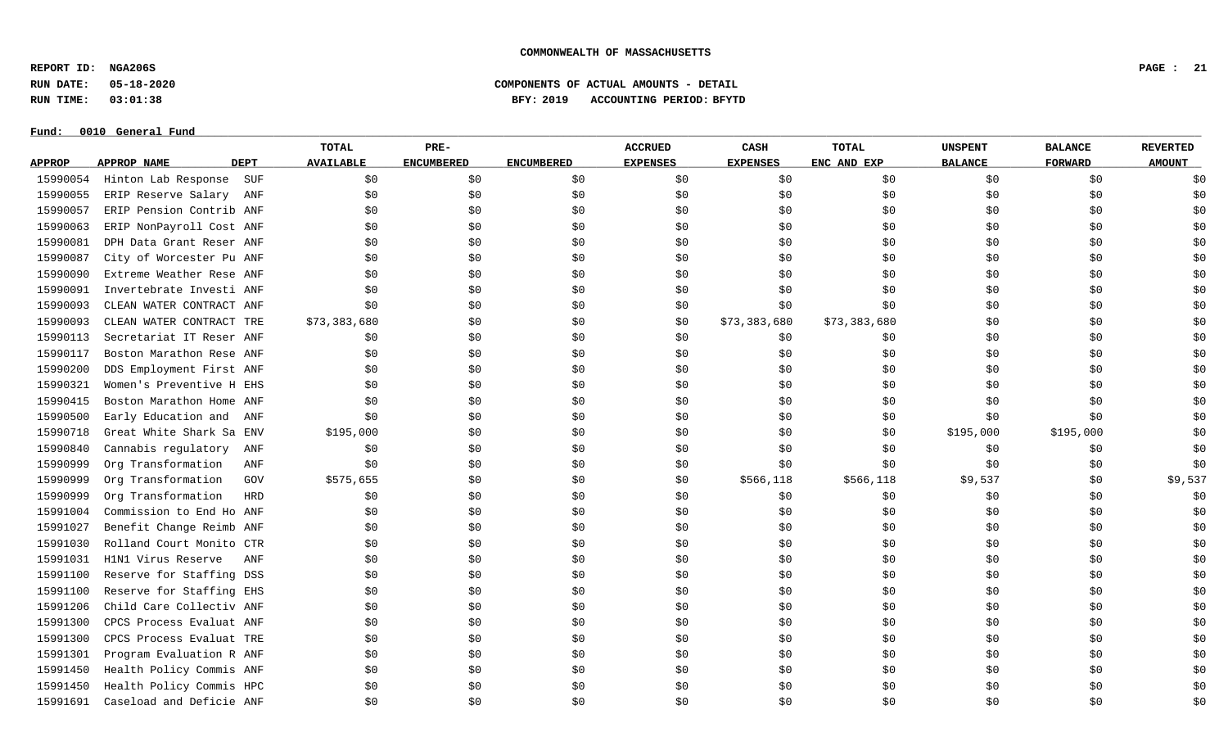**REPORT ID: NGA206S PAGE : 21**

**RUN DATE: 05-18-2020 COMPONENTS OF ACTUAL AMOUNTS - DETAIL**

**RUN TIME: 03:01:38 BFY: 2019 ACCOUNTING PERIOD: BFYTD**

|               |                          |             | <b>TOTAL</b>     | PRE-              |                   | <b>ACCRUED</b>  | CASH            | TOTAL        | <b>UNSPENT</b> | <b>BALANCE</b> | <b>REVERTED</b> |
|---------------|--------------------------|-------------|------------------|-------------------|-------------------|-----------------|-----------------|--------------|----------------|----------------|-----------------|
| <b>APPROP</b> | APPROP NAME              | <b>DEPT</b> | <b>AVAILABLE</b> | <b>ENCUMBERED</b> | <b>ENCUMBERED</b> | <b>EXPENSES</b> | <b>EXPENSES</b> | ENC AND EXP  | <b>BALANCE</b> | <b>FORWARD</b> | <b>AMOUNT</b>   |
| 15990054      | Hinton Lab Response      | SUF         | \$0              | \$0               | \$0               | \$0             | \$0             | \$0          | \$0            | \$0            | \$0             |
| 15990055      | ERIP Reserve Salary      | ANF         | \$0              | \$0               | \$0               | \$0             | \$0             | \$0          | \$0            | \$0            | \$0             |
| 15990057      | ERIP Pension Contrib ANF |             | \$0              | \$0               | \$0               | \$0             | \$0             | \$0          | \$0            | \$0            | \$0             |
| 15990063      | ERIP NonPayroll Cost ANF |             | \$0              | \$0               | \$0               | \$0             | \$0             | \$0          | \$0            | \$0            | \$0             |
| 15990081      | DPH Data Grant Reser ANF |             | \$0              | \$0               | \$0               | \$0             | \$0             | \$0          | \$0            | \$0            | \$0             |
| 15990087      | City of Worcester Pu ANF |             | \$0              | \$0               | \$0               | \$0             | \$0             | \$0          | \$0            | \$0\$          | \$0             |
| 15990090      | Extreme Weather Rese ANF |             | \$0              | \$0               | \$0               | \$0             | \$0             | \$0          | \$0            | \$0            | \$0             |
| 15990091      | Invertebrate Investi ANF |             | \$0              | \$0               | \$0               | \$0             | \$0             | \$0          | \$0            | \$0            | \$0             |
| 15990093      | CLEAN WATER CONTRACT ANF |             | \$0              | \$0               | \$0               | \$0             | \$0             | \$0          | \$0            | \$0            | \$0             |
| 15990093      | CLEAN WATER CONTRACT TRE |             | \$73,383,680     | \$0               | \$0               | \$0             | \$73,383,680    | \$73,383,680 | \$0            | \$0            | \$0             |
| 15990113      | Secretariat IT Reser ANF |             | \$0              | \$0               | \$0               | \$0             | \$0             | \$0          | \$0            | \$0            | \$0             |
| 15990117      | Boston Marathon Rese ANF |             | \$0              | \$0               | \$0               | \$0             | \$0             | \$0          | \$0            | \$0            | \$0             |
| 15990200      | DDS Employment First ANF |             | \$0              | \$0               | \$0               | \$0             | \$0             | \$0          | \$0            | \$0            | \$0             |
| 15990321      | Women's Preventive H EHS |             | \$0              | \$0               | \$0               | \$0             | \$0             | \$0          | \$0            | \$0            | \$0             |
| 15990415      | Boston Marathon Home ANF |             | \$0              | \$0               | \$0               | \$0             | \$0             | \$0          | \$0            | \$0            | \$0             |
| 15990500      | Early Education and ANF  |             | \$0              | \$0               | \$0               | \$0             | \$0             | \$0          | \$0            | \$0            | \$0             |
| 15990718      | Great White Shark Sa ENV |             | \$195,000        | \$0               | \$0               | \$0             | \$0             | \$0          | \$195,000      | \$195,000      | \$0             |
| 15990840      | Cannabis regulatory      | ANF         | \$0              | \$0               | \$0               | \$0             | \$0             | \$0          | \$0            | \$0            | \$0             |
| 15990999      | Org Transformation       | ANF         | \$0              | \$0               | \$0               | \$0             | \$0             | \$0          | \$0            | \$0            | \$0             |
| 15990999      | Org Transformation       | GOV         | \$575,655        | \$0               | \$0               | \$0             | \$566,118       | \$566,118    | \$9,537        | \$0            | \$9,537         |
| 15990999      | Org Transformation       | HRD         | \$0              | \$0               | \$0               | \$0             | \$0             | \$0          | \$0            | \$0            | \$0             |
| 15991004      | Commission to End Ho ANF |             | \$0              | \$0               | \$0               | \$0             | \$0             | \$0          | \$0            | \$0            | \$0             |
| 15991027      | Benefit Change Reimb ANF |             | \$0              | \$0               | \$0               | \$0             | \$0\$           | \$0          | \$0            | \$0            | \$0             |
| 15991030      | Rolland Court Monito CTR |             | \$0              | \$0               | \$0               | \$0             | \$0             | \$0          | \$0\$          | \$0            | \$0             |
| 15991031      | H1N1 Virus Reserve       | ANF         | \$0              | \$0               | \$0               | \$0             | \$0             | \$0          | \$0            | \$0            | \$0             |
| 15991100      | Reserve for Staffing DSS |             | \$0              | \$0               | \$0               | \$0             | \$0             | \$0          | \$0            | \$0            | \$0             |
| 15991100      | Reserve for Staffing EHS |             | \$0              | \$0               | \$0               | \$0             | \$0             | \$0          | \$0            | \$0            | \$0             |
| 15991206      | Child Care Collectiv ANF |             | \$0              | \$0               | \$0               | \$0             | \$0             | \$0          | \$0            | \$0            | \$0             |
| 15991300      | CPCS Process Evaluat ANF |             | \$0              | \$0               | \$0               | \$0             | \$0             | \$0          | \$0            | \$0            | \$0             |
| 15991300      | CPCS Process Evaluat TRE |             | \$0              | \$0               | \$0               | \$0             | \$0             | \$0          | \$0            | \$0            | \$0             |
| 15991301      | Program Evaluation R ANF |             | \$0              | \$0               | \$0               | \$0             | \$0             | \$0          | \$0            | \$0            | \$0             |
| 15991450      | Health Policy Commis ANF |             | \$0              | \$0               | \$0               | \$0             | \$0             | \$0          | \$0            | \$0            | \$0             |
| 15991450      | Health Policy Commis HPC |             | \$0              | \$0               | \$0               | \$0             | \$0             | \$0          | \$0            | \$0            | \$0             |
| 15991691      | Caseload and Deficie ANF |             | \$0              | \$0               | \$0               | \$0             | \$0             | \$0          | \$0            | \$0            | \$0             |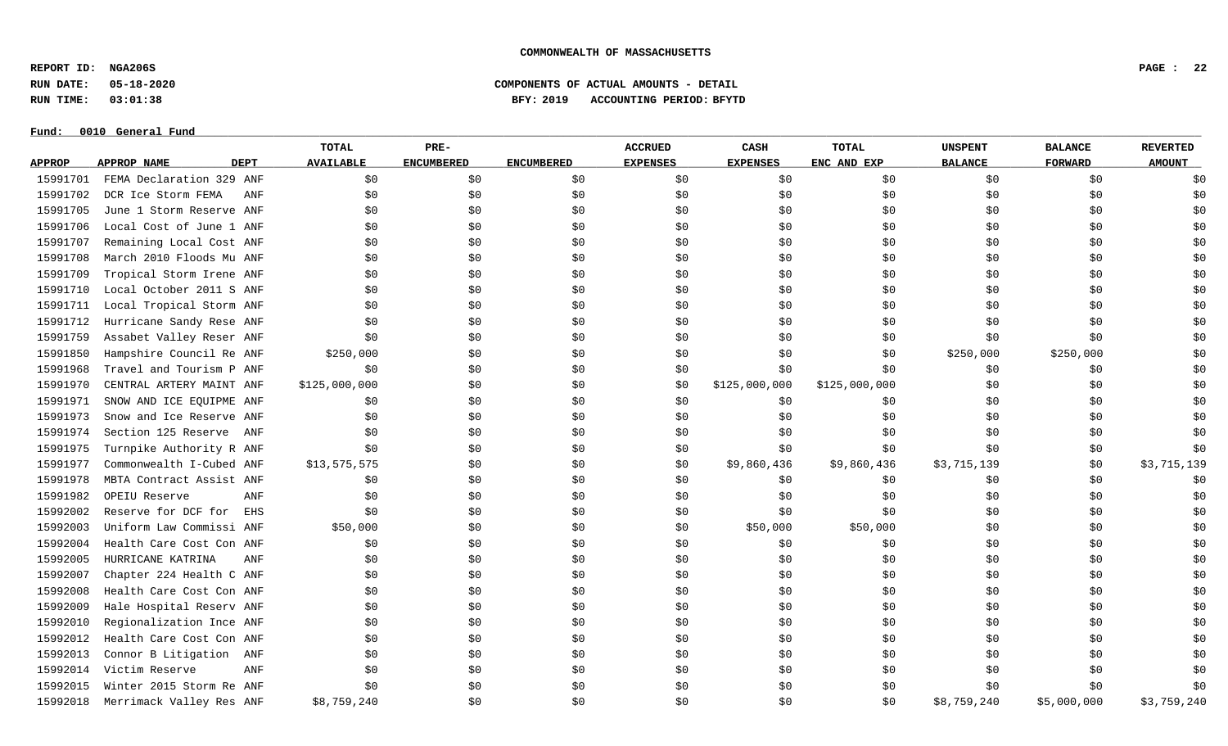**REPORT ID: NGA206S PAGE : 22**

**RUN DATE: 05-18-2020 COMPONENTS OF ACTUAL AMOUNTS - DETAIL**

**RUN TIME: 03:01:38 BFY: 2019 ACCOUNTING PERIOD: BFYTD**

|               |                            | <b>TOTAL</b>     | PRE-              |                   | <b>ACCRUED</b>  | CASH            | <b>TOTAL</b>  | <b>UNSPENT</b> | <b>BALANCE</b> | <b>REVERTED</b> |
|---------------|----------------------------|------------------|-------------------|-------------------|-----------------|-----------------|---------------|----------------|----------------|-----------------|
| <b>APPROP</b> | APPROP NAME<br><b>DEPT</b> | <b>AVAILABLE</b> | <b>ENCUMBERED</b> | <b>ENCUMBERED</b> | <b>EXPENSES</b> | <b>EXPENSES</b> | ENC AND EXP   | <b>BALANCE</b> | <b>FORWARD</b> | <b>AMOUNT</b>   |
| 15991701      | FEMA Declaration 329 ANF   | \$0              | \$0               | \$0               | \$0             | \$0             | \$0           | \$0            | \$0            | \$0             |
| 15991702      | DCR Ice Storm FEMA<br>ANF  | \$0              | \$0               | \$0\$             | \$0             | \$0             | \$0           | \$0            | \$0            | \$0             |
| 15991705      | June 1 Storm Reserve ANF   | \$0              | \$0               | \$0               | \$0             | \$0             | \$0           | \$0            | \$0            | \$0             |
| 15991706      | Local Cost of June 1 ANF   | \$0              | \$0               | \$0               | \$0             | \$0             | \$0           | \$0            | \$0            | \$0             |
| 15991707      | Remaining Local Cost ANF   | \$0              | \$0               | \$0               | \$0             | \$0             | \$0           | \$0            | \$0            | \$0             |
| 15991708      | March 2010 Floods Mu ANF   | \$0              | \$0               | \$0               | \$0             | \$0             | \$0           | \$0            | \$0            | \$0             |
| 15991709      | Tropical Storm Irene ANF   | \$0              | \$0               | \$0               | \$0             | \$0             | \$0           | \$0            | \$0            | \$0             |
| 15991710      | Local October 2011 S ANF   | \$0              | \$0               | \$0               | \$0             | \$0             | \$0           | \$0            | \$0            | \$0             |
| 15991711      | Local Tropical Storm ANF   | \$0              | \$0               | \$0\$             | \$0             | \$0             | \$0           | \$0            | \$0            | \$0             |
| 15991712      | Hurricane Sandy Rese ANF   | \$0              | \$0               | \$0               | \$0             | \$0             | \$0           | \$0            | \$0            | \$0             |
| 15991759      | Assabet Valley Reser ANF   | \$0              | \$0               | \$0               | \$0             | \$0             | \$0           | \$0            | \$0            | \$0             |
| 15991850      | Hampshire Council Re ANF   | \$250,000        | \$0               | \$0               | \$0             | \$0             | \$0           | \$250,000      | \$250,000      | \$0             |
| 15991968      | Travel and Tourism P ANF   | \$0              | \$0               | \$0               | \$0             | \$0             | \$0           | \$0            | \$0            | \$0             |
| 15991970      | CENTRAL ARTERY MAINT ANF   | \$125,000,000    | \$0               | \$0               | \$0             | \$125,000,000   | \$125,000,000 | \$0            | \$0            | \$0             |
| 15991971      | SNOW AND ICE EQUIPME ANF   | \$0              | \$0               | \$0               | \$0             | \$0             | \$0           | \$0            | \$0            | \$0             |
| 15991973      | Snow and Ice Reserve ANF   | \$0              | \$0               | \$0               | \$0             | \$0             | \$0           | \$0            | \$0            | \$0             |
| 15991974      | Section 125 Reserve ANF    | \$0              | \$0               | \$0               | \$0             | \$0             | \$0           | \$0            | \$0            | \$0             |
| 15991975      | Turnpike Authority R ANF   | \$0              | \$0               | \$0               | \$0             | \$0             | \$0           | \$0            | \$0            | \$0             |
| 15991977      | Commonwealth I-Cubed ANF   | \$13,575,575     | \$0               | \$0               | \$0             | \$9,860,436     | \$9,860,436   | \$3,715,139    | \$0            | \$3,715,139     |
| 15991978      | MBTA Contract Assist ANF   | \$0              | \$0               | \$0               | \$0             | \$0             | \$0           | \$0            | \$0            | \$0             |
| 15991982      | ANF<br>OPEIU Reserve       | \$0              | \$0               | \$0               | \$0             | \$0             | \$0           | \$0            | \$0            | \$0             |
| 15992002      | Reserve for DCF for<br>EHS | \$0              | \$0               | \$0               | \$0             | \$0             | \$0           | \$0            | \$0            | \$0             |
| 15992003      | Uniform Law Commissi ANF   | \$50,000         | \$0               | \$0               | \$0             | \$50,000        | \$50,000      | \$0            | \$0            | \$0             |
| 15992004      | Health Care Cost Con ANF   | \$0              | \$0               | \$0               | \$0             | \$0             | \$0           | \$0            | \$0            | \$0             |
| 15992005      | HURRICANE KATRINA<br>ANF   | \$0              | \$0               | \$0               | \$0             | \$0             | \$0           | \$0            | \$0            | \$0             |
| 15992007      | Chapter 224 Health C ANF   | \$0              | \$0               | \$0               | \$0             | \$0             | \$0           | \$0            | \$0            | \$0             |
| 15992008      | Health Care Cost Con ANF   | \$0              | \$0               | \$0               | \$0             | \$0             | \$0           | \$0            | \$0            | \$0             |
| 15992009      | Hale Hospital Reserv ANF   | \$0              | \$0               | \$0               | \$0             | \$0             | \$0           | \$0            | \$0            | \$0             |
| 15992010      | Regionalization Ince ANF   | \$0              | \$0               | \$0               | \$0             | \$0             | \$0           | \$0            | \$0            | \$0             |
| 15992012      | Health Care Cost Con ANF   | \$0              | \$0               | \$0               | \$0             | \$0             | \$0           | \$0            | \$0            | \$0             |
| 15992013      | Connor B Litigation<br>ANF | \$0              | \$0               | \$0               | \$0             | \$0             | \$0           | \$0            | \$0            | \$0             |
| 15992014      | Victim Reserve<br>ANF      | \$0              | \$0               | \$0\$             | \$0             | \$0             | \$0           | \$0            | \$0            | \$0             |
| 15992015      | Winter 2015 Storm Re ANF   | \$0              | \$0               | \$0               | \$0             | \$0             | \$0           | \$0            | \$0            | \$0             |
| 15992018      | Merrimack Valley Res ANF   | \$8,759,240      | \$0               | \$0               | \$0             | \$0             | \$0           | \$8,759,240    | \$5,000,000    | \$3,759,240     |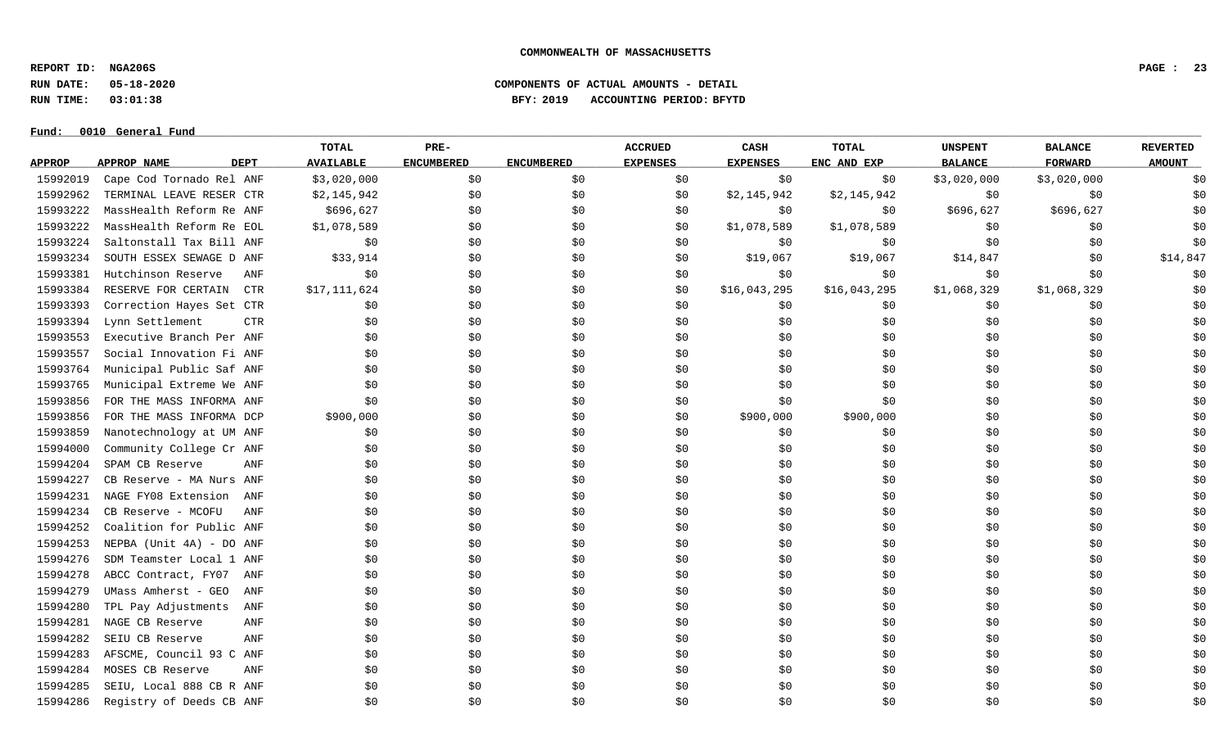**REPORT ID: NGA206S PAGE : 23**

**RUN DATE: 05-18-2020 COMPONENTS OF ACTUAL AMOUNTS - DETAIL**

**RUN TIME: 03:01:38 BFY: 2019 ACCOUNTING PERIOD: BFYTD**

|               |                          |             | TOTAL            | PRE-              |                   | <b>ACCRUED</b>  | CASH            | TOTAL        | <b>UNSPENT</b> | <b>BALANCE</b> | <b>REVERTED</b> |
|---------------|--------------------------|-------------|------------------|-------------------|-------------------|-----------------|-----------------|--------------|----------------|----------------|-----------------|
| <b>APPROP</b> | APPROP NAME              | <b>DEPT</b> | <b>AVAILABLE</b> | <b>ENCUMBERED</b> | <b>ENCUMBERED</b> | <b>EXPENSES</b> | <b>EXPENSES</b> | ENC AND EXP  | <b>BALANCE</b> | <b>FORWARD</b> | <b>AMOUNT</b>   |
| 15992019      | Cape Cod Tornado Rel ANF |             | \$3,020,000      | \$0               | \$0               | \$0             | \$0             | \$0          | \$3,020,000    | \$3,020,000    | \$0             |
| 15992962      | TERMINAL LEAVE RESER CTR |             | \$2,145,942      | \$0               | \$0               | \$0             | \$2,145,942     | \$2,145,942  | \$0            | \$0            | \$0             |
| 15993222      | MassHealth Reform Re ANF |             | \$696,627        | \$0               | \$0               | \$0             | \$0             | \$0          | \$696,627      | \$696,627      | \$0             |
| 15993222      | MassHealth Reform Re EOL |             | \$1,078,589      | \$0               | \$0               | \$0             | \$1,078,589     | \$1,078,589  | \$0            | \$0            | \$0             |
| 15993224      | Saltonstall Tax Bill ANF |             | \$0              | \$0               | \$0               | \$0             | \$0             | \$0          | \$0            | \$0            | \$0             |
| 15993234      | SOUTH ESSEX SEWAGE D ANF |             | \$33,914         | \$0               | \$0               | \$0             | \$19,067        | \$19,067     | \$14,847       | \$0            | \$14,847        |
| 15993381      | Hutchinson Reserve       | ANF         | \$0              | \$0               | \$0               | \$0             | \$0             | \$0\$        | \$0            | \$0            | \$0             |
| 15993384      | RESERVE FOR CERTAIN      | <b>CTR</b>  | \$17,111,624     | \$0               | \$0               | \$0             | \$16,043,295    | \$16,043,295 | \$1,068,329    | \$1,068,329    | \$0             |
| 15993393      | Correction Hayes Set CTR |             | \$0              | \$0               | \$0               | \$0             | \$0             | \$0          | \$0            | \$0            | \$0             |
| 15993394      | Lynn Settlement          | <b>CTR</b>  | \$0              | \$0               | \$0\$             | \$0             | \$0             | \$0\$        | \$0            | \$0            | \$0             |
| 15993553      | Executive Branch Per ANF |             | \$0              | \$0               | \$0               | \$0             | \$0             | \$0          | \$0            | \$0            | \$0             |
| 15993557      | Social Innovation Fi ANF |             | \$0              | \$0               | \$0               | \$0             | \$0             | \$0          | \$0            | \$0            | \$0             |
| 15993764      | Municipal Public Saf ANF |             | \$0              | \$0               | \$0               | \$0             | \$0             | \$0          | \$0            | \$0            | \$0             |
| 15993765      | Municipal Extreme We ANF |             | \$0              | \$0               | \$0               | \$0             | \$0             | \$0          | \$0            | \$0            | \$0             |
| 15993856      | FOR THE MASS INFORMA ANF |             | \$0              | \$0               | \$0               | \$0             | \$0             | \$0          | \$0            | \$0            | \$0             |
| 15993856      | FOR THE MASS INFORMA DCP |             | \$900,000        | \$0               | \$0               | \$0             | \$900,000       | \$900,000    | \$0            | \$0            | \$0             |
| 15993859      | Nanotechnology at UM ANF |             | \$0              | \$0               | \$0               | \$0             | \$0             | \$0\$        | \$0            | \$0            | \$0             |
| 15994000      | Community College Cr ANF |             | \$0              | \$0               | \$0               | \$0             | \$0             | \$0\$        | \$0            | \$0            | \$0             |
| 15994204      | SPAM CB Reserve          | ANF         | \$0              | \$0               | \$0               | \$0             | \$0             | \$0          | \$0            | \$0            | \$0             |
| 15994227      | CB Reserve - MA Nurs ANF |             | \$0              | \$0               | \$0               | \$0             | \$0             | \$0          | \$0            | \$0            | \$0             |
| 15994231      | NAGE FY08 Extension      | ANF         | \$0              | \$0               | \$0\$             | \$0             | \$0             | \$0          | \$0            | \$0            | \$0             |
| 15994234      | CB Reserve - MCOFU       | ANF         | \$0              | \$0               | \$0               | \$0             | \$0             | \$0          | \$0            | \$0            | \$0             |
| 15994252      | Coalition for Public ANF |             | \$0              | \$0               | \$0               | \$0             | \$0             | \$0          | \$0            | \$0            | \$0             |
| 15994253      | NEPBA (Unit 4A) - DO ANF |             | \$0              | \$0               | \$0               | \$0             | \$0             | \$0          | \$0            | \$0            | \$0             |
| 15994276      | SDM Teamster Local 1 ANF |             | \$0              | \$0               | \$0               | \$0             | \$0             | \$0          | \$0            | \$0            | \$0             |
| 15994278      | ABCC Contract, FY07      | ANF         | \$0              | \$0               | \$0               | \$0             | \$0             | \$0          | \$0            | \$0            | \$0             |
| 15994279      | UMass Amherst - GEO      | ANF         | \$0              | \$0               | \$0               | \$0             | \$0             | \$0          | \$0            | \$0            | \$0             |
| 15994280      | TPL Pay Adjustments      | ANF         | \$0              | \$0               | \$0               | \$0             | \$0             | \$0          | \$0            | \$0            | \$0             |
| 15994281      | NAGE CB Reserve          | ANF         | \$0              | \$0               | \$0               | \$0             | \$0             | \$0          | \$0            | \$0            | \$0             |
| 15994282      | SEIU CB Reserve          | ANF         | \$0              | \$0               | \$0               | \$0             | \$0             | \$0          | \$0            | \$0            | \$0             |
| 15994283      | AFSCME, Council 93 C ANF |             | \$0              | \$0               | \$0               | \$0             | \$0             | \$0          | \$0            | \$0            | \$0             |
| 15994284      | MOSES CB Reserve         | ANF         | \$0              | \$0               | \$0\$             | \$0             | \$0             | \$0          | \$0            | \$0            | \$0             |
| 15994285      | SEIU, Local 888 CB R ANF |             | \$0              | \$0               | \$0               | \$0             | \$0             | \$0          | \$0            | \$0            | \$0             |
| 15994286      | Registry of Deeds CB ANF |             | \$0              | \$0               | \$0               | \$0             | \$0             | \$0          | \$0            | \$0            | \$0             |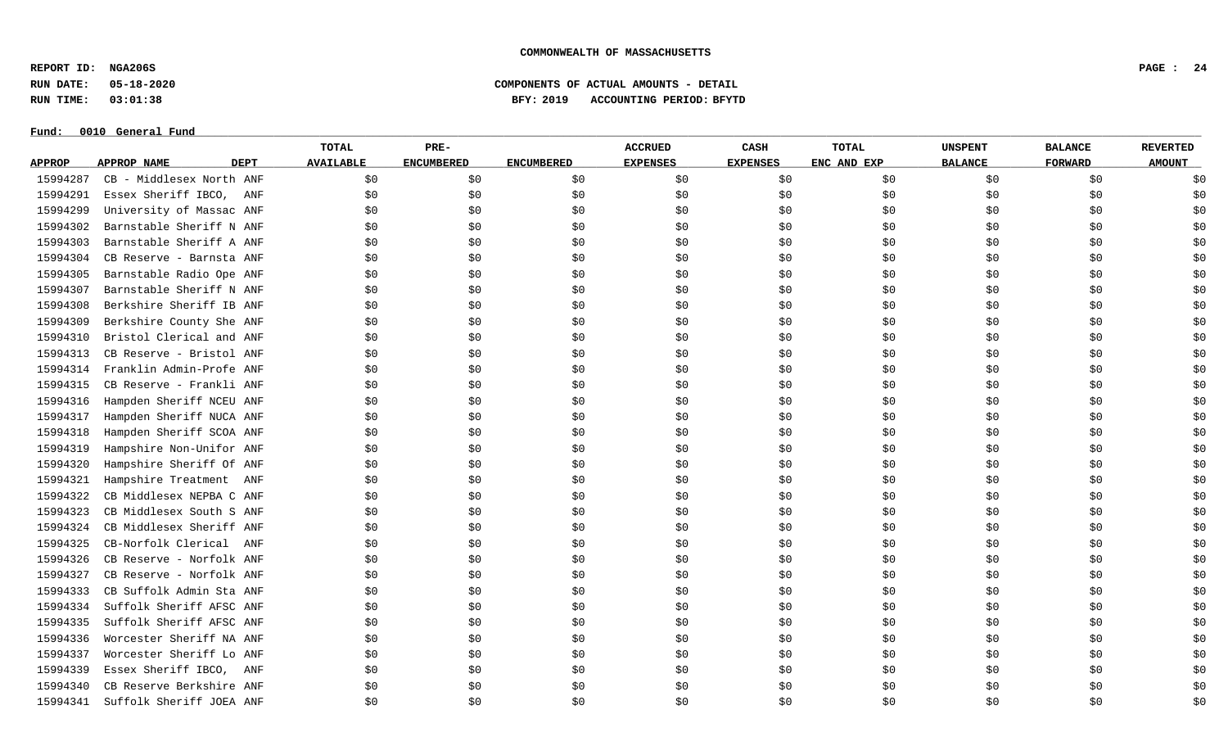**REPORT ID: NGA206S PAGE : 24**

**RUN DATE: 05-18-2020 COMPONENTS OF ACTUAL AMOUNTS - DETAIL**

**RUN TIME: 03:01:38 BFY: 2019 ACCOUNTING PERIOD: BFYTD**

#### $Fund: 0010$  General Fund

## **TOTAL PRE- ACCRUED CASH TOTAL UNSPENT BALANCE REVERTED** <u>APPROP APPROPNAME – DEPT AVAILABLE ENCUMBERED ENCUMBERED EXPENSES EXPENSES ENCANDEXP BALANCE – FORWARD – AMOUNT</u> 15994287 CB - Middlesex North ANF \$0 \$0 \$0 \$0 \$0 \$0 \$0 \$0 \$0 15994291 Essex Sheriff IBCO, ANF \$0 \$0 \$0 \$0 \$0 \$0 \$0 \$0 \$0 15994299 University of Massac ANF \$0 \$0 \$0 \$0 \$0 \$0 \$0 \$0 \$0 15994302 Barnstable Sheriff N ANF \$0 \$0 \$0 \$0 \$0 \$0 \$0 \$0 \$0 15994303 Barnstable Sheriff A ANF \$0 \$0 \$0 \$0 \$0 \$0 \$0 \$0 \$0 15994304 CB Reserve - Barnsta ANF \$0 \$0 \$0 \$0 \$0 \$0 \$0 \$0 \$0 15994305 Barnstable Radio Ope ANF \$0 \$0 \$0 \$0 \$0 \$0 \$0 \$0 \$0 15994307 Barnstable Sheriff N ANF \$0 \$0 \$0 \$0 \$0 \$0 \$0 \$0 \$0 15994308 Berkshire Sheriff IB ANF \$0 \$0 \$0 \$0 \$0 \$0 \$0 \$0 \$0 15994309 Berkshire County She ANF \$0 \$0 \$0 \$0 \$0 \$0 \$0 \$0 \$0 15994310 Bristol Clerical and ANF \$0 \$0 \$0 \$0 \$0 \$0 \$0 \$0 \$0 15994313 CB Reserve - Bristol ANF \$0 \$0 \$0 \$0 \$0 \$0 \$0 \$0 \$0 15994314 Franklin Admin-Profe ANF \$0 \$0 \$0 \$0 \$0 \$0 \$0 \$0 \$0 15994315 CB Reserve - Frankli ANF \$0 \$0 \$0 \$0 \$0 \$0 \$0 \$0 \$0 15994316 Hampden Sheriff NCEU ANF \$0 \$0 \$0 \$0 \$0 \$0 \$0 \$0 \$0 15994317 Hampden Sheriff NUCA ANF \$0 \$0 \$0 \$0 \$0 \$0 \$0 \$0 \$0 15994318 Hampden Sheriff SCOA ANF \$0 \$0 \$0 \$0 \$0 \$0 \$0 \$0 \$0 15994319 Hampshire Non-Unifor ANF \$0 \$0 \$0 \$0 \$0 \$0 \$0 \$0 \$0 15994320 Hampshire Sheriff Of ANF \$0 \$0 \$0 \$0 \$0 \$0 \$0 \$0 \$0 15994321 Hampshire Treatment ANF \$0 \$0 \$0 \$0 \$0 \$0 \$0 \$0 \$0 15994322 CB Middlesex NEPBA C ANF \$0 \$0 \$0 \$0 \$0 \$0 \$0 \$0 \$0 15994323 CB Middlesex South S ANF \$0 \$0 \$0 \$0 \$0 \$0 \$0 \$0 \$0 15994324 CB Middlesex Sheriff ANF \$0 \$0 \$0 \$0 \$0 \$0 \$0 \$0 \$0 15994325 CB-Norfolk Clerical ANF \$0 \$0 \$0 \$0 \$0 \$0 \$0 \$0 \$0 15994326 CB Reserve - Norfolk ANF \$0 \$0 \$0 \$0 \$0 \$0 \$0 \$0 \$0 15994327 CB Reserve - Norfolk ANF \$0 \$0 \$0 \$0 \$0 \$0 \$0 \$0 \$0 15994333 CB Suffolk Admin Sta ANF \$0 \$0 \$0 \$0 \$0 \$0 \$0 \$0 \$0 15994334 Suffolk Sheriff AFSC ANF \$0 \$0 \$0 \$0 \$0 \$0 \$0 \$0 \$0 15994335 Suffolk Sheriff AFSC ANF \$0 \$0 \$0 \$0 \$0 \$0 \$0 \$0 \$0 15994336 Worcester Sheriff NA ANF \$0 \$0 \$0 \$0 \$0 \$0 \$0 \$0 \$0 15994337 Worcester Sheriff Lo ANF \$0 \$0 \$0 \$0 \$0 \$0 \$0 \$0 \$0 15994339 Essex Sheriff IBCO, ANF \$0 \$0 \$0 \$0 \$0 \$0 \$0 \$0 \$0 15994340 CB Reserve Berkshire ANF \$0 \$0 \$0 \$0 \$0 \$0 \$0 \$0 \$0 15994341 Suffolk Sheriff JOEA ANF \$0 \$0 \$0 \$0 \$0 \$0 \$0 \$0 \$0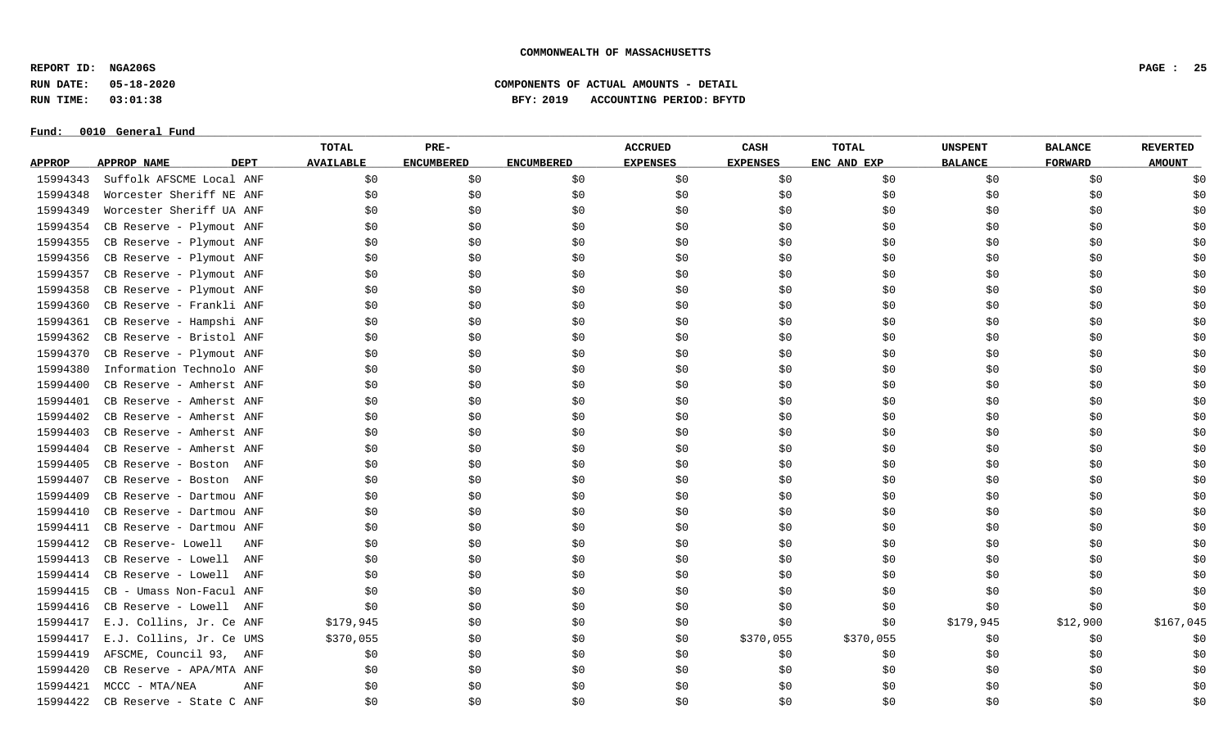**REPORT ID: NGA206S PAGE : 25**

**RUN DATE: 05-18-2020 COMPONENTS OF ACTUAL AMOUNTS - DETAIL**

**RUN TIME: 03:01:38 BFY: 2019 ACCOUNTING PERIOD: BFYTD**

# Fund:  $0010$  General Fund

## **TOTAL PRE- ACCRUED CASH TOTAL UNSPENT BALANCE REVERTED** <u>APPROP APPROPNAME – DEPT AVAILABLE ENCUMBERED ENCUMBERED EXPENSES EXPENSES ENCANDEXP BALANCE – FORWARD – AMOUNT</u> 15994343 Suffolk AFSCME Local ANF \$0 \$0 \$0 \$0 \$0 \$0 \$0 \$0 \$0 15994348 Worcester Sheriff NE ANF \$0 \$0 \$0 \$0 \$0 \$0 \$0 \$0 \$0 15994349 Worcester Sheriff UA ANF \$0 \$0 \$0 \$0 \$0 \$0 \$0 \$0 \$0 15994354 CB Reserve - Plymout ANF \$0 \$0 \$0 \$0 \$0 \$0 \$0 \$0 \$0 15994355 CB Reserve - Plymout ANF \$0 \$0 \$0 \$0 \$0 \$0 \$0 \$0 \$0 15994356 CB Reserve - Plymout ANF \$0 \$0 \$0 \$0 \$0 \$0 \$0 \$0 \$0 15994357 CB Reserve - Plymout ANF \$0 \$0 \$0 \$0 \$0 \$0 \$0 \$0 \$0 15994358 CB Reserve - Plymout ANF \$0 \$0 \$0 \$0 \$0 \$0 \$0 \$0 \$0 15994360 CB Reserve - Frankli ANF \$0 \$0 \$0 \$0 \$0 \$0 \$0 \$0 \$0 15994361 CB Reserve - Hampshi ANF \$0 \$0 \$0 \$0 \$0 \$0 \$0 \$0 \$0 15994362 CB Reserve - Bristol ANF \$0 \$0 \$0 \$0 \$0 \$0 \$0 \$0 \$0 15994370 CB Reserve - Plymout ANF \$0 \$0 \$0 \$0 \$0 \$0 \$0 \$0 \$0 15994380 Information Technolo ANF \$0 \$0 \$0 \$0 \$0 \$0 \$0 \$0 \$0 15994400 CB Reserve - Amherst ANF \$0 \$0 \$0 \$0 \$0 \$0 \$0 \$0 \$0 15994401 CB Reserve - Amherst ANF \$0 \$0 \$0 \$0 \$0 \$0 \$0 \$0 \$0 15994402 CB Reserve - Amherst ANF \$0 \$0 \$0 \$0 \$0 \$0 \$0 \$0 \$0 15994403 CB Reserve - Amherst ANF \$0 \$0 \$0 \$0 \$0 \$0 \$0 \$0 \$0 15994404 CB Reserve - Amherst ANF \$0 \$0 \$0 \$0 \$0 \$0 \$0 \$0 \$0 15994405 CB Reserve - Boston ANF \$0 \$0 \$0 \$0 \$0 \$0 \$0 \$0 \$0 15994407 CB Reserve - Boston ANF \$0 \$0 \$0 \$0 \$0 \$0 \$0 \$0 \$0 15994409 CB Reserve - Dartmou ANF \$0 \$0 \$0 \$0 \$0 \$0 \$0 \$0 \$0 15994410 CB Reserve - Dartmou ANF \$0 \$0 \$0 \$0 \$0 \$0 \$0 \$0 \$0 15994411 CB Reserve - Dartmou ANF \$0 \$0 \$0 \$0 \$0 \$0 \$0 \$0 \$0 15994412 CB Reserve- Lowell ANF \$0 \$0 \$0 \$0 \$0 \$0 \$0 \$0 \$0 15994413 CB Reserve - Lowell ANF \$0 \$0 \$0 \$0 \$0 \$0 \$0 \$0 \$0 15994414 CB Reserve - Lowell ANF \$0 \$0 \$0 \$0 \$0 \$0 \$0 \$0 \$0 15994415 CB - Umass Non-Facul ANF \$0 \$0 \$0 \$0 \$0 \$0 \$0 \$0 \$0 15994416 CB Reserve - Lowell ANF \$0 \$0 \$0 \$0 \$0 \$0 \$0 \$0 \$0 15994417 E.J. Collins, Jr. Ce ANF \$179,945 \$0 \$0 \$0 \$0 \$0 \$179,945 \$12,900 \$167,045 15994417 E.J. Collins, Jr. Ce UMS \$370,055 \$0 \$0 \$0 \$370,055 \$370,055 \$0 \$0 \$0 \$0 \$0 \$0 \$0 \$0 \$0 \$0 \$0 \$0 \$1 15994419 AFSCME, Council 93, ANF \$0 \$0 \$0 \$0 \$0 \$0 \$0 \$0 \$0 15994420 CB Reserve - APA/MTA ANF \$0 \$0 \$0 \$0 \$0 \$0 \$0 \$0 \$0 15994421 MCCC - MTA/NEA ANF \$0 \$0 \$0 \$0 \$0 \$0 \$0 \$0 \$0 15994422 CB Reserve - State C ANF \$0 \$0 \$0 \$0 \$0 \$0 \$0 \$0 \$0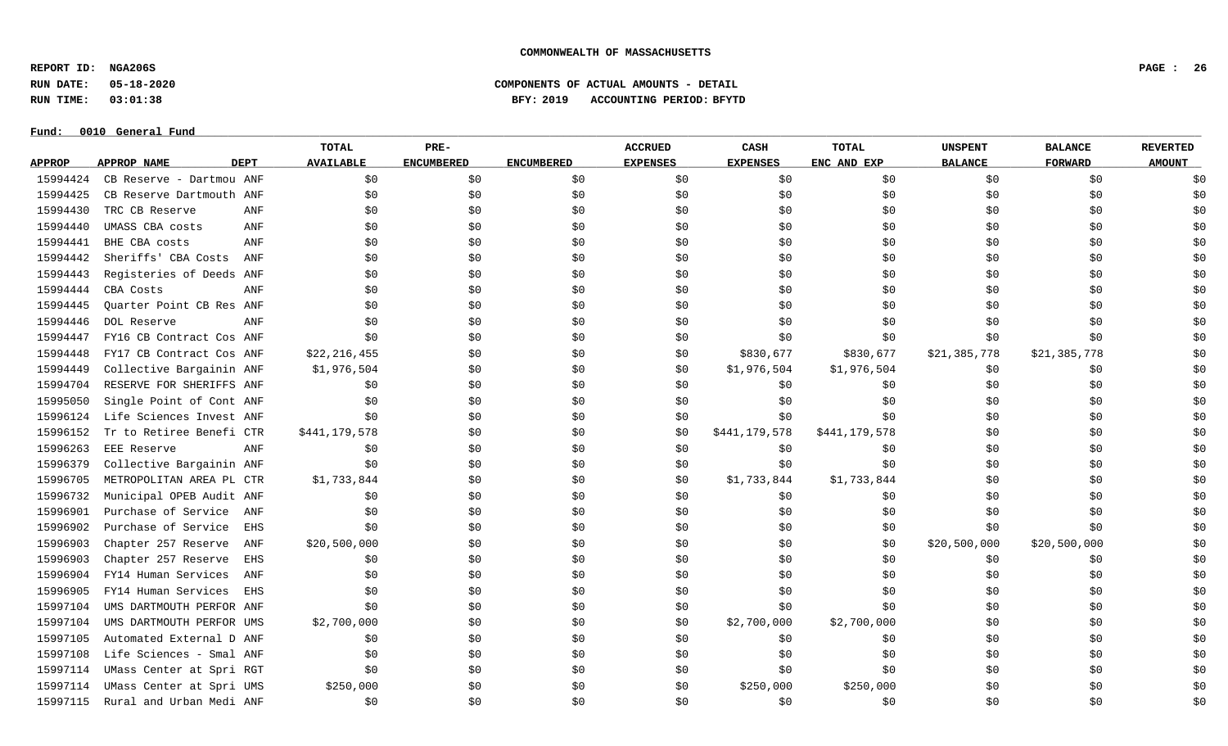**REPORT ID: NGA206S PAGE : 26**

**RUN DATE: 05-18-2020 COMPONENTS OF ACTUAL AMOUNTS - DETAIL**

**RUN TIME: 03:01:38 BFY: 2019 ACCOUNTING PERIOD: BFYTD**

|               |                          |             | <b>TOTAL</b>     | PRE-              |                   | <b>ACCRUED</b>  | CASH            | <b>TOTAL</b>  | <b>UNSPENT</b> | <b>BALANCE</b> | <b>REVERTED</b> |
|---------------|--------------------------|-------------|------------------|-------------------|-------------------|-----------------|-----------------|---------------|----------------|----------------|-----------------|
| <b>APPROP</b> | APPROP NAME              | <b>DEPT</b> | <b>AVAILABLE</b> | <b>ENCUMBERED</b> | <b>ENCUMBERED</b> | <b>EXPENSES</b> | <b>EXPENSES</b> | ENC AND EXP   | <b>BALANCE</b> | <b>FORWARD</b> | <b>AMOUNT</b>   |
| 15994424      | CB Reserve - Dartmou ANF |             | \$0              | \$0               | \$0\$             | \$0             | \$0             | \$0           | \$0            | \$0            | \$0             |
| 15994425      | CB Reserve Dartmouth ANF |             | \$0              | \$0               | \$0               | \$0             | \$0             | \$0           | \$0            | \$0            | \$0             |
| 15994430      | TRC CB Reserve           | ANF         | \$0              | \$0               | \$0               | \$0             | \$0             | \$0           | \$0            | \$0            | \$0             |
| 15994440      | UMASS CBA costs          | ANF         | \$0              | \$0               | \$0               | \$0             | \$0             | \$0           | \$0            | \$0            | \$0             |
| 15994441      | BHE CBA costs            | ANF         | \$0              | \$0               | \$0               | \$0             | \$0             | \$0           | \$0            | \$0            | \$0             |
| 15994442      | Sheriffs' CBA Costs      | ANF         | \$0              | \$0               | \$0               | \$0             | \$0             | \$0           | \$0            | \$0            | \$0             |
| 15994443      | Registeries of Deeds ANF |             | \$0              | \$0               | \$0\$             | \$0             | \$0             | \$0           | \$0            | \$0            | \$0             |
| 15994444      | CBA Costs                | ANF         | \$0              | \$0               | \$0               | \$0             | \$0             | \$0           | \$0            | \$0            | \$0             |
| 15994445      | Ouarter Point CB Res ANF |             | \$0              | \$0               | \$0               | \$0             | \$0             | \$0           | \$0            | \$0            | \$0             |
| 15994446      | DOL Reserve              | ANF         | \$0              | \$0               | \$0               | \$0             | \$0             | \$0           | \$0            | \$0            | \$0             |
| 15994447      | FY16 CB Contract Cos ANF |             | \$0              | \$0               | \$0               | \$0             | \$0             | \$0           | \$0            | \$0            | \$0             |
| 15994448      | FY17 CB Contract Cos ANF |             | \$22, 216, 455   | \$0               | \$0               | \$0             | \$830,677       | \$830,677     | \$21,385,778   | \$21,385,778   | \$0             |
| 15994449      | Collective Bargainin ANF |             | \$1,976,504      | \$0               | \$0               | \$0             | \$1,976,504     | \$1,976,504   | \$0            | \$0            | \$0             |
| 15994704      | RESERVE FOR SHERIFFS ANF |             | \$0              | \$0               | \$0               | \$0             | \$0             | \$0           | \$0            | \$0            | \$0             |
| 15995050      | Single Point of Cont ANF |             | \$0              | \$0               | \$0               | \$0             | \$0             | \$0           | \$0            | \$0            | \$0             |
| 15996124      | Life Sciences Invest ANF |             | \$0              | \$0               | \$0               | \$0             | \$0             | \$0           | \$0            | \$0            | \$0             |
| 15996152      | Tr to Retiree Benefi CTR |             | \$441,179,578    | \$0               | \$0               | \$0             | \$441,179,578   | \$441,179,578 | \$0            | \$0            | \$0             |
| 15996263      | EEE Reserve              | ANF         | \$0              | \$0               | \$0               | \$0             | \$0             | \$0\$         | \$0            | \$0            | \$0             |
| 15996379      | Collective Bargainin ANF |             | \$0              | \$0               | \$0               | \$0             | \$0             | \$0           | \$0            | \$0            | \$0             |
| 15996705      | METROPOLITAN AREA PL CTR |             | \$1,733,844      | \$0               | \$0\$             | \$0             | \$1,733,844     | \$1,733,844   | \$0            | \$0            | \$0             |
| 15996732      | Municipal OPEB Audit ANF |             | \$0              | \$0               | \$0               | \$0             | \$0             | \$0\$         | \$0            | \$0            | \$0             |
| 15996901      | Purchase of Service      | ANF         | \$0              | \$0               | \$0               | \$0             | \$0             | \$0           | \$0            | \$0            | \$0             |
| 15996902      | Purchase of Service      | <b>EHS</b>  | \$0              | \$0               | \$0               | \$0             | \$0             | \$0           | \$0            | \$0            | \$0             |
| 15996903      | Chapter 257 Reserve      | ANF         | \$20,500,000     | \$0               | \$0               | \$0             | \$0             | \$0           | \$20,500,000   | \$20,500,000   | \$0             |
| 15996903      | Chapter 257 Reserve      | EHS         | \$0              | \$0               | \$0               | \$0             | \$0             | \$0           | \$0            | \$0            | \$0             |
| 15996904      | FY14 Human Services      | ANF         | \$0              | \$0               | \$0               | \$0             | \$0             | \$0           | \$0            | \$0            | \$0             |
| 15996905      | FY14 Human Services      | <b>EHS</b>  | \$0              | \$0               | \$0               | \$0             | \$0             | \$0           | \$0            | \$0            | \$0             |
| 15997104      | UMS DARTMOUTH PERFOR ANF |             | \$0              | \$0               | \$0               | \$0             | \$0             | \$0           | \$0            | \$0            | \$0             |
| 15997104      | UMS DARTMOUTH PERFOR UMS |             | \$2,700,000      | \$0               | \$0               | \$0             | \$2,700,000     | \$2,700,000   | \$0            | \$0            | \$0             |
| 15997105      | Automated External D ANF |             | \$0              | \$0               | \$0               | \$0             | \$0             | \$0           | \$0            | \$0            | \$0             |
| 15997108      | Life Sciences - Smal ANF |             | \$0              | \$0               | \$0               | \$0             | \$0             | \$0\$         | \$0            | \$0            | \$0             |
| 15997114      | UMass Center at Spri RGT |             | \$0              | \$0               | \$0               | \$0             | \$0             | \$0           | \$0            | \$0            | \$0             |
| 15997114      | UMass Center at Spri UMS |             | \$250,000        | \$0               | \$0               | \$0             | \$250,000       | \$250,000     | \$0            | \$0            | \$0             |
| 15997115      | Rural and Urban Medi ANF |             | \$0              | \$0               | \$0               | \$0             | \$0             | \$0           | \$0            | \$0            | \$0             |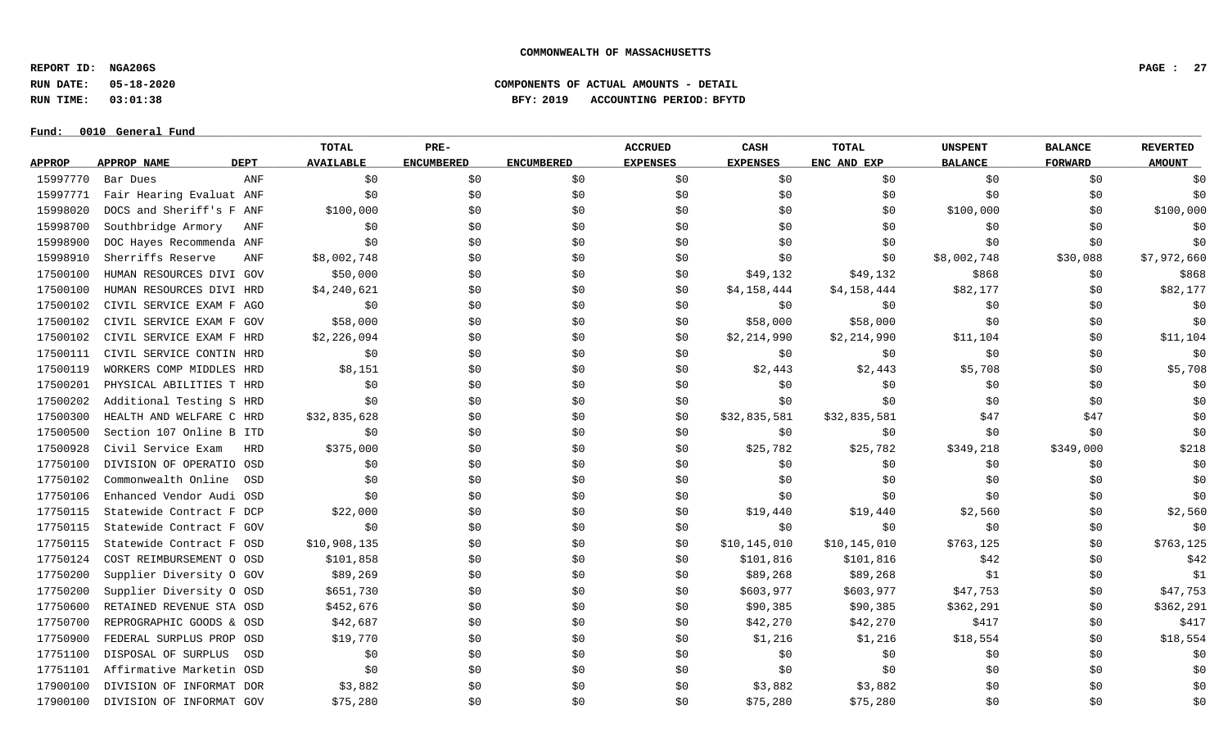**REPORT ID: NGA206S PAGE : 27**

**RUN DATE: 05-18-2020 COMPONENTS OF ACTUAL AMOUNTS - DETAIL**

**RUN TIME: 03:01:38 BFY: 2019 ACCOUNTING PERIOD: BFYTD**

|               |                          |             | <b>TOTAL</b>     | PRE-              |                   | <b>ACCRUED</b>  | CASH            | TOTAL        | <b>UNSPENT</b> | <b>BALANCE</b> | <b>REVERTED</b> |
|---------------|--------------------------|-------------|------------------|-------------------|-------------------|-----------------|-----------------|--------------|----------------|----------------|-----------------|
| <b>APPROP</b> | APPROP NAME              | <b>DEPT</b> | <b>AVAILABLE</b> | <b>ENCUMBERED</b> | <b>ENCUMBERED</b> | <b>EXPENSES</b> | <b>EXPENSES</b> | ENC AND EXP  | <b>BALANCE</b> | <b>FORWARD</b> | <b>AMOUNT</b>   |
| 15997770      | Bar Dues                 | ANF         | \$0              | \$0               | \$0               | \$0             | \$0             | \$0          | \$0            | \$0            | \$0             |
| 15997771      | Fair Hearing Evaluat ANF |             | \$0              | \$0               | \$0               | \$0             | \$0             | \$0          | \$0            | \$0            | \$0             |
| 15998020      | DOCS and Sheriff's F ANF |             | \$100,000        | \$0               | \$0               | \$0             | \$0             | \$0          | \$100,000      | \$0            | \$100,000       |
| 15998700      | Southbridge Armory       | ANF         | \$0              | \$0               | \$0               | \$0             | \$0             | \$0          | \$0            | \$0            | \$0             |
| 15998900      | DOC Hayes Recommenda ANF |             | \$0              | \$0               | \$0               | \$0             | \$0             | \$0          | \$0            | \$0            | \$0             |
| 15998910      | Sherriffs Reserve        | ANF         | \$8,002,748      | \$0               | \$0               | \$0             | \$0             | \$0          | \$8,002,748    | \$30,088       | \$7,972,660     |
| 17500100      | HUMAN RESOURCES DIVI GOV |             | \$50,000         | \$0               | \$0               | \$0             | \$49,132        | \$49,132     | \$868          | \$0            | \$868           |
| 17500100      | HUMAN RESOURCES DIVI HRD |             | \$4,240,621      | \$0               | \$0               | \$0             | \$4,158,444     | \$4,158,444  | \$82,177       | \$0            | \$82,177        |
| 17500102      | CIVIL SERVICE EXAM F AGO |             | \$0              | \$0               | \$0               | \$0             | \$0             | \$0          | \$0            | \$0            | \$0             |
| 17500102      | CIVIL SERVICE EXAM F GOV |             | \$58,000         | \$0               | \$0               | \$0             | \$58,000        | \$58,000     | \$0            | \$0            | \$0             |
| 17500102      | CIVIL SERVICE EXAM F HRD |             | \$2,226,094      | \$0               | \$0               | \$0             | \$2,214,990     | \$2,214,990  | \$11,104       | \$0            | \$11,104        |
| 17500111      | CIVIL SERVICE CONTIN HRD |             | \$0              | \$0               | \$0               | \$0             | \$0             | \$0          | \$0            | \$0            | \$0             |
| 17500119      | WORKERS COMP MIDDLES HRD |             | \$8,151          | \$0               | \$0               | \$0             | \$2,443         | \$2,443      | \$5,708        | \$0            | \$5,708         |
| 17500201      | PHYSICAL ABILITIES T HRD |             | \$0              | \$0               | \$0               | \$0             | \$0             | \$0          | \$0            | \$0            | \$0             |
| 17500202      | Additional Testing S HRD |             | \$0              | \$0               | \$0               | \$0             | \$0             | \$0          | \$0            | \$0            | \$0             |
| 17500300      | HEALTH AND WELFARE C HRD |             | \$32,835,628     | \$0               | \$0               | \$0             | \$32,835,581    | \$32,835,581 | \$47           | \$47           | \$0             |
| 17500500      | Section 107 Online B ITD |             | \$0              | \$0               | \$0               | \$0             | \$0             | \$0          | \$0            | \$0            | \$0             |
| 17500928      | Civil Service Exam       | <b>HRD</b>  | \$375,000        | \$0\$             | \$0               | \$0             | \$25,782        | \$25,782     | \$349,218      | \$349,000      | \$218           |
| 17750100      | DIVISION OF OPERATIO OSD |             | \$0              | \$0               | \$0               | \$0             | \$0             | \$0          | \$0            | \$0            | \$0             |
| 17750102      | Commonwealth Online      | OSD         | \$0              | \$0               | \$0               | \$0             | \$0             | \$0          | \$0            | \$0            | \$0             |
| 17750106      | Enhanced Vendor Audi OSD |             | \$0              | \$0               | \$0               | \$0             | \$0             | \$0          | \$0            | \$0            | \$0             |
| 17750115      | Statewide Contract F DCP |             | \$22,000         | \$0               | \$0               | \$0             | \$19,440        | \$19,440     | \$2,560        | \$0            | \$2,560         |
| 17750115      | Statewide Contract F GOV |             | \$0              | \$0               | \$0               | \$0             | \$0             | \$0          | \$0            | \$0            | \$0             |
| 17750115      | Statewide Contract F OSD |             | \$10,908,135     | \$0               | \$0               | \$0             | \$10,145,010    | \$10,145,010 | \$763,125      | \$0            | \$763,125       |
| 17750124      | COST REIMBURSEMENT O OSD |             | \$101,858        | \$0               | \$0               | \$0             | \$101,816       | \$101,816    | \$42           | \$0            | \$42            |
| 17750200      | Supplier Diversity 0 GOV |             | \$89,269         | \$0               | \$0               | \$0             | \$89,268        | \$89,268     | \$1            | \$0            | \$1             |
| 17750200      | Supplier Diversity O OSD |             | \$651,730        | \$0\$             | \$0               | \$0             | \$603,977       | \$603,977    | \$47,753       | \$0            | \$47,753        |
| 17750600      | RETAINED REVENUE STA OSD |             | \$452,676        | \$0               | \$0               | \$0             | \$90,385        | \$90,385     | \$362,291      | \$0            | \$362,291       |
| 17750700      | REPROGRAPHIC GOODS & OSD |             | \$42,687         | \$0               | \$0               | \$0             | \$42,270        | \$42,270     | \$417          | \$0            | \$417           |
| 17750900      | FEDERAL SURPLUS PROP OSD |             | \$19,770         | \$0               | \$0               | \$0             | \$1,216         | \$1,216      | \$18,554       | \$0            | \$18,554        |
| 17751100      | DISPOSAL OF SURPLUS      | OSD         | \$0              | \$0               | \$0               | \$0             | \$0             | \$0          | \$0            | \$0            | \$0             |
| 17751101      | Affirmative Marketin OSD |             | \$0              | \$0               | \$0               | \$0             | \$0             | \$0          | \$0            | \$0            | \$0             |
| 17900100      | DIVISION OF INFORMAT DOR |             | \$3,882          | \$0               | \$0               | \$0             | \$3,882         | \$3,882      | \$0            | \$0            | \$0             |
| 17900100      | DIVISION OF INFORMAT GOV |             | \$75,280         | \$0               | \$0               | \$0             | \$75,280        | \$75,280     | \$0            | \$0            | \$0             |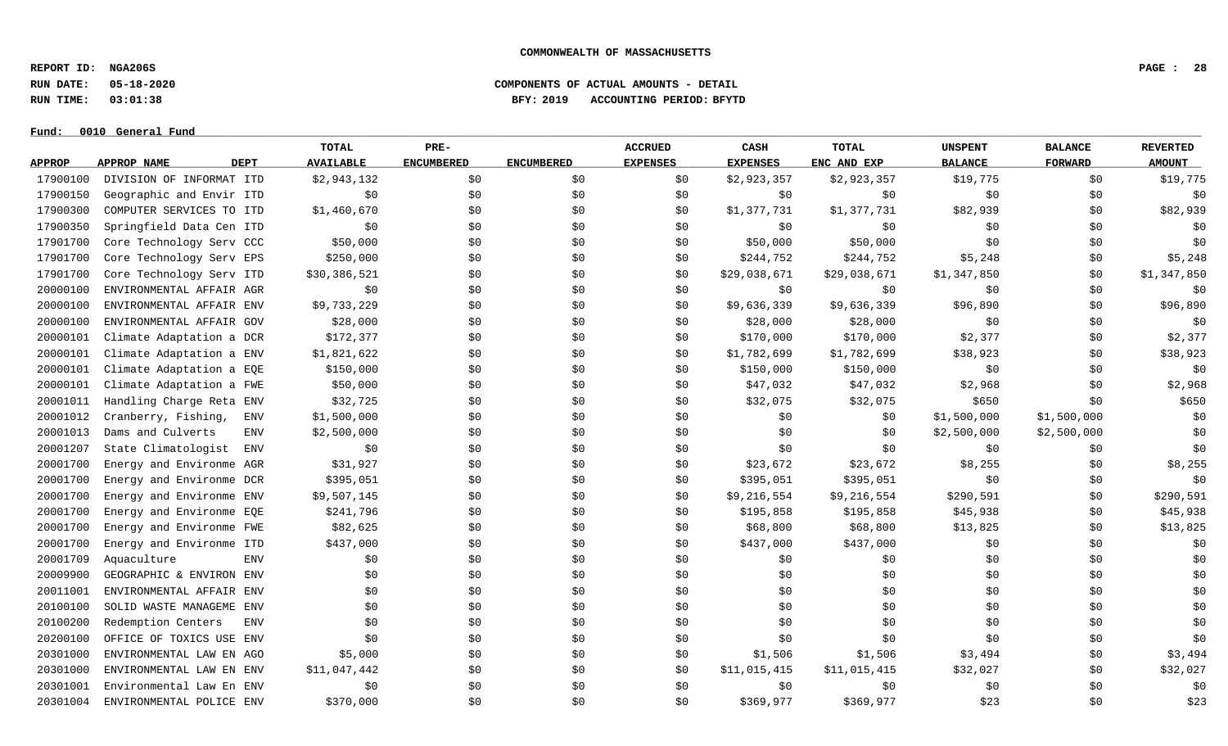**REPORT ID: NGA206S PAGE : 28**

**RUN DATE: 05-18-2020 COMPONENTS OF ACTUAL AMOUNTS - DETAIL**

**RUN TIME: 03:01:38 BFY: 2019 ACCOUNTING PERIOD: BFYTD**

### $Fund: 0010$  General Fund

## **TOTAL PRE- ACCRUED CASH TOTAL UNSPENT BALANCE REVERTED** <u>APPROP APPROPNAME – DEPT AVAILABLE ENCUMBERED ENCUMBERED EXPENSES EXPENSES ENCANDEXP BALANCE – FORWARD – AMOUNT</u> 17900100 DIVISION OF INFORMAT ITD \$2,943,132 \$0 \$0 \$0 \$2,923,357 \$2,923,357 \$19,775 \$19,775 \$0 \$19,775 17900150 Geographic and Envir ITD  $\lesssim 50$  \$0 \$0 \$0 \$0 \$0 \$0 \$0 \$0 \$0 \$0 \$0 \$0 \$0 17900300 COMPUTER SERVICES TO ITD \$1,460,670 \$0 \$0 \$0 \$0 \$1,377,731 \$1,377,731 \$82,939 \$0 \$82,939 17900350 Springfield Data Cen ITD \$0 \$0 \$0 \$0 \$0 \$0 \$0 \$0 \$0 17901700 Core Technology Serv CCC 550,000 \$0 \$0 \$0 \$0 \$50,000 \$50,000 \$50,000 \$0 \$0 \$0 \$0 \$0 17901700 Core Technology Serv EPS \$250,000 \$0 \$0 \$244,752 \$244,752 \$244,752 \$5,248 \$0 \$5,248 17901700 Core Technology Serv ITD \$30,386,521 \$0 \$0 \$0 \$0 \$29,038,671 \$29,038,671 \$1,347,850 \$0 \$1,347,850 20000100 ENVIRONMENTAL AFFAIR AGR \$0 \$0 \$0 \$0 \$0 \$0 \$0 \$0 \$0 20000100 ENVIRONMENTAL AFFAIR ENV \$9,733,229 \$0 \$0 \$0 \$9,636,339 \$9,636,339 \$96,890 \$96,890 \$0 \$96,890 \$96,890 20000100 ENVIRONMENTAL AFFAIR GOV \$28,000 \$0 \$0 \$0 \$0 \$28,000 \$28,000 \$28,000 \$0 \$0 \$0 \$0 \$0 \$0 20000101 Climate Adaptation a DCR \$172,377 \$0 \$0 \$0 \$170,000 \$170,000 \$2,377 \$0 \$2,377 20000101 Climate Adaptation a ENV \$1,821,622 \$0 \$0 \$0 \$1,782,699 \$1,782,699 \$38,923 \$0 \$38,923 20000101 Climate Adaptation a EQE \$150,000 \$0 \$0 \$0 \$0 \$150,000 \$150,000 \$150,000 \$0 \$0 \$0 \$0 \$0 20000101 Climate Adaptation a FWE \$50,000 \$0 \$0 \$0 \$17,032 \$47,032 \$2,968 \$0 \$2,968 \$2,968 20001011 Handling Charge Reta ENV \$32,725 \$0 \$0 \$0 \$32,075 \$32,075 \$32,075 \$650 \$0 \$650 20001012 Cranberry, Fishing, ENV \$1,500,000 \$0 \$0 \$0 \$0 \$0 \$0 \$1,500,000 \$1,500,000 \$1,500,000 \$0 20001013 Dams and Culverts ENV \$2,500,000 \$0 \$0 \$0 \$0 \$0 \$0 \$2,500,000 \$2,500,000 \$2,500,000 \$0 20001207 State Climatologist ENV \$0 \$0 \$0 \$0 \$0 \$0 \$0 \$0 \$0 20001700 Energy and Environme AGR \$31,927 \$0 \$0 \$0 \$23,672 \$23,672 \$8,255 \$0 \$8,255 20001700 Energy and Environme DCR \$395,051 \$0 \$0 \$0 \$395,051 \$395,051 \$395,051 \$0 \$0 \$0 \$0 \$0 20001700 Energy and Environme ENV \$9,507,145 \$0 \$0 \$0 \$9,216,554 \$9,216,554 \$290,591 \$0 \$290,591 20001700 Energy and Environme EQE \$241,796 \$0 \$0 \$0 \$195,858 \$195,858 \$45,938 \$0 \$0 \$45,938 20001700 Energy and Environme FWE \$82,625 \$0 \$0 \$0 \$68,800 \$68,800 \$68,800 \$13,825 \$0 \$13,825 20001700 Energy and Environme ITD \$437,000 \$0 \$0 \$0 \$0 \$437,000 \$437,000 \$437,000 \$0 \$0 \$0 \$0 \$0 20001709 Aquaculture ENV \$0 \$0 \$0 \$0 \$0 \$0 \$0 \$0 \$0 20009900 GEOGRAPHIC & ENVIRON ENV \$0 \$0 \$0 \$0 \$0 \$0 \$0 \$0 \$0 20011001 ENVIRONMENTAL AFFAIR ENV \$0 \$0 \$0 \$0 \$0 \$0 \$0 \$0 \$0 20100100 SOLID WASTE MANAGEME ENV \$0 \$0 \$0 \$0 \$0 \$0 \$0 \$0 \$0 20100200 Redemption Centers ENV \$0 \$0 \$0 \$0 \$0 \$0 \$0 \$0 \$0 20200100 OFFICE OF TOXICS USE ENV \$0 \$0 \$0 \$0 \$0 \$0 \$0 \$0 \$0 20301000 ENVIRONMENTAL LAW EN AGO \$5,000 \$0 \$0 \$0 \$1,506 \$1,506 \$3,494 \$0 \$3,494 20301000 ENVIRONMENTAL LAW EN ENV \$11,047,442 \$0 \$0 \$0 \$11,015,415 \$11,015,415 \$32,027 \$0 \$32,027 20301001 Environmental Law En ENV \$0 \$0 \$0 \$0 \$0 \$0 \$0 \$0 \$0 20301004 ENVIRONMENTAL POLICE ENV \$370,000 \$0 \$0 \$0 \$369,977 \$369,977 \$369,977 \$23 \$0 \$23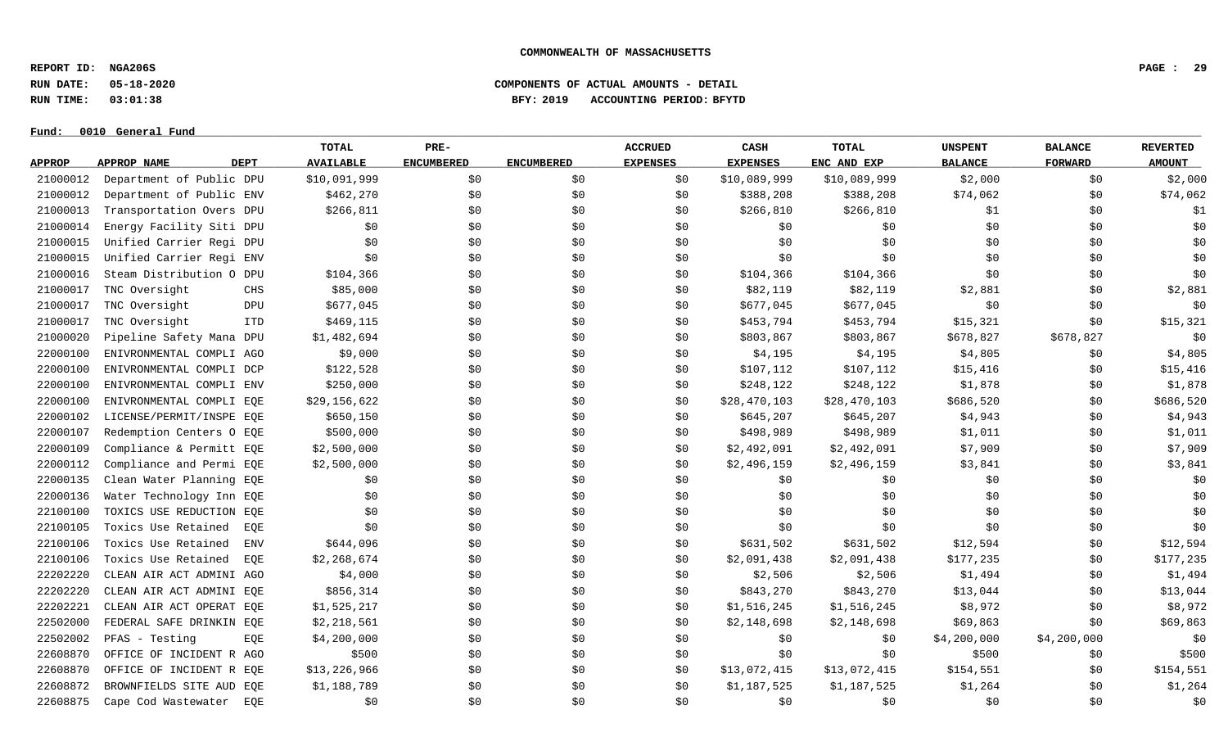**REPORT ID: NGA206S PAGE : 29**

**RUN DATE: 05-18-2020 COMPONENTS OF ACTUAL AMOUNTS - DETAIL**

**RUN TIME: 03:01:38 BFY: 2019 ACCOUNTING PERIOD: BFYTD**

 $Fund: 0010$  General Fund

## **TOTAL PRE- ACCRUED CASH TOTAL UNSPENT BALANCE REVERTED** <u>APPROP APPROPNAME – DEPT AVAILABLE ENCUMBERED ENCUMBERED EXPENSES EXPENSES ENCANDEXP BALANCE – FORWARD – AMOUNT</u> 21000012 Department of Public DPU \$10,091,999 \$0 \$0 \$0 \$0 \$10,089,999 \$10,089,999 \$2,000 \$0 \$2,000 \$2,000 21000012 Department of Public ENV \$462,270 \$0 \$0 \$388,208 \$388,208 \$388,208 \$74,062 \$0 \$74,062 21000013 Transportation Overs DPU \$266,811 \$0 \$0 \$0 \$266,810 \$266,810 \$266,810 \$1 \$0 \$1 21000014 Energy Facility Siti DPU \$0 \$0 \$0 \$0 \$0 \$0 \$0 \$0 \$0 21000015 Unified Carrier Regi DPU \$0 \$0 \$0 \$0 \$0 \$0 \$0 \$0 \$0 21000015 Unified Carrier Regi ENV \$0 \$0 \$0 \$0 \$0 \$0 \$0 \$0 \$0 21000016 Steam Distribution O DPU \$104,366 \$ \$0 \$104,366 \$0 \$0 \$0 21000017 TNC Oversight CHS \$85,000 \$0 \$0 \$0 \$82,119 \$82,119 \$2,881 \$0 \$2,881 \$0 21000017 TNC Oversight \$677,045 \$0 \$0 \$0 \$677,045 \$1,045 \$0 \$0 \$0 \$0 \$0 \$0 \$0 \$0 \$0 \$0 21000017 TNC Oversight ITD \$469,115 \$0 \$0 \$0 \$453,794 \$453,794 \$15,321 \$0 \$15,321 21000020 Pipeline Safety Mana DPU \$1,482,694 \$0 \$0 \$0 \$803,867 \$803,867 \$803,867 \$678,827 \$678,827 \$678,827 \$0 22000100 ENIVRONMENTAL COMPLI AGO \$9,000 \$0 \$0 \$0 \$4,195 \$4,195 \$4,805 \$4,805 \$0 \$4,805 22000100 ENIVRONMENTAL COMPLI DCP \$122,528 \$0 \$0 \$107,112 \$107,112 \$107,112 \$15,416 \$0 \$15,416 22000100 ENIVRONMENTAL COMPLI ENV \$250,000 \$0 \$0 \$0 \$248,122 \$248,122 \$1,878 \$1,878 \$0 \$1,878 22000100 ENIVRONMENTAL COMPLI EQE \$29,156,622 \$0 \$0 \$0 \$28,470,103 \$28,470,103 \$686,520 \$0 \$686,520 \$0 \$686,520 22000102 LICENSE/PERMIT/INSPE EQE \$650,150 \$0 \$0 \$0 \$645,207 \$645,207 \$4,943 \$0 \$4,943 22000107 Redemption Centers O EQE \$500,000 \$0 \$0 \$498,989 \$1,011 \$0 \$1,011 22000109 Compliance & Permitt EQE \$2,500,000 \$0 \$0 \$0 \$2,492,091 \$2,492,091 \$7,909 \$7,909 \$0 \$7,909 22000112 Compliance and Permi EOE \$2,500,000 \$0 \$0 \$0 \$2,496,159 \$2,496,159 \$3,841 \$0 \$3,841 22000135 Clean Water Planning EQE \$0 \$0 \$0 \$0 \$0 \$0 \$0 \$0 \$0 22000136 Water Technology Inn EQE \$0 \$0 \$0 \$0 \$0 \$0 \$0 \$0 \$0 22100100 TOXICS USE REDUCTION EQE \$0 \$0 \$0 \$0 \$0 \$0 \$0 \$0 \$0 22100105 Toxics Use Retained EQE \$0 \$0 \$0 \$0 \$0 \$0 \$0 \$0 \$0 22100106 Toxics Use Retained ENV \$644,096 \$0 \$0 \$0 \$0 \$631,502 \$631,502 \$12,594 \$12,594 \$0 \$12,594 22100106 Toxics Use Retained EQE \$2,268,674 \$0 \$0 \$0 \$2,091,438 \$2,091,438 \$177,235 \$0 \$177,235 22202220 CLEAN AIR ACT ADMINI AGO \$4,000 \$0 \$0 \$0 \$2,506 \$2,506 \$1,494 \$0 \$1,494 \$0 \$1,494 22202220 CLEAN AIR ACT ADMINI EQE \$856,314 \$0 \$0 \$0 \$843,270 \$843,270 \$843,270 \$13,044 \$0 \$13,044 22202221 CLEAN AIR ACT OPERAT EQE \$1,525,217 \$0 \$0 \$0 \$1,516,245 \$1,516,245 \$8,972 \$0 \$8,972 22502000 FEDERAL SAFE DRINKIN EQE \$2,218,561 \$0 \$0 \$0 \$2,148,698 \$2,148,698 \$59,863 \$0 \$0 \$69,863 22502002 PFAS -Testing EQE \$4,200,000 \$0 \$0 \$0 \$0 \$0 \$0 \$0 \$4,200,000 \$4,200,000 \$4,200,000 \$0 22608870 OFFICE OF INCIDENT R AGO \$500 \$0 \$0 \$0 \$0 \$0 \$500 \$0 \$500 22608870 OFFICE OF INCIDENT R EOE \$13,226,966 \$0 \$0 \$0 \$13,072,415 \$13,072,415 \$154,551 \$0 \$154,551 22608872 BROWNFIELDS SITE AUD EQE \$1,188,789 \$0 \$0 \$0 \$1,187,525 \$1,187,525 \$1,264 \$1,264 \$1,264 \$1,264 22608875 Cape Cod Wastewater EQE \$0 \$0 \$0 \$0 \$0 \$0 \$0 \$0 \$0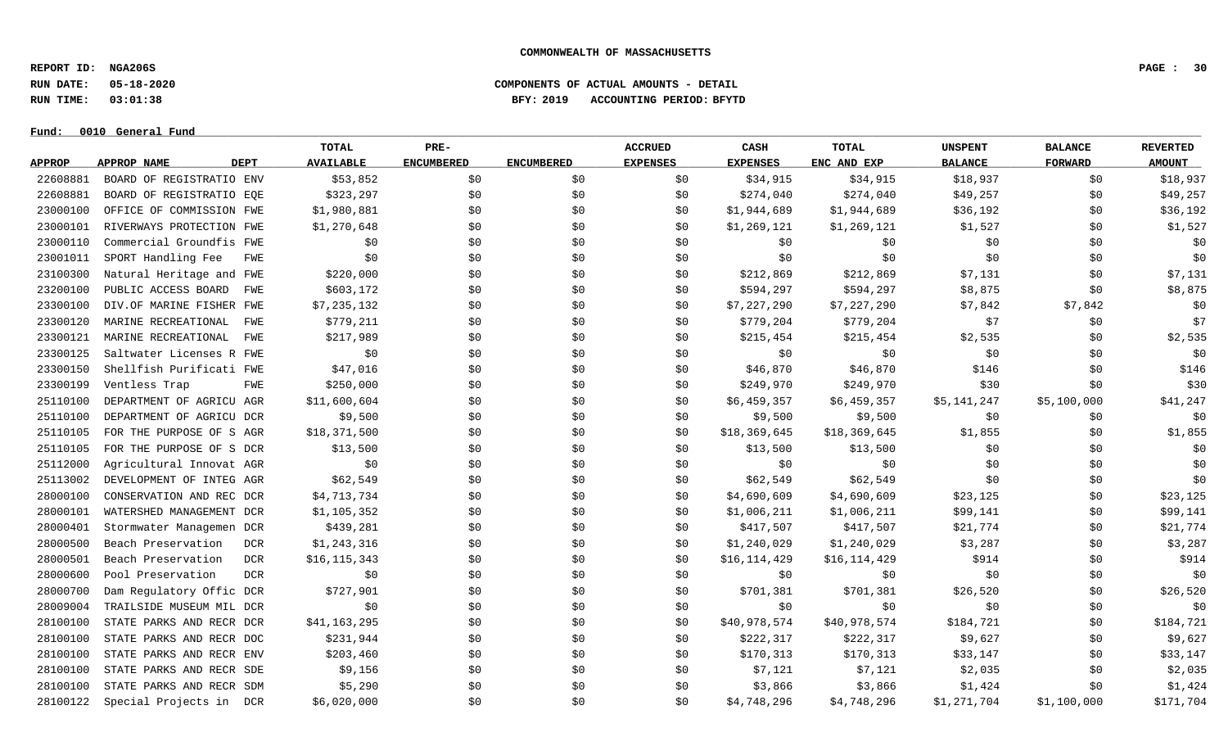**REPORT ID: NGA206S PAGE : 30**

**RUN DATE: 05-18-2020 COMPONENTS OF ACTUAL AMOUNTS - DETAIL**

**RUN TIME: 03:01:38 BFY: 2019 ACCOUNTING PERIOD: BFYTD**

#### $Fund: 0010$  General Fund

## **TOTAL PRE- ACCRUED CASH TOTAL UNSPENT BALANCE REVERTED** <u>APPROP APPROPNAME – DEPT AVAILABLE ENCUMBERED ENCUMBERED EXPENSES EXPENSES ENCANDEXP BALANCE – FORWARD – AMOUNT</u> 22608881 BOARD OF REGISTRATIO ENV \$53,852 \$0 \$0 \$18,915 \$18,937 \$18,937 \$18,937 \$18,937 \$18,937 22608881 BOARD OF REGISTRATIO EOE \$323,297 \$0 \$0 \$0 \$274,040 \$274,040 \$274,040 \$49,257 \$0 \$49,257 23000100 OFFICE OF COMMISSION FWE \$1,980,881 \$0 \$0 \$1,944,689 \$1,944,689 \$1,944,689 \$36,192 \$0 \$36,192 23000101 RIVERWAYS PROTECTION FWE \$1,270,648 \$0 \$0 \$0 \$1,269,121 \$1,269,121 \$1,527 \$1,527 \$0 \$1,527 23000110 Commercial Groundfis FWE \$0 \$0 \$0 \$0 \$0 \$0 \$0 \$0 \$0 23001011 SPORT Handling Fee FWE \$0 \$0 \$0 \$0 \$0 \$0 \$0 \$0 \$0 23100300 Natural Heritage and FWE \$220,000 \$0 \$0 \$0 \$212,869 \$212,869 \$7,131 \$0 \$7,131 23200100 PUBLIC ACCESS BOARD FWE \$603,172 \$0 \$0 \$0 \$0 \$594,297 \$594,297 \$8,875 \$0 \$0,875 \$0 \$8,875 23300100 DIV.OF MARINE FISHER FWE \$7,235,132 \$0 \$0 \$0 \$0 \$7,227,290 \$7,227,290 \$7,842 \$7,842 \$7,842 23300120 MARINE RECREATIONAL FWE \$779,211 \$0 \$0 \$0 \$779,204 \$779,204 \$779,204 \$7 \$0 \$0 \$7 23300121 MARINE RECREATIONAL FWE \$217,989 \$0 \$0 \$0 \$215,454 \$215,454 \$2,535 \$0 \$0 \$2,535 23300125 Saltwater Licenses R FWE \$0 \$0 \$0 \$0 \$0 \$0 \$0 \$0 \$0 23300150 Shellfish Purificati FWE \$47,016 \$0 \$0 \$0 \$46,870 \$46,870 \$146 \$146 \$0 \$146 23300199 Ventless Trap FWE \$250,000 \$0 \$0 \$249,970 \$30 \$0 \$30 25110100 DEPARTMENT OF AGRICU AGR \$11,600,604 \$0 \$0 \$0 \$0 \$0 \$0,459,357 \$6,459,357 \$5,141,247 \$5,100,000 \$41,247 25110100 DEPARTMENT OF AGRICU DCR \$9,500 \$0 \$0 \$0 \$9,500 \$9,500 \$9,500 \$9,500 \$0 \$0 \$0 \$0 25110105 FOR THE PURPOSE OF SAGR \$18,371,500 \$0 \$0 \$0 \$18,369,645 \$18,369,645 \$1,855 \$1,855 \$0 \$1,855 25110105 FOR THE PURPOSE OF S DCR \$13,500 \$0 \$0 \$0 \$13,500 \$13,500 \$13,500 \$0 \$0 \$0 \$0 \$0 \$0 25112000 Agricultural Innovat AGR \$0 \$0 \$0 \$0 \$0 \$0 \$0 \$0 \$0 25113002 DEVELOPMENT OF INTEG AGR \$62,549 \$0 \$0 \$0 \$62,549 \$62,549 \$0 \$0 \$0 28000100 CONSERVATION AND REC DCR \$4,713,734 \$0 \$0 \$0 \$4,690,609 \$4,690,609 \$23,125 \$0 \$23,125 28000101 WATERSHED MANAGEMENT DCR \$1,105,352 \$0 \$0 \$0 \$1,006,211 \$1,006,211 \$99,141 \$99,141 \$0 \$99,141 28000401 Stormwater Managemen DCR \$439,281 \$0 \$0 \$0 \$417,507 \$417,507 \$417,507 \$21,774 \$0 \$21,777 28000500 Beach Preservation DCR \$1,243,316 \$0 \$0 \$1,240,029 \$3,287 \$0 \$3,287 28000501 Beach Preservation DCR \$16,115,343 \$0 \$0 \$16,114,429 \$16,114,429 \$914 \$0 \$914 28000600 Pool Preservation DCR \$0 \$0 \$0 \$0 \$0 \$0 \$0 \$0 \$0 28000700 Dam Regulatory Offic DCR \$727,901 \$0 \$0 \$0 \$701,381 \$701,381 \$26,520 \$0 \$26,520 28009004 TRAILSIDE MUSEUM MIL DCR \$0 \$0 \$0 \$0 \$0 \$0 \$0 \$0 \$0 28100100 STATE PARKS AND RECR DCR \$41,163,295 \$0 \$0 \$0 \$0 \$40,978,574 \$40,978,574 \$184,721 \$0 \$184,721 28100100 STATE PARKS AND RECR DOC \$231,944 \$0 \$0 \$0 \$222,317 \$222,317 \$9,627 \$9,627 \$0 \$9,627 28100100 STATE PARKS AND RECR ENV \$203,460 \$0 \$0 \$0 \$170,313 \$170,313 \$33,147 \$0 \$33,147 28100100 STATE PARKS AND RECR SDE \$9,156 \$0 \$0 \$0 \$7,121 \$7,121 \$2,035 \$0 \$0 \$2,035 28100100 STATE PARKS AND RECR SDM \$5,290 \$0 \$0 \$0 \$3,866 \$3,866 \$1,424 \$0 \$0 \$1,424 28100122 Special Projects in DCR \$6,020,000 \$0 \$0 \$0 \$0 \$1,748,296 \$4,748,296 \$1,271,704 \$1,100,000 \$171,704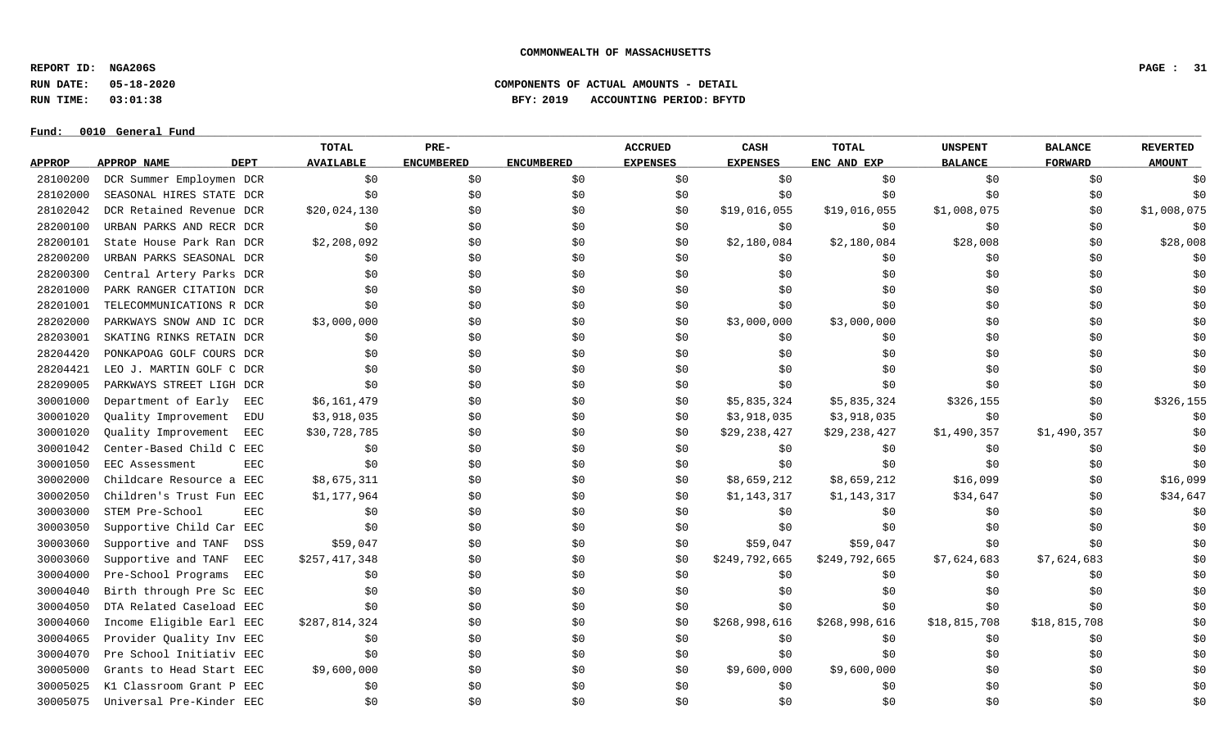**REPORT ID: NGA206S PAGE : 31**

**RUN DATE: 05-18-2020 COMPONENTS OF ACTUAL AMOUNTS - DETAIL**

**RUN TIME: 03:01:38 BFY: 2019 ACCOUNTING PERIOD: BFYTD**

#### $Fund: 0010$  General Fund

## **TOTAL PRE- ACCRUED CASH TOTAL UNSPENT BALANCE REVERTED** <u>APPROP APPROPNAME – DEPT AVAILABLE ENCUMBERED ENCUMBERED EXPENSES EXPENSES ENCANDEXP BALANCE – FORWARD – AMOUNT</u> 28100200 DCR Summer Employmen DCR \$0 \$0 \$0 \$0 \$0 \$0 \$0 \$0 \$0 28102000 SEASONAL HIRES STATE DCR \$0 \$0 \$0 \$0 \$0 \$0 \$0 \$0 \$0 28102042 DCR Retained Revenue DCR \$20,024,130 \$0 \$0 \$0 \$19,016,055 \$19,016,055 \$1,008,075 \$0 \$1,008,075 28200100 URBAN PARKS AND RECR DCR \$0 \$0 \$0 \$0 \$0 \$0 \$0 \$0 \$0 28200101 State House Park Ran DCR \$2,208,092 \$0 \$0 \$0 \$2,180,084 \$2,180,084 \$28.008 \$0 \$28,008 \$0 \$28,008 28200200 URBAN PARKS SEASONAL DCR \$0 \$0 \$0 \$0 \$0 \$0 \$0 \$0 \$0 28200300 Central Artery Parks DCR \$0 \$0 \$0 \$0 \$0 \$0 \$0 \$0 \$0 28201000 PARK RANGER CITATION DCR \$0 \$0 \$0 \$0 \$0 \$0 \$0 \$0 \$0 28201001 TELECOMMUNICATIONS R DCR \$0 \$0 \$0 \$0 \$0 \$0 \$0 \$0 \$0 28202000 PARKWAYS SNOW AND IC DCR \$3,000,000 \$0 \$0 \$0 \$3,000,000 \$3,000,000 \$0 \$0 \$0 28203001 SKATING RINKS RETAIN DCR \$0 \$0 \$0 \$0 \$0 \$0 \$0 \$0 \$0 28204420 PONKAPOAG GOLF COURS DCR \$0 \$0 \$0 \$0 \$0 \$0 \$0 \$0 \$0 28204421 LEO J. MARTIN GOLF C DCR \$0 \$0 \$0 \$0 \$0 \$0 \$0 \$0 \$0 28209005 PARKWAYS STREET LIGH DCR \$0 \$0 \$0 \$0 \$0 \$0 \$0 \$0 \$0 30001000 Department of Early EEC \$6,161,479 \$0 \$0 \$0 \$0 \$5,835,324 \$5,835,324 \$326,155 \$0 \$326,155 \$0 \$326,155 30001020 Quality Improvement EDU \$3,918,035 \$0 \$0 \$3,918,035 \$3,918,035 \$0 \$0 30001020 Quality Improvement EEC \$30,728,785 \$0 \$0 \$0 \$0 \$29,238,427 \$29,238,427 \$1,490,357 \$1,490,357 \$1,490,357 30001042 Center-Based Child C EEC \$0 \$0 \$0 \$0 \$0 \$0 \$0 \$0 \$0 30001050 EEC Assessment EEC \$0 \$0 \$0 \$0 \$0 \$0 \$0 \$0 \$0 30002000 Childcare Resource a EEC \$8,675,311 \$0 \$0 \$0 \$8,659,212 \$8,659,212 \$16,099 \$16,099 \$16,099 30002050 Children's Trust Fun EEC \$1,177,964 \$0 \$0 \$0 \$1,143,317 \$1,143,317 \$34,647 \$9 \$0 \$34,647 30003000 STEM Pre-School EEC \$0 \$0 \$0 \$0 \$0 \$0 \$0 \$0 \$0 30003050 Supportive Child Car EEC \$0 \$0 \$0 \$0 \$0 \$0 \$0 \$0 \$0 30003060 Supportive and TANF DSS \$59,047 \$0 \$0 \$9, \$59,047 \$59,047 \$59,047 \$9 \$0 \$0 \$0 \$0 \$0 \$0 \$0 \$0 30003060 Supportive and TANF EEC \$257,417,348 \$0 \$0 \$0 \$0 \$249,792,665 \$249,792,665 \$7,624,683 \$7,624,683 \$7,624,683 30004000 Pre-School Programs EEC \$0 \$0 \$0 \$0 \$0 \$0 \$0 \$0 \$0 30004040 Birth through Pre Sc EEC \$0 \$0 \$0 \$0 \$0 \$0 \$0 \$0 \$0 30004050 DTA Related Caseload EEC \$0 \$0 \$0 \$0 \$0 \$0 \$0 \$0 \$0 30004060 Income Eligible Earl EEC \$287,814,324 \$0 \$0 \$0 \$268,998,616 \$268,998,616 \$18,815,708 \$18,815,708 \$18,815,708 \$0 30004065 Provider Ouality Inv EEC \$0 \$0 \$0 \$0 \$0 \$0 \$0 \$0 30004070 Pre School Initiativ EEC \$0 \$0 \$0 \$0 \$0 \$0 \$0 \$0 \$0 30005000 Grants to Head Start EEC \$9,600,000 \$0 \$0 \$0 \$9,600,000 \$9,600,000 \$0 \$0 \$0 30005025 K1 Classroom Grant P EEC \$0 \$0 \$0 \$0 \$0 \$0 \$0 \$0 \$0 30005075 Universal Pre-Kinder EEC \$0 \$0 \$0 \$0 \$0 \$0 \$0 \$0 \$0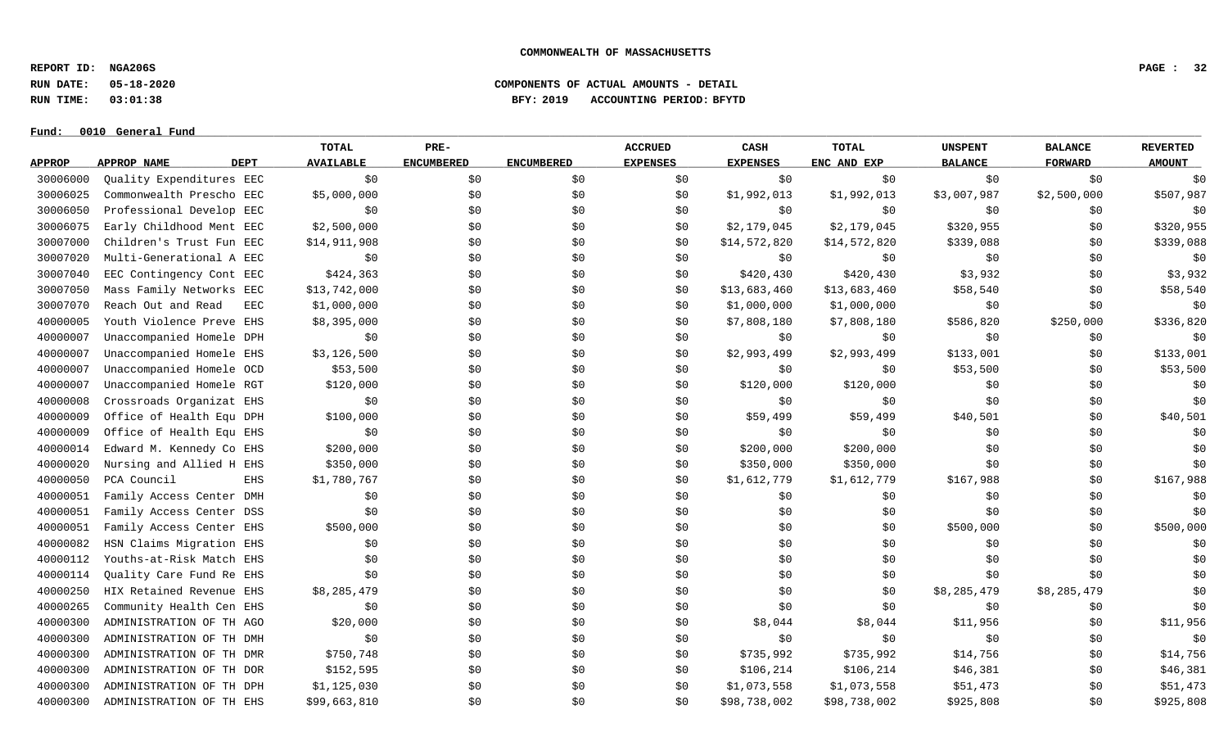**REPORT ID: NGA206S PAGE : 32**

**RUN DATE: 05-18-2020 COMPONENTS OF ACTUAL AMOUNTS - DETAIL**

**RUN TIME: 03:01:38 BFY: 2019 ACCOUNTING PERIOD: BFYTD**

#### $Fund: 0010$  General Fund

## **TOTAL PRE- ACCRUED CASH TOTAL UNSPENT BALANCE REVERTED** <u>APPROP APPROPNAME – DEPT AVAILABLE ENCUMBERED ENCUMBERED EXPENSES EXPENSES ENCANDEXP BALANCE – FORWARD – AMOUNT</u> 30006000 Quality Expenditures EEC \$0 \$0 \$0 \$0 \$0 \$0 \$0 \$0 \$0 30006025 Commonwealth Prescho EEC \$5,000,000 \$0 \$0 \$0 \$0 \$1,992,013 \$1,992,013 \$3,007,987 \$2,500,000 \$507,987 30006050 Professional Develop EEC \$0 \$0 \$0 \$0 \$0 \$0 \$0 \$0 \$0 30006075 Early Childhood Ment EEC \$2,500,000 \$0 \$0 \$0 \$2,179,045 \$2,179,045 \$320,955 \$0 \$320,955 30007000 Children's Trust Fun EEC \$14,911,908 \$0 \$0 \$0 \$14,572,820 \$14,572,820 \$339,088 \$0 \$339,088 \$0 \$339,088 30007020 Multi-Generational A EEC \$0 \$0 \$0 \$0 \$0 \$0 \$0 \$0 \$0 30007040 EEC Contingency Cont EEC \$424,363 \$0 \$0 \$0 \$420,430 \$420,430 \$3,932 \$0 \$3,932 30007050 Mass Family Networks EEC \$13,742,000 \$0 \$0 \$0 \$0 \$13,683,460 \$13,683,460 \$58,540 \$58,540 \$0 \$58,540 30007070 Reach Out and Read EEC \$1,000,000 \$0 \$0 \$0 \$1,000,000 \$1,000,000 \$0 \$0 \$0 40000005 Youth Violence Preve EHS \$8,395,000 \$0 \$0 \$0 \$0 \$7,808,180 \$7,808,180 \$586,820 \$250,000 \$336,820 40000007 Unaccompanied Homele DPH \$0 \$0 \$0 \$0 \$0 \$0 \$0 \$0 \$0 40000007 Unaccompanied Homele EHS \$3,126,500 \$0 \$0 \$0 \$0 \$2,993,499 \$2,993,499 \$133,001 \$0 \$133,001 40000007 Unaccompanied Homele OCD \$53,500 \$0 \$0 \$0 \$0 \$0 \$0 \$53,500 \$53,500 \$0 \$53,500 \$53,500 40000007 Unaccompanied Homele RGT \$120,000 \$0 \$0 \$0 \$120,000 \$120,000 \$120,000 \$0 \$0 \$0 \$0 \$0 \$0 40000008 Crossroads Organizat EHS \$0 \$0 \$0 \$0 \$0 \$0 \$0 \$0 \$0 40000009 Office of Health Equ DPH \$100,000 \$0 \$0 \$0 \$0 \$59,499 \$59,499 \$40,501 \$0 \$40,501 40000009 Office of Health Equ EHS \$0 \$0 \$0 \$0 \$0 \$0 \$0 \$0 \$0 40000014 Edward M. Kennedy Co EHS \$200,000 \$0 \$0 \$0 \$200,000 \$200,000 \$0 \$0 \$0 40000020 Nursing and Allied H EHS \$350,000 \$0 \$0 \$0 \$0 \$350,000 \$350,000 \$0 \$0 \$0 \$0 \$0 \$0 \$0 \$0 40000050 PCA Council EHS \$1,780,767 \$0 \$0 \$0 \$1,612,779 \$1,612,779 \$167,988 \$0 \$167,988 \$0 \$167,988 40000051 Family Access Center DMH \$0 \$0 \$0 \$0 \$0 \$0 \$0 \$0 \$0 40000051 Family Access Center DSS \$0 \$0 \$0 \$0 \$0 \$0 \$0 \$0 \$0 40000051 Family Access Center EHS \$500,000 \$0 \$0 \$0 \$0 \$0 \$500,000 \$0 \$500,000 40000082 HSN Claims Migration EHS \$0 \$0 \$0 \$0 \$0 \$0 \$0 \$0 \$0 40000112 Youths-at-Risk Match EHS \$0 \$0 \$0 \$0 \$0 \$0 \$0 \$0 \$0 40000114 Quality Care Fund Re EHS \$0 \$0 \$0 \$0 \$0 \$0 \$0 \$0 \$0 40000250 HIX Retained Revenue EHS \$8,285,479 \$0 \$0 \$0 \$0 \$0 \$0 \$8,285,479 \$8,285,479 \$8,285,479 \$0 40000265 Community Health Cen EHS \$0 \$0 \$0 \$0 \$0 \$0 \$0 \$0 \$0 40000300 ADMINISTRATION OF TH AGO \$20,000 \$0 \$0 \$0 \$0 \$8,044 \$8,044 \$11,956 \$0 \$11,956 \$11,956 40000300 ADMINISTRATION OF TH DMH \$0 \$0 \$0 \$0 \$0 \$0 \$0 \$0 \$0 40000300 ADMINISTRATION OF THOMR \$750,748 \$0 \$0 \$0 \$735,992 \$735,992 \$14,756 \$0 \$14,756 \$0 \$14,756 40000300 ADMINISTRATION OF THODR \$152,595 \$0 \$0 \$0 \$106,214 \$106,214 \$46,381 \$0 \$46,381 40000300 ADMINISTRATION OF TH DPH \$1,125,030 \$0 \$0 \$1,073,558 \$1,073,558 \$1,073,558 \$51,473 \$0 \$51,473 40000300 ADMINISTRATION OF TH EHS \$99,663,810 \$0 \$0 \$0 \$0 \$98,738,002 \$98,738,002 \$925,808 \$0 \$925,808 \$0 \$925,808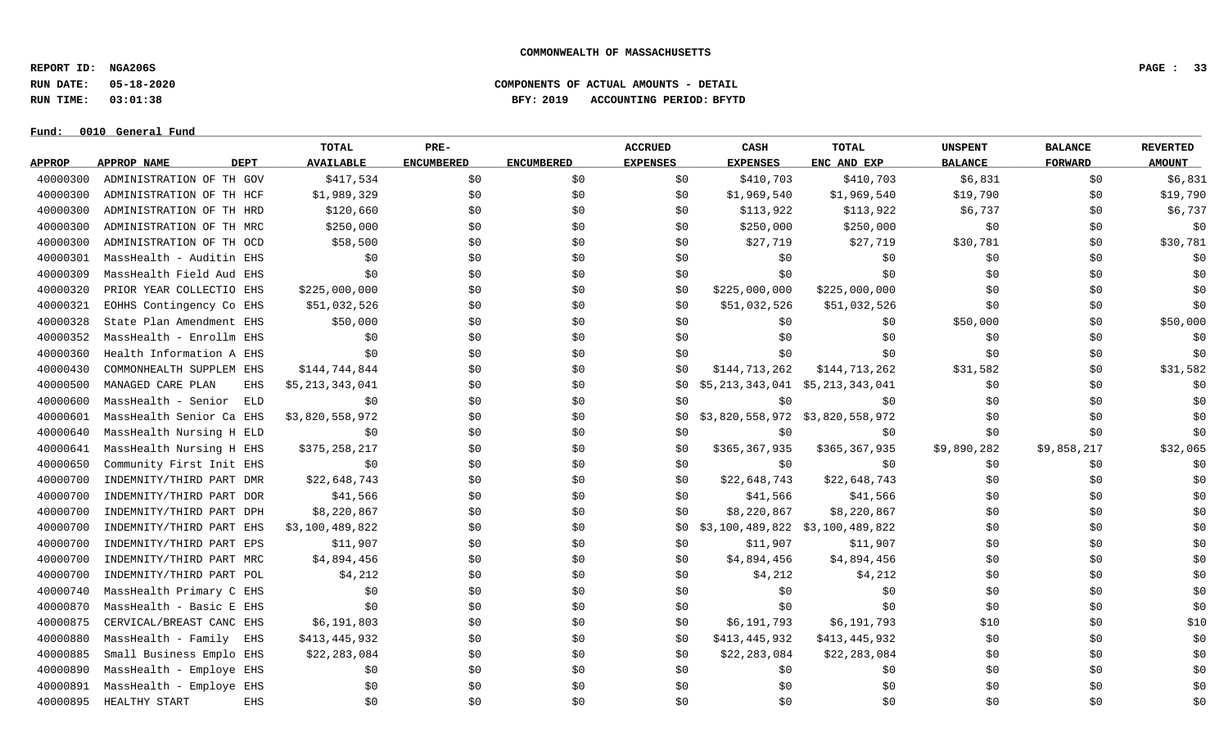**REPORT ID: NGA206S PAGE : 33**

**Fund: \_\_\_\_\_\_\_\_\_\_\_\_\_\_\_\_\_\_\_\_\_\_\_\_\_\_\_\_\_\_\_\_\_\_\_\_\_\_\_\_\_\_\_\_\_\_\_\_\_\_\_\_\_\_\_\_\_\_\_\_\_\_\_\_\_\_\_\_\_\_\_\_\_\_\_\_\_\_\_\_\_\_\_\_\_\_\_\_\_\_\_\_\_\_\_\_\_\_\_\_\_\_\_\_\_\_\_\_\_\_\_\_\_\_\_\_\_\_\_\_\_\_\_\_\_\_\_\_\_\_\_\_\_\_\_\_\_\_\_\_\_\_\_\_\_\_\_\_\_\_\_\_\_\_\_\_\_\_\_\_\_\_\_\_\_\_\_\_\_\_\_\_\_\_\_\_\_\_ 0010 General Fund**

### **RUN DATE: 05-18-2020 COMPONENTS OF ACTUAL AMOUNTS - DETAIL RUN TIME: 03:01:38 BFY: 2019 ACCOUNTING PERIOD: BFYTD**

|               |                            | <b>TOTAL</b>     | PRE-              |                   | <b>ACCRUED</b>  | CASH                            | <b>TOTAL</b>                      | <b>UNSPENT</b> | <b>BALANCE</b> | <b>REVERTED</b> |
|---------------|----------------------------|------------------|-------------------|-------------------|-----------------|---------------------------------|-----------------------------------|----------------|----------------|-----------------|
| <b>APPROP</b> | <b>DEPT</b><br>APPROP NAME | <b>AVAILABLE</b> | <b>ENCUMBERED</b> | <b>ENCUMBERED</b> | <b>EXPENSES</b> | <b>EXPENSES</b>                 | ENC AND EXP                       | <b>BALANCE</b> | <b>FORWARD</b> | <b>AMOUNT</b>   |
| 40000300      | ADMINISTRATION OF TH GOV   | \$417,534        | \$0               | \$0               | \$0             | \$410,703                       | \$410,703                         | \$6,831        | \$0            | \$6,831         |
| 40000300      | ADMINISTRATION OF TH HCF   | \$1,989,329      | \$0               | \$0               | \$0             | \$1,969,540                     | \$1,969,540                       | \$19,790       | \$0            | \$19,790        |
| 40000300      | ADMINISTRATION OF TH HRD   | \$120,660        | \$0               | \$0               | \$0             | \$113,922                       | \$113,922                         | \$6,737        | \$0            | \$6,737         |
| 40000300      | ADMINISTRATION OF TH MRC   | \$250,000        | \$0               | \$0               | \$0             | \$250,000                       | \$250,000                         | \$0            | \$0            | \$0             |
| 40000300      | ADMINISTRATION OF TH OCD   | \$58,500         | \$0               | \$0               | \$0             | \$27,719                        | \$27,719                          | \$30,781       | \$0            | \$30,781        |
| 40000301      | MassHealth - Auditin EHS   | \$0              | \$0               | \$0               | \$0             | \$0                             | \$0                               | \$0            | \$0            | \$0             |
| 40000309      | MassHealth Field Aud EHS   | \$0              | \$0               | \$0               | \$0             | \$0                             | \$0                               | \$0            | \$0            | \$0             |
| 40000320      | PRIOR YEAR COLLECTIO EHS   | \$225,000,000    | \$0               | \$0               | \$0             | \$225,000,000                   | \$225,000,000                     | \$0            | \$0            | \$0             |
| 40000321      | EOHHS Contingency Co EHS   | \$51,032,526     | \$0               | \$0               | \$0             | \$51,032,526                    | \$51,032,526                      | \$0            | \$0            | \$0             |
| 40000328      | State Plan Amendment EHS   | \$50,000         | \$0               | \$0               | \$0             | \$0                             | \$0                               | \$50,000       | \$0            | \$50,000        |
| 40000352      | MassHealth - Enrollm EHS   | \$0              | \$0               | \$0               | \$0             | \$0                             | \$0                               | \$0            | \$0            | \$0             |
| 40000360      | Health Information A EHS   | \$0              | \$0               | \$0               | \$0             | \$0                             | \$0                               | \$0            | \$0            | \$0             |
| 40000430      | COMMONHEALTH SUPPLEM EHS   | \$144,744,844    | \$0               | \$0               | \$0             | \$144,713,262                   | \$144,713,262                     | \$31,582       | \$0            | \$31,582        |
| 40000500      | MANAGED CARE PLAN<br>EHS   | \$5,213,343,041  | \$0               | \$0               | \$0             | \$5,213,343,041 \$5,213,343,041 |                                   | \$0            | \$0            | \$0             |
| 40000600      | MassHealth - Senior<br>ELD | \$0              | \$0               | \$0               | \$0             | \$0                             | \$0                               | \$0            | \$0            | \$0             |
| 40000601      | MassHealth Senior Ca EHS   | \$3,820,558,972  | \$0               | \$0               | SO.             |                                 | \$3,820,558,972 \$3,820,558,972   | \$0            | \$0            | \$0             |
| 40000640      | MassHealth Nursing H ELD   | \$0              | \$0               | \$0               | \$0             | \$0                             | \$0                               | \$0            | \$0            | \$0             |
| 40000641      | MassHealth Nursing H EHS   | \$375,258,217    | \$0               | \$0               | \$0             | \$365,367,935                   | \$365,367,935                     | \$9,890,282    | \$9,858,217    | \$32,065        |
| 40000650      | Community First Init EHS   | \$0              | \$0               | \$0               | \$0             | \$0                             | \$0                               | \$0            | \$0            | \$0             |
| 40000700      | INDEMNITY/THIRD PART DMR   | \$22,648,743     | \$0               | \$0               | \$0             | \$22,648,743                    | \$22,648,743                      | \$0            | \$0            | \$0             |
| 40000700      | INDEMNITY/THIRD PART DOR   | \$41,566         | \$0               | \$0               | \$0             | \$41,566                        | \$41,566                          | \$0            | \$0            | \$0             |
| 40000700      | INDEMNITY/THIRD PART DPH   | \$8,220,867      | \$0               | \$0               | \$0             | \$8,220,867                     | \$8,220,867                       | \$0            | \$0            | \$0             |
| 40000700      | INDEMNITY/THIRD PART EHS   | \$3,100,489,822  | \$0               | \$0               | \$0             |                                 | $$3,100,489,822$ $$3,100,489,822$ | \$0            | \$0            | \$0             |
| 40000700      | INDEMNITY/THIRD PART EPS   | \$11,907         | \$0               | \$0               | \$0             | \$11,907                        | \$11,907                          | \$0            | \$0            | \$0             |
| 40000700      | INDEMNITY/THIRD PART MRC   | \$4,894,456      | \$0               | \$0               | \$0             | \$4,894,456                     | \$4,894,456                       | \$0            | \$0            | \$0             |
| 40000700      | INDEMNITY/THIRD PART POL   | \$4,212          | \$0               | \$0               | \$0             | \$4,212                         | \$4,212                           | \$0            | \$0            | \$0             |
| 40000740      | MassHealth Primary C EHS   | \$0              | \$0               | \$0               | \$0             | \$0                             | \$0                               | \$0            | \$0            | \$0             |
| 40000870      | MassHealth - Basic E EHS   | \$0              | \$0               | \$0               | \$0             | \$0                             | \$0                               | \$0            | \$0            | \$0             |
| 40000875      | CERVICAL/BREAST CANC EHS   | \$6,191,803      | \$0               | \$0               | \$0             | \$6,191,793                     | \$6,191,793                       | \$10           | \$0            | \$10            |
| 40000880      | MassHealth - Family<br>EHS | \$413,445,932    | \$0               | \$0               | \$0             | \$413,445,932                   | \$413,445,932                     | \$0            | \$0            | \$0             |
| 40000885      | Small Business Emplo EHS   | \$22, 283, 084   | \$0               | \$0               | \$0             | \$22,283,084                    | \$22,283,084                      | \$0            | \$0            | \$0             |
| 40000890      | MassHealth - Employe EHS   | \$0              | \$0               | \$0               | \$0             | \$0                             | \$0                               | \$0            | \$0            | \$0             |
| 40000891      | MassHealth - Employe EHS   | \$0              | \$0               | \$0               | \$0             | \$0                             | \$0                               | \$0            | \$0            | \$0             |
| 40000895      | HEALTHY START<br>EHS       | \$0              | \$0               | \$0               | \$0             | \$0                             | \$0                               | \$0            | \$0            | \$0             |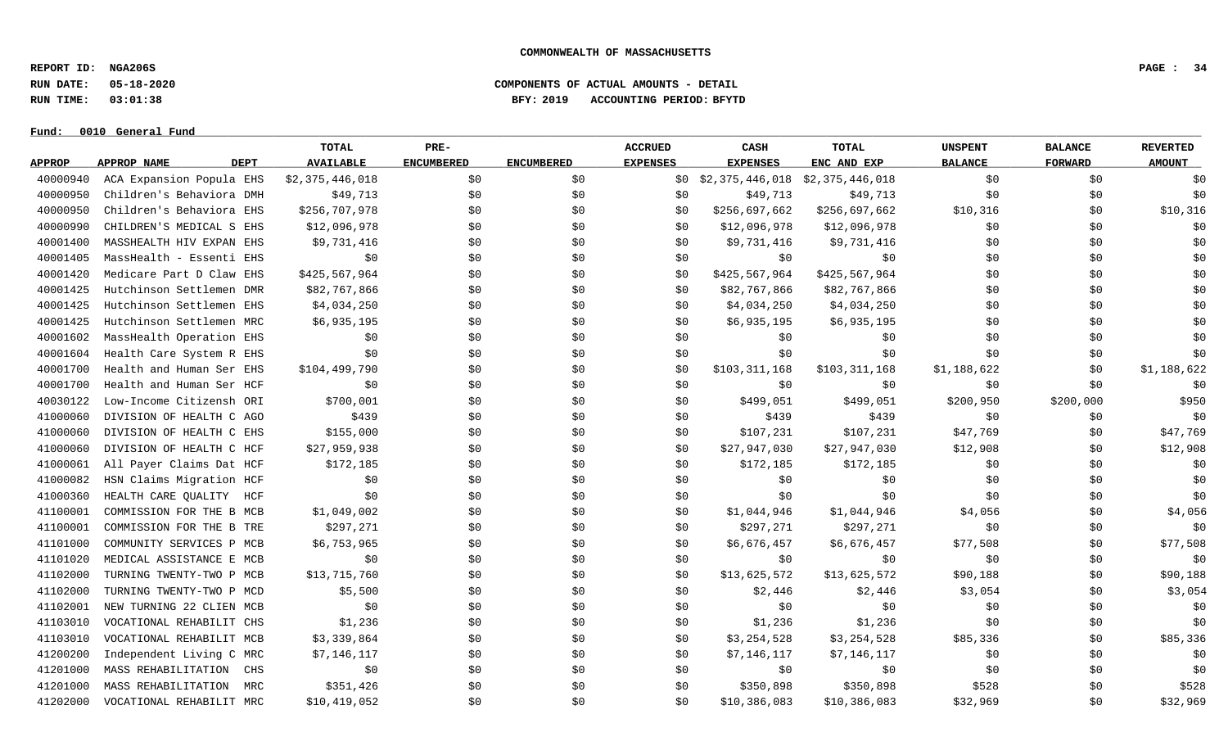**REPORT ID: NGA206S PAGE : 34**

**RUN DATE: 05-18-2020 COMPONENTS OF ACTUAL AMOUNTS - DETAIL**

**RUN TIME: 03:01:38 BFY: 2019 ACCOUNTING PERIOD: BFYTD**

|               |                            | <b>TOTAL</b>     | PRE-              |                   | <b>ACCRUED</b>  | CASH                            | <b>TOTAL</b>  | <b>UNSPENT</b> | <b>BALANCE</b> | <b>REVERTED</b> |
|---------------|----------------------------|------------------|-------------------|-------------------|-----------------|---------------------------------|---------------|----------------|----------------|-----------------|
| <b>APPROP</b> | APPROP NAME<br><b>DEPT</b> | <b>AVAILABLE</b> | <b>ENCUMBERED</b> | <b>ENCUMBERED</b> | <b>EXPENSES</b> | <b>EXPENSES</b>                 | ENC AND EXP   | <b>BALANCE</b> | <b>FORWARD</b> | <b>AMOUNT</b>   |
| 40000940      | ACA Expansion Popula EHS   | \$2,375,446,018  | \$0               | \$0               | \$0             | \$2,375,446,018 \$2,375,446,018 |               | \$0            | \$0            | \$0             |
| 40000950      | Children's Behaviora DMH   | \$49,713         | \$0               | \$0               | \$0             | \$49,713                        | \$49,713      | \$0            | \$0            | \$0             |
| 40000950      | Children's Behaviora EHS   | \$256,707,978    | \$0               | \$0               | \$0             | \$256,697,662                   | \$256,697,662 | \$10,316       | \$0            | \$10,316        |
| 40000990      | CHILDREN'S MEDICAL S EHS   | \$12,096,978     | \$0               | \$0               | \$0             | \$12,096,978                    | \$12,096,978  | \$0            | \$0            | \$0             |
| 40001400      | MASSHEALTH HIV EXPAN EHS   | \$9,731,416      | \$0               | \$0               | \$0             | \$9,731,416                     | \$9,731,416   | \$0            | \$0            | \$0             |
| 40001405      | MassHealth - Essenti EHS   | \$0              | \$0               | \$0               | \$0             | \$0                             | \$0           | \$0            | \$0            | \$0             |
| 40001420      | Medicare Part D Claw EHS   | \$425,567,964    | \$0               | \$0               | \$0             | \$425,567,964                   | \$425,567,964 | \$0            | \$0            | \$0             |
| 40001425      | Hutchinson Settlemen DMR   | \$82,767,866     | \$0               | \$0               | \$0             | \$82,767,866                    | \$82,767,866  | \$0            | \$0            | \$0             |
| 40001425      | Hutchinson Settlemen EHS   | \$4,034,250      | \$0               | \$0               | \$0             | \$4,034,250                     | \$4,034,250   | \$0            | \$0\$          | \$0             |
| 40001425      | Hutchinson Settlemen MRC   | \$6,935,195      | \$0               | \$0               | \$0             | \$6,935,195                     | \$6,935,195   | \$0            | \$0\$          | \$0             |
| 40001602      | MassHealth Operation EHS   | \$0              | \$0               | \$0               | \$0             | \$0                             | \$0           | \$0            | \$0\$          | \$0             |
| 40001604      | Health Care System R EHS   | \$0              | \$0\$             | \$0               | \$0             | \$0\$                           | \$0           | \$0            | \$0            | \$0             |
| 40001700      | Health and Human Ser EHS   | \$104,499,790    | \$0               | \$0               | \$0             | \$103,311,168                   | \$103,311,168 | \$1,188,622    | \$0\$          | \$1,188,622     |
| 40001700      | Health and Human Ser HCF   | \$0              | \$0               | \$0               | \$0             | \$0                             | \$0           | \$0            | \$0            | \$0             |
| 40030122      | Low-Income Citizensh ORI   | \$700,001        | \$0               | \$0               | \$0             | \$499,051                       | \$499,051     | \$200,950      | \$200,000      | \$950           |
| 41000060      | DIVISION OF HEALTH C AGO   | \$439            | \$0               | \$0               | \$0             | \$439                           | \$439         | \$0            | \$0            | \$0             |
| 41000060      | DIVISION OF HEALTH C EHS   | \$155,000        | \$0               | \$0               | \$0             | \$107,231                       | \$107,231     | \$47,769       | \$0            | \$47,769        |
| 41000060      | DIVISION OF HEALTH C HCF   | \$27,959,938     | \$0               | \$0               | \$0             | \$27,947,030                    | \$27,947,030  | \$12,908       | \$0            | \$12,908        |
| 41000061      | All Payer Claims Dat HCF   | \$172,185        | \$0               | \$0\$             | \$0             | \$172,185                       | \$172,185     | \$0            | \$0            | \$0             |
| 41000082      | HSN Claims Migration HCF   | \$0              | \$0               | \$0               | \$0             | \$0\$                           | \$0           | \$0            | \$0            | \$0             |
| 41000360      | HEALTH CARE QUALITY<br>HCF | \$0              | \$0               | \$0               | \$0             | \$0\$                           | \$0           | \$0            | \$0            | \$0             |
| 41100001      | COMMISSION FOR THE B MCB   | \$1,049,002      | \$0               | \$0               | \$0             | \$1,044,946                     | \$1,044,946   | \$4,056        | \$0            | \$4,056         |
| 41100001      | COMMISSION FOR THE B TRE   | \$297,271        | \$0               | \$0               | \$0             | \$297,271                       | \$297,271     | \$0            | \$0            | \$0             |
| 41101000      | COMMUNITY SERVICES P MCB   | \$6,753,965      | \$0               | \$0               | \$0             | \$6,676,457                     | \$6,676,457   | \$77,508       | \$0            | \$77,508        |
| 41101020      | MEDICAL ASSISTANCE E MCB   | \$0              | \$0               | \$0               | \$0             | \$0                             | \$0           | \$0            | \$0            | \$0             |
| 41102000      | TURNING TWENTY-TWO P MCB   | \$13,715,760     | \$0               | \$0               | \$0             | \$13,625,572                    | \$13,625,572  | \$90,188       | \$0\$          | \$90,188        |
| 41102000      | TURNING TWENTY-TWO P MCD   | \$5,500          | \$0               | \$0               | \$0             | \$2,446                         | \$2,446       | \$3,054        | \$0\$          | \$3,054         |
| 41102001      | NEW TURNING 22 CLIEN MCB   | \$0              | \$0               | \$0               | \$0             | \$0\$                           | \$0           | \$0            | \$0\$          | \$0             |
| 41103010      | VOCATIONAL REHABILIT CHS   | \$1,236          | \$0               | \$0               | \$0             | \$1,236                         | \$1,236       | \$0            | \$0            | \$0             |
| 41103010      | VOCATIONAL REHABILIT MCB   | \$3,339,864      | \$0               | \$0               | \$0             | \$3,254,528                     | \$3,254,528   | \$85,336       | \$0\$          | \$85,336        |
| 41200200      | Independent Living C MRC   | \$7,146,117      | \$0               | \$0               | \$0             | \$7,146,117                     | \$7,146,117   | \$0            | \$0\$          | \$0             |
| 41201000      | MASS REHABILITATION<br>CHS | \$0              | \$0               | \$0               | \$0             | \$0                             | \$0           | \$0            | \$0            | \$0             |
| 41201000      | MASS REHABILITATION<br>MRC | \$351,426        | \$0               | \$0\$             | \$0             | \$350,898                       | \$350,898     | \$528          | \$0\$          | \$528           |
| 41202000      | VOCATIONAL REHABILIT MRC   | \$10,419,052     | \$0\$             | \$0               | \$0             | \$10,386,083                    | \$10,386,083  | \$32,969       | \$0            | \$32,969        |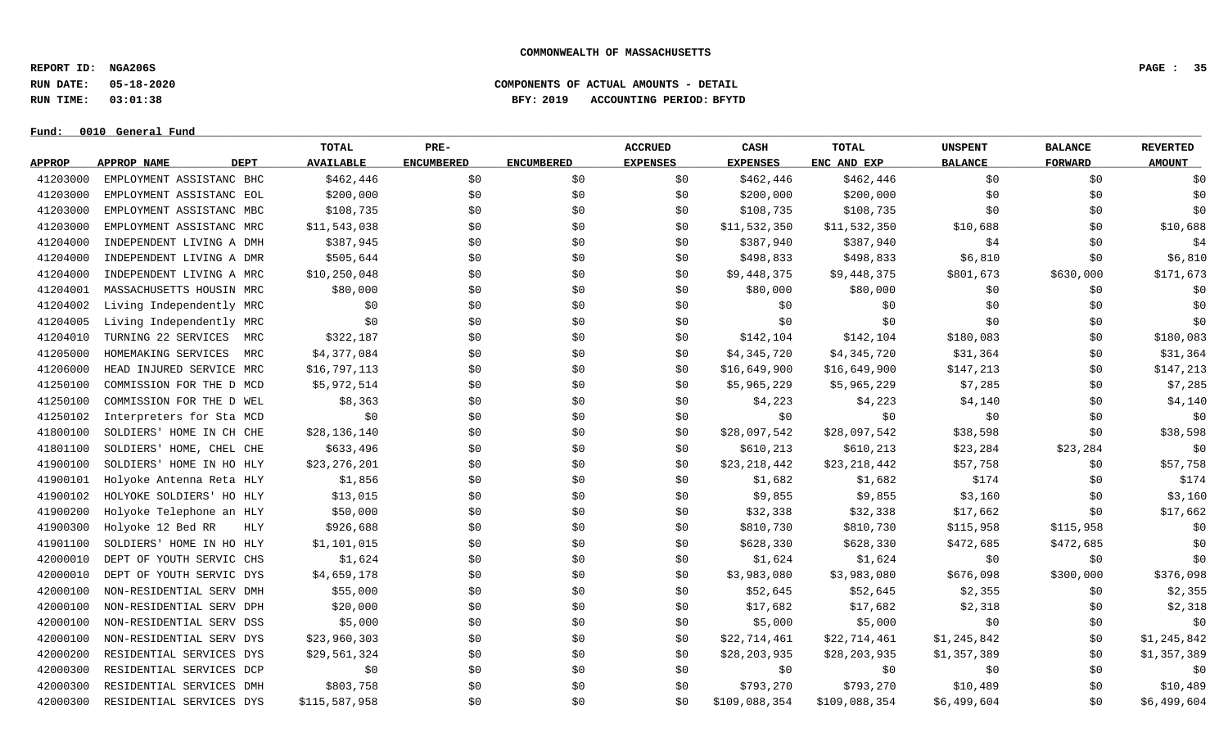**REPORT ID: NGA206S PAGE : 35**

**RUN DATE: 05-18-2020 COMPONENTS OF ACTUAL AMOUNTS - DETAIL**

**RUN TIME: 03:01:38 BFY: 2019 ACCOUNTING PERIOD: BFYTD**

 $Fund: 0010$  General Fund

## **TOTAL PRE- ACCRUED CASH TOTAL UNSPENT BALANCE REVERTED** <u>APPROP APPROPNAME – DEPT AVAILABLE ENCUMBERED ENCUMBERED EXPENSES EXPENSES ENCANDEXP BALANCE – FORWARD – AMOUNT</u> 41203000 EMPLOYMENT ASSISTANC BHC \$462,446 \$0 \$0 \$0 \$462,446 \$462,446 \$1 \$0 \$0 \$0 \$0 \$0 41203000 EMPLOYMENT ASSISTANC EOL \$200,000 \$0 \$0 \$0 \$200,000 \$200,000 \$0 \$0 \$0 41203000 EMPLOYMENT ASSISTANC MBC \$108,735 \$0 \$0 \$0 \$108,735 \$108,735 \$0 \$0 \$0 \$0 \$0 \$0 41203000 EMPLOYMENT ASSISTANC MRC \$11,543,038 \$0 \$0 \$0 \$10,532,350 \$11,532,350 \$10,688 \$0 \$10,688 \$0 \$10,688 41204000 INDEPENDENT LIVING A DMH \$387,945 \$0 \$0 \$0 \$387,940 \$387,940 \$387,940 \$4 \$0 \$4 41204000 INDEPENDENT LIVING A DMR \$505,644 \$0 \$0 \$0 \$498,833 \$498,833 \$6,810 \$6,810 \$0 \$6,810 \$6,810 41204000 INDEPENDENT LIVING A MRC \$10,250,048 \$0 \$0 \$0 \$0 \$0 \$0,448,375 \$9,448,375 \$801,673 \$630,000 \$171,673 41204001 MASSACHUSETTS HOUSIN MRC \$80,000 \$0 \$0 \$0 \$80,000 \$80,000 \$0 \$0 \$0 41204002 Living Independently MRC \$0 \$0 \$0 \$0 \$0 \$0 \$0 \$0 \$0 41204005 Living Independently MRC \$0 \$0 \$0 \$0 \$0 \$0 \$0 \$0 \$0 41204010 TURNING 22 SERVICES MRC \$322,187 \$0 \$0 \$0 \$142,104 \$142,104 \$180,083 \$0 \$180,083 \$0 \$180,083 41205000 HOMEMAKING SERVICES MRC \$4,377,084 \$0 \$0 \$0 \$4,345,720 \$4,345,720 \$4,345,720 \$31,364 \$0 \$31,364 41206000 HEAD INJURED SERVICE MRC \$16,797,113 \$0 \$0 \$0 \$16,649,900 \$16,649,900 \$147,213 \$0 \$147,213 41250100 COMMISSION FOR THE D MCD \$5,972,514 \$0 \$0 \$0 \$5,965,229 \$5,965,229 \$7,285 \$7,285 \$0 \$7,285 41250100 COMMISSION FOR THE D WEL  $\frac{1}{50}$   $\frac{1}{50}$   $\frac{1}{50}$   $\frac{1}{50}$   $\frac{1}{54}$ ,223  $\frac{1}{54}$ ,140  $\frac{1}{50}$   $\frac{1}{54}$ ,140  $\frac{1}{54}$  41250102 Interpreters for Sta MCD \$0 \$0 \$0 \$0 \$0 \$0 \$0 \$0 \$0 41800100 SOLDIERS' HOME IN CH CHE \$28,136,140 \$0 \$0 \$0 \$0 \$28,097,542 \$28,097,542 \$38,598 \$0 \$38,598 \$0 \$38,598 41801100 SOLDIERS' HOME, CHEL CHE \$633,496 \$0 \$0 \$0 \$610,213 \$610,213 \$23,284 \$23,284 \$23,284 \$0 41900100 SOLDIERS' HOME IN HO HLY \$23,276,201 \$0 \$0 \$0 \$0 \$23,218,442 \$23,218,442 \$57,758 \$0 \$57,758 \$0 \$57,758 41900101 Holyoke Antenna Reta HLY \$1,856 \$0 \$0 \$0 \$1,682 \$1,682 \$1,682 \$174 \$0 \$174 41900102 HOLYOKE SOLDIERS' HO HLY \$13,015 \$0 \$9,000 \$9,855 \$9,855 \$3,160 \$9,160 \$0 \$3,160 \$3,160 41900200 Holyoke Telephone an HLY \$50,000 \$0 \$0 \$32,338 \$32,338 \$32,338 \$17,662 \$0 \$17,662 41900300 Holyoke 12 Bed RR HLY \$926,688 \$0 \$80 \$810,730 \$810,730 \$115,958 \$115,958 \$10,730 41901100 SOLDIERS' HOME IN HO HLY \$1,101,015 \$0 \$0 \$0 \$628,330 \$628,330 \$472,685 \$472,685 \$472,685 \$0 42000010 DEPT OF YOUTH SERVIC CHS \$1,624 \$0 \$0 \$0 \$1,624 \$1,624 \$1,624 \$1,624 \$1,624 \$1,624 \$1,624 \$1,624 \$1,624 42000010 DEPT OF YOUTH SERVIC DYS \$4,659,178 \$0 \$0 \$0 \$3,983,080 \$3,983,080 \$676,098 \$300,000 \$376,098 42000100 NON-RESIDENTIAL SERV DMH \$55,000 \$0 \$0 \$0 \$52,645 \$2,355 \$2,355 \$0 \$2,355 \$2,355 \$2,355 \$2,355 \$2,355 42000100 NON-RESIDENTIAL SERV DPH \$20,000 \$0 \$0 \$0 \$17,682 \$17,682 \$2,318 \$0 \$2,318 42000100 NON-RESIDENTIAL SERV DSS \$5,000 \$0 \$0 \$0 \$5,000 \$5,000 \$0 \$0 \$0 42000100 NON-RESIDENTIAL SERV DYS \$23,960,303 \$0 \$0 \$0 \$22,714,461 \$22,714,461 \$1,245,842 \$0 \$1,245,842 42000200 RESIDENTIAL SERVICES DYS \$29,561,324 \$0 \$0 \$0 \$28,203,935 \$28,203,935 \$1,357,389 \$0 \$1,357,389 42000300 RESIDENTIAL SERVICES DCP \$0 \$0 \$0 \$0 \$0 \$0 \$0 \$0 \$0 42000300 RESIDENTIAL SERVICES DMH \$803,758 \$0 \$0 \$0 \$93,270 \$793,270 \$793,270 \$10,489 \$0 \$10,489 \$0 \$10,489 42000300 RESIDENTIAL SERVICES DYS \$115,587,958 \$0 \$0 \$0 \$0 \$109,088,354 \$109,088,354 \$6,499,604 \$0 \$6,499,604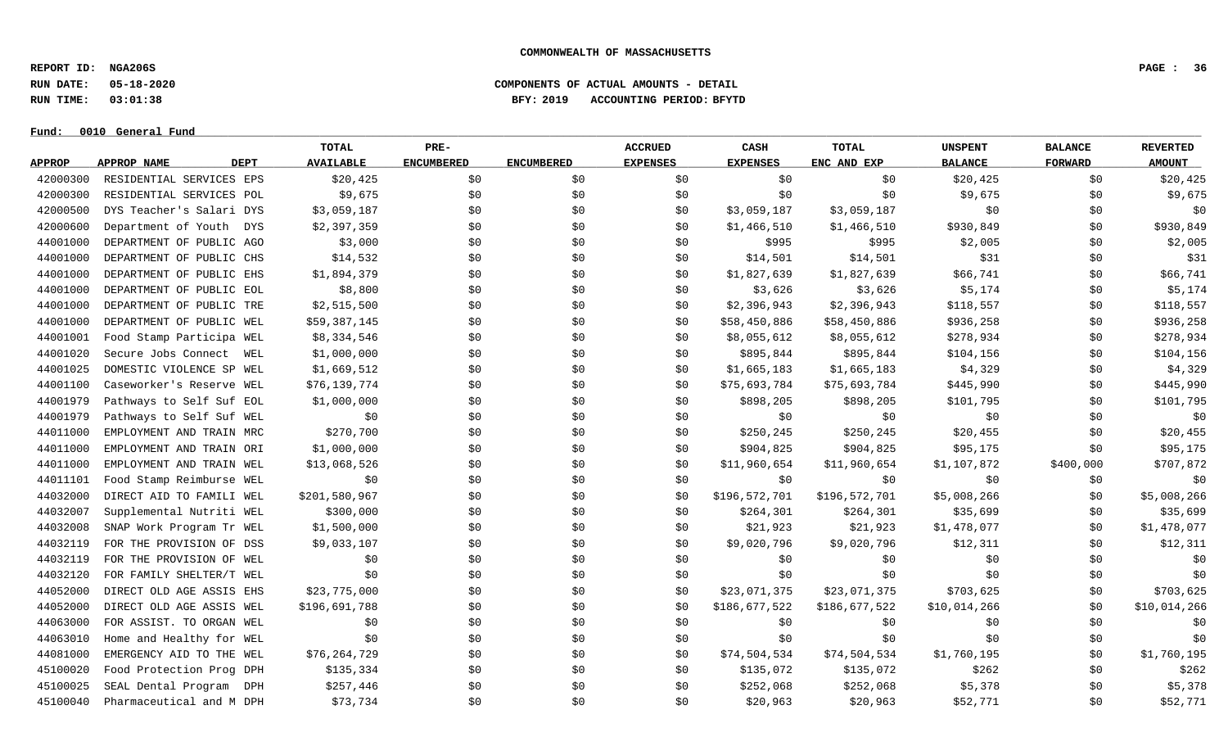**REPORT ID: NGA206S PAGE : 36**

**RUN DATE: 05-18-2020 COMPONENTS OF ACTUAL AMOUNTS - DETAIL**

**RUN TIME: 03:01:38 BFY: 2019 ACCOUNTING PERIOD: BFYTD**

 $Fund: 0010$  General Fund

## **TOTAL PRE- ACCRUED CASH TOTAL UNSPENT BALANCE REVERTED** <u>APPROP APPROPNAME – DEPT AVAILABLE ENCUMBERED ENCUMBERED EXPENSES EXPENSES ENCANDEXP BALANCE – FORWARD – AMOUNT</u> 42000300 RESIDENTIAL SERVICES EPS \$20,425 \$0 \$0 \$0 \$0 \$0 \$20,425 \$0 \$20,425 42000300 RESIDENTIAL SERVICES POL \$9,675 \$0 \$0 \$0 \$0 \$0 \$9,675 \$0 \$9,675 42000500 DYS Teacher's Salari DYS \$3,059,187 \$0 \$0 \$0 \$3,059,187 \$3,059,187 \$0 \$0 \$0 42000600 Department of Youth DYS \$2,397,359 \$0 \$0 \$0 \$1,466,510 \$1,466,510 \$930,849 \$930,849 \$930,849 \$930,849 44001000 DEPARTMENT OF PUBLIC AGO \$3,000 \$0 \$0 \$0 \$0 \$995 \$2,005 \$2,005 \$0 \$2,005 \$2,005 44001000 DEPARTMENT OF PUBLIC CHS \$14,532 \$0 \$0 \$14,501 \$14,501 \$14,501 \$31 \$0 \$19 44001000 DEPARTMENT OF PUBLIC EHS \$1,894,379 \$0 \$0 \$0 \$1,827,639 \$1,827,639 \$66,741 \$0 \$66,741 44001000 DEPARTMENT OF PUBLIC EOL \$8,800 \$0 \$0 \$0 \$3,626 \$3,626 \$5,174 \$0 \$0 \$5,174 44001000 DEPARTMENT OF PUBLIC TRE \$2,515,500 \$0 \$0 \$0 \$2,396,943 \$2,396,943 \$118,557 \$118,557 \$118,557 \$118,557 44001000 DEPARTMENT OF PUBLIC WEL \$59,387,145 \$0 \$0 \$0 \$0 \$58,450,886 \$58,450,886 \$936,258 \$0 \$936,258 44001001 Food Stamp Participa WEL \$8,334,546 \$0 \$0 \$0 \$8,055,612 \$8,055,612 \$278,934 \$0 \$278,934 44001020 Secure Jobs Connect WEL \$1,000,000 \$0 \$0 \$0 \$895,844 \$895,844 \$104,156 \$0 \$104,156 \$0 \$104,156 44001025 DOMESTIC VIOLENCE SP WEL \$1,669,512 \$0 \$0 \$1,665,183 \$1,665,183 \$4,329 \$4,329 \$9 \$4,329 44001100 Caseworker's Reserve WEL \$76,139,774 \$0 \$0 \$0 \$0 \$15,693,784 \$75,693,784 \$445,990 \$0 \$445,990 \$445,990 44001979 Pathways to Self Suf EOL \$1,000,000 \$0 \$0 \$0 \$0 \$898,205 \$898,205 \$101,795 \$0 \$101,795 \$0 \$101,795 44001979 Pathways to Self Suf WEL \$0 \$0 \$0 \$0 \$0 \$0 \$0 \$0 \$0 44011000 EMPLOYMENT AND TRAIN MRC \$270,700 \$0 \$0 \$0 \$250,245 \$250,245 \$250,245 \$20,455 \$0 \$20,455 44011000 EMPLOYMENT AND TRAIN ORI \$1,000,000 \$0 \$0 \$0 \$0 \$0 \$904,825 \$904,825 \$95,175 \$0 \$95,175 \$0 \$95,175 44011000 EMPLOYMENT AND TRAIN WEL \$13,068,526 \$0 \$0 \$0 \$11,960,654 \$11,960,654 \$1,107,872 \$400,000 \$707,872 44011101 Food Stamp Reimburse WEL \$0 \$0 \$0 \$0 \$0 \$0 \$0 \$0 \$0 44032000 DIRECT AID TO FAMILI WEL \$201,580,967 \$0 \$0 \$0 \$0 \$196,572,701 \$196,572,701 \$5,008,266 \$9 \$5,008,266 44032007 Supplemental Nutriti WEL \$300,000 \$0 \$0 \$0 \$264,301 \$264,301 \$35,699 \$0 \$35,699 44032008 SNAP Work Program Tr WEL \$1,500,000 \$0 \$0 \$0 \$0 \$21,923 \$1,478,077 \$0 \$1,478,077 \$0 \$1,478,077 44032119 FOR THE PROVISION OF DSS \$9,033,107 \$0 \$0 \$0 \$0 \$9,020,796 \$9,020,796 \$12,311 \$0 \$12,311 44032119 FOR THE PROVISION OF WEL \$0 \$0 \$0 \$0 \$0 \$0 \$0 \$0 \$0 44032120 FOR FAMILY SHELTER/T WEL \$0 \$0 \$0 \$0 \$0 \$0 \$0 \$0 \$0 44052000 DIRECT OLD AGE ASSIS EHS \$23,775,000 \$0 \$0 \$0 \$0 \$23,071,375 \$23,071,375 \$703,625 \$0 \$703,625 \$0 \$703,625 44052000 DIRECT OLD AGE ASSIS WEL \$196,691,788 \$0 \$0 \$0 \$0 \$0 \$186,677,522 \$186,677,522 \$10,014,266 \$0 \$10,014,266 44063000 FOR ASSIST. TO ORGAN WEL \$0 \$0 \$0 \$0 \$0 \$0 \$0 \$0 \$0 44063010 Home and Healthy for WEL \$0 \$0 \$0 \$0 \$0 \$0 \$0 \$0 \$0 44081000 EMERGENCY AID TO THE WEL \$76,264,729 \$0 \$0 \$0 \$74,504,534 \$74,504,534 \$1,760,195 \$0 \$1,760,195 45100020 Food Protection Prog DPH \$135,334 \$0 \$0 \$0 \$135,072 \$135,072 \$262 \$262 \$0 \$262 45100025 SEAL Dental Program DPH \$257,446 \$0 \$0 \$0 \$0 \$252,068 \$252,068 \$5,378 \$0 \$0 \$5,378 45100040 Pharmaceutical and M DPH \$73,734 \$0 \$0 \$0 \$20,963 \$20,963 \$20,963 \$52,771 \$0 \$52,771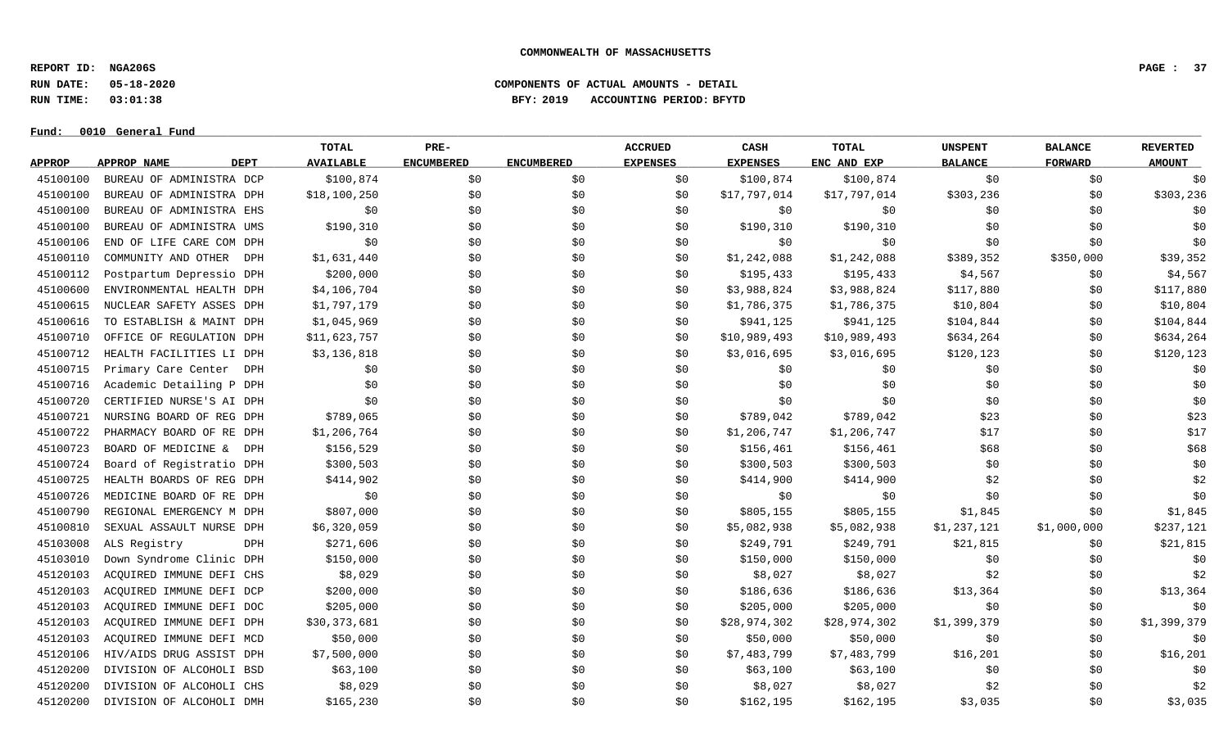**REPORT ID: NGA206S PAGE : 37**

**Fund: \_\_\_\_\_\_\_\_\_\_\_\_\_\_\_\_\_\_\_\_\_\_\_\_\_\_\_\_\_\_\_\_\_\_\_\_\_\_\_\_\_\_\_\_\_\_\_\_\_\_\_\_\_\_\_\_\_\_\_\_\_\_\_\_\_\_\_\_\_\_\_\_\_\_\_\_\_\_\_\_\_\_\_\_\_\_\_\_\_\_\_\_\_\_\_\_\_\_\_\_\_\_\_\_\_\_\_\_\_\_\_\_\_\_\_\_\_\_\_\_\_\_\_\_\_\_\_\_\_\_\_\_\_\_\_\_\_\_\_\_\_\_\_\_\_\_\_\_\_\_\_\_\_\_\_\_\_\_\_\_\_\_\_\_\_\_\_\_\_\_\_\_\_\_\_\_\_\_ 0010 General Fund**

# **RUN DATE: 05-18-2020 COMPONENTS OF ACTUAL AMOUNTS - DETAIL RUN TIME: 03:01:38 BFY: 2019 ACCOUNTING PERIOD: BFYTD**

|               |                            | <b>TOTAL</b>     | PRE-              |                   | <b>ACCRUED</b>  | CASH            | TOTAL        | <b>UNSPENT</b> | <b>BALANCE</b> | <b>REVERTED</b> |
|---------------|----------------------------|------------------|-------------------|-------------------|-----------------|-----------------|--------------|----------------|----------------|-----------------|
| <b>APPROP</b> | <b>DEPT</b><br>APPROP NAME | <b>AVAILABLE</b> | <b>ENCUMBERED</b> | <b>ENCUMBERED</b> | <b>EXPENSES</b> | <b>EXPENSES</b> | ENC AND EXP  | <b>BALANCE</b> | <b>FORWARD</b> | <b>AMOUNT</b>   |
| 45100100      | BUREAU OF ADMINISTRA DCP   | \$100,874        | \$0               | \$0               | \$0             | \$100,874       | \$100,874    | \$0            | \$0            | \$0             |
| 45100100      | BUREAU OF ADMINISTRA DPH   | \$18,100,250     | \$0               | \$0               | \$0             | \$17,797,014    | \$17,797,014 | \$303,236      | \$0            | \$303,236       |
| 45100100      | BUREAU OF ADMINISTRA EHS   | \$0              | \$0               | \$0               | \$0             | \$0             | \$0          | \$0            | \$0            | \$0             |
| 45100100      | BUREAU OF ADMINISTRA UMS   | \$190,310        | \$0               | \$0               | \$0             | \$190,310       | \$190,310    | \$0            | \$0            | \$0             |
| 45100106      | END OF LIFE CARE COM DPH   | \$0              | \$0               | \$0               | \$0             | \$0             | \$0          | \$0            | \$0            | \$0             |
| 45100110      | COMMUNITY AND OTHER<br>DPH | \$1,631,440      | \$0               | \$0               | \$0             | \$1,242,088     | \$1,242,088  | \$389,352      | \$350,000      | \$39,352        |
| 45100112      | Postpartum Depressio DPH   | \$200,000        | \$0\$             | \$0               | \$0             | \$195,433       | \$195,433    | \$4,567        | \$0            | \$4,567         |
| 45100600      | ENVIRONMENTAL HEALTH DPH   | \$4,106,704      | \$0               | \$0               | \$0             | \$3,988,824     | \$3,988,824  | \$117,880      | \$0            | \$117,880       |
| 45100615      | NUCLEAR SAFETY ASSES DPH   | \$1,797,179      | \$0               | \$0               | \$0             | \$1,786,375     | \$1,786,375  | \$10,804       | \$0            | \$10,804        |
| 45100616      | TO ESTABLISH & MAINT DPH   | \$1,045,969      | \$0               | \$0               | \$0             | \$941,125       | \$941,125    | \$104,844      | \$0            | \$104,844       |
| 45100710      | OFFICE OF REGULATION DPH   | \$11,623,757     | \$0               | \$0               | \$0             | \$10,989,493    | \$10,989,493 | \$634,264      | \$0            | \$634,264       |
| 45100712      | HEALTH FACILITIES LI DPH   | \$3,136,818      | \$0\$             | \$0               | \$0             | \$3,016,695     | \$3,016,695  | \$120, 123     | \$0            | \$120,123       |
| 45100715      | Primary Care Center DPH    | \$0              | \$0               | \$0               | \$0             | \$0             | \$0          | \$0            | \$0            | \$0             |
| 45100716      | Academic Detailing P DPH   | \$0              | \$0               | \$0               | \$0             | \$0             | \$0          | \$0            | \$0            | \$0             |
| 45100720      | CERTIFIED NURSE'S AI DPH   | \$0              | \$0               | \$0               | \$0             | \$0             | \$0          | \$0            | \$0            | \$0             |
| 45100721      | NURSING BOARD OF REG DPH   | \$789,065        | \$0               | \$0               | \$0             | \$789,042       | \$789,042    | \$23           | \$0            | \$23            |
| 45100722      | PHARMACY BOARD OF RE DPH   | \$1,206,764      | \$0               | \$0               | \$0             | \$1,206,747     | \$1,206,747  | \$17           | \$0            | \$17            |
| 45100723      | BOARD OF MEDICINE &<br>DPH | \$156,529        | \$0               | \$0               | \$0             | \$156,461       | \$156,461    | \$68           | \$0            | \$68            |
| 45100724      | Board of Registratio DPH   | \$300,503        | \$0\$             | \$0               | \$0             | \$300,503       | \$300,503    | \$0            | \$0            | \$0             |
| 45100725      | HEALTH BOARDS OF REG DPH   | \$414,902        | \$0               | \$0               | \$0             | \$414,900       | \$414,900    | \$2            | \$0            | \$2             |
| 45100726      | MEDICINE BOARD OF RE DPH   | \$0              | \$0               | \$0               | \$0             | \$0             | \$0          | \$0            | \$0            | \$0             |
| 45100790      | REGIONAL EMERGENCY M DPH   | \$807,000        | \$0               | \$0               | \$0             | \$805,155       | \$805,155    | \$1,845        | \$0            | \$1,845         |
| 45100810      | SEXUAL ASSAULT NURSE DPH   | \$6,320,059      | \$0               | \$0               | \$0             | \$5,082,938     | \$5,082,938  | \$1,237,121    | \$1,000,000    | \$237,121       |
| 45103008      | ALS Registry<br>DPH        | \$271,606        | \$0               | \$0               | \$0             | \$249,791       | \$249,791    | \$21,815       | \$0            | \$21,815        |
| 45103010      | Down Syndrome Clinic DPH   | \$150,000        | \$0               | \$0               | \$0             | \$150,000       | \$150,000    | \$0            | \$0\$          | \$0             |
| 45120103      | ACQUIRED IMMUNE DEFI CHS   | \$8,029          | \$0               | \$0               | \$0             | \$8,027         | \$8,027      | \$2            | \$0            | \$2             |
| 45120103      | ACQUIRED IMMUNE DEFI DCP   | \$200,000        | \$0               | \$0               | \$0             | \$186,636       | \$186,636    | \$13,364       | \$0            | \$13,364        |
| 45120103      | ACQUIRED IMMUNE DEFI DOC   | \$205,000        | \$0               | \$0               | \$0             | \$205,000       | \$205,000    | \$0            | \$0            | \$0             |
| 45120103      | ACOUIRED IMMUNE DEFI DPH   | \$30,373,681     | \$0               | \$0               | \$0             | \$28,974,302    | \$28,974,302 | \$1,399,379    | \$0            | \$1,399,379     |
| 45120103      | ACQUIRED IMMUNE DEFI MCD   | \$50,000         | \$0               | \$0               | \$0             | \$50,000        | \$50,000     | \$0            | \$0            | \$0             |
| 45120106      | HIV/AIDS DRUG ASSIST DPH   | \$7,500,000      | \$0               | \$0               | \$0             | \$7,483,799     | \$7,483,799  | \$16,201       | \$0            | \$16,201        |
| 45120200      | DIVISION OF ALCOHOLI BSD   | \$63,100         | \$0               | \$0               | \$0             | \$63,100        | \$63,100     | \$0            | \$0            | \$0             |
| 45120200      | DIVISION OF ALCOHOLI CHS   | \$8,029          | \$0               | \$0               | \$0             | \$8,027         | \$8,027      | \$2            | \$0            | \$2             |
| 45120200      | DIVISION OF ALCOHOLI DMH   | \$165, 230       | \$0               | \$0               | \$0             | \$162, 195      | \$162, 195   | \$3,035        | \$0            | \$3,035         |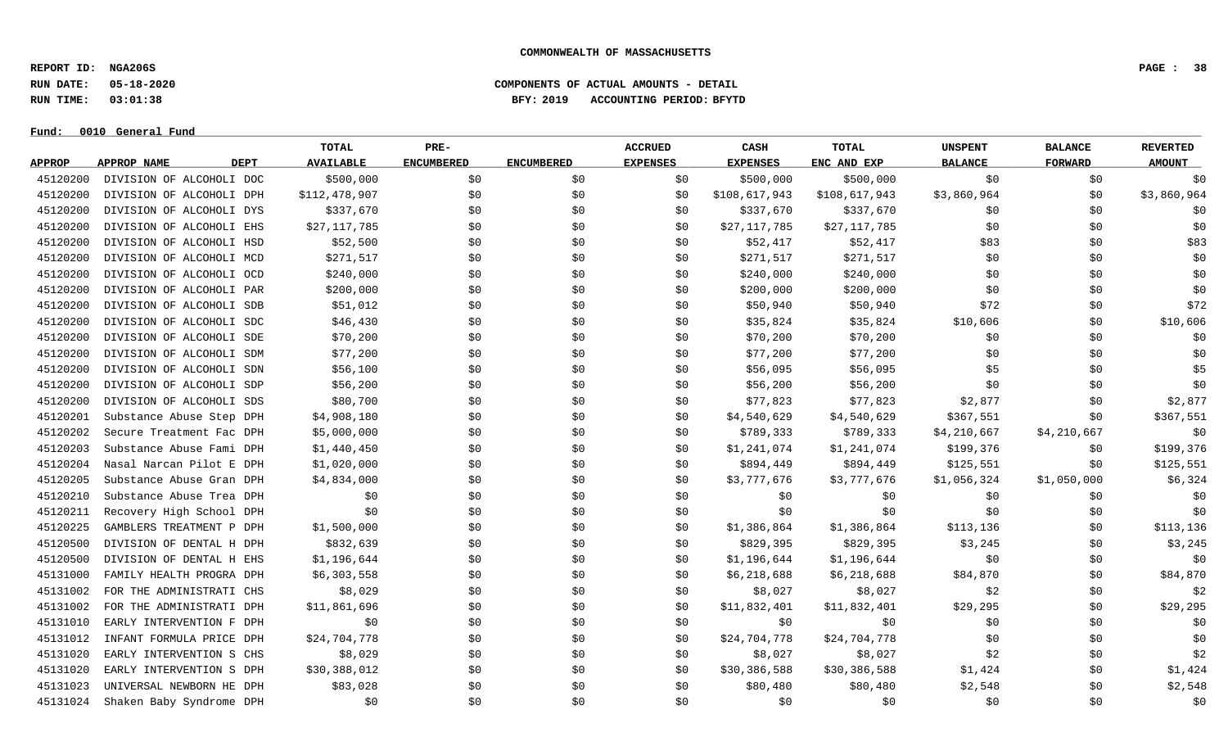**REPORT ID: NGA206S PAGE : 38**

**RUN DATE: 05-18-2020 COMPONENTS OF ACTUAL AMOUNTS - DETAIL**

**RUN TIME: 03:01:38 BFY: 2019 ACCOUNTING PERIOD: BFYTD**

 $Fund: 0010$  General Fund

# **TOTAL PRE- ACCRUED CASH TOTAL UNSPENT BALANCE REVERTED** <u>APPROP APPROPNAME – DEPT AVAILABLE ENCUMBERED ENCUMBERED EXPENSES EXPENSES ENCANDEXP BALANCE – FORWARD – AMOUNT</u> 45120200 DIVISION OF ALCOHOLI DOC \$500,000 \$0 \$0 \$0 \$500,000 \$500,000 \$500,000 \$0 \$0 \$0 \$0 \$0 \$0 45120200 DIVISION OF ALCOHOLI DPH \$112,478,907 \$0 \$0 \$0 \$108,617,943 \$108,617,943 \$3,860,964 \$0 \$3,860,964 \$0 45120200 DIVISION OF ALCOHOLI DYS \$337,670 \$0 \$0 \$0 \$337,670 \$337,670 \$0 \$0 \$0 \$0 \$0 \$0 45120200 DIVISION OF ALCOHOLI EHS \$27,117,785 \$0 \$0 \$0 \$0 \$27,117,785 \$27,117,785 \$0 \$0 \$0 \$0 \$0 \$0 45120200 DIVISION OF ALCOHOLI HSD \$52,500 \$0 \$0 \$0 \$52,417 \$52,417 \$83 \$0 \$83 45120200 DIVISION OF ALCOHOLI MCD \$271,517 \$0 \$0 \$0 \$271,517 \$271,517 \$271,517 \$0 \$0 \$0 \$0 45120200 DIVISION OF ALCOHOLI OCD \$240,000 \$0 \$0 \$0 \$240,000 \$240,000 \$240,000 \$0 \$0 \$0 \$0 \$0 \$0 \$0 45120200 DIVISION OF ALCOHOLI PAR \$200,000 \$0 \$0 \$0 \$200,000 \$200,000 \$200,000 \$0 \$0 \$0 \$0 \$0 45120200 DIVISION OF ALCOHOLI SDB \$51,012 \$0 \$0 \$0 \$50,940 \$50,940 \$50,940 \$72 \$0 \$0 \$72 45120200 DIVISION OF ALCOHOLI SDC \$46,430 \$0 \$0 \$0 \$35,824 \$35,824 \$10,606 \$0 \$10,606 \$10,606 45120200 DIVISION OF ALCOHOLI SDE \$70,200 \$0 \$0 \$0 \$0 \$70,200 \$70,200 \$0 \$0 \$0 \$0 \$0 \$0 \$0 \$0 45120200 DIVISION OF ALCOHOLI SDM \$77,200 \$0 \$0 \$0 \$0 \$77,200 \$77,200 \$17,200 \$0 \$0 \$0 \$0 \$0 45120200 DIVISION OF ALCOHOLI SDN \$56,100 \$0 \$0 \$0 \$56,095 \$56,095 \$56,095 \$5 \$0 \$0 \$5 45120200 DIVISION OF ALCOHOLI SDP \$56,200 \$0 \$0 \$0 \$0 \$56,200 \$56,200 \$56,200 \$0 \$0 \$0 \$0 \$0 45120200 DIVISION OF ALCOHOLI SDS \$80,700 \$0 \$0 \$0 \$0 \$77,823 \$77,823 \$2,877 \$20 \$0 \$2,877 45120201 Substance Abuse Step DPH \$4,908,180 \$0 \$0 \$0 \$1,540,629 \$4,540,629 \$367,551 \$0 \$367,551 \$0 \$367,551 45120202 Secure Treatment Fac DPH \$5,000,000 \$0 \$0 \$0 \$789,333 \$4,210,667 \$4,210,667 \$4,210,667 \$9 45120203 Substance Abuse Fami DPH \$1,440,450 \$0 \$0 \$0 \$1,241,074 \$1,241,074 \$199,376 \$0 \$199,376 \$0 \$199,376 45120204 Nasal Narcan Pilot E DPH \$1,020,000 \$0 \$0 \$0 \$0 \$894,449 \$894,449 \$125,551 \$0 \$125,551 \$0 \$125,551 45120205 Substance Abuse Gran DPH \$4,834,000 \$0 \$0 \$0 \$0 \$3,777,676 \$3,777,676 \$1,056,324 \$1,050,000 \$6,324 45120210 Substance Abuse Trea DPH \$0 \$0 \$0 \$0 \$0 \$0 \$0 \$0 \$0 45120211 Recovery High School DPH \$0 \$0 \$0 \$0 \$0 \$0 \$0 \$0 \$0 45120225 GAMBLERS TREATMENT P DPH \$1,500,000 \$0 \$0 \$0 \$1,386,864 \$1,386,864 \$113,136 \$0 \$113,136 45120500 DIVISION OF DENTAL HDPH \$832,639 \$0 \$0 \$0 \$829,395 \$829,395 \$3,245 \$3,245 \$0 \$3,245 45120500 DIVISION OF DENTAL HEHS \$1,196,644 \$1,196,644 \$1,000 \$0 \$0 \$1,196,644 \$1,196,644 \$0 \$0 \$0 \$0 \$0 45131000 FAMILY HEALTH PROGRA DPH \$6,303,558 \$0 \$0 \$0 \$0 \$6,218,688 \$6,218,688 \$84,870 \$0 \$84,870 45131002 FOR THE ADMINISTRATI CHS \$8,029 \$0 \$0 \$0 \$8,027 \$8,027 \$2 \$2 \$0 \$0 \$2 45131002 FOR THE ADMINISTRATI DPH \$11,861,696 \$0 \$0 \$0 \$0 \$11,832,401 \$11,832,401 \$29,295 \$0 \$29,295 45131010 EARLY INTERVENTION F DPH \$0 \$0 \$0 \$0 \$0 \$0 \$0 \$0 \$0 45131012 INFANT\_FORMULA\_PRICE\_DPH \$24,704,778 \$0 \$0 \$0 \$24,704,778 \$24,704,778 \$1 \$0 \$0 \$0 \$0 \$0 45131020 EARLY INTERVENTION S CHS \$8,029 \$0 \$0 \$0 \$8,027 \$8,027 \$2 \$0 \$0 \$2 45131020 EARLY INTERVENTION S DPH \$30,388,012 \$0 \$0 \$0 \$1,450,386,588 \$30,386,588 \$1,424 \$0 \$1,424 45131023 UNIVERSAL NEWBORN HE DPH \$83,028 \$0 \$0 \$0 \$0 \$80,480 \$80,480 \$80,480 \$2,548 \$0 \$0 \$2,548 45131024 Shaken Baby Syndrome DPH \$0 \$0 \$0 \$0 \$0 \$0 \$0 \$0 \$0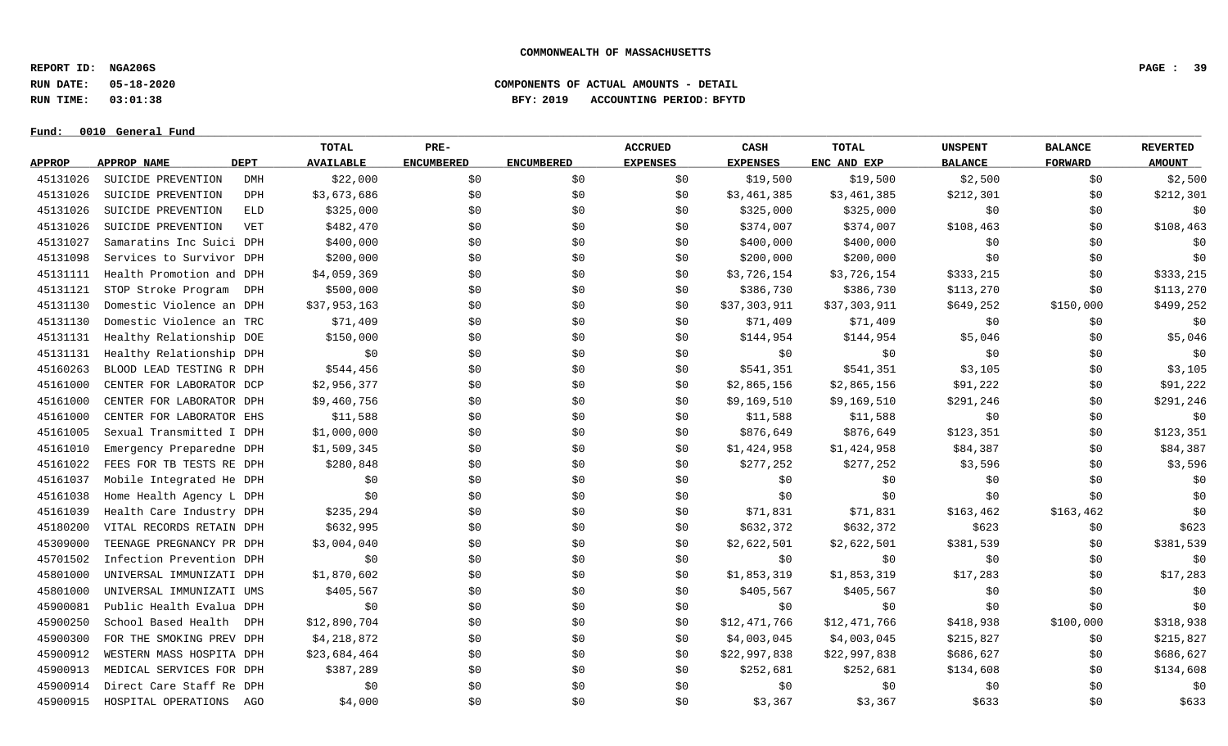**REPORT ID: NGA206S PAGE : 39**

**RUN DATE: 05-18-2020 COMPONENTS OF ACTUAL AMOUNTS - DETAIL**

**RUN TIME: 03:01:38 BFY: 2019 ACCOUNTING PERIOD: BFYTD**

 $Fund: 0010$  General Fund

# **TOTAL PRE- ACCRUED CASH TOTAL UNSPENT BALANCE REVERTED** <u>APPROP APPROPNAME – DEPT AVAILABLE ENCUMBERED ENCUMBERED EXPENSES EXPENSES ENCANDEXP BALANCE – FORWARD – AMOUNT</u> 45131026 SUICIDE PREVENTION DMH \$22,000 \$0 \$0 \$19,500 \$2,500 \$0 \$2,500 45131026 SUICIDE PREVENTION DPH \$3,673,686 \$0 \$0 \$0 \$3,461,385 \$3,461,385 \$212,301 \$0 \$212,300 \$212,301 45131026 SUICIDE PREVENTION ELD \$325,000 \$ \$ \$ \$325,000 \$0 \$0 \$0 \$0 45131026 SUICIDE PREVENTION VET \$482,470 \$0 \$0 \$0 \$374,007 \$374,007 \$108,463 \$0 \$108,463 \$0 \$108,463 45131027 Samaratins Inc Suici DPH \$400,000 \$0 \$0 \$0 \$0 \$400,000 \$400,000 \$0 \$0 \$0 \$0 \$0 \$0 \$0 45131098 Services to Survivor DPH \$200,000 \$0 \$0 \$0 \$200,000 \$200,000 \$0 \$0 \$0 45131111 Health Promotion and DPH \$4,059,369 \$0 \$0 \$0 \$1,726,154 \$3,726,154 \$333,215 \$0 \$333,215 45131121 STOP Stroke Program DPH \$500,000 \$0 \$0 \$0 \$386,730 \$386,730 \$113,270 \$113,270 \$0 \$113,270 45131130 Domestic Violence an DPH \$37,953,163 \$0 \$0 \$0 \$0 \$37,303,911 \$37,303,911 \$649,252 \$150,000 \$499,252 45131130 Domestic Violence an TRC \$71,409 \$0 \$0 \$0 \$11,409 \$71,409 \$90 \$71,409 \$0 \$0 \$0 \$0 \$0 \$0 \$0 \$0 \$0 \$0 \$0 45131131 Healthy Relationship DOE \$150,000 \$0 \$0 \$0 \$144,954 \$144,954 \$5,046 \$0 \$5,046 \$0 \$5,046 45131131 Healthy Relationship DPH \$0 \$0 \$0 \$0 \$0 \$0 \$0 \$0 \$0 45160263 BLOOD LEAD TESTING R DPH \$544,456 \$0 \$0 \$0 \$541,351 \$541,351 \$3,105 \$0 \$3,105 \$0 \$3,105 45161000 CENTER FOR LABORATOR DCP \$2,956,377 \$0 \$0 \$0 \$0 \$2,865,156 \$2,865,156 \$91,222 \$0 \$91,222 45161000 CENTER FOR LABORATOR DPH \$9,460,756 \$0 \$0 \$0 \$0 \$0 \$9,169,510 \$9,169,510 \$291,246 \$0 \$291,246 45161000 CENTER FOR LABORATOR EHS \$11,588 \$0 \$0 \$0 \$11,588 \$11,588 \$11,588 \$0 \$0 \$0 \$0 \$0 45161005 Sexual Transmitted I DPH \$1,000,000 \$0 \$0 \$0 \$876,649 \$876,649 \$123,351 \$0 \$123,351 \$0 \$123,351 45161010 Emergency Preparedne DPH \$1,509,345 \$0 \$0 \$0 \$1,424,958 \$1,424,958 \$84,387 \$84,387 \$0 \$84,387 45161022 FEES FOR TB TESTS RE DPH \$280,848 \$0 \$0 \$0 \$277,252 \$277,252 \$3,596 \$0 \$3,596 \$3,596 45161037 Mobile Integrated He DPH \$0 \$0 \$0 \$0 \$0 \$0 \$0 \$0 \$0 45161038 Home Health Agency L DPH \$0 \$0 \$0 \$0 \$0 \$0 \$0 \$0 \$0 45161039 Health Care Industry DPH \$235,294 \$0 \$0 \$0 \$71,831 \$71,831 \$163,462 \$163,462 \$163,462 \$0 45180200 VITAL RECORDS RETAIN DPH \$632,995 \$0 \$0 \$0 \$632,372 \$632,372 \$632,372 \$623 \$0 \$623 45309000 TEENAGE PREGNANCY PR DPH \$3,004,040 \$0 \$0 \$0 \$0 \$2,622,501 \$2,622,501 \$381,539 \$0 \$381,539 45701502 Infection Prevention DPH \$0 \$0 \$0 \$0 \$0 \$0 \$0 \$0 \$0 45801000 UNIVERSAL IMMUNIZATI DPH \$1,870,602 \$0 \$0 \$0 \$1,853,319 \$1,853,319 \$17,283 \$0 \$17,283 45801000 UNIVERSAL IMMUNIZATI UMS \$405,567 \$10 \$0 \$0 \$105,567 \$405,567 \$105,567 \$0 \$0 \$0 \$0 \$0 45900081 Public Health Evalua DPH \$0 \$0 \$0 \$0 \$0 \$0 \$0 \$0 \$0 45900250 School Based Health DPH \$12,890,704 \$0 \$0 \$12,471,766 \$12,471,766 \$418,938 \$100,000 \$318,938 45900300 FOR THE SMOKING PREV DPH \$4,218,872 \$0 \$0 \$0 \$1,003,045 \$4,003,045 \$215,827 \$0 \$215,827 \$0 \$215,827 45900912 WESTERN MASS HOSPITA DPH \$23,684,464 \$0 \$0 \$0 \$0 \$22,997,838 \$22,997,838 \$686,627 \$0 \$686,627 \$0 \$686,627 45900913 MEDICAL SERVICES FOR DPH \$387,289 \$0 \$0 \$0 \$252,681 \$252,681 \$134,608 \$0 \$134,608 \$0 \$134,608 45900914 Direct Care Staff Re DPH \$0 \$0 \$0 \$0 \$0 \$0 \$0 \$0 \$0 45900915 HOSPITAL OPERATIONS AGO \$4,000 \$0 \$0 \$0 \$3,367 \$3,367 \$3,367 \$633 \$0 \$633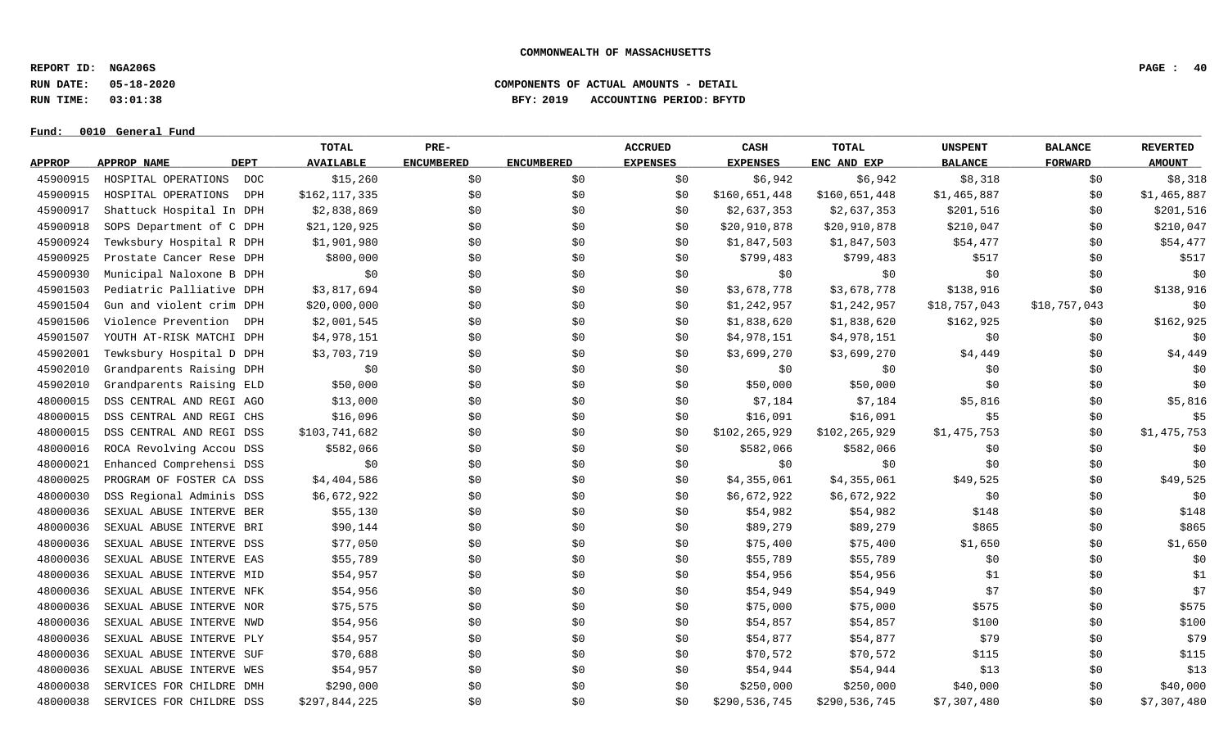**REPORT ID: NGA206S PAGE : 40**

**RUN DATE: 05-18-2020 COMPONENTS OF ACTUAL AMOUNTS - DETAIL**

**RUN TIME: 03:01:38 BFY: 2019 ACCOUNTING PERIOD: BFYTD**

 $Fund: 0010$  General Fund

# **TOTAL PRE- ACCRUED CASH TOTAL UNSPENT BALANCE REVERTED** <u>APPROP APPROPNAME – DEPT AVAILABLE ENCUMBERED ENCUMBERED EXPENSES EXPENSES ENCANDEXP BALANCE – FORWARD – AMOUNT</u> 45900915 HOSPITAL OPERATIONS DOC \$15,260 \$0 \$0 \$6,942 \$8,318 \$0 \$8,318 45900915 HOSPITAL OPERATIONS DPH \$162,117,335 \$0 \$0 \$0 \$0 \$160,651,448 \$160,651,448 \$1,465,887 \$0 \$1,465,887 45900917 Shattuck Hospital In DPH \$2,838,869 \$0 \$0 \$0 \$2,637,353 \$2,637,353 \$201,516 \$0 \$201,516 45900918 SOPS Department of C DPH \$21,120,925 \$0 \$0 \$0 \$20,910,878 \$210,047 \$210,047 \$10 \$10,047 \$0 \$210,047 45900924 Tewksbury Hospital R DPH \$1,901,980 \$0 \$0 \$0 \$1,847,503 \$1,847,503 \$54,477 \$0 \$54,477 45900925 Prostate Cancer Rese DPH \$800,000 \$0 \$0 \$0 \$0 \$799,483 \$799,483 \$517 \$0 \$0 \$517 45900930 Municipal Naloxone B DPH \$0 \$0 \$0 \$0 \$0 \$0 \$0 \$0 \$0 45901503 Pediatric Palliative DPH \$3,817,694 \$0 \$0 \$0 \$3,678,778 \$3,678,778 \$138,916 \$0 \$138,916 \$0 \$138,916 45901504 Gun and violent crim DPH \$20,000,000 \$0 \$0 \$0 \$0 \$1,242,957 \$1,242,957 \$18,757,043 \$18,757,043 \$0 45901506 Violence Prevention DPH \$2,001,545 \$0 \$0 \$0 \$0 \$1,838,620 \$1,838,620 \$162,925 \$0 \$162,925 \$0 \$162,925 45901507 YOUTH AT-RISK MATCHI DPH \$4,978,151 \$0 \$0 \$0 \$1,978,151 \$4,978,151 \$0 \$0 \$0 \$0 \$0 45902001 Tewksbury Hospital D DPH \$3,703,719 \$0 \$0 \$0 \$3,699,270 \$3,699,270 \$4,449 \$0 \$4,449 \$0 \$4,449 45902010 Grandparents Raising DPH \$0 \$0 \$0 \$0 \$0 \$0 \$0 \$0 \$0 45902010 Grandparents Raising ELD \$50,000 \$0 \$0 \$0 \$0 \$50,000 \$50,000 \$50,000 \$0 \$0 \$0 \$0 \$0 48000015 DSS CENTRAL AND REGI AGO \$13,000 \$0 \$0 \$0 \$7,184 \$7,184 \$7,184 \$5,816 \$0 \$5,816 48000015 DSS CENTRAL AND REGI CHS \$16,096 \$0 \$0 \$0 \$16,091 \$16,091 \$16,091 \$5 \$0 \$0 \$5 48000015 DSS CENTRAL AND REGI DSS \$103,741,682 \$0 \$0 \$0 \$0 \$102,265,929 \$102,265,929 \$1,475,753 \$0 \$1,475,753 48000016 ROCA Revolving Accou DSS \$582,066 \$0 \$0 \$0 \$582,066 \$582,066 \$0 \$0 \$0 48000021 Enhanced Comprehensi DSS \$0 \$0 \$0 \$0 \$0 \$0 \$0 \$0 \$0 48000025 PROGRAM OF FOSTER CA DSS \$4,404,586 \$0 \$0 \$0 \$4,355,061 \$4,355,061 \$49,525 \$0 \$49,525 48000030 DSS Regional Adminis DSS \$6,672,922 \$0 \$0 \$0 \$0 \$6,672,922 \$6,672,922 \$0 \$0 \$0 \$0 \$0 \$0 48000036 SEXUAL ABUSE INTERVE BER \$55,130 \$0 \$0 \$0 \$54,982 \$54,982 \$148 \$148 \$0 \$148 48000036 SEXUAL ABUSE INTERVE BRI \$90,144 \$0 \$0 \$0 \$0 \$89,279 \$89,279 \$89,279 \$865 \$0 \$865 48000036 SEXUAL ABUSE INTERVE DSS \$77,050 \$0 \$0 \$0 \$0 \$75,400 \$75,400 \$1,650 \$1,650 \$0 \$1,650 \$1,650 48000036 SEXUAL ABUSE INTERVE EAS \$55,789 \$0 \$0 \$0 \$55,789 \$55,789 \$0 \$0 \$0 48000036 SEXUAL ABUSE INTERVE MID \$54,957 \$0 \$0 \$0 \$54,956 \$54,956 \$1 \$1 \$0 \$1 \$0 \$1 48000036 SEXUAL ABUSE INTERVE NFK \$54,956 \$0 \$0 \$0 \$54,949 \$54,949 \$54,949 \$7 \$0 \$0 \$7 48000036 SEXUAL ABUSE INTERVE NOR \$75,575 \$0 \$0 \$0 \$0 \$75,000 \$75,000 \$75,000 \$575 \$0 \$0 \$575 48000036 SEXUAL ABUSE INTERVE NWD \$54,956 \$0 \$0 \$0 \$54,857 \$54,857 \$100 \$100 \$0 \$100 \$100 48000036 SEXUAL ABUSE INTERVE PLY \$54,957 \$0 \$0 \$0 \$54,877 \$54,877 \$54,877 \$79 \$0 \$79 48000036 SEXUAL ABUSE INTERVE SUF \$70,688 \$0 \$0 \$0 \$70,572 \$70,572 \$115 \$115 \$0 \$115 48000036 SEXUAL ABUSE INTERVE WES \$54,957 \$0 \$0 \$0 \$54,944 \$54,944 \$13 \$0 \$0 \$13 48000038 SERVICES FOR CHILDRE DMH \$290,000 \$0 \$0 \$250,000 \$250,000 \$40,000 \$40,000 \$40,000 \$40,000 48000038 SERVICES FOR CHILDRE DSS \$297,844,225 \$0 \$0 \$0 \$0 \$290,536,745 \$290,536,745 \$7,307,480 \$0 \$7,307,480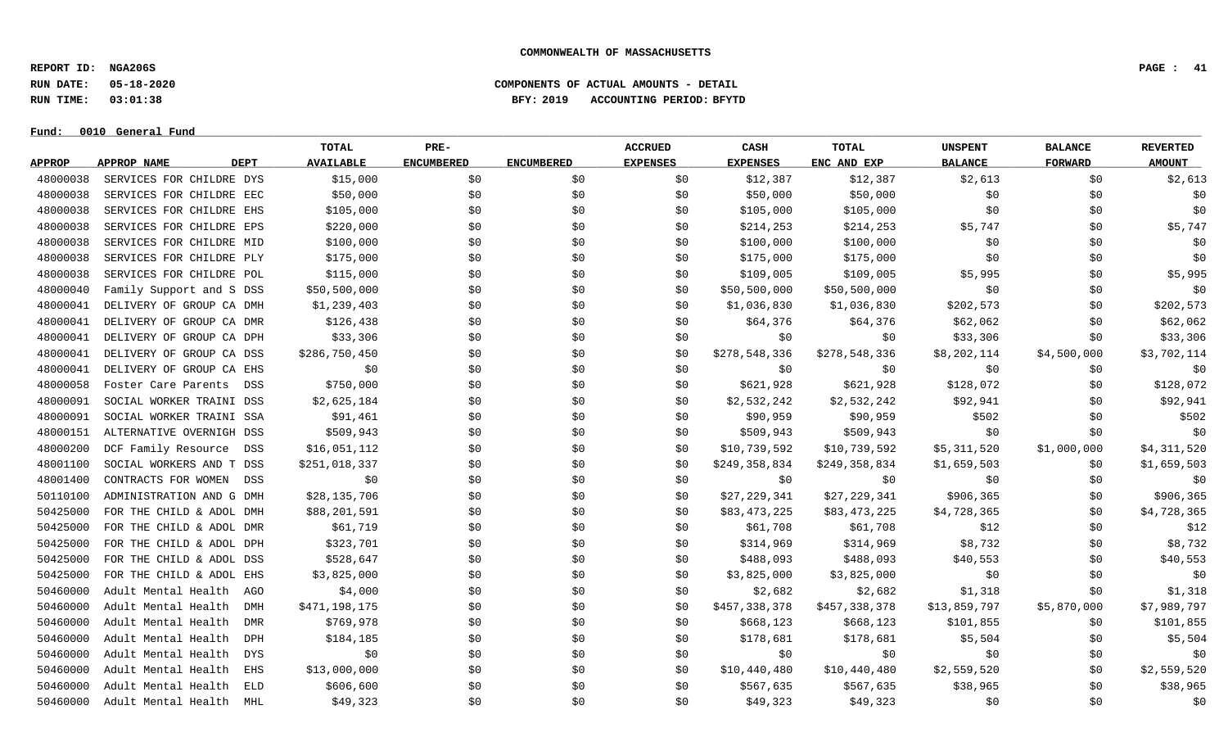**REPORT ID: NGA206S PAGE : 41**

**RUN DATE: 05-18-2020 COMPONENTS OF ACTUAL AMOUNTS - DETAIL**

# **RUN TIME: 03:01:38 BFY: 2019 ACCOUNTING PERIOD: BFYTD**

|               |                                   | TOTAL            | PRE-              |                   | <b>ACCRUED</b>  | CASH            | TOTAL         | <b>UNSPENT</b> | <b>BALANCE</b> | <b>REVERTED</b> |
|---------------|-----------------------------------|------------------|-------------------|-------------------|-----------------|-----------------|---------------|----------------|----------------|-----------------|
| <b>APPROP</b> | <b>DEPT</b><br>APPROP NAME        | <b>AVAILABLE</b> | <b>ENCUMBERED</b> | <b>ENCUMBERED</b> | <b>EXPENSES</b> | <b>EXPENSES</b> | ENC AND EXP   | <b>BALANCE</b> | <b>FORWARD</b> | <b>AMOUNT</b>   |
| 48000038      | SERVICES FOR CHILDRE DYS          | \$15,000         | \$0               | \$0               | \$0             | \$12,387        | \$12,387      | \$2,613        | \$0            | \$2,613         |
| 48000038      | SERVICES FOR CHILDRE EEC          | \$50,000         | \$0               | \$0               | \$0             | \$50,000        | \$50,000      | \$0            | \$0            | \$0             |
| 48000038      | SERVICES FOR CHILDRE EHS          | \$105,000        | \$0               | \$0               | \$0             | \$105,000       | \$105,000     | \$0            | \$0\$          | \$0             |
| 48000038      | SERVICES FOR CHILDRE EPS          | \$220,000        | \$0               | \$0               | \$0             | \$214,253       | \$214,253     | \$5,747        | \$0            | \$5,747         |
| 48000038      | SERVICES FOR CHILDRE MID          | \$100,000        | \$0               | \$0               | \$0             | \$100,000       | \$100,000     | \$0            | \$0\$          | \$0             |
| 48000038      | SERVICES FOR CHILDRE PLY          | \$175,000        | \$0               | \$0               | \$0             | \$175,000       | \$175,000     | \$0            | \$0            | \$0             |
| 48000038      | SERVICES FOR CHILDRE POL          | \$115,000        | \$0               | \$0               | \$0             | \$109,005       | \$109,005     | \$5,995        | \$0            | \$5,995         |
| 48000040      | Family Support and S DSS          | \$50,500,000     | \$0               | \$0               | \$0             | \$50,500,000    | \$50,500,000  | \$0            | \$0            | \$0             |
| 48000041      | DELIVERY OF GROUP CA DMH          | \$1,239,403      | \$0               | \$0               | \$0             | \$1,036,830     | \$1,036,830   | \$202,573      | \$0            | \$202,573       |
| 48000041      | DELIVERY OF GROUP CA DMR          | \$126,438        | \$0               | \$0               | \$0             | \$64,376        | \$64,376      | \$62,062       | \$0            | \$62,062        |
| 48000041      | DELIVERY OF GROUP CA DPH          | \$33,306         | \$0               | \$0               | \$0             | \$0             | \$0           | \$33,306       | \$0            | \$33,306        |
| 48000041      | DELIVERY OF GROUP CA DSS          | \$286,750,450    | \$0               | \$0               | \$0             | \$278,548,336   | \$278,548,336 | \$8,202,114    | \$4,500,000    | \$3,702,114     |
| 48000041      | DELIVERY OF GROUP CA EHS          | \$0              | \$0               | \$0               | \$0             | \$0             | \$0           | \$0            | \$0            | \$0             |
| 48000058      | Foster Care Parents<br>DSS        | \$750,000        | \$0               | \$0               | \$0             | \$621,928       | \$621,928     | \$128,072      | \$0            | \$128,072       |
| 48000091      | SOCIAL WORKER TRAINI DSS          | \$2,625,184      | \$0               | \$0               | \$0             | \$2,532,242     | \$2,532,242   | \$92,941       | \$0            | \$92,941        |
| 48000091      | SOCIAL WORKER TRAINI SSA          | \$91,461         | \$0               | \$0               | \$0             | \$90,959        | \$90,959      | \$502          | \$0            | \$502           |
| 48000151      | ALTERNATIVE OVERNIGH DSS          | \$509,943        | \$0               | \$0               | \$0             | \$509,943       | \$509,943     | \$0            | \$0            | \$0             |
| 48000200      | DCF Family Resource DSS           | \$16,051,112     | \$0               | \$0               | \$0             | \$10,739,592    | \$10,739,592  | \$5,311,520    | \$1,000,000    | \$4,311,520     |
| 48001100      | SOCIAL WORKERS AND T DSS          | \$251,018,337    | \$0               | \$0               | \$0             | \$249,358,834   | \$249,358,834 | \$1,659,503    | \$0            | \$1,659,503     |
| 48001400      | CONTRACTS FOR WOMEN DSS           | \$0              | \$0               | \$0               | \$0             | \$0             | \$0           | \$0            | \$0\$          | \$0             |
| 50110100      | ADMINISTRATION AND G DMH          | \$28,135,706     | \$0               | \$0               | \$0             | \$27,229,341    | \$27,229,341  | \$906,365      | \$0            | \$906,365       |
| 50425000      | FOR THE CHILD & ADOL DMH          | \$88,201,591     | \$0               | \$0               | \$0             | \$83,473,225    | \$83,473,225  | \$4,728,365    | \$0            | \$4,728,365     |
| 50425000      | FOR THE CHILD & ADOL DMR          | \$61,719         | \$0               | \$0               | \$0             | \$61,708        | \$61,708      | \$12           | \$0            | \$12            |
| 50425000      | FOR THE CHILD & ADOL DPH          | \$323,701        | \$0               | \$0               | \$0             | \$314,969       | \$314,969     | \$8,732        | \$0            | \$8,732         |
| 50425000      | FOR THE CHILD & ADOL DSS          | \$528,647        | \$0               | \$0               | \$0             | \$488,093       | \$488,093     | \$40,553       | \$0\$          | \$40,553        |
| 50425000      | FOR THE CHILD & ADOL EHS          | \$3,825,000      | \$0               | \$0               | \$0             | \$3,825,000     | \$3,825,000   | \$0            | \$0\$          | \$0             |
| 50460000      | Adult Mental Health<br>AGO        | \$4,000          | \$0               | \$0               | \$0             | \$2,682         | \$2,682       | \$1,318        | \$0            | \$1,318         |
| 50460000      | Adult Mental Health<br><b>DMH</b> | \$471,198,175    | \$0               | \$0               | \$0             | \$457,338,378   | \$457,338,378 | \$13,859,797   | \$5,870,000    | \$7,989,797     |
| 50460000      | Adult Mental Health<br>DMR        | \$769,978        | \$0               | \$0               | \$0             | \$668,123       | \$668,123     | \$101,855      | \$0            | \$101,855       |
| 50460000      | Adult Mental Health<br>DPH        | \$184,185        | \$0               | \$0               | \$0             | \$178,681       | \$178,681     | \$5,504        | \$0            | \$5,504         |
| 50460000      | Adult Mental Health<br>DYS        | \$0              | \$0               | \$0               | \$0             | \$0             | \$0           | \$0            | \$0            | \$0             |
| 50460000      | Adult Mental Health<br>EHS        | \$13,000,000     | \$0               | \$0               | SO.             | \$10,440,480    | \$10,440,480  | \$2,559,520    | \$0            | \$2,559,520     |
| 50460000      | Adult Mental Health<br>ELD        | \$606,600        | \$0               | \$0               | \$0             | \$567,635       | \$567,635     | \$38,965       | \$0            | \$38,965        |
| 50460000      | Adult Mental Health<br>MHL        | \$49,323         | \$0               | \$0               | \$0             | \$49,323        | \$49,323      | \$0            | \$0            | \$0             |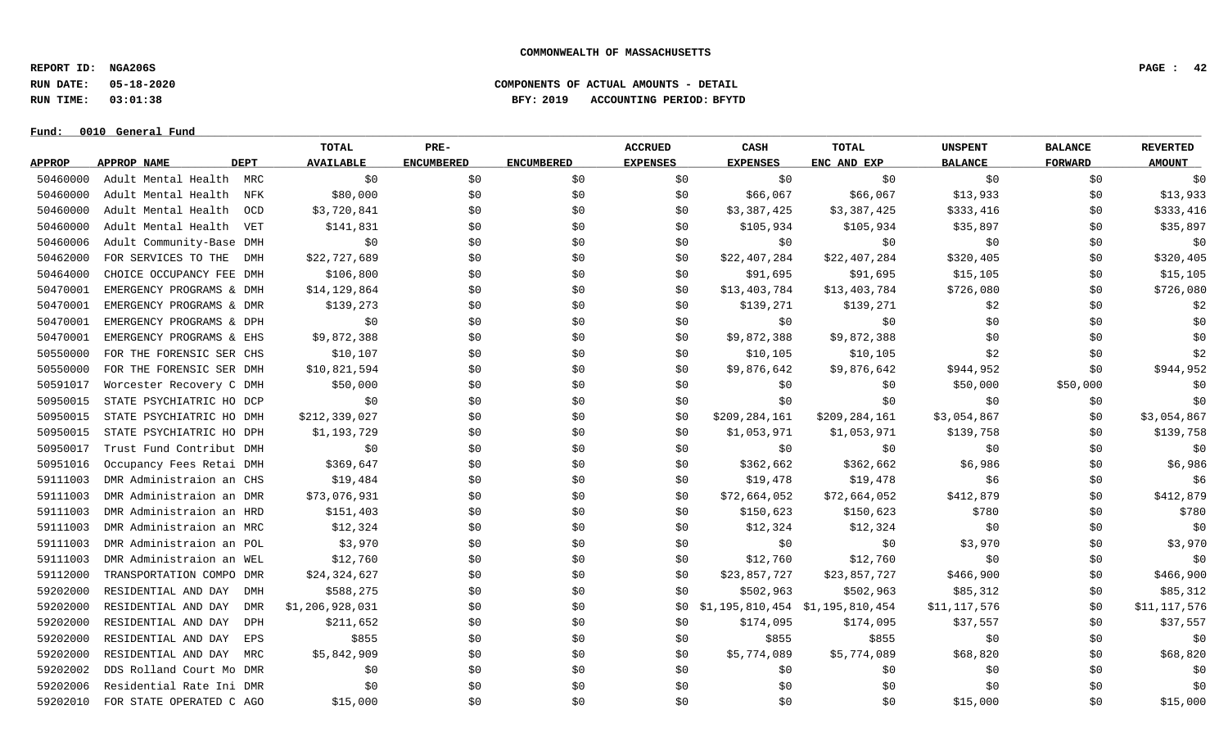**REPORT ID: NGA206S PAGE : 42**

**RUN DATE: 05-18-2020 COMPONENTS OF ACTUAL AMOUNTS - DETAIL**

**RUN TIME: 03:01:38 BFY: 2019 ACCOUNTING PERIOD: BFYTD**

|               |                            | TOTAL            | PRE-              |                   | <b>ACCRUED</b>  | CASH            | <b>TOTAL</b>                      | <b>UNSPENT</b> | <b>BALANCE</b> | <b>REVERTED</b> |
|---------------|----------------------------|------------------|-------------------|-------------------|-----------------|-----------------|-----------------------------------|----------------|----------------|-----------------|
| <b>APPROP</b> | <b>DEPT</b><br>APPROP NAME | <b>AVAILABLE</b> | <b>ENCUMBERED</b> | <b>ENCUMBERED</b> | <b>EXPENSES</b> | <b>EXPENSES</b> | ENC AND EXP                       | <b>BALANCE</b> | <b>FORWARD</b> | <b>AMOUNT</b>   |
| 50460000      | Adult Mental Health MRC    | \$0              | \$0               | \$0               | \$0             | \$0             | \$0                               | \$0            | \$0            | \$0             |
| 50460000      | Adult Mental Health<br>NFK | \$80,000         | \$0               | \$0               | \$0             | \$66,067        | \$66,067                          | \$13,933       | \$0            | \$13,933        |
| 50460000      | Adult Mental Health<br>OCD | \$3,720,841      | \$0               | \$0               | \$0             | \$3,387,425     | \$3,387,425                       | \$333,416      | \$0            | \$333,416       |
| 50460000      | Adult Mental Health<br>VET | \$141,831        | \$0               | \$0               | \$0             | \$105,934       | \$105,934                         | \$35,897       | \$0            | \$35,897        |
| 50460006      | Adult Community-Base DMH   | \$0              | \$0               | \$0               | \$0             | \$0             | \$0                               | \$0            | \$0            | \$0             |
| 50462000      | FOR SERVICES TO THE<br>DMH | \$22,727,689     | \$0               | \$0               | \$0             | \$22,407,284    | \$22,407,284                      | \$320,405      | \$0            | \$320,405       |
| 50464000      | CHOICE OCCUPANCY FEE DMH   | \$106,800        | \$0               | \$0               | \$0             | \$91,695        | \$91,695                          | \$15, 105      | \$0            | \$15,105        |
| 50470001      | EMERGENCY PROGRAMS & DMH   | \$14,129,864     | \$0               | \$0               | \$0             | \$13,403,784    | \$13,403,784                      | \$726,080      | \$0            | \$726,080       |
| 50470001      | EMERGENCY PROGRAMS & DMR   | \$139,273        | \$0               | \$0               | \$0             | \$139,271       | \$139,271                         | \$2            | \$0            | \$2             |
| 50470001      | EMERGENCY PROGRAMS & DPH   | \$0              | \$0               | \$0               | \$0             | \$0             | \$0                               | \$0            | \$0            | \$0             |
| 50470001      | EMERGENCY PROGRAMS & EHS   | \$9,872,388      | \$0\$             | \$0               | \$0             | \$9,872,388     | \$9,872,388                       | \$0            | \$0            | \$0             |
| 50550000      | FOR THE FORENSIC SER CHS   | \$10, 107        | \$0               | \$0               | \$0             | \$10,105        | \$10,105                          | \$2            | \$0            | \$2             |
| 50550000      | FOR THE FORENSIC SER DMH   | \$10,821,594     | \$0               | \$0               | \$0             | \$9,876,642     | \$9,876,642                       | \$944,952      | \$0            | \$944,952       |
| 50591017      | Worcester Recovery C DMH   | \$50,000         | \$0\$             | \$0               | \$0             | \$0             | \$0                               | \$50,000       | \$50,000       | \$0             |
| 50950015      | STATE PSYCHIATRIC HO DCP   | \$0              | \$0               | \$0               | \$0             | \$0             | \$0                               | \$0            | \$0            | \$0             |
| 50950015      | STATE PSYCHIATRIC HO DMH   | \$212,339,027    | \$0\$             | \$0               | \$0             | \$209,284,161   | \$209,284,161                     | \$3,054,867    | \$0            | \$3,054,867     |
| 50950015      | STATE PSYCHIATRIC HO DPH   | \$1,193,729      | \$0               | \$0               | \$0             | \$1,053,971     | \$1,053,971                       | \$139,758      | \$0            | \$139,758       |
| 50950017      | Trust Fund Contribut DMH   | \$0              | \$0               | \$0               | \$0             | \$0             | \$0                               | \$0            | \$0            | \$0             |
| 50951016      | Occupancy Fees Retai DMH   | \$369,647        | \$0               | \$0               | \$0             | \$362,662       | \$362,662                         | \$6,986        | \$0            | \$6,986         |
| 59111003      | DMR Administraion an CHS   | \$19,484         | \$0\$             | \$0               | \$0             | \$19,478        | \$19,478                          | \$6            | \$0            | \$6             |
| 59111003      | DMR Administraion an DMR   | \$73,076,931     | \$0               | \$0               | \$0             | \$72,664,052    | \$72,664,052                      | \$412,879      | \$0            | \$412,879       |
| 59111003      | DMR Administraion an HRD   | \$151,403        | \$0               | \$0               | \$0             | \$150,623       | \$150,623                         | \$780          | \$0            | \$780           |
| 59111003      | DMR Administraion an MRC   | \$12,324         | \$0               | \$0               | \$0             | \$12,324        | \$12,324                          | \$0            | \$0\$          | \$0             |
| 59111003      | DMR Administraion an POL   | \$3,970          | \$0               | \$0               | \$0             | \$0             | \$0                               | \$3,970        | \$0            | \$3,970         |
| 59111003      | DMR Administraion an WEL   | \$12,760         | \$0               | \$0               | \$0             | \$12,760        | \$12,760                          | \$0            | \$0            | \$0             |
| 59112000      | TRANSPORTATION COMPO DMR   | \$24,324,627     | \$0               | \$0               | \$0             | \$23,857,727    | \$23,857,727                      | \$466,900      | \$0            | \$466,900       |
| 59202000      | RESIDENTIAL AND DAY<br>DMH | \$588,275        | \$0               | \$0               | \$0             | \$502,963       | \$502,963                         | \$85,312       | \$0            | \$85,312        |
| 59202000      | RESIDENTIAL AND DAY<br>DMR | \$1,206,928,031  | \$0               | \$0               | SO.             |                 | $$1,195,810,454$ $$1,195,810,454$ | \$11,117,576   | \$0            | \$11,117,576    |
| 59202000      | RESIDENTIAL AND DAY<br>DPH | \$211,652        | \$0               | \$0               | \$0             | \$174,095       | \$174,095                         | \$37,557       | \$0            | \$37,557        |
| 59202000      | RESIDENTIAL AND DAY<br>EPS | \$855            | \$0               | \$0               | \$0             | \$855           | \$855                             | \$0            | \$0            | \$0             |
| 59202000      | RESIDENTIAL AND DAY<br>MRC | \$5,842,909      | \$0               | \$0               | \$0             | \$5,774,089     | \$5,774,089                       | \$68,820       | \$0            | \$68,820        |
| 59202002      | DDS Rolland Court Mo DMR   | \$0              | \$0               | \$0               | \$0             | \$0             | \$0                               | \$0            | \$0            | \$0             |
| 59202006      | Residential Rate Ini DMR   | \$0              | \$0               | \$0               | \$0             | \$0\$           | \$0                               | \$0            | \$0            | \$0             |
| 59202010      | FOR STATE OPERATED C AGO   | \$15,000         | \$0               | \$0               | \$0             | \$0             | \$0                               | \$15,000       | \$0            | \$15,000        |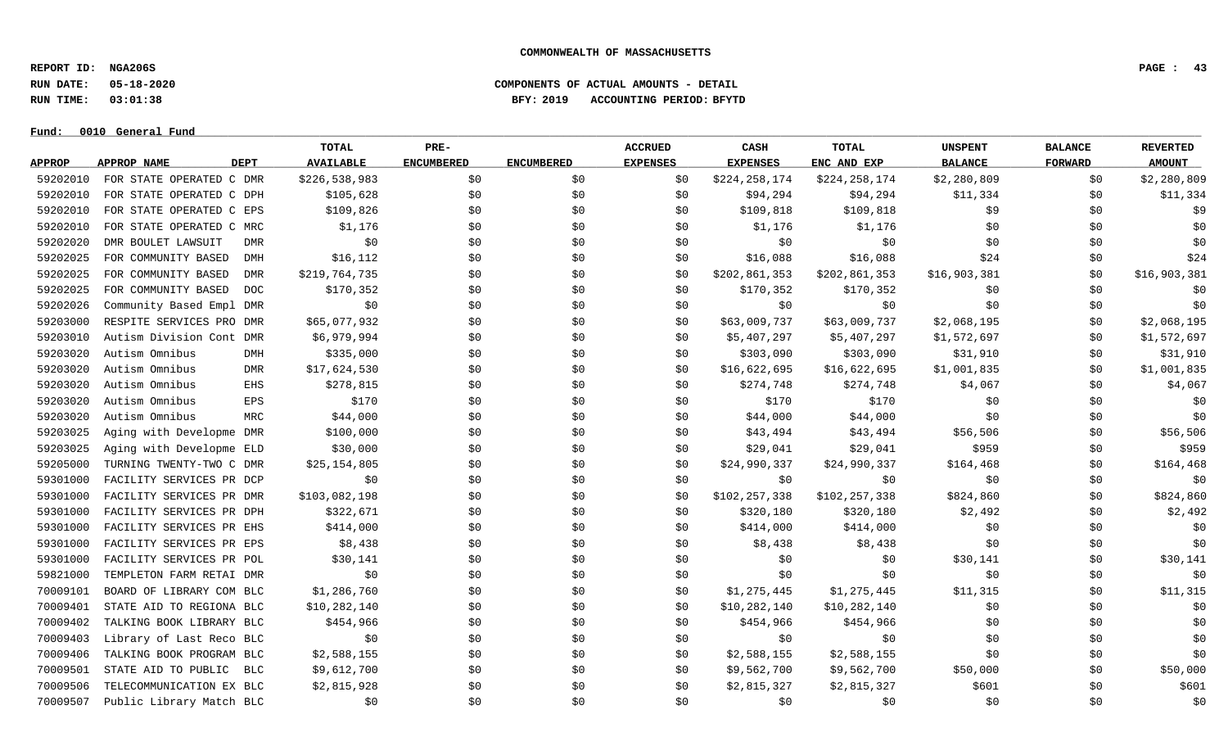**REPORT ID: NGA206S PAGE : 43**

**RUN DATE: 05-18-2020 COMPONENTS OF ACTUAL AMOUNTS - DETAIL**

**RUN TIME: 03:01:38 BFY: 2019 ACCOUNTING PERIOD: BFYTD**

|               |                                   | <b>TOTAL</b>     | PRE-              |                   | <b>ACCRUED</b>  | CASH            | <b>TOTAL</b>  | <b>UNSPENT</b> | <b>BALANCE</b> | <b>REVERTED</b> |
|---------------|-----------------------------------|------------------|-------------------|-------------------|-----------------|-----------------|---------------|----------------|----------------|-----------------|
| <b>APPROP</b> | <b>APPROP NAME</b><br><b>DEPT</b> | <b>AVAILABLE</b> | <b>ENCUMBERED</b> | <b>ENCUMBERED</b> | <b>EXPENSES</b> | <b>EXPENSES</b> | ENC AND EXP   | <b>BALANCE</b> | FORWARD        | <b>AMOUNT</b>   |
| 59202010      | FOR STATE OPERATED C DMR          | \$226,538,983    | \$0               | \$0               | \$0             | \$224,258,174   | \$224,258,174 | \$2,280,809    | \$0            | \$2,280,809     |
| 59202010      | FOR STATE OPERATED C DPH          | \$105,628        | \$0               | \$0               | \$0             | \$94,294        | \$94,294      | \$11,334       | \$0            | \$11,334        |
| 59202010      | FOR STATE OPERATED C EPS          | \$109,826        | \$0               | \$0               | \$0             | \$109,818       | \$109,818     | \$9            | \$0            | \$9             |
| 59202010      | FOR STATE OPERATED C MRC          | \$1,176          | \$0               | \$0               | \$0             | \$1,176         | \$1,176       | \$0            | \$0            | \$0\$           |
| 59202020      | DMR BOULET LAWSUIT<br><b>DMR</b>  | \$0              | \$0               | \$0               | \$0             | \$0             | \$0           | \$0            | \$0            | \$0             |
| 59202025      | FOR COMMUNITY BASED<br>DMH        | \$16, 112        | \$0               | \$0               | \$0             | \$16,088        | \$16,088      | \$24           | \$0            | \$24            |
| 59202025      | FOR COMMUNITY BASED<br><b>DMR</b> | \$219,764,735    | \$0               | \$0               | \$0             | \$202,861,353   | \$202,861,353 | \$16,903,381   | \$0            | \$16,903,381    |
| 59202025      | FOR COMMUNITY BASED<br>DOC        | \$170,352        | \$0               | \$0               | \$0             | \$170,352       | \$170,352     | \$0            | \$0\$          | \$0             |
| 59202026      | Community Based Empl DMR          | \$0              | \$0               | \$0               | \$0             | \$0             | \$0           | \$0            | \$0\$          | \$0             |
| 59203000      | RESPITE SERVICES PRO DMR          | \$65,077,932     | \$0               | \$0               | \$0             | \$63,009,737    | \$63,009,737  | \$2,068,195    | \$0            | \$2,068,195     |
| 59203010      | Autism Division Cont DMR          | \$6,979,994      | \$0               | \$0               | \$0             | \$5,407,297     | \$5,407,297   | \$1,572,697    | \$0            | \$1,572,697     |
| 59203020      | Autism Omnibus<br>DMH             | \$335,000        | \$0               | \$0               | \$0             | \$303,090       | \$303,090     | \$31,910       | \$0            | \$31,910        |
| 59203020      | Autism Omnibus<br>DMR             | \$17,624,530     | \$0               | \$0               | \$0             | \$16,622,695    | \$16,622,695  | \$1,001,835    | \$0            | \$1,001,835     |
| 59203020      | Autism Omnibus<br>EHS             | \$278,815        | \$0               | \$0               | \$0             | \$274,748       | \$274,748     | \$4,067        | \$0            | \$4,067         |
| 59203020      | Autism Omnibus<br>EPS             | \$170            | \$0               | \$0               | \$0             | \$170           | \$170         | \$0            | \$0            | \$0             |
| 59203020      | Autism Omnibus<br>MRC             | \$44,000         | \$0               | \$0               | \$0             | \$44,000        | \$44,000      | \$0            | \$0            | \$0             |
| 59203025      | Aging with Developme DMR          | \$100,000        | \$0               | \$0               | \$0             | \$43,494        | \$43,494      | \$56,506       | \$0            | \$56,506        |
| 59203025      | Aging with Developme ELD          | \$30,000         | \$0               | \$0               | \$0             | \$29,041        | \$29,041      | \$959          | \$0            | \$959           |
| 59205000      | TURNING TWENTY-TWO C DMR          | \$25,154,805     | \$0               | \$0               | \$0             | \$24,990,337    | \$24,990,337  | \$164,468      | \$0            | \$164,468       |
| 59301000      | FACILITY SERVICES PR DCP          | \$0              | \$0               | \$0               | \$0\$           | \$0             | \$0           | \$0            | \$0            | \$0             |
| 59301000      | FACILITY SERVICES PR DMR          | \$103,082,198    | \$0               | \$0               | \$0             | \$102,257,338   | \$102,257,338 | \$824,860      | \$0            | \$824,860       |
| 59301000      | FACILITY SERVICES PR DPH          | \$322,671        | \$0               | \$0               | \$0             | \$320,180       | \$320,180     | \$2,492        | \$0            | \$2,492         |
| 59301000      | FACILITY SERVICES PR EHS          | \$414,000        | \$0               | \$0               | \$0             | \$414,000       | \$414,000     | \$0            | \$0            | \$0             |
| 59301000      | FACILITY SERVICES PR EPS          | \$8,438          | \$0               | \$0               | \$0             | \$8,438         | \$8,438       | \$0            | \$0            | \$0             |
| 59301000      | FACILITY SERVICES PR POL          | \$30,141         | \$0               | \$0               | \$0             | \$0             | \$0           | \$30,141       | \$0            | \$30,141        |
| 59821000      | TEMPLETON FARM RETAI DMR          | \$0              | \$0               | \$0               | \$0             | \$0             | \$0           | \$0            | \$0            | \$0             |
| 70009101      | BOARD OF LIBRARY COM BLC          | \$1,286,760      | \$0               | \$0               | \$0             | \$1,275,445     | \$1,275,445   | \$11,315       | \$0            | \$11,315        |
| 70009401      | STATE AID TO REGIONA BLC          | \$10,282,140     | \$0               | \$0               | \$0             | \$10,282,140    | \$10,282,140  | \$0            | \$0            | \$0             |
| 70009402      | TALKING BOOK LIBRARY BLC          | \$454,966        | \$0               | \$0               | \$0             | \$454,966       | \$454,966     | \$0            | \$0            | \$0             |
| 70009403      | Library of Last Reco BLC          | \$0              | \$0               | \$0               | \$0             | \$0             | \$0           | \$0            | \$0            | \$0             |
| 70009406      | TALKING BOOK PROGRAM BLC          | \$2,588,155      | \$0               | \$0               | \$0             | \$2,588,155     | \$2,588,155   | \$0            | \$0            | \$0             |
| 70009501      | STATE AID TO PUBLIC<br>BLC        | \$9,612,700      | \$0               | \$0               | \$0             | \$9,562,700     | \$9,562,700   | \$50,000       | \$0            | \$50,000        |
| 70009506      | TELECOMMUNICATION EX BLC          | \$2,815,928      | \$0               | \$0               | \$0             | \$2,815,327     | \$2,815,327   | \$601          | \$0            | \$601           |
| 70009507      | Public Library Match BLC          | \$0              | \$0               | \$0               | \$0             | \$0             | \$0           | \$0            | \$0            | \$0             |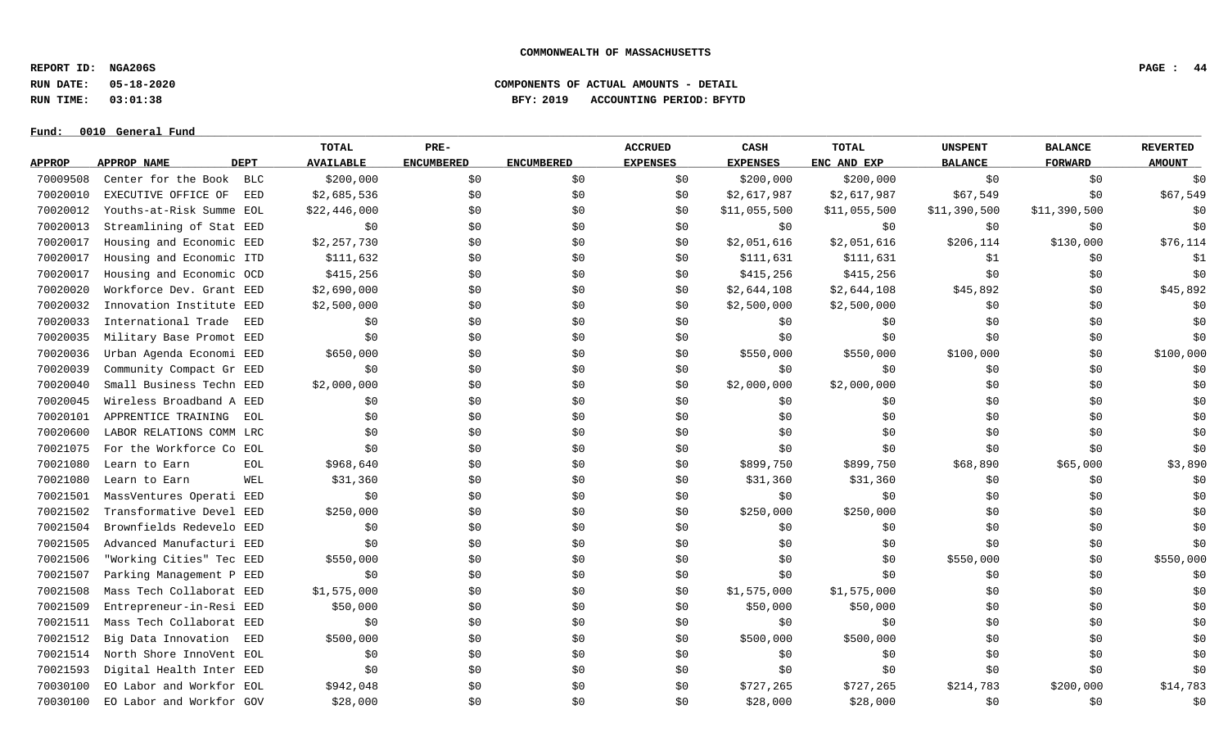**REPORT ID: NGA206S PAGE : 44**

**Fund: \_\_\_\_\_\_\_\_\_\_\_\_\_\_\_\_\_\_\_\_\_\_\_\_\_\_\_\_\_\_\_\_\_\_\_\_\_\_\_\_\_\_\_\_\_\_\_\_\_\_\_\_\_\_\_\_\_\_\_\_\_\_\_\_\_\_\_\_\_\_\_\_\_\_\_\_\_\_\_\_\_\_\_\_\_\_\_\_\_\_\_\_\_\_\_\_\_\_\_\_\_\_\_\_\_\_\_\_\_\_\_\_\_\_\_\_\_\_\_\_\_\_\_\_\_\_\_\_\_\_\_\_\_\_\_\_\_\_\_\_\_\_\_\_\_\_\_\_\_\_\_\_\_\_\_\_\_\_\_\_\_\_\_\_\_\_\_\_\_\_\_\_\_\_\_\_\_\_ 0010 General Fund**

# **RUN DATE: 05-18-2020 COMPONENTS OF ACTUAL AMOUNTS - DETAIL RUN TIME: 03:01:38 BFY: 2019 ACCOUNTING PERIOD: BFYTD**

|               |                          |             | <b>TOTAL</b>     | PRE-              |                   | <b>ACCRUED</b>  | CASH            | <b>TOTAL</b> | <b>UNSPENT</b> | <b>BALANCE</b> | <b>REVERTED</b> |
|---------------|--------------------------|-------------|------------------|-------------------|-------------------|-----------------|-----------------|--------------|----------------|----------------|-----------------|
| <b>APPROP</b> | APPROP NAME              | <b>DEPT</b> | <b>AVAILABLE</b> | <b>ENCUMBERED</b> | <b>ENCUMBERED</b> | <b>EXPENSES</b> | <b>EXPENSES</b> | ENC AND EXP  | <b>BALANCE</b> | <b>FORWARD</b> | <b>AMOUNT</b>   |
| 70009508      | Center for the Book      | BLC         | \$200,000        | \$0               | \$0               | \$0             | \$200,000       | \$200,000    | \$0            | \$0            | \$0             |
| 70020010      | EXECUTIVE OFFICE OF      | EED         | \$2,685,536      | \$0               | \$0               | \$0             | \$2,617,987     | \$2,617,987  | \$67,549       | \$0            | \$67,549        |
| 70020012      | Youths-at-Risk Summe EOL |             | \$22,446,000     | \$0               | \$0               | \$0             | \$11,055,500    | \$11,055,500 | \$11,390,500   | \$11,390,500   | \$0             |
| 70020013      | Streamlining of Stat EED |             | \$0              | \$0               | \$0               | \$0             | \$0             | \$0          | \$0            | \$0\$          | \$0             |
| 70020017      | Housing and Economic EED |             | \$2,257,730      | \$0               | \$0               | \$0             | \$2,051,616     | \$2,051,616  | \$206,114      | \$130,000      | \$76,114        |
| 70020017      | Housing and Economic ITD |             | \$111,632        | \$0               | \$0               | \$0             | \$111,631       | \$111,631    | \$1            | \$0            | \$1             |
| 70020017      | Housing and Economic OCD |             | \$415,256        | \$0               | \$0               | \$0             | \$415,256       | \$415,256    | \$0            | \$0            | \$0             |
| 70020020      | Workforce Dev. Grant EED |             | \$2,690,000      | \$0               | \$0               | \$0             | \$2,644,108     | \$2,644,108  | \$45,892       | \$0            | \$45,892        |
| 70020032      | Innovation Institute EED |             | \$2,500,000      | \$0               | \$0               | \$0             | \$2,500,000     | \$2,500,000  | \$0            | \$0            | \$0             |
| 70020033      | International Trade      | EED         | \$0              | \$0               | \$0               | \$0             | \$0             | \$0          | \$0            | \$0\$          | \$0             |
| 70020035      | Military Base Promot EED |             | \$0              | \$0               | \$0               | \$0             | \$0             | \$0          | \$0            | \$0            | \$0             |
| 70020036      | Urban Agenda Economi EED |             | \$650,000        | \$0               | \$0               | \$0             | \$550,000       | \$550,000    | \$100,000      | \$0            | \$100,000       |
| 70020039      | Community Compact Gr EED |             | \$0              | \$0               | \$0               | \$0             | \$0             | \$0          | \$0            | \$0            | \$0             |
| 70020040      | Small Business Techn EED |             | \$2,000,000      | \$0               | \$0               | \$0             | \$2,000,000     | \$2,000,000  | \$0            | \$0\$          | \$0             |
| 70020045      | Wireless Broadband A EED |             | \$0              | \$0               | \$0               | \$0             | \$0             | \$0          | \$0            | \$0            | \$0             |
| 70020101      | APPRENTICE TRAINING      | EOL         | \$0              | \$0               | \$0               | \$0             | \$0             | \$0          | \$0            | \$0            | \$0             |
| 70020600      | LABOR RELATIONS COMM LRC |             | \$0              | \$0               | \$0               | \$0             | \$0             | \$0          | \$0            | \$0            | \$0             |
| 70021075      | For the Workforce Co EOL |             | \$0              | \$0               | \$0               | \$0             | \$0             | \$0          | \$0            | \$0            | \$0             |
| 70021080      | Learn to Earn            | EOL         | \$968,640        | \$0               | \$0               | \$0             | \$899,750       | \$899,750    | \$68,890       | \$65,000       | \$3,890         |
| 70021080      | Learn to Earn            | WEL         | \$31,360         | \$0               | \$0               | \$0             | \$31,360        | \$31,360     | \$0            | \$0            | \$0             |
| 70021501      | MassVentures Operati     | EED         | \$0              | \$0               | \$0               | \$0             | \$0             | \$0          | \$0            | \$0            | \$0             |
| 70021502      | Transformative Devel EED |             | \$250,000        | \$0\$             | \$0               | \$0             | \$250,000       | \$250,000    | \$0            | \$0            | \$0             |
| 70021504      | Brownfields Redevelo EED |             | \$0              | \$0               | \$0               | \$0             | \$0             | \$0          | \$0            | \$0            | \$0             |
| 70021505      | Advanced Manufacturi EED |             | \$0              | \$0               | \$0               | \$0             | \$0             | \$0          | \$0            | \$0            | \$0             |
| 70021506      | "Working Cities" Tec EED |             | \$550,000        | \$0               | \$0               | \$0             | \$0             | \$0          | \$550,000      | \$0            | \$550,000       |
| 70021507      | Parking Management P EED |             | \$0              | \$0               | \$0               | \$0             | \$0             | \$0          | \$0            | \$0            | \$0             |
| 70021508      | Mass Tech Collaborat EED |             | \$1,575,000      | \$0               | \$0               | \$0             | \$1,575,000     | \$1,575,000  | \$0            | \$0            | \$0             |
| 70021509      | Entrepreneur-in-Resi EED |             | \$50,000         | \$0               | \$0               | \$0             | \$50,000        | \$50,000     | \$0            | \$0            | \$0             |
| 70021511      | Mass Tech Collaborat EED |             | \$0              | \$0               | \$0               | \$0             | \$0             | \$0          | \$0            | \$0            | \$0             |
| 70021512      | Big Data Innovation      | EED         | \$500,000        | \$0               | \$0               | \$0             | \$500,000       | \$500,000    | \$0            | \$0            | \$0             |
| 70021514      | North Shore InnoVent EOL |             | \$0              | \$0               | \$0               | \$0             | \$0             | \$0          | \$0            | \$0            | \$0             |
| 70021593      | Digital Health Inter EED |             | \$0              | \$0               | \$0               | \$0             | \$0             | \$0          | \$0            | \$0            | \$0             |
| 70030100      | EO Labor and Workfor EOL |             | \$942,048        | \$0               | \$0               | \$0             | \$727,265       | \$727,265    | \$214,783      | \$200,000      | \$14,783        |
| 70030100      | EO Labor and Workfor GOV |             | \$28,000         | \$0               | \$0               | \$0             | \$28,000        | \$28,000     | \$0            | \$0            | \$0             |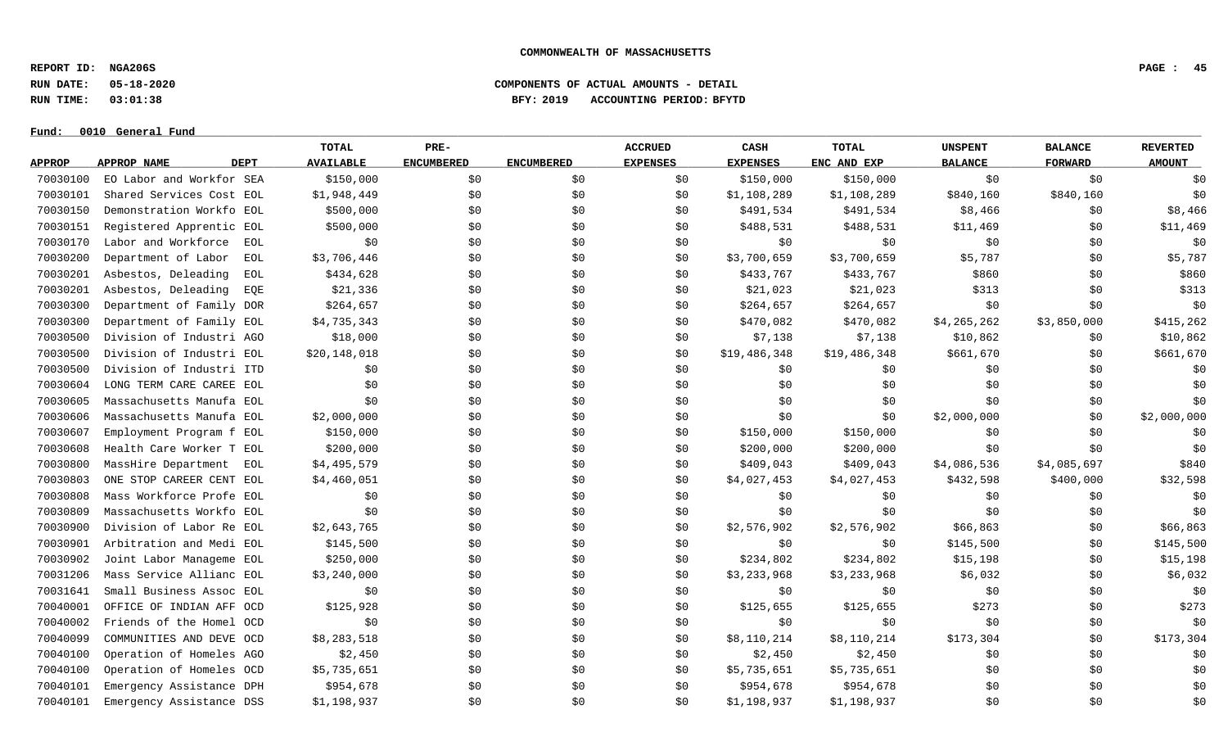**REPORT ID: NGA206S PAGE : 45**

**RUN DATE: 05-18-2020 COMPONENTS OF ACTUAL AMOUNTS - DETAIL**

**RUN TIME: 03:01:38 BFY: 2019 ACCOUNTING PERIOD: BFYTD**

|               |                            | <b>TOTAL</b>       | PRE-              |                   | <b>ACCRUED</b>  | CASH            | TOTAL        | <b>UNSPENT</b> | <b>BALANCE</b> | <b>REVERTED</b> |
|---------------|----------------------------|--------------------|-------------------|-------------------|-----------------|-----------------|--------------|----------------|----------------|-----------------|
| <b>APPROP</b> | <b>DEPT</b><br>APPROP NAME | <b>AVAILABLE</b>   | <b>ENCUMBERED</b> | <b>ENCUMBERED</b> | <b>EXPENSES</b> | <b>EXPENSES</b> | ENC AND EXP  | <b>BALANCE</b> | <b>FORWARD</b> | <b>AMOUNT</b>   |
| 70030100      | EO Labor and Workfor SEA   | \$150,000          | \$0               | \$0               | \$0             | \$150,000       | \$150,000    | \$0            | \$0            | \$0             |
| 70030101      | Shared Services Cost EOL   | \$1,948,449        | \$0               | \$0               | \$0             | \$1,108,289     | \$1,108,289  | \$840,160      | \$840,160      | \$0             |
| 70030150      | Demonstration Workfo EOL   | \$500,000          | \$0               | \$0               | \$0             | \$491,534       | \$491,534    | \$8,466        | \$0            | \$8,466         |
| 70030151      | Registered Apprentic EOL   | \$500,000          | \$0               | \$0               | \$0             | \$488,531       | \$488,531    | \$11,469       | \$0            | \$11,469        |
| 70030170      | Labor and Workforce        | \$0<br>EOL         | \$0\$             | \$0               | \$0             | \$0             | \$0          | \$0            | \$0            | \$0             |
| 70030200      | Department of Labor        | \$3,706,446<br>EOL | \$0\$             | \$0               | \$0             | \$3,700,659     | \$3,700,659  | \$5,787        | \$0            | \$5,787         |
| 70030201      | Asbestos, Deleading        | \$434,628<br>EOL   | \$0               | \$0               | \$0             | \$433,767       | \$433,767    | \$860          | \$0            | \$860           |
| 70030201      | Asbestos, Deleading        | \$21,336<br>EQE    | \$0               | \$0               | \$0             | \$21,023        | \$21,023     | \$313          | \$0            | \$313           |
| 70030300      | Department of Family DOR   | \$264,657          | \$0               | \$0               | \$0             | \$264,657       | \$264,657    | \$0            | \$0            | \$0             |
| 70030300      | Department of Family EOL   | \$4,735,343        | \$0               | \$0               | \$0             | \$470,082       | \$470,082    | \$4,265,262    | \$3,850,000    | \$415,262       |
| 70030500      | Division of Industri AGO   | \$18,000           | \$0\$             | \$0               | \$0             | \$7,138         | \$7,138      | \$10,862       | \$0            | \$10,862        |
| 70030500      | Division of Industri EOL   | \$20,148,018       | \$0               | \$0               | \$0             | \$19,486,348    | \$19,486,348 | \$661,670      | \$0            | \$661,670       |
| 70030500      | Division of Industri ITD   | \$0                | \$0               | \$0               | \$0             | \$0             | \$0          | \$0            | \$0            | \$0             |
| 70030604      | LONG TERM CARE CAREE EOL   | \$0                | \$0               | \$0               | \$0             | \$0             | \$0          | \$0            | \$0            | \$0             |
| 70030605      | Massachusetts Manufa EOL   | \$0                | \$0               | \$0               | \$0             | \$0             | \$0          | \$0            | \$0            | \$0             |
| 70030606      | Massachusetts Manufa EOL   | \$2,000,000        | \$0\$             | \$0               | \$0             | \$0             | \$0          | \$2,000,000    | \$0            | \$2,000,000     |
| 70030607      | Employment Program f EOL   | \$150,000          | \$0               | \$0               | \$0             | \$150,000       | \$150,000    | \$0            | \$0            | \$0             |
| 70030608      | Health Care Worker T EOL   | \$200,000          | \$0\$             | \$0               | \$0             | \$200,000       | \$200,000    | \$0            | \$0            | \$0             |
| 70030800      | MassHire Department        | \$4,495,579<br>EOL | \$0               | \$0               | \$0             | \$409,043       | \$409,043    | \$4,086,536    | \$4,085,697    | \$840           |
| 70030803      | ONE STOP CAREER CENT EOL   | \$4,460,051        | \$0               | \$0               | \$0             | \$4,027,453     | \$4,027,453  | \$432,598      | \$400,000      | \$32,598        |
| 70030808      | Mass Workforce Profe EOL   | \$0                | \$0               | \$0               | \$0             | \$0             | \$0          | \$0            | \$0            | \$0             |
| 70030809      | Massachusetts Workfo EOL   | \$0                | \$0               | \$0               | \$0             | \$0             | \$0          | \$0            | \$0            | \$0             |
| 70030900      | Division of Labor Re EOL   | \$2,643,765        | \$0\$             | \$0               | \$0             | \$2,576,902     | \$2,576,902  | \$66,863       | \$0            | \$66,863        |
| 70030901      | Arbitration and Medi EOL   | \$145,500          | \$0               | \$0               | \$0             | \$0             | \$0          | \$145,500      | \$0            | \$145,500       |
| 70030902      | Joint Labor Manageme EOL   | \$250,000          | \$0               | \$0               | \$0             | \$234,802       | \$234,802    | \$15,198       | \$0            | \$15,198        |
| 70031206      | Mass Service Allianc EOL   | \$3,240,000        | \$0               | \$0               | \$0             | \$3,233,968     | \$3,233,968  | \$6,032        | \$0            | \$6,032         |
| 70031641      | Small Business Assoc EOL   | \$0                | \$0               | \$0               | \$0             | \$0             | \$0          | \$0            | \$0            | \$0             |
| 70040001      | OFFICE OF INDIAN AFF OCD   | \$125,928          | \$0               | \$0               | \$0             | \$125,655       | \$125,655    | \$273          | \$0            | \$273           |
| 70040002      | Friends of the Homel OCD   | \$0                | \$0\$             | \$0               | \$0             | \$0             | \$0          | \$0            | \$0            | \$0             |
| 70040099      | COMMUNITIES AND DEVE OCD   | \$8,283,518        | \$0               | \$0               | \$0             | \$8,110,214     | \$8,110,214  | \$173,304      | \$0            | \$173,304       |
| 70040100      | Operation of Homeles AGO   | \$2,450            | \$0\$             | \$0               | \$0             | \$2,450         | \$2,450      | \$0            | \$0            | \$0             |
| 70040100      | Operation of Homeles OCD   | \$5,735,651        | \$0               | \$0               | \$0             | \$5,735,651     | \$5,735,651  | \$0            | \$0            | \$0             |
| 70040101      | Emergency Assistance DPH   | \$954,678          | \$0               | \$0               | \$0             | \$954,678       | \$954,678    | \$0            | \$0            | \$0             |
| 70040101      | Emergency Assistance DSS   | \$1,198,937        | \$0               | \$0               | \$0             | \$1,198,937     | \$1,198,937  | \$0            | \$0            | \$0             |
|               |                            |                    |                   |                   |                 |                 |              |                |                |                 |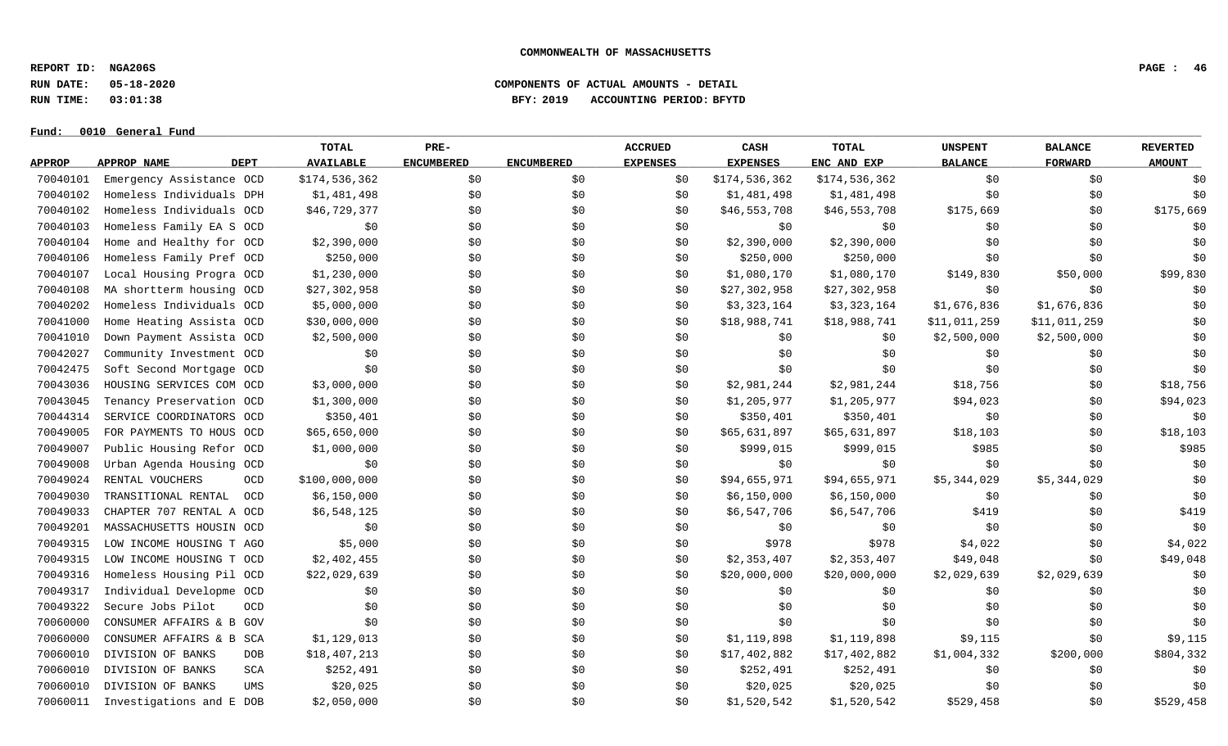**REPORT ID: NGA206S PAGE : 46**

**RUN DATE: 05-18-2020 COMPONENTS OF ACTUAL AMOUNTS - DETAIL**

**RUN TIME: 03:01:38 BFY: 2019 ACCOUNTING PERIOD: BFYTD**

|               |                                 | <b>TOTAL</b>     | PRE-              |                   | <b>ACCRUED</b>  | CASH            | TOTAL         | <b>UNSPENT</b> | <b>BALANCE</b> | <b>REVERTED</b> |
|---------------|---------------------------------|------------------|-------------------|-------------------|-----------------|-----------------|---------------|----------------|----------------|-----------------|
| <b>APPROP</b> | APPROP NAME<br><b>DEPT</b>      | <b>AVAILABLE</b> | <b>ENCUMBERED</b> | <b>ENCUMBERED</b> | <b>EXPENSES</b> | <b>EXPENSES</b> | ENC AND EXP   | <b>BALANCE</b> | <b>FORWARD</b> | <b>AMOUNT</b>   |
| 70040101      | Emergency Assistance OCD        | \$174,536,362    | \$0               | \$0               | \$0             | \$174,536,362   | \$174,536,362 | \$0            | \$0            | \$0             |
| 70040102      | Homeless Individuals DPH        | \$1,481,498      | \$0               | \$0               | \$0             | \$1,481,498     | \$1,481,498   | \$0            | \$0            | \$0             |
| 70040102      | Homeless Individuals OCD        | \$46,729,377     | \$0               | \$0               | \$0             | \$46,553,708    | \$46,553,708  | \$175,669      | \$0            | \$175,669       |
| 70040103      | Homeless Family EA S OCD        | \$0              | \$0               | \$0               | \$0             | \$0             | \$0           | \$0            | \$0            | \$0             |
| 70040104      | Home and Healthy for OCD        | \$2,390,000      | \$0               | \$0               | \$0             | \$2,390,000     | \$2,390,000   | \$0            | \$0            | \$0             |
| 70040106      | Homeless Family Pref OCD        | \$250,000        | \$0               | \$0               | \$0             | \$250,000       | \$250,000     | \$0            | \$0            | \$0             |
| 70040107      | Local Housing Progra OCD        | \$1,230,000      | \$0               | \$0               | \$0             | \$1,080,170     | \$1,080,170   | \$149,830      | \$50,000       | \$99,830        |
| 70040108      | MA shortterm housing OCD        | \$27,302,958     | \$0               | \$0               | \$0             | \$27,302,958    | \$27,302,958  | \$0            | \$0            | \$0             |
| 70040202      | Homeless Individuals OCD        | \$5,000,000      | \$0               | \$0               | \$0             | \$3,323,164     | \$3,323,164   | \$1,676,836    | \$1,676,836    | \$0             |
| 70041000      | Home Heating Assista OCD        | \$30,000,000     | \$0               | \$0               | \$0             | \$18,988,741    | \$18,988,741  | \$11,011,259   | \$11,011,259   | \$0             |
| 70041010      | Down Payment Assista OCD        | \$2,500,000      | \$0               | \$0               | \$0             | \$0             | \$0           | \$2,500,000    | \$2,500,000    | \$0             |
| 70042027      | Community Investment OCD        | \$0              | \$0               | \$0               | \$0             | \$0             | \$0           | \$0            | \$0            | \$0             |
| 70042475      | Soft Second Mortgage OCD        | \$0              | \$0               | \$0               | \$0             | \$0             | \$0           | \$0            | \$0            | \$0             |
| 70043036      | HOUSING SERVICES COM OCD        | \$3,000,000      | \$0               | \$0               | \$0             | \$2,981,244     | \$2,981,244   | \$18,756       | \$0            | \$18,756        |
| 70043045      | Tenancy Preservation OCD        | \$1,300,000      | \$0               | \$0               | \$0             | \$1,205,977     | \$1,205,977   | \$94,023       | \$0            | \$94,023        |
| 70044314      | SERVICE COORDINATORS OCD        | \$350,401        | \$0               | \$0               | \$0             | \$350,401       | \$350,401     | \$0            | \$0            | \$0             |
| 70049005      | FOR PAYMENTS TO HOUS OCD        | \$65,650,000     | \$0               | \$0               | \$0             | \$65,631,897    | \$65,631,897  | \$18,103       | \$0            | \$18,103        |
| 70049007      | Public Housing Refor OCD        | \$1,000,000      | \$0               | \$0               | \$0             | \$999,015       | \$999,015     | \$985          | \$0            | \$985           |
| 70049008      | Urban Agenda Housing OCD        | \$0\$            | \$0               | \$0               | \$0             | \$0             | \$0           | \$0            | \$0            | \$0             |
| 70049024      | RENTAL VOUCHERS<br>OCD          | \$100,000,000    | \$0               | \$0               | \$0             | \$94,655,971    | \$94,655,971  | \$5,344,029    | \$5,344,029    | \$0             |
| 70049030      | TRANSITIONAL RENTAL<br>OCD      | \$6,150,000      | \$0               | \$0               | \$0             | \$6,150,000     | \$6,150,000   | \$0            | \$0            | \$0             |
| 70049033      | CHAPTER 707 RENTAL A OCD        | \$6,548,125      | \$0               | \$0               | \$0             | \$6,547,706     | \$6,547,706   | \$419          | \$0            | \$419           |
| 70049201      | MASSACHUSETTS HOUSIN OCD        | \$0              | \$0               | \$0               | \$0             | \$0             | \$0           | \$0            | \$0            | \$0             |
| 70049315      | LOW INCOME HOUSING T AGO        | \$5,000          | \$0               | \$0               | \$0             | \$978           | \$978         | \$4,022        | \$0            | \$4,022         |
| 70049315      | LOW INCOME HOUSING T OCD        | \$2,402,455      | \$0               | \$0               | \$0             | \$2,353,407     | \$2,353,407   | \$49,048       | \$0            | \$49,048        |
| 70049316      | Homeless Housing Pil OCD        | \$22,029,639     | \$0               | \$0               | \$0             | \$20,000,000    | \$20,000,000  | \$2,029,639    | \$2,029,639    | \$0             |
| 70049317      | Individual Developme OCD        | \$0              | \$0               | \$0               | \$0             | \$0             | \$0           | \$0            | \$0            | \$0             |
| 70049322      | Secure Jobs Pilot<br><b>OCD</b> | \$0              | \$0               | \$0               | \$0             | \$0             | \$0           | \$0            | \$0            | \$0             |
| 70060000      | CONSUMER AFFAIRS & B GOV        | \$0              | \$0               | \$0               | \$0             | \$0             | \$0           | \$0            | \$0            | \$0             |
| 70060000      | CONSUMER AFFAIRS & B SCA        | \$1,129,013      | \$0               | \$0               | \$0             | \$1,119,898     | \$1,119,898   | \$9,115        | \$0            | \$9,115         |
| 70060010      | DIVISION OF BANKS<br><b>DOB</b> | \$18,407,213     | \$0               | \$0               | \$0             | \$17,402,882    | \$17,402,882  | \$1,004,332    | \$200,000      | \$804,332       |
| 70060010      | DIVISION OF BANKS<br>SCA        | \$252,491        | \$0               | \$0               | \$0             | \$252,491       | \$252,491     | \$0            | \$0            | \$0             |
| 70060010      | DIVISION OF BANKS<br>UMS        | \$20,025         | \$0               | \$0               | \$0             | \$20,025        | \$20,025      | \$0            | \$0            | \$0             |
| 70060011      | Investigations and E DOB        | \$2,050,000      | \$0               | \$0               | \$0             | \$1,520,542     | \$1,520,542   | \$529,458      | \$0            | \$529,458       |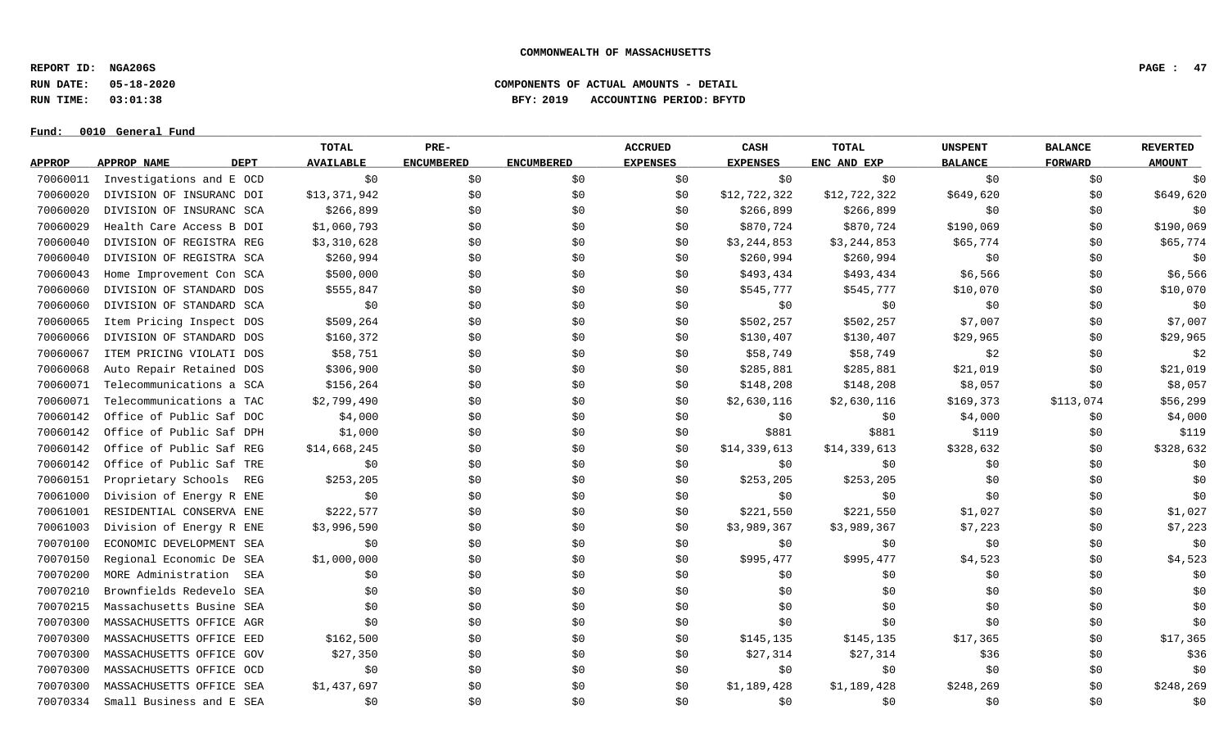**REPORT ID: NGA206S PAGE : 47**

**RUN DATE: 05-18-2020 COMPONENTS OF ACTUAL AMOUNTS - DETAIL**

**RUN TIME: 03:01:38 BFY: 2019 ACCOUNTING PERIOD: BFYTD**

|               |                            | TOTAL            | PRE-              |                   | <b>ACCRUED</b>  | CASH            | TOTAL        | <b>UNSPENT</b> | <b>BALANCE</b> | <b>REVERTED</b> |
|---------------|----------------------------|------------------|-------------------|-------------------|-----------------|-----------------|--------------|----------------|----------------|-----------------|
| <b>APPROP</b> | APPROP NAME<br><b>DEPT</b> | <b>AVAILABLE</b> | <b>ENCUMBERED</b> | <b>ENCUMBERED</b> | <b>EXPENSES</b> | <b>EXPENSES</b> | ENC AND EXP  | <b>BALANCE</b> | <b>FORWARD</b> | <b>AMOUNT</b>   |
| 70060011      | Investigations and E OCD   | \$0              | \$0               | \$0               | \$0             | \$0             | \$0          | \$0            | \$0            | \$0             |
| 70060020      | DIVISION OF INSURANC DOI   | \$13,371,942     | \$0               | \$0               | \$0             | \$12,722,322    | \$12,722,322 | \$649,620      | \$0            | \$649,620       |
| 70060020      | DIVISION OF INSURANC SCA   | \$266,899        | \$0               | \$0               | \$0             | \$266,899       | \$266,899    | \$0            | \$0            | \$0             |
| 70060029      | Health Care Access B DOI   | \$1,060,793      | \$0               | \$0               | \$0             | \$870,724       | \$870,724    | \$190,069      | \$0            | \$190,069       |
| 70060040      | DIVISION OF REGISTRA REG   | \$3,310,628      | \$0               | \$0               | \$0             | \$3,244,853     | \$3,244,853  | \$65,774       | \$0            | \$65,774        |
| 70060040      | DIVISION OF REGISTRA SCA   | \$260,994        | \$0               | \$0               | \$0             | \$260,994       | \$260,994    | \$0            | \$0            | \$0             |
| 70060043      | Home Improvement Con SCA   | \$500,000        | \$0               | \$0               | \$0             | \$493,434       | \$493,434    | \$6,566        | \$0            | \$6,566         |
| 70060060      | DIVISION OF STANDARD DOS   | \$555,847        | \$0               | \$0               | \$0             | \$545,777       | \$545,777    | \$10,070       | \$0            | \$10,070        |
| 70060060      | DIVISION OF STANDARD SCA   | \$0              | \$0               | \$0               | \$0             | \$0             | \$0          | \$0            | \$0            | \$0             |
| 70060065      | Item Pricing Inspect DOS   | \$509, 264       | \$0               | \$0               | \$0             | \$502, 257      | \$502,257    | \$7,007        | \$0            | \$7,007         |
| 70060066      | DIVISION OF STANDARD DOS   | \$160,372        | \$0\$             | \$0               | \$0             | \$130,407       | \$130,407    | \$29,965       | \$0            | \$29,965        |
| 70060067      | ITEM PRICING VIOLATI DOS   | \$58,751         | \$0               | \$0               | \$0             | \$58,749        | \$58,749     | \$2            | \$0            | \$2             |
| 70060068      | Auto Repair Retained DOS   | \$306,900        | \$0               | \$0               | \$0             | \$285,881       | \$285,881    | \$21,019       | \$0            | \$21,019        |
| 70060071      | Telecommunications a SCA   | \$156,264        | \$0               | \$0               | \$0             | \$148,208       | \$148,208    | \$8,057        | \$0            | \$8,057         |
| 70060071      | Telecommunications a TAC   | \$2,799,490      | \$0               | \$0               | \$0             | \$2,630,116     | \$2,630,116  | \$169,373      | \$113,074      | \$56,299        |
| 70060142      | Office of Public Saf DOC   | \$4,000          | \$0               | \$0               | \$0             | \$0             | \$0          | \$4,000        | \$0            | \$4,000         |
| 70060142      | Office of Public Saf DPH   | \$1,000          | \$0\$             | \$0               | \$0             | \$881           | \$881        | \$119          | \$0            | \$119           |
| 70060142      | Office of Public Saf REG   | \$14,668,245     | \$0\$             | \$0               | \$0             | \$14,339,613    | \$14,339,613 | \$328,632      | \$0            | \$328,632       |
| 70060142      | Office of Public Saf TRE   | \$0              | \$0               | \$0               | \$0             | \$0             | \$0          | \$0            | \$0            | \$0             |
| 70060151      | Proprietary Schools<br>REG | \$253, 205       | \$0               | \$0               | \$0             | \$253, 205      | \$253, 205   | \$0            | \$0            | \$0             |
| 70061000      | Division of Energy R ENE   | \$0              | \$0               | \$0               | \$0             | \$0             | \$0          | \$0            | \$0            | \$0             |
| 70061001      | RESIDENTIAL CONSERVA ENE   | \$222,577        | \$0               | \$0               | \$0             | \$221,550       | \$221,550    | \$1,027        | \$0            | \$1,027         |
| 70061003      | Division of Energy R ENE   | \$3,996,590      | \$0               | \$0               | \$0             | \$3,989,367     | \$3,989,367  | \$7,223        | \$0            | \$7,223         |
| 70070100      | ECONOMIC DEVELOPMENT SEA   | \$0              | \$0\$             | \$0               | \$0             | \$0             | \$0          | \$0            | \$0            | \$0             |
| 70070150      | Regional Economic De SEA   | \$1,000,000      | \$0               | \$0               | \$0             | \$995,477       | \$995,477    | \$4,523        | \$0            | \$4,523         |
| 70070200      | MORE Administration        | \$0<br>SEA       | \$0               | \$0               | \$0             | \$0             | \$0          | \$0            | \$0            | \$0             |
| 70070210      | Brownfields Redevelo SEA   | \$0              | \$0               | \$0               | \$0             | \$0             | \$0          | \$0            | \$0            | \$0             |
| 70070215      | Massachusetts Busine SEA   | \$0              | \$0               | \$0               | \$0             | \$0             | \$0          | \$0            | \$0            | \$0             |
| 70070300      | MASSACHUSETTS OFFICE AGR   | \$0              | \$0               | \$0               | \$0             | \$0\$           | \$0          | \$0            | \$0            | \$0             |
| 70070300      | MASSACHUSETTS OFFICE EED   | \$162,500        | \$0               | \$0               | \$0             | \$145,135       | \$145,135    | \$17,365       | \$0            | \$17,365        |
| 70070300      | MASSACHUSETTS OFFICE GOV   | \$27,350         | \$0\$             | \$0               | \$0             | \$27,314        | \$27,314     | \$36           | \$0            | \$36            |
| 70070300      | MASSACHUSETTS OFFICE OCD   | \$0              | \$0               | \$0               | \$0             | \$0             | \$0          | \$0            | \$0            | \$0             |
| 70070300      | MASSACHUSETTS OFFICE SEA   | \$1,437,697      | \$0               | \$0               | \$0             | \$1,189,428     | \$1,189,428  | \$248,269      | \$0            | \$248,269       |
| 70070334      | Small Business and E SEA   | \$0              | \$0               | \$0               | \$0             | \$0             | \$0          | \$0            | \$0            | \$0             |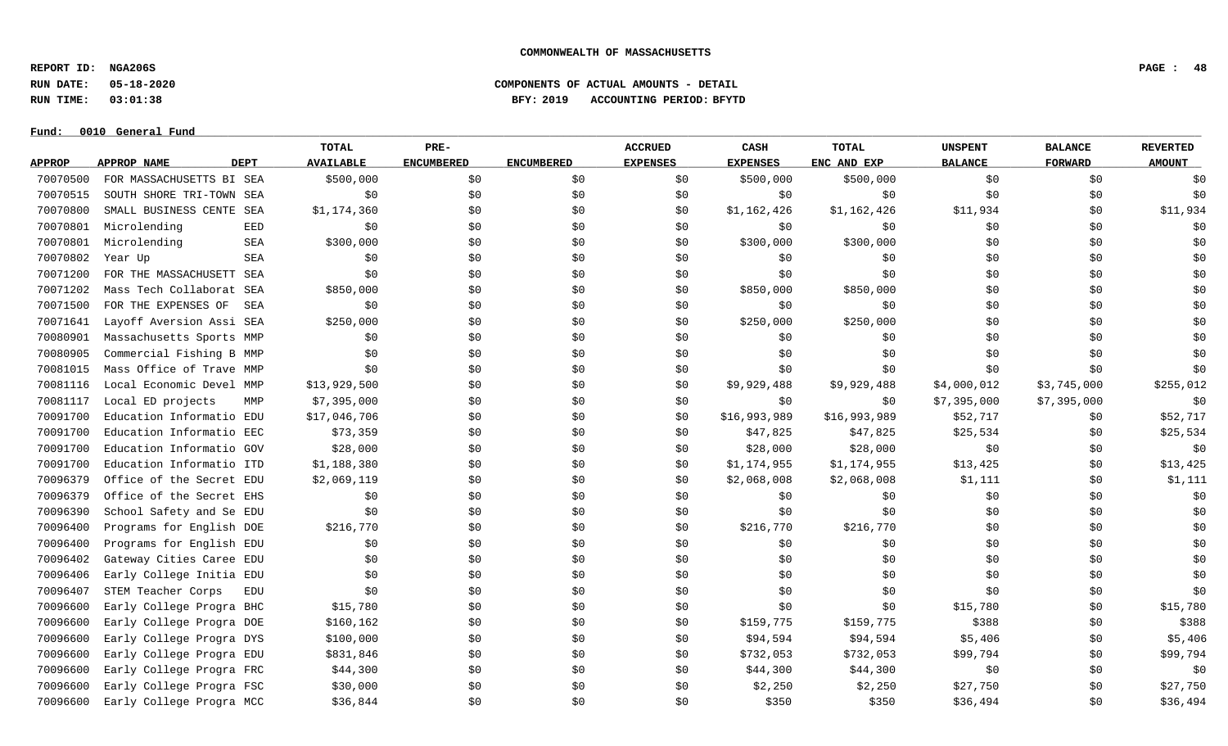**REPORT ID: NGA206S PAGE : 48**

**RUN DATE: 05-18-2020 COMPONENTS OF ACTUAL AMOUNTS - DETAIL**

**RUN TIME: 03:01:38 BFY: 2019 ACCOUNTING PERIOD: BFYTD**

|               |                          |             | TOTAL            | PRE-              |                   | <b>ACCRUED</b>  | CASH            | <b>TOTAL</b> | <b>UNSPENT</b> | <b>BALANCE</b> | <b>REVERTED</b> |
|---------------|--------------------------|-------------|------------------|-------------------|-------------------|-----------------|-----------------|--------------|----------------|----------------|-----------------|
| <b>APPROP</b> | APPROP NAME              | <b>DEPT</b> | <b>AVAILABLE</b> | <b>ENCUMBERED</b> | <b>ENCUMBERED</b> | <b>EXPENSES</b> | <b>EXPENSES</b> | ENC AND EXP  | <b>BALANCE</b> | <b>FORWARD</b> | <b>AMOUNT</b>   |
| 70070500      | FOR MASSACHUSETTS BI SEA |             | \$500,000        | \$0               | \$0               | \$0             | \$500,000       | \$500,000    | \$0            | \$0            | \$0             |
| 70070515      | SOUTH SHORE TRI-TOWN SEA |             | \$0              | \$0               | \$0               | \$0             | \$0             | \$0          | \$0            | \$0\$          | \$0             |
| 70070800      | SMALL BUSINESS CENTE SEA |             | \$1,174,360      | \$0               | \$0               | \$0             | \$1,162,426     | \$1,162,426  | \$11,934       | \$0            | \$11,934        |
| 70070801      | Microlending             | EED         | \$0              | \$0\$             | \$0               | \$0             | \$0\$           | \$0          | \$0            | \$0            | \$0             |
| 70070801      | Microlending             | SEA         | \$300,000        | \$0               | \$0               | \$0             | \$300,000       | \$300,000    | \$0            | \$0\$          | \$0             |
| 70070802      | Year Up                  | SEA         | \$0              | \$0               | \$0               | \$0             | \$0             | \$0          | \$0            | \$0\$          | \$0             |
| 70071200      | FOR THE MASSACHUSETT     | SEA         | \$0              | \$0               | \$0               | \$0             | \$0\$           | \$0          | \$0            | \$0\$          | \$0             |
| 70071202      | Mass Tech Collaborat SEA |             | \$850,000        | \$0               | \$0               | \$0             | \$850,000       | \$850,000    | \$0            | \$0            | \$0             |
| 70071500      | FOR THE EXPENSES OF      | SEA         | \$0              | \$0               | \$0               | \$0             | \$0             | \$0          | \$0            | \$0            | \$0             |
| 70071641      | Layoff Aversion Assi SEA |             | \$250,000        | \$0               | \$0               | \$0             | \$250,000       | \$250,000    | \$0            | \$0            | \$0             |
| 70080901      | Massachusetts Sports MMP |             | \$0              | \$0               | \$0               | \$0             | \$0             | \$0          | \$0            | \$0            | \$0             |
| 70080905      | Commercial Fishing B MMP |             | \$0              | \$0               | \$0               | \$0             | \$0             | \$0          | \$0            | \$0            | \$0             |
| 70081015      | Mass Office of Trave MMP |             | \$0              | \$0               | \$0               | \$0             | \$0             | \$0          | \$0            | \$0\$          | \$0             |
| 70081116      | Local Economic Devel MMP |             | \$13,929,500     | \$0               | \$0               | \$0             | \$9,929,488     | \$9,929,488  | \$4,000,012    | \$3,745,000    | \$255,012       |
| 70081117      | Local ED projects        | MMP         | \$7,395,000      | \$0               | \$0               | \$0             | \$0             | \$0          | \$7,395,000    | \$7,395,000    | \$0             |
| 70091700      | Education Informatio EDU |             | \$17,046,706     | \$0               | \$0               | \$0             | \$16,993,989    | \$16,993,989 | \$52,717       | \$0            | \$52,717        |
| 70091700      | Education Informatio EEC |             | \$73,359         | \$0\$             | \$0               | \$0             | \$47,825        | \$47,825     | \$25,534       | \$0            | \$25,534        |
| 70091700      | Education Informatio GOV |             | \$28,000         | \$0               | \$0               | \$0             | \$28,000        | \$28,000     | \$0            | \$0            | \$0             |
| 70091700      | Education Informatio ITD |             | \$1,188,380      | \$0               | \$0               | \$0             | \$1,174,955     | \$1,174,955  | \$13,425       | \$0\$          | \$13,425        |
| 70096379      | Office of the Secret EDU |             | \$2,069,119      | \$0               | \$0               | \$0             | \$2,068,008     | \$2,068,008  | \$1,111        | \$0            | \$1,111         |
| 70096379      | Office of the Secret EHS |             | \$0              | \$0               | \$0               | \$0             | \$0             | \$0          | \$0            | \$0            | \$0             |
| 70096390      | School Safety and Se EDU |             | \$0              | \$0               | \$0               | \$0             | \$0             | \$0          | \$0            | \$0            | \$0             |
| 70096400      | Programs for English DOE |             | \$216,770        | \$0\$             | \$0               | \$0             | \$216,770       | \$216,770    | \$0            | \$0            | \$0             |
| 70096400      | Programs for English EDU |             | \$0              | \$0               | \$0               | \$0             | \$0             | \$0          | \$0            | \$0            | \$0             |
| 70096402      | Gateway Cities Caree EDU |             | \$0              | \$0               | \$0               | \$0             | \$0             | \$0          | \$0            | \$0            | \$0             |
| 70096406      | Early College Initia EDU |             | \$0              | \$0               | \$0               | \$0             | \$0             | \$0          | \$0            | \$0            | \$0             |
| 70096407      | STEM Teacher Corps       | EDU         | \$0              | \$0               | \$0               | \$0             | \$0             | \$0          | \$0            | \$0            | \$0             |
| 70096600      | Early College Progra BHC |             | \$15,780         | \$0               | \$0               | \$0             | \$0             | \$0          | \$15,780       | \$0            | \$15,780        |
| 70096600      | Early College Progra DOE |             | \$160, 162       | \$0               | \$0               | \$0             | \$159,775       | \$159,775    | \$388          | \$0            | \$388           |
| 70096600      | Early College Progra DYS |             | \$100,000        | \$0               | \$0               | \$0             | \$94,594        | \$94,594     | \$5,406        | \$0            | \$5,406         |
| 70096600      | Early College Progra EDU |             | \$831,846        | \$0               | \$0               | \$0             | \$732,053       | \$732,053    | \$99,794       | \$0            | \$99,794        |
| 70096600      | Early College Progra FRC |             | \$44,300         | \$0               | \$0               | \$0             | \$44,300        | \$44,300     | \$0            | \$0\$          | \$0             |
| 70096600      | Early College Progra FSC |             | \$30,000         | \$0               | \$0               | \$0             | \$2,250         | \$2,250      | \$27,750       | \$0            | \$27,750        |
| 70096600      | Early College Progra MCC |             | \$36,844         | \$0               | \$0               | \$0             | \$350           | \$350        | \$36,494       | \$0            | \$36,494        |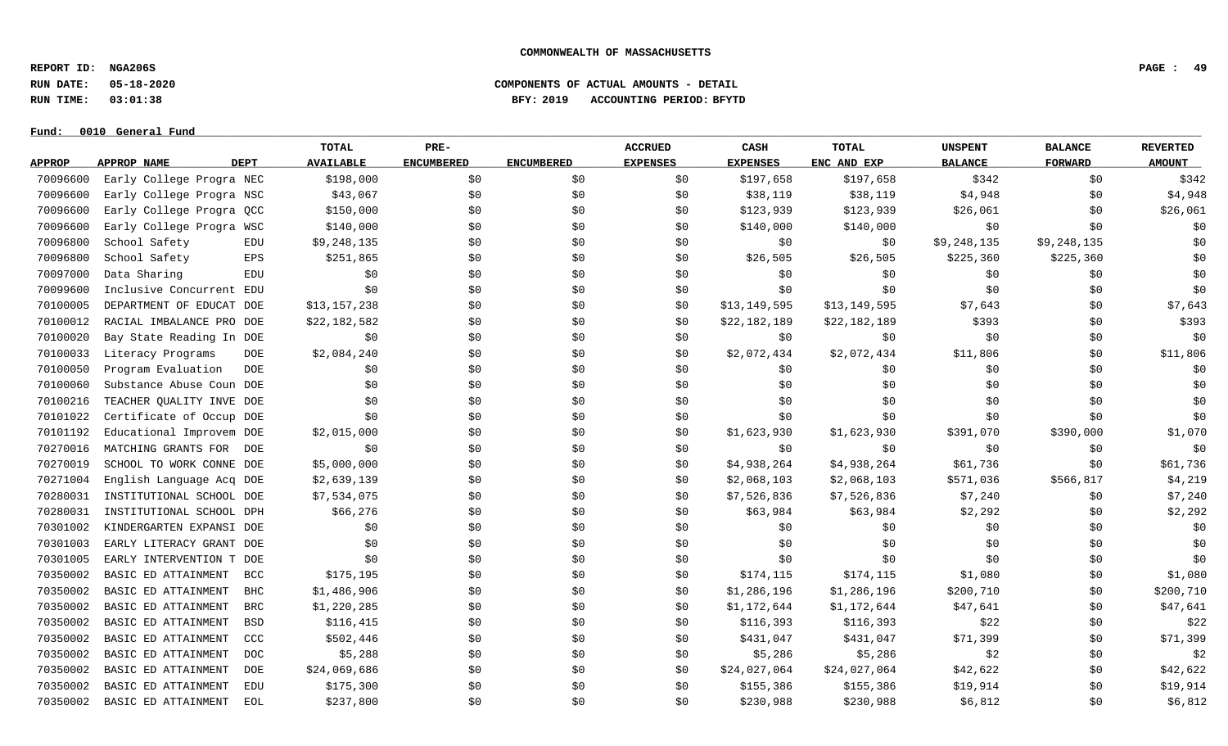**REPORT ID: NGA206S PAGE : 49**

**RUN DATE: 05-18-2020 COMPONENTS OF ACTUAL AMOUNTS - DETAIL**

**RUN TIME: 03:01:38 BFY: 2019 ACCOUNTING PERIOD: BFYTD**

#### $Fund: 0010$  General Fund

# **TOTAL PRE- ACCRUED CASH TOTAL UNSPENT BALANCE REVERTED** <u>APPROP APPROPNAME – DEPT AVAILABLE ENCUMBERED ENCUMBERED EXPENSES EXPENSES ENCANDEXP BALANCE – FORWARD – AMOUNT</u> 70096600 Early College Progra NEC \$198,000 \$0 \$0 \$0 \$197,658 \$197,658 \$342 \$0 \$30 \$342 70096600 Early College Progra NSC \$43,067 \$0 \$0 \$0 \$38,119 \$38,119 \$4,948 \$0 \$4,948 70096600 Early College Progra OCC \$150,000 \$0 \$0 \$0 \$123,939 \$123,939 \$26,061 \$0 \$26,061 \$26,061 70096600 Early College Progra WSC \$140,000 \$0 \$0 \$0 \$140,000 \$140,000 \$0 \$0 \$0 70096800 School Safety EDU \$9,248,135 \$0 \$ \$ \$ \$9,248,135 \$9,248,135 \$ \$0 70096800 School Safety EPS \$251,865 \$0 \$26,505 \$225,505 \$225,360 \$225,360 \$225,360 \$0 70097000 Data Sharing EDU \$0 \$0 \$0 \$0 \$0 \$0 \$0 \$0 \$0 70099600 Inclusive Concurrent EDU \$0 \$0 \$0 \$0 \$0 \$0 \$0 \$0 \$0 70100005 DEPARTMENT OF EDUCAT DOE \$13,157,238 \$0 \$0 \$0 \$13,149,595 \$13,149,595 \$13,149,595 \$7,643 \$0 \$7,643 70100012 RACIAL IMBALANCE PRO DOE \$22,182,582 \$0 \$0 \$0 \$22,182,189 \$22,182,189 \$393 \$0 \$393 70100020 Bay State Reading In DOE \$0 \$0 \$0 \$0 \$0 \$0 \$0 \$0 \$0 70100033 Literacy Programs DOE \$2,084,240 \$0 \$ \$0 \$2,072,434 \$2,072,434 \$11,806 \$0 \$11,806 70100050 Program Evaluation DOE \$0 \$0 \$0 \$0 \$0 \$0 \$0 \$0 \$0 70100060 Substance Abuse Coun DOE \$0 \$0 \$0 \$0 \$0 \$0 \$0 \$0 \$0 70100216 TEACHER QUALITY INVE DOE \$0 \$0 \$0 \$0 \$0 \$0 \$0 \$0 \$0 70101022 Certificate of Occup DOE \$0 \$0 \$0 \$0 \$0 \$0 \$0 \$0 \$0 70101192 Educational Improvem DOE \$2,015,000 \$0 \$0 \$0 \$1,623,930 \$1,623,930 \$391,070 \$390,000 \$1,070 \$1,070 70270016 MATCHING GRANTS FOR DOE \$0 \$0 \$0 \$0 \$0 \$0 \$0 \$0 \$0 70270019 SCHOOL TO WORK CONNE DOE \$5,000,000 \$0 \$0 \$0 \$4,938,264 \$4,938,264 \$61,736 \$0 \$61,736 70271004 English Language Acq DOE \$2,639,139 \$0 \$0 \$0 \$2,068,103 \$2,068,103 \$571,036 \$566,817 \$4,219 70280031 INSTITUTIONAL SCHOOL DOE \$7,534,075 \$0 \$0 \$0 \$7,526,836 \$7,526,836 \$7,240 \$7,240 \$0 \$7,240 70280031 INSTITUTIONAL SCHOOL DPH \$66,276 \$0 \$0 \$0 \$0 \$63,984 \$63,984 \$2,292 \$0 \$0 \$2,292 70301002 KINDERGARTEN EXPANSI DOE \$0 \$0 \$0 \$0 \$0 \$0 \$0 \$0 \$0 70301003 EARLY LITERACY GRANT DOE \$0 \$0 \$0 \$0 \$0 \$0 \$0 \$0 \$0 70301005 EARLY INTERVENTION T DOE \$0 \$0 \$0 \$0 \$0 \$0 \$0 \$0 \$0 70350002 BASIC ED ATTAINMENT BCC \$175,195 \$0 \$0 \$0 \$174,115 \$174,115 \$1,080 \$1,080 \$1,080 \$1,080 70350002 BASIC ED ATTAINMENT BHC \$1,486,906 \$0 \$0 \$0 \$1,286,196 \$1,286,196 \$200,710 \$0 \$200,710 \$0 \$200,710 70350002 BASIC ED ATTAINMENT BRC \$1,220,285 \$0 \$0 \$0 \$1,172,644 \$1,172,644 \$1,172,644 \$47,641 \$47,641 \$0 \$47,641 70350002 BASIC ED ATTAINMENT BSD \$116,415 \$0 \$0 \$0 \$116,393 \$116,393 \$22 \$0 \$0 \$22 70350002 BASIC ED ATTAINMENT CCC \$502,446 \$0 \$0 \$0 \$431,047 \$431,047 \$431,047 \$71,399 \$0 \$71,399 70350002 BASIC ED ATTAINMENT DOC \$5,288 \$0 \$0 \$0 \$5,286 \$5,286 \$5,286 \$2 \$0 \$0 \$2 70350002 BASIC ED ATTAINMENT DOE \$24,069,686 \$0 \$0 \$0 \$0 \$24,027,064 \$24,027,064 \$42,622 \$0 \$42,622 \$0 \$42,622 70350002 BASIC ED ATTAINMENT EDU \$175,300 \$0 \$0 \$0 \$155,386 \$155,386 \$19,914 \$0 \$19,914 \$0 \$19,914 70350002 BASIC ED ATTAINMENT EOL \$237,800 \$0 \$0 \$0 \$230,988 \$230,988 \$6,812 \$0 \$0 \$6,812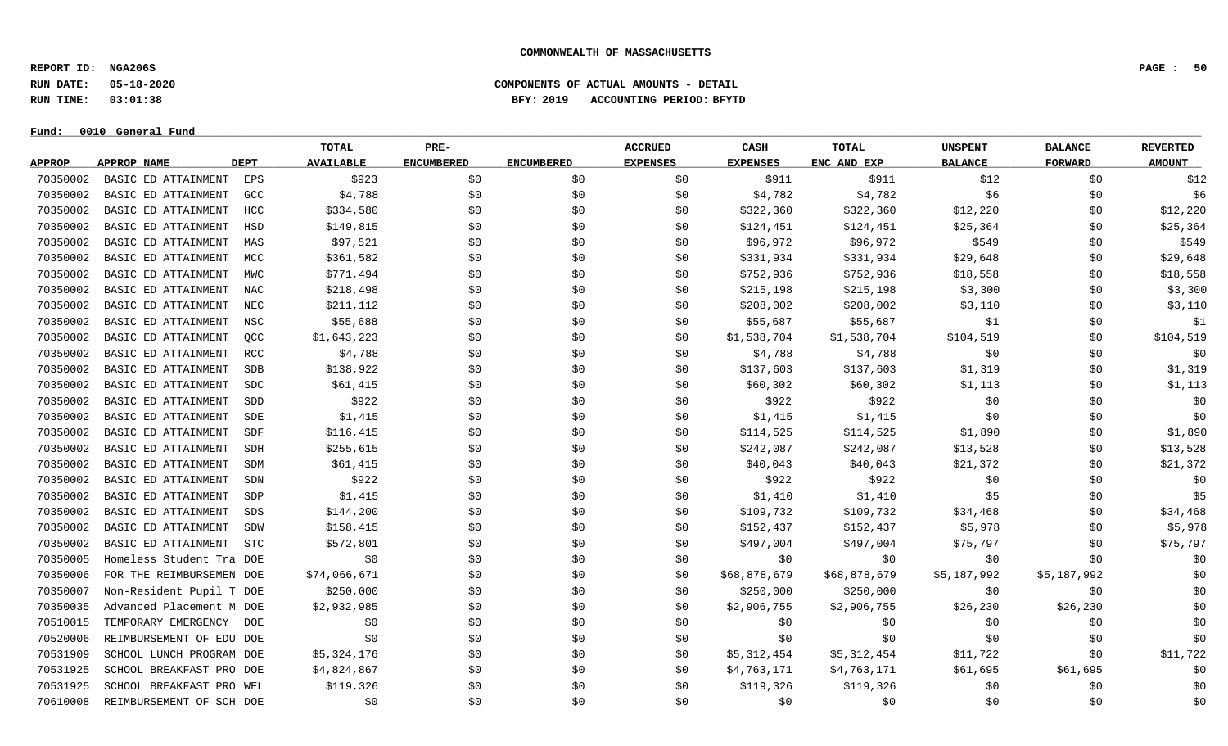**REPORT ID: NGA206S PAGE : 50**

**RUN DATE: 05-18-2020 COMPONENTS OF ACTUAL AMOUNTS - DETAIL**

**RUN TIME: 03:01:38 BFY: 2019 ACCOUNTING PERIOD: BFYTD**

 $Fund: 0010$  General Fund

# **TOTAL PRE- ACCRUED CASH TOTAL UNSPENT BALANCE REVERTED** <u>APPROP APPROPNAME – DEPT AVAILABLE ENCUMBERED ENCUMBERED EXPENSES EXPENSES ENCANDEXP BALANCE – FORWARD – AMOUNT</u> 70350002 BASICEDATTAINMENT EPS \$923 \$0 \$0 \$0 \$0 \$911 \$911 \$911 \$12 \$10 \$0 \$12 70350002 BASIC ED ATTAINMENT GCC \$4,788 \$0 \$0 \$4,782 \$4,782 \$6 \$6 \$0 \$9 \$6 70350002 BASIC ED ATTAINMENT HCC \$334,580 \$0 \$0 \$0 \$322,360 \$322,360 \$12,220 \$12,220 \$0 \$12,220 70350002 BASIC ED ATTAINMENT HSD \$149,815 \$0 \$0 \$0 \$124,451 \$124,451 \$25,364 \$0 \$25,364 \$0 \$25,364 70350002 BASIC ED ATTAINMENT MAS \$97,521 \$0 \$0 \$90 \$96,972 \$96,972 \$96,972 \$549 \$0 \$0 \$549 70350002 BASIC ED ATTAINMENT MCC \$361,582 \$0 \$0 \$0 \$331,934 \$331,934 \$29,648 \$29,648 \$0 \$29,648 70350002 BASIC ED ATTAINMENT MWC \$771,494 \$0 \$0 \$0 \$90 \$752,936 \$752,936 \$18,558 \$18,558 \$0 \$18,558 70350002 BASIC ED ATTAINMENT NAC \$218,498 \$0 \$0 \$0 \$215,198 \$215,198 \$3,300 \$3,300 \$0 \$3,300 70350002 BASIC ED ATTAINMENT NEC \$211,112 \$0 \$0 \$0 \$208,002 \$208,002 \$3,110 \$0 \$3,110 \$0 \$3,110 70350002 BASIC ED ATTAINMENT NSC \$55,688 \$0 \$0 \$0 \$55,687 \$55,687 \$1 \$1 \$0 \$1 \$0 \$1 70350002 BASIC ED ATTAINMENT QCC \$1,643,223 \$0 \$0 \$0 \$1,538,704 \$1,538,704 \$104,519 \$104,519 \$0 \$104,519 70350002 BASIC ED ATTAINMENT RCC \$4,788 \$0 \$0 \$0 \$4,788 \$4,788 \$4,788 \$0 \$9 \$0 \$0 \$0 \$0 70350002 BASIC ED ATTAINMENT SDB \$138,922 \$0 \$0 \$0 \$137,603 \$137,603 \$1,319 \$1,319 \$0 \$1,319 70350002 BASIC ED ATTAINMENT SDC \$61,415 \$0 \$0 \$0 \$0 \$60,302 \$60,302 \$1,113 \$0 \$0 \$1,113 70350002 BASIC ED ATTAINMENT SDD \$922 \$0 \$0 \$0 \$922 \$922 \$922 \$90 \$90 \$90 \$92 70350002 BASIC ED ATTAINMENT SDE \$1,415 \$0 \$0 \$0 \$1,415 \$1,415 \$1,415 \$0 \$0 \$0 \$0 70350002 BASIC ED ATTAINMENT SDF \$116,415 \$0 \$0 \$0 \$114,525 \$114,525 \$1,890 \$1,890 \$1,890 \$1,890 70350002 BASIC ED ATTAINMENT SDH \$255,615 \$0 \$0 \$0 \$242,087 \$242,087 \$242,087 \$13,528 \$0 \$13,528 \$0 \$13,528 70350002 BASIC ED ATTAINMENT SDM \$61,415 \$0 \$0 \$0 \$40,043 \$40,043 \$21,372 \$21,372 \$0 \$21,372 70350002 BASIC ED ATTAINMENT SDN \$922 \$0 \$0 \$0 \$922 \$922 \$922 \$90 \$90 \$90 \$92 70350002 BASIC ED ATTAINMENT SDP \$1,415 \$0 \$0 \$0 \$1,410 \$1,410 \$1,410 \$5 \$0 \$0 \$5 70350002 BASIC ED ATTAINMENT SDS \$144,200 \$0 \$0 \$0 \$109,732 \$109,732 \$34,468 \$0 \$34,468 \$0 \$34,468 70350002 BASIC ED ATTAINMENT SDW \$158,415 \$0 \$0 \$0 \$152,437 \$152,437 \$5,978 \$5,978 \$0 \$5,978 70350002 BASIC ED ATTAINMENT STC \$572,801 \$0 \$0 \$497,004 \$497,004 \$75,797 \$197,004 \$75,797 \$0 \$75,797 70350005 Homeless Student Tra DOE \$0 \$0 \$0 \$0 \$0 \$0 \$0 \$0 \$0 70350006 FOR THE REIMBURSEMEN DOE \$74,066,671 \$0 \$0 \$0 \$68,878,679 \$68,878,679 \$5,187,992 \$5,187,992 \$0 70350007 Non-Resident Pupil T DOE \$250,000 \$0 \$0 \$0 \$250,000 \$250,000 \$0 \$0 \$0 70350035 Advanced Placement M DOE \$2,932,985 \$0 \$0 \$0 \$2,906,755 \$2,906,755 \$26,230 \$26,230 \$26,230 70510015 TEMPORARY EMERGENCY DOE \$0 \$0 \$0 \$0 \$0 \$0 \$0 \$0 \$0 70520006 REIMBURSEMENT OF EDU DOE \$0 \$0 \$0 \$0 \$0 \$0 \$0 \$0 \$0 70531909 SCHOOL LUNCH PROGRAM DOE \$5,324,176 \$0 \$0 \$0 \$5,312,454 \$5,312,454 \$11,722 \$0 \$11,722 70531925 SCHOOL BREAKFAST PRO DOE \$4,824,867 \$0 \$0 \$0 \$1,763,171 \$4,763,171 \$4,763,171 \$61,695 \$61,695 \$0

70531925 SCHOOL BREAKFAST PRO WEL \$119,326 \$0 \$0 \$0 \$119,326 \$119,326 \$119,326 \$0 \$0 \$0 \$0 \$0 70610008 REIMBURSEMENT OF SCH DOE \$0 \$0 \$0 \$0 \$0 \$0 \$0 \$0 \$0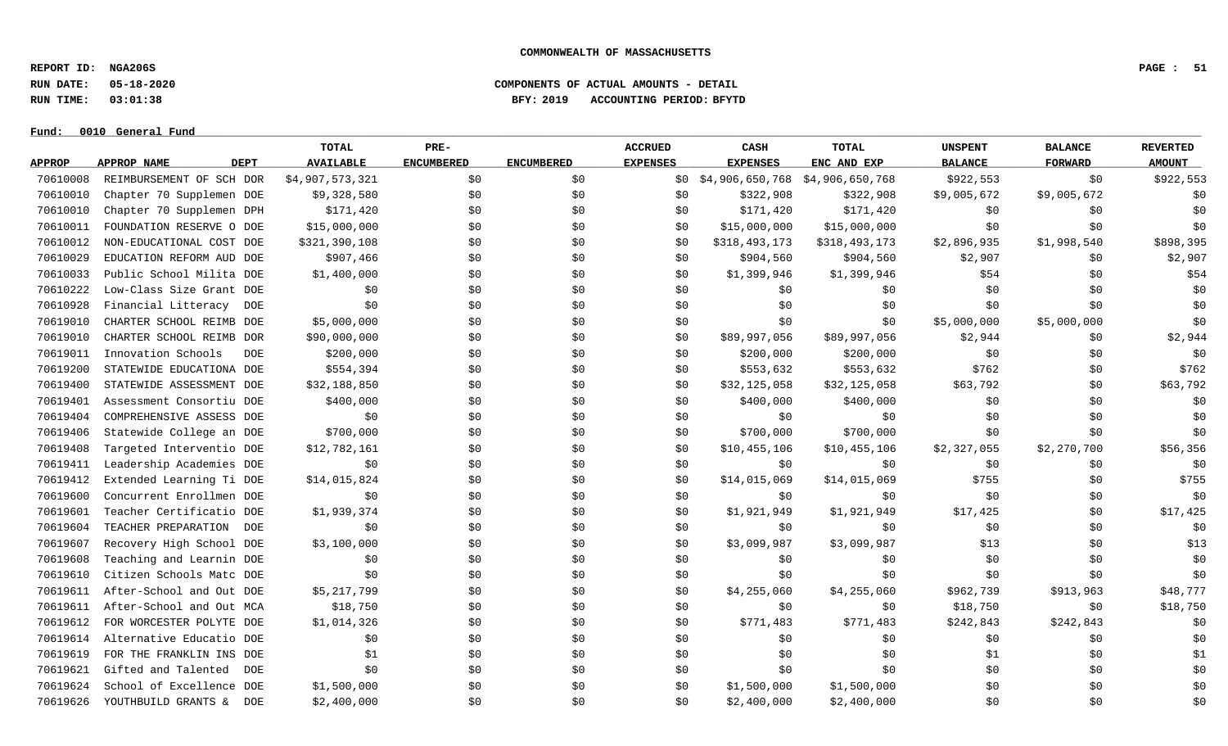**REPORT ID: NGA206S PAGE : 51**

**RUN DATE: 05-18-2020 COMPONENTS OF ACTUAL AMOUNTS - DETAIL**

**RUN TIME: 03:01:38 BFY: 2019 ACCOUNTING PERIOD: BFYTD**

|               |                            | <b>TOTAL</b>     | PRE-              |                   | <b>ACCRUED</b>  | CASH                            | TOTAL         | <b>UNSPENT</b> | <b>BALANCE</b> | <b>REVERTED</b> |
|---------------|----------------------------|------------------|-------------------|-------------------|-----------------|---------------------------------|---------------|----------------|----------------|-----------------|
| <b>APPROP</b> | APPROP NAME<br><b>DEPT</b> | <b>AVAILABLE</b> | <b>ENCUMBERED</b> | <b>ENCUMBERED</b> | <b>EXPENSES</b> | <b>EXPENSES</b>                 | ENC AND EXP   | <b>BALANCE</b> | <b>FORWARD</b> | <b>AMOUNT</b>   |
| 70610008      | REIMBURSEMENT OF SCH DOR   | \$4,907,573,321  | \$0               | \$0               | SO 1            | \$4,906,650,768 \$4,906,650,768 |               | \$922,553      | \$0            | \$922,553       |
| 70610010      | Chapter 70 Supplemen DOE   | \$9,328,580      | \$0               | \$0               | \$0             | \$322,908                       | \$322,908     | \$9,005,672    | \$9,005,672    | \$0             |
| 70610010      | Chapter 70 Supplemen DPH   | \$171,420        | \$0               | \$0               | \$0             | \$171,420                       | \$171,420     | \$0            | \$0            | \$0             |
| 70610011      | FOUNDATION RESERVE O DOE   | \$15,000,000     | \$0               | \$0               | \$0             | \$15,000,000                    | \$15,000,000  | \$0            | \$0            | \$0             |
| 70610012      | NON-EDUCATIONAL COST DOE   | \$321,390,108    | \$0               | \$0               | \$0             | \$318,493,173                   | \$318,493,173 | \$2,896,935    | \$1,998,540    | \$898,395       |
| 70610029      | EDUCATION REFORM AUD DOE   | \$907,466        | \$0               | \$0               | \$0             | \$904,560                       | \$904,560     | \$2,907        | \$0            | \$2,907         |
| 70610033      | Public School Milita DOE   | \$1,400,000      | \$0               | \$0               | \$0             | \$1,399,946                     | \$1,399,946   | \$54           | \$0            | \$54            |
| 70610222      | Low-Class Size Grant DOE   | \$0              | \$0               | \$0               | \$0             | \$0                             | \$0           | \$0            | \$0            | \$0             |
| 70610928      | Financial Litteracy<br>DOE | \$0              | \$0               | \$0               | \$0             | \$0                             | \$0           | \$0            | \$0            | \$0             |
| 70619010      | CHARTER SCHOOL REIMB DOE   | \$5,000,000      | \$0               | \$0               | \$0             | \$0                             | \$0           | \$5,000,000    | \$5,000,000    | \$0             |
| 70619010      | CHARTER SCHOOL REIMB DOR   | \$90,000,000     | \$0               | \$0               | \$0             | \$89,997,056                    | \$89,997,056  | \$2,944        | \$0            | \$2,944         |
| 70619011      | Innovation Schools<br>DOE  | \$200,000        | \$0               | \$0               | \$0             | \$200,000                       | \$200,000     | \$0            | \$0            | \$0             |
| 70619200      | STATEWIDE EDUCATIONA DOE   | \$554,394        | \$0               | \$0               | \$0             | \$553,632                       | \$553,632     | \$762          | \$0            | \$762           |
| 70619400      | STATEWIDE ASSESSMENT DOE   | \$32,188,850     | \$0               | \$0               | \$0             | \$32,125,058                    | \$32,125,058  | \$63,792       | \$0            | \$63,792        |
| 70619401      | Assessment Consortiu DOE   | \$400,000        | \$0\$             | \$0               | \$0             | \$400,000                       | \$400,000     | \$0            | \$0            | \$0             |
| 70619404      | COMPREHENSIVE ASSESS DOE   | \$0              | \$0               | \$0               | \$0             | \$0                             | \$0           | \$0            | \$0            | \$0             |
| 70619406      | Statewide College an DOE   | \$700,000        | \$0               | \$0               | \$0             | \$700,000                       | \$700,000     | \$0            | \$0            | \$0             |
| 70619408      | Targeted Interventio DOE   | \$12,782,161     | \$0               | \$0               | \$0             | \$10,455,106                    | \$10,455,106  | \$2,327,055    | \$2,270,700    | \$56,356        |
| 70619411      | Leadership Academies DOE   | \$0              | \$0               | \$0               | \$0             | \$0                             | \$0           | \$0            | \$0            | \$0             |
| 70619412      | Extended Learning Ti DOE   | \$14,015,824     | \$0               | \$0               | \$0             | \$14,015,069                    | \$14,015,069  | \$755          | \$0            | \$755           |
| 70619600      | Concurrent Enrollmen DOE   | \$0              | \$0               | \$0               | \$0             | \$0                             | \$0           | \$0            | \$0            | \$0             |
| 70619601      | Teacher Certificatio DOE   | \$1,939,374      | \$0               | \$0               | \$0             | \$1,921,949                     | \$1,921,949   | \$17,425       | \$0            | \$17,425        |
| 70619604      | TEACHER PREPARATION<br>DOE | \$0              | \$0               | \$0               | \$0             | \$0                             | \$0           | \$0            | \$0            | \$0             |
| 70619607      | Recovery High School DOE   | \$3,100,000      | \$0               | \$0               | \$0             | \$3,099,987                     | \$3,099,987   | \$13           | \$0            | \$13            |
| 70619608      | Teaching and Learnin DOE   | \$0              | \$0               | \$0               | \$0             | \$0                             | \$0           | \$0            | \$0            | \$0             |
| 70619610      | Citizen Schools Matc DOE   | \$0              | \$0               | \$0               | \$0             | \$0                             | \$0           | \$0            | \$0            | \$0             |
| 70619611      | After-School and Out DOE   | \$5,217,799      | \$0\$             | \$0               | \$0             | \$4,255,060                     | \$4,255,060   | \$962,739      | \$913,963      | \$48,777        |
| 70619611      | After-School and Out MCA   | \$18,750         | \$0               | \$0               | \$0             | \$0                             | \$0           | \$18,750       | \$0            | \$18,750        |
| 70619612      | FOR WORCESTER POLYTE DOE   | \$1,014,326      | \$0               | \$0               | \$0             | \$771,483                       | \$771,483     | \$242,843      | \$242,843      | \$0             |
| 70619614      | Alternative Educatio DOE   | \$0              | \$0               | \$0               | \$0             | \$0                             | \$0           | \$0            | \$0            | \$0             |
| 70619619      | FOR THE FRANKLIN INS DOE   | \$1              | \$0               | \$0               | \$0             | \$0                             | \$0           | \$1            | \$0            | \$1             |
| 70619621      | Gifted and Talented<br>DOE | \$0              | \$0               | \$0               | \$0             | \$0                             | \$0           | \$0            | \$0            | \$0             |
| 70619624      | School of Excellence DOE   | \$1,500,000      | \$0\$             | \$0               | \$0             | \$1,500,000                     | \$1,500,000   | \$0            | \$0            | \$0             |
| 70619626      | YOUTHBUILD GRANTS &<br>DOE | \$2,400,000      | \$0               | \$0               | \$0             | \$2,400,000                     | \$2,400,000   | \$0            | \$0            | \$0             |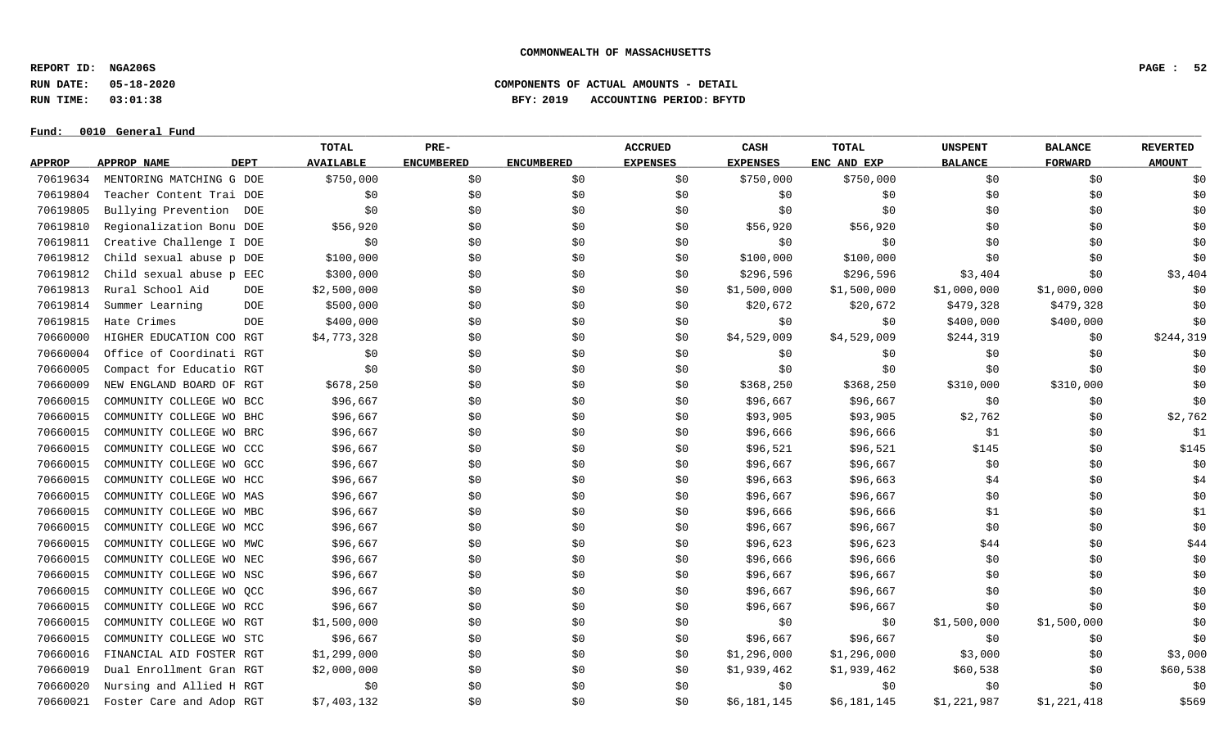**REPORT ID: NGA206S PAGE : 52**

**RUN DATE: 05-18-2020 COMPONENTS OF ACTUAL AMOUNTS - DETAIL**

**RUN TIME: 03:01:38 BFY: 2019 ACCOUNTING PERIOD: BFYTD**

#### $Fund: 0010$  General Fund

# **TOTAL PRE- ACCRUED CASH TOTAL UNSPENT BALANCE REVERTED** <u>APPROP APPROPNAME – DEPT AVAILABLE ENCUMBERED ENCUMBERED EXPENSES EXPENSES ENCANDEXP BALANCE – FORWARD – AMOUNT</u> 70619634 MENTORING MATCHING G DOE \$750,000 \$0 \$0 \$0 \$750,000 \$750,000 \$0 \$0 \$0 70619804 Teacher Content Trai DOE \$0 \$0 \$0 \$0 \$0 \$0 \$0 \$0 \$0 70619805 Bullying Prevention DOE \$0 \$0 \$0 \$0 \$0 \$0 \$0 \$0 \$0 70619810 Regionalization Bonu DOE \$56,920 \$0 \$0 \$0 \$56,920 \$56,920 \$0 \$0 \$0 70619811 Creative Challenge I DOE \$0 \$0 \$0 \$0 \$0 \$0 \$0 \$0 \$0 70619812 Child sexual abuse p DOE \$100,000 \$0 \$0 \$0 \$0 \$100,000 \$100,000 \$100,000 \$0 \$0 \$0 \$0 \$0 70619812 Child sexual abuse p EEC \$300,000 \$0 \$0 \$0 \$296,596 \$296,596 \$3,404 \$0 \$3,404 \$0 \$3,404 70619813 Rural School Aid DOE \$2,500,000 \$0 \$0 \$0 \$1,500,000 \$1,500,000 \$1,000,000 \$1,000,000 \$0 70619814 Summer Learning DOE \$500,000 \$0 \$20,672 \$40,672 \$479,328 \$479,328 70619815 Hate Crimes \$400,000 \$0 \$0 \$0 \$0 \$400,000 \$0 \$400,000 \$400,000 \$0 70660000 HIGHER EDUCATION COO RGT \$4,773,328 \$0 \$0 \$0 \$1,529,009 \$4,529,009 \$244,319 \$0 \$244,319 70660004 Office of Coordinati RGT \$0 \$0 \$0 \$0 \$0 \$0 \$0 \$0 \$0 70660005 Compact for Educatio RGT \$0 \$0 \$0 \$0 \$0 \$0 \$0 \$0 \$0 70660009 NEW ENGLAND BOARD OF RGT \$678,250 \$0 \$0 \$0 \$368,250 \$368,250 \$310,000 \$310,000 \$0 70660015 COMMUNITY COLLEGE WO BCC \$96,667 \$0 \$0 \$0 \$96,667 \$96,667 \$96,667 \$90 \$0 \$0 \$0 \$0 \$0 70660015 COMMUNITY COLLEGE WO BHC \$96,667 \$0 \$0 \$0 \$93,905 \$93,905 \$2,762 \$0 \$2,762 70660015 COMMUNITY COLLEGE WO BRC \$96,667 \$0 \$0 \$0 \$96,666 \$96,666 \$96,666 \$1 \$0 \$0 70660015 COMMUNITY COLLEGE WO CCC \$96,667 \$0 \$0 \$0 \$96,521 \$96,521 \$145 \$145 \$0 \$145 \$0 \$145 70660015 COMMUNITY COLLEGE WO GCC \$96,667 \$90 \$0 \$0 \$0 \$0 \$96,667 \$96,667 \$0 \$0 \$0 \$0 \$0 \$0 \$0 70660015 COMMUNITY COLLEGE WO HCC \$96,667 \$0 \$0 \$0 \$96,663 \$96,663 \$4 \$1 \$0 \$96,663 \$4 70660015 COMMUNITY COLLEGE WO MAS \$96,667 \$90 \$0 \$0 \$96,667 \$96,667 \$96,667 \$90 \$0 \$0 \$0 \$0 70660015 COMMUNITY COLLEGE WO MBC \$96,667 \$0 \$0 \$96,666 \$96,666 \$96,666 \$1 \$0 \$0 \$1 70660015 COMMUNITY COLLEGE WO MCC \$96,667 \$0 \$0 \$96,667 \$96,667 \$96,667 \$96,667 \$96,667 \$0 \$0 \$0 \$0 70660015 COMMUNITY COLLEGE WO MWC \$96,667 \$0 \$0 \$0 \$96,623 \$96,623 \$96,623 \$44 \$0 \$96 70660015 COMMUNITY COLLEGE WO NEC \$96,667 \$0 \$0 \$0 \$96,666 \$96,666 \$96,666 \$0 \$0 \$0 \$0 \$0 \$0 \$0 \$0 \$0 \$0 \$0 \$0 70660015 COMMUNITY COLLEGE WO NSC \$96,667 \$0 \$0 \$0 \$96,667 \$96,667 \$0 \$0 \$0 70660015 COMMUNITY COLLEGE WO QCC \$96,667 \$0 \$0 \$0 \$96,667 \$96,667 \$96,667 \$90 \$0 \$0 \$0 \$0 \$0 70660015 COMMUNITY COLLEGE WO RCC \$96,667 \$0 \$0 \$96,667 \$96,667 \$96,667 \$96,667 \$96,667 \$0 \$0 \$0 \$0 70660015 COMMUNITY COLLEGE WO RGT \$1,500,000 \$0 \$0 \$0 \$0 \$0 \$1,500,000 \$1,500,000 \$0 70660015 COMMUNITY COLLEGE WO STC \$96,667 \$10 \$0 \$0 \$96,667 \$96,667 \$96,667 \$0 \$0 \$0 \$0 \$0 \$0 \$0 \$0 \$0 \$0 \$0 \$0 70660016 FINANCIAL AID FOSTER RGT \$1,299,000 \$0 \$0 \$0 \$1,296,000 \$1,296,000 \$3,000 \$3,000 \$0 \$3,000 70660019 Dual Enrollment Gran RGT \$2,000,000 \$0 \$0 \$0 \$1,939,462 \$1,939,462 \$1,939,462 \$60,538 \$0 \$60,538 70660020 Nursing and Allied H RGT \$0 \$0 \$0 \$0 \$0 \$0 \$0 \$0 \$0 70660021 Foster Care and Adop RGT \$7,403,132 \$0 \$0 \$0 \$0 \$0 \$6,181,145 \$6,181,145 \$1,221,987 \$1,221,418 \$569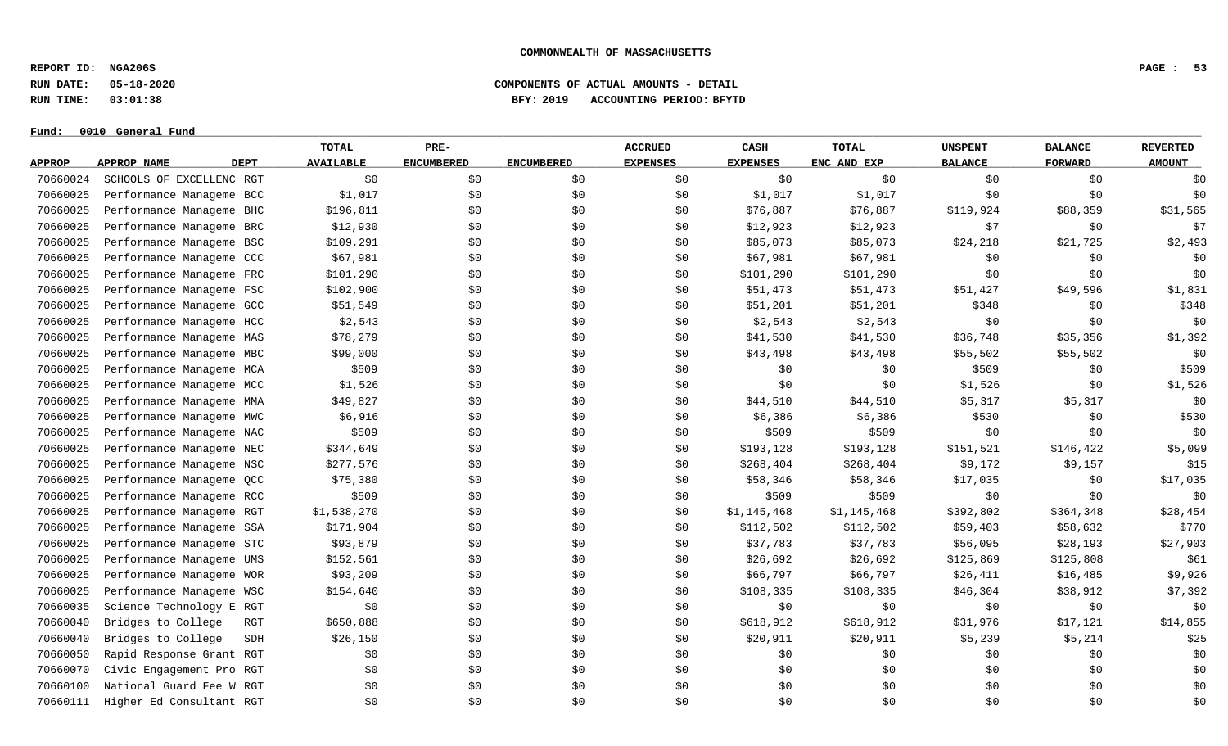**REPORT ID: NGA206S PAGE : 53**

**RUN DATE: 05-18-2020 COMPONENTS OF ACTUAL AMOUNTS - DETAIL**

**RUN TIME: 03:01:38 BFY: 2019 ACCOUNTING PERIOD: BFYTD**

|               |                          | <b>TOTAL</b>                    | PRE-              |                   | <b>ACCRUED</b>  | CASH            | <b>TOTAL</b> | <b>UNSPENT</b> | <b>BALANCE</b> | <b>REVERTED</b> |
|---------------|--------------------------|---------------------------------|-------------------|-------------------|-----------------|-----------------|--------------|----------------|----------------|-----------------|
| <b>APPROP</b> | APPROP NAME              | <b>DEPT</b><br><b>AVAILABLE</b> | <b>ENCUMBERED</b> | <b>ENCUMBERED</b> | <b>EXPENSES</b> | <b>EXPENSES</b> | ENC AND EXP  | <b>BALANCE</b> | <b>FORWARD</b> | <b>AMOUNT</b>   |
| 70660024      | SCHOOLS OF EXCELLENC RGT | \$0\$                           | \$0               | \$0               | \$0             | \$0             | \$0          | \$0            | \$0            | \$0             |
| 70660025      | Performance Manageme BCC | \$1,017                         | \$0               | \$0\$             | \$0             | \$1,017         | \$1,017      | \$0            | \$0\$          | \$0             |
| 70660025      | Performance Manageme BHC | \$196,811                       | \$0               | \$0               | \$0             | \$76,887        | \$76,887     | \$119,924      | \$88,359       | \$31,565        |
| 70660025      | Performance Manageme BRC | \$12,930                        | \$0               | \$0               | \$0             | \$12,923        | \$12,923     | \$7            | \$0            | \$7             |
| 70660025      | Performance Manageme BSC | \$109,291                       | \$0\$             | \$0               | \$0             | \$85,073        | \$85,073     | \$24,218       | \$21,725       | \$2,493         |
| 70660025      | Performance Manageme CCC | \$67,981                        | \$0\$             | \$0               | \$0             | \$67,981        | \$67,981     | \$0            | \$0            | \$0             |
| 70660025      | Performance Manageme FRC | \$101,290                       | \$0               | \$0               | \$0             | \$101,290       | \$101,290    | \$0            | \$0            | \$0             |
| 70660025      | Performance Manageme FSC | \$102,900                       | \$0               | \$0               | \$0             | \$51,473        | \$51,473     | \$51,427       | \$49,596       | \$1,831         |
| 70660025      | Performance Manageme GCC | \$51,549                        | \$0               | \$0               | \$0             | \$51,201        | \$51,201     | \$348          | \$0            | \$348           |
| 70660025      | Performance Manageme HCC | \$2,543                         | \$0               | \$0               | \$0             | \$2,543         | \$2,543      | \$0            | \$0            | \$0             |
| 70660025      | Performance Manageme MAS | \$78,279                        | \$0               | \$0               | \$0             | \$41,530        | \$41,530     | \$36,748       | \$35,356       | \$1,392         |
| 70660025      | Performance Manageme MBC | \$99,000                        | \$0\$             | \$0               | \$0             | \$43,498        | \$43,498     | \$55,502       | \$55,502       | \$0             |
| 70660025      | Performance Manageme MCA | \$509                           | \$0               | \$0               | \$0             | \$0             | \$0          | \$509          | \$0\$          | \$509           |
| 70660025      | Performance Manageme MCC | \$1,526                         | \$0               | \$0               | \$0             | \$0\$           | \$0          | \$1,526        | \$0            | \$1,526         |
| 70660025      | Performance Manageme MMA | \$49,827                        | \$0               | \$0               | \$0             | \$44,510        | \$44,510     | \$5,317        | \$5,317        | \$0             |
| 70660025      | Performance Manageme MWC | \$6,916                         | \$0               | \$0               | \$0             | \$6,386         | \$6,386      | \$530          | \$0\$          | \$530           |
| 70660025      | Performance Manageme NAC | \$509                           | \$0\$             | \$0               | \$0             | \$509           | \$509        | \$0            | \$0            | \$0             |
| 70660025      | Performance Manageme NEC | \$344,649                       | \$0               | \$0               | \$0             | \$193,128       | \$193,128    | \$151,521      | \$146,422      | \$5,099         |
| 70660025      | Performance Manageme NSC | \$277,576                       | \$0               | \$0               | \$0             | \$268,404       | \$268,404    | \$9,172        | \$9,157        | \$15            |
| 70660025      | Performance Manageme QCC | \$75,380                        | \$0               | \$0               | \$0             | \$58,346        | \$58,346     | \$17,035       | \$0            | \$17,035        |
| 70660025      | Performance Manageme RCC | \$509                           | \$0               | \$0               | \$0             | \$509           | \$509        | \$0            | \$0            | \$0             |
| 70660025      | Performance Manageme RGT | \$1,538,270                     | \$0               | \$0               | \$0             | \$1,145,468     | \$1,145,468  | \$392,802      | \$364,348      | \$28,454        |
| 70660025      | Performance Manageme SSA | \$171,904                       | \$0               | \$0               | \$0             | \$112,502       | \$112,502    | \$59,403       | \$58,632       | \$770           |
| 70660025      | Performance Manageme STC | \$93,879                        | \$0\$             | \$0               | \$0             | \$37,783        | \$37,783     | \$56,095       | \$28,193       | \$27,903        |
| 70660025      | Performance Manageme UMS | \$152,561                       | \$0               | \$0               | \$0             | \$26,692        | \$26,692     | \$125,869      | \$125,808      | \$61            |
| 70660025      | Performance Manageme WOR | \$93,209                        | \$0               | \$0               | \$0             | \$66,797        | \$66,797     | \$26,411       | \$16,485       | \$9,926         |
| 70660025      | Performance Manageme WSC | \$154,640                       | \$0               | \$0               | \$0             | \$108,335       | \$108,335    | \$46,304       | \$38,912       | \$7,392         |
| 70660035      | Science Technology E RGT | \$0                             | \$0               | \$0               | \$0             | \$0             | \$0          | \$0            | \$0            | \$0             |
| 70660040      | Bridges to College       | \$650,888<br>RGT                | \$0               | \$0               | \$0             | \$618,912       | \$618,912    | \$31,976       | \$17,121       | \$14,855        |
| 70660040      | Bridges to College       | \$26,150<br>SDH                 | \$0               | \$0               | \$0             | \$20,911        | \$20,911     | \$5,239        | \$5,214        | \$25            |
| 70660050      | Rapid Response Grant RGT | \$0                             | \$0\$             | \$0               | \$0             | \$0             | \$0          | \$0            | \$0            | \$0             |
| 70660070      | Civic Engagement Pro RGT | \$0                             | \$0               | \$0               | \$0             | \$0             | \$0          | \$0            | \$0            | \$0             |
| 70660100      | National Guard Fee W RGT | \$0                             | \$0               | \$0               | \$0             | \$0             | \$0          | \$0            | \$0\$          | \$0             |
| 70660111      | Higher Ed Consultant RGT | \$0                             | \$0               | \$0               | \$0             | \$0             | \$0          | \$0            | \$0            | \$0             |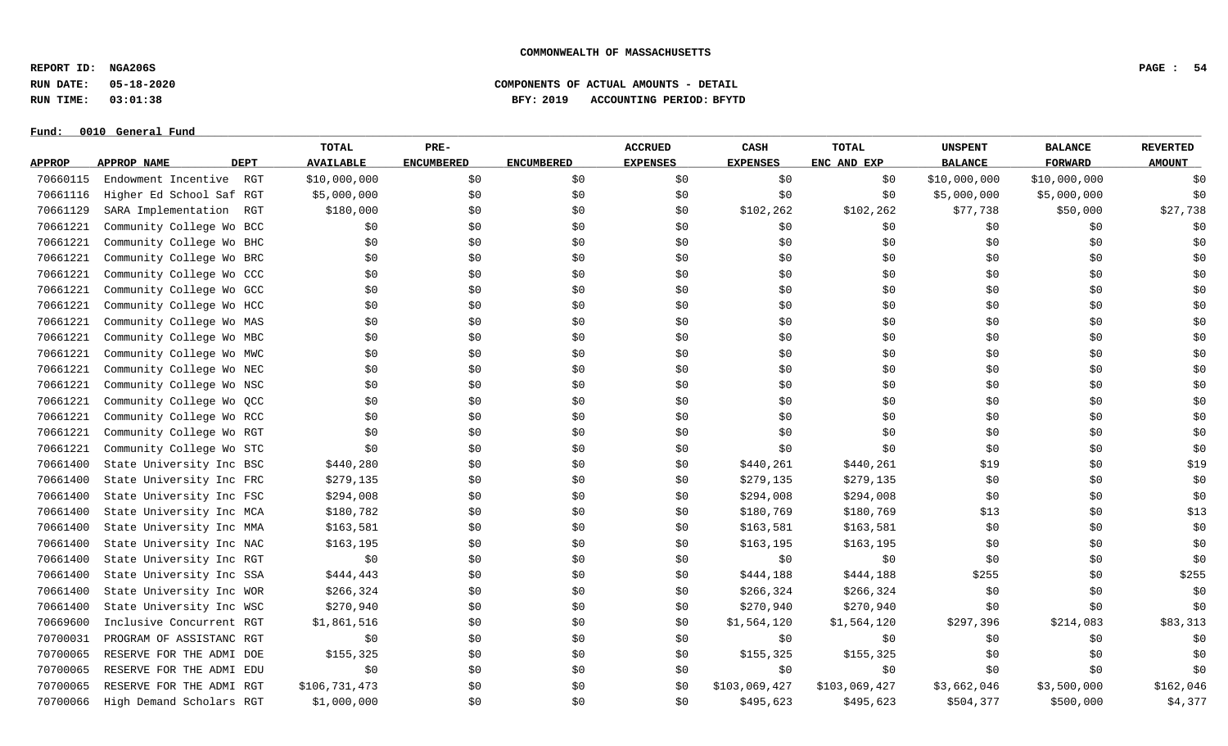**REPORT ID: NGA206S PAGE : 54**

**Fund: \_\_\_\_\_\_\_\_\_\_\_\_\_\_\_\_\_\_\_\_\_\_\_\_\_\_\_\_\_\_\_\_\_\_\_\_\_\_\_\_\_\_\_\_\_\_\_\_\_\_\_\_\_\_\_\_\_\_\_\_\_\_\_\_\_\_\_\_\_\_\_\_\_\_\_\_\_\_\_\_\_\_\_\_\_\_\_\_\_\_\_\_\_\_\_\_\_\_\_\_\_\_\_\_\_\_\_\_\_\_\_\_\_\_\_\_\_\_\_\_\_\_\_\_\_\_\_\_\_\_\_\_\_\_\_\_\_\_\_\_\_\_\_\_\_\_\_\_\_\_\_\_\_\_\_\_\_\_\_\_\_\_\_\_\_\_\_\_\_\_\_\_\_\_\_\_\_\_ 0010 General Fund**

# **RUN DATE: 05-18-2020 COMPONENTS OF ACTUAL AMOUNTS - DETAIL RUN TIME: 03:01:38 BFY: 2019 ACCOUNTING PERIOD: BFYTD**

|               |                            | <b>TOTAL</b>     | PRE-              |                   | <b>ACCRUED</b>  | CASH            | <b>TOTAL</b>  | <b>UNSPENT</b> | <b>BALANCE</b> | <b>REVERTED</b> |
|---------------|----------------------------|------------------|-------------------|-------------------|-----------------|-----------------|---------------|----------------|----------------|-----------------|
| <b>APPROP</b> | <b>DEPT</b><br>APPROP NAME | <b>AVAILABLE</b> | <b>ENCUMBERED</b> | <b>ENCUMBERED</b> | <b>EXPENSES</b> | <b>EXPENSES</b> | ENC AND EXP   | <b>BALANCE</b> | <b>FORWARD</b> | <b>AMOUNT</b>   |
| 70660115      | Endowment Incentive<br>RGT | \$10,000,000     | \$0               | \$0               | \$0             | \$0             | \$0           | \$10,000,000   | \$10,000,000   | \$0             |
| 70661116      | Higher Ed School Saf RGT   | \$5,000,000      | \$0               | \$0\$             | \$0             | \$0             | \$0           | \$5,000,000    | \$5,000,000    | \$0             |
| 70661129      | SARA Implementation<br>RGT | \$180,000        | \$0               | \$0               | \$0             | \$102,262       | \$102,262     | \$77,738       | \$50,000       | \$27,738        |
| 70661221      | Community College Wo BCC   | \$0              | \$0               | \$0               | \$0             | \$0             | \$0           | \$0            | \$0            | \$0             |
| 70661221      | Community College Wo BHC   | \$0              | \$0               | \$0               | \$0             | \$0             | \$0           | \$0            | \$0            | \$0             |
| 70661221      | Community College Wo BRC   | \$0              | \$0               | \$0               | \$0             | \$0             | \$0\$         | \$0            | \$0            | \$0             |
| 70661221      | Community College Wo CCC   | \$0              | \$0               | \$0               | \$0             | \$0\$           | \$0           | \$0            | \$0            | \$0             |
| 70661221      | Community College Wo GCC   | \$0              | \$0               | \$0               | \$0             | \$0             | \$0\$         | \$0            | \$0            | \$0             |
| 70661221      | Community College Wo HCC   | \$0              | \$0               | \$0               | \$0             | \$0             | \$0\$         | \$0            | \$0            | \$0             |
| 70661221      | Community College Wo MAS   | \$0              | \$0               | \$0               | \$0             | \$0             | \$0           | \$0            | \$0            | \$0             |
| 70661221      | Community College Wo MBC   | \$0              | \$0               | \$0               | \$0             | \$0             | \$0\$         | \$0            | \$0\$          | \$0             |
| 70661221      | Community College Wo MWC   | \$0              | \$0               | \$0               | \$0             | \$0             | \$0\$         | \$0            | \$0            | \$0             |
| 70661221      | Community College Wo NEC   | \$0              | \$0               | \$0               | \$0             | \$0             | \$0           | \$0            | \$0            | \$0             |
| 70661221      | Community College Wo NSC   | \$0              | \$0               | \$0               | \$0             | \$0             | \$0\$         | \$0            | \$0            | \$0             |
| 70661221      | Community College Wo QCC   | \$0              | \$0               | \$0               | \$0             | \$0             | \$0           | \$0            | \$0            | \$0             |
| 70661221      | Community College Wo RCC   | \$0              | \$0               | \$0               | \$0             | \$0             | \$0           | \$0            | \$0            | \$0             |
| 70661221      | Community College Wo RGT   | \$0              | \$0               | \$0               | \$0             | \$0             | \$0           | \$0            | \$0            | \$0             |
| 70661221      | Community College Wo STC   | \$0              | \$0               | \$0               | \$0             | \$0             | \$0           | \$0            | \$0            | \$0             |
| 70661400      | State University Inc BSC   | \$440,280        | \$0               | \$0               | \$0             | \$440,261       | \$440,261     | \$19           | \$0            | \$19            |
| 70661400      | State University Inc FRC   | \$279,135        | \$0               | \$0               | \$0             | \$279,135       | \$279,135     | \$0            | \$0            | \$0             |
| 70661400      | State University Inc FSC   | \$294,008        | \$0               | \$0               | \$0             | \$294,008       | \$294,008     | \$0            | \$0            | \$0             |
| 70661400      | State University Inc MCA   | \$180,782        | \$0               | \$0               | \$0             | \$180,769       | \$180,769     | \$13           | \$0            | \$13            |
| 70661400      | State University Inc MMA   | \$163,581        | \$0               | \$0               | \$0             | \$163,581       | \$163,581     | \$0            | \$0            | \$0             |
| 70661400      | State University Inc NAC   | \$163,195        | \$0               | \$0               | \$0             | \$163,195       | \$163, 195    | \$0            | \$0            | \$0             |
| 70661400      | State University Inc RGT   | \$0              | \$0               | \$0               | \$0             | \$0             | \$0           | \$0            | \$0            | \$0             |
| 70661400      | State University Inc SSA   | \$444,443        | \$0               | \$0               | \$0             | \$444,188       | \$444,188     | \$255          | \$0            | \$255           |
| 70661400      | State University Inc WOR   | \$266, 324       | \$0               | \$0               | \$0             | \$266,324       | \$266,324     | \$0            | \$0            | \$0             |
| 70661400      | State University Inc WSC   | \$270,940        | \$0               | \$0               | \$0             | \$270,940       | \$270,940     | \$0            | \$0            | \$0             |
| 70669600      | Inclusive Concurrent RGT   | \$1,861,516      | \$0               | \$0               | \$0             | \$1,564,120     | \$1,564,120   | \$297,396      | \$214,083      | \$83,313        |
| 70700031      | PROGRAM OF ASSISTANC RGT   | \$0              | \$0               | \$0               | \$0             | \$0             | \$0           | \$0            | \$0            | \$0             |
| 70700065      | RESERVE FOR THE ADMI DOE   | \$155,325        | \$0               | \$0               | \$0             | \$155,325       | \$155,325     | \$0            | \$0            | \$0             |
| 70700065      | RESERVE FOR THE ADMI EDU   | \$0              | \$0               | \$0               | \$0             | \$0             | \$0           | \$0            | \$0            | \$0             |
| 70700065      | RESERVE FOR THE ADMI RGT   | \$106,731,473    | \$0               | \$0               | \$0             | \$103,069,427   | \$103,069,427 | \$3,662,046    | \$3,500,000    | \$162,046       |
| 70700066      | High Demand Scholars RGT   | \$1,000,000      | \$0               | \$0               | \$0             | \$495,623       | \$495,623     | \$504,377      | \$500,000      | \$4,377         |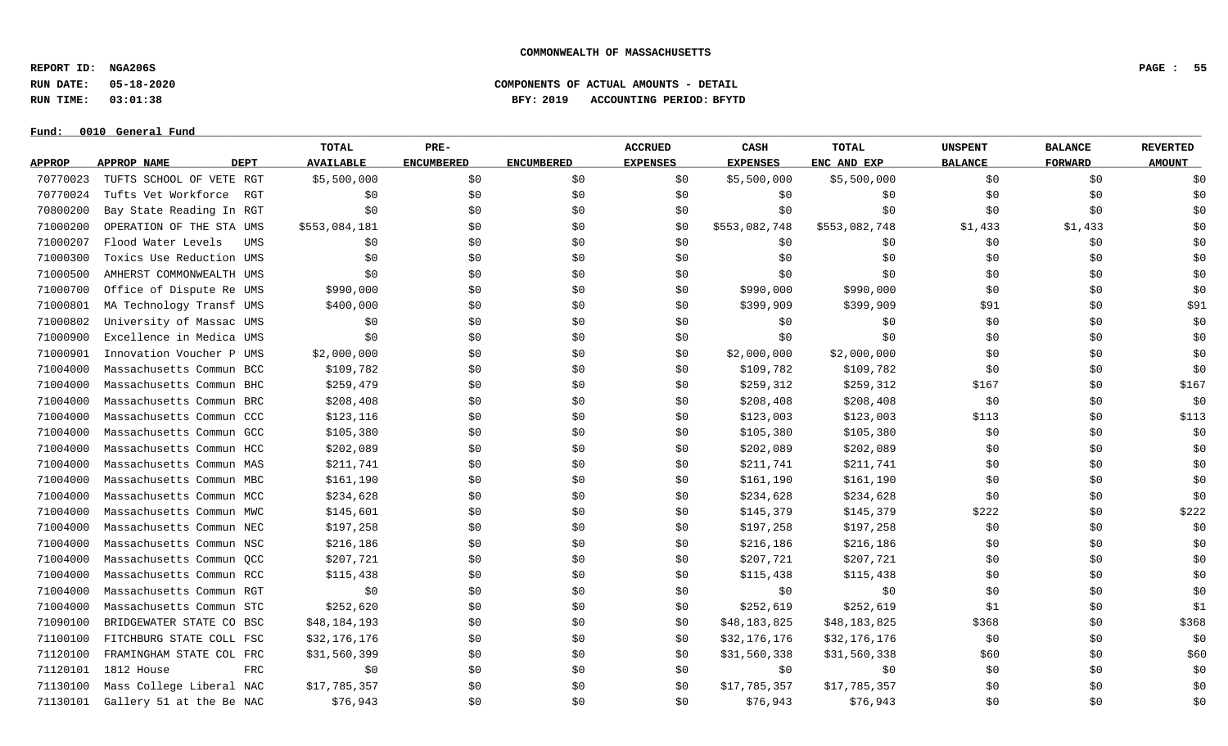**REPORT ID: NGA206S PAGE : 55**

**Fund: \_\_\_\_\_\_\_\_\_\_\_\_\_\_\_\_\_\_\_\_\_\_\_\_\_\_\_\_\_\_\_\_\_\_\_\_\_\_\_\_\_\_\_\_\_\_\_\_\_\_\_\_\_\_\_\_\_\_\_\_\_\_\_\_\_\_\_\_\_\_\_\_\_\_\_\_\_\_\_\_\_\_\_\_\_\_\_\_\_\_\_\_\_\_\_\_\_\_\_\_\_\_\_\_\_\_\_\_\_\_\_\_\_\_\_\_\_\_\_\_\_\_\_\_\_\_\_\_\_\_\_\_\_\_\_\_\_\_\_\_\_\_\_\_\_\_\_\_\_\_\_\_\_\_\_\_\_\_\_\_\_\_\_\_\_\_\_\_\_\_\_\_\_\_\_\_\_\_ 0010 General Fund**

# **RUN DATE: 05-18-2020 COMPONENTS OF ACTUAL AMOUNTS - DETAIL RUN TIME: 03:01:38 BFY: 2019 ACCOUNTING PERIOD: BFYTD**

|               |                            | <b>TOTAL</b>     | PRE-              |                   | <b>ACCRUED</b>  | CASH            | <b>TOTAL</b>  | <b>UNSPENT</b> | <b>BALANCE</b> | <b>REVERTED</b> |
|---------------|----------------------------|------------------|-------------------|-------------------|-----------------|-----------------|---------------|----------------|----------------|-----------------|
| <b>APPROP</b> | <b>DEPT</b><br>APPROP NAME | <b>AVAILABLE</b> | <b>ENCUMBERED</b> | <b>ENCUMBERED</b> | <b>EXPENSES</b> | <b>EXPENSES</b> | ENC AND EXP   | <b>BALANCE</b> | <b>FORWARD</b> | <b>AMOUNT</b>   |
| 70770023      | TUFTS SCHOOL OF VETE RGT   | \$5,500,000      | \$0               | \$0               | \$0             | \$5,500,000     | \$5,500,000   | \$0            | \$0            | \$0             |
| 70770024      | Tufts Vet Workforce<br>RGT | \$0              | \$0               | \$0               | \$0             | \$0             | \$0           | \$0            | \$0            | \$0             |
| 70800200      | Bay State Reading In RGT   | \$0              | \$0               | \$0               | \$0             | \$0             | \$0           | \$0            | \$0            | \$0             |
| 71000200      | OPERATION OF THE STA UMS   | \$553,084,181    | \$0               | \$0               | \$0             | \$553,082,748   | \$553,082,748 | \$1,433        | \$1,433        | \$0             |
| 71000207      | Flood Water Levels<br>UMS  | \$0              | \$0               | \$0               | \$0             | \$0             | \$0           | \$0            | \$0            | \$0             |
| 71000300      | Toxics Use Reduction UMS   | \$0              | \$0               | \$0               | \$0             | \$0             | \$0           | \$0            | \$0            | \$0             |
| 71000500      | AMHERST COMMONWEALTH UMS   | \$0              | \$0               | \$0               | \$0             | \$0             | \$0           | \$0            | \$0            | \$0             |
| 71000700      | Office of Dispute Re UMS   | \$990,000        | \$0               | \$0               | \$0             | \$990,000       | \$990,000     | \$0            | \$0            | \$0             |
| 71000801      | MA Technology Transf UMS   | \$400,000        | \$0               | \$0               | \$0             | \$399,909       | \$399,909     | \$91           | \$0            | \$91            |
| 71000802      | University of Massac UMS   | \$0              | \$0               | \$0               | \$0             | \$0             | \$0           | \$0            | \$0            | \$0             |
| 71000900      | Excellence in Medica UMS   | \$0              | \$0               | \$0               | \$0             | \$0             | \$0           | \$0            | \$0            | \$0             |
| 71000901      | Innovation Voucher P UMS   | \$2,000,000      | \$0               | \$0               | \$0             | \$2,000,000     | \$2,000,000   | \$0            | \$0            | \$0             |
| 71004000      | Massachusetts Commun BCC   | \$109,782        | \$0               | \$0               | \$0             | \$109,782       | \$109,782     | \$0            | \$0            | \$0             |
| 71004000      | Massachusetts Commun BHC   | \$259,479        | \$0               | \$0               | \$0             | \$259,312       | \$259,312     | \$167          | \$0            | \$167           |
| 71004000      | Massachusetts Commun BRC   | \$208,408        | \$0               | \$0               | \$0             | \$208,408       | \$208,408     | \$0            | \$0            | \$0             |
| 71004000      | Massachusetts Commun CCC   | \$123,116        | \$0               | \$0               | \$0             | \$123,003       | \$123,003     | \$113          | \$0            | \$113           |
| 71004000      | Massachusetts Commun GCC   | \$105,380        | \$0               | \$0               | \$0             | \$105,380       | \$105,380     | \$0            | \$0            | \$0             |
| 71004000      | Massachusetts Commun HCC   | \$202,089        | \$0               | \$0               | \$0             | \$202,089       | \$202,089     | \$0            | \$0            | \$0             |
| 71004000      | Massachusetts Commun MAS   | \$211,741        | \$0               | \$0               | \$0             | \$211,741       | \$211,741     | \$0            | \$0            | \$0             |
| 71004000      | Massachusetts Commun MBC   | \$161,190        | \$0               | \$0               | \$0             | \$161,190       | \$161,190     | \$0            | \$0            | \$0             |
| 71004000      | Massachusetts Commun MCC   | \$234,628        | \$0               | \$0               | \$0             | \$234,628       | \$234,628     | \$0            | \$0            | \$0             |
| 71004000      | Massachusetts Commun MWC   | \$145,601        | \$0               | \$0               | \$0             | \$145,379       | \$145,379     | \$222          | \$0            | \$222           |
| 71004000      | Massachusetts Commun NEC   | \$197,258        | \$0               | \$0               | \$0             | \$197,258       | \$197,258     | \$0            | \$0            | \$0             |
| 71004000      | Massachusetts Commun NSC   | \$216,186        | \$0               | \$0               | \$0             | \$216,186       | \$216,186     | \$0            | \$0            | \$0             |
| 71004000      | Massachusetts Commun QCC   | \$207,721        | \$0               | \$0               | \$0             | \$207,721       | \$207,721     | \$0            | \$0            | \$0             |
| 71004000      | Massachusetts Commun RCC   | \$115,438        | \$0               | \$0               | \$0             | \$115,438       | \$115,438     | \$0            | \$0            | \$0             |
| 71004000      | Massachusetts Commun RGT   | \$0              | \$0               | \$0               | \$0             | \$0             | \$0           | \$0            | \$0            | \$0             |
| 71004000      | Massachusetts Commun STC   | \$252,620        | \$0               | \$0               | \$0             | \$252,619       | \$252,619     | \$1            | \$0            | \$1             |
| 71090100      | BRIDGEWATER STATE CO BSC   | \$48,184,193     | \$0               | \$0               | \$0             | \$48,183,825    | \$48,183,825  | \$368          | \$0            | \$368           |
| 71100100      | FITCHBURG STATE COLL FSC   | \$32,176,176     | \$0               | \$0               | \$0             | \$32,176,176    | \$32,176,176  | \$0            | \$0            | \$0             |
| 71120100      | FRAMINGHAM STATE COL FRC   | \$31,560,399     | \$0               | \$0               | \$0             | \$31,560,338    | \$31,560,338  | \$60           | \$0            | \$60            |
| 71120101      | 1812 House<br>FRC          | \$0              | \$0               | \$0               | \$0             | \$0             | \$0           | \$0            | \$0            | \$0             |
| 71130100      | Mass College Liberal NAC   | \$17,785,357     | \$0               | \$0               | \$0             | \$17,785,357    | \$17,785,357  | \$0            | \$0\$          | \$0             |
| 71130101      | Gallery 51 at the Be NAC   | \$76,943         | \$0               | \$0               | \$0             | \$76,943        | \$76,943      | \$0            | \$0            | \$0             |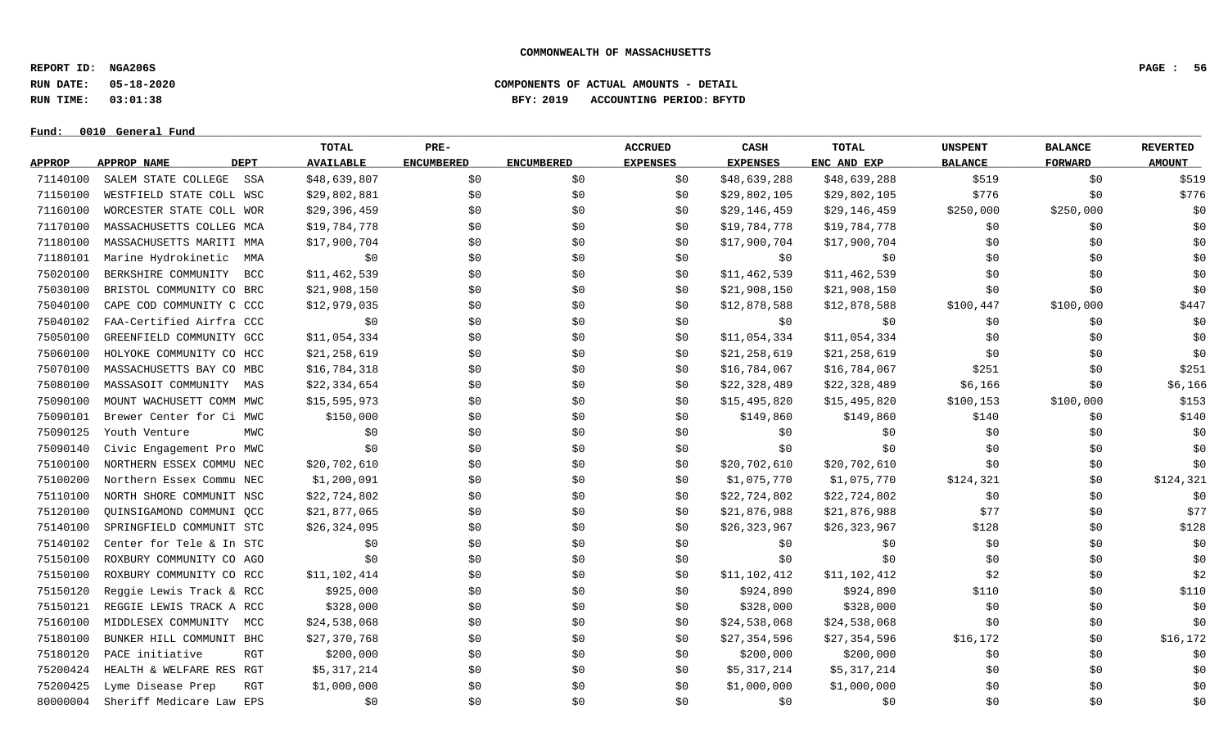**REPORT ID: NGA206S PAGE : 56**

**RUN DATE: 05-18-2020 COMPONENTS OF ACTUAL AMOUNTS - DETAIL**

**RUN TIME: 03:01:38 BFY: 2019 ACCOUNTING PERIOD: BFYTD**

 $Fund: 0010$  General Fund

# **TOTAL PRE- ACCRUED CASH TOTAL UNSPENT BALANCE REVERTED** <u>APPROP APPROPNAME – DEPT AVAILABLE ENCUMBERED ENCUMBERED EXPENSES EXPENSES ENCANDEXP BALANCE – FORWARD – AMOUNT</u> 71140100 SALEM STATE COLLEGE SSA \$48,639,807 \$0 \$0 \$18,639,288 \$48,639,288 \$48,639,288 \$519 \$0 \$519 71150100 WESTFIELD STATE COLL WSC \$29,802,881 \$0 \$0 \$0 \$29,802,105 \$29,802,105 \$776 \$776 \$0 \$776 71160100 WORCESTER STATE COLL WOR \$29,396,459 \$0 \$0 \$0 \$0 \$29,146,459 \$29,146,459 \$250,000 \$250,000 \$250,000 \$0 71170100 MASSACHUSETTS COLLEG MCA \$19,784,778 \$0 \$0 \$0 \$19,784,778 \$19,784,778 \$0 \$0 \$0 71180100 MASSACHUSETTS MARITI MMA \$17,900,704 \$0 \$0 \$0 \$17,900,704 \$17,900,704 \$0 \$0 \$0 71180101 Marine Hydrokinetic MMA \$0 \$0 \$0 \$0 \$0 \$0 \$0 \$0 \$0 75020100 BERKSHIRE COMMUNITY BCC \$11,462,539 \$0 \$0 \$0 \$11,462,539 \$11,462,539 \$0 \$0 \$0 75030100 BRISTOL COMMUNITY CO BRC \$21,908,150 \$0 \$0 \$0 \$21,908,150 \$21,908,150 \$0 \$0 \$0 75040100 CAPE COD COMMUNITY C CCC \$12,979,035 \$0 \$0 \$0 \$12,878,588 \$12,878,588 \$100,447 \$100,000 \$447 75040102 FAA-Certified Airfra CCC \$0 \$0 \$0 \$0 \$0 \$0 \$0 \$0 \$0 75050100 GREENFIELD COMMUNITY GCC \$11,054,334 \$0 \$0 \$0 \$11,054,334 \$11,054,334 \$0 \$0 \$0 75060100 HOLYOKE COMMUNITY CO HCC \$21,258,619 \$0 \$0 \$0 \$21,258,619 \$21,258,619 \$0 \$0 \$0 75070100 MASSACHUSETTS BAY CO MBC \$16,784,318 \$0 \$0 \$0 \$16,784,067 \$16,784,067 \$251 \$0 \$251 75080100 MASSASOIT COMMUNITY MAS \$22,334,654 \$0 \$0 \$0 \$12,328,489 \$22,328,489 \$1,166 \$0 \$0 \$6,166 \$0 75090100 MOUNT WACHUSETT COMM MWC \$15,595,973 \$0 \$0 \$0 \$15,495,820 \$15,495,820 \$100,153 \$100,000 \$153 75090101 Brewer Center for Ci MWC \$150,000 \$0 \$0 \$0 \$149,860 \$149,860 \$140 \$0 \$140 75090125 Youth Venture MWC \$0 \$0 \$0 \$0 \$0 \$0 \$0 \$0 \$0 75090140 Civic Engagement Pro MWC \$0 \$0 \$0 \$0 \$0 \$0 \$0 \$0 \$0 75100100 NORTHERN ESSEX COMMU NEC \$20,702,610 \$0 \$0 \$0 \$20,702,610 \$20,702,610 \$0 \$0 \$0 75100200 Northern Essex Commu NEC \$1,200,091 \$0 \$0 \$0 \$1,075,770 \$1,075,770 \$124,321 \$0 \$124,321 75110100 NORTH SHORE COMMUNIT NSC \$22,724,802 \$0 \$0 \$0 \$0 \$22,724,802 \$22,724,802 \$0 \$0 \$0 \$0 \$0 \$0 \$0 75120100 QUINSIGAMOND COMMUNI QCC \$21,877,065 \$0 \$0 \$0 \$21,876,988 \$21,876,988 \$21,876,988 \$77 \$0 \$77 75140100 SPRINGFIELD COMMUNIT STC \$26,324,095 \$0 \$0 \$0 \$26,323,967 \$26,323,967 \$128 \$0 \$128 75140102 Center for Tele & In STC \$0 \$0 \$0 \$0 \$0 \$0 \$0 \$0 \$0 75150100 ROXBURY COMMUNITY CO AGO \$0 \$0 \$0 \$0 \$0 \$0 \$0 \$0 \$0 75150100 ROXBURY COMMUNITY CO RCC \$11.102.414 \$0 \$0 \$0 \$11.102.412 \$11.102.412 \$2 \$0 \$2 75150120 Reggie Lewis Track & RCC \$925,000 \$0 \$0 \$0 \$924,890 \$924,890 \$924,890 \$110 \$0 \$0 \$110 75150121 REGGIE LEWIS TRACK A RCC \$328,000 \$0 \$0 \$0 \$328,000 \$328,000 \$0 \$0 \$0 75160100 MIDDLESEX COMMUNITY MCC \$24,538,068 \$0 \$0 \$0 \$24,538,068 \$24,538,068 \$24,538,068 \$0 \$0 \$0 \$0 \$0 75180100 BUNKER HILL COMMUNIT BHC \$27,370,768 \$0 \$0 \$0 \$0 \$27,354,596 \$27,354,596 \$16,172 \$0 \$16,172 75180120 PACE initiative RGT \$200,000 \$0 \$0 \$0 \$200,000 \$200,000 \$0 \$0 \$0 75200424 HEALTH & WELFARE RES RGT \$5,317,214 \$0 \$0 \$0 \$5,317,214 \$5,317,214 \$0 \$0 \$0 75200425 Lyme Disease Prep RGT \$1,000,000 \$0 \$0 \$0 \$1,000,000 \$1,000,000 \$0 \$0 \$0 80000004 Sheriff Medicare Law EPS \$0 \$0 \$0 \$0 \$0 \$0 \$0 \$0 \$0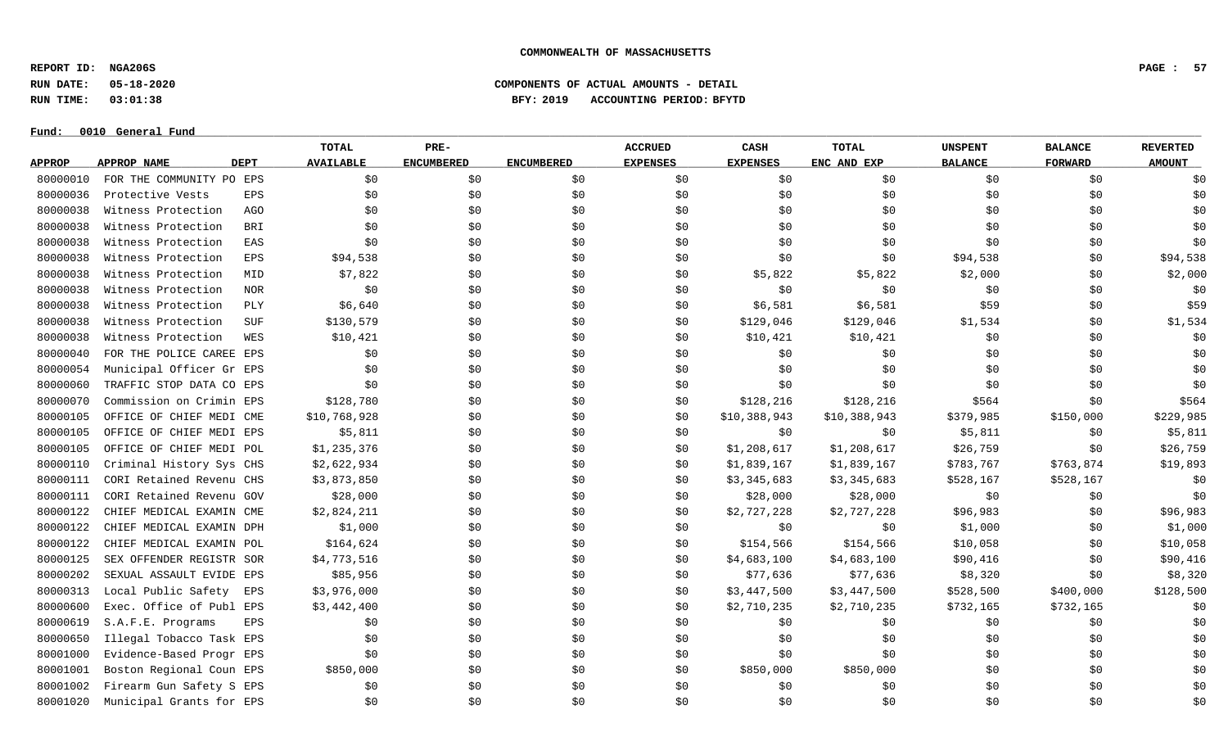**REPORT ID: NGA206S PAGE : 57**

**RUN DATE: 05-18-2020 COMPONENTS OF ACTUAL AMOUNTS - DETAIL**

**RUN TIME: 03:01:38 BFY: 2019 ACCOUNTING PERIOD: BFYTD**

#### $Fund: 0010$  General Fund

# **TOTAL PRE- ACCRUED CASH TOTAL UNSPENT BALANCE REVERTED** <u>APPROP APPROPNAME – DEPT AVAILABLE ENCUMBERED ENCUMBERED EXPENSES EXPENSES ENCANDEXP BALANCE – FORWARD – AMOUNT</u> 80000010 FOR THE COMMUNITY PO EPS \$0 \$0 \$0 \$0 \$0 \$0 \$0 \$0 \$0 80000036 Protective Vests EPS \$0 \$0 \$0 \$0 \$0 \$0 \$0 \$0 \$0 80000038 Witness Protection AGO \$0 \$0 \$0 \$0 \$0 \$0 \$0 \$0 \$0 80000038 Witness Protection BRI \$0 \$0 \$0 \$0 \$0 \$0 \$0 \$0 \$0 80000038 Witness Protection EAS \$0 \$0 \$0 \$0 \$0 \$0 \$0 \$0 \$0 80000038 Witness Protection EPS \$94,538 \$0 \$0 \$0 \$0 \$0 \$0 \$0 \$94,538 \$0 \$94,538 \$0 \$94,538 80000038 Witness Protection MID \$7,822 \$0 \$5,822 \$2,000 \$0 \$2,000 \$2,000 80000038 Witness Protection NOR \$0 \$0 \$0 \$0 \$0 \$0 \$0 \$0 \$0 80000038 Witness Protection PLY \$6,640 \$0 \$0 \$0 \$6,581 \$6,581 \$59 \$0 \$0 \$59 80000038 Witness Protection SUF \$130,579 \$0 \$0 \$129,046 \$1,534 \$0 \$1,534 80000038 Witness Protection WES \$10,421 \$0 \$0 \$10,421 \$0 \$0 \$0 \$0 \$0 \$10,421 \$0 \$0 \$0 \$0 \$0 80000040 FOR THE POLICE CAREE EPS \$0 \$0 \$0 \$0 \$0 \$0 \$0 \$0 \$0 80000054 Municipal Officer Gr EPS \$0 \$0 \$0 \$0 \$0 \$0 \$0 \$0 \$0 80000060 TRAFFIC STOP DATA CO EPS \$0 \$0 \$0 \$0 \$0 \$0 \$0 \$0 \$0 80000070 Commission on Crimin EPS \$128,780 \$0 \$0 \$0 \$128,216 \$128,216 \$128,216 \$564 \$0 \$564 80000105 OFFICE OF CHIEF MEDI CME \$10,768,928 \$0 \$0 \$0 \$0 \$10,388,943 \$10,388,943 \$379,985 \$150,000 \$229,985 80000105 OFFICE OF CHIEF MEDI EPS \$5,811 \$0 \$0 \$0 \$0 \$0 \$0 \$5,811 \$0 \$0 \$5,811 80000105 OFFICE OF CHIEF MEDI POL \$1,235,376 \$0 \$0 \$0 \$1,208,617 \$1,208,617 \$26,759 \$0 \$26,759 \$0 \$26,759 80000110 Criminal History Sys CHS \$2,622,934 \$0 \$0 \$0 \$1,839,167 \$1,839,167 \$783,767 \$763,874 \$19,893 80000111 CORI Retained Revenu CHS \$3,873,850 \$0 \$0 \$0 \$3,345,683 \$3,345,683 \$528,167 \$528,167 \$528,167 \$0 80000111 CORI Retained Revenu GOV \$28,000 \$0 \$0 \$0 \$28,000 \$28,000 \$28,000 \$0 \$0 \$0 \$0 \$0 \$0 \$0 \$0 \$0 \$0 \$0 \$0 80000122 CHIEF MEDICAL EXAMIN CME \$2,824,211 \$0 \$0 \$0 \$2,727,228 \$2,727,228 \$2,727,228 \$96,983 \$0 \$96,983 80000122 CHIEF MEDICAL EXAMIN DPH \$1,000 \$0 \$0 \$0 \$0 \$0 \$1,000 \$1,000 \$0 \$1,000 \$0 \$1,000 80000122 CHIEF MEDICAL EXAMIN POL \$164,624 \$0 \$0 \$0 \$154,566 \$154,566 \$10,058 \$0 \$10,058 \$0 \$10,058 80000125 SEX OFFENDER REGISTR SOR \$4,773,516 \$0 \$0 \$0 \$0 \$1,683,100 \$4,683,100 \$90,416 \$0 \$90,416 80000202 SEXUAL ASSAULT EVIDE EPS \$85,956 \$0 \$0 \$0 \$0 \$77,636 \$77,636 \$8,320 \$8,320 \$0 \$8,320 80000313 Local Public Safety EPS \$3,976,000 \$0 \$0 \$0 \$3,447,500 \$3,447,500 \$528,500 \$400,000 \$128,500 \$128,500 80000600 Exec. Office of Publ EPS \$3,442,400 \$0 \$0 \$0 \$2,710,235 \$2,710,235 \$732,165 \$732,165 \$732,165 \$0 80000619 S.A.F.E. Programs EPS \$0 \$0 \$0 \$0 \$0 \$0 \$0 \$0 \$0 80000650 Illegal Tobacco Task EPS \$0 \$0 \$0 \$0 \$0 \$0 \$0 \$0 \$0 80001000 Evidence-Based Progr EPS \$0 \$0 \$0 \$0 \$0 \$0 \$0 \$0 \$0 80001001 Boston Regional Coun EPS \$850,000 \$0 \$0 \$0 \$0 \$850,000 \$850,000 \$0 \$0 \$0 \$0 \$0 \$0 \$0 80001002 Firearm Gun Safety S EPS \$0 \$0 \$0 \$0 \$0 \$0 \$0 \$0 \$0 80001020 Municipal Grants for EPS \$0 \$0 \$0 \$0 \$0 \$0 \$0 \$0 \$0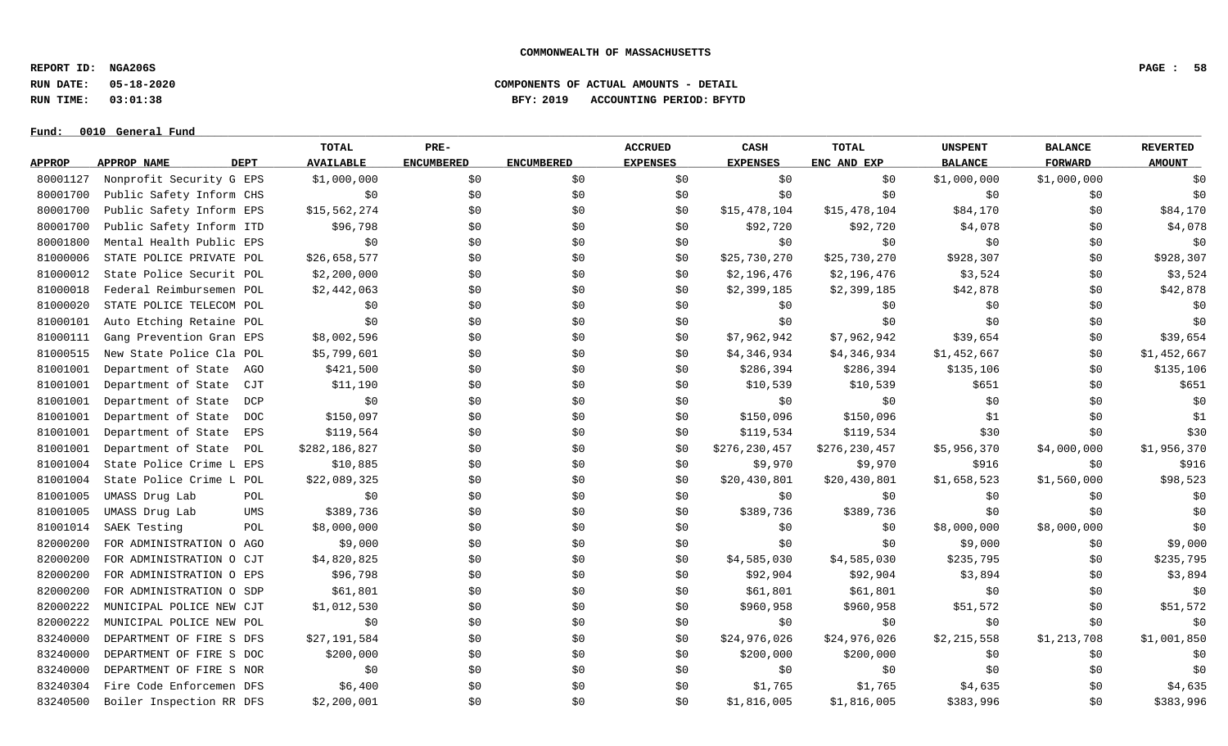**REPORT ID: NGA206S PAGE : 58**

**RUN DATE: 05-18-2020 COMPONENTS OF ACTUAL AMOUNTS - DETAIL**

**RUN TIME: 03:01:38 BFY: 2019 ACCOUNTING PERIOD: BFYTD**

 $Fund: 0010$  General Fund

# **TOTAL PRE- ACCRUED CASH TOTAL UNSPENT BALANCE REVERTED** <u>APPROP APPROPNAME – DEPT AVAILABLE ENCUMBERED ENCUMBERED EXPENSES EXPENSES ENCANDEXP BALANCE – FORWARD – AMOUNT</u> 80001127 Nonprofit Security G EPS \$1,000,000 \$0 \$0 \$0 \$0 \$0 \$0 \$1,000,000 \$1,000,000 \$1,000,000 \$0 80001700 Public Safety Inform CHS \$0 \$0 \$0 \$0 \$0 \$0 \$0 \$0 \$0 80001700 Public Safety Inform EPS \$15,562,274 \$0 \$0 \$0 \$15,478,104 \$15,478,104 \$84,170 \$84,170 \$84,170 \$84,170 80001700 Public Safety Inform ITD \$96,798 \$0 \$0 \$0 \$92,720 \$92,720 \$4,078 \$0 \$0 \$4,078 80001800 Mental Health Public EPS \$0 \$0 \$0 \$0 \$0 \$0 \$0 \$0 \$0 81000006 STATE POLICE PRIVATE POL \$26,658,577 \$0 \$0 \$0 \$0 \$25,730,270 \$25,730,270 \$928,307 \$928,307 \$0 \$928,307 81000012 State Police Securit POL \$2,200,000 \$0 \$0 \$0 \$2,196,476 \$2,196,476 \$3,524 \$0 \$3,524 \$0 \$3,524 81000018 Federal Reimbursemen POL \$2,442,063 \$0 \$0 \$0 \$2,399,185 \$2,399,185 \$42,878 \$12,878 \$0 \$42,878 81000020 STATE POLICE TELECOM POL \$0 \$0 \$0 \$0 \$0 \$0 \$0 \$0 \$0 81000101 Auto Etching Retaine POL \$0 \$0 \$0 \$0 \$0 \$0 \$0 \$0 \$0 81000111 Gang Prevention Gran EPS \$8,002,596 \$0 \$0 \$0 \$0 \$7,962,942 \$7,962,942 \$39,654 \$39,654 \$0 \$39,654 81000515 New State Police Cla POL \$5,799,601 \$0 \$0 \$0 \$1,346,934 \$4,346,934 \$1,452,667 \$0 \$1,452,667 \$0 \$1,452,667 81001001 Department of State AGO \$421,500 \$0 \$0 \$0 \$286,394 \$286,394 \$135,106 \$135,106 \$135,106 \$135,106 \$135,106 81001001 Department of State CJT \$11,190 \$0 \$0 \$0 \$10,539 \$10,539 \$10,539 \$651 \$0 \$651 \$0 \$651 81001001 Department of State DCP \$0 \$0 \$0 \$0 \$0 \$0 \$0 \$0 \$0 81001001 Department of State DOC \$150,097 \$0 \$0 \$0 \$150,096 \$150,096 \$150,096 \$1 \$0 \$1 81001001 Department of State EPS \$119,564 \$0 \$0 \$0 \$119,534 \$119,534 \$30 \$30 \$0 \$30 81001001 Department of State POL \$282,186,827 \$0 \$0 \$0 \$0 \$276,230,457 \$276,230,457 \$5,956,370 \$4,000,000 \$1,956,370 81001004 State Police Crime L EPS \$10,885 \$0 \$0 \$0 \$0 \$9,970 \$9,970 \$9,970 \$916 \$0 \$10 \$916 81001004 State Police Crime L POL \$22,089,325 \$0 \$0 \$0 \$20,430,801 \$20,430,801 \$1,658,523 \$1,560,000 \$98,523 81001005 UMASS Drug Lab POL \$0 \$0 \$0 \$0 \$0 \$0 \$0 \$0 \$0 81001005 UMASS Drug Lab UMS \$389,736 \$0 \$0 \$0 \$389,736 \$389,736 \$90 \$0 \$0 \$0 \$0 81001014 SAEK Testing POL \$8,000,000 \$0 \$0 \$0 \$0 \$8,000,000 \$8,000,000 \$0 82000200 FOR ADMINISTRATION O AGO \$9,000 \$0 \$0 \$0 \$0 \$0 \$0 \$9,000 \$9,000 \$0 \$9,000 \$0 \$9,000 82000200 FOR ADMINISTRATION O CJT \$4,820,825 \$0 \$0 \$0 \$1,585,030 \$4,585,030 \$235,795 \$0 \$235,795 \$0 \$235,795 82000200 FORADMINISTRATION O EPS \$96,798 \$0 \$0 \$90 \$90 \$92,904 \$92,904 \$3,894 \$3,894 \$0 \$3,894 \$3,894 82000200 FOR ADMINISTRATION O SDP \$61,801 \$0 \$0 \$0 \$0 \$61,801 \$61,801 \$0 \$0 \$0 \$0 \$0 \$0 \$0 \$0 82000222 MUNICIPAL POLICE NEW CJT \$1,012,530 \$0 \$0 \$960,958 \$960,958 \$960,958 \$51,572 \$0 \$960,958 \$0 \$51,572 82000222 MUNICIPAL POLICE NEW POL \$0 \$0 \$0 \$0 \$0 \$0 \$0 \$0 \$0 83240000 DEPARTMENT OF FIRE S DFS \$27,191,584 \$0 \$0 \$0 \$0 \$24,976,026 \$24,976,026 \$2,215,558 \$1,213,708 \$1,001,850 83240000 DEPARTMENT OF FIRE S DOC \$200,000 \$0 \$0 \$0 \$0 \$200,000 \$200,000 \$0 \$0 \$0 \$0 \$0 \$0 \$0 83240000 DEPARTMENT OF FIRE S NOR \$0 \$0 \$0 \$0 \$0 \$0 \$0 \$0 \$0 83240304 Fire Code Enforcemen DFS \$6,400 \$0 \$0 \$0 \$1,765 \$1,765 \$4,635 \$0 \$4,635 83240500 Boiler Inspection RR DFS \$2,200,001 \$0 \$0 \$0 \$1,816,005 \$1,816,005 \$383,996 \$383,996 \$383,996 \$383,996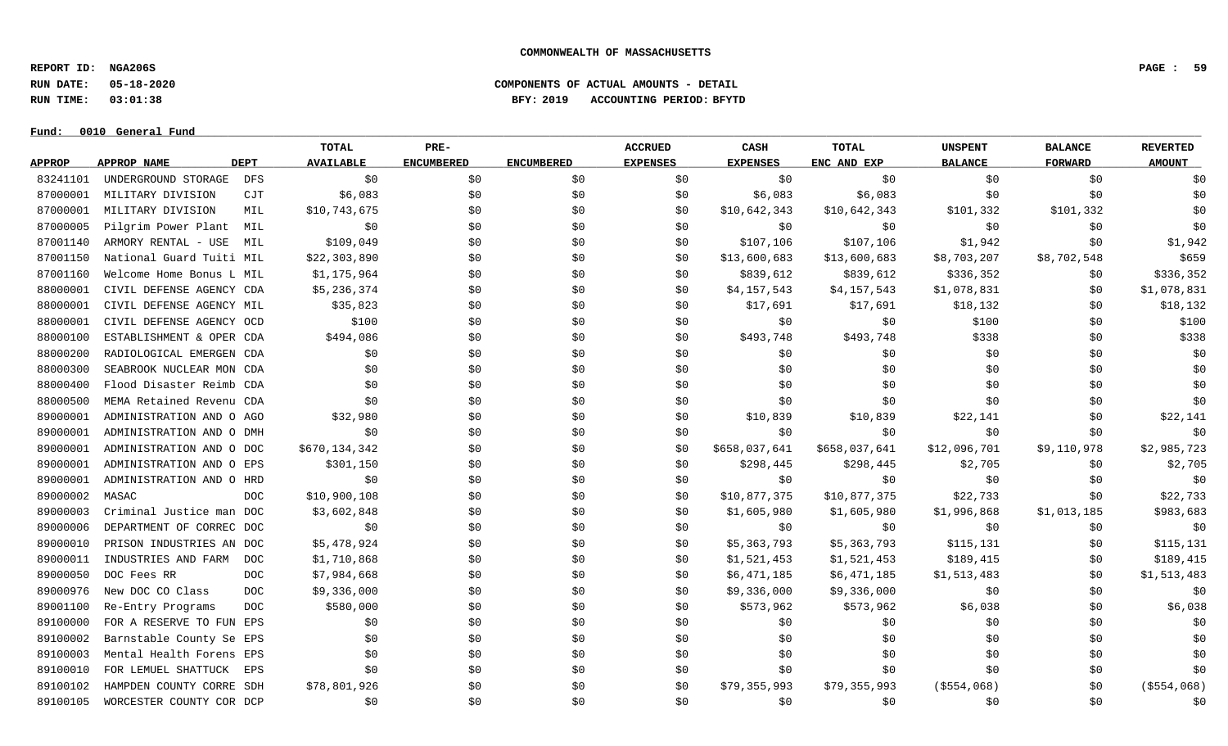**REPORT ID: NGA206S PAGE : 59**

**RUN DATE: 05-18-2020 COMPONENTS OF ACTUAL AMOUNTS - DETAIL**

**RUN TIME: 03:01:38 BFY: 2019 ACCOUNTING PERIOD: BFYTD**

 $Fund: 0010$  General Fund

# **TOTAL PRE- ACCRUED CASH TOTAL UNSPENT BALANCE REVERTED** <u>APPROP APPROPNAME – DEPT AVAILABLE ENCUMBERED ENCUMBERED EXPENSES EXPENSES ENCANDEXP BALANCE – FORWARD – AMOUNT</u> 83241101 UNDERGROUND STORAGE DFS \$0 \$0 \$0 \$0 \$0 \$0 \$0 \$0 \$0 87000001 MILITARY DIVISION CJT \$6,083 \$0 \$6,083 \$0 \$0 \$0 \$0 87000001 MILITARYDIVISION MIL \$10,743,675 \$0 \$0 \$0 \$0 \$10,642,343 \$10,642,343 \$101,332 \$101,332 \$101,332 \$101,332 87000005 Pilgrim Power Plant MIL \$0 \$0 \$0 \$0 \$0 \$0 \$0 \$0 \$0 87001140 ARMORY RENTAL - USE MIL \$109.049 \$0 \$0 \$0 \$107.106 \$107.106 \$1.942 \$0 \$1.942 87001150 National Guard Tuiti MIL \$22,303,890 \$0 \$0 \$0 \$13,600,683 \$13,600,683 \$8,703,207 \$8,702,548 \$659 87001160 Welcome Home Bonus L MIL \$1,175,964 \$0 \$0 \$0 \$839,612 \$839,612 \$336,352 \$0 \$336,352 \$0 \$336,352 88000001 CIVIL DEFENSE AGENCY CDA \$5,236,374 \$0 \$0 \$0 \$1,157,543 \$4,157,543 \$1,078,831 \$0 \$1,078,831 88000001 CIVIL DEFENSE AGENCY MIL  $\frac{132}{35,823}$  \$0 \$0 \$17,691 \$17,691 \$18,132 \$0 \$18,132 88000001 CIVIL DEFENSE AGENCY OCD \$100 \$0 \$0 \$0 \$0 \$0 \$0 \$100 \$0 \$100 \$0 \$100 \$0 \$100 88000100 ESTABLISHMENT & OPER CDA \$494,086 \$0 \$0 \$0 \$493,748 \$493,748 \$493,748 \$338 \$0 \$338 88000200 RADIOLOGICAL EMERGEN CDA \$0 \$0 \$0 \$0 \$0 \$0 \$0 \$0 \$0 88000300 SEABROOK NUCLEAR MON CDA \$0 \$0 \$0 \$0 \$0 \$0 \$0 \$0 \$0 88000400 Flood Disaster Reimb CDA \$0 \$0 \$0 \$0 \$0 \$0 \$0 \$0 \$0 88000500 MEMA Retained Revenu CDA \$0 \$0 \$0 \$0 \$0 \$0 \$0 \$0 \$0 89000001 ADMINISTRATION AND 0 AGO \$32,980 \$0 \$0 \$10,839 \$10,839 \$10,839 \$22,141 \$0 \$22,141 89000001 ADMINISTRATION AND O DMH \$0 \$0 \$0 \$0 \$0 \$0 \$0 \$0 \$0 89000001 ADMINISTRATION AND O DOC \$670,134,342 \$0 \$0 \$0 \$658,037,641 \$658,037,641 \$12,096,701 \$9,110,978 \$2,985,723 89000001 ADMINISTRATION AND O EPS \$301,150 \$0 \$0 \$0 \$298,445 \$298,445 \$2,705 \$0 \$2,705 \$0 \$2,705 89000001 ADMINISTRATION AND O HRD \$0 \$0 \$0 \$0 \$0 \$0 \$0 \$0 \$0 89000002 MASAC DOC \$10,900,108 \$0 \$0 \$10,877,375 \$10,877,375 \$22,733 \$0 \$22,733 89000003 Criminal Justice man DOC \$3,602,848 \$0 \$0 \$0 \$0 \$1,605,980 \$1,605,980 \$1,996,868 \$1,013,185 \$983,683 89000006 DEPARTMENT OF CORREC DOC \$0 \$0 \$0 \$0 \$0 \$0 \$0 \$0 \$0 89000010 PRISON INDUSTRIES AN DOC \$5,478,924 \$0 \$0 \$0 \$5,363,793 \$5,363,793 \$115,131 \$0 \$115,131 89000011 INDUSTRIES AND FARM DOC \$1,710,868 \$0 \$0 \$0 \$1,521,453 \$1,521,453 \$189,415 \$189,415 \$0 \$189,415 89000050 DOC Fees RR \$7,984,668 \$0 \$0 \$6,471,185 \$6,471,185 \$1,513,483 \$0 \$1,513,483 89000976 New DOC CO Class DOC \$9,336,000 \$0 \$0 \$0 \$0 \$9,336,000 \$9,336,000 \$0 \$0 \$0 \$0 \$0 \$0 89001100 Re-Entry Programs DOC \$580,000 \$0 \$0 \$573,962 \$6,038 \$5,038 \$6,038 89100000 FOR A RESERVE TO FUN EPS \$0 \$0 \$0 \$0 \$0 \$0 \$0 \$0 \$0 89100002 Barnstable County Se EPS \$0 \$0 \$0 \$0 \$0 \$0 \$0 \$0 \$0 89100003 Mental Health Forens EPS \$0 \$0 \$0 \$0 \$0 \$0 \$0 \$0 \$0 89100010 FOR LEMUEL SHATTUCK EPS \$0 \$0 \$0 \$0 \$0 \$0 \$0 \$0 \$0 89100102 HAMPDEN COUNTY CORRE SDH \$78,801,926 \$0 \$0 \$0 \$79,355,993 \$79,355,993 (\$554,068) \$0 (\$554,068) 89100105 WORCESTER COUNTY COR DCP \$0 \$0 \$0 \$0 \$0 \$0 \$0 \$0 \$0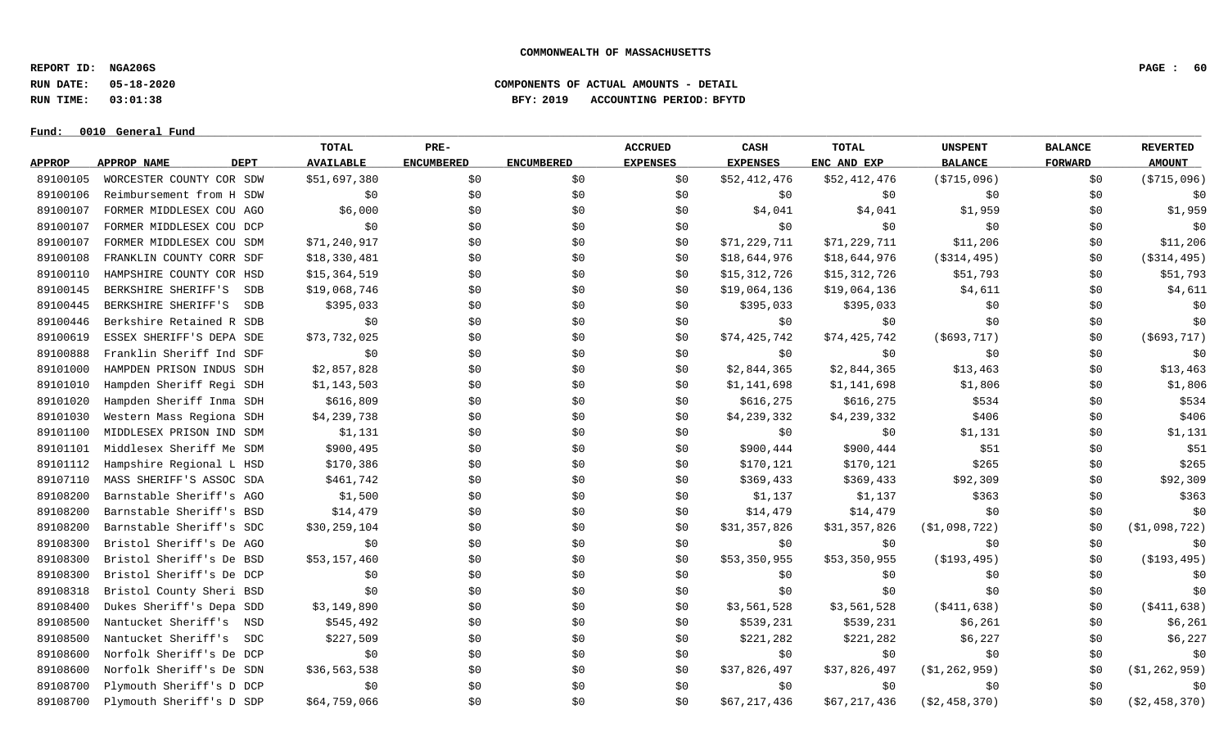**REPORT ID: NGA206S PAGE : 60**

**RUN DATE: 05-18-2020 COMPONENTS OF ACTUAL AMOUNTS - DETAIL**

**RUN TIME: 03:01:38 BFY: 2019 ACCOUNTING PERIOD: BFYTD**

 $Fund: 0010$  General Fund

# **TOTAL PRE- ACCRUED CASH TOTAL UNSPENT BALANCE REVERTED** <u>APPROP APPROPNAME – DEPT AVAILABLE ENCUMBERED ENCUMBERED EXPENSES EXPENSES ENCANDEXP BALANCE – FORWARD – AMOUNT</u> 89100105 WORCESTER COUNTY COR SDW \$51,697,380 \$0 \$0 \$0 \$0 \$0 \$52,412,476 \$52,412,476 (\$715,096) \$0 (\$715,096) 89100106 Reimbursement from H SDW \$0 \$0 \$0 \$0 \$0 \$0 \$0 \$0 \$0 89100107 FORMER MIDDLESEX COU AGO \$6,000 \$0 \$0 \$0 \$9,041 \$4,041 \$1,959 \$1,959 \$1,959 \$1,959 89100107 FORMER MIDDLESEX COU DCP \$0 \$0 \$0 \$0 \$0 \$0 \$0 \$0 \$0 89100107 FORMER MIDDLESEX COU SDM \$71,240,917 \$0 \$0 \$0 \$0 \$11,229,711 \$71,229,711 \$11,206 \$0 \$11,206 \$11,206 89100108 FRANKLIN COUNTY CORR SDF \$18,330,481 \$0 \$0 \$0 \$18,644,976 \$18,644,976 (\$314,495) \$0 (\$314,495) 89100110 HAMPSHIRE COUNTY COR HSD \$15,364,519 \$0 \$0 \$0 \$15,312,726 \$15,312,726 \$15,312,726 \$51,793 \$0 \$51,793 89100145 BERKSHIRE SHERIFF'S SDB \$19,068,746 \$0 \$0 \$0 \$19,064,136 \$19,064,136 \$19,064,136 \$4,611 \$0 \$4,611 89100445 BERKSHIRE SHERIFF'S SDB \$395,033 \$0 \$0 \$0 \$395,033 \$395,033 \$395,033 \$0 \$0 \$0 \$0 89100446 Berkshire Retained R SDB \$0 \$0 \$0 \$0 \$0 \$0 \$0 \$0 \$0 89100619 ESSEX SHERIFF'S DEPA SDE \$73,732,025 \$0 \$0 \$0 \$74,425,742 \$74,425,742 (\$693,717) \$0 (\$693,717) 89100888 Franklin Sheriff Ind SDF \$0 \$0 \$0 \$0 \$0 \$0 \$0 \$0 \$0 89101000 HAMPDEN PRISON INDUS SDH \$2,857,828 \$0 \$0 \$0 \$13,844,365 \$2,844,365 \$13,463 \$0 \$13,463 89101010 Hampden Sheriff Regi SDH \$1,143,503 \$0 \$0 \$1,140,698 \$1,141,698 \$1,141,698 \$1,806 \$1,806 \$1,806 \$1,806 89101020 Hampden Sheriff Inma SDH \$616,809 \$0 \$0 \$0 \$616,275 \$616,275 \$616,275 \$534 \$0 \$534 89101030 Western Mass Regiona SDH \$4,239,738 \$0 \$0 \$0 \$9,239,332 \$4,239,332 \$4,239,332 \$406 \$0 \$406 89101100 MIDDLESEX PRISON IND SDM \$1,131 \$0 \$0 \$0 \$0 \$0 \$1,131 \$0 \$1,131 \$0 \$1,131 89101101 Middlesex Sheriff Me SDM \$900,495 \$0 \$0 \$0 \$900,444 \$900,444 \$900,444 \$51 \$0 \$51 89101112 Hampshire Regional L HSD \$170,386 \$0 \$0 \$0 \$170,121 \$170,121 \$170,121 \$265 \$0 \$265 89107110 MASS SHERIFF'S ASSOC SDA \$461,742 \$0 \$0 \$0 \$369,433 \$369,433 \$92,309 \$0 \$0 \$92,309 89108200 Barnstable Sheriff's AGO \$1,500 \$0 \$0 \$0 \$1,137 \$1,137 \$363 \$0 \$363 89108200 Barnstable Sheriff's BSD \$14,479 \$0 \$0 \$0 \$14,479 \$14,479 \$14,479 \$0 \$0 \$0 \$0 \$0 89108200 Barnstable Sheriff's SDC \$30,259,104 \$0 \$0 \$0 \$31,357,826 \$31,357,826 \$31,357,826 (\$1,098,722) \$0 (\$1,098,722) 89108300 Bristol Sheriff's De AGO \$0 \$0 \$0 \$0 \$0 \$0 \$0 \$0 \$0 89108300 Bristol Sheriff's De BSD \$53,157,460 \$0 \$0 \$0 \$0 \$53,350,955 \$53,350,955 (\$193,495) \$0 (\$193,495) 89108300 Bristol Sheriff's De DCP \$0 \$0 \$0 \$0 \$0 \$0 \$0 \$0 \$0 89108318 Bristol County Sheri BSD \$0 \$0 \$0 \$0 \$0 \$0 \$0 \$0 \$0 89108400 Dukes Sheriff's Depa SDD \$3,149,890 \$0 \$0 \$0 \$0 \$3,561,528 \$3,561,528 (\$411,638) \$0 (\$411,638) 89108500 Nantucket Sheriff's NSD \$545,492 \$0 \$0 \$0 \$539,231 \$539,231 \$6,261 \$6,261 \$0 \$6,261 89108500 Nantucket Sheriff's SDC \$227,509 \$0 \$0 \$0 \$221,282 \$221,282 \$6,227 \$6,227 \$0 \$6,227 89108600 Norfolk Sheriff's De DCP \$0 \$0 \$0 \$0 \$0 \$0 \$0 \$0 \$0 89108600 Norfolk Sheriff's De SDN \$36,563,538 \$0 \$0 \$0 \$17,826,497 \$37,826,497 (\$1,262,959) \$0 (\$1,262,959) 89108700 Plymouth Sheriff's D DCP \$0 \$0 \$0 \$0 \$0 \$0 \$0 \$0 \$0 89108700 Plymouth Sheriff's D SDP \$64,759,066 \$0 \$0 \$0 \$0 \$0 \$0 \$67,217,436 \$67,217,436 (\$2,458,370) \$0 (\$2,458,370)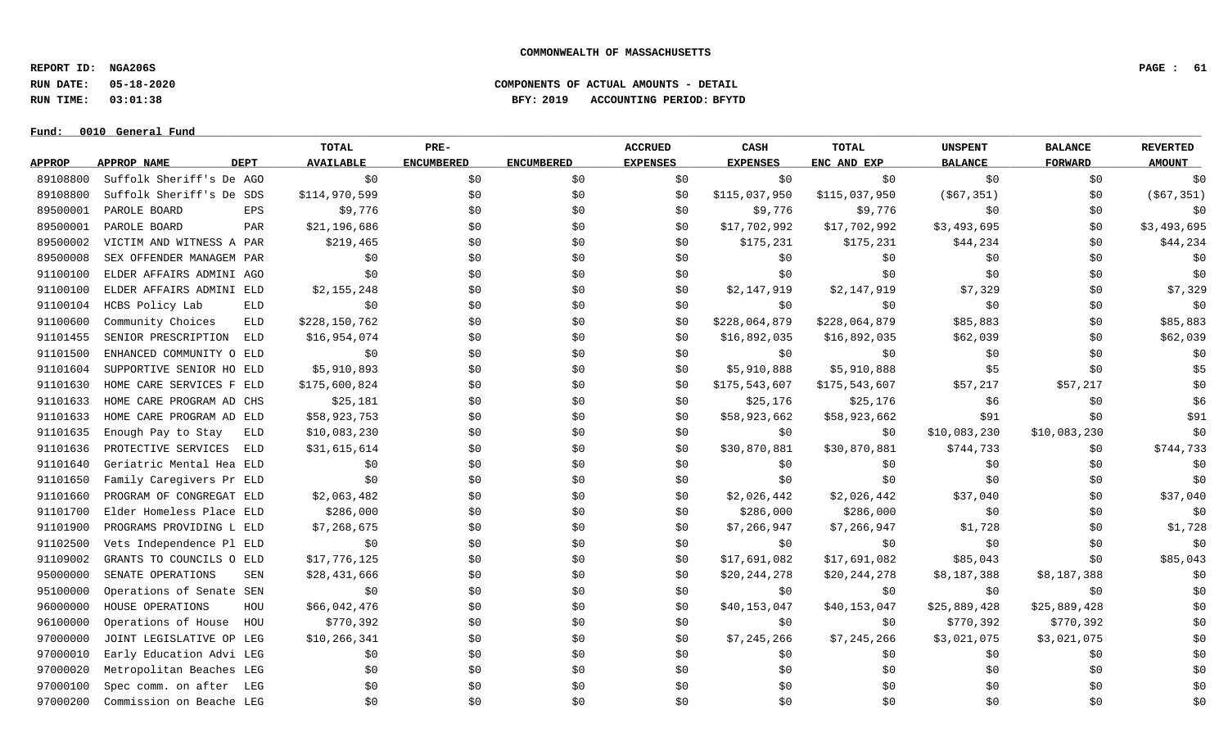**REPORT ID: NGA206S PAGE : 61**

**RUN DATE: 05-18-2020 COMPONENTS OF ACTUAL AMOUNTS - DETAIL**

**RUN TIME: 03:01:38 BFY: 2019 ACCOUNTING PERIOD: BFYTD**

 $Fund: 0010$  General Fund

# **TOTAL PRE- ACCRUED CASH TOTAL UNSPENT BALANCE REVERTED** <u>APPROP APPROPNAME – DEPT AVAILABLE ENCUMBERED ENCUMBERED EXPENSES EXPENSES ENCANDEXP BALANCE – FORWARD – AMOUNT</u> 89108800 Suffolk Sheriff's De AGO \$0 \$0 \$0 \$0 \$0 \$0 \$0 \$0 \$0 89108800 Suffolk Sheriff's De SDS \$114,970,599 \$0 \$0 \$0 \$0 \$0 \$115,037,950 \$115,037,950 (\$67,351) \$0 (\$67,351) 89500001 PAROLE BOARD EPS \$9,776 \$0 \$9,776 \$9,776 \$0 \$0 \$0 89500001 PAROLE BOARD PAR \$21,196,686 \$0 \$ \$0 \$17,702,992 \$17,702,992 \$3,493,695 \$0 \$3,493,695 89500002 VICTIM AND WITNESS A PAR \$219,465 \$0 \$0 \$0 \$175,231 \$175,231 \$44,234 \$0 \$0 \$44,234 89500008 SEX OFFENDER MANAGEM PAR \$0 \$0 \$0 \$0 \$0 \$0 \$0 \$0 \$0 91100100 ELDER AFFAIRS ADMINI AGO \$0 \$0 \$0 \$0 \$0 \$0 \$0 \$0 \$0 91100100 ELDER AFFAIRS ADMINI ELD \$2.155,248 \$0 \$0 \$0 \$2,147,919 \$2,147,919 \$7,329 \$7,329 \$0 \$7,329 91100104 HCBS Policy Lab ELD \$0 \$0 \$0 \$0 \$0 \$0 \$0 \$0 \$0 91100600 Community Choices ELD \$228,150,762 \$0 \$0 \$0 \$0 \$228,064,879 \$228,064,879 \$85,883 \$0 \$85,883 91101455 SENIOR PRESCRIPTION ELD \$16,954,074 \$0 \$ \$0 \$16,892,035 \$16,892,035 \$62,039 \$0 \$62,039 91101500 ENHANCED COMMUNITY O ELD \$0 \$0 \$0 \$0 \$0 \$0 \$0 \$0 \$0 91101604 SUPPORTIVE SENIOR HO ELD \$5,910,893 \$0 \$0 \$0 \$1,910,888 \$5,910,888 \$5,910,888 \$5 \$0 \$0 \$5 91101630 HOME CARE SERVICES F ELD \$175,600,824 \$0 \$0 \$0 \$0 \$175,543,607 \$175,543,607 \$57,217 \$57,217 \$57,217 \$0 91101633 HOME CARE PROGRAM AD CHS \$25,181 \$0 \$0 \$0 \$25,176 \$25,176 \$6 \$6 \$0 \$0 \$6 91101633 HOME CARE PROGRAM AD ELD \$58,923,753 \$0 \$0 \$0 \$58,923,662 \$58,923,662 \$58,923,662 \$91 \$0 \$91 91101635 Enough Pay to Stay ELD \$10,083,230 \$0 \$0 \$0 \$0 \$0 \$0 \$0 \$10,083,230 \$10,083,230 \$10,083,230 \$10,083,230 91101636 PROTECTIVE SERVICES ELD \$31,615,614 \$0 \$0 \$0 \$0 \$30,870,881 \$30,870,881 \$744,733 \$0 \$0 \$744,733 91101640 Geriatric Mental Hea ELD \$0 \$0 \$0 \$0 \$0 \$0 \$0 \$0 \$0 91101650 Family Caregivers Pr ELD \$0 \$0 \$0 \$0 \$0 \$0 \$0 \$0 \$0 91101660 PROGRAM OF CONGREGAT ELD \$2,063,482 \$0 \$0 \$2,026,442 \$2,026,442 \$2,026,442 \$37,040 \$0 \$37,040 91101700 Elder Homeless Place ELD \$286,000 \$0 \$0 \$0 \$286,000 \$286,000 \$286,000 \$0 \$0 \$0 \$0 \$0 \$0 91101900 PROGRAMS PROVIDING L ELD \$7,268,675 \$0 \$0 \$0 \$1,7266,947 \$7,266,947 \$1,728 \$0 \$1,728 91102500 Vets Independence Pl ELD \$0 \$0 \$0 \$0 \$0 \$0 \$0 \$0 \$0 91109002 GRANTS TO COUNCILS O ELD \$17,776,125 \$0 \$0 \$0 \$17,691,082 \$17,691,082 \$17,691,082 \$85,043 \$0 \$85,043 95000000 SENATE OPERATIONS SEN \$28,431,666 \$0 \$0 \$0 \$20,244,278 \$20,244,278 \$8,187,388 \$8,187,388 \$8,187,388 \$0 95100000 Operations of Senate SEN \$0 \$0 \$0 \$0 \$0 \$0 \$0 \$0 \$0 96000000 HOUSE OPERATIONS HOU \$66,042,476 \$0 \$0 \$0 \$10,153,047 \$40,153,047 \$25,889,428 \$25,889,428 \$10,153,047 96100000 Operations of House HOU \$770,392 \$0 \$0 \$0 \$0 \$0 \$0 \$0 \$770,392 \$770,392 \$770,392 \$0 97000000 JOINT LEGISLATIVE OP LEG \$10,266,341 \$0 \$0 \$0 \$0 \$7,245,266 \$7,245,266 \$3,021,075 \$3,021,075 \$3,021,075 97000010 Early Education Advi LEG \$0 \$0 \$0 \$0 \$0 \$0 \$0 \$0 \$0 97000020 Metropolitan Beaches LEG \$0 \$0 \$0 \$0 \$0 \$0 \$0 \$0 \$0 97000100 Spec comm. on after LEG \$0 \$0 \$0 \$0 \$0 \$0 \$0 \$0 \$0

97000200 Commission on Beache LEG \$0 \$0 \$0 \$0 \$0 \$0 \$0 \$0 \$0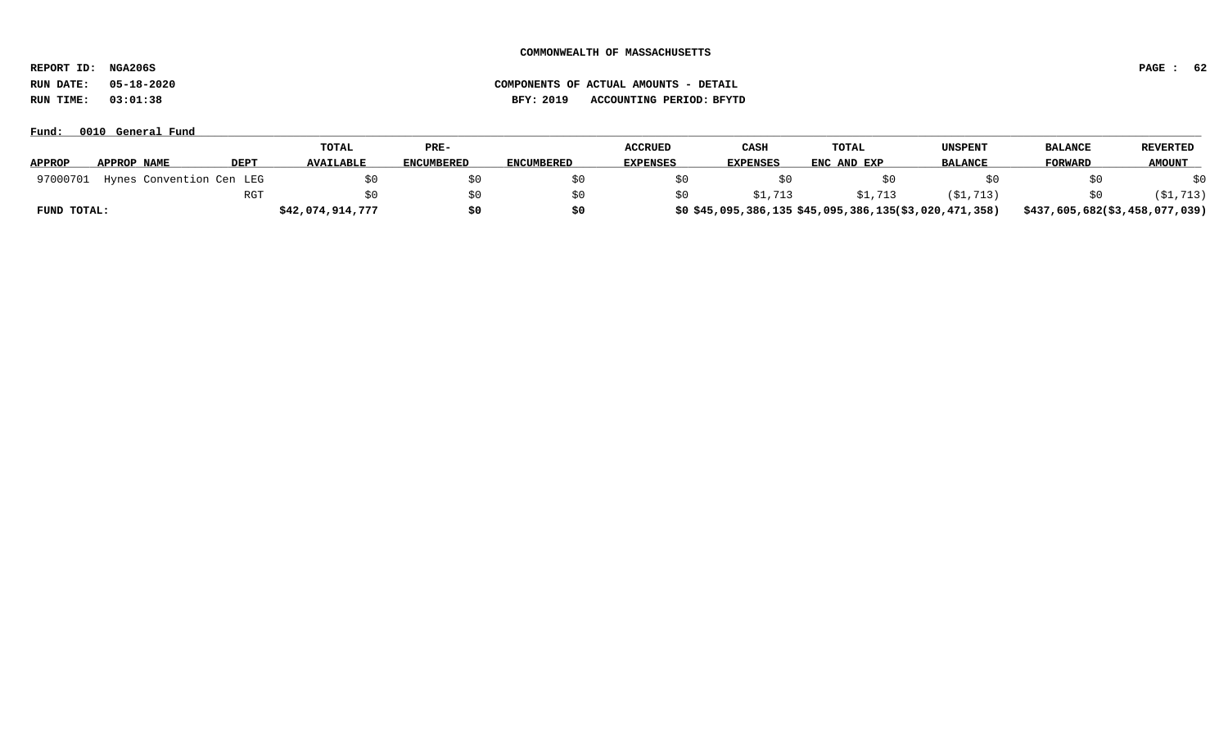**REPORT ID: NGA206S PAGE : 62**

**RUN DATE: 05-18-2020 COMPONENTS OF ACTUAL AMOUNTS - DETAIL**

**RUN TIME: 03:01:38 BFY: 2019 ACCOUNTING PERIOD: BFYTD**

|               |                          |             | <b>TOTAL</b>     | PRE-              |                   | <b>ACCRUED</b>  | CASH            | TOTAL                                                | UNSPENT        | <b>BALANCE</b>                 | <b>REVERTED</b> |
|---------------|--------------------------|-------------|------------------|-------------------|-------------------|-----------------|-----------------|------------------------------------------------------|----------------|--------------------------------|-----------------|
| <b>APPROP</b> | APPROP NAME              | <b>DEPT</b> | <b>AVAILABLE</b> | <b>ENCUMBERED</b> | <b>ENCUMBERED</b> | <b>EXPENSES</b> | <b>EXPENSES</b> | ENC AND EXP                                          | <b>BALANCE</b> | FORWARD                        | <b>AMOUNT</b>   |
| 97000701      | Hynes Convention Cen LEG |             |                  | \$0               |                   |                 |                 |                                                      |                |                                | \$0             |
|               |                          | RGT         |                  | \$0               |                   |                 | \$1,713         | \$1,713                                              | (\$1,713)      |                                | \$1,713)        |
| FUND TOTAL:   |                          |             | \$42,074,914,777 | \$0               | S0                |                 |                 | \$0\$45,095,386,135\$45,095,386,135(\$3,020,471,358) |                | \$437,605,682(\$3,458,077,039) |                 |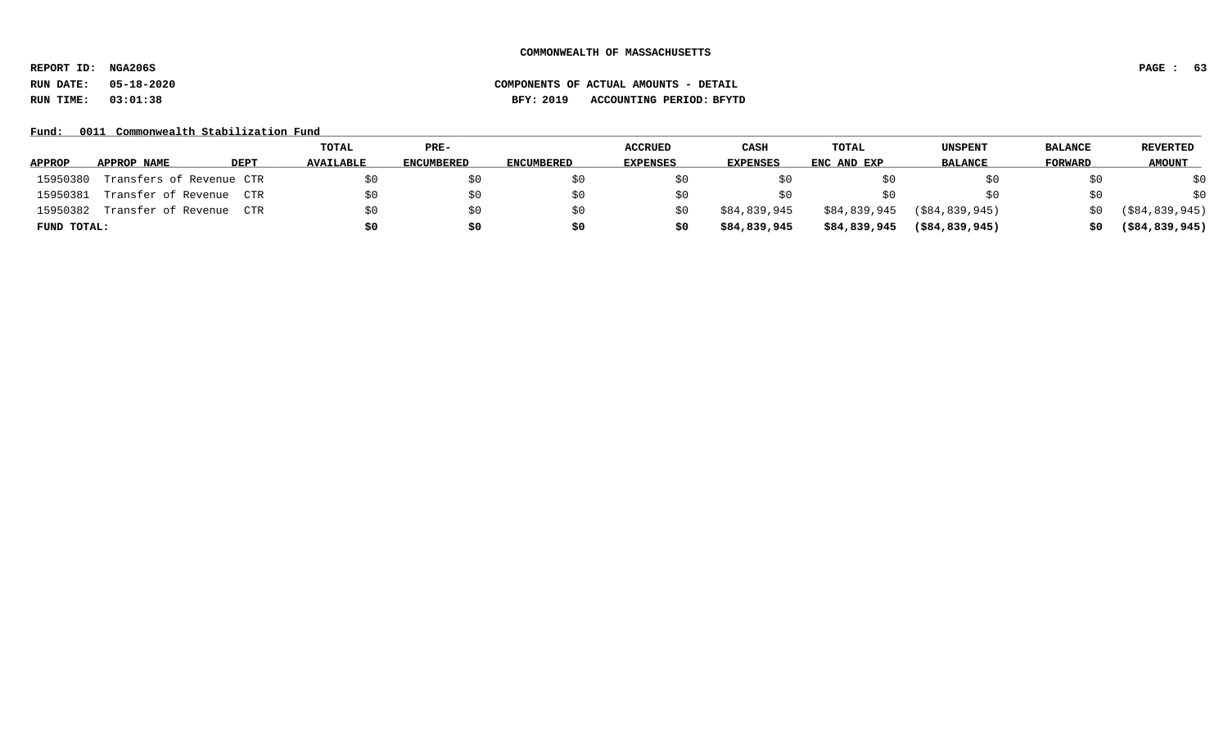**REPORT ID: NGA206S PAGE : 63**

# **RUN DATE: 05-18-2020 COMPONENTS OF ACTUAL AMOUNTS - DETAIL RUN TIME: 03:01:38 BFY: 2019 ACCOUNTING PERIOD: BFYTD**

# Fund: 0011 Commonwealth Stabilization Fund

|               |                          |             | TOTAL            | PRE-              |            | <b>ACCRUED</b>  | CASH            | TOTAL        | UNSPENT           | <b>BALANCE</b> | <b>REVERTED</b>   |
|---------------|--------------------------|-------------|------------------|-------------------|------------|-----------------|-----------------|--------------|-------------------|----------------|-------------------|
| <b>APPROP</b> | APPROP NAME              | <b>DEPT</b> | <b>AVAILABLE</b> | <b>ENCUMBERED</b> | ENCUMBERED | <b>EXPENSES</b> | <b>EXPENSES</b> | ENC AND EXP  | <b>BALANCE</b>    | FORWARD        | <b>AMOUNT</b>     |
| 15950380      | Transfers of Revenue CTR |             |                  | \$0               | S0         |                 |                 |              |                   | SO.            | \$0               |
| 15950381      | Transfer of Revenue      | CTR.        |                  | \$0               | SO.        |                 | SO.             |              |                   | \$0            | \$0               |
| 15950382      | Transfer of Revenue      | CTR.        |                  | \$0               | SO.        | S0              | \$84,839,945    | \$84,839,945 | ( \$84, 839, 945) | SO.            | ( \$84, 839, 945) |
| FUND TOTAL:   |                          |             |                  | \$0               | \$0        | S0              | \$84,839,945    | \$84,839,945 | $($ \$84,839,945) | 50             | $($ \$84,839,945) |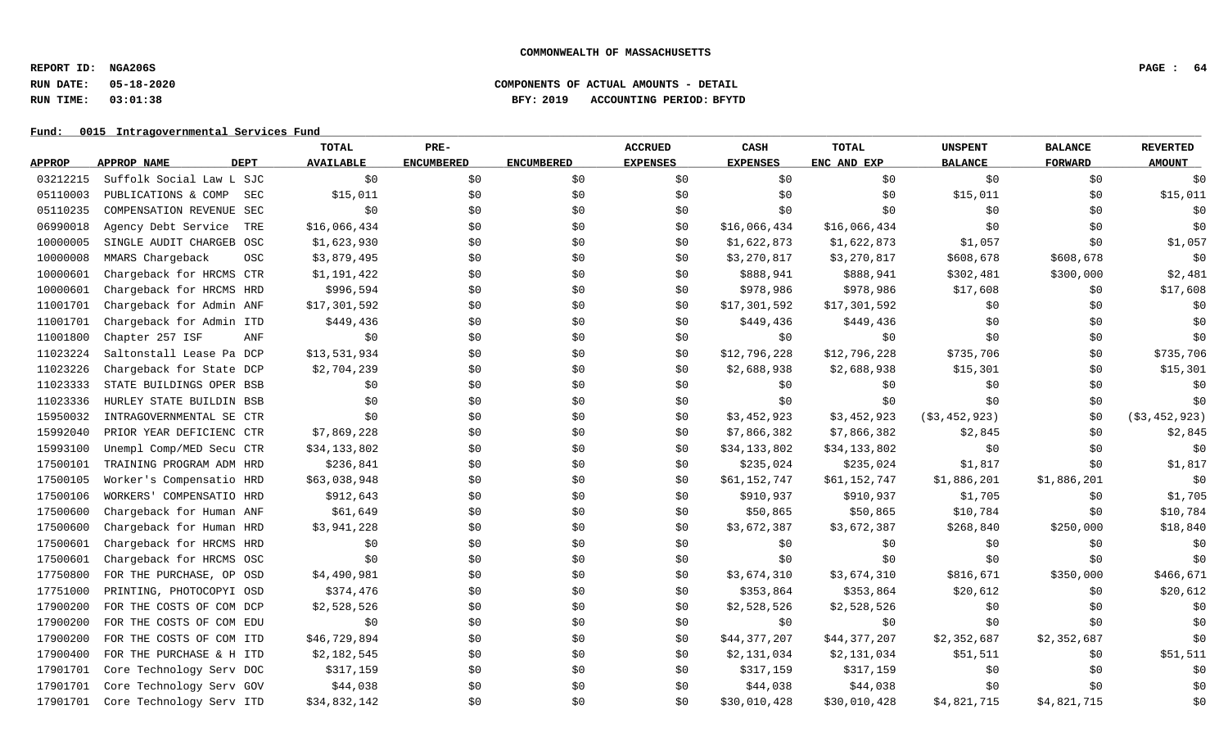**REPORT ID: NGA206S PAGE : 64**

# **RUN DATE: 05-18-2020 COMPONENTS OF ACTUAL AMOUNTS - DETAIL RUN TIME: 03:01:38 BFY: 2019 ACCOUNTING PERIOD: BFYTD**

Fund: 0015 Intragovernmental Services Fund

|               |                            | <b>TOTAL</b>              | PRE-              |                   | <b>ACCRUED</b>  | CASH            | <b>TOTAL</b> | <b>UNSPENT</b> | <b>BALANCE</b> | <b>REVERTED</b> |
|---------------|----------------------------|---------------------------|-------------------|-------------------|-----------------|-----------------|--------------|----------------|----------------|-----------------|
| <b>APPROP</b> | <b>DEPT</b><br>APPROP NAME | <b>AVAILABLE</b>          | <b>ENCUMBERED</b> | <b>ENCUMBERED</b> | <b>EXPENSES</b> | <b>EXPENSES</b> | ENC AND EXP  | <b>BALANCE</b> | <b>FORWARD</b> | <b>AMOUNT</b>   |
| 03212215      | Suffolk Social Law L SJC   | \$0                       | \$0               | \$0               | \$0             | \$0             | \$0          | \$0            | \$0            | \$0             |
| 05110003      | PUBLICATIONS & COMP        | \$15,011<br>SEC           | \$0\$             | \$0               | \$0             | \$0             | \$0\$        | \$15,011       | \$0            | \$15,011        |
| 05110235      | COMPENSATION REVENUE SEC   | \$0                       | \$0               | \$0               | \$0             | \$0             | \$0          | \$0            | \$0            | \$0             |
| 06990018      | Agency Debt Service        | \$16,066,434<br>TRE       | \$0               | \$0               | \$0             | \$16,066,434    | \$16,066,434 | \$0            | \$0            | \$0             |
| 10000005      | SINGLE AUDIT CHARGEB OSC   | \$1,623,930               | \$0               | \$0               | \$0             | \$1,622,873     | \$1,622,873  | \$1,057        | \$0            | \$1,057         |
| 10000008      | MMARS Chargeback           | \$3,879,495<br><b>OSC</b> | \$0               | \$0               | \$0             | \$3,270,817     | \$3,270,817  | \$608,678      | \$608,678      | \$0             |
| 10000601      | Chargeback for HRCMS CTR   | \$1,191,422               | \$0               | \$0               | \$0             | \$888,941       | \$888,941    | \$302,481      | \$300,000      | \$2,481         |
| 10000601      | Chargeback for HRCMS HRD   | \$996,594                 | \$0               | \$0               | \$0             | \$978,986       | \$978,986    | \$17,608       | \$0            | \$17,608        |
| 11001701      | Chargeback for Admin ANF   | \$17,301,592              | \$0\$             | \$0               | \$0             | \$17,301,592    | \$17,301,592 | \$0            | \$0            | \$0             |
| 11001701      | Chargeback for Admin ITD   | \$449,436                 | \$0               | \$0               | \$0             | \$449,436       | \$449,436    | \$0            | \$0            | \$0             |
| 11001800      | Chapter 257 ISF            | ANF<br>\$0                | \$0               | \$0               | \$0             | \$0             | \$0          | \$0            | \$0            | \$0             |
| 11023224      | Saltonstall Lease Pa DCP   | \$13,531,934              | \$0               | \$0               | \$0             | \$12,796,228    | \$12,796,228 | \$735,706      | \$0            | \$735,706       |
| 11023226      | Chargeback for State DCP   | \$2,704,239               | \$0               | \$0               | \$0             | \$2,688,938     | \$2,688,938  | \$15,301       | \$0            | \$15,301        |
| 11023333      | STATE BUILDINGS OPER BSB   | \$0                       | \$0\$             | \$0               | \$0             | \$0             | \$0          | \$0            | \$0            | \$0             |
| 11023336      | HURLEY STATE BUILDIN BSB   | \$0                       | \$0               | \$0               | \$0             | \$0             | \$0          | \$0            | \$0            | \$0             |
| 15950032      | INTRAGOVERNMENTAL SE CTR   | \$0                       | \$0\$             | \$0               | \$0             | \$3,452,923     | \$3,452,923  | ( \$3,452,923) | \$0            | ( \$3,452,923)  |
| 15992040      | PRIOR YEAR DEFICIENC CTR   | \$7,869,228               | \$0               | \$0               | \$0             | \$7,866,382     | \$7,866,382  | \$2,845        | \$0            | \$2,845         |
| 15993100      | Unempl Comp/MED Secu CTR   | \$34,133,802              | \$0               | \$0               | \$0             | \$34,133,802    | \$34,133,802 | \$0            | \$0            | \$0             |
| 17500101      | TRAINING PROGRAM ADM HRD   | \$236,841                 | \$0               | \$0               | \$0             | \$235,024       | \$235,024    | \$1,817        | \$0            | \$1,817         |
| 17500105      | Worker's Compensatio HRD   | \$63,038,948              | \$0               | \$0               | \$0             | \$61,152,747    | \$61,152,747 | \$1,886,201    | \$1,886,201    | \$0             |
| 17500106      | WORKERS' COMPENSATIO HRD   | \$912,643                 | \$0               | \$0               | \$0             | \$910,937       | \$910,937    | \$1,705        | \$0            | \$1,705         |
| 17500600      | Chargeback for Human ANF   | \$61,649                  | \$0               | \$0               | \$0             | \$50,865        | \$50,865     | \$10,784       | \$0            | \$10,784        |
| 17500600      | Chargeback for Human HRD   | \$3,941,228               | \$0               | \$0               | \$0             | \$3,672,387     | \$3,672,387  | \$268,840      | \$250,000      | \$18,840        |
| 17500601      | Chargeback for HRCMS HRD   | \$0                       | \$0               | \$0               | \$0             | \$0             | \$0\$        | \$0            | \$0            | \$0             |
| 17500601      | Chargeback for HRCMS OSC   | \$0                       | \$0               | \$0               | \$0             | \$0             | \$0          | \$0            | \$0            | \$0             |
| 17750800      | FOR THE PURCHASE, OP OSD   | \$4,490,981               | \$0               | \$0               | \$0             | \$3,674,310     | \$3,674,310  | \$816,671      | \$350,000      | \$466,671       |
| 17751000      | PRINTING, PHOTOCOPYI OSD   | \$374,476                 | \$0               | \$0               | \$0             | \$353,864       | \$353,864    | \$20,612       | \$0\$          | \$20,612        |
| 17900200      | FOR THE COSTS OF COM DCP   | \$2,528,526               | \$0               | \$0               | \$0             | \$2,528,526     | \$2,528,526  | \$0            | \$0            | \$0             |
| 17900200      | FOR THE COSTS OF COM EDU   | \$0                       | \$0               | \$0               | \$0             | \$0             | \$0          | \$0            | \$0            | \$0             |
| 17900200      | FOR THE COSTS OF COM ITD   | \$46,729,894              | \$0               | \$0               | \$0             | \$44,377,207    | \$44,377,207 | \$2,352,687    | \$2,352,687    | \$0             |
| 17900400      | FOR THE PURCHASE & H ITD   | \$2,182,545               | \$0               | \$0               | \$0             | \$2,131,034     | \$2,131,034  | \$51,511       | \$0            | \$51,511        |
| 17901701      | Core Technology Serv DOC   | \$317,159                 | \$0               | \$0               | \$0             | \$317,159       | \$317,159    | \$0            | \$0            | \$0             |
| 17901701      | Core Technology Serv GOV   | \$44,038                  | \$0\$             | \$0               | \$0             | \$44,038        | \$44,038     | \$0            | \$0            | \$0             |
| 17901701      | Core Technology Serv ITD   | \$34,832,142              | \$0\$             | \$0               | \$0             | \$30,010,428    | \$30,010,428 | \$4,821,715    | \$4,821,715    | \$0             |
|               |                            |                           |                   |                   |                 |                 |              |                |                |                 |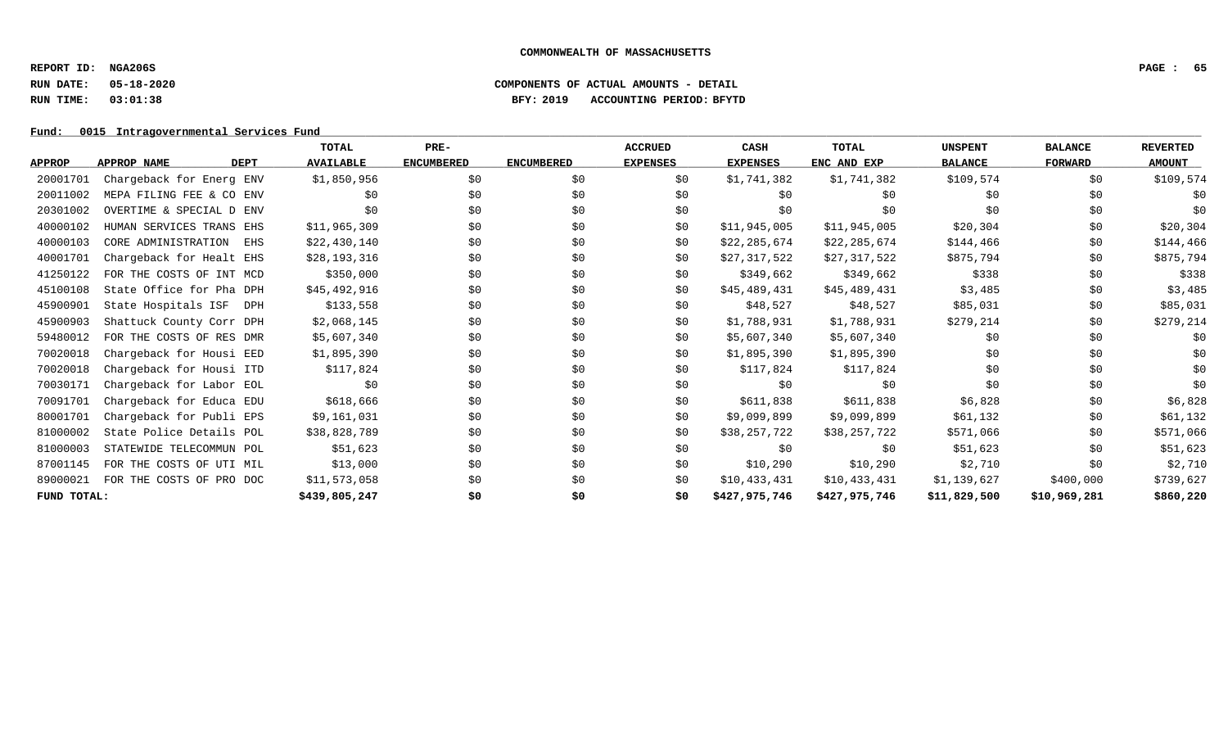**REPORT ID: NGA206S PAGE : 65**

# **RUN DATE: 05-18-2020 COMPONENTS OF ACTUAL AMOUNTS - DETAIL RUN TIME: 03:01:38 BFY: 2019 ACCOUNTING PERIOD: BFYTD**

Fund: 0015 Intragovernmental Services Fund

|               |                                   | TOTAL            | PRE-              |                   | <b>ACCRUED</b>  | CASH            | <b>TOTAL</b>  | <b>UNSPENT</b> | <b>BALANCE</b> | <b>REVERTED</b> |
|---------------|-----------------------------------|------------------|-------------------|-------------------|-----------------|-----------------|---------------|----------------|----------------|-----------------|
| <b>APPROP</b> | <b>DEPT</b><br><b>APPROP NAME</b> | <b>AVAILABLE</b> | <b>ENCUMBERED</b> | <b>ENCUMBERED</b> | <b>EXPENSES</b> | <b>EXPENSES</b> | ENC AND EXP   | <b>BALANCE</b> | <b>FORWARD</b> | <b>AMOUNT</b>   |
| 20001701      | Chargeback for Energ ENV          | \$1,850,956      | \$0               | \$0               | \$0             | \$1,741,382     | \$1,741,382   | \$109,574      | \$0            | \$109,574       |
| 20011002      | MEPA FILING FEE & CO ENV          | \$0              | \$0               | \$0               | \$0             | \$0             | \$0           | \$0            | \$0            | \$0             |
| 20301002      | OVERTIME & SPECIAL D ENV          | \$0              | \$0               | \$0               | \$0             | \$0             | \$0           | \$0            | \$0            | \$0             |
| 40000102      | HUMAN SERVICES TRANS EHS          | \$11,965,309     | \$0               | \$0               | \$0             | \$11,945,005    | \$11,945,005  | \$20,304       | \$0            | \$20,304        |
| 40000103      | CORE ADMINISTRATION<br>EHS        | \$22,430,140     | \$0               | \$0               | \$0             | \$22,285,674    | \$22,285,674  | \$144,466      | \$0            | \$144,466       |
| 40001701      | Chargeback for Healt EHS          | \$28,193,316     | \$0               | \$0               | \$0             | \$27,317,522    | \$27,317,522  | \$875,794      | \$0            | \$875,794       |
| 41250122      | FOR THE COSTS OF INT MCD          | \$350,000        | \$0               | \$0               | \$0             | \$349,662       | \$349,662     | \$338          | \$0            | \$338           |
| 45100108      | State Office for Pha DPH          | \$45,492,916     | \$0               | \$0               | \$0             | \$45,489,431    | \$45,489,431  | \$3,485        | \$0            | \$3,485         |
| 45900901      | State Hospitals ISF<br>DPH        | \$133,558        | \$0               | \$0               | \$0             | \$48,527        | \$48,527      | \$85,031       | \$0            | \$85,031        |
| 45900903      | Shattuck County Corr DPH          | \$2,068,145      | \$0\$             | \$0               | \$0             | \$1,788,931     | \$1,788,931   | \$279,214      | \$0            | \$279,214       |
| 59480012      | FOR THE COSTS OF RES DMR          | \$5,607,340      | \$0               | \$0               | \$0             | \$5,607,340     | \$5,607,340   | \$0            | \$0            | \$0             |
| 70020018      | Chargeback for Housi EED          | \$1,895,390      | \$0               | \$0               | \$0             | \$1,895,390     | \$1,895,390   | \$0            | \$0            | \$0             |
| 70020018      | Chargeback for Housi ITD          | \$117,824        | \$0               | \$0               | \$0             | \$117,824       | \$117,824     | \$0            | \$0            | \$0             |
| 70030171      | Chargeback for Labor EOL          | \$0              | \$0               | \$0               | \$0             | \$0             | \$0           | \$0            | \$0            | \$0             |
| 70091701      | Chargeback for Educa EDU          | \$618,666        | \$0               | \$0               | \$0             | \$611,838       | \$611,838     | \$6,828        | \$0            | \$6,828         |
| 80001701      | Chargeback for Publi EPS          | \$9,161,031      | \$0               | \$0               | \$0             | \$9,099,899     | \$9,099,899   | \$61,132       | \$0            | \$61,132        |
| 81000002      | State Police Details POL          | \$38,828,789     | \$0               | \$0               | \$0             | \$38,257,722    | \$38,257,722  | \$571,066      | \$0            | \$571,066       |
| 81000003      | STATEWIDE TELECOMMUN POL          | \$51,623         | \$0               | \$0               | \$0             | \$0             | \$0           | \$51,623       | \$0            | \$51,623        |
| 87001145      | FOR THE COSTS OF UTI MIL          | \$13,000         | \$0               | \$0               | \$0             | \$10,290        | \$10,290      | \$2,710        | \$0            | \$2,710         |
| 89000021      | FOR THE COSTS OF PRO DOC          | \$11,573,058     | \$0               | \$0               | \$0             | \$10,433,431    | \$10,433,431  | \$1,139,627    | \$400,000      | \$739,627       |
| FUND TOTAL:   |                                   | \$439,805,247    | \$0               | \$0               | \$0             | \$427,975,746   | \$427,975,746 | \$11,829,500   | \$10,969,281   | \$860,220       |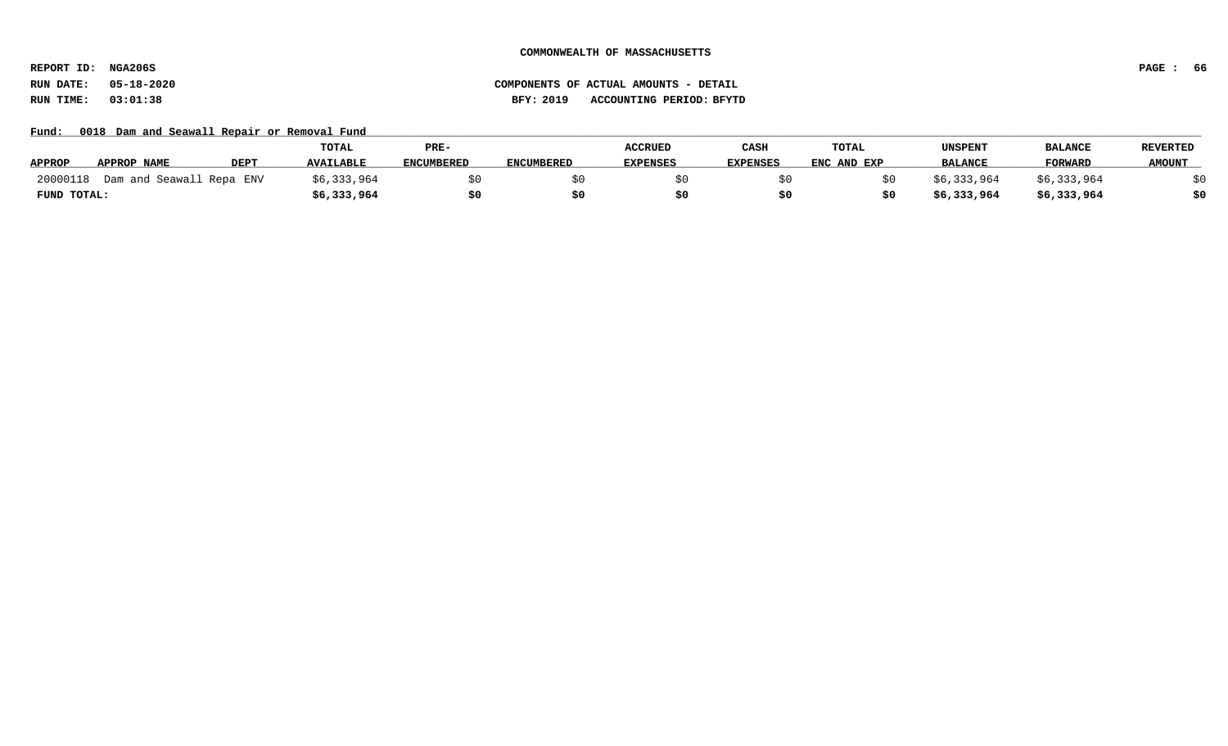**REPORT ID: NGA206S PAGE : 66**

# **RUN DATE: 05-18-2020 COMPONENTS OF ACTUAL AMOUNTS - DETAIL RUN TIME: 03:01:38 BFY: 2019 ACCOUNTING PERIOD: BFYTD**

Fund: 0018 Dam and Seawall Repair or Removal Fund

|               |                            |             | TOTAL            | PRE-              |                   | <b>ACCRUED</b>  | CASH            | <b>TOTAL</b> | UNSPENT        | <b>BALANCE</b> | <b>REVERTED</b> |
|---------------|----------------------------|-------------|------------------|-------------------|-------------------|-----------------|-----------------|--------------|----------------|----------------|-----------------|
| <b>APPROP</b> | APPROP NAME                | <b>DEPT</b> | <b>AVAILABLE</b> | <b>ENCUMBERED</b> | <b>ENCUMBERED</b> | <b>EXPENSES</b> | <b>EXPENSES</b> | ENC AND EXP  | <b>BALANCE</b> | <b>FORWARD</b> | <b>AMOUNT</b>   |
| 20000118      | J Dam and Seawall Repa ENV |             | \$6,333,964      |                   |                   |                 |                 |              | \$6,333,964    | \$6,333,964    |                 |
| FUND TOTAL:   |                            |             | \$6,333,964      |                   |                   |                 |                 |              | \$6,333,964    | \$6,333,964    |                 |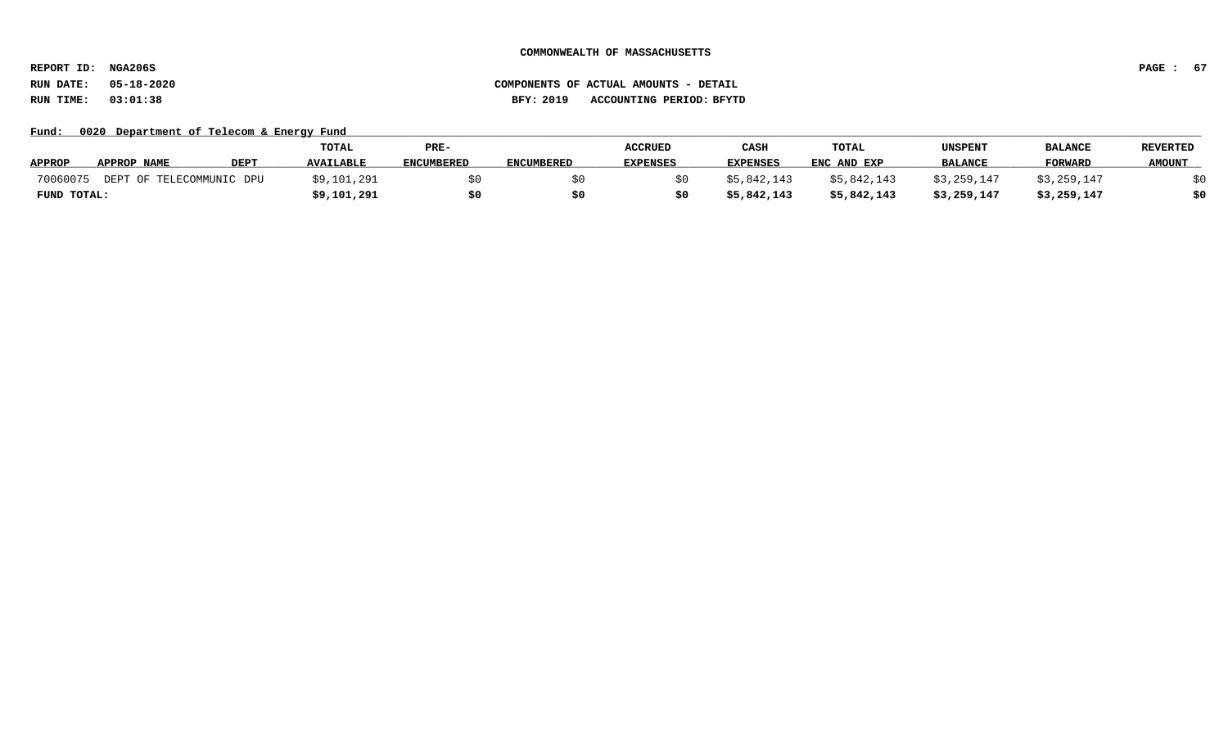**REPORT ID: NGA206S PAGE : 67**

**RUN DATE: 05-18-2020 COMPONENTS OF ACTUAL AMOUNTS - DETAIL RUN TIME: 03:01:38 BFY: 2019 ACCOUNTING PERIOD: BFYTD**

Fund: 0020 Department of Telecom & Energy Fund

|               |                          |             | <b>TOTAL</b>     | PRE-       |                   | <b>ACCRUED</b>  | CASH            | <b>TOTAL</b> | UNSPENT        | <b>BALANCE</b> | <b>REVERTED</b> |
|---------------|--------------------------|-------------|------------------|------------|-------------------|-----------------|-----------------|--------------|----------------|----------------|-----------------|
| <b>APPROP</b> | APPROP NAME              | <b>DEPT</b> | <b>AVAILABLE</b> | ENCUMBERED | <b>ENCUMBERED</b> | <b>EXPENSES</b> | <b>EXPENSES</b> | ENC AND EXP  | <b>BALANCE</b> | <b>FORWARD</b> | <b>AMOUNT</b>   |
| 70060075      | DEPT OF TELECOMMUNIC DPU |             | \$9,101,291      |            |                   |                 | \$5,842,143     | \$5,842,143  | \$3,259,147    | \$3,259,147    |                 |
| FUND TOTAL:   |                          |             | \$9,101,291      |            |                   |                 | \$5,842,143     | \$5,842,143  | \$3,259,147    | \$3,259,147    | \$0             |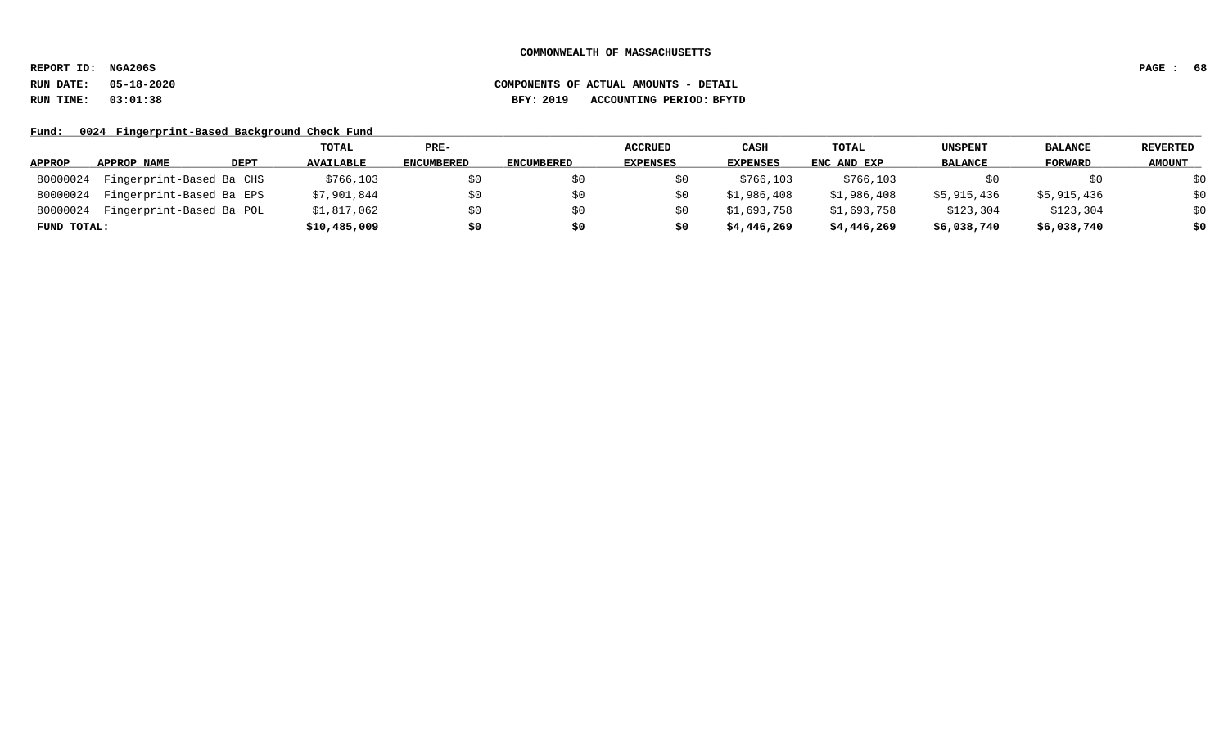**REPORT ID: NGA206S PAGE : 68**

# **RUN DATE: 05-18-2020 COMPONENTS OF ACTUAL AMOUNTS - DETAIL RUN TIME: 03:01:38 BFY: 2019 ACCOUNTING PERIOD: BFYTD**

Fund: 0024 Fingerprint-Based Background Check Fund

|               |                          |             | TOTAL            | PRE-              |                   | ACCRUED         | CASH            | <b>TOTAL</b> | <b>UNSPENT</b> | <b>BALANCE</b> | <b>REVERTED</b> |
|---------------|--------------------------|-------------|------------------|-------------------|-------------------|-----------------|-----------------|--------------|----------------|----------------|-----------------|
| <b>APPROP</b> | APPROP NAME              | <b>DEPT</b> | <b>AVAILABLE</b> | <b>ENCUMBERED</b> | <b>ENCUMBERED</b> | <b>EXPENSES</b> | <b>EXPENSES</b> | ENC AND EXP  | <b>BALANCE</b> | FORWARD        | <b>AMOUNT</b>   |
| 80000024      | Fingerprint-Based Ba CHS |             | \$766,103        | S0                |                   |                 | \$766,103       | \$766,103    |                | SO.            | \$0             |
| 80000024      | Fingerprint-Based Ba EPS |             | \$7,901,844      | \$0               |                   |                 | \$1,986,408     | \$1,986,408  | \$5,915,436    | \$5,915,436    | \$0             |
| 80000024      | Fingerprint-Based Ba POL |             | \$1,817,062      | \$0               |                   |                 | \$1,693,758     | \$1,693,758  | \$123,304      | \$123,304      | \$0             |
| FUND TOTAL:   |                          |             | \$10,485,009     | \$0               | \$0               | S0              | \$4,446,269     | \$4,446,269  | \$6,038,740    | \$6,038,740    | \$0             |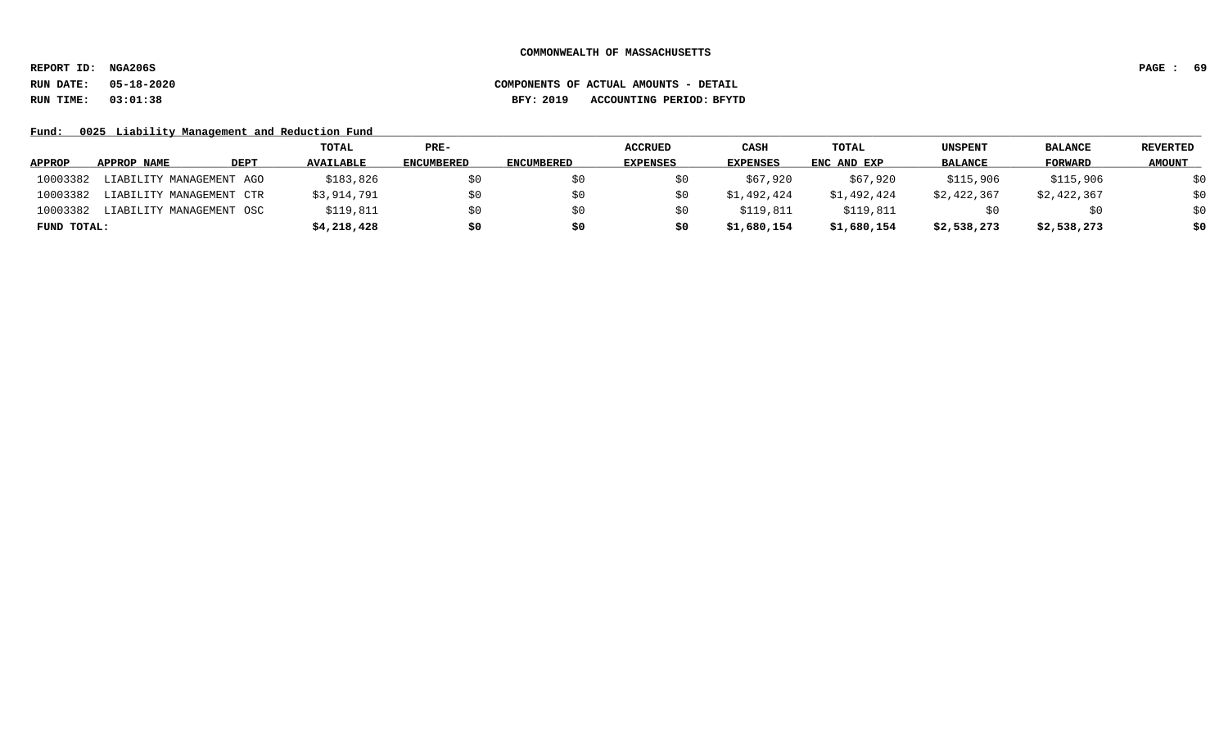**REPORT ID: NGA206S PAGE : 69**

# **RUN DATE: 05-18-2020 COMPONENTS OF ACTUAL AMOUNTS - DETAIL RUN TIME: 03:01:38 BFY: 2019 ACCOUNTING PERIOD: BFYTD**

Fund: 0025 Liability Management and Reduction Fund

|               |                          |             | TOTAL            | PRE-              |                   | <b>ACCRUED</b>  | CASH            | TOTAL       | <b>UNSPENT</b> | <b>BALANCE</b> | <b>REVERTED</b> |
|---------------|--------------------------|-------------|------------------|-------------------|-------------------|-----------------|-----------------|-------------|----------------|----------------|-----------------|
| <b>APPROP</b> | APPROP NAME              | <b>DEPT</b> | <b>AVAILABLE</b> | <b>ENCUMBERED</b> | <b>ENCUMBERED</b> | <b>EXPENSES</b> | <b>EXPENSES</b> | ENC AND EXP | <b>BALANCE</b> | FORWARD        | <b>AMOUNT</b>   |
| 10003382      | LIABILITY MANAGEMENT AGO |             | \$183,826        | S0                |                   |                 | \$67,920        | \$67,920    | \$115,906      | \$115,906      | \$0             |
| 10003382      | LIABILITY MANAGEMENT CTR |             | \$3,914,791      | \$0               |                   |                 | \$1,492,424     | \$1,492,424 | \$2,422,367    | \$2,422,367    | \$0             |
| 10003382      | LIABILITY MANAGEMENT OSC |             | \$119,811        | SO.               |                   |                 | \$119,811       | \$119,811   | SÜ             | SO.            | \$0             |
| FUND TOTAL:   |                          |             | \$4,218,428      | \$0               | s0                |                 | \$1,680,154     | \$1,680,154 | \$2,538,273    | \$2,538,273    | \$0             |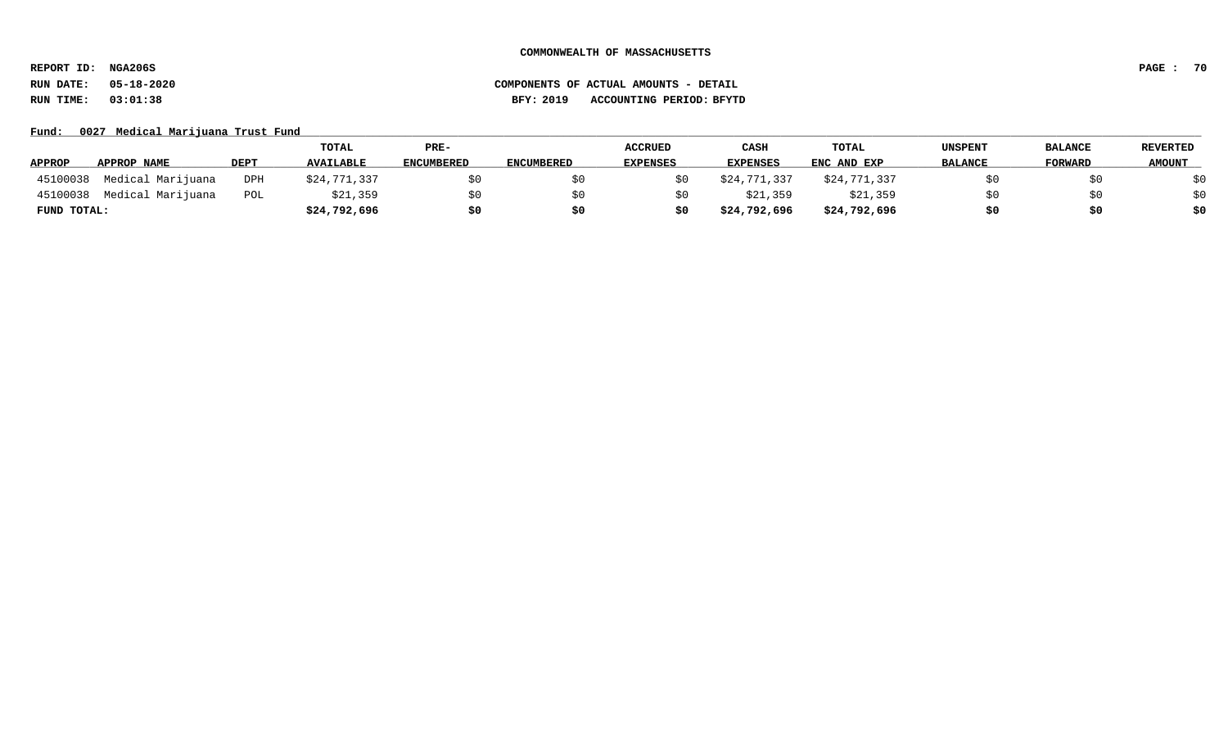**REPORT ID: NGA206S PAGE : 70**

# **RUN DATE: 05-18-2020 COMPONENTS OF ACTUAL AMOUNTS - DETAIL RUN TIME: 03:01:38 BFY: 2019 ACCOUNTING PERIOD: BFYTD**

Fund: 0027 Medical Marijuana Trust Fund

|               |                   |             | TOTAL            | PRE-       |                   | <b>ACCRUED</b>  | CASH         | <b>TOTAL</b> | UNSPENT        | <b>BALANCE</b> | <b>REVERTED</b> |
|---------------|-------------------|-------------|------------------|------------|-------------------|-----------------|--------------|--------------|----------------|----------------|-----------------|
| <b>APPROP</b> | APPROP NAME       | <b>DEPT</b> | <b>AVAILABLE</b> | ENCUMBERED | <b>ENCUMBERED</b> | <b>EXPENSES</b> | EXPENSES     | ENC AND EXP  | <b>BALANCE</b> | FORWARD        | <b>AMOUNT</b>   |
| 45100038      | Medical Marijuana | DPH         | \$24,771,337     |            |                   |                 | \$24,771,337 | \$24,771,337 |                |                | ₹∩              |
| 45100038      | Medical Marijuana | POL         | \$21,359         |            |                   |                 | \$21,359     | \$21,359     |                | \$0            | \$0             |
| FUND TOTAL:   |                   |             | \$24,792,696     | S0         |                   | \$0             | \$24,792,696 | \$24,792,696 | \$0            | \$0            | \$0             |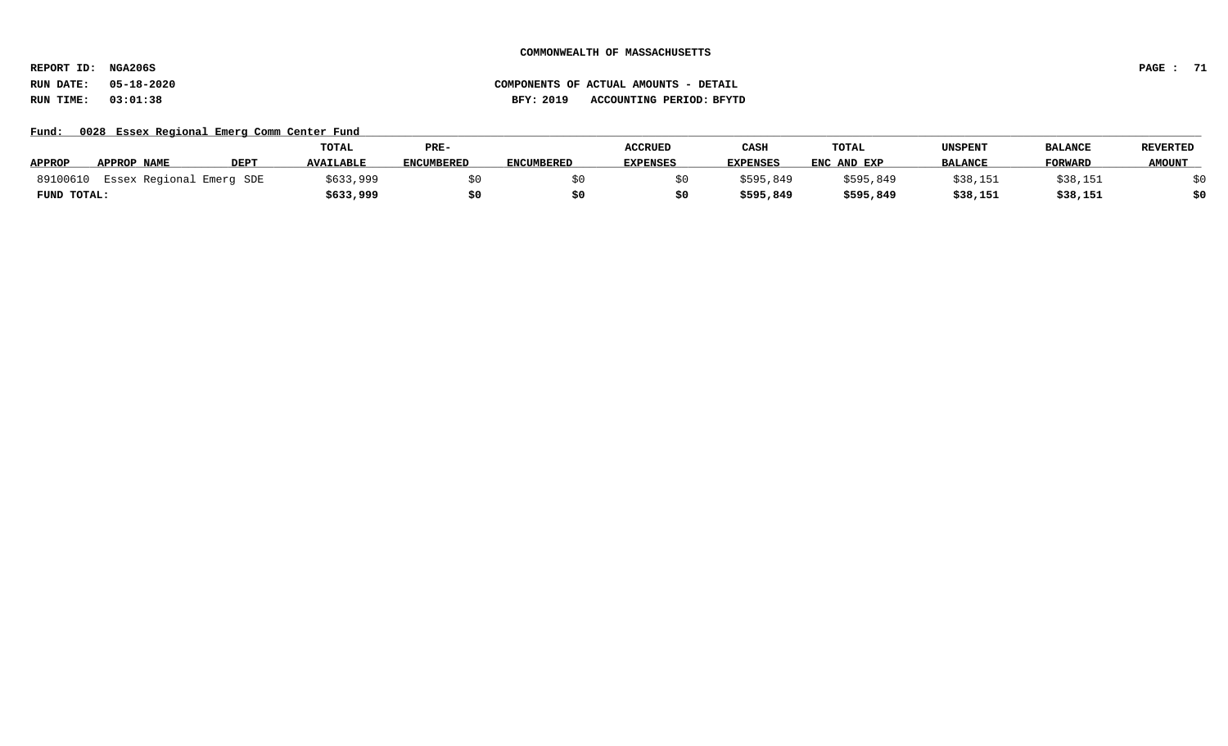**REPORT ID: NGA206S PAGE : 71**

# **RUN DATE: 05-18-2020 COMPONENTS OF ACTUAL AMOUNTS - DETAIL RUN TIME: 03:01:38 BFY: 2019 ACCOUNTING PERIOD: BFYTD**

Fund: 0028 Essex Regional Emerg Comm Center Fund

|               |                          |             | <b>TOTAL</b>     | PRE-              |                   | <b>ACCRUED</b>  | CASH            | <b>TOTAL</b> | UNSPENT        | <b>BALANCE</b> | <b>REVERTED</b> |
|---------------|--------------------------|-------------|------------------|-------------------|-------------------|-----------------|-----------------|--------------|----------------|----------------|-----------------|
| <b>APPROP</b> | <b>APPROP NAME</b>       | <b>DEPT</b> | <b>AVAILABLE</b> | <b>ENCUMBERED</b> | <b>ENCUMBERED</b> | <b>EXPENSES</b> | <b>EXPENSES</b> | ENC AND EXP  | <b>BALANCE</b> | <b>FORWARD</b> | <b>AMOUNT</b>   |
| 89100610      | Essex Regional Emerg SDE |             | \$633,999        |                   |                   |                 | \$595,849       | \$595,849    | \$38,151       | \$38,151       |                 |
| FUND TOTAL:   |                          |             | \$633,999        |                   |                   |                 | \$595,849       | \$595,849    | \$38,151       | \$38,151       |                 |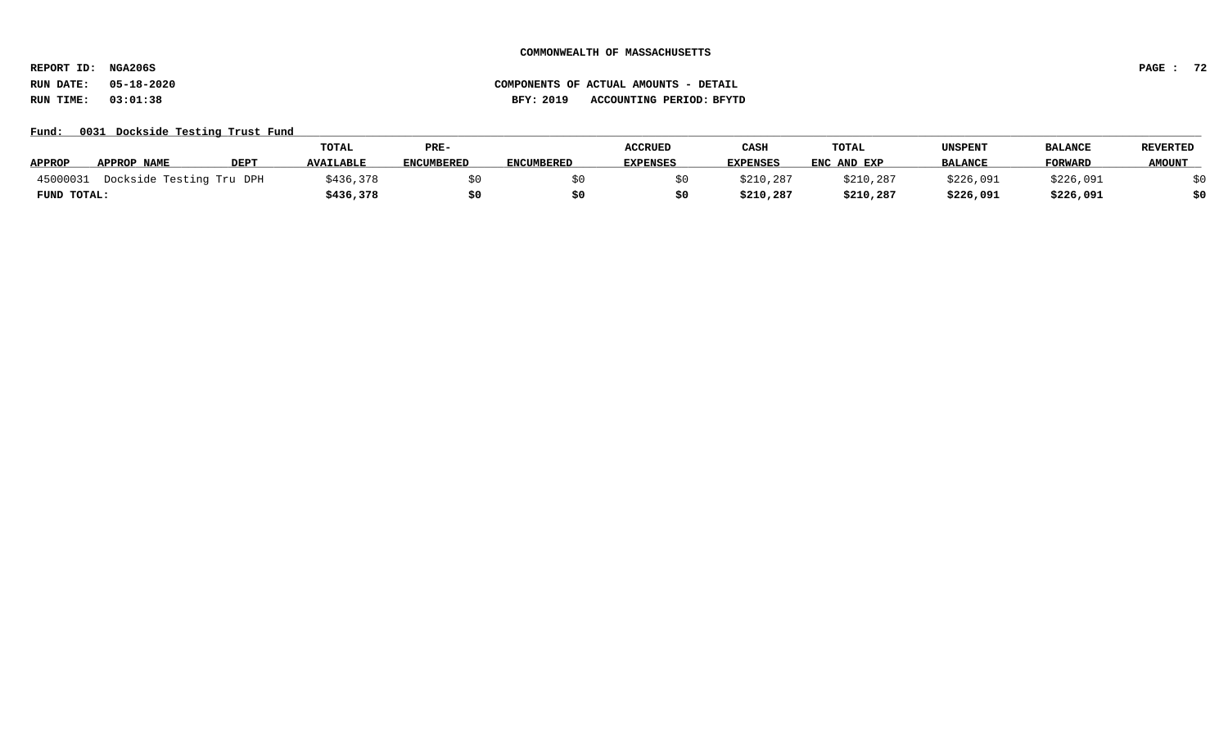**REPORT ID: NGA206S PAGE : 72**

# Fund: 0031 Dockside Testing Trust Fund

|               |                          |             | <b>TOTAL</b>     | PRE-              |                   | <b>ACCRUED</b>  | CASH            | <b>TOTAL</b> | UNSPENT        | <b>BALANCI</b> | <b>REVERTED</b> |
|---------------|--------------------------|-------------|------------------|-------------------|-------------------|-----------------|-----------------|--------------|----------------|----------------|-----------------|
| <b>APPROP</b> | APPROP NAME              | <b>DEPT</b> | <b>AVAILABLE</b> | <b>ENCUMBERED</b> | <b>ENCUMBERED</b> | <b>EXPENSES</b> | <b>EXPENSES</b> | ENC AND EXP  | <b>BALANCE</b> | <b>FORWARD</b> | <b>AMOUNT</b>   |
| 45000031      | Dockside Testing Tru DPH |             | \$436,378        |                   |                   |                 | \$210,287       | \$210,287    | \$226,091      | \$226,091      |                 |
| FUND TOTAL:   |                          |             | \$436,378        | \$0               |                   |                 | \$210,287       | \$210,287    | \$226,091      | \$226,091      | \$0             |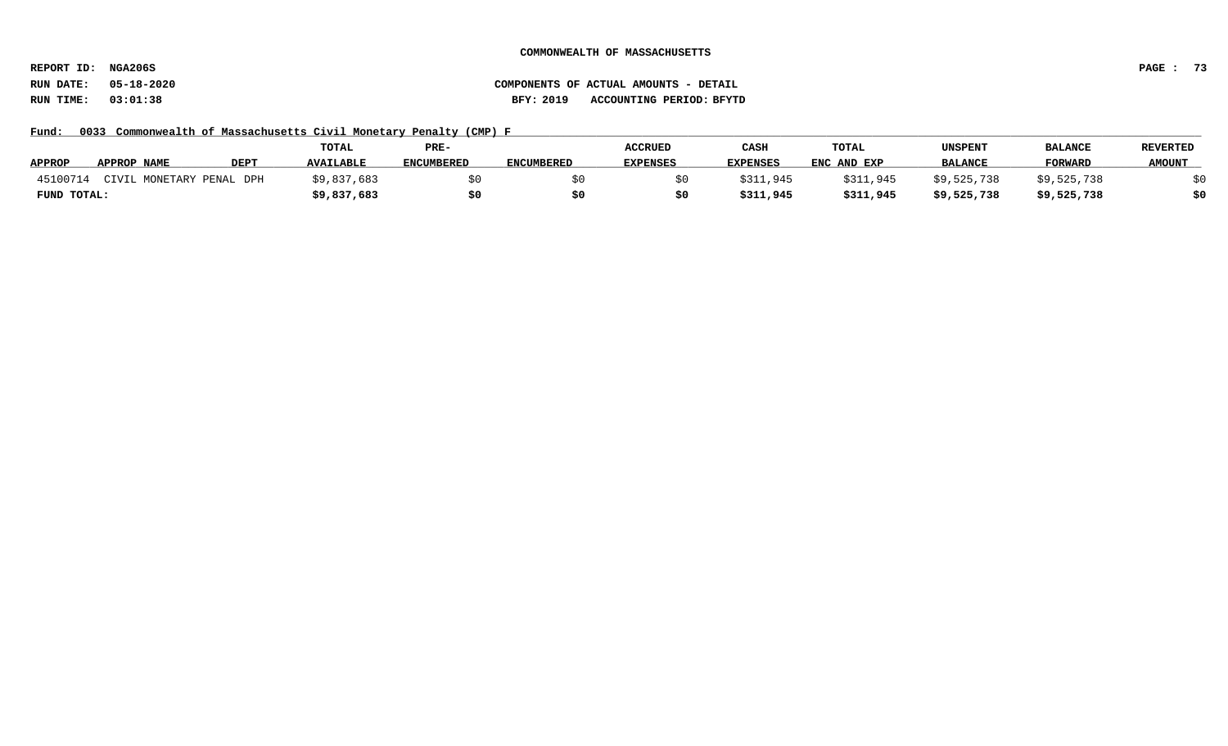**REPORT ID: NGA206S PAGE : 73**

# **RUN DATE: 05-18-2020 COMPONENTS OF ACTUAL AMOUNTS - DETAIL RUN TIME: 03:01:38 BFY: 2019 ACCOUNTING PERIOD: BFYTD**

Fund: 0033 Commonwealth of Massachusetts Civil Monetary Penalty (CMP) F

|               |             |                      | <b>TOTAL</b>     | PRE-              |                   | <b>ACCRUED</b>  | CASH            | <b>TOTAL</b> | UNSPENT        | <b>BALANCE</b> | <b>REVERTED</b> |
|---------------|-------------|----------------------|------------------|-------------------|-------------------|-----------------|-----------------|--------------|----------------|----------------|-----------------|
| <b>APPROP</b> | APPROP NAME | <b>DEPT</b>          | <b>AVAILABLE</b> | <b>ENCUMBERED</b> | <b>ENCUMBERED</b> | <b>EXPENSES</b> | <b>EXPENSES</b> | ENC AND EXP  | <b>BALANCE</b> | <b>FORWARD</b> | <b>AMOUNT</b>   |
| 45100714      | CIVIL       | . MONETARY PENAL DPH | \$9,837,683      |                   |                   |                 | 3311,945        | \$311,945    | \$9,525,738    | \$9,525,738    |                 |
| FUND TOTAL:   |             |                      | \$9,837,683      |                   |                   |                 | \$311,945       | \$311,945    | \$9,525,738    | \$9,525,738    |                 |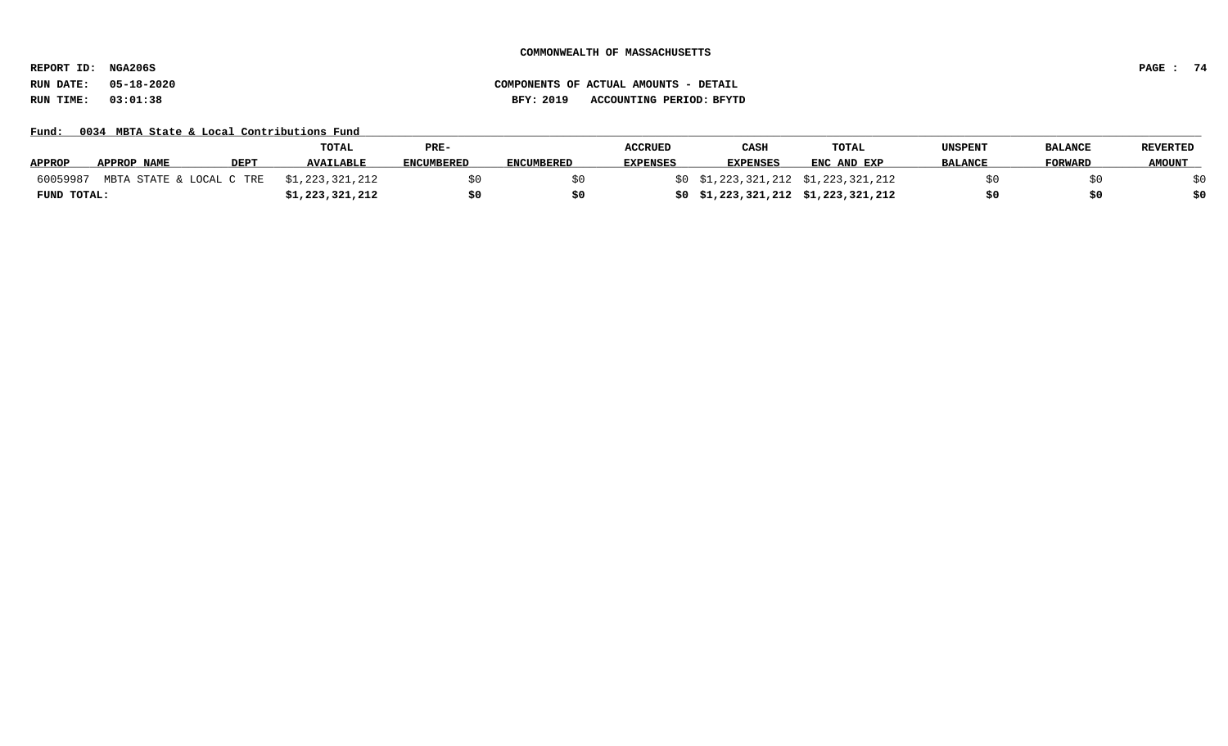**REPORT ID: NGA206S PAGE : 74**

# **RUN DATE: 05-18-2020 COMPONENTS OF ACTUAL AMOUNTS - DETAIL RUN TIME: 03:01:38 BFY: 2019 ACCOUNTING PERIOD: BFYTD**

Fund: 0034 MBTA State & Local Contributions Fund

|               |             |             | <b>TOTAL</b>                             | PRE-              |                   | <b>ACCRUED</b>  | CASH                                | <b>TOTAL</b> | UNSPENT        | <b>BALANCE</b> | <b>REVERTED</b> |
|---------------|-------------|-------------|------------------------------------------|-------------------|-------------------|-----------------|-------------------------------------|--------------|----------------|----------------|-----------------|
| <b>APPROP</b> | APPROP NAME | <b>DEPT</b> | <b>AVAILABLE</b>                         | <b>ENCUMBERED</b> | <b>ENCUMBERED</b> | <b>EXPENSES</b> | <b>EXPENSES</b>                     | ENC AND EXP  | <b>BALANCE</b> | <b>FORWARD</b> | <b>AMOUNT</b>   |
| 60059987      |             |             | MBTA STATE & LOCAL C TRE \$1,223,321,212 |                   |                   |                 | \$0 \$1,223,321,212 \$1,223,321,212 |              |                |                |                 |
| FUND TOTAL:   |             |             | \$1,223,321,212                          |                   |                   |                 | \$0\$1,223,321,212\$1,223,321,212   |              |                | S0             |                 |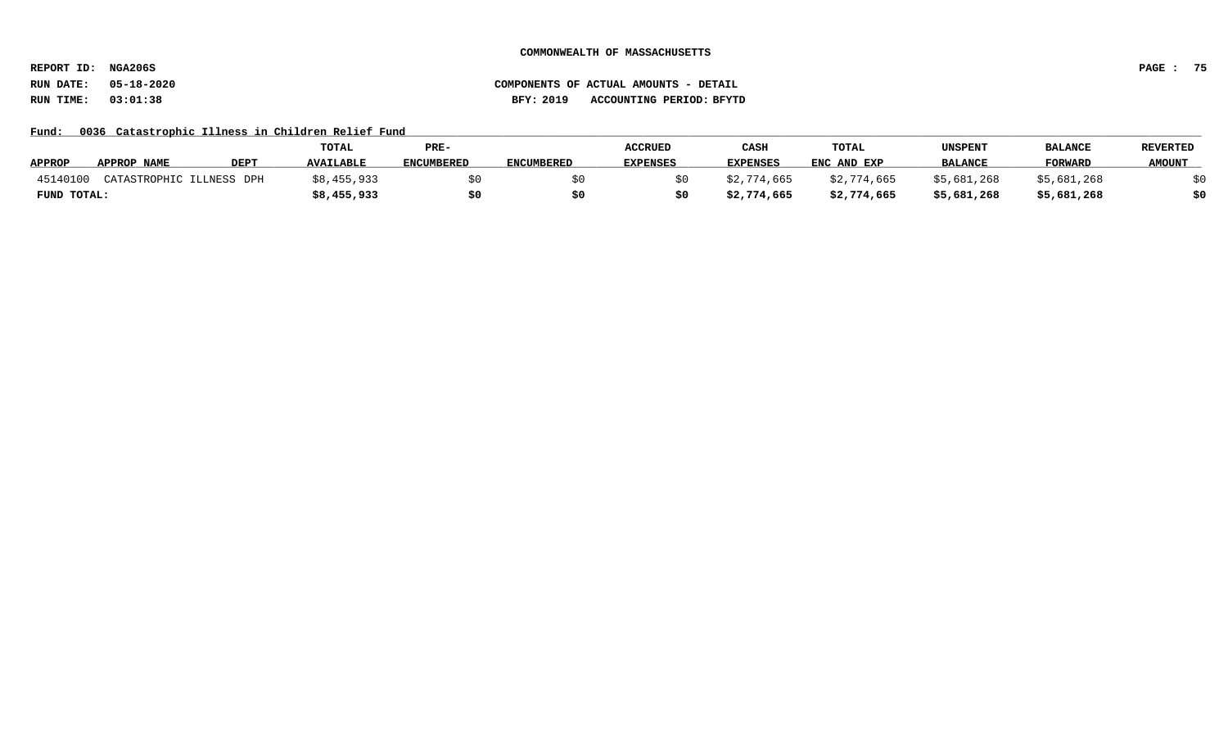**REPORT ID: NGA206S PAGE : 75**

Fund: 0036 Catastrophic Illness in Children Relief Fund

|               |                          |             | TOTAL            | PRE-              |                   | <b>ACCRUED</b>  | CASH            | <b>TOTAL</b> | UNSPENT        | <b>BALANCE</b> | <b>REVERTED</b> |
|---------------|--------------------------|-------------|------------------|-------------------|-------------------|-----------------|-----------------|--------------|----------------|----------------|-----------------|
| <b>APPROP</b> | APPROP NAME              | <b>DEPT</b> | <b>AVAILABLE</b> | <b>ENCUMBERED</b> | <b>ENCUMBERED</b> | <b>EXPENSES</b> | <b>EXPENSES</b> | ENC AND EXP  | <b>BALANCE</b> | <b>FORWARD</b> | <b>AMOUNT</b>   |
| 45140100      | CATASTROPHIC ILLNESS DPH |             | \$8,455,933      |                   |                   |                 | \$2,774,665     | \$2,774,665  | \$5,681,268    | \$5,681,268    |                 |
| FUND TOTAL:   |                          |             | \$8,455,933      |                   |                   |                 | \$2,774,665     | \$2,774,665  | \$5,681,268    | \$5,681,268    |                 |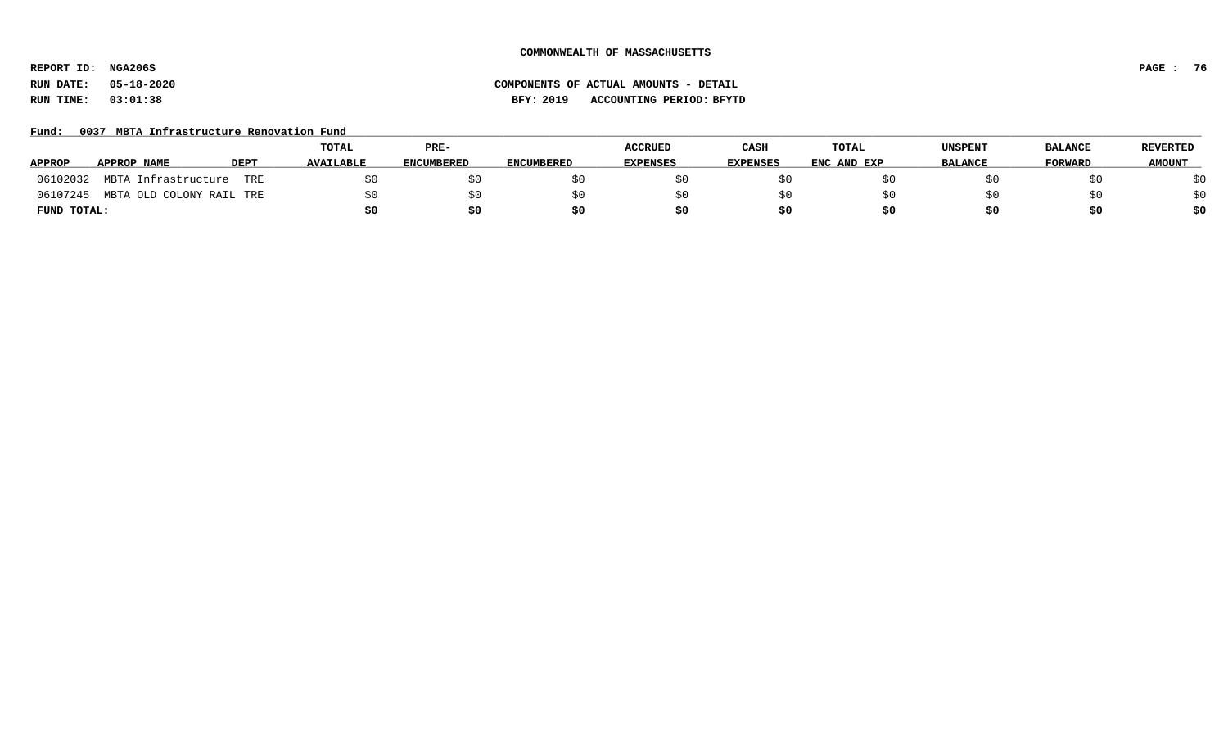**REPORT ID: NGA206S PAGE : 76**

# **RUN DATE: 05-18-2020 COMPONENTS OF ACTUAL AMOUNTS - DETAIL RUN TIME: 03:01:38 BFY: 2019 ACCOUNTING PERIOD: BFYTD**

### Fund: 0037 MBTA Infrastructure Renovation Fund

|               |                          |             | <b>TOTAL</b>     | PRE-              |                   | <b>ACCRUED</b>  | CASH            | <b>TOTAL</b> | UNSPENT        | <b>BALANCE</b> | <b>REVERTED</b> |
|---------------|--------------------------|-------------|------------------|-------------------|-------------------|-----------------|-----------------|--------------|----------------|----------------|-----------------|
| <b>APPROP</b> | APPROP NAME              | <b>DEPT</b> | <b>AVAILABLE</b> | <b>ENCUMBERED</b> | <b>ENCUMBERED</b> | <b>EXPENSES</b> | <b>EXPENSES</b> | ENC AND EXP  | <b>BALANCE</b> | <b>FORWARD</b> | <b>AMOUNT</b>   |
| 06102032      | MBTA Infrastructure      | TRE         |                  |                   |                   |                 |                 |              |                |                | \$0             |
| 06107245      | MBTA OLD COLONY RAIL TRE |             |                  | SO.               |                   |                 |                 |              |                |                | \$0             |
| FUND TOTAL:   |                          |             |                  | \$0               |                   |                 | \$0             | \$0          |                |                | \$0             |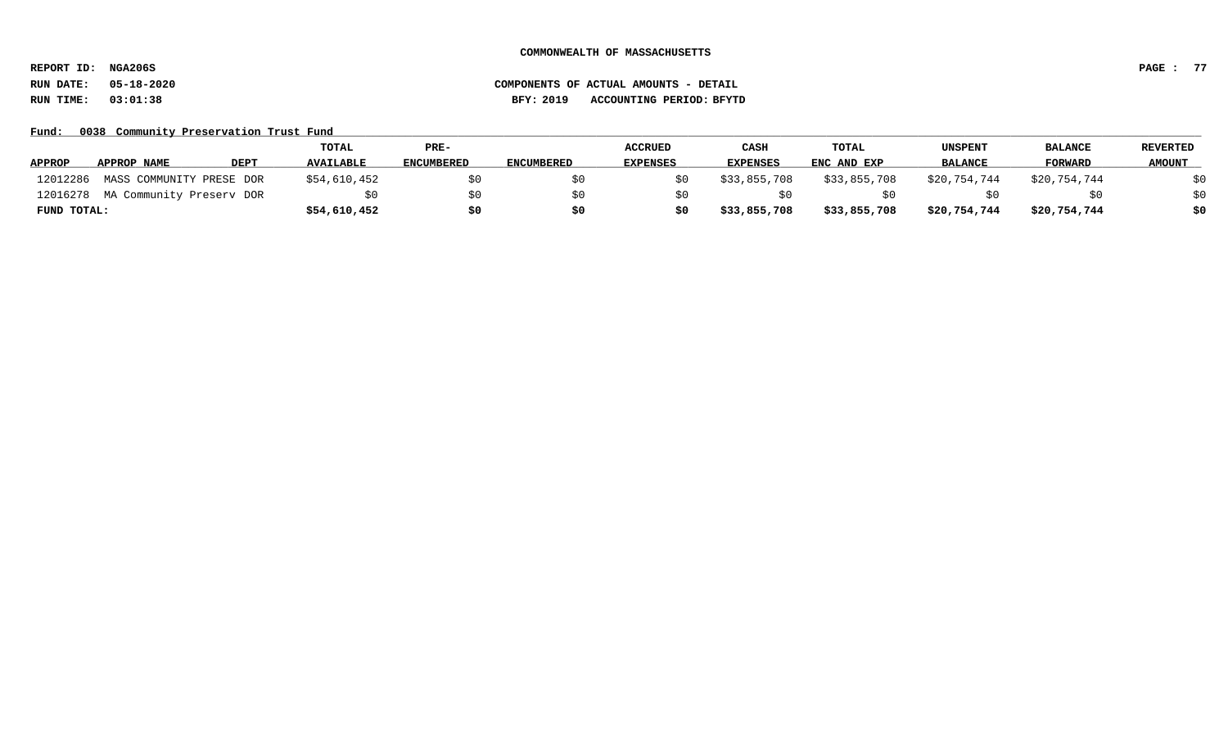**REPORT ID: NGA206S PAGE : 77**

# **RUN DATE: 05-18-2020 COMPONENTS OF ACTUAL AMOUNTS - DETAIL RUN TIME: 03:01:38 BFY: 2019 ACCOUNTING PERIOD: BFYTD**

### Fund: 0038 Community Preservation Trust Fund

|               |                                   |             | TOTAL            | PRE-              |                   | <b>ACCRUED</b>  | CASH            | TOTAL        | UNSPENT        | <b>BALANCE</b> | <b>REVERTED</b> |
|---------------|-----------------------------------|-------------|------------------|-------------------|-------------------|-----------------|-----------------|--------------|----------------|----------------|-----------------|
| <b>APPROP</b> | APPROP NAME                       | <b>DEPT</b> | <b>AVAILABLE</b> | <b>ENCUMBERED</b> | <b>ENCUMBERED</b> | <b>EXPENSES</b> | <b>EXPENSES</b> | ENC AND EXP  | <b>BALANCE</b> | <b>FORWARD</b> | <b>AMOUNT</b>   |
| 12012286      | MASS COMMUNITY PRESE DOR          |             | \$54,610,452     |                   |                   |                 | \$33,855,708    | \$33,855,708 | \$20,754,744   | \$20,754,744   | \$0             |
|               | 12016278 MA Community Preserv DOR |             |                  | \$0               |                   |                 |                 |              |                |                | \$0             |
| FUND TOTAL:   |                                   |             | \$54,610,452     | \$0               | \$0               |                 | \$33,855,708    | \$33,855,708 | \$20,754,744   | \$20,754,744   | \$0             |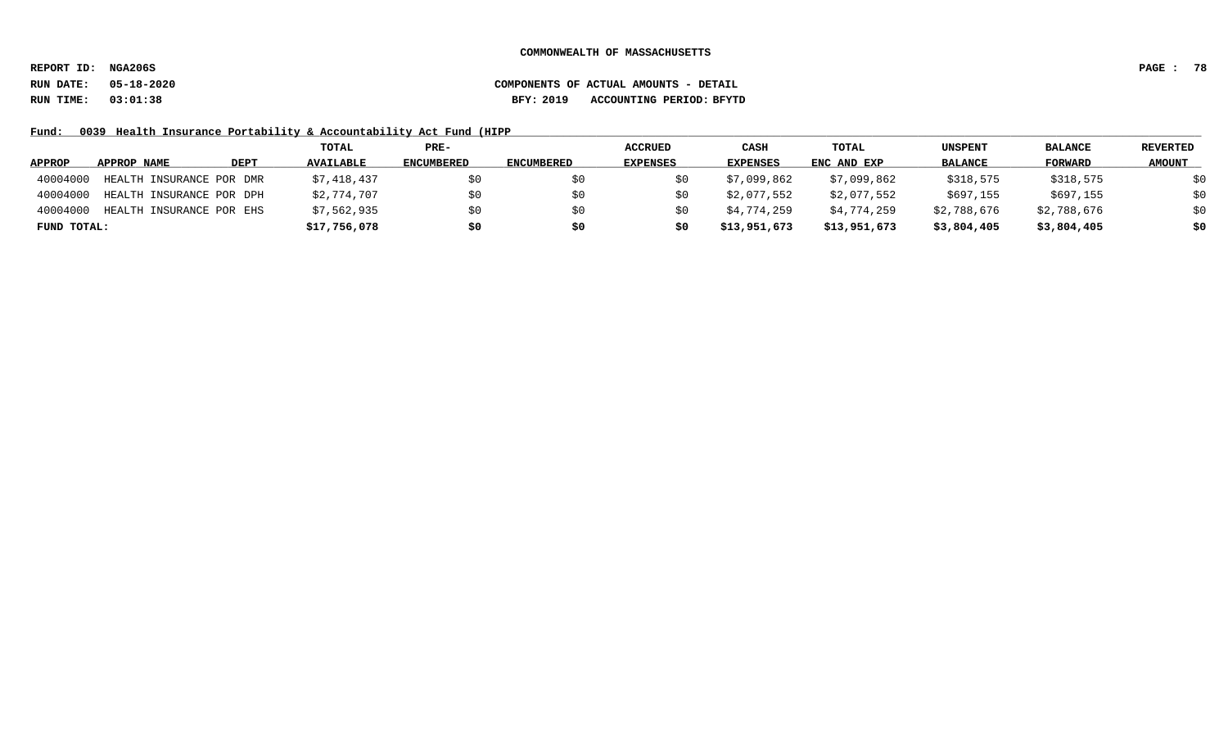**REPORT ID: NGA206S PAGE : 78**

# **RUN DATE: 05-18-2020 COMPONENTS OF ACTUAL AMOUNTS - DETAIL RUN TIME: 03:01:38 BFY: 2019 ACCOUNTING PERIOD: BFYTD**

Fund: 0039 Health Insurance Portability & Accountability Act Fund (HIPP

|               |                          |      | TOTAL            | PRE-              |                   | <b>ACCRUED</b> | CASH            | TOTAL        | <b>UNSPENT</b> | <b>BALANCE</b> | <b>REVERTED</b> |
|---------------|--------------------------|------|------------------|-------------------|-------------------|----------------|-----------------|--------------|----------------|----------------|-----------------|
| <b>APPROP</b> | APPROP NAME              | DEPT | <b>AVAILABLE</b> | <b>ENCUMBERED</b> | <b>ENCUMBERED</b> | EXPENSES       | <b>EXPENSES</b> | ENC AND EXP  | <b>BALANCE</b> | FORWARD        | <b>AMOUNT</b>   |
| 40004000      | HEALTH INSURANCE POR DMR |      | \$7,418,437      | S0                |                   |                | \$7,099,862     | \$7,099,862  | \$318,575      | \$318,575      | \$0             |
| 40004000      | HEALTH INSURANCE POR DPH |      | \$2,774,707      | S0                |                   |                | \$2,077,552     | \$2,077,552  | \$697,155      | \$697,155      | \$0             |
| 40004000      | HEALTH INSURANCE POR EHS |      | \$7,562,935      | \$0               |                   | S0             | \$4,774,259     | \$4,774,259  | \$2,788,676    | \$2,788,676    | \$0             |
| FUND TOTAL:   |                          |      | \$17,756,078     | \$0               |                   | s0             | \$13,951,673    | \$13,951,673 | \$3,804,405    | \$3,804,405    | \$0             |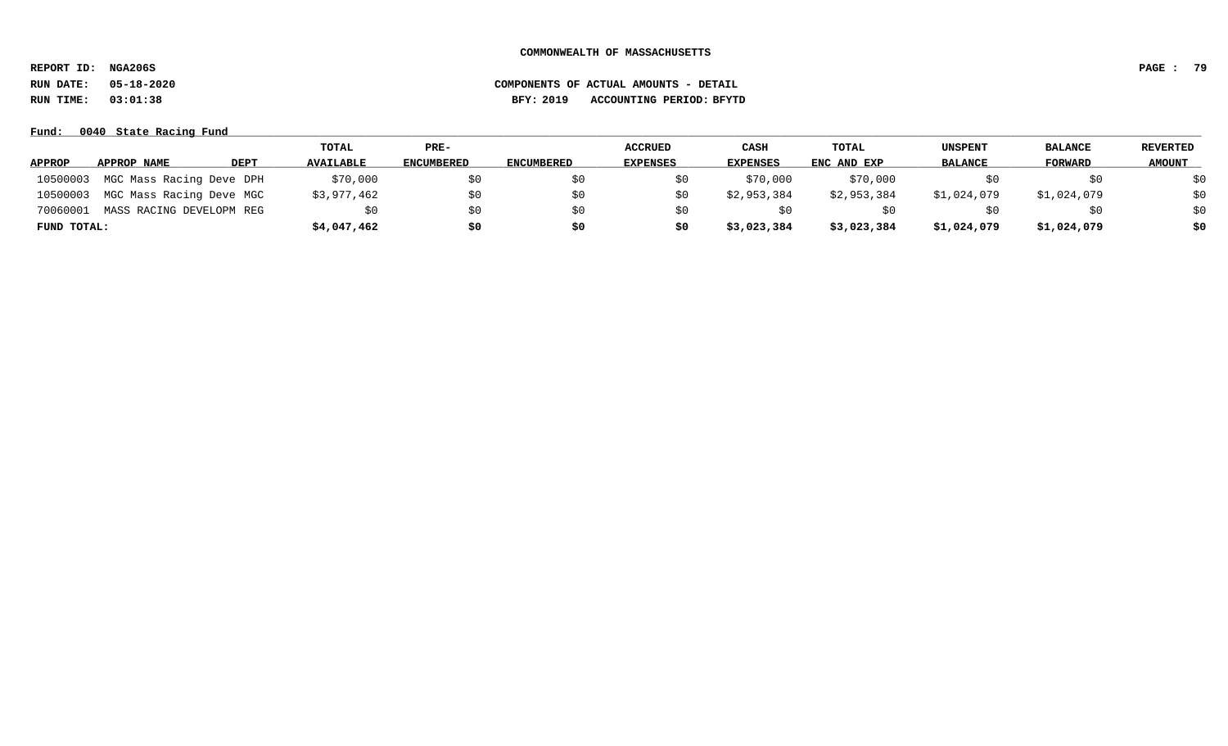**REPORT ID: NGA206S PAGE : 79**

**RUN DATE: 05-18-2020 COMPONENTS OF ACTUAL AMOUNTS - DETAIL**

**RUN TIME: 03:01:38 BFY: 2019 ACCOUNTING PERIOD: BFYTD**

### **Fund: \_\_\_\_\_\_\_\_\_\_\_\_\_\_\_\_\_\_\_\_\_\_\_\_\_\_\_\_\_\_\_\_\_\_\_\_\_\_\_\_\_\_\_\_\_\_\_\_\_\_\_\_\_\_\_\_\_\_\_\_\_\_\_\_\_\_\_\_\_\_\_\_\_\_\_\_\_\_\_\_\_\_\_\_\_\_\_\_\_\_\_\_\_\_\_\_\_\_\_\_\_\_\_\_\_\_\_\_\_\_\_\_\_\_\_\_\_\_\_\_\_\_\_\_\_\_\_\_\_\_\_\_\_\_\_\_\_\_\_\_\_\_\_\_\_\_\_\_\_\_\_\_\_\_\_\_\_\_\_\_\_\_\_\_\_\_\_\_\_\_\_\_\_\_\_\_\_\_ 0040 State Racing Fund**

|               |                          |             | TOTAL            | PRE-              |                   | <b>ACCRUED</b>  | CASH            | TOTAL       | <b>UNSPENT</b> | <b>BALANCE</b> | REVERTED      |
|---------------|--------------------------|-------------|------------------|-------------------|-------------------|-----------------|-----------------|-------------|----------------|----------------|---------------|
| <b>APPROP</b> | APPROP NAME              | <b>DEPT</b> | <b>AVAILABLE</b> | <b>ENCUMBERED</b> | <b>ENCUMBERED</b> | <b>EXPENSES</b> | <b>EXPENSES</b> | ENC AND EXP | <b>BALANCE</b> | <b>FORWARD</b> | <b>AMOUNT</b> |
| 10500003      | MGC Mass Racing Deve DPH |             | \$70,000         | SO.               |                   |                 | \$70,000        | \$70,000    |                |                | \$0           |
| 10500003      | MGC Mass Racing Deve MGC |             | \$3,977,462      | \$0               | \$0               | \$0             | \$2,953,384     | \$2,953,384 | \$1,024,079    | \$1,024,079    | \$0           |
| 70060001      | MASS RACING DEVELOPM REG |             | SO.              | \$0               | S0                | SO.             |                 |             |                |                | \$0           |
| FUND TOTAL:   |                          |             | \$4,047,462      | \$0               | \$0               | \$0             | \$3,023,384     | \$3,023,384 | \$1,024,079    | \$1,024,079    | \$0           |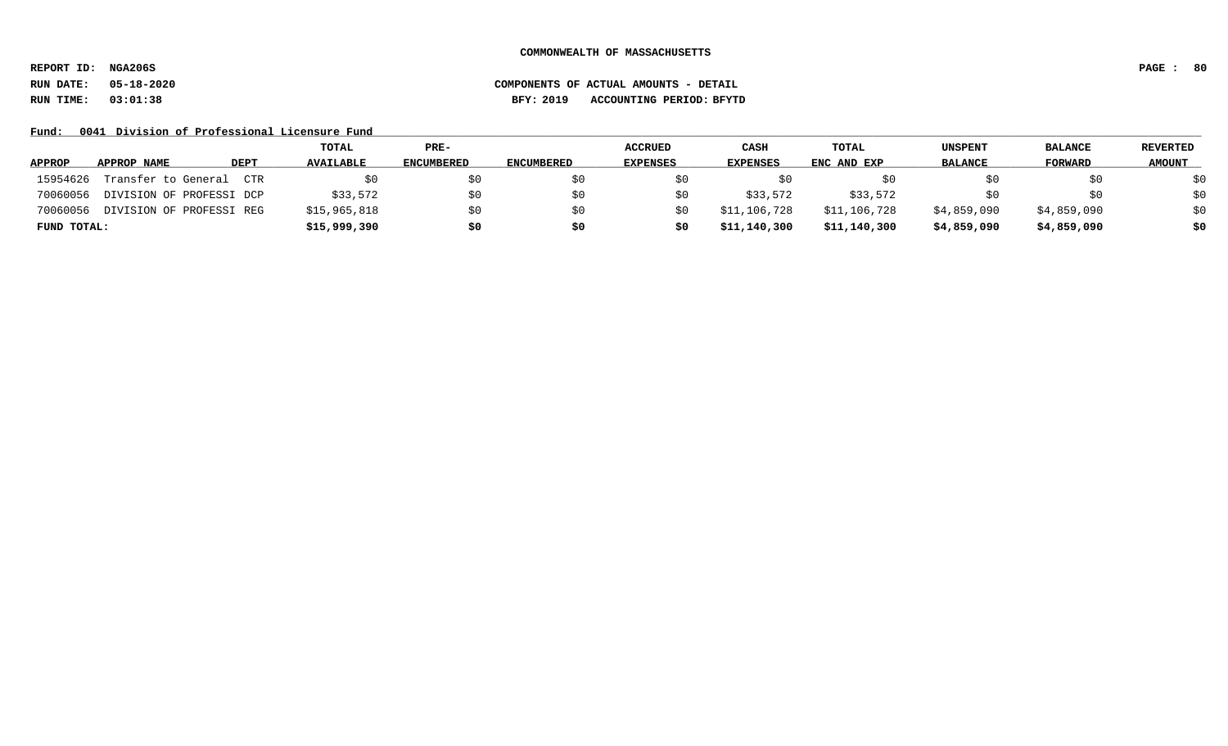**REPORT ID: NGA206S PAGE : 80**

# **RUN DATE: 05-18-2020 COMPONENTS OF ACTUAL AMOUNTS - DETAIL RUN TIME: 03:01:38 BFY: 2019 ACCOUNTING PERIOD: BFYTD**

Fund: 0041 Division of Professional Licensure Fund

|               |                          |             | TOTAL            | PRE-              |                   | <b>ACCRUED</b>  | <b>CASH</b>  | <b>TOTAL</b> | <b>UNSPENT</b> | <b>BALANCE</b> | REVERTED      |
|---------------|--------------------------|-------------|------------------|-------------------|-------------------|-----------------|--------------|--------------|----------------|----------------|---------------|
| <b>APPROP</b> | APPROP NAME              | <b>DEPT</b> | <b>AVAILABLE</b> | <b>ENCUMBERED</b> | <b>ENCUMBERED</b> | <b>EXPENSES</b> | EXPENSES     | ENC AND EXP  | <b>BALANCE</b> | FORWARD        | <b>AMOUNT</b> |
| 15954626      | Transfer to General      | CTR         |                  |                   |                   |                 | SO.          |              | SU.            | SO.            | \$0           |
| 70060056      | DIVISION OF PROFESSI DCP |             | \$33,572         | SΩ                |                   | SO.             | \$33,572     | \$33,572     |                | \$0            | \$0           |
| 70060056      | DIVISION OF PROFESSI REG |             | \$15,965,818     | S0                |                   | \$0             | \$11,106,728 | \$11,106,728 | \$4,859,090    | \$4,859,090    | \$0           |
| FUND TOTAL:   |                          |             | \$15,999,390     | \$0               |                   | \$0             | \$11,140,300 | \$11,140,300 | \$4,859,090    | \$4,859,090    | \$0           |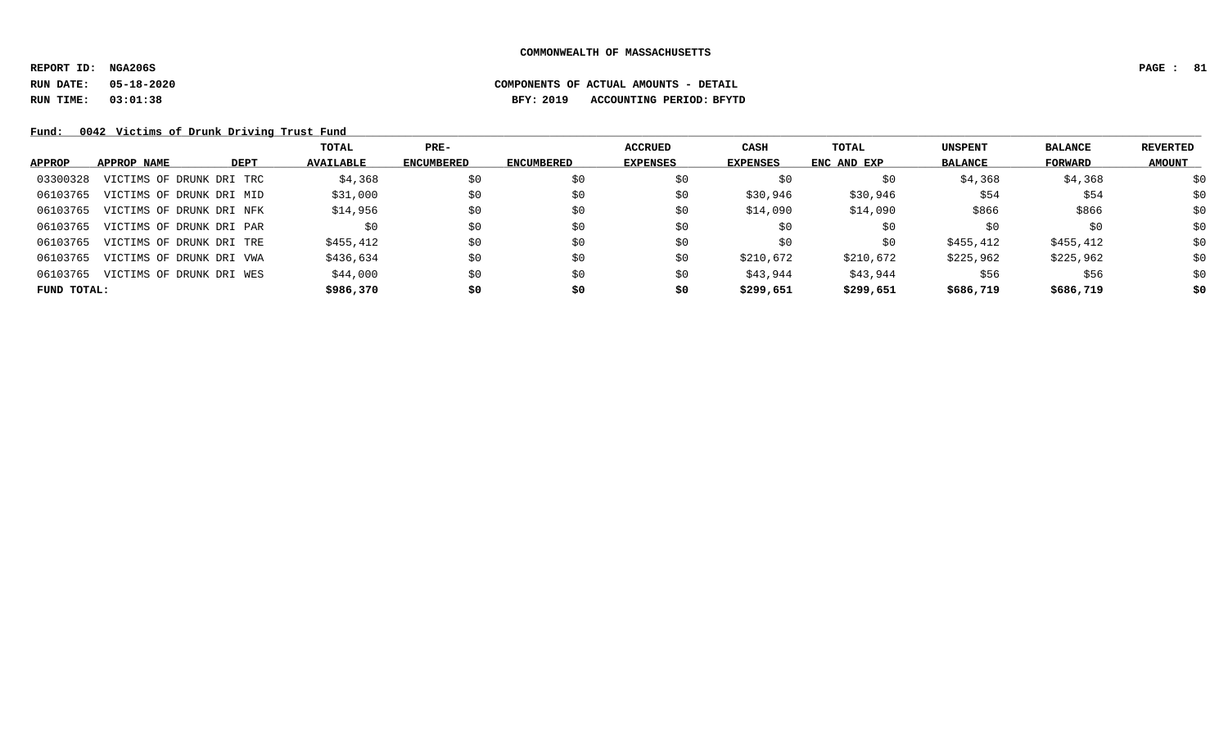# **RUN DATE: 05-18-2020 COMPONENTS OF ACTUAL AMOUNTS - DETAIL RUN TIME: 03:01:38 BFY: 2019 ACCOUNTING PERIOD: BFYTD**

Fund: 0042 Victims of Drunk Driving Trust Fund

|               |                          |             | TOTAL            | $PRE-$            |                   | <b>ACCRUED</b>  | CASH            | <b>TOTAL</b> | <b>UNSPENT</b> | <b>BALANCE</b> | REVERTED      |
|---------------|--------------------------|-------------|------------------|-------------------|-------------------|-----------------|-----------------|--------------|----------------|----------------|---------------|
| <b>APPROP</b> | APPROP NAME              | <b>DEPT</b> | <b>AVAILABLE</b> | <b>ENCUMBERED</b> | <b>ENCUMBERED</b> | <b>EXPENSES</b> | <b>EXPENSES</b> | ENC AND EXP  | <b>BALANCE</b> | FORWARD        | <b>AMOUNT</b> |
| 03300328      | VICTIMS OF DRUNK DRI TRC |             | \$4,368          | \$0               | \$0               | \$0             | \$0             | \$0          | \$4,368        | \$4,368        | \$0           |
| 06103765      | VICTIMS OF DRUNK DRI MID |             | \$31,000         | \$0               | \$0               | \$0             | \$30,946        | \$30,946     | \$54           | \$54           | \$0           |
| 06103765      | VICTIMS OF DRUNK DRI NFK |             | \$14,956         | \$0               | \$0               | \$0             | \$14,090        | \$14,090     | \$866          | \$866          | \$0           |
| 06103765      | VICTIMS OF DRUNK DRI PAR |             | \$0              | \$0               | \$0               | \$0             | \$0             | \$0          | \$0            | \$0            | \$0           |
| 06103765      | VICTIMS OF DRUNK DRI TRE |             | \$455,412        | \$0               | \$0               | \$0             | \$0             | \$0          | \$455,412      | \$455,412      | \$0           |
| 06103765      | VICTIMS OF DRUNK DRI VWA |             | \$436,634        | \$0               | \$0               | \$0             | \$210,672       | \$210,672    | \$225,962      | \$225,962      | \$0           |
| 06103765      | VICTIMS OF DRUNK DRI WES |             | \$44,000         | \$0               | \$0               | \$0             | \$43,944        | \$43,944     | \$56           | \$56           | \$0           |
| FUND TOTAL:   |                          |             | \$986,370        | \$0               | \$0               | \$0             | \$299,651       | \$299,651    | \$686,719      | \$686,719      | \$0           |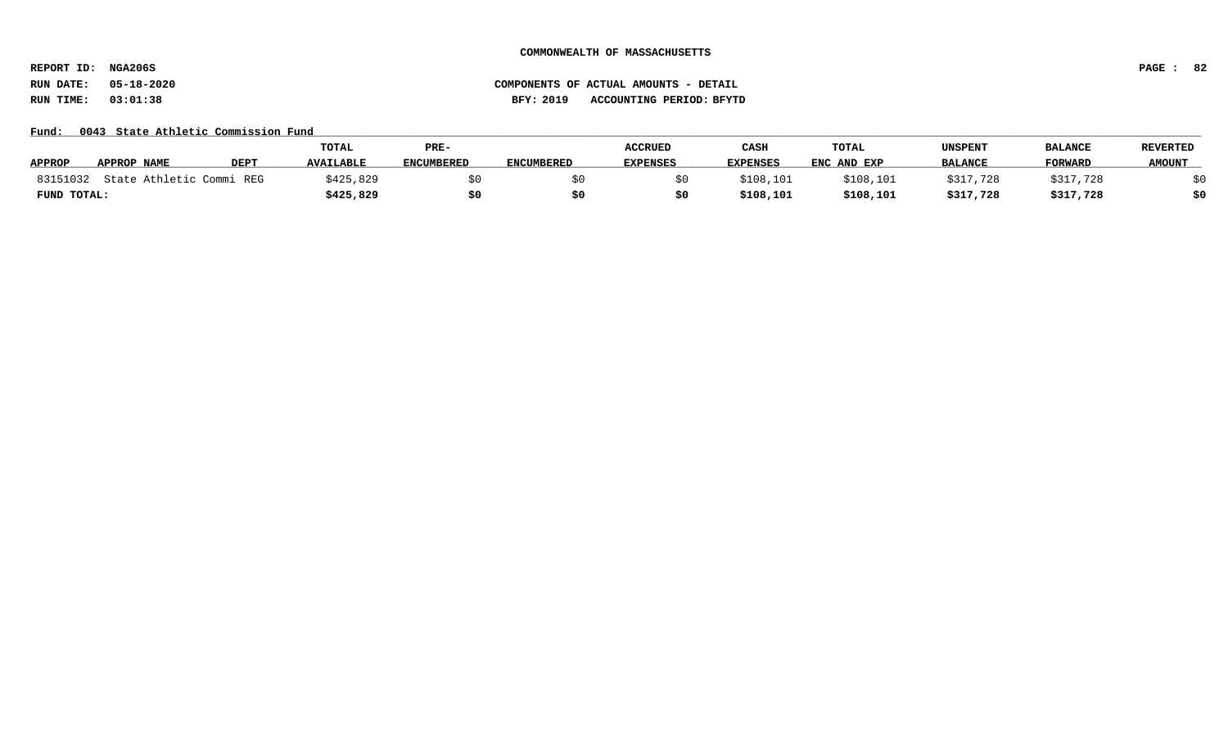**REPORT ID: NGA206S PAGE : 82**

### Fund: 0043 State Athletic Commission Fund

|               |                          |             | TOTAL            | PRE-              |                   | <b>ACCRUED</b>  | CASE            | TOTAL       | UNSPENT        | <b>BALANCE</b> | <b>REVERTED</b> |
|---------------|--------------------------|-------------|------------------|-------------------|-------------------|-----------------|-----------------|-------------|----------------|----------------|-----------------|
| <b>APPROP</b> | APPROP NAME              | <b>DEPT</b> | <b>AVAILABLE</b> | <b>ENCUMBERED</b> | <b>ENCUMBERED</b> | <b>EXPENSES</b> | <b>EXPENSES</b> | ENC AND EXP | <b>BALANCE</b> | <b>FORWARD</b> | <b>AMOUNT</b>   |
| 83151032      | State Athletic Commi REG |             | \$425,829        |                   |                   |                 | \$108,101       | \$108,101   | \$317,728      | \$317,728      |                 |
| FUND TOTAL:   |                          |             | \$425,829        | \$0               |                   |                 | \$108,101       | \$108,101   | \$317,728      | \$317,728      | \$0             |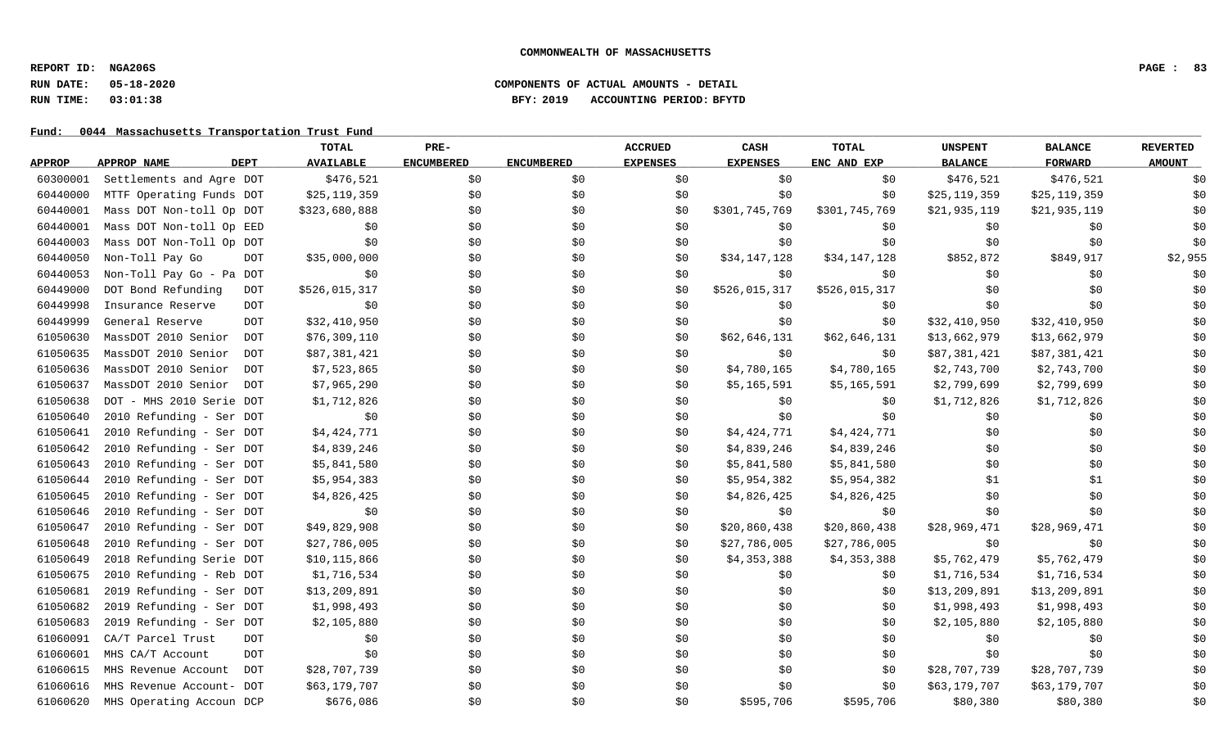### **RUN DATE: 05-18-2020 COMPONENTS OF ACTUAL AMOUNTS - DETAIL RUN TIME: 03:01:38 BFY: 2019 ACCOUNTING PERIOD: BFYTD**

|               |                                   | <b>TOTAL</b>     | PRE-              |                   | <b>ACCRUED</b>  | CASH            | <b>TOTAL</b>  | <b>UNSPENT</b> | <b>BALANCE</b> | <b>REVERTED</b> |
|---------------|-----------------------------------|------------------|-------------------|-------------------|-----------------|-----------------|---------------|----------------|----------------|-----------------|
| <b>APPROP</b> | <b>DEPT</b><br>APPROP NAME        | <b>AVAILABLE</b> | <b>ENCUMBERED</b> | <b>ENCUMBERED</b> | <b>EXPENSES</b> | <b>EXPENSES</b> | ENC AND EXP   | <b>BALANCE</b> | <b>FORWARD</b> | <b>AMOUNT</b>   |
| 60300001      | Settlements and Agre DOT          | \$476,521        | \$0               | \$0               | \$0             | \$0             | \$0           | \$476,521      | \$476,521      | \$0             |
| 60440000      | MTTF Operating Funds DOT          | \$25,119,359     | \$0               | \$0               | \$0             | \$0             | \$0           | \$25, 119, 359 | \$25,119,359   | \$0             |
| 60440001      | Mass DOT Non-toll Op DOT          | \$323,680,888    | \$0               | \$0               | \$0             | \$301,745,769   | \$301,745,769 | \$21,935,119   | \$21,935,119   | \$0             |
| 60440001      | Mass DOT Non-toll Op EED          | \$0              | \$0               | \$0               | \$0             | \$0             | \$0           | \$0            | \$0            | \$0             |
| 60440003      | Mass DOT Non-Toll Op DOT          | \$0              | \$0               | \$0               | \$0             | \$0             | \$0           | \$0            | \$0            | \$0             |
| 60440050      | Non-Toll Pay Go<br><b>DOT</b>     | \$35,000,000     | \$0               | \$0               | \$0             | \$34,147,128    | \$34,147,128  | \$852,872      | \$849,917      | \$2,955         |
| 60440053      | Non-Toll Pay Go - Pa DOT          | \$0              | \$0               | \$0               | \$0             | \$0             | \$0           | \$0            | \$0            | \$0             |
| 60449000      | DOT Bond Refunding<br>DOT         | \$526,015,317    | \$0               | \$0               | \$0             | \$526,015,317   | \$526,015,317 | \$0            | \$0            | \$0             |
| 60449998      | Insurance Reserve<br>DOT          | \$0              | \$0               | \$0               | \$0             | \$0             | \$0           | \$0            | \$0            | \$0             |
| 60449999      | General Reserve<br>DOT            | \$32,410,950     | \$0               | \$0               | \$0             | \$0             | \$0           | \$32,410,950   | \$32,410,950   | \$0             |
| 61050630      | MassDOT 2010 Senior<br>DOT        | \$76,309,110     | \$0\$             | \$0               | \$0             | \$62,646,131    | \$62,646,131  | \$13,662,979   | \$13,662,979   | \$0             |
| 61050635      | MassDOT 2010 Senior<br><b>DOT</b> | \$87,381,421     | \$0               | \$0               | \$0             | \$0             | \$0           | \$87,381,421   | \$87,381,421   | \$0             |
| 61050636      | MassDOT 2010 Senior<br><b>DOT</b> | \$7,523,865      | \$0               | \$0\$             | \$0             | \$4,780,165     | \$4,780,165   | \$2,743,700    | \$2,743,700    | \$0             |
| 61050637      | MassDOT 2010 Senior<br>DOT        | \$7,965,290      | \$0               | \$0               | \$0             | \$5,165,591     | \$5,165,591   | \$2,799,699    | \$2,799,699    | \$0             |
| 61050638      | DOT - MHS 2010 Serie DOT          | \$1,712,826      | \$0               | \$0               | \$0             | \$0             | \$0           | \$1,712,826    | \$1,712,826    | \$0             |
| 61050640      | 2010 Refunding - Ser DOT          | \$0              | \$0               | \$0               | \$0             | \$0             | \$0           | \$0            | \$0            | \$0             |
| 61050641      | 2010 Refunding - Ser DOT          | \$4,424,771      | \$0               | \$0               | \$0             | \$4,424,771     | \$4,424,771   | \$0            | \$0            | \$0             |
| 61050642      | 2010 Refunding - Ser DOT          | \$4,839,246      | \$0\$             | \$0               | \$0             | \$4,839,246     | \$4,839,246   | \$0            | \$0            | \$0             |
| 61050643      | 2010 Refunding - Ser DOT          | \$5,841,580      | \$0               | \$0               | \$0             | \$5,841,580     | \$5,841,580   | \$0            | \$0            | \$0             |
| 61050644      | 2010 Refunding - Ser DOT          | \$5,954,383      | \$0               | \$0               | \$0             | \$5,954,382     | \$5,954,382   | \$1            | \$1            | \$0             |
| 61050645      | 2010 Refunding - Ser DOT          | \$4,826,425      | \$0               | \$0               | \$0             | \$4,826,425     | \$4,826,425   | \$0            | \$0            | \$0             |
| 61050646      | 2010 Refunding - Ser DOT          | \$0              | \$0               | \$0               | \$0             | \$0             | \$0           | \$0            | \$0            | \$0             |
| 61050647      | 2010 Refunding - Ser DOT          | \$49,829,908     | \$0               | \$0               | \$0             | \$20,860,438    | \$20,860,438  | \$28,969,471   | \$28,969,471   | \$0             |
| 61050648      | 2010 Refunding - Ser DOT          | \$27,786,005     | \$0               | \$0               | \$0             | \$27,786,005    | \$27,786,005  | \$0            | \$0            | \$0             |
| 61050649      | 2018 Refunding Serie DOT          | \$10,115,866     | \$0               | \$0               | \$0             | \$4,353,388     | \$4,353,388   | \$5,762,479    | \$5,762,479    | \$0             |
| 61050675      | 2010 Refunding - Reb DOT          | \$1,716,534      | \$0\$             | \$0\$             | \$0             | \$0             | \$0           | \$1,716,534    | \$1,716,534    | \$0             |
| 61050681      | 2019 Refunding - Ser DOT          | \$13,209,891     | \$0               | \$0               | \$0             | \$0             | \$0           | \$13,209,891   | \$13,209,891   | \$0             |
| 61050682      | 2019 Refunding - Ser DOT          | \$1,998,493      | \$0               | \$0\$             | \$0             | \$0             | \$0           | \$1,998,493    | \$1,998,493    | \$0             |
| 61050683      | 2019 Refunding - Ser DOT          | \$2,105,880      | \$0               | \$0               | \$0             | \$0             | \$0           | \$2,105,880    | \$2,105,880    | \$0             |
| 61060091      | CA/T Parcel Trust<br><b>DOT</b>   | \$0              | \$0               | \$0               | \$0             | \$0             | \$0           | \$0            | \$0            | \$0             |
| 61060601      | MHS CA/T Account<br><b>DOT</b>    | \$0              | \$0               | \$0               | \$0             | \$0             | \$0           | \$0            | \$0            | \$0             |
| 61060615      | MHS Revenue Account<br><b>DOT</b> | \$28,707,739     | \$0               | \$0               | \$0             | \$0             | \$0           | \$28,707,739   | \$28,707,739   | \$0             |
| 61060616      | MHS Revenue Account- DOT          | \$63,179,707     | \$0               | \$0               | \$0             | \$0             | \$0           | \$63,179,707   | \$63,179,707   | \$0             |
| 61060620      | MHS Operating Accoun DCP          | \$676,086        | \$0               | \$0               | \$0             | \$595,706       | \$595,706     | \$80,380       | \$80,380       | \$0             |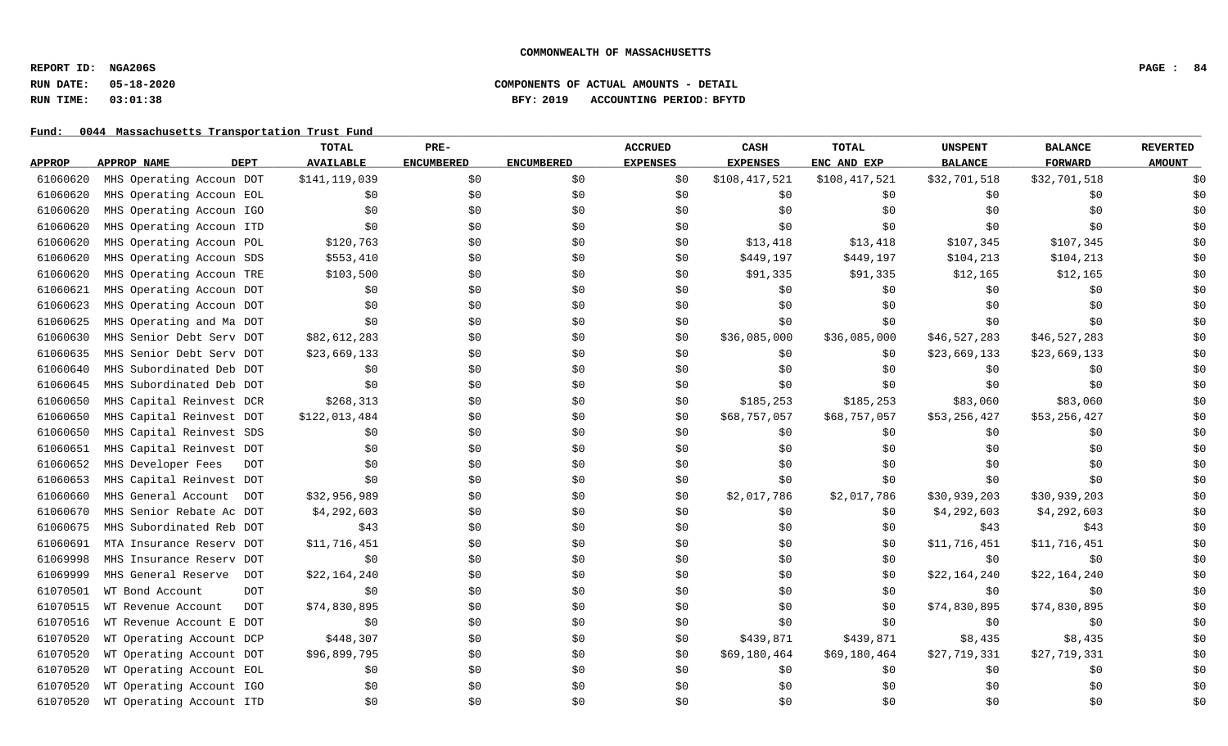# **RUN DATE: 05-18-2020 COMPONENTS OF ACTUAL AMOUNTS - DETAIL RUN TIME: 03:01:38 BFY: 2019 ACCOUNTING PERIOD: BFYTD**

|               |                                   | TOTAL            | PRE-              |                   | <b>ACCRUED</b>  | CASH            | <b>TOTAL</b>  | <b>UNSPENT</b> | <b>BALANCE</b> | <b>REVERTED</b> |
|---------------|-----------------------------------|------------------|-------------------|-------------------|-----------------|-----------------|---------------|----------------|----------------|-----------------|
| <b>APPROP</b> | <b>DEPT</b><br>APPROP NAME        | <b>AVAILABLE</b> | <b>ENCUMBERED</b> | <b>ENCUMBERED</b> | <b>EXPENSES</b> | <b>EXPENSES</b> | ENC AND EXP   | <b>BALANCE</b> | <b>FORWARD</b> | <b>AMOUNT</b>   |
| 61060620      | MHS Operating Accoun DOT          | \$141, 119, 039  | \$0               | \$0               | \$0             | \$108,417,521   | \$108,417,521 | \$32,701,518   | \$32,701,518   | \$0             |
| 61060620      | MHS Operating Accoun EOL          | \$0              | \$0               | \$0               | \$0             | \$0             | \$0           | \$0            | \$0            | \$0             |
| 61060620      | MHS Operating Accoun IGO          | \$0              | \$0               | \$0               | \$0             | \$0             | \$0           | \$0            | \$0            | \$0             |
| 61060620      | MHS Operating Accoun ITD          | \$0              | \$0               | \$0               | \$0             | \$0             | \$0           | \$0            | \$0            | \$0             |
| 61060620      | MHS Operating Accoun POL          | \$120,763        | \$0               | \$0               | \$0             | \$13,418        | \$13,418      | \$107,345      | \$107,345      | \$0             |
| 61060620      | MHS Operating Accoun SDS          | \$553,410        | \$0               | \$0               | \$0             | \$449,197       | \$449,197     | \$104,213      | \$104,213      | \$0             |
| 61060620      | MHS Operating Accoun TRE          | \$103,500        | \$0               | \$0               | \$0             | \$91,335        | \$91,335      | \$12,165       | \$12,165       | \$0             |
| 61060621      | MHS Operating Accoun DOT          | \$0              | \$0               | \$0               | \$0             | \$0             | \$0           | \$0            | \$0            | \$0             |
| 61060623      | MHS Operating Accoun DOT          | \$0              | \$0               | \$0               | \$0             | \$0             | \$0           | \$0            | \$0            | \$0             |
| 61060625      | MHS Operating and Ma DOT          | \$0              | \$0               | \$0               | \$0             | \$0             | \$0           | \$0            | \$0            | \$0             |
| 61060630      | MHS Senior Debt Serv DOT          | \$82,612,283     | \$0               | \$0               | \$0             | \$36,085,000    | \$36,085,000  | \$46,527,283   | \$46,527,283   | \$0             |
| 61060635      | MHS Senior Debt Serv DOT          | \$23,669,133     | \$0               | \$0               | \$0             | \$0             | \$0           | \$23,669,133   | \$23,669,133   | \$0             |
| 61060640      | MHS Subordinated Deb DOT          | \$0              | \$0               | \$0               | \$0             | \$0             | \$0           | \$0            | \$0            | \$0             |
| 61060645      | MHS Subordinated Deb DOT          | \$0              | \$0               | \$0               | \$0             | \$0             | \$0           | \$0            | \$0            | \$0             |
| 61060650      | MHS Capital Reinvest DCR          | \$268,313        | \$0               | \$0               | \$0             | \$185,253       | \$185,253     | \$83,060       | \$83,060       | \$0             |
| 61060650      | MHS Capital Reinvest DOT          | \$122,013,484    | \$0               | \$0               | \$0             | \$68,757,057    | \$68,757,057  | \$53,256,427   | \$53,256,427   | \$0             |
| 61060650      | MHS Capital Reinvest SDS          | \$0              | \$0               | \$0               | \$0             | \$0             | \$0           | \$0            | \$0            | \$0             |
| 61060651      | MHS Capital Reinvest DOT          | \$0              | \$0               | \$0               | \$0             | \$0             | \$0           | \$0            | \$0            | \$0             |
| 61060652      | MHS Developer Fees<br><b>DOT</b>  | \$0              | \$0               | \$0               | \$0             | \$0             | \$0           | \$0            | \$0            | \$0             |
| 61060653      | MHS Capital Reinvest DOT          | \$0              | \$0               | \$0               | \$0             | \$0             | \$0           | \$0            | \$0            | \$0             |
| 61060660      | MHS General Account DOT           | \$32,956,989     | \$0               | \$0               | \$0             | \$2,017,786     | \$2,017,786   | \$30,939,203   | \$30,939,203   | \$0             |
| 61060670      | MHS Senior Rebate Ac DOT          | \$4,292,603      | \$0               | \$0               | \$0             | \$0             | \$0           | \$4,292,603    | \$4,292,603    | \$0             |
| 61060675      | MHS Subordinated Reb DOT          | \$43             | \$0               | \$0               | \$0             | \$0             | \$0           | \$43           | \$43           | \$0             |
| 61060691      | MTA Insurance Reserv DOT          | \$11,716,451     | \$0               | \$0               | \$0             | \$0             | \$0           | \$11,716,451   | \$11,716,451   | \$0             |
| 61069998      | MHS Insurance Reserv DOT          | \$0              | \$0               | \$0               | \$0             | \$0             | \$0           | \$0            | \$0            | \$0             |
| 61069999      | MHS General Reserve<br><b>DOT</b> | \$22,164,240     | \$0               | \$0               | \$0             | \$0             | \$0           | \$22,164,240   | \$22,164,240   | \$0             |
| 61070501      | WT Bond Account<br><b>DOT</b>     | \$0              | \$0               | \$0               | \$0             | \$0             | \$0           | \$0            | \$0            | \$0             |
| 61070515      | WT Revenue Account<br><b>DOT</b>  | \$74,830,895     | \$0               | \$0               | \$0             | \$0             | \$0           | \$74,830,895   | \$74,830,895   | \$0             |
| 61070516      | WT Revenue Account E DOT          | \$0              | \$0               | \$0               | \$0             | \$0             | \$0           | \$0            | \$0            | \$0             |
| 61070520      | WT Operating Account DCP          | \$448,307        | \$0               | \$0               | \$0             | \$439,871       | \$439,871     | \$8,435        | \$8,435        | \$0             |
| 61070520      | WT Operating Account DOT          | \$96,899,795     | \$0               | \$0               | \$0             | \$69,180,464    | \$69,180,464  | \$27,719,331   | \$27,719,331   | \$0             |
| 61070520      | WT Operating Account EOL          | \$0              | \$0               | \$0               | \$0             | \$0             | \$0           | \$0            | \$0            | \$0             |
| 61070520      | WT Operating Account IGO          | \$0              | \$0               | \$0               | \$0             | \$0             | \$0           | \$0            | \$0            | \$0             |
| 61070520      | WT Operating Account ITD          | \$0              | \$0               | \$0               | \$0             | \$0             | \$0           | \$0            | \$0            | \$0             |
|               |                                   |                  |                   |                   |                 |                 |               |                |                |                 |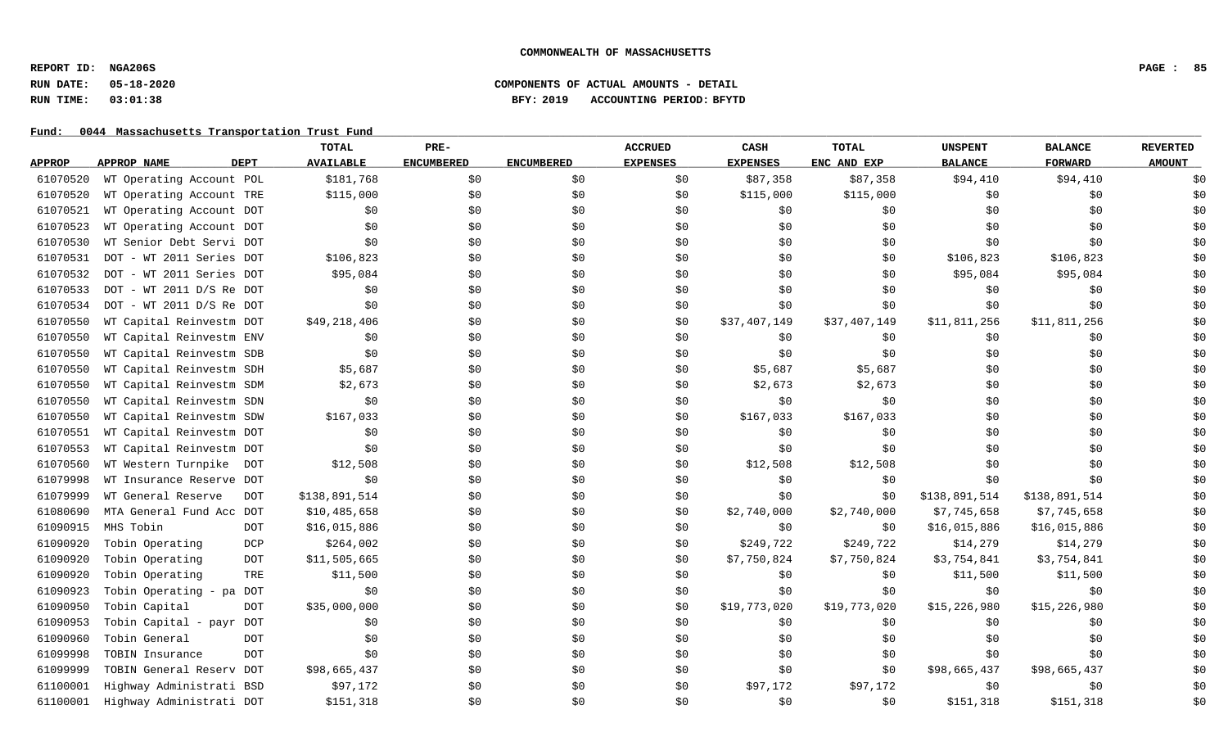# **RUN DATE: 05-18-2020 COMPONENTS OF ACTUAL AMOUNTS - DETAIL RUN TIME: 03:01:38 BFY: 2019 ACCOUNTING PERIOD: BFYTD**

|               |                                  | <b>TOTAL</b>     | PRE-              |                   | <b>ACCRUED</b>  | CASH            | <b>TOTAL</b> | <b>UNSPENT</b> | <b>BALANCE</b> | <b>REVERTED</b> |
|---------------|----------------------------------|------------------|-------------------|-------------------|-----------------|-----------------|--------------|----------------|----------------|-----------------|
| <b>APPROP</b> | <b>DEPT</b><br>APPROP NAME       | <b>AVAILABLE</b> | <b>ENCUMBERED</b> | <b>ENCUMBERED</b> | <b>EXPENSES</b> | <b>EXPENSES</b> | ENC AND EXP  | <b>BALANCE</b> | <b>FORWARD</b> | <b>AMOUNT</b>   |
| 61070520      | WT Operating Account POL         | \$181,768        | \$0               | \$0               | \$0             | \$87,358        | \$87,358     | \$94,410       | \$94,410       | \$0             |
| 61070520      | WT Operating Account TRE         | \$115,000        | \$0               | \$0               | \$0             | \$115,000       | \$115,000    | \$0            | \$0            | \$0             |
| 61070521      | WT Operating Account DOT         | \$0              | \$0               | \$0               | \$0             | \$0             | \$0\$        | \$0            | \$0            | \$0             |
| 61070523      | WT Operating Account DOT         | \$0              | \$0               | \$0               | \$0             | \$0             | \$0          | \$0            | \$0            | \$0             |
| 61070530      | WT Senior Debt Servi DOT         | \$0              | \$0               | \$0               | \$0             | \$0             | \$0          | \$0            | \$0            | \$0             |
| 61070531      | DOT - WT 2011 Series DOT         | \$106,823        | \$0               | \$0               | \$0             | \$0\$           | \$0          | \$106,823      | \$106,823      | \$0             |
| 61070532      | DOT - WT 2011 Series DOT         | \$95,084         | \$0               | \$0               | \$0             | \$0             | \$0          | \$95,084       | \$95,084       | \$0             |
| 61070533      | $DOT - WT 2011 D/S Re DOT$       | \$0              | \$0               | \$0               | \$0             | \$0             | \$0          | \$0            | \$0            | \$0             |
| 61070534      | $DOT - WT 2011 D/S Re DOT$       | \$0              | \$0               | \$0               | \$0             | \$0             | \$0          | \$0            | \$0            | \$0             |
| 61070550      | WT Capital Reinvestm DOT         | \$49,218,406     | \$0               | \$0               | \$0             | \$37,407,149    | \$37,407,149 | \$11,811,256   | \$11,811,256   | \$0             |
| 61070550      | WT Capital Reinvestm ENV         | \$0              | \$0               | \$0               | \$0             | \$0             | \$0          | \$0            | \$0            | \$0             |
| 61070550      | WT Capital Reinvestm SDB         | \$0              | \$0               | \$0               | \$0             | \$0             | \$0          | \$0            | \$0            | \$0             |
| 61070550      | WT Capital Reinvestm SDH         | \$5,687          | \$0               | \$0               | \$0             | \$5,687         | \$5,687      | \$0            | \$0            | \$0             |
| 61070550      | WT Capital Reinvestm SDM         | \$2,673          | \$0               | \$0               | \$0             | \$2,673         | \$2,673      | \$0            | \$0            | \$0             |
| 61070550      | WT Capital Reinvestm SDN         | \$0              | \$0               | \$0               | \$0             | \$0             | \$0          | \$0            | \$0            | \$0             |
| 61070550      | WT Capital Reinvestm SDW         | \$167,033        | \$0               | \$0               | \$0             | \$167,033       | \$167,033    | \$0            | \$0            | \$0             |
| 61070551      | WT Capital Reinvestm DOT         | \$0              | \$0               | \$0               | \$0             | \$0             | \$0          | \$0            | \$0            | \$0             |
| 61070553      | WT Capital Reinvestm DOT         | \$0              | \$0               | \$0               | \$0             | \$0             | \$0          | \$0            | \$0            | \$0             |
| 61070560      | WT Western Turnpike<br>DOT       | \$12,508         | \$0               | \$0               | \$0             | \$12,508        | \$12,508     | \$0            | \$0            | \$0             |
| 61079998      | WT Insurance Reserve DOT         | \$0              | \$0               | \$0               | \$0             | \$0             | \$0          | \$0            | \$0            | \$0             |
| 61079999      | WT General Reserve<br><b>DOT</b> | \$138,891,514    | \$0               | \$0               | \$0             | \$0             | \$0          | \$138,891,514  | \$138,891,514  | \$0             |
| 61080690      | MTA General Fund Acc DOT         | \$10,485,658     | \$0               | \$0               | \$0             | \$2,740,000     | \$2,740,000  | \$7,745,658    | \$7,745,658    | \$0             |
| 61090915      | MHS Tobin<br><b>DOT</b>          | \$16,015,886     | \$0               | \$0               | \$0             | \$0             | \$0          | \$16,015,886   | \$16,015,886   | \$0             |
| 61090920      | DCP<br>Tobin Operating           | \$264,002        | \$0               | \$0               | \$0             | \$249,722       | \$249,722    | \$14,279       | \$14,279       | \$0             |
| 61090920      | Tobin Operating<br><b>DOT</b>    | \$11,505,665     | \$0               | \$0               | \$0             | \$7,750,824     | \$7,750,824  | \$3,754,841    | \$3,754,841    | \$0             |
| 61090920      | Tobin Operating<br>TRE           | \$11,500         | \$0               | \$0               | \$0             | \$0             | \$0          | \$11,500       | \$11,500       | \$0             |
| 61090923      | DOT<br>Tobin Operating - pa      | \$0              | \$0               | \$0\$             | \$0             | \$0             | \$0          | \$0            | \$0            | \$0             |
| 61090950      | Tobin Capital<br><b>DOT</b>      | \$35,000,000     | \$0               | \$0               | \$0             | \$19,773,020    | \$19,773,020 | \$15,226,980   | \$15,226,980   | \$0             |
| 61090953      | Tobin Capital - payr DOT         | \$0              | \$0               | \$0               | \$0             | \$0             | \$0          | \$0            | \$0            | \$0             |
| 61090960      | Tobin General<br><b>DOT</b>      | \$0              | \$0               | \$0               | \$0             | \$0             | \$0          | \$0            | \$0            | \$0             |
| 61099998      | <b>DOT</b><br>TOBIN Insurance    | \$0              | \$0               | \$0               | \$0             | \$0             | \$0          | \$0            | \$0            | \$0             |
| 61099999      | TOBIN General Reserv DOT         | \$98,665,437     | \$0               | \$0               | \$0             | \$0             | \$0          | \$98,665,437   | \$98,665,437   | \$0             |
| 61100001      | Highway Administrati BSD         | \$97,172         | \$0               | \$0               | \$0             | \$97,172        | \$97,172     | \$0            | \$0            | \$0             |
| 61100001      | Highway Administrati DOT         | \$151,318        | \$0               | \$0               | \$0             | \$0             | \$0          | \$151,318      | \$151,318      | \$0             |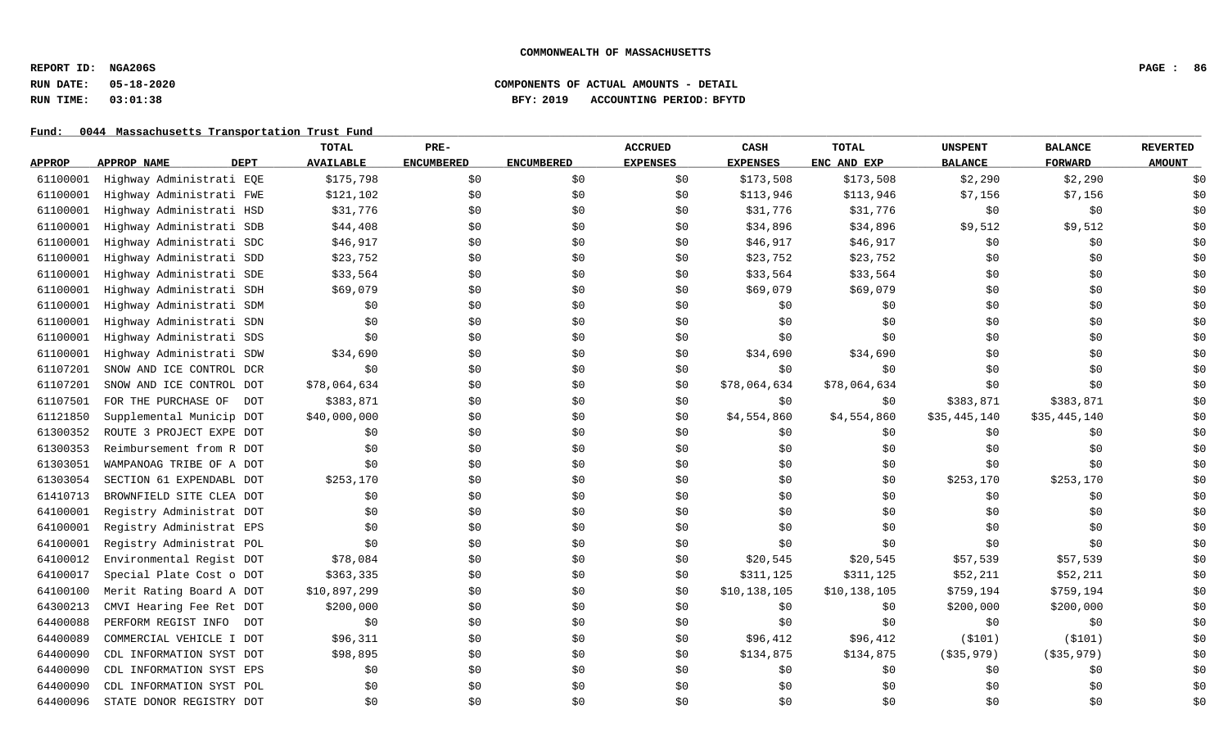# **RUN DATE: 05-18-2020 COMPONENTS OF ACTUAL AMOUNTS - DETAIL RUN TIME: 03:01:38 BFY: 2019 ACCOUNTING PERIOD: BFYTD**

|               |                                   | <b>TOTAL</b>     | PRE-              |                   | <b>ACCRUED</b>  | CASH            | <b>TOTAL</b> | <b>UNSPENT</b> | <b>BALANCE</b> | <b>REVERTED</b> |
|---------------|-----------------------------------|------------------|-------------------|-------------------|-----------------|-----------------|--------------|----------------|----------------|-----------------|
| <b>APPROP</b> | <b>DEPT</b><br><b>APPROP NAME</b> | <b>AVAILABLE</b> | <b>ENCUMBERED</b> | <b>ENCUMBERED</b> | <b>EXPENSES</b> | <b>EXPENSES</b> | ENC AND EXP  | <b>BALANCE</b> | <b>FORWARD</b> | <b>AMOUNT</b>   |
| 61100001      | Highway Administrati EQE          | \$175,798        | \$0               | \$0               | \$0             | \$173,508       | \$173,508    | \$2,290        | \$2,290        | \$0             |
| 61100001      | Highway Administrati FWE          | \$121,102        | \$0\$             | \$0               | \$0             | \$113,946       | \$113,946    | \$7,156        | \$7,156        | \$0             |
| 61100001      | Highway Administrati HSD          | \$31,776         | \$0               | \$0               | \$0             | \$31,776        | \$31,776     | \$0            | \$0            | \$0             |
| 61100001      | Highway Administrati SDB          | \$44,408         | \$0               | \$0               | \$0             | \$34,896        | \$34,896     | \$9,512        | \$9,512        | \$0             |
| 61100001      | Highway Administrati SDC          | \$46,917         | \$0               | \$0               | \$0             | \$46,917        | \$46,917     | \$0            | \$0            | \$0             |
| 61100001      | Highway Administrati SDD          | \$23,752         | \$0               | \$0               | \$0             | \$23,752        | \$23,752     | \$0            | \$0            | \$0             |
| 61100001      | Highway Administrati SDE          | \$33,564         | \$0               | \$0               | \$0             | \$33,564        | \$33,564     | \$0            | \$0            | \$0             |
| 61100001      | Highway Administrati SDH          | \$69,079         | \$0               | \$0               | \$0             | \$69,079        | \$69,079     | \$0            | \$0            | \$0             |
| 61100001      | Highway Administrati SDM          | \$0              | \$0               | \$0               | \$0             | \$0             | \$0          | \$0            | \$0            | \$0             |
| 61100001      | Highway Administrati SDN          | \$0              | \$0               | \$0               | \$0             | \$0             | \$0          | \$0            | \$0            | \$0             |
| 61100001      | Highway Administrati SDS          | \$0              | \$0               | \$0               | \$0             | \$0             | \$0          | \$0            | \$0            | \$0             |
| 61100001      | Highway Administrati SDW          | \$34,690         | \$0               | \$0               | \$0             | \$34,690        | \$34,690     | \$0            | \$0            | \$0             |
| 61107201      | SNOW AND ICE CONTROL DCR          | \$0              | \$0               | \$0               | \$0             | \$0             | \$0\$        | \$0            | \$0            | \$0             |
| 61107201      | SNOW AND ICE CONTROL DOT          | \$78,064,634     | \$0\$             | \$0               | \$0             | \$78,064,634    | \$78,064,634 | \$0            | \$0            | \$0             |
| 61107501      | FOR THE PURCHASE OF<br>DOT        | \$383,871        | \$0               | \$0               | \$0             | \$0             | \$0          | \$383,871      | \$383,871      | \$0             |
| 61121850      | Supplemental Municip DOT          | \$40,000,000     | \$0               | \$0               | \$0             | \$4,554,860     | \$4,554,860  | \$35,445,140   | \$35,445,140   | \$0             |
| 61300352      | ROUTE 3 PROJECT EXPE DOT          | \$0              | \$0               | \$0               | \$0             | \$0             | \$0          | \$0            | \$0            | \$0             |
| 61300353      | Reimbursement from R DOT          | \$0              | \$0               | \$0               | \$0             | \$0             | \$0          | \$0            | \$0            | \$0             |
| 61303051      | WAMPANOAG TRIBE OF A DOT          | \$0              | \$0               | \$0               | \$0             | \$0             | \$0          | \$0            | \$0            | \$0             |
| 61303054      | SECTION 61 EXPENDABL DOT          | \$253,170        | \$0               | \$0               | \$0             | \$0\$           | \$0          | \$253,170      | \$253,170      | \$0             |
| 61410713      | BROWNFIELD SITE CLEA DOT          | \$0              | \$0               | \$0               | \$0             | \$0             | \$0          | \$0            | \$0            | \$0             |
| 64100001      | Registry Administrat DOT          | \$0              | \$0               | \$0               | \$0             | \$0             | \$0          | \$0            | \$0            | \$0             |
| 64100001      | Registry Administrat EPS          | \$0              | \$0               | \$0               | \$0             | \$0             | \$0          | \$0            | \$0            | \$0             |
| 64100001      | Registry Administrat POL          | \$0              | \$0               | \$0               | \$0             | \$0             | \$0\$        | \$0            | \$0            | \$0             |
| 64100012      | Environmental Regist DOT          | \$78,084         | \$0               | \$0               | \$0             | \$20,545        | \$20,545     | \$57,539       | \$57,539       | \$0             |
| 64100017      | Special Plate Cost o DOT          | \$363,335        | \$0               | \$0               | \$0             | \$311,125       | \$311,125    | \$52,211       | \$52,211       | \$0             |
| 64100100      | Merit Rating Board A DOT          | \$10,897,299     | \$0               | \$0               | \$0             | \$10,138,105    | \$10,138,105 | \$759,194      | \$759,194      | \$0             |
| 64300213      | CMVI Hearing Fee Ret DOT          | \$200,000        | \$0               | \$0               | \$0             | \$0             | \$0          | \$200,000      | \$200,000      | \$0             |
| 64400088      | PERFORM REGIST INFO<br>DOT        | \$0              | \$0               | \$0               | \$0             | \$0\$           | \$0\$        | \$0            | \$0            | \$0             |
| 64400089      | COMMERCIAL VEHICLE I DOT          | \$96,311         | \$0               | \$0               | \$0             | \$96,412        | \$96,412     | ( \$101)       | ( \$101)       | \$0             |
| 64400090      | CDL INFORMATION SYST DOT          | \$98,895         | \$0               | \$0               | \$0             | \$134,875       | \$134,875    | ( \$35, 979)   | ( \$35, 979)   | \$0             |
| 64400090      | CDL INFORMATION SYST EPS          | \$0              | \$0               | \$0               | \$0             | \$0             | \$0          | \$0            | \$0            | \$0             |
| 64400090      | CDL INFORMATION SYST POL          | \$0              | \$0               | \$0               | \$0             | \$0             | \$0          | \$0            | \$0            | \$0             |
| 64400096      | STATE DONOR REGISTRY DOT          | \$0              | \$0               | \$0               | \$0             | \$0             | \$0          | \$0            | \$0            | \$0             |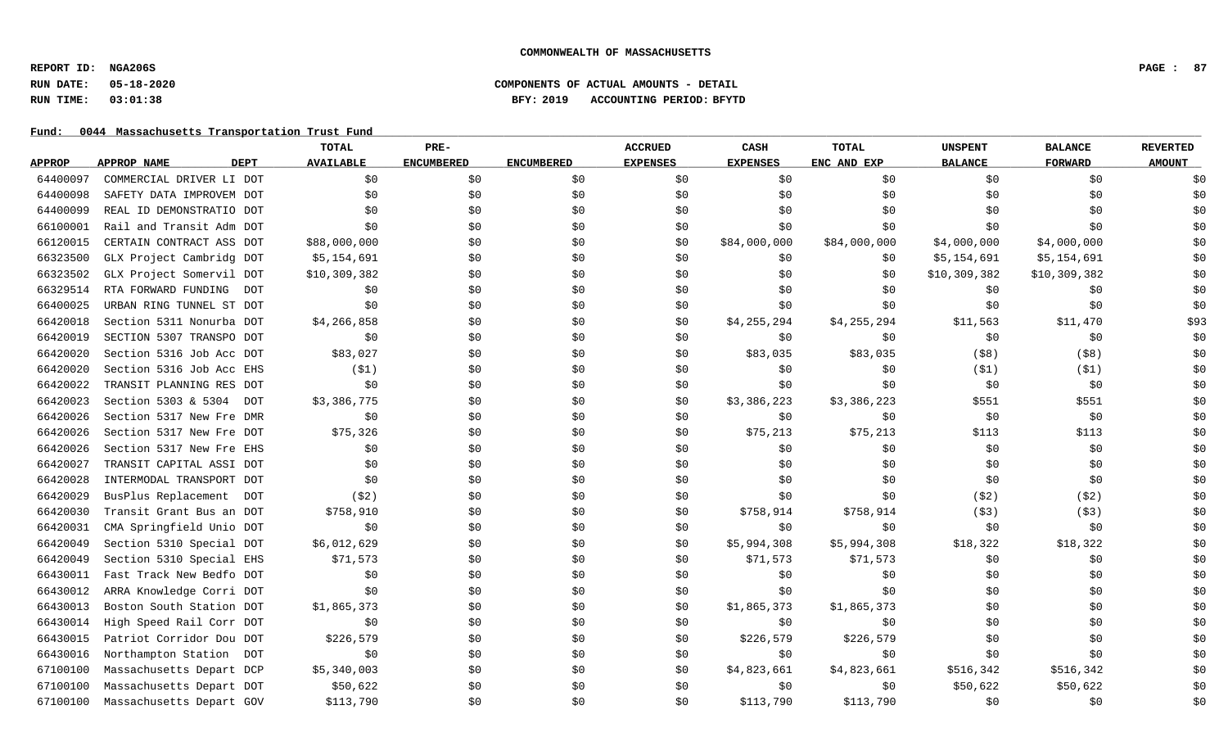**REPORT ID: NGA206S PAGE : 87**

### **RUN DATE: 05-18-2020 COMPONENTS OF ACTUAL AMOUNTS - DETAIL RUN TIME: 03:01:38 BFY: 2019 ACCOUNTING PERIOD: BFYTD**

|               |                                   | <b>TOTAL</b>     | PRE-              |                   | <b>ACCRUED</b>  | CASH            | TOTAL        | <b>UNSPENT</b> | <b>BALANCE</b> | <b>REVERTED</b> |
|---------------|-----------------------------------|------------------|-------------------|-------------------|-----------------|-----------------|--------------|----------------|----------------|-----------------|
| <b>APPROP</b> | <b>DEPT</b><br><b>APPROP NAME</b> | <b>AVAILABLE</b> | <b>ENCUMBERED</b> | <b>ENCUMBERED</b> | <b>EXPENSES</b> | <b>EXPENSES</b> | ENC AND EXP  | <b>BALANCE</b> | <b>FORWARD</b> | <b>AMOUNT</b>   |
| 64400097      | COMMERCIAL DRIVER LI DOT          | \$0              | \$0               | \$0               | \$0             | \$0             | \$0\$        | \$0            | \$0            | \$0             |
| 64400098      | SAFETY DATA IMPROVEM DOT          | \$0              | \$0               | \$0               | \$0             | \$0             | \$0          | \$0            | \$0            | \$0             |
| 64400099      | REAL ID DEMONSTRATIO DOT          | \$0              | \$0               | \$0               | \$0             | \$0             | \$0          | \$0            | \$0            | \$0             |
| 66100001      | Rail and Transit Adm DOT          | \$0              | \$0               | \$0               | \$0             | \$0             | \$0          | \$0            | \$0            | \$0             |
| 66120015      | CERTAIN CONTRACT ASS DOT          | \$88,000,000     | \$0               | \$0               | \$0             | \$84,000,000    | \$84,000,000 | \$4,000,000    | \$4,000,000    | \$0             |
| 66323500      | GLX Project Cambridg DOT          | \$5,154,691      | \$0               | \$0               | \$0             | \$0             | \$0          | \$5,154,691    | \$5,154,691    | \$0             |
| 66323502      | GLX Project Somervil DOT          | \$10,309,382     | \$0               | \$0               | \$0             | \$0             | \$0          | \$10,309,382   | \$10,309,382   | \$0             |
| 66329514      | RTA FORWARD FUNDING<br><b>DOT</b> | \$0              | \$0               | \$0               | \$0             | \$0             | \$0          | \$0            | \$0            | \$0             |
| 66400025      | URBAN RING TUNNEL ST DOT          | \$0              | \$0               | \$0               | \$0             | \$0             | \$0          | \$0            | \$0            | \$0             |
| 66420018      | Section 5311 Nonurba DOT          | \$4,266,858      | \$0               | \$0               | \$0             | \$4,255,294     | \$4,255,294  | \$11,563       | \$11,470       | \$93            |
| 66420019      | SECTION 5307 TRANSPO DOT          | \$0              | \$0               | \$0               | \$0             | \$0             | \$0          | \$0            | \$0            | \$0             |
| 66420020      | Section 5316 Job Acc DOT          | \$83,027         | \$0               | \$0               | \$0             | \$83,035        | \$83,035     | $($ \$8)       | $($ \$8)       | \$0             |
| 66420020      | Section 5316 Job Acc EHS          | (51)             | \$0               | \$0               | \$0             | \$0             | \$0          | (S1)           | (S1)           | \$0             |
| 66420022      | TRANSIT PLANNING RES DOT          | \$0              | \$0               | \$0               | \$0             | \$0             | \$0          | \$0            | \$0            | \$0             |
| 66420023      | Section 5303 & 5304<br>DOT        | \$3,386,775      | \$0               | \$0               | \$0             | \$3,386,223     | \$3,386,223  | \$551          | \$551          | \$0             |
| 66420026      | Section 5317 New Fre DMR          | \$0              | \$0               | \$0               | \$0             | \$0             | \$0\$        | \$0            | \$0            | \$0             |
| 66420026      | Section 5317 New Fre DOT          | \$75,326         | \$0               | \$0               | \$0             | \$75,213        | \$75,213     | \$113          | \$113          | \$0             |
| 66420026      | Section 5317 New Fre EHS          | \$0              | \$0               | \$0               | \$0             | \$0             | \$0          | \$0            | \$0            | \$0             |
| 66420027      | TRANSIT CAPITAL ASSI DOT          | \$0              | \$0               | \$0               | \$0             | \$0             | \$0          | \$0            | \$0            | \$0             |
| 66420028      | INTERMODAL TRANSPORT DOT          | \$0              | \$0               | \$0               | \$0             | \$0             | \$0          | \$0            | \$0            | \$0             |
| 66420029      | BusPlus Replacement<br>DOT        | (52)             | \$0               | \$0               | \$0             | \$0             | \$0          | (52)           | (52)           | \$0             |
| 66420030      | Transit Grant Bus an DOT          | \$758,910        | \$0               | \$0               | \$0             | \$758,914       | \$758,914    | (53)           | (53)           | \$0             |
| 66420031      | CMA Springfield Unio DOT          | \$0              | \$0               | \$0               | \$0             | \$0             | \$0          | \$0            | \$0            | \$0             |
| 66420049      | Section 5310 Special DOT          | \$6,012,629      | \$0               | \$0               | \$0             | \$5,994,308     | \$5,994,308  | \$18,322       | \$18,322       | \$0             |
| 66420049      | Section 5310 Special EHS          | \$71,573         | \$0               | \$0               | \$0             | \$71,573        | \$71,573     | \$0            | \$0            | \$0             |
| 66430011      | Fast Track New Bedfo DOT          | \$0              | \$0               | \$0               | \$0             | \$0             | \$0\$        | \$0            | \$0            | \$0             |
| 66430012      | ARRA Knowledge Corri DOT          | \$0              | \$0               | \$0               | \$0             | \$0             | \$0          | \$0            | \$0            | \$0             |
| 66430013      | Boston South Station DOT          | \$1,865,373      | \$0               | \$0               | \$0             | \$1,865,373     | \$1,865,373  | \$0            | \$0\$          | \$0             |
| 66430014      | High Speed Rail Corr DOT          | \$0              | \$0               | \$0               | \$0             | \$0             | \$0          | \$0            | \$0            | \$0             |
| 66430015      | Patriot Corridor Dou DOT          | \$226,579        | \$0               | \$0               | \$0             | \$226,579       | \$226,579    | \$0            | \$0            | \$0             |
| 66430016      | Northampton Station DOT           | \$0              | \$0               | \$0               | \$0             | \$0             | \$0          | \$0            | \$0            | \$0             |
| 67100100      | Massachusetts Depart DCP          | \$5,340,003      | \$0               | \$0               | \$0             | \$4,823,661     | \$4,823,661  | \$516,342      | \$516,342      | \$0             |
| 67100100      | Massachusetts Depart DOT          | \$50,622         | \$0               | \$0               | \$0             | \$0             | \$0          | \$50,622       | \$50,622       | \$0             |
| 67100100      | Massachusetts Depart GOV          | \$113,790        | \$0               | \$0               | \$0             | \$113,790       | \$113,790    | \$0            | \$0            | \$0             |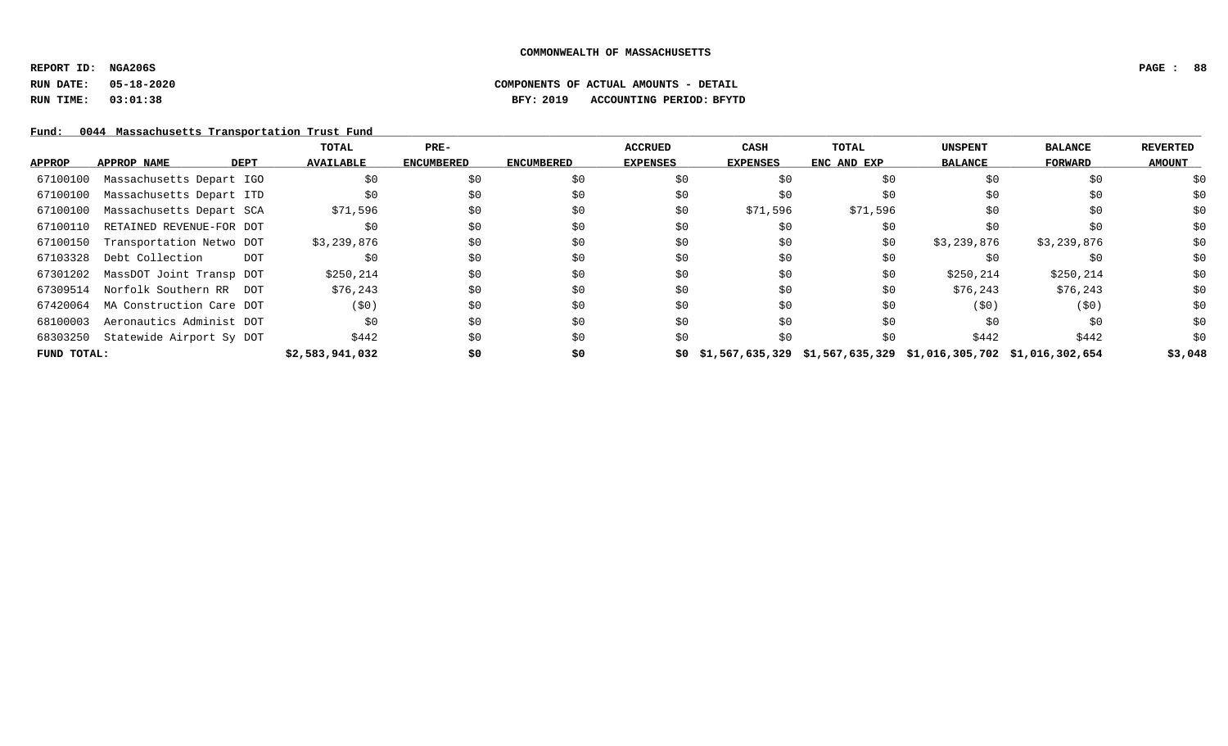**REPORT ID: NGA206S PAGE : 88**

**RUN DATE: 05-18-2020 COMPONENTS OF ACTUAL AMOUNTS - DETAIL**

**RUN TIME: 03:01:38 BFY: 2019 ACCOUNTING PERIOD: BFYTD**

|             |                                   | TOTAL            | PRE-              |                   | <b>ACCRUED</b>  | CASH                                                                     | TOTAL       | <b>UNSPENT</b> | <b>BALANCE</b> | <b>REVERTED</b> |
|-------------|-----------------------------------|------------------|-------------------|-------------------|-----------------|--------------------------------------------------------------------------|-------------|----------------|----------------|-----------------|
| APPROP      | APPROP NAME<br><b>DEPT</b>        | <b>AVAILABLE</b> | <b>ENCUMBERED</b> | <b>ENCUMBERED</b> | <b>EXPENSES</b> | <b>EXPENSES</b>                                                          | ENC AND EXP | <b>BALANCE</b> | <b>FORWARD</b> | <b>AMOUNT</b>   |
| 67100100    | Massachusetts Depart IGO          | \$0              | \$0               | \$0               | \$0             |                                                                          | \$0         | SO.            | \$0            | \$0             |
| 67100100    | Massachusetts Depart ITD          | \$0              | \$0               | S0                | \$0             | \$0                                                                      | S0          | SO.            | SO.            | \$0             |
| 67100100    | Massachusetts Depart SCA          | \$71,596         | \$0               | \$0               | \$0             | \$71,596                                                                 | \$71,596    | SO.            | SO.            | \$0             |
| 67100110    | RETAINED REVENUE-FOR DOT          |                  | \$0               | S0                | \$0             | \$0                                                                      | \$0         |                | \$0            | \$0             |
| 67100150    | Transportation Netwo DOT          | \$3,239,876      | \$0               | \$0               | \$0             | \$0                                                                      | \$0         | \$3,239,876    | \$3,239,876    | \$0             |
| 67103328    | Debt Collection<br><b>DOT</b>     | S0               | \$0               | \$0               | \$0             | \$0                                                                      | \$0         |                | S0             | \$0             |
| 67301202    | MassDOT Joint Transp DOT          | \$250,214        | \$0               | \$0               | \$0             | \$0                                                                      | \$0         | \$250,214      | \$250, 214     | \$0             |
| 67309514    | Norfolk Southern RR DOT           | \$76,243         | \$0               | S0                | \$0             | \$0                                                                      | \$0         | \$76,243       | \$76,243       | \$0             |
|             | 67420064 MA Construction Care DOT | (50)             | \$0               | \$0               | \$0             | \$0                                                                      | S0          | (50)           | (50)           | \$0             |
| 68100003    | Aeronautics Administ DOT          | \$0              | \$0               | S0                | \$0             | \$0                                                                      | \$0         | \$0            | \$0            | \$0             |
| 68303250    | Statewide Airport Sy DOT          | \$442            | \$0               | S0                | \$0             | S O                                                                      | \$0         | \$442          | \$442          | \$0             |
| FUND TOTAL: |                                   | \$2,583,941,032  | \$0               | \$0               |                 | $$0$ $$1,567,635,329$ $$1,567,635,329$ $$1,016,305,702$ $$1,016,302,654$ |             |                |                | \$3,048         |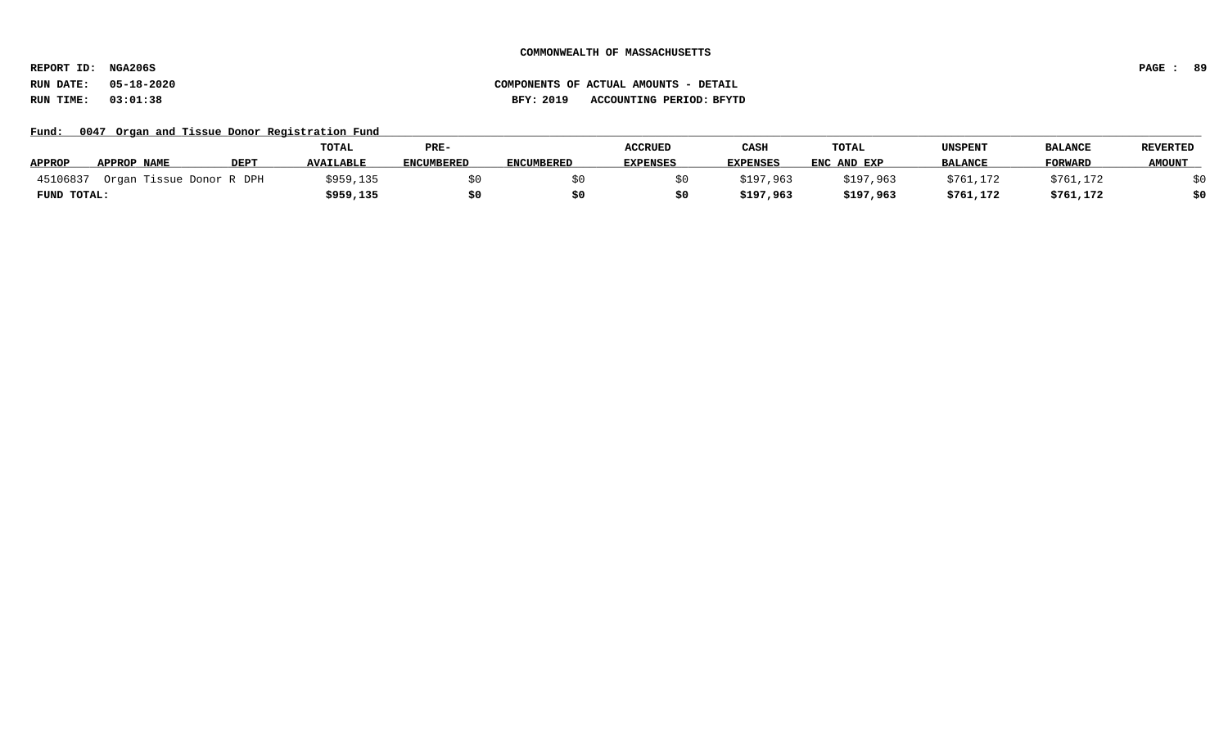**REPORT ID: NGA206S PAGE : 89**

**RUN DATE: 05-18-2020 COMPONENTS OF ACTUAL AMOUNTS - DETAIL RUN TIME: 03:01:38 BFY: 2019 ACCOUNTING PERIOD: BFYTD**

Fund: 0047 Organ and Tissue Donor Registration Fund

|               |                          |             | TOTAL            | PRE-              |                   | <b>ACCRUED</b>  | CASH            | TOTAL       | UNSPENT        | <b>BALANCE</b> | <b>REVERTED</b> |
|---------------|--------------------------|-------------|------------------|-------------------|-------------------|-----------------|-----------------|-------------|----------------|----------------|-----------------|
| <b>APPROP</b> | APPROP NAME              | <b>DEPT</b> | <b>AVAILABLE</b> | <b>ENCUMBERED</b> | <b>ENCUMBERED</b> | <b>EXPENSES</b> | <b>EXPENSES</b> | ENC AND EXP | <b>BALANCE</b> | <b>FORWARD</b> | <b>AMOUNT</b>   |
| 45106837      | Organ Tissue Donor R DPH |             | \$959,135        |                   |                   |                 | \$197,963       | \$197,963   | \$761,172      | \$761,172      |                 |
| FUND TOTAL:   |                          |             | \$959,135        |                   |                   |                 | \$197,963       | \$197,963   | \$761,172      | \$761,172      |                 |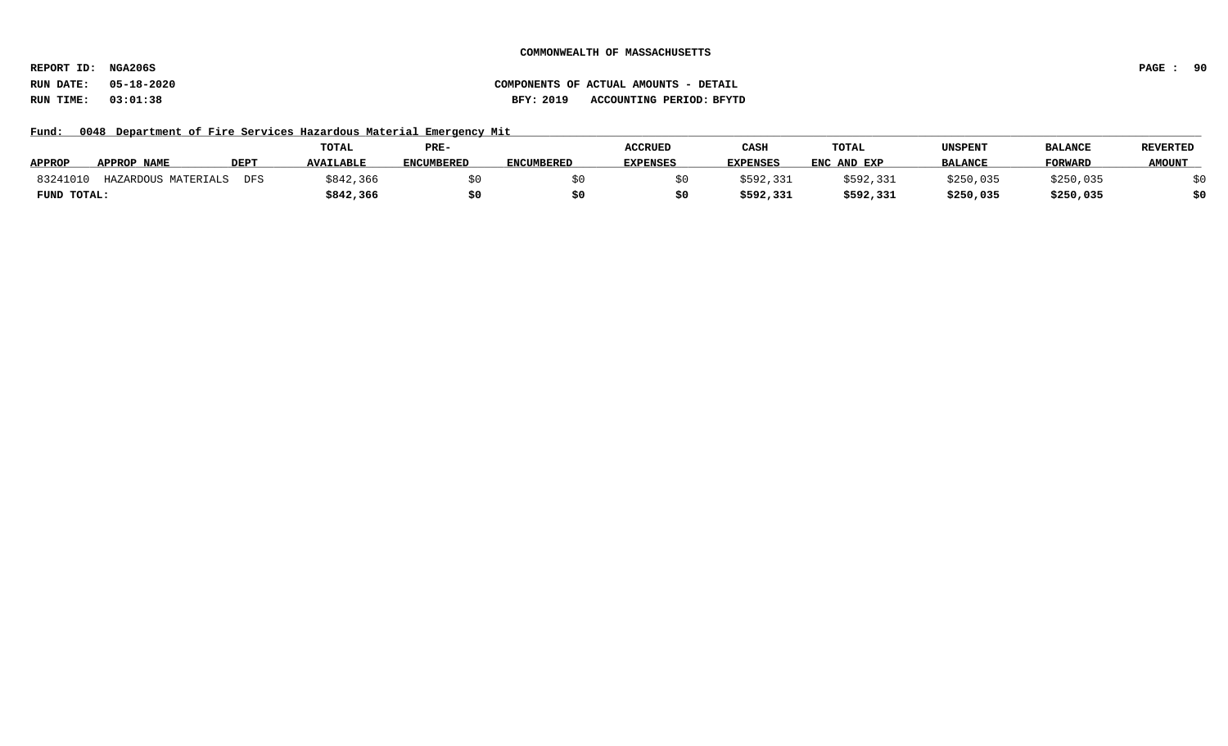**REPORT ID: NGA206S PAGE : 90**

**RUN DATE: 05-18-2020 COMPONENTS OF ACTUAL AMOUNTS - DETAIL RUN TIME: 03:01:38 BFY: 2019 ACCOUNTING PERIOD: BFYTD**

Fund: 0048 Department of Fire Services Hazardous Material Emergency Mit

|               |                     |             | <b>TOTAL</b>     | PRE-              |                   | <b>ACCRUED</b>  | CASH            | <b>TOTAL</b> | UNSPENT        | <b>BALANCE</b> | <b>REVERTED</b> |
|---------------|---------------------|-------------|------------------|-------------------|-------------------|-----------------|-----------------|--------------|----------------|----------------|-----------------|
| <b>APPROP</b> | APPROP NAME         | <b>DEPT</b> | <b>AVAILABLE</b> | <b>ENCUMBERED</b> | <b>ENCUMBERED</b> | <b>EXPENSES</b> | <b>EXPENSES</b> | ENC AND EXP  | <b>BALANCE</b> | <b>FORWARD</b> | <b>AMOUNT</b>   |
| 8324101       | HAZARDOUS MATERIALS | DFS         | \$842,366        |                   |                   |                 | ;592,331        | \$592,331    | \$250,035      | \$250,035      |                 |
| FUND TOTAL:   |                     |             | \$842,366        |                   |                   |                 | \$592,331       | \$592,331    | \$250,035      | \$250,035      |                 |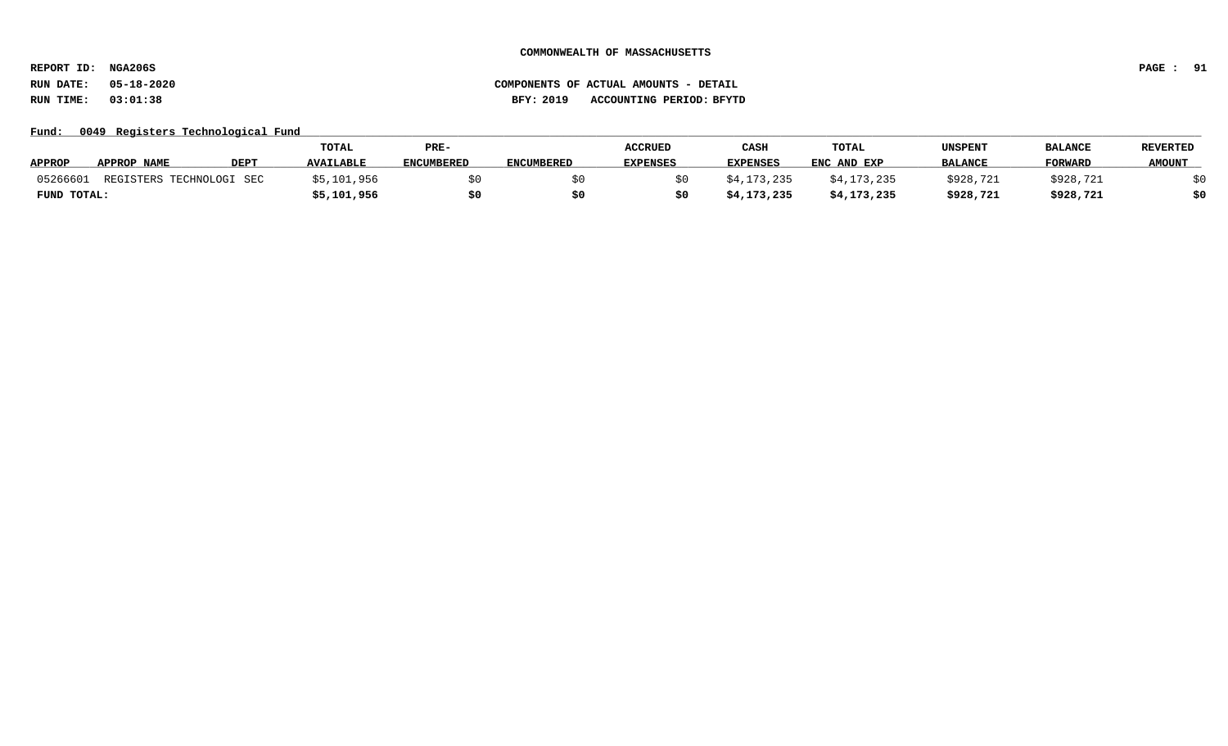**REPORT ID: NGA206S PAGE : 91**

# **RUN DATE: 05-18-2020 COMPONENTS OF ACTUAL AMOUNTS - DETAIL RUN TIME: 03:01:38 BFY: 2019 ACCOUNTING PERIOD: BFYTD**

### Fund: 0049 Registers Technological Fund

|               |                          |             | <b>TOTAL</b>     | PRE-              |                   | <b>ACCRUED</b>  | CASH            | TOTAL       | UNSPENT        | <b>BALANCE</b> | <b>REVERTED</b> |
|---------------|--------------------------|-------------|------------------|-------------------|-------------------|-----------------|-----------------|-------------|----------------|----------------|-----------------|
| <b>APPROP</b> | APPROP NAME              | <b>DEPT</b> | <b>AVAILABLE</b> | <b>ENCUMBERED</b> | <b>ENCUMBERED</b> | <b>EXPENSES</b> | <b>EXPENSES</b> | ENC AND EXP | <b>BALANCE</b> | <b>FORWARD</b> | <b>AMOUNT</b>   |
| 05266601      | REGISTERS TECHNOLOGI SEC |             | \$5,101,956      |                   |                   |                 | \$4,173,235     | \$4,173,235 | \$928,721      | \$928,721      |                 |
| FUND TOTAL:   |                          |             | \$5,101,956      | \$0               |                   |                 | \$4,173,235     | \$4,173,235 | \$928,721      | \$928,721      | \$0             |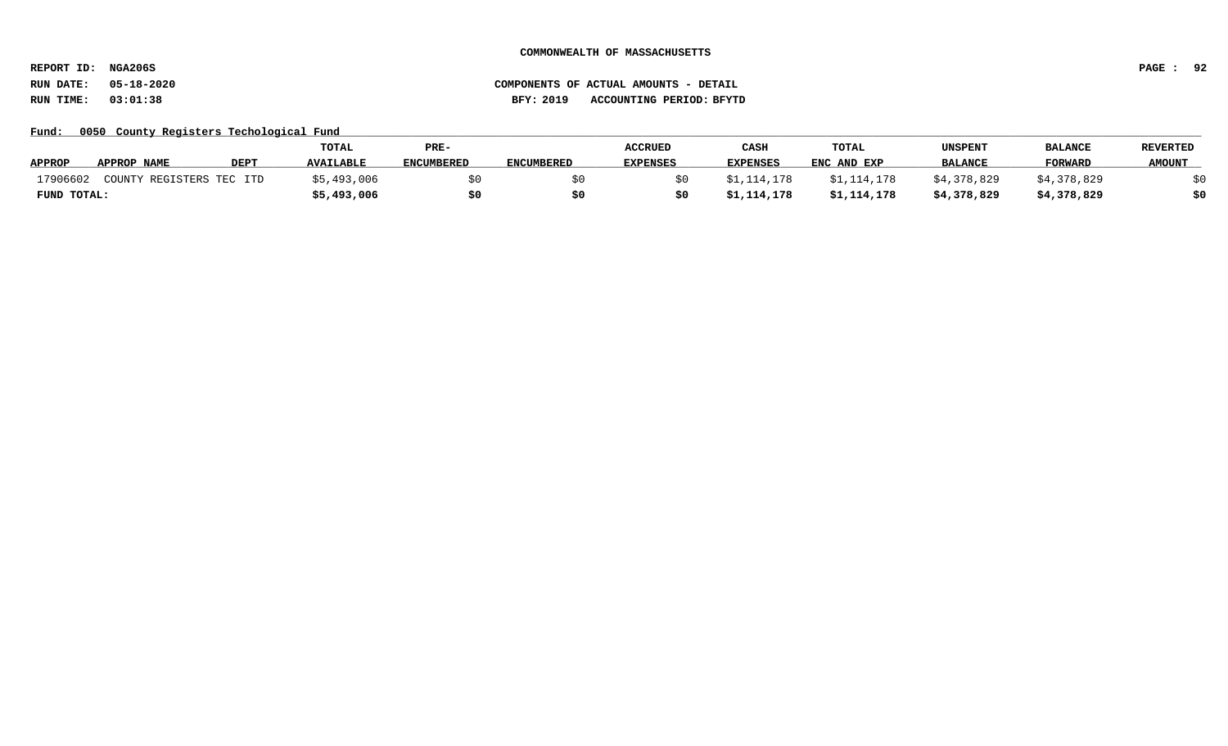**REPORT ID: NGA206S PAGE : 92**

### **RUN DATE: 05-18-2020 COMPONENTS OF ACTUAL AMOUNTS - DETAIL RUN TIME: 03:01:38 BFY: 2019 ACCOUNTING PERIOD: BFYTD**

Fund: 0050 County Registers Techological Fund

|               |                          |             | TOTAL            | PRE-              |                   | <b>ACCRUED</b>  | CASH            | TOTAL       | UNSPENT        | <b>BALANCE</b> | REVERTED      |
|---------------|--------------------------|-------------|------------------|-------------------|-------------------|-----------------|-----------------|-------------|----------------|----------------|---------------|
| <b>APPROP</b> | APPROP NAME              | <b>DEPT</b> | <b>AVAILABLE</b> | <b>ENCUMBERED</b> | <b>ENCUMBERED</b> | <b>EXPENSES</b> | <b>EXPENSES</b> | ENC AND EXP | <b>BALANCE</b> | <b>FORWARD</b> | <b>AMOUNT</b> |
| 17906602      | COUNTY REGISTERS TEC ITD |             | \$5,493,006      |                   |                   |                 | \$1,114,178     | \$1,114,178 | \$4,378,829    | \$4,378,829    |               |
| FUND TOTAL:   |                          |             | \$5,493,006      |                   |                   |                 | \$1,114,178     | \$1,114,178 | \$4,378,829    | \$4,378,829    | \$0           |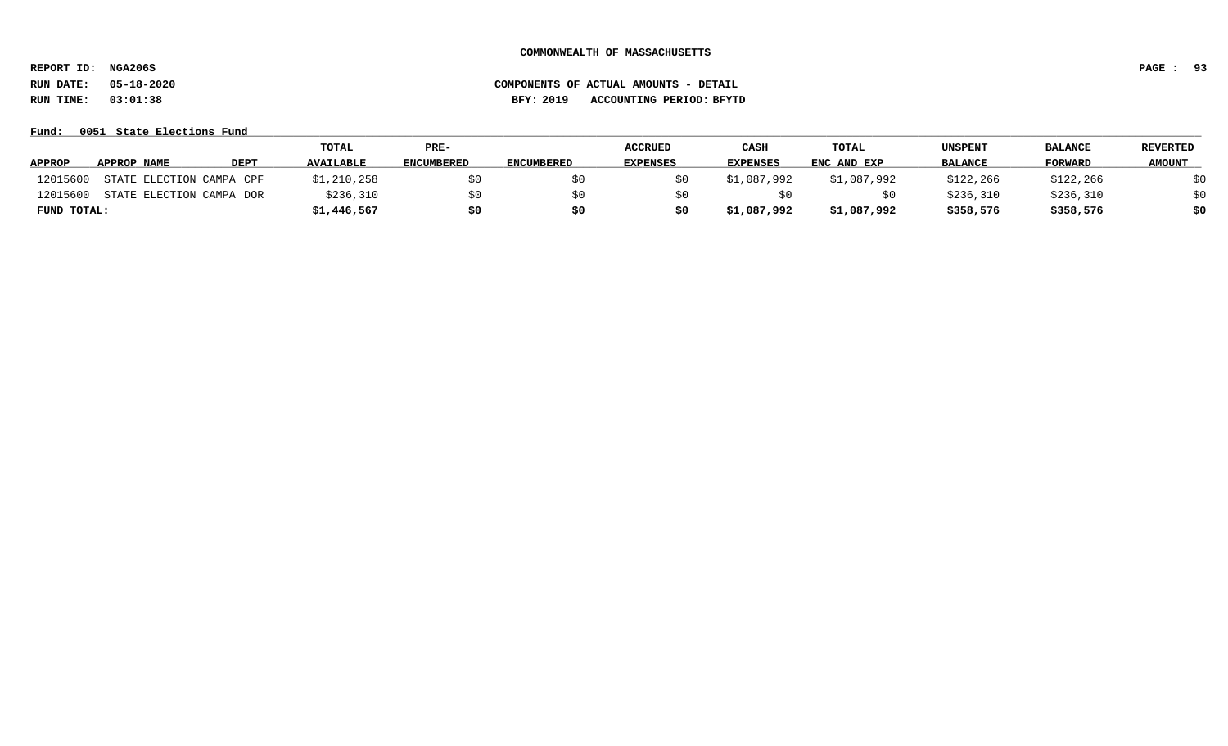**REPORT ID: NGA206S PAGE : 93**

**RUN DATE: 05-18-2020 COMPONENTS OF ACTUAL AMOUNTS - DETAIL RUN TIME: 03:01:38 BFY: 2019 ACCOUNTING PERIOD: BFYTD**

**Fund: \_\_\_\_\_\_\_\_\_\_\_\_\_\_\_\_\_\_\_\_\_\_\_\_\_\_\_\_\_\_\_\_\_\_\_\_\_\_\_\_\_\_\_\_\_\_\_\_\_\_\_\_\_\_\_\_\_\_\_\_\_\_\_\_\_\_\_\_\_\_\_\_\_\_\_\_\_\_\_\_\_\_\_\_\_\_\_\_\_\_\_\_\_\_\_\_\_\_\_\_\_\_\_\_\_\_\_\_\_\_\_\_\_\_\_\_\_\_\_\_\_\_\_\_\_\_\_\_\_\_\_\_\_\_\_\_\_\_\_\_\_\_\_\_\_\_\_\_\_\_\_\_\_\_\_\_\_\_\_\_\_\_\_\_\_\_\_\_\_\_\_\_\_\_\_\_\_\_ 0051 State Elections Fund**

|               |                          |             | TOTAL            | PRE-              |                   | <b>ACCRUED</b>  | <b>CASH</b>     | <b>TOTAL</b> | <b>UNSPENT</b> | <b>BALANCE</b> | REVERTED      |
|---------------|--------------------------|-------------|------------------|-------------------|-------------------|-----------------|-----------------|--------------|----------------|----------------|---------------|
| <b>APPROP</b> | APPROP NAME              | <b>DEPT</b> | <b>AVAILABLE</b> | <b>ENCUMBERED</b> | <b>ENCUMBERED</b> | <b>EXPENSES</b> | <b>EXPENSES</b> | ENC AND EXP  | <b>BALANCE</b> | FORWARD        | <b>AMOUNT</b> |
| 12015600      | STATE ELECTION CAMPA CPF |             | \$1,210,258      |                   |                   |                 | \$1,087,992     | \$1,087,992  | \$122,266      | \$122,266      | \$0           |
| 12015600      | STATE ELECTION CAMPA DOR |             | \$236,310        |                   |                   |                 |                 |              | \$236,310      | \$236,310      | \$0           |
| FUND TOTAL:   |                          |             | \$1,446,567      | \$0               |                   |                 | \$1,087,992     | \$1,087,992  | \$358,576      | \$358,576      | \$0           |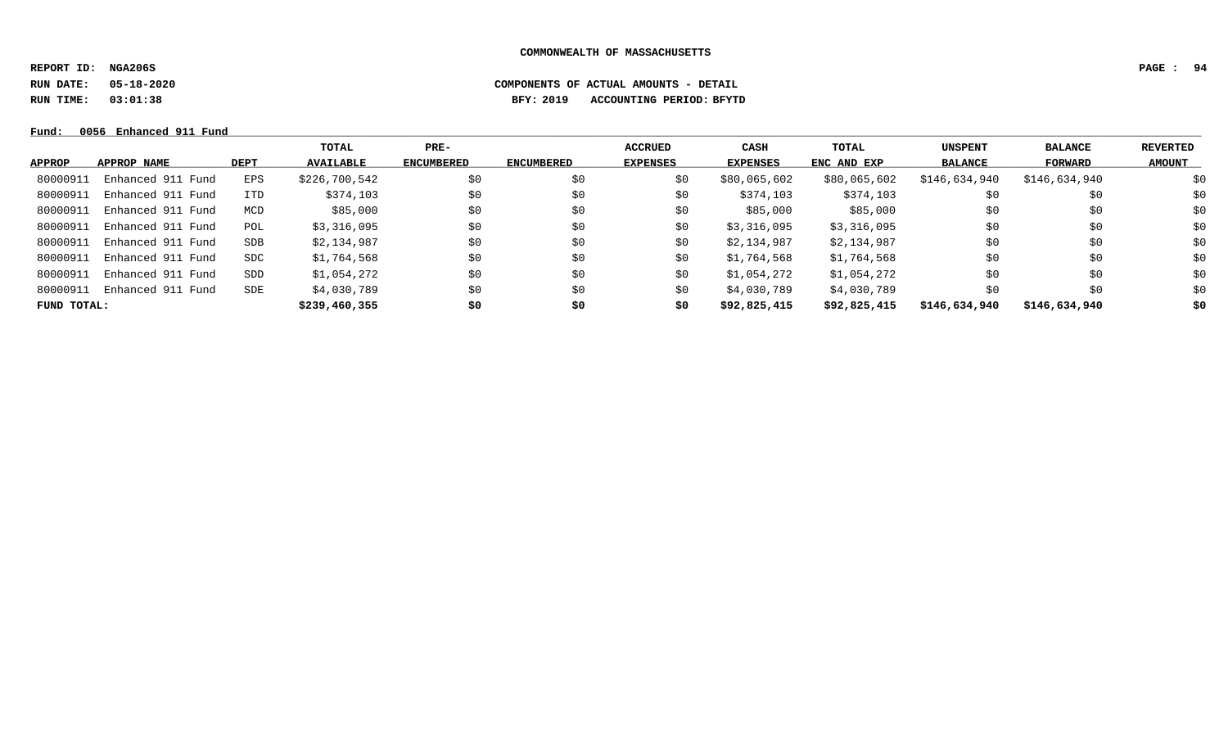**REPORT ID: NGA206S PAGE : 94**

**RUN DATE: 05-18-2020 COMPONENTS OF ACTUAL AMOUNTS - DETAIL**

**RUN TIME: 03:01:38 BFY: 2019 ACCOUNTING PERIOD: BFYTD**

**Fund: \_\_\_\_\_\_\_\_\_\_\_\_\_\_\_\_\_\_\_\_\_\_\_\_\_\_\_\_\_\_\_\_\_\_\_\_\_\_\_\_\_\_\_\_\_\_\_\_\_\_\_\_\_\_\_\_\_\_\_\_\_\_\_\_\_\_\_\_\_\_\_\_\_\_\_\_\_\_\_\_\_\_\_\_\_\_\_\_\_\_\_\_\_\_\_\_\_\_\_\_\_\_\_\_\_\_\_\_\_\_\_\_\_\_\_\_\_\_\_\_\_\_\_\_\_\_\_\_\_\_\_\_\_\_\_\_\_\_\_\_\_\_\_\_\_\_\_\_\_\_\_\_\_\_\_\_\_\_\_\_\_\_\_\_\_\_\_\_\_\_\_\_\_\_\_\_\_\_ 0056 Enhanced 911 Fund**

|               |                   |            | TOTAL            | PRE-              |                   | <b>ACCRUED</b>  | CASH            | TOTAL        | <b>UNSPENT</b> | <b>BALANCE</b> | REVERTED      |
|---------------|-------------------|------------|------------------|-------------------|-------------------|-----------------|-----------------|--------------|----------------|----------------|---------------|
| <b>APPROP</b> | APPROP NAME       | DEPT       | <b>AVAILABLE</b> | <b>ENCUMBERED</b> | <b>ENCUMBERED</b> | <b>EXPENSES</b> | <b>EXPENSES</b> | ENC AND EXP  | <b>BALANCE</b> | <b>FORWARD</b> | <b>AMOUNT</b> |
| 80000913      | Enhanced 911 Fund | EPS        | \$226,700,542    | \$0               | \$0               | \$0             | \$80,065,602    | \$80,065,602 | \$146,634,940  | \$146,634,940  | \$0           |
| 80000911      | Enhanced 911 Fund | <b>ITD</b> | \$374,103        | \$0               | \$0               | \$0             | \$374,103       | \$374,103    | \$0            | \$0            | \$0           |
| 80000911      | Enhanced 911 Fund | MCD        | \$85,000         | \$0               | \$0               | \$0             | \$85,000        | \$85,000     | \$0            | \$0            | \$0           |
| 80000911      | Enhanced 911 Fund | POL        | \$3,316,095      | \$0               | \$0               | \$0             | \$3,316,095     | \$3,316,095  | \$0            | \$0            | \$0           |
| 80000911      | Enhanced 911 Fund | SDB        | \$2,134,987      | \$0               | \$0               | \$0             | \$2,134,987     | \$2,134,987  | \$0            | \$0            | \$0           |
| 80000911      | Enhanced 911 Fund | SDC        | \$1,764,568      | \$0               | \$0               | \$0             | \$1,764,568     | \$1,764,568  | \$0            | \$0            | \$0           |
| 80000911      | Enhanced 911 Fund | SDD        | \$1,054,272      | \$0               | \$0               | \$0             | \$1,054,272     | \$1,054,272  | \$0            | \$0            | \$0           |
| 80000911      | Enhanced 911 Fund | SDE        | \$4,030,789      | \$0               | \$0               | \$0             | \$4,030,789     | \$4,030,789  | \$0            | \$0            | \$0           |
| FUND TOTAL:   |                   |            | \$239,460,355    | \$0               | \$0               | \$0             | \$92,825,415    | \$92,825,415 | \$146,634,940  | \$146,634,940  | \$0           |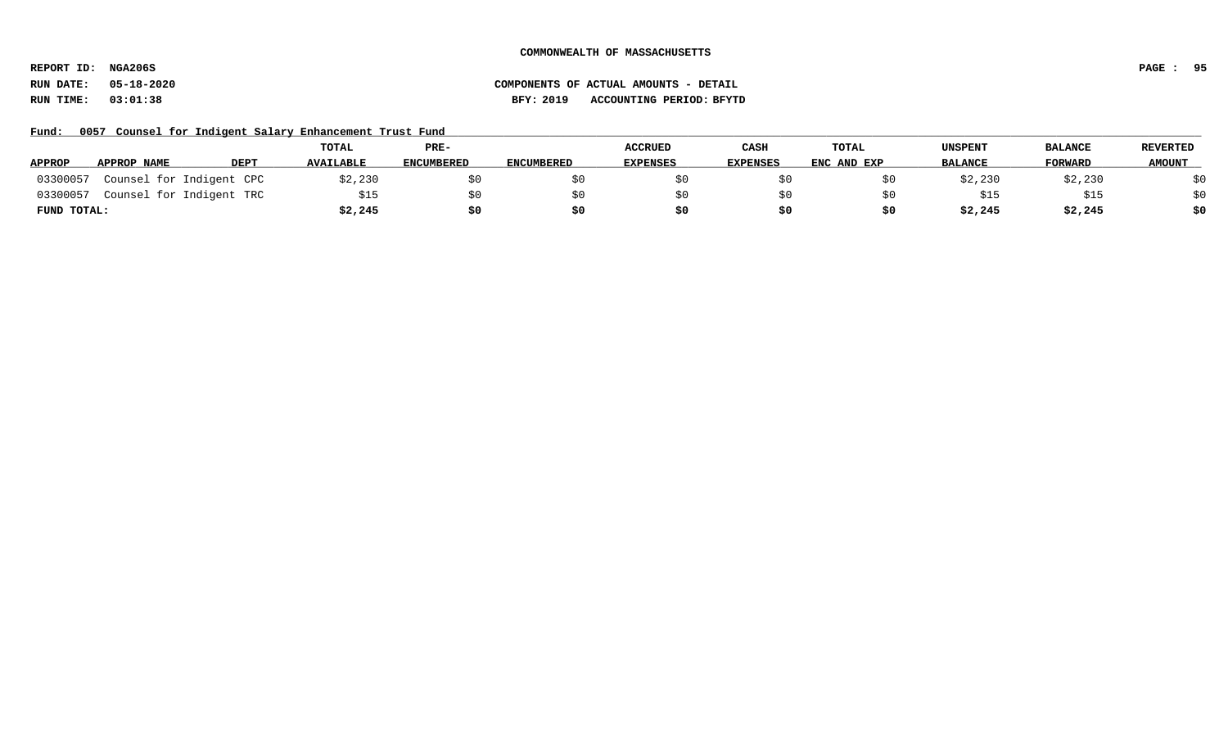**REPORT ID: NGA206S PAGE : 95**

# **RUN DATE: 05-18-2020 COMPONENTS OF ACTUAL AMOUNTS - DETAIL RUN TIME: 03:01:38 BFY: 2019 ACCOUNTING PERIOD: BFYTD**

Fund: 0057 Counsel for Indigent Salary Enhancement Trust Fund

|               |                          |             | TOTAL            | PRE-              |                   | <b>ACCRUED</b>  | CASH            | TOTAL       | <b>UNSPENT</b> | <b>BALANCE</b> | <b>REVERTED</b> |
|---------------|--------------------------|-------------|------------------|-------------------|-------------------|-----------------|-----------------|-------------|----------------|----------------|-----------------|
| <b>APPROP</b> | APPROP NAME              | <b>DEPT</b> | <b>AVAILABLE</b> | <b>ENCUMBERED</b> | <b>ENCUMBERED</b> | <b>EXPENSES</b> | <b>EXPENSES</b> | ENC AND EXP | <b>BALANCE</b> | FORWARD        | <b>AMOUNT</b>   |
| 03300057      | Counsel for Indigent CPC |             | \$2,230          |                   |                   |                 |                 |             | \$2,230        | \$2,230        | \$0             |
| 03300057      | Counsel for Indigent TRC |             |                  |                   |                   |                 |                 |             | \$15           | \$15           | \$0             |
| FUND TOTAL:   |                          |             | \$2,245          | \$0               |                   |                 | \$0             |             | \$2,245        | \$2,245        | \$0             |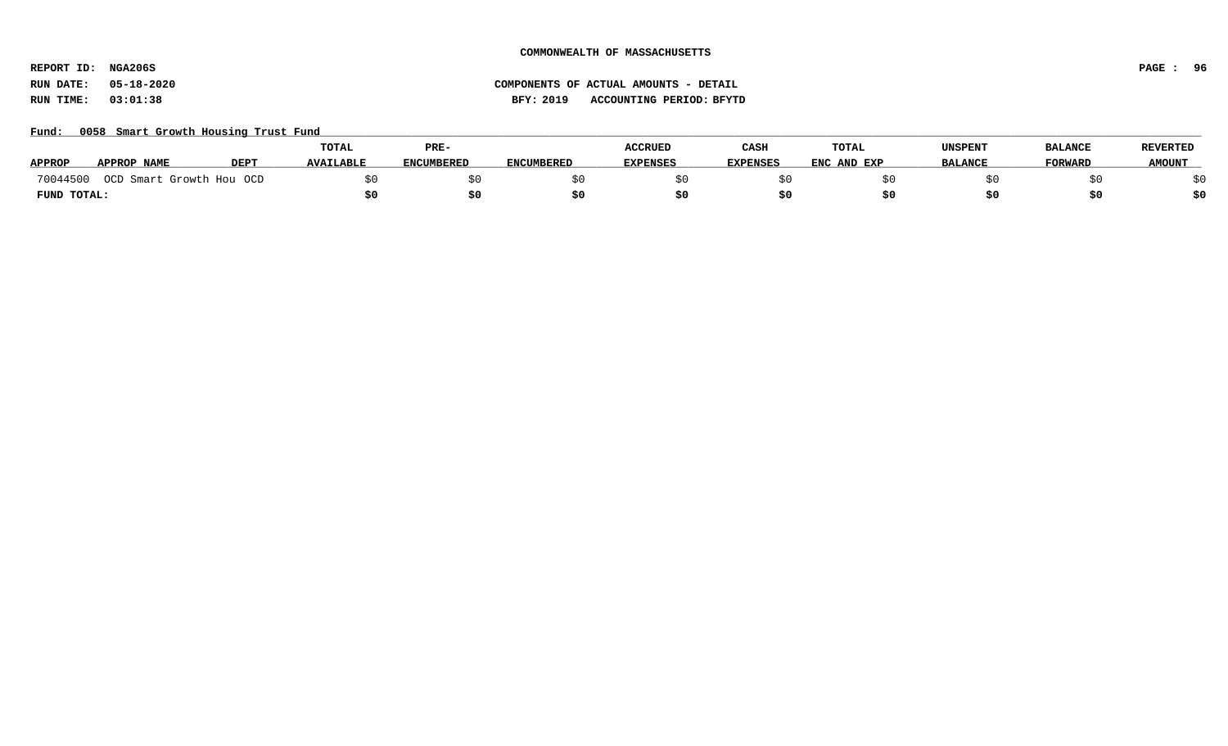**REPORT ID: NGA206S PAGE : 96**

**RUN DATE: 05-18-2020 COMPONENTS OF ACTUAL AMOUNTS - DETAIL RUN TIME: 03:01:38 BFY: 2019 ACCOUNTING PERIOD: BFYTD**

### Fund: 0058 Smart Growth Housing Trust Fund

|               |                          |             | TOTAL            | PRE-              |                   | <b>ACCRUED</b>  | CASH            | TOTAL       | UNSPENT        | <b>BALANCE</b> | <b>REVERTED</b> |
|---------------|--------------------------|-------------|------------------|-------------------|-------------------|-----------------|-----------------|-------------|----------------|----------------|-----------------|
| <b>APPROP</b> | <b>APPROP NAME</b>       | <b>DEPT</b> | <b>AVAILABLE</b> | <b>ENCUMBERED</b> | <b>ENCUMBERED</b> | <b>EXPENSES</b> | <b>EXPENSES</b> | ENC AND EXP | <b>BALANCE</b> | <b>FORWARD</b> | <b>AMOUNT</b>   |
| 70044500      | OCD Smart Growth Hou OCD |             |                  |                   |                   |                 |                 |             |                |                |                 |
| FUND TOTAL:   |                          |             |                  |                   |                   |                 |                 |             |                |                | \$0             |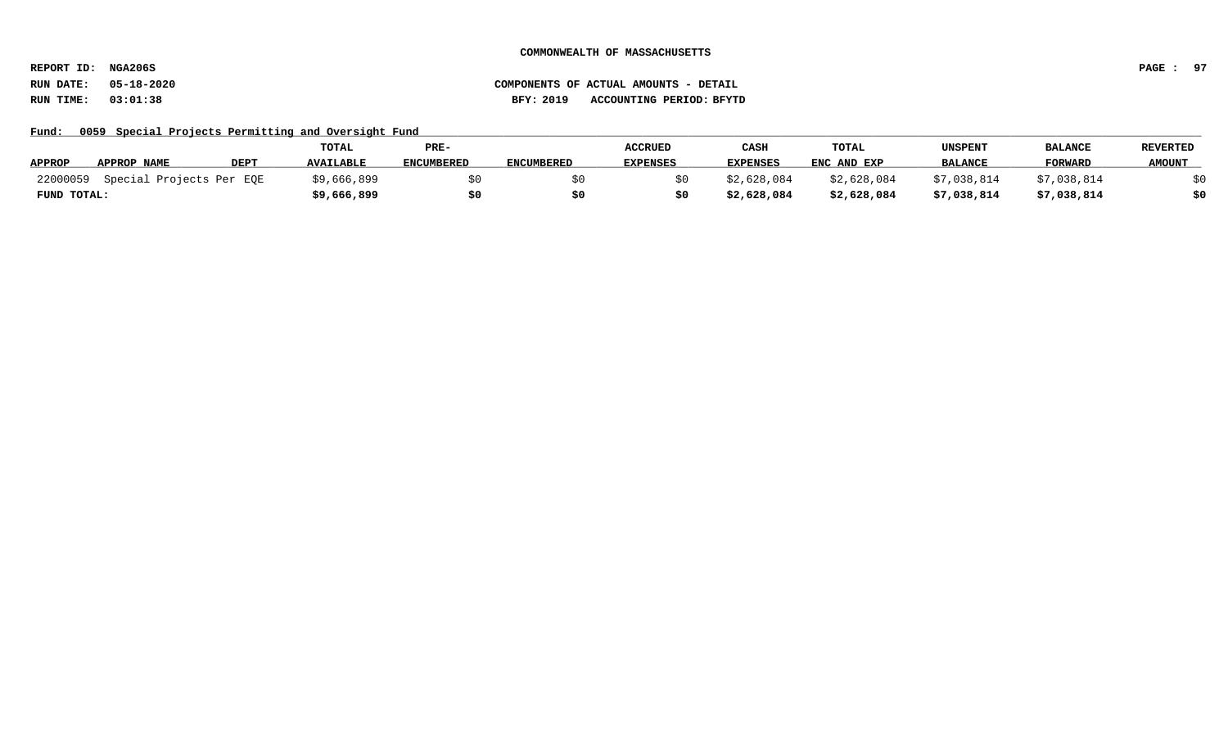**REPORT ID: NGA206S PAGE : 97**

Fund: 0059 Special Projects Permitting and Oversight Fund

|               |                          |             | <b>TOTAL</b>     | PRE-              |                   | <b>ACCRUED</b>  | CASH            | TOTAL       | UNSPENT        | <b>BALANCE</b> | REVERTED      |
|---------------|--------------------------|-------------|------------------|-------------------|-------------------|-----------------|-----------------|-------------|----------------|----------------|---------------|
| <b>APPROP</b> | APPROP NAME              | <b>DEPT</b> | <b>AVAILABLE</b> | <b>ENCUMBERED</b> | <b>ENCUMBERED</b> | <b>EXPENSES</b> | <b>EXPENSES</b> | ENC AND EXP | <b>BALANCE</b> | <b>FORWARD</b> | <b>AMOUNT</b> |
| 22000059      | Special Projects Per EQE |             | \$9,666,899      |                   |                   |                 | \$2,628,084     | \$2,628,084 | \$7,038,814    | \$7,038,814    |               |
| FUND TOTAL:   |                          |             | \$9,666,899      |                   |                   |                 | \$2,628,084     | \$2,628,084 | \$7,038,814    | \$7,038,814    | \$0           |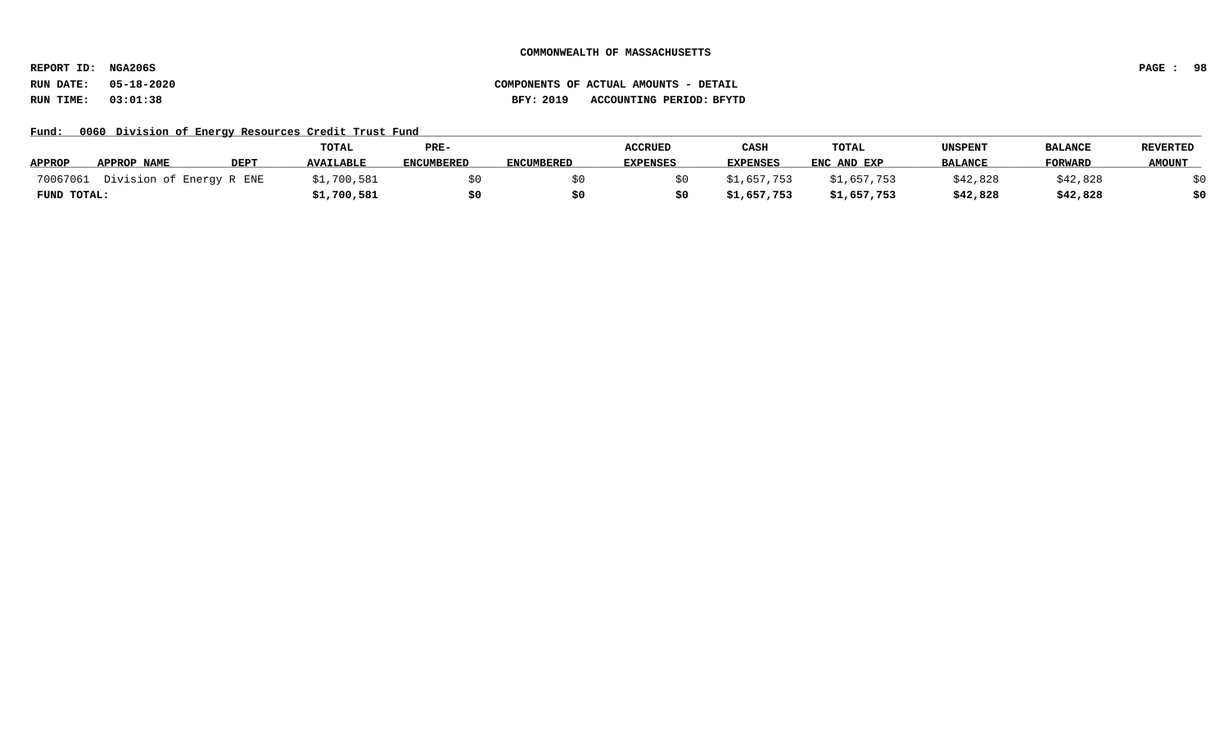**REPORT ID: NGA206S PAGE : 98**

Fund: 0060 Division of Energy Resources Credit Trust Fund

|               |                          |             | TOTAL            | PRE-              |                   | <b>ACCRUED</b>  | CASH            | TOTAL       | <b>UNSPENT</b> | <b>BALANCE</b> | <b>REVERTED</b> |
|---------------|--------------------------|-------------|------------------|-------------------|-------------------|-----------------|-----------------|-------------|----------------|----------------|-----------------|
| <b>APPROP</b> | APPROP NAME              | <b>DEPT</b> | <b>AVAILABLE</b> | <b>ENCUMBERED</b> | <b>ENCUMBERED</b> | <b>EXPENSES</b> | <b>EXPENSES</b> | ENC AND EXP | <b>BALANCE</b> | <b>FORWARD</b> | <b>AMOUNT</b>   |
| 70067061      | Division of Energy R ENE |             | \$1,700,581      |                   |                   |                 | \$1,657,753     | \$1,657,753 | \$42,828       | \$42,828       |                 |
| FUND TOTAL:   |                          |             | \$1,700,581      |                   |                   |                 | \$1,657,753     | \$1,657,753 | \$42,828       | \$42,828       | \$0             |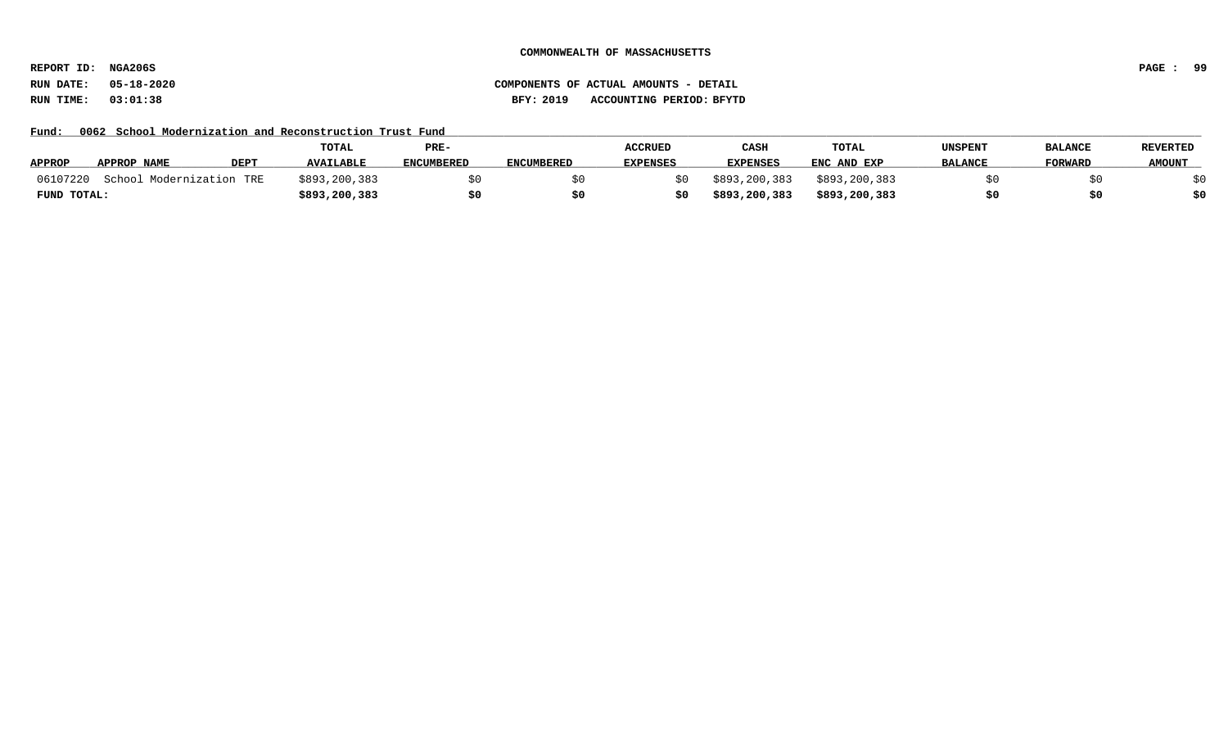**REPORT ID: NGA206S PAGE : 99**

# **RUN DATE: 05-18-2020 COMPONENTS OF ACTUAL AMOUNTS - DETAIL RUN TIME: 03:01:38 BFY: 2019 ACCOUNTING PERIOD: BFYTD**

Fund: 0062 School Modernization and Reconstruction Trust Fund

|               |                          |      | TOTAL            | PRE-       |                   | <b>ACCRUED</b>  | CASH            | <b>TOTAL</b>  | UNSPENT        | <b>BALANCE</b> | <b>REVERTED</b> |
|---------------|--------------------------|------|------------------|------------|-------------------|-----------------|-----------------|---------------|----------------|----------------|-----------------|
| <b>APPROP</b> | APPROP NAME              | DEPT | <b>AVAILABLE</b> | ENCUMBERED | <b>ENCUMBERED</b> | <b>EXPENSES</b> | <b>EXPENSES</b> | ENC AND EXP   | <b>BALANCE</b> | <b>FORWARD</b> | <b>AMOUNT</b>   |
| 06107220      | School Modernization TRE |      | \$893,200,383    |            |                   |                 | \$893,200,383   | \$893,200,383 |                |                |                 |
| FUND TOTAL:   |                          |      | \$893,200,383    |            |                   |                 | \$893,200,383   | \$893,200,383 |                |                |                 |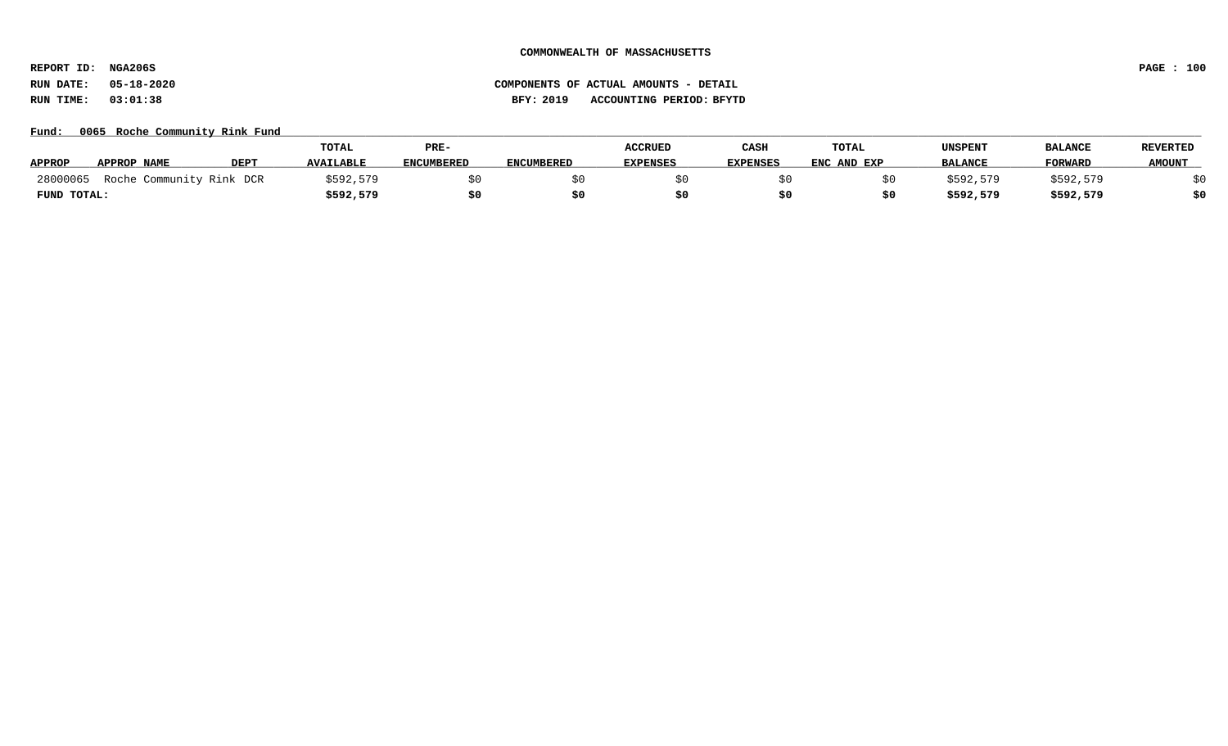**REPORT ID: NGA206S PAGE : 100**

### Fund: 0065 Roche Community Rink Fund

|               |                          |             | <b>TOTAL</b>     | PRE-              |                   | <b>ACCRUED</b>  | CASH            | <b>TOTAL</b> | UNSPENT        | <b>BALANCI</b> | <b>REVERTED</b> |
|---------------|--------------------------|-------------|------------------|-------------------|-------------------|-----------------|-----------------|--------------|----------------|----------------|-----------------|
| <b>APPROP</b> | APPROP NAME              | <b>DEPT</b> | <b>AVAILABLE</b> | <b>ENCUMBERED</b> | <b>ENCUMBERED</b> | <b>EXPENSES</b> | <b>EXPENSES</b> | ENC AND EXP  | <b>BALANCE</b> | <b>FORWARD</b> | <b>AMOUNT</b>   |
| 28000065      | Roche Community Rink DCR |             | \$592,579        |                   |                   |                 |                 |              | \$592,579      | \$592,579      |                 |
| FUND TOTAL:   |                          |             | \$592,579        | \$0               |                   |                 |                 |              | \$592,579      | \$592,579      | \$0             |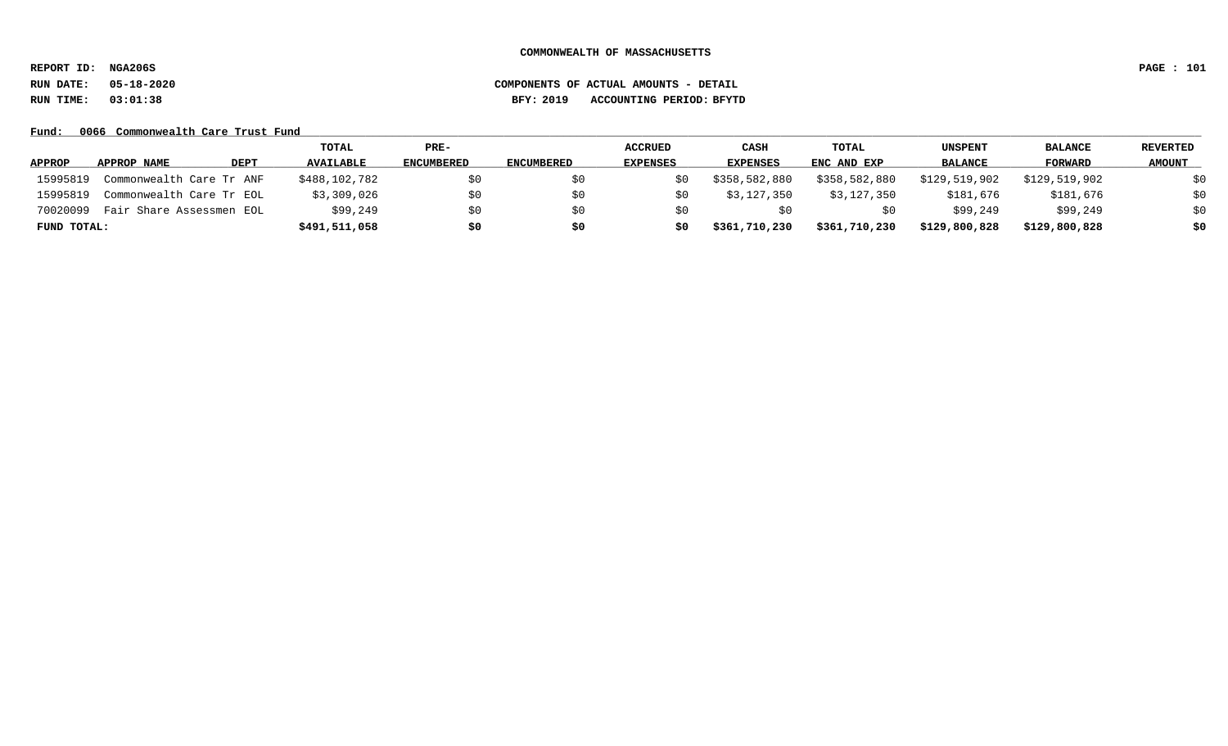**REPORT ID: NGA206S PAGE : 101**

# **RUN DATE: 05-18-2020 COMPONENTS OF ACTUAL AMOUNTS - DETAIL RUN TIME: 03:01:38 BFY: 2019 ACCOUNTING PERIOD: BFYTD**

### Fund: 0066 Commonwealth Care Trust Fund

|               |                          |             | TOTAL            | $PRE-$            |                   | <b>ACCRUED</b>  | CASH            | TOTAL         | UNSPENT        | <b>BALANCE</b> | <b>REVERTED</b> |
|---------------|--------------------------|-------------|------------------|-------------------|-------------------|-----------------|-----------------|---------------|----------------|----------------|-----------------|
| <b>APPROP</b> | APPROP NAME              | <b>DEPT</b> | <b>AVAILABLE</b> | <b>ENCUMBERED</b> | <b>ENCUMBERED</b> | <b>EXPENSES</b> | <b>EXPENSES</b> | ENC AND EXP   | <b>BALANCE</b> | <b>FORWARD</b> | <b>AMOUNT</b>   |
| 15995819      | Commonwealth Care Tr ANF |             | \$488,102,782    | \$0               | SO.               | SO.             | \$358,582,880   | \$358,582,880 | \$129,519,902  | \$129,519,902  | \$0             |
| 15995819      | Commonwealth Care Tr EOL |             | \$3,309,026      | \$0               | S0                | S0              | \$3,127,350     | \$3,127,350   | \$181,676      | \$181,676      | \$0             |
| 70020099      | Fair Share Assessmen EOL |             | \$99,249         | \$0               | S0                | S0              |                 | SU            | \$99,249       | \$99,249       | \$0             |
| FUND TOTAL:   |                          |             | \$491,511,058    | \$0               | \$0               | S0              | \$361,710,230   | \$361,710,230 | \$129,800,828  | \$129,800,828  | \$0             |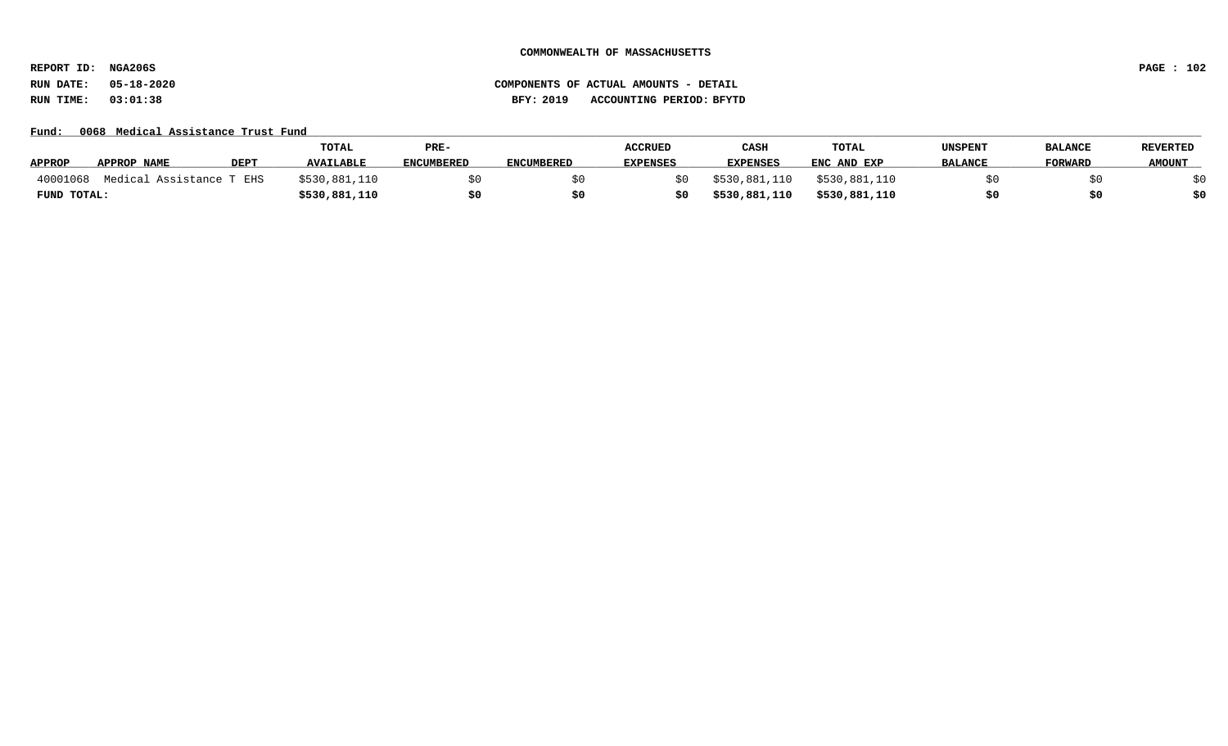**REPORT ID: NGA206S PAGE : 102**

# **RUN DATE: 05-18-2020 COMPONENTS OF ACTUAL AMOUNTS - DETAIL RUN TIME: 03:01:38 BFY: 2019 ACCOUNTING PERIOD: BFYTD**

Fund: 0068 Medical Assistance Trust Fund

|               |                          |             | <b>TOTAL</b>     | PRE-              |                   | <b>ACCRUED</b>  | <b>CASH</b>     | <b>TOTAL</b>  | UNSPENT        | <b>BALANCE</b> | <b>REVERTED</b> |
|---------------|--------------------------|-------------|------------------|-------------------|-------------------|-----------------|-----------------|---------------|----------------|----------------|-----------------|
| <b>APPROP</b> | APPROP NAME              | <b>DEPT</b> | <b>AVAILABLE</b> | <b>ENCUMBERED</b> | <b>ENCUMBERED</b> | <b>EXPENSES</b> | <b>EXPENSES</b> | ENC AND EXP   | <b>BALANCE</b> | <b>FORWARD</b> | <b>AMOUNT</b>   |
| 40001068      | Medical Assistance T EHS |             | \$530,881,110    |                   |                   |                 | \$530,881,110   | \$530,881,110 |                |                |                 |
| FUND TOTAL:   |                          |             | \$530,881,110    |                   |                   |                 | \$530,881,110   | \$530,881,110 |                | \$0            |                 |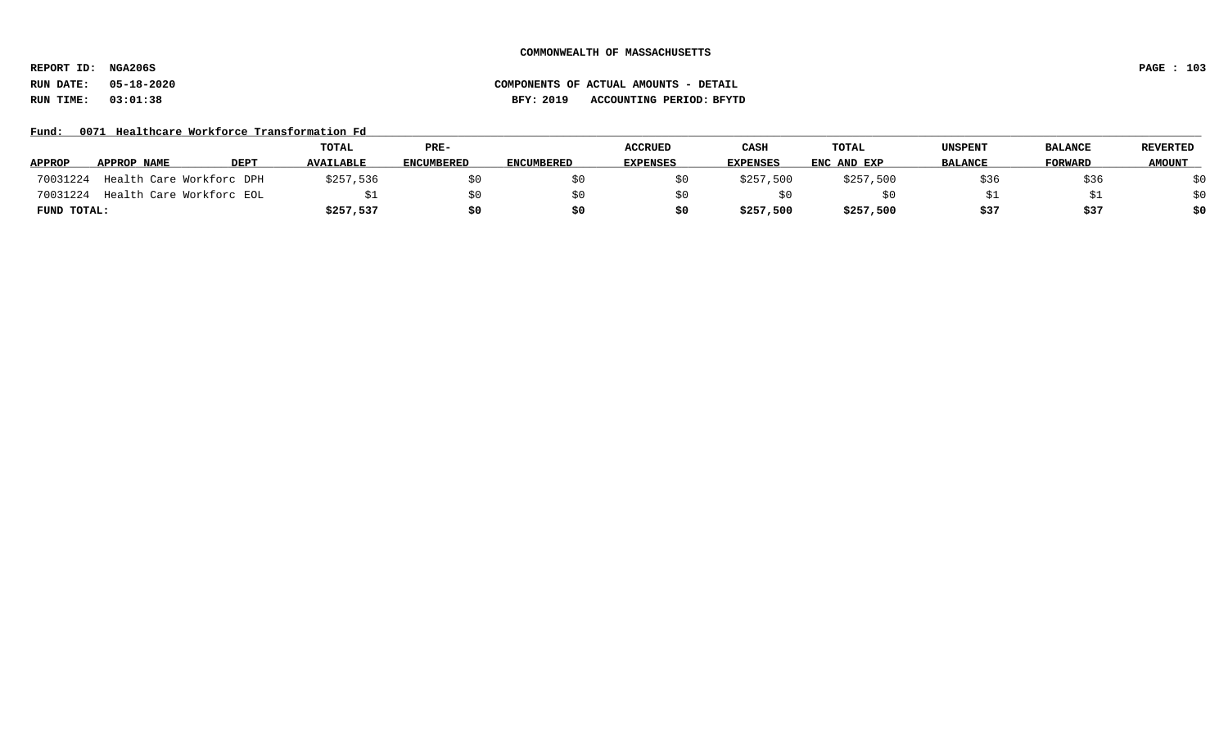**REPORT ID: NGA206S PAGE : 103**

### **RUN DATE: 05-18-2020 COMPONENTS OF ACTUAL AMOUNTS - DETAIL RUN TIME: 03:01:38 BFY: 2019 ACCOUNTING PERIOD: BFYTD**

### Fund: 0071 Healthcare Workforce Transformation Fd

|               |             |                          | TOTAL            | PRE-              |                   | <b>ACCRUED</b>  | CASH            | <b>TOTAL</b> | UNSPENT        | <b>BALANCE</b> | <b>REVERTED</b> |
|---------------|-------------|--------------------------|------------------|-------------------|-------------------|-----------------|-----------------|--------------|----------------|----------------|-----------------|
| <b>APPROP</b> | APPROP NAME | <b>DEPT</b>              | <b>AVAILABLE</b> | <b>ENCUMBERED</b> | <b>ENCUMBERED</b> | <b>EXPENSES</b> | <b>EXPENSES</b> | ENC AND EXP  | <b>BALANCE</b> | <b>FORWARD</b> | <b>AMOUNT</b>   |
| 70031224      |             | Health Care Workforc DPH | \$257,536        |                   |                   |                 | \$257,500       | \$257,500    | \$36           | \$36           | \$0             |
| 70031224      |             | Health Care Workforc EOL |                  | SO.               |                   |                 |                 |              |                |                | \$0             |
| FUND TOTAL:   |             |                          | \$257,537        | \$0               |                   |                 | \$257,500       | \$257,500    | \$37           | \$37           | \$0             |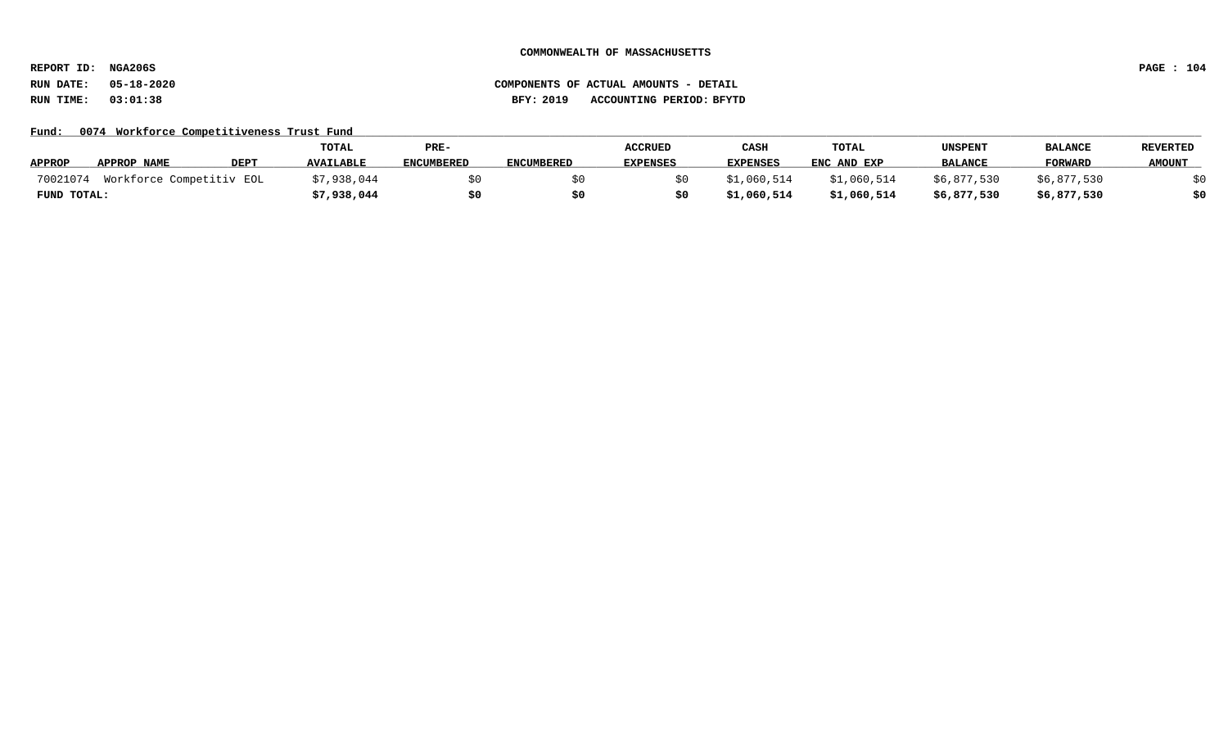**REPORT ID: NGA206S PAGE : 104**

### **RUN DATE: 05-18-2020 COMPONENTS OF ACTUAL AMOUNTS - DETAIL RUN TIME: 03:01:38 BFY: 2019 ACCOUNTING PERIOD: BFYTD**

Fund: 0074 Workforce Competitiveness Trust Fund

|               |                          |             | TOTAL            | PRE-              |                   | <b>ACCRUED</b>  | CASH            | <b>TOTAL</b> | UNSPENT        | <b>BALANCE</b> | <b>REVERTED</b> |
|---------------|--------------------------|-------------|------------------|-------------------|-------------------|-----------------|-----------------|--------------|----------------|----------------|-----------------|
| <b>APPROP</b> | APPROP NAME              | <b>DEPT</b> | <b>AVAILABLE</b> | <b>ENCUMBERED</b> | <b>ENCUMBERED</b> | <b>EXPENSES</b> | <b>EXPENSES</b> | ENC AND EXP  | <b>BALANCE</b> | <b>FORWARD</b> | <b>AMOUNT</b>   |
| 70021074      | Workforce Competitiv EOL |             | \$7,938,044      |                   |                   |                 | \$1,060,514     | \$1,060,514  | \$6,877,530    | \$6,877,530    |                 |
| FUND TOTAL:   |                          |             | \$7,938,044      |                   |                   |                 | \$1,060,514     | \$1,060,514  | \$6,877,530    | \$6,877,530    | \$0             |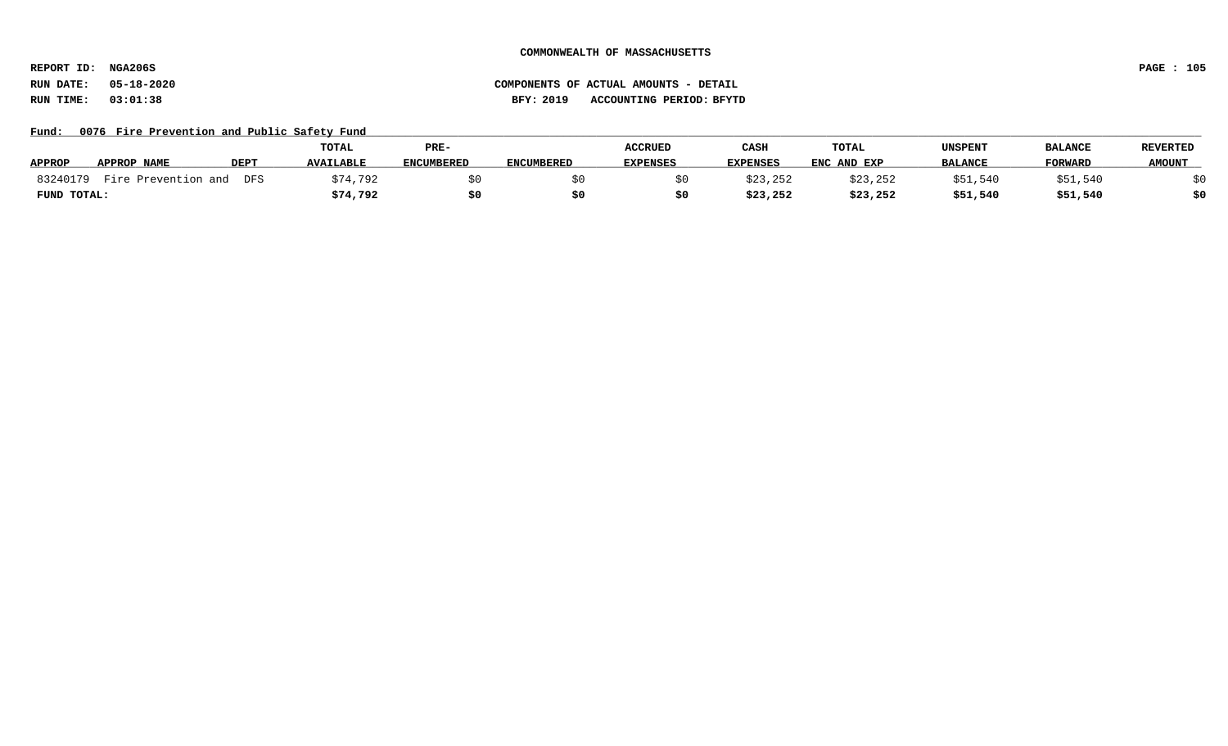**REPORT ID: NGA206S PAGE : 105**

# **RUN DATE: 05-18-2020 COMPONENTS OF ACTUAL AMOUNTS - DETAIL RUN TIME: 03:01:38 BFY: 2019 ACCOUNTING PERIOD: BFYTD**

Fund: 0076 Fire Prevention and Public Safety Fund

|               |                     |             | TOTAL            | PRE-              |                   | <b>ACCRUED</b>  | CASH            | <b>TOTAL</b> | UNSPENT        | <b>BALANCE</b> | REVERTED      |
|---------------|---------------------|-------------|------------------|-------------------|-------------------|-----------------|-----------------|--------------|----------------|----------------|---------------|
| <b>APPROP</b> | APPROP NAME         | <b>DEPT</b> | <b>AVAILABLE</b> | <b>ENCUMBERED</b> | <b>ENCUMBERED</b> | <b>EXPENSES</b> | <b>EXPENSES</b> | ENC AND EXP  | <b>BALANCE</b> | <b>FORWARD</b> | <b>AMOUNT</b> |
| 83240179      | Fire Prevention and | <b>DFS</b>  | .792<br>, 74,    |                   |                   |                 | \$23,252        | \$23,252     | \$51,540       | 1,540ر         | \$0           |
| FUND TOTAL:   |                     |             | \$74,792         |                   |                   |                 | \$23,252        | \$23,252     | \$51,540       | \$51,540       | \$0           |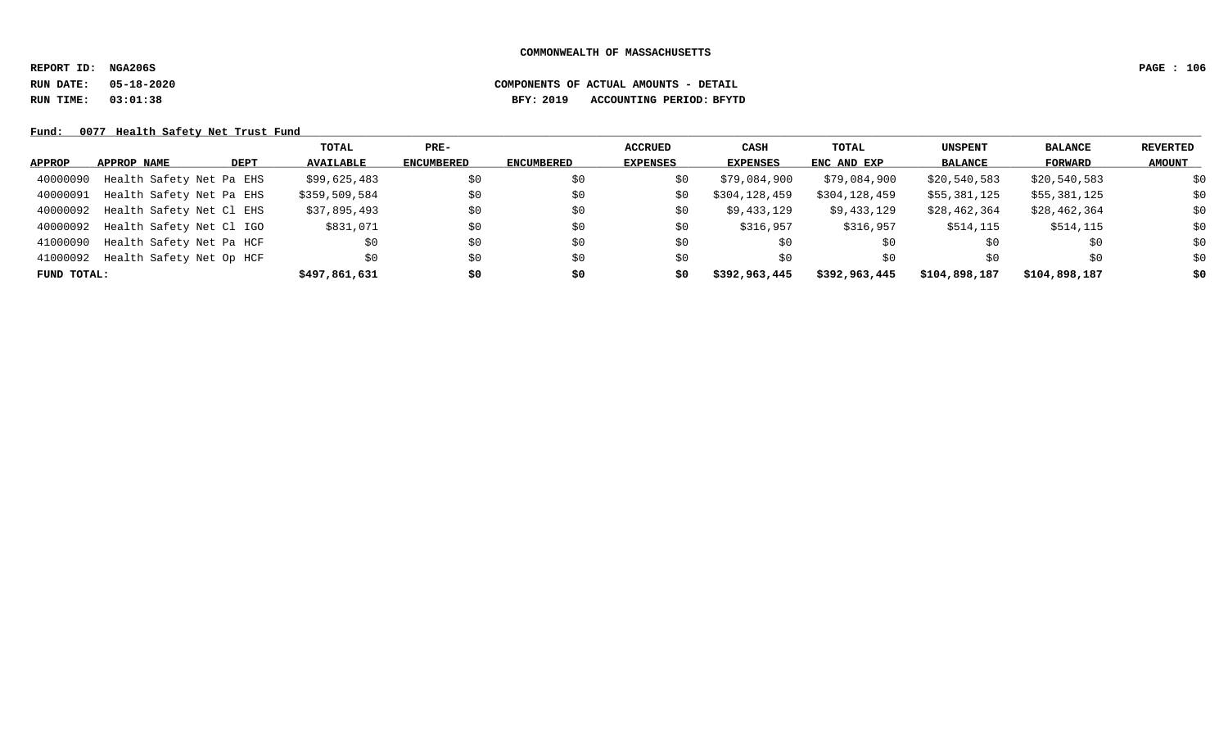**REPORT ID: NGA206S PAGE : 106**

# **RUN DATE: 05-18-2020 COMPONENTS OF ACTUAL AMOUNTS - DETAIL RUN TIME: 03:01:38 BFY: 2019 ACCOUNTING PERIOD: BFYTD**

Fund: 0077 Health Safety Net Trust Fund

|               |                          |      | TOTAL            | $PRE-$            |            | <b>ACCRUED</b>  | CASH          | TOTAL         | <b>UNSPENT</b> | <b>BALANCE</b> | REVERTED      |
|---------------|--------------------------|------|------------------|-------------------|------------|-----------------|---------------|---------------|----------------|----------------|---------------|
| <b>APPROP</b> | APPROP NAME              | DEPT | <b>AVAILABLE</b> | <b>ENCUMBERED</b> | ENCUMBERED | <b>EXPENSES</b> | EXPENSES      | ENC AND EXP   | <b>BALANCE</b> | FORWARD        | <b>AMOUNT</b> |
| 40000090      | Health Safety Net Pa EHS |      | \$99,625,483     | \$0               | \$0        | S0              | \$79,084,900  | \$79,084,900  | \$20,540,583   | \$20,540,583   | \$0           |
| 40000091      | Health Safety Net Pa EHS |      | \$359,509,584    | \$0               | \$0        | S0              | \$304,128,459 | \$304,128,459 | \$55,381,125   | \$55,381,125   | \$0           |
| 40000092      | Health Safety Net Cl EHS |      | \$37,895,493     | \$0               | \$0        | \$0             | \$9,433,129   | \$9,433,129   | \$28,462,364   | \$28,462,364   | \$0           |
| 40000092      | Health Safety Net Cl IGO |      | \$831,071        | \$0               | \$0        | S0              | \$316,957     | \$316,957     | \$514,115      | \$514,115      | \$0           |
| 41000090      | Health Safety Net Pa HCF |      | \$0              | \$0               | \$0        | \$0             | \$0           | \$0           | \$0            | \$0            | \$0           |
| 41000092      | Health Safety Net Op HCF |      | \$0              | \$0               | \$0        | S0              | \$0           | \$0           | \$0            | \$0            | \$0           |
| FUND TOTAL:   |                          |      | \$497,861,631    | \$0               | \$0        | \$0             | \$392,963,445 | \$392,963,445 | \$104,898,187  | \$104,898,187  | \$0           |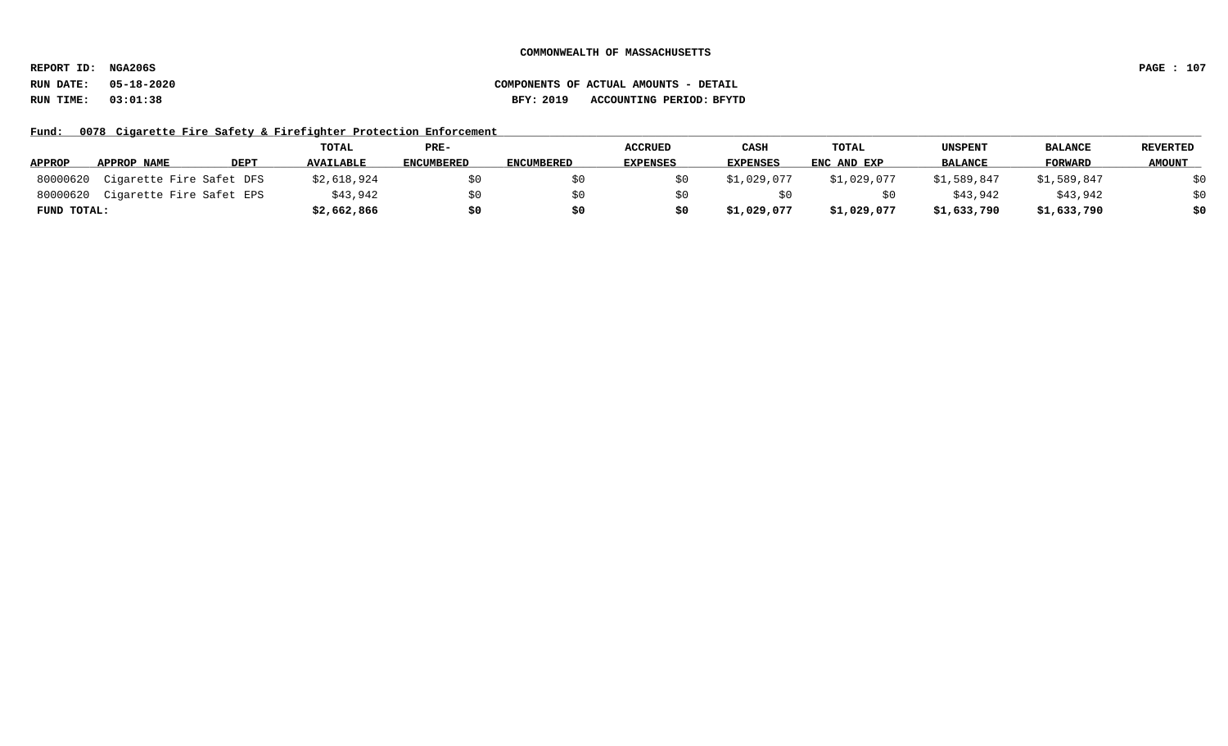**REPORT ID: NGA206S PAGE : 107**

# **RUN DATE: 05-18-2020 COMPONENTS OF ACTUAL AMOUNTS - DETAIL RUN TIME: 03:01:38 BFY: 2019 ACCOUNTING PERIOD: BFYTD**

Fund: 0078 Cigarette Fire Safety & Firefighter Protection Enforcement

|               |                          |             | TOTAL            | PRE-              |                   | <b>ACCRUED</b>  | CASH            | <b>TOTAL</b> | <b>UNSPENT</b> | <b>BALANCE</b> | <b>REVERTED</b> |
|---------------|--------------------------|-------------|------------------|-------------------|-------------------|-----------------|-----------------|--------------|----------------|----------------|-----------------|
| <b>APPROP</b> | APPROP NAME              | <b>DEPT</b> | <b>AVAILABLE</b> | <b>ENCUMBERED</b> | <b>ENCUMBERED</b> | <b>EXPENSES</b> | <b>EXPENSES</b> | ENC AND EXP  | <b>BALANCE</b> | <b>FORWARD</b> | <b>AMOUNT</b>   |
| 80000620      | Cigarette Fire Safet DFS |             | \$2,618,924      |                   |                   |                 | \$1,029,077     | \$1,029,077  | \$1,589,847    | \$1,589,847    | \$0             |
| 80000620      | Cigarette Fire Safet EPS |             | \$43,942         | ŚΩ                |                   |                 |                 |              | \$43,942       | \$43,942       | \$0             |
| FUND TOTAL:   |                          |             | \$2,662,866      | \$0               |                   | \$0             | \$1,029,077     | \$1,029,077  | \$1,633,790    | \$1,633,790    | \$0             |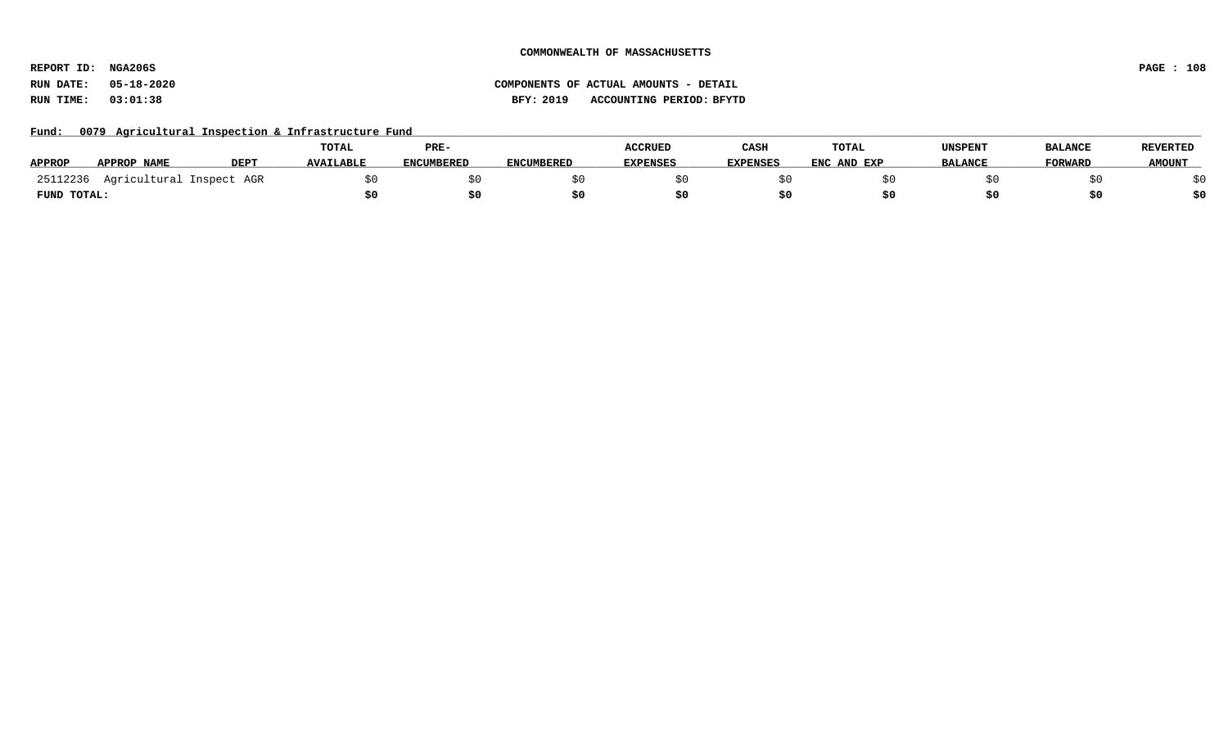**REPORT ID: NGA206S PAGE : 108**

**RUN DATE: 05-18-2020 COMPONENTS OF ACTUAL AMOUNTS - DETAIL RUN TIME: 03:01:38 BFY: 2019 ACCOUNTING PERIOD: BFYTD**

Fund: 0079 Agricultural Inspection & Infrastructure Fund

|               |                          |             | TOTAL            | PRE-              |                   | <b>ACCRUED</b>  | CASH            | TOTAL       | <b>UNSPENT</b> | <b>BALANCE</b> | <b>REVERTED</b> |
|---------------|--------------------------|-------------|------------------|-------------------|-------------------|-----------------|-----------------|-------------|----------------|----------------|-----------------|
| <b>APPROP</b> | APPROP NAME              | <b>DEPT</b> | <b>AVAILABLE</b> | <b>ENCUMBERED</b> | <b>ENCUMBERED</b> | <b>EXPENSES</b> | <b>EXPENSES</b> | ENC AND EXP | <b>BALANCE</b> | <b>FORWARD</b> | <b>AMOUNT</b>   |
| 25112236      | Agricultural Inspect AGR |             |                  |                   |                   |                 |                 |             |                |                |                 |
| FUND TOTAL:   |                          |             |                  |                   |                   |                 |                 |             |                |                |                 |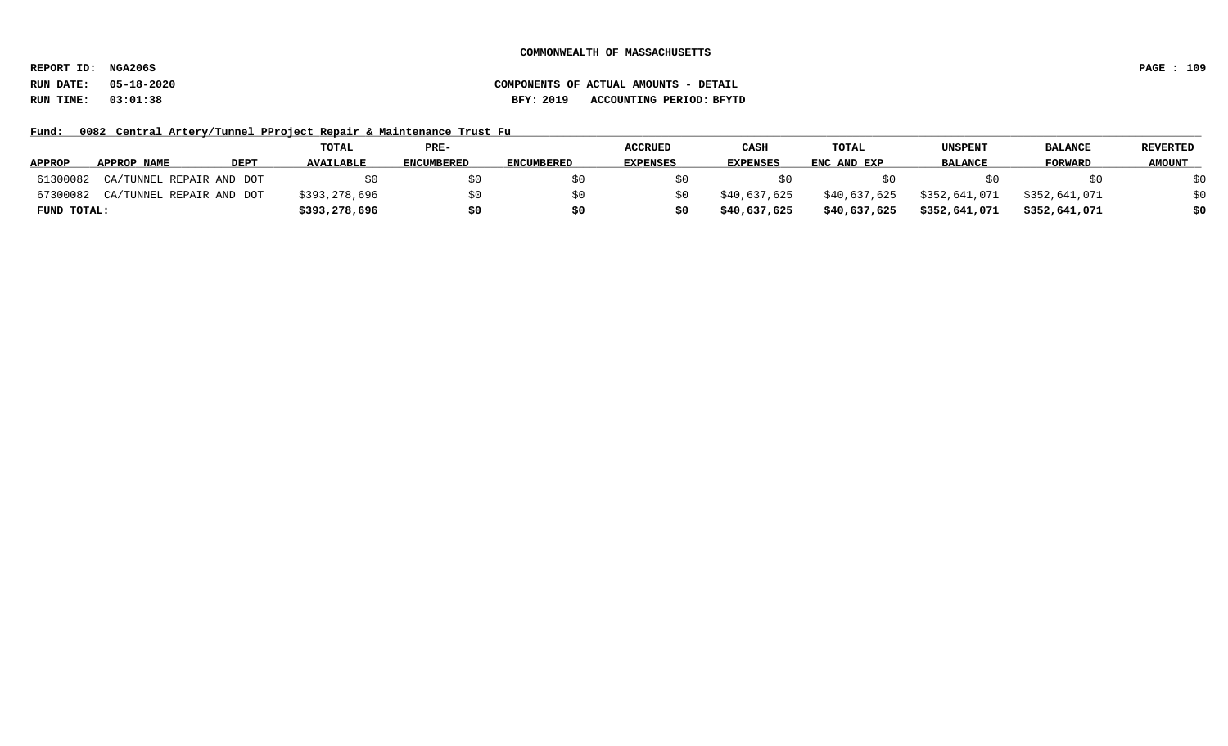**REPORT ID: NGA206S PAGE : 109**

Fund: 0082 Central Artery/Tunnel PProject Repair & Maintenance Trust Fu

|               |                          |      | <b>TOTAL</b>     | PRE-              |                   | <b>ACCRUED</b>  | CASH            | <b>TOTAL</b> | <b>UNSPENT</b> | <b>BALANCE</b> | <b>REVERTED</b> |
|---------------|--------------------------|------|------------------|-------------------|-------------------|-----------------|-----------------|--------------|----------------|----------------|-----------------|
| <b>APPROP</b> | APPROP NAME              | DEPT | <b>AVAILABLE</b> | <b>ENCUMBERED</b> | <b>ENCUMBERED</b> | <b>EXPENSES</b> | <b>EXPENSES</b> | ENC AND EXP  | <b>BALANCE</b> | <b>FORWARD</b> | <b>AMOUNT</b>   |
| 61300082      | CA/TUNNEL REPAIR AND DOT |      |                  |                   |                   |                 |                 |              |                |                | \$0             |
| 67300082      | CA/TUNNEL REPAIR AND DOT |      | \$393,278,696    |                   |                   | S 0             | \$40,637,625    | \$40,637,625 | \$352,641,071  | \$352,641,071  | \$0             |
| FUND TOTAL:   |                          |      | \$393,278,696    | \$0               |                   | SO.             | \$40,637,625    | \$40,637,625 | \$352,641,071  | \$352,641,071  | \$0             |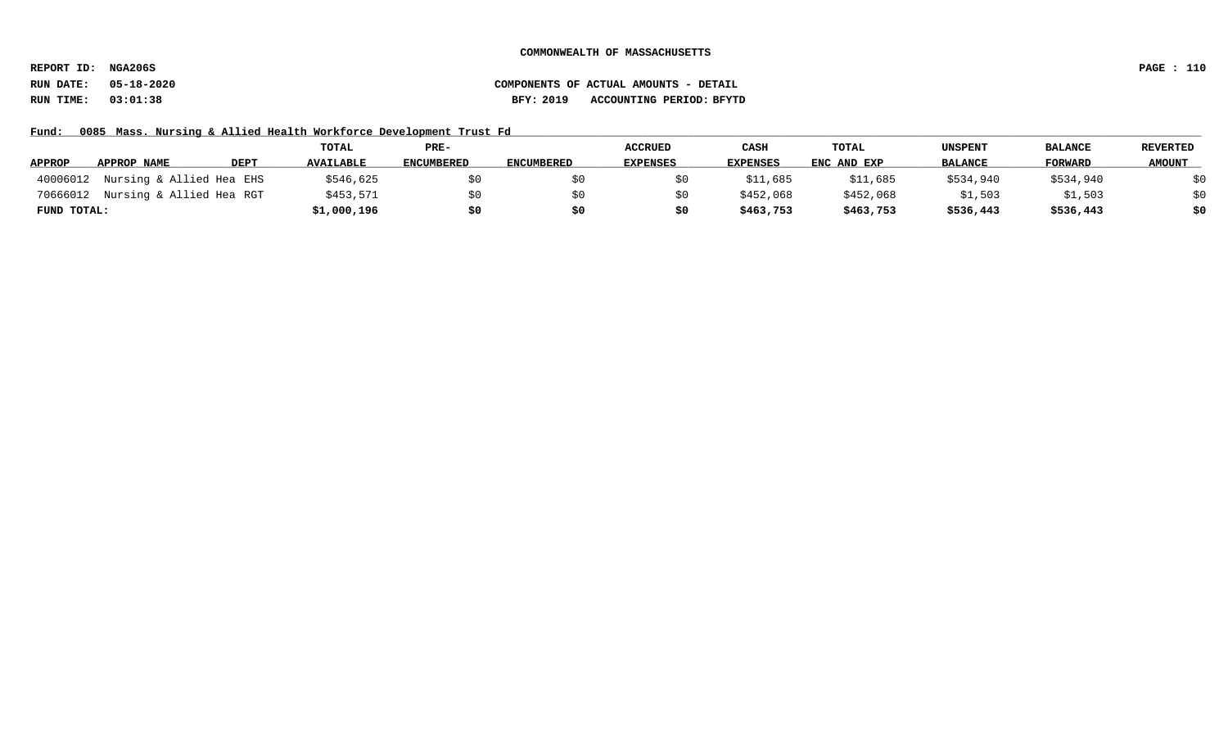**REPORT ID: NGA206S PAGE : 110**

# **RUN DATE: 05-18-2020 COMPONENTS OF ACTUAL AMOUNTS - DETAIL RUN TIME: 03:01:38 BFY: 2019 ACCOUNTING PERIOD: BFYTD**

Fund: 0085 Mass. Nursing & Allied Health Workforce Development Trust Fd

|               |                          |      | TOTAL            | PRE-              |                   | <b>ACCRUED</b>  | CASH            | <b>TOTAL</b> | <b>UNSPENT</b> | <b>BALANCE</b> | <b>REVERTED</b> |
|---------------|--------------------------|------|------------------|-------------------|-------------------|-----------------|-----------------|--------------|----------------|----------------|-----------------|
| <b>APPROP</b> | APPROP NAME              | DEPT | <b>AVAILABLE</b> | <b>ENCUMBERED</b> | <b>ENCUMBERED</b> | <b>EXPENSES</b> | <b>EXPENSES</b> | ENC AND EXP  | <b>BALANCE</b> | <b>FORWARD</b> | <b>AMOUNT</b>   |
| 40006012      | Nursing & Allied Hea EHS |      | \$546,625        |                   |                   |                 | \$11,685        | \$11,685     | \$534,940      | \$534,940      | \$0             |
| 70666012      | Nursing & Allied Hea RGT |      | \$453,571        |                   |                   | SO.             | \$452,068       | \$452,068    | \$1,503        | \$1,503        | \$0             |
| FUND TOTAL:   |                          |      | \$1,000,196      | \$0               |                   | \$0             | \$463,753       | \$463,753    | \$536,443      | \$536,443      | \$0             |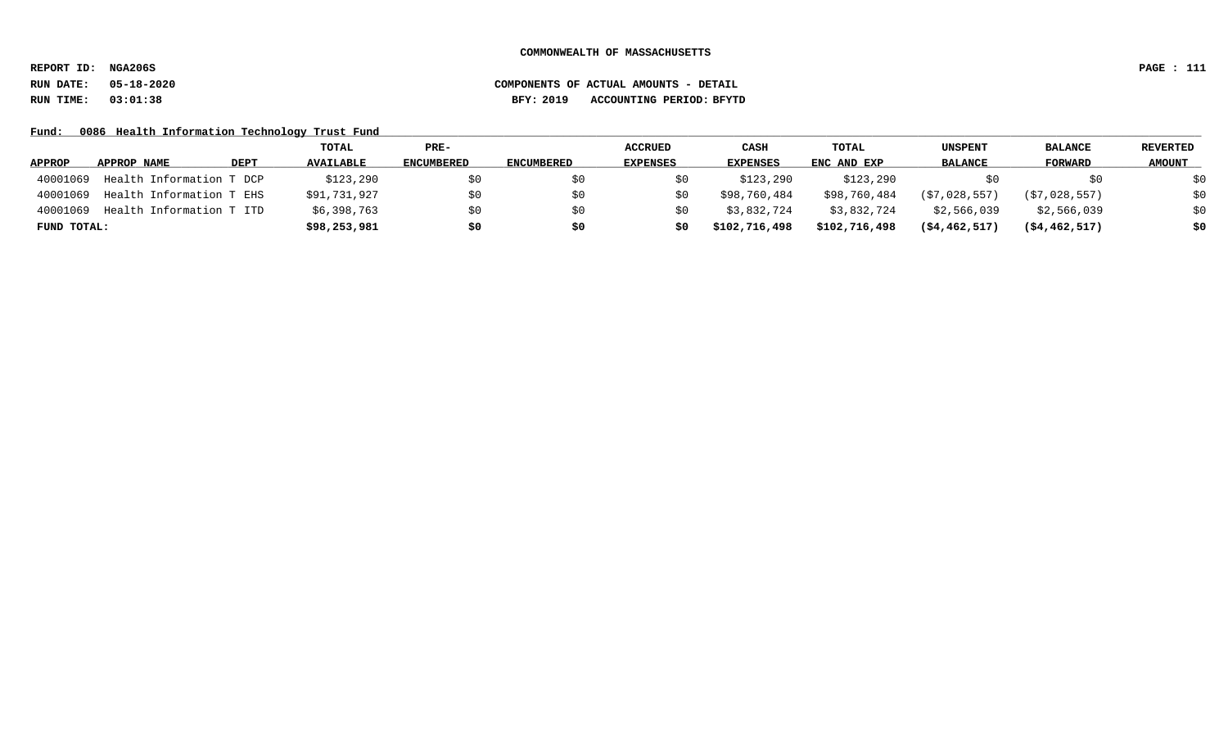**REPORT ID: NGA206S PAGE : 111**

### **RUN DATE: 05-18-2020 COMPONENTS OF ACTUAL AMOUNTS - DETAIL RUN TIME: 03:01:38 BFY: 2019 ACCOUNTING PERIOD: BFYTD**

Fund: 0086 Health Information Technology Trust Fund

|               |                          |             | TOTAL            | PRE-              |                   | <b>ACCRUED</b>  | CASH            | TOTAL         | UNSPENT          | <b>BALANCE</b>   | <b>REVERTED</b> |
|---------------|--------------------------|-------------|------------------|-------------------|-------------------|-----------------|-----------------|---------------|------------------|------------------|-----------------|
| <b>APPROP</b> | APPROP NAME              | <b>DEPT</b> | <b>AVAILABLE</b> | <b>ENCUMBERED</b> | <b>ENCUMBERED</b> | <b>EXPENSES</b> | <b>EXPENSES</b> | ENC AND EXP   | <b>BALANCE</b>   | <b>FORWARD</b>   | <b>AMOUNT</b>   |
| 40001069      | Health Information T DCP |             | \$123,290        | S0                |                   |                 | \$123,290       | \$123,290     |                  | SO.              | \$0             |
| 40001069      | Health Information T EHS |             | \$91,731,927     | \$0               |                   |                 | \$98,760,484    | \$98,760,484  | (S7, 028, 557)   | (\$7,028,557)    | \$0             |
| 40001069      | Health Information T ITD |             | \$6,398,763      | \$0               |                   |                 | \$3,832,724     | \$3,832,724   | \$2,566,039      | \$2,566,039      | \$0             |
| FUND TOTAL:   |                          |             | \$98,253,981     | \$0               | \$0               | \$0             | \$102,716,498   | \$102,716,498 | $($ \$4,462,517) | $($ \$4,462,517) | \$0             |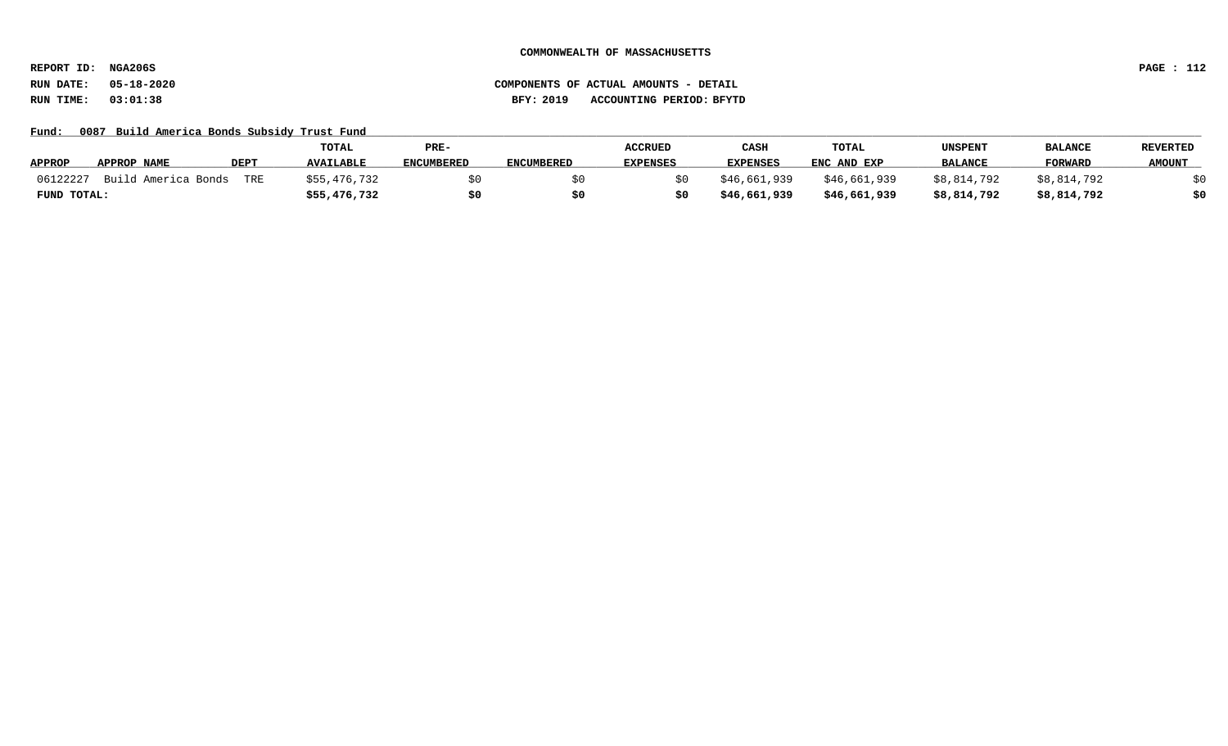**REPORT ID: NGA206S PAGE : 112**

# **RUN DATE: 05-18-2020 COMPONENTS OF ACTUAL AMOUNTS - DETAIL RUN TIME: 03:01:38 BFY: 2019 ACCOUNTING PERIOD: BFYTD**

Fund: 0087 Build America Bonds Subsidy Trust Fund

|                                 |             | TOTAL            | PRE-              |                   | <b>ACCRUED</b>  | CASH            | TOTAL        | <b>UNSPENT</b> | <b>BALANCE</b> | REVERTED      |
|---------------------------------|-------------|------------------|-------------------|-------------------|-----------------|-----------------|--------------|----------------|----------------|---------------|
| <b>APPROP</b><br>APPROP NAME    | <b>DEPT</b> | <b>AVAILABLE</b> | <b>ENCUMBERED</b> | <b>ENCUMBERED</b> | <b>EXPENSES</b> | <b>EXPENSES</b> | ENC AND EXP  | <b>BALANCE</b> | <b>FORWARD</b> | <b>AMOUNT</b> |
| 06122227<br>Build America Bonds | TRE         | \$55,476,732     |                   |                   |                 | \$46,661,939    | \$46,661,939 | \$8,814,792    | \$8,814,792    |               |
| FUND TOTAL:                     |             | \$55,476,732     |                   |                   | \$0             | \$46,661,939    | \$46,661,939 | \$8,814,792    | \$8,814,792    | \$0           |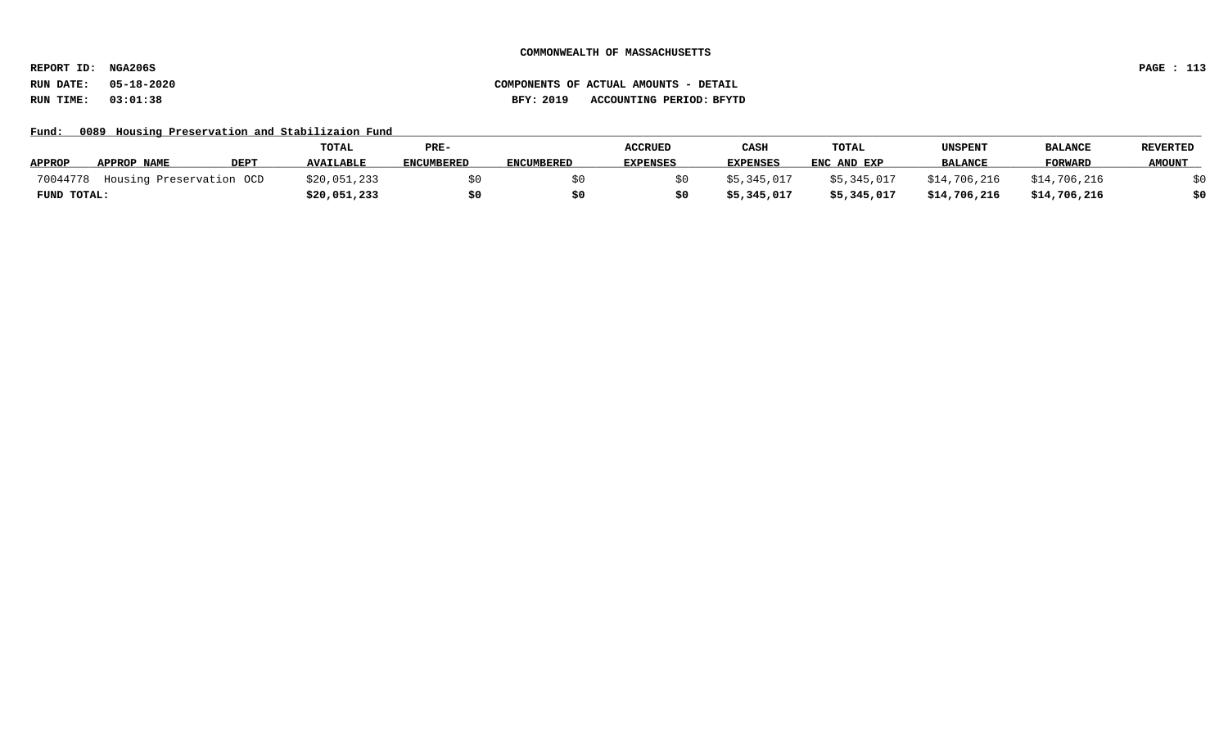**REPORT ID: NGA206S PAGE : 113**

Fund: 0089 Housing Preservation and Stabilizaion Fund

|               |                          |             | <b>TOTAL</b>     | PRE-              |                   | <b>ACCRUED</b>  | CASH            | TOTAL       | UNSPENT        | <b>BALANCE</b> | <b>REVERTED</b> |
|---------------|--------------------------|-------------|------------------|-------------------|-------------------|-----------------|-----------------|-------------|----------------|----------------|-----------------|
| <b>APPROP</b> | APPROP NAME              | <b>DEPT</b> | <b>AVAILABLE</b> | <b>ENCUMBERED</b> | <b>ENCUMBERED</b> | <b>EXPENSES</b> | <b>EXPENSES</b> | ENC AND EXP | <b>BALANCE</b> | <b>FORWARD</b> | <b>AMOUNT</b>   |
| 70044778      | Housing Preservation OCD |             | \$20,051,233     |                   |                   |                 | \$5,345,017     | \$5,345,017 | \$14,706,216   | \$14,706,216   |                 |
| FUND TOTAL:   |                          |             | \$20,051,233     |                   |                   |                 | \$5,345,017     | \$5,345,017 | \$14,706,216   | \$14,706,216   | \$0             |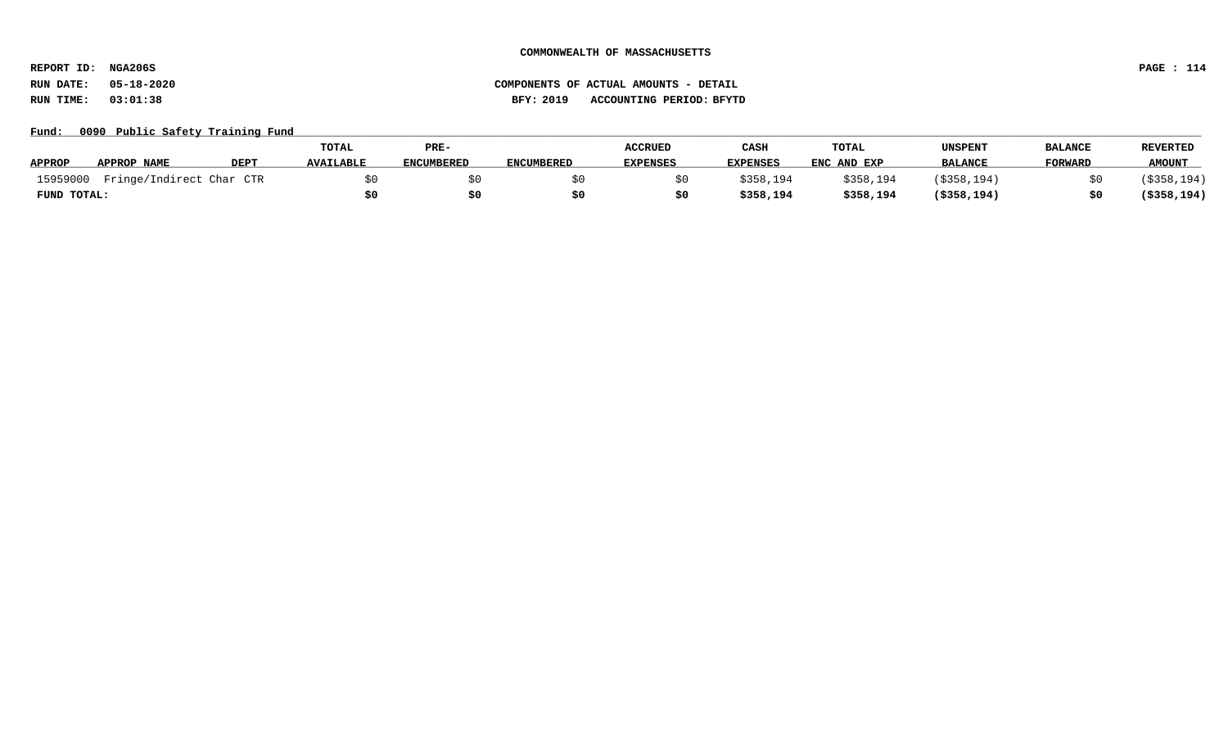**REPORT ID: NGA206S PAGE : 114**

# **RUN DATE: 05-18-2020 COMPONENTS OF ACTUAL AMOUNTS - DETAIL RUN TIME: 03:01:38 BFY: 2019 ACCOUNTING PERIOD: BFYTD**

### Fund: 0090 Public Safety Training Fund

|               |                          |             | TOTAL            | PRE-       |                   | <b>ACCRUED</b>  | CASH      | <b>TOTAL</b> | UNSPENT        | <b>BALANCE</b> | <b>REVERTED</b> |
|---------------|--------------------------|-------------|------------------|------------|-------------------|-----------------|-----------|--------------|----------------|----------------|-----------------|
| <b>APPROP</b> | APPROP NAME              | <b>DEPT</b> | <b>AVAILABLE</b> | ENCUMBERED | <b>ENCUMBERED</b> | <b>EXPENSES</b> | EXPENSES  | ENC AND EXP  | <b>BALANCE</b> | <b>FORWARD</b> | <b>AMOUNT</b>   |
| 15959000      | Fringe/Indirect Char CTR |             |                  |            |                   |                 | \$358,194 | \$358,194    | (\$358,194)    |                | (\$358,194)     |
| FUND TOTAL:   |                          |             |                  |            |                   |                 | \$358,194 | \$358,194    | $($ \$358,194) |                | (\$358,194)     |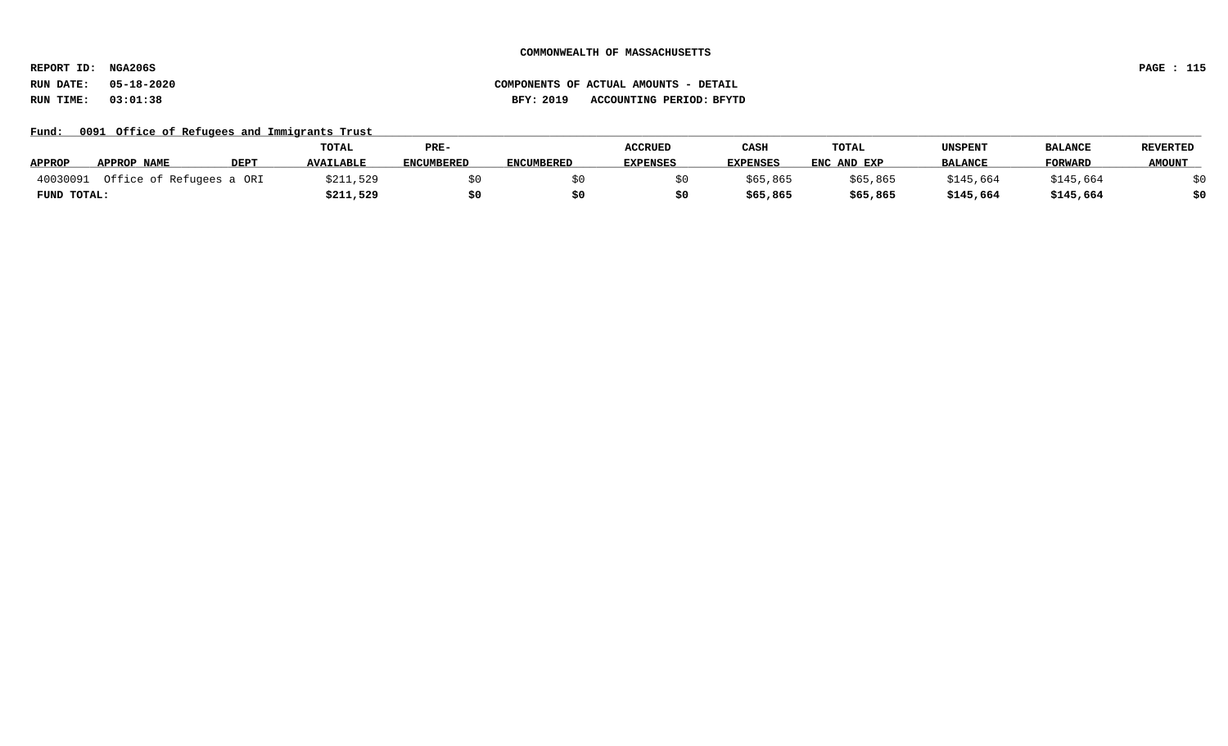**REPORT ID: NGA206S PAGE : 115**

## **RUN DATE: 05-18-2020 COMPONENTS OF ACTUAL AMOUNTS - DETAIL RUN TIME: 03:01:38 BFY: 2019 ACCOUNTING PERIOD: BFYTD**

### Fund: 0091 Office of Refugees and Immigrants Trust

|               |                          |             | <b>TOTAL</b>     | PRE-              |                   | <b>ACCRUED</b>  | CASH            | TOTAL       | UNSPENT        | <b>BALANCE</b> | <b>REVERTED</b> |
|---------------|--------------------------|-------------|------------------|-------------------|-------------------|-----------------|-----------------|-------------|----------------|----------------|-----------------|
| <b>APPROP</b> | APPROP NAME              | <b>DEPT</b> | <b>AVAILABLE</b> | <b>ENCUMBERED</b> | <b>ENCUMBERED</b> | <b>EXPENSES</b> | <b>EXPENSES</b> | ENC AND EXP | <b>BALANCE</b> | <b>FORWARD</b> | <b>AMOUNT</b>   |
| 40030091      | Office of Refugees a ORI |             | \$211,529        |                   |                   |                 | \$65,865        | \$65,865    | \$145,664      | \$145,664      |                 |
| FUND TOTAL:   |                          |             | \$211,529        |                   |                   |                 | \$65,865        | \$65,865    | \$145,664      | \$145,664      | \$0             |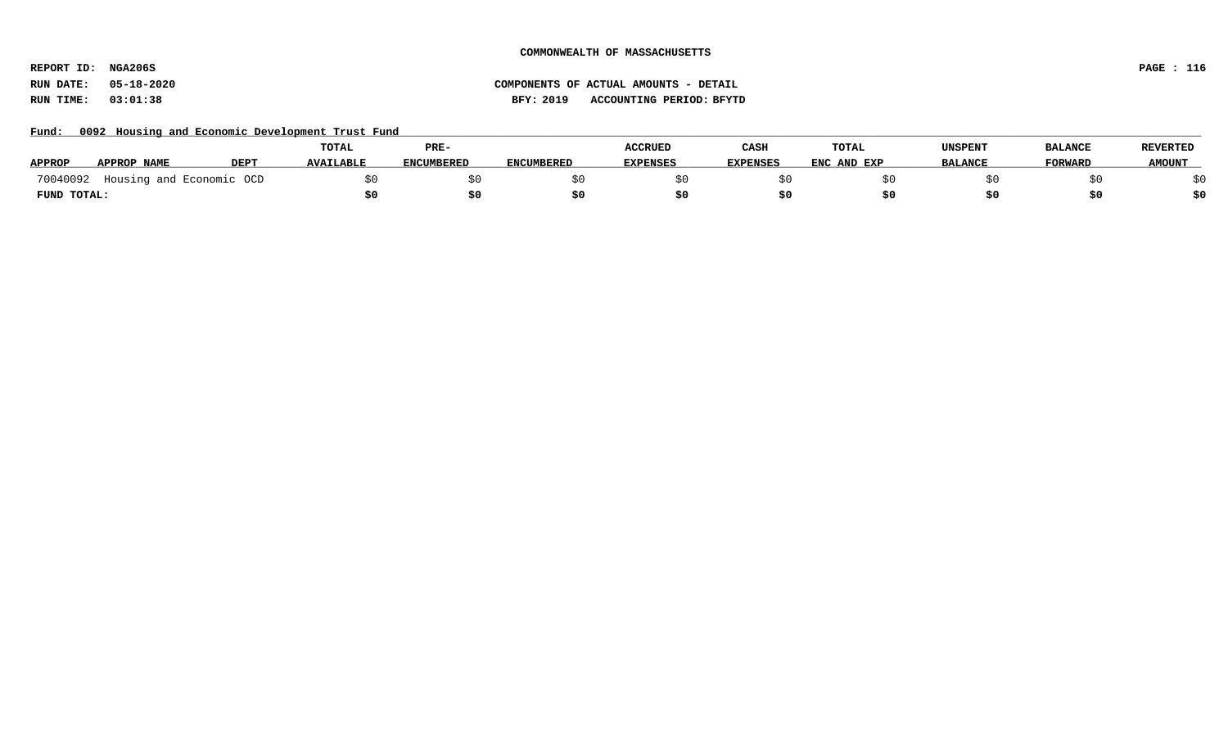**REPORT ID: NGA206S PAGE : 116**

### **RUN DATE: 05-18-2020 COMPONENTS OF ACTUAL AMOUNTS - DETAIL RUN TIME: 03:01:38 BFY: 2019 ACCOUNTING PERIOD: BFYTD**

Fund: 0092 Housing and Economic Development Trust Fund

|               |                          |             | <b>TOTAL</b>     | PRE-              |                   | <b>ACCRUED</b>  | CASH            | <b>TOTAL</b> | <b>UNSPENT</b> | <b>BALANCE</b> | <b>REVERTED</b> |
|---------------|--------------------------|-------------|------------------|-------------------|-------------------|-----------------|-----------------|--------------|----------------|----------------|-----------------|
| <b>APPROP</b> | APPROP NAME              | <b>DEPT</b> | <b>AVAILABLE</b> | <b>ENCUMBERED</b> | <b>ENCUMBERED</b> | <b>EXPENSES</b> | <b>EXPENSES</b> | ENC AND EXP  | <b>BALANCE</b> | <b>FORWARD</b> | <b>AMOUNT</b>   |
| 70040092      | Housing and Economic OCD |             |                  |                   |                   |                 |                 |              |                |                |                 |
| FUND TOTAL:   |                          |             |                  |                   |                   |                 |                 |              |                |                |                 |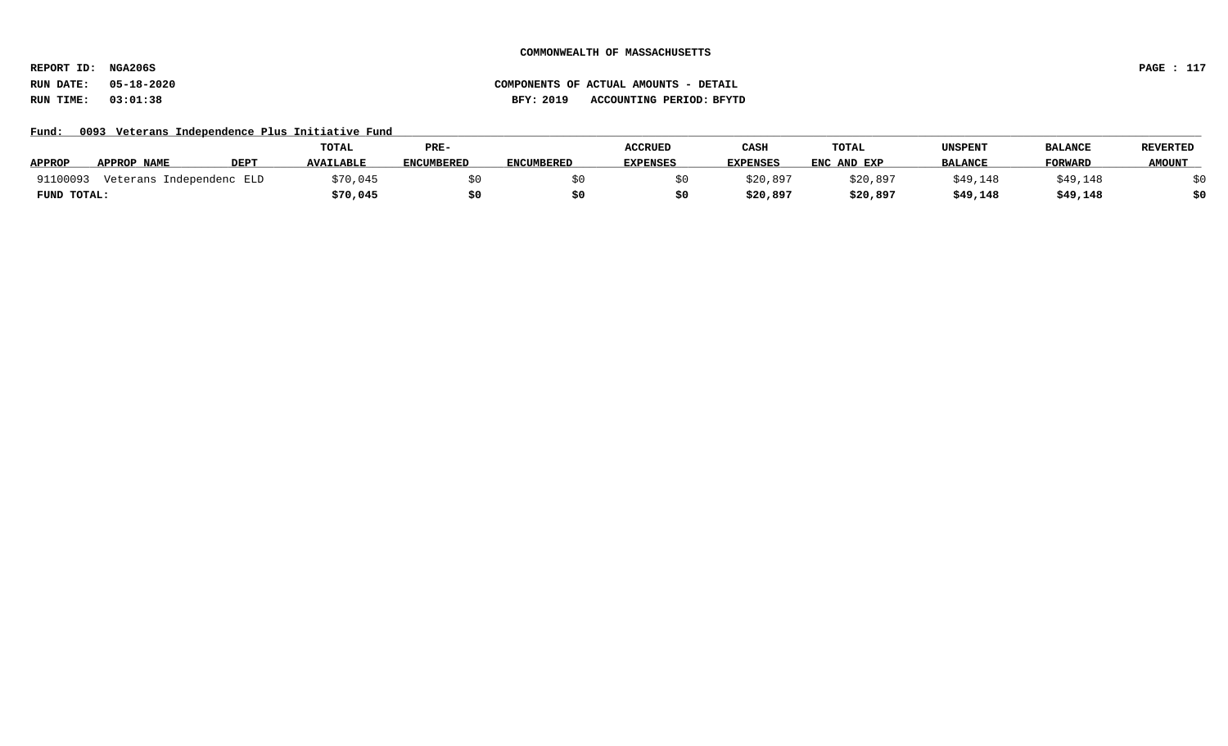**REPORT ID: NGA206S PAGE : 117**

# **RUN DATE: 05-18-2020 COMPONENTS OF ACTUAL AMOUNTS - DETAIL RUN TIME: 03:01:38 BFY: 2019 ACCOUNTING PERIOD: BFYTD**

Fund: 0093 Veterans Independence Plus Initiative Fund

|               |                          |             | TOTAL            | PRE-              |                   | <b>ACCRUED</b>  | CASH            | <b>TOTAL</b> | <b>UNSPENT</b> | <b>BALANCE</b> | <b>REVERTED</b> |
|---------------|--------------------------|-------------|------------------|-------------------|-------------------|-----------------|-----------------|--------------|----------------|----------------|-----------------|
| <b>APPROP</b> | APPROP NAME              | <b>DEPT</b> | <b>AVAILABLE</b> | <b>ENCUMBERED</b> | <b>ENCUMBERED</b> | <b>EXPENSES</b> | <b>EXPENSES</b> | ENC AND EXP  | <b>BALANCE</b> | <b>FORWARD</b> | <b>AMOUNT</b>   |
| 91100093      | Veterans Independenc ELD |             | \$70,045         |                   |                   |                 | \$20,897        | \$20,897     | \$49,148       | \$49,148       |                 |
| FUND TOTAL:   |                          |             | \$70,045         |                   |                   |                 | \$20,897        | \$20,897     | \$49,148       | \$49,148       |                 |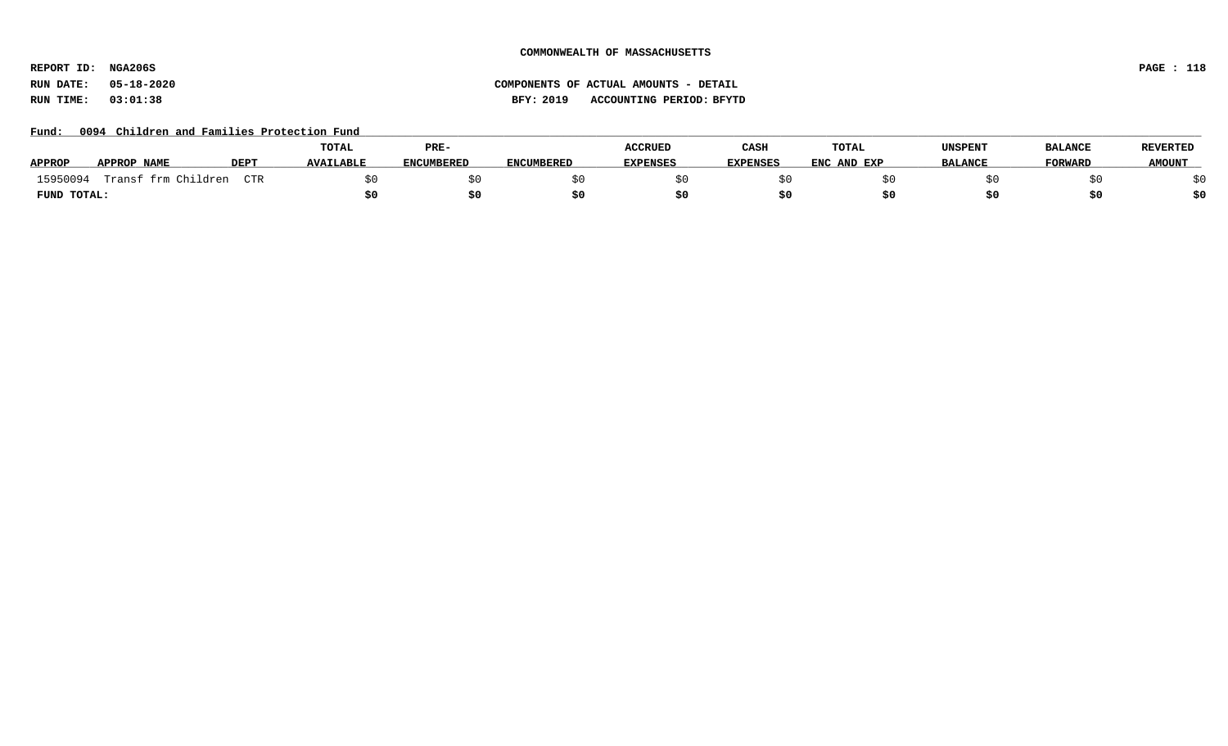**REPORT ID: NGA206S PAGE : 118**

**RUN DATE: 05-18-2020 COMPONENTS OF ACTUAL AMOUNTS - DETAIL RUN TIME: 03:01:38 BFY: 2019 ACCOUNTING PERIOD: BFYTD**

Fund: 0094 Children and Families Protection Fund

|               |                     |             | TOTAL            | PRE-              |                   | <b>ACCRUED</b>  | CASH            | <b>TOTAL</b> | <b>UNSPENT</b> | <b>BALANCE</b> | <b>REVERTED</b> |
|---------------|---------------------|-------------|------------------|-------------------|-------------------|-----------------|-----------------|--------------|----------------|----------------|-----------------|
| <b>APPROP</b> | <b>APPROP NAME</b>  | <b>DEPT</b> | <b>AVAILABLE</b> | <b>ENCUMBERED</b> | <b>ENCUMBERED</b> | <b>EXPENSES</b> | <b>EXPENSES</b> | ENC AND EXP  | <b>BALANCE</b> | <b>FORWARD</b> | <b>AMOUNT</b>   |
| 15950094      | Transf frm Children | CTR         |                  |                   |                   |                 |                 |              |                |                |                 |
| FUND TOTAL:   |                     |             |                  |                   |                   |                 |                 |              |                | S0             |                 |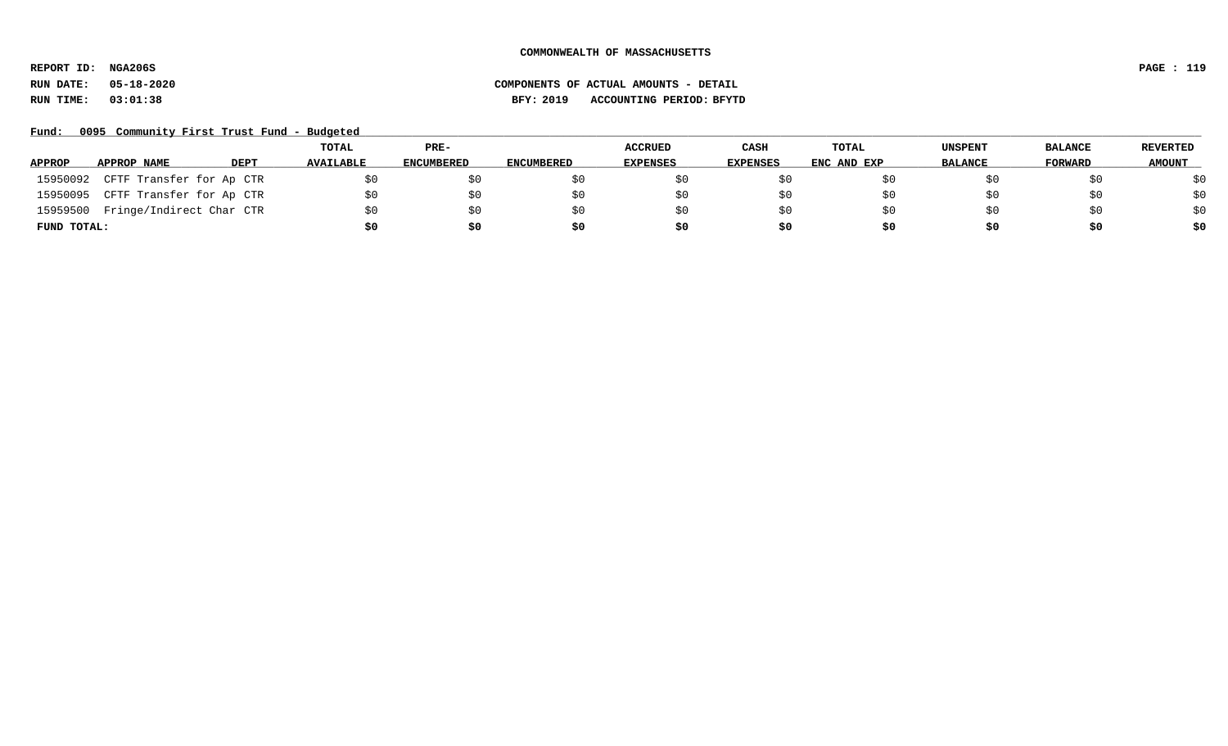**REPORT ID: NGA206S PAGE : 119**

# **RUN DATE: 05-18-2020 COMPONENTS OF ACTUAL AMOUNTS - DETAIL RUN TIME: 03:01:38 BFY: 2019 ACCOUNTING PERIOD: BFYTD**

Fund: 0095 Community First Trust Fund - Budgeted

|               |                          |             | <b>TOTAL</b>     | PRE-              |                   | <b>ACCRUED</b>  | CASH     | TOTAL       | <b>UNSPENT</b> | <b>BALANCE</b> | REVERTED      |
|---------------|--------------------------|-------------|------------------|-------------------|-------------------|-----------------|----------|-------------|----------------|----------------|---------------|
| <b>APPROP</b> | APPROP NAME              | <b>DEPT</b> | <b>AVAILABLE</b> | <b>ENCUMBERED</b> | <b>ENCUMBERED</b> | <b>EXPENSES</b> | EXPENSES | ENC AND EXP | <b>BALANCE</b> | FORWARD        | <b>AMOUNT</b> |
| 15950092      | CFTF Transfer for Ap CTR |             |                  |                   |                   |                 |          |             |                | \$0            | \$0           |
| 15950095      | CFTF Transfer for Ap CTR |             | SO.              | SO.               |                   |                 |          |             | \$0            | \$0            | \$0           |
| 15959500      | Fringe/Indirect Char CTR |             | \$0              | \$0               |                   |                 |          |             | SO.            | \$0            | \$0           |
| FUND TOTAL:   |                          |             | \$0              | \$0               |                   | S0              | \$0      | S0          | \$0            | \$0            | \$0           |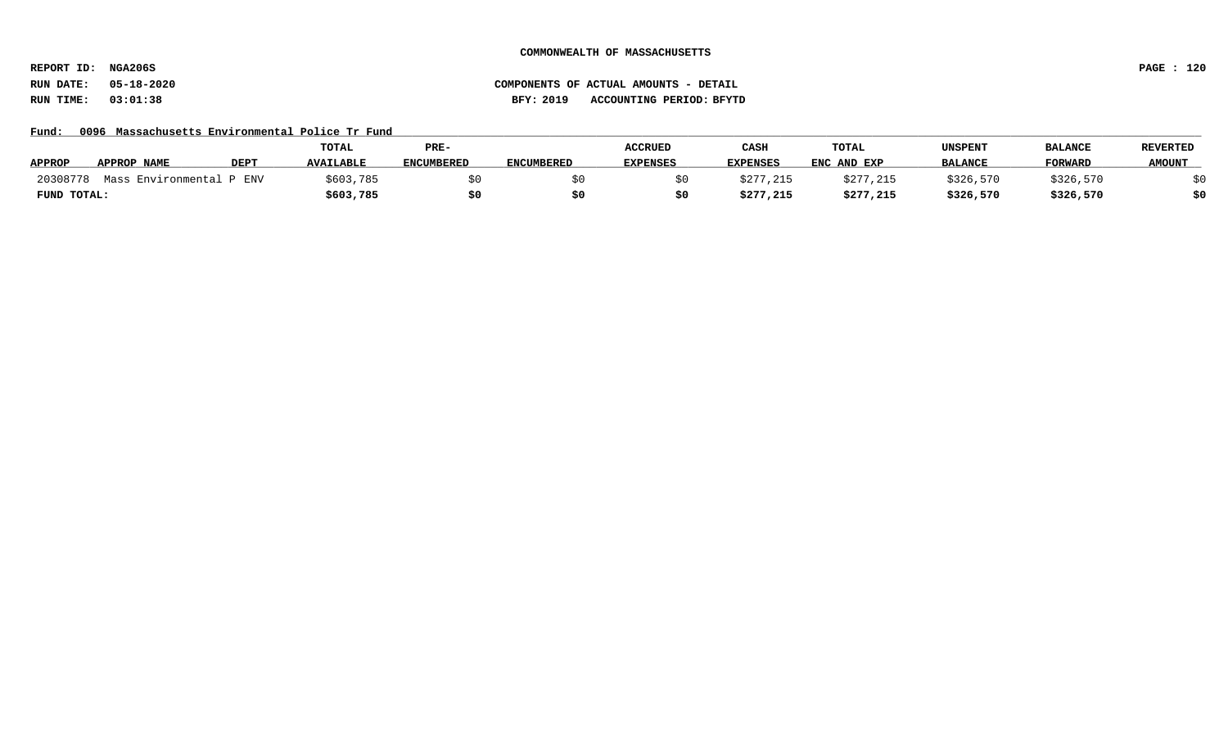**REPORT ID: NGA206S PAGE : 120**

# **RUN DATE: 05-18-2020 COMPONENTS OF ACTUAL AMOUNTS - DETAIL RUN TIME: 03:01:38 BFY: 2019 ACCOUNTING PERIOD: BFYTD**

### Fund: 0096 Massachusetts Environmental Police Tr Fund

|               |                    |             | TOTAL            | PRE-              |                   | <b>ACCRUED</b>  | CASH            | TOTAL       | UNSPENT        | <b>BALANCE</b> | <b>REVERTED</b> |
|---------------|--------------------|-------------|------------------|-------------------|-------------------|-----------------|-----------------|-------------|----------------|----------------|-----------------|
| <b>APPROP</b> | <b>APPROP NAME</b> | <b>DEPT</b> | <b>AVAILABLE</b> | <b>ENCUMBERED</b> | <b>ENCUMBERED</b> | <b>EXPENSES</b> | <b>EXPENSES</b> | ENC AND EXP | <b>BALANCE</b> | <b>FORWARI</b> | <b>AMOUNT</b>   |
| 20308778      | Mass Environmental | ENV         | \$603,785        |                   |                   |                 | \$277,215       | \$277,215   | \$326,570      | \$326,570      |                 |
| FUND TOTAL:   |                    |             | \$603,785        |                   |                   |                 | \$277,215       | \$277,215   | \$326,570      | \$326,570      | \$0             |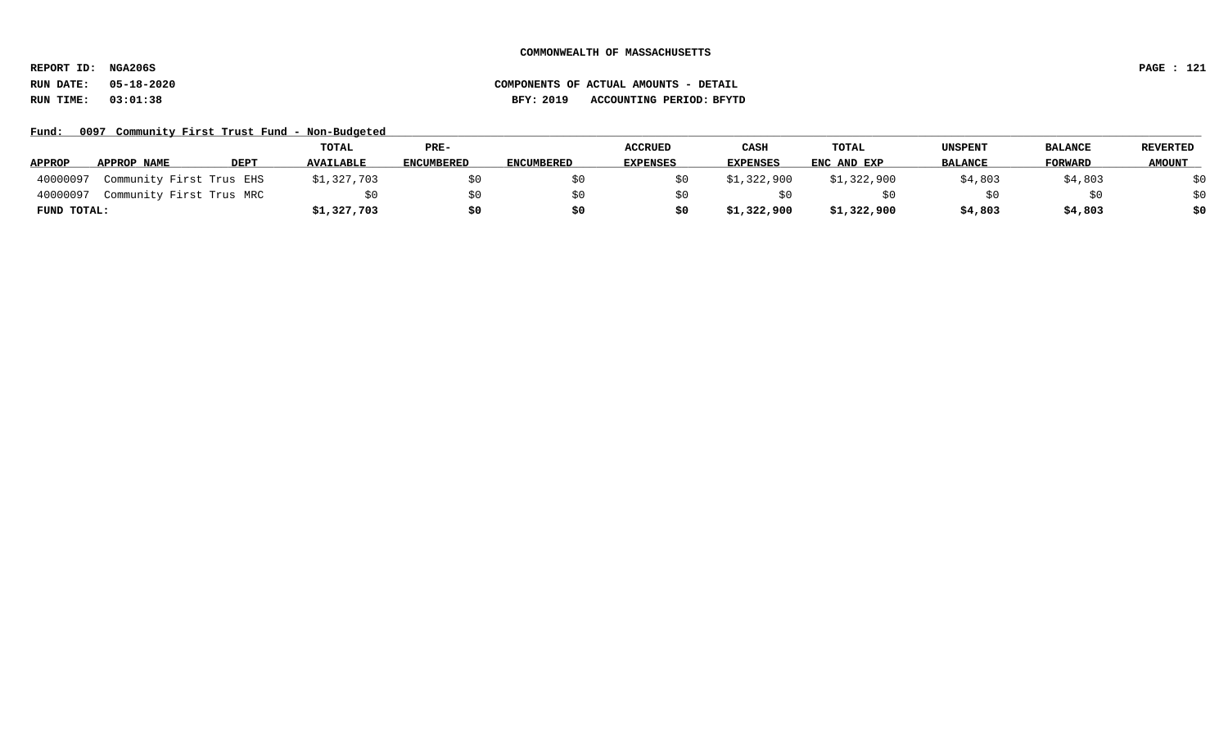**REPORT ID: NGA206S PAGE : 121**

Fund: 0097 Community First Trust Fund - Non-Budgeted

|               |                          |             | TOTAL            | PRE-       |                   | <b>ACCRUED</b>  | CASH            | <b>TOTAL</b> | <b>UNSPENT</b> | <b>BALANCE</b> | REVERTED      |
|---------------|--------------------------|-------------|------------------|------------|-------------------|-----------------|-----------------|--------------|----------------|----------------|---------------|
| <b>APPROP</b> | APPROP NAME              | <b>DEPT</b> | <b>AVAILABLE</b> | ENCUMBERED | <b>ENCUMBERED</b> | <b>EXPENSES</b> | <b>EXPENSES</b> | ENC AND EXP  | <b>BALANCE</b> | FORWARD        | <b>AMOUNT</b> |
| 40000097      | Community First Trus EHS |             | \$1,327,703      |            |                   |                 | \$1,322,900     | \$1,322,900  | \$4,803        | \$4,803        | ₹∩            |
| 40000097      | Community First Trus MRC |             |                  |            |                   |                 |                 |              |                | \$0            | \$0           |
| FUND TOTAL:   |                          |             | \$1,327,703      | S0         |                   | \$0             | \$1,322,900     | \$1,322,900  | \$4,803        | \$4,803        | \$0           |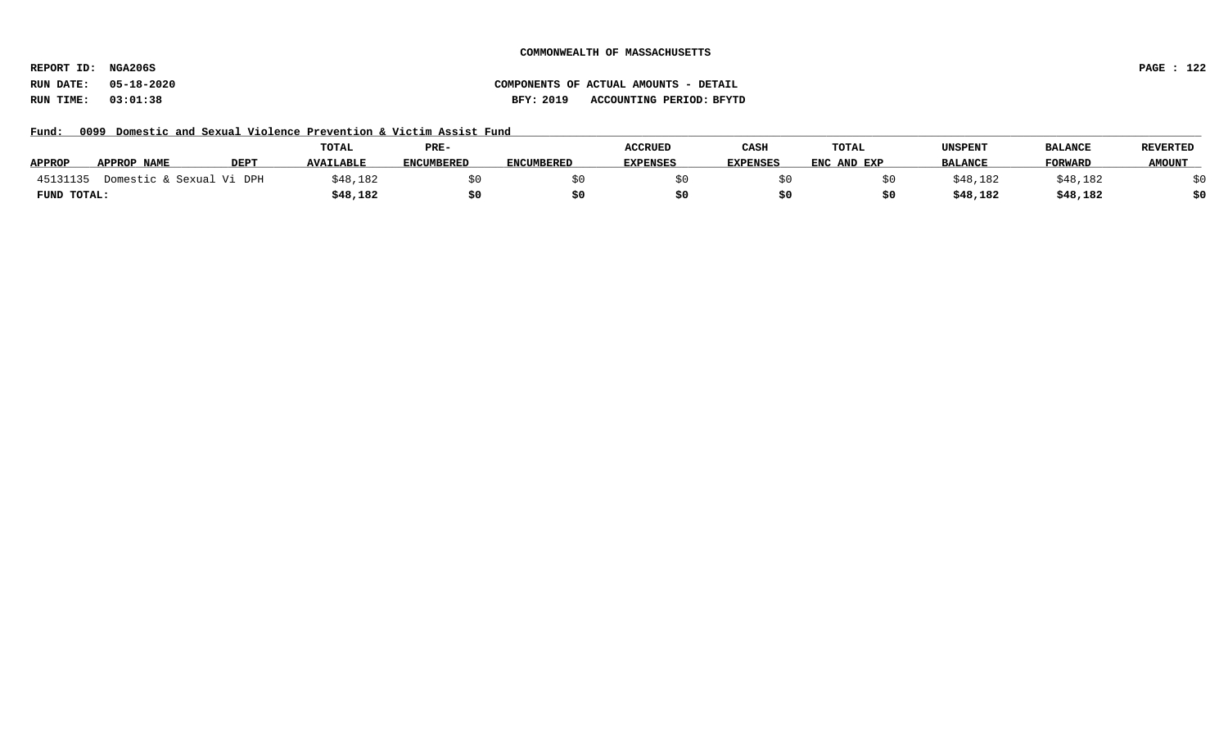**REPORT ID: NGA206S PAGE : 122**

# **RUN DATE: 05-18-2020 COMPONENTS OF ACTUAL AMOUNTS - DETAIL RUN TIME: 03:01:38 BFY: 2019 ACCOUNTING PERIOD: BFYTD**

Fund: 0099 Domestic and Sexual Violence Prevention & Victim Assist Fund

|               |                          |             | TOTAL            | PRE-              |                   | <b>ACCRUED</b>  | CASH            | <b>TOTAL</b> | <b>UNSPENT</b> | <b>BALANCE</b> | <b>REVERTED</b> |
|---------------|--------------------------|-------------|------------------|-------------------|-------------------|-----------------|-----------------|--------------|----------------|----------------|-----------------|
| <b>APPROP</b> | APPROP NAME              | <b>DEPT</b> | <b>AVAILABLE</b> | <b>ENCUMBERED</b> | <b>ENCUMBERED</b> | <b>EXPENSES</b> | <b>EXPENSES</b> | ENC AND EXP  | <b>BALANCE</b> | FORWARD        | <b>AMOUNT</b>   |
| 45131135      | Domestic & Sexual Vi DPH |             | \$48,182         |                   |                   |                 |                 |              | \$48,182       | \$48,182       |                 |
| FUND TOTAL:   |                          |             | \$48,182         |                   |                   |                 |                 |              | \$48,182       | \$48,182       | \$0             |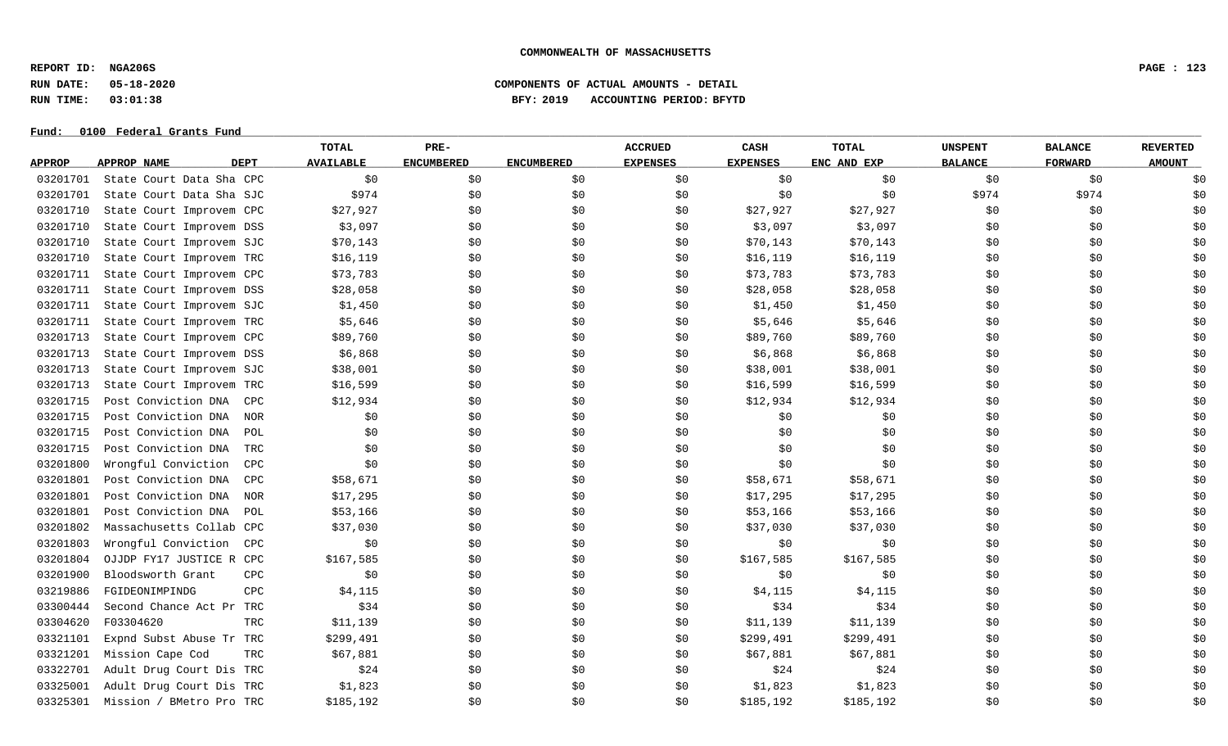**REPORT ID: NGA206S PAGE : 123**

**RUN DATE: 05-18-2020 COMPONENTS OF ACTUAL AMOUNTS - DETAIL**

**RUN TIME: 03:01:38 BFY: 2019 ACCOUNTING PERIOD: BFYTD**

|               |                                   | <b>TOTAL</b>     | PRE-              |                   | <b>ACCRUED</b>  | CASH            | <b>TOTAL</b> | <b>UNSPENT</b> | <b>BALANCE</b> | <b>REVERTED</b> |
|---------------|-----------------------------------|------------------|-------------------|-------------------|-----------------|-----------------|--------------|----------------|----------------|-----------------|
| <b>APPROP</b> | <b>DEPT</b><br><b>APPROP NAME</b> | <b>AVAILABLE</b> | <b>ENCUMBERED</b> | <b>ENCUMBERED</b> | <b>EXPENSES</b> | <b>EXPENSES</b> | ENC AND EXP  | <b>BALANCE</b> | <b>FORWARD</b> | <b>AMOUNT</b>   |
| 03201701      | State Court Data Sha CPC          | \$0              | \$0               | \$0\$             | \$0             | \$0             | \$0\$        | \$0            | \$0            | \$0             |
| 03201701      | State Court Data Sha SJC          | \$974            | \$0               | \$0               | \$0             | \$0             | \$0          | \$974          | \$974          | \$0             |
| 03201710      | State Court Improvem CPC          | \$27,927         | \$0               | \$0               | \$0             | \$27,927        | \$27,927     | \$0            | \$0            | \$0             |
| 03201710      | State Court Improvem DSS          | \$3,097          | \$0               | \$0               | \$0             | \$3,097         | \$3,097      | \$0            | \$0            | \$0             |
| 03201710      | State Court Improvem SJC          | \$70,143         | \$0               | \$0               | \$0             | \$70,143        | \$70, 143    | \$0            | \$0            | \$0             |
| 03201710      | State Court Improvem TRC          | \$16, 119        | \$0               | \$0               | \$0             | \$16, 119       | \$16,119     | \$0            | \$0            | \$0             |
| 03201711      | State Court Improvem CPC          | \$73,783         | \$0               | \$0               | \$0             | \$73,783        | \$73,783     | \$0            | \$0            | \$0             |
| 03201711      | State Court Improvem DSS          | \$28,058         | \$0               | \$0               | \$0             | \$28,058        | \$28,058     | \$0            | \$0            | \$0             |
| 03201711      | State Court Improvem SJC          | \$1,450          | \$0               | \$0               | \$0             | \$1,450         | \$1,450      | \$0            | \$0            | \$0             |
| 03201711      | State Court Improvem TRC          | \$5,646          | \$0               | \$0\$             | \$0             | \$5,646         | \$5,646      | \$0            | \$0            | \$0             |
| 03201713      | State Court Improvem CPC          | \$89,760         | \$0               | \$0\$             | \$0             | \$89,760        | \$89,760     | \$0            | \$0            | \$0             |
| 03201713      | State Court Improvem DSS          | \$6,868          | \$0               | \$0               | \$0             | \$6,868         | \$6,868      | \$0            | \$0            | \$0             |
| 03201713      | State Court Improvem SJC          | \$38,001         | \$0               | \$0               | \$0             | \$38,001        | \$38,001     | \$0            | \$0            | \$0             |
| 03201713      | State Court Improvem TRC          | \$16,599         | \$0               | \$0               | \$0             | \$16,599        | \$16,599     | \$0            | \$0            | \$0             |
| 03201715      | Post Conviction DNA<br>CPC        | \$12,934         | \$0               | \$0               | \$0             | \$12,934        | \$12,934     | \$0            | \$0            | \$0             |
| 03201715      | Post Conviction DNA<br><b>NOR</b> | \$0              | \$0               | \$0               | \$0             | \$0             | \$0          | \$0            | \$0            | \$0             |
| 03201715      | Post Conviction DNA<br>POL        | \$0              | \$0               | \$0               | \$0             | \$0             | \$0          | \$0            | \$0            | \$0             |
| 03201715      | Post Conviction DNA<br>TRC        | \$0              | \$0               | \$0               | \$0             | \$0             | \$0          | \$0            | \$0            | \$0             |
| 03201800      | Wrongful Conviction<br><b>CPC</b> | \$0              | \$0               | \$0               | \$0             | \$0             | \$0          | \$0            | \$0            | \$0             |
| 03201801      | Post Conviction DNA<br><b>CPC</b> | \$58,671         | \$0               | \$0               | \$0             | \$58,671        | \$58,671     | \$0            | \$0            | \$0             |
| 03201801      | Post Conviction DNA<br><b>NOR</b> | \$17,295         | \$0               | \$0               | \$0             | \$17,295        | \$17,295     | \$0            | \$0            | \$0             |
| 03201801      | Post Conviction DNA<br>POL        | \$53,166         | \$0               | \$0               | \$0             | \$53,166        | \$53,166     | \$0            | \$0            | \$0             |
| 03201802      | Massachusetts Collab CPC          | \$37,030         | \$0               | \$0               | \$0             | \$37,030        | \$37,030     | \$0            | \$0            | \$0             |
| 03201803      | Wrongful Conviction<br>CPC        | \$0              | \$0               | \$0               | \$0             | \$0             | \$0\$        | \$0            | \$0            | \$0             |
| 03201804      | OJJDP FY17 JUSTICE R CPC          | \$167,585        | \$0               | \$0               | \$0             | \$167,585       | \$167,585    | \$0            | \$0            | \$0             |
| 03201900      | Bloodsworth Grant<br><b>CPC</b>   | \$0              | \$0               | \$0               | \$0             | \$0             | \$0          | \$0            | \$0            | \$0             |
| 03219886      | FGIDEONIMPINDG<br><b>CPC</b>      | \$4,115          | \$0               | \$0               | \$0             | \$4,115         | \$4,115      | \$0            | \$0            | \$0             |
| 03300444      | Second Chance Act Pr TRC          | \$34             | \$0               | \$0               | \$0             | \$34            | \$34         | \$0            | \$0            | \$0             |
| 03304620      | F03304620<br><b>TRC</b>           | \$11,139         | \$0               | \$0               | \$0             | \$11,139        | \$11,139     | \$0            | \$0            | \$0             |
| 03321101      | Expnd Subst Abuse Tr TRC          | \$299,491        | \$0               | \$0               | \$0             | \$299,491       | \$299,491    | \$0            | \$0            | \$0             |
| 03321201      | Mission Cape Cod<br>TRC           | \$67,881         | \$0               | \$0               | \$0             | \$67,881        | \$67,881     | \$0            | \$0            | \$0             |
| 03322701      | Adult Drug Court Dis TRC          | \$24             | \$0               | \$0               | \$0             | \$24            | \$24         | \$0            | \$0            | \$0             |
| 03325001      | Adult Drug Court Dis<br>TRC       | \$1,823          | \$0               | \$0               | \$0             | \$1,823         | \$1,823      | \$0            | \$0            | \$0             |
| 03325301      | Mission / BMetro Pro TRC          | \$185,192        | \$0               | \$0               | \$0             | \$185,192       | \$185,192    | \$0            | \$0            | \$0             |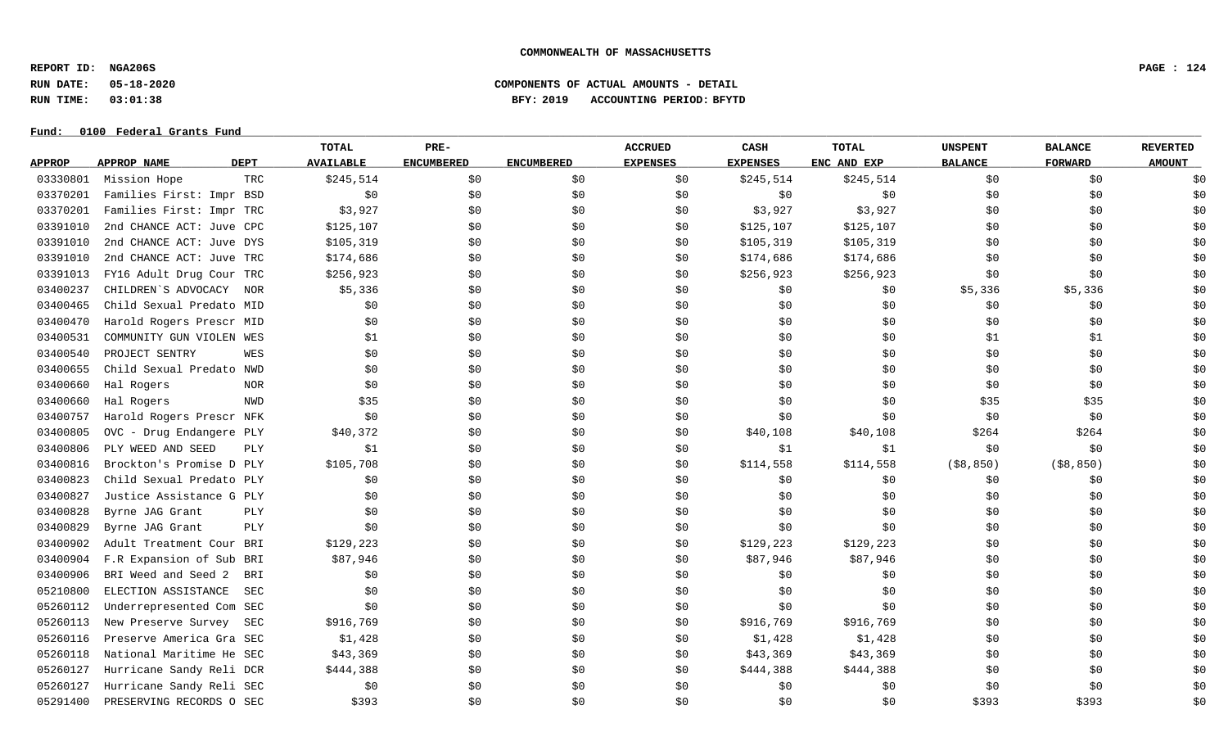**REPORT ID: NGA206S PAGE : 124**

**RUN DATE: 05-18-2020 COMPONENTS OF ACTUAL AMOUNTS - DETAIL**

**RUN TIME: 03:01:38 BFY: 2019 ACCOUNTING PERIOD: BFYTD**

|               |                            | <b>TOTAL</b>     | PRE-              |                   | <b>ACCRUED</b>  | CASH            | <b>TOTAL</b> | <b>UNSPENT</b> | <b>BALANCE</b> | <b>REVERTED</b> |
|---------------|----------------------------|------------------|-------------------|-------------------|-----------------|-----------------|--------------|----------------|----------------|-----------------|
| <b>APPROP</b> | APPROP NAME<br><b>DEPT</b> | <b>AVAILABLE</b> | <b>ENCUMBERED</b> | <b>ENCUMBERED</b> | <b>EXPENSES</b> | <b>EXPENSES</b> | ENC AND EXP  | <b>BALANCE</b> | <b>FORWARD</b> | <b>AMOUNT</b>   |
| 03330801      | Mission Hope               | \$245,514<br>TRC | \$0               | \$0               | \$0             | \$245,514       | \$245,514    | \$0            | \$0            | \$0             |
| 03370201      | Families First: Impr BSD   |                  | \$0<br>\$0        | \$0               | \$0             | \$0             | \$0          | \$0            | \$0            | \$0             |
| 03370201      | Families First: Impr TRC   |                  | \$3,927<br>\$0    | \$0               | \$0             | \$3,927         | \$3,927      | \$0            | \$0            | \$0             |
| 03391010      | 2nd CHANCE ACT: Juve CPC   | \$125,107        | \$0               | \$0               | \$0             | \$125,107       | \$125,107    | \$0            | \$0            | \$0             |
| 03391010      | 2nd CHANCE ACT: Juve DYS   | \$105,319        | \$0               | \$0               | \$0             | \$105,319       | \$105,319    | \$0            | \$0            | \$0             |
| 03391010      | 2nd CHANCE ACT: Juve TRC   | \$174,686        | \$0               | \$0               | \$0             | \$174,686       | \$174,686    | \$0            | \$0            | \$0             |
| 03391013      | FY16 Adult Drug Cour TRC   | \$256,923        | \$0               | \$0               | \$0             | \$256,923       | \$256,923    | \$0            | \$0            | \$0             |
| 03400237      | CHILDREN'S ADVOCACY        | NOR              | \$5,336<br>\$0    | \$0               | \$0             | \$0             | \$0          | \$5,336        | \$5,336        | \$0             |
| 03400465      | Child Sexual Predato MID   |                  | \$0<br>\$0        | \$0               | \$0             | \$0             | \$0\$        | \$0            | \$0            | \$0             |
| 03400470      | Harold Rogers Prescr MID   |                  | \$0<br>\$0        | \$0               | \$0             | \$0             | \$0          | \$0\$          | \$0            | \$0             |
| 03400531      | COMMUNITY GUN VIOLEN WES   |                  | \$1<br>\$0        | \$0               | \$0             | \$0             | \$0          | \$1            | \$1            | \$0             |
| 03400540      | PROJECT SENTRY             | WES              | \$0<br>\$0        | \$0               | \$0             | \$0             | \$0          | \$0            | \$0            | \$0             |
| 03400655      | Child Sexual Predato NWD   |                  | \$0<br>\$0        | \$0               | \$0             | \$0             | \$0          | \$0            | \$0            | \$0             |
| 03400660      | Hal Rogers                 | <b>NOR</b>       | \$0<br>\$0        | \$0               | \$0             | \$0             | \$0          | \$0            | \$0            | \$0             |
| 03400660      | Hal Rogers                 | NWD              | \$35<br>\$0       | \$0               | \$0             | \$0             | \$0          | \$35           | \$35           | \$0             |
| 03400757      | Harold Rogers Prescr NFK   |                  | \$0<br>\$0        | \$0               | \$0             | \$0             | \$0          | \$0            | \$0            | \$0             |
| 03400805      | OVC - Drug Endangere PLY   | \$40,372         | \$0               | \$0               | \$0             | \$40,108        | \$40,108     | \$264          | \$264          | \$0             |
| 03400806      | PLY WEED AND SEED          | <b>PLY</b>       | \$1<br>\$0        | \$0               | \$0             | \$1             | \$1          | \$0            | \$0            | \$0             |
| 03400816      | Brockton's Promise D PLY   | \$105,708        | \$0               | \$0               | \$0             | \$114,558       | \$114,558    | ( \$8, 850)    | ( \$8, 850)    | \$0             |
| 03400823      | Child Sexual Predato PLY   |                  | \$0<br>\$0        | \$0               | \$0             | \$0             | \$0          | \$0            | \$0            | \$0             |
| 03400827      | Justice Assistance G PLY   |                  | \$0<br>\$0        | \$0               | \$0             | \$0             | \$0          | \$0            | \$0            | \$0             |
| 03400828      | Byrne JAG Grant            | PLY              | \$0<br>\$0        | \$0               | \$0             | \$0             | \$0          | \$0            | \$0            | \$0             |
| 03400829      | Byrne JAG Grant            | PLY              | \$0<br>\$0        | \$0               | \$0             | \$0             | \$0          | \$0            | \$0            | \$0             |
| 03400902      | Adult Treatment Cour BRI   | \$129,223        | \$0               | \$0               | \$0             | \$129, 223      | \$129,223    | \$0            | \$0            | \$0             |
| 03400904      | F.R Expansion of Sub BRI   | \$87,946         | \$0               | \$0               | \$0             | \$87,946        | \$87,946     | \$0            | \$0            | \$0             |
| 03400906      | BRI Weed and Seed 2        | BRI              | \$0<br>\$0        | \$0               | \$0             | \$0             | \$0          | \$0            | \$0            | \$0             |
| 05210800      | ELECTION ASSISTANCE        | SEC              | \$0<br>\$0        | \$0               | \$0             | \$0             | \$0          | \$0            | \$0            | \$0             |
| 05260112      | Underrepresented Com SEC   |                  | \$0<br>\$0        | \$0               | \$0             | \$0             | \$0          | \$0            | \$0            | \$0             |
| 05260113      | New Preserve Survey        | \$916,769<br>SEC | \$0               | \$0               | \$0             | \$916,769       | \$916,769    | \$0            | \$0            | \$0             |
| 05260116      | Preserve America Gra SEC   |                  | \$1,428<br>\$0    | \$0               | \$0             | \$1,428         | \$1,428      | \$0            | \$0            | \$0             |
| 05260118      | National Maritime He SEC   | \$43,369         | \$0               | \$0               | \$0             | \$43,369        | \$43,369     | \$0            | \$0            | \$0             |
| 05260127      | Hurricane Sandy Reli DCR   | \$444,388        | \$0               | \$0               | \$0             | \$444,388       | \$444,388    | \$0            | \$0            | \$0             |
| 05260127      | Hurricane Sandy Reli SEC   |                  | \$0<br>\$0        | \$0               | \$0             | \$0             | \$0\$        | \$0            | \$0            | \$0             |
| 05291400      | PRESERVING RECORDS O SEC   |                  | \$393<br>\$0      | \$0               | \$0             | \$0             | \$0          | \$393          | \$393          | \$0             |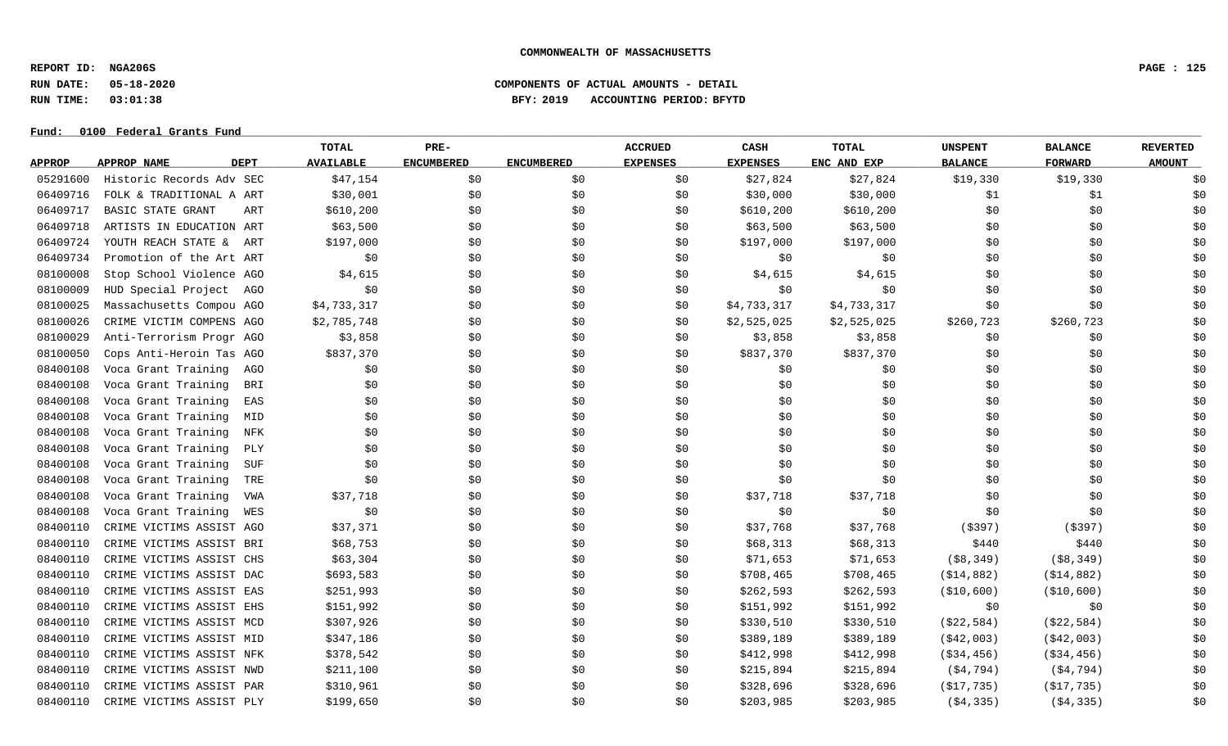**REPORT ID: NGA206S PAGE : 125**

# **RUN DATE: 05-18-2020 COMPONENTS OF ACTUAL AMOUNTS - DETAIL RUN TIME: 03:01:38 BFY: 2019 ACCOUNTING PERIOD: BFYTD**

|               |                                   | TOTAL            | PRE-              |                   | <b>ACCRUED</b>  | CASH            | <b>TOTAL</b> | <b>UNSPENT</b> | <b>BALANCE</b> | <b>REVERTED</b> |
|---------------|-----------------------------------|------------------|-------------------|-------------------|-----------------|-----------------|--------------|----------------|----------------|-----------------|
| <b>APPROP</b> | <b>DEPT</b><br><b>APPROP NAME</b> | <b>AVAILABLE</b> | <b>ENCUMBERED</b> | <b>ENCUMBERED</b> | <b>EXPENSES</b> | <b>EXPENSES</b> | ENC AND EXP  | <b>BALANCE</b> | <b>FORWARD</b> | <b>AMOUNT</b>   |
| 05291600      | Historic Records Adv SEC          | \$47,154         | \$0               | \$0               | \$0             | \$27,824        | \$27,824     | \$19,330       | \$19,330       | \$0             |
| 06409716      | FOLK & TRADITIONAL A ART          | \$30,001         | \$0               | \$0               | \$0             | \$30,000        | \$30,000     | \$1            | \$1            | \$0             |
| 06409717      | BASIC STATE GRANT<br>ART          | \$610,200        | \$0               | \$0               | \$0             | \$610,200       | \$610,200    | \$0            | \$0            | \$0             |
| 06409718      | ARTISTS IN EDUCATION ART          | \$63,500         | \$0               | \$0               | \$0             | \$63,500        | \$63,500     | \$0            | \$0            | \$0             |
| 06409724      | YOUTH REACH STATE & ART           | \$197,000        | \$0               | \$0               | \$0             | \$197,000       | \$197,000    | \$0            | \$0            | \$0             |
| 06409734      | Promotion of the Art ART          | \$0              | \$0               | \$0               | \$0             | \$0             | \$0          | \$0            | \$0            | \$0             |
| 08100008      | Stop School Violence AGO          | \$4,615          | \$0               | \$0               | \$0             | \$4,615         | \$4,615      | \$0            | \$0            | \$0             |
| 08100009      | HUD Special Project<br>AGO        | \$0              | \$0               | \$0               | \$0             | \$0             | \$0          | \$0            | \$0            | \$0             |
| 08100025      | Massachusetts Compou AGO          | \$4,733,317      | \$0               | \$0               | \$0             | \$4,733,317     | \$4,733,317  | \$0            | \$0            | \$0             |
| 08100026      | CRIME VICTIM COMPENS AGO          | \$2,785,748      | \$0               | \$0               | \$0             | \$2,525,025     | \$2,525,025  | \$260,723      | \$260,723      | \$0             |
| 08100029      | Anti-Terrorism Progr AGO          | \$3,858          | \$0               | \$0               | \$0             | \$3,858         | \$3,858      | \$0            | \$0            | \$0             |
| 08100050      | Cops Anti-Heroin Tas AGO          | \$837,370        | \$0               | \$0               | \$0             | \$837,370       | \$837,370    | \$0            | \$0            | \$0             |
| 08400108      | Voca Grant Training<br>AGO        | \$0              | \$0               | \$0               | \$0             | \$0             | \$0          | \$0            | \$0            | \$0             |
| 08400108      | Voca Grant Training<br>BRI        | \$0              | \$0               | \$0               | \$0             | \$0             | \$0          | \$0            | \$0            | \$0             |
| 08400108      | Voca Grant Training<br>EAS        | \$0              | \$0               | \$0               | \$0             | \$0             | \$0          | \$0            | \$0            | \$0             |
| 08400108      | Voca Grant Training<br>MID        | \$0              | \$0               | \$0               | \$0             | \$0             | \$0          | \$0            | \$0            | \$0             |
| 08400108      | Voca Grant Training<br>NFK        | \$0              | \$0               | \$0               | \$0             | \$0             | \$0          | \$0            | \$0            | \$0             |
| 08400108      | Voca Grant Training<br>PLY        | \$0              | \$0               | \$0               | \$0             | \$0             | \$0          | \$0            | \$0            | \$0             |
| 08400108      | Voca Grant Training<br><b>SUF</b> | \$0              | \$0               | \$0               | \$0             | \$0             | \$0          | \$0            | \$0            | \$0             |
| 08400108      | Voca Grant Training<br>TRE        | \$0              | \$0               | \$0               | \$0             | \$0             | \$0          | \$0            | \$0            | \$0             |
| 08400108      | Voca Grant Training<br>VWA        | \$37,718         | \$0               | \$0               | \$0             | \$37,718        | \$37,718     | \$0            | \$0            | \$0             |
| 08400108      | Voca Grant Training<br>WES        | \$0              | \$0               | \$0               | \$0             | \$0             | \$0          | \$0            | \$0            | \$0             |
| 08400110      | CRIME VICTIMS ASSIST AGO          | \$37,371         | \$0               | \$0               | \$0             | \$37,768        | \$37,768     | ( \$397)       | ( \$397)       | \$0             |
| 08400110      | CRIME VICTIMS ASSIST BRI          | \$68,753         | \$0               | \$0               | \$0             | \$68,313        | \$68,313     | \$440          | \$440          | \$0             |
| 08400110      | CRIME VICTIMS ASSIST CHS          | \$63,304         | \$0               | \$0               | \$0             | \$71,653        | \$71,653     | ( \$8, 349)    | ( \$8, 349)    | \$0             |
| 08400110      | CRIME VICTIMS ASSIST DAC          | \$693,583        | \$0               | \$0               | \$0             | \$708,465       | \$708,465    | ( \$14, 882)   | ( \$14, 882)   | \$0             |
| 08400110      | CRIME VICTIMS ASSIST EAS          | \$251,993        | \$0               | \$0               | \$0             | \$262,593       | \$262,593    | ( \$10, 600 )  | ( \$10, 600)   | \$0             |
| 08400110      | CRIME VICTIMS ASSIST EHS          | \$151,992        | \$0               | \$0               | \$0             | \$151,992       | \$151,992    | \$0            | \$0            | \$0             |
| 08400110      | CRIME VICTIMS ASSIST MCD          | \$307,926        | \$0               | \$0               | \$0             | \$330,510       | \$330,510    | ( \$22, 584)   | ( \$22, 584)   | \$0             |
| 08400110      | CRIME VICTIMS ASSIST MID          | \$347,186        | \$0               | \$0               | \$0             | \$389,189       | \$389,189    | ( \$42,003)    | ( \$42,003)    | \$0             |
| 08400110      | CRIME VICTIMS ASSIST NFK          | \$378,542        | \$0               | \$0               | \$0             | \$412,998       | \$412,998    | $($ \$34,456)  | $($ \$34,456)  | \$0             |
| 08400110      | CRIME VICTIMS ASSIST NWD          | \$211,100        | \$0               | \$0               | \$0             | \$215,894       | \$215,894    | ( \$4, 794)    | ( \$4, 794)    | \$0             |
| 08400110      | CRIME VICTIMS ASSIST PAR          | \$310,961        | \$0               | \$0               | \$0             | \$328,696       | \$328,696    | ( \$17, 735)   | ( \$17, 735)   | \$0             |
| 08400110      | CRIME VICTIMS ASSIST PLY          | \$199,650        | \$0               | \$0               | \$0             | \$203,985       | \$203,985    | ( \$4, 335)    | ( \$4, 335)    | \$0             |
|               |                                   |                  |                   |                   |                 |                 |              |                |                |                 |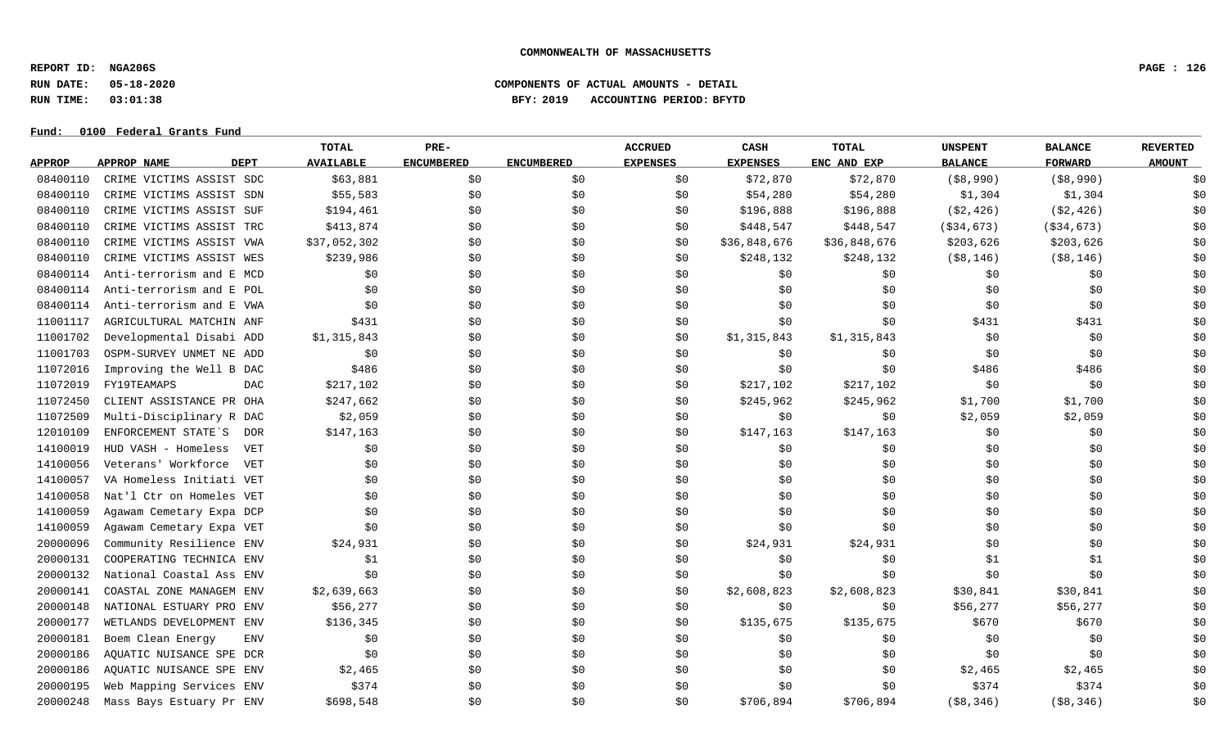**REPORT ID: NGA206S PAGE : 126**

### **RUN DATE: 05-18-2020 COMPONENTS OF ACTUAL AMOUNTS - DETAIL RUN TIME: 03:01:38 BFY: 2019 ACCOUNTING PERIOD: BFYTD**

|               |                                   | TOTAL            | PRE-              |                   | <b>ACCRUED</b>  | CASH            | <b>TOTAL</b> | <b>UNSPENT</b> | <b>BALANCE</b> | <b>REVERTED</b> |
|---------------|-----------------------------------|------------------|-------------------|-------------------|-----------------|-----------------|--------------|----------------|----------------|-----------------|
| <b>APPROP</b> | <b>APPROP NAME</b><br><b>DEPT</b> | <b>AVAILABLE</b> | <b>ENCUMBERED</b> | <b>ENCUMBERED</b> | <b>EXPENSES</b> | <b>EXPENSES</b> | ENC AND EXP  | <b>BALANCE</b> | <b>FORWARD</b> | <b>AMOUNT</b>   |
| 08400110      | CRIME VICTIMS ASSIST SDC          | \$63,881         | \$0               | \$0               | \$0             | \$72,870        | \$72,870     | ( \$8, 990)    | ( \$8, 990)    | \$0             |
| 08400110      | CRIME VICTIMS ASSIST SDN          | \$55,583         | \$0               | \$0               | \$0             | \$54,280        | \$54,280     | \$1,304        | \$1,304        | \$0             |
| 08400110      | CRIME VICTIMS ASSIST SUF          | \$194,461        | \$0               | \$0               | \$0             | \$196,888       | \$196,888    | ( \$2, 426)    | ( \$2, 426)    | \$0             |
| 08400110      | CRIME VICTIMS ASSIST TRC          | \$413,874        | \$0               | \$0               | \$0             | \$448,547       | \$448,547    | ( \$34, 673)   | ( \$34, 673)   | \$0             |
| 08400110      | CRIME VICTIMS ASSIST VWA          | \$37,052,302     | \$0               | \$0               | \$0             | \$36,848,676    | \$36,848,676 | \$203,626      | \$203,626      | \$0             |
| 08400110      | CRIME VICTIMS ASSIST WES          | \$239,986        | \$0               | \$0               | \$0             | \$248,132       | \$248,132    | $($ \$8,146)   | (\$8,146)      | \$0             |
| 08400114      | Anti-terrorism and E MCD          | \$0              | \$0               | \$0               | \$0             | \$0             | \$0          | \$0            | \$0            | \$0             |
| 08400114      | Anti-terrorism and E POL          | \$0              | \$0               | \$0               | \$0             | \$0             | \$0          | \$0            | \$0            | \$0             |
| 08400114      | Anti-terrorism and E VWA          | \$0              | \$0               | \$0               | \$0             | \$0             | \$0          | \$0            | \$0            | \$0             |
| 11001117      | AGRICULTURAL MATCHIN ANF          | \$431            | \$0               | \$0               | \$0             | \$0             | \$0          | \$431          | \$431          | \$0             |
| 11001702      | Developmental Disabi ADD          | \$1,315,843      | \$0               | \$0               | \$0             | \$1,315,843     | \$1,315,843  | \$0            | \$0            | \$0             |
| 11001703      | OSPM-SURVEY UNMET NE ADD          | \$0              | \$0               | \$0               | \$0             | \$0             | \$0          | \$0            | \$0            | \$0             |
| 11072016      | Improving the Well B DAC          | \$486            | \$0               | \$0               | \$0             | \$0             | \$0          | \$486          | \$486          | \$0             |
| 11072019      | FY19TEAMAPS<br><b>DAC</b>         | \$217,102        | \$0               | \$0               | \$0             | \$217,102       | \$217,102    | \$0            | \$0            | \$0             |
| 11072450      | CLIENT ASSISTANCE PR OHA          | \$247,662        | \$0               | \$0               | \$0             | \$245,962       | \$245,962    | \$1,700        | \$1,700        | \$0             |
| 11072509      | Multi-Disciplinary R DAC          | \$2,059          | \$0               | \$0               | \$0             | \$0             | \$0          | \$2,059        | \$2,059        | \$0             |
| 12010109      | ENFORCEMENT STATE S<br>DOR        | \$147,163        | \$0               | \$0               | \$0             | \$147,163       | \$147,163    | \$0            | \$0            | \$0             |
| 14100019      | HUD VASH - Homeless<br>VET        | \$0              | \$0               | \$0               | \$0             | \$0             | \$0          | \$0            | \$0            | \$0             |
| 14100056      | Veterans' Workforce<br>VET        | \$0              | \$0               | \$0               | \$0             | \$0             | \$0          | \$0            | \$0            | \$0             |
| 14100057      | VA Homeless Initiati VET          | \$0              | \$0               | \$0               | \$0             | \$0             | \$0          | \$0            | \$0            | \$0             |
| 14100058      | Nat'l Ctr on Homeles VET          | \$0              | \$0               | \$0               | \$0             | \$0             | \$0          | \$0            | \$0            | \$0             |
| 14100059      | Agawam Cemetary Expa DCP          | \$0              | \$0               | \$0               | \$0             | \$0             | \$0          | \$0            | \$0            | \$0             |
| 14100059      | Agawam Cemetary Expa VET          | \$0              | \$0               | \$0               | \$0             | \$0             | \$0          | \$0            | \$0            | \$0             |
| 20000096      | Community Resilience ENV          | \$24,931         | \$0               | \$0               | \$0             | \$24,931        | \$24,931     | \$0            | \$0            | \$0             |
| 20000131      | COOPERATING TECHNICA ENV          | \$1              | \$0               | \$0               | \$0             | \$0             | \$0          | \$1            | \$1            | \$0             |
| 20000132      | National Coastal Ass ENV          | \$0              | \$0               | \$0               | \$0             | \$0             | \$0          | \$0            | \$0            | \$0             |
| 20000141      | COASTAL ZONE MANAGEM ENV          | \$2,639,663      | \$0               | \$0               | \$0             | \$2,608,823     | \$2,608,823  | \$30,841       | \$30,841       | \$0             |
| 20000148      | NATIONAL ESTUARY PRO ENV          | \$56,277         | \$0               | \$0               | \$0             | \$0             | \$0          | \$56,277       | \$56,277       | \$0             |
| 20000177      | WETLANDS DEVELOPMENT ENV          | \$136,345        | \$0               | \$0               | \$0             | \$135,675       | \$135,675    | \$670          | \$670          | \$0             |
| 20000181      | Boem Clean Energy<br><b>ENV</b>   | \$0              | \$0               | \$0               | \$0             | \$0             | \$0          | \$0            | \$0            | \$0             |
| 20000186      | AQUATIC NUISANCE SPE DCR          | \$0              | \$0               | \$0               | \$0             | \$0             | \$0          | \$0            | \$0            | \$0             |
| 20000186      | AQUATIC NUISANCE SPE ENV          | \$2,465          | \$0               | \$0               | \$0             | \$0             | \$0          | \$2,465        | \$2,465        | \$0             |
| 20000195      | Web Mapping Services ENV          | \$374            | \$0               | \$0               | \$0             | \$0             | \$0          | \$374          | \$374          | \$0             |
| 20000248      | Mass Bays Estuary Pr ENV          | \$698,548        | \$0               | \$0               | \$0             | \$706,894       | \$706,894    | $($ \$8,346)   | $($ \$8,346)   | \$0             |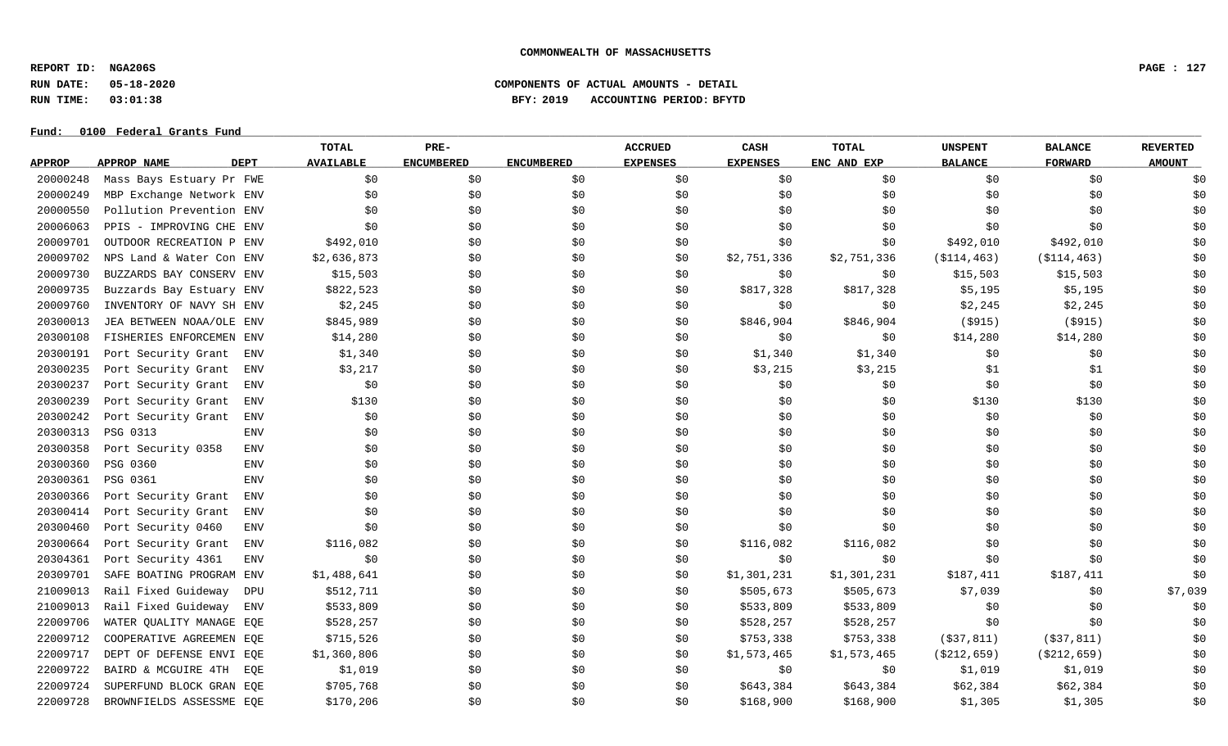**REPORT ID: NGA206S PAGE : 127**

**RUN DATE: 05-18-2020 COMPONENTS OF ACTUAL AMOUNTS - DETAIL**

**RUN TIME: 03:01:38 BFY: 2019 ACCOUNTING PERIOD: BFYTD**

|               |                          | <b>TOTAL</b>                    | PRE-              |                   | <b>ACCRUED</b>  | CASH            | <b>TOTAL</b> | <b>UNSPENT</b> | <b>BALANCE</b> | <b>REVERTED</b> |
|---------------|--------------------------|---------------------------------|-------------------|-------------------|-----------------|-----------------|--------------|----------------|----------------|-----------------|
| <b>APPROP</b> | APPROP NAME              | <b>DEPT</b><br><b>AVAILABLE</b> | <b>ENCUMBERED</b> | <b>ENCUMBERED</b> | <b>EXPENSES</b> | <b>EXPENSES</b> | ENC AND EXP  | <b>BALANCE</b> | <b>FORWARD</b> | <b>AMOUNT</b>   |
| 20000248      | Mass Bays Estuary Pr FWE | \$0                             | \$0               | \$0               | \$0             | \$0             | \$0\$        | \$0            | \$0            | \$0             |
| 20000249      | MBP Exchange Network ENV | \$0                             | \$0               | \$0\$             | \$0             | \$0\$           | \$0          | \$0            | \$0            | \$0             |
| 20000550      | Pollution Prevention ENV | \$0                             | \$0               | \$0               | \$0             | \$0             | \$0          | \$0            | \$0            | \$0             |
| 20006063      | PPIS - IMPROVING CHE ENV | \$0                             | \$0               | \$0               | \$0             | \$0             | \$0          | \$0            | \$0            | \$0             |
| 20009701      | OUTDOOR RECREATION P ENV | \$492,010                       | \$0               | \$0               | \$0             | \$0             | \$0          | \$492,010      | \$492,010      | \$0             |
| 20009702      | NPS Land & Water Con ENV | \$2,636,873                     | \$0               | \$0               | \$0             | \$2,751,336     | \$2,751,336  | ( \$114, 463)  | ( \$114, 463)  | \$0             |
| 20009730      | BUZZARDS BAY CONSERV ENV | \$15,503                        | \$0               | \$0               | \$0             | \$0             | \$0          | \$15,503       | \$15,503       | \$0             |
| 20009735      | Buzzards Bay Estuary ENV | \$822,523                       | \$0               | \$0               | \$0             | \$817,328       | \$817,328    | \$5,195        | \$5,195        | \$0             |
| 20009760      | INVENTORY OF NAVY SH ENV | \$2,245                         | \$0               | \$0               | \$0             | \$0             | \$0          | \$2,245        | \$2,245        | \$0             |
| 20300013      | JEA BETWEEN NOAA/OLE ENV | \$845,989                       | \$0               | \$0               | \$0             | \$846,904       | \$846,904    | $($ \$915)     | ( \$915)       | \$0             |
| 20300108      | FISHERIES ENFORCEMEN ENV | \$14,280                        | \$0               | \$0               | \$0             | \$0             | \$0          | \$14,280       | \$14,280       | \$0             |
| 20300191      | Port Security Grant      | \$1,340<br>ENV                  | \$0               | \$0\$             | \$0             | \$1,340         | \$1,340      | \$0            | \$0\$          | \$0             |
| 20300235      | Port Security Grant      | \$3,217<br><b>ENV</b>           | \$0               | \$0               | \$0             | \$3,215         | \$3,215      | \$1            | \$1            | \$0             |
| 20300237      | Port Security Grant      | \$0<br><b>ENV</b>               | \$0               | \$0               | \$0             | \$0\$           | \$0\$        | \$0            | \$0            | \$0             |
| 20300239      | Port Security Grant      | \$130<br><b>ENV</b>             | \$0               | \$0               | \$0             | \$0             | \$0          | \$130          | \$130          | \$0             |
| 20300242      | Port Security Grant      | ENV<br>\$0                      | \$0               | \$0               | \$0             | \$0\$           | \$0          | \$0            | \$0            | \$0             |
| 20300313      | PSG 0313                 | <b>ENV</b><br>\$0               | \$0               | \$0               | \$0             | \$0             | \$0          | \$0\$          | \$0            | \$0             |
| 20300358      | Port Security 0358       | \$0<br>ENV                      | \$0               | \$0               | \$0             | \$0\$           | \$0          | \$0            | \$0\$          | \$0             |
| 20300360      | PSG 0360                 | <b>ENV</b><br>\$0               | \$0               | \$0               | \$0             | \$0             | \$0          | \$0            | \$0            | \$0             |
| 20300361      | PSG 0361                 | <b>ENV</b><br>\$0               | \$0               | \$0               | \$0             | \$0             | \$0          | \$0            | \$0            | \$0             |
| 20300366      | Port Security Grant      | <b>ENV</b><br>\$0               | \$0               | \$0               | \$0             | \$0             | \$0          | \$0            | \$0\$          | \$0             |
| 20300414      | Port Security Grant      | \$0<br>ENV                      | \$0               | \$0               | \$0             | \$0             | \$0          | \$0            | \$0            | \$0             |
| 20300460      | Port Security 0460       | \$0<br>ENV                      | \$0               | \$0               | \$0             | \$0             | \$0          | \$0            | \$0\$          | \$0             |
| 20300664      | Port Security Grant      | \$116,082<br>ENV                | \$0               | \$0               | \$0             | \$116,082       | \$116,082    | \$0            | \$0            | \$0             |
| 20304361      | Port Security 4361       | \$0<br><b>ENV</b>               | \$0               | \$0               | \$0             | \$0             | \$0          | \$0\$          | \$0            | \$0             |
| 20309701      | SAFE BOATING PROGRAM ENV | \$1,488,641                     | \$0               | \$0               | \$0             | \$1,301,231     | \$1,301,231  | \$187,411      | \$187,411      | \$0             |
| 21009013      | Rail Fixed Guideway      | \$512,711<br>DPU                | \$0               | \$0               | \$0             | \$505,673       | \$505,673    | \$7,039        | \$0            | \$7,039         |
| 21009013      | Rail Fixed Guideway      | \$533,809<br><b>ENV</b>         | \$0               | \$0               | \$0             | \$533,809       | \$533,809    | \$0            | \$0            | \$0             |
| 22009706      | WATER QUALITY MANAGE EQE | \$528,257                       | \$0               | \$0               | \$0             | \$528,257       | \$528,257    | \$0            | \$0            | \$0             |
| 22009712      | COOPERATIVE AGREEMEN EQE | \$715,526                       | \$0               | \$0               | \$0             | \$753,338       | \$753,338    | ( \$37, 811)   | ( \$37, 811)   | \$0             |
| 22009717      | DEPT OF DEFENSE ENVI EQE | \$1,360,806                     | \$0               | \$0               | \$0             | \$1,573,465     | \$1,573,465  | ( \$212, 659)  | ( \$212, 659)  | \$0             |
| 22009722      | BAIRD & MCGUIRE 4TH      | \$1,019<br>EQE                  | \$0               | \$0               | \$0             | \$0             | \$0          | \$1,019        | \$1,019        | \$0             |
| 22009724      | SUPERFUND BLOCK GRAN EQE | \$705,768                       | \$0               | \$0               | \$0             | \$643,384       | \$643,384    | \$62,384       | \$62,384       | \$0             |
| 22009728      | BROWNFIELDS ASSESSME EQE | \$170, 206                      | \$0               | \$0               | \$0             | \$168,900       | \$168,900    | \$1,305        | \$1,305        | \$0             |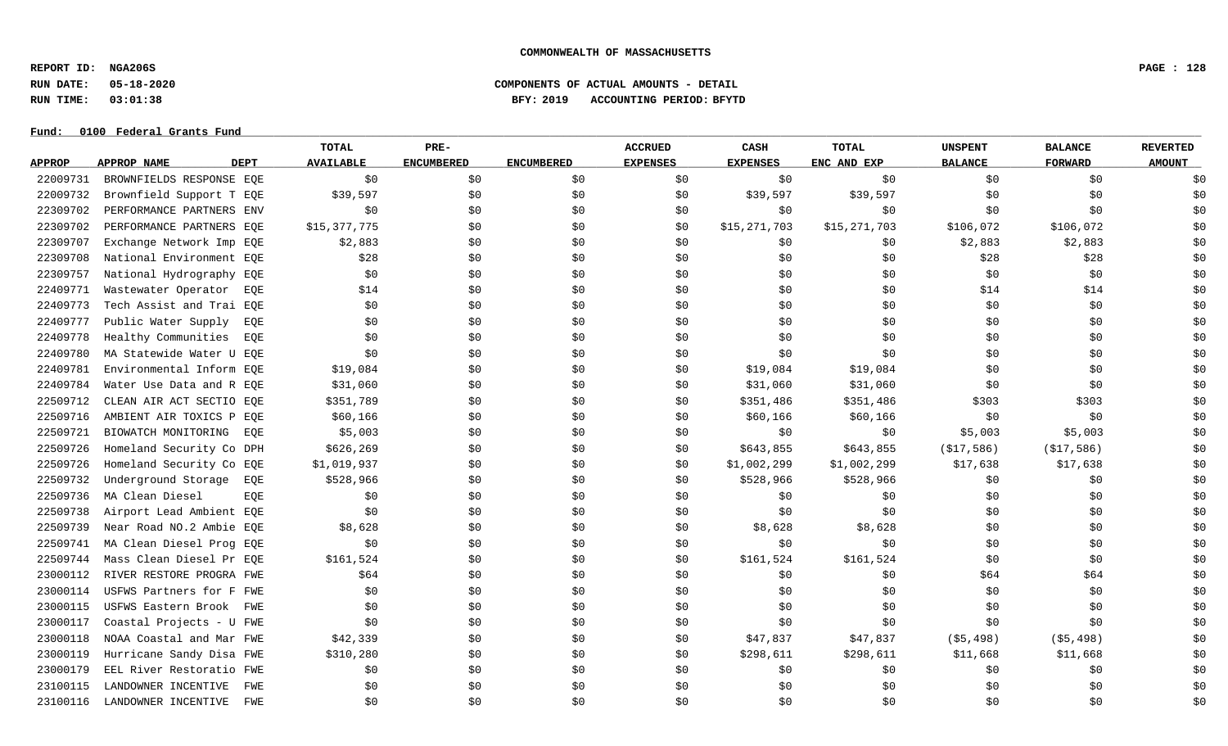**REPORT ID: NGA206S PAGE : 128**

# **RUN DATE: 05-18-2020 COMPONENTS OF ACTUAL AMOUNTS - DETAIL RUN TIME: 03:01:38 BFY: 2019 ACCOUNTING PERIOD: BFYTD**

|               |                            | TOTAL            | PRE-              |                   | <b>ACCRUED</b>  | CASH            | <b>TOTAL</b> | <b>UNSPENT</b> | <b>BALANCE</b> | <b>REVERTED</b> |
|---------------|----------------------------|------------------|-------------------|-------------------|-----------------|-----------------|--------------|----------------|----------------|-----------------|
| <b>APPROP</b> | APPROP NAME<br><b>DEPT</b> | <b>AVAILABLE</b> | <b>ENCUMBERED</b> | <b>ENCUMBERED</b> | <b>EXPENSES</b> | <b>EXPENSES</b> | ENC AND EXP  | <b>BALANCE</b> | <b>FORWARD</b> | <b>AMOUNT</b>   |
| 22009731      | BROWNFIELDS RESPONSE EQE   | \$0              | \$0               | \$0               | \$0             | \$0             | \$0          | \$0            | \$0            | \$0             |
| 22009732      | Brownfield Support T EQE   | \$39,597         | \$0               | \$0               | \$0             | \$39,597        | \$39,597     | \$0            | \$0            | \$0             |
| 22309702      | PERFORMANCE PARTNERS ENV   | \$0              | \$0               | \$0               | \$0             | \$0             | \$0          | \$0            | \$0            | \$0             |
| 22309702      | PERFORMANCE PARTNERS EOE   | \$15,377,775     | \$0               | \$0               | \$0             | \$15,271,703    | \$15,271,703 | \$106,072      | \$106,072      | \$0             |
| 22309707      | Exchange Network Imp EQE   | \$2,883          | \$0               | \$0               | \$0             | \$0             | \$0          | \$2,883        | \$2,883        | \$0             |
| 22309708      | National Environment EQE   | \$28             | \$0               | \$0               | \$0             | \$0             | \$0          | \$28           | \$28           | \$0             |
| 22309757      | National Hydrography EQE   | \$0              | \$0\$             | \$0               | \$0             | \$0             | \$0          | \$0            | \$0            | \$0             |
| 22409771      | Wastewater Operator<br>EQE | \$14             | \$0               | \$0               | \$0             | \$0             | \$0          | \$14           | \$14           | \$0             |
| 22409773      | Tech Assist and Trai EQE   | \$0              | \$0               | \$0               | \$0             | \$0             | \$0          | \$0            | \$0            | \$0             |
| 22409777      | Public Water Supply<br>EQE | \$0              | \$0               | \$0               | \$0             | \$0             | \$0          | \$0            | \$0            | \$0             |
| 22409778      | Healthy Communities<br>EQE | \$0              | \$0               | \$0               | \$0             | \$0             | \$0\$        | \$0            | \$0            | \$0             |
| 22409780      | MA Statewide Water U EOE   | \$0              | \$0               | \$0               | \$0             | \$0             | \$0          | \$0            | \$0            | \$0             |
| 22409781      | Environmental Inform EQE   | \$19,084         | \$0               | \$0               | \$0             | \$19,084        | \$19,084     | \$0            | \$0            | \$0             |
| 22409784      | Water Use Data and R EOE   | \$31,060         | \$0\$             | \$0               | \$0             | \$31,060        | \$31,060     | \$0            | \$0            | \$0             |
| 22509712      | CLEAN AIR ACT SECTIO EQE   | \$351,789        | \$0               | \$0               | \$0             | \$351,486       | \$351,486    | \$303          | \$303          | \$0             |
| 22509716      | AMBIENT AIR TOXICS P EQE   | \$60,166         | \$0               | \$0               | \$0             | \$60,166        | \$60,166     | \$0            | \$0            | \$0             |
| 22509721      | BIOWATCH MONITORING<br>EQE | \$5,003          | \$0               | \$0               | \$0             | \$0             | \$0\$        | \$5,003        | \$5,003        | \$0             |
| 22509726      | Homeland Security Co DPH   | \$626,269        | \$0               | \$0               | \$0             | \$643,855       | \$643,855    | ( \$17, 586)   | ( \$17, 586)   | \$0             |
| 22509726      | Homeland Security Co EQE   | \$1,019,937      | \$0               | \$0               | \$0             | \$1,002,299     | \$1,002,299  | \$17,638       | \$17,638       | \$0             |
| 22509732      | Underground Storage<br>EQE | \$528,966        | \$0               | \$0               | \$0             | \$528,966       | \$528,966    | \$0            | \$0            | \$0             |
| 22509736      | MA Clean Diesel<br>EOE     | \$0              | \$0               | \$0               | \$0             | \$0             | \$0          | \$0            | \$0            | \$0             |
| 22509738      | Airport Lead Ambient EOE   | \$0              | \$0               | \$0               | \$0             | \$0             | \$0          | \$0            | \$0            | \$0             |
| 22509739      | Near Road NO.2 Ambie EOE   | \$8,628          | \$0               | \$0               | \$0             | \$8,628         | \$8,628      | \$0            | \$0            | \$0             |
| 22509741      | MA Clean Diesel Prog EQE   | \$0\$            | \$0               | \$0               | \$0             | \$0\$           | \$0          | \$0            | \$0            | \$0             |
| 22509744      | Mass Clean Diesel Pr EOE   | \$161,524        | \$0               | \$0               | \$0             | \$161,524       | \$161,524    | \$0            | \$0            | \$0             |
| 23000112      | RIVER RESTORE PROGRA FWE   | \$64             | \$0               | \$0               | \$0             | \$0             | \$0          | \$64           | \$64           | \$0             |
| 23000114      | USFWS Partners for F FWE   | \$0              | \$0               | \$0               | \$0             | \$0             | \$0          | \$0            | \$0            | \$0             |
| 23000115      | USFWS Eastern Brook FWE    | \$0              | \$0               | \$0               | \$0             | \$0             | \$0          | \$0            | \$0            | \$0             |
| 23000117      | Coastal Projects - U FWE   | \$0              | \$0               | \$0               | \$0             | \$0             | \$0          | \$0            | \$0            | \$0             |
| 23000118      | NOAA Coastal and Mar FWE   | \$42,339         | \$0               | \$0               | \$0             | \$47,837        | \$47,837     | ( \$5,498)     | $($ \$5,498)   | \$0             |
| 23000119      | Hurricane Sandy Disa FWE   | \$310,280        | \$0               | \$0               | \$0             | \$298,611       | \$298,611    | \$11,668       | \$11,668       | \$0             |
| 23000179      | EEL River Restoratio FWE   | \$0              | \$0               | \$0               | \$0             | \$0             | \$0          | \$0            | \$0            | \$0             |
| 23100115      | LANDOWNER INCENTIVE<br>FWE | \$0              | \$0               | \$0               | \$0             | \$0             | \$0          | \$0            | \$0            | \$0             |
| 23100116      | LANDOWNER INCENTIVE<br>FWE | \$0              | \$0               | \$0               | \$0             | \$0             | \$0          | \$0            | \$0            | \$0             |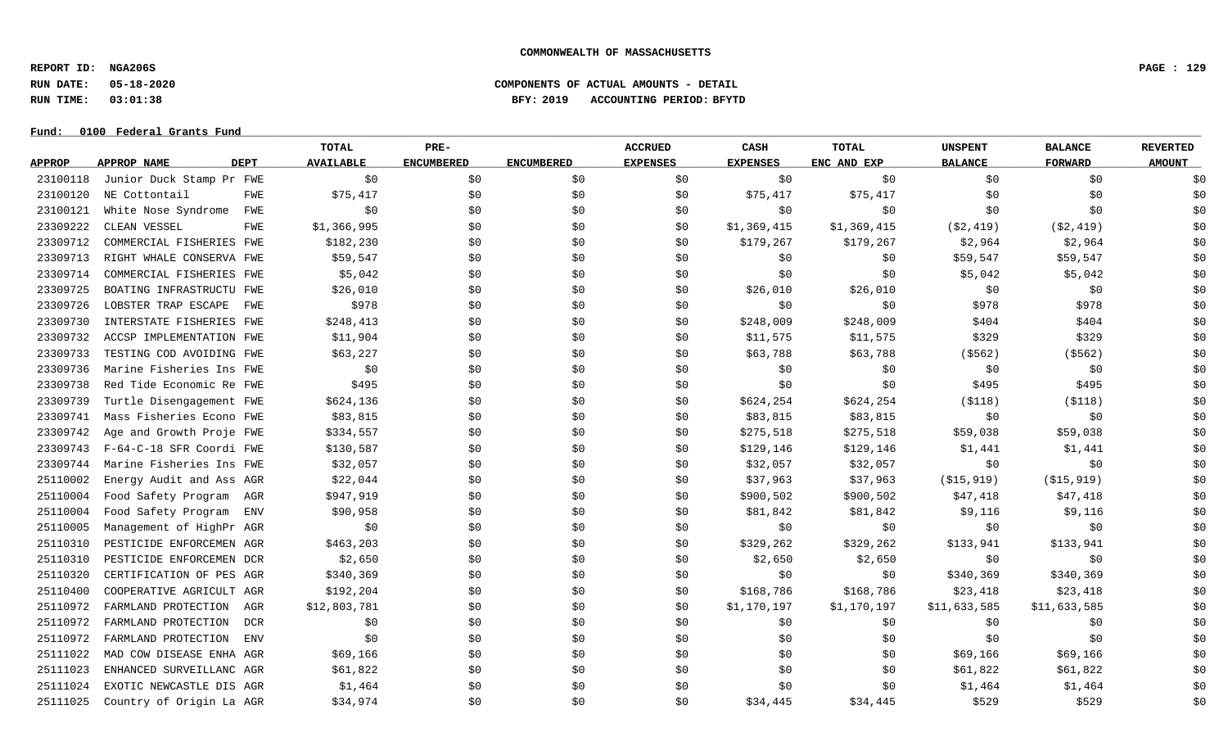**REPORT ID: NGA206S PAGE : 129**

**RUN DATE: 05-18-2020 COMPONENTS OF ACTUAL AMOUNTS - DETAIL**

**RUN TIME: 03:01:38 BFY: 2019 ACCOUNTING PERIOD: BFYTD**

|               |                                   | <b>TOTAL</b>           | PRE-              |                   | <b>ACCRUED</b>  | CASH            | <b>TOTAL</b> | <b>UNSPENT</b> | <b>BALANCE</b> | <b>REVERTED</b> |
|---------------|-----------------------------------|------------------------|-------------------|-------------------|-----------------|-----------------|--------------|----------------|----------------|-----------------|
| <b>APPROP</b> | <b>DEPT</b><br><b>APPROP NAME</b> | <b>AVAILABLE</b>       | <b>ENCUMBERED</b> | <b>ENCUMBERED</b> | <b>EXPENSES</b> | <b>EXPENSES</b> | ENC AND EXP  | <b>BALANCE</b> | <b>FORWARD</b> | <b>AMOUNT</b>   |
| 23100118      | Junior Duck Stamp Pr FWE          | \$0                    | \$0               | \$0\$             | \$0             | \$0             | \$0\$        | \$0            | \$0            | \$0             |
| 23100120      | NE Cottontail                     | \$75,417<br><b>FWE</b> | \$0               | \$0\$             | \$0             | \$75,417        | \$75,417     | \$0            | \$0            | \$0             |
| 23100121      | White Nose Syndrome               | \$0<br>FWE             | \$0               | \$0               | \$0             | \$0             | \$0          | \$0            | \$0            | \$0             |
| 23309222      | CLEAN VESSEL                      | \$1,366,995<br>FWE     | \$0               | \$0               | \$0             | \$1,369,415     | \$1,369,415  | ( \$2, 419)    | ( \$2, 419)    | \$0             |
| 23309712      | COMMERCIAL FISHERIES FWE          | \$182,230              | \$0               | \$0               | \$0             | \$179,267       | \$179,267    | \$2,964        | \$2,964        | \$0             |
| 23309713      | RIGHT WHALE CONSERVA FWE          | \$59,547               | \$0               | \$0               | \$0             | \$0             | \$0\$        | \$59,547       | \$59,547       | \$0             |
| 23309714      | COMMERCIAL FISHERIES FWE          | \$5,042                | \$0               | \$0               | \$0             | \$0             | \$0          | \$5,042        | \$5,042        | \$0             |
| 23309725      | BOATING INFRASTRUCTU FWE          | \$26,010               | \$0               | \$0               | \$0             | \$26,010        | \$26,010     | \$0            | \$0            | \$0             |
| 23309726      | LOBSTER TRAP ESCAPE               | \$978<br>FWE           | \$0               | \$0               | \$0             | \$0             | \$0          | \$978          | \$978          | \$0             |
| 23309730      | INTERSTATE FISHERIES FWE          | \$248,413              | \$0               | \$0\$             | \$0             | \$248,009       | \$248,009    | \$404          | \$404          | \$0             |
| 23309732      | ACCSP IMPLEMENTATION FWE          | \$11,904               | \$0               | \$0               | \$0             | \$11,575        | \$11,575     | \$329          | \$329          | \$0             |
| 23309733      | TESTING COD AVOIDING FWE          | \$63,227               | \$0               | \$0\$             | \$0             | \$63,788        | \$63,788     | ( \$562)       | ( \$562)       | \$0             |
| 23309736      | Marine Fisheries Ins FWE          | \$0                    | \$0               | \$0               | \$0             | \$0             | \$0          | \$0            | \$0            | \$0             |
| 23309738      | Red Tide Economic Re FWE          | \$495                  | \$0               | \$0               | \$0             | \$0             | \$0          | \$495          | \$495          | \$0             |
| 23309739      | Turtle Disengagement FWE          | \$624,136              | \$0               | \$0               | \$0             | \$624,254       | \$624,254    | ( \$118)       | ( \$118)       | \$0             |
| 23309741      | Mass Fisheries Econo FWE          | \$83,815               | \$0               | \$0               | \$0             | \$83,815        | \$83,815     | \$0            | \$0            | \$0             |
| 23309742      | Age and Growth Proje FWE          | \$334,557              | \$0               | \$0               | \$0             | \$275,518       | \$275,518    | \$59,038       | \$59,038       | \$0             |
| 23309743      | F-64-C-18 SFR Coordi FWE          | \$130,587              | \$0               | \$0               | \$0             | \$129,146       | \$129,146    | \$1,441        | \$1,441        | \$0             |
| 23309744      | Marine Fisheries Ins FWE          | \$32,057               | \$0               | \$0               | \$0             | \$32,057        | \$32,057     | \$0            | \$0            | \$0             |
| 25110002      | Energy Audit and Ass AGR          | \$22,044               | \$0               | \$0               | \$0             | \$37,963        | \$37,963     | ( \$15, 919)   | ( \$15, 919)   | \$0             |
| 25110004      | Food Safety Program<br>AGR        | \$947,919              | \$0               | \$0               | \$0             | \$900,502       | \$900,502    | \$47,418       | \$47,418       | \$0             |
| 25110004      | Food Safety Program<br>ENV        | \$90,958               | \$0               | \$0               | \$0             | \$81,842        | \$81,842     | \$9,116        | \$9,116        | \$0             |
| 25110005      | Management of HighPr AGR          | \$0                    | \$0               | \$0\$             | \$0             | \$0             | \$0          | \$0            | \$0            | \$0             |
| 25110310      | PESTICIDE ENFORCEMEN AGR          | \$463,203              | \$0               | \$0               | \$0             | \$329,262       | \$329,262    | \$133,941      | \$133,941      | \$0             |
| 25110310      | PESTICIDE ENFORCEMEN DCR          | \$2,650                | \$0               | \$0               | \$0             | \$2,650         | \$2,650      | \$0            | \$0            | \$0             |
| 25110320      | CERTIFICATION OF PES AGR          | \$340,369              | \$0               | \$0               | \$0             | \$0             | \$0          | \$340,369      | \$340,369      | \$0             |
| 25110400      | COOPERATIVE AGRICULT AGR          | \$192,204              | \$0               | \$0               | \$0             | \$168,786       | \$168,786    | \$23,418       | \$23,418       | \$0             |
| 25110972      | FARMLAND PROTECTION<br>AGR        | \$12,803,781           | \$0               | \$0               | \$0             | \$1,170,197     | \$1,170,197  | \$11,633,585   | \$11,633,585   | \$0             |
| 25110972      | FARMLAND PROTECTION               | \$0<br>DCR             | \$0               | \$0               | \$0             | \$0             | \$0          | \$0            | \$0            | \$0             |
| 25110972      | FARMLAND PROTECTION<br><b>ENV</b> | \$0                    | \$0               | \$0\$             | \$0             | \$0             | \$0          | \$0            | \$0            | \$0             |
| 25111022      | MAD COW DISEASE ENHA AGR          | \$69,166               | \$0               | \$0               | \$0             | \$0             | \$0          | \$69,166       | \$69,166       | \$0             |
| 25111023      | ENHANCED SURVEILLANC AGR          | \$61,822               | \$0               | \$0               | \$0             | \$0             | \$0          | \$61,822       | \$61,822       | \$0             |
| 25111024      | EXOTIC NEWCASTLE DIS AGR          | \$1,464                | \$0               | \$0               | \$0             | \$0             | \$0          | \$1,464        | \$1,464        | \$0             |
| 25111025      | Country of Origin La AGR          | \$34,974               | \$0               | \$0               | \$0             | \$34,445        | \$34,445     | \$529          | \$529          | \$0             |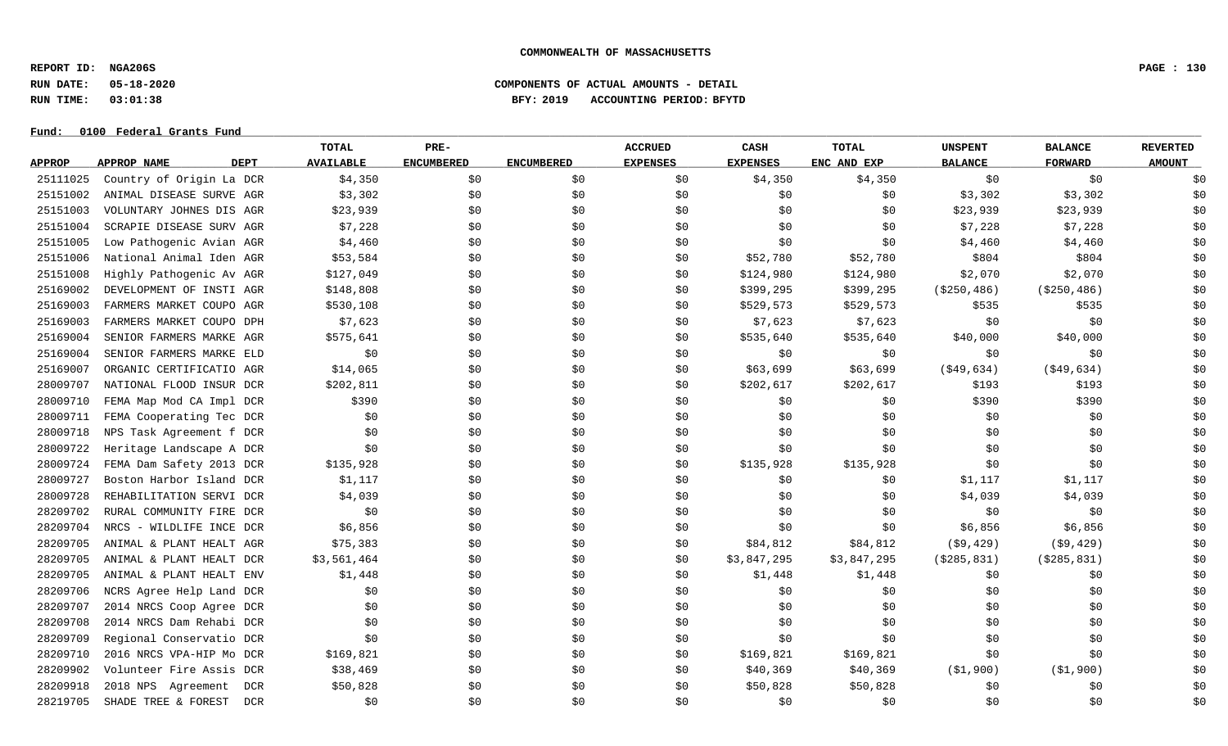**REPORT ID: NGA206S PAGE : 130**

### **RUN DATE: 05-18-2020 COMPONENTS OF ACTUAL AMOUNTS - DETAIL RUN TIME: 03:01:38 BFY: 2019 ACCOUNTING PERIOD: BFYTD**

|               |                                   | <b>TOTAL</b>     | PRE-              |                   | <b>ACCRUED</b>  | CASH            | <b>TOTAL</b> | <b>UNSPENT</b> | <b>BALANCE</b> | <b>REVERTED</b> |
|---------------|-----------------------------------|------------------|-------------------|-------------------|-----------------|-----------------|--------------|----------------|----------------|-----------------|
| <b>APPROP</b> | <b>DEPT</b><br><b>APPROP NAME</b> | <b>AVAILABLE</b> | <b>ENCUMBERED</b> | <b>ENCUMBERED</b> | <b>EXPENSES</b> | <b>EXPENSES</b> | ENC AND EXP  | <b>BALANCE</b> | <b>FORWARD</b> | <b>AMOUNT</b>   |
| 25111025      | Country of Origin La DCR          | \$4,350          | \$0               | \$0               | \$0             | \$4,350         | \$4,350      | \$0            | \$0            | \$0             |
| 25151002      | ANIMAL DISEASE SURVE AGR          | \$3,302          | \$0               | \$0               | \$0             | \$0             | \$0          | \$3,302        | \$3,302        | \$0             |
| 25151003      | VOLUNTARY JOHNES DIS AGR          | \$23,939         | \$0               | \$0               | \$0             | \$0             | \$0          | \$23,939       | \$23,939       | \$0             |
| 25151004      | SCRAPIE DISEASE SURV AGR          | \$7,228          | \$0               | \$0               | \$0             | \$0             | \$0          | \$7,228        | \$7,228        | \$0             |
| 25151005      | Low Pathogenic Avian AGR          | \$4,460          | \$0               | \$0               | \$0             | \$0             | \$0          | \$4,460        | \$4,460        | \$0             |
| 25151006      | National Animal Iden AGR          | \$53,584         | \$0               | \$0               | \$0             | \$52,780        | \$52,780     | \$804          | \$804          | \$0             |
| 25151008      | Highly Pathogenic Av AGR          | \$127,049        | \$0               | \$0               | \$0             | \$124,980       | \$124,980    | \$2,070        | \$2,070        | \$0             |
| 25169002      | DEVELOPMENT OF INSTI AGR          | \$148,808        | \$0               | \$0               | \$0             | \$399,295       | \$399,295    | ( \$250, 486)  | ( \$250, 486)  | \$0             |
| 25169003      | FARMERS MARKET COUPO AGR          | \$530,108        | \$0               | \$0               | \$0             | \$529,573       | \$529,573    | \$535          | \$535          | \$0             |
| 25169003      | FARMERS MARKET COUPO DPH          | \$7,623          | \$0               | \$0               | \$0             | \$7,623         | \$7,623      | \$0            | \$0            | \$0             |
| 25169004      | SENIOR FARMERS MARKE AGR          | \$575,641        | \$0               | \$0               | \$0             | \$535,640       | \$535,640    | \$40,000       | \$40,000       | \$0             |
| 25169004      | SENIOR FARMERS MARKE ELD          | \$0              | \$0               | \$0               | \$0             | \$0             | \$0          | \$0            | \$0            | \$0             |
| 25169007      | ORGANIC CERTIFICATIO AGR          | \$14,065         | \$0               | \$0               | \$0             | \$63,699        | \$63,699     | ( \$49, 634)   | $($ \$49,634)  | \$0             |
| 28009707      | NATIONAL FLOOD INSUR DCR          | \$202,811        | \$0               | \$0               | \$0             | \$202,617       | \$202,617    | \$193          | \$193          | \$0             |
| 28009710      | FEMA Map Mod CA Impl DCR          | \$390            | \$0               | \$0               | \$0             | \$0             | \$0          | \$390          | \$390          | \$0             |
| 28009711      | FEMA Cooperating Tec DCR          | \$0              | \$0               | \$0               | \$0             | \$0             | \$0          | \$0            | \$0            | \$0             |
| 28009718      | NPS Task Agreement f DCR          | \$0              | \$0               | \$0               | \$0             | \$0             | \$0          | \$0            | \$0            | \$0             |
| 28009722      | Heritage Landscape A DCR          | \$0              | \$0               | \$0               | \$0             | \$0             | \$0          | \$0            | \$0            | \$0             |
| 28009724      | FEMA Dam Safety 2013 DCR          | \$135,928        | \$0               | \$0               | \$0             | \$135,928       | \$135,928    | \$0            | \$0            | \$0             |
| 28009727      | Boston Harbor Island DCR          | \$1,117          | \$0               | \$0               | \$0             | \$0             | \$0          | \$1,117        | \$1,117        | \$0             |
| 28009728      | REHABILITATION SERVI DCR          | \$4,039          | \$0               | \$0               | \$0             | \$0             | \$0          | \$4,039        | \$4,039        | \$0             |
| 28209702      | RURAL COMMUNITY FIRE DCR          | \$0              | \$0               | \$0               | \$0             | \$0             | \$0          | \$0            | \$0            | \$0             |
| 28209704      | NRCS - WILDLIFE INCE DCR          | \$6,856          | \$0               | \$0               | \$0             | \$0             | \$0          | \$6,856        | \$6,856        | \$0             |
| 28209705      | ANIMAL & PLANT HEALT AGR          | \$75,383         | \$0               | \$0               | \$0             | \$84,812        | \$84,812     | ( \$9, 429)    | ( \$9, 429)    | \$0             |
| 28209705      | ANIMAL & PLANT HEALT DCR          | \$3,561,464      | \$0               | \$0               | \$0             | \$3,847,295     | \$3,847,295  | ( \$285, 831)  | ( \$285, 831)  | \$0             |
| 28209705      | ANIMAL & PLANT HEALT ENV          | \$1,448          | \$0               | \$0               | \$0             | \$1,448         | \$1,448      | \$0            | \$0            | \$0             |
| 28209706      | NCRS Agree Help Land DCR          | \$0              | \$0               | \$0               | \$0             | \$0             | \$0          | \$0            | \$0            | \$0             |
| 28209707      | 2014 NRCS Coop Agree DCR          | \$0              | \$0               | \$0               | \$0             | \$0             | \$0          | \$0            | \$0            | \$0             |
| 28209708      | 2014 NRCS Dam Rehabi DCR          | \$0              | \$0               | \$0               | \$0             | \$0             | \$0          | \$0            | \$0            | \$0             |
| 28209709      | Regional Conservatio DCR          | \$0              | \$0               | \$0               | \$0             | \$0             | \$0          | \$0            | \$0            | \$0             |
| 28209710      | 2016 NRCS VPA-HIP Mo DCR          | \$169,821        | \$0               | \$0               | \$0             | \$169,821       | \$169,821    | \$0            | \$0            | \$0             |
| 28209902      | Volunteer Fire Assis DCR          | \$38,469         | \$0               | \$0               | \$0             | \$40,369        | \$40,369     | ( \$1, 900)    | (\$1,900)      | \$0             |
| 28209918      | 2018 NPS Agreement<br>DCR         | \$50,828         | \$0               | \$0               | \$0             | \$50,828        | \$50,828     | \$0            | \$0            | \$0             |
| 28219705      | SHADE TREE & FOREST<br>DCR        | \$0              | \$0               | \$0               | \$0             | \$0             | \$0          | \$0            | \$0            | \$0             |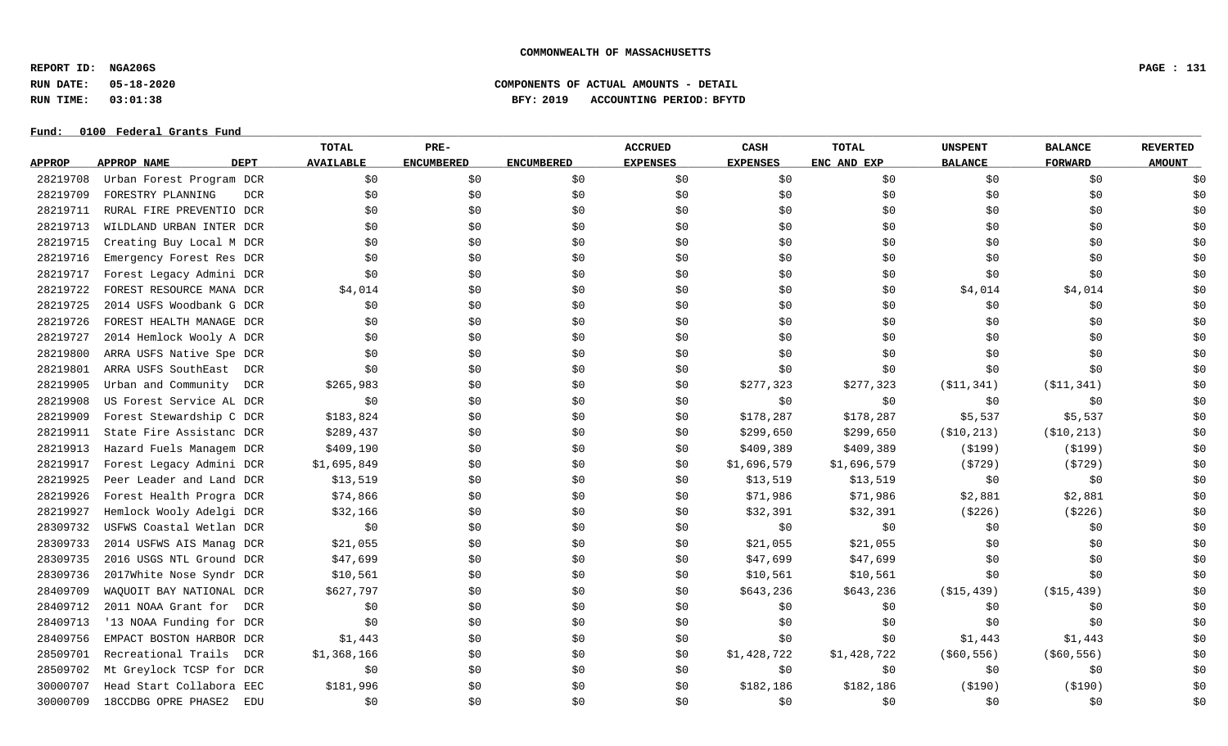**REPORT ID: NGA206S PAGE : 131**

# **RUN DATE: 05-18-2020 COMPONENTS OF ACTUAL AMOUNTS - DETAIL RUN TIME: 03:01:38 BFY: 2019 ACCOUNTING PERIOD: BFYTD**

|               |                                   | TOTAL            | PRE-              |                   | <b>ACCRUED</b>  | CASH            | <b>TOTAL</b> | <b>UNSPENT</b> | <b>BALANCE</b> | <b>REVERTED</b> |
|---------------|-----------------------------------|------------------|-------------------|-------------------|-----------------|-----------------|--------------|----------------|----------------|-----------------|
| <b>APPROP</b> | <b>APPROP NAME</b><br><b>DEPT</b> | <b>AVAILABLE</b> | <b>ENCUMBERED</b> | <b>ENCUMBERED</b> | <b>EXPENSES</b> | <b>EXPENSES</b> | ENC AND EXP  | <b>BALANCE</b> | <b>FORWARD</b> | <b>AMOUNT</b>   |
| 28219708      | Urban Forest Program DCR          | \$0              | \$0               | \$0               | \$0             | \$0             | \$0          | \$0            | \$0            | \$0             |
| 28219709      | FORESTRY PLANNING<br><b>DCR</b>   | \$0              | \$0               | \$0               | \$0             | \$0             | \$0          | \$0            | \$0            | \$0             |
| 28219711      | RURAL FIRE PREVENTIO DCR          | \$0              | \$0               | \$0               | \$0             | \$0             | \$0          | \$0            | \$0            | \$0             |
| 28219713      | WILDLAND URBAN INTER DCR          | \$0              | \$0               | \$0               | \$0             | \$0             | \$0          | \$0            | \$0            | \$0             |
| 28219715      | Creating Buy Local M DCR          | \$0              | \$0               | \$0               | \$0             | \$0             | \$0          | \$0            | \$0            | \$0             |
| 28219716      | Emergency Forest Res DCR          | \$0              | \$0               | \$0               | \$0             | \$0             | \$0          | \$0            | \$0            | \$0             |
| 28219717      | Forest Legacy Admini DCR          | \$0              | \$0               | \$0               | \$0             | \$0             | \$0          | \$0            | \$0            | \$0             |
| 28219722      | FOREST RESOURCE MANA DCR          | \$4,014          | \$0               | \$0               | \$0             | \$0             | \$0          | \$4,014        | \$4,014        | \$0             |
| 28219725      | 2014 USFS Woodbank G DCR          | \$0              | \$0               | \$0               | \$0             | \$0             | \$0          | \$0            | \$0            | \$0             |
| 28219726      | FOREST HEALTH MANAGE DCR          | \$0              | \$0               | \$0               | \$0             | \$0             | \$0          | \$0            | \$0            | \$0             |
| 28219727      | 2014 Hemlock Wooly A DCR          | \$0              | \$0               | \$0               | \$0             | \$0             | \$0          | \$0            | \$0            | \$0             |
| 28219800      | ARRA USFS Native Spe DCR          | \$0              | \$0               | \$0               | \$0             | \$0             | \$0          | \$0            | \$0            | \$0             |
| 28219801      | ARRA USFS SouthEast DCR           | \$0              | \$0               | \$0               | \$0             | \$0             | \$0          | \$0            | \$0            | \$0             |
| 28219905      | Urban and Community<br>DCR        | \$265,983        | \$0               | \$0               | \$0             | \$277,323       | \$277,323    | ( \$11, 341)   | ( \$11, 341)   | \$0             |
| 28219908      | US Forest Service AL DCR          | \$0              | \$0               | \$0               | \$0             | \$0             | \$0          | \$0            | \$0            | \$0             |
| 28219909      | Forest Stewardship C DCR          | \$183,824        | \$0               | \$0               | \$0             | \$178,287       | \$178,287    | \$5,537        | \$5,537        | \$0             |
| 28219911      | State Fire Assistanc DCR          | \$289,437        | \$0               | \$0               | \$0             | \$299,650       | \$299,650    | ( \$10, 213)   | ( \$10, 213)   | \$0             |
| 28219913      | Hazard Fuels Managem DCR          | \$409,190        | \$0               | \$0               | \$0             | \$409,389       | \$409,389    | ( \$199)       | ( \$199)       | \$0             |
| 28219917      | Forest Legacy Admini DCR          | \$1,695,849      | \$0               | \$0               | \$0             | \$1,696,579     | \$1,696,579  | ( \$729)       | (5729)         | \$0             |
| 28219925      | Peer Leader and Land DCR          | \$13,519         | \$0               | \$0               | \$0             | \$13,519        | \$13,519     | \$0            | \$0            | \$0             |
| 28219926      | Forest Health Progra DCR          | \$74,866         | \$0               | \$0               | \$0             | \$71,986        | \$71,986     | \$2,881        | \$2,881        | \$0             |
| 28219927      | Hemlock Wooly Adelgi DCR          | \$32,166         | \$0               | \$0               | \$0             | \$32,391        | \$32,391     | ( \$226)       | ( \$226)       | \$0             |
| 28309732      | USFWS Coastal Wetlan DCR          | \$0\$            | \$0               | \$0               | \$0             | \$0             | \$0          | \$0            | \$0            | \$0             |
| 28309733      | 2014 USFWS AIS Manag DCR          | \$21,055         | \$0               | \$0               | \$0             | \$21,055        | \$21,055     | \$0            | \$0            | \$0             |
| 28309735      | 2016 USGS NTL Ground DCR          | \$47,699         | \$0               | \$0               | \$0             | \$47,699        | \$47,699     | \$0            | \$0            | \$0             |
| 28309736      | 2017White Nose Syndr DCR          | \$10,561         | \$0               | \$0               | \$0             | \$10,561        | \$10,561     | \$0            | \$0            | \$0             |
| 28409709      | WAQUOIT BAY NATIONAL DCR          | \$627,797        | \$0               | \$0               | \$0             | \$643,236       | \$643,236    | ( \$15, 439)   | ( \$15, 439)   | \$0             |
| 28409712      | 2011 NOAA Grant for DCR           | \$0              | \$0               | \$0               | \$0             | \$0             | \$0          | \$0            | \$0            | \$0             |
| 28409713      | '13 NOAA Funding for DCR          | \$0              | \$0               | \$0               | \$0             | \$0             | \$0          | \$0            | \$0            | \$0             |
| 28409756      | EMPACT BOSTON HARBOR DCR          | \$1,443          | \$0               | \$0               | \$0             | \$0             | \$0          | \$1,443        | \$1,443        | \$0             |
| 28509701      | Recreational Trails DCR           | \$1,368,166      | \$0               | \$0               | \$0             | \$1,428,722     | \$1,428,722  | ( \$60, 556)   | ( \$60, 556)   | \$0             |
| 28509702      | Mt Greylock TCSP for DCR          | \$0              | \$0               | \$0               | \$0             | \$0             | \$0          | \$0            | \$0            | \$0             |
| 30000707      | Head Start Collabora EEC          | \$181,996        | \$0               | \$0               | \$0             | \$182,186       | \$182,186    | ( \$190)       | ( \$190)       | \$0             |
| 30000709      | 18CCDBG OPRE PHASE2<br><b>EDU</b> | \$0              | \$0               | \$0               | \$0             | \$0             | \$0          | \$0            | \$0            | \$0             |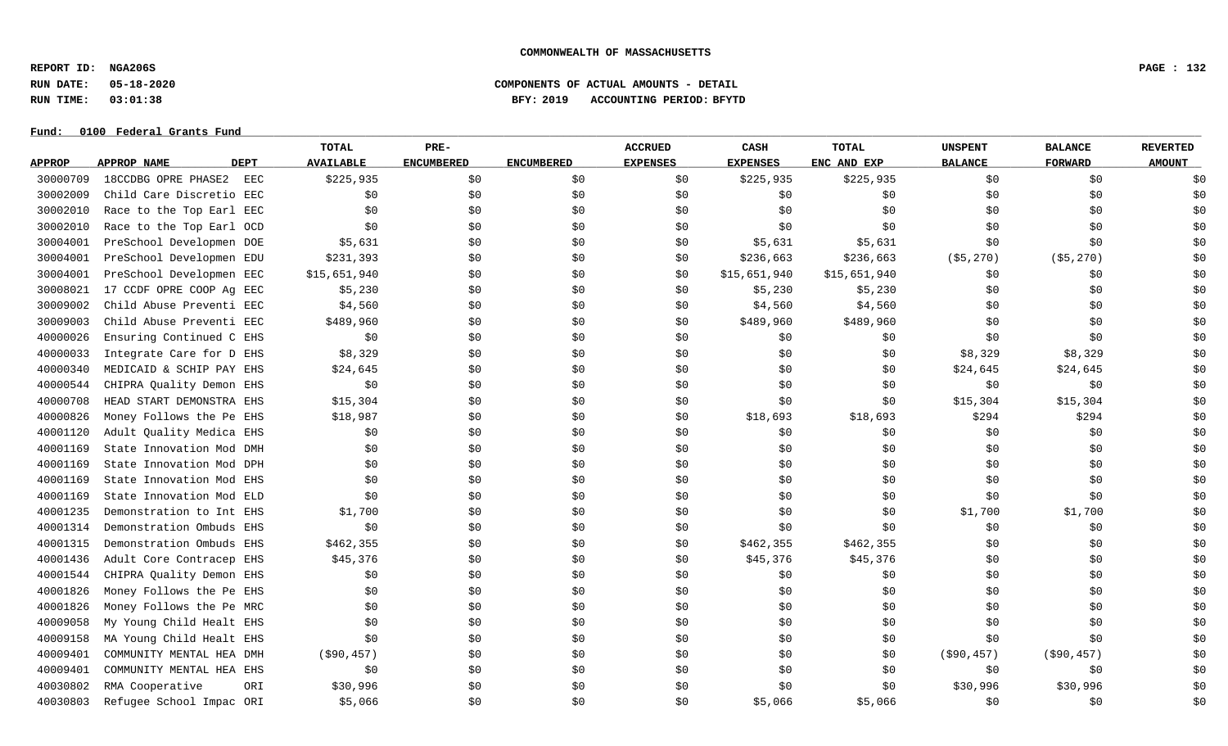**REPORT ID: NGA206S PAGE : 132**

**RUN DATE: 05-18-2020 COMPONENTS OF ACTUAL AMOUNTS - DETAIL**

# **RUN TIME: 03:01:38 BFY: 2019 ACCOUNTING PERIOD: BFYTD**

|               |                            | TOTAL            | PRE-              |                   | <b>ACCRUED</b>  | <b>CASH</b>     | TOTAL        | <b>UNSPENT</b> | <b>BALANCE</b> | <b>REVERTED</b> |
|---------------|----------------------------|------------------|-------------------|-------------------|-----------------|-----------------|--------------|----------------|----------------|-----------------|
| <b>APPROP</b> | APPROP NAME<br><b>DEPT</b> | <b>AVAILABLE</b> | <b>ENCUMBERED</b> | <b>ENCUMBERED</b> | <b>EXPENSES</b> | <b>EXPENSES</b> | ENC AND EXP  | <b>BALANCE</b> | <b>FORWARD</b> | <b>AMOUNT</b>   |
| 30000709      | 18CCDBG OPRE PHASE2<br>EEC | \$225,935        | \$0               | \$0               | \$0             | \$225,935       | \$225,935    | \$0            | \$0            | \$0             |
| 30002009      | Child Care Discretio EEC   | \$0              | \$0               | \$0               | \$0             | \$0             | \$0          | \$0            | \$0            | \$0             |
| 30002010      | Race to the Top Earl EEC   | \$0              | \$0               | \$0               | \$0             | \$0             | \$0          | \$0            | \$0            | \$0             |
| 30002010      | Race to the Top Earl OCD   | \$0              | \$0               | \$0               | \$0             | \$0             | \$0          | \$0            | \$0            | \$0             |
| 30004001      | PreSchool Developmen DOE   | \$5,631          | \$0               | \$0               | \$0             | \$5,631         | \$5,631      | \$0            | \$0            | \$0             |
| 30004001      | PreSchool Developmen EDU   | \$231,393        | \$0               | \$0               | \$0             | \$236,663       | \$236,663    | ( \$5, 270)    | ( \$5, 270)    | \$0             |
| 30004001      | PreSchool Developmen EEC   | \$15,651,940     | \$0               | \$0               | \$0             | \$15,651,940    | \$15,651,940 | \$0            | \$0            | \$0             |
| 30008021      | 17 CCDF OPRE COOP Ag EEC   | \$5,230          | \$0               | \$0               | \$0             | \$5,230         | \$5,230      | \$0            | \$0            | \$0             |
| 30009002      | Child Abuse Preventi EEC   | \$4,560          | \$0               | \$0               | \$0             | \$4,560         | \$4,560      | \$0            | \$0            | \$0             |
| 30009003      | Child Abuse Preventi EEC   | \$489,960        | \$0               | \$0               | \$0             | \$489,960       | \$489,960    | \$0            | \$0            | \$0             |
| 40000026      | Ensuring Continued C EHS   | \$0              | \$0               | \$0               | \$0             | \$0             | \$0\$        | \$0            | \$0            | \$0             |
| 40000033      | Integrate Care for D EHS   | \$8,329          | \$0\$             | \$0               | \$0             | \$0             | \$0\$        | \$8,329        | \$8,329        | \$0             |
| 40000340      | MEDICAID & SCHIP PAY EHS   | \$24,645         | \$0               | \$0               | \$0             | \$0             | \$0          | \$24,645       | \$24,645       | \$0             |
| 40000544      | CHIPRA Quality Demon EHS   | \$0              | \$0               | \$0               | \$0             | \$0             | \$0          | \$0            | \$0            | \$0             |
| 40000708      | HEAD START DEMONSTRA EHS   | \$15,304         | \$0               | \$0               | \$0             | \$0             | \$0          | \$15,304       | \$15,304       | \$0             |
| 40000826      | Money Follows the Pe EHS   | \$18,987         | \$0               | \$0               | \$0             | \$18,693        | \$18,693     | \$294          | \$294          | \$0             |
| 40001120      | Adult Quality Medica EHS   | \$0              | \$0               | \$0               | \$0             | \$0             | \$0\$        | \$0            | \$0            | \$0             |
| 40001169      | State Innovation Mod DMH   | \$0              | \$0               | \$0               | \$0             | \$0             | \$0          | \$0            | \$0            | \$0             |
| 40001169      | State Innovation Mod DPH   | \$0              | \$0               | \$0               | \$0             | \$0             | \$0          | \$0            | \$0            | \$0             |
| 40001169      | State Innovation Mod EHS   | \$0              | \$0               | \$0               | \$0             | \$0             | \$0          | \$0            | \$0            | \$0             |
| 40001169      | State Innovation Mod ELD   | \$0              | \$0               | \$0               | \$0             | \$0             | \$0          | \$0            | \$0            | \$0             |
| 40001235      | Demonstration to Int EHS   | \$1,700          | \$0               | \$0               | \$0             | \$0             | \$0          | \$1,700        | \$1,700        | \$0             |
| 40001314      | Demonstration Ombuds EHS   | \$0              | \$0               | \$0               | \$0             | \$0             | \$0          | \$0            | \$0            | \$0             |
| 40001315      | Demonstration Ombuds EHS   | \$462,355        | \$0               | \$0               | \$0             | \$462,355       | \$462,355    | \$0            | \$0            | \$0             |
| 40001436      | Adult Core Contracep EHS   | \$45,376         | \$0               | \$0               | \$0             | \$45,376        | \$45,376     | \$0            | \$0            | \$0             |
| 40001544      | CHIPRA Quality Demon EHS   | \$0              | \$0               | \$0               | \$0             | \$0             | \$0          | \$0            | \$0            | \$0             |
| 40001826      | Money Follows the Pe EHS   | \$0              | \$0               | \$0               | \$0             | \$0             | \$0          | \$0            | \$0            | \$0             |
| 40001826      | Money Follows the Pe MRC   | \$0              | \$0               | \$0               | \$0             | \$0             | \$0          | \$0            | \$0            | \$0             |
| 40009058      | My Young Child Healt EHS   | \$0              | \$0               | \$0               | \$0             | \$0             | \$0          | \$0            | \$0            | \$0             |
| 40009158      | MA Young Child Healt EHS   | \$0              | \$0               | \$0               | \$0             | \$0             | \$0          | \$0            | \$0            | \$0             |
| 40009401      | COMMUNITY MENTAL HEA DMH   | $($ \$90,457)    | \$0               | \$0               | \$0             | \$0             | \$0          | ( \$90, 457)   | ( \$90, 457)   | \$0             |
| 40009401      | COMMUNITY MENTAL HEA EHS   | \$0              | \$0               | \$0               | \$0             | \$0             | \$0          | \$0            | \$0            | \$0             |
| 40030802      | RMA Cooperative<br>ORI     | \$30,996         | \$0               | \$0               | \$0             | \$0             | \$0          | \$30,996       | \$30,996       | \$0             |
| 40030803      | Refugee School Impac ORI   | \$5,066          | \$0               | \$0               | \$0             | \$5,066         | \$5,066      | \$0            | \$0            | \$0             |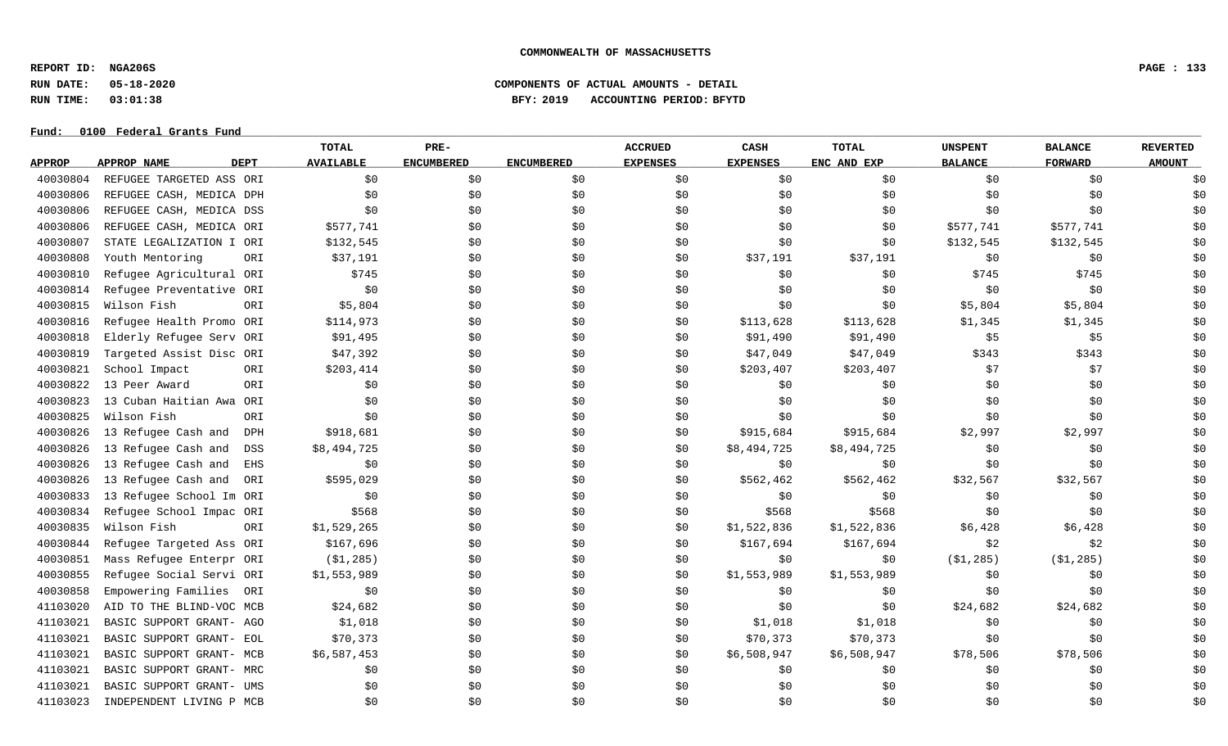**REPORT ID: NGA206S PAGE : 133**

# **RUN DATE: 05-18-2020 COMPONENTS OF ACTUAL AMOUNTS - DETAIL RUN TIME: 03:01:38 BFY: 2019 ACCOUNTING PERIOD: BFYTD**

|               |                                   | <b>TOTAL</b>     | PRE-              |                   | <b>ACCRUED</b>  | CASH            | <b>TOTAL</b> | <b>UNSPENT</b> | <b>BALANCE</b> | <b>REVERTED</b> |
|---------------|-----------------------------------|------------------|-------------------|-------------------|-----------------|-----------------|--------------|----------------|----------------|-----------------|
| <b>APPROP</b> | <b>APPROP NAME</b><br><b>DEPT</b> | <b>AVAILABLE</b> | <b>ENCUMBERED</b> | <b>ENCUMBERED</b> | <b>EXPENSES</b> | <b>EXPENSES</b> | ENC AND EXP  | <b>BALANCE</b> | <b>FORWARD</b> | <b>AMOUNT</b>   |
| 40030804      | REFUGEE TARGETED ASS ORI          | \$0              | \$0               | \$0               | \$0             | \$0             | \$0          | \$0            | \$0            | \$0             |
| 40030806      | REFUGEE CASH, MEDICA DPH          | \$0              | \$0               | \$0               | \$0             | \$0             | \$0          | \$0            | \$0            | \$0             |
| 40030806      | REFUGEE CASH, MEDICA DSS          | \$0              | \$0               | \$0               | \$0             | \$0             | \$0          | \$0            | \$0            | \$0             |
| 40030806      | REFUGEE CASH, MEDICA ORI          | \$577,741        | \$0               | \$0               | \$0             | \$0             | \$0          | \$577,741      | \$577,741      | \$0             |
| 40030807      | STATE LEGALIZATION I ORI          | \$132,545        | \$0               | \$0               | \$0             | \$0             | \$0          | \$132,545      | \$132,545      | \$0             |
| 40030808      | Youth Mentoring<br>ORI            | \$37,191         | \$0               | \$0               | \$0             | \$37,191        | \$37,191     | \$0            | \$0            | \$0             |
| 40030810      | Refugee Agricultural ORI          | \$745            | \$0               | \$0               | \$0             | \$0             | \$0          | \$745          | \$745          | \$0             |
| 40030814      | Refugee Preventative ORI          | \$0              | \$0               | \$0               | \$0             | \$0             | \$0\$        | \$0            | \$0            | \$0             |
| 40030815      | Wilson Fish<br>ORI                | \$5,804          | \$0               | \$0               | \$0             | \$0             | \$0          | \$5,804        | \$5,804        | \$0             |
| 40030816      | Refugee Health Promo ORI          | \$114,973        | \$0               | \$0               | \$0             | \$113,628       | \$113,628    | \$1,345        | \$1,345        | \$0             |
| 40030818      | Elderly Refugee Serv ORI          | \$91,495         | \$0               | \$0               | \$0             | \$91,490        | \$91,490     | \$5            | \$5            | \$0             |
| 40030819      | Targeted Assist Disc ORI          | \$47,392         | \$0               | \$0               | \$0             | \$47,049        | \$47,049     | \$343          | \$343          | \$0             |
| 40030821      | School Impact<br>ORI              | \$203,414        | \$0               | \$0               | \$0             | \$203,407       | \$203,407    | \$7            | \$7            | \$0             |
| 40030822      | 13 Peer Award<br>ORI              | \$0              | \$0\$             | \$0               | \$0             | \$0             | \$0          | \$0            | \$0            | \$0             |
| 40030823      | 13 Cuban Haitian Awa<br>ORI       | \$0              | \$0               | \$0               | \$0             | \$0             | \$0          | \$0            | \$0            | \$0             |
| 40030825      | Wilson Fish<br>ORI                | \$0              | \$0               | \$0               | \$0             | \$0             | \$0\$        | \$0            | \$0            | \$0             |
| 40030826      | 13 Refugee Cash and<br><b>DPH</b> | \$918,681        | \$0               | \$0               | \$0             | \$915,684       | \$915,684    | \$2,997        | \$2,997        | \$0             |
| 40030826      | 13 Refugee Cash and<br>DSS        | \$8,494,725      | \$0               | \$0               | \$0             | \$8,494,725     | \$8,494,725  | \$0            | \$0            | \$0             |
| 40030826      | 13 Refugee Cash and<br><b>EHS</b> | \$0              | \$0               | \$0               | \$0             | \$0             | \$0          | \$0            | \$0            | \$0             |
| 40030826      | 13 Refugee Cash and<br>ORI        | \$595,029        | \$0               | \$0               | \$0             | \$562,462       | \$562,462    | \$32,567       | \$32,567       | \$0             |
| 40030833      | 13 Refugee School Im ORI          | \$0              | \$0               | \$0               | \$0             | \$0             | \$0          | \$0            | \$0            | \$0             |
| 40030834      | Refugee School Impac ORI          | \$568            | \$0               | \$0               | \$0             | \$568           | \$568        | \$0            | \$0            | \$0             |
| 40030835      | Wilson Fish<br>ORI                | \$1,529,265      | \$0               | \$0               | \$0             | \$1,522,836     | \$1,522,836  | \$6,428        | \$6,428        | \$0             |
| 40030844      | Refugee Targeted Ass ORI          | \$167,696        | \$0\$             | \$0               | \$0             | \$167,694       | \$167,694    | \$2            | \$2            | \$0             |
| 40030851      | Mass Refugee Enterpr ORI          | ( \$1, 285)      | \$0\$             | \$0               | \$0             | \$0             | \$0          | ( \$1, 285)    | ( \$1, 285)    | \$0             |
| 40030855      | Refugee Social Servi ORI          | \$1,553,989      | \$0               | \$0               | \$0             | \$1,553,989     | \$1,553,989  | \$0            | \$0            | \$0             |
| 40030858      | Empowering Families<br>ORI        | \$0              | \$0               | \$0               | \$0             | \$0             | \$0          | \$0            | \$0            | \$0             |
| 41103020      | AID TO THE BLIND-VOC MCB          | \$24,682         | \$0               | \$0               | \$0             | \$0             | \$0          | \$24,682       | \$24,682       | \$0             |
| 41103021      | BASIC SUPPORT GRANT- AGO          | \$1,018          | \$0               | \$0               | \$0             | \$1,018         | \$1,018      | \$0            | \$0            | \$0             |
| 41103021      | BASIC SUPPORT GRANT- EOL          | \$70,373         | \$0               | \$0               | \$0             | \$70,373        | \$70,373     | \$0            | \$0            | \$0             |
| 41103021      | BASIC SUPPORT GRANT- MCB          | \$6,587,453      | \$0               | \$0               | \$0             | \$6,508,947     | \$6,508,947  | \$78,506       | \$78,506       | \$0             |
| 41103021      | BASIC SUPPORT GRANT- MRC          | \$0              | \$0               | \$0               | \$0             | \$0             | \$0          | \$0            | \$0            | \$0             |
| 41103021      | BASIC SUPPORT GRANT- UMS          | \$0              | \$0               | \$0               | \$0             | \$0             | \$0          | \$0            | \$0            | \$0             |
| 41103023      | INDEPENDENT LIVING P MCB          | \$0              | \$0               | \$0               | \$0             | \$0             | \$0          | \$0            | \$0            | \$0             |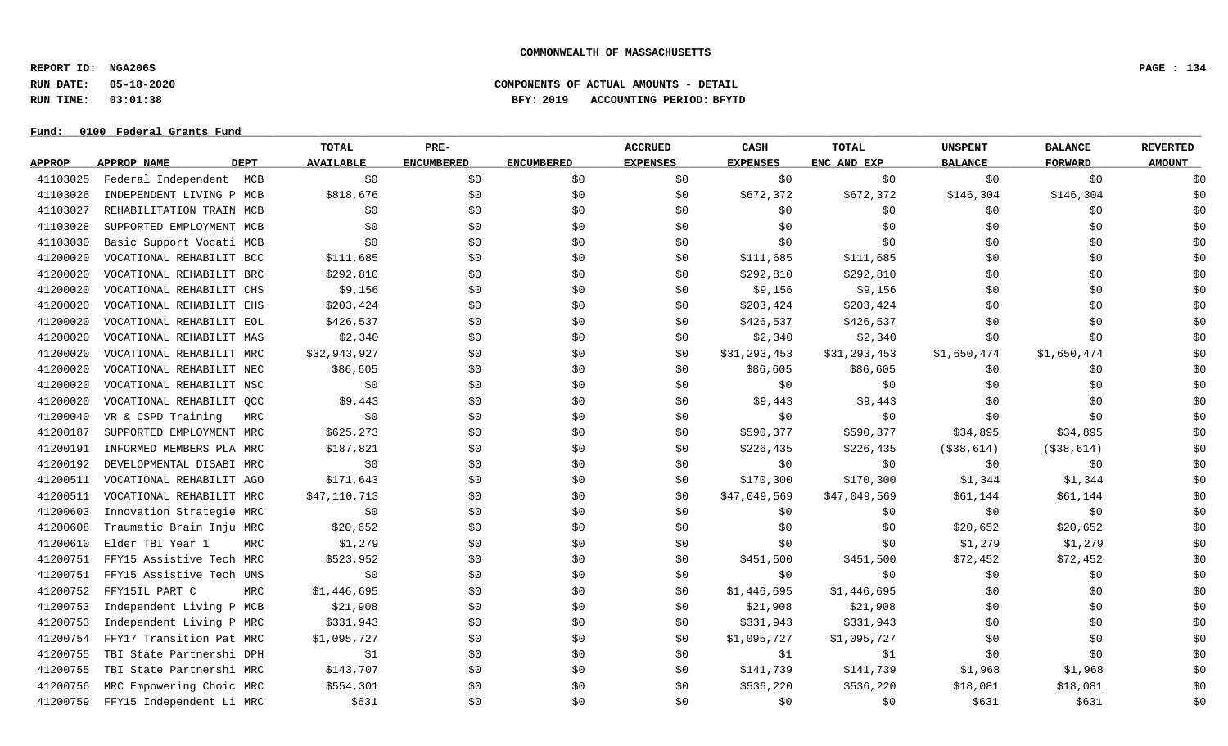**REPORT ID: NGA206S PAGE : 134**

**RUN DATE: 05-18-2020 COMPONENTS OF ACTUAL AMOUNTS - DETAIL**

**RUN TIME: 03:01:38 BFY: 2019 ACCOUNTING PERIOD: BFYTD**

|               |                            | <b>TOTAL</b>     | PRE-              |                   | <b>ACCRUED</b>  | <b>CASH</b>     | <b>TOTAL</b> | <b>UNSPENT</b> | <b>BALANCE</b> | <b>REVERTED</b> |
|---------------|----------------------------|------------------|-------------------|-------------------|-----------------|-----------------|--------------|----------------|----------------|-----------------|
| <b>APPROP</b> | APPROP NAME<br><b>DEPT</b> | <b>AVAILABLE</b> | <b>ENCUMBERED</b> | <b>ENCUMBERED</b> | <b>EXPENSES</b> | <b>EXPENSES</b> | ENC AND EXP  | <b>BALANCE</b> | <b>FORWARD</b> | <b>AMOUNT</b>   |
| 41103025      | Federal Independent MCB    | \$0              | \$0               | \$0               | \$0             | \$0             | \$0\$        | \$0            | \$0            | \$0             |
| 41103026      | INDEPENDENT LIVING P MCB   | \$818,676        | \$0               | \$0               | \$0             | \$672,372       | \$672,372    | \$146,304      | \$146,304      | \$0             |
| 41103027      | REHABILITATION TRAIN MCB   | \$0              | \$0               | \$0               | \$0             | \$0             | \$0          | \$0            | \$0            | \$0             |
| 41103028      | SUPPORTED EMPLOYMENT MCB   | \$0              | \$0               | \$0               | \$0             | \$0             | \$0          | \$0            | \$0            | \$0             |
| 41103030      | Basic Support Vocati MCB   | \$0              | \$0               | \$0               | \$0             | \$0             | \$0          | \$0            | \$0            | \$0             |
| 41200020      | VOCATIONAL REHABILIT BCC   | \$111,685        | \$0               | \$0               | \$0             | \$111,685       | \$111,685    | \$0            | \$0            | \$0             |
| 41200020      | VOCATIONAL REHABILIT BRC   | \$292,810        | \$0               | \$0               | \$0             | \$292,810       | \$292,810    | \$0            | \$0            | \$0             |
| 41200020      | VOCATIONAL REHABILIT CHS   | \$9,156          | \$0               | \$0               | \$0             | \$9,156         | \$9,156      | \$0            | \$0            | \$0             |
| 41200020      | VOCATIONAL REHABILIT EHS   | \$203,424        | \$0               | \$0               | \$0             | \$203,424       | \$203,424    | \$0            | \$0            | \$0             |
| 41200020      | VOCATIONAL REHABILIT EOL   | \$426,537        | \$0               | \$0               | \$0             | \$426,537       | \$426,537    | \$0            | \$0            | \$0             |
| 41200020      | VOCATIONAL REHABILIT MAS   | \$2,340          | \$0               | \$0               | \$0             | \$2,340         | \$2,340      | \$0            | \$0            | \$0             |
| 41200020      | VOCATIONAL REHABILIT MRC   | \$32,943,927     | \$0               | \$0               | \$0             | \$31,293,453    | \$31,293,453 | \$1,650,474    | \$1,650,474    | \$0             |
| 41200020      | VOCATIONAL REHABILIT NEC   | \$86,605         | \$0               | \$0               | \$0             | \$86,605        | \$86,605     | \$0            | \$0            | \$0             |
| 41200020      | VOCATIONAL REHABILIT NSC   | \$0              | \$0               | \$0               | \$0             | \$0             | \$0          | \$0            | \$0            | \$0             |
| 41200020      | VOCATIONAL REHABILIT QCC   | \$9,443          | \$0               | \$0               | \$0             | \$9,443         | \$9,443      | \$0            | \$0            | \$0             |
| 41200040      | VR & CSPD Training<br>MRC  | \$0              | \$0               | \$0               | \$0             | \$0             | \$0\$        | \$0            | \$0            | \$0             |
| 41200187      | SUPPORTED EMPLOYMENT MRC   | \$625,273        | \$0               | \$0               | \$0             | \$590,377       | \$590,377    | \$34,895       | \$34,895       | \$0             |
| 41200191      | INFORMED MEMBERS PLA MRC   | \$187,821        | \$0               | \$0               | \$0             | \$226,435       | \$226,435    | ( \$38, 614)   | ( \$38, 614)   | \$0             |
| 41200192      | DEVELOPMENTAL DISABI MRC   | \$0              | \$0               | \$0               | \$0             | \$0             | \$0          | \$0            | \$0            | \$0             |
| 41200511      | VOCATIONAL REHABILIT AGO   | \$171,643        | \$0               | \$0               | \$0             | \$170,300       | \$170,300    | \$1,344        | \$1,344        | \$0             |
| 41200511      | VOCATIONAL REHABILIT MRC   | \$47,110,713     | \$0\$             | \$0               | \$0             | \$47,049,569    | \$47,049,569 | \$61,144       | \$61,144       | \$0             |
| 41200603      | Innovation Strategie MRC   | \$0              | \$0               | \$0               | \$0             | \$0             | \$0          | \$0            | \$0\$          | \$0             |
| 41200608      | Traumatic Brain Inju MRC   | \$20,652         | \$0               | \$0               | \$0             | \$0             | \$0          | \$20,652       | \$20,652       | \$0             |
| 41200610      | Elder TBI Year 1<br>MRC    | \$1,279          | \$0               | \$0               | \$0             | \$0             | \$0          | \$1,279        | \$1,279        | \$0             |
| 41200751      | FFY15 Assistive Tech MRC   | \$523,952        | \$0               | \$0               | \$0             | \$451,500       | \$451,500    | \$72,452       | \$72,452       | \$0             |
| 41200751      | FFY15 Assistive Tech UMS   | \$0              | \$0               | \$0               | \$0             | \$0             | \$0          | \$0            | \$0            | \$0             |
| 41200752      | FFY15IL PART C<br>MRC      | \$1,446,695      | \$0               | \$0               | \$0             | \$1,446,695     | \$1,446,695  | \$0            | \$0            | \$0             |
| 41200753      | Independent Living P MCB   | \$21,908         | \$0               | \$0               | \$0             | \$21,908        | \$21,908     | \$0            | \$0            | \$0             |
| 41200753      | Independent Living P MRC   | \$331,943        | \$0               | \$0               | \$0             | \$331,943       | \$331,943    | \$0            | \$0            | \$0             |
| 41200754      | FFY17 Transition Pat MRC   | \$1,095,727      | \$0               | \$0               | \$0             | \$1,095,727     | \$1,095,727  | \$0            | \$0            | \$0             |
| 41200755      | TBI State Partnershi DPH   | \$1              | \$0               | \$0               | \$0             | \$1             | \$1          | \$0            | \$0            | \$0             |
| 41200755      | TBI State Partnershi MRC   | \$143,707        | \$0               | \$0               | \$0             | \$141,739       | \$141,739    | \$1,968        | \$1,968        | \$0             |
| 41200756      | MRC Empowering Choic MRC   | \$554,301        | \$0               | \$0               | \$0             | \$536,220       | \$536,220    | \$18,081       | \$18,081       | \$0             |
| 41200759      | FFY15 Independent Li MRC   | \$631            | \$0               | \$0               | \$0             | \$0             | \$0          | \$631          | \$631          | \$0             |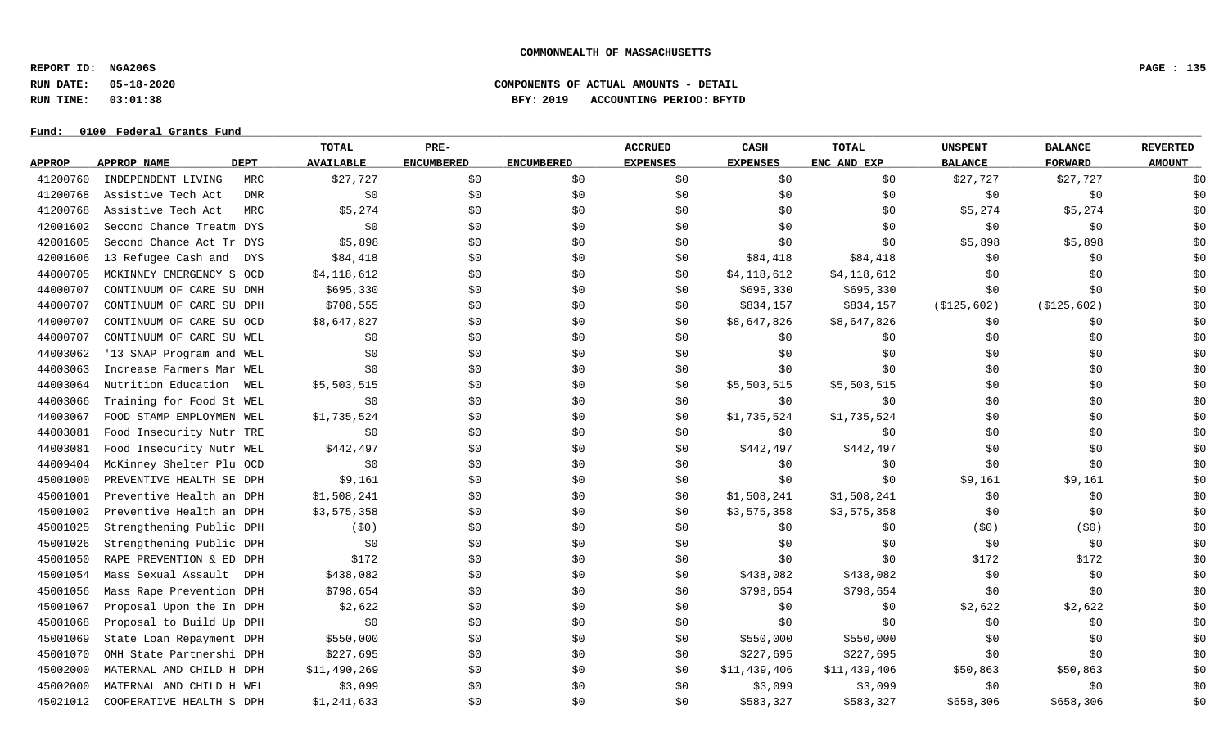**REPORT ID: NGA206S PAGE : 135**

# **RUN DATE: 05-18-2020 COMPONENTS OF ACTUAL AMOUNTS - DETAIL RUN TIME: 03:01:38 BFY: 2019 ACCOUNTING PERIOD: BFYTD**

|               |                                   | <b>TOTAL</b>     | PRE-              |                   | <b>ACCRUED</b>  | CASH            | <b>TOTAL</b> | <b>UNSPENT</b> | <b>BALANCE</b> | <b>REVERTED</b> |
|---------------|-----------------------------------|------------------|-------------------|-------------------|-----------------|-----------------|--------------|----------------|----------------|-----------------|
| <b>APPROP</b> | <b>DEPT</b><br><b>APPROP NAME</b> | <b>AVAILABLE</b> | <b>ENCUMBERED</b> | <b>ENCUMBERED</b> | <b>EXPENSES</b> | <b>EXPENSES</b> | ENC AND EXP  | <b>BALANCE</b> | <b>FORWARD</b> | <b>AMOUNT</b>   |
| 41200760      | INDEPENDENT LIVING<br>MRC         | \$27,727         | \$0               | \$0               | \$0             | \$0             | \$0\$        | \$27,727       | \$27,727       | \$0             |
| 41200768      | Assistive Tech Act<br><b>DMR</b>  | \$0\$            | \$0               | \$0               | \$0             | \$0             | \$0          | \$0            | \$0            | \$0             |
| 41200768      | Assistive Tech Act<br>MRC         | \$5,274          | \$0               | \$0               | \$0             | \$0             | \$0          | \$5,274        | \$5,274        | \$0             |
| 42001602      | Second Chance Treatm DYS          | \$0              | \$0               | \$0               | \$0             | \$0             | \$0          | \$0            | \$0            | \$0             |
| 42001605      | Second Chance Act Tr DYS          | \$5,898          | \$0               | \$0               | \$0             | \$0             | \$0          | \$5,898        | \$5,898        | \$0             |
| 42001606      | 13 Refugee Cash and<br>DYS        | \$84,418         | \$0               | \$0               | \$0             | \$84,418        | \$84,418     | \$0            | \$0            | \$0             |
| 44000705      | MCKINNEY EMERGENCY S OCD          | \$4,118,612      | \$0               | \$0               | \$0             | \$4,118,612     | \$4,118,612  | \$0            | \$0            | \$0             |
| 44000707      | CONTINUUM OF CARE SU DMH          | \$695,330        | \$0               | \$0               | \$0             | \$695,330       | \$695,330    | \$0            | \$0            | \$0             |
| 44000707      | CONTINUUM OF CARE SU DPH          | \$708,555        | \$0               | \$0               | \$0             | \$834,157       | \$834,157    | ( \$125, 602)  | ( \$125, 602)  | \$0             |
| 44000707      | CONTINUUM OF CARE SU OCD          | \$8,647,827      | \$0               | \$0               | \$0             | \$8,647,826     | \$8,647,826  | \$0            | \$0            | \$0             |
| 44000707      | CONTINUUM OF CARE SU WEL          | \$0              | \$0               | \$0\$             | \$0             | \$0             | \$0          | \$0            | \$0            | \$0             |
| 44003062      | '13 SNAP Program and WEL          | \$0\$            | \$0               | \$0               | \$0             | \$0             | \$0\$        | \$0            | \$0            | \$0             |
| 44003063      | Increase Farmers Mar WEL          | \$0              | \$0               | \$0               | \$0             | \$0             | \$0          | \$0            | \$0            | \$0             |
| 44003064      | Nutrition Education<br>WEL        | \$5,503,515      | \$0               | \$0               | \$0             | \$5,503,515     | \$5,503,515  | \$0            | \$0            | \$0             |
| 44003066      | Training for Food St WEL          | \$0              | \$0               | \$0               | \$0             | \$0             | \$0          | \$0            | \$0            | \$0             |
| 44003067      | FOOD STAMP EMPLOYMEN WEL          | \$1,735,524      | \$0               | \$0               | \$0             | \$1,735,524     | \$1,735,524  | \$0            | \$0            | \$0             |
| 44003081      | Food Insecurity Nutr TRE          | \$0              | \$0               | \$0               | \$0             | \$0             | \$0          | \$0            | \$0            | \$0             |
| 44003081      | Food Insecurity Nutr WEL          | \$442,497        | \$0               | \$0               | \$0             | \$442,497       | \$442,497    | \$0            | \$0            | \$0             |
| 44009404      | McKinney Shelter Plu OCD          | \$0              | \$0               | \$0               | \$0             | \$0             | \$0          | \$0            | \$0            | \$0             |
| 45001000      | PREVENTIVE HEALTH SE DPH          | \$9,161          | \$0               | \$0               | \$0             | \$0             | \$0          | \$9,161        | \$9,161        | \$0             |
| 45001001      | Preventive Health an DPH          | \$1,508,241      | \$0\$             | \$0               | \$0             | \$1,508,241     | \$1,508,241  | \$0            | \$0            | \$0             |
| 45001002      | Preventive Health an DPH          | \$3,575,358      | \$0               | \$0               | \$0             | \$3,575,358     | \$3,575,358  | \$0            | \$0            | \$0             |
| 45001025      | Strengthening Public DPH          | (50)             | \$0               | \$0               | \$0             | \$0             | \$0          | (50)           | (50)           | \$0             |
| 45001026      | Strengthening Public DPH          | \$0              | \$0               | \$0               | \$0             | \$0             | \$0          | \$0            | \$0            | \$0             |
| 45001050      | RAPE PREVENTION & ED DPH          | \$172            | \$0               | \$0               | \$0             | \$0             | \$0          | \$172          | \$172          | \$0             |
| 45001054      | Mass Sexual Assault DPH           | \$438,082        | \$0               | \$0               | \$0             | \$438,082       | \$438,082    | \$0            | \$0            | \$0             |
| 45001056      | Mass Rape Prevention DPH          | \$798,654        | \$0               | \$0               | \$0             | \$798,654       | \$798,654    | \$0            | \$0            | \$0             |
| 45001067      | Proposal Upon the In DPH          | \$2,622          | \$0               | \$0               | \$0             | \$0             | \$0          | \$2,622        | \$2,622        | \$0             |
| 45001068      | Proposal to Build Up DPH          | \$0              | \$0               | \$0               | \$0             | \$0             | \$0          | \$0            | \$0            | \$0             |
| 45001069      | State Loan Repayment DPH          | \$550,000        | \$0               | \$0               | \$0             | \$550,000       | \$550,000    | \$0            | \$0            | \$0             |
| 45001070      | OMH State Partnershi DPH          | \$227,695        | \$0               | \$0               | \$0             | \$227,695       | \$227,695    | \$0            | \$0            | \$0             |
| 45002000      | MATERNAL AND CHILD H DPH          | \$11,490,269     | \$0               | \$0               | \$0             | \$11,439,406    | \$11,439,406 | \$50,863       | \$50,863       | \$0             |
| 45002000      | MATERNAL AND CHILD H WEL          | \$3,099          | \$0               | \$0               | SO.             | \$3,099         | \$3,099      | \$0            | \$0            | \$0             |
| 45021012      | COOPERATIVE HEALTH S DPH          | \$1,241,633      | \$0               | \$0               | \$0             | \$583,327       | \$583,327    | \$658,306      | \$658,306      | \$0             |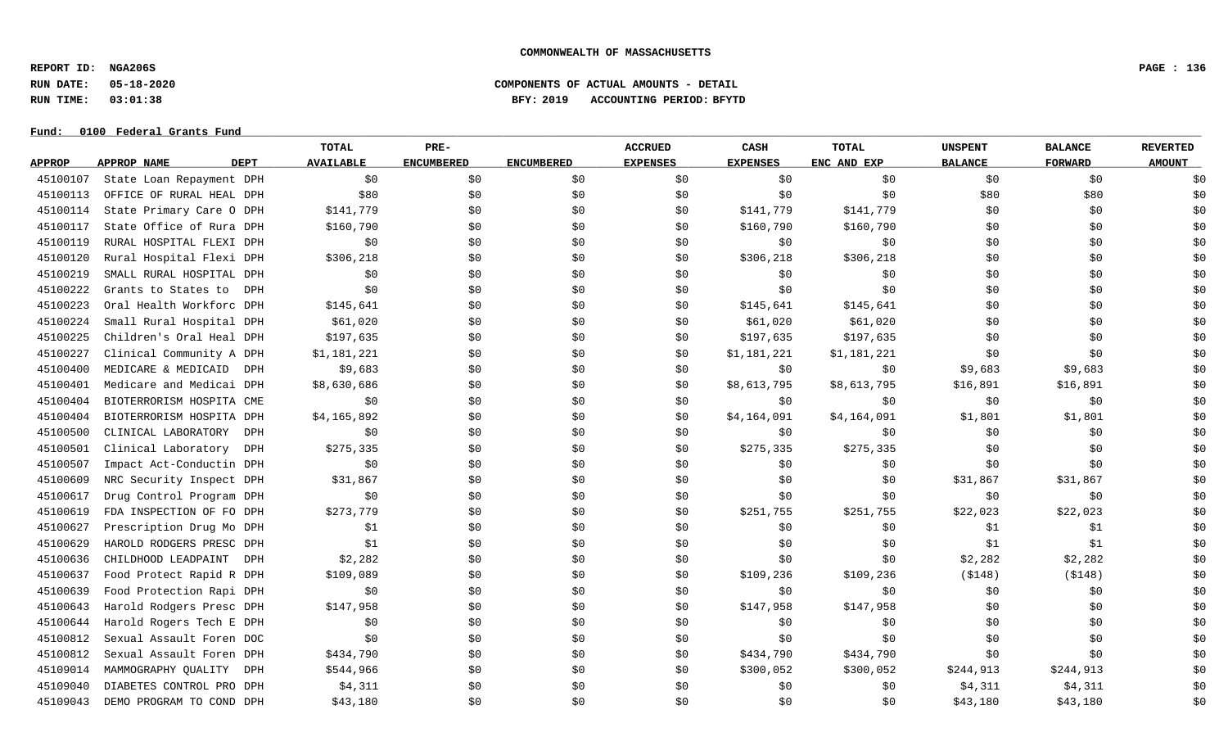**REPORT ID: NGA206S PAGE : 136**

# **RUN DATE: 05-18-2020 COMPONENTS OF ACTUAL AMOUNTS - DETAIL RUN TIME: 03:01:38 BFY: 2019 ACCOUNTING PERIOD: BFYTD**

|               |                                   | <b>TOTAL</b>     | PRE-              |                   | <b>ACCRUED</b>  | CASH            | <b>TOTAL</b> | <b>UNSPENT</b> | <b>BALANCE</b> | <b>REVERTED</b> |
|---------------|-----------------------------------|------------------|-------------------|-------------------|-----------------|-----------------|--------------|----------------|----------------|-----------------|
| <b>APPROP</b> | APPROP NAME<br><b>DEPT</b>        | <b>AVAILABLE</b> | <b>ENCUMBERED</b> | <b>ENCUMBERED</b> | <b>EXPENSES</b> | <b>EXPENSES</b> | ENC AND EXP  | <b>BALANCE</b> | <b>FORWARD</b> | <b>AMOUNT</b>   |
| 45100107      | State Loan Repayment DPH          | \$0              | \$0               | \$0               | \$0             | \$0             | \$0          | \$0            | \$0            | \$0             |
| 45100113      | OFFICE OF RURAL HEAL DPH          | \$80             | \$0               | \$0               | \$0             | \$0             | \$0          | \$80           | \$80           | \$0             |
| 45100114      | State Primary Care O DPH          | \$141,779        | \$0               | \$0               | \$0             | \$141,779       | \$141,779    | \$0            | \$0            | \$0             |
| 45100117      | State Office of Rura DPH          | \$160,790        | \$0               | \$0               | \$0             | \$160,790       | \$160,790    | \$0            | \$0            | \$0             |
| 45100119      | RURAL HOSPITAL FLEXI DPH          | \$0              | \$0               | \$0               | \$0             | \$0             | \$0          | \$0            | \$0            | \$0             |
| 45100120      | Rural Hospital Flexi DPH          | \$306, 218       | \$0               | \$0               | \$0             | \$306, 218      | \$306,218    | \$0            | \$0            | \$0             |
| 45100219      | SMALL RURAL HOSPITAL DPH          | \$0              | \$0               | \$0               | \$0             | \$0             | \$0          | \$0            | \$0            | \$0             |
| 45100222      | Grants to States to<br><b>DPH</b> | \$0              | \$0               | \$0               | \$0             | \$0             | \$0          | \$0            | \$0            | \$0             |
| 45100223      | Oral Health Workforc DPH          | \$145,641        | \$0               | \$0               | \$0             | \$145,641       | \$145,641    | \$0            | \$0            | \$0             |
| 45100224      | Small Rural Hospital DPH          | \$61,020         | \$0               | \$0               | \$0             | \$61,020        | \$61,020     | \$0            | \$0            | \$0             |
| 45100225      | Children's Oral Heal DPH          | \$197,635        | \$0               | \$0               | \$0             | \$197,635       | \$197,635    | \$0            | \$0            | \$0             |
| 45100227      | Clinical Community A DPH          | \$1,181,221      | \$0               | \$0               | \$0             | \$1,181,221     | \$1,181,221  | \$0            | \$0            | \$0             |
| 45100400      | MEDICARE & MEDICAID<br>DPH        | \$9,683          | \$0               | \$0               | \$0             | \$0             | \$0          | \$9,683        | \$9,683        | \$0             |
| 45100401      | Medicare and Medicai DPH          | \$8,630,686      | \$0               | \$0               | \$0             | \$8,613,795     | \$8,613,795  | \$16,891       | \$16,891       | \$0             |
| 45100404      | BIOTERRORISM HOSPITA CME          | \$0              | \$0               | \$0               | \$0             | \$0             | \$0          | \$0            | \$0            | \$0             |
| 45100404      | BIOTERRORISM HOSPITA DPH          | \$4,165,892      | \$0               | \$0               | \$0             | \$4,164,091     | \$4,164,091  | \$1,801        | \$1,801        | \$0             |
| 45100500      | CLINICAL LABORATORY<br><b>DPH</b> | \$0              | \$0               | \$0               | \$0             | \$0             | \$0          | \$0            | \$0            | \$0             |
| 45100501      | Clinical Laboratory<br>DPH        | \$275,335        | \$0               | \$0               | \$0             | \$275,335       | \$275,335    | \$0            | \$0            | \$0             |
| 45100507      | Impact Act-Conductin DPH          | \$0              | \$0               | \$0               | \$0             | \$0             | \$0          | \$0            | \$0            | \$0             |
| 45100609      | NRC Security Inspect DPH          | \$31,867         | \$0               | \$0               | \$0             | \$0             | \$0          | \$31,867       | \$31,867       | \$0             |
| 45100617      | Drug Control Program DPH          | \$0              | \$0               | \$0               | \$0             | \$0             | \$0          | \$0            | \$0            | \$0             |
| 45100619      | FDA INSPECTION OF FO DPH          | \$273,779        | \$0               | \$0               | \$0             | \$251,755       | \$251,755    | \$22,023       | \$22,023       | \$0             |
| 45100627      | Prescription Drug Mo DPH          | \$1              | \$0               | \$0               | \$0             | \$0             | \$0          | \$1            | \$1            | \$0             |
| 45100629      | HAROLD RODGERS PRESC DPH          | \$1              | \$0               | \$0               | \$0             | \$0             | \$0          | \$1            | \$1            | \$0             |
| 45100636      | CHILDHOOD LEADPAINT<br>DPH        | \$2,282          | \$0               | \$0               | \$0             | \$0             | \$0          | \$2,282        | \$2,282        | \$0             |
| 45100637      | Food Protect Rapid R DPH          | \$109,089        | \$0               | \$0               | \$0             | \$109,236       | \$109,236    | ( \$148)       | ( \$148)       | \$0             |
| 45100639      | Food Protection Rapi DPH          | \$0              | \$0               | \$0               | \$0             | \$0             | \$0          | \$0            | \$0            | \$0             |
| 45100643      | Harold Rodgers Presc DPH          | \$147,958        | \$0               | \$0               | \$0             | \$147,958       | \$147,958    | \$0            | \$0            | \$0             |
| 45100644      | Harold Rogers Tech E DPH          | \$0              | \$0               | \$0               | \$0             | \$0             | \$0          | \$0            | \$0            | \$0             |
| 45100812      | Sexual Assault Foren DOC          | \$0              | \$0               | \$0               | \$0             | \$0             | \$0          | \$0            | \$0            | \$0             |
| 45100812      | Sexual Assault Foren DPH          | \$434,790        | \$0               | \$0               | \$0             | \$434,790       | \$434,790    | \$0            | \$0            | \$0             |
| 45109014      | MAMMOGRAPHY QUALITY<br>DPH        | \$544,966        | \$0               | \$0               | \$0             | \$300,052       | \$300,052    | \$244,913      | \$244,913      | \$0             |
| 45109040      | DIABETES CONTROL PRO DPH          | \$4,311          | \$0               | \$0               | \$0             | \$0             | \$0          | \$4,311        | \$4,311        | \$0             |
| 45109043      | DEMO PROGRAM TO COND DPH          | \$43,180         | \$0               | \$0               | \$0             | \$0             | \$0          | \$43,180       | \$43,180       | \$0             |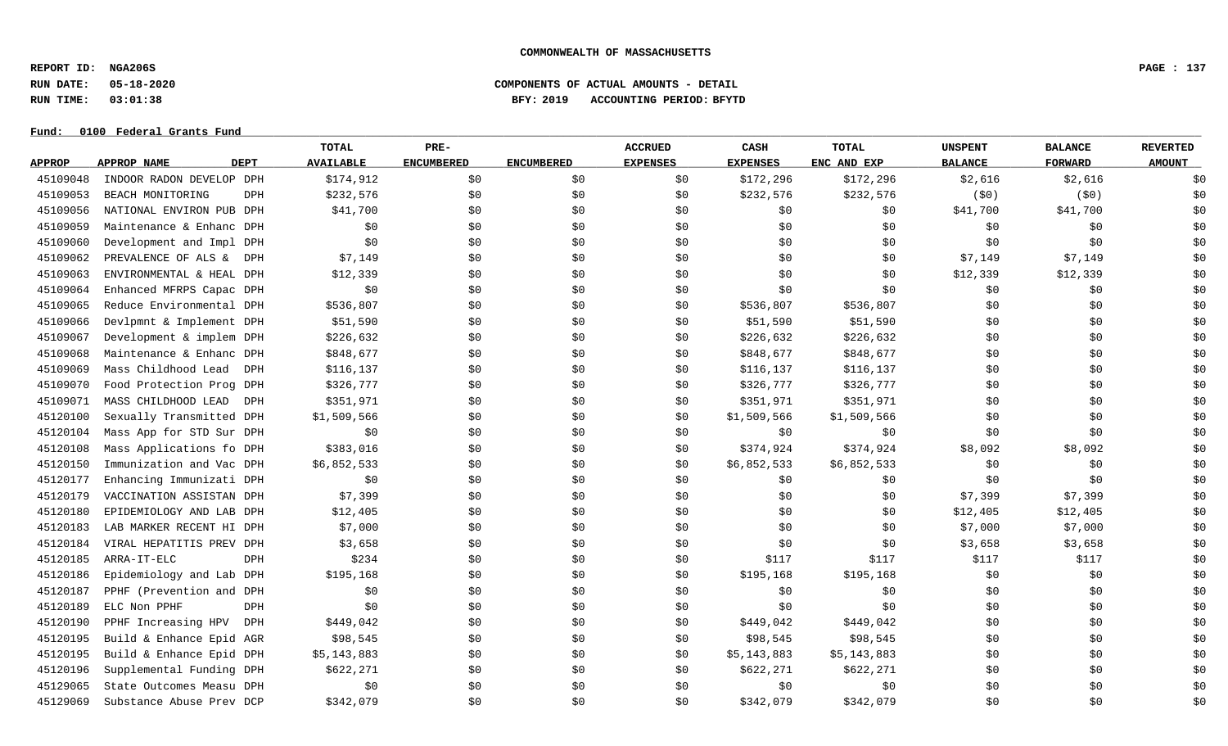**REPORT ID: NGA206S PAGE : 137**

# **RUN DATE: 05-18-2020 COMPONENTS OF ACTUAL AMOUNTS - DETAIL RUN TIME: 03:01:38 BFY: 2019 ACCOUNTING PERIOD: BFYTD**

|               |                          |             | TOTAL            | PRE-              |                   | <b>ACCRUED</b>  | CASH            | <b>TOTAL</b> | <b>UNSPENT</b> | <b>BALANCE</b> | <b>REVERTED</b> |
|---------------|--------------------------|-------------|------------------|-------------------|-------------------|-----------------|-----------------|--------------|----------------|----------------|-----------------|
| <b>APPROP</b> | <b>APPROP NAME</b>       | <b>DEPT</b> | <b>AVAILABLE</b> | <b>ENCUMBERED</b> | <b>ENCUMBERED</b> | <b>EXPENSES</b> | <b>EXPENSES</b> | ENC AND EXP  | <b>BALANCE</b> | <b>FORWARD</b> | <b>AMOUNT</b>   |
| 45109048      | INDOOR RADON DEVELOP DPH |             | \$174,912        | \$0               | \$0               | \$0             | \$172,296       | \$172,296    | \$2,616        | \$2,616        | \$0             |
| 45109053      | BEACH MONITORING         | DPH         | \$232,576        | \$0               | \$0               | \$0             | \$232,576       | \$232,576    | (50)           | (50)           | \$0             |
| 45109056      | NATIONAL ENVIRON PUB DPH |             | \$41,700         | \$0               | \$0               | \$0             | \$0             | \$0          | \$41,700       | \$41,700       | \$0             |
| 45109059      | Maintenance & Enhanc DPH |             | \$0              | \$0               | \$0               | \$0             | \$0             | \$0          | \$0            | \$0            | \$0             |
| 45109060      | Development and Impl DPH |             | \$0              | \$0               | \$0               | \$0             | \$0             | \$0          | \$0            | \$0            | \$0             |
| 45109062      | PREVALENCE OF ALS & DPH  |             | \$7,149          | \$0               | \$0               | \$0             | \$0             | \$0          | \$7,149        | \$7,149        | \$0             |
| 45109063      | ENVIRONMENTAL & HEAL DPH |             | \$12,339         | \$0               | \$0               | \$0             | \$0             | \$0          | \$12,339       | \$12,339       | \$0             |
| 45109064      | Enhanced MFRPS Capac DPH |             | \$0              | \$0               | \$0               | \$0             | \$0             | \$0          | \$0            | \$0            | \$0             |
| 45109065      | Reduce Environmental DPH |             | \$536,807        | \$0               | \$0               | \$0             | \$536,807       | \$536,807    | \$0            | \$0            | \$0             |
| 45109066      | Devlpmnt & Implement DPH |             | \$51,590         | \$0               | \$0               | \$0             | \$51,590        | \$51,590     | \$0            | \$0            | \$0             |
| 45109067      | Development & implem DPH |             | \$226,632        | \$0               | \$0               | \$0             | \$226,632       | \$226,632    | \$0            | \$0            | \$0             |
| 45109068      | Maintenance & Enhanc DPH |             | \$848,677        | \$0               | \$0               | \$0             | \$848,677       | \$848,677    | \$0            | \$0            | \$0             |
| 45109069      | Mass Childhood Lead      | DPH         | \$116,137        | \$0               | \$0               | \$0             | \$116,137       | \$116,137    | \$0            | \$0            | \$0             |
| 45109070      | Food Protection Prog DPH |             | \$326,777        | \$0               | \$0               | \$0             | \$326,777       | \$326,777    | \$0            | \$0            | \$0             |
| 45109071      | MASS CHILDHOOD LEAD      | DPH         | \$351,971        | \$0               | \$0               | \$0             | \$351,971       | \$351,971    | \$0            | \$0            | \$0             |
| 45120100      | Sexually Transmitted DPH |             | \$1,509,566      | \$0               | \$0               | \$0             | \$1,509,566     | \$1,509,566  | \$0            | \$0            | \$0             |
| 45120104      | Mass App for STD Sur DPH |             | \$0              | \$0               | \$0               | \$0             | \$0             | \$0          | \$0            | \$0            | \$0             |
| 45120108      | Mass Applications fo DPH |             | \$383,016        | \$0               | \$0               | \$0             | \$374,924       | \$374,924    | \$8,092        | \$8,092        | \$0             |
| 45120150      | Immunization and Vac DPH |             | \$6,852,533      | \$0               | \$0               | \$0             | \$6,852,533     | \$6,852,533  | \$0            | \$0            | \$0             |
| 45120177      | Enhancing Immunizati DPH |             | \$0              | \$0               | \$0               | \$0             | \$0             | \$0          | \$0            | \$0            | \$0             |
| 45120179      | VACCINATION ASSISTAN DPH |             | \$7,399          | \$0               | \$0               | \$0             | \$0             | \$0          | \$7,399        | \$7,399        | \$0             |
| 45120180      | EPIDEMIOLOGY AND LAB DPH |             | \$12,405         | \$0               | \$0               | \$0             | \$0             | \$0          | \$12,405       | \$12,405       | \$0             |
| 45120183      | LAB MARKER RECENT HI DPH |             | \$7,000          | \$0               | \$0               | \$0             | \$0             | \$0          | \$7,000        | \$7,000        | \$0             |
| 45120184      | VIRAL HEPATITIS PREV DPH |             | \$3,658          | \$0               | \$0               | \$0             | \$0             | \$0          | \$3,658        | \$3,658        | \$0             |
| 45120185      | ARRA-IT-ELC              | DPH         | \$234            | \$0               | \$0               | \$0             | \$117           | \$117        | \$117          | \$117          | \$0             |
| 45120186      | Epidemiology and Lab DPH |             | \$195,168        | \$0               | \$0               | \$0             | \$195,168       | \$195,168    | \$0            | \$0            | \$0             |
| 45120187      | PPHF (Prevention and DPH |             | \$0              | \$0               | \$0               | \$0             | \$0             | \$0          | \$0            | \$0            | \$0             |
| 45120189      | ELC Non PPHF             | DPH         | \$0              | \$0               | \$0               | \$0             | \$0             | \$0          | \$0            | \$0            | \$0             |
| 45120190      | PPHF Increasing HPV      | DPH         | \$449,042        | \$0               | \$0               | \$0             | \$449,042       | \$449,042    | \$0            | \$0            | \$0             |
| 45120195      | Build & Enhance Epid AGR |             | \$98,545         | \$0               | \$0               | \$0             | \$98,545        | \$98,545     | \$0            | \$0            | \$0             |
| 45120195      | Build & Enhance Epid DPH |             | \$5,143,883      | \$0               | \$0               | \$0             | \$5,143,883     | \$5,143,883  | \$0            | \$0            | \$0             |
| 45120196      | Supplemental Funding DPH |             | \$622,271        | \$0               | \$0               | \$0             | \$622,271       | \$622,271    | \$0            | \$0            | \$0             |
| 45129065      | State Outcomes Measu DPH |             | \$0              | \$0               | \$0               | \$0             | \$0             | \$0          | \$0            | \$0            | \$0             |
| 45129069      | Substance Abuse Prev DCP |             | \$342,079        | \$0               | \$0               | \$0             | \$342,079       | \$342,079    | \$0            | \$0            | \$0             |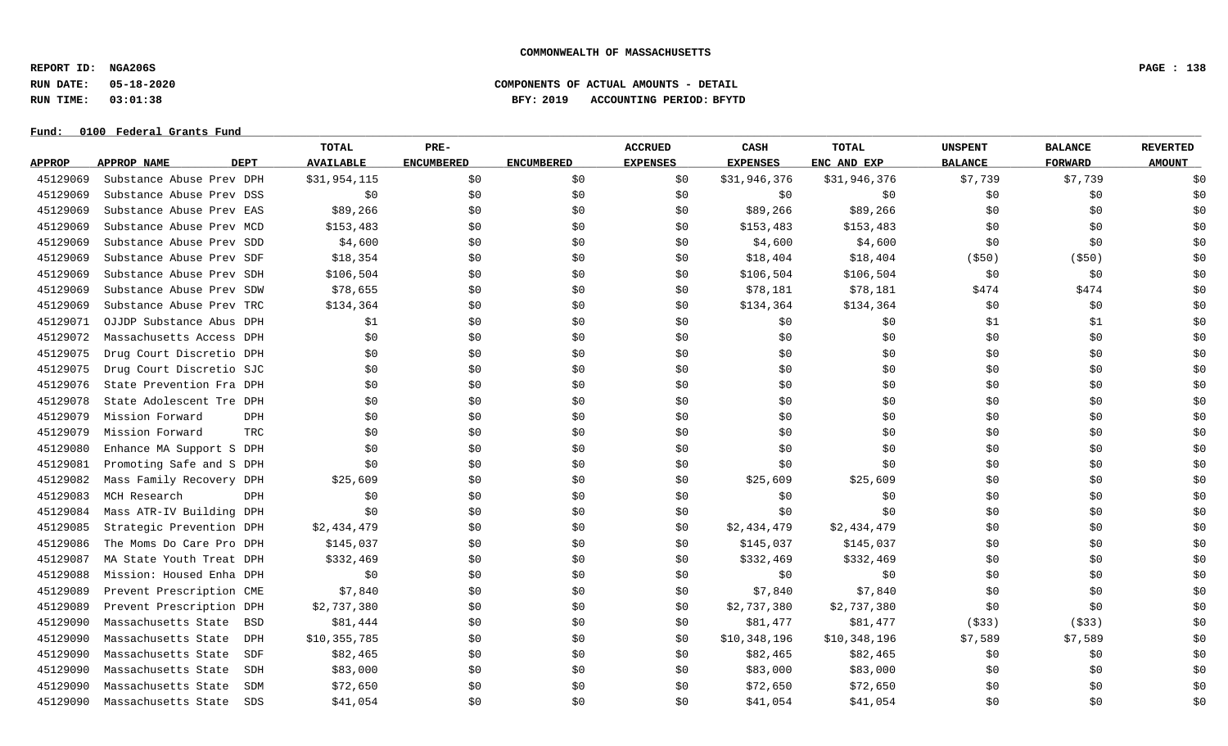**REPORT ID: NGA206S PAGE : 138**

**RUN DATE: 05-18-2020 COMPONENTS OF ACTUAL AMOUNTS - DETAIL**

**RUN TIME: 03:01:38 BFY: 2019 ACCOUNTING PERIOD: BFYTD**

|               |                            | TOTAL                  | PRE-              |                   | <b>ACCRUED</b>  | CASH            | <b>TOTAL</b> | <b>UNSPENT</b> | <b>BALANCE</b> | <b>REVERTED</b> |
|---------------|----------------------------|------------------------|-------------------|-------------------|-----------------|-----------------|--------------|----------------|----------------|-----------------|
| <b>APPROP</b> | APPROP NAME<br><b>DEPT</b> | <b>AVAILABLE</b>       | <b>ENCUMBERED</b> | <b>ENCUMBERED</b> | <b>EXPENSES</b> | <b>EXPENSES</b> | ENC AND EXP  | <b>BALANCE</b> | <b>FORWARD</b> | <b>AMOUNT</b>   |
| 45129069      | Substance Abuse Prev DPH   | \$31,954,115           | \$0               | \$0\$             | \$0             | \$31,946,376    | \$31,946,376 | \$7,739        | \$7,739        | \$0             |
| 45129069      | Substance Abuse Prev DSS   | \$0                    | \$0               | \$0               | \$0             | \$0             | \$0          | \$0            | \$0            | \$0             |
| 45129069      | Substance Abuse Prev EAS   | \$89,266               | \$0               | \$0               | \$0             | \$89,266        | \$89,266     | \$0            | \$0            | \$0             |
| 45129069      | Substance Abuse Prev MCD   | \$153,483              | \$0               | \$0               | \$0             | \$153,483       | \$153,483    | \$0            | \$0            | \$0             |
| 45129069      | Substance Abuse Prev SDD   | \$4,600                | \$0               | \$0               | \$0             | \$4,600         | \$4,600      | \$0            | \$0            | \$0             |
| 45129069      | Substance Abuse Prev SDF   | \$18,354               | \$0               | \$0               | \$0             | \$18,404        | \$18,404     | $($ \$50)      | $($ \$50)      | \$0             |
| 45129069      | Substance Abuse Prev SDH   | \$106,504              | \$0               | \$0               | \$0             | \$106,504       | \$106,504    | \$0            | \$0            | \$0             |
| 45129069      | Substance Abuse Prev SDW   | \$78,655               | \$0               | \$0               | \$0             | \$78,181        | \$78,181     | \$474          | \$474          | \$0             |
| 45129069      | Substance Abuse Prev TRC   | \$134,364              | \$0               | \$0               | \$0             | \$134,364       | \$134,364    | \$0            | \$0            | \$0             |
| 45129071      | OJJDP Substance Abus DPH   | \$1                    | \$0               | \$0               | \$0             | \$0             | \$0\$        | \$1            | \$1            | \$0             |
| 45129072      | Massachusetts Access DPH   | \$0                    | \$0               | \$0               | \$0             | \$0             | \$0          | \$0            | \$0            | \$0             |
| 45129075      | Drug Court Discretio DPH   | \$0                    | \$0               | \$0\$             | \$0             | \$0             | \$0\$        | \$0            | \$0            | \$0             |
| 45129075      | Drug Court Discretio SJC   | \$0\$                  | \$0               | \$0\$             | \$0             | \$0             | \$0          | \$0            | \$0            | \$0             |
| 45129076      | State Prevention Fra DPH   | \$0                    | \$0               | \$0\$             | \$0             | \$0             | \$0          | \$0            | \$0            | \$0             |
| 45129078      | State Adolescent Tre DPH   | \$0                    | \$0               | \$0               | \$0             | \$0             | \$0          | \$0            | \$0            | \$0             |
| 45129079      | Mission Forward            | DPH<br>\$0             | \$0               | \$0               | \$0             | \$0             | \$0          | \$0            | \$0            | \$0             |
| 45129079      | Mission Forward            | <b>TRC</b><br>\$0      | \$0               | \$0               | \$0             | \$0             | \$0          | \$0            | \$0            | \$0             |
| 45129080      | Enhance MA Support S DPH   | \$0                    | \$0               | \$0               | \$0             | \$0             | \$0          | \$0            | \$0            | \$0             |
| 45129081      | Promoting Safe and S DPH   | \$0                    | \$0               | \$0               | \$0             | \$0             | \$0          | \$0            | \$0            | \$0             |
| 45129082      | Mass Family Recovery DPH   | \$25,609               | \$0               | \$0               | \$0             | \$25,609        | \$25,609     | \$0            | \$0            | \$0             |
| 45129083      | MCH Research               | DPH<br>\$0             | \$0               | \$0               | \$0             | \$0             | \$0          | \$0            | \$0            | \$0             |
| 45129084      | Mass ATR-IV Building DPH   | \$0                    | \$0               | \$0               | \$0             | \$0             | \$0          | \$0            | \$0            | \$0             |
| 45129085      | Strategic Prevention DPH   | \$2,434,479            | \$0               | \$0               | \$0             | \$2,434,479     | \$2,434,479  | \$0            | \$0            | \$0             |
| 45129086      | The Moms Do Care Pro DPH   | \$145,037              | \$0               | \$0               | \$0             | \$145,037       | \$145,037    | \$0            | \$0            | \$0             |
| 45129087      | MA State Youth Treat DPH   | \$332,469              | \$0               | \$0\$             | \$0             | \$332,469       | \$332,469    | \$0            | \$0            | \$0             |
| 45129088      | Mission: Housed Enha DPH   | \$0                    | \$0               | \$0\$             | \$0             | \$0             | \$0          | \$0            | \$0            | \$0             |
| 45129089      | Prevent Prescription CME   | \$7,840                | \$0               | \$0               | \$0             | \$7,840         | \$7,840      | \$0            | \$0            | \$0             |
| 45129089      | Prevent Prescription DPH   | \$2,737,380            | \$0               | \$0               | \$0             | \$2,737,380     | \$2,737,380  | \$0            | \$0            | \$0             |
| 45129090      | Massachusetts State        | \$81,444<br><b>BSD</b> | \$0               | \$0               | \$0             | \$81,477        | \$81,477     | ( \$33)        | ( \$33)        | \$0             |
| 45129090      | Massachusetts State        | \$10,355,785<br>DPH    | \$0               | \$0               | \$0             | \$10,348,196    | \$10,348,196 | \$7,589        | \$7,589        | \$0             |
| 45129090      | Massachusetts State        | \$82,465<br>SDF        | \$0               | \$0               | \$0             | \$82,465        | \$82,465     | \$0            | \$0            | \$0             |
| 45129090      | Massachusetts State        | \$83,000<br>SDH        | \$0               | \$0               | \$0             | \$83,000        | \$83,000     | \$0            | \$0            | \$0             |
| 45129090      | Massachusetts State        | \$72,650<br>SDM        | \$0               | \$0               | \$0             | \$72,650        | \$72,650     | \$0            | \$0            | \$0             |
| 45129090      | Massachusetts State        | \$41,054<br>SDS        | \$0               | \$0               | \$0             | \$41,054        | \$41,054     | \$0            | \$0            | \$0             |
|               |                            |                        |                   |                   |                 |                 |              |                |                |                 |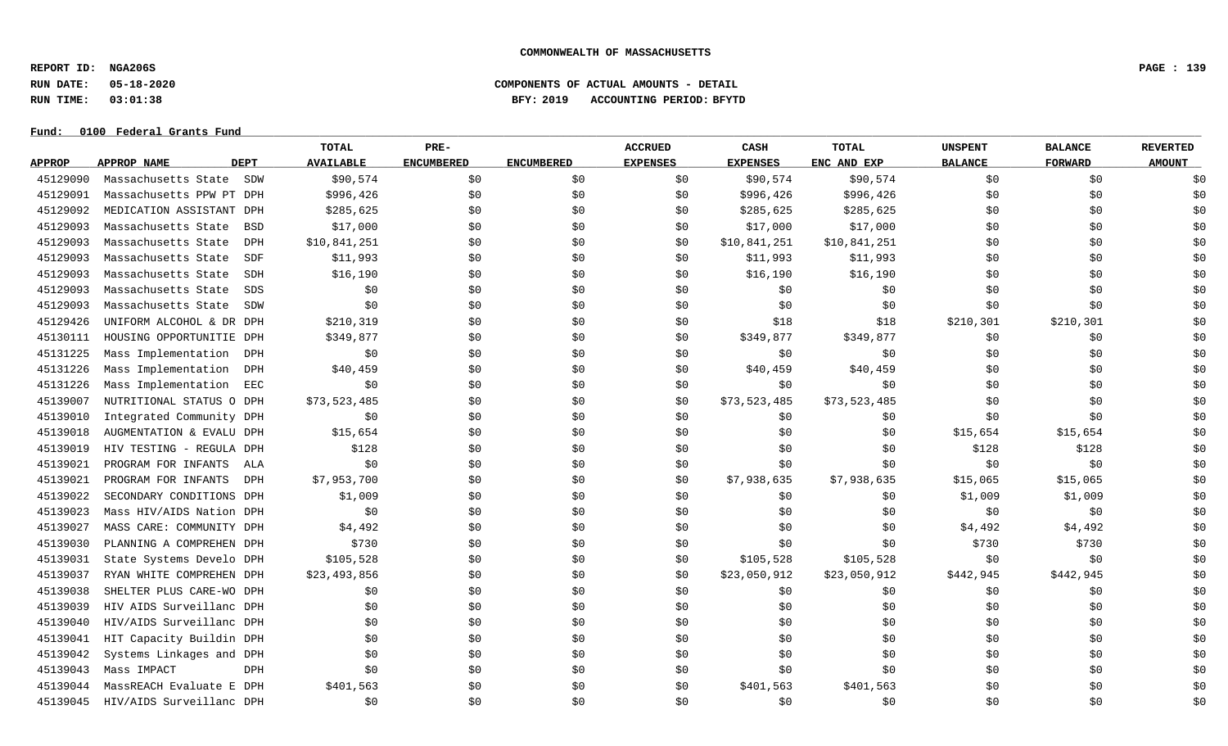**REPORT ID: NGA206S PAGE : 139**

# **RUN DATE: 05-18-2020 COMPONENTS OF ACTUAL AMOUNTS - DETAIL RUN TIME: 03:01:38 BFY: 2019 ACCOUNTING PERIOD: BFYTD**

|               |                                   | TOTAL            | PRE-              |                   | <b>ACCRUED</b>  | CASH            | <b>TOTAL</b> | <b>UNSPENT</b> | <b>BALANCE</b> | <b>REVERTED</b> |
|---------------|-----------------------------------|------------------|-------------------|-------------------|-----------------|-----------------|--------------|----------------|----------------|-----------------|
| <b>APPROP</b> | <b>APPROP NAME</b><br><b>DEPT</b> | <b>AVAILABLE</b> | <b>ENCUMBERED</b> | <b>ENCUMBERED</b> | <b>EXPENSES</b> | <b>EXPENSES</b> | ENC AND EXP  | <b>BALANCE</b> | <b>FORWARD</b> | <b>AMOUNT</b>   |
| 45129090      | Massachusetts State<br>SDW        | \$90,574         | \$0               | \$0               | \$0             | \$90,574        | \$90,574     | \$0            | \$0            | \$0             |
| 45129091      | Massachusetts PPW PT DPH          | \$996,426        | \$0               | \$0               | \$0             | \$996,426       | \$996,426    | \$0            | \$0            | \$0             |
| 45129092      | MEDICATION ASSISTANT DPH          | \$285,625        | \$0               | \$0               | \$0             | \$285,625       | \$285,625    | \$0            | \$0            | \$0             |
| 45129093      | Massachusetts State<br><b>BSD</b> | \$17,000         | \$0               | \$0               | \$0             | \$17,000        | \$17,000     | \$0            | \$0            | \$0             |
| 45129093      | Massachusetts State<br><b>DPH</b> | \$10,841,251     | \$0               | \$0               | \$0             | \$10,841,251    | \$10,841,251 | \$0            | \$0            | \$0             |
| 45129093      | Massachusetts State<br>SDF        | \$11,993         | \$0               | \$0               | \$0             | \$11,993        | \$11,993     | \$0            | \$0            | \$0             |
| 45129093      | Massachusetts State<br><b>SDH</b> | \$16,190         | \$0               | \$0               | \$0             | \$16,190        | \$16,190     | \$0            | \$0            | \$0             |
| 45129093      | Massachusetts State<br><b>SDS</b> | \$0              | \$0               | \$0               | \$0             | \$0             | \$0          | \$0            | \$0            | \$0             |
| 45129093      | Massachusetts State<br>SDW        | \$0              | \$0               | \$0               | \$0             | \$0             | \$0          | \$0            | \$0            | \$0             |
| 45129426      | UNIFORM ALCOHOL & DR DPH          | \$210,319        | \$0               | \$0               | \$0             | \$18            | \$18         | \$210,301      | \$210,301      | \$0             |
| 45130111      | HOUSING OPPORTUNITIE DPH          | \$349,877        | \$0               | \$0               | \$0             | \$349,877       | \$349,877    | \$0            | \$0            | \$0             |
| 45131225      | Mass Implementation<br>DPH        | \$0              | \$0               | \$0               | \$0             | \$0             | \$0          | \$0            | \$0            | \$0             |
| 45131226      | Mass Implementation<br>DPH        | \$40,459         | \$0               | \$0               | \$0             | \$40,459        | \$40,459     | \$0            | \$0            | \$0             |
| 45131226      | Mass Implementation<br>EEC        | \$0              | \$0               | \$0               | \$0             | \$0             | \$0          | \$0            | \$0            | \$0             |
| 45139007      | NUTRITIONAL STATUS O DPH          | \$73,523,485     | \$0               | \$0               | \$0             | \$73,523,485    | \$73,523,485 | \$0            | \$0            | \$0             |
| 45139010      | Integrated Community DPH          | \$0              | \$0               | \$0               | \$0             | \$0             | \$0          | \$0            | \$0            | \$0             |
| 45139018      | AUGMENTATION & EVALU DPH          | \$15,654         | \$0               | \$0               | \$0             | \$0             | \$0          | \$15,654       | \$15,654       | \$0             |
| 45139019      | HIV TESTING - REGULA DPH          | \$128            | \$0               | \$0               | \$0             | \$0             | \$0          | \$128          | \$128          | \$0             |
| 45139021      | PROGRAM FOR INFANTS<br>ALA        | \$0              | \$0               | \$0               | \$0             | \$0             | \$0          | \$0            | \$0            | \$0             |
| 45139021      | PROGRAM FOR INFANTS<br><b>DPH</b> | \$7,953,700      | \$0               | \$0               | \$0             | \$7,938,635     | \$7,938,635  | \$15,065       | \$15,065       | \$0             |
| 45139022      | SECONDARY CONDITIONS DPH          | \$1,009          | \$0               | \$0               | \$0             | \$0             | \$0          | \$1,009        | \$1,009        | \$0             |
| 45139023      | Mass HIV/AIDS Nation DPH          | \$0              | \$0               | \$0               | \$0             | \$0             | \$0          | \$0            | \$0            | \$0             |
| 45139027      | MASS CARE: COMMUNITY DPH          | \$4,492          | \$0               | \$0               | \$0             | \$0             | \$0          | \$4,492        | \$4,492        | \$0             |
| 45139030      | PLANNING A COMPREHEN DPH          | \$730            | \$0               | \$0               | \$0             | \$0             | \$0          | \$730          | \$730          | \$0             |
| 45139031      | State Systems Develo DPH          | \$105,528        | \$0               | \$0               | \$0             | \$105,528       | \$105,528    | \$0            | \$0            | \$0             |
| 45139037      | RYAN WHITE COMPREHEN DPH          | \$23,493,856     | \$0               | \$0               | \$0             | \$23,050,912    | \$23,050,912 | \$442,945      | \$442,945      | \$0             |
| 45139038      | SHELTER PLUS CARE-WO DPH          | \$0              | \$0               | \$0               | \$0             | \$0             | \$0          | \$0            | \$0            | \$0             |
| 45139039      | HIV AIDS Surveillanc DPH          | \$0              | \$0               | \$0               | \$0             | \$0             | \$0          | \$0            | \$0            | \$0             |
| 45139040      | HIV/AIDS Surveillanc DPH          | \$0              | \$0               | \$0               | \$0             | \$0             | \$0          | \$0            | \$0            | \$0             |
| 45139041      | HIT Capacity Buildin DPH          | \$0              | \$0               | \$0               | \$0             | \$0             | \$0          | \$0            | \$0            | \$0             |
| 45139042      | Systems Linkages and DPH          | \$0              | \$0               | \$0               | \$0             | \$0             | \$0          | \$0            | \$0            | \$0             |
| 45139043      | Mass IMPACT<br>DPH                | \$0              | \$0               | \$0               | \$0             | \$0             | \$0          | \$0            | \$0            | \$0             |
| 45139044      | MassREACH Evaluate E DPH          | \$401,563        | \$0               | \$0               | \$0             | \$401,563       | \$401,563    | \$0            | \$0            | \$0             |
| 45139045      | HIV/AIDS Surveillanc DPH          | \$0              | \$0               | \$0               | \$0             | \$0             | \$0          | \$0            | \$0            | \$0             |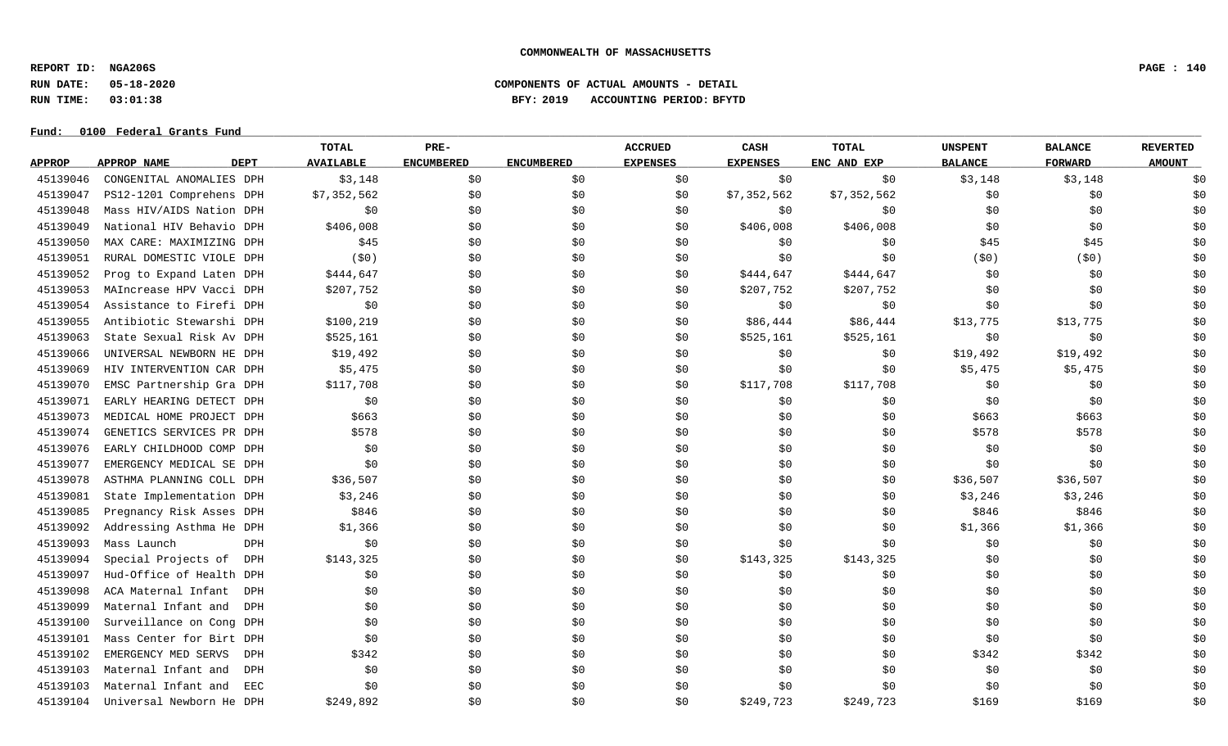**REPORT ID: NGA206S PAGE : 140**

### **RUN DATE: 05-18-2020 COMPONENTS OF ACTUAL AMOUNTS - DETAIL RUN TIME: 03:01:38 BFY: 2019 ACCOUNTING PERIOD: BFYTD**

|               |                                   | TOTAL            | PRE-              |                   | <b>ACCRUED</b>  | CASH            | <b>TOTAL</b> | <b>UNSPENT</b> | <b>BALANCE</b> | <b>REVERTED</b> |
|---------------|-----------------------------------|------------------|-------------------|-------------------|-----------------|-----------------|--------------|----------------|----------------|-----------------|
| <b>APPROP</b> | <b>DEPT</b><br><b>APPROP NAME</b> | <b>AVAILABLE</b> | <b>ENCUMBERED</b> | <b>ENCUMBERED</b> | <b>EXPENSES</b> | <b>EXPENSES</b> | ENC AND EXP  | <b>BALANCE</b> | <b>FORWARD</b> | <b>AMOUNT</b>   |
| 45139046      | CONGENITAL ANOMALIES DPH          | \$3,148          | \$0               | \$0               | \$0             | \$0             | \$0          | \$3,148        | \$3,148        | \$0             |
| 45139047      | PS12-1201 Comprehens DPH          | \$7,352,562      | \$0               | \$0               | \$0             | \$7,352,562     | \$7,352,562  | \$0            | \$0            | \$0             |
| 45139048      | Mass HIV/AIDS Nation DPH          | \$0              | \$0               | \$0               | \$0             | \$0             | \$0          | \$0            | \$0            | \$0             |
| 45139049      | National HIV Behavio DPH          | \$406,008        | \$0               | \$0               | \$0             | \$406,008       | \$406,008    | \$0            | \$0            | \$0             |
| 45139050      | MAX CARE: MAXIMIZING DPH          | \$45             | \$0               | \$0               | \$0             | \$0             | \$0          | \$45           | \$45           | \$0             |
| 45139051      | RURAL DOMESTIC VIOLE DPH          | (50)             | \$0               | \$0               | \$0             | \$0             | \$0          | (50)           | (50)           | \$0             |
| 45139052      | Prog to Expand Laten DPH          | \$444,647        | \$0               | \$0               | \$0             | \$444,647       | \$444,647    | \$0            | \$0            | \$0             |
| 45139053      | MAIncrease HPV Vacci DPH          | \$207,752        | \$0               | \$0               | \$0             | \$207,752       | \$207,752    | \$0            | \$0            | \$0             |
| 45139054      | Assistance to Firefi DPH          | \$0              | \$0               | \$0               | \$0             | \$0             | \$0          | \$0            | \$0            | \$0             |
| 45139055      | Antibiotic Stewarshi DPH          | \$100, 219       | \$0               | \$0               | \$0             | \$86,444        | \$86,444     | \$13,775       | \$13,775       | \$0             |
| 45139063      | State Sexual Risk Av DPH          | \$525,161        | \$0               | \$0               | \$0             | \$525,161       | \$525,161    | \$0            | \$0            | \$0             |
| 45139066      | UNIVERSAL NEWBORN HE DPH          | \$19,492         | \$0               | \$0               | \$0             | \$0             | \$0          | \$19,492       | \$19,492       | \$0             |
| 45139069      | HIV INTERVENTION CAR DPH          | \$5,475          | \$0               | \$0               | \$0             | \$0             | \$0          | \$5,475        | \$5,475        | \$0             |
| 45139070      | EMSC Partnership Gra DPH          | \$117,708        | \$0               | \$0               | \$0             | \$117,708       | \$117,708    | \$0            | \$0            | \$0             |
| 45139071      | EARLY HEARING DETECT DPH          | \$0              | \$0               | \$0               | \$0             | \$0             | \$0          | \$0            | \$0            | \$0             |
| 45139073      | MEDICAL HOME PROJECT DPH          | \$663            | \$0               | \$0               | \$0             | \$0             | \$0          | \$663          | \$663          | \$0             |
| 45139074      | GENETICS SERVICES PR DPH          | \$578            | \$0               | \$0               | \$0             | \$0             | \$0          | \$578          | \$578          | \$0             |
| 45139076      | EARLY CHILDHOOD COMP DPH          | \$0              | \$0               | \$0               | \$0             | \$0             | \$0          | \$0            | \$0            | \$0             |
| 45139077      | EMERGENCY MEDICAL SE DPH          | \$0              | \$0               | \$0               | \$0             | \$0             | \$0          | \$0            | \$0            | \$0             |
| 45139078      | ASTHMA PLANNING COLL DPH          | \$36,507         | \$0               | \$0               | \$0             | \$0             | \$0          | \$36,507       | \$36,507       | \$0             |
| 45139081      | State Implementation DPH          | \$3,246          | \$0               | \$0               | \$0             | \$0             | \$0          | \$3,246        | \$3,246        | \$0             |
| 45139085      | Pregnancy Risk Asses DPH          | \$846            | \$0               | \$0               | \$0             | \$0             | \$0          | \$846          | \$846          | \$0             |
| 45139092      | Addressing Asthma He DPH          | \$1,366          | \$0               | \$0               | \$0             | \$0             | \$0          | \$1,366        | \$1,366        | \$0             |
| 45139093      | Mass Launch<br>DPH                | \$0              | \$0               | \$0               | \$0             | \$0             | \$0          | \$0            | \$0            | \$0             |
| 45139094      | Special Projects of<br>DPH        | \$143,325        | \$0               | \$0               | \$0             | \$143,325       | \$143,325    | \$0            | \$0            | \$0             |
| 45139097      | Hud-Office of Health DPH          | \$0              | \$0               | \$0               | \$0             | \$0             | \$0          | \$0            | \$0            | \$0             |
| 45139098      | ACA Maternal Infant<br>DPH        | \$0              | \$0               | \$0               | \$0             | \$0             | \$0          | \$0            | \$0            | \$0             |
| 45139099      | Maternal Infant and<br>DPH        | \$0              | \$0               | \$0               | \$0             | \$0             | \$0          | \$0            | \$0            | \$0             |
| 45139100      | Surveillance on Cong DPH          | \$0              | \$0               | \$0               | \$0             | \$0             | \$0          | \$0            | \$0            | \$0             |
| 45139101      | Mass Center for Birt DPH          | \$0              | \$0               | \$0               | \$0             | \$0             | \$0          | \$0            | \$0            | \$0             |
| 45139102      | EMERGENCY MED SERVS<br>DPH        | \$342            | \$0               | \$0               | \$0             | \$0             | \$0          | \$342          | \$342          | \$0             |
| 45139103      | Maternal Infant and<br><b>DPH</b> | \$0              | \$0               | \$0               | \$0             | \$0             | \$0          | \$0            | \$0            | \$0             |
| 45139103      | Maternal Infant and<br>EEC        | \$0              | \$0               | \$0               | \$0             | \$0             | \$0          | \$0            | \$0            | \$0             |
| 45139104      | Universal Newborn He DPH          | \$249,892        | \$0               | \$0               | \$0             | \$249,723       | \$249,723    | \$169          | \$169          | \$0             |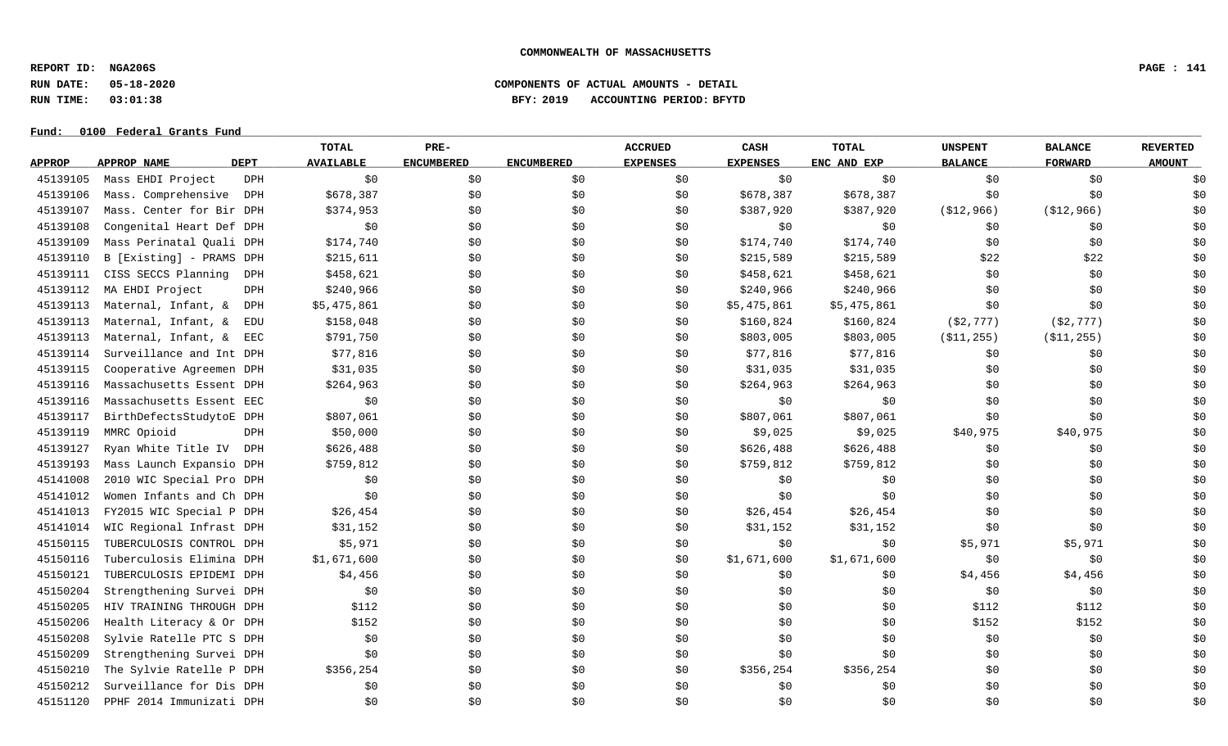**REPORT ID: NGA206S PAGE : 141**

# **RUN DATE: 05-18-2020 COMPONENTS OF ACTUAL AMOUNTS - DETAIL RUN TIME: 03:01:38 BFY: 2019 ACCOUNTING PERIOD: BFYTD**

|               |                          |             | <b>TOTAL</b>     | PRE-              |                   | <b>ACCRUED</b>  | CASH            | <b>TOTAL</b> | <b>UNSPENT</b> | <b>BALANCE</b> | <b>REVERTED</b> |
|---------------|--------------------------|-------------|------------------|-------------------|-------------------|-----------------|-----------------|--------------|----------------|----------------|-----------------|
| <b>APPROP</b> | <b>APPROP NAME</b>       | <b>DEPT</b> | <b>AVAILABLE</b> | <b>ENCUMBERED</b> | <b>ENCUMBERED</b> | <b>EXPENSES</b> | <b>EXPENSES</b> | ENC AND EXP  | <b>BALANCE</b> | <b>FORWARD</b> | <b>AMOUNT</b>   |
| 45139105      | Mass EHDI Project        | <b>DPH</b>  | \$0              | \$0               | \$0               | \$0             | \$0             | \$0          | \$0            | \$0            | \$0             |
| 45139106      | Mass. Comprehensive      | DPH         | \$678,387        | \$0               | \$0               | \$0             | \$678,387       | \$678,387    | \$0            | \$0            | \$0             |
| 45139107      | Mass. Center for Bir DPH |             | \$374,953        | \$0               | \$0               | \$0             | \$387,920       | \$387,920    | ( \$12, 966)   | ( \$12, 966)   | \$0             |
| 45139108      | Congenital Heart Def DPH |             | \$0              | \$0               | \$0               | \$0             | \$0             | \$0          | \$0            | \$0            | \$0             |
| 45139109      | Mass Perinatal Quali DPH |             | \$174,740        | \$0               | \$0               | \$0             | \$174,740       | \$174,740    | \$0            | \$0            | \$0             |
| 45139110      | B [Existing] - PRAMS DPH |             | \$215,611        | \$0               | \$0               | \$0             | \$215,589       | \$215,589    | \$22           | \$22           | \$0             |
| 45139111      | CISS SECCS Planning      | DPH         | \$458,621        | \$0               | \$0               | \$0             | \$458,621       | \$458,621    | \$0            | \$0            | \$0             |
| 45139112      | MA EHDI Project          | <b>DPH</b>  | \$240,966        | \$0               | \$0               | \$0             | \$240,966       | \$240,966    | \$0            | \$0            | \$0             |
| 45139113      | Maternal, Infant, &      | DPH         | \$5,475,861      | \$0               | \$0               | \$0             | \$5,475,861     | \$5,475,861  | \$0            | \$0            | \$0             |
| 45139113      | Maternal, Infant, &      | EDU         | \$158,048        | \$0               | \$0               | \$0             | \$160,824       | \$160,824    | ( \$2, 777)    | ( \$2, 777)    | \$0             |
| 45139113      | Maternal, Infant, &      | EEC         | \$791,750        | \$0               | \$0               | \$0             | \$803,005       | \$803,005    | ( \$11, 255)   | ( \$11, 255)   | \$0             |
| 45139114      | Surveillance and Int DPH |             | \$77,816         | \$0               | \$0               | \$0             | \$77,816        | \$77,816     | \$0            | \$0            | \$0             |
| 45139115      | Cooperative Agreemen DPH |             | \$31,035         | \$0               | \$0               | \$0             | \$31,035        | \$31,035     | \$0            | \$0            | \$0             |
| 45139116      | Massachusetts Essent DPH |             | \$264,963        | \$0               | \$0               | \$0             | \$264,963       | \$264,963    | \$0            | \$0            | \$0             |
| 45139116      | Massachusetts Essent EEC |             | \$0              | \$0               | \$0               | \$0             | \$0             | \$0          | \$0            | \$0            | \$0             |
| 45139117      | BirthDefectsStudytoE DPH |             | \$807,061        | \$0               | \$0               | \$0             | \$807,061       | \$807,061    | \$0            | \$0            | \$0             |
| 45139119      | MMRC Opioid              | DPH         | \$50,000         | \$0               | \$0               | \$0             | \$9,025         | \$9,025      | \$40,975       | \$40,975       | \$0             |
| 45139127      | Ryan White Title IV DPH  |             | \$626,488        | \$0               | \$0               | \$0             | \$626,488       | \$626,488    | \$0            | \$0            | \$0             |
| 45139193      | Mass Launch Expansio DPH |             | \$759,812        | \$0               | \$0               | \$0             | \$759,812       | \$759,812    | \$0            | \$0            | \$0             |
| 45141008      | 2010 WIC Special Pro DPH |             | \$0              | \$0               | \$0               | \$0             | \$0             | \$0          | \$0            | \$0            | \$0             |
| 45141012      | Women Infants and Ch DPH |             | \$0              | \$0               | \$0               | \$0             | \$0             | \$0          | \$0            | \$0            | \$0             |
| 45141013      | FY2015 WIC Special P DPH |             | \$26,454         | \$0               | \$0               | \$0             | \$26,454        | \$26,454     | \$0            | \$0            | \$0             |
| 45141014      | WIC Regional Infrast DPH |             | \$31,152         | \$0               | \$0               | \$0             | \$31,152        | \$31,152     | \$0            | \$0            | \$0             |
| 45150115      | TUBERCULOSIS CONTROL DPH |             | \$5,971          | \$0               | \$0               | \$0             | \$0             | \$0          | \$5,971        | \$5,971        | \$0             |
| 45150116      | Tuberculosis Elimina DPH |             | \$1,671,600      | \$0               | \$0               | \$0             | \$1,671,600     | \$1,671,600  | \$0            | \$0            | \$0             |
| 45150121      | TUBERCULOSIS EPIDEMI DPH |             | \$4,456          | \$0               | \$0               | \$0             | \$0             | \$0          | \$4,456        | \$4,456        | \$0             |
| 45150204      | Strengthening Survei DPH |             | \$0              | \$0               | \$0               | \$0             | \$0             | \$0          | \$0            | \$0            | \$0             |
| 45150205      | HIV TRAINING THROUGH DPH |             | \$112            | \$0               | \$0               | \$0             | \$0             | \$0          | \$112          | \$112          | \$0             |
| 45150206      | Health Literacy & Or DPH |             | \$152            | \$0               | \$0               | \$0             | \$0             | \$0          | \$152          | \$152          | \$0             |
| 45150208      | Sylvie Ratelle PTC S DPH |             | \$0              | \$0               | \$0               | \$0             | \$0             | \$0          | \$0            | \$0            | \$0             |
| 45150209      | Strengthening Survei DPH |             | \$0              | \$0               | \$0               | \$0             | \$0             | \$0          | \$0            | \$0            | \$0             |
| 45150210      | The Sylvie Ratelle P DPH |             | \$356,254        | \$0               | \$0               | \$0             | \$356,254       | \$356,254    | \$0            | \$0            | \$0             |
| 45150212      | Surveillance for Dis DPH |             | \$0              | \$0               | \$0               | \$0             | \$0             | \$0          | \$0            | \$0            | \$0             |
| 45151120      | PPHF 2014 Immunizati DPH |             | \$0              | \$0               | \$0               | \$0             | \$0             | \$0          | \$0            | \$0            | \$0             |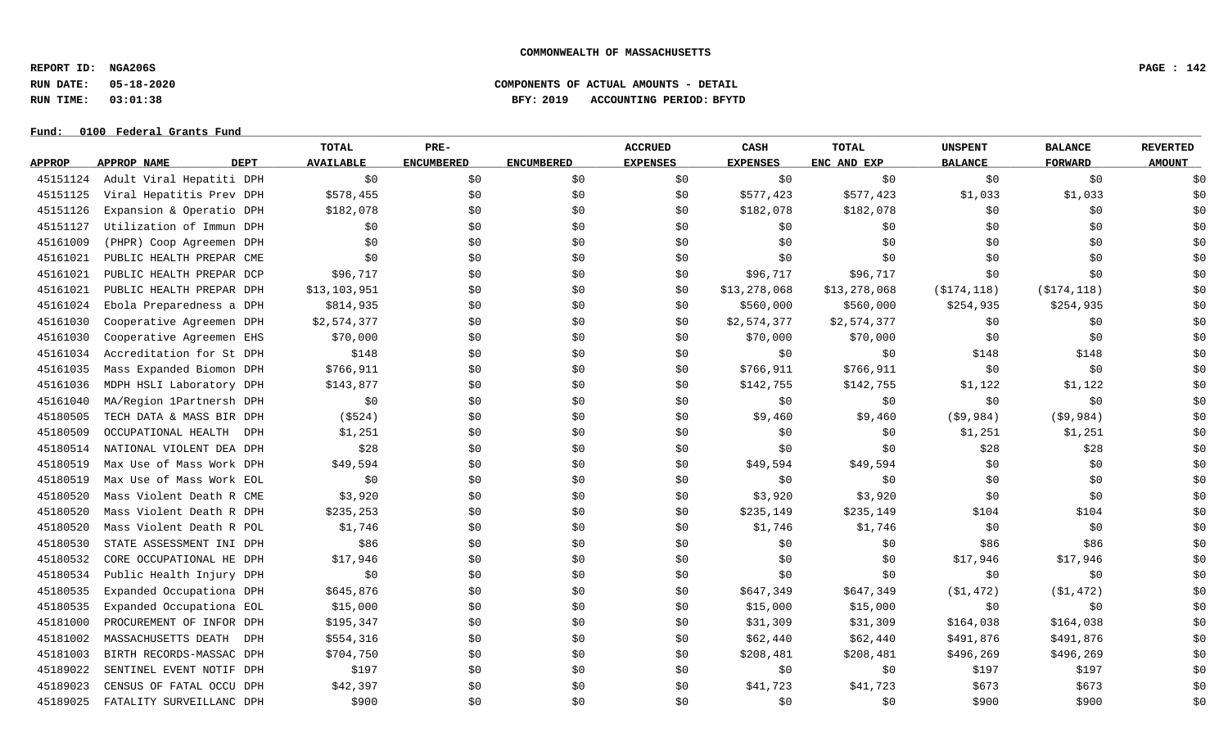**REPORT ID: NGA206S PAGE : 142**

# **RUN DATE: 05-18-2020 COMPONENTS OF ACTUAL AMOUNTS - DETAIL RUN TIME: 03:01:38 BFY: 2019 ACCOUNTING PERIOD: BFYTD**

|               |                            | <b>TOTAL</b>     | PRE-              |                   | <b>ACCRUED</b>  | CASH            | <b>TOTAL</b> | <b>UNSPENT</b> | <b>BALANCE</b> | <b>REVERTED</b> |
|---------------|----------------------------|------------------|-------------------|-------------------|-----------------|-----------------|--------------|----------------|----------------|-----------------|
| <b>APPROP</b> | <b>DEPT</b><br>APPROP NAME | <b>AVAILABLE</b> | <b>ENCUMBERED</b> | <b>ENCUMBERED</b> | <b>EXPENSES</b> | <b>EXPENSES</b> | ENC AND EXP  | <b>BALANCE</b> | <b>FORWARD</b> | <b>AMOUNT</b>   |
| 45151124      | Adult Viral Hepatiti DPH   | \$0              | \$0               | \$0               | \$0             | \$0             | \$0\$        | \$0            | \$0            | \$0             |
| 45151125      | Viral Hepatitis Prev DPH   | \$578,455        | \$0               | \$0               | \$0             | \$577,423       | \$577,423    | \$1,033        | \$1,033        | \$0             |
| 45151126      | Expansion & Operatio DPH   | \$182,078        | \$0\$             | \$0               | \$0             | \$182,078       | \$182,078    | \$0            | \$0            | \$0             |
| 45151127      | Utilization of Immun DPH   | \$0              | \$0               | \$0               | \$0             | \$0             | \$0          | \$0            | \$0            | \$0             |
| 45161009      | (PHPR) Coop Agreemen DPH   | \$0              | \$0               | \$0               | \$0             | \$0             | \$0          | \$0            | \$0            | \$0             |
| 45161021      | PUBLIC HEALTH PREPAR CME   | \$0              | \$0               | \$0               | \$0             | \$0             | \$0          | \$0            | \$0            | \$0             |
| 45161021      | PUBLIC HEALTH PREPAR DCP   | \$96,717         | \$0               | \$0               | \$0             | \$96,717        | \$96,717     | \$0            | \$0            | \$0             |
| 45161021      | PUBLIC HEALTH PREPAR DPH   | \$13,103,951     | \$0               | \$0               | \$0             | \$13,278,068    | \$13,278,068 | ( \$174, 118)  | ( \$174, 118)  | \$0             |
| 45161024      | Ebola Preparedness a DPH   | \$814,935        | \$0               | \$0               | \$0             | \$560,000       | \$560,000    | \$254,935      | \$254,935      | \$0             |
| 45161030      | Cooperative Agreemen DPH   | \$2,574,377      | \$0               | \$0               | \$0             | \$2,574,377     | \$2,574,377  | \$0            | \$0            | \$0             |
| 45161030      | Cooperative Agreemen EHS   | \$70,000         | \$0               | \$0               | \$0             | \$70,000        | \$70,000     | \$0            | \$0            | \$0             |
| 45161034      | Accreditation for St DPH   | \$148            | \$0               | \$0               | \$0             | \$0             | \$0\$        | \$148          | \$148          | \$0             |
| 45161035      | Mass Expanded Biomon DPH   | \$766,911        | \$0               | \$0               | \$0             | \$766,911       | \$766,911    | \$0            | \$0            | \$0             |
| 45161036      | MDPH HSLI Laboratory DPH   | \$143,877        | \$0               | \$0               | \$0             | \$142,755       | \$142,755    | \$1,122        | \$1,122        | \$0             |
| 45161040      | MA/Region 1Partnersh DPH   | \$0              | \$0               | \$0               | \$0             | \$0             | \$0          | \$0            | \$0            | \$0             |
| 45180505      | TECH DATA & MASS BIR DPH   | ( \$524)         | \$0               | \$0               | \$0             | \$9,460         | \$9,460      | (59, 984)      | (\$9,984)      | \$0             |
| 45180509      | OCCUPATIONAL HEALTH DPH    | \$1,251          | \$0               | \$0               | \$0             | \$0\$           | \$0          | \$1,251        | \$1,251        | \$0             |
| 45180514      | NATIONAL VIOLENT DEA DPH   | \$28             | \$0               | \$0               | \$0             | \$0             | \$0          | \$28           | \$28           | \$0             |
| 45180519      | Max Use of Mass Work DPH   | \$49,594         | \$0               | \$0               | \$0             | \$49,594        | \$49,594     | \$0            | \$0            | \$0             |
| 45180519      | Max Use of Mass Work EOL   | \$0              | \$0               | \$0               | \$0             | \$0             | \$0\$        | \$0            | \$0            | \$0             |
| 45180520      | Mass Violent Death R CME   | \$3,920          | \$0               | \$0               | \$0             | \$3,920         | \$3,920      | \$0            | \$0            | \$0             |
| 45180520      | Mass Violent Death R DPH   | \$235, 253       | \$0               | \$0               | \$0             | \$235,149       | \$235,149    | \$104          | \$104          | \$0             |
| 45180520      | Mass Violent Death R POL   | \$1,746          | \$0               | \$0\$             | \$0             | \$1,746         | \$1,746      | \$0            | \$0            | \$0             |
| 45180530      | STATE ASSESSMENT INI DPH   | \$86             | \$0               | \$0               | \$0             | \$0             | \$0          | \$86           | \$86           | \$0             |
| 45180532      | CORE OCCUPATIONAL HE DPH   | \$17,946         | \$0               | \$0               | \$0             | \$0             | \$0\$        | \$17,946       | \$17,946       | \$0             |
| 45180534      | Public Health Injury DPH   | \$0              | \$0               | \$0               | \$0             | \$0             | \$0          | \$0            | \$0            | \$0             |
| 45180535      | Expanded Occupationa DPH   | \$645,876        | \$0               | \$0               | \$0             | \$647,349       | \$647,349    | ( \$1,472)     | ( \$1,472)     | \$0             |
| 45180535      | Expanded Occupationa EOL   | \$15,000         | \$0               | \$0               | \$0             | \$15,000        | \$15,000     | \$0            | \$0            | \$0             |
| 45181000      | PROCUREMENT OF INFOR DPH   | \$195,347        | \$0               | \$0               | \$0             | \$31,309        | \$31,309     | \$164,038      | \$164,038      | \$0             |
| 45181002      | MASSACHUSETTS DEATH<br>DPH | \$554,316        | \$0               | \$0               | \$0             | \$62,440        | \$62,440     | \$491,876      | \$491,876      | \$0             |
| 45181003      | BIRTH RECORDS-MASSAC DPH   | \$704,750        | \$0               | \$0               | \$0             | \$208,481       | \$208,481    | \$496,269      | \$496,269      | \$0             |
| 45189022      | SENTINEL EVENT NOTIF DPH   | \$197            | \$0               | \$0               | \$0             | \$0             | \$0          | \$197          | \$197          | \$0             |
| 45189023      | CENSUS OF FATAL OCCU DPH   | \$42,397         | \$0\$             | \$0               | \$0             | \$41,723        | \$41,723     | \$673          | \$673          | \$0             |
| 45189025      | FATALITY SURVEILLANC DPH   | \$900            | \$0               | \$0               | \$0             | \$0             | \$0          | \$900          | \$900          | \$0             |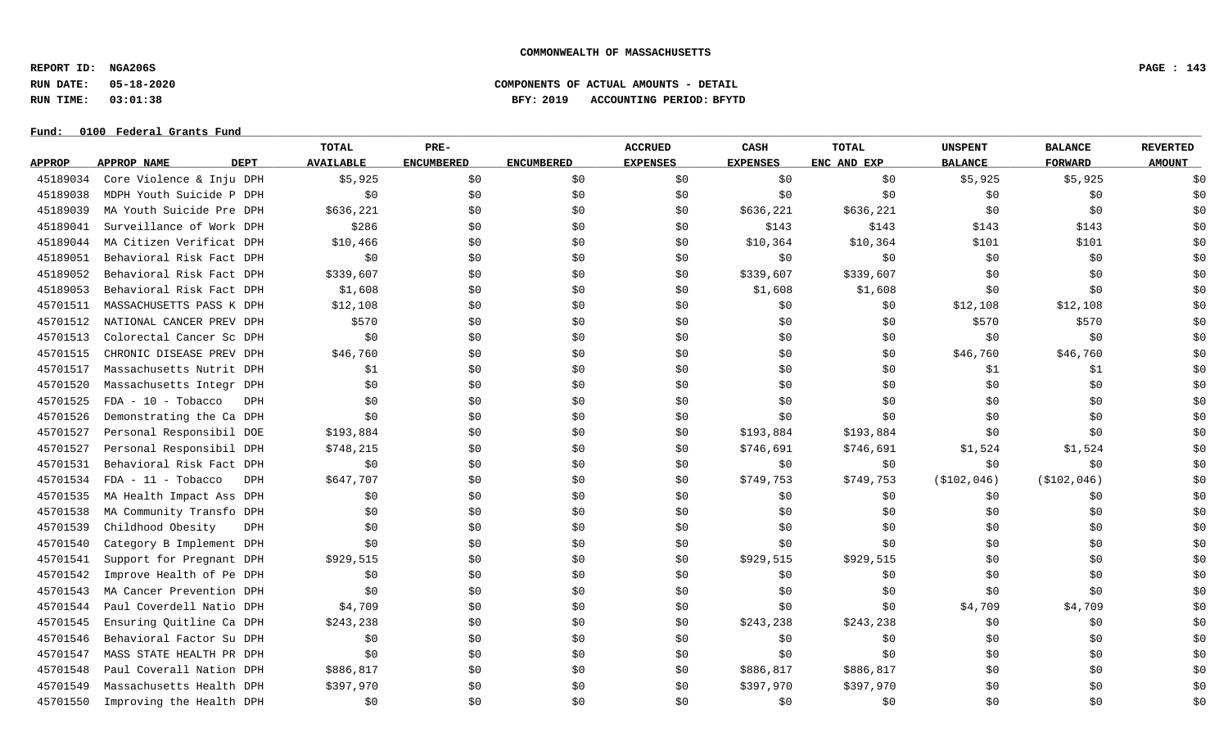**REPORT ID: NGA206S PAGE : 143**

# **RUN DATE: 05-18-2020 COMPONENTS OF ACTUAL AMOUNTS - DETAIL RUN TIME: 03:01:38 BFY: 2019 ACCOUNTING PERIOD: BFYTD**

|               |                                    | TOTAL            | PRE-              |                   | <b>ACCRUED</b>  | CASH            | <b>TOTAL</b> | <b>UNSPENT</b> | <b>BALANCE</b> | <b>REVERTED</b> |
|---------------|------------------------------------|------------------|-------------------|-------------------|-----------------|-----------------|--------------|----------------|----------------|-----------------|
| <b>APPROP</b> | <b>APPROP NAME</b><br><b>DEPT</b>  | <b>AVAILABLE</b> | <b>ENCUMBERED</b> | <b>ENCUMBERED</b> | <b>EXPENSES</b> | <b>EXPENSES</b> | ENC AND EXP  | <b>BALANCE</b> | <b>FORWARD</b> | <b>AMOUNT</b>   |
| 45189034      | Core Violence & Inju DPH           | \$5,925          | \$0               | \$0               | \$0             | \$0             | \$0\$        | \$5,925        | \$5,925        | \$0             |
| 45189038      | MDPH Youth Suicide P DPH           | \$0              | \$0               | \$0               | \$0             | \$0             | \$0          | \$0            | \$0            | \$0             |
| 45189039      | MA Youth Suicide Pre DPH           | \$636,221        | \$0               | \$0               | \$0             | \$636,221       | \$636,221    | \$0            | \$0            | \$0             |
| 45189041      | Surveillance of Work DPH           | \$286            | \$0               | \$0               | \$0             | \$143           | \$143        | \$143          | \$143          | \$0             |
| 45189044      | MA Citizen Verificat DPH           | \$10,466         | \$0               | \$0               | \$0             | \$10,364        | \$10,364     | \$101          | \$101          | \$0             |
| 45189051      | Behavioral Risk Fact DPH           | \$0              | \$0               | \$0               | \$0             | \$0             | \$0          | \$0            | \$0            | \$0             |
| 45189052      | Behavioral Risk Fact DPH           | \$339,607        | \$0               | \$0               | \$0             | \$339,607       | \$339,607    | \$0            | \$0            | \$0             |
| 45189053      | Behavioral Risk Fact DPH           | \$1,608          | \$0               | \$0               | \$0             | \$1,608         | \$1,608      | \$0            | \$0            | \$0             |
| 45701511      | MASSACHUSETTS PASS K DPH           | \$12,108         | \$0               | \$0               | \$0             | \$0             | \$0          | \$12,108       | \$12,108       | \$0             |
| 45701512      | NATIONAL CANCER PREV DPH           | \$570            | \$0               | \$0               | \$0             | \$0             | \$0          | \$570          | \$570          | \$0             |
| 45701513      | Colorectal Cancer Sc DPH           | \$0              | \$0               | \$0               | \$0             | \$0             | \$0          | \$0            | \$0            | \$0             |
| 45701515      | CHRONIC DISEASE PREV DPH           | \$46,760         | \$0               | \$0               | \$0             | \$0             | \$0          | \$46,760       | \$46,760       | \$0             |
| 45701517      | Massachusetts Nutrit DPH           | \$1              | \$0               | \$0               | \$0             | \$0             | \$0          | \$1            | \$1            | \$0             |
| 45701520      | Massachusetts Integr DPH           | \$0              | \$0               | \$0               | \$0             | \$0             | \$0          | \$0            | \$0            | \$0             |
| 45701525      | $FDA - 10 - Tobacco$<br>DPH        | \$0              | \$0               | \$0               | \$0             | \$0             | \$0          | \$0            | \$0            | \$0             |
| 45701526      | Demonstrating the Ca DPH           | \$0              | \$0               | \$0               | \$0             | \$0             | \$0          | \$0            | \$0            | \$0             |
| 45701527      | Personal Responsibil DOE           | \$193,884        | \$0               | \$0               | \$0             | \$193,884       | \$193,884    | \$0            | \$0            | \$0             |
| 45701527      | Personal Responsibil DPH           | \$748,215        | \$0               | \$0               | \$0             | \$746,691       | \$746,691    | \$1,524        | \$1,524        | \$0             |
| 45701531      | Behavioral Risk Fact DPH           | \$0              | \$0               | \$0               | \$0             | \$0             | \$0          | \$0            | \$0            | \$0             |
| 45701534      | $FDA - 11 - Tobacco$<br><b>DPH</b> | \$647,707        | \$0               | \$0               | \$0             | \$749,753       | \$749,753    | ( \$102, 046)  | ( \$102, 046)  | \$0             |
| 45701535      | MA Health Impact Ass DPH           | \$0              | \$0               | \$0               | \$0             | \$0             | \$0          | \$0            | \$0            | \$0             |
| 45701538      | MA Community Transfo DPH           | \$0              | \$0               | \$0               | \$0             | \$0             | \$0          | \$0            | \$0            | \$0             |
| 45701539      | Childhood Obesity<br><b>DPH</b>    | \$0              | \$0               | \$0               | \$0             | \$0             | \$0          | \$0            | \$0            | \$0             |
| 45701540      | Category B Implement DPH           | \$0              | \$0               | \$0               | \$0             | \$0             | \$0          | \$0            | \$0            | \$0             |
| 45701541      | Support for Pregnant DPH           | \$929,515        | \$0               | \$0               | \$0             | \$929,515       | \$929,515    | \$0            | \$0            | \$0             |
| 45701542      | Improve Health of Pe DPH           | \$0              | \$0               | \$0               | \$0             | \$0             | \$0          | \$0            | \$0            | \$0             |
| 45701543      | MA Cancer Prevention DPH           | \$0              | \$0               | \$0               | \$0             | \$0             | \$0          | \$0            | \$0            | \$0             |
| 45701544      | Paul Coverdell Natio DPH           | \$4,709          | \$0               | \$0               | \$0             | \$0             | \$0          | \$4,709        | \$4,709        | \$0             |
| 45701545      | Ensuring Quitline Ca DPH           | \$243,238        | \$0               | \$0               | \$0             | \$243,238       | \$243,238    | \$0            | \$0            | \$0             |
| 45701546      | Behavioral Factor Su DPH           | \$0              | \$0               | \$0               | \$0             | \$0             | \$0          | \$0            | \$0            | \$0             |
| 45701547      | MASS STATE HEALTH PR DPH           | \$0              | \$0               | \$0               | \$0             | \$0             | \$0          | \$0            | \$0            | \$0             |
| 45701548      | Paul Coverall Nation DPH           | \$886,817        | \$0               | \$0               | \$0             | \$886,817       | \$886,817    | \$0            | \$0            | \$0             |
| 45701549      | Massachusetts Health DPH           | \$397,970        | \$0               | \$0               | SO.             | \$397,970       | \$397,970    | \$0            | \$0            | \$0             |
| 45701550      | Improving the Health DPH           | \$0              | \$0               | \$0               | \$0             | \$0             | \$0          | \$0            | \$0            | \$0             |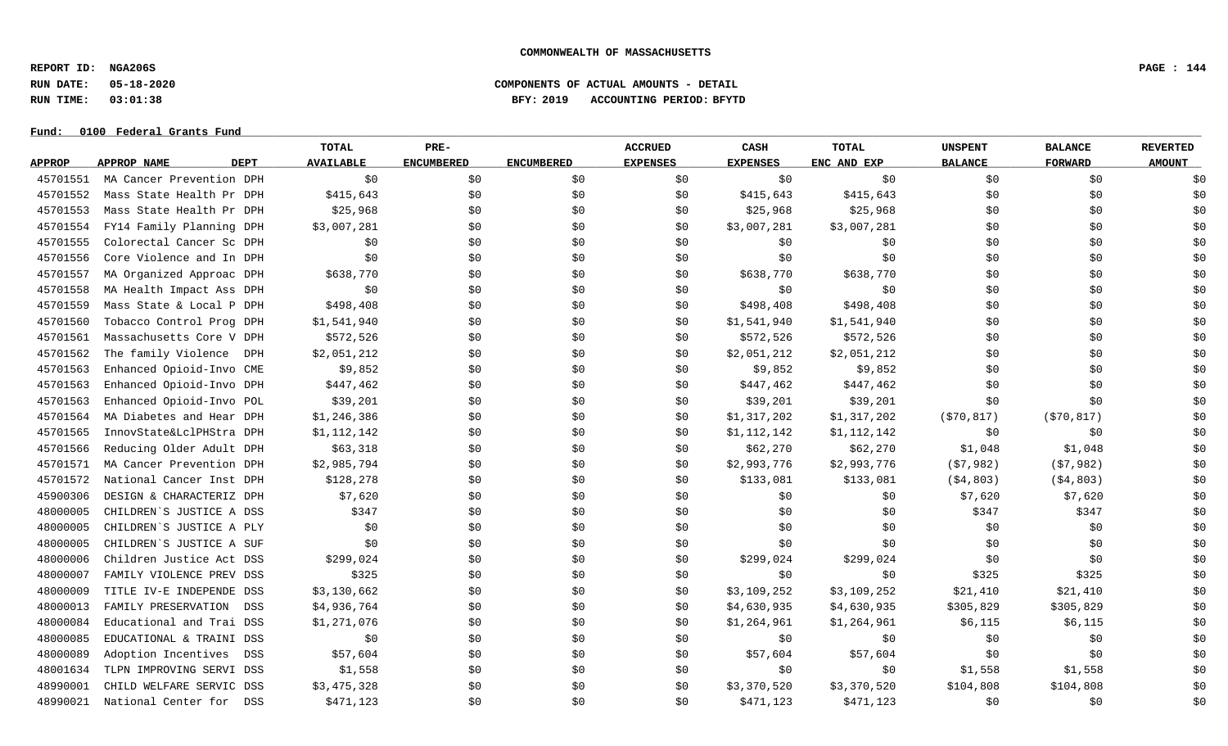**REPORT ID: NGA206S PAGE : 144**

# **RUN DATE: 05-18-2020 COMPONENTS OF ACTUAL AMOUNTS - DETAIL RUN TIME: 03:01:38 BFY: 2019 ACCOUNTING PERIOD: BFYTD**

|               |                            | TOTAL            | PRE-              |                   | <b>ACCRUED</b>  | CASH            | <b>TOTAL</b> | <b>UNSPENT</b> | <b>BALANCE</b> | <b>REVERTED</b> |
|---------------|----------------------------|------------------|-------------------|-------------------|-----------------|-----------------|--------------|----------------|----------------|-----------------|
| <b>APPROP</b> | <b>DEPT</b><br>APPROP NAME | <b>AVAILABLE</b> | <b>ENCUMBERED</b> | <b>ENCUMBERED</b> | <b>EXPENSES</b> | <b>EXPENSES</b> | ENC AND EXP  | <b>BALANCE</b> | <b>FORWARD</b> | <b>AMOUNT</b>   |
| 45701551      | MA Cancer Prevention DPH   | \$0              | \$0               | \$0               | \$0             | \$0             | \$0          | \$0            | \$0            | \$0             |
| 45701552      | Mass State Health Pr DPH   | \$415,643        | \$0               | \$0               | \$0             | \$415,643       | \$415,643    | \$0            | \$0            | \$0             |
| 45701553      | Mass State Health Pr DPH   | \$25,968         | \$0               | \$0               | \$0             | \$25,968        | \$25,968     | \$0            | \$0            | \$0             |
| 45701554      | FY14 Family Planning DPH   | \$3,007,281      | \$0               | \$0               | \$0             | \$3,007,281     | \$3,007,281  | \$0            | \$0            | \$0             |
| 45701555      | Colorectal Cancer Sc DPH   | \$0              | \$0               | \$0               | \$0             | \$0             | \$0          | \$0            | \$0            | \$0             |
| 45701556      | Core Violence and In DPH   | \$0              | \$0               | \$0               | \$0             | \$0             | \$0          | \$0            | \$0            | \$0             |
| 45701557      | MA Organized Approac DPH   | \$638,770        | \$0               | \$0               | \$0             | \$638,770       | \$638,770    | \$0            | \$0            | \$0             |
| 45701558      | MA Health Impact Ass DPH   | \$0              | \$0               | \$0               | \$0             | \$0             | \$0          | \$0            | \$0            | \$0             |
| 45701559      | Mass State & Local P DPH   | \$498,408        | \$0               | \$0               | \$0             | \$498,408       | \$498,408    | \$0            | \$0            | \$0             |
| 45701560      | Tobacco Control Prog DPH   | \$1,541,940      | \$0               | \$0               | \$0             | \$1,541,940     | \$1,541,940  | \$0            | \$0            | \$0             |
| 45701561      | Massachusetts Core V DPH   | \$572,526        | \$0               | \$0               | \$0             | \$572,526       | \$572,526    | \$0            | \$0            | \$0             |
| 45701562      | The family Violence<br>DPH | \$2,051,212      | \$0               | \$0               | \$0             | \$2,051,212     | \$2,051,212  | \$0            | \$0            | \$0             |
| 45701563      | Enhanced Opioid-Invo CME   | \$9,852          | \$0               | \$0               | \$0             | \$9,852         | \$9,852      | \$0            | \$0            | \$0             |
| 45701563      | Enhanced Opioid-Invo DPH   | \$447,462        | \$0               | \$0               | \$0             | \$447,462       | \$447,462    | \$0            | \$0            | \$0             |
| 45701563      | Enhanced Opioid-Invo POL   | \$39,201         | \$0               | \$0               | \$0             | \$39,201        | \$39,201     | \$0            | \$0            | \$0             |
| 45701564      | MA Diabetes and Hear DPH   | \$1,246,386      | \$0               | \$0               | \$0             | \$1,317,202     | \$1,317,202  | (\$70,817)     | ( \$70, 817)   | \$0             |
| 45701565      | InnovState&LclPHStra DPH   | \$1,112,142      | \$0               | \$0               | \$0             | \$1,112,142     | \$1,112,142  | \$0            | \$0            | \$0             |
| 45701566      | Reducing Older Adult DPH   | \$63,318         | \$0               | \$0               | \$0             | \$62,270        | \$62,270     | \$1,048        | \$1,048        | \$0             |
| 45701571      | MA Cancer Prevention DPH   | \$2,985,794      | \$0               | \$0               | \$0             | \$2,993,776     | \$2,993,776  | (57,982)       | (57,982)       | \$0             |
| 45701572      | National Cancer Inst DPH   | \$128,278        | \$0               | \$0               | \$0             | \$133,081       | \$133,081    | ( \$4, 803)    | ( \$4, 803)    | \$0             |
| 45900306      | DESIGN & CHARACTERIZ DPH   | \$7,620          | \$0               | \$0               | \$0             | \$0             | \$0          | \$7,620        | \$7,620        | \$0             |
| 48000005      | CHILDREN'S JUSTICE A DSS   | \$347            | \$0               | \$0               | \$0             | \$0             | \$0          | \$347          | \$347          | \$0             |
| 48000005      | CHILDREN'S JUSTICE A PLY   | \$0              | \$0               | \$0               | \$0             | \$0             | \$0          | \$0            | \$0            | \$0             |
| 48000005      | CHILDREN'S JUSTICE A SUF   | \$0              | \$0               | \$0               | \$0             | \$0             | \$0          | \$0            | \$0            | \$0             |
| 48000006      | Children Justice Act DSS   | \$299,024        | \$0               | \$0               | \$0             | \$299,024       | \$299,024    | \$0            | \$0            | \$0             |
| 48000007      | FAMILY VIOLENCE PREV DSS   | \$325            | \$0               | \$0               | \$0             | \$0             | \$0          | \$325          | \$325          | \$0             |
| 48000009      | TITLE IV-E INDEPENDE DSS   | \$3,130,662      | \$0               | \$0               | \$0             | \$3,109,252     | \$3,109,252  | \$21,410       | \$21,410       | \$0             |
| 48000013      | FAMILY PRESERVATION<br>DSS | \$4,936,764      | \$0               | \$0               | \$0             | \$4,630,935     | \$4,630,935  | \$305,829      | \$305,829      | \$0             |
| 48000084      | Educational and Trai DSS   | \$1,271,076      | \$0               | \$0               | \$0             | \$1,264,961     | \$1,264,961  | \$6,115        | \$6,115        | \$0             |
| 48000085      | EDUCATIONAL & TRAINI DSS   | \$0              | \$0               | \$0               | \$0             | \$0             | \$0          | \$0            | \$0            | \$0             |
| 48000089      | Adoption Incentives<br>DSS | \$57,604         | \$0               | \$0               | \$0             | \$57,604        | \$57,604     | \$0            | \$0            | \$0             |
| 48001634      | TLPN IMPROVING SERVI DSS   | \$1,558          | \$0               | \$0               | \$0             | \$0             | \$0          | \$1,558        | \$1,558        | \$0             |
| 48990001      | CHILD WELFARE SERVIC DSS   | \$3,475,328      | \$0               | \$0               | \$0             | \$3,370,520     | \$3,370,520  | \$104,808      | \$104,808      | \$0             |
| 48990021      | National Center for<br>DSS | \$471,123        | \$0               | \$0               | \$0             | \$471,123       | \$471,123    | \$0            | \$0            | \$0             |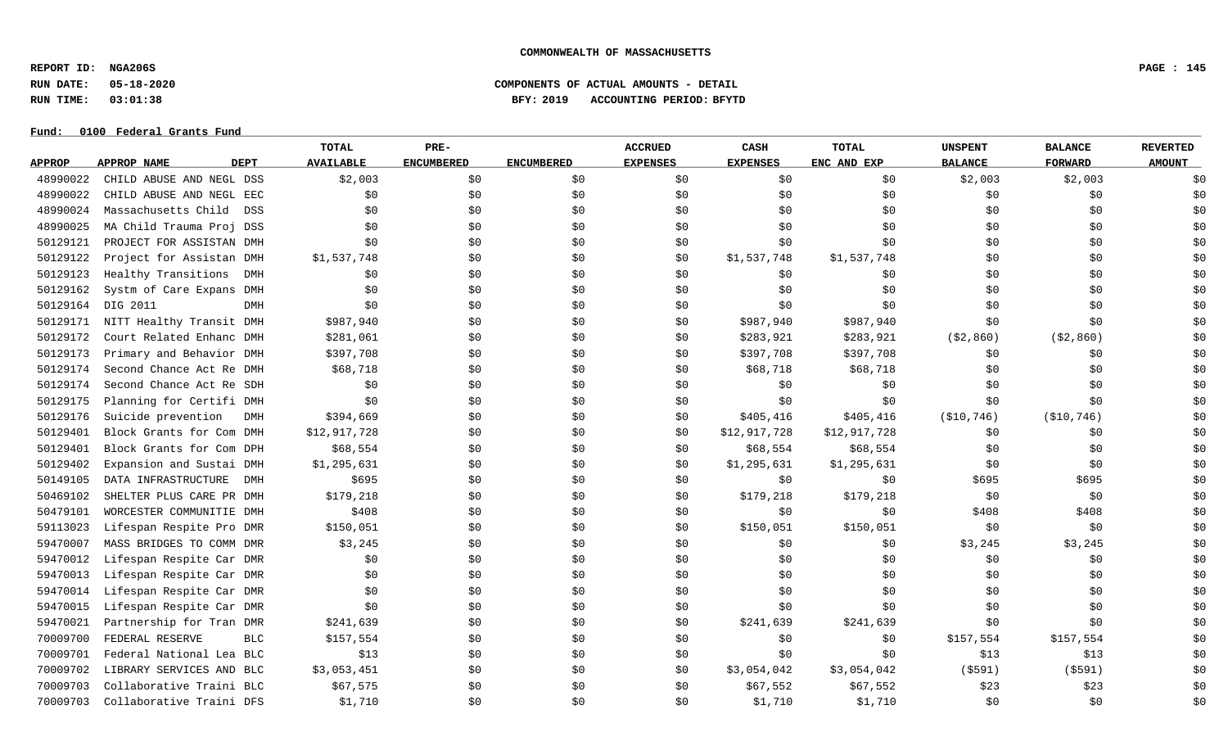**REPORT ID: NGA206S PAGE : 145**

# **RUN DATE: 05-18-2020 COMPONENTS OF ACTUAL AMOUNTS - DETAIL RUN TIME: 03:01:38 BFY: 2019 ACCOUNTING PERIOD: BFYTD**

|               |                                   | TOTAL            | PRE-              |                   | <b>ACCRUED</b>  | CASH            | <b>TOTAL</b> | <b>UNSPENT</b> | <b>BALANCE</b> | <b>REVERTED</b> |
|---------------|-----------------------------------|------------------|-------------------|-------------------|-----------------|-----------------|--------------|----------------|----------------|-----------------|
| <b>APPROP</b> | <b>APPROP NAME</b><br><b>DEPT</b> | <b>AVAILABLE</b> | <b>ENCUMBERED</b> | <b>ENCUMBERED</b> | <b>EXPENSES</b> | <b>EXPENSES</b> | ENC AND EXP  | <b>BALANCE</b> | <b>FORWARD</b> | <b>AMOUNT</b>   |
| 48990022      | CHILD ABUSE AND NEGL DSS          | \$2,003          | \$0               | \$0               | \$0             | \$0             | \$0          | \$2,003        | \$2,003        | \$0             |
| 48990022      | CHILD ABUSE AND NEGL EEC          | \$0              | \$0               | \$0               | \$0             | \$0             | \$0          | \$0            | \$0            | \$0             |
| 48990024      | Massachusetts Child<br>DSS        | \$0              | \$0               | \$0               | \$0             | \$0             | \$0          | \$0            | \$0            | \$0             |
| 48990025      | MA Child Trauma Proj DSS          | \$0              | \$0               | \$0               | \$0             | \$0             | \$0          | \$0            | \$0            | \$0             |
| 50129121      | PROJECT FOR ASSISTAN DMH          | \$0              | \$0               | \$0               | \$0             | \$0             | \$0          | \$0            | \$0            | \$0             |
| 50129122      | Project for Assistan DMH          | \$1,537,748      | \$0               | \$0               | \$0             | \$1,537,748     | \$1,537,748  | \$0            | \$0            | \$0             |
| 50129123      | Healthy Transitions<br>DMH        | \$0              | \$0               | \$0               | \$0             | \$0             | \$0          | \$0            | \$0            | \$0             |
| 50129162      | Systm of Care Expans<br>DMH       | \$0              | \$0               | \$0               | \$0             | \$0             | \$0          | \$0            | \$0            | \$0             |
| 50129164      | DIG 2011<br><b>DMH</b>            | \$0              | \$0               | \$0               | \$0             | \$0             | \$0          | \$0            | \$0            | \$0             |
| 50129171      | NITT Healthy Transit DMH          | \$987,940        | \$0               | \$0               | \$0             | \$987,940       | \$987,940    | \$0            | \$0            | \$0             |
| 50129172      | Court Related Enhanc DMH          | \$281,061        | \$0               | \$0               | \$0             | \$283,921       | \$283,921    | ( \$2, 860)    | ( \$2, 860)    | \$0             |
| 50129173      | Primary and Behavior DMH          | \$397,708        | \$0               | \$0               | \$0             | \$397,708       | \$397,708    | \$0            | \$0            | \$0             |
| 50129174      | Second Chance Act Re DMH          | \$68,718         | \$0               | \$0               | \$0             | \$68,718        | \$68,718     | \$0            | \$0            | \$0             |
| 50129174      | Second Chance Act Re SDH          | \$0              | \$0               | \$0               | \$0             | \$0             | \$0          | \$0            | \$0            | \$0             |
| 50129175      | Planning for Certifi DMH          | \$0              | \$0               | \$0               | \$0             | \$0             | \$0          | \$0            | \$0            | \$0             |
| 50129176      | Suicide prevention<br>DMH         | \$394,669        | \$0               | \$0               | \$0             | \$405,416       | \$405, 416   | ( \$10, 746)   | ( \$10, 746)   | \$0             |
| 50129401      | Block Grants for Com DMH          | \$12,917,728     | \$0               | \$0               | \$0             | \$12,917,728    | \$12,917,728 | \$0            | \$0            | \$0             |
| 50129401      | Block Grants for Com DPH          | \$68,554         | \$0               | \$0               | \$0             | \$68,554        | \$68,554     | \$0            | \$0            | \$0             |
| 50129402      | Expansion and Sustai DMH          | \$1,295,631      | \$0               | \$0               | \$0             | \$1,295,631     | \$1,295,631  | \$0            | \$0            | \$0             |
| 50149105      | DATA INFRASTRUCTURE<br>DMH        | \$695            | \$0               | \$0               | \$0             | \$0             | \$0          | \$695          | \$695          | \$0             |
| 50469102      | SHELTER PLUS CARE PR DMH          | \$179,218        | \$0               | \$0               | \$0             | \$179,218       | \$179,218    | \$0            | \$0            | \$0             |
| 50479101      | WORCESTER COMMUNITIE DMH          | \$408            | \$0               | \$0               | \$0             | \$0             | \$0          | \$408          | \$408          | \$0             |
| 59113023      | Lifespan Respite Pro DMR          | \$150,051        | \$0               | \$0               | \$0             | \$150,051       | \$150,051    | \$0            | \$0            | \$0             |
| 59470007      | MASS BRIDGES TO COMM DMR          | \$3,245          | \$0               | \$0               | \$0             | \$0             | \$0\$        | \$3,245        | \$3,245        | \$0             |
| 59470012      | Lifespan Respite Car DMR          | \$0              | \$0               | \$0               | \$0             | \$0             | \$0          | \$0            | \$0            | \$0             |
| 59470013      | Lifespan Respite Car DMR          | \$0              | \$0               | \$0               | \$0             | \$0             | \$0          | \$0            | \$0            | \$0             |
| 59470014      | Lifespan Respite Car DMR          | \$0              | \$0               | \$0               | \$0             | \$0             | \$0          | \$0            | \$0            | \$0             |
| 59470015      | Lifespan Respite Car DMR          | \$0              | \$0               | \$0               | \$0             | \$0             | \$0          | \$0            | \$0            | \$0             |
| 59470021      | Partnership for Tran DMR          | \$241,639        | \$0               | \$0               | \$0             | \$241,639       | \$241,639    | \$0            | \$0            | \$0             |
| 70009700      | FEDERAL RESERVE<br><b>BLC</b>     | \$157,554        | \$0               | \$0               | \$0             | \$0             | \$0          | \$157,554      | \$157,554      | \$0             |
| 70009701      | Federal National Lea BLC          | \$13             | \$0               | \$0               | \$0             | \$0             | \$0          | \$13           | \$13           | \$0             |
| 70009702      | LIBRARY SERVICES AND BLC          | \$3,053,451      | \$0               | \$0               | \$0             | \$3,054,042     | \$3,054,042  | $($ \$591)     | ( \$591)       | \$0             |
| 70009703      | Collaborative Traini BLC          | \$67,575         | \$0               | \$0               | SO.             | \$67,552        | \$67,552     | \$23           | \$23           | \$0             |
| 70009703      | Collaborative Traini DFS          | \$1,710          | \$0               | \$0               | \$0             | \$1,710         | \$1,710      | \$0            | \$0            | \$0             |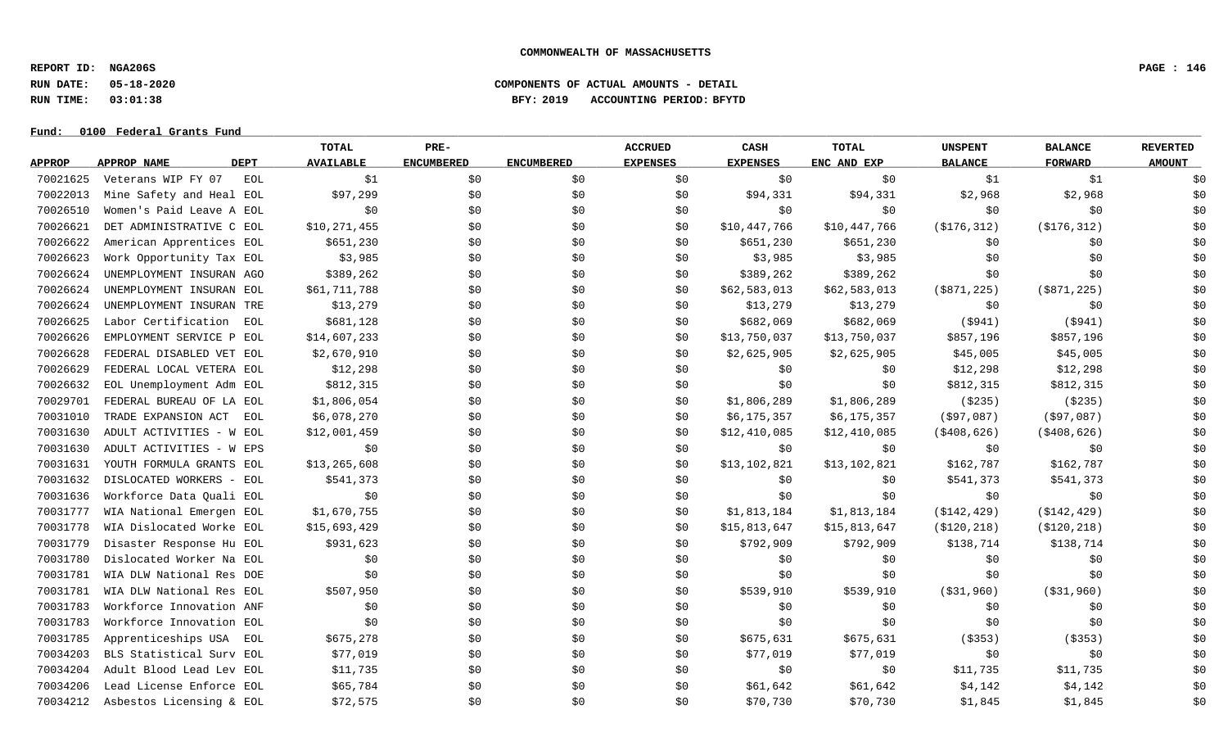**REPORT ID: NGA206S PAGE : 146**

**RUN DATE: 05-18-2020 COMPONENTS OF ACTUAL AMOUNTS - DETAIL**

# **RUN TIME: 03:01:38 BFY: 2019 ACCOUNTING PERIOD: BFYTD**

|               |                            | TOTAL            | PRE-              |                   | <b>ACCRUED</b>  | CASH            | <b>TOTAL</b> | <b>UNSPENT</b> | <b>BALANCE</b> | <b>REVERTED</b> |
|---------------|----------------------------|------------------|-------------------|-------------------|-----------------|-----------------|--------------|----------------|----------------|-----------------|
| <b>APPROP</b> | <b>DEPT</b><br>APPROP NAME | <b>AVAILABLE</b> | <b>ENCUMBERED</b> | <b>ENCUMBERED</b> | <b>EXPENSES</b> | <b>EXPENSES</b> | ENC AND EXP  | <b>BALANCE</b> | <b>FORWARD</b> | <b>AMOUNT</b>   |
| 70021625      | Veterans WIP FY 07<br>EOL  | \$1              | \$0               | \$0               | \$0             | \$0             | \$0          | \$1            | \$1            | \$0             |
| 70022013      | Mine Safety and Heal EOL   | \$97,299         | \$0               | \$0               | \$0             | \$94,331        | \$94,331     | \$2,968        | \$2,968        | \$0             |
| 70026510      | Women's Paid Leave A EOL   | \$0              | \$0               | \$0               | \$0             | \$0\$           | \$0          | \$0            | \$0            | \$0             |
| 70026621      | DET ADMINISTRATIVE C EOL   | \$10,271,455     | \$0               | \$0               | \$0             | \$10,447,766    | \$10,447,766 | ( \$176, 312)  | ( \$176, 312)  | \$0             |
| 70026622      | American Apprentices EOL   | \$651,230        | \$0               | \$0               | \$0             | \$651,230       | \$651,230    | \$0            | \$0            | \$0             |
| 70026623      | Work Opportunity Tax EOL   | \$3,985          | \$0               | \$0               | \$0             | \$3,985         | \$3,985      | \$0            | \$0            | \$0             |
| 70026624      | UNEMPLOYMENT INSURAN AGO   | \$389,262        | \$0               | \$0               | \$0             | \$389,262       | \$389,262    | \$0            | \$0            | \$0             |
| 70026624      | UNEMPLOYMENT INSURAN EOL   | \$61,711,788     | \$0               | \$0               | \$0             | \$62,583,013    | \$62,583,013 | $($ \$871,225) | $($ \$871,225) | \$0             |
| 70026624      | UNEMPLOYMENT INSURAN TRE   | \$13,279         | \$0               | \$0               | \$0             | \$13,279        | \$13,279     | \$0            | \$0            | \$0             |
| 70026625      | Labor Certification<br>EOL | \$681,128        | \$0               | \$0               | \$0             | \$682,069       | \$682,069    | (5941)         | (5941)         | \$0             |
| 70026626      | EMPLOYMENT SERVICE P EOL   | \$14,607,233     | \$0               | \$0               | \$0             | \$13,750,037    | \$13,750,037 | \$857,196      | \$857,196      | \$0             |
| 70026628      | FEDERAL DISABLED VET EOL   | \$2,670,910      | \$0               | \$0               | \$0             | \$2,625,905     | \$2,625,905  | \$45,005       | \$45,005       | \$0             |
| 70026629      | FEDERAL LOCAL VETERA EOL   | \$12,298         | \$0               | \$0               | \$0             | \$0             | \$0          | \$12,298       | \$12,298       | \$0             |
| 70026632      | EOL Unemployment Adm EOL   | \$812,315        | \$0               | \$0               | \$0             | \$0\$           | \$0          | \$812,315      | \$812,315      | \$0             |
| 70029701      | FEDERAL BUREAU OF LA EOL   | \$1,806,054      | \$0               | \$0               | \$0             | \$1,806,289     | \$1,806,289  | ( \$235)       | ( \$235)       | \$0             |
| 70031010      | TRADE EXPANSION ACT<br>EOL | \$6,078,270      | \$0               | \$0               | \$0             | \$6,175,357     | \$6,175,357  | ( \$97,087)    | ( \$97,087)    | \$0             |
| 70031630      | ADULT ACTIVITIES - W EOL   | \$12,001,459     | \$0               | \$0               | \$0             | \$12,410,085    | \$12,410,085 | $($ \$408,626) | $($ \$408,626) | \$0             |
| 70031630      | ADULT ACTIVITIES - W EPS   | \$0              | \$0               | \$0               | \$0             | \$0             | \$0          | \$0            | \$0            | \$0             |
| 70031631      | YOUTH FORMULA GRANTS EOL   | \$13,265,608     | \$0               | \$0               | \$0             | \$13,102,821    | \$13,102,821 | \$162,787      | \$162,787      | \$0             |
| 70031632      | DISLOCATED WORKERS - EOL   | \$541,373        | \$0               | \$0               | \$0             | \$0             | \$0          | \$541,373      | \$541,373      | \$0             |
| 70031636      | Workforce Data Quali EOL   | \$0              | \$0               | \$0               | \$0             | \$0\$           | \$0          | \$0            | \$0            | \$0             |
| 70031777      | WIA National Emergen EOL   | \$1,670,755      | \$0               | \$0               | \$0             | \$1,813,184     | \$1,813,184  | ( \$142, 429)  | ( \$142, 429)  | \$0             |
| 70031778      | WIA Dislocated Worke EOL   | \$15,693,429     | \$0               | \$0               | \$0             | \$15,813,647    | \$15,813,647 | ( \$120, 218)  | ( \$120, 218)  | \$0             |
| 70031779      | Disaster Response Hu EOL   | \$931,623        | \$0               | \$0               | \$0             | \$792,909       | \$792,909    | \$138,714      | \$138,714      | \$0             |
| 70031780      | Dislocated Worker Na EOL   | \$0              | \$0               | \$0               | \$0             | \$0             | \$0          | \$0            | \$0            | \$0             |
| 70031781      | WIA DLW National Res DOE   | \$0              | \$0               | \$0               | \$0             | \$0             | \$0          | \$0            | \$0            | \$0             |
| 70031781      | WIA DLW National Res EOL   | \$507,950        | \$0               | \$0               | \$0             | \$539,910       | \$539,910    | ( \$31, 960)   | ( \$31, 960)   | \$0             |
| 70031783      | Workforce Innovation ANF   | \$0              | \$0               | \$0               | \$0             | \$0             | \$0          | \$0            | \$0            | \$0             |
| 70031783      | Workforce Innovation EOL   | \$0              | \$0               | \$0               | \$0             | \$0\$           | \$0          | \$0            | \$0\$          | \$0             |
| 70031785      | Apprenticeships USA EOL    | \$675,278        | \$0               | \$0               | \$0             | \$675,631       | \$675,631    | ( \$353)       | ( \$353)       | \$0             |
| 70034203      | BLS Statistical Surv EOL   | \$77,019         | \$0               | \$0               | \$0             | \$77,019        | \$77,019     | \$0            | \$0            | \$0             |
| 70034204      | Adult Blood Lead Lev EOL   | \$11,735         | \$0               | \$0               | \$0             | \$0             | \$0          | \$11,735       | \$11,735       | \$0             |
| 70034206      | Lead License Enforce EOL   | \$65,784         | \$0               | \$0               | \$0             | \$61,642        | \$61,642     | \$4,142        | \$4,142        | \$0             |
| 70034212      | Asbestos Licensing & EOL   | \$72,575         | \$0               | \$0               | \$0             | \$70,730        | \$70,730     | \$1,845        | \$1,845        | \$0             |
|               |                            |                  |                   |                   |                 |                 |              |                |                |                 |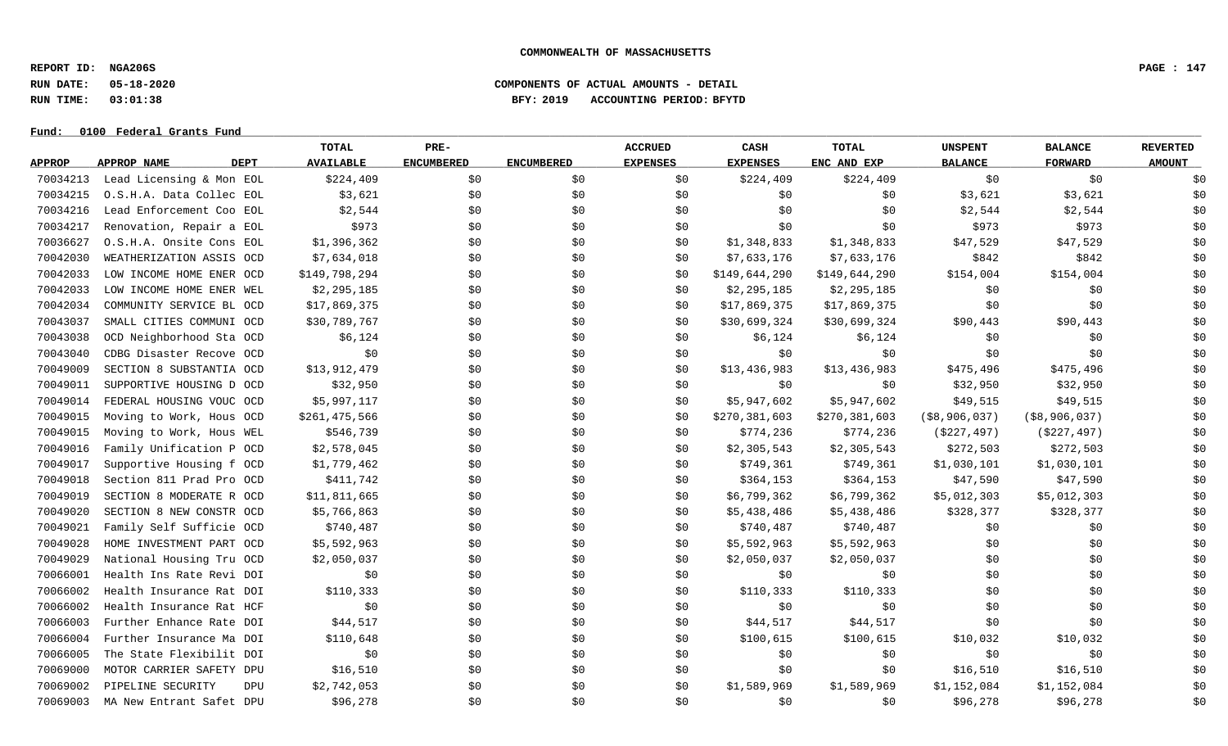**REPORT ID: NGA206S PAGE : 147**

### **RUN DATE: 05-18-2020 COMPONENTS OF ACTUAL AMOUNTS - DETAIL RUN TIME: 03:01:38 BFY: 2019 ACCOUNTING PERIOD: BFYTD**

|               |                                   | TOTAL            | PRE-              |                   | <b>ACCRUED</b>  | CASH            | <b>TOTAL</b>  | <b>UNSPENT</b>   | <b>BALANCE</b>   | <b>REVERTED</b> |
|---------------|-----------------------------------|------------------|-------------------|-------------------|-----------------|-----------------|---------------|------------------|------------------|-----------------|
| <b>APPROP</b> | <b>APPROP NAME</b><br><b>DEPT</b> | <b>AVAILABLE</b> | <b>ENCUMBERED</b> | <b>ENCUMBERED</b> | <b>EXPENSES</b> | <b>EXPENSES</b> | ENC AND EXP   | <b>BALANCE</b>   | <b>FORWARD</b>   | <b>AMOUNT</b>   |
| 70034213      | Lead Licensing & Mon EOL          | \$224,409        | \$0               | \$0               | \$0             | \$224,409       | \$224,409     | \$0              | \$0              | \$0             |
| 70034215      | O.S.H.A. Data Collec EOL          | \$3,621          | \$0\$             | \$0               | \$0             | \$0             | \$0           | \$3,621          | \$3,621          | \$0             |
| 70034216      | Lead Enforcement Coo EOL          | \$2,544          | \$0               | \$0               | \$0             | \$0             | \$0           | \$2,544          | \$2,544          | \$0             |
| 70034217      | Renovation, Repair a EOL          | \$973            | \$0               | \$0               | \$0             | \$0             | \$0           | \$973            | \$973            | \$0             |
| 70036627      | O.S.H.A. Onsite Cons EOL          | \$1,396,362      | \$0               | \$0               | \$0             | \$1,348,833     | \$1,348,833   | \$47,529         | \$47,529         | \$0             |
| 70042030      | WEATHERIZATION ASSIS OCD          | \$7,634,018      | \$0               | \$0               | SO.             | \$7,633,176     | \$7,633,176   | \$842            | \$842            | \$0             |
| 70042033      | LOW INCOME HOME ENER OCD          | \$149,798,294    | \$0               | \$0               | \$0             | \$149,644,290   | \$149,644,290 | \$154,004        | \$154,004        | \$0             |
| 70042033      | LOW INCOME HOME ENER WEL          | \$2,295,185      | \$0               | \$0               | \$0             | \$2,295,185     | \$2,295,185   | \$0              | \$0              | \$0             |
| 70042034      | COMMUNITY SERVICE BL OCD          | \$17,869,375     | \$0               | \$0               | \$0             | \$17,869,375    | \$17,869,375  | \$0              | \$0              | \$0             |
| 70043037      | SMALL CITIES COMMUNI OCD          | \$30,789,767     | \$0               | \$0               | \$0             | \$30,699,324    | \$30,699,324  | \$90,443         | \$90,443         | \$0             |
| 70043038      | OCD Neighborhood Sta OCD          | \$6,124          | \$0\$             | \$0               | \$0             | \$6,124         | \$6,124       | \$0              | \$0              | \$0             |
| 70043040      | CDBG Disaster Recove OCD          | \$0              | \$0               | \$0               | \$0             | \$0             | \$0           | \$0              | \$0              | \$0             |
| 70049009      | SECTION 8 SUBSTANTIA OCD          | \$13,912,479     | \$0               | \$0               | \$0             | \$13,436,983    | \$13,436,983  | \$475,496        | \$475,496        | \$0             |
| 70049011      | SUPPORTIVE HOUSING D OCD          | \$32,950         | \$0\$             | \$0               | \$0             | \$0             | \$0\$         | \$32,950         | \$32,950         | \$0             |
| 70049014      | FEDERAL HOUSING VOUC OCD          | \$5,997,117      | \$0               | \$0               | \$0             | \$5,947,602     | \$5,947,602   | \$49,515         | \$49,515         | \$0             |
| 70049015      | Moving to Work, Hous OCD          | \$261,475,566    | \$0\$             | \$0               | \$0             | \$270,381,603   | \$270,381,603 | $($ \$8,906,037) | ( \$8, 906, 037) | \$0             |
| 70049015      | Moving to Work, Hous WEL          | \$546,739        | \$0               | \$0               | \$0             | \$774,236       | \$774,236     | ( \$227, 497)    | ( \$227, 497)    | \$0             |
| 70049016      | Family Unification P OCD          | \$2,578,045      | \$0               | \$0               | \$0             | \$2,305,543     | \$2,305,543   | \$272,503        | \$272,503        | \$0             |
| 70049017      | Supportive Housing f OCD          | \$1,779,462      | \$0               | \$0               | \$0             | \$749,361       | \$749,361     | \$1,030,101      | \$1,030,101      | \$0             |
| 70049018      | Section 811 Prad Pro OCD          | \$411,742        | \$0               | \$0               | \$0             | \$364,153       | \$364,153     | \$47,590         | \$47,590         | \$0             |
| 70049019      | SECTION 8 MODERATE R OCD          | \$11,811,665     | \$0\$             | \$0               | \$0             | \$6,799,362     | \$6,799,362   | \$5,012,303      | \$5,012,303      | \$0             |
| 70049020      | SECTION 8 NEW CONSTR OCD          | \$5,766,863      | \$0               | \$0               | \$0             | \$5,438,486     | \$5,438,486   | \$328,377        | \$328,377        | \$0             |
| 70049021      | Family Self Sufficie OCD          | \$740,487        | \$0               | \$0               | \$0             | \$740,487       | \$740,487     | \$0              | \$0              | \$0             |
| 70049028      | HOME INVESTMENT PART OCD          | \$5,592,963      | \$0               | \$0               | \$0             | \$5,592,963     | \$5,592,963   | \$0              | \$0              | \$0             |
| 70049029      | National Housing Tru OCD          | \$2,050,037      | \$0               | \$0               | \$0             | \$2,050,037     | \$2,050,037   | \$0              | \$0              | \$0             |
| 70066001      | Health Ins Rate Revi DOI          | \$0              | \$0               | \$0               | \$0             | \$0             | \$0           | \$0              | \$0              | \$0             |
| 70066002      | Health Insurance Rat DOI          | \$110,333        | \$0               | \$0               | \$0             | \$110,333       | \$110,333     | \$0              | \$0              | \$0             |
| 70066002      | Health Insurance Rat HCF          | \$0              | \$0               | \$0               | \$0             | \$0             | \$0           | \$0              | \$0              | \$0             |
| 70066003      | Further Enhance Rate DOI          | \$44,517         | \$0               | \$0               | \$0             | \$44,517        | \$44,517      | \$0              | \$0              | \$0             |
| 70066004      | Further Insurance Ma DOI          | \$110,648        | \$0               | \$0               | \$0             | \$100,615       | \$100,615     | \$10,032         | \$10,032         | \$0             |
| 70066005      | The State Flexibilit DOI          | \$0              | \$0               | \$0               | \$0             | \$0             | \$0           | \$0              | \$0              | \$0             |
| 70069000      | MOTOR CARRIER SAFETY DPU          | \$16,510         | \$0               | \$0               | \$0             | \$0             | \$0           | \$16,510         | \$16,510         | \$0             |
| 70069002      | PIPELINE SECURITY<br><b>DPU</b>   | \$2,742,053      | \$0               | \$0               | \$0             | \$1,589,969     | \$1,589,969   | \$1,152,084      | \$1,152,084      | \$0             |
| 70069003      | MA New Entrant Safet DPU          | \$96,278         | \$0               | \$0               | \$0             | \$0             | \$0           | \$96,278         | \$96,278         | \$0             |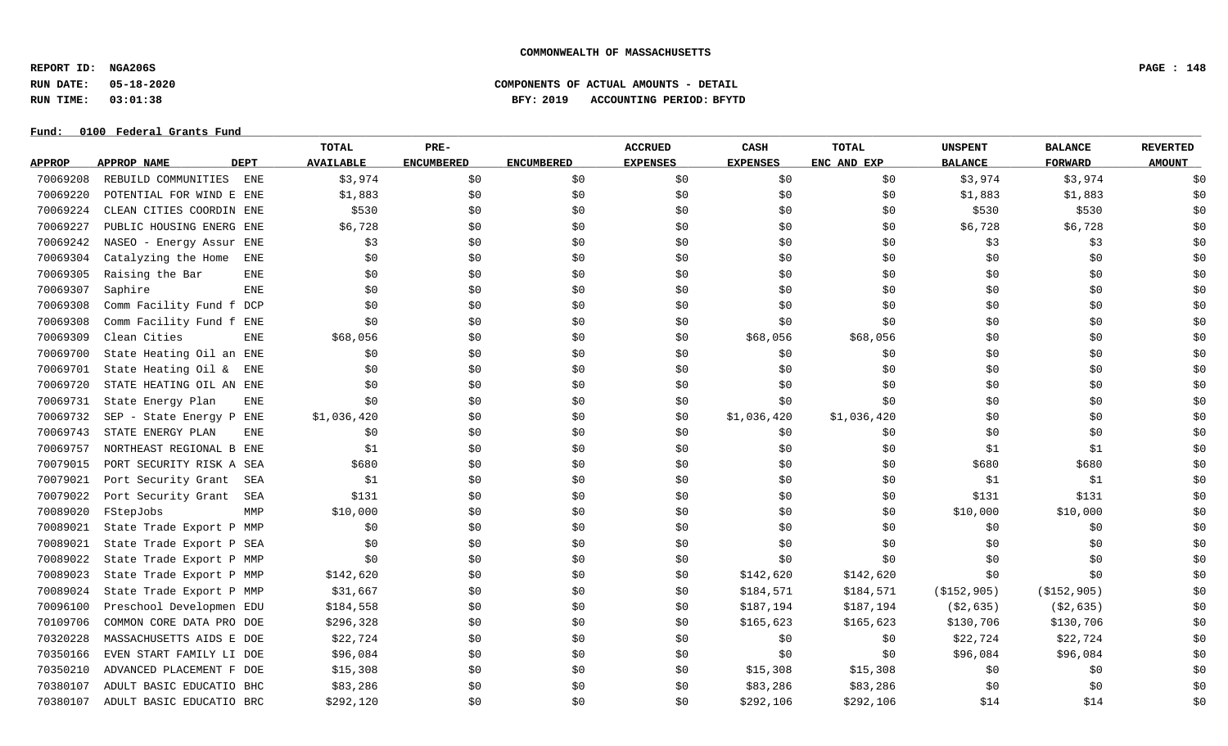**REPORT ID: NGA206S PAGE : 148**

**RUN DATE: 05-18-2020 COMPONENTS OF ACTUAL AMOUNTS - DETAIL**

**RUN TIME: 03:01:38 BFY: 2019 ACCOUNTING PERIOD: BFYTD**

|               |                            | <b>TOTAL</b>      | PRE-              |                   | <b>ACCRUED</b>  | CASH            | TOTAL       | <b>UNSPENT</b> | <b>BALANCE</b> | <b>REVERTED</b> |
|---------------|----------------------------|-------------------|-------------------|-------------------|-----------------|-----------------|-------------|----------------|----------------|-----------------|
| <b>APPROP</b> | APPROP NAME<br><b>DEPT</b> | <b>AVAILABLE</b>  | <b>ENCUMBERED</b> | <b>ENCUMBERED</b> | <b>EXPENSES</b> | <b>EXPENSES</b> | ENC AND EXP | <b>BALANCE</b> | <b>FORWARD</b> | <b>AMOUNT</b>   |
| 70069208      | REBUILD COMMUNITIES        | ENE<br>\$3,974    | \$0               | \$0               | \$0             | \$0             | \$0         | \$3,974        | \$3,974        | \$0             |
| 70069220      | POTENTIAL FOR WIND E ENE   | \$1,883           | \$0               | \$0               | \$0             | \$0             | \$0         | \$1,883        | \$1,883        | \$0             |
| 70069224      | CLEAN CITIES COORDIN ENE   | \$530             | \$0               | \$0               | \$0             | \$0             | \$0         | \$530          | \$530          | \$0             |
| 70069227      | PUBLIC HOUSING ENERG ENE   | \$6,728           | \$0               | \$0               | \$0             | \$0             | \$0         | \$6,728        | \$6,728        | \$0             |
| 70069242      | NASEO - Energy Assur ENE   | \$3               | \$0               | \$0               | \$0             | \$0             | \$0         | \$3            | \$3            | \$0             |
| 70069304      | Catalyzing the Home        | \$0<br>ENE        | \$0               | \$0               | \$0             | \$0             | \$0         | \$0            | \$0            | \$0             |
| 70069305      | Raising the Bar            | <b>ENE</b><br>\$0 | \$0               | \$0               | \$0             | \$0             | \$0         | \$0            | \$0            | \$0             |
| 70069307      | Saphire                    | <b>ENE</b><br>\$0 | \$0               | \$0               | \$0             | \$0             | \$0         | \$0            | \$0            | \$0             |
| 70069308      | Comm Facility Fund f DCP   | \$0               | \$0               | \$0               | \$0             | \$0             | \$0         | \$0            | \$0            | \$0             |
| 70069308      | Comm Facility Fund f ENE   | \$0               | \$0               | \$0               | \$0             | \$0             | \$0         | \$0            | \$0            | \$0             |
| 70069309      | Clean Cities               | \$68,056<br>ENE   | \$0               | \$0\$             | \$0             | \$68,056        | \$68,056    | \$0            | \$0            | \$0             |
| 70069700      | State Heating Oil an ENE   | \$0               | \$0               | \$0               | \$0             | \$0             | \$0         | \$0            | \$0            | \$0             |
| 70069701      | State Heating Oil &        | \$0<br>ENE        | \$0               | \$0               | \$0             | \$0             | \$0         | \$0            | \$0            | \$0             |
| 70069720      | STATE HEATING OIL AN ENE   | \$0               | \$0               | \$0               | \$0             | \$0             | \$0         | \$0            | \$0            | \$0             |
| 70069731      | State Energy Plan          | \$0<br>ENE        | \$0               | \$0               | \$0             | \$0             | \$0         | \$0            | \$0            | \$0             |
| 70069732      | SEP - State Energy P ENE   | \$1,036,420       | \$0               | \$0               | \$0             | \$1,036,420     | \$1,036,420 | \$0            | \$0            | \$0             |
| 70069743      | STATE ENERGY PLAN          | <b>ENE</b><br>\$0 | \$0               | \$0               | \$0             | \$0             | \$0         | \$0            | \$0            | \$0             |
| 70069757      | NORTHEAST REGIONAL B ENE   | \$1               | \$0               | \$0               | \$0             | \$0             | \$0         | \$1            | \$1            | \$0             |
| 70079015      | PORT SECURITY RISK A SEA   | \$680             | \$0               | \$0               | \$0             | \$0             | \$0         | \$680          | \$680          | \$0             |
| 70079021      | Port Security Grant        | SEA<br>\$1        | \$0               | \$0               | \$0             | \$0             | \$0         | \$1            | \$1            | \$0             |
| 70079022      | Port Security Grant        | \$131<br>SEA      | \$0               | \$0               | \$0             | \$0             | \$0         | \$131          | \$131          | \$0             |
| 70089020      | FStepJobs                  | MMP<br>\$10,000   | \$0               | \$0               | \$0             | \$0             | \$0         | \$10,000       | \$10,000       | \$0             |
| 70089021      | State Trade Export P MMP   | \$0               | \$0               | \$0\$             | \$0             | \$0             | \$0         | \$0            | \$0            | \$0             |
| 70089021      | State Trade Export P SEA   | \$0               | \$0               | \$0               | \$0             | \$0             | \$0         | \$0            | \$0            | \$0             |
| 70089022      | State Trade Export P MMP   | \$0               | \$0               | \$0               | \$0             | \$0             | \$0         | \$0            | \$0            | \$0             |
| 70089023      | State Trade Export P MMP   | \$142,620         | \$0               | \$0               | \$0             | \$142,620       | \$142,620   | \$0            | \$0            | \$0             |
| 70089024      | State Trade Export P MMP   | \$31,667          | \$0               | \$0               | \$0             | \$184,571       | \$184,571   | ( \$152, 905)  | ( \$152, 905)  | \$0             |
| 70096100      | Preschool Developmen EDU   | \$184,558         | \$0               | \$0               | \$0             | \$187,194       | \$187,194   | ( \$2, 635)    | ( \$2, 635)    | \$0             |
| 70109706      | COMMON CORE DATA PRO DOE   | \$296,328         | \$0               | \$0               | \$0             | \$165,623       | \$165,623   | \$130,706      | \$130,706      | \$0             |
| 70320228      | MASSACHUSETTS AIDS E DOE   | \$22,724          | \$0               | \$0               | \$0             | \$0             | \$0         | \$22,724       | \$22,724       | \$0             |
| 70350166      | EVEN START FAMILY LI DOE   | \$96,084          | \$0               | \$0               | \$0             | \$0             | \$0         | \$96,084       | \$96,084       | \$0             |
| 70350210      | ADVANCED PLACEMENT F DOE   | \$15,308          | \$0               | \$0               | \$0             | \$15,308        | \$15,308    | \$0            | \$0            | \$0             |
| 70380107      | ADULT BASIC EDUCATIO BHC   | \$83,286          | \$0               | \$0               | \$0             | \$83,286        | \$83,286    | \$0            | \$0            | \$0             |
| 70380107      | ADULT BASIC EDUCATIO BRC   | \$292,120         | \$0               | \$0               | \$0             | \$292,106       | \$292,106   | \$14           | \$14           | \$0             |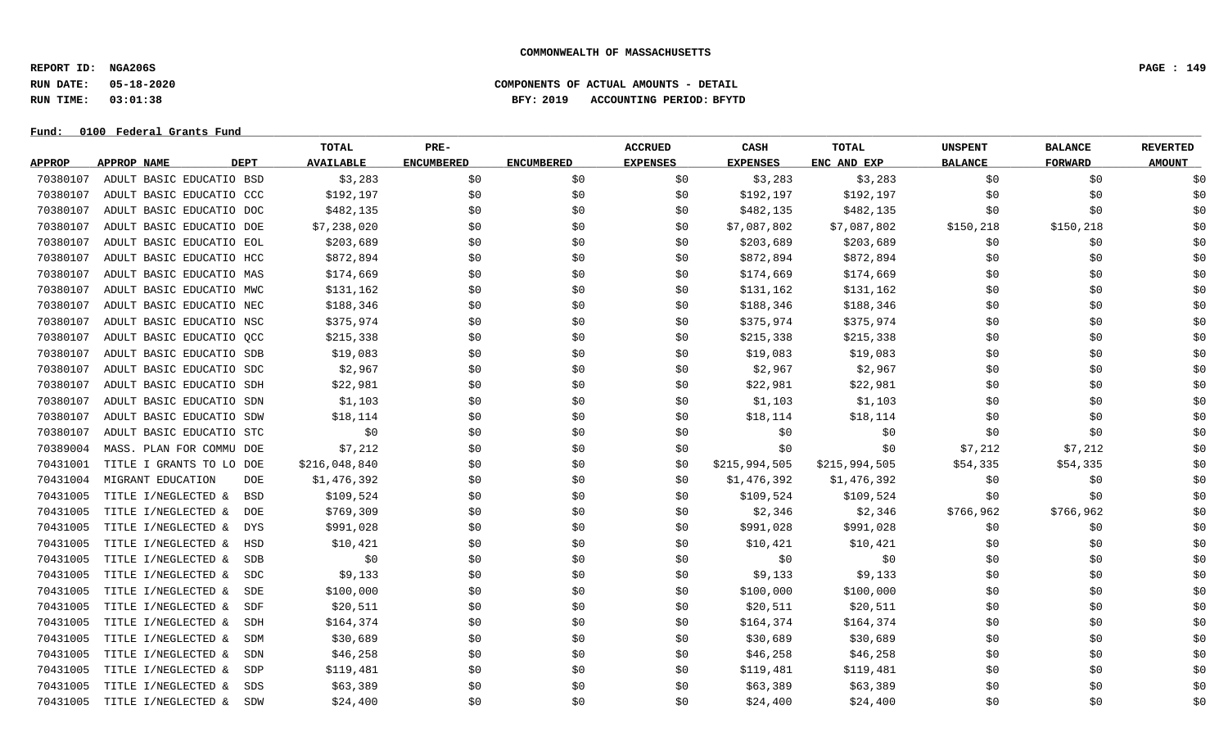**REPORT ID: NGA206S PAGE : 149**

### **RUN DATE: 05-18-2020 COMPONENTS OF ACTUAL AMOUNTS - DETAIL RUN TIME: 03:01:38 BFY: 2019 ACCOUNTING PERIOD: BFYTD**

|               |                                   | <b>TOTAL</b>     | PRE-              |                   | <b>ACCRUED</b>  | CASH            | <b>TOTAL</b>  | <b>UNSPENT</b> | <b>BALANCE</b> | <b>REVERTED</b> |
|---------------|-----------------------------------|------------------|-------------------|-------------------|-----------------|-----------------|---------------|----------------|----------------|-----------------|
| <b>APPROP</b> | <b>APPROP NAME</b><br><b>DEPT</b> | <b>AVAILABLE</b> | <b>ENCUMBERED</b> | <b>ENCUMBERED</b> | <b>EXPENSES</b> | <b>EXPENSES</b> | ENC AND EXP   | <b>BALANCE</b> | <b>FORWARD</b> | <b>AMOUNT</b>   |
| 70380107      | ADULT BASIC EDUCATIO BSD          | \$3,283          | \$0               | \$0               | \$0             | \$3,283         | \$3,283       | \$0            | \$0            | \$0             |
| 70380107      | ADULT BASIC EDUCATIO CCC          | \$192,197        | \$0               | \$0               | \$0             | \$192,197       | \$192,197     | \$0            | \$0            | \$0             |
| 70380107      | ADULT BASIC EDUCATIO DOC          | \$482,135        | \$0\$             | \$0               | \$0             | \$482,135       | \$482,135     | \$0            | \$0            | \$0             |
| 70380107      | ADULT BASIC EDUCATIO DOE          | \$7,238,020      | \$0               | \$0               | \$0             | \$7,087,802     | \$7,087,802   | \$150, 218     | \$150,218      | \$0             |
| 70380107      | ADULT BASIC EDUCATIO EOL          | \$203,689        | \$0               | \$0               | \$0             | \$203,689       | \$203,689     | \$0            | \$0            | \$0             |
| 70380107      | ADULT BASIC EDUCATIO HCC          | \$872,894        | \$0               | \$0               | S0              | \$872,894       | \$872,894     | \$0            | \$0            | \$0             |
| 70380107      | ADULT BASIC EDUCATIO MAS          | \$174,669        | \$0\$             | \$0               | S0              | \$174,669       | \$174,669     | \$0            | \$0            | \$0             |
| 70380107      | ADULT BASIC EDUCATIO MWC          | \$131,162        | \$0               | \$0               | \$0             | \$131,162       | \$131,162     | \$0            | \$0            | \$0             |
| 70380107      | ADULT BASIC EDUCATIO NEC          | \$188,346        | \$0               | \$0               | \$0             | \$188,346       | \$188,346     | \$0            | \$0            | \$0             |
| 70380107      | ADULT BASIC EDUCATIO NSC          | \$375,974        | \$0               | \$0\$             | \$0             | \$375,974       | \$375,974     | \$0            | \$0            | \$0             |
| 70380107      | ADULT BASIC EDUCATIO QCC          | \$215,338        | \$0               | \$0               | \$0             | \$215,338       | \$215,338     | \$0            | \$0            | \$0             |
| 70380107      | ADULT BASIC EDUCATIO SDB          | \$19,083         | \$0               | \$0               | \$0             | \$19,083        | \$19,083      | \$0            | \$0            | \$0             |
| 70380107      | ADULT BASIC EDUCATIO SDC          | \$2,967          | \$0\$             | \$0               | \$0             | \$2,967         | \$2,967       | \$0            | \$0            | \$0             |
| 70380107      | ADULT BASIC EDUCATIO SDH          | \$22,981         | \$0               | \$0               | \$0             | \$22,981        | \$22,981      | \$0            | \$0            | \$0             |
| 70380107      | ADULT BASIC EDUCATIO SDN          | \$1,103          | \$0               | \$0               | \$0             | \$1,103         | \$1,103       | \$0            | \$0            | \$0             |
| 70380107      | ADULT BASIC EDUCATIO SDW          | \$18,114         | \$0               | \$0               | \$0             | \$18,114        | \$18,114      | \$0            | \$0            | \$0             |
| 70380107      | ADULT BASIC EDUCATIO STC          | \$0              | \$0\$             | \$0               | \$0             | \$0             | \$0\$         | \$0            | \$0            | \$0             |
| 70389004      | MASS. PLAN FOR COMMU DOE          | \$7,212          | \$0               | \$0               | \$0             | \$0             | \$0           | \$7,212        | \$7,212        | \$0             |
| 70431001      | TITLE I GRANTS TO LO DOE          | \$216,048,840    | \$0               | \$0               | \$0             | \$215,994,505   | \$215,994,505 | \$54,335       | \$54,335       | \$0             |
| 70431004      | MIGRANT EDUCATION<br><b>DOE</b>   | \$1,476,392      | \$0               | \$0               | \$0             | \$1,476,392     | \$1,476,392   | \$0            | \$0            | \$0             |
| 70431005      | TITLE I/NEGLECTED &<br><b>BSD</b> | \$109,524        | \$0\$             | \$0               | \$0             | \$109,524       | \$109,524     | \$0            | \$0            | \$0             |
| 70431005      | TITLE I/NEGLECTED &<br><b>DOE</b> | \$769,309        | \$0               | \$0               | \$0             | \$2,346         | \$2,346       | \$766,962      | \$766,962      | \$0             |
| 70431005      | TITLE I/NEGLECTED &<br><b>DYS</b> | \$991,028        | \$0               | \$0               | \$0             | \$991,028       | \$991,028     | \$0            | \$0            | \$0             |
| 70431005      | TITLE I/NEGLECTED &<br><b>HSD</b> | \$10,421         | \$0               | \$0               | \$0             | \$10,421        | \$10,421      | \$0            | \$0            | \$0             |
| 70431005      | TITLE I/NEGLECTED &<br><b>SDB</b> | \$0              | \$0               | \$0               | \$0             | \$0             | \$0           | \$0            | \$0            | \$0             |
| 70431005      | TITLE I/NEGLECTED &<br>SDC        | \$9,133          | \$0               | \$0               | \$0             | \$9,133         | \$9,133       | \$0            | \$0            | \$0             |
| 70431005      | TITLE I/NEGLECTED &<br>SDE        | \$100,000        | \$0\$             | \$0               | \$0             | \$100,000       | \$100,000     | \$0            | \$0            | \$0             |
| 70431005      | TITLE I/NEGLECTED &<br>SDF        | \$20,511         | \$0               | \$0               | \$0             | \$20,511        | \$20,511      | \$0            | \$0            | \$0             |
| 70431005      | TITLE I/NEGLECTED &<br>SDH        | \$164,374        | \$0               | \$0               | \$0             | \$164,374       | \$164,374     | \$0            | \$0            | \$0             |
| 70431005      | TITLE I/NEGLECTED &<br>SDM        | \$30,689         | \$0               | \$0               | \$0             | \$30,689        | \$30,689      | \$0            | \$0            | \$0             |
| 70431005      | TITLE I/NEGLECTED &<br>SDN        | \$46,258         | \$0               | \$0               | S0              | \$46,258        | \$46,258      | \$0            | \$0            | \$0             |
| 70431005      | TITLE I/NEGLECTED &<br>SDP        | \$119,481        | \$0               | \$0               | S0              | \$119,481       | \$119,481     | \$0            | \$0            | \$0             |
| 70431005      | TITLE I/NEGLECTED &<br>SDS        | \$63,389         | \$0               | \$0               | S0              | \$63,389        | \$63,389      | \$0            | \$0            | \$0             |
| 70431005      | TITLE I/NEGLECTED &<br>SDW        | \$24,400         | \$0               | \$0               | \$0             | \$24,400        | \$24,400      | \$0            | \$0            | \$0             |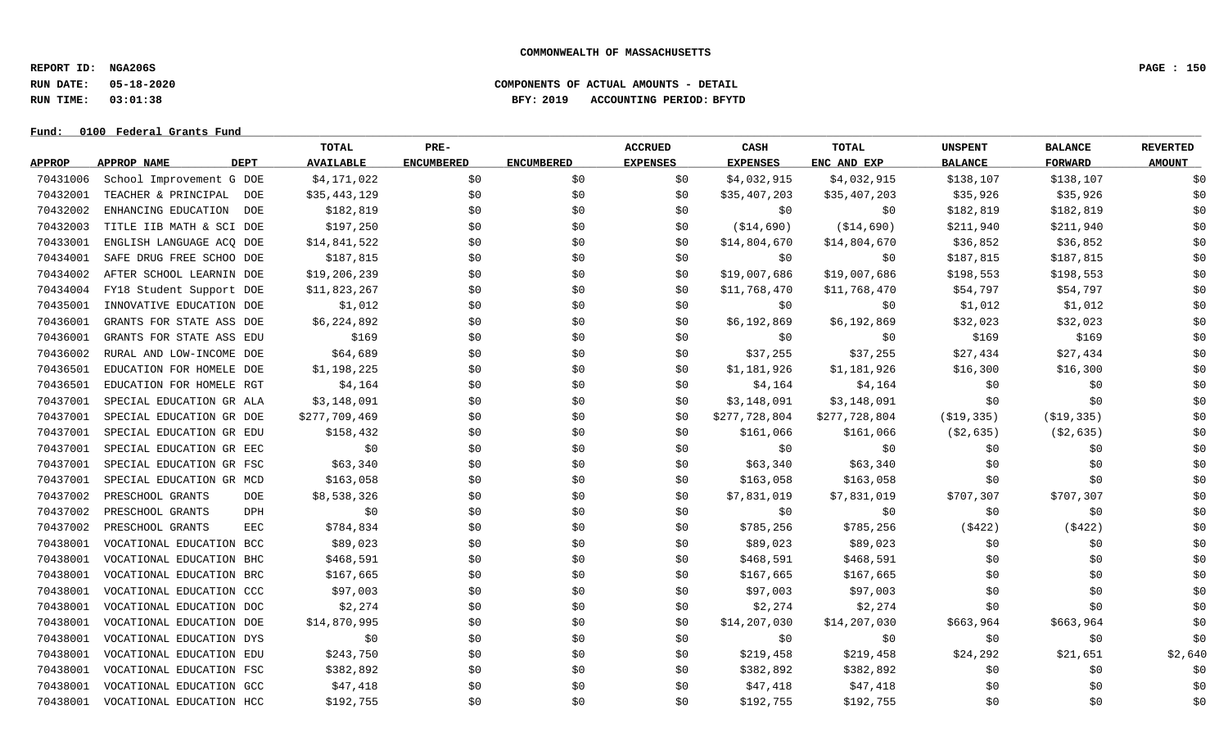**REPORT ID: NGA206S PAGE : 150**

**Fund: \_\_\_\_\_\_\_\_\_\_\_\_\_\_\_\_\_\_\_\_\_\_\_\_\_\_\_\_\_\_\_\_\_\_\_\_\_\_\_\_\_\_\_\_\_\_\_\_\_\_\_\_\_\_\_\_\_\_\_\_\_\_\_\_\_\_\_\_\_\_\_\_\_\_\_\_\_\_\_\_\_\_\_\_\_\_\_\_\_\_\_\_\_\_\_\_\_\_\_\_\_\_\_\_\_\_\_\_\_\_\_\_\_\_\_\_\_\_\_\_\_\_\_\_\_\_\_\_\_\_\_\_\_\_\_\_\_\_\_\_\_\_\_\_\_\_\_\_\_\_\_\_\_\_\_\_\_\_\_\_\_\_\_\_\_\_\_\_\_\_\_\_\_\_\_\_\_\_ 0100 Federal Grants Fund**

### **RUN DATE: 05-18-2020 COMPONENTS OF ACTUAL AMOUNTS - DETAIL RUN TIME: 03:01:38 BFY: 2019 ACCOUNTING PERIOD: BFYTD**

|               |                            | TOTAL               | PRE-              |                   | <b>ACCRUED</b>  | CASH            | TOTAL         | <b>UNSPENT</b> | <b>BALANCE</b> | <b>REVERTED</b> |
|---------------|----------------------------|---------------------|-------------------|-------------------|-----------------|-----------------|---------------|----------------|----------------|-----------------|
| <b>APPROP</b> | <b>DEPT</b><br>APPROP NAME | <b>AVAILABLE</b>    | <b>ENCUMBERED</b> | <b>ENCUMBERED</b> | <b>EXPENSES</b> | <b>EXPENSES</b> | ENC AND EXP   | <b>BALANCE</b> | <b>FORWARD</b> | <b>AMOUNT</b>   |
| 70431006      | School Improvement G DOE   | \$4,171,022         | \$0               | \$0               | \$0             | \$4,032,915     | \$4,032,915   | \$138,107      | \$138,107      | \$0             |
| 70432001      | TEACHER & PRINCIPAL        | \$35,443,129<br>DOE | \$0               | \$0               | \$0             | \$35,407,203    | \$35,407,203  | \$35,926       | \$35,926       | \$0             |
| 70432002      | ENHANCING EDUCATION        | \$182,819<br>DOE    | \$0               | \$0               | \$0             | \$0             | \$0           | \$182,819      | \$182,819      | \$0             |
| 70432003      | TITLE IIB MATH & SCI DOE   | \$197,250           | \$0               | \$0               | \$0             | (\$14,690)      | (\$14,690)    | \$211,940      | \$211,940      | \$0             |
| 70433001      | ENGLISH LANGUAGE ACO DOE   | \$14,841,522        | \$0               | \$0               | \$0             | \$14,804,670    | \$14,804,670  | \$36,852       | \$36,852       | \$0             |
| 70434001      | SAFE DRUG FREE SCHOO DOE   | \$187,815           | \$0               | \$0               | \$0             | \$0             | \$0           | \$187,815      | \$187,815      | \$0             |
| 70434002      | AFTER SCHOOL LEARNIN DOE   | \$19,206,239        | \$0               | \$0               | \$0             | \$19,007,686    | \$19,007,686  | \$198,553      | \$198,553      | \$0             |
| 70434004      | FY18 Student Support DOE   | \$11,823,267        | \$0               | \$0               | \$0             | \$11,768,470    | \$11,768,470  | \$54,797       | \$54,797       | \$0             |
| 70435001      | INNOVATIVE EDUCATION DOE   | \$1,012             | \$0               | \$0               | \$0             | \$0             | \$0           | \$1,012        | \$1,012        | \$0             |
| 70436001      | GRANTS FOR STATE ASS DOE   | \$6,224,892         | \$0               | \$0               | \$0             | \$6,192,869     | \$6,192,869   | \$32,023       | \$32,023       | \$0             |
| 70436001      | GRANTS FOR STATE ASS EDU   | \$169               | \$0               | \$0               | \$0             | \$0             | \$0           | \$169          | \$169          | \$0             |
| 70436002      | RURAL AND LOW-INCOME DOE   | \$64,689            | \$0               | \$0               | \$0             | \$37,255        | \$37,255      | \$27,434       | \$27,434       | \$0             |
| 70436501      | EDUCATION FOR HOMELE DOE   | \$1,198,225         | \$0               | \$0               | \$0             | \$1,181,926     | \$1,181,926   | \$16,300       | \$16,300       | \$0             |
| 70436501      | EDUCATION FOR HOMELE RGT   | \$4,164             | \$0               | \$0               | \$0             | \$4,164         | \$4,164       | \$0            | \$0            | \$0             |
| 70437001      | SPECIAL EDUCATION GR ALA   | \$3,148,091         | \$0               | \$0               | \$0             | \$3,148,091     | \$3,148,091   | \$0            | \$0            | \$0             |
| 70437001      | SPECIAL EDUCATION GR DOE   | \$277,709,469       | \$0               | \$0               | \$0             | \$277,728,804   | \$277,728,804 | (\$19,335)     | ( \$19, 335)   | \$0             |
| 70437001      | SPECIAL EDUCATION GR EDU   | \$158,432           | \$0               | \$0               | \$0             | \$161,066       | \$161,066     | ( \$2,635)     | ( \$2, 635)    | \$0             |
| 70437001      | SPECIAL EDUCATION GR EEC   | \$0                 | \$0               | \$0               | \$0             | \$0             | \$0           | \$0            | \$0            | \$0             |
| 70437001      | SPECIAL EDUCATION GR FSC   | \$63,340            | \$0               | \$0               | \$0             | \$63,340        | \$63,340      | \$0            | \$0            | \$0             |
| 70437001      | SPECIAL EDUCATION GR MCD   | \$163,058           | \$0               | \$0               | \$0             | \$163,058       | \$163,058     | \$0            | \$0            | \$0             |
| 70437002      | PRESCHOOL GRANTS           | \$8,538,326<br>DOE  | \$0               | \$0               | \$0             | \$7,831,019     | \$7,831,019   | \$707,307      | \$707,307      | \$0             |
| 70437002      | PRESCHOOL GRANTS           | \$0<br>DPH          | \$0               | \$0               | \$0             | \$0             | \$0           | \$0            | \$0            | \$0             |
| 70437002      | PRESCHOOL GRANTS           | \$784,834<br>EEC    | \$0               | \$0               | \$0             | \$785,256       | \$785,256     | ( \$422)       | ( \$422)       | \$0             |
| 70438001      | VOCATIONAL EDUCATION BCC   | \$89,023            | \$0               | \$0               | \$0             | \$89,023        | \$89,023      | \$0            | \$0            | \$0             |
| 70438001      | VOCATIONAL EDUCATION BHC   | \$468,591           | \$0               | \$0               | \$0             | \$468,591       | \$468,591     | \$0            | \$0            | \$0             |
| 70438001      | VOCATIONAL EDUCATION BRC   | \$167,665           | \$0               | \$0               | \$0             | \$167,665       | \$167,665     | \$0            | \$0            | \$0             |
| 70438001      | VOCATIONAL EDUCATION CCC   | \$97,003            | \$0               | \$0               | \$0             | \$97,003        | \$97,003      | \$0            | \$0            | \$0             |
| 70438001      | VOCATIONAL EDUCATION DOC   | \$2,274             | \$0               | \$0               | \$0             | \$2,274         | \$2,274       | \$0            | \$0            | \$0             |
| 70438001      | VOCATIONAL EDUCATION DOE   | \$14,870,995        | \$0               | \$0               | \$0             | \$14,207,030    | \$14,207,030  | \$663,964      | \$663,964      | \$0             |
| 70438001      | VOCATIONAL EDUCATION DYS   | \$0                 | \$0               | \$0               | \$0             | \$0             | \$0           | \$0            | \$0            | \$0             |
| 70438001      | VOCATIONAL EDUCATION EDU   | \$243,750           | \$0               | \$0               | \$0             | \$219,458       | \$219,458     | \$24,292       | \$21,651       | \$2,640         |
| 70438001      | VOCATIONAL EDUCATION FSC   | \$382,892           | \$0               | \$0               | \$0             | \$382,892       | \$382,892     | \$0            | \$0            | \$0             |
| 70438001      | VOCATIONAL EDUCATION GCC   | \$47,418            | \$0               | \$0               | \$0             | \$47,418        | \$47,418      | \$0            | \$0            | \$0             |
| 70438001      | VOCATIONAL EDUCATION HCC   | \$192,755           | \$0               | \$0               | \$0             | \$192,755       | \$192,755     | \$0            | \$0            | \$0             |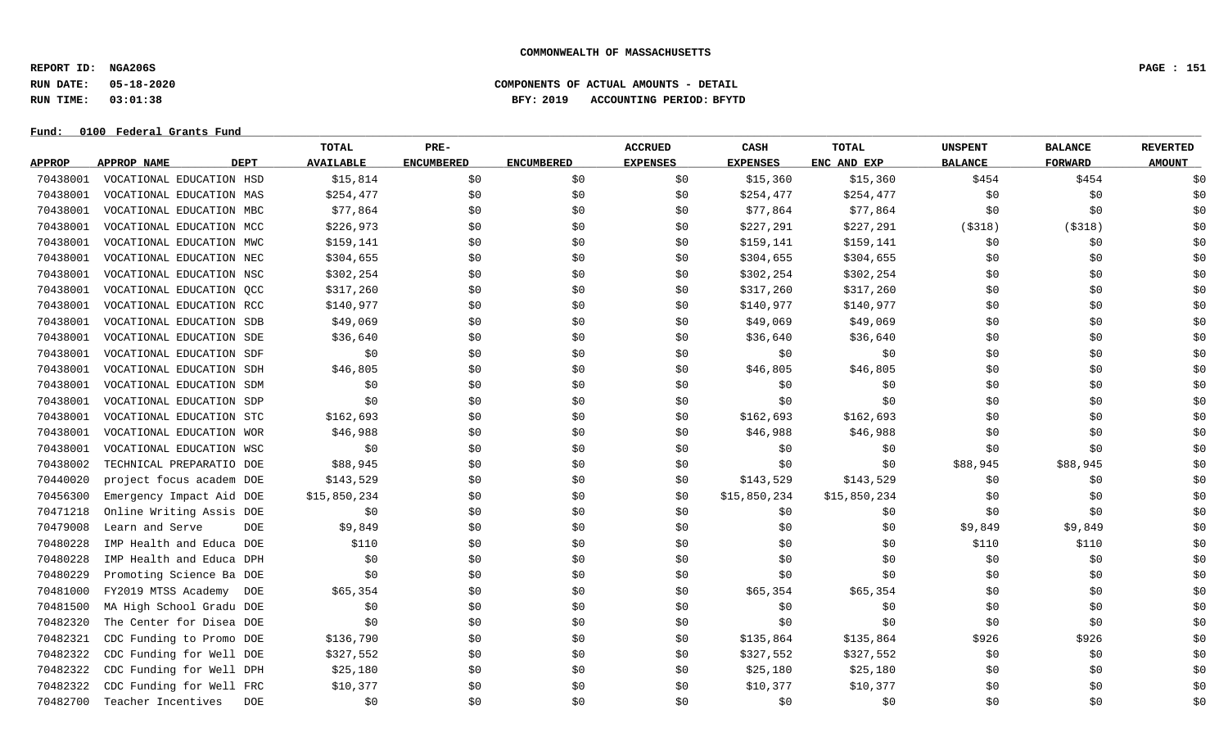**REPORT ID: NGA206S PAGE : 151**

### **RUN DATE: 05-18-2020 COMPONENTS OF ACTUAL AMOUNTS - DETAIL RUN TIME: 03:01:38 BFY: 2019 ACCOUNTING PERIOD: BFYTD**

|               |                                   | <b>TOTAL</b>     | PRE-              |                   | <b>ACCRUED</b>  | CASH            | TOTAL        | <b>UNSPENT</b> | <b>BALANCE</b> | <b>REVERTED</b> |
|---------------|-----------------------------------|------------------|-------------------|-------------------|-----------------|-----------------|--------------|----------------|----------------|-----------------|
| <b>APPROP</b> | <b>APPROP NAME</b><br><b>DEPT</b> | <b>AVAILABLE</b> | <b>ENCUMBERED</b> | <b>ENCUMBERED</b> | <b>EXPENSES</b> | <b>EXPENSES</b> | ENC AND EXP  | <b>BALANCE</b> | <b>FORWARD</b> | <b>AMOUNT</b>   |
| 70438001      | VOCATIONAL EDUCATION HSD          | \$15,814         | \$0               | \$0               | \$0             | \$15,360        | \$15,360     | \$454          | \$454          | \$0             |
| 70438001      | VOCATIONAL EDUCATION MAS          | \$254,477        | \$0               | \$0               | \$0             | \$254,477       | \$254,477    | \$0            | \$0            | \$0             |
| 70438001      | VOCATIONAL EDUCATION MBC          | \$77,864         | \$0               | \$0               | \$0             | \$77,864        | \$77,864     | \$0            | \$0            | \$0             |
| 70438001      | VOCATIONAL EDUCATION MCC          | \$226,973        | \$0               | \$0               | \$0             | \$227,291       | \$227,291    | ( \$318)       | ( \$318)       | \$0             |
| 70438001      | VOCATIONAL EDUCATION MWC          | \$159,141        | \$0               | \$0               | \$0             | \$159,141       | \$159,141    | \$0            | \$0            | \$0             |
| 70438001      | VOCATIONAL EDUCATION NEC          | \$304,655        | \$0               | \$0               | \$0             | \$304,655       | \$304,655    | \$0            | \$0            | \$0             |
| 70438001      | VOCATIONAL EDUCATION NSC          | \$302,254        | \$0               | \$0               | \$0             | \$302,254       | \$302,254    | \$0            | \$0            | \$0             |
| 70438001      | VOCATIONAL EDUCATION QCC          | \$317,260        | \$0               | \$0               | \$0             | \$317,260       | \$317,260    | \$0            | \$0            | \$0             |
| 70438001      | VOCATIONAL EDUCATION RCC          | \$140,977        | \$0               | \$0               | \$0             | \$140,977       | \$140,977    | \$0            | \$0            | \$0             |
| 70438001      | VOCATIONAL EDUCATION SDB          | \$49,069         | \$0               | \$0               | \$0             | \$49,069        | \$49,069     | \$0            | \$0            | \$0             |
| 70438001      | VOCATIONAL EDUCATION SDE          | \$36,640         | \$0               | \$0               | \$0             | \$36,640        | \$36,640     | \$0            | \$0            | \$0             |
| 70438001      | VOCATIONAL EDUCATION SDF          | \$0              | \$0               | \$0               | \$0             | \$0             | \$0\$        | \$0            | \$0            | \$0             |
| 70438001      | VOCATIONAL EDUCATION SDH          | \$46,805         | \$0               | \$0               | \$0             | \$46,805        | \$46,805     | \$0            | \$0            | \$0             |
| 70438001      | VOCATIONAL EDUCATION SDM          | \$0              | \$0               | \$0               | \$0             | \$0             | \$0          | \$0            | \$0            | \$0             |
| 70438001      | VOCATIONAL EDUCATION SDP          | \$0              | \$0               | \$0               | \$0             | \$0             | \$0          | \$0            | \$0            | \$0             |
| 70438001      | VOCATIONAL EDUCATION STC          | \$162,693        | \$0               | \$0               | \$0             | \$162,693       | \$162,693    | \$0            | \$0            | \$0             |
| 70438001      | VOCATIONAL EDUCATION WOR          | \$46,988         | \$0               | \$0               | \$0             | \$46,988        | \$46,988     | \$0            | \$0            | \$0             |
| 70438001      | VOCATIONAL EDUCATION WSC          | \$0              | \$0               | \$0               | \$0             | \$0             | \$0          | \$0            | \$0            | \$0             |
| 70438002      | TECHNICAL PREPARATIO DOE          | \$88,945         | \$0               | \$0               | \$0             | \$0             | \$0          | \$88,945       | \$88,945       | \$0             |
| 70440020      | project focus academ DOE          | \$143,529        | \$0               | \$0               | \$0             | \$143,529       | \$143,529    | \$0            | \$0            | \$0             |
| 70456300      | Emergency Impact Aid DOE          | \$15,850,234     | \$0               | \$0               | \$0             | \$15,850,234    | \$15,850,234 | \$0            | \$0            | \$0             |
| 70471218      | Online Writing Assis DOE          | \$0              | \$0               | \$0               | \$0             | \$0             | \$0          | \$0            | \$0            | \$0             |
| 70479008      | Learn and Serve<br><b>DOE</b>     | \$9,849          | \$0               | \$0               | \$0             | \$0             | \$0          | \$9,849        | \$9,849        | \$0             |
| 70480228      | IMP Health and Educa DOE          | \$110            | \$0               | \$0               | \$0             | \$0             | \$0          | \$110          | \$110          | \$0             |
| 70480228      | IMP Health and Educa DPH          | \$0              | \$0               | \$0               | \$0             | \$0             | \$0          | \$0            | \$0            | \$0             |
| 70480229      | Promoting Science Ba DOE          | \$0              | \$0               | \$0               | \$0             | \$0             | \$0          | \$0            | \$0            | \$0             |
| 70481000      | FY2019 MTSS Academy<br>DOE        | \$65,354         | \$0               | \$0               | \$0             | \$65,354        | \$65,354     | \$0            | \$0            | \$0             |
| 70481500      | MA High School Gradu DOE          | \$0              | \$0               | \$0               | \$0             | \$0             | \$0          | \$0            | \$0            | \$0             |
| 70482320      | The Center for Disea DOE          | \$0              | \$0               | \$0               | \$0             | \$0             | \$0          | \$0            | \$0            | \$0             |
| 70482321      | CDC Funding to Promo DOE          | \$136,790        | \$0               | \$0               | \$0             | \$135,864       | \$135,864    | \$926          | \$926          | \$0             |
| 70482322      | CDC Funding for Well DOE          | \$327,552        | \$0               | \$0               | \$0             | \$327,552       | \$327,552    | \$0            | \$0            | \$0             |
| 70482322      | CDC Funding for Well DPH          | \$25,180         | \$0               | \$0               | \$0             | \$25,180        | \$25,180     | \$0            | \$0            | \$0             |
| 70482322      | CDC Funding for Well FRC          | \$10,377         | \$0               | \$0               | S0              | \$10,377        | \$10,377     | \$0            | \$0            | \$0             |
| 70482700      | Teacher Incentives<br><b>DOE</b>  | \$0              | \$0               | \$0               | \$0             | \$0             | \$0          | \$0            | \$0            | \$0             |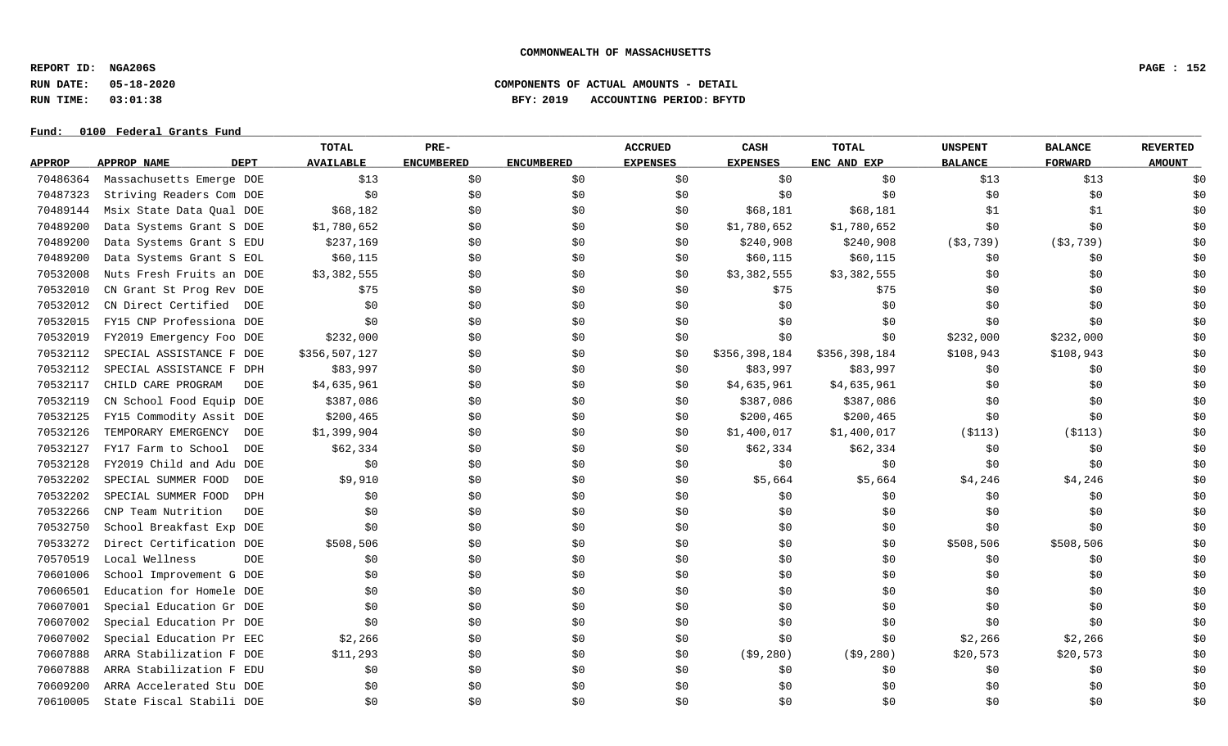**REPORT ID: NGA206S PAGE : 152**

**RUN DATE: 05-18-2020 COMPONENTS OF ACTUAL AMOUNTS - DETAIL**

**RUN TIME: 03:01:38 BFY: 2019 ACCOUNTING PERIOD: BFYTD**

# Fund:  $0100$  Federal Grants Fund

# **TOTAL PRE- ACCRUED CASH TOTAL UNSPENT BALANCE REVERTED** <u>APPROP APPROPNAME – DEPT AVAILABLE ENCUMBERED ENCUMBERED EXPENSES EXPENSES ENCANDEXP BALANCE – FORWARD – AMOUNT</u> 70486364 Massachusetts Emerge DOE \$13 \$0 \$0 \$0 \$0 \$0 \$0 \$0 \$13 \$13 \$0 70487323 Striving Readers Com DOE \$0 \$0 \$0 \$0 \$0 \$0 \$0 \$0 \$0 70489144 Msix State Data Oual DOE \$68,182 \$0 \$0 \$0 \$68,181 \$68,181 \$1 \$1 \$1 \$1 \$1 70489200 Data Systems Grant S DOE \$1,780,652 \$0 \$0 \$0 \$1,780,652 \$1,780,652 \$0 \$0 \$0 70489200 Data Systems Grant S EDU \$237,169 \$0 \$0 \$0 \$240,908 \$240,908 \$240,908 (\$3,739) (\$3,739) \$0 70489200 Data Systems Grant S EOL \$60,115 \$0 \$0 \$0 \$0 \$60,115 \$60,115 \$0 \$0 \$0 \$0 \$0 \$0 \$0 70532008 Nuts Fresh Fruits an DOE \$3,382,555 \$0 \$0 \$0 \$3,382,555 \$3,382,555 \$0 \$0 \$0 70532010 CN Grant St Prog Rev DOE \$75 \$0 \$0 \$0 \$0 \$75 \$75 \$75 \$0 \$0 \$0 \$0 \$0 \$0 70532012 CN Direct Certified DOE \$0 \$0 \$0 \$0 \$0 \$0 \$0 \$0 \$0 70532015 FY15 CNP Professiona DOE \$0 \$0 \$0 \$0 \$0 \$0 \$0 \$0 \$0 70532019 FY2019 Emergency Foo DOE \$232,000 \$0 \$0 \$0 \$0 \$0 \$232,000 \$232,000 \$0 70532112 SPECIAL ASSISTANCE F DOE \$356,507,127 \$0 \$0 \$0 \$356,398,184 \$356,398,184 \$108,943 \$108,943 \$0 70532112 SPECIAL ASSISTANCE F DPH \$83,997 \$0 \$0 \$0 \$83,997 \$83,997 \$83,997 \$0 \$0 \$0 \$0 70532117 CHILD CARE PROGRAM DOE \$4,635,961 \$0 \$0 \$0 \$4,635,961 \$4,635,961 \$9 \$0 \$0 \$0 \$0 70532119 CN School Food Equip DOE \$387,086 \$90 \$0 \$0 \$387,086 \$387,086 \$387,086 \$0 \$0 \$0 \$0 \$0 70532125 FY15 Commodity Assit DOE \$200,465 \$0 \$0 \$0 \$200,465 \$200,465 \$200,465 \$0 \$0 \$0 \$0 \$0 70532126 TEMPORARY EMERGENCY DOE \$1,399,904 \$0 \$0 \$0 \$1,400,017 \$1,400,017 (\$113) (\$113) \$0 70532127 FY17 Farm to School DOE \$62,334 \$0 \$0 \$0 \$62,334 \$62,334 \$62,334 \$0 \$0 \$0 \$0 \$0 70532128 FY2019 Child and Adu DOE \$0 \$0 \$0 \$0 \$0 \$0 \$0 \$0 \$0 70532202 SPECIAL SUMMER FOOD DOE \$9,910 \$ \$ \$ \$ \$5,664 \$5,664 \$4,246 \$4,246 \$0 70532202 SPECIAL SUMMER FOOD DPH \$0 \$0 \$0 \$0 \$0 \$0 \$0 \$0 \$0 70532266 CNP Team Nutrition DOE \$0 \$0 \$0 \$0 \$0 \$0 \$0 \$0 \$0 70532750 School Breakfast Exp DOE \$0 \$0 \$0 \$0 \$0 \$0 \$0 \$0 \$0 70533272 Direct Certification DOE \$508,506 \$0 \$0 \$0 \$0 \$0 \$0 \$508,506 \$508,506 \$508,506 \$0 \$0 70570519 Local Wellness DOE \$0 \$0 \$0 \$0 \$0 \$0 \$0 \$0 \$0 70601006 School Improvement G DOE \$0 \$0 \$0 \$0 \$0 \$0 \$0 \$0 \$0 70606501 Education for Homele DOE \$0 \$0 \$0 \$0 \$0 \$0 \$0 \$0 \$0 70607001 Special Education Gr DOE \$0 \$0 \$0 \$0 \$0 \$0 \$0 \$0 \$0 70607002 Special Education Pr DOE \$0 \$0 \$0 \$0 \$0 \$0 \$0 \$0 \$0 70607002 Special Education Pr EEC  $$2,266$   $$0$   $$0$   $$0$   $$0$   $$0$   $$0$   $$0$   $$2,266$   $$2,266$   $$2,266$   $$2,266$   $$30$ 70607888 ARRA Stabilization F DOE \$11,293 \$0 \$0 \$0 \$0 (\$9,280) (\$9,280) \$20,573 \$20,573 \$0 \$20,573 70607888 ARRA Stabilization F EDU \$0 \$0 \$0 \$0 \$0 \$0 \$0 \$0 \$0 70609200 ARRA Accelerated Stu DOE \$0 \$0 \$0 \$0 \$0 \$0 \$0 \$0 \$0 70610005 State Fiscal Stabili DOE \$0 \$0 \$0 \$0 \$0 \$0 \$0 \$0 \$0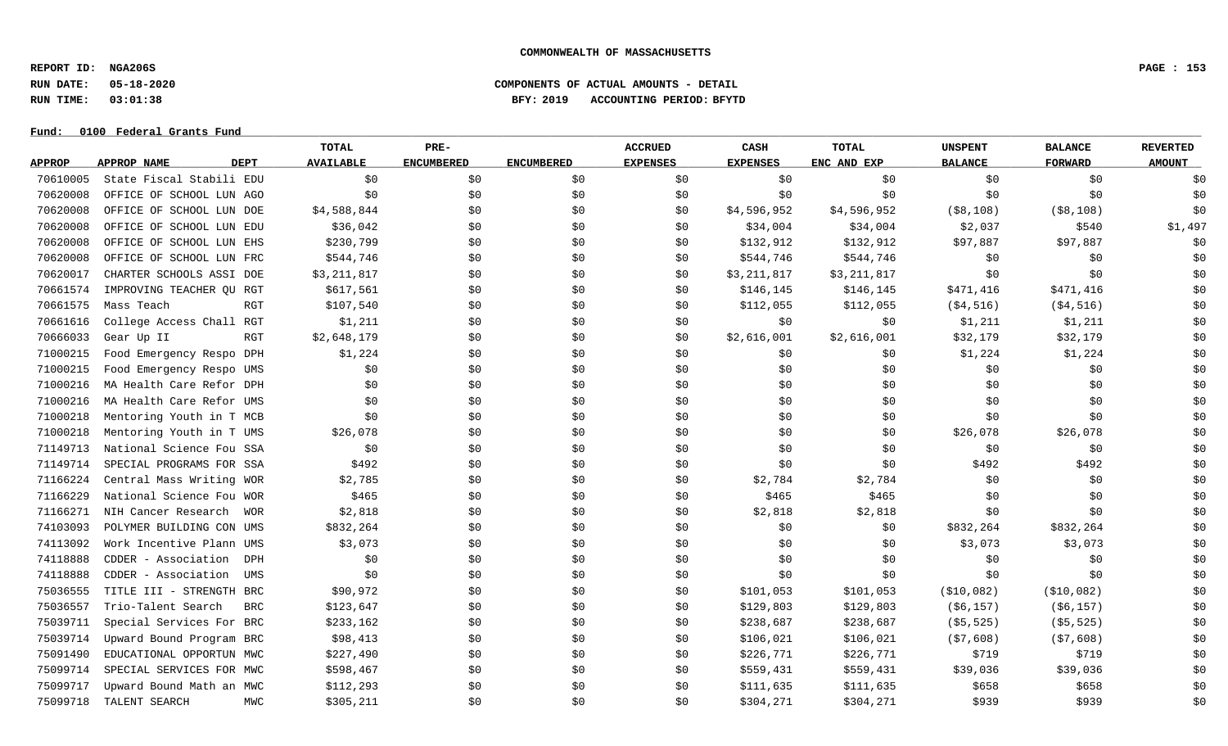**REPORT ID: NGA206S PAGE : 153**

### **RUN DATE: 05-18-2020 COMPONENTS OF ACTUAL AMOUNTS - DETAIL RUN TIME: 03:01:38 BFY: 2019 ACCOUNTING PERIOD: BFYTD**

|               |                          |             | TOTAL            | PRE-              |                   | <b>ACCRUED</b>  | CASH            | <b>TOTAL</b> | <b>UNSPENT</b> | <b>BALANCE</b> | <b>REVERTED</b> |
|---------------|--------------------------|-------------|------------------|-------------------|-------------------|-----------------|-----------------|--------------|----------------|----------------|-----------------|
| <b>APPROP</b> | <b>APPROP NAME</b>       | <b>DEPT</b> | <b>AVAILABLE</b> | <b>ENCUMBERED</b> | <b>ENCUMBERED</b> | <b>EXPENSES</b> | <b>EXPENSES</b> | ENC AND EXP  | <b>BALANCE</b> | <b>FORWARD</b> | <b>AMOUNT</b>   |
| 70610005      | State Fiscal Stabili EDU |             | \$0              | \$0               | \$0               | \$0             | \$0             | \$0          | \$0            | \$0            | \$0             |
| 70620008      | OFFICE OF SCHOOL LUN AGO |             | \$0              | \$0               | \$0               | \$0             | \$0             | \$0\$        | \$0            | \$0            | \$0             |
| 70620008      | OFFICE OF SCHOOL LUN DOE |             | \$4,588,844      | \$0               | \$0               | \$0             | \$4,596,952     | \$4,596,952  | $($ \$8,108)   | $($ \$8,108)   | \$0             |
| 70620008      | OFFICE OF SCHOOL LUN EDU |             | \$36,042         | \$0               | \$0               | \$0             | \$34,004        | \$34,004     | \$2,037        | \$540          | \$1,497         |
| 70620008      | OFFICE OF SCHOOL LUN EHS |             | \$230,799        | \$0               | \$0               | SO.             | \$132,912       | \$132,912    | \$97,887       | \$97,887       | \$0             |
| 70620008      | OFFICE OF SCHOOL LUN FRC |             | \$544,746        | \$0               | \$0               | \$0             | \$544,746       | \$544,746    | \$0            | \$0            | \$0             |
| 70620017      | CHARTER SCHOOLS ASSI DOE |             | \$3,211,817      | \$0               | \$0               | \$0             | \$3,211,817     | \$3,211,817  | \$0            | \$0            | \$0             |
| 70661574      | IMPROVING TEACHER QU RGT |             | \$617,561        | \$0               | \$0               | \$0             | \$146,145       | \$146,145    | \$471,416      | \$471,416      | \$0             |
| 70661575      | Mass Teach               | RGT         | \$107,540        | \$0               | \$0               | \$0             | \$112,055       | \$112,055    | ( \$4, 516)    | ( \$4, 516)    | \$0             |
| 70661616      | College Access Chall RGT |             | \$1,211          | \$0               | \$0               | \$0             | \$0             | \$0          | \$1,211        | \$1,211        | \$0             |
| 70666033      | Gear Up II               | RGT         | \$2,648,179      | \$0\$             | \$0\$             | \$0             | \$2,616,001     | \$2,616,001  | \$32,179       | \$32,179       | \$0             |
| 71000215      | Food Emergency Respo DPH |             | \$1,224          | \$0               | \$0               | \$0             | \$0             | \$0          | \$1,224        | \$1,224        | \$0             |
| 71000215      | Food Emergency Respo UMS |             | \$0              | \$0               | \$0               | \$0             | \$0             | \$0          | \$0            | \$0            | \$0             |
| 71000216      | MA Health Care Refor DPH |             | \$0              | \$0               | \$0               | \$0             | \$0             | \$0          | \$0            | \$0            | \$0             |
| 71000216      | MA Health Care Refor UMS |             | \$0              | \$0\$             | \$0               | \$0             | \$0\$           | \$0          | \$0            | \$0            | \$0             |
| 71000218      | Mentoring Youth in T MCB |             | \$0              | \$0               | \$0               | \$0             | \$0             | \$0          | \$0            | \$0            | \$0             |
| 71000218      | Mentoring Youth in T UMS |             | \$26,078         | \$0\$             | \$0               | \$0             | \$0             | \$0          | \$26,078       | \$26,078       | \$0             |
| 71149713      | National Science Fou SSA |             | \$0              | \$0               | \$0               | \$0             | \$0             | \$0          | \$0            | \$0            | \$0             |
| 71149714      | SPECIAL PROGRAMS FOR SSA |             | \$492            | \$0\$             | \$0               | \$0             | \$0             | \$0          | \$492          | \$492          | \$0             |
| 71166224      | Central Mass Writing WOR |             | \$2,785          | \$0               | \$0               | \$0             | \$2,784         | \$2,784      | \$0            | \$0            | \$0             |
| 71166229      | National Science Fou WOR |             | \$465            | \$0               | \$0               | \$0             | \$465           | \$465        | \$0            | \$0            | \$0             |
| 71166271      | NIH Cancer Research      | WOR         | \$2,818          | \$0               | \$0               | \$0             | \$2,818         | \$2,818      | \$0            | \$0            | \$0             |
| 74103093      | POLYMER BUILDING CON UMS |             | \$832,264        | \$0               | \$0               | \$0             | \$0\$           | \$0          | \$832,264      | \$832,264      | \$0             |
| 74113092      | Work Incentive Plann UMS |             | \$3,073          | \$0               | \$0               | \$0             | \$0             | \$0          | \$3,073        | \$3,073        | \$0             |
| 74118888      | CDDER - Association      | DPH         | \$0              | \$0               | \$0               | \$0             | \$0             | \$0          | \$0            | \$0\$          | \$0             |
| 74118888      | CDDER - Association      | UMS         | \$0              | \$0\$             | \$0               | \$0             | \$0             | \$0          | \$0            | \$0            | \$0             |
| 75036555      | TITLE III - STRENGTH BRC |             | \$90,972         | \$0               | \$0               | \$0             | \$101,053       | \$101,053    | ( \$10,082)    | ( \$10,082)    | \$0             |
| 75036557      | Trio-Talent Search       | <b>BRC</b>  | \$123,647        | \$0\$             | \$0               | \$0             | \$129,803       | \$129,803    | ( \$6, 157)    | ( \$6, 157)    | \$0             |
| 75039711      | Special Services For BRC |             | \$233,162        | \$0               | \$0               | \$0             | \$238,687       | \$238,687    | ( \$5, 525)    | ( \$5, 525)    | \$0             |
| 75039714      | Upward Bound Program BRC |             | \$98,413         | \$0               | \$0               | \$0             | \$106,021       | \$106,021    | (57,608)       | ( \$7,608)     | \$0             |
| 75091490      | EDUCATIONAL OPPORTUN MWC |             | \$227,490        | \$0               | \$0               | \$0             | \$226,771       | \$226,771    | \$719          | \$719          | \$0             |
| 75099714      | SPECIAL SERVICES FOR MWC |             | \$598,467        | \$0               | \$0               | \$0             | \$559,431       | \$559,431    | \$39,036       | \$39,036       | \$0             |
| 75099717      | Upward Bound Math an MWC |             | \$112,293        | \$0               | \$0               | S0              | \$111,635       | \$111,635    | \$658          | \$658          | \$0             |
| 75099718      | TALENT SEARCH            | <b>MWC</b>  | \$305,211        | \$0               | \$0               | \$0             | \$304,271       | \$304,271    | \$939          | \$939          | \$0             |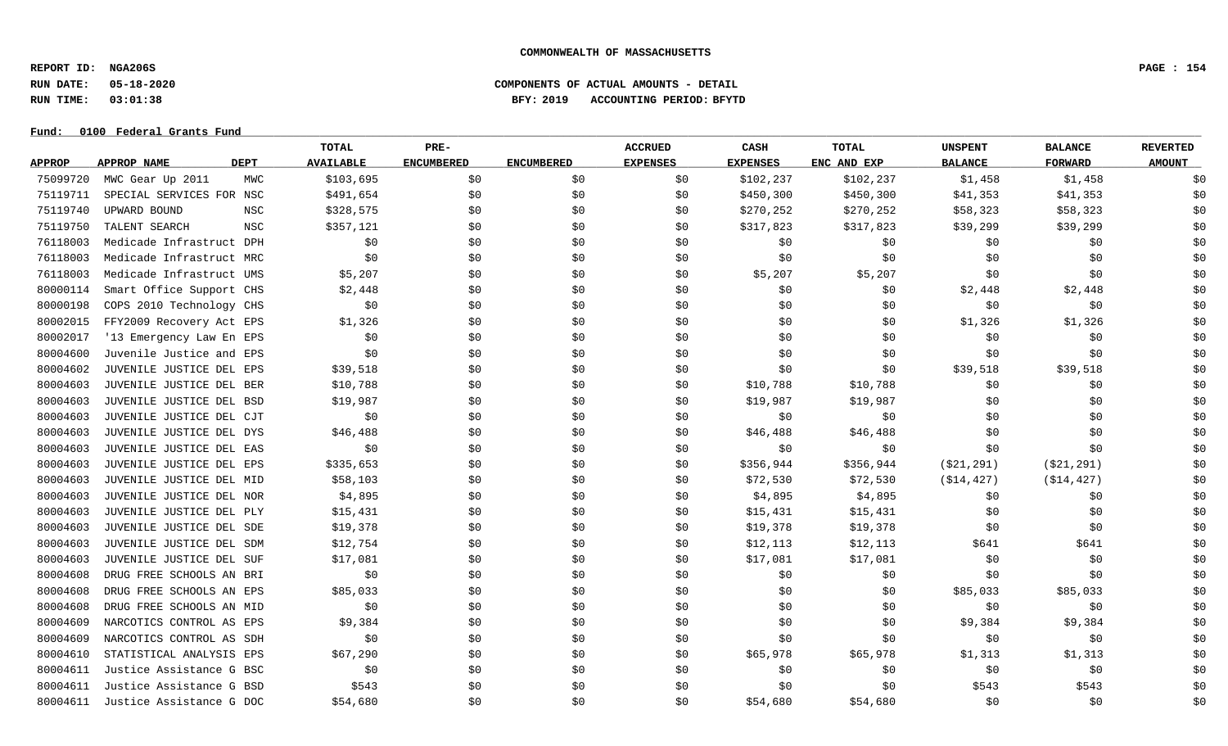**REPORT ID: NGA206S PAGE : 154**

**RUN DATE: 05-18-2020 COMPONENTS OF ACTUAL AMOUNTS - DETAIL**

**RUN TIME: 03:01:38 BFY: 2019 ACCOUNTING PERIOD: BFYTD**

|               |                          |             | <b>TOTAL</b>     | PRE-              |                   | <b>ACCRUED</b>  | <b>CASH</b>     | TOTAL       | <b>UNSPENT</b> | <b>BALANCE</b> | <b>REVERTED</b> |
|---------------|--------------------------|-------------|------------------|-------------------|-------------------|-----------------|-----------------|-------------|----------------|----------------|-----------------|
| <b>APPROP</b> | APPROP NAME              | <b>DEPT</b> | <b>AVAILABLE</b> | <b>ENCUMBERED</b> | <b>ENCUMBERED</b> | <b>EXPENSES</b> | <b>EXPENSES</b> | ENC AND EXP | <b>BALANCE</b> | <b>FORWARD</b> | <b>AMOUNT</b>   |
| 75099720      | MWC Gear Up 2011         | MWC         | \$103,695        | \$0               | \$0               | \$0             | \$102,237       | \$102,237   | \$1,458        | \$1,458        | \$0             |
| 75119711      | SPECIAL SERVICES FOR NSC |             | \$491,654        | \$0               | \$0               | \$0             | \$450,300       | \$450,300   | \$41,353       | \$41,353       | \$0             |
| 75119740      | UPWARD BOUND             | NSC         | \$328,575        | \$0               | \$0               | \$0             | \$270,252       | \$270,252   | \$58,323       | \$58,323       | \$0             |
| 75119750      | TALENT SEARCH            | <b>NSC</b>  | \$357,121        | \$0               | \$0               | \$0             | \$317,823       | \$317,823   | \$39,299       | \$39,299       | \$0             |
| 76118003      | Medicade Infrastruct DPH |             | \$0              | \$0               | \$0               | \$0             | \$0             | \$0         | \$0            | \$0            | \$0             |
| 76118003      | Medicade Infrastruct MRC |             | \$0              | \$0               | \$0               | \$0             | \$0             | \$0         | \$0            | \$0            | \$0             |
| 76118003      | Medicade Infrastruct UMS |             | \$5,207          | \$0               | \$0               | \$0             | \$5,207         | \$5,207     | \$0            | \$0            | \$0             |
| 80000114      | Smart Office Support CHS |             | \$2,448          | \$0               | \$0               | \$0             | \$0             | \$0         | \$2,448        | \$2,448        | \$0             |
| 80000198      | COPS 2010 Technology CHS |             | \$0              | \$0               | \$0               | \$0             | \$0             | \$0         | \$0            | \$0            | \$0             |
| 80002015      | FFY2009 Recovery Act EPS |             | \$1,326          | \$0               | \$0               | \$0             | \$0             | \$0         | \$1,326        | \$1,326        | \$0             |
| 80002017      | '13 Emergency Law En EPS |             | \$0              | \$0               | \$0               | \$0             | \$0             | \$0         | \$0            | \$0            | \$0             |
| 80004600      | Juvenile Justice and EPS |             | \$0              | \$0               | \$0\$             | \$0             | \$0             | \$0\$       | \$0            | \$0            | \$0             |
| 80004602      | JUVENILE JUSTICE DEL EPS |             | \$39,518         | \$0               | \$0               | \$0             | \$0             | \$0         | \$39,518       | \$39,518       | \$0             |
| 80004603      | JUVENILE JUSTICE DEL BER |             | \$10,788         | \$0               | \$0               | \$0             | \$10,788        | \$10,788    | \$0            | \$0            | \$0             |
| 80004603      | JUVENILE JUSTICE DEL BSD |             | \$19,987         | \$0               | \$0               | \$0             | \$19,987        | \$19,987    | \$0            | \$0            | \$0             |
| 80004603      | JUVENILE JUSTICE DEL CJT |             | \$0              | \$0               | \$0               | \$0             | \$0             | \$0         | \$0            | \$0            | \$0             |
| 80004603      | JUVENILE JUSTICE DEL DYS |             | \$46,488         | \$0               | \$0               | \$0             | \$46,488        | \$46,488    | \$0            | \$0            | \$0             |
| 80004603      | JUVENILE JUSTICE DEL EAS |             | \$0              | \$0               | \$0               | \$0             | \$0             | \$0         | \$0            | \$0            | \$0             |
| 80004603      | JUVENILE JUSTICE DEL EPS |             | \$335,653        | \$0               | \$0               | \$0             | \$356,944       | \$356,944   | ( \$21, 291)   | ( \$21, 291)   | \$0             |
| 80004603      | JUVENILE JUSTICE DEL MID |             | \$58,103         | \$0               | \$0               | \$0             | \$72,530        | \$72,530    | ( \$14, 427)   | ( \$14, 427)   | \$0             |
| 80004603      | JUVENILE JUSTICE DEL NOR |             | \$4,895          | \$0               | \$0               | \$0             | \$4,895         | \$4,895     | \$0            | \$0            | \$0             |
| 80004603      | JUVENILE JUSTICE DEL PLY |             | \$15,431         | \$0               | \$0               | \$0             | \$15,431        | \$15,431    | \$0            | \$0            | \$0             |
| 80004603      | JUVENILE JUSTICE DEL SDE |             | \$19,378         | \$0               | \$0               | \$0             | \$19,378        | \$19,378    | \$0            | \$0            | \$0             |
| 80004603      | JUVENILE JUSTICE DEL SDM |             | \$12,754         | \$0               | \$0               | \$0             | \$12,113        | \$12,113    | \$641          | \$641          | \$0             |
| 80004603      | JUVENILE JUSTICE DEL SUF |             | \$17,081         | \$0               | \$0               | \$0             | \$17,081        | \$17,081    | \$0            | \$0            | \$0             |
| 80004608      | DRUG FREE SCHOOLS AN BRI |             | \$0              | \$0               | \$0               | \$0             | \$0             | \$0         | \$0            | \$0            | \$0             |
| 80004608      | DRUG FREE SCHOOLS AN EPS |             | \$85,033         | \$0               | \$0               | \$0             | \$0             | \$0         | \$85,033       | \$85,033       | \$0             |
| 80004608      | DRUG FREE SCHOOLS AN MID |             | \$0              | \$0               | \$0               | \$0             | \$0             | \$0         | \$0            | \$0            | \$0             |
| 80004609      | NARCOTICS CONTROL AS EPS |             | \$9,384          | \$0               | \$0               | \$0             | \$0             | \$0         | \$9,384        | \$9,384        | \$0             |
| 80004609      | NARCOTICS CONTROL AS SDH |             | \$0              | \$0               | \$0               | \$0             | \$0             | \$0         | \$0            | \$0            | \$0             |
| 80004610      | STATISTICAL ANALYSIS EPS |             | \$67,290         | \$0               | \$0               | \$0             | \$65,978        | \$65,978    | \$1,313        | \$1,313        | \$0             |
| 80004611      | Justice Assistance G BSC |             | \$0              | \$0               | \$0               | \$0             | \$0             | \$0         | \$0            | \$0            | \$0             |
| 80004611      | Justice Assistance G BSD |             | \$543            | \$0               | \$0               | \$0             | \$0             | \$0         | \$543          | \$543          | \$0             |
| 80004611      | Justice Assistance G DOC |             | \$54,680         | \$0               | \$0               | \$0             | \$54,680        | \$54,680    | \$0            | \$0            | \$0             |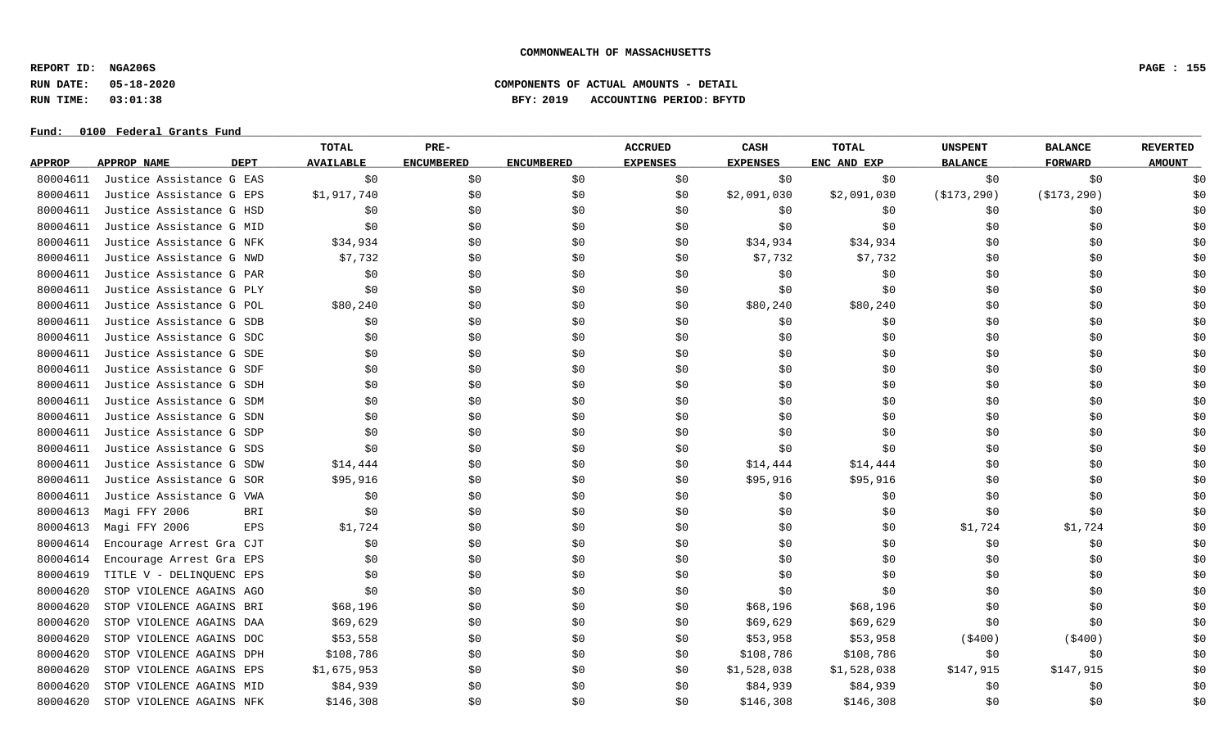**REPORT ID: NGA206S PAGE : 155**

**RUN DATE: 05-18-2020 COMPONENTS OF ACTUAL AMOUNTS - DETAIL**

# **RUN TIME: 03:01:38 BFY: 2019 ACCOUNTING PERIOD: BFYTD**

|               |                                   | TOTAL                 | PRE-              |                   | <b>ACCRUED</b>  | CASH            | TOTAL       | <b>UNSPENT</b> | <b>BALANCE</b> | <b>REVERTED</b> |
|---------------|-----------------------------------|-----------------------|-------------------|-------------------|-----------------|-----------------|-------------|----------------|----------------|-----------------|
| <b>APPROP</b> | <b>DEPT</b><br><b>APPROP NAME</b> | <b>AVAILABLE</b>      | <b>ENCUMBERED</b> | <b>ENCUMBERED</b> | <b>EXPENSES</b> | <b>EXPENSES</b> | ENC AND EXP | <b>BALANCE</b> | <b>FORWARD</b> | <b>AMOUNT</b>   |
| 80004611      | Justice Assistance G EAS          | \$0                   | \$0               | \$0               | \$0             | \$0             | \$0         | \$0            | \$0            | \$0             |
| 80004611      | Justice Assistance G EPS          | \$1,917,740           | \$0               | \$0               | \$0             | \$2,091,030     | \$2,091,030 | ( \$173, 290)  | ( \$173, 290)  | \$0             |
| 80004611      | Justice Assistance G HSD          | \$0                   | \$0               | \$0               | \$0             | \$0             | \$0         | \$0            | \$0            | \$0             |
| 80004611      | Justice Assistance G MID          | \$0                   | \$0               | \$0               | \$0             | \$0             | \$0         | \$0            | \$0            | \$0             |
| 80004611      | Justice Assistance G NFK          | \$34,934              | \$0               | \$0               | \$0             | \$34,934        | \$34,934    | \$0            | \$0            | \$0             |
| 80004611      | Justice Assistance G NWD          | \$7,732               | \$0               | \$0               | \$0             | \$7,732         | \$7,732     | \$0            | \$0            | \$0             |
| 80004611      | Justice Assistance G PAR          | \$0                   | \$0               | \$0               | \$0             | \$0             | \$0         | \$0            | \$0            | \$0             |
| 80004611      | Justice Assistance G PLY          | \$0                   | \$0               | \$0               | \$0             | \$0             | \$0         | \$0            | \$0            | \$0             |
| 80004611      | Justice Assistance G POL          | \$80,240              | \$0               | \$0               | \$0             | \$80,240        | \$80,240    | \$0            | \$0            | \$0             |
| 80004611      | Justice Assistance G SDB          | \$0                   | \$0               | \$0               | \$0             | \$0             | \$0         | \$0            | \$0            | \$0             |
| 80004611      | Justice Assistance G SDC          | \$0                   | \$0               | \$0               | \$0             | \$0             | \$0         | \$0            | \$0            | \$0             |
| 80004611      | Justice Assistance G SDE          | \$0                   | \$0               | \$0               | \$0             | \$0             | \$0         | \$0            | \$0            | \$0             |
| 80004611      | Justice Assistance G SDF          | \$0                   | \$0               | \$0               | \$0             | \$0             | \$0         | \$0            | \$0            | \$0             |
| 80004611      | Justice Assistance G SDH          | \$0                   | \$0               | \$0               | \$0             | \$0             | \$0         | \$0            | \$0            | \$0             |
| 80004611      | Justice Assistance G SDM          | \$0                   | \$0               | \$0               | \$0             | \$0             | \$0         | \$0            | \$0            | \$0             |
| 80004611      | Justice Assistance G SDN          | \$0                   | \$0               | \$0               | \$0             | \$0             | \$0         | \$0            | \$0            | \$0             |
| 80004611      | Justice Assistance G SDP          | \$0                   | \$0               | \$0               | \$0             | \$0             | \$0         | \$0            | \$0            | \$0             |
| 80004611      | Justice Assistance G SDS          | \$0                   | \$0               | \$0               | \$0             | \$0             | \$0         | \$0            | \$0            | \$0             |
| 80004611      | Justice Assistance G SDW          | \$14,444              | \$0               | \$0               | S0              | \$14,444        | \$14,444    | \$0            | \$0            | \$0             |
| 80004611      | Justice Assistance G SOR          | \$95,916              | \$0               | \$0               | \$0             | \$95,916        | \$95,916    | \$0            | \$0            | \$0             |
| 80004611      | Justice Assistance G VWA          | \$0                   | \$0               | \$0               | \$0             | \$0             | \$0         | \$0            | \$0            | \$0             |
| 80004613      | Magi FFY 2006                     | \$0<br>BRI            | \$0               | \$0               | \$0             | \$0             | \$0         | \$0            | \$0            | \$0             |
| 80004613      | Magi FFY 2006                     | <b>EPS</b><br>\$1,724 | \$0               | \$0               | \$0             | \$0             | \$0         | \$1,724        | \$1,724        | \$0             |
| 80004614      | Encourage Arrest Gra CJT          | \$0                   | \$0               | \$0               | \$0             | \$0             | \$0         | \$0            | \$0            | \$0             |
| 80004614      | Encourage Arrest Gra EPS          | \$0\$                 | \$0               | \$0               | \$0             | \$0             | \$0         | \$0            | \$0            | \$0             |
| 80004619      | TITLE V - DELINOUENC EPS          | \$0                   | \$0               | \$0               | \$0             | \$0             | \$0         | \$0            | \$0            | \$0             |
| 80004620      | STOP VIOLENCE AGAINS AGO          | \$0                   | \$0               | \$0               | \$0             | \$0             | \$0         | \$0            | \$0            | \$0             |
| 80004620      | STOP VIOLENCE AGAINS BRI          | \$68,196              | \$0               | \$0               | \$0             | \$68,196        | \$68,196    | \$0            | \$0            | \$0             |
| 80004620      | STOP VIOLENCE AGAINS DAA          | \$69,629              | \$0               | \$0               | \$0             | \$69,629        | \$69,629    | \$0            | \$0            | \$0             |
| 80004620      | STOP VIOLENCE AGAINS DOC          | \$53,558              | \$0               | \$0               | \$0             | \$53,958        | \$53,958    | ( \$400)       | ( \$400)       | \$0             |
| 80004620      | STOP VIOLENCE AGAINS DPH          | \$108,786             | \$0               | \$0               | \$0             | \$108,786       | \$108,786   | \$0            | \$0            | \$0             |
| 80004620      | STOP VIOLENCE AGAINS EPS          | \$1,675,953           | \$0               | \$0               | \$0             | \$1,528,038     | \$1,528,038 | \$147,915      | \$147,915      | \$0             |
| 80004620      | STOP VIOLENCE AGAINS MID          | \$84,939              | \$0               | \$0               | S0              | \$84,939        | \$84,939    | \$0            | \$0            | \$0             |
| 80004620      | STOP VIOLENCE AGAINS NFK          | \$146,308             | \$0               | \$0               | \$0             | \$146,308       | \$146,308   | \$0            | \$0            | \$0             |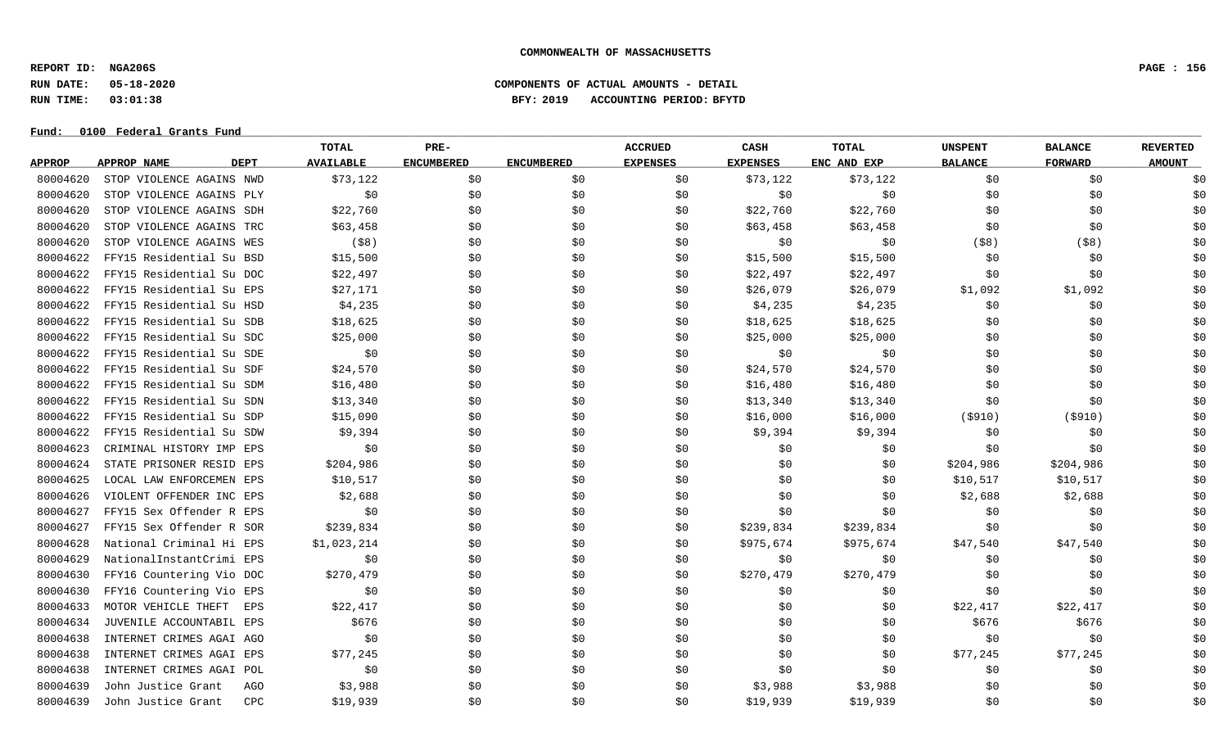**REPORT ID: NGA206S PAGE : 156**

### **RUN DATE: 05-18-2020 COMPONENTS OF ACTUAL AMOUNTS - DETAIL RUN TIME: 03:01:38 BFY: 2019 ACCOUNTING PERIOD: BFYTD**

|               |                                   | <b>TOTAL</b>     | PRE-              |                   | <b>ACCRUED</b>  | CASH            | <b>TOTAL</b> | <b>UNSPENT</b> | <b>BALANCE</b> | <b>REVERTED</b> |
|---------------|-----------------------------------|------------------|-------------------|-------------------|-----------------|-----------------|--------------|----------------|----------------|-----------------|
| <b>APPROP</b> | <b>APPROP NAME</b><br><b>DEPT</b> | <b>AVAILABLE</b> | <b>ENCUMBERED</b> | <b>ENCUMBERED</b> | <b>EXPENSES</b> | <b>EXPENSES</b> | ENC AND EXP  | <b>BALANCE</b> | <b>FORWARD</b> | <b>AMOUNT</b>   |
| 80004620      | STOP VIOLENCE AGAINS NWD          | \$73,122         | \$0               | \$0               | \$0             | \$73,122        | \$73,122     | \$0            | \$0            | \$0             |
| 80004620      | STOP VIOLENCE AGAINS PLY          | \$0              | \$0               | \$0               | \$0             | \$0             | \$0          | \$0            | \$0            | \$0             |
| 80004620      | STOP VIOLENCE AGAINS SDH          | \$22,760         | \$0               | \$0               | \$0             | \$22,760        | \$22,760     | \$0            | \$0            | \$0             |
| 80004620      | STOP VIOLENCE AGAINS TRC          | \$63,458         | \$0               | \$0               | SO.             | \$63,458        | \$63,458     | \$0            | \$0            | \$0             |
| 80004620      | STOP VIOLENCE AGAINS WES          | $($ \$8)         | \$0               | \$0               | \$0             | \$0             | \$0          | $($ \$8)       | $($ \$8)       | \$0             |
| 80004622      | FFY15 Residential Su BSD          | \$15,500         | \$0               | \$0               | SO.             | \$15,500        | \$15,500     | \$0            | \$0            | \$0             |
| 80004622      | FFY15 Residential Su DOC          | \$22,497         | \$0               | \$0               | \$0             | \$22,497        | \$22,497     | \$0            | \$0            | \$0             |
| 80004622      | FFY15 Residential Su EPS          | \$27,171         | \$0               | \$0               | \$0             | \$26,079        | \$26,079     | \$1,092        | \$1,092        | \$0             |
| 80004622      | FFY15 Residential Su HSD          | \$4,235          | \$0               | \$0               | \$0             | \$4,235         | \$4,235      | \$0            | \$0            | \$0             |
| 80004622      | FFY15 Residential Su SDB          | \$18,625         | \$0               | \$0               | \$0             | \$18,625        | \$18,625     | \$0            | \$0            | \$0             |
| 80004622      | FFY15 Residential Su SDC          | \$25,000         | \$0               | \$0               | \$0             | \$25,000        | \$25,000     | \$0            | \$0            | \$0             |
| 80004622      | FFY15 Residential Su SDE          | \$0              | \$0               | \$0               | \$0             | \$0             | \$0          | \$0            | \$0            | \$0             |
| 80004622      | FFY15 Residential Su SDF          | \$24,570         | \$0               | \$0               | \$0             | \$24,570        | \$24,570     | \$0            | \$0            | \$0             |
| 80004622      | FFY15 Residential Su SDM          | \$16,480         | \$0               | \$0               | \$0             | \$16,480        | \$16,480     | \$0            | \$0            | \$0             |
| 80004622      | FFY15 Residential Su SDN          | \$13,340         | \$0               | \$0               | \$0             | \$13,340        | \$13,340     | \$0            | \$0            | \$0             |
| 80004622      | FFY15 Residential Su SDP          | \$15,090         | \$0               | \$0               | \$0             | \$16,000        | \$16,000     | ( \$910)       | ( \$910)       | \$0             |
| 80004622      | FFY15 Residential Su SDW          | \$9,394          | \$0               | \$0               | \$0             | \$9,394         | \$9,394      | \$0            | \$0            | \$0             |
| 80004623      | CRIMINAL HISTORY IMP EPS          | \$0              | \$0               | \$0               | \$0             | \$0             | \$0          | \$0            | \$0            | \$0             |
| 80004624      | STATE PRISONER RESID EPS          | \$204,986        | \$0               | \$0               | \$0             | \$0             | \$0          | \$204,986      | \$204,986      | \$0             |
| 80004625      | LOCAL LAW ENFORCEMEN EPS          | \$10,517         | \$0               | \$0               | \$0             | \$0             | \$0          | \$10,517       | \$10,517       | \$0             |
| 80004626      | VIOLENT OFFENDER INC EPS          | \$2,688          | \$0               | \$0               | \$0             | \$0             | \$0          | \$2,688        | \$2,688        | \$0             |
| 80004627      | FFY15 Sex Offender R EPS          | \$0              | \$0               | \$0               | \$0             | \$0             | \$0          | \$0            | \$0            | \$0             |
| 80004627      | FFY15 Sex Offender R SOR          | \$239,834        | \$0               | \$0               | \$0             | \$239,834       | \$239,834    | \$0            | \$0            | \$0             |
| 80004628      | National Criminal Hi EPS          | \$1,023,214      | \$0               | \$0               | \$0             | \$975,674       | \$975,674    | \$47,540       | \$47,540       | \$0             |
| 80004629      | NationalInstantCrimi EPS          | \$0              | \$0               | \$0               | \$0             | \$0             | \$0          | \$0            | \$0            | \$0             |
| 80004630      | FFY16 Countering Vio DOC          | \$270,479        | \$0               | \$0               | \$0             | \$270,479       | \$270,479    | \$0            | \$0            | \$0             |
| 80004630      | FFY16 Countering Vio EPS          | \$0              | \$0               | \$0               | \$0             | \$0             | \$0          | \$0            | \$0            | \$0             |
| 80004633      | MOTOR VEHICLE THEFT<br>EPS        | \$22,417         | \$0               | \$0               | \$0             | \$0             | \$0          | \$22,417       | \$22,417       | \$0             |
| 80004634      | JUVENILE ACCOUNTABIL EPS          | \$676            | \$0               | \$0               | \$0             | \$0             | \$0          | \$676          | \$676          | \$0             |
| 80004638      | INTERNET CRIMES AGAI AGO          | \$0              | \$0               | \$0               | \$0             | \$0             | \$0          | \$0            | \$0            | \$0             |
| 80004638      | INTERNET CRIMES AGAI EPS          | \$77,245         | \$0               | \$0               | \$0             | \$0             | \$0          | \$77,245       | \$77,245       | \$0             |
| 80004638      | INTERNET CRIMES AGAI POL          | \$0              | \$0               | \$0               | \$0             | \$0             | \$0          | \$0            | \$0            | \$0             |
| 80004639      | John Justice Grant<br>AGO         | \$3,988          | \$0               | \$0               | S0              | \$3,988         | \$3,988      | \$0            | \$0            | \$0             |
| 80004639      | John Justice Grant<br><b>CPC</b>  | \$19,939         | \$0               | \$0               | \$0             | \$19,939        | \$19,939     | \$0            | \$0            | \$0             |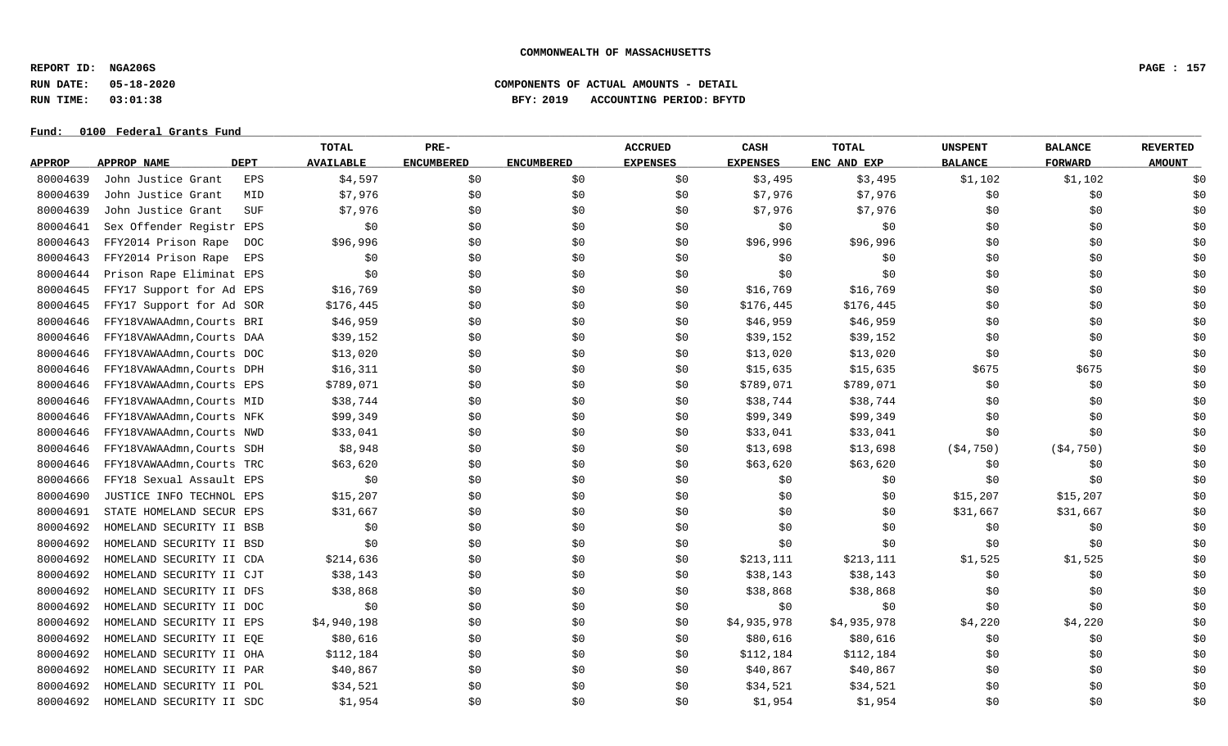**REPORT ID: NGA206S PAGE : 157**

**RUN DATE: 05-18-2020 COMPONENTS OF ACTUAL AMOUNTS - DETAIL**

**RUN TIME: 03:01:38 BFY: 2019 ACCOUNTING PERIOD: BFYTD**

|               |                           |             | <b>TOTAL</b>     | PRE-              |                   | <b>ACCRUED</b>  | CASH            | TOTAL       | <b>UNSPENT</b> | <b>BALANCE</b> | <b>REVERTED</b> |
|---------------|---------------------------|-------------|------------------|-------------------|-------------------|-----------------|-----------------|-------------|----------------|----------------|-----------------|
| <b>APPROP</b> | APPROP NAME               | <b>DEPT</b> | <b>AVAILABLE</b> | <b>ENCUMBERED</b> | <b>ENCUMBERED</b> | <b>EXPENSES</b> | <b>EXPENSES</b> | ENC AND EXP | <b>BALANCE</b> | <b>FORWARD</b> | <b>AMOUNT</b>   |
| 80004639      | John Justice Grant        | EPS         | \$4,597          | \$0               | \$0               | \$0             | \$3,495         | \$3,495     | \$1,102        | \$1,102        | \$0             |
| 80004639      | John Justice Grant        | MID         | \$7,976          | \$0               | \$0               | \$0             | \$7,976         | \$7,976     | \$0            | \$0            | \$0             |
| 80004639      | John Justice Grant        | SUF         | \$7,976          | \$0               | \$0               | \$0             | \$7,976         | \$7,976     | \$0            | \$0            | \$0             |
| 80004641      | Sex Offender Registr EPS  |             | \$0              | \$0               | \$0               | \$0             | \$0             | \$0\$       | \$0            | \$0            | \$0             |
| 80004643      | FFY2014 Prison Rape       | <b>DOC</b>  | \$96,996         | \$0               | \$0               | \$0             | \$96,996        | \$96,996    | \$0            | \$0            | \$0             |
| 80004643      | FFY2014 Prison Rape       | EPS         | \$0              | \$0               | \$0               | \$0             | \$0             | \$0         | \$0            | \$0            | \$0             |
| 80004644      | Prison Rape Eliminat EPS  |             | \$0              | \$0               | \$0               | \$0             | \$0             | \$0         | \$0            | \$0            | \$0             |
| 80004645      | FFY17 Support for Ad EPS  |             | \$16,769         | \$0               | \$0               | \$0             | \$16,769        | \$16,769    | \$0            | \$0            | \$0             |
| 80004645      | FFY17 Support for Ad SOR  |             | \$176,445        | \$0               | \$0               | \$0             | \$176,445       | \$176,445   | \$0            | \$0            | \$0             |
| 80004646      | FFY18VAWAAdmn, Courts BRI |             | \$46,959         | \$0               | \$0               | \$0             | \$46,959        | \$46,959    | \$0            | \$0            | \$0             |
| 80004646      | FFY18VAWAAdmn, Courts DAA |             | \$39,152         | \$0               | \$0\$             | \$0             | \$39,152        | \$39,152    | \$0            | \$0            | \$0             |
| 80004646      | FFY18VAWAAdmn, Courts DOC |             | \$13,020         | \$0               | \$0               | \$0             | \$13,020        | \$13,020    | \$0            | \$0            | \$0             |
| 80004646      | FFY18VAWAAdmn, Courts DPH |             | \$16,311         | \$0               | \$0               | \$0             | \$15,635        | \$15,635    | \$675          | \$675          | \$0             |
| 80004646      | FFY18VAWAAdmn, Courts EPS |             | \$789,071        | \$0               | \$0               | \$0             | \$789,071       | \$789,071   | \$0            | \$0            | \$0             |
| 80004646      | FFY18VAWAAdmn, Courts MID |             | \$38,744         | \$0               | \$0               | \$0             | \$38,744        | \$38,744    | \$0            | \$0            | \$0             |
| 80004646      | FFY18VAWAAdmn, Courts NFK |             | \$99,349         | \$0               | \$0               | \$0             | \$99,349        | \$99,349    | \$0            | \$0            | \$0             |
| 80004646      | FFY18VAWAAdmn, Courts NWD |             | \$33,041         | \$0               | \$0               | \$0             | \$33,041        | \$33,041    | \$0            | \$0            | \$0             |
| 80004646      | FFY18VAWAAdmn, Courts SDH |             | \$8,948          | \$0               | \$0               | \$0             | \$13,698        | \$13,698    | ( \$4, 750)    | ( \$4, 750)    | \$0             |
| 80004646      | FFY18VAWAAdmn, Courts TRC |             | \$63,620         | \$0               | \$0               | \$0             | \$63,620        | \$63,620    | \$0            | \$0            | \$0             |
| 80004666      | FFY18 Sexual Assault EPS  |             | \$0              | \$0               | \$0               | \$0             | \$0             | \$0\$       | \$0            | \$0            | \$0             |
| 80004690      | JUSTICE INFO TECHNOL EPS  |             | \$15,207         | \$0               | \$0               | \$0             | \$0             | \$0         | \$15,207       | \$15,207       | \$0             |
| 80004691      | STATE HOMELAND SECUR EPS  |             | \$31,667         | \$0               | \$0               | \$0             | \$0             | \$0         | \$31,667       | \$31,667       | \$0             |
| 80004692      | HOMELAND SECURITY II BSB  |             | \$0              | \$0               | \$0               | \$0             | \$0             | \$0         | \$0            | \$0            | \$0             |
| 80004692      | HOMELAND SECURITY II BSD  |             | \$0              | \$0               | \$0\$             | \$0             | \$0             | \$0         | \$0            | \$0            | \$0             |
| 80004692      | HOMELAND SECURITY II CDA  |             | \$214,636        | \$0               | \$0               | \$0             | \$213,111       | \$213,111   | \$1,525        | \$1,525        | \$0             |
| 80004692      | HOMELAND SECURITY II CJT  |             | \$38,143         | \$0               | \$0               | \$0             | \$38,143        | \$38,143    | \$0            | \$0            | \$0             |
| 80004692      | HOMELAND SECURITY II DFS  |             | \$38,868         | \$0               | \$0               | \$0             | \$38,868        | \$38,868    | \$0            | \$0            | \$0             |
| 80004692      | HOMELAND SECURITY II DOC  |             | \$0              | \$0               | \$0               | \$0             | \$0             | \$0         | \$0            | \$0            | \$0             |
| 80004692      | HOMELAND SECURITY II EPS  |             | \$4,940,198      | \$0               | \$0               | \$0             | \$4,935,978     | \$4,935,978 | \$4,220        | \$4,220        | \$0             |
| 80004692      | HOMELAND SECURITY II EQE  |             | \$80,616         | \$0               | \$0               | \$0             | \$80,616        | \$80,616    | \$0            | \$0            | \$0             |
| 80004692      | HOMELAND SECURITY II OHA  |             | \$112,184        | \$0               | \$0               | \$0             | \$112,184       | \$112,184   | \$0            | \$0            | \$0             |
| 80004692      | HOMELAND SECURITY II PAR  |             | \$40,867         | \$0               | \$0               | \$0             | \$40,867        | \$40,867    | \$0            | \$0            | \$0             |
| 80004692      | HOMELAND SECURITY II POL  |             | \$34,521         | \$0               | \$0               | \$0             | \$34,521        | \$34,521    | \$0            | \$0            | \$0             |
| 80004692      | HOMELAND SECURITY II SDC  |             | \$1,954          | \$0               | \$0               | \$0             | \$1,954         | \$1,954     | \$0            | \$0            | \$0             |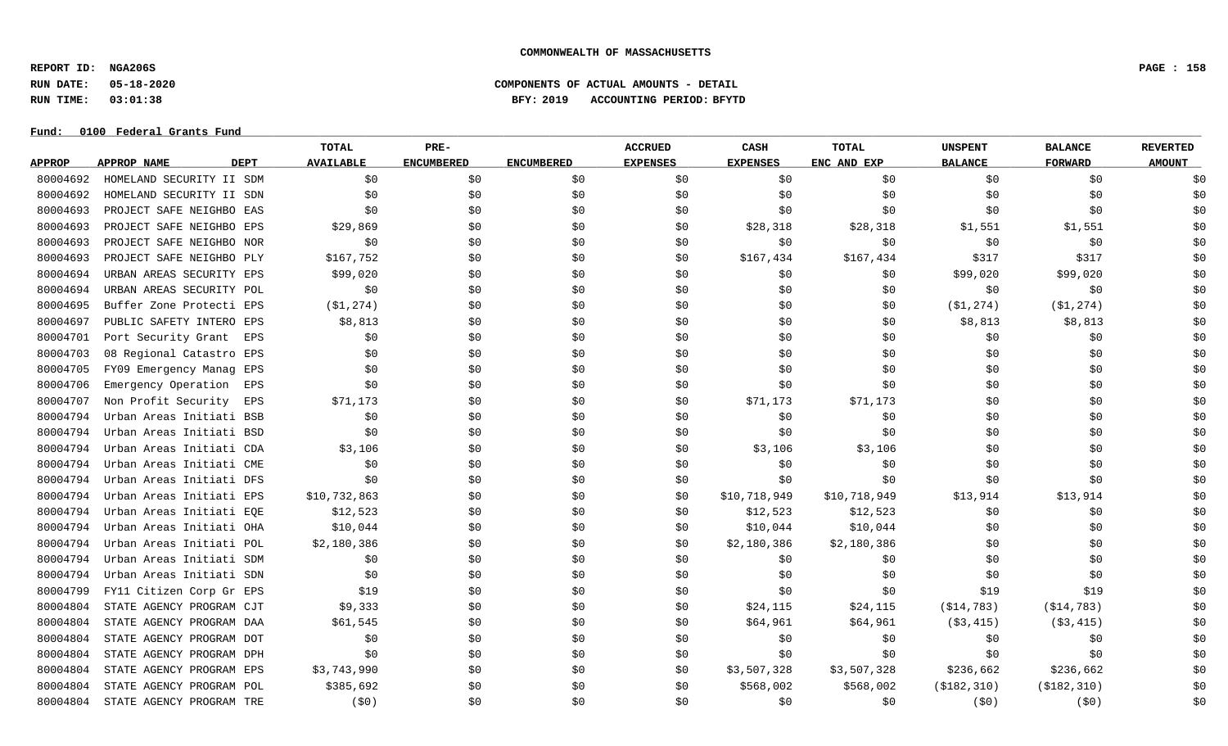**REPORT ID: NGA206S PAGE : 158**

# **RUN DATE: 05-18-2020 COMPONENTS OF ACTUAL AMOUNTS - DETAIL RUN TIME: 03:01:38 BFY: 2019 ACCOUNTING PERIOD: BFYTD**

|               |                                   | TOTAL            | PRE-              |                   | <b>ACCRUED</b>  | <b>CASH</b>     | <b>TOTAL</b> | <b>UNSPENT</b> | <b>BALANCE</b> | <b>REVERTED</b> |
|---------------|-----------------------------------|------------------|-------------------|-------------------|-----------------|-----------------|--------------|----------------|----------------|-----------------|
| <b>APPROP</b> | <b>DEPT</b><br><b>APPROP NAME</b> | <b>AVAILABLE</b> | <b>ENCUMBERED</b> | <b>ENCUMBERED</b> | <b>EXPENSES</b> | <b>EXPENSES</b> | ENC AND EXP  | <b>BALANCE</b> | <b>FORWARD</b> | <b>AMOUNT</b>   |
| 80004692      | HOMELAND SECURITY II SDM          | \$0              | \$0               | \$0               | \$0             | \$0             | \$0          | \$0            | \$0            | \$0             |
| 80004692      | HOMELAND SECURITY II SDN          | \$0              | \$0               | \$0               | \$0             | \$0             | \$0          | \$0            | \$0            | \$0             |
| 80004693      | PROJECT SAFE NEIGHBO EAS          | \$0              | \$0               | \$0               | \$0             | \$0             | \$0          | \$0            | \$0            | \$0             |
| 80004693      | PROJECT SAFE NEIGHBO EPS          | \$29,869         | \$0               | \$0               | \$0             | \$28,318        | \$28,318     | \$1,551        | \$1,551        | \$0             |
| 80004693      | PROJECT SAFE NEIGHBO NOR          | \$0              | \$0               | \$0               | \$0             | \$0             | \$0          | \$0            | \$0            | \$0             |
| 80004693      | PROJECT SAFE NEIGHBO PLY          | \$167,752        | \$0               | \$0               | \$0             | \$167,434       | \$167,434    | \$317          | \$317          | \$0             |
| 80004694      | URBAN AREAS SECURITY EPS          | \$99,020         | \$0               | \$0               | \$0             | \$0             | \$0          | \$99,020       | \$99,020       | \$0             |
| 80004694      | URBAN AREAS SECURITY POL          | \$0              | \$0               | \$0               | \$0             | \$0             | \$0          | \$0            | \$0            | \$0             |
| 80004695      | Buffer Zone Protecti EPS          | ( \$1, 274 )     | \$0               | \$0               | \$0             | \$0             | \$0          | ( \$1, 274 )   | ( \$1, 274 )   | \$0             |
| 80004697      | PUBLIC SAFETY INTERO EPS          | \$8,813          | \$0               | \$0               | \$0             | \$0             | \$0          | \$8,813        | \$8,813        | \$0             |
| 80004701      | Port Security Grant<br>EPS        | \$0              | \$0               | \$0               | \$0             | \$0             | \$0          | \$0            | \$0            | \$0             |
| 80004703      | 08 Regional Catastro EPS          | \$0              | \$0               | \$0               | \$0             | \$0             | \$0          | \$0            | \$0            | \$0             |
| 80004705      | FY09 Emergency Manag EPS          | \$0              | \$0               | \$0               | \$0             | \$0             | \$0          | \$0            | \$0            | \$0             |
| 80004706      | Emergency Operation<br>EPS        | \$0              | \$0               | \$0               | \$0             | \$0             | \$0          | \$0            | \$0            | \$0             |
| 80004707      | Non Profit Security<br>EPS        | \$71,173         | \$0               | \$0               | \$0             | \$71,173        | \$71,173     | \$0            | \$0            | \$0             |
| 80004794      | Urban Areas Initiati BSB          | \$0              | \$0               | \$0               | \$0             | \$0             | \$0          | \$0            | \$0            | \$0             |
| 80004794      | Urban Areas Initiati BSD          | \$0              | \$0               | \$0               | \$0             | \$0             | \$0          | \$0            | \$0            | \$0             |
| 80004794      | Urban Areas Initiati CDA          | \$3,106          | \$0               | \$0               | \$0             | \$3,106         | \$3,106      | \$0            | \$0            | \$0             |
| 80004794      | Urban Areas Initiati CME          | \$0              | \$0               | \$0               | \$0             | \$0             | \$0          | \$0            | \$0            | \$0             |
| 80004794      | Urban Areas Initiati DFS          | \$0              | \$0               | \$0               | \$0             | \$0             | \$0          | \$0            | \$0            | \$0             |
| 80004794      | Urban Areas Initiati EPS          | \$10,732,863     | \$0               | \$0               | \$0             | \$10,718,949    | \$10,718,949 | \$13,914       | \$13,914       | \$0             |
| 80004794      | Urban Areas Initiati EOE          | \$12,523         | \$0               | \$0               | \$0             | \$12,523        | \$12,523     | \$0            | \$0            | \$0             |
| 80004794      | Urban Areas Initiati OHA          | \$10,044         | \$0               | \$0               | \$0             | \$10,044        | \$10,044     | \$0            | \$0            | \$0             |
| 80004794      | Urban Areas Initiati POL          | \$2,180,386      | \$0               | \$0               | \$0             | \$2,180,386     | \$2,180,386  | \$0            | \$0            | \$0             |
| 80004794      | Urban Areas Initiati SDM          | \$0              | \$0               | \$0               | \$0             | \$0             | \$0          | \$0            | \$0            | \$0             |
| 80004794      | Urban Areas Initiati SDN          | \$0              | \$0               | \$0               | \$0             | \$0             | \$0          | \$0            | \$0            | \$0             |
| 80004799      | FY11 Citizen Corp Gr EPS          | \$19             | \$0               | \$0               | \$0             | \$0             | \$0          | \$19           | \$19           | \$0             |
| 80004804      | STATE AGENCY PROGRAM CJT          | \$9,333          | \$0               | \$0               | \$0             | \$24,115        | \$24,115     | ( \$14, 783)   | ( \$14, 783)   | \$0             |
| 80004804      | STATE AGENCY PROGRAM DAA          | \$61,545         | \$0               | \$0               | \$0             | \$64,961        | \$64,961     | $($ \$3,415)   | ( \$3, 415)    | \$0             |
| 80004804      | STATE AGENCY PROGRAM DOT          | \$0              | \$0               | \$0               | \$0             | \$0             | \$0          | \$0            | \$0            | \$0             |
| 80004804      | STATE AGENCY PROGRAM DPH          | \$0              | \$0               | \$0               | \$0             | \$0             | \$0          | \$0            | \$0            | \$0             |
| 80004804      | STATE AGENCY PROGRAM EPS          | \$3,743,990      | \$0               | \$0               | \$0             | \$3,507,328     | \$3,507,328  | \$236,662      | \$236,662      | \$0             |
| 80004804      | STATE AGENCY PROGRAM POL          | \$385,692        | \$0               | \$0               | SO.             | \$568,002       | \$568,002    | ( \$182, 310)  | ( \$182, 310)  | \$0             |
| 80004804      | STATE AGENCY PROGRAM TRE          | (50)             | \$0               | \$0               | \$0             | \$0             | \$0          | (50)           | (50)           | \$0             |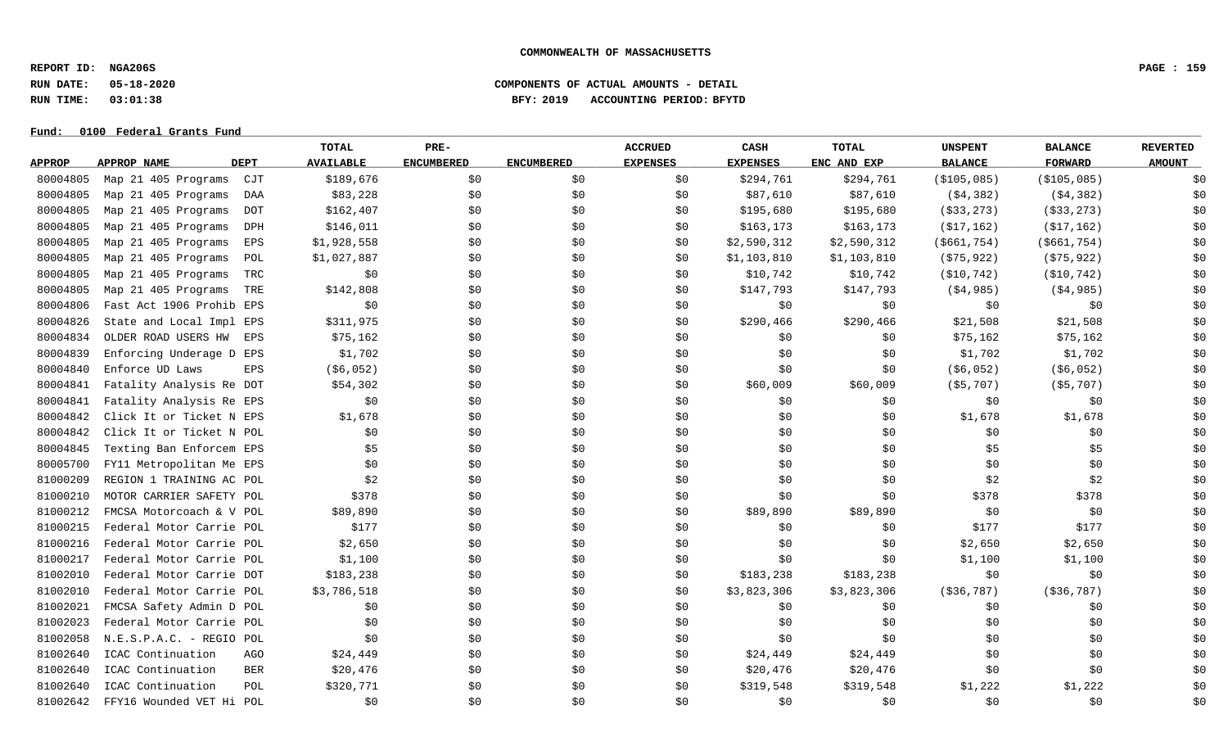**REPORT ID: NGA206S PAGE : 159**

# **RUN DATE: 05-18-2020 COMPONENTS OF ACTUAL AMOUNTS - DETAIL RUN TIME: 03:01:38 BFY: 2019 ACCOUNTING PERIOD: BFYTD**

|               |                                   | TOTAL                    | PRE-              |                   | <b>ACCRUED</b>  | CASH            | <b>TOTAL</b> | <b>UNSPENT</b> | <b>BALANCE</b> | <b>REVERTED</b> |
|---------------|-----------------------------------|--------------------------|-------------------|-------------------|-----------------|-----------------|--------------|----------------|----------------|-----------------|
| <b>APPROP</b> | <b>APPROP NAME</b><br><b>DEPT</b> | <b>AVAILABLE</b>         | <b>ENCUMBERED</b> | <b>ENCUMBERED</b> | <b>EXPENSES</b> | <b>EXPENSES</b> | ENC AND EXP  | <b>BALANCE</b> | <b>FORWARD</b> | <b>AMOUNT</b>   |
| 80004805      | Map 21 405 Programs<br>CJT        | \$189,676                | \$0               | \$0\$             | \$0             | \$294,761       | \$294,761    | ( \$105,085)   | ( \$105,085)   | \$0             |
| 80004805      | Map 21 405 Programs               | \$83,228<br>DAA          | \$0               | \$0               | \$0             | \$87,610        | \$87,610     | ( \$4, 382)    | ( \$4, 382)    | \$0             |
| 80004805      | Map 21 405 Programs               | \$162,407<br><b>DOT</b>  | \$0               | \$0               | \$0             | \$195,680       | \$195,680    | $($ \$33,273)  | $($ \$33,273)  | \$0             |
| 80004805      | Map 21 405 Programs               | \$146,011<br>DPH         | \$0               | \$0               | \$0             | \$163,173       | \$163, 173   | ( \$17, 162)   | ( \$17, 162)   | \$0             |
| 80004805      | Map 21 405 Programs               | \$1,928,558<br>EPS       | \$0               | \$0               | \$0             | \$2,590,312     | \$2,590,312  | ( \$661, 754)  | ( \$661, 754)  | \$0             |
| 80004805      | Map 21 405 Programs               | \$1,027,887<br>POL       | \$0               | \$0               | \$0             | \$1,103,810     | \$1,103,810  | ( \$75, 922)   | ( \$75, 922)   | \$0             |
| 80004805      | Map 21 405 Programs               | \$0<br>TRC               | \$0               | \$0               | \$0             | \$10,742        | \$10,742     | ( \$10, 742)   | ( \$10, 742)   | \$0             |
| 80004805      | Map 21 405 Programs               | \$142,808<br>TRE         | \$0               | \$0               | \$0             | \$147,793       | \$147,793    | ( \$4, 985)    | (\$4,985)      | \$0             |
| 80004806      | Fast Act 1906 Prohib EPS          | \$0                      | \$0               | \$0               | \$0             | \$0             | \$0          | \$0            | \$0            | \$0             |
| 80004826      | State and Local Impl EPS          | \$311,975                | \$0               | \$0               | \$0             | \$290,466       | \$290,466    | \$21,508       | \$21,508       | \$0             |
| 80004834      | OLDER ROAD USERS HW               | \$75,162<br>EPS          | \$0               | \$0               | \$0             | \$0             | \$0          | \$75,162       | \$75,162       | \$0             |
| 80004839      | Enforcing Underage D EPS          | \$1,702                  | \$0               | \$0               | \$0             | \$0             | \$0\$        | \$1,702        | \$1,702        | \$0             |
| 80004840      | Enforce UD Laws                   | ( \$6,052)<br><b>EPS</b> | \$0               | \$0               | \$0             | \$0             | \$0          | ( \$6,052)     | ( \$6,052)     | \$0             |
| 80004841      | Fatality Analysis Re DOT          | \$54,302                 | \$0               | \$0               | \$0             | \$60,009        | \$60,009     | ( \$5, 707)    | ( \$5,707)     | \$0             |
| 80004841      | Fatality Analysis Re EPS          | \$0                      | \$0               | \$0               | \$0             | \$0             | \$0          | \$0            | \$0            | \$0             |
| 80004842      | Click It or Ticket N EPS          | \$1,678                  | \$0               | \$0               | \$0             | \$0             | \$0          | \$1,678        | \$1,678        | \$0             |
| 80004842      | Click It or Ticket N POL          | \$0                      | \$0               | \$0               | \$0             | \$0             | \$0          | \$0            | \$0            | \$0             |
| 80004845      | Texting Ban Enforcem EPS          | \$5                      | \$0               | \$0               | \$0             | \$0             | \$0          | \$5            | \$5            | \$0             |
| 80005700      | FY11 Metropolitan Me EPS          | \$0                      | \$0               | \$0               | \$0             | \$0             | \$0          | \$0            | \$0            | \$0             |
| 81000209      | REGION 1 TRAINING AC POL          | \$2                      | \$0               | \$0               | \$0             | \$0             | \$0          | \$2            | \$2            | \$0             |
| 81000210      | MOTOR CARRIER SAFETY POL          | \$378                    | \$0               | \$0               | \$0             | \$0             | \$0          | \$378          | \$378          | \$0             |
| 81000212      | FMCSA Motorcoach & V POL          | \$89,890                 | \$0               | \$0               | \$0             | \$89,890        | \$89,890     | \$0            | \$0            | \$0             |
| 81000215      | Federal Motor Carrie POL          | \$177                    | \$0               | \$0               | \$0             | \$0             | \$0          | \$177          | \$177          | \$0             |
| 81000216      | Federal Motor Carrie POL          | \$2,650                  | \$0               | \$0               | \$0             | \$0             | \$0          | \$2,650        | \$2,650        | \$0             |
| 81000217      | Federal Motor Carrie POL          | \$1,100                  | \$0               | \$0               | \$0             | \$0             | \$0          | \$1,100        | \$1,100        | \$0             |
| 81002010      | Federal Motor Carrie DOT          | \$183,238                | \$0               | \$0               | \$0             | \$183,238       | \$183,238    | \$0            | \$0            | \$0             |
| 81002010      | Federal Motor Carrie POL          | \$3,786,518              | \$0               | \$0               | \$0             | \$3,823,306     | \$3,823,306  | ( \$36, 787)   | ( \$36, 787)   | \$0             |
| 81002021      | FMCSA Safety Admin D POL          | \$0                      | \$0               | \$0               | \$0             | \$0             | \$0          | \$0            | \$0            | \$0             |
| 81002023      | Federal Motor Carrie POL          | \$0                      | \$0               | \$0               | \$0             | \$0             | \$0          | \$0            | \$0            | \$0             |
| 81002058      | N.E.S.P.A.C. - REGIO POL          | \$0                      | \$0               | \$0               | \$0             | \$0             | \$0          | \$0            | \$0            | \$0             |
| 81002640      | ICAC Continuation                 | \$24,449<br>AGO          | \$0               | \$0               | \$0             | \$24,449        | \$24,449     | \$0            | \$0            | \$0             |
| 81002640      | ICAC Continuation                 | \$20,476<br><b>BER</b>   | \$0               | \$0               | \$0             | \$20,476        | \$20,476     | \$0            | \$0            | \$0             |
| 81002640      | ICAC Continuation                 | \$320,771<br>POL         | \$0               | \$0               | \$0             | \$319,548       | \$319,548    | \$1,222        | \$1,222        | \$0             |
| 81002642      | FFY16 Wounded VET Hi POL          | \$0                      | \$0               | \$0               | \$0             | \$0             | \$0          | \$0            | \$0            | \$0             |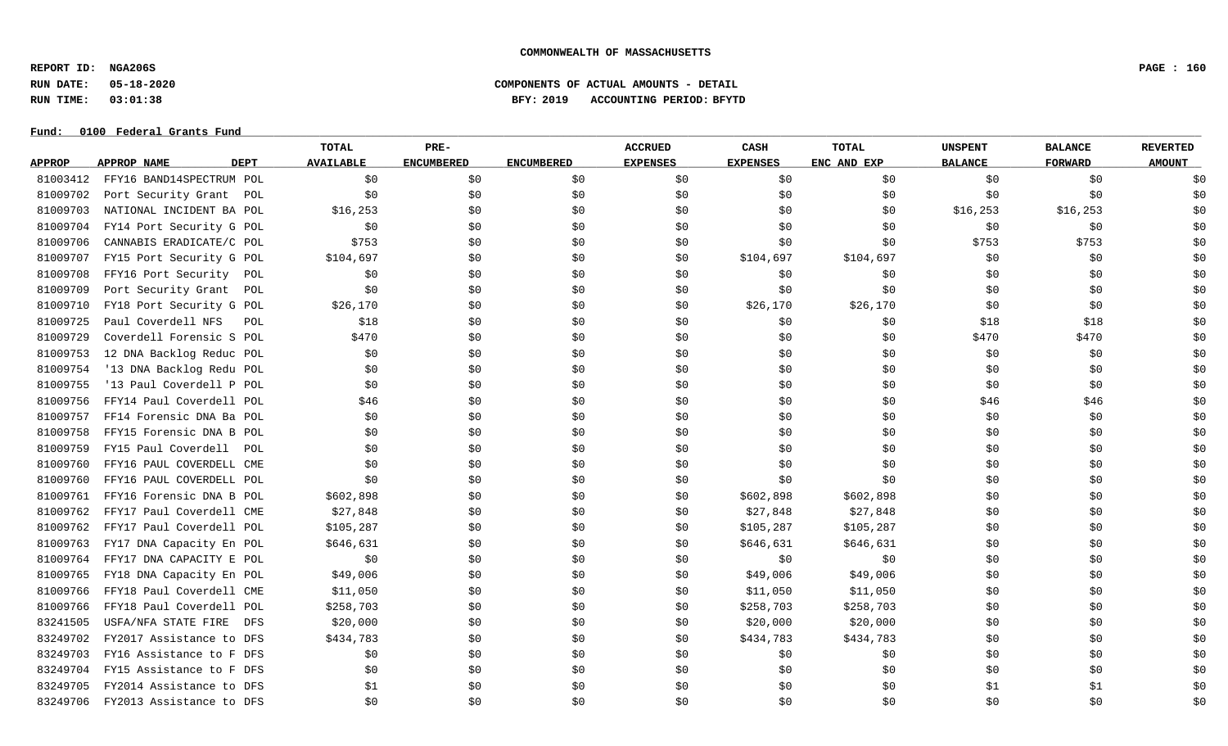**REPORT ID: NGA206S PAGE : 160**

# **RUN DATE: 05-18-2020 COMPONENTS OF ACTUAL AMOUNTS - DETAIL RUN TIME: 03:01:38 BFY: 2019 ACCOUNTING PERIOD: BFYTD**

|               |                                   | TOTAL            | PRE-              |                   | <b>ACCRUED</b>  | CASH            | <b>TOTAL</b> | <b>UNSPENT</b> | <b>BALANCE</b> | <b>REVERTED</b> |
|---------------|-----------------------------------|------------------|-------------------|-------------------|-----------------|-----------------|--------------|----------------|----------------|-----------------|
| <b>APPROP</b> | <b>APPROP NAME</b><br><b>DEPT</b> | <b>AVAILABLE</b> | <b>ENCUMBERED</b> | <b>ENCUMBERED</b> | <b>EXPENSES</b> | <b>EXPENSES</b> | ENC AND EXP  | <b>BALANCE</b> | <b>FORWARD</b> | <b>AMOUNT</b>   |
| 81003412      | FFY16 BAND14SPECTRUM POL          | \$0              | \$0               | \$0\$             | \$0             | \$0             | \$0          | \$0            | \$0            | \$0             |
| 81009702      | Port Security Grant<br>POL        | \$0              | \$0               | \$0               | \$0             | \$0             | \$0          | \$0            | \$0            | \$0             |
| 81009703      | NATIONAL INCIDENT BA POL          | \$16, 253        | \$0               | \$0               | \$0             | \$0             | \$0          | \$16, 253      | \$16, 253      | \$0             |
| 81009704      | FY14 Port Security G POL          | \$0              | \$0               | \$0               | \$0             | \$0             | \$0          | \$0            | \$0            | \$0             |
| 81009706      | CANNABIS ERADICATE/C POL          | \$753            | \$0               | \$0               | \$0             | \$0             | \$0          | \$753          | \$753          | \$0             |
| 81009707      | FY15 Port Security G POL          | \$104,697        | \$0               | \$0               | \$0             | \$104,697       | \$104,697    | \$0            | \$0            | \$0             |
| 81009708      | FFY16 Port Security<br>POL        | \$0              | \$0               | \$0\$             | \$0             | \$0             | \$0          | \$0            | \$0            | \$0             |
| 81009709      | Port Security Grant<br>POL        | \$0              | \$0               | \$0               | \$0             | \$0             | \$0          | \$0            | \$0            | \$0             |
| 81009710      | FY18 Port Security G POL          | \$26,170         | \$0               | \$0\$             | \$0             | \$26,170        | \$26,170     | \$0            | \$0            | \$0             |
| 81009725      | Paul Coverdell NFS<br>POL         | \$18             | \$0               | \$0               | \$0             | \$0             | \$0          | \$18           | \$18           | \$0             |
| 81009729      | Coverdell Forensic S POL          | \$470            | \$0               | \$0               | \$0             | \$0             | \$0          | \$470          | \$470          | \$0             |
| 81009753      | 12 DNA Backlog Reduc POL          | \$0              | \$0               | \$0               | \$0             | \$0             | \$0          | \$0            | \$0            | \$0             |
| 81009754      | '13 DNA Backlog Redu POL          | \$0              | \$0               | \$0               | \$0             | \$0             | \$0          | \$0            | \$0            | \$0             |
| 81009755      | '13 Paul Coverdell P POL          | \$0              | \$0               | \$0               | \$0             | \$0             | \$0          | \$0            | \$0            | \$0             |
| 81009756      | FFY14 Paul Coverdell POL          | \$46             | \$0               | \$0               | \$0             | \$0             | \$0          | \$46           | \$46           | \$0             |
| 81009757      | FF14 Forensic DNA Ba POL          | \$0              | \$0               | \$0               | \$0             | \$0             | \$0          | \$0            | \$0            | \$0             |
| 81009758      | FFY15 Forensic DNA B POL          | \$0              | \$0               | \$0               | \$0             | \$0             | \$0          | \$0            | \$0            | \$0             |
| 81009759      | FY15 Paul Coverdell POL           | \$0              | \$0               | \$0               | \$0             | \$0             | \$0          | \$0            | \$0            | \$0             |
| 81009760      | FFY16 PAUL COVERDELL CME          | \$0              | \$0               | \$0               | \$0             | \$0             | \$0          | \$0            | \$0            | \$0             |
| 81009760      | FFY16 PAUL COVERDELL POL          | \$0              | \$0               | \$0               | \$0             | \$0             | \$0          | \$0            | \$0            | \$0             |
| 81009761      | FFY16 Forensic DNA B POL          | \$602,898        | \$0               | \$0               | \$0             | \$602,898       | \$602,898    | \$0            | \$0            | \$0             |
| 81009762      | FFY17 Paul Coverdell CME          | \$27,848         | \$0               | \$0               | \$0             | \$27,848        | \$27,848     | \$0            | \$0            | \$0             |
| 81009762      | FFY17 Paul Coverdell POL          | \$105, 287       | \$0               | \$0               | \$0             | \$105,287       | \$105,287    | \$0            | \$0            | \$0             |
| 81009763      | FY17 DNA Capacity En POL          | \$646,631        | \$0               | \$0               | \$0             | \$646,631       | \$646,631    | \$0            | \$0            | \$0             |
| 81009764      | FFY17 DNA CAPACITY E POL          | \$0              | \$0               | \$0\$             | \$0             | \$0             | \$0          | \$0            | \$0            | \$0             |
| 81009765      | FY18 DNA Capacity En POL          | \$49,006         | \$0               | \$0               | \$0             | \$49,006        | \$49,006     | \$0            | \$0            | \$0             |
| 81009766      | FFY18 Paul Coverdell CME          | \$11,050         | \$0               | \$0               | \$0             | \$11,050        | \$11,050     | \$0            | \$0            | \$0             |
| 81009766      | FFY18 Paul Coverdell POL          | \$258,703        | \$0               | \$0               | \$0             | \$258,703       | \$258,703    | \$0            | \$0            | \$0             |
| 83241505      | USFA/NFA STATE FIRE<br>DFS        | \$20,000         | \$0               | \$0               | \$0             | \$20,000        | \$20,000     | \$0            | \$0            | \$0             |
| 83249702      | FY2017 Assistance to DFS          | \$434,783        | \$0               | \$0               | \$0             | \$434,783       | \$434,783    | \$0            | \$0            | \$0             |
| 83249703      | FY16 Assistance to F DFS          | \$0              | \$0               | \$0               | \$0             | \$0             | \$0          | \$0            | \$0            | \$0             |
| 83249704      | FY15 Assistance to F DFS          | \$0              | \$0               | \$0               | \$0             | \$0             | \$0          | \$0            | \$0            | \$0             |
| 83249705      | FY2014 Assistance to DFS          | \$1              | \$0               | \$0               | \$0             | \$0             | \$0          | \$1            | \$1            | \$0             |
| 83249706      | FY2013 Assistance to DFS          | \$0              | \$0               | \$0               | \$0             | \$0             | \$0          | \$0            | \$0            | \$0             |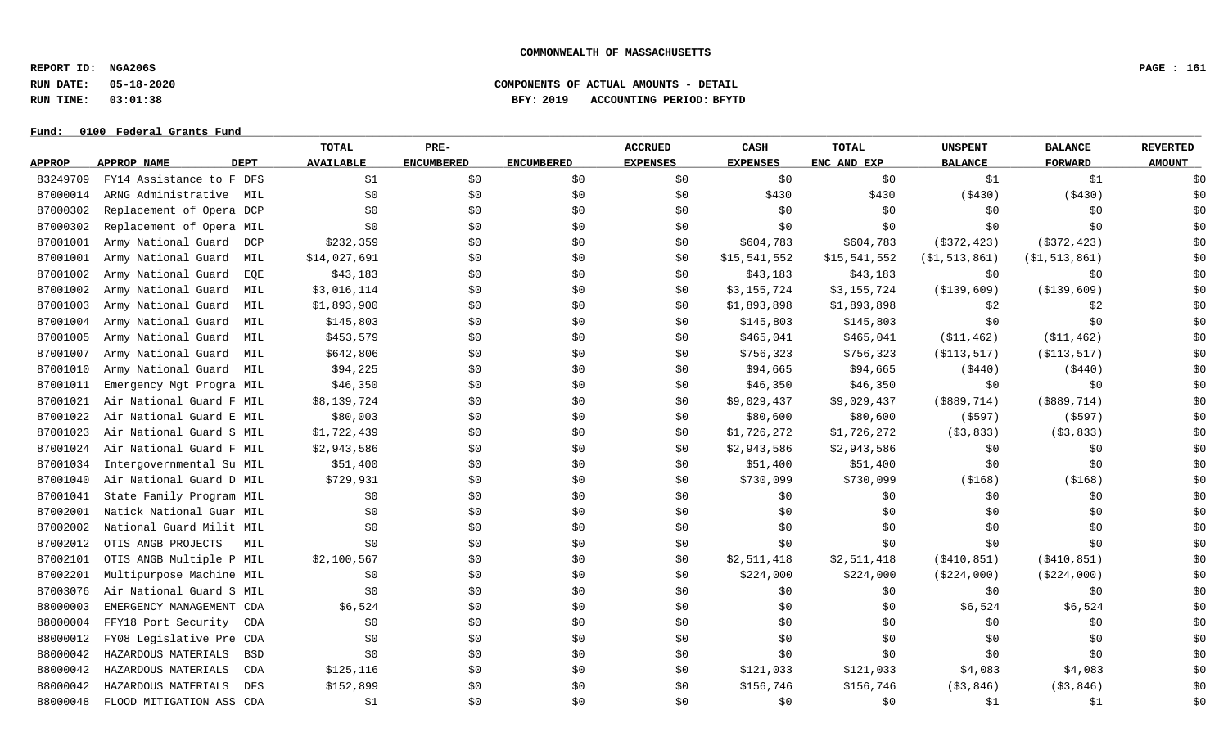**REPORT ID: NGA206S PAGE : 161**

**RUN DATE: 05-18-2020 COMPONENTS OF ACTUAL AMOUNTS - DETAIL**

**RUN TIME: 03:01:38 BFY: 2019 ACCOUNTING PERIOD: BFYTD**

|               |                                   | <b>TOTAL</b>     | PRE-              |                   | <b>ACCRUED</b>  | CASH            | <b>TOTAL</b> | <b>UNSPENT</b>   | <b>BALANCE</b>   | <b>REVERTED</b> |
|---------------|-----------------------------------|------------------|-------------------|-------------------|-----------------|-----------------|--------------|------------------|------------------|-----------------|
| <b>APPROP</b> | <b>DEPT</b><br><b>APPROP NAME</b> | <b>AVAILABLE</b> | <b>ENCUMBERED</b> | <b>ENCUMBERED</b> | <b>EXPENSES</b> | <b>EXPENSES</b> | ENC AND EXP  | <b>BALANCE</b>   | <b>FORWARD</b>   | <b>AMOUNT</b>   |
| 83249709      | FY14 Assistance to F DFS          | \$1              | \$0               | \$0\$             | \$0             | \$0             | \$0\$        | \$1              | \$1              | \$0             |
| 87000014      | ARNG Administrative<br>MIL        | \$0              | \$0               | \$0               | \$0             | \$430           | \$430        | ( \$430)         | ( \$430)         | \$0             |
| 87000302      | Replacement of Opera DCP          | \$0              | \$0               | \$0               | \$0             | \$0             | \$0\$        | \$0              | \$0              | \$0             |
| 87000302      | Replacement of Opera MIL          | \$0              | \$0\$             | \$0               | \$0             | \$0             | \$0          | \$0              | \$0              | \$0             |
| 87001001      | Army National Guard<br>DCP        | \$232,359        | \$0               | \$0               | \$0             | \$604,783       | \$604,783    | $($ \$372,423)   | $($ \$372,423)   | \$0             |
| 87001001      | Army National Guard<br>MIL        | \$14,027,691     | \$0               | \$0               | \$0             | \$15,541,552    | \$15,541,552 | ( \$1, 513, 861) | ( \$1, 513, 861) | \$0             |
| 87001002      | Army National Guard<br>EOE        | \$43,183         | \$0               | \$0               | \$0             | \$43,183        | \$43,183     | \$0              | \$0              | \$0             |
| 87001002      | Army National Guard<br>MIL        | \$3,016,114      | \$0               | \$0               | \$0             | \$3,155,724     | \$3,155,724  | ( \$139, 609)    | ( \$139, 609)    | \$0             |
| 87001003      | Army National Guard<br>MIL        | \$1,893,900      | \$0               | \$0               | \$0             | \$1,893,898     | \$1,893,898  | \$2              | \$2              | \$0             |
| 87001004      | Army National Guard<br>MIL        | \$145,803        | \$0               | \$0               | \$0             | \$145,803       | \$145,803    | \$0\$            | \$0              | \$0             |
| 87001005      | Army National Guard<br>MIL        | \$453,579        | \$0               | \$0               | \$0             | \$465,041       | \$465,041    | ( \$11, 462)     | ( \$11, 462)     | \$0             |
| 87001007      | Army National Guard<br>MIL        | \$642,806        | \$0               | \$0               | \$0             | \$756,323       | \$756,323    | ( \$113, 517)    | ( \$113, 517)    | \$0             |
| 87001010      | Army National Guard<br>MIL        | \$94,225         | \$0               | \$0               | \$0             | \$94,665        | \$94,665     | ( \$440)         | ( \$440)         | \$0             |
| 87001011      | Emergency Mgt Progra MIL          | \$46,350         | \$0               | \$0               | \$0             | \$46,350        | \$46,350     | \$0              | \$0              | \$0             |
| 87001021      | Air National Guard F MIL          | \$8,139,724      | \$0               | \$0               | \$0             | \$9,029,437     | \$9,029,437  | ( \$889, 714)    | ( \$889, 714)    | \$0             |
| 87001022      | Air National Guard E MIL          | \$80,003         | \$0               | \$0               | \$0             | \$80,600        | \$80,600     | ( \$597)         | (\$597)          | \$0             |
| 87001023      | Air National Guard S MIL          | \$1,722,439      | \$0\$             | \$0\$             | \$0             | \$1,726,272     | \$1,726,272  | ( \$3, 833)      | ( \$3, 833)      | \$0             |
| 87001024      | Air National Guard F MIL          | \$2,943,586      | \$0               | \$0               | \$0             | \$2,943,586     | \$2,943,586  | \$0              | \$0              | \$0             |
| 87001034      | Intergovernmental Su MIL          | \$51,400         | \$0               | \$0               | \$0             | \$51,400        | \$51,400     | \$0              | \$0              | \$0             |
| 87001040      | Air National Guard D MIL          | \$729,931        | \$0               | \$0\$             | \$0             | \$730,099       | \$730,099    | ( \$168)         | ( \$168)         | \$0             |
| 87001041      | State Family Program MIL          | \$0              | \$0               | \$0               | \$0             | \$0             | \$0\$        | \$0              | \$0              | \$0             |
| 87002001      | Natick National Guar MIL          | \$0              | \$0               | \$0               | \$0             | \$0             | \$0          | \$0              | \$0              | \$0             |
| 87002002      | National Guard Milit MIL          | \$0              | \$0               | \$0               | \$0             | \$0             | \$0          | \$0              | \$0              | \$0             |
| 87002012      | OTIS ANGB PROJECTS<br>MIL         | \$0              | \$0               | \$0               | \$0             | \$0             | \$0          | \$0              | \$0              | \$0             |
| 87002101      | OTIS ANGB Multiple P MIL          | \$2,100,567      | \$0               | \$0               | \$0             | \$2,511,418     | \$2,511,418  | ( \$410, 851)    | ( \$410, 851)    | \$0             |
| 87002201      | Multipurpose Machine MIL          | \$0              | \$0               | \$0               | \$0             | \$224,000       | \$224,000    | ( \$224,000)     | ( \$224,000)     | \$0             |
| 87003076      | Air National Guard S MIL          | \$0              | \$0               | \$0               | \$0             | \$0             | \$0\$        | \$0              | \$0              | \$0             |
| 88000003      | EMERGENCY MANAGEMENT CDA          | \$6,524          | \$0               | \$0               | \$0             | \$0             | \$0          | \$6,524          | \$6,524          | \$0             |
| 88000004      | FFY18 Port Security<br>CDA        | \$0              | \$0               | \$0               | \$0             | \$0             | \$0          | \$0              | \$0              | \$0             |
| 88000012      | FY08 Legislative Pre CDA          | \$0              | \$0\$             | \$0               | \$0             | \$0             | \$0          | \$0              | \$0              | \$0             |
| 88000042      | HAZARDOUS MATERIALS<br>BSD        | \$0              | \$0               | \$0               | \$0             | \$0             | \$0          | \$0              | \$0              | \$0             |
| 88000042      | HAZARDOUS MATERIALS<br>CDA        | \$125,116        | \$0               | \$0               | \$0             | \$121,033       | \$121,033    | \$4,083          | \$4,083          | \$0             |
| 88000042      | HAZARDOUS MATERIALS<br><b>DFS</b> | \$152,899        | \$0               | \$0               | \$0             | \$156,746       | \$156,746    | ( \$3, 846)      | ( \$3, 846)      | \$0             |
| 88000048      | FLOOD MITIGATION ASS CDA          | \$1              | \$0               | \$0               | \$0             | \$0             | \$0\$        | \$1              | \$1              | \$0             |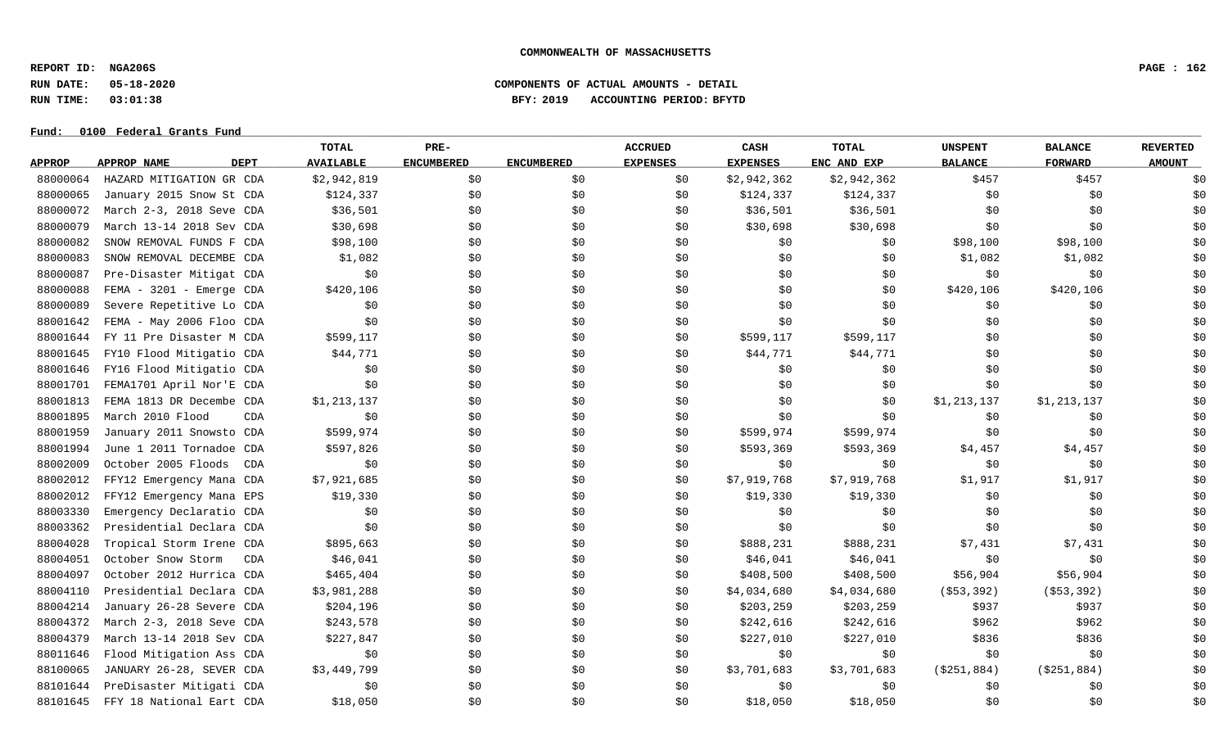**REPORT ID: NGA206S PAGE : 162**

# **RUN DATE: 05-18-2020 COMPONENTS OF ACTUAL AMOUNTS - DETAIL RUN TIME: 03:01:38 BFY: 2019 ACCOUNTING PERIOD: BFYTD**

|               |                            | TOTAL            | PRE-              |                   | <b>ACCRUED</b>  | CASH            | <b>TOTAL</b> | <b>UNSPENT</b> | <b>BALANCE</b> | <b>REVERTED</b> |
|---------------|----------------------------|------------------|-------------------|-------------------|-----------------|-----------------|--------------|----------------|----------------|-----------------|
| <b>APPROP</b> | APPROP NAME<br><b>DEPT</b> | <b>AVAILABLE</b> | <b>ENCUMBERED</b> | <b>ENCUMBERED</b> | <b>EXPENSES</b> | <b>EXPENSES</b> | ENC AND EXP  | <b>BALANCE</b> | <b>FORWARD</b> | <b>AMOUNT</b>   |
| 88000064      | HAZARD MITIGATION GR CDA   | \$2,942,819      | \$0               | \$0               | \$0             | \$2,942,362     | \$2,942,362  | \$457          | \$457          | \$0             |
| 88000065      | January 2015 Snow St CDA   | \$124,337        | \$0               | \$0               | \$0             | \$124,337       | \$124,337    | \$0            | \$0            | \$0             |
| 88000072      | March 2-3, 2018 Seve CDA   | \$36,501         | \$0               | \$0               | \$0             | \$36,501        | \$36,501     | \$0            | \$0            | \$0             |
| 88000079      | March 13-14 2018 Sev CDA   | \$30,698         | \$0               | \$0               | \$0             | \$30,698        | \$30,698     | \$0            | \$0            | \$0             |
| 88000082      | SNOW REMOVAL FUNDS F CDA   | \$98,100         | \$0               | \$0               | \$0             | \$0             | \$0          | \$98,100       | \$98,100       | \$0             |
| 88000083      | SNOW REMOVAL DECEMBE CDA   | \$1,082          | \$0               | \$0               | \$0             | \$0             | \$0          | \$1,082        | \$1,082        | \$0             |
| 88000087      | Pre-Disaster Mitigat CDA   | \$0              | \$0               | \$0               | \$0             | \$0             | \$0          | \$0            | \$0            | \$0             |
| 88000088      | FEMA - 3201 - Emerge CDA   | \$420,106        | \$0               | \$0               | \$0             | \$0             | \$0          | \$420,106      | \$420,106      | \$0             |
| 88000089      | Severe Repetitive Lo CDA   | \$0              | \$0               | \$0               | \$0             | \$0             | \$0          | \$0            | \$0            | \$0             |
| 88001642      | FEMA - May 2006 Floo CDA   | \$0              | \$0               | \$0               | \$0             | \$0             | \$0          | \$0            | \$0            | \$0             |
| 88001644      | FY 11 Pre Disaster M CDA   | \$599,117        | \$0               | \$0               | \$0             | \$599,117       | \$599,117    | \$0            | \$0            | \$0             |
| 88001645      | FY10 Flood Mitigatio CDA   | \$44,771         | \$0               | \$0               | \$0             | \$44,771        | \$44,771     | \$0            | \$0            | \$0             |
| 88001646      | FY16 Flood Mitigatio CDA   | \$0              | \$0               | \$0               | \$0             | \$0             | \$0\$        | \$0            | \$0            | \$0             |
| 88001701      | FEMA1701 April Nor'E CDA   | \$0              | \$0               | \$0               | \$0             | \$0             | \$0          | \$0            | \$0            | \$0             |
| 88001813      | FEMA 1813 DR Decembe CDA   | \$1,213,137      | \$0               | \$0               | \$0             | \$0             | \$0          | \$1,213,137    | \$1,213,137    | \$0             |
| 88001895      | March 2010 Flood<br>CDA    | \$0              | \$0               | \$0               | \$0             | \$0             | \$0          | \$0            | \$0            | \$0             |
| 88001959      | January 2011 Snowsto CDA   | \$599,974        | \$0               | \$0               | \$0             | \$599,974       | \$599,974    | \$0            | \$0            | \$0             |
| 88001994      | June 1 2011 Tornadoe CDA   | \$597,826        | \$0               | \$0               | \$0             | \$593,369       | \$593,369    | \$4,457        | \$4,457        | \$0             |
| 88002009      | October 2005 Floods<br>CDA | \$0              | \$0               | \$0               | \$0             | \$0             | \$0          | \$0            | \$0            | \$0             |
| 88002012      | FFY12 Emergency Mana CDA   | \$7,921,685      | \$0               | \$0               | \$0             | \$7,919,768     | \$7,919,768  | \$1,917        | \$1,917        | \$0             |
| 88002012      | FFY12 Emergency Mana EPS   | \$19,330         | \$0               | \$0               | \$0             | \$19,330        | \$19,330     | \$0            | \$0            | \$0             |
| 88003330      | Emergency Declaratio CDA   | \$0              | \$0               | \$0               | \$0             | \$0             | \$0          | \$0            | \$0            | \$0             |
| 88003362      | Presidential Declara CDA   | \$0              | \$0               | \$0               | \$0             | \$0             | \$0          | \$0            | \$0            | \$0             |
| 88004028      | Tropical Storm Irene CDA   | \$895,663        | \$0               | \$0               | \$0             | \$888,231       | \$888,231    | \$7,431        | \$7,431        | \$0             |
| 88004051      | October Snow Storm<br>CDA  | \$46,041         | \$0               | \$0               | \$0             | \$46,041        | \$46,041     | \$0            | \$0            | \$0             |
| 88004097      | October 2012 Hurrica CDA   | \$465, 404       | \$0               | \$0               | \$0             | \$408,500       | \$408,500    | \$56,904       | \$56,904       | \$0             |
| 88004110      | Presidential Declara CDA   | \$3,981,288      | \$0               | \$0               | \$0             | \$4,034,680     | \$4,034,680  | $($ \$53,392)  | $($ \$53,392)  | \$0             |
| 88004214      | January 26-28 Severe CDA   | \$204,196        | \$0               | \$0               | \$0             | \$203,259       | \$203, 259   | \$937          | \$937          | \$0             |
| 88004372      | March 2-3, 2018 Seve CDA   | \$243,578        | \$0               | \$0               | \$0             | \$242,616       | \$242,616    | \$962          | \$962          | \$0             |
| 88004379      | March 13-14 2018 Sev CDA   | \$227,847        | \$0               | \$0               | \$0             | \$227,010       | \$227,010    | \$836          | \$836          | \$0             |
| 88011646      | Flood Mitigation Ass CDA   | \$0              | \$0               | \$0               | \$0             | \$0             | \$0          | \$0            | \$0            | \$0             |
| 88100065      | JANUARY 26-28, SEVER CDA   | \$3,449,799      | \$0               | \$0               | \$0             | \$3,701,683     | \$3,701,683  | ( \$251, 884)  | ( \$251, 884)  | \$0             |
| 88101644      | PreDisaster Mitigati CDA   | \$0              | \$0               | \$0               | \$0             | \$0             | \$0          | \$0            | \$0            | \$0             |
| 88101645      | FFY 18 National Eart CDA   | \$18,050         | \$0               | \$0               | \$0             | \$18,050        | \$18,050     | \$0            | \$0            | \$0             |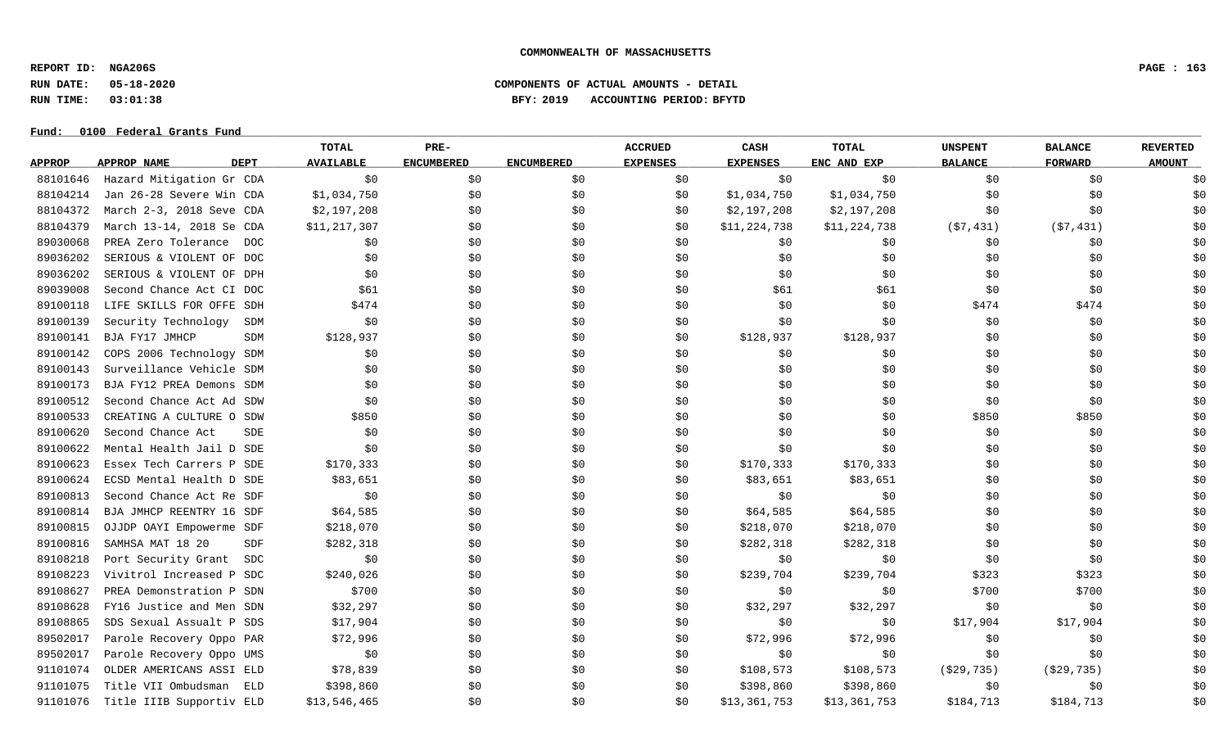**REPORT ID: NGA206S PAGE : 163**

### **Fund: \_\_\_\_\_\_\_\_\_\_\_\_\_\_\_\_\_\_\_\_\_\_\_\_\_\_\_\_\_\_\_\_\_\_\_\_\_\_\_\_\_\_\_\_\_\_\_\_\_\_\_\_\_\_\_\_\_\_\_\_\_\_\_\_\_\_\_\_\_\_\_\_\_\_\_\_\_\_\_\_\_\_\_\_\_\_\_\_\_\_\_\_\_\_\_\_\_\_\_\_\_\_\_\_\_\_\_\_\_\_\_\_\_\_\_\_\_\_\_\_\_\_\_\_\_\_\_\_\_\_\_\_\_\_\_\_\_\_\_\_\_\_\_\_\_\_\_\_\_\_\_\_\_\_\_\_\_\_\_\_\_\_\_\_\_\_\_\_\_\_\_\_\_\_\_\_\_\_ 0100 Federal Grants Fund**

|               |                          |             | TOTAL            | PRE-              |                   | <b>ACCRUED</b>  | <b>CASH</b>     | TOTAL        | <b>UNSPENT</b> | <b>BALANCE</b> | <b>REVERTED</b> |
|---------------|--------------------------|-------------|------------------|-------------------|-------------------|-----------------|-----------------|--------------|----------------|----------------|-----------------|
| <b>APPROP</b> | APPROP NAME              | <b>DEPT</b> | <b>AVAILABLE</b> | <b>ENCUMBERED</b> | <b>ENCUMBERED</b> | <b>EXPENSES</b> | <b>EXPENSES</b> | ENC AND EXP  | <b>BALANCE</b> | <b>FORWARD</b> | <b>AMOUNT</b>   |
| 88101646      | Hazard Mitigation Gr CDA |             | \$0              | \$0               | \$0               | \$0             | \$0             | \$0          | \$0            | \$0            | \$0             |
| 88104214      | Jan 26-28 Severe Win CDA |             | \$1,034,750      | \$0               | \$0\$             | \$0             | \$1,034,750     | \$1,034,750  | \$0            | \$0            | \$0             |
| 88104372      | March 2-3, 2018 Seve CDA |             | \$2,197,208      | \$0               | \$0               | \$0             | \$2,197,208     | \$2,197,208  | \$0            | \$0            | \$0             |
| 88104379      | March 13-14, 2018 Se CDA |             | \$11,217,307     | \$0               | \$0               | \$0             | \$11,224,738    | \$11,224,738 | (57, 431)      | (57, 431)      | \$0             |
| 89030068      | PREA Zero Tolerance DOC  |             | \$0              | \$0               | \$0               | \$0             | \$0             | \$0          | \$0            | \$0            | \$0             |
| 89036202      | SERIOUS & VIOLENT OF DOC |             | \$0              | \$0               | \$0               | \$0             | \$0             | \$0          | \$0            | \$0            | \$0             |
| 89036202      | SERIOUS & VIOLENT OF DPH |             | \$0              | \$0               | \$0               | \$0             | \$0             | \$0          | \$0            | \$0            | \$0             |
| 89039008      | Second Chance Act CI DOC |             | \$61             | \$0               | \$0               | \$0             | \$61            | \$61         | \$0            | \$0            | \$0             |
| 89100118      | LIFE SKILLS FOR OFFE SDH |             | \$474            | \$0               | \$0               | \$0             | \$0             | \$0          | \$474          | \$474          | \$0             |
| 89100139      | Security Technology      | SDM         | \$0              | \$0               | \$0\$             | \$0             | \$0             | \$0          | \$0            | \$0            | \$0             |
| 89100141      | BJA FY17 JMHCP           | SDM         | \$128,937        | \$0               | \$0               | \$0             | \$128,937       | \$128,937    | \$0            | \$0            | \$0             |
| 89100142      | COPS 2006 Technology SDM |             | \$0              | \$0               | \$0               | \$0             | \$0             | \$0          | \$0            | \$0            | \$0             |
| 89100143      | Surveillance Vehicle SDM |             | \$0              | \$0               | \$0               | \$0             | \$0             | \$0          | \$0            | \$0            | \$0             |
| 89100173      | BJA FY12 PREA Demons SDM |             | \$0              | \$0               | \$0               | \$0             | \$0             | \$0          | \$0            | \$0            | \$0             |
| 89100512      | Second Chance Act Ad SDW |             | \$0              | \$0               | \$0               | \$0             | \$0             | \$0          | \$0            | \$0            | \$0             |
| 89100533      | CREATING A CULTURE O SDW |             | \$850            | \$0               | \$0               | \$0             | \$0             | \$0          | \$850          | \$850          | \$0             |
| 89100620      | Second Chance Act        | SDE         | \$0              | \$0               | \$0               | \$0             | \$0             | \$0          | \$0            | \$0            | \$0             |
| 89100622      | Mental Health Jail D SDE |             | \$0              | \$0               | \$0               | \$0             | \$0             | \$0          | \$0            | \$0            | \$0             |
| 89100623      | Essex Tech Carrers P SDE |             | \$170,333        | \$0               | \$0               | \$0             | \$170,333       | \$170,333    | \$0            | \$0            | \$0             |
| 89100624      | ECSD Mental Health D SDE |             | \$83,651         | \$0               | \$0               | \$0             | \$83,651        | \$83,651     | \$0            | \$0            | \$0             |
| 89100813      | Second Chance Act Re SDF |             | \$0              | \$0               | \$0               | \$0             | \$0             | \$0          | \$0            | \$0            | \$0             |
| 89100814      | BJA JMHCP REENTRY 16 SDF |             | \$64,585         | \$0               | \$0\$             | \$0             | \$64,585        | \$64,585     | \$0            | \$0            | \$0             |
| 89100815      | OJJDP OAYI Empowerme SDF |             | \$218,070        | \$0               | \$0               | \$0             | \$218,070       | \$218,070    | \$0            | \$0            | \$0             |
| 89100816      | SAMHSA MAT 18 20         | SDF         | \$282,318        | \$0               | \$0               | \$0             | \$282,318       | \$282,318    | \$0            | \$0            | \$0             |
| 89108218      | Port Security Grant      | SDC         | \$0              | \$0               | \$0               | \$0             | \$0             | \$0\$        | \$0            | \$0            | \$0             |
| 89108223      | Vivitrol Increased P SDC |             | \$240,026        | \$0               | \$0               | \$0             | \$239,704       | \$239,704    | \$323          | \$323          | \$0             |
| 89108627      | PREA Demonstration P SDN |             | \$700            | \$0               | \$0               | \$0             | \$0             | \$0          | \$700          | \$700          | \$0             |
| 89108628      | FY16 Justice and Men SDN |             | \$32,297         | \$0               | \$0               | \$0             | \$32,297        | \$32,297     | \$0            | \$0            | \$0             |
| 89108865      | SDS Sexual Assualt P SDS |             | \$17,904         | \$0               | \$0               | \$0             | \$0             | \$0          | \$17,904       | \$17,904       | \$0             |
| 89502017      | Parole Recovery Oppo PAR |             | \$72,996         | \$0               | \$0               | \$0             | \$72,996        | \$72,996     | \$0            | \$0            | \$0             |
| 89502017      | Parole Recovery Oppo UMS |             | \$0              | \$0               | \$0               | \$0             | \$0             | \$0          | \$0            | \$0            | \$0             |
| 91101074      | OLDER AMERICANS ASSI ELD |             | \$78,839         | \$0               | \$0               | \$0             | \$108,573       | \$108,573    | ( \$29, 735)   | ( \$29, 735)   | \$0             |
| 91101075      | Title VII Ombudsman      | ELD         | \$398,860        | \$0               | \$0               | \$0             | \$398,860       | \$398,860    | \$0            | \$0            | \$0             |
| 91101076      | Title IIIB Supportiv ELD |             | \$13,546,465     | \$0               | \$0               | \$0             | \$13,361,753    | \$13,361,753 | \$184,713      | \$184,713      | \$0             |

**RUN DATE: 05-18-2020 COMPONENTS OF ACTUAL AMOUNTS - DETAIL RUN TIME: 03:01:38 BFY: 2019 ACCOUNTING PERIOD: BFYTD**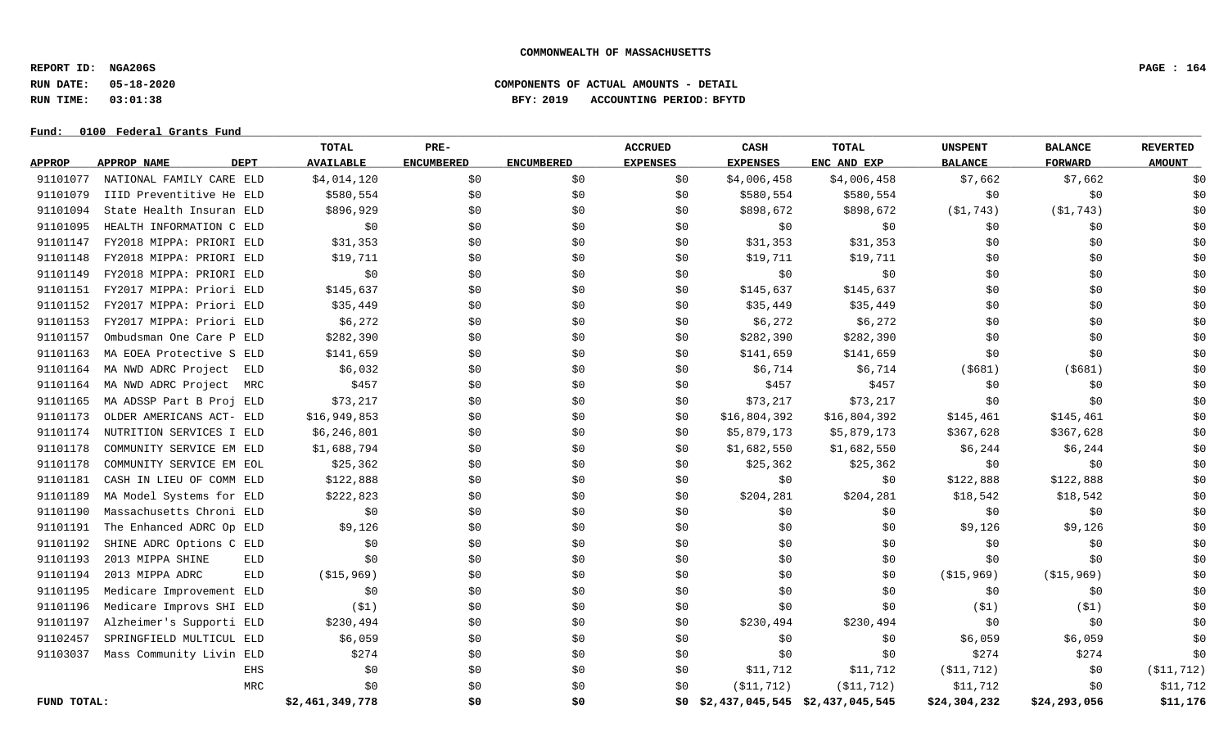**REPORT ID: NGA206S PAGE : 164**

### **RUN DATE: 05-18-2020 COMPONENTS OF ACTUAL AMOUNTS - DETAIL RUN TIME: 03:01:38 BFY: 2019 ACCOUNTING PERIOD: BFYTD**

|               |                                   | TOTAL            | PRE-              |                   | <b>ACCRUED</b>  | CASH            | TOTAL                           | UNSPENT        | <b>BALANCE</b> | <b>REVERTED</b> |
|---------------|-----------------------------------|------------------|-------------------|-------------------|-----------------|-----------------|---------------------------------|----------------|----------------|-----------------|
| <b>APPROP</b> | <b>DEPT</b><br><b>APPROP NAME</b> | <b>AVAILABLE</b> | <b>ENCUMBERED</b> | <b>ENCUMBERED</b> | <b>EXPENSES</b> | <b>EXPENSES</b> | ENC AND EXP                     | <b>BALANCE</b> | <b>FORWARD</b> | <b>AMOUNT</b>   |
| 91101077      | NATIONAL FAMILY CARE ELD          | \$4,014,120      | \$0               | \$0               | \$0             | \$4,006,458     | \$4,006,458                     | \$7,662        | \$7,662        | \$0             |
| 91101079      | IIID Preventitive He ELD          | \$580,554        | \$0               | \$0               | \$0             | \$580,554       | \$580,554                       | \$0            | \$0            | \$0             |
| 91101094      | State Health Insuran ELD          | \$896,929        | \$0               | \$0               | \$0             | \$898,672       | \$898,672                       | ( \$1, 743)    | ( \$1, 743)    | \$0             |
| 91101095      | HEALTH INFORMATION C ELD          | \$0              | \$0               | \$0               | \$0             | \$0             | \$0                             | \$0            | \$0            | \$0             |
| 91101147      | FY2018 MIPPA: PRIORI ELD          | \$31,353         | \$0               | \$0               | \$0             | \$31,353        | \$31,353                        | \$0            | \$0            | \$0             |
| 91101148      | FY2018 MIPPA: PRIORI ELD          | \$19,711         | \$0               | \$0               | SO.             | \$19,711        | \$19,711                        | \$0            | \$0            | \$0             |
| 91101149      | FY2018 MIPPA: PRIORI ELD          | \$0              | \$0               | \$0               | \$0             | \$0             | \$0                             | \$0            | \$0            | \$0             |
| 91101151      | FY2017 MIPPA: Priori ELD          | \$145,637        | \$0               | \$0               | \$0             | \$145,637       | \$145,637                       | \$0            | \$0            | \$0             |
| 91101152      | FY2017 MIPPA: Priori ELD          | \$35,449         | \$0               | \$0               | \$0             | \$35,449        | \$35,449                        | \$0            | \$0            | \$0             |
| 91101153      | FY2017 MIPPA: Priori ELD          | \$6,272          | \$0               | \$0               | \$0             | \$6,272         | \$6,272                         | \$0            | \$0            | \$0             |
| 91101157      | Ombudsman One Care P ELD          | \$282,390        | \$0               | \$0               | \$0             | \$282,390       | \$282,390                       | \$0            | \$0            | \$0             |
| 91101163      | MA EOEA Protective S ELD          | \$141,659        | \$0               | \$0               | \$0             | \$141,659       | \$141,659                       | \$0            | \$0            | \$0             |
| 91101164      | MA NWD ADRC Project<br>ELD        | \$6,032          | \$0               | \$0               | \$0             | \$6,714         | \$6,714                         | $($ \$681)     | ( \$681)       | \$0             |
| 91101164      | MA NWD ADRC Project<br>MRC        | \$457            | \$0               | \$0               | \$0             | \$457           | \$457                           | \$0            | \$0            | \$0             |
| 91101165      | MA ADSSP Part B Proj ELD          | \$73,217         | \$0               | \$0               | \$0             | \$73,217        | \$73,217                        | \$0            | \$0            | \$0             |
| 91101173      | OLDER AMERICANS ACT- ELD          | \$16,949,853     | \$0               | \$0               | \$0             | \$16,804,392    | \$16,804,392                    | \$145,461      | \$145,461      | \$0             |
| 91101174      | NUTRITION SERVICES I ELD          | \$6,246,801      | \$0\$             | \$0               | \$0             | \$5,879,173     | \$5,879,173                     | \$367,628      | \$367,628      | \$0             |
| 91101178      | COMMUNITY SERVICE EM ELD          | \$1,688,794      | \$0               | \$0               | \$0             | \$1,682,550     | \$1,682,550                     | \$6,244        | \$6,244        | \$0             |
| 91101178      | COMMUNITY SERVICE EM EOL          | \$25,362         | \$0\$             | \$0               | \$0             | \$25,362        | \$25,362                        | \$0            | \$0            | \$0             |
| 91101181      | CASH IN LIEU OF COMM ELD          | \$122,888        | \$0               | \$0               | \$0             | \$0             | \$0                             | \$122,888      | \$122,888      | \$0             |
| 91101189      | MA Model Systems for ELD          | \$222,823        | \$0               | \$0               | \$0             | \$204,281       | \$204,281                       | \$18,542       | \$18,542       | \$0             |
| 91101190      | Massachusetts Chroni ELD          | \$0              | \$0               | \$0               | \$0             | \$0\$           | \$0\$                           | \$0            | \$0            | \$0             |
| 91101191      | The Enhanced ADRC Op ELD          | \$9,126          | \$0               | \$0               | \$0             | \$0             | \$0                             | \$9,126        | \$9,126        | \$0             |
| 91101192      | SHINE ADRC Options C ELD          | \$0              | \$0\$             | \$0               | \$0             | \$0             | \$0                             | \$0            | \$0            | \$0             |
| 91101193      | 2013 MIPPA SHINE<br>ELD           | \$0              | \$0               | \$0               | \$0             | \$0             | \$0                             | \$0            | \$0            | \$0             |
| 91101194      | 2013 MIPPA ADRC<br><b>ELD</b>     | ( \$15, 969)     | \$0               | \$0               | \$0             | \$0             | \$0                             | ( \$15, 969)   | ( \$15, 969)   | \$0             |
| 91101195      | Medicare Improvement ELD          | \$0              | \$0               | \$0               | \$0             | \$0             | \$0                             | \$0            | \$0            | \$0             |
| 91101196      | Medicare Improvs SHI ELD          | (S1)             | \$0               | \$0               | \$0             | \$0             | \$0                             | ( \$1)         | (51)           | \$0             |
| 91101197      | Alzheimer's Supporti ELD          | \$230,494        | \$0               | \$0               | \$0             | \$230,494       | \$230,494                       | \$0            | \$0            | \$0             |
| 91102457      | SPRINGFIELD MULTICUL ELD          | \$6,059          | \$0               | \$0               | \$0             | \$0             | \$0                             | \$6,059        | \$6,059        | \$0             |
| 91103037      | Mass Community Livin ELD          | \$274            | \$0               | \$0               | \$0             | \$0             | \$0                             | \$274          | \$274          | \$0             |
|               | EHS                               | \$0              | \$0               | \$0               | \$0             | \$11,712        | \$11,712                        | ( \$11, 712)   | \$0            | ( \$11, 712)    |
|               | MRC                               | \$0              | \$0               | \$0               | \$0             | ( \$11, 712)    | ( \$11, 712)                    | \$11,712       | \$0            | \$11,712        |
| FUND TOTAL:   |                                   | \$2,461,349,778  | \$0               | \$0               | \$0             |                 | \$2,437,045,545 \$2,437,045,545 | \$24,304,232   | \$24,293,056   | \$11,176        |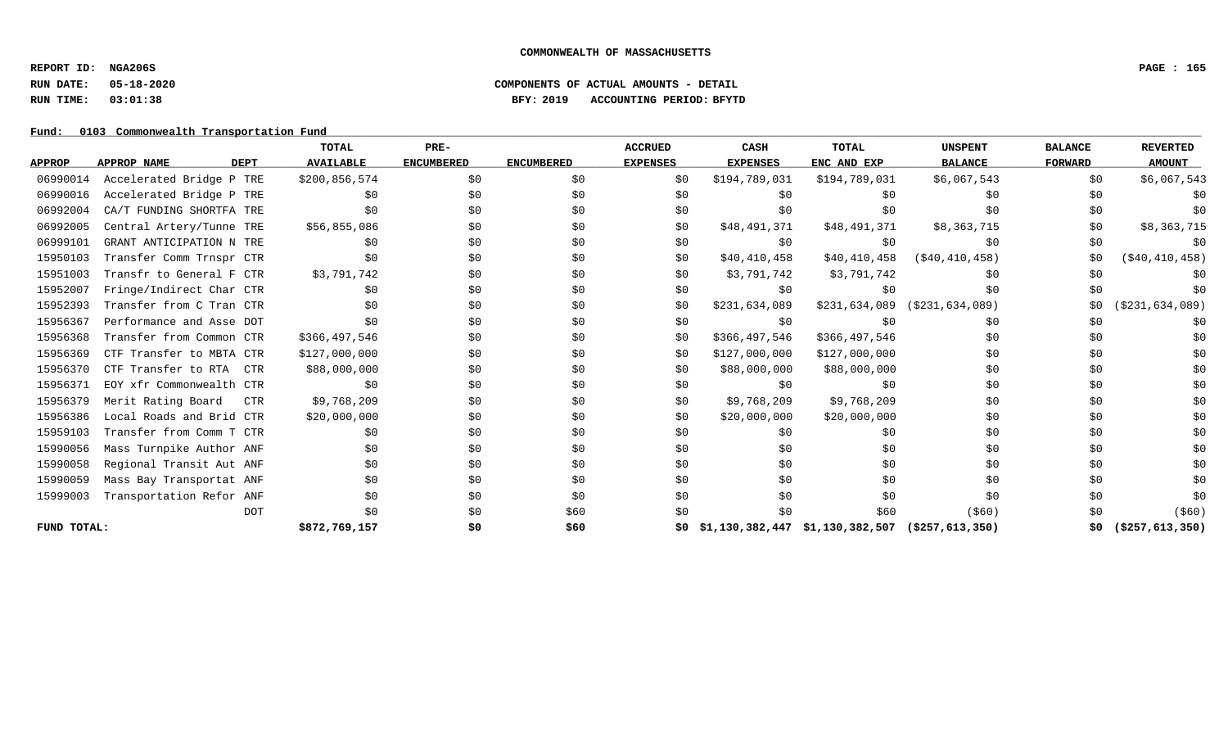**REPORT ID: NGA206S PAGE : 165**

### **RUN DATE: 05-18-2020 COMPONENTS OF ACTUAL AMOUNTS - DETAIL RUN TIME: 03:01:38 BFY: 2019 ACCOUNTING PERIOD: BFYTD**

Fund: 0103 Commonwealth Transportation Fund

|               |                          |             | TOTAL            | PRE-              |                   | <b>ACCRUED</b>  | <b>CASH</b>     | TOTAL                           | <b>UNSPENT</b>     | <b>BALANCE</b> | <b>REVERTED</b>    |
|---------------|--------------------------|-------------|------------------|-------------------|-------------------|-----------------|-----------------|---------------------------------|--------------------|----------------|--------------------|
| <b>APPROP</b> | APPROP NAME              | <b>DEPT</b> | <b>AVAILABLE</b> | <b>ENCUMBERED</b> | <b>ENCUMBERED</b> | <b>EXPENSES</b> | <b>EXPENSES</b> | ENC AND EXP                     | <b>BALANCE</b>     | <b>FORWARD</b> | <b>AMOUNT</b>      |
| 06990014      | Accelerated Bridge P TRE |             | \$200,856,574    | \$0               | \$0               | \$0             | \$194,789,031   | \$194,789,031                   | \$6,067,543        | \$0            | \$6,067,543        |
| 06990016      | Accelerated Bridge P TRE |             | \$0              | \$0               | \$0               | \$0             | \$0             | \$0                             | \$0                | \$0            |                    |
| 06992004      | CA/T FUNDING SHORTFA TRE |             | \$0              | \$0               | \$0               | \$0             | \$0             | \$0                             | \$0                | \$0            |                    |
| 06992005      | Central Artery/Tunne TRE |             | \$56,855,086     | \$0               | \$0               | \$0             | \$48,491,371    | \$48,491,371                    | \$8,363,715        | \$0            | \$8,363,715        |
| 06999101      | GRANT ANTICIPATION N TRE |             | \$0              | \$0               | \$0               | \$0             | \$0             | \$0                             | \$0                | \$0            | \$0                |
| 15950103      | Transfer Comm Trnspr CTR |             | \$0              | \$0               | \$0               | \$0             | \$40,410,458    | \$40,410,458                    | (S40, 410, 458)    | \$0            | ( \$40, 410, 458)  |
| 15951003      | Transfr to General F CTR |             | \$3,791,742      | \$0               | \$0               | \$0             | \$3,791,742     | \$3,791,742                     | \$0                | \$0            | \$0                |
| 15952007      | Fringe/Indirect Char CTR |             | \$0              | \$0               | \$0               | \$0             | \$0             | \$0                             | \$0                | \$0            |                    |
| 15952393      | Transfer from C Tran CTR |             | \$0              | \$0               | \$0               | \$0             | \$231,634,089   | \$231,634,089                   | (S231, 634, 089)   | \$0            | ( \$231, 634, 089) |
| 15956367      | Performance and Asse DOT |             | \$0              | \$0               | \$0               | \$0             | \$0             | \$0                             | \$0                | \$0            | Ş0                 |
| 15956368      | Transfer from Common CTR |             | \$366,497,546    | \$0               | \$0               | \$0             | \$366,497,546   | \$366,497,546                   | \$0                | \$0            | \$0                |
| 15956369      | CTF Transfer to MBTA CTR |             | \$127,000,000    | \$0               | \$0               | \$0             | \$127,000,000   | \$127,000,000                   | \$0                | \$0            | \$0                |
| 15956370      | CTF Transfer to RTA CTR  |             | \$88,000,000     | \$0               | \$0               | \$0             | \$88,000,000    | \$88,000,000                    | \$0                | \$0            | \$0                |
| 15956371      | EOY xfr Commonwealth CTR |             | \$0              | \$0               | \$0               | \$0             | \$0             | \$0                             | \$0                | \$0            | \$0                |
| 15956379      | Merit Rating Board       | CTR         | \$9,768,209      | \$0               | \$0               | \$0             | \$9,768,209     | \$9,768,209                     | \$0                | \$0            | \$0                |
| 15956386      | Local Roads and Brid CTR |             | \$20,000,000     | \$0               | \$0               | \$0             | \$20,000,000    | \$20,000,000                    | \$0                | \$0            | \$0                |
| 15959103      | Transfer from Comm T CTR |             | \$0              | \$0               | \$0               | \$0             | \$0             | \$0                             | \$0                | \$0            | \$0                |
| 15990056      | Mass Turnpike Author ANF |             | \$0              | \$0               | \$0               | \$0             | \$0             | \$0                             | \$0                | \$0            | \$0                |
| 15990058      | Regional Transit Aut ANF |             | \$0              | \$0               | \$0               | \$0             | \$0             | \$0                             | \$0                | \$0            | \$0                |
| 15990059      | Mass Bay Transportat ANF |             | \$0              | \$0               | \$0               | \$0             | \$0             | \$0                             | \$0                | \$0            | \$0                |
| 15999003      | Transportation Refor ANF |             | \$0              | \$0               | \$0               | \$0             | \$0             | \$0                             | \$0                | \$0            | \$0                |
|               |                          | <b>DOT</b>  | \$0              | \$0               | \$60              | \$0             | \$0             | \$60                            | $($ \$60)          | SO.            | $($ \$60)          |
| FUND TOTAL:   |                          |             | \$872,769,157    | \$0               | \$60              | \$0             |                 | \$1,130,382,447 \$1,130,382,507 | ( \$257, 613, 350) | \$0            | $($ \$257,613,350) |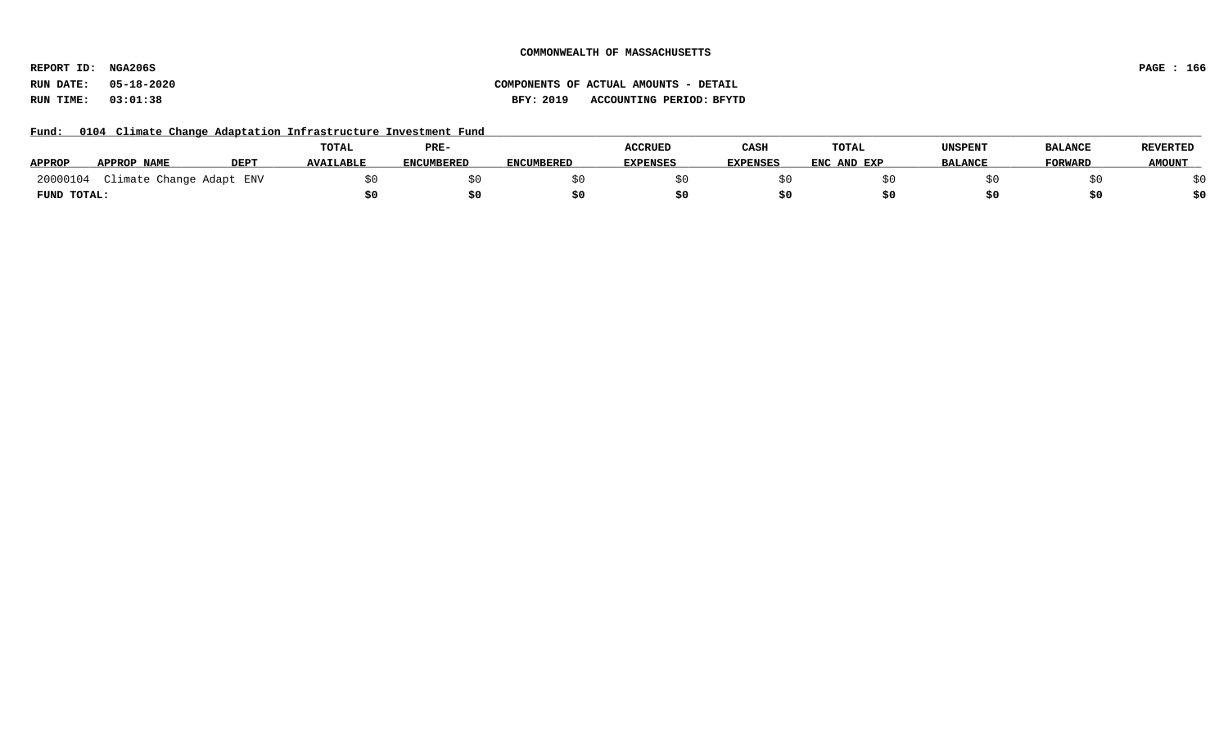**REPORT ID: NGA206S PAGE : 166**

# **RUN DATE: 05-18-2020 COMPONENTS OF ACTUAL AMOUNTS - DETAIL RUN TIME: 03:01:38 BFY: 2019 ACCOUNTING PERIOD: BFYTD**

Fund: 0104 Climate Change Adaptation Infrastructure Investment Fund

|               |                          |             | TOTAL            | PRE-              |                   | <b>ACCRUED</b>  | CASH            | TOTAL       | <b>UNSPENT</b> | <b>BALANCE</b> | <b>REVERTED</b> |
|---------------|--------------------------|-------------|------------------|-------------------|-------------------|-----------------|-----------------|-------------|----------------|----------------|-----------------|
| <b>APPROP</b> | APPROP NAME              | <b>DEPT</b> | <b>AVAILABLE</b> | <b>ENCUMBERED</b> | <b>ENCUMBERED</b> | <b>EXPENSES</b> | <b>EXPENSES</b> | ENC AND EXP | <b>BALANCE</b> | <b>FORWARD</b> | <b>AMOUNT</b>   |
| 20000104      | Climate Change Adapt ENV |             |                  |                   |                   |                 |                 |             |                |                |                 |
| FUND TOTAL:   |                          |             |                  |                   |                   |                 |                 |             |                |                |                 |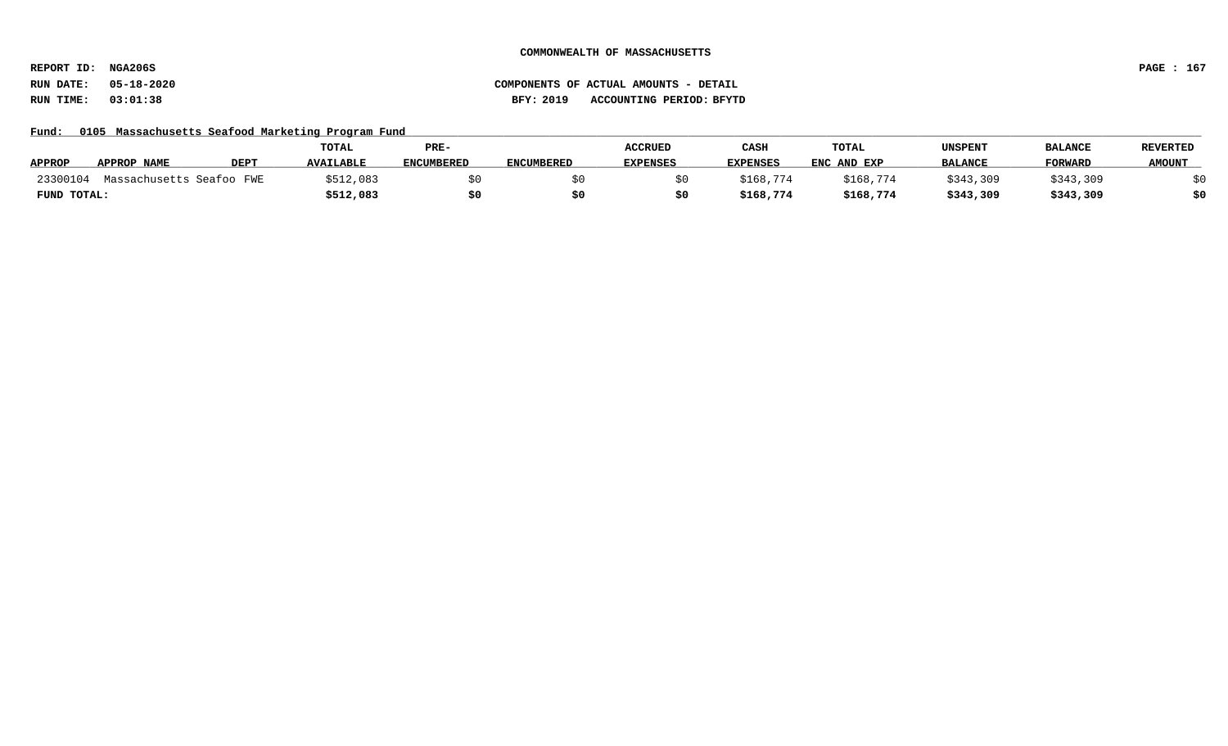**REPORT ID: NGA206S PAGE : 167**

### Fund: 0105 Massachusetts Seafood Marketing Program Fund

|               |                          |                  | <b>TOTAL</b>     | PRE-              |                   | <b>ACCRUED</b>  | CASH            | TOTAL       | UNSPENT        | <b>BALANCE</b> | <b>REVERTED</b> |
|---------------|--------------------------|------------------|------------------|-------------------|-------------------|-----------------|-----------------|-------------|----------------|----------------|-----------------|
| <b>APPROP</b> | APPROP NAME              | DEP <sub>1</sub> | <b>AVAILABLE</b> | <b>ENCUMBERED</b> | <b>ENCUMBERED</b> | <b>EXPENSES</b> | <b>EXPENSES</b> | ENC AND EXP | <b>BALANCE</b> | <b>FORWARD</b> | <b>AMOUNT</b>   |
| 23300104      | Massachusetts Seafoo FWE |                  | \$512,083        |                   |                   |                 | \$168,774       | \$168,774   | \$343,309      | \$343,309      |                 |
| FUND TOTAL:   |                          |                  | \$512,083        |                   |                   |                 | \$168,774       | \$168,774   | \$343,309      | \$343,309      | \$0             |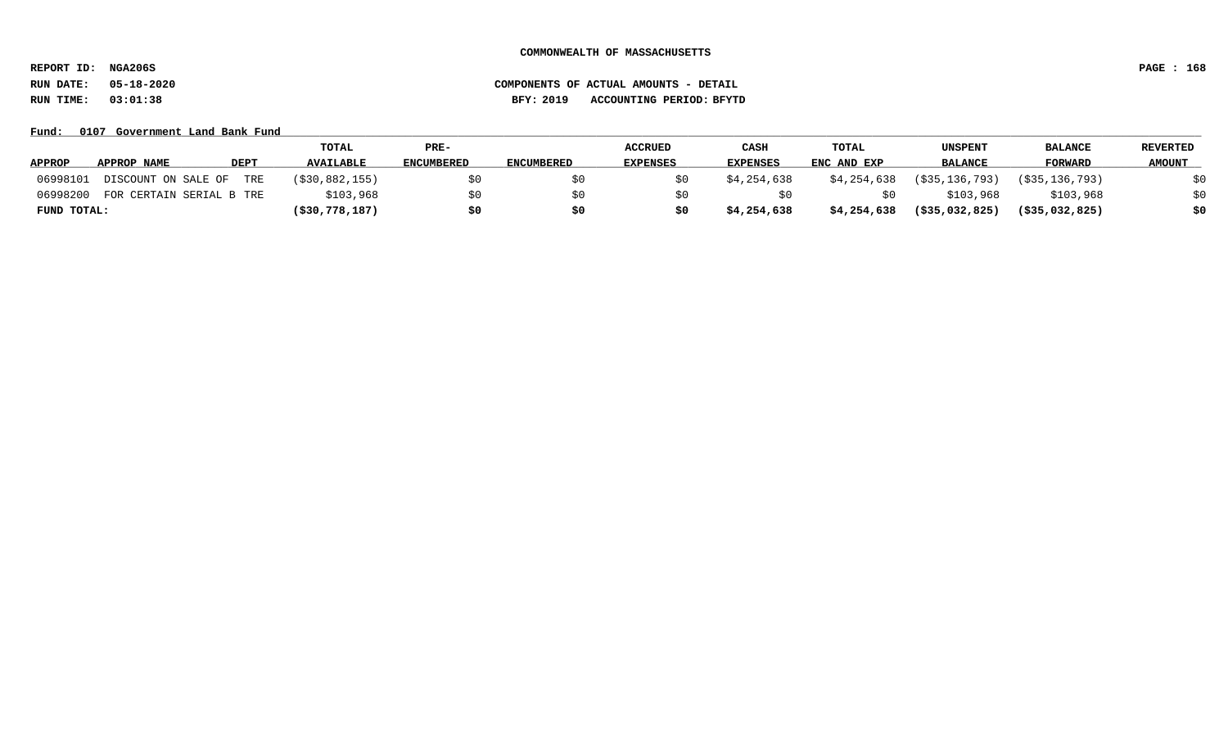**REPORT ID: NGA206S PAGE : 168**

# **RUN DATE: 05-18-2020 COMPONENTS OF ACTUAL AMOUNTS - DETAIL RUN TIME: 03:01:38 BFY: 2019 ACCOUNTING PERIOD: BFYTD**

Fund: 0107 Government Land Bank Fund

|               |                          |             | TOTAL             | PRE-              |                   | <b>ACCRUED</b>  | CASH            | <b>TOTAL</b> | UNSPENT           | <b>BALANCE</b>    | <b>REVERTED</b> |
|---------------|--------------------------|-------------|-------------------|-------------------|-------------------|-----------------|-----------------|--------------|-------------------|-------------------|-----------------|
| <b>APPROP</b> | APPROP NAME              | <b>DEPT</b> | <b>AVAILABLE</b>  | <b>ENCUMBERED</b> | <b>ENCUMBERED</b> | <b>EXPENSES</b> | <b>EXPENSES</b> | ENC AND EXP  | <b>BALANCE</b>    | <b>FORWARD</b>    | <b>AMOUNT</b>   |
| 06998101      | DISCOUNT ON SALE OF      | TRE         | ( \$30, 882, 155) | \$0               |                   |                 | \$4,254,638     | \$4,254,638  | ( \$35, 136, 793) | ( \$35, 136, 793) | \$0             |
| 06998200      | FOR CERTAIN SERIAL B TRE |             | \$103,968         | SO.               |                   |                 |                 |              | \$103,968         | \$103,968         | \$0             |
| FUND TOTAL:   |                          |             | $($ \$30,778,187) | \$0               | \$0               |                 | \$4,254,638     | \$4,254,638  | $($ \$35,032,825) | $($ \$35,032,825) | \$0             |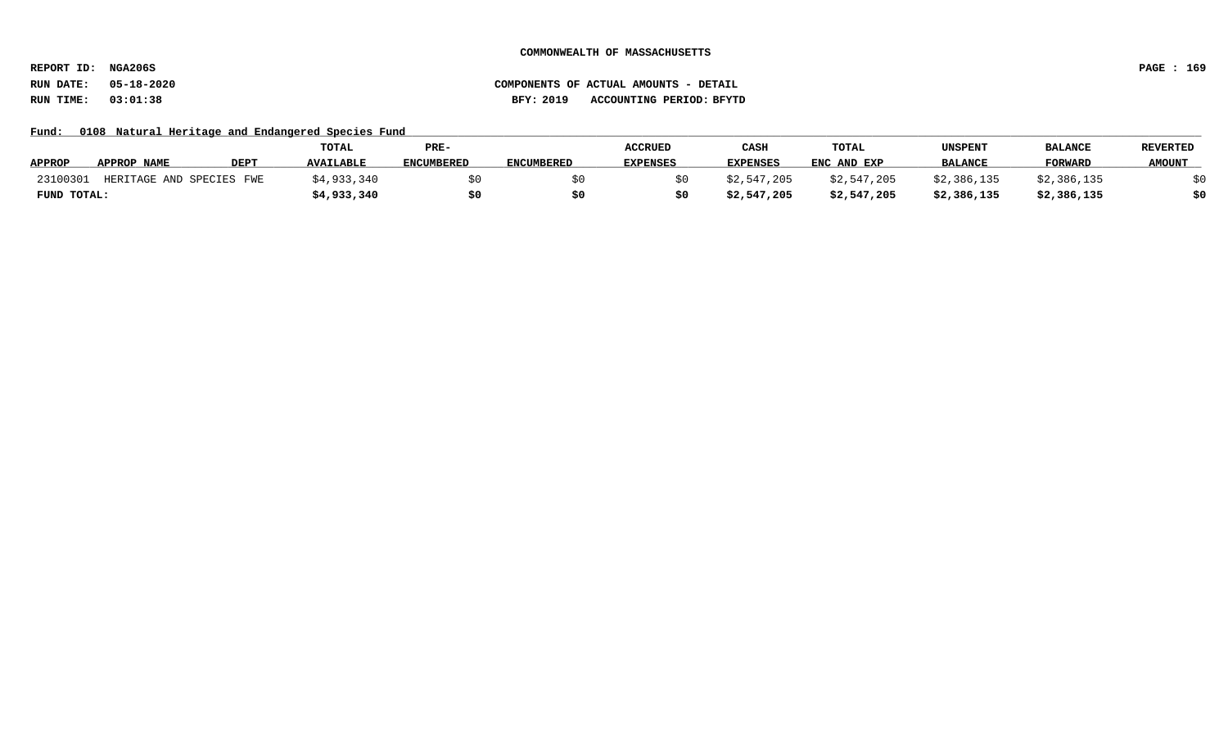**REPORT ID: NGA206S PAGE : 169**

**RUN DATE: 05-18-2020 COMPONENTS OF ACTUAL AMOUNTS - DETAIL RUN TIME: 03:01:38 BFY: 2019 ACCOUNTING PERIOD: BFYTD**

Fund: 0108 Natural Heritage and Endangered Species Fund

|               |                          |             | TOTAL            | PRE-              |                   | <b>ACCRUED</b>  | CASH            | <b>TOTAL</b> | <b>UNSPENT</b> | <b>BALANCE</b> | <b>REVERTED</b> |
|---------------|--------------------------|-------------|------------------|-------------------|-------------------|-----------------|-----------------|--------------|----------------|----------------|-----------------|
| <b>APPROP</b> | APPROP NAME              | <b>DEPT</b> | <b>AVAILABLE</b> | <b>ENCUMBERED</b> | <b>ENCUMBERED</b> | <b>EXPENSES</b> | <b>EXPENSES</b> | ENC AND EXP  | <b>BALANCE</b> | <b>FORWARD</b> | <b>AMOUNT</b>   |
| 23100301      | HERITAGE AND SPECIES FWE |             | \$4,933,340      |                   |                   |                 | \$2.547.205     | \$2,547,205  | \$2,386,135    | \$2,386,135    |                 |
| FUND TOTAL:   |                          |             | \$4,933,340      |                   |                   |                 | \$2,547,205     | \$2,547,205  | \$2,386,135    | \$2,386,135    |                 |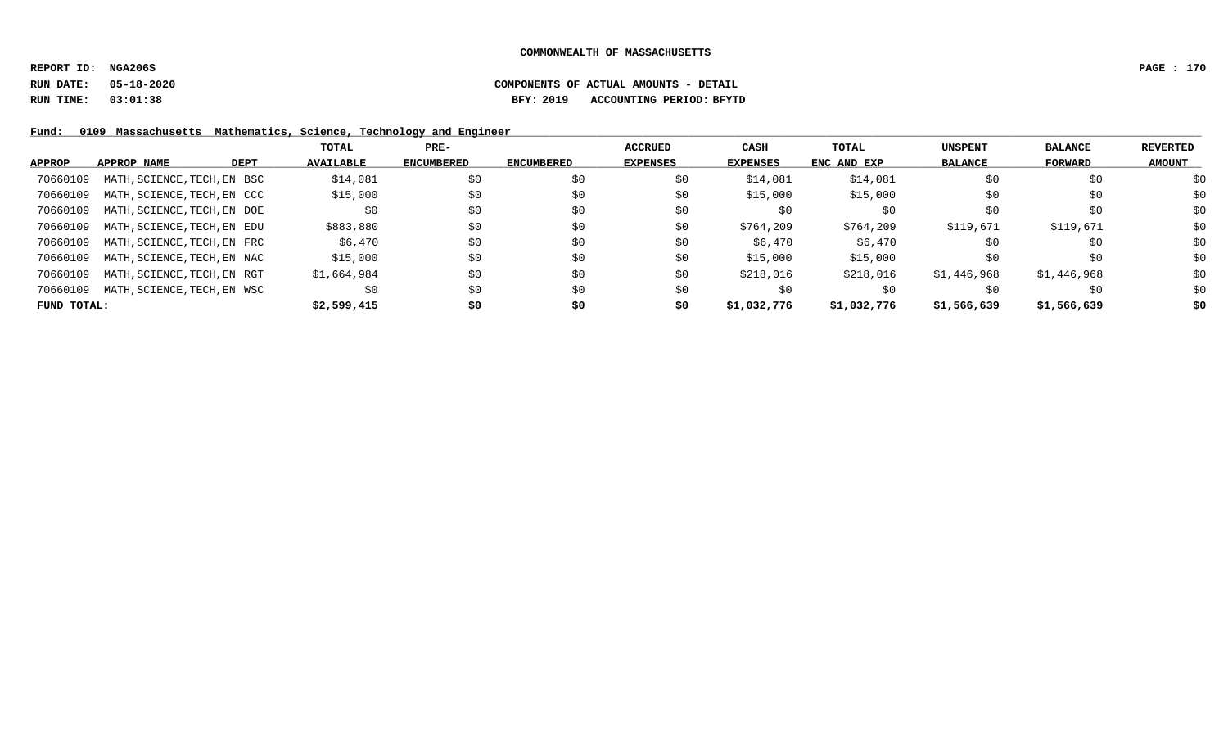**REPORT ID: NGA206S PAGE : 170**

# **RUN DATE: 05-18-2020 COMPONENTS OF ACTUAL AMOUNTS - DETAIL RUN TIME: 03:01:38 BFY: 2019 ACCOUNTING PERIOD: BFYTD**

Fund: 0109 Massachusetts Mathematics, Science, Technology and Engineer

|             |                             |             | TOTAL            | $PRE-$            |                   | ACCRUED         | <b>CASH</b> | <b>TOTAL</b> | <b>UNSPENT</b> | <b>BALANCE</b> | REVERTED      |
|-------------|-----------------------------|-------------|------------------|-------------------|-------------------|-----------------|-------------|--------------|----------------|----------------|---------------|
| APPROP      | APPROP NAME                 | <b>DEPT</b> | <b>AVAILABLE</b> | <b>ENCUMBERED</b> | <b>ENCUMBERED</b> | <b>EXPENSES</b> | EXPENSES    | ENC AND EXP  | <b>BALANCE</b> | FORWARD        | <b>AMOUNT</b> |
| 70660109    | MATH, SCIENCE, TECH, EN BSC |             | \$14,081         | \$0               | \$0               | \$0             | \$14,081    | \$14,081     | \$0            | \$0            | \$0           |
| 70660109    | MATH, SCIENCE, TECH, EN CCC |             | \$15,000         | \$0               | \$0               | \$0             | \$15,000    | \$15,000     | \$0            | \$0            | \$0           |
| 70660109    | MATH, SCIENCE, TECH, EN DOE |             | \$0              | \$0               | \$0               | \$0             | S0          | \$0          | \$0            | \$0            | \$0           |
| 70660109    | MATH, SCIENCE, TECH, EN EDU |             | \$883,880        | \$0               | \$0               | \$0             | \$764,209   | \$764,209    | \$119,671      | \$119,671      | \$0           |
| 70660109    | MATH, SCIENCE, TECH, EN FRC |             | \$6,470          | \$0               | \$0               | \$0             | \$6,470     | \$6,470      | \$0            | \$0            | \$0           |
| 70660109    | MATH, SCIENCE, TECH, EN NAC |             | \$15,000         | \$0               | \$0               | S0              | \$15,000    | \$15,000     | \$0            | \$0            | \$0           |
| 70660109    | MATH, SCIENCE, TECH, EN RGT |             | \$1,664,984      | \$0               | \$0               | \$0             | \$218,016   | \$218,016    | \$1,446,968    | \$1,446,968    | \$0           |
| 70660109    | MATH, SCIENCE, TECH, EN WSC |             | \$0              | \$0               | \$0               | \$0             | \$0         | \$0          | \$0            | \$0            | \$0           |
| FUND TOTAL: |                             |             | \$2,599,415      | \$0               | \$0               | \$0             | \$1,032,776 | \$1,032,776  | \$1,566,639    | \$1,566,639    | \$0           |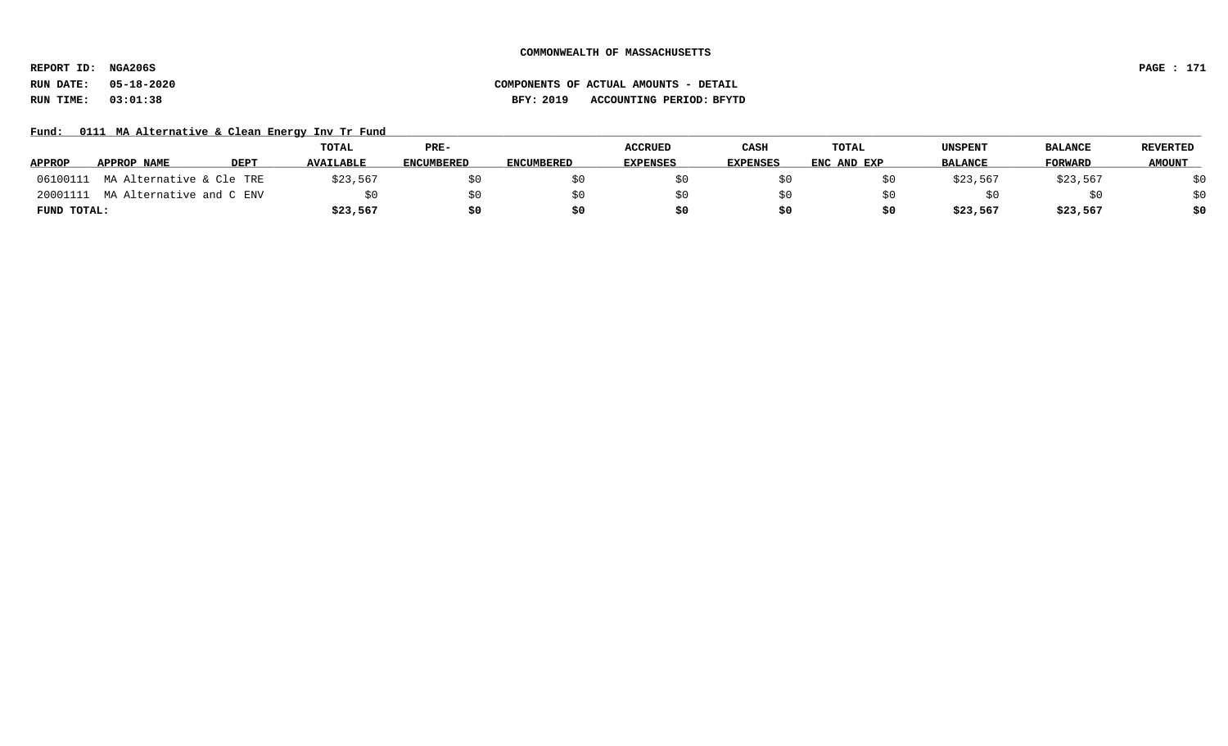**REPORT ID: NGA206S PAGE : 171**

# **RUN DATE: 05-18-2020 COMPONENTS OF ACTUAL AMOUNTS - DETAIL RUN TIME: 03:01:38 BFY: 2019 ACCOUNTING PERIOD: BFYTD**

Fund: 0111 MA Alternative & Clean Energy Inv Tr Fund

|               |                          |             | TOTAL            | PRE-              |                   | <b>ACCRUED</b>  | CASH     | <b>TOTAL</b> | <b>UNSPENT</b> | <b>BALANCE</b> | <b>REVERTED</b> |
|---------------|--------------------------|-------------|------------------|-------------------|-------------------|-----------------|----------|--------------|----------------|----------------|-----------------|
| <b>APPROP</b> | APPROP NAME              | <b>DEPT</b> | <b>AVAILABLE</b> | <b>ENCUMBERED</b> | <b>ENCUMBERED</b> | <b>EXPENSES</b> | EXPENSES | ENC AND EXP  | <b>BALANCE</b> | <b>FORWARD</b> | <b>AMOUNT</b>   |
| 06100111      | MA Alternative & Cle TRE |             | \$23,567         |                   |                   |                 |          |              | \$23,567       | \$23,567       | ςU              |
| 20001111      | MA Alternative and C ENV |             |                  |                   |                   |                 | \$0      |              |                |                | \$0             |
| FUND TOTAL:   |                          |             | \$23,567         |                   |                   | SO.             |          |              | \$23,567       | \$23,567       | \$0             |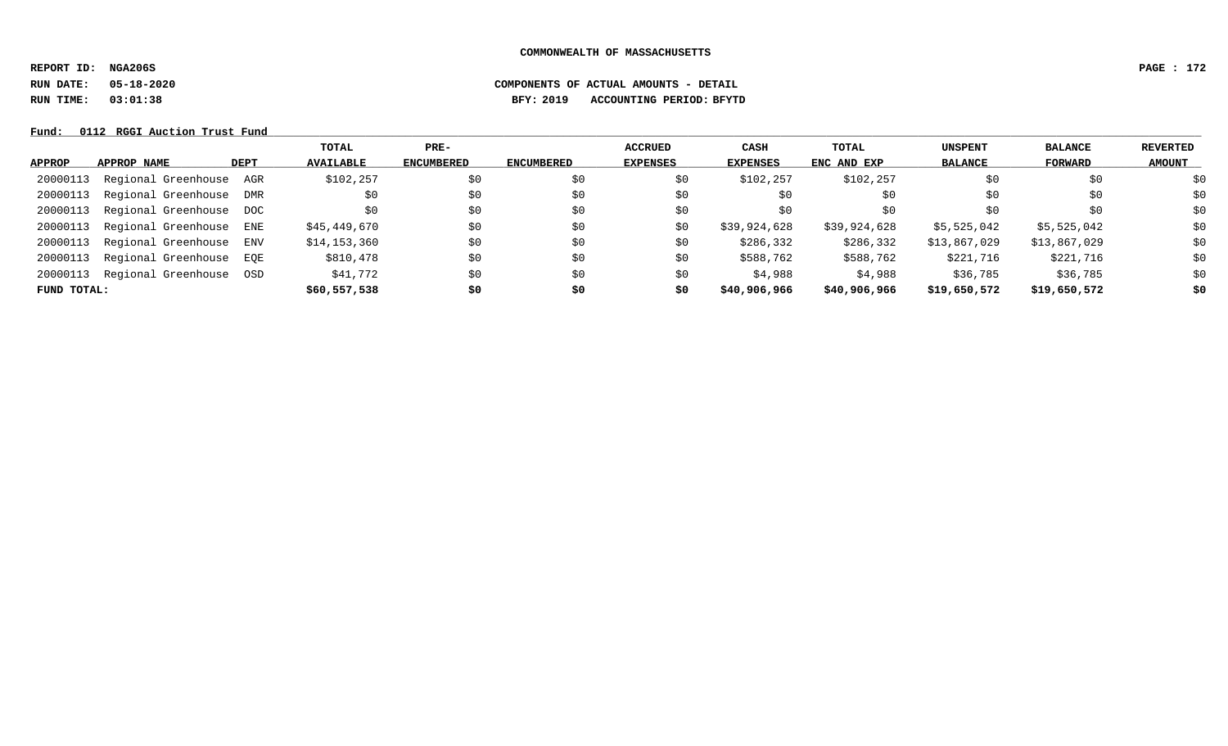**REPORT ID: NGA206S PAGE : 172**

**RUN DATE: 05-18-2020 COMPONENTS OF ACTUAL AMOUNTS - DETAIL**

**RUN TIME: 03:01:38 BFY: 2019 ACCOUNTING PERIOD: BFYTD**

#### Fund: 0112 RGGI Auction Trust Fund

|               |                         |      | TOTAL            | $PRE-$            |                   | <b>ACCRUED</b>  | CASH            | TOTAL        | <b>UNSPENT</b> | <b>BALANCE</b> | <b>REVERTED</b> |
|---------------|-------------------------|------|------------------|-------------------|-------------------|-----------------|-----------------|--------------|----------------|----------------|-----------------|
| <b>APPROP</b> | APPROP NAME             | DEPT | <b>AVAILABLE</b> | <b>ENCUMBERED</b> | <b>ENCUMBERED</b> | <b>EXPENSES</b> | <b>EXPENSES</b> | ENC AND EXP  | <b>BALANCE</b> | FORWARD        | <b>AMOUNT</b>   |
| 20000113      | Regional Greenhouse AGR |      | \$102,257        | \$0               | \$0               | \$0             | \$102,257       | \$102,257    | \$0            | \$0            | \$0             |
| 20000113      | Regional Greenhouse DMR |      | \$0              | \$0               | \$0               | \$0             | \$0             | \$0          | \$0            | \$0            | \$0             |
| 20000113      | Regional Greenhouse DOC |      |                  | \$0               | \$0               | \$0             | \$0             | \$0          | \$0            | \$0            | \$0             |
| 20000113      | Regional Greenhouse ENE |      | \$45,449,670     | \$0               | \$0               | \$0             | \$39,924,628    | \$39,924,628 | \$5,525,042    | \$5,525,042    | \$0             |
| 20000113      | Regional Greenhouse ENV |      | \$14,153,360     | \$0               | \$0               | \$0             | \$286,332       | \$286,332    | \$13,867,029   | \$13,867,029   | \$0             |
| 20000113      | Regional Greenhouse EOE |      | \$810,478        | \$0               | \$0               | \$0             | \$588,762       | \$588,762    | \$221,716      | \$221,716      | \$0             |
| 20000113      | Regional Greenhouse OSD |      | \$41,772         | \$0               | \$0               | \$0             | \$4,988         | \$4,988      | \$36,785       | \$36,785       | \$0             |
| FUND TOTAL:   |                         |      | \$60,557,538     | \$0               | \$0               | \$0             | \$40,906,966    | \$40,906,966 | \$19,650,572   | \$19,650,572   | \$0             |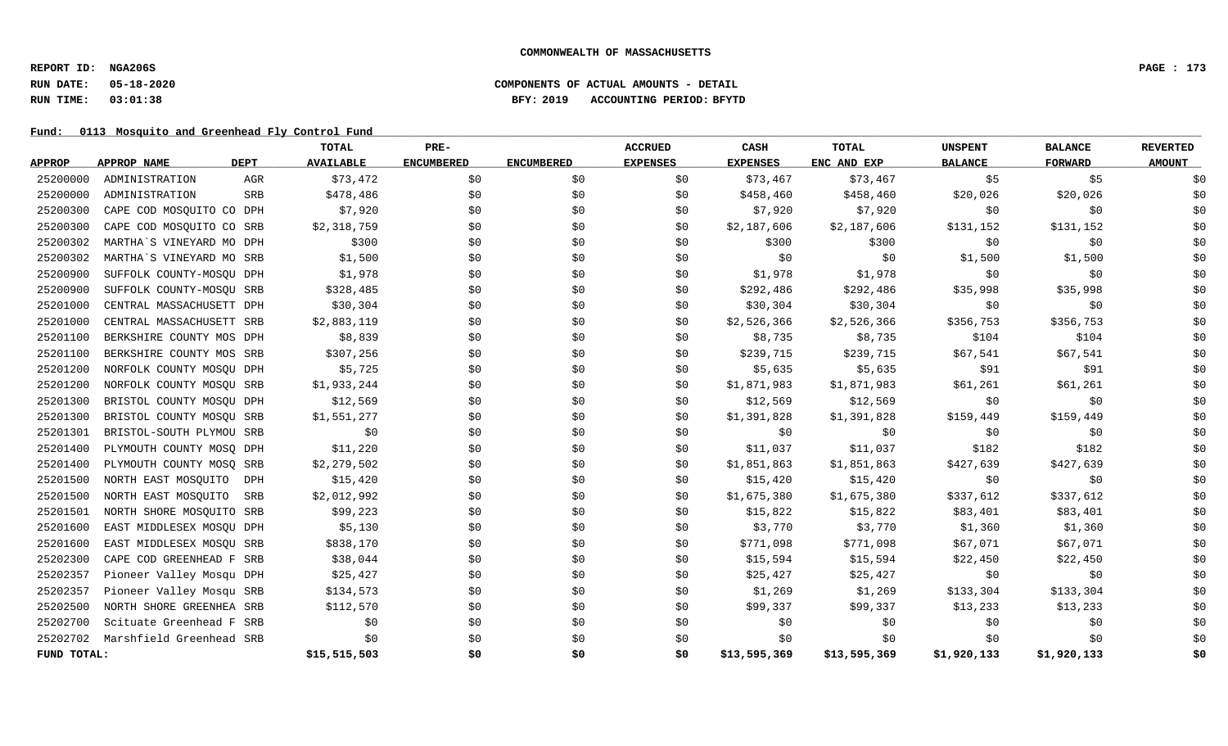**REPORT ID: NGA206S PAGE : 173**

### **RUN DATE: 05-18-2020 COMPONENTS OF ACTUAL AMOUNTS - DETAIL RUN TIME: 03:01:38 BFY: 2019 ACCOUNTING PERIOD: BFYTD**

Fund: 0113 Mosquito and Greenhead Fly Control Fund

|               |                          |             | TOTAL            | PRE-              |                   | <b>ACCRUED</b>  | CASH            | <b>TOTAL</b> | <b>UNSPENT</b> | <b>BALANCE</b> | <b>REVERTED</b> |
|---------------|--------------------------|-------------|------------------|-------------------|-------------------|-----------------|-----------------|--------------|----------------|----------------|-----------------|
| <b>APPROP</b> | <b>APPROP NAME</b>       | <b>DEPT</b> | <b>AVAILABLE</b> | <b>ENCUMBERED</b> | <b>ENCUMBERED</b> | <b>EXPENSES</b> | <b>EXPENSES</b> | ENC AND EXP  | <b>BALANCE</b> | FORWARD        | <b>AMOUNT</b>   |
| 25200000      | ADMINISTRATION           | AGR         | \$73,472         | \$0               | \$0               | \$0             | \$73,467        | \$73,467     | \$5            | \$5            | \$0             |
| 25200000      | ADMINISTRATION           | <b>SRB</b>  | \$478,486        | \$0               | \$0               | \$0             | \$458,460       | \$458,460    | \$20,026       | \$20,026       | \$0             |
| 25200300      | CAPE COD MOSQUITO CO DPH |             | \$7,920          | \$0               | \$0               | \$0             | \$7,920         | \$7,920      | \$0            | \$0            | \$0             |
| 25200300      | CAPE COD MOSQUITO CO SRB |             | \$2,318,759      | \$0               | \$0               | \$0             | \$2,187,606     | \$2,187,606  | \$131,152      | \$131,152      | \$0             |
| 25200302      | MARTHA'S VINEYARD MO DPH |             | \$300            | \$0               | \$0               | \$0             | \$300           | \$300        | \$0            | \$0            | \$0             |
| 25200302      | MARTHA'S VINEYARD MO SRB |             | \$1,500          | \$0               | \$0               | \$0             | \$0             | \$0          | \$1,500        | \$1,500        | \$0             |
| 25200900      | SUFFOLK COUNTY-MOSQU DPH |             | \$1,978          | \$0               | \$0               | \$0             | \$1,978         | \$1,978      | \$0            | \$0            | \$0             |
| 25200900      | SUFFOLK COUNTY-MOSQU SRB |             | \$328,485        | \$0               | \$0               | \$0             | \$292,486       | \$292,486    | \$35,998       | \$35,998       | \$0             |
| 25201000      | CENTRAL MASSACHUSETT DPH |             | \$30,304         | \$0               | \$0               | \$0             | \$30,304        | \$30,304     | \$0            | \$0            | \$0             |
| 25201000      | CENTRAL MASSACHUSETT SRB |             | \$2,883,119      | \$0               | \$0               | \$0             | \$2,526,366     | \$2,526,366  | \$356,753      | \$356,753      | \$0             |
| 25201100      | BERKSHIRE COUNTY MOS DPH |             | \$8,839          | \$0               | \$0               | \$0             | \$8,735         | \$8,735      | \$104          | \$104          | \$0             |
| 25201100      | BERKSHIRE COUNTY MOS SRB |             | \$307,256        | \$0               | \$0               | \$0             | \$239,715       | \$239,715    | \$67,541       | \$67,541       | \$0             |
| 25201200      | NORFOLK COUNTY MOSQU DPH |             | \$5,725          | \$0               | \$0               | \$0             | \$5,635         | \$5,635      | \$91           | \$91           | \$0             |
| 25201200      | NORFOLK COUNTY MOSQU SRB |             | \$1,933,244      | \$0               | \$0               | \$0             | \$1,871,983     | \$1,871,983  | \$61,261       | \$61,261       | \$0             |
| 25201300      | BRISTOL COUNTY MOSQU DPH |             | \$12,569         | \$0               | \$0               | \$0             | \$12,569        | \$12,569     | \$0            | \$0            | \$0             |
| 25201300      | BRISTOL COUNTY MOSQU SRB |             | \$1,551,277      | \$0               | \$0               | \$0             | \$1,391,828     | \$1,391,828  | \$159,449      | \$159,449      | \$0             |
| 25201301      | BRISTOL-SOUTH PLYMOU SRB |             | \$0              | \$0               | \$0               | \$0             | \$0             | \$0          | \$0            | \$0            | \$0             |
| 25201400      | PLYMOUTH COUNTY MOSO DPH |             | \$11,220         | \$0               | \$0               | \$0             | \$11,037        | \$11,037     | \$182          | \$182          | \$0             |
| 25201400      | PLYMOUTH COUNTY MOSO SRB |             | \$2,279,502      | \$0               | \$0               | \$0             | \$1,851,863     | \$1,851,863  | \$427,639      | \$427,639      | \$0             |
| 25201500      | NORTH EAST MOSQUITO      | DPH         | \$15,420         | \$0               | \$0               | \$0             | \$15,420        | \$15,420     | \$0            | \$0            | \$0             |
| 25201500      | NORTH EAST MOSQUITO      | SRB         | \$2,012,992      | \$0               | \$0               | \$0             | \$1,675,380     | \$1,675,380  | \$337,612      | \$337,612      | \$0             |
| 25201501      | NORTH SHORE MOSQUITO SRB |             | \$99,223         | \$0               | \$0               | \$0             | \$15,822        | \$15,822     | \$83,401       | \$83,401       | \$0             |
| 25201600      | EAST MIDDLESEX MOSQU DPH |             | \$5,130          | \$0               | \$0               | \$0             | \$3,770         | \$3,770      | \$1,360        | \$1,360        | \$0             |
| 25201600      | EAST MIDDLESEX MOSQU SRB |             | \$838,170        | \$0               | \$0               | \$0             | \$771,098       | \$771,098    | \$67,071       | \$67,071       | \$0             |
| 25202300      | CAPE COD GREENHEAD F SRB |             | \$38,044         | \$0               | \$0               | \$0             | \$15,594        | \$15,594     | \$22,450       | \$22,450       | \$0             |
| 25202357      | Pioneer Valley Mosqu DPH |             | \$25,427         | \$0               | \$0               | \$0             | \$25,427        | \$25,427     | \$0            | \$0            | \$0             |
| 25202357      | Pioneer Valley Mosqu SRB |             | \$134,573        | \$0               | \$0               | \$0             | \$1,269         | \$1,269      | \$133,304      | \$133,304      | \$0             |
| 25202500      | NORTH SHORE GREENHEA SRB |             | \$112,570        | \$0               | \$0               | \$0             | \$99,337        | \$99,337     | \$13,233       | \$13,233       | \$0             |
| 25202700      | Scituate Greenhead F SRB |             | \$0              | \$0               | \$0               | \$0             | \$0             | \$0          | \$0            | \$0            | \$0             |
| 25202702      | Marshfield Greenhead SRB |             | \$0              | \$0               | \$0               | \$0             | \$0             | \$0          | \$0            | \$0            | \$0             |
| FUND TOTAL:   |                          |             | \$15,515,503     | \$0               | \$0               | \$0             | \$13,595,369    | \$13,595,369 | \$1,920,133    | \$1,920,133    | \$0             |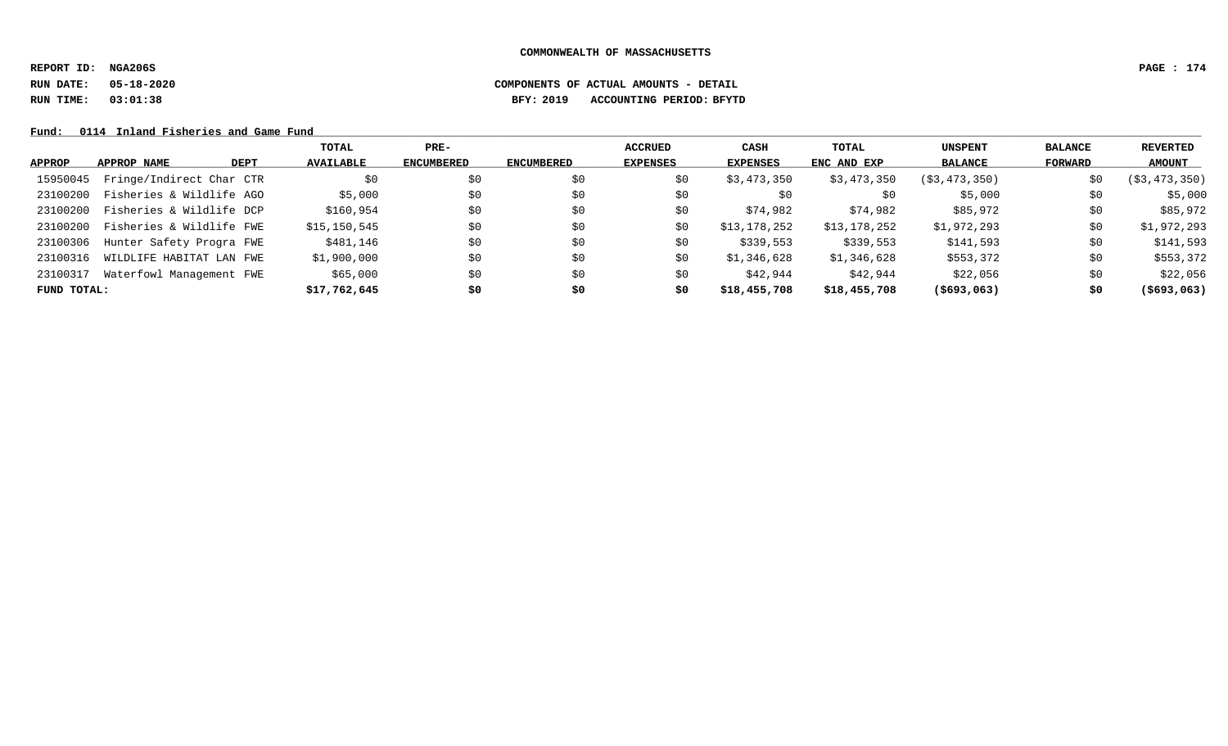**REPORT ID: NGA206S PAGE : 174**

# **RUN DATE: 05-18-2020 COMPONENTS OF ACTUAL AMOUNTS - DETAIL RUN TIME: 03:01:38 BFY: 2019 ACCOUNTING PERIOD: BFYTD**

Fund: 0114 Inland Fisheries and Game Fund

|             |                          |             | TOTAL            | $PRE-$            |                   | <b>ACCRUED</b>  | <b>CASH</b>     | TOTAL        | <b>UNSPENT</b> | <b>BALANCE</b> | REVERTED       |
|-------------|--------------------------|-------------|------------------|-------------------|-------------------|-----------------|-----------------|--------------|----------------|----------------|----------------|
| APPROP      | APPROP NAME              | <b>DEPT</b> | <b>AVAILABLE</b> | <b>ENCUMBERED</b> | <b>ENCUMBERED</b> | <b>EXPENSES</b> | <b>EXPENSES</b> | ENC AND EXP  | <b>BALANCE</b> | FORWARD        | <b>AMOUNT</b>  |
| 15950045    | Fringe/Indirect Char CTR |             | \$0              | \$0               | \$0               | \$0             | \$3,473,350     | \$3,473,350  | (S3, 473, 350) | \$0            | ( \$3,473,350) |
| 23100200    | Fisheries & Wildlife AGO |             | \$5,000          | \$0               | \$0               | \$0             | S0              | \$0          | \$5,000        | \$0            | \$5,000        |
| 23100200    | Fisheries & Wildlife DCP |             | \$160,954        | \$0               | \$0               | \$0             | \$74,982        | \$74,982     | \$85,972       | \$0            | \$85,972       |
| 23100200    | Fisheries & Wildlife FWE |             | \$15, 150, 545   | \$0               | \$0               | \$0             | \$13,178,252    | \$13,178,252 | \$1,972,293    | \$0            | \$1,972,293    |
| 23100306    | Hunter Safety Progra FWE |             | \$481,146        | \$0               | \$0               | \$0             | \$339,553       | \$339,553    | \$141,593      | \$0            | \$141,593      |
| 23100316    | WILDLIFE HABITAT LAN FWE |             | \$1,900,000      | \$0               | \$0               | \$0             | \$1,346,628     | \$1,346,628  | \$553,372      | \$0            | \$553,372      |
| 23100317    | Waterfowl Management FWE |             | \$65,000         | \$0               | \$0               | \$0             | \$42,944        | \$42,944     | \$22,056       | \$0            | \$22,056       |
| FUND TOTAL: |                          |             | \$17,762,645     | \$0               | \$0               | \$0             | \$18,455,708    | \$18,455,708 | $($ \$693,063) | \$0            | $($ \$693,063) |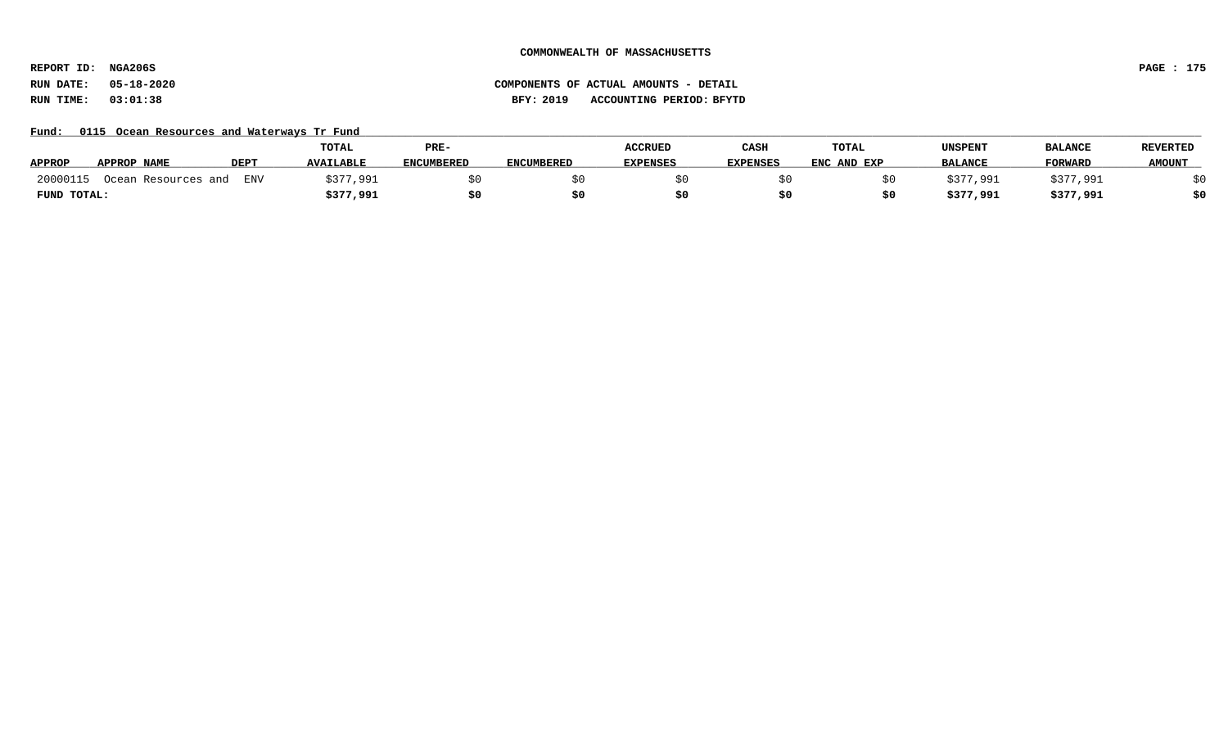**REPORT ID: NGA206S PAGE : 175**

# **RUN DATE: 05-18-2020 COMPONENTS OF ACTUAL AMOUNTS - DETAIL RUN TIME: 03:01:38 BFY: 2019 ACCOUNTING PERIOD: BFYTD**

Fund: 0115 Ocean Resources and Waterways Tr Fund

|                                                    | TOTAL            | PRE-              |                   | <b>ACCRUED</b>  | CASH            | TOTAL       | UNSPENT        | <b>BALANCE</b> | <b>REVERTED</b> |
|----------------------------------------------------|------------------|-------------------|-------------------|-----------------|-----------------|-------------|----------------|----------------|-----------------|
| <b>APPROP</b><br><b>DEPT</b><br><b>APPROP NAME</b> | <b>AVAILABLE</b> | <b>ENCUMBERED</b> | <b>ENCUMBERED</b> | <b>EXPENSES</b> | <b>EXPENSES</b> | ENC AND EXP | <b>BALANCE</b> | <b>FORWARD</b> | <b>AMOUNT</b>   |
| 20000115<br><b>ENV</b><br>Ocean Resources and      | 3377<br>7,991    |                   |                   |                 |                 |             | 377,991        | \$377,991      |                 |
| FUND TOTAL:                                        | \$377,991        |                   |                   |                 |                 |             | \$377,991      | \$377,991      | \$0             |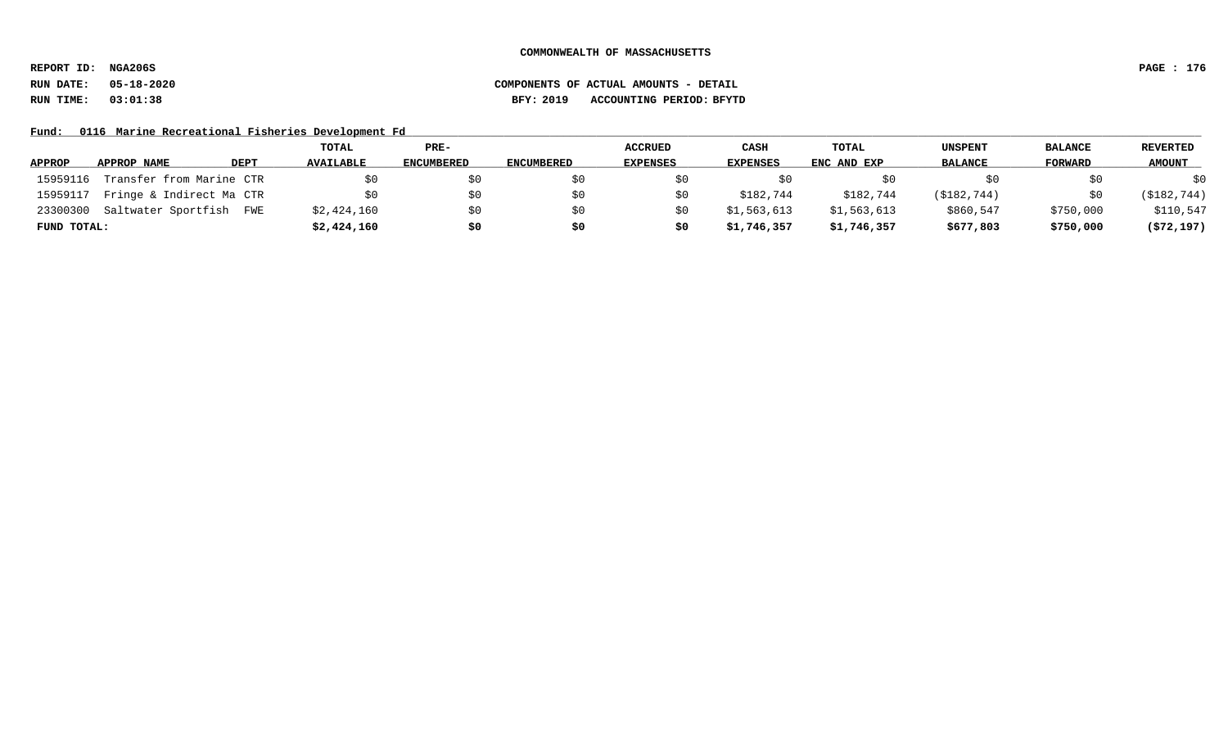**REPORT ID: NGA206S PAGE : 176**

# **RUN DATE: 05-18-2020 COMPONENTS OF ACTUAL AMOUNTS - DETAIL RUN TIME: 03:01:38 BFY: 2019 ACCOUNTING PERIOD: BFYTD**

Fund: 0116 Marine Recreational Fisheries Development Fd

|               |                          |      | TOTAL            | PRE-       |                   | <b>ACCRUED</b>  | CASH        | <b>TOTAL</b> | <b>UNSPENT</b> | <b>BALANCE</b> | REVERTED      |
|---------------|--------------------------|------|------------------|------------|-------------------|-----------------|-------------|--------------|----------------|----------------|---------------|
| <b>APPROP</b> | APPROP NAME              | DEPT | <b>AVAILABLE</b> | ENCUMBERED | <b>ENCUMBERED</b> | <b>EXPENSES</b> | EXPENSES    | ENC AND EXP  | <b>BALANCE</b> | FORWARD        | <b>AMOUNT</b> |
| 15959116      | Transfer from Marine CTR |      | SO.              | \$0        |                   |                 |             |              |                | SO.            | \$0           |
| 15959117      | Fringe & Indirect Ma CTR |      | \$0              | \$0        |                   |                 | \$182,744   | \$182,744    | (\$182,744)    | \$0            | ( \$182, 744) |
| 23300300      | Saltwater Sportfish      | FWE  | \$2,424,160      | \$0        |                   |                 | \$1,563,613 | \$1,563,613  | \$860,547      | \$750,000      | \$110,547     |
| FUND TOTAL:   |                          |      | \$2,424,160      | \$0        | \$0               | Ş0              | \$1,746,357 | \$1,746,357  | \$677,803      | \$750,000      | (572, 197)    |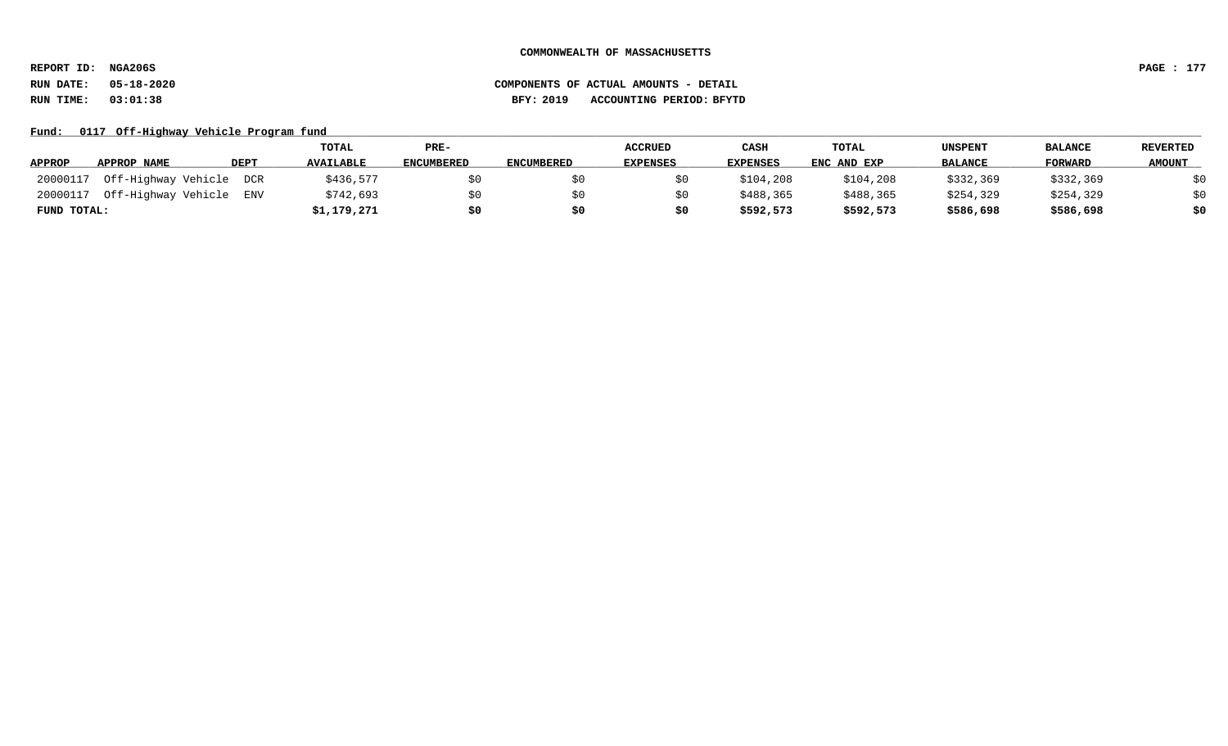**REPORT ID: NGA206S PAGE : 177**

# **RUN DATE: 05-18-2020 COMPONENTS OF ACTUAL AMOUNTS - DETAIL RUN TIME: 03:01:38 BFY: 2019 ACCOUNTING PERIOD: BFYTD**

### Fund: 0117 Off-Highway Vehicle Program fund

|               |                         |             | <b>TOTAL</b>     | PRE-              |                   | <b>ACCRUED</b>  | CASH            | TOTAL       | UNSPENT        | <b>BALANCE</b> | <b>REVERTED</b> |
|---------------|-------------------------|-------------|------------------|-------------------|-------------------|-----------------|-----------------|-------------|----------------|----------------|-----------------|
| <b>APPROP</b> | APPROP NAME             | <b>DEPT</b> | <b>AVAILABLE</b> | <b>ENCUMBERED</b> | <b>ENCUMBERED</b> | <b>EXPENSES</b> | <b>EXPENSES</b> | ENC AND EXP | <b>BALANCE</b> | <b>FORWARD</b> | <b>AMOUNT</b>   |
| 20000117      | Off-Highway Vehicle DCR |             | \$436,577        | \$0               |                   |                 | \$104,208       | \$104,208   | \$332,369      | \$332,369      | \$0             |
| 20000117      | Off-Highway Vehicle     | ENV         | \$742,693        | \$0               |                   |                 | \$488,365       | \$488,365   | \$254,329      | \$254,329      | \$0             |
| FUND TOTAL:   |                         |             | \$1,179,271      | \$0               |                   |                 | \$592,573       | \$592,573   | \$586,698      | \$586,698      | \$0             |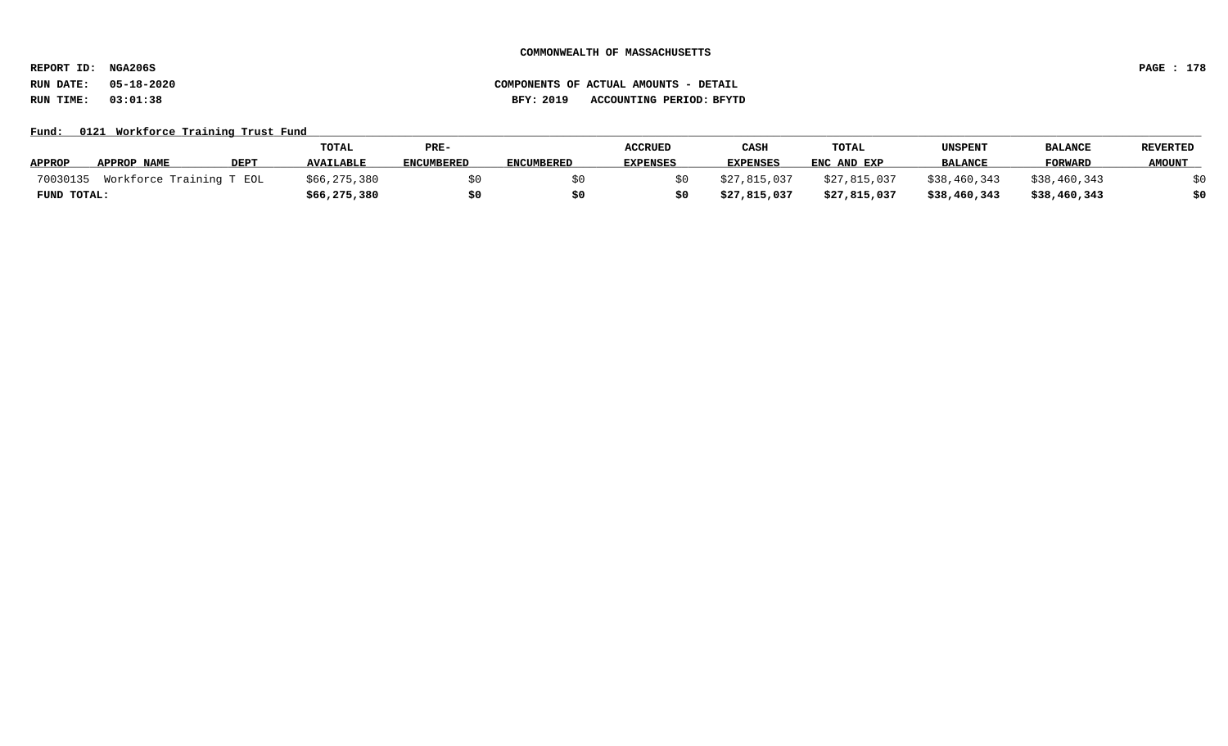**REPORT ID: NGA206S PAGE : 178**

### Fund: 0121 Workforce Training Trust Fund

|               |                                   |             | TOTAL            | PRE-              |                   | <b>ACCRUED</b>  | CASI            | TOTAL        | UNSPENT        | <b>BALANCI</b> | <b>REVERTED</b> |
|---------------|-----------------------------------|-------------|------------------|-------------------|-------------------|-----------------|-----------------|--------------|----------------|----------------|-----------------|
| <b>APPROP</b> | APPROP NAME                       | <b>DEPT</b> | <b>AVAILABLE</b> | <b>ENCUMBERED</b> | <b>ENCUMBERED</b> | <b>EXPENSES</b> | <b>EXPENSES</b> | ENC AND EXP  | <b>BALANCE</b> | <b>FORWARD</b> | <b>AMOUNT</b>   |
|               | 70030135 Workforce Training T EOL |             | \$66,275,380     |                   |                   |                 | \$27,815,037    | \$27,815,037 | \$38,460,343   | \$38,460,343   |                 |
| FUND TOTAL:   |                                   |             | \$66,275,380     | \$0               | \$0               |                 | \$27,815,037    | \$27,815,037 | \$38,460,343   | \$38,460,343   |                 |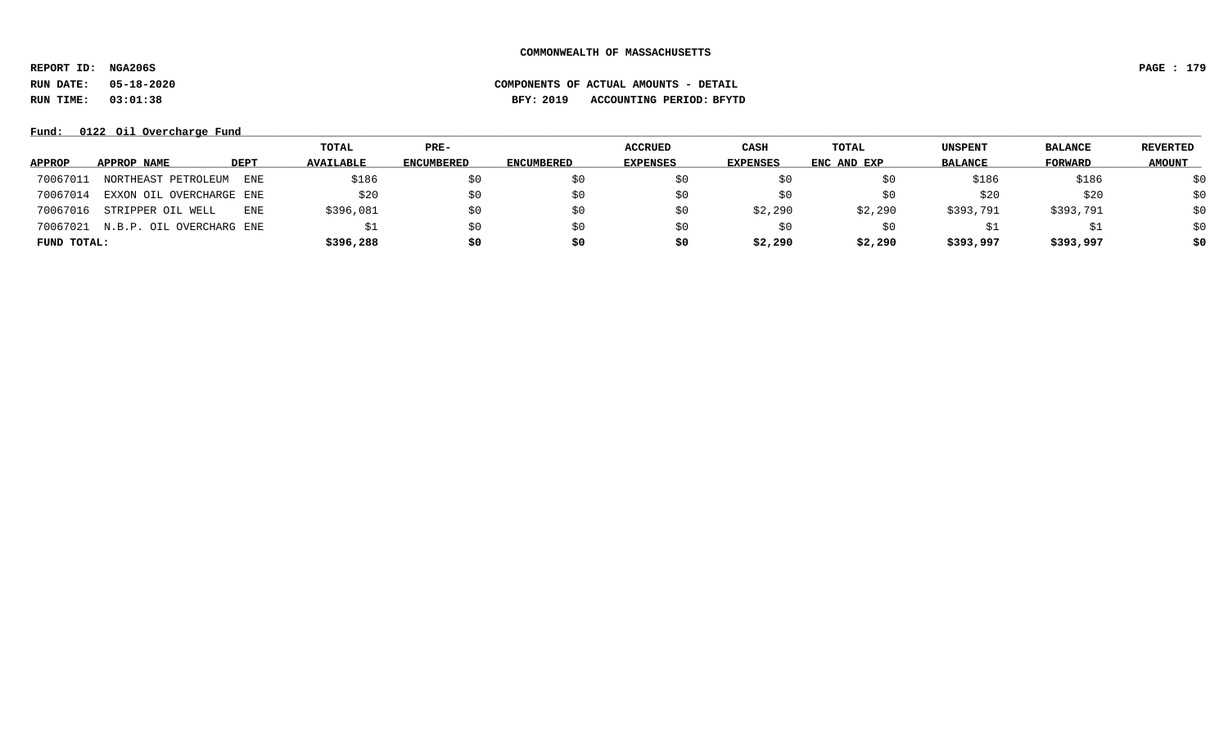**REPORT ID: NGA206S PAGE : 179**

**RUN DATE: 05-18-2020 COMPONENTS OF ACTUAL AMOUNTS - DETAIL**

**RUN TIME: 03:01:38 BFY: 2019 ACCOUNTING PERIOD: BFYTD**

### Fund:  $0122$  Oil Overcharge Fund

|               |                          |             | TOTAL            | PRE-       |                   | <b>ACCRUED</b>  | CASH            | TOTAL       | UNSPENT        | <b>BALANCE</b> | <b>REVERTED</b> |
|---------------|--------------------------|-------------|------------------|------------|-------------------|-----------------|-----------------|-------------|----------------|----------------|-----------------|
| <b>APPROP</b> | APPROP NAME              | <b>DEPT</b> | <b>AVAILABLE</b> | ENCUMBERED | <b>ENCUMBERED</b> | <b>EXPENSES</b> | <b>EXPENSES</b> | ENC AND EXP | <b>BALANCE</b> | FORWARD        | <b>AMOUNT</b>   |
| 70067011      | NORTHEAST PETROLEUM      | ENE         | \$186            | SÜ         | S0                | SO.             |                 | Sυ          | \$186          | \$186          | \$0             |
| 70067014      | EXXON OIL OVERCHARGE ENE |             | \$20             | SO.        | S0                | \$0             |                 | S0          | \$20           | \$20           | \$0             |
| 70067016      | STRIPPER OIL WELL        | <b>ENE</b>  | \$396,081        | SO.        | S0                | SO.             | \$2,290         | \$2,290     | \$393,791      | \$393,791      | \$0             |
| 70067021      | N.B.P. OIL OVERCHARG ENE |             |                  | SO.        | \$0               | SO.             | S0              | S0          |                |                | \$0             |
| FUND TOTAL:   |                          |             | \$396,288        | s0         | \$0               | \$0             | \$2,290         | \$2,290     | \$393,997      | \$393,997      | \$0             |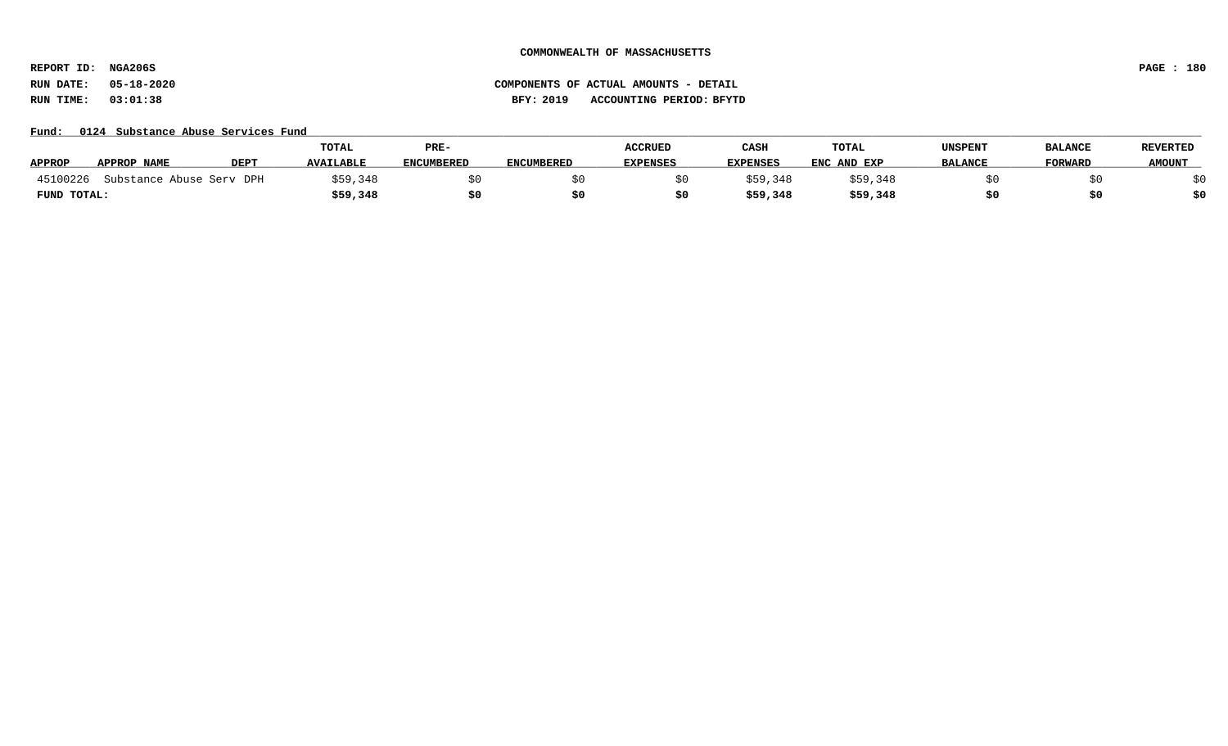**REPORT ID: NGA206S PAGE : 180**

# **RUN DATE: 05-18-2020 COMPONENTS OF ACTUAL AMOUNTS - DETAIL RUN TIME: 03:01:38 BFY: 2019 ACCOUNTING PERIOD: BFYTD**

#### Fund: 0124 Substance Abuse Services Fund

|               |                          |      | TOTAL            | PRE-              |                   | <b>ACCRUED</b>  | CASH            | <b>TOTAL</b> | UNSPENT        | <b>BALANCE</b> | <b>REVERTED</b> |
|---------------|--------------------------|------|------------------|-------------------|-------------------|-----------------|-----------------|--------------|----------------|----------------|-----------------|
| <b>APPROP</b> | APPROP NAME              | DEPT | <b>AVAILABLE</b> | <b>ENCUMBERED</b> | <b>ENCUMBERED</b> | <b>EXPENSES</b> | <b>EXPENSES</b> | ENC AND EXP  | <b>BALANCE</b> | <b>FORWARD</b> | <b>AMOUNT</b>   |
| 45100226      | Substance Abuse Serv DPH |      | \$59,348         |                   |                   |                 | \$59,348        | \$59,348     |                |                |                 |
| FUND TOTAL:   |                          |      | \$59,348         | \$0               |                   |                 | \$59,348        | \$59,348     |                |                | \$0             |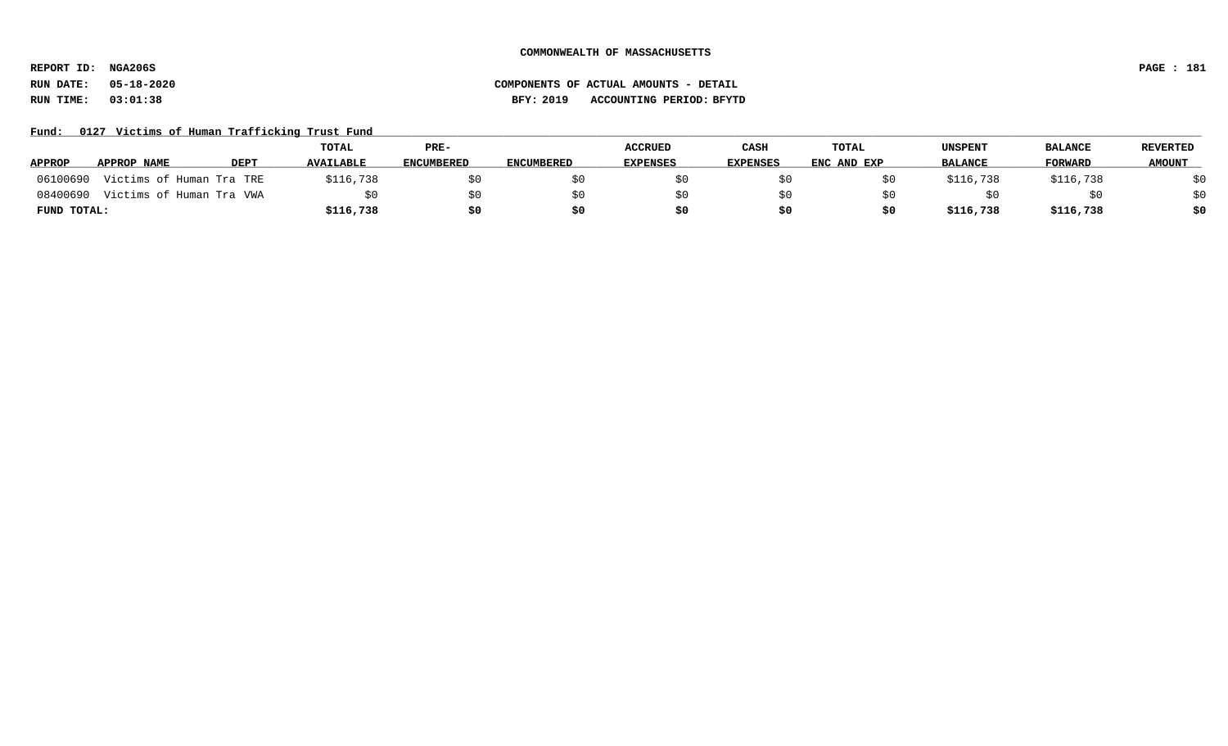**REPORT ID: NGA206S PAGE : 181**

### **RUN DATE: 05-18-2020 COMPONENTS OF ACTUAL AMOUNTS - DETAIL RUN TIME: 03:01:38 BFY: 2019 ACCOUNTING PERIOD: BFYTD**

Fund: 0127 Victims of Human Trafficking Trust Fund

|               |                                   |             | <b>TOTAL</b>     | PRE-              |                   | <b>ACCRUED</b>  | <b>CASH</b> | <b>TOTAL</b> | <b>UNSPENT</b> | <b>BALANCE</b> | <b>REVERTED</b> |
|---------------|-----------------------------------|-------------|------------------|-------------------|-------------------|-----------------|-------------|--------------|----------------|----------------|-----------------|
| <b>APPROP</b> | APPROP NAME                       | <b>DEPT</b> | <b>AVAILABLE</b> | <b>ENCUMBERED</b> | <b>ENCUMBERED</b> | <b>EXPENSES</b> | EXPENSES    | ENC AND EXP  | <b>BALANCE</b> | <b>FORWARD</b> | <b>AMOUNT</b>   |
| 06100690      | Victims of Human Tra TRE          |             | \$116,738        |                   |                   |                 |             |              | \$116,738      | \$116,738      | \$0             |
|               | 08400690 Victims of Human Tra VWA |             |                  |                   |                   |                 |             |              |                |                | \$0             |
| FUND TOTAL:   |                                   |             | \$116,738        | \$0               |                   | S0              |             |              | \$116,738      | \$116,738      | \$0             |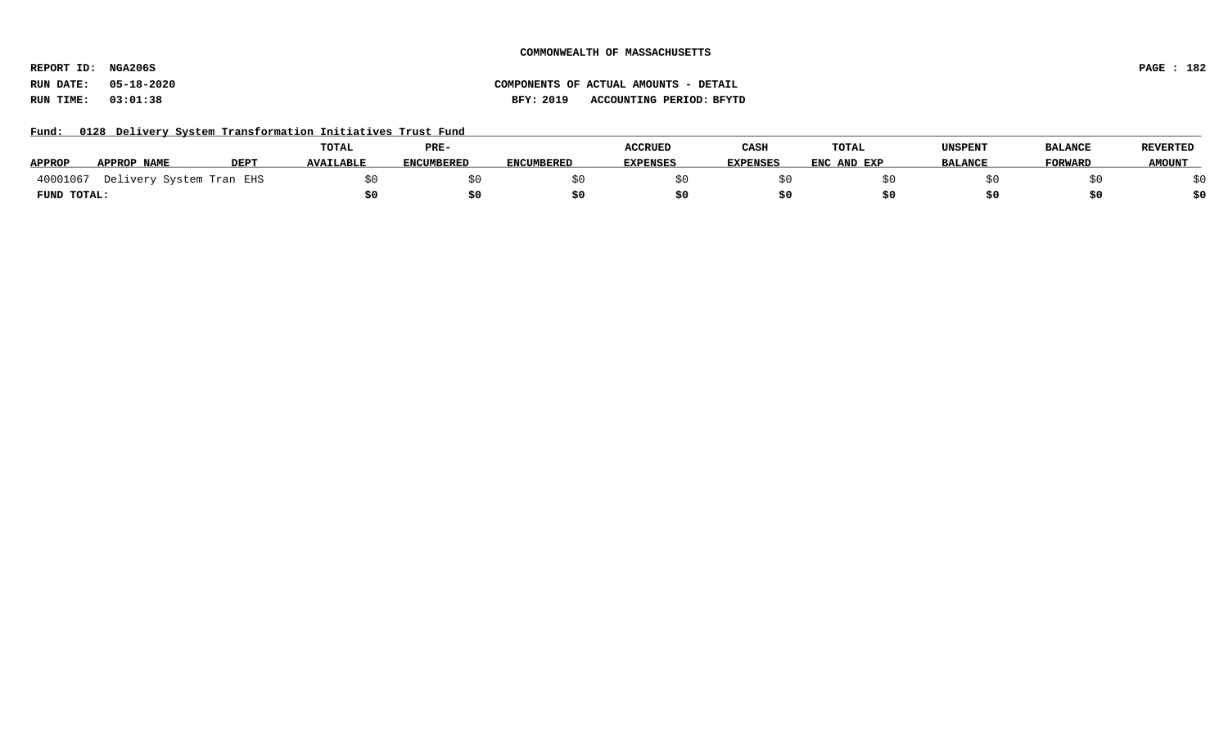**REPORT ID: NGA206S PAGE : 182**

# **RUN DATE: 05-18-2020 COMPONENTS OF ACTUAL AMOUNTS - DETAIL RUN TIME: 03:01:38 BFY: 2019 ACCOUNTING PERIOD: BFYTD**

Fund: 0128 Delivery System Transformation Initiatives Trust Fund

|               |                                   |             | TOTAL            | PRE-              |                   | <b>ACCRUED</b>  | CASH            | TOTAL       | <b>UNSPENT</b> | <b>BALANCE</b> | <b>REVERTED</b> |
|---------------|-----------------------------------|-------------|------------------|-------------------|-------------------|-----------------|-----------------|-------------|----------------|----------------|-----------------|
| <b>APPROP</b> | <b>APPROP NAME</b>                | <b>DEP1</b> | <b>AVAILABLE</b> | <b>ENCUMBERED</b> | <b>ENCUMBERED</b> | <b>EXPENSES</b> | <b>EXPENSES</b> | ENC AND EXP | <b>BALANCE</b> | <b>FORWARD</b> | <b>AMOUNT</b>   |
|               | 40001067 Delivery System Tran EHS |             |                  |                   |                   |                 |                 |             |                |                |                 |
| FUND TOTAL:   |                                   |             |                  |                   |                   |                 |                 |             |                |                |                 |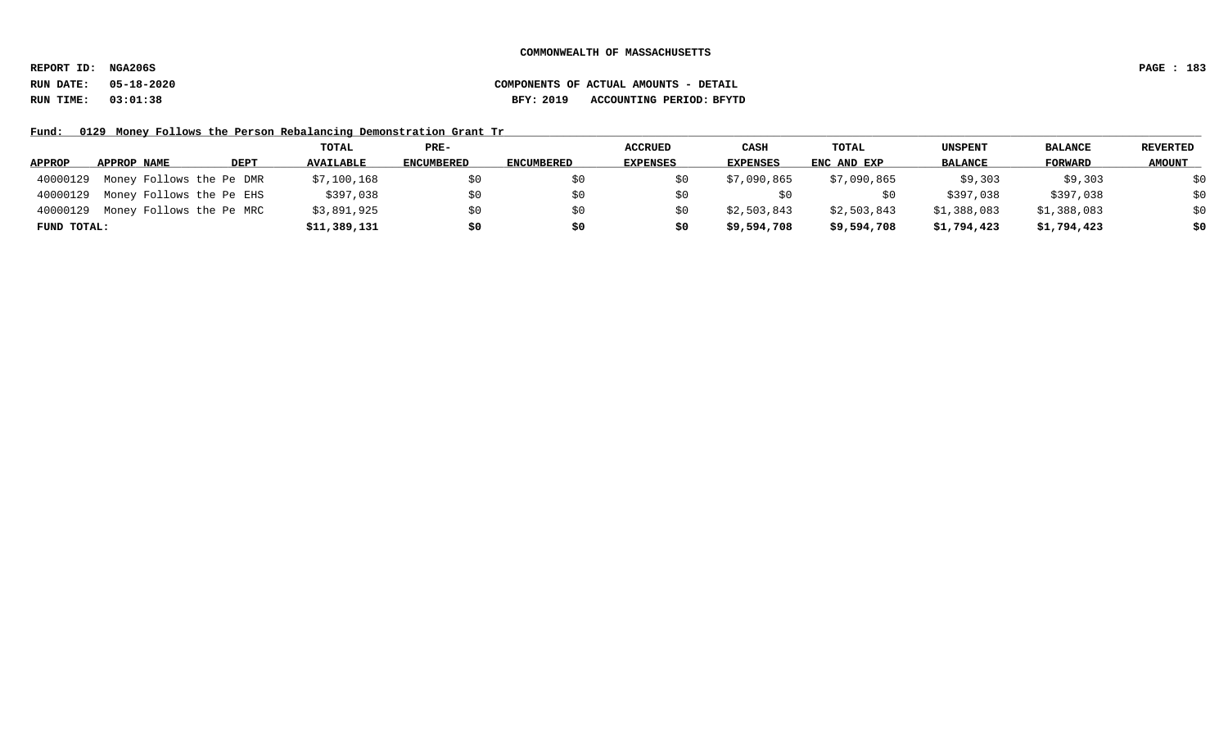**REPORT ID: NGA206S PAGE : 183**

# **RUN DATE: 05-18-2020 COMPONENTS OF ACTUAL AMOUNTS - DETAIL RUN TIME: 03:01:38 BFY: 2019 ACCOUNTING PERIOD: BFYTD**

Fund: 0129 Money Follows the Person Rebalancing Demonstration Grant Tr

|             |                          |      | TOTAL            | PRE-              |                   | <b>ACCRUED</b>  | CASH            | TOTAL       | <b>UNSPENT</b> | <b>BALANCE</b> | <b>REVERTED</b> |
|-------------|--------------------------|------|------------------|-------------------|-------------------|-----------------|-----------------|-------------|----------------|----------------|-----------------|
| APPROP      | APPROP NAME              | DEPT | <b>AVAILABLE</b> | <b>ENCUMBERED</b> | <b>ENCUMBERED</b> | <b>EXPENSES</b> | <b>EXPENSES</b> | ENC AND EXP | <b>BALANCE</b> | FORWARD        | <b>AMOUNT</b>   |
| 40000129    | Money Follows the Pe DMR |      | \$7,100,168      | \$0               |                   |                 | \$7,090,865     | \$7,090,865 | \$9,303        | \$9,303        | \$0             |
| 40000129    | Money Follows the Pe EHS |      | \$397,038        | \$0               |                   |                 |                 |             | \$397,038      | \$397,038      | \$0             |
| 40000129    | Money Follows the Pe MRC |      | \$3,891,925      | \$0               | S0                |                 | \$2,503,843     | \$2,503,843 | \$1,388,083    | \$1,388,083    | \$0             |
| FUND TOTAL: |                          |      | \$11,389,131     | \$0               | \$0               | s0              | \$9,594,708     | \$9,594,708 | \$1,794,423    | \$1,794,423    | \$0             |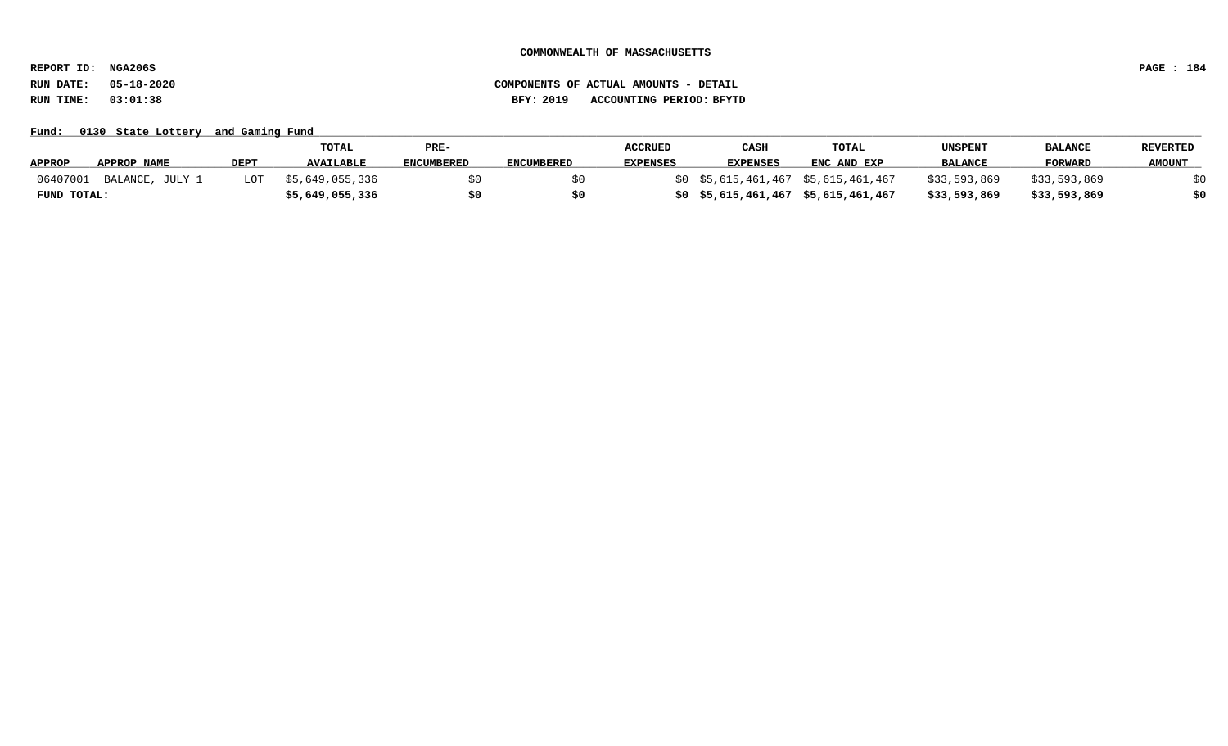**REPORT ID: NGA206S PAGE : 184**

**RUN DATE: 05-18-2020 COMPONENTS OF ACTUAL AMOUNTS - DETAIL RUN TIME: 03:01:38 BFY: 2019 ACCOUNTING PERIOD: BFYTD**

Fund: 0130 State Lottery and Gaming Fund

|                             |             | TOTAL            | PRE-              |                   | <b>ACCRUED</b>  | CASH            | <b>TOTAL</b>                           | UNSPENT        | <b>BALANCE</b> | <b>REVERTED</b> |
|-----------------------------|-------------|------------------|-------------------|-------------------|-----------------|-----------------|----------------------------------------|----------------|----------------|-----------------|
| APPROP<br>APPROP NAME       | <b>DEPT</b> | <b>AVAILABLE</b> | <b>ENCUMBERED</b> | <b>ENCUMBERED</b> | <b>EXPENSES</b> | <b>EXPENSES</b> | ENC AND EXP                            | <b>BALANCE</b> | <b>FORWARD</b> | <b>AMOUNT</b>   |
| 06407001<br>BALANCE, JULY 1 | LOT         | \$5,649,055,336  |                   |                   |                 |                 | $$0$ $$5,615,461,467$ $$5,615,461,467$ | \$33,593,869   | \$33,593,869   |                 |
| FUND TOTAL:                 |             | \$5,649,055,336  |                   |                   |                 |                 | \$5,615,461,467 \$5,615,461,467        | \$33,593,869   | \$33,593,869   | \$0             |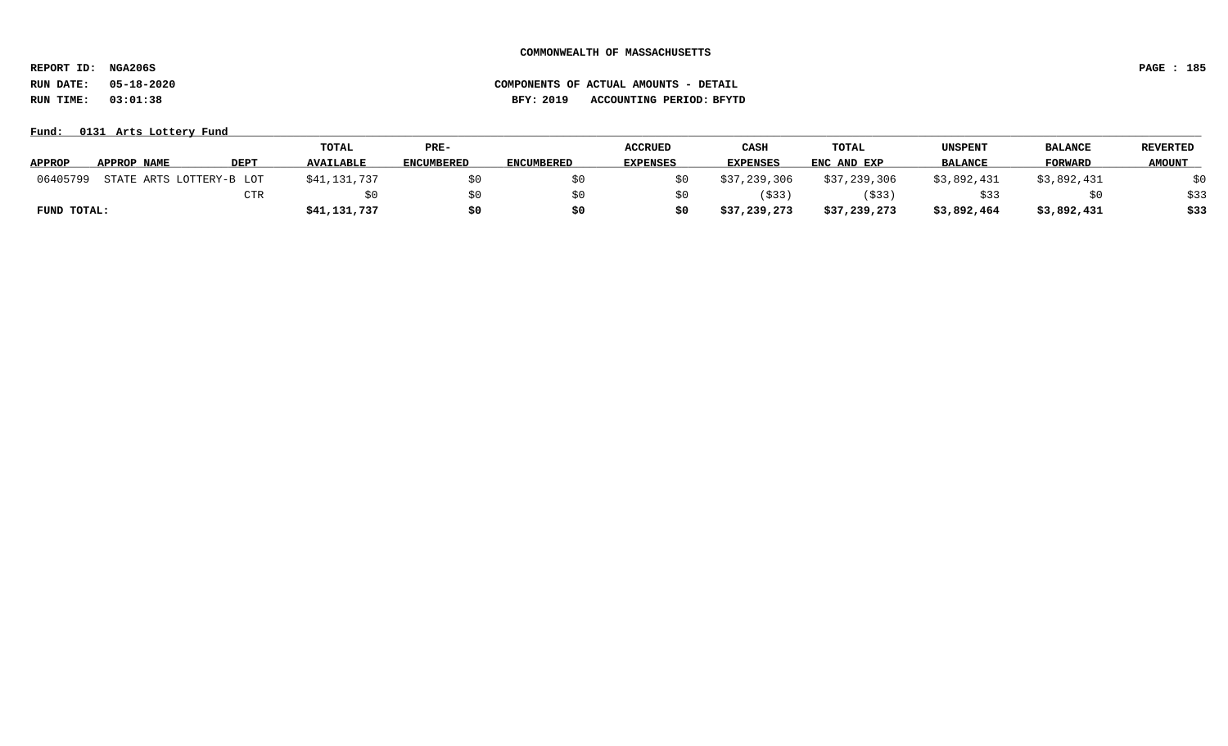**REPORT ID: NGA206S PAGE : 185**

# **RUN DATE: 05-18-2020 COMPONENTS OF ACTUAL AMOUNTS - DETAIL RUN TIME: 03:01:38 BFY: 2019 ACCOUNTING PERIOD: BFYTD**

**Fund: \_\_\_\_\_\_\_\_\_\_\_\_\_\_\_\_\_\_\_\_\_\_\_\_\_\_\_\_\_\_\_\_\_\_\_\_\_\_\_\_\_\_\_\_\_\_\_\_\_\_\_\_\_\_\_\_\_\_\_\_\_\_\_\_\_\_\_\_\_\_\_\_\_\_\_\_\_\_\_\_\_\_\_\_\_\_\_\_\_\_\_\_\_\_\_\_\_\_\_\_\_\_\_\_\_\_\_\_\_\_\_\_\_\_\_\_\_\_\_\_\_\_\_\_\_\_\_\_\_\_\_\_\_\_\_\_\_\_\_\_\_\_\_\_\_\_\_\_\_\_\_\_\_\_\_\_\_\_\_\_\_\_\_\_\_\_\_\_\_\_\_\_\_\_\_\_\_\_ 0131 Arts Lottery Fund**

|               |                          |      | <b>TOTAL</b>     | PRE-              |            | <b>ACCRUED</b>  | CASH            | TOTAL        | UNSPENT        | <b>BALANCE</b> | <b>REVERTED</b> |
|---------------|--------------------------|------|------------------|-------------------|------------|-----------------|-----------------|--------------|----------------|----------------|-----------------|
| <b>APPROP</b> | APPROP NAME              | DEPT | <b>AVAILABLE</b> | <b>ENCUMBERED</b> | ENCUMBERED | <b>EXPENSES</b> | <b>EXPENSES</b> | ENC AND EXP  | <b>BALANCE</b> | <b>FORWARD</b> | <b>AMOUNT</b>   |
| 06405799      | STATE ARTS LOTTERY-B LOT |      | \$41,131,737     | \$0               |            |                 | \$37,239,306    | \$37,239,306 | \$3,892,431    | \$3,892,431    | \$0             |
|               |                          | CTR  |                  | SO.               |            |                 | (\$33)          | (\$33)       | \$33           |                | \$33            |
| FUND TOTAL:   |                          |      | \$41,131,737     | \$0               |            |                 | \$37,239,273    | \$37,239,273 | \$3,892,464    | \$3,892,431    | \$33            |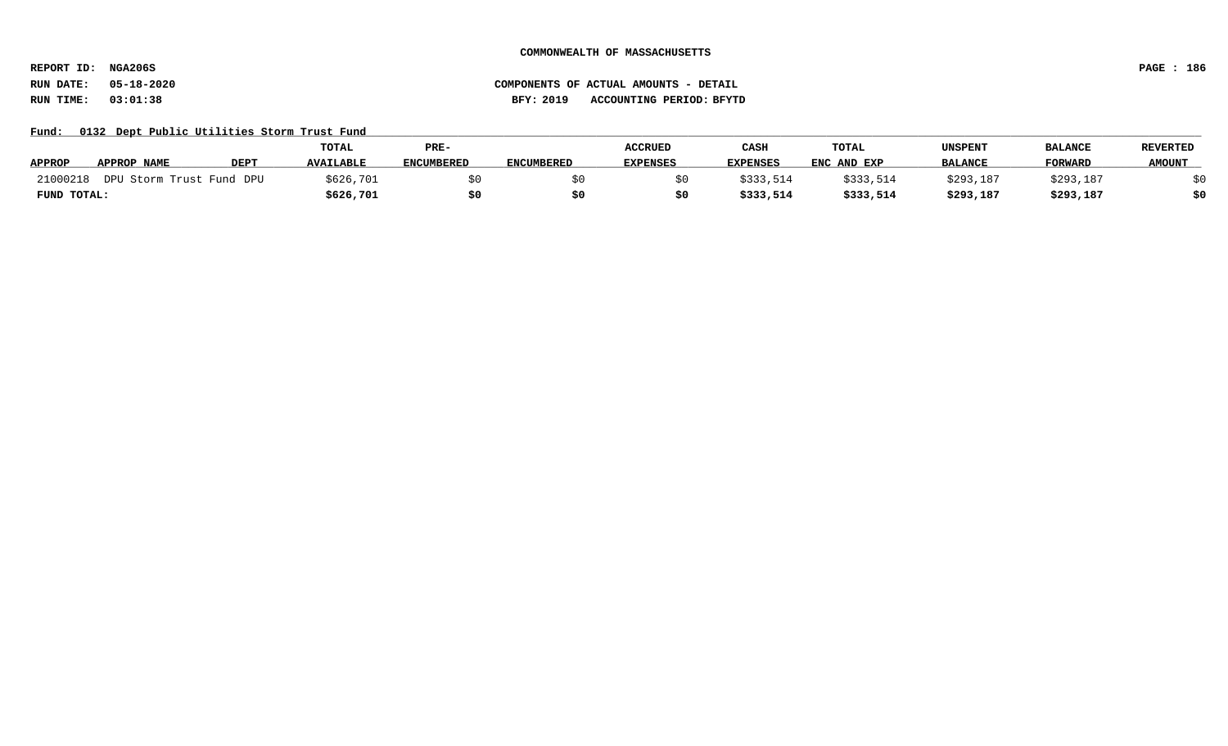**REPORT ID: NGA206S PAGE : 186**

# **RUN DATE: 05-18-2020 COMPONENTS OF ACTUAL AMOUNTS - DETAIL RUN TIME: 03:01:38 BFY: 2019 ACCOUNTING PERIOD: BFYTD**

Fund: 0132 Dept Public Utilities Storm Trust Fund

|               |                          |             | <b>TOTAL</b>     | PRE-              |                   | <b>ACCRUED</b>  | CASH            | TOTAL       | <b>UNSPENT</b> | <b>BALANCE</b> | <b>REVERTED</b> |
|---------------|--------------------------|-------------|------------------|-------------------|-------------------|-----------------|-----------------|-------------|----------------|----------------|-----------------|
| <b>APPROP</b> | <b>APPROP NAME</b>       | <b>DEPT</b> | <b>AVAILABLE</b> | <b>ENCUMBERED</b> | <b>ENCUMBERED</b> | <b>EXPENSES</b> | <b>EXPENSES</b> | ENC AND EXP | <b>BALANCE</b> | <b>FORWARD</b> | <b>AMOUNT</b>   |
| 21000218      | DPU Storm Trust Fund DPU |             | \$626,701        |                   |                   |                 | \$333,514       | \$333,514   | \$293,187      | \$293,187      |                 |
| FUND TOTAL:   |                          |             | \$626,701        |                   |                   |                 | \$333,514       | \$333,514   | \$293,187      | \$293,187      |                 |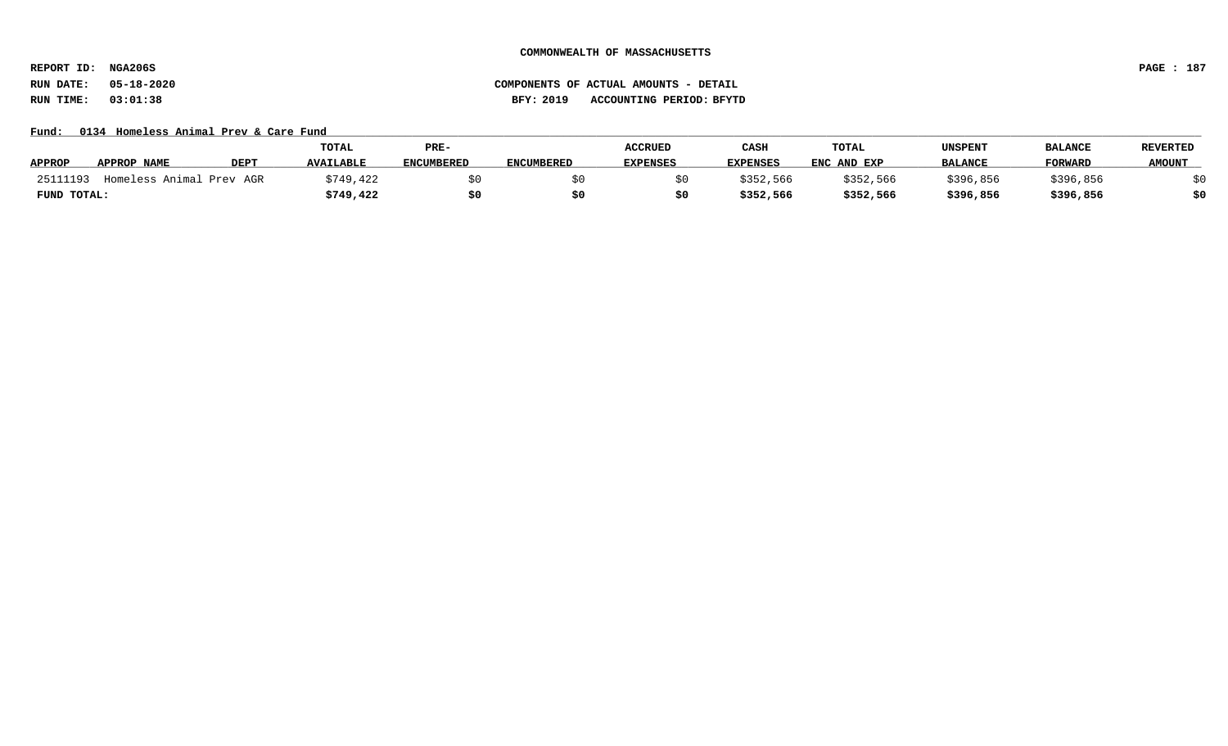**REPORT ID: NGA206S PAGE : 187**

**RUN DATE: 05-18-2020 COMPONENTS OF ACTUAL AMOUNTS - DETAIL RUN TIME: 03:01:38 BFY: 2019 ACCOUNTING PERIOD: BFYTD**

### Fund: 0134 Homeless Animal Prev & Care Fund

|               |                          |             | <b>TOTAL</b>     | PRE-              |                   | <b>ACCRUED</b>  | CASH            | TOTAL       | UNSPENT        | <b>BALANCE</b> | <b>REVERTED</b> |
|---------------|--------------------------|-------------|------------------|-------------------|-------------------|-----------------|-----------------|-------------|----------------|----------------|-----------------|
| <b>APPROP</b> | APPROP NAME              | <b>DEPT</b> | <b>AVAILABLE</b> | <b>ENCUMBERED</b> | <b>ENCUMBERED</b> | <b>EXPENSES</b> | <b>EXPENSES</b> | ENC AND EXP | <b>BALANCE</b> | <b>FORWARD</b> | <b>AMOUNT</b>   |
| 25111193      | Homeless Animal Prev AGR |             | \$749,422        |                   |                   |                 | \$352,566       | \$352,566   | \$396,856      | \$396,856      |                 |
| FUND TOTAL:   |                          |             | \$749,422        | \$0               |                   |                 | \$352,566       | \$352,566   | \$396,856      | \$396,856      | \$0             |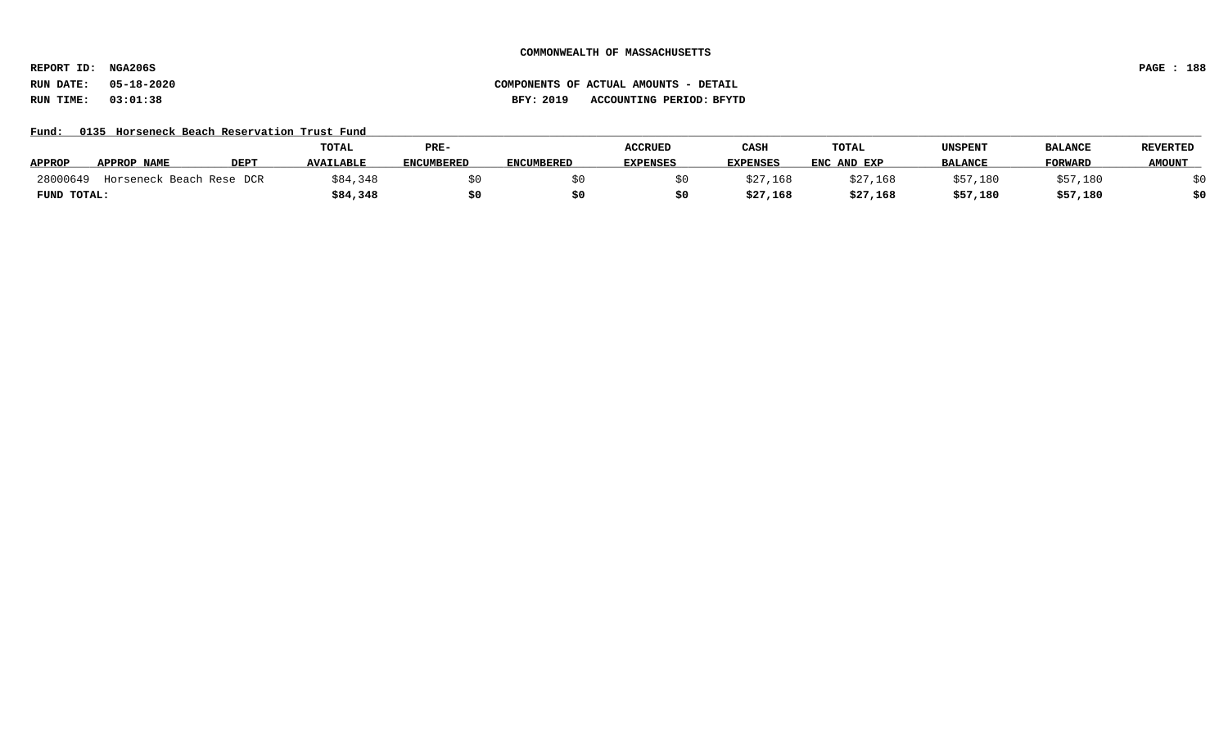**REPORT ID: NGA206S PAGE : 188**

# **RUN DATE: 05-18-2020 COMPONENTS OF ACTUAL AMOUNTS - DETAIL RUN TIME: 03:01:38 BFY: 2019 ACCOUNTING PERIOD: BFYTD**

# Fund: 0135 Horseneck Beach Reservation Trust Fund

|               |                          |      | <b>TOTAL</b>     | PRE-              |                   | <b>ACCRUED</b>  | CASH            | TOTAL       | UNSPENT        | <b>BALANCE</b> | <b>REVERTED</b> |
|---------------|--------------------------|------|------------------|-------------------|-------------------|-----------------|-----------------|-------------|----------------|----------------|-----------------|
| <b>APPROP</b> | APPROP NAME              | DEPT | <b>AVAILABLE</b> | <b>ENCUMBERED</b> | <b>ENCUMBERED</b> | <b>EXPENSES</b> | <b>EXPENSES</b> | ENC AND EXP | <b>BALANCE</b> | <b>FORWARL</b> | <b>AMOUNT</b>   |
| 28000649      | Horseneck Beach Rese DCR |      | 384,348          |                   |                   |                 | \$27,168        | \$27,168    | \$57,180       | \$57,180       |                 |
| FUND TOTAL:   |                          |      | \$84,348         |                   |                   |                 | \$27,168        | \$27,168    | \$57,180       | \$57,180       | \$0             |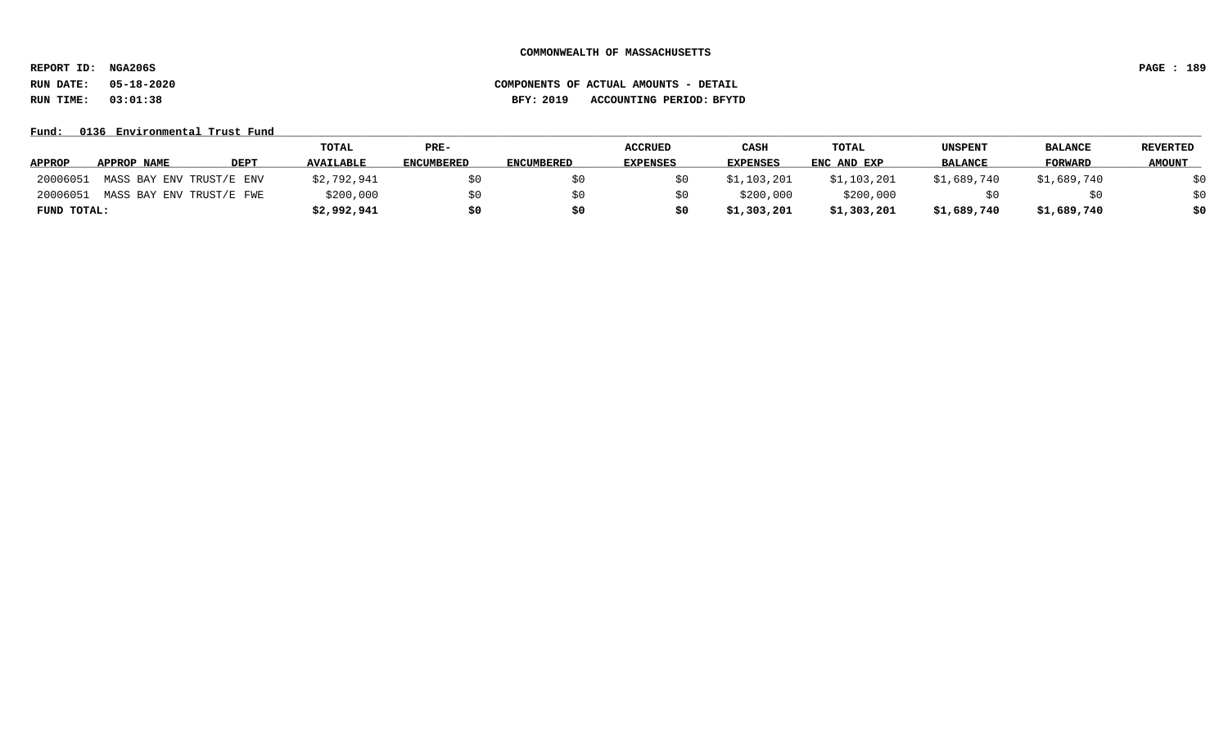**REPORT ID: NGA206S PAGE : 189**

### **RUN DATE: 05-18-2020 COMPONENTS OF ACTUAL AMOUNTS - DETAIL RUN TIME: 03:01:38 BFY: 2019 ACCOUNTING PERIOD: BFYTD**

Fund: 0136 Environmental Trust Fund

|               |                          |             | TOTAL            | PRE-              |                   | <b>ACCRUED</b>  | CASH            | <b>TOTAL</b> | UNSPENT        | <b>BALANCE</b> | <b>REVERTED</b> |
|---------------|--------------------------|-------------|------------------|-------------------|-------------------|-----------------|-----------------|--------------|----------------|----------------|-----------------|
| <b>APPROP</b> | APPROP NAME              | <b>DEPT</b> | <b>AVAILABLE</b> | <b>ENCUMBERED</b> | <b>ENCUMBERED</b> | <b>EXPENSES</b> | <b>EXPENSES</b> | ENC AND EXP  | <b>BALANCE</b> | <b>FORWARD</b> | <b>AMOUNT</b>   |
| 20006051      | MASS BAY ENV TRUST/E ENV |             | \$2,792,941      | S0                |                   |                 | \$1,103,201     | \$1,103,201  | \$1,689,740    | \$1,689,740    | \$0             |
| 20006051      | MASS BAY ENV TRUST/E FWE |             | \$200,000        | S0                |                   |                 | \$200,000       | \$200,000    |                | S0             | \$0             |
| FUND TOTAL:   |                          |             | \$2,992,941      | \$0               | \$0               |                 | \$1,303,201     | \$1,303,201  | \$1,689,740    | \$1,689,740    | \$0             |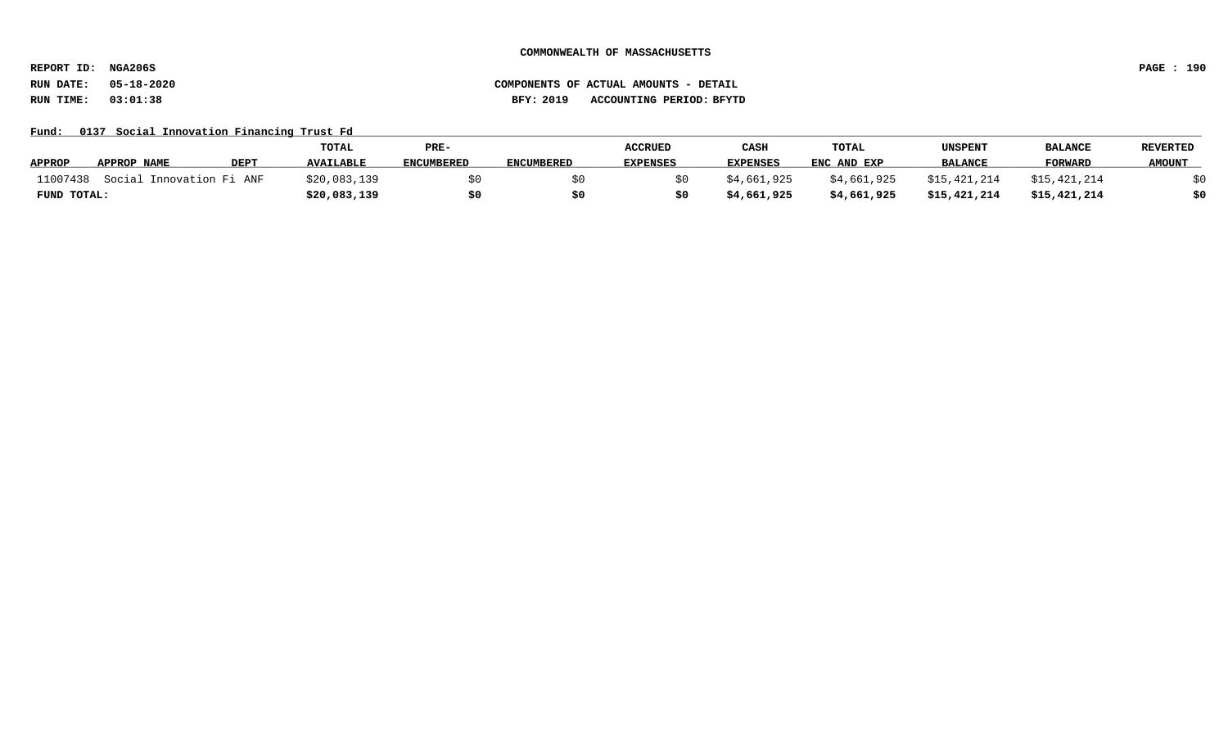**REPORT ID: NGA206S PAGE : 190**

### **RUN DATE: 05-18-2020 COMPONENTS OF ACTUAL AMOUNTS - DETAIL RUN TIME: 03:01:38 BFY: 2019 ACCOUNTING PERIOD: BFYTD**

Fund: 0137 Social Innovation Financing Trust Fd

|               |                          |             | TOTAL            | PRE-              |                   | <b>ACCRUED</b>  | CASH        | <b>TOTAL</b> | UNSPENT        | <b>BALANCE</b> | <b>REVERTED</b> |
|---------------|--------------------------|-------------|------------------|-------------------|-------------------|-----------------|-------------|--------------|----------------|----------------|-----------------|
| <b>APPROP</b> | APPROP NAME              | <b>DEPT</b> | <b>AVAILABLE</b> | <b>ENCUMBERED</b> | <b>ENCUMBERED</b> | <b>EXPENSES</b> | EXPENSES    | ENC AND EXP  | <b>BALANCE</b> | <b>FORWARD</b> | <b>AMOUNT</b>   |
| 11007438      | Social Innovation Fi ANF |             | \$20,083,139     |                   |                   |                 | \$4,661,925 | \$4,661,925  | \$15,421,214   | \$15,421,214   |                 |
| FUND TOTAL:   |                          |             | \$20,083,139     |                   |                   |                 | \$4,661,925 | \$4,661,925  | \$15,421,214   | \$15,421,214   | \$0             |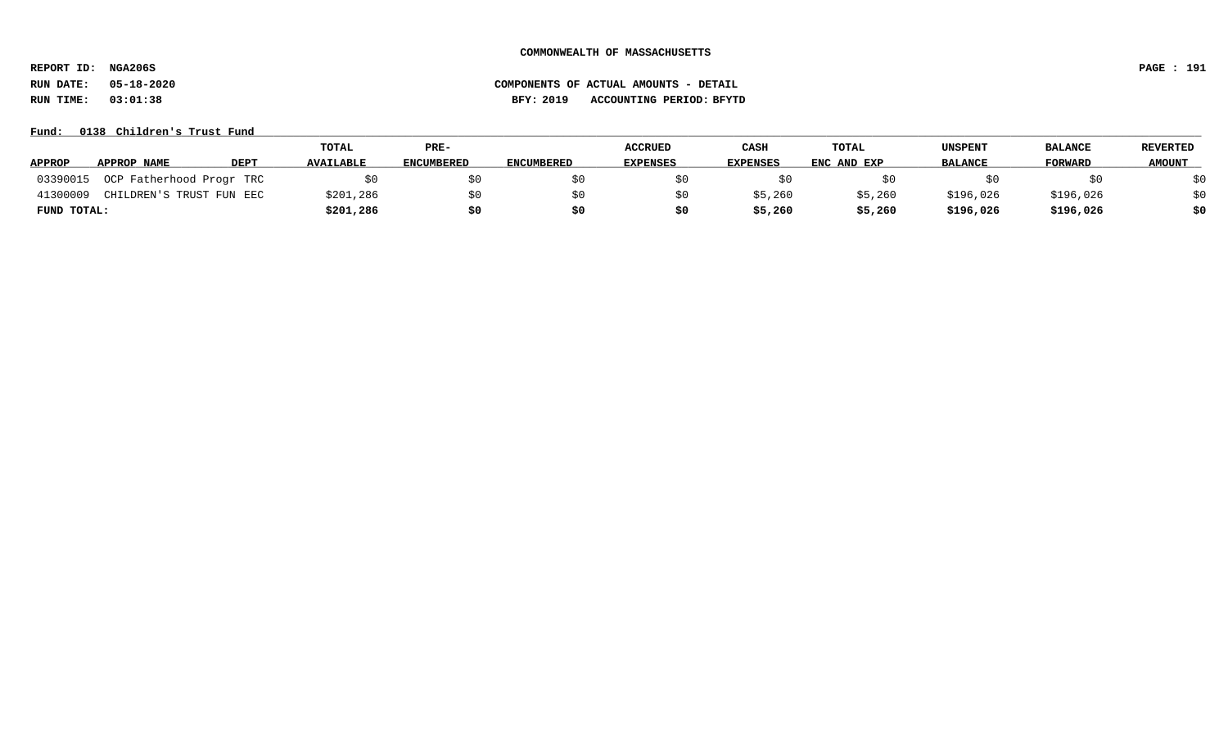**REPORT ID: NGA206S PAGE : 191**

# **RUN DATE: 05-18-2020 COMPONENTS OF ACTUAL AMOUNTS - DETAIL RUN TIME: 03:01:38 BFY: 2019 ACCOUNTING PERIOD: BFYTD**

Fund: 0138 Children's Trust Fund

|               |                          |             | TOTAL            | PRE-              |                   | <b>ACCRUED</b>  | CASH            | TOTAL       | <b>UNSPENT</b> | <b>BALANCE</b> | REVERTED      |
|---------------|--------------------------|-------------|------------------|-------------------|-------------------|-----------------|-----------------|-------------|----------------|----------------|---------------|
| <b>APPROP</b> | APPROP NAME              | <b>DEPT</b> | <b>AVAILABLE</b> | <b>ENCUMBERED</b> | <b>ENCUMBERED</b> | <b>EXPENSES</b> | <b>EXPENSES</b> | ENC AND EXP | <b>BALANCE</b> | FORWARD        | <b>AMOUNT</b> |
| 03390015      | OCP Fatherhood Progr TRC |             |                  |                   |                   |                 |                 |             |                |                | ₹∩            |
| 4130000       | CHILDREN'S TRUST FUN EEC |             | \$201,286        |                   |                   |                 | \$5,260         | \$5,260     | \$196,026      | \$196,026      | \$0           |
| FUND TOTAL:   |                          |             | \$201,286        | \$0               |                   | S0              | \$5,260         | \$5,260     | \$196,026      | \$196,026      | \$0           |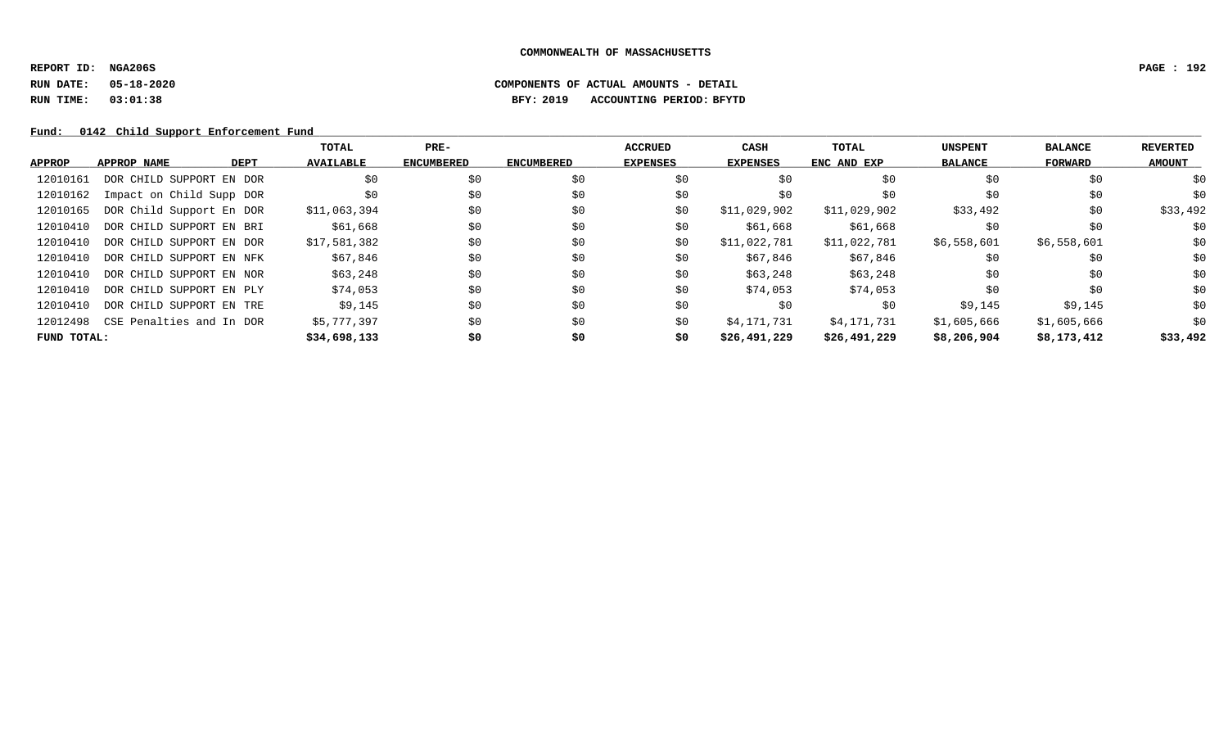**REPORT ID: NGA206S PAGE : 192**

# **RUN DATE: 05-18-2020 COMPONENTS OF ACTUAL AMOUNTS - DETAIL RUN TIME: 03:01:38 BFY: 2019 ACCOUNTING PERIOD: BFYTD**

Fund: 0142 Child Support Enforcement Fund

|             |                          |      | TOTAL            | $PRE-$            |                   | <b>ACCRUED</b>  | CASH            | TOTAL        | <b>UNSPENT</b> | <b>BALANCE</b> | <b>REVERTED</b> |
|-------------|--------------------------|------|------------------|-------------------|-------------------|-----------------|-----------------|--------------|----------------|----------------|-----------------|
| APPROP      | APPROP NAME              | DEPT | <b>AVAILABLE</b> | <b>ENCUMBERED</b> | <b>ENCUMBERED</b> | <b>EXPENSES</b> | <b>EXPENSES</b> | ENC AND EXP  | <b>BALANCE</b> | FORWARD        | <b>AMOUNT</b>   |
| 12010161    | DOR CHILD SUPPORT EN DOR |      | \$0              | \$0               | \$0               | \$0             | \$0             | \$0          | \$0            | \$0            | \$0             |
| 12010162    | Impact on Child Supp DOR |      | \$0              | \$0               | \$0               | \$0             | \$0             | \$0          | \$0            | \$0            | \$0             |
| 12010165    | DOR Child Support En DOR |      | \$11,063,394     | \$0               | \$0               | \$0             | \$11,029,902    | \$11,029,902 | \$33,492       | \$0            | \$33,492        |
| 12010410    | DOR CHILD SUPPORT EN BRI |      | \$61,668         | \$0               | \$0               | \$0             | \$61,668        | \$61,668     | \$0            | \$0            | \$0             |
| 12010410    | DOR CHILD SUPPORT EN DOR |      | \$17,581,382     | \$0               | \$0               | \$0             | \$11,022,781    | \$11,022,781 | \$6,558,601    | \$6,558,601    | \$0             |
| 12010410    | DOR CHILD SUPPORT EN NFK |      | \$67,846         | \$0               | \$0               | \$0             | \$67,846        | \$67,846     | \$0            | \$0            | \$0             |
| 12010410    | DOR CHILD SUPPORT EN NOR |      | \$63,248         | \$0               | \$0               | \$0             | \$63,248        | \$63,248     | \$0            | \$0            | \$0             |
| 12010410    | DOR CHILD SUPPORT EN PLY |      | \$74,053         | \$0               | \$0               | \$0             | \$74,053        | \$74,053     | \$0            | \$0            | \$0             |
| 12010410    | DOR CHILD SUPPORT EN TRE |      | \$9,145          | \$0               | \$0               | \$0             | \$0             | \$0          | \$9,145        | \$9,145        | \$0             |
| 12012498    | CSE Penalties and In DOR |      | \$5,777,397      | \$0               | \$0               | \$0             | \$4,171,731     | \$4,171,731  | \$1,605,666    | \$1,605,666    | \$0             |
| FUND TOTAL: |                          |      | \$34,698,133     | \$0               | \$0               | \$0             | \$26,491,229    | \$26,491,229 | \$8,206,904    | \$8,173,412    | \$33,492        |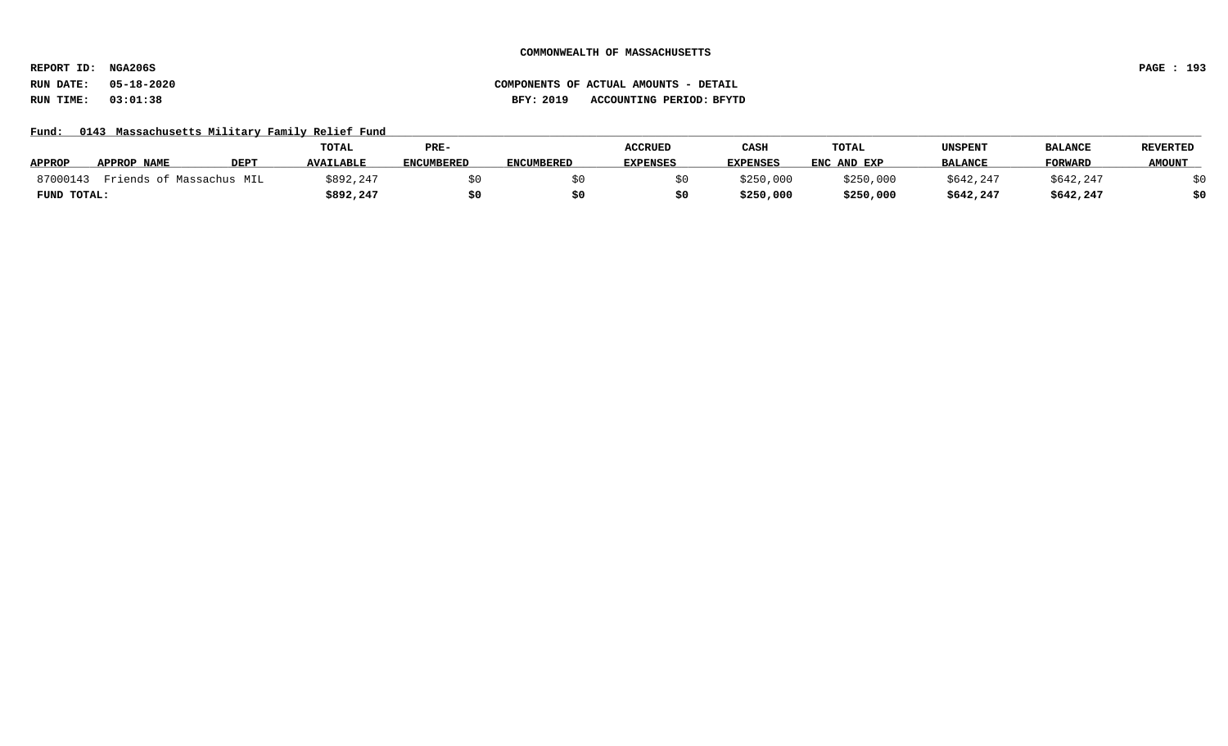**REPORT ID: NGA206S PAGE : 193**

### **RUN DATE: 05-18-2020 COMPONENTS OF ACTUAL AMOUNTS - DETAIL RUN TIME: 03:01:38 BFY: 2019 ACCOUNTING PERIOD: BFYTD**

### Fund: 0143 Massachusetts Military Family Relief Fund

|               |                          |                  | TOTAL            | PRE-              |                   | <b>ACCRUED</b>  | CASH            | TOTAL       | UNSPENT        | <b>BALANCE</b> | <b>REVERTED</b> |
|---------------|--------------------------|------------------|------------------|-------------------|-------------------|-----------------|-----------------|-------------|----------------|----------------|-----------------|
| <b>APPROP</b> | APPROP NAME              | DEP <sub>1</sub> | <b>AVAILABLE</b> | <b>ENCUMBERED</b> | <b>ENCUMBERED</b> | <b>EXPENSES</b> | <b>EXPENSES</b> | ENC AND EXP | <b>BALANCE</b> | <b>FORWARD</b> | <b>AMOUNT</b>   |
| 87000143      | Friends of Massachus MIL |                  | \$892,247        |                   |                   |                 | \$250,000       | \$250,000   | \$642,247      | \$642,247      |                 |
| FUND TOTAL:   |                          |                  | \$892,247        |                   |                   |                 | \$250,000       | \$250,000   | \$642,247      | \$642,247      | \$0             |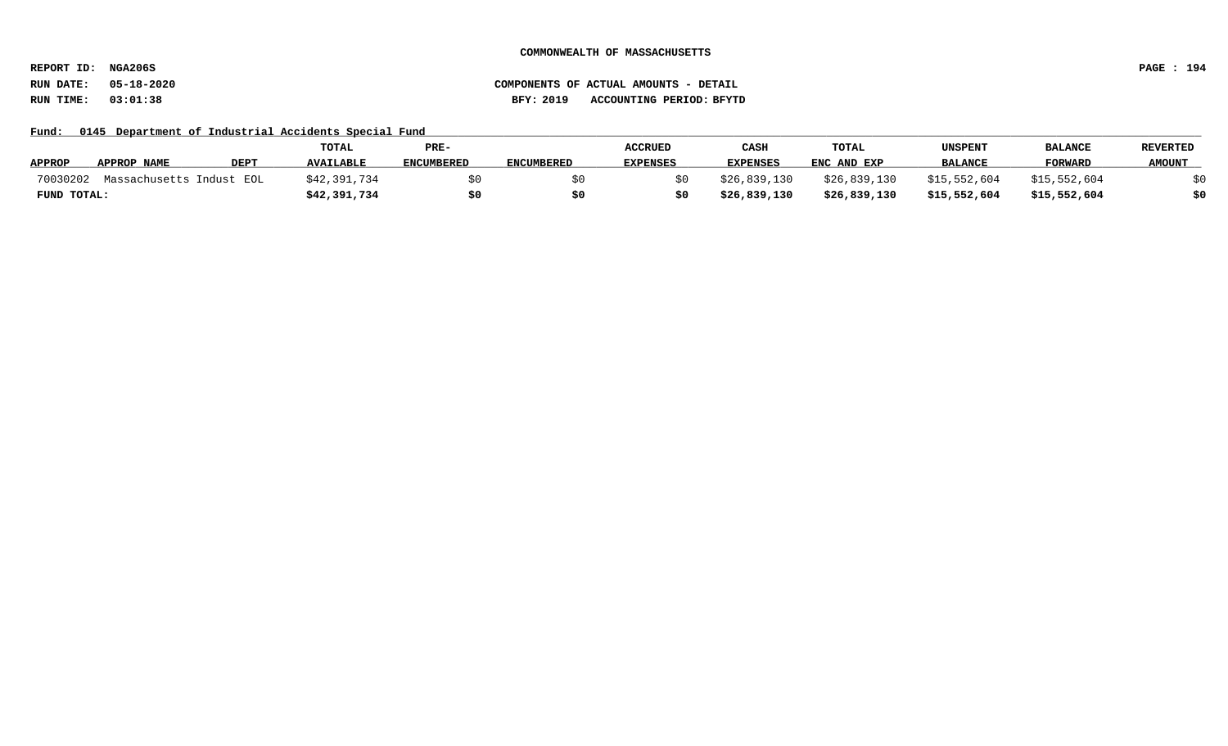**REPORT ID: NGA206S PAGE : 194**

# **RUN DATE: 05-18-2020 COMPONENTS OF ACTUAL AMOUNTS - DETAIL RUN TIME: 03:01:38 BFY: 2019 ACCOUNTING PERIOD: BFYTD**

Fund: 0145 Department of Industrial Accidents Special Fund

|               |                          |             | <b>TOTAL</b>     | PRE-       |                   | <b>ACCRUED</b>  | CASH            | <b>TOTAL</b> | UNSPENT        | <b>BALANCE</b> | <b>REVERTED</b> |
|---------------|--------------------------|-------------|------------------|------------|-------------------|-----------------|-----------------|--------------|----------------|----------------|-----------------|
| <b>APPROP</b> | APPROP NAME              | <b>DEPT</b> | <b>AVAILABLE</b> | ENCUMBERED | <b>ENCUMBERED</b> | <b>EXPENSES</b> | <b>EXPENSES</b> | ENC AND EXP  | <b>BALANCE</b> | <b>FORWARD</b> | <b>AMOUNT</b>   |
| 70030202      | Massachusetts Indust EOL |             | \$42,391,734     |            |                   |                 | \$26,839,130    | \$26,839,130 | \$15,552,604   | \$15,552,604   |                 |
| FUND TOTAL:   |                          |             | \$42,391,734     |            |                   |                 | \$26,839,130    | \$26,839,130 | \$15,552,604   | \$15,552,604   | \$0             |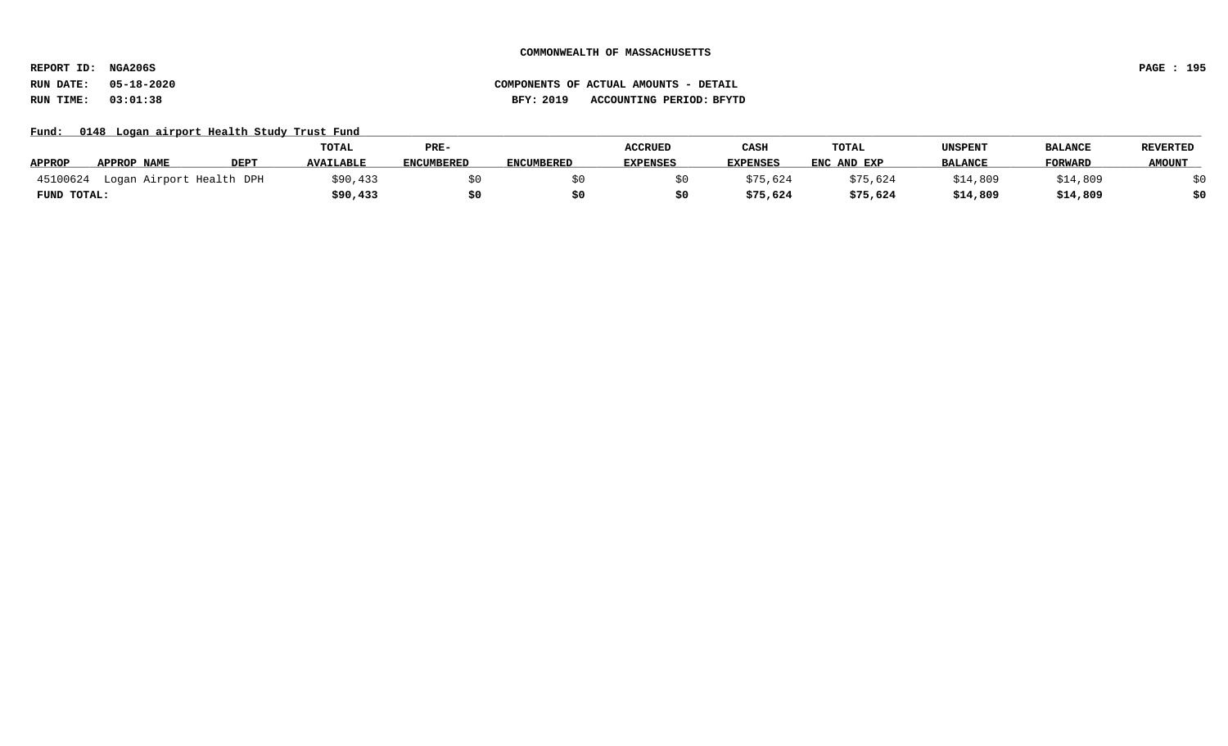**REPORT ID: NGA206S PAGE : 195**

# **RUN DATE: 05-18-2020 COMPONENTS OF ACTUAL AMOUNTS - DETAIL RUN TIME: 03:01:38 BFY: 2019 ACCOUNTING PERIOD: BFYTD**

### Fund: 0148 Logan airport Health Study Trust Fund

|               |                          |             | <b>TOTAL</b>     | PRE-              |                   | <b>ACCRUED</b>  | CASH            | TOTAL       | UNSPENT        | <b>BALANCE</b> | <b>REVERTED</b> |
|---------------|--------------------------|-------------|------------------|-------------------|-------------------|-----------------|-----------------|-------------|----------------|----------------|-----------------|
| <b>APPROP</b> | APPROP NAME              | <b>DEPT</b> | <b>AVAILABLE</b> | <b>ENCUMBERED</b> | <b>ENCUMBERED</b> | <b>EXPENSES</b> | <b>EXPENSES</b> | ENC AND EXP | <b>BALANCE</b> | <b>FORWARI</b> | <b>AMOUNT</b>   |
| 45100624      | Logan Airport Health DPH |             | \$90,433         |                   |                   |                 | \$75,624        | \$75,624    | \$14,809       | .4,809         |                 |
| FUND TOTAL:   |                          |             | \$90,433         |                   |                   |                 | \$75,624        | \$75,624    | \$14,809       | \$14,809       | \$0             |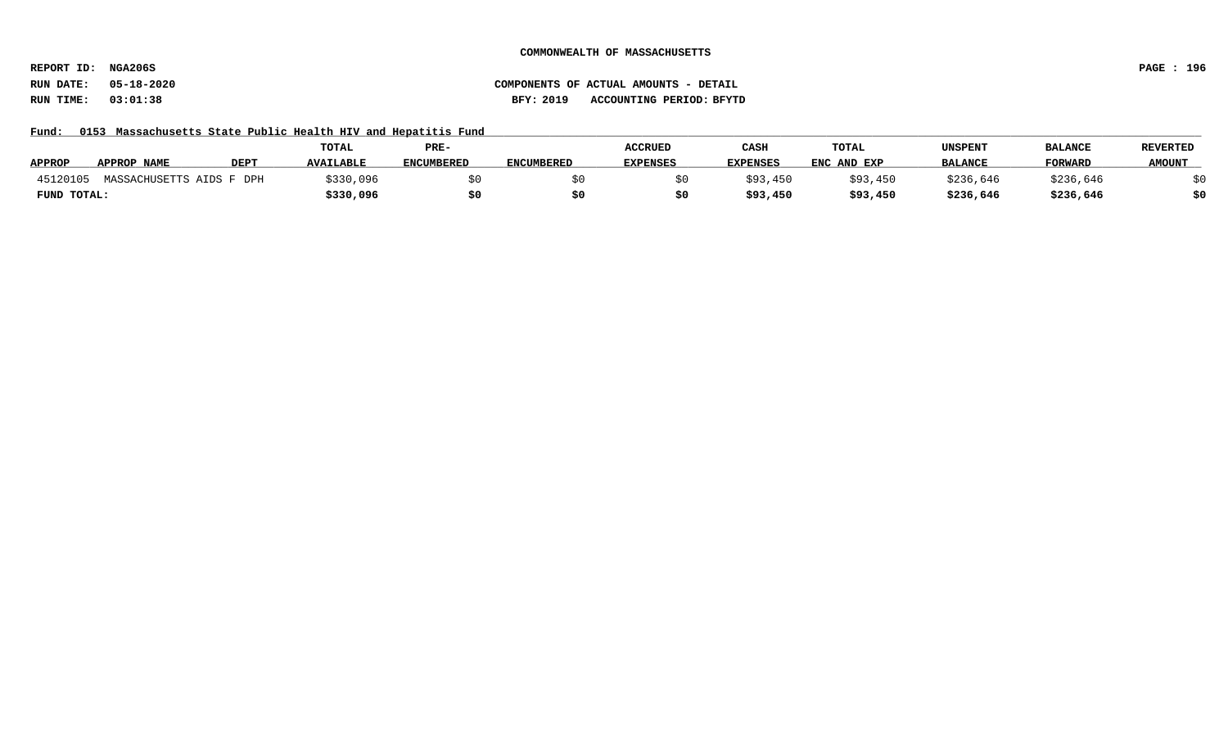**REPORT ID: NGA206S PAGE : 196**

# **RUN DATE: 05-18-2020 COMPONENTS OF ACTUAL AMOUNTS - DETAIL RUN TIME: 03:01:38 BFY: 2019 ACCOUNTING PERIOD: BFYTD**

Fund: 0153 Massachusetts State Public Health HIV and Hepatitis Fund

|               |                          |             | <b>TOTAL</b>     | PRE-              |                   | <b>ACCRUED</b>  | CASH            | TOTAL       | UNSPENT        | <b>BALANCE</b> | <b>REVERTED</b> |
|---------------|--------------------------|-------------|------------------|-------------------|-------------------|-----------------|-----------------|-------------|----------------|----------------|-----------------|
| <b>APPROP</b> | <b>APPROP NAME</b>       | <b>DEPT</b> | <b>AVAILABLE</b> | <b>ENCUMBERED</b> | <b>ENCUMBERED</b> | <b>EXPENSES</b> | <b>EXPENSES</b> | ENC AND EXP | <b>BALANCE</b> | <b>FORWARD</b> | <b>AMOUNT</b>   |
| 45120105      | MASSACHUSETTS AIDS F DPH |             | \$330,096        |                   |                   |                 | \$93,450        | \$93,450    | \$236,646      | \$236,646      |                 |
| FUND TOTAL:   |                          |             | \$330,096        |                   |                   |                 | \$93,450        | \$93,450    | \$236,646      | \$236,646      |                 |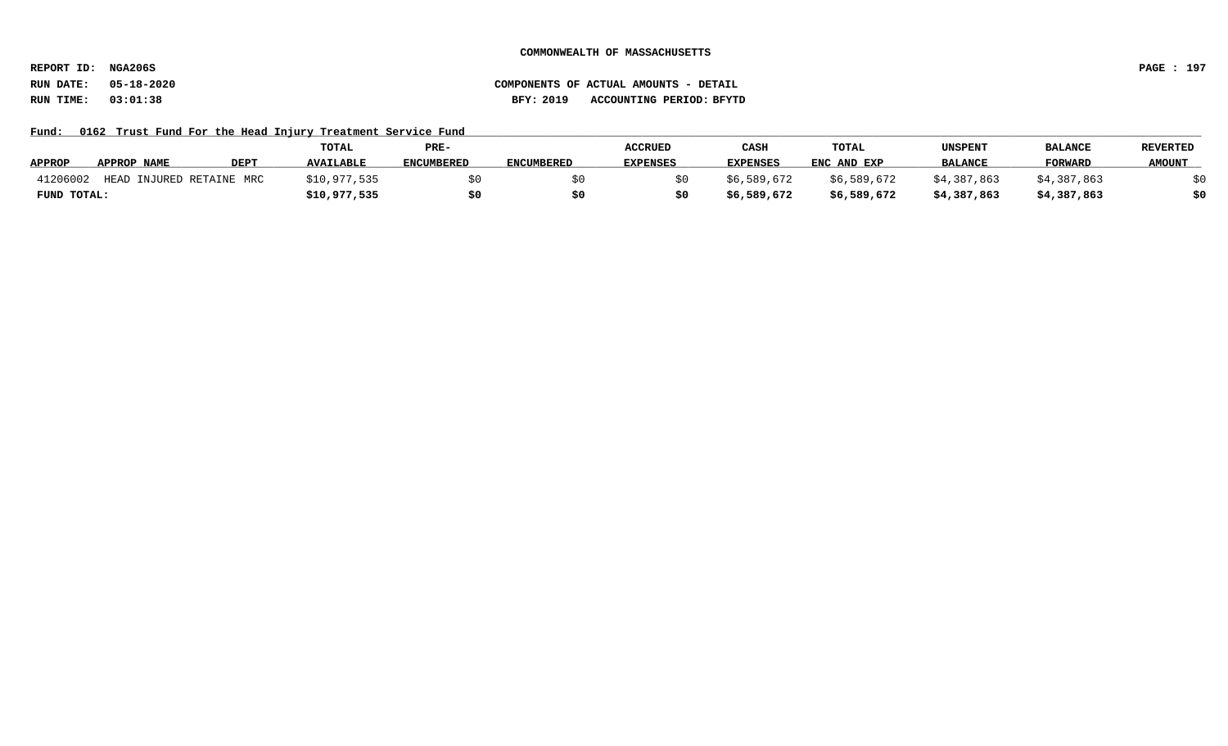**REPORT ID: NGA206S PAGE : 197**

# **RUN DATE: 05-18-2020 COMPONENTS OF ACTUAL AMOUNTS - DETAIL RUN TIME: 03:01:38 BFY: 2019 ACCOUNTING PERIOD: BFYTD**

Fund: 0162 Trust Fund For the Head Injury Treatment Service Fund

|               |                               |             | TOTAL            | PRE-              |                   | <b>ACCRUED</b>  | CASH            | <b>TOTAL</b> | UNSPENT        | <b>BALANCE</b> | <b>REVERTED</b> |
|---------------|-------------------------------|-------------|------------------|-------------------|-------------------|-----------------|-----------------|--------------|----------------|----------------|-----------------|
| <b>APPROP</b> | APPROP NAME                   | <b>DEPT</b> | <b>AVAILABLE</b> | <b>ENCUMBERED</b> | <b>ENCUMBERED</b> | <b>EXPENSES</b> | <b>EXPENSES</b> | ENC AND EXP  | <b>BALANCE</b> | <b>FORWARD</b> | <b>AMOUNT</b>   |
| 41206002      | HEAD<br>) INJURED RETAINE MRC |             | \$10,977,535     |                   |                   |                 | \$6,589,672     | \$6,589,672  | \$4,387,863    | \$4,387,863    |                 |
| FUND TOTAL:   |                               |             | \$10,977,535     |                   |                   |                 | \$6,589,672     | \$6,589,672  | \$4,387,863    | \$4,387,863    |                 |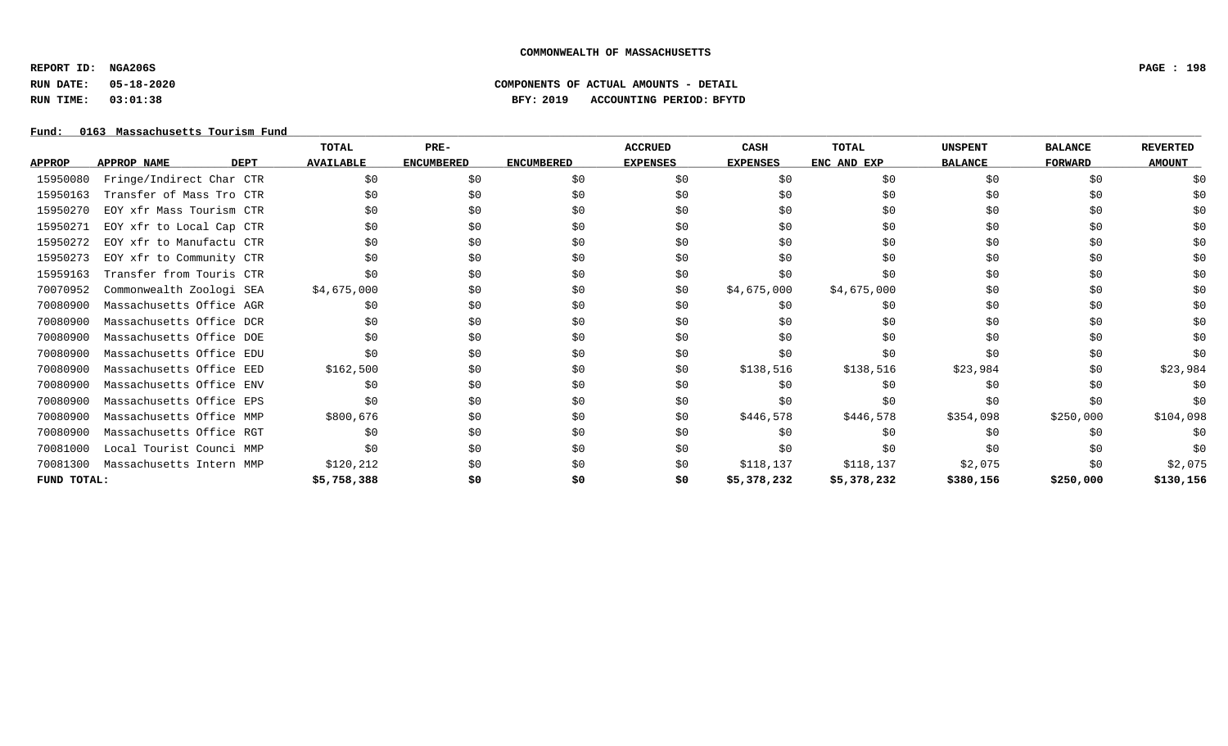**REPORT ID: NGA206S PAGE : 198**

# **RUN DATE: 05-18-2020 COMPONENTS OF ACTUAL AMOUNTS - DETAIL RUN TIME: 03:01:38 BFY: 2019 ACCOUNTING PERIOD: BFYTD**

### Fund: 0163 Massachusetts Tourism Fund

|               |                                   | TOTAL            | PRE-              |                   | <b>ACCRUED</b>  | CASH            | TOTAL       | <b>UNSPENT</b> | <b>BALANCE</b> | <b>REVERTED</b> |
|---------------|-----------------------------------|------------------|-------------------|-------------------|-----------------|-----------------|-------------|----------------|----------------|-----------------|
| <b>APPROP</b> | <b>APPROP NAME</b><br><b>DEPT</b> | <b>AVAILABLE</b> | <b>ENCUMBERED</b> | <b>ENCUMBERED</b> | <b>EXPENSES</b> | <b>EXPENSES</b> | ENC AND EXP | <b>BALANCE</b> | <b>FORWARD</b> | <b>AMOUNT</b>   |
| 15950080      | Fringe/Indirect Char CTR          | \$0              | \$0               | \$0               | \$0             | \$0             | \$0         | \$0            | \$0            | \$0             |
| 15950163      | Transfer of Mass Tro CTR          | \$0              | \$0               | \$0               | \$0             | \$0             | \$0         | \$0            | \$0            |                 |
| 15950270      | EOY xfr Mass Tourism CTR          | \$0              | \$0               | \$0               | \$0             | \$0             | \$0         | \$0            | \$0            | S0              |
| 15950271      | EOY xfr to Local Cap CTR          | \$0              | \$0               | \$0               | \$0             | \$0             | \$0         | \$0            | \$0            | \$0             |
| 15950272      | EOY xfr to Manufactu CTR          | \$0              | \$0               | \$0               | \$0             | \$0             | \$0         | \$0            | \$0            |                 |
| 15950273      | EOY xfr to Community CTR          | \$0              | \$0               | \$0               | \$0             | \$0             | \$0         | \$0            | \$0            | S0              |
| 15959163      | Transfer from Touris CTR          | \$0              | \$0               | \$0               | \$0             | \$0             | \$0         | \$0            | \$0            | \$0             |
| 70070952      | Commonwealth Zoologi SEA          | \$4,675,000      | \$0               | \$0               | \$0             | \$4,675,000     | \$4,675,000 | \$0            | \$0            | S0              |
| 70080900      | Massachusetts Office AGR          | SO.              | \$0               | \$0               | \$0             | \$0             | \$0         | \$0            | \$0            |                 |
| 70080900      | Massachusetts Office DCR          | \$0              | \$0               | \$0               | \$0             | \$0             | \$0         | \$0            | \$0            | \$0             |
| 70080900      | Massachusetts Office DOE          | \$0              | \$0               | \$0               | \$0             | SO.             | \$0         | \$0            | \$0            | S0              |
| 70080900      | Massachusetts Office EDU          | \$0              | \$0               | \$0               | \$0             | \$0             | \$0         | \$0            | \$0            | \$0             |
| 70080900      | Massachusetts Office EED          | \$162,500        | \$0               | \$0               | \$0             | \$138,516       | \$138,516   | \$23,984       | \$0            | \$23,984        |
| 70080900      | Massachusetts Office ENV          | SO.              | \$0               | \$0               | \$0             | SO.             | \$0         | \$0            | \$0            | \$0             |
| 70080900      | Massachusetts Office EPS          | \$0              | \$0               | \$0               | \$0             | \$0             | \$0         | \$0            | \$0            | \$0             |
| 70080900      | Massachusetts Office MMP          | \$800,676        | \$0               | \$0               | \$0             | \$446,578       | \$446,578   | \$354,098      | \$250,000      | \$104,098       |
| 70080900      | Massachusetts Office RGT          | SO.              | \$0               | \$0               | \$0             | SO.             | \$0         | \$0            | \$0            | \$0             |
| 70081000      | Local Tourist Counci MMP          | \$0              | \$0               | \$0               | \$0             | \$0             | \$0         | \$0            | \$0            | \$0             |
| 70081300      | Massachusetts Intern MMP          | \$120,212        | \$0               | \$0               | \$0             | \$118,137       | \$118,137   | \$2,075        | \$0            | \$2,075         |
| FUND TOTAL:   |                                   | \$5,758,388      | \$0               | \$0               | \$0             | \$5,378,232     | \$5,378,232 | \$380,156      | \$250,000      | \$130,156       |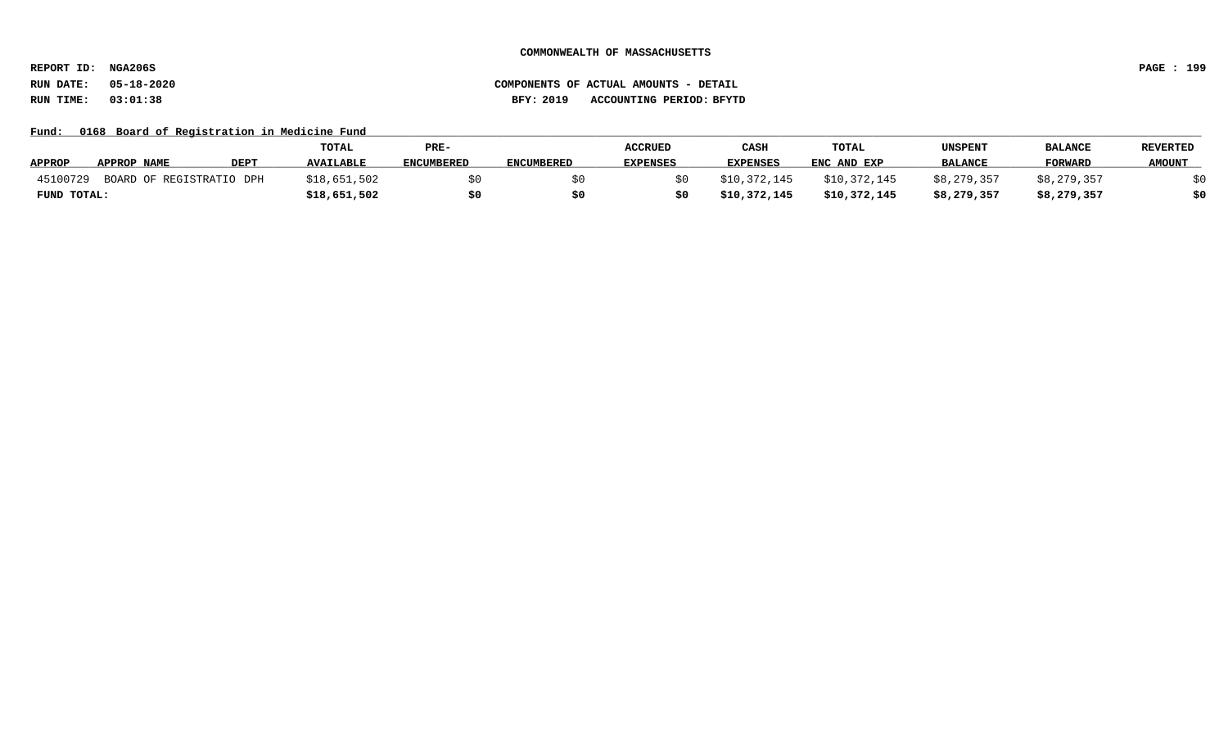**REPORT ID: NGA206S PAGE : 199**

### **RUN DATE: 05-18-2020 COMPONENTS OF ACTUAL AMOUNTS - DETAIL RUN TIME: 03:01:38 BFY: 2019 ACCOUNTING PERIOD: BFYTD**

Fund: 0168 Board of Registration in Medicine Fund

|               |                          |             | <b>TOTAL</b>     | PRE-       |                   | <b>ACCRUED</b>  | CASH            | <b>TOTAL</b> | UNSPENT        | <b>BALANCE</b> | <b>REVERTED</b> |
|---------------|--------------------------|-------------|------------------|------------|-------------------|-----------------|-----------------|--------------|----------------|----------------|-----------------|
| <b>APPROP</b> | APPROP NAME              | <b>DEPT</b> | <b>AVAILABLE</b> | ENCUMBERED | <b>ENCUMBERED</b> | <b>EXPENSES</b> | <b>EXPENSES</b> | ENC AND EXP  | <b>BALANCE</b> | <b>FORWARD</b> | <b>AMOUNT</b>   |
| 45100729      | BOARD OF REGISTRATIO DPH |             | \$18,651,502     |            |                   |                 | \$10,372,145    | \$10,372,145 | \$8,279,357    | \$8,279,357    |                 |
| FUND TOTAL:   |                          |             | \$18,651,502     |            |                   |                 | \$10,372,145    | \$10,372,145 | \$8,279,357    | \$8,279,357    | \$0             |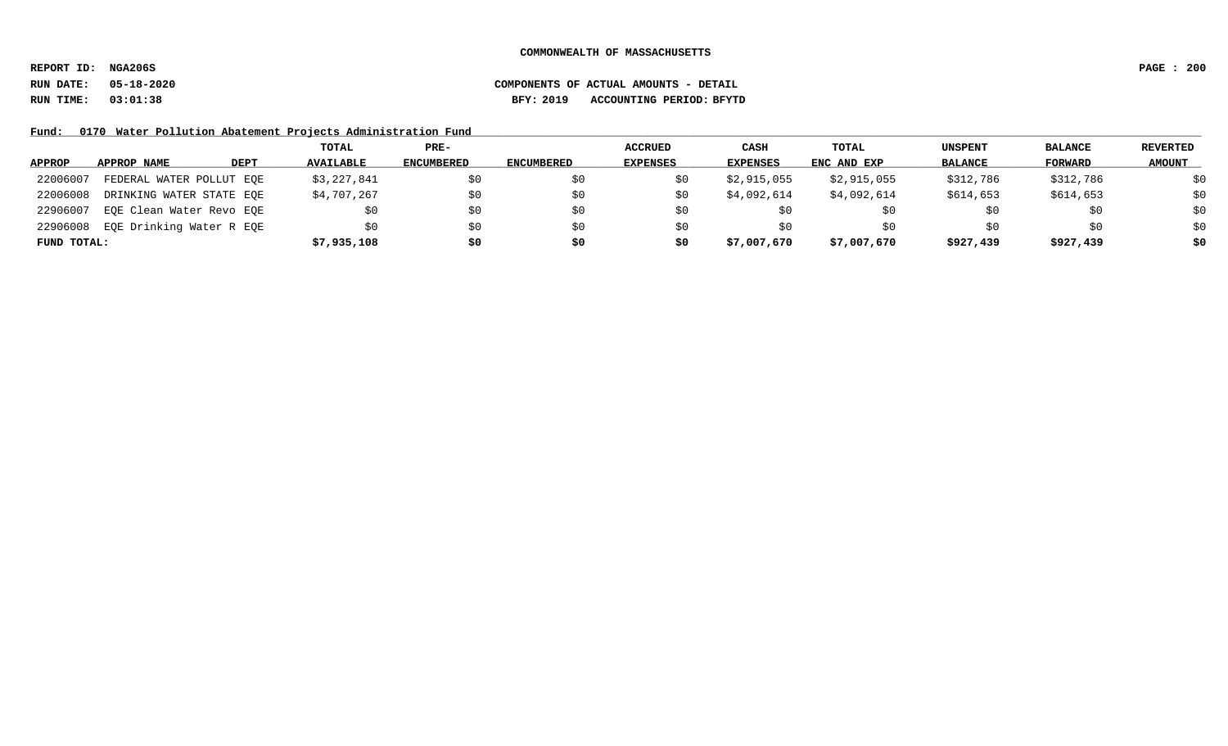**REPORT ID: NGA206S PAGE : 200**

**RUN DATE: 05-18-2020 COMPONENTS OF ACTUAL AMOUNTS - DETAIL RUN TIME: 03:01:38 BFY: 2019 ACCOUNTING PERIOD: BFYTD**

Fund: 0170 Water Pollution Abatement Projects Administration Fund

|               |                          |             | TOTAL            | PRE-       |                   | <b>ACCRUED</b>  | <b>CASH</b>     | TOTAL       | <b>UNSPENT</b> | <b>BALANCE</b> | <b>REVERTED</b> |
|---------------|--------------------------|-------------|------------------|------------|-------------------|-----------------|-----------------|-------------|----------------|----------------|-----------------|
| <b>APPROP</b> | APPROP NAME              | <b>DEPT</b> | <b>AVAILABLE</b> | ENCUMBERED | <b>ENCUMBERED</b> | <b>EXPENSES</b> | <b>EXPENSES</b> | ENC AND EXP | <b>BALANCE</b> | FORWARD        | <b>AMOUNT</b>   |
| 22006007      | FEDERAL WATER POLLUT EOE |             | \$3,227,841      | \$0        |                   |                 | \$2,915,055     | \$2,915,055 | \$312,786      | \$312,786      | \$0             |
| 22006008      | DRINKING WATER STATE EOE |             | \$4,707,267      | \$0        |                   | Sθ              | \$4,092,614     | \$4,092,614 | \$614,653      | \$614,653      | \$0             |
| 22906007      | EQE Clean Water Revo EQE |             | \$0              | \$0        | \$0               | SU.             | Ş0              |             | SU             | \$0            | \$0             |
| 22906008      | EQE Drinking Water R EQE |             | \$0              | \$0        | S0                | SU              | SO.             | \$0         | \$0            | \$0            | \$0             |
| FUND TOTAL:   |                          |             | \$7,935,108      | \$0        | \$0               | S0              | \$7,007,670     | \$7,007,670 | \$927,439      | \$927,439      | \$0             |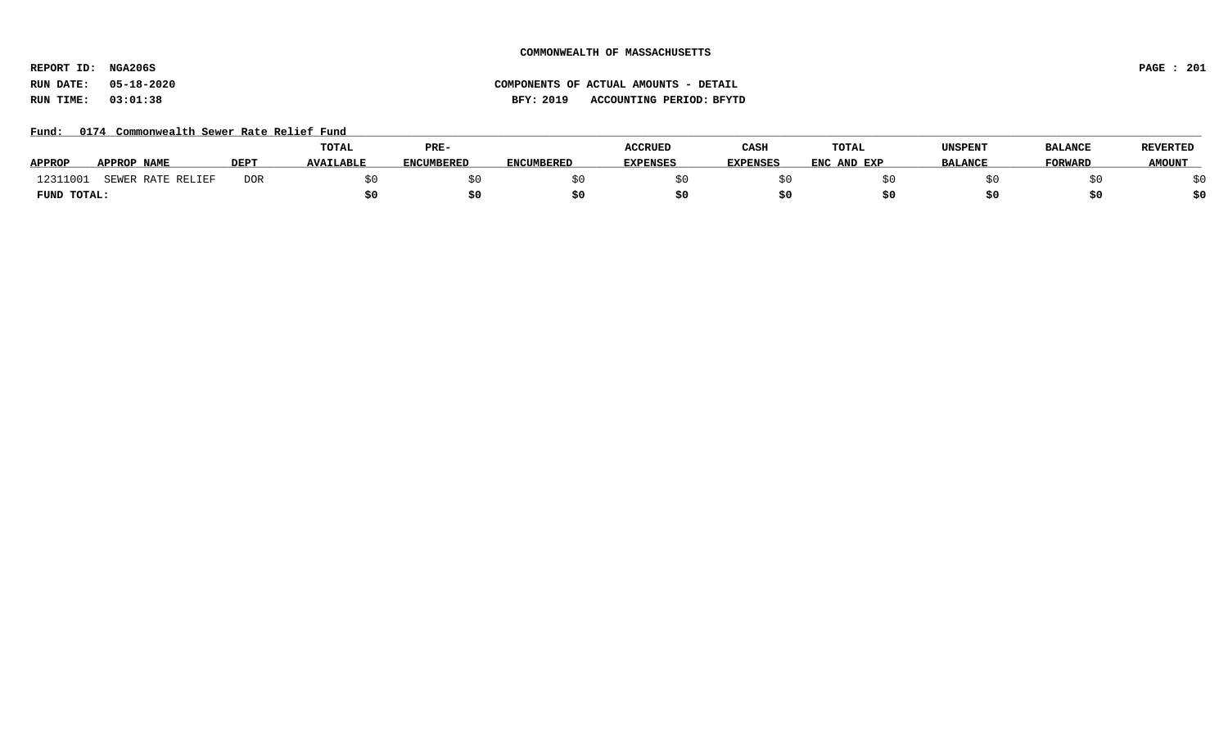**REPORT ID: NGA206S PAGE : 201**

# **RUN DATE: 05-18-2020 COMPONENTS OF ACTUAL AMOUNTS - DETAIL RUN TIME: 03:01:38 BFY: 2019 ACCOUNTING PERIOD: BFYTD**

Fund: 0174 Commonwealth Sewer Rate Relief Fund

|               |                               |             | TOTAL            | PRE-              |            | <b>ACCRUED</b>  | CASH            | <b>TOTAL</b> | <b>UNSPENT</b> | <b>BALANCE</b> | <b>REVERTED</b> |
|---------------|-------------------------------|-------------|------------------|-------------------|------------|-----------------|-----------------|--------------|----------------|----------------|-----------------|
| <b>APPROP</b> | <b>APPROP NAME</b>            | <b>DEPT</b> | <b>AVAILABLE</b> | <b>ENCUMBERED</b> | ENCUMBERED | <b>EXPENSES</b> | <b>EXPENSES</b> | ENC AND EXP  | <b>BALANCE</b> | <b>FORWARD</b> | <b>AMOUNT</b>   |
| 12311         | RATE RELIEF<br><b>C TM TD</b> | <b>DOR</b>  |                  |                   |            |                 |                 |              |                |                |                 |
| FUND TOTAL:   |                               |             |                  |                   |            |                 |                 |              |                | S0             |                 |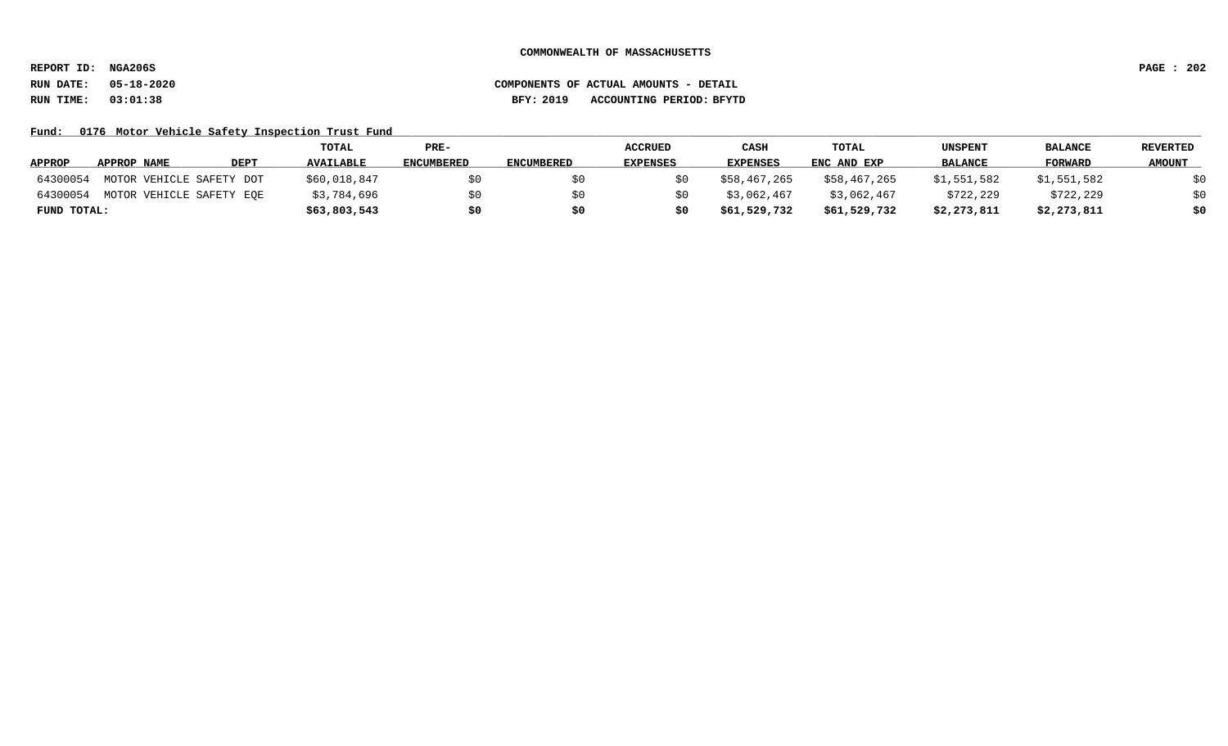**REPORT ID: NGA206S PAGE : 202**

Fund: 0176 Motor Vehicle Safety Inspection Trust Fund

|               |                          |             | <b>TOTAL</b>     | PRE-              |                   | <b>ACCRUED</b>  | CASH            | <b>TOTAL</b> | <b>UNSPENT</b> | <b>BALANCE</b> | REVERTED      |
|---------------|--------------------------|-------------|------------------|-------------------|-------------------|-----------------|-----------------|--------------|----------------|----------------|---------------|
| <b>APPROP</b> | APPROP NAME              | <b>DEPT</b> | <b>AVAILABLE</b> | <b>ENCUMBERED</b> | <b>ENCUMBERED</b> | <b>EXPENSES</b> | <b>EXPENSES</b> | ENC AND EXP  | <b>BALANCE</b> | FORWARD        | <b>AMOUNT</b> |
| 64300054      | MOTOR VEHICLE SAFETY DOT |             | \$60,018,847     |                   |                   |                 | \$58,467,265    | \$58,467,265 | \$1,551,582    | \$1,551,582    | \$0           |
| 64300054      | MOTOR VEHICLE SAFETY EOE |             | \$3,784,696      |                   |                   |                 | \$3,062,467     | \$3,062,467  | \$722,229      | \$722,229      | \$0           |
| FUND TOTAL:   |                          |             | \$63,803,543     | \$0               |                   | \$0             | \$61,529,732    | \$61,529,732 | \$2,273,811    | \$2,273,811    | \$0           |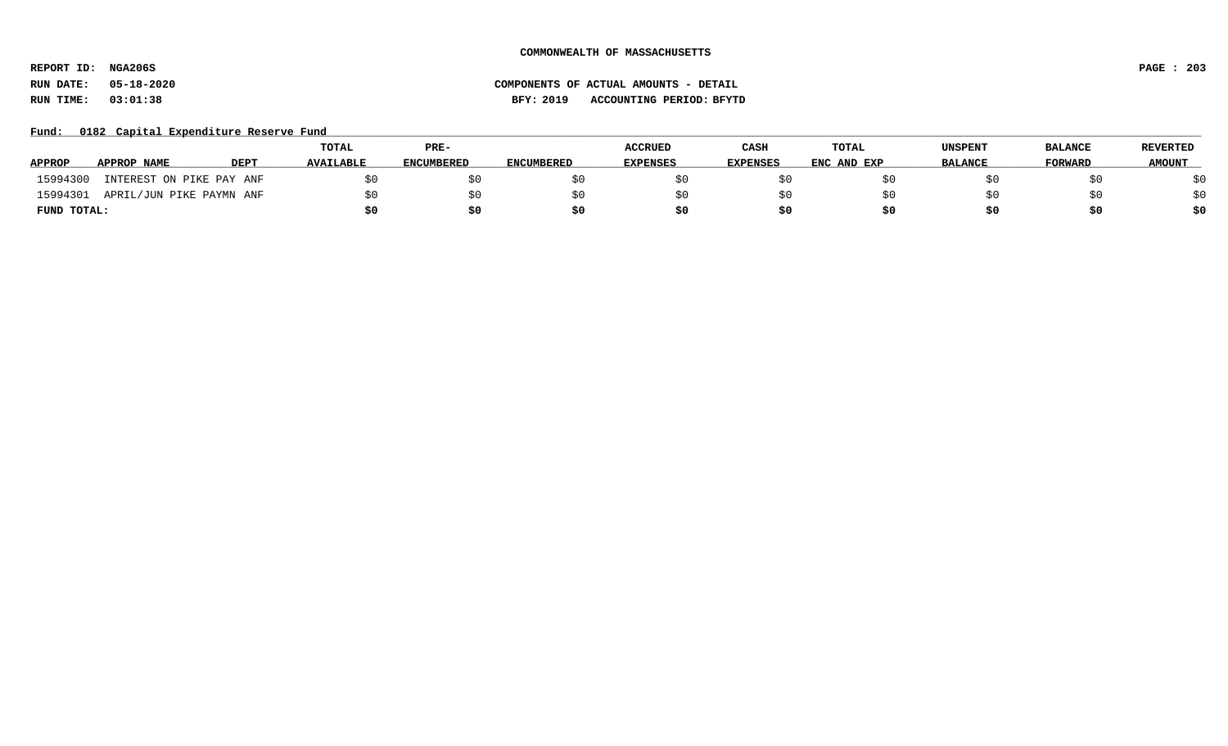**REPORT ID: NGA206S PAGE : 203**

# **RUN DATE: 05-18-2020 COMPONENTS OF ACTUAL AMOUNTS - DETAIL RUN TIME: 03:01:38 BFY: 2019 ACCOUNTING PERIOD: BFYTD**

### Fund: 0182 Capital Expenditure Reserve Fund

|               |                          |             | <b>TOTAL</b>     | PRE-              |                   | <b>ACCRUED</b>  | CASH            | TOTAL       | UNSPENT        | <b>BALANCE</b> | <b>REVERTED</b> |
|---------------|--------------------------|-------------|------------------|-------------------|-------------------|-----------------|-----------------|-------------|----------------|----------------|-----------------|
| <b>APPROP</b> | APPROP NAME              | <b>DEPT</b> | <b>AVAILABLE</b> | <b>ENCUMBERED</b> | <b>ENCUMBERED</b> | <b>EXPENSES</b> | <b>EXPENSES</b> | ENC AND EXP | <b>BALANCE</b> | <b>FORWARD</b> | <b>AMOUNT</b>   |
| 15994300      | INTEREST ON PIKE PAY ANF |             |                  | \$0               |                   |                 |                 |             |                |                | \$0             |
| 15994301      | APRIL/JUN PIKE PAYMN ANF |             |                  | \$0               |                   |                 |                 |             |                |                | \$0             |
| FUND TOTAL:   |                          |             |                  | \$0               |                   |                 |                 | s0          |                |                | \$0             |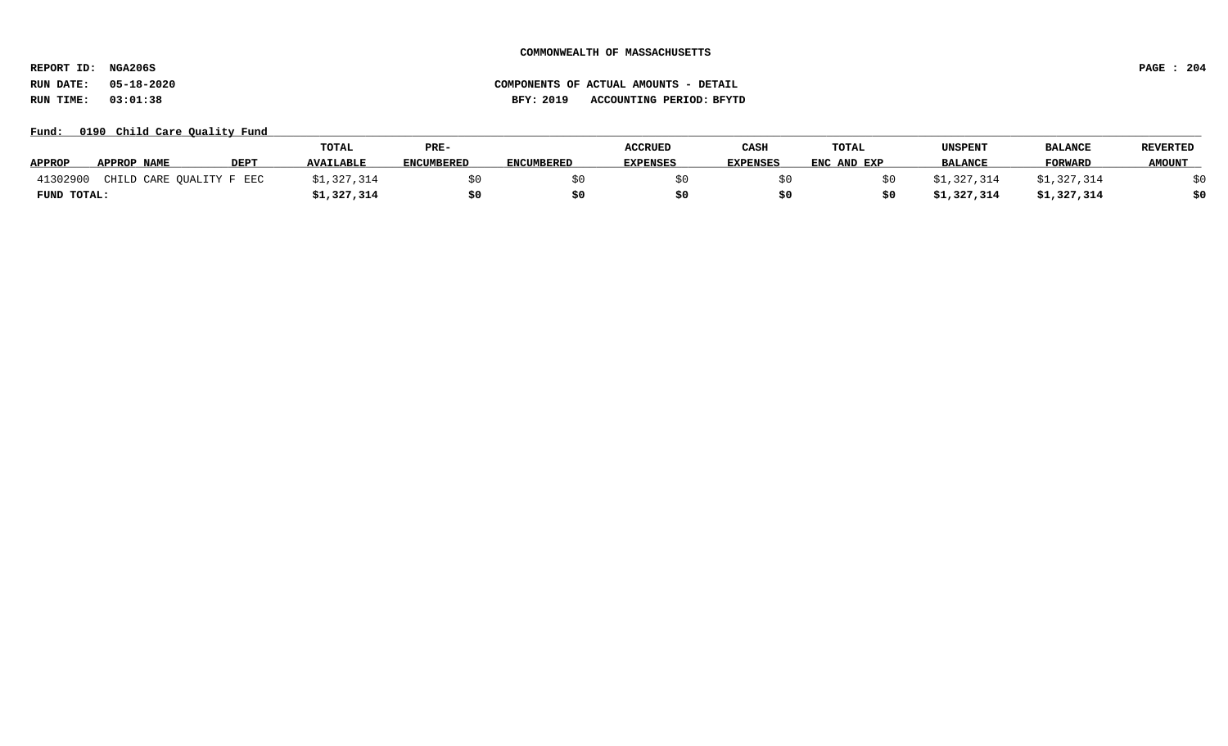**REPORT ID: NGA206S PAGE : 204**

**RUN DATE: 05-18-2020 COMPONENTS OF ACTUAL AMOUNTS - DETAIL RUN TIME: 03:01:38 BFY: 2019 ACCOUNTING PERIOD: BFYTD**

Fund: 0190 Child Care Quality Fund

|               |                          |             | TOTAL            | PRE-              |                   | <b>ACCRUED</b>  | CASH            | <b>TOTAL</b> | <b>UNSPENT</b> | <b>BALANCE</b> | <b>REVERTED</b> |
|---------------|--------------------------|-------------|------------------|-------------------|-------------------|-----------------|-----------------|--------------|----------------|----------------|-----------------|
| <b>APPROP</b> | <b>APPROP NAME</b>       | <b>DEPT</b> | <b>AVAILABLE</b> | <b>ENCUMBERED</b> | <b>ENCUMBERED</b> | <b>EXPENSES</b> | <b>EXPENSES</b> | ENC AND EXP  | <b>BALANCE</b> | <b>FORWARD</b> | <b>AMOUNT</b>   |
| 41302900      | CHILD CARE QUALITY F EEC |             | , 327, 314       |                   |                   |                 |                 |              | 31,327,314     | \$1,327,314    |                 |
| FUND TOTAL:   |                          |             | \$1,327,314      |                   |                   |                 |                 |              | \$1,327,314    | \$1,327,314    |                 |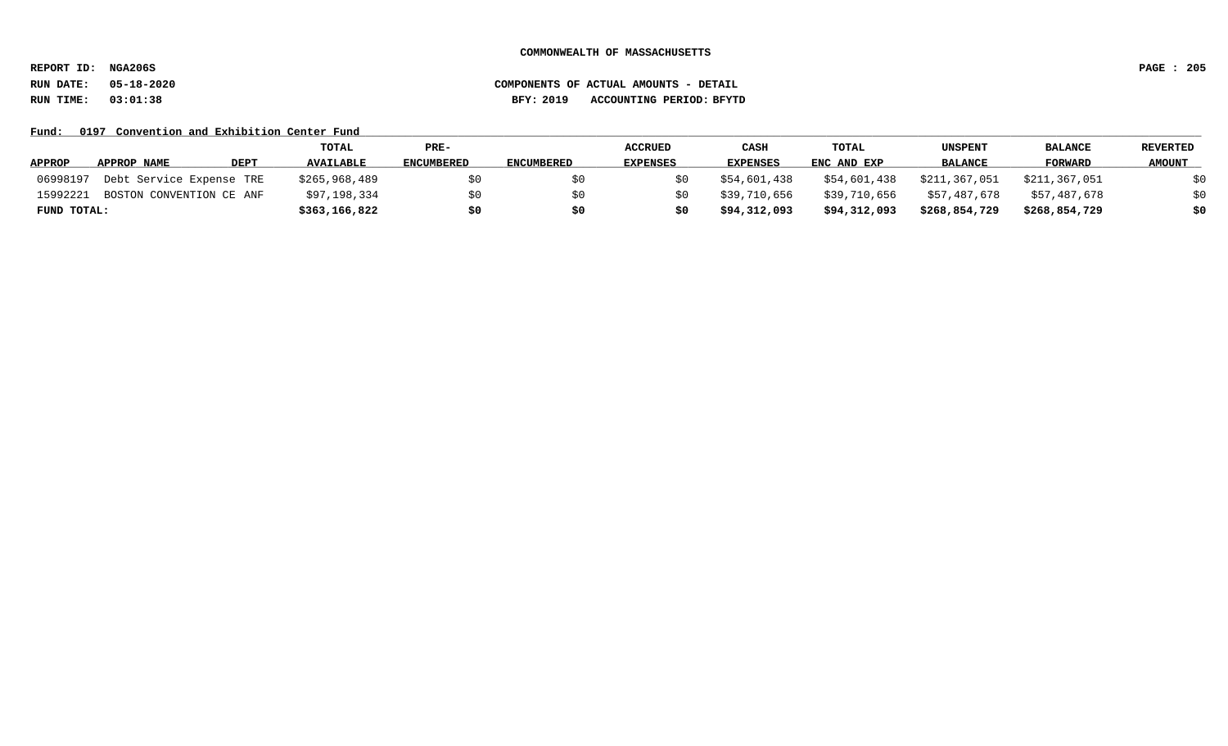**REPORT ID: NGA206S PAGE : 205**

### **RUN DATE: 05-18-2020 COMPONENTS OF ACTUAL AMOUNTS - DETAIL RUN TIME: 03:01:38 BFY: 2019 ACCOUNTING PERIOD: BFYTD**

Fund: 0197 Convention and Exhibition Center Fund

|               |                          |             | TOTAL            | PRE-              |                   | <b>ACCRUED</b>  | CASH            | <b>TOTAL</b> | UNSPENT        | <b>BALANCE</b> | <b>REVERTED</b> |
|---------------|--------------------------|-------------|------------------|-------------------|-------------------|-----------------|-----------------|--------------|----------------|----------------|-----------------|
| <b>APPROP</b> | APPROP NAME              | <b>DEPT</b> | <b>AVAILABLE</b> | <b>ENCUMBERED</b> | <b>ENCUMBERED</b> | <b>EXPENSES</b> | <b>EXPENSES</b> | ENC AND EXP  | <b>BALANCE</b> | FORWARD        | <b>AMOUNT</b>   |
| 06998197      | Debt Service Expense TRE |             | \$265,968,489    | \$0               |                   |                 | \$54,601,438    | \$54,601,438 | \$211,367,051  | \$211,367,051  | \$0             |
| 15992221      | BOSTON CONVENTION CE ANF |             | \$97,198,334     | \$0               |                   |                 | \$39,710,656    | \$39,710,656 | \$57,487,678   | \$57,487,678   | \$0             |
| FUND TOTAL:   |                          |             | \$363,166,822    | \$0               | \$0               |                 | \$94,312,093    | \$94,312,093 | \$268,854,729  | \$268,854,729  | \$0             |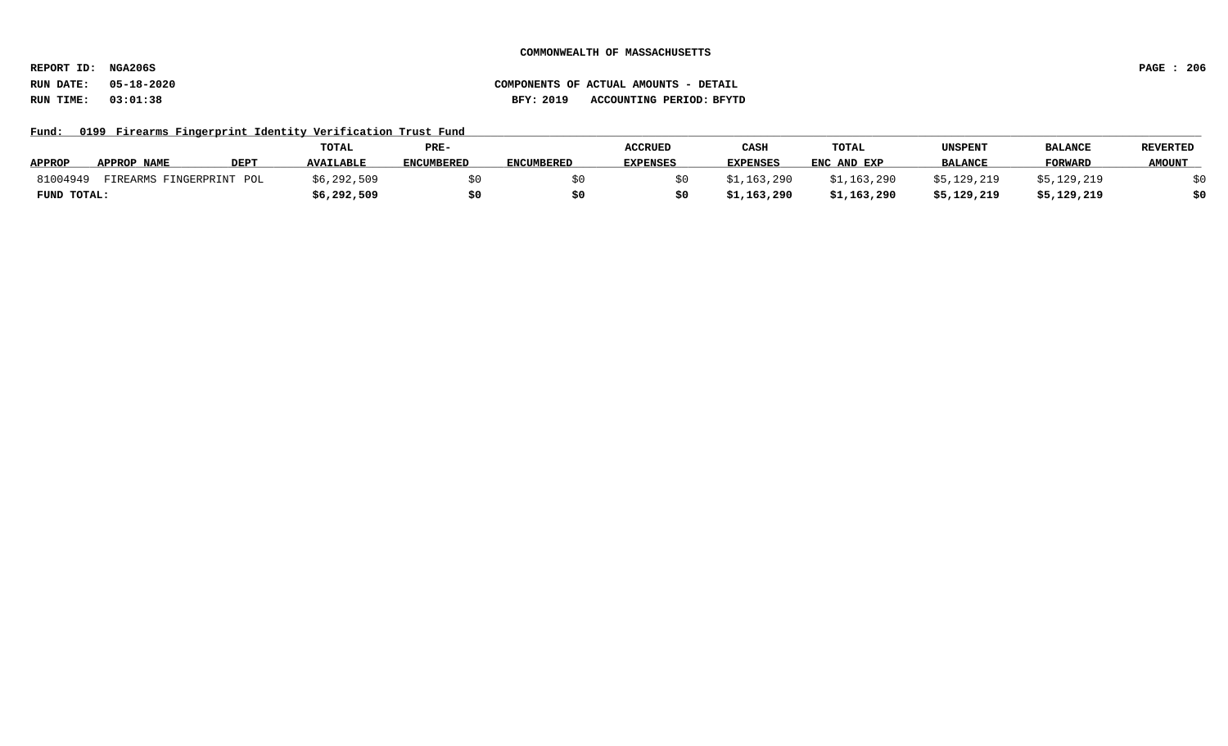**REPORT ID: NGA206S PAGE : 206**

### **RUN DATE: 05-18-2020 COMPONENTS OF ACTUAL AMOUNTS - DETAIL RUN TIME: 03:01:38 BFY: 2019 ACCOUNTING PERIOD: BFYTD**

Fund: 0199 Firearms Fingerprint Identity Verification Trust Fund

|               |                          |             | TOTAL            | PRE-              |                   | <b>ACCRUED</b>  | CASH            | TOTAL       | <b>UNSPENT</b> | <b>BALANCE</b> | REVERTED      |
|---------------|--------------------------|-------------|------------------|-------------------|-------------------|-----------------|-----------------|-------------|----------------|----------------|---------------|
| <b>APPROP</b> | APPROP NAME              | <b>DEPT</b> | <b>AVAILABLE</b> | <b>ENCUMBERED</b> | <b>ENCUMBERED</b> | <b>EXPENSES</b> | <b>EXPENSES</b> | ENC AND EXP | <b>BALANCE</b> | <b>FORWARD</b> | <b>AMOUNT</b> |
| 81004949      | FIREARMS FINGERPRINT POL |             | \$6,292,509      |                   |                   |                 | \$1,163,290     | \$1,163,290 | \$5,129,219    | \$5,129,219    |               |
| FUND TOTAL:   |                          |             | \$6,292,509      |                   |                   |                 | \$1,163,290     | \$1,163,290 | \$5,129,219    | \$5,129,219    | \$0           |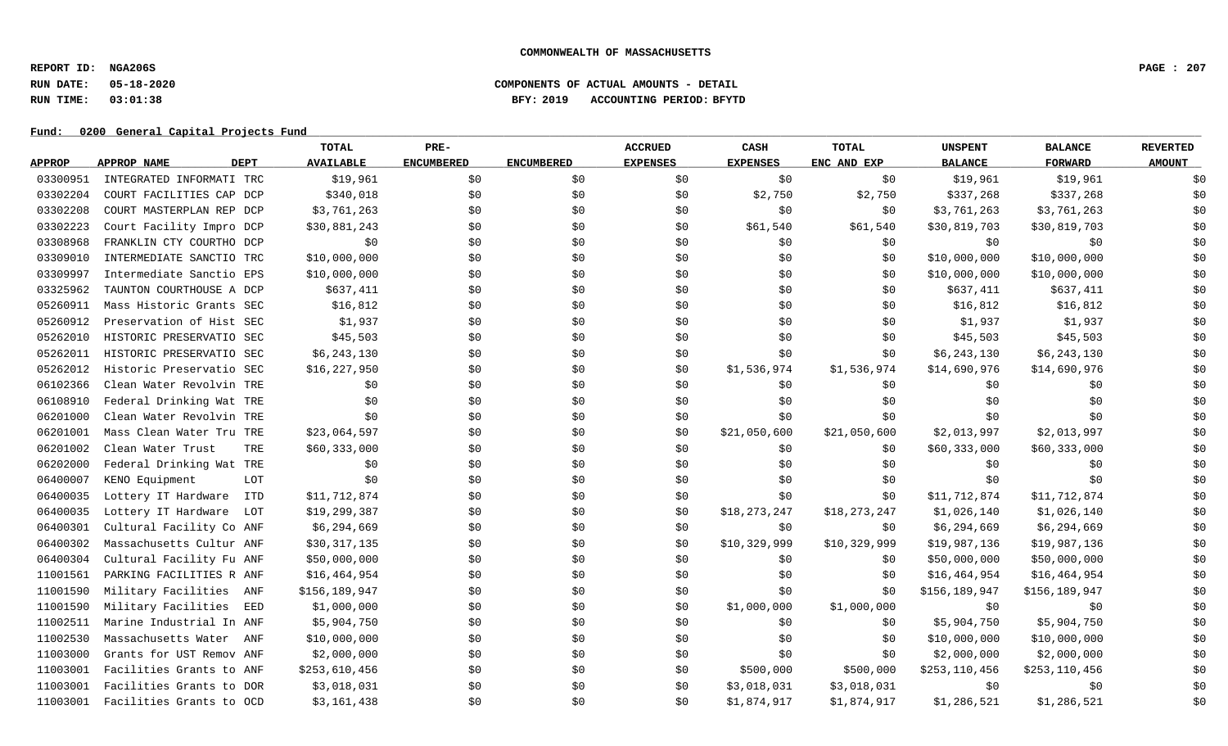**REPORT ID: NGA206S PAGE : 207**

### **RUN DATE: 05-18-2020 COMPONENTS OF ACTUAL AMOUNTS - DETAIL RUN TIME: 03:01:38 BFY: 2019 ACCOUNTING PERIOD: BFYTD**

|               |                            | TOTAL            | PRE-              |                   | <b>ACCRUED</b>  | CASH            | <b>TOTAL</b> | <b>UNSPENT</b>  | <b>BALANCE</b> | <b>REVERTED</b> |
|---------------|----------------------------|------------------|-------------------|-------------------|-----------------|-----------------|--------------|-----------------|----------------|-----------------|
| <b>APPROP</b> | APPROP NAME<br><b>DEPT</b> | <b>AVAILABLE</b> | <b>ENCUMBERED</b> | <b>ENCUMBERED</b> | <b>EXPENSES</b> | <b>EXPENSES</b> | ENC AND EXP  | <b>BALANCE</b>  | <b>FORWARD</b> | <b>AMOUNT</b>   |
| 03300951      | INTEGRATED INFORMATI TRC   | \$19,961         | \$0               | \$0               | \$0             | \$0             | \$0          | \$19,961        | \$19,961       | \$0             |
| 03302204      | COURT FACILITIES CAP DCP   | \$340,018        | \$0\$             | \$0               | \$0             | \$2,750         | \$2,750      | \$337,268       | \$337,268      | \$0             |
| 03302208      | COURT MASTERPLAN REP DCP   | \$3,761,263      | \$0               | \$0               | \$0             | \$0\$           | \$0          | \$3,761,263     | \$3,761,263    | \$0             |
| 03302223      | Court Facility Impro DCP   | \$30,881,243     | \$0               | \$0               | \$0             | \$61,540        | \$61,540     | \$30,819,703    | \$30,819,703   | \$0             |
| 03308968      | FRANKLIN CTY COURTHO DCP   | \$0              | \$0               | \$0               | \$0             | \$0             | \$0          | \$0             | \$0            | \$0             |
| 03309010      | INTERMEDIATE SANCTIO TRC   | \$10,000,000     | \$0               | \$0               | \$0             | \$0             | \$0          | \$10,000,000    | \$10,000,000   | \$0             |
| 03309997      | Intermediate Sanctio EPS   | \$10,000,000     | \$0               | \$0               | \$0             | \$0             | \$0          | \$10,000,000    | \$10,000,000   | \$0             |
| 03325962      | TAUNTON COURTHOUSE A DCP   | \$637,411        | \$0               | \$0               | \$0             | \$0\$           | \$0          | \$637,411       | \$637,411      | \$0             |
| 05260911      | Mass Historic Grants SEC   | \$16,812         | \$0               | \$0               | \$0             | \$0             | \$0          | \$16,812        | \$16,812       | \$0             |
| 05260912      | Preservation of Hist SEC   | \$1,937          | \$0               | \$0               | \$0             | \$0             | \$0          | \$1,937         | \$1,937        | \$0             |
| 05262010      | HISTORIC PRESERVATIO SEC   | \$45,503         | \$0               | \$0               | \$0             | \$0             | \$0          | \$45,503        | \$45,503       | \$0             |
| 05262011      | HISTORIC PRESERVATIO SEC   | \$6,243,130      | \$0               | \$0               | \$0             | \$0             | \$0          | \$6,243,130     | \$6,243,130    | \$0             |
| 05262012      | Historic Preservatio SEC   | \$16,227,950     | \$0               | \$0               | \$0             | \$1,536,974     | \$1,536,974  | \$14,690,976    | \$14,690,976   | \$0             |
| 06102366      | Clean Water Revolvin TRE   | \$0              | \$0               | \$0               | \$0             | \$0             | \$0          | \$0             | \$0            | \$0             |
| 06108910      | Federal Drinking Wat TRE   | \$0              | \$0               | \$0               | \$0             | \$0             | \$0\$        | \$0             | \$0            | \$0             |
| 06201000      | Clean Water Revolvin TRE   | \$0              | \$0               | \$0               | \$0             | \$0             | \$0          | \$0             | \$0            | \$0             |
| 06201001      | Mass Clean Water Tru TRE   | \$23,064,597     | \$0               | \$0               | \$0             | \$21,050,600    | \$21,050,600 | \$2,013,997     | \$2,013,997    | \$0             |
| 06201002      | Clean Water Trust<br>TRE   | \$60,333,000     | \$0               | \$0               | \$0             | \$0             | \$0          | \$60,333,000    | \$60,333,000   | \$0             |
| 06202000      | Federal Drinking Wat TRE   | \$0              | \$0               | \$0               | \$0             | \$0             | \$0          | \$0             | \$0            | \$0             |
| 06400007      | KENO Equipment<br>LOT      | \$0              | \$0               | \$0               | \$0             | \$0             | \$0\$        | \$0             | \$0            | \$0             |
| 06400035      | Lottery IT Hardware<br>ITD | \$11,712,874     | \$0\$             | \$0               | \$0             | \$0             | \$0          | \$11,712,874    | \$11,712,874   | \$0             |
| 06400035      | Lottery IT Hardware<br>LOT | \$19,299,387     | \$0               | \$0               | \$0             | \$18,273,247    | \$18,273,247 | \$1,026,140     | \$1,026,140    | \$0             |
| 06400301      | Cultural Facility Co ANF   | \$6,294,669      | \$0               | \$0               | \$0             | \$0             | \$0          | \$6,294,669     | \$6,294,669    | \$0             |
| 06400302      | Massachusetts Cultur ANF   | \$30,317,135     | \$0               | \$0               | \$0             | \$10,329,999    | \$10,329,999 | \$19,987,136    | \$19,987,136   | \$0             |
| 06400304      | Cultural Facility Fu ANF   | \$50,000,000     | \$0               | \$0               | \$0             | \$0\$           | \$0          | \$50,000,000    | \$50,000,000   | \$0             |
| 11001561      | PARKING FACILITIES R ANF   | \$16,464,954     | \$0               | \$0               | \$0             | \$0             | \$0          | \$16,464,954    | \$16,464,954   | \$0             |
| 11001590      | Military Facilities<br>ANF | \$156,189,947    | \$0               | \$0               | \$0             | \$0\$           | \$0          | \$156,189,947   | \$156,189,947  | \$0             |
| 11001590      | Military Facilities<br>EED | \$1,000,000      | \$0               | \$0               | \$0             | \$1,000,000     | \$1,000,000  | \$0             | \$0            | \$0             |
| 11002511      | Marine Industrial In ANF   | \$5,904,750      | \$0               | \$0               | \$0             | \$0             | \$0          | \$5,904,750     | \$5,904,750    | \$0             |
| 11002530      | Massachusetts Water<br>ANF | \$10,000,000     | \$0               | \$0               | \$0             | \$0             | \$0          | \$10,000,000    | \$10,000,000   | \$0             |
| 11003000      | Grants for UST Remov ANF   | \$2,000,000      | \$0               | \$0               | \$0             | \$0             | \$0          | \$2,000,000     | \$2,000,000    | \$0             |
| 11003001      | Facilities Grants to ANF   | \$253,610,456    | \$0               | \$0               | \$0             | \$500,000       | \$500,000    | \$253, 110, 456 | \$253,110,456  | \$0             |
| 11003001      | Facilities Grants to DOR   | \$3,018,031      | \$0               | \$0               | \$0             | \$3,018,031     | \$3,018,031  | \$0             | \$0            | \$0             |
| 11003001      | Facilities Grants to OCD   | \$3,161,438      | \$0               | \$0               | \$0             | \$1,874,917     | \$1,874,917  | \$1,286,521     | \$1,286,521    | \$0             |
|               |                            |                  |                   |                   |                 |                 |              |                 |                |                 |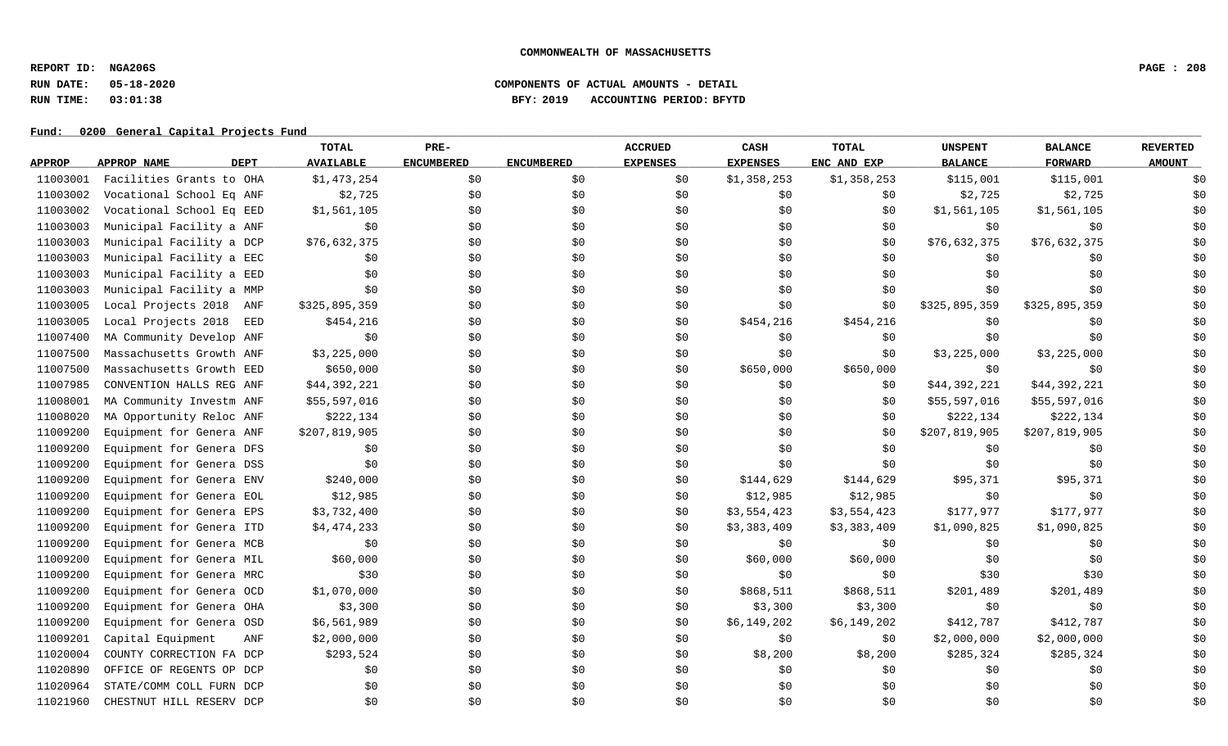**REPORT ID: NGA206S PAGE : 208**

### **RUN DATE: 05-18-2020 COMPONENTS OF ACTUAL AMOUNTS - DETAIL RUN TIME: 03:01:38 BFY: 2019 ACCOUNTING PERIOD: BFYTD**

|               |                            | TOTAL            | PRE-              |                   | <b>ACCRUED</b>  | CASH            | <b>TOTAL</b> | <b>UNSPENT</b> | <b>BALANCE</b> | <b>REVERTED</b> |
|---------------|----------------------------|------------------|-------------------|-------------------|-----------------|-----------------|--------------|----------------|----------------|-----------------|
| <b>APPROP</b> | APPROP NAME<br><b>DEPT</b> | <b>AVAILABLE</b> | <b>ENCUMBERED</b> | <b>ENCUMBERED</b> | <b>EXPENSES</b> | <b>EXPENSES</b> | ENC AND EXP  | <b>BALANCE</b> | <b>FORWARD</b> | <b>AMOUNT</b>   |
| 11003001      | Facilities Grants to OHA   | \$1,473,254      | \$0               | \$0               | \$0             | \$1,358,253     | \$1,358,253  | \$115,001      | \$115,001      | \$0             |
| 11003002      | Vocational School Eq ANF   | \$2,725          | \$0               | \$0               | \$0             | \$0             | \$0          | \$2,725        | \$2,725        | \$0             |
| 11003002      | Vocational School Eq EED   | \$1,561,105      | \$0               | \$0               | \$0             | \$0             | \$0          | \$1,561,105    | \$1,561,105    | \$0             |
| 11003003      | Municipal Facility a ANF   | \$0              | \$0\$             | \$0               | \$0             | \$0             | \$0          | \$0            | \$0            | \$0             |
| 11003003      | Municipal Facility a DCP   | \$76,632,375     | \$0               | \$0               | \$0             | \$0             | \$0          | \$76,632,375   | \$76,632,375   | \$0             |
| 11003003      | Municipal Facility a EEC   | \$0              | \$0               | \$0               | \$0             | \$0\$           | \$0          | \$0            | \$0            | \$0             |
| 11003003      | Municipal Facility a EED   | \$0              | \$0               | \$0               | \$0             | \$0             | \$0          | \$0            | \$0            | \$0             |
| 11003003      | Municipal Facility a MMP   | \$0              | \$0               | \$0               | \$0             | \$0             | \$0\$        | \$0            | \$0            | \$0             |
| 11003005      | Local Projects 2018 ANF    | \$325,895,359    | \$0               | \$0               | \$0             | \$0             | \$0          | \$325,895,359  | \$325,895,359  | \$0             |
| 11003005      | Local Projects 2018<br>EED | \$454,216        | \$0               | \$0               | \$0             | \$454,216       | \$454,216    | \$0            | \$0            | \$0             |
| 11007400      | MA Community Develop ANF   | \$0              | \$0               | \$0               | \$0             | \$0             | \$0          | \$0            | \$0            | \$0             |
| 11007500      | Massachusetts Growth ANF   | \$3,225,000      | \$0               | \$0               | \$0             | \$0             | \$0\$        | \$3,225,000    | \$3,225,000    | \$0             |
| 11007500      | Massachusetts Growth EED   | \$650,000        | \$0\$             | \$0               | \$0             | \$650,000       | \$650,000    | \$0            | \$0            | \$0             |
| 11007985      | CONVENTION HALLS REG ANF   | \$44,392,221     | \$0               | \$0               | \$0             | \$0             | \$0          | \$44,392,221   | \$44,392,221   | \$0             |
| 11008001      | MA Community Investm ANF   | \$55,597,016     | \$0\$             | \$0               | \$0             | \$0             | \$0          | \$55,597,016   | \$55,597,016   | \$0             |
| 11008020      | MA Opportunity Reloc ANF   | \$222,134        | \$0               | \$0               | \$0             | \$0             | \$0          | \$222,134      | \$222,134      | \$0             |
| 11009200      | Equipment for Genera ANF   | \$207,819,905    | \$0               | \$0               | \$0             | \$0             | \$0          | \$207,819,905  | \$207,819,905  | \$0             |
| 11009200      | Equipment for Genera DFS   | \$0              | \$0               | \$0               | \$0             | \$0             | \$0          | \$0            | \$0            | \$0             |
| 11009200      | Equipment for Genera DSS   | \$0              | \$0\$             | \$0               | \$0             | \$0             | \$0\$        | \$0            | \$0            | \$0             |
| 11009200      | Equipment for Genera ENV   | \$240,000        | \$0               | \$0               | \$0             | \$144,629       | \$144,629    | \$95,371       | \$95,371       | \$0             |
| 11009200      | Equipment for Genera EOL   | \$12,985         | \$0               | \$0               | \$0             | \$12,985        | \$12,985     | \$0            | \$0            | \$0             |
| 11009200      | Equipment for Genera EPS   | \$3,732,400      | \$0               | \$0               | \$0             | \$3,554,423     | \$3,554,423  | \$177,977      | \$177,977      | \$0             |
| 11009200      | Equipment for Genera ITD   | \$4,474,233      | \$0               | \$0               | \$0             | \$3,383,409     | \$3,383,409  | \$1,090,825    | \$1,090,825    | \$0             |
| 11009200      | Equipment for Genera MCB   | \$0              | \$0               | \$0               | \$0             | \$0             | \$0          | \$0            | \$0            | \$0             |
| 11009200      | Equipment for Genera MIL   | \$60,000         | \$0               | \$0               | \$0             | \$60,000        | \$60,000     | \$0            | \$0            | \$0             |
| 11009200      | Equipment for Genera MRC   | \$30             | \$0\$             | \$0               | \$0             | \$0\$           | \$0          | \$30           | \$30           | \$0             |
| 11009200      | Equipment for Genera OCD   | \$1,070,000      | \$0               | \$0               | \$0             | \$868,511       | \$868,511    | \$201,489      | \$201,489      | \$0             |
| 11009200      | Equipment for Genera OHA   | \$3,300          | \$0               | \$0               | \$0             | \$3,300         | \$3,300      | \$0            | \$0            | \$0             |
| 11009200      | Equipment for Genera OSD   | \$6,561,989      | \$0               | \$0               | \$0             | \$6,149,202     | \$6,149,202  | \$412,787      | \$412,787      | \$0             |
| 11009201      | Capital Equipment<br>ANF   | \$2,000,000      | \$0               | \$0               | \$0             | \$0             | \$0          | \$2,000,000    | \$2,000,000    | \$0             |
| 11020004      | COUNTY CORRECTION FA DCP   | \$293,524        | \$0               | \$0               | \$0             | \$8,200         | \$8,200      | \$285,324      | \$285,324      | \$0             |
| 11020890      | OFFICE OF REGENTS OP DCP   | \$0              | \$0               | \$0               | \$0             | \$0             | \$0          | \$0            | \$0            | \$0             |
| 11020964      | STATE/COMM COLL FURN DCP   | \$0              | \$0               | \$0               | \$0             | \$0             | \$0          | \$0            | \$0            | \$0             |
| 11021960      | CHESTNUT HILL RESERV DCP   | \$0              | \$0               | \$0               | \$0             | \$0             | \$0          | \$0            | \$0            | \$0             |
|               |                            |                  |                   |                   |                 |                 |              |                |                |                 |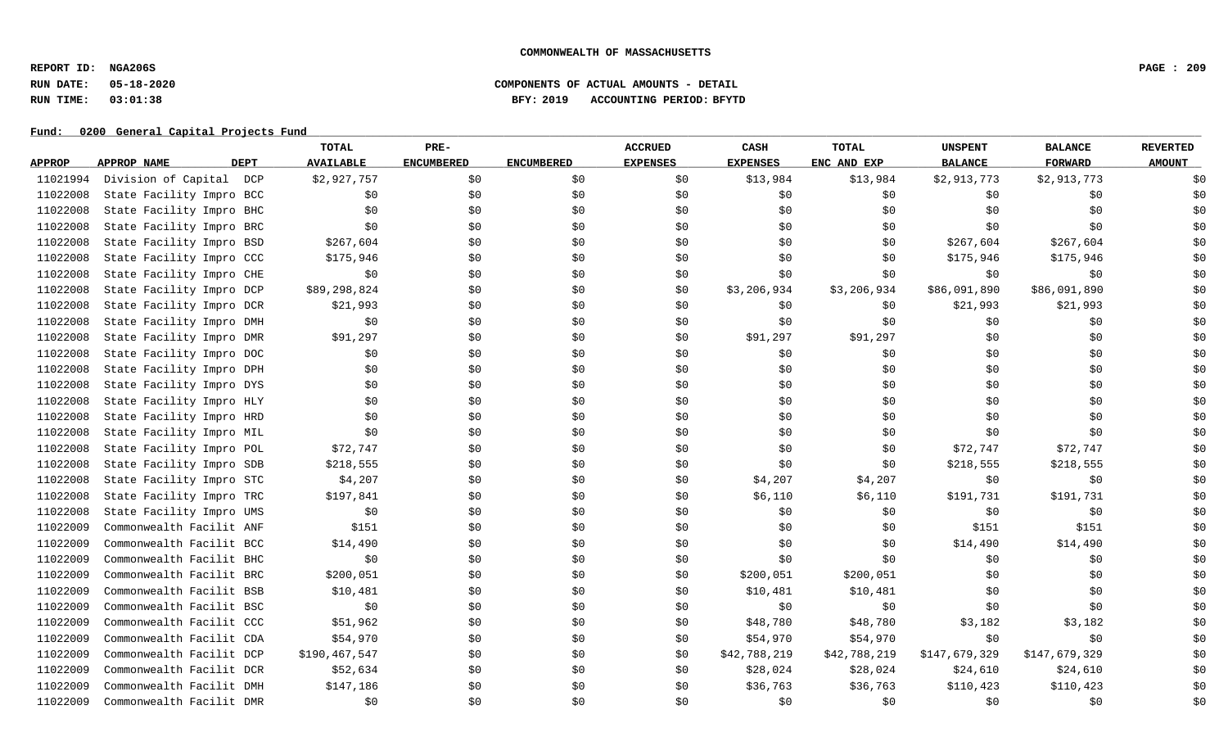**REPORT ID: NGA206S PAGE : 209**

# **RUN DATE: 05-18-2020 COMPONENTS OF ACTUAL AMOUNTS - DETAIL RUN TIME: 03:01:38 BFY: 2019 ACCOUNTING PERIOD: BFYTD**

|               |                            | TOTAL            | PRE-              |                   | <b>ACCRUED</b>  | CASH            | <b>TOTAL</b> | <b>UNSPENT</b> | <b>BALANCE</b> | <b>REVERTED</b> |
|---------------|----------------------------|------------------|-------------------|-------------------|-----------------|-----------------|--------------|----------------|----------------|-----------------|
| <b>APPROP</b> | <b>DEPT</b><br>APPROP NAME | <b>AVAILABLE</b> | <b>ENCUMBERED</b> | <b>ENCUMBERED</b> | <b>EXPENSES</b> | <b>EXPENSES</b> | ENC AND EXP  | <b>BALANCE</b> | <b>FORWARD</b> | <b>AMOUNT</b>   |
| 11021994      | Division of Capital DCP    | \$2,927,757      | \$0               | \$0               | \$0             | \$13,984        | \$13,984     | \$2,913,773    | \$2,913,773    | \$0             |
| 11022008      | State Facility Impro BCC   | \$0              | \$0               | \$0               | \$0             | \$0             | \$0          | \$0            | \$0            | \$0             |
| 11022008      | State Facility Impro BHC   | \$0              | \$0               | \$0               | \$0             | \$0             | \$0\$        | \$0            | \$0            | \$0             |
| 11022008      | State Facility Impro BRC   | \$0              | \$0               | \$0               | \$0             | \$0             | \$0          | \$0            | \$0            | \$0             |
| 11022008      | State Facility Impro BSD   | \$267,604        | \$0               | \$0               | \$0             | \$0             | \$0          | \$267,604      | \$267,604      | \$0             |
| 11022008      | State Facility Impro CCC   | \$175,946        | \$0               | \$0               | \$0             | \$0             | \$0          | \$175,946      | \$175,946      | \$0             |
| 11022008      | State Facility Impro CHE   | \$0              | \$0               | \$0               | \$0             | \$0             | \$0          | \$0            | \$0            | \$0             |
| 11022008      | State Facility Impro DCP   | \$89,298,824     | \$0               | \$0               | \$0             | \$3,206,934     | \$3,206,934  | \$86,091,890   | \$86,091,890   | \$0             |
| 11022008      | State Facility Impro DCR   | \$21,993         | \$0               | \$0               | \$0             | \$0\$           | \$0          | \$21,993       | \$21,993       | \$0             |
| 11022008      | State Facility Impro DMH   | \$0              | \$0               | \$0               | \$0             | \$0             | \$0          | \$0            | \$0            | \$0             |
| 11022008      | State Facility Impro DMR   | \$91,297         | \$0               | \$0               | \$0             | \$91,297        | \$91,297     | \$0            | \$0            | \$0             |
| 11022008      | State Facility Impro DOC   | \$0              | \$0               | \$0               | \$0             | \$0             | \$0          | \$0            | \$0            | \$0             |
| 11022008      | State Facility Impro DPH   | \$0              | \$0               | \$0               | \$0             | \$0             | \$0          | \$0            | \$0            | \$0             |
| 11022008      | State Facility Impro DYS   | \$0              | \$0               | \$0               | \$0             | \$0             | \$0          | \$0            | \$0            | \$0             |
| 11022008      | State Facility Impro HLY   | \$0              | \$0               | \$0               | \$0             | \$0             | \$0\$        | \$0            | \$0            | \$0             |
| 11022008      | State Facility Impro HRD   | \$0              | \$0               | \$0               | \$0             | \$0             | \$0          | \$0            | \$0            | \$0             |
| 11022008      | State Facility Impro MIL   | \$0              | \$0               | \$0               | \$0             | \$0             | \$0          | \$0            | \$0            | \$0             |
| 11022008      | State Facility Impro POL   | \$72,747         | \$0               | \$0               | \$0             | \$0             | \$0          | \$72,747       | \$72,747       | \$0             |
| 11022008      | State Facility Impro SDB   | \$218,555        | \$0               | \$0               | \$0             | \$0             | \$0          | \$218,555      | \$218,555      | \$0             |
| 11022008      | State Facility Impro STC   | \$4,207          | \$0               | \$0               | \$0             | \$4,207         | \$4,207      | \$0            | \$0            | \$0             |
| 11022008      | State Facility Impro TRC   | \$197,841        | \$0               | \$0               | \$0             | \$6,110         | \$6,110      | \$191,731      | \$191,731      | \$0             |
| 11022008      | State Facility Impro UMS   | \$0              | \$0               | \$0               | \$0             | \$0             | \$0\$        | \$0            | \$0            | \$0             |
| 11022009      | Commonwealth Facilit ANF   | \$151            | \$0               | \$0               | \$0             | \$0             | \$0          | \$151          | \$151          | \$0             |
| 11022009      | Commonwealth Facilit BCC   | \$14,490         | \$0               | \$0               | \$0             | \$0             | \$0          | \$14,490       | \$14,490       | \$0             |
| 11022009      | Commonwealth Facilit BHC   | \$0              | \$0               | \$0               | \$0             | \$0             | \$0          | \$0            | \$0            | \$0             |
| 11022009      | Commonwealth Facilit BRC   | \$200,051        | \$0               | \$0\$             | \$0             | \$200,051       | \$200,051    | \$0            | \$0            | \$0             |
| 11022009      | Commonwealth Facilit BSB   | \$10,481         | \$0               | \$0               | \$0             | \$10,481        | \$10,481     | \$0            | \$0            | \$0             |
| 11022009      | Commonwealth Facilit BSC   | \$0              | \$0               | \$0               | \$0             | \$0             | \$0          | \$0            | \$0            | \$0             |
| 11022009      | Commonwealth Facilit CCC   | \$51,962         | \$0               | \$0               | \$0             | \$48,780        | \$48,780     | \$3,182        | \$3,182        | \$0             |
| 11022009      | Commonwealth Facilit CDA   | \$54,970         | \$0               | \$0               | \$0             | \$54,970        | \$54,970     | \$0            | \$0            | \$0             |
| 11022009      | Commonwealth Facilit DCP   | \$190,467,547    | \$0               | \$0               | \$0             | \$42,788,219    | \$42,788,219 | \$147,679,329  | \$147,679,329  | \$0             |
| 11022009      | Commonwealth Facilit DCR   | \$52,634         | \$0               | \$0               | \$0             | \$28,024        | \$28,024     | \$24,610       | \$24,610       | \$0             |
| 11022009      | Commonwealth Facilit DMH   | \$147,186        | \$0               | \$0               | \$0             | \$36,763        | \$36,763     | \$110,423      | \$110,423      | \$0             |
| 11022009      | Commonwealth Facilit DMR   | \$0              | \$0               | \$0               | \$0             | \$0             | \$0\$        | \$0            | \$0            | \$0             |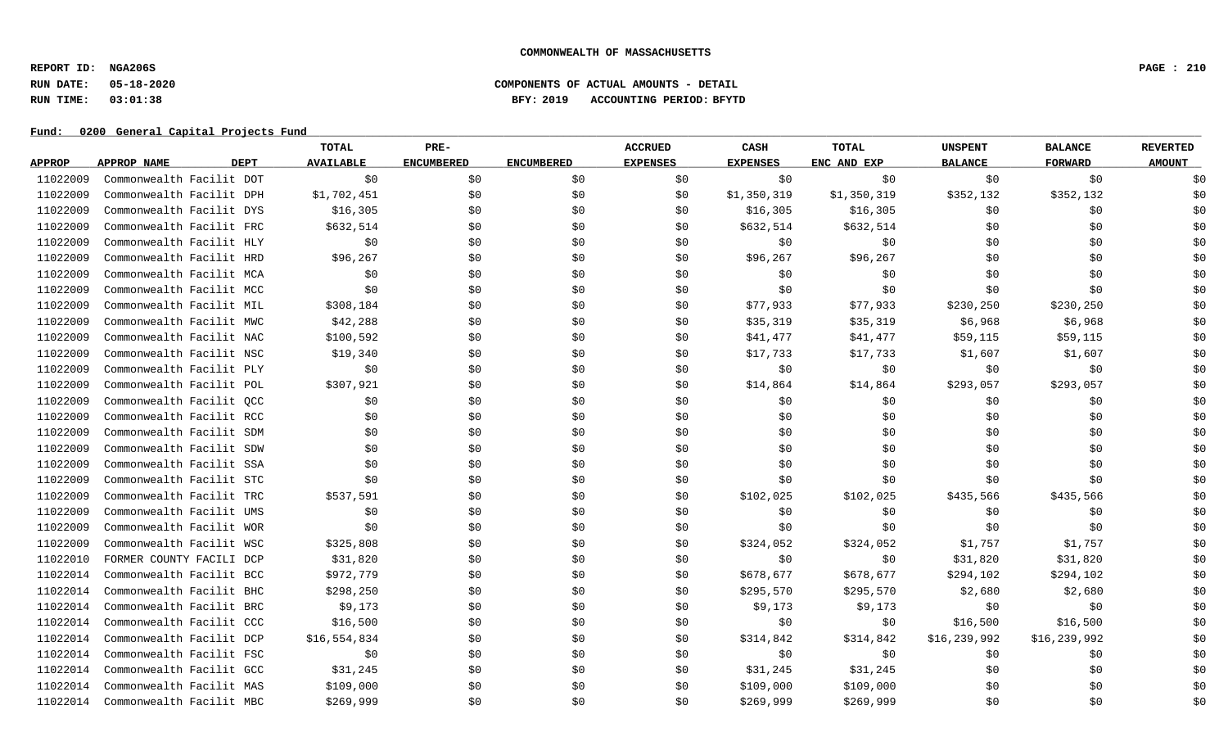**REPORT ID: NGA206S PAGE : 210**

# **RUN DATE: 05-18-2020 COMPONENTS OF ACTUAL AMOUNTS - DETAIL RUN TIME: 03:01:38 BFY: 2019 ACCOUNTING PERIOD: BFYTD**

|               |                            | TOTAL            | PRE-              |                   | <b>ACCRUED</b>  | CASH            | <b>TOTAL</b> | <b>UNSPENT</b> | <b>BALANCE</b> | <b>REVERTED</b> |
|---------------|----------------------------|------------------|-------------------|-------------------|-----------------|-----------------|--------------|----------------|----------------|-----------------|
| <b>APPROP</b> | <b>DEPT</b><br>APPROP NAME | <b>AVAILABLE</b> | <b>ENCUMBERED</b> | <b>ENCUMBERED</b> | <b>EXPENSES</b> | <b>EXPENSES</b> | ENC AND EXP  | <b>BALANCE</b> | <b>FORWARD</b> | <b>AMOUNT</b>   |
| 11022009      | Commonwealth Facilit DOT   | \$0              | \$0               | \$0               | \$0             | \$0             | \$0          | \$0            | \$0            | \$0             |
| 11022009      | Commonwealth Facilit DPH   | \$1,702,451      | \$0               | \$0               | \$0             | \$1,350,319     | \$1,350,319  | \$352,132      | \$352,132      | \$0             |
| 11022009      | Commonwealth Facilit DYS   | \$16,305         | \$0               | \$0               | \$0             | \$16,305        | \$16,305     | \$0            | \$0            | \$0             |
| 11022009      | Commonwealth Facilit FRC   | \$632,514        | \$0               | \$0               | \$0             | \$632,514       | \$632,514    | \$0            | \$0            | \$0             |
| 11022009      | Commonwealth Facilit HLY   | \$0              | \$0               | \$0               | \$0             | \$0             | \$0          | \$0            | \$0            | \$0             |
| 11022009      | Commonwealth Facilit HRD   | \$96,267         | \$0               | \$0               | \$0             | \$96,267        | \$96,267     | \$0            | \$0            | \$0             |
| 11022009      | Commonwealth Facilit MCA   | \$0              | \$0               | \$0               | \$0             | \$0             | \$0          | \$0            | \$0            | \$0             |
| 11022009      | Commonwealth Facilit MCC   | \$0              | \$0               | \$0               | \$0             | \$0             | \$0          | \$0            | \$0            | \$0             |
| 11022009      | Commonwealth Facilit MIL   | \$308,184        | \$0               | \$0               | \$0             | \$77,933        | \$77,933     | \$230, 250     | \$230,250      | \$0             |
| 11022009      | Commonwealth Facilit MWC   | \$42,288         | \$0               | \$0               | \$0             | \$35,319        | \$35,319     | \$6,968        | \$6,968        | \$0             |
| 11022009      | Commonwealth Facilit NAC   | \$100,592        | \$0               | \$0               | \$0             | \$41,477        | \$41,477     | \$59,115       | \$59,115       | \$0             |
| 11022009      | Commonwealth Facilit NSC   | \$19,340         | \$0               | \$0               | \$0             | \$17,733        | \$17,733     | \$1,607        | \$1,607        | \$0             |
| 11022009      | Commonwealth Facilit PLY   | \$0              | \$0               | \$0               | \$0             | \$0             | \$0          | \$0            | \$0            | \$0             |
| 11022009      | Commonwealth Facilit POL   | \$307,921        | \$0               | \$0               | \$0             | \$14,864        | \$14,864     | \$293,057      | \$293,057      | \$0             |
| 11022009      | Commonwealth Facilit QCC   | \$0              | \$0               | \$0               | \$0             | \$0             | \$0          | \$0            | \$0            | \$0             |
| 11022009      | Commonwealth Facilit RCC   | \$0              | \$0               | \$0               | \$0             | \$0             | \$0          | \$0            | \$0            | \$0             |
| 11022009      | Commonwealth Facilit SDM   | \$0              | \$0               | \$0               | \$0             | \$0             | \$0          | \$0            | \$0            | \$0             |
| 11022009      | Commonwealth Facilit SDW   | \$0              | \$0               | \$0               | \$0             | \$0             | \$0          | \$0            | \$0            | \$0             |
| 11022009      | Commonwealth Facilit SSA   | \$0              | \$0               | \$0               | \$0             | \$0             | \$0          | \$0            | \$0            | \$0             |
| 11022009      | Commonwealth Facilit STC   | \$0              | \$0               | \$0               | \$0             | \$0             | \$0          | \$0            | \$0            | \$0             |
| 11022009      | Commonwealth Facilit TRC   | \$537,591        | \$0               | \$0               | \$0             | \$102,025       | \$102,025    | \$435,566      | \$435,566      | \$0             |
| 11022009      | Commonwealth Facilit UMS   | \$0              | \$0               | \$0               | \$0             | \$0             | \$0          | \$0            | \$0            | \$0             |
| 11022009      | Commonwealth Facilit WOR   | \$0              | \$0               | \$0               | \$0             | \$0             | \$0          | \$0            | \$0            | \$0             |
| 11022009      | Commonwealth Facilit WSC   | \$325,808        | \$0               | \$0               | \$0             | \$324,052       | \$324,052    | \$1,757        | \$1,757        | \$0             |
| 11022010      | FORMER COUNTY FACILI DCP   | \$31,820         | \$0               | \$0               | \$0             | \$0             | \$0          | \$31,820       | \$31,820       | \$0             |
| 11022014      | Commonwealth Facilit BCC   | \$972,779        | \$0               | \$0               | \$0             | \$678,677       | \$678,677    | \$294,102      | \$294,102      | \$0             |
| 11022014      | Commonwealth Facilit BHC   | \$298,250        | \$0               | \$0               | \$0             | \$295,570       | \$295,570    | \$2,680        | \$2,680        | \$0             |
| 11022014      | Commonwealth Facilit BRC   | \$9,173          | \$0               | \$0               | \$0             | \$9,173         | \$9,173      | \$0            | \$0            | \$0             |
| 11022014      | Commonwealth Facilit CCC   | \$16,500         | \$0               | \$0               | \$0             | \$0             | \$0          | \$16,500       | \$16,500       | \$0             |
| 11022014      | Commonwealth Facilit DCP   | \$16,554,834     | \$0               | \$0               | \$0             | \$314,842       | \$314,842    | \$16,239,992   | \$16,239,992   | \$0             |
| 11022014      | Commonwealth Facilit FSC   | \$0              | \$0               | \$0               | \$0             | \$0             | \$0          | \$0            | \$0            | \$0             |
| 11022014      | Commonwealth Facilit GCC   | \$31,245         | \$0               | \$0               | \$0             | \$31,245        | \$31,245     | \$0            | \$0            | \$0             |
| 11022014      | Commonwealth Facilit MAS   | \$109,000        | \$0               | \$0               | \$0             | \$109,000       | \$109,000    | \$0            | \$0            | \$0             |
| 11022014      | Commonwealth Facilit MBC   | \$269,999        | \$0               | \$0               | \$0             | \$269,999       | \$269,999    | \$0            | \$0            | \$0             |
|               |                            |                  |                   |                   |                 |                 |              |                |                |                 |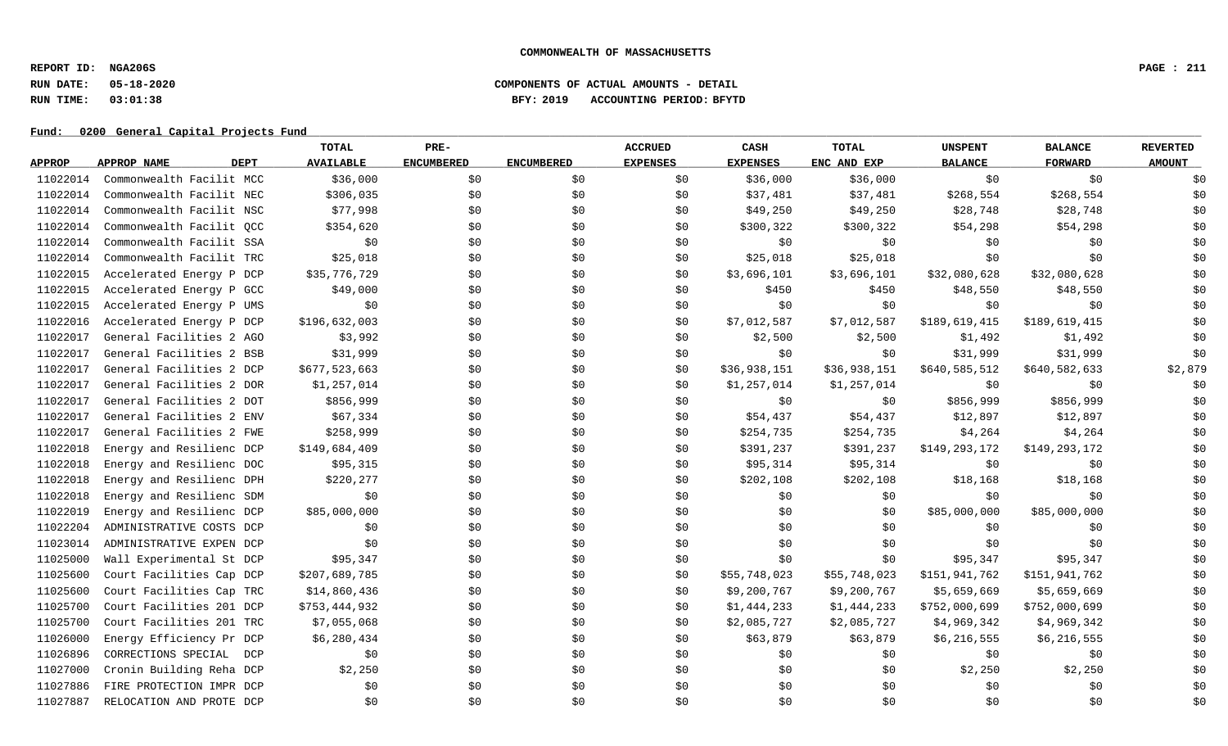**REPORT ID: NGA206S PAGE : 211**

## **RUN DATE: 05-18-2020 COMPONENTS OF ACTUAL AMOUNTS - DETAIL RUN TIME: 03:01:38 BFY: 2019 ACCOUNTING PERIOD: BFYTD**

|               |                            | TOTAL            | PRE-              |                   | <b>ACCRUED</b>  | CASH            | TOTAL        | <b>UNSPENT</b> | <b>BALANCE</b> | <b>REVERTED</b> |
|---------------|----------------------------|------------------|-------------------|-------------------|-----------------|-----------------|--------------|----------------|----------------|-----------------|
| <b>APPROP</b> | <b>DEPT</b><br>APPROP NAME | <b>AVAILABLE</b> | <b>ENCUMBERED</b> | <b>ENCUMBERED</b> | <b>EXPENSES</b> | <b>EXPENSES</b> | ENC AND EXP  | <b>BALANCE</b> | <b>FORWARD</b> | <b>AMOUNT</b>   |
| 11022014      | Commonwealth Facilit MCC   | \$36,000         | \$0               | \$0               | \$0             | \$36,000        | \$36,000     | \$0            | \$0            | \$0             |
| 11022014      | Commonwealth Facilit NEC   | \$306,035        | \$0               | \$0               | \$0             | \$37,481        | \$37,481     | \$268,554      | \$268,554      | \$0             |
| 11022014      | Commonwealth Facilit NSC   | \$77,998         | \$0               | \$0               | \$0             | \$49,250        | \$49,250     | \$28,748       | \$28,748       | \$0             |
| 11022014      | Commonwealth Facilit QCC   | \$354,620        | \$0               | \$0               | \$0             | \$300,322       | \$300,322    | \$54,298       | \$54,298       | \$0             |
| 11022014      | Commonwealth Facilit SSA   | \$0              | \$0               | \$0               | \$0             | \$0             | \$0          | \$0            | \$0            | \$0             |
| 11022014      | Commonwealth Facilit TRC   | \$25,018         | \$0               | \$0               | \$0             | \$25,018        | \$25,018     | \$0            | \$0            | \$0             |
| 11022015      | Accelerated Energy P DCP   | \$35,776,729     | \$0               | \$0               | \$0             | \$3,696,101     | \$3,696,101  | \$32,080,628   | \$32,080,628   | \$0             |
| 11022015      | Accelerated Energy P GCC   | \$49,000         | \$0               | \$0               | \$0             | \$450           | \$450        | \$48,550       | \$48,550       | \$0             |
| 11022015      | Accelerated Energy P UMS   | \$0              | \$0               | \$0               | \$0             | \$0             | \$0          | \$0            | \$0            | \$0             |
| 11022016      | Accelerated Energy P DCP   | \$196,632,003    | \$0               | \$0               | \$0             | \$7,012,587     | \$7,012,587  | \$189,619,415  | \$189,619,415  | \$0             |
| 11022017      | General Facilities 2 AGO   | \$3,992          | \$0               | \$0               | \$0             | \$2,500         | \$2,500      | \$1,492        | \$1,492        | \$0             |
| 11022017      | General Facilities 2 BSB   | \$31,999         | \$0               | \$0               | \$0             | \$0             | \$0\$        | \$31,999       | \$31,999       | \$0             |
| 11022017      | General Facilities 2 DCP   | \$677,523,663    | \$0               | \$0               | \$0             | \$36,938,151    | \$36,938,151 | \$640,585,512  | \$640,582,633  | \$2,879         |
| 11022017      | General Facilities 2 DOR   | \$1,257,014      | \$0               | \$0               | \$0             | \$1,257,014     | \$1,257,014  | \$0            | \$0            | \$0             |
| 11022017      | General Facilities 2 DOT   | \$856,999        | \$0               | \$0               | \$0             | \$0             | \$0\$        | \$856,999      | \$856,999      | \$0             |
| 11022017      | General Facilities 2 ENV   | \$67,334         | \$0               | \$0               | \$0             | \$54,437        | \$54,437     | \$12,897       | \$12,897       | \$0             |
| 11022017      | General Facilities 2 FWE   | \$258,999        | \$0               | \$0               | \$0             | \$254,735       | \$254,735    | \$4,264        | \$4,264        | \$0             |
| 11022018      | Energy and Resilienc DCP   | \$149,684,409    | \$0               | \$0               | \$0             | \$391,237       | \$391,237    | \$149,293,172  | \$149,293,172  | \$0             |
| 11022018      | Energy and Resilienc DOC   | \$95,315         | \$0               | \$0               | \$0             | \$95,314        | \$95,314     | \$0            | \$0            | \$0             |
| 11022018      | Energy and Resilienc DPH   | \$220,277        | \$0               | \$0               | \$0             | \$202,108       | \$202,108    | \$18,168       | \$18,168       | \$0             |
| 11022018      | Energy and Resilienc SDM   | \$0              | \$0               | \$0               | \$0             | \$0             | \$0\$        | \$0            | \$0            | \$0             |
| 11022019      | Energy and Resilienc DCP   | \$85,000,000     | \$0               | \$0               | \$0             | \$0             | \$0          | \$85,000,000   | \$85,000,000   | \$0             |
| 11022204      | ADMINISTRATIVE COSTS DCP   | \$0              | \$0               | \$0               | \$0             | \$0\$           | \$0          | \$0            | \$0            | \$0             |
| 11023014      | ADMINISTRATIVE EXPEN DCP   | \$0              | \$0               | \$0               | \$0             | \$0             | \$0          | \$0            | \$0            | \$0             |
| 11025000      | Wall Experimental St DCP   | \$95,347         | \$0               | \$0               | \$0             | \$0             | \$0          | \$95,347       | \$95,347       | \$0             |
| 11025600      | Court Facilities Cap DCP   | \$207,689,785    | \$0               | \$0               | \$0             | \$55,748,023    | \$55,748,023 | \$151,941,762  | \$151,941,762  | \$0             |
| 11025600      | Court Facilities Cap TRC   | \$14,860,436     | \$0               | \$0               | \$0             | \$9,200,767     | \$9,200,767  | \$5,659,669    | \$5,659,669    | \$0             |
| 11025700      | Court Facilities 201 DCP   | \$753,444,932    | \$0               | \$0               | \$0             | \$1,444,233     | \$1,444,233  | \$752,000,699  | \$752,000,699  | \$0             |
| 11025700      | Court Facilities 201 TRC   | \$7,055,068      | \$0               | \$0               | \$0             | \$2,085,727     | \$2,085,727  | \$4,969,342    | \$4,969,342    | \$0             |
| 11026000      | Energy Efficiency Pr DCP   | \$6,280,434      | \$0               | \$0               | \$0             | \$63,879        | \$63,879     | \$6,216,555    | \$6,216,555    | \$0             |
| 11026896      | CORRECTIONS SPECIAL<br>DCP | \$0              | \$0               | \$0               | \$0             | \$0             | \$0          | \$0            | \$0            | \$0             |
| 11027000      | Cronin Building Reha DCP   | \$2,250          | \$0               | \$0               | \$0             | \$0             | \$0          | \$2,250        | \$2,250        | \$0             |
| 11027886      | FIRE PROTECTION IMPR DCP   | \$0              | \$0               | \$0               | \$0             | \$0             | \$0          | \$0            | \$0            | \$0             |
| 11027887      | RELOCATION AND PROTE DCP   | \$0              | \$0               | \$0               | \$0             | \$0             | \$0          | \$0            | \$0\$          | \$0             |
|               |                            |                  |                   |                   |                 |                 |              |                |                |                 |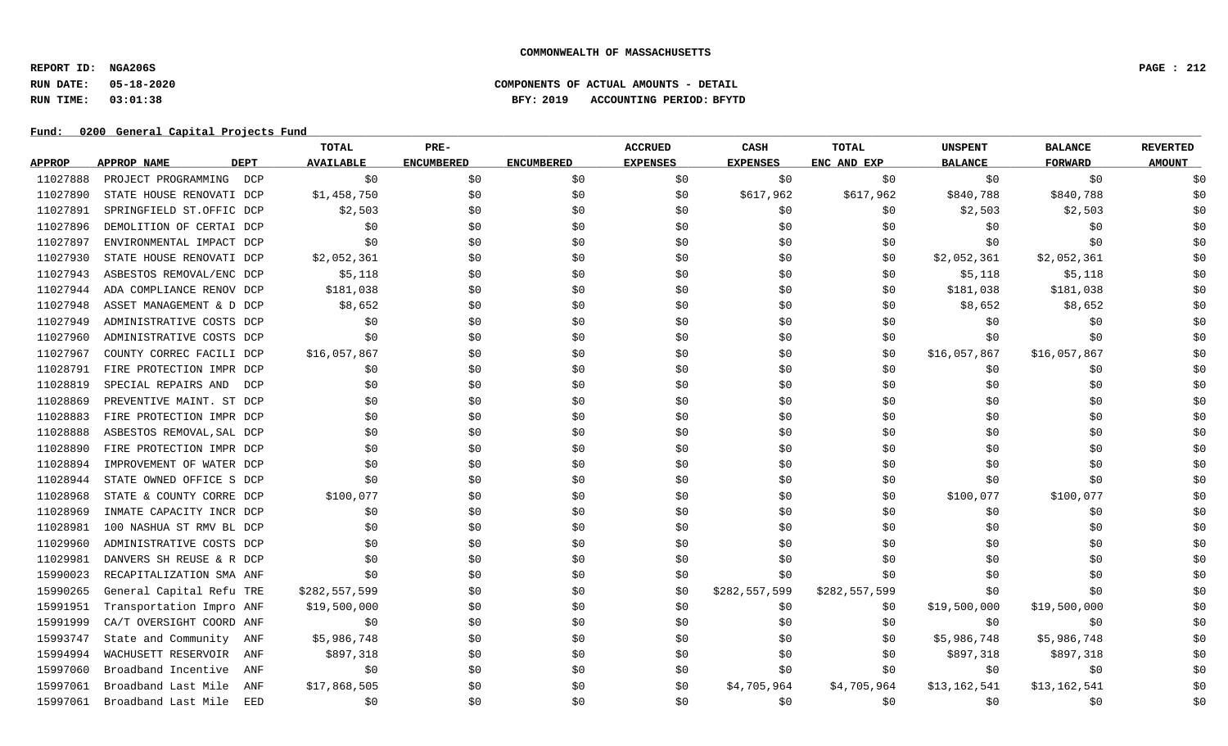**REPORT ID: NGA206S PAGE : 212**

# **RUN DATE: 05-18-2020 COMPONENTS OF ACTUAL AMOUNTS - DETAIL RUN TIME: 03:01:38 BFY: 2019 ACCOUNTING PERIOD: BFYTD**

|               |                            | TOTAL            | PRE-              |                   | <b>ACCRUED</b>  | CASH            | <b>TOTAL</b>  | <b>UNSPENT</b> | <b>BALANCE</b> | <b>REVERTED</b> |
|---------------|----------------------------|------------------|-------------------|-------------------|-----------------|-----------------|---------------|----------------|----------------|-----------------|
| <b>APPROP</b> | APPROP NAME<br><b>DEPT</b> | <b>AVAILABLE</b> | <b>ENCUMBERED</b> | <b>ENCUMBERED</b> | <b>EXPENSES</b> | <b>EXPENSES</b> | ENC AND EXP   | <b>BALANCE</b> | <b>FORWARD</b> | <b>AMOUNT</b>   |
| 11027888      | PROJECT PROGRAMMING<br>DCP | \$0              | \$0               | \$0               | \$0             | \$0             | \$0           | \$0            | \$0            | \$0             |
| 11027890      | STATE HOUSE RENOVATI DCP   | \$1,458,750      | \$0               | \$0               | \$0             | \$617,962       | \$617,962     | \$840,788      | \$840,788      | \$0             |
| 11027891      | SPRINGFIELD ST.OFFIC DCP   | \$2,503          | \$0               | \$0               | \$0             | \$0             | \$0           | \$2,503        | \$2,503        | \$0             |
| 11027896      | DEMOLITION OF CERTAI DCP   | \$0              | \$0               | \$0               | \$0             | \$0             | \$0           | \$0            | \$0            | \$0             |
| 11027897      | ENVIRONMENTAL IMPACT DCP   | \$0              | \$0               | \$0               | \$0             | \$0             | \$0           | \$0            | \$0            | \$0             |
| 11027930      | STATE HOUSE RENOVATI DCP   | \$2,052,361      | \$0               | \$0               | \$0             | \$0             | \$0           | \$2,052,361    | \$2,052,361    | \$0             |
| 11027943      | ASBESTOS REMOVAL/ENC DCP   | \$5,118          | \$0\$             | \$0               | \$0             | \$0             | \$0           | \$5,118        | \$5,118        | \$0             |
| 11027944      | ADA COMPLIANCE RENOV DCP   | \$181,038        | \$0               | \$0               | \$0             | \$0             | \$0           | \$181,038      | \$181,038      | \$0             |
| 11027948      | ASSET MANAGEMENT & D DCP   | \$8,652          | \$0               | \$0               | \$0             | \$0             | \$0           | \$8,652        | \$8,652        | \$0             |
| 11027949      | ADMINISTRATIVE COSTS DCP   | \$0              | \$0               | \$0               | \$0             | \$0             | \$0           | \$0            | \$0            | \$0             |
| 11027960      | ADMINISTRATIVE COSTS DCP   | \$0              | \$0               | \$0               | \$0             | \$0             | \$0           | \$0            | \$0            | \$0             |
| 11027967      | COUNTY CORREC FACILI DCP   | \$16,057,867     | \$0               | \$0               | \$0             | \$0\$           | \$0           | \$16,057,867   | \$16,057,867   | \$0             |
| 11028791      | FIRE PROTECTION IMPR DCP   | \$0              | \$0               | \$0               | \$0             | \$0             | \$0           | \$0            | \$0            | \$0             |
| 11028819      | SPECIAL REPAIRS AND<br>DCP | \$0              | \$0               | \$0               | \$0             | \$0             | \$0           | \$0            | \$0            | \$0             |
| 11028869      | PREVENTIVE MAINT. ST DCP   | \$0              | \$0               | \$0               | \$0             | \$0             | \$0           | \$0            | \$0            | \$0             |
| 11028883      | FIRE PROTECTION IMPR DCP   | \$0              | \$0               | \$0               | \$0             | \$0             | \$0           | \$0            | \$0            | \$0             |
| 11028888      | ASBESTOS REMOVAL, SAL DCP  | \$0              | \$0               | \$0               | \$0             | \$0             | \$0           | \$0            | \$0            | \$0             |
| 11028890      | FIRE PROTECTION IMPR DCP   | \$0              | \$0               | \$0               | \$0             | \$0             | \$0           | \$0            | \$0            | \$0             |
| 11028894      | IMPROVEMENT OF WATER DCP   | \$0              | \$0               | \$0               | \$0             | \$0             | \$0           | \$0            | \$0            | \$0             |
| 11028944      | STATE OWNED OFFICE S DCP   | \$0              | \$0               | \$0               | \$0             | \$0\$           | \$0           | \$0            | \$0            | \$0             |
| 11028968      | STATE & COUNTY CORRE DCP   | \$100,077        | \$0               | \$0               | \$0             | \$0             | \$0           | \$100,077      | \$100,077      | \$0             |
| 11028969      | INMATE CAPACITY INCR DCP   | \$0              | \$0               | \$0               | \$0             | \$0             | \$0           | \$0            | \$0            | \$0             |
| 11028981      | 100 NASHUA ST RMV BL DCP   | \$0              | \$0               | \$0               | \$0             | \$0             | \$0           | \$0            | \$0            | \$0             |
| 11029960      | ADMINISTRATIVE COSTS DCP   | \$0              | \$0               | \$0               | \$0             | \$0             | \$0           | \$0            | \$0            | \$0             |
| 11029981      | DANVERS SH REUSE & R DCP   | \$0              | \$0               | \$0               | \$0             | \$0\$           | \$0           | \$0            | \$0            | \$0             |
| 15990023      | RECAPITALIZATION SMA ANF   | \$0              | \$0               | \$0               | \$0             | \$0             | \$0           | \$0            | \$0            | \$0             |
| 15990265      | General Capital Refu TRE   | \$282,557,599    | \$0               | \$0               | \$0             | \$282,557,599   | \$282,557,599 | \$0            | \$0            | \$0             |
| 15991951      | Transportation Impro ANF   | \$19,500,000     | \$0               | \$0               | \$0             | \$0             | \$0           | \$19,500,000   | \$19,500,000   | \$0             |
| 15991999      | CA/T OVERSIGHT COORD ANF   | \$0              | \$0               | \$0               | \$0             | \$0             | \$0           | \$0            | \$0            | \$0             |
| 15993747      | State and Community<br>ANF | \$5,986,748      | \$0               | \$0               | \$0             | \$0             | \$0           | \$5,986,748    | \$5,986,748    | \$0             |
| 15994994      | WACHUSETT RESERVOIR<br>ANF | \$897,318        | \$0               | \$0               | \$0             | \$0             | \$0           | \$897,318      | \$897,318      | \$0             |
| 15997060      | Broadband Incentive<br>ANF | \$0              | \$0               | \$0               | \$0             | \$0             | \$0           | \$0            | \$0            | \$0             |
| 15997061      | Broadband Last Mile<br>ANF | \$17,868,505     | \$0               | \$0               | \$0             | \$4,705,964     | \$4,705,964   | \$13,162,541   | \$13,162,541   | \$0             |
| 15997061      | Broadband Last Mile<br>EED | \$0              | \$0               | \$0               | \$0             | \$0             | \$0           | \$0            | \$0            | \$0             |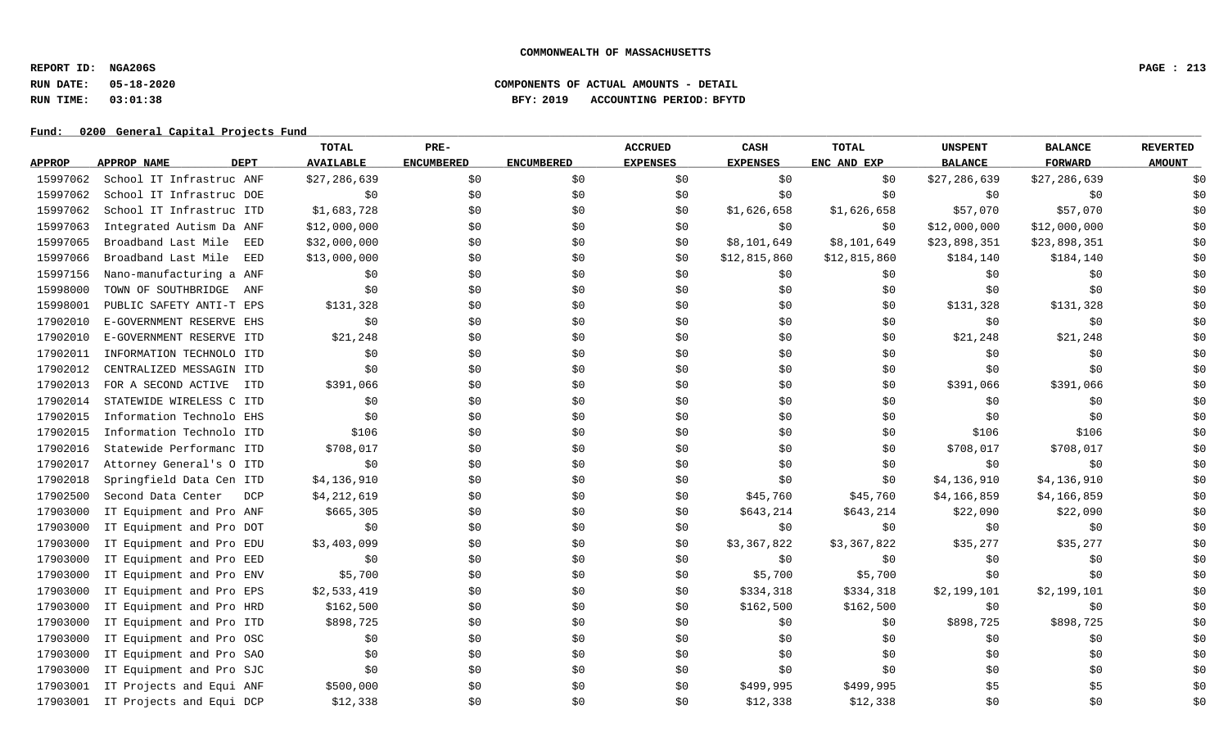**REPORT ID: NGA206S PAGE : 213**

# **RUN DATE: 05-18-2020 COMPONENTS OF ACTUAL AMOUNTS - DETAIL RUN TIME: 03:01:38 BFY: 2019 ACCOUNTING PERIOD: BFYTD**

|               |                            | TOTAL            | PRE-              |                   | <b>ACCRUED</b>  | CASH            | <b>TOTAL</b> | <b>UNSPENT</b> | <b>BALANCE</b> | <b>REVERTED</b> |
|---------------|----------------------------|------------------|-------------------|-------------------|-----------------|-----------------|--------------|----------------|----------------|-----------------|
| <b>APPROP</b> | <b>DEPT</b><br>APPROP NAME | <b>AVAILABLE</b> | <b>ENCUMBERED</b> | <b>ENCUMBERED</b> | <b>EXPENSES</b> | <b>EXPENSES</b> | ENC AND EXP  | <b>BALANCE</b> | <b>FORWARD</b> | <b>AMOUNT</b>   |
| 15997062      | School IT Infrastruc ANF   | \$27,286,639     | \$0               | \$0               | \$0             | \$0             | \$0          | \$27,286,639   | \$27,286,639   | \$0             |
| 15997062      | School IT Infrastruc DOE   | \$0              | \$0               | \$0               | \$0             | \$0             | \$0\$        | \$0            | \$0            | \$0             |
| 15997062      | School IT Infrastruc ITD   | \$1,683,728      | \$0               | \$0               | \$0             | \$1,626,658     | \$1,626,658  | \$57,070       | \$57,070       | \$0             |
| 15997063      | Integrated Autism Da ANF   | \$12,000,000     | \$0               | \$0               | \$0             | \$0             | \$0          | \$12,000,000   | \$12,000,000   | \$0             |
| 15997065      | Broadband Last Mile<br>EED | \$32,000,000     | \$0               | \$0               | \$0             | \$8,101,649     | \$8,101,649  | \$23,898,351   | \$23,898,351   | \$0             |
| 15997066      | Broadband Last Mile<br>EED | \$13,000,000     | \$0               | \$0               | \$0             | \$12,815,860    | \$12,815,860 | \$184,140      | \$184,140      | \$0             |
| 15997156      | Nano-manufacturing a ANF   | \$0              | \$0               | \$0               | \$0             | \$0             | \$0          | \$0            | \$0            | \$0             |
| 15998000      | TOWN OF SOUTHBRIDGE<br>ANF | \$0              | \$0               | \$0               | \$0             | \$0             | \$0          | \$0            | \$0            | \$0             |
| 15998001      | PUBLIC SAFETY ANTI-T EPS   | \$131,328        | \$0               | \$0               | \$0             | \$0             | \$0          | \$131,328      | \$131,328      | \$0             |
| 17902010      | E-GOVERNMENT RESERVE EHS   | \$0              | \$0               | \$0               | \$0             | \$0             | \$0          | \$0            | \$0            | \$0             |
| 17902010      | E-GOVERNMENT RESERVE ITD   | \$21,248         | \$0               | \$0               | \$0             | \$0             | \$0          | \$21,248       | \$21,248       | \$0             |
| 17902011      | INFORMATION TECHNOLO ITD   | \$0              | \$0               | \$0               | \$0             | \$0             | \$0          | \$0            | \$0            | \$0             |
| 17902012      | CENTRALIZED MESSAGIN ITD   | \$0              | \$0\$             | \$0               | \$0             | \$0             | \$0          | \$0            | \$0            | \$0             |
| 17902013      | FOR A SECOND ACTIVE<br>ITD | \$391,066        | \$0               | \$0               | \$0             | \$0             | \$0          | \$391,066      | \$391,066      | \$0             |
| 17902014      | STATEWIDE WIRELESS C ITD   | \$0              | \$0\$             | \$0               | \$0             | \$0             | \$0          | \$0            | \$0            | \$0             |
| 17902015      | Information Technolo EHS   | \$0              | \$0               | \$0               | \$0             | \$0             | \$0          | \$0            | \$0            | \$0             |
| 17902015      | Information Technolo ITD   | \$106            | \$0               | \$0               | \$0             | \$0             | \$0          | \$106          | \$106          | \$0             |
| 17902016      | Statewide Performanc ITD   | \$708,017        | \$0               | \$0               | \$0             | \$0             | \$0          | \$708,017      | \$708,017      | \$0             |
| 17902017      | Attorney General's O ITD   | \$0              | \$0               | \$0               | \$0             | \$0             | \$0          | \$0            | \$0            | \$0             |
| 17902018      | Springfield Data Cen ITD   | \$4,136,910      | \$0               | \$0               | \$0             | \$0             | \$0          | \$4,136,910    | \$4,136,910    | \$0             |
| 17902500      | Second Data Center<br>DCP  | \$4,212,619      | \$0\$             | \$0               | \$0             | \$45,760        | \$45,760     | \$4,166,859    | \$4,166,859    | \$0             |
| 17903000      | IT Equipment and Pro ANF   | \$665,305        | \$0               | \$0               | \$0             | \$643,214       | \$643,214    | \$22,090       | \$22,090       | \$0             |
| 17903000      | IT Equipment and Pro DOT   | \$0              | \$0               | \$0               | \$0             | \$0             | \$0\$        | \$0            | \$0            | \$0             |
| 17903000      | IT Equipment and Pro EDU   | \$3,403,099      | \$0               | \$0               | \$0             | \$3,367,822     | \$3,367,822  | \$35,277       | \$35,277       | \$0             |
| 17903000      | IT Equipment and Pro EED   | \$0              | \$0               | \$0               | \$0             | \$0\$           | \$0\$        | \$0            | \$0            | \$0             |
| 17903000      | IT Equipment and Pro ENV   | \$5,700          | \$0               | \$0               | \$0             | \$5,700         | \$5,700      | \$0            | \$0            | \$0             |
| 17903000      | IT Equipment and Pro EPS   | \$2,533,419      | \$0\$             | \$0               | \$0             | \$334,318       | \$334,318    | \$2,199,101    | \$2,199,101    | \$0             |
| 17903000      | IT Equipment and Pro HRD   | \$162,500        | \$0               | \$0               | \$0             | \$162,500       | \$162,500    | \$0            | \$0            | \$0             |
| 17903000      | IT Equipment and Pro ITD   | \$898,725        | \$0               | \$0               | \$0             | \$0             | \$0          | \$898,725      | \$898,725      | \$0             |
| 17903000      | IT Equipment and Pro OSC   | \$0              | \$0               | \$0               | \$0             | \$0             | \$0          | \$0            | \$0            | \$0             |
| 17903000      | IT Equipment and Pro SAO   | \$0              | \$0               | \$0               | \$0             | \$0             | \$0          | \$0            | \$0            | \$0             |
| 17903000      | IT Equipment and Pro SJC   | \$0              | \$0               | \$0               | \$0             | \$0             | \$0          | \$0            | \$0            | \$0             |
| 17903001      | IT Projects and Equi ANF   | \$500,000        | \$0               | \$0               | \$0             | \$499,995       | \$499,995    | \$5            | \$5            | \$0             |
| 17903001      | IT Projects and Equi DCP   | \$12,338         | \$0               | \$0               | \$0             | \$12,338        | \$12,338     | \$0            | \$0            | \$0             |
|               |                            |                  |                   |                   |                 |                 |              |                |                |                 |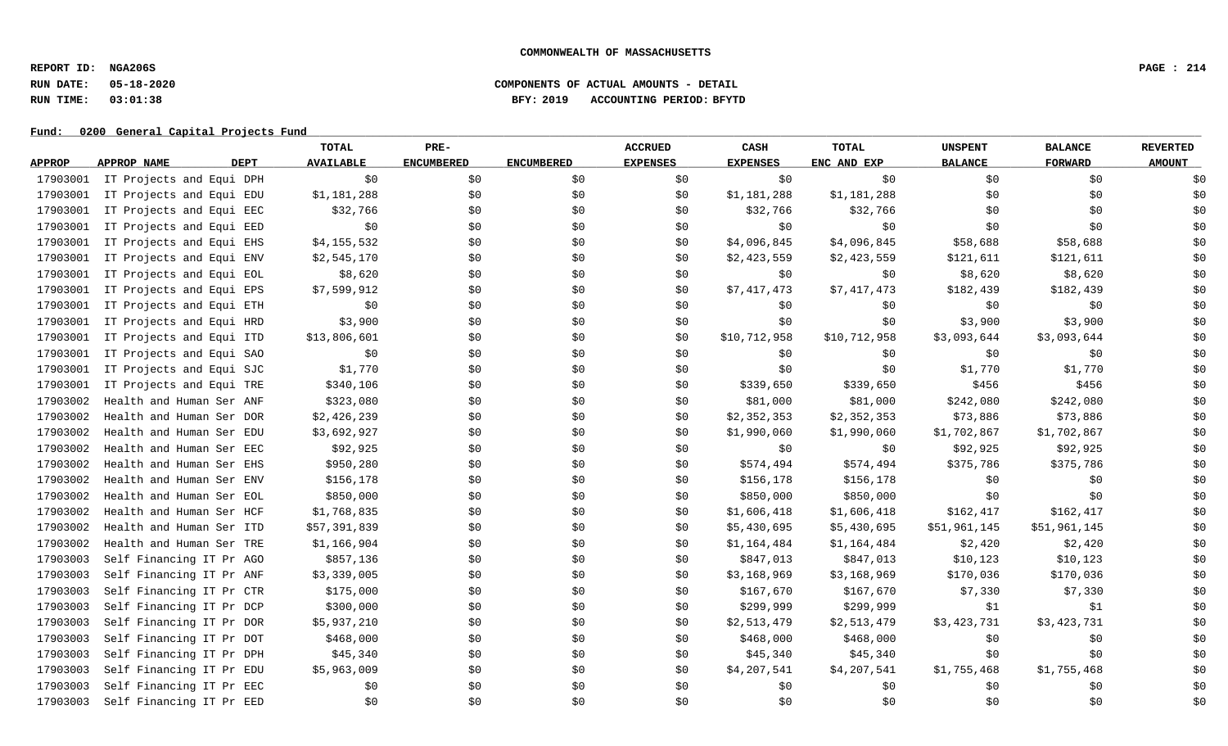**REPORT ID: NGA206S PAGE : 214**

# **RUN DATE: 05-18-2020 COMPONENTS OF ACTUAL AMOUNTS - DETAIL RUN TIME: 03:01:38 BFY: 2019 ACCOUNTING PERIOD: BFYTD**

|               |                            | TOTAL            | PRE-              |                   | <b>ACCRUED</b>  | CASH            | <b>TOTAL</b> | <b>UNSPENT</b> | <b>BALANCE</b> | <b>REVERTED</b> |
|---------------|----------------------------|------------------|-------------------|-------------------|-----------------|-----------------|--------------|----------------|----------------|-----------------|
| <b>APPROP</b> | <b>DEPT</b><br>APPROP NAME | <b>AVAILABLE</b> | <b>ENCUMBERED</b> | <b>ENCUMBERED</b> | <b>EXPENSES</b> | <b>EXPENSES</b> | ENC AND EXP  | <b>BALANCE</b> | <b>FORWARD</b> | <b>AMOUNT</b>   |
| 17903001      | IT Projects and Equi DPH   | \$0              | \$0               | \$0               | \$0             | \$0             | \$0          | \$0            | \$0            | \$0             |
| 17903001      | IT Projects and Equi EDU   | \$1,181,288      | \$0\$             | \$0               | \$0             | \$1,181,288     | \$1,181,288  | \$0            | \$0            | \$0             |
| 17903001      | IT Projects and Equi EEC   | \$32,766         | \$0               | \$0               | \$0             | \$32,766        | \$32,766     | \$0            | \$0            | \$0             |
| 17903001      | IT Projects and Equi EED   | \$0              | \$0               | \$0               | \$0             | \$0             | \$0\$        | \$0            | \$0            | \$0             |
| 17903001      | IT Projects and Equi EHS   | \$4,155,532      | \$0               | \$0               | \$0             | \$4,096,845     | \$4,096,845  | \$58,688       | \$58,688       | \$0             |
| 17903001      | IT Projects and Equi ENV   | \$2,545,170      | \$0               | \$0               | \$0             | \$2,423,559     | \$2,423,559  | \$121,611      | \$121,611      | \$0             |
| 17903001      | IT Projects and Equi EOL   | \$8,620          | \$0               | \$0               | \$0             | \$0             | \$0          | \$8,620        | \$8,620        | \$0             |
| 17903001      | IT Projects and Equi EPS   | \$7,599,912      | \$0               | \$0               | \$0             | \$7,417,473     | \$7,417,473  | \$182,439      | \$182,439      | \$0             |
| 17903001      | IT Projects and Equi ETH   | \$0              | \$0               | \$0               | \$0             | \$0             | \$0          | \$0            | \$0            | \$0             |
| 17903001      | IT Projects and Equi HRD   | \$3,900          | \$0               | \$0               | \$0             | \$0             | \$0          | \$3,900        | \$3,900        | \$0             |
| 17903001      | IT Projects and Equi ITD   | \$13,806,601     | \$0               | \$0               | \$0             | \$10,712,958    | \$10,712,958 | \$3,093,644    | \$3,093,644    | \$0             |
| 17903001      | IT Projects and Equi SAO   | \$0              | \$0               | \$0               | \$0             | \$0             | \$0          | \$0            | \$0            | \$0             |
| 17903001      | IT Projects and Equi SJC   | \$1,770          | \$0               | \$0               | \$0\$           | \$0\$           | \$0          | \$1,770        | \$1,770        | \$0             |
| 17903001      | IT Projects and Equi TRE   | \$340,106        | \$0               | \$0               | \$0             | \$339,650       | \$339,650    | \$456          | \$456          | \$0             |
| 17903002      | Health and Human Ser ANF   | \$323,080        | \$0               | \$0               | \$0             | \$81,000        | \$81,000     | \$242,080      | \$242,080      | \$0             |
| 17903002      | Health and Human Ser DOR   | \$2,426,239      | \$0               | \$0               | \$0             | \$2,352,353     | \$2,352,353  | \$73,886       | \$73,886       | \$0             |
| 17903002      | Health and Human Ser EDU   | \$3,692,927      | \$0               | \$0               | \$0             | \$1,990,060     | \$1,990,060  | \$1,702,867    | \$1,702,867    | \$0             |
| 17903002      | Health and Human Ser EEC   | \$92,925         | \$0               | \$0               | \$0             | \$0             | \$0          | \$92,925       | \$92,925       | \$0             |
| 17903002      | Health and Human Ser EHS   | \$950,280        | \$0               | \$0               | \$0             | \$574,494       | \$574,494    | \$375,786      | \$375,786      | \$0             |
| 17903002      | Health and Human Ser ENV   | \$156,178        | \$0               | \$0               | \$0             | \$156,178       | \$156,178    | \$0            | \$0            | \$0             |
| 17903002      | Health and Human Ser EOL   | \$850,000        | \$0               | \$0               | \$0             | \$850,000       | \$850,000    | \$0            | \$0            | \$0             |
| 17903002      | Health and Human Ser HCF   | \$1,768,835      | \$0               | \$0               | \$0             | \$1,606,418     | \$1,606,418  | \$162,417      | \$162,417      | \$0             |
| 17903002      | Health and Human Ser ITD   | \$57,391,839     | \$0               | \$0               | \$0             | \$5,430,695     | \$5,430,695  | \$51,961,145   | \$51,961,145   | \$0             |
| 17903002      | Health and Human Ser TRE   | \$1,166,904      | \$0               | \$0               | \$0             | \$1,164,484     | \$1,164,484  | \$2,420        | \$2,420        | \$0             |
| 17903003      | Self Financing IT Pr AGO   | \$857,136        | \$0               | \$0               | \$0             | \$847,013       | \$847,013    | \$10, 123      | \$10, 123      | \$0             |
| 17903003      | Self Financing IT Pr ANF   | \$3,339,005      | \$0               | \$0               | \$0             | \$3,168,969     | \$3,168,969  | \$170,036      | \$170,036      | \$0             |
| 17903003      | Self Financing IT Pr CTR   | \$175,000        | \$0               | \$0               | \$0             | \$167,670       | \$167,670    | \$7,330        | \$7,330        | \$0             |
| 17903003      | Self Financing IT Pr DCP   | \$300,000        | \$0               | \$0               | \$0             | \$299,999       | \$299,999    | \$1            | \$1            | \$0             |
| 17903003      | Self Financing IT Pr DOR   | \$5,937,210      | \$0               | \$0               | \$0             | \$2,513,479     | \$2,513,479  | \$3,423,731    | \$3,423,731    | \$0             |
| 17903003      | Self Financing IT Pr DOT   | \$468,000        | \$0               | \$0               | \$0             | \$468,000       | \$468,000    | \$0            | \$0            | \$0             |
| 17903003      | Self Financing IT Pr DPH   | \$45,340         | \$0               | \$0               | \$0             | \$45,340        | \$45,340     | \$0            | \$0            | \$0             |
| 17903003      | Self Financing IT Pr EDU   | \$5,963,009      | \$0               | \$0               | \$0             | \$4,207,541     | \$4,207,541  | \$1,755,468    | \$1,755,468    | \$0             |
| 17903003      | Self Financing IT Pr EEC   | \$0              | \$0               | \$0               | \$0             | \$0             | \$0          | \$0            | \$0            | \$0             |
| 17903003      | Self Financing IT Pr EED   | \$0              | \$0               | \$0               | \$0             | \$0             | \$0\$        | \$0            | \$0            | \$0             |
|               |                            |                  |                   |                   |                 |                 |              |                |                |                 |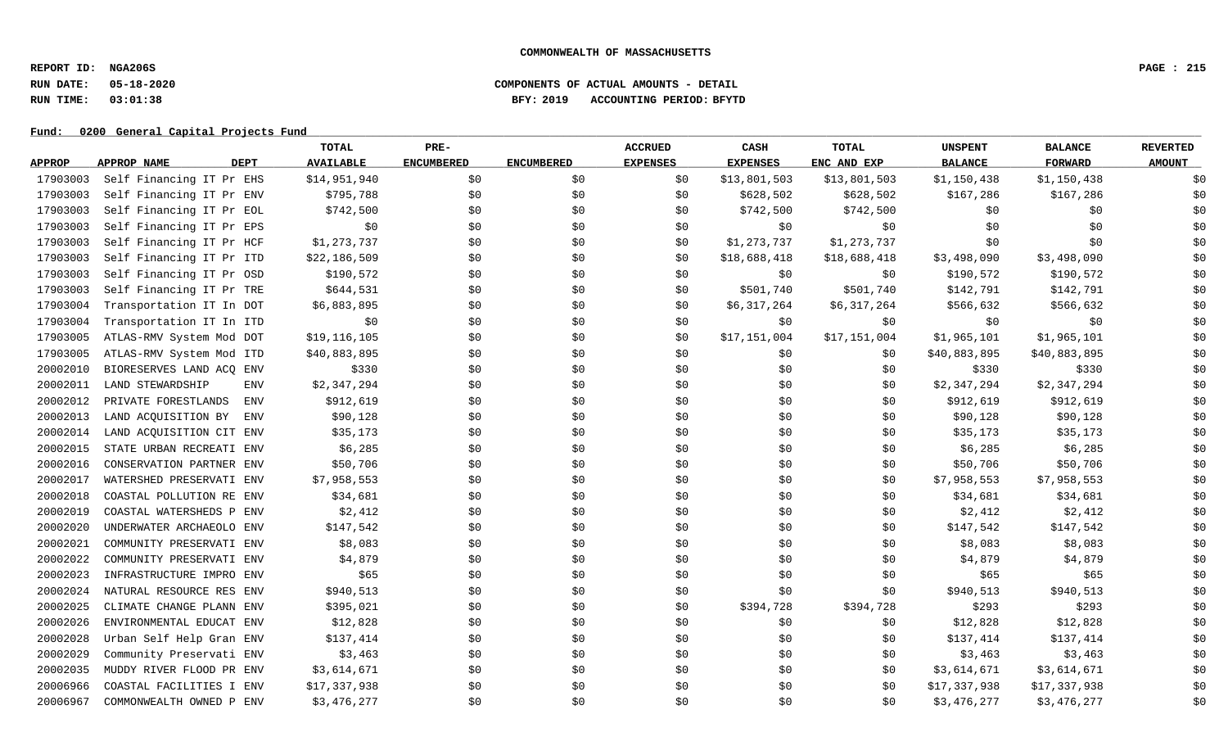**REPORT ID: NGA206S PAGE : 215**

## **RUN DATE: 05-18-2020 COMPONENTS OF ACTUAL AMOUNTS - DETAIL RUN TIME: 03:01:38 BFY: 2019 ACCOUNTING PERIOD: BFYTD**

|               |                            | TOTAL            | PRE-              |                   | <b>ACCRUED</b>  | CASH            | TOTAL        | <b>UNSPENT</b> | <b>BALANCE</b> | <b>REVERTED</b> |
|---------------|----------------------------|------------------|-------------------|-------------------|-----------------|-----------------|--------------|----------------|----------------|-----------------|
| <b>APPROP</b> | <b>DEPT</b><br>APPROP NAME | <b>AVAILABLE</b> | <b>ENCUMBERED</b> | <b>ENCUMBERED</b> | <b>EXPENSES</b> | <b>EXPENSES</b> | ENC AND EXP  | <b>BALANCE</b> | <b>FORWARD</b> | <b>AMOUNT</b>   |
| 17903003      | Self Financing IT Pr EHS   | \$14,951,940     | \$0               | \$0\$             | \$0             | \$13,801,503    | \$13,801,503 | \$1,150,438    | \$1,150,438    | \$0             |
| 17903003      | Self Financing IT Pr ENV   | \$795,788        | \$0               | \$0               | \$0             | \$628,502       | \$628,502    | \$167,286      | \$167,286      | \$0             |
| 17903003      | Self Financing IT Pr EOL   | \$742,500        | \$0               | \$0               | \$0             | \$742,500       | \$742,500    | \$0            | \$0            | \$0             |
| 17903003      | Self Financing IT Pr EPS   | \$0              | \$0               | \$0               | \$0             | \$0             | \$0          | \$0            | \$0            | \$0             |
| 17903003      | Self Financing IT Pr HCF   | \$1,273,737      | \$0               | \$0               | \$0             | \$1,273,737     | \$1,273,737  | \$0            | \$0            | \$0             |
| 17903003      | Self Financing IT Pr ITD   | \$22,186,509     | \$0               | \$0               | \$0             | \$18,688,418    | \$18,688,418 | \$3,498,090    | \$3,498,090    | \$0             |
| 17903003      | Self Financing IT Pr OSD   | \$190,572        | \$0               | \$0               | \$0             | \$0             | \$0          | \$190,572      | \$190,572      | \$0             |
| 17903003      | Self Financing IT Pr TRE   | \$644,531        | \$0               | \$0               | \$0             | \$501,740       | \$501,740    | \$142,791      | \$142,791      | \$0             |
| 17903004      | Transportation IT In DOT   | \$6,883,895      | \$0               | \$0               | \$0             | \$6,317,264     | \$6,317,264  | \$566,632      | \$566,632      | \$0             |
| 17903004      | Transportation IT In ITD   | \$0              | \$0               | \$0               | \$0             | \$0             | \$0          | \$0            | \$0            | \$0             |
| 17903005      | ATLAS-RMV System Mod DOT   | \$19,116,105     | \$0               | \$0               | \$0             | \$17,151,004    | \$17,151,004 | \$1,965,101    | \$1,965,101    | \$0             |
| 17903005      | ATLAS-RMV System Mod ITD   | \$40,883,895     | \$0               | \$0               | \$0             | \$0             | \$0          | \$40,883,895   | \$40,883,895   | \$0             |
| 20002010      | BIORESERVES LAND ACQ ENV   | \$330            | \$0               | \$0               | \$0             | \$0             | \$0          | \$330          | \$330          | \$0             |
| 20002011      | LAND STEWARDSHIP<br>ENV    | \$2,347,294      | \$0               | \$0               | \$0             | \$0             | \$0          | \$2,347,294    | \$2,347,294    | \$0             |
| 20002012      | PRIVATE FORESTLANDS<br>ENV | \$912,619        | \$0               | \$0               | \$0             | \$0             | \$0          | \$912,619      | \$912,619      | \$0             |
| 20002013      | LAND ACQUISITION BY<br>ENV | \$90,128         | \$0               | \$0               | \$0             | \$0             | \$0          | \$90,128       | \$90,128       | \$0             |
| 20002014      | LAND ACQUISITION CIT ENV   | \$35,173         | \$0               | \$0               | \$0             | \$0             | \$0          | \$35,173       | \$35,173       | \$0             |
| 20002015      | STATE URBAN RECREATI ENV   | \$6,285          | \$0               | \$0               | \$0             | \$0             | \$0          | \$6,285        | \$6,285        | \$0             |
| 20002016      | CONSERVATION PARTNER ENV   | \$50,706         | \$0               | \$0               | \$0\$           | \$0             | \$0          | \$50,706       | \$50,706       | \$0             |
| 20002017      | WATERSHED PRESERVATI ENV   | \$7,958,553      | \$0               | \$0               | \$0             | \$0             | \$0          | \$7,958,553    | \$7,958,553    | \$0             |
| 20002018      | COASTAL POLLUTION RE ENV   | \$34,681         | \$0               | \$0               | \$0             | \$0             | \$0          | \$34,681       | \$34,681       | \$0             |
| 20002019      | COASTAL WATERSHEDS P ENV   | \$2,412          | \$0               | \$0               | \$0             | \$0             | \$0          | \$2,412        | \$2,412        | \$0             |
| 20002020      | UNDERWATER ARCHAEOLO ENV   | \$147,542        | \$0               | \$0               | \$0             | \$0             | \$0          | \$147,542      | \$147,542      | \$0             |
| 20002021      | COMMUNITY PRESERVATI ENV   | \$8,083          | \$0               | \$0               | \$0             | \$0             | \$0          | \$8,083        | \$8,083        | \$0             |
| 20002022      | COMMUNITY PRESERVATI ENV   | \$4,879          | \$0               | \$0               | \$0             | \$0             | \$0          | \$4,879        | \$4,879        | \$0             |
| 20002023      | INFRASTRUCTURE IMPRO ENV   | \$65             | \$0               | \$0               | \$0\$           | \$0             | \$0\$        | \$65           | \$65           | \$0             |
| 20002024      | NATURAL RESOURCE RES ENV   | \$940,513        | \$0               | \$0\$             | \$0             | \$0             | \$0          | \$940,513      | \$940,513      | \$0             |
| 20002025      | CLIMATE CHANGE PLANN ENV   | \$395,021        | \$0               | \$0               | \$0             | \$394,728       | \$394,728    | \$293          | \$293          | \$0             |
| 20002026      | ENVIRONMENTAL EDUCAT ENV   | \$12,828         | \$0               | \$0               | \$0             | \$0             | \$0          | \$12,828       | \$12,828       | \$0             |
| 20002028      | Urban Self Help Gran ENV   | \$137,414        | \$0               | \$0               | \$0             | \$0             | \$0          | \$137,414      | \$137,414      | \$0             |
| 20002029      | Community Preservati ENV   | \$3,463          | \$0               | \$0               | \$0             | \$0             | \$0          | \$3,463        | \$3,463        | \$0             |
| 20002035      | MUDDY RIVER FLOOD PR ENV   | \$3,614,671      | \$0               | \$0               | \$0             | \$0             | \$0          | \$3,614,671    | \$3,614,671    | \$0             |
| 20006966      | COASTAL FACILITIES I ENV   | \$17,337,938     | \$0               | \$0               | \$0             | \$0             | \$0          | \$17,337,938   | \$17,337,938   | \$0             |
| 20006967      | COMMONWEALTH OWNED P ENV   | \$3,476,277      | \$0               | \$0               | \$0             | \$0             | \$0          | \$3,476,277    | \$3,476,277    | \$0             |
|               |                            |                  |                   |                   |                 |                 |              |                |                |                 |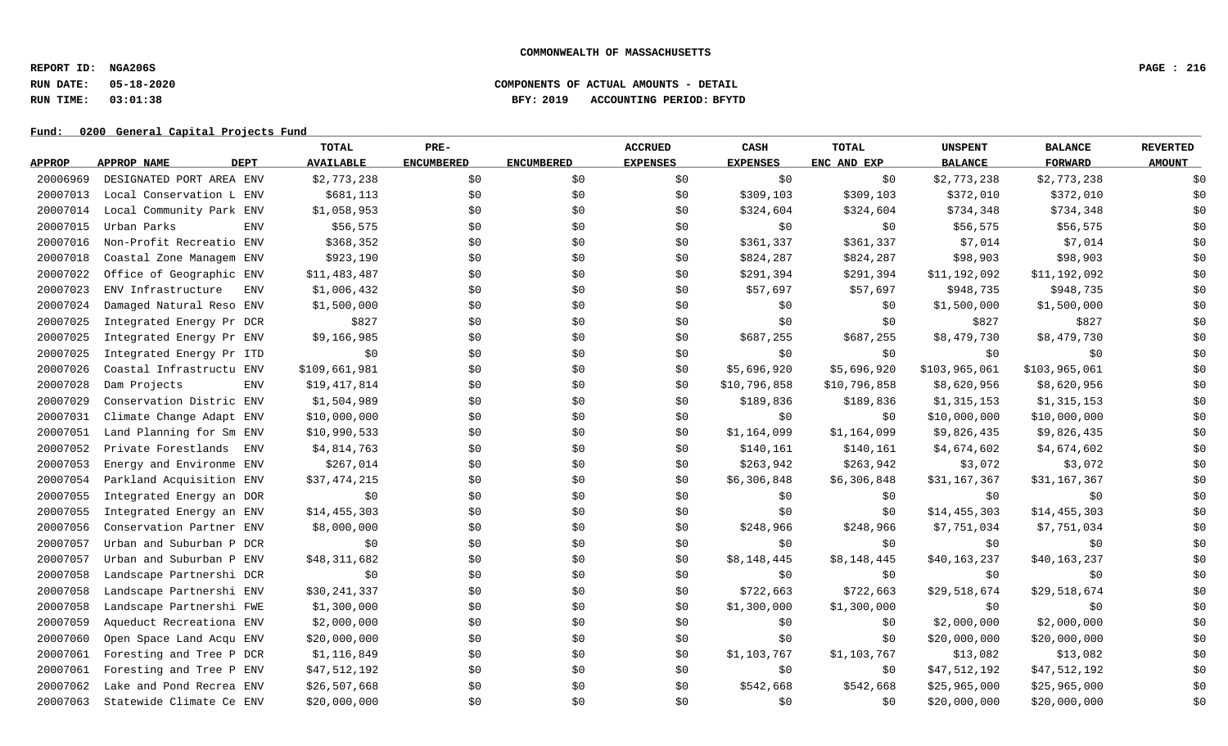**REPORT ID: NGA206S PAGE : 216**

### **RUN DATE: 05-18-2020 COMPONENTS OF ACTUAL AMOUNTS - DETAIL RUN TIME: 03:01:38 BFY: 2019 ACCOUNTING PERIOD: BFYTD**

|               |                            | TOTAL            | PRE-              |                   | <b>ACCRUED</b>  | CASH            | <b>TOTAL</b> | <b>UNSPENT</b> | <b>BALANCE</b> | <b>REVERTED</b> |
|---------------|----------------------------|------------------|-------------------|-------------------|-----------------|-----------------|--------------|----------------|----------------|-----------------|
| <b>APPROP</b> | <b>DEPT</b><br>APPROP NAME | <b>AVAILABLE</b> | <b>ENCUMBERED</b> | <b>ENCUMBERED</b> | <b>EXPENSES</b> | <b>EXPENSES</b> | ENC AND EXP  | <b>BALANCE</b> | <b>FORWARD</b> | <b>AMOUNT</b>   |
| 20006969      | DESIGNATED PORT AREA ENV   | \$2,773,238      | \$0               | \$0               | \$0             | \$0             | \$0          | \$2,773,238    | \$2,773,238    | \$0             |
| 20007013      | Local Conservation L ENV   | \$681,113        | \$0               | \$0               | \$0             | \$309,103       | \$309,103    | \$372,010      | \$372,010      | \$0             |
| 20007014      | Local Community Park ENV   | \$1,058,953      | \$0               | \$0               | \$0             | \$324,604       | \$324,604    | \$734,348      | \$734,348      | \$0             |
| 20007015      | Urban Parks<br><b>ENV</b>  | \$56,575         | \$0               | \$0               | \$0             | \$0             | \$0          | \$56,575       | \$56,575       | \$0             |
| 20007016      | Non-Profit Recreatio ENV   | \$368,352        | \$0               | \$0               | \$0             | \$361,337       | \$361,337    | \$7,014        | \$7,014        | \$0             |
| 20007018      | Coastal Zone Managem ENV   | \$923,190        | \$0               | \$0               | \$0             | \$824,287       | \$824,287    | \$98,903       | \$98,903       | \$0             |
| 20007022      | Office of Geographic ENV   | \$11,483,487     | \$0\$             | \$0               | \$0             | \$291,394       | \$291,394    | \$11,192,092   | \$11,192,092   | \$0             |
| 20007023      | ENV Infrastructure<br>ENV  | \$1,006,432      | \$0               | \$0               | \$0             | \$57,697        | \$57,697     | \$948,735      | \$948,735      | \$0             |
| 20007024      | Damaged Natural Reso ENV   | \$1,500,000      | \$0               | \$0               | \$0             | \$0             | \$0          | \$1,500,000    | \$1,500,000    | \$0             |
| 20007025      | Integrated Energy Pr DCR   | \$827            | \$0               | \$0               | \$0             | \$0             | \$0          | \$827          | \$827          | \$0             |
| 20007025      | Integrated Energy Pr ENV   | \$9,166,985      | \$0               | \$0               | \$0             | \$687,255       | \$687,255    | \$8,479,730    | \$8,479,730    | \$0             |
| 20007025      | Integrated Energy Pr ITD   | \$0              | \$0               | \$0               | \$0             | \$0             | \$0          | \$0            | \$0            | \$0             |
| 20007026      | Coastal Infrastructu ENV   | \$109,661,981    | \$0               | \$0               | \$0             | \$5,696,920     | \$5,696,920  | \$103,965,061  | \$103,965,061  | \$0             |
| 20007028      | <b>ENV</b><br>Dam Projects | \$19,417,814     | \$0               | \$0\$             | \$0             | \$10,796,858    | \$10,796,858 | \$8,620,956    | \$8,620,956    | \$0             |
| 20007029      | Conservation Distric ENV   | \$1,504,989      | \$0               | \$0               | \$0             | \$189,836       | \$189,836    | \$1,315,153    | \$1,315,153    | \$0             |
| 20007031      | Climate Change Adapt ENV   | \$10,000,000     | \$0               | \$0               | \$0             | \$0             | \$0          | \$10,000,000   | \$10,000,000   | \$0             |
| 20007051      | Land Planning for Sm ENV   | \$10,990,533     | \$0               | \$0               | \$0             | \$1,164,099     | \$1,164,099  | \$9,826,435    | \$9,826,435    | \$0             |
| 20007052      | Private Forestlands<br>ENV | \$4,814,763      | \$0               | \$0               | \$0             | \$140,161       | \$140,161    | \$4,674,602    | \$4,674,602    | \$0             |
| 20007053      | Energy and Environme ENV   | \$267,014        | \$0               | \$0               | \$0             | \$263,942       | \$263,942    | \$3,072        | \$3,072        | \$0             |
| 20007054      | Parkland Acquisition ENV   | \$37,474,215     | \$0               | \$0               | \$0             | \$6,306,848     | \$6,306,848  | \$31,167,367   | \$31,167,367   | \$0             |
| 20007055      | Integrated Energy an DOR   | \$0              | \$0               | \$0               | \$0             | \$0             | \$0          | \$0            | \$0            | \$0             |
| 20007055      | Integrated Energy an ENV   | \$14,455,303     | \$0               | \$0               | \$0             | \$0             | \$0          | \$14,455,303   | \$14,455,303   | \$0             |
| 20007056      | Conservation Partner ENV   | \$8,000,000      | \$0               | \$0               | \$0             | \$248,966       | \$248,966    | \$7,751,034    | \$7,751,034    | \$0             |
| 20007057      | Urban and Suburban P DCR   | \$0              | \$0               | \$0               | \$0             | \$0             | \$0          | \$0            | \$0            | \$0             |
| 20007057      | Urban and Suburban P ENV   | \$48,311,682     | \$0               | \$0               | \$0             | \$8,148,445     | \$8,148,445  | \$40,163,237   | \$40,163,237   | \$0             |
| 20007058      | Landscape Partnershi DCR   | \$0              | \$0\$             | \$0               | \$0             | \$0\$           | \$0          | \$0\$          | \$0            | \$0             |
| 20007058      | Landscape Partnershi ENV   | \$30,241,337     | \$0               | \$0               | \$0             | \$722,663       | \$722,663    | \$29,518,674   | \$29,518,674   | \$0             |
| 20007058      | Landscape Partnershi FWE   | \$1,300,000      | \$0               | \$0\$             | \$0             | \$1,300,000     | \$1,300,000  | \$0            | \$0            | \$0             |
| 20007059      | Aqueduct Recreationa ENV   | \$2,000,000      | \$0               | \$0               | \$0             | \$0             | \$0          | \$2,000,000    | \$2,000,000    | \$0             |
| 20007060      | Open Space Land Acqu ENV   | \$20,000,000     | \$0               | \$0               | \$0             | \$0             | \$0          | \$20,000,000   | \$20,000,000   | \$0             |
| 20007061      | Foresting and Tree P DCR   | \$1,116,849      | \$0               | \$0               | \$0             | \$1,103,767     | \$1,103,767  | \$13,082       | \$13,082       | \$0             |
| 20007061      | Foresting and Tree P ENV   | \$47,512,192     | \$0               | \$0               | \$0             | \$0             | \$0          | \$47,512,192   | \$47,512,192   | \$0             |
| 20007062      | Lake and Pond Recrea ENV   | \$26,507,668     | \$0               | \$0               | \$0             | \$542,668       | \$542,668    | \$25,965,000   | \$25,965,000   | \$0             |
| 20007063      | Statewide Climate Ce ENV   | \$20,000,000     | \$0               | \$0               | \$0             | \$0             | \$0          | \$20,000,000   | \$20,000,000   | \$0             |
|               |                            |                  |                   |                   |                 |                 |              |                |                |                 |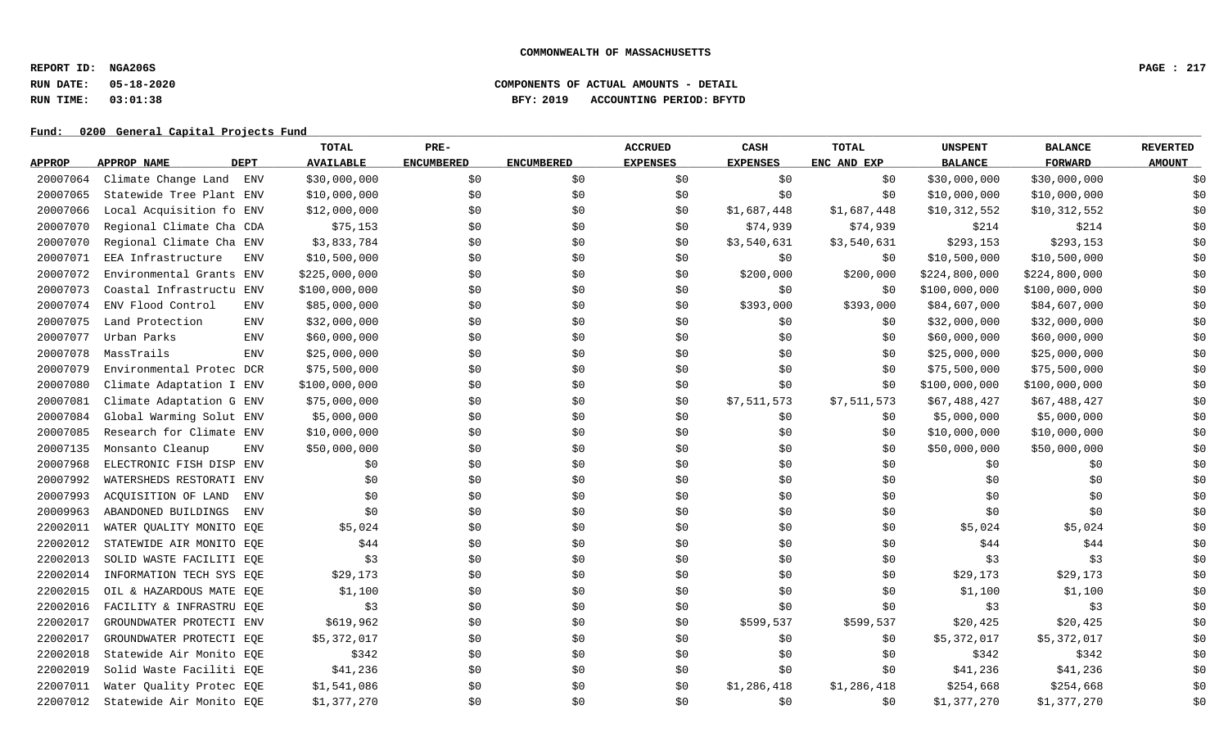**REPORT ID: NGA206S PAGE : 217**

## **RUN DATE: 05-18-2020 COMPONENTS OF ACTUAL AMOUNTS - DETAIL RUN TIME: 03:01:38 BFY: 2019 ACCOUNTING PERIOD: BFYTD**

|               |                                   | TOTAL            | PRE-              |                   | <b>ACCRUED</b>  | CASH            | <b>TOTAL</b> | <b>UNSPENT</b> | <b>BALANCE</b> | <b>REVERTED</b> |
|---------------|-----------------------------------|------------------|-------------------|-------------------|-----------------|-----------------|--------------|----------------|----------------|-----------------|
| <b>APPROP</b> | <b>DEPT</b><br>APPROP NAME        | <b>AVAILABLE</b> | <b>ENCUMBERED</b> | <b>ENCUMBERED</b> | <b>EXPENSES</b> | <b>EXPENSES</b> | ENC AND EXP  | <b>BALANCE</b> | <b>FORWARD</b> | <b>AMOUNT</b>   |
| 20007064      | Climate Change Land ENV           | \$30,000,000     | \$0               | \$0               | \$0             | \$0             | \$0          | \$30,000,000   | \$30,000,000   | \$0             |
| 20007065      | Statewide Tree Plant ENV          | \$10,000,000     | \$0               | \$0               | \$0             | \$0             | \$0          | \$10,000,000   | \$10,000,000   | \$0             |
| 20007066      | Local Acquisition fo ENV          | \$12,000,000     | \$0               | \$0               | \$0             | \$1,687,448     | \$1,687,448  | \$10,312,552   | \$10,312,552   | \$0             |
| 20007070      | Regional Climate Cha CDA          | \$75,153         | \$0               | \$0               | \$0             | \$74,939        | \$74,939     | \$214          | \$214          | \$0             |
| 20007070      | Regional Climate Cha ENV          | \$3,833,784      | \$0               | \$0               | \$0             | \$3,540,631     | \$3,540,631  | \$293,153      | \$293,153      | \$0             |
| 20007071      | EEA Infrastructure<br><b>ENV</b>  | \$10,500,000     | \$0               | \$0               | \$0             | \$0             | \$0          | \$10,500,000   | \$10,500,000   | \$0             |
| 20007072      | Environmental Grants ENV          | \$225,000,000    | \$0               | \$0               | \$0             | \$200,000       | \$200,000    | \$224,800,000  | \$224,800,000  | \$0             |
| 20007073      | Coastal Infrastructu ENV          | \$100,000,000    | \$0               | \$0               | \$0             | \$0             | \$0          | \$100,000,000  | \$100,000,000  | \$0             |
| 20007074      | ENV Flood Control<br>ENV          | \$85,000,000     | \$0               | \$0               | \$0             | \$393,000       | \$393,000    | \$84,607,000   | \$84,607,000   | \$0             |
| 20007075      | Land Protection<br><b>ENV</b>     | \$32,000,000     | \$0               | \$0               | \$0             | \$0             | \$0          | \$32,000,000   | \$32,000,000   | \$0             |
| 20007077      | Urban Parks<br><b>ENV</b>         | \$60,000,000     | \$0               | \$0               | \$0             | \$0             | \$0          | \$60,000,000   | \$60,000,000   | \$0             |
| 20007078      | MassTrails<br><b>ENV</b>          | \$25,000,000     | \$0\$             | \$0               | \$0             | \$0             | \$0          | \$25,000,000   | \$25,000,000   | \$0             |
| 20007079      | Environmental Protec DCR          | \$75,500,000     | \$0               | \$0               | \$0             | \$0             | \$0          | \$75,500,000   | \$75,500,000   | \$0             |
| 20007080      | Climate Adaptation I ENV          | \$100,000,000    | \$0               | \$0               | \$0             | \$0             | \$0          | \$100,000,000  | \$100,000,000  | \$0             |
| 20007081      | Climate Adaptation G ENV          | \$75,000,000     | \$0\$             | \$0               | \$0             | \$7,511,573     | \$7,511,573  | \$67,488,427   | \$67,488,427   | \$0             |
| 20007084      | Global Warming Solut ENV          | \$5,000,000      | \$0               | \$0               | \$0             | \$0             | \$0          | \$5,000,000    | \$5,000,000    | \$0             |
| 20007085      | Research for Climate ENV          | \$10,000,000     | \$0               | \$0               | \$0             | \$0             | \$0          | \$10,000,000   | \$10,000,000   | \$0             |
| 20007135      | Monsanto Cleanup<br><b>ENV</b>    | \$50,000,000     | \$0               | \$0               | \$0             | \$0             | \$0          | \$50,000,000   | \$50,000,000   | \$0             |
| 20007968      | ELECTRONIC FISH DISP ENV          | \$0              | \$0               | \$0               | \$0             | \$0             | \$0          | \$0            | \$0            | \$0             |
| 20007992      | WATERSHEDS RESTORATI ENV          | \$0              | \$0               | \$0               | \$0             | \$0             | \$0          | \$0            | \$0            | \$0             |
| 20007993      | ACQUISITION OF LAND<br><b>ENV</b> | \$0              | \$0               | \$0               | \$0             | \$0             | \$0          | \$0            | \$0            | \$0             |
| 20009963      | ABANDONED BUILDINGS<br><b>ENV</b> | \$0              | \$0               | \$0               | \$0             | \$0             | \$0          | \$0            | \$0            | \$0             |
| 22002011      | WATER QUALITY MONITO EQE          | \$5,024          | \$0               | \$0               | \$0             | \$0             | \$0          | \$5,024        | \$5,024        | \$0             |
| 22002012      | STATEWIDE AIR MONITO EQE          | \$44             | \$0               | \$0               | \$0             | \$0\$           | \$0          | \$44           | \$44           | \$0             |
| 22002013      | SOLID WASTE FACILITI EOE          | \$3              | \$0\$             | \$0               | \$0             | \$0             | \$0          | \$3            | \$3            | \$0             |
| 22002014      | INFORMATION TECH SYS EQE          | \$29,173         | \$0               | \$0               | \$0             | \$0             | \$0          | \$29,173       | \$29,173       | \$0             |
| 22002015      | OIL & HAZARDOUS MATE EQE          | \$1,100          | \$0               | \$0               | \$0             | \$0             | \$0          | \$1,100        | \$1,100        | \$0             |
| 22002016      | FACILITY & INFRASTRU EOE          | \$3              | \$0               | \$0               | \$0             | \$0             | \$0          | \$3            | \$3            | \$0             |
| 22002017      | GROUNDWATER PROTECTI ENV          | \$619,962        | \$0               | \$0               | \$0             | \$599,537       | \$599,537    | \$20,425       | \$20,425       | \$0             |
| 22002017      | GROUNDWATER PROTECTI EQE          | \$5,372,017      | \$0               | \$0               | \$0             | \$0             | \$0          | \$5,372,017    | \$5,372,017    | \$0             |
| 22002018      | Statewide Air Monito EQE          | \$342            | \$0               | \$0               | \$0             | \$0             | \$0          | \$342          | \$342          | \$0             |
| 22002019      | Solid Waste Faciliti EOE          | \$41,236         | \$0               | \$0               | \$0             | \$0             | \$0          | \$41,236       | \$41,236       | \$0             |
| 22007011      | Water Quality Protec EQE          | \$1,541,086      | \$0               | \$0               | \$0             | \$1,286,418     | \$1,286,418  | \$254,668      | \$254,668      | \$0             |
| 22007012      | Statewide Air Monito EOE          | \$1,377,270      | \$0               | \$0               | \$0             | \$0             | \$0          | \$1,377,270    | \$1,377,270    | \$0             |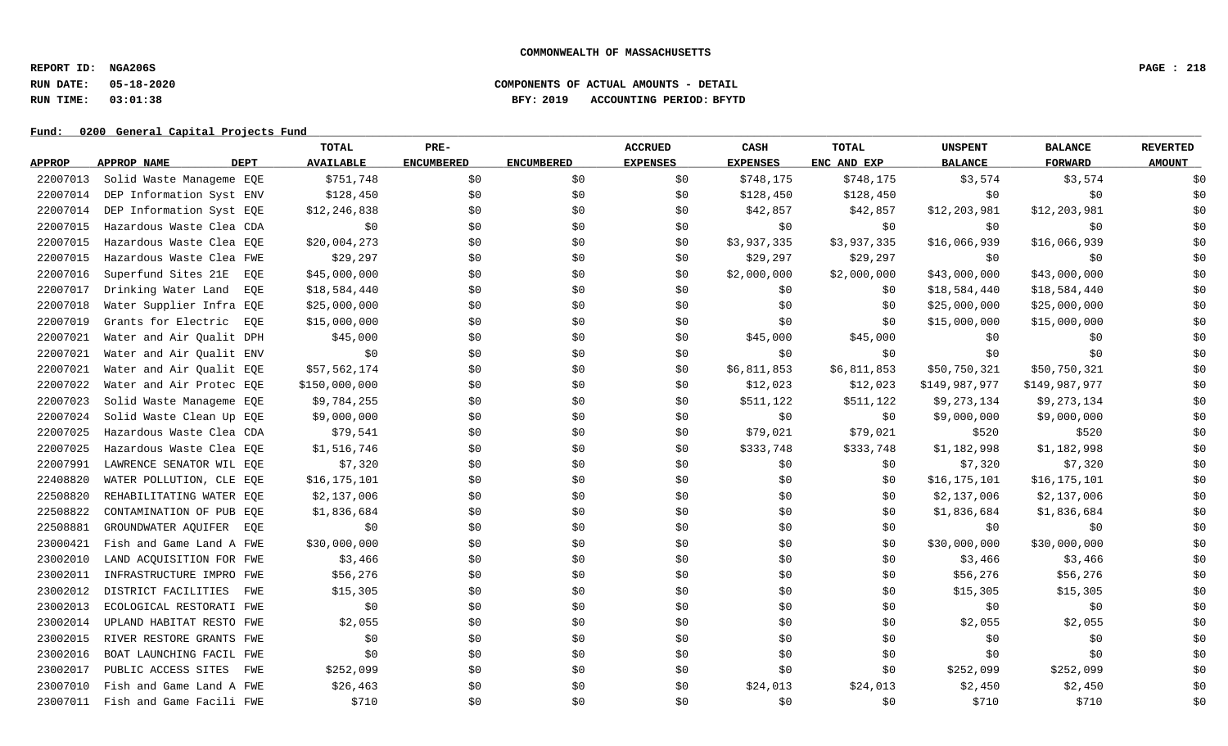**REPORT ID: NGA206S PAGE : 218**

## **RUN DATE: 05-18-2020 COMPONENTS OF ACTUAL AMOUNTS - DETAIL RUN TIME: 03:01:38 BFY: 2019 ACCOUNTING PERIOD: BFYTD**

|               |                            | TOTAL            | PRE-              |                   | <b>ACCRUED</b>  | CASH            | <b>TOTAL</b> | <b>UNSPENT</b> | <b>BALANCE</b> | <b>REVERTED</b> |
|---------------|----------------------------|------------------|-------------------|-------------------|-----------------|-----------------|--------------|----------------|----------------|-----------------|
| <b>APPROP</b> | APPROP NAME<br>DEPT        | <b>AVAILABLE</b> | <b>ENCUMBERED</b> | <b>ENCUMBERED</b> | <b>EXPENSES</b> | <b>EXPENSES</b> | ENC AND EXP  | <b>BALANCE</b> | <b>FORWARD</b> | <b>AMOUNT</b>   |
| 22007013      | Solid Waste Manageme EOE   | \$751,748        | \$0               | \$0               | \$0             | \$748,175       | \$748,175    | \$3,574        | \$3,574        | \$0             |
| 22007014      | DEP Information Syst ENV   | \$128,450        | \$0               | \$0               | \$0             | \$128,450       | \$128,450    | \$0            | \$0            | \$0             |
| 22007014      | DEP Information Syst EQE   | \$12,246,838     | \$0               | \$0               | \$0             | \$42,857        | \$42,857     | \$12,203,981   | \$12,203,981   | \$0             |
| 22007015      | Hazardous Waste Clea CDA   | \$0              | \$0               | \$0               | \$0             | \$0             | \$0          | \$0            | \$0\$          | \$0             |
| 22007015      | Hazardous Waste Clea EQE   | \$20,004,273     | \$0               | \$0               | \$0             | \$3,937,335     | \$3,937,335  | \$16,066,939   | \$16,066,939   | \$0             |
| 22007015      | Hazardous Waste Clea FWE   | \$29,297         | \$0               | \$0               | \$0             | \$29,297        | \$29,297     | \$0            | \$0            | \$0             |
| 22007016      | Superfund Sites 21E<br>EOE | \$45,000,000     | \$0               | \$0               | \$0             | \$2,000,000     | \$2,000,000  | \$43,000,000   | \$43,000,000   | \$0             |
| 22007017      | Drinking Water Land<br>EOE | \$18,584,440     | \$0               | \$0               | \$0             | \$0             | \$0          | \$18,584,440   | \$18,584,440   | \$0             |
| 22007018      | Water Supplier Infra EQE   | \$25,000,000     | \$0               | \$0               | \$0             | \$0             | \$0          | \$25,000,000   | \$25,000,000   | \$0             |
| 22007019      | Grants for Electric<br>EOE | \$15,000,000     | \$0               | \$0               | \$0             | \$0             | \$0          | \$15,000,000   | \$15,000,000   | \$0             |
| 22007021      | Water and Air Qualit DPH   | \$45,000         | \$0               | \$0               | \$0             | \$45,000        | \$45,000     | \$0            | \$0            | \$0             |
| 22007021      | Water and Air Qualit ENV   | \$0              | \$0               | \$0               | \$0             | \$0             | \$0          | \$0            | \$0            | \$0             |
| 22007021      | Water and Air Qualit EQE   | \$57,562,174     | \$0               | \$0               | \$0             | \$6,811,853     | \$6,811,853  | \$50,750,321   | \$50,750,321   | \$0             |
| 22007022      | Water and Air Protec EOE   | \$150,000,000    | \$0               | \$0               | \$0             | \$12,023        | \$12,023     | \$149,987,977  | \$149,987,977  | \$0             |
| 22007023      | Solid Waste Manageme EQE   | \$9,784,255      | \$0               | \$0               | \$0             | \$511,122       | \$511,122    | \$9,273,134    | \$9,273,134    | \$0             |
| 22007024      | Solid Waste Clean Up EQE   | \$9,000,000      | \$0               | \$0               | \$0             | \$0             | \$0          | \$9,000,000    | \$9,000,000    | \$0             |
| 22007025      | Hazardous Waste Clea CDA   | \$79,541         | \$0               | \$0               | \$0             | \$79,021        | \$79,021     | \$520          | \$520          | \$0             |
| 22007025      | Hazardous Waste Clea EQE   | \$1,516,746      | \$0               | \$0               | \$0             | \$333,748       | \$333,748    | \$1,182,998    | \$1,182,998    | \$0             |
| 22007991      | LAWRENCE SENATOR WIL EQE   | \$7,320          | \$0               | \$0               | \$0             | \$0             | \$0          | \$7,320        | \$7,320        | \$0             |
| 22408820      | WATER POLLUTION, CLE EQE   | \$16,175,101     | \$0               | \$0               | \$0             | \$0             | \$0          | \$16, 175, 101 | \$16, 175, 101 | \$0             |
| 22508820      | REHABILITATING WATER EQE   | \$2,137,006      | \$0               | \$0               | \$0             | \$0             | \$0          | \$2,137,006    | \$2,137,006    | \$0             |
| 22508822      | CONTAMINATION OF PUB EQE   | \$1,836,684      | \$0               | \$0               | \$0             | \$0             | \$0          | \$1,836,684    | \$1,836,684    | \$0             |
| 22508881      | GROUNDWATER AQUIFER<br>EOE | \$0              | \$0               | \$0               | \$0             | \$0\$           | \$0          | \$0            | \$0            | \$0             |
| 23000421      | Fish and Game Land A FWE   | \$30,000,000     | \$0               | \$0               | \$0             | \$0             | \$0          | \$30,000,000   | \$30,000,000   | \$0             |
| 23002010      | LAND ACQUISITION FOR FWE   | \$3,466          | \$0               | \$0               | \$0             | \$0             | \$0          | \$3,466        | \$3,466        | \$0             |
| 23002011      | INFRASTRUCTURE IMPRO FWE   | \$56,276         | \$0               | \$0               | \$0             | \$0             | \$0          | \$56,276       | \$56,276       | \$0             |
| 23002012      | DISTRICT FACILITIES<br>FWE | \$15,305         | \$0               | \$0               | \$0             | \$0             | \$0          | \$15,305       | \$15,305       | \$0             |
| 23002013      | ECOLOGICAL RESTORATI FWE   | \$0              | \$0               | \$0               | \$0             | \$0             | \$0          | \$0            | \$0            | \$0             |
| 23002014      | UPLAND HABITAT RESTO FWE   | \$2,055          | \$0               | \$0               | \$0             | \$0             | \$0          | \$2,055        | \$2,055        | \$0             |
| 23002015      | RIVER RESTORE GRANTS FWE   | \$0              | \$0               | \$0               | \$0             | \$0             | \$0          | \$0            | \$0            | \$0             |
| 23002016      | BOAT LAUNCHING FACIL FWE   | \$0              | \$0               | \$0               | \$0             | \$0             | \$0          | \$0            | \$0            | \$0             |
| 23002017      | PUBLIC ACCESS SITES<br>FWE | \$252,099        | \$0               | \$0               | \$0             | \$0             | \$0          | \$252,099      | \$252,099      | \$0             |
| 23007010      | Fish and Game Land A FWE   | \$26,463         | \$0               | \$0               | \$0             | \$24,013        | \$24,013     | \$2,450        | \$2,450        | \$0             |
| 23007011      | Fish and Game Facili FWE   | \$710            | \$0\$             | \$0               | \$0             | \$0             | \$0          | \$710          | \$710          | \$0             |
|               |                            |                  |                   |                   |                 |                 |              |                |                |                 |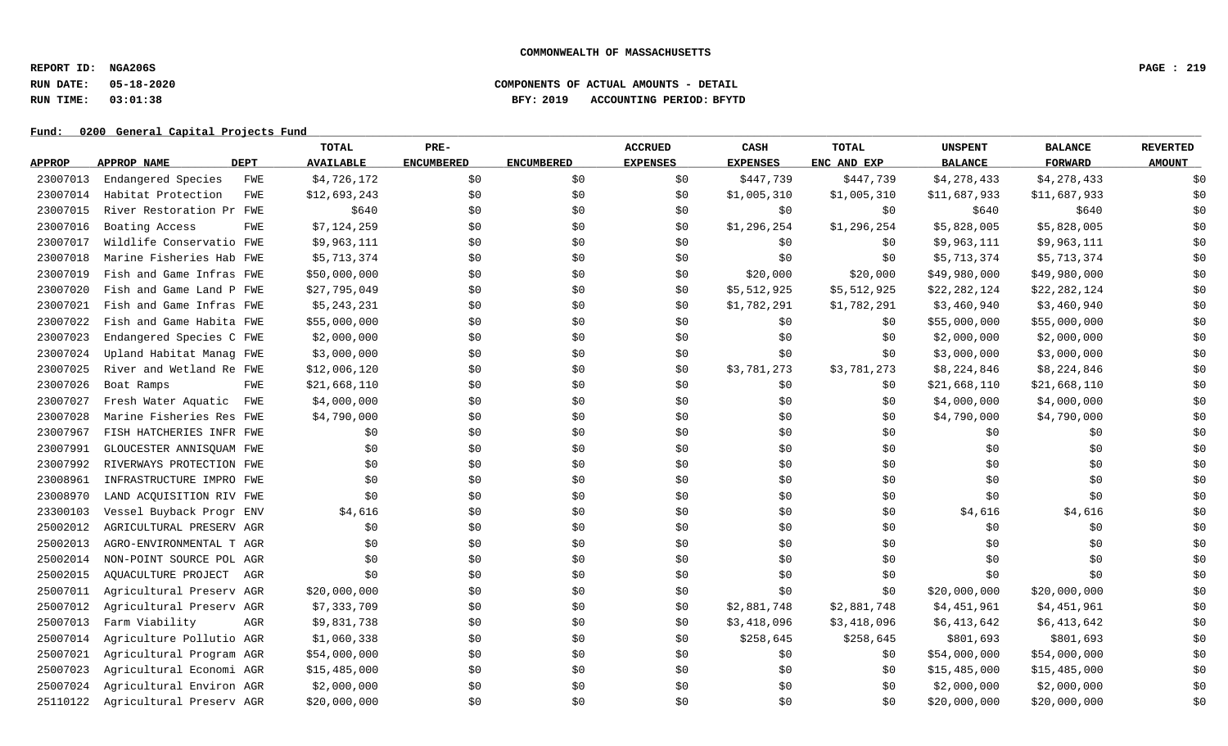**REPORT ID: NGA206S PAGE : 219**

## **RUN DATE: 05-18-2020 COMPONENTS OF ACTUAL AMOUNTS - DETAIL RUN TIME: 03:01:38 BFY: 2019 ACCOUNTING PERIOD: BFYTD**

|               |                          |            | TOTAL            | PRE-              |                   | <b>ACCRUED</b>  | CASH            | <b>TOTAL</b> | <b>UNSPENT</b> | <b>BALANCE</b> | <b>REVERTED</b> |
|---------------|--------------------------|------------|------------------|-------------------|-------------------|-----------------|-----------------|--------------|----------------|----------------|-----------------|
| <u>APPROP</u> | APPROP NAME              | DEPT       | <b>AVAILABLE</b> | <b>ENCUMBERED</b> | <b>ENCUMBERED</b> | <b>EXPENSES</b> | <b>EXPENSES</b> | ENC AND EXP  | <b>BALANCE</b> | <b>FORWARD</b> | <b>AMOUNT</b>   |
| 23007013      | Endangered Species       | <b>FWE</b> | \$4,726,172      | \$0               | \$0               | \$0             | \$447,739       | \$447,739    | \$4,278,433    | \$4,278,433    | \$0             |
| 23007014      | Habitat Protection       | <b>FWE</b> | \$12,693,243     | \$0               | \$0               | \$0             | \$1,005,310     | \$1,005,310  | \$11,687,933   | \$11,687,933   | \$0             |
| 23007015      | River Restoration Pr FWE |            | \$640            | \$0               | \$0               | \$0             | \$0             | \$0          | \$640          | \$640          | \$0             |
| 23007016      | Boating Access           | <b>FWE</b> | \$7,124,259      | \$0               | \$0               | \$0             | \$1,296,254     | \$1,296,254  | \$5,828,005    | \$5,828,005    | \$0             |
| 23007017      | Wildlife Conservatio FWE |            | \$9,963,111      | \$0               | \$0               | \$0             | \$0             | \$0          | \$9,963,111    | \$9,963,111    | \$0             |
| 23007018      | Marine Fisheries Hab FWE |            | \$5,713,374      | \$0               | \$0               | \$0             | \$0             | \$0          | \$5,713,374    | \$5,713,374    | \$0             |
| 23007019      | Fish and Game Infras FWE |            | \$50,000,000     | \$0               | \$0               | \$0             | \$20,000        | \$20,000     | \$49,980,000   | \$49,980,000   | \$0             |
| 23007020      | Fish and Game Land P FWE |            | \$27,795,049     | \$0               | \$0               | \$0             | \$5,512,925     | \$5,512,925  | \$22,282,124   | \$22,282,124   | \$0             |
| 23007021      | Fish and Game Infras FWE |            | \$5,243,231      | \$0               | \$0               | \$0             | \$1,782,291     | \$1,782,291  | \$3,460,940    | \$3,460,940    | \$0             |
| 23007022      | Fish and Game Habita FWE |            | \$55,000,000     | \$0               | \$0               | \$0             | \$0             | \$0          | \$55,000,000   | \$55,000,000   | \$0             |
| 23007023      | Endangered Species C FWE |            | \$2,000,000      | \$0               | \$0               | \$0             | \$0             | \$0          | \$2,000,000    | \$2,000,000    | \$0             |
| 23007024      | Upland Habitat Manag FWE |            | \$3,000,000      | \$0               | \$0               | \$0             | \$0             | \$0          | \$3,000,000    | \$3,000,000    | \$0             |
| 23007025      | River and Wetland Re FWE |            | \$12,006,120     | \$0               | \$0               | \$0             | \$3,781,273     | \$3,781,273  | \$8,224,846    | \$8,224,846    | \$0             |
| 23007026      | Boat Ramps               | <b>FWE</b> | \$21,668,110     | \$0               | \$0               | \$0             | \$0             | \$0          | \$21,668,110   | \$21,668,110   | \$0             |
| 23007027      | Fresh Water Aquatic      | FWE        | \$4,000,000      | \$0               | \$0               | \$0             | \$0             | \$0          | \$4,000,000    | \$4,000,000    | \$0             |
| 23007028      | Marine Fisheries Res FWE |            | \$4,790,000      | \$0               | \$0               | \$0             | \$0             | \$0          | \$4,790,000    | \$4,790,000    | \$0             |
| 23007967      | FISH HATCHERIES INFR FWE |            | \$0              | \$0               | \$0               | \$0             | \$0             | \$0          | \$0            | \$0\$          | \$0             |
| 23007991      | GLOUCESTER ANNISQUAM FWE |            | \$0              | \$0               | \$0               | \$0             | \$0             | \$0          | \$0            | \$0            | \$0             |
| 23007992      | RIVERWAYS PROTECTION FWE |            | \$0              | \$0               | \$0               | \$0             | \$0             | \$0          | \$0            | \$0            | \$0             |
| 23008961      | INFRASTRUCTURE IMPRO FWE |            | \$0              | \$0               | \$0               | \$0             | \$0             | \$0          | \$0            | \$0            | \$0             |
| 23008970      | LAND ACQUISITION RIV FWE |            | \$0              | \$0               | \$0               | \$0             | \$0             | \$0          | \$0            | \$0            | \$0             |
| 23300103      | Vessel Buyback Progr ENV |            | \$4,616          | \$0\$             | \$0               | \$0             | \$0             | \$0          | \$4,616        | \$4,616        | \$0             |
| 25002012      | AGRICULTURAL PRESERV AGR |            | \$0              | \$0               | \$0               | \$0             | \$0             | \$0          | \$0            | \$0            | \$0             |
| 25002013      | AGRO-ENVIRONMENTAL T AGR |            | \$0              | \$0               | \$0               | \$0             | \$0             | \$0          | \$0            | \$0            | \$0             |
| 25002014      | NON-POINT SOURCE POL AGR |            | \$0              | \$0               | \$0               | \$0             | \$0             | \$0          | \$0            | \$0            | \$0             |
| 25002015      | AQUACULTURE PROJECT      | AGR        | \$0              | \$0               | \$0               | \$0             | \$0             | \$0          | \$0            | \$0            | \$0             |
| 25007011      | Agricultural Preserv AGR |            | \$20,000,000     | \$0               | \$0               | \$0             | \$0             | \$0          | \$20,000,000   | \$20,000,000   | \$0             |
| 25007012      | Agricultural Preserv AGR |            | \$7,333,709      | \$0               | \$0               | \$0             | \$2,881,748     | \$2,881,748  | \$4,451,961    | \$4,451,961    | \$0             |
| 25007013      | Farm Viability           | AGR        | \$9,831,738      | \$0               | \$0               | \$0             | \$3,418,096     | \$3,418,096  | \$6,413,642    | \$6,413,642    | \$0             |
| 25007014      | Agriculture Pollutio AGR |            | \$1,060,338      | \$0               | \$0               | \$0             | \$258,645       | \$258,645    | \$801,693      | \$801,693      | \$0             |
| 25007021      | Agricultural Program AGR |            | \$54,000,000     | \$0               | \$0               | \$0             | \$0             | \$0          | \$54,000,000   | \$54,000,000   | \$0             |
| 25007023      | Agricultural Economi AGR |            | \$15,485,000     | \$0               | \$0               | \$0             | \$0             | \$0          | \$15,485,000   | \$15,485,000   | \$0             |
| 25007024      | Agricultural Environ AGR |            | \$2,000,000      | \$0               | \$0               | \$0             | \$0             | \$0          | \$2,000,000    | \$2,000,000    | \$0             |
| 25110122      | Agricultural Preserv AGR |            | \$20,000,000     | \$0\$             | \$0               | \$0             | \$0             | \$0          | \$20,000,000   | \$20,000,000   | \$0             |
|               |                          |            |                  |                   |                   |                 |                 |              |                |                |                 |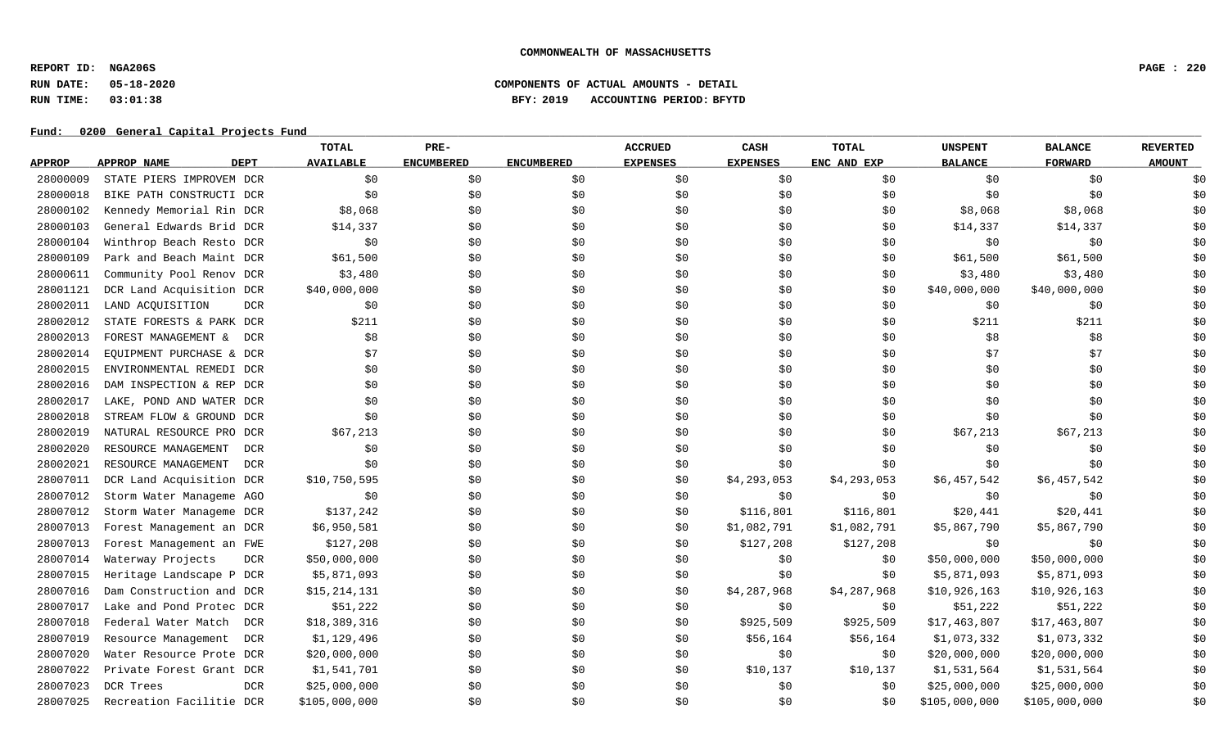**REPORT ID: NGA206S PAGE : 220**

## **RUN DATE: 05-18-2020 COMPONENTS OF ACTUAL AMOUNTS - DETAIL RUN TIME: 03:01:38 BFY: 2019 ACCOUNTING PERIOD: BFYTD**

|               |                                   | TOTAL            | PRE-              |                   | <b>ACCRUED</b>  | CASH            | <b>TOTAL</b> | <b>UNSPENT</b> | <b>BALANCE</b> | <b>REVERTED</b> |
|---------------|-----------------------------------|------------------|-------------------|-------------------|-----------------|-----------------|--------------|----------------|----------------|-----------------|
| <b>APPROP</b> | <b>DEPT</b><br>APPROP NAME        | <b>AVAILABLE</b> | <b>ENCUMBERED</b> | <b>ENCUMBERED</b> | <b>EXPENSES</b> | <b>EXPENSES</b> | ENC AND EXP  | <b>BALANCE</b> | <b>FORWARD</b> | <b>AMOUNT</b>   |
| 28000009      | STATE PIERS IMPROVEM DCR          | \$0              | \$0               | \$0               | \$0             | \$0             | \$0          | \$0            | \$0            | \$0             |
| 28000018      | BIKE PATH CONSTRUCTI DCR          | \$0              | \$0               | \$0               | \$0             | \$0\$           | \$0          | \$0            | \$0            | \$0             |
| 28000102      | Kennedy Memorial Rin DCR          | \$8,068          | \$0               | \$0               | \$0             | \$0\$           | \$0          | \$8,068        | \$8,068        | \$0             |
| 28000103      | General Edwards Brid DCR          | \$14,337         | \$0               | \$0               | \$0             | \$0             | \$0          | \$14,337       | \$14,337       | \$0             |
| 28000104      | Winthrop Beach Resto DCR          | \$0              | \$0               | \$0               | \$0             | \$0             | \$0          | \$0            | \$0            | \$0             |
| 28000109      | Park and Beach Maint DCR          | \$61,500         | \$0               | \$0               | \$0             | \$0             | \$0          | \$61,500       | \$61,500       | \$0             |
| 28000611      | Community Pool Renov DCR          | \$3,480          | \$0\$             | \$0               | \$0             | \$0             | \$0          | \$3,480        | \$3,480        | \$0             |
| 28001121      | DCR Land Acquisition DCR          | \$40,000,000     | \$0               | \$0               | \$0             | \$0             | \$0          | \$40,000,000   | \$40,000,000   | \$0             |
| 28002011      | LAND ACOUISITION<br><b>DCR</b>    | \$0              | \$0               | \$0               | \$0             | \$0\$           | \$0          | \$0            | \$0            | \$0             |
| 28002012      | STATE FORESTS & PARK DCR          | \$211            | \$0               | \$0               | \$0             | \$0             | \$0          | \$211          | \$211          | \$0             |
| 28002013      | FOREST MANAGEMENT &<br>DCR        | \$8              | \$0               | \$0               | \$0             | \$0\$           | \$0          | \$8            | \$8            | \$0             |
| 28002014      | EQUIPMENT PURCHASE & DCR          | \$7              | \$0               | \$0               | \$0             | \$0             | \$0          | \$7            | \$7            | \$0             |
| 28002015      | ENVIRONMENTAL REMEDI DCR          | \$0              | \$0               | \$0               | \$0             | \$0             | \$0          | \$0            | \$0\$          | \$0             |
| 28002016      | DAM INSPECTION & REP DCR          | \$0\$            | \$0               | \$0               | \$0             | \$0             | \$0          | \$0            | \$0            | \$0             |
| 28002017      | LAKE, POND AND WATER DCR          | \$0              | \$0               | \$0               | \$0             | \$0             | \$0          | \$0            | \$0            | \$0             |
| 28002018      | STREAM FLOW & GROUND DCR          | \$0              | \$0               | \$0               | \$0             | \$0             | \$0          | \$0            | \$0            | \$0             |
| 28002019      | NATURAL RESOURCE PRO DCR          | \$67,213         | \$0               | \$0               | \$0             | \$0             | \$0          | \$67,213       | \$67,213       | \$0             |
| 28002020      | RESOURCE MANAGEMENT<br>DCR        | \$0              | \$0               | \$0               | \$0             | \$0             | \$0          | \$0            | \$0            | \$0             |
| 28002021      | RESOURCE MANAGEMENT<br><b>DCR</b> | \$0              | \$0               | \$0               | \$0             | \$0             | \$0          | \$0            | \$0            | \$0             |
| 28007011      | DCR Land Acquisition DCR          | \$10,750,595     | \$0\$             | \$0               | \$0             | \$4,293,053     | \$4,293,053  | \$6,457,542    | \$6,457,542    | \$0             |
| 28007012      | Storm Water Manageme AGO          | \$0              | \$0\$             | \$0               | \$0             | \$0             | \$0          | \$0            | \$0            | \$0             |
| 28007012      | Storm Water Manageme DCR          | \$137,242        | \$0               | \$0               | \$0             | \$116,801       | \$116,801    | \$20,441       | \$20,441       | \$0             |
| 28007013      | Forest Management an DCR          | \$6,950,581      | \$0               | \$0               | \$0             | \$1,082,791     | \$1,082,791  | \$5,867,790    | \$5,867,790    | \$0             |
| 28007013      | Forest Management an FWE          | \$127,208        | \$0               | \$0               | \$0             | \$127,208       | \$127,208    | \$0            | \$0            | \$0             |
| 28007014      | Waterway Projects<br><b>DCR</b>   | \$50,000,000     | \$0               | \$0               | \$0             | \$0             | \$0          | \$50,000,000   | \$50,000,000   | \$0             |
| 28007015      | Heritage Landscape P DCR          | \$5,871,093      | \$0               | \$0               | \$0             | \$0             | \$0          | \$5,871,093    | \$5,871,093    | \$0             |
| 28007016      | Dam Construction and DCR          | \$15,214,131     | \$0               | \$0               | \$0             | \$4,287,968     | \$4,287,968  | \$10,926,163   | \$10,926,163   | \$0             |
| 28007017      | Lake and Pond Protec DCR          | \$51,222         | \$0               | \$0               | \$0             | \$0             | \$0          | \$51,222       | \$51,222       | \$0             |
| 28007018      | Federal Water Match<br>DCR        | \$18,389,316     | \$0               | \$0               | \$0             | \$925,509       | \$925,509    | \$17,463,807   | \$17,463,807   | \$0             |
| 28007019      | Resource Management<br>DCR        | \$1,129,496      | \$0               | \$0               | \$0             | \$56,164        | \$56,164     | \$1,073,332    | \$1,073,332    | \$0             |
| 28007020      | Water Resource Prote DCR          | \$20,000,000     | \$0               | \$0               | \$0             | \$0             | \$0          | \$20,000,000   | \$20,000,000   | \$0             |
| 28007022      | Private Forest Grant DCR          | \$1,541,701      | \$0               | \$0               | \$0             | \$10,137        | \$10,137     | \$1,531,564    | \$1,531,564    | \$0             |
| 28007023      | DCR Trees<br><b>DCR</b>           | \$25,000,000     | \$0               | \$0               | \$0             | \$0             | \$0          | \$25,000,000   | \$25,000,000   | \$0             |
| 28007025      | Recreation Facilitie DCR          | \$105,000,000    | \$0\$             | \$0               | \$0             | \$0             | \$0          | \$105,000,000  | \$105,000,000  | \$0             |
|               |                                   |                  |                   |                   |                 |                 |              |                |                |                 |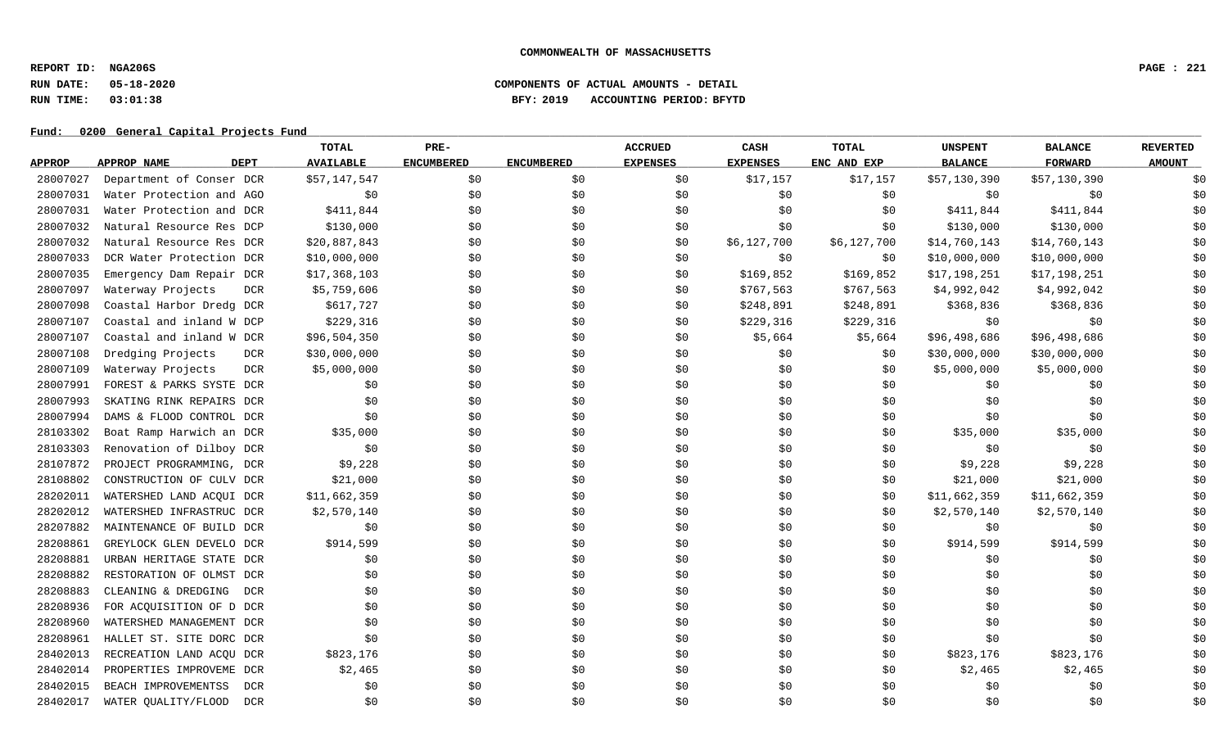**REPORT ID: NGA206S PAGE : 221**

## **RUN DATE: 05-18-2020 COMPONENTS OF ACTUAL AMOUNTS - DETAIL RUN TIME: 03:01:38 BFY: 2019 ACCOUNTING PERIOD: BFYTD**

|               |                                 | TOTAL            | PRE-              |                   | <b>ACCRUED</b>  | CASH            | TOTAL       | <b>UNSPENT</b> | <b>BALANCE</b> | <b>REVERTED</b> |
|---------------|---------------------------------|------------------|-------------------|-------------------|-----------------|-----------------|-------------|----------------|----------------|-----------------|
| <b>APPROP</b> | <b>DEPT</b><br>APPROP NAME      | <b>AVAILABLE</b> | <b>ENCUMBERED</b> | <b>ENCUMBERED</b> | <b>EXPENSES</b> | <b>EXPENSES</b> | ENC AND EXP | <b>BALANCE</b> | <b>FORWARD</b> | <b>AMOUNT</b>   |
| 28007027      | Department of Conser DCR        | \$57,147,547     | \$0               | \$0               | \$0             | \$17,157        | \$17,157    | \$57,130,390   | \$57,130,390   | \$0             |
| 28007031      | Water Protection and AGO        | \$0              | \$0\$             | \$0               | \$0             | \$0             | \$0         | \$0            | \$0            | \$0             |
| 28007031      | Water Protection and DCR        | \$411,844        | \$0               | \$0               | \$0             | \$0             | \$0         | \$411,844      | \$411,844      | \$0             |
| 28007032      | Natural Resource Res DCP        | \$130,000        | \$0               | \$0               | \$0             | \$0             | \$0         | \$130,000      | \$130,000      | \$0             |
| 28007032      | Natural Resource Res DCR        | \$20,887,843     | \$0               | \$0               | \$0             | \$6,127,700     | \$6,127,700 | \$14,760,143   | \$14,760,143   | \$0             |
| 28007033      | DCR Water Protection DCR        | \$10,000,000     | \$0               | \$0               | \$0             | \$0             | \$0         | \$10,000,000   | \$10,000,000   | \$0             |
| 28007035      | Emergency Dam Repair DCR        | \$17,368,103     | \$0               | \$0               | \$0             | \$169,852       | \$169,852   | \$17,198,251   | \$17,198,251   | \$0             |
| 28007097      | Waterway Projects<br><b>DCR</b> | \$5,759,606      | \$0               | \$0               | \$0             | \$767,563       | \$767,563   | \$4,992,042    | \$4,992,042    | \$0             |
| 28007098      | Coastal Harbor Dredg DCR        | \$617,727        | \$0               | \$0               | \$0             | \$248,891       | \$248,891   | \$368,836      | \$368,836      | \$0             |
| 28007107      | Coastal and inland W DCP        | \$229,316        | \$0               | \$0               | \$0             | \$229,316       | \$229,316   | \$0            | \$0            | \$0             |
| 28007107      | Coastal and inland W DCR        | \$96,504,350     | \$0               | \$0               | \$0             | \$5,664         | \$5,664     | \$96,498,686   | \$96,498,686   | \$0             |
| 28007108      | Dredging Projects<br><b>DCR</b> | \$30,000,000     | \$0               | \$0               | \$0             | \$0             | \$0         | \$30,000,000   | \$30,000,000   | \$0             |
| 28007109      | Waterway Projects<br><b>DCR</b> | \$5,000,000      | \$0               | \$0               | \$0             | \$0             | \$0         | \$5,000,000    | \$5,000,000    | \$0             |
| 28007991      | FOREST & PARKS SYSTE DCR        | \$0              | \$0               | \$0               | \$0             | \$0             | \$0         | \$0            | \$0            | \$0             |
| 28007993      | SKATING RINK REPAIRS DCR        | \$0              | \$0               | \$0               | \$0             | \$0             | \$0         | \$0            | \$0            | \$0             |
| 28007994      | DAMS & FLOOD CONTROL DCR        | \$0              | \$0               | \$0               | \$0             | \$0             | \$0         | \$0            | \$0            | \$0             |
| 28103302      | Boat Ramp Harwich an DCR        | \$35,000         | \$0               | \$0               | \$0             | \$0             | \$0         | \$35,000       | \$35,000       | \$0             |
| 28103303      | Renovation of Dilboy DCR        | \$0              | \$0               | \$0               | \$0             | \$0             | \$0         | \$0            | \$0            | \$0             |
| 28107872      | PROJECT PROGRAMMING, DCR        | \$9,228          | \$0               | \$0               | \$0             | \$0             | \$0         | \$9,228        | \$9,228        | \$0             |
| 28108802      | CONSTRUCTION OF CULV DCR        | \$21,000         | \$0               | \$0               | \$0             | \$0             | \$0         | \$21,000       | \$21,000       | \$0             |
| 28202011      | WATERSHED LAND ACQUI DCR        | \$11,662,359     | \$0               | \$0               | \$0             | \$0             | \$0         | \$11,662,359   | \$11,662,359   | \$0             |
| 28202012      | WATERSHED INFRASTRUC DCR        | \$2,570,140      | \$0               | \$0               | \$0             | \$0             | \$0         | \$2,570,140    | \$2,570,140    | \$0             |
| 28207882      | MAINTENANCE OF BUILD DCR        | \$0              | \$0               | \$0               | \$0             | \$0             | \$0         | \$0            | \$0            | \$0             |
| 28208861      | GREYLOCK GLEN DEVELO DCR        | \$914,599        | \$0               | \$0               | \$0             | \$0             | \$0         | \$914,599      | \$914,599      | \$0             |
| 28208881      | URBAN HERITAGE STATE DCR        | \$0              | \$0               | \$0               | \$0             | \$0             | \$0         | \$0            | \$0            | \$0             |
| 28208882      | RESTORATION OF OLMST DCR        | \$0              | \$0               | \$0               | \$0             | \$0\$           | \$0\$       | \$0            | \$0            | \$0             |
| 28208883      | CLEANING & DREDGING<br>DCR      | \$0              | \$0\$             | \$0               | \$0             | \$0             | \$0         | \$0            | \$0            | \$0             |
| 28208936      | FOR ACQUISITION OF D DCR        | \$0\$            | \$0               | \$0               | \$0             | \$0\$           | \$0         | \$0            | \$0            | \$0             |
| 28208960      | WATERSHED MANAGEMENT DCR        | \$0              | \$0               | \$0               | \$0             | \$0             | \$0         | \$0            | \$0            | \$0             |
| 28208961      | HALLET ST. SITE DORC DCR        | \$0              | \$0               | \$0               | \$0             | \$0             | \$0         | \$0            | \$0            | \$0             |
| 28402013      | RECREATION LAND ACQU DCR        | \$823,176        | \$0               | \$0               | \$0             | \$0             | \$0         | \$823,176      | \$823,176      | \$0             |
| 28402014      | PROPERTIES IMPROVEME DCR        | \$2,465          | \$0               | \$0               | \$0             | \$0             | \$0         | \$2,465        | \$2,465        | \$0             |
| 28402015      | BEACH IMPROVEMENTSS<br>DCR      | \$0              | \$0               | \$0               | \$0             | \$0             | \$0         | \$0            | \$0            | \$0             |
| 28402017      | WATER QUALITY/FLOOD<br>DCR      | \$0\$            | \$0               | \$0               | \$0             | \$0             | \$0         | \$0            | \$0            | \$0             |
|               |                                 |                  |                   |                   |                 |                 |             |                |                |                 |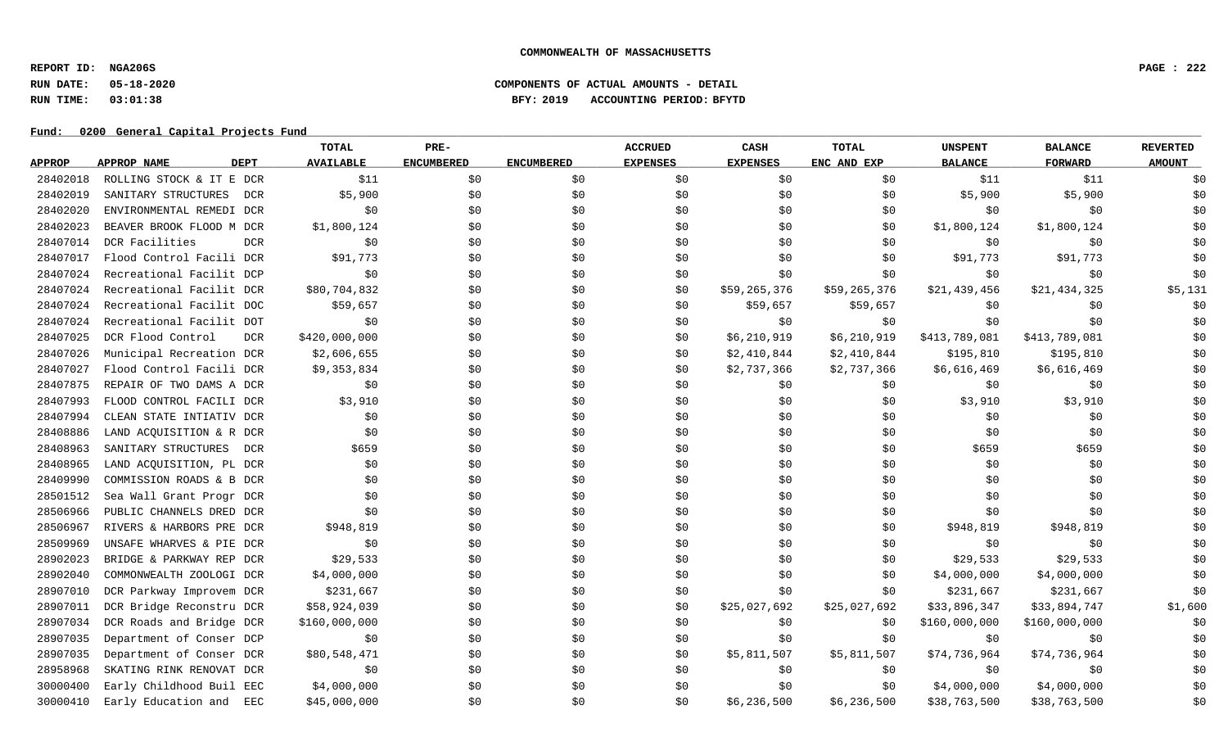**REPORT ID: NGA206S PAGE : 222**

## **RUN DATE: 05-18-2020 COMPONENTS OF ACTUAL AMOUNTS - DETAIL RUN TIME: 03:01:38 BFY: 2019 ACCOUNTING PERIOD: BFYTD**

|               |                                 | TOTAL            | PRE-              |                   | <b>ACCRUED</b>  | CASH            | TOTAL        | <b>UNSPENT</b> | <b>BALANCE</b> | <b>REVERTED</b> |
|---------------|---------------------------------|------------------|-------------------|-------------------|-----------------|-----------------|--------------|----------------|----------------|-----------------|
| <b>APPROP</b> | <b>DEPT</b><br>APPROP NAME      | <b>AVAILABLE</b> | <b>ENCUMBERED</b> | <b>ENCUMBERED</b> | <b>EXPENSES</b> | <b>EXPENSES</b> | ENC AND EXP  | <b>BALANCE</b> | <b>FORWARD</b> | <b>AMOUNT</b>   |
| 28402018      | ROLLING STOCK & IT E DCR        | \$11             | \$0               | \$0               | \$0             | \$0             | \$0          | \$11           | \$11           | \$0             |
| 28402019      | SANITARY STRUCTURES<br>DCR      | \$5,900          | \$0\$             | \$0               | \$0             | \$0             | \$0\$        | \$5,900        | \$5,900        | \$0             |
| 28402020      | ENVIRONMENTAL REMEDI DCR        | \$0              | \$0               | \$0               | \$0             | \$0             | \$0          | \$0            | \$0            | \$0             |
| 28402023      | BEAVER BROOK FLOOD M DCR        | \$1,800,124      | \$0               | \$0               | \$0             | \$0             | \$0          | \$1,800,124    | \$1,800,124    | \$0             |
| 28407014      | DCR Facilities<br><b>DCR</b>    | \$0              | \$0               | \$0               | \$0             | \$0             | \$0          | \$0            | \$0            | \$0             |
| 28407017      | Flood Control Facili DCR        | \$91,773         | \$0               | \$0               | \$0             | \$0             | \$0          | \$91,773       | \$91,773       | \$0             |
| 28407024      | Recreational Facilit DCP        | \$0              | \$0               | \$0               | \$0             | \$0             | \$0          | \$0            | \$0            | \$0             |
| 28407024      | Recreational Facilit DCR        | \$80,704,832     | \$0\$             | \$0               | \$0             | \$59,265,376    | \$59,265,376 | \$21,439,456   | \$21,434,325   | \$5,131         |
| 28407024      | Recreational Facilit DOC        | \$59,657         | \$0               | \$0               | \$0             | \$59,657        | \$59,657     | \$0            | \$0\$          | \$0             |
| 28407024      | Recreational Facilit DOT        | \$0              | \$0               | \$0               | \$0             | \$0             | \$0          | \$0            | \$0            | \$0             |
| 28407025      | DCR Flood Control<br><b>DCR</b> | \$420,000,000    | \$0               | \$0               | \$0             | \$6,210,919     | \$6,210,919  | \$413,789,081  | \$413,789,081  | \$0             |
| 28407026      | Municipal Recreation DCR        | \$2,606,655      | \$0               | \$0               | \$0             | \$2,410,844     | \$2,410,844  | \$195,810      | \$195,810      | \$0             |
| 28407027      | Flood Control Facili DCR        | \$9,353,834      | \$0\$             | \$0               | \$0             | \$2,737,366     | \$2,737,366  | \$6,616,469    | \$6,616,469    | \$0             |
| 28407875      | REPAIR OF TWO DAMS A DCR        | \$0              | \$0               | \$0               | \$0             | \$0             | \$0\$        | \$0            | \$0            | \$0             |
| 28407993      | FLOOD CONTROL FACILI DCR        | \$3,910          | \$0\$             | \$0               | \$0             | \$0             | \$0          | \$3,910        | \$3,910        | \$0             |
| 28407994      | CLEAN STATE INTIATIV DCR        | \$0              | \$0               | \$0               | \$0             | \$0             | \$0          | \$0            | \$0            | \$0             |
| 28408886      | LAND ACQUISITION & R DCR        | \$0              | \$0               | \$0               | \$0             | \$0             | \$0          | \$0            | \$0            | \$0             |
| 28408963      | SANITARY STRUCTURES<br>DCR      | \$659            | \$0               | \$0               | \$0             | \$0             | \$0          | \$659          | \$659          | \$0             |
| 28408965      | LAND ACQUISITION, PL DCR        | \$0              | \$0               | \$0               | \$0             | \$0             | \$0          | \$0            | \$0            | \$0             |
| 28409990      | COMMISSION ROADS & B DCR        | \$0              | \$0\$             | \$0               | \$0             | \$0             | \$0          | \$0            | \$0            | \$0             |
| 28501512      | Sea Wall Grant Progr DCR        | \$0              | \$0               | \$0               | \$0             | \$0             | \$0          | \$0            | \$0            | \$0             |
| 28506966      | PUBLIC CHANNELS DRED DCR        | \$0              | \$0\$             | \$0               | \$0             | \$0             | \$0          | \$0            | \$0            | \$0             |
| 28506967      | RIVERS & HARBORS PRE DCR        | \$948,819        | \$0               | \$0               | \$0             | \$0             | \$0          | \$948,819      | \$948,819      | \$0             |
| 28509969      | UNSAFE WHARVES & PIE DCR        | \$0              | \$0\$             | \$0               | \$0             | \$0             | \$0          | \$0            | \$0            | \$0             |
| 28902023      | BRIDGE & PARKWAY REP DCR        | \$29,533         | \$0               | \$0               | \$0             | \$0             | \$0          | \$29,533       | \$29,533       | \$0             |
| 28902040      | COMMONWEALTH ZOOLOGI DCR        | \$4,000,000      | \$0               | \$0               | \$0             | \$0             | \$0          | \$4,000,000    | \$4,000,000    | \$0             |
| 28907010      | DCR Parkway Improvem DCR        | \$231,667        | \$0\$             | \$0               | \$0             | \$0             | \$0          | \$231,667      | \$231,667      | \$0             |
| 28907011      | DCR Bridge Reconstru DCR        | \$58,924,039     | \$0               | \$0               | \$0             | \$25,027,692    | \$25,027,692 | \$33,896,347   | \$33,894,747   | \$1,600         |
| 28907034      | DCR Roads and Bridge DCR        | \$160,000,000    | \$0\$             | \$0               | \$0             | \$0             | \$0          | \$160,000,000  | \$160,000,000  | \$0             |
| 28907035      | Department of Conser DCP        | \$0              | \$0               | \$0               | \$0             | \$0             | \$0          | \$0            | \$0            | \$0             |
| 28907035      | Department of Conser DCR        | \$80,548,471     | \$0               | \$0               | \$0             | \$5,811,507     | \$5,811,507  | \$74,736,964   | \$74,736,964   | \$0             |
| 28958968      | SKATING RINK RENOVAT DCR        | \$0              | \$0               | \$0               | \$0             | \$0             | \$0          | \$0            | \$0            | \$0             |
| 30000400      | Early Childhood Buil EEC        | \$4,000,000      | \$0\$             | \$0               | \$0             | \$0             | \$0          | \$4,000,000    | \$4,000,000    | \$0             |
| 30000410      | Early Education and EEC         | \$45,000,000     | \$0               | \$0               | \$0             | \$6,236,500     | \$6,236,500  | \$38,763,500   | \$38,763,500   | \$0             |
|               |                                 |                  |                   |                   |                 |                 |              |                |                |                 |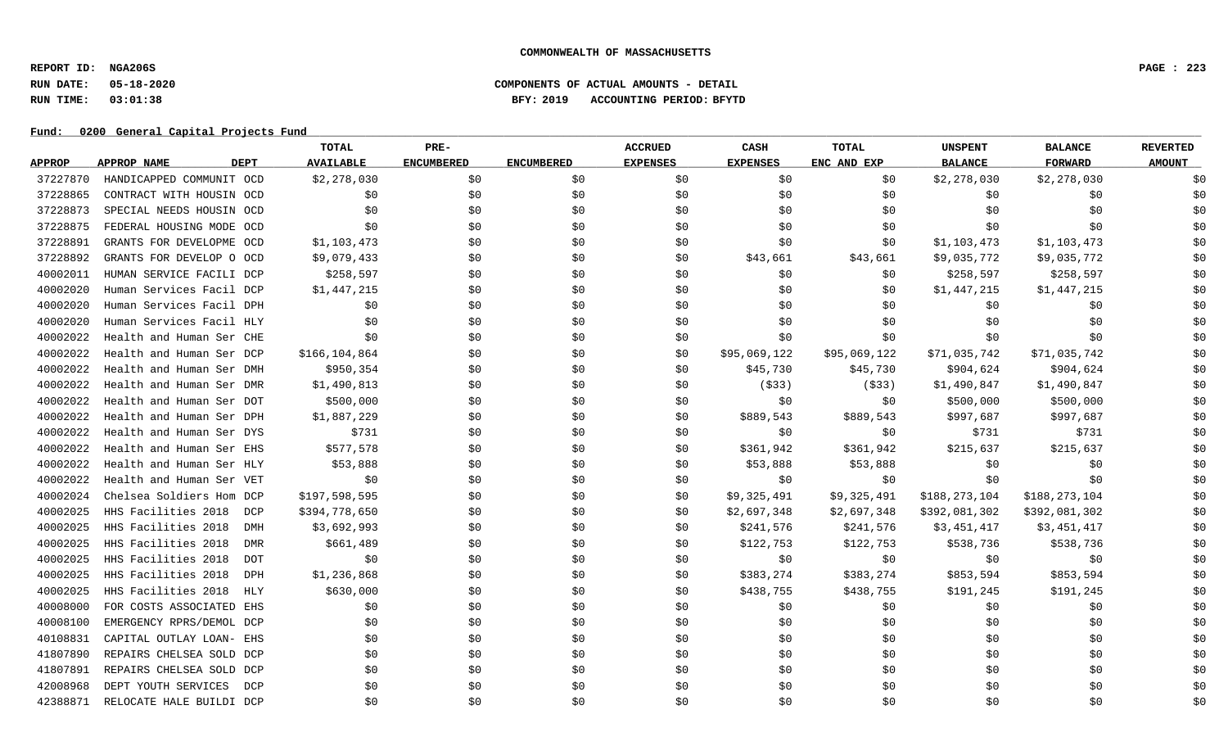**REPORT ID: NGA206S PAGE : 223**

## **RUN DATE: 05-18-2020 COMPONENTS OF ACTUAL AMOUNTS - DETAIL RUN TIME: 03:01:38 BFY: 2019 ACCOUNTING PERIOD: BFYTD**

|               |                                   | TOTAL            | PRE-              |                   | <b>ACCRUED</b>  | CASH            | <b>TOTAL</b> | <b>UNSPENT</b> | <b>BALANCE</b> | <b>REVERTED</b> |
|---------------|-----------------------------------|------------------|-------------------|-------------------|-----------------|-----------------|--------------|----------------|----------------|-----------------|
| <b>APPROP</b> | <b>APPROP NAME</b><br><b>DEPT</b> | <b>AVAILABLE</b> | <b>ENCUMBERED</b> | <b>ENCUMBERED</b> | <b>EXPENSES</b> | <b>EXPENSES</b> | ENC AND EXP  | <b>BALANCE</b> | <b>FORWARD</b> | <b>AMOUNT</b>   |
| 37227870      | HANDICAPPED COMMUNIT OCD          | \$2,278,030      | \$0               | \$0               | \$0             | \$0             | \$0          | \$2,278,030    | \$2,278,030    | \$0             |
| 37228865      | CONTRACT WITH HOUSIN OCD          | \$0              | \$0               | \$0               | \$0             | \$0             | \$0          | \$0            | \$0            | \$0             |
| 37228873      | SPECIAL NEEDS HOUSIN OCD          | \$0              | \$0               | \$0               | \$0             | \$0             | \$0          | \$0            | \$0            | \$0             |
| 37228875      | FEDERAL HOUSING MODE OCD          | \$0              | \$0               | \$0               | \$0             | \$0             | \$0          | \$0            | \$0            | \$0             |
| 37228891      | GRANTS FOR DEVELOPME OCD          | \$1,103,473      | \$0               | \$0               | \$0             | \$0             | \$0          | \$1,103,473    | \$1,103,473    | \$0             |
| 37228892      | GRANTS FOR DEVELOP O OCD          | \$9,079,433      | \$0               | \$0               | \$0             | \$43,661        | \$43,661     | \$9,035,772    | \$9,035,772    | \$0             |
| 40002011      | HUMAN SERVICE FACILI DCP          | \$258,597        | \$0               | \$0               | \$0             | \$0             | \$0          | \$258,597      | \$258,597      | \$0             |
| 40002020      | Human Services Facil DCP          | \$1,447,215      | \$0               | \$0               | \$0             | \$0             | \$0          | \$1,447,215    | \$1,447,215    | \$0             |
| 40002020      | Human Services Facil DPH          | \$0              | \$0               | \$0               | \$0             | \$0             | \$0          | \$0            | \$0            | \$0             |
| 40002020      | Human Services Facil HLY          | \$0              | \$0               | \$0               | \$0             | \$0             | \$0          | \$0            | \$0            | \$0             |
| 40002022      | Health and Human Ser CHE          | \$0              | \$0               | \$0               | \$0             | \$0             | \$0          | \$0            | \$0            | \$0             |
| 40002022      | Health and Human Ser DCP          | \$166,104,864    | \$0               | \$0               | \$0             | \$95,069,122    | \$95,069,122 | \$71,035,742   | \$71,035,742   | \$0             |
| 40002022      | Health and Human Ser DMH          | \$950,354        | \$0               | \$0               | \$0             | \$45,730        | \$45,730     | \$904,624      | \$904,624      | \$0             |
| 40002022      | Health and Human Ser DMR          | \$1,490,813      | \$0               | \$0               | \$0             | ( \$33)         | ( \$33)      | \$1,490,847    | \$1,490,847    | \$0             |
| 40002022      | Health and Human Ser DOT          | \$500,000        | \$0               | \$0               | \$0             | \$0             | \$0          | \$500,000      | \$500,000      | \$0             |
| 40002022      | Health and Human Ser DPH          | \$1,887,229      | \$0               | \$0               | \$0             | \$889,543       | \$889,543    | \$997,687      | \$997,687      | \$0             |
| 40002022      | Health and Human Ser DYS          | \$731            | \$0               | \$0               | \$0             | \$0             | \$0          | \$731          | \$731          | \$0             |
| 40002022      | Health and Human Ser EHS          | \$577,578        | \$0               | \$0               | \$0             | \$361,942       | \$361,942    | \$215,637      | \$215,637      | \$0             |
| 40002022      | Health and Human Ser HLY          | \$53,888         | \$0               | \$0               | \$0             | \$53,888        | \$53,888     | \$0            | \$0            | \$0             |
| 40002022      | Health and Human Ser VET          | \$0              | \$0               | \$0               | \$0             | \$0             | \$0          | \$0            | \$0            | \$0             |
| 40002024      | Chelsea Soldiers Hom DCP          | \$197,598,595    | \$0\$             | \$0               | \$0             | \$9,325,491     | \$9,325,491  | \$188,273,104  | \$188,273,104  | \$0             |
| 40002025      | HHS Facilities 2018<br>DCP        | \$394,778,650    | \$0               | \$0               | \$0             | \$2,697,348     | \$2,697,348  | \$392,081,302  | \$392,081,302  | \$0             |
| 40002025      | HHS Facilities 2018<br><b>DMH</b> | \$3,692,993      | \$0               | \$0               | \$0             | \$241,576       | \$241,576    | \$3,451,417    | \$3,451,417    | \$0             |
| 40002025      | HHS Facilities 2018<br><b>DMR</b> | \$661,489        | \$0               | \$0               | \$0             | \$122,753       | \$122,753    | \$538,736      | \$538,736      | \$0             |
| 40002025      | HHS Facilities 2018<br><b>DOT</b> | \$0              | \$0               | \$0               | \$0             | \$0\$           | \$0\$        | \$0            | \$0            | \$0             |
| 40002025      | HHS Facilities 2018<br>DPH        | \$1,236,868      | \$0               | \$0               | \$0             | \$383,274       | \$383,274    | \$853,594      | \$853,594      | \$0             |
| 40002025      | HHS Facilities 2018<br>HLY        | \$630,000        | \$0               | \$0               | \$0             | \$438,755       | \$438,755    | \$191,245      | \$191,245      | \$0             |
| 40008000      | FOR COSTS ASSOCIATED EHS          | \$0              | \$0               | \$0               | \$0             | \$0             | \$0          | \$0            | \$0            | \$0             |
| 40008100      | EMERGENCY RPRS/DEMOL DCP          | \$0              | \$0               | \$0               | \$0             | \$0             | \$0          | \$0            | \$0            | \$0             |
| 40108831      | CAPITAL OUTLAY LOAN- EHS          | \$0              | \$0               | \$0               | \$0             | \$0             | \$0          | \$0            | \$0            | \$0             |
| 41807890      | REPAIRS CHELSEA SOLD DCP          | \$0              | \$0               | \$0               | \$0             | \$0             | \$0          | \$0            | \$0            | \$0             |
| 41807891      | REPAIRS CHELSEA SOLD DCP          | \$0              | \$0               | \$0               | \$0             | \$0             | \$0          | \$0            | \$0            | \$0             |
| 42008968      | DEPT YOUTH SERVICES<br>DCP        | \$0              | \$0               | \$0               | \$0             | \$0             | \$0          | \$0            | \$0            | \$0             |
| 42388871      | RELOCATE HALE BUILDI DCP          | \$0              | \$0               | \$0               | \$0             | \$0             | \$0          | \$0            | \$0            | \$0             |
|               |                                   |                  |                   |                   |                 |                 |              |                |                |                 |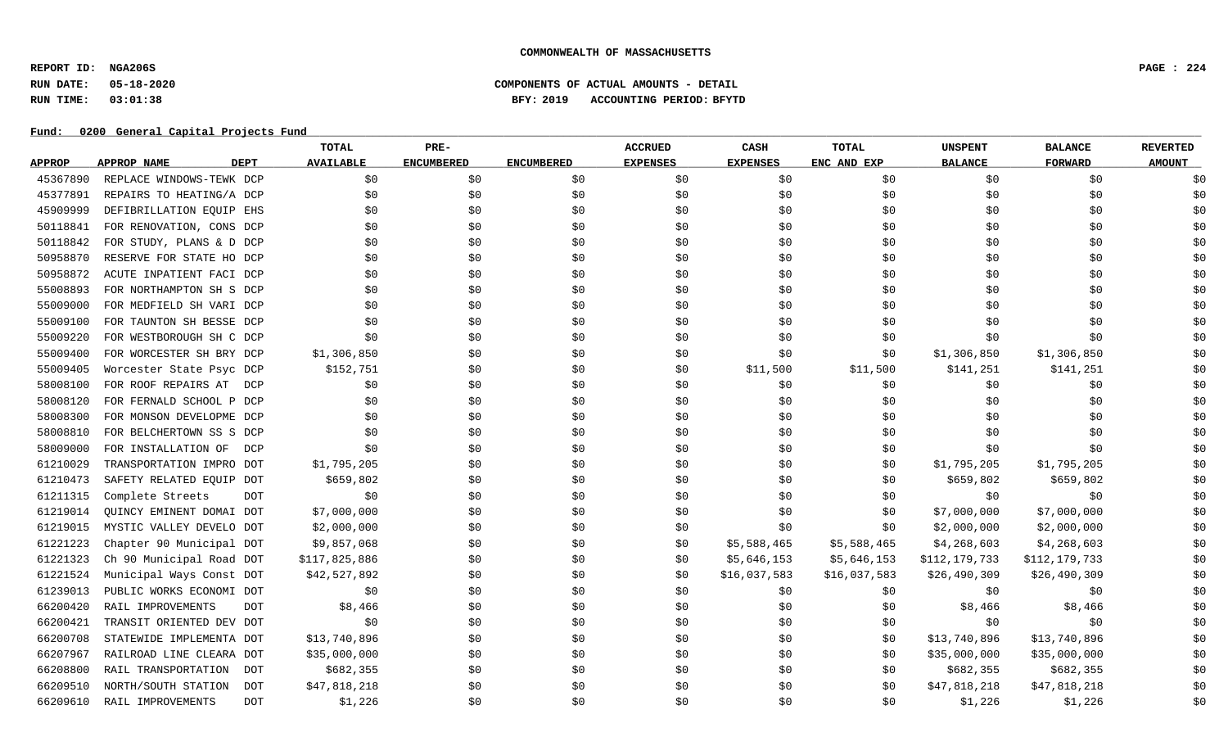**REPORT ID: NGA206S PAGE : 224**

# **RUN DATE: 05-18-2020 COMPONENTS OF ACTUAL AMOUNTS - DETAIL RUN TIME: 03:01:38 BFY: 2019 ACCOUNTING PERIOD: BFYTD**

|               |                                   | TOTAL                 | PRE-              |                   | <b>ACCRUED</b>  | CASH            | <b>TOTAL</b> | <b>UNSPENT</b> | <b>BALANCE</b> | <b>REVERTED</b> |
|---------------|-----------------------------------|-----------------------|-------------------|-------------------|-----------------|-----------------|--------------|----------------|----------------|-----------------|
| <b>APPROP</b> | <b>APPROP NAME</b><br><b>DEPT</b> | <b>AVAILABLE</b>      | <b>ENCUMBERED</b> | <b>ENCUMBERED</b> | <b>EXPENSES</b> | <b>EXPENSES</b> | ENC AND EXP  | <b>BALANCE</b> | <b>FORWARD</b> | <b>AMOUNT</b>   |
| 45367890      | REPLACE WINDOWS-TEWK DCP          | \$0                   | \$0\$             | \$0               | \$0             | \$0             | \$0          | \$0            | \$0            | \$0             |
| 45377891      | REPAIRS TO HEATING/A DCP          | \$0                   | \$0               | \$0\$             | \$0             | \$0\$           | \$0          | \$0            | \$0\$          | \$0             |
| 45909999      | DEFIBRILLATION EQUIP EHS          | \$0                   | \$0               | \$0               | \$0             | \$0             | \$0          | \$0            | \$0            | \$0             |
| 50118841      | FOR RENOVATION, CONS DCP          | \$0                   | \$0               | \$0               | \$0             | \$0             | \$0          | \$0            | \$0            | \$0             |
| 50118842      | FOR STUDY, PLANS & D DCP          | \$0                   | \$0               | \$0               | \$0             | \$0             | \$0          | \$0            | \$0            | \$0             |
| 50958870      | RESERVE FOR STATE HO DCP          | \$0                   | \$0               | \$0               | \$0             | \$0             | \$0          | \$0            | \$0            | \$0             |
| 50958872      | ACUTE INPATIENT FACI DCP          | \$0                   | \$0               | \$0               | \$0             | \$0             | \$0          | \$0            | \$0            | \$0             |
| 55008893      | FOR NORTHAMPTON SH S DCP          | \$0                   | \$0               | \$0               | \$0             | \$0             | \$0          | \$0            | \$0            | \$0             |
| 55009000      | FOR MEDFIELD SH VARI DCP          | \$0                   | \$0               | \$0               | \$0             | \$0\$           | \$0          | \$0            | \$0            | \$0             |
| 55009100      | FOR TAUNTON SH BESSE DCP          | \$0                   | \$0               | \$0               | \$0             | \$0             | \$0          | \$0            | \$0            | \$0             |
| 55009220      | FOR WESTBOROUGH SH C DCP          | \$0                   | \$0               | \$0               | \$0             | \$0             | \$0          | \$0            | \$0            | \$0             |
| 55009400      | FOR WORCESTER SH BRY DCP          | \$1,306,850           | \$0               | \$0               | \$0             | \$0             | \$0          | \$1,306,850    | \$1,306,850    | \$0             |
| 55009405      | Worcester State Psyc DCP          | \$152,751             | \$0               | \$0               | \$0             | \$11,500        | \$11,500     | \$141,251      | \$141,251      | \$0             |
| 58008100      | FOR ROOF REPAIRS AT               | \$0<br>DCP            | \$0               | \$0\$             | \$0             | \$0             | \$0          | \$0            | \$0\$          | \$0             |
| 58008120      | FOR FERNALD SCHOOL P DCP          | \$0                   | \$0               | \$0               | \$0             | \$0\$           | \$0          | \$0            | \$0            | \$0             |
| 58008300      | FOR MONSON DEVELOPME DCP          | \$0                   | \$0               | \$0               | \$0             | \$0\$           | \$0          | \$0            | \$0\$          | \$0             |
| 58008810      | FOR BELCHERTOWN SS S DCP          | \$0                   | \$0               | \$0               | \$0             | \$0             | \$0          | \$0            | \$0            | \$0             |
| 58009000      | FOR INSTALLATION OF               | \$0<br>DCP            | \$0               | \$0               | \$0             | \$0             | \$0          | \$0            | \$0            | \$0             |
| 61210029      | TRANSPORTATION IMPRO DOT          | \$1,795,205           | \$0               | \$0               | \$0             | \$0             | \$0          | \$1,795,205    | \$1,795,205    | \$0             |
| 61210473      | SAFETY RELATED EQUIP DOT          | \$659,802             | \$0               | \$0               | \$0             | \$0             | \$0          | \$659,802      | \$659,802      | \$0             |
| 61211315      | Complete Streets                  | \$0<br><b>DOT</b>     | \$0               | \$0               | \$0             | \$0             | \$0          | \$0            | \$0            | \$0             |
| 61219014      | OUINCY EMINENT DOMAI DOT          | \$7,000,000           | \$0               | \$0               | \$0             | \$0             | \$0          | \$7,000,000    | \$7,000,000    | \$0             |
| 61219015      | MYSTIC VALLEY DEVELO DOT          | \$2,000,000           | \$0               | \$0               | \$0             | \$0             | \$0          | \$2,000,000    | \$2,000,000    | \$0             |
| 61221223      | Chapter 90 Municipal DOT          | \$9,857,068           | \$0               | \$0               | \$0             | \$5,588,465     | \$5,588,465  | \$4,268,603    | \$4,268,603    | \$0             |
| 61221323      | Ch 90 Municipal Road DOT          | \$117,825,886         | \$0               | \$0               | \$0             | \$5,646,153     | \$5,646,153  | \$112,179,733  | \$112,179,733  | \$0             |
| 61221524      | Municipal Ways Const DOT          | \$42,527,892          | \$0               | \$0               | \$0             | \$16,037,583    | \$16,037,583 | \$26,490,309   | \$26,490,309   | \$0             |
| 61239013      | PUBLIC WORKS ECONOMI DOT          | \$0                   | \$0               | \$0               | \$0             | \$0             | \$0          | \$0            | \$0            | \$0             |
| 66200420      | RAIL IMPROVEMENTS                 | \$8,466<br><b>DOT</b> | \$0               | \$0               | \$0             | \$0             | \$0          | \$8,466        | \$8,466        | \$0             |
| 66200421      | TRANSIT ORIENTED DEV DOT          | \$0                   | \$0               | \$0               | \$0             | \$0             | \$0          | \$0            | \$0            | \$0             |
| 66200708      | STATEWIDE IMPLEMENTA DOT          | \$13,740,896          | \$0               | \$0               | \$0             | \$0             | \$0          | \$13,740,896   | \$13,740,896   | \$0             |
| 66207967      | RAILROAD LINE CLEARA DOT          | \$35,000,000          | \$0               | \$0               | \$0             | \$0             | \$0          | \$35,000,000   | \$35,000,000   | \$0             |
| 66208800      | RAIL TRANSPORTATION               | \$682,355<br>DOT      | \$0               | \$0               | \$0             | \$0             | \$0          | \$682,355      | \$682,355      | \$0             |
| 66209510      | NORTH/SOUTH STATION               | \$47,818,218<br>DOT   | \$0               | \$0               | \$0             | \$0             | \$0          | \$47,818,218   | \$47,818,218   | \$0             |
| 66209610      | RAIL IMPROVEMENTS                 | \$1,226<br><b>DOT</b> | \$0               | \$0               | \$0             | \$0             | \$0          | \$1,226        | \$1,226        | \$0             |
|               |                                   |                       |                   |                   |                 |                 |              |                |                |                 |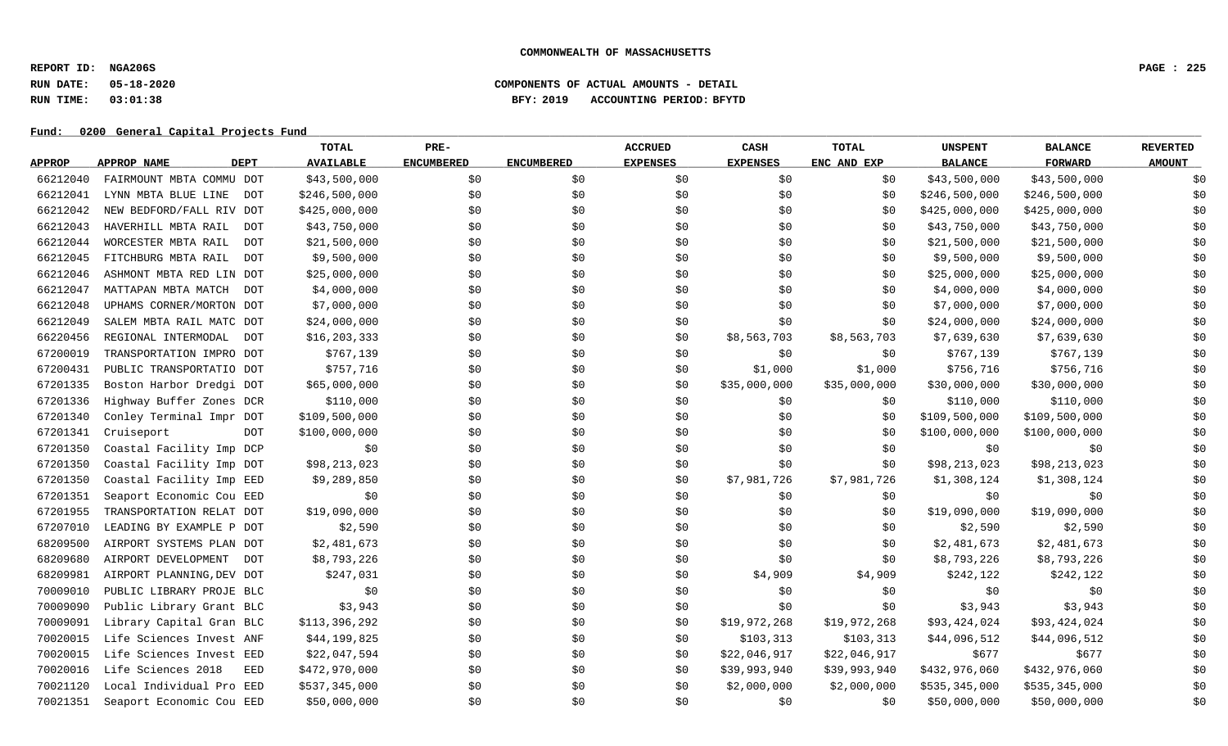**REPORT ID: NGA206S PAGE : 225**

## **RUN DATE: 05-18-2020 COMPONENTS OF ACTUAL AMOUNTS - DETAIL RUN TIME: 03:01:38 BFY: 2019 ACCOUNTING PERIOD: BFYTD**

|               |                                   | TOTAL            | PRE-              |                   | <b>ACCRUED</b>  | CASH            | <b>TOTAL</b> | <b>UNSPENT</b> | <b>BALANCE</b> | <b>REVERTED</b> |
|---------------|-----------------------------------|------------------|-------------------|-------------------|-----------------|-----------------|--------------|----------------|----------------|-----------------|
| <b>APPROP</b> | <b>DEPT</b><br>APPROP NAME        | <b>AVAILABLE</b> | <b>ENCUMBERED</b> | <b>ENCUMBERED</b> | <b>EXPENSES</b> | <b>EXPENSES</b> | ENC AND EXP  | <b>BALANCE</b> | <b>FORWARD</b> | <b>AMOUNT</b>   |
| 66212040      | FAIRMOUNT MBTA COMMU DOT          | \$43,500,000     | \$0               | \$0               | \$0             | \$0\$           | \$0          | \$43,500,000   | \$43,500,000   | \$0             |
| 66212041      | LYNN MBTA BLUE LINE<br>DOT        | \$246,500,000    | \$0               | \$0               | \$0             | \$0             | \$0          | \$246,500,000  | \$246,500,000  | \$0             |
| 66212042      | NEW BEDFORD/FALL RIV DOT          | \$425,000,000    | \$0\$             | \$0               | \$0             | \$0             | \$0          | \$425,000,000  | \$425,000,000  | \$0             |
| 66212043      | HAVERHILL MBTA RAIL<br><b>DOT</b> | \$43,750,000     | \$0               | \$0               | \$0             | \$0             | \$0          | \$43,750,000   | \$43,750,000   | \$0             |
| 66212044      | WORCESTER MBTA RAIL<br><b>DOT</b> | \$21,500,000     | \$0               | \$0               | \$0             | \$0\$           | \$0          | \$21,500,000   | \$21,500,000   | \$0             |
| 66212045      | FITCHBURG MBTA RAIL<br><b>DOT</b> | \$9,500,000      | \$0               | \$0               | \$0             | \$0             | \$0          | \$9,500,000    | \$9,500,000    | \$0             |
| 66212046      | ASHMONT MBTA RED LIN DOT          | \$25,000,000     | \$0               | \$0               | \$0             | \$0             | \$0          | \$25,000,000   | \$25,000,000   | \$0             |
| 66212047      | MATTAPAN MBTA MATCH DOT           | \$4,000,000      | \$0               | \$0               | \$0             | \$0             | \$0          | \$4,000,000    | \$4,000,000    | \$0             |
| 66212048      | UPHAMS CORNER/MORTON DOT          | \$7,000,000      | \$0               | \$0               | \$0             | \$0             | \$0          | \$7,000,000    | \$7,000,000    | \$0             |
| 66212049      | SALEM MBTA RAIL MATC DOT          | \$24,000,000     | \$0               | \$0               | \$0             | \$0             | \$0          | \$24,000,000   | \$24,000,000   | \$0             |
| 66220456      | REGIONAL INTERMODAL<br><b>DOT</b> | \$16, 203, 333   | \$0               | \$0               | \$0             | \$8,563,703     | \$8,563,703  | \$7,639,630    | \$7,639,630    | \$0             |
| 67200019      | TRANSPORTATION IMPRO DOT          | \$767,139        | \$0               | \$0               | \$0             | \$0\$           | \$0          | \$767,139      | \$767,139      | \$0             |
| 67200431      | PUBLIC TRANSPORTATIO DOT          | \$757,716        | \$0               | \$0               | \$0             | \$1,000         | \$1,000      | \$756,716      | \$756,716      | \$0             |
| 67201335      | Boston Harbor Dredgi DOT          | \$65,000,000     | \$0               | \$0               | \$0             | \$35,000,000    | \$35,000,000 | \$30,000,000   | \$30,000,000   | \$0             |
| 67201336      | Highway Buffer Zones DCR          | \$110,000        | \$0               | \$0               | \$0             | \$0             | \$0          | \$110,000      | \$110,000      | \$0             |
| 67201340      | Conley Terminal Impr DOT          | \$109,500,000    | \$0               | \$0               | \$0             | \$0             | \$0          | \$109,500,000  | \$109,500,000  | \$0             |
| 67201341      | Cruiseport<br><b>DOT</b>          | \$100,000,000    | \$0               | \$0               | \$0             | \$0\$           | \$0          | \$100,000,000  | \$100,000,000  | \$0             |
| 67201350      | Coastal Facility Imp DCP          | \$0              | \$0               | \$0               | \$0             | \$0             | \$0          | \$0            | \$0            | \$0             |
| 67201350      | Coastal Facility Imp DOT          | \$98,213,023     | \$0               | \$0               | \$0             | \$0             | \$0          | \$98,213,023   | \$98,213,023   | \$0             |
| 67201350      | Coastal Facility Imp EED          | \$9,289,850      | \$0               | \$0               | \$0             | \$7,981,726     | \$7,981,726  | \$1,308,124    | \$1,308,124    | \$0             |
| 67201351      | Seaport Economic Cou EED          | \$0              | \$0               | \$0               | \$0             | \$0             | \$0          | \$0            | \$0            | \$0             |
| 67201955      | TRANSPORTATION RELAT DOT          | \$19,090,000     | \$0               | \$0               | \$0             | \$0             | \$0          | \$19,090,000   | \$19,090,000   | \$0             |
| 67207010      | LEADING BY EXAMPLE P DOT          | \$2,590          | \$0               | \$0               | \$0             | \$0             | \$0          | \$2,590        | \$2,590        | \$0             |
| 68209500      | AIRPORT SYSTEMS PLAN DOT          | \$2,481,673      | \$0               | \$0               | \$0             | \$0             | \$0          | \$2,481,673    | \$2,481,673    | \$0             |
| 68209680      | AIRPORT DEVELOPMENT<br>DOT        | \$8,793,226      | \$0\$             | \$0               | \$0             | \$0\$           | \$0          | \$8,793,226    | \$8,793,226    | \$0             |
| 68209981      | AIRPORT PLANNING, DEV DOT         | \$247,031        | \$0               | \$0               | \$0             | \$4,909         | \$4,909      | \$242,122      | \$242,122      | \$0             |
| 70009010      | PUBLIC LIBRARY PROJE BLC          | \$0              | \$0               | \$0               | \$0             | \$0\$           | \$0          | \$0            | \$0            | \$0             |
| 70009090      | Public Library Grant BLC          | \$3,943          | \$0               | \$0               | \$0             | \$0             | \$0          | \$3,943        | \$3,943        | \$0             |
| 70009091      | Library Capital Gran BLC          | \$113,396,292    | \$0               | \$0               | \$0             | \$19,972,268    | \$19,972,268 | \$93,424,024   | \$93,424,024   | \$0             |
| 70020015      | Life Sciences Invest ANF          | \$44,199,825     | \$0               | \$0               | \$0             | \$103,313       | \$103,313    | \$44,096,512   | \$44,096,512   | \$0             |
| 70020015      | Life Sciences Invest EED          | \$22,047,594     | \$0               | \$0               | \$0             | \$22,046,917    | \$22,046,917 | \$677          | \$677          | \$0             |
| 70020016      | Life Sciences 2018<br><b>EED</b>  | \$472,970,000    | \$0               | \$0               | \$0             | \$39,993,940    | \$39,993,940 | \$432,976,060  | \$432,976,060  | \$0             |
| 70021120      | Local Individual Pro EED          | \$537,345,000    | \$0               | \$0               | \$0             | \$2,000,000     | \$2,000,000  | \$535,345,000  | \$535,345,000  | \$0             |
| 70021351      | Seaport Economic Cou EED          | \$50,000,000     | \$0               | \$0               | \$0             | \$0             | \$0          | \$50,000,000   | \$50,000,000   | \$0             |
|               |                                   |                  |                   |                   |                 |                 |              |                |                |                 |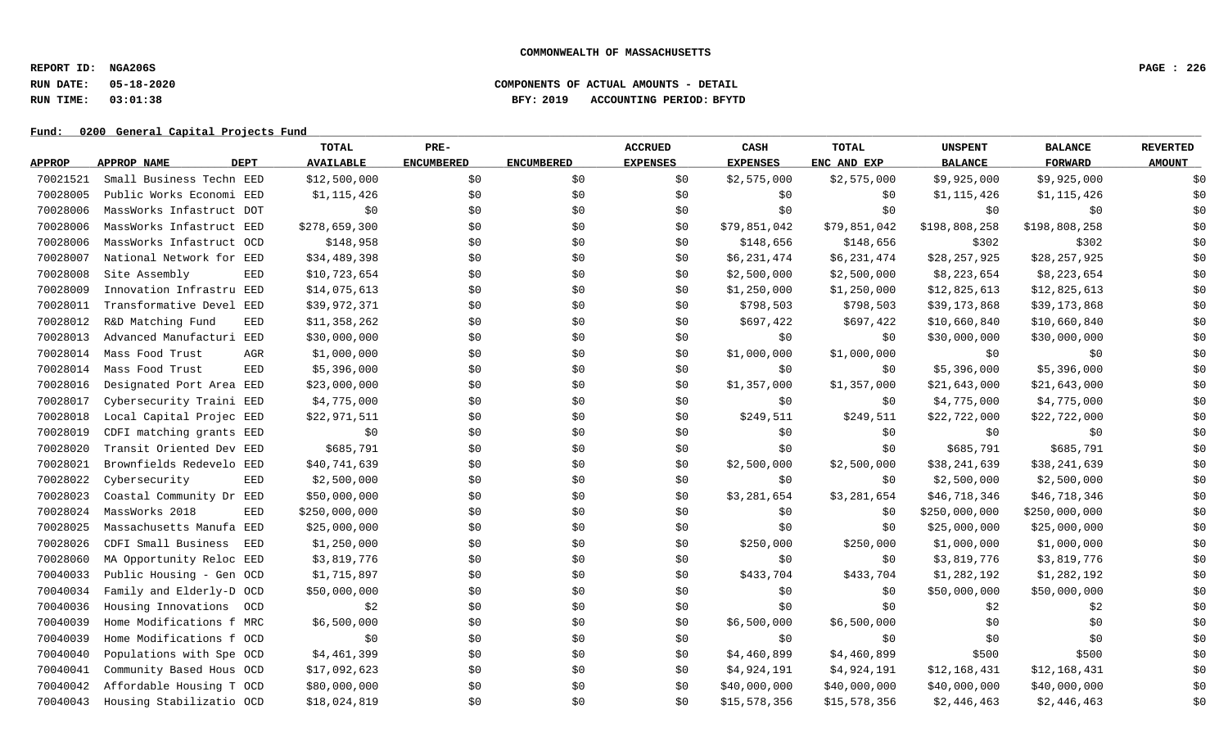**REPORT ID: NGA206S PAGE : 226**

## **RUN DATE: 05-18-2020 COMPONENTS OF ACTUAL AMOUNTS - DETAIL RUN TIME: 03:01:38 BFY: 2019 ACCOUNTING PERIOD: BFYTD**

|               |                               | TOTAL            | PRE-              |                   | <b>ACCRUED</b>  | CASH            | <b>TOTAL</b> | <b>UNSPENT</b> | <b>BALANCE</b> | <b>REVERTED</b> |
|---------------|-------------------------------|------------------|-------------------|-------------------|-----------------|-----------------|--------------|----------------|----------------|-----------------|
| <b>APPROP</b> | <b>DEPT</b><br>APPROP NAME    | <b>AVAILABLE</b> | <b>ENCUMBERED</b> | <b>ENCUMBERED</b> | <b>EXPENSES</b> | <b>EXPENSES</b> | ENC AND EXP  | <b>BALANCE</b> | <b>FORWARD</b> | <b>AMOUNT</b>   |
| 70021521      | Small Business Techn EED      | \$12,500,000     | \$0               | \$0               | \$0             | \$2,575,000     | \$2,575,000  | \$9,925,000    | \$9,925,000    | \$0             |
| 70028005      | Public Works Economi EED      | \$1,115,426      | \$0               | \$0               | \$0             | \$0             | \$0          | \$1,115,426    | \$1,115,426    | \$0             |
| 70028006      | MassWorks Infastruct DOT      | \$0              | \$0               | \$0               | \$0             | \$0             | \$0          | \$0            | \$0            | \$0             |
| 70028006      | MassWorks Infastruct EED      | \$278,659,300    | \$0               | \$0               | \$0             | \$79,851,042    | \$79,851,042 | \$198,808,258  | \$198,808,258  | \$0             |
| 70028006      | MassWorks Infastruct OCD      | \$148,958        | \$0               | \$0               | \$0             | \$148,656       | \$148,656    | \$302          | \$302          | \$0             |
| 70028007      | National Network for EED      | \$34,489,398     | \$0               | \$0               | \$0             | \$6,231,474     | \$6,231,474  | \$28,257,925   | \$28,257,925   | \$0             |
| 70028008      | Site Assembly<br><b>EED</b>   | \$10,723,654     | \$0               | \$0               | \$0             | \$2,500,000     | \$2,500,000  | \$8,223,654    | \$8,223,654    | \$0             |
| 70028009      | Innovation Infrastru EED      | \$14,075,613     | \$0               | \$0               | \$0             | \$1,250,000     | \$1,250,000  | \$12,825,613   | \$12,825,613   | \$0             |
| 70028011      | Transformative Devel EED      | \$39,972,371     | \$0               | \$0               | \$0             | \$798,503       | \$798,503    | \$39,173,868   | \$39,173,868   | \$0             |
| 70028012      | R&D Matching Fund<br>EED      | \$11,358,262     | \$0\$             | \$0               | \$0             | \$697,422       | \$697,422    | \$10,660,840   | \$10,660,840   | \$0             |
| 70028013      | Advanced Manufacturi<br>EED   | \$30,000,000     | \$0               | \$0               | \$0             | \$0             | \$0          | \$30,000,000   | \$30,000,000   | \$0             |
| 70028014      | Mass Food Trust<br>AGR        | \$1,000,000      | \$0               | \$0               | \$0             | \$1,000,000     | \$1,000,000  | \$0            | \$0            | \$0             |
| 70028014      | Mass Food Trust<br><b>EED</b> | \$5,396,000      | \$0               | \$0               | \$0             | \$0             | \$0          | \$5,396,000    | \$5,396,000    | \$0             |
| 70028016      | Designated Port Area EED      | \$23,000,000     | \$0               | \$0               | \$0             | \$1,357,000     | \$1,357,000  | \$21,643,000   | \$21,643,000   | \$0             |
| 70028017      | Cybersecurity Traini EED      | \$4,775,000      | \$0               | \$0               | \$0             | \$0             | \$0          | \$4,775,000    | \$4,775,000    | \$0             |
| 70028018      | Local Capital Projec EED      | \$22,971,511     | \$0               | \$0               | \$0             | \$249,511       | \$249,511    | \$22,722,000   | \$22,722,000   | \$0             |
| 70028019      | CDFI matching grants EED      | \$0              | \$0               | \$0               | \$0             | \$0             | \$0          | \$0            | \$0            | \$0             |
| 70028020      | Transit Oriented Dev EED      | \$685,791        | \$0               | \$0               | \$0             | \$0             | \$0          | \$685,791      | \$685,791      | \$0             |
| 70028021      | Brownfields Redevelo EED      | \$40,741,639     | \$0               | \$0               | \$0             | \$2,500,000     | \$2,500,000  | \$38,241,639   | \$38,241,639   | \$0             |
| 70028022      | Cybersecurity<br><b>EED</b>   | \$2,500,000      | \$0               | \$0               | \$0             | \$0             | \$0          | \$2,500,000    | \$2,500,000    | \$0             |
| 70028023      | Coastal Community Dr EED      | \$50,000,000     | \$0               | \$0               | \$0             | \$3,281,654     | \$3,281,654  | \$46,718,346   | \$46,718,346   | \$0             |
| 70028024      | MassWorks 2018<br>EED         | \$250,000,000    | \$0               | \$0               | \$0             | \$0             | \$0          | \$250,000,000  | \$250,000,000  | \$0             |
| 70028025      | Massachusetts Manufa EED      | \$25,000,000     | \$0               | \$0               | \$0             | \$0             | \$0          | \$25,000,000   | \$25,000,000   | \$0             |
| 70028026      | CDFI Small Business<br>EED    | \$1,250,000      | \$0\$             | \$0               | \$0             | \$250,000       | \$250,000    | \$1,000,000    | \$1,000,000    | \$0             |
| 70028060      | MA Opportunity Reloc EED      | \$3,819,776      | \$0               | \$0               | \$0             | \$0             | \$0          | \$3,819,776    | \$3,819,776    | \$0             |
| 70040033      | Public Housing - Gen OCD      | \$1,715,897      | \$0               | \$0               | \$0             | \$433,704       | \$433,704    | \$1,282,192    | \$1,282,192    | \$0             |
| 70040034      | Family and Elderly-D OCD      | \$50,000,000     | \$0               | \$0               | \$0             | \$0             | \$0          | \$50,000,000   | \$50,000,000   | \$0             |
| 70040036      | Housing Innovations<br>OCD    | \$2              | \$0               | \$0               | \$0             | \$0             | \$0\$        | \$2            | \$2            | \$0             |
| 70040039      | Home Modifications f MRC      | \$6,500,000      | \$0               | \$0               | \$0             | \$6,500,000     | \$6,500,000  | \$0            | \$0            | \$0             |
| 70040039      | Home Modifications f OCD      | \$0              | \$0               | \$0               | \$0             | \$0             | \$0          | \$0            | \$0            | \$0             |
| 70040040      | Populations with Spe OCD      | \$4,461,399      | \$0               | \$0               | \$0             | \$4,460,899     | \$4,460,899  | \$500          | \$500          | \$0             |
| 70040041      | Community Based Hous OCD      | \$17,092,623     | \$0               | \$0               | \$0             | \$4,924,191     | \$4,924,191  | \$12,168,431   | \$12,168,431   | \$0             |
| 70040042      | Affordable Housing T OCD      | \$80,000,000     | \$0               | \$0               | \$0             | \$40,000,000    | \$40,000,000 | \$40,000,000   | \$40,000,000   | \$0             |
| 70040043      | Housing Stabilizatio OCD      | \$18,024,819     | \$0               | \$0               | \$0             | \$15,578,356    | \$15,578,356 | \$2,446,463    | \$2,446,463    | \$0             |
|               |                               |                  |                   |                   |                 |                 |              |                |                |                 |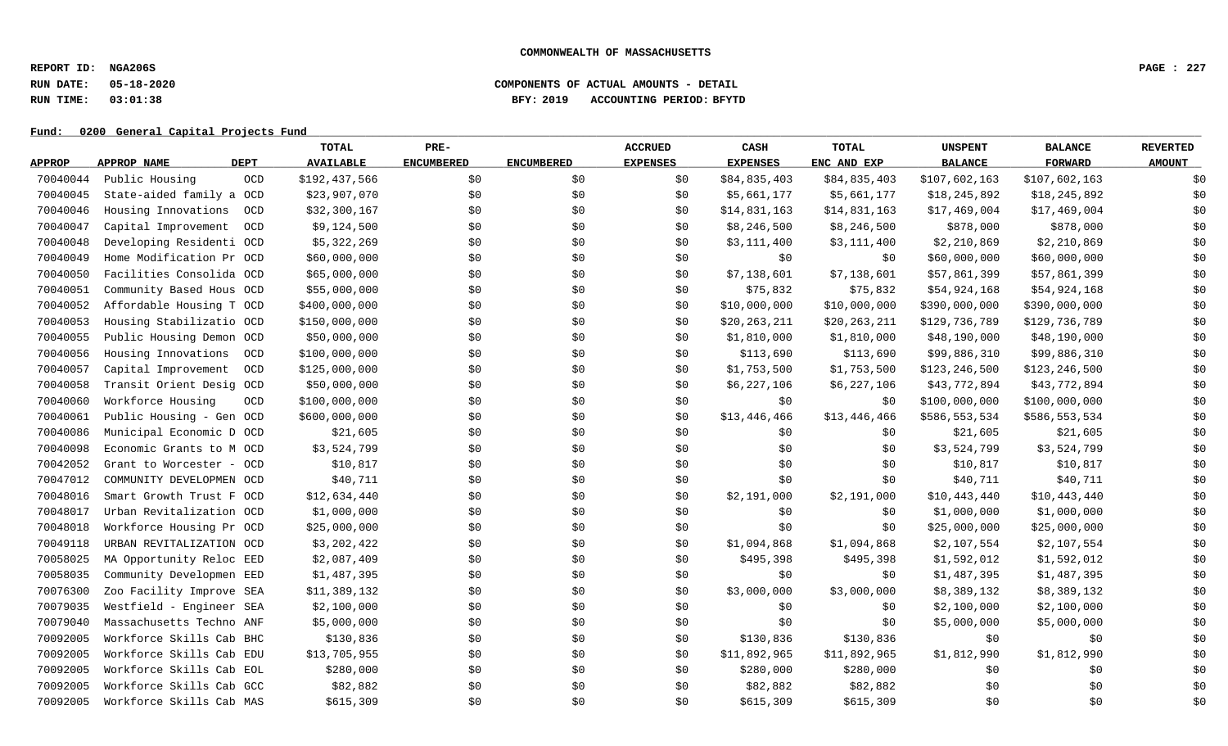**REPORT ID: NGA206S PAGE : 227**

### **RUN DATE: 05-18-2020 COMPONENTS OF ACTUAL AMOUNTS - DETAIL RUN TIME: 03:01:38 BFY: 2019 ACCOUNTING PERIOD: BFYTD**

|               |                          |             | TOTAL            | PRE-              |                   | <b>ACCRUED</b>  | CASH            | <b>TOTAL</b> | <b>UNSPENT</b>  | <b>BALANCE</b>  | <b>REVERTED</b> |
|---------------|--------------------------|-------------|------------------|-------------------|-------------------|-----------------|-----------------|--------------|-----------------|-----------------|-----------------|
| <b>APPROP</b> | APPROP NAME              | <b>DEPT</b> | <b>AVAILABLE</b> | <b>ENCUMBERED</b> | <b>ENCUMBERED</b> | <b>EXPENSES</b> | <b>EXPENSES</b> | ENC AND EXP  | <b>BALANCE</b>  | <b>FORWARD</b>  | <b>AMOUNT</b>   |
| 70040044      | Public Housing           | OCD         | \$192,437,566    | \$0               | \$0               | \$0             | \$84,835,403    | \$84,835,403 | \$107,602,163   | \$107,602,163   | \$0             |
| 70040045      | State-aided family a OCD |             | \$23,907,070     | \$0               | \$0               | \$0             | \$5,661,177     | \$5,661,177  | \$18,245,892    | \$18,245,892    | \$0             |
| 70040046      | Housing Innovations      | OCD         | \$32,300,167     | \$0               | \$0               | \$0             | \$14,831,163    | \$14,831,163 | \$17,469,004    | \$17,469,004    | \$0             |
| 70040047      | Capital Improvement      | OCD         | \$9,124,500      | \$0               | \$0               | \$0             | \$8,246,500     | \$8,246,500  | \$878,000       | \$878,000       | \$0             |
| 70040048      | Developing Residenti OCD |             | \$5,322,269      | \$0               | \$0               | \$0             | \$3,111,400     | \$3,111,400  | \$2,210,869     | \$2,210,869     | \$0             |
| 70040049      | Home Modification Pr OCD |             | \$60,000,000     | \$0               | \$0               | \$0             | \$0             | \$0          | \$60,000,000    | \$60,000,000    | \$0             |
| 70040050      | Facilities Consolida OCD |             | \$65,000,000     | \$0               | \$0               | \$0             | \$7,138,601     | \$7,138,601  | \$57,861,399    | \$57,861,399    | \$0             |
| 70040051      | Community Based Hous OCD |             | \$55,000,000     | \$0               | \$0               | \$0             | \$75,832        | \$75,832     | \$54,924,168    | \$54,924,168    | \$0             |
| 70040052      | Affordable Housing T OCD |             | \$400,000,000    | \$0               | \$0               | \$0             | \$10,000,000    | \$10,000,000 | \$390,000,000   | \$390,000,000   | \$0             |
| 70040053      | Housing Stabilizatio OCD |             | \$150,000,000    | \$0               | \$0               | \$0             | \$20,263,211    | \$20,263,211 | \$129,736,789   | \$129,736,789   | \$0             |
| 70040055      | Public Housing Demon OCD |             | \$50,000,000     | \$0               | \$0               | \$0             | \$1,810,000     | \$1,810,000  | \$48,190,000    | \$48,190,000    | \$0             |
| 70040056      | Housing Innovations      | OCD         | \$100,000,000    | \$0               | \$0               | \$0             | \$113,690       | \$113,690    | \$99,886,310    | \$99,886,310    | \$0             |
| 70040057      | Capital Improvement      | <b>OCD</b>  | \$125,000,000    | \$0               | \$0               | \$0             | \$1,753,500     | \$1,753,500  | \$123, 246, 500 | \$123, 246, 500 | \$0             |
| 70040058      | Transit Orient Desig OCD |             | \$50,000,000     | \$0               | \$0               | \$0             | \$6,227,106     | \$6,227,106  | \$43,772,894    | \$43,772,894    | \$0             |
| 70040060      | Workforce Housing        | <b>OCD</b>  | \$100,000,000    | \$0               | \$0               | \$0             | \$0             | \$0          | \$100,000,000   | \$100,000,000   | \$0             |
| 70040061      | Public Housing - Gen OCD |             | \$600,000,000    | \$0               | \$0               | \$0             | \$13,446,466    | \$13,446,466 | \$586,553,534   | \$586,553,534   | \$0             |
| 70040086      | Municipal Economic D OCD |             | \$21,605         | \$0               | \$0               | \$0             | \$0             | \$0          | \$21,605        | \$21,605        | \$0             |
| 70040098      | Economic Grants to M OCD |             | \$3,524,799      | \$0               | \$0               | \$0             | \$0\$           | \$0          | \$3,524,799     | \$3,524,799     | \$0             |
| 70042052      | Grant to Worcester - OCD |             | \$10,817         | \$0               | \$0               | \$0             | \$0\$           | \$0          | \$10,817        | \$10,817        | \$0             |
| 70047012      | COMMUNITY DEVELOPMEN OCD |             | \$40,711         | \$0               | \$0               | \$0             | \$0             | \$0          | \$40,711        | \$40,711        | \$0             |
| 70048016      | Smart Growth Trust F OCD |             | \$12,634,440     | \$0               | \$0               | \$0             | \$2,191,000     | \$2,191,000  | \$10,443,440    | \$10,443,440    | \$0             |
| 70048017      | Urban Revitalization OCD |             | \$1,000,000      | \$0               | \$0               | \$0             | \$0\$           | \$0          | \$1,000,000     | \$1,000,000     | \$0             |
| 70048018      | Workforce Housing Pr OCD |             | \$25,000,000     | \$0\$             | \$0               | \$0             | \$0             | \$0          | \$25,000,000    | \$25,000,000    | \$0             |
| 70049118      | URBAN REVITALIZATION OCD |             | \$3,202,422      | \$0               | \$0               | \$0             | \$1,094,868     | \$1,094,868  | \$2,107,554     | \$2,107,554     | \$0             |
| 70058025      | MA Opportunity Reloc EED |             | \$2,087,409      | \$0               | \$0               | \$0             | \$495,398       | \$495,398    | \$1,592,012     | \$1,592,012     | \$0             |
| 70058035      | Community Developmen EED |             | \$1,487,395      | \$0               | \$0               | \$0\$           | \$0\$           | \$0          | \$1,487,395     | \$1,487,395     | \$0             |
| 70076300      | Zoo Facility Improve SEA |             | \$11,389,132     | \$0               | \$0               | \$0             | \$3,000,000     | \$3,000,000  | \$8,389,132     | \$8,389,132     | \$0             |
| 70079035      | Westfield - Engineer SEA |             | \$2,100,000      | \$0               | \$0               | \$0             | \$0             | \$0          | \$2,100,000     | \$2,100,000     | \$0             |
| 70079040      | Massachusetts Techno ANF |             | \$5,000,000      | \$0               | \$0               | \$0             | \$0             | \$0          | \$5,000,000     | \$5,000,000     | \$0             |
| 70092005      | Workforce Skills Cab BHC |             | \$130,836        | \$0               | \$0               | \$0             | \$130,836       | \$130,836    | \$0             | \$0             | \$0             |
| 70092005      | Workforce Skills Cab EDU |             | \$13,705,955     | \$0               | \$0               | \$0             | \$11,892,965    | \$11,892,965 | \$1,812,990     | \$1,812,990     | \$0             |
| 70092005      | Workforce Skills Cab EOL |             | \$280,000        | \$0               | \$0               | \$0             | \$280,000       | \$280,000    | \$0             | \$0             | \$0             |
| 70092005      | Workforce Skills Cab GCC |             | \$82,882         | \$0               | \$0               | \$0             | \$82,882        | \$82,882     | \$0             | \$0             | \$0             |
| 70092005      | Workforce Skills Cab MAS |             | \$615,309        | \$0               | \$0               | \$0             | \$615,309       | \$615,309    | \$0             | \$0             | \$0             |
|               |                          |             |                  |                   |                   |                 |                 |              |                 |                 |                 |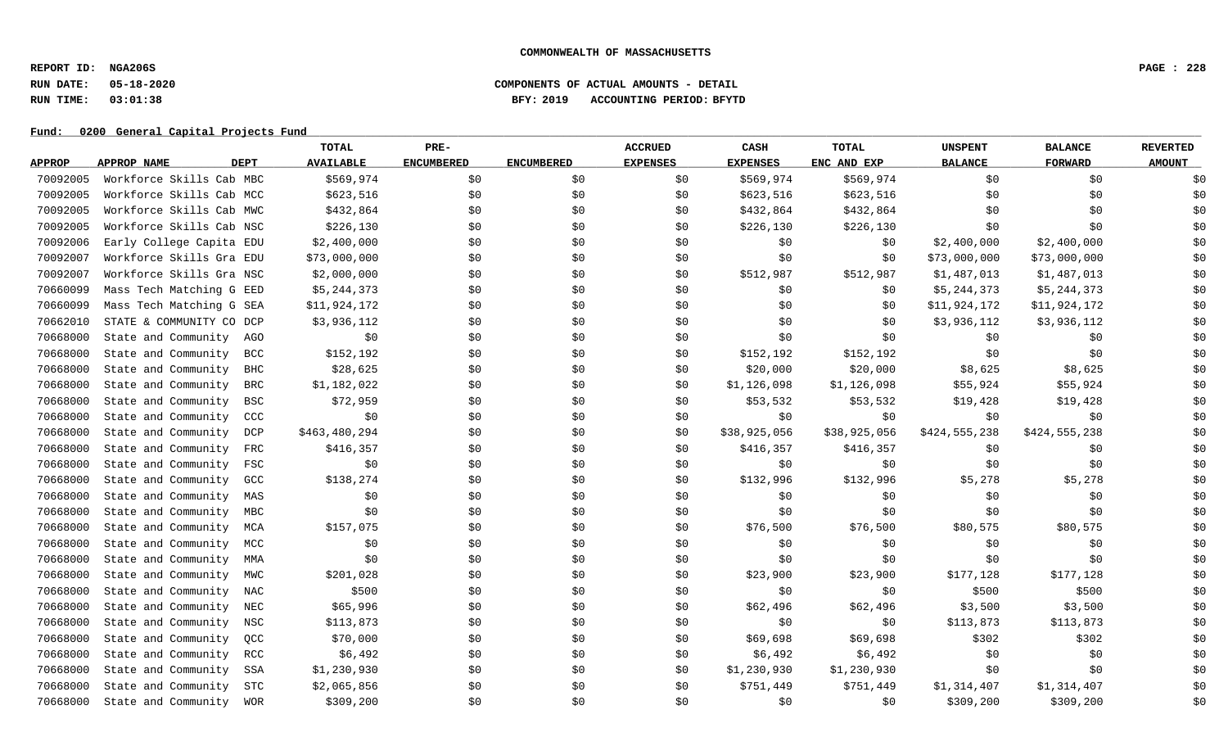**REPORT ID: NGA206S PAGE : 228**

## **RUN DATE: 05-18-2020 COMPONENTS OF ACTUAL AMOUNTS - DETAIL RUN TIME: 03:01:38 BFY: 2019 ACCOUNTING PERIOD: BFYTD**

|               |                          |             | TOTAL            | PRE-              |                   | <b>ACCRUED</b>  | CASH            | <b>TOTAL</b> | <b>UNSPENT</b> | <b>BALANCE</b> | <b>REVERTED</b> |
|---------------|--------------------------|-------------|------------------|-------------------|-------------------|-----------------|-----------------|--------------|----------------|----------------|-----------------|
| <b>APPROP</b> | APPROP NAME              | <b>DEPT</b> | <b>AVAILABLE</b> | <b>ENCUMBERED</b> | <b>ENCUMBERED</b> | <b>EXPENSES</b> | <b>EXPENSES</b> | ENC AND EXP  | <b>BALANCE</b> | <b>FORWARD</b> | <b>AMOUNT</b>   |
| 70092005      | Workforce Skills Cab MBC |             | \$569,974        | \$0               | \$0               | \$0             | \$569,974       | \$569,974    | \$0            | \$0            | \$0             |
| 70092005      | Workforce Skills Cab MCC |             | \$623,516        | \$0               | \$0               | \$0             | \$623,516       | \$623,516    | \$0            | \$0            | \$0             |
| 70092005      | Workforce Skills Cab MWC |             | \$432,864        | \$0               | \$0               | \$0             | \$432,864       | \$432,864    | \$0            | \$0            | \$0             |
| 70092005      | Workforce Skills Cab NSC |             | \$226,130        | \$0               | \$0               | \$0             | \$226,130       | \$226,130    | \$0            | \$0            | \$0             |
| 70092006      | Early College Capita EDU |             | \$2,400,000      | \$0               | \$0               | \$0             | \$0             | \$0\$        | \$2,400,000    | \$2,400,000    | \$0             |
| 70092007      | Workforce Skills Gra EDU |             | \$73,000,000     | \$0               | \$0               | \$0             | \$0             | \$0          | \$73,000,000   | \$73,000,000   | \$0             |
| 70092007      | Workforce Skills Gra NSC |             | \$2,000,000      | \$0               | \$0               | \$0             | \$512,987       | \$512,987    | \$1,487,013    | \$1,487,013    | \$0             |
| 70660099      | Mass Tech Matching G EED |             | \$5,244,373      | \$0               | \$0               | \$0             | \$0             | \$0          | \$5,244,373    | \$5,244,373    | \$0             |
| 70660099      | Mass Tech Matching G SEA |             | \$11,924,172     | \$0               | \$0               | \$0             | \$0             | \$0          | \$11,924,172   | \$11,924,172   | \$0             |
| 70662010      | STATE & COMMUNITY CO DCP |             | \$3,936,112      | \$0               | \$0               | \$0             | \$0             | \$0          | \$3,936,112    | \$3,936,112    | \$0             |
| 70668000      | State and Community      | AGO         | \$0              | \$0               | \$0               | \$0             | \$0             | \$0          | \$0            | \$0            | \$0             |
| 70668000      | State and Community      | <b>BCC</b>  | \$152,192        | \$0               | \$0               | \$0             | \$152,192       | \$152,192    | \$0            | \$0            | \$0             |
| 70668000      | State and Community      | <b>BHC</b>  | \$28,625         | \$0               | \$0               | \$0             | \$20,000        | \$20,000     | \$8,625        | \$8,625        | \$0             |
| 70668000      | State and Community      | <b>BRC</b>  | \$1,182,022      | \$0               | \$0               | \$0             | \$1,126,098     | \$1,126,098  | \$55,924       | \$55,924       | \$0             |
| 70668000      | State and Community      | <b>BSC</b>  | \$72,959         | \$0               | \$0               | \$0             | \$53,532        | \$53,532     | \$19,428       | \$19,428       | \$0             |
| 70668000      | State and Community      | CCC         | \$0              | \$0               | \$0               | \$0             | \$0             | \$0          | \$0            | \$0            | \$0             |
| 70668000      | State and Community      | DCP         | \$463,480,294    | \$0               | \$0               | \$0             | \$38,925,056    | \$38,925,056 | \$424,555,238  | \$424,555,238  | \$0             |
| 70668000      | State and Community      | FRC         | \$416,357        | \$0               | \$0               | \$0             | \$416,357       | \$416,357    | \$0            | \$0            | \$0             |
| 70668000      | State and Community      | FSC         | \$0              | \$0               | \$0               | \$0             | \$0             | \$0          | \$0            | \$0            | \$0             |
| 70668000      | State and Community      | GCC         | \$138,274        | \$0               | \$0               | \$0             | \$132,996       | \$132,996    | \$5,278        | \$5,278        | \$0             |
| 70668000      | State and Community      | MAS         | \$0              | \$0               | \$0               | \$0             | \$0             | \$0\$        | \$0            | \$0            | \$0             |
| 70668000      | State and Community      | MBC         | \$0              | \$0               | \$0               | \$0             | \$0             | \$0\$        | \$0            | \$0            | \$0             |
| 70668000      | State and Community      | MCA         | \$157,075        | \$0\$             | \$0               | \$0             | \$76,500        | \$76,500     | \$80,575       | \$80,575       | \$0             |
| 70668000      | State and Community      | MCC         | \$0              | \$0               | \$0               | \$0             | \$0             | \$0          | \$0            | \$0            | \$0             |
| 70668000      | State and Community      | MMA         | \$0              | \$0               | \$0               | \$0             | \$0             | \$0          | \$0            | \$0            | \$0             |
| 70668000      | State and Community      | MWC         | \$201,028        | \$0               | \$0               | \$0             | \$23,900        | \$23,900     | \$177,128      | \$177,128      | \$0             |
| 70668000      | State and Community      | NAC         | \$500            | \$0               | \$0               | \$0             | \$0             | \$0          | \$500          | \$500          | \$0             |
| 70668000      | State and Community      | NEC         | \$65,996         | \$0               | \$0               | \$0             | \$62,496        | \$62,496     | \$3,500        | \$3,500        | \$0             |
| 70668000      | State and Community      | NSC         | \$113,873        | \$0               | \$0               | \$0             | \$0             | \$0          | \$113,873      | \$113,873      | \$0             |
| 70668000      | State and Community      | QCC         | \$70,000         | \$0               | \$0               | \$0             | \$69,698        | \$69,698     | \$302          | \$302          | \$0             |
| 70668000      | State and Community      | RCC         | \$6,492          | \$0               | \$0               | \$0             | \$6,492         | \$6,492      | \$0            | \$0            | \$0             |
| 70668000      | State and Community      | SSA         | \$1,230,930      | \$0               | \$0               | \$0             | \$1,230,930     | \$1,230,930  | \$0            | \$0            | \$0             |
| 70668000      | State and Community      | STC         | \$2,065,856      | \$0\$             | \$0               | \$0             | \$751,449       | \$751,449    | \$1,314,407    | \$1,314,407    | \$0             |
| 70668000      | State and Community      | WOR         | \$309,200        | \$0               | \$0               | \$0             | \$0             | \$0          | \$309,200      | \$309,200      | \$0             |
|               |                          |             |                  |                   |                   |                 |                 |              |                |                |                 |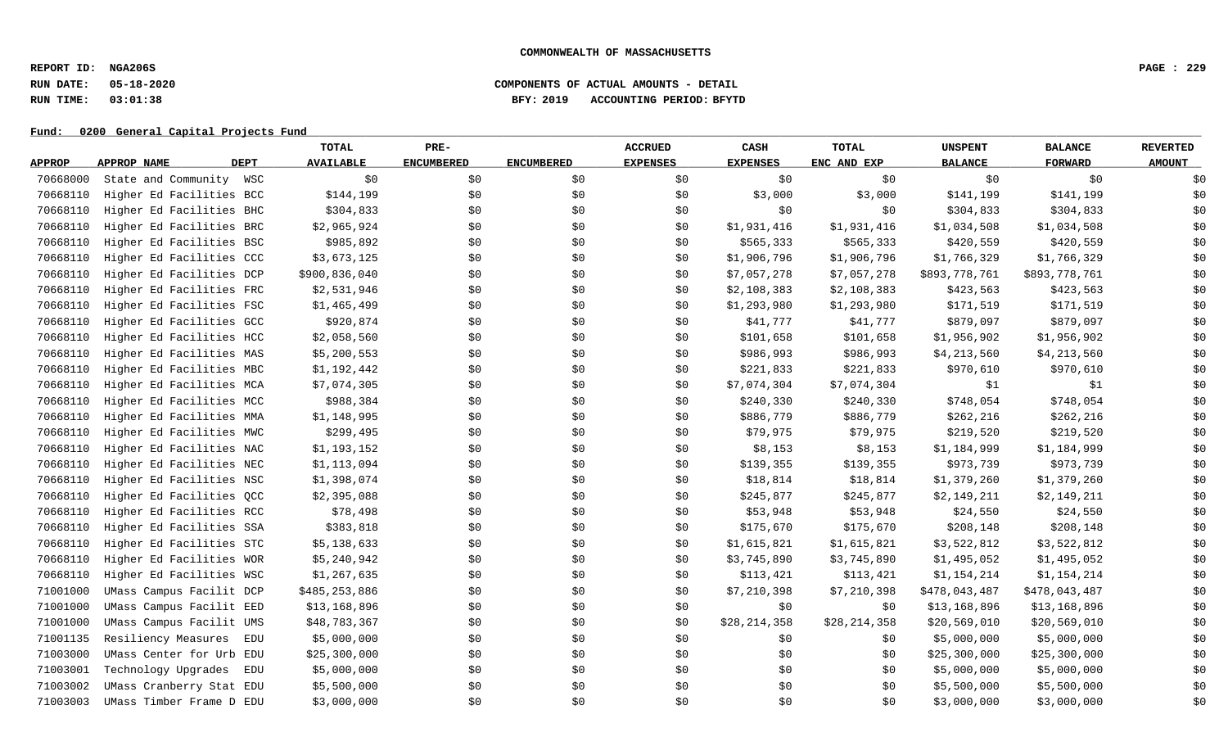**REPORT ID: NGA206S PAGE : 229**

## **RUN DATE: 05-18-2020 COMPONENTS OF ACTUAL AMOUNTS - DETAIL RUN TIME: 03:01:38 BFY: 2019 ACCOUNTING PERIOD: BFYTD**

|               |                          |             | TOTAL            | PRE-              |                   | <b>ACCRUED</b>  | CASH            | <b>TOTAL</b> | <b>UNSPENT</b> | <b>BALANCE</b> | <b>REVERTED</b> |
|---------------|--------------------------|-------------|------------------|-------------------|-------------------|-----------------|-----------------|--------------|----------------|----------------|-----------------|
| <b>APPROP</b> | APPROP NAME              | <b>DEPT</b> | <b>AVAILABLE</b> | <b>ENCUMBERED</b> | <b>ENCUMBERED</b> | <b>EXPENSES</b> | <b>EXPENSES</b> | ENC AND EXP  | <b>BALANCE</b> | <b>FORWARD</b> | <b>AMOUNT</b>   |
| 70668000      | State and Community      | WSC         | \$0              | \$0               | \$0               | \$0             | \$0             | \$0          | \$0            | \$0            | \$0             |
| 70668110      | Higher Ed Facilities BCC |             | \$144,199        | \$0               | \$0               | \$0             | \$3,000         | \$3,000      | \$141,199      | \$141,199      | \$0             |
| 70668110      | Higher Ed Facilities BHC |             | \$304,833        | \$0               | \$0               | \$0             | \$0             | \$0          | \$304,833      | \$304,833      | \$0             |
| 70668110      | Higher Ed Facilities BRC |             | \$2,965,924      | \$0               | \$0               | \$0             | \$1,931,416     | \$1,931,416  | \$1,034,508    | \$1,034,508    | \$0             |
| 70668110      | Higher Ed Facilities BSC |             | \$985,892        | \$0               | \$0               | \$0             | \$565,333       | \$565,333    | \$420,559      | \$420,559      | \$0             |
| 70668110      | Higher Ed Facilities CCC |             | \$3,673,125      | \$0               | \$0               | \$0             | \$1,906,796     | \$1,906,796  | \$1,766,329    | \$1,766,329    | \$0             |
| 70668110      | Higher Ed Facilities DCP |             | \$900,836,040    | \$0               | \$0               | \$0             | \$7,057,278     | \$7,057,278  | \$893,778,761  | \$893,778,761  | \$0             |
| 70668110      | Higher Ed Facilities FRC |             | \$2,531,946      | \$0               | \$0               | \$0             | \$2,108,383     | \$2,108,383  | \$423,563      | \$423,563      | \$0             |
| 70668110      | Higher Ed Facilities FSC |             | \$1,465,499      | \$0               | \$0               | \$0             | \$1,293,980     | \$1,293,980  | \$171,519      | \$171,519      | \$0             |
| 70668110      | Higher Ed Facilities GCC |             | \$920,874        | \$0               | \$0               | \$0             | \$41,777        | \$41,777     | \$879,097      | \$879,097      | \$0             |
| 70668110      | Higher Ed Facilities HCC |             | \$2,058,560      | \$0               | \$0               | \$0             | \$101,658       | \$101,658    | \$1,956,902    | \$1,956,902    | \$0             |
| 70668110      | Higher Ed Facilities MAS |             | \$5,200,553      | \$0               | \$0               | \$0             | \$986,993       | \$986,993    | \$4,213,560    | \$4,213,560    | \$0             |
| 70668110      | Higher Ed Facilities MBC |             | \$1,192,442      | \$0               | \$0               | \$0             | \$221,833       | \$221,833    | \$970,610      | \$970,610      | \$0             |
| 70668110      | Higher Ed Facilities MCA |             | \$7,074,305      | \$0               | \$0               | \$0             | \$7,074,304     | \$7,074,304  | \$1            | \$1            | \$0             |
| 70668110      | Higher Ed Facilities MCC |             | \$988,384        | \$0               | \$0               | \$0             | \$240,330       | \$240,330    | \$748,054      | \$748,054      | \$0             |
| 70668110      | Higher Ed Facilities MMA |             | \$1,148,995      | \$0               | \$0               | \$0             | \$886,779       | \$886,779    | \$262,216      | \$262,216      | \$0             |
| 70668110      | Higher Ed Facilities MWC |             | \$299,495        | \$0               | \$0               | \$0             | \$79,975        | \$79,975     | \$219,520      | \$219,520      | \$0             |
| 70668110      | Higher Ed Facilities NAC |             | \$1,193,152      | \$0               | \$0               | \$0             | \$8,153         | \$8,153      | \$1,184,999    | \$1,184,999    | \$0             |
| 70668110      | Higher Ed Facilities NEC |             | \$1,113,094      | \$0               | \$0               | \$0             | \$139,355       | \$139,355    | \$973,739      | \$973,739      | \$0             |
| 70668110      | Higher Ed Facilities NSC |             | \$1,398,074      | \$0               | \$0               | \$0             | \$18,814        | \$18,814     | \$1,379,260    | \$1,379,260    | \$0             |
| 70668110      | Higher Ed Facilities QCC |             | \$2,395,088      | \$0               | \$0               | \$0             | \$245,877       | \$245,877    | \$2,149,211    | \$2,149,211    | \$0             |
| 70668110      | Higher Ed Facilities RCC |             | \$78,498         | \$0               | \$0               | \$0             | \$53,948        | \$53,948     | \$24,550       | \$24,550       | \$0             |
| 70668110      | Higher Ed Facilities SSA |             | \$383,818        | \$0               | \$0               | \$0             | \$175,670       | \$175,670    | \$208,148      | \$208,148      | \$0             |
| 70668110      | Higher Ed Facilities STC |             | \$5,138,633      | \$0               | \$0               | \$0             | \$1,615,821     | \$1,615,821  | \$3,522,812    | \$3,522,812    | \$0             |
| 70668110      | Higher Ed Facilities WOR |             | \$5,240,942      | \$0               | \$0               | \$0             | \$3,745,890     | \$3,745,890  | \$1,495,052    | \$1,495,052    | \$0             |
| 70668110      | Higher Ed Facilities WSC |             | \$1,267,635      | \$0               | \$0               | \$0             | \$113,421       | \$113,421    | \$1,154,214    | \$1,154,214    | \$0             |
| 71001000      | UMass Campus Facilit DCP |             | \$485,253,886    | \$0               | \$0               | \$0             | \$7,210,398     | \$7,210,398  | \$478,043,487  | \$478,043,487  | \$0             |
| 71001000      | UMass Campus Facilit EED |             | \$13,168,896     | \$0               | \$0               | \$0             | \$0             | \$0          | \$13,168,896   | \$13,168,896   | \$0             |
| 71001000      | UMass Campus Facilit UMS |             | \$48,783,367     | \$0               | \$0               | \$0             | \$28,214,358    | \$28,214,358 | \$20,569,010   | \$20,569,010   | \$0             |
| 71001135      | Resiliency Measures      | EDU         | \$5,000,000      | \$0               | \$0               | \$0             | \$0             | \$0          | \$5,000,000    | \$5,000,000    | \$0             |
| 71003000      | UMass Center for Urb EDU |             | \$25,300,000     | \$0               | \$0               | \$0             | \$0             | \$0          | \$25,300,000   | \$25,300,000   | \$0             |
| 71003001      | Technology Upgrades      | EDU         | \$5,000,000      | \$0               | \$0               | \$0             | \$0             | \$0          | \$5,000,000    | \$5,000,000    | \$0             |
| 71003002      | UMass Cranberry Stat EDU |             | \$5,500,000      | \$0               | \$0               | \$0             | \$0             | \$0          | \$5,500,000    | \$5,500,000    | \$0             |
| 71003003      | UMass Timber Frame D EDU |             | \$3,000,000      | \$0               | \$0               | \$0             | \$0             | \$0          | \$3,000,000    | \$3,000,000    | \$0             |
|               |                          |             |                  |                   |                   |                 |                 |              |                |                |                 |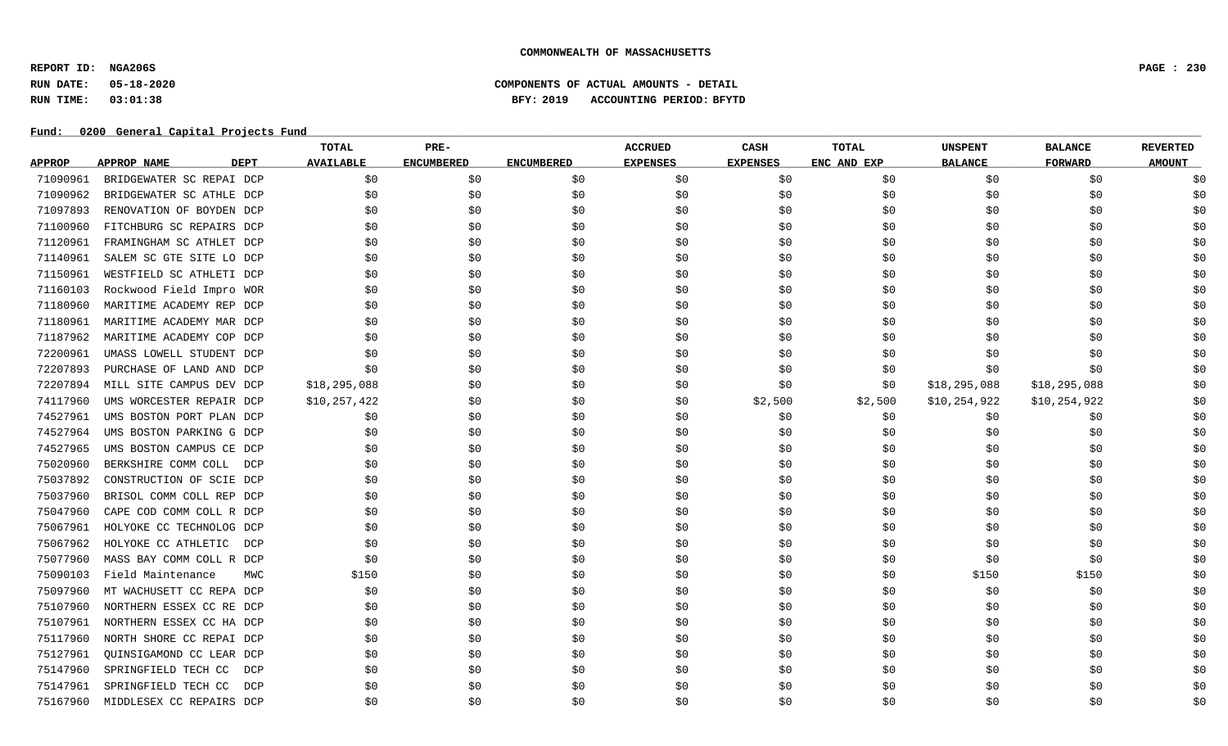**REPORT ID: NGA206S PAGE : 230**

## **RUN DATE: 05-18-2020 COMPONENTS OF ACTUAL AMOUNTS - DETAIL RUN TIME: 03:01:38 BFY: 2019 ACCOUNTING PERIOD: BFYTD**

|               |                                   | TOTAL            | PRE-              |                   | <b>ACCRUED</b>  | CASH            | TOTAL       | <b>UNSPENT</b> | <b>BALANCE</b> | <b>REVERTED</b> |
|---------------|-----------------------------------|------------------|-------------------|-------------------|-----------------|-----------------|-------------|----------------|----------------|-----------------|
| <b>APPROP</b> | <b>DEPT</b><br><b>APPROP NAME</b> | <b>AVAILABLE</b> | <b>ENCUMBERED</b> | <b>ENCUMBERED</b> | <b>EXPENSES</b> | <b>EXPENSES</b> | ENC AND EXP | <b>BALANCE</b> | <b>FORWARD</b> | <b>AMOUNT</b>   |
| 71090961      | BRIDGEWATER SC REPAI DCP          | \$0              | \$0               | \$0               | \$0             | \$0             | \$0         | \$0            | \$0            | \$0             |
| 71090962      | BRIDGEWATER SC ATHLE DCP          | \$0              | \$0               | \$0               | \$0             | \$0             | \$0         | \$0            | \$0            | \$0             |
| 71097893      | RENOVATION OF BOYDEN DCP          | \$0              | \$0               | \$0               | \$0             | \$0             | \$0         | \$0            | \$0            | \$0             |
| 71100960      | FITCHBURG SC REPAIRS DCP          | \$0              | \$0               | \$0               | \$0             | \$0             | \$0         | \$0            | \$0            | \$0             |
| 71120961      | FRAMINGHAM SC ATHLET DCP          | \$0              | \$0               | \$0               | \$0             | \$0             | \$0         | \$0            | \$0            | \$0             |
| 71140961      | SALEM SC GTE SITE LO DCP          | \$0              | \$0               | \$0               | \$0             | \$0             | \$0         | \$0            | \$0            | \$0             |
| 71150961      | WESTFIELD SC ATHLETI DCP          | \$0              | \$0               | \$0               | \$0             | \$0             | \$0         | \$0            | \$0            | \$0             |
| 71160103      | Rockwood Field Impro WOR          | \$0              | \$0               | \$0               | \$0             | \$0             | \$0         | \$0            | \$0            | \$0             |
| 71180960      | MARITIME ACADEMY REP DCP          | \$0              | \$0               | \$0               | \$0             | \$0             | \$0         | \$0            | \$0            | \$0             |
| 71180961      | MARITIME ACADEMY MAR DCP          | \$0              | \$0               | \$0               | \$0             | \$0             | \$0         | \$0            | \$0            | \$0             |
| 71187962      | MARITIME ACADEMY COP DCP          | \$0              | \$0               | \$0               | \$0             | \$0             | \$0         | \$0            | \$0            | \$0             |
| 72200961      | UMASS LOWELL STUDENT DCP          | \$0              | \$0               | \$0               | \$0             | \$0\$           | \$0         | \$0            | \$0            | \$0             |
| 72207893      | PURCHASE OF LAND AND DCP          | \$0              | \$0               | \$0               | \$0             | \$0             | \$0         | \$0            | \$0            | \$0             |
| 72207894      | MILL SITE CAMPUS DEV DCP          | \$18, 295, 088   | \$0               | \$0               | \$0             | \$0             | \$0         | \$18, 295, 088 | \$18,295,088   | \$0             |
| 74117960      | UMS WORCESTER REPAIR DCP          | \$10, 257, 422   | \$0               | \$0               | \$0             | \$2,500         | \$2,500     | \$10,254,922   | \$10,254,922   | \$0             |
| 74527961      | UMS BOSTON PORT PLAN DCP          | \$0              | \$0               | \$0               | \$0             | \$0             | \$0         | \$0            | \$0            | \$0             |
| 74527964      | UMS BOSTON PARKING G DCP          | \$0              | \$0               | \$0               | \$0             | \$0             | \$0         | \$0            | \$0            | \$0             |
| 74527965      | UMS BOSTON CAMPUS CE DCP          | \$0              | \$0               | \$0               | \$0             | \$0             | \$0         | \$0            | \$0            | \$0             |
| 75020960      | BERKSHIRE COMM COLL DCP           | \$0              | \$0               | \$0               | \$0             | \$0             | \$0         | \$0            | \$0            | \$0             |
| 75037892      | CONSTRUCTION OF SCIE DCP          | \$0              | \$0               | \$0               | \$0             | \$0             | \$0         | \$0            | \$0            | \$0             |
| 75037960      | BRISOL COMM COLL REP DCP          | \$0              | \$0               | \$0               | \$0             | \$0             | \$0         | \$0            | \$0            | \$0             |
| 75047960      | CAPE COD COMM COLL R DCP          | \$0              | \$0               | \$0               | \$0             | \$0             | \$0         | \$0            | \$0            | \$0             |
| 75067961      | HOLYOKE CC TECHNOLOG DCP          | \$0              | \$0               | \$0               | \$0             | \$0             | \$0         | \$0            | \$0            | \$0             |
| 75067962      | HOLYOKE CC ATHLETIC<br>DCP        | \$0              | \$0               | \$0               | \$0             | \$0             | \$0         | \$0            | \$0            | \$0             |
| 75077960      | MASS BAY COMM COLL R DCP          | \$0              | \$0               | \$0               | \$0             | \$0\$           | \$0         | \$0            | \$0            | \$0             |
| 75090103      | Field Maintenance<br>MWC          | \$150            | \$0               | \$0               | \$0             | \$0             | \$0         | \$150          | \$150          | \$0             |
| 75097960      | MT WACHUSETT CC REPA DCP          | \$0              | \$0               | \$0               | \$0             | \$0             | \$0         | \$0            | \$0            | \$0             |
| 75107960      | NORTHERN ESSEX CC RE DCP          | \$0              | \$0               | \$0               | \$0             | \$0             | \$0         | \$0            | \$0            | \$0             |
| 75107961      | NORTHERN ESSEX CC HA DCP          | \$0              | \$0               | \$0               | \$0             | \$0             | \$0         | \$0            | \$0            | \$0             |
| 75117960      | NORTH SHORE CC REPAI DCP          | \$0              | \$0               | \$0               | \$0             | \$0             | \$0         | \$0            | \$0            | \$0             |
| 75127961      | QUINSIGAMOND CC LEAR DCP          | \$0              | \$0               | \$0               | \$0             | \$0             | \$0         | \$0            | \$0            | \$0             |
| 75147960      | SPRINGFIELD TECH CC<br>DCP        | \$0              | \$0               | \$0               | \$0             | \$0             | \$0         | \$0            | \$0            | \$0             |
| 75147961      | SPRINGFIELD TECH CC<br>DCP        | \$0              | \$0               | \$0               | \$0             | \$0             | \$0         | \$0            | \$0            | \$0             |
| 75167960      | MIDDLESEX CC REPAIRS DCP          | \$0              | \$0               | \$0               | \$0             | \$0             | \$0         | \$0            | \$0            | \$0             |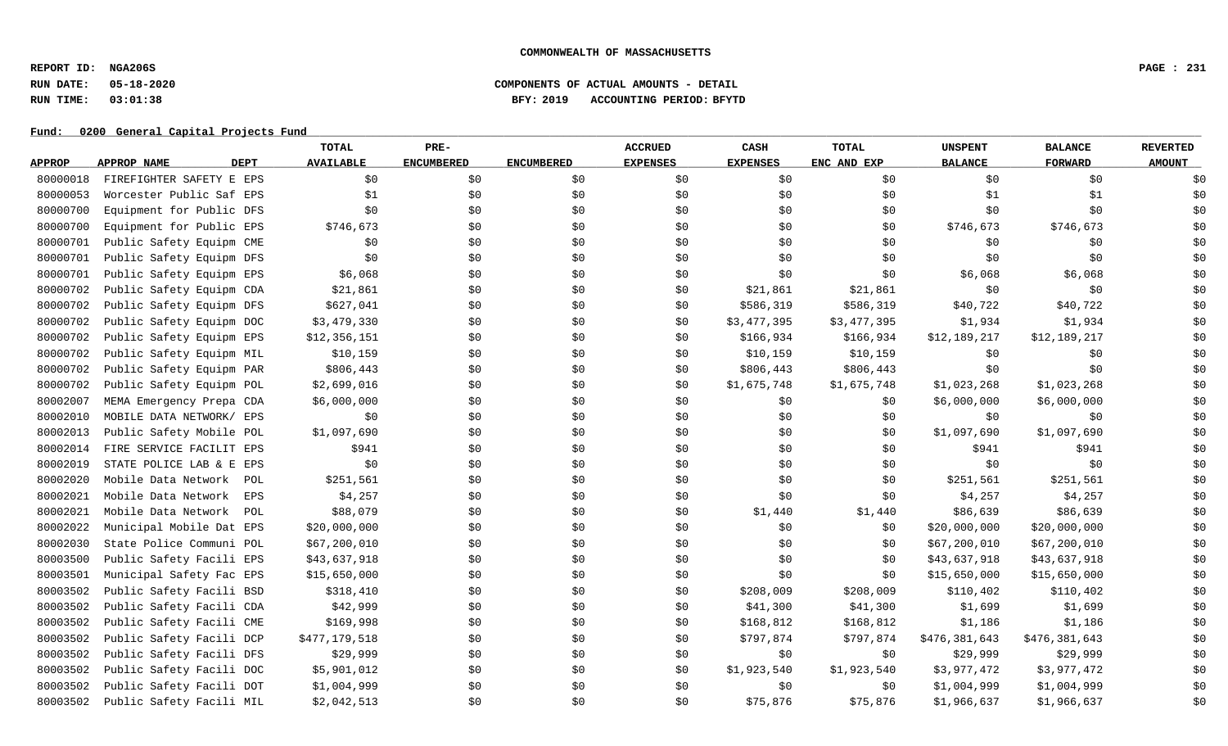**REPORT ID: NGA206S PAGE : 231**

## **RUN DATE: 05-18-2020 COMPONENTS OF ACTUAL AMOUNTS - DETAIL RUN TIME: 03:01:38 BFY: 2019 ACCOUNTING PERIOD: BFYTD**

|               |                            | TOTAL            | PRE-              |                   | <b>ACCRUED</b>  | CASH            | <b>TOTAL</b> | <b>UNSPENT</b> | <b>BALANCE</b> | <b>REVERTED</b> |
|---------------|----------------------------|------------------|-------------------|-------------------|-----------------|-----------------|--------------|----------------|----------------|-----------------|
| <u>APPROP</u> | <b>DEPT</b><br>APPROP NAME | <b>AVAILABLE</b> | <b>ENCUMBERED</b> | <b>ENCUMBERED</b> | <b>EXPENSES</b> | <b>EXPENSES</b> | ENC AND EXP  | <b>BALANCE</b> | <b>FORWARD</b> | <b>AMOUNT</b>   |
| 80000018      | FIREFIGHTER SAFETY E EPS   | \$0              | \$0\$             | \$0               | \$0             | \$0             | \$0          | \$0            | \$0            | \$0             |
| 80000053      | Worcester Public Saf EPS   | \$1              | \$0               | \$0               | \$0             | \$0             | \$0\$        | \$1            | \$1            | \$0             |
| 80000700      | Equipment for Public DFS   | \$0              | \$0\$             | \$0               | \$0             | \$0             | \$0          | \$0            | \$0            | \$0             |
| 80000700      | Equipment for Public EPS   | \$746,673        | \$0               | \$0               | \$0             | \$0\$           | \$0          | \$746,673      | \$746,673      | \$0             |
| 80000701      | Public Safety Equipm CME   | \$0              | \$0               | \$0               | \$0             | \$0\$           | \$0          | \$0            | \$0            | \$0             |
| 80000701      | Public Safety Equipm DFS   | \$0              | \$0               | \$0               | \$0             | \$0             | \$0          | \$0            | \$0            | \$0             |
| 80000701      | Public Safety Equipm EPS   | \$6,068          | \$0               | \$0               | \$0             | \$0             | \$0          | \$6,068        | \$6,068        | \$0             |
| 80000702      | Public Safety Equipm CDA   | \$21,861         | \$0               | \$0               | \$0             | \$21,861        | \$21,861     | \$0            | \$0            | \$0             |
| 80000702      | Public Safety Equipm DFS   | \$627,041        | \$0               | \$0               | \$0             | \$586,319       | \$586,319    | \$40,722       | \$40,722       | \$0             |
| 80000702      | Public Safety Equipm DOC   | \$3,479,330      | \$0               | \$0               | \$0             | \$3,477,395     | \$3,477,395  | \$1,934        | \$1,934        | \$0             |
| 80000702      | Public Safety Equipm EPS   | \$12,356,151     | \$0               | \$0               | \$0             | \$166,934       | \$166,934    | \$12,189,217   | \$12,189,217   | \$0             |
| 80000702      | Public Safety Equipm MIL   | \$10,159         | \$0               | \$0               | \$0             | \$10,159        | \$10,159     | \$0            | \$0            | \$0             |
| 80000702      | Public Safety Equipm PAR   | \$806,443        | \$0               | \$0               | \$0             | \$806,443       | \$806,443    | \$0            | \$0            | \$0             |
| 80000702      | Public Safety Equipm POL   | \$2,699,016      | \$0               | \$0               | \$0             | \$1,675,748     | \$1,675,748  | \$1,023,268    | \$1,023,268    | \$0             |
| 80002007      | MEMA Emergency Prepa CDA   | \$6,000,000      | \$0               | \$0               | \$0             | \$0             | \$0          | \$6,000,000    | \$6,000,000    | \$0             |
| 80002010      | MOBILE DATA NETWORK/ EPS   | \$0              | \$0               | \$0               | \$0             | \$0             | \$0          | \$0            | \$0            | \$0             |
| 80002013      | Public Safety Mobile POL   | \$1,097,690      | \$0               | \$0               | \$0             | \$0\$           | \$0          | \$1,097,690    | \$1,097,690    | \$0             |
| 80002014      | FIRE SERVICE FACILIT EPS   | \$941            | \$0               | \$0               | \$0             | \$0             | \$0          | \$941          | \$941          | \$0             |
| 80002019      | STATE POLICE LAB & E EPS   | \$0              | \$0               | \$0               | \$0             | \$0\$           | \$0          | \$0            | \$0            | \$0             |
| 80002020      | Mobile Data Network POL    | \$251,561        | \$0               | \$0               | \$0             | \$0             | \$0          | \$251,561      | \$251,561      | \$0             |
| 80002021      | Mobile Data Network<br>EPS | \$4,257          | \$0               | \$0               | \$0             | \$0\$           | \$0          | \$4,257        | \$4,257        | \$0             |
| 80002021      | Mobile Data Network POL    | \$88,079         | \$0               | \$0               | \$0             | \$1,440         | \$1,440      | \$86,639       | \$86,639       | \$0             |
| 80002022      | Municipal Mobile Dat EPS   | \$20,000,000     | \$0               | \$0               | \$0             | \$0             | \$0          | \$20,000,000   | \$20,000,000   | \$0             |
| 80002030      | State Police Communi POL   | \$67,200,010     | \$0               | \$0               | \$0             | \$0             | \$0          | \$67,200,010   | \$67,200,010   | \$0             |
| 80003500      | Public Safety Facili EPS   | \$43,637,918     | \$0               | \$0               | \$0             | \$0             | \$0          | \$43,637,918   | \$43,637,918   | \$0             |
| 80003501      | Municipal Safety Fac EPS   | \$15,650,000     | \$0               | \$0               | \$0             | \$0\$           | \$0\$        | \$15,650,000   | \$15,650,000   | \$0             |
| 80003502      | Public Safety Facili BSD   | \$318,410        | \$0               | \$0               | \$0             | \$208,009       | \$208,009    | \$110,402      | \$110,402      | \$0             |
| 80003502      | Public Safety Facili CDA   | \$42,999         | \$0               | \$0               | \$0             | \$41,300        | \$41,300     | \$1,699        | \$1,699        | \$0             |
| 80003502      | Public Safety Facili CME   | \$169,998        | \$0               | \$0               | \$0             | \$168,812       | \$168,812    | \$1,186        | \$1,186        | \$0             |
| 80003502      | Public Safety Facili DCP   | \$477,179,518    | \$0               | \$0               | \$0             | \$797,874       | \$797,874    | \$476,381,643  | \$476,381,643  | \$0             |
| 80003502      | Public Safety Facili DFS   | \$29,999         | \$0               | \$0               | \$0             | \$0             | \$0          | \$29,999       | \$29,999       | \$0             |
| 80003502      | Public Safety Facili DOC   | \$5,901,012      | \$0               | \$0               | \$0             | \$1,923,540     | \$1,923,540  | \$3,977,472    | \$3,977,472    | \$0             |
| 80003502      | Public Safety Facili DOT   | \$1,004,999      | \$0               | \$0               | \$0             | \$0             | \$0          | \$1,004,999    | \$1,004,999    | \$0             |
| 80003502      | Public Safety Facili MIL   | \$2,042,513      | \$0               | \$0               | \$0             | \$75,876        | \$75,876     | \$1,966,637    | \$1,966,637    | \$0             |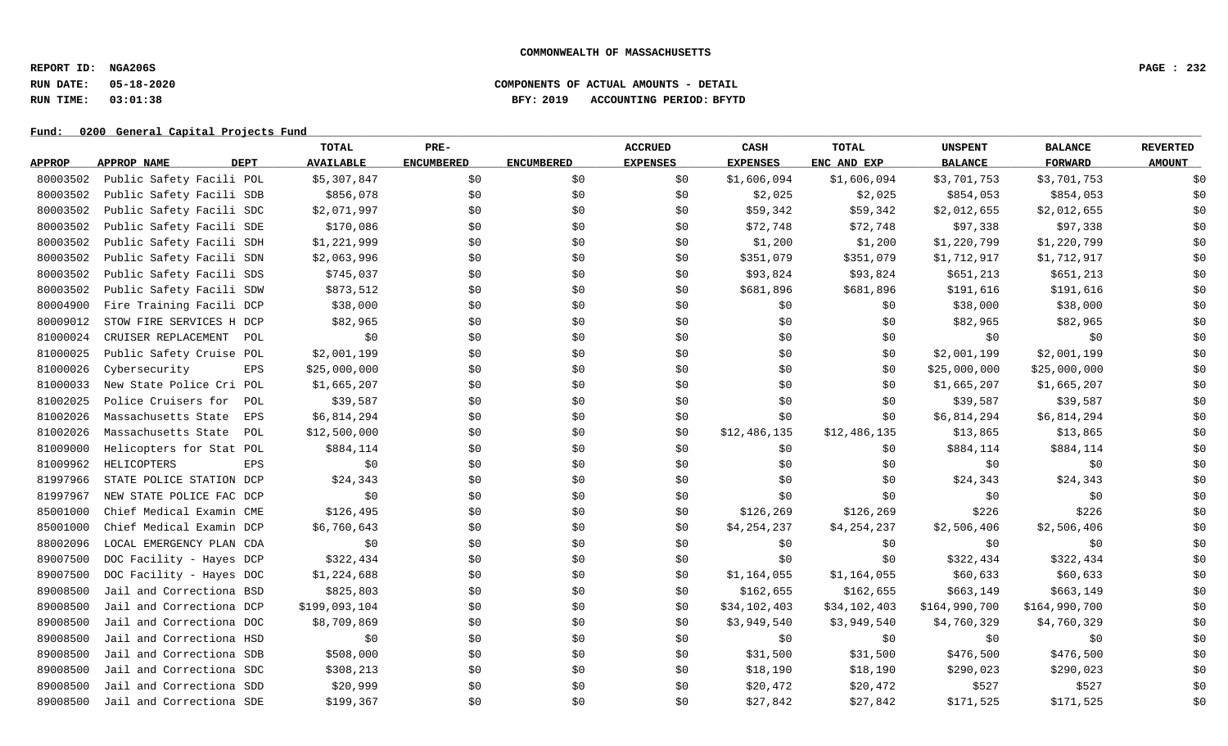**REPORT ID: NGA206S PAGE : 232**

## **RUN DATE: 05-18-2020 COMPONENTS OF ACTUAL AMOUNTS - DETAIL RUN TIME: 03:01:38 BFY: 2019 ACCOUNTING PERIOD: BFYTD**

|               |                            | TOTAL            | PRE-              |                   | <b>ACCRUED</b>  | CASH            | <b>TOTAL</b> | <b>UNSPENT</b> | <b>BALANCE</b> | <b>REVERTED</b> |
|---------------|----------------------------|------------------|-------------------|-------------------|-----------------|-----------------|--------------|----------------|----------------|-----------------|
| <b>APPROP</b> | <b>DEPT</b><br>APPROP NAME | <b>AVAILABLE</b> | <b>ENCUMBERED</b> | <b>ENCUMBERED</b> | <b>EXPENSES</b> | <b>EXPENSES</b> | ENC AND EXP  | <b>BALANCE</b> | <b>FORWARD</b> | <b>AMOUNT</b>   |
| 80003502      | Public Safety Facili POL   | \$5,307,847      | \$0               | \$0               | \$0             | \$1,606,094     | \$1,606,094  | \$3,701,753    | \$3,701,753    | \$0             |
| 80003502      | Public Safety Facili SDB   | \$856,078        | \$0\$             | \$0               | \$0             | \$2,025         | \$2,025      | \$854,053      | \$854,053      | \$0             |
| 80003502      | Public Safety Facili SDC   | \$2,071,997      | \$0               | \$0               | \$0             | \$59,342        | \$59,342     | \$2,012,655    | \$2,012,655    | \$0             |
| 80003502      | Public Safety Facili SDE   | \$170,086        | \$0               | \$0               | \$0             | \$72,748        | \$72,748     | \$97,338       | \$97,338       | \$0             |
| 80003502      | Public Safety Facili SDH   | \$1,221,999      | \$0               | \$0               | \$0             | \$1,200         | \$1,200      | \$1,220,799    | \$1,220,799    | \$0             |
| 80003502      | Public Safety Facili SDN   | \$2,063,996      | \$0               | \$0               | \$0             | \$351,079       | \$351,079    | \$1,712,917    | \$1,712,917    | \$0             |
| 80003502      | Public Safety Facili SDS   | \$745,037        | \$0               | \$0               | \$0             | \$93,824        | \$93,824     | \$651,213      | \$651,213      | \$0             |
| 80003502      | Public Safety Facili SDW   | \$873,512        | \$0               | \$0               | \$0             | \$681,896       | \$681,896    | \$191,616      | \$191,616      | \$0             |
| 80004900      | Fire Training Facili DCP   | \$38,000         | \$0               | \$0               | \$0             | \$0             | \$0          | \$38,000       | \$38,000       | \$0             |
| 80009012      | STOW FIRE SERVICES H DCP   | \$82,965         | \$0               | \$0               | \$0             | \$0             | \$0          | \$82,965       | \$82,965       | \$0             |
| 81000024      | CRUISER REPLACEMENT<br>POL | \$0              | \$0               | \$0               | \$0             | \$0             | \$0          | \$0            | \$0            | \$0             |
| 81000025      | Public Safety Cruise POL   | \$2,001,199      | \$0               | \$0               | \$0             | \$0             | \$0          | \$2,001,199    | \$2,001,199    | \$0             |
| 81000026      | Cybersecurity<br>EPS       | \$25,000,000     | \$0\$             | \$0               | \$0\$           | \$0             | \$0          | \$25,000,000   | \$25,000,000   | \$0             |
| 81000033      | New State Police Cri POL   | \$1,665,207      | \$0               | \$0               | \$0             | \$0             | \$0          | \$1,665,207    | \$1,665,207    | \$0             |
| 81002025      | Police Cruisers for<br>POL | \$39,587         | \$0               | \$0               | \$0             | \$0             | \$0          | \$39,587       | \$39,587       | \$0             |
| 81002026      | Massachusetts State<br>EPS | \$6,814,294      | \$0               | \$0               | \$0             | \$0             | \$0          | \$6,814,294    | \$6,814,294    | \$0             |
| 81002026      | Massachusetts State<br>POL | \$12,500,000     | \$0               | \$0               | \$0             | \$12,486,135    | \$12,486,135 | \$13,865       | \$13,865       | \$0             |
| 81009000      | Helicopters for Stat POL   | \$884,114        | \$0               | \$0               | \$0             | \$0             | \$0          | \$884,114      | \$884,114      | \$0             |
| 81009962      | HELICOPTERS<br><b>EPS</b>  | \$0              | \$0               | \$0               | \$0             | \$0\$           | \$0          | \$0            | \$0            | \$0             |
| 81997966      | STATE POLICE STATION DCP   | \$24,343         | \$0               | \$0               | \$0             | \$0             | \$0          | \$24,343       | \$24,343       | \$0             |
| 81997967      | NEW STATE POLICE FAC DCP   | \$0              | \$0\$             | \$0               | \$0             | \$0             | \$0          | \$0            | \$0            | \$0             |
| 85001000      | Chief Medical Examin CME   | \$126,495        | \$0               | \$0               | \$0             | \$126,269       | \$126,269    | \$226          | \$226          | \$0             |
| 85001000      | Chief Medical Examin DCP   | \$6,760,643      | \$0               | \$0               | \$0             | \$4,254,237     | \$4,254,237  | \$2,506,406    | \$2,506,406    | \$0             |
| 88002096      | LOCAL EMERGENCY PLAN CDA   | \$0              | \$0               | \$0               | \$0             | \$0             | \$0          | \$0            | \$0            | \$0             |
| 89007500      | DOC Facility - Hayes DCP   | \$322,434        | \$0               | \$0               | \$0             | \$0\$           | \$0          | \$322,434      | \$322,434      | \$0             |
| 89007500      | DOC Facility - Hayes DOC   | \$1,224,688      | \$0               | \$0               | \$0             | \$1,164,055     | \$1,164,055  | \$60,633       | \$60,633       | \$0             |
| 89008500      | Jail and Correctiona BSD   | \$825,803        | \$0               | \$0               | \$0             | \$162,655       | \$162,655    | \$663,149      | \$663,149      | \$0             |
| 89008500      | Jail and Correctiona DCP   | \$199,093,104    | \$0               | \$0               | \$0             | \$34,102,403    | \$34,102,403 | \$164,990,700  | \$164,990,700  | \$0             |
| 89008500      | Jail and Correctiona DOC   | \$8,709,869      | \$0               | \$0               | \$0             | \$3,949,540     | \$3,949,540  | \$4,760,329    | \$4,760,329    | \$0             |
| 89008500      | Jail and Correctiona HSD   | \$0              | \$0               | \$0               | \$0             | \$0             | \$0          | \$0            | \$0            | \$0             |
| 89008500      | Jail and Correctiona SDB   | \$508,000        | \$0               | \$0               | \$0             | \$31,500        | \$31,500     | \$476,500      | \$476,500      | \$0             |
| 89008500      | Jail and Correctiona SDC   | \$308,213        | \$0               | \$0               | \$0             | \$18,190        | \$18,190     | \$290,023      | \$290,023      | \$0             |
| 89008500      | Jail and Correctiona SDD   | \$20,999         | \$0               | \$0               | \$0             | \$20,472        | \$20,472     | \$527          | \$527          | \$0             |
| 89008500      | Jail and Correctiona SDE   | \$199,367        | \$0               | \$0               | \$0             | \$27,842        | \$27,842     | \$171,525      | \$171,525      | \$0             |
|               |                            |                  |                   |                   |                 |                 |              |                |                |                 |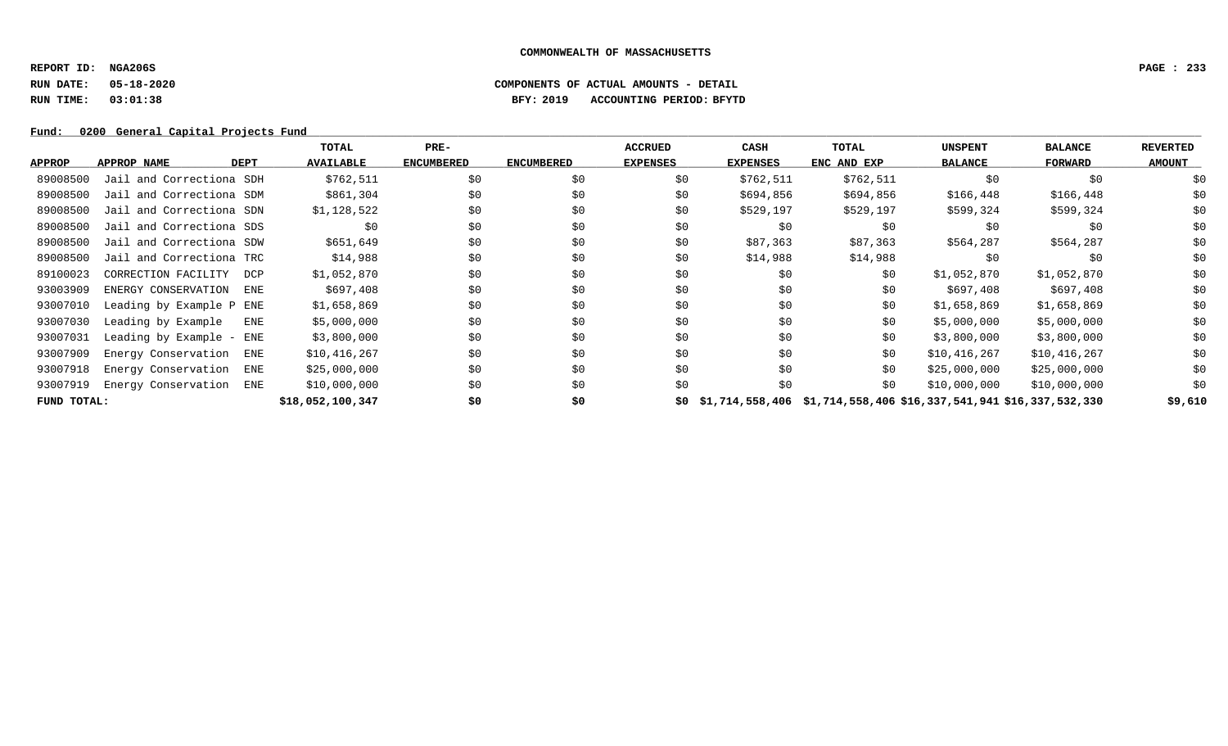**REPORT ID: NGA206S PAGE : 233**

## **RUN DATE: 05-18-2020 COMPONENTS OF ACTUAL AMOUNTS - DETAIL RUN TIME: 03:01:38 BFY: 2019 ACCOUNTING PERIOD: BFYTD**

|               |                                  | TOTAL            | PRE-              |                   | <b>ACCRUED</b>  | CASH            | TOTAL                                                                 | <b>UNSPENT</b> | <b>BALANCE</b> | <b>REVERTED</b> |
|---------------|----------------------------------|------------------|-------------------|-------------------|-----------------|-----------------|-----------------------------------------------------------------------|----------------|----------------|-----------------|
| <b>APPROP</b> | DEPT<br>APPROP NAME              | <b>AVAILABLE</b> | <b>ENCUMBERED</b> | <b>ENCUMBERED</b> | <b>EXPENSES</b> | <b>EXPENSES</b> | ENC AND EXP                                                           | <b>BALANCE</b> | FORWARD        | <b>AMOUNT</b>   |
| 89008500      | Jail and Correctiona SDH         | \$762,511        | \$0               | \$0               | \$0             | \$762,511       | \$762,511                                                             | \$0            | \$0            | \$0             |
| 89008500      | Jail and Correctiona SDM         | \$861,304        | \$0               | \$0               | \$0             | \$694,856       | \$694,856                                                             | \$166,448      | \$166,448      | \$0             |
| 89008500      | Jail and Correctiona SDN         | \$1,128,522      | \$0               | \$0               | \$0             | \$529,197       | \$529,197                                                             | \$599,324      | \$599,324      | \$0             |
| 89008500      | Jail and Correctiona SDS         | \$0              | \$0               | \$0               | \$0             | \$0             | \$0                                                                   | \$0            | \$0            | \$0             |
| 89008500      | Jail and Correctiona SDW         | \$651,649        | \$0               | \$0               | \$0             | \$87,363        | \$87,363                                                              | \$564,287      | \$564,287      | \$0             |
| 89008500      | Jail and Correctiona TRC         | \$14,988         | \$0\$             | \$0               | \$0             | \$14,988        | \$14,988                                                              | \$0            | \$0            | \$0             |
| 89100023      | CORRECTION FACILITY<br>DCP       | \$1,052,870      | \$0               | \$0               | \$0             | \$0             | \$0                                                                   | \$1,052,870    | \$1,052,870    | \$0             |
| 93003909      | ENERGY CONSERVATION<br>ENE       | \$697,408        | \$0               | \$0               | \$0             | \$0             | \$0                                                                   | \$697,408      | \$697,408      | \$0             |
| 93007010      | Leading by Example P ENE         | \$1,658,869      | \$0               | \$0               | \$0             | \$0             | \$0                                                                   | \$1,658,869    | \$1,658,869    | \$0             |
| 93007030      | Leading by Example<br><b>ENE</b> | \$5,000,000      | \$0               | \$0               | \$0             | \$0             | \$0                                                                   | \$5,000,000    | \$5,000,000    | \$0             |
| 93007031      | Leading by Example - ENE         | \$3,800,000      | \$0               | \$0               | \$0             | \$0             | \$0                                                                   | \$3,800,000    | \$3,800,000    | \$0             |
| 93007909      | Energy Conservation ENE          | \$10,416,267     | \$0               | \$0               | \$0             | \$0             | \$0                                                                   | \$10,416,267   | \$10,416,267   | \$0             |
| 93007918      | Energy Conservation<br>ENE       | \$25,000,000     | \$0               | \$0               | \$0             | \$0             | \$0                                                                   | \$25,000,000   | \$25,000,000   | \$0             |
| 93007919      | Energy Conservation ENE          | \$10,000,000     | \$0               | \$0               | \$0             | \$0             | \$0                                                                   | \$10,000,000   | \$10,000,000   | \$0             |
| FUND TOTAL:   |                                  | \$18,052,100,347 | \$0               | \$0               |                 |                 | \$0 \$1,714,558,406 \$1,714,558,406 \$16,337,541,941 \$16,337,532,330 |                |                | \$9,610         |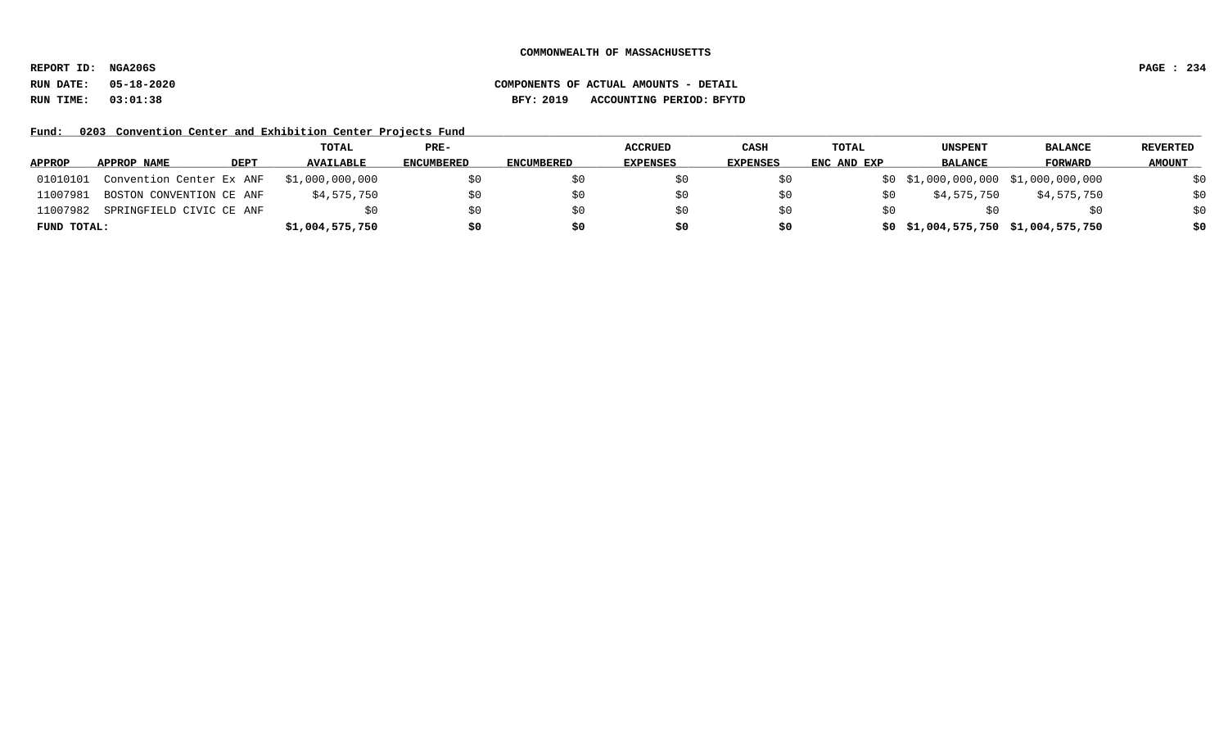**REPORT ID: NGA206S PAGE : 234**

## **RUN DATE: 05-18-2020 COMPONENTS OF ACTUAL AMOUNTS - DETAIL RUN TIME: 03:01:38 BFY: 2019 ACCOUNTING PERIOD: BFYTD**

Fund: 0203 Convention Center and Exhibition Center Projects Fund

|               |                          |             | TOTAL            | PRE-       |                   | <b>ACCRUED</b>  | CASH     | <b>TOTAL</b> | UNSPENT        | <b>BALANCE</b>                         | REVERTED      |
|---------------|--------------------------|-------------|------------------|------------|-------------------|-----------------|----------|--------------|----------------|----------------------------------------|---------------|
| <b>APPROP</b> | APPROP NAME              | <b>DEPT</b> | <b>AVAILABLE</b> | ENCUMBERED | <b>ENCUMBERED</b> | <b>EXPENSES</b> | EXPENSES | ENC AND EXP  | <b>BALANCE</b> | FORWARD                                | <b>AMOUNT</b> |
| 01010101      | Convention Center Ex ANF |             | \$1,000,000,000  | \$0        |                   |                 |          |              |                | $$0$ $$1,000,000,000$ $$1,000,000,000$ | \$0           |
| 11007981      | BOSTON CONVENTION CE ANF |             | \$4,575,750      | \$0        |                   |                 |          |              | \$4,575,750    | \$4,575,750                            | \$0           |
| 11007982      | SPRINGFIELD CIVIC CE ANF |             | \$0              | \$0        |                   | SU.             | \$0      |              |                | SO.                                    | \$0           |
| FUND TOTAL:   |                          |             | \$1,004,575,750  | \$0        | \$0               | \$0             | \$0      |              |                | \$0 \$1,004,575,750 \$1,004,575,750    | \$0           |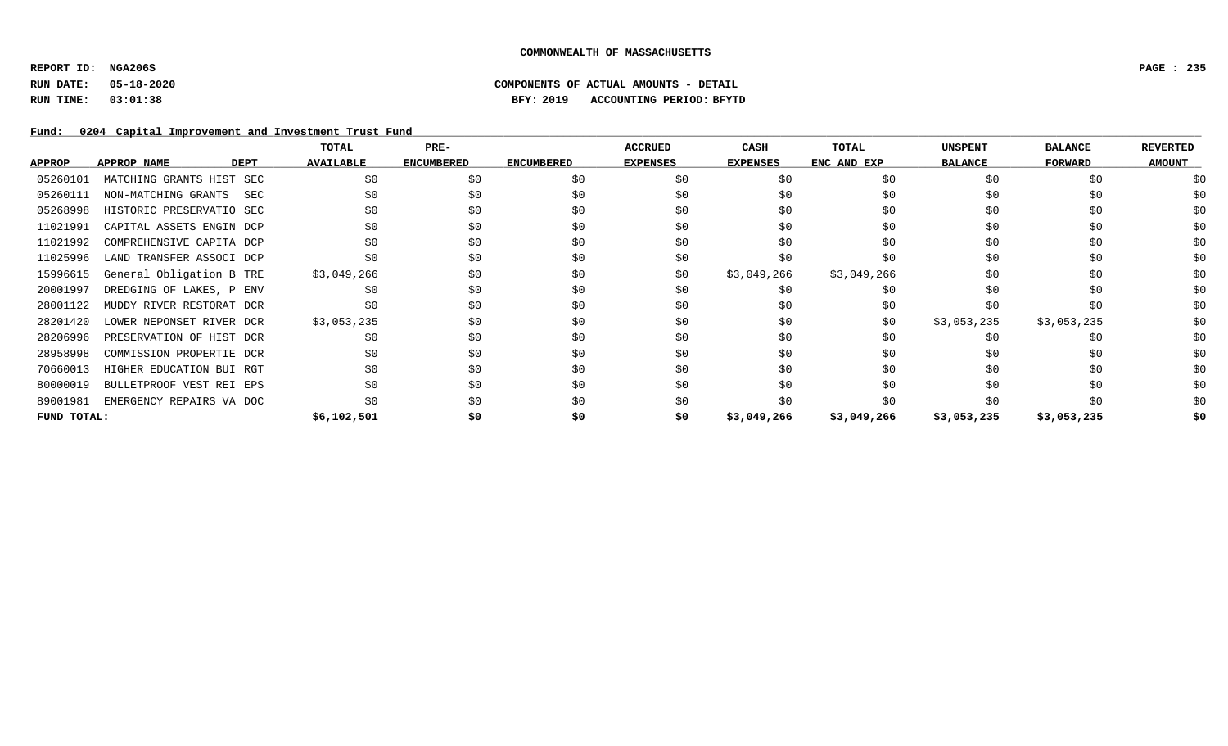**REPORT ID: NGA206S PAGE : 235**

## **RUN DATE: 05-18-2020 COMPONENTS OF ACTUAL AMOUNTS - DETAIL RUN TIME: 03:01:38 BFY: 2019 ACCOUNTING PERIOD: BFYTD**

Fund: 0204 Capital Improvement and Investment Trust Fund

|               |                          |             | TOTAL            | PRE-              |                   | <b>ACCRUED</b>  | CASH            | <b>TOTAL</b> | <b>UNSPENT</b> | <b>BALANCE</b> | <b>REVERTED</b> |
|---------------|--------------------------|-------------|------------------|-------------------|-------------------|-----------------|-----------------|--------------|----------------|----------------|-----------------|
| <b>APPROP</b> | APPROP NAME              | <b>DEPT</b> | <b>AVAILABLE</b> | <b>ENCUMBERED</b> | <b>ENCUMBERED</b> | <b>EXPENSES</b> | <b>EXPENSES</b> | ENC AND EXP  | <b>BALANCE</b> | <b>FORWARD</b> | <b>AMOUNT</b>   |
| 05260101      | MATCHING GRANTS HIST SEC |             | \$0              | \$0               | \$0               | \$0             | \$0             | \$0          | \$0            | \$0            |                 |
| 05260111      | NON-MATCHING GRANTS      | SEC         | \$0              | \$0               | \$0               | \$0             | \$0             | \$0          | \$0            | \$0            | \$0             |
| 05268998      | HISTORIC PRESERVATIO SEC |             | \$0              | \$0               | \$0               | \$0             | \$0             | \$0          | \$0            | \$0            | \$0             |
| 11021991      | CAPITAL ASSETS ENGIN DCP |             | \$0              | \$0               | \$0               | \$0             | \$0             | \$0          | \$0            | \$0            | \$0             |
| 11021992      | COMPREHENSIVE CAPITA DCP |             | \$0              | \$0               | \$0               | \$0             | \$0             | \$0          | \$0            | \$0            | \$0             |
| 11025996      | LAND TRANSFER ASSOCI DCP |             | \$0              | \$0               | \$0               | \$0             | \$0             | \$0          | \$0            | \$0            | \$0             |
| 15996615      | General Obligation B TRE |             | \$3,049,266      | \$0               | \$0               | \$0             | \$3,049,266     | \$3,049,266  | \$0            | \$0            | \$0             |
| 20001997      | DREDGING OF LAKES, P ENV |             | \$0              | \$0               | \$0               | \$0             | \$0             | \$0          | \$0            | \$0            | \$0             |
| 28001122      | MUDDY RIVER RESTORAT DCR |             | \$0              | \$0               | \$0               | \$0             | \$0             | \$0          | \$0            | \$0            | \$0             |
| 28201420      | LOWER NEPONSET RIVER DCR |             | \$3,053,235      | \$0               | \$0               | \$0             | \$0             | \$0          | \$3,053,235    | \$3,053,235    | \$0             |
| 28206996      | PRESERVATION OF HIST DCR |             | \$0              | \$0               | \$0               | \$0             |                 | \$0          | \$0            | \$0            | \$0             |
| 28958998      | COMMISSION PROPERTIE DCR |             | \$0              | \$0               | \$0               | \$0             | \$0             | \$0          | \$0            | \$0            | \$0             |
| 70660013      | HIGHER EDUCATION BUI RGT |             | \$0              | \$0               | \$0               | \$0             | \$0             | \$0          | \$0            | \$0            | \$0             |
| 80000019      | BULLETPROOF VEST REI EPS |             | \$0              | \$0               | \$0               | \$0             | \$0             | \$0          | \$0            | \$0            | \$0             |
| 89001981      | EMERGENCY REPAIRS VA DOC |             | \$0              | \$0               | \$0               | \$0             |                 | \$0          | \$0            | \$0            | \$0             |
| FUND TOTAL:   |                          |             | \$6,102,501      | \$0               | \$0               | \$0             | \$3,049,266     | \$3,049,266  | \$3,053,235    | \$3,053,235    | \$0             |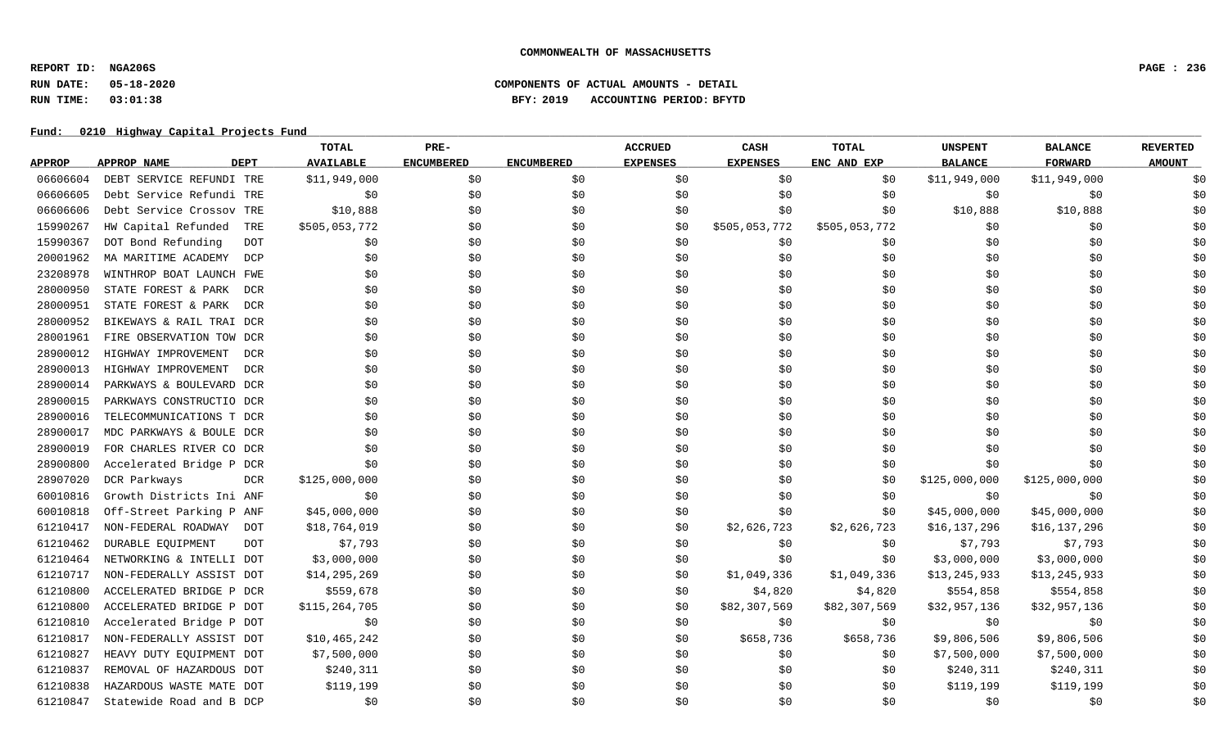**REPORT ID: NGA206S PAGE : 236**

## **RUN DATE: 05-18-2020 COMPONENTS OF ACTUAL AMOUNTS - DETAIL RUN TIME: 03:01:38 BFY: 2019 ACCOUNTING PERIOD: BFYTD**

|               |                                   | TOTAL            | PRE-              |                   | <b>ACCRUED</b>  | CASH            | <b>TOTAL</b>  | <b>UNSPENT</b> | <b>BALANCE</b> | <b>REVERTED</b> |
|---------------|-----------------------------------|------------------|-------------------|-------------------|-----------------|-----------------|---------------|----------------|----------------|-----------------|
| <b>APPROP</b> | <b>DEPT</b><br><b>APPROP NAME</b> | <b>AVAILABLE</b> | <b>ENCUMBERED</b> | <b>ENCUMBERED</b> | <b>EXPENSES</b> | <b>EXPENSES</b> | ENC AND EXP   | <b>BALANCE</b> | <b>FORWARD</b> | <b>AMOUNT</b>   |
| 06606604      | DEBT SERVICE REFUNDI TRE          | \$11,949,000     | \$0               | \$0               | \$0             | \$0             | \$0           | \$11,949,000   | \$11,949,000   | \$0             |
| 06606605      | Debt Service Refundi TRE          | \$0              | \$0               | \$0               | \$0             | \$0             | \$0           | \$0            | \$0            | \$0             |
| 06606606      | Debt Service Crossov TRE          | \$10,888         | \$0               | \$0               | \$0             | \$0             | \$0           | \$10,888       | \$10,888       | \$0             |
| 15990267      | HW Capital Refunded<br>TRE        | \$505,053,772    | \$0               | \$0               | \$0             | \$505,053,772   | \$505,053,772 | \$0            | \$0            | \$0             |
| 15990367      | DOT Bond Refunding<br><b>DOT</b>  | \$0              | \$0               | \$0               | \$0             | \$0             | \$0           | \$0            | \$0            | \$0             |
| 20001962      | MA MARITIME ACADEMY<br>DCP        | \$0              | \$0               | \$0               | \$0             | \$0             | \$0           | \$0            | \$0            | \$0             |
| 23208978      | WINTHROP BOAT LAUNCH FWE          | \$0              | \$0               | \$0               | \$0             | \$0             | \$0           | \$0            | \$0            | \$0             |
| 28000950      | STATE FOREST & PARK<br>DCR        | \$0              | \$0               | \$0               | \$0             | \$0             | \$0           | \$0            | \$0            | \$0             |
| 28000951      | STATE FOREST & PARK<br>DCR        | \$0              | \$0               | \$0               | \$0             | \$0             | \$0           | \$0            | \$0            | \$0             |
| 28000952      | BIKEWAYS & RAIL TRAI DCR          | \$0              | \$0               | \$0               | \$0             | \$0             | \$0           | \$0            | \$0            | \$0             |
| 28001961      | FIRE OBSERVATION TOW DCR          | \$0              | \$0               | \$0               | \$0             | \$0             | \$0           | \$0            | \$0            | \$0             |
| 28900012      | HIGHWAY IMPROVEMENT<br><b>DCR</b> | \$0              | \$0               | \$0               | \$0             | \$0             | \$0           | \$0            | \$0            | \$0             |
| 28900013      | HIGHWAY IMPROVEMENT<br>DCR        | \$0\$            | \$0               | \$0               | \$0             | \$0             | \$0           | \$0            | \$0            | \$0             |
| 28900014      | PARKWAYS & BOULEVARD DCR          | \$0              | \$0               | \$0               | \$0             | \$0             | \$0           | \$0            | \$0            | \$0             |
| 28900015      | PARKWAYS CONSTRUCTIO DCR          | \$0              | \$0               | \$0               | \$0             | \$0             | \$0           | \$0            | \$0            | \$0             |
| 28900016      | TELECOMMUNICATIONS T DCR          | \$0              | \$0               | \$0               | \$0             | \$0             | \$0           | \$0            | \$0            | \$0             |
| 28900017      | MDC PARKWAYS & BOULE DCR          | \$0              | \$0               | \$0               | \$0             | \$0             | \$0           | \$0            | \$0            | \$0             |
| 28900019      | FOR CHARLES RIVER CO DCR          | \$0              | \$0               | \$0               | \$0             | \$0             | \$0           | \$0            | \$0            | \$0             |
| 28900800      | Accelerated Bridge P DCR          | \$0              | \$0               | \$0               | \$0             | \$0             | \$0           | \$0            | \$0            | \$0             |
| 28907020      | DCR Parkways<br><b>DCR</b>        | \$125,000,000    | \$0               | \$0               | \$0             | \$0             | \$0           | \$125,000,000  | \$125,000,000  | \$0             |
| 60010816      | Growth Districts Ini ANF          | \$0              | \$0               | \$0               | \$0             | \$0             | \$0           | \$0            | \$0            | \$0             |
| 60010818      | Off-Street Parking P ANF          | \$45,000,000     | \$0               | \$0               | \$0             | \$0             | \$0           | \$45,000,000   | \$45,000,000   | \$0             |
| 61210417      | NON-FEDERAL ROADWAY<br>DOT        | \$18,764,019     | \$0               | \$0               | \$0             | \$2,626,723     | \$2,626,723   | \$16,137,296   | \$16,137,296   | \$0             |
| 61210462      | DURABLE EQUIPMENT<br>DOT          | \$7,793          | \$0               | \$0               | \$0             | \$0             | \$0           | \$7,793        | \$7,793        | \$0             |
| 61210464      | NETWORKING & INTELLI DOT          | \$3,000,000      | \$0               | \$0               | \$0             | \$0             | \$0           | \$3,000,000    | \$3,000,000    | \$0             |
| 61210717      | NON-FEDERALLY ASSIST DOT          | \$14,295,269     | \$0               | \$0               | \$0             | \$1,049,336     | \$1,049,336   | \$13, 245, 933 | \$13, 245, 933 | \$0             |
| 61210800      | ACCELERATED BRIDGE P DCR          | \$559,678        | \$0               | \$0               | \$0             | \$4,820         | \$4,820       | \$554,858      | \$554,858      | \$0             |
| 61210800      | ACCELERATED BRIDGE P DOT          | \$115,264,705    | \$0               | \$0               | \$0             | \$82,307,569    | \$82,307,569  | \$32,957,136   | \$32,957,136   | \$0             |
| 61210810      | Accelerated Bridge P DOT          | \$0              | \$0               | \$0               | \$0             | \$0             | \$0           | \$0            | \$0            | \$0             |
| 61210817      | NON-FEDERALLY ASSIST DOT          | \$10,465,242     | \$0               | \$0               | \$0             | \$658,736       | \$658,736     | \$9,806,506    | \$9,806,506    | \$0             |
| 61210827      | HEAVY DUTY EQUIPMENT DOT          | \$7,500,000      | \$0               | \$0               | \$0             | \$0             | \$0           | \$7,500,000    | \$7,500,000    | \$0             |
| 61210837      | REMOVAL OF HAZARDOUS DOT          | \$240,311        | \$0               | \$0               | \$0             | \$0             | \$0           | \$240,311      | \$240,311      | \$0             |
| 61210838      | HAZARDOUS WASTE MATE DOT          | \$119,199        | \$0               | \$0               | \$0             | \$0             | \$0           | \$119,199      | \$119,199      | \$0             |
| 61210847      | Statewide Road and B DCP          | \$0              | \$0               | \$0               | \$0             | \$0             | \$0           | \$0            | \$0            | \$0             |
|               |                                   |                  |                   |                   |                 |                 |               |                |                |                 |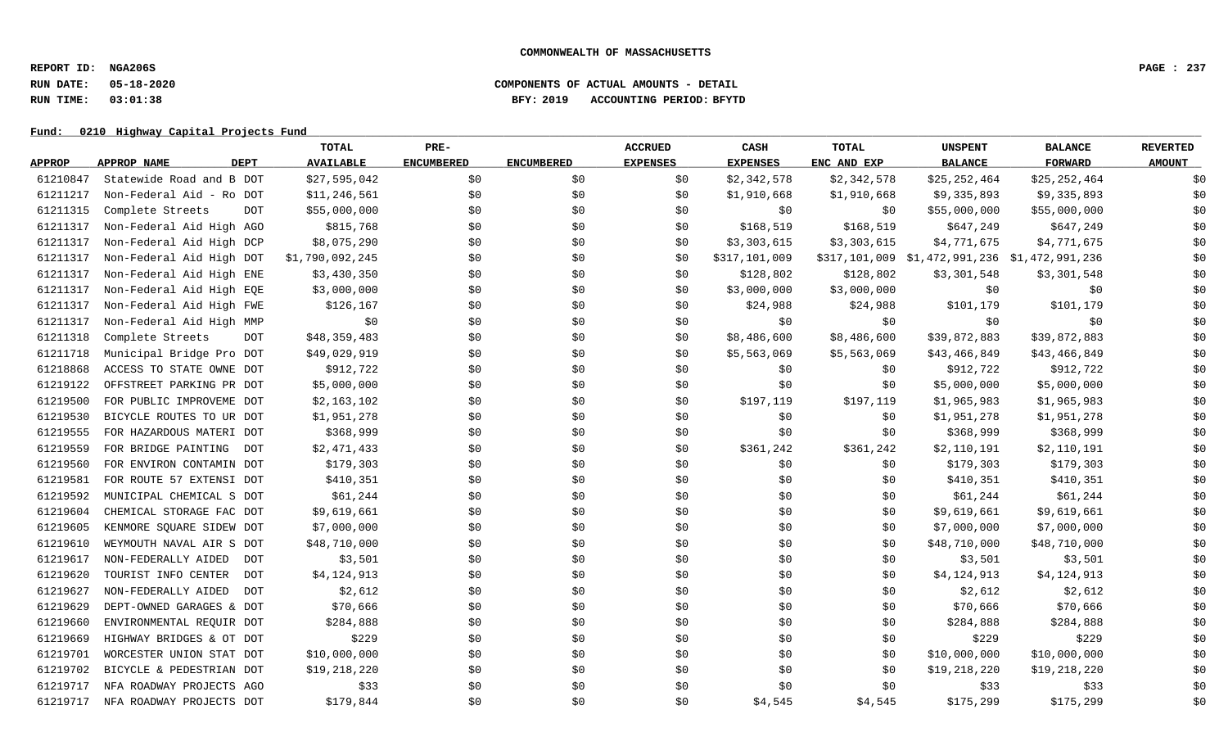**REPORT ID: NGA206S PAGE : 237**

### **RUN DATE: 05-18-2020 COMPONENTS OF ACTUAL AMOUNTS - DETAIL RUN TIME: 03:01:38 BFY: 2019 ACCOUNTING PERIOD: BFYTD**

|               |                                   | TOTAL            | PRE-              |                   | <b>ACCRUED</b>  | CASH            | <b>TOTAL</b> | <b>UNSPENT</b>                                | <b>BALANCE</b> | <b>REVERTED</b> |
|---------------|-----------------------------------|------------------|-------------------|-------------------|-----------------|-----------------|--------------|-----------------------------------------------|----------------|-----------------|
| <b>APPROP</b> | <b>DEPT</b><br>APPROP NAME        | <b>AVAILABLE</b> | <b>ENCUMBERED</b> | <b>ENCUMBERED</b> | <b>EXPENSES</b> | <b>EXPENSES</b> | ENC AND EXP  | <b>BALANCE</b>                                | <b>FORWARD</b> | <b>AMOUNT</b>   |
| 61210847      | Statewide Road and B DOT          | \$27,595,042     | \$0               | \$0               | \$0             | \$2,342,578     | \$2,342,578  | \$25,252,464                                  | \$25,252,464   | \$0             |
| 61211217      | Non-Federal Aid - Ro DOT          | \$11,246,561     | \$0               | \$0               | \$0             | \$1,910,668     | \$1,910,668  | \$9,335,893                                   | \$9,335,893    | \$0             |
| 61211315      | Complete Streets<br><b>DOT</b>    | \$55,000,000     | \$0               | \$0               | \$0             | \$0             | \$0          | \$55,000,000                                  | \$55,000,000   | \$0             |
| 61211317      | Non-Federal Aid High AGO          | \$815,768        | \$0               | \$0               | \$0             | \$168,519       | \$168,519    | \$647,249                                     | \$647,249      | \$0             |
| 61211317      | Non-Federal Aid High DCP          | \$8,075,290      | \$0               | \$0               | \$0             | \$3,303,615     | \$3,303,615  | \$4,771,675                                   | \$4,771,675    | \$0             |
| 61211317      | Non-Federal Aid High DOT          | \$1,790,092,245  | \$0               | \$0               | \$0             | \$317,101,009   |              | \$317,101,009 \$1,472,991,236 \$1,472,991,236 |                | \$0             |
| 61211317      | Non-Federal Aid High ENE          | \$3,430,350      | \$0               | \$0               | \$0             | \$128,802       | \$128,802    | \$3,301,548                                   | \$3,301,548    | \$0             |
| 61211317      | Non-Federal Aid High EQE          | \$3,000,000      | \$0               | \$0               | \$0             | \$3,000,000     | \$3,000,000  | \$0                                           | \$0            | \$0             |
| 61211317      | Non-Federal Aid High FWE          | \$126,167        | \$0               | \$0               | \$0             | \$24,988        | \$24,988     | \$101,179                                     | \$101,179      | \$0             |
| 61211317      | Non-Federal Aid High MMP          | \$0              | \$0               | \$0               | \$0             | \$0             | \$0          | \$0                                           | \$0            | \$0             |
| 61211318      | Complete Streets<br><b>DOT</b>    | \$48,359,483     | \$0               | \$0               | \$0             | \$8,486,600     | \$8,486,600  | \$39,872,883                                  | \$39,872,883   | \$0             |
| 61211718      | Municipal Bridge Pro DOT          | \$49,029,919     | \$0               | \$0               | \$0             | \$5,563,069     | \$5,563,069  | \$43,466,849                                  | \$43,466,849   | \$0             |
| 61218868      | ACCESS TO STATE OWNE DOT          | \$912,722        | \$0               | \$0               | \$0             | \$0             | \$0          | \$912,722                                     | \$912,722      | \$0             |
| 61219122      | OFFSTREET PARKING PR DOT          | \$5,000,000      | \$0               | \$0               | \$0             | \$0             | \$0          | \$5,000,000                                   | \$5,000,000    | \$0             |
| 61219500      | FOR PUBLIC IMPROVEME DOT          | \$2,163,102      | \$0               | \$0               | \$0             | \$197,119       | \$197,119    | \$1,965,983                                   | \$1,965,983    | \$0             |
| 61219530      | BICYCLE ROUTES TO UR DOT          | \$1,951,278      | \$0               | \$0               | \$0             | \$0             | \$0          | \$1,951,278                                   | \$1,951,278    | \$0             |
| 61219555      | FOR HAZARDOUS MATERI DOT          | \$368,999        | \$0               | \$0               | \$0             | \$0             | \$0          | \$368,999                                     | \$368,999      | \$0             |
| 61219559      | FOR BRIDGE PAINTING<br>DOT        | \$2,471,433      | \$0               | \$0               | \$0             | \$361,242       | \$361,242    | \$2,110,191                                   | \$2,110,191    | \$0             |
| 61219560      | FOR ENVIRON CONTAMIN DOT          | \$179,303        | \$0               | \$0               | \$0             | \$0             | \$0          | \$179,303                                     | \$179,303      | \$0             |
| 61219581      | FOR ROUTE 57 EXTENSI DOT          | \$410,351        | \$0               | \$0               | \$0             | \$0             | \$0          | \$410,351                                     | \$410,351      | \$0             |
| 61219592      | MUNICIPAL CHEMICAL S DOT          | \$61,244         | \$0               | \$0               | \$0             | \$0             | \$0          | \$61,244                                      | \$61,244       | \$0             |
| 61219604      | CHEMICAL STORAGE FAC DOT          | \$9,619,661      | \$0               | \$0               | \$0             | \$0             | \$0          | \$9,619,661                                   | \$9,619,661    | \$0             |
| 61219605      | KENMORE SQUARE SIDEW DOT          | \$7,000,000      | \$0               | \$0               | \$0             | \$0             | \$0          | \$7,000,000                                   | \$7,000,000    | \$0             |
| 61219610      | WEYMOUTH NAVAL AIR S DOT          | \$48,710,000     | \$0               | \$0               | \$0             | \$0             | \$0          | \$48,710,000                                  | \$48,710,000   | \$0             |
| 61219617      | NON-FEDERALLY AIDED<br>DOT        | \$3,501          | \$0               | \$0               | \$0             | \$0             | \$0          | \$3,501                                       | \$3,501        | \$0             |
| 61219620      | TOURIST INFO CENTER<br><b>DOT</b> | \$4,124,913      | \$0               | \$0               | \$0             | \$0\$           | \$0          | \$4,124,913                                   | \$4,124,913    | \$0             |
| 61219627      | NON-FEDERALLY AIDED<br><b>DOT</b> | \$2,612          | \$0               | \$0               | \$0             | \$0             | \$0          | \$2,612                                       | \$2,612        | \$0             |
| 61219629      | DEPT-OWNED GARAGES & DOT          | \$70,666         | \$0               | \$0               | \$0             | \$0             | \$0          | \$70,666                                      | \$70,666       | \$0             |
| 61219660      | ENVIRONMENTAL REQUIR DOT          | \$284,888        | \$0               | \$0               | \$0             | \$0             | \$0          | \$284,888                                     | \$284,888      | \$0             |
| 61219669      | HIGHWAY BRIDGES & OT DOT          | \$229            | \$0               | \$0               | \$0             | \$0             | \$0          | \$229                                         | \$229          | \$0             |
| 61219701      | WORCESTER UNION STAT DOT          | \$10,000,000     | \$0               | \$0               | \$0             | \$0             | \$0          | \$10,000,000                                  | \$10,000,000   | \$0             |
| 61219702      | BICYCLE & PEDESTRIAN DOT          | \$19,218,220     | \$0               | \$0               | \$0             | \$0             | \$0          | \$19,218,220                                  | \$19,218,220   | \$0             |
| 61219717      | NFA ROADWAY PROJECTS AGO          | \$33             | \$0               | \$0               | \$0             | \$0             | \$0          | \$33                                          | \$33           | \$0             |
| 61219717      | NFA ROADWAY PROJECTS DOT          | \$179,844        | \$0               | \$0               | \$0             | \$4,545         | \$4,545      | \$175,299                                     | \$175,299      | \$0             |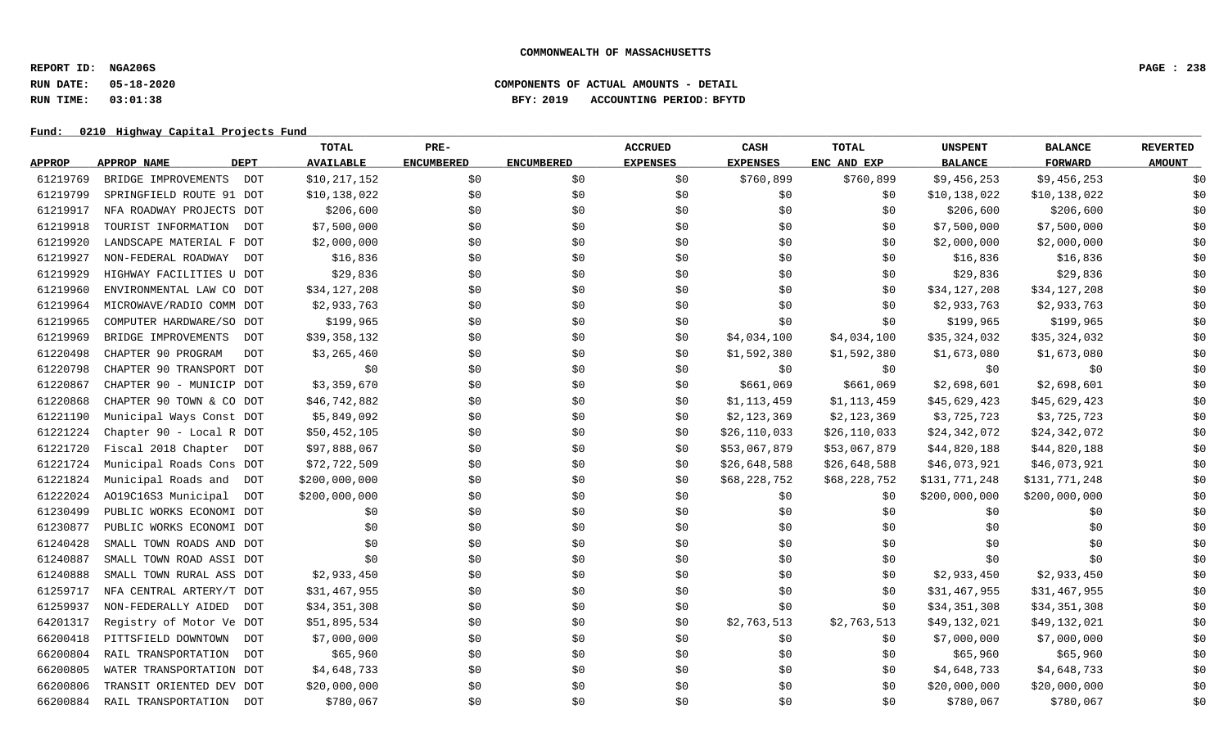**REPORT ID: NGA206S PAGE : 238**

## **RUN DATE: 05-18-2020 COMPONENTS OF ACTUAL AMOUNTS - DETAIL RUN TIME: 03:01:38 BFY: 2019 ACCOUNTING PERIOD: BFYTD**

|               |                                   | TOTAL            | PRE-              |                   | <b>ACCRUED</b>  | CASH            | <b>TOTAL</b> | <b>UNSPENT</b> | <b>BALANCE</b> | <b>REVERTED</b> |
|---------------|-----------------------------------|------------------|-------------------|-------------------|-----------------|-----------------|--------------|----------------|----------------|-----------------|
| <b>APPROP</b> | <b>DEPT</b><br><b>APPROP NAME</b> | <b>AVAILABLE</b> | <b>ENCUMBERED</b> | <b>ENCUMBERED</b> | <b>EXPENSES</b> | <b>EXPENSES</b> | ENC AND EXP  | <b>BALANCE</b> | <b>FORWARD</b> | <b>AMOUNT</b>   |
| 61219769      | BRIDGE IMPROVEMENTS<br>DOT        | \$10, 217, 152   | \$0\$             | \$0               | \$0             | \$760,899       | \$760,899    | \$9,456,253    | \$9,456,253    | \$0             |
| 61219799      | SPRINGFIELD ROUTE 91 DOT          | \$10,138,022     | \$0               | \$0               | \$0             | \$0             | \$0          | \$10,138,022   | \$10,138,022   | \$0             |
| 61219917      | NFA ROADWAY PROJECTS DOT          | \$206,600        | \$0               | \$0               | \$0             | \$0             | \$0          | \$206,600      | \$206,600      | \$0             |
| 61219918      | TOURIST INFORMATION<br><b>DOT</b> | \$7,500,000      | \$0               | \$0               | \$0             | \$0             | \$0          | \$7,500,000    | \$7,500,000    | \$0             |
| 61219920      | LANDSCAPE MATERIAL F DOT          | \$2,000,000      | \$0               | \$0               | \$0             | \$0             | \$0          | \$2,000,000    | \$2,000,000    | \$0             |
| 61219927      | NON-FEDERAL ROADWAY<br>DOT        | \$16,836         | \$0               | \$0               | \$0             | \$0             | \$0          | \$16,836       | \$16,836       | \$0             |
| 61219929      | HIGHWAY FACILITIES U DOT          | \$29,836         | \$0               | \$0               | \$0             | \$0             | \$0          | \$29,836       | \$29,836       | \$0             |
| 61219960      | ENVIRONMENTAL LAW CO DOT          | \$34,127,208     | \$0               | \$0               | \$0             | \$0             | \$0          | \$34,127,208   | \$34,127,208   | \$0             |
| 61219964      | MICROWAVE/RADIO COMM DOT          | \$2,933,763      | \$0               | \$0               | \$0             | \$0             | \$0          | \$2,933,763    | \$2,933,763    | \$0             |
| 61219965      | COMPUTER HARDWARE/SO DOT          | \$199,965        | \$0               | \$0               | \$0             | \$0             | \$0          | \$199,965      | \$199,965      | \$0             |
| 61219969      | BRIDGE IMPROVEMENTS<br><b>DOT</b> | \$39,358,132     | \$0               | \$0               | \$0             | \$4,034,100     | \$4,034,100  | \$35,324,032   | \$35,324,032   | \$0             |
| 61220498      | CHAPTER 90 PROGRAM<br><b>DOT</b>  | \$3,265,460      | \$0               | \$0               | \$0             | \$1,592,380     | \$1,592,380  | \$1,673,080    | \$1,673,080    | \$0             |
| 61220798      | CHAPTER 90 TRANSPORT DOT          | \$0              | \$0               | \$0               | \$0             | \$0             | \$0          | \$0            | \$0            | \$0             |
| 61220867      | CHAPTER 90 - MUNICIP DOT          | \$3,359,670      | \$0               | \$0               | \$0             | \$661,069       | \$661,069    | \$2,698,601    | \$2,698,601    | \$0             |
| 61220868      | CHAPTER 90 TOWN & CO DOT          | \$46,742,882     | \$0               | \$0               | \$0             | \$1,113,459     | \$1,113,459  | \$45,629,423   | \$45,629,423   | \$0             |
| 61221190      | Municipal Ways Const DOT          | \$5,849,092      | \$0               | \$0               | \$0             | \$2,123,369     | \$2,123,369  | \$3,725,723    | \$3,725,723    | \$0             |
| 61221224      | Chapter 90 - Local R DOT          | \$50,452,105     | \$0               | \$0               | \$0             | \$26,110,033    | \$26,110,033 | \$24,342,072   | \$24,342,072   | \$0             |
| 61221720      | Fiscal 2018 Chapter<br>DOT        | \$97,888,067     | \$0               | \$0               | \$0             | \$53,067,879    | \$53,067,879 | \$44,820,188   | \$44,820,188   | \$0             |
| 61221724      | Municipal Roads Cons DOT          | \$72,722,509     | \$0               | \$0               | \$0             | \$26,648,588    | \$26,648,588 | \$46,073,921   | \$46,073,921   | \$0             |
| 61221824      | Municipal Roads and<br><b>DOT</b> | \$200,000,000    | \$0               | \$0               | \$0             | \$68,228,752    | \$68,228,752 | \$131,771,248  | \$131,771,248  | \$0             |
| 61222024      | AO19C16S3 Municipal<br><b>DOT</b> | \$200,000,000    | \$0               | \$0               | \$0             | \$0             | \$0          | \$200,000,000  | \$200,000,000  | \$0             |
| 61230499      | PUBLIC WORKS ECONOMI DOT          | \$0              | \$0               | \$0               | \$0             | \$0             | \$0          | \$0            | \$0            | \$0             |
| 61230877      | PUBLIC WORKS ECONOMI DOT          | \$0              | \$0               | \$0               | \$0             | \$0             | \$0          | \$0            | \$0            | \$0             |
| 61240428      | SMALL TOWN ROADS AND DOT          | \$0              | \$0               | \$0               | \$0             | \$0             | \$0          | \$0            | \$0            | \$0             |
| 61240887      | SMALL TOWN ROAD ASSI DOT          | \$0              | \$0               | \$0               | \$0             | \$0             | \$0          | \$0            | \$0            | \$0             |
| 61240888      | SMALL TOWN RURAL ASS DOT          | \$2,933,450      | \$0               | \$0               | \$0             | \$0             | \$0          | \$2,933,450    | \$2,933,450    | \$0             |
| 61259717      | NFA CENTRAL ARTERY/T DOT          | \$31,467,955     | \$0               | \$0               | \$0             | \$0             | \$0\$        | \$31,467,955   | \$31,467,955   | \$0             |
| 61259937      | NON-FEDERALLY AIDED<br>DOT        | \$34,351,308     | \$0               | \$0               | \$0             | \$0             | \$0          | \$34,351,308   | \$34,351,308   | \$0             |
| 64201317      | Registry of Motor Ve DOT          | \$51,895,534     | \$0               | \$0               | \$0             | \$2,763,513     | \$2,763,513  | \$49,132,021   | \$49,132,021   | \$0             |
| 66200418      | PITTSFIELD DOWNTOWN<br><b>DOT</b> | \$7,000,000      | \$0               | \$0               | \$0             | \$0             | \$0          | \$7,000,000    | \$7,000,000    | \$0             |
| 66200804      | RAIL TRANSPORTATION<br><b>DOT</b> | \$65,960         | \$0               | \$0               | \$0             | \$0             | \$0          | \$65,960       | \$65,960       | \$0             |
| 66200805      | WATER TRANSPORTATION DOT          | \$4,648,733      | \$0               | \$0               | \$0             | \$0             | \$0          | \$4,648,733    | \$4,648,733    | \$0             |
| 66200806      | TRANSIT ORIENTED DEV DOT          | \$20,000,000     | \$0               | \$0               | \$0             | \$0             | \$0          | \$20,000,000   | \$20,000,000   | \$0             |
| 66200884      | RAIL TRANSPORTATION DOT           | \$780,067        | \$0               | \$0               | \$0             | \$0             | \$0          | \$780,067      | \$780,067      | \$0             |
|               |                                   |                  |                   |                   |                 |                 |              |                |                |                 |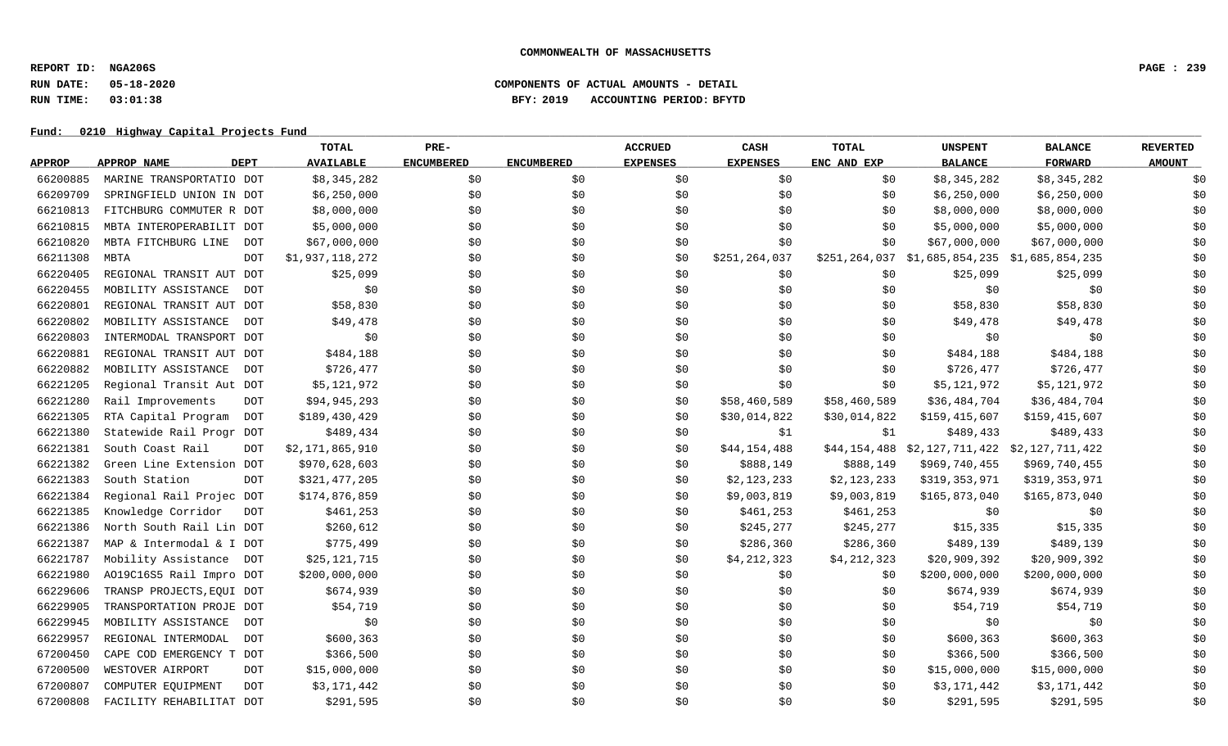**REPORT ID: NGA206S PAGE : 239**

### **RUN DATE: 05-18-2020 COMPONENTS OF ACTUAL AMOUNTS - DETAIL RUN TIME: 03:01:38 BFY: 2019 ACCOUNTING PERIOD: BFYTD**

|               |                                   | <b>TOTAL</b>     | PRE-              |                   | <b>ACCRUED</b>  | CASH            | <b>TOTAL</b> | <b>UNSPENT</b>                                | <b>BALANCE</b>  | <b>REVERTED</b> |
|---------------|-----------------------------------|------------------|-------------------|-------------------|-----------------|-----------------|--------------|-----------------------------------------------|-----------------|-----------------|
| <b>APPROP</b> | <b>DEPT</b><br>APPROP NAME        | <b>AVAILABLE</b> | <b>ENCUMBERED</b> | <b>ENCUMBERED</b> | <b>EXPENSES</b> | <b>EXPENSES</b> | ENC AND EXP  | <b>BALANCE</b>                                | <b>FORWARD</b>  | <b>AMOUNT</b>   |
| 66200885      | MARINE TRANSPORTATIO DOT          | \$8,345,282      | \$0               | \$0               | \$0             | \$0             | \$0          | \$8,345,282                                   | \$8,345,282     | \$0             |
| 66209709      | SPRINGFIELD UNION IN DOT          | \$6,250,000      | \$0               | \$0               | \$0             | \$0             | \$0          | \$6,250,000                                   | \$6,250,000     | \$0             |
| 66210813      | FITCHBURG COMMUTER R DOT          | \$8,000,000      | \$0               | \$0               | \$0             | \$0             | \$0          | \$8,000,000                                   | \$8,000,000     | \$0             |
| 66210815      | MBTA INTEROPERABILIT DOT          | \$5,000,000      | \$0               | \$0               | \$0             | \$0\$           | \$0          | \$5,000,000                                   | \$5,000,000     | \$0             |
| 66210820      | MBTA FITCHBURG LINE<br><b>DOT</b> | \$67,000,000     | \$0               | \$0               | \$0             | \$0             | \$0          | \$67,000,000                                  | \$67,000,000    | \$0             |
| 66211308      | <b>MBTA</b><br><b>DOT</b>         | \$1,937,118,272  | \$0               | \$0               | \$0             | \$251,264,037   |              | \$251,264,037 \$1,685,854,235 \$1,685,854,235 |                 | \$0             |
| 66220405      | REGIONAL TRANSIT AUT DOT          | \$25,099         | \$0               | \$0               | \$0             | \$0             | \$0\$        | \$25,099                                      | \$25,099        | \$0             |
| 66220455      | MOBILITY ASSISTANCE<br><b>DOT</b> | \$0\$            | \$0               | \$0               | \$0             | \$0             | \$0          | \$0                                           | \$0             | \$0             |
| 66220801      | REGIONAL TRANSIT AUT DOT          | \$58,830         | \$0               | \$0               | \$0             | \$0             | \$0          | \$58,830                                      | \$58,830        | \$0             |
| 66220802      | MOBILITY ASSISTANCE<br><b>DOT</b> | \$49,478         | \$0               | \$0\$             | \$0             | \$0             | \$0          | \$49,478                                      | \$49,478        | \$0             |
| 66220803      | INTERMODAL TRANSPORT DOT          | \$0              | \$0               | \$0               | \$0             | \$0             | \$0          | \$0                                           | \$0             | \$0             |
| 66220881      | REGIONAL TRANSIT AUT DOT          | \$484,188        | \$0               | \$0               | \$0             | \$0\$           | \$0          | \$484,188                                     | \$484,188       | \$0             |
| 66220882      | MOBILITY ASSISTANCE<br><b>DOT</b> | \$726,477        | \$0               | \$0               | \$0             | \$0             | \$0\$        | \$726,477                                     | \$726,477       | \$0             |
| 66221205      | Regional Transit Aut DOT          | \$5,121,972      | \$0               | \$0\$             | \$0             | \$0             | \$0          | \$5,121,972                                   | \$5,121,972     | \$0             |
| 66221280      | Rail Improvements<br><b>DOT</b>   | \$94,945,293     | \$0               | \$0               | \$0             | \$58,460,589    | \$58,460,589 | \$36,484,704                                  | \$36,484,704    | \$0             |
| 66221305      | RTA Capital Program<br><b>DOT</b> | \$189,430,429    | \$0               | \$0\$             | \$0             | \$30,014,822    | \$30,014,822 | \$159,415,607                                 | \$159,415,607   | \$0             |
| 66221380      | Statewide Rail Progr DOT          | \$489,434        | \$0               | \$0               | \$0             | \$1             | \$1          | \$489,433                                     | \$489,433       | \$0             |
| 66221381      | South Coast Rail<br><b>DOT</b>    | \$2,171,865,910  | \$0               | \$0               | \$0             | \$44,154,488    | \$44,154,488 | \$2,127,711,422                               | \$2,127,711,422 | \$0             |
| 66221382      | Green Line Extension DOT          | \$970,628,603    | \$0               | \$0               | \$0             | \$888,149       | \$888,149    | \$969,740,455                                 | \$969,740,455   | \$0             |
| 66221383      | South Station<br><b>DOT</b>       | \$321,477,205    | \$0               | \$0\$             | \$0             | \$2,123,233     | \$2,123,233  | \$319,353,971                                 | \$319,353,971   | \$0             |
| 66221384      | Regional Rail Projec DOT          | \$174,876,859    | \$0               | \$0               | \$0             | \$9,003,819     | \$9,003,819  | \$165,873,040                                 | \$165,873,040   | \$0             |
| 66221385      | Knowledge Corridor<br><b>DOT</b>  | \$461,253        | \$0               | \$0               | \$0             | \$461,253       | \$461,253    | \$0                                           | \$0             | \$0             |
| 66221386      | North South Rail Lin DOT          | \$260,612        | \$0               | \$0               | \$0             | \$245,277       | \$245,277    | \$15,335                                      | \$15,335        | \$0             |
| 66221387      | MAP & Intermodal & I DOT          | \$775,499        | \$0               | \$0\$             | \$0             | \$286,360       | \$286,360    | \$489,139                                     | \$489,139       | \$0             |
| 66221787      | Mobility Assistance<br>DOT        | \$25,121,715     | \$0               | \$0               | \$0             | \$4,212,323     | \$4,212,323  | \$20,909,392                                  | \$20,909,392    | \$0             |
| 66221980      | A019C16S5 Rail Impro DOT          | \$200,000,000    | \$0               | \$0\$             | \$0             | \$0             | \$0          | \$200,000,000                                 | \$200,000,000   | \$0             |
| 66229606      | TRANSP PROJECTS, EQUI DOT         | \$674,939        | \$0               | \$0               | \$0             | \$0             | \$0          | \$674,939                                     | \$674,939       | \$0             |
| 66229905      | TRANSPORTATION PROJE DOT          | \$54,719         | \$0               | \$0               | \$0             | \$0             | \$0          | \$54,719                                      | \$54,719        | \$0             |
| 66229945      | MOBILITY ASSISTANCE<br><b>DOT</b> | \$0              | \$0               | \$0               | \$0             | \$0             | \$0          | \$0                                           | \$0             | \$0             |
| 66229957      | REGIONAL INTERMODAL<br><b>DOT</b> | \$600,363        | \$0               | \$0               | \$0             | \$0             | \$0          | \$600, 363                                    | \$600,363       | \$0             |
| 67200450      | CAPE COD EMERGENCY T DOT          | \$366,500        | \$0               | \$0               | \$0             | \$0             | \$0          | \$366,500                                     | \$366,500       | \$0             |
| 67200500      | WESTOVER AIRPORT<br><b>DOT</b>    | \$15,000,000     | \$0               | \$0               | \$0             | \$0             | \$0          | \$15,000,000                                  | \$15,000,000    | \$0             |
| 67200807      | COMPUTER EQUIPMENT<br><b>DOT</b>  | \$3,171,442      | \$0               | \$0               | \$0             | \$0             | \$0          | \$3,171,442                                   | \$3,171,442     | \$0             |
| 67200808      | FACILITY REHABILITAT DOT          | \$291,595        | \$0               | \$0               | \$0             | \$0             | \$0          | \$291,595                                     | \$291,595       | \$0             |
|               |                                   |                  |                   |                   |                 |                 |              |                                               |                 |                 |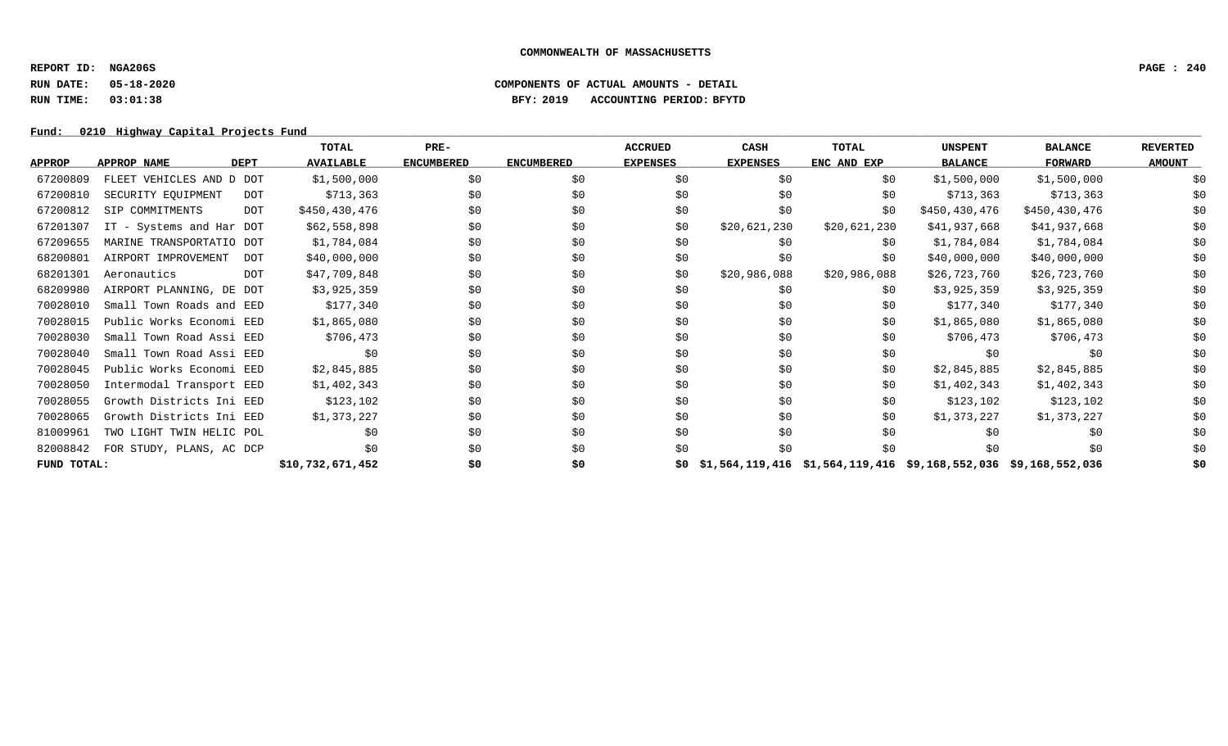**REPORT ID: NGA206S PAGE : 240**

## **RUN DATE: 05-18-2020 COMPONENTS OF ACTUAL AMOUNTS - DETAIL RUN TIME: 03:01:38 BFY: 2019 ACCOUNTING PERIOD: BFYTD**

|               |                                   |            | TOTAL            | $PRE-$            |                   | <b>ACCRUED</b>  | CASH            | TOTAL                                                           | <b>UNSPENT</b> | <b>BALANCE</b> | <b>REVERTED</b> |
|---------------|-----------------------------------|------------|------------------|-------------------|-------------------|-----------------|-----------------|-----------------------------------------------------------------|----------------|----------------|-----------------|
| <b>APPROP</b> | <b>APPROP NAME</b><br><b>DEPT</b> |            | <b>AVAILABLE</b> | <b>ENCUMBERED</b> | <b>ENCUMBERED</b> | <b>EXPENSES</b> | <b>EXPENSES</b> | ENC AND EXP                                                     | <b>BALANCE</b> | <b>FORWARD</b> | <b>AMOUNT</b>   |
| 67200809      | FLEET VEHICLES AND D DOT          |            | \$1,500,000      | \$0               | \$0               | \$0             | \$0             | \$0                                                             | \$1,500,000    | \$1,500,000    | \$0             |
| 67200810      | SECURITY EQUIPMENT                | DOT        | \$713,363        | \$0               | \$0               | \$0             | \$0             | \$0                                                             | \$713,363      | \$713,363      | \$0             |
| 67200812      | SIP COMMITMENTS                   | <b>DOT</b> | \$450,430,476    | \$0               | \$0               | \$0             | \$0             | \$0                                                             | \$450,430,476  | \$450,430,476  | \$0             |
| 67201307      | IT - Systems and Har DOT          |            | \$62,558,898     | \$0               | \$0               | \$0             | \$20,621,230    | \$20,621,230                                                    | \$41,937,668   | \$41,937,668   | \$0             |
| 67209655      | MARINE TRANSPORTATIO DOT          |            | \$1,784,084      | \$0               | \$0               | \$0             | \$0             | \$0                                                             | \$1,784,084    | \$1,784,084    | \$0             |
| 68200801      | AIRPORT IMPROVEMENT               | DOT        | \$40,000,000     | \$0               | \$0               | \$0             | \$0             | \$0                                                             | \$40,000,000   | \$40,000,000   | \$0             |
| 68201301      | Aeronautics                       | <b>DOT</b> | \$47,709,848     | \$0               | \$0               | \$0             | \$20,986,088    | \$20,986,088                                                    | \$26,723,760   | \$26,723,760   | \$0             |
| 68209980      | AIRPORT PLANNING, DE DOT          |            | \$3,925,359      | \$0               | \$0               | \$0             | \$0             | \$0                                                             | \$3,925,359    | \$3,925,359    | \$0             |
| 70028010      | Small Town Roads and EED          |            | \$177,340        | \$0               | \$0               | \$0             | \$0             | \$0                                                             | \$177,340      | \$177,340      | \$0             |
| 70028015      | Public Works Economi EED          |            | \$1,865,080      | \$0               | \$0               | \$0             | \$0             | \$0                                                             | \$1,865,080    | \$1,865,080    | \$0             |
| 70028030      | Small Town Road Assi EED          |            | \$706,473        | \$0               | \$0               | \$0             | \$0             | \$0                                                             | \$706,473      | \$706,473      | \$0             |
| 70028040      | Small Town Road Assi EED          |            | \$0              | \$0               | \$0               | \$0             | \$0             | \$0                                                             | \$0            | \$0            | \$0             |
| 70028045      | Public Works Economi EED          |            | \$2,845,885      | \$0               | \$0               | \$0             | \$0             | \$0                                                             | \$2,845,885    | \$2,845,885    | \$0             |
| 70028050      | Intermodal Transport EED          |            | \$1,402,343      | \$0               | \$0               | \$0             | \$0             | \$0                                                             | \$1,402,343    | \$1,402,343    | \$0             |
| 70028055      | Growth Districts Ini EED          |            | \$123,102        | \$0               | \$0               | \$0             | \$0             | \$0                                                             | \$123,102      | \$123,102      | \$0             |
| 70028065      | Growth Districts Ini EED          |            | \$1,373,227      | \$0               | \$0               | \$0             | \$0             | \$0                                                             | \$1,373,227    | \$1,373,227    | \$0             |
| 81009961      | TWO LIGHT TWIN HELIC POL          |            | \$0              | \$0               | \$0               | \$0             | \$0             | \$0                                                             | \$0            | \$0            | \$0             |
| 82008842      | FOR STUDY, PLANS, AC DCP          |            | \$0              | \$0               | \$0               | \$0             | \$0             | \$0                                                             | \$0            | \$0            | \$0             |
| FUND TOTAL:   |                                   |            | \$10,732,671,452 | \$0               | \$0               |                 |                 | \$1,564,119,416 \$1,564,119,416 \$9,168,552,036 \$9,168,552,036 |                |                | \$0             |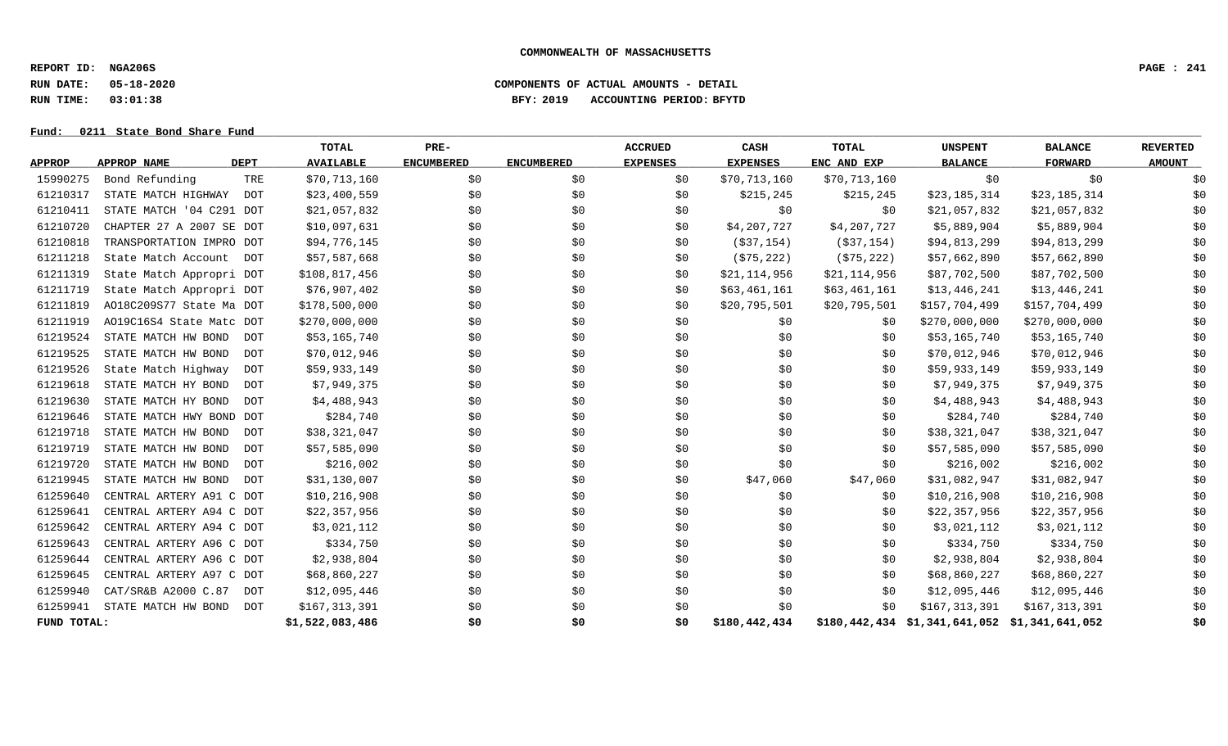**REPORT ID: NGA206S PAGE : 241**

**RUN DATE: 05-18-2020 COMPONENTS OF ACTUAL AMOUNTS - DETAIL**

**RUN TIME: 03:01:38 BFY: 2019 ACCOUNTING PERIOD: BFYTD**

# Fund: 0211 State Bond Share Fund

|               |                                   | <b>TOTAL</b>     | PRE-              |                   | <b>ACCRUED</b>  | CASH            | <b>TOTAL</b> | <b>UNSPENT</b>                                | <b>BALANCE</b> | <b>REVERTED</b> |
|---------------|-----------------------------------|------------------|-------------------|-------------------|-----------------|-----------------|--------------|-----------------------------------------------|----------------|-----------------|
| <b>APPROP</b> | <b>DEPT</b><br>APPROP NAME        | <b>AVAILABLE</b> | <b>ENCUMBERED</b> | <b>ENCUMBERED</b> | <b>EXPENSES</b> | <b>EXPENSES</b> | ENC AND EXP  | <b>BALANCE</b>                                | <b>FORWARD</b> | <b>AMOUNT</b>   |
| 15990275      | Bond Refunding<br>TRE             | \$70,713,160     | \$0               | \$0               | \$0             | \$70,713,160    | \$70,713,160 | \$0                                           | \$0            | \$0             |
| 61210317      | STATE MATCH HIGHWAY<br>DOT        | \$23,400,559     | \$0               | \$0               | \$0             | \$215, 245      | \$215,245    | \$23,185,314                                  | \$23,185,314   | \$0             |
| 61210411      | STATE MATCH '04 C291 DOT          | \$21,057,832     | \$0               | \$0               | \$0             | \$0             | \$0          | \$21,057,832                                  | \$21,057,832   | \$0             |
| 61210720      | CHAPTER 27 A 2007 SE DOT          | \$10,097,631     | \$0               | \$0               | \$0             | \$4,207,727     | \$4,207,727  | \$5,889,904                                   | \$5,889,904    | \$0             |
| 61210818      | TRANSPORTATION IMPRO DOT          | \$94,776,145     | \$0               | \$0               | \$0             | ( \$37, 154)    | (\$37,154)   | \$94,813,299                                  | \$94,813,299   | \$0             |
| 61211218      | State Match Account<br>DOT        | \$57,587,668     | \$0               | \$0               | \$0             | ( \$75, 222)    | ( \$75, 222) | \$57,662,890                                  | \$57,662,890   | \$0             |
| 61211319      | State Match Appropri DOT          | \$108,817,456    | \$0               | \$0               | \$0             | \$21,114,956    | \$21,114,956 | \$87,702,500                                  | \$87,702,500   | \$0             |
| 61211719      | State Match Appropri DOT          | \$76,907,402     | \$0               | \$0               | \$0             | \$63,461,161    | \$63,461,161 | \$13,446,241                                  | \$13,446,241   | \$0             |
| 61211819      | A018C209S77 State Ma DOT          | \$178,500,000    | \$0               | \$0               | \$0             | \$20,795,501    | \$20,795,501 | \$157,704,499                                 | \$157,704,499  | \$0             |
| 61211919      | A019C16S4 State Matc DOT          | \$270,000,000    | \$0               | \$0               | \$0             | \$0             | \$0          | \$270,000,000                                 | \$270,000,000  | \$0             |
| 61219524      | STATE MATCH HW BOND<br><b>DOT</b> | \$53,165,740     | \$0               | \$0               | \$0             | \$0             | \$0          | \$53,165,740                                  | \$53,165,740   | \$0             |
| 61219525      | STATE MATCH HW BOND<br>DOT        | \$70,012,946     | \$0               | \$0               | \$0             | \$0             | \$0          | \$70,012,946                                  | \$70,012,946   | \$0             |
| 61219526      | State Match Highway<br><b>DOT</b> | \$59,933,149     | \$0               | \$0               | \$0             | \$0             | \$0          | \$59,933,149                                  | \$59,933,149   | \$0             |
| 61219618      | STATE MATCH HY BOND<br>DOT        | \$7,949,375      | \$0               | \$0               | \$0             | \$0             | \$0          | \$7,949,375                                   | \$7,949,375    | \$0             |
| 61219630      | STATE MATCH HY BOND<br>DOT        | \$4,488,943      | \$0               | \$0               | \$0             | \$0             | \$0          | \$4,488,943                                   | \$4,488,943    | \$0             |
| 61219646      | STATE MATCH HWY BOND DOT          | \$284,740        | \$0               | \$0               | \$0             | \$0             | \$0          | \$284,740                                     | \$284,740      | \$0             |
| 61219718      | STATE MATCH HW BOND<br>DOT        | \$38,321,047     | \$0               | \$0               | \$0             | \$0             | \$0          | \$38,321,047                                  | \$38,321,047   | \$0             |
| 61219719      | STATE MATCH HW BOND<br><b>DOT</b> | \$57,585,090     | \$0               | \$0               | \$0             | \$0             | \$0          | \$57,585,090                                  | \$57,585,090   | \$0             |
| 61219720      | STATE MATCH HW BOND<br><b>DOT</b> | \$216,002        | \$0               | \$0               | \$0             | \$0             | \$0          | \$216,002                                     | \$216,002      | \$0             |
| 61219945      | STATE MATCH HW BOND<br>DOT        | \$31,130,007     | \$0               | \$0               | \$0             | \$47,060        | \$47,060     | \$31,082,947                                  | \$31,082,947   | \$0             |
| 61259640      | CENTRAL ARTERY A91 C DOT          | \$10,216,908     | \$0               | \$0               | \$0             | \$0             | \$0          | \$10, 216, 908                                | \$10,216,908   | \$0             |
| 61259641      | CENTRAL ARTERY A94 C DOT          | \$22,357,956     | \$0               | \$0               | \$0             | \$0             | \$0          | \$22,357,956                                  | \$22,357,956   | \$0             |
| 61259642      | CENTRAL ARTERY A94 C DOT          | \$3,021,112      | \$0               | \$0               | \$0             | \$0             | \$0          | \$3,021,112                                   | \$3,021,112    | \$0             |
| 61259643      | CENTRAL ARTERY A96 C DOT          | \$334,750        | \$0               | \$0               | \$0             | \$0             | \$0          | \$334,750                                     | \$334,750      | \$0             |
| 61259644      | CENTRAL ARTERY A96 C DOT          | \$2,938,804      | \$0               | \$0               | \$0             | \$0             | \$0          | \$2,938,804                                   | \$2,938,804    | \$0             |
| 61259645      | CENTRAL ARTERY A97 C DOT          | \$68,860,227     | \$0               | \$0               | \$0             | \$0             | \$0          | \$68,860,227                                  | \$68,860,227   | \$0             |
| 61259940      | CAT/SR&B A2000 C.87<br><b>DOT</b> | \$12,095,446     | \$0               | \$0               | \$0             | \$0             | \$0          | \$12,095,446                                  | \$12,095,446   | \$0             |
| 61259941      | STATE MATCH HW BOND<br>DOT        | \$167,313,391    | \$0               | \$0               | \$0             | \$0             | \$0          | \$167,313,391                                 | \$167,313,391  | \$0             |
| FUND TOTAL:   |                                   | \$1,522,083,486  | \$0               | \$0               | \$0             | \$180,442,434   |              | \$180,442,434 \$1,341,641,052 \$1,341,641,052 |                | \$0             |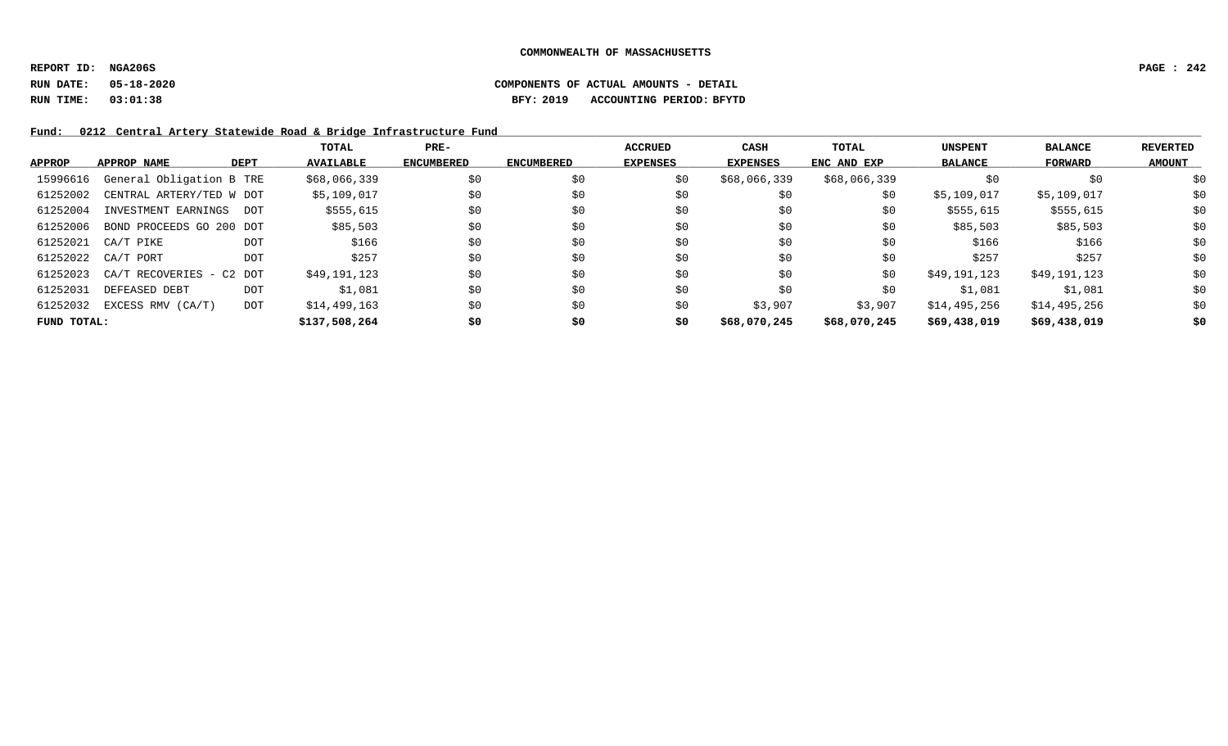**REPORT ID: NGA206S PAGE : 242**

**RUN DATE: 05-18-2020 COMPONENTS OF ACTUAL AMOUNTS - DETAIL RUN TIME: 03:01:38 BFY: 2019 ACCOUNTING PERIOD: BFYTD**

Fund: 0212 Central Artery Statewide Road & Bridge Infrastructure Fund

|               |                          |             | TOTAL            | $PRE-$            |                   | <b>ACCRUED</b>  | <b>CASH</b>  | <b>TOTAL</b> | <b>UNSPENT</b> | <b>BALANCE</b> | <b>REVERTED</b> |
|---------------|--------------------------|-------------|------------------|-------------------|-------------------|-----------------|--------------|--------------|----------------|----------------|-----------------|
| <b>APPROP</b> | APPROP NAME              | <b>DEPT</b> | <b>AVAILABLE</b> | <b>ENCUMBERED</b> | <b>ENCUMBERED</b> | <b>EXPENSES</b> | EXPENSES     | ENC AND EXP  | <b>BALANCE</b> | FORWARD        | <b>AMOUNT</b>   |
| 15996616      | General Obligation B TRE |             | \$68,066,339     | \$0               | \$0               | \$0             | \$68,066,339 | \$68,066,339 | \$0            | \$0            | \$0             |
| 61252002      | CENTRAL ARTERY/TED W DOT |             | \$5,109,017      | \$0               | \$0               | \$0             | \$0          | \$0          | \$5,109,017    | \$5,109,017    | \$0             |
| 61252004      | INVESTMENT EARNINGS DOT  |             | \$555,615        | \$0               | \$0               | \$0             | \$0          | \$0          | \$555,615      | \$555,615      | \$0             |
| 61252006      | BOND PROCEEDS GO 200 DOT |             | \$85,503         | \$0               | \$0               | \$0             | \$0          | \$0          | \$85,503       | \$85,503       | \$0             |
| 61252021      | CA/T PIKE                | <b>DOT</b>  | \$166            | \$0               | \$0               | \$0             | \$0          | \$0          | \$166          | \$166          | \$0             |
| 61252022      | CA/T PORT                | <b>DOT</b>  | \$257            | \$0               | \$0               | \$0             | \$0          | \$0          | \$257          | \$257          | \$0             |
| 61252023      | CA/T RECOVERIES - C2 DOT |             | \$49,191,123     | \$0               | \$0               | \$0             | \$0          | \$0          | \$49,191,123   | \$49,191,123   | \$0             |
| 61252031      | DEFEASED DEBT            | <b>DOT</b>  | \$1,081          | \$0               | \$0               | \$0             | \$0          | \$0          | \$1,081        | \$1,081        | \$0             |
| 61252032      | EXCESS RMV (CA/T)        | <b>DOT</b>  | \$14,499,163     | \$0               | \$0               | \$0             | \$3,907      | \$3,907      | \$14,495,256   | \$14,495,256   | \$0             |
| FUND TOTAL:   |                          |             | \$137,508,264    | \$0               | \$0               | \$0             | \$68,070,245 | \$68,070,245 | \$69,438,019   | \$69,438,019   | \$0             |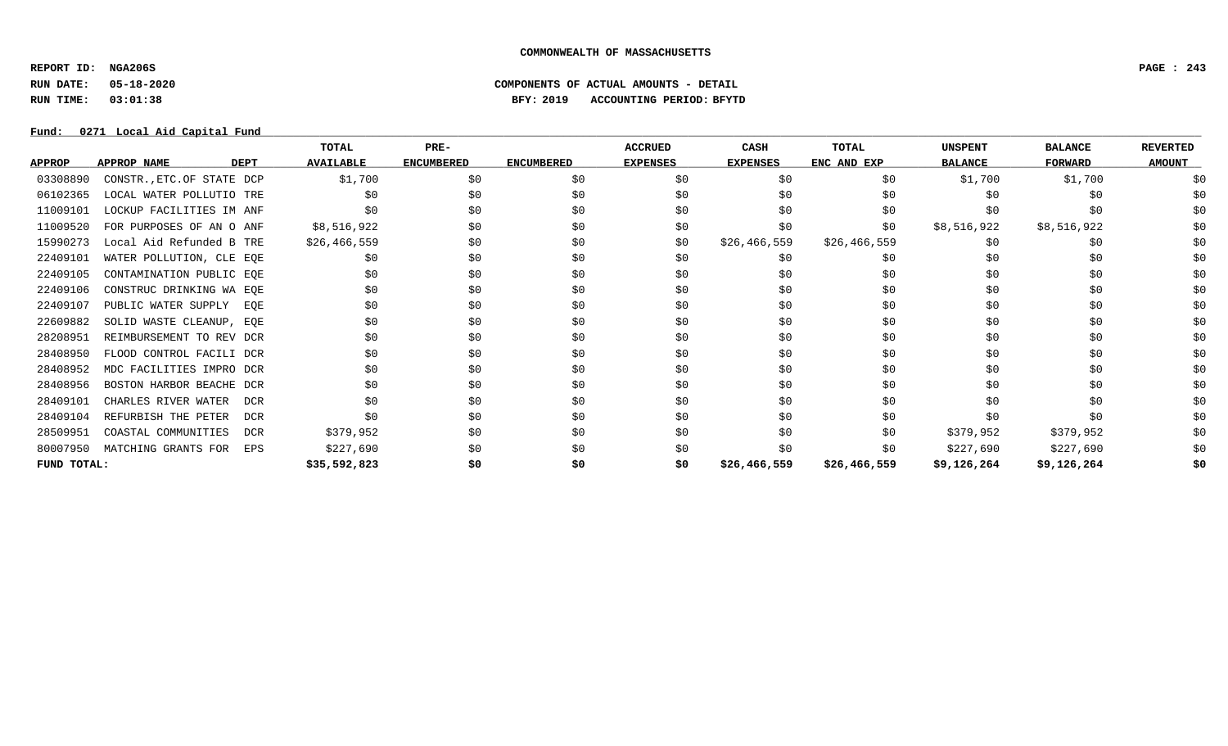**REPORT ID: NGA206S PAGE : 243**

## **RUN DATE: 05-18-2020 COMPONENTS OF ACTUAL AMOUNTS - DETAIL RUN TIME: 03:01:38 BFY: 2019 ACCOUNTING PERIOD: BFYTD**

Fund: 0271 Local Aid Capital Fund

|               |                           |             | TOTAL            | $PRE-$            |                   | <b>ACCRUED</b>  | CASH            | <b>TOTAL</b> | <b>UNSPENT</b> | <b>BALANCE</b> | <b>REVERTED</b> |
|---------------|---------------------------|-------------|------------------|-------------------|-------------------|-----------------|-----------------|--------------|----------------|----------------|-----------------|
| <b>APPROP</b> | <b>APPROP NAME</b>        | <b>DEPT</b> | <b>AVAILABLE</b> | <b>ENCUMBERED</b> | <b>ENCUMBERED</b> | <b>EXPENSES</b> | <b>EXPENSES</b> | ENC AND EXP  | <b>BALANCE</b> | <b>FORWARD</b> | <b>AMOUNT</b>   |
| 03308890      | CONSTR., ETC.OF STATE DCP |             | \$1,700          | \$0               | \$0               | \$0             | \$0             | \$0          | \$1,700        | \$1,700        |                 |
| 06102365      | LOCAL WATER POLLUTIO TRE  |             | \$0              | \$0               | \$0               | \$0             | \$0             | \$0          | \$0            | \$0            |                 |
| 11009101      | LOCKUP FACILITIES IM ANF  |             | \$0              | \$0               | \$0               | \$0             | \$0             | \$0          | \$0            | \$0            | \$0             |
| 11009520      | FOR PURPOSES OF AN O ANF  |             | \$8,516,922      | \$0               | \$0               | \$0             | \$0             | \$0          | \$8,516,922    | \$8,516,922    | \$0             |
| 15990273      | Local Aid Refunded B TRE  |             | \$26,466,559     | \$0               | \$0               | \$0             | \$26,466,559    | \$26,466,559 | \$0            | \$0            | \$0             |
| 22409101      | WATER POLLUTION, CLE EQE  |             | SO.              | \$0               | \$0               | \$0             | \$0             | \$0          | \$0            | \$0            | \$0             |
| 22409105      | CONTAMINATION PUBLIC EQE  |             | \$0              | \$0               | \$0               | \$0             | \$0             | \$0          | \$0            | \$0            | \$0             |
| 22409106      | CONSTRUC DRINKING WA EQE  |             | \$0              | \$0               | \$0               | \$0             | \$0             | \$0          | \$0            | \$0            |                 |
| 22409107      | PUBLIC WATER SUPPLY EQE   |             | \$0              | \$0               | \$0               | \$0             | \$0             | \$0          | \$0            | \$0            | \$0             |
| 22609882      | SOLID WASTE CLEANUP, EQE  |             | \$0              | \$0               | \$0               | \$0             | \$0             | \$0          | \$0            | \$0            | \$0             |
| 28208951      | REIMBURSEMENT TO REV DCR  |             | \$0              | \$0               | \$0               | \$0             | \$0             | \$0          | \$0            | \$0            | \$0             |
| 28408950      | FLOOD CONTROL FACILI DCR  |             | \$0              | \$0               | \$0               | \$0             | \$0             | \$0          | \$0            | \$0            | \$0             |
| 28408952      | MDC FACILITIES IMPRO DCR  |             | \$0              | \$0               | \$0               | \$0             | \$0             | \$0          | \$0            | \$0            | \$0             |
| 28408956      | BOSTON HARBOR BEACHE DCR  |             | \$0              | \$0               | \$0               | \$0             | \$0             | \$0          | \$0            | \$0            | \$0             |
| 28409101      | CHARLES RIVER WATER       | DCR         | \$0              | \$0               | \$0               | \$0             | \$0             | \$0          | \$0            | \$0            | \$0             |
| 28409104      | REFURBISH THE PETER       | <b>DCR</b>  | \$0              | \$0               | \$0               | \$0             | \$0             | \$0          | \$0            | \$0            | \$0             |
| 28509951      | COASTAL COMMUNITIES       | DCR         | \$379,952        | \$0               | \$0               | \$0             | \$0             | \$0          | \$379,952      | \$379,952      | \$0             |
| 80007950      | MATCHING GRANTS FOR       | EPS         | \$227,690        | \$0               | \$0               | \$0             | \$0             | \$0          | \$227,690      | \$227,690      | \$0             |
| FUND TOTAL:   |                           |             | \$35,592,823     | \$0               | \$0               | \$0             | \$26,466,559    | \$26,466,559 | \$9,126,264    | \$9,126,264    | \$0             |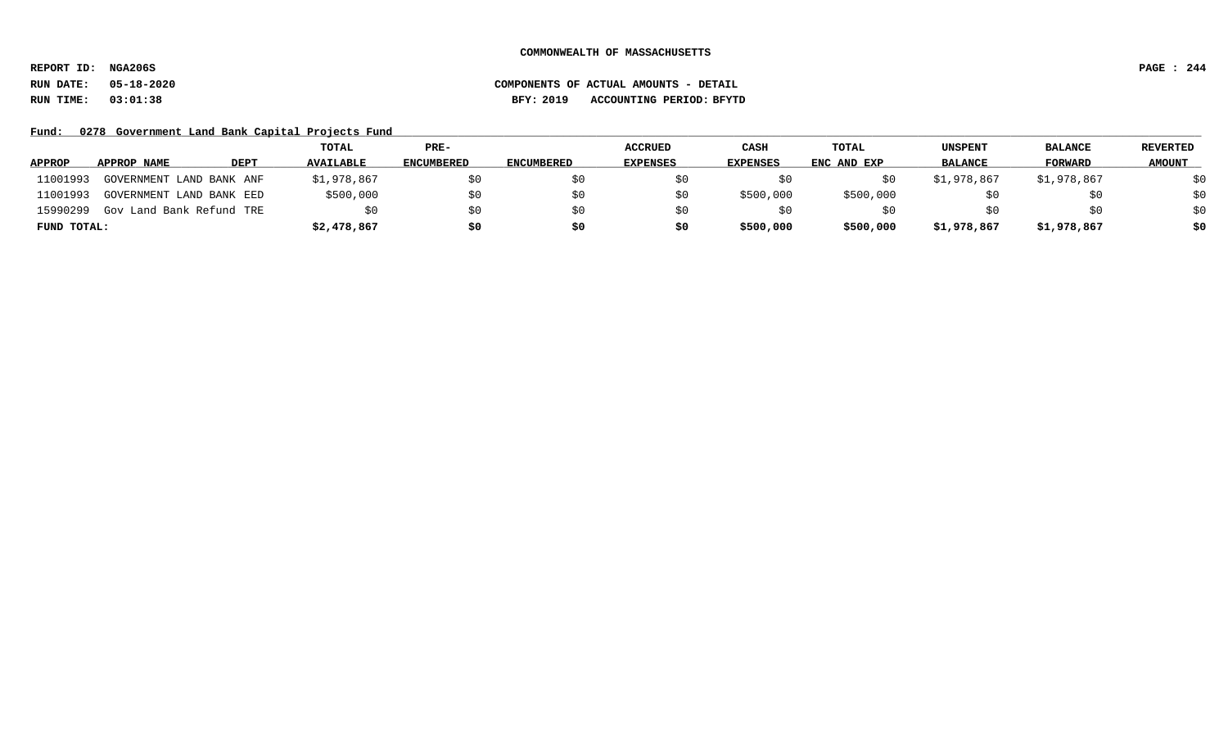**REPORT ID: NGA206S PAGE : 244**

## **RUN DATE: 05-18-2020 COMPONENTS OF ACTUAL AMOUNTS - DETAIL RUN TIME: 03:01:38 BFY: 2019 ACCOUNTING PERIOD: BFYTD**

Fund: 0278 Government Land Bank Capital Projects Fund

|               |                          |      | TOTAL            | PRE-              |                   | <b>ACCRUED</b>  | CASH            | TOTAL       | <b>UNSPENT</b> | <b>BALANCE</b> | <b>REVERTED</b> |
|---------------|--------------------------|------|------------------|-------------------|-------------------|-----------------|-----------------|-------------|----------------|----------------|-----------------|
| <b>APPROP</b> | APPROP NAME              | DEPT | <b>AVAILABLE</b> | <b>ENCUMBERED</b> | <b>ENCUMBERED</b> | <b>EXPENSES</b> | <b>EXPENSES</b> | ENC AND EXP | <b>BALANCE</b> | FORWARD        | <b>AMOUNT</b>   |
| 11001993      | GOVERNMENT LAND BANK ANF |      | \$1,978,867      | S0                |                   |                 |                 |             | \$1,978,867    | \$1,978,867    | \$0             |
| 11001993      | GOVERNMENT LAND BANK EED |      | \$500,000        | SO.               |                   |                 | \$500,000       | \$500,000   | SU.            | \$0            | \$0             |
| 15990299      | Gov Land Bank Refund TRE |      | SO.              | \$0               |                   |                 |                 |             | \$0            | \$0            | \$0             |
| FUND TOTAL:   |                          |      | \$2,478,867      | \$0               | \$0               | so              | \$500,000       | \$500,000   | \$1,978,867    | \$1,978,867    | \$0             |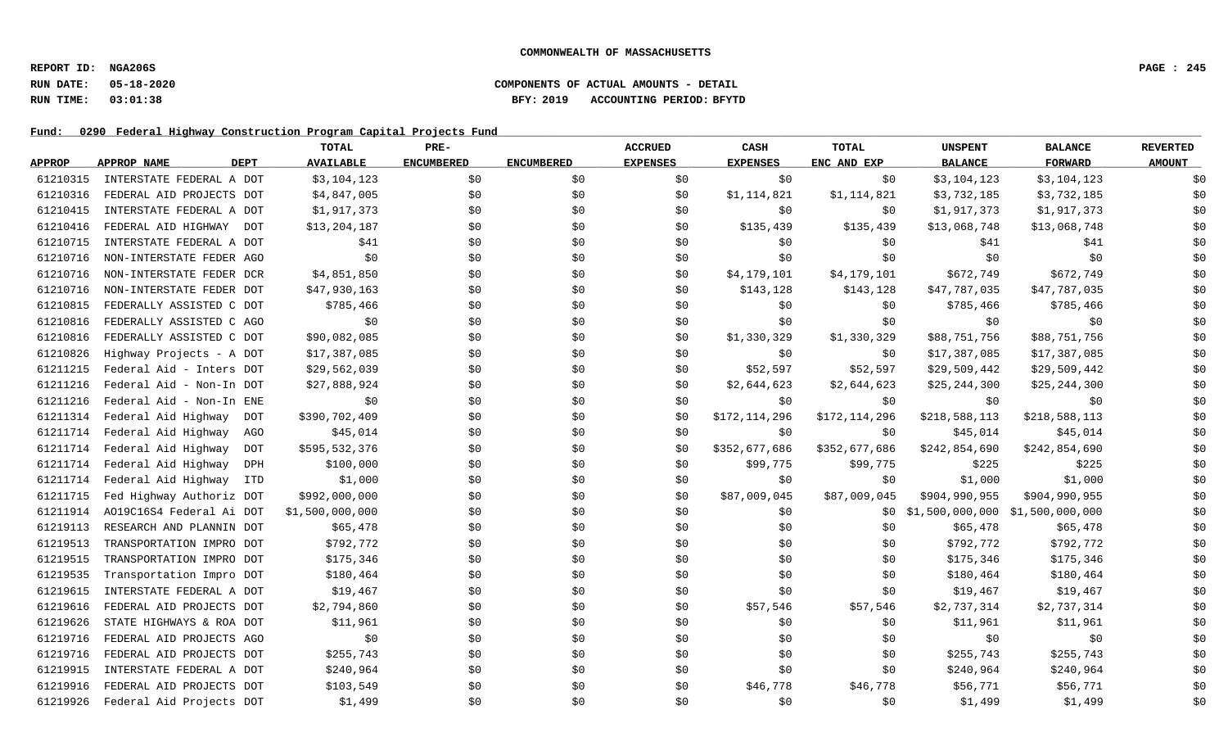**REPORT ID: NGA206S PAGE : 245**

### **RUN DATE: 05-18-2020 COMPONENTS OF ACTUAL AMOUNTS - DETAIL RUN TIME: 03:01:38 BFY: 2019 ACCOUNTING PERIOD: BFYTD**

Fund: 0290 Federal Highway Construction Program Capital Projects Fund

|               |                            | TOTAL            | PRE-              |                   | <b>ACCRUED</b>  | CASH            | <b>TOTAL</b>  | <b>UNSPENT</b>                    | <b>BALANCE</b> | <b>REVERTED</b> |
|---------------|----------------------------|------------------|-------------------|-------------------|-----------------|-----------------|---------------|-----------------------------------|----------------|-----------------|
| <b>APPROP</b> | APPROP NAME<br><b>DEPT</b> | <b>AVAILABLE</b> | <b>ENCUMBERED</b> | <b>ENCUMBERED</b> | <b>EXPENSES</b> | <b>EXPENSES</b> | ENC AND EXP   | <b>BALANCE</b>                    | <b>FORWARD</b> | <b>AMOUNT</b>   |
| 61210315      | INTERSTATE FEDERAL A DOT   | \$3,104,123      | \$0               | \$0               | \$0             | \$0             | \$0           | \$3,104,123                       | \$3,104,123    | \$0             |
| 61210316      | FEDERAL AID PROJECTS DOT   | \$4,847,005      | \$0               | \$0\$             | \$0             | \$1,114,821     | \$1,114,821   | \$3,732,185                       | \$3,732,185    | \$0             |
| 61210415      | INTERSTATE FEDERAL A DOT   | \$1,917,373      | \$0               | \$0               | \$0             | \$0             | \$0           | \$1,917,373                       | \$1,917,373    | \$0             |
| 61210416      | FEDERAL AID HIGHWAY DOT    | \$13,204,187     | \$0               | \$0               | \$0             | \$135,439       | \$135,439     | \$13,068,748                      | \$13,068,748   | \$0             |
| 61210715      | INTERSTATE FEDERAL A DOT   | \$41             | \$0               | \$0               | \$0             | \$0             | \$0           | \$41                              | \$41           | \$0             |
| 61210716      | NON-INTERSTATE FEDER AGO   | \$0              | \$0               | \$0               | \$0             | \$0             | \$0           | \$0                               | \$0            | \$0             |
| 61210716      | NON-INTERSTATE FEDER DCR   | \$4,851,850      | \$0               | \$0               | \$0             | \$4,179,101     | \$4,179,101   | \$672,749                         | \$672,749      | \$0             |
| 61210716      | NON-INTERSTATE FEDER DOT   | \$47,930,163     | \$0               | \$0               | \$0             | \$143,128       | \$143,128     | \$47,787,035                      | \$47,787,035   | \$0             |
| 61210815      | FEDERALLY ASSISTED C DOT   | \$785,466        | \$0               | \$0               | \$0             | \$0             | \$0           | \$785,466                         | \$785,466      | \$0             |
| 61210816      | FEDERALLY ASSISTED C AGO   | \$0              | \$0               | \$0               | \$0             | \$0             | \$0           | \$0                               | \$0            | \$0             |
| 61210816      | FEDERALLY ASSISTED C DOT   | \$90,082,085     | \$0               | \$0               | \$0             | \$1,330,329     | \$1,330,329   | \$88,751,756                      | \$88,751,756   | \$0             |
| 61210826      | Highway Projects - A DOT   | \$17,387,085     | \$0               | \$0               | \$0             | \$0             | \$0           | \$17,387,085                      | \$17,387,085   | \$0             |
| 61211215      | Federal Aid - Inters DOT   | \$29,562,039     | \$0               | \$0               | \$0             | \$52,597        | \$52,597      | \$29,509,442                      | \$29,509,442   | \$0             |
| 61211216      | Federal Aid - Non-In DOT   | \$27,888,924     | \$0               | \$0               | \$0             | \$2,644,623     | \$2,644,623   | \$25, 244, 300                    | \$25, 244, 300 | \$0             |
| 61211216      | Federal Aid - Non-In ENE   | \$0              | \$0               | \$0\$             | \$0             | \$0             | \$0           | \$0                               | \$0            | \$0             |
| 61211314      | Federal Aid Highway DOT    | \$390,702,409    | \$0               | \$0               | \$0             | \$172,114,296   | \$172,114,296 | \$218,588,113                     | \$218,588,113  | \$0             |
| 61211714      | Federal Aid Highway<br>AGO | \$45,014         | \$0               | \$0               | \$0             | \$0             | \$0           | \$45,014                          | \$45,014       | \$0             |
| 61211714      | Federal Aid Highway<br>DOT | \$595,532,376    | \$0               | \$0               | \$0             | \$352,677,686   | \$352,677,686 | \$242,854,690                     | \$242,854,690  | \$0             |
| 61211714      | Federal Aid Highway<br>DPH | \$100,000        | \$0               | \$0               | \$0             | \$99,775        | \$99,775      | \$225                             | \$225          | \$0             |
| 61211714      | Federal Aid Highway<br>ITD | \$1,000          | \$0               | \$0               | \$0             | \$0             | \$0           | \$1,000                           | \$1,000        | \$0             |
| 61211715      | Fed Highway Authoriz DOT   | \$992,000,000    | \$0               | \$0               | \$0             | \$87,009,045    | \$87,009,045  | \$904,990,955                     | \$904,990,955  | \$0             |
| 61211914      | A019C16S4 Federal Ai DOT   | \$1,500,000,000  | \$0               | \$0               | \$0             | \$0             | SO.           | $$1,500,000,000$ $$1,500,000,000$ |                | \$0             |
| 61219113      | RESEARCH AND PLANNIN DOT   | \$65,478         | \$0               | \$0               | \$0             | \$0             | \$0           | \$65,478                          | \$65,478       | \$0             |
| 61219513      | TRANSPORTATION IMPRO DOT   | \$792,772        | \$0               | \$0               | \$0             | \$0\$           | \$0           | \$792,772                         | \$792,772      | \$0             |
| 61219515      | TRANSPORTATION IMPRO DOT   | \$175,346        | \$0               | \$0               | \$0             | \$0             | \$0           | \$175,346                         | \$175,346      | \$0             |
| 61219535      | Transportation Impro DOT   | \$180,464        | \$0               | \$0               | \$0             | \$0             | \$0           | \$180,464                         | \$180,464      | \$0             |
| 61219615      | INTERSTATE FEDERAL A DOT   | \$19,467         | \$0               | \$0               | \$0             | \$0             | \$0\$         | \$19,467                          | \$19,467       | \$0             |
| 61219616      | FEDERAL AID PROJECTS DOT   | \$2,794,860      | \$0               | \$0               | \$0             | \$57,546        | \$57,546      | \$2,737,314                       | \$2,737,314    | \$0             |
| 61219626      | STATE HIGHWAYS & ROA DOT   | \$11,961         | \$0               | \$0               | \$0             | \$0             | \$0           | \$11,961                          | \$11,961       | \$0             |
| 61219716      | FEDERAL AID PROJECTS AGO   | \$0              | \$0               | \$0               | \$0             | \$0             | \$0           | \$0                               | \$0            | \$0             |
| 61219716      | FEDERAL AID PROJECTS DOT   | \$255,743        | \$0               | \$0               | \$0             | \$0             | \$0           | \$255,743                         | \$255,743      | \$0             |
| 61219915      | INTERSTATE FEDERAL A DOT   | \$240,964        | \$0               | \$0               | \$0             | \$0             | \$0           | \$240,964                         | \$240,964      | \$0             |
| 61219916      | FEDERAL AID PROJECTS DOT   | \$103,549        | \$0               | \$0               | \$0             | \$46,778        | \$46,778      | \$56,771                          | \$56,771       | \$0             |
| 61219926      | Federal Aid Projects DOT   | \$1,499          | \$0               | \$0               | \$0             | \$0             | \$0           | \$1,499                           | \$1,499        | \$0             |
|               |                            |                  |                   |                   |                 |                 |               |                                   |                |                 |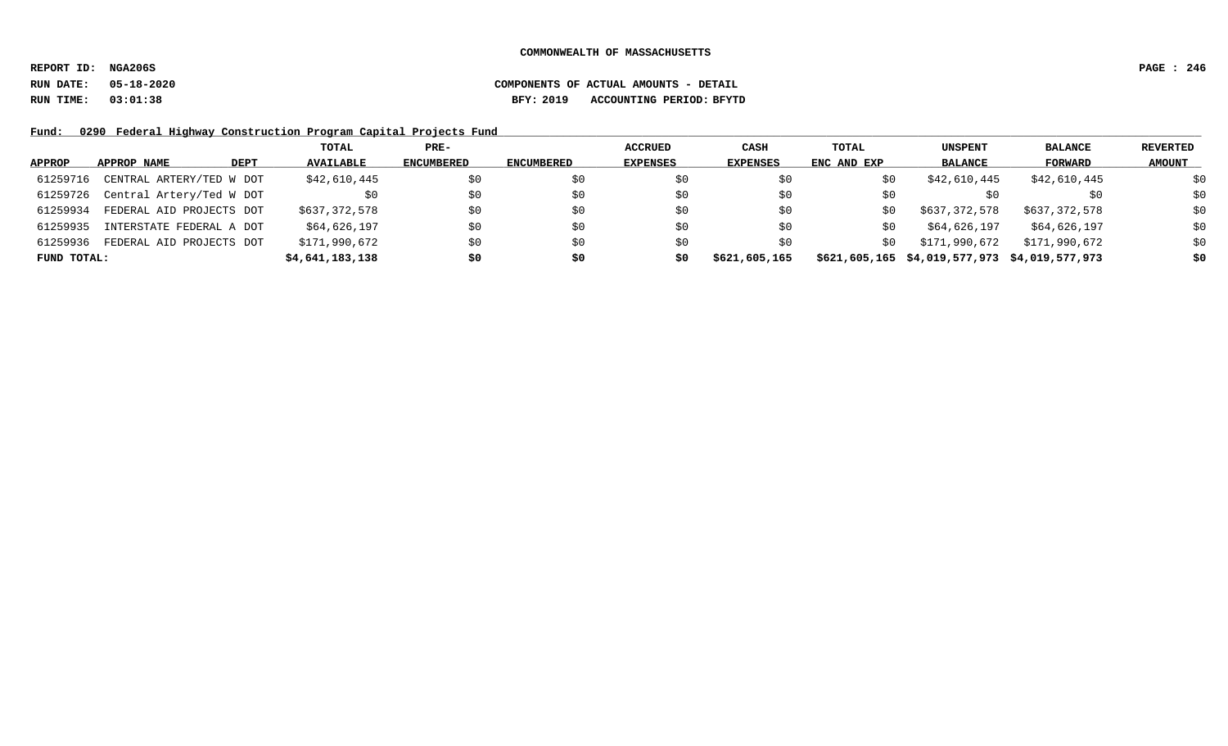**REPORT ID: NGA206S PAGE : 246**

**RUN DATE: 05-18-2020 COMPONENTS OF ACTUAL AMOUNTS - DETAIL RUN TIME: 03:01:38 BFY: 2019 ACCOUNTING PERIOD: BFYTD**

Fund: 0290 Federal Highway Construction Program Capital Projects Fund

|               |                          | TOTAL            | $PRE-$            |            | <b>ACCRUED</b>  | CASH            | TOTAL       | <b>UNSPENT</b>                | <b>BALANCE</b>  | REVERTED      |
|---------------|--------------------------|------------------|-------------------|------------|-----------------|-----------------|-------------|-------------------------------|-----------------|---------------|
| <b>APPROP</b> | DEPT<br>APPROP NAME      | <b>AVAILABLE</b> | <b>ENCUMBERED</b> | ENCUMBERED | <b>EXPENSES</b> | <b>EXPENSES</b> | ENC AND EXP | <b>BALANCE</b>                | FORWARD         | <b>AMOUNT</b> |
| 61259716      | CENTRAL ARTERY/TED W DOT | \$42,610,445     | \$0               |            |                 | \$0             | \$0         | \$42,610,445                  | \$42,610,445    | \$0           |
| 61259726      | Central Artery/Ted W DOT |                  | \$0               | \$0        | S0              | \$0             | \$0         |                               | \$0             | \$0           |
| 61259934      | FEDERAL AID PROJECTS DOT | \$637,372,578    | \$0               |            | S0              | \$0             | S0          | \$637,372,578                 | \$637,372,578   | \$0           |
| 61259935      | INTERSTATE FEDERAL A DOT | \$64,626,197     | \$0               | \$0        | S0              | \$0             | S0          | \$64,626,197                  | \$64,626,197    | \$0           |
| 61259936      | FEDERAL AID PROJECTS DOT | \$171,990,672    | \$0               | \$0        | S0              | \$0             | \$0         | \$171,990,672                 | \$171,990,672   | \$0           |
| FUND TOTAL:   |                          | \$4,641,183,138  | \$0               | S0         | S0              | \$621,605,165   |             | \$621,605,165 \$4,019,577,973 | \$4,019,577,973 | \$0           |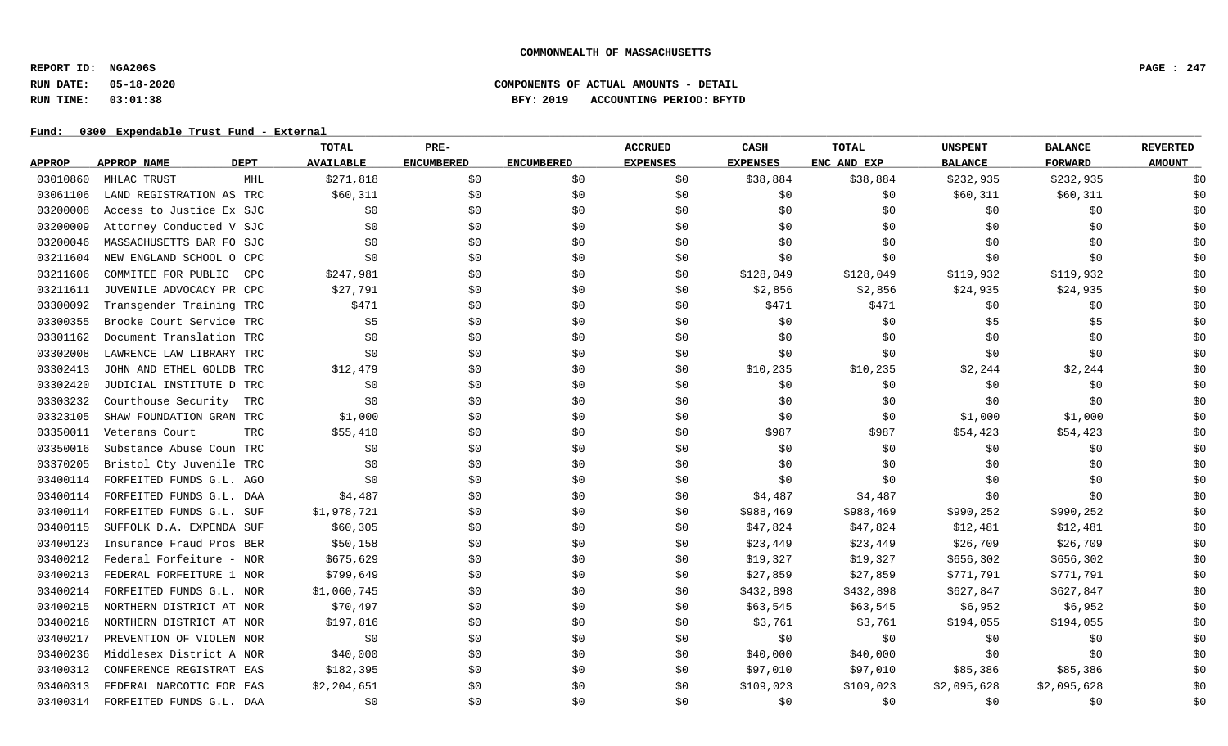**REPORT ID: NGA206S PAGE : 247**

## **RUN DATE: 05-18-2020 COMPONENTS OF ACTUAL AMOUNTS - DETAIL RUN TIME: 03:01:38 BFY: 2019 ACCOUNTING PERIOD: BFYTD**

|               |                          |      | TOTAL            | PRE-              |                   | <b>ACCRUED</b>  | CASH            | <b>TOTAL</b> | <b>UNSPENT</b> | <b>BALANCE</b> | <b>REVERTED</b> |
|---------------|--------------------------|------|------------------|-------------------|-------------------|-----------------|-----------------|--------------|----------------|----------------|-----------------|
| <b>APPROP</b> | APPROP NAME              | DEPT | <b>AVAILABLE</b> | <b>ENCUMBERED</b> | <b>ENCUMBERED</b> | <b>EXPENSES</b> | <b>EXPENSES</b> | ENC AND EXP  | <b>BALANCE</b> | <b>FORWARD</b> | <b>AMOUNT</b>   |
| 03010860      | MHLAC TRUST              | MHL  | \$271,818        | \$0               | \$0               | \$0             | \$38,884        | \$38,884     | \$232,935      | \$232,935      | \$0             |
| 03061106      | LAND REGISTRATION AS TRC |      | \$60,311         | \$0\$             | \$0               | \$0             | \$0             | \$0          | \$60,311       | \$60,311       | \$0             |
| 03200008      | Access to Justice Ex SJC |      | \$0              | \$0\$             | \$0               | \$0             | \$0             | \$0          | \$0            | \$0            | \$0             |
| 03200009      | Attorney Conducted V SJC |      | \$0              | \$0               | \$0               | \$0             | \$0             | \$0          | \$0            | \$0            | \$0             |
| 03200046      | MASSACHUSETTS BAR FO SJC |      | \$0              | \$0               | \$0               | \$0             | \$0             | \$0          | \$0            | \$0            | \$0             |
| 03211604      | NEW ENGLAND SCHOOL O CPC |      | \$0              | \$0               | \$0               | \$0             | \$0             | \$0          | \$0            | \$0            | \$0             |
| 03211606      | COMMITEE FOR PUBLIC      | CPC  | \$247,981        | \$0               | \$0               | \$0             | \$128,049       | \$128,049    | \$119,932      | \$119,932      | \$0             |
| 03211611      | JUVENILE ADVOCACY PR CPC |      | \$27,791         | \$0               | \$0               | \$0             | \$2,856         | \$2,856      | \$24,935       | \$24,935       | \$0             |
| 03300092      | Transgender Training TRC |      | \$471            | \$0               | \$0               | \$0             | \$471           | \$471        | \$0            | \$0            | \$0             |
| 03300355      | Brooke Court Service TRC |      | \$5              | \$0               | \$0               | \$0             | \$0             | \$0          | \$5            | \$5            | \$0             |
| 03301162      | Document Translation TRC |      | \$0              | \$0               | \$0               | \$0             | \$0             | \$0          | \$0            | \$0            | \$0             |
| 03302008      | LAWRENCE LAW LIBRARY TRC |      | \$0              | \$0               | \$0               | \$0             | \$0             | \$0          | \$0            | \$0            | \$0             |
| 03302413      | JOHN AND ETHEL GOLDB TRC |      | \$12,479         | \$0               | \$0               | \$0             | \$10,235        | \$10,235     | \$2,244        | \$2,244        | \$0             |
| 03302420      | JUDICIAL INSTITUTE D TRC |      | \$0              | \$0               | \$0               | \$0             | \$0             | \$0          | \$0            | \$0            | \$0             |
| 03303232      | Courthouse Security      | TRC  | \$0              | \$0               | \$0               | \$0             | \$0             | \$0          | \$0            | \$0            | \$0             |
| 03323105      | SHAW FOUNDATION GRAN TRC |      | \$1,000          | \$0\$             | \$0               | \$0             | \$0             | \$0          | \$1,000        | \$1,000        | \$0             |
| 03350011      | Veterans Court           | TRC  | \$55,410         | \$0               | \$0               | \$0             | \$987           | \$987        | \$54,423       | \$54,423       | \$0             |
| 03350016      | Substance Abuse Coun TRC |      | \$0              | \$0               | \$0               | \$0             | \$0             | \$0          | \$0            | \$0            | \$0             |
| 03370205      | Bristol Cty Juvenile TRC |      | \$0              | \$0               | \$0               | \$0             | \$0             | \$0          | \$0            | \$0            | \$0             |
| 03400114      | FORFEITED FUNDS G.L. AGO |      | \$0              | \$0               | \$0               | \$0             | \$0             | \$0          | \$0            | \$0            | \$0             |
| 03400114      | FORFEITED FUNDS G.L. DAA |      | \$4,487          | \$0               | \$0               | \$0             | \$4,487         | \$4,487      | \$0            | \$0            | \$0             |
| 03400114      | FORFEITED FUNDS G.L. SUF |      | \$1,978,721      | \$0\$             | \$0               | \$0             | \$988,469       | \$988,469    | \$990,252      | \$990,252      | \$0             |
| 03400115      | SUFFOLK D.A. EXPENDA SUF |      | \$60,305         | \$0               | \$0               | \$0             | \$47,824        | \$47,824     | \$12,481       | \$12,481       | \$0             |
| 03400123      | Insurance Fraud Pros BER |      | \$50,158         | \$0               | \$0               | \$0             | \$23,449        | \$23,449     | \$26,709       | \$26,709       | \$0             |
| 03400212      | Federal Forfeiture - NOR |      | \$675,629        | \$0               | \$0               | \$0             | \$19,327        | \$19,327     | \$656,302      | \$656,302      | \$0             |
| 03400213      | FEDERAL FORFEITURE 1 NOR |      | \$799,649        | \$0               | \$0               | \$0             | \$27,859        | \$27,859     | \$771,791      | \$771,791      | \$0             |
| 03400214      | FORFEITED FUNDS G.L. NOR |      | \$1,060,745      | \$0               | \$0               | \$0             | \$432,898       | \$432,898    | \$627,847      | \$627,847      | \$0             |
| 03400215      | NORTHERN DISTRICT AT NOR |      | \$70,497         | \$0               | \$0               | \$0             | \$63,545        | \$63,545     | \$6,952        | \$6,952        | \$0             |
| 03400216      | NORTHERN DISTRICT AT NOR |      | \$197,816        | \$0               | \$0               | \$0             | \$3,761         | \$3,761      | \$194,055      | \$194,055      | \$0             |
| 03400217      | PREVENTION OF VIOLEN NOR |      | \$0              | \$0               | \$0               | \$0             | \$0             | \$0          | \$0            | \$0            | \$0             |
| 03400236      | Middlesex District A NOR |      | \$40,000         | \$0               | \$0               | \$0             | \$40,000        | \$40,000     | \$0            | \$0            | \$0             |
| 03400312      | CONFERENCE REGISTRAT EAS |      | \$182,395        | \$0               | \$0               | \$0             | \$97,010        | \$97,010     | \$85,386       | \$85,386       | \$0             |
| 03400313      | FEDERAL NARCOTIC FOR EAS |      | \$2,204,651      | \$0\$             | \$0               | SO.             | \$109,023       | \$109,023    | \$2,095,628    | \$2,095,628    | \$0             |
| 03400314      | FORFEITED FUNDS G.L. DAA |      | \$0              | \$0\$             | \$0               | \$0             | \$0             | \$0\$        | \$0            | \$0            | \$0             |
|               |                          |      |                  |                   |                   |                 |                 |              |                |                |                 |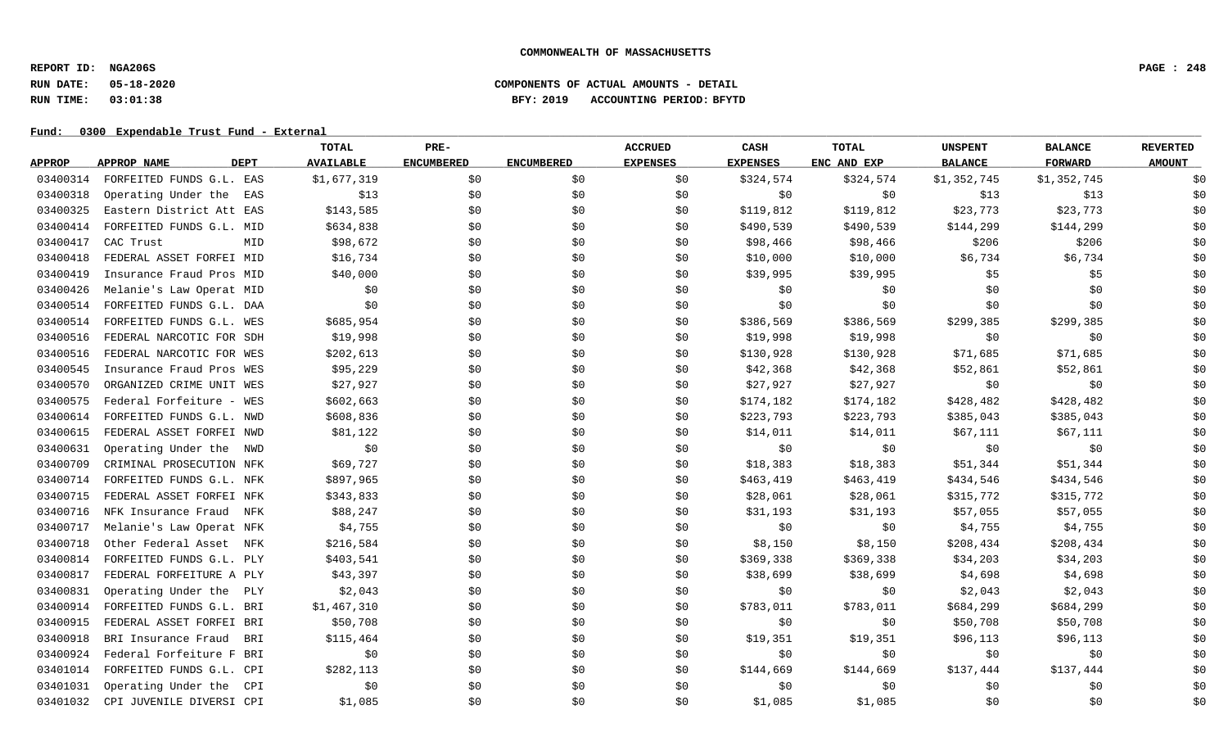**REPORT ID: NGA206S PAGE : 248**

## **RUN DATE: 05-18-2020 COMPONENTS OF ACTUAL AMOUNTS - DETAIL RUN TIME: 03:01:38 BFY: 2019 ACCOUNTING PERIOD: BFYTD**

|               |                            | TOTAL            | PRE-              |                   | <b>ACCRUED</b>  | CASH            | <b>TOTAL</b> | <b>UNSPENT</b> | <b>BALANCE</b> | <b>REVERTED</b> |
|---------------|----------------------------|------------------|-------------------|-------------------|-----------------|-----------------|--------------|----------------|----------------|-----------------|
| <b>APPROP</b> | <b>DEPT</b><br>APPROP NAME | <b>AVAILABLE</b> | <b>ENCUMBERED</b> | <b>ENCUMBERED</b> | <b>EXPENSES</b> | <b>EXPENSES</b> | ENC AND EXP  | <b>BALANCE</b> | <b>FORWARD</b> | <b>AMOUNT</b>   |
| 03400314      | FORFEITED FUNDS G.L. EAS   | \$1,677,319      | \$0               | \$0               | \$0             | \$324,574       | \$324,574    | \$1,352,745    | \$1,352,745    | \$0             |
| 03400318      | Operating Under the<br>EAS | \$13             | \$0               | \$0               | \$0             | \$0\$           | \$0          | \$13           | \$13           | \$0             |
| 03400325      | Eastern District Att EAS   | \$143,585        | \$0               | \$0               | \$0             | \$119,812       | \$119,812    | \$23,773       | \$23,773       | \$0             |
| 03400414      | FORFEITED FUNDS G.L. MID   | \$634,838        | \$0               | \$0               | \$0             | \$490,539       | \$490,539    | \$144,299      | \$144,299      | \$0             |
| 03400417      | CAC Trust<br>MID           | \$98,672         | \$0               | \$0               | \$0             | \$98,466        | \$98,466     | \$206          | \$206          | \$0             |
| 03400418      | FEDERAL ASSET FORFEI MID   | \$16,734         | \$0               | \$0               | \$0             | \$10,000        | \$10,000     | \$6,734        | \$6,734        | \$0             |
| 03400419      | Insurance Fraud Pros MID   | \$40,000         | \$0               | \$0               | \$0             | \$39,995        | \$39,995     | \$5            | \$5            | \$0             |
| 03400426      | Melanie's Law Operat MID   | \$0              | \$0               | \$0               | \$0             | \$0             | \$0          | \$0            | \$0            | \$0             |
| 03400514      | FORFEITED FUNDS G.L. DAA   | \$0              | \$0               | \$0               | \$0             | \$0             | \$0          | \$0            | \$0            | \$0             |
| 03400514      | FORFEITED FUNDS G.L. WES   | \$685,954        | \$0               | \$0               | \$0             | \$386,569       | \$386,569    | \$299,385      | \$299,385      | \$0             |
| 03400516      | FEDERAL NARCOTIC FOR SDH   | \$19,998         | \$0               | \$0               | \$0             | \$19,998        | \$19,998     | \$0            | \$0            | \$0             |
| 03400516      | FEDERAL NARCOTIC FOR WES   | \$202,613        | \$0               | \$0               | \$0             | \$130,928       | \$130,928    | \$71,685       | \$71,685       | \$0             |
| 03400545      | Insurance Fraud Pros WES   | \$95,229         | \$0\$             | \$0               | \$0             | \$42,368        | \$42,368     | \$52,861       | \$52,861       | \$0             |
| 03400570      | ORGANIZED CRIME UNIT WES   | \$27,927         | \$0               | \$0               | \$0             | \$27,927        | \$27,927     | \$0            | \$0            | \$0             |
| 03400575      | Federal Forfeiture - WES   | \$602,663        | \$0               | \$0               | \$0             | \$174,182       | \$174,182    | \$428,482      | \$428,482      | \$0             |
| 03400614      | FORFEITED FUNDS G.L. NWD   | \$608,836        | \$0               | \$0               | \$0             | \$223,793       | \$223,793    | \$385,043      | \$385,043      | \$0             |
| 03400615      | FEDERAL ASSET FORFEI NWD   | \$81,122         | \$0               | \$0               | \$0             | \$14,011        | \$14,011     | \$67,111       | \$67,111       | \$0             |
| 03400631      | Operating Under the NWD    | \$0              | \$0               | \$0               | \$0             | \$0             | \$0          | \$0            | \$0            | \$0             |
| 03400709      | CRIMINAL PROSECUTION NFK   | \$69,727         | \$0               | \$0               | \$0             | \$18,383        | \$18,383     | \$51,344       | \$51,344       | \$0             |
| 03400714      | FORFEITED FUNDS G.L. NFK   | \$897,965        | \$0               | \$0               | \$0             | \$463,419       | \$463,419    | \$434,546      | \$434,546      | \$0             |
| 03400715      | FEDERAL ASSET FORFEI NFK   | \$343,833        | \$0               | \$0               | \$0             | \$28,061        | \$28,061     | \$315,772      | \$315,772      | \$0             |
| 03400716      | NFK Insurance Fraud<br>NFK | \$88,247         | \$0               | \$0               | \$0             | \$31,193        | \$31,193     | \$57,055       | \$57,055       | \$0             |
| 03400717      | Melanie's Law Operat NFK   | \$4,755          | \$0               | \$0               | \$0             | \$0             | \$0          | \$4,755        | \$4,755        | \$0             |
| 03400718      | Other Federal Asset<br>NFK | \$216,584        | \$0               | \$0               | \$0             | \$8,150         | \$8,150      | \$208,434      | \$208,434      | \$0             |
| 03400814      | FORFEITED FUNDS G.L. PLY   | \$403,541        | \$0               | \$0               | \$0             | \$369,338       | \$369,338    | \$34,203       | \$34,203       | \$0             |
| 03400817      | FEDERAL FORFEITURE A PLY   | \$43,397         | \$0               | \$0               | \$0             | \$38,699        | \$38,699     | \$4,698        | \$4,698        | \$0             |
| 03400831      | Operating Under the<br>PLY | \$2,043          | \$0               | \$0               | \$0             | \$0\$           | \$0          | \$2,043        | \$2,043        | \$0             |
| 03400914      | FORFEITED FUNDS G.L. BRI   | \$1,467,310      | \$0               | \$0               | \$0             | \$783,011       | \$783,011    | \$684,299      | \$684,299      | \$0             |
| 03400915      | FEDERAL ASSET FORFEI BRI   | \$50,708         | \$0               | \$0               | \$0             | \$0             | \$0          | \$50,708       | \$50,708       | \$0             |
| 03400918      | BRI Insurance Fraud<br>BRI | \$115,464        | \$0               | \$0               | \$0             | \$19,351        | \$19,351     | \$96,113       | \$96,113       | \$0             |
| 03400924      | Federal Forfeiture F BRI   | \$0              | \$0               | \$0               | \$0             | \$0             | \$0          | \$0            | \$0            | \$0             |
| 03401014      | FORFEITED FUNDS G.L. CPI   | \$282,113        | \$0               | \$0               | \$0             | \$144,669       | \$144,669    | \$137,444      | \$137,444      | \$0             |
| 03401031      | Operating Under the<br>CPI | \$0              | \$0               | \$0               | \$0             | \$0             | \$0          | \$0            | \$0            | \$0             |
| 03401032      | CPI JUVENILE DIVERSI CPI   | \$1,085          | \$0               | \$0               | \$0             | \$1,085         | \$1,085      | \$0            | \$0            | \$0             |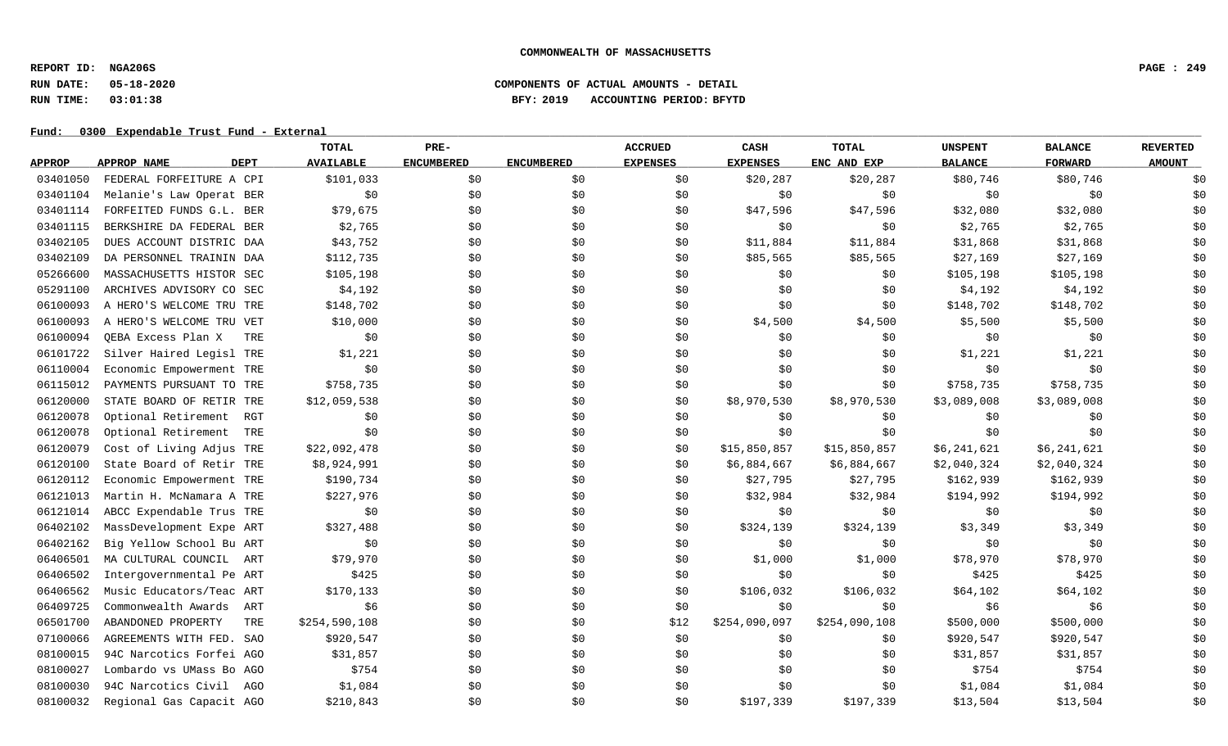**REPORT ID: NGA206S PAGE : 249**

## **RUN DATE: 05-18-2020 COMPONENTS OF ACTUAL AMOUNTS - DETAIL RUN TIME: 03:01:38 BFY: 2019 ACCOUNTING PERIOD: BFYTD**

|               |                            | TOTAL            | PRE-              |                   | <b>ACCRUED</b>  | CASH            | <b>TOTAL</b>  | <b>UNSPENT</b> | <b>BALANCE</b> | <b>REVERTED</b> |
|---------------|----------------------------|------------------|-------------------|-------------------|-----------------|-----------------|---------------|----------------|----------------|-----------------|
| <b>APPROP</b> | <b>DEPT</b><br>APPROP NAME | <b>AVAILABLE</b> | <b>ENCUMBERED</b> | <b>ENCUMBERED</b> | <b>EXPENSES</b> | <b>EXPENSES</b> | ENC AND EXP   | <b>BALANCE</b> | <b>FORWARD</b> | <b>AMOUNT</b>   |
| 03401050      | FEDERAL FORFEITURE A CPI   | \$101,033        | \$0               | \$0               | \$0             | \$20, 287       | \$20,287      | \$80,746       | \$80,746       | \$0             |
| 03401104      | Melanie's Law Operat BER   | \$0              | \$0               | \$0               | \$0             | \$0\$           | \$0           | \$0            | \$0            | \$0             |
| 03401114      | FORFEITED FUNDS G.L. BER   | \$79,675         | \$0               | \$0               | \$0             | \$47,596        | \$47,596      | \$32,080       | \$32,080       | \$0             |
| 03401115      | BERKSHIRE DA FEDERAL BER   | \$2,765          | \$0               | \$0               | \$0             | \$0             | \$0           | \$2,765        | \$2,765        | \$0             |
| 03402105      | DUES ACCOUNT DISTRIC DAA   | \$43,752         | \$0               | \$0               | \$0             | \$11,884        | \$11,884      | \$31,868       | \$31,868       | \$0             |
| 03402109      | DA PERSONNEL TRAININ DAA   | \$112,735        | \$0               | \$0               | \$0             | \$85,565        | \$85,565      | \$27,169       | \$27,169       | \$0             |
| 05266600      | MASSACHUSETTS HISTOR SEC   | \$105,198        | \$0               | \$0               | \$0             | \$0             | \$0           | \$105,198      | \$105,198      | \$0             |
| 05291100      | ARCHIVES ADVISORY CO SEC   | \$4,192          | \$0               | \$0               | \$0             | \$0             | \$0           | \$4,192        | \$4,192        | \$0             |
| 06100093      | A HERO'S WELCOME TRU TRE   | \$148,702        | \$0               | \$0               | \$0             | \$0             | \$0           | \$148,702      | \$148,702      | \$0             |
| 06100093      | A HERO'S WELCOME TRU VET   | \$10,000         | \$0               | \$0               | \$0             | \$4,500         | \$4,500       | \$5,500        | \$5,500        | \$0             |
| 06100094      | QEBA Excess Plan X<br>TRE  | \$0              | \$0               | \$0               | \$0             | \$0             | \$0           | \$0            | \$0            | \$0             |
| 06101722      | Silver Haired Legisl TRE   | \$1,221          | \$0               | \$0               | \$0             | \$0             | \$0           | \$1,221        | \$1,221        | \$0             |
| 06110004      | Economic Empowerment TRE   | \$0              | \$0\$             | \$0               | \$0             | \$0             | \$0           | \$0            | \$0            | \$0             |
| 06115012      | PAYMENTS PURSUANT TO TRE   | \$758,735        | \$0               | \$0               | \$0             | \$0             | \$0           | \$758,735      | \$758,735      | \$0             |
| 06120000      | STATE BOARD OF RETIR TRE   | \$12,059,538     | \$0\$             | \$0               | \$0             | \$8,970,530     | \$8,970,530   | \$3,089,008    | \$3,089,008    | \$0             |
| 06120078      | Optional Retirement<br>RGT | \$0              | \$0               | \$0               | \$0             | \$0             | \$0           | \$0            | \$0            | \$0             |
| 06120078      | Optional Retirement<br>TRE | \$0              | \$0               | \$0               | \$0             | \$0             | \$0           | \$0            | \$0            | \$0             |
| 06120079      | Cost of Living Adjus TRE   | \$22,092,478     | \$0               | \$0               | \$0             | \$15,850,857    | \$15,850,857  | \$6,241,621    | \$6,241,621    | \$0             |
| 06120100      | State Board of Retir TRE   | \$8,924,991      | \$0               | \$0               | \$0             | \$6,884,667     | \$6,884,667   | \$2,040,324    | \$2,040,324    | \$0             |
| 06120112      | Economic Empowerment TRE   | \$190,734        | \$0               | \$0               | \$0             | \$27,795        | \$27,795      | \$162,939      | \$162,939      | \$0             |
| 06121013      | Martin H. McNamara A TRE   | \$227,976        | \$0               | \$0               | \$0             | \$32,984        | \$32,984      | \$194,992      | \$194,992      | \$0             |
| 06121014      | ABCC Expendable Trus TRE   | \$0              | \$0               | \$0               | \$0             | \$0             | \$0           | \$0            | \$0            | \$0             |
| 06402102      | MassDevelopment Expe ART   | \$327,488        | \$0               | \$0               | \$0             | \$324,139       | \$324,139     | \$3,349        | \$3,349        | \$0             |
| 06402162      | Big Yellow School Bu ART   | \$0              | \$0               | \$0               | \$0             | \$0             | \$0           | \$0            | \$0            | \$0             |
| 06406501      | MA CULTURAL COUNCIL<br>ART | \$79,970         | \$0               | \$0               | \$0             | \$1,000         | \$1,000       | \$78,970       | \$78,970       | \$0             |
| 06406502      | Intergovernmental Pe ART   | \$425            | \$0               | \$0               | \$0             | \$0             | \$0           | \$425          | \$425          | \$0             |
| 06406562      | Music Educators/Teac ART   | \$170,133        | \$0\$             | \$0               | \$0             | \$106,032       | \$106,032     | \$64,102       | \$64,102       | \$0             |
| 06409725      | Commonwealth Awards<br>ART | \$6              | \$0               | \$0               | \$0             | \$0             | \$0           | \$6            | \$6            | \$0             |
| 06501700      | ABANDONED PROPERTY<br>TRE  | \$254,590,108    | \$0               | \$0               | \$12            | \$254,090,097   | \$254,090,108 | \$500,000      | \$500,000      | \$0             |
| 07100066      | AGREEMENTS WITH FED. SAO   | \$920,547        | \$0               | \$0               | \$0             | \$0             | \$0           | \$920,547      | \$920,547      | \$0             |
| 08100015      | 94C Narcotics Forfei AGO   | \$31,857         | \$0               | \$0               | \$0             | \$0             | \$0           | \$31,857       | \$31,857       | \$0             |
| 08100027      | Lombardo vs UMass Bo AGO   | \$754            | \$0               | \$0               | \$0             | \$0             | \$0           | \$754          | \$754          | \$0             |
| 08100030      | 94C Narcotics Civil AGO    | \$1,084          | \$0               | \$0               | \$0             | \$0             | \$0           | \$1,084        | \$1,084        | \$0             |
| 08100032      | Regional Gas Capacit AGO   | \$210,843        | \$0               | \$0               | \$0             | \$197,339       | \$197,339     | \$13,504       | \$13,504       | \$0             |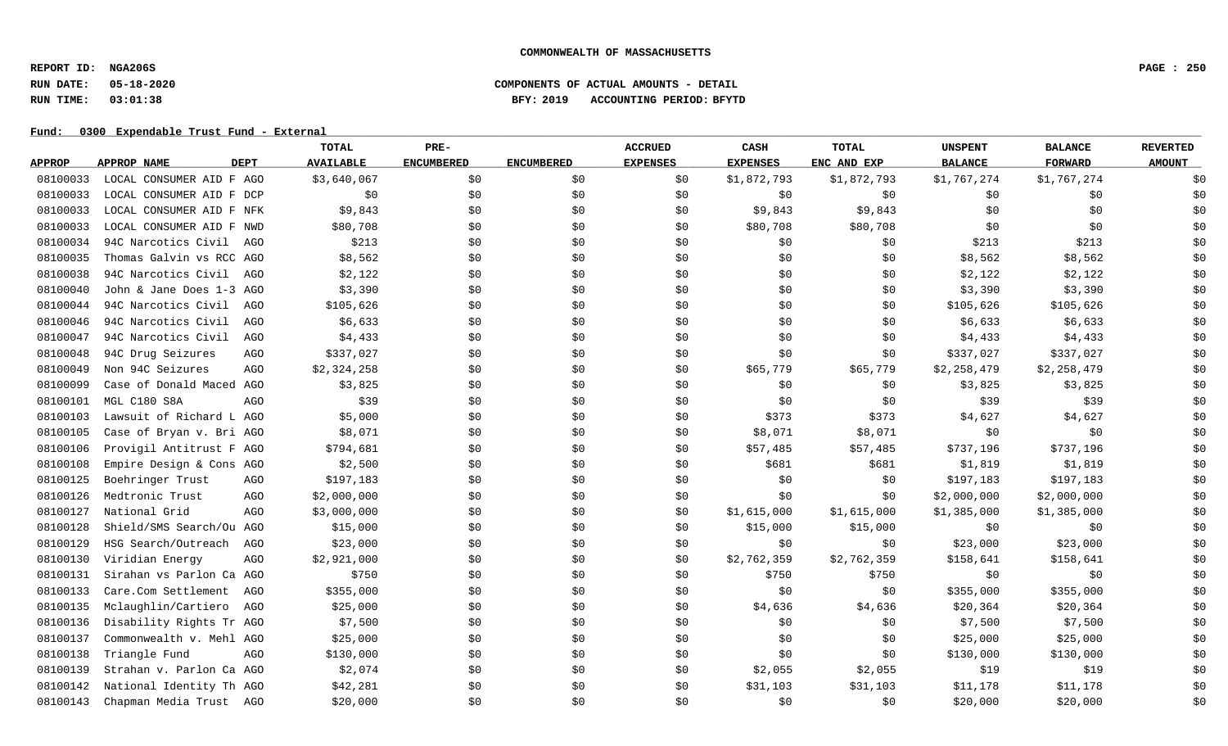**REPORT ID: NGA206S PAGE : 250**

## **RUN DATE: 05-18-2020 COMPONENTS OF ACTUAL AMOUNTS - DETAIL RUN TIME: 03:01:38 BFY: 2019 ACCOUNTING PERIOD: BFYTD**

|               |                                   | <b>TOTAL</b>     | PRE-              |                   | <b>ACCRUED</b>  | CASH            | <b>TOTAL</b> | <b>UNSPENT</b> | <b>BALANCE</b> | <b>REVERTED</b> |
|---------------|-----------------------------------|------------------|-------------------|-------------------|-----------------|-----------------|--------------|----------------|----------------|-----------------|
| <b>APPROP</b> | <b>DEPT</b><br>APPROP NAME        | <b>AVAILABLE</b> | <b>ENCUMBERED</b> | <b>ENCUMBERED</b> | <b>EXPENSES</b> | <b>EXPENSES</b> | ENC AND EXP  | <b>BALANCE</b> | <b>FORWARD</b> | <b>AMOUNT</b>   |
| 08100033      | LOCAL CONSUMER AID F AGO          | \$3,640,067      | \$0               | \$0               | \$0             | \$1,872,793     | \$1,872,793  | \$1,767,274    | \$1,767,274    | \$0             |
| 08100033      | LOCAL CONSUMER AID F DCP          | \$0              | \$0               | \$0               | \$0             | \$0             | \$0          | \$0            | \$0            | \$0             |
| 08100033      | LOCAL CONSUMER AID F NFK          | \$9,843          | \$0               | \$0               | \$0             | \$9,843         | \$9,843      | \$0            | \$0            | \$0             |
| 08100033      | LOCAL CONSUMER AID F NWD          | \$80,708         | \$0               | \$0               | \$0             | \$80,708        | \$80,708     | \$0            | \$0            | \$0             |
| 08100034      | 94C Narcotics Civil AGO           | \$213            | \$0               | \$0               | \$0             | \$0             | \$0\$        | \$213          | \$213          | \$0             |
| 08100035      | Thomas Galvin vs RCC AGO          | \$8,562          | \$0               | \$0               | \$0             | \$0             | \$0          | \$8,562        | \$8,562        | \$0             |
| 08100038      | 94C Narcotics Civil AGO           | \$2,122          | \$0               | \$0               | \$0             | \$0             | \$0          | \$2,122        | \$2,122        | \$0             |
| 08100040      | John & Jane Does 1-3 AGO          | \$3,390          | \$0               | \$0               | \$0             | \$0             | \$0          | \$3,390        | \$3,390        | \$0             |
| 08100044      | 94C Narcotics Civil<br>AGO        | \$105,626        | \$0               | \$0               | \$0             | \$0             | \$0          | \$105,626      | \$105,626      | \$0             |
| 08100046      | 94C Narcotics Civil<br><b>AGO</b> | \$6,633          | \$0               | \$0               | \$0             | \$0             | \$0          | \$6,633        | \$6,633        | \$0             |
| 08100047      | 94C Narcotics Civil<br>AGO        | \$4,433          | \$0               | \$0               | \$0             | \$0             | \$0          | \$4,433        | \$4,433        | \$0             |
| 08100048      | 94C Drug Seizures<br>AGO          | \$337,027        | \$0               | \$0               | \$0             | \$0             | \$0\$        | \$337,027      | \$337,027      | \$0             |
| 08100049      | Non 94C Seizures<br>AGO           | \$2,324,258      | \$0               | \$0\$             | \$0             | \$65,779        | \$65,779     | \$2,258,479    | \$2,258,479    | \$0             |
| 08100099      | Case of Donald Maced AGO          | \$3,825          | \$0               | \$0               | \$0             | \$0             | \$0\$        | \$3,825        | \$3,825        | \$0             |
| 08100101      | MGL C180 S8A<br><b>AGO</b>        | \$39             | \$0               | \$0               | \$0             | \$0             | \$0          | \$39           | \$39           | \$0             |
| 08100103      | Lawsuit of Richard L AGO          | \$5,000          | \$0               | \$0               | \$0             | \$373           | \$373        | \$4,627        | \$4,627        | \$0             |
| 08100105      | Case of Bryan v. Bri AGO          | \$8,071          | \$0               | \$0               | \$0             | \$8,071         | \$8,071      | \$0            | \$0            | \$0             |
| 08100106      | Provigil Antitrust F AGO          | \$794,681        | \$0               | \$0               | \$0             | \$57,485        | \$57,485     | \$737,196      | \$737,196      | \$0             |
| 08100108      | Empire Design & Cons AGO          | \$2,500          | \$0               | \$0               | \$0             | \$681           | \$681        | \$1,819        | \$1,819        | \$0             |
| 08100125      | Boehringer Trust<br>AGO           | \$197,183        | \$0               | \$0               | \$0             | \$0             | \$0          | \$197,183      | \$197,183      | \$0             |
| 08100126      | Medtronic Trust<br>AGO            | \$2,000,000      | \$0               | \$0               | \$0             | \$0             | \$0          | \$2,000,000    | \$2,000,000    | \$0             |
| 08100127      | National Grid<br>AGO              | \$3,000,000      | \$0               | \$0               | \$0             | \$1,615,000     | \$1,615,000  | \$1,385,000    | \$1,385,000    | \$0             |
| 08100128      | Shield/SMS Search/Ou AGO          | \$15,000         | \$0               | \$0               | \$0             | \$15,000        | \$15,000     | \$0            | \$0            | \$0             |
| 08100129      | HSG Search/Outreach<br>AGO        | \$23,000         | \$0               | \$0               | \$0             | \$0\$           | \$0          | \$23,000       | \$23,000       | \$0             |
| 08100130      | Viridian Energy<br>AGO            | \$2,921,000      | \$0               | \$0               | \$0             | \$2,762,359     | \$2,762,359  | \$158,641      | \$158,641      | \$0             |
| 08100131      | Sirahan vs Parlon Ca AGO          | \$750            | \$0               | \$0               | \$0             | \$750           | \$750        | \$0            | \$0            | \$0             |
| 08100133      | Care.Com Settlement<br>AGO        | \$355,000        | \$0               | \$0               | \$0             | \$0             | \$0          | \$355,000      | \$355,000      | \$0             |
| 08100135      | Mclaughlin/Cartiero<br>AGO        | \$25,000         | \$0               | \$0               | \$0             | \$4,636         | \$4,636      | \$20,364       | \$20,364       | \$0             |
| 08100136      | Disability Rights Tr AGO          | \$7,500          | \$0               | \$0               | \$0             | \$0             | \$0\$        | \$7,500        | \$7,500        | \$0             |
| 08100137      | Commonwealth v. Mehl AGO          | \$25,000         | \$0               | \$0               | \$0             | \$0             | \$0          | \$25,000       | \$25,000       | \$0             |
| 08100138      | Triangle Fund<br>AG <sub>O</sub>  | \$130,000        | \$0               | \$0               | \$0             | \$0             | \$0          | \$130,000      | \$130,000      | \$0             |
| 08100139      | Strahan v. Parlon Ca AGO          | \$2,074          | \$0               | \$0               | \$0             | \$2,055         | \$2,055      | \$19           | \$19           | \$0             |
| 08100142      | National Identity Th AGO          | \$42,281         | \$0               | \$0               | \$0             | \$31,103        | \$31,103     | \$11,178       | \$11,178       | \$0             |
| 08100143      | Chapman Media Trust AGO           | \$20,000         | \$0\$             | \$0               | \$0             | \$0             | \$0\$        | \$20,000       | \$20,000       | \$0             |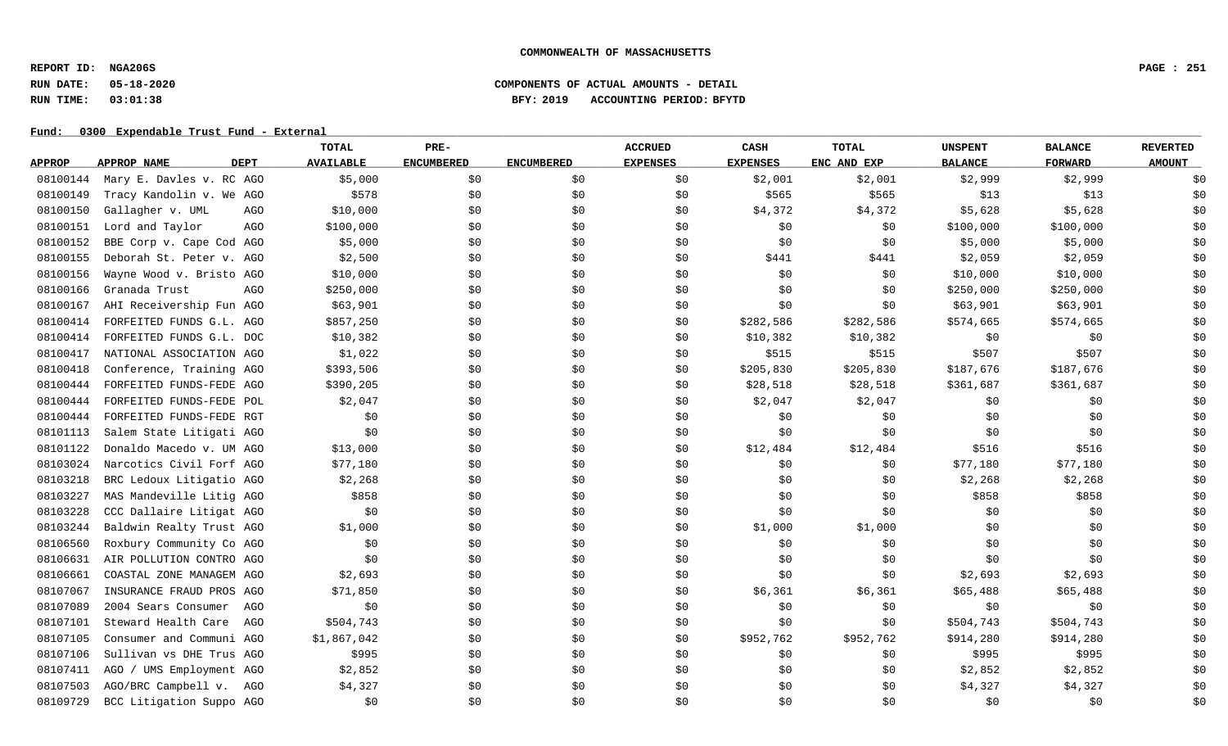**REPORT ID: NGA206S PAGE : 251**

## **RUN DATE: 05-18-2020 COMPONENTS OF ACTUAL AMOUNTS - DETAIL RUN TIME: 03:01:38 BFY: 2019 ACCOUNTING PERIOD: BFYTD**

|               |                               | TOTAL            | PRE-              |                   | <b>ACCRUED</b>  | CASH            | <b>TOTAL</b> | <b>UNSPENT</b> | <b>BALANCE</b> | <b>REVERTED</b> |
|---------------|-------------------------------|------------------|-------------------|-------------------|-----------------|-----------------|--------------|----------------|----------------|-----------------|
| <b>APPROP</b> | <b>DEPT</b><br>APPROP NAME    | <b>AVAILABLE</b> | <b>ENCUMBERED</b> | <b>ENCUMBERED</b> | <b>EXPENSES</b> | <b>EXPENSES</b> | ENC AND EXP  | <b>BALANCE</b> | <b>FORWARD</b> | <b>AMOUNT</b>   |
| 08100144      | Mary E. Davles v. RC AGO      | \$5,000          | \$0               | \$0               | \$0             | \$2,001         | \$2,001      | \$2,999        | \$2,999        | \$0             |
| 08100149      | Tracy Kandolin v. We AGO      | \$578            | \$0               | \$0               | \$0             | \$565           | \$565        | \$13           | \$13           | \$0             |
| 08100150      | Gallagher v. UML<br>AGO       | \$10,000         | \$0               | \$0               | \$0             | \$4,372         | \$4,372      | \$5,628        | \$5,628        | \$0             |
| 08100151      | Lord and Taylor<br><b>AGO</b> | \$100,000        | \$0               | \$0               | \$0             | \$0             | \$0          | \$100,000      | \$100,000      | \$0             |
| 08100152      | BBE Corp v. Cape Cod AGO      | \$5,000          | \$0               | \$0               | \$0             | \$0             | \$0          | \$5,000        | \$5,000        | \$0             |
| 08100155      | Deborah St. Peter v. AGO      | \$2,500          | \$0               | \$0               | \$0             | \$441           | \$441        | \$2,059        | \$2,059        | \$0             |
| 08100156      | Wayne Wood v. Bristo AGO      | \$10,000         | \$0               | \$0               | \$0             | \$0             | \$0          | \$10,000       | \$10,000       | \$0             |
| 08100166      | Granada Trust<br>AGO          | \$250,000        | \$0               | \$0               | \$0             | \$0             | \$0          | \$250,000      | \$250,000      | \$0             |
| 08100167      | AHI Receivership Fun AGO      | \$63,901         | \$0               | \$0               | \$0             | \$0             | \$0          | \$63,901       | \$63,901       | \$0             |
| 08100414      | FORFEITED FUNDS G.L. AGO      | \$857,250        | \$0               | \$0               | \$0             | \$282,586       | \$282,586    | \$574,665      | \$574,665      | \$0             |
| 08100414      | FORFEITED FUNDS G.L. DOC      | \$10,382         | \$0               | \$0               | \$0             | \$10,382        | \$10,382     | \$0            | \$0            | \$0             |
| 08100417      | NATIONAL ASSOCIATION AGO      | \$1,022          | \$0               | \$0               | \$0             | \$515           | \$515        | \$507          | \$507          | \$0             |
| 08100418      | Conference, Training AGO      | \$393,506        | \$0               | \$0               | \$0             | \$205,830       | \$205,830    | \$187,676      | \$187,676      | \$0             |
| 08100444      | FORFEITED FUNDS-FEDE AGO      | \$390,205        | \$0               | \$0               | \$0             | \$28,518        | \$28,518     | \$361,687      | \$361,687      | \$0             |
| 08100444      | FORFEITED FUNDS-FEDE POL      | \$2,047          | \$0               | \$0               | \$0             | \$2,047         | \$2,047      | \$0            | \$0            | \$0             |
| 08100444      | FORFEITED FUNDS-FEDE RGT      | \$0              | \$0               | \$0               | \$0             | \$0             | \$0          | \$0            | \$0            | \$0             |
| 08101113      | Salem State Litigati AGO      | \$0              | \$0               | \$0               | \$0             | \$0             | \$0          | \$0            | \$0            | \$0             |
| 08101122      | Donaldo Macedo v. UM AGO      | \$13,000         | \$0               | \$0               | \$0             | \$12,484        | \$12,484     | \$516          | \$516          | \$0             |
| 08103024      | Narcotics Civil Forf AGO      | \$77,180         | \$0\$             | \$0               | \$0             | \$0             | \$0          | \$77,180       | \$77,180       | \$0             |
| 08103218      | BRC Ledoux Litigatio AGO      | \$2,268          | \$0               | \$0               | \$0             | \$0             | \$0          | \$2,268        | \$2,268        | \$0             |
| 08103227      | MAS Mandeville Litig AGO      | \$858            | \$0               | \$0               | \$0             | \$0             | \$0          | \$858          | \$858          | \$0             |
| 08103228      | CCC Dallaire Litigat AGO      | \$0              | \$0               | \$0               | \$0             | \$0             | \$0          | \$0            | \$0            | \$0             |
| 08103244      | Baldwin Realty Trust AGO      | \$1,000          | \$0               | \$0               | \$0             | \$1,000         | \$1,000      | \$0            | \$0            | \$0             |
| 08106560      | Roxbury Community Co AGO      | \$0              | \$0               | \$0               | \$0             | \$0             | \$0          | \$0            | \$0            | \$0             |
| 08106631      | AIR POLLUTION CONTRO AGO      | \$0              | \$0\$             | \$0               | \$0             | \$0             | \$0\$        | \$0            | \$0            | \$0             |
| 08106661      | COASTAL ZONE MANAGEM AGO      | \$2,693          | \$0               | \$0               | \$0             | \$0\$           | \$0\$        | \$2,693        | \$2,693        | \$0             |
| 08107067      | INSURANCE FRAUD PROS AGO      | \$71,850         | \$0               | \$0               | \$0             | \$6,361         | \$6,361      | \$65,488       | \$65,488       | \$0             |
| 08107089      | 2004 Sears Consumer AGO       | \$0              | \$0               | \$0               | \$0             | \$0             | \$0          | \$0            | \$0            | \$0             |
| 08107101      | Steward Health Care<br>AGO    | \$504,743        | \$0               | \$0               | \$0             | \$0             | \$0          | \$504,743      | \$504,743      | \$0             |
| 08107105      | Consumer and Communi AGO      | \$1,867,042      | \$0               | \$0               | \$0             | \$952,762       | \$952,762    | \$914,280      | \$914,280      | \$0             |
| 08107106      | Sullivan vs DHE Trus AGO      | \$995            | \$0               | \$0               | \$0             | \$0             | \$0          | \$995          | \$995          | \$0             |
| 08107411      | AGO / UMS Employment AGO      | \$2,852          | \$0               | \$0               | \$0             | \$0             | \$0          | \$2,852        | \$2,852        | \$0             |
| 08107503      | AGO/BRC Campbell v. AGO       | \$4,327          | \$0               | \$0               | \$0             | \$0             | \$0          | \$4,327        | \$4,327        | \$0             |
| 08109729      | BCC Litigation Suppo AGO      | \$0              | \$0               | \$0               | \$0             | \$0             | \$0          | \$0            | \$0            | \$0             |
|               |                               |                  |                   |                   |                 |                 |              |                |                |                 |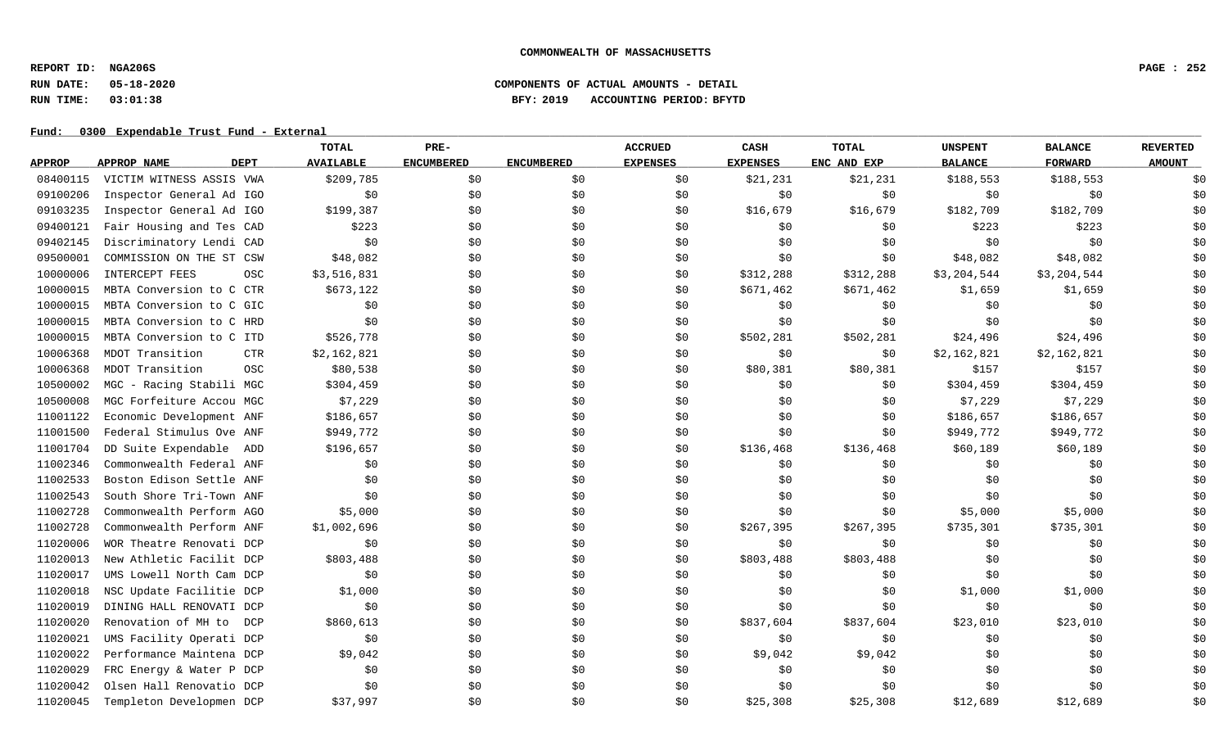**REPORT ID: NGA206S PAGE : 252**

## **RUN DATE: 05-18-2020 COMPONENTS OF ACTUAL AMOUNTS - DETAIL RUN TIME: 03:01:38 BFY: 2019 ACCOUNTING PERIOD: BFYTD**

|               |                               | <b>TOTAL</b>     | PRE-              |                   | <b>ACCRUED</b>  | CASH            | <b>TOTAL</b> | <b>UNSPENT</b> | <b>BALANCE</b> | <b>REVERTED</b> |
|---------------|-------------------------------|------------------|-------------------|-------------------|-----------------|-----------------|--------------|----------------|----------------|-----------------|
| <b>APPROP</b> | <b>DEPT</b><br>APPROP NAME    | <b>AVAILABLE</b> | <b>ENCUMBERED</b> | <b>ENCUMBERED</b> | <b>EXPENSES</b> | <b>EXPENSES</b> | ENC AND EXP  | <b>BALANCE</b> | <b>FORWARD</b> | <b>AMOUNT</b>   |
| 08400115      | VICTIM WITNESS ASSIS VWA      | \$209,785        | \$0               | \$0               | \$0             | \$21,231        | \$21,231     | \$188,553      | \$188,553      | \$0             |
| 09100206      | Inspector General Ad IGO      | \$0              | \$0               | \$0               | \$0             | \$0             | \$0          | \$0            | \$0            | \$0             |
| 09103235      | Inspector General Ad IGO      | \$199,387        | \$0\$             | \$0               | \$0             | \$16,679        | \$16,679     | \$182,709      | \$182,709      | \$0             |
| 09400121      | Fair Housing and Tes CAD      | \$223            | \$0               | \$0               | \$0             | \$0             | \$0          | \$223          | \$223          | \$0             |
| 09402145      | Discriminatory Lendi CAD      | \$0              | \$0               | \$0               | \$0             | \$0             | \$0          | \$0            | \$0            | \$0             |
| 09500001      | COMMISSION ON THE ST CSW      | \$48,082         | \$0               | \$0               | \$0             | \$0             | \$0          | \$48,082       | \$48,082       | \$0             |
| 10000006      | INTERCEPT FEES<br>OSC         | \$3,516,831      | \$0               | \$0               | \$0             | \$312,288       | \$312,288    | \$3,204,544    | \$3,204,544    | \$0             |
| 10000015      | MBTA Conversion to C CTR      | \$673,122        | \$0               | \$0               | \$0             | \$671,462       | \$671,462    | \$1,659        | \$1,659        | \$0             |
| 10000015      | MBTA Conversion to C GIC      | \$0              | \$0               | \$0               | \$0             | \$0             | \$0\$        | \$0            | \$0            | \$0             |
| 10000015      | MBTA Conversion to C HRD      | \$0              | \$0               | \$0               | \$0             | \$0             | \$0          | \$0            | \$0            | \$0             |
| 10000015      | MBTA Conversion to C ITD      | \$526,778        | \$0               | \$0               | \$0             | \$502,281       | \$502,281    | \$24,496       | \$24,496       | \$0             |
| 10006368      | MDOT Transition<br><b>CTR</b> | \$2,162,821      | \$0               | \$0               | \$0             | \$0             | \$0          | \$2,162,821    | \$2,162,821    | \$0             |
| 10006368      | MDOT Transition<br>OSC        | \$80,538         | \$0               | \$0\$             | \$0             | \$80,381        | \$80,381     | \$157          | \$157          | \$0             |
| 10500002      | MGC - Racing Stabili MGC      | \$304,459        | \$0               | \$0               | \$0             | \$0             | \$0          | \$304,459      | \$304,459      | \$0             |
| 10500008      | MGC Forfeiture Accou MGC      | \$7,229          | \$0               | \$0               | \$0             | \$0             | \$0          | \$7,229        | \$7,229        | \$0             |
| 11001122      | Economic Development ANF      | \$186,657        | \$0\$             | \$0               | \$0             | \$0             | \$0          | \$186,657      | \$186,657      | \$0             |
| 11001500      | Federal Stimulus Ove ANF      | \$949,772        | \$0               | \$0               | \$0             | \$0             | \$0          | \$949,772      | \$949,772      | \$0             |
| 11001704      | DD Suite Expendable ADD       | \$196,657        | \$0               | \$0               | \$0             | \$136,468       | \$136,468    | \$60,189       | \$60,189       | \$0             |
| 11002346      | Commonwealth Federal ANF      | \$0              | \$0               | \$0               | \$0             | \$0             | \$0          | \$0            | \$0            | \$0             |
| 11002533      | Boston Edison Settle ANF      | \$0              | \$0               | \$0               | \$0             | \$0             | \$0          | \$0            | \$0            | \$0             |
| 11002543      | South Shore Tri-Town ANF      | \$0              | \$0               | \$0               | \$0             | \$0             | \$0          | \$0            | \$0            | \$0             |
| 11002728      | Commonwealth Perform AGO      | \$5,000          | \$0               | \$0               | \$0             | \$0             | \$0          | \$5,000        | \$5,000        | \$0             |
| 11002728      | Commonwealth Perform ANF      | \$1,002,696      | \$0\$             | \$0               | \$0             | \$267,395       | \$267,395    | \$735,301      | \$735,301      | \$0             |
| 11020006      | WOR Theatre Renovati DCP      | \$0\$            | \$0               | \$0               | \$0             | \$0\$           | \$0          | \$0            | \$0            | \$0             |
| 11020013      | New Athletic Facilit DCP      | \$803,488        | \$0               | \$0               | \$0             | \$803,488       | \$803,488    | \$0            | \$0            | \$0             |
| 11020017      | UMS Lowell North Cam DCP      | \$0              | \$0               | \$0               | \$0             | \$0             | \$0          | \$0            | \$0            | \$0             |
| 11020018      | NSC Update Facilitie DCP      | \$1,000          | \$0               | \$0               | \$0             | \$0             | \$0\$        | \$1,000        | \$1,000        | \$0             |
| 11020019      | DINING HALL RENOVATI DCP      | \$0              | \$0               | \$0               | \$0             | \$0             | \$0          | \$0            | \$0            | \$0             |
| 11020020      | Renovation of MH to<br>DCP    | \$860,613        | \$0               | \$0               | \$0             | \$837,604       | \$837,604    | \$23,010       | \$23,010       | \$0             |
| 11020021      | UMS Facility Operati DCP      | \$0              | \$0               | \$0               | \$0             | \$0             | \$0\$        | \$0            | \$0            | \$0             |
| 11020022      | Performance Maintena DCP      | \$9,042          | \$0               | \$0               | \$0             | \$9,042         | \$9,042      | \$0            | \$0            | \$0             |
| 11020029      | FRC Energy & Water P DCP      | \$0              | \$0               | \$0               | \$0             | \$0             | \$0          | \$0            | \$0            | \$0             |
| 11020042      | Olsen Hall Renovatio DCP      | \$0              | \$0               | \$0               | \$0             | \$0             | \$0          | \$0            | \$0            | \$0             |
| 11020045      | Templeton Developmen DCP      | \$37,997         | \$0               | \$0               | \$0             | \$25,308        | \$25,308     | \$12,689       | \$12,689       | \$0             |
|               |                               |                  |                   |                   |                 |                 |              |                |                |                 |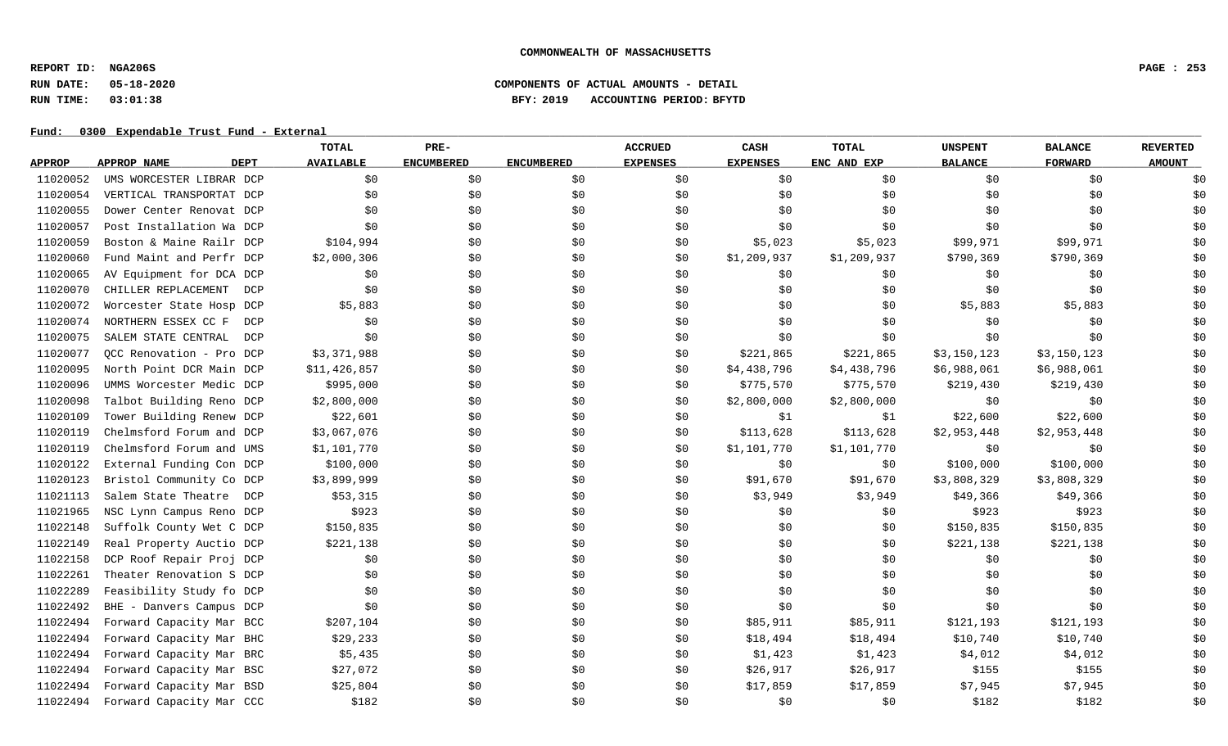**REPORT ID: NGA206S PAGE : 253**

# **RUN DATE: 05-18-2020 COMPONENTS OF ACTUAL AMOUNTS - DETAIL RUN TIME: 03:01:38 BFY: 2019 ACCOUNTING PERIOD: BFYTD**

|               |                            | TOTAL            | PRE-              |                   | <b>ACCRUED</b>  | <b>CASH</b>     | <b>TOTAL</b> | <b>UNSPENT</b> | <b>BALANCE</b> | <b>REVERTED</b> |
|---------------|----------------------------|------------------|-------------------|-------------------|-----------------|-----------------|--------------|----------------|----------------|-----------------|
| <b>APPROP</b> | APPROP NAME<br><b>DEPT</b> | <b>AVAILABLE</b> | <b>ENCUMBERED</b> | <b>ENCUMBERED</b> | <b>EXPENSES</b> | <b>EXPENSES</b> | ENC AND EXP  | <b>BALANCE</b> | <b>FORWARD</b> | <b>AMOUNT</b>   |
| 11020052      | UMS WORCESTER LIBRAR DCP   | \$0              | \$0               | \$0               | \$0             | \$0             | \$0\$        | \$0            | \$0            | \$0             |
| 11020054      | VERTICAL TRANSPORTAT DCP   | \$0              | \$0               | \$0               | \$0             | \$0             | \$0          | \$0            | \$0            | \$0             |
| 11020055      | Dower Center Renovat DCP   | \$0              | \$0               | \$0               | \$0             | \$0             | \$0          | \$0            | \$0            | \$0             |
| 11020057      | Post Installation Wa DCP   | \$0              | \$0               | \$0               | \$0             | \$0             | \$0          | \$0            | \$0            | \$0             |
| 11020059      | Boston & Maine Railr DCP   | \$104,994        | \$0               | \$0               | \$0             | \$5,023         | \$5,023      | \$99,971       | \$99,971       | \$0             |
| 11020060      | Fund Maint and Perfr DCP   | \$2,000,306      | \$0               | \$0               | \$0             | \$1,209,937     | \$1,209,937  | \$790,369      | \$790,369      | \$0             |
| 11020065      | AV Equipment for DCA DCP   | \$0              | \$0               | \$0               | \$0             | \$0             | \$0          | \$0            | \$0            | \$0             |
| 11020070      | CHILLER REPLACEMENT<br>DCP | \$0              | \$0               | \$0               | \$0             | \$0             | \$0\$        | \$0            | \$0            | \$0             |
| 11020072      | Worcester State Hosp DCP   | \$5,883          | \$0               | \$0               | \$0             | \$0             | \$0          | \$5,883        | \$5,883        | \$0             |
| 11020074      | NORTHERN ESSEX CC F<br>DCP | \$0              | \$0               | \$0               | \$0             | \$0             | \$0          | \$0            | \$0            | \$0             |
| 11020075      | SALEM STATE CENTRAL<br>DCP | \$0              | \$0               | \$0               | \$0             | \$0             | \$0          | \$0            | \$0            | \$0             |
| 11020077      | OCC Renovation - Pro DCP   | \$3,371,988      | \$0\$             | \$0               | \$0             | \$221,865       | \$221,865    | \$3,150,123    | \$3,150,123    | \$0             |
| 11020095      | North Point DCR Main DCP   | \$11,426,857     | \$0               | \$0               | \$0             | \$4,438,796     | \$4,438,796  | \$6,988,061    | \$6,988,061    | \$0             |
| 11020096      | UMMS Worcester Medic DCP   | \$995,000        | \$0               | \$0               | \$0             | \$775,570       | \$775,570    | \$219,430      | \$219,430      | \$0             |
| 11020098      | Talbot Building Reno DCP   | \$2,800,000      | \$0               | \$0               | \$0             | \$2,800,000     | \$2,800,000  | \$0            | \$0            | \$0             |
| 11020109      | Tower Building Renew DCP   | \$22,601         | \$0               | \$0               | \$0             | \$1             | \$1          | \$22,600       | \$22,600       | \$0             |
| 11020119      | Chelmsford Forum and DCP   | \$3,067,076      | \$0               | \$0               | \$0             | \$113,628       | \$113,628    | \$2,953,448    | \$2,953,448    | \$0             |
| 11020119      | Chelmsford Forum and UMS   | \$1,101,770      | \$0               | \$0               | \$0             | \$1,101,770     | \$1,101,770  | \$0            | \$0            | \$0             |
| 11020122      | External Funding Con DCP   | \$100,000        | \$0\$             | \$0               | \$0             | \$0             | \$0\$        | \$100,000      | \$100,000      | \$0             |
| 11020123      | Bristol Community Co DCP   | \$3,899,999      | \$0               | \$0               | \$0             | \$91,670        | \$91,670     | \$3,808,329    | \$3,808,329    | \$0             |
| 11021113      | Salem State Theatre DCP    | \$53,315         | \$0\$             | \$0               | \$0             | \$3,949         | \$3,949      | \$49,366       | \$49,366       | \$0             |
| 11021965      | NSC Lynn Campus Reno DCP   | \$923            | \$0               | \$0               | \$0             | \$0             | \$0\$        | \$923          | \$923          | \$0             |
| 11022148      | Suffolk County Wet C DCP   | \$150,835        | \$0               | \$0               | \$0             | \$0             | \$0          | \$150,835      | \$150,835      | \$0             |
| 11022149      | Real Property Auctio DCP   | \$221,138        | \$0               | \$0               | \$0             | \$0             | \$0          | \$221,138      | \$221,138      | \$0             |
| 11022158      | DCP Roof Repair Proj DCP   | \$0              | \$0               | \$0               | \$0             | \$0             | \$0          | \$0            | \$0            | \$0             |
| 11022261      | Theater Renovation S DCP   | \$0              | \$0               | \$0               | \$0             | \$0             | \$0          | \$0            | \$0            | \$0             |
| 11022289      | Feasibility Study fo DCP   | \$0              | \$0               | \$0               | \$0             | \$0             | \$0\$        | \$0            | \$0            | \$0             |
| 11022492      | BHE - Danvers Campus DCP   | \$0              | \$0               | \$0               | \$0             | \$0             | \$0          | \$0            | \$0            | \$0             |
| 11022494      | Forward Capacity Mar BCC   | \$207,104        | \$0               | \$0               | \$0             | \$85,911        | \$85,911     | \$121,193      | \$121,193      | \$0             |
| 11022494      | Forward Capacity Mar BHC   | \$29,233         | \$0               | \$0               | \$0             | \$18,494        | \$18,494     | \$10,740       | \$10,740       | \$0             |
| 11022494      | Forward Capacity Mar BRC   | \$5,435          | \$0               | \$0               | \$0             | \$1,423         | \$1,423      | \$4,012        | \$4,012        | \$0             |
| 11022494      | Forward Capacity Mar BSC   | \$27,072         | \$0               | \$0               | \$0             | \$26,917        | \$26,917     | \$155          | \$155          | \$0             |
| 11022494      | Forward Capacity Mar BSD   | \$25,804         | \$0               | \$0               | \$0             | \$17,859        | \$17,859     | \$7,945        | \$7,945        | \$0             |
| 11022494      | Forward Capacity Mar CCC   | \$182            | \$0               | \$0               | \$0             | \$0             | \$0\$        | \$182          | \$182          | \$0             |
|               |                            |                  |                   |                   |                 |                 |              |                |                |                 |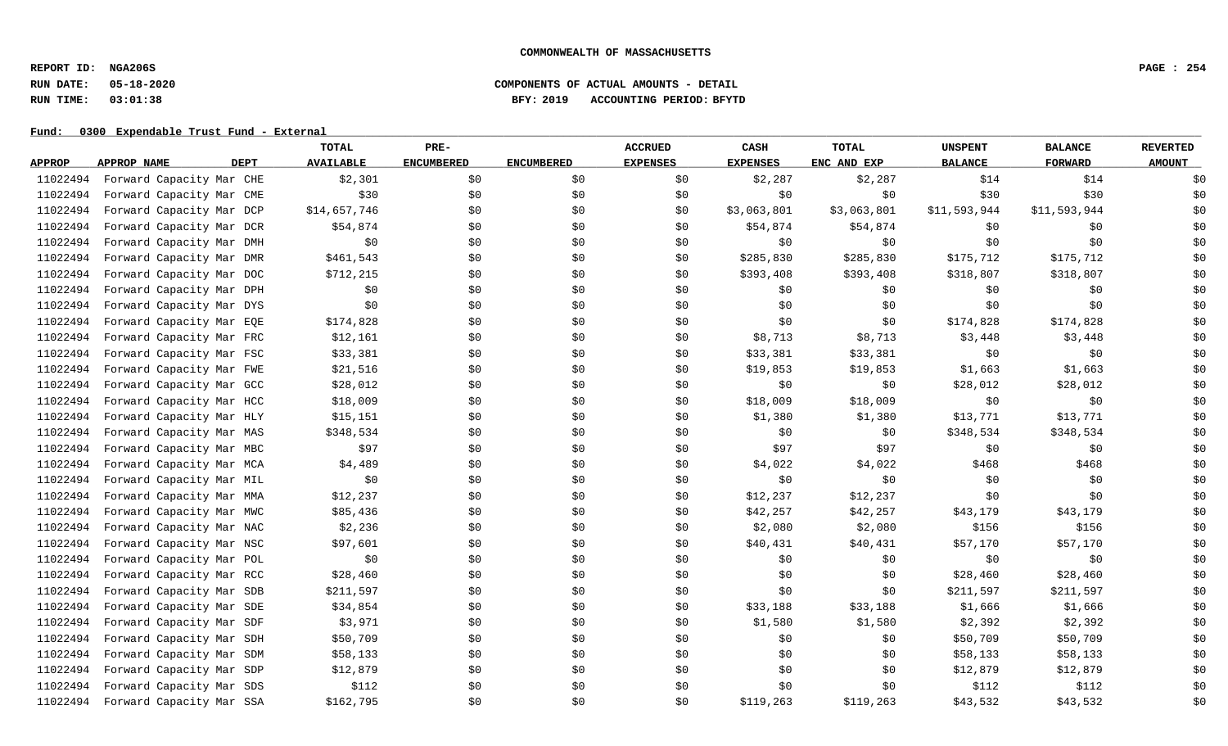**REPORT ID: NGA206S PAGE : 254**

# **RUN DATE: 05-18-2020 COMPONENTS OF ACTUAL AMOUNTS - DETAIL RUN TIME: 03:01:38 BFY: 2019 ACCOUNTING PERIOD: BFYTD**

|               |                                   | TOTAL            | PRE-              |                   | <b>ACCRUED</b>  | CASH            | <b>TOTAL</b> | <b>UNSPENT</b> | <b>BALANCE</b> | <b>REVERTED</b> |
|---------------|-----------------------------------|------------------|-------------------|-------------------|-----------------|-----------------|--------------|----------------|----------------|-----------------|
| <b>APPROP</b> | <b>DEPT</b><br><b>APPROP NAME</b> | <b>AVAILABLE</b> | <b>ENCUMBERED</b> | <b>ENCUMBERED</b> | <b>EXPENSES</b> | <b>EXPENSES</b> | ENC AND EXP  | <b>BALANCE</b> | <b>FORWARD</b> | <b>AMOUNT</b>   |
| 11022494      | Forward Capacity Mar CHE          | \$2,301          | \$0               | \$0               | \$0             | \$2,287         | \$2,287      | \$14           | \$14           | \$0             |
| 11022494      | Forward Capacity Mar CME          | \$30             | \$0               | \$0               | \$0             | \$0             | \$0          | \$30           | \$30           | \$0             |
| 11022494      | Forward Capacity Mar DCP          | \$14,657,746     | \$0               | \$0               | \$0             | \$3,063,801     | \$3,063,801  | \$11,593,944   | \$11,593,944   | \$0             |
| 11022494      | Forward Capacity Mar DCR          | \$54,874         | \$0               | \$0               | \$0             | \$54,874        | \$54,874     | \$0            | \$0            | \$0             |
| 11022494      | Forward Capacity Mar DMH          | \$0              | \$0               | \$0               | \$0             | \$0             | \$0          | \$0            | \$0            | \$0             |
| 11022494      | Forward Capacity Mar DMR          | \$461,543        | \$0               | \$0               | \$0             | \$285,830       | \$285,830    | \$175,712      | \$175,712      | \$0             |
| 11022494      | Forward Capacity Mar DOC          | \$712, 215       | \$0               | \$0               | \$0             | \$393,408       | \$393,408    | \$318,807      | \$318,807      | \$0             |
| 11022494      | Forward Capacity Mar DPH          | \$0              | \$0               | \$0               | \$0             | \$0             | \$0          | \$0            | \$0            | \$0             |
| 11022494      | Forward Capacity Mar DYS          | \$0              | \$0               | \$0               | \$0             | \$0             | \$0          | \$0            | \$0            | \$0             |
| 11022494      | Forward Capacity Mar EQE          | \$174,828        | \$0               | \$0               | \$0             | \$0             | \$0          | \$174,828      | \$174,828      | \$0             |
| 11022494      | Forward Capacity Mar FRC          | \$12,161         | \$0               | \$0               | \$0             | \$8,713         | \$8,713      | \$3,448        | \$3,448        | \$0             |
| 11022494      | Forward Capacity Mar FSC          | \$33,381         | \$0               | \$0               | \$0             | \$33,381        | \$33,381     | \$0            | \$0            | \$0             |
| 11022494      | Forward Capacity Mar FWE          | \$21,516         | \$0               | \$0               | \$0             | \$19,853        | \$19,853     | \$1,663        | \$1,663        | \$0             |
| 11022494      | Forward Capacity Mar GCC          | \$28,012         | \$0               | \$0               | \$0             | \$0             | \$0          | \$28,012       | \$28,012       | \$0             |
| 11022494      | Forward Capacity Mar HCC          | \$18,009         | \$0               | \$0               | \$0             | \$18,009        | \$18,009     | \$0            | \$0            | \$0             |
| 11022494      | Forward Capacity Mar HLY          | \$15,151         | \$0               | \$0               | \$0             | \$1,380         | \$1,380      | \$13,771       | \$13,771       | \$0             |
| 11022494      | Forward Capacity Mar MAS          | \$348,534        | \$0               | \$0               | \$0             | \$0             | \$0          | \$348,534      | \$348,534      | \$0             |
| 11022494      | Forward Capacity Mar MBC          | \$97             | \$0               | \$0               | \$0             | \$97            | \$97         | \$0            | \$0            | \$0             |
| 11022494      | Forward Capacity Mar MCA          | \$4,489          | \$0               | \$0               | \$0             | \$4,022         | \$4,022      | \$468          | \$468          | \$0             |
| 11022494      | Forward Capacity Mar MIL          | \$0              | \$0               | \$0               | \$0             | \$0             | \$0          | \$0            | \$0            | \$0             |
| 11022494      | Forward Capacity Mar MMA          | \$12,237         | \$0               | \$0               | \$0             | \$12,237        | \$12,237     | \$0            | \$0            | \$0             |
| 11022494      | Forward Capacity Mar MWC          | \$85,436         | \$0               | \$0               | \$0             | \$42,257        | \$42,257     | \$43,179       | \$43,179       | \$0             |
| 11022494      | Forward Capacity Mar NAC          | \$2,236          | \$0               | \$0               | \$0             | \$2,080         | \$2,080      | \$156          | \$156          | \$0             |
| 11022494      | Forward Capacity Mar NSC          | \$97,601         | \$0               | \$0               | \$0             | \$40,431        | \$40,431     | \$57,170       | \$57,170       | \$0             |
| 11022494      | Forward Capacity Mar POL          | \$0              | \$0               | \$0               | \$0             | \$0             | \$0          | \$0            | \$0            | \$0             |
| 11022494      | Forward Capacity Mar RCC          | \$28,460         | \$0               | \$0               | \$0             | \$0             | \$0          | \$28,460       | \$28,460       | \$0             |
| 11022494      | Forward Capacity Mar SDB          | \$211,597        | \$0               | \$0               | \$0             | \$0             | \$0          | \$211,597      | \$211,597      | \$0             |
| 11022494      | Forward Capacity Mar SDE          | \$34,854         | \$0               | \$0               | \$0             | \$33,188        | \$33,188     | \$1,666        | \$1,666        | \$0             |
| 11022494      | Forward Capacity Mar SDF          | \$3,971          | \$0               | \$0               | \$0             | \$1,580         | \$1,580      | \$2,392        | \$2,392        | \$0             |
| 11022494      | Forward Capacity Mar SDH          | \$50,709         | \$0               | \$0               | \$0             | \$0             | \$0          | \$50,709       | \$50,709       | \$0             |
| 11022494      | Forward Capacity Mar SDM          | \$58,133         | \$0               | \$0               | \$0             | \$0             | \$0          | \$58,133       | \$58,133       | \$0             |
| 11022494      | Forward Capacity Mar SDP          | \$12,879         | \$0               | \$0               | \$0             | \$0             | \$0          | \$12,879       | \$12,879       | \$0             |
| 11022494      | Forward Capacity Mar SDS          | \$112            | \$0               | \$0               | \$0             | \$0             | \$0          | \$112          | \$112          | \$0             |
| 11022494      | Forward Capacity Mar SSA          | \$162,795        | \$0               | \$0               | \$0             | \$119,263       | \$119,263    | \$43,532       | \$43,532       | \$0             |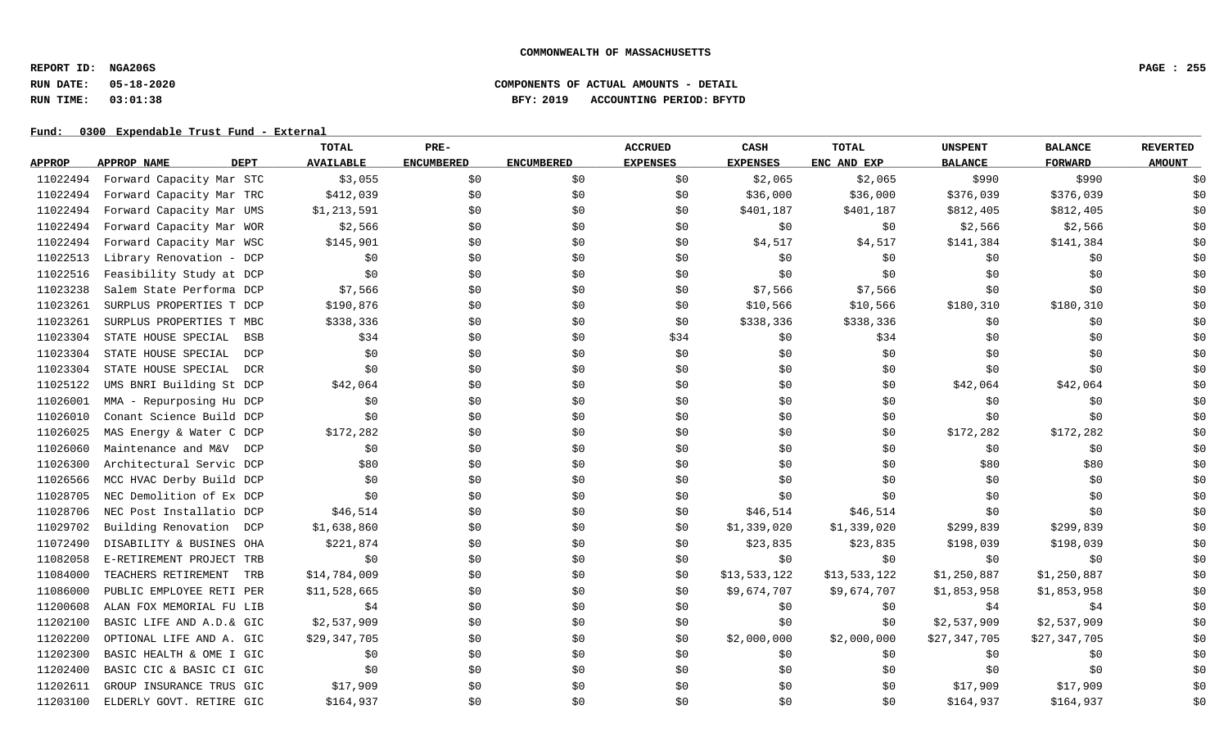**REPORT ID: NGA206S PAGE : 255**

# **RUN DATE: 05-18-2020 COMPONENTS OF ACTUAL AMOUNTS - DETAIL RUN TIME: 03:01:38 BFY: 2019 ACCOUNTING PERIOD: BFYTD**

|               |                                   | TOTAL            | PRE-              |                   | <b>ACCRUED</b>  | CASH            | <b>TOTAL</b> | <b>UNSPENT</b> | <b>BALANCE</b> | <b>REVERTED</b> |
|---------------|-----------------------------------|------------------|-------------------|-------------------|-----------------|-----------------|--------------|----------------|----------------|-----------------|
| <b>APPROP</b> | <b>DEPT</b><br>APPROP NAME        | <b>AVAILABLE</b> | <b>ENCUMBERED</b> | <b>ENCUMBERED</b> | <b>EXPENSES</b> | <b>EXPENSES</b> | ENC AND EXP  | <b>BALANCE</b> | <b>FORWARD</b> | <b>AMOUNT</b>   |
| 11022494      | Forward Capacity Mar STC          | \$3,055          | \$0               | \$0               | \$0             | \$2,065         | \$2,065      | \$990          | \$990          | \$0             |
| 11022494      | Forward Capacity Mar TRC          | \$412,039        | \$0               | \$0               | \$0             | \$36,000        | \$36,000     | \$376,039      | \$376,039      | \$0             |
| 11022494      | Forward Capacity Mar UMS          | \$1,213,591      | \$0               | \$0               | \$0             | \$401,187       | \$401,187    | \$812,405      | \$812,405      | \$0             |
| 11022494      | Forward Capacity Mar WOR          | \$2,566          | \$0               | \$0               | \$0             | \$0             | \$0          | \$2,566        | \$2,566        | \$0             |
| 11022494      | Forward Capacity Mar WSC          | \$145,901        | \$0               | \$0               | \$0             | \$4,517         | \$4,517      | \$141,384      | \$141,384      | \$0             |
| 11022513      | Library Renovation - DCP          | \$0              | \$0               | \$0               | \$0             | \$0             | \$0          | \$0            | \$0            | \$0             |
| 11022516      | Feasibility Study at DCP          | \$0              | \$0               | \$0               | \$0             | \$0             | \$0          | \$0            | \$0            | \$0             |
| 11023238      | Salem State Performa DCP          | \$7,566          | \$0               | \$0               | \$0             | \$7,566         | \$7,566      | \$0            | \$0            | \$0             |
| 11023261      | SURPLUS PROPERTIES T DCP          | \$190,876        | \$0               | \$0               | \$0             | \$10,566        | \$10,566     | \$180,310      | \$180,310      | \$0             |
| 11023261      | SURPLUS PROPERTIES T MBC          | \$338,336        | \$0               | \$0               | \$0             | \$338,336       | \$338,336    | \$0            | \$0            | \$0             |
| 11023304      | STATE HOUSE SPECIAL<br><b>BSB</b> | \$34             | \$0               | \$0               | \$34            | \$0             | \$34         | \$0            | \$0            | \$0             |
| 11023304      | STATE HOUSE SPECIAL<br>DCP        | \$0              | \$0               | \$0               | \$0             | \$0             | \$0\$        | \$0            | \$0            | \$0             |
| 11023304      | STATE HOUSE SPECIAL<br><b>DCR</b> | \$0              | \$0               | \$0               | \$0             | \$0             | \$0          | \$0            | \$0            | \$0             |
| 11025122      | UMS BNRI Building St DCP          | \$42,064         | \$0               | \$0               | \$0             | \$0             | \$0\$        | \$42,064       | \$42,064       | \$0             |
| 11026001      | MMA - Repurposing Hu DCP          | \$0              | \$0               | \$0               | \$0             | \$0             | \$0          | \$0            | \$0            | \$0             |
| 11026010      | Conant Science Build DCP          | \$0              | \$0               | \$0               | \$0             | \$0             | \$0          | \$0            | \$0            | \$0             |
| 11026025      | MAS Energy & Water C DCP          | \$172,282        | \$0               | \$0               | \$0             | \$0             | \$0          | \$172,282      | \$172,282      | \$0             |
| 11026060      | Maintenance and M&V<br>DCP        | \$0              | \$0               | \$0               | \$0             | \$0             | \$0          | \$0            | \$0            | \$0             |
| 11026300      | Architectural Servic DCP          | \$80             | \$0               | \$0               | \$0             | \$0             | \$0          | \$80           | \$80           | \$0             |
| 11026566      | MCC HVAC Derby Build DCP          | \$0              | \$0               | \$0               | \$0             | \$0             | \$0          | \$0            | \$0            | \$0             |
| 11028705      | NEC Demolition of Ex DCP          | \$0              | \$0               | \$0               | \$0             | \$0             | \$0          | \$0            | \$0            | \$0             |
| 11028706      | NEC Post Installatio DCP          | \$46,514         | \$0               | \$0               | \$0             | \$46,514        | \$46,514     | \$0            | \$0            | \$0             |
| 11029702      | Building Renovation<br>DCP        | \$1,638,860      | \$0               | \$0               | \$0             | \$1,339,020     | \$1,339,020  | \$299,839      | \$299,839      | \$0             |
| 11072490      | DISABILITY & BUSINES OHA          | \$221,874        | \$0               | \$0               | \$0             | \$23,835        | \$23,835     | \$198,039      | \$198,039      | \$0             |
| 11082058      | E-RETIREMENT PROJECT TRB          | \$0              | \$0               | \$0               | \$0             | \$0             | \$0          | \$0            | \$0            | \$0             |
| 11084000      | TEACHERS RETIREMENT<br>TRB        | \$14,784,009     | \$0               | \$0               | \$0             | \$13,533,122    | \$13,533,122 | \$1,250,887    | \$1,250,887    | \$0             |
| 11086000      | PUBLIC EMPLOYEE RETI PER          | \$11,528,665     | \$0               | \$0               | \$0             | \$9,674,707     | \$9,674,707  | \$1,853,958    | \$1,853,958    | \$0             |
| 11200608      | ALAN FOX MEMORIAL FU LIB          | \$4              | \$0               | \$0               | \$0             | \$0             | \$0          | \$4            | \$4            | \$0             |
| 11202100      | BASIC LIFE AND A.D. & GIC         | \$2,537,909      | \$0               | \$0               | \$0             | \$0             | \$0\$        | \$2,537,909    | \$2,537,909    | \$0             |
| 11202200      | OPTIONAL LIFE AND A. GIC          | \$29,347,705     | \$0               | \$0               | \$0             | \$2,000,000     | \$2,000,000  | \$27,347,705   | \$27,347,705   | \$0             |
| 11202300      | BASIC HEALTH & OME I GIC          | \$0              | \$0               | \$0               | \$0             | \$0             | \$0          | \$0            | \$0            | \$0             |
| 11202400      | BASIC CIC & BASIC CI GIC          | \$0              | \$0               | \$0               | \$0             | \$0             | \$0          | \$0            | \$0            | \$0             |
| 11202611      | GROUP INSURANCE TRUS GIC          | \$17,909         | \$0               | \$0               | \$0             | \$0             | \$0          | \$17,909       | \$17,909       | \$0             |
| 11203100      | ELDERLY GOVT. RETIRE GIC          | \$164,937        | \$0               | \$0               | \$0             | \$0             | \$0          | \$164,937      | \$164,937      | \$0             |
|               |                                   |                  |                   |                   |                 |                 |              |                |                |                 |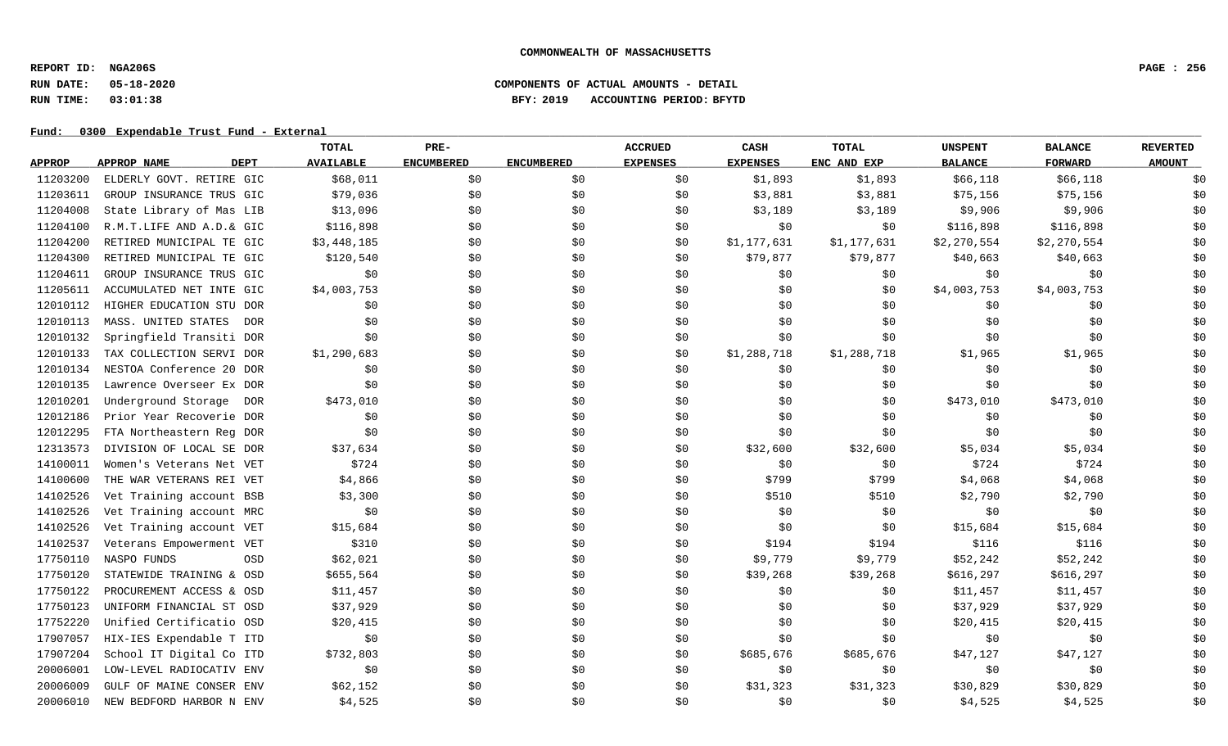**REPORT ID: NGA206S PAGE : 256**

# **RUN DATE: 05-18-2020 COMPONENTS OF ACTUAL AMOUNTS - DETAIL RUN TIME: 03:01:38 BFY: 2019 ACCOUNTING PERIOD: BFYTD**

|               |                            | <b>TOTAL</b>     | PRE-              |                   | <b>ACCRUED</b>  | CASH            | <b>TOTAL</b> | <b>UNSPENT</b> | <b>BALANCE</b> | <b>REVERTED</b> |
|---------------|----------------------------|------------------|-------------------|-------------------|-----------------|-----------------|--------------|----------------|----------------|-----------------|
| <b>APPROP</b> | <b>DEPT</b><br>APPROP NAME | <b>AVAILABLE</b> | <b>ENCUMBERED</b> | <b>ENCUMBERED</b> | <b>EXPENSES</b> | <b>EXPENSES</b> | ENC AND EXP  | <b>BALANCE</b> | <b>FORWARD</b> | <b>AMOUNT</b>   |
| 11203200      | ELDERLY GOVT. RETIRE GIC   | \$68,011         | \$0               | \$0               | \$0             | \$1,893         | \$1,893      | \$66,118       | \$66,118       | \$0             |
| 11203611      | GROUP INSURANCE TRUS GIC   | \$79,036         | \$0               | \$0               | \$0             | \$3,881         | \$3,881      | \$75,156       | \$75,156       | \$0             |
| 11204008      | State Library of Mas LIB   | \$13,096         | \$0               | \$0               | \$0             | \$3,189         | \$3,189      | \$9,906        | \$9,906        | \$0             |
| 11204100      | R.M.T.LIFE AND A.D.& GIC   | \$116,898        | \$0               | \$0               | \$0             | \$0             | \$0          | \$116,898      | \$116,898      | \$0             |
| 11204200      | RETIRED MUNICIPAL TE GIC   | \$3,448,185      | \$0               | \$0               | \$0             | \$1,177,631     | \$1,177,631  | \$2,270,554    | \$2,270,554    | \$0             |
| 11204300      | RETIRED MUNICIPAL TE GIC   | \$120,540        | \$0               | \$0               | \$0             | \$79,877        | \$79,877     | \$40,663       | \$40,663       | \$0             |
| 11204611      | GROUP INSURANCE TRUS GIC   | \$0              | \$0               | \$0               | SO.             | \$0             | \$0          | \$0            | \$0            | \$0             |
| 11205611      | ACCUMULATED NET INTE GIC   | \$4,003,753      | \$0               | \$0               | \$0             | \$0             | \$0          | \$4,003,753    | \$4,003,753    | \$0             |
| 12010112      | HIGHER EDUCATION STU DOR   | \$0              | \$0               | \$0               | \$0             | \$0             | \$0          | \$0            | \$0            | \$0             |
| 12010113      | MASS. UNITED STATES<br>DOR | \$0              | \$0               | \$0               | \$0             | \$0             | \$0          | \$0            | \$0            | \$0             |
| 12010132      | Springfield Transiti DOR   | \$0              | \$0               | \$0               | \$0             | \$0             | \$0          | \$0            | \$0            | \$0             |
| 12010133      | TAX COLLECTION SERVI DOR   | \$1,290,683      | \$0               | \$0               | \$0             | \$1,288,718     | \$1,288,718  | \$1,965        | \$1,965        | \$0             |
| 12010134      | NESTOA Conference 20 DOR   | \$0              | \$0               | \$0               | \$0             | \$0             | \$0          | \$0            | \$0            | \$0             |
| 12010135      | Lawrence Overseer Ex DOR   | \$0              | \$0               | \$0               | \$0             | \$0             | \$0          | \$0            | \$0            | \$0             |
| 12010201      | Underground Storage DOR    | \$473,010        | \$0               | \$0               | \$0             | \$0             | \$0          | \$473,010      | \$473,010      | \$0             |
| 12012186      | Prior Year Recoverie DOR   | \$0              | \$0               | \$0               | \$0             | \$0             | \$0          | \$0            | \$0            | \$0             |
| 12012295      | FTA Northeastern Reg DOR   | \$0              | \$0               | \$0               | \$0             | \$0             | \$0          | \$0            | \$0            | \$0             |
| 12313573      | DIVISION OF LOCAL SE DOR   | \$37,634         | \$0               | \$0               | \$0             | \$32,600        | \$32,600     | \$5,034        | \$5,034        | \$0             |
| 14100011      | Women's Veterans Net VET   | \$724            | \$0               | \$0               | \$0             | \$0             | \$0          | \$724          | \$724          | \$0             |
| 14100600      | THE WAR VETERANS REI VET   | \$4,866          | \$0               | \$0               | \$0             | \$799           | \$799        | \$4,068        | \$4,068        | \$0             |
| 14102526      | Vet Training account BSB   | \$3,300          | \$0               | \$0               | \$0             | \$510           | \$510        | \$2,790        | \$2,790        | \$0             |
| 14102526      | Vet Training account MRC   | \$0              | \$0               | \$0               | \$0             | \$0             | \$0          | \$0            | \$0            | \$0             |
| 14102526      | Vet Training account VET   | \$15,684         | \$0               | \$0               | \$0             | \$0             | \$0          | \$15,684       | \$15,684       | \$0             |
| 14102537      | Veterans Empowerment VET   | \$310            | \$0               | \$0               | \$0             | \$194           | \$194        | \$116          | \$116          | \$0             |
| 17750110      | OSD<br>NASPO FUNDS         | \$62,021         | \$0               | \$0               | \$0             | \$9,779         | \$9,779      | \$52,242       | \$52,242       | \$0             |
| 17750120      | STATEWIDE TRAINING & OSD   | \$655,564        | \$0               | \$0               | \$0             | \$39,268        | \$39,268     | \$616, 297     | \$616,297      | \$0             |
| 17750122      | PROCUREMENT ACCESS & OSD   | \$11,457         | \$0               | \$0               | \$0             | \$0             | \$0          | \$11,457       | \$11,457       | \$0             |
| 17750123      | UNIFORM FINANCIAL ST OSD   | \$37,929         | \$0               | \$0               | \$0             | \$0             | \$0          | \$37,929       | \$37,929       | \$0             |
| 17752220      | Unified Certificatio OSD   | \$20,415         | \$0               | \$0               | \$0             | \$0             | \$0          | \$20,415       | \$20,415       | \$0             |
| 17907057      | HIX-IES Expendable T ITD   | \$0              | \$0               | \$0               | \$0             | \$0             | \$0          | \$0            | \$0            | \$0             |
| 17907204      | School IT Digital Co ITD   | \$732,803        | \$0               | \$0               | \$0             | \$685,676       | \$685,676    | \$47,127       | \$47,127       | \$0             |
| 20006001      | LOW-LEVEL RADIOCATIV ENV   | \$0              | \$0               | \$0               | \$0             | \$0             | \$0          | \$0            | \$0            | \$0             |
| 20006009      | GULF OF MAINE CONSER ENV   | \$62,152         | \$0               | \$0               | \$0             | \$31,323        | \$31,323     | \$30,829       | \$30,829       | \$0             |
| 20006010      | NEW BEDFORD HARBOR N ENV   | \$4,525          | \$0               | \$0               | \$0             | \$0             | \$0          | \$4,525        | \$4,525        | \$0             |
|               |                            |                  |                   |                   |                 |                 |              |                |                |                 |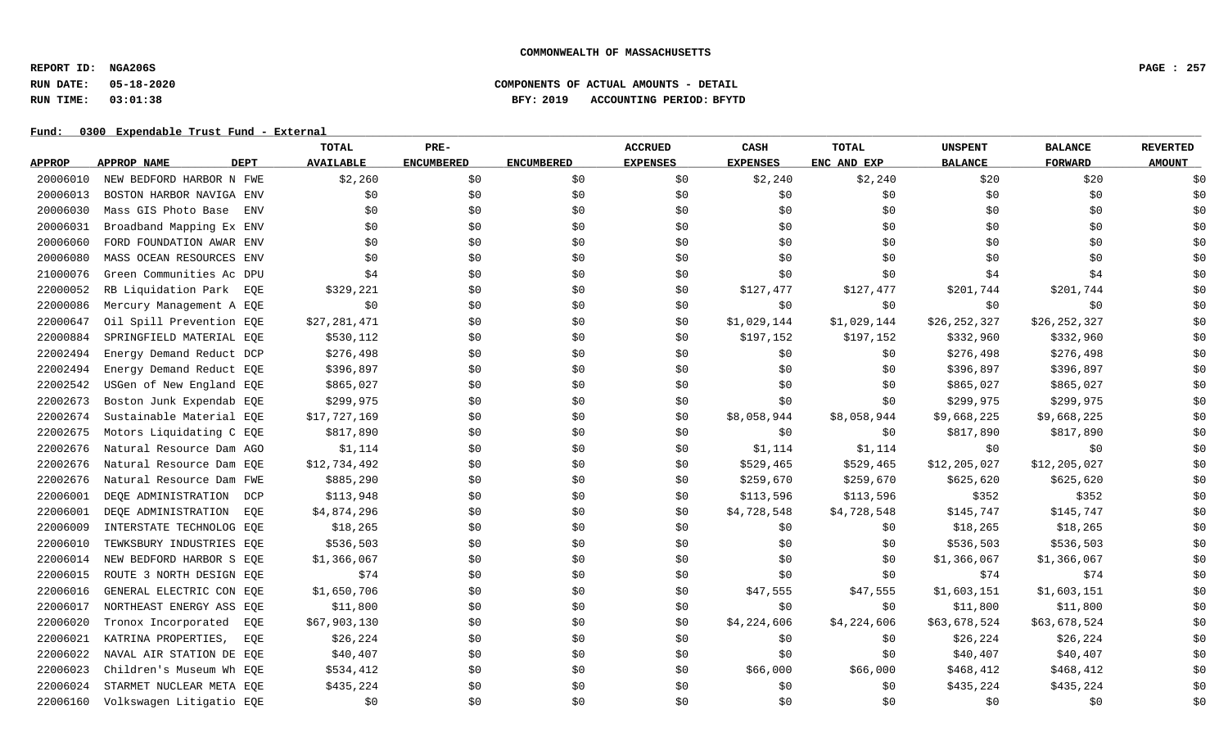**REPORT ID: NGA206S PAGE : 257**

# **RUN DATE: 05-18-2020 COMPONENTS OF ACTUAL AMOUNTS - DETAIL RUN TIME: 03:01:38 BFY: 2019 ACCOUNTING PERIOD: BFYTD**

|               |                                   | TOTAL            | PRE-              |                   | <b>ACCRUED</b>  | CASH            | <b>TOTAL</b> | <b>UNSPENT</b> | <b>BALANCE</b> | <b>REVERTED</b> |
|---------------|-----------------------------------|------------------|-------------------|-------------------|-----------------|-----------------|--------------|----------------|----------------|-----------------|
| <b>APPROP</b> | <b>DEPT</b><br>APPROP NAME        | <b>AVAILABLE</b> | <b>ENCUMBERED</b> | <b>ENCUMBERED</b> | <b>EXPENSES</b> | <b>EXPENSES</b> | ENC AND EXP  | <b>BALANCE</b> | <b>FORWARD</b> | <b>AMOUNT</b>   |
| 20006010      | NEW BEDFORD HARBOR N FWE          | \$2,260          | \$0               | \$0               | \$0             | \$2,240         | \$2,240      | \$20           | \$20           | \$0             |
| 20006013      | BOSTON HARBOR NAVIGA ENV          | \$0              | \$0               | \$0               | \$0             | \$0             | \$0          | \$0            | \$0            | \$0             |
| 20006030      | Mass GIS Photo Base<br><b>ENV</b> | \$0              | \$0               | \$0               | \$0             | \$0             | \$0          | \$0            | \$0            | \$0             |
| 20006031      | Broadband Mapping Ex ENV          | \$0              | \$0               | \$0               | \$0             | \$0             | \$0          | \$0            | \$0            | \$0             |
| 20006060      | FORD FOUNDATION AWAR ENV          | \$0              | \$0               | \$0               | \$0             | \$0             | \$0          | \$0            | \$0            | \$0             |
| 20006080      | MASS OCEAN RESOURCES ENV          | \$0              | \$0               | \$0               | \$0             | \$0             | \$0          | \$0            | \$0            | \$0             |
| 21000076      | Green Communities Ac DPU          | \$4              | \$0               | \$0               | \$0             | \$0             | \$0          | \$4            | \$4            | \$0             |
| 22000052      | RB Liquidation Park EOE           | \$329,221        | \$0               | \$0               | \$0             | \$127,477       | \$127,477    | \$201,744      | \$201,744      | \$0             |
| 22000086      | Mercury Management A EQE          | \$0              | \$0               | \$0               | \$0             | \$0             | \$0          | \$0            | \$0            | \$0             |
| 22000647      | Oil Spill Prevention EQE          | \$27,281,471     | \$0               | \$0               | \$0             | \$1,029,144     | \$1,029,144  | \$26,252,327   | \$26,252,327   | \$0             |
| 22000884      | SPRINGFIELD MATERIAL EOE          | \$530,112        | \$0               | \$0               | \$0             | \$197,152       | \$197,152    | \$332,960      | \$332,960      | \$0             |
| 22002494      | Energy Demand Reduct DCP          | \$276,498        | \$0               | \$0               | \$0             | \$0             | \$0          | \$276,498      | \$276,498      | \$0             |
| 22002494      | Energy Demand Reduct EQE          | \$396,897        | \$0               | \$0               | \$0             | \$0             | \$0          | \$396,897      | \$396,897      | \$0             |
| 22002542      | USGen of New England EQE          | \$865,027        | \$0               | \$0               | \$0             | \$0\$           | \$0          | \$865,027      | \$865,027      | \$0             |
| 22002673      | Boston Junk Expendab EQE          | \$299,975        | \$0               | \$0               | \$0             | \$0             | \$0          | \$299,975      | \$299,975      | \$0             |
| 22002674      | Sustainable Material EQE          | \$17,727,169     | \$0               | \$0               | \$0             | \$8,058,944     | \$8,058,944  | \$9,668,225    | \$9,668,225    | \$0             |
| 22002675      | Motors Liquidating C EQE          | \$817,890        | \$0               | \$0               | \$0             | \$0             | \$0          | \$817,890      | \$817,890      | \$0             |
| 22002676      | Natural Resource Dam AGO          | \$1,114          | \$0               | \$0               | \$0             | \$1,114         | \$1,114      | \$0            | \$0            | \$0             |
| 22002676      | Natural Resource Dam EQE          | \$12,734,492     | \$0\$             | \$0               | \$0             | \$529,465       | \$529,465    | \$12,205,027   | \$12,205,027   | \$0             |
| 22002676      | Natural Resource Dam FWE          | \$885,290        | \$0               | \$0               | \$0             | \$259,670       | \$259,670    | \$625,620      | \$625,620      | \$0             |
| 22006001      | DEQE ADMINISTRATION<br>DCP        | \$113,948        | \$0               | \$0               | \$0             | \$113,596       | \$113,596    | \$352          | \$352          | \$0             |
| 22006001      | DEQE ADMINISTRATION<br>EQE        | \$4,874,296      | \$0               | \$0               | \$0             | \$4,728,548     | \$4,728,548  | \$145,747      | \$145,747      | \$0             |
| 22006009      | INTERSTATE TECHNOLOG EOE          | \$18, 265        | \$0               | \$0               | \$0             | \$0             | \$0          | \$18,265       | \$18,265       | \$0             |
| 22006010      | TEWKSBURY INDUSTRIES EQE          | \$536,503        | \$0               | \$0               | \$0             | \$0             | \$0          | \$536,503      | \$536,503      | \$0             |
| 22006014      | NEW BEDFORD HARBOR S EOE          | \$1,366,067      | \$0               | \$0               | \$0             | \$0             | \$0          | \$1,366,067    | \$1,366,067    | \$0             |
| 22006015      | ROUTE 3 NORTH DESIGN EQE          | \$74             | \$0               | \$0               | \$0             | \$0             | \$0          | \$74           | \$74           | \$0             |
| 22006016      | GENERAL ELECTRIC CON EQE          | \$1,650,706      | \$0               | \$0               | \$0             | \$47,555        | \$47,555     | \$1,603,151    | \$1,603,151    | \$0             |
| 22006017      | NORTHEAST ENERGY ASS EOE          | \$11,800         | \$0               | \$0               | \$0             | \$0             | \$0          | \$11,800       | \$11,800       | \$0             |
| 22006020      | Tronox Incorporated<br>EQE        | \$67,903,130     | \$0               | \$0               | \$0             | \$4,224,606     | \$4,224,606  | \$63,678,524   | \$63,678,524   | \$0             |
| 22006021      | KATRINA PROPERTIES,<br>EOE        | \$26, 224        | \$0               | \$0               | \$0             | \$0             | \$0          | \$26,224       | \$26, 224      | \$0             |
| 22006022      | NAVAL AIR STATION DE EQE          | \$40,407         | \$0               | \$0               | \$0             | \$0             | \$0          | \$40,407       | \$40,407       | \$0             |
| 22006023      | Children's Museum Wh EQE          | \$534,412        | \$0               | \$0               | \$0             | \$66,000        | \$66,000     | \$468,412      | \$468,412      | \$0             |
| 22006024      | STARMET NUCLEAR META EQE          | \$435,224        | \$0               | \$0               | \$0             | \$0             | \$0          | \$435,224      | \$435,224      | \$0             |
| 22006160      | Volkswagen Litigatio EQE          | \$0              | \$0               | \$0               | \$0             | \$0             | \$0          | \$0            | \$0            | \$0             |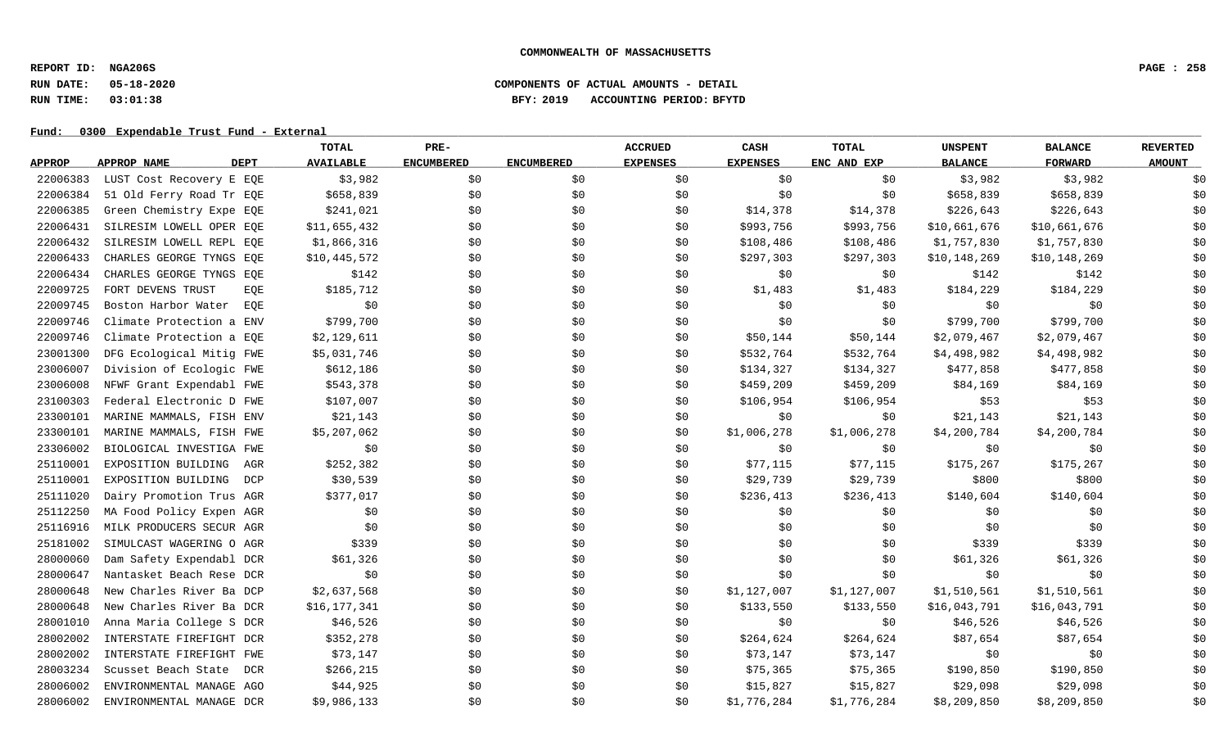**REPORT ID: NGA206S PAGE : 258**

# **RUN DATE: 05-18-2020 COMPONENTS OF ACTUAL AMOUNTS - DETAIL RUN TIME: 03:01:38 BFY: 2019 ACCOUNTING PERIOD: BFYTD**

|               |                                   | TOTAL            | PRE-              |                   | <b>ACCRUED</b>  | CASH            | <b>TOTAL</b> | <b>UNSPENT</b> | <b>BALANCE</b> | <b>REVERTED</b> |
|---------------|-----------------------------------|------------------|-------------------|-------------------|-----------------|-----------------|--------------|----------------|----------------|-----------------|
| <b>APPROP</b> | <b>DEPT</b><br><b>APPROP NAME</b> | <b>AVAILABLE</b> | <b>ENCUMBERED</b> | <b>ENCUMBERED</b> | <b>EXPENSES</b> | <b>EXPENSES</b> | ENC AND EXP  | <b>BALANCE</b> | <b>FORWARD</b> | <b>AMOUNT</b>   |
| 22006383      | LUST Cost Recovery E EQE          | \$3,982          | \$0               | \$0               | \$0             | \$0             | \$0          | \$3,982        | \$3,982        | \$0             |
| 22006384      | 51 Old Ferry Road Tr EQE          | \$658,839        | \$0               | \$0               | \$0             | \$0             | \$0          | \$658,839      | \$658,839      | \$0             |
| 22006385      | Green Chemistry Expe EQE          | \$241,021        | \$0               | \$0               | \$0             | \$14,378        | \$14,378     | \$226,643      | \$226,643      | \$0             |
| 22006431      | SILRESIM LOWELL OPER EQE          | \$11,655,432     | \$0               | \$0               | \$0             | \$993,756       | \$993,756    | \$10,661,676   | \$10,661,676   | \$0             |
| 22006432      | SILRESIM LOWELL REPL EQE          | \$1,866,316      | \$0               | \$0               | \$0             | \$108,486       | \$108,486    | \$1,757,830    | \$1,757,830    | \$0             |
| 22006433      | CHARLES GEORGE TYNGS EQE          | \$10,445,572     | \$0               | \$0               | \$0             | \$297,303       | \$297,303    | \$10,148,269   | \$10,148,269   | \$0             |
| 22006434      | CHARLES GEORGE TYNGS EQE          | \$142            | \$0               | \$0               | \$0             | \$0             | \$0          | \$142          | \$142          | \$0             |
| 22009725      | FORT DEVENS TRUST<br>EOE          | \$185,712        | \$0               | \$0               | \$0             | \$1,483         | \$1,483      | \$184,229      | \$184,229      | \$0             |
| 22009745      | Boston Harbor Water<br>EQE        | \$0              | \$0               | \$0               | \$0             | \$0             | \$0\$        | \$0            | \$0            | \$0             |
| 22009746      | Climate Protection a ENV          | \$799,700        | \$0               | \$0               | \$0             | \$0             | \$0          | \$799,700      | \$799,700      | \$0             |
| 22009746      | Climate Protection a EQE          | \$2,129,611      | \$0               | \$0               | \$0             | \$50,144        | \$50,144     | \$2,079,467    | \$2,079,467    | \$0             |
| 23001300      | DFG Ecological Mitig FWE          | \$5,031,746      | \$0               | \$0               | \$0             | \$532,764       | \$532,764    | \$4,498,982    | \$4,498,982    | \$0             |
| 23006007      | Division of Ecologic FWE          | \$612,186        | \$0               | \$0               | \$0             | \$134,327       | \$134,327    | \$477,858      | \$477,858      | \$0             |
| 23006008      | NFWF Grant Expendabl FWE          | \$543,378        | \$0               | \$0               | \$0             | \$459,209       | \$459,209    | \$84,169       | \$84,169       | \$0             |
| 23100303      | Federal Electronic D FWE          | \$107,007        | \$0               | \$0               | \$0             | \$106,954       | \$106,954    | \$53           | \$53           | \$0             |
| 23300101      | MARINE MAMMALS, FISH ENV          | \$21,143         | \$0               | \$0               | \$0             | \$0             | \$0\$        | \$21,143       | \$21,143       | \$0             |
| 23300101      | MARINE MAMMALS, FISH FWE          | \$5,207,062      | \$0               | \$0               | \$0             | \$1,006,278     | \$1,006,278  | \$4,200,784    | \$4,200,784    | \$0             |
| 23306002      | BIOLOGICAL INVESTIGA FWE          | \$0              | \$0               | \$0               | \$0             | \$0             | \$0\$        | \$0            | \$0            | \$0             |
| 25110001      | EXPOSITION BUILDING<br>AGR        | \$252,382        | \$0               | \$0               | \$0             | \$77,115        | \$77,115     | \$175,267      | \$175,267      | \$0             |
| 25110001      | EXPOSITION BUILDING DCP           | \$30,539         | \$0               | \$0               | \$0             | \$29,739        | \$29,739     | \$800          | \$800          | \$0             |
| 25111020      | Dairy Promotion Trus AGR          | \$377,017        | \$0               | \$0               | \$0             | \$236,413       | \$236,413    | \$140,604      | \$140,604      | \$0             |
| 25112250      | MA Food Policy Expen AGR          | \$0              | \$0               | \$0               | \$0             | \$0             | \$0\$        | \$0            | \$0            | \$0             |
| 25116916      | MILK PRODUCERS SECUR AGR          | \$0              | \$0               | \$0               | \$0             | \$0             | \$0          | \$0            | \$0            | \$0             |
| 25181002      | SIMULCAST WAGERING O AGR          | \$339            | \$0               | \$0               | \$0             | \$0             | \$0          | \$339          | \$339          | \$0             |
| 28000060      | Dam Safety Expendabl DCR          | \$61,326         | \$0               | \$0               | \$0             | \$0             | \$0          | \$61,326       | \$61,326       | \$0             |
| 28000647      | Nantasket Beach Rese DCR          | \$0              | \$0               | \$0               | \$0             | \$0             | \$0          | \$0            | \$0            | \$0             |
| 28000648      | New Charles River Ba DCP          | \$2,637,568      | \$0               | \$0               | \$0             | \$1,127,007     | \$1,127,007  | \$1,510,561    | \$1,510,561    | \$0             |
| 28000648      | New Charles River Ba DCR          | \$16,177,341     | \$0               | \$0               | \$0             | \$133,550       | \$133,550    | \$16,043,791   | \$16,043,791   | \$0             |
| 28001010      | Anna Maria College S DCR          | \$46,526         | \$0               | \$0               | \$0             | \$0             | \$0          | \$46,526       | \$46,526       | \$0             |
| 28002002      | INTERSTATE FIREFIGHT DCR          | \$352,278        | \$0               | \$0               | \$0             | \$264,624       | \$264,624    | \$87,654       | \$87,654       | \$0             |
| 28002002      | INTERSTATE FIREFIGHT FWE          | \$73,147         | \$0               | \$0               | \$0             | \$73,147        | \$73,147     | \$0            | \$0            | \$0             |
| 28003234      | Scusset Beach State<br>DCR        | \$266, 215       | \$0               | \$0               | \$0             | \$75,365        | \$75,365     | \$190,850      | \$190,850      | \$0             |
| 28006002      | ENVIRONMENTAL MANAGE AGO          | \$44,925         | \$0               | \$0               | \$0             | \$15,827        | \$15,827     | \$29,098       | \$29,098       | \$0             |
| 28006002      | ENVIRONMENTAL MANAGE DCR          | \$9,986,133      | \$0               | \$0               | \$0             | \$1,776,284     | \$1,776,284  | \$8,209,850    | \$8,209,850    | \$0             |
|               |                                   |                  |                   |                   |                 |                 |              |                |                |                 |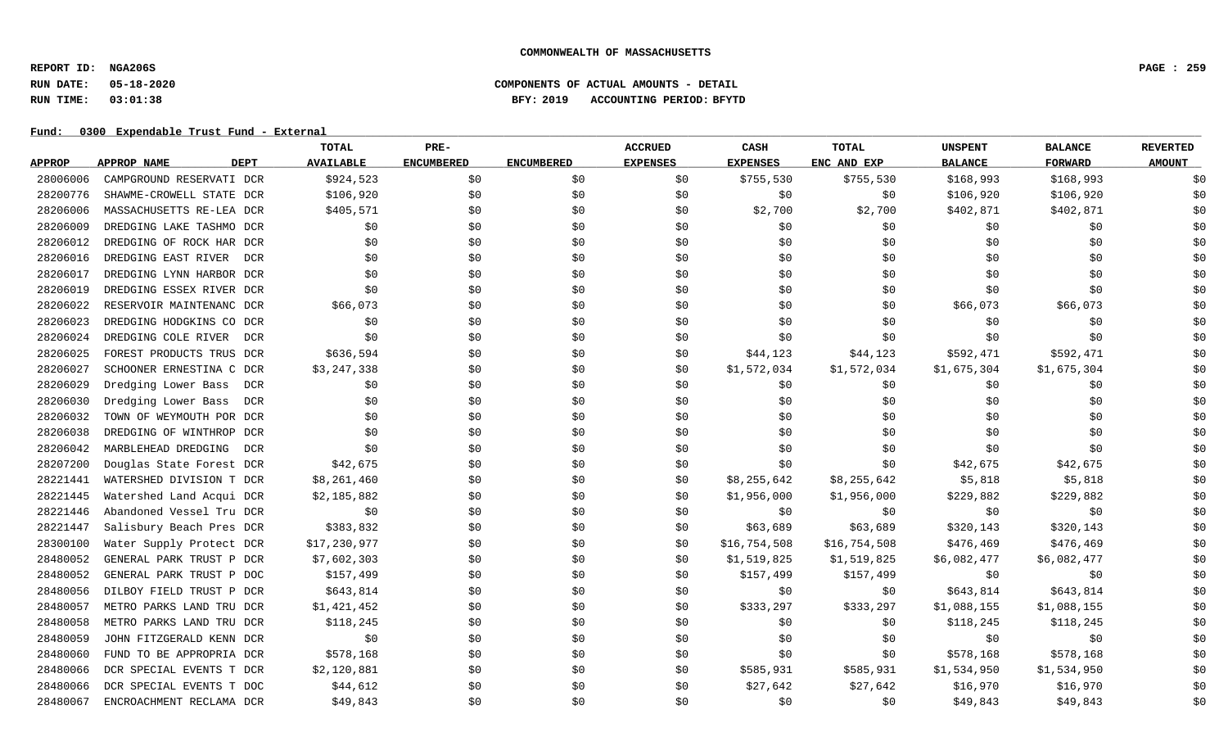**REPORT ID: NGA206S PAGE : 259**

# **RUN DATE: 05-18-2020 COMPONENTS OF ACTUAL AMOUNTS - DETAIL RUN TIME: 03:01:38 BFY: 2019 ACCOUNTING PERIOD: BFYTD**

|               |                                   | TOTAL            | PRE-              |                   | <b>ACCRUED</b>  | CASH            | <b>TOTAL</b> | <b>UNSPENT</b> | <b>BALANCE</b> | <b>REVERTED</b> |
|---------------|-----------------------------------|------------------|-------------------|-------------------|-----------------|-----------------|--------------|----------------|----------------|-----------------|
| <b>APPROP</b> | <b>DEPT</b><br><b>APPROP NAME</b> | <b>AVAILABLE</b> | <b>ENCUMBERED</b> | <b>ENCUMBERED</b> | <b>EXPENSES</b> | <b>EXPENSES</b> | ENC AND EXP  | <b>BALANCE</b> | <b>FORWARD</b> | <b>AMOUNT</b>   |
| 28006006      | CAMPGROUND RESERVATI DCR          | \$924,523        | \$0               | \$0               | \$0             | \$755,530       | \$755,530    | \$168,993      | \$168,993      | \$0             |
| 28200776      | SHAWME-CROWELL STATE DCR          | \$106,920        | \$0               | \$0               | \$0             | \$0             | \$0          | \$106,920      | \$106,920      | \$0             |
| 28206006      | MASSACHUSETTS RE-LEA DCR          | \$405,571        | \$0               | \$0               | \$0             | \$2,700         | \$2,700      | \$402,871      | \$402,871      | \$0             |
| 28206009      | DREDGING LAKE TASHMO DCR          | \$0              | \$0               | \$0               | \$0             | \$0             | \$0          | \$0            | \$0            | \$0             |
| 28206012      | DREDGING OF ROCK HAR DCR          | \$0              | \$0               | \$0               | \$0             | \$0             | \$0          | \$0            | \$0            | \$0             |
| 28206016      | DREDGING EAST RIVER<br>DCR        | \$0              | \$0               | \$0               | \$0             | \$0             | \$0          | \$0            | \$0            | \$0             |
| 28206017      | DREDGING LYNN HARBOR DCR          | \$0              | \$0               | \$0               | \$0             | \$0             | \$0          | \$0            | \$0            | \$0             |
| 28206019      | DREDGING ESSEX RIVER DCR          | \$0              | \$0               | \$0               | \$0             | \$0             | \$0          | \$0            | \$0            | \$0             |
| 28206022      | RESERVOIR MAINTENANC DCR          | \$66,073         | \$0               | \$0               | \$0             | \$0             | \$0          | \$66,073       | \$66,073       | \$0             |
| 28206023      | DREDGING HODGKINS CO DCR          | \$0              | \$0               | \$0               | \$0             | \$0             | \$0          | \$0            | \$0            | \$0             |
| 28206024      | DREDGING COLE RIVER<br>DCR        | \$0              | \$0               | \$0               | \$0             | \$0             | \$0          | \$0            | \$0            | \$0             |
| 28206025      | FOREST PRODUCTS TRUS DCR          | \$636,594        | \$0               | \$0               | \$0             | \$44,123        | \$44,123     | \$592,471      | \$592,471      | \$0             |
| 28206027      | SCHOONER ERNESTINA C DCR          | \$3,247,338      | \$0               | \$0               | \$0             | \$1,572,034     | \$1,572,034  | \$1,675,304    | \$1,675,304    | \$0             |
| 28206029      | Dredging Lower Bass<br><b>DCR</b> | \$0              | \$0               | \$0               | \$0             | \$0             | \$0\$        | \$0            | \$0            | \$0             |
| 28206030      | Dredging Lower Bass<br>DCR        | \$0              | \$0               | \$0               | \$0             | \$0             | \$0          | \$0            | \$0            | \$0             |
| 28206032      | TOWN OF WEYMOUTH POR DCR          | \$0              | \$0               | \$0               | \$0             | \$0             | \$0          | \$0            | \$0            | \$0             |
| 28206038      | DREDGING OF WINTHROP DCR          | \$0              | \$0               | \$0               | \$0             | \$0             | \$0          | \$0            | \$0            | \$0             |
| 28206042      | MARBLEHEAD DREDGING<br><b>DCR</b> | \$0              | \$0               | \$0               | \$0             | \$0             | \$0          | \$0            | \$0            | \$0             |
| 28207200      | Douglas State Forest DCR          | \$42,675         | \$0               | \$0               | \$0             | \$0             | \$0          | \$42,675       | \$42,675       | \$0             |
| 28221441      | WATERSHED DIVISION T DCR          | \$8,261,460      | \$0               | \$0               | \$0             | \$8,255,642     | \$8,255,642  | \$5,818        | \$5,818        | \$0             |
| 28221445      | Watershed Land Acqui DCR          | \$2,185,882      | \$0               | \$0               | \$0             | \$1,956,000     | \$1,956,000  | \$229,882      | \$229,882      | \$0             |
| 28221446      | Abandoned Vessel Tru DCR          | \$0              | \$0               | \$0               | \$0             | \$0             | \$0          | \$0            | \$0            | \$0             |
| 28221447      | Salisbury Beach Pres DCR          | \$383,832        | \$0               | \$0               | \$0             | \$63,689        | \$63,689     | \$320,143      | \$320,143      | \$0             |
| 28300100      | Water Supply Protect DCR          | \$17,230,977     | \$0               | \$0               | \$0             | \$16,754,508    | \$16,754,508 | \$476,469      | \$476,469      | \$0             |
| 28480052      | GENERAL PARK TRUST P DCR          | \$7,602,303      | \$0               | \$0               | \$0             | \$1,519,825     | \$1,519,825  | \$6,082,477    | \$6,082,477    | \$0             |
| 28480052      | GENERAL PARK TRUST P DOC          | \$157,499        | \$0               | \$0               | \$0             | \$157,499       | \$157,499    | \$0            | \$0            | \$0             |
| 28480056      | DILBOY FIELD TRUST P DCR          | \$643,814        | \$0               | \$0               | \$0             | \$0             | \$0          | \$643,814      | \$643,814      | \$0             |
| 28480057      | METRO PARKS LAND TRU DCR          | \$1,421,452      | \$0               | \$0\$             | \$0             | \$333,297       | \$333,297    | \$1,088,155    | \$1,088,155    | \$0             |
| 28480058      | METRO PARKS LAND TRU DCR          | \$118,245        | \$0               | \$0               | \$0             | \$0             | \$0          | \$118,245      | \$118,245      | \$0             |
| 28480059      | JOHN FITZGERALD KENN DCR          | \$0              | \$0               | \$0               | \$0             | \$0             | \$0          | \$0            | \$0            | \$0             |
| 28480060      | FUND TO BE APPROPRIA DCR          | \$578,168        | \$0               | \$0               | \$0             | \$0             | \$0          | \$578,168      | \$578,168      | \$0             |
| 28480066      | DCR SPECIAL EVENTS T DCR          | \$2,120,881      | \$0               | \$0               | \$0             | \$585,931       | \$585,931    | \$1,534,950    | \$1,534,950    | \$0             |
| 28480066      | DCR SPECIAL EVENTS T DOC          | \$44,612         | \$0               | \$0               | \$0             | \$27,642        | \$27,642     | \$16,970       | \$16,970       | \$0             |
| 28480067      | ENCROACHMENT RECLAMA DCR          | \$49,843         | \$0               | \$0               | \$0             | \$0             | \$0\$        | \$49,843       | \$49,843       | \$0             |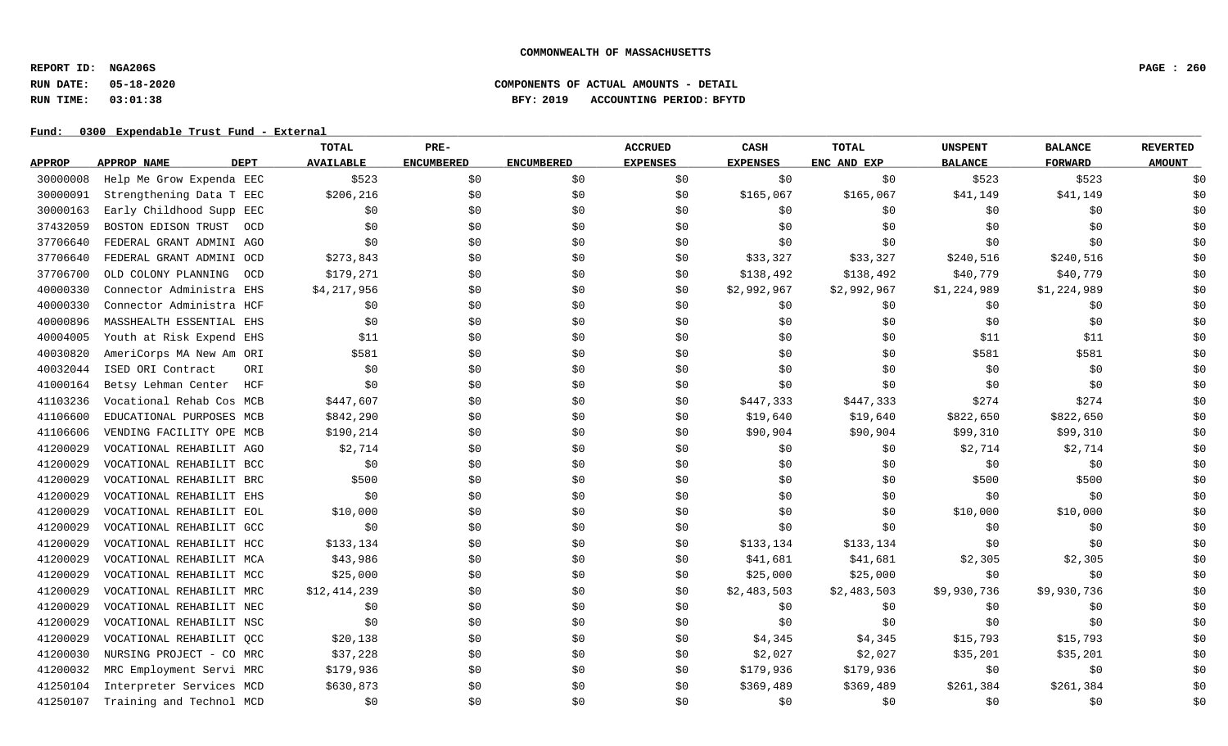**REPORT ID: NGA206S PAGE : 260**

# **RUN DATE: 05-18-2020 COMPONENTS OF ACTUAL AMOUNTS - DETAIL RUN TIME: 03:01:38 BFY: 2019 ACCOUNTING PERIOD: BFYTD**

|               |                                   | <b>TOTAL</b>     | PRE-              |                   | <b>ACCRUED</b>  | CASH            | <b>TOTAL</b> | <b>UNSPENT</b> | <b>BALANCE</b> | <b>REVERTED</b> |
|---------------|-----------------------------------|------------------|-------------------|-------------------|-----------------|-----------------|--------------|----------------|----------------|-----------------|
| <b>APPROP</b> | <b>DEPT</b><br><b>APPROP NAME</b> | <b>AVAILABLE</b> | <b>ENCUMBERED</b> | <b>ENCUMBERED</b> | <b>EXPENSES</b> | <b>EXPENSES</b> | ENC AND EXP  | <b>BALANCE</b> | <b>FORWARD</b> | <b>AMOUNT</b>   |
| 30000008      | Help Me Grow Expenda EEC          | \$523            | \$0               | \$0               | \$0             | \$0             | \$0          | \$523          | \$523          | \$0             |
| 30000091      | Strengthening Data T EEC          | \$206,216        | \$0               | \$0               | \$0             | \$165,067       | \$165,067    | \$41,149       | \$41,149       | \$0             |
| 30000163      | Early Childhood Supp EEC          | \$0              | \$0               | \$0               | \$0             | \$0             | \$0          | \$0            | \$0            | \$0             |
| 37432059      | BOSTON EDISON TRUST<br>OCD        | \$0              | \$0               | \$0               | \$0             | \$0             | \$0          | \$0            | \$0            | \$0             |
| 37706640      | FEDERAL GRANT ADMINI AGO          | \$0              | \$0               | \$0               | \$0             | \$0             | \$0          | \$0            | \$0            | \$0             |
| 37706640      | FEDERAL GRANT ADMINI OCD          | \$273,843        | \$0               | \$0               | \$0             | \$33,327        | \$33,327     | \$240,516      | \$240,516      | \$0             |
| 37706700      | OLD COLONY PLANNING<br>- OCD      | \$179,271        | \$0               | \$0               | \$0             | \$138,492       | \$138,492    | \$40,779       | \$40,779       | \$0             |
| 40000330      | Connector Administra EHS          | \$4,217,956      | \$0               | \$0               | \$0             | \$2,992,967     | \$2,992,967  | \$1,224,989    | \$1,224,989    | \$0             |
| 40000330      | Connector Administra HCF          | \$0              | \$0               | \$0               | \$0             | \$0             | \$0          | \$0            | \$0            | \$0             |
| 40000896      | MASSHEALTH ESSENTIAL EHS          | \$0              | \$0               | \$0               | \$0             | \$0             | \$0          | \$0            | \$0            | \$0             |
| 40004005      | Youth at Risk Expend EHS          | \$11             | \$0               | \$0               | \$0             | \$0             | \$0          | \$11           | \$11           | \$0             |
| 40030820      | AmeriCorps MA New Am ORI          | \$581            | \$0               | \$0               | \$0             | \$0             | \$0          | \$581          | \$581          | \$0             |
| 40032044      | ORI<br>ISED ORI Contract          | \$0              | \$0               | \$0               | \$0             | \$0             | \$0\$        | \$0            | \$0            | \$0             |
| 41000164      | Betsy Lehman Center<br>HCF        | \$0              | \$0               | \$0               | \$0             | \$0             | \$0          | \$0            | \$0            | \$0             |
| 41103236      | Vocational Rehab Cos MCB          | \$447,607        | \$0               | \$0               | \$0             | \$447,333       | \$447,333    | \$274          | \$274          | \$0             |
| 41106600      | EDUCATIONAL PURPOSES MCB          | \$842,290        | \$0               | \$0               | \$0             | \$19,640        | \$19,640     | \$822,650      | \$822,650      | \$0             |
| 41106606      | VENDING FACILITY OPE MCB          | \$190,214        | \$0               | \$0               | \$0             | \$90,904        | \$90,904     | \$99,310       | \$99,310       | \$0             |
| 41200029      | VOCATIONAL REHABILIT AGO          | \$2,714          | \$0               | \$0               | \$0             | \$0             | \$0          | \$2,714        | \$2,714        | \$0             |
| 41200029      | VOCATIONAL REHABILIT BCC          | \$0              | \$0               | \$0               | \$0             | \$0             | \$0          | \$0            | \$0            | \$0             |
| 41200029      | VOCATIONAL REHABILIT BRC          | \$500            | \$0               | \$0               | \$0             | \$0             | \$0          | \$500          | \$500          | \$0             |
| 41200029      | VOCATIONAL REHABILIT EHS          | \$0              | \$0               | \$0               | \$0             | \$0             | \$0          | \$0            | \$0            | \$0             |
| 41200029      | VOCATIONAL REHABILIT EOL          | \$10,000         | \$0               | \$0               | \$0             | \$0             | \$0          | \$10,000       | \$10,000       | \$0             |
| 41200029      | VOCATIONAL REHABILIT GCC          | \$0              | \$0               | \$0               | \$0             | \$0             | \$0\$        | \$0            | \$0            | \$0             |
| 41200029      | VOCATIONAL REHABILIT HCC          | \$133,134        | \$0               | \$0               | \$0             | \$133,134       | \$133,134    | \$0            | \$0            | \$0             |
| 41200029      | VOCATIONAL REHABILIT MCA          | \$43,986         | \$0               | \$0               | \$0             | \$41,681        | \$41,681     | \$2,305        | \$2,305        | \$0             |
| 41200029      | VOCATIONAL REHABILIT MCC          | \$25,000         | \$0               | \$0               | \$0             | \$25,000        | \$25,000     | \$0            | \$0            | \$0             |
| 41200029      | VOCATIONAL REHABILIT MRC          | \$12,414,239     | \$0               | \$0               | \$0             | \$2,483,503     | \$2,483,503  | \$9,930,736    | \$9,930,736    | \$0             |
| 41200029      | VOCATIONAL REHABILIT NEC          | \$0              | \$0               | \$0               | \$0             | \$0             | \$0          | \$0            | \$0            | \$0             |
| 41200029      | VOCATIONAL REHABILIT NSC          | \$0              | \$0               | \$0               | \$0             | \$0             | \$0          | \$0            | \$0            | \$0             |
| 41200029      | VOCATIONAL REHABILIT QCC          | \$20,138         | \$0               | \$0               | \$0             | \$4,345         | \$4,345      | \$15,793       | \$15,793       | \$0             |
| 41200030      | NURSING PROJECT - CO MRC          | \$37,228         | \$0               | \$0               | \$0             | \$2,027         | \$2,027      | \$35,201       | \$35,201       | \$0             |
| 41200032      | MRC Employment Servi MRC          | \$179,936        | \$0               | \$0               | \$0             | \$179,936       | \$179,936    | \$0            | \$0            | \$0             |
| 41250104      | Interpreter Services MCD          | \$630,873        | \$0               | \$0               | \$0             | \$369,489       | \$369,489    | \$261,384      | \$261,384      | \$0             |
| 41250107      | Training and Technol MCD          | \$0              | \$0               | \$0               | \$0             | \$0             | \$0          | \$0            | \$0            | \$0             |
|               |                                   |                  |                   |                   |                 |                 |              |                |                |                 |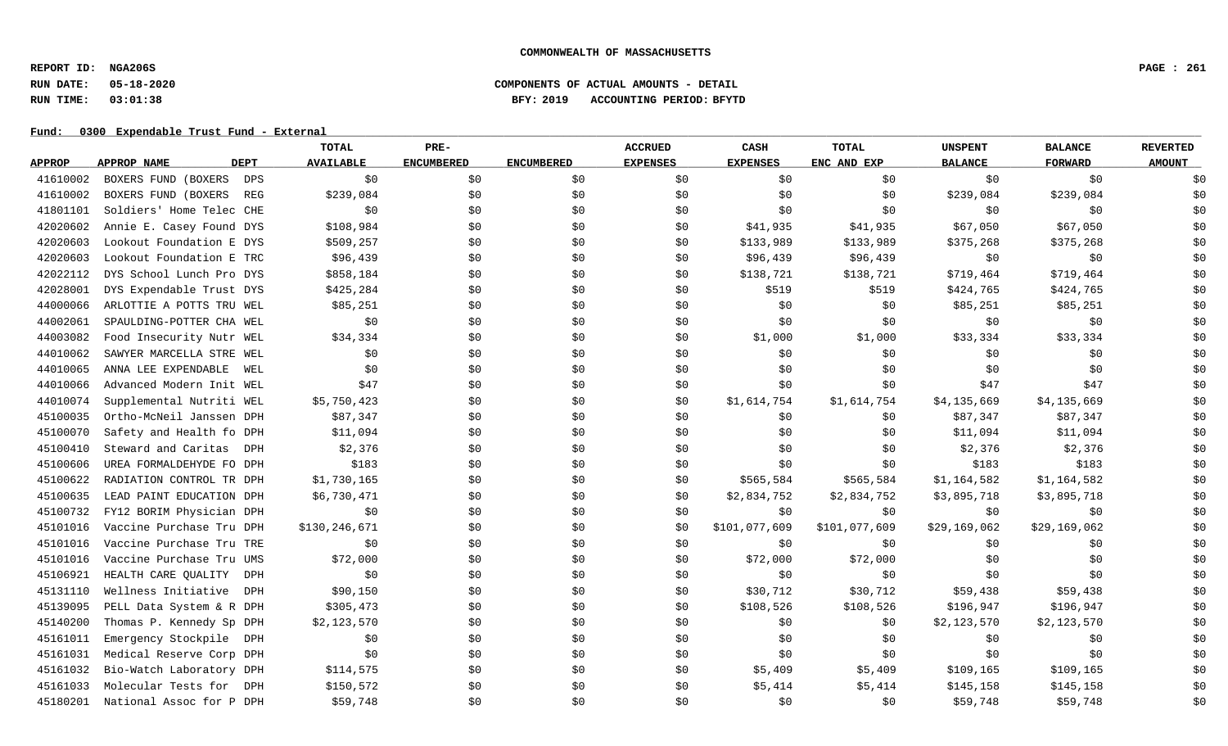**REPORT ID: NGA206S PAGE : 261**

# **RUN DATE: 05-18-2020 COMPONENTS OF ACTUAL AMOUNTS - DETAIL RUN TIME: 03:01:38 BFY: 2019 ACCOUNTING PERIOD: BFYTD**

|               |                          | TOTAL                           | PRE-              |                   | <b>ACCRUED</b>  | CASH            | <b>TOTAL</b>  | <b>UNSPENT</b> | <b>BALANCE</b> | <b>REVERTED</b> |
|---------------|--------------------------|---------------------------------|-------------------|-------------------|-----------------|-----------------|---------------|----------------|----------------|-----------------|
| <b>APPROP</b> | APPROP NAME              | <b>DEPT</b><br><b>AVAILABLE</b> | <b>ENCUMBERED</b> | <b>ENCUMBERED</b> | <b>EXPENSES</b> | <b>EXPENSES</b> | ENC AND EXP   | <b>BALANCE</b> | <b>FORWARD</b> | <b>AMOUNT</b>   |
| 41610002      | BOXERS FUND (BOXERS      | \$0<br>DPS                      | \$0               | \$0               | \$0             | \$0             | \$0           | \$0            | \$0            | \$0             |
| 41610002      | BOXERS FUND (BOXERS      | \$239,084<br><b>REG</b>         | \$0               | \$0               | \$0             | \$0             | \$0           | \$239,084      | \$239,084      | \$0             |
| 41801101      | Soldiers' Home Telec CHE | \$0                             | \$0               | \$0               | \$0             | \$0\$           | \$0           | \$0            | \$0            | \$0             |
| 42020602      | Annie E. Casey Found DYS | \$108,984                       | \$0               | \$0               | \$0             | \$41,935        | \$41,935      | \$67,050       | \$67,050       | \$0             |
| 42020603      | Lookout Foundation E DYS | \$509,257                       | \$0               | \$0               | \$0             | \$133,989       | \$133,989     | \$375,268      | \$375,268      | \$0             |
| 42020603      | Lookout Foundation E TRC | \$96,439                        | \$0               | \$0               | \$0             | \$96,439        | \$96,439      | \$0            | \$0            | \$0             |
| 42022112      | DYS School Lunch Pro DYS | \$858,184                       | \$0               | \$0               | \$0             | \$138,721       | \$138,721     | \$719,464      | \$719,464      | \$0             |
| 42028001      | DYS Expendable Trust DYS | \$425,284                       | \$0               | \$0               | \$0             | \$519           | \$519         | \$424,765      | \$424,765      | \$0             |
| 44000066      | ARLOTTIE A POTTS TRU WEL | \$85,251                        | \$0               | \$0               | \$0             | \$0\$           | \$0           | \$85,251       | \$85,251       | \$0             |
| 44002061      | SPAULDING-POTTER CHA WEL | \$0                             | \$0               | \$0               | \$0             | \$0             | \$0           | \$0            | \$0            | \$0             |
| 44003082      | Food Insecurity Nutr WEL | \$34,334                        | \$0               | \$0               | \$0             | \$1,000         | \$1,000       | \$33,334       | \$33,334       | \$0             |
| 44010062      | SAWYER MARCELLA STRE WEL | \$0                             | \$0               | \$0               | \$0             | \$0             | \$0           | \$0            | \$0            | \$0             |
| 44010065      | ANNA LEE EXPENDABLE      | \$0<br>WEL                      | \$0               | \$0               | \$0             | \$0             | \$0           | \$0            | \$0            | \$0             |
| 44010066      | Advanced Modern Init WEL | \$47                            | \$0               | \$0               | \$0             | \$0             | \$0           | \$47           | \$47           | \$0             |
| 44010074      | Supplemental Nutriti WEL | \$5,750,423                     | \$0               | \$0               | \$0             | \$1,614,754     | \$1,614,754   | \$4,135,669    | \$4,135,669    | \$0             |
| 45100035      | Ortho-McNeil Janssen DPH | \$87,347                        | \$0               | \$0               | \$0             | \$0             | \$0           | \$87,347       | \$87,347       | \$0             |
| 45100070      | Safety and Health fo DPH | \$11,094                        | \$0               | \$0               | \$0             | \$0             | \$0           | \$11,094       | \$11,094       | \$0             |
| 45100410      | Steward and Caritas      | \$2,376<br>DPH                  | \$0               | \$0               | \$0             | \$0             | \$0           | \$2,376        | \$2,376        | \$0             |
| 45100606      | UREA FORMALDEHYDE FO DPH | \$183                           | \$0               | \$0               | \$0             | \$0             | \$0           | \$183          | \$183          | \$0             |
| 45100622      | RADIATION CONTROL TR DPH | \$1,730,165                     | \$0               | \$0               | \$0             | \$565,584       | \$565,584     | \$1,164,582    | \$1,164,582    | \$0             |
| 45100635      | LEAD PAINT EDUCATION DPH | \$6,730,471                     | \$0               | \$0               | \$0             | \$2,834,752     | \$2,834,752   | \$3,895,718    | \$3,895,718    | \$0             |
| 45100732      | FY12 BORIM Physician DPH | \$0                             | \$0               | \$0               | \$0             | \$0             | \$0           | \$0            | \$0            | \$0             |
| 45101016      | Vaccine Purchase Tru DPH | \$130,246,671                   | \$0               | \$0               | \$0             | \$101,077,609   | \$101,077,609 | \$29,169,062   | \$29,169,062   | \$0             |
| 45101016      | Vaccine Purchase Tru TRE | \$0                             | \$0               | \$0               | \$0             | \$0             | \$0           | \$0            | \$0            | \$0             |
| 45101016      | Vaccine Purchase Tru UMS | \$72,000                        | \$0               | \$0               | \$0             | \$72,000        | \$72,000      | \$0            | \$0            | \$0             |
| 45106921      | HEALTH CARE QUALITY      | \$0<br>DPH                      | \$0               | \$0               | \$0             | \$0             | \$0           | \$0            | \$0            | \$0             |
| 45131110      | Wellness Initiative      | \$90,150<br><b>DPH</b>          | \$0               | \$0               | \$0             | \$30,712        | \$30,712      | \$59,438       | \$59,438       | \$0             |
| 45139095      | PELL Data System & R DPH | \$305,473                       | \$0               | \$0               | \$0             | \$108,526       | \$108,526     | \$196,947      | \$196,947      | \$0             |
| 45140200      | Thomas P. Kennedy Sp DPH | \$2,123,570                     | \$0               | \$0               | \$0             | \$0             | \$0           | \$2,123,570    | \$2,123,570    | \$0             |
| 45161011      | Emergency Stockpile      | \$0<br>DPH                      | \$0               | \$0               | \$0             | \$0             | \$0           | \$0            | \$0            | \$0             |
| 45161031      | Medical Reserve Corp DPH | \$0                             | \$0               | \$0               | \$0             | \$0             | \$0           | \$0            | \$0            | \$0             |
| 45161032      | Bio-Watch Laboratory DPH | \$114,575                       | \$0               | \$0               | \$0             | \$5,409         | \$5,409       | \$109,165      | \$109,165      | \$0             |
| 45161033      | Molecular Tests for      | \$150,572<br>DPH                | \$0               | \$0               | \$0             | \$5,414         | \$5,414       | \$145,158      | \$145,158      | \$0             |
| 45180201      | National Assoc for P DPH | \$59,748                        | \$0\$             | \$0               | \$0             | \$0             | \$0           | \$59,748       | \$59,748       | \$0             |
|               |                          |                                 |                   |                   |                 |                 |               |                |                |                 |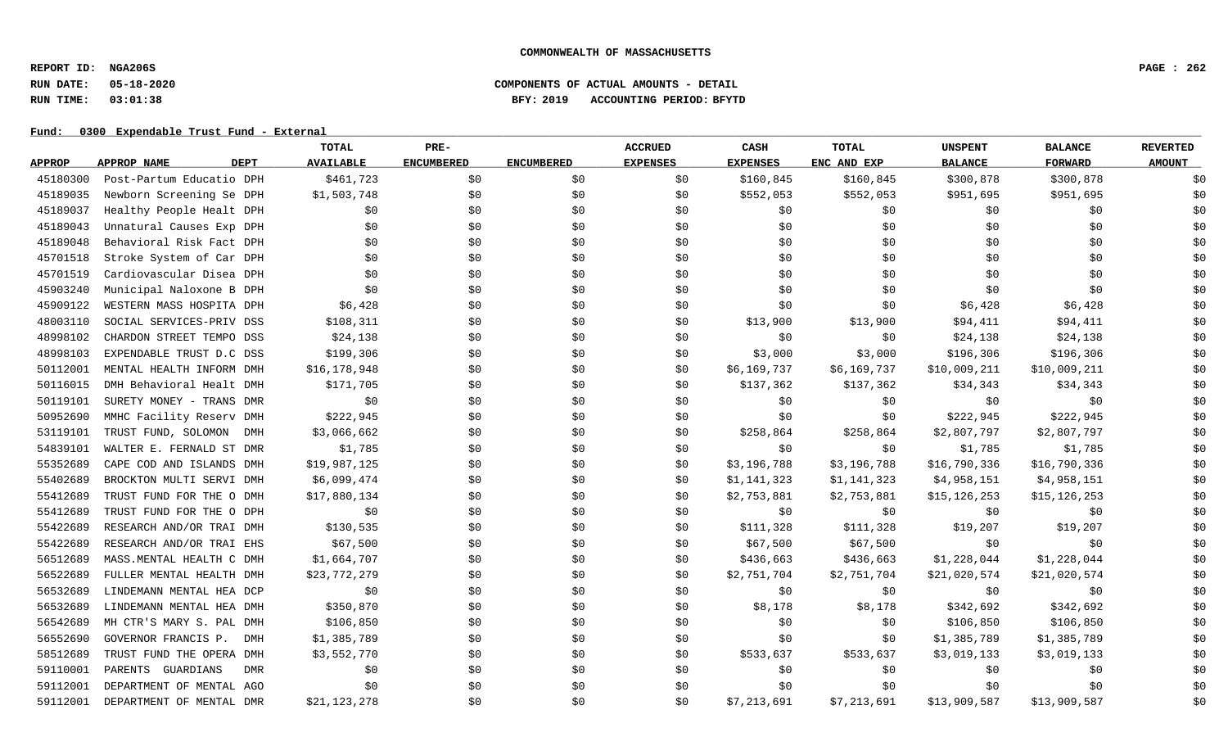**REPORT ID: NGA206S PAGE : 262**

# **RUN DATE: 05-18-2020 COMPONENTS OF ACTUAL AMOUNTS - DETAIL RUN TIME: 03:01:38 BFY: 2019 ACCOUNTING PERIOD: BFYTD**

|               |                                 | TOTAL            | PRE-              |                   | <b>ACCRUED</b>  | CASH            | TOTAL       | <b>UNSPENT</b> | <b>BALANCE</b> | <b>REVERTED</b> |
|---------------|---------------------------------|------------------|-------------------|-------------------|-----------------|-----------------|-------------|----------------|----------------|-----------------|
| <b>APPROP</b> | <b>DEPT</b><br>APPROP NAME      | <b>AVAILABLE</b> | <b>ENCUMBERED</b> | <b>ENCUMBERED</b> | <b>EXPENSES</b> | <b>EXPENSES</b> | ENC AND EXP | <b>BALANCE</b> | <b>FORWARD</b> | <b>AMOUNT</b>   |
| 45180300      | Post-Partum Educatio DPH        | \$461,723        | \$0               | \$0               | \$0             | \$160,845       | \$160,845   | \$300,878      | \$300,878      | \$0             |
| 45189035      | Newborn Screening Se DPH        | \$1,503,748      | \$0\$             | \$0               | \$0             | \$552,053       | \$552,053   | \$951,695      | \$951,695      | \$0             |
| 45189037      | Healthy People Healt DPH        | \$0              | \$0               | \$0               | \$0             | \$0             | \$0         | \$0            | \$0            | \$0             |
| 45189043      | Unnatural Causes Exp DPH        | \$0              | \$0               | \$0               | \$0             | \$0             | \$0         | \$0            | \$0            | \$0             |
| 45189048      | Behavioral Risk Fact DPH        | \$0              | \$0               | \$0               | \$0             | \$0             | \$0         | \$0            | \$0            | \$0             |
| 45701518      | Stroke System of Car DPH        | \$0              | \$0               | \$0               | \$0             | \$0             | \$0         | \$0            | \$0            | \$0             |
| 45701519      | Cardiovascular Disea DPH        | \$0              | \$0               | \$0               | \$0             | \$0             | \$0         | \$0            | \$0            | \$0             |
| 45903240      | Municipal Naloxone B DPH        | \$0              | \$0\$             | \$0               | \$0             | \$0             | \$0         | \$0            | \$0            | \$0             |
| 45909122      | WESTERN MASS HOSPITA DPH        | \$6,428          | \$0               | \$0               | \$0             | \$0             | \$0         | \$6,428        | \$6,428        | \$0             |
| 48003110      | SOCIAL SERVICES-PRIV DSS        | \$108,311        | \$0               | \$0               | \$0             | \$13,900        | \$13,900    | \$94,411       | \$94,411       | \$0             |
| 48998102      | CHARDON STREET TEMPO DSS        | \$24,138         | \$0               | \$0               | \$0             | \$0             | \$0         | \$24,138       | \$24,138       | \$0             |
| 48998103      | EXPENDABLE TRUST D.C DSS        | \$199,306        | \$0               | \$0               | \$0             | \$3,000         | \$3,000     | \$196,306      | \$196,306      | \$0             |
| 50112001      | MENTAL HEALTH INFORM DMH        | \$16,178,948     | \$0               | \$0               | \$0             | \$6,169,737     | \$6,169,737 | \$10,009,211   | \$10,009,211   | \$0             |
| 50116015      | DMH Behavioral Healt DMH        | \$171,705        | \$0               | \$0               | \$0             | \$137,362       | \$137,362   | \$34,343       | \$34,343       | \$0             |
| 50119101      | SURETY MONEY - TRANS DMR        | \$0              | \$0               | \$0               | \$0             | \$0             | \$0         | \$0            | \$0            | \$0             |
| 50952690      | MMHC Facility Reserv DMH        | \$222,945        | \$0               | \$0               | \$0             | \$0             | \$0         | \$222,945      | \$222,945      | \$0             |
| 53119101      | TRUST FUND, SOLOMON<br>DMH      | \$3,066,662      | \$0               | \$0               | \$0             | \$258,864       | \$258,864   | \$2,807,797    | \$2,807,797    | \$0             |
| 54839101      | WALTER E. FERNALD ST DMR        | \$1,785          | \$0               | \$0               | \$0             | \$0             | \$0         | \$1,785        | \$1,785        | \$0             |
| 55352689      | CAPE COD AND ISLANDS DMH        | \$19,987,125     | \$0               | \$0               | \$0             | \$3,196,788     | \$3,196,788 | \$16,790,336   | \$16,790,336   | \$0             |
| 55402689      | BROCKTON MULTI SERVI DMH        | \$6,099,474      | \$0               | \$0               | \$0             | \$1,141,323     | \$1,141,323 | \$4,958,151    | \$4,958,151    | \$0             |
| 55412689      | TRUST FUND FOR THE O DMH        | \$17,880,134     | \$0               | \$0               | \$0             | \$2,753,881     | \$2,753,881 | \$15, 126, 253 | \$15, 126, 253 | \$0             |
| 55412689      | TRUST FUND FOR THE O DPH        | \$0              | \$0               | \$0               | \$0             | \$0             | \$0         | \$0            | \$0            | \$0             |
| 55422689      | RESEARCH AND/OR TRAI DMH        | \$130,535        | \$0               | \$0               | \$0             | \$111,328       | \$111,328   | \$19,207       | \$19,207       | \$0             |
| 55422689      | RESEARCH AND/OR TRAI EHS        | \$67,500         | \$0               | \$0               | \$0             | \$67,500        | \$67,500    | \$0            | \$0            | \$0             |
| 56512689      | MASS. MENTAL HEALTH C DMH       | \$1,664,707      | \$0               | \$0               | \$0             | \$436,663       | \$436,663   | \$1,228,044    | \$1,228,044    | \$0             |
| 56522689      | FULLER MENTAL HEALTH DMH        | \$23,772,279     | \$0               | \$0               | \$0             | \$2,751,704     | \$2,751,704 | \$21,020,574   | \$21,020,574   | \$0             |
| 56532689      | LINDEMANN MENTAL HEA DCP        | \$0              | \$0               | \$0               | \$0             | \$0             | \$0         | \$0            | \$0            | \$0             |
| 56532689      | LINDEMANN MENTAL HEA DMH        | \$350,870        | \$0               | \$0               | \$0             | \$8,178         | \$8,178     | \$342,692      | \$342,692      | \$0             |
| 56542689      | MH CTR'S MARY S. PAL DMH        | \$106,850        | \$0               | \$0               | \$0             | \$0             | \$0         | \$106,850      | \$106,850      | \$0             |
| 56552690      | GOVERNOR FRANCIS P.<br>DMH      | \$1,385,789      | \$0               | \$0               | \$0             | \$0             | \$0         | \$1,385,789    | \$1,385,789    | \$0             |
| 58512689      | TRUST FUND THE OPERA DMH        | \$3,552,770      | \$0               | \$0               | \$0             | \$533,637       | \$533,637   | \$3,019,133    | \$3,019,133    | \$0             |
| 59110001      | PARENTS GUARDIANS<br><b>DMR</b> | \$0              | \$0               | \$0               | \$0             | \$0             | \$0         | \$0            | \$0            | \$0             |
| 59112001      | DEPARTMENT OF MENTAL AGO        | \$0              | \$0               | \$0               | \$0             | \$0             | \$0         | \$0            | \$0            | \$0             |
| 59112001      | DEPARTMENT OF MENTAL DMR        | \$21,123,278     | \$0               | \$0               | \$0             | \$7,213,691     | \$7,213,691 | \$13,909,587   | \$13,909,587   | \$0             |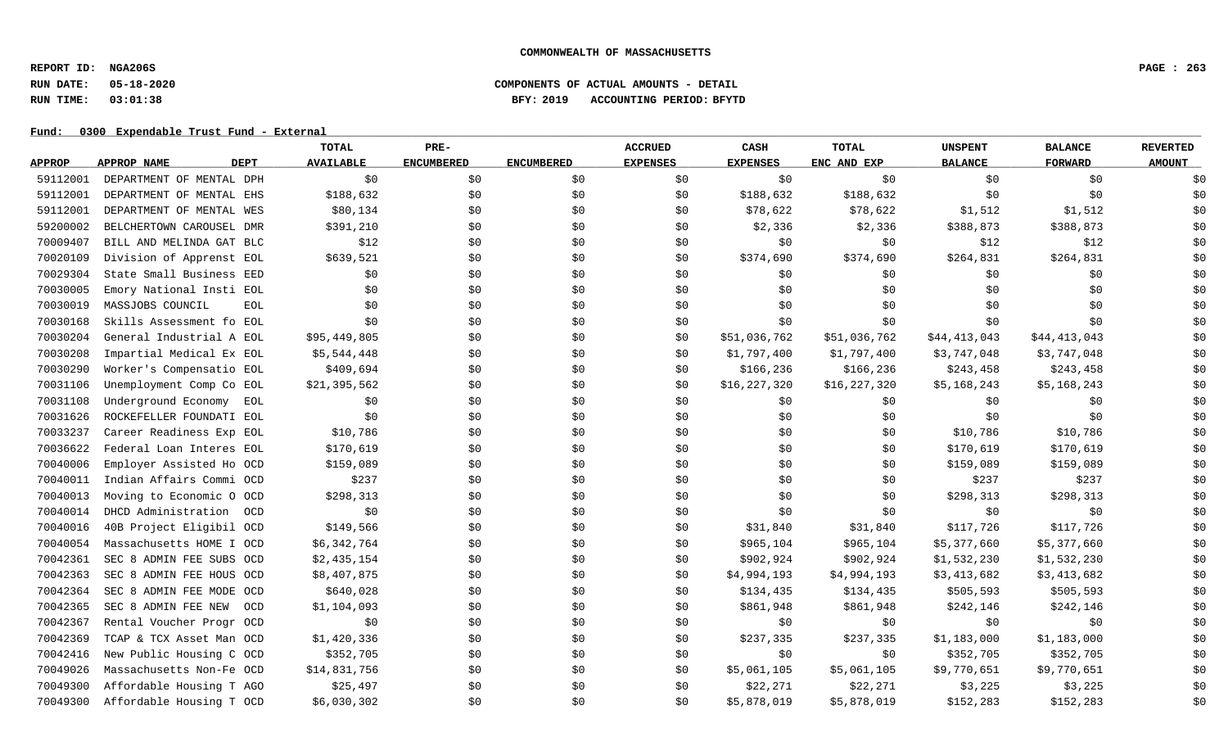**REPORT ID: NGA206S PAGE : 263**

# **RUN DATE: 05-18-2020 COMPONENTS OF ACTUAL AMOUNTS - DETAIL RUN TIME: 03:01:38 BFY: 2019 ACCOUNTING PERIOD: BFYTD**

|               |                                | <b>TOTAL</b>     | PRE-              |                   | <b>ACCRUED</b>  | CASH            | <b>TOTAL</b> | <b>UNSPENT</b> | <b>BALANCE</b> | <b>REVERTED</b> |
|---------------|--------------------------------|------------------|-------------------|-------------------|-----------------|-----------------|--------------|----------------|----------------|-----------------|
| <b>APPROP</b> | <b>DEPT</b><br>APPROP NAME     | <b>AVAILABLE</b> | <b>ENCUMBERED</b> | <b>ENCUMBERED</b> | <b>EXPENSES</b> | <b>EXPENSES</b> | ENC AND EXP  | <b>BALANCE</b> | <b>FORWARD</b> | <b>AMOUNT</b>   |
| 59112001      | DEPARTMENT OF MENTAL DPH       | \$0              | \$0               | \$0               | \$0             | \$0             | \$0          | \$0            | \$0            | \$0             |
| 59112001      | DEPARTMENT OF MENTAL EHS       | \$188,632        | \$0               | \$0               | \$0             | \$188,632       | \$188,632    | \$0            | \$0            | \$0             |
| 59112001      | DEPARTMENT OF MENTAL WES       | \$80,134         | \$0               | \$0               | \$0             | \$78,622        | \$78,622     | \$1,512        | \$1,512        | \$0             |
| 59200002      | BELCHERTOWN CAROUSEL DMR       | \$391,210        | \$0               | \$0               | \$0             | \$2,336         | \$2,336      | \$388,873      | \$388,873      | \$0             |
| 70009407      | BILL AND MELINDA GAT BLC       | \$12             | \$0               | \$0               | \$0             | \$0             | \$0          | \$12           | \$12           | \$0             |
| 70020109      | Division of Apprenst EOL       | \$639,521        | \$0               | \$0               | \$0             | \$374,690       | \$374,690    | \$264,831      | \$264,831      | \$0             |
| 70029304      | State Small Business EED       | \$0              | \$0               | \$0               | \$0             | \$0             | \$0          | \$0            | \$0            | \$0             |
| 70030005      | Emory National Insti EOL       | \$0              | \$0               | \$0               | \$0             | \$0             | \$0          | \$0            | \$0            | \$0             |
| 70030019      | MASSJOBS COUNCIL<br><b>EOL</b> | \$0              | \$0               | \$0               | \$0             | \$0             | \$0\$        | \$0            | \$0            | \$0             |
| 70030168      | Skills Assessment fo EOL       | \$0              | \$0               | \$0               | \$0             | \$0             | \$0          | \$0            | \$0            | \$0             |
| 70030204      | General Industrial A EOL       | \$95,449,805     | \$0               | \$0               | \$0             | \$51,036,762    | \$51,036,762 | \$44,413,043   | \$44,413,043   | \$0             |
| 70030208      | Impartial Medical Ex EOL       | \$5,544,448      | \$0               | \$0               | \$0             | \$1,797,400     | \$1,797,400  | \$3,747,048    | \$3,747,048    | \$0             |
| 70030290      | Worker's Compensatio EOL       | \$409,694        | \$0               | \$0               | \$0             | \$166,236       | \$166,236    | \$243,458      | \$243,458      | \$0             |
| 70031106      | Unemployment Comp Co EOL       | \$21,395,562     | \$0               | \$0               | \$0             | \$16,227,320    | \$16,227,320 | \$5,168,243    | \$5,168,243    | \$0             |
| 70031108      | Underground Economy<br>EOL     | \$0              | \$0               | \$0               | \$0             | \$0             | \$0          | \$0            | \$0            | \$0             |
| 70031626      | ROCKEFELLER FOUNDATI EOL       | \$0              | \$0               | \$0               | \$0             | \$0             | \$0          | \$0            | \$0            | \$0             |
| 70033237      | Career Readiness Exp EOL       | \$10,786         | \$0               | \$0               | \$0             | \$0\$           | \$0          | \$10,786       | \$10,786       | \$0             |
| 70036622      | Federal Loan Interes EOL       | \$170,619        | \$0               | \$0               | \$0             | \$0             | \$0          | \$170,619      | \$170,619      | \$0             |
| 70040006      | Employer Assisted Ho OCD       | \$159,089        | \$0               | \$0               | \$0             | \$0\$           | \$0          | \$159,089      | \$159,089      | \$0             |
| 70040011      | Indian Affairs Commi OCD       | \$237            | \$0               | \$0               | \$0             | \$0             | \$0          | \$237          | \$237          | \$0             |
| 70040013      | Moving to Economic O OCD       | \$298,313        | \$0               | \$0               | \$0             | \$0             | \$0          | \$298,313      | \$298,313      | \$0             |
| 70040014      | DHCD Administration OCD        | \$0              | \$0               | \$0               | \$0             | \$0             | \$0          | \$0            | \$0            | \$0             |
| 70040016      | 40B Project Eligibil OCD       | \$149,566        | \$0               | \$0               | \$0             | \$31,840        | \$31,840     | \$117,726      | \$117,726      | \$0             |
| 70040054      | Massachusetts HOME I OCD       | \$6,342,764      | \$0               | \$0               | \$0             | \$965,104       | \$965,104    | \$5,377,660    | \$5,377,660    | \$0             |
| 70042361      | SEC 8 ADMIN FEE SUBS OCD       | \$2,435,154      | \$0               | \$0               | \$0             | \$902,924       | \$902,924    | \$1,532,230    | \$1,532,230    | \$0             |
| 70042363      | SEC 8 ADMIN FEE HOUS OCD       | \$8,407,875      | \$0               | \$0               | \$0             | \$4,994,193     | \$4,994,193  | \$3,413,682    | \$3,413,682    | \$0             |
| 70042364      | SEC 8 ADMIN FEE MODE OCD       | \$640,028        | \$0               | \$0               | \$0             | \$134,435       | \$134,435    | \$505,593      | \$505,593      | \$0             |
| 70042365      | SEC 8 ADMIN FEE NEW<br>OCD     | \$1,104,093      | \$0               | \$0               | \$0             | \$861,948       | \$861,948    | \$242,146      | \$242,146      | \$0             |
| 70042367      | Rental Voucher Progr OCD       | \$0              | \$0               | \$0               | \$0             | \$0             | \$0          | \$0            | \$0            | \$0             |
| 70042369      | TCAP & TCX Asset Man OCD       | \$1,420,336      | \$0               | \$0               | \$0             | \$237,335       | \$237,335    | \$1,183,000    | \$1,183,000    | \$0             |
| 70042416      | New Public Housing C OCD       | \$352,705        | \$0               | \$0               | \$0             | \$0             | \$0          | \$352,705      | \$352,705      | \$0             |
| 70049026      | Massachusetts Non-Fe OCD       | \$14,831,756     | \$0               | \$0               | \$0             | \$5,061,105     | \$5,061,105  | \$9,770,651    | \$9,770,651    | \$0             |
| 70049300      | Affordable Housing T AGO       | \$25,497         | \$0               | \$0               | \$0             | \$22,271        | \$22,271     | \$3,225        | \$3,225        | \$0             |
| 70049300      | Affordable Housing T OCD       | \$6,030,302      | \$0               | \$0               | \$0             | \$5,878,019     | \$5,878,019  | \$152, 283     | \$152,283      | \$0             |
|               |                                |                  |                   |                   |                 |                 |              |                |                |                 |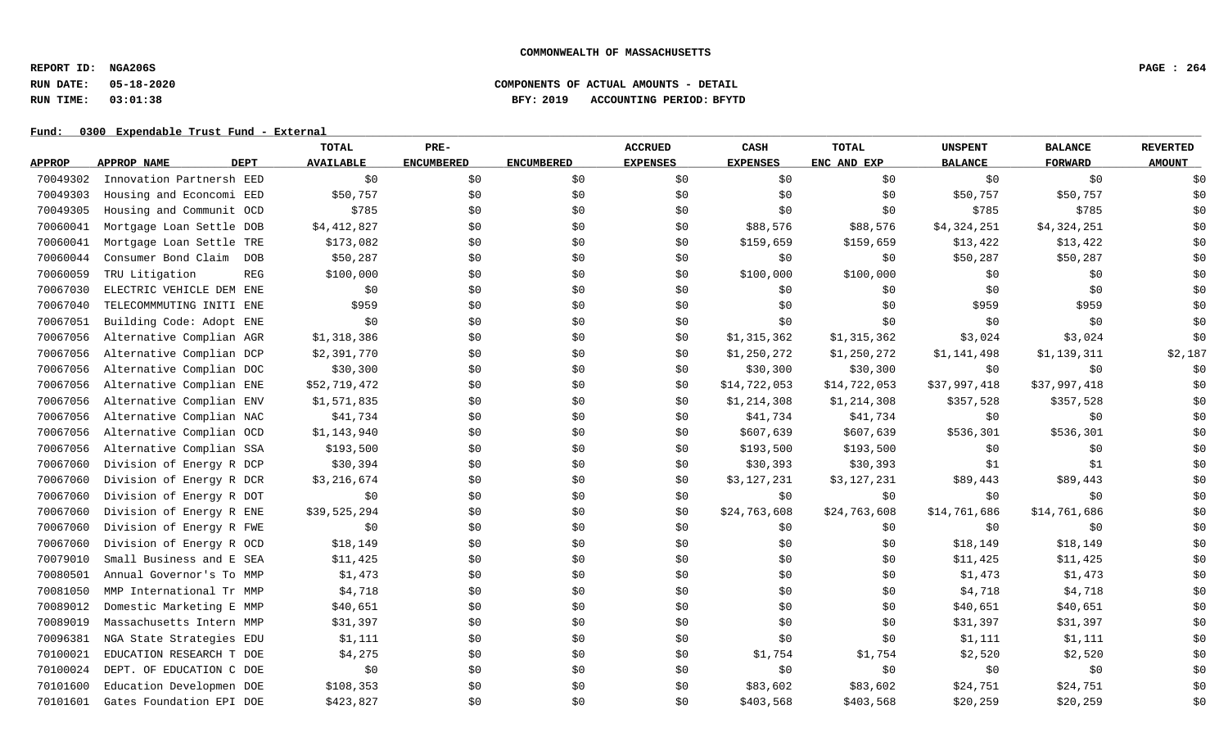**REPORT ID: NGA206S PAGE : 264**

# **RUN DATE: 05-18-2020 COMPONENTS OF ACTUAL AMOUNTS - DETAIL RUN TIME: 03:01:38 BFY: 2019 ACCOUNTING PERIOD: BFYTD**

|               |                            | <b>TOTAL</b>     | PRE-              |                   | <b>ACCRUED</b>  | <b>CASH</b>     | <b>TOTAL</b> | <b>UNSPENT</b> | <b>BALANCE</b> | <b>REVERTED</b> |
|---------------|----------------------------|------------------|-------------------|-------------------|-----------------|-----------------|--------------|----------------|----------------|-----------------|
| <b>APPROP</b> | APPROP NAME<br><b>DEPT</b> | <b>AVAILABLE</b> | <b>ENCUMBERED</b> | <b>ENCUMBERED</b> | <b>EXPENSES</b> | <b>EXPENSES</b> | ENC AND EXP  | <b>BALANCE</b> | <b>FORWARD</b> | <b>AMOUNT</b>   |
| 70049302      | Innovation Partnersh EED   | \$0              | \$0               | \$0               | \$0             | \$0             | \$0\$        | \$0            | \$0            | \$0             |
| 70049303      | Housing and Econcomi EED   | \$50,757         | \$0               | \$0               | \$0             | \$0             | \$0          | \$50,757       | \$50,757       | \$0             |
| 70049305      | Housing and Communit OCD   | \$785            | \$0               | \$0               | \$0             | \$0             | \$0          | \$785          | \$785          | \$0             |
| 70060041      | Mortgage Loan Settle DOB   | \$4,412,827      | \$0               | \$0               | \$0             | \$88,576        | \$88,576     | \$4,324,251    | \$4,324,251    | \$0             |
| 70060041      | Mortgage Loan Settle TRE   | \$173,082        | \$0               | \$0               | \$0             | \$159,659       | \$159,659    | \$13,422       | \$13,422       | \$0             |
| 70060044      | Consumer Bond Claim<br>DOB | \$50,287         | \$0               | \$0               | \$0             | \$0             | \$0          | \$50,287       | \$50,287       | \$0             |
| 70060059      | TRU Litigation<br>REG      | \$100,000        | \$0               | \$0               | \$0             | \$100,000       | \$100,000    | \$0            | \$0            | \$0             |
| 70067030      | ELECTRIC VEHICLE DEM ENE   | \$0              | \$0               | \$0               | \$0             | \$0             | \$0          | \$0            | \$0            | \$0             |
| 70067040      | TELECOMMMUTING INITI ENE   | \$959            | \$0               | \$0               | \$0             | \$0             | \$0          | \$959          | \$959          | \$0             |
| 70067051      | Building Code: Adopt ENE   | \$0              | \$0               | \$0               | \$0             | \$0             | \$0          | \$0            | \$0            | \$0             |
| 70067056      | Alternative Complian AGR   | \$1,318,386      | \$0               | \$0               | \$0             | \$1,315,362     | \$1,315,362  | \$3,024        | \$3,024        | \$0             |
| 70067056      | Alternative Complian DCP   | \$2,391,770      | \$0               | \$0               | \$0             | \$1,250,272     | \$1,250,272  | \$1,141,498    | \$1,139,311    | \$2,187         |
| 70067056      | Alternative Complian DOC   | \$30,300         | \$0               | \$0               | \$0             | \$30,300        | \$30,300     | \$0            | \$0            | \$0             |
| 70067056      | Alternative Complian ENE   | \$52,719,472     | \$0               | \$0               | \$0             | \$14,722,053    | \$14,722,053 | \$37,997,418   | \$37,997,418   | \$0             |
| 70067056      | Alternative Complian ENV   | \$1,571,835      | \$0               | \$0               | \$0             | \$1,214,308     | \$1,214,308  | \$357,528      | \$357,528      | \$0             |
| 70067056      | Alternative Complian NAC   | \$41,734         | \$0               | \$0               | \$0             | \$41,734        | \$41,734     | \$0            | \$0            | \$0             |
| 70067056      | Alternative Complian OCD   | \$1,143,940      | \$0               | \$0               | \$0             | \$607,639       | \$607,639    | \$536,301      | \$536,301      | \$0             |
| 70067056      | Alternative Complian SSA   | \$193,500        | \$0               | \$0               | \$0             | \$193,500       | \$193,500    | \$0            | \$0            | \$0             |
| 70067060      | Division of Energy R DCP   | \$30,394         | \$0               | \$0               | \$0             | \$30,393        | \$30,393     | \$1            | \$1            | \$0             |
| 70067060      | Division of Energy R DCR   | \$3,216,674      | \$0               | \$0               | \$0             | \$3,127,231     | \$3,127,231  | \$89,443       | \$89,443       | \$0             |
| 70067060      | Division of Energy R DOT   | \$0              | \$0               | \$0               | \$0             | \$0             | \$0\$        | \$0            | \$0            | \$0             |
| 70067060      | Division of Energy R ENE   | \$39,525,294     | \$0               | \$0               | \$0             | \$24,763,608    | \$24,763,608 | \$14,761,686   | \$14,761,686   | \$0             |
| 70067060      | Division of Energy R FWE   | \$0              | \$0               | \$0               | \$0             | \$0             | \$0          | \$0            | \$0            | \$0             |
| 70067060      | Division of Energy R OCD   | \$18,149         | \$0               | \$0               | \$0             | \$0             | \$0          | \$18,149       | \$18,149       | \$0             |
| 70079010      | Small Business and E SEA   | \$11,425         | \$0               | \$0               | \$0             | \$0             | \$0          | \$11,425       | \$11,425       | \$0             |
| 70080501      | Annual Governor's To MMP   | \$1,473          | \$0               | \$0               | \$0             | \$0             | \$0          | \$1,473        | \$1,473        | \$0             |
| 70081050      | MMP International Tr MMP   | \$4,718          | \$0               | \$0               | \$0             | \$0             | \$0\$        | \$4,718        | \$4,718        | \$0             |
| 70089012      | Domestic Marketing E MMP   | \$40,651         | \$0               | \$0               | \$0             | \$0             | \$0          | \$40,651       | \$40,651       | \$0             |
| 70089019      | Massachusetts Intern MMP   | \$31,397         | \$0               | \$0               | \$0             | \$0             | \$0          | \$31,397       | \$31,397       | \$0             |
| 70096381      | NGA State Strategies EDU   | \$1,111          | \$0               | \$0               | \$0             | \$0             | \$0          | \$1,111        | \$1,111        | \$0             |
| 70100021      | EDUCATION RESEARCH T DOE   | \$4,275          | \$0               | \$0               | \$0             | \$1,754         | \$1,754      | \$2,520        | \$2,520        | \$0             |
| 70100024      | DEPT. OF EDUCATION C DOE   | \$0              | \$0               | \$0               | \$0             | \$0             | \$0\$        | \$0            | \$0            | \$0             |
| 70101600      | Education Developmen DOE   | \$108,353        | \$0               | \$0               | \$0             | \$83,602        | \$83,602     | \$24,751       | \$24,751       | \$0             |
| 70101601      | Gates Foundation EPI DOE   | \$423,827        | \$0               | \$0               | \$0             | \$403,568       | \$403,568    | \$20,259       | \$20,259       | \$0             |
|               |                            |                  |                   |                   |                 |                 |              |                |                |                 |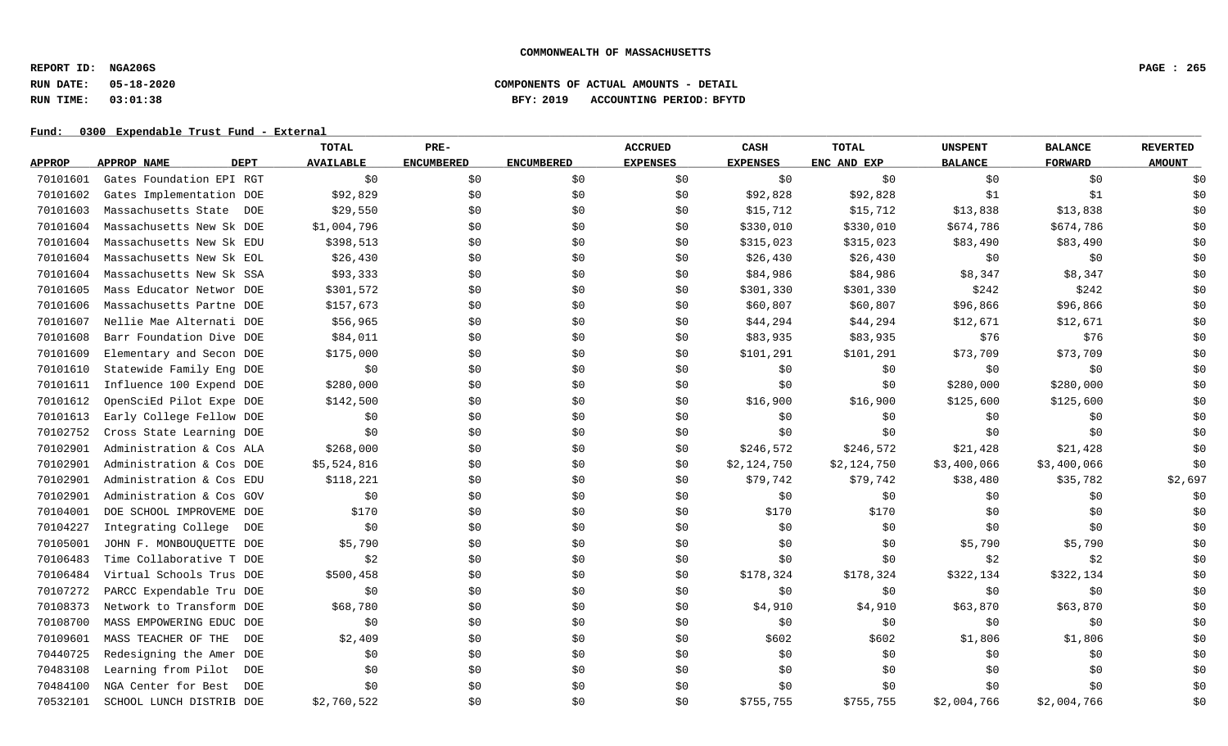**REPORT ID: NGA206S PAGE : 265**

# **RUN DATE: 05-18-2020 COMPONENTS OF ACTUAL AMOUNTS - DETAIL RUN TIME: 03:01:38 BFY: 2019 ACCOUNTING PERIOD: BFYTD**

|               |                                   | TOTAL            | PRE-              |                   | <b>ACCRUED</b>  | <b>CASH</b>     | <b>TOTAL</b> | <b>UNSPENT</b> | <b>BALANCE</b> | <b>REVERTED</b> |
|---------------|-----------------------------------|------------------|-------------------|-------------------|-----------------|-----------------|--------------|----------------|----------------|-----------------|
| <b>APPROP</b> | <b>DEPT</b><br>APPROP NAME        | <b>AVAILABLE</b> | <b>ENCUMBERED</b> | <b>ENCUMBERED</b> | <b>EXPENSES</b> | <b>EXPENSES</b> | ENC AND EXP  | <b>BALANCE</b> | <b>FORWARD</b> | <b>AMOUNT</b>   |
| 70101601      | Gates Foundation EPI RGT          | \$0              | \$0               | \$0               | \$0             | \$0             | \$0\$        | \$0            | \$0            | \$0             |
| 70101602      | Gates Implementation DOE          | \$92,829         | \$0\$             | \$0               | \$0             | \$92,828        | \$92,828     | \$1            | \$1            | \$0             |
| 70101603      | Massachusetts State<br>DOE        | \$29,550         | \$0               | \$0               | \$0             | \$15,712        | \$15,712     | \$13,838       | \$13,838       | \$0             |
| 70101604      | Massachusetts New Sk DOE          | \$1,004,796      | \$0               | \$0               | \$0             | \$330,010       | \$330,010    | \$674,786      | \$674,786      | \$0             |
| 70101604      | Massachusetts New Sk EDU          | \$398,513        | \$0               | \$0               | \$0             | \$315,023       | \$315,023    | \$83,490       | \$83,490       | \$0             |
| 70101604      | Massachusetts New Sk EOL          | \$26,430         | \$0               | \$0               | \$0             | \$26,430        | \$26,430     | \$0            | \$0            | \$0             |
| 70101604      | Massachusetts New Sk SSA          | \$93,333         | \$0               | \$0               | \$0             | \$84,986        | \$84,986     | \$8,347        | \$8,347        | \$0             |
| 70101605      | Mass Educator Networ DOE          | \$301,572        | \$0               | \$0               | \$0             | \$301,330       | \$301,330    | \$242          | \$242          | \$0             |
| 70101606      | Massachusetts Partne DOE          | \$157,673        | \$0               | \$0               | \$0             | \$60,807        | \$60,807     | \$96,866       | \$96,866       | \$0             |
| 70101607      | Nellie Mae Alternati DOE          | \$56,965         | \$0               | \$0               | \$0             | \$44,294        | \$44,294     | \$12,671       | \$12,671       | \$0             |
| 70101608      | Barr Foundation Dive DOE          | \$84,011         | \$0               | \$0               | \$0             | \$83,935        | \$83,935     | \$76           | \$76           | \$0             |
| 70101609      | Elementary and Secon DOE          | \$175,000        | \$0\$             | \$0               | \$0             | \$101,291       | \$101,291    | \$73,709       | \$73,709       | \$0             |
| 70101610      | Statewide Family Eng DOE          | \$0              | \$0               | \$0               | \$0             | \$0             | \$0\$        | \$0            | \$0            | \$0             |
| 70101611      | Influence 100 Expend DOE          | \$280,000        | \$0\$             | \$0               | \$0             | \$0             | \$0          | \$280,000      | \$280,000      | \$0             |
| 70101612      | OpenSciEd Pilot Expe DOE          | \$142,500        | \$0               | \$0               | \$0             | \$16,900        | \$16,900     | \$125,600      | \$125,600      | \$0             |
| 70101613      | Early College Fellow DOE          | \$0              | \$0\$             | \$0               | \$0             | \$0             | \$0          | \$0            | \$0\$          | \$0             |
| 70102752      | Cross State Learning DOE          | \$0              | \$0               | \$0               | \$0             | \$0             | \$0          | \$0            | \$0            | \$0             |
| 70102901      | Administration & Cos ALA          | \$268,000        | \$0               | \$0               | \$0             | \$246,572       | \$246,572    | \$21,428       | \$21,428       | \$0             |
| 70102901      | Administration & Cos DOE          | \$5,524,816      | \$0               | \$0               | \$0             | \$2,124,750     | \$2,124,750  | \$3,400,066    | \$3,400,066    | \$0             |
| 70102901      | Administration & Cos EDU          | \$118,221        | \$0               | \$0               | \$0             | \$79,742        | \$79,742     | \$38,480       | \$35,782       | \$2,697         |
| 70102901      | Administration & Cos GOV          | \$0              | \$0\$             | \$0               | \$0             | \$0             | \$0\$        | \$0            | \$0            | \$0             |
| 70104001      | DOE SCHOOL IMPROVEME DOE          | \$170            | \$0               | \$0               | \$0             | \$170           | \$170        | \$0            | \$0            | \$0             |
| 70104227      | Integrating College<br>DOE        | \$0              | \$0               | \$0               | \$0             | \$0             | \$0\$        | \$0            | \$0            | \$0             |
| 70105001      | JOHN F. MONBOUQUETTE DOE          | \$5,790          | \$0               | \$0               | \$0             | \$0             | \$0          | \$5,790        | \$5,790        | \$0             |
| 70106483      | Time Collaborative T DOE          | \$2              | \$0\$             | \$0               | \$0             | \$0             | \$0          | \$2            | \$2            | \$0             |
| 70106484      | Virtual Schools Trus DOE          | \$500,458        | \$0               | \$0               | \$0             | \$178,324       | \$178,324    | \$322,134      | \$322,134      | \$0             |
| 70107272      | PARCC Expendable Tru DOE          | \$0              | \$0\$             | \$0               | \$0             | \$0             | \$0\$        | \$0            | \$0            | \$0             |
| 70108373      | Network to Transform DOE          | \$68,780         | \$0\$             | \$0               | \$0             | \$4,910         | \$4,910      | \$63,870       | \$63,870       | \$0             |
| 70108700      | MASS EMPOWERING EDUC DOE          | \$0              | \$0\$             | \$0               | \$0             | \$0             | \$0\$        | \$0            | \$0            | \$0             |
| 70109601      | MASS TEACHER OF THE<br>DOE        | \$2,409          | \$0               | \$0               | \$0             | \$602           | \$602        | \$1,806        | \$1,806        | \$0             |
| 70440725      | Redesigning the Amer DOE          | \$0              | \$0               | \$0               | \$0             | \$0             | \$0          | \$0            | \$0            | \$0             |
| 70483108      | Learning from Pilot<br>DOE        | \$0              | \$0               | \$0               | \$0             | \$0             | \$0          | \$0            | \$0            | \$0             |
| 70484100      | NGA Center for Best<br><b>DOE</b> | \$0              | \$0               | \$0               | \$0             | \$0             | \$0          | \$0            | \$0            | \$0             |
| 70532101      | SCHOOL LUNCH DISTRIB DOE          | \$2,760,522      | \$0               | \$0               | \$0             | \$755,755       | \$755,755    | \$2,004,766    | \$2,004,766    | \$0             |
|               |                                   |                  |                   |                   |                 |                 |              |                |                |                 |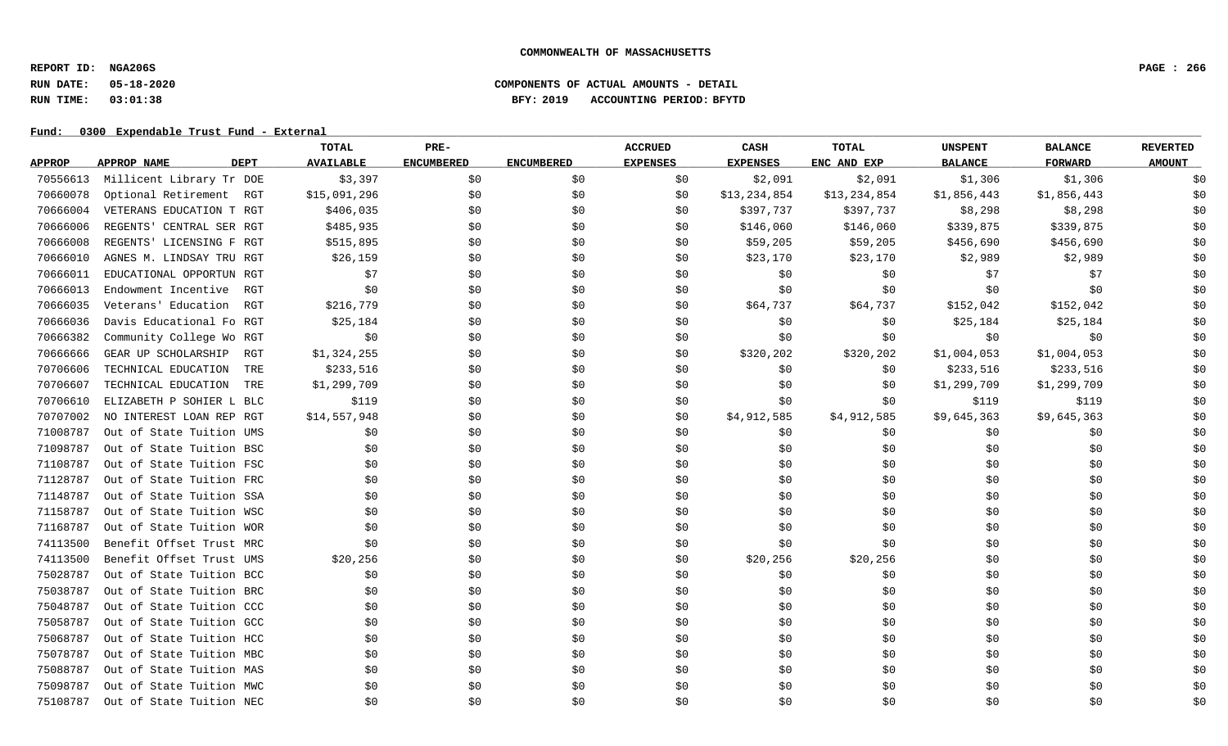**REPORT ID: NGA206S PAGE : 266**

# **RUN DATE: 05-18-2020 COMPONENTS OF ACTUAL AMOUNTS - DETAIL RUN TIME: 03:01:38 BFY: 2019 ACCOUNTING PERIOD: BFYTD**

|               |                            |     | TOTAL            | PRE-              |                   | <b>ACCRUED</b>  | CASH            | TOTAL        | <b>UNSPENT</b> | <b>BALANCE</b> | <b>REVERTED</b> |
|---------------|----------------------------|-----|------------------|-------------------|-------------------|-----------------|-----------------|--------------|----------------|----------------|-----------------|
| <b>APPROP</b> | <b>APPROP NAME</b><br>DEPT |     | <b>AVAILABLE</b> | <b>ENCUMBERED</b> | <b>ENCUMBERED</b> | <b>EXPENSES</b> | <b>EXPENSES</b> | ENC AND EXP  | <b>BALANCE</b> | <b>FORWARD</b> | <b>AMOUNT</b>   |
| 70556613      | Millicent Library Tr DOE   |     | \$3,397          | \$0               | \$0               | \$0             | \$2,091         | \$2,091      | \$1,306        | \$1,306        | \$0             |
| 70660078      | Optional Retirement        | RGT | \$15,091,296     | \$0               | \$0\$             | \$0             | \$13,234,854    | \$13,234,854 | \$1,856,443    | \$1,856,443    | \$0             |
| 70666004      | VETERANS EDUCATION T RGT   |     | \$406,035        | \$0               | \$0               | \$0             | \$397,737       | \$397,737    | \$8,298        | \$8,298        | \$0             |
| 70666006      | REGENTS' CENTRAL SER RGT   |     | \$485,935        | \$0               | \$0               | \$0             | \$146,060       | \$146,060    | \$339,875      | \$339,875      | \$0             |
| 70666008      | REGENTS' LICENSING F RGT   |     | \$515,895        | \$0               | \$0               | \$0             | \$59,205        | \$59,205     | \$456,690      | \$456,690      | \$0             |
| 70666010      | AGNES M. LINDSAY TRU RGT   |     | \$26,159         | \$0               | \$0               | \$0             | \$23,170        | \$23,170     | \$2,989        | \$2,989        | \$0             |
| 70666011      | EDUCATIONAL OPPORTUN RGT   |     | \$7              | \$0               | \$0               | \$0             | \$0             | \$0          | \$7            | \$7            | \$0             |
| 70666013      | Endowment Incentive        | RGT | \$0              | \$0               | \$0               | \$0             | \$0             | \$0          | \$0            | \$0            | \$0             |
| 70666035      | Veterans' Education        | RGT | \$216,779        | \$0               | \$0               | \$0             | \$64,737        | \$64,737     | \$152,042      | \$152,042      | \$0             |
| 70666036      | Davis Educational Fo RGT   |     | \$25,184         | \$0               | \$0               | \$0             | \$0             | \$0          | \$25,184       | \$25,184       | \$0             |
| 70666382      | Community College Wo RGT   |     | \$0              | \$0               | \$0               | \$0             | \$0             | \$0          | \$0            | \$0            | \$0             |
| 70666666      | GEAR UP SCHOLARSHIP        | RGT | \$1,324,255      | \$0               | \$0               | \$0             | \$320,202       | \$320,202    | \$1,004,053    | \$1,004,053    | \$0             |
| 70706606      | TECHNICAL EDUCATION        | TRE | \$233,516        | \$0               | \$0               | \$0             | \$0             | \$0          | \$233,516      | \$233,516      | \$0             |
| 70706607      | TECHNICAL EDUCATION        | TRE | \$1,299,709      | \$0               | \$0               | \$0             | \$0             | \$0\$        | \$1,299,709    | \$1,299,709    | \$0             |
| 70706610      | ELIZABETH P SOHIER L BLC   |     | \$119            | \$0               | \$0               | \$0             | \$0             | \$0          | \$119          | \$119          | \$0             |
| 70707002      | NO INTEREST LOAN REP RGT   |     | \$14,557,948     | \$0               | \$0               | \$0             | \$4,912,585     | \$4,912,585  | \$9,645,363    | \$9,645,363    | \$0             |
| 71008787      | Out of State Tuition UMS   |     | \$0              | \$0               | \$0               | \$0             | \$0             | \$0          | \$0            | \$0            | \$0             |
| 71098787      | Out of State Tuition BSC   |     | \$0              | \$0               | \$0               | \$0             | \$0             | \$0          | \$0            | \$0            | \$0             |
| 71108787      | Out of State Tuition FSC   |     | \$0              | \$0               | \$0               | \$0             | \$0             | \$0          | \$0            | \$0            | \$0             |
| 71128787      | Out of State Tuition FRC   |     | \$0              | \$0               | \$0               | \$0             | \$0             | \$0          | \$0            | \$0            | \$0             |
| 71148787      | Out of State Tuition SSA   |     | \$0              | \$0               | \$0               | \$0             | \$0             | \$0          | \$0            | \$0            | \$0             |
| 71158787      | Out of State Tuition WSC   |     | \$0              | \$0               | \$0               | \$0             | \$0             | \$0          | \$0            | \$0            | \$0             |
| 71168787      | Out of State Tuition WOR   |     | \$0              | \$0               | \$0               | \$0             | \$0             | \$0          | \$0            | \$0            | \$0             |
| 74113500      | Benefit Offset Trust MRC   |     | \$0              | \$0               | \$0               | \$0             | \$0             | \$0          | \$0            | \$0            | \$0             |
| 74113500      | Benefit Offset Trust UMS   |     | \$20,256         | \$0               | \$0               | \$0             | \$20,256        | \$20,256     | \$0            | \$0            | \$0             |
| 75028787      | Out of State Tuition BCC   |     | \$0              | \$0               | \$0               | \$0             | \$0             | \$0          | \$0            | \$0            | \$0             |
| 75038787      | Out of State Tuition BRC   |     | \$0              | \$0               | \$0               | \$0             | \$0             | \$0          | \$0            | \$0            | \$0             |
| 75048787      | Out of State Tuition CCC   |     | \$0              | \$0               | \$0               | \$0             | \$0             | \$0          | \$0            | \$0            | \$0             |
| 75058787      | Out of State Tuition GCC   |     | \$0              | \$0               | \$0               | \$0             | \$0             | \$0          | \$0            | \$0            | \$0             |
| 75068787      | Out of State Tuition HCC   |     | \$0              | \$0               | \$0               | \$0             | \$0             | \$0          | \$0            | \$0            | \$0             |
| 75078787      | Out of State Tuition MBC   |     | \$0              | \$0               | \$0               | \$0             | \$0             | \$0          | \$0            | \$0            | \$0             |
| 75088787      | Out of State Tuition MAS   |     | \$0              | \$0               | \$0               | \$0             | \$0             | \$0          | \$0            | \$0            | \$0             |
| 75098787      | Out of State Tuition MWC   |     | \$0              | \$0               | \$0               | \$0             | \$0             | \$0          | \$0            | \$0            | \$0             |
| 75108787      | Out of State Tuition NEC   |     | \$0              | \$0               | \$0               | \$0             | \$0             | \$0          | \$0            | \$0            | \$0             |
|               |                            |     |                  |                   |                   |                 |                 |              |                |                |                 |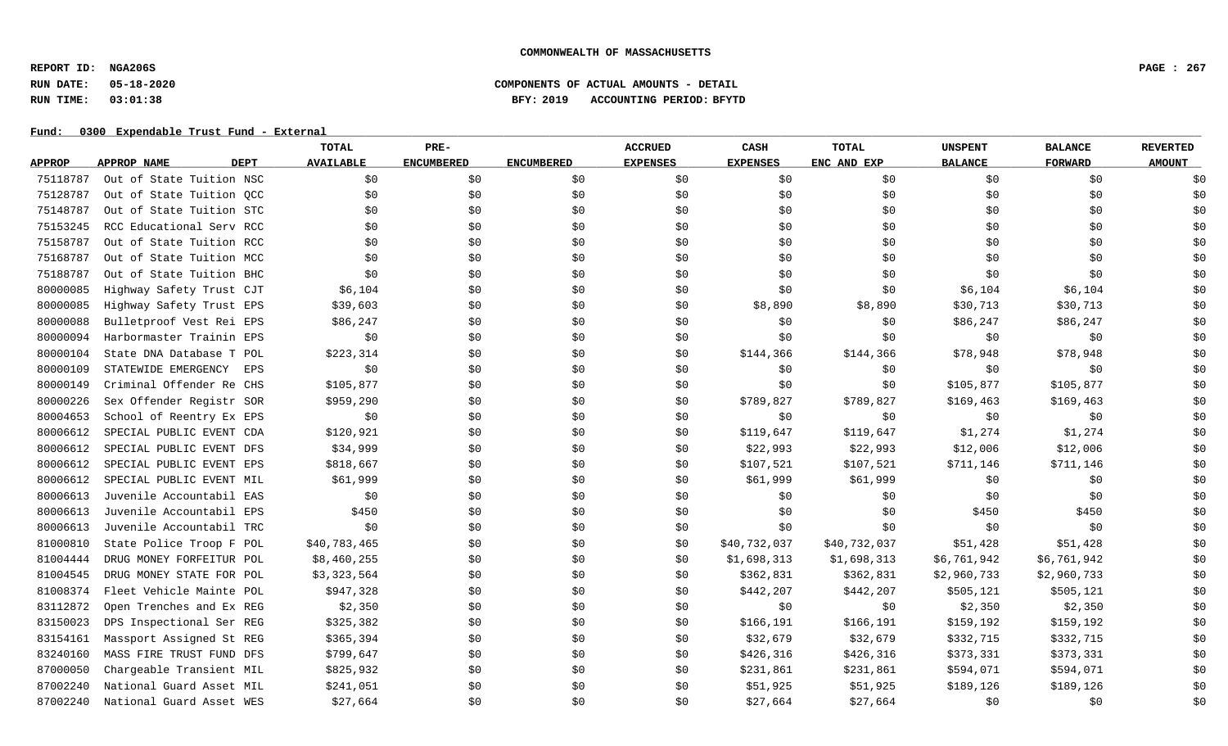**REPORT ID: NGA206S PAGE : 267**

# **RUN DATE: 05-18-2020 COMPONENTS OF ACTUAL AMOUNTS - DETAIL RUN TIME: 03:01:38 BFY: 2019 ACCOUNTING PERIOD: BFYTD**

|               |                            | <b>TOTAL</b>     | PRE-              |                   | <b>ACCRUED</b>  | CASH            | <b>TOTAL</b> | <b>UNSPENT</b> | <b>BALANCE</b> | <b>REVERTED</b> |
|---------------|----------------------------|------------------|-------------------|-------------------|-----------------|-----------------|--------------|----------------|----------------|-----------------|
| <b>APPROP</b> | <b>DEPT</b><br>APPROP NAME | <b>AVAILABLE</b> | <b>ENCUMBERED</b> | <b>ENCUMBERED</b> | <b>EXPENSES</b> | <b>EXPENSES</b> | ENC AND EXP  | <b>BALANCE</b> | <b>FORWARD</b> | <b>AMOUNT</b>   |
| 75118787      | Out of State Tuition NSC   | \$0              | \$0               | \$0               | \$0             | \$0             | \$0          | \$0            | \$0            | \$0             |
| 75128787      | Out of State Tuition OCC   | \$0              | \$0               | \$0               | \$0             | \$0             | \$0          | \$0            | \$0            | \$0             |
| 75148787      | Out of State Tuition STC   | \$0              | \$0               | \$0               | \$0             | \$0             | \$0          | \$0            | \$0            | \$0             |
| 75153245      | RCC Educational Serv RCC   | \$0              | \$0               | \$0               | \$0             | \$0             | \$0          | \$0            | \$0            | \$0             |
| 75158787      | Out of State Tuition RCC   | \$0              | \$0               | \$0               | \$0             | \$0             | \$0          | \$0            | \$0            | \$0             |
| 75168787      | Out of State Tuition MCC   | \$0              | \$0               | \$0               | \$0             | \$0             | \$0          | \$0            | \$0            | \$0             |
| 75188787      | Out of State Tuition BHC   | \$0              | \$0\$             | \$0               | \$0             | \$0             | \$0          | \$0            | \$0            | \$0             |
| 80000085      | Highway Safety Trust CJT   | \$6,104          | \$0               | \$0               | \$0             | \$0             | \$0          | \$6,104        | \$6,104        | \$0             |
| 80000085      | Highway Safety Trust EPS   | \$39,603         | \$0               | \$0               | \$0             | \$8,890         | \$8,890      | \$30,713       | \$30,713       | \$0             |
| 80000088      | Bulletproof Vest Rei EPS   | \$86,247         | \$0               | \$0               | \$0             | \$0             | \$0          | \$86,247       | \$86,247       | \$0             |
| 80000094      | Harbormaster Trainin EPS   | \$0              | \$0               | \$0               | \$0             | \$0             | \$0          | \$0            | \$0            | \$0             |
| 80000104      | State DNA Database T POL   | \$223,314        | \$0               | \$0               | \$0             | \$144,366       | \$144,366    | \$78,948       | \$78,948       | \$0             |
| 80000109      | STATEWIDE EMERGENCY<br>EPS | \$0              | \$0               | \$0               | \$0             | \$0             | \$0          | \$0            | \$0            | \$0             |
| 80000149      | Criminal Offender Re CHS   | \$105,877        | \$0               | \$0               | \$0             | \$0             | \$0          | \$105,877      | \$105,877      | \$0             |
| 80000226      | Sex Offender Registr SOR   | \$959,290        | \$0               | \$0               | \$0             | \$789,827       | \$789,827    | \$169, 463     | \$169,463      | \$0             |
| 80004653      | School of Reentry Ex EPS   | \$0              | \$0               | \$0               | \$0             | \$0             | \$0          | \$0            | \$0            | \$0             |
| 80006612      | SPECIAL PUBLIC EVENT CDA   | \$120,921        | \$0               | \$0               | \$0             | \$119,647       | \$119,647    | \$1,274        | \$1,274        | \$0             |
| 80006612      | SPECIAL PUBLIC EVENT DFS   | \$34,999         | \$0               | \$0               | \$0             | \$22,993        | \$22,993     | \$12,006       | \$12,006       | \$0             |
| 80006612      | SPECIAL PUBLIC EVENT EPS   | \$818,667        | \$0               | \$0               | \$0             | \$107,521       | \$107,521    | \$711,146      | \$711,146      | \$0             |
| 80006612      | SPECIAL PUBLIC EVENT MIL   | \$61,999         | \$0               | \$0               | \$0             | \$61,999        | \$61,999     | \$0            | \$0            | \$0             |
| 80006613      | Juvenile Accountabil EAS   | \$0              | \$0               | \$0               | \$0             | \$0             | \$0          | \$0            | \$0            | \$0             |
| 80006613      | Juvenile Accountabil EPS   | \$450            | \$0               | \$0               | \$0             | \$0             | \$0          | \$450          | \$450          | \$0             |
| 80006613      | Juvenile Accountabil TRC   | \$0              | \$0               | \$0               | \$0             | \$0             | \$0          | \$0            | \$0            | \$0             |
| 81000810      | State Police Troop F POL   | \$40,783,465     | \$0               | \$0               | \$0             | \$40,732,037    | \$40,732,037 | \$51,428       | \$51,428       | \$0             |
| 81004444      | DRUG MONEY FORFEITUR POL   | \$8,460,255      | \$0               | \$0               | \$0             | \$1,698,313     | \$1,698,313  | \$6,761,942    | \$6,761,942    | \$0             |
| 81004545      | DRUG MONEY STATE FOR POL   | \$3,323,564      | \$0               | \$0               | \$0             | \$362,831       | \$362,831    | \$2,960,733    | \$2,960,733    | \$0             |
| 81008374      | Fleet Vehicle Mainte POL   | \$947,328        | \$0               | \$0               | \$0             | \$442,207       | \$442,207    | \$505,121      | \$505,121      | \$0             |
| 83112872      | Open Trenches and Ex REG   | \$2,350          | \$0               | \$0               | \$0             | \$0             | \$0          | \$2,350        | \$2,350        | \$0             |
| 83150023      | DPS Inspectional Ser REG   | \$325,382        | \$0               | \$0               | \$0             | \$166, 191      | \$166,191    | \$159,192      | \$159,192      | \$0             |
| 83154161      | Massport Assigned St REG   | \$365,394        | \$0               | \$0               | \$0             | \$32,679        | \$32,679     | \$332,715      | \$332,715      | \$0             |
| 83240160      | MASS FIRE TRUST FUND DFS   | \$799,647        | \$0               | \$0               | \$0             | \$426,316       | \$426,316    | \$373,331      | \$373,331      | \$0             |
| 87000050      | Chargeable Transient MIL   | \$825,932        | \$0               | \$0               | \$0             | \$231,861       | \$231,861    | \$594,071      | \$594,071      | \$0             |
| 87002240      | National Guard Asset MIL   | \$241,051        | \$0               | \$0               | \$0             | \$51,925        | \$51,925     | \$189,126      | \$189,126      | \$0             |
| 87002240      | National Guard Asset WES   | \$27,664         | \$0\$             | \$0               | \$0             | \$27,664        | \$27,664     | \$0            | \$0            | \$0             |
|               |                            |                  |                   |                   |                 |                 |              |                |                |                 |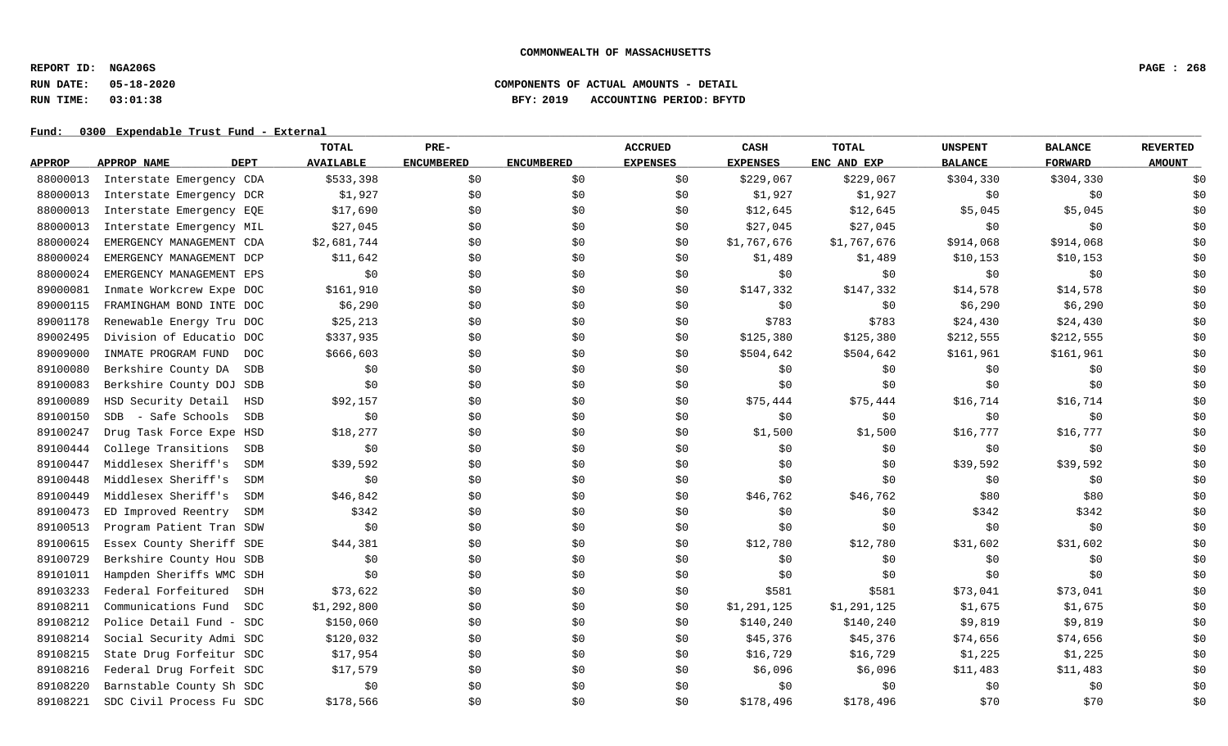**REPORT ID: NGA206S PAGE : 268**

# **RUN DATE: 05-18-2020 COMPONENTS OF ACTUAL AMOUNTS - DETAIL RUN TIME: 03:01:38 BFY: 2019 ACCOUNTING PERIOD: BFYTD**

|               |                                     | TOTAL            | PRE-              |                   | <b>ACCRUED</b>  | CASH            | <b>TOTAL</b> | <b>UNSPENT</b> | <b>BALANCE</b> | <b>REVERTED</b> |
|---------------|-------------------------------------|------------------|-------------------|-------------------|-----------------|-----------------|--------------|----------------|----------------|-----------------|
| <b>APPROP</b> | <b>DEPT</b><br><b>APPROP NAME</b>   | <b>AVAILABLE</b> | <b>ENCUMBERED</b> | <b>ENCUMBERED</b> | <b>EXPENSES</b> | <b>EXPENSES</b> | ENC AND EXP  | <b>BALANCE</b> | <b>FORWARD</b> | <b>AMOUNT</b>   |
| 88000013      | Interstate Emergency CDA            | \$533,398        | \$0               | \$0               | \$0             | \$229,067       | \$229,067    | \$304,330      | \$304,330      | \$0             |
| 88000013      | Interstate Emergency DCR            | \$1,927          | \$0               | \$0               | \$0             | \$1,927         | \$1,927      | \$0            | \$0            | \$0             |
| 88000013      | Interstate Emergency EQE            | \$17,690         | \$0               | \$0               | \$0             | \$12,645        | \$12,645     | \$5,045        | \$5,045        | \$0             |
| 88000013      | Interstate Emergency MIL            | \$27,045         | \$0               | \$0               | \$0             | \$27,045        | \$27,045     | \$0            | \$0            | \$0             |
| 88000024      | EMERGENCY MANAGEMENT CDA            | \$2,681,744      | \$0               | \$0               | \$0             | \$1,767,676     | \$1,767,676  | \$914,068      | \$914,068      | \$0             |
| 88000024      | EMERGENCY MANAGEMENT DCP            | \$11,642         | \$0               | \$0               | \$0             | \$1,489         | \$1,489      | \$10,153       | \$10,153       | \$0             |
| 88000024      | EMERGENCY MANAGEMENT EPS            | \$0              | \$0               | \$0               | \$0             | \$0             | \$0          | \$0            | \$0            | \$0             |
| 89000081      | Inmate Workcrew Expe DOC            | \$161,910        | \$0               | \$0               | \$0             | \$147,332       | \$147,332    | \$14,578       | \$14,578       | \$0             |
| 89000115      | FRAMINGHAM BOND INTE DOC            | \$6,290          | \$0               | \$0               | \$0             | \$0             | \$0          | \$6,290        | \$6,290        | \$0             |
| 89001178      | Renewable Energy Tru DOC            | \$25, 213        | \$0               | \$0               | \$0             | \$783           | \$783        | \$24,430       | \$24,430       | \$0             |
| 89002495      | Division of Educatio DOC            | \$337,935        | \$0               | \$0               | \$0             | \$125,380       | \$125,380    | \$212,555      | \$212,555      | \$0             |
| 89009000      | INMATE PROGRAM FUND<br>DOC          | \$666,603        | \$0               | \$0               | \$0             | \$504,642       | \$504,642    | \$161,961      | \$161,961      | \$0             |
| 89100080      | Berkshire County DA<br>SDB          | \$0              | \$0               | \$0               | \$0             | \$0             | \$0          | \$0            | \$0            | \$0             |
| 89100083      | Berkshire County DOJ SDB            | \$0              | \$0               | \$0               | \$0             | \$0             | \$0          | \$0            | \$0            | \$0             |
| 89100089      | HSD Security Detail<br>HSD          | \$92,157         | \$0               | \$0               | \$0             | \$75,444        | \$75,444     | \$16,714       | \$16,714       | \$0             |
| 89100150      | - Safe Schools<br><b>SDB</b><br>SDB | \$0              | \$0               | \$0               | \$0             | \$0             | \$0          | \$0            | \$0            | \$0             |
| 89100247      | Drug Task Force Expe HSD            | \$18,277         | \$0               | \$0               | \$0             | \$1,500         | \$1,500      | \$16,777       | \$16,777       | \$0             |
| 89100444      | College Transitions<br>SDB          | \$0              | \$0               | \$0               | \$0             | \$0             | \$0          | \$0            | \$0            | \$0             |
| 89100447      | Middlesex Sheriff's<br><b>SDM</b>   | \$39,592         | \$0               | \$0               | \$0             | \$0             | \$0          | \$39,592       | \$39,592       | \$0             |
| 89100448      | Middlesex Sheriff's<br><b>SDM</b>   | \$0              | \$0               | \$0               | \$0             | \$0             | \$0          | \$0            | \$0            | \$0             |
| 89100449      | Middlesex Sheriff's<br>SDM          | \$46,842         | \$0               | \$0               | \$0             | \$46,762        | \$46,762     | \$80           | \$80           | \$0             |
| 89100473      | ED Improved Reentry<br>SDM          | \$342            | \$0               | \$0               | \$0             | \$0             | \$0          | \$342          | \$342          | \$0             |
| 89100513      | Program Patient Tran SDW            | \$0              | \$0               | \$0               | \$0             | \$0             | \$0          | \$0            | \$0            | \$0             |
| 89100615      | Essex County Sheriff SDE            | \$44,381         | \$0               | \$0               | \$0             | \$12,780        | \$12,780     | \$31,602       | \$31,602       | \$0             |
| 89100729      | Berkshire County Hou SDB            | \$0              | \$0               | \$0               | \$0             | \$0             | \$0          | \$0            | \$0            | \$0             |
| 89101011      | Hampden Sheriffs WMC SDH            | \$0              | \$0               | \$0               | \$0             | \$0             | \$0          | \$0            | \$0            | \$0             |
| 89103233      | Federal Forfeitured<br>SDH          | \$73,622         | \$0               | \$0               | \$0             | \$581           | \$581        | \$73,041       | \$73,041       | \$0             |
| 89108211      | Communications Fund<br>SDC          | \$1,292,800      | \$0               | \$0               | \$0             | \$1,291,125     | \$1,291,125  | \$1,675        | \$1,675        | \$0             |
| 89108212      | Police Detail Fund - SDC            | \$150,060        | \$0               | \$0               | \$0             | \$140,240       | \$140,240    | \$9,819        | \$9,819        | \$0             |
| 89108214      | Social Security Admi SDC            | \$120,032        | \$0               | \$0               | \$0             | \$45,376        | \$45,376     | \$74,656       | \$74,656       | \$0             |
| 89108215      | State Drug Forfeitur SDC            | \$17,954         | \$0               | \$0               | \$0             | \$16,729        | \$16,729     | \$1,225        | \$1,225        | \$0             |
| 89108216      | Federal Drug Forfeit SDC            | \$17,579         | \$0               | \$0               | \$0             | \$6,096         | \$6,096      | \$11,483       | \$11,483       | \$0             |
| 89108220      | Barnstable County Sh SDC            | \$0              | \$0               | \$0               | \$0             | \$0             | \$0          | \$0            | \$0            | \$0             |
| 89108221      | SDC Civil Process Fu SDC            | \$178,566        | \$0               | \$0               | \$0             | \$178,496       | \$178,496    | \$70           | \$70           | \$0             |
|               |                                     |                  |                   |                   |                 |                 |              |                |                |                 |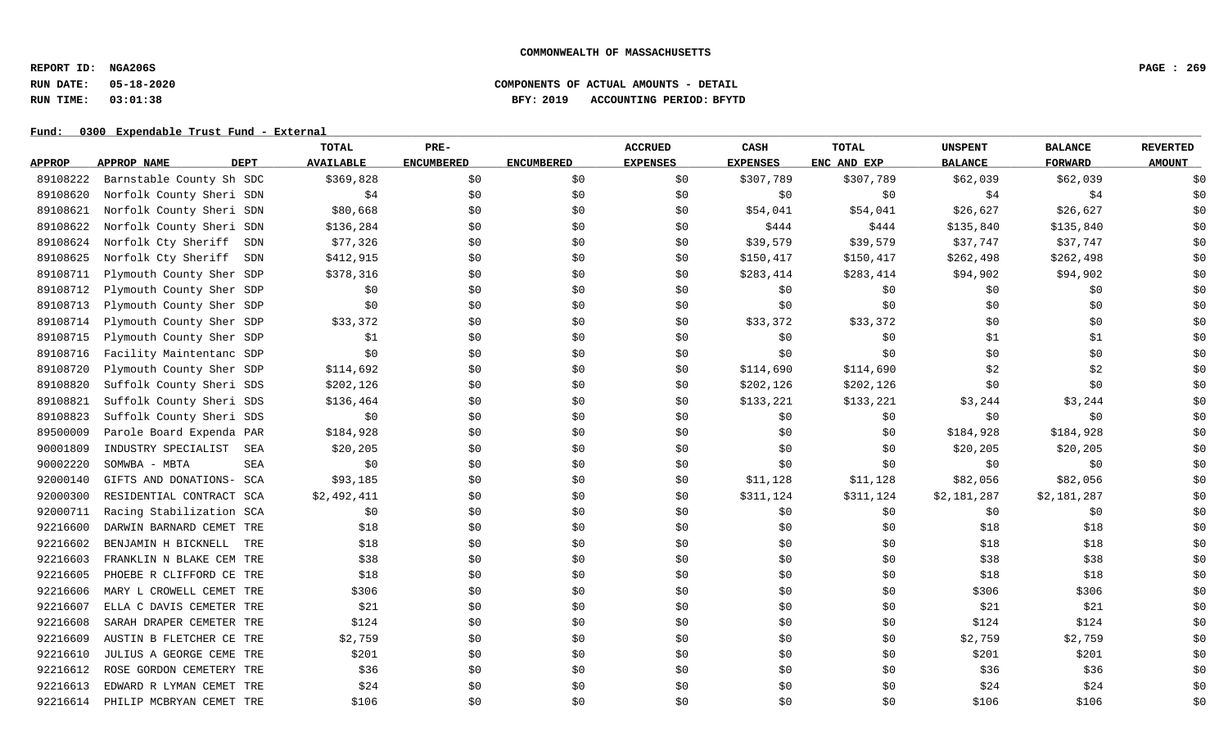**REPORT ID: NGA206S PAGE : 269**

# **RUN DATE: 05-18-2020 COMPONENTS OF ACTUAL AMOUNTS - DETAIL RUN TIME: 03:01:38 BFY: 2019 ACCOUNTING PERIOD: BFYTD**

|               |                                   | TOTAL            | PRE-              |                   | <b>ACCRUED</b>  | CASH            | <b>TOTAL</b> | <b>UNSPENT</b> | <b>BALANCE</b> | <b>REVERTED</b> |
|---------------|-----------------------------------|------------------|-------------------|-------------------|-----------------|-----------------|--------------|----------------|----------------|-----------------|
| <b>APPROP</b> | <b>DEPT</b><br><b>APPROP NAME</b> | <b>AVAILABLE</b> | <b>ENCUMBERED</b> | <b>ENCUMBERED</b> | <b>EXPENSES</b> | <b>EXPENSES</b> | ENC AND EXP  | <b>BALANCE</b> | <b>FORWARD</b> | <b>AMOUNT</b>   |
| 89108222      | Barnstable County Sh SDC          | \$369,828        | \$0               | \$0               | \$0             | \$307,789       | \$307,789    | \$62,039       | \$62,039       | \$0             |
| 89108620      | Norfolk County Sheri SDN          | \$4              | \$0               | \$0               | \$0             | \$0             | \$0          | \$4            | \$4            | \$0             |
| 89108621      | Norfolk County Sheri SDN          | \$80,668         | \$0               | \$0               | \$0             | \$54,041        | \$54,041     | \$26,627       | \$26,627       | \$0             |
| 89108622      | Norfolk County Sheri SDN          | \$136,284        | \$0               | \$0               | \$0             | \$444           | \$444        | \$135,840      | \$135,840      | \$0             |
| 89108624      | Norfolk Cty Sheriff SDN           | \$77,326         | \$0\$             | \$0               | \$0             | \$39,579        | \$39,579     | \$37,747       | \$37,747       | \$0             |
| 89108625      | Norfolk Cty Sheriff<br>SDN        | \$412,915        | \$0               | \$0               | \$0             | \$150,417       | \$150,417    | \$262,498      | \$262,498      | \$0             |
| 89108711      | Plymouth County Sher SDP          | \$378,316        | \$0               | \$0               | \$0             | \$283,414       | \$283,414    | \$94,902       | \$94,902       | \$0             |
| 89108712      | Plymouth County Sher SDP          | \$0              | \$0               | \$0               | \$0             | \$0             | \$0          | \$0            | \$0            | \$0             |
| 89108713      | Plymouth County Sher SDP          | \$0              | \$0               | \$0               | \$0             | \$0             | \$0          | \$0            | \$0            | \$0             |
| 89108714      | Plymouth County Sher SDP          | \$33,372         | \$0               | \$0               | \$0             | \$33,372        | \$33,372     | \$0            | \$0            | \$0             |
| 89108715      | Plymouth County Sher SDP          | \$1              | \$0               | \$0               | \$0             | \$0             | \$0          | \$1            | \$1            | \$0             |
| 89108716      | Facility Maintentanc SDP          | \$0              | \$0               | \$0               | \$0             | \$0             | \$0          | \$0            | \$0            | \$0             |
| 89108720      | Plymouth County Sher SDP          | \$114,692        | \$0\$             | \$0               | \$0             | \$114,690       | \$114,690    | \$2            | \$2            | \$0             |
| 89108820      | Suffolk County Sheri SDS          | \$202,126        | \$0               | \$0               | \$0             | \$202,126       | \$202,126    | \$0            | \$0            | \$0             |
| 89108821      | Suffolk County Sheri SDS          | \$136,464        | \$0               | \$0               | \$0             | \$133,221       | \$133,221    | \$3,244        | \$3,244        | \$0             |
| 89108823      | Suffolk County Sheri SDS          | \$0              | \$0               | \$0               | \$0             | \$0             | \$0          | \$0            | \$0            | \$0             |
| 89500009      | Parole Board Expenda PAR          | \$184,928        | \$0               | \$0               | \$0             | \$0             | \$0          | \$184,928      | \$184,928      | \$0             |
| 90001809      | INDUSTRY SPECIALIST<br>SEA        | \$20, 205        | \$0               | \$0               | \$0             | \$0             | \$0          | \$20,205       | \$20,205       | \$0             |
| 90002220      | SOMWBA - MBTA<br><b>SEA</b>       | \$0              | \$0               | \$0               | \$0             | \$0             | \$0          | \$0            | \$0            | \$0             |
| 92000140      | GIFTS AND DONATIONS- SCA          | \$93,185         | \$0\$             | \$0               | \$0             | \$11,128        | \$11,128     | \$82,056       | \$82,056       | \$0             |
| 92000300      | RESIDENTIAL CONTRACT SCA          | \$2,492,411      | \$0\$             | \$0               | \$0             | \$311,124       | \$311,124    | \$2,181,287    | \$2,181,287    | \$0             |
| 92000711      | Racing Stabilization SCA          | \$0              | \$0               | \$0               | \$0             | \$0             | \$0          | \$0            | \$0            | \$0             |
| 92216600      | DARWIN BARNARD CEMET<br>TRE       | \$18             | \$0               | \$0               | \$0             | \$0\$           | \$0          | \$18           | \$18           | \$0             |
| 92216602      | BENJAMIN H BICKNELL<br>TRE        | \$18             | \$0               | \$0               | \$0             | \$0             | \$0          | \$18           | \$18           | \$0             |
| 92216603      | FRANKLIN N BLAKE CEM TRE          | \$38             | \$0               | \$0               | \$0             | \$0             | \$0          | \$38           | \$38           | \$0             |
| 92216605      | PHOEBE R CLIFFORD CE TRE          | \$18             | \$0               | \$0               | \$0             | \$0             | \$0          | \$18           | \$18           | \$0             |
| 92216606      | MARY L CROWELL CEMET TRE          | \$306            | \$0               | \$0               | \$0             | \$0             | \$0          | \$306          | \$306          | \$0             |
| 92216607      | ELLA C DAVIS CEMETER TRE          | \$21             | \$0               | \$0               | \$0             | \$0             | \$0          | \$21           | \$21           | \$0             |
| 92216608      | SARAH DRAPER CEMETER TRE          | \$124            | \$0               | \$0               | \$0             | \$0             | \$0          | \$124          | \$124          | \$0             |
| 92216609      | AUSTIN B FLETCHER CE TRE          | \$2,759          | \$0               | \$0               | \$0             | \$0             | \$0          | \$2,759        | \$2,759        | \$0             |
| 92216610      | JULIUS A GEORGE CEME TRE          | \$201            | \$0               | \$0               | \$0             | \$0             | \$0          | \$201          | \$201          | \$0             |
| 92216612      | ROSE GORDON CEMETERY TRE          | \$36             | \$0               | \$0               | \$0             | \$0             | \$0          | \$36           | \$36           | \$0             |
| 92216613      | EDWARD R LYMAN CEMET TRE          | \$24             | \$0               | \$0               | \$0             | \$0             | \$0          | \$24           | \$24           | \$0             |
| 92216614      | PHILIP MCBRYAN CEMET TRE          | \$106            | \$0\$             | \$0               | \$0             | \$0             | \$0          | \$106          | \$106          | \$0             |
|               |                                   |                  |                   |                   |                 |                 |              |                |                |                 |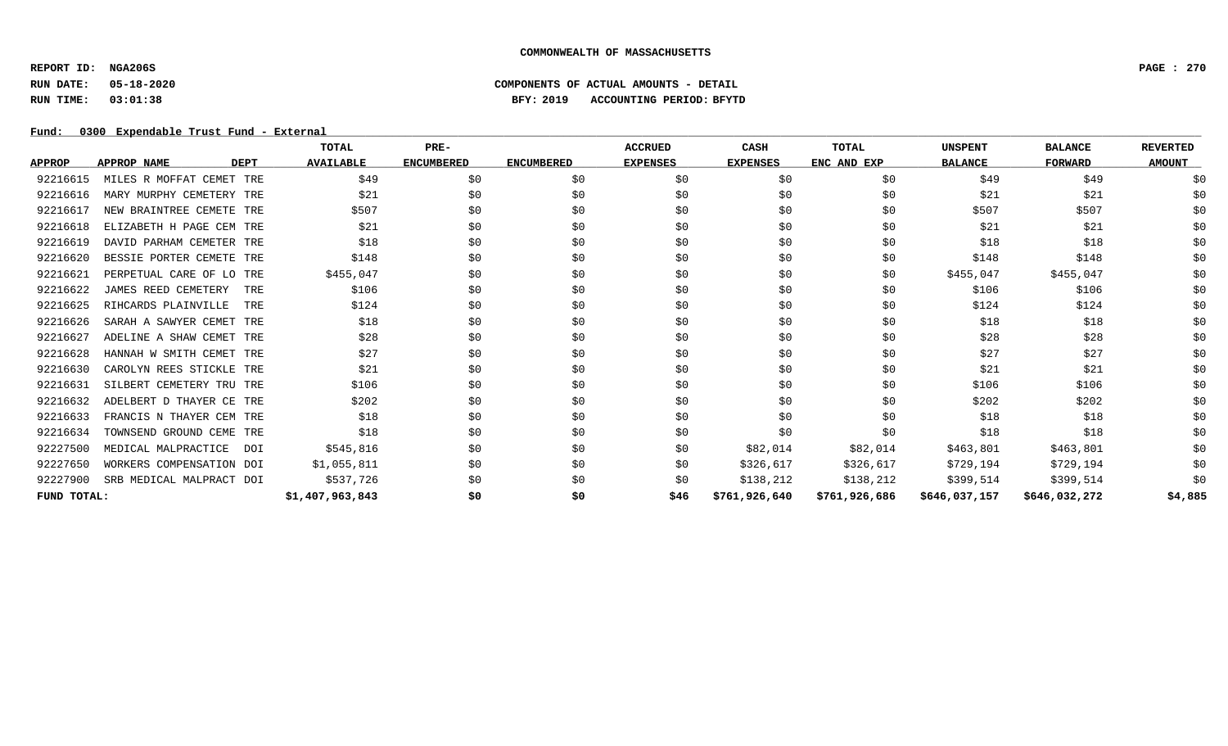**REPORT ID: NGA206S PAGE : 270**

# **RUN DATE: 05-18-2020 COMPONENTS OF ACTUAL AMOUNTS - DETAIL RUN TIME: 03:01:38 BFY: 2019 ACCOUNTING PERIOD: BFYTD**

|               |                                   | TOTAL            | PRE-              |                   | <b>ACCRUED</b>  | <b>CASH</b>     | <b>TOTAL</b>  | <b>UNSPENT</b> | <b>BALANCE</b> | <b>REVERTED</b> |
|---------------|-----------------------------------|------------------|-------------------|-------------------|-----------------|-----------------|---------------|----------------|----------------|-----------------|
| <b>APPROP</b> | <b>APPROP NAME</b><br><b>DEPT</b> | <b>AVAILABLE</b> | <b>ENCUMBERED</b> | <b>ENCUMBERED</b> | <b>EXPENSES</b> | <b>EXPENSES</b> | ENC AND EXP   | <b>BALANCE</b> | <b>FORWARD</b> | <b>AMOUNT</b>   |
| 92216615      | MILES R MOFFAT CEMET TRE          | \$49             | \$0               | \$0               | \$0             | \$0             | \$0           | \$49           | \$49           | \$0             |
| 92216616      | MARY MURPHY CEMETERY TRE          | \$21             | \$0               | \$0               | \$0             | \$0             | \$0           | \$21           | \$21           | \$0             |
| 92216617      | NEW BRAINTREE CEMETE TRE          | \$507            | \$0               | \$0               | \$0             | \$0             | \$0           | \$507          | \$507          | \$0             |
| 92216618      | ELIZABETH H PAGE CEM TRE          | \$21             | \$0               | \$0               | \$0             | \$0             | \$0           | \$21           | \$21           | \$0             |
| 92216619      | DAVID PARHAM CEMETER TRE          | \$18             | \$0               | \$0               | \$0             | \$0             | \$0           | \$18           | \$18           | \$0             |
| 92216620      | BESSIE PORTER CEMETE TRE          | \$148            | \$0               | \$0               | \$0             | \$0             | \$0           | \$148          | \$148          | \$0             |
| 92216621      | PERPETUAL CARE OF LO TRE          | \$455,047        | \$0               | \$0               | \$0             | \$0             | \$0           | \$455,047      | \$455,047      | \$0             |
| 92216622      | JAMES REED CEMETERY<br>TRE        | \$106            | \$0               | \$0               | \$0             | \$0             | \$0           | \$106          | \$106          | \$0             |
| 92216625      | RIHCARDS PLAINVILLE<br>TRE        | \$124            | \$0               | \$0               | \$0             | \$0             | \$0           | \$124          | \$124          | \$0             |
| 92216626      | SARAH A SAWYER CEMET TRE          | \$18             | \$0               | \$0               | \$0             | \$0             | \$0           | \$18           | \$18           | \$0             |
| 92216627      | ADELINE A SHAW CEMET TRE          | \$28             | \$0               | \$0               | \$0             | \$0             | \$0           | \$28           | \$28           | \$0             |
| 92216628      | HANNAH W SMITH CEMET TRE          | \$27             | \$0               | \$0               | \$0             | \$0             | \$0           | \$27           | \$27           | \$0             |
| 92216630      | CAROLYN REES STICKLE TRE          | \$21             | \$0               | \$0               | \$0             | \$0             | \$0           | \$21           | \$21           | \$0             |
| 92216631      | SILBERT CEMETERY TRU TRE          | \$106            | \$0               | \$0               | \$0             | \$0             | \$0           | \$106          | \$106          | \$0             |
| 92216632      | ADELBERT D THAYER CE TRE          | \$202            | \$0               | \$0               | \$0             | \$0             | \$0           | \$202          | \$202          | \$0             |
| 92216633      | FRANCIS N THAYER CEM TRE          | \$18             | \$0               | \$0               | \$0             | \$0             | \$0           | \$18           | \$18           | \$0             |
| 92216634      | TOWNSEND GROUND CEME TRE          | \$18             | \$0               | \$0               | \$0             | \$0             | \$0           | \$18           | \$18           | \$0             |
| 92227500      | MEDICAL MALPRACTICE<br>DOI        | \$545,816        | \$0               | \$0               | \$0             | \$82,014        | \$82,014      | \$463,801      | \$463,801      | \$0             |
| 92227650      | WORKERS COMPENSATION DOI          | \$1,055,811      | \$0               | \$0               | \$0             | \$326,617       | \$326,617     | \$729,194      | \$729,194      | \$0             |
| 92227900      | SRB MEDICAL MALPRACT DOI          | \$537,726        | \$0               | \$0               | \$0             | \$138,212       | \$138,212     | \$399,514      | \$399,514      | \$0             |
| FUND TOTAL:   |                                   | \$1,407,963,843  | \$0               | \$0               | \$46            | \$761,926,640   | \$761,926,686 | \$646,037,157  | \$646,032,272  | \$4,885         |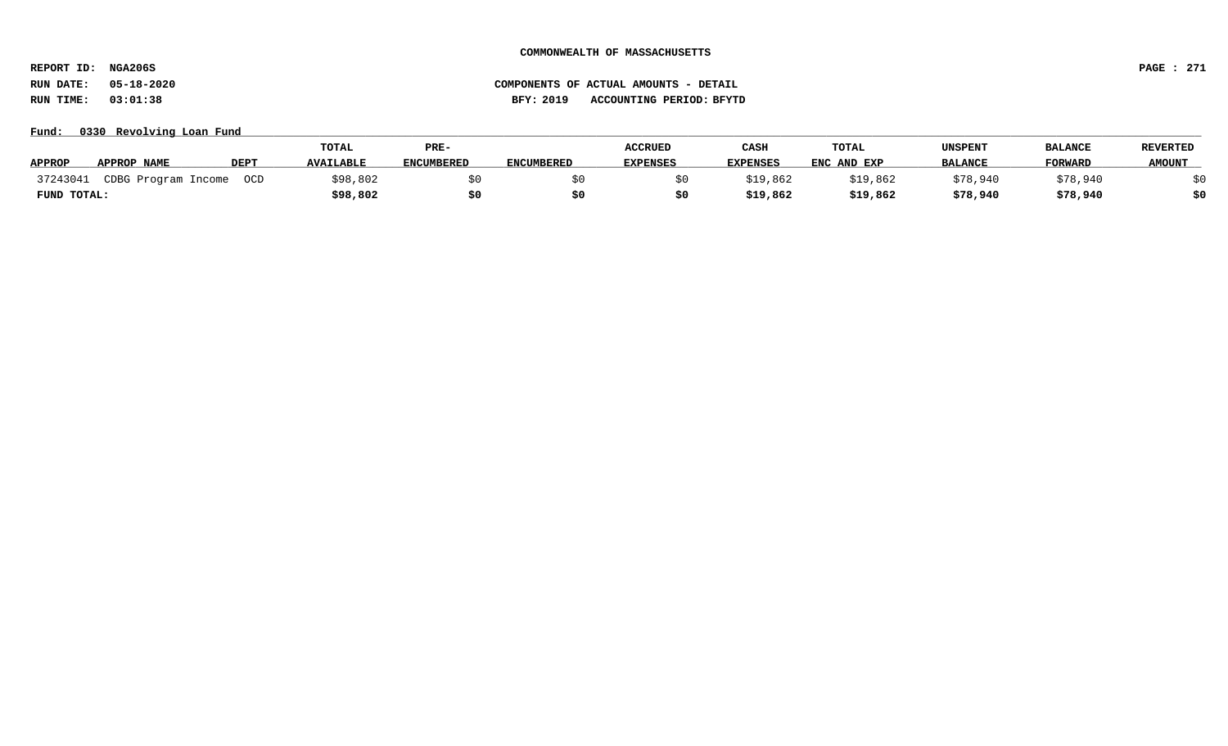**REPORT ID: NGA206S PAGE : 271**

# **RUN DATE: 05-18-2020 COMPONENTS OF ACTUAL AMOUNTS - DETAIL RUN TIME: 03:01:38 BFY: 2019 ACCOUNTING PERIOD: BFYTD**

**Fund: \_\_\_\_\_\_\_\_\_\_\_\_\_\_\_\_\_\_\_\_\_\_\_\_\_\_\_\_\_\_\_\_\_\_\_\_\_\_\_\_\_\_\_\_\_\_\_\_\_\_\_\_\_\_\_\_\_\_\_\_\_\_\_\_\_\_\_\_\_\_\_\_\_\_\_\_\_\_\_\_\_\_\_\_\_\_\_\_\_\_\_\_\_\_\_\_\_\_\_\_\_\_\_\_\_\_\_\_\_\_\_\_\_\_\_\_\_\_\_\_\_\_\_\_\_\_\_\_\_\_\_\_\_\_\_\_\_\_\_\_\_\_\_\_\_\_\_\_\_\_\_\_\_\_\_\_\_\_\_\_\_\_\_\_\_\_\_\_\_\_\_\_\_\_\_\_\_\_ 0330 Revolving Loan Fund**

|               |                     |             | TOTAL            | PRE-              |                   | <b>ACCRUED</b>  | CASH            | <b>TOTAL</b> | UNSPENT        | <b>BALANCE</b> | <b>REVERTED</b> |
|---------------|---------------------|-------------|------------------|-------------------|-------------------|-----------------|-----------------|--------------|----------------|----------------|-----------------|
| <b>APPROP</b> | <b>APPROP NAME</b>  | <b>DEPT</b> | <b>AVAILABLE</b> | <b>ENCUMBERED</b> | <b>ENCUMBERED</b> | <b>EXPENSES</b> | <b>EXPENSES</b> | ENC AND EXP  | <b>BALANCE</b> | <b>FORWARD</b> | <b>AMOUNT</b>   |
| 37243041      | CDBG Program Income | OCD         | \$98,802         |                   |                   |                 | \$19,862        | \$19,862     | \$78,940       | \$78,940       |                 |
| FUND TOTAL:   |                     |             | \$98,802         |                   |                   |                 | \$19,862        | \$19,862     | \$78,940       | \$78,940       |                 |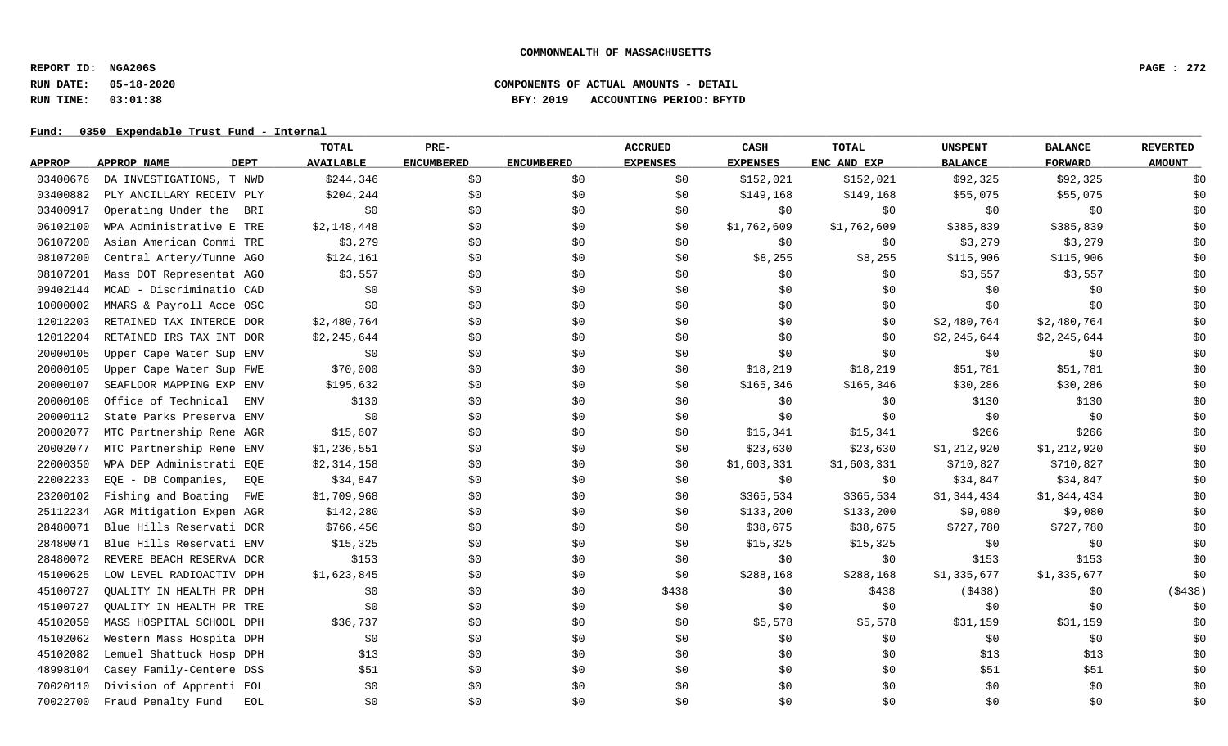**REPORT ID: NGA206S PAGE : 272**

# **RUN DATE: 05-18-2020 COMPONENTS OF ACTUAL AMOUNTS - DETAIL RUN TIME: 03:01:38 BFY: 2019 ACCOUNTING PERIOD: BFYTD**

|               |                            | <b>TOTAL</b>     | PRE-              |                   | <b>ACCRUED</b>  | CASH            | <b>TOTAL</b> | <b>UNSPENT</b> | <b>BALANCE</b> | <b>REVERTED</b> |
|---------------|----------------------------|------------------|-------------------|-------------------|-----------------|-----------------|--------------|----------------|----------------|-----------------|
| <b>APPROP</b> | APPROP NAME<br><b>DEPT</b> | <b>AVAILABLE</b> | <b>ENCUMBERED</b> | <b>ENCUMBERED</b> | <b>EXPENSES</b> | <b>EXPENSES</b> | ENC AND EXP  | <b>BALANCE</b> | <b>FORWARD</b> | <b>AMOUNT</b>   |
| 03400676      | DA INVESTIGATIONS, T NWD   | \$244,346        | \$0               | \$0               | \$0             | \$152,021       | \$152,021    | \$92,325       | \$92,325       | \$0             |
| 03400882      | PLY ANCILLARY RECEIV PLY   | \$204, 244       | \$0               | \$0\$             | \$0             | \$149,168       | \$149,168    | \$55,075       | \$55,075       | \$0             |
| 03400917      | Operating Under the<br>BRI | \$0              | \$0               | \$0               | \$0             | \$0             | \$0          | \$0            | \$0            | \$0             |
| 06102100      | WPA Administrative E TRE   | \$2,148,448      | \$0               | \$0               | \$0             | \$1,762,609     | \$1,762,609  | \$385,839      | \$385,839      | \$0             |
| 06107200      | Asian American Commi TRE   | \$3,279          | \$0               | \$0               | \$0             | \$0             | \$0          | \$3,279        | \$3,279        | \$0             |
| 08107200      | Central Artery/Tunne AGO   | \$124,161        | \$0               | \$0               | \$0             | \$8,255         | \$8,255      | \$115,906      | \$115,906      | \$0             |
| 08107201      | Mass DOT Representat AGO   | \$3,557          | \$0               | \$0               | \$0             | \$0             | \$0          | \$3,557        | \$3,557        | \$0             |
| 09402144      | MCAD - Discriminatio CAD   | \$0              | \$0               | \$0               | \$0             | \$0\$           | \$0          | \$0            | \$0            | \$0             |
| 10000002      | MMARS & Payroll Acce OSC   | \$0              | \$0               | \$0               | \$0             | \$0             | \$0          | \$0            | \$0            | \$0             |
| 12012203      | RETAINED TAX INTERCE DOR   | \$2,480,764      | \$0               | \$0               | \$0             | \$0\$           | \$0          | \$2,480,764    | \$2,480,764    | \$0             |
| 12012204      | RETAINED IRS TAX INT DOR   | \$2,245,644      | \$0               | \$0               | \$0             | \$0             | \$0          | \$2,245,644    | \$2,245,644    | \$0             |
| 20000105      | Upper Cape Water Sup ENV   | \$0              | \$0               | \$0               | \$0             | \$0\$           | \$0          | \$0            | \$0            | \$0             |
| 20000105      | Upper Cape Water Sup FWE   | \$70,000         | \$0               | \$0               | \$0             | \$18,219        | \$18,219     | \$51,781       | \$51,781       | \$0             |
| 20000107      | SEAFLOOR MAPPING EXP ENV   | \$195,632        | \$0               | \$0\$             | \$0             | \$165,346       | \$165,346    | \$30,286       | \$30,286       | \$0             |
| 20000108      | Office of Technical<br>ENV | \$130            | \$0               | \$0               | \$0             | \$0\$           | \$0          | \$130          | \$130          | \$0             |
| 20000112      | State Parks Preserva ENV   | \$0              | \$0               | \$0               | \$0             | \$0             | \$0          | \$0            | \$0            | \$0             |
| 20002077      | MTC Partnership Rene AGR   | \$15,607         | \$0               | \$0               | \$0             | \$15,341        | \$15,341     | \$266          | \$266          | \$0             |
| 20002077      | MTC Partnership Rene ENV   | \$1,236,551      | \$0               | \$0               | \$0             | \$23,630        | \$23,630     | \$1,212,920    | \$1,212,920    | \$0             |
| 22000350      | WPA DEP Administrati EQE   | \$2,314,158      | \$0               | \$0               | \$0             | \$1,603,331     | \$1,603,331  | \$710,827      | \$710,827      | \$0             |
| 22002233      | EQE - DB Companies,<br>EQE | \$34,847         | \$0               | \$0               | \$0             | \$0             | \$0          | \$34,847       | \$34,847       | \$0             |
| 23200102      | Fishing and Boating<br>FWE | \$1,709,968      | \$0               | \$0               | \$0             | \$365,534       | \$365,534    | \$1,344,434    | \$1,344,434    | \$0             |
| 25112234      | AGR Mitigation Expen AGR   | \$142,280        | \$0               | \$0               | \$0             | \$133,200       | \$133,200    | \$9,080        | \$9,080        | \$0             |
| 28480071      | Blue Hills Reservati DCR   | \$766,456        | \$0               | \$0               | \$0             | \$38,675        | \$38,675     | \$727,780      | \$727,780      | \$0             |
| 28480071      | Blue Hills Reservati ENV   | \$15,325         | \$0               | \$0               | \$0             | \$15,325        | \$15,325     | \$0            | \$0            | \$0             |
| 28480072      | REVERE BEACH RESERVA DCR   | \$153            | \$0               | \$0               | \$0             | \$0             | \$0          | \$153          | \$153          | \$0             |
| 45100625      | LOW LEVEL RADIOACTIV DPH   | \$1,623,845      | \$0               | \$0               | \$0             | \$288,168       | \$288,168    | \$1,335,677    | \$1,335,677    | \$0             |
| 45100727      | QUALITY IN HEALTH PR DPH   | \$0              | \$0               | \$0\$             | \$438           | \$0             | \$438        | ( \$438)       | \$0            | ( \$438)        |
| 45100727      | QUALITY IN HEALTH PR TRE   | \$0              | \$0               | \$0               | \$0             | \$0             | \$0          | \$0            | \$0\$          | \$0             |
| 45102059      | MASS HOSPITAL SCHOOL DPH   | \$36,737         | \$0               | \$0               | \$0             | \$5,578         | \$5,578      | \$31,159       | \$31,159       | \$0             |
| 45102062      | Western Mass Hospita DPH   | \$0              | \$0               | \$0               | \$0             | \$0             | \$0          | \$0            | \$0            | \$0             |
| 45102082      | Lemuel Shattuck Hosp DPH   | \$13             | \$0               | \$0               | \$0             | \$0             | \$0          | \$13           | \$13           | \$0             |
| 48998104      | Casey Family-Centere DSS   | \$51             | \$0               | \$0               | \$0             | \$0             | \$0          | \$51           | \$51           | \$0             |
| 70020110      | Division of Apprenti EOL   | \$0              | \$0               | \$0               | \$0             | \$0             | \$0          | \$0            | \$0            | \$0             |
| 70022700      | Fraud Penalty Fund<br>EOL  | \$0              | \$0               | \$0               | \$0             | \$0\$           | \$0          | \$0            | \$0            | \$0             |
|               |                            |                  |                   |                   |                 |                 |              |                |                |                 |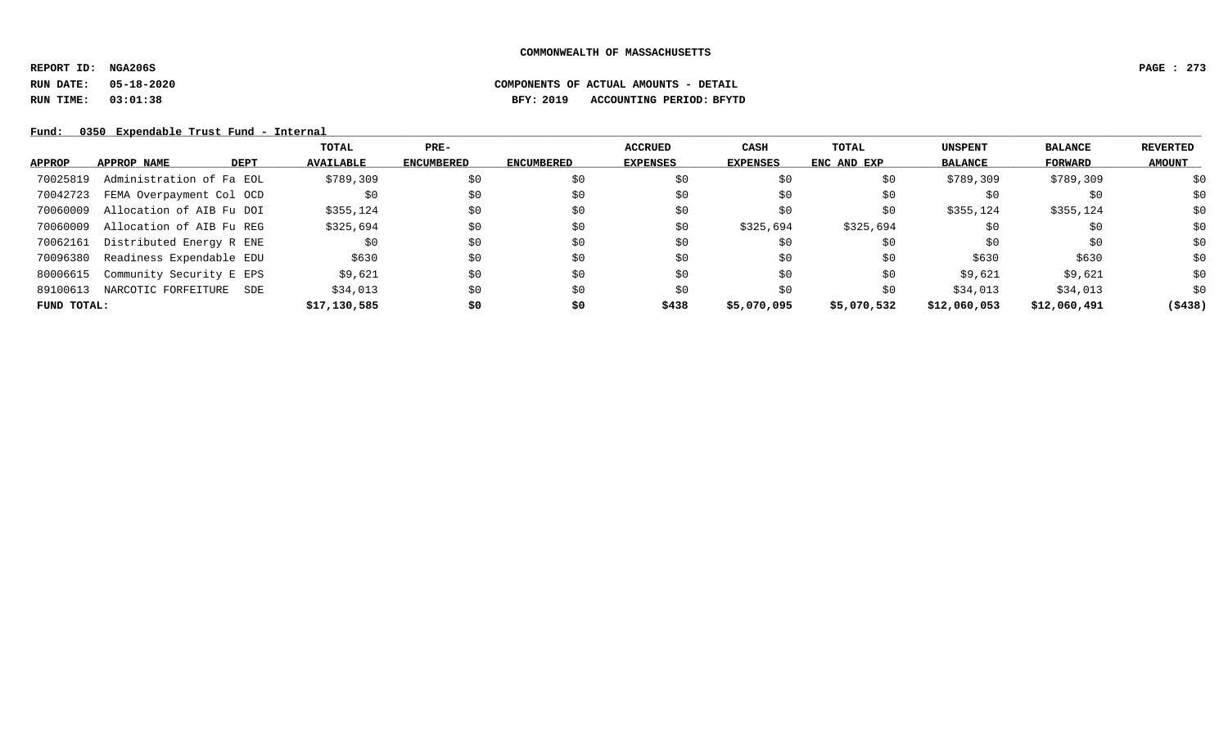**REPORT ID: NGA206S PAGE : 273**

# **RUN DATE: 05-18-2020 COMPONENTS OF ACTUAL AMOUNTS - DETAIL RUN TIME: 03:01:38 BFY: 2019 ACCOUNTING PERIOD: BFYTD**

|             |                          |             | TOTAL            | $PRE-$            |                   | <b>ACCRUED</b>  | CASH        | TOTAL       | <b>UNSPENT</b> | <b>BALANCE</b> | <b>REVERTED</b> |
|-------------|--------------------------|-------------|------------------|-------------------|-------------------|-----------------|-------------|-------------|----------------|----------------|-----------------|
| APPROP      | APPROP NAME              | <b>DEPT</b> | <b>AVAILABLE</b> | <b>ENCUMBERED</b> | <b>ENCUMBERED</b> | <b>EXPENSES</b> | EXPENSES    | ENC AND EXP | <b>BALANCE</b> | FORWARD        | <b>AMOUNT</b>   |
| 70025819    | Administration of Fa EOL |             | \$789,309        | \$0               | \$0               | \$0             | \$0         | \$0         | \$789,309      | \$789,309      | \$0             |
| 70042723    | FEMA Overpayment Col OCD |             | \$0              | \$0               | \$0               | \$0             | \$0         | \$0         | \$0            | \$0            | \$0             |
| 70060009    | Allocation of AIB Fu DOI |             | \$355,124        | \$0               | \$0               | \$0             | \$0         | \$0         | \$355,124      | \$355,124      | \$0             |
| 70060009    | Allocation of AIB Fu REG |             | \$325,694        | \$0               | \$0               | \$0             | \$325,694   | \$325,694   | \$0            | \$0            | \$0             |
| 70062161    | Distributed Energy R ENE |             | \$0              | \$0               | \$0               | \$0             | \$0         | \$0         | \$0            | \$0            | \$0             |
| 70096380    | Readiness Expendable EDU |             | \$630            | \$0               | \$0               | \$0             | \$0         | \$0         | \$630          | \$630          | \$0             |
| 80006615    | Community Security E EPS |             | \$9,621          | \$0               | \$0               | \$0             | \$0         | \$0         | \$9,621        | \$9,621        | \$0             |
| 89100613    | NARCOTIC FORFEITURE      | SDE         | \$34,013         | \$0               | \$0               | \$0             | \$0         | \$0         | \$34,013       | \$34,013       | \$0             |
| FUND TOTAL: |                          |             | \$17,130,585     | \$0               | \$0               | \$438           | \$5,070,095 | \$5,070,532 | \$12,060,053   | \$12,060,491   | ( \$438)        |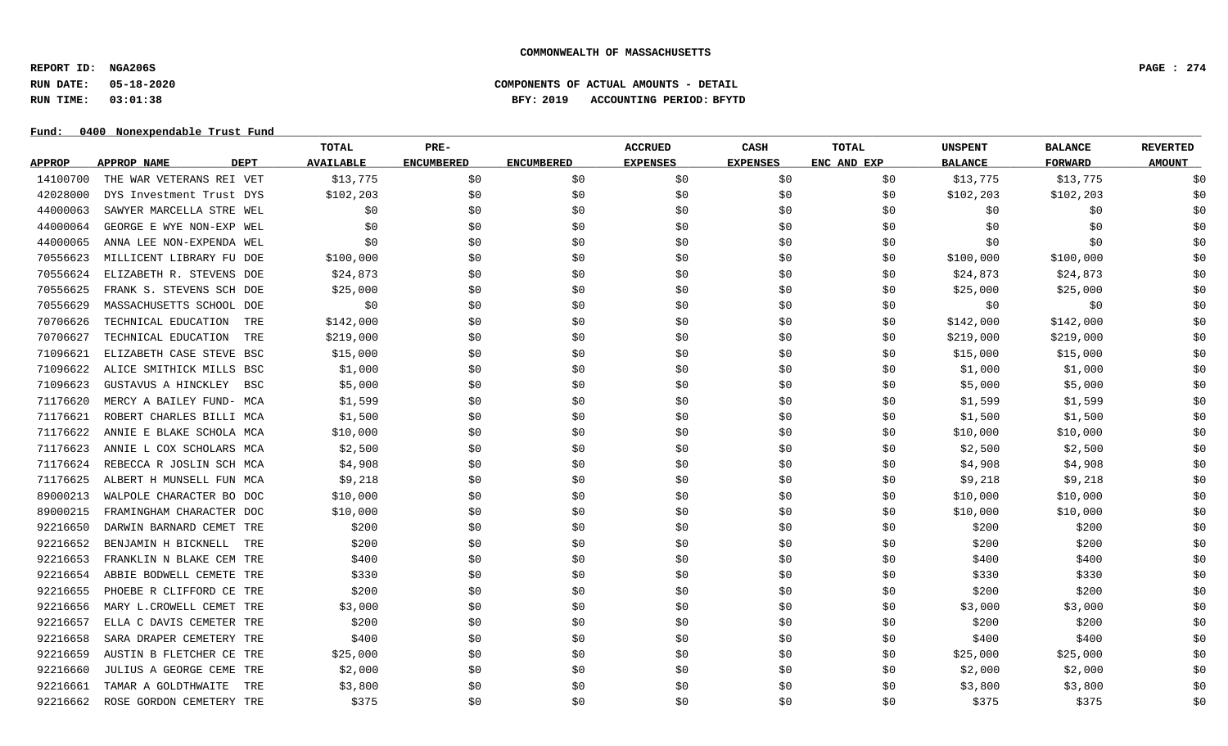**REPORT ID: NGA206S PAGE : 274**

# **RUN DATE: 05-18-2020 COMPONENTS OF ACTUAL AMOUNTS - DETAIL RUN TIME: 03:01:38 BFY: 2019 ACCOUNTING PERIOD: BFYTD**

Fund: 0400 Nonexpendable Trust Fund

|               |                                   | TOTAL            | PRE-              |                   | <b>ACCRUED</b>  | <b>CASH</b>     | <b>TOTAL</b> | <b>UNSPENT</b> | <b>BALANCE</b> | <b>REVERTED</b> |
|---------------|-----------------------------------|------------------|-------------------|-------------------|-----------------|-----------------|--------------|----------------|----------------|-----------------|
| <b>APPROP</b> | <b>DEPT</b><br><b>APPROP NAME</b> | <b>AVAILABLE</b> | <b>ENCUMBERED</b> | <b>ENCUMBERED</b> | <b>EXPENSES</b> | <b>EXPENSES</b> | ENC AND EXP  | <b>BALANCE</b> | <b>FORWARD</b> | <b>AMOUNT</b>   |
| 14100700      | THE WAR VETERANS REI VET          | \$13,775         | \$0               | \$0               | \$0             | \$0             | \$0          | \$13,775       | \$13,775       | \$0             |
| 42028000      | DYS Investment Trust DYS          | \$102, 203       | \$0               | \$0               | \$0             | \$0             | \$0          | \$102, 203     | \$102,203      | \$0             |
| 44000063      | SAWYER MARCELLA STRE WEL          | \$0              | \$0               | \$0               | \$0             | \$0             | \$0          | \$0            | \$0            | \$0             |
| 44000064      | GEORGE E WYE NON-EXP WEL          | \$0              | \$0               | \$0               | \$0             | \$0             | \$0          | \$0            | \$0            | \$0             |
| 44000065      | ANNA LEE NON-EXPENDA WEL          | \$0              | \$0               | \$0               | \$0             | \$0             | \$0          | \$0            | \$0            | \$0             |
| 70556623      | MILLICENT LIBRARY FU DOE          | \$100,000        | \$0               | \$0               | \$0             | \$0             | \$0          | \$100,000      | \$100,000      | \$0             |
| 70556624      | ELIZABETH R. STEVENS DOE          | \$24,873         | \$0               | \$0               | \$0             | \$0             | \$0          | \$24,873       | \$24,873       | \$0             |
| 70556625      | FRANK S. STEVENS SCH DOE          | \$25,000         | \$0               | \$0               | \$0             | \$0             | \$0          | \$25,000       | \$25,000       | \$0             |
| 70556629      | MASSACHUSETTS SCHOOL DOE          | \$0              | \$0               | \$0               | \$0             | \$0             | \$0          | \$0            | \$0            | \$0             |
| 70706626      | TECHNICAL EDUCATION<br>TRE        | \$142,000        | \$0               | \$0               | \$0             | \$0             | \$0          | \$142,000      | \$142,000      | \$0             |
| 70706627      | TECHNICAL EDUCATION<br>TRE        | \$219,000        | \$0               | \$0               | \$0             | \$0             | \$0          | \$219,000      | \$219,000      | \$0             |
| 71096621      | ELIZABETH CASE STEVE BSC          | \$15,000         | \$0               | \$0               | \$0             | \$0             | \$0          | \$15,000       | \$15,000       | \$0             |
| 71096622      | ALICE SMITHICK MILLS BSC          | \$1,000          | \$0               | \$0               | \$0             | \$0             | \$0          | \$1,000        | \$1,000        | \$0             |
| 71096623      | GUSTAVUS A HINCKLEY<br><b>BSC</b> | \$5,000          | \$0               | \$0               | \$0             | \$0             | \$0          | \$5,000        | \$5,000        | \$0             |
| 71176620      | MERCY A BAILEY FUND- MCA          | \$1,599          | \$0               | \$0               | \$0             | \$0             | \$0          | \$1,599        | \$1,599        | \$0             |
| 71176621      | ROBERT CHARLES BILLI MCA          | \$1,500          | \$0               | \$0               | \$0             | \$0             | \$0          | \$1,500        | \$1,500        | \$0             |
| 71176622      | ANNIE E BLAKE SCHOLA MCA          | \$10,000         | \$0               | \$0               | \$0             | \$0             | \$0          | \$10,000       | \$10,000       | \$0             |
| 71176623      | ANNIE L COX SCHOLARS MCA          | \$2,500          | \$0               | \$0               | \$0             | \$0             | \$0          | \$2,500        | \$2,500        | \$0             |
| 71176624      | REBECCA R JOSLIN SCH MCA          | \$4,908          | \$0               | \$0               | \$0             | \$0             | \$0          | \$4,908        | \$4,908        | \$0             |
| 71176625      | ALBERT H MUNSELL FUN MCA          | \$9,218          | \$0               | \$0               | \$0             | \$0             | \$0          | \$9,218        | \$9,218        | \$0             |
| 89000213      | WALPOLE CHARACTER BO DOC          | \$10,000         | \$0               | \$0               | \$0             | \$0             | \$0          | \$10,000       | \$10,000       | \$0             |
| 89000215      | FRAMINGHAM CHARACTER DOC          | \$10,000         | \$0               | \$0               | \$0             | \$0             | \$0          | \$10,000       | \$10,000       | \$0             |
| 92216650      | DARWIN BARNARD CEMET TRE          | \$200            | \$0               | \$0               | \$0             | \$0             | \$0          | \$200          | \$200          | \$0             |
| 92216652      | BENJAMIN H BICKNELL<br>TRE        | \$200            | \$0               | \$0               | \$0             | \$0             | \$0          | \$200          | \$200          | \$0             |
| 92216653      | FRANKLIN N BLAKE CEM TRE          | \$400            | \$0               | \$0               | \$0             | \$0             | \$0          | \$400          | \$400          | \$0             |
| 92216654      | ABBIE BODWELL CEMETE TRE          | \$330            | \$0               | \$0               | \$0             | \$0             | \$0          | \$330          | \$330          | \$0             |
| 92216655      | PHOEBE R CLIFFORD CE TRE          | \$200            | \$0               | \$0               | \$0             | \$0             | \$0          | \$200          | \$200          | \$0             |
| 92216656      | MARY L. CROWELL CEMET TRE         | \$3,000          | \$0               | \$0               | \$0             | \$0             | \$0          | \$3,000        | \$3,000        | \$0             |
| 92216657      | ELLA C DAVIS CEMETER TRE          | \$200            | \$0               | \$0               | \$0             | \$0             | \$0          | \$200          | \$200          | \$0             |
| 92216658      | SARA DRAPER CEMETERY TRE          | \$400            | \$0               | \$0               | \$0             | \$0             | \$0          | \$400          | \$400          | \$0             |
| 92216659      | AUSTIN B FLETCHER CE TRE          | \$25,000         | \$0               | \$0               | \$0             | \$0             | \$0          | \$25,000       | \$25,000       | \$0             |
| 92216660      | JULIUS A GEORGE CEME TRE          | \$2,000          | \$0               | \$0               | \$0             | \$0             | \$0          | \$2,000        | \$2,000        | \$0             |
| 92216661      | TAMAR A GOLDTHWAITE<br>TRE        | \$3,800          | \$0               | \$0               | \$0             | \$0             | \$0          | \$3,800        | \$3,800        | \$0             |
| 92216662      | ROSE GORDON CEMETERY TRE          | \$375            | \$0               | \$0               | \$0             | \$0             | \$0          | \$375          | \$375          | \$0             |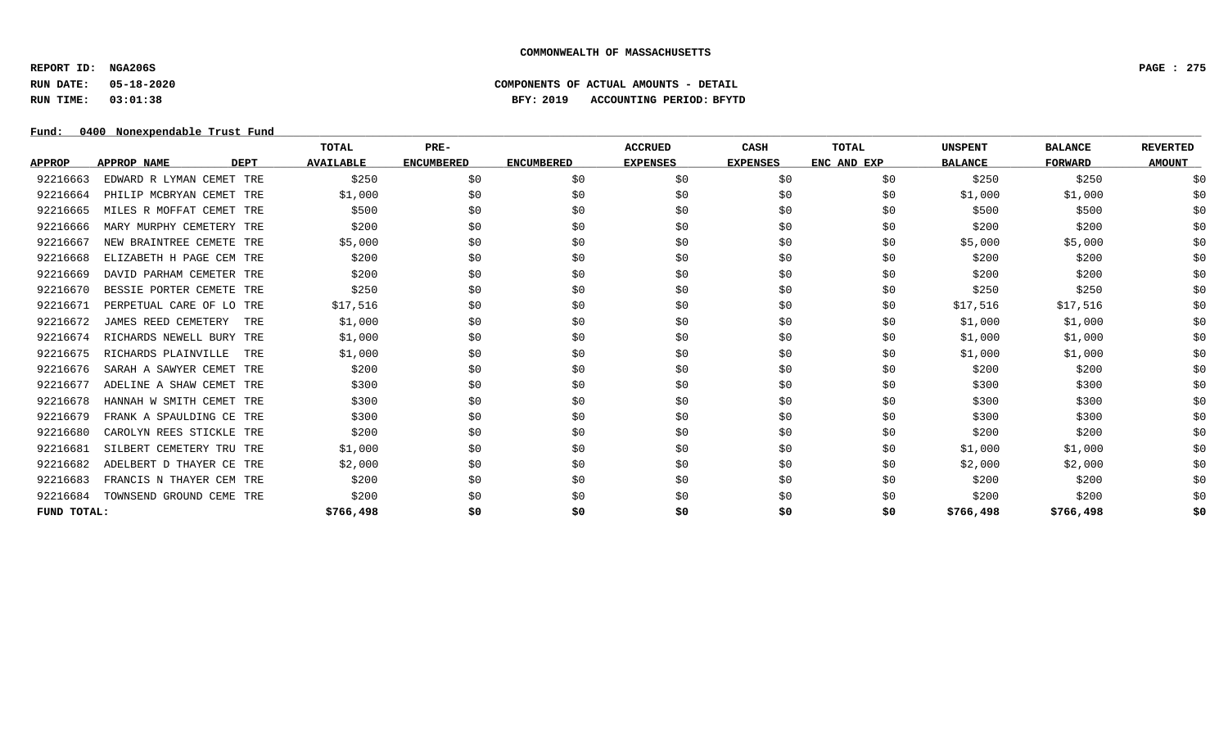**REPORT ID: NGA206S PAGE : 275**

**RUN DATE: 05-18-2020 COMPONENTS OF ACTUAL AMOUNTS - DETAIL**

**RUN TIME: 03:01:38 BFY: 2019 ACCOUNTING PERIOD: BFYTD**

## Fund: 0400 Nonexpendable Trust Fund

|               |                          |             | TOTAL            | PRE-              |                   | <b>ACCRUED</b>  | <b>CASH</b>     | <b>TOTAL</b> | <b>UNSPENT</b> | <b>BALANCE</b> | <b>REVERTED</b> |
|---------------|--------------------------|-------------|------------------|-------------------|-------------------|-----------------|-----------------|--------------|----------------|----------------|-----------------|
| <b>APPROP</b> | APPROP NAME              | <b>DEPT</b> | <b>AVAILABLE</b> | <b>ENCUMBERED</b> | <b>ENCUMBERED</b> | <b>EXPENSES</b> | <b>EXPENSES</b> | ENC AND EXP  | <b>BALANCE</b> | <b>FORWARD</b> | <b>AMOUNT</b>   |
| 92216663      | EDWARD R LYMAN CEMET TRE |             | \$250            | \$0               | \$0               | \$0             | \$0             | \$0          | \$250          | \$250          | \$0             |
| 92216664      | PHILIP MCBRYAN CEMET TRE |             | \$1,000          | \$0               | \$0               | \$0             | \$0             | \$0          | \$1,000        | \$1,000        | \$0             |
| 92216665      | MILES R MOFFAT CEMET TRE |             | \$500            | \$0               | \$0               | \$0             | \$0             | \$0          | \$500          | \$500          | \$0             |
| 92216666      | MARY MURPHY CEMETERY TRE |             | \$200            | \$0               | \$0               | \$0             | \$0             | \$0          | \$200          | \$200          | \$0             |
| 92216667      | NEW BRAINTREE CEMETE TRE |             | \$5,000          | \$0               | \$0               | \$0             | \$0             | \$0          | \$5,000        | \$5,000        | \$0             |
| 92216668      | ELIZABETH H PAGE CEM TRE |             | \$200            | \$0               | \$0               | \$0             | \$0             | \$0          | \$200          | \$200          | \$0             |
| 92216669      | DAVID PARHAM CEMETER TRE |             | \$200            | \$0               | \$0               | \$0             | \$0             | \$0          | \$200          | \$200          | \$0             |
| 92216670      | BESSIE PORTER CEMETE TRE |             | \$250            | \$0               | \$0               | \$0             | \$0             | \$0          | \$250          | \$250          | \$0             |
| 92216671      | PERPETUAL CARE OF LO TRE |             | \$17,516         | \$0               | \$0               | \$0             | \$0             | \$0          | \$17,516       | \$17,516       | \$0             |
| 92216672      | JAMES REED CEMETERY      | TRE         | \$1,000          | \$0               | \$0               | \$0             | \$0             | \$0          | \$1,000        | \$1,000        | \$0             |
| 92216674      | RICHARDS NEWELL BURY TRE |             | \$1,000          | \$0               | \$0               | \$0             | \$0             | \$0          | \$1,000        | \$1,000        | \$0             |
| 92216675      | RICHARDS PLAINVILLE      | TRE         | \$1,000          | \$0               | \$0               | \$0             | \$0             | \$0          | \$1,000        | \$1,000        | \$0             |
| 92216676      | SARAH A SAWYER CEMET TRE |             | \$200            | \$0               | \$0               | \$0             | \$0             | \$0          | \$200          | \$200          | \$0             |
| 92216677      | ADELINE A SHAW CEMET TRE |             | \$300            | \$0               | \$0               | \$0             | \$0             | \$0          | \$300          | \$300          | \$0             |
| 92216678      | HANNAH W SMITH CEMET TRE |             | \$300            | \$0               | \$0               | \$0             | \$0             | \$0          | \$300          | \$300          | \$0             |
| 92216679      | FRANK A SPAULDING CE TRE |             | \$300            | \$0               | \$0               | \$0             | \$0             | \$0          | \$300          | \$300          | \$0             |
| 92216680      | CAROLYN REES STICKLE TRE |             | \$200            | \$0               | \$0               | \$0             | \$0             | \$0          | \$200          | \$200          | \$0             |
| 92216681      | SILBERT CEMETERY TRU TRE |             | \$1,000          | \$0               | \$0               | \$0             | \$0             | \$0          | \$1,000        | \$1,000        | \$0             |
| 92216682      | ADELBERT D THAYER CE TRE |             | \$2,000          | \$0               | \$0               | \$0             | \$0             | \$0          | \$2,000        | \$2,000        | \$0             |
| 92216683      | FRANCIS N THAYER CEM TRE |             | \$200            | \$0               | \$0               | \$0             | \$0             | \$0          | \$200          | \$200          | \$0             |
| 92216684      | TOWNSEND GROUND CEME TRE |             | \$200            | \$0               | \$0               | \$0             | \$0             | \$0          | \$200          | \$200          | \$0             |
| FUND TOTAL:   |                          |             | \$766,498        | \$0               | \$0               | \$0             | \$0             | \$0          | \$766,498      | \$766,498      | \$0             |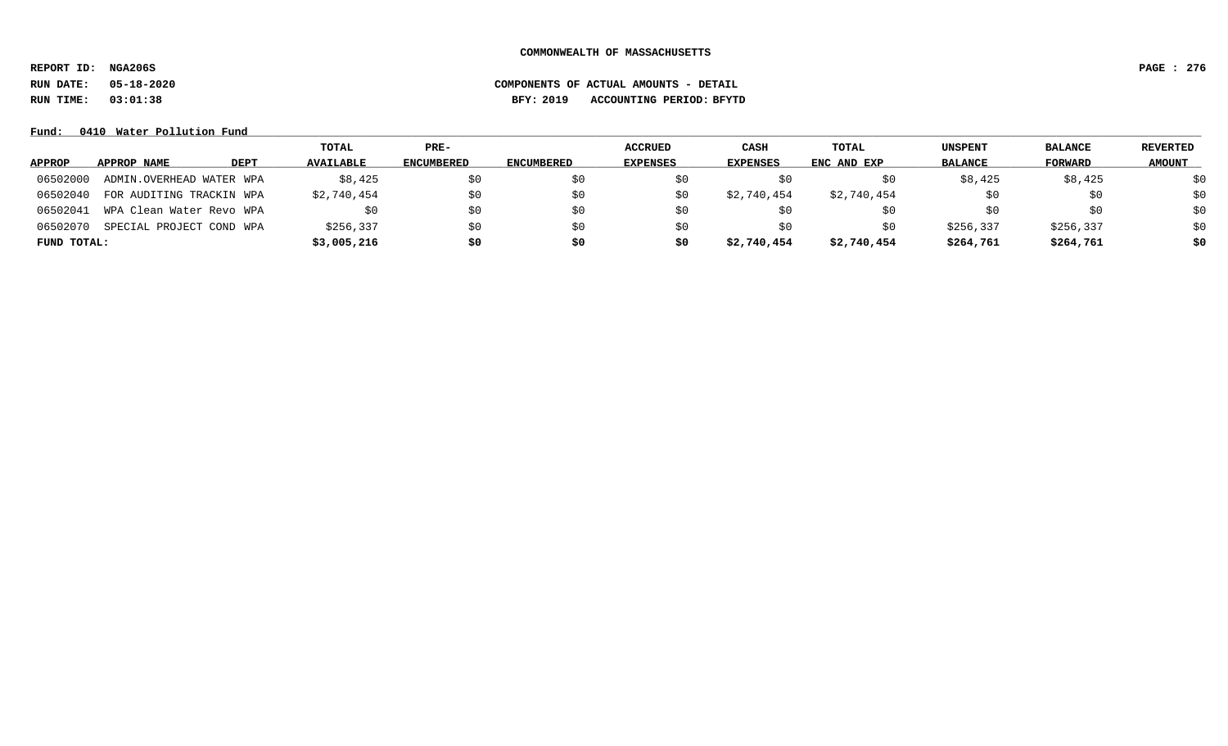**REPORT ID: NGA206S PAGE : 276**

**RUN DATE: 05-18-2020 COMPONENTS OF ACTUAL AMOUNTS - DETAIL**

**RUN TIME: 03:01:38 BFY: 2019 ACCOUNTING PERIOD: BFYTD**

## **Fund: \_\_\_\_\_\_\_\_\_\_\_\_\_\_\_\_\_\_\_\_\_\_\_\_\_\_\_\_\_\_\_\_\_\_\_\_\_\_\_\_\_\_\_\_\_\_\_\_\_\_\_\_\_\_\_\_\_\_\_\_\_\_\_\_\_\_\_\_\_\_\_\_\_\_\_\_\_\_\_\_\_\_\_\_\_\_\_\_\_\_\_\_\_\_\_\_\_\_\_\_\_\_\_\_\_\_\_\_\_\_\_\_\_\_\_\_\_\_\_\_\_\_\_\_\_\_\_\_\_\_\_\_\_\_\_\_\_\_\_\_\_\_\_\_\_\_\_\_\_\_\_\_\_\_\_\_\_\_\_\_\_\_\_\_\_\_\_\_\_\_\_\_\_\_\_\_\_\_ 0410 Water Pollution Fund**

|               |                          |      | TOTAL            | $PRE-$            |                   | <b>ACCRUED</b>  | CASH            | TOTAL       | UNSPENT        | <b>BALANCE</b> | <b>REVERTED</b> |
|---------------|--------------------------|------|------------------|-------------------|-------------------|-----------------|-----------------|-------------|----------------|----------------|-----------------|
| <b>APPROP</b> | APPROP NAME              | DEPT | <b>AVAILABLE</b> | <b>ENCUMBERED</b> | <b>ENCUMBERED</b> | <b>EXPENSES</b> | <b>EXPENSES</b> | ENC AND EXP | <b>BALANCE</b> | <b>FORWARD</b> | <b>AMOUNT</b>   |
| 06502000      | ADMIN.OVERHEAD WATER WPA |      | \$8,425          | \$0               | S0                | SO.             |                 |             | \$8,425        | \$8,425        | \$0             |
| 06502040      | FOR AUDITING TRACKIN WPA |      | \$2,740,454      | \$0               | \$0               | SO.             | \$2,740,454     | \$2,740,454 |                | SO.            | \$0             |
| 06502041      | WPA Clean Water Revo WPA |      |                  | \$0               | SO.               | SO.             |                 |             | SO.            | SO.            | \$0             |
| 06502070      | SPECIAL PROJECT COND WPA |      | \$256,337        | \$0               | \$0               | SO.             | SO.             | so          | \$256,337      | \$256,337      | \$0             |
| FUND TOTAL:   |                          |      | \$3,005,216      | \$0               | \$0               | \$0             | \$2,740,454     | \$2,740,454 | \$264,761      | \$264,761      | \$0             |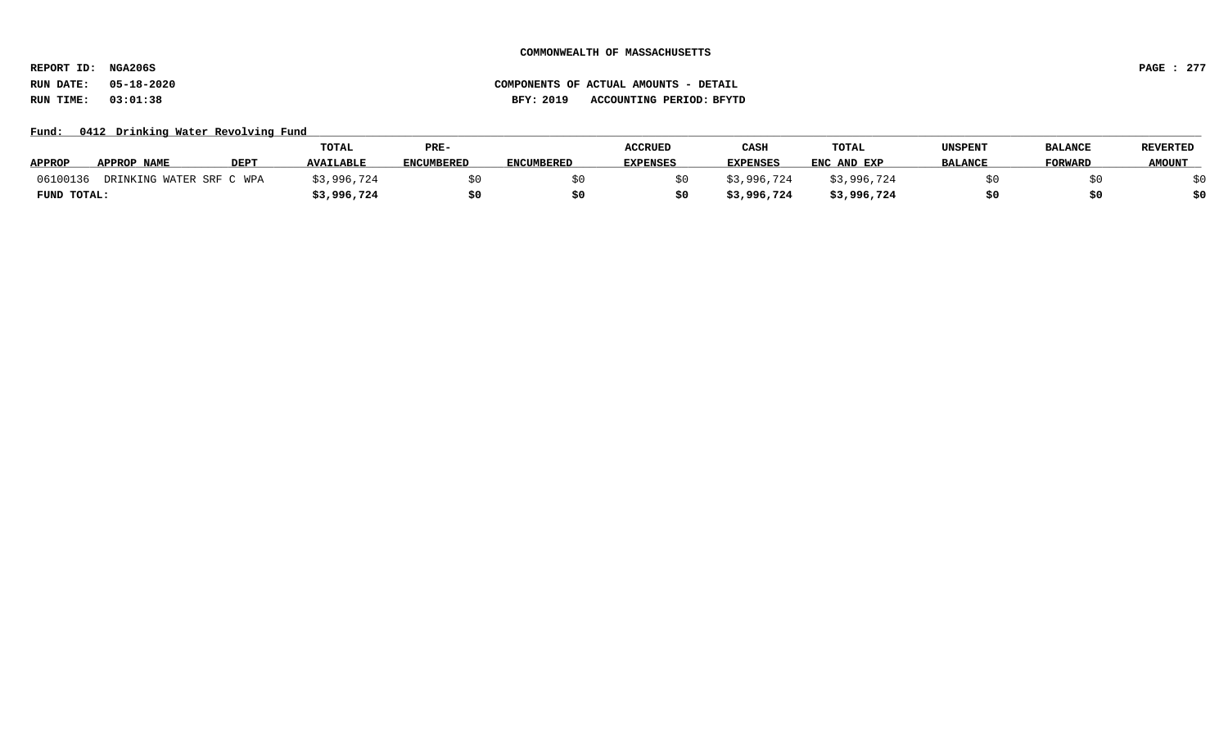**REPORT ID: NGA206S PAGE : 277**

## Fund: 0412 Drinking Water Revolving Fund

|                                      |             | TOTAL            | PRE-              |                   | <b>ACCRUED</b>  | CASE            | TOTAL       | UNSPENT        | <b>BALANCE</b> | <b>REVERTED</b> |
|--------------------------------------|-------------|------------------|-------------------|-------------------|-----------------|-----------------|-------------|----------------|----------------|-----------------|
| <b>APPROP</b><br>APPROP NAME         | <b>DEPT</b> | <b>AVAILABLE</b> | <b>ENCUMBERED</b> | <b>ENCUMBERED</b> | <b>EXPENSES</b> | <b>EXPENSES</b> | ENC AND EXP | <b>BALANCE</b> | <b>FORWARD</b> | <b>AMOUNT</b>   |
| 06100136<br>DRINKING WATER SRF C WPA |             | \$3,996,724      |                   |                   |                 | \$3,996,724     | \$3,996,724 |                |                |                 |
| FUND TOTAL:                          |             | \$3,996,724      | \$0               | S0                |                 | \$3,996,724     | \$3,996,724 |                |                | \$0             |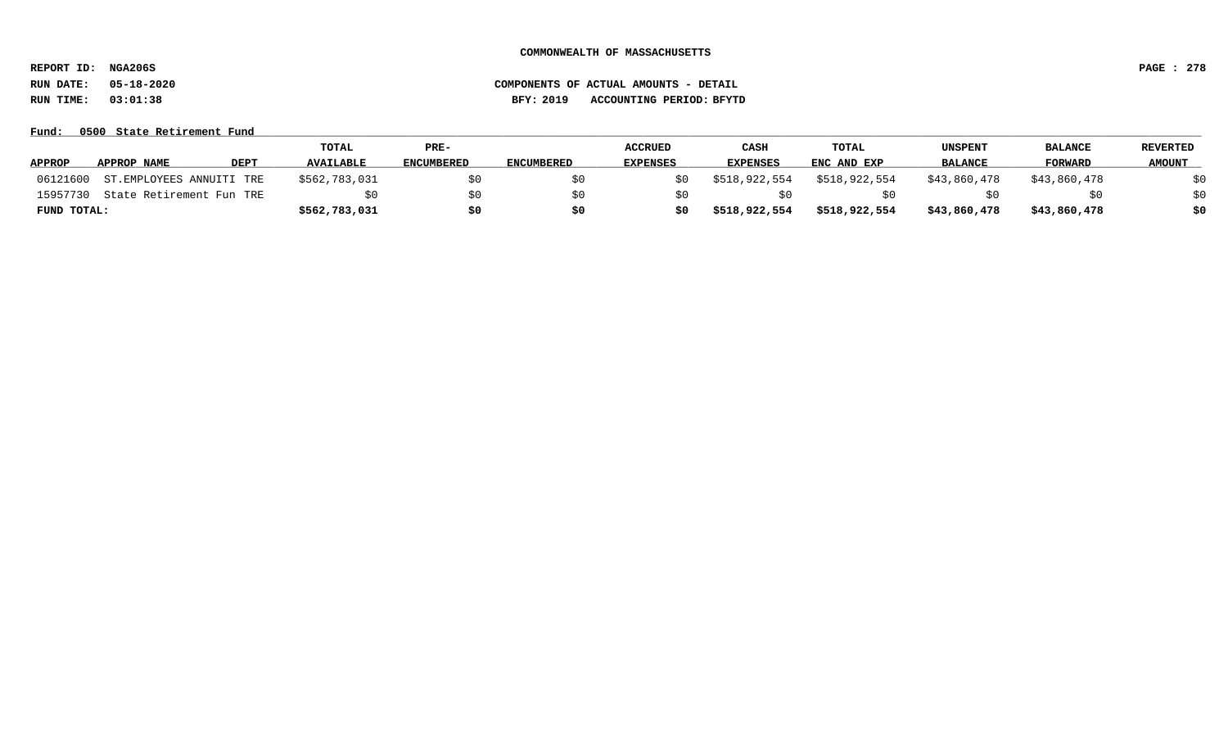**REPORT ID: NGA206S PAGE : 278**

# **RUN DATE: 05-18-2020 COMPONENTS OF ACTUAL AMOUNTS - DETAIL RUN TIME: 03:01:38 BFY: 2019 ACCOUNTING PERIOD: BFYTD**

### Fund: 0500 State Retirement Fund

|               |                          |      | TOTAL            | PRE-              |                   | <b>ACCRUED</b>  | CASH          | TOTAL         | UNSPENT        | <b>BALANCE</b> | <b>REVERTED</b> |
|---------------|--------------------------|------|------------------|-------------------|-------------------|-----------------|---------------|---------------|----------------|----------------|-----------------|
| <b>APPROP</b> | <b>APPROP NAME</b>       | DEPT | <b>AVAILABLE</b> | <b>ENCUMBERED</b> | <b>ENCUMBERED</b> | <b>EXPENSES</b> | EXPENSES      | ENC AND EXP   | <b>BALANCE</b> | <b>FORWARD</b> | <b>AMOUNT</b>   |
| 06121600      | ST.EMPLOYEES ANNUITI TRE |      | \$562,783,031    | \$0               |                   |                 | \$518,922,554 | \$518,922,554 | \$43,860,478   | \$43,860,478   | \$0             |
| 15957730      | State Retirement Fun TRE |      |                  | \$0               |                   |                 |               |               |                |                | \$0             |
| FUND TOTAL:   |                          |      | \$562,783,031    | \$0               | \$0               |                 | \$518,922,554 | \$518,922,554 | \$43,860,478   | \$43,860,478   | \$0             |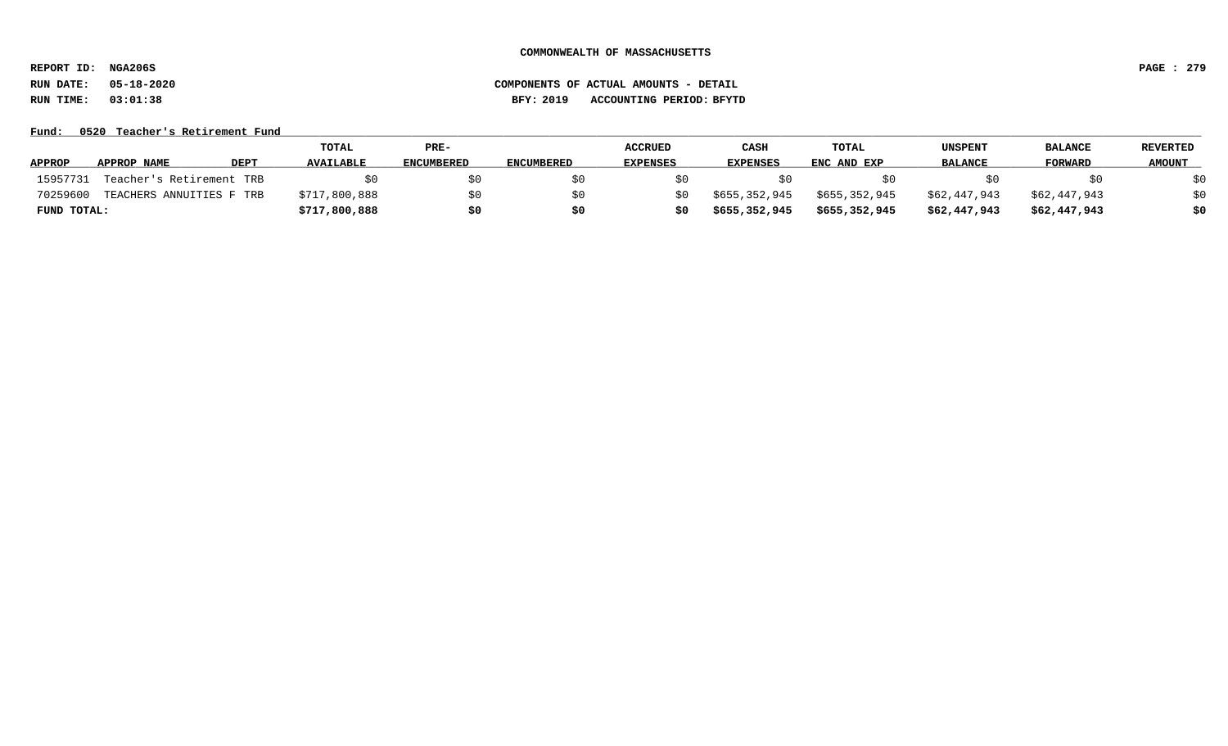**REPORT ID: NGA206S PAGE : 279**

# **RUN DATE: 05-18-2020 COMPONENTS OF ACTUAL AMOUNTS - DETAIL RUN TIME: 03:01:38 BFY: 2019 ACCOUNTING PERIOD: BFYTD**

### Fund: 0520 Teacher's Retirement Fund

|               |                          |             | <b>TOTAL</b>     | $PRE-$            |                   | <b>ACCRUED</b>  | CASH            | TOTAL         | UNSPENT        | <b>BALANCE</b> | <b>REVERTED</b> |
|---------------|--------------------------|-------------|------------------|-------------------|-------------------|-----------------|-----------------|---------------|----------------|----------------|-----------------|
| <b>APPROP</b> | APPROP NAME              | <b>DEPT</b> | <b>AVAILABLE</b> | <b>ENCUMBERED</b> | <b>ENCUMBERED</b> | <b>EXPENSES</b> | <b>EXPENSES</b> | ENC AND EXP   | <b>BALANCE</b> | <b>FORWARD</b> | <b>AMOUNT</b>   |
| 15957731      | Teacher's Retirement TRB |             |                  | \$0               |                   |                 |                 |               |                |                | \$0             |
| 70259600      | TEACHERS ANNUITIES F TRB |             | \$717,800,888    | \$0               |                   |                 | \$655,352,945   | \$655,352,945 | \$62,447,943   | \$62,447,943   | \$0             |
| FUND TOTAL:   |                          |             | \$717,800,888    | \$0               | S0                |                 | \$655,352,945   | \$655,352,945 | \$62,447,943   | \$62,447,943   | \$0             |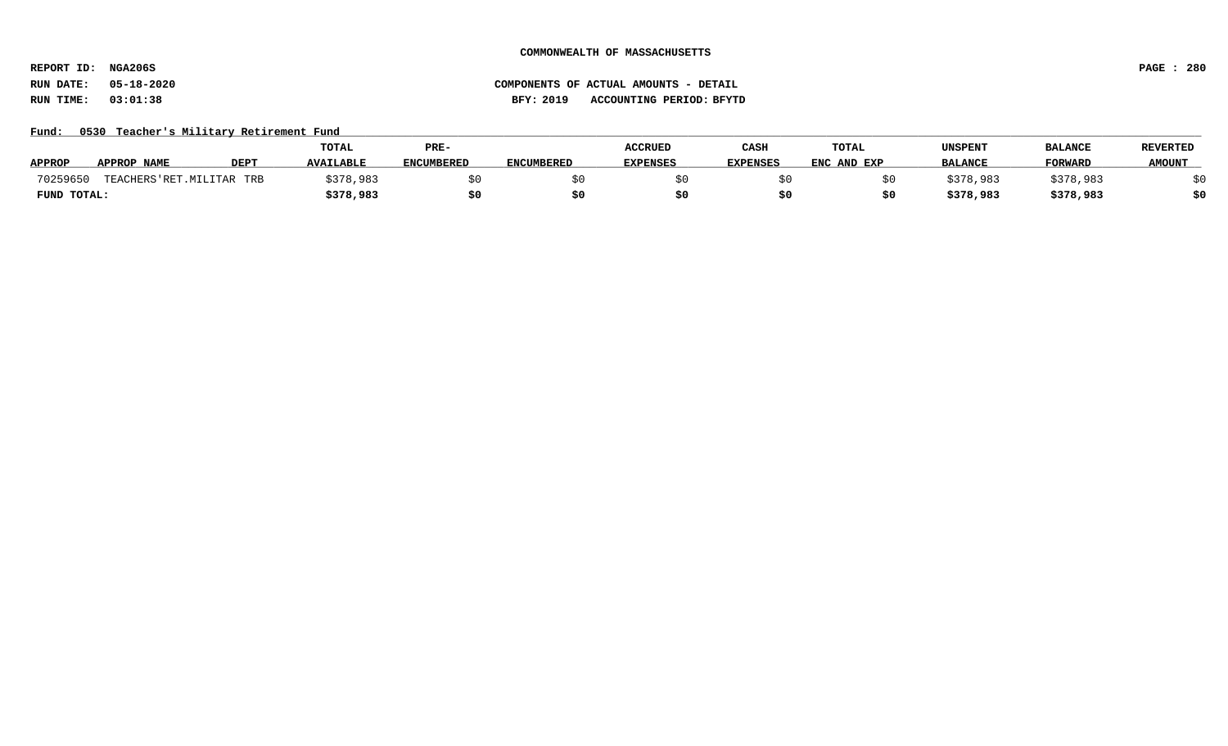**REPORT ID: NGA206S PAGE : 280**

# **RUN DATE: 05-18-2020 COMPONENTS OF ACTUAL AMOUNTS - DETAIL RUN TIME: 03:01:38 BFY: 2019 ACCOUNTING PERIOD: BFYTD**

## Fund: 0530 Teacher's Military Retirement Fund

|               |                           |             | <b>TOTAL</b>     | PRE-              |                   | <b>ACCRUED</b>  | CASH            | <b>TOTAL</b> | UNSPENT        | <b>BALANCI</b> | <b>REVERTED</b> |
|---------------|---------------------------|-------------|------------------|-------------------|-------------------|-----------------|-----------------|--------------|----------------|----------------|-----------------|
| <b>APPROP</b> | APPROP NAME               | <b>DEPT</b> | <b>AVAILABLE</b> | <b>ENCUMBERED</b> | <b>ENCUMBERED</b> | <b>EXPENSES</b> | <b>EXPENSES</b> | ENC AND EXP  | <b>BALANCE</b> | FORWARD        | <b>AMOUNT</b>   |
| 70259650      | TEACHERS'RET. MILITAR TRB |             | \$378,983        |                   |                   |                 |                 |              | ;378,983       | \$378,983      |                 |
| FUND TOTAL:   |                           |             | \$378,983        | S0                |                   |                 |                 |              | \$378,983      | \$378,983      | ċ٨              |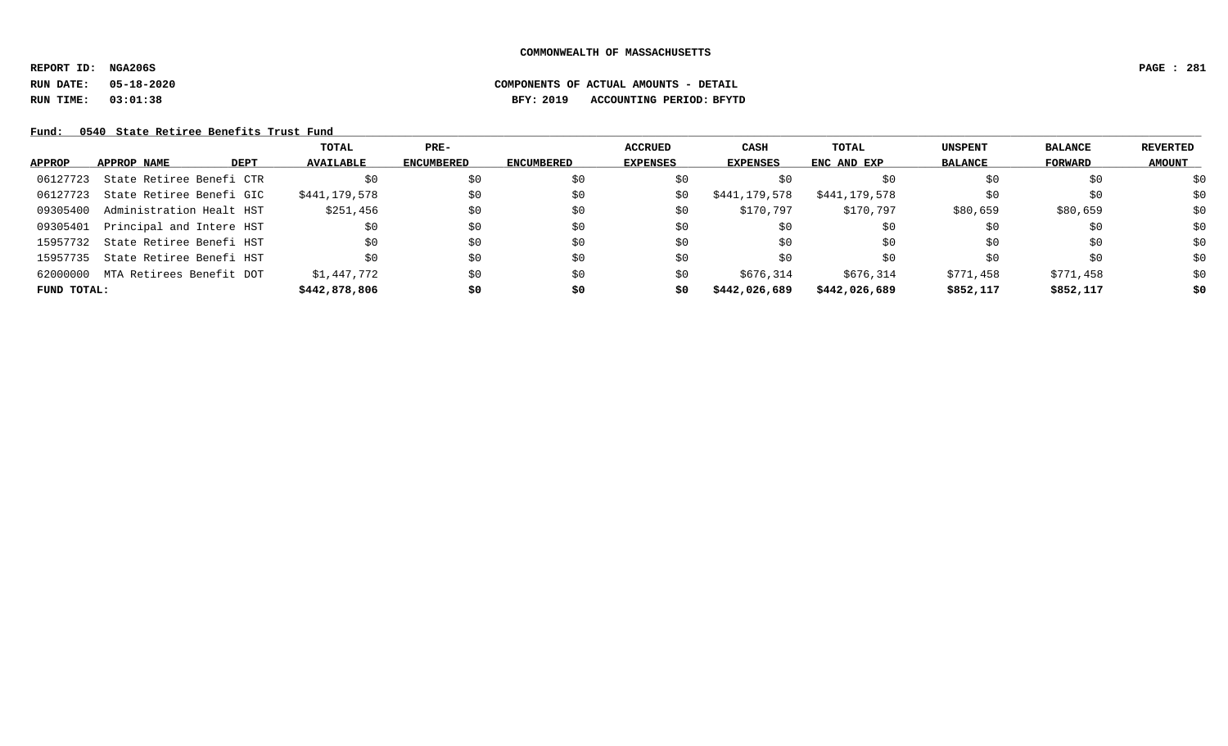**REPORT ID: NGA206S PAGE : 281**

# **RUN DATE: 05-18-2020 COMPONENTS OF ACTUAL AMOUNTS - DETAIL RUN TIME: 03:01:38 BFY: 2019 ACCOUNTING PERIOD: BFYTD**

## Fund: 0540 State Retiree Benefits Trust Fund

|             |                          |             | TOTAL            | $PRE-$            |                   | <b>ACCRUED</b>  | CASH            | TOTAL         | <b>UNSPENT</b> | <b>BALANCE</b> | REVERTED      |
|-------------|--------------------------|-------------|------------------|-------------------|-------------------|-----------------|-----------------|---------------|----------------|----------------|---------------|
| APPROP      | APPROP NAME              | <b>DEPT</b> | <b>AVAILABLE</b> | <b>ENCUMBERED</b> | <b>ENCUMBERED</b> | <b>EXPENSES</b> | <b>EXPENSES</b> | ENC AND EXP   | <b>BALANCE</b> | FORWARD        | <b>AMOUNT</b> |
| 06127723    | State Retiree Benefi CTR |             | \$0              | \$0               | \$0               | \$0             | S0              | S0            | \$0            | \$0            | \$0           |
| 06127723    | State Retiree Benefi GIC |             | \$441,179,578    | \$0               | \$0               | SO.             | \$441,179,578   | \$441,179,578 | \$0            | \$0            | \$0           |
| 09305400    | Administration Healt HST |             | \$251,456        | \$0               | \$0               | \$0             | \$170,797       | \$170,797     | \$80,659       | \$80,659       | \$0           |
| 09305401    | Principal and Intere HST |             | \$0              | \$0               | \$0               | \$0             | \$0             | \$0           | \$0            | \$0            | \$0           |
| 15957732    | State Retiree Benefi HST |             | \$0              | \$0               | \$0               | \$0             | \$0             | \$0           | \$0            | \$0            | \$0           |
| 15957735    | State Retiree Benefi HST |             | \$0              | \$0               | SO.               | \$0             | SO.             | \$0           | SO.            | \$0            | \$0           |
| 62000000    | MTA Retirees Benefit DOT |             | \$1,447,772      | \$0               | \$0               | \$0             | \$676,314       | \$676,314     | \$771,458      | \$771,458      | \$0           |
| FUND TOTAL: |                          |             | \$442,878,806    | \$0               | \$0               | \$0             | \$442,026,689   | \$442,026,689 | \$852,117      | \$852,117      | \$0           |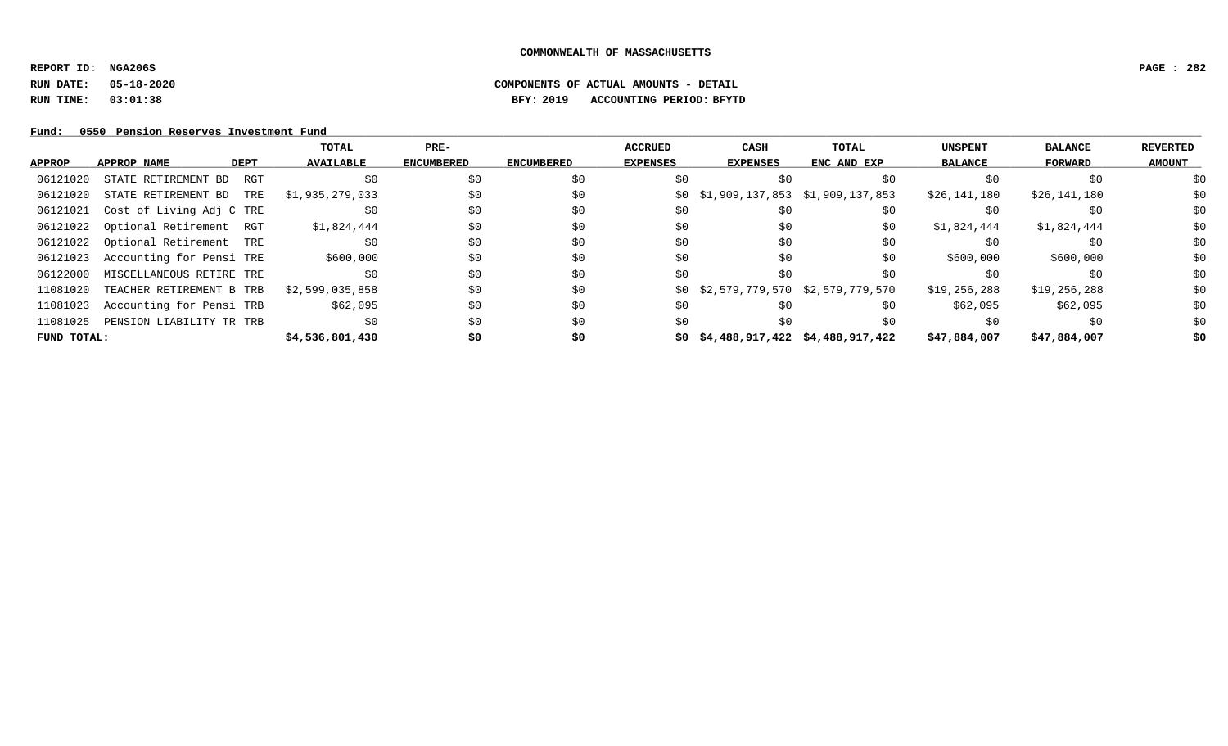**REPORT ID: NGA206S PAGE : 282**

# **RUN DATE: 05-18-2020 COMPONENTS OF ACTUAL AMOUNTS - DETAIL RUN TIME: 03:01:38 BFY: 2019 ACCOUNTING PERIOD: BFYTD**

Fund: 0550 Pension Reserves Investment Fund

|             |                            | TOTAL            | $PRE-$            |                   | <b>ACCRUED</b>  | CASH                                   | TOTAL       | <b>UNSPENT</b> | <b>BALANCE</b> | <b>REVERTED</b> |
|-------------|----------------------------|------------------|-------------------|-------------------|-----------------|----------------------------------------|-------------|----------------|----------------|-----------------|
| APPROP      | APPROP NAME<br>DEPT        | <b>AVAILABLE</b> | <b>ENCUMBERED</b> | <b>ENCUMBERED</b> | <b>EXPENSES</b> | <b>EXPENSES</b>                        | ENC AND EXP | <b>BALANCE</b> | FORWARD        | <b>AMOUNT</b>   |
| 06121020    | STATE RETIREMENT BD<br>RGT | \$0              | \$0               | \$0               | \$0             |                                        | \$0         | \$0            | \$0            | \$0             |
| 06121020    | STATE RETIREMENT BD<br>TRE | \$1,935,279,033  | \$0               | \$0               |                 | $$0$ $$1,909,137,853$ $$1,909,137,853$ |             | \$26,141,180   | \$26,141,180   | \$0             |
| 06121021    | Cost of Living Adj C TRE   | \$0              | \$0               | \$0               | \$0             | Sυ                                     | S0          |                | \$0            | \$0             |
| 06121022    | Optional Retirement RGT    | \$1,824,444      | \$0               | \$0               | \$0             | \$0                                    | \$0         | \$1,824,444    | \$1,824,444    | \$0             |
| 06121022    | Optional Retirement TRE    | \$0              | \$0               | \$0               | \$0             | \$0                                    | \$0         |                | \$0            | \$0             |
| 06121023    | Accounting for Pensi TRE   | \$600,000        | \$0               | \$0               | \$0             | \$0                                    | \$0         | \$600,000      | \$600,000      | \$0             |
| 06122000    | MISCELLANEOUS RETIRE TRE   | \$0              | \$0               | \$0               | \$0             | \$0                                    | \$0         | S0             | \$0            | \$0             |
| 11081020    | TEACHER RETIREMENT B TRB   | \$2,599,035,858  | \$0               | \$0               |                 | $$0$ $$2,579,779,570$ $$2,579,779,570$ |             | \$19,256,288   | \$19,256,288   | \$0             |
| 11081023    | Accounting for Pensi TRB   | \$62,095         | \$0               | \$0               | \$0             | SO.                                    | \$0         | \$62,095       | \$62,095       | \$0             |
| 11081025    | PENSION LIABILITY TR TRB   | \$0              | \$0               | \$0               | \$0             | \$0                                    | \$0         | \$0            | \$0            | \$0             |
| FUND TOTAL: |                            | \$4,536,801,430  | \$0               | \$0               |                 | $$0$ $$4,488,917,422$ $$4,488,917,422$ |             | \$47,884,007   | \$47,884,007   | \$0             |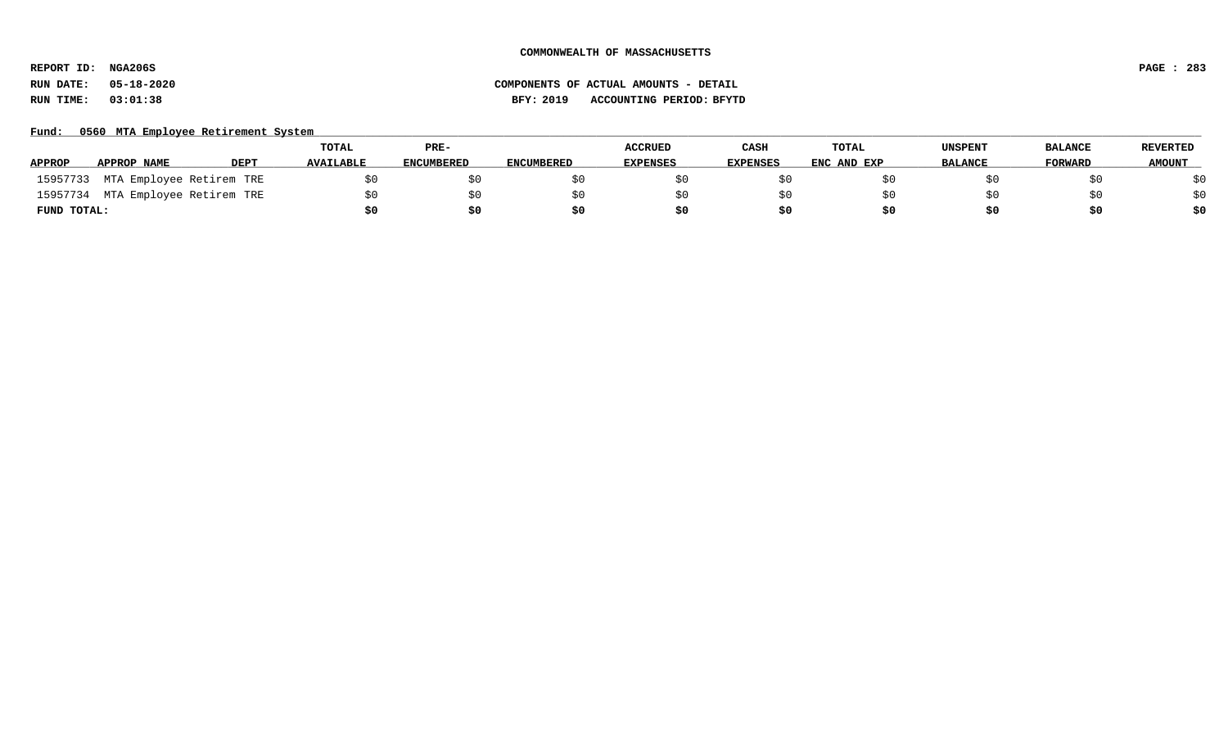**REPORT ID: NGA206S PAGE : 283**

# **RUN DATE: 05-18-2020 COMPONENTS OF ACTUAL AMOUNTS - DETAIL RUN TIME: 03:01:38 BFY: 2019 ACCOUNTING PERIOD: BFYTD**

### Fund: 0560 MTA Employee Retirement System

|               |                                   |             | <b>TOTAL</b>     | PRE-              |            | <b>ACCRUED</b>  | CASH            | TOTAL       | UNSPENT        | <b>BALANCE</b> | <b>REVERTED</b> |
|---------------|-----------------------------------|-------------|------------------|-------------------|------------|-----------------|-----------------|-------------|----------------|----------------|-----------------|
| <b>APPROP</b> | APPROP NAME                       | <b>DEPT</b> | <b>AVAILABLE</b> | <b>ENCUMBERED</b> | ENCUMBERED | <b>EXPENSES</b> | <b>EXPENSES</b> | ENC AND EXP | <b>BALANCE</b> | <b>FORWARD</b> | <b>AMOUNT</b>   |
|               | 15957733 MTA Employee Retirem TRE |             |                  | \$0               |            |                 |                 |             |                |                | \$0             |
| 15957734      | MTA Employee Retirem TRE          |             |                  | SO.               |            |                 |                 |             |                |                | \$0             |
| FUND TOTAL:   |                                   |             |                  | \$0               | S0         | \$0             |                 | S0          |                |                | \$0             |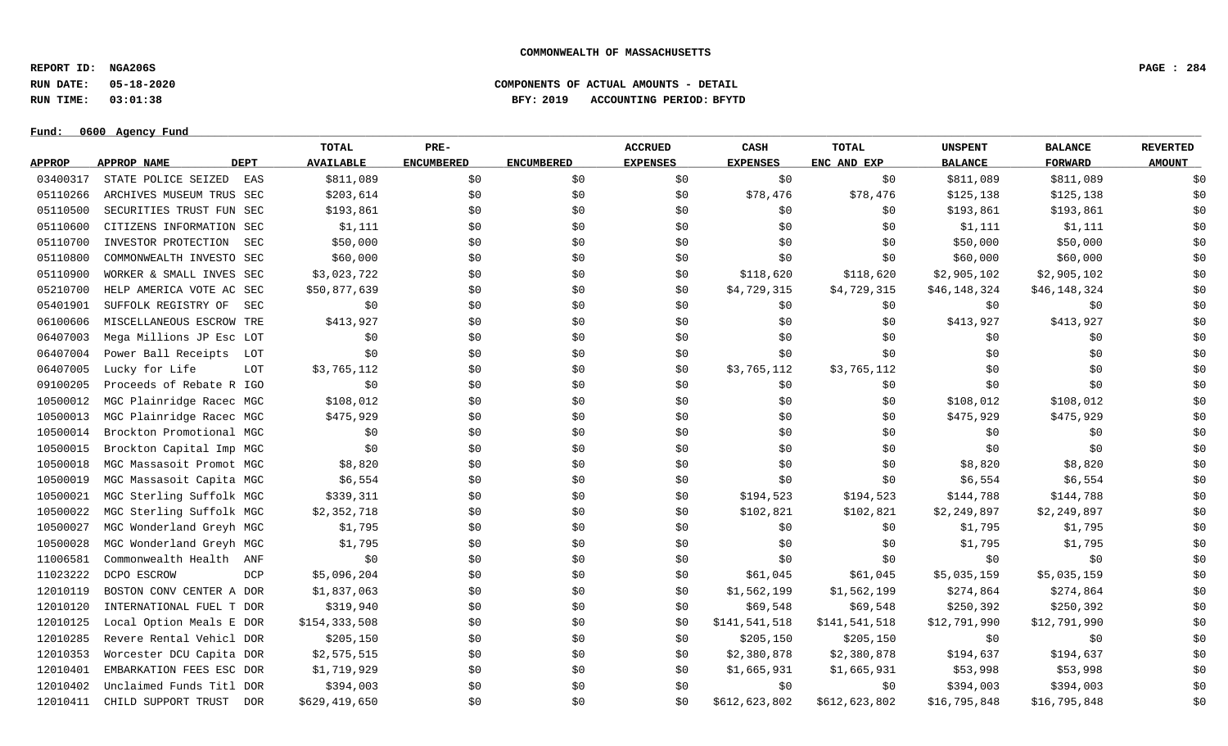**REPORT ID: NGA206S PAGE : 284**

# **RUN DATE: 05-18-2020 COMPONENTS OF ACTUAL AMOUNTS - DETAIL RUN TIME: 03:01:38 BFY: 2019 ACCOUNTING PERIOD: BFYTD**

**Fund: \_\_\_\_\_\_\_\_\_\_\_\_\_\_\_\_\_\_\_\_\_\_\_\_\_\_\_\_\_\_\_\_\_\_\_\_\_\_\_\_\_\_\_\_\_\_\_\_\_\_\_\_\_\_\_\_\_\_\_\_\_\_\_\_\_\_\_\_\_\_\_\_\_\_\_\_\_\_\_\_\_\_\_\_\_\_\_\_\_\_\_\_\_\_\_\_\_\_\_\_\_\_\_\_\_\_\_\_\_\_\_\_\_\_\_\_\_\_\_\_\_\_\_\_\_\_\_\_\_\_\_\_\_\_\_\_\_\_\_\_\_\_\_\_\_\_\_\_\_\_\_\_\_\_\_\_\_\_\_\_\_\_\_\_\_\_\_\_\_\_\_\_\_\_\_\_\_\_ 0600 Agency Fund**

|               |                          |             | <b>TOTAL</b>     | PRE-              |                   | <b>ACCRUED</b>  | CASH            | TOTAL         | <b>UNSPENT</b> | <b>BALANCE</b> | <b>REVERTED</b> |
|---------------|--------------------------|-------------|------------------|-------------------|-------------------|-----------------|-----------------|---------------|----------------|----------------|-----------------|
| <b>APPROP</b> | APPROP NAME              | <b>DEPT</b> | <b>AVAILABLE</b> | <b>ENCUMBERED</b> | <b>ENCUMBERED</b> | <b>EXPENSES</b> | <b>EXPENSES</b> | ENC AND EXP   | <b>BALANCE</b> | <b>FORWARD</b> | <b>AMOUNT</b>   |
| 03400317      | STATE POLICE SEIZED      | EAS         | \$811,089        | \$0               | \$0               | \$0             | \$0             | \$0           | \$811,089      | \$811,089      | \$0             |
| 05110266      | ARCHIVES MUSEUM TRUS SEC |             | \$203,614        | \$0               | \$0               | \$0             | \$78,476        | \$78,476      | \$125,138      | \$125,138      | \$0             |
| 05110500      | SECURITIES TRUST FUN SEC |             | \$193,861        | \$0               | \$0               | \$0             | \$0             | \$0           | \$193,861      | \$193,861      | \$0             |
| 05110600      | CITIZENS INFORMATION SEC |             | \$1,111          | \$0               | \$0               | \$0             | \$0             | \$0           | \$1,111        | \$1,111        | \$0             |
| 05110700      | INVESTOR PROTECTION      | SEC         | \$50,000         | \$0               | \$0               | \$0             | \$0             | \$0           | \$50,000       | \$50,000       | \$0             |
| 05110800      | COMMONWEALTH INVESTO SEC |             | \$60,000         | \$0               | \$0               | \$0             | \$0             | \$0           | \$60,000       | \$60,000       | \$0             |
| 05110900      | WORKER & SMALL INVES SEC |             | \$3,023,722      | \$0               | \$0               | \$0             | \$118,620       | \$118,620     | \$2,905,102    | \$2,905,102    | \$0             |
| 05210700      | HELP AMERICA VOTE AC SEC |             | \$50,877,639     | \$0               | \$0               | \$0             | \$4,729,315     | \$4,729,315   | \$46,148,324   | \$46,148,324   | \$0             |
| 05401901      | SUFFOLK REGISTRY OF      | SEC         | \$0              | \$0               | \$0               | \$0             | \$0             | \$0           | \$0            | \$0            | \$0             |
| 06100606      | MISCELLANEOUS ESCROW TRE |             | \$413,927        | \$0               | \$0               | \$0             | \$0             | \$0           | \$413,927      | \$413,927      | \$0             |
| 06407003      | Mega Millions JP Esc LOT |             | \$0              | \$0               | \$0               | \$0             | \$0             | \$0           | \$0            | \$0            | \$0             |
| 06407004      | Power Ball Receipts      | LOT         | \$0              | \$0\$             | \$0               | \$0             | \$0             | \$0           | \$0            | \$0            | \$0             |
| 06407005      | Lucky for Life           | LOT         | \$3,765,112      | \$0\$             | \$0               | \$0             | \$3,765,112     | \$3,765,112   | \$0            | \$0            | \$0             |
| 09100205      | Proceeds of Rebate R IGO |             | \$0              | \$0               | \$0               | \$0             | \$0             | \$0           | \$0            | \$0            | \$0             |
| 10500012      | MGC Plainridge Racec MGC |             | \$108,012        | \$0\$             | \$0               | \$0             | \$0             | \$0           | \$108,012      | \$108,012      | \$0             |
| 10500013      | MGC Plainridge Racec MGC |             | \$475,929        | \$0               | \$0               | \$0             | \$0             | \$0           | \$475,929      | \$475,929      | \$0             |
| 10500014      | Brockton Promotional MGC |             | \$0              | \$0               | \$0               | \$0             | \$0             | \$0           | \$0            | \$0            | \$0             |
| 10500015      | Brockton Capital Imp MGC |             | \$0              | \$0               | \$0               | \$0             | \$0             | \$0           | \$0            | \$0            | \$0             |
| 10500018      | MGC Massasoit Promot MGC |             | \$8,820          | \$0               | \$0               | \$0             | \$0             | \$0           | \$8,820        | \$8,820        | \$0             |
| 10500019      | MGC Massasoit Capita MGC |             | \$6,554          | \$0\$             | \$0               | \$0             | \$0             | \$0           | \$6,554        | \$6,554        | \$0             |
| 10500021      | MGC Sterling Suffolk MGC |             | \$339,311        | \$0               | \$0               | \$0             | \$194,523       | \$194,523     | \$144,788      | \$144,788      | \$0             |
| 10500022      | MGC Sterling Suffolk MGC |             | \$2,352,718      | \$0               | \$0               | \$0             | \$102,821       | \$102,821     | \$2,249,897    | \$2,249,897    | \$0             |
| 10500027      | MGC Wonderland Greyh MGC |             | \$1,795          | \$0\$             | \$0               | \$0             | \$0             | \$0           | \$1,795        | \$1,795        | \$0             |
| 10500028      | MGC Wonderland Greyh MGC |             | \$1,795          | \$0               | \$0               | \$0             | \$0             | \$0\$         | \$1,795        | \$1,795        | \$0             |
| 11006581      | Commonwealth Health      | ANF         | \$0              | \$0\$             | \$0               | \$0             | \$0             | \$0           | \$0            | \$0            | \$0             |
| 11023222      | DCPO ESCROW              | <b>DCP</b>  | \$5,096,204      | \$0\$             | \$0               | \$0             | \$61,045        | \$61,045      | \$5,035,159    | \$5,035,159    | \$0             |
| 12010119      | BOSTON CONV CENTER A DOR |             | \$1,837,063      | \$0               | \$0               | \$0             | \$1,562,199     | \$1,562,199   | \$274,864      | \$274,864      | \$0             |
| 12010120      | INTERNATIONAL FUEL T DOR |             | \$319,940        | \$0\$             | \$0               | \$0             | \$69,548        | \$69,548      | \$250,392      | \$250,392      | \$0             |
| 12010125      | Local Option Meals E DOR |             | \$154,333,508    | \$0               | \$0               | \$0             | \$141,541,518   | \$141,541,518 | \$12,791,990   | \$12,791,990   | \$0             |
| 12010285      | Revere Rental Vehicl DOR |             | \$205,150        | \$0               | \$0               | \$0             | \$205,150       | \$205,150     | \$0            | \$0            | \$0             |
| 12010353      | Worcester DCU Capita DOR |             | \$2,575,515      | \$0               | \$0               | \$0             | \$2,380,878     | \$2,380,878   | \$194,637      | \$194,637      | \$0             |
| 12010401      | EMBARKATION FEES ESC DOR |             | \$1,719,929      | \$0               | \$0               | S0              | \$1,665,931     | \$1,665,931   | \$53,998       | \$53,998       | \$0             |
| 12010402      | Unclaimed Funds Titl DOR |             | \$394,003        | \$0\$             | \$0               | \$0             | \$0             | \$0           | \$394,003      | \$394,003      | \$0             |
| 12010411      | CHILD SUPPORT TRUST      | DOR         | \$629,419,650    | \$0               | \$0               | \$0             | \$612,623,802   | \$612,623,802 | \$16,795,848   | \$16,795,848   | \$0             |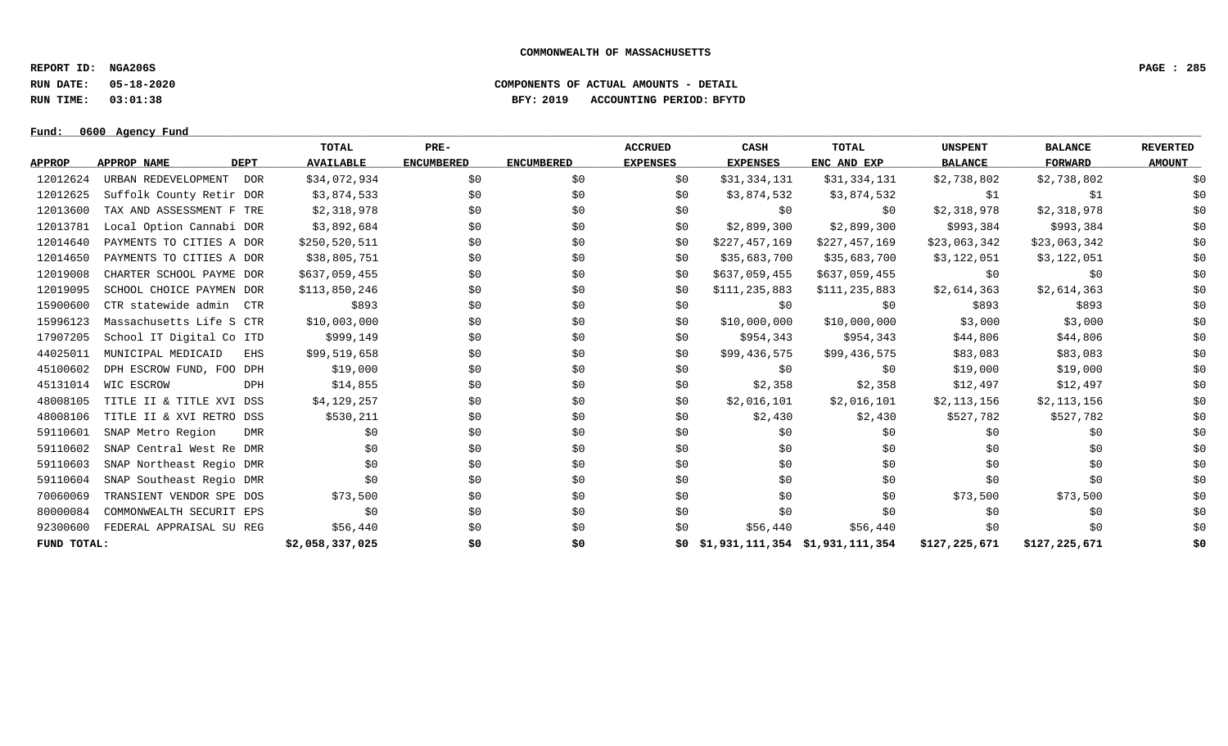**REPORT ID: NGA206S PAGE : 285**

**RUN DATE: 05-18-2020 COMPONENTS OF ACTUAL AMOUNTS - DETAIL**

**RUN TIME: 03:01:38 BFY: 2019 ACCOUNTING PERIOD: BFYTD**

**Fund: \_\_\_\_\_\_\_\_\_\_\_\_\_\_\_\_\_\_\_\_\_\_\_\_\_\_\_\_\_\_\_\_\_\_\_\_\_\_\_\_\_\_\_\_\_\_\_\_\_\_\_\_\_\_\_\_\_\_\_\_\_\_\_\_\_\_\_\_\_\_\_\_\_\_\_\_\_\_\_\_\_\_\_\_\_\_\_\_\_\_\_\_\_\_\_\_\_\_\_\_\_\_\_\_\_\_\_\_\_\_\_\_\_\_\_\_\_\_\_\_\_\_\_\_\_\_\_\_\_\_\_\_\_\_\_\_\_\_\_\_\_\_\_\_\_\_\_\_\_\_\_\_\_\_\_\_\_\_\_\_\_\_\_\_\_\_\_\_\_\_\_\_\_\_\_\_\_\_ 0600 Agency Fund**

|               |                            | TOTAL               | PRE-              |                   | <b>ACCRUED</b>  | CASH                                   | TOTAL         | <b>UNSPENT</b> | <b>BALANCE</b> | <b>REVERTED</b> |
|---------------|----------------------------|---------------------|-------------------|-------------------|-----------------|----------------------------------------|---------------|----------------|----------------|-----------------|
| <b>APPROP</b> | APPROP NAME<br><b>DEPT</b> | <b>AVAILABLE</b>    | <b>ENCUMBERED</b> | <b>ENCUMBERED</b> | <b>EXPENSES</b> | <b>EXPENSES</b>                        | ENC AND EXP   | <b>BALANCE</b> | <b>FORWARD</b> | <b>AMOUNT</b>   |
| 12012624      | URBAN REDEVELOPMENT        | \$34,072,934<br>DOR | \$0               | \$0               | \$0             | \$31,334,131                           | \$31,334,131  | \$2,738,802    | \$2,738,802    | \$0             |
| 12012625      | Suffolk County Retir DOR   | \$3,874,533         | \$0               | \$0               | \$0             | \$3,874,532                            | \$3,874,532   | \$1            | \$1            | \$0             |
| 12013600      | TAX AND ASSESSMENT F TRE   | \$2,318,978         | \$0               | \$0               | \$0             | \$0                                    | \$0           | \$2,318,978    | \$2,318,978    | \$0             |
| 12013781      | Local Option Cannabi DOR   | \$3,892,684         | \$0               | \$0               | \$0             | \$2,899,300                            | \$2,899,300   | \$993,384      | \$993,384      | \$0             |
| 12014640      | PAYMENTS TO CITIES A DOR   | \$250,520,511       | \$0               | \$0               | \$0             | \$227,457,169                          | \$227,457,169 | \$23,063,342   | \$23,063,342   | \$0             |
| 12014650      | PAYMENTS TO CITIES A DOR   | \$38,805,751        | \$0               | \$0               | \$0             | \$35,683,700                           | \$35,683,700  | \$3,122,051    | \$3,122,051    | \$0             |
| 12019008      | CHARTER SCHOOL PAYME DOR   | \$637,059,455       | \$0               | \$0               | \$0             | \$637,059,455                          | \$637,059,455 | \$0            | \$0            | \$0             |
| 12019095      | SCHOOL CHOICE PAYMEN DOR   | \$113,850,246       | \$0               | \$0               | \$0             | \$111,235,883                          | \$111,235,883 | \$2,614,363    | \$2,614,363    | \$0             |
| 15900600      | CTR statewide admin CTR    | \$893               | \$0               | \$0               | \$0             | \$0                                    | \$0           | \$893          | \$893          | \$0             |
| 15996123      | Massachusetts Life S CTR   | \$10,003,000        | \$0               | \$0               | \$0             | \$10,000,000                           | \$10,000,000  | \$3,000        | \$3,000        | \$0             |
| 17907205      | School IT Digital Co ITD   | \$999,149           | \$0               | \$0               | \$0             | \$954,343                              | \$954,343     | \$44,806       | \$44,806       | \$0             |
| 44025011      | MUNICIPAL MEDICAID         | \$99,519,658<br>EHS | \$0               | \$0               | \$0             | \$99,436,575                           | \$99,436,575  | \$83,083       | \$83,083       | \$0             |
| 45100602      | DPH ESCROW FUND, FOO DPH   | \$19,000            | \$0               | \$0               | \$0             | \$0                                    | \$0           | \$19,000       | \$19,000       | \$0             |
| 45131014      | WIC ESCROW                 | \$14,855<br>DPH     | \$0               | \$0               | \$0             | \$2,358                                | \$2,358       | \$12,497       | \$12,497       | \$0             |
| 48008105      | TITLE II & TITLE XVI DSS   | \$4,129,257         | \$0               | \$0               | \$0             | \$2,016,101                            | \$2,016,101   | \$2,113,156    | \$2,113,156    | \$0             |
| 48008106      | TITLE II & XVI RETRO DSS   | \$530,211           | \$0               | \$0               | \$0             | \$2,430                                | \$2,430       | \$527,782      | \$527,782      | \$0             |
| 59110601      | SNAP Metro Region          | \$0<br>DMR          | \$0               | \$0               | \$0             | \$0                                    | \$0           | \$0            | \$0            | \$0             |
| 59110602      | SNAP Central West Re DMR   | \$0                 | \$0               | \$0               | \$0             | \$0                                    | \$0           | \$0            | \$0            | \$0             |
| 59110603      | SNAP Northeast Regio DMR   | \$0                 | \$0               | \$0               | \$0             | \$0                                    | \$0           | \$0            | \$0            | \$0             |
| 59110604      | SNAP Southeast Regio DMR   | \$0                 | \$0               | \$0               | \$0             | \$0                                    | \$0           | \$0            | \$0            | \$0             |
| 70060069      | TRANSIENT VENDOR SPE DOS   | \$73,500            | \$0               | \$0               | \$0             | \$0                                    | \$0           | \$73,500       | \$73,500       | \$0             |
| 80000084      | COMMONWEALTH SECURIT EPS   | \$0                 | \$0               | \$0               | \$0             | \$0                                    | \$0           | \$0            | \$0            | \$0             |
| 92300600      | FEDERAL APPRAISAL SU REG   | \$56,440            | \$0               | \$0               | \$0             | \$56,440                               | \$56,440      | \$0            | \$0            | \$0             |
| FUND TOTAL:   |                            | \$2,058,337,025     | \$0               | \$0               |                 | $$0$ $$1,931,111,354$ $$1,931,111,354$ |               | \$127,225,671  | \$127,225,671  | \$0             |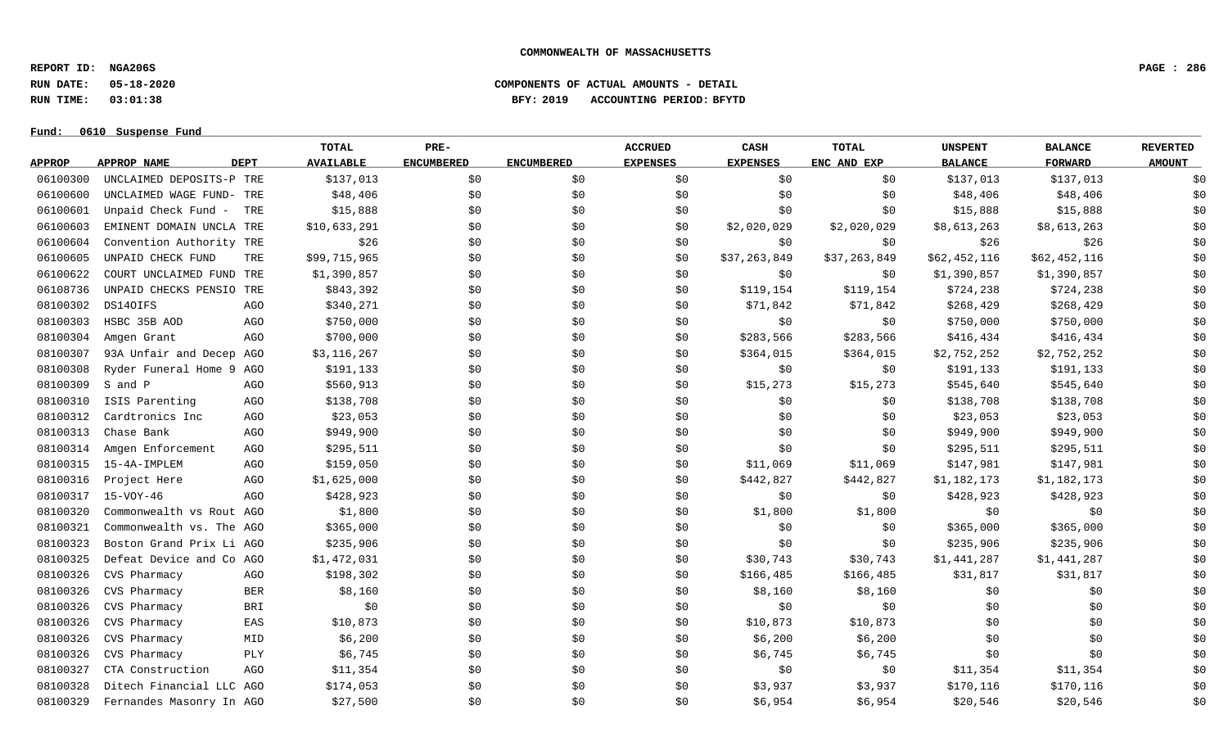**REPORT ID: NGA206S PAGE : 286**

**RUN DATE: 05-18-2020 COMPONENTS OF ACTUAL AMOUNTS - DETAIL**

**RUN TIME: 03:01:38 BFY: 2019 ACCOUNTING PERIOD: BFYTD**

## Fund:  $0610$  Suspense Fund

# **TOTAL PRE- ACCRUED CASH TOTAL UNSPENT BALANCE REVERTED** <u>APPROP APPROPNAME – DEPT AVAILABLE ENCUMBERED ENCUMBERED EXPENSES EXPENSES ENCANDEXP BALANCE – FORWARD – AMOUNT</u> 06100300 UNCLAIMED DEPOSITS-P TRE \$137,013 \$0 \$0 \$0 \$0 \$0 \$137,013 \$137,013 \$137,013 \$137,013 \$0 06100600 UNCLAIMED WAGE FUND- TRE \$48,406 \$0 \$0 \$0 \$0 \$0 \$0 \$48,406 \$18,406 \$48,406 \$48,406 \$0 06100601 Unpaid Check Fund – TRE \$15,888 \$0 \$0 \$0 \$0 \$15,888 \$15,888 \$15,888 06100603 EMINENT DOMAIN UNCLA TRE \$10.633.291 \$0 \$0 \$0 \$0 \$2.020.029 \$2.020.029 \$8,613.263 \$8,613,263 \$8,613,263 06100604 Convention Authority TRE 526 \$0 \$0 \$0 \$0 \$0 \$0 \$0 \$26 \$26 \$26 \$26 06100605 UNPAID CHECK FUND TRE \$99,715,965 \$0 \$0 \$7,263,849 \$7,263,849 \$62,452,116 \$62,452,116 \$62,452,116 \$0 06100622 COURTUNCLAIMEDFUND TRE \$1,390,857 \$0 \$0 \$0 \$0 \$0 \$0 \$1,390,857 \$1,390,857 \$1,390,857 \$0 06108736 UNPAID CHECKS PENSIO TRE \$843,392 \$0 \$0 \$0 \$119,154 \$119,154 \$724,238 \$724,238 \$724,238 \$724,238 08100302 DS14OIFS AGO \$340,271 \$0 \$ \$0 \$71,842 \$71,842 \$268,429 \$268,429 \$268,429 08100303 HSBC 35B AOD AGO \$750,000 \$0 \$0 \$0 \$0 \$0 \$750,000 \$750,000 \$0 08100304 Amgen Grant AGO \$700,000 \$0 \$0 \$283,566 \$283,566 \$416,434 \$416,434 \$416,434 \$0 08100307 93A Unfair and Decep AGO \$3,116,267 \$0 \$0 \$0 \$364,015 \$364,015 \$2,752,252 \$2,752,252 \$2,752,252 \$0 08100308 Ryder Funeral Home 9 AGO \$191,133 \$0 \$ \$ \$ \$0 \$191,133 \$0 \$0 08100309 S and P AGO \$560,913 \$0 \$0 \$15,273 \$15,273 \$545,640 \$545,640 \$15,273 \$545,640 \$545,640 \$15,273 \$545,640 \$545,640 \$0 08100310 ISIS Parenting aGO \$138,708 \$0 \$0 \$0 \$0 \$0 \$0 \$138,708 \$138,708 \$138,708 \$0 08100312 Cardtronics Inc AGO \$23,053 \$0 \$0 \$0 \$0 \$0 \$23,053 \$23,053 \$0 08100313 Chase Bank AGO \$949,900 \$0 \$0 \$0 \$0 \$0 \$949,900 \$949,900 \$0 08100314 Amgen Enforcement AGO \$295,511 \$0 \$ \$0 \$295,511 \$295,511 \$0 08100315 15-4A-IMPLEM AGO \$159,050 \$0 \$0 \$0 \$11,069 \$11,069 \$11,069 \$147,981 \$147,981 \$147,981 \$0 08100316 Project Here AGO \$1,625,000 \$0 \$0 \$442,827 \$442,827 \$1,182,173 \$1,182,173 \$1,182,173 08100317 15-VOY-46 AGO \$428,923 \$0 \$0 \$0 \$0 \$0 \$428,923 \$428,923 \$0 08100320 Commonwealth vs Rout AGO \$1,800 \$0 \$0 \$0 \$1,800 \$1,800 \$1,800 \$1,800 \$0 \$0 \$0 \$0 \$0 \$0 08100321 Commonwealth vs. The AGO \$365,000 \$0 \$0 \$0 \$0 \$0 \$0 \$365,000 \$365,000 \$365,000 \$365,000 \$0 08100323 Boston Grand Prix Li AGO \$235,906 \$0 \$0 \$0 \$0 \$0 \$0 \$235,906 \$235,906 \$235,906 \$235,906 \$0 08100325 Defeat Device and Co AGO \$1,472,031 \$0 \$0 \$0 \$30,743 \$30,743 \$1,441,287 \$1,441,287 \$1,441,287 \$0 08100326 CVS Pharmacy AGO \$198,302 \$0 \$0 \$166,485 \$166,485 \$31,817 \$31,817 \$0 08100326 CVS Pharmacy BER \$8,160 \$0 \$0 \$8,160 \$0 \$0 \$0 \$0 \$0 \$0 \$0 \$0 08100326 CVS Pharmacy BRI \$0 \$0 \$0 \$0 \$0 \$0 \$0 \$0 \$0 08100326 CVS Pharmacy EAS \$10,873 \$0 \$0 \$10,873 \$0 \$0 \$0 \$0 08100326 CVS Pharmacy MID \$6 ,200 \$ \$ \$ \$6 ,200 \$ \$0 \$0 \$0 \$0 \$0 \$0 \$0 08100326 CVS Pharmacy PLY \$6,745 \$0 \$0 \$6,745 \$0 \$0 \$0 \$0 08100327 CTA Construction AGO \$11,354 \$0 \$ \$ \$0 \$11,354 \$11,354 \$0 08100328 Ditech Financial LLC AGO \$174,053 \$0 \$0 \$0 \$3,937 \$3,937 \$170,116 \$170,116 \$170,116 \$0 08100329 Fernandes Masonry In AGO \$27,500 \$0 \$0 \$0 \$0 \$6,954 \$6,954 \$20,546 \$20,546 \$20,546 \$0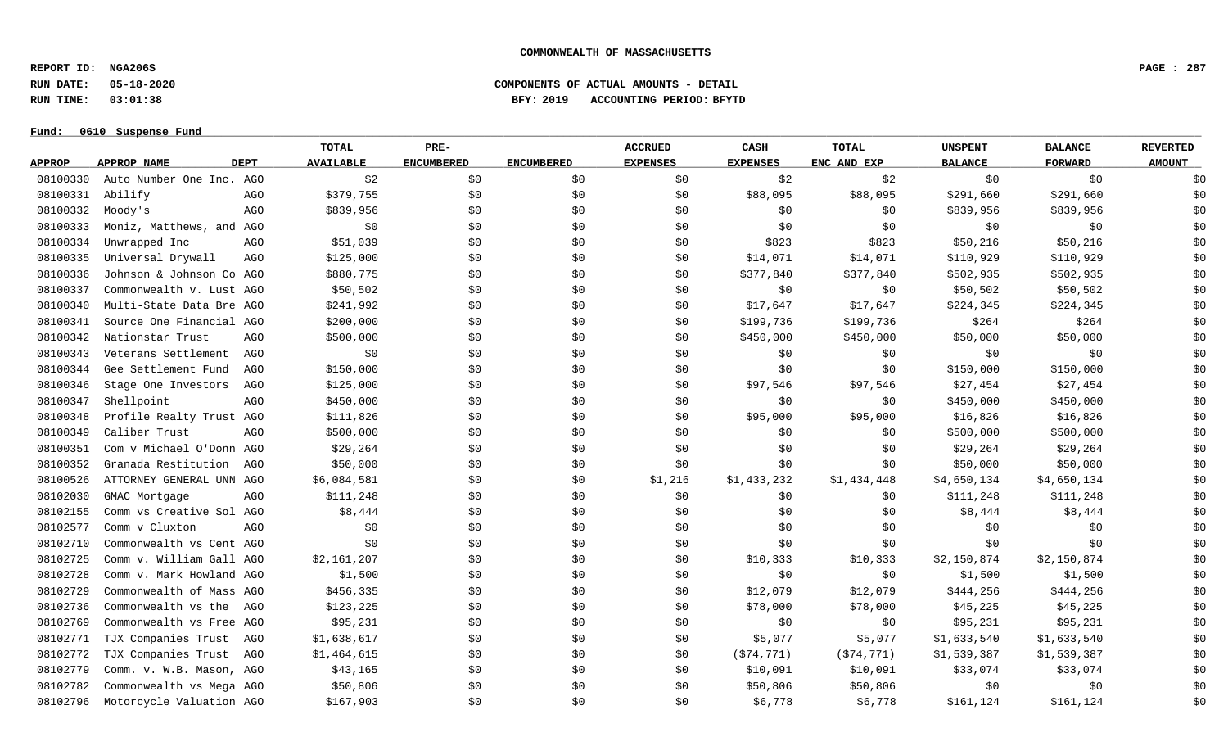**REPORT ID: NGA206S PAGE : 287**

**RUN DATE: 05-18-2020 COMPONENTS OF ACTUAL AMOUNTS - DETAIL**

**RUN TIME: 03:01:38 BFY: 2019 ACCOUNTING PERIOD: BFYTD**

### **Fund: \_\_\_\_\_\_\_\_\_\_\_\_\_\_\_\_\_\_\_\_\_\_\_\_\_\_\_\_\_\_\_\_\_\_\_\_\_\_\_\_\_\_\_\_\_\_\_\_\_\_\_\_\_\_\_\_\_\_\_\_\_\_\_\_\_\_\_\_\_\_\_\_\_\_\_\_\_\_\_\_\_\_\_\_\_\_\_\_\_\_\_\_\_\_\_\_\_\_\_\_\_\_\_\_\_\_\_\_\_\_\_\_\_\_\_\_\_\_\_\_\_\_\_\_\_\_\_\_\_\_\_\_\_\_\_\_\_\_\_\_\_\_\_\_\_\_\_\_\_\_\_\_\_\_\_\_\_\_\_\_\_\_\_\_\_\_\_\_\_\_\_\_\_\_\_\_\_\_ 0610 Suspense Fund**

|               |                            | TOTAL            | PRE-              |                   | <b>ACCRUED</b>  | <b>CASH</b>     | TOTAL       | <b>UNSPENT</b> | <b>BALANCE</b> | <b>REVERTED</b> |
|---------------|----------------------------|------------------|-------------------|-------------------|-----------------|-----------------|-------------|----------------|----------------|-----------------|
| <b>APPROP</b> | APPROP NAME<br><b>DEPT</b> | <b>AVAILABLE</b> | <b>ENCUMBERED</b> | <b>ENCUMBERED</b> | <b>EXPENSES</b> | <b>EXPENSES</b> | ENC AND EXP | <b>BALANCE</b> | <b>FORWARD</b> | <b>AMOUNT</b>   |
| 08100330      | Auto Number One Inc. AGO   | \$2              | \$0               | \$0               | \$0             | \$2             | \$2         | \$0            | \$0            | \$0             |
| 08100331      | Abilify                    | \$379,755<br>AGO | \$0               | \$0               | \$0             | \$88,095        | \$88,095    | \$291,660      | \$291,660      | \$0             |
| 08100332      | Moody's                    | AGO<br>\$839,956 | \$0               | \$0               | \$0             | \$0             | \$0         | \$839,956      | \$839,956      | \$0             |
| 08100333      | Moniz, Matthews, and AGO   | \$0              | \$0               | \$0               | \$0             | \$0             | \$0         | \$0            | \$0            | \$0             |
| 08100334      | Unwrapped Inc              | \$51,039<br>AGO  | \$0               | \$0               | \$0             | \$823           | \$823       | \$50,216       | \$50,216       | \$0             |
| 08100335      | Universal Drywall          | \$125,000<br>AGO | \$0               | \$0               | \$0             | \$14,071        | \$14,071    | \$110,929      | \$110,929      | \$0             |
| 08100336      | Johnson & Johnson Co AGO   | \$880,775        | \$0               | \$0               | \$0             | \$377,840       | \$377,840   | \$502,935      | \$502,935      | \$0             |
| 08100337      | Commonwealth v. Lust AGO   | \$50,502         | \$0\$             | \$0\$             | \$0             | \$0             | \$0         | \$50,502       | \$50,502       | \$0             |
| 08100340      | Multi-State Data Bre AGO   | \$241,992        | \$0               | \$0               | \$0             | \$17,647        | \$17,647    | \$224,345      | \$224,345      | \$0             |
| 08100341      | Source One Financial AGO   | \$200,000        | \$0               | \$0               | \$0             | \$199,736       | \$199,736   | \$264          | \$264          | \$0             |
| 08100342      | Nationstar Trust           | \$500,000<br>AGO | \$0               | \$0               | \$0             | \$450,000       | \$450,000   | \$50,000       | \$50,000       | \$0             |
| 08100343      | Veterans Settlement        | \$0<br>AGO       | \$0               | \$0               | \$0             | \$0             | \$0         | \$0            | \$0            | \$0             |
| 08100344      | Gee Settlement Fund        | \$150,000<br>AGO | \$0               | \$0               | \$0             | \$0             | \$0\$       | \$150,000      | \$150,000      | \$0             |
| 08100346      | Stage One Investors        | \$125,000<br>AGO | \$0               | \$0               | \$0             | \$97,546        | \$97,546    | \$27,454       | \$27,454       | \$0             |
| 08100347      | Shellpoint                 | \$450,000<br>AGO | \$0               | \$0               | \$0             | \$0             | \$0\$       | \$450,000      | \$450,000      | \$0             |
| 08100348      | Profile Realty Trust AGO   | \$111,826        | \$0\$             | \$0               | \$0             | \$95,000        | \$95,000    | \$16,826       | \$16,826       | \$0             |
| 08100349      | Caliber Trust              | \$500,000<br>AGO | \$0               | \$0               | \$0             | \$0             | \$0         | \$500,000      | \$500,000      | \$0             |
| 08100351      | Com v Michael O'Donn AGO   | \$29,264         | \$0               | \$0               | \$0             | \$0             | \$0         | \$29,264       | \$29,264       | \$0             |
| 08100352      | Granada Restitution<br>AGO | \$50,000         | \$0               | \$0               | \$0             | \$0             | \$0         | \$50,000       | \$50,000       | \$0             |
| 08100526      | ATTORNEY GENERAL UNN AGO   | \$6,084,581      | \$0               | \$0               | \$1,216         | \$1,433,232     | \$1,434,448 | \$4,650,134    | \$4,650,134    | \$0             |
| 08102030      | GMAC Mortgage              | \$111,248<br>AGO | \$0               | \$0               | \$0             | \$0             | \$0         | \$111,248      | \$111,248      | \$0             |
| 08102155      | Comm vs Creative Sol AGO   | \$8,444          | \$0               | \$0               | \$0             | \$0             | \$0         | \$8,444        | \$8,444        | \$0             |
| 08102577      | Comm v Cluxton             | \$0<br>AGO       | \$0               | \$0\$             | \$0             | \$0             | \$0         | \$0            | \$0            | \$0             |
| 08102710      | Commonwealth vs Cent AGO   | \$0              | \$0               | \$0               | \$0             | \$0             | \$0         | \$0            | \$0            | \$0             |
| 08102725      | Comm v. William Gall AGO   | \$2,161,207      | \$0               | \$0               | \$0             | \$10,333        | \$10,333    | \$2,150,874    | \$2,150,874    | \$0             |
| 08102728      | Comm v. Mark Howland AGO   | \$1,500          | \$0               | \$0               | \$0             | \$0             | \$0         | \$1,500        | \$1,500        | \$0             |
| 08102729      | Commonwealth of Mass AGO   | \$456,335        | \$0               | \$0               | \$0             | \$12,079        | \$12,079    | \$444,256      | \$444,256      | \$0             |
| 08102736      | Commonwealth vs the<br>AGO | \$123,225        | \$0               | \$0               | \$0             | \$78,000        | \$78,000    | \$45,225       | \$45,225       | \$0             |
| 08102769      | Commonwealth vs Free AGO   | \$95,231         | \$0\$             | \$0\$             | \$0             | \$0             | \$0         | \$95,231       | \$95,231       | \$0             |
| 08102771      | TJX Companies Trust<br>AGO | \$1,638,617      | \$0               | \$0               | \$0             | \$5,077         | \$5,077     | \$1,633,540    | \$1,633,540    | \$0             |
| 08102772      | TJX Companies Trust<br>AGO | \$1,464,615      | \$0               | \$0               | \$0             | ( \$74, 771)    | (574, 771)  | \$1,539,387    | \$1,539,387    | \$0             |
| 08102779      | Comm. v. W.B. Mason, AGO   | \$43,165         | \$0               | \$0               | \$0             | \$10,091        | \$10,091    | \$33,074       | \$33,074       | \$0             |
| 08102782      | Commonwealth vs Mega AGO   | \$50,806         | \$0               | \$0               | \$0             | \$50,806        | \$50,806    | \$0            | \$0            | \$0             |
| 08102796      | Motorcycle Valuation AGO   | \$167,903        | \$0               | \$0               | \$0             | \$6,778         | \$6,778     | \$161,124      | \$161,124      | \$0             |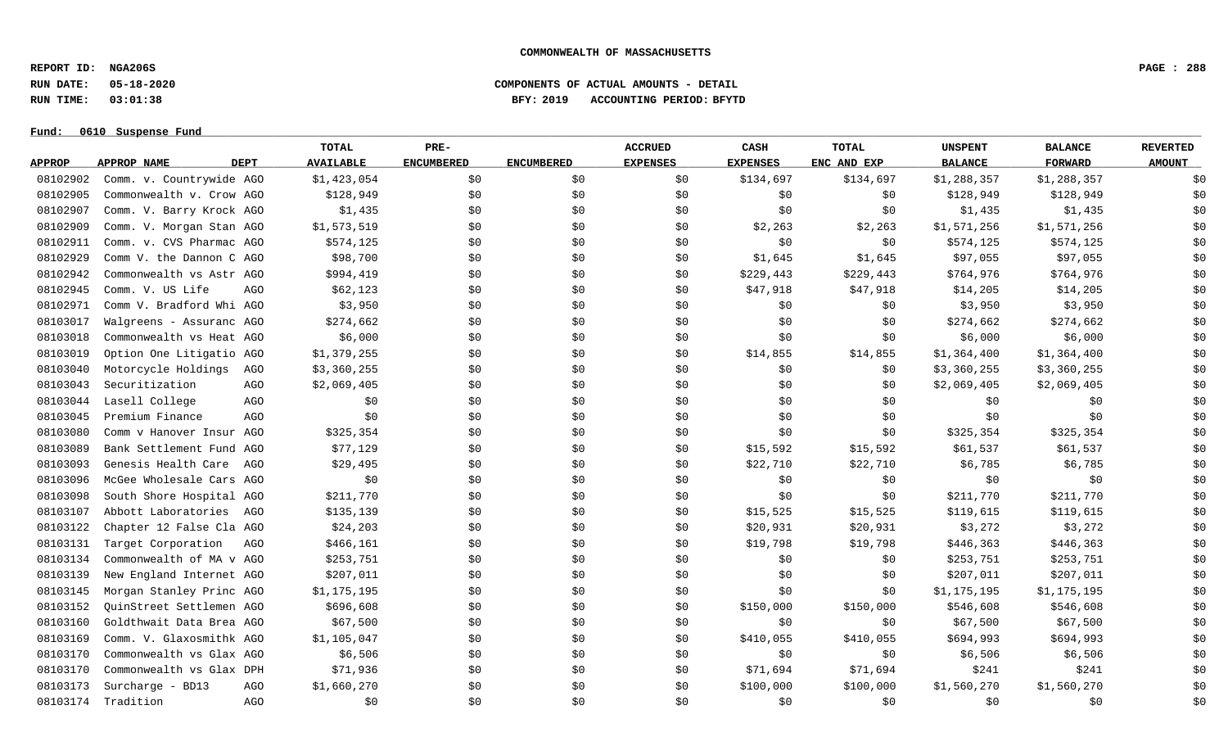**REPORT ID: NGA206S PAGE : 288**

# **RUN DATE: 05-18-2020 COMPONENTS OF ACTUAL AMOUNTS - DETAIL RUN TIME: 03:01:38 BFY: 2019 ACCOUNTING PERIOD: BFYTD**

| Fund: 0610 |  | Suspense Fund |
|------------|--|---------------|
|            |  |               |

|               |                                    | <b>TOTAL</b>     | PRE-              |                   | <b>ACCRUED</b>  | CASH            | <b>TOTAL</b> | <b>UNSPENT</b> | <b>BALANCE</b> | <b>REVERTED</b> |
|---------------|------------------------------------|------------------|-------------------|-------------------|-----------------|-----------------|--------------|----------------|----------------|-----------------|
| <b>APPROP</b> | <b>DEPT</b><br>APPROP NAME         | <b>AVAILABLE</b> | <b>ENCUMBERED</b> | <b>ENCUMBERED</b> | <b>EXPENSES</b> | <b>EXPENSES</b> | ENC AND EXP  | <b>BALANCE</b> | <b>FORWARD</b> | <b>AMOUNT</b>   |
| 08102902      | Comm. v. Countrywide AGO           | \$1,423,054      | \$0               | \$0               | \$0             | \$134,697       | \$134,697    | \$1,288,357    | \$1,288,357    | \$0             |
| 08102905      | Commonwealth v. Crow AGO           | \$128,949        | \$0\$             | \$0               | \$0             | \$0             | \$0          | \$128,949      | \$128,949      | \$0             |
| 08102907      | Comm. V. Barry Krock AGO           | \$1,435          | \$0               | \$0               | \$0             | \$0             | \$0\$        | \$1,435        | \$1,435        | \$0             |
| 08102909      | Comm. V. Morgan Stan AGO           | \$1,573,519      | \$0               | \$0               | \$0             | \$2,263         | \$2,263      | \$1,571,256    | \$1,571,256    | \$0             |
| 08102911      | Comm. v. CVS Pharmac AGO           | \$574,125        | \$0               | \$0               | \$0             | \$0             | \$0          | \$574,125      | \$574,125      | \$0             |
| 08102929      | Comm V. the Dannon C AGO           | \$98,700         | \$0               | \$0               | \$0             | \$1,645         | \$1,645      | \$97,055       | \$97,055       | \$0             |
| 08102942      | Commonwealth vs Astr AGO           | \$994,419        | \$0               | \$0               | \$0             | \$229,443       | \$229,443    | \$764,976      | \$764,976      | \$0             |
| 08102945      | Comm. V. US Life<br>AGO            | \$62,123         | \$0               | \$0               | \$0             | \$47,918        | \$47,918     | \$14,205       | \$14,205       | \$0             |
| 08102971      | Comm V. Bradford Whi AGO           | \$3,950          | \$0               | \$0               | \$0             | \$0             | \$0          | \$3,950        | \$3,950        | \$0             |
| 08103017      | Walgreens - Assuranc AGO           | \$274,662        | \$0               | \$0               | \$0             | \$0             | \$0          | \$274,662      | \$274,662      | \$0             |
| 08103018      | Commonwealth vs Heat AGO           | \$6,000          | \$0               | \$0               | \$0             | \$0             | \$0          | \$6,000        | \$6,000        | \$0             |
| 08103019      | Option One Litigatio AGO           | \$1,379,255      | \$0               | \$0               | \$0             | \$14,855        | \$14,855     | \$1,364,400    | \$1,364,400    | \$0             |
| 08103040      | Motorcycle Holdings<br>AGO         | \$3,360,255      | \$0               | \$0               | \$0             | \$0             | \$0          | \$3,360,255    | \$3,360,255    | \$0             |
| 08103043      | Securitization<br>AGO              | \$2,069,405      | \$0               | \$0               | \$0             | \$0             | \$0          | \$2,069,405    | \$2,069,405    | \$0             |
| 08103044      | Lasell College<br>AGO              | \$0              | \$0               | \$0               | \$0             | \$0             | \$0          | \$0            | \$0            | \$0             |
| 08103045      | Premium Finance<br>AG <sub>O</sub> | \$0              | \$0               | \$0               | \$0             | \$0             | \$0          | \$0            | \$0            | \$0             |
| 08103080      | Comm v Hanover Insur AGO           | \$325,354        | \$0               | \$0               | \$0             | \$0             | \$0          | \$325,354      | \$325,354      | \$0             |
| 08103089      | Bank Settlement Fund AGO           | \$77,129         | \$0               | \$0               | \$0             | \$15,592        | \$15,592     | \$61,537       | \$61,537       | \$0             |
| 08103093      | Genesis Health Care<br>AGO         | \$29,495         | \$0               | \$0               | \$0             | \$22,710        | \$22,710     | \$6,785        | \$6,785        | \$0             |
| 08103096      | McGee Wholesale Cars AGO           | \$0              | \$0               | \$0               | \$0             | \$0             | \$0          | \$0            | \$0            | \$0             |
| 08103098      | South Shore Hospital AGO           | \$211,770        | \$0               | \$0               | \$0             | \$0             | \$0          | \$211,770      | \$211,770      | \$0             |
| 08103107      | Abbott Laboratories<br>AGO         | \$135,139        | \$0               | \$0               | \$0             | \$15,525        | \$15,525     | \$119,615      | \$119,615      | \$0             |
| 08103122      | Chapter 12 False Cla AGO           | \$24,203         | \$0               | \$0               | \$0             | \$20,931        | \$20,931     | \$3,272        | \$3,272        | \$0             |
| 08103131      | Target Corporation<br>AGO          | \$466,161        | \$0               | \$0               | \$0             | \$19,798        | \$19,798     | \$446,363      | \$446,363      | \$0             |
| 08103134      | Commonwealth of MA v AGO           | \$253,751        | \$0               | \$0               | \$0             | \$0             | \$0          | \$253,751      | \$253,751      | \$0             |
| 08103139      | New England Internet AGO           | \$207,011        | \$0               | \$0               | \$0             | \$0             | \$0          | \$207,011      | \$207,011      | \$0             |
| 08103145      | Morgan Stanley Princ AGO           | \$1,175,195      | \$0               | \$0               | \$0             | \$0             | \$0          | \$1,175,195    | \$1,175,195    | \$0             |
| 08103152      | OuinStreet Settlemen AGO           | \$696,608        | \$0               | \$0               | \$0             | \$150,000       | \$150,000    | \$546,608      | \$546,608      | \$0             |
| 08103160      | Goldthwait Data Brea AGO           | \$67,500         | \$0               | \$0               | \$0             | \$0             | \$0          | \$67,500       | \$67,500       | \$0             |
| 08103169      | Comm. V. Glaxosmithk AGO           | \$1,105,047      | \$0               | \$0               | \$0             | \$410,055       | \$410,055    | \$694,993      | \$694,993      | \$0             |
| 08103170      | Commonwealth vs Glax AGO           | \$6,506          | \$0               | \$0               | \$0             | \$0             | \$0          | \$6,506        | \$6,506        | \$0             |
| 08103170      | Commonwealth vs Glax DPH           | \$71,936         | \$0               | \$0               | \$0             | \$71,694        | \$71,694     | \$241          | \$241          | \$0             |
| 08103173      | Surcharge - BD13<br>AGO            | \$1,660,270      | \$0               | \$0               | \$0             | \$100,000       | \$100,000    | \$1,560,270    | \$1,560,270    | \$0             |
| 08103174      | Tradition<br>AG <sub>O</sub>       | \$0              | \$0               | \$0               | \$0             | \$0             | \$0          | \$0            | \$0            | \$0             |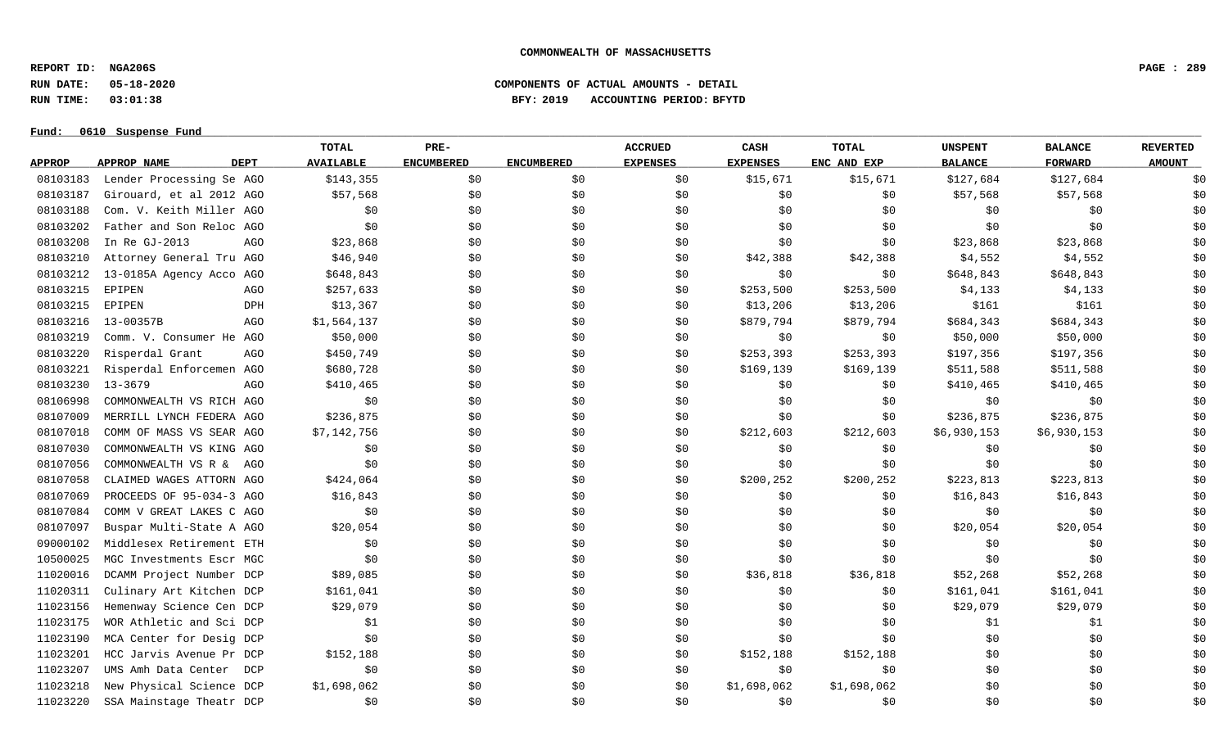**REPORT ID: NGA206S PAGE : 289**

**RUN DATE: 05-18-2020 COMPONENTS OF ACTUAL AMOUNTS - DETAIL**

**RUN TIME: 03:01:38 BFY: 2019 ACCOUNTING PERIOD: BFYTD**

#### Fund:  $0610$  Suspense Fund

# **TOTAL PRE- ACCRUED CASH TOTAL UNSPENT BALANCE REVERTED** <u>APPROP APPROPNAME – DEPT AVAILABLE ENCUMBERED ENCUMBERED EXPENSES EXPENSES ENCANDEXP BALANCE – FORWARD – AMOUNT</u> 08103183 Lender Processing Se AGO \$143,355 \$0 \$0 \$0 \$15,671 \$15,671 \$127,684 \$127,684 \$127,684 \$0 08103187 Girouard, et al 2012 AGO \$57,568 \$0 \$0 \$0 \$0 \$0 \$0 \$0 \$57,568 \$57,568 \$57,568 \$0 \$57,568 \$0 08103188 Com. V. Keith Miller AGO \$0 \$0 \$0 \$0 \$0 \$0 \$0 \$0 \$0 08103202 Father and Son Reloc AGO \$0 \$0 \$0 \$0 \$0 \$0 \$0 \$0 \$0 08103208 In Re GJ-2013 AGO \$23,868 \$0 \$ \$ \$ \$0 \$23,868 \$23,868 \$0 08103210 Attorney General Tru AGO \$46,940 \$0 \$0 \$42,388 \$42,388 \$42,388 \$4,552 \$4,552 \$4,552 \$0 08103212 13-0185A Agency Acco AGO \$648,843 \$0 \$0 \$0 \$0 \$0 \$0 \$648,843 \$648,843 \$648,843 \$0 08103215 EPIPEN AGO \$257,633 \$0 \$0 \$253,500 \$253,500 \$4,133 \$4,133 \$0 08103215 EPIPEN DPH \$13,367 \$0 \$0 \$13,206 \$161 \$161 \$0 08103216 13-00357B AGO \$1,564,137 \$0 \$0 \$0 \$879,794 \$879,794 \$684,343 \$684,343 \$684,343 \$0 08103219 Comm. V. Consumer He AGO \$50,000 \$0 \$0 \$0 \$0 \$0 \$0 \$0 \$50,000 \$50,000 \$50,000 \$0 08103220 Risperdal Grant AGO \$450,749 \$0 \$0 \$253,393 \$197,356 \$197,356 \$197,356 \$197,356 \$197,356 \$197,356 \$197,356 \$197,356 \$197,356 \$197,356 \$197,356 \$197,356 \$197,356 \$197,356 08103221 Risperdal Enforcemen AGO \$680,728 \$0 \$0 \$0 \$169,139 \$169,139 \$169,139 \$511,588 \$511,588 \$0 08103230 13-3679 AGO \$410,465 \$0 \$0 \$0 \$0 \$0 \$410,465 \$410,465 \$0 08106998 COMMONWEALTH VS RICH AGO \$0 \$0 \$0 \$0 \$0 \$0 \$0 \$0 \$0 08107009 MERRILL LYNCH FEDERA AGO \$236,875 \$0 \$0 \$0 \$0 \$0 \$0 \$236,875 \$236,875 \$236,875 \$0 \$0 08107018 COMM OF MASS VS SEAR AGO \$7.142.756 \$0 \$0 \$0 \$212,603 \$212,603 \$6.930.153 \$6.930.153 \$6.930.153 \$0 08107030 COMMONWEALTH VS KING AGO \$0 \$0 \$0 \$0 \$0 \$0 \$0 \$0 \$0 08107056 COMMONWEALTH VS R & AGO \$0 \$0 \$0 \$0 \$0 \$0 \$0 \$0 \$0 08107058 CLAIMED WAGES ATTORN AGO \$424,064 \$0 \$0 \$0 \$200,252 \$200,252 \$223,813 \$223,813 \$223,813 \$0 08107069 PROCEEDS OF 95-034-3 AGO \$16,843 \$0 \$0 \$0 \$0 \$0 \$0 \$16,843 \$16,843 \$16,843 \$0 08107084 COMM V GREAT LAKES C AGO \$0 \$0 \$0 \$0 \$0 \$0 \$0 \$0 \$0 08107097 Buspar Multi-State A AGO \$20,054 \$0 \$0 \$0 \$0 \$0 \$0 \$0 \$20,054 \$20,054 \$20,054 \$1 09000102 Middlesex Retirement ETH \$0 \$0 \$0 \$0 \$0 \$0 \$0 \$0 \$0 10500025 MGC Investments Escr MGC \$0 \$0 \$0 \$0 \$0 \$0 \$0 \$0 \$0 11020016 DCAMM Project Number DCP \$89,085 \$0 \$0 \$16,818 \$36,818 \$36,818 \$52,268 \$52,268 \$52,268 \$0 11020311 Culinary Art Kitchen DCP \$161,041 \$0 \$0 \$0 \$0 \$0 \$161,041 \$161,041 \$161,041 \$0 11023156 Hemenway Science Cen DCP \$29,079 \$0 \$0 \$0 \$0 \$0 \$0 \$0 \$29,079 \$29,079 \$29,079 \$0 11023175 WORAthletic and Sci DCP 51 \$0 \$0 \$0 \$0 \$0 \$0 \$1 \$1 \$1 \$0 11023190 MCA Center for Desig DCP \$0 \$0 \$0 \$0 \$0 \$0 \$0 \$0 \$0 11023201 HCC Jarvis Avenue Pr DCP \$152,188 \$0 \$0 \$0 \$152,188 \$152,188 \$152,188 \$0 \$0 \$0 \$0 \$0 11023207 UMS Amh Data Center DCP \$0 \$0 \$0 \$0 \$0 \$0 \$0 \$0 \$0 11023218 New Physical Science DCP \$1,698,062 \$0 \$0 \$0 \$1,698,062 \$1,698,062 \$0 \$0 \$0 \$0 \$0 \$0 11023220 SSA Mainstage Theatr DCP \$0 \$0 \$0 \$0 \$0 \$0 \$0 \$0 \$0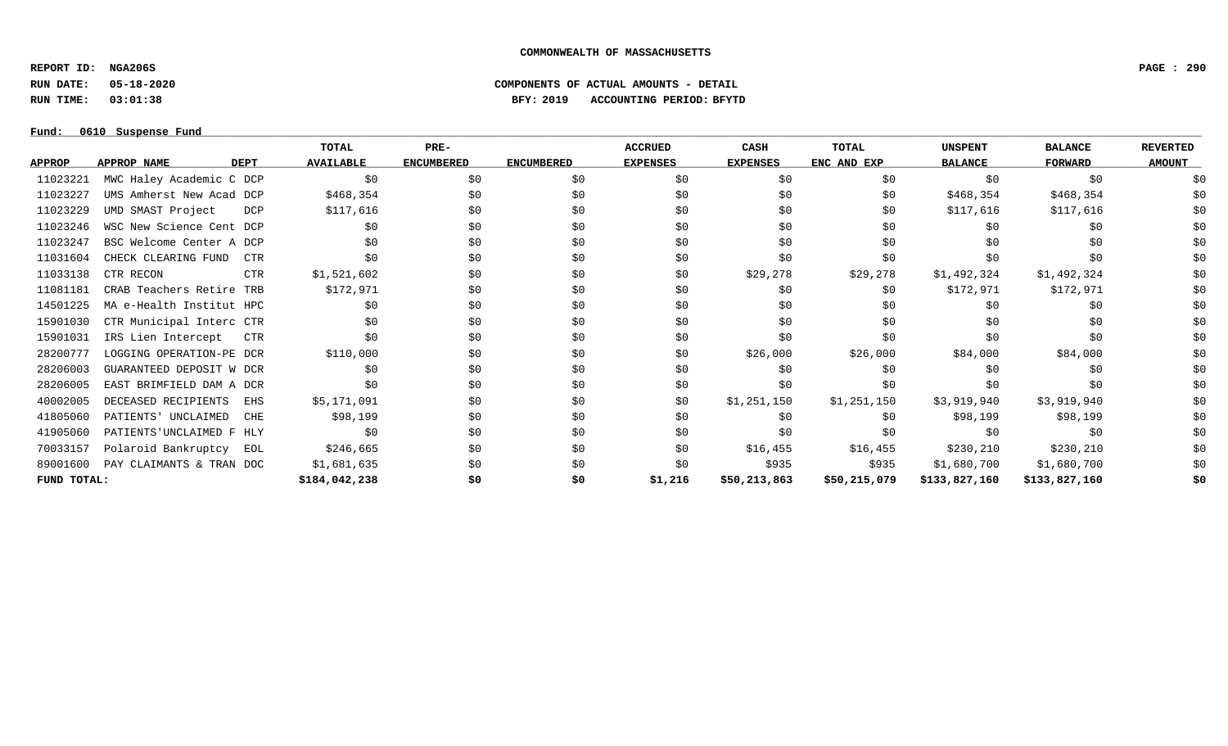**REPORT ID: NGA206S PAGE : 290**

**RUN DATE: 05-18-2020 COMPONENTS OF ACTUAL AMOUNTS - DETAIL**

**RUN TIME: 03:01:38 BFY: 2019 ACCOUNTING PERIOD: BFYTD**

|               |                                  | TOTAL            | PRE-              |                   | <b>ACCRUED</b>  | CASH            | TOTAL        | <b>UNSPENT</b> | <b>BALANCE</b> | <b>REVERTED</b> |
|---------------|----------------------------------|------------------|-------------------|-------------------|-----------------|-----------------|--------------|----------------|----------------|-----------------|
| <b>APPROP</b> | APPROP NAME<br><b>DEPT</b>       | <b>AVAILABLE</b> | <b>ENCUMBERED</b> | <b>ENCUMBERED</b> | <b>EXPENSES</b> | <b>EXPENSES</b> | ENC AND EXP  | <b>BALANCE</b> | <b>FORWARD</b> | <b>AMOUNT</b>   |
| 11023221      | MWC Haley Academic C DCP         | \$0              | \$0               | \$0               | \$0             | \$0             | \$0          | \$0            | \$0            | \$0             |
| 11023227      | UMS Amherst New Acad DCP         | \$468,354        | \$0               | \$0               | \$0             | \$0             | \$0          | \$468,354      | \$468,354      | \$0             |
| 11023229      | UMD SMAST Project<br>DCP         | \$117,616        | \$0               | \$0               | \$0             | \$0             | \$0          | \$117,616      | \$117,616      | \$0             |
| 11023246      | WSC New Science Cent DCP         | \$0              | \$0               | \$0               | \$0             | \$0             | \$0          | \$0            | \$0            | \$0             |
| 11023247      | BSC Welcome Center A DCP         | S0               | \$0               | \$0               | \$0             | \$0             | \$0          | \$0            | \$0            | \$0             |
| 11031604      | CHECK CLEARING FUND<br>CTR       | \$0              | \$0               | \$0               | \$0             | \$0             | \$0          | \$0            | \$0            | \$0             |
| 11033138      | CTR RECON<br><b>CTR</b>          | \$1,521,602      | \$0               | \$0               | \$0             | \$29,278        | \$29,278     | \$1,492,324    | \$1,492,324    | \$0             |
| 11081181      | CRAB Teachers Retire TRB         | \$172,971        | \$0               | \$0               | \$0             | \$0             | \$0          | \$172,971      | \$172,971      | \$0             |
| 14501225      | MA e-Health Institut HPC         | S0               | \$0               | \$0               | \$0             | \$0             | \$0          | SO.            | \$0            | \$0             |
| 15901030      | CTR Municipal Interc CTR         | \$0              | \$0               | \$0               | \$0             | \$0             | \$0          | SO.            | \$0            | \$0             |
| 15901031      | IRS Lien Intercept<br><b>CTR</b> | S0               | \$0               | \$0               | \$0             | \$0             | \$0          | \$0            | \$0            | \$0             |
| 28200777      | LOGGING OPERATION-PE DCR         | \$110,000        | \$0               | \$0               | \$0             | \$26,000        | \$26,000     | \$84,000       | \$84,000       | \$0             |
| 28206003      | GUARANTEED DEPOSIT W DCR         | \$0              | \$0               | \$0               | \$0             | \$0             | \$0          | \$0            | \$0            | \$0             |
| 28206005      | EAST BRIMFIELD DAM A DCR         | S0               | \$0               | \$0               | \$0             | \$0             | \$0          | \$0            | \$0            | \$0             |
| 40002005      | DECEASED RECIPIENTS<br>EHS       | \$5,171,091      | \$0               | \$0               | \$0             | \$1,251,150     | \$1,251,150  | \$3,919,940    | \$3,919,940    | \$0             |
| 41805060      | PATIENTS' UNCLAIMED<br>CHE       | \$98,199         | \$0               | \$0               | \$0             | \$0             | \$0          | \$98,199       | \$98,199       | \$0             |
| 41905060      | PATIENTS UNCLAIMED F HLY         | \$0              | \$0\$             | \$0               | \$0             | \$0             | \$0          | \$0            | \$0            | \$0             |
| 70033157      | Polaroid Bankruptcy<br>EOL       | \$246,665        | \$0               | \$0               | \$0             | \$16,455        | \$16,455     | \$230,210      | \$230,210      | \$0             |
| 89001600      | PAY CLAIMANTS & TRAN DOC         | \$1,681,635      | \$0               | \$0               | \$0             | \$935           | \$935        | \$1,680,700    | \$1,680,700    | \$0             |
| FUND TOTAL:   |                                  | \$184,042,238    | \$0               | \$0               | \$1,216         | \$50,213,863    | \$50,215,079 | \$133,827,160  | \$133,827,160  | \$0             |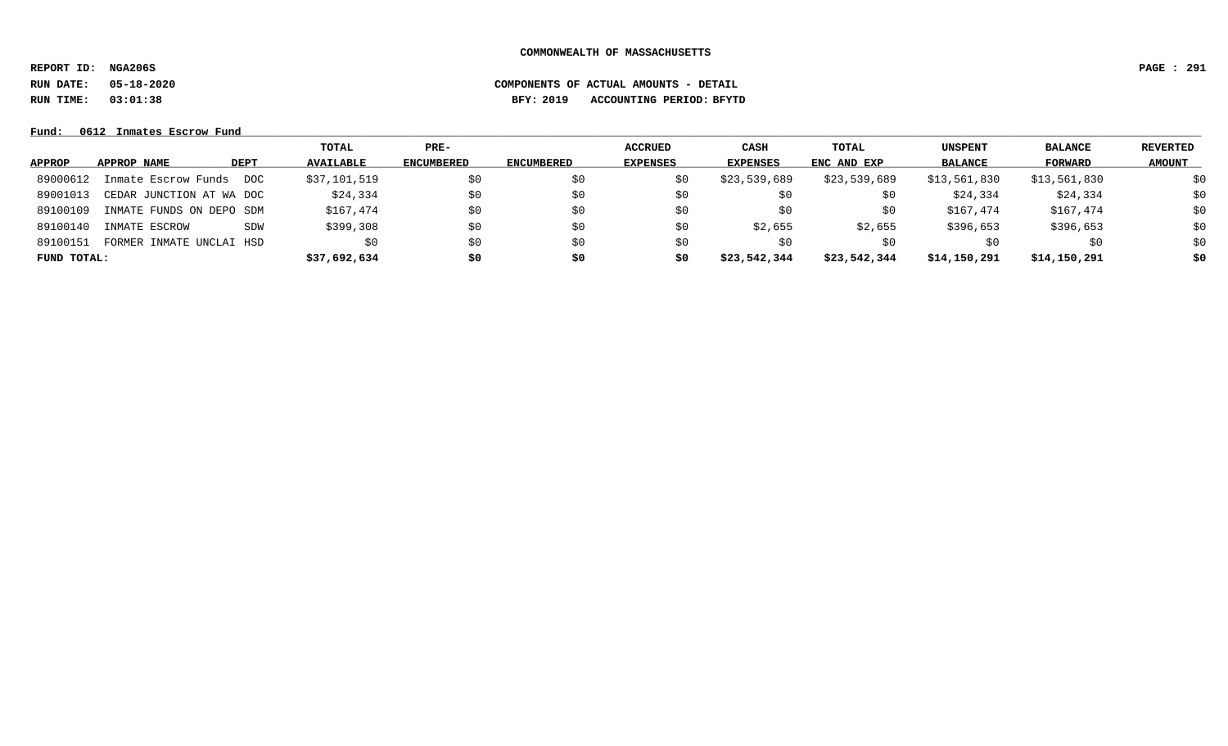**REPORT ID: NGA206S PAGE : 291**

**RUN DATE: 05-18-2020 COMPONENTS OF ACTUAL AMOUNTS - DETAIL**

# **RUN TIME: 03:01:38 BFY: 2019 ACCOUNTING PERIOD: BFYTD**

|               |                          |             | TOTAL            | $PRE-$            |            | <b>ACCRUED</b>  | <b>CASH</b>     | TOTAL        | <b>UNSPENT</b> | <b>BALANCE</b> | REVERTED      |
|---------------|--------------------------|-------------|------------------|-------------------|------------|-----------------|-----------------|--------------|----------------|----------------|---------------|
| <b>APPROP</b> | APPROP NAME              | <b>DEPT</b> | <b>AVAILABLE</b> | <b>ENCUMBERED</b> | ENCUMBERED | <b>EXPENSES</b> | <b>EXPENSES</b> | ENC AND EXP  | <b>BALANCE</b> | FORWARD        | <b>AMOUNT</b> |
| 89000612      | Inmate Escrow Funds      | DOC         | \$37,101,519     | \$0               | \$0        |                 | \$23,539,689    | \$23,539,689 | \$13,561,830   | \$13,561,830   | \$0           |
| 89001013      | CEDAR JUNCTION AT WA DOC |             | \$24,334         | \$0               | \$0        | S0              | \$0             | \$0          | \$24,334       | \$24,334       | \$0           |
| 89100109      | INMATE FUNDS ON DEPO SDM |             | \$167,474        | \$0               | \$0        | Sυ              | \$0             | \$0          | \$167,474      | \$167,474      | \$0           |
| 89100140      | INMATE ESCROW            | SDW         | \$399,308        | \$0               | SO.        | S0              | \$2,655         | \$2,655      | \$396,653      | \$396,653      | \$0           |
| 89100151      | FORMER INMATE UNCLAI HSD |             | \$0              | \$0               | SO.        | S0              | SO.             | S0           | S0             | \$0            | \$0           |
| FUND TOTAL:   |                          |             | \$37,692,634     | \$0               | \$0        | S0              | \$23,542,344    | \$23,542,344 | \$14,150,291   | \$14,150,291   | \$0           |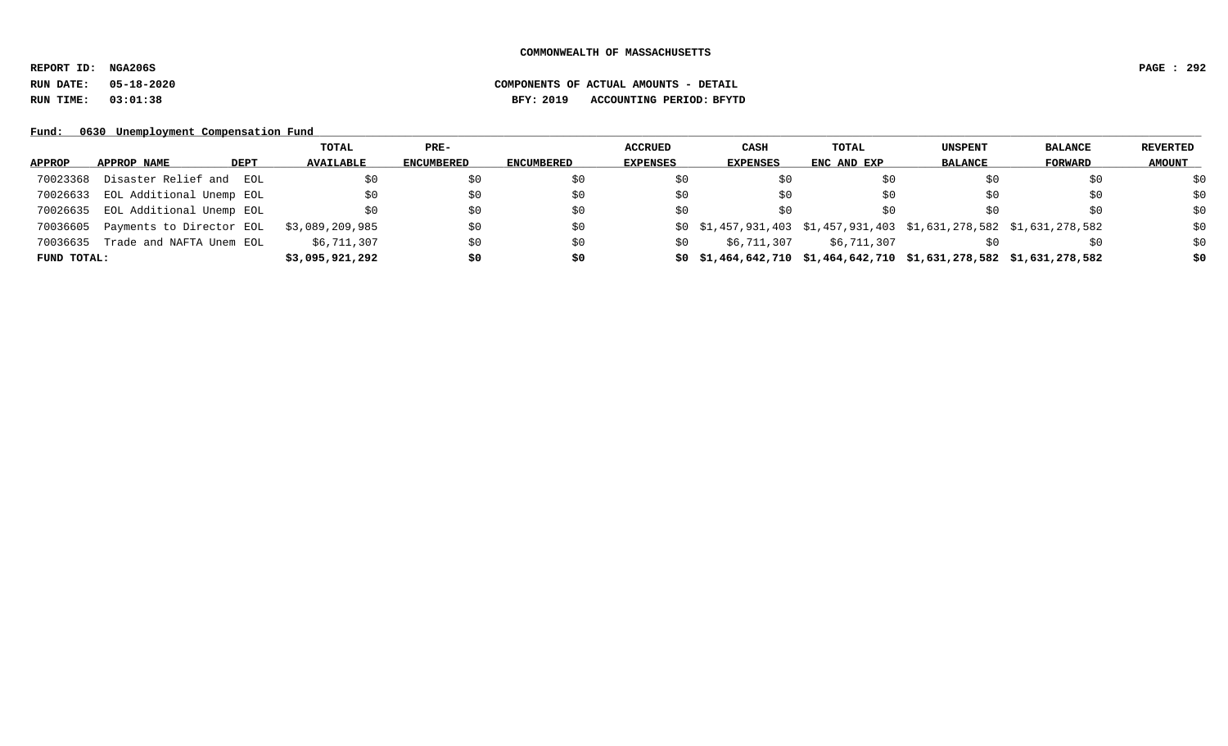**REPORT ID: NGA206S PAGE : 292**

# **RUN DATE: 05-18-2020 COMPONENTS OF ACTUAL AMOUNTS - DETAIL RUN TIME: 03:01:38 BFY: 2019 ACCOUNTING PERIOD: BFYTD**

Fund: 0630 Unemployment Compensation Fund

|             |                            | TOTAL            | $PRE-$            |                   | <b>ACCRUED</b>  | CASH        | TOTAL                                                                    | UNSPENT        | <b>BALANCE</b> | <b>REVERTED</b> |
|-------------|----------------------------|------------------|-------------------|-------------------|-----------------|-------------|--------------------------------------------------------------------------|----------------|----------------|-----------------|
| APPROP      | DEPT<br>APPROP NAME        | <b>AVAILABLE</b> | <b>ENCUMBERED</b> | <b>ENCUMBERED</b> | <b>EXPENSES</b> | EXPENSES    | ENC AND EXP                                                              | <b>BALANCE</b> | FORWARD        | <b>AMOUNT</b>   |
| 70023368    | Disaster Relief and<br>EOL |                  | \$0               | \$0               | S0              |             | S0                                                                       |                | \$0            | \$0             |
| 70026633    | EOL Additional Unemp EOL   |                  | \$0               | \$0               | S0              | S0          | S0                                                                       | SO.            | \$0            | \$0             |
| 70026635    | EOL Additional Unemp EOL   |                  | \$0               | \$0               | S0              | SO.         | SO.                                                                      | SO.            | \$0            | \$0             |
| 70036605    | Payments to Director EOL   | \$3,089,209,985  | \$0               | \$0               |                 |             | $$0$ $$1,457,931,403$ $$1,457,931,403$ $$1,631,278,582$ $$1,631,278,582$ |                |                | \$0             |
| 70036635    | Trade and NAFTA Unem EOL   | \$6,711,307      | \$0               | \$0               | S0              | \$6,711,307 | \$6,711,307                                                              |                | \$0            | \$0             |
| FUND TOTAL: |                            | \$3,095,921,292  | \$0               | \$0               |                 |             | $$0$ $$1,464,642,710$ $$1,464,642,710$ $$1,631,278,582$ $$1,631,278,582$ |                |                | \$0             |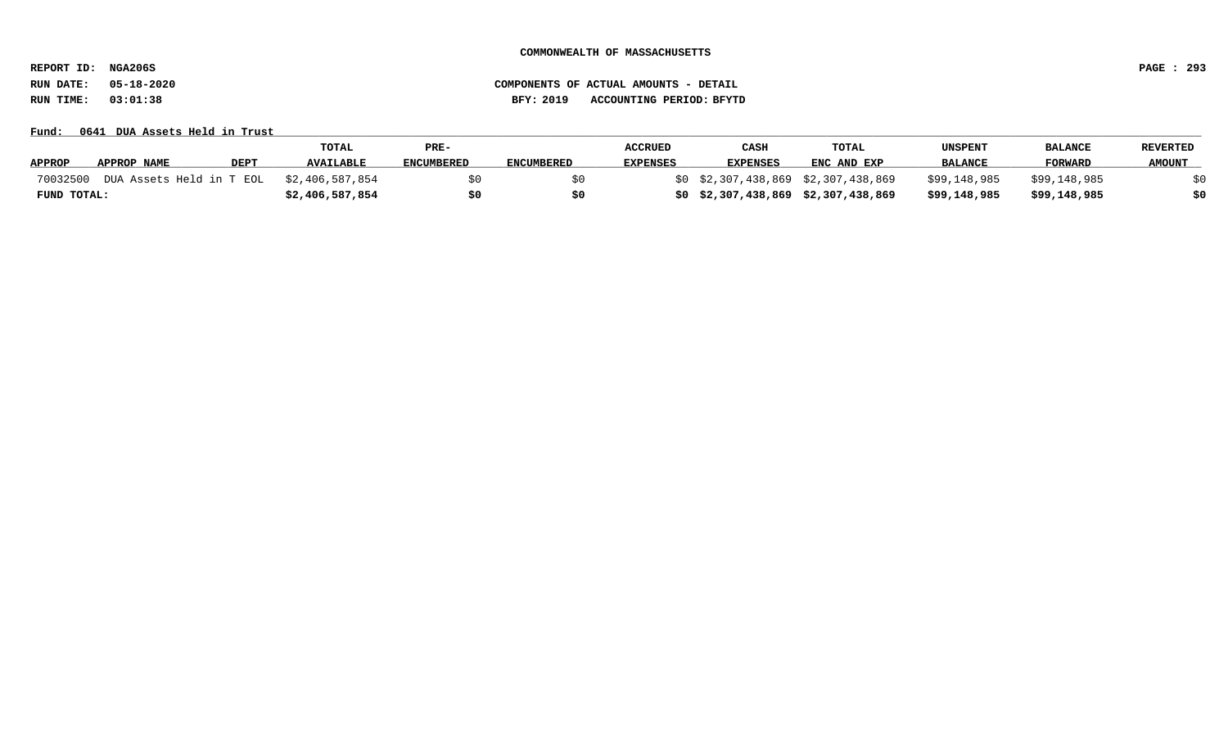**REPORT ID: NGA206S PAGE : 293**

**RUN DATE: 05-18-2020 COMPONENTS OF ACTUAL AMOUNTS - DETAIL RUN TIME: 03:01:38 BFY: 2019 ACCOUNTING PERIOD: BFYTD**

Fund: 0641 DUA Assets Held in Trust

|               |             |             | <b>TOTAL</b>                             | PRE-       |                   | <b>ACCRUED</b>  | CASH            | <b>TOTAL</b>                        | UNSPENT        | <b>BALANCE</b> | <b>REVERTED</b> |
|---------------|-------------|-------------|------------------------------------------|------------|-------------------|-----------------|-----------------|-------------------------------------|----------------|----------------|-----------------|
| <b>APPROP</b> | APPROP NAME | <b>DEPT</b> | <b>AVAILABLE</b>                         | ENCUMBERED | <b>ENCUMBERED</b> | <b>EXPENSES</b> | <b>EXPENSES</b> | ENC AND EXP                         | <b>BALANCE</b> | FORWARD        | <b>AMOUNT</b>   |
| 70032500      |             |             | DUA Assets Held in T EOL \$2,406,587,854 |            |                   |                 |                 | \$0 \$2,307,438,869 \$2,307,438,869 | \$99,148,985   | \$99,148,985   |                 |
| FUND TOTAL:   |             |             | \$2,406,587,854                          | \$0        |                   |                 |                 | \$0\$2,307,438,869\$2,307,438,869   | \$99,148,985   | \$99,148,985   | \$0             |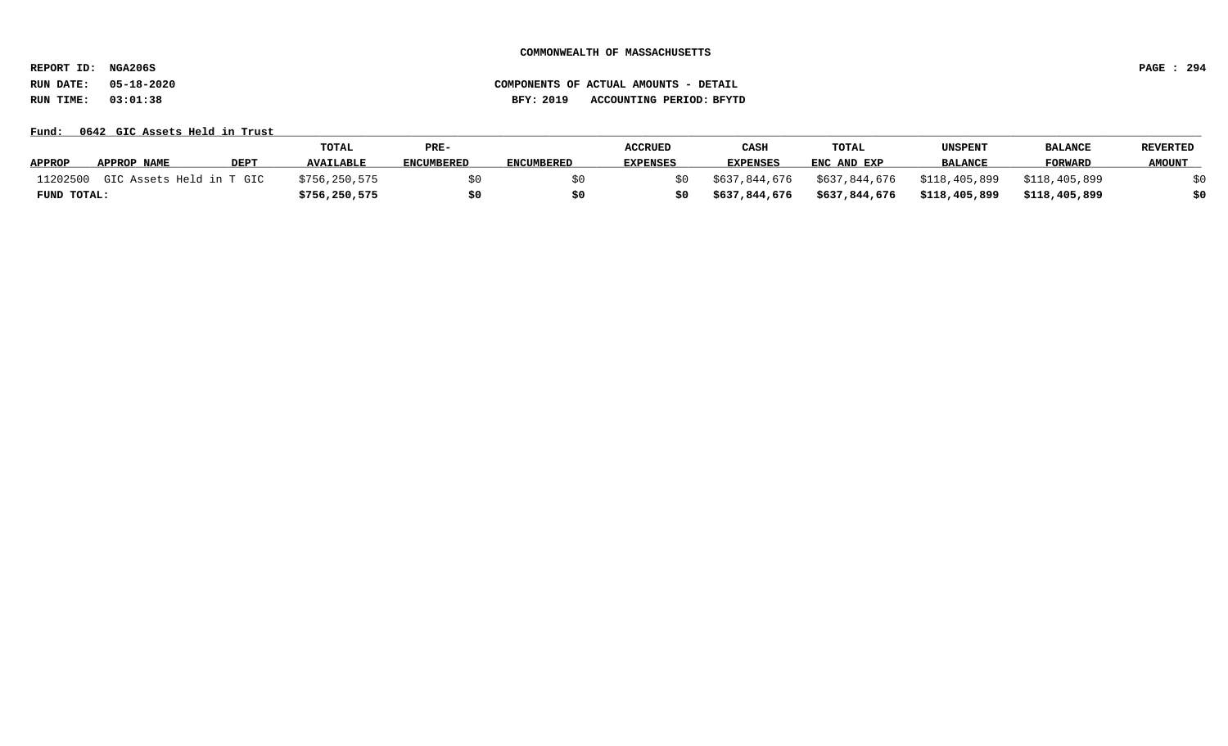**REPORT ID: NGA206S PAGE : 294**

**RUN DATE: 05-18-2020 COMPONENTS OF ACTUAL AMOUNTS - DETAIL RUN TIME: 03:01:38 BFY: 2019 ACCOUNTING PERIOD: BFYTD**

Fund: 0642 GIC Assets Held in Trust

|               |                          |             | TOTAL            | PRE-              |                   | <b>ACCRUED</b>  | CASH            | TOTAL         | UNSPENT        | <b>BALANCE</b> | <b>REVERTED</b> |
|---------------|--------------------------|-------------|------------------|-------------------|-------------------|-----------------|-----------------|---------------|----------------|----------------|-----------------|
| <b>APPROP</b> | APPROP NAME              | <b>DEPT</b> | <b>AVAILABLE</b> | <b>ENCUMBERED</b> | <b>ENCUMBERED</b> | <b>EXPENSES</b> | <b>EXPENSES</b> | ENC AND EXP   | <b>BALANCE</b> | <b>FORWARD</b> | <b>AMOUNT</b>   |
| 11202500      | GIC Assets Held in T GIC |             | \$756,250,575    |                   |                   |                 | \$637,844,676   | \$637,844,676 | \$118,405,899  | \$118,405,899  |                 |
| FUND TOTAL:   |                          |             | \$756, 250, 575  |                   |                   |                 | \$637,844,676   | \$637,844,676 | \$118,405,899  | \$118,405,899  | \$0             |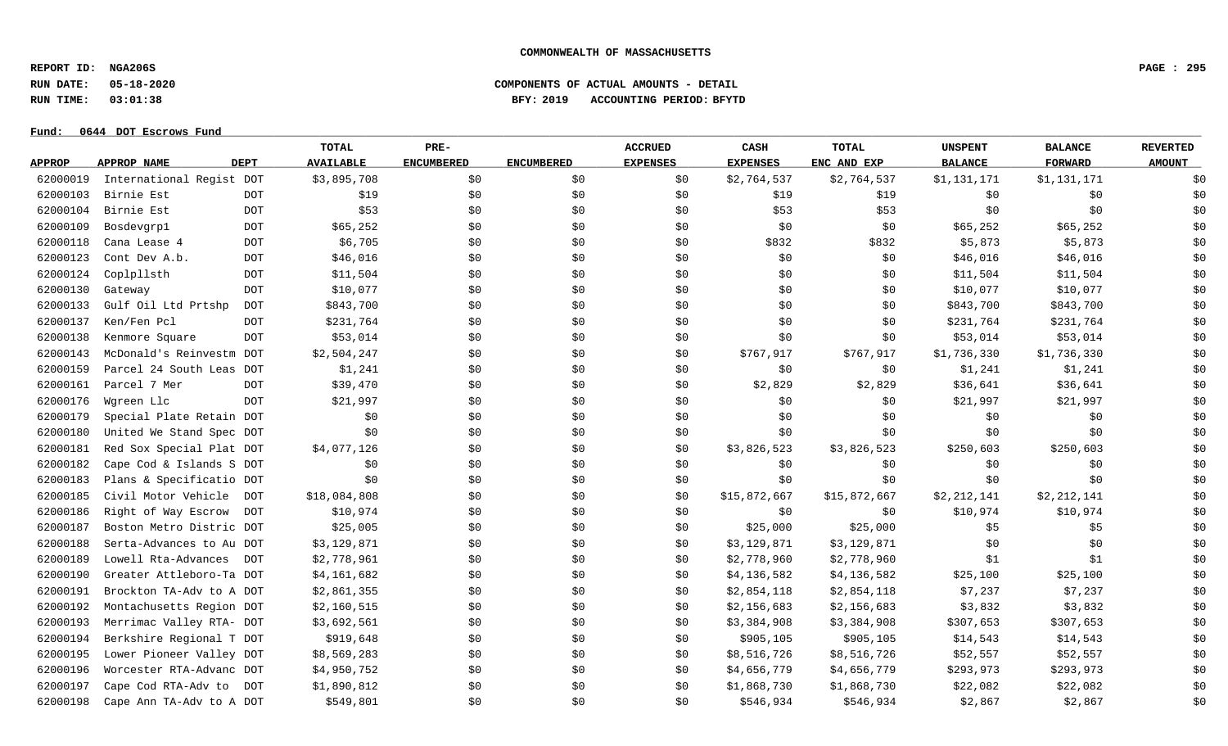**REPORT ID: NGA206S PAGE : 295**

**RUN DATE: 05-18-2020 COMPONENTS OF ACTUAL AMOUNTS - DETAIL**

**RUN TIME: 03:01:38 BFY: 2019 ACCOUNTING PERIOD: BFYTD**

| <b>DEPT</b><br><b>AVAILABLE</b><br><b>ENCUMBERED</b><br><b>EXPENSES</b><br>ENC AND EXP<br><b>BALANCE</b><br><b>FORWARD</b><br>APPROP NAME<br><b>ENCUMBERED</b><br><b>EXPENSES</b><br><b>APPROP</b><br>\$3,895,708<br>\$2,764,537<br>\$1,131,171<br>62000019<br>International Regist DOT<br>\$0<br>\$0<br>\$0<br>\$2,764,537<br>\$1,131,171<br>62000103<br>Birnie Est<br>\$19<br>\$0<br>\$0\$<br>\$19<br><b>DOT</b><br>\$0<br>\$19<br>\$0<br>\$0<br>62000104<br>\$53<br>Birnie Est<br><b>DOT</b><br>\$0<br>\$0<br>\$53<br>\$53<br>\$0<br>\$0<br>\$0<br>62000109<br>\$65,252<br>Bosdevgrp1<br><b>DOT</b><br>\$0<br>\$0<br>\$0<br>\$0<br>\$0<br>\$65,252<br>\$65,252<br>62000118<br>\$6,705<br>\$5,873<br><b>DOT</b><br>\$0\$<br>\$0<br>\$0<br>\$832<br>\$832<br>\$5,873<br>Cana Lease 4<br>62000123<br>\$46,016<br>Cont Dev A.b.<br><b>DOT</b><br>\$46,016<br>\$0<br>\$0<br>\$0<br>\$0<br>\$0<br>\$46,016<br>62000124<br>Coplpllsth<br>\$11,504<br>\$11,504<br>\$11,504<br>\$0<br>\$0<br>\$0<br>\$0<br>\$0<br>DOT<br>62000130<br>\$10,077<br><b>DOT</b><br>\$10,077<br>\$0<br>\$0<br>\$0<br>\$0<br>\$0<br>\$10,077<br>Gateway<br>62000133<br>Gulf Oil Ltd Prtshp<br>\$843,700<br>\$0<br>\$0<br>\$0<br>\$0<br>\$843,700<br><b>DOT</b><br>\$0<br>\$843,700<br>62000137<br>Ken/Fen Pcl<br><b>DOT</b><br>\$231,764<br>\$0<br>\$0<br>\$0<br>\$0<br>\$0<br>\$231,764<br>\$231,764<br>62000138<br>\$53,014<br>\$0<br>\$0\$<br>\$0<br>\$0<br>\$0<br>Kenmore Square<br><b>DOT</b><br>\$53,014<br>\$53,014<br>62000143<br>McDonald's Reinvestm DOT<br>\$2,504,247<br>\$0<br>\$0<br>\$0<br>\$767,917<br>\$767,917<br>\$1,736,330<br>\$1,736,330<br>62000159<br>\$1,241<br>\$0\$<br>Parcel 24 South Leas DOT<br>\$0<br>\$0<br>\$0\$<br>\$1,241<br>\$1,241<br>\$0<br>62000161<br>Parcel 7 Mer<br>\$39,470<br>\$0<br>\$2,829<br>\$2,829<br>\$36,641<br>\$36,641<br><b>DOT</b><br>\$0<br>\$0<br>62000176<br>Wgreen Llc<br>\$21,997<br>\$0<br>\$0<br>\$0<br>\$0<br>\$0\$<br>\$21,997<br>\$21,997<br><b>DOT</b><br>62000179<br>Special Plate Retain DOT<br>\$0<br>\$0<br>\$0<br>\$0<br>\$0<br>\$0<br>\$0<br>\$0<br>62000180<br>\$0<br>United We Stand Spec DOT<br>\$0<br>\$0<br>\$0<br>\$0<br>\$0<br>\$0<br>\$0<br>62000181<br>\$4,077,126<br>\$0\$<br>\$3,826,523<br>\$3,826,523<br>\$250,603<br>\$250,603<br>Red Sox Special Plat DOT<br>\$0<br>\$0<br>62000182<br>Cape Cod & Islands S DOT<br>\$0<br>\$0<br>\$0<br>\$0<br>\$0<br>\$0<br>\$0<br>\$0<br>62000183<br>Plans & Specificatio DOT<br>\$0<br>\$0<br>\$0<br>\$0<br>\$0<br>\$0<br>\$0<br>\$0<br>62000185<br>Civil Motor Vehicle<br>\$18,084,808<br>\$0<br>\$0<br>\$15,872,667<br>\$15,872,667<br>\$2,212,141<br>\$2,212,141<br>DOT<br>\$0<br>62000186<br>\$10,974<br>\$0<br>\$10,974<br>\$10,974<br>Right of Way Escrow<br><b>DOT</b><br>\$0<br>\$0<br>\$0<br>\$0<br>62000187<br>Boston Metro Distric DOT<br>\$25,005<br>\$0<br>\$0\$<br>\$25,000<br>\$5<br>\$5<br>\$0<br>\$25,000<br>62000188<br>Serta-Advances to Au DOT<br>\$3,129,871<br>\$0<br>\$0<br>\$0<br>\$3,129,871<br>\$3,129,871<br>\$0<br>\$0<br>62000189<br>Lowell Rta-Advances<br>\$2,778,961<br>\$0\$<br>\$0\$<br>\$2,778,960<br>\$2,778,960<br>\$1<br>\$1<br>DOT<br>\$0<br>62000190<br>Greater Attleboro-Ta DOT<br>\$4,161,682<br>\$0<br>\$0<br>\$4,136,582<br>\$4,136,582<br>\$25,100<br>\$25,100<br>\$0<br>62000191<br>\$7,237<br>\$7,237<br>Brockton TA-Adv to A DOT<br>\$2,861,355<br>\$0<br>\$0<br>\$2,854,118<br>\$2,854,118<br>\$0<br>62000192<br>Montachusetts Region DOT<br>\$2,160,515<br>\$0<br>\$0<br>\$2,156,683<br>\$2,156,683<br>\$3,832<br>\$3,832<br>\$0<br>62000193<br>\$3,692,561<br>\$307,653<br>\$307,653<br>Merrimac Valley RTA- DOT<br>\$0<br>\$0<br>\$3,384,908<br>\$3,384,908<br>\$0<br>62000194<br>Berkshire Regional T DOT<br>\$919,648<br>\$905,105<br>\$0<br>\$0<br>\$0<br>\$905, 105<br>\$14,543<br>\$14,543<br>62000195<br>\$8,569,283<br>\$8,516,726<br>Lower Pioneer Valley DOT<br>\$0<br>\$0<br>\$0<br>\$8,516,726<br>\$52,557<br>\$52,557<br>62000196<br>Worcester RTA-Advanc DOT<br>\$4,950,752<br>\$0<br>\$4,656,779<br>\$4,656,779<br>\$293,973<br>\$293,973<br>\$0<br>\$0<br>62000197<br>Cape Cod RTA-Adv to<br>\$1,890,812<br>\$0<br>\$0<br>\$1,868,730<br>\$1,868,730<br>\$22,082<br>\$22,082<br>\$0<br>DOT<br>62000198<br>\$0<br>Cape Ann TA-Adv to A DOT<br>\$549,801<br>\$0<br>\$0<br>\$546,934<br>\$546,934<br>\$2,867<br>\$2,867 |  | TOTAL | PRE- | <b>ACCRUED</b> | CASH | <b>TOTAL</b> | <b>UNSPENT</b> | <b>BALANCE</b> | <b>REVERTED</b> |
|---------------------------------------------------------------------------------------------------------------------------------------------------------------------------------------------------------------------------------------------------------------------------------------------------------------------------------------------------------------------------------------------------------------------------------------------------------------------------------------------------------------------------------------------------------------------------------------------------------------------------------------------------------------------------------------------------------------------------------------------------------------------------------------------------------------------------------------------------------------------------------------------------------------------------------------------------------------------------------------------------------------------------------------------------------------------------------------------------------------------------------------------------------------------------------------------------------------------------------------------------------------------------------------------------------------------------------------------------------------------------------------------------------------------------------------------------------------------------------------------------------------------------------------------------------------------------------------------------------------------------------------------------------------------------------------------------------------------------------------------------------------------------------------------------------------------------------------------------------------------------------------------------------------------------------------------------------------------------------------------------------------------------------------------------------------------------------------------------------------------------------------------------------------------------------------------------------------------------------------------------------------------------------------------------------------------------------------------------------------------------------------------------------------------------------------------------------------------------------------------------------------------------------------------------------------------------------------------------------------------------------------------------------------------------------------------------------------------------------------------------------------------------------------------------------------------------------------------------------------------------------------------------------------------------------------------------------------------------------------------------------------------------------------------------------------------------------------------------------------------------------------------------------------------------------------------------------------------------------------------------------------------------------------------------------------------------------------------------------------------------------------------------------------------------------------------------------------------------------------------------------------------------------------------------------------------------------------------------------------------------------------------------------------------------------------------------------------------------------------------------------------------------------------------------------------------------------------------------------------------------------------------------------------------------------------------------------------------------------------------------------------------------------------------------------------------------------------------------------------------------------------------------------------------------------------------------------------------------------------------------------------------------------------------------------------------------------------------------------------------------------------|--|-------|------|----------------|------|--------------|----------------|----------------|-----------------|
|                                                                                                                                                                                                                                                                                                                                                                                                                                                                                                                                                                                                                                                                                                                                                                                                                                                                                                                                                                                                                                                                                                                                                                                                                                                                                                                                                                                                                                                                                                                                                                                                                                                                                                                                                                                                                                                                                                                                                                                                                                                                                                                                                                                                                                                                                                                                                                                                                                                                                                                                                                                                                                                                                                                                                                                                                                                                                                                                                                                                                                                                                                                                                                                                                                                                                                                                                                                                                                                                                                                                                                                                                                                                                                                                                                                                                                                                                                                                                                                                                                                                                                                                                                                                                                                                                                                                                                                       |  |       |      |                |      |              |                |                | <b>AMOUNT</b>   |
|                                                                                                                                                                                                                                                                                                                                                                                                                                                                                                                                                                                                                                                                                                                                                                                                                                                                                                                                                                                                                                                                                                                                                                                                                                                                                                                                                                                                                                                                                                                                                                                                                                                                                                                                                                                                                                                                                                                                                                                                                                                                                                                                                                                                                                                                                                                                                                                                                                                                                                                                                                                                                                                                                                                                                                                                                                                                                                                                                                                                                                                                                                                                                                                                                                                                                                                                                                                                                                                                                                                                                                                                                                                                                                                                                                                                                                                                                                                                                                                                                                                                                                                                                                                                                                                                                                                                                                                       |  |       |      |                |      |              |                |                | \$0             |
|                                                                                                                                                                                                                                                                                                                                                                                                                                                                                                                                                                                                                                                                                                                                                                                                                                                                                                                                                                                                                                                                                                                                                                                                                                                                                                                                                                                                                                                                                                                                                                                                                                                                                                                                                                                                                                                                                                                                                                                                                                                                                                                                                                                                                                                                                                                                                                                                                                                                                                                                                                                                                                                                                                                                                                                                                                                                                                                                                                                                                                                                                                                                                                                                                                                                                                                                                                                                                                                                                                                                                                                                                                                                                                                                                                                                                                                                                                                                                                                                                                                                                                                                                                                                                                                                                                                                                                                       |  |       |      |                |      |              |                |                | \$0             |
|                                                                                                                                                                                                                                                                                                                                                                                                                                                                                                                                                                                                                                                                                                                                                                                                                                                                                                                                                                                                                                                                                                                                                                                                                                                                                                                                                                                                                                                                                                                                                                                                                                                                                                                                                                                                                                                                                                                                                                                                                                                                                                                                                                                                                                                                                                                                                                                                                                                                                                                                                                                                                                                                                                                                                                                                                                                                                                                                                                                                                                                                                                                                                                                                                                                                                                                                                                                                                                                                                                                                                                                                                                                                                                                                                                                                                                                                                                                                                                                                                                                                                                                                                                                                                                                                                                                                                                                       |  |       |      |                |      |              |                |                | \$0             |
|                                                                                                                                                                                                                                                                                                                                                                                                                                                                                                                                                                                                                                                                                                                                                                                                                                                                                                                                                                                                                                                                                                                                                                                                                                                                                                                                                                                                                                                                                                                                                                                                                                                                                                                                                                                                                                                                                                                                                                                                                                                                                                                                                                                                                                                                                                                                                                                                                                                                                                                                                                                                                                                                                                                                                                                                                                                                                                                                                                                                                                                                                                                                                                                                                                                                                                                                                                                                                                                                                                                                                                                                                                                                                                                                                                                                                                                                                                                                                                                                                                                                                                                                                                                                                                                                                                                                                                                       |  |       |      |                |      |              |                |                | \$0             |
|                                                                                                                                                                                                                                                                                                                                                                                                                                                                                                                                                                                                                                                                                                                                                                                                                                                                                                                                                                                                                                                                                                                                                                                                                                                                                                                                                                                                                                                                                                                                                                                                                                                                                                                                                                                                                                                                                                                                                                                                                                                                                                                                                                                                                                                                                                                                                                                                                                                                                                                                                                                                                                                                                                                                                                                                                                                                                                                                                                                                                                                                                                                                                                                                                                                                                                                                                                                                                                                                                                                                                                                                                                                                                                                                                                                                                                                                                                                                                                                                                                                                                                                                                                                                                                                                                                                                                                                       |  |       |      |                |      |              |                |                | \$0             |
|                                                                                                                                                                                                                                                                                                                                                                                                                                                                                                                                                                                                                                                                                                                                                                                                                                                                                                                                                                                                                                                                                                                                                                                                                                                                                                                                                                                                                                                                                                                                                                                                                                                                                                                                                                                                                                                                                                                                                                                                                                                                                                                                                                                                                                                                                                                                                                                                                                                                                                                                                                                                                                                                                                                                                                                                                                                                                                                                                                                                                                                                                                                                                                                                                                                                                                                                                                                                                                                                                                                                                                                                                                                                                                                                                                                                                                                                                                                                                                                                                                                                                                                                                                                                                                                                                                                                                                                       |  |       |      |                |      |              |                |                | \$0             |
|                                                                                                                                                                                                                                                                                                                                                                                                                                                                                                                                                                                                                                                                                                                                                                                                                                                                                                                                                                                                                                                                                                                                                                                                                                                                                                                                                                                                                                                                                                                                                                                                                                                                                                                                                                                                                                                                                                                                                                                                                                                                                                                                                                                                                                                                                                                                                                                                                                                                                                                                                                                                                                                                                                                                                                                                                                                                                                                                                                                                                                                                                                                                                                                                                                                                                                                                                                                                                                                                                                                                                                                                                                                                                                                                                                                                                                                                                                                                                                                                                                                                                                                                                                                                                                                                                                                                                                                       |  |       |      |                |      |              |                |                | \$0             |
|                                                                                                                                                                                                                                                                                                                                                                                                                                                                                                                                                                                                                                                                                                                                                                                                                                                                                                                                                                                                                                                                                                                                                                                                                                                                                                                                                                                                                                                                                                                                                                                                                                                                                                                                                                                                                                                                                                                                                                                                                                                                                                                                                                                                                                                                                                                                                                                                                                                                                                                                                                                                                                                                                                                                                                                                                                                                                                                                                                                                                                                                                                                                                                                                                                                                                                                                                                                                                                                                                                                                                                                                                                                                                                                                                                                                                                                                                                                                                                                                                                                                                                                                                                                                                                                                                                                                                                                       |  |       |      |                |      |              |                |                | \$0             |
|                                                                                                                                                                                                                                                                                                                                                                                                                                                                                                                                                                                                                                                                                                                                                                                                                                                                                                                                                                                                                                                                                                                                                                                                                                                                                                                                                                                                                                                                                                                                                                                                                                                                                                                                                                                                                                                                                                                                                                                                                                                                                                                                                                                                                                                                                                                                                                                                                                                                                                                                                                                                                                                                                                                                                                                                                                                                                                                                                                                                                                                                                                                                                                                                                                                                                                                                                                                                                                                                                                                                                                                                                                                                                                                                                                                                                                                                                                                                                                                                                                                                                                                                                                                                                                                                                                                                                                                       |  |       |      |                |      |              |                |                | \$0             |
|                                                                                                                                                                                                                                                                                                                                                                                                                                                                                                                                                                                                                                                                                                                                                                                                                                                                                                                                                                                                                                                                                                                                                                                                                                                                                                                                                                                                                                                                                                                                                                                                                                                                                                                                                                                                                                                                                                                                                                                                                                                                                                                                                                                                                                                                                                                                                                                                                                                                                                                                                                                                                                                                                                                                                                                                                                                                                                                                                                                                                                                                                                                                                                                                                                                                                                                                                                                                                                                                                                                                                                                                                                                                                                                                                                                                                                                                                                                                                                                                                                                                                                                                                                                                                                                                                                                                                                                       |  |       |      |                |      |              |                |                | \$0             |
|                                                                                                                                                                                                                                                                                                                                                                                                                                                                                                                                                                                                                                                                                                                                                                                                                                                                                                                                                                                                                                                                                                                                                                                                                                                                                                                                                                                                                                                                                                                                                                                                                                                                                                                                                                                                                                                                                                                                                                                                                                                                                                                                                                                                                                                                                                                                                                                                                                                                                                                                                                                                                                                                                                                                                                                                                                                                                                                                                                                                                                                                                                                                                                                                                                                                                                                                                                                                                                                                                                                                                                                                                                                                                                                                                                                                                                                                                                                                                                                                                                                                                                                                                                                                                                                                                                                                                                                       |  |       |      |                |      |              |                |                | \$0             |
|                                                                                                                                                                                                                                                                                                                                                                                                                                                                                                                                                                                                                                                                                                                                                                                                                                                                                                                                                                                                                                                                                                                                                                                                                                                                                                                                                                                                                                                                                                                                                                                                                                                                                                                                                                                                                                                                                                                                                                                                                                                                                                                                                                                                                                                                                                                                                                                                                                                                                                                                                                                                                                                                                                                                                                                                                                                                                                                                                                                                                                                                                                                                                                                                                                                                                                                                                                                                                                                                                                                                                                                                                                                                                                                                                                                                                                                                                                                                                                                                                                                                                                                                                                                                                                                                                                                                                                                       |  |       |      |                |      |              |                |                | \$0             |
|                                                                                                                                                                                                                                                                                                                                                                                                                                                                                                                                                                                                                                                                                                                                                                                                                                                                                                                                                                                                                                                                                                                                                                                                                                                                                                                                                                                                                                                                                                                                                                                                                                                                                                                                                                                                                                                                                                                                                                                                                                                                                                                                                                                                                                                                                                                                                                                                                                                                                                                                                                                                                                                                                                                                                                                                                                                                                                                                                                                                                                                                                                                                                                                                                                                                                                                                                                                                                                                                                                                                                                                                                                                                                                                                                                                                                                                                                                                                                                                                                                                                                                                                                                                                                                                                                                                                                                                       |  |       |      |                |      |              |                |                | \$0             |
|                                                                                                                                                                                                                                                                                                                                                                                                                                                                                                                                                                                                                                                                                                                                                                                                                                                                                                                                                                                                                                                                                                                                                                                                                                                                                                                                                                                                                                                                                                                                                                                                                                                                                                                                                                                                                                                                                                                                                                                                                                                                                                                                                                                                                                                                                                                                                                                                                                                                                                                                                                                                                                                                                                                                                                                                                                                                                                                                                                                                                                                                                                                                                                                                                                                                                                                                                                                                                                                                                                                                                                                                                                                                                                                                                                                                                                                                                                                                                                                                                                                                                                                                                                                                                                                                                                                                                                                       |  |       |      |                |      |              |                |                | \$0             |
|                                                                                                                                                                                                                                                                                                                                                                                                                                                                                                                                                                                                                                                                                                                                                                                                                                                                                                                                                                                                                                                                                                                                                                                                                                                                                                                                                                                                                                                                                                                                                                                                                                                                                                                                                                                                                                                                                                                                                                                                                                                                                                                                                                                                                                                                                                                                                                                                                                                                                                                                                                                                                                                                                                                                                                                                                                                                                                                                                                                                                                                                                                                                                                                                                                                                                                                                                                                                                                                                                                                                                                                                                                                                                                                                                                                                                                                                                                                                                                                                                                                                                                                                                                                                                                                                                                                                                                                       |  |       |      |                |      |              |                |                | \$0             |
|                                                                                                                                                                                                                                                                                                                                                                                                                                                                                                                                                                                                                                                                                                                                                                                                                                                                                                                                                                                                                                                                                                                                                                                                                                                                                                                                                                                                                                                                                                                                                                                                                                                                                                                                                                                                                                                                                                                                                                                                                                                                                                                                                                                                                                                                                                                                                                                                                                                                                                                                                                                                                                                                                                                                                                                                                                                                                                                                                                                                                                                                                                                                                                                                                                                                                                                                                                                                                                                                                                                                                                                                                                                                                                                                                                                                                                                                                                                                                                                                                                                                                                                                                                                                                                                                                                                                                                                       |  |       |      |                |      |              |                |                | \$0             |
|                                                                                                                                                                                                                                                                                                                                                                                                                                                                                                                                                                                                                                                                                                                                                                                                                                                                                                                                                                                                                                                                                                                                                                                                                                                                                                                                                                                                                                                                                                                                                                                                                                                                                                                                                                                                                                                                                                                                                                                                                                                                                                                                                                                                                                                                                                                                                                                                                                                                                                                                                                                                                                                                                                                                                                                                                                                                                                                                                                                                                                                                                                                                                                                                                                                                                                                                                                                                                                                                                                                                                                                                                                                                                                                                                                                                                                                                                                                                                                                                                                                                                                                                                                                                                                                                                                                                                                                       |  |       |      |                |      |              |                |                | \$0             |
|                                                                                                                                                                                                                                                                                                                                                                                                                                                                                                                                                                                                                                                                                                                                                                                                                                                                                                                                                                                                                                                                                                                                                                                                                                                                                                                                                                                                                                                                                                                                                                                                                                                                                                                                                                                                                                                                                                                                                                                                                                                                                                                                                                                                                                                                                                                                                                                                                                                                                                                                                                                                                                                                                                                                                                                                                                                                                                                                                                                                                                                                                                                                                                                                                                                                                                                                                                                                                                                                                                                                                                                                                                                                                                                                                                                                                                                                                                                                                                                                                                                                                                                                                                                                                                                                                                                                                                                       |  |       |      |                |      |              |                |                | \$0             |
|                                                                                                                                                                                                                                                                                                                                                                                                                                                                                                                                                                                                                                                                                                                                                                                                                                                                                                                                                                                                                                                                                                                                                                                                                                                                                                                                                                                                                                                                                                                                                                                                                                                                                                                                                                                                                                                                                                                                                                                                                                                                                                                                                                                                                                                                                                                                                                                                                                                                                                                                                                                                                                                                                                                                                                                                                                                                                                                                                                                                                                                                                                                                                                                                                                                                                                                                                                                                                                                                                                                                                                                                                                                                                                                                                                                                                                                                                                                                                                                                                                                                                                                                                                                                                                                                                                                                                                                       |  |       |      |                |      |              |                |                | \$0             |
|                                                                                                                                                                                                                                                                                                                                                                                                                                                                                                                                                                                                                                                                                                                                                                                                                                                                                                                                                                                                                                                                                                                                                                                                                                                                                                                                                                                                                                                                                                                                                                                                                                                                                                                                                                                                                                                                                                                                                                                                                                                                                                                                                                                                                                                                                                                                                                                                                                                                                                                                                                                                                                                                                                                                                                                                                                                                                                                                                                                                                                                                                                                                                                                                                                                                                                                                                                                                                                                                                                                                                                                                                                                                                                                                                                                                                                                                                                                                                                                                                                                                                                                                                                                                                                                                                                                                                                                       |  |       |      |                |      |              |                |                | \$0             |
|                                                                                                                                                                                                                                                                                                                                                                                                                                                                                                                                                                                                                                                                                                                                                                                                                                                                                                                                                                                                                                                                                                                                                                                                                                                                                                                                                                                                                                                                                                                                                                                                                                                                                                                                                                                                                                                                                                                                                                                                                                                                                                                                                                                                                                                                                                                                                                                                                                                                                                                                                                                                                                                                                                                                                                                                                                                                                                                                                                                                                                                                                                                                                                                                                                                                                                                                                                                                                                                                                                                                                                                                                                                                                                                                                                                                                                                                                                                                                                                                                                                                                                                                                                                                                                                                                                                                                                                       |  |       |      |                |      |              |                |                | \$0             |
|                                                                                                                                                                                                                                                                                                                                                                                                                                                                                                                                                                                                                                                                                                                                                                                                                                                                                                                                                                                                                                                                                                                                                                                                                                                                                                                                                                                                                                                                                                                                                                                                                                                                                                                                                                                                                                                                                                                                                                                                                                                                                                                                                                                                                                                                                                                                                                                                                                                                                                                                                                                                                                                                                                                                                                                                                                                                                                                                                                                                                                                                                                                                                                                                                                                                                                                                                                                                                                                                                                                                                                                                                                                                                                                                                                                                                                                                                                                                                                                                                                                                                                                                                                                                                                                                                                                                                                                       |  |       |      |                |      |              |                |                | \$0             |
|                                                                                                                                                                                                                                                                                                                                                                                                                                                                                                                                                                                                                                                                                                                                                                                                                                                                                                                                                                                                                                                                                                                                                                                                                                                                                                                                                                                                                                                                                                                                                                                                                                                                                                                                                                                                                                                                                                                                                                                                                                                                                                                                                                                                                                                                                                                                                                                                                                                                                                                                                                                                                                                                                                                                                                                                                                                                                                                                                                                                                                                                                                                                                                                                                                                                                                                                                                                                                                                                                                                                                                                                                                                                                                                                                                                                                                                                                                                                                                                                                                                                                                                                                                                                                                                                                                                                                                                       |  |       |      |                |      |              |                |                | \$0             |
|                                                                                                                                                                                                                                                                                                                                                                                                                                                                                                                                                                                                                                                                                                                                                                                                                                                                                                                                                                                                                                                                                                                                                                                                                                                                                                                                                                                                                                                                                                                                                                                                                                                                                                                                                                                                                                                                                                                                                                                                                                                                                                                                                                                                                                                                                                                                                                                                                                                                                                                                                                                                                                                                                                                                                                                                                                                                                                                                                                                                                                                                                                                                                                                                                                                                                                                                                                                                                                                                                                                                                                                                                                                                                                                                                                                                                                                                                                                                                                                                                                                                                                                                                                                                                                                                                                                                                                                       |  |       |      |                |      |              |                |                | \$0             |
|                                                                                                                                                                                                                                                                                                                                                                                                                                                                                                                                                                                                                                                                                                                                                                                                                                                                                                                                                                                                                                                                                                                                                                                                                                                                                                                                                                                                                                                                                                                                                                                                                                                                                                                                                                                                                                                                                                                                                                                                                                                                                                                                                                                                                                                                                                                                                                                                                                                                                                                                                                                                                                                                                                                                                                                                                                                                                                                                                                                                                                                                                                                                                                                                                                                                                                                                                                                                                                                                                                                                                                                                                                                                                                                                                                                                                                                                                                                                                                                                                                                                                                                                                                                                                                                                                                                                                                                       |  |       |      |                |      |              |                |                | \$0             |
|                                                                                                                                                                                                                                                                                                                                                                                                                                                                                                                                                                                                                                                                                                                                                                                                                                                                                                                                                                                                                                                                                                                                                                                                                                                                                                                                                                                                                                                                                                                                                                                                                                                                                                                                                                                                                                                                                                                                                                                                                                                                                                                                                                                                                                                                                                                                                                                                                                                                                                                                                                                                                                                                                                                                                                                                                                                                                                                                                                                                                                                                                                                                                                                                                                                                                                                                                                                                                                                                                                                                                                                                                                                                                                                                                                                                                                                                                                                                                                                                                                                                                                                                                                                                                                                                                                                                                                                       |  |       |      |                |      |              |                |                | \$0             |
|                                                                                                                                                                                                                                                                                                                                                                                                                                                                                                                                                                                                                                                                                                                                                                                                                                                                                                                                                                                                                                                                                                                                                                                                                                                                                                                                                                                                                                                                                                                                                                                                                                                                                                                                                                                                                                                                                                                                                                                                                                                                                                                                                                                                                                                                                                                                                                                                                                                                                                                                                                                                                                                                                                                                                                                                                                                                                                                                                                                                                                                                                                                                                                                                                                                                                                                                                                                                                                                                                                                                                                                                                                                                                                                                                                                                                                                                                                                                                                                                                                                                                                                                                                                                                                                                                                                                                                                       |  |       |      |                |      |              |                |                | \$0             |
|                                                                                                                                                                                                                                                                                                                                                                                                                                                                                                                                                                                                                                                                                                                                                                                                                                                                                                                                                                                                                                                                                                                                                                                                                                                                                                                                                                                                                                                                                                                                                                                                                                                                                                                                                                                                                                                                                                                                                                                                                                                                                                                                                                                                                                                                                                                                                                                                                                                                                                                                                                                                                                                                                                                                                                                                                                                                                                                                                                                                                                                                                                                                                                                                                                                                                                                                                                                                                                                                                                                                                                                                                                                                                                                                                                                                                                                                                                                                                                                                                                                                                                                                                                                                                                                                                                                                                                                       |  |       |      |                |      |              |                |                | \$0             |
|                                                                                                                                                                                                                                                                                                                                                                                                                                                                                                                                                                                                                                                                                                                                                                                                                                                                                                                                                                                                                                                                                                                                                                                                                                                                                                                                                                                                                                                                                                                                                                                                                                                                                                                                                                                                                                                                                                                                                                                                                                                                                                                                                                                                                                                                                                                                                                                                                                                                                                                                                                                                                                                                                                                                                                                                                                                                                                                                                                                                                                                                                                                                                                                                                                                                                                                                                                                                                                                                                                                                                                                                                                                                                                                                                                                                                                                                                                                                                                                                                                                                                                                                                                                                                                                                                                                                                                                       |  |       |      |                |      |              |                |                | \$0             |
|                                                                                                                                                                                                                                                                                                                                                                                                                                                                                                                                                                                                                                                                                                                                                                                                                                                                                                                                                                                                                                                                                                                                                                                                                                                                                                                                                                                                                                                                                                                                                                                                                                                                                                                                                                                                                                                                                                                                                                                                                                                                                                                                                                                                                                                                                                                                                                                                                                                                                                                                                                                                                                                                                                                                                                                                                                                                                                                                                                                                                                                                                                                                                                                                                                                                                                                                                                                                                                                                                                                                                                                                                                                                                                                                                                                                                                                                                                                                                                                                                                                                                                                                                                                                                                                                                                                                                                                       |  |       |      |                |      |              |                |                | \$0             |
|                                                                                                                                                                                                                                                                                                                                                                                                                                                                                                                                                                                                                                                                                                                                                                                                                                                                                                                                                                                                                                                                                                                                                                                                                                                                                                                                                                                                                                                                                                                                                                                                                                                                                                                                                                                                                                                                                                                                                                                                                                                                                                                                                                                                                                                                                                                                                                                                                                                                                                                                                                                                                                                                                                                                                                                                                                                                                                                                                                                                                                                                                                                                                                                                                                                                                                                                                                                                                                                                                                                                                                                                                                                                                                                                                                                                                                                                                                                                                                                                                                                                                                                                                                                                                                                                                                                                                                                       |  |       |      |                |      |              |                |                | \$0             |
|                                                                                                                                                                                                                                                                                                                                                                                                                                                                                                                                                                                                                                                                                                                                                                                                                                                                                                                                                                                                                                                                                                                                                                                                                                                                                                                                                                                                                                                                                                                                                                                                                                                                                                                                                                                                                                                                                                                                                                                                                                                                                                                                                                                                                                                                                                                                                                                                                                                                                                                                                                                                                                                                                                                                                                                                                                                                                                                                                                                                                                                                                                                                                                                                                                                                                                                                                                                                                                                                                                                                                                                                                                                                                                                                                                                                                                                                                                                                                                                                                                                                                                                                                                                                                                                                                                                                                                                       |  |       |      |                |      |              |                |                | \$0             |
|                                                                                                                                                                                                                                                                                                                                                                                                                                                                                                                                                                                                                                                                                                                                                                                                                                                                                                                                                                                                                                                                                                                                                                                                                                                                                                                                                                                                                                                                                                                                                                                                                                                                                                                                                                                                                                                                                                                                                                                                                                                                                                                                                                                                                                                                                                                                                                                                                                                                                                                                                                                                                                                                                                                                                                                                                                                                                                                                                                                                                                                                                                                                                                                                                                                                                                                                                                                                                                                                                                                                                                                                                                                                                                                                                                                                                                                                                                                                                                                                                                                                                                                                                                                                                                                                                                                                                                                       |  |       |      |                |      |              |                |                | \$0             |
|                                                                                                                                                                                                                                                                                                                                                                                                                                                                                                                                                                                                                                                                                                                                                                                                                                                                                                                                                                                                                                                                                                                                                                                                                                                                                                                                                                                                                                                                                                                                                                                                                                                                                                                                                                                                                                                                                                                                                                                                                                                                                                                                                                                                                                                                                                                                                                                                                                                                                                                                                                                                                                                                                                                                                                                                                                                                                                                                                                                                                                                                                                                                                                                                                                                                                                                                                                                                                                                                                                                                                                                                                                                                                                                                                                                                                                                                                                                                                                                                                                                                                                                                                                                                                                                                                                                                                                                       |  |       |      |                |      |              |                |                | \$0             |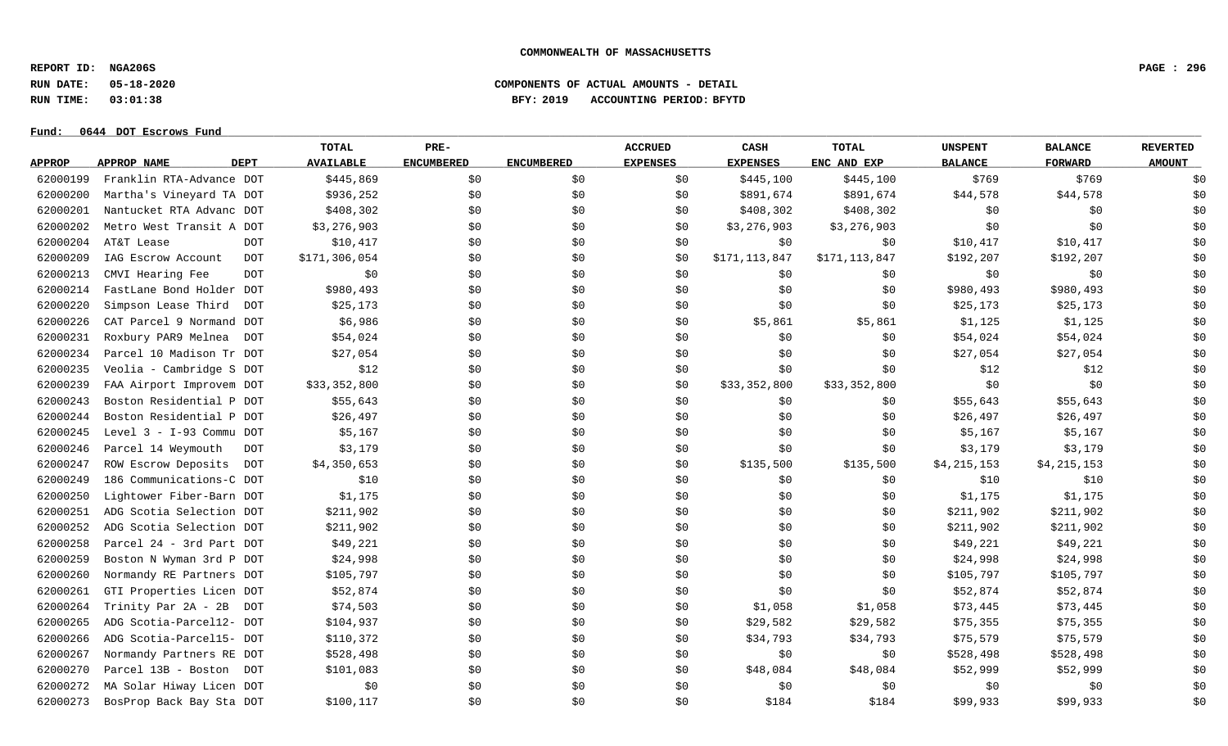**REPORT ID: NGA206S PAGE : 296**

**RUN DATE: 05-18-2020 COMPONENTS OF ACTUAL AMOUNTS - DETAIL**

**RUN TIME: 03:01:38 BFY: 2019 ACCOUNTING PERIOD: BFYTD**

|               |                          |             | <b>TOTAL</b>     | PRE-              |                   | <b>ACCRUED</b>  | CASH            | <b>TOTAL</b>  | <b>UNSPENT</b> | <b>BALANCE</b> | <b>REVERTED</b> |
|---------------|--------------------------|-------------|------------------|-------------------|-------------------|-----------------|-----------------|---------------|----------------|----------------|-----------------|
| <b>APPROP</b> | APPROP NAME              | <b>DEPT</b> | <b>AVAILABLE</b> | <b>ENCUMBERED</b> | <b>ENCUMBERED</b> | <b>EXPENSES</b> | <b>EXPENSES</b> | ENC AND EXP   | <b>BALANCE</b> | <b>FORWARD</b> | <b>AMOUNT</b>   |
| 62000199      | Franklin RTA-Advance DOT |             | \$445,869        | \$0               | \$0\$             | \$0             | \$445,100       | \$445,100     | \$769          | \$769          | \$0             |
| 62000200      | Martha's Vineyard TA DOT |             | \$936,252        | \$0               | \$0               | \$0             | \$891,674       | \$891,674     | \$44,578       | \$44,578       | \$0             |
| 62000201      | Nantucket RTA Advanc DOT |             | \$408,302        | \$0               | \$0               | \$0             | \$408,302       | \$408,302     | \$0            | \$0            | \$0             |
| 62000202      | Metro West Transit A DOT |             | \$3,276,903      | \$0               | \$0               | \$0             | \$3,276,903     | \$3,276,903   | \$0            | \$0            | \$0             |
| 62000204      | AT&T Lease               | <b>DOT</b>  | \$10,417         | \$0               | \$0               | \$0             | \$0             | \$0           | \$10,417       | \$10,417       | \$0             |
| 62000209      | IAG Escrow Account       | <b>DOT</b>  | \$171,306,054    | \$0               | \$0\$             | \$0             | \$171,113,847   | \$171,113,847 | \$192,207      | \$192,207      | \$0             |
| 62000213      | CMVI Hearing Fee         | <b>DOT</b>  | \$0              | \$0               | \$0               | \$0             | \$0             | \$0           | \$0            | \$0            | \$0             |
| 62000214      | FastLane Bond Holder DOT |             | \$980,493        | \$0               | \$0               | \$0             | \$0             | \$0           | \$980,493      | \$980,493      | \$0             |
| 62000220      | Simpson Lease Third      | <b>DOT</b>  | \$25,173         | \$0               | \$0               | \$0             | \$0             | \$0           | \$25,173       | \$25,173       | \$0             |
| 62000226      | CAT Parcel 9 Normand DOT |             | \$6,986          | \$0               | \$0               | \$0             | \$5,861         | \$5,861       | \$1,125        | \$1,125        | \$0             |
| 62000231      | Roxbury PAR9 Melnea      | DOT         | \$54,024         | \$0               | \$0\$             | \$0             | \$0             | \$0           | \$54,024       | \$54,024       | \$0             |
| 62000234      | Parcel 10 Madison Tr DOT |             | \$27,054         | \$0               | \$0\$             | \$0             | \$0             | \$0           | \$27,054       | \$27,054       | \$0             |
| 62000235      | Veolia - Cambridge S DOT |             | \$12             | \$0               | \$0               | \$0             | \$0             | \$0           | \$12           | \$12           | \$0             |
| 62000239      | FAA Airport Improvem DOT |             | \$33,352,800     | \$0               | \$0               | \$0             | \$33,352,800    | \$33,352,800  | \$0            | \$0            | \$0             |
| 62000243      | Boston Residential P DOT |             | \$55,643         | \$0               | \$0               | \$0             | \$0             | \$0           | \$55,643       | \$55,643       | \$0             |
| 62000244      | Boston Residential P DOT |             | \$26,497         | \$0               | \$0               | \$0             | \$0             | \$0           | \$26,497       | \$26,497       | \$0             |
| 62000245      | Level 3 - I-93 Commu DOT |             | \$5,167          | \$0               | \$0               | \$0             | \$0             | \$0           | \$5,167        | \$5,167        | \$0             |
| 62000246      | Parcel 14 Weymouth       | DOT         | \$3,179          | \$0               | \$0               | \$0             | \$0             | \$0           | \$3,179        | \$3,179        | \$0             |
| 62000247      | ROW Escrow Deposits      | DOT         | \$4,350,653      | \$0               | \$0               | \$0             | \$135,500       | \$135,500     | \$4,215,153    | \$4,215,153    | \$0             |
| 62000249      | 186 Communications-C DOT |             | \$10             | \$0               | \$0               | \$0             | \$0             | \$0           | \$10           | \$10           | \$0             |
| 62000250      | Lightower Fiber-Barn DOT |             | \$1,175          | \$0               | \$0               | \$0             | \$0             | \$0           | \$1,175        | \$1,175        | \$0             |
| 62000251      | ADG Scotia Selection DOT |             | \$211,902        | \$0               | \$0               | \$0             | \$0             | \$0           | \$211,902      | \$211,902      | \$0             |
| 62000252      | ADG Scotia Selection DOT |             | \$211,902        | \$0               | \$0\$             | \$0             | \$0             | \$0           | \$211,902      | \$211,902      | \$0             |
| 62000258      | Parcel 24 - 3rd Part DOT |             | \$49,221         | \$0               | \$0               | \$0             | \$0             | \$0           | \$49,221       | \$49,221       | \$0             |
| 62000259      | Boston N Wyman 3rd P DOT |             | \$24,998         | \$0               | \$0\$             | \$0             | \$0             | \$0           | \$24,998       | \$24,998       | \$0             |
| 62000260      | Normandy RE Partners DOT |             | \$105,797        | \$0               | \$0               | \$0             | \$0             | \$0           | \$105,797      | \$105,797      | \$0             |
| 62000261      | GTI Properties Licen DOT |             | \$52,874         | \$0               | \$0               | \$0             | \$0             | \$0\$         | \$52,874       | \$52,874       | \$0             |
| 62000264      | Trinity Par 2A - 2B      | DOT         | \$74,503         | \$0               | \$0               | \$0             | \$1,058         | \$1,058       | \$73,445       | \$73,445       | \$0             |
| 62000265      | ADG Scotia-Parcel12- DOT |             | \$104,937        | \$0               | \$0               | \$0             | \$29,582        | \$29,582      | \$75,355       | \$75,355       | \$0             |
| 62000266      | ADG Scotia-Parcel15- DOT |             | \$110,372        | \$0               | \$0               | \$0             | \$34,793        | \$34,793      | \$75,579       | \$75,579       | \$0             |
| 62000267      | Normandy Partners RE DOT |             | \$528,498        | \$0               | \$0               | \$0             | \$0             | \$0           | \$528,498      | \$528,498      | \$0             |
| 62000270      | Parcel 13B - Boston DOT  |             | \$101,083        | \$0               | \$0               | \$0             | \$48,084        | \$48,084      | \$52,999       | \$52,999       | \$0             |
| 62000272      | MA Solar Hiway Licen DOT |             | \$0              | \$0               | \$0               | \$0             | \$0             | \$0\$         | \$0            | \$0            | \$0             |
| 62000273      | BosProp Back Bay Sta DOT |             | \$100,117        | \$0               | \$0               | \$0             | \$184           | \$184         | \$99,933       | \$99,933       | \$0             |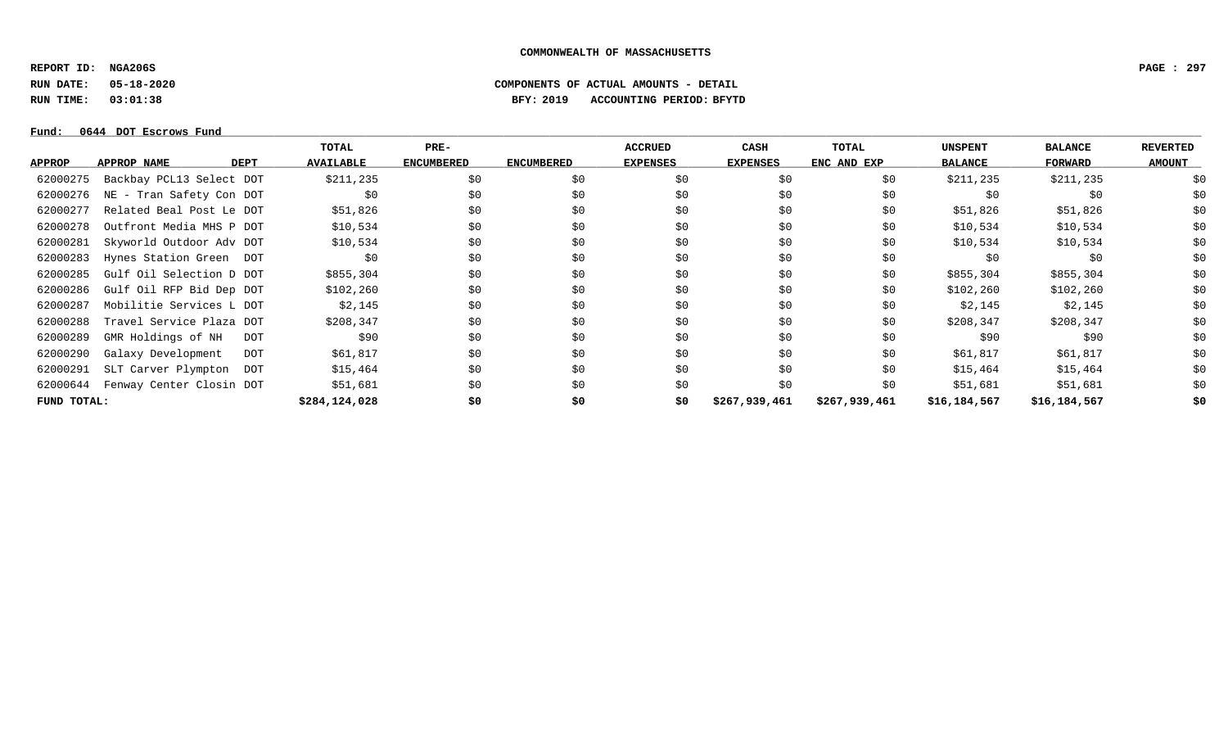**REPORT ID: NGA206S PAGE : 297**

**RUN DATE: 05-18-2020 COMPONENTS OF ACTUAL AMOUNTS - DETAIL**

**RUN TIME: 03:01:38 BFY: 2019 ACCOUNTING PERIOD: BFYTD**

|               |                                  | TOTAL            | PRE-              |                   | <b>ACCRUED</b>  | CASH            | TOTAL         | <b>UNSPENT</b> | <b>BALANCE</b> | <b>REVERTED</b> |
|---------------|----------------------------------|------------------|-------------------|-------------------|-----------------|-----------------|---------------|----------------|----------------|-----------------|
| <b>APPROP</b> | DEPT<br>APPROP NAME              | <b>AVAILABLE</b> | <b>ENCUMBERED</b> | <b>ENCUMBERED</b> | <b>EXPENSES</b> | <b>EXPENSES</b> | ENC AND EXP   | <b>BALANCE</b> | FORWARD        | <b>AMOUNT</b>   |
| 62000275      | Backbay PCL13 Select DOT         | \$211,235        | \$0               | \$0               | \$0             | \$0             | \$0           | \$211,235      | \$211,235      | \$0             |
| 62000276      | NE - Tran Safety Con DOT         | \$0              | \$0               | \$0               | \$0             | \$0             | \$0           | \$0            | \$0            | \$0\$           |
| 62000277      | Related Beal Post Le DOT         | \$51,826         | \$0               | \$0               | \$0             | \$0\$           | \$0           | \$51,826       | \$51,826       | \$0\$           |
| 62000278      | Outfront Media MHS P DOT         | \$10,534         | \$0\$             | \$0               | \$0             | \$0             | \$0           | \$10,534       | \$10,534       | \$0             |
| 62000281      | Skyworld Outdoor Adv DOT         | \$10,534         | \$0               | \$0               | \$0             | \$0             | \$0           | \$10,534       | \$10,534       | \$0             |
| 62000283      | Hynes Station Green DOT          | \$0              | \$0               | \$0               | \$0             | \$0\$           | \$0           | \$0            | \$0            | \$0             |
| 62000285      | Gulf Oil Selection D DOT         | \$855,304        | \$0               | \$0               | \$0             | \$0\$           | \$0           | \$855,304      | \$855,304      | \$0             |
| 62000286      | Gulf Oil RFP Bid Dep DOT         | \$102,260        | \$0               | \$0               | \$0             | \$0\$           | \$0           | \$102,260      | \$102,260      | \$0             |
| 62000287      | Mobilitie Services L DOT         | \$2,145          | \$0               | \$0               | \$0             | \$0             | \$0           | \$2,145        | \$2,145        | \$0             |
| 62000288      | Travel Service Plaza DOT         | \$208,347        | \$0               | \$0               | \$0             | \$0             | \$0           | \$208,347      | \$208,347      | \$0             |
| 62000289      | GMR Holdings of NH<br>DOT        | \$90             | \$0               | \$0               | \$0             | \$0             | \$0           | \$90           | \$90           | \$0             |
| 62000290      | Galaxy Development<br><b>DOT</b> | \$61,817         | \$0               | \$0               | \$0             | \$0             | \$0           | \$61,817       | \$61,817       | \$0             |
| 62000291      | SLT Carver Plympton<br>DOT       | \$15,464         | \$0               | \$0               | \$0             | \$0             | \$0           | \$15,464       | \$15,464       | \$0             |
| 62000644      | Fenway Center Closin DOT         | \$51,681         | \$0               | \$0               | \$0             | \$0             | \$0           | \$51,681       | \$51,681       | \$0             |
| FUND TOTAL:   |                                  | \$284,124,028    | \$0               | \$0               | \$0             | \$267,939,461   | \$267,939,461 | \$16,184,567   | \$16,184,567   | \$0             |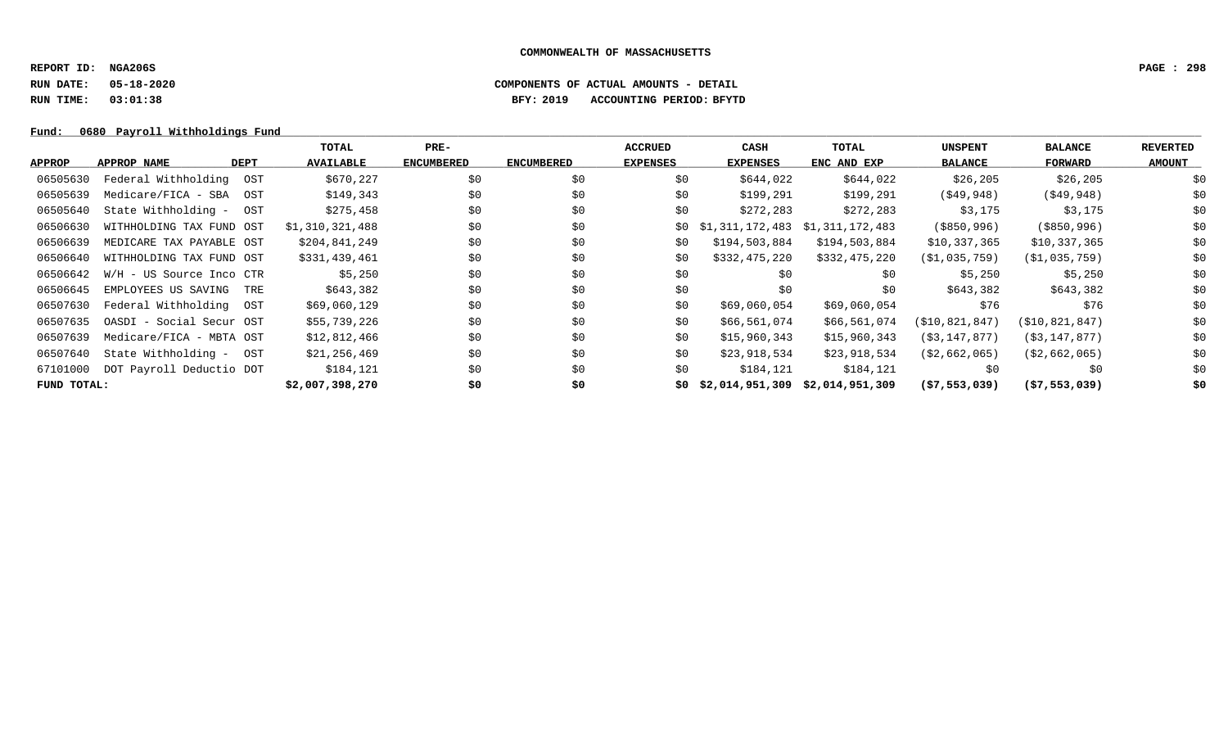**REPORT ID: NGA206S PAGE : 298**

**RUN DATE: 05-18-2020 COMPONENTS OF ACTUAL AMOUNTS - DETAIL**

**RUN TIME: 03:01:38 BFY: 2019 ACCOUNTING PERIOD: BFYTD**

### Fund: 0680 Payroll Withholdings Fund

|               |                            |     | TOTAL            | $PRE-$            |                   | <b>ACCRUED</b>  | CASH                            | TOTAL         | <b>UNSPENT</b>   | <b>BALANCE</b>    | <b>REVERTED</b> |
|---------------|----------------------------|-----|------------------|-------------------|-------------------|-----------------|---------------------------------|---------------|------------------|-------------------|-----------------|
| <b>APPROP</b> | <b>DEPT</b><br>APPROP NAME |     | <b>AVAILABLE</b> | <b>ENCUMBERED</b> | <b>ENCUMBERED</b> | <b>EXPENSES</b> | <b>EXPENSES</b>                 | ENC AND EXP   | <b>BALANCE</b>   | <b>FORWARD</b>    | <b>AMOUNT</b>   |
| 06505630      | Federal Withholding        | OST | \$670,227        | \$0               | \$0               | \$0             | \$644,022                       | \$644,022     | \$26,205         | \$26,205          | \$0             |
| 06505639      | Medicare/FICA - SBA        | OST | \$149,343        | \$0               | \$0               | \$0             | \$199,291                       | \$199,291     | ( \$49, 948)     | $($ \$49,948)     | \$0             |
| 06505640      | State Withholding -        | OST | \$275,458        | \$0               | \$0               | \$0             | \$272,283                       | \$272,283     | \$3,175          | \$3,175           | \$0             |
| 06506630      | WITHHOLDING TAX FUND OST   |     | \$1,310,321,488  | \$0               | \$0               | \$0             | \$1,311,172,483 \$1,311,172,483 |               | $($ \$850,996)   | ( \$850, 996)     | \$0             |
| 06506639      | MEDICARE TAX PAYABLE OST   |     | \$204,841,249    | \$0               | \$0               | \$0             | \$194,503,884                   | \$194,503,884 | \$10,337,365     | \$10,337,365      | \$0             |
| 06506640      | WITHHOLDING TAX FUND OST   |     | \$331,439,461    | \$0               | \$0               | \$0             | \$332,475,220                   | \$332,475,220 | (S1, 035, 759)   | (S1, 035, 759)    | \$0\$           |
| 06506642      | W/H - US Source Inco CTR   |     | \$5,250          | \$0               | \$0               | \$0             | \$0                             | \$0           | \$5,250          | \$5,250           | \$0             |
| 06506645      | EMPLOYEES US SAVING        | TRE | \$643,382        | \$0               | \$0               | \$0             | \$0                             | \$0           | \$643,382        | \$643,382         | \$0             |
| 06507630      | Federal Withholding        | OST | \$69,060,129     | \$0               | \$0               | \$0             | \$69,060,054                    | \$69,060,054  | \$76             | \$76              | \$0\$           |
| 06507635      | OASDI - Social Secur OST   |     | \$55,739,226     | \$0               | \$0               | \$0             | \$66,561,074                    | \$66,561,074  | (\$10,821,847)   | ( \$10, 821, 847) | \$0             |
| 06507639      | Medicare/FICA - MBTA OST   |     | \$12,812,466     | \$0               | \$0               | \$0             | \$15,960,343                    | \$15,960,343  | (S3, 147, 877)   | (\$3,147,877)     | \$0             |
| 06507640      | State Withholding - OST    |     | \$21,256,469     | \$0               | \$0               | \$0             | \$23,918,534                    | \$23,918,534  | ( \$2, 662, 065) | (S2, 662, 065)    | \$0             |
| 67101000      | DOT Payroll Deductio DOT   |     | \$184,121        | \$0               | \$0               | \$0             | \$184,121                       | \$184,121     | \$0              | \$0               | \$0             |
| FUND TOTAL:   |                            |     | \$2,007,398,270  | \$0               | \$0               | 50.             | \$2,014,951,309 \$2,014,951,309 |               | ( \$7,553,039)   | (57, 553, 039)    | \$0             |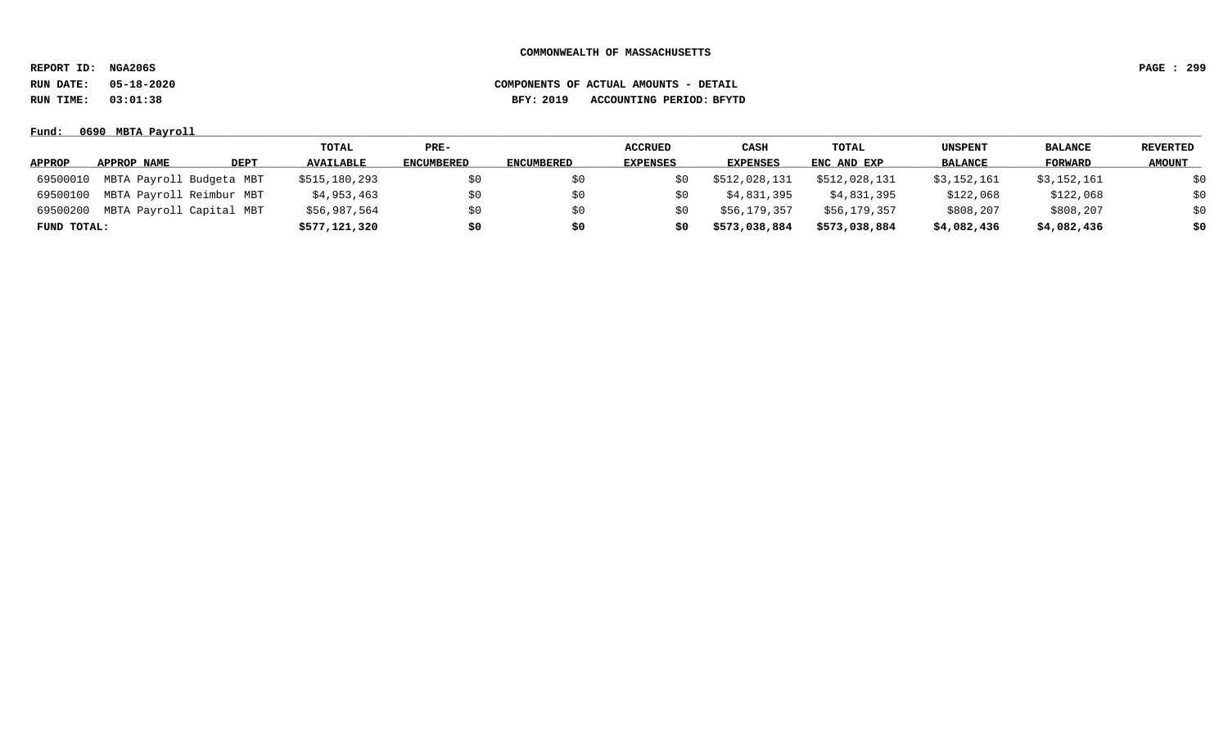**REPORT ID: NGA206S PAGE : 299**

**RUN DATE: 05-18-2020 COMPONENTS OF ACTUAL AMOUNTS - DETAIL**

**RUN TIME: 03:01:38 BFY: 2019 ACCOUNTING PERIOD: BFYTD**

|               |                          |      | TOTAL            | $PRE-$            |            | <b>ACCRUED</b>  | <b>CASH</b>     | TOTAL         | UNSPENT        | <b>BALANCE</b> | <b>REVERTED</b> |
|---------------|--------------------------|------|------------------|-------------------|------------|-----------------|-----------------|---------------|----------------|----------------|-----------------|
| <b>APPROP</b> | APPROP NAME              | DEPT | <b>AVAILABLE</b> | <b>ENCUMBERED</b> | ENCUMBERED | <b>EXPENSES</b> | <b>EXPENSES</b> | ENC AND EXP   | <b>BALANCE</b> | FORWARD        | <b>AMOUNT</b>   |
| 69500010      | MBTA Payroll Budgeta MBT |      | \$515,180,293    | \$0               | \$0        |                 | \$512,028,131   | \$512,028,131 | \$3,152,161    | \$3,152,161    | \$0             |
| 69500100      | MBTA Payroll Reimbur MBT |      | \$4,953,463      | \$0               | \$0        | S0              | \$4,831,395     | \$4,831,395   | \$122,068      | \$122,068      | \$0             |
| 69500200      | MBTA Payroll Capital MBT |      | \$56,987,564     | \$0               | \$0        |                 | \$56,179,357    | \$56,179,357  | \$808,207      | \$808,207      | \$0             |
| FUND TOTAL:   |                          |      | \$577,121,320    | \$0               | \$0        | \$0             | \$573,038,884   | \$573,038,884 | \$4,082,436    | \$4,082,436    | \$0             |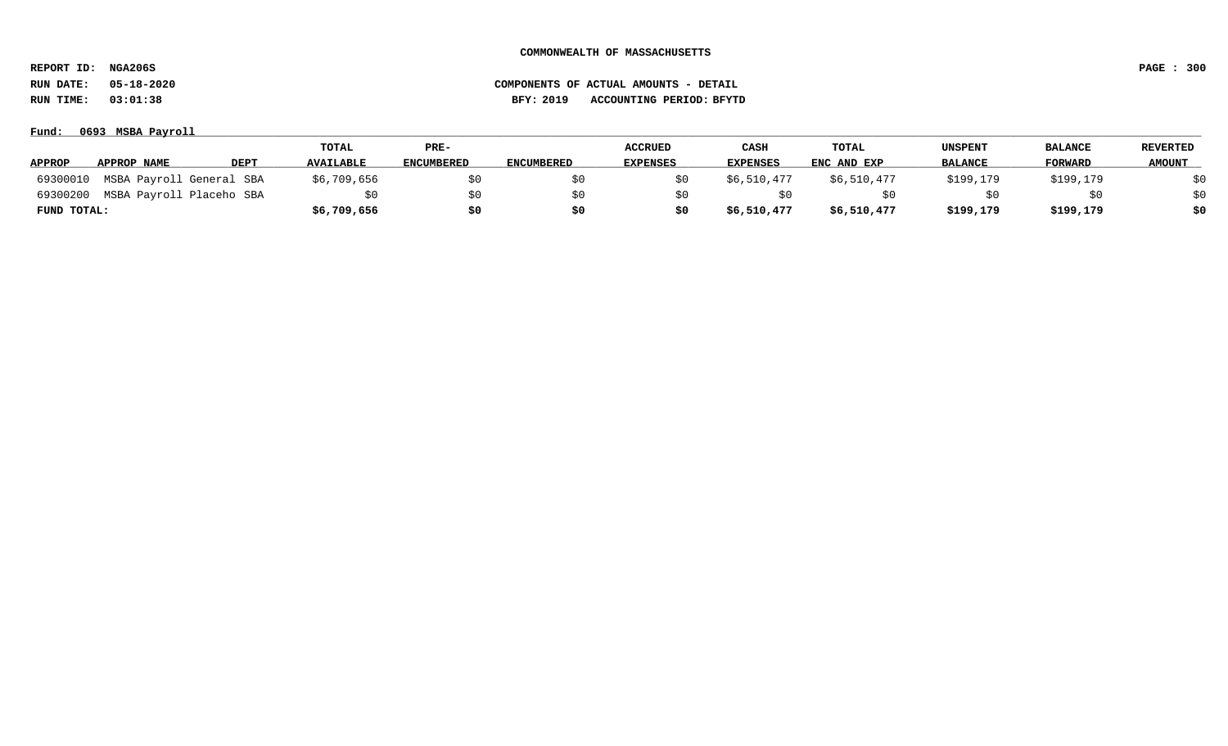**REPORT ID: NGA206S PAGE : 300**

| Fund:         | 0693 MSBA Payroll        |      |                  |            |                   |                 |                 |             |                |                |                 |  |  |
|---------------|--------------------------|------|------------------|------------|-------------------|-----------------|-----------------|-------------|----------------|----------------|-----------------|--|--|
|               |                          |      | TOTAL            | PRE-       |                   | <b>ACCRUED</b>  | CASH            | TOTAL       | UNSPENT        | <b>BALANCE</b> | <b>REVERTED</b> |  |  |
| <b>APPROP</b> | APPROP NAME              | DEPT | <b>AVAILABLE</b> | ENCUMBERED | <b>ENCUMBERED</b> | <b>EXPENSES</b> | <b>EXPENSES</b> | ENC AND EXP | <b>BALANCE</b> | <b>FORWARD</b> | <b>AMOUNT</b>   |  |  |
| 69300010      | MSBA Payroll General SBA |      | \$6,709,656      | \$0        |                   |                 | \$6,510,477     | \$6,510,477 | \$199,179      | \$199,179      | \$0             |  |  |
| 69300200      | MSBA Payroll Placeho SBA |      | SO.              | \$0        |                   |                 | S0              |             |                | \$0            | \$0             |  |  |
| FUND TOTAL:   |                          |      | \$6,709,656      | \$0        |                   |                 | \$6,510,477     | \$6,510,477 | \$199,179      | \$199,179      | \$0             |  |  |

# **RUN DATE: 05-18-2020 COMPONENTS OF ACTUAL AMOUNTS - DETAIL RUN TIME: 03:01:38 BFY: 2019 ACCOUNTING PERIOD: BFYTD**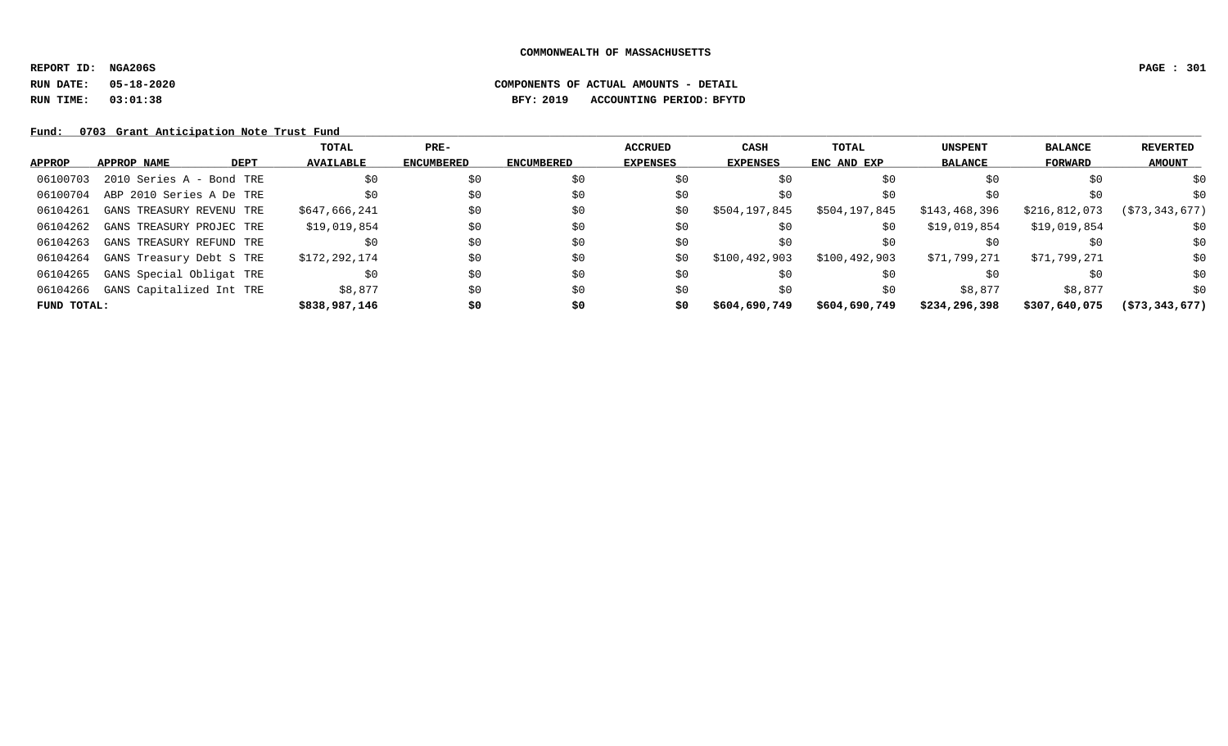**REPORT ID: NGA206S PAGE : 301**

# **RUN DATE: 05-18-2020 COMPONENTS OF ACTUAL AMOUNTS - DETAIL RUN TIME: 03:01:38 BFY: 2019 ACCOUNTING PERIOD: BFYTD**

Fund: 0703 Grant Anticipation Note Trust Fund

|               |                          |             | TOTAL            | $PRE-$            |                   | <b>ACCRUED</b>  | <b>CASH</b>     | TOTAL         | <b>UNSPENT</b> | <b>BALANCE</b> | REVERTED          |
|---------------|--------------------------|-------------|------------------|-------------------|-------------------|-----------------|-----------------|---------------|----------------|----------------|-------------------|
| <b>APPROP</b> | <b>APPROP NAME</b>       | <b>DEPT</b> | <b>AVAILABLE</b> | <b>ENCUMBERED</b> | <b>ENCUMBERED</b> | <b>EXPENSES</b> | <b>EXPENSES</b> | ENC AND EXP   | <b>BALANCE</b> | FORWARD        | <b>AMOUNT</b>     |
| 06100703      | 2010 Series A - Bond TRE |             | \$0              | \$0               | \$0               | \$0             | \$0             | \$0           | \$0            | \$0            | \$0               |
| 06100704      | ABP 2010 Series A De TRE |             |                  | \$0               | \$0               | \$0             | \$0             | \$0           | \$0            | \$0            | \$0               |
| 06104261      | GANS TREASURY REVENU TRE |             | \$647,666,241    | \$0               | \$0               | \$0             | \$504,197,845   | \$504,197,845 | \$143,468,396  | \$216,812,073  | ( \$73, 343, 677) |
| 06104262      | GANS TREASURY PROJEC TRE |             | \$19,019,854     | \$0               | \$0               | \$0             | \$0             | \$0           | \$19,019,854   | \$19,019,854   | \$0               |
| 06104263      | GANS TREASURY REFUND TRE |             |                  | \$0               | \$0               | \$0             | \$0             | \$0           | SO.            | SO.            | \$0               |
| 06104264      | GANS Treasury Debt S TRE |             | \$172,292,174    | \$0               | \$0               | \$0             | \$100,492,903   | \$100,492,903 | \$71,799,271   | \$71,799,271   | \$0               |
| 06104265      | GANS Special Obligat TRE |             | S0               | \$0               | \$0               | \$0             | \$0             | \$0           | SO.            | SO.            | \$0               |
| 06104266      | GANS Capitalized Int TRE |             | \$8,877          | \$0               | \$0               | S0              | \$0             | \$0           | \$8,877        | \$8,877        | \$0               |
| FUND TOTAL:   |                          |             | \$838,987,146    | \$0               | \$0               | \$0             | \$604,690,749   | \$604,690,749 | \$234,296,398  | \$307,640,075  | (573, 343, 677)   |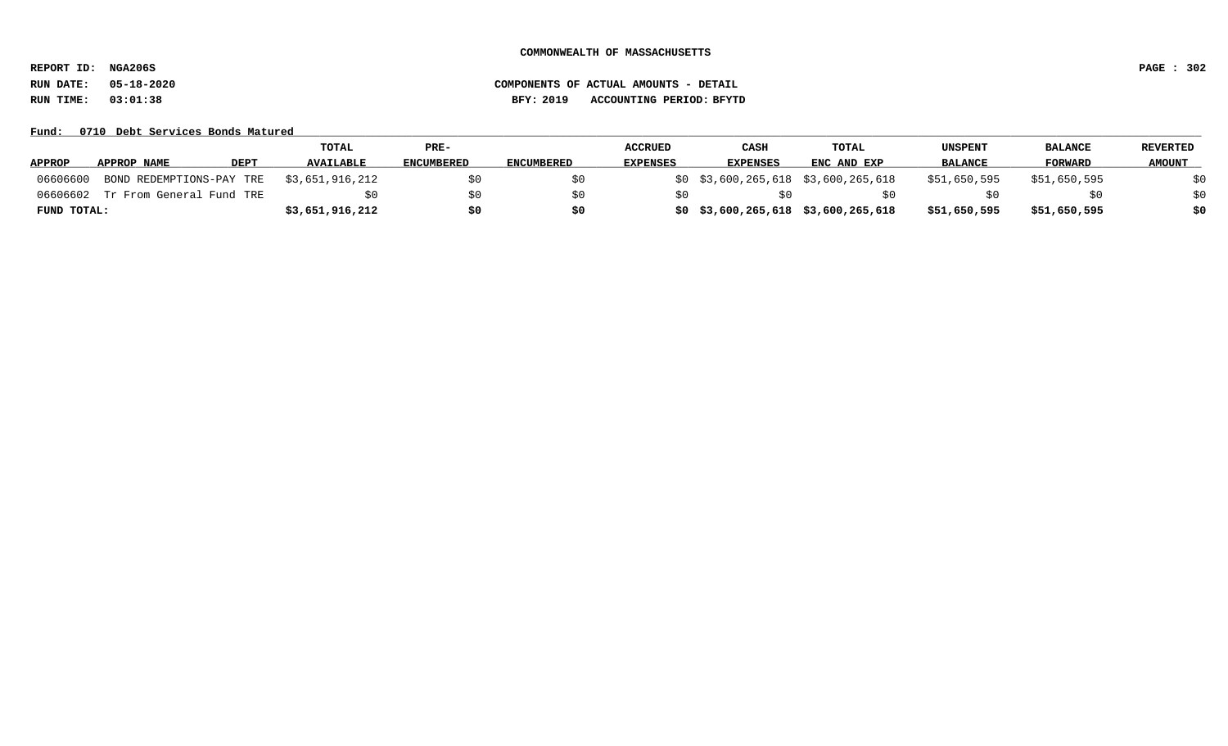**REPORT ID: NGA206S PAGE : 302**

### Fund: 0710 Debt Services Bonds Matured

|               |                                   | TOTAL            | $PRE-$            |                   | <b>ACCRUED</b>  | <b>CASH</b>                         | TOTAL       | UNSPENT        | <b>BALANCE</b> | REVERTED      |
|---------------|-----------------------------------|------------------|-------------------|-------------------|-----------------|-------------------------------------|-------------|----------------|----------------|---------------|
| <b>APPROP</b> | <b>DEPT</b><br>APPROP NAME        | <b>AVAILABLE</b> | <b>ENCUMBERED</b> | <b>ENCUMBERED</b> | <b>EXPENSES</b> | <b>EXPENSES</b>                     | ENC AND EXP | <b>BALANCE</b> | FORWARD        | <b>AMOUNT</b> |
| 06606600      | BOND REDEMPTIONS-PAY TRE          | \$3,651,916,212  |                   |                   |                 | \$0 \$3,600,265,618 \$3,600,265,618 |             | \$51,650,595   | \$51,650,595   |               |
|               | 06606602 Tr From General Fund TRE |                  |                   |                   |                 |                                     |             |                |                |               |
| FUND TOTAL:   |                                   | \$3,651,916,212  |                   |                   |                 | \$0 \$3,600,265,618 \$3,600,265,618 |             | \$51,650,595   | \$51,650,595   | \$0           |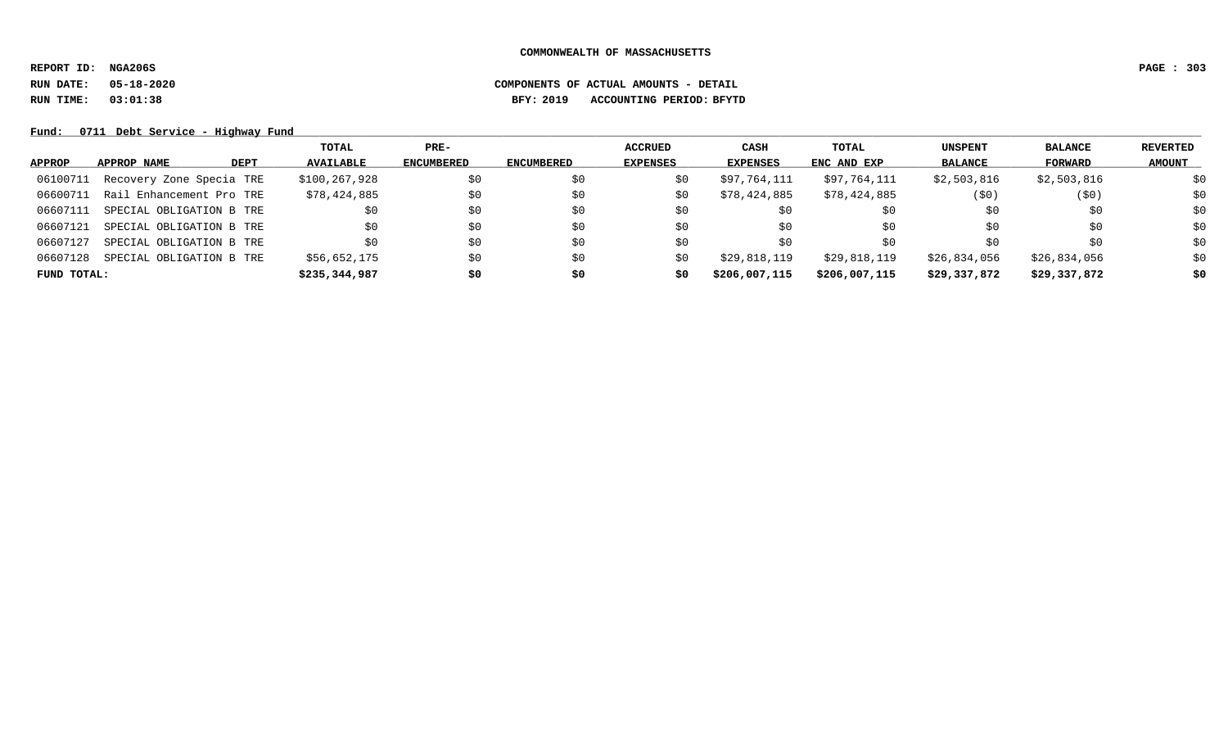**REPORT ID: NGA206S PAGE : 303**

# **RUN DATE: 05-18-2020 COMPONENTS OF ACTUAL AMOUNTS - DETAIL RUN TIME: 03:01:38 BFY: 2019 ACCOUNTING PERIOD: BFYTD**

Fund: 0711 Debt Service - Highway Fund

|               |                          |             | TOTAL            | $PRE-$            |                   | <b>ACCRUED</b>  | CASH          | TOTAL         | <b>UNSPENT</b> | <b>BALANCE</b> | REVERTED      |
|---------------|--------------------------|-------------|------------------|-------------------|-------------------|-----------------|---------------|---------------|----------------|----------------|---------------|
| <b>APPROP</b> | APPROP NAME              | <b>DEPT</b> | <b>AVAILABLE</b> | <b>ENCUMBERED</b> | <b>ENCUMBERED</b> | <b>EXPENSES</b> | EXPENSES      | ENC AND EXP   | <b>BALANCE</b> | FORWARD        | <b>AMOUNT</b> |
| 06100711      | Recovery Zone Specia TRE |             | \$100,267,928    | \$0               | SO.               | S0              | \$97,764,111  | \$97,764,111  | \$2,503,816    | \$2,503,816    | \$0           |
| 06600711      | Rail Enhancement Pro TRE |             | \$78,424,885     | \$0               | \$0               | S0              | \$78,424,885  | \$78,424,885  | (50)           | (50)           | \$0           |
| 06607111      | SPECIAL OBLIGATION B TRE |             |                  | \$0               | \$0               | S0              | \$0           | \$0           | \$0            | \$0            | \$0           |
| 06607121      | SPECIAL OBLIGATION B TRE |             | \$0              | \$0               | \$0               | \$0             | \$0           | \$0           | \$0            | \$0            | \$0           |
| 06607127      | SPECIAL OBLIGATION B TRE |             |                  | \$0               | \$0               | \$0             | \$0           | S0            | S0             | \$0            | \$0           |
| 06607128      | SPECIAL OBLIGATION B TRE |             | \$56,652,175     | \$0               | \$0               | S0              | \$29,818,119  | \$29,818,119  | \$26,834,056   | \$26,834,056   | \$0           |
| FUND TOTAL:   |                          |             | \$235,344,987    | \$0               | \$0               | \$0             | \$206,007,115 | \$206,007,115 | \$29,337,872   | \$29,337,872   | \$0           |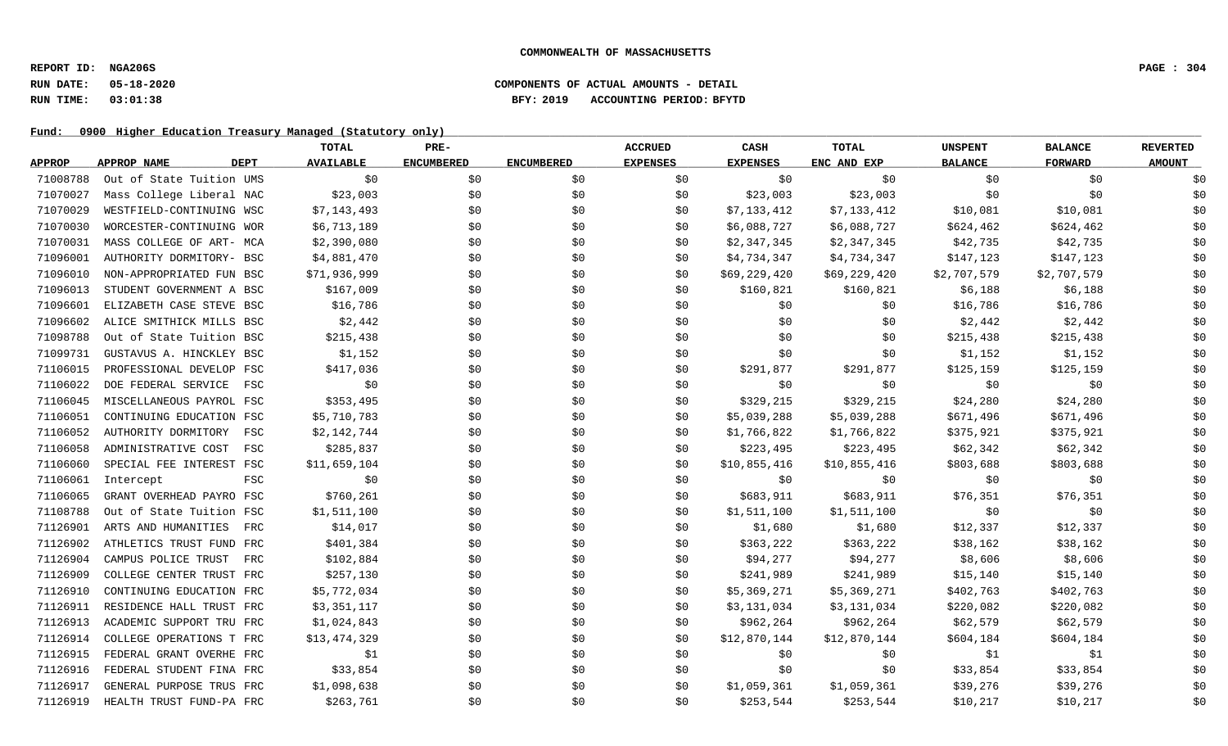### **RUN DATE: 05-18-2020 COMPONENTS OF ACTUAL AMOUNTS - DETAIL RUN TIME: 03:01:38 BFY: 2019 ACCOUNTING PERIOD: BFYTD**

|               |                            | <b>TOTAL</b>     | PRE-              |                   | <b>ACCRUED</b>  | CASH            | TOTAL        | <b>UNSPENT</b> | <b>BALANCE</b> | <b>REVERTED</b> |
|---------------|----------------------------|------------------|-------------------|-------------------|-----------------|-----------------|--------------|----------------|----------------|-----------------|
| <b>APPROP</b> | APPROP NAME<br><b>DEPT</b> | <b>AVAILABLE</b> | <b>ENCUMBERED</b> | <b>ENCUMBERED</b> | <b>EXPENSES</b> | <b>EXPENSES</b> | ENC AND EXP  | <b>BALANCE</b> | <b>FORWARD</b> | <b>AMOUNT</b>   |
| 71008788      | Out of State Tuition UMS   | \$0              | \$0               | \$0               | \$0             | \$0             | \$0          | \$0            | \$0            | \$0             |
| 71070027      | Mass College Liberal NAC   | \$23,003         | \$0\$             | \$0               | \$0             | \$23,003        | \$23,003     | \$0            | \$0            | \$0             |
| 71070029      | WESTFIELD-CONTINUING WSC   | \$7,143,493      | \$0               | \$0               | \$0             | \$7,133,412     | \$7,133,412  | \$10,081       | \$10,081       | \$0             |
| 71070030      | WORCESTER-CONTINUING WOR   | \$6,713,189      | \$0               | \$0               | \$0             | \$6,088,727     | \$6,088,727  | \$624,462      | \$624,462      | \$0             |
| 71070031      | MASS COLLEGE OF ART- MCA   | \$2,390,080      | \$0               | \$0               | \$0             | \$2,347,345     | \$2,347,345  | \$42,735       | \$42,735       | \$0             |
| 71096001      | AUTHORITY DORMITORY- BSC   | \$4,881,470      | \$0               | \$0               | \$0             | \$4,734,347     | \$4,734,347  | \$147,123      | \$147,123      | \$0             |
| 71096010      | NON-APPROPRIATED FUN BSC   | \$71,936,999     | \$0               | \$0               | \$0             | \$69,229,420    | \$69,229,420 | \$2,707,579    | \$2,707,579    | \$0             |
| 71096013      | STUDENT GOVERNMENT A BSC   | \$167,009        | \$0               | \$0               | \$0             | \$160,821       | \$160,821    | \$6,188        | \$6,188        | \$0             |
| 71096601      | ELIZABETH CASE STEVE BSC   | \$16,786         | \$0               | \$0               | \$0             | \$0             | \$0          | \$16,786       | \$16,786       | \$0             |
| 71096602      | ALICE SMITHICK MILLS BSC   | \$2,442          | \$0               | \$0               | \$0             | \$0             | \$0          | \$2,442        | \$2,442        | \$0             |
| 71098788      | Out of State Tuition BSC   | \$215,438        | \$0               | \$0               | \$0             | \$0             | \$0          | \$215,438      | \$215,438      | \$0             |
| 71099731      | GUSTAVUS A. HINCKLEY BSC   | \$1,152          | \$0               | \$0               | \$0             | \$0             | \$0          | \$1,152        | \$1,152        | \$0             |
| 71106015      | PROFESSIONAL DEVELOP FSC   | \$417,036        | \$0               | \$0               | \$0             | \$291,877       | \$291,877    | \$125,159      | \$125,159      | \$0             |
| 71106022      | DOE FEDERAL SERVICE<br>FSC | \$0              | \$0               | \$0               | \$0             | \$0             | \$0          | \$0            | \$0            | \$0             |
| 71106045      | MISCELLANEOUS PAYROL FSC   | \$353,495        | \$0               | \$0               | \$0             | \$329,215       | \$329,215    | \$24,280       | \$24,280       | \$0             |
| 71106051      | CONTINUING EDUCATION FSC   | \$5,710,783      | \$0               | \$0               | \$0             | \$5,039,288     | \$5,039,288  | \$671,496      | \$671,496      | \$0             |
| 71106052      | AUTHORITY DORMITORY<br>FSC | \$2,142,744      | \$0               | \$0               | \$0             | \$1,766,822     | \$1,766,822  | \$375,921      | \$375,921      | \$0             |
| 71106058      | ADMINISTRATIVE COST<br>FSC | \$285,837        | \$0               | \$0               | \$0             | \$223,495       | \$223,495    | \$62,342       | \$62,342       | \$0             |
| 71106060      | SPECIAL FEE INTEREST FSC   | \$11,659,104     | \$0               | \$0               | \$0             | \$10,855,416    | \$10,855,416 | \$803,688      | \$803,688      | \$0             |
| 71106061      | FSC<br>Intercept           | \$0              | \$0               | \$0               | \$0             | \$0             | \$0          | \$0            | \$0            | \$0             |
| 71106065      | GRANT OVERHEAD PAYRO FSC   | \$760,261        | \$0               | \$0               | \$0             | \$683,911       | \$683,911    | \$76,351       | \$76,351       | \$0             |
| 71108788      | Out of State Tuition FSC   | \$1,511,100      | \$0               | \$0               | \$0             | \$1,511,100     | \$1,511,100  | \$0            | \$0            | \$0             |
| 71126901      | ARTS AND HUMANITIES<br>FRC | \$14,017         | \$0               | \$0               | \$0             | \$1,680         | \$1,680      | \$12,337       | \$12,337       | \$0             |
| 71126902      | ATHLETICS TRUST FUND FRC   | \$401,384        | \$0               | \$0               | \$0             | \$363,222       | \$363,222    | \$38,162       | \$38,162       | \$0             |
| 71126904      | CAMPUS POLICE TRUST<br>FRC | \$102,884        | \$0               | \$0               | \$0             | \$94,277        | \$94,277     | \$8,606        | \$8,606        | \$0             |
| 71126909      | COLLEGE CENTER TRUST FRC   | \$257,130        | \$0               | \$0               | \$0             | \$241,989       | \$241,989    | \$15,140       | \$15,140       | \$0             |
| 71126910      | CONTINUING EDUCATION FRC   | \$5,772,034      | \$0               | \$0               | \$0             | \$5,369,271     | \$5,369,271  | \$402,763      | \$402,763      | \$0             |
| 71126911      | RESIDENCE HALL TRUST FRC   | \$3,351,117      | \$0               | \$0               | \$0             | \$3,131,034     | \$3,131,034  | \$220,082      | \$220,082      | \$0             |
| 71126913      | ACADEMIC SUPPORT TRU FRC   | \$1,024,843      | \$0               | \$0               | \$0             | \$962,264       | \$962,264    | \$62,579       | \$62,579       | \$0             |
| 71126914      | COLLEGE OPERATIONS T FRC   | \$13,474,329     | \$0               | \$0               | \$0             | \$12,870,144    | \$12,870,144 | \$604,184      | \$604,184      | \$0             |
| 71126915      | FEDERAL GRANT OVERHE FRC   | \$1              | \$0               | \$0               | \$0             | \$0             | \$0          | \$1            | \$1            | \$0             |
| 71126916      | FEDERAL STUDENT FINA FRC   | \$33,854         | \$0               | \$0               | \$0             | \$0             | \$0          | \$33,854       | \$33,854       | \$0             |
| 71126917      | GENERAL PURPOSE TRUS FRC   | \$1,098,638      | \$0               | \$0               | \$0             | \$1,059,361     | \$1,059,361  | \$39,276       | \$39,276       | \$0             |
| 71126919      | HEALTH TRUST FUND-PA FRC   | \$263,761        | \$0               | \$0               | \$0             | \$253,544       | \$253,544    | \$10,217       | \$10,217       | \$0             |
|               |                            |                  |                   |                   |                 |                 |              |                |                |                 |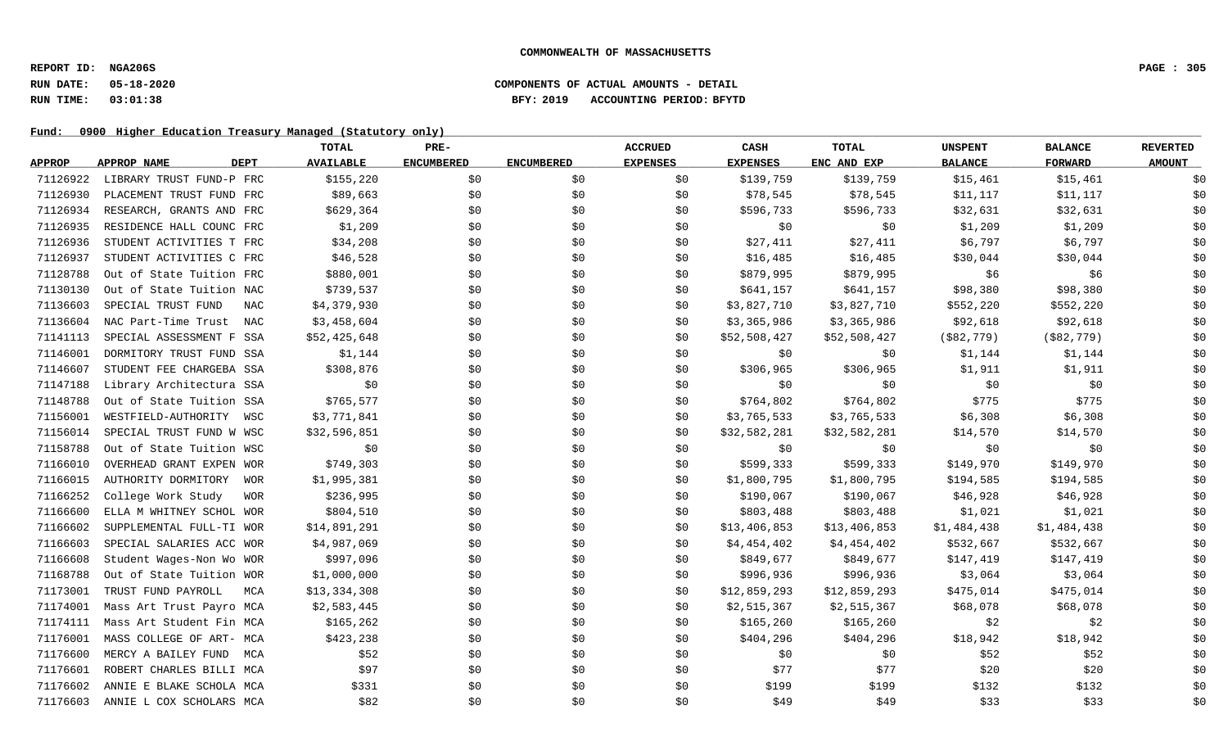# **RUN DATE: 05-18-2020 COMPONENTS OF ACTUAL AMOUNTS - DETAIL RUN TIME: 03:01:38 BFY: 2019 ACCOUNTING PERIOD: BFYTD**

|               |                                  | TOTAL            | $PRE-$            |                   | <b>ACCRUED</b>  | CASH            | <b>TOTAL</b> | <b>UNSPENT</b> | <b>BALANCE</b> | <b>REVERTED</b> |
|---------------|----------------------------------|------------------|-------------------|-------------------|-----------------|-----------------|--------------|----------------|----------------|-----------------|
| <b>APPROP</b> | APPROP NAME<br><b>DEPT</b>       | <b>AVAILABLE</b> | <b>ENCUMBERED</b> | <b>ENCUMBERED</b> | <b>EXPENSES</b> | <b>EXPENSES</b> | ENC AND EXP  | <b>BALANCE</b> | <b>FORWARD</b> | <b>AMOUNT</b>   |
| 71126922      | LIBRARY TRUST FUND-P FRC         | \$155,220        | \$0               | \$0               | \$0             | \$139,759       | \$139,759    | \$15,461       | \$15,461       | \$0             |
| 71126930      | PLACEMENT TRUST FUND FRC         | \$89,663         | \$0               | \$0               | \$0             | \$78,545        | \$78,545     | \$11,117       | \$11,117       | \$0             |
| 71126934      | RESEARCH, GRANTS AND FRC         | \$629,364        | \$0               | \$0               | \$0             | \$596,733       | \$596,733    | \$32,631       | \$32,631       | \$0             |
| 71126935      | RESIDENCE HALL COUNC FRC         | \$1,209          | \$0               | \$0               | \$0             | \$0             | \$0          | \$1,209        | \$1,209        | \$0             |
| 71126936      | STUDENT ACTIVITIES T FRC         | \$34,208         | \$0               | \$0               | \$0             | \$27,411        | \$27,411     | \$6,797        | \$6,797        | \$0             |
| 71126937      | STUDENT ACTIVITIES C FRC         | \$46,528         | \$0               | \$0               | \$0             | \$16,485        | \$16,485     | \$30,044       | \$30,044       | \$0             |
| 71128788      | Out of State Tuition FRC         | \$880,001        | \$0               | \$0               | \$0             | \$879,995       | \$879,995    | \$6            | \$6            | \$0             |
| 71130130      | Out of State Tuition NAC         | \$739,537        | \$0               | \$0               | \$0             | \$641,157       | \$641,157    | \$98,380       | \$98,380       | \$0             |
| 71136603      | SPECIAL TRUST FUND<br>NAC        | \$4,379,930      | \$0               | \$0               | \$0             | \$3,827,710     | \$3,827,710  | \$552,220      | \$552,220      | \$0             |
| 71136604      | NAC Part-Time Trust<br>NAC       | \$3,458,604      | \$0               | \$0               | \$0             | \$3,365,986     | \$3,365,986  | \$92,618       | \$92,618       | \$0             |
| 71141113      | SPECIAL ASSESSMENT F SSA         | \$52,425,648     | \$0               | \$0               | \$0             | \$52,508,427    | \$52,508,427 | ( \$82, 779)   | ( \$82, 779)   | \$0             |
| 71146001      | DORMITORY TRUST FUND SSA         | \$1,144          | \$0               | \$0               | \$0             | \$0             | \$0          | \$1,144        | \$1,144        | \$0             |
| 71146607      | STUDENT FEE CHARGEBA SSA         | \$308,876        | \$0               | \$0               | \$0             | \$306,965       | \$306,965    | \$1,911        | \$1,911        | \$0             |
| 71147188      | Library Architectura SSA         | \$0              | \$0               | \$0               | \$0             | \$0             | \$0          | \$0            | \$0            | \$0             |
| 71148788      | Out of State Tuition SSA         | \$765,577        | \$0               | \$0               | \$0             | \$764,802       | \$764,802    | \$775          | \$775          | \$0             |
| 71156001      | WESTFIELD-AUTHORITY<br>WSC       | \$3,771,841      | \$0               | \$0               | \$0             | \$3,765,533     | \$3,765,533  | \$6,308        | \$6,308        | \$0             |
| 71156014      | SPECIAL TRUST FUND W WSC         | \$32,596,851     | \$0               | \$0               | \$0             | \$32,582,281    | \$32,582,281 | \$14,570       | \$14,570       | \$0             |
| 71158788      | Out of State Tuition WSC         | \$0              | \$0               | \$0               | \$0             | \$0             | \$0          | \$0            | \$0            | \$0             |
| 71166010      | OVERHEAD GRANT EXPEN WOR         | \$749,303        | \$0               | \$0               | \$0             | \$599,333       | \$599,333    | \$149,970      | \$149,970      | \$0             |
| 71166015      | AUTHORITY DORMITORY<br>WOR       | \$1,995,381      | \$0               | \$0               | \$0             | \$1,800,795     | \$1,800,795  | \$194,585      | \$194,585      | \$0             |
| 71166252      | College Work Study<br><b>WOR</b> | \$236,995        | \$0               | \$0               | \$0             | \$190,067       | \$190,067    | \$46,928       | \$46,928       | \$0             |
| 71166600      | ELLA M WHITNEY SCHOL WOR         | \$804,510        | \$0               | \$0               | \$0             | \$803,488       | \$803,488    | \$1,021        | \$1,021        | \$0             |
| 71166602      | SUPPLEMENTAL FULL-TI WOR         | \$14,891,291     | \$0               | \$0               | \$0             | \$13,406,853    | \$13,406,853 | \$1,484,438    | \$1,484,438    | \$0             |
| 71166603      | SPECIAL SALARIES ACC WOR         | \$4,987,069      | \$0               | \$0               | \$0             | \$4,454,402     | \$4,454,402  | \$532,667      | \$532,667      | \$0             |
| 71166608      | Student Wages-Non Wo WOR         | \$997,096        | \$0               | \$0               | \$0             | \$849,677       | \$849,677    | \$147,419      | \$147,419      | \$0             |
| 71168788      | Out of State Tuition WOR         | \$1,000,000      | \$0               | \$0               | \$0             | \$996,936       | \$996,936    | \$3,064        | \$3,064        | \$0             |
| 71173001      | TRUST FUND PAYROLL<br>MCA        | \$13,334,308     | \$0               | \$0               | \$0             | \$12,859,293    | \$12,859,293 | \$475,014      | \$475,014      | \$0             |
| 71174001      | Mass Art Trust Payro MCA         | \$2,583,445      | \$0               | \$0               | \$0             | \$2,515,367     | \$2,515,367  | \$68,078       | \$68,078       | \$0             |
| 71174111      | Mass Art Student Fin MCA         | \$165,262        | \$0               | \$0               | \$0             | \$165,260       | \$165,260    | \$2            | \$2            | \$0             |
| 71176001      | MASS COLLEGE OF ART- MCA         | \$423,238        | \$0               | \$0               | \$0             | \$404,296       | \$404,296    | \$18,942       | \$18,942       | \$0             |
| 71176600      | MERCY A BAILEY FUND<br>MCA       | \$52             | \$0               | \$0               | \$0             | \$0             | \$0          | \$52           | \$52           | \$0             |
| 71176601      | ROBERT CHARLES BILLI MCA         | \$97             | \$0               | \$0               | \$0             | \$77            | \$77         | \$20           | \$20           | \$0             |
| 71176602      | ANNIE E BLAKE SCHOLA MCA         | \$331            | \$0               | \$0               | \$0             | \$199           | \$199        | \$132          | \$132          | \$0             |
| 71176603      | ANNIE L COX SCHOLARS MCA         | \$82             | \$0               | \$0               | \$0             | \$49            | \$49         | \$33           | \$33           | \$0             |
|               |                                  |                  |                   |                   |                 |                 |              |                |                |                 |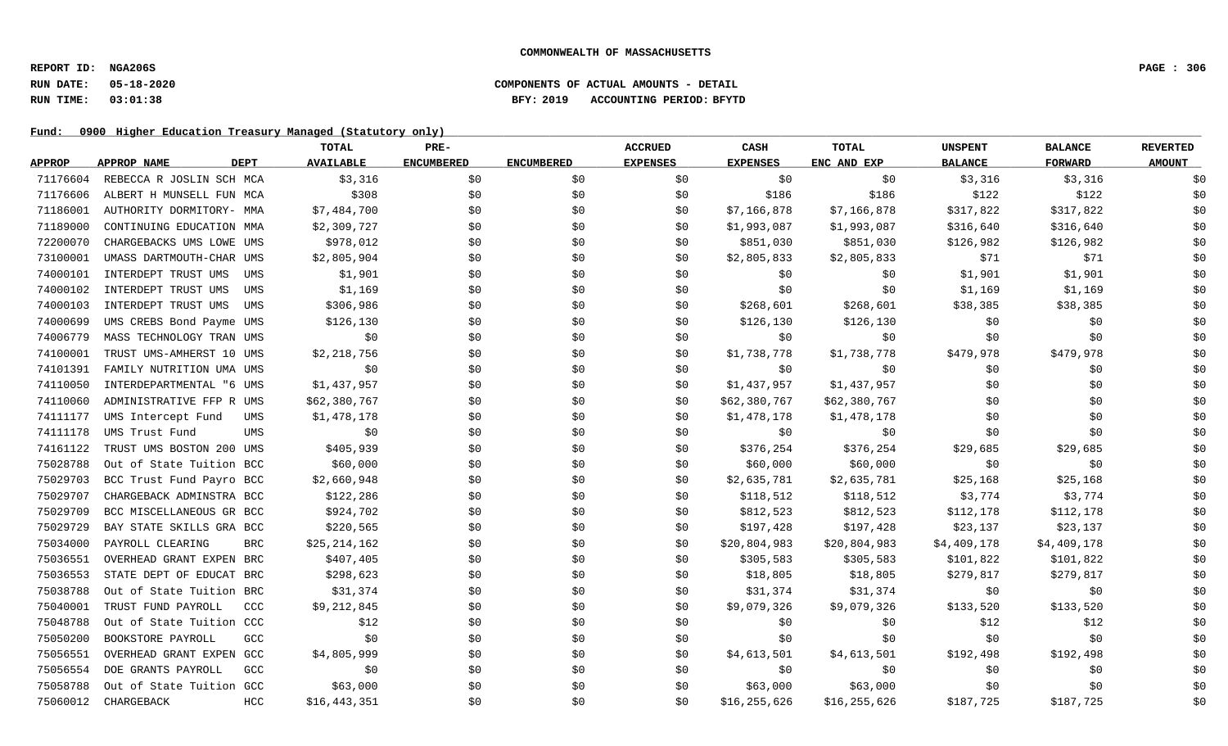### **RUN DATE: 05-18-2020 COMPONENTS OF ACTUAL AMOUNTS - DETAIL RUN TIME: 03:01:38 BFY: 2019 ACCOUNTING PERIOD: BFYTD**

|               |                            | TOTAL                      | PRE-              |                   | <b>ACCRUED</b>  | CASH            | <b>TOTAL</b> | <b>UNSPENT</b> | <b>BALANCE</b> | <b>REVERTED</b> |
|---------------|----------------------------|----------------------------|-------------------|-------------------|-----------------|-----------------|--------------|----------------|----------------|-----------------|
| <b>APPROP</b> | <b>APPROP NAME</b><br>DEPT | <b>AVAILABLE</b>           | <b>ENCUMBERED</b> | <b>ENCUMBERED</b> | <b>EXPENSES</b> | <b>EXPENSES</b> | ENC AND EXP  | <b>BALANCE</b> | <b>FORWARD</b> | <b>AMOUNT</b>   |
| 71176604      | REBECCA R JOSLIN SCH MCA   | \$3,316                    | \$0               | \$0               | \$0             | \$0             | \$0          | \$3,316        | \$3,316        | \$0             |
| 71176606      | ALBERT H MUNSELL FUN MCA   | \$308                      | \$0               | \$0               | \$0             | \$186           | \$186        | \$122          | \$122          | \$0             |
| 71186001      | AUTHORITY DORMITORY- MMA   | \$7,484,700                | \$0               | \$0               | \$0             | \$7,166,878     | \$7,166,878  | \$317,822      | \$317,822      | \$0             |
| 71189000      | CONTINUING EDUCATION MMA   | \$2,309,727                | \$0               | \$0               | \$0             | \$1,993,087     | \$1,993,087  | \$316,640      | \$316,640      | \$0             |
| 72200070      | CHARGEBACKS UMS LOWE UMS   | \$978,012                  | \$0               | \$0               | \$0             | \$851,030       | \$851,030    | \$126,982      | \$126,982      | \$0             |
| 73100001      | UMASS DARTMOUTH-CHAR UMS   | \$2,805,904                | \$0               | \$0               | \$0             | \$2,805,833     | \$2,805,833  | \$71           | \$71           | \$0             |
| 74000101      | INTERDEPT TRUST UMS        | \$1,901<br>UMS             | \$0               | \$0               | \$0             | \$0             | \$0          | \$1,901        | \$1,901        | \$0             |
| 74000102      | INTERDEPT TRUST UMS        | \$1,169<br>UMS             | \$0               | \$0               | \$0             | \$0             | \$0          | \$1,169        | \$1,169        | \$0             |
| 74000103      | INTERDEPT TRUST UMS        | \$306,986<br>UMS           | \$0               | \$0               | \$0             | \$268,601       | \$268,601    | \$38,385       | \$38,385       | \$0             |
| 74000699      | UMS CREBS Bond Payme UMS   | \$126,130                  | \$0               | \$0               | \$0             | \$126,130       | \$126,130    | \$0            | \$0            | \$0             |
| 74006779      | MASS TECHNOLOGY TRAN UMS   |                            | \$0<br>\$0        | \$0               | \$0             | \$0             | \$0          | \$0            | \$0            | \$0             |
| 74100001      | TRUST UMS-AMHERST 10 UMS   | \$2,218,756                | \$0               | \$0               | \$0             | \$1,738,778     | \$1,738,778  | \$479,978      | \$479,978      | \$0             |
| 74101391      | FAMILY NUTRITION UMA UMS   |                            | \$0<br>\$0        | \$0               | \$0             | \$0             | \$0          | \$0            | \$0            | \$0             |
| 74110050      | INTERDEPARTMENTAL "6 UMS   | \$1,437,957                | \$0               | \$0               | \$0             | \$1,437,957     | \$1,437,957  | \$0            | \$0            | \$0             |
| 74110060      | ADMINISTRATIVE FFP R UMS   | \$62,380,767               | \$0               | \$0               | \$0             | \$62,380,767    | \$62,380,767 | \$0            | \$0            | \$0             |
| 74111177      | UMS Intercept Fund         | \$1,478,178<br>UMS         | \$0               | \$0               | \$0             | \$1,478,178     | \$1,478,178  | \$0            | \$0            | \$0             |
| 74111178      | UMS Trust Fund             | <b>UMS</b>                 | \$0<br>\$0        | \$0               | \$0             | \$0             | \$0          | \$0            | \$0            | \$0             |
| 74161122      | TRUST UMS BOSTON 200 UMS   | \$405,939                  | \$0               | \$0               | \$0             | \$376,254       | \$376,254    | \$29,685       | \$29,685       | \$0             |
| 75028788      | Out of State Tuition BCC   | \$60,000                   | \$0               | \$0               | \$0             | \$60,000        | \$60,000     | \$0            | \$0            | \$0             |
| 75029703      | BCC Trust Fund Payro BCC   | \$2,660,948                | \$0               | \$0               | \$0             | \$2,635,781     | \$2,635,781  | \$25,168       | \$25,168       | \$0             |
| 75029707      | CHARGEBACK ADMINSTRA BCC   | \$122,286                  | \$0               | \$0               | \$0             | \$118,512       | \$118,512    | \$3,774        | \$3,774        | \$0             |
| 75029709      | BCC MISCELLANEOUS GR BCC   | \$924,702                  | \$0               | \$0               | \$0             | \$812,523       | \$812,523    | \$112,178      | \$112,178      | \$0             |
| 75029729      | BAY STATE SKILLS GRA BCC   | \$220,565                  | \$0               | \$0               | \$0             | \$197,428       | \$197,428    | \$23,137       | \$23,137       | \$0             |
| 75034000      | PAYROLL CLEARING           | \$25,214,162<br><b>BRC</b> | \$0               | \$0               | \$0             | \$20,804,983    | \$20,804,983 | \$4,409,178    | \$4,409,178    | \$0             |
| 75036551      | OVERHEAD GRANT EXPEN BRC   | \$407,405                  | \$0               | \$0               | \$0             | \$305,583       | \$305,583    | \$101,822      | \$101,822      | \$0             |
| 75036553      | STATE DEPT OF EDUCAT BRC   | \$298,623                  | \$0               | \$0               | \$0             | \$18,805        | \$18,805     | \$279,817      | \$279,817      | \$0             |
| 75038788      | Out of State Tuition BRC   | \$31,374                   | \$0               | \$0               | \$0             | \$31,374        | \$31,374     | \$0            | \$0            | \$0             |
| 75040001      | TRUST FUND PAYROLL         | \$9,212,845<br>CCC         | \$0               | \$0               | \$0             | \$9,079,326     | \$9,079,326  | \$133,520      | \$133,520      | \$0             |
| 75048788      | Out of State Tuition CCC   | \$12                       | \$0               | \$0               | \$0             | \$0             | \$0          | \$12           | \$12           | \$0             |
| 75050200      | BOOKSTORE PAYROLL          | GCC                        | \$0<br>\$0        | \$0               | \$0             | \$0             | \$0          | \$0            | \$0            | \$0             |
| 75056551      | OVERHEAD GRANT EXPEN GCC   | \$4,805,999                | \$0               | \$0               | SO.             | \$4,613,501     | \$4,613,501  | \$192,498      | \$192,498      | \$0             |
| 75056554      | DOE GRANTS PAYROLL         | GCC                        | \$0<br>\$0        | \$0               | \$0             | \$0             | \$0          | \$0            | \$0            | \$0             |
| 75058788      | Out of State Tuition GCC   | \$63,000                   | \$0               | \$0               | SO.             | \$63,000        | \$63,000     | \$0            | \$0            | \$0             |
| 75060012      | CHARGEBACK                 | HCC<br>\$16,443,351        | \$0               | \$0               | \$0             | \$16, 255, 626  | \$16,255,626 | \$187,725      | \$187,725      | \$0             |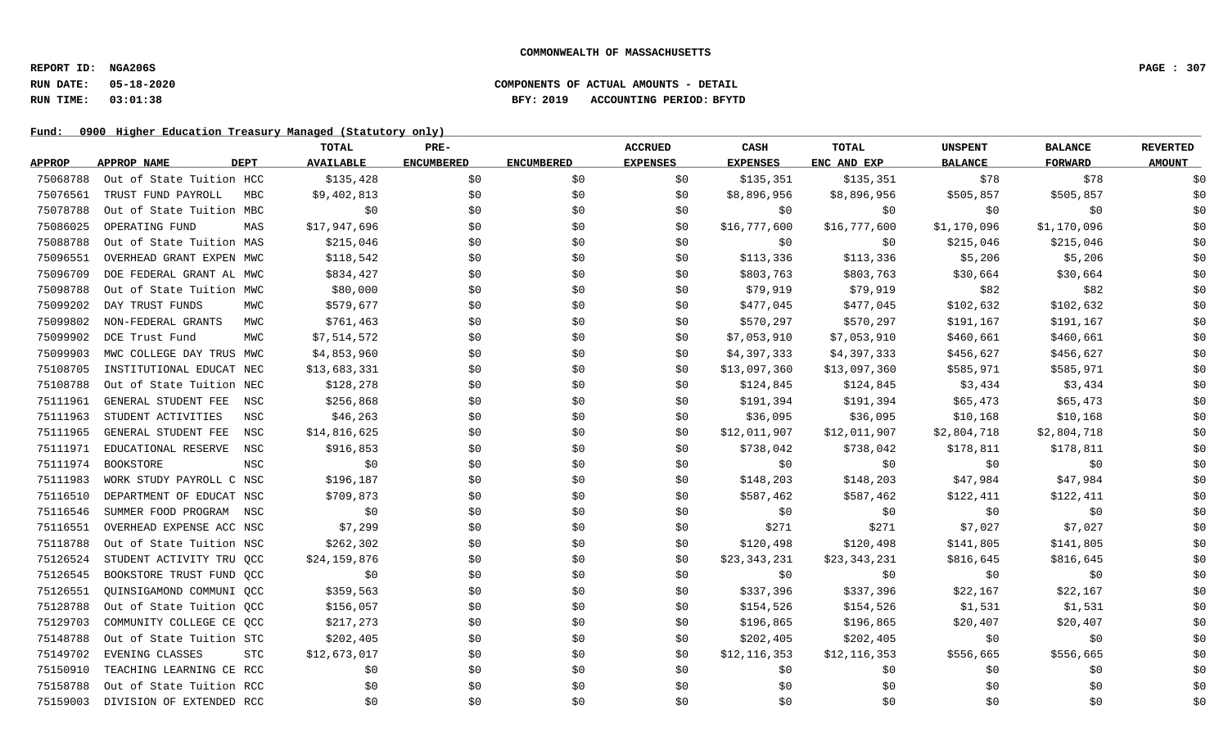### **RUN DATE: 05-18-2020 COMPONENTS OF ACTUAL AMOUNTS - DETAIL RUN TIME: 03:01:38 BFY: 2019 ACCOUNTING PERIOD: BFYTD**

|               |                          |             | <b>TOTAL</b>     | PRE-              |                   | <b>ACCRUED</b>  | CASH            | TOTAL        | <b>UNSPENT</b> | <b>BALANCE</b> | <b>REVERTED</b> |
|---------------|--------------------------|-------------|------------------|-------------------|-------------------|-----------------|-----------------|--------------|----------------|----------------|-----------------|
| <b>APPROP</b> | APPROP NAME              | <b>DEPT</b> | <b>AVAILABLE</b> | <b>ENCUMBERED</b> | <b>ENCUMBERED</b> | <b>EXPENSES</b> | <b>EXPENSES</b> | ENC AND EXP  | <b>BALANCE</b> | <b>FORWARD</b> | <b>AMOUNT</b>   |
| 75068788      | Out of State Tuition HCC |             | \$135,428        | \$0               | \$0               | \$0             | \$135,351       | \$135,351    | \$78           | \$78           | \$0             |
| 75076561      | TRUST FUND PAYROLL       | MBC         | \$9,402,813      | \$0\$             | \$0               | \$0             | \$8,896,956     | \$8,896,956  | \$505,857      | \$505,857      | \$0             |
| 75078788      | Out of State Tuition MBC |             | \$0              | \$0               | \$0               | \$0             | \$0             | \$0          | \$0            | \$0            | \$0             |
| 75086025      | OPERATING FUND           | MAS         | \$17,947,696     | \$0               | \$0               | \$0             | \$16,777,600    | \$16,777,600 | \$1,170,096    | \$1,170,096    | \$0             |
| 75088788      | Out of State Tuition MAS |             | \$215,046        | \$0               | \$0               | \$0             | \$0             | \$0          | \$215,046      | \$215,046      | \$0             |
| 75096551      | OVERHEAD GRANT EXPEN MWC |             | \$118,542        | \$0               | \$0               | \$0             | \$113,336       | \$113,336    | \$5,206        | \$5,206        | \$0             |
| 75096709      | DOE FEDERAL GRANT AL MWC |             | \$834,427        | \$0               | \$0               | \$0             | \$803,763       | \$803,763    | \$30,664       | \$30,664       | \$0             |
| 75098788      | Out of State Tuition MWC |             | \$80,000         | \$0               | \$0               | \$0             | \$79,919        | \$79,919     | \$82           | \$82           | \$0             |
| 75099202      | DAY TRUST FUNDS          | MWC         | \$579,677        | \$0               | \$0               | SO.             | \$477,045       | \$477,045    | \$102,632      | \$102,632      | \$0             |
| 75099802      | NON-FEDERAL GRANTS       | MWC         | \$761,463        | \$0               | \$0               | \$0             | \$570,297       | \$570,297    | \$191,167      | \$191,167      | \$0             |
| 75099902      | DCE Trust Fund           | MWC         | \$7,514,572      | \$0               | \$0               | \$0             | \$7,053,910     | \$7,053,910  | \$460,661      | \$460,661      | \$0             |
| 75099903      | MWC COLLEGE DAY TRUS MWC |             | \$4,853,960      | \$0               | \$0               | \$0             | \$4,397,333     | \$4,397,333  | \$456,627      | \$456,627      | \$0             |
| 75108705      | INSTITUTIONAL EDUCAT NEC |             | \$13,683,331     | \$0               | \$0               | \$0             | \$13,097,360    | \$13,097,360 | \$585,971      | \$585,971      | \$0             |
| 75108788      | Out of State Tuition NEC |             | \$128,278        | \$0               | \$0               | \$0             | \$124,845       | \$124,845    | \$3,434        | \$3,434        | \$0             |
| 75111961      | GENERAL STUDENT FEE      | NSC         | \$256,868        | \$0               | \$0               | \$0             | \$191,394       | \$191,394    | \$65,473       | \$65,473       | \$0             |
| 75111963      | STUDENT ACTIVITIES       | NSC         | \$46, 263        | \$0               | \$0               | \$0             | \$36,095        | \$36,095     | \$10,168       | \$10,168       | \$0             |
| 75111965      | GENERAL STUDENT FEE      | NSC         | \$14,816,625     | \$0               | \$0               | \$0             | \$12,011,907    | \$12,011,907 | \$2,804,718    | \$2,804,718    | \$0             |
| 75111971      | EDUCATIONAL RESERVE      | NSC         | \$916,853        | \$0               | \$0               | \$0             | \$738,042       | \$738,042    | \$178,811      | \$178,811      | \$0             |
| 75111974      | <b>BOOKSTORE</b>         | <b>NSC</b>  | \$0              | \$0               | \$0               | \$0             | \$0             | \$0          | \$0            | \$0            | \$0             |
| 75111983      | WORK STUDY PAYROLL C NSC |             | \$196,187        | \$0               | \$0               | \$0             | \$148,203       | \$148,203    | \$47,984       | \$47,984       | \$0             |
| 75116510      | DEPARTMENT OF EDUCAT NSC |             | \$709,873        | \$0               | \$0               | \$0             | \$587,462       | \$587,462    | \$122,411      | \$122,411      | \$0             |
| 75116546      | SUMMER FOOD PROGRAM NSC  |             | \$0              | \$0               | \$0               | \$0             | \$0             | \$0          | \$0            | \$0            | \$0             |
| 75116551      | OVERHEAD EXPENSE ACC NSC |             | \$7,299          | \$0               | \$0               | \$0             | \$271           | \$271        | \$7,027        | \$7,027        | \$0             |
| 75118788      | Out of State Tuition NSC |             | \$262,302        | \$0               | \$0               | \$0             | \$120,498       | \$120,498    | \$141,805      | \$141,805      | \$0             |
| 75126524      | STUDENT ACTIVITY TRU QCC |             | \$24,159,876     | \$0               | \$0               | \$0             | \$23,343,231    | \$23,343,231 | \$816,645      | \$816,645      | \$0             |
| 75126545      | BOOKSTORE TRUST FUND QCC |             | \$0              | \$0               | \$0               | \$0             | \$0             | \$0          | \$0            | \$0            | \$0             |
| 75126551      | OUINSIGAMOND COMMUNI OCC |             | \$359,563        | \$0               | \$0               | \$0             | \$337,396       | \$337,396    | \$22,167       | \$22,167       | \$0             |
| 75128788      | Out of State Tuition QCC |             | \$156,057        | \$0               | \$0               | \$0             | \$154,526       | \$154,526    | \$1,531        | \$1,531        | \$0             |
| 75129703      | COMMUNITY COLLEGE CE OCC |             | \$217,273        | \$0               | \$0               | \$0             | \$196,865       | \$196,865    | \$20,407       | \$20,407       | \$0             |
| 75148788      | Out of State Tuition STC |             | \$202,405        | \$0               | \$0               | \$0             | \$202,405       | \$202,405    | \$0            | \$0            | \$0             |
| 75149702      | EVENING CLASSES          | <b>STC</b>  | \$12,673,017     | \$0               | \$0               | SO.             | \$12,116,353    | \$12,116,353 | \$556,665      | \$556,665      | \$0             |
| 75150910      | TEACHING LEARNING CE RCC |             | \$0              | \$0               | \$0               | \$0             | \$0             | \$0          | \$0            | \$0            | \$0             |
| 75158788      | Out of State Tuition RCC |             | \$0              | \$0               | \$0               | \$0             | \$0             | \$0          | \$0            | \$0            | \$0             |
| 75159003      | DIVISION OF EXTENDED RCC |             | \$0              | \$0               | \$0               | \$0             | \$0             | \$0          | \$0            | \$0            | \$0             |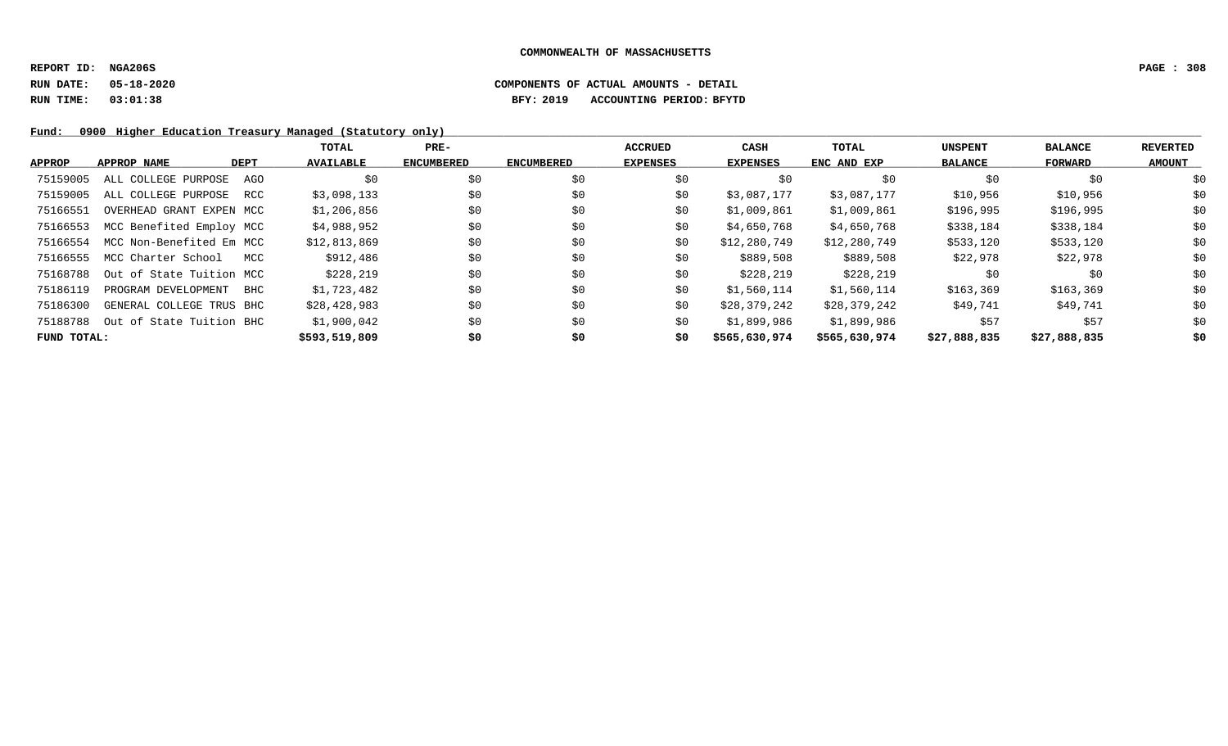### **RUN DATE: 05-18-2020 COMPONENTS OF ACTUAL AMOUNTS - DETAIL RUN TIME: 03:01:38 BFY: 2019 ACCOUNTING PERIOD: BFYTD**

|               |                          |             | TOTAL            | $PRE-$            |                   | <b>ACCRUED</b>  | CASH          | <b>TOTAL</b>  | <b>UNSPENT</b> | <b>BALANCE</b> | <b>REVERTED</b> |
|---------------|--------------------------|-------------|------------------|-------------------|-------------------|-----------------|---------------|---------------|----------------|----------------|-----------------|
| <b>APPROP</b> | APPROP NAME              | <b>DEPT</b> | <b>AVAILABLE</b> | <b>ENCUMBERED</b> | <b>ENCUMBERED</b> | <b>EXPENSES</b> | EXPENSES      | ENC AND EXP   | <b>BALANCE</b> | FORWARD        | <b>AMOUNT</b>   |
| 75159005      | ALL COLLEGE PURPOSE      | AGO         | \$0              | \$0               | \$0               | \$0             | \$0           | \$0           | \$0            | \$0            | \$0             |
| 75159005      | ALL COLLEGE PURPOSE      | RCC         | \$3,098,133      | \$0               | \$0               | \$0             | \$3,087,177   | \$3,087,177   | \$10,956       | \$10,956       | \$0             |
| 75166551      | OVERHEAD GRANT EXPEN MCC |             | \$1,206,856      | \$0               | \$0               | \$0             | \$1,009,861   | \$1,009,861   | \$196,995      | \$196,995      | \$0             |
| 75166553      | MCC Benefited Employ MCC |             | \$4,988,952      | \$0               | \$0               | \$0             | \$4,650,768   | \$4,650,768   | \$338,184      | \$338,184      | \$0             |
| 75166554      | MCC Non-Benefited Em MCC |             | \$12,813,869     | \$0               | \$0               | \$0             | \$12,280,749  | \$12,280,749  | \$533,120      | \$533,120      | \$0             |
| 75166555      | MCC Charter School       | MCC         | \$912,486        | \$0               | \$0               | \$0             | \$889,508     | \$889,508     | \$22,978       | \$22,978       | \$0             |
| 75168788      | Out of State Tuition MCC |             | \$228,219        | \$0               | \$0               | \$0             | \$228,219     | \$228,219     | \$0            | \$0            | \$0             |
| 75186119      | PROGRAM DEVELOPMENT      | BHC         | \$1,723,482      | \$0               | \$0               | \$0             | \$1,560,114   | \$1,560,114   | \$163,369      | \$163,369      | \$0             |
| 75186300      | GENERAL COLLEGE TRUS BHC |             | \$28,428,983     | \$0               | \$0               | \$0             | \$28,379,242  | \$28,379,242  | \$49,741       | \$49,741       | \$0             |
| 75188788      | Out of State Tuition BHC |             | \$1,900,042      | \$0               | \$0               | \$0             | \$1,899,986   | \$1,899,986   | \$57           | \$57           | \$0             |
| FUND TOTAL:   |                          |             | \$593,519,809    | \$0               | \$0               | \$0             | \$565,630,974 | \$565,630,974 | \$27,888,835   | \$27,888,835   | \$0             |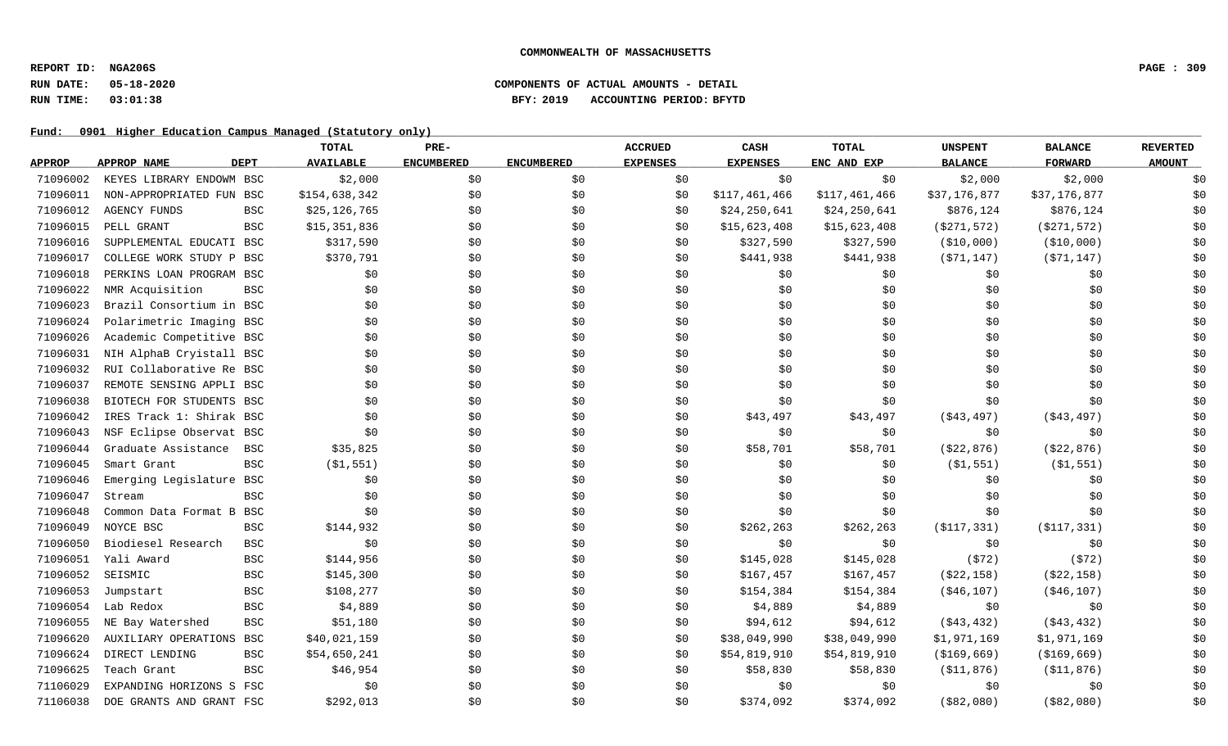### **RUN DATE: 05-18-2020 COMPONENTS OF ACTUAL AMOUNTS - DETAIL RUN TIME: 03:01:38 BFY: 2019 ACCOUNTING PERIOD: BFYTD**

|               |                          |             | TOTAL            | PRE-              |                   | <b>ACCRUED</b>  | CASH            | <b>TOTAL</b>  | <b>UNSPENT</b> | <b>BALANCE</b> | <b>REVERTED</b> |
|---------------|--------------------------|-------------|------------------|-------------------|-------------------|-----------------|-----------------|---------------|----------------|----------------|-----------------|
| <b>APPROP</b> | APPROP NAME              | <b>DEPT</b> | <b>AVAILABLE</b> | <b>ENCUMBERED</b> | <b>ENCUMBERED</b> | <b>EXPENSES</b> | <b>EXPENSES</b> | ENC AND EXP   | <b>BALANCE</b> | <b>FORWARD</b> | <b>AMOUNT</b>   |
| 71096002      | KEYES LIBRARY ENDOWM BSC |             | \$2,000          | \$0               | \$0               | \$0             | \$0             | \$0           | \$2,000        | \$2,000        | \$0             |
| 71096011      | NON-APPROPRIATED FUN BSC |             | \$154,638,342    | \$0               | \$0\$             | \$0             | \$117,461,466   | \$117,461,466 | \$37,176,877   | \$37,176,877   | \$0             |
| 71096012      | <b>AGENCY FUNDS</b>      | <b>BSC</b>  | \$25,126,765     | \$0               | \$0               | \$0             | \$24,250,641    | \$24,250,641  | \$876,124      | \$876,124      | \$0             |
| 71096015      | PELL GRANT               | <b>BSC</b>  | \$15,351,836     | \$0               | \$0               | \$0             | \$15,623,408    | \$15,623,408  | ( \$271, 572)  | ( \$271, 572)  | \$0             |
| 71096016      | SUPPLEMENTAL EDUCATI BSC |             | \$317,590        | \$0               | \$0               | \$0             | \$327,590       | \$327,590     | ( \$10,000)    | ( \$10,000)    | \$0             |
| 71096017      | COLLEGE WORK STUDY P BSC |             | \$370,791        | \$0               | \$0               | \$0             | \$441,938       | \$441,938     | (571, 147)     | ( \$71, 147)   | \$0             |
| 71096018      | PERKINS LOAN PROGRAM BSC |             | \$0              | \$0               | \$0               | \$0             | \$0             | \$0           | \$0            | \$0            | \$0             |
| 71096022      | NMR Acquisition          | <b>BSC</b>  | \$0              | \$0               | \$0               | \$0             | \$0             | \$0           | \$0            | \$0            | \$0             |
| 71096023      | Brazil Consortium in BSC |             | \$0              | \$0               | \$0               | \$0             | \$0             | \$0           | \$0            | \$0            | \$0             |
| 71096024      | Polarimetric Imaging BSC |             | \$0              | \$0               | \$0               | \$0             | \$0             | \$0           | \$0            | \$0            | \$0             |
| 71096026      | Academic Competitive BSC |             | \$0              | \$0               | \$0               | \$0             | \$0             | \$0           | \$0            | \$0            | \$0             |
| 71096031      | NIH AlphaB Cryistall BSC |             | \$0              | \$0               | \$0               | \$0             | \$0             | \$0           | \$0            | \$0            | \$0             |
| 71096032      | RUI Collaborative Re BSC |             | \$0              | \$0               | \$0               | \$0             | \$0             | \$0           | \$0            | \$0            | \$0             |
| 71096037      | REMOTE SENSING APPLI BSC |             | \$0              | \$0               | \$0               | \$0             | \$0             | \$0\$         | \$0            | \$0            | \$0             |
| 71096038      | BIOTECH FOR STUDENTS BSC |             | \$0              | \$0               | \$0\$             | \$0             | \$0             | \$0           | \$0            | \$0            | \$0             |
| 71096042      | IRES Track 1: Shirak BSC |             | \$0              | \$0               | \$0               | \$0             | \$43,497        | \$43,497      | ( \$43, 497)   | ( \$43, 497)   | \$0             |
| 71096043      | NSF Eclipse Observat BSC |             | \$0              | \$0               | \$0               | \$0             | \$0             | \$0           | \$0            | \$0            | \$0             |
| 71096044      | Graduate Assistance      | <b>BSC</b>  | \$35,825         | \$0               | \$0               | \$0             | \$58,701        | \$58,701      | ( \$22, 876)   | ( \$22, 876)   | \$0             |
| 71096045      | Smart Grant              | BSC         | ( \$1, 551)      | \$0               | \$0               | \$0             | \$0             | \$0           | ( \$1, 551)    | ( \$1, 551)    | \$0             |
| 71096046      | Emerging Legislature     | BSC         | \$0              | \$0               | \$0               | \$0             | \$0             | \$0           | \$0            | \$0            | \$0             |
| 71096047      | Stream                   | <b>BSC</b>  | \$0              | \$0               | \$0               | \$0             | \$0             | \$0\$         | \$0            | \$0            | \$0             |
| 71096048      | Common Data Format B     | BSC         | \$0              | \$0               | \$0               | \$0             | \$0             | \$0           | \$0            | \$0            | \$0             |
| 71096049      | NOYCE BSC                | <b>BSC</b>  | \$144,932        | \$0               | \$0               | \$0             | \$262, 263      | \$262, 263    | ( \$117, 331)  | ( \$117, 331)  | \$0             |
| 71096050      | Biodiesel Research       | <b>BSC</b>  | \$0              | \$0               | \$0               | \$0             | \$0             | \$0           | \$0            | \$0            | \$0             |
| 71096051      | Yali Award               | <b>BSC</b>  | \$144,956        | \$0               | \$0               | \$0             | \$145,028       | \$145,028     | (572)          | (572)          | \$0             |
| 71096052      | SEISMIC                  | <b>BSC</b>  | \$145,300        | \$0               | \$0               | \$0             | \$167,457       | \$167,457     | ( \$22, 158)   | ( \$22, 158)   | \$0             |
| 71096053      | Jumpstart                | <b>BSC</b>  | \$108,277        | \$0               | \$0               | \$0             | \$154,384       | \$154,384     | ( \$46, 107)   | ( \$46, 107)   | \$0             |
| 71096054      | Lab Redox                | <b>BSC</b>  | \$4,889          | \$0               | \$0               | \$0             | \$4,889         | \$4,889       | \$0            | \$0            | \$0             |
| 71096055      | NE Bay Watershed         | <b>BSC</b>  | \$51,180         | \$0               | \$0               | \$0             | \$94,612        | \$94,612      | ( \$43, 432)   | ( \$43, 432)   | \$0             |
| 71096620      | AUXILIARY OPERATIONS     | BSC         | \$40,021,159     | \$0               | \$0               | \$0             | \$38,049,990    | \$38,049,990  | \$1,971,169    | \$1,971,169    | \$0             |
| 71096624      | DIRECT LENDING           | BSC         | \$54,650,241     | \$0               | \$0               | \$0             | \$54,819,910    | \$54,819,910  | ( \$169, 669)  | ( \$169, 669)  | \$0             |
| 71096625      | Teach Grant              | <b>BSC</b>  | \$46,954         | \$0               | \$0               | \$0             | \$58,830        | \$58,830      | ( \$11, 876)   | ( \$11, 876)   | \$0             |
| 71106029      | EXPANDING HORIZONS S FSC |             | \$0              | \$0               | \$0               | \$0             | \$0             | \$0           | \$0            | \$0            | \$0             |
| 71106038      | DOE GRANTS AND GRANT FSC |             | \$292,013        | \$0               | \$0               | \$0             | \$374,092       | \$374,092     | ( \$82,080)    | ( \$82,080)    | \$0             |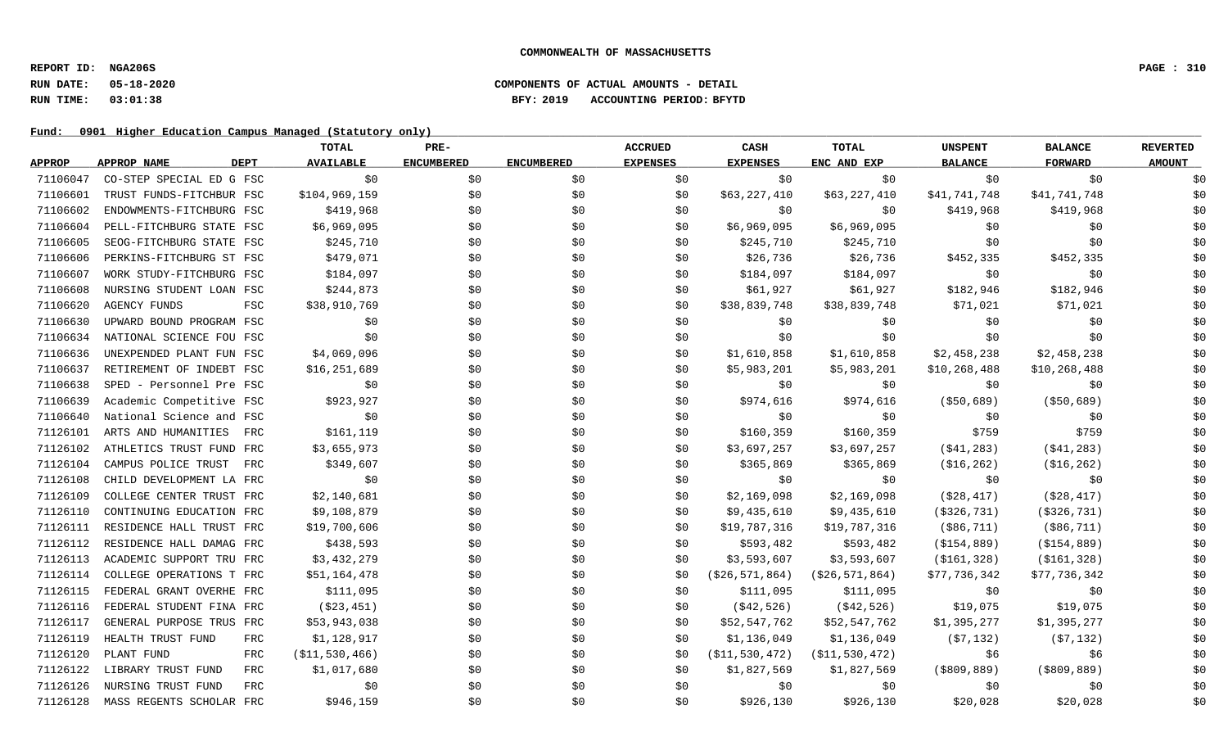### **RUN DATE: 05-18-2020 COMPONENTS OF ACTUAL AMOUNTS - DETAIL RUN TIME: 03:01:38 BFY: 2019 ACCOUNTING PERIOD: BFYTD**

|               |                                  | TOTAL             | PRE-              |                   | <b>ACCRUED</b>  | CASH              | <b>TOTAL</b>      | <b>UNSPENT</b> | <b>BALANCE</b> | <b>REVERTED</b> |
|---------------|----------------------------------|-------------------|-------------------|-------------------|-----------------|-------------------|-------------------|----------------|----------------|-----------------|
| <b>APPROP</b> | APPROP NAME<br>DEPT              | <b>AVAILABLE</b>  | <b>ENCUMBERED</b> | <b>ENCUMBERED</b> | <b>EXPENSES</b> | <b>EXPENSES</b>   | ENC AND EXP       | <b>BALANCE</b> | <b>FORWARD</b> | <b>AMOUNT</b>   |
| 71106047      | CO-STEP SPECIAL ED G FSC         | \$0               | \$0               | \$0               | \$0             | \$0               | \$0               | \$0            | \$0            | \$0             |
| 71106601      | TRUST FUNDS-FITCHBUR FSC         | \$104,969,159     | \$0               | \$0               | \$0             | \$63,227,410      | \$63,227,410      | \$41,741,748   | \$41,741,748   | \$0             |
| 71106602      | ENDOWMENTS-FITCHBURG FSC         | \$419,968         | \$0               | \$0               | \$0             | \$0               | \$0               | \$419,968      | \$419,968      | \$0             |
| 71106604      | PELL-FITCHBURG STATE FSC         | \$6,969,095       | \$0               | \$0               | \$0             | \$6,969,095       | \$6,969,095       | \$0            | \$0            | \$0             |
| 71106605      | SEOG-FITCHBURG STATE FSC         | \$245,710         | \$0               | \$0               | \$0             | \$245,710         | \$245,710         | \$0            | \$0            | \$0             |
| 71106606      | PERKINS-FITCHBURG ST FSC         | \$479,071         | \$0               | \$0               | \$0             | \$26,736          | \$26,736          | \$452,335      | \$452,335      | \$0             |
| 71106607      | WORK STUDY-FITCHBURG FSC         | \$184,097         | \$0               | \$0               | \$0             | \$184,097         | \$184,097         | \$0            | \$0            | \$0             |
| 71106608      | NURSING STUDENT LOAN FSC         | \$244,873         | \$0               | \$0               | \$0             | \$61,927          | \$61,927          | \$182,946      | \$182,946      | \$0             |
| 71106620      | <b>AGENCY FUNDS</b><br>FSC       | \$38,910,769      | \$0               | \$0               | \$0             | \$38,839,748      | \$38,839,748      | \$71,021       | \$71,021       | \$0             |
| 71106630      | UPWARD BOUND PROGRAM FSC         | \$0               | \$0               | \$0               | \$0             | \$0               | \$0               | \$0            | \$0            | \$0             |
| 71106634      | NATIONAL SCIENCE FOU FSC         | \$0               | \$0               | \$0               | \$0             | \$0               | \$0               | \$0            | \$0            | \$0             |
| 71106636      | UNEXPENDED PLANT FUN FSC         | \$4,069,096       | \$0               | \$0               | \$0             | \$1,610,858       | \$1,610,858       | \$2,458,238    | \$2,458,238    | \$0             |
| 71106637      | RETIREMENT OF INDEBT FSC         | \$16, 251, 689    | \$0               | \$0               | \$0             | \$5,983,201       | \$5,983,201       | \$10,268,488   | \$10,268,488   | \$0             |
| 71106638      | SPED - Personnel Pre FSC         | \$0               | \$0               | \$0               | \$0             | \$0               | \$0               | \$0            | \$0            | \$0             |
| 71106639      | Academic Competitive FSC         | \$923,927         | \$0               | \$0               | \$0             | \$974,616         | \$974,616         | ( \$50,689)    | ( \$50,689)    | \$0             |
| 71106640      | National Science and FSC         | \$0               | \$0               | \$0               | \$0             | \$0               | \$0               | \$0            | \$0            | \$0             |
| 71126101      | ARTS AND HUMANITIES<br>FRC       | \$161,119         | \$0               | \$0               | \$0             | \$160,359         | \$160,359         | \$759          | \$759          | \$0             |
| 71126102      | ATHLETICS TRUST FUND FRC         | \$3,655,973       | \$0               | \$0               | \$0             | \$3,697,257       | \$3,697,257       | ( \$41, 283)   | ( \$41, 283)   | \$0             |
| 71126104      | CAMPUS POLICE TRUST<br>FRC       | \$349,607         | \$0               | \$0               | \$0             | \$365,869         | \$365,869         | ( \$16, 262)   | ( \$16, 262)   | \$0             |
| 71126108      | CHILD DEVELOPMENT LA FRC         | \$0               | \$0               | \$0               | \$0             | \$0               | \$0               | \$0            | \$0            | \$0             |
| 71126109      | COLLEGE CENTER TRUST FRC         | \$2,140,681       | \$0               | \$0               | \$0             | \$2,169,098       | \$2,169,098       | ( \$28, 417)   | ( \$28, 417)   | \$0             |
| 71126110      | CONTINUING EDUCATION FRC         | \$9,108,879       | \$0               | \$0               | \$0             | \$9,435,610       | \$9,435,610       | ( \$326, 731)  | ( \$326, 731)  | \$0             |
| 71126111      | RESIDENCE HALL TRUST FRC         | \$19,700,606      | \$0               | \$0               | \$0             | \$19,787,316      | \$19,787,316      | ( \$86, 711)   | $($ \$86,711)  | \$0             |
| 71126112      | RESIDENCE HALL DAMAG FRC         | \$438,593         | \$0               | \$0               | \$0             | \$593,482         | \$593,482         | ( \$154, 889)  | ( \$154, 889)  | \$0             |
| 71126113      | ACADEMIC SUPPORT TRU FRC         | \$3,432,279       | \$0               | \$0               | \$0             | \$3,593,607       | \$3,593,607       | ( \$161, 328)  | ( \$161, 328)  | \$0             |
| 71126114      | COLLEGE OPERATIONS T FRC         | \$51,164,478      | \$0               | \$0               | \$0             | ( \$26, 571, 864) | ( \$26, 571, 864) | \$77,736,342   | \$77,736,342   | \$0             |
| 71126115      | FEDERAL GRANT OVERHE FRC         | \$111,095         | \$0               | \$0               | \$0             | \$111,095         | \$111,095         | \$0            | \$0            | \$0             |
| 71126116      | FEDERAL STUDENT FINA FRC         | ( \$23, 451)      | \$0               | \$0               | \$0             | ( \$42, 526)      | ( \$42, 526)      | \$19,075       | \$19,075       | \$0             |
| 71126117      | GENERAL PURPOSE TRUS FRC         | \$53,943,038      | \$0               | \$0               | \$0             | \$52,547,762      | \$52,547,762      | \$1,395,277    | \$1,395,277    | \$0             |
| 71126119      | HEALTH TRUST FUND<br><b>FRC</b>  | \$1,128,917       | \$0               | \$0               | \$0             | \$1,136,049       | \$1,136,049       | (57, 132)      | (57, 132)      | \$0             |
| 71126120      | PLANT FUND<br><b>FRC</b>         | ( \$11, 530, 466) | \$0               | \$0               | \$0             | (S11, 530, 472)   | (S11, 530, 472)   | \$6            | \$6            | \$0             |
| 71126122      | LIBRARY TRUST FUND<br>FRC        | \$1,017,680       | \$0               | \$0               | \$0             | \$1,827,569       | \$1,827,569       | ( \$809, 889)  | ( \$809, 889)  | \$0             |
| 71126126      | NURSING TRUST FUND<br><b>FRC</b> | \$0               | \$0               | \$0               | \$0             | \$0               | \$0               | \$0            | \$0            | \$0             |
| 71126128      | MASS REGENTS SCHOLAR FRC         | \$946,159         | \$0               | \$0               | \$0             | \$926,130         | \$926,130         | \$20,028       | \$20,028       | \$0             |
|               |                                  |                   |                   |                   |                 |                   |                   |                |                |                 |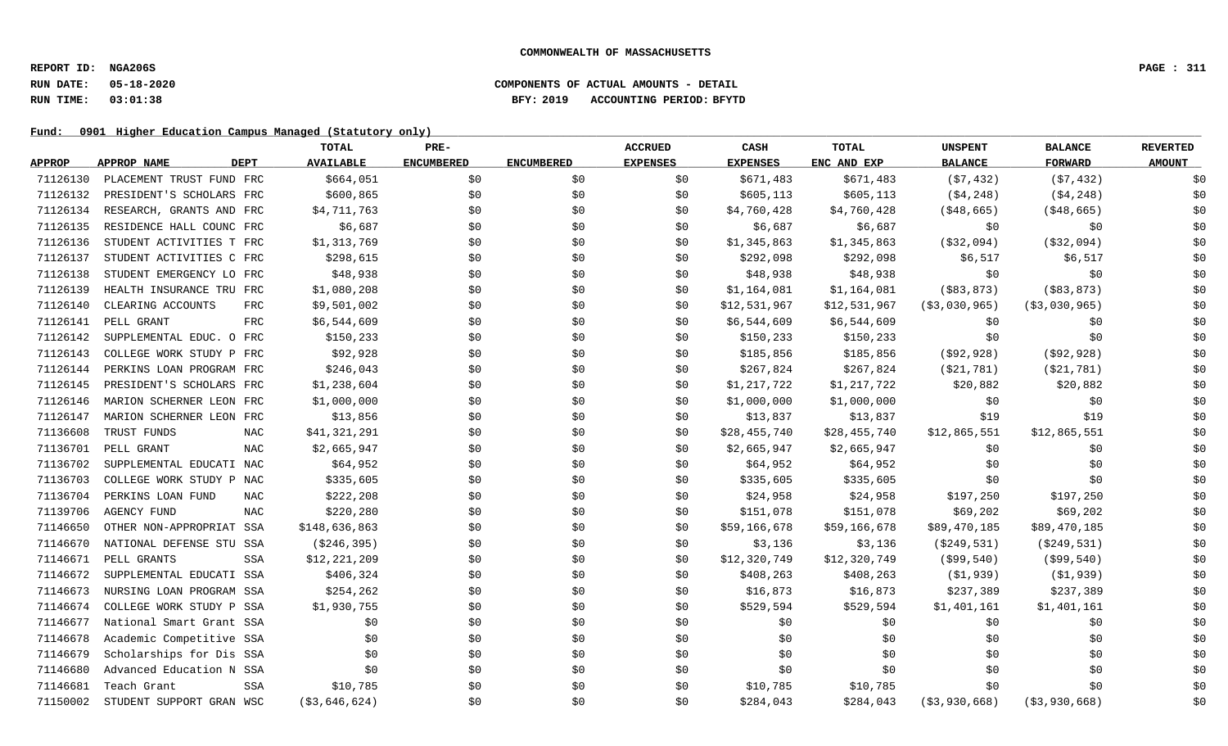### **RUN DATE: 05-18-2020 COMPONENTS OF ACTUAL AMOUNTS - DETAIL RUN TIME: 03:01:38 BFY: 2019 ACCOUNTING PERIOD: BFYTD**

|               |                                   | TOTAL            | PRE-              |                   | <b>ACCRUED</b>  | CASH            | <b>TOTAL</b> | <b>UNSPENT</b>   | <b>BALANCE</b>   | <b>REVERTED</b> |
|---------------|-----------------------------------|------------------|-------------------|-------------------|-----------------|-----------------|--------------|------------------|------------------|-----------------|
| <b>APPROP</b> | <b>APPROP NAME</b><br><b>DEPT</b> | <b>AVAILABLE</b> | <b>ENCUMBERED</b> | <b>ENCUMBERED</b> | <b>EXPENSES</b> | <b>EXPENSES</b> | ENC AND EXP  | <b>BALANCE</b>   | <b>FORWARD</b>   | <b>AMOUNT</b>   |
| 71126130      | PLACEMENT TRUST FUND FRC          | \$664,051        | \$0               | \$0               | \$0             | \$671,483       | \$671,483    | (57, 432)        | (57, 432)        | \$0             |
| 71126132      | PRESIDENT'S SCHOLARS FRC          | \$600,865        | \$0\$             | \$0               | \$0             | \$605,113       | \$605,113    | ( \$4, 248)      | ( \$4, 248)      | \$0             |
| 71126134      | RESEARCH, GRANTS AND FRC          | \$4,711,763      | \$0               | \$0               | \$0             | \$4,760,428     | \$4,760,428  | ( \$48, 665)     | ( \$48, 665)     | \$0             |
| 71126135      | RESIDENCE HALL COUNC FRC          | \$6,687          | \$0               | \$0               | \$0             | \$6,687         | \$6,687      | \$0              | \$0              | \$0             |
| 71126136      | STUDENT ACTIVITIES T FRC          | \$1,313,769      | \$0               | \$0               | \$0             | \$1,345,863     | \$1,345,863  | ( \$32,094)      | ( \$32,094)      | \$0             |
| 71126137      | STUDENT ACTIVITIES C FRC          | \$298,615        | \$0               | \$0               | \$0             | \$292,098       | \$292,098    | \$6,517          | \$6,517          | \$0             |
| 71126138      | STUDENT EMERGENCY LO FRC          | \$48,938         | \$0               | \$0               | \$0             | \$48,938        | \$48,938     | \$0              | \$0              | \$0             |
| 71126139      | HEALTH INSURANCE TRU FRC          | \$1,080,208      | \$0               | \$0               | \$0             | \$1,164,081     | \$1,164,081  | ( \$83, 873)     | ( \$83, 873)     | \$0             |
| 71126140      | CLEARING ACCOUNTS<br><b>FRC</b>   | \$9,501,002      | \$0               | \$0               | \$0             | \$12,531,967    | \$12,531,967 | ( \$3,030,965)   | ( \$3,030,965)   | \$0             |
| 71126141      | PELL GRANT<br><b>FRC</b>          | \$6,544,609      | \$0               | \$0               | \$0             | \$6,544,609     | \$6,544,609  | \$0              | \$0              | \$0             |
| 71126142      | SUPPLEMENTAL EDUC. O FRC          | \$150,233        | \$0               | \$0               | \$0             | \$150, 233      | \$150,233    | \$0              | \$0              | \$0             |
| 71126143      | COLLEGE WORK STUDY P FRC          | \$92,928         | \$0               | \$0               | \$0             | \$185,856       | \$185,856    | ( \$92, 928)     | ( \$92, 928)     | \$0             |
| 71126144      | PERKINS LOAN PROGRAM FRC          | \$246,043        | \$0               | \$0               | \$0             | \$267,824       | \$267,824    | ( \$21, 781)     | ( \$21, 781)     | \$0             |
| 71126145      | PRESIDENT'S SCHOLARS FRC          | \$1,238,604      | \$0               | \$0               | \$0             | \$1,217,722     | \$1,217,722  | \$20,882         | \$20,882         | \$0             |
| 71126146      | MARION SCHERNER LEON FRC          | \$1,000,000      | \$0               | \$0               | \$0             | \$1,000,000     | \$1,000,000  | \$0              | \$0              | \$0             |
| 71126147      | MARION SCHERNER LEON FRC          | \$13,856         | \$0               | \$0               | \$0             | \$13,837        | \$13,837     | \$19             | \$19             | \$0             |
| 71136608      | TRUST FUNDS<br><b>NAC</b>         | \$41,321,291     | \$0               | \$0               | \$0             | \$28,455,740    | \$28,455,740 | \$12,865,551     | \$12,865,551     | \$0             |
| 71136701      | <b>NAC</b><br>PELL GRANT          | \$2,665,947      | \$0               | \$0               | \$0             | \$2,665,947     | \$2,665,947  | \$0              | \$0              | \$0             |
| 71136702      | SUPPLEMENTAL EDUCATI NAC          | \$64,952         | \$0               | \$0               | \$0             | \$64,952        | \$64,952     | \$0              | \$0              | \$0             |
| 71136703      | COLLEGE WORK STUDY P NAC          | \$335,605        | \$0               | \$0               | \$0             | \$335,605       | \$335,605    | \$0              | \$0              | \$0             |
| 71136704      | PERKINS LOAN FUND<br><b>NAC</b>   | \$222,208        | \$0               | \$0               | \$0             | \$24,958        | \$24,958     | \$197,250        | \$197,250        | \$0             |
| 71139706      | <b>AGENCY FUND</b><br><b>NAC</b>  | \$220,280        | \$0               | \$0               | \$0             | \$151,078       | \$151,078    | \$69,202         | \$69,202         | \$0             |
| 71146650      | OTHER NON-APPROPRIAT SSA          | \$148,636,863    | \$0               | \$0               | \$0             | \$59,166,678    | \$59,166,678 | \$89,470,185     | \$89,470,185     | \$0             |
| 71146670      | NATIONAL DEFENSE STU SSA          | ( \$246, 395)    | \$0               | \$0               | \$0             | \$3,136         | \$3,136      | ( \$249, 531)    | ( \$249, 531)    | \$0             |
| 71146671      | PELL GRANTS<br>SSA                | \$12,221,209     | \$0               | \$0               | \$0             | \$12,320,749    | \$12,320,749 | $($ \$99,540)    | $($ \$99,540)    | \$0             |
| 71146672      | SUPPLEMENTAL EDUCATI SSA          | \$406,324        | \$0               | \$0               | \$0             | \$408,263       | \$408,263    | (\$1,939)        | (\$1,939)        | \$0             |
| 71146673      | NURSING LOAN PROGRAM SSA          | \$254,262        | \$0               | \$0               | \$0             | \$16,873        | \$16,873     | \$237,389        | \$237,389        | \$0             |
| 71146674      | COLLEGE WORK STUDY P SSA          | \$1,930,755      | \$0               | \$0               | \$0             | \$529,594       | \$529,594    | \$1,401,161      | \$1,401,161      | \$0             |
| 71146677      | National Smart Grant SSA          | \$0              | \$0               | \$0               | \$0             | \$0             | \$0          | \$0              | \$0              | \$0             |
| 71146678      | Academic Competitive SSA          | \$0              | \$0               | \$0               | \$0             | \$0             | \$0          | \$0              | \$0              | \$0             |
| 71146679      | Scholarships for Dis SSA          | \$0              | \$0               | \$0               | \$0             | \$0             | \$0          | \$0              | \$0              | \$0             |
| 71146680      | Advanced Education N SSA          | \$0              | \$0               | \$0               | \$0             | \$0\$           | \$0\$        | \$0              | \$0              | \$0             |
| 71146681      | Teach Grant<br>SSA                | \$10,785         | \$0               | \$0               | \$0             | \$10,785        | \$10,785     | \$0              | \$0              | \$0             |
| 71150002      | STUDENT SUPPORT GRAN WSC          | ( \$3, 646, 624) | \$0               | \$0               | \$0             | \$284,043       | \$284,043    | ( \$3, 930, 668) | ( \$3, 930, 668) | \$0             |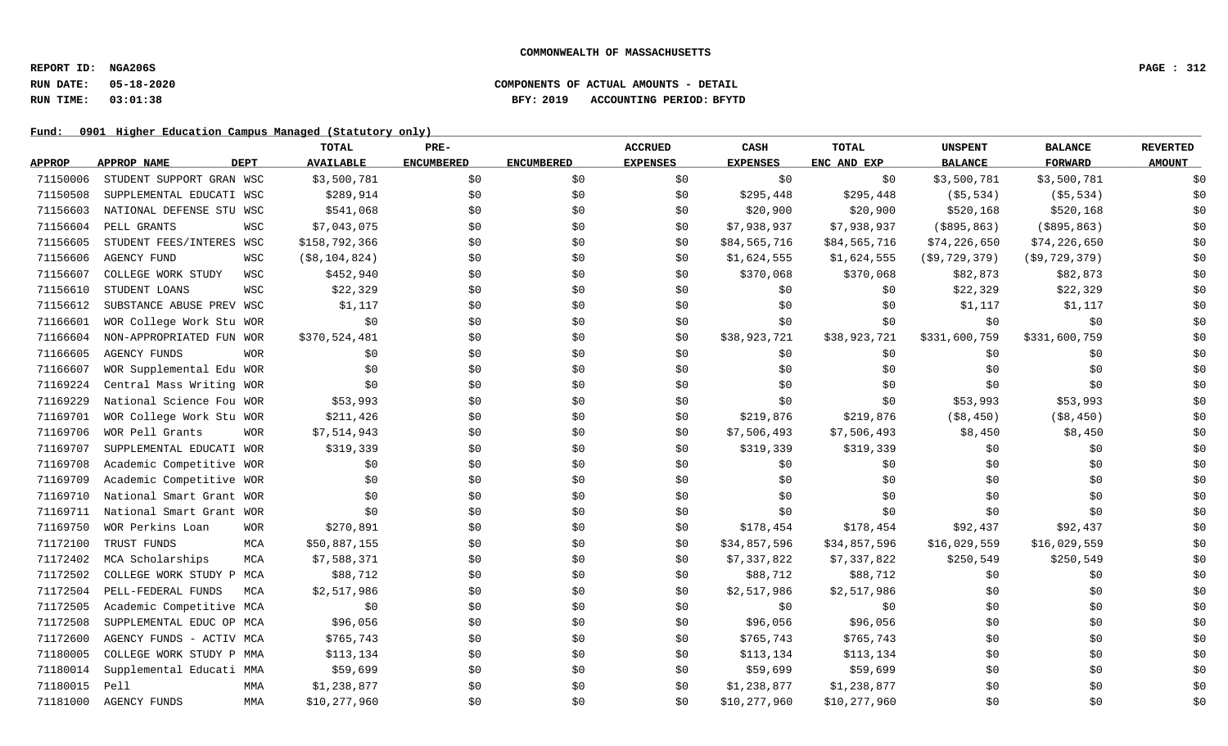# **RUN DATE: 05-18-2020 COMPONENTS OF ACTUAL AMOUNTS - DETAIL RUN TIME: 03:01:38 BFY: 2019 ACCOUNTING PERIOD: BFYTD**

|               |                            | <b>TOTAL</b>              | PRE-              |                   | <b>ACCRUED</b>  | CASH            | <b>TOTAL</b> | <b>UNSPENT</b>   | <b>BALANCE</b>   | <b>REVERTED</b> |
|---------------|----------------------------|---------------------------|-------------------|-------------------|-----------------|-----------------|--------------|------------------|------------------|-----------------|
| <b>APPROP</b> | APPROP NAME<br><b>DEPT</b> | <b>AVAILABLE</b>          | <b>ENCUMBERED</b> | <b>ENCUMBERED</b> | <b>EXPENSES</b> | <b>EXPENSES</b> | ENC AND EXP  | <b>BALANCE</b>   | <b>FORWARD</b>   | <b>AMOUNT</b>   |
| 71150006      | STUDENT SUPPORT GRAN WSC   | \$3,500,781               | \$0               | \$0               | \$0             | \$0             | \$0          | \$3,500,781      | \$3,500,781      | \$0             |
| 71150508      | SUPPLEMENTAL EDUCATI WSC   | \$289,914                 | \$0               | \$0               | \$0             | \$295,448       | \$295,448    | ( \$5, 534)      | ( \$5, 534)      | \$0             |
| 71156603      | NATIONAL DEFENSE STU WSC   | \$541,068                 | \$0               | \$0               | \$0             | \$20,900        | \$20,900     | \$520,168        | \$520,168        | \$0             |
| 71156604      | PELL GRANTS                | \$7,043,075<br>WSC        | \$0               | \$0               | \$0             | \$7,938,937     | \$7,938,937  | $($ \$895,863)   | ( \$895, 863)    | \$0             |
| 71156605      | STUDENT FEES/INTERES WSC   | \$158,792,366             | \$0               | \$0               | \$0             | \$84,565,716    | \$84,565,716 | \$74,226,650     | \$74,226,650     | \$0             |
| 71156606      | <b>AGENCY FUND</b>         | $($ \$8,104,824)<br>WSC   | \$0               | \$0               | \$0             | \$1,624,555     | \$1,624,555  | ( \$9, 729, 379) | ( \$9, 729, 379) | \$0             |
| 71156607      | COLLEGE WORK STUDY         | \$452,940<br>WSC          | \$0               | \$0               | \$0             | \$370,068       | \$370,068    | \$82,873         | \$82,873         | \$0             |
| 71156610      | STUDENT LOANS              | \$22,329<br>WSC           | \$0               | \$0               | \$0             | \$0             | \$0          | \$22,329         | \$22,329         | \$0             |
| 71156612      | SUBSTANCE ABUSE PREV WSC   | \$1,117                   | \$0               | \$0               | \$0             | \$0             | \$0          | \$1,117          | \$1,117          | \$0             |
| 71166601      | WOR College Work Stu WOR   | \$0                       | \$0               | \$0               | \$0             | \$0             | \$0          | \$0              | \$0              | \$0             |
| 71166604      | NON-APPROPRIATED FUN WOR   | \$370,524,481             | \$0               | \$0               | \$0             | \$38,923,721    | \$38,923,721 | \$331,600,759    | \$331,600,759    | \$0             |
| 71166605      | <b>AGENCY FUNDS</b>        | <b>WOR</b><br>\$0         | \$0               | \$0               | \$0             | \$0             | \$0          | \$0              | \$0              | \$0             |
| 71166607      | WOR Supplemental Edu WOR   | \$0                       | \$0               | \$0               | \$0             | \$0             | \$0\$        | \$0              | \$0              | \$0             |
| 71169224      | Central Mass Writing WOR   | \$0                       | \$0\$             | \$0               | \$0             | \$0             | \$0          | \$0              | \$0              | \$0             |
| 71169229      | National Science Fou WOR   | \$53,993                  | \$0               | \$0               | \$0             | \$0             | \$0\$        | \$53,993         | \$53,993         | \$0             |
| 71169701      | WOR College Work Stu WOR   | \$211,426                 | \$0               | \$0               | \$0             | \$219,876       | \$219,876    | ( \$8, 450)      | ( \$8, 450)      | \$0             |
| 71169706      | WOR Pell Grants            | \$7,514,943<br><b>WOR</b> | \$0               | \$0               | \$0             | \$7,506,493     | \$7,506,493  | \$8,450          | \$8,450          | \$0             |
| 71169707      | SUPPLEMENTAL EDUCATI WOR   | \$319,339                 | \$0               | \$0               | \$0             | \$319,339       | \$319,339    | \$0              | \$0              | \$0             |
| 71169708      | Academic Competitive WOR   | \$0                       | \$0               | \$0               | \$0             | \$0             | \$0          | \$0              | \$0              | \$0             |
| 71169709      | Academic Competitive WOR   | \$0                       | \$0               | \$0               | \$0             | \$0             | \$0          | \$0              | \$0              | \$0             |
| 71169710      | National Smart Grant WOR   | \$0                       | \$0\$             | \$0               | \$0             | \$0             | \$0\$        | \$0              | \$0              | \$0             |
| 71169711      | National Smart Grant WOR   | \$0                       | \$0               | \$0               | \$0             | \$0             | \$0          | \$0              | \$0              | \$0             |
| 71169750      | WOR Perkins Loan           | <b>WOR</b><br>\$270,891   | \$0               | \$0               | \$0             | \$178,454       | \$178,454    | \$92,437         | \$92,437         | \$0             |
| 71172100      | TRUST FUNDS                | \$50,887,155<br>MCA       | \$0               | \$0               | \$0             | \$34,857,596    | \$34,857,596 | \$16,029,559     | \$16,029,559     | \$0             |
| 71172402      | MCA Scholarships           | \$7,588,371<br>MCA        | \$0               | \$0               | \$0             | \$7,337,822     | \$7,337,822  | \$250,549        | \$250,549        | \$0             |
| 71172502      | COLLEGE WORK STUDY P MCA   | \$88,712                  | \$0               | \$0               | \$0             | \$88,712        | \$88,712     | \$0              | \$0              | \$0             |
| 71172504      | PELL-FEDERAL FUNDS         | \$2,517,986<br>MCA        | \$0               | \$0               | \$0             | \$2,517,986     | \$2,517,986  | \$0              | \$0              | \$0             |
| 71172505      | Academic Competitive MCA   | \$0                       | \$0               | \$0               | \$0             | \$0\$           | \$0          | \$0              | \$0              | \$0             |
| 71172508      | SUPPLEMENTAL EDUC OP MCA   | \$96,056                  | \$0               | \$0               | \$0             | \$96,056        | \$96,056     | \$0              | \$0              | \$0             |
| 71172600      | AGENCY FUNDS - ACTIV MCA   | \$765,743                 | \$0               | \$0               | \$0             | \$765,743       | \$765,743    | \$0              | \$0              | \$0             |
| 71180005      | COLLEGE WORK STUDY P MMA   | \$113,134                 | \$0               | \$0               | SO.             | \$113,134       | \$113,134    | \$0              | \$0              | \$0             |
| 71180014      | Supplemental Educati MMA   | \$59,699                  | \$0               | \$0               | \$0             | \$59,699        | \$59,699     | \$0              | \$0              | \$0             |
| 71180015      | Pell                       | \$1,238,877<br>MMA        | \$0               | \$0               | \$0             | \$1,238,877     | \$1,238,877  | \$0              | \$0              | \$0             |
| 71181000      | <b>AGENCY FUNDS</b>        | \$10,277,960<br>MMA       | \$0               | \$0               | \$0             | \$10,277,960    | \$10,277,960 | \$0              | \$0              | \$0             |
|               |                            |                           |                   |                   |                 |                 |              |                  |                  |                 |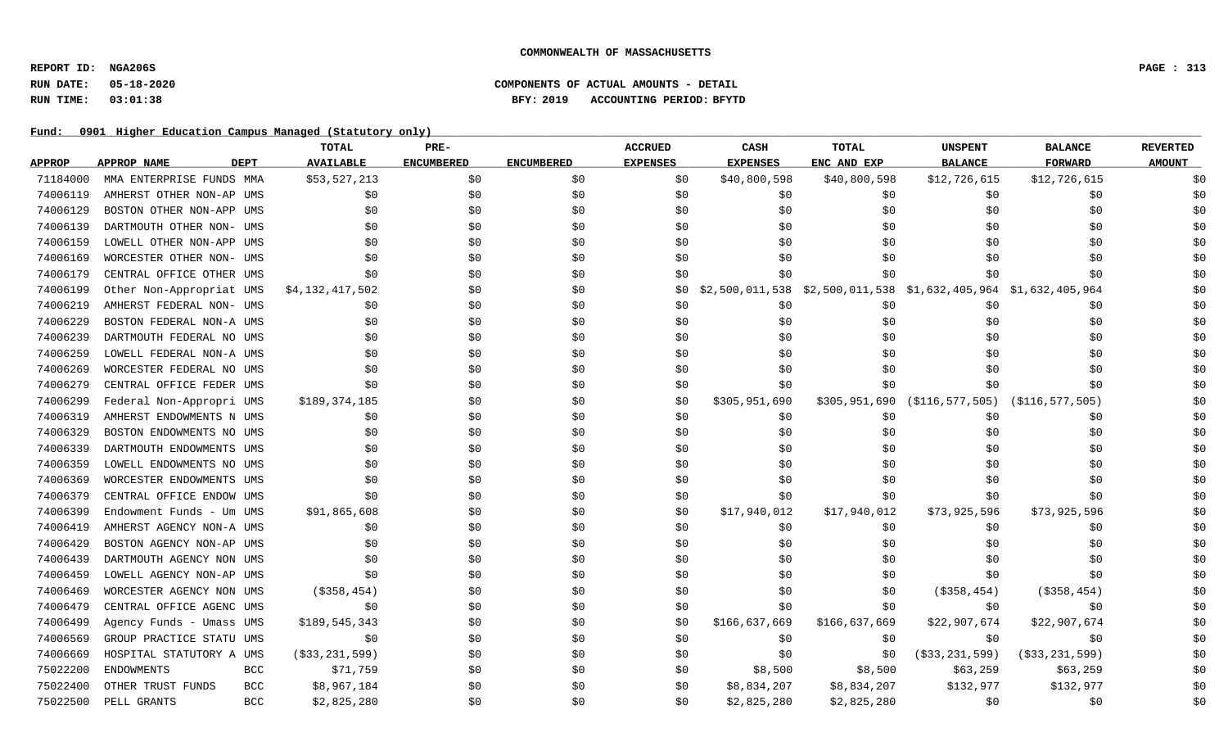# **RUN DATE: 05-18-2020 COMPONENTS OF ACTUAL AMOUNTS - DETAIL RUN TIME: 03:01:38 BFY: 2019 ACCOUNTING PERIOD: BFYTD**

|               |                            | TOTAL             | PRE-              |                   | <b>ACCRUED</b>  | CASH            | TOTAL         | <b>UNSPENT</b>                                                  | <b>BALANCE</b>     | <b>REVERTED</b> |
|---------------|----------------------------|-------------------|-------------------|-------------------|-----------------|-----------------|---------------|-----------------------------------------------------------------|--------------------|-----------------|
| <b>APPROP</b> | <b>APPROP NAME</b><br>DEPT | <b>AVAILABLE</b>  | <b>ENCUMBERED</b> | <b>ENCUMBERED</b> | <b>EXPENSES</b> | <b>EXPENSES</b> | ENC AND EXP   | <b>BALANCE</b>                                                  | <b>FORWARD</b>     | <b>AMOUNT</b>   |
| 71184000      | MMA ENTERPRISE FUNDS MMA   | \$53,527,213      | \$0               | \$0               | \$0             | \$40,800,598    | \$40,800,598  | \$12,726,615                                                    | \$12,726,615       |                 |
| 74006119      | AMHERST OTHER NON-AP UMS   | \$0               | \$0               | \$0\$             | \$0             | \$0             | \$0           | \$0                                                             | \$0                | \$0             |
| 74006129      | BOSTON OTHER NON-APP UMS   | \$0               | \$0               | \$0               | \$0             | \$0             | \$0           | \$0                                                             | \$0                | \$0             |
| 74006139      | DARTMOUTH OTHER NON- UMS   | \$0               | \$0               | \$0               | \$0             | \$0             | \$0           | \$0                                                             | \$0                | \$0             |
| 74006159      | LOWELL OTHER NON-APP UMS   | \$0               | \$0               | \$0               | \$0             | \$0             | \$0           | \$0                                                             | \$0                | \$0             |
| 74006169      | WORCESTER OTHER NON- UMS   | \$0               | \$0               | \$0               | \$0             | \$0             | \$0           | \$0                                                             | \$0                | \$0             |
| 74006179      | CENTRAL OFFICE OTHER UMS   | \$0               | \$0               | \$0               | \$0             | \$0             | \$0           | \$0                                                             | \$0                | \$0             |
| 74006199      | Other Non-Appropriat UMS   | \$4,132,417,502   | \$0               | \$0               | \$0             |                 |               | \$2,500,011,538 \$2,500,011,538 \$1,632,405,964 \$1,632,405,964 |                    | \$0             |
| 74006219      | AMHERST FEDERAL NON- UMS   | \$0               | \$0               | \$0               | \$0             | \$0             | \$0           | \$0                                                             | \$0                | \$0             |
| 74006229      | BOSTON FEDERAL NON-A UMS   | \$0               | \$0               | \$0               | \$0             | \$0             | \$0           | \$0                                                             | \$0                | \$0             |
| 74006239      | DARTMOUTH FEDERAL NO UMS   | \$0               | \$0               | \$0               | \$0             | \$0             | \$0           | \$0                                                             | \$0                | \$0             |
| 74006259      | LOWELL FEDERAL NON-A UMS   | \$0               | \$0               | \$0               | \$0             | \$0             | \$0           | \$0                                                             | \$0                | \$0             |
| 74006269      | WORCESTER FEDERAL NO UMS   | \$0               | \$0               | \$0               | \$0             | \$0             | \$0           | \$0                                                             | \$0                | \$0             |
| 74006279      | CENTRAL OFFICE FEDER UMS   | \$0               | \$0               | \$0               | \$0             | \$0             | \$0           | \$0                                                             | \$0                | \$0             |
| 74006299      | Federal Non-Appropri UMS   | \$189,374,185     | \$0               | \$0               | \$0             | \$305,951,690   | \$305,951,690 | (\$116,577,505)                                                 | ( \$116, 577, 505) | \$0             |
| 74006319      | AMHERST ENDOWMENTS N UMS   | \$0               | \$0               | \$0               | \$0             | \$0             | \$0           | \$0                                                             | \$0                | \$0             |
| 74006329      | BOSTON ENDOWMENTS NO UMS   | \$0               | \$0               | \$0               | \$0             | \$0             | \$0           | \$0                                                             | \$0                | \$0             |
| 74006339      | DARTMOUTH ENDOWMENTS UMS   | \$0               | \$0               | \$0               | \$0             | \$0             | \$0           | \$0                                                             | \$0                | \$0             |
| 74006359      | LOWELL ENDOWMENTS NO UMS   | \$0               | \$0               | \$0               | \$0             | \$0             | \$0           | \$0                                                             | \$0                | \$0             |
| 74006369      | WORCESTER ENDOWMENTS UMS   | \$0               | \$0               | \$0               | \$0             | \$0             | \$0           | \$0                                                             | \$0                | \$0             |
| 74006379      | CENTRAL OFFICE ENDOW UMS   | \$0               | \$0               | \$0               | \$0             | \$0             | \$0           | \$0                                                             | \$0                | \$0             |
| 74006399      | Endowment Funds - Um UMS   | \$91,865,608      | \$0               | \$0               | \$0             | \$17,940,012    | \$17,940,012  | \$73,925,596                                                    | \$73,925,596       | \$0             |
| 74006419      | AMHERST AGENCY NON-A UMS   | \$0               | \$0               | \$0               | \$0             | \$0             | \$0           | \$0                                                             | \$0                | \$0             |
| 74006429      | BOSTON AGENCY NON-AP UMS   | \$0               | \$0               | \$0               | \$0             | \$0\$           | \$0           | \$0                                                             | \$0                | \$0             |
| 74006439      | DARTMOUTH AGENCY NON UMS   | \$0               | \$0               | \$0               | \$0             | \$0             | \$0           | \$0                                                             | \$0                | \$0             |
| 74006459      | LOWELL AGENCY NON-AP UMS   | \$0               | \$0               | \$0               | \$0             | \$0             | \$0           | \$0                                                             | \$0                | \$0             |
| 74006469      | WORCESTER AGENCY NON UMS   | $($ \$358,454)    | \$0               | \$0               | \$0             | \$0             | \$0           | $($ \$358,454)                                                  | ( \$358, 454)      | \$0             |
| 74006479      | CENTRAL OFFICE AGENC UMS   | \$0               | \$0               | \$0               | \$0             | \$0             | \$0           | \$0                                                             | \$0                | \$0             |
| 74006499      | Agency Funds - Umass UMS   | \$189,545,343     | \$0               | \$0               | \$0             | \$166,637,669   | \$166,637,669 | \$22,907,674                                                    | \$22,907,674       | \$0             |
| 74006569      | GROUP PRACTICE STATU UMS   | \$0               | \$0               | \$0               | \$0             | \$0             | \$0           | \$0                                                             | \$0                | \$0             |
| 74006669      | HOSPITAL STATUTORY A UMS   | ( \$33, 231, 599) | \$0               | \$0               | \$0             | \$0             | \$0           | ( \$33, 231, 599)                                               | ( \$33, 231, 599)  | \$0             |
| 75022200      | <b>ENDOWMENTS</b><br>BCC   | \$71,759          | \$0               | \$0               | \$0             | \$8,500         | \$8,500       | \$63,259                                                        | \$63,259           | \$0             |
| 75022400      | OTHER TRUST FUNDS<br>BCC   | \$8,967,184       | \$0               | \$0               | \$0             | \$8,834,207     | \$8,834,207   | \$132,977                                                       | \$132,977          | \$0             |
| 75022500      | PELL GRANTS<br>BCC         | \$2,825,280       | \$0               | \$0               | \$0             | \$2,825,280     | \$2,825,280   | \$0                                                             | \$0                | \$0             |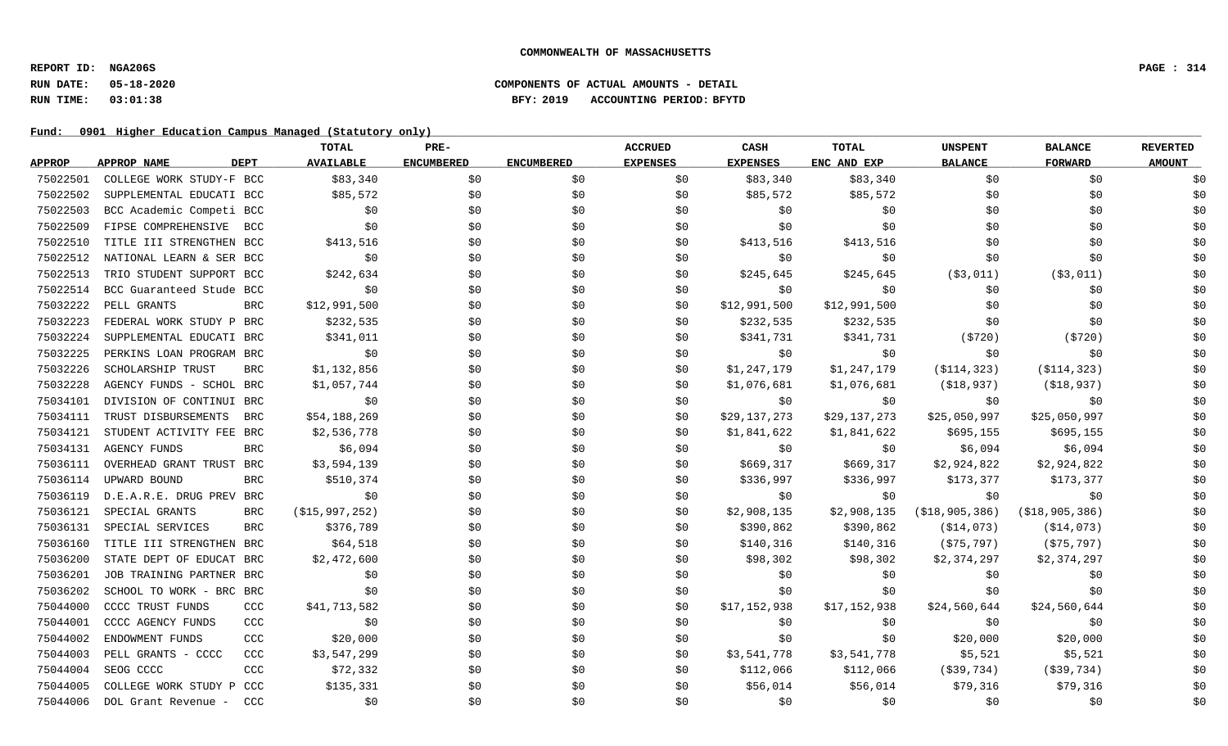# **RUN DATE: 05-18-2020 COMPONENTS OF ACTUAL AMOUNTS - DETAIL RUN TIME: 03:01:38 BFY: 2019 ACCOUNTING PERIOD: BFYTD**

|               |                                  | TOTAL                      | PRE-              |                   | <b>ACCRUED</b>  | CASH            | TOTAL          | <b>UNSPENT</b>    | <b>BALANCE</b>  | <b>REVERTED</b> |
|---------------|----------------------------------|----------------------------|-------------------|-------------------|-----------------|-----------------|----------------|-------------------|-----------------|-----------------|
| <b>APPROP</b> | APPROP NAME<br>DEPT              | <b>AVAILABLE</b>           | <b>ENCUMBERED</b> | <b>ENCUMBERED</b> | <b>EXPENSES</b> | <b>EXPENSES</b> | ENC AND EXP    | <b>BALANCE</b>    | FORWARD         | <b>AMOUNT</b>   |
| 75022501      | COLLEGE WORK STUDY-F BCC         | \$83,340                   | \$0               | \$0               | \$0             | \$83,340        | \$83,340       | \$0               | \$0             | \$0             |
| 75022502      | SUPPLEMENTAL EDUCATI BCC         | \$85,572                   | \$0               | \$0               | \$0             | \$85,572        | \$85,572       | \$0               | \$0             | \$0             |
| 75022503      | BCC Academic Competi BCC         | \$0                        | \$0               | \$0               | \$0             | \$0             | \$0            | \$0               | \$0             | \$0             |
| 75022509      | FIPSE COMPREHENSIVE BCC          | \$0                        | \$0               | \$0               | \$0             | \$0             | \$0            | \$0               | \$0             | \$0             |
| 75022510      | TITLE III STRENGTHEN BCC         | \$413,516                  | \$0               | \$0               | \$0             | \$413,516       | \$413,516      | \$0               | \$0             | \$0             |
| 75022512      | NATIONAL LEARN & SER BCC         | $\uparrow$ 50              | \$0               | \$0               | \$0             | \$0             | \$0            | \$0               | \$0             | \$0             |
| 75022513      | TRIO STUDENT SUPPORT BCC         | \$242,634                  | \$0               | \$0               | \$0             | \$245,645       | \$245,645      | ( \$3, 011)       | ( \$3, 011)     | \$0             |
| 75022514      | BCC Guaranteed Stude BCC         | \$0                        | \$0               | \$0               | \$0             | \$0             | \$0            | \$0               | \$0             | \$0             |
| 75032222      | PELL GRANTS<br><b>BRC</b>        | \$12,991,500               | \$0               | \$0               | \$0             | \$12,991,500    | \$12,991,500   | \$0               | \$0             | \$0             |
| 75032223      | FEDERAL WORK STUDY P BRC         | \$232,535                  | \$0               | \$0               | \$0             | \$232,535       | \$232,535      | \$0               | \$0             | \$0             |
| 75032224      | SUPPLEMENTAL EDUCATI BRC         | \$341,011                  | \$0               | \$0               | \$0             | \$341,731       | \$341,731      | (\$720)           | (\$720)         | \$0             |
| 75032225      | PERKINS LOAN PROGRAM BRC         | $\uplus$ 0                 | \$0               | \$0               | \$0             | \$0             | $\frac{1}{50}$ | \$0               | \$0             | \$0             |
| 75032226      | SCHOLARSHIP TRUST<br><b>BRC</b>  | \$1,132,856                | \$0               | \$0               | \$0             | \$1,247,179     | \$1,247,179    | (S114, 323)       | ( \$114, 323)   | \$0             |
| 75032228      | AGENCY FUNDS - SCHOL BRC         | \$1,057,744                | \$0               | \$0\$             | \$0             | \$1,076,681     | \$1,076,681    | (\$18,937)        | (\$18,937)      | \$0             |
| 75034101      | DIVISION OF CONTINUI BRC         | $\frac{1}{50}$             | \$0               | \$0               | \$0             | \$0             | $\frac{1}{50}$ | $\frac{1}{50}$    | $\uplus$ 0      | \$0             |
| 75034111      | TRUST DISBURSEMENTS<br>BRC       | \$54,188,269               | \$0               | \$0               | \$0             | \$29,137,273    | \$29,137,273   | \$25,050,997      | \$25,050,997    | \$0             |
| 75034121      | STUDENT ACTIVITY FEE BRC         | \$2,536,778                | \$0               | \$0               | \$0             | \$1,841,622     | \$1,841,622    | \$695,155         | \$695,155       | \$0             |
| 75034131      | AGENCY FUNDS<br><b>BRC</b>       | \$6,094                    | \$0               | \$0               | \$0             | \$0             | \$0            | \$6,094           | \$6,094         | \$0             |
| 75036111      | OVERHEAD GRANT TRUST BRC         | \$3,594,139                | \$0               | \$0               | \$0             | \$669,317       | \$669,317      | \$2,924,822       | \$2,924,822     | \$0             |
| 75036114      | UPWARD BOUND<br>BRC              | \$510,374                  | \$0               | \$0               | \$0             | \$336,997       | \$336,997      | \$173,377         | \$173,377       | \$0             |
| 75036119      | D.E.A.R.E. DRUG PREV BRC         | $\frac{1}{2}$ 0            | \$0               | \$0               | \$0             | $\frac{1}{50}$  | \$0            | $\frac{1}{50}$    | $\frac{1}{50}$  | \$0             |
| 75036121      | SPECIAL GRANTS<br>BRC            | ( \$15, 997, 252)          | \$0               | \$0               | \$0             | \$2,908,135     | \$2,908,135    | ( \$18, 905, 386) | (S18, 905, 386) | \$0             |
| 75036131      | SPECIAL SERVICES                 | \$376,789<br><b>BRC</b>    | \$0               | \$0               | \$0             | \$390,862       | \$390,862      | ( \$14,073)       | (\$14,073)      | \$0             |
| 75036160      | TITLE III STRENGTHEN BRC         | \$64,518                   | \$0               | \$0               | \$0             | \$140,316       | \$140,316      | (\$75,797)        | (\$75,797)      | \$0             |
| 75036200      | STATE DEPT OF EDUCAT BRC         | \$2,472,600                | \$0               | \$0               | \$0             | \$98,302        | \$98,302       | \$2,374,297       | \$2,374,297     | \$0             |
| 75036201      | JOB TRAINING PARTNER BRC         | \$0                        | \$0               | \$0               | \$0             | \$0             | \$0            | \$0               | \$0             | \$0             |
| 75036202      | SCHOOL TO WORK - BRC BRC         | \$0                        | \$0               | \$0               | \$0             | \$0             | \$0            | \$0               | \$0             | \$0             |
| 75044000      | CCCC TRUST FUNDS                 | \$41,713,582<br><b>CCC</b> | \$0               | \$0               | \$0             | \$17,152,938    | \$17,152,938   | \$24,560,644      | \$24,560,644    | \$0             |
| 75044001      | CCCC AGENCY FUNDS<br>CCC         | \$0                        | \$0               | \$0               | \$0             | \$0             | \$0            | \$0               | \$0             | \$0             |
| 75044002      | ENDOWMENT FUNDS                  | \$20,000<br><b>CCC</b>     | \$0               | \$0               | \$0             | \$0             | \$0            | \$20,000          | \$20,000        | \$0             |
| 75044003      | PELL GRANTS - CCCC<br><b>CCC</b> | \$3,547,299                | \$0               | \$0               | SO.             | \$3,541,778     | \$3,541,778    | \$5,521           | \$5,521         | \$0             |
| 75044004      | SEOG CCCC<br>CCC                 | \$72,332                   | \$0               | \$0               | \$0             | \$112,066       | \$112,066      | (\$39,734)        | (\$39,734)      | \$0             |
| 75044005      | COLLEGE WORK STUDY P CCC         | \$135,331                  | \$0               | \$0               | \$0             | \$56,014        | \$56,014       | \$79,316          | \$79,316        | \$0             |
| 75044006      | DOL Grant Revenue - CCC          | \$0                        | \$0               | \$0               | \$0             | \$0             | \$0            | \$0               | \$0             | \$0             |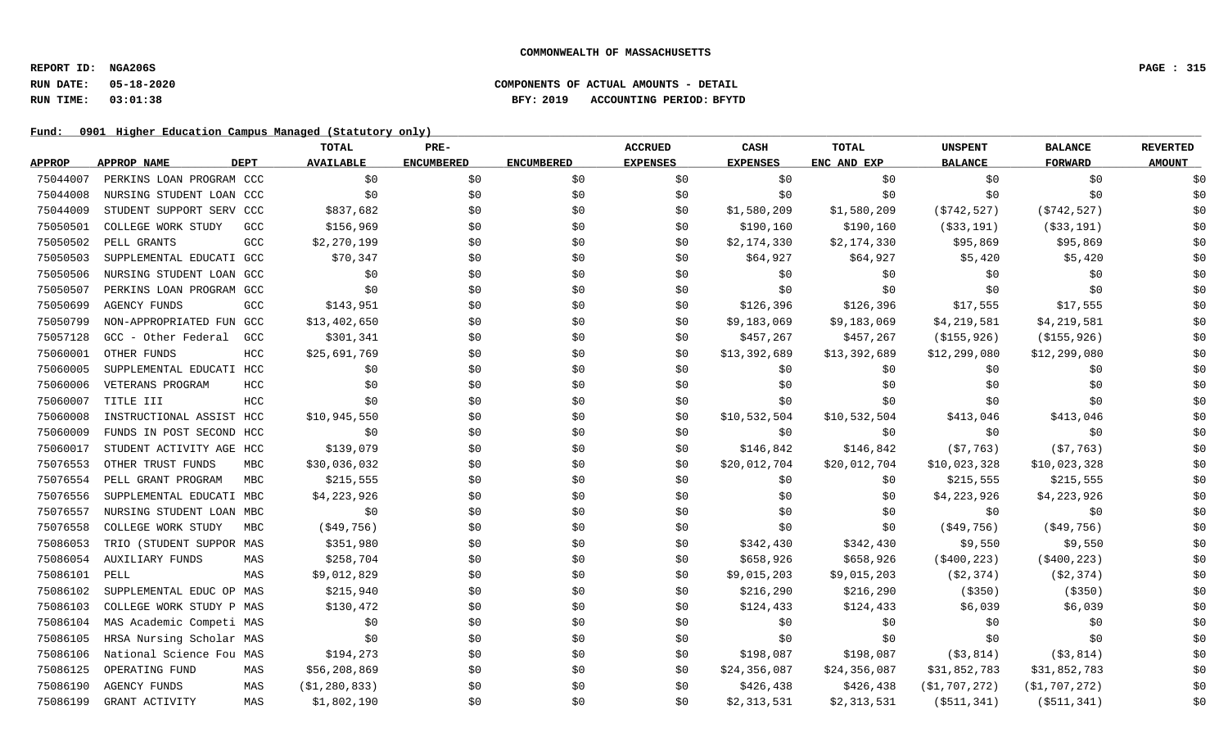# **RUN DATE: 05-18-2020 COMPONENTS OF ACTUAL AMOUNTS - DETAIL RUN TIME: 03:01:38 BFY: 2019 ACCOUNTING PERIOD: BFYTD**

|               |                          |             | <b>TOTAL</b>     | PRE-              |                   | <b>ACCRUED</b>  | CASH            | TOTAL        | <b>UNSPENT</b>   | <b>BALANCE</b>   | <b>REVERTED</b> |
|---------------|--------------------------|-------------|------------------|-------------------|-------------------|-----------------|-----------------|--------------|------------------|------------------|-----------------|
| <b>APPROP</b> | APPROP NAME              | <b>DEPT</b> | <b>AVAILABLE</b> | <b>ENCUMBERED</b> | <b>ENCUMBERED</b> | <b>EXPENSES</b> | <b>EXPENSES</b> | ENC AND EXP  | <b>BALANCE</b>   | <b>FORWARD</b>   | <b>AMOUNT</b>   |
| 75044007      | PERKINS LOAN PROGRAM CCC |             | \$0              | \$0               | \$0               | \$0             | \$0             | \$0          | \$0              | \$0              | \$0             |
| 75044008      | NURSING STUDENT LOAN CCC |             | \$0              | \$0\$             | \$0               | \$0             | \$0             | \$0          | \$0              | \$0              | \$0             |
| 75044009      | STUDENT SUPPORT SERV CCC |             | \$837,682        | \$0\$             | \$0               | \$0             | \$1,580,209     | \$1,580,209  | ( \$742, 527)    | ( \$742, 527)    | \$0             |
| 75050501      | COLLEGE WORK STUDY       | GCC         | \$156,969        | \$0               | \$0               | \$0             | \$190,160       | \$190,160    | ( \$33,191)      | ( \$33,191)      | \$0             |
| 75050502      | PELL GRANTS              | GCC         | \$2,270,199      | \$0               | \$0               | \$0             | \$2,174,330     | \$2,174,330  | \$95,869         | \$95,869         | \$0             |
| 75050503      | SUPPLEMENTAL EDUCATI GCC |             | \$70,347         | \$0               | \$0               | \$0             | \$64,927        | \$64,927     | \$5,420          | \$5,420          | \$0             |
| 75050506      | NURSING STUDENT LOAN GCC |             | \$0              | \$0               | \$0               | \$0             | \$0             | \$0          | \$0              | \$0              | \$0             |
| 75050507      | PERKINS LOAN PROGRAM GCC |             | \$0              | \$0               | \$0               | \$0             | \$0             | \$0          | \$0              | \$0              | \$0             |
| 75050699      | <b>AGENCY FUNDS</b>      | GCC         | \$143,951        | \$0               | \$0               | \$0             | \$126,396       | \$126,396    | \$17,555         | \$17,555         | \$0             |
| 75050799      | NON-APPROPRIATED FUN GCC |             | \$13,402,650     | \$0               | \$0               | \$0             | \$9,183,069     | \$9,183,069  | \$4,219,581      | \$4,219,581      | \$0             |
| 75057128      | GCC - Other Federal      | GCC         | \$301,341        | \$0               | \$0               | \$0             | \$457,267       | \$457,267    | (\$155,926)      | (\$155,926)      | \$0             |
| 75060001      | OTHER FUNDS              | HCC         | \$25,691,769     | \$0               | \$0               | \$0             | \$13,392,689    | \$13,392,689 | \$12,299,080     | \$12,299,080     | \$0             |
| 75060005      | SUPPLEMENTAL EDUCATI HCC |             | \$0              | \$0               | \$0               | \$0             | \$0             | \$0          | \$0              | \$0              | \$0             |
| 75060006      | VETERANS PROGRAM         | HCC         | \$0              | \$0               | \$0               | \$0             | \$0             | \$0\$        | \$0              | \$0              | \$0             |
| 75060007      | TITLE III                | HCC         | \$0              | \$0\$             | \$0               | \$0             | \$0             | \$0          | \$0              | \$0              | \$0             |
| 75060008      | INSTRUCTIONAL ASSIST HCC |             | \$10,945,550     | \$0               | \$0               | \$0             | \$10,532,504    | \$10,532,504 | \$413,046        | \$413,046        | \$0             |
| 75060009      | FUNDS IN POST SECOND HCC |             | \$0              | \$0               | \$0               | \$0             | \$0             | \$0          | \$0              | \$0              | \$0             |
| 75060017      | STUDENT ACTIVITY AGE HCC |             | \$139,079        | \$0               | \$0               | \$0             | \$146,842       | \$146,842    | (57, 763)        | (57, 763)        | \$0             |
| 75076553      | OTHER TRUST FUNDS        | MBC         | \$30,036,032     | \$0               | \$0               | \$0             | \$20,012,704    | \$20,012,704 | \$10,023,328     | \$10,023,328     | \$0             |
| 75076554      | PELL GRANT PROGRAM       | <b>MBC</b>  | \$215,555        | \$0\$             | \$0               | \$0             | \$0             | \$0          | \$215,555        | \$215,555        | \$0             |
| 75076556      | SUPPLEMENTAL EDUCATI MBC |             | \$4,223,926      | \$0               | \$0               | \$0             | \$0             | \$0          | \$4,223,926      | \$4,223,926      | \$0             |
| 75076557      | NURSING STUDENT LOAN MBC |             | \$0              | \$0               | \$0               | \$0             | \$0             | \$0          | \$0              | \$0              | \$0             |
| 75076558      | COLLEGE WORK STUDY       | <b>MBC</b>  | ( \$49, 756)     | \$0               | \$0               | \$0             | \$0             | \$0          | $($ \$49,756)    | ( \$49, 756)     | \$0             |
| 75086053      | TRIO (STUDENT SUPPOR MAS |             | \$351,980        | \$0               | \$0               | \$0             | \$342,430       | \$342,430    | \$9,550          | \$9,550          | \$0             |
| 75086054      | <b>AUXILIARY FUNDS</b>   | MAS         | \$258,704        | \$0               | \$0               | \$0             | \$658,926       | \$658,926    | $($ \$400,223)   | ( \$400, 223)    | \$0             |
| 75086101      | PELL                     | MAS         | \$9,012,829      | \$0               | \$0               | \$0             | \$9,015,203     | \$9,015,203  | ( \$2, 374)      | (\$2,374)        | \$0             |
| 75086102      | SUPPLEMENTAL EDUC OP MAS |             | \$215,940        | \$0\$             | \$0               | \$0             | \$216,290       | \$216,290    | ( \$350)         | (\$350)          | \$0             |
| 75086103      | COLLEGE WORK STUDY P MAS |             | \$130,472        | \$0               | \$0               | \$0             | \$124,433       | \$124,433    | \$6,039          | \$6,039          | \$0             |
| 75086104      | MAS Academic Competi MAS |             | \$0              | \$0               | \$0               | \$0             | \$0             | \$0          | \$0              | \$0              | \$0             |
| 75086105      | HRSA Nursing Scholar MAS |             | \$0              | \$0               | \$0               | \$0             | \$0             | \$0          | \$0              | \$0              | \$0             |
| 75086106      | National Science Fou MAS |             | \$194,273        | \$0               | \$0               | \$0             | \$198,087       | \$198,087    | ( \$3, 814)      | ( \$3, 814)      | \$0             |
| 75086125      | OPERATING FUND           | MAS         | \$56,208,869     | \$0               | \$0               | \$0             | \$24,356,087    | \$24,356,087 | \$31,852,783     | \$31,852,783     | \$0             |
| 75086190      | <b>AGENCY FUNDS</b>      | MAS         | ( \$1, 280, 833) | \$0               | \$0               | \$0             | \$426,438       | \$426,438    | ( \$1, 707, 272) | ( \$1, 707, 272) | \$0             |
| 75086199      | GRANT ACTIVITY           | MAS         | \$1,802,190      | \$0               | \$0               | \$0             | \$2,313,531     | \$2,313,531  | $($ \$511,341)   | $($ \$511,341)   | \$0             |
|               |                          |             |                  |                   |                   |                 |                 |              |                  |                  |                 |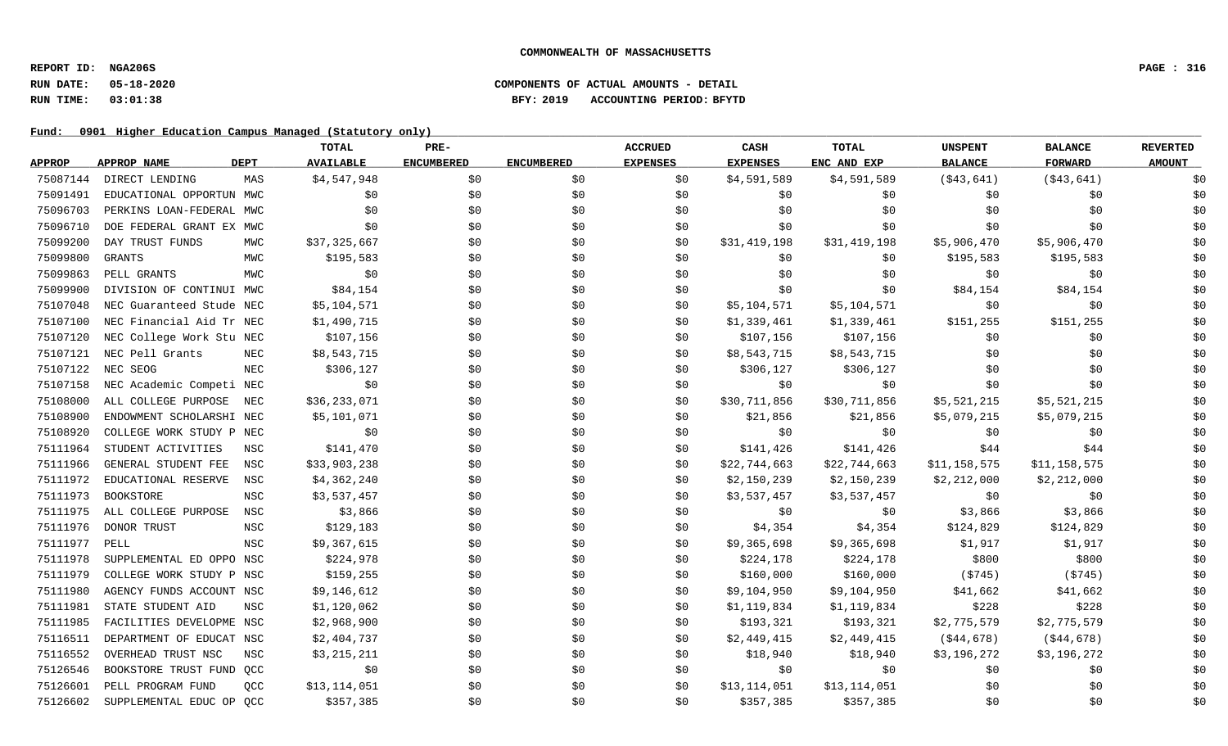# **RUN DATE: 05-18-2020 COMPONENTS OF ACTUAL AMOUNTS - DETAIL RUN TIME: 03:01:38 BFY: 2019 ACCOUNTING PERIOD: BFYTD**

|               |                          |             | TOTAL            | PRE-              |                   | <b>ACCRUED</b>  | CASH            | <b>TOTAL</b> | <b>UNSPENT</b> | <b>BALANCE</b> | <b>REVERTED</b> |
|---------------|--------------------------|-------------|------------------|-------------------|-------------------|-----------------|-----------------|--------------|----------------|----------------|-----------------|
| <b>APPROP</b> | APPROP NAME              | <b>DEPT</b> | <b>AVAILABLE</b> | <b>ENCUMBERED</b> | <b>ENCUMBERED</b> | <b>EXPENSES</b> | <b>EXPENSES</b> | ENC AND EXP  | <b>BALANCE</b> | <b>FORWARD</b> | <b>AMOUNT</b>   |
| 75087144      | DIRECT LENDING           | MAS         | \$4,547,948      | \$0               | \$0               | \$0             | \$4,591,589     | \$4,591,589  | (\$43,641)     | ( \$43,641)    | \$0             |
| 75091491      | EDUCATIONAL OPPORTUN MWC |             | \$0              | \$0               | \$0               | \$0             | \$0\$           | \$0          | \$0            | \$0            | \$0             |
| 75096703      | PERKINS LOAN-FEDERAL MWC |             | \$0              | \$0               | \$0               | \$0             | \$0             | \$0          | \$0            | \$0            | \$0             |
| 75096710      | DOE FEDERAL GRANT EX MWC |             | \$0\$            | \$0               | \$0               | \$0             | \$0             | \$0          | \$0            | \$0            | \$0             |
| 75099200      | DAY TRUST FUNDS          | MWC         | \$37,325,667     | \$0               | \$0               | \$0             | \$31,419,198    | \$31,419,198 | \$5,906,470    | \$5,906,470    | \$0             |
| 75099800      | <b>GRANTS</b>            | MWC         | \$195,583        | \$0               | \$0               | \$0             | \$0             | \$0          | \$195,583      | \$195,583      | \$0             |
| 75099863      | PELL GRANTS              | MWC         | \$0              | \$0               | \$0               | \$0             | \$0             | \$0          | \$0            | \$0            | \$0             |
| 75099900      | DIVISION OF CONTINUI MWC |             | \$84,154         | \$0               | \$0               | \$0             | \$0             | \$0          | \$84,154       | \$84,154       | \$0             |
| 75107048      | NEC Guaranteed Stude NEC |             | \$5,104,571      | \$0               | \$0               | \$0             | \$5,104,571     | \$5,104,571  | \$0            | \$0            | \$0             |
| 75107100      | NEC Financial Aid Tr NEC |             | \$1,490,715      | \$0               | \$0               | \$0             | \$1,339,461     | \$1,339,461  | \$151,255      | \$151,255      | \$0             |
| 75107120      | NEC College Work Stu NEC |             | \$107,156        | \$0               | \$0               | \$0             | \$107,156       | \$107,156    | \$0            | \$0            | \$0             |
| 75107121      | NEC Pell Grants          | NEC         | \$8,543,715      | \$0               | \$0               | \$0             | \$8,543,715     | \$8,543,715  | \$0            | \$0            | \$0             |
| 75107122      | NEC SEOG                 | NEC         | \$306,127        | \$0               | \$0               | \$0             | \$306,127       | \$306,127    | \$0            | \$0            | \$0             |
| 75107158      | NEC Academic Competi NEC |             | \$0              | \$0               | \$0               | \$0             | \$0             | \$0          | \$0            | \$0            | \$0             |
| 75108000      | ALL COLLEGE PURPOSE      | NEC         | \$36,233,071     | \$0               | \$0               | \$0             | \$30,711,856    | \$30,711,856 | \$5,521,215    | \$5,521,215    | \$0             |
| 75108900      | ENDOWMENT SCHOLARSHI NEC |             | \$5,101,071      | \$0               | \$0               | \$0             | \$21,856        | \$21,856     | \$5,079,215    | \$5,079,215    | \$0             |
| 75108920      | COLLEGE WORK STUDY P NEC |             | \$0              | \$0               | \$0               | \$0             | \$0             | \$0          | \$0            | \$0            | \$0             |
| 75111964      | STUDENT ACTIVITIES       | NSC         | \$141,470        | \$0               | \$0               | \$0             | \$141,426       | \$141,426    | \$44           | \$44           | \$0             |
| 75111966      | GENERAL STUDENT FEE      | NSC         | \$33,903,238     | \$0               | \$0               | \$0             | \$22,744,663    | \$22,744,663 | \$11,158,575   | \$11,158,575   | \$0             |
| 75111972      | EDUCATIONAL RESERVE      | NSC         | \$4,362,240      | \$0               | \$0               | \$0             | \$2,150,239     | \$2,150,239  | \$2,212,000    | \$2,212,000    | \$0             |
| 75111973      | BOOKSTORE                | <b>NSC</b>  | \$3,537,457      | \$0               | \$0               | \$0             | \$3,537,457     | \$3,537,457  | \$0            | \$0            | \$0             |
| 75111975      | ALL COLLEGE PURPOSE      | NSC         | \$3,866          | \$0               | \$0               | \$0             | \$0             | \$0          | \$3,866        | \$3,866        | \$0             |
| 75111976      | DONOR TRUST              | NSC         | \$129,183        | \$0               | \$0               | \$0             | \$4,354         | \$4,354      | \$124,829      | \$124,829      | \$0             |
| 75111977      | PELL                     | <b>NSC</b>  | \$9,367,615      | \$0               | \$0               | \$0             | \$9,365,698     | \$9,365,698  | \$1,917        | \$1,917        | \$0             |
| 75111978      | SUPPLEMENTAL ED OPPO NSC |             | \$224,978        | \$0               | \$0               | \$0             | \$224,178       | \$224,178    | \$800          | \$800          | \$0             |
| 75111979      | COLLEGE WORK STUDY P NSC |             | \$159,255        | \$0               | \$0               | \$0             | \$160,000       | \$160,000    | ( \$745)       | (5745)         | \$0             |
| 75111980      | AGENCY FUNDS ACCOUNT NSC |             | \$9,146,612      | \$0               | \$0               | \$0             | \$9,104,950     | \$9,104,950  | \$41,662       | \$41,662       | \$0             |
| 75111981      | STATE STUDENT AID        | <b>NSC</b>  | \$1,120,062      | \$0               | \$0               | \$0             | \$1,119,834     | \$1,119,834  | \$228          | \$228          | \$0             |
| 75111985      | FACILITIES DEVELOPME NSC |             | \$2,968,900      | \$0               | \$0               | \$0             | \$193,321       | \$193,321    | \$2,775,579    | \$2,775,579    | \$0             |
| 75116511      | DEPARTMENT OF EDUCAT NSC |             | \$2,404,737      | \$0               | \$0               | \$0             | \$2,449,415     | \$2,449,415  | (\$44,678)     | ( \$44, 678)   | \$0             |
| 75116552      | OVERHEAD TRUST NSC       | NSC         | \$3,215,211      | \$0               | \$0               | \$0             | \$18,940        | \$18,940     | \$3,196,272    | \$3,196,272    | \$0             |
| 75126546      | BOOKSTORE TRUST FUND QCC |             | \$0              | \$0               | \$0               | \$0             | \$0             | \$0          | \$0            | \$0            | \$0             |
| 75126601      | PELL PROGRAM FUND        | QCC         | \$13,114,051     | \$0               | \$0               | \$0             | \$13,114,051    | \$13,114,051 | \$0            | \$0            | \$0             |
| 75126602      | SUPPLEMENTAL EDUC OP QCC |             | \$357,385        | \$0               | \$0               | \$0             | \$357,385       | \$357,385    | \$0            | \$0            | \$0             |
|               |                          |             |                  |                   |                   |                 |                 |              |                |                |                 |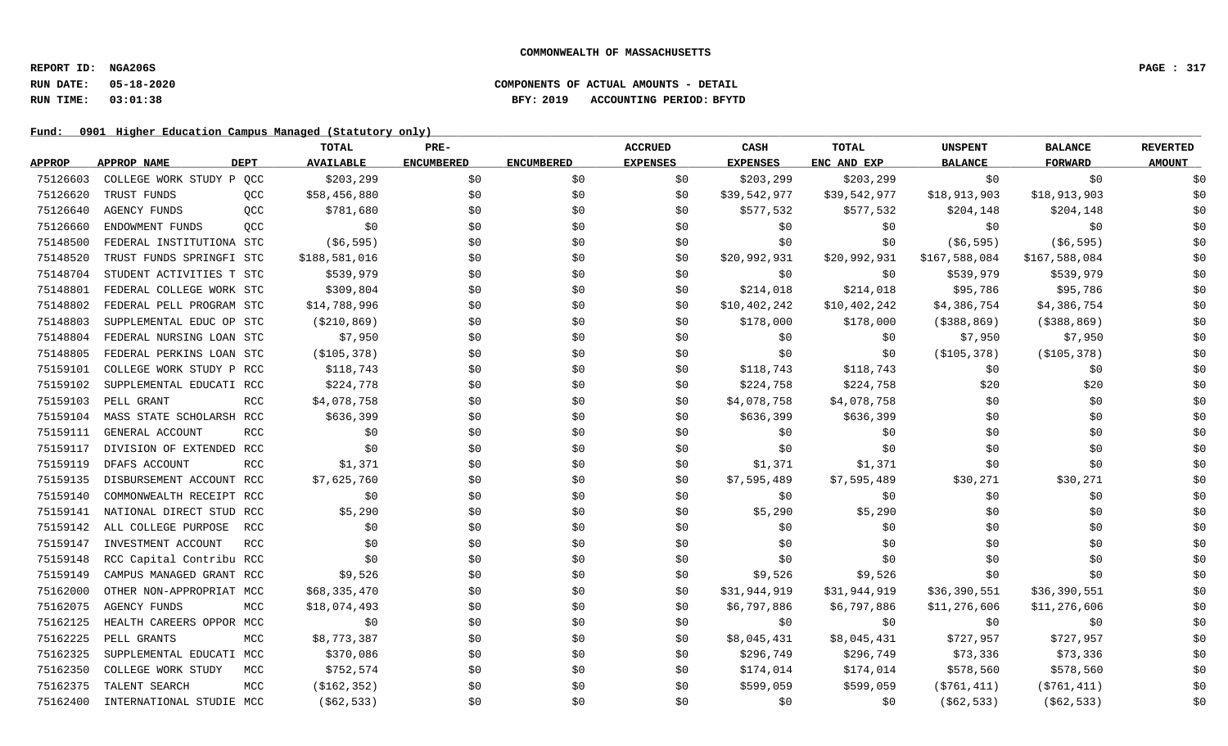# **RUN DATE: 05-18-2020 COMPONENTS OF ACTUAL AMOUNTS - DETAIL RUN TIME: 03:01:38 BFY: 2019 ACCOUNTING PERIOD: BFYTD**

|               |                          |             | TOTAL            | PRE-              |                   | <b>ACCRUED</b>  | <b>CASH</b>     | <b>TOTAL</b> | <b>UNSPENT</b> | <b>BALANCE</b> | <b>REVERTED</b> |
|---------------|--------------------------|-------------|------------------|-------------------|-------------------|-----------------|-----------------|--------------|----------------|----------------|-----------------|
| <b>APPROP</b> | <b>APPROP NAME</b>       | <b>DEPT</b> | <b>AVAILABLE</b> | <b>ENCUMBERED</b> | <b>ENCUMBERED</b> | <b>EXPENSES</b> | <b>EXPENSES</b> | ENC AND EXP  | <b>BALANCE</b> | <b>FORWARD</b> | <b>AMOUNT</b>   |
| 75126603      | COLLEGE WORK STUDY P QCC |             | \$203,299        | \$0               | \$0               | \$0             | \$203,299       | \$203,299    | \$0            | \$0            | \$0             |
| 75126620      | TRUST FUNDS              | QCC         | \$58,456,880     | \$0               | \$0               | \$0             | \$39,542,977    | \$39,542,977 | \$18,913,903   | \$18,913,903   | \$0             |
| 75126640      | <b>AGENCY FUNDS</b>      | QCC         | \$781,680        | \$0               | \$0               | \$0             | \$577,532       | \$577,532    | \$204,148      | \$204,148      | \$0             |
| 75126660      | ENDOWMENT FUNDS          | QCC         | \$0              | \$0               | \$0               | \$0             | \$0             | \$0          | \$0            | \$0            | \$0             |
| 75148500      | FEDERAL INSTITUTIONA STC |             | ( \$6, 595)      | \$0               | \$0               | \$0             | \$0             | \$0          | ( \$6, 595)    | ( \$6, 595)    | \$0             |
| 75148520      | TRUST FUNDS SPRINGFI STC |             | \$188,581,016    | \$0               | \$0               | \$0             | \$20,992,931    | \$20,992,931 | \$167,588,084  | \$167,588,084  | \$0             |
| 75148704      | STUDENT ACTIVITIES T STC |             | \$539,979        | \$0               | \$0               | \$0             | \$0             | \$0          | \$539,979      | \$539,979      | \$0             |
| 75148801      | FEDERAL COLLEGE WORK STC |             | \$309,804        | \$0               | \$0               | \$0             | \$214,018       | \$214,018    | \$95,786       | \$95,786       | \$0             |
| 75148802      | FEDERAL PELL PROGRAM STC |             | \$14,788,996     | \$0               | \$0               | \$0             | \$10,402,242    | \$10,402,242 | \$4,386,754    | \$4,386,754    | \$0             |
| 75148803      | SUPPLEMENTAL EDUC OP STC |             | ( \$210, 869)    | \$0               | \$0               | \$0             | \$178,000       | \$178,000    | ( \$388, 869)  | $($ \$388,869) | \$0             |
| 75148804      | FEDERAL NURSING LOAN STC |             | \$7,950          | \$0               | \$0               | \$0             | \$0             | \$0          | \$7,950        | \$7,950        | \$0             |
| 75148805      | FEDERAL PERKINS LOAN STC |             | ( \$105, 378)    | \$0               | \$0               | \$0             | \$0             | \$0          | ( \$105, 378)  | ( \$105, 378)  | \$0             |
| 75159101      | COLLEGE WORK STUDY P RCC |             | \$118,743        | \$0               | \$0               | \$0             | \$118,743       | \$118,743    | \$0            | \$0            | \$0             |
| 75159102      | SUPPLEMENTAL EDUCATI RCC |             | \$224,778        | \$0               | \$0               | \$0             | \$224,758       | \$224,758    | \$20           | \$20           | \$0             |
| 75159103      | PELL GRANT               | RCC         | \$4,078,758      | \$0               | \$0               | \$0             | \$4,078,758     | \$4,078,758  | \$0            | \$0            | \$0             |
| 75159104      | MASS STATE SCHOLARSH RCC |             | \$636,399        | \$0               | \$0               | \$0             | \$636,399       | \$636,399    | \$0            | \$0            | \$0             |
| 75159111      | GENERAL ACCOUNT          | <b>RCC</b>  | \$0              | \$0               | \$0               | \$0             | \$0             | \$0          | \$0            | \$0            | \$0             |
| 75159117      | DIVISION OF EXTENDED RCC |             | \$0              | \$0               | \$0               | \$0             | \$0             | \$0          | \$0            | \$0            | \$0             |
| 75159119      | DFAFS ACCOUNT            | <b>RCC</b>  | \$1,371          | \$0               | \$0               | \$0             | \$1,371         | \$1,371      | \$0            | \$0            | \$0             |
| 75159135      | DISBURSEMENT ACCOUNT RCC |             | \$7,625,760      | \$0               | \$0               | \$0             | \$7,595,489     | \$7,595,489  | \$30,271       | \$30,271       | \$0             |
| 75159140      | COMMONWEALTH RECEIPT RCC |             | \$0              | \$0               | \$0               | \$0             | \$0             | \$0          | \$0            | \$0            | \$0             |
| 75159141      | NATIONAL DIRECT STUD RCC |             | \$5,290          | \$0               | \$0               | \$0             | \$5,290         | \$5,290      | \$0            | \$0            | \$0             |
| 75159142      | ALL COLLEGE PURPOSE      | RCC         | \$0              | \$0               | \$0               | \$0             | \$0             | \$0          | \$0            | \$0            | \$0             |
| 75159147      | INVESTMENT ACCOUNT       | <b>RCC</b>  | \$0              | \$0               | \$0               | \$0             | \$0             | \$0          | \$0            | \$0            | \$0             |
| 75159148      | RCC Capital Contribu RCC |             | \$0              | \$0               | \$0               | \$0             | \$0             | \$0          | \$0            | \$0            | \$0             |
| 75159149      | CAMPUS MANAGED GRANT RCC |             | \$9,526          | \$0               | \$0               | \$0             | \$9,526         | \$9,526      | \$0            | \$0            | \$0             |
| 75162000      | OTHER NON-APPROPRIAT MCC |             | \$68,335,470     | \$0               | \$0               | \$0             | \$31,944,919    | \$31,944,919 | \$36,390,551   | \$36,390,551   | \$0             |
| 75162075      | <b>AGENCY FUNDS</b>      | MCC         | \$18,074,493     | \$0               | \$0               | \$0             | \$6,797,886     | \$6,797,886  | \$11,276,606   | \$11,276,606   | \$0             |
| 75162125      | HEALTH CAREERS OPPOR MCC |             | \$0              | \$0               | \$0               | \$0             | \$0             | \$0          | \$0            | \$0            | \$0             |
| 75162225      | PELL GRANTS              | MCC         | \$8,773,387      | \$0               | \$0               | \$0             | \$8,045,431     | \$8,045,431  | \$727,957      | \$727,957      | \$0             |
| 75162325      | SUPPLEMENTAL EDUCATI MCC |             | \$370,086        | \$0               | \$0               | \$0             | \$296,749       | \$296,749    | \$73,336       | \$73,336       | \$0             |
| 75162350      | COLLEGE WORK STUDY       | MCC         | \$752,574        | \$0               | \$0               | \$0             | \$174,014       | \$174,014    | \$578,560      | \$578,560      | \$0             |
| 75162375      | TALENT SEARCH            | MCC         | ( \$162, 352)    | \$0               | \$0               | \$0             | \$599,059       | \$599,059    | ( \$761, 411)  | ( \$761, 411)  | \$0             |
| 75162400      | INTERNATIONAL STUDIE MCC |             | ( \$62, 533)     | \$0\$             | \$0               | \$0             | \$0             | \$0          | ( \$62, 533)   | ( \$62, 533)   | \$0             |
|               |                          |             |                  |                   |                   |                 |                 |              |                |                |                 |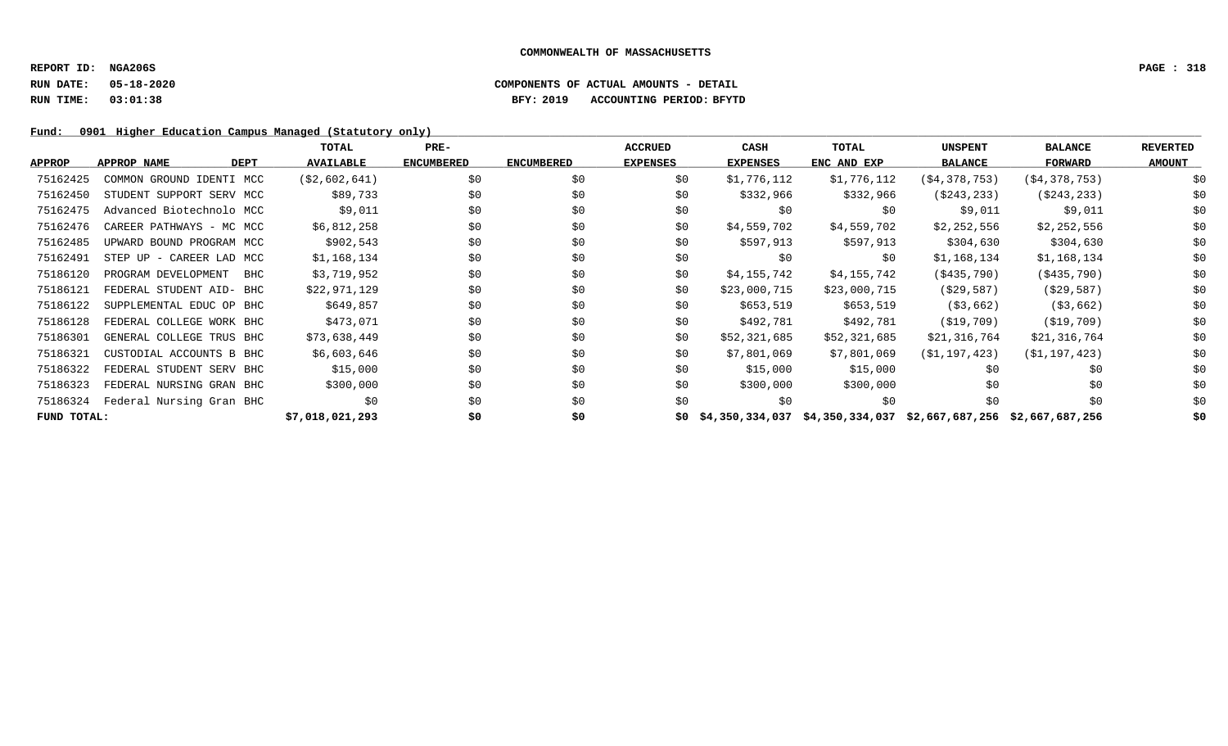### **RUN DATE: 05-18-2020 COMPONENTS OF ACTUAL AMOUNTS - DETAIL RUN TIME: 03:01:38 BFY: 2019 ACCOUNTING PERIOD: BFYTD**

|               |                            | TOTAL            | $PRE-$            |                   | <b>ACCRUED</b>  | CASH            | TOTAL                                                           | <b>UNSPENT</b>   | <b>BALANCE</b>   | <b>REVERTED</b> |
|---------------|----------------------------|------------------|-------------------|-------------------|-----------------|-----------------|-----------------------------------------------------------------|------------------|------------------|-----------------|
| <b>APPROP</b> | APPROP NAME<br><b>DEPT</b> | <b>AVAILABLE</b> | <b>ENCUMBERED</b> | <b>ENCUMBERED</b> | <b>EXPENSES</b> | <b>EXPENSES</b> | ENC AND EXP                                                     | <b>BALANCE</b>   | <b>FORWARD</b>   | <b>AMOUNT</b>   |
| 75162425      | COMMON GROUND IDENTI MCC   | ( \$2,602,641)   | \$0               | \$0               | \$0             | \$1,776,112     | \$1,776,112                                                     | ( \$4, 378, 753) | ( \$4, 378, 753) | \$0             |
| 75162450      | STUDENT SUPPORT SERV MCC   | \$89,733         | \$0               | \$0               | \$0             | \$332,966       | \$332,966                                                       | ( \$243, 233)    | ( \$243, 233)    | \$0             |
| 75162475      | Advanced Biotechnolo MCC   | \$9,011          | \$0               | \$0               | \$0             | \$0             | \$0                                                             | \$9,011          | \$9,011          | \$0             |
| 75162476      | CAREER PATHWAYS - MC MCC   | \$6,812,258      | \$0               | \$0               | \$0             | \$4,559,702     | \$4,559,702                                                     | \$2,252,556      | \$2,252,556      | \$0             |
| 75162485      | UPWARD BOUND PROGRAM MCC   | \$902,543        | \$0               | \$0               | \$0             | \$597,913       | \$597,913                                                       | \$304,630        | \$304,630        | \$0             |
| 75162491      | STEP UP - CAREER LAD MCC   | \$1,168,134      | \$0               | \$0               | \$0             | \$0             | \$0                                                             | \$1,168,134      | \$1,168,134      | \$0             |
| 75186120      | PROGRAM DEVELOPMENT<br>BHC | \$3,719,952      | \$0               | \$0               | \$0             | \$4,155,742     | \$4,155,742                                                     | $($ \$435,790)   | $($ \$435,790)   | \$0             |
| 75186121      | FEDERAL STUDENT AID- BHC   | \$22,971,129     | \$0               | \$0               | \$0             | \$23,000,715    | \$23,000,715                                                    | ( \$29, 587)     | ( \$29, 587)     | \$0             |
| 75186122      | SUPPLEMENTAL EDUC OP BHC   | \$649,857        | \$0               | \$0               | \$0             | \$653,519       | \$653,519                                                       | ( \$3, 662)      | ( \$3, 662)      | \$0             |
| 75186128      | FEDERAL COLLEGE WORK BHC   | \$473,071        | \$0               | \$0               | \$0             | \$492,781       | \$492,781                                                       | (\$19,709)       | ( \$19, 709 )    | \$0             |
| 75186301      | GENERAL COLLEGE TRUS BHC   | \$73,638,449     | \$0               | \$0               | \$0             | \$52,321,685    | \$52,321,685                                                    | \$21,316,764     | \$21,316,764     | \$0             |
| 75186321      | CUSTODIAL ACCOUNTS B BHC   | \$6,603,646      | \$0               | \$0               | \$0             | \$7,801,069     | \$7,801,069                                                     | ( \$1, 197, 423) | ( \$1, 197, 423) | \$0             |
| 75186322      | FEDERAL STUDENT SERV BHC   | \$15,000         | \$0               | \$0               | \$0             | \$15,000        | \$15,000                                                        | \$0              | \$0              | \$0             |
| 75186323      | FEDERAL NURSING GRAN BHC   | \$300,000        | \$0               | \$0               | \$0             | \$300,000       | \$300,000                                                       | \$0              | \$0              | \$0             |
| 75186324      | Federal Nursing Gran BHC   | \$0              | \$0               | \$0               | \$0             | \$0             | \$0                                                             | \$0              | \$0              | \$0             |
| FUND TOTAL:   |                            | \$7,018,021,293  | \$0               | \$0               | \$0             |                 | \$4,350,334,037 \$4,350,334,037 \$2,667,687,256 \$2,667,687,256 |                  |                  | \$0             |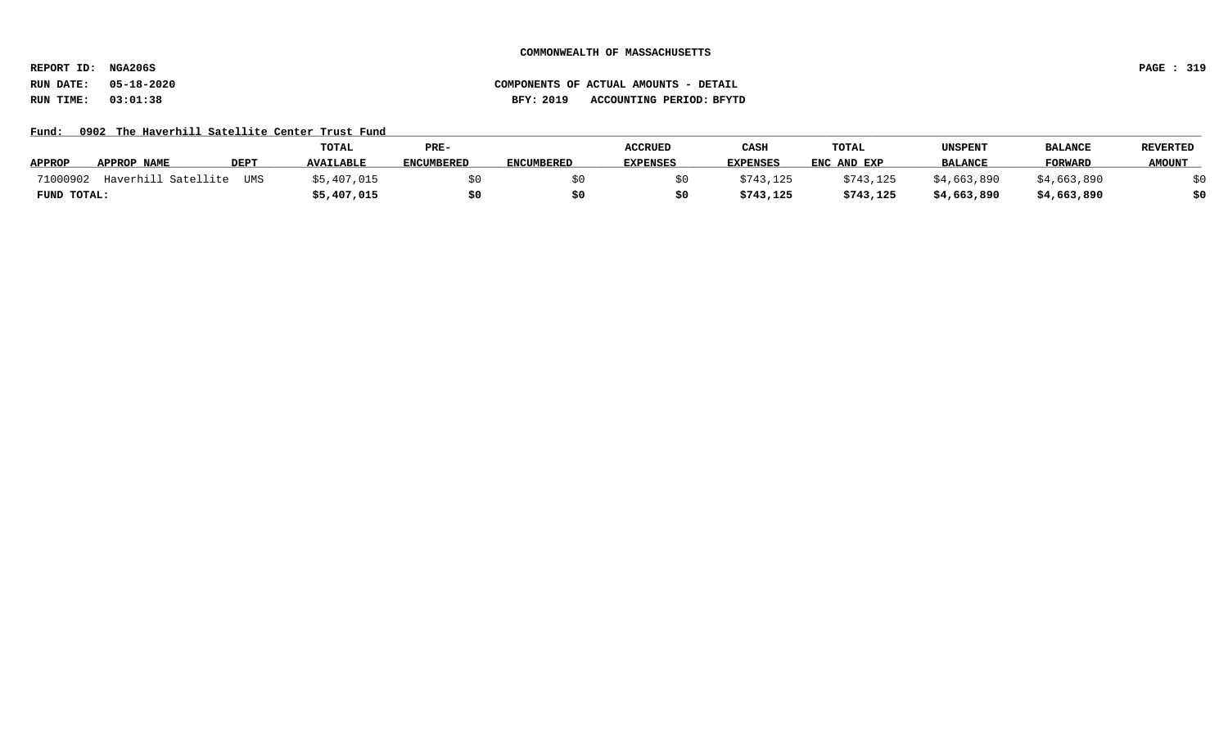**REPORT ID: NGA206S PAGE : 319**

# **RUN DATE: 05-18-2020 COMPONENTS OF ACTUAL AMOUNTS - DETAIL RUN TIME: 03:01:38 BFY: 2019 ACCOUNTING PERIOD: BFYTD**

Fund: 0902 The Haverhill Satellite Center Trust Fund

|                                               | TOTAL            | PRE-              |                   | <b>ACCRUED</b>  | CASH            | TOTAL       | UNSPENT        | <b>BALANCE</b> | <b>REVERTED</b> |
|-----------------------------------------------|------------------|-------------------|-------------------|-----------------|-----------------|-------------|----------------|----------------|-----------------|
| <b>APPROP</b><br>APPROP NAME<br>DEPT          | <b>AVAILABLE</b> | <b>ENCUMBERED</b> | <b>ENCUMBERED</b> | <b>EXPENSES</b> | <b>EXPENSES</b> | ENC AND EXP | <b>BALANCE</b> | <b>FORWARD</b> | <b>AMOUNT</b>   |
| Haverhill Satellite<br>71000902<br><b>UMS</b> | \$5,407,015      |                   |                   |                 | \$743,125       | \$743,125   | \$4,663,890    | \$4,663,890    |                 |
| FUND TOTAL:                                   | \$5,407,015      |                   |                   |                 | \$743,125       | \$743,125   | \$4,663,890    | \$4,663,890    |                 |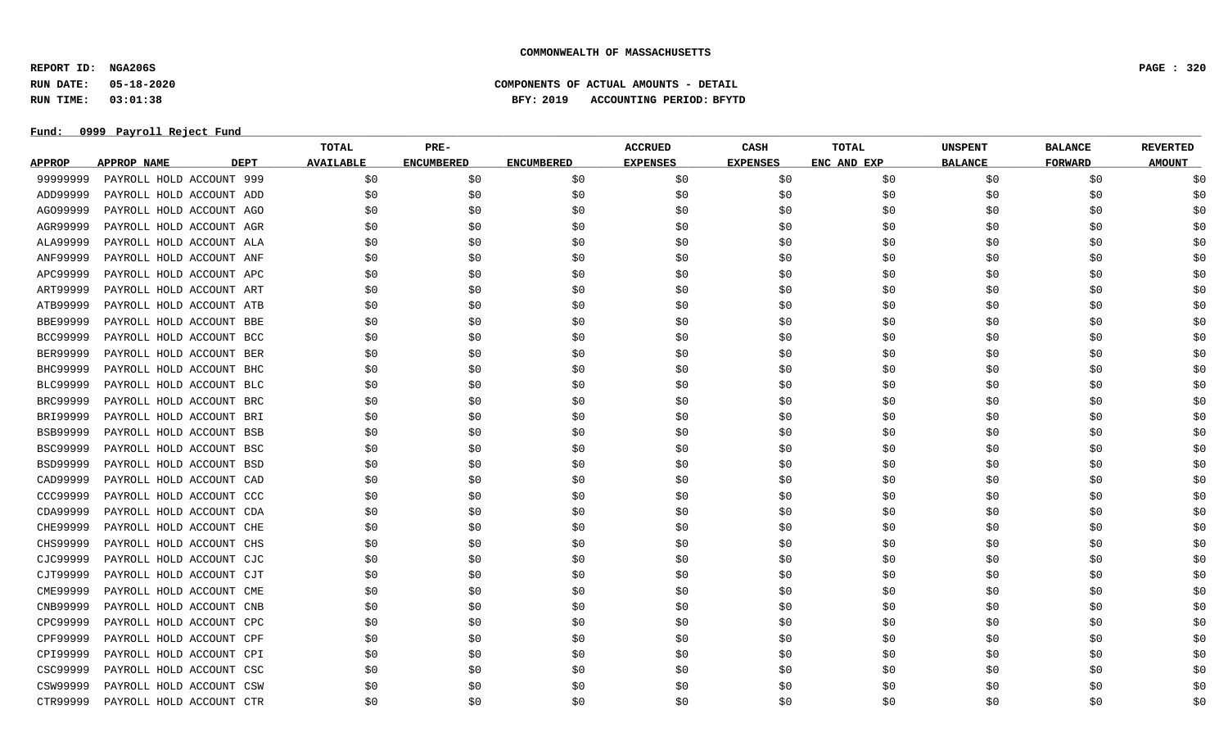**REPORT ID: NGA206S PAGE : 320**

**RUN DATE: 05-18-2020 COMPONENTS OF ACTUAL AMOUNTS - DETAIL**

**RUN TIME: 03:01:38 BFY: 2019 ACCOUNTING PERIOD: BFYTD**

|                 |                                   | <b>TOTAL</b>     | PRE-              |                   | <b>ACCRUED</b>  | <b>CASH</b>     | TOTAL       | <b>UNSPENT</b> | <b>BALANCE</b> | <b>REVERTED</b> |
|-----------------|-----------------------------------|------------------|-------------------|-------------------|-----------------|-----------------|-------------|----------------|----------------|-----------------|
| <b>APPROP</b>   | <b>APPROP NAME</b><br><b>DEPT</b> | <b>AVAILABLE</b> | <b>ENCUMBERED</b> | <b>ENCUMBERED</b> | <b>EXPENSES</b> | <b>EXPENSES</b> | ENC AND EXP | <b>BALANCE</b> | <b>FORWARD</b> | <b>AMOUNT</b>   |
| 99999999        | PAYROLL HOLD ACCOUNT 999          | \$0              | \$0               | \$0               | \$0             | \$0             | \$0         | \$0            | \$0            | \$0             |
| ADD99999        | PAYROLL HOLD ACCOUNT ADD          | \$0              | \$0               | \$0               | \$0             | \$0             | \$0         | \$0            | \$0            | \$0             |
| AG099999        | PAYROLL HOLD ACCOUNT AGO          | \$0              | \$0               | \$0               | \$0             | \$0             | \$0         | \$0            | \$0            | \$0             |
| AGR99999        | PAYROLL HOLD ACCOUNT AGR          | \$0              | \$0               | \$0               | \$0             | \$0             | \$0         | \$0            | \$0            | \$0             |
| ALA99999        | PAYROLL HOLD ACCOUNT ALA          | \$0              | \$0               | \$0               | \$0             | \$0             | \$0         | \$0            | \$0            | \$0             |
| ANF99999        | PAYROLL HOLD ACCOUNT ANF          | \$0              | \$0               | \$0               | \$0             | \$0             | \$0         | \$0            | \$0            | \$0             |
| APC99999        | PAYROLL HOLD ACCOUNT APC          | \$0              | \$0               | \$0               | \$0             | \$0             | \$0         | \$0            | \$0            | \$0             |
| ART99999        | PAYROLL HOLD ACCOUNT ART          | \$0              | \$0               | \$0               | \$0             | \$0             | \$0         | \$0            | \$0            | \$0             |
| ATB99999        | PAYROLL HOLD ACCOUNT ATB          | \$0              | \$0               | \$0               | \$0             | \$0             | \$0         | \$0            | \$0            | \$0             |
| <b>BBE99999</b> | PAYROLL HOLD ACCOUNT BBE          | \$0              | \$0               | \$0               | \$0             | \$0             | \$0         | \$0            | \$0            | \$0             |
| <b>BCC99999</b> | PAYROLL HOLD ACCOUNT BCC          | \$0              | \$0               | \$0               | \$0             | \$0             | \$0         | \$0            | \$0            | \$0             |
| <b>BER99999</b> | PAYROLL HOLD ACCOUNT BER          | \$0              | \$0               | \$0               | \$0             | \$0             | \$0         | \$0            | \$0            | \$0             |
| BHC99999        | PAYROLL HOLD ACCOUNT BHC          | \$0              | \$0               | \$0               | \$0             | \$0             | \$0         | \$0            | \$0            | \$0             |
| BLC99999        | PAYROLL HOLD ACCOUNT BLC          | \$0              | \$0               | \$0               | \$0             | \$0             | \$0         | \$0            | \$0            | \$0             |
| BRC99999        | PAYROLL HOLD ACCOUNT BRC          | \$0              | \$0               | \$0               | \$0             | \$0             | \$0         | \$0            | \$0            | \$0             |
| BRI99999        | PAYROLL HOLD ACCOUNT BRI          | \$0              | \$0               | \$0               | \$0             | \$0             | \$0         | \$0            | \$0            | \$0             |
| <b>BSB99999</b> | PAYROLL HOLD ACCOUNT BSB          | \$0              | \$0               | \$0               | \$0             | \$0             | \$0         | \$0            | \$0            | \$0             |
| <b>BSC99999</b> | PAYROLL HOLD ACCOUNT BSC          | \$0              | \$0               | \$0               | \$0             | \$0             | \$0         | \$0            | \$0            | \$0             |
| BSD99999        | PAYROLL HOLD ACCOUNT BSD          | \$0              | \$0               | \$0               | \$0             | \$0             | \$0         | \$0            | \$0            | \$0             |
| CAD99999        | PAYROLL HOLD ACCOUNT CAD          | \$0              | \$0               | \$0               | \$0             | \$0             | \$0         | \$0            | \$0            | \$0             |
| CCC99999        | PAYROLL HOLD ACCOUNT CCC          | \$0              | \$0               | \$0               | \$0             | \$0             | \$0         | \$0            | \$0            | \$0             |
| CDA99999        | PAYROLL HOLD ACCOUNT CDA          | \$0              | \$0               | \$0               | \$0             | \$0             | \$0         | \$0            | \$0            | \$0             |
| CHE99999        | PAYROLL HOLD ACCOUNT CHE          | \$0              | \$0               | \$0               | \$0             | \$0             | \$0         | \$0            | \$0            | \$0             |
| CHS99999        | PAYROLL HOLD ACCOUNT CHS          | \$0              | \$0               | \$0               | \$0             | \$0             | \$0         | \$0            | \$0            | \$0             |
| CJC99999        | PAYROLL HOLD ACCOUNT CJC          | \$0              | \$0               | \$0               | \$0             | \$0             | \$0         | \$0            | \$0            | \$0             |
| CJT99999        | PAYROLL HOLD ACCOUNT CJT          | \$0              | \$0               | \$0               | \$0             | \$0             | \$0         | \$0            | \$0            | \$0             |
| CME99999        | PAYROLL HOLD ACCOUNT CME          | \$0              | \$0               | \$0               | \$0             | \$0             | \$0         | \$0            | \$0            | \$0             |
| CNB99999        | PAYROLL HOLD ACCOUNT CNB          | \$0              | \$0               | \$0               | \$0             | \$0             | \$0         | \$0            | \$0            | \$0             |
| CPC99999        | PAYROLL HOLD ACCOUNT CPC          | \$0              | \$0               | \$0               | \$0             | \$0             | \$0         | \$0            | \$0            | \$0             |
| CPF99999        | PAYROLL HOLD ACCOUNT CPF          | \$0              | \$0               | \$0               | \$0             | \$0             | \$0         | \$0            | \$0            | \$0             |
| CPI99999        | PAYROLL HOLD ACCOUNT CPI          | \$0              | \$0               | \$0               | \$0             | \$0             | \$0         | \$0            | \$0            | \$0             |
| CSC99999        | PAYROLL HOLD ACCOUNT CSC          | \$0              | \$0               | \$0               | \$0             | \$0             | \$0         | \$0            | \$0            | \$0             |
| CSW99999        | PAYROLL HOLD ACCOUNT CSW          | \$0              | \$0               | \$0               | \$0             | \$0             | \$0         | \$0            | \$0            | \$0             |
| CTR99999        | PAYROLL HOLD ACCOUNT CTR          | S0               | \$0               | S0                | \$0             | \$0             | \$0         | \$0            | S0             | \$0             |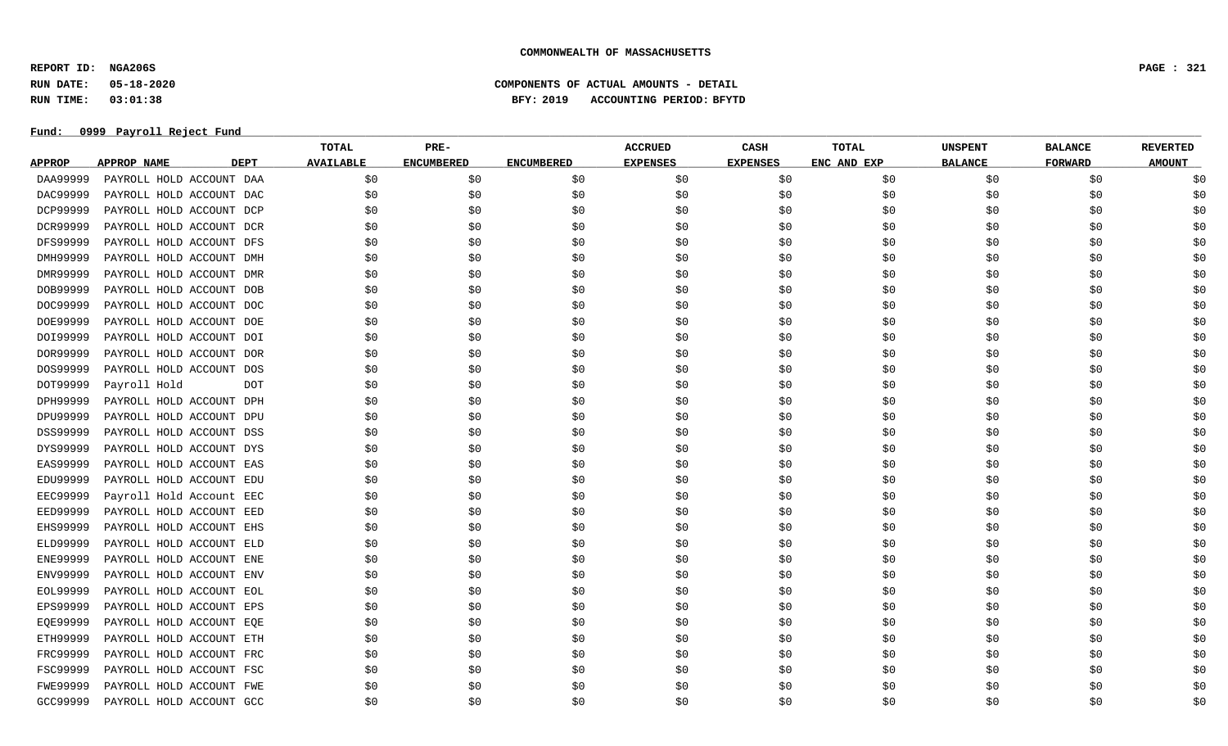**REPORT ID: NGA206S PAGE : 321**

**RUN DATE: 05-18-2020 COMPONENTS OF ACTUAL AMOUNTS - DETAIL**

**RUN TIME: 03:01:38 BFY: 2019 ACCOUNTING PERIOD: BFYTD**

|                 |                                   | <b>TOTAL</b>     | PRE-              |                   | <b>ACCRUED</b>  | CASH            | <b>TOTAL</b> | <b>UNSPENT</b> | <b>BALANCE</b> | <b>REVERTED</b> |
|-----------------|-----------------------------------|------------------|-------------------|-------------------|-----------------|-----------------|--------------|----------------|----------------|-----------------|
| <b>APPROP</b>   | <b>APPROP NAME</b><br><b>DEPT</b> | <b>AVAILABLE</b> | <b>ENCUMBERED</b> | <b>ENCUMBERED</b> | <b>EXPENSES</b> | <b>EXPENSES</b> | ENC AND EXP  | <b>BALANCE</b> | <b>FORWARD</b> | <b>AMOUNT</b>   |
| DAA99999        | PAYROLL HOLD ACCOUNT DAA          | \$0              | \$0               | \$0               | \$0             | \$0             | \$0          | \$0            | \$0            | \$0             |
| DAC99999        | PAYROLL HOLD ACCOUNT DAC          | \$0              | \$0               | \$0               | \$0             | \$0             | \$0          | \$0            | \$0            | \$0             |
| DCP99999        | PAYROLL HOLD ACCOUNT DCP          | \$0              | \$0               | \$0               | \$0             | \$0             | \$0          | \$0            | \$0            | \$0             |
| DCR99999        | PAYROLL HOLD ACCOUNT DCR          | \$0              | \$0               | \$0               | \$0             | \$0             | \$0          | \$0            | \$0            | \$0             |
| DFS99999        | PAYROLL HOLD ACCOUNT DFS          | \$0              | \$0               | \$0               | \$0             | \$0             | \$0          | \$0            | \$0            | \$0             |
| DMH99999        | PAYROLL HOLD ACCOUNT DMH          | \$0              | \$0               | \$0               | \$0             | \$0             | \$0          | \$0            | \$0            | \$0             |
| DMR99999        | PAYROLL HOLD ACCOUNT DMR          | \$0              | \$0               | \$0               | \$0             | \$0             | \$0          | \$0            | \$0            | \$0             |
| DOB99999        | PAYROLL HOLD ACCOUNT DOB          | \$0              | \$0               | \$0\$             | \$0             | \$0             | \$0          | \$0            | \$0            | \$0             |
| DOC99999        | PAYROLL HOLD ACCOUNT DOC          | \$0              | \$0               | \$0               | \$0             | \$0             | \$0          | \$0            | \$0            | \$0             |
| DOE99999        | PAYROLL HOLD ACCOUNT DOE          | \$0              | \$0               | \$0               | \$0             | \$0             | \$0          | \$0            | \$0            | \$0             |
| DOI99999        | PAYROLL HOLD ACCOUNT DOI          | \$0              | \$0               | \$0               | \$0             | \$0             | \$0          | \$0            | \$0            | \$0             |
| DOR99999        | PAYROLL HOLD ACCOUNT DOR          | \$0              | \$0               | \$0               | \$0             | \$0             | \$0          | \$0            | \$0            | \$0             |
| DOS99999        | PAYROLL HOLD ACCOUNT DOS          | \$0              | \$0               | \$0               | \$0             | \$0             | \$0          | \$0            | \$0            | \$0             |
| DOT99999        | Payroll Hold<br>DOT               | \$0              | \$0               | \$0               | \$0             | \$0             | \$0          | \$0            | \$0            | \$0             |
| DPH99999        | PAYROLL HOLD ACCOUNT DPH          | \$0              | \$0               | \$0               | \$0             | \$0             | \$0          | \$0            | \$0            | \$0             |
| DPU99999        | PAYROLL HOLD ACCOUNT DPU          | \$0              | \$0               | \$0               | \$0             | \$0             | \$0          | \$0            | \$0            | \$0             |
| DSS99999        | PAYROLL HOLD ACCOUNT DSS          | \$0              | \$0               | \$0               | \$0             | \$0             | \$0          | \$0            | \$0            | \$0             |
| DYS99999        | PAYROLL HOLD ACCOUNT DYS          | \$0              | \$0               | \$0               | \$0             | \$0             | \$0          | \$0            | \$0            | \$0             |
| EAS99999        | PAYROLL HOLD ACCOUNT EAS          | \$0              | \$0               | \$0               | \$0             | \$0             | \$0          | \$0            | \$0            | \$0             |
| EDU99999        | PAYROLL HOLD ACCOUNT EDU          | \$0              | \$0               | \$0\$             | \$0             | \$0             | \$0          | \$0            | \$0            | \$0             |
| <b>EEC99999</b> | Payroll Hold Account EEC          | \$0              | \$0               | \$0               | \$0             | \$0             | \$0          | \$0            | \$0            | \$0             |
| <b>EED99999</b> | PAYROLL HOLD ACCOUNT EED          | \$0              | \$0               | \$0               | \$0             | \$0             | \$0          | \$0            | \$0            | \$0             |
| EHS99999        | PAYROLL HOLD ACCOUNT EHS          | \$0              | \$0               | \$0               | \$0             | \$0             | \$0          | \$0            | \$0            | \$0             |
| ELD99999        | PAYROLL HOLD ACCOUNT ELD          | \$0              | \$0               | \$0               | \$0             | \$0             | \$0          | \$0            | \$0            | \$0             |
| ENE99999        | PAYROLL HOLD ACCOUNT ENE          | \$0              | \$0               | \$0               | \$0             | \$0             | \$0          | \$0            | \$0            | \$0             |
| ENV99999        | PAYROLL HOLD ACCOUNT ENV          | \$0              | \$0               | \$0               | \$0             | \$0             | \$0          | \$0            | \$0            | \$0             |
| EOL99999        | PAYROLL HOLD ACCOUNT EOL          | \$0              | \$0               | \$0               | \$0             | \$0             | \$0          | \$0            | \$0            | \$0             |
| EPS99999        | PAYROLL HOLD ACCOUNT EPS          | \$0              | \$0               | \$0               | \$0             | \$0             | \$0          | \$0            | \$0            | \$0             |
| EQE99999        | PAYROLL HOLD ACCOUNT EQE          | \$0              | \$0               | \$0               | \$0             | \$0             | \$0          | \$0            | \$0            | \$0             |
| ETH99999        | PAYROLL HOLD ACCOUNT ETH          | \$0              | \$0               | \$0               | \$0             | \$0             | \$0          | \$0            | \$0            | \$0             |
| FRC99999        | PAYROLL HOLD ACCOUNT FRC          | \$0              | \$0               | \$0               | \$0             | \$0             | \$0          | \$0            | \$0            | \$0             |
| FSC99999        | PAYROLL HOLD ACCOUNT FSC          | \$0              | \$0               | \$0               | \$0             | \$0             | \$0          | \$0            | \$0            | \$0             |
| <b>FWE99999</b> | PAYROLL HOLD ACCOUNT FWE          | \$0              | \$0               | \$0               | \$0             | \$0             | \$0          | \$0            | \$0            | \$0             |
| GCC99999        | PAYROLL HOLD ACCOUNT GCC          | S0               | \$0               | S0                | \$0             | \$0             | \$0          | \$0            | S0             | \$0             |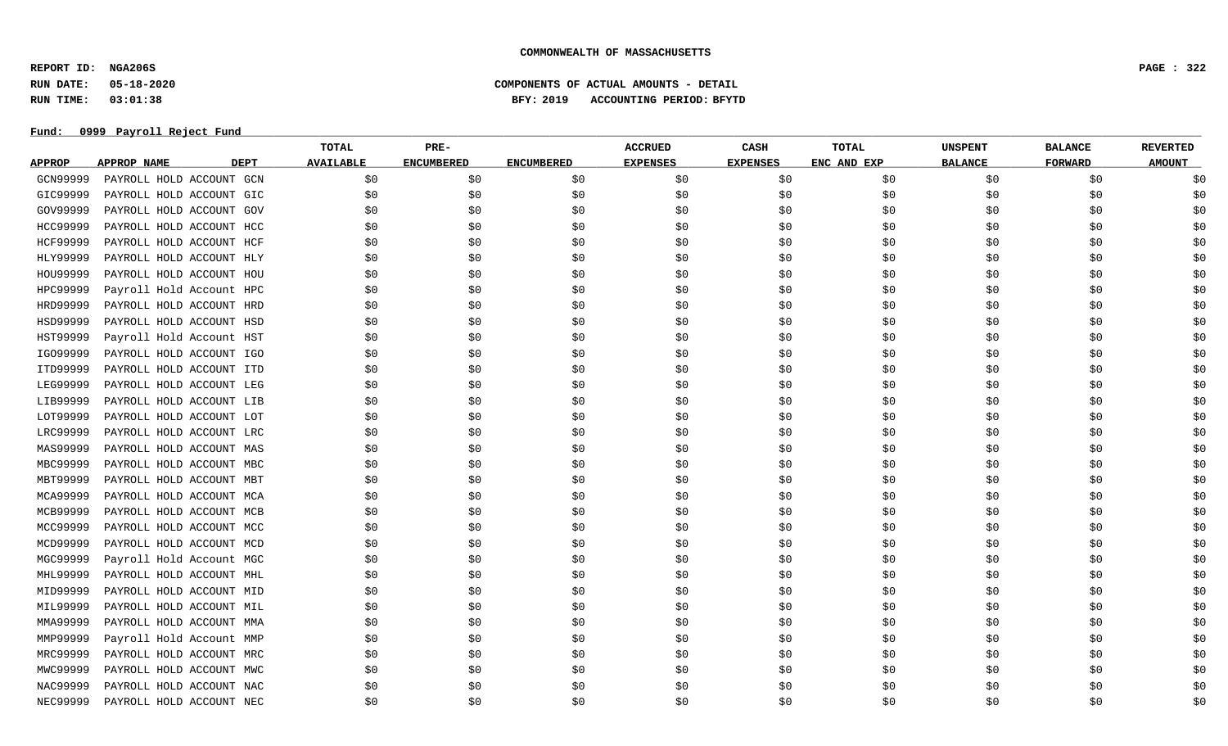**REPORT ID: NGA206S PAGE : 322**

**RUN DATE: 05-18-2020 COMPONENTS OF ACTUAL AMOUNTS - DETAIL**

**RUN TIME: 03:01:38 BFY: 2019 ACCOUNTING PERIOD: BFYTD**

|                 |                                   | <b>TOTAL</b>     | PRE-              |                   | <b>ACCRUED</b>  | CASH            | <b>TOTAL</b> | <b>UNSPENT</b> | <b>BALANCE</b> | <b>REVERTED</b> |
|-----------------|-----------------------------------|------------------|-------------------|-------------------|-----------------|-----------------|--------------|----------------|----------------|-----------------|
| <b>APPROP</b>   | <b>APPROP NAME</b><br><b>DEPT</b> | <b>AVAILABLE</b> | <b>ENCUMBERED</b> | <b>ENCUMBERED</b> | <b>EXPENSES</b> | <b>EXPENSES</b> | ENC AND EXP  | <b>BALANCE</b> | <b>FORWARD</b> | <b>AMOUNT</b>   |
| GCN99999        | PAYROLL HOLD ACCOUNT GCN          | \$0              | \$0               | \$0               | \$0             | \$0             | \$0          | \$0            | \$0            | \$0             |
| GIC99999        | PAYROLL HOLD ACCOUNT GIC          | \$0              | \$0               | \$0\$             | \$0             | \$0             | \$0          | \$0            | \$0            | \$0             |
| GOV99999        | PAYROLL HOLD ACCOUNT GOV          | \$0              | \$0               | \$0               | \$0             | \$0             | \$0          | \$0            | \$0            | \$0             |
| HCC99999        | PAYROLL HOLD ACCOUNT HCC          | \$0              | \$0               | \$0               | \$0             | \$0             | \$0          | \$0            | \$0            | \$0             |
| <b>HCF99999</b> | PAYROLL HOLD ACCOUNT HCF          | \$0              | \$0               | \$0               | \$0             | \$0             | \$0          | \$0            | \$0            | \$0             |
| HLY99999        | PAYROLL HOLD ACCOUNT HLY          | \$0              | \$0               | \$0               | \$0             | \$0             | \$0          | \$0            | \$0            | \$0             |
| HOU99999        | PAYROLL HOLD ACCOUNT HOU          | \$0              | \$0               | \$0               | \$0             | \$0             | \$0          | \$0            | \$0            | \$0             |
| HPC99999        | Payroll Hold Account HPC          | \$0              | \$0               | \$0               | \$0             | \$0             | \$0          | \$0            | \$0            | \$0             |
| HRD99999        | PAYROLL HOLD ACCOUNT HRD          | \$0              | \$0               | \$0               | \$0             | \$0             | \$0          | \$0            | \$0            | \$0             |
| HSD99999        | PAYROLL HOLD ACCOUNT HSD          | \$0              | \$0               | \$0               | \$0             | \$0             | \$0          | \$0            | \$0            | \$0             |
| HST99999        | Payroll Hold Account HST          | \$0              | \$0               | \$0               | \$0             | \$0             | \$0          | \$0            | \$0            | \$0             |
| IG099999        | PAYROLL HOLD ACCOUNT IGO          | \$0              | \$0               | \$0               | \$0             | \$0             | \$0          | \$0            | \$0            | \$0             |
| ITD99999        | PAYROLL HOLD ACCOUNT ITD          | \$0              | \$0               | \$0               | \$0             | \$0             | \$0          | \$0            | \$0            | \$0             |
| LEG99999        | PAYROLL HOLD ACCOUNT LEG          | \$0              | \$0               | \$0               | \$0             | \$0             | \$0          | \$0            | \$0            | \$0             |
| LIB99999        | PAYROLL HOLD ACCOUNT LIB          | \$0              | \$0               | \$0               | \$0             | \$0             | \$0          | \$0            | \$0            | \$0             |
| LOT99999        | PAYROLL HOLD ACCOUNT LOT          | \$0              | \$0               | \$0               | \$0             | \$0             | \$0          | \$0            | \$0            | \$0             |
| LRC99999        | PAYROLL HOLD ACCOUNT LRC          | \$0              | \$0               | \$0               | \$0             | \$0             | \$0          | \$0            | \$0            | \$0             |
| MAS99999        | PAYROLL HOLD ACCOUNT MAS          | \$0              | \$0               | \$0               | \$0             | \$0             | \$0          | \$0            | \$0            | \$0             |
| MBC99999        | PAYROLL HOLD ACCOUNT MBC          | \$0              | \$0               | \$0               | \$0             | \$0             | \$0          | \$0            | \$0            | \$0             |
| MBT99999        | PAYROLL HOLD ACCOUNT MBT          | \$0              | \$0               | \$0               | \$0             | \$0             | \$0          | \$0            | \$0            | \$0             |
| MCA99999        | PAYROLL HOLD ACCOUNT MCA          | \$0              | \$0               | \$0               | \$0             | \$0             | \$0          | \$0            | \$0            | \$0             |
| MCB99999        | PAYROLL HOLD ACCOUNT MCB          | \$0              | \$0               | \$0               | \$0             | \$0             | \$0          | \$0            | \$0            | \$0             |
| MCC99999        | PAYROLL HOLD ACCOUNT MCC          | \$0              | \$0               | \$0               | \$0             | \$0             | \$0          | \$0            | \$0            | \$0             |
| MCD99999        | PAYROLL HOLD ACCOUNT MCD          | \$0              | \$0               | \$0               | \$0             | \$0             | \$0          | \$0            | \$0            | \$0             |
| MGC99999        | Payroll Hold Account MGC          | \$0              | \$0               | \$0               | \$0             | \$0             | \$0          | \$0            | \$0            | \$0             |
| MHL99999        | PAYROLL HOLD ACCOUNT MHL          | \$0              | \$0               | \$0               | \$0             | \$0             | \$0          | \$0            | \$0            | \$0             |
| MID99999        | PAYROLL HOLD ACCOUNT MID          | \$0              | \$0               | \$0               | \$0             | \$0             | \$0          | \$0            | \$0            | \$0             |
| MIL99999        | PAYROLL HOLD ACCOUNT MIL          | \$0              | \$0               | \$0               | \$0             | \$0             | \$0          | \$0            | \$0            | \$0             |
| MMA99999        | PAYROLL HOLD ACCOUNT MMA          | \$0              | \$0               | \$0               | \$0             | \$0             | \$0          | \$0            | \$0            | \$0             |
| MMP99999        | Payroll Hold Account MMP          | \$0              | \$0               | \$0               | \$0             | \$0             | \$0          | \$0            | \$0            | \$0             |
| MRC99999        | PAYROLL HOLD ACCOUNT MRC          | \$0              | \$0               | \$0               | \$0             | \$0             | \$0          | \$0            | \$0            | \$0             |
| MWC99999        | PAYROLL HOLD ACCOUNT MWC          | \$0              | \$0               | \$0               | \$0             | \$0             | \$0          | \$0            | \$0            | \$0             |
| NAC99999        | PAYROLL HOLD ACCOUNT NAC          | \$0              | \$0               | \$0               | \$0             | \$0             | \$0          | \$0            | \$0            | \$0             |
| <b>NEC99999</b> | PAYROLL HOLD ACCOUNT NEC          | \$0              | \$0               | S0                | \$0             | \$0             | \$0          | \$0            | S0             | \$0             |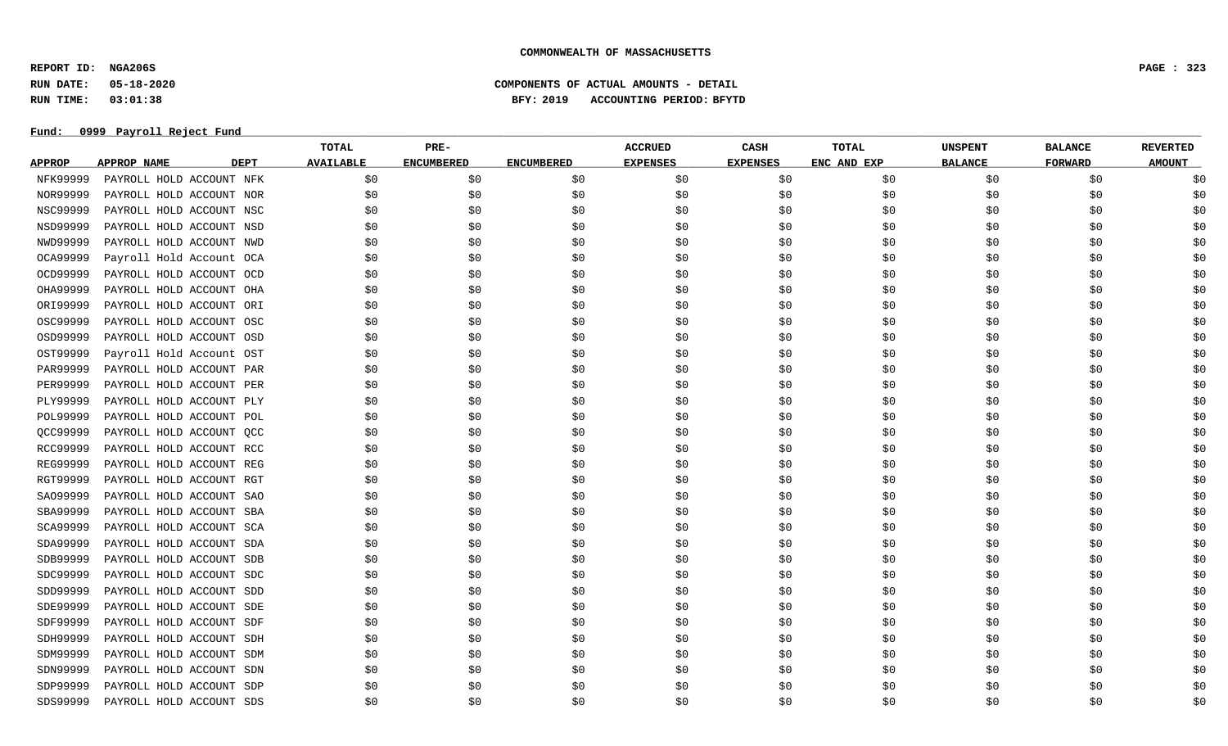**REPORT ID: NGA206S PAGE : 323**

**RUN DATE: 05-18-2020 COMPONENTS OF ACTUAL AMOUNTS - DETAIL**

**RUN TIME: 03:01:38 BFY: 2019 ACCOUNTING PERIOD: BFYTD**

|                 |                                   | <b>TOTAL</b>     | PRE-              |                   | <b>ACCRUED</b>  | CASH            | <b>TOTAL</b> | <b>UNSPENT</b> | <b>BALANCE</b> | <b>REVERTED</b> |
|-----------------|-----------------------------------|------------------|-------------------|-------------------|-----------------|-----------------|--------------|----------------|----------------|-----------------|
| <b>APPROP</b>   | <b>APPROP NAME</b><br><b>DEPT</b> | <b>AVAILABLE</b> | <b>ENCUMBERED</b> | <b>ENCUMBERED</b> | <b>EXPENSES</b> | <b>EXPENSES</b> | ENC AND EXP  | <b>BALANCE</b> | <b>FORWARD</b> | <b>AMOUNT</b>   |
| NFK99999        | PAYROLL HOLD ACCOUNT NFK          | \$0              | \$0               | \$0               | \$0             | \$0             | \$0          | \$0            | \$0            | \$0             |
| NOR99999        | PAYROLL HOLD ACCOUNT NOR          | \$0              | \$0               | \$0               | \$0             | \$0             | \$0          | \$0            | \$0            | \$0             |
| <b>NSC99999</b> | PAYROLL HOLD ACCOUNT NSC          | \$0              | \$0               | \$0               | \$0             | \$0             | \$0          | \$0            | \$0            | \$0             |
| NSD99999        | PAYROLL HOLD ACCOUNT NSD          | \$0              | \$0               | \$0               | \$0             | \$0             | \$0          | \$0            | \$0            | \$0             |
| NWD99999        | PAYROLL HOLD ACCOUNT NWD          | \$0              | \$0               | \$0               | \$0             | \$0             | \$0          | \$0            | \$0            | \$0             |
| OCA99999        | Payroll Hold Account OCA          | \$0              | \$0               | \$0               | \$0             | \$0             | \$0          | \$0            | \$0            | \$0             |
| OCD99999        | PAYROLL HOLD ACCOUNT OCD          | \$0              | \$0               | \$0               | \$0             | \$0             | \$0          | \$0            | \$0            | \$0             |
| OHA99999        | PAYROLL HOLD ACCOUNT OHA          | \$0              | \$0               | \$0               | \$0             | \$0             | \$0          | \$0            | \$0            | \$0             |
| ORI99999        | PAYROLL HOLD ACCOUNT ORI          | \$0              | \$0               | \$0               | \$0             | \$0             | \$0          | \$0            | \$0            | \$0             |
| OSC99999        | PAYROLL HOLD ACCOUNT OSC          | \$0              | \$0               | \$0               | \$0             | \$0             | \$0          | \$0            | \$0            | \$0             |
| OSD99999        | PAYROLL HOLD ACCOUNT OSD          | \$0              | \$0               | \$0               | \$0             | \$0             | \$0          | \$0            | \$0            | \$0             |
| OST99999        | Payroll Hold Account OST          | \$0              | \$0               | \$0               | \$0             | \$0             | \$0          | \$0            | \$0            | \$0             |
| PAR99999        | PAYROLL HOLD ACCOUNT PAR          | \$0              | \$0               | \$0               | \$0             | \$0             | \$0          | \$0            | \$0            | \$0             |
| PER99999        | PAYROLL HOLD ACCOUNT PER          | \$0              | \$0               | \$0               | \$0             | \$0             | \$0          | \$0            | \$0            | \$0             |
| PLY99999        | PAYROLL HOLD ACCOUNT PLY          | \$0              | \$0               | \$0               | \$0             | \$0             | \$0          | \$0            | \$0            | \$0             |
| POL99999        | PAYROLL HOLD ACCOUNT POL          | \$0              | \$0               | \$0               | \$0             | \$0             | \$0          | \$0            | \$0            | \$0             |
| QCC99999        | PAYROLL HOLD ACCOUNT QCC          | \$0              | \$0               | \$0               | \$0             | \$0             | \$0          | \$0            | \$0            | \$0             |
| RCC99999        | PAYROLL HOLD ACCOUNT RCC          | \$0              | \$0               | \$0               | \$0             | \$0             | \$0          | \$0            | \$0            | \$0             |
| REG99999        | PAYROLL HOLD ACCOUNT REG          | \$0              | \$0               | \$0               | \$0             | \$0             | \$0          | \$0            | \$0            | \$0             |
| RGT99999        | PAYROLL HOLD ACCOUNT RGT          | \$0              | \$0               | \$0               | \$0             | \$0             | \$0          | \$0            | \$0            | \$0             |
| SA099999        | PAYROLL HOLD ACCOUNT SAO          | \$0              | \$0               | \$0               | \$0             | \$0             | \$0          | \$0            | \$0            | \$0             |
| SBA99999        | PAYROLL HOLD ACCOUNT SBA          | \$0              | \$0               | \$0               | \$0             | \$0             | \$0          | \$0            | \$0            | \$0             |
| SCA99999        | PAYROLL HOLD ACCOUNT SCA          | \$0              | \$0               | \$0               | \$0             | \$0             | \$0          | \$0            | \$0            | \$0             |
| SDA99999        | PAYROLL HOLD ACCOUNT SDA          | \$0              | \$0               | \$0               | \$0             | \$0             | \$0          | \$0            | \$0            | \$0             |
| SDB99999        | PAYROLL HOLD ACCOUNT SDB          | \$0              | \$0               | \$0               | \$0             | \$0             | \$0          | \$0            | \$0            | \$0             |
| SDC99999        | PAYROLL HOLD ACCOUNT SDC          | \$0              | \$0               | \$0               | \$0             | \$0             | \$0          | \$0            | \$0            | \$0             |
| SDD99999        | PAYROLL HOLD ACCOUNT SDD          | \$0              | \$0               | \$0               | \$0             | \$0             | \$0          | \$0            | \$0            | \$0             |
| SDE99999        | PAYROLL HOLD ACCOUNT SDE          | \$0              | \$0               | \$0               | \$0             | \$0             | \$0          | \$0            | \$0            | \$0             |
| SDF99999        | PAYROLL HOLD ACCOUNT SDF          | \$0              | \$0               | \$0               | \$0             | \$0             | \$0          | \$0            | \$0            | \$0             |
| SDH99999        | PAYROLL HOLD ACCOUNT SDH          | \$0              | \$0               | \$0               | \$0             | \$0             | \$0          | \$0            | \$0            | \$0             |
| SDM99999        | PAYROLL HOLD ACCOUNT SDM          | \$0              | \$0               | \$0               | \$0             | \$0             | \$0          | \$0            | \$0            | \$0             |
| SDN99999        | PAYROLL HOLD ACCOUNT SDN          | \$0              | \$0               | \$0               | \$0             | \$0             | \$0          | \$0            | \$0            | \$0             |
| SDP99999        | PAYROLL HOLD ACCOUNT SDP          | \$0              | \$0               | \$0               | \$0             | \$0             | \$0          | \$0            | \$0            | \$0             |
| SDS99999        | PAYROLL HOLD ACCOUNT SDS          | \$0              | \$0               | S0                | \$0             | \$0             | \$0          | \$0            | S0             | \$0             |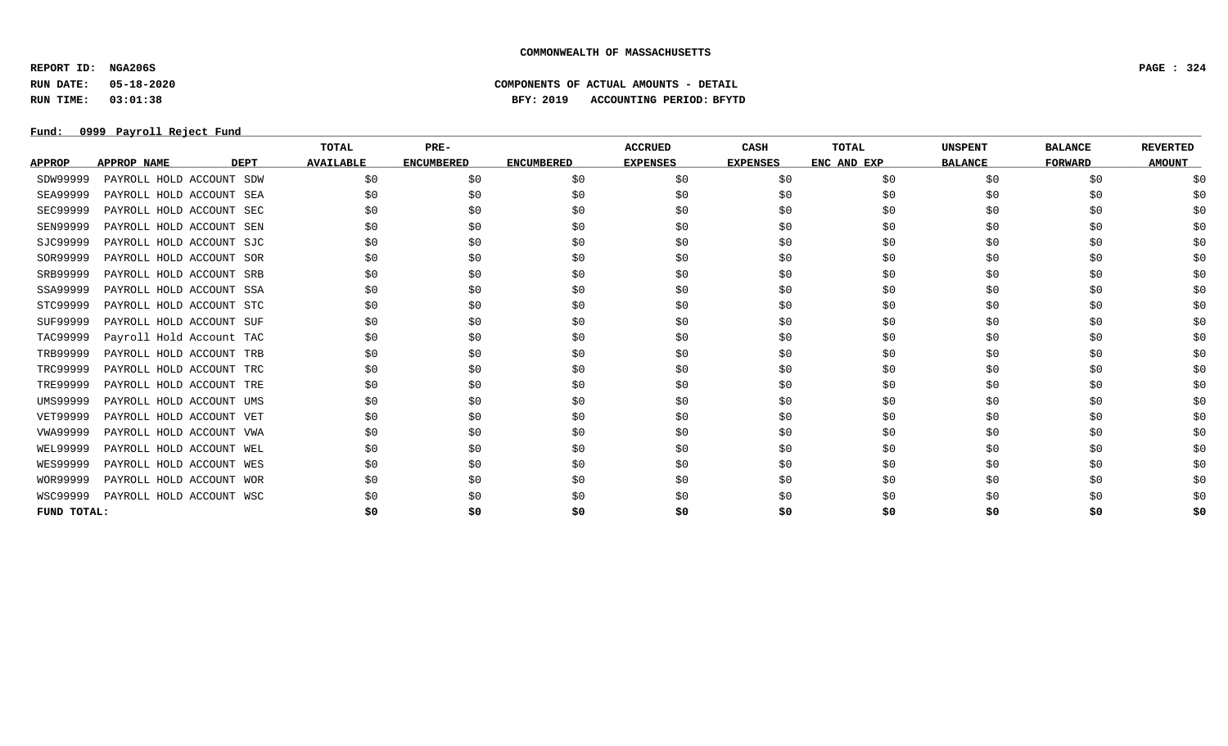**REPORT ID: NGA206S PAGE : 324**

# **RUN DATE: 05-18-2020 COMPONENTS OF ACTUAL AMOUNTS - DETAIL RUN TIME: 03:01:38 BFY: 2019 ACCOUNTING PERIOD: BFYTD**

|                 |                          |             | <b>TOTAL</b>     | PRE-              |                   | <b>ACCRUED</b>  | CASH            | <b>TOTAL</b> | <b>UNSPENT</b> | <b>BALANCE</b> | <b>REVERTED</b> |
|-----------------|--------------------------|-------------|------------------|-------------------|-------------------|-----------------|-----------------|--------------|----------------|----------------|-----------------|
| <b>APPROP</b>   | APPROP NAME              | <b>DEPT</b> | <b>AVAILABLE</b> | <b>ENCUMBERED</b> | <b>ENCUMBERED</b> | <b>EXPENSES</b> | <b>EXPENSES</b> | ENC AND EXP  | <b>BALANCE</b> | <b>FORWARD</b> | <b>AMOUNT</b>   |
| SDW99999        | PAYROLL HOLD ACCOUNT SDW |             | \$0              | \$0               | \$0               | \$0             | \$0             | \$0          | \$0            | \$0            |                 |
| <b>SEA99999</b> | PAYROLL HOLD ACCOUNT SEA |             | \$0              | \$0               | \$0               | \$0             | \$0             | SO.          | \$0            | \$0            |                 |
| SEC99999        | PAYROLL HOLD ACCOUNT SEC |             | S0               | \$0               | \$0               | \$0             | \$0             | \$0          | \$0            | \$0            |                 |
| <b>SEN99999</b> | PAYROLL HOLD ACCOUNT SEN |             | \$0              | \$0               | \$0               | \$0             | \$0             | \$0          | \$0            | \$0            |                 |
| SJC99999        | PAYROLL HOLD ACCOUNT SJC |             | \$0              | \$0               | \$0               | \$0             | \$0             | \$0          | \$0            | \$0            |                 |
| SOR99999        | PAYROLL HOLD ACCOUNT SOR |             | SO.              | \$0               | \$0               | SO.             | \$0             | \$0          | \$0            | \$0            |                 |
| SRB99999        | PAYROLL HOLD ACCOUNT SRB |             | \$0              | \$0               | \$0               | \$0             | \$0             | \$0          | \$0            | \$0            |                 |
| SSA99999        | PAYROLL HOLD ACCOUNT SSA |             | \$0              | \$0               | \$0               | \$0             | \$0             | \$0          | \$0            | \$0            |                 |
| STC99999        | PAYROLL HOLD ACCOUNT STC |             | \$0              | \$0               | \$0               | \$0             | \$0             | \$0          | \$0            | \$0            |                 |
| SUF99999        | PAYROLL HOLD ACCOUNT SUF |             | \$0              | \$0               | \$0               | \$0             | \$0             | \$0          | \$0            | \$0            |                 |
| TAC99999        | Payroll Hold Account TAC |             | \$0              | \$0               | \$0               | \$0             | \$0             | \$0          | \$0            | \$0            |                 |
| TRB99999        | PAYROLL HOLD ACCOUNT TRB |             | S0               | \$0               | \$0               | \$0             | \$0             | \$0          | \$0            | \$0            |                 |
| TRC99999        | PAYROLL HOLD ACCOUNT TRC |             | \$0              | \$0               | \$0               | \$0             | \$0             | \$0          | \$0            | \$0            |                 |
| TRE99999        | PAYROLL HOLD ACCOUNT TRE |             | S0               | \$0               | \$0               | S0              | \$0             | \$0          | \$0            | \$0            |                 |
| UMS99999        | PAYROLL HOLD ACCOUNT UMS |             | S0               | \$0               | \$0               | \$0             | \$0             | \$0          | \$0            | \$0            |                 |
| VET99999        | PAYROLL HOLD ACCOUNT VET |             | \$0              | \$0               | \$0               | \$0             | \$0             | \$0          | \$0            | \$0            |                 |
| VWA99999        | PAYROLL HOLD ACCOUNT VWA |             | SO.              | \$0               | \$0               | \$0             | \$0             | \$0          | \$0            | \$0            |                 |
| WEL99999        | PAYROLL HOLD ACCOUNT WEL |             | \$0              | \$0               | \$0               | \$0             | \$0             | SO.          | \$0            | \$0            |                 |
| <b>WES99999</b> | PAYROLL HOLD ACCOUNT WES |             | \$0              | \$0               | \$0               | \$0             | \$0             | \$0          | \$0            | \$0            |                 |
| WOR99999        | PAYROLL HOLD ACCOUNT WOR |             | \$0              | \$0               | \$0               | \$0             | \$0             | \$0          | \$0            | \$0            |                 |
| WSC99999        | PAYROLL HOLD ACCOUNT WSC |             | S0               | \$0               | SO.               | S0              | S0              |              | \$0            | \$0            |                 |
| FUND TOTAL:     |                          |             | \$0              | \$0               | \$0               | \$0             | \$0             | \$0          | \$0            | \$0            | \$0             |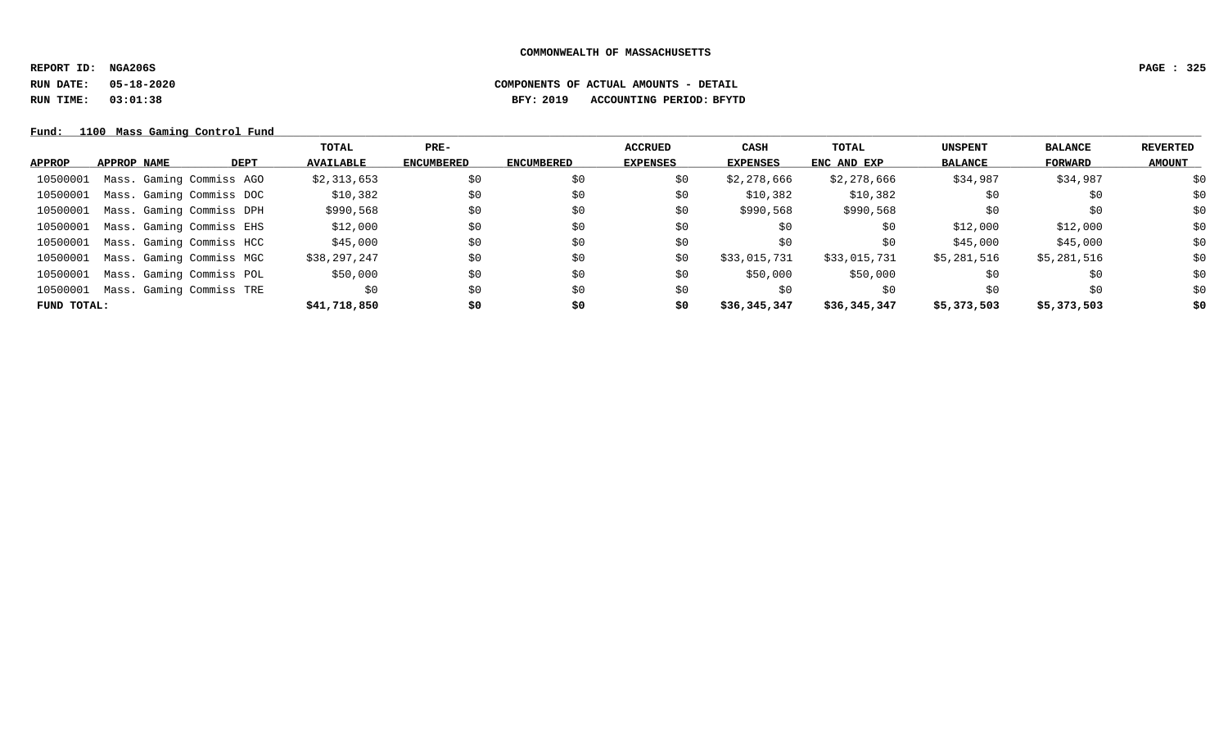**REPORT ID: NGA206S PAGE : 325**

### **RUN DATE: 05-18-2020 COMPONENTS OF ACTUAL AMOUNTS - DETAIL RUN TIME: 03:01:38 BFY: 2019 ACCOUNTING PERIOD: BFYTD**

Fund: 1100 Mass Gaming Control Fund

|             |                          |             | TOTAL            | $PRE-$            |                   | ACCRUED         | <b>CASH</b>  | <b>TOTAL</b> | <b>UNSPENT</b> | <b>BALANCE</b> | REVERTED      |
|-------------|--------------------------|-------------|------------------|-------------------|-------------------|-----------------|--------------|--------------|----------------|----------------|---------------|
| APPROP      | APPROP NAME              | <b>DEPT</b> | <b>AVAILABLE</b> | <b>ENCUMBERED</b> | <b>ENCUMBERED</b> | <b>EXPENSES</b> | EXPENSES     | ENC AND EXP  | <b>BALANCE</b> | FORWARD        | <b>AMOUNT</b> |
| 10500001    | Mass. Gaming Commiss AGO |             | \$2,313,653      | \$0               | \$0               | \$0             | \$2,278,666  | \$2,278,666  | \$34,987       | \$34,987       | \$0           |
| 10500001    | Mass. Gaming Commiss DOC |             | \$10,382         | \$0               | \$0               | \$0             | \$10,382     | \$10,382     | \$0            | \$0            | \$0           |
| 10500001    | Mass. Gaming Commiss DPH |             | \$990,568        | \$0               | \$0               | \$0             | \$990,568    | \$990,568    | \$0            | \$0            | \$0           |
| 10500001    | Mass. Gaming Commiss EHS |             | \$12,000         | \$0               | \$0               | \$0             | \$0          | \$0          | \$12,000       | \$12,000       | \$0           |
| 10500001    | Mass. Gaming Commiss HCC |             | \$45,000         | \$0               | \$0               | \$0             | \$0          | \$0          | \$45,000       | \$45,000       | \$0           |
| 10500001    | Mass. Gaming Commiss MGC |             | \$38,297,247     | \$0               | \$0               | \$0             | \$33,015,731 | \$33,015,731 | \$5,281,516    | \$5,281,516    | \$0           |
| 10500001    | Mass. Gaming Commiss POL |             | \$50,000         | \$0               | \$0               | \$0             | \$50,000     | \$50,000     | \$0            | \$0            | \$0           |
| 10500001    | Mass. Gaming Commiss TRE |             | \$0              | \$0               | \$0               | S0              | S0           | \$0          | \$0            | \$0            | \$0           |
| FUND TOTAL: |                          |             | \$41,718,850     | \$0               | \$0               | \$0             | \$36,345,347 | \$36,345,347 | \$5,373,503    | \$5,373,503    | \$0           |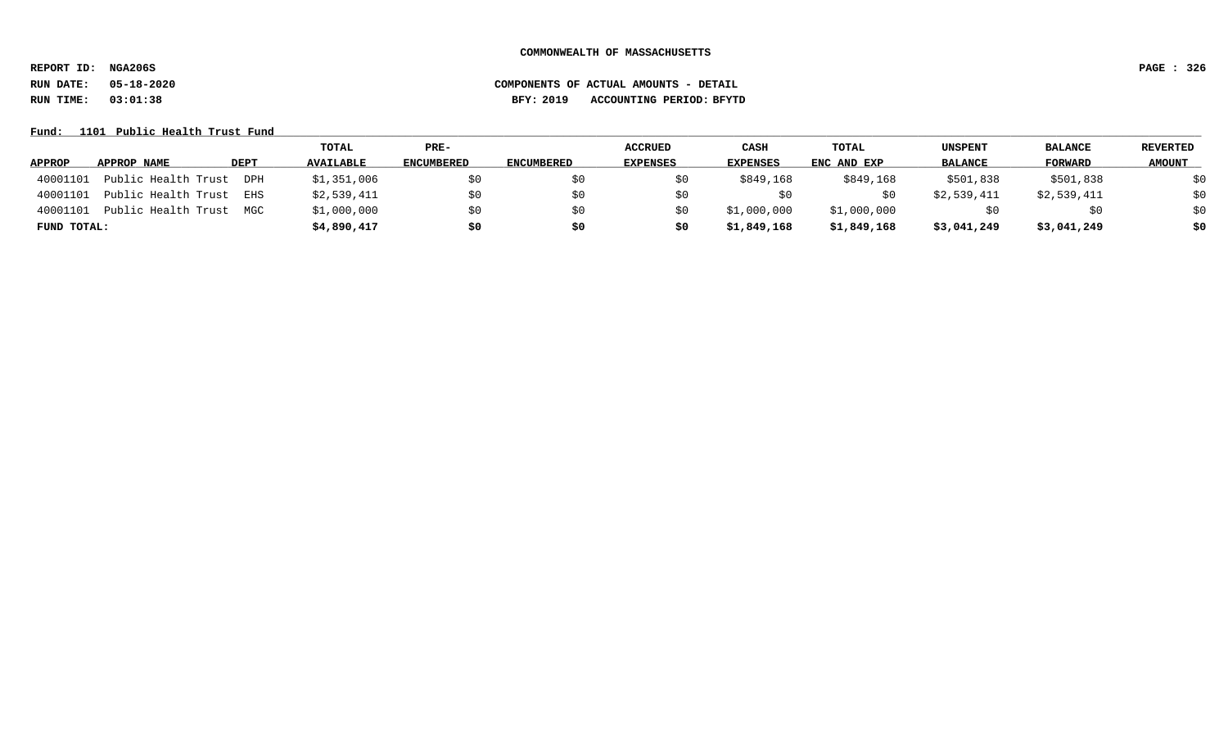**REPORT ID: NGA206S PAGE : 326**

### **RUN DATE: 05-18-2020 COMPONENTS OF ACTUAL AMOUNTS - DETAIL RUN TIME: 03:01:38 BFY: 2019 ACCOUNTING PERIOD: BFYTD**

Fund: 1101 Public Health Trust Fund

|               |                     |             | TOTAL            | PRE-              |                   | <b>ACCRUED</b>  | CASH            | TOTAL       | <b>UNSPENT</b> | <b>BALANCE</b> | <b>REVERTED</b> |
|---------------|---------------------|-------------|------------------|-------------------|-------------------|-----------------|-----------------|-------------|----------------|----------------|-----------------|
| <b>APPROP</b> | APPROP NAME         | <b>DEPT</b> | <b>AVAILABLE</b> | <b>ENCUMBERED</b> | <b>ENCUMBERED</b> | <b>EXPENSES</b> | <b>EXPENSES</b> | ENC AND EXP | <b>BALANCE</b> | FORWARD        | <b>AMOUNT</b>   |
| 40001101      | Public Health Trust | DPH         | \$1,351,006      | \$0               |                   |                 | \$849,168       | \$849,168   | \$501,838      | \$501,838      | \$0             |
| 40001101      | Public Health Trust | EHS         | \$2,539,411      | \$0               |                   |                 |                 |             | \$2,539,411    | \$2,539,411    | \$0             |
| 40001101      | Public Health Trust | MGC         | \$1,000,000      | \$0               |                   |                 | \$1,000,000     | \$1,000,000 |                | \$0            | \$0             |
| FUND TOTAL:   |                     |             | \$4,890,417      | \$0               | \$0               | Ş0              | \$1,849,168     | \$1,849,168 | \$3,041,249    | \$3,041,249    | \$0             |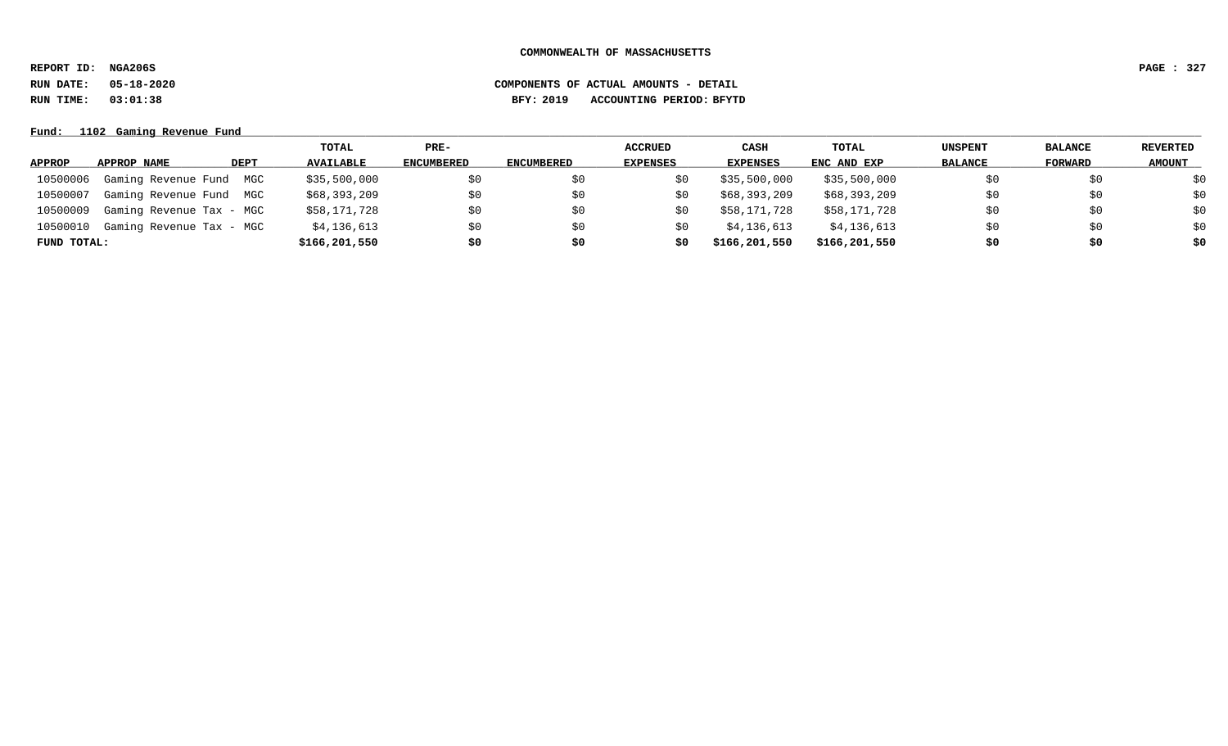**REPORT ID: NGA206S PAGE : 327**

**RUN DATE: 05-18-2020 COMPONENTS OF ACTUAL AMOUNTS - DETAIL**

**RUN TIME: 03:01:38 BFY: 2019 ACCOUNTING PERIOD: BFYTD**

**Fund: \_\_\_\_\_\_\_\_\_\_\_\_\_\_\_\_\_\_\_\_\_\_\_\_\_\_\_\_\_\_\_\_\_\_\_\_\_\_\_\_\_\_\_\_\_\_\_\_\_\_\_\_\_\_\_\_\_\_\_\_\_\_\_\_\_\_\_\_\_\_\_\_\_\_\_\_\_\_\_\_\_\_\_\_\_\_\_\_\_\_\_\_\_\_\_\_\_\_\_\_\_\_\_\_\_\_\_\_\_\_\_\_\_\_\_\_\_\_\_\_\_\_\_\_\_\_\_\_\_\_\_\_\_\_\_\_\_\_\_\_\_\_\_\_\_\_\_\_\_\_\_\_\_\_\_\_\_\_\_\_\_\_\_\_\_\_\_\_\_\_\_\_\_\_\_\_\_\_ 1102 Gaming Revenue Fund**

|             |                          |      | TOTAL            | $PRE-$            |            | <b>ACCRUED</b>  | <b>CASH</b>     | TOTAL         | <b>UNSPENT</b> | <b>BALANCE</b> | <b>REVERTED</b> |
|-------------|--------------------------|------|------------------|-------------------|------------|-----------------|-----------------|---------------|----------------|----------------|-----------------|
| APPROP      | APPROP NAME              | DEPT | <b>AVAILABLE</b> | <b>ENCUMBERED</b> | ENCUMBERED | <b>EXPENSES</b> | <b>EXPENSES</b> | ENC AND EXP   | <b>BALANCE</b> | FORWARD        | <b>AMOUNT</b>   |
| 10500006    | Gaming Revenue Fund MGC  |      | \$35,500,000     | \$0               | \$0        | Sυ              | \$35,500,000    | \$35,500,000  |                | \$0            | \$0             |
| 10500007    | Gaming Revenue Fund MGC  |      | \$68,393,209     | \$0               | \$0        | S0              | \$68,393,209    | \$68,393,209  | SO.            | \$0            | \$0             |
| 10500009    | Gaming Revenue Tax - MGC |      | \$58,171,728     | \$0               | \$0        | S0              | \$58,171,728    | \$58,171,728  | SO.            | \$0            | \$0             |
| 10500010    | Gaming Revenue Tax - MGC |      | \$4,136,613      | \$0               | \$0        | SU.             | \$4,136,613     | \$4,136,613   | SO.            | \$0            | \$0             |
| FUND TOTAL: |                          |      | \$166,201,550    | \$0               | \$0        | S0              | \$166,201,550   | \$166,201,550 | \$0            | \$0            | \$0             |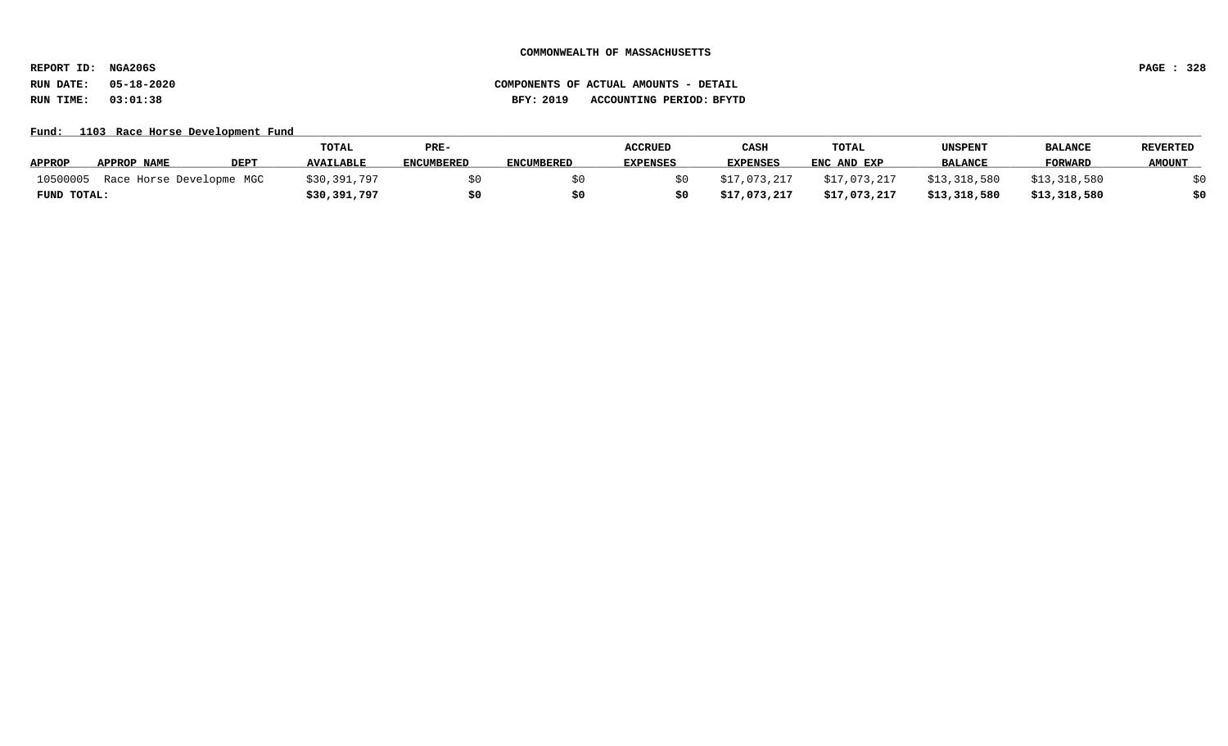**REPORT ID: NGA206S PAGE : 328**

# **RUN DATE: 05-18-2020 COMPONENTS OF ACTUAL AMOUNTS - DETAIL RUN TIME: 03:01:38 BFY: 2019 ACCOUNTING PERIOD: BFYTD**

#### Fund: 1103 Race Horse Development Fund

|               |                          |             | <b>TOTAL</b>     | PRE-              |                   | <b>ACCRUED</b>  | CASH            | TOTAL        | UNSPENT        | <b>BALANCE</b> | <b>REVERTED</b> |
|---------------|--------------------------|-------------|------------------|-------------------|-------------------|-----------------|-----------------|--------------|----------------|----------------|-----------------|
| <b>APPROP</b> | APPROP NAME              | <b>DEPT</b> | <b>AVAILABLE</b> | <b>ENCUMBERED</b> | <b>ENCUMBERED</b> | <b>EXPENSES</b> | <b>EXPENSES</b> | ENC AND EXP  | <b>BALANCE</b> | <b>FORWARD</b> | <b>AMOUNT</b>   |
| 10500005      | Race Horse Developme MGC |             | \$30,391,797     |                   |                   |                 | \$17,073,217    | \$17,073,217 | \$13,318,580   | \$13,318,580   |                 |
| FUND TOTAL:   |                          |             | \$30,391,797     | \$0               | \$0               |                 | \$17,073,217    | \$17,073,217 | \$13,318,580   | \$13,318,580   | \$0             |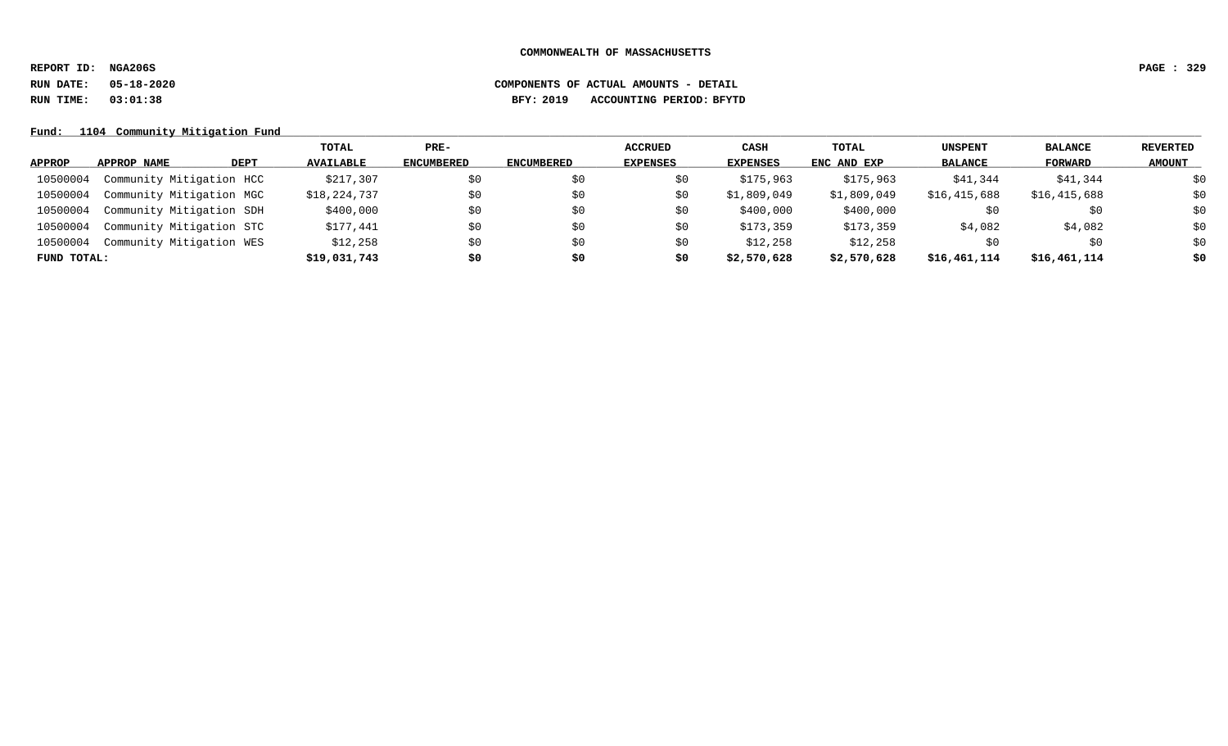**REPORT ID: NGA206S PAGE : 329**

# **RUN DATE: 05-18-2020 COMPONENTS OF ACTUAL AMOUNTS - DETAIL RUN TIME: 03:01:38 BFY: 2019 ACCOUNTING PERIOD: BFYTD**

Fund: 1104 Community Mitigation Fund

|             |                          |      | TOTAL            | $PRE-$            |                   | <b>ACCRUED</b>  | CASH            | TOTAL       | <b>UNSPENT</b> | <b>BALANCE</b> | <b>REVERTED</b> |
|-------------|--------------------------|------|------------------|-------------------|-------------------|-----------------|-----------------|-------------|----------------|----------------|-----------------|
| APPROP      | APPROP NAME              | DEPT | <b>AVAILABLE</b> | <b>ENCUMBERED</b> | <b>ENCUMBERED</b> | <b>EXPENSES</b> | <b>EXPENSES</b> | ENC AND EXP | <b>BALANCE</b> | FORWARD        | <b>AMOUNT</b>   |
| 10500004    | Community Mitigation HCC |      | \$217,307        | \$0               | S0                | S0              | \$175,963       | \$175,963   | \$41,344       | \$41,344       | \$0             |
| 10500004    | Community Mitigation MGC |      | \$18,224,737     | \$0               | \$0               | S0              | \$1,809,049     | \$1,809,049 | \$16,415,688   | \$16,415,688   | \$0             |
| 10500004    | Community Mitigation SDH |      | \$400,000        | \$0               | SO.               | S0              | \$400,000       | \$400,000   | \$0            | \$0            | \$0             |
| 10500004    | Community Mitigation STC |      | \$177,441        | \$0               | \$0               | S0              | \$173,359       | \$173,359   | \$4,082        | \$4,082        | \$0             |
| 10500004    | Community Mitigation WES |      | \$12,258         | \$0               | SO.               | S0              | \$12,258        | \$12,258    | S0             | \$0            | \$0             |
| FUND TOTAL: |                          |      | \$19,031,743     | \$0               | \$0               | \$0             | \$2,570,628     | \$2,570,628 | \$16,461,114   | \$16,461,114   | \$0             |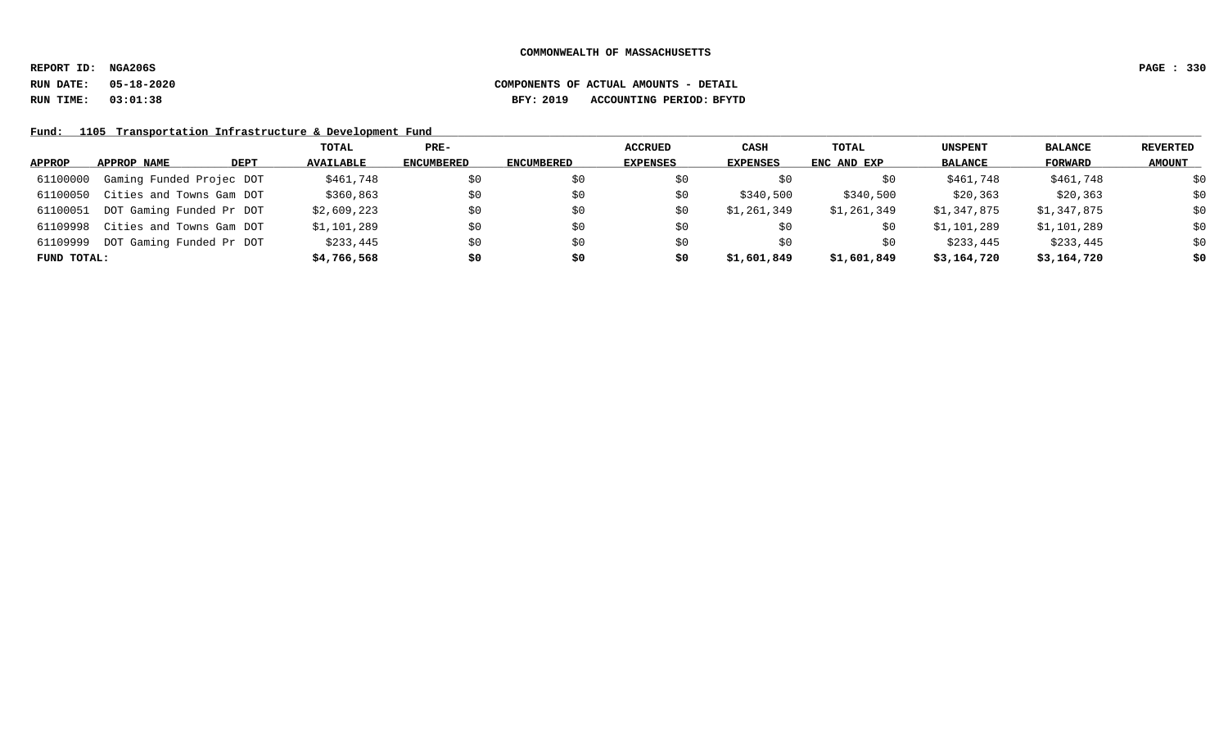**REPORT ID: NGA206S PAGE : 330**

### **RUN DATE: 05-18-2020 COMPONENTS OF ACTUAL AMOUNTS - DETAIL RUN TIME: 03:01:38 BFY: 2019 ACCOUNTING PERIOD: BFYTD**

Fund: 1105 Transportation Infrastructure & Development Fund

|             |                          |      | TOTAL            | PRE-              |                   | <b>ACCRUED</b>  | CASH            | TOTAL       | <b>UNSPENT</b> | <b>BALANCE</b> | <b>REVERTED</b> |
|-------------|--------------------------|------|------------------|-------------------|-------------------|-----------------|-----------------|-------------|----------------|----------------|-----------------|
| APPROP      | APPROP NAME              | DEPT | <b>AVAILABLE</b> | <b>ENCUMBERED</b> | <b>ENCUMBERED</b> | <b>EXPENSES</b> | <b>EXPENSES</b> | ENC AND EXP | <b>BALANCE</b> | FORWARD        | <b>AMOUNT</b>   |
| 61100000    | Gaming Funded Projec DOT |      | \$461,748        | \$0               | S0                |                 | SO.             | \$0         | \$461,748      | \$461,748      | \$0             |
| 61100050    | Cities and Towns Gam DOT |      | \$360,863        | \$0               | \$0               | SÜ              | \$340,500       | \$340,500   | \$20,363       | \$20,363       | \$0             |
| 61100051    | DOT Gaming Funded Pr DOT |      | \$2,609,223      | \$0               | \$0               | S0              | \$1,261,349     | \$1,261,349 | \$1,347,875    | \$1,347,875    | \$0             |
| 61109998    | Cities and Towns Gam DOT |      | \$1,101,289      | \$0               | \$0               | S0              | \$0             | \$0         | \$1,101,289    | \$1,101,289    | \$0             |
| 61109999    | DOT Gaming Funded Pr DOT |      | \$233,445        | \$0               | \$0               | S0              | SO.             | S0          | \$233,445      | \$233,445      | \$0             |
| FUND TOTAL: |                          |      | \$4,766,568      | \$0               | \$0               | \$0             | \$1,601,849     | \$1,601,849 | \$3,164,720    | \$3,164,720    | \$0             |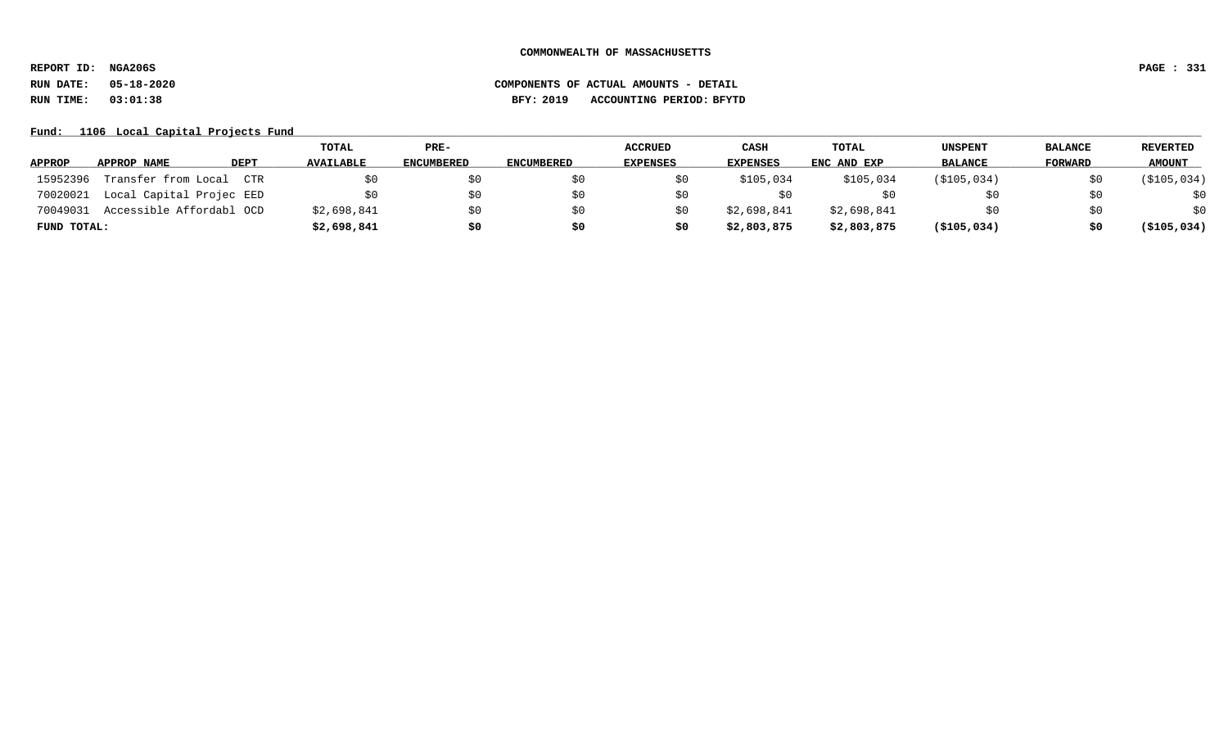**REPORT ID: NGA206S PAGE : 331**

# **RUN DATE: 05-18-2020 COMPONENTS OF ACTUAL AMOUNTS - DETAIL RUN TIME: 03:01:38 BFY: 2019 ACCOUNTING PERIOD: BFYTD**

Fund: 1106 Local Capital Projects Fund

|               |                          |             | TOTAL            | PRE-              |                   | <b>ACCRUED</b>  | <b>CASH</b>     | TOTAL       | UNSPENT        | <b>BALANCE</b> | REVERTED      |
|---------------|--------------------------|-------------|------------------|-------------------|-------------------|-----------------|-----------------|-------------|----------------|----------------|---------------|
| <b>APPROP</b> | APPROP NAME              | <b>DEPT</b> | <b>AVAILABLE</b> | <b>ENCUMBERED</b> | <b>ENCUMBERED</b> | <b>EXPENSES</b> | <b>EXPENSES</b> | ENC AND EXP | <b>BALANCE</b> | <b>FORWARD</b> | <b>AMOUNT</b> |
| 15952396      | Transfer from Local      | CTR         | \$0              | \$0               |                   |                 | \$105,034       | \$105,034   | (\$105,034)    |                | ( \$105, 034) |
| 70020021      | Local Capital Projec EED |             | \$0              | \$0               |                   |                 | S 0             |             |                | \$0            | \$0           |
| 70049031      | Accessible Affordabl OCD |             | \$2,698,841      | \$0               |                   |                 | \$2,698,841     | \$2,698,841 |                | SO.            | \$0           |
| FUND TOTAL:   |                          |             | \$2,698,841      | \$0               |                   |                 | \$2,803,875     | \$2,803,875 | ( \$105, 034)  | \$0            | ( \$105, 034) |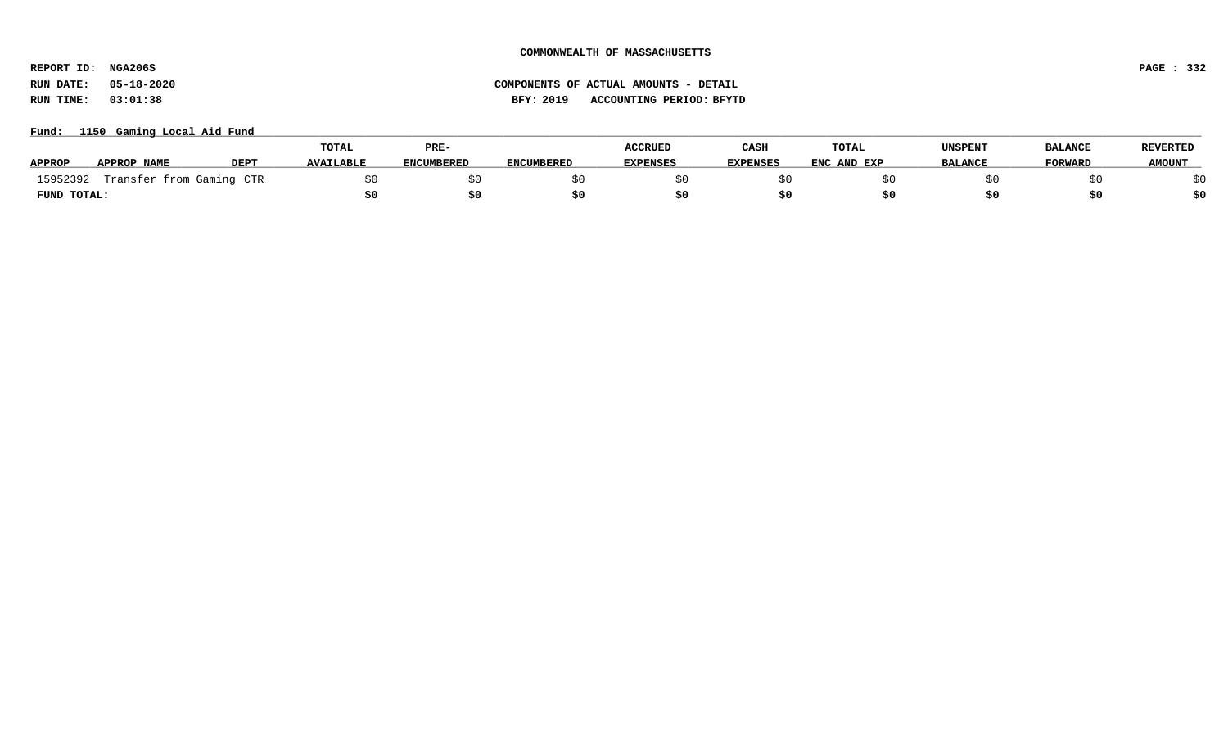# **REPORT ID: NGA206S PAGE : 332**

# **RUN DATE: 05-18-2020 COMPONENTS OF ACTUAL AMOUNTS - DETAIL RUN TIME: 03:01:38 BFY: 2019 ACCOUNTING PERIOD: BFYTD**

### Fund: 1150 Gaming Local Aid Fund

|               |                          |             | <b>TOTAL</b>     | PRE-              |                   | <b>ACCRUED</b>  | CASH            | TOTAL       | UNSPENT        | <b>BALANCE</b> | <b>REVERTED</b> |
|---------------|--------------------------|-------------|------------------|-------------------|-------------------|-----------------|-----------------|-------------|----------------|----------------|-----------------|
| <b>APPROP</b> | APPROP NAME              | <b>DEPT</b> | <b>AVAILABLE</b> | <b>ENCUMBERED</b> | <b>ENCUMBERED</b> | <b>EXPENSES</b> | <b>EXPENSES</b> | ENC AND EXP | <b>BALANCE</b> | <b>FORWARD</b> | <b>AMOUNT</b>   |
| 15952392      | Transfer from Gaming CTR |             |                  |                   |                   |                 |                 |             |                |                |                 |
| FUND TOTAL:   |                          |             |                  | \$0               |                   |                 |                 |             |                |                | \$0             |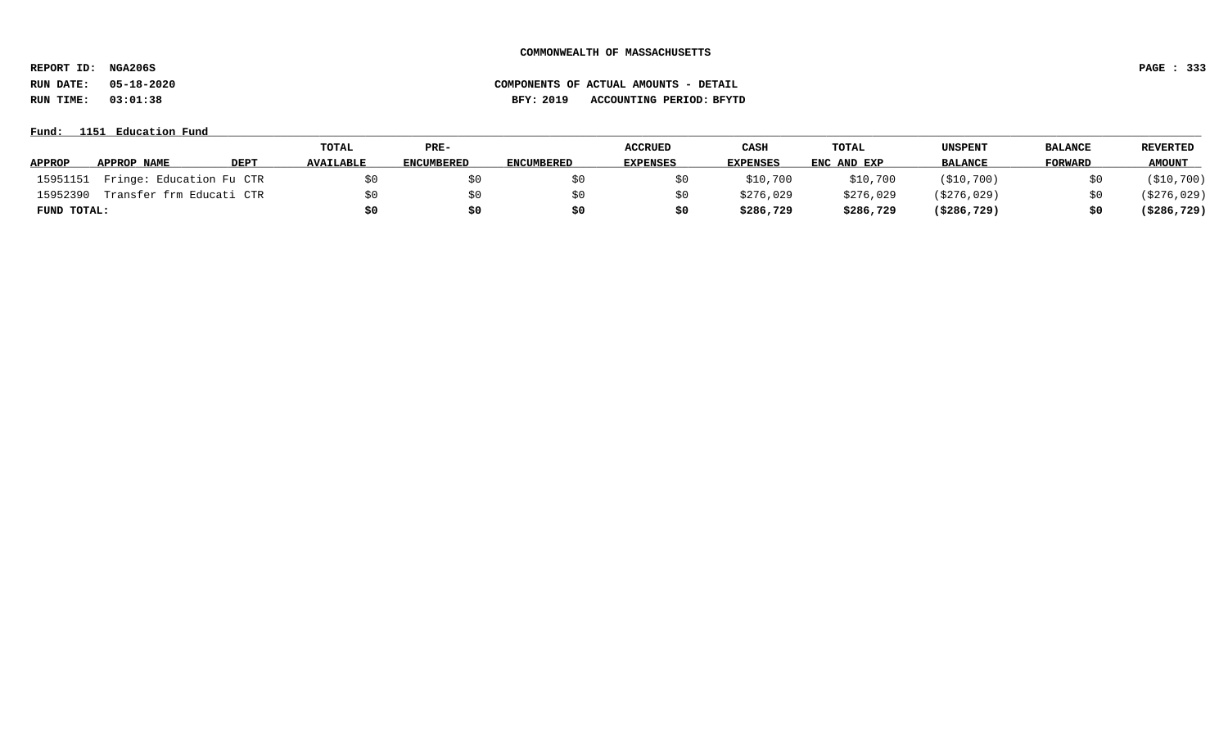**REPORT ID: NGA206S PAGE : 333**

**RUN DATE: 05-18-2020 COMPONENTS OF ACTUAL AMOUNTS - DETAIL**

**RUN TIME: 03:01:38 BFY: 2019 ACCOUNTING PERIOD: BFYTD**

#### **Fund: \_\_\_\_\_\_\_\_\_\_\_\_\_\_\_\_\_\_\_\_\_\_\_\_\_\_\_\_\_\_\_\_\_\_\_\_\_\_\_\_\_\_\_\_\_\_\_\_\_\_\_\_\_\_\_\_\_\_\_\_\_\_\_\_\_\_\_\_\_\_\_\_\_\_\_\_\_\_\_\_\_\_\_\_\_\_\_\_\_\_\_\_\_\_\_\_\_\_\_\_\_\_\_\_\_\_\_\_\_\_\_\_\_\_\_\_\_\_\_\_\_\_\_\_\_\_\_\_\_\_\_\_\_\_\_\_\_\_\_\_\_\_\_\_\_\_\_\_\_\_\_\_\_\_\_\_\_\_\_\_\_\_\_\_\_\_\_\_\_\_\_\_\_\_\_\_\_\_ 1151 Education Fund**

|               |                          |             | TOTAL            | PRE-              |                   | <b>ACCRUED</b>  | CASH      | <b>TOTAL</b> | UNSPENT        | <b>BALANCE</b> | <b>REVERTED</b> |
|---------------|--------------------------|-------------|------------------|-------------------|-------------------|-----------------|-----------|--------------|----------------|----------------|-----------------|
| <b>APPROP</b> | APPROP NAME              | <b>DEPT</b> | <b>AVAILABLE</b> | <b>ENCUMBERED</b> | <b>ENCUMBERED</b> | <b>EXPENSES</b> | EXPENSES  | ENC AND EXP  | <b>BALANCE</b> | FORWARD        | <b>AMOUNT</b>   |
| 15951151      | Fringe: Education Fu CTR |             |                  | \$0               |                   |                 | \$10,700  | \$10,700     | ( \$10, 700 )  | \$0            | ( \$10, 700 )   |
| 15952390      | Transfer frm Educati CTR |             |                  | SO.               |                   |                 | \$276,029 | \$276,029    | (\$276,029)    | \$0            | (\$276,029)     |
| FUND TOTAL:   |                          |             |                  | \$0               |                   |                 | \$286,729 | \$286,729    | (\$286,729)    | \$0            | ( \$286, 729 )  |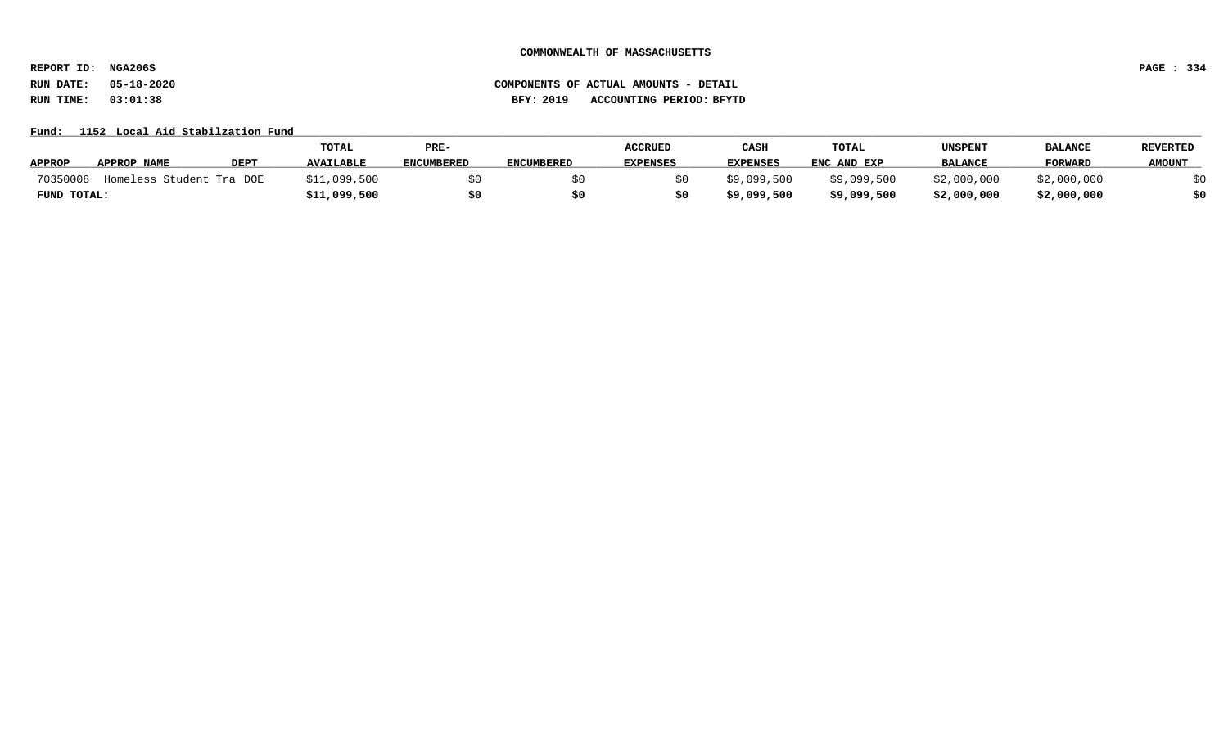**REPORT ID: NGA206S PAGE : 334**

### **RUN DATE: 05-18-2020 COMPONENTS OF ACTUAL AMOUNTS - DETAIL RUN TIME: 03:01:38 BFY: 2019 ACCOUNTING PERIOD: BFYTD**

### Fund: 1152 Local Aid Stabilzation Fund

|               |                          |      | TOTAL            | PRE-              |                   | ACCRUED         | CASH            | TOTAL       | UNSPENT        | <b>BALANCE</b> | <b>REVERTED</b> |
|---------------|--------------------------|------|------------------|-------------------|-------------------|-----------------|-----------------|-------------|----------------|----------------|-----------------|
| <b>APPROP</b> | APPROP NAME              | DEPT | <b>AVAILABLE</b> | <b>ENCUMBERED</b> | <b>ENCUMBERED</b> | <b>EXPENSES</b> | <b>EXPENSES</b> | ENC AND EXP | <b>BALANCE</b> | <b>FORWARD</b> | <b>AMOUNT</b>   |
| 70350008      | Homeless Student Tra DOE |      | \$11,099,500     |                   |                   |                 | \$9,099,500     | \$9,099,500 | \$2,000,000    | \$2,000,000    |                 |
| FUND TOTAL:   |                          |      | \$11,099,500     | \$0               |                   |                 | \$9,099,500     | \$9,099,500 | \$2,000,000    | \$2,000,000    | \$0             |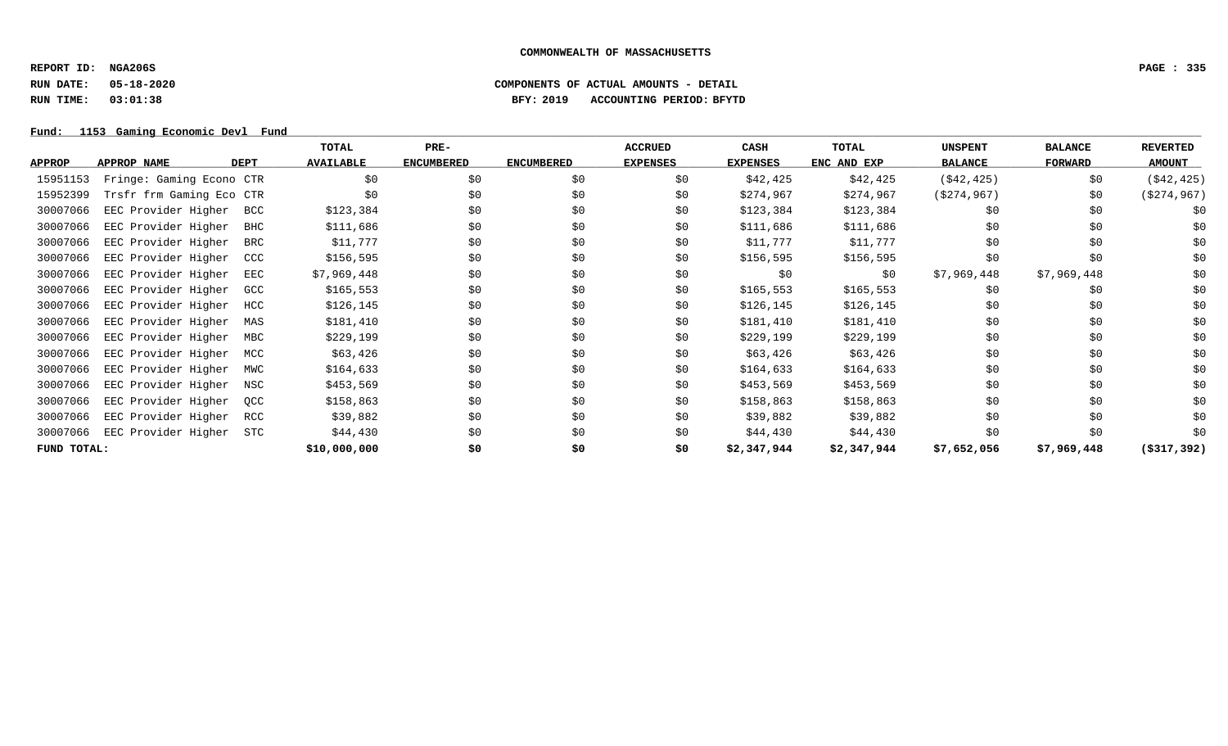**REPORT ID: NGA206S PAGE : 335**

# **RUN DATE: 05-18-2020 COMPONENTS OF ACTUAL AMOUNTS - DETAIL RUN TIME: 03:01:38 BFY: 2019 ACCOUNTING PERIOD: BFYTD**

Fund: 1153 Gaming Economic Devl Fund

|               |                          |             | TOTAL            | $PRE-$            |                   | <b>ACCRUED</b>  | CASH            | TOTAL       | <b>UNSPENT</b> | <b>BALANCE</b> | <b>REVERTED</b> |
|---------------|--------------------------|-------------|------------------|-------------------|-------------------|-----------------|-----------------|-------------|----------------|----------------|-----------------|
| <b>APPROP</b> | APPROP NAME              | <b>DEPT</b> | <b>AVAILABLE</b> | <b>ENCUMBERED</b> | <b>ENCUMBERED</b> | <b>EXPENSES</b> | <b>EXPENSES</b> | ENC AND EXP | <b>BALANCE</b> | FORWARD        | <b>AMOUNT</b>   |
| 15951153      | Fringe: Gaming Econo CTR |             | \$0              | \$0               | \$0               | \$0             | \$42,425        | \$42,425    | ( \$42, 425)   | \$0            | ( \$42, 425)    |
| 15952399      | Trsfr frm Gaming Eco CTR |             | \$0              | \$0               | \$0               | \$0             | \$274,967       | \$274,967   | ( \$274, 967)  | \$0            | ( \$274, 967)   |
| 30007066      | EEC Provider Higher      | <b>BCC</b>  | \$123,384        | \$0               | \$0               | \$0             | \$123,384       | \$123,384   | \$0            | \$0            | \$0             |
| 30007066      | EEC Provider Higher      | BHC         | \$111,686        | \$0               | \$0               | \$0             | \$111,686       | \$111,686   | \$0            | \$0            | \$0             |
| 30007066      | EEC Provider Higher      | BRC         | \$11,777         | \$0               | \$0               | \$0             | \$11,777        | \$11,777    | \$0            | \$0            | \$0             |
| 30007066      | EEC Provider Higher      | CCC         | \$156,595        | \$0               | \$0               | \$0             | \$156,595       | \$156,595   | \$0            | \$0            | \$0             |
| 30007066      | EEC Provider Higher      | EEC         | \$7,969,448      | \$0               | \$0               | \$0             | \$0             | \$0         | \$7,969,448    | \$7,969,448    | \$0             |
| 30007066      | EEC Provider Higher      | GCC         | \$165, 553       | \$0               | \$0               | \$0             | \$165, 553      | \$165,553   | \$0            | \$0            | \$0             |
| 30007066      | EEC Provider Higher      | HCC         | \$126,145        | \$0               | \$0               | \$0             | \$126,145       | \$126,145   | \$0            | \$0            | \$0             |
| 30007066      | EEC Provider Higher      | MAS         | \$181,410        | \$0               | \$0               | \$0             | \$181,410       | \$181,410   | \$0            | \$0            | \$0             |
| 30007066      | EEC Provider Higher      | MBC         | \$229,199        | \$0               | \$0               | \$0             | \$229,199       | \$229,199   | \$0            | \$0            | \$0             |
| 30007066      | EEC Provider Higher      | MCC         | \$63,426         | \$0               | \$0               | \$0             | \$63,426        | \$63,426    | \$0            | \$0            | \$0             |
| 30007066      | EEC Provider Higher      | MWC         | \$164,633        | \$0               | \$0               | \$0             | \$164,633       | \$164,633   | \$0            | \$0            | \$0             |
| 30007066      | EEC Provider Higher      | NSC         | \$453,569        | \$0               | \$0               | \$0             | \$453,569       | \$453,569   | \$0            | \$0            | \$0             |
| 30007066      | EEC Provider Higher      | OCC         | \$158,863        | \$0               | \$0               | \$0             | \$158,863       | \$158,863   | \$0            | \$0            | \$0             |
| 30007066      | EEC Provider Higher      | RCC         | \$39,882         | \$0               | \$0               | \$0             | \$39,882        | \$39,882    | \$0            | \$0            | \$0             |
| 30007066      | EEC Provider Higher      | STC         | \$44,430         | \$0               | \$0               | \$0             | \$44,430        | \$44,430    | \$0            | \$0            | \$0             |
| FUND TOTAL:   |                          |             | \$10,000,000     | \$0               | \$0               | \$0             | \$2,347,944     | \$2,347,944 | \$7,652,056    | \$7,969,448    | $($ \$317,392)  |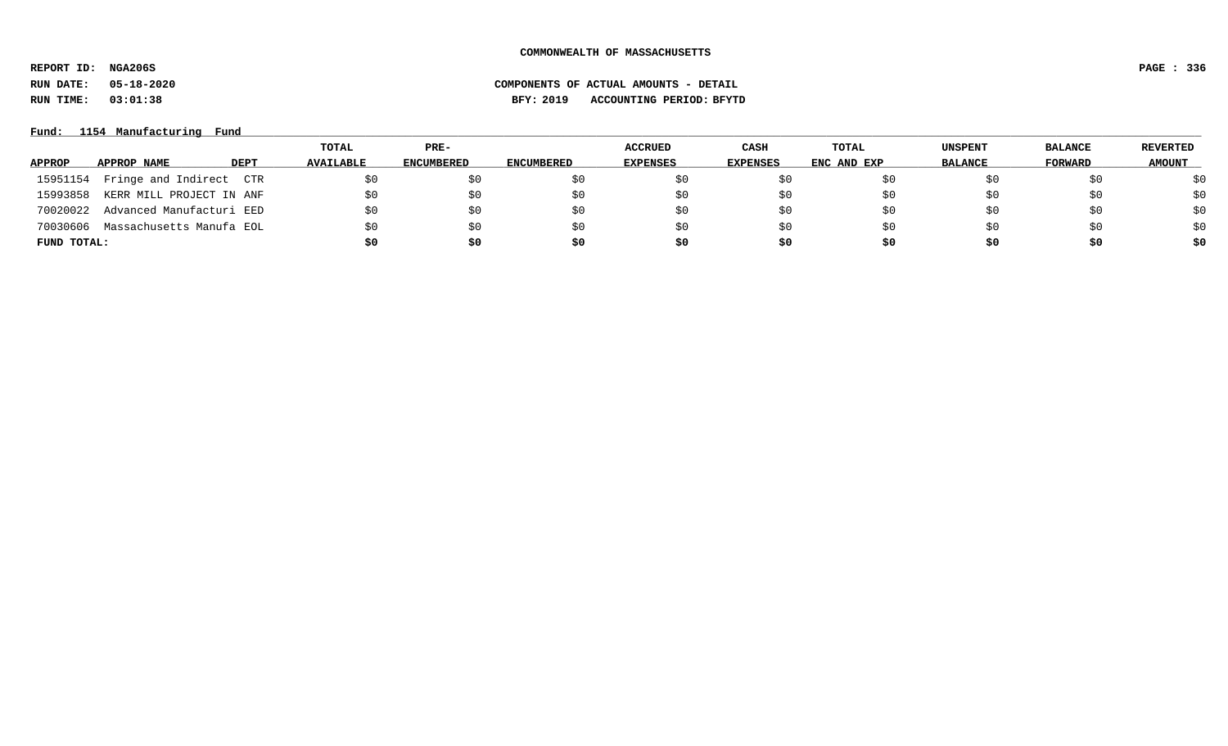**REPORT ID: NGA206S PAGE : 336**

**RUN DATE: 05-18-2020 COMPONENTS OF ACTUAL AMOUNTS - DETAIL**

**RUN TIME: 03:01:38 BFY: 2019 ACCOUNTING PERIOD: BFYTD**

### **Fund: \_\_\_\_\_\_\_\_\_\_\_\_\_\_\_\_\_\_\_\_\_\_\_\_\_\_\_\_\_\_\_\_\_\_\_\_\_\_\_\_\_\_\_\_\_\_\_\_\_\_\_\_\_\_\_\_\_\_\_\_\_\_\_\_\_\_\_\_\_\_\_\_\_\_\_\_\_\_\_\_\_\_\_\_\_\_\_\_\_\_\_\_\_\_\_\_\_\_\_\_\_\_\_\_\_\_\_\_\_\_\_\_\_\_\_\_\_\_\_\_\_\_\_\_\_\_\_\_\_\_\_\_\_\_\_\_\_\_\_\_\_\_\_\_\_\_\_\_\_\_\_\_\_\_\_\_\_\_\_\_\_\_\_\_\_\_\_\_\_\_\_\_\_\_\_\_\_\_ 1154 Manufacturing Fund**

|             |                          |             | TOTAL            | $PRE-$            |                   | <b>ACCRUED</b>  | <b>CASH</b>     | TOTAL       | <b>UNSPENT</b> | <b>BALANCE</b> | <b>REVERTED</b> |
|-------------|--------------------------|-------------|------------------|-------------------|-------------------|-----------------|-----------------|-------------|----------------|----------------|-----------------|
| APPROP      | APPROP NAME              | <b>DEPT</b> | <b>AVAILABLE</b> | <b>ENCUMBERED</b> | <b>ENCUMBERED</b> | <b>EXPENSES</b> | <b>EXPENSES</b> | ENC AND EXP | <b>BALANCE</b> | FORWARD        | <b>AMOUNT</b>   |
| 15951154    | Fringe and Indirect CTR  |             |                  | S0                | SO.               | \$0             |                 | 5U          |                |                | \$0             |
| 15993858    | KERR MILL PROJECT IN ANF |             |                  | \$0               | \$0               | \$0             | \$0             | ŞΟ          |                | \$0            | \$0             |
| 70020022    | Advanced Manufacturi EED |             |                  | \$0               | \$0               | \$0             | \$0             | ŞΟ          |                | Şυ             | \$0             |
| 70030606    | Massachusetts Manufa EOL |             |                  | \$0               | SO.               | \$0             | \$0             | S0          | SU             | \$0            | \$0             |
| FUND TOTAL: |                          |             | so               | \$0               | \$0               | \$0             | S0              | S0          | S0             | \$0            | \$0             |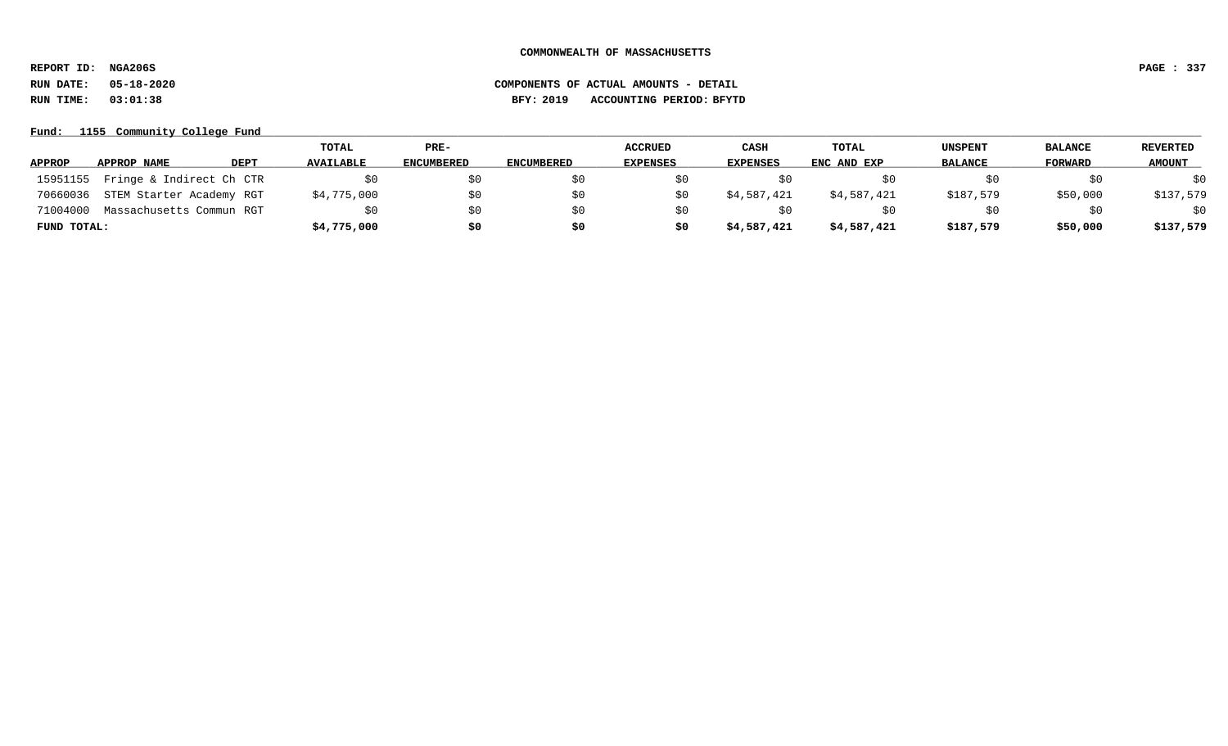**REPORT ID: NGA206S PAGE : 337**

# **RUN DATE: 05-18-2020 COMPONENTS OF ACTUAL AMOUNTS - DETAIL RUN TIME: 03:01:38 BFY: 2019 ACCOUNTING PERIOD: BFYTD**

Fund: 1155 Community College Fund

|               |                          |             | TOTAL            | PRE-       |                   | <b>ACCRUED</b>  | CASH        | TOTAL       | <b>UNSPENT</b> | <b>BALANCE</b> | REVERTED      |
|---------------|--------------------------|-------------|------------------|------------|-------------------|-----------------|-------------|-------------|----------------|----------------|---------------|
| <b>APPROP</b> | APPROP NAME              | <b>DEPT</b> | <b>AVAILABLE</b> | ENCUMBERED | <b>ENCUMBERED</b> | <b>EXPENSES</b> | EXPENSES    | ENC AND EXP | <b>BALANCE</b> | FORWARD        | <b>AMOUNT</b> |
| 15951155      | Fringe & Indirect Ch CTR |             | SO.              | \$0        |                   |                 |             |             |                | \$0            | \$0           |
| 70660036      | STEM Starter Academy RGT |             | \$4,775,000      | \$0        |                   |                 | \$4,587,421 | \$4,587,421 | \$187,579      | \$50,000       | \$137,579     |
| 71004000      | Massachusetts Commun RGT |             | \$0              | \$0        |                   |                 |             |             |                | \$0            | \$0           |
| FUND TOTAL:   |                          |             | \$4,775,000      | \$0        | \$0               | so              | \$4,587,421 | \$4,587,421 | \$187,579      | \$50,000       | \$137,579     |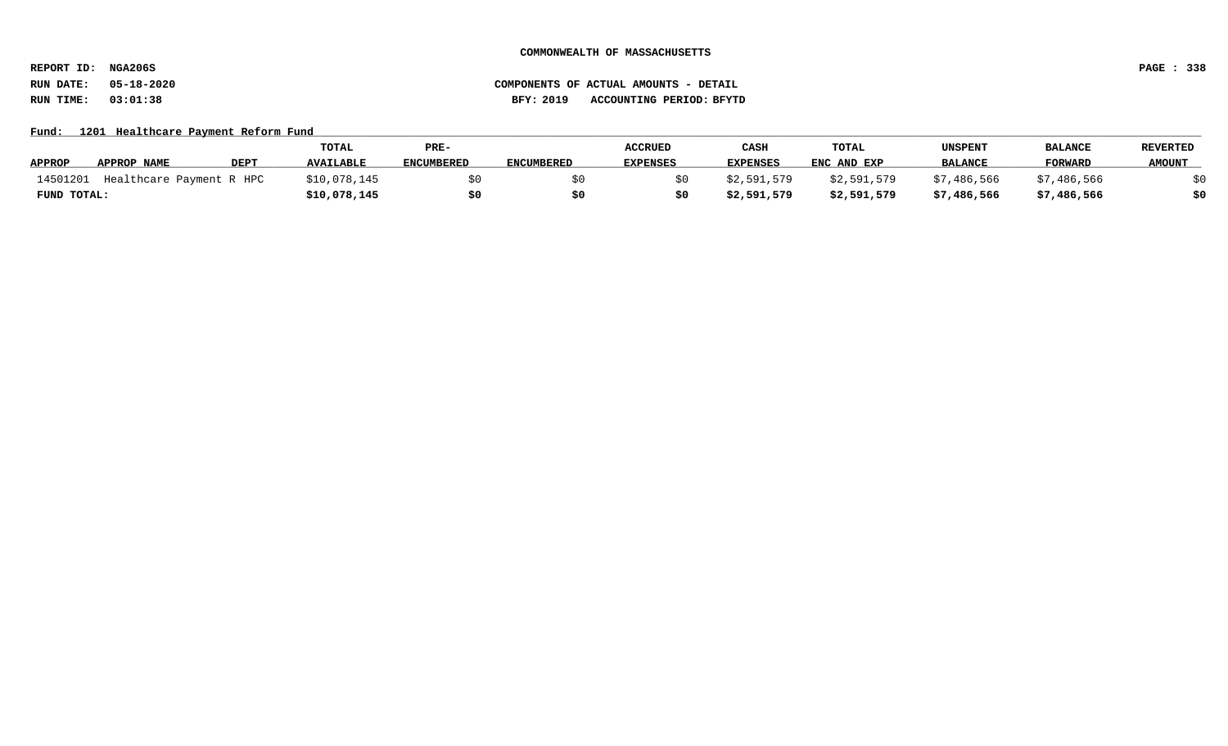**REPORT ID: NGA206S PAGE : 338**

# **RUN DATE: 05-18-2020 COMPONENTS OF ACTUAL AMOUNTS - DETAIL RUN TIME: 03:01:38 BFY: 2019 ACCOUNTING PERIOD: BFYTD**

### Fund: 1201 Healthcare Payment Reform Fund

|               |                          |             | TOTAL        | PRE-              |                   | <b>ACCRUED</b>  | CASH            | TOTAL       | UNSPENT        | <b>BALANCE</b> | <b>REVERTED</b> |
|---------------|--------------------------|-------------|--------------|-------------------|-------------------|-----------------|-----------------|-------------|----------------|----------------|-----------------|
| <b>APPROP</b> | APPROP NAME              | <b>DEPT</b> | AVAILABLE    | <b>ENCUMBERED</b> | <b>ENCUMBERED</b> | <b>EXPENSES</b> | <b>EXPENSES</b> | ENC AND EXP | <b>BALANCE</b> | <b>FORWARD</b> | <b>AMOUNT</b>   |
| 14501201      | Healthcare Payment R HPC |             | \$10,078,145 |                   |                   |                 | \$2.591.579     | \$2,591,579 | \$7,486,566    | \$7,486,566    |                 |
| FUND TOTAL:   |                          |             | \$10,078,145 | \$0               |                   |                 | \$2,591,579     | \$2,591,579 | \$7,486,566    | \$7,486,566    | \$0             |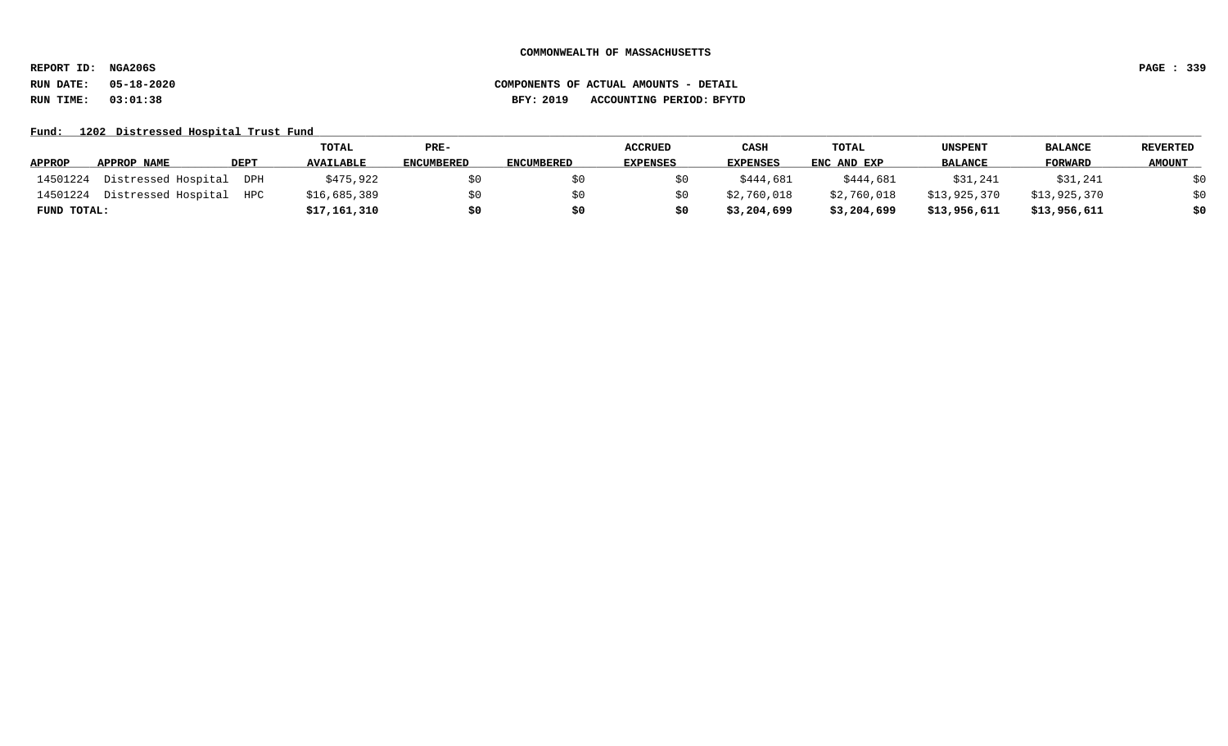**REPORT ID: NGA206S PAGE : 339**

# **RUN DATE: 05-18-2020 COMPONENTS OF ACTUAL AMOUNTS - DETAIL RUN TIME: 03:01:38 BFY: 2019 ACCOUNTING PERIOD: BFYTD**

Fund: 1202 Distressed Hospital Trust Fund

|               |                     |             | TOTAL            | PRE-              |                   | <b>ACCRUED</b>  | CASH            | TOTAL       | UNSPENT        | <b>BALANCE</b> | <b>REVERTED</b> |
|---------------|---------------------|-------------|------------------|-------------------|-------------------|-----------------|-----------------|-------------|----------------|----------------|-----------------|
| <b>APPROP</b> | APPROP NAME         | <b>DEPT</b> | <b>AVAILABLE</b> | <b>ENCUMBERED</b> | <b>ENCUMBERED</b> | <b>EXPENSES</b> | <b>EXPENSES</b> | ENC AND EXP | <b>BALANCE</b> | <b>FORWARD</b> | <b>AMOUNT</b>   |
| 14501224      | Distressed Hospital | DPH         | \$475,922        | SO.               |                   |                 | \$444,681       | \$444,681   | \$31,241       | \$31,241       | \$0             |
| 14501224      | Distressed Hospital | HPC         | \$16,685,389     | \$0               |                   |                 | \$2,760,018     | \$2,760,018 | \$13,925,370   | \$13,925,370   | \$0             |
| FUND TOTAL:   |                     |             | \$17,161,310     | \$0               |                   |                 | \$3,204,699     | \$3,204,699 | \$13,956,611   | \$13,956,611   | \$0             |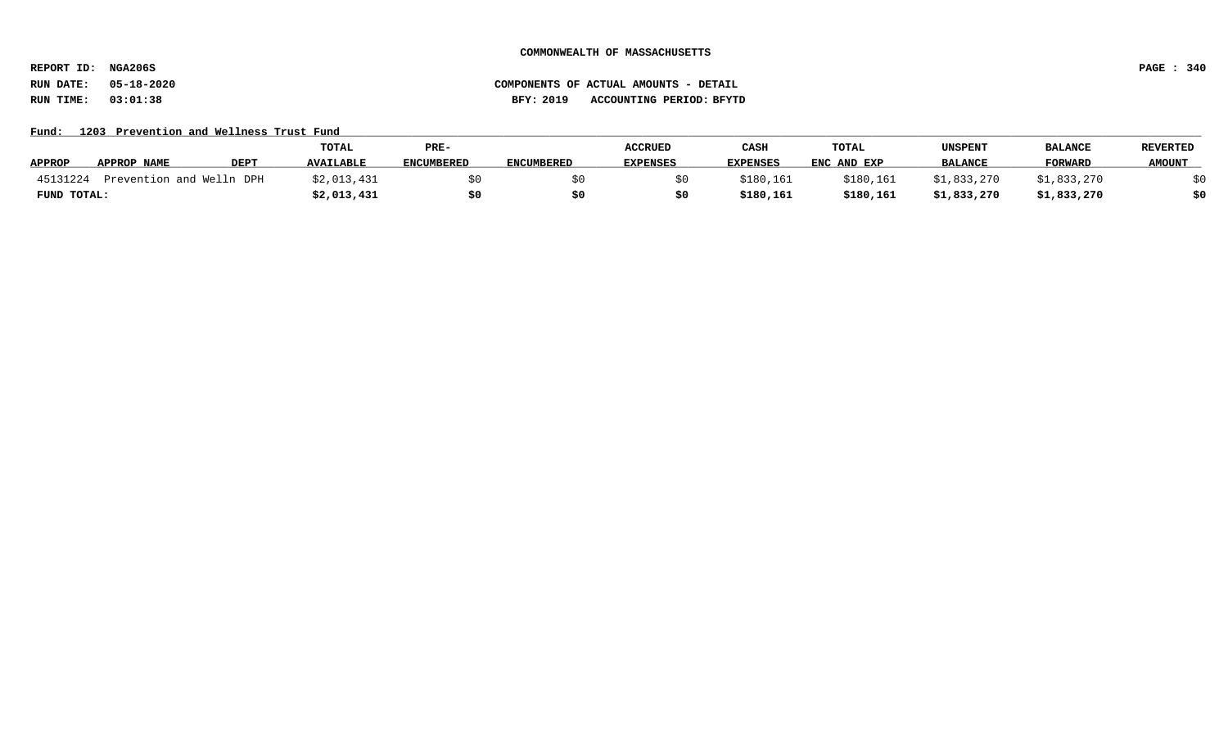**REPORT ID: NGA206S PAGE : 340**

**RUN DATE: 05-18-2020 COMPONENTS OF ACTUAL AMOUNTS - DETAIL RUN TIME: 03:01:38 BFY: 2019 ACCOUNTING PERIOD: BFYTD**

Fund: 1203 Prevention and Wellness Trust Fund

|               |                          |             | TOTAL            | PRE-              |                   | <b>ACCRUED</b>  | CASH            | TOTAL       | UNSPENT        | <b>BALANCE</b> | REVERTED      |
|---------------|--------------------------|-------------|------------------|-------------------|-------------------|-----------------|-----------------|-------------|----------------|----------------|---------------|
| <b>APPROP</b> | APPROP NAME              | <b>DEPT</b> | <b>AVAILABLE</b> | <b>ENCUMBERED</b> | <b>ENCUMBERED</b> | <b>EXPENSES</b> | <b>EXPENSES</b> | ENC AND EXP | <b>BALANCE</b> | <b>FORWARD</b> | <b>AMOUNT</b> |
| 45131224      | Prevention and Welln DPH |             | \$2,013,431      |                   |                   |                 | \$180,161       | \$180,161   | \$1,833,270    | \$1,833,270    |               |
| FUND TOTAL:   |                          |             | \$2,013,431      |                   |                   |                 | \$180,161       | \$180,161   | \$1,833,270    | \$1,833,270    | \$0           |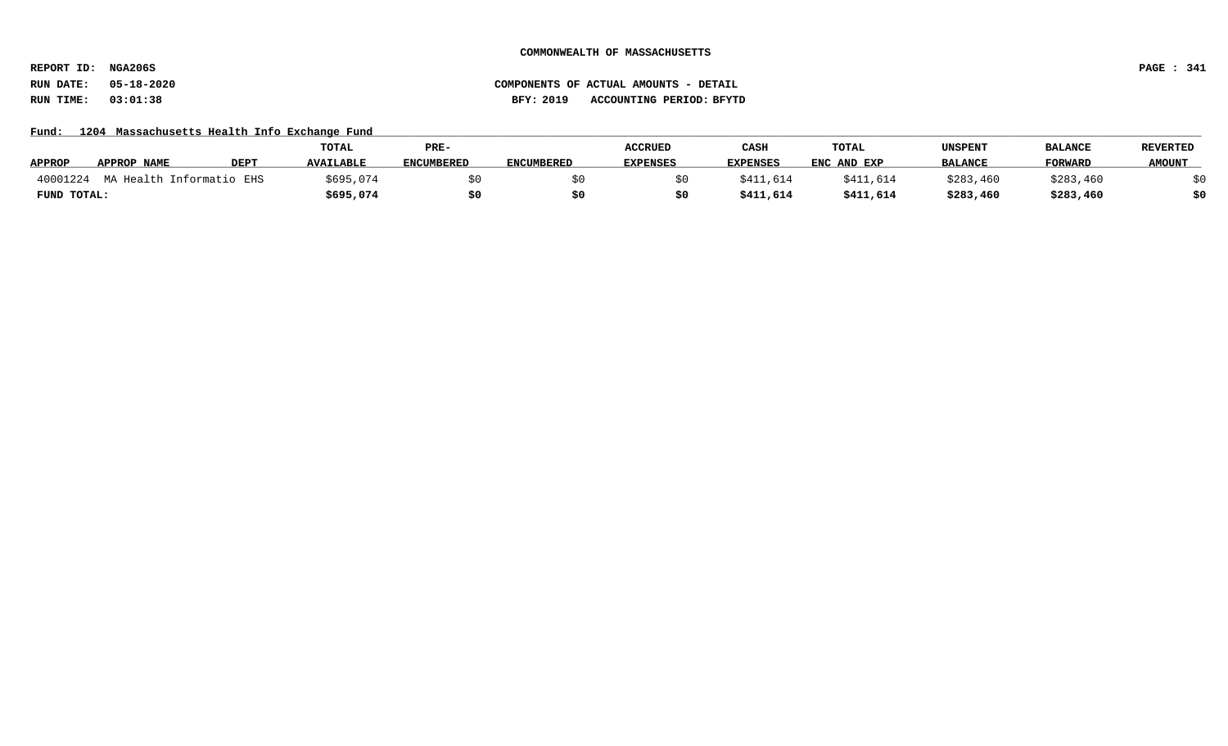**REPORT ID: NGA206S PAGE : 341**

### **RUN DATE: 05-18-2020 COMPONENTS OF ACTUAL AMOUNTS - DETAIL RUN TIME: 03:01:38 BFY: 2019 ACCOUNTING PERIOD: BFYTD**

### Fund: 1204 Massachusetts Health Info Exchange Fund

|               |                          |             | TOTAL            | PRE-              |                   | <b>ACCRUED</b>  | CASH            | <b>TOTAL</b> | UNSPENT        | <b>BALANCE</b> | <b>REVERTED</b> |
|---------------|--------------------------|-------------|------------------|-------------------|-------------------|-----------------|-----------------|--------------|----------------|----------------|-----------------|
| <b>APPROP</b> | <b>APPROP NAME</b>       | <b>DEPT</b> | <b>AVAILABLE</b> | <b>ENCUMBERED</b> | <b>ENCUMBERED</b> | <b>EXPENSES</b> | <b>EXPENSES</b> | ENC AND EXP  | <b>BALANCE</b> | FORWARD        | <b>AMOUNT</b>   |
| 40001224      | MA Health Informatio EHS |             | \$695,074        |                   |                   |                 | \$411,614       | \$411,614    | \$283,460      | \$283,460      |                 |
| FUND TOTAL:   |                          |             | \$695,074        |                   |                   |                 | \$411,614       | \$411,614    | \$283,460      | \$283,460      | \$0             |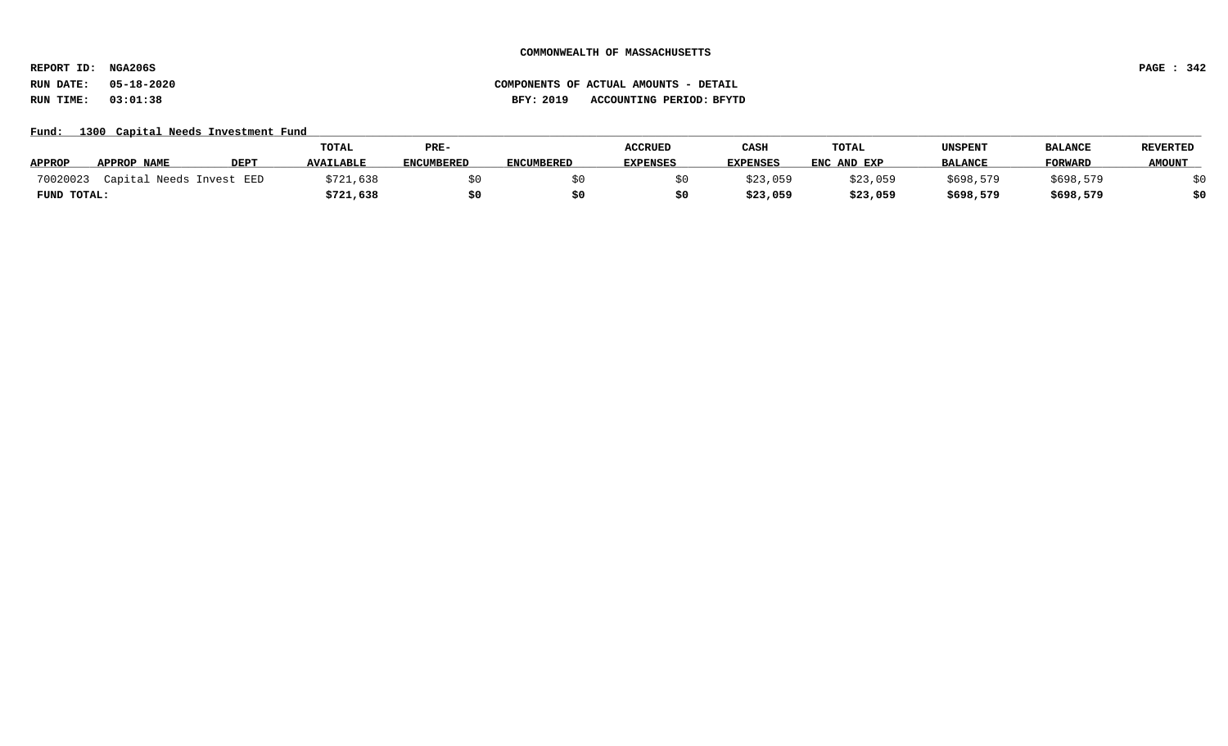**REPORT ID: NGA206S PAGE : 342**

**RUN DATE: 05-18-2020 COMPONENTS OF ACTUAL AMOUNTS - DETAIL RUN TIME: 03:01:38 BFY: 2019 ACCOUNTING PERIOD: BFYTD**

### Fund: 1300 Capital Needs Investment Fund

|               |                          |             | TOTAL            | PRE-              |                   | <b>ACCRUED</b>  | CASH            | TOTAL       | UNSPENT        | <b>BALANCE</b> | <b>REVERTED</b> |
|---------------|--------------------------|-------------|------------------|-------------------|-------------------|-----------------|-----------------|-------------|----------------|----------------|-----------------|
| <b>APPROP</b> | APPROP NAME              | <b>DEPT</b> | <b>AVAILABLE</b> | <b>ENCUMBERED</b> | <b>ENCUMBERED</b> | <b>EXPENSES</b> | <b>EXPENSES</b> | ENC AND EXP | <b>BALANCE</b> | <b>FORWARD</b> | <b>AMOUNT</b>   |
| 70020023      | Capital Needs Invest EED |             | \$721,638        |                   |                   |                 | \$23,059        | \$23,059    | \$698,579      | \$698,579      |                 |
| FUND TOTAL:   |                          |             | \$721,638        |                   |                   |                 | \$23,059        | \$23,059    | \$698,579      | \$698,579      | \$0             |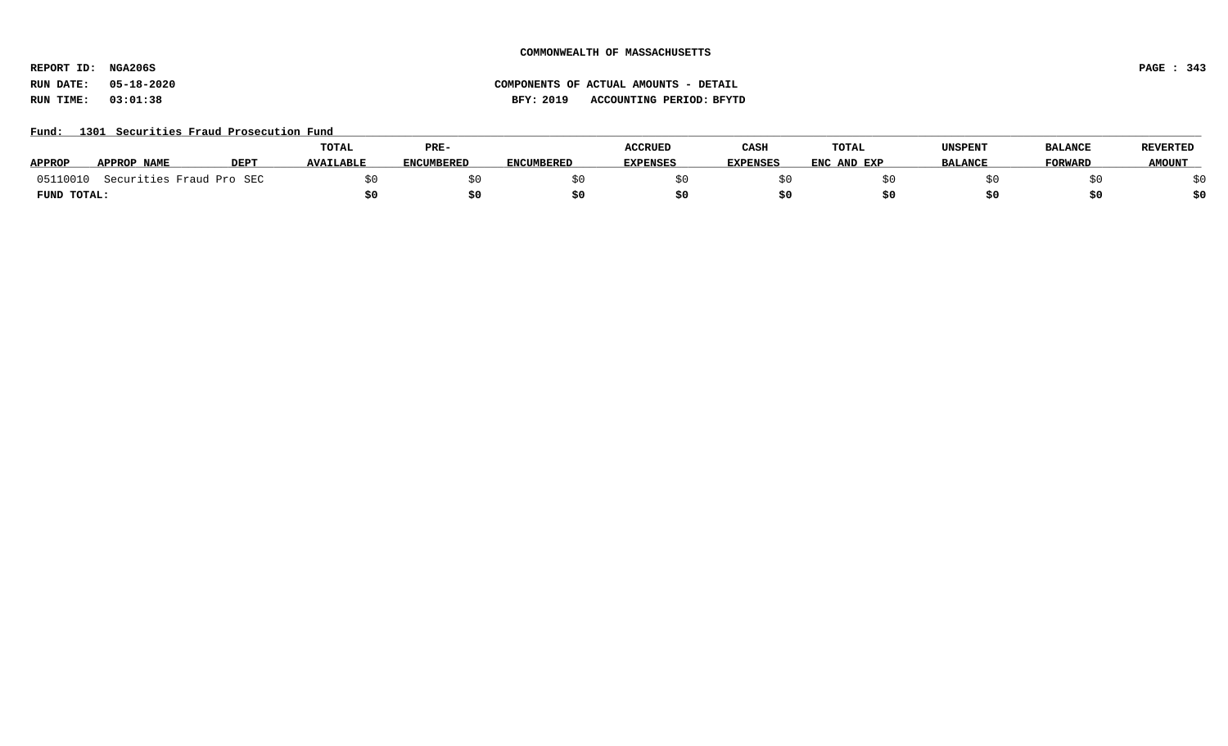**REPORT ID: NGA206S PAGE : 343**

# **RUN DATE: 05-18-2020 COMPONENTS OF ACTUAL AMOUNTS - DETAIL RUN TIME: 03:01:38 BFY: 2019 ACCOUNTING PERIOD: BFYTD**

### Fund: 1301 Securities Fraud Prosecution Fund

|               |                            |      | <b>TOTAL</b>     | PRE-              |                   | <b>ACCRUED</b>  | CASH            | <b>TOTAL</b> | UNSPENT        | <b>BALANCE</b> | <b>REVERTED</b> |
|---------------|----------------------------|------|------------------|-------------------|-------------------|-----------------|-----------------|--------------|----------------|----------------|-----------------|
| <b>APPROP</b> | APPROP NAME                | DEP1 | <b>AVAILABLE</b> | <b>ENCUMBERED</b> | <b>ENCUMBERED</b> | <b>EXPENSES</b> | <b>EXPENSES</b> | ENC AND EXP  | <b>BALANCE</b> | <b>FORWARD</b> | <b>AMOUNT</b>   |
| 05110010      | . Securities Fraud Pro SEC |      |                  |                   |                   |                 |                 |              |                |                |                 |
| FUND TOTAL:   |                            |      |                  |                   |                   |                 |                 |              |                |                | \$0             |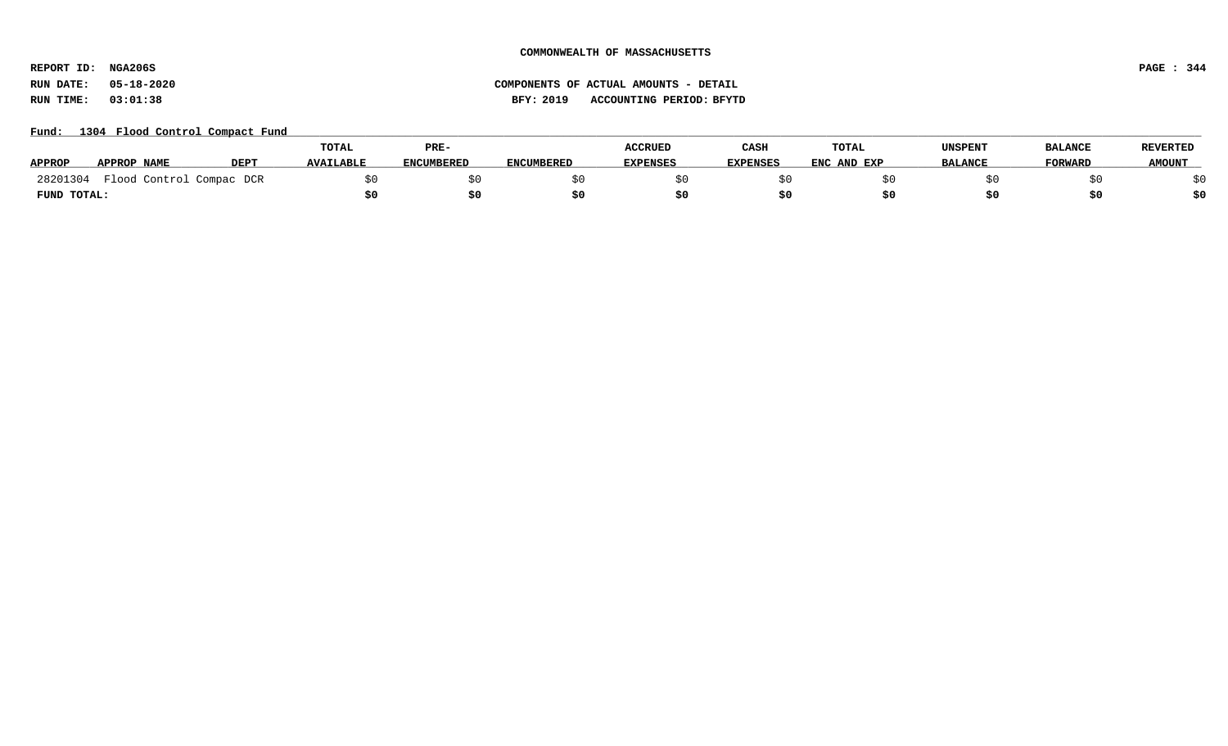**REPORT ID: NGA206S PAGE : 344**

# **RUN DATE: 05-18-2020 COMPONENTS OF ACTUAL AMOUNTS - DETAIL RUN TIME: 03:01:38 BFY: 2019 ACCOUNTING PERIOD: BFYTD**

Fund: 1304 Flood Control Compact Fund

|               |                          |             | <b>TOTAL</b>     | PRE-              |                   | <b>ACCRUED</b>  | CASH            | <b>TOTAL</b> | <b>UNSPENT</b> | <b>BALANCE</b> | <b>REVERTED</b> |
|---------------|--------------------------|-------------|------------------|-------------------|-------------------|-----------------|-----------------|--------------|----------------|----------------|-----------------|
| <b>APPROP</b> | APPROP NAME              | <b>DEPT</b> | <b>AVAILABLE</b> | <b>ENCUMBERED</b> | <b>ENCUMBERED</b> | <b>EXPENSES</b> | <b>EXPENSES</b> | ENC AND EXP  | <b>BALANCE</b> | <b>FORWARD</b> | <b>AMOUNT</b>   |
| 28201304      | Flood Control Compac DCR |             |                  |                   |                   |                 |                 |              |                |                |                 |
| FUND TOTAL:   |                          |             |                  |                   |                   |                 |                 |              |                |                |                 |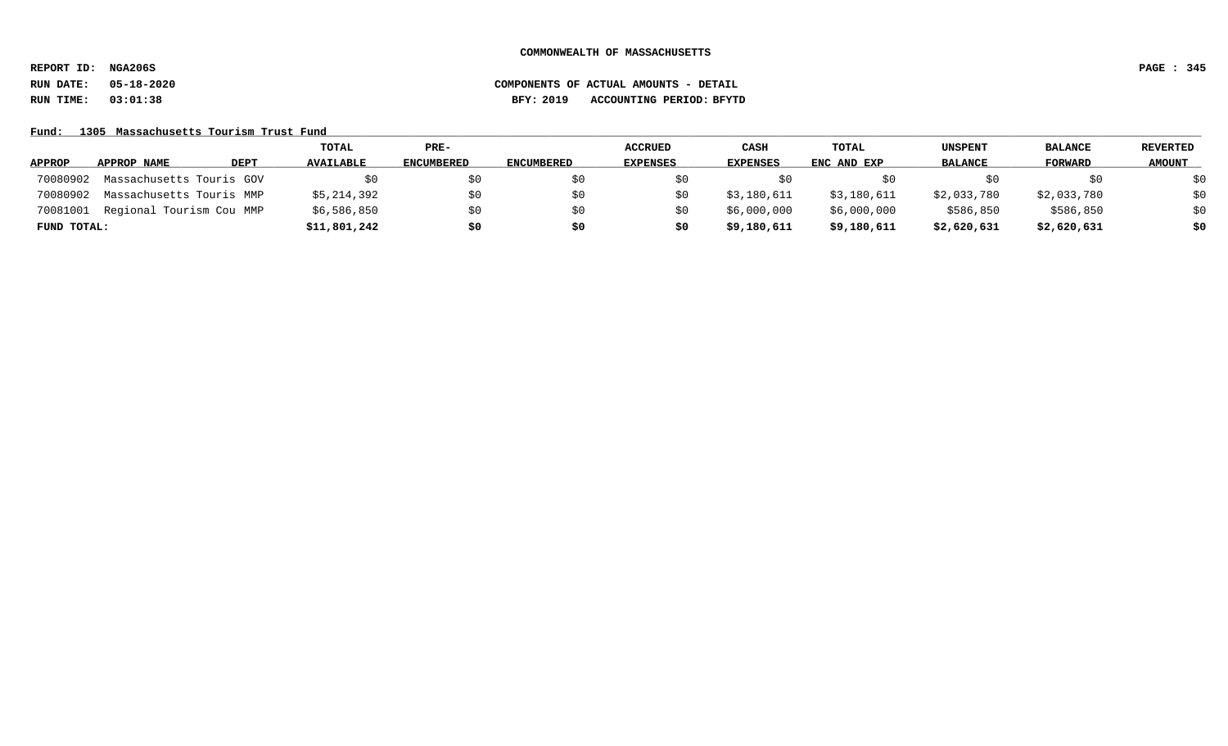**REPORT ID: NGA206S PAGE : 345**

# **RUN DATE: 05-18-2020 COMPONENTS OF ACTUAL AMOUNTS - DETAIL RUN TIME: 03:01:38 BFY: 2019 ACCOUNTING PERIOD: BFYTD**

Fund: 1305 Massachusetts Tourism Trust Fund

|               |                          |      | <b>TOTAL</b>     | PRE-              |                   | <b>ACCRUED</b>  | <b>CASH</b>     | <b>TOTAL</b> | <b>UNSPENT</b> | <b>BALANCE</b> | REVERTED      |
|---------------|--------------------------|------|------------------|-------------------|-------------------|-----------------|-----------------|--------------|----------------|----------------|---------------|
| <b>APPROP</b> | APPROP NAME              | DEPT | <b>AVAILABLE</b> | <b>ENCUMBERED</b> | <b>ENCUMBERED</b> | <b>EXPENSES</b> | <b>EXPENSES</b> | ENC AND EXP  | <b>BALANCE</b> | FORWARD        | <b>AMOUNT</b> |
| 70080902      | Massachusetts Touris GOV |      | SO.              | S0                |                   |                 |                 |              |                | SO.            | \$0           |
| 70080902      | Massachusetts Touris MMP |      | \$5,214,392      | \$0               |                   |                 | \$3,180,611     | \$3,180,611  | \$2,033,780    | \$2,033,780    | \$0           |
| 70081001      | Regional Tourism Cou MMP |      | \$6,586,850      | \$0               |                   |                 | \$6,000,000     | \$6,000,000  | \$586,850      | \$586,850      | \$0           |
| FUND TOTAL:   |                          |      | \$11,801,242     | \$0               | \$0               | S0              | \$9,180,611     | \$9,180,611  | \$2,620,631    | \$2,620,631    | \$0           |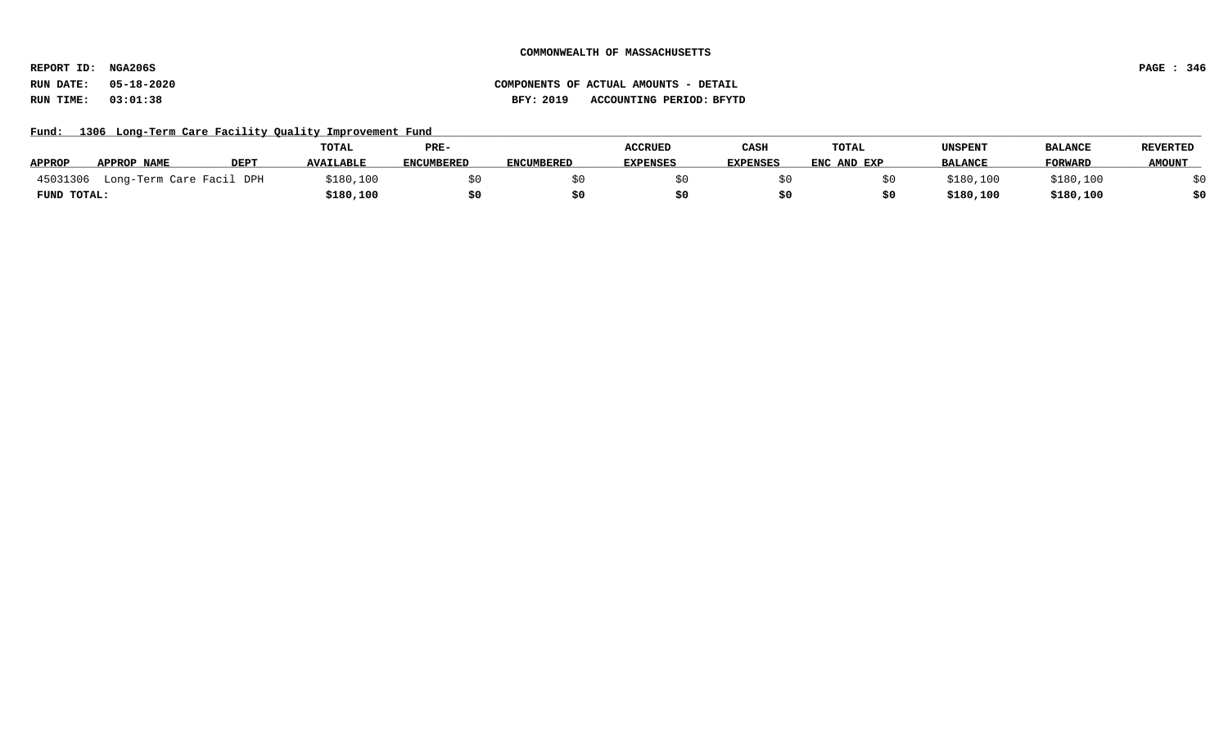**REPORT ID: NGA206S PAGE : 346**

### **RUN DATE: 05-18-2020 COMPONENTS OF ACTUAL AMOUNTS - DETAIL RUN TIME: 03:01:38 BFY: 2019 ACCOUNTING PERIOD: BFYTD**

Fund: 1306 Long-Term Care Facility Quality Improvement Fund

|               |                                   |             | TOTAL            | PRE-              |                   | <b>ACCRUED</b>  | CASH            | TOTAL       | <b>UNSPENT</b> | <b>BALANCE</b> | <b>REVERTED</b> |
|---------------|-----------------------------------|-------------|------------------|-------------------|-------------------|-----------------|-----------------|-------------|----------------|----------------|-----------------|
| <b>APPROP</b> | APPROP NAME                       | <b>DEPT</b> | <b>AVAILABLE</b> | <b>ENCUMBERED</b> | <b>ENCUMBERED</b> | <b>EXPENSES</b> | <b>EXPENSES</b> | ENC AND EXP | <b>BALANCE</b> | <b>FORWARD</b> | <b>AMOUNT</b>   |
|               | 45031306 Long-Term Care Facil DPH |             | \$180,100        |                   |                   |                 |                 |             | \$180,100      | \$180,100      |                 |
| FUND TOTAL:   |                                   |             | \$180,100        |                   |                   |                 |                 |             | \$180,100      | \$180,100      |                 |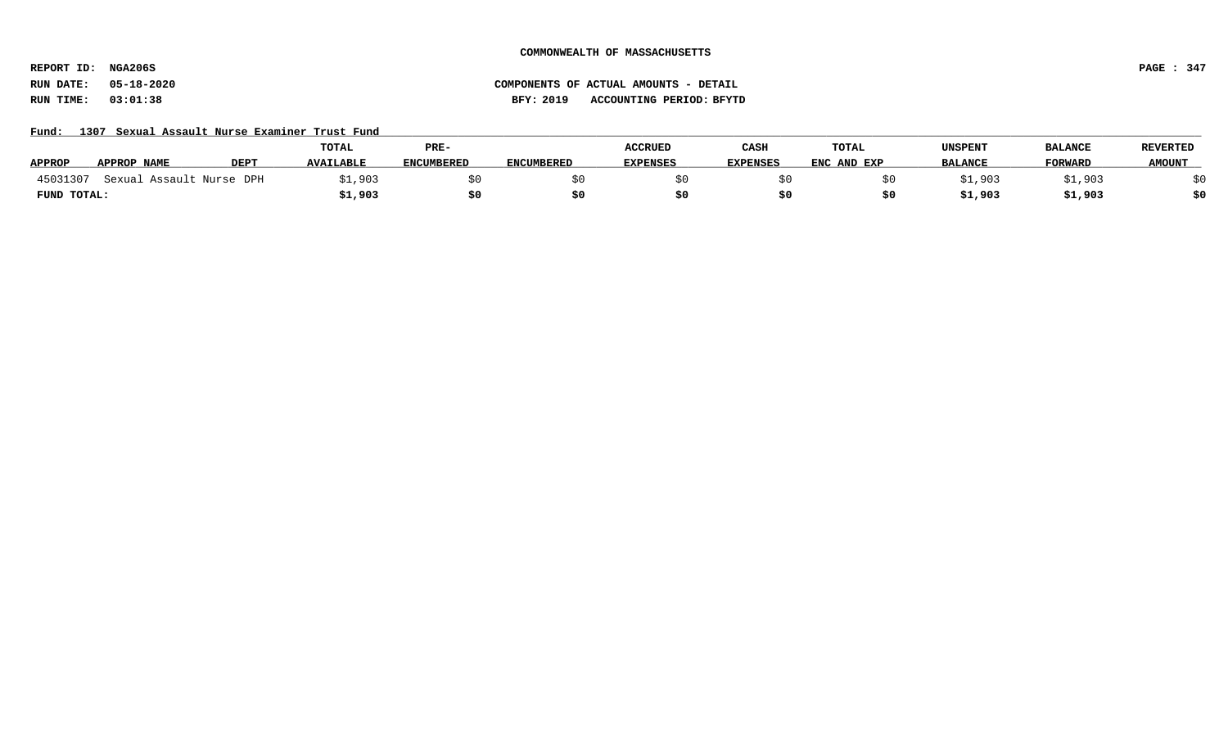**REPORT ID: NGA206S PAGE : 347**

### **RUN DATE: 05-18-2020 COMPONENTS OF ACTUAL AMOUNTS - DETAIL RUN TIME: 03:01:38 BFY: 2019 ACCOUNTING PERIOD: BFYTD**

Fund: 1307 Sexual Assault Nurse Examiner Trust Fund

|               |                          |             | TOTAL            | PRE-              |                   | <b>ACCRUED</b>  | CASH            | <b>TOTAL</b> | UNSPENT        | <b>BALANCE</b> | <b>REVERTED</b> |
|---------------|--------------------------|-------------|------------------|-------------------|-------------------|-----------------|-----------------|--------------|----------------|----------------|-----------------|
| <b>APPROP</b> | APPROP NAME              | <b>DEPT</b> | <b>AVAILABLE</b> | <b>ENCUMBERED</b> | <b>ENCUMBERED</b> | <b>EXPENSES</b> | <b>EXPENSES</b> | ENC AND EXP  | <b>BALANCE</b> | FORWARD        | <b>AMOUNT</b>   |
| 45031307      | Sexual Assault Nurse DPH |             | \$1,903          |                   |                   |                 |                 |              | 31,903         | 1,903          |                 |
| FUND TOTAL:   |                          |             | \$1,903          |                   |                   |                 |                 |              | \$1,903        | \$1,903        |                 |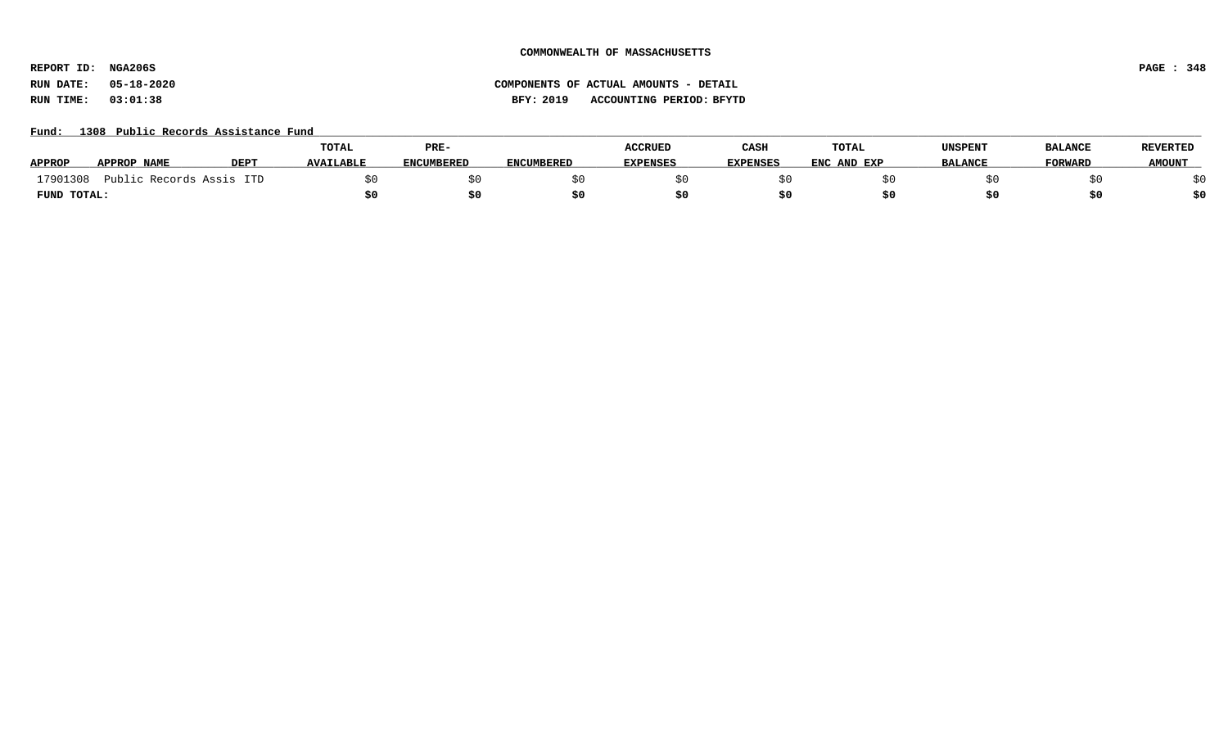**REPORT ID: NGA206S PAGE : 348**

# **RUN DATE: 05-18-2020 COMPONENTS OF ACTUAL AMOUNTS - DETAIL RUN TIME: 03:01:38 BFY: 2019 ACCOUNTING PERIOD: BFYTD**

### Fund: 1308 Public Records Assistance Fund

|               |                      |                  | <b>TOTAL</b>     | PRE-              |                   | <b>ACCRUED</b>  | CASH     | TOTAL       | UNSPENT        | <b>BALANCE</b> | <b>REVERTED</b> |
|---------------|----------------------|------------------|------------------|-------------------|-------------------|-----------------|----------|-------------|----------------|----------------|-----------------|
| <b>APPROP</b> | APPROP NAME          | DEP <sub>1</sub> | <b>AVAILABLE</b> | <b>ENCUMBERED</b> | <b>ENCUMBERED</b> | <b>EXPENSES</b> | EXPENSES | ENC AND EXP | <b>BALANCE</b> | <b>FORWARD</b> | <b>AMOUNT</b>   |
| 17901308      | Public Records Assis | ITD              |                  |                   |                   |                 |          |             |                |                |                 |
| FUND TOTAL:   |                      |                  |                  | \$0               |                   |                 |          |             |                |                | \$0             |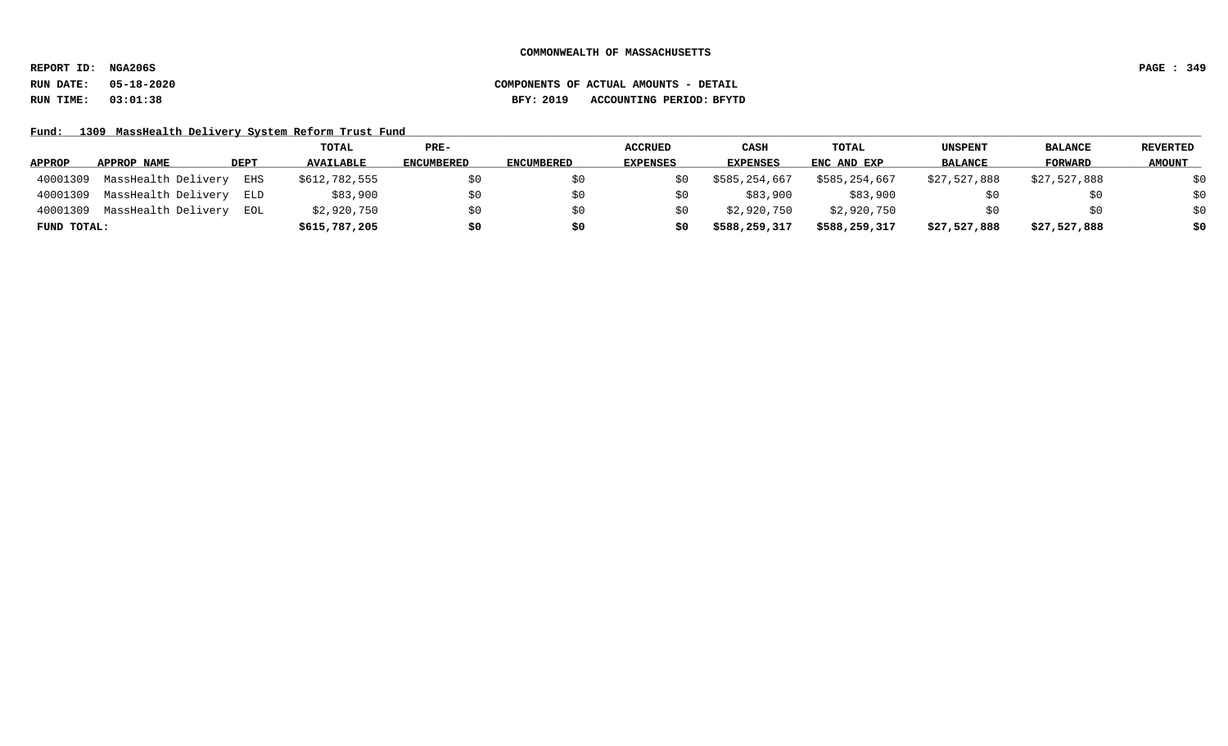**REPORT ID: NGA206S PAGE : 349**

### **RUN DATE: 05-18-2020 COMPONENTS OF ACTUAL AMOUNTS - DETAIL RUN TIME: 03:01:38 BFY: 2019 ACCOUNTING PERIOD: BFYTD**

Fund: 1309 MassHealth Delivery System Reform Trust Fund

|               |                     |             | <b>TOTAL</b>     | PRE-       |                   | <b>ACCRUED</b>  | <b>CASH</b>   | <b>TOTAL</b>  | <b>UNSPENT</b> | <b>BALANCE</b> | REVERTED      |
|---------------|---------------------|-------------|------------------|------------|-------------------|-----------------|---------------|---------------|----------------|----------------|---------------|
| <b>APPROP</b> | APPROP NAME         | <b>DEPT</b> | <b>AVAILABLE</b> | ENCUMBERED | <b>ENCUMBERED</b> | <b>EXPENSES</b> | EXPENSES      | ENC AND EXP   | <b>BALANCE</b> | FORWARD        | <b>AMOUNT</b> |
| 40001309      | MassHealth Delivery | EHS         | \$612,782,555    | \$0        |                   |                 | \$585,254,667 | \$585,254,667 | \$27,527,888   | \$27,527,888   | \$0           |
| 40001309      | MassHealth Delivery | ELD         | \$83,900         | \$0        |                   |                 | \$83,900      | \$83,900      |                | \$0            | \$0           |
| 40001309      | MassHealth Delivery | EOL         | \$2,920,750      | \$0        |                   |                 | \$2,920,750   | \$2,920,750   |                | \$0            | \$0           |
| FUND TOTAL:   |                     |             | \$615,787,205    | \$0        | \$0               | s0              | \$588,259,317 | \$588,259,317 | \$27,527,888   | \$27,527,888   | \$0           |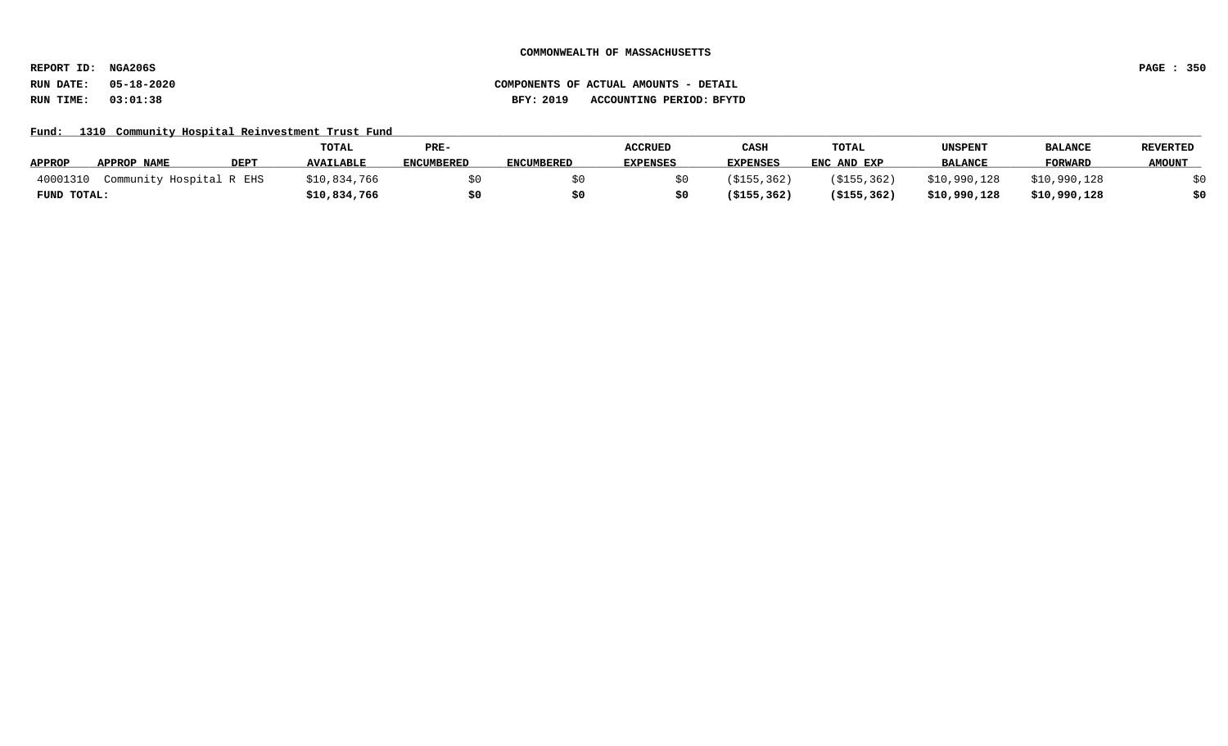**REPORT ID: NGA206S PAGE : 350**

# **RUN DATE: 05-18-2020 COMPONENTS OF ACTUAL AMOUNTS - DETAIL RUN TIME: 03:01:38 BFY: 2019 ACCOUNTING PERIOD: BFYTD**

Fund: 1310 Community Hospital Reinvestment Trust Fund

|               |                          |             | <b>TOTAL</b>     | PRE-              |                   | <b>ACCRUED</b>  | CASH            | <b>TOTAL</b>  | UNSPENT        | <b>BALANCE</b> | <b>REVERTED</b> |
|---------------|--------------------------|-------------|------------------|-------------------|-------------------|-----------------|-----------------|---------------|----------------|----------------|-----------------|
| <b>APPROP</b> | <b>APPROP NAME</b>       | <b>DEPT</b> | <b>AVAILABLE</b> | <b>ENCUMBERED</b> | <b>ENCUMBERED</b> | <b>EXPENSES</b> | <b>EXPENSES</b> | ENC AND EXP   | <b>BALANCE</b> | <b>FORWARD</b> | <b>AMOUNT</b>   |
| 40001310      | Community Hospital R EHS |             | \$10,834,766     |                   |                   |                 | (\$155,362)     | ( \$155, 362) | \$10,990,128   | \$10,990,128   |                 |
| FUND TOTAL:   |                          |             | \$10,834,766     |                   |                   |                 | (\$155,362)     | ( \$155, 362) | \$10,990,128   | \$10,990,128   |                 |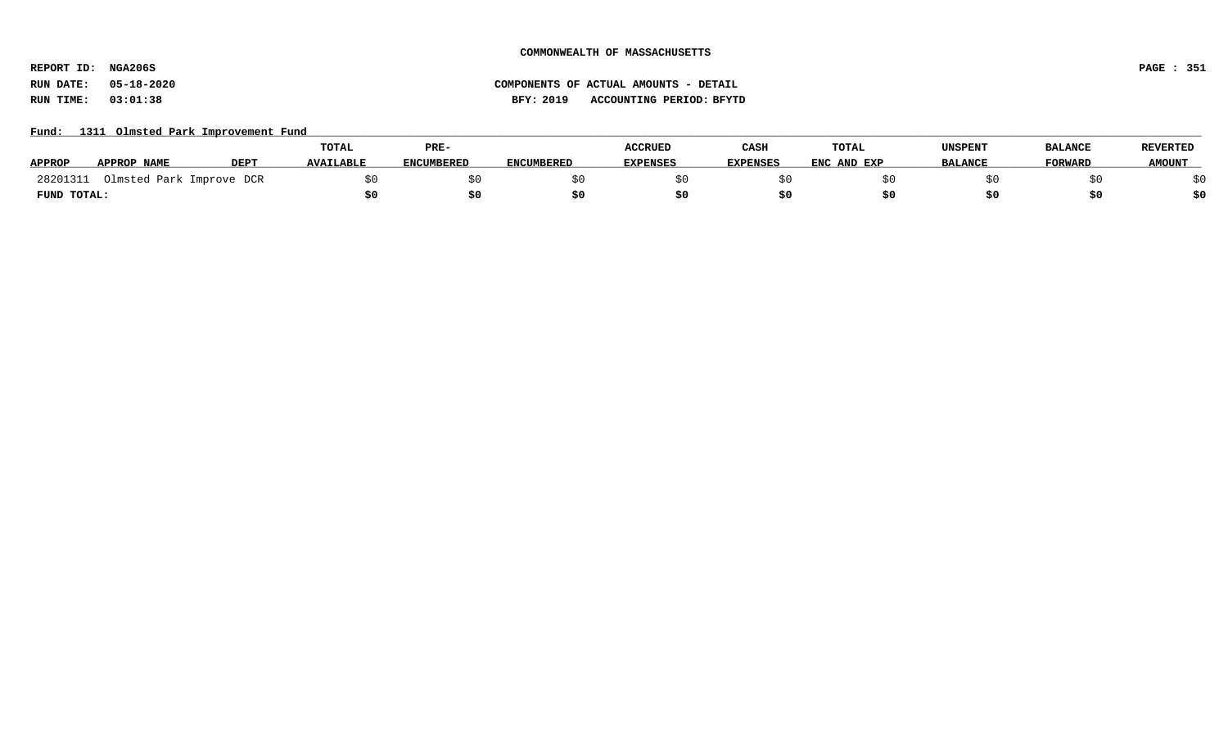**REPORT ID: NGA206S PAGE : 351**

**RUN DATE: 05-18-2020 COMPONENTS OF ACTUAL AMOUNTS - DETAIL RUN TIME: 03:01:38 BFY: 2019 ACCOUNTING PERIOD: BFYTD**

### Fund: 1311 Olmsted Park Improvement Fund

|               |                |             | TOTAL            | PRE-              |                   | <b>ACCRUED</b> | CASH     | <b>TOTAL</b> | UNSPENT        | <b>BALANCE</b> | <b>REVERTED</b> |
|---------------|----------------|-------------|------------------|-------------------|-------------------|----------------|----------|--------------|----------------|----------------|-----------------|
| <b>APPROP</b> | APPROP NAME    | <b>DEPT</b> | <b>AVAILABLE</b> | <b>ENCUMBERED</b> | <b>ENCUMBERED</b> | EXPENSES       | EXPENSES | ENC AND EXP  | <b>BALANCE</b> | <b>FORWARD</b> | <b>AMOUNT</b>   |
| 28201311      | Olmsted Park I | Improve DCR |                  |                   |                   |                |          |              |                |                |                 |
| FUND TOTAL:   |                |             |                  |                   |                   |                |          |              |                |                | \$0             |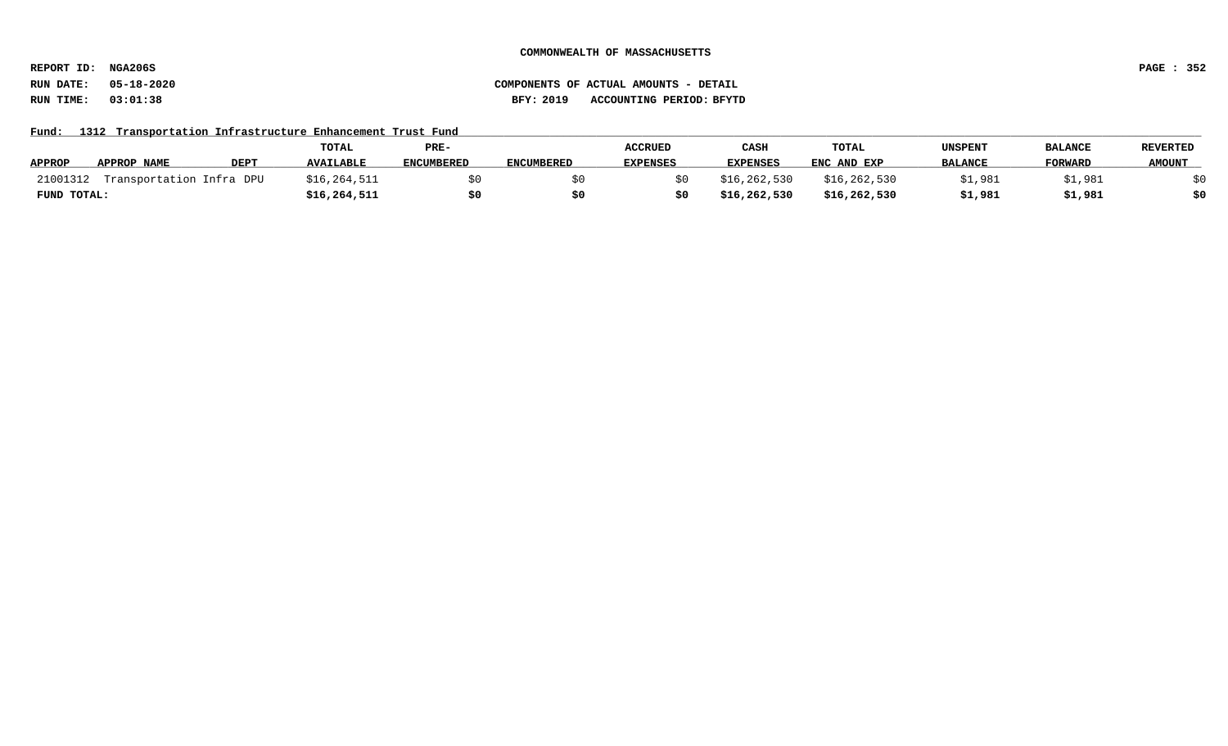**REPORT ID: NGA206S PAGE : 352**

# **RUN DATE: 05-18-2020 COMPONENTS OF ACTUAL AMOUNTS - DETAIL RUN TIME: 03:01:38 BFY: 2019 ACCOUNTING PERIOD: BFYTD**

### Fund: 1312 Transportation Infrastructure Enhancement Trust Fund

|               |                          |             | TOTAL            | PRE-              |            | <b>ACCRUED</b>  | CASH            | <b>TOTAL</b> | UNSPENT        | <b>BALANCE</b> | <b>REVERTED</b> |
|---------------|--------------------------|-------------|------------------|-------------------|------------|-----------------|-----------------|--------------|----------------|----------------|-----------------|
| <b>APPROP</b> | <b>APPROP NAME</b>       | <b>DEPT</b> | <b>AVAILABLE</b> | <b>ENCUMBERED</b> | ENCUMBERED | <b>EXPENSES</b> | <b>EXPENSES</b> | ENC AND EXP  | <b>BALANCE</b> | FORWARD        | <b>AMOUNT</b>   |
| 21001312      | Transportation Infra DPU |             | \$16, 264, 511   |                   |            |                 | \$16,262,530    | \$16,262,530 | \$1,981        | 1,981'         |                 |
| FUND TOTAL:   |                          |             | \$16, 264, 511   |                   |            |                 | \$16,262,530    | \$16,262,530 | \$1,981        | \$1,981        | \$0             |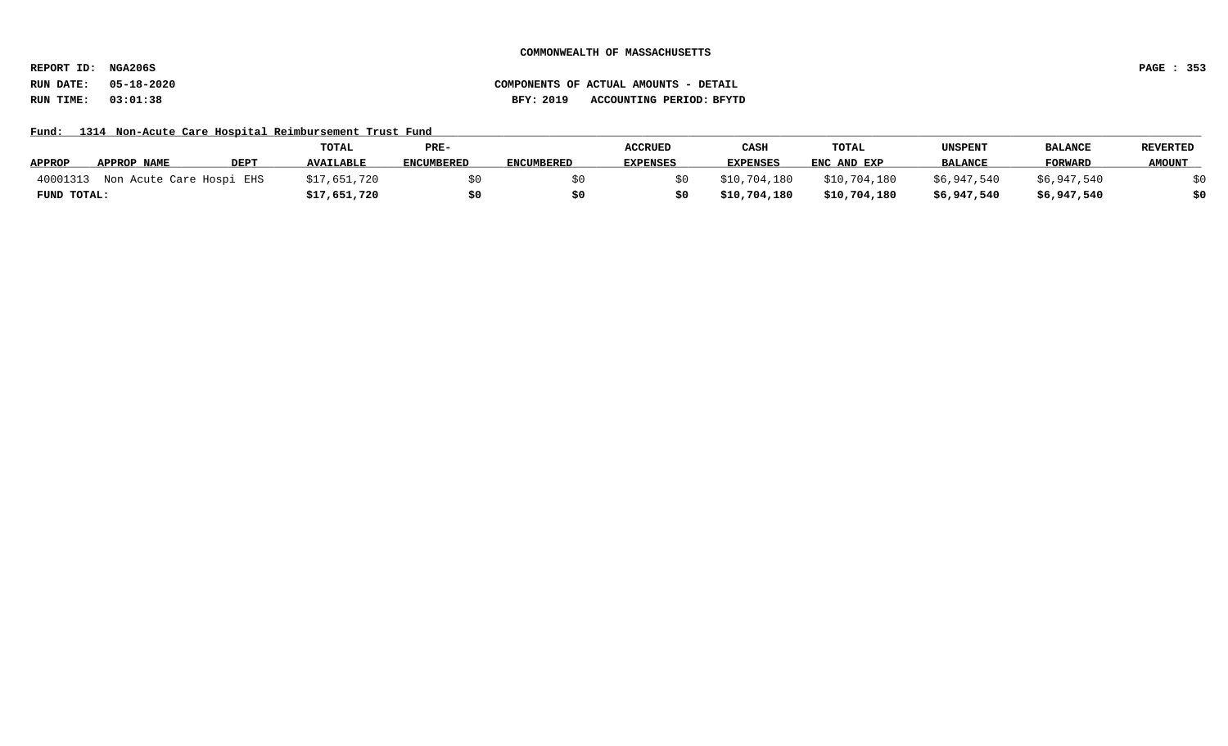**REPORT ID: NGA206S PAGE : 353**

Fund: 1314 Non-Acute Care Hospital Reimbursement Trust Fund

|               |                          |             | TOTAL            | PRE-              |                   | <b>ACCRUED</b>  | CASH            | TOTAL        | <b>UNSPENT</b> | <b>BALANCE</b> | <b>REVERTED</b> |
|---------------|--------------------------|-------------|------------------|-------------------|-------------------|-----------------|-----------------|--------------|----------------|----------------|-----------------|
| <b>APPROP</b> | APPROP NAME              | <b>DEPT</b> | <b>AVAILABLE</b> | <b>ENCUMBERED</b> | <b>ENCUMBERED</b> | <b>EXPENSES</b> | <b>EXPENSES</b> | ENC AND EXP  | <b>BALANCE</b> | <b>FORWARD</b> | <b>AMOUNT</b>   |
| 40001313      | Non Acute Care Hospi EHS |             | \$17,651,720     |                   |                   | S O I           | \$10,704,180    | \$10,704,180 | \$6,947,540    | \$6,947,540    |                 |
| FUND TOTAL:   |                          |             | \$17,651,720     |                   |                   | 50              | \$10,704,180    | \$10,704,180 | \$6,947,540    | \$6,947,540    | \$0             |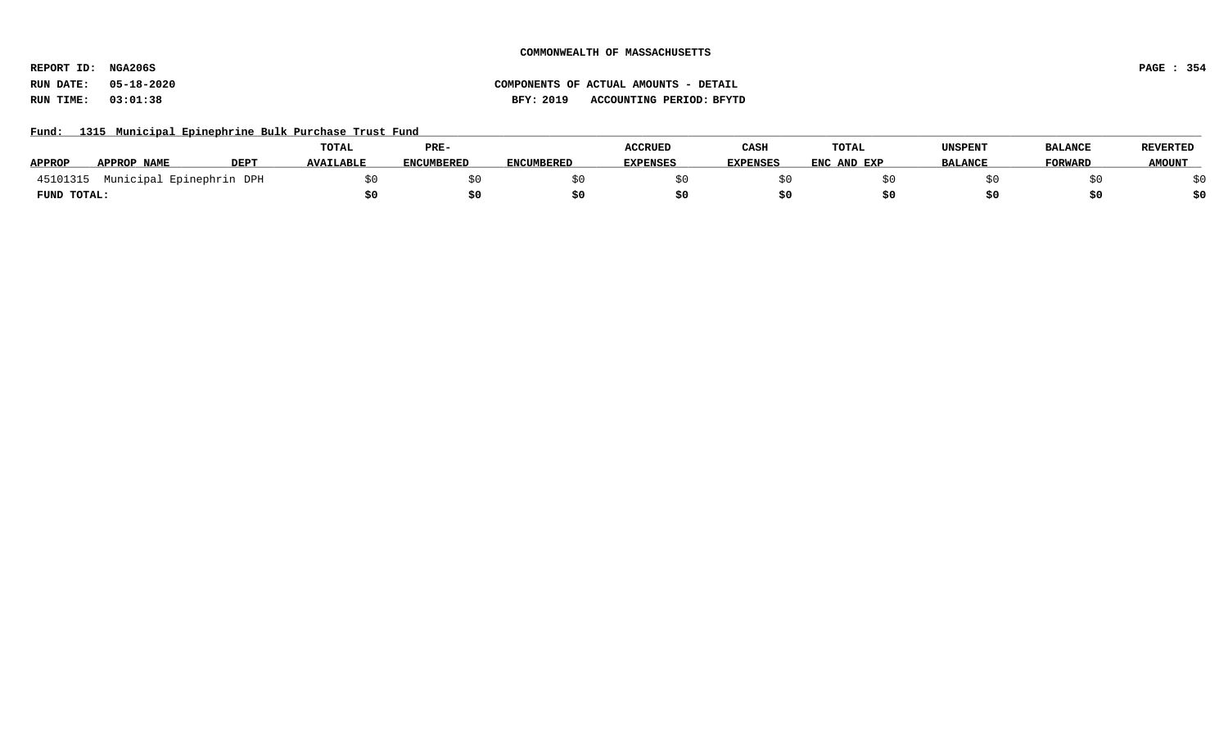**REPORT ID: NGA206S PAGE : 354**

# **RUN DATE: 05-18-2020 COMPONENTS OF ACTUAL AMOUNTS - DETAIL RUN TIME: 03:01:38 BFY: 2019 ACCOUNTING PERIOD: BFYTD**

Fund: 1315 Municipal Epinephrine Bulk Purchase Trust Fund

|               |                          |      | TOTAL            | PRE-              |                   | <b>ACCRUED</b>  | CASH            | TOTAL       | <b>UNSPENT</b> | <b>BALANCE</b> | <b>REVERTED</b> |
|---------------|--------------------------|------|------------------|-------------------|-------------------|-----------------|-----------------|-------------|----------------|----------------|-----------------|
| <b>APPROP</b> | <b>APPROP NAME</b>       | DEP. | <b>AVAILABLE</b> | <b>ENCUMBERED</b> | <b>ENCUMBERED</b> | <b>EXPENSES</b> | <b>EXPENSES</b> | ENC AND EXP | <b>BALANCE</b> | <b>FORWARD</b> | <b>AMOUNT</b>   |
| 45101315      | Municipal Epinephrin DPH |      |                  |                   |                   |                 |                 |             |                |                |                 |
| FUND TOTAL:   |                          |      |                  |                   |                   |                 |                 |             |                |                |                 |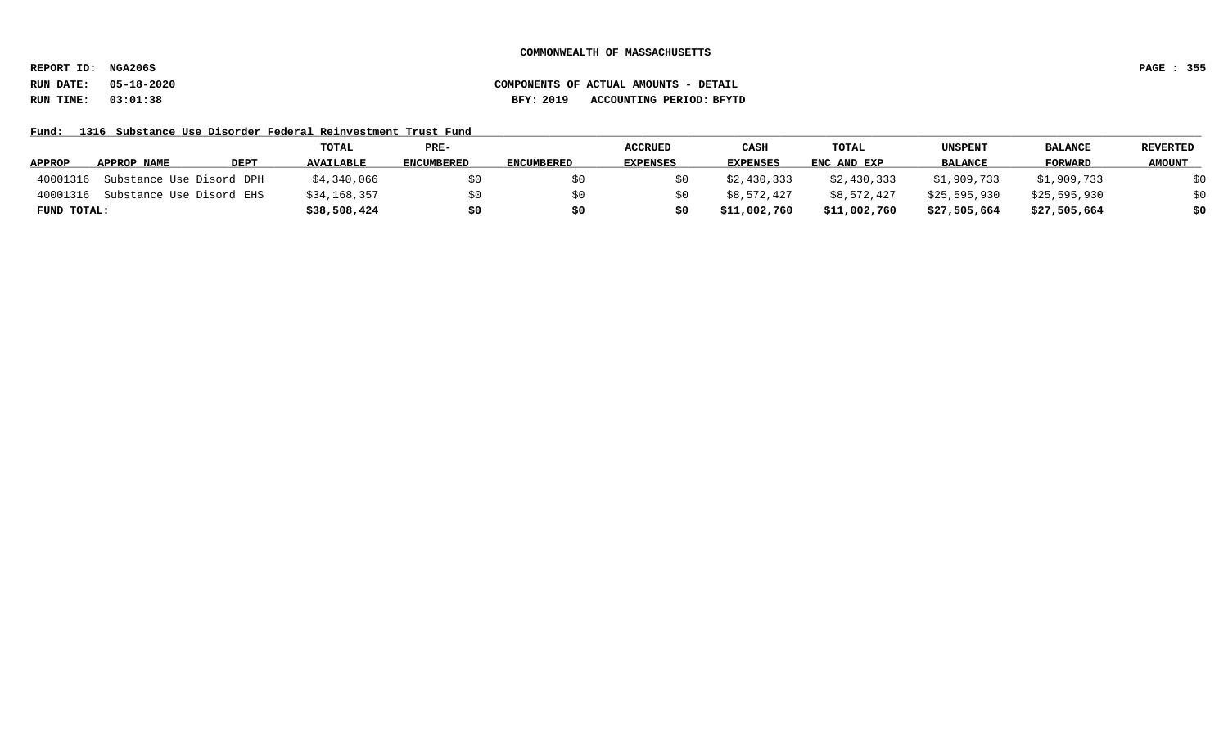**REPORT ID: NGA206S PAGE : 355**

Fund: 1316 Substance Use Disorder Federal Reinvestment Trust Fund

|               |                          |             | TOTAL            | PRE-              |                   | <b>ACCRUED</b>  | CASH            | <b>TOTAL</b> | <b>UNSPENT</b> | <b>BALANCE</b> | REVERTED      |
|---------------|--------------------------|-------------|------------------|-------------------|-------------------|-----------------|-----------------|--------------|----------------|----------------|---------------|
| <b>APPROP</b> | APPROP NAME              | <b>DEPT</b> | <b>AVAILABLE</b> | <b>ENCUMBERED</b> | <b>ENCUMBERED</b> | <b>EXPENSES</b> | <b>EXPENSES</b> | ENC AND EXP  | <b>BALANCE</b> | FORWARD        | <b>AMOUNT</b> |
| 40001316      | Substance Use Disord DPH |             | \$4,340,066      | SO.               |                   |                 | \$2,430,333     | \$2,430,333  | \$1,909,733    | \$1,909,733    | \$0           |
| 40001316      | Substance Use Disord EHS |             | \$34,168,357     |                   |                   |                 | \$8,572,427     | \$8,572,427  | \$25,595,930   | \$25,595,930   | \$0           |
| FUND TOTAL:   |                          |             | \$38,508,424     | \$0               |                   | \$0             | \$11,002,760    | \$11,002,760 | \$27,505,664   | \$27,505,664   | \$0           |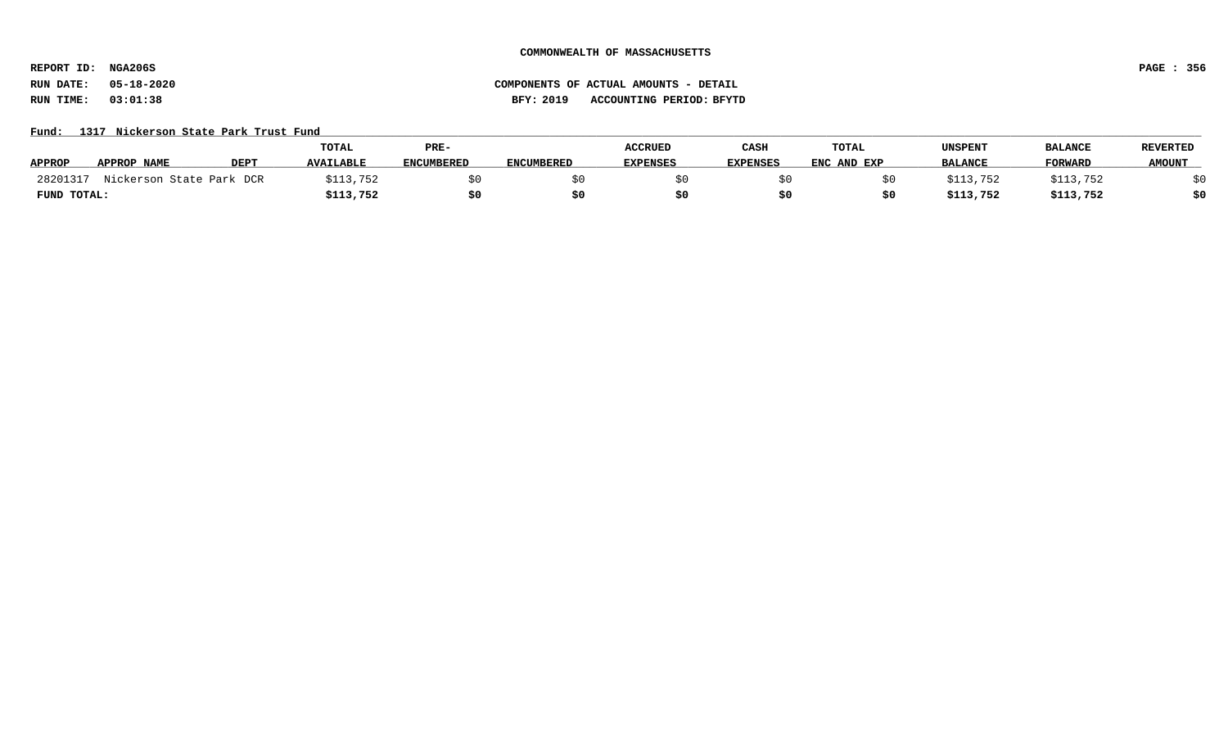**REPORT ID: NGA206S PAGE : 356**

# **RUN DATE: 05-18-2020 COMPONENTS OF ACTUAL AMOUNTS - DETAIL RUN TIME: 03:01:38 BFY: 2019 ACCOUNTING PERIOD: BFYTD**

#### Fund: 1317 Nickerson State Park Trust Fund

|               |                          |             | <b>TOTAL</b>     | PRE-              |                   | <b>ACCRUED</b>  | CASH            | <b>TOTAL</b> | UNSPENT        | <b>BALANCE</b> | REVERTED      |
|---------------|--------------------------|-------------|------------------|-------------------|-------------------|-----------------|-----------------|--------------|----------------|----------------|---------------|
| <b>APPROP</b> | APPROP NAME              | <b>DEPT</b> | <b>AVAILABLE</b> | <b>ENCUMBERED</b> | <b>ENCUMBERED</b> | <b>EXPENSES</b> | <b>EXPENSES</b> | ENC AND EXP  | <b>BALANCE</b> | FORWARD        | <b>AMOUNT</b> |
| 28201317      | Nickerson State Park DCR |             | \$113,752        |                   |                   |                 |                 |              | \$113,752      | \$113,752      |               |
| FUND TOTAL:   |                          |             | \$113,752        | S0                |                   |                 |                 |              | \$113,752      | \$113,752      | \$0           |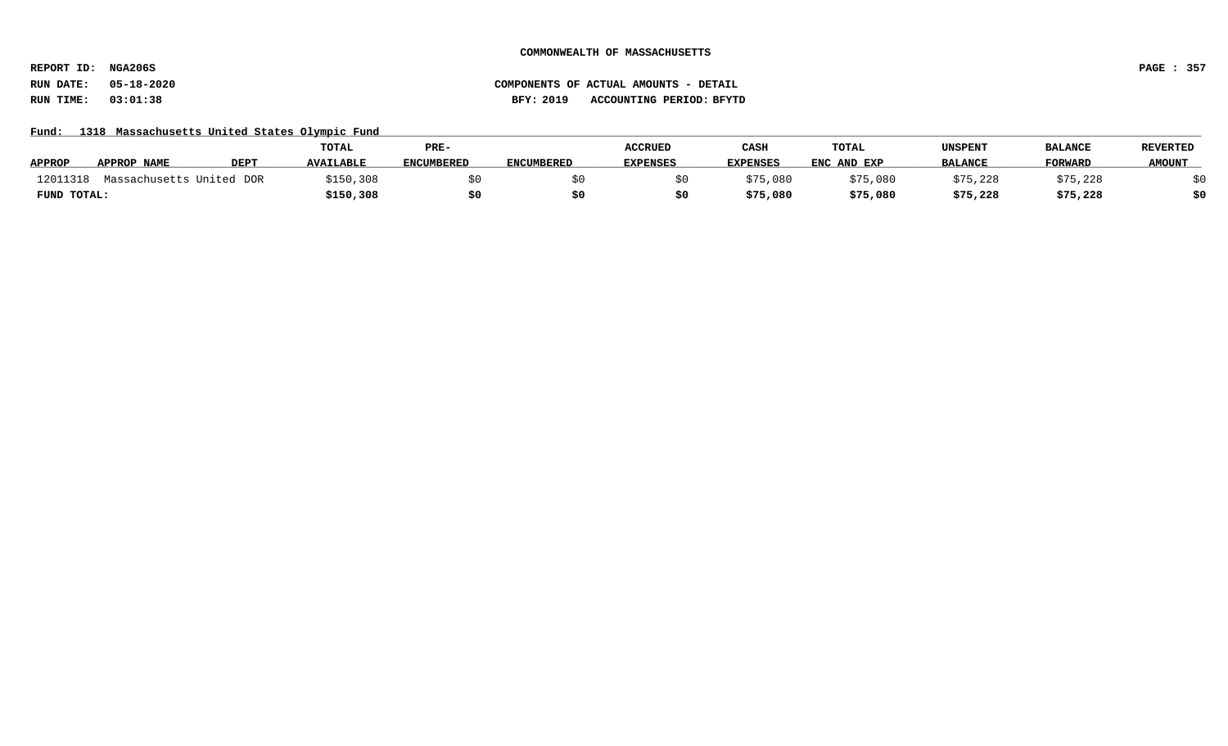**REPORT ID: NGA206S PAGE : 357**

### **RUN DATE: 05-18-2020 COMPONENTS OF ACTUAL AMOUNTS - DETAIL RUN TIME: 03:01:38 BFY: 2019 ACCOUNTING PERIOD: BFYTD**

Fund: 1318 Massachusetts United States Olympic Fund

|               |                          |      | <b>TOTAL</b>     | PRE-              |                   | <b>ACCRUED</b>  | CASH            | <b>TOTAL</b> | UNSPENT        | <b>BALANCE</b> | <b>REVERTED</b> |
|---------------|--------------------------|------|------------------|-------------------|-------------------|-----------------|-----------------|--------------|----------------|----------------|-----------------|
| <b>APPROP</b> | <b>APPROP NAME</b>       | DEPT | <b>AVAILABLE</b> | <b>ENCUMBERED</b> | <b>ENCUMBERED</b> | <b>EXPENSES</b> | <b>EXPENSES</b> | ENC AND EXP  | <b>BALANCE</b> | <b>FORWARD</b> | <b>AMOUNT</b>   |
| 12011318      | Massachusetts United DOR |      | \$150,308        |                   |                   |                 | \$75,080        | \$75,080     | \$75,228       | \$75,228       |                 |
| FUND TOTAL:   |                          |      | \$150,308        |                   |                   |                 | \$75,080        | \$75,080     | \$75,228       | \$75,228       |                 |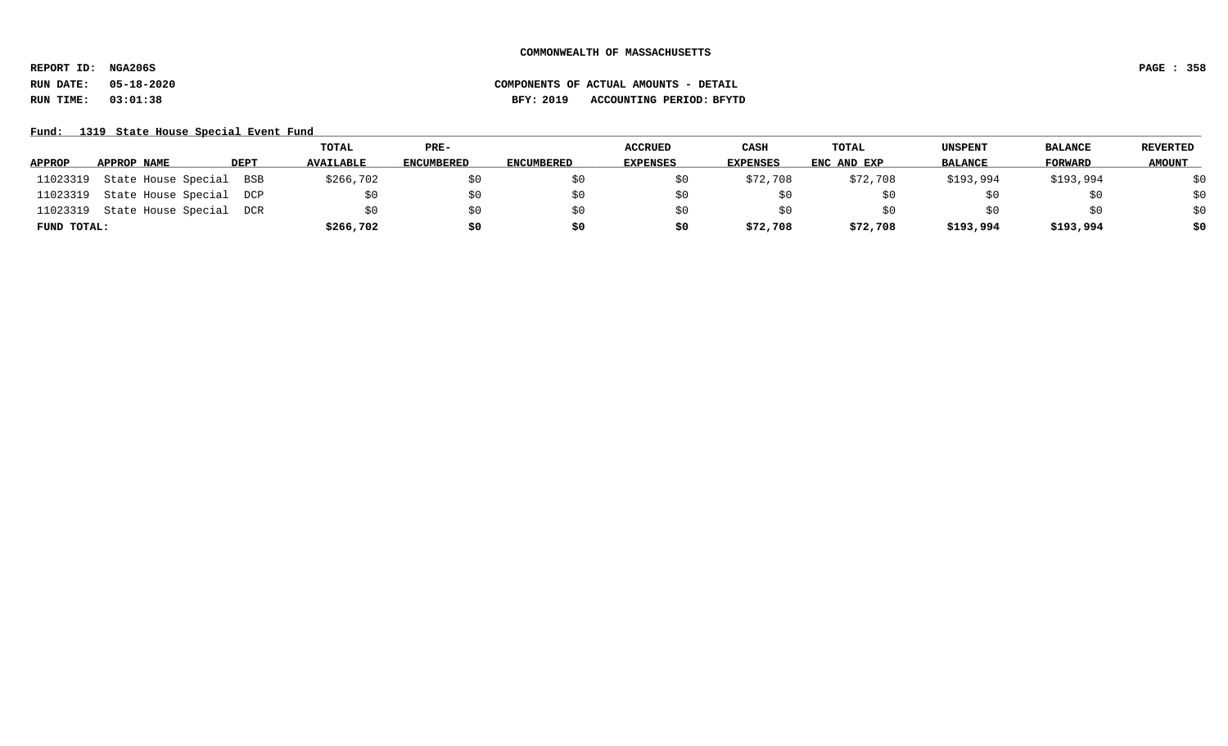**REPORT ID: NGA206S PAGE : 358**

**RUN DATE: 05-18-2020 COMPONENTS OF ACTUAL AMOUNTS - DETAIL**

**RUN TIME: 03:01:38 BFY: 2019 ACCOUNTING PERIOD: BFYTD**

# Fund: 1319 State House Special Event Fund

|             |                         |             | TOTAL            | $PRE-$            |                   | <b>ACCRUED</b>  | CASH            | TOTAL       | UNSPENT        | <b>BALANCE</b> | <b>REVERTED</b> |
|-------------|-------------------------|-------------|------------------|-------------------|-------------------|-----------------|-----------------|-------------|----------------|----------------|-----------------|
| APPROP      | APPROP NAME             | <b>DEPT</b> | <b>AVAILABLE</b> | <b>ENCUMBERED</b> | <b>ENCUMBERED</b> | <b>EXPENSES</b> | <b>EXPENSES</b> | ENC AND EXP | <b>BALANCE</b> | <b>FORWARD</b> | <b>AMOUNT</b>   |
| 11023319    | State House Special     | BSB         | \$266,702        |                   | SO.               | SO.             | \$72,708        | \$72,708    | \$193,994      | \$193,994      | \$0             |
| 11023319    | State House Special DCP |             |                  | \$0               | \$0               | \$0             |                 | ŞΟ          |                | 5U             | \$0             |
| 11023319    | State House Special DCR |             |                  | \$0               | \$0               | SO.             | \$0             | Sυ          |                | SU.            | \$0             |
| FUND TOTAL: |                         |             | \$266,702        | \$0               | \$0               | \$0             | \$72,708        | \$72,708    | \$193,994      | \$193,994      | \$0             |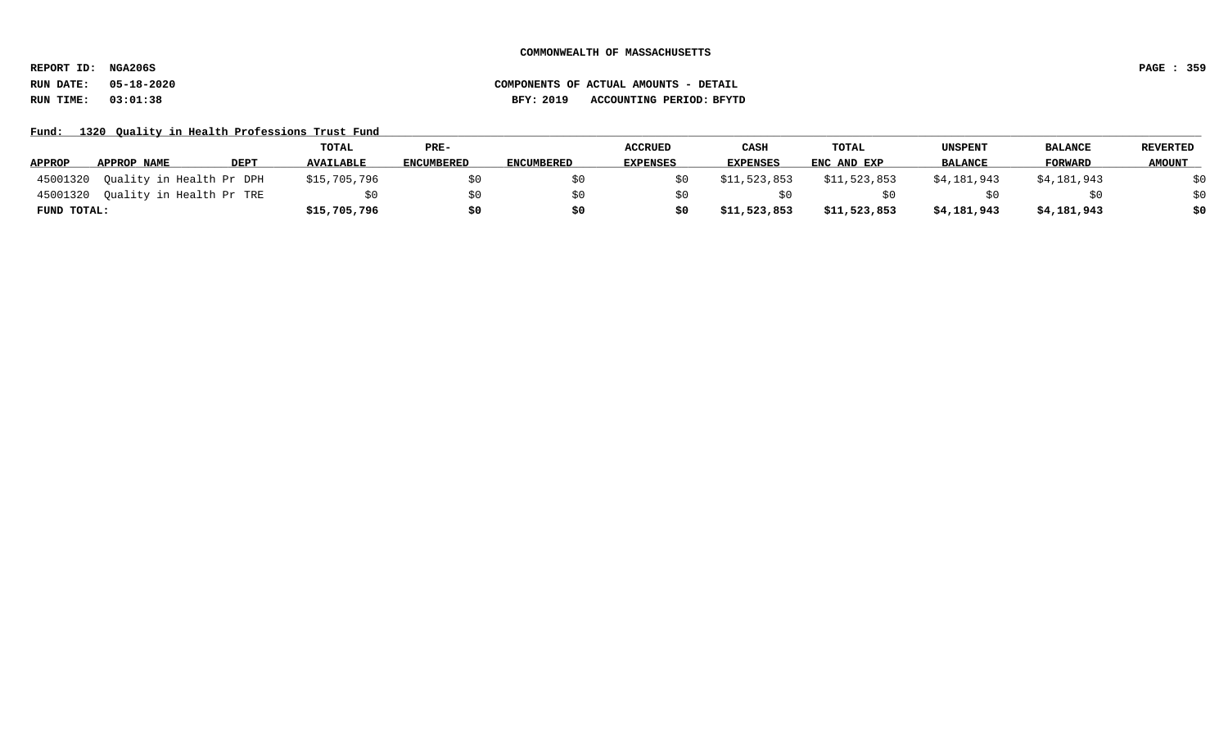**REPORT ID: NGA206S PAGE : 359**

### **RUN DATE: 05-18-2020 COMPONENTS OF ACTUAL AMOUNTS - DETAIL RUN TIME: 03:01:38 BFY: 2019 ACCOUNTING PERIOD: BFYTD**

Fund: 1320 Quality in Health Professions Trust Fund

|               |                          |             | TOTAL            | PRE-              |                   | <b>ACCRUED</b>  | CASH            | <b>TOTAL</b> | <b>UNSPENT</b> | <b>BALANCE</b> | REVERTED      |
|---------------|--------------------------|-------------|------------------|-------------------|-------------------|-----------------|-----------------|--------------|----------------|----------------|---------------|
| <b>APPROP</b> | APPROP NAME              | <b>DEPT</b> | <b>AVAILABLE</b> | <b>ENCUMBERED</b> | <b>ENCUMBERED</b> | <b>EXPENSES</b> | <b>EXPENSES</b> | ENC AND EXP  | <b>BALANCE</b> | FORWARD        | <b>AMOUNT</b> |
| 45001320      | Quality in Health Pr DPH |             | \$15,705,796     |                   |                   |                 | \$11,523,853    | \$11,523,853 | \$4,181,943    | \$4,181,943    | \$0           |
| 45001320      | Quality in Health Pr TRE |             |                  |                   |                   |                 |                 |              |                | \$0            | \$0           |
| FUND TOTAL:   |                          |             | \$15,705,796     | S0                |                   | \$0             | \$11,523,853    | \$11,523,853 | \$4,181,943    | \$4,181,943    | \$0           |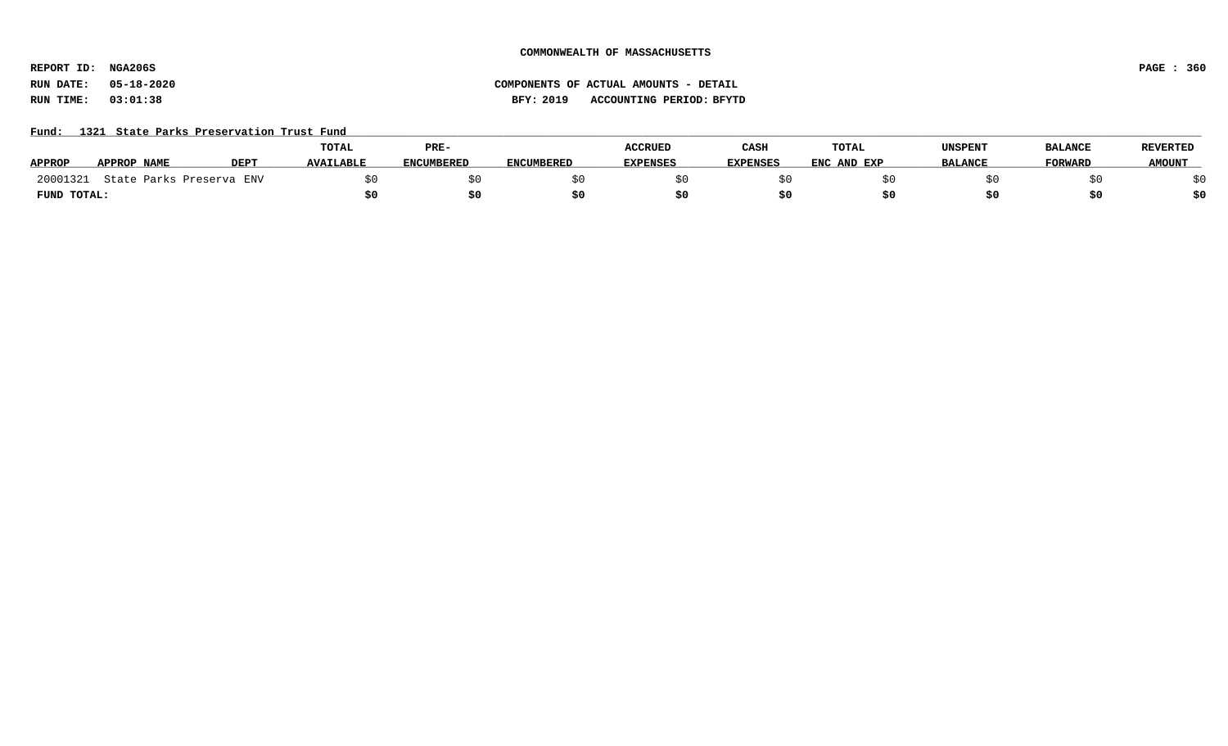**REPORT ID: NGA206S PAGE : 360**

# **RUN DATE: 05-18-2020 COMPONENTS OF ACTUAL AMOUNTS - DETAIL RUN TIME: 03:01:38 BFY: 2019 ACCOUNTING PERIOD: BFYTD**

### Fund: 1321 State Parks Preservation Trust Fund

|               |                          |             | <b>TOTAL</b>     | PRE-              |                   | <b>ACCRUED</b>  | CASH            | TOTAL       | UNSPENT        | <b>BALANCE</b> | <b>REVERTED</b> |
|---------------|--------------------------|-------------|------------------|-------------------|-------------------|-----------------|-----------------|-------------|----------------|----------------|-----------------|
| <b>APPROP</b> | APPROP NAME              | <b>DEPT</b> | <b>AVAILABLE</b> | <b>ENCUMBERED</b> | <b>ENCUMBERED</b> | <b>EXPENSES</b> | <b>EXPENSES</b> | ENC AND EXP | <b>BALANCE</b> | <b>FORWARD</b> | <b>AMOUNT</b>   |
| 20001321      | State Parks Preserva ENV |             |                  |                   |                   |                 |                 |             |                |                |                 |
| FUND TOTAL:   |                          |             |                  | \$0               |                   |                 |                 |             |                |                | \$0             |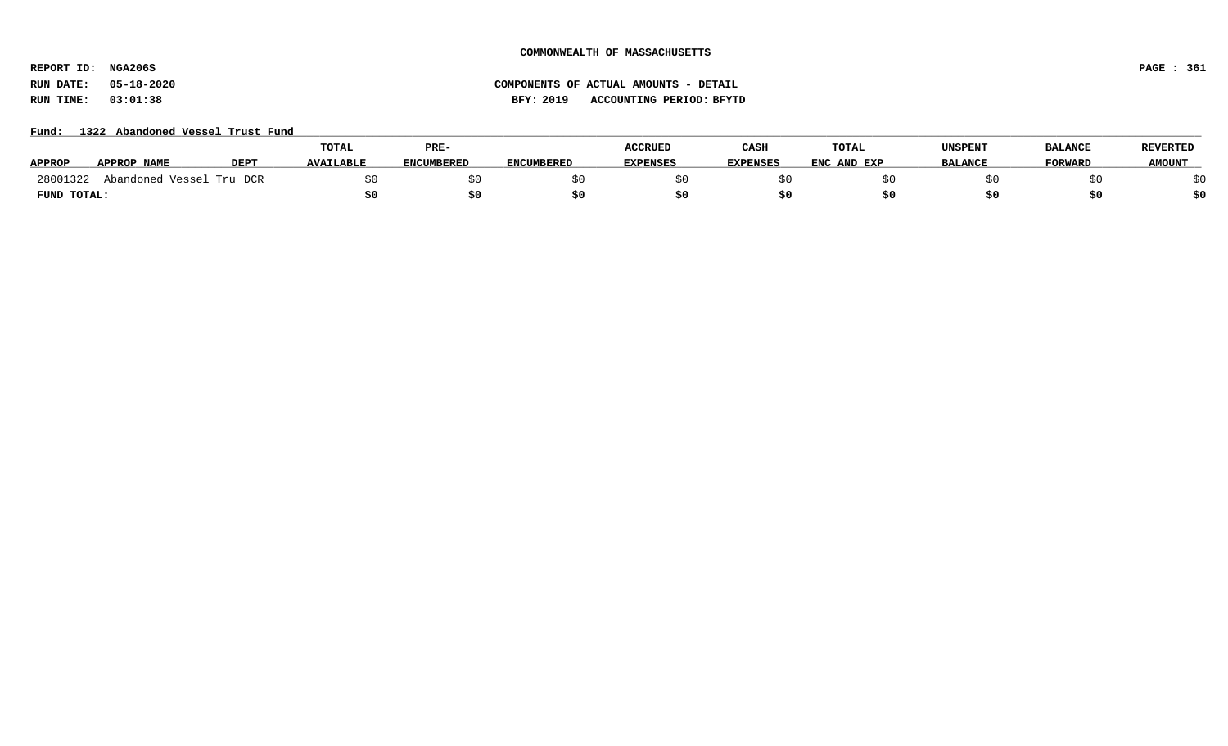**REPORT ID: NGA206S PAGE : 361**

# **RUN DATE: 05-18-2020 COMPONENTS OF ACTUAL AMOUNTS - DETAIL RUN TIME: 03:01:38 BFY: 2019 ACCOUNTING PERIOD: BFYTD**

# Fund: 1322 Abandoned Vessel Trust Fund

|               |                          |             | <b>TOTAL</b>     | PRE-              |            | <b>ACCRUED</b> | CASH            | TOTAL       | UNSPENT        | <b>BALANCE</b> | <b>REVERTED</b> |
|---------------|--------------------------|-------------|------------------|-------------------|------------|----------------|-----------------|-------------|----------------|----------------|-----------------|
| <b>APPROP</b> | APPROP NAME              | <b>DEPT</b> | <b>AVAILABLE</b> | <b>ENCUMBERED</b> | ENCUMBERED | EXPENSES       | <b>EXPENSES</b> | ENC AND EXP | <b>BALANCE</b> | <b>FORWARD</b> | <b>AMOUNT</b>   |
| 28001322      | Abandoned Vessel Tru DCR |             |                  |                   |            |                |                 |             |                |                |                 |
| FUND TOTAL:   |                          |             |                  |                   |            |                |                 |             |                |                | \$0             |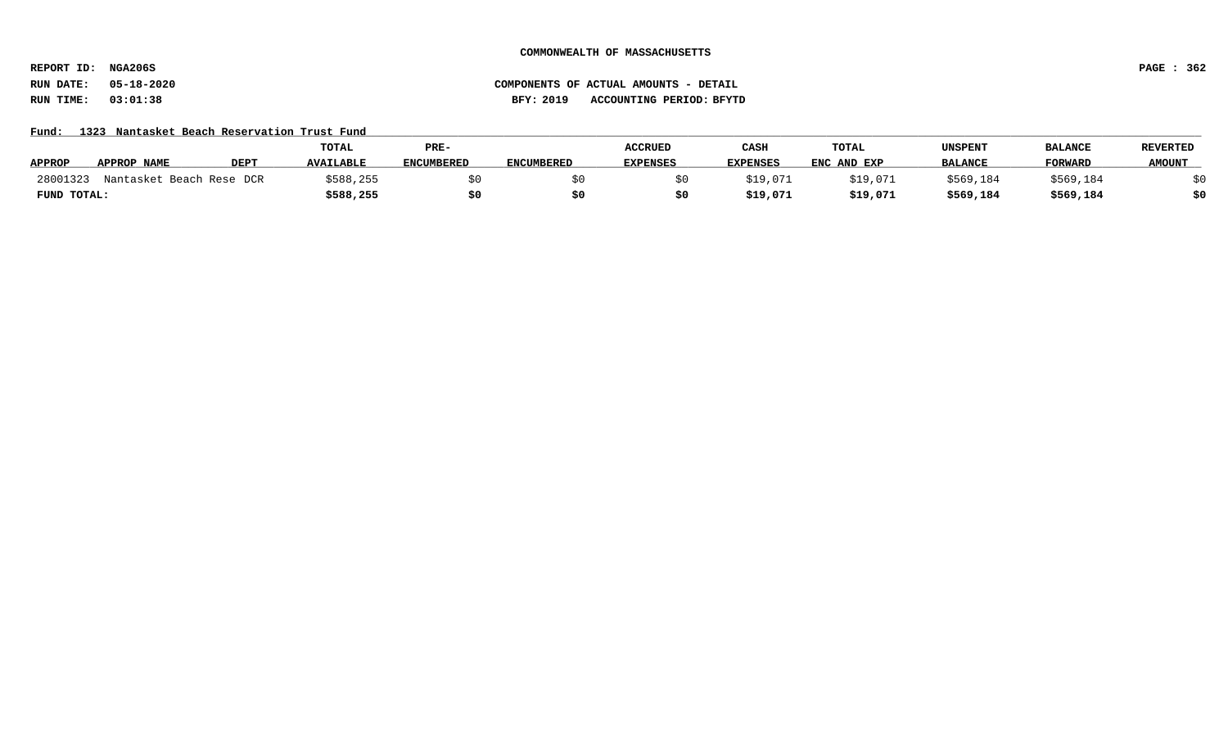**REPORT ID: NGA206S PAGE : 362**

# **RUN DATE: 05-18-2020 COMPONENTS OF ACTUAL AMOUNTS - DETAIL RUN TIME: 03:01:38 BFY: 2019 ACCOUNTING PERIOD: BFYTD**

# Fund: 1323 Nantasket Beach Reservation Trust Fund

|               |                          |                  | TOTAL            | PRE-              |                   | <b>ACCRUED</b>  | CASH            | TOTAL       | UNSPENT        | <b>BALANCE</b> | <b>REVERTED</b> |
|---------------|--------------------------|------------------|------------------|-------------------|-------------------|-----------------|-----------------|-------------|----------------|----------------|-----------------|
| <b>APPROP</b> | APPROP NAME              | DEP <sub>1</sub> | <b>AVAILABLE</b> | <b>ENCUMBERED</b> | <b>ENCUMBERED</b> | <b>EXPENSES</b> | <b>EXPENSES</b> | ENC AND EXP | <b>BALANCE</b> | <b>FORWARD</b> | <b>AMOUNT</b>   |
| 28001323      | Nantasket Beach Rese DCR |                  | \$588,255        |                   |                   |                 | \$19,071        | \$19,071    | \$569,184      | \$569,184      |                 |
| FUND TOTAL:   |                          |                  | \$588,255        |                   |                   |                 | \$19,071        | \$19,071    | \$569,184      | \$569,184      | \$0             |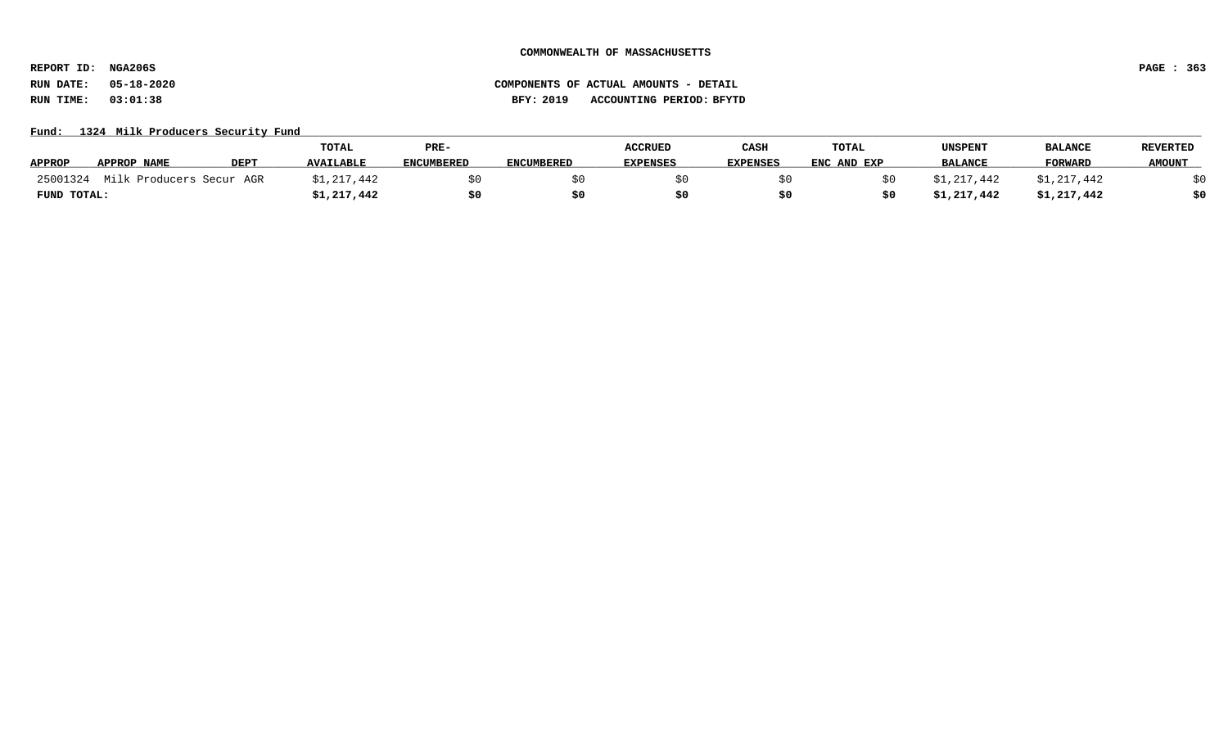**REPORT ID: NGA206S PAGE : 363**

# Fund: 1324 Milk Producers Security Fund

|               |                          |             | <b>TOTAL</b>     | PRE-              |                   | <b>ACCRUED</b>  | CASH            | <b>TOTAL</b> | UNSPENT        | <b>BALANCI</b> | <b>REVERTED</b> |
|---------------|--------------------------|-------------|------------------|-------------------|-------------------|-----------------|-----------------|--------------|----------------|----------------|-----------------|
| <b>APPROP</b> | APPROP NAME              | <b>DEPT</b> | <b>AVAILABLE</b> | <b>ENCUMBERED</b> | <b>ENCUMBERED</b> | <b>EXPENSES</b> | <b>EXPENSES</b> | ENC AND EXP  | <b>BALANCE</b> | <b>FORWARD</b> | <b>AMOUNT</b>   |
| 25001324      | Milk Producers Secur AGR |             | \$1,217,442      |                   |                   |                 |                 |              | ⊥,217,442      | \$1,217,442    |                 |
| FUND TOTAL:   |                          |             | \$1,217,442      | \$0               |                   |                 |                 |              | \$1,217,442    | \$1,217,442    | \$0             |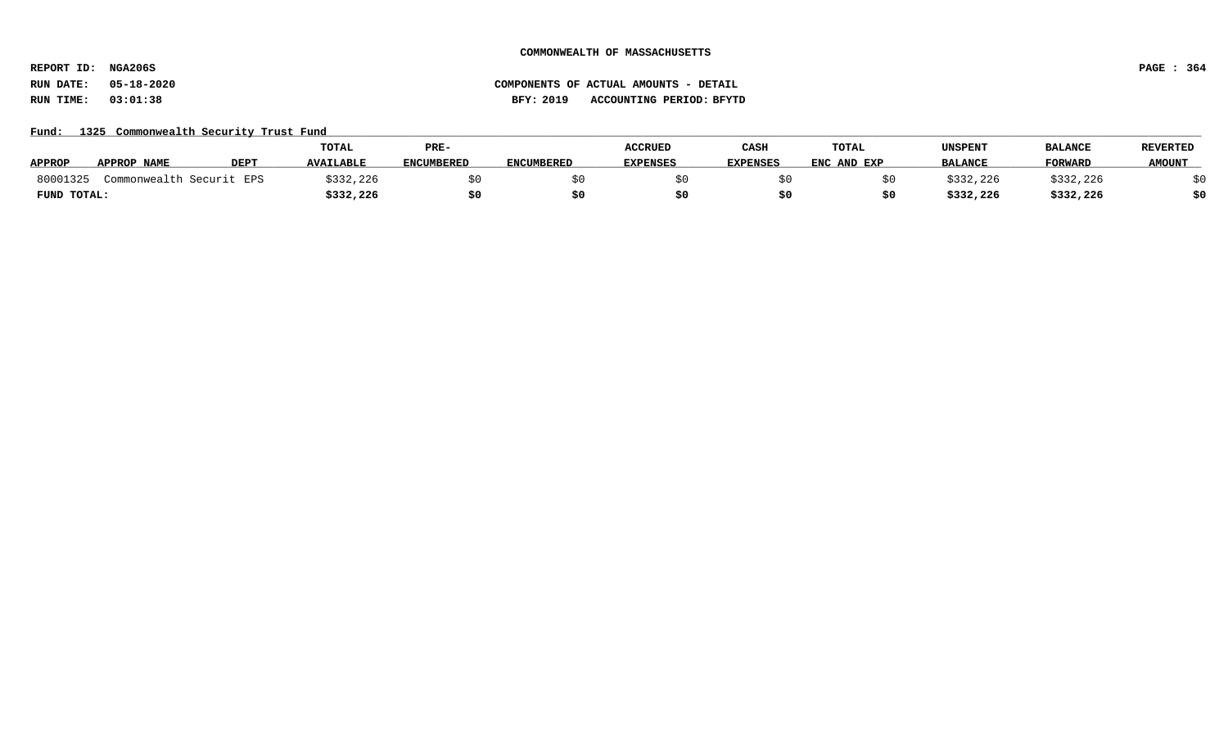**REPORT ID: NGA206S PAGE : 364**

# **RUN DATE: 05-18-2020 COMPONENTS OF ACTUAL AMOUNTS - DETAIL RUN TIME: 03:01:38 BFY: 2019 ACCOUNTING PERIOD: BFYTD**

# Fund: 1325 Commonwealth Security Trust Fund

|               |                          |             | <b>TOTAL</b>     | PRE-              |                   | <b>ACCRUED</b>  | CASH            | TOTAL       | UNSPENT        | <b>BALANCE</b> | <b>REVERTED</b> |
|---------------|--------------------------|-------------|------------------|-------------------|-------------------|-----------------|-----------------|-------------|----------------|----------------|-----------------|
| <b>APPROP</b> | APPROP NAME              | <b>DEPT</b> | <b>AVAILABLE</b> | <b>ENCUMBERED</b> | <b>ENCUMBERED</b> | <b>EXPENSES</b> | <b>EXPENSES</b> | ENC AND EXP | <b>BALANCE</b> | <b>FORWARD</b> | <b>AMOUNT</b>   |
| 80001325      | Commonwealth Securit EPS |             | \$332,226        |                   |                   |                 |                 |             | 3332,226       | \$332,226      |                 |
| FUND TOTAL:   |                          |             | \$332,226        | \$0               |                   |                 |                 |             | \$332,226      | \$332,226      | \$0             |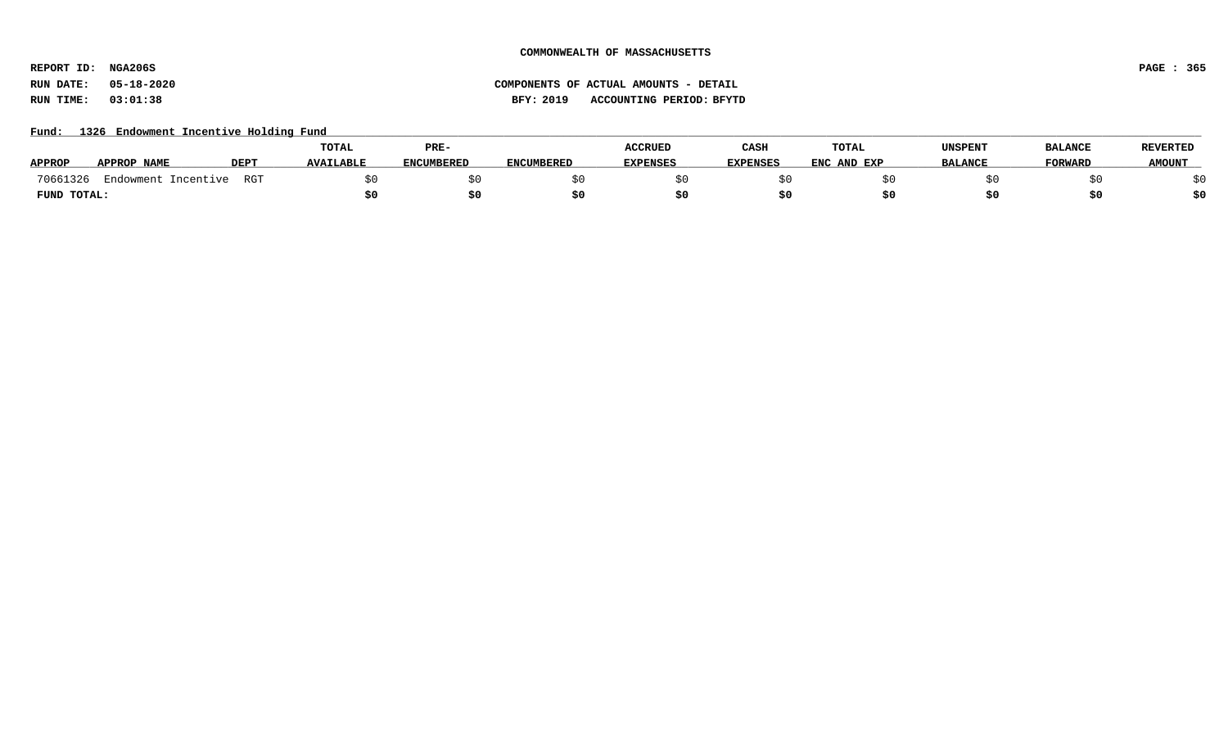**REPORT ID: NGA206S PAGE : 365**

# **RUN DATE: 05-18-2020 COMPONENTS OF ACTUAL AMOUNTS - DETAIL RUN TIME: 03:01:38 BFY: 2019 ACCOUNTING PERIOD: BFYTD**

# Fund: 1326 Endowment Incentive Holding Fund

|               |                        |      | <b>TOTAL</b>     | PRE-              |                   | <b>ACCRUED</b>  | CASH            | <b>TOTAL</b> | UNSPENT        | <b>BALANCE</b> | <b>REVERTED</b> |
|---------------|------------------------|------|------------------|-------------------|-------------------|-----------------|-----------------|--------------|----------------|----------------|-----------------|
| <b>APPROP</b> | APPROP NAME            | DEP1 | <b>AVAILABLE</b> | <b>ENCUMBERED</b> | <b>ENCUMBERED</b> | <b>EXPENSES</b> | <b>EXPENSES</b> | ENC AND EXP  | <b>BALANCE</b> | <b>FORWARD</b> | <b>AMOUNT</b>   |
| 70661326      | Endowment<br>Incentive | RGT  |                  |                   |                   |                 |                 |              |                |                |                 |
| FUND TOTAL:   |                        |      |                  |                   |                   |                 |                 |              |                |                | \$0             |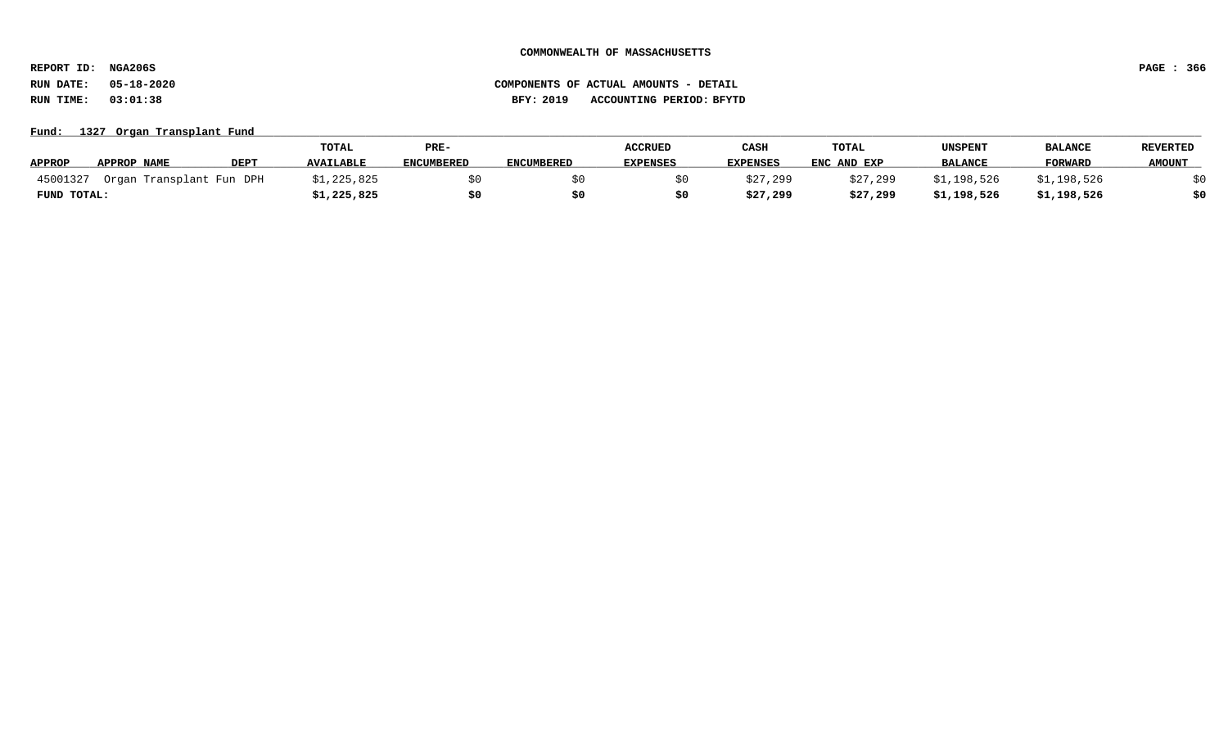**REPORT ID: NGA206S PAGE : 366**

# **RUN DATE: 05-18-2020 COMPONENTS OF ACTUAL AMOUNTS - DETAIL RUN TIME: 03:01:38 BFY: 2019 ACCOUNTING PERIOD: BFYTD**

# Fund: 1327 Organ Transplant Fund

|               |                          |             | <b>TOTAL</b>     | PRE-              |                   | <b>ACCRUED</b>  | CASH            | <b>TOTAL</b> | UNSPENT        | <b>BALANCI</b> | <b>REVERTED</b> |
|---------------|--------------------------|-------------|------------------|-------------------|-------------------|-----------------|-----------------|--------------|----------------|----------------|-----------------|
| <b>APPROP</b> | APPROP NAME              | <b>DEPT</b> | <b>AVAILABLE</b> | <b>ENCUMBERED</b> | <b>ENCUMBERED</b> | <b>EXPENSES</b> | <b>EXPENSES</b> | ENC AND EXP  | <b>BALANCE</b> | <b>FORWARD</b> | <b>AMOUNT</b>   |
| 45001327      | Organ Transplant Fun DPH |             | \$1,225,825      |                   |                   |                 | \$27,299        | \$27,299     | \$1,198,526    | \$1,198,526    |                 |
| FUND TOTAL:   |                          |             | 1,225,825ء       | \$0               |                   |                 | \$27,299        | \$27,299     | \$1,198,526    | \$1,198,526    | \$0             |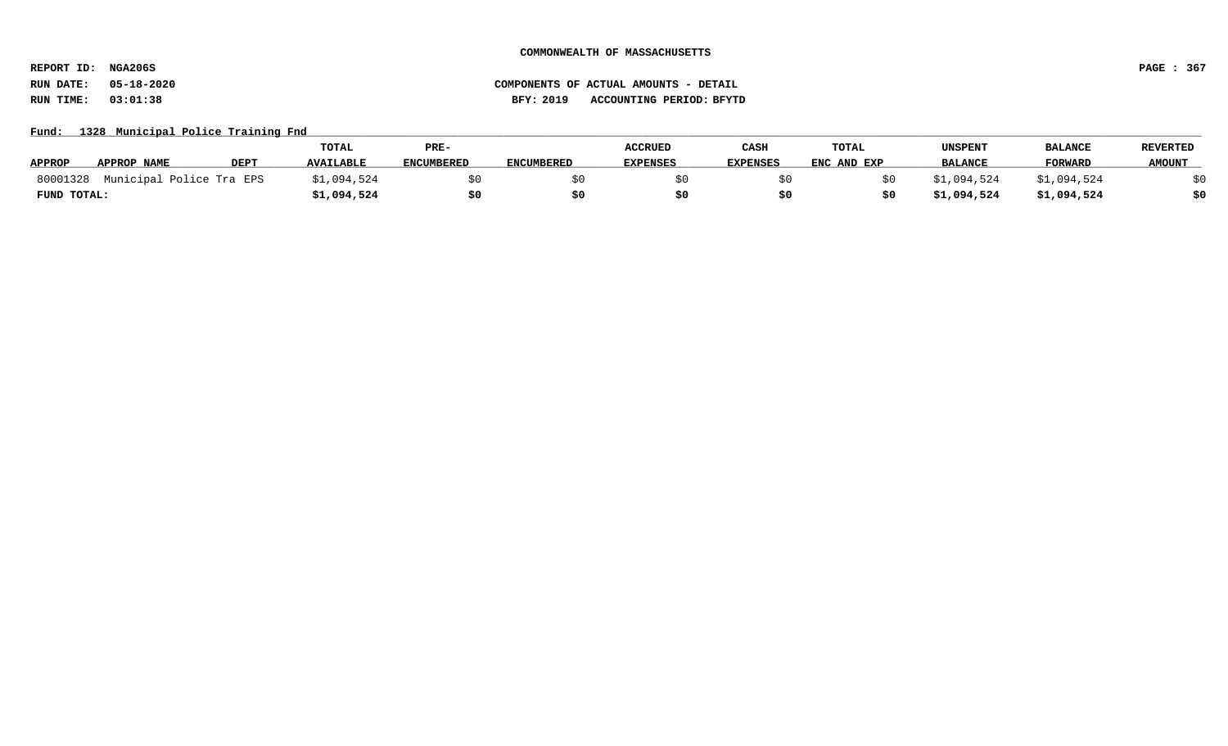**REPORT ID: NGA206S PAGE : 367**

# **RUN DATE: 05-18-2020 COMPONENTS OF ACTUAL AMOUNTS - DETAIL RUN TIME: 03:01:38 BFY: 2019 ACCOUNTING PERIOD: BFYTD**

# Fund: 1328 Municipal Police Training Fnd

|               |                          |             | <b>TOTAL</b>     | PRE-              |                   | <b>ACCRUED</b>  | CASH            | TOTAL       | UNSPENT        | <b>BALANCE</b> | <b>REVERTED</b> |
|---------------|--------------------------|-------------|------------------|-------------------|-------------------|-----------------|-----------------|-------------|----------------|----------------|-----------------|
| <b>APPROP</b> | <b>APPROP NAME</b>       | <b>DEPT</b> | <b>AVAILABLE</b> | <b>ENCUMBERED</b> | <b>ENCUMBERED</b> | <b>EXPENSES</b> | <b>EXPENSES</b> | ENC AND EXP | <b>BALANCE</b> | <b>FORWARD</b> | <b>AMOUNT</b>   |
| 80001328      | Municipal Police Tra EPS |             | \$1,094,524      |                   |                   |                 |                 |             | .,094,524      | \$1,094,524    |                 |
| FUND TOTAL:   |                          |             | \$1,094,524      |                   |                   |                 |                 |             | \$1,094,524    | \$1,094,524    | \$0             |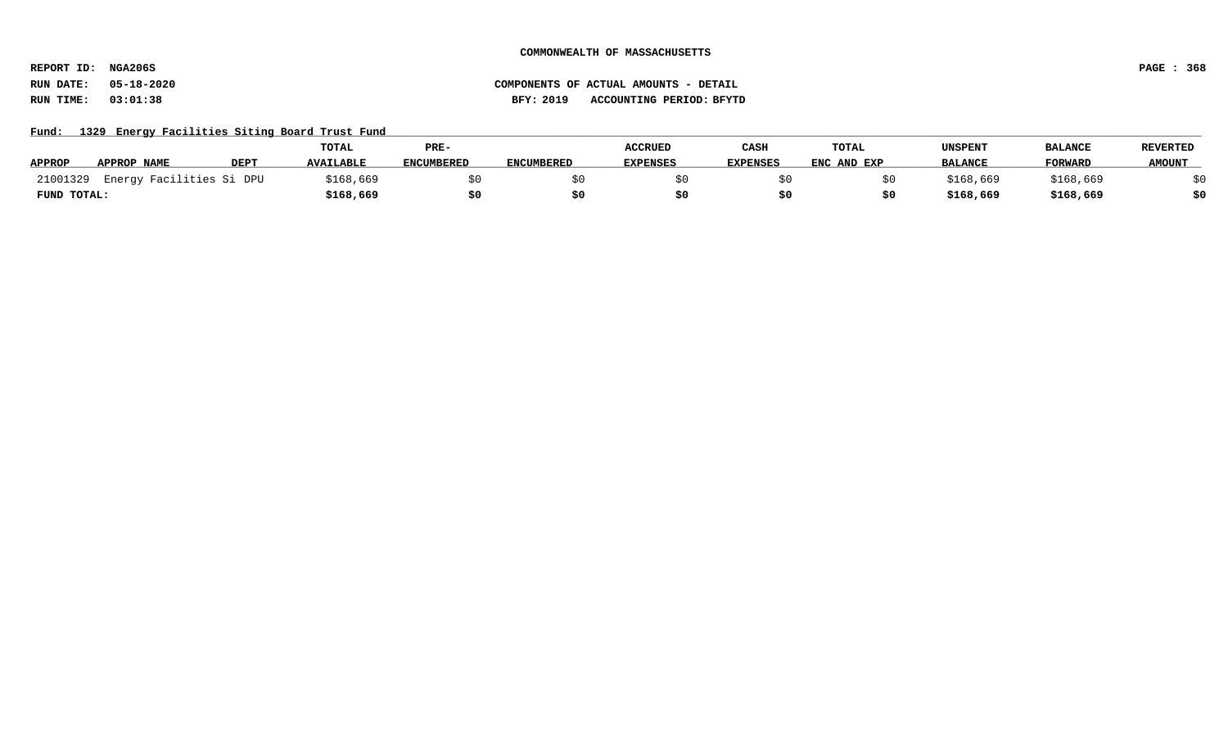**REPORT ID: NGA206S PAGE : 368**

# **RUN DATE: 05-18-2020 COMPONENTS OF ACTUAL AMOUNTS - DETAIL RUN TIME: 03:01:38 BFY: 2019 ACCOUNTING PERIOD: BFYTD**

Fund: 1329 Energy Facilities Siting Board Trust Fund

|               |                          |             | TOTAL            | PRE-              |                   | <b>ACCRUED</b>  | CASH            | TOTAL       | <b>UNSPENT</b> | <b>BALANCE</b> | <b>REVERTED</b> |
|---------------|--------------------------|-------------|------------------|-------------------|-------------------|-----------------|-----------------|-------------|----------------|----------------|-----------------|
| <b>APPROP</b> | APPROP NAME              | <b>DEPT</b> | <b>AVAILABLE</b> | <b>ENCUMBERED</b> | <b>ENCUMBERED</b> | <b>EXPENSES</b> | <b>EXPENSES</b> | ENC AND EXP | <b>BALANCE</b> | <b>FORWARD</b> | <b>AMOUNT</b>   |
| 21001329      | Energy Facilities Si DPU |             | \$168,669        |                   |                   |                 |                 |             | \$168,669      | \$168,669      |                 |
| FUND TOTAL:   |                          |             | \$168,669        |                   |                   |                 |                 |             | \$168,669      | \$168,669      | \$0             |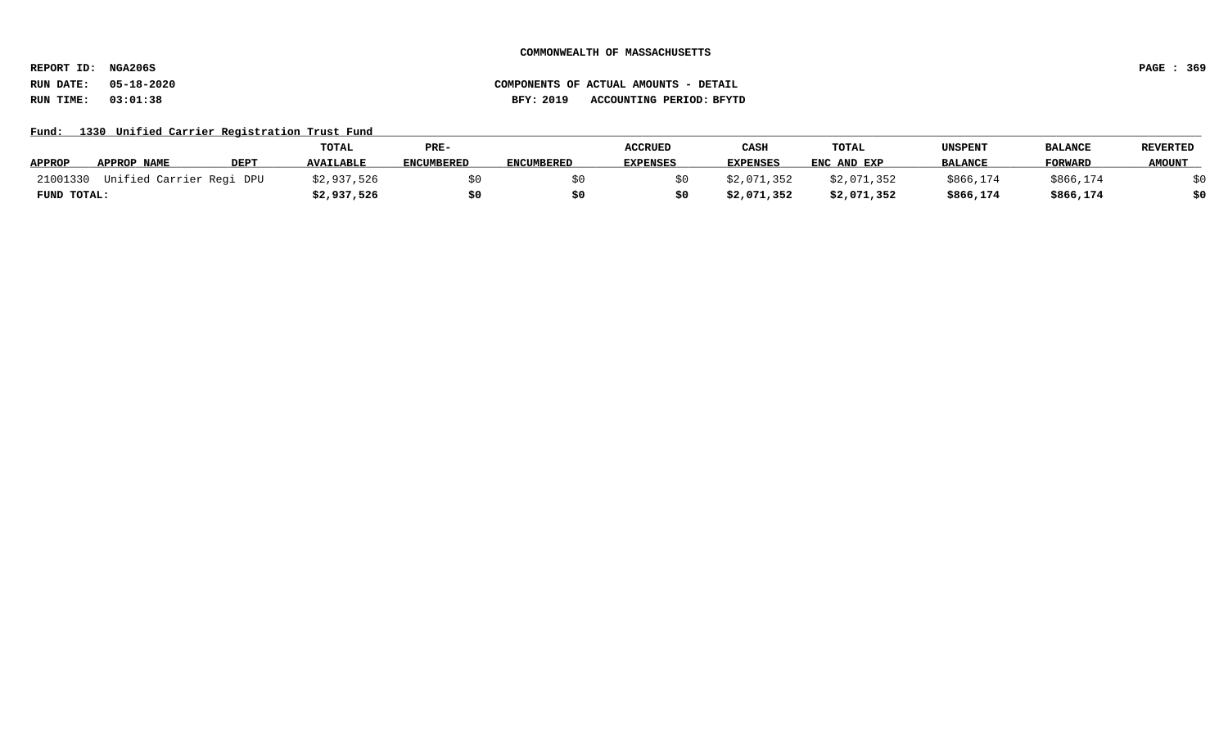**REPORT ID: NGA206S PAGE : 369**

**RUN DATE: 05-18-2020 COMPONENTS OF ACTUAL AMOUNTS - DETAIL RUN TIME: 03:01:38 BFY: 2019 ACCOUNTING PERIOD: BFYTD**

Fund: 1330 Unified Carrier Registration Trust Fund

|               |                                   |             | TOTAL            | PRE-              |                   | <b>ACCRUED</b>  | CASH            | TOTAL       | <b>UNSPENT</b> | <b>BALANCE</b> | <b>REVERTED</b> |
|---------------|-----------------------------------|-------------|------------------|-------------------|-------------------|-----------------|-----------------|-------------|----------------|----------------|-----------------|
| <b>APPROP</b> | <b>APPROP NAME</b>                | <b>DEPT</b> | <b>AVAILABLE</b> | <b>ENCUMBERED</b> | <b>ENCUMBERED</b> | <b>EXPENSES</b> | <b>EXPENSES</b> | ENC AND EXP | <b>BALANCE</b> | <b>FORWARD</b> | <b>AMOUNT</b>   |
|               | 21001330 Unified Carrier Regi DPU |             | \$2,937,526      |                   |                   |                 | \$2,071,352     | \$2,071,352 | \$866,174      | \$866,174      |                 |
| FUND TOTAL:   |                                   |             | \$2,937,526      |                   |                   |                 | \$2,071,352     | \$2,071,352 | \$866,174      | \$866,174      |                 |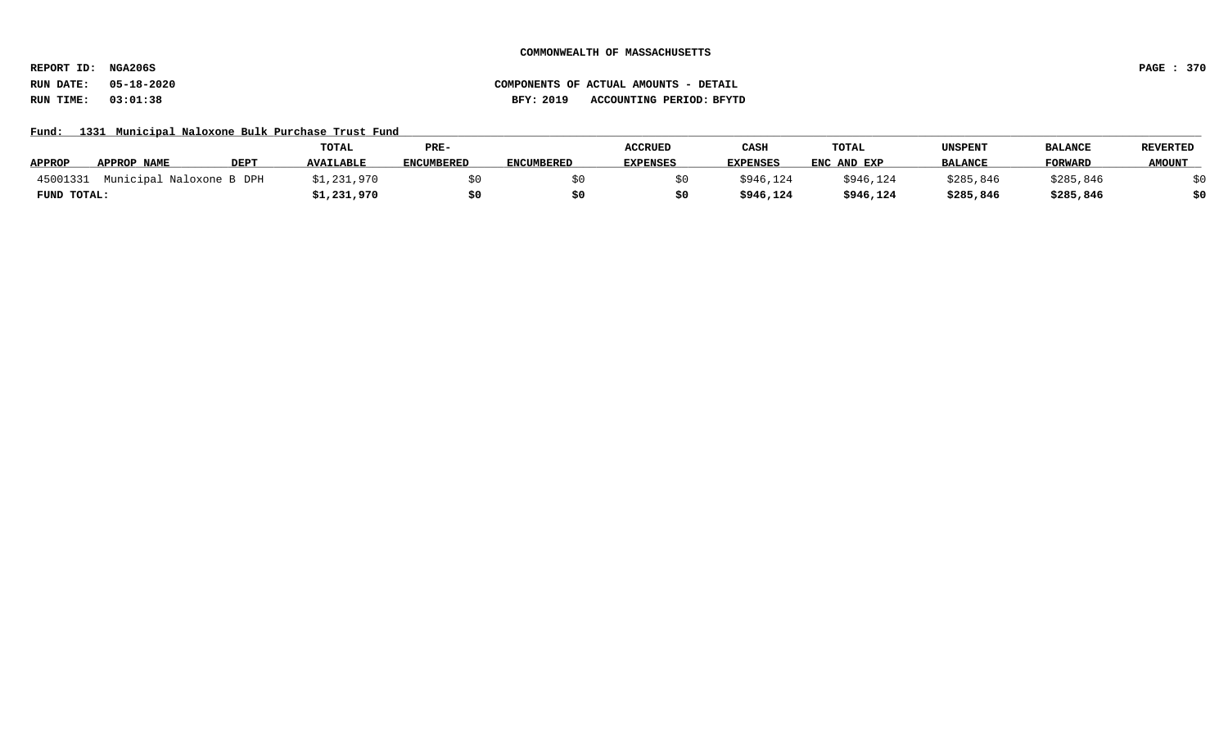**REPORT ID: NGA206S PAGE : 370**

Fund: 1331 Municipal Naloxone Bulk Purchase Trust Fund

|               |                          |             | <b>TOTAL</b>     | PRE-              |                   | <b>ACCRUED</b>  | CASH            | TOTAL       | <b>UNSPENT</b> | <b>BALANCE</b> | <b>REVERTED</b> |
|---------------|--------------------------|-------------|------------------|-------------------|-------------------|-----------------|-----------------|-------------|----------------|----------------|-----------------|
| <b>APPROP</b> | APPROP NAME              | <b>DEP1</b> | <b>AVAILABLE</b> | <b>ENCUMBERED</b> | <b>ENCUMBERED</b> | <b>EXPENSES</b> | <b>EXPENSES</b> | ENC AND EXP | <b>BALANCE</b> | <b>FORWARD</b> | <b>AMOUNT</b>   |
| 45001331      | Municipal Naloxone B DPH |             | \$1,231,970      |                   |                   |                 | \$946,124       | \$946,124   | \$285,846      | \$285,846      |                 |
| FUND TOTAL:   |                          |             | \$1,231,970      |                   |                   |                 | \$946,124       | \$946,124   | \$285,846      | \$285,846      |                 |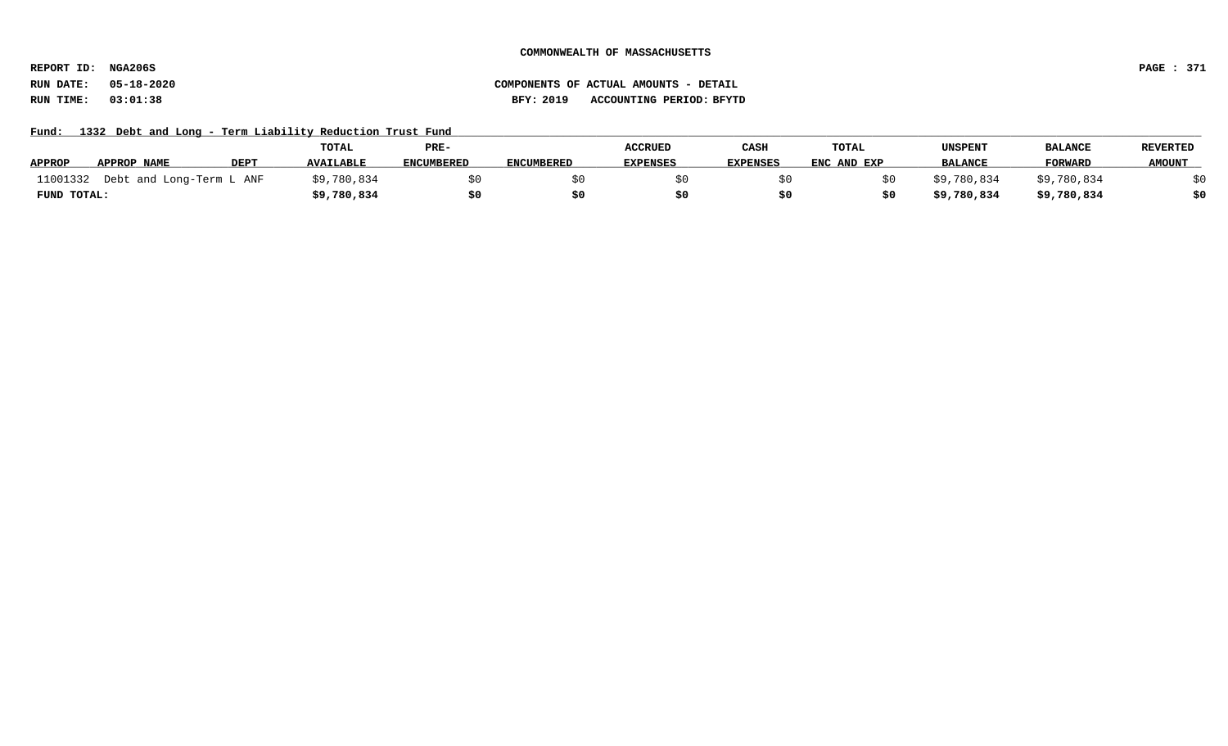**REPORT ID: NGA206S PAGE : 371**

# **RUN DATE: 05-18-2020 COMPONENTS OF ACTUAL AMOUNTS - DETAIL RUN TIME: 03:01:38 BFY: 2019 ACCOUNTING PERIOD: BFYTD**

Fund: 1332 Debt and Long - Term Liability Reduction Trust Fund

|               |                          |             | TOTAL            | PRE-              |                   | <b>ACCRUED</b>  | CASH            | <b>TOTAL</b> | <b>UNSPENT</b> | <b>BALANCE</b> | <b>REVERTED</b> |
|---------------|--------------------------|-------------|------------------|-------------------|-------------------|-----------------|-----------------|--------------|----------------|----------------|-----------------|
| <b>APPROP</b> | APPROP NAME              | <b>DEPT</b> | <b>AVAILABLE</b> | <b>ENCUMBERED</b> | <b>ENCUMBERED</b> | <b>EXPENSES</b> | <b>EXPENSES</b> | ENC AND EXP  | <b>BALANCE</b> | <b>FORWARD</b> | <b>AMOUNT</b>   |
| 11001332      | Debt and Long-Term L ANF |             | \$9,780,834      |                   |                   |                 |                 |              | \$9,780,834    | \$9,780,834    |                 |
| FUND TOTAL:   |                          |             | \$9,780,834      |                   |                   |                 |                 |              | \$9,780,834    | \$9,780,834    |                 |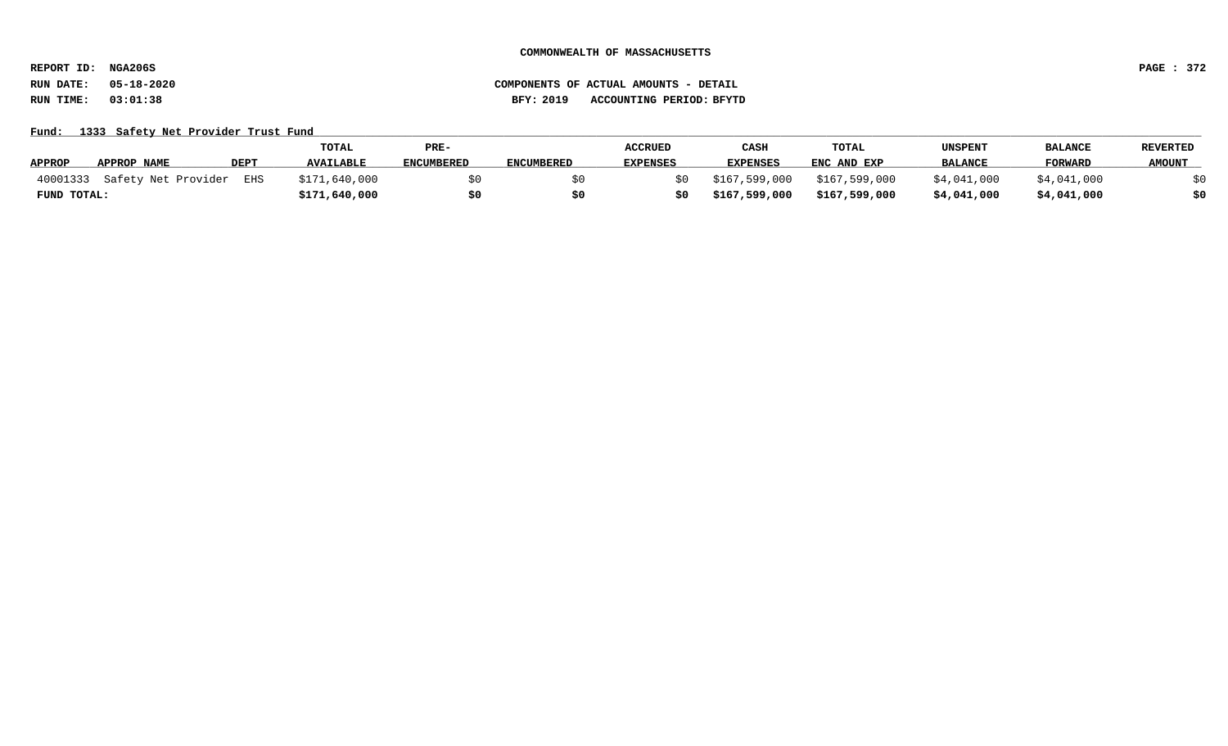**REPORT ID: NGA206S PAGE : 372**

**RUN DATE: 05-18-2020 COMPONENTS OF ACTUAL AMOUNTS - DETAIL RUN TIME: 03:01:38 BFY: 2019 ACCOUNTING PERIOD: BFYTD**

Fund: 1333 Safety Net Provider Trust Fund

|                                  |             | <b>TOTAL</b>     | PRE-              |                   | ACCRUED         | <b>CASH</b>   | <b>TOTAL</b>  | UNSPENT        | <b>BALANCE</b> | <b>REVERTED</b> |
|----------------------------------|-------------|------------------|-------------------|-------------------|-----------------|---------------|---------------|----------------|----------------|-----------------|
| <b>APPROP</b><br>APPROP NAME     | <b>DEPT</b> | <b>AVAILABLE</b> | <b>ENCUMBERED</b> | <b>ENCUMBERED</b> | <b>EXPENSES</b> | EXPENSES      | ENC AND EXP   | <b>BALANCE</b> | FORWARD        | <b>AMOUNT</b>   |
| 40001333 Safety Net Provider EHS |             | \$171,640,000    |                   |                   |                 | \$167,599,000 | \$167,599,000 | \$4,041,000    | \$4,041,000    |                 |
| FUND TOTAL:                      |             | \$171,640,000    |                   |                   |                 | \$167,599,000 | \$167,599,000 | \$4,041,000    | \$4,041,000    | \$0             |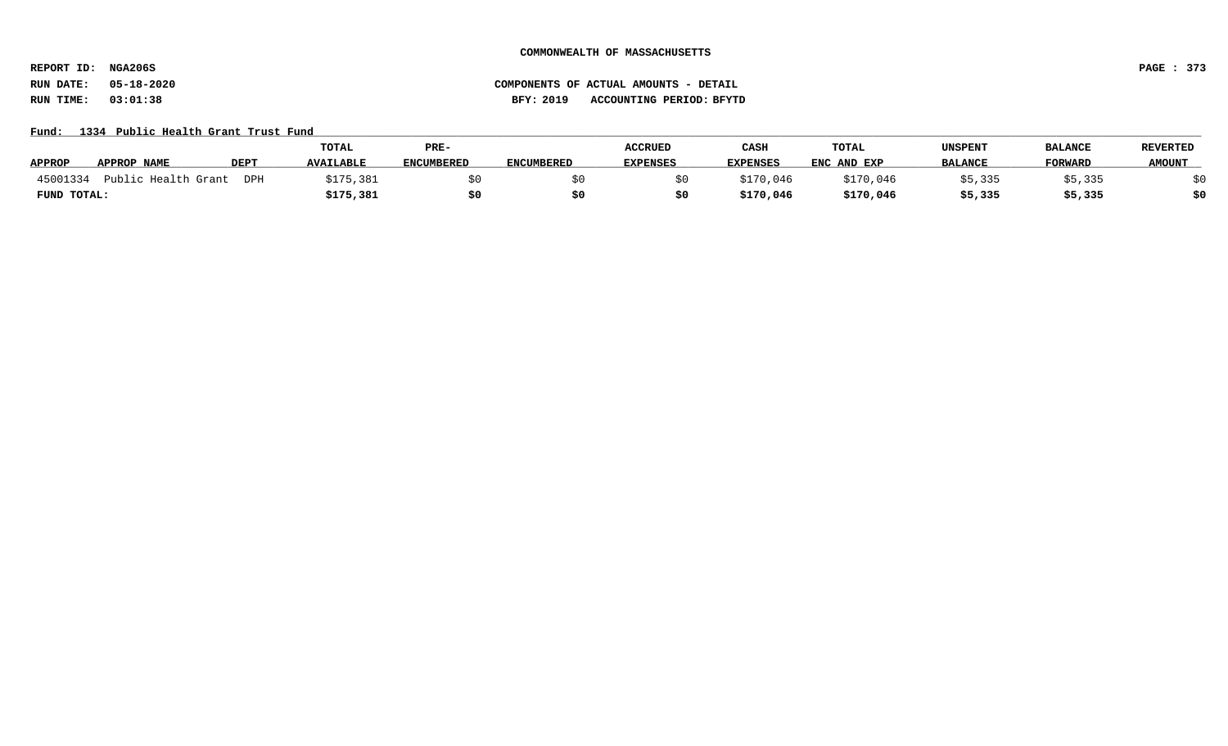**REPORT ID: NGA206S PAGE : 373**

**RUN DATE: 05-18-2020 COMPONENTS OF ACTUAL AMOUNTS - DETAIL RUN TIME: 03:01:38 BFY: 2019 ACCOUNTING PERIOD: BFYTD**

Fund: 1334 Public Health Grant Trust Fund

|               |                        |             | TOTAL            | PRE-              |                   | <b>ACCRUED</b>  | CASH      | <b>TOTAL</b> | UNSPENT        | <b>BALANCE</b> | <b>REVERTED</b> |
|---------------|------------------------|-------------|------------------|-------------------|-------------------|-----------------|-----------|--------------|----------------|----------------|-----------------|
| <b>APPROP</b> | <b>APPROP NAME</b>     | <b>DEPT</b> | <b>AVAILABLE</b> | <b>ENCUMBERED</b> | <b>ENCUMBERED</b> | <b>EXPENSES</b> | EXPENSES  | ENC AND EXP  | <b>BALANCE</b> | <b>FORWARD</b> | <b>AMOUNT</b>   |
| 45001334      | Public Health<br>Grant | DPH         | \$175,381        |                   |                   |                 | \$170,046 | \$170,046    | \$5,335        | ;5,335         |                 |
| FUND TOTAL:   |                        |             | \$175,381        |                   |                   |                 | \$170,046 | \$170,046    | \$5,335        | \$5,335        | \$0             |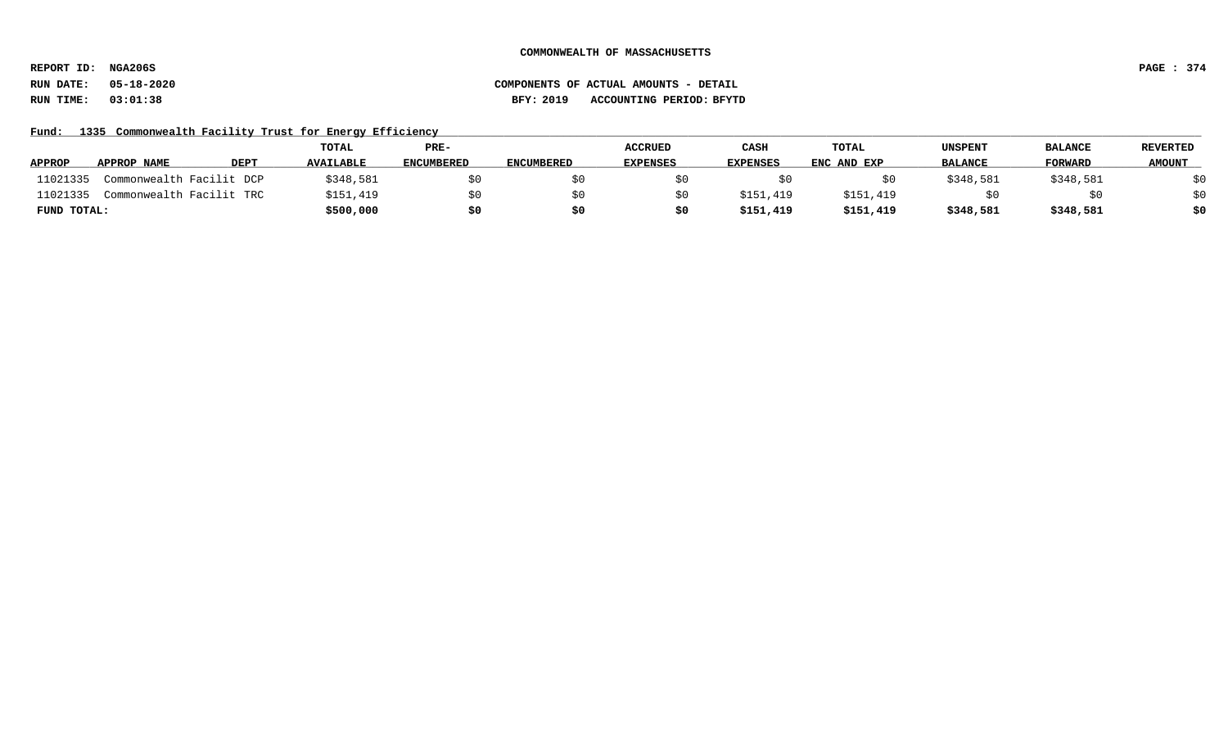**REPORT ID: NGA206S PAGE : 374**

# **RUN DATE: 05-18-2020 COMPONENTS OF ACTUAL AMOUNTS - DETAIL RUN TIME: 03:01:38 BFY: 2019 ACCOUNTING PERIOD: BFYTD**

Fund: 1335 Commonwealth Facility Trust for Energy Efficiency

|               |                          |      | TOTAL            | PRE-              |                   | <b>ACCRUED</b>  | CASH            | <b>TOTAL</b> | <b>UNSPENT</b> | <b>BALANCE</b> | <b>REVERTED</b> |
|---------------|--------------------------|------|------------------|-------------------|-------------------|-----------------|-----------------|--------------|----------------|----------------|-----------------|
| <b>APPROP</b> | APPROP NAME              | DEPT | <b>AVAILABLE</b> | <b>ENCUMBERED</b> | <b>ENCUMBERED</b> | <b>EXPENSES</b> | <b>EXPENSES</b> | ENC AND EXP  | <b>BALANCE</b> | <b>FORWARD</b> | <b>AMOUNT</b>   |
| 11021335      | Commonwealth Facilit DCP |      | \$348,581        |                   |                   |                 |                 |              | \$348,581      | \$348,581      | \$0             |
| 11021335      | Commonwealth Facilit TRC |      | \$151,419        |                   |                   |                 | \$151,419       | \$151,419    |                |                | \$0             |
| FUND TOTAL:   |                          |      | \$500,000        | \$0               |                   | S0              | \$151,419       | \$151,419    | \$348,581      | \$348,581      | \$0             |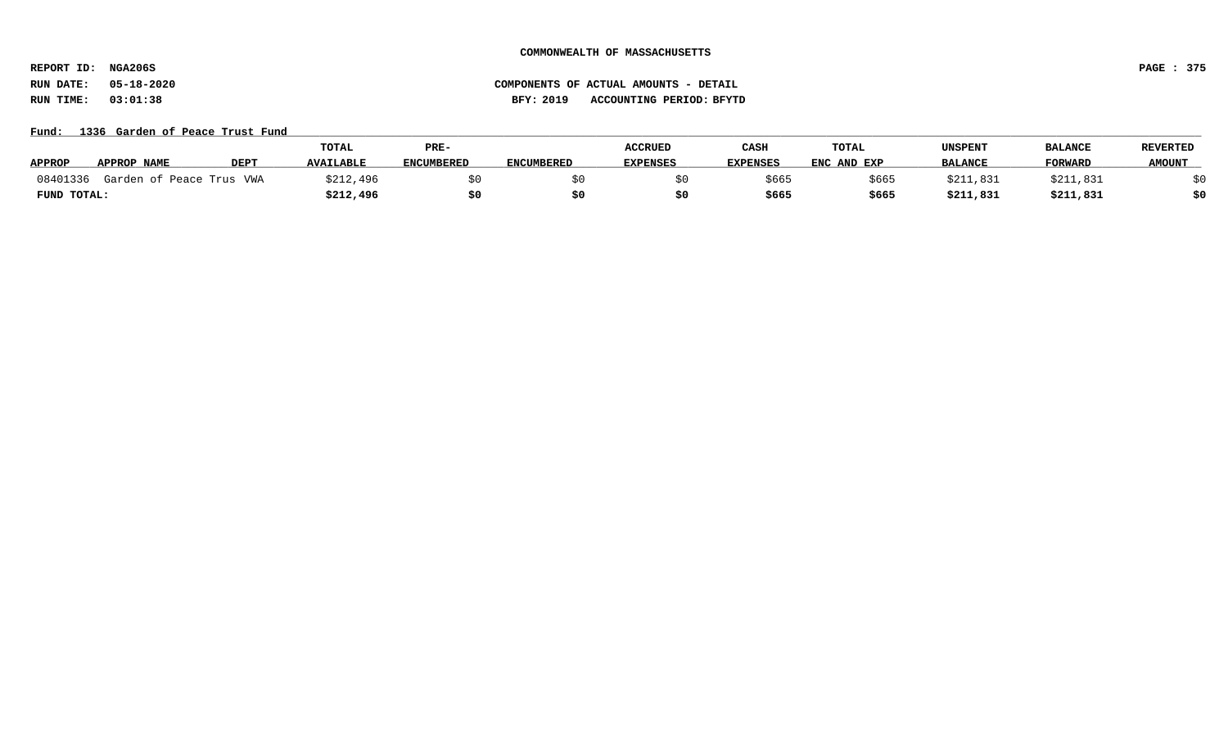**REPORT ID: NGA206S PAGE : 375**

# **RUN DATE: 05-18-2020 COMPONENTS OF ACTUAL AMOUNTS - DETAIL RUN TIME: 03:01:38 BFY: 2019 ACCOUNTING PERIOD: BFYTD**

## Fund: 1336 Garden of Peace Trust Fund

|               |                          |      | TOTAL            | PRE-       |            | <b>ACCRUED</b>  | CASH            | <b>TOTAL</b> | UNSPENT        | <b>BALANCE</b> | <b>REVERTED</b> |
|---------------|--------------------------|------|------------------|------------|------------|-----------------|-----------------|--------------|----------------|----------------|-----------------|
| <b>APPROP</b> | APPROP NAME              | DEPT | <b>AVAILABLE</b> | ENCUMBERED | ENCUMBERED | <b>EXPENSES</b> | <b>EXPENSES</b> | ENC AND EXP  | <b>BALANCE</b> | FORWARD        | <b>AMOUNT</b>   |
| 08401336      | Garden of Peace Trus VWA |      | \$212,496        |            |            |                 | \$665           | \$665        | \$211.831      | \$211,831      |                 |
| FUND TOTAL:   |                          |      | \$212,496        | \$0        |            |                 | \$665           | \$665        | \$211,831      | \$211,831      | \$0             |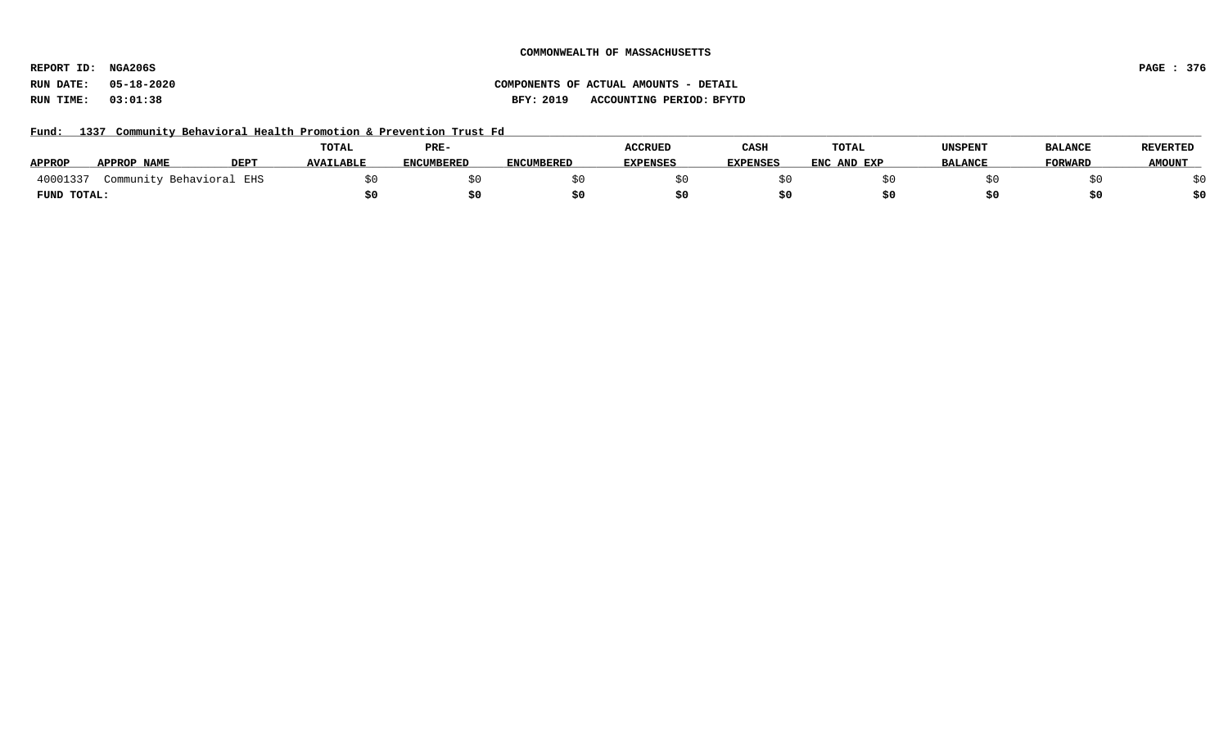**REPORT ID: NGA206S PAGE : 376**

# **RUN DATE: 05-18-2020 COMPONENTS OF ACTUAL AMOUNTS - DETAIL RUN TIME: 03:01:38 BFY: 2019 ACCOUNTING PERIOD: BFYTD**

Fund: 1337 Community Behavioral Health Promotion & Prevention Trust Fd

|               |                      |             | TOTAL            | PRE-              |                   | <b>ACCRUED</b>  | CASH            | TOTAL       | <b>UNSPENT</b> | <b>BALANCE</b> | <b>REVERTED</b> |
|---------------|----------------------|-------------|------------------|-------------------|-------------------|-----------------|-----------------|-------------|----------------|----------------|-----------------|
| <b>APPROP</b> | APPROP NAME          | <b>DEPT</b> | <b>AVAILABLE</b> | <b>ENCUMBERED</b> | <b>ENCUMBERED</b> | <b>EXPENSES</b> | <b>EXPENSES</b> | ENC AND EXP | <b>BALANCE</b> | <b>FORWARD</b> | <b>AMOUNT</b>   |
| 40001337      | Community Behavioral | EHS         |                  |                   |                   |                 |                 |             |                |                |                 |
| FUND TOTAL:   |                      |             |                  |                   |                   |                 |                 |             |                |                |                 |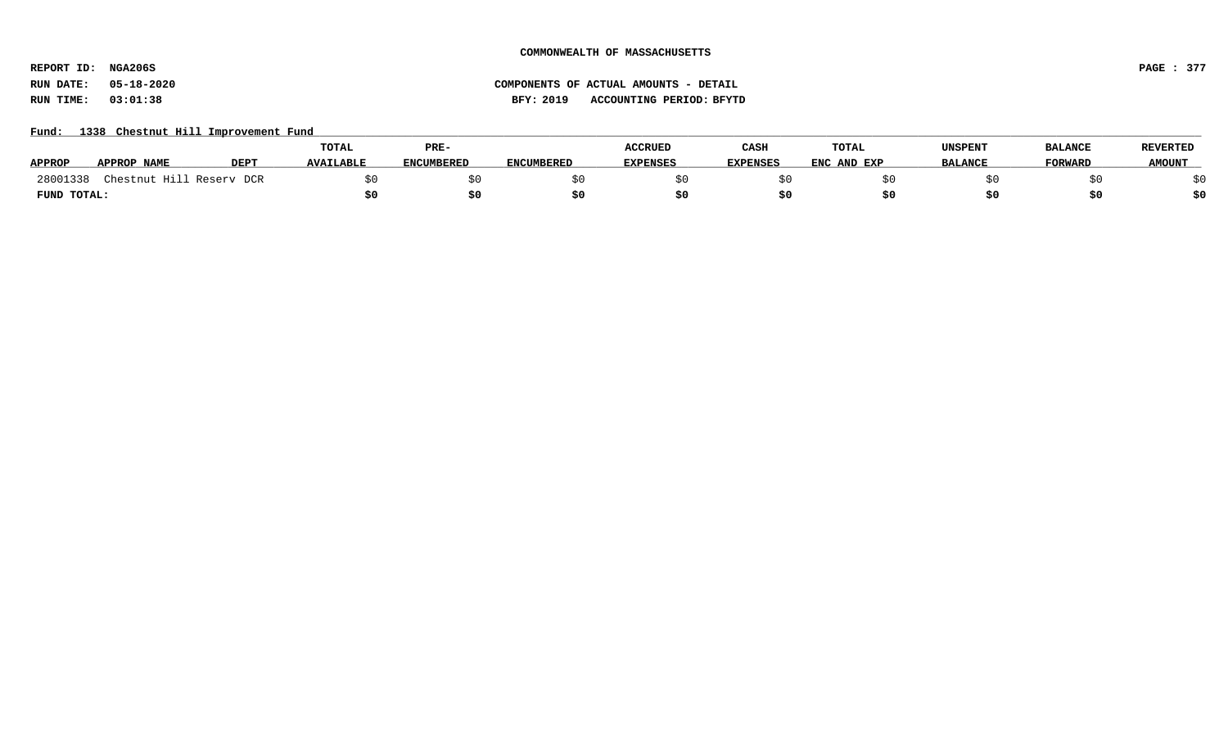**REPORT ID: NGA206S PAGE : 377**

# **RUN DATE: 05-18-2020 COMPONENTS OF ACTUAL AMOUNTS - DETAIL RUN TIME: 03:01:38 BFY: 2019 ACCOUNTING PERIOD: BFYTD**

# Fund: 1338 Chestnut Hill Improvement Fund

|               |                          |                  | <b>TOTAL</b>     | PRE-              |                   | <b>ACCRUED</b>  | CASH     | TOTAL       | UNSPENT        | <b>BALANCE</b> | <b>REVERTED</b> |
|---------------|--------------------------|------------------|------------------|-------------------|-------------------|-----------------|----------|-------------|----------------|----------------|-----------------|
| <b>APPROP</b> | APPROP NAME              | DEP <sub>1</sub> | <b>AVAILABLE</b> | <b>ENCUMBERED</b> | <b>ENCUMBERED</b> | <b>EXPENSES</b> | EXPENSES | ENC AND EXP | <b>BALANCE</b> | <b>FORWARD</b> | <b>AMOUNT</b>   |
| 28001338      | Chestnut Hill Reserv DCR |                  |                  |                   |                   |                 |          |             |                |                |                 |
| FUND TOTAL:   |                          |                  |                  | \$0               |                   |                 |          |             |                |                | \$0             |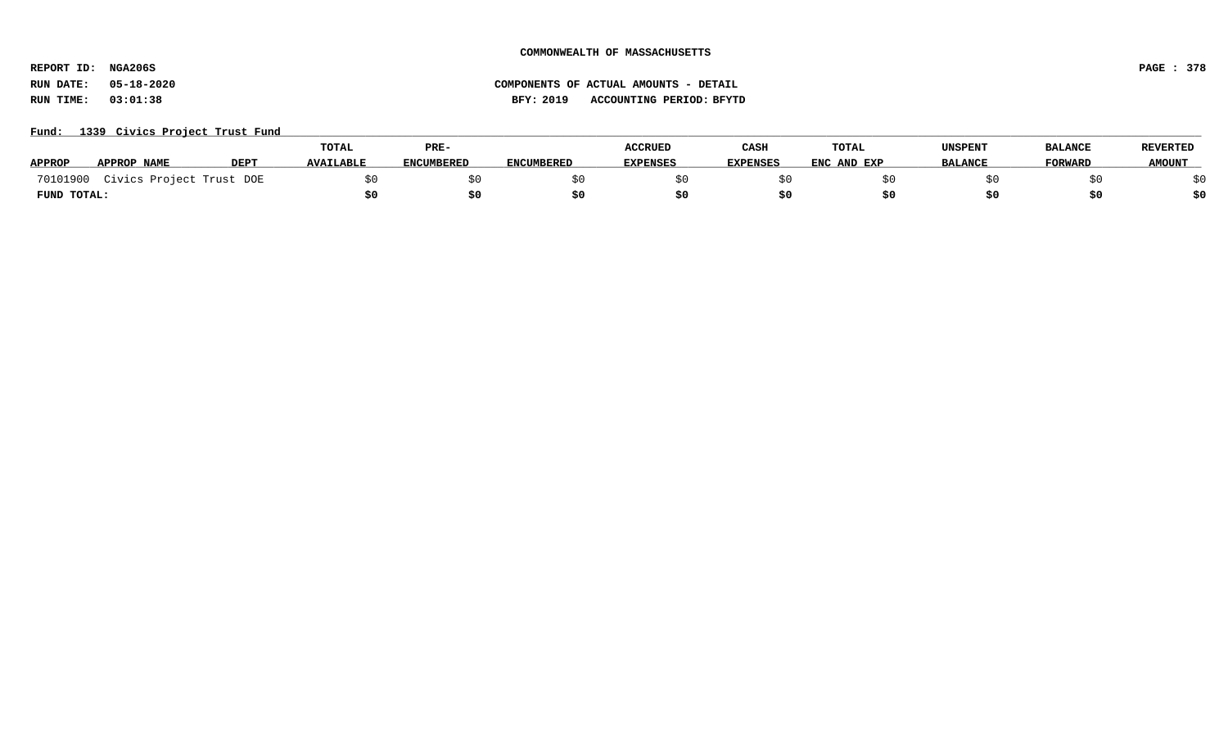**REPORT ID: NGA206S PAGE : 378**

# **RUN DATE: 05-18-2020 COMPONENTS OF ACTUAL AMOUNTS - DETAIL RUN TIME: 03:01:38 BFY: 2019 ACCOUNTING PERIOD: BFYTD**

# Fund: 1339 Civics Project Trust Fund

|               |                          |             | <b>TOTAL</b>     | PRE-              |                   | <b>ACCRUED</b>  | CASH            | TOTAL       | UNSPENT        | <b>BALANCE</b> | <b>REVERTED</b> |
|---------------|--------------------------|-------------|------------------|-------------------|-------------------|-----------------|-----------------|-------------|----------------|----------------|-----------------|
| <b>APPROP</b> | APPROP NAME              | <b>DEPT</b> | <b>AVAILABLE</b> | <b>ENCUMBERED</b> | <b>ENCUMBERED</b> | <b>EXPENSES</b> | <b>EXPENSES</b> | ENC AND EXP | <b>BALANCE</b> | <b>FORWARI</b> | <b>AMOUNT</b>   |
| 70101900      | Civics Project Trust DOE |             |                  |                   |                   |                 |                 |             |                |                |                 |
| FUND TOTAL:   |                          |             |                  | \$0               |                   |                 |                 |             |                |                | \$0             |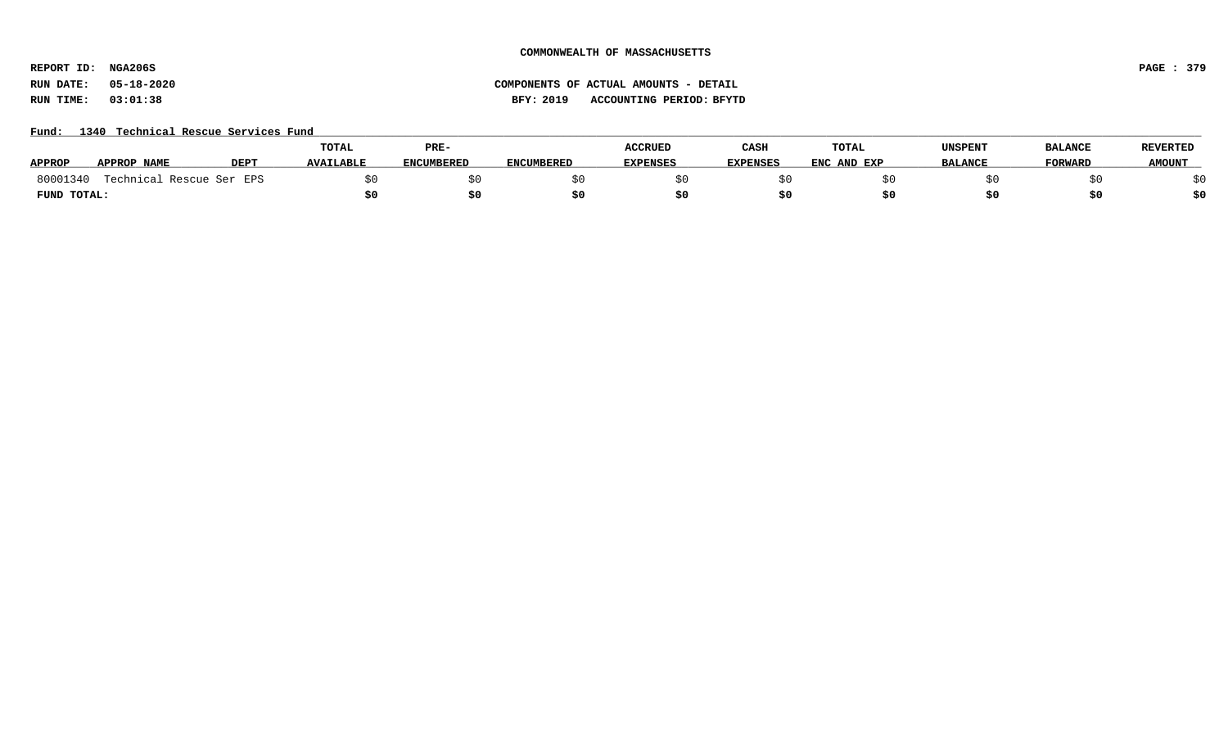**REPORT ID: NGA206S PAGE : 379**

# **RUN DATE: 05-18-2020 COMPONENTS OF ACTUAL AMOUNTS - DETAIL RUN TIME: 03:01:38 BFY: 2019 ACCOUNTING PERIOD: BFYTD**

# Fund: 1340 Technical Rescue Services Fund

|               |                          |                  | <b>TOTAL</b>     | PRE-              |                   | <b>ACCRUED</b>  | CASH     | TOTAL       | UNSPENT        | <b>BALANCE</b> | <b>REVERTED</b> |
|---------------|--------------------------|------------------|------------------|-------------------|-------------------|-----------------|----------|-------------|----------------|----------------|-----------------|
| <b>APPROP</b> | APPROP NAME              | DEP <sub>1</sub> | <b>AVAILABLE</b> | <b>ENCUMBERED</b> | <b>ENCUMBERED</b> | <b>EXPENSES</b> | EXPENSES | ENC AND EXP | <b>BALANCE</b> | <b>FORWARD</b> | <b>AMOUNT</b>   |
| 80001340      | Technical Rescue Ser EPS |                  |                  |                   |                   |                 |          |             |                |                |                 |
| FUND TOTAL:   |                          |                  |                  | \$0               |                   |                 |          |             |                |                | \$0             |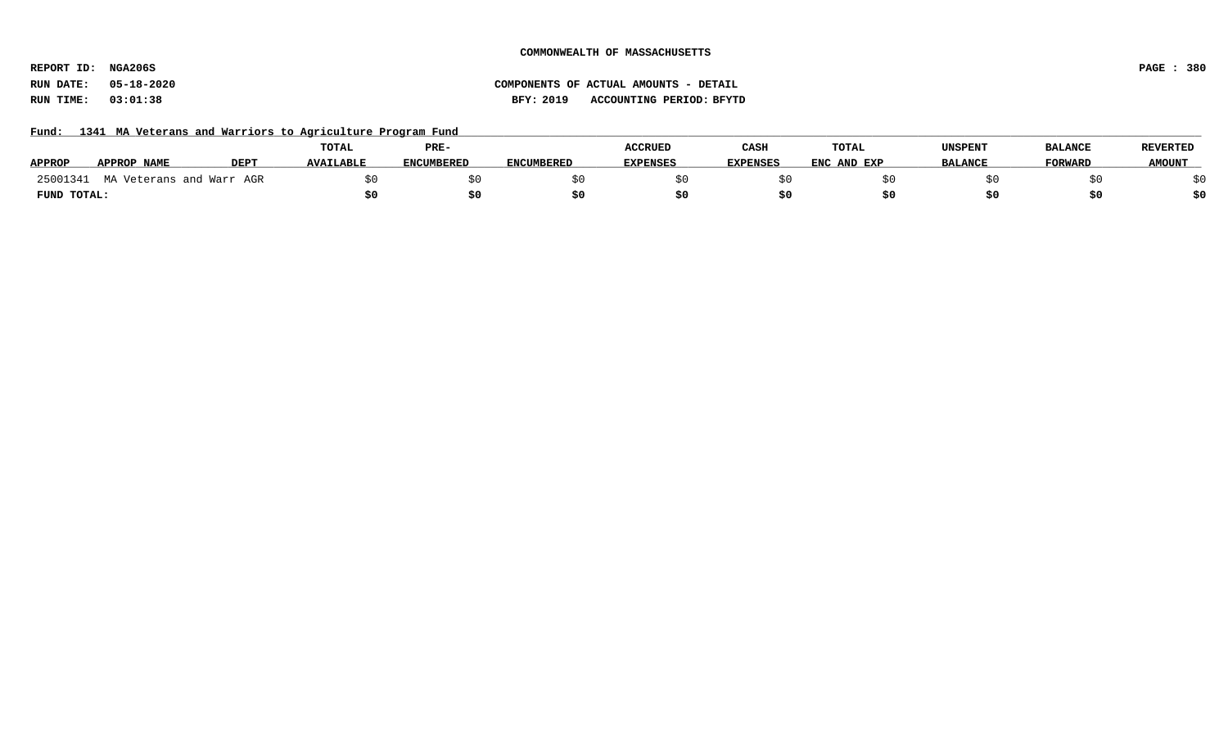**REPORT ID: NGA206S PAGE : 380**

# **RUN DATE: 05-18-2020 COMPONENTS OF ACTUAL AMOUNTS - DETAIL RUN TIME: 03:01:38 BFY: 2019 ACCOUNTING PERIOD: BFYTD**

Fund: 1341 MA Veterans and Warriors to Agriculture Program Fund

|               |                          |             | <b>TOTAL</b>     | PRE-              |                   | <b>ACCRUED</b>  | CASH            | <b>TOTAL</b> | UNSPENT        | <b>BALANCE</b> | <b>REVERTED</b> |
|---------------|--------------------------|-------------|------------------|-------------------|-------------------|-----------------|-----------------|--------------|----------------|----------------|-----------------|
| <b>APPROP</b> | <b>APPROP NAME</b>       | <b>DEPT</b> | <b>AVAILABLE</b> | <b>ENCUMBERED</b> | <b>ENCUMBERED</b> | <b>EXPENSES</b> | <b>EXPENSES</b> | ENC AND EXP  | <b>BALANCE</b> | <b>FORWARD</b> | <b>AMOUNT</b>   |
| 25001341      | MA Veterans and Warr AGR |             |                  |                   |                   |                 |                 |              |                |                |                 |
| FUND TOTAL:   |                          |             |                  |                   |                   |                 |                 |              |                | S0             |                 |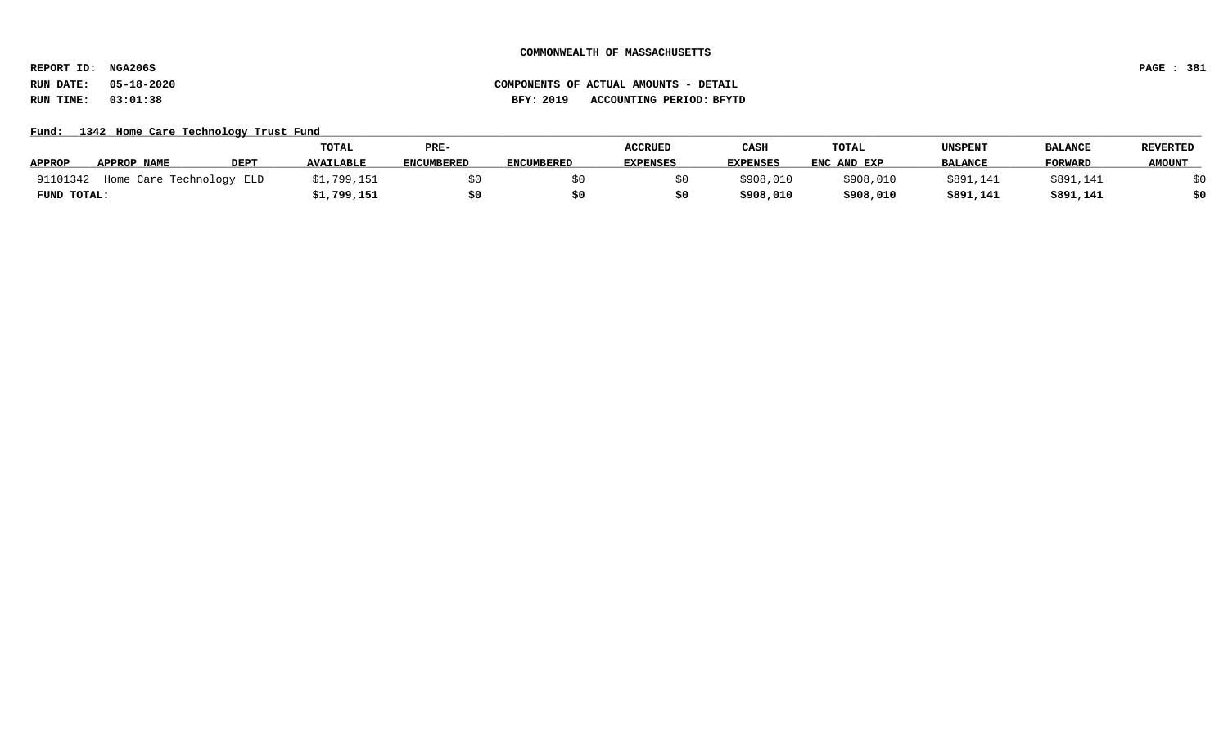**REPORT ID: NGA206S PAGE : 381**

# **RUN DATE: 05-18-2020 COMPONENTS OF ACTUAL AMOUNTS - DETAIL RUN TIME: 03:01:38 BFY: 2019 ACCOUNTING PERIOD: BFYTD**

## Fund: 1342 Home Care Technology Trust Fund

|               |                          |             | <b>TOTAL</b>     | PRE-              |                   | <b>ACCRUED</b>  | CASH            | TOTAL       | UNSPENT        | <b>BALANCE</b> | <b>REVERTED</b> |
|---------------|--------------------------|-------------|------------------|-------------------|-------------------|-----------------|-----------------|-------------|----------------|----------------|-----------------|
| <b>APPROP</b> | APPROP NAME              | <b>DEPT</b> | <b>AVAILABLE</b> | <b>ENCUMBERED</b> | <b>ENCUMBERED</b> | <b>EXPENSES</b> | <b>EXPENSES</b> | ENC AND EXP | <b>BALANCE</b> | <b>FORWARI</b> | <b>AMOUNT</b>   |
| 91101342      | Home Care Technology ELD |             | \$1,799,151      |                   |                   |                 | \$908,010       | \$908,010   | \$891,141      | \$891,141      |                 |
| FUND TOTAL:   |                          |             | \$1,799,151      |                   |                   |                 | \$908,010       | \$908,010   | \$891,141      | \$891,141      | \$0             |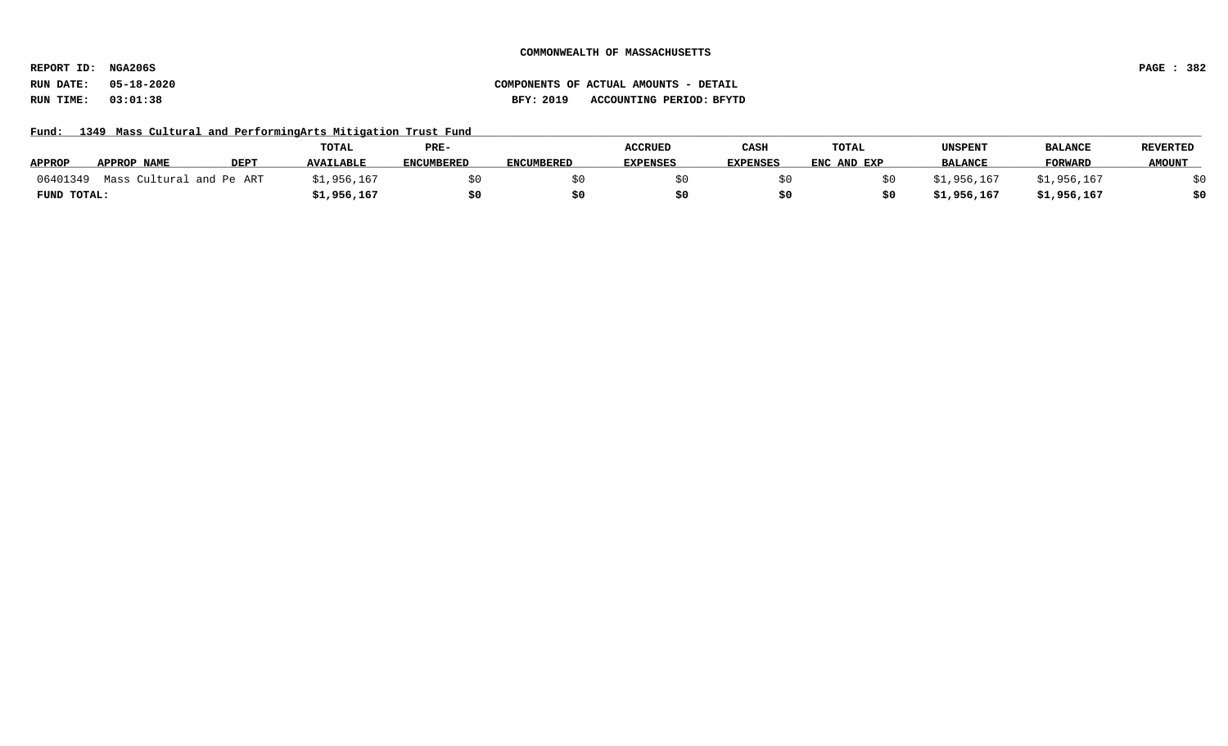**REPORT ID: NGA206S PAGE : 382**

# **RUN DATE: 05-18-2020 COMPONENTS OF ACTUAL AMOUNTS - DETAIL RUN TIME: 03:01:38 BFY: 2019 ACCOUNTING PERIOD: BFYTD**

Fund: 1349 Mass Cultural and PerformingArts Mitigation Trust Fund

|               |                          |             | TOTAL            | PRE-              |                   | <b>ACCRUED</b>  | CASH            | TOTAL       | UNSPENT        | <b>BALANCE</b> | REVERTED      |
|---------------|--------------------------|-------------|------------------|-------------------|-------------------|-----------------|-----------------|-------------|----------------|----------------|---------------|
| <b>APPROP</b> | APPROP NAME              | <b>DEPT</b> | <b>AVAILABLE</b> | <b>ENCUMBERED</b> | <b>ENCUMBERED</b> | <b>EXPENSES</b> | <b>EXPENSES</b> | ENC AND EXP | <b>BALANCE</b> | FORWARD        | <b>AMOUNT</b> |
| 06401349      | Mass Cultural and Pe ART |             | \$1,956,167      |                   |                   |                 |                 |             | \$1,956,167    | \$1,956,167    |               |
| FUND TOTAL:   |                          |             | 1,956,167ء       |                   |                   |                 |                 |             | \$1,956,167    | \$1,956,167    | \$0           |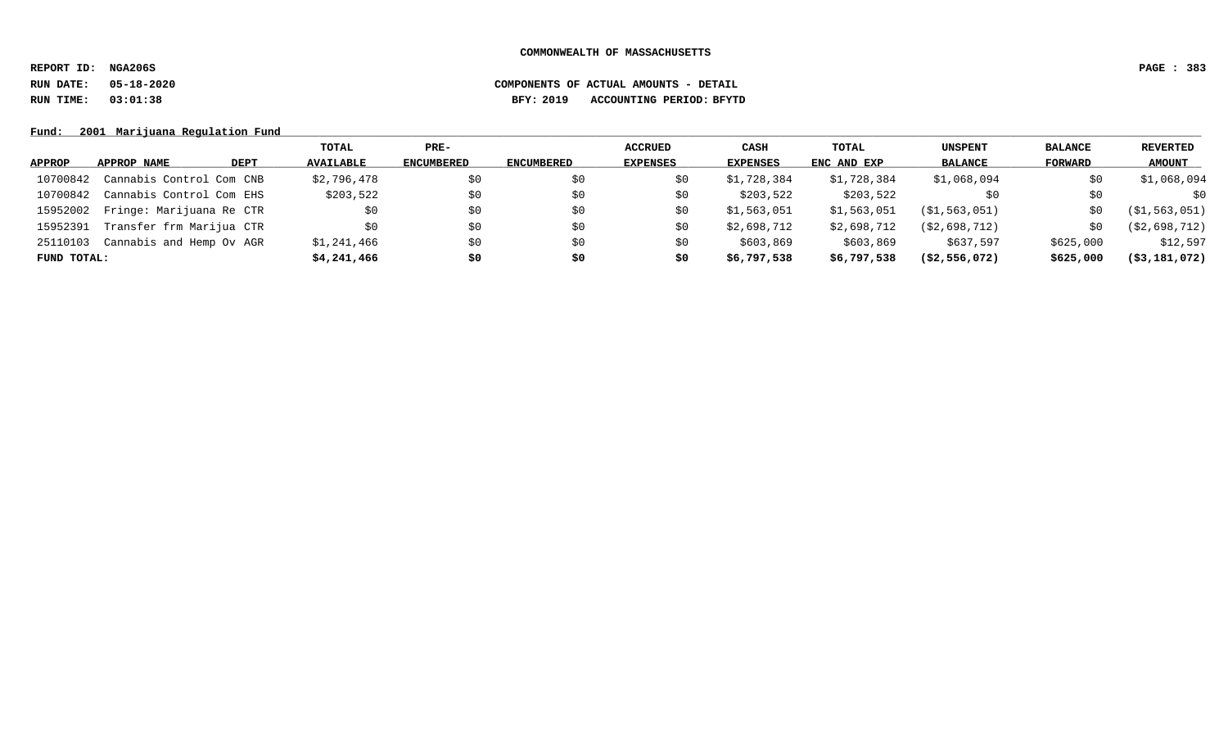**REPORT ID: NGA206S PAGE : 383**

# **RUN DATE: 05-18-2020 COMPONENTS OF ACTUAL AMOUNTS - DETAIL RUN TIME: 03:01:38 BFY: 2019 ACCOUNTING PERIOD: BFYTD**

Fund: 2001 Marijuana Regulation Fund

|               |                          |      | TOTAL            | PRE-       |                   | <b>ACCRUED</b>  | CASH        | TOTAL       | <b>UNSPENT</b> | <b>BALANCE</b> | REVERTED         |
|---------------|--------------------------|------|------------------|------------|-------------------|-----------------|-------------|-------------|----------------|----------------|------------------|
| <b>APPROP</b> | APPROP NAME              | DEPT | <b>AVAILABLE</b> | ENCUMBERED | <b>ENCUMBERED</b> | <b>EXPENSES</b> | EXPENSES    | ENC AND EXP | <b>BALANCE</b> | FORWARD        | <b>AMOUNT</b>    |
| 10700842      | Cannabis Control Com CNB |      | \$2,796,478      | \$0        | \$0               | \$0             | \$1,728,384 | \$1,728,384 | \$1,068,094    | \$0            | \$1,068,094      |
| 10700842      | Cannabis Control Com EHS |      | \$203,522        | \$0        | \$0               | \$0             | \$203,522   | \$203,522   | \$0            | \$0            | \$0              |
| 15952002      | Fringe: Marijuana Re CTR |      | \$0              | \$0        | \$0               | S0              | \$1,563,051 | \$1,563,051 | (S1, 563, 051) | SO.            | (S1, 563, 051)   |
| 15952391      | Transfer frm Marijua CTR |      | \$0              | \$0        | S0                | S0              | \$2,698,712 | \$2,698,712 | (S2, 698, 712) | \$0            | (S2, 698, 712)   |
| 25110103      | Cannabis and Hemp Ov AGR |      | \$1,241,466      | \$0        | \$0               | S0              | \$603,869   | \$603,869   | \$637,597      | \$625,000      | \$12,597         |
| FUND TOTAL:   |                          |      | \$4,241,466      | \$0        | S0                | \$0             | \$6,797,538 | \$6,797,538 | ( \$2,556,072) | \$625,000      | $($ \$3,181,072) |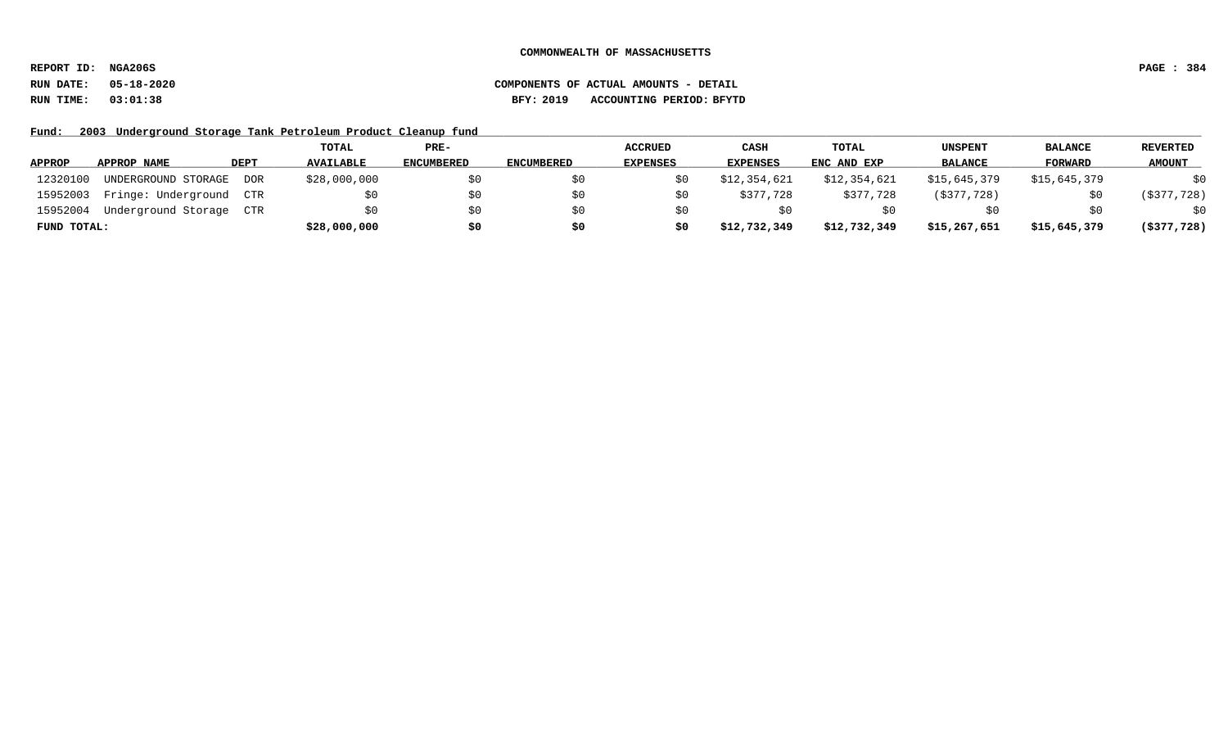**REPORT ID: NGA206S PAGE : 384**

# **RUN DATE: 05-18-2020 COMPONENTS OF ACTUAL AMOUNTS - DETAIL RUN TIME: 03:01:38 BFY: 2019 ACCOUNTING PERIOD: BFYTD**

Fund: 2003 Underground Storage Tank Petroleum Product Cleanup fund

|               |                     |      | TOTAL            | PRE-              |                   | <b>ACCRUED</b>  | CASH            | TOTAL        | <b>UNSPENT</b> | <b>BALANCE</b> | <b>REVERTED</b> |
|---------------|---------------------|------|------------------|-------------------|-------------------|-----------------|-----------------|--------------|----------------|----------------|-----------------|
| <b>APPROP</b> | APPROP NAME         | DEPT | <b>AVAILABLE</b> | <b>ENCUMBERED</b> | <b>ENCUMBERED</b> | <b>EXPENSES</b> | <b>EXPENSES</b> | ENC AND EXP  | <b>BALANCE</b> | FORWARD        | <b>AMOUNT</b>   |
| 12320100      | UNDERGROUND STORAGE | DOR  | \$28,000,000     | S0                |                   |                 | \$12,354,621    | \$12,354,621 | \$15,645,379   | \$15,645,379   | \$0             |
| 15952003      | Fringe: Underground | CTR  | SO.              | SO.               |                   |                 | \$377,728       | \$377,728    | $($ \$377,728) | SO.            | ( \$377, 728)   |
| 15952004      | Underground Storage | CTR  | SO.              | \$0               |                   |                 |                 |              |                | \$0            | \$0             |
| FUND TOTAL:   |                     |      | \$28,000,000     | \$0               | \$0               | S0              | \$12,732,349    | \$12,732,349 | \$15,267,651   | \$15,645,379   | $($ \$377,728)  |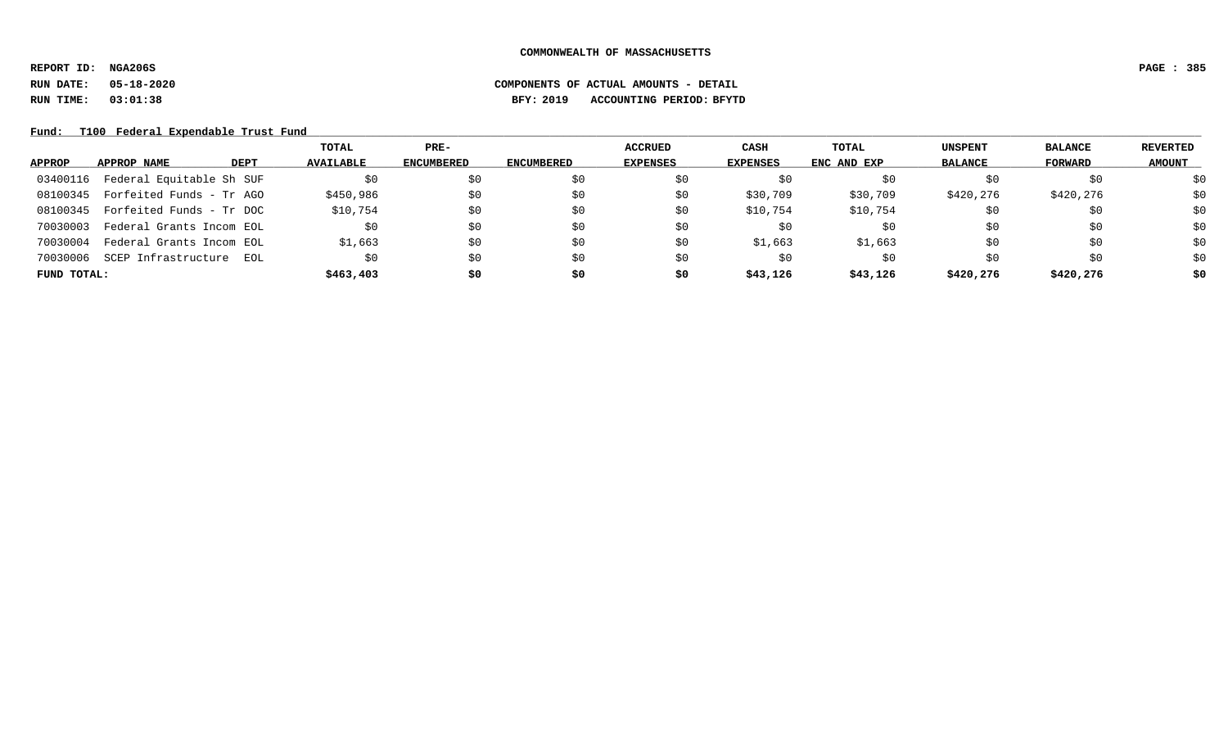**REPORT ID: NGA206S PAGE : 385**

# **RUN DATE: 05-18-2020 COMPONENTS OF ACTUAL AMOUNTS - DETAIL RUN TIME: 03:01:38 BFY: 2019 ACCOUNTING PERIOD: BFYTD**

Fund: T100 Federal Expendable Trust Fund

|             |                          |             | TOTAL            | $PRE-$            |                   | ACCRUED         | CASH     | <b>TOTAL</b> | <b>UNSPENT</b> | <b>BALANCE</b> | REVERTED      |
|-------------|--------------------------|-------------|------------------|-------------------|-------------------|-----------------|----------|--------------|----------------|----------------|---------------|
| APPROP      | APPROP NAME              | <b>DEPT</b> | <b>AVAILABLE</b> | <b>ENCUMBERED</b> | <b>ENCUMBERED</b> | <b>EXPENSES</b> | EXPENSES | ENC AND EXP  | <b>BALANCE</b> | FORWARD        | <b>AMOUNT</b> |
| 03400116    | Federal Equitable Sh SUF |             | \$0              | \$0               | \$0               | Ş0              |          | S0           | Ş0             | \$0            | \$0           |
| 08100345    | Forfeited Funds - Tr AGO |             | \$450,986        | \$0               | \$0               | S0              | \$30,709 | \$30,709     | \$420,276      | \$420,276      | \$0           |
| 08100345    | Forfeited Funds - Tr DOC |             | \$10,754         | \$0               | \$0               | \$0             | \$10,754 | \$10,754     | \$0            | \$0            | \$0           |
| 70030003    | Federal Grants Incom EOL |             | SO.              | \$0               | \$0               | S0              | S0       | \$0          | S0             | \$0            | \$0           |
| 70030004    | Federal Grants Incom EOL |             | \$1,663          | \$0               | \$0               | \$0             | \$1,663  | \$1,663      | \$0            | \$0            | \$0           |
| 70030006    | SCEP Infrastructure      | EOL         | \$0              | \$0               | \$0               | S0              | SO.      | \$0          | \$0            | \$0            | \$0           |
| FUND TOTAL: |                          |             | \$463,403        | \$0               | \$0               | \$0             | \$43,126 | \$43,126     | \$420,276      | \$420,276      | \$0           |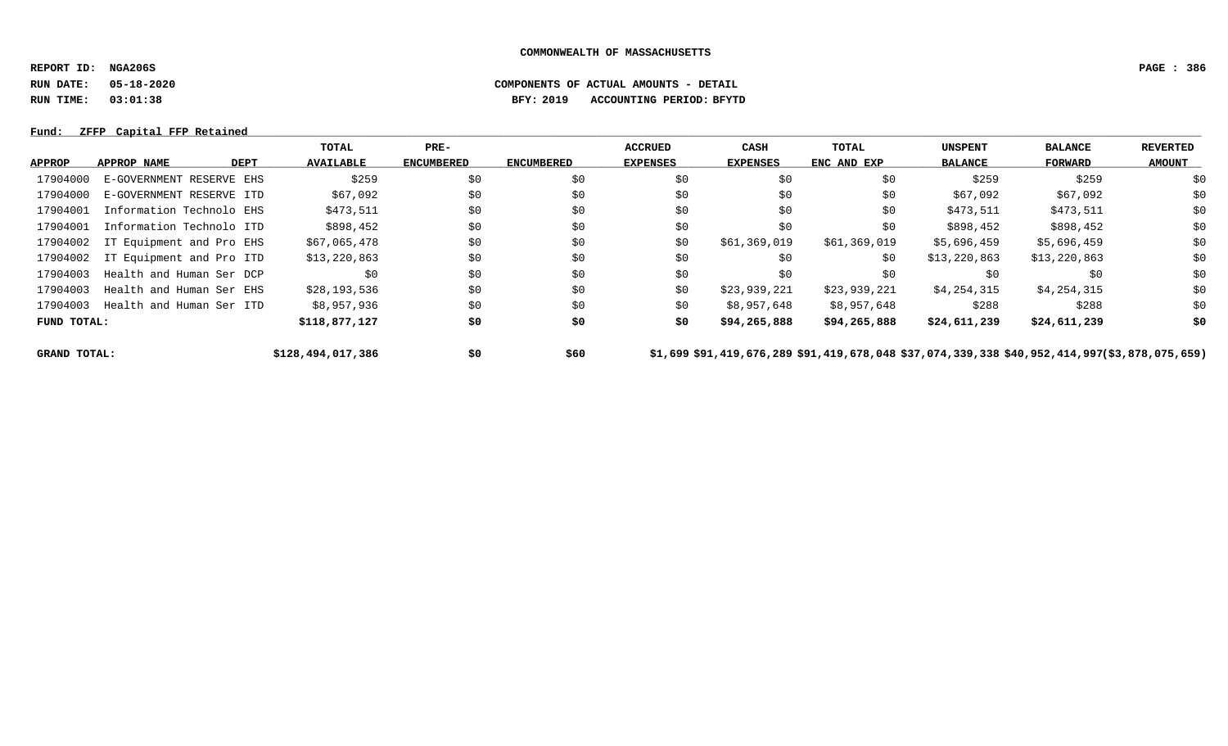**REPORT ID: NGA206S PAGE : 386**

**RUN DATE: 05-18-2020 COMPONENTS OF ACTUAL AMOUNTS - DETAIL**

**RUN TIME: 03:01:38 BFY: 2019 ACCOUNTING PERIOD: BFYTD**

## **Fund: \_\_\_\_\_\_\_\_\_\_\_\_\_\_\_\_\_\_\_\_\_\_\_\_\_\_\_\_\_\_\_\_\_\_\_\_\_\_\_\_\_\_\_\_\_\_\_\_\_\_\_\_\_\_\_\_\_\_\_\_\_\_\_\_\_\_\_\_\_\_\_\_\_\_\_\_\_\_\_\_\_\_\_\_\_\_\_\_\_\_\_\_\_\_\_\_\_\_\_\_\_\_\_\_\_\_\_\_\_\_\_\_\_\_\_\_\_\_\_\_\_\_\_\_\_\_\_\_\_\_\_\_\_\_\_\_\_\_\_\_\_\_\_\_\_\_\_\_\_\_\_\_\_\_\_\_\_\_\_\_\_\_\_\_\_\_\_\_\_\_\_\_\_\_\_\_\_\_ ZFFP Capital FFP Retained**

|                     |                                   | TOTAL             | $PRE-$            |                   | <b>ACCRUED</b>  | <b>CASH</b>  | <b>TOTAL</b>                                                                                 | <b>UNSPENT</b> | <b>BALANCE</b> | <b>REVERTED</b> |
|---------------------|-----------------------------------|-------------------|-------------------|-------------------|-----------------|--------------|----------------------------------------------------------------------------------------------|----------------|----------------|-----------------|
| <b>APPROP</b>       | APPROP NAME<br>DEPT               | <b>AVAILABLE</b>  | <b>ENCUMBERED</b> | <b>ENCUMBERED</b> | <b>EXPENSES</b> | EXPENSES     | ENC AND EXP                                                                                  | <b>BALANCE</b> | FORWARD        | <b>AMOUNT</b>   |
| 17904000            | E-GOVERNMENT RESERVE EHS          | \$259             | \$0               | \$0               | \$0             | \$0          | \$0                                                                                          | \$259          | \$259          | \$0             |
| 17904000            | E-GOVERNMENT RESERVE ITD          | \$67,092          | \$0               | \$0               | \$0             | \$0          | \$0                                                                                          | \$67,092       | \$67,092       | \$0             |
| 17904001            | Information Technolo EHS          | \$473,511         | \$0               | \$0               | \$0             | \$0          | \$0                                                                                          | \$473,511      | \$473,511      | \$0             |
| 17904001            | Information Technolo ITD          | \$898,452         | \$0               | \$0               | \$0             | \$0          | \$0                                                                                          | \$898,452      | \$898,452      | \$0             |
| 17904002            | IT Equipment and Pro EHS          | \$67,065,478      | \$0               | \$0               | \$0             | \$61,369,019 | \$61,369,019                                                                                 | \$5,696,459    | \$5,696,459    | \$0             |
|                     | 17904002 IT Equipment and Pro ITD | \$13,220,863      | \$0               | \$0               | \$0             | \$0          | \$0                                                                                          | \$13,220,863   | \$13,220,863   | \$0             |
| 17904003            | Health and Human Ser DCP          | \$0               | \$0               | \$0               | \$0             | \$0          | \$0                                                                                          | S0             | \$0            | \$0             |
| 17904003            | Health and Human Ser EHS          | \$28,193,536      | \$0               | \$0               | \$0             | \$23,939,221 | \$23,939,221                                                                                 | \$4,254,315    | \$4,254,315    | \$0             |
| 17904003            | Health and Human Ser ITD          | \$8,957,936       | \$0               | \$0               | \$0             | \$8,957,648  | \$8,957,648                                                                                  | \$288          | \$288          | \$0             |
| FUND TOTAL:         |                                   | \$118,877,127     | \$0               | \$0               | \$0             | \$94,265,888 | \$94,265,888                                                                                 | \$24,611,239   | \$24,611,239   | \$0             |
| <b>GRAND TOTAL:</b> |                                   | \$128,494,017,386 | \$0               | \$60              |                 |              | \$1,699 \$91,419,676,289 \$91,419,678,048 \$37,074,339,338 \$40,952,414,997(\$3,878,075,659) |                |                |                 |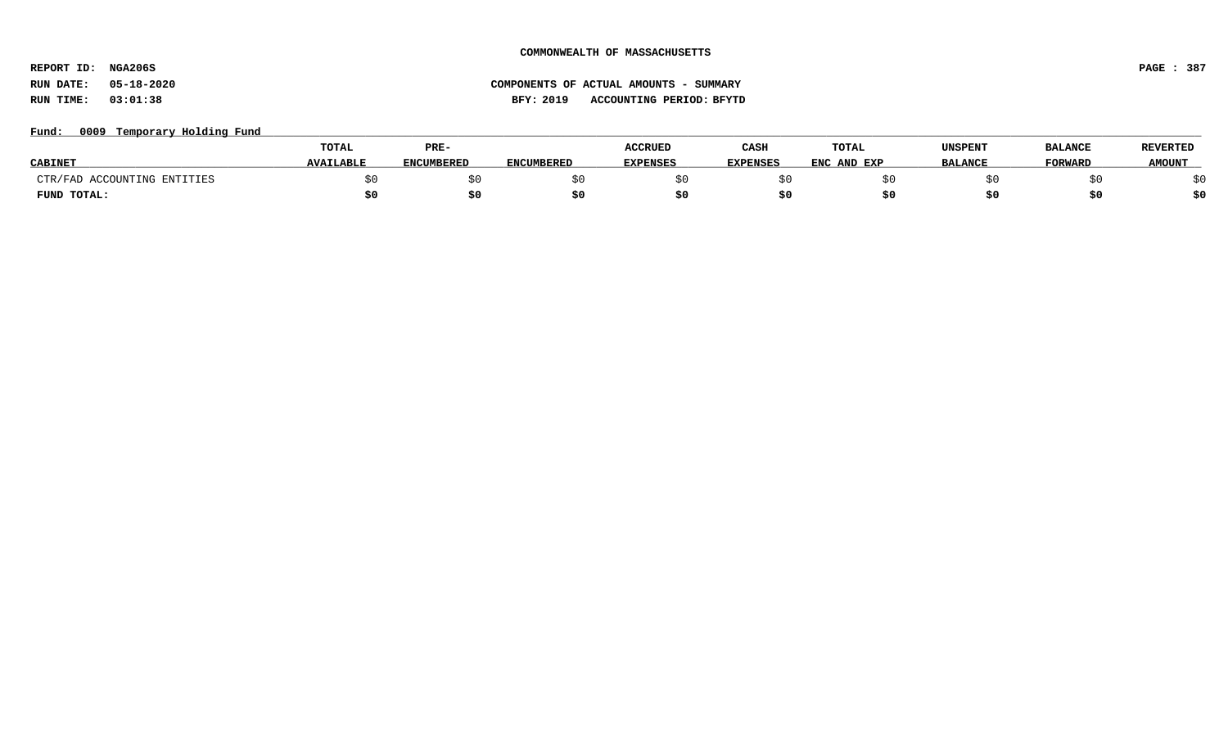**REPORT ID: NGA206S PAGE : 387**

# **RUN DATE: 05-18-2020 COMPONENTS OF ACTUAL AMOUNTS - SUMMARY RUN TIME: 03:01:38 BFY: 2019 ACCOUNTING PERIOD: BFYTD**

# Fund: 0009 Temporary Holding Fund

|                             | TOTAL            | PRE-              |                   | <b>ACCRUED</b>  | CASH            | TOTAL       | UNSPENT        | <b>BALANCE</b> | <b>REVERTED</b> |
|-----------------------------|------------------|-------------------|-------------------|-----------------|-----------------|-------------|----------------|----------------|-----------------|
| <b>CABINET</b>              | <b>AVAILABLF</b> | <b>ENCUMBERED</b> | <b>ENCUMBERED</b> | <b>EXPENSES</b> | <b>EXPENSES</b> | ENC AND EXP | <b>BALANCE</b> | <b>FORWARD</b> | <b>AMOUNT</b>   |
| CTR/FAD ACCOUNTING ENTITIES |                  |                   |                   |                 |                 |             |                |                |                 |
| FUND TOTAL:                 |                  | S0                |                   |                 |                 |             |                |                | \$0             |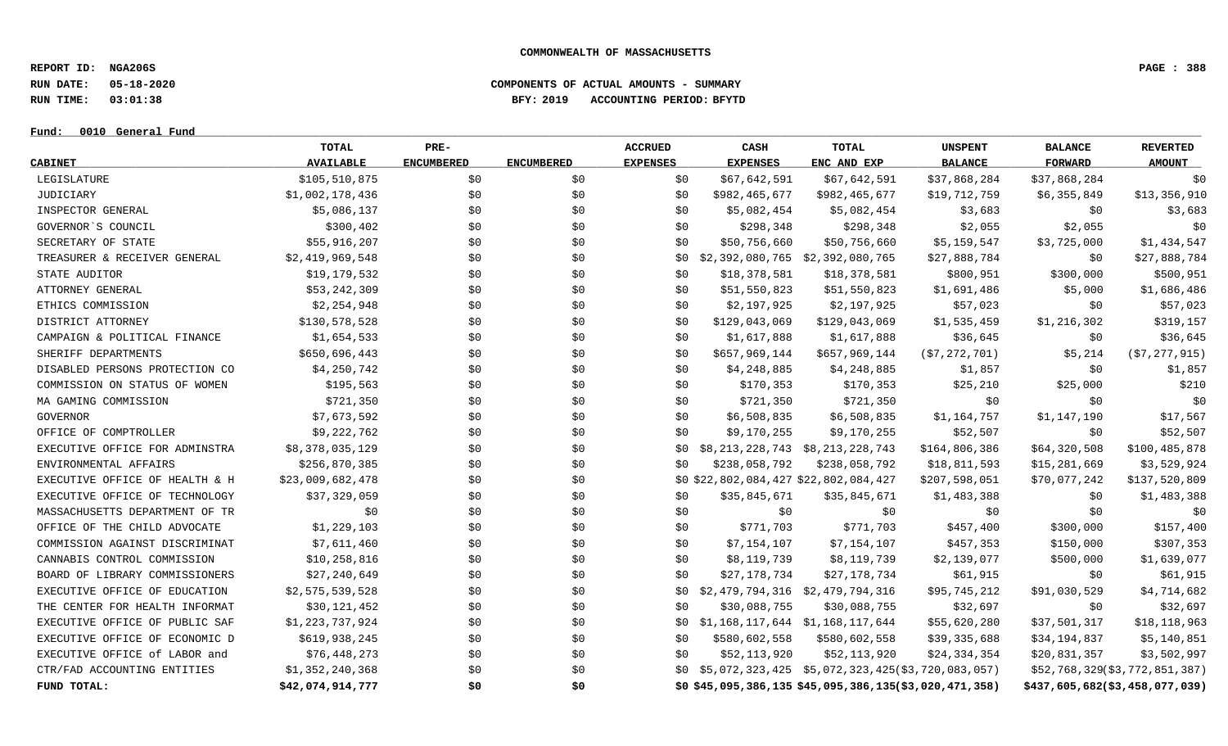**REPORT ID: NGA206S PAGE : 388**

**RUN DATE: 05-18-2020 COMPONENTS OF ACTUAL AMOUNTS - SUMMARY**

**RUN TIME: 03:01:38 BFY: 2019 ACCOUNTING PERIOD: BFYTD**

## **Fund: \_\_\_\_\_\_\_\_\_\_\_\_\_\_\_\_\_\_\_\_\_\_\_\_\_\_\_\_\_\_\_\_\_\_\_\_\_\_\_\_\_\_\_\_\_\_\_\_\_\_\_\_\_\_\_\_\_\_\_\_\_\_\_\_\_\_\_\_\_\_\_\_\_\_\_\_\_\_\_\_\_\_\_\_\_\_\_\_\_\_\_\_\_\_\_\_\_\_\_\_\_\_\_\_\_\_\_\_\_\_\_\_\_\_\_\_\_\_\_\_\_\_\_\_\_\_\_\_\_\_\_\_\_\_\_\_\_\_\_\_\_\_\_\_\_\_\_\_\_\_\_\_\_\_\_\_\_\_\_\_\_\_\_\_\_\_\_\_\_\_\_\_\_\_\_\_\_\_ 0010 General Fund**

|                                | TOTAL            | PRE-              |                   | <b>ACCRUED</b>  | CASH                                   | TOTAL                                                       | <b>UNSPENT</b> | <b>BALANCE</b> | <b>REVERTED</b>                |
|--------------------------------|------------------|-------------------|-------------------|-----------------|----------------------------------------|-------------------------------------------------------------|----------------|----------------|--------------------------------|
| <b>CABINET</b>                 | <b>AVAILABLE</b> | <b>ENCUMBERED</b> | <b>ENCUMBERED</b> | <b>EXPENSES</b> | <b>EXPENSES</b>                        | ENC AND EXP                                                 | <b>BALANCE</b> | <b>FORWARD</b> | <b>AMOUNT</b>                  |
| LEGISLATURE                    | \$105,510,875    | \$0               | \$0               | \$0             | \$67,642,591                           | \$67,642,591                                                | \$37,868,284   | \$37,868,284   | \$0                            |
| JUDICIARY                      | \$1,002,178,436  | \$0               | \$0               | \$0             | \$982,465,677                          | \$982,465,677                                               | \$19,712,759   | \$6,355,849    | \$13,356,910                   |
| INSPECTOR GENERAL              | \$5,086,137      | \$0               | \$0               | \$0             | \$5,082,454                            | \$5,082,454                                                 | \$3,683        | \$0            | \$3,683                        |
| GOVERNOR'S COUNCIL             | \$300,402        | \$0               | \$0               | \$0             | \$298,348                              | \$298,348                                                   | \$2,055        | \$2,055        | \$0                            |
| SECRETARY OF STATE             | \$55,916,207     | \$0               | \$0               | \$0             | \$50,756,660                           | \$50,756,660                                                | \$5,159,547    | \$3,725,000    | \$1,434,547                    |
| TREASURER & RECEIVER GENERAL   | \$2,419,969,548  | \$0\$             | \$0               |                 | $$0$ $$2,392,080,765$ $$2,392,080,765$ |                                                             | \$27,888,784   | \$0            | \$27,888,784                   |
| STATE AUDITOR                  | \$19,179,532     | \$0               | \$0               | \$0             | \$18,378,581                           | \$18,378,581                                                | \$800,951      | \$300,000      | \$500,951                      |
| ATTORNEY GENERAL               | \$53,242,309     | \$0               | \$0               | \$0             | \$51,550,823                           | \$51,550,823                                                | \$1,691,486    | \$5,000        | \$1,686,486                    |
| ETHICS COMMISSION              | \$2,254,948      | \$0               | \$0               | \$0             | \$2,197,925                            | \$2,197,925                                                 | \$57,023       | \$0            | \$57,023                       |
| DISTRICT ATTORNEY              | \$130,578,528    | \$0               | \$0               | \$0             | \$129,043,069                          | \$129,043,069                                               | \$1,535,459    | \$1,216,302    | \$319,157                      |
| CAMPAIGN & POLITICAL FINANCE   | \$1,654,533      | \$0\$             | \$0               | \$0             | \$1,617,888                            | \$1,617,888                                                 | \$36,645       | \$0            | \$36,645                       |
| SHERIFF DEPARTMENTS            | \$650,696,443    | \$0               | \$0               | \$0             | \$657,969,144                          | \$657,969,144                                               | (\$7,272,701)  | \$5,214        | ( \$7, 277, 915 )              |
| DISABLED PERSONS PROTECTION CO | \$4,250,742      | \$0               | \$0               | \$0             | \$4,248,885                            | \$4,248,885                                                 | \$1,857        | \$0            | \$1,857                        |
| COMMISSION ON STATUS OF WOMEN  | \$195,563        | \$0               | \$0               | \$0             | \$170,353                              | \$170,353                                                   | \$25,210       | \$25,000       | \$210                          |
| MA GAMING COMMISSION           | \$721,350        | \$0               | \$0               | \$0             | \$721,350                              | \$721,350                                                   | \$0            | \$0            | \$0                            |
| GOVERNOR                       | \$7,673,592      | \$0               | \$0               | \$0             | \$6,508,835                            | \$6,508,835                                                 | \$1,164,757    | \$1,147,190    | \$17,567                       |
| OFFICE OF COMPTROLLER          | \$9,222,762      | \$0               | \$0               | \$0             | \$9,170,255                            | \$9,170,255                                                 | \$52,507       | \$0            | \$52,507                       |
| EXECUTIVE OFFICE FOR ADMINSTRA | \$8,378,035,129  | \$0               | \$0\$             | \$0             |                                        | \$8,213,228,743 \$8,213,228,743                             | \$164,806,386  | \$64,320,508   | \$100,485,878                  |
| ENVIRONMENTAL AFFAIRS          | \$256,870,385    | \$0               | \$0               | \$0             | \$238,058,792                          | \$238,058,792                                               | \$18,811,593   | \$15,281,669   | \$3,529,924                    |
| EXECUTIVE OFFICE OF HEALTH & H | \$23,009,682,478 | \$0               | \$0               |                 | \$0\$22,802,084,427\$22,802,084,427    |                                                             | \$207,598,051  | \$70,077,242   | \$137,520,809                  |
| EXECUTIVE OFFICE OF TECHNOLOGY | \$37,329,059     | \$0               | \$0               | \$0             | \$35,845,671                           | \$35,845,671                                                | \$1,483,388    | \$0            | \$1,483,388                    |
| MASSACHUSETTS DEPARTMENT OF TR | \$0              | \$0               | \$0               | \$0             | \$0                                    | \$0                                                         | \$0            | \$0            | \$0                            |
| OFFICE OF THE CHILD ADVOCATE   | \$1,229,103      | \$0               | \$0               | \$0             | \$771,703                              | \$771,703                                                   | \$457,400      | \$300,000      | \$157,400                      |
| COMMISSION AGAINST DISCRIMINAT | \$7,611,460      | \$0               | \$0               | \$0             | \$7,154,107                            | \$7,154,107                                                 | \$457,353      | \$150,000      | \$307,353                      |
| CANNABIS CONTROL COMMISSION    | \$10, 258, 816   | \$0               | \$0               | \$0             | \$8,119,739                            | \$8,119,739                                                 | \$2,139,077    | \$500,000      | \$1,639,077                    |
| BOARD OF LIBRARY COMMISSIONERS | \$27,240,649     | \$0\$             | \$0               | \$0             | \$27,178,734                           | \$27,178,734                                                | \$61,915       | \$0            | \$61,915                       |
| EXECUTIVE OFFICE OF EDUCATION  | \$2,575,539,528  | \$0               | \$0               |                 |                                        | $$0$ $$2,479,794,316$ $$2,479,794,316$                      | \$95,745,212   | \$91,030,529   | \$4,714,682                    |
| THE CENTER FOR HEALTH INFORMAT | \$30,121,452     | \$0               | \$0               | \$0             | \$30,088,755                           | \$30,088,755                                                | \$32,697       | \$0            | \$32,697                       |
| EXECUTIVE OFFICE OF PUBLIC SAF | \$1,223,737,924  | \$0               | \$0               | SO 1            |                                        | \$1,168,117,644 \$1,168,117,644                             | \$55,620,280   | \$37,501,317   | \$18,118,963                   |
| EXECUTIVE OFFICE OF ECONOMIC D | \$619,938,245    | \$0               | \$0               | \$0             | \$580,602,558                          | \$580,602,558                                               | \$39,335,688   | \$34,194,837   | \$5,140,851                    |
| EXECUTIVE OFFICE of LABOR and  | \$76,448,273     | \$0\$             | \$0               | \$0             | \$52,113,920                           | \$52,113,920                                                | \$24,334,354   | \$20,831,357   | \$3,502,997                    |
| CTR/FAD ACCOUNTING ENTITIES    | \$1,352,240,368  | \$0               | \$0               |                 |                                        | $$0$ $$5,072,323,425$ $$5,072,323,425$ ( $$3,720,083,057$ ) |                |                | \$52,768,329(\$3,772,851,387)  |
| FUND TOTAL:                    | \$42,074,914,777 | \$0               | \$0               |                 |                                        | \$0\$45,095,386,135\$45,095,386,135(\$3,020,471,358)        |                |                | \$437,605,682(\$3,458,077,039) |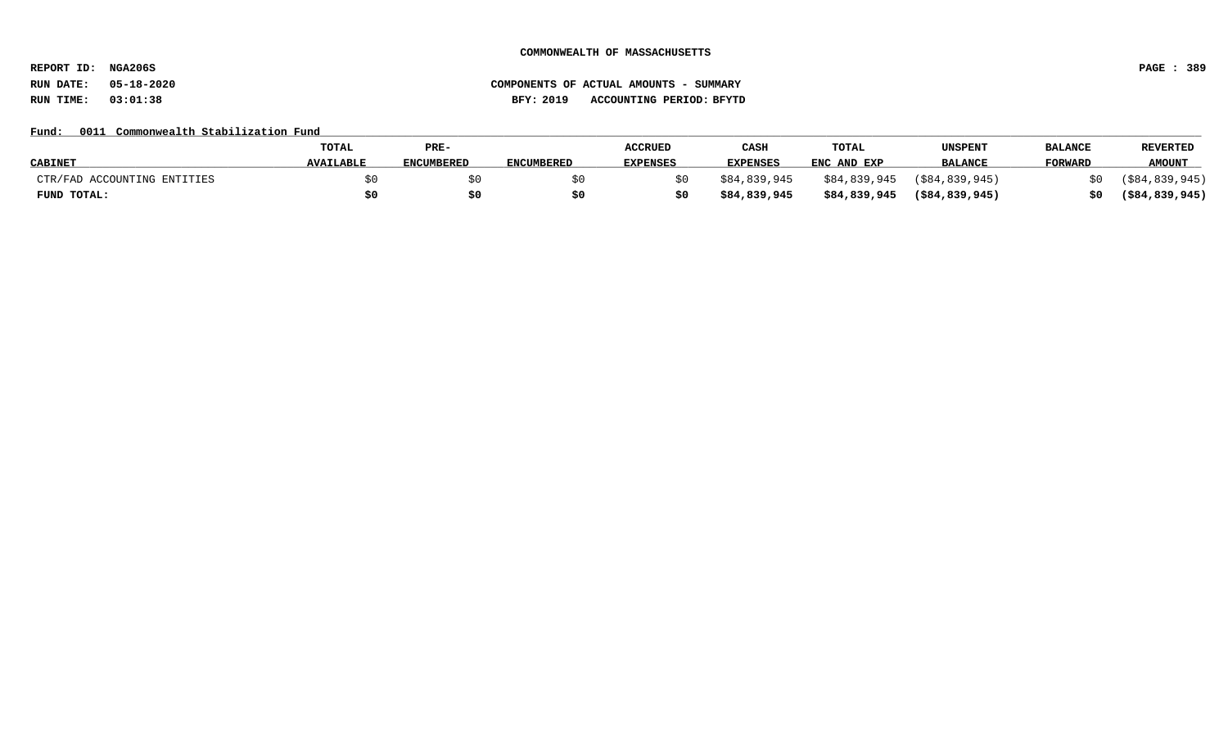**REPORT ID: NGA206S PAGE : 389**

# **RUN DATE: 05-18-2020 COMPONENTS OF ACTUAL AMOUNTS - SUMMARY RUN TIME: 03:01:38 BFY: 2019 ACCOUNTING PERIOD: BFYTD**

# Fund: 0011 Commonwealth Stabilization Fund

|                             | <b>TOTAL</b>     | PRE-              |                   | <b>ACCRUED</b> | CASH            | <b>TOTAL</b> | UNSPENT           | <b>BALANCE</b> | <b>REVERTED</b>   |
|-----------------------------|------------------|-------------------|-------------------|----------------|-----------------|--------------|-------------------|----------------|-------------------|
| <b>CABINET</b>              | <b>AVAILABLE</b> | <b>ENCUMBERED</b> | <b>ENCUMBERED</b> | EXPENSES       | <b>EXPENSES</b> | ENC AND EXP  | <b>BALANCE</b>    | <b>FORWARD</b> | <b>AMOUNT</b>     |
| CTR/FAD ACCOUNTING ENTITIES |                  |                   |                   |                | \$84,839,945    | \$84,839,945 | $($ \$84,839,945) |                | $($ \$84,839,945) |
| FUND TOTAL:                 |                  | \$0               |                   |                | \$84,839,945    | \$84,839,945 | $($ \$84,839,945) |                | $($ \$84,839,945) |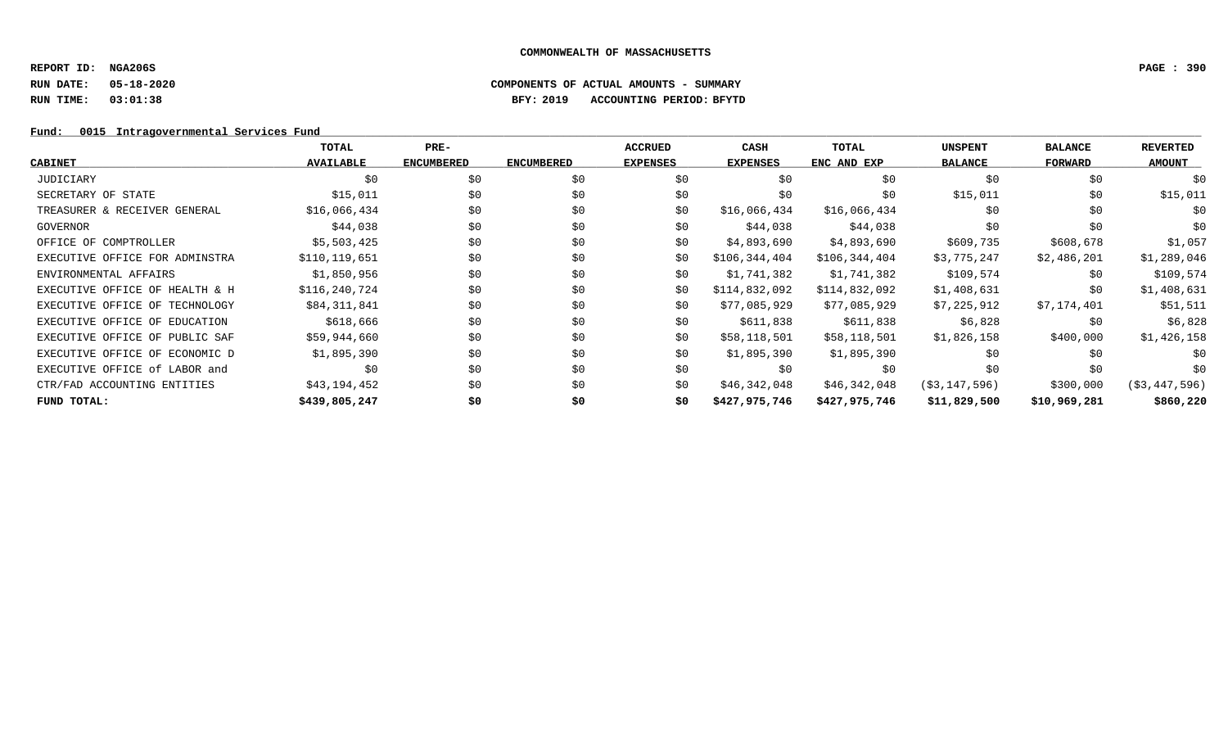## **REPORT ID: NGA206S PAGE : 390**

# **RUN DATE: 05-18-2020 COMPONENTS OF ACTUAL AMOUNTS - SUMMARY RUN TIME: 03:01:38 BFY: 2019 ACCOUNTING PERIOD: BFYTD**

# Fund: 0015 Intragovernmental Services Fund

|                                | <b>TOTAL</b>     | PRE-              |                   | <b>ACCRUED</b>  | CASH            | TOTAL         | <b>UNSPENT</b> | <b>BALANCE</b> | <b>REVERTED</b> |
|--------------------------------|------------------|-------------------|-------------------|-----------------|-----------------|---------------|----------------|----------------|-----------------|
| <b>CABINET</b>                 | <b>AVAILABLE</b> | <b>ENCUMBERED</b> | <b>ENCUMBERED</b> | <b>EXPENSES</b> | <b>EXPENSES</b> | ENC AND EXP   | <b>BALANCE</b> | FORWARD        | <b>AMOUNT</b>   |
| JUDICIARY                      | \$0              | \$0               | \$0               | \$0             | \$0             | \$0           | \$0            | \$0            | \$0             |
| SECRETARY OF STATE             | \$15,011         | \$0               | \$0               | \$0             | \$0             | \$0           | \$15,011       | \$0            | \$15,011        |
| TREASURER & RECEIVER GENERAL   | \$16,066,434     | \$0               | \$0               | \$0             | \$16,066,434    | \$16,066,434  | \$0            | \$0            | \$0             |
| GOVERNOR                       | \$44,038         | \$0               | \$0               | \$0             | \$44,038        | \$44,038      | \$0            | \$0            | \$0             |
| OFFICE OF COMPTROLLER          | \$5,503,425      | \$0               | \$0               | \$0             | \$4,893,690     | \$4,893,690   | \$609,735      | \$608,678      | \$1,057         |
| EXECUTIVE OFFICE FOR ADMINSTRA | \$110,119,651    | \$0               | \$0               | \$0             | \$106,344,404   | \$106,344,404 | \$3,775,247    | \$2,486,201    | \$1,289,046     |
| ENVIRONMENTAL AFFAIRS          | \$1,850,956      | \$0               | \$0               | \$0             | \$1,741,382     | \$1,741,382   | \$109,574      | \$0            | \$109,574       |
| EXECUTIVE OFFICE OF HEALTH & H | \$116,240,724    | \$0               | \$0               | \$0             | \$114,832,092   | \$114,832,092 | \$1,408,631    | \$0            | \$1,408,631     |
| EXECUTIVE OFFICE OF TECHNOLOGY | \$84,311,841     | \$0               | \$0               | \$0             | \$77,085,929    | \$77,085,929  | \$7,225,912    | \$7,174,401    | \$51,511        |
| EXECUTIVE OFFICE OF EDUCATION  | \$618,666        | \$0               | \$0               | \$0             | \$611,838       | \$611,838     | \$6,828        | \$0            | \$6,828         |
| EXECUTIVE OFFICE OF PUBLIC SAF | \$59,944,660     | \$0               | \$0               | \$0             | \$58,118,501    | \$58,118,501  | \$1,826,158    | \$400,000      | \$1,426,158     |
| EXECUTIVE OFFICE OF ECONOMIC D | \$1,895,390      | \$0               | \$0               | \$0             | \$1,895,390     | \$1,895,390   | \$0            | \$0            | \$0             |
| EXECUTIVE OFFICE of LABOR and  | \$0              | \$0               | \$0               | \$0             | \$0             | \$0           | \$0            | \$0            | \$0             |
| CTR/FAD ACCOUNTING ENTITIES    | \$43,194,452     | \$0               | \$0               | \$0             | \$46,342,048    | \$46,342,048  | (S3, 147, 596) | \$300,000      | ( \$3,447,596)  |
| FUND TOTAL:                    | \$439,805,247    | \$0               | \$0               | \$0             | \$427,975,746   | \$427,975,746 | \$11,829,500   | \$10,969,281   | \$860,220       |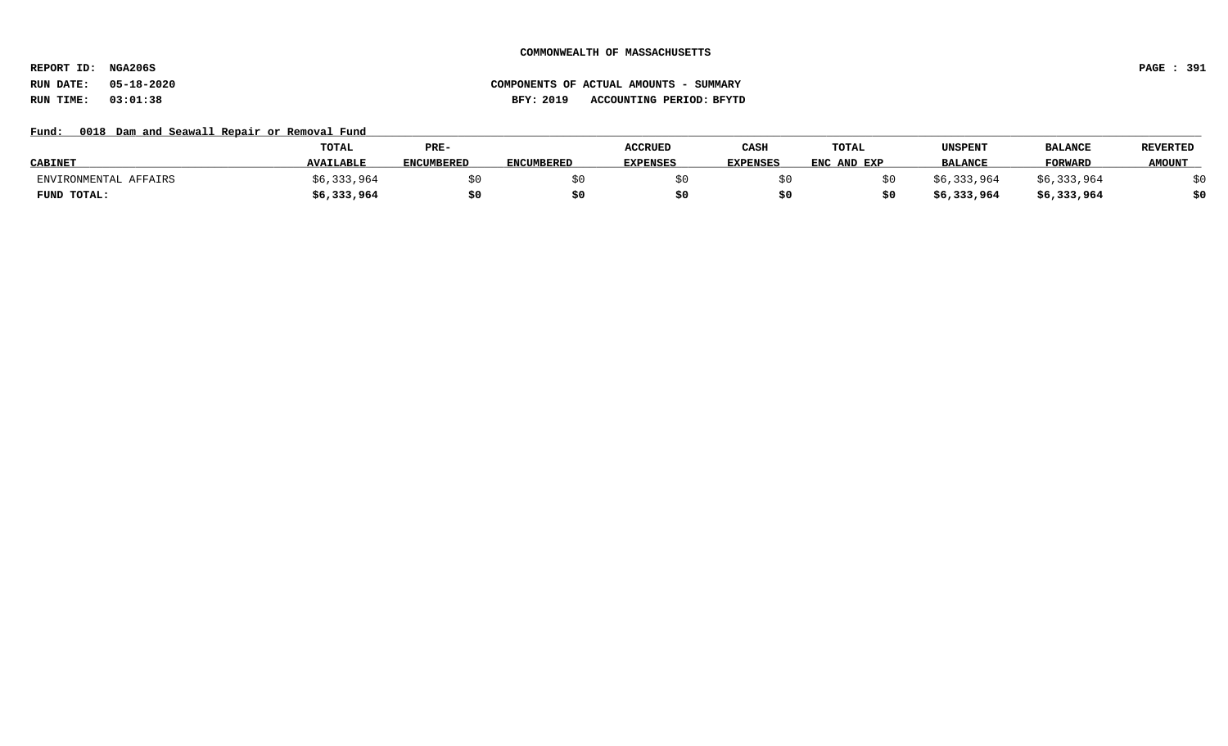**REPORT ID: NGA206S PAGE : 391**

# **RUN DATE: 05-18-2020 COMPONENTS OF ACTUAL AMOUNTS - SUMMARY RUN TIME: 03:01:38 BFY: 2019 ACCOUNTING PERIOD: BFYTD**

# Fund: 0018 Dam and Seawall Repair or Removal Fund

|                       | TOTAL            | PRE-              |            | ACCRUED         | CASH            | TOTAL       | UNSPENT        | <b>BALANCE</b> | <b>REVERTED</b> |
|-----------------------|------------------|-------------------|------------|-----------------|-----------------|-------------|----------------|----------------|-----------------|
| <b>CABINET</b>        | <b>AVAILABLE</b> | <b>ENCUMBERED</b> | ENCUMBERED | <b>EXPENSES</b> | <b>EXPENSES</b> | ENC AND EXP | <b>BALANCE</b> | <b>FORWARD</b> | <b>AMOUNT</b>   |
| ENVIRONMENTAL AFFAIRS | \$6,333,964      |                   |            |                 |                 |             | \$6,333,964    | \$6,333,964    |                 |
| FUND TOTAL:           | \$6,333,964      | \$0               |            |                 |                 |             | \$6,333,964    | \$6,333,964    | \$0             |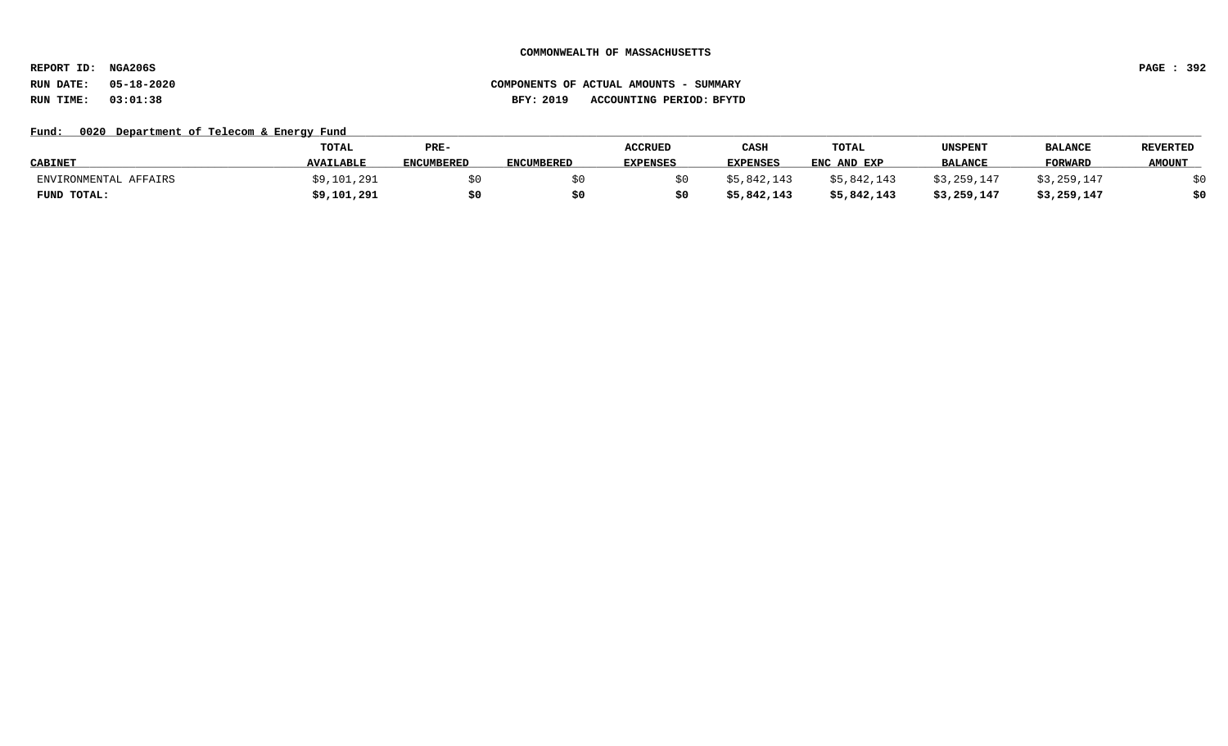**REPORT ID: NGA206S PAGE : 392**

# **RUN DATE: 05-18-2020 COMPONENTS OF ACTUAL AMOUNTS - SUMMARY RUN TIME: 03:01:38 BFY: 2019 ACCOUNTING PERIOD: BFYTD**

## Fund: 0020 Department of Telecom & Energy Fund

|                       | TOTAL            | PRE-              |                   | <b>ACCRUED</b>  | CASH            | TOTAL       | UNSPENT        | <b>BALANCE</b> | <b>REVERTED</b> |
|-----------------------|------------------|-------------------|-------------------|-----------------|-----------------|-------------|----------------|----------------|-----------------|
| <b>CABINET</b>        | <b>AVAILABLE</b> | <b>ENCUMBERED</b> | <b>ENCUMBERED</b> | <b>EXPENSES</b> | <b>EXPENSES</b> | ENC AND EXP | <b>BALANCE</b> | <b>FORWARD</b> | <b>AMOUNT</b>   |
| ENVIRONMENTAL AFFAIRS | \$9,101,291      |                   |                   |                 | \$5.842.143     | \$5,842,143 | \$3.259.147    | \$3,259,147    |                 |
| FUND TOTAL:           | \$9,101,291      | \$0               | S0                |                 | 5,842,143,      | \$5,842,143 | \$3,259,147    | \$3,259,147    | \$0             |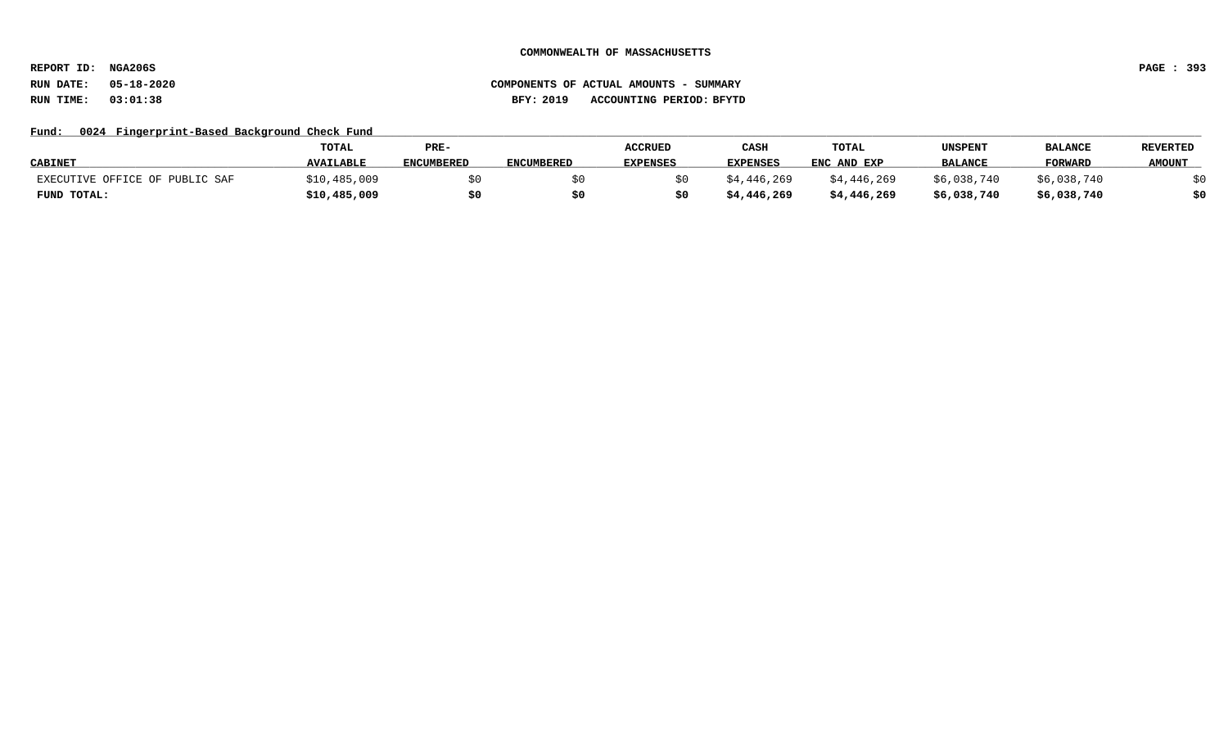**REPORT ID: NGA206S PAGE : 393**

# **RUN DATE: 05-18-2020 COMPONENTS OF ACTUAL AMOUNTS - SUMMARY RUN TIME: 03:01:38 BFY: 2019 ACCOUNTING PERIOD: BFYTD**

# Fund: 0024 Fingerprint-Based Background Check Fund

|                                | <b>TOTAL</b>     | PRE-              |                   | <b>ACCRUED</b>  | CASH            | TOTAL       | UNSPENT        | <b>BALANCE</b> | <b>REVERTED</b> |
|--------------------------------|------------------|-------------------|-------------------|-----------------|-----------------|-------------|----------------|----------------|-----------------|
| <b>CABINET</b>                 | <b>AVAILABLE</b> | <b>ENCUMBERED</b> | <b>ENCUMBERED</b> | <b>EXPENSES</b> | <b>EXPENSES</b> | ENC AND EXP | <b>BALANCE</b> | <b>FORWARD</b> | <b>AMOUNT</b>   |
| EXECUTIVE OFFICE OF PUBLIC SAF | \$10,485,009     |                   |                   |                 | \$4,446,269     | \$4,446,269 | \$6,038,740    | \$6,038,740    |                 |
| FUND TOTAL:                    | \$10,485,009     |                   |                   |                 | \$4,446,269     | \$4,446,269 | \$6,038,740    | \$6,038,740    | \$0             |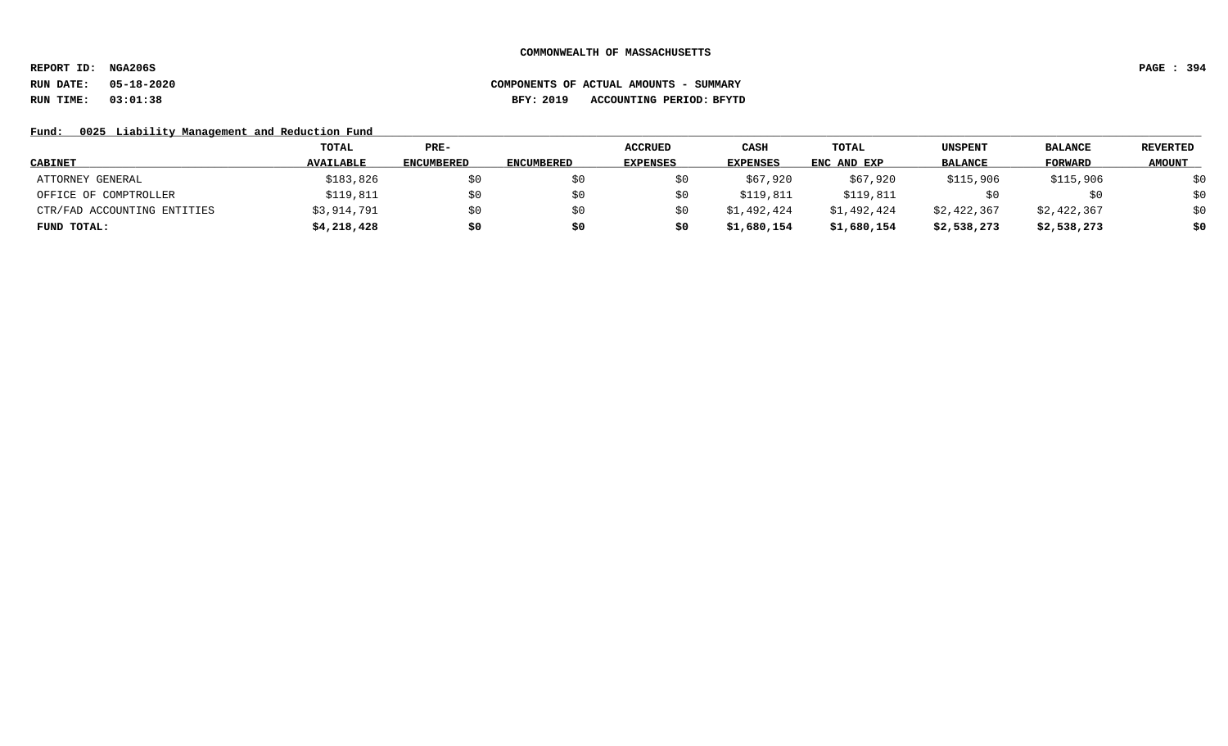**REPORT ID: NGA206S PAGE : 394**

# **RUN DATE: 05-18-2020 COMPONENTS OF ACTUAL AMOUNTS - SUMMARY RUN TIME: 03:01:38 BFY: 2019 ACCOUNTING PERIOD: BFYTD**

Fund: 0025 Liability Management and Reduction Fund

|                             | TOTAL            | PRE-              |                   | <b>ACCRUED</b>  | CASH            | TOTAL       | <b>UNSPENT</b> | <b>BALANCE</b> | <b>REVERTED</b> |
|-----------------------------|------------------|-------------------|-------------------|-----------------|-----------------|-------------|----------------|----------------|-----------------|
| <b>CABINET</b>              | <b>AVAILABLE</b> | <b>ENCUMBERED</b> | <b>ENCUMBERED</b> | <b>EXPENSES</b> | <b>EXPENSES</b> | ENC AND EXP | <b>BALANCE</b> | FORWARD        | <b>AMOUNT</b>   |
| ATTORNEY GENERAL            | \$183,826        | S0                |                   |                 | \$67,920        | \$67,920    | \$115,906      | \$115,906      | \$0             |
| OFFICE OF COMPTROLLER       | \$119,811        | \$0               |                   |                 | \$119,811       | \$119,811   | SU.            | \$0            | \$0             |
| CTR/FAD ACCOUNTING ENTITIES | \$3,914,791      | SO.               |                   |                 | \$1,492,424     | \$1,492,424 | \$2,422,367    | \$2,422,367    | \$0             |
| FUND TOTAL:                 | \$4,218,428      | \$0               | s0                |                 | \$1,680,154     | \$1,680,154 | \$2,538,273    | \$2,538,273    | \$0             |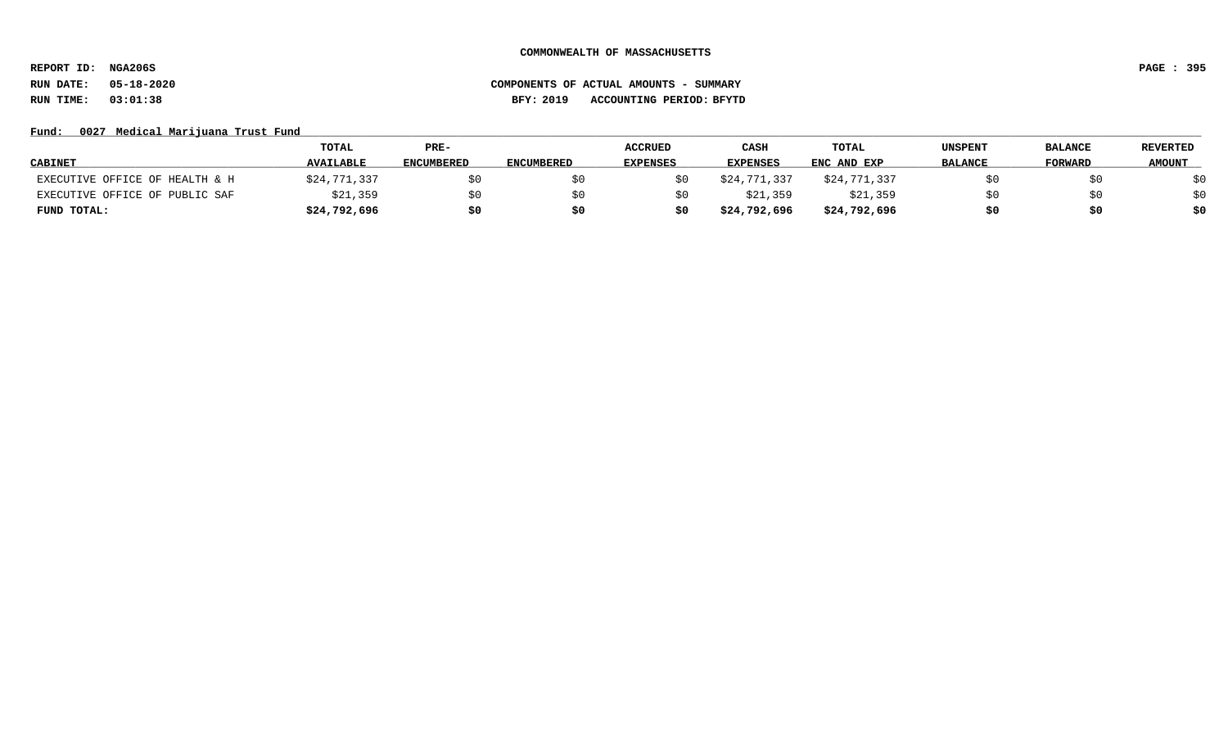**REPORT ID: NGA206S PAGE : 395**

# **RUN DATE: 05-18-2020 COMPONENTS OF ACTUAL AMOUNTS - SUMMARY RUN TIME: 03:01:38 BFY: 2019 ACCOUNTING PERIOD: BFYTD**

# Fund: 0027 Medical Marijuana Trust Fund

|                                | <b>TOTAL</b>     | PRE-              |            | <b>ACCRUED</b> | CASH            | TOTAL        | UNSPENT        | <b>BALANCE</b> | <b>REVERTED</b> |
|--------------------------------|------------------|-------------------|------------|----------------|-----------------|--------------|----------------|----------------|-----------------|
| <b>CABINET</b>                 | <b>AVAILABLE</b> | <b>ENCUMBERED</b> | ENCUMBERED | EXPENSES       | <b>EXPENSES</b> | ENC AND EXP  | <b>BALANCE</b> | <b>FORWARD</b> | <b>AMOUNT</b>   |
| EXECUTIVE OFFICE OF HEALTH & H | \$24,771,337     | \$0               |            |                | \$24,771,337    | \$24,771,337 |                |                | \$0             |
| EXECUTIVE OFFICE OF PUBLIC SAF | \$21,359         | \$0               |            |                | \$21,359        | \$21,359     |                |                | \$0             |
| FUND TOTAL:                    | \$24,792,696     | \$0               | S0         | \$0            | \$24,792,696    | \$24,792,696 |                |                | \$0             |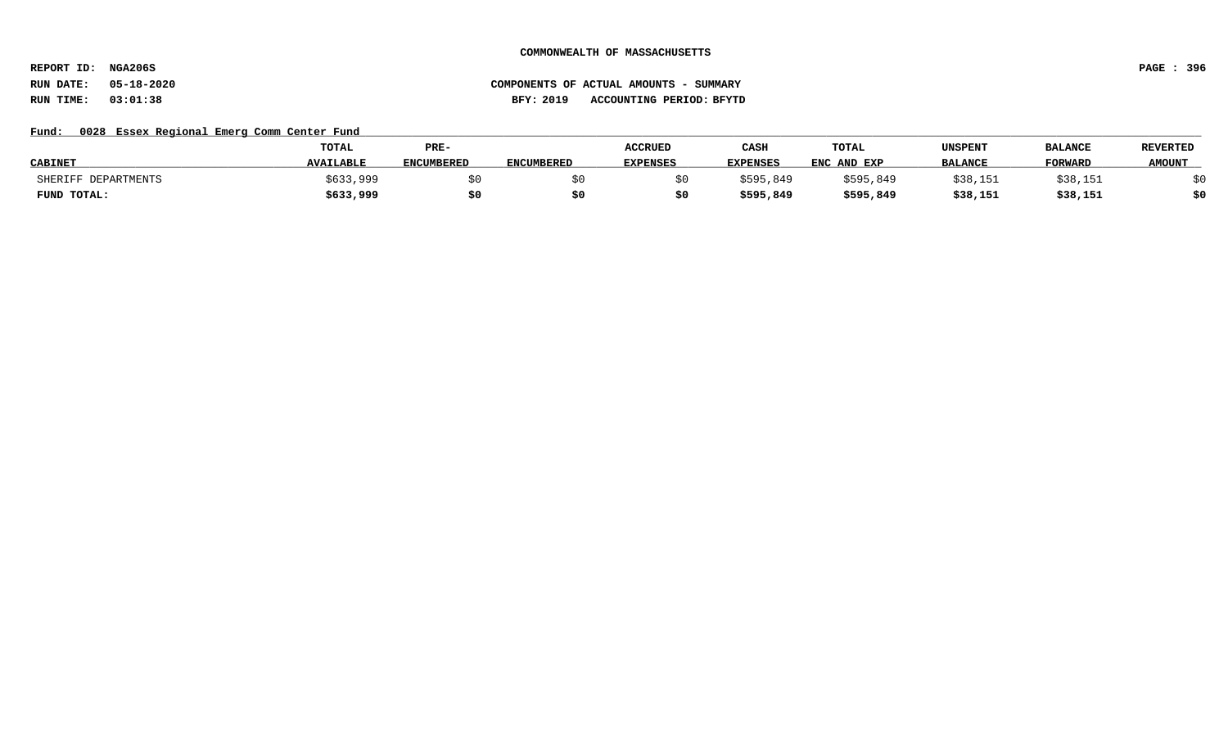**REPORT ID: NGA206S PAGE : 396**

# **RUN DATE: 05-18-2020 COMPONENTS OF ACTUAL AMOUNTS - SUMMARY RUN TIME: 03:01:38 BFY: 2019 ACCOUNTING PERIOD: BFYTD**

# Fund: 0028 Essex Regional Emerg Comm Center Fund

|                     | TOTAL            | PRE-              |                   | <b>ACCRUED</b>  | CASH            | <b>TOTAL</b> | UNSPENT        | <b>BALANCE</b> | <b>REVERTED</b> |
|---------------------|------------------|-------------------|-------------------|-----------------|-----------------|--------------|----------------|----------------|-----------------|
| <b>CABINET</b>      | <b>AVAILABLE</b> | <b>ENCUMBERED</b> | <b>ENCUMBERED</b> | <b>EXPENSES</b> | <b>EXPENSES</b> | ENC AND EXP  | <b>BALANCE</b> | <b>FORWARD</b> | <b>AMOUNT</b>   |
| SHERIFF DEPARTMENTS | \$633,999        |                   |                   |                 | \$595,849       | \$595,849    | \$38,151       | \$38,151       |                 |
| FUND TOTAL:         | \$633,999        |                   |                   |                 | \$595,849       | \$595,849    | \$38,151       | \$38,151       | \$0             |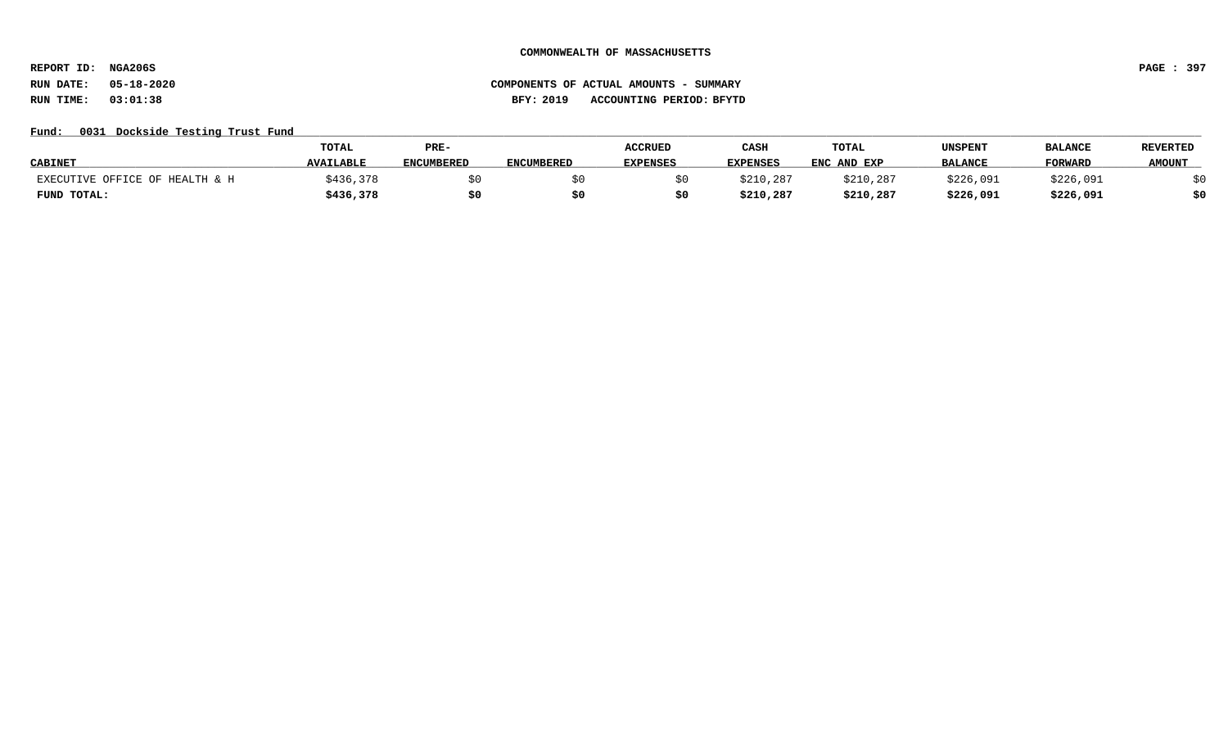**REPORT ID: NGA206S PAGE : 397**

# **RUN DATE: 05-18-2020 COMPONENTS OF ACTUAL AMOUNTS - SUMMARY RUN TIME: 03:01:38 BFY: 2019 ACCOUNTING PERIOD: BFYTD**

## Fund: 0031 Dockside Testing Trust Fund

|                                | TOTAL            | PRE-              |                   | <b>ACCRUED</b>  | CASH            | TOTAL       | UNSPENT        | <b>BALANCI</b> | <b>REVERTED</b> |
|--------------------------------|------------------|-------------------|-------------------|-----------------|-----------------|-------------|----------------|----------------|-----------------|
| <b>CABINET</b>                 | <b>AVAILABLE</b> | <b>ENCUMBERED</b> | <b>ENCUMBERED</b> | <b>EXPENSES</b> | <b>EXPENSES</b> | ENC AND EXP | <b>BALANCE</b> | <b>FORWARD</b> | <b>AMOUNT</b>   |
| EXECUTIVE OFFICE OF HEALTH & H | \$436,378        |                   |                   |                 | \$210,287       | \$210,287   | \$226,091      | \$226,091      |                 |
| FUND TOTAL:                    | \$436,378        |                   |                   |                 | \$210,287       | \$210,287   | \$226,091      | \$226,091      | \$0             |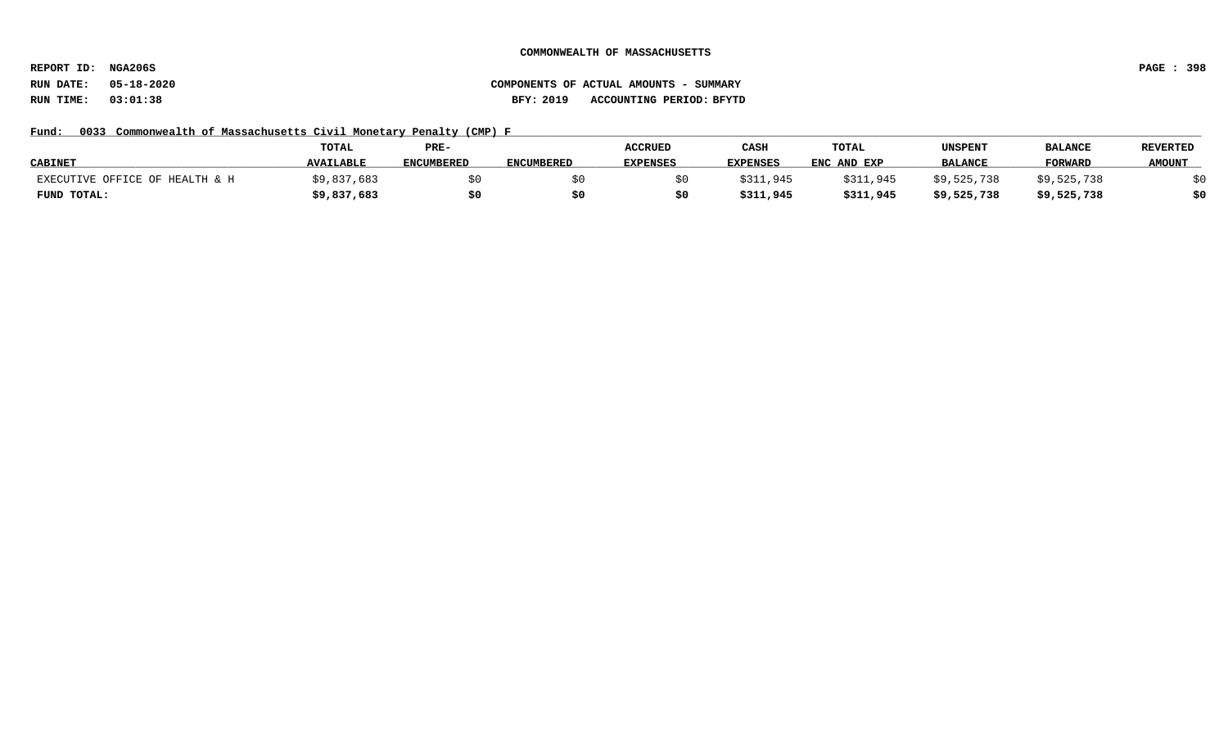**REPORT ID: NGA206S PAGE : 398**

# **RUN DATE: 05-18-2020 COMPONENTS OF ACTUAL AMOUNTS - SUMMARY RUN TIME: 03:01:38 BFY: 2019 ACCOUNTING PERIOD: BFYTD**

## Fund: 0033 Commonwealth of Massachusetts Civil Monetary Penalty (CMP) F

|                                | <b>TOTAL</b>     | PRE-              |                   |                 | CASH            | <b>TOTAL</b> | UNSPENT        | <b>BALANCE</b> | <b>REVERTED</b> |
|--------------------------------|------------------|-------------------|-------------------|-----------------|-----------------|--------------|----------------|----------------|-----------------|
| <b>CABINET</b>                 | <b>AVAILABLE</b> | <b>ENCUMBERED</b> | <b>ENCUMBERED</b> | <b>EXPENSES</b> | <b>EXPENSES</b> | ENC AND EXP  | <b>BALANCE</b> | <b>FORWARD</b> | <b>AMOUNT</b>   |
| EXECUTIVE OFFICE OF HEALTH & H | \$9,837,683      |                   |                   |                 | \$311,945       | \$311,945    | \$9,525,738    | \$9,525,738    |                 |
| FUND TOTAL:                    | \$9,837,683      | \$0               |                   |                 | \$311,945       | \$311,945    | \$9,525,738    | \$9,525,738    | \$0             |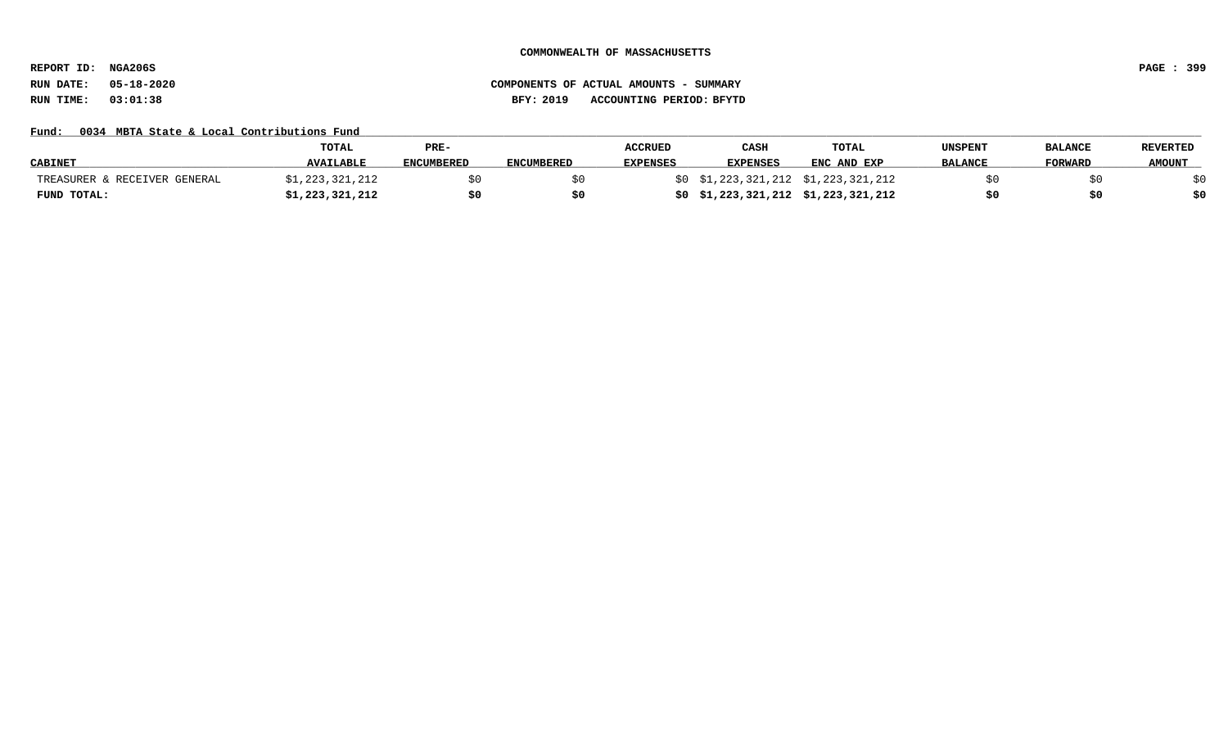**REPORT ID: NGA206S PAGE : 399**

## Fund: 0034 MBTA State & Local Contributions Fund

|                              | TOTAL            | PRE-              |                   | <b>ACCRUED</b>  | CASH                              | <b>TOTAL</b>                        | UNSPENT        | <b>BALANCE</b> | <b>REVERTED</b> |
|------------------------------|------------------|-------------------|-------------------|-----------------|-----------------------------------|-------------------------------------|----------------|----------------|-----------------|
| <b>CABINET</b>               | <b>AVAILABLE</b> | <b>ENCUMBERED</b> | <b>ENCUMBERED</b> | <b>EXPENSES</b> | <b>EXPENSES</b>                   | ENC AND EXP                         | <b>BALANCE</b> | <b>FORWARD</b> | <b>AMOUNT</b>   |
| TREASURER & RECEIVER GENERAL | 1,223,321,212    |                   |                   |                 |                                   | \$0 \$1,223,321,212 \$1,223,321,212 |                |                |                 |
| FUND TOTAL:                  | \$1,223,321,212  | \$0               |                   |                 | \$0\$1,223,321,212\$1,223,321,212 |                                     |                |                | \$0             |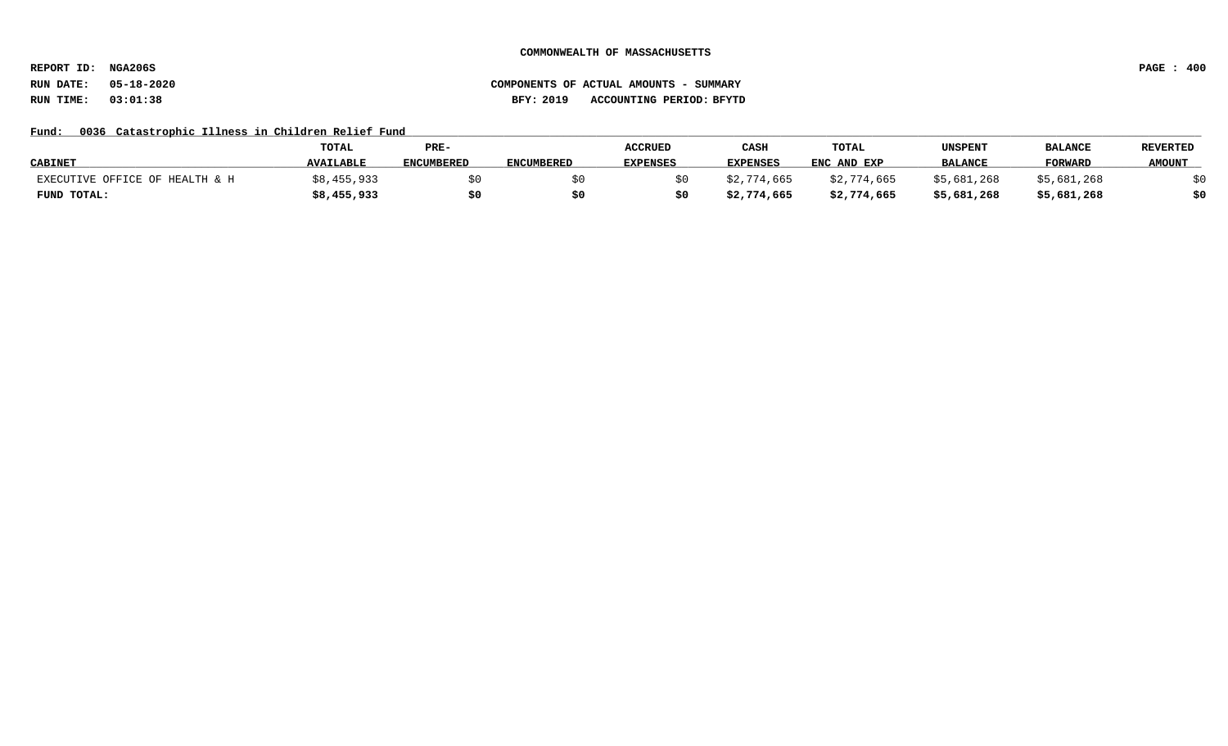**REPORT ID: NGA206S PAGE : 400**

## **RUN DATE: 05-18-2020 COMPONENTS OF ACTUAL AMOUNTS - SUMMARY RUN TIME: 03:01:38 BFY: 2019 ACCOUNTING PERIOD: BFYTD**

# Fund: 0036 Catastrophic Illness in Children Relief Fund

|                                | TOTAL            | PRE-              |                   | <b>ACCRUED</b>  | CASH            | TOTAL       | <b>UNSPENT</b> | <b>BALANCE</b> | <b>REVERTED</b> |
|--------------------------------|------------------|-------------------|-------------------|-----------------|-----------------|-------------|----------------|----------------|-----------------|
| <b>CABINET</b>                 | <b>AVAILABLE</b> | <b>ENCUMBERED</b> | <b>ENCUMBERED</b> | <b>EXPENSES</b> | <b>EXPENSES</b> | ENC AND EXP | <b>BALANCE</b> | <b>FORWARD</b> | <b>AMOUNT</b>   |
| EXECUTIVE OFFICE OF HEALTH & H | \$8,455,933      |                   |                   |                 | \$2,774,665     | \$2,774,665 | \$5,681,268    | \$5.681.268    |                 |
| FUND TOTAL:                    | \$8,455,933      | \$0               | S0                |                 | \$2,774,665     | \$2,774,665 | \$5,681,268    | \$5,681,268    | \$0             |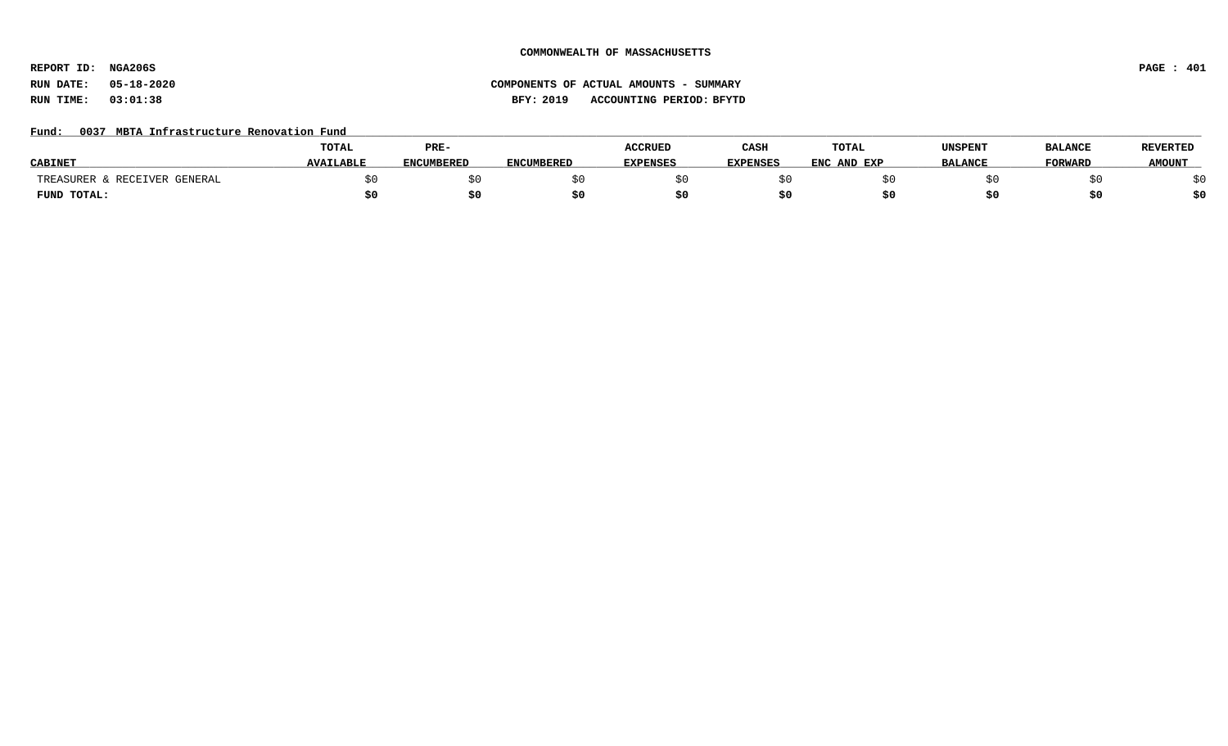**REPORT ID: NGA206S PAGE : 401**

# **RUN DATE: 05-18-2020 COMPONENTS OF ACTUAL AMOUNTS - SUMMARY RUN TIME: 03:01:38 BFY: 2019 ACCOUNTING PERIOD: BFYTD**

## Fund: 0037 MBTA Infrastructure Renovation Fund

|                               | <b>TOTAL</b>     | PRE-       |                   | <b>ACCRUED</b>  | CASH            | <b>TOTAL</b> | UNSPENT        | <b>BALANCE</b> | <b>REVERTED</b> |
|-------------------------------|------------------|------------|-------------------|-----------------|-----------------|--------------|----------------|----------------|-----------------|
| <b>CABINET</b>                | <b>AVAILABLE</b> | ENCUMBERED | <b>ENCUMBERED</b> | <b>EXPENSES</b> | <b>EXPENSES</b> | ENC AND EXP  | <b>BALANCE</b> | <b>FORWARD</b> | <b>AMOUNT</b>   |
| RECEIVER GENERAL<br>TREASURER |                  |            |                   |                 |                 |              |                |                |                 |
| FUND TOTAL:                   |                  | \$0        |                   |                 |                 |              |                |                | \$0             |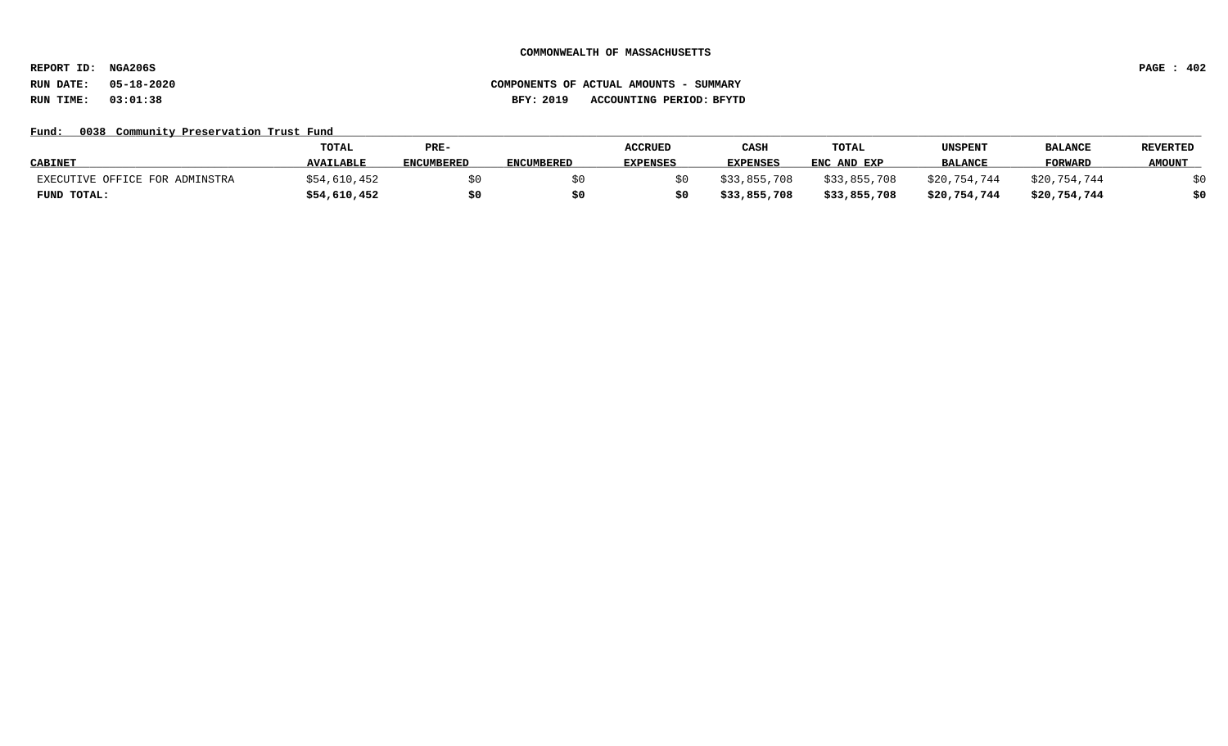**REPORT ID: NGA206S PAGE : 402**

# **RUN DATE: 05-18-2020 COMPONENTS OF ACTUAL AMOUNTS - SUMMARY RUN TIME: 03:01:38 BFY: 2019 ACCOUNTING PERIOD: BFYTD**

## Fund: 0038 Community Preservation Trust Fund

|                                | TOTAL            | PRE-              |                   | <b>ACCRUED</b>  | CASH            | TOTAL        | UNSPENT        | <b>BALANCI</b> | <b>REVERTED</b> |
|--------------------------------|------------------|-------------------|-------------------|-----------------|-----------------|--------------|----------------|----------------|-----------------|
| <b>CABINET</b>                 | <b>AVAILABLE</b> | <b>ENCUMBERED</b> | <b>ENCUMBERED</b> | <b>EXPENSES</b> | <b>EXPENSES</b> | ENC AND EXP  | <b>BALANCE</b> | <b>FORWARD</b> | <b>AMOUNT</b>   |
| EXECUTIVE OFFICE FOR ADMINSTRA | \$54,610,452     |                   |                   |                 | \$33,855,708    | \$33,855,708 | \$20,754,744   | \$20,754,744   |                 |
| FUND TOTAL:                    | \$54,610,452     | \$C               |                   |                 | \$33,855,708    | \$33,855,708 | \$20,754,744   | \$20,754,744   | \$0             |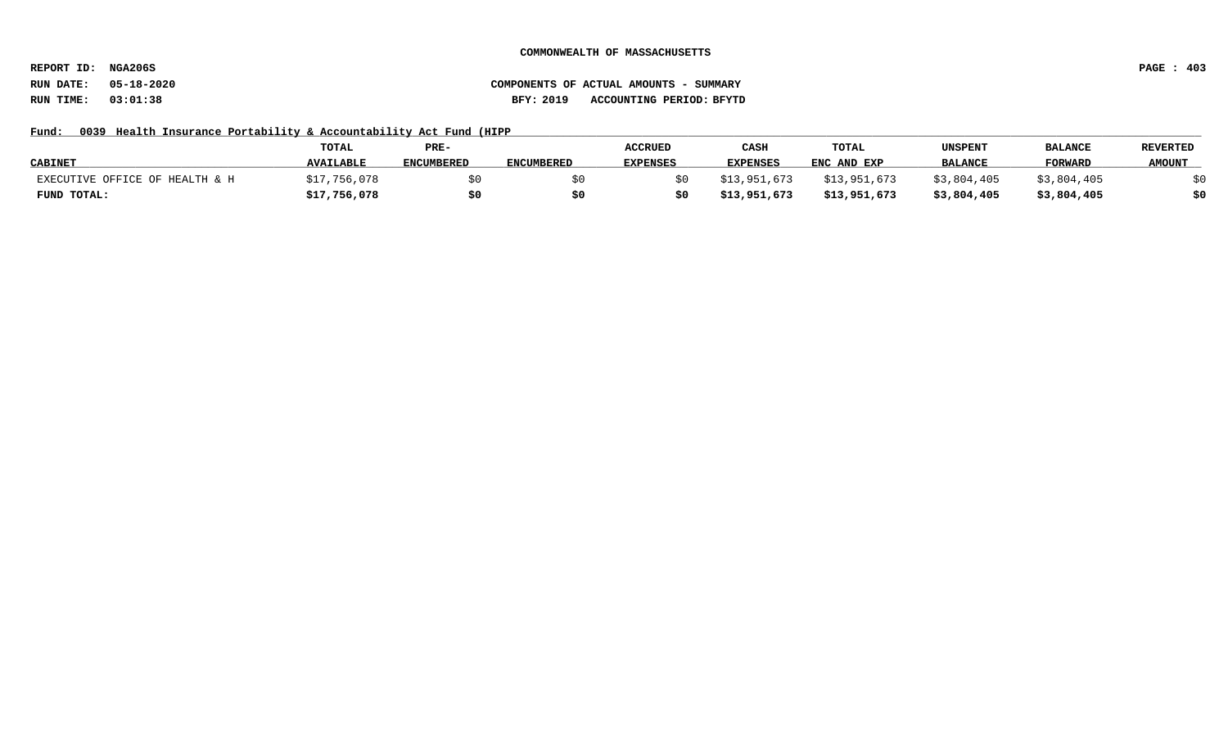**REPORT ID: NGA206S PAGE : 403**

# **RUN DATE: 05-18-2020 COMPONENTS OF ACTUAL AMOUNTS - SUMMARY RUN TIME: 03:01:38 BFY: 2019 ACCOUNTING PERIOD: BFYTD**

# Fund: 0039 Health Insurance Portability & Accountability Act Fund (HIPP

|                                | <b>TOTAL</b>     | PRE-              |                   | <b>ACCRUED</b>  | CASH            | TOTAL        | UNSPENT        | <b>BALANCE</b> | <b>REVERTED</b> |
|--------------------------------|------------------|-------------------|-------------------|-----------------|-----------------|--------------|----------------|----------------|-----------------|
| <b>CABINET</b>                 | <b>AVAILABLE</b> | <b>ENCUMBERED</b> | <b>ENCUMBERED</b> | <b>EXPENSES</b> | <b>EXPENSES</b> | ENC AND EXP  | <b>BALANCE</b> | <b>FORWARD</b> | <b>AMOUNT</b>   |
| EXECUTIVE OFFICE OF HEALTH & H | \$17,756,078     |                   |                   |                 | \$13,951,673    | \$13,951,673 | \$3,804,405    | \$3,804,405    |                 |
| FUND TOTAL:                    | \$17,756,078     | \$0               |                   |                 | \$13,951,673    | \$13,951,673 | \$3,804,405    | \$3,804,405    | \$0             |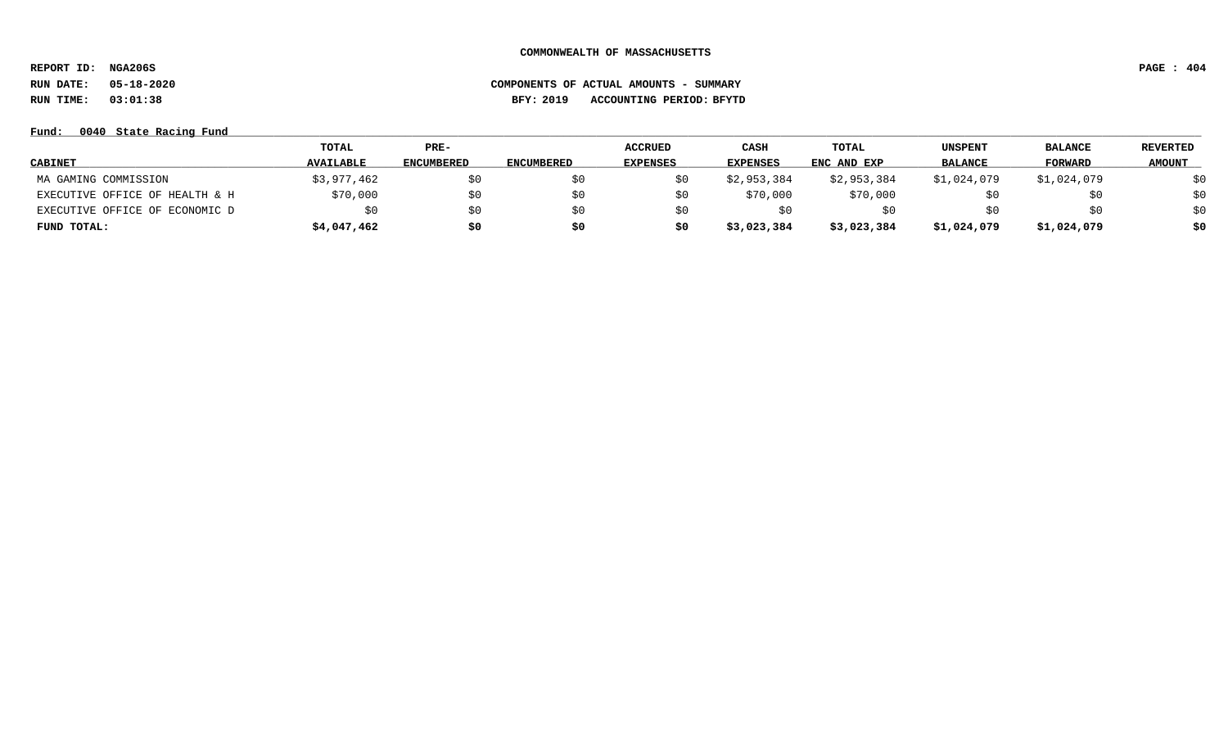**REPORT ID: NGA206S PAGE : 404 RUN DATE: 05-18-2020 COMPONENTS OF ACTUAL AMOUNTS - SUMMARY**

**RUN TIME: 03:01:38 BFY: 2019 ACCOUNTING PERIOD: BFYTD**

## **Fund: \_\_\_\_\_\_\_\_\_\_\_\_\_\_\_\_\_\_\_\_\_\_\_\_\_\_\_\_\_\_\_\_\_\_\_\_\_\_\_\_\_\_\_\_\_\_\_\_\_\_\_\_\_\_\_\_\_\_\_\_\_\_\_\_\_\_\_\_\_\_\_\_\_\_\_\_\_\_\_\_\_\_\_\_\_\_\_\_\_\_\_\_\_\_\_\_\_\_\_\_\_\_\_\_\_\_\_\_\_\_\_\_\_\_\_\_\_\_\_\_\_\_\_\_\_\_\_\_\_\_\_\_\_\_\_\_\_\_\_\_\_\_\_\_\_\_\_\_\_\_\_\_\_\_\_\_\_\_\_\_\_\_\_\_\_\_\_\_\_\_\_\_\_\_\_\_\_\_ 0040 State Racing Fund**

|                                | TOTAL            | $PRE-$            |                   | <b>ACCRUED</b>  | <b>CASH</b>     | TOTAL       | UNSPENT        | <b>BALANCE</b> | <b>REVERTED</b> |
|--------------------------------|------------------|-------------------|-------------------|-----------------|-----------------|-------------|----------------|----------------|-----------------|
| <b>CABINET</b>                 | <b>AVAILABLE</b> | <b>ENCUMBERED</b> | <b>ENCUMBERED</b> | <b>EXPENSES</b> | <b>EXPENSES</b> | ENC AND EXP | <b>BALANCE</b> | <b>FORWARD</b> | <b>AMOUNT</b>   |
| MA GAMING COMMISSION           | \$3,977,462      |                   |                   | SO.             | \$2,953,384     | \$2,953,384 | \$1,024,079    | \$1,024,079    | \$0             |
| EXECUTIVE OFFICE OF HEALTH & H | \$70,000         | \$0               | SO.               | \$0             | \$70,000        | \$70,000    |                |                | \$0             |
| EXECUTIVE OFFICE OF ECONOMIC D |                  | \$0               | \$0               | SO.             | SO.             | Sυ          |                | SU             | \$0             |
| FUND TOTAL:                    | \$4,047,462      | \$0               | \$0               | \$0             | \$3,023,384     | \$3,023,384 | \$1,024,079    | \$1,024,079    | \$0             |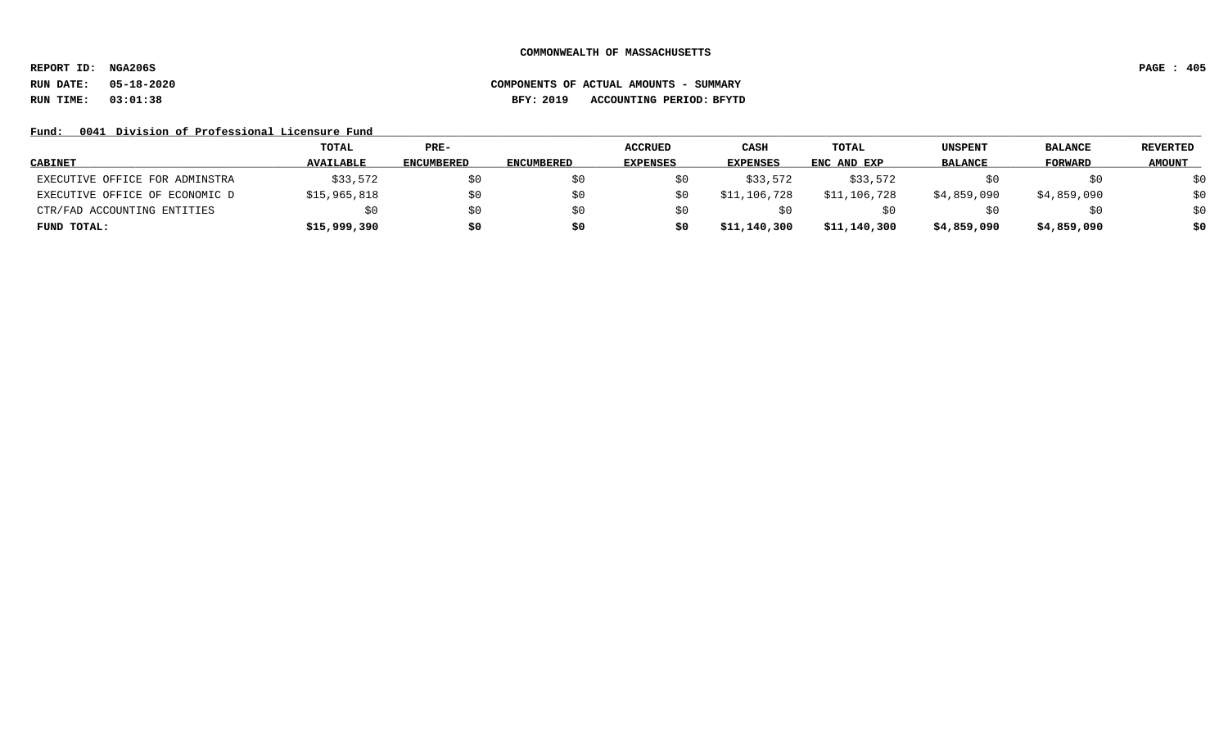**REPORT ID: NGA206S PAGE : 405**

**RUN DATE: 05-18-2020 COMPONENTS OF ACTUAL AMOUNTS - SUMMARY RUN TIME: 03:01:38 BFY: 2019 ACCOUNTING PERIOD: BFYTD**

## Fund: 0041 Division of Professional Licensure Fund

|                                | TOTAL            | $PRE-$            |                   | <b>ACCRUED</b>  | CASH            | <b>TOTAL</b> | <b>UNSPENT</b> | <b>BALANCE</b> | <b>REVERTED</b> |
|--------------------------------|------------------|-------------------|-------------------|-----------------|-----------------|--------------|----------------|----------------|-----------------|
| <b>CABINET</b>                 | <b>AVAILABLE</b> | <b>ENCUMBERED</b> | <b>ENCUMBERED</b> | <b>EXPENSES</b> | <b>EXPENSES</b> | ENC AND EXP  | <b>BALANCE</b> | <b>FORWARD</b> | <b>AMOUNT</b>   |
| EXECUTIVE OFFICE FOR ADMINSTRA | \$33,572         | \$0               |                   |                 | \$33,572        | \$33,572     |                | SO.            | \$0             |
| EXECUTIVE OFFICE OF ECONOMIC D | \$15,965,818     | \$0               |                   |                 | \$11,106,728    | \$11,106,728 | \$4,859,090    | \$4,859,090    | \$0             |
| CTR/FAD ACCOUNTING ENTITIES    | \$0              | \$0               |                   |                 | S O I           |              |                | SO.            | \$0             |
| FUND TOTAL:                    | \$15,999,390     | \$0               | \$0               |                 | \$11,140,300    | \$11,140,300 | \$4,859,090    | \$4,859,090    | \$0             |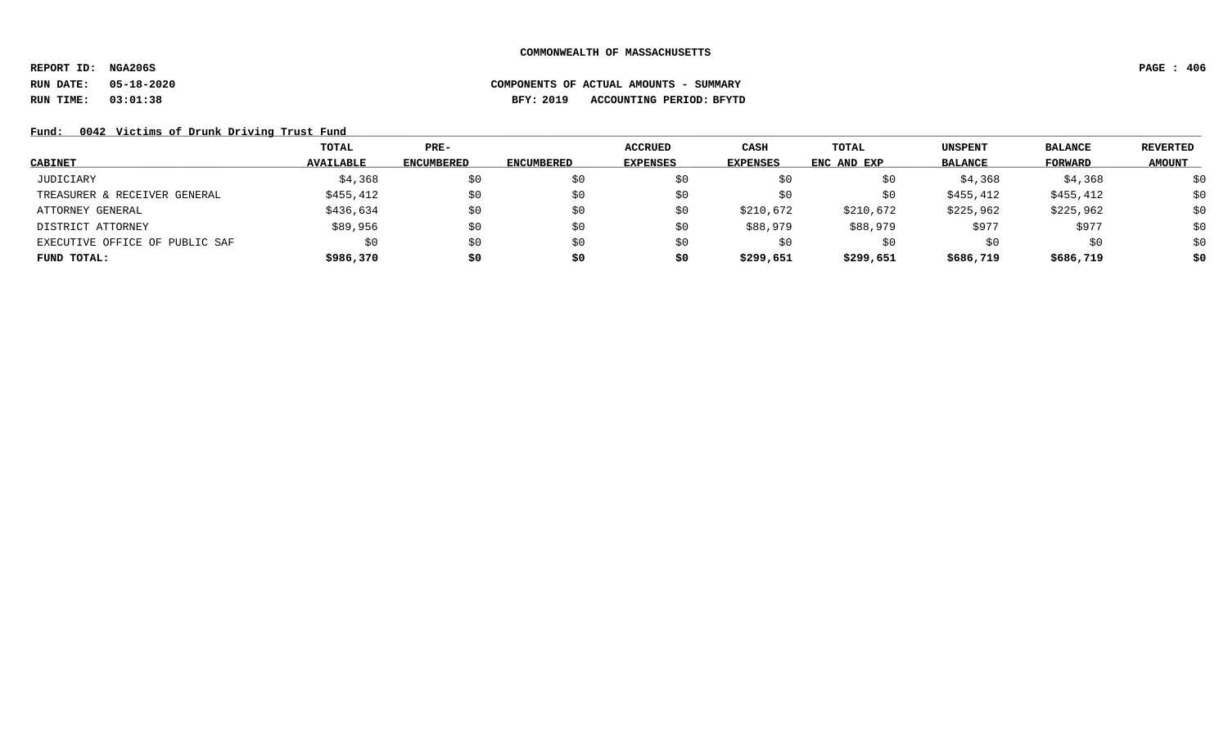**REPORT ID: NGA206S PAGE : 406**

# **RUN DATE: 05-18-2020 COMPONENTS OF ACTUAL AMOUNTS - SUMMARY RUN TIME: 03:01:38 BFY: 2019 ACCOUNTING PERIOD: BFYTD**

## Fund: 0042 Victims of Drunk Driving Trust Fund

|                                | TOTAL            | $PRE-$            |                   | <b>ACCRUED</b>  | <b>CASH</b> | <b>TOTAL</b> | <b>UNSPENT</b> | <b>BALANCE</b> | REVERTED      |
|--------------------------------|------------------|-------------------|-------------------|-----------------|-------------|--------------|----------------|----------------|---------------|
| <b>CABINET</b>                 | <b>AVAILABLE</b> | <b>ENCUMBERED</b> | <b>ENCUMBERED</b> | <b>EXPENSES</b> | EXPENSES    | ENC AND EXP  | <b>BALANCE</b> | FORWARD        | <b>AMOUNT</b> |
| JUDICIARY                      | \$4,368          | \$0               | SO.               | \$0             | Şυ          | \$0          | \$4,368        | \$4,368        | \$0           |
| TREASURER & RECEIVER GENERAL   | \$455,412        | \$0               | \$0               | \$0             | \$0         | \$0          | \$455,412      | \$455,412      | \$0           |
| ATTORNEY GENERAL               | \$436,634        | \$0               | \$0               | \$0             | \$210,672   | \$210,672    | \$225,962      | \$225,962      | \$0           |
| DISTRICT ATTORNEY              | \$89,956         | \$0               | \$0               | \$0             | \$88,979    | \$88,979     | \$977          | \$977          | \$0           |
| EXECUTIVE OFFICE OF PUBLIC SAF | \$0              | \$0               | \$0               | \$0             | S0          | \$0          | S0             | \$0            | \$0           |
| FUND TOTAL:                    | \$986,370        | \$0               | \$0               | \$0             | \$299,651   | \$299,651    | \$686,719      | \$686,719      | \$0           |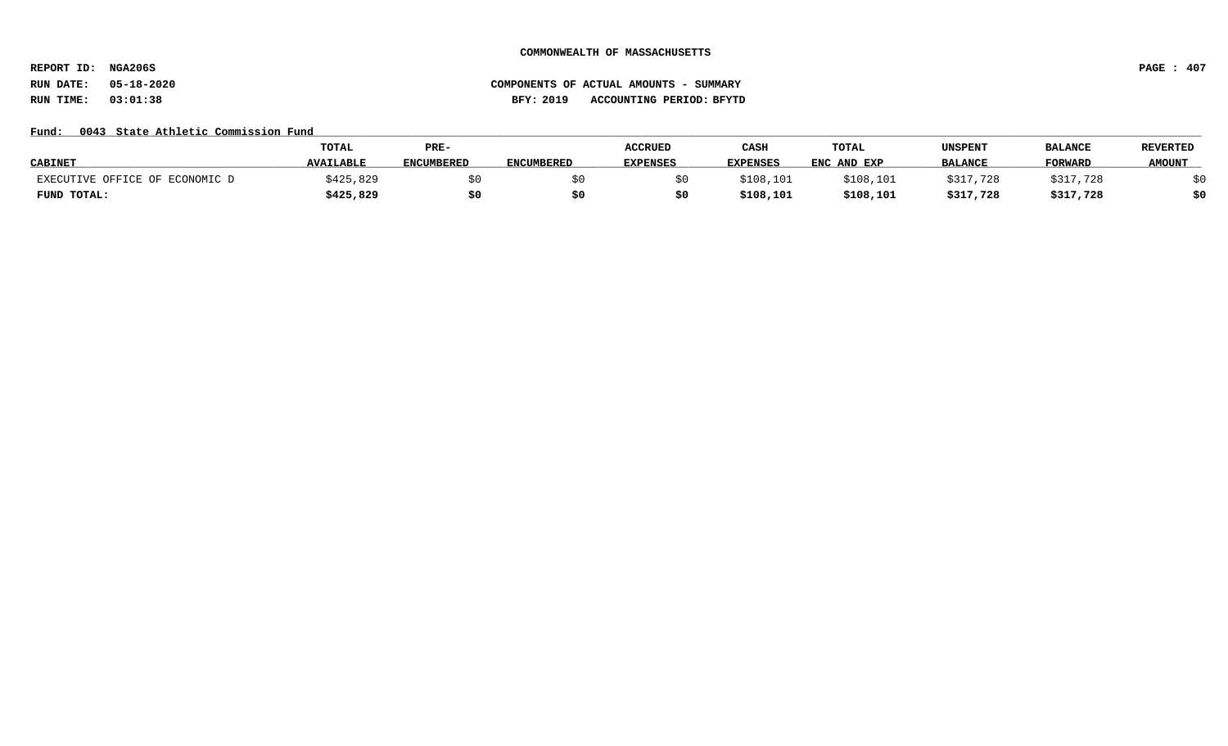**REPORT ID: NGA206S PAGE : 407**

# **RUN DATE: 05-18-2020 COMPONENTS OF ACTUAL AMOUNTS - SUMMARY RUN TIME: 03:01:38 BFY: 2019 ACCOUNTING PERIOD: BFYTD**

## Fund: 0043 State Athletic Commission Fund

|                                | <b>TOTAL</b>     | PRE-              |                   | <b>ACCRUED</b>  | CASH            | <b>TOTAL</b> | UNSPENT        | <b>BALANCE</b> | <b>REVERTED</b> |
|--------------------------------|------------------|-------------------|-------------------|-----------------|-----------------|--------------|----------------|----------------|-----------------|
| <b>CABINET</b>                 | <b>AVAILABLE</b> | <b>ENCUMBERED</b> | <b>ENCUMBERED</b> | <b>EXPENSES</b> | <b>EXPENSES</b> | ENC AND EXP  | <b>BALANCE</b> | <b>FORWARD</b> | <b>AMOUNT</b>   |
| EXECUTIVE OFFICE OF ECONOMIC D | \$425,829        |                   |                   |                 | \$108,101       | \$108,101    | \$317<br>. 728 | \$317,728      |                 |
| FUND TOTAL:                    | \$425,829        | \$0               |                   |                 | \$108,101       | \$108,101    | \$317,728      | \$317,728      | 40              |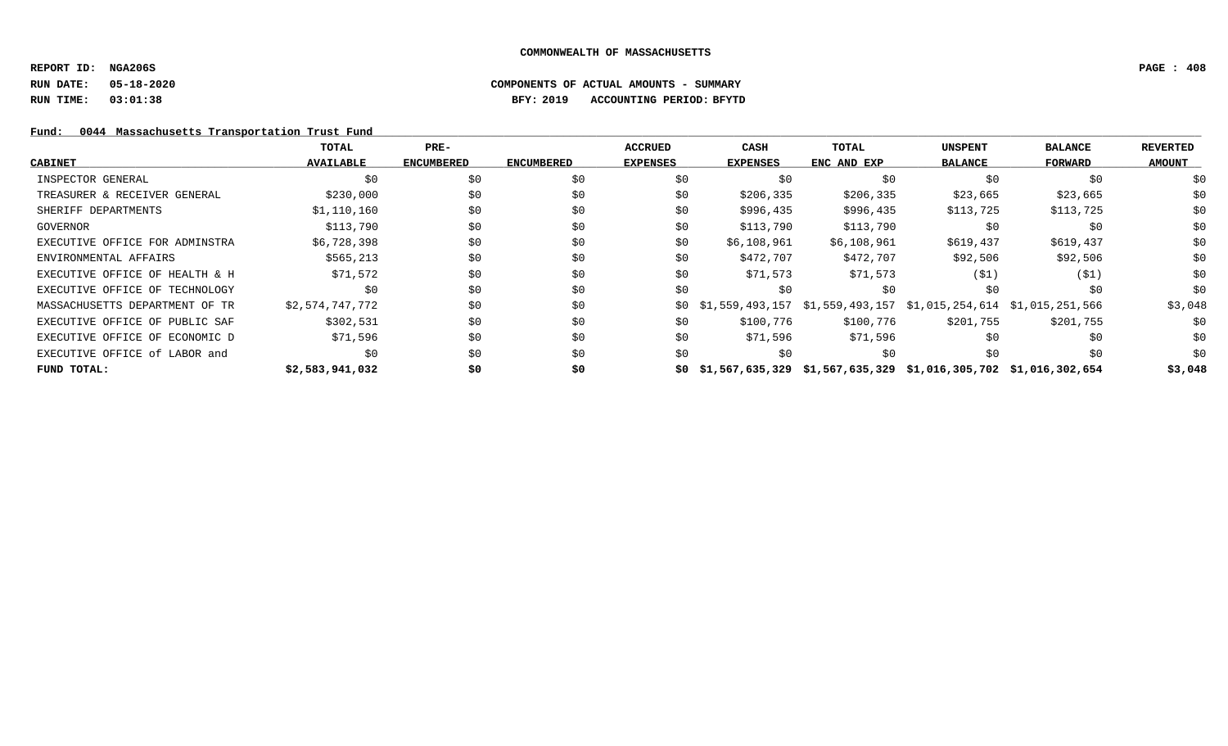## **REPORT ID: NGA206S PAGE : 408**

**RUN DATE: 05-18-2020 COMPONENTS OF ACTUAL AMOUNTS - SUMMARY**

**RUN TIME: 03:01:38 BFY: 2019 ACCOUNTING PERIOD: BFYTD**

# Fund: 0044 Massachusetts Transportation Trust Fund

|                                | TOTAL            | PRE-              |                   | <b>ACCRUED</b>  | CASH                                                                     | TOTAL                                                               | <b>UNSPENT</b> | <b>BALANCE</b> | <b>REVERTED</b> |
|--------------------------------|------------------|-------------------|-------------------|-----------------|--------------------------------------------------------------------------|---------------------------------------------------------------------|----------------|----------------|-----------------|
| <b>CABINET</b>                 | <b>AVAILABLE</b> | <b>ENCUMBERED</b> | <b>ENCUMBERED</b> | <b>EXPENSES</b> | <b>EXPENSES</b>                                                          | ENC AND EXP                                                         | <b>BALANCE</b> | FORWARD        | <b>AMOUNT</b>   |
| INSPECTOR GENERAL              | \$0              | \$0               | \$0               | \$0             | \$0                                                                      | \$0                                                                 | \$0            | \$0            | \$0             |
| TREASURER & RECEIVER GENERAL   | \$230,000        | \$0               | \$0               | \$0             | \$206,335                                                                | \$206,335                                                           | \$23,665       | \$23,665       | \$0             |
| SHERIFF DEPARTMENTS            | \$1,110,160      | \$0               | \$0               | \$0             | \$996,435                                                                | \$996,435                                                           | \$113,725      | \$113,725      | \$0             |
| GOVERNOR                       | \$113,790        | \$0               | \$0               | \$0             | \$113,790                                                                | \$113,790                                                           | \$0            | \$0            | \$0             |
| EXECUTIVE OFFICE FOR ADMINSTRA | \$6,728,398      | \$0               | \$0               | \$0             | \$6,108,961                                                              | \$6,108,961                                                         | \$619,437      | \$619,437      | \$0             |
| ENVIRONMENTAL AFFAIRS          | \$565,213        | \$0               | \$0               | \$0             | \$472,707                                                                | \$472,707                                                           | \$92,506       | \$92,506       | \$0             |
| EXECUTIVE OFFICE OF HEALTH & H | \$71,572         | \$0               | \$0               | \$0             | \$71,573                                                                 | \$71,573                                                            | (51)           | (\$1)          | \$0             |
| EXECUTIVE OFFICE OF TECHNOLOGY | \$0              | \$0               | \$0               | \$0             | SO.                                                                      | \$0                                                                 | \$0            | \$0            | \$0             |
| MASSACHUSETTS DEPARTMENT OF TR | \$2,574,747,772  | \$0               | \$0               | SO.             |                                                                          | $$1,559,493,157$ $$1,559,493,157$ $$1,015,254,614$ $$1,015,251,566$ |                |                | \$3,048         |
| EXECUTIVE OFFICE OF PUBLIC SAF | \$302,531        | \$0               | \$0               | \$0             | \$100,776                                                                | \$100,776                                                           | \$201,755      | \$201,755      | \$0             |
| EXECUTIVE OFFICE OF ECONOMIC D | \$71,596         | \$0               | \$0               | \$0             | \$71,596                                                                 | \$71,596                                                            | \$0            | \$0            | \$0             |
| EXECUTIVE OFFICE of LABOR and  | \$0              | \$0               | \$0               | \$0             | SO.                                                                      | \$0                                                                 | \$0            | \$0            | \$0             |
| FUND TOTAL:                    | \$2,583,941,032  | \$0               | \$0               |                 | $$0$ $$1,567,635,329$ $$1,567,635,329$ $$1,016,305,702$ $$1,016,302,654$ |                                                                     |                |                | \$3,048         |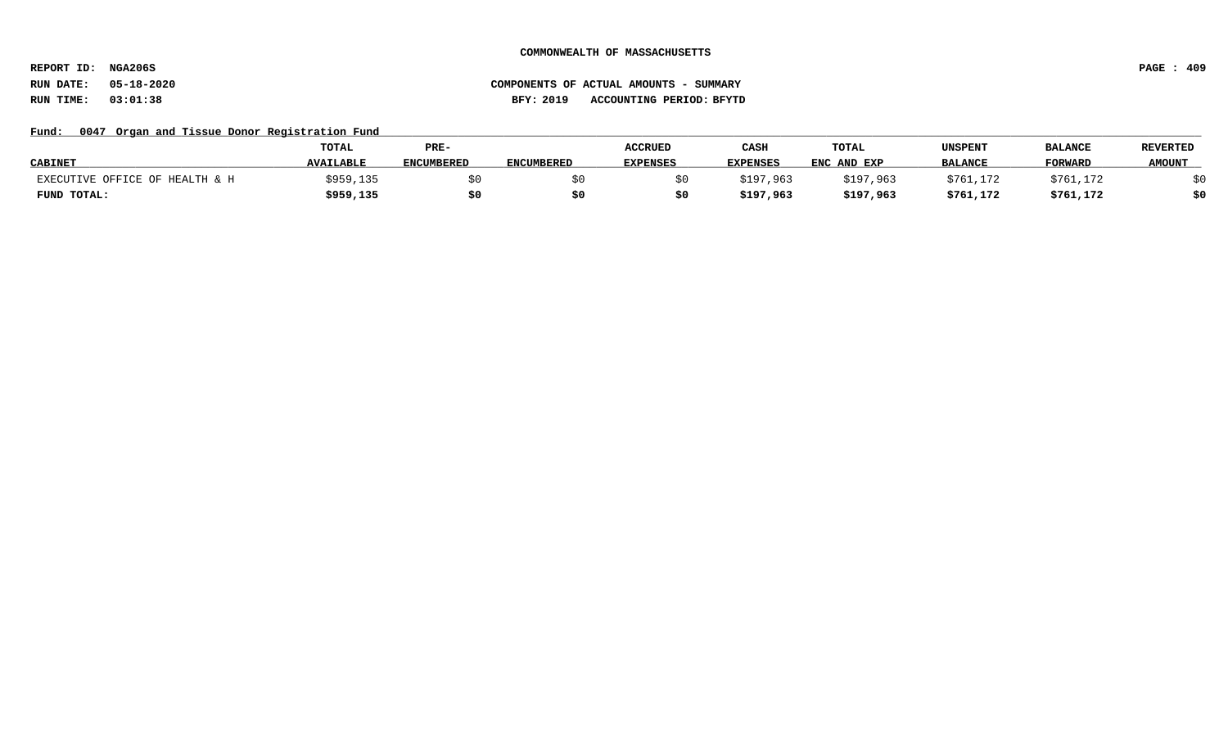**REPORT ID: NGA206S PAGE : 409**

# **RUN DATE: 05-18-2020 COMPONENTS OF ACTUAL AMOUNTS - SUMMARY RUN TIME: 03:01:38 BFY: 2019 ACCOUNTING PERIOD: BFYTD**

## Fund: 0047 Organ and Tissue Donor Registration Fund

|                                | TOTAL            | PRE-              |                   | <b>ACCRUED</b>  | CASH            | TOTAL       | UNSPENT        | <b>BALANCE</b> | <b>REVERTED</b> |
|--------------------------------|------------------|-------------------|-------------------|-----------------|-----------------|-------------|----------------|----------------|-----------------|
| <b>CABINET</b>                 | <b>AVAILABLE</b> | <b>ENCUMBERED</b> | <b>ENCUMBERED</b> | <b>EXPENSES</b> | <b>EXPENSES</b> | ENC AND EXP | <b>BALANCE</b> | <b>FORWARD</b> | <b>AMOUNT</b>   |
| EXECUTIVE OFFICE OF HEALTH & H | ;959,135         |                   |                   |                 | \$197,963       | \$197,963   | \$761,172      | \$761,172      |                 |
| FUND TOTAL:                    | \$959,135        | \$0               |                   |                 | \$197,963       | \$197,963   | \$761,172      | \$761,172      | \$0             |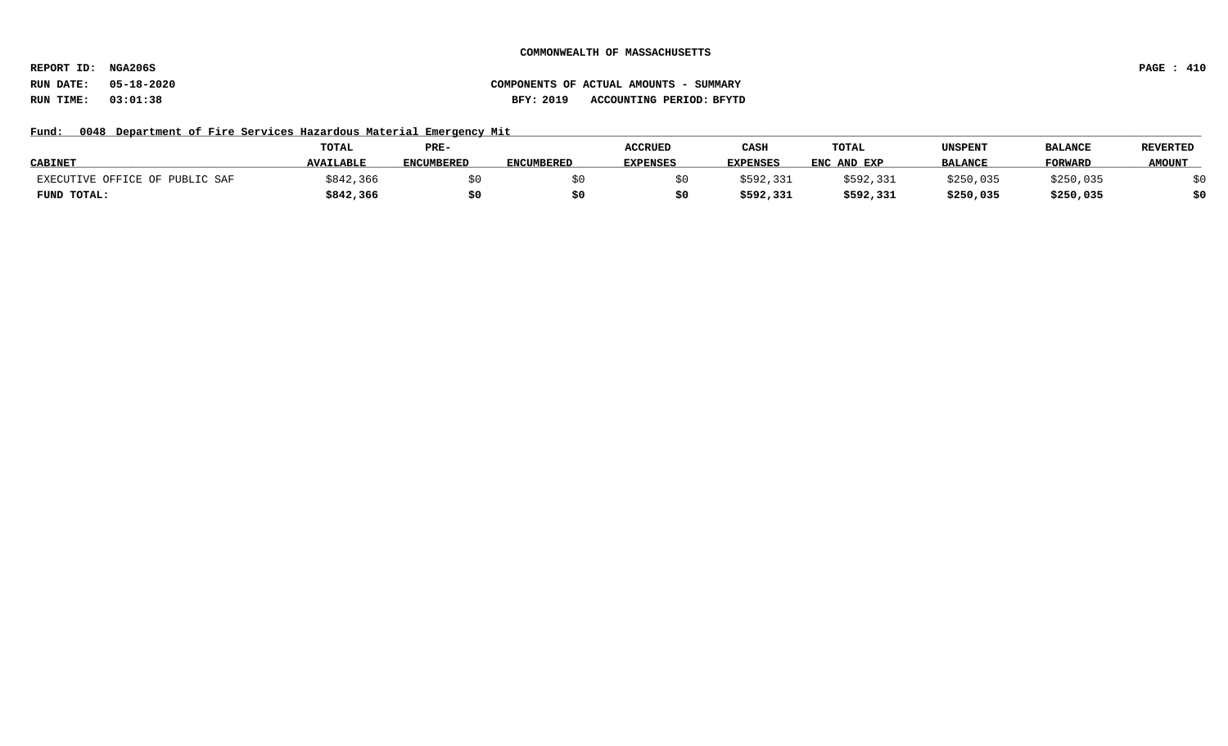**REPORT ID: NGA206S PAGE : 410**

# **RUN DATE: 05-18-2020 COMPONENTS OF ACTUAL AMOUNTS - SUMMARY RUN TIME: 03:01:38 BFY: 2019 ACCOUNTING PERIOD: BFYTD**

## Fund: 0048 Department of Fire Services Hazardous Material Emergency Mit

|                                | <b>TOTAL</b>     | PRE-              |                   | <b>ACCRUED</b>  | CASH            | TOTAL       | UNSPENT        | <b>BALANCE</b> | <b>REVERTED</b> |
|--------------------------------|------------------|-------------------|-------------------|-----------------|-----------------|-------------|----------------|----------------|-----------------|
| <b>CABINET</b>                 | <b>AVAILABLE</b> | <b>ENCUMBERED</b> | <b>ENCUMBERED</b> | <b>EXPENSES</b> | <b>EXPENSES</b> | ENC AND EXP | <b>BALANCE</b> | <b>FORWARL</b> | <b>AMOUNT</b>   |
| EXECUTIVE OFFICE OF PUBLIC SAF | \$842,366        |                   |                   |                 | \$592,331       | \$592,331   | \$250,035      | \$250,035      |                 |
| FUND TOTAL:                    | \$842,366        |                   |                   |                 | \$592,331       | \$592,331   | \$250,035      | \$250,035      | \$0             |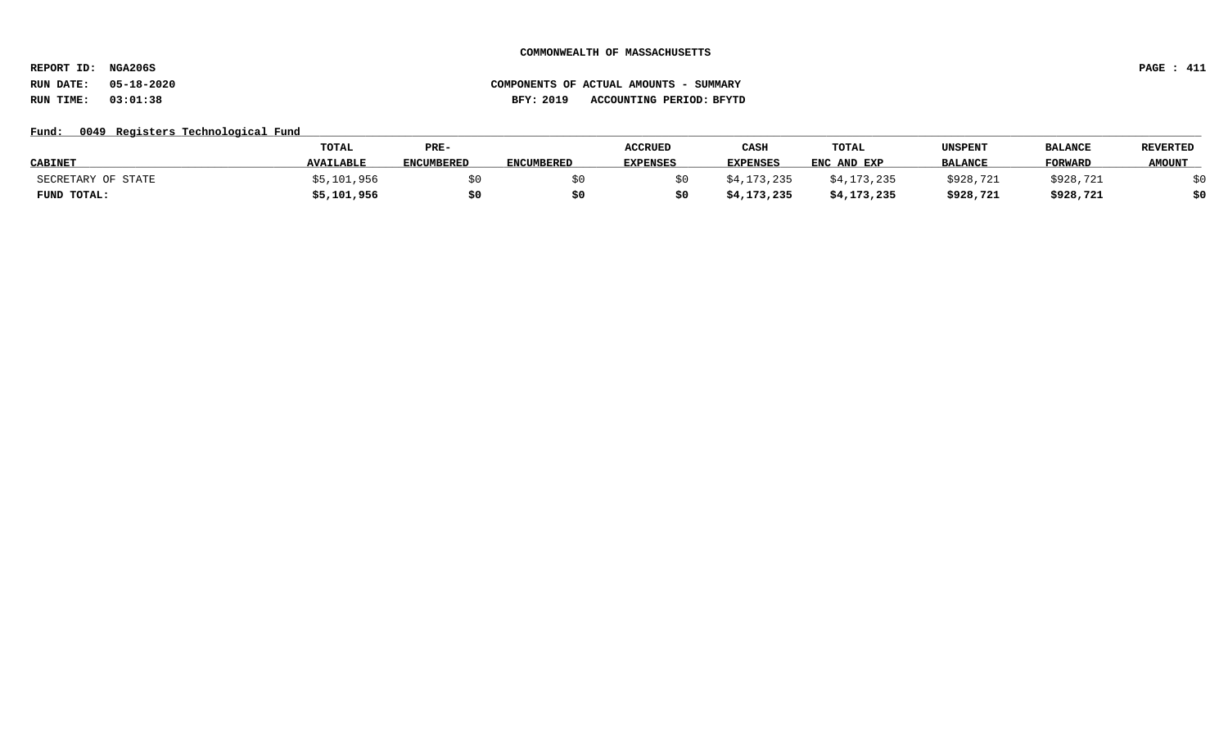**REPORT ID: NGA206S PAGE : 411**

# **RUN DATE: 05-18-2020 COMPONENTS OF ACTUAL AMOUNTS - SUMMARY RUN TIME: 03:01:38 BFY: 2019 ACCOUNTING PERIOD: BFYTD**

## Fund: 0049 Registers Technological Fund

|                    | TOTAL            | PRE-              |                   | <b>ACCRUED</b>  | CASH            | TOTAL       | UNSPENT        | <b>BALANCE</b> | <b>REVERTED</b> |
|--------------------|------------------|-------------------|-------------------|-----------------|-----------------|-------------|----------------|----------------|-----------------|
| <b>CABINET</b>     | <b>AVAILABLE</b> | <b>ENCUMBERED</b> | <b>ENCUMBERED</b> | <b>EXPENSES</b> | <b>EXPENSES</b> | ENC AND EXP | <b>BALANCE</b> | <b>FORWARD</b> | <b>AMOUNT</b>   |
| SECRETARY OF STATE | \$5,101,956      |                   |                   |                 | \$4,173,235     | \$4,173,235 | \$928,721      | \$928,721      |                 |
| FUND TOTAL:        | \$5,101,956      |                   |                   |                 | \$4,173,235     | \$4,173,235 | \$928,721      | \$928,721      | \$0             |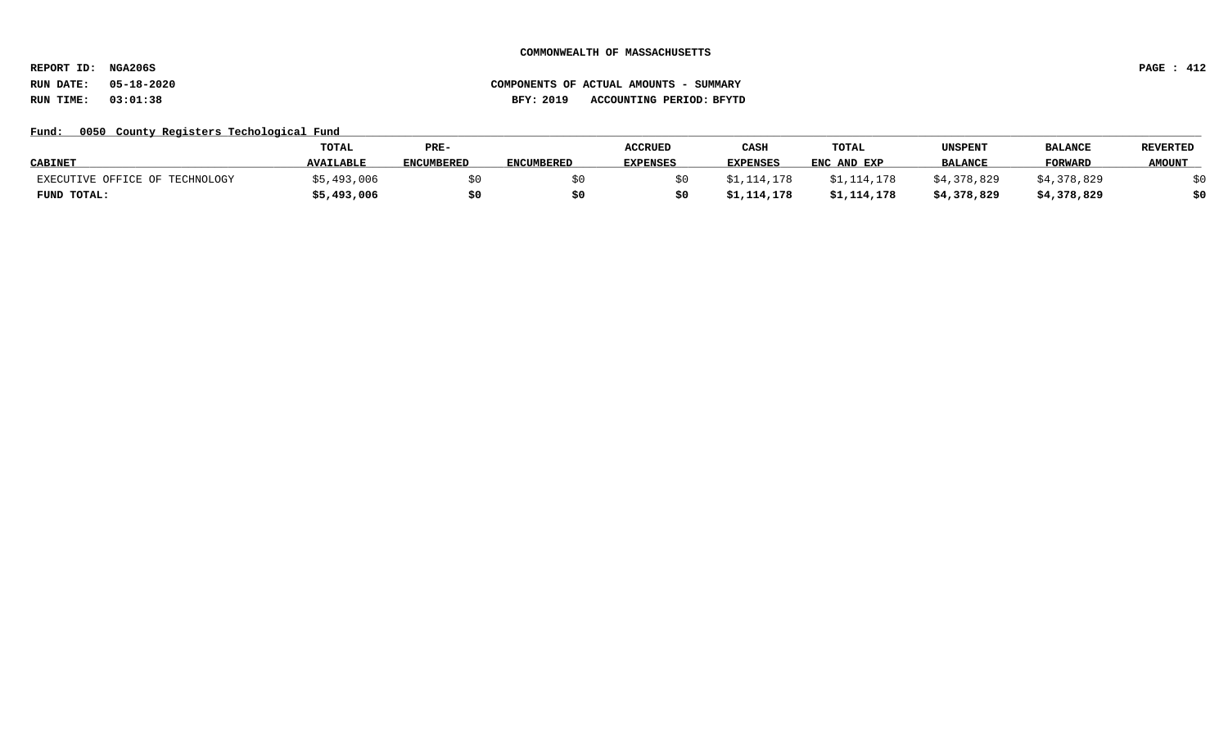**REPORT ID: NGA206S PAGE : 412**

# **RUN DATE: 05-18-2020 COMPONENTS OF ACTUAL AMOUNTS - SUMMARY RUN TIME: 03:01:38 BFY: 2019 ACCOUNTING PERIOD: BFYTD**

## Fund: 0050 County Registers Techological Fund

|                                | TOTAL            | PRE-              |                   | <b>ACCRUED</b>  | CASH            | TOTAL       | UNSPENT        | <b>BALANCI</b> | <b>REVERTED</b> |
|--------------------------------|------------------|-------------------|-------------------|-----------------|-----------------|-------------|----------------|----------------|-----------------|
| <b>CABINET</b>                 | <b>AVAILABLE</b> | <b>ENCUMBERED</b> | <b>ENCUMBERED</b> | <b>EXPENSES</b> | <b>EXPENSES</b> | ENC AND EXP | <b>BALANCE</b> | <b>FORWARD</b> | <b>AMOUNT</b>   |
| EXECUTIVE OFFICE OF TECHNOLOGY | ,493,006         |                   |                   |                 |                 | \$1,114,178 | \$4,378,829    | 378,829, 4,    |                 |
| FUND TOTAL:                    | \$5,493,006      | \$0               |                   |                 | \$1,114,178     | \$1,114,178 | \$4,378,829    | \$4,378,829    | \$0             |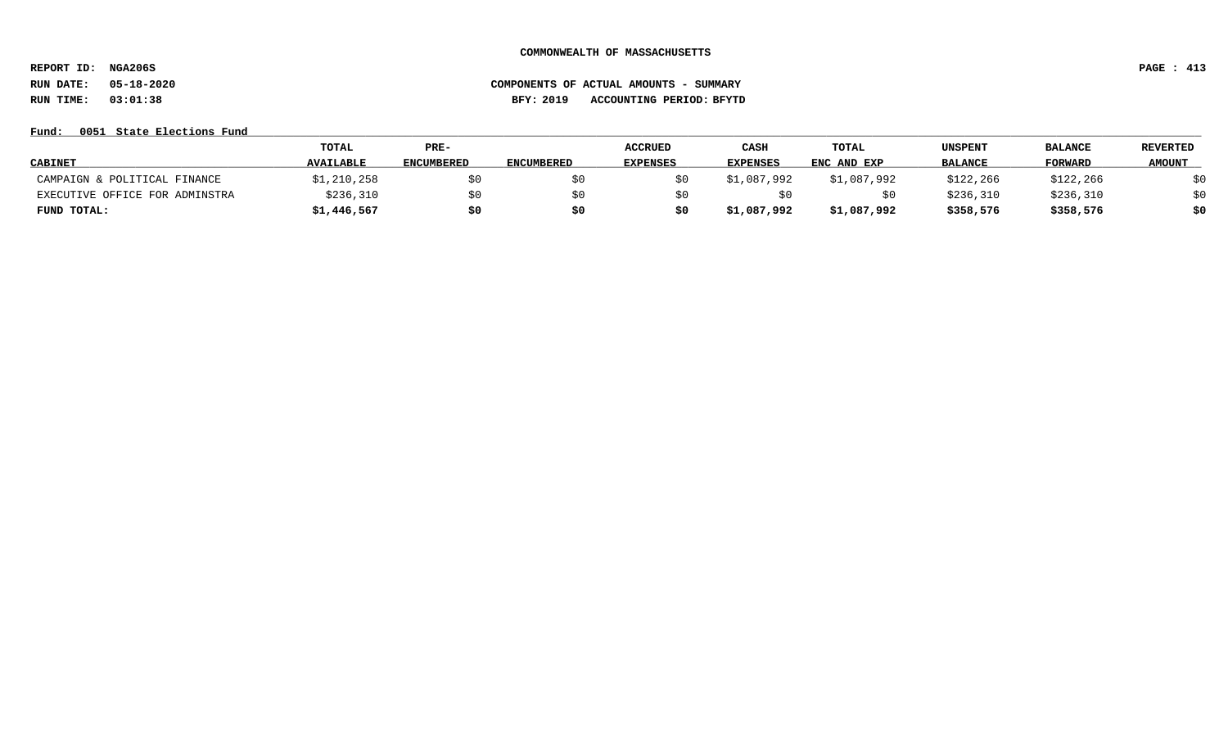**REPORT ID: NGA206S PAGE : 413**

# **RUN DATE: 05-18-2020 COMPONENTS OF ACTUAL AMOUNTS - SUMMARY RUN TIME: 03:01:38 BFY: 2019 ACCOUNTING PERIOD: BFYTD**

## **Fund: \_\_\_\_\_\_\_\_\_\_\_\_\_\_\_\_\_\_\_\_\_\_\_\_\_\_\_\_\_\_\_\_\_\_\_\_\_\_\_\_\_\_\_\_\_\_\_\_\_\_\_\_\_\_\_\_\_\_\_\_\_\_\_\_\_\_\_\_\_\_\_\_\_\_\_\_\_\_\_\_\_\_\_\_\_\_\_\_\_\_\_\_\_\_\_\_\_\_\_\_\_\_\_\_\_\_\_\_\_\_\_\_\_\_\_\_\_\_\_\_\_\_\_\_\_\_\_\_\_\_\_\_\_\_\_\_\_\_\_\_\_\_\_\_\_\_\_\_\_\_\_\_\_\_\_\_\_\_\_\_\_\_\_\_\_\_\_\_\_\_\_\_\_\_\_\_\_\_ 0051 State Elections Fund**

|                                | <b>TOTAL</b>     | PRE-              |                   | <b>ACCRUED</b>  | CASH            | TOTAL       | <b>UNSPENT</b> | <b>BALANCE</b> | <b>REVERTED</b> |
|--------------------------------|------------------|-------------------|-------------------|-----------------|-----------------|-------------|----------------|----------------|-----------------|
| <b>CABINET</b>                 | <b>AVAILABLE</b> | <b>ENCUMBERED</b> | <b>ENCUMBERED</b> | <b>EXPENSES</b> | <b>EXPENSES</b> | ENC AND EXP | <b>BALANCE</b> | <b>FORWARD</b> | <b>AMOUNT</b>   |
| CAMPAIGN & POLITICAL FINANCE   | \$1,210,258      | \$0               |                   |                 | \$1,087,992     | \$1,087,992 | \$122,266      | \$122, 266     | \$0             |
| EXECUTIVE OFFICE FOR ADMINSTRA | \$236,310        | \$0               |                   |                 |                 |             | \$236,310      | \$236,310      | \$0             |
| FUND TOTAL:                    | \$1,446,567      | \$0               | \$0               |                 | \$1,087,992     | \$1,087,992 | \$358,576      | \$358,576      | \$0             |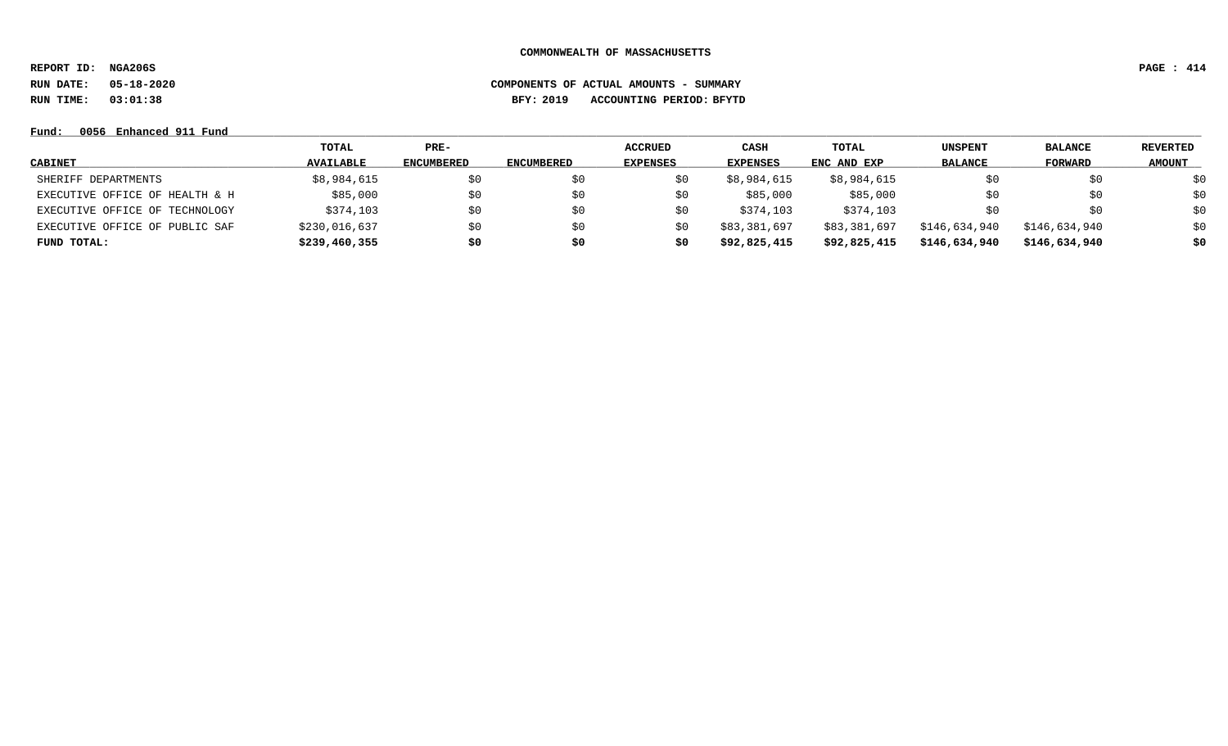**REPORT ID: NGA206S PAGE : 414**

**RUN DATE: 05-18-2020 COMPONENTS OF ACTUAL AMOUNTS - SUMMARY**

**RUN TIME: 03:01:38 BFY: 2019 ACCOUNTING PERIOD: BFYTD**

# **Fund: \_\_\_\_\_\_\_\_\_\_\_\_\_\_\_\_\_\_\_\_\_\_\_\_\_\_\_\_\_\_\_\_\_\_\_\_\_\_\_\_\_\_\_\_\_\_\_\_\_\_\_\_\_\_\_\_\_\_\_\_\_\_\_\_\_\_\_\_\_\_\_\_\_\_\_\_\_\_\_\_\_\_\_\_\_\_\_\_\_\_\_\_\_\_\_\_\_\_\_\_\_\_\_\_\_\_\_\_\_\_\_\_\_\_\_\_\_\_\_\_\_\_\_\_\_\_\_\_\_\_\_\_\_\_\_\_\_\_\_\_\_\_\_\_\_\_\_\_\_\_\_\_\_\_\_\_\_\_\_\_\_\_\_\_\_\_\_\_\_\_\_\_\_\_\_\_\_\_ 0056 Enhanced 911 Fund**

|                                | TOTAL            | $PRE-$            |                   | <b>ACCRUED</b>  | CASH            | TOTAL        | <b>UNSPENT</b> | <b>BALANCE</b> | <b>REVERTED</b> |
|--------------------------------|------------------|-------------------|-------------------|-----------------|-----------------|--------------|----------------|----------------|-----------------|
| CABINET                        | <b>AVAILABLE</b> | <b>ENCUMBERED</b> | <b>ENCUMBERED</b> | <b>EXPENSES</b> | <b>EXPENSES</b> | ENC AND EXP  | <b>BALANCE</b> | <b>FORWARD</b> | <b>AMOUNT</b>   |
| SHERIFF DEPARTMENTS            | \$8,984,615      |                   | \$0               | S0              | \$8,984,615     | \$8,984,615  |                | S0             | \$0             |
| EXECUTIVE OFFICE OF HEALTH & H | \$85,000         | \$0               | \$0               | \$0             | \$85,000        | \$85,000     | SO.            | \$0            | \$0             |
| EXECUTIVE OFFICE OF TECHNOLOGY | \$374,103        | \$0               | \$0               | \$0             | \$374,103       | \$374,103    | SO.            | S0             | \$0             |
| EXECUTIVE OFFICE OF PUBLIC SAF | \$230,016,637    | \$0               | \$0               | \$0             | \$83,381,697    | \$83,381,697 | \$146,634,940  | \$146,634,940  | \$0             |
| FUND TOTAL:                    | \$239,460,355    | \$0               | \$0               | \$0             | \$92,825,415    | \$92,825,415 | \$146,634,940  | \$146,634,940  | \$0             |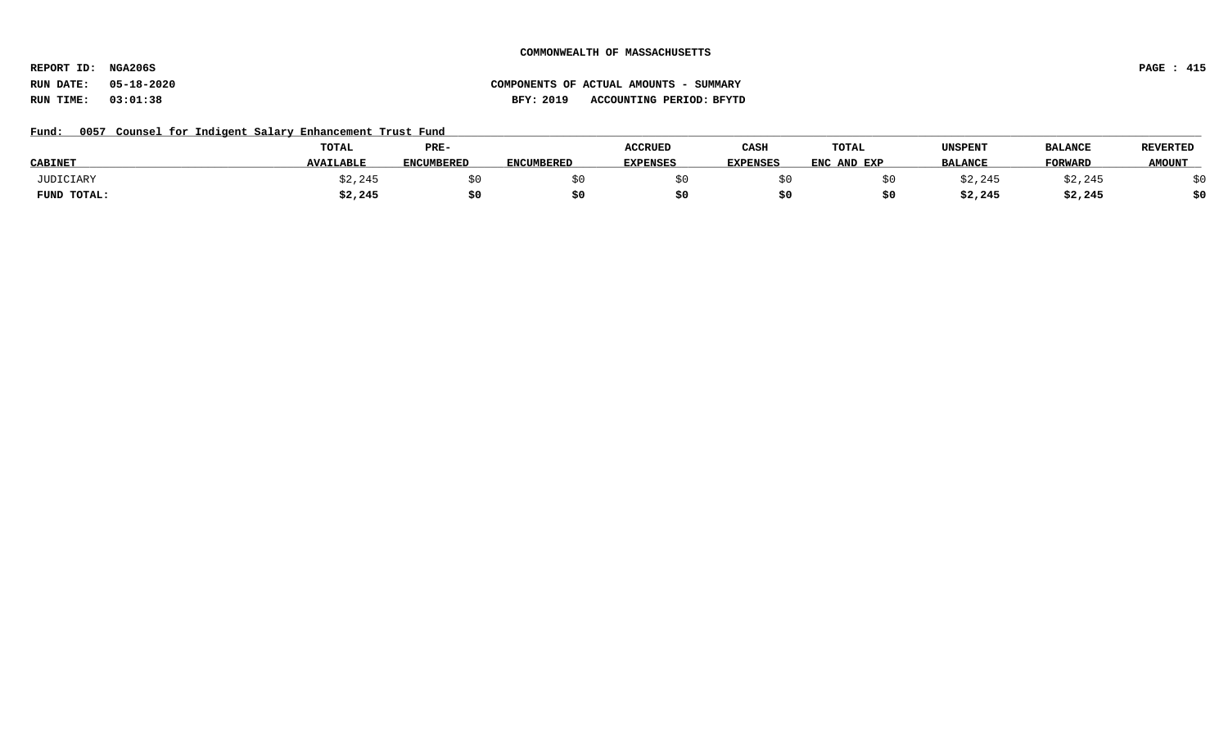**REPORT ID: NGA206S PAGE : 415**

# **RUN DATE: 05-18-2020 COMPONENTS OF ACTUAL AMOUNTS - SUMMARY RUN TIME: 03:01:38 BFY: 2019 ACCOUNTING PERIOD: BFYTD**

## Fund: 0057 Counsel for Indigent Salary Enhancement Trust Fund

|                | TOTAL            | PRE-       |                   | <b>ACCRUED</b>  | CASH     | TOTAL       | UNSPENT        | <b>BALANCE</b> | <b>REVERTED</b> |
|----------------|------------------|------------|-------------------|-----------------|----------|-------------|----------------|----------------|-----------------|
| <b>CABINET</b> | <b>AVAILABLE</b> | ENCUMBERED | <b>ENCUMBERED</b> | <b>EXPENSES</b> | EXPENSES | ENC AND EXP | <b>BALANCE</b> | FORWARD        | <b>AMOUNT</b>   |
| JUDICIARY      | \$2,245          |            |                   |                 |          |             | \$2,245        | \$2,245        |                 |
| FUND TOTAL:    | \$2,245          | \$0        |                   |                 |          |             | \$2,245        | \$2,245        | \$0             |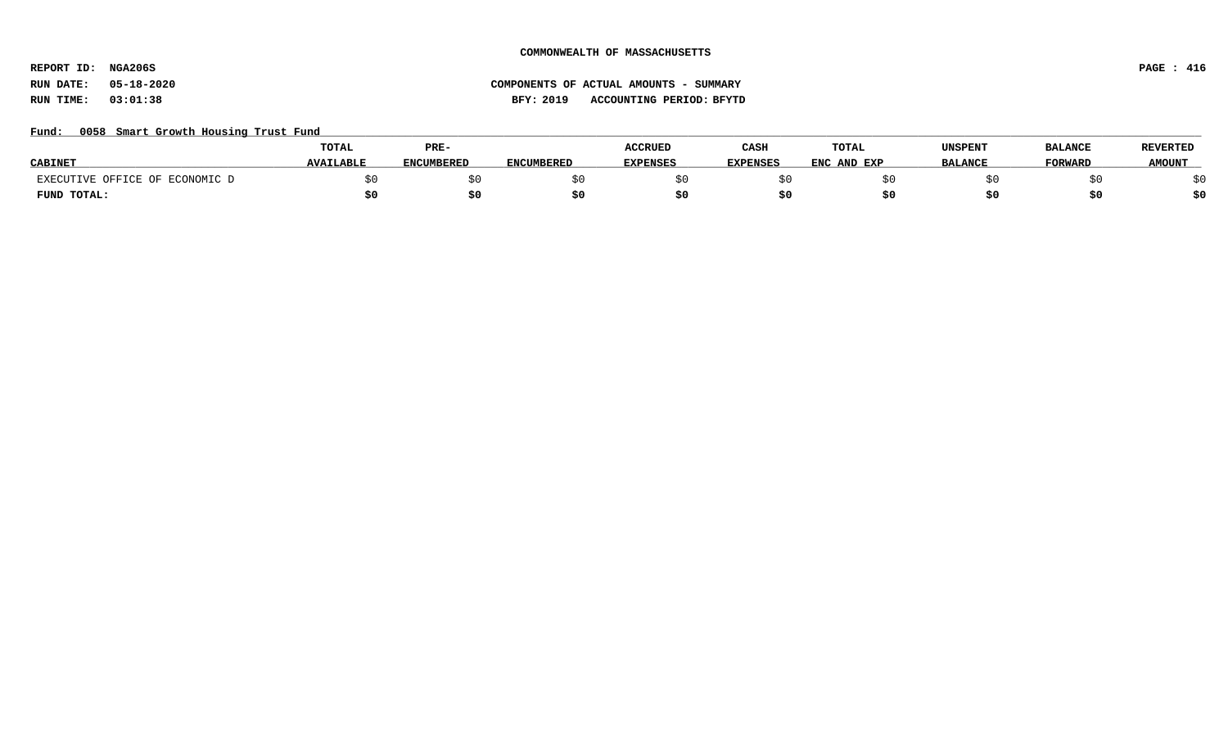**REPORT ID: NGA206S PAGE : 416**

# **RUN DATE: 05-18-2020 COMPONENTS OF ACTUAL AMOUNTS - SUMMARY RUN TIME: 03:01:38 BFY: 2019 ACCOUNTING PERIOD: BFYTD**

## Fund: 0058 Smart Growth Housing Trust Fund

|                                | <b>TOTAL</b>     | PRE-              |                   | <b>ACCRUED</b>  | CASH            | <b>TOTAL</b>     | UNSPENT        | <b>BALANCE</b> | <b>REVERTED</b> |
|--------------------------------|------------------|-------------------|-------------------|-----------------|-----------------|------------------|----------------|----------------|-----------------|
| <b>CABINE</b>                  | <b>AVAILABLE</b> | <b>ENCUMBERED</b> | <b>ENCUMBERED</b> | <b>EXPENSES</b> | <b>EXPENSES</b> | ENC<br>. AND EXP | <b>BALANCE</b> | <b>TORWARD</b> | <b>AMOUNT</b>   |
| EXECUTIVE OFFICE OF ECONOMIC D |                  |                   |                   |                 |                 |                  |                |                |                 |
| FUND TOTAL:                    |                  |                   |                   |                 |                 |                  |                |                | \$0             |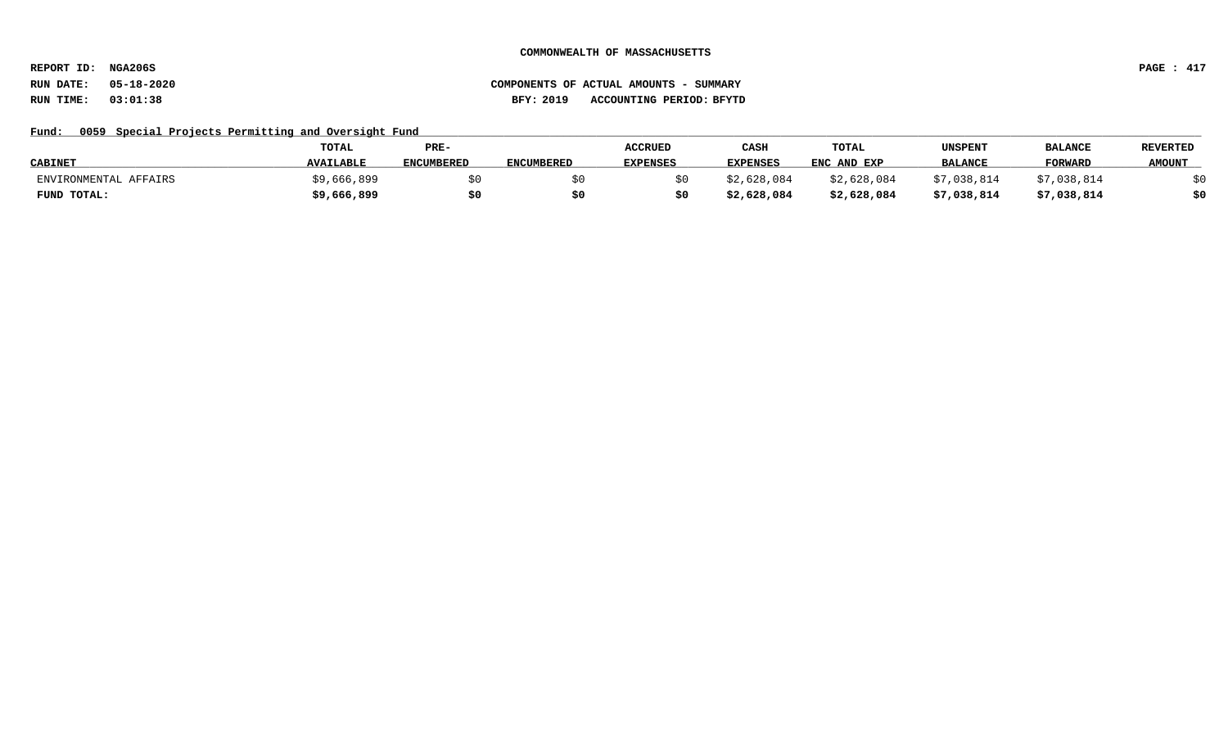**REPORT ID: NGA206S PAGE : 417**

## Fund: 0059 Special Projects Permitting and Oversight Fund

|                       | <b>TOTAL</b>     | PRE-              |                   | <b>ACCRUED</b>  | CASH            | <b>TOTAL</b> | UNSPENT        | <b>BALANCI</b> | <b>REVERTED</b> |
|-----------------------|------------------|-------------------|-------------------|-----------------|-----------------|--------------|----------------|----------------|-----------------|
| <b>CABINET</b>        | <b>AVAILABLE</b> | <b>ENCUMBERED</b> | <b>ENCUMBERED</b> | <b>EXPENSES</b> | <b>EXPENSES</b> | ENC AND EXP  | <b>BALANCE</b> | <b>FORWARD</b> | <b>AMOUNT</b>   |
| ENVIRONMENTAL AFFAIRS | \$9,666,899      |                   |                   |                 | \$2,628,084     | \$2,628,084  | ,038,814       | ,038,814       |                 |
| FUND TOTAL:           | \$9,666,899      | \$0               |                   |                 | \$2,628,084     | \$2,628,084  | \$7,038,814    | \$7,038,814    | 40              |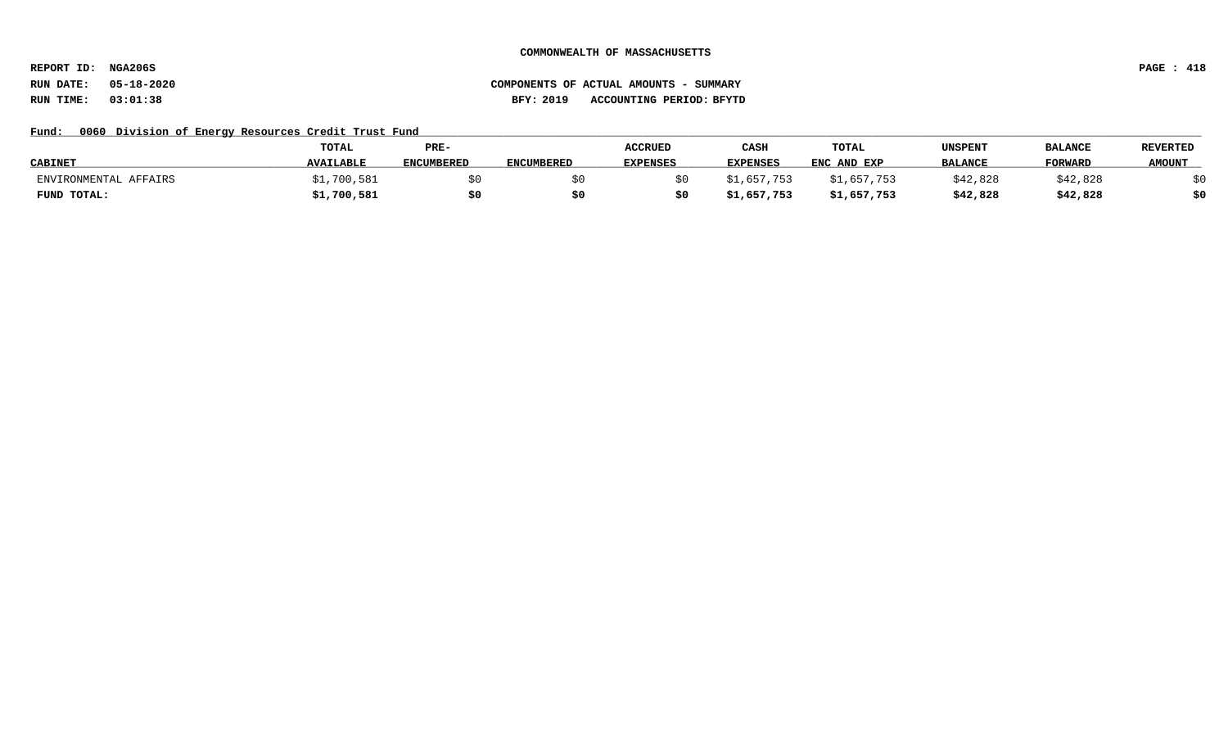**REPORT ID: NGA206S PAGE : 418**

## Fund: 0060 Division of Energy Resources Credit Trust Fund

|                       | <b>TOTAL</b>     | PRE-              |                   | <b>ACCRUED</b>  | CASH            | <b>TOTAL</b> | UNSPENT        | <b>BALANCE</b> | <b>REVERTED</b> |
|-----------------------|------------------|-------------------|-------------------|-----------------|-----------------|--------------|----------------|----------------|-----------------|
| <b>CABINET</b>        | <b>AVAILABLE</b> | <b>ENCUMBERED</b> | <b>ENCUMBERED</b> | <b>EXPENSES</b> | <b>EXPENSES</b> | ENC AND EXP  | <b>BALANCE</b> | <b>FORWARD</b> | <b>AMOUNT</b>   |
| ENVIRONMENTAL AFFAIRS | 700,581          |                   |                   |                 | フちく             | \$1,657,753  | \$42,828       | \$42,828       |                 |
| FUND TOTAL:           | \$1,700,581      | \$0               |                   |                 | ;1,657,753      | \$1,657,753  | \$42,828       | \$42,828       | ċ٨              |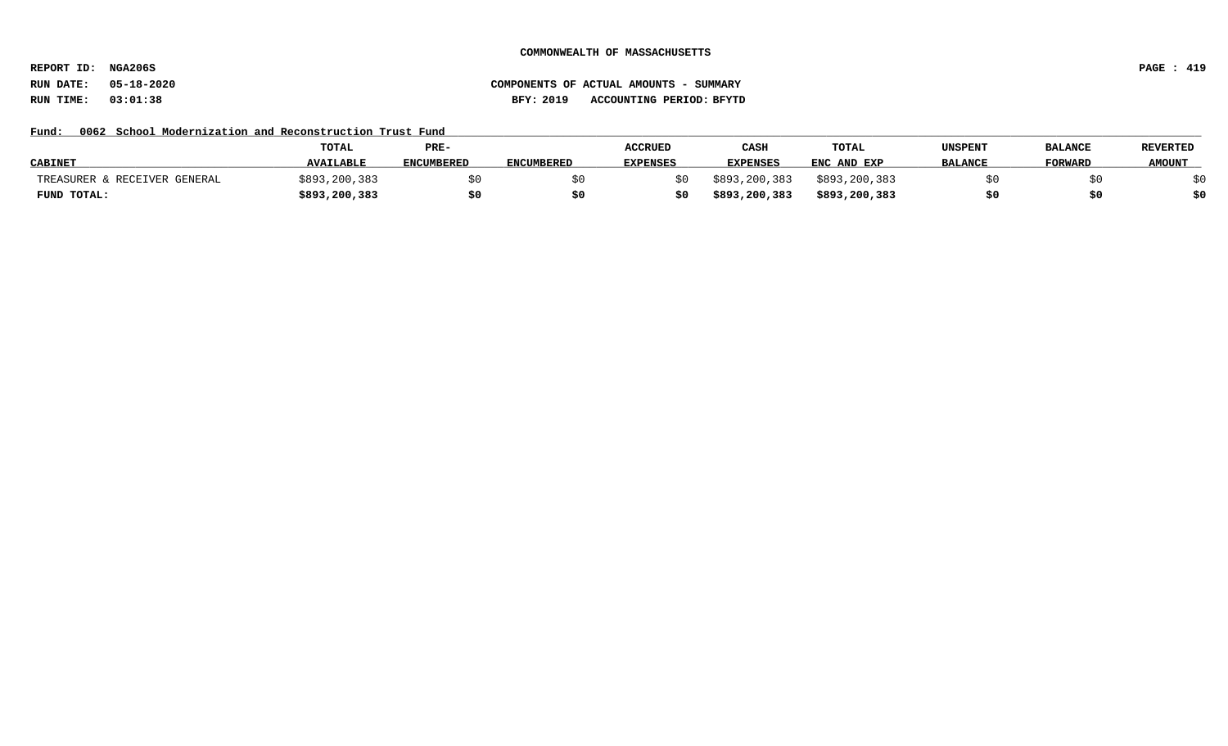**REPORT ID: NGA206S PAGE : 419**

# **RUN DATE: 05-18-2020 COMPONENTS OF ACTUAL AMOUNTS - SUMMARY RUN TIME: 03:01:38 BFY: 2019 ACCOUNTING PERIOD: BFYTD**

## Fund: 0062 School Modernization and Reconstruction Trust Fund

|                              | <b>TOTAL</b>     | PRE-              |                   | <b>ACCRUED</b>  | CASH            | <b>TOTAL</b>  | UNSPENT        | <b>BALANCE</b> | <b>REVERTED</b> |
|------------------------------|------------------|-------------------|-------------------|-----------------|-----------------|---------------|----------------|----------------|-----------------|
| <b>CABINET</b>               | <b>AVAILABLE</b> | <b>ENCUMBERED</b> | <b>ENCUMBERED</b> | <b>EXPENSES</b> | <b>EXPENSES</b> | ENC AND EXP   | <b>BALANCE</b> | <b>FORWARD</b> | <b>AMOUNT</b>   |
| TREASURER & RECEIVER GENERAL | \$893,200,383    |                   |                   |                 | \$893,200,383   | \$893,200,383 |                |                |                 |
| FUND TOTAL:                  | \$893,200,383    |                   |                   |                 | \$893,200,383   | \$893,200,383 |                |                | \$0             |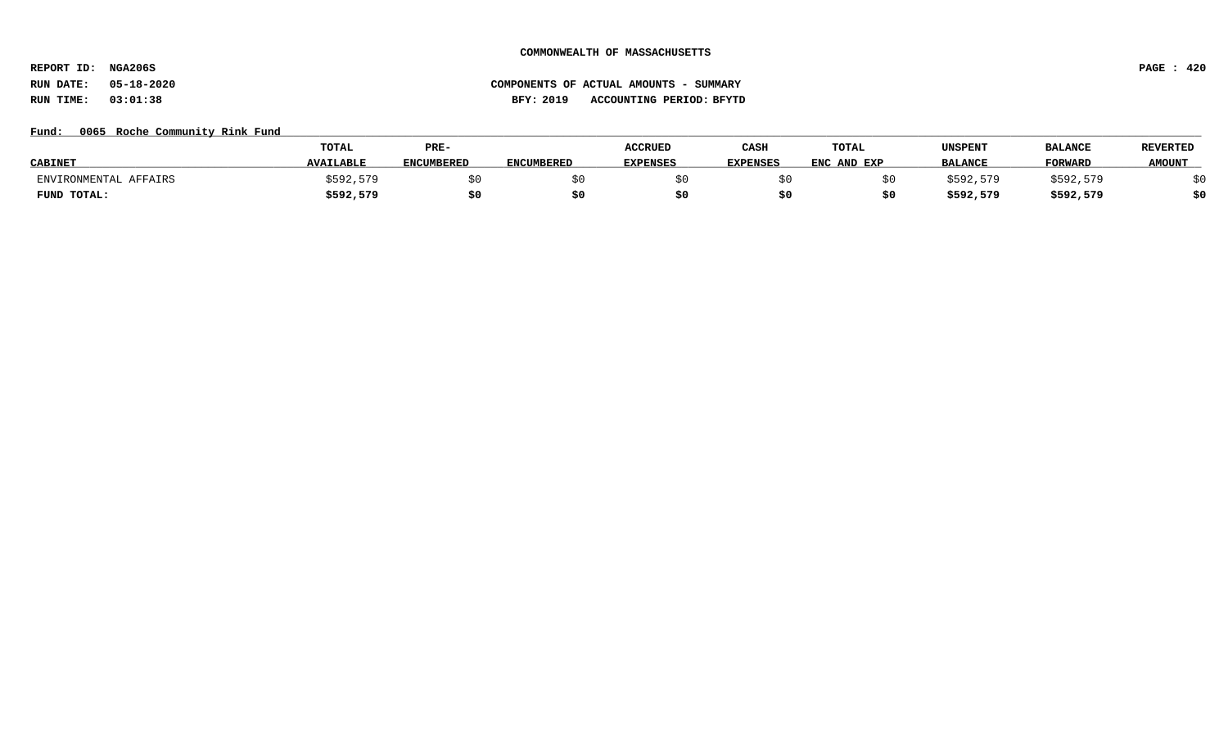**REPORT ID: NGA206S PAGE : 420**

# **RUN DATE: 05-18-2020 COMPONENTS OF ACTUAL AMOUNTS - SUMMARY RUN TIME: 03:01:38 BFY: 2019 ACCOUNTING PERIOD: BFYTD**

## Fund: 0065 Roche Community Rink Fund

|                       | TOTAL            | PRE-              |                   | <b>ACCRUED</b>  | CASH            | TOTAL       | UNSPENT        | <b>BALANCE</b> | <b>REVERTED</b> |
|-----------------------|------------------|-------------------|-------------------|-----------------|-----------------|-------------|----------------|----------------|-----------------|
| <b>CABINET</b>        | <b>AVAILABLE</b> | <b>ENCUMBERED</b> | <b>ENCUMBERED</b> | <b>EXPENSES</b> | <b>EXPENSES</b> | ENC AND EXP | <b>BALANCE</b> | <b>FORWARD</b> | <b>AMOUNT</b>   |
| ENVIRONMENTAL AFFAIRS | \$592,579        |                   |                   |                 |                 |             | \$592.579      | \$592,579      |                 |
| FUND TOTAL:           | \$592,579        |                   |                   |                 |                 |             | \$592,579      | \$592,579      | \$0             |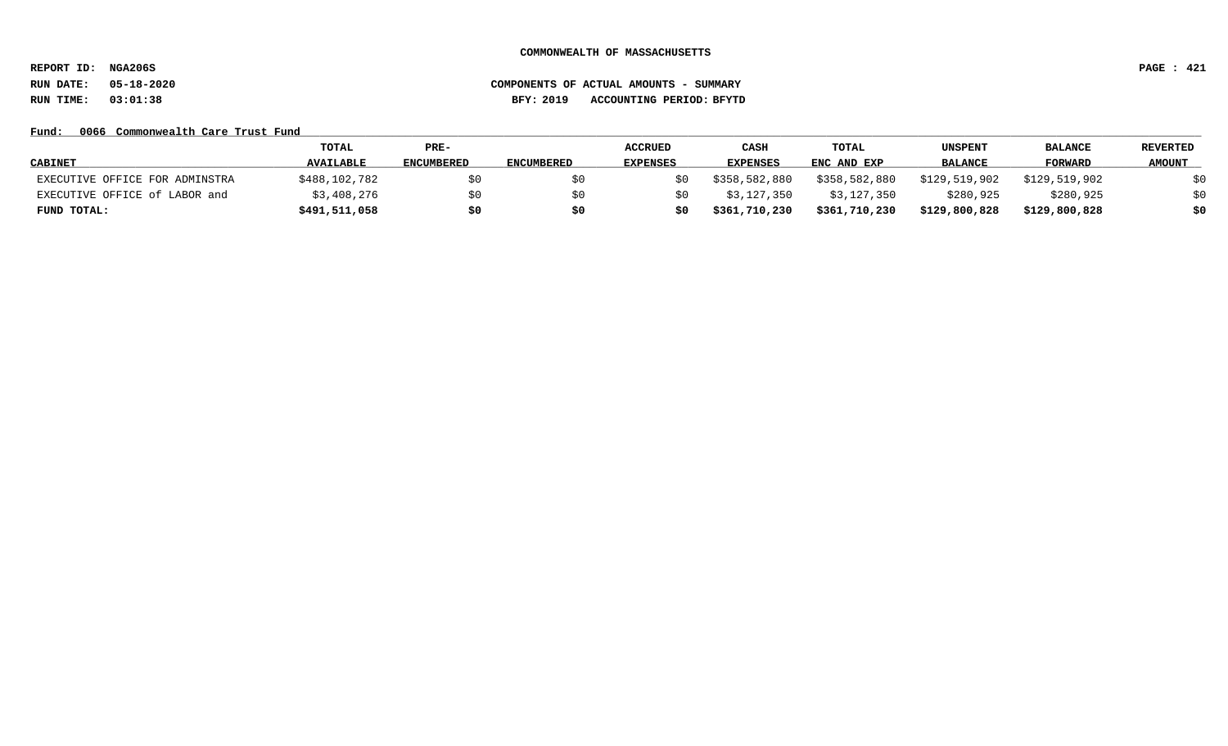**REPORT ID: NGA206S PAGE : 421**

# **RUN DATE: 05-18-2020 COMPONENTS OF ACTUAL AMOUNTS - SUMMARY RUN TIME: 03:01:38 BFY: 2019 ACCOUNTING PERIOD: BFYTD**

## Fund: 0066 Commonwealth Care Trust Fund

|                                | TOTAL            | PRE-              |                   | <b>ACCRUED</b>  | CASH            | TOTAL         | <b>UNSPENT</b> | <b>BALANCE</b> | <b>REVERTED</b> |
|--------------------------------|------------------|-------------------|-------------------|-----------------|-----------------|---------------|----------------|----------------|-----------------|
| <b>CABINET</b>                 | <b>AVAILABLE</b> | <b>ENCUMBERED</b> | <b>ENCUMBERED</b> | <b>EXPENSES</b> | <b>EXPENSES</b> | ENC AND EXP   | BALANCE        | <b>FORWARD</b> | <b>AMOUNT</b>   |
| EXECUTIVE OFFICE FOR ADMINSTRA | \$488,102,782    | \$0               |                   |                 | \$358,582,880   | \$358,582,880 | \$129,519,902  | \$129,519,902  | \$0             |
| EXECUTIVE OFFICE of LABOR and  | \$3,408,276      | \$0               |                   |                 | \$3,127,350     | \$3,127,350   | \$280,925      | \$280,925      | \$0             |
| FUND TOTAL:                    | \$491,511,058    | \$0               | \$0               |                 | \$361,710,230   | \$361,710,230 | \$129,800,828  | \$129,800,828  | \$0             |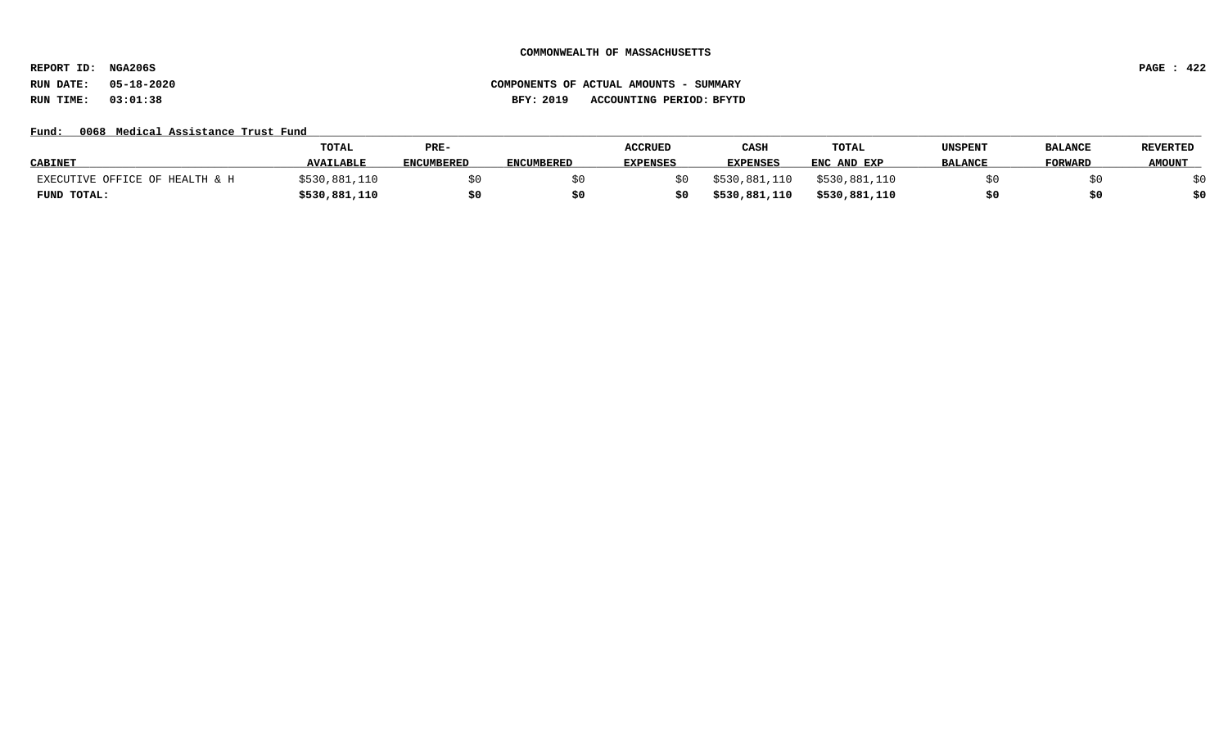**REPORT ID: NGA206S PAGE : 422**

# **RUN DATE: 05-18-2020 COMPONENTS OF ACTUAL AMOUNTS - SUMMARY RUN TIME: 03:01:38 BFY: 2019 ACCOUNTING PERIOD: BFYTD**

## Fund: 0068 Medical Assistance Trust Fund

|                                | TOTAL            | PRE-              |                   | <b>ACCRUED</b>  | CASE            | <b>TOTAL</b>  | UNSPENT        | <b>BALANCE</b> | <b>REVERTED</b> |
|--------------------------------|------------------|-------------------|-------------------|-----------------|-----------------|---------------|----------------|----------------|-----------------|
| <b>CABINET</b>                 | <b>AVAILABLE</b> | <b>ENCUMBERED</b> | <b>ENCUMBERED</b> | <b>EXPENSES</b> | <b>EXPENSES</b> | ENC AND EXP   | <b>BALANCE</b> | <b>FORWARD</b> | <b>AMOUNT</b>   |
| EXECUTIVE OFFICE OF HEALTH & H | \$530,881,110    |                   |                   |                 | \$530,881,110   | \$530,881,110 |                |                |                 |
| FUND TOTAL:                    | \$530,881,110    | \$0               | S0                |                 | \$530,881,110   | \$530,881,110 |                |                | \$0             |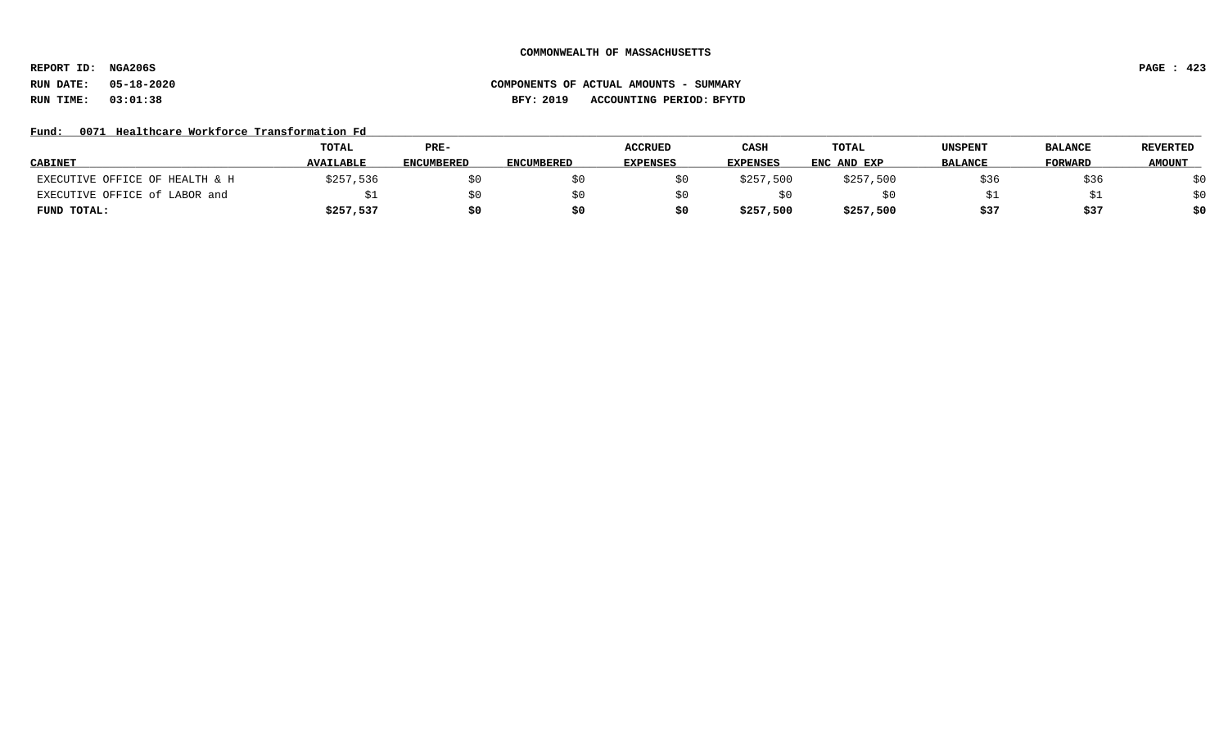**REPORT ID: NGA206S PAGE : 423**

# **RUN DATE: 05-18-2020 COMPONENTS OF ACTUAL AMOUNTS - SUMMARY RUN TIME: 03:01:38 BFY: 2019 ACCOUNTING PERIOD: BFYTD**

## Fund: 0071 Healthcare Workforce Transformation Fd

|                                | <b>TOTAL</b>     | PRE-              |                   | <b>ACCRUED</b>  | CASH            | TOTAL       | UNSPENT        | <b>BALANCE</b> | <b>REVERTED</b> |
|--------------------------------|------------------|-------------------|-------------------|-----------------|-----------------|-------------|----------------|----------------|-----------------|
| <b>CABINET</b>                 | <b>AVAILABLE</b> | <b>ENCUMBERED</b> | <b>ENCUMBERED</b> | <b>EXPENSES</b> | <b>EXPENSES</b> | ENC AND EXP | <b>BALANCE</b> | <b>FORWARD</b> | <b>AMOUNT</b>   |
| EXECUTIVE OFFICE OF HEALTH & H | \$257,536        |                   |                   |                 | \$257,500       | \$257,500   | \$36           | \$36           | \$0             |
| EXECUTIVE OFFICE of LABOR and  |                  | SO.               |                   |                 |                 |             |                |                | \$0             |
| FUND TOTAL:                    | \$257,537        | \$0               |                   |                 | \$257,500       | \$257,500   | \$37           | \$37           | \$0             |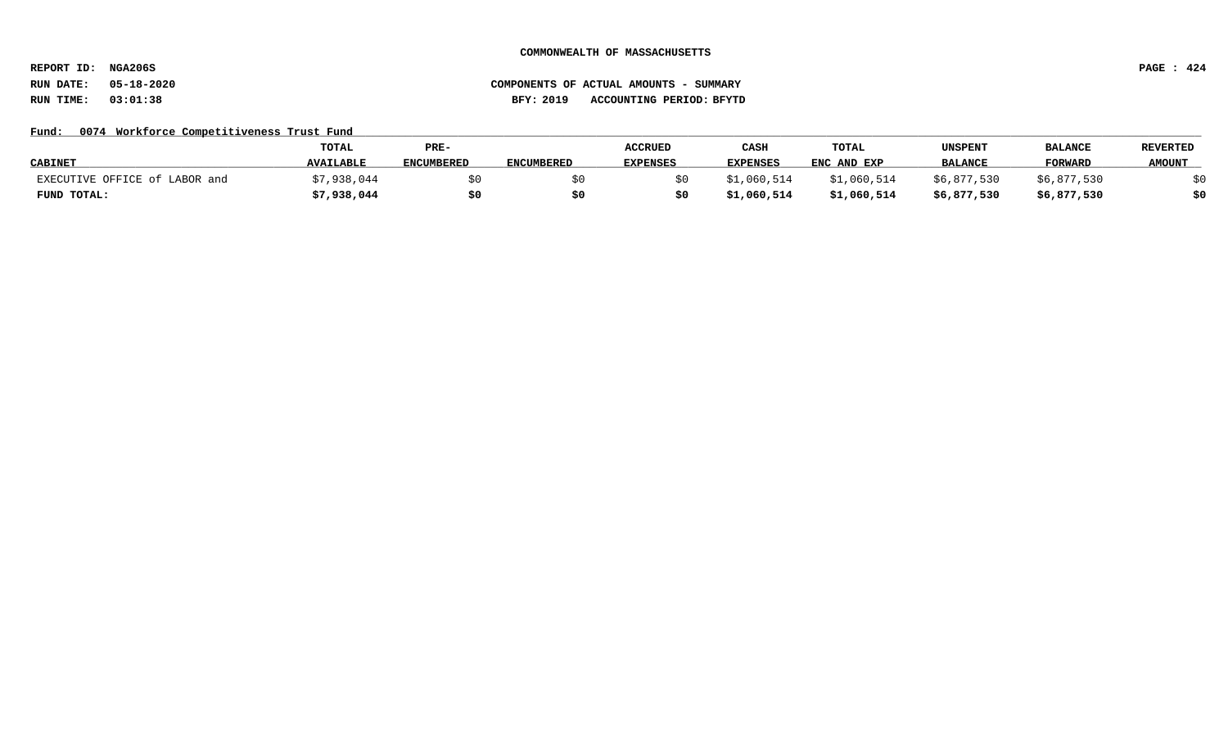**REPORT ID: NGA206S PAGE : 424**

# **RUN DATE: 05-18-2020 COMPONENTS OF ACTUAL AMOUNTS - SUMMARY RUN TIME: 03:01:38 BFY: 2019 ACCOUNTING PERIOD: BFYTD**

## Fund: 0074 Workforce Competitiveness Trust Fund

|                               | <b>TOTAL</b>     | PRE-              |                   | <b>ACCRUED</b>  | CASH            | <b>TOTAL</b> | UNSPENT        | <b>BALANCI</b> | <b>REVERTED</b> |
|-------------------------------|------------------|-------------------|-------------------|-----------------|-----------------|--------------|----------------|----------------|-----------------|
| <b>CABINET</b>                | <b>AVAILABLE</b> | <b>ENCUMBERED</b> | <b>ENCUMBERED</b> | <b>EXPENSES</b> | <b>EXPENSES</b> | ENC AND EXP  | <b>BALANCE</b> | <b>FORWARD</b> | <b>AMOUNT</b>   |
| EXECUTIVE OFFICE of LABOR and | :7,938,044       |                   |                   |                 | \$1,060,514     | \$1,060,514  | \$6,877,530    | \$6,877,530    |                 |
| FUND TOTAL:                   | \$7,938,044      | \$0               | S0                |                 | \$1,060,514     | \$1,060,514  | \$6,877,530    | \$6,877,530    | \$0             |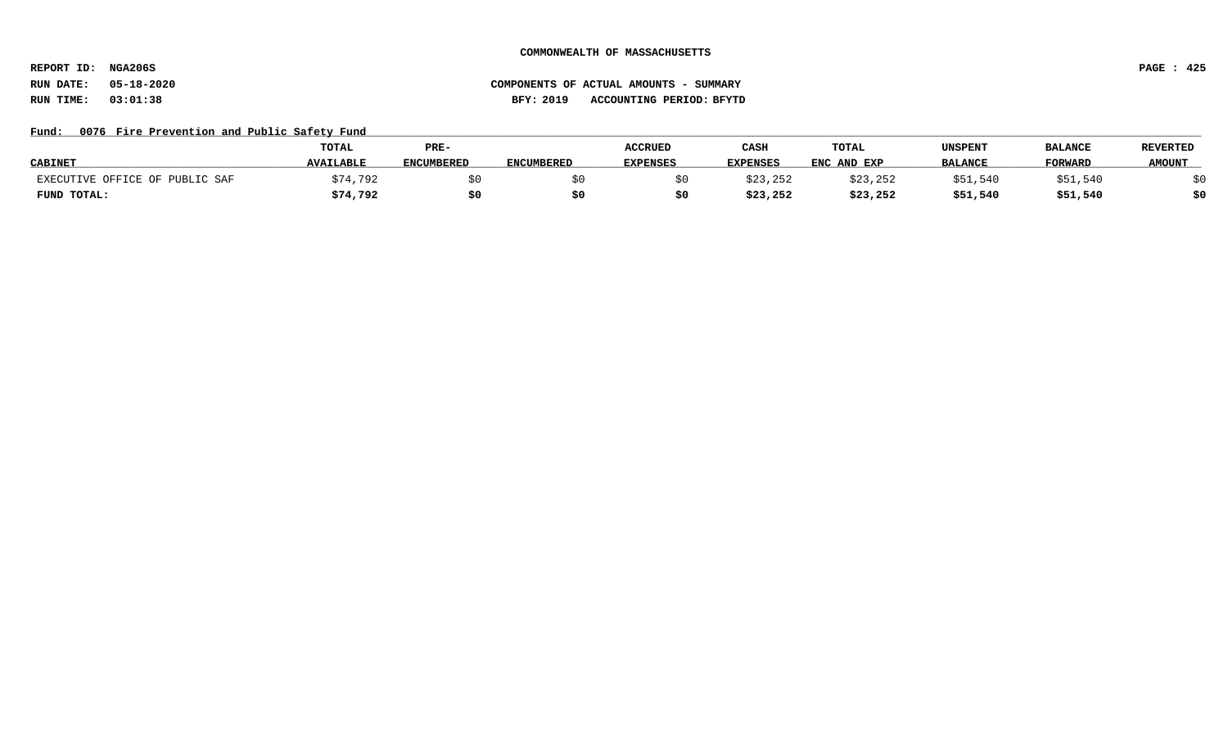**REPORT ID: NGA206S PAGE : 425**

# **RUN DATE: 05-18-2020 COMPONENTS OF ACTUAL AMOUNTS - SUMMARY RUN TIME: 03:01:38 BFY: 2019 ACCOUNTING PERIOD: BFYTD**

## Fund: 0076 Fire Prevention and Public Safety Fund

|                                | <b>TOTAL</b>     | PRE-              |            | <b>ACCRUED</b>  | CASH            | TOTAL       | UNSPENT        | <b>BALANCE</b> | <b>REVERTED</b> |
|--------------------------------|------------------|-------------------|------------|-----------------|-----------------|-------------|----------------|----------------|-----------------|
| <b>CABINET</b>                 | <b>AVAILABLE</b> | <b>ENCUMBERED</b> | ENCUMBERED | <b>EXPENSES</b> | <b>EXPENSES</b> | ENC AND EXP | <b>BALANCE</b> | <b>FORWARD</b> | <b>AMOUNT</b>   |
| EXECUTIVE OFFICE OF PUBLIC SAF | 174,792          |                   |            |                 | \$23,252        | \$23,252    | \$51.540       | \$51,540       |                 |
| FUND TOTAL:                    | \$74,792         |                   |            |                 | \$23,252        | \$23,252    | \$51,540       | \$51,540       | \$0             |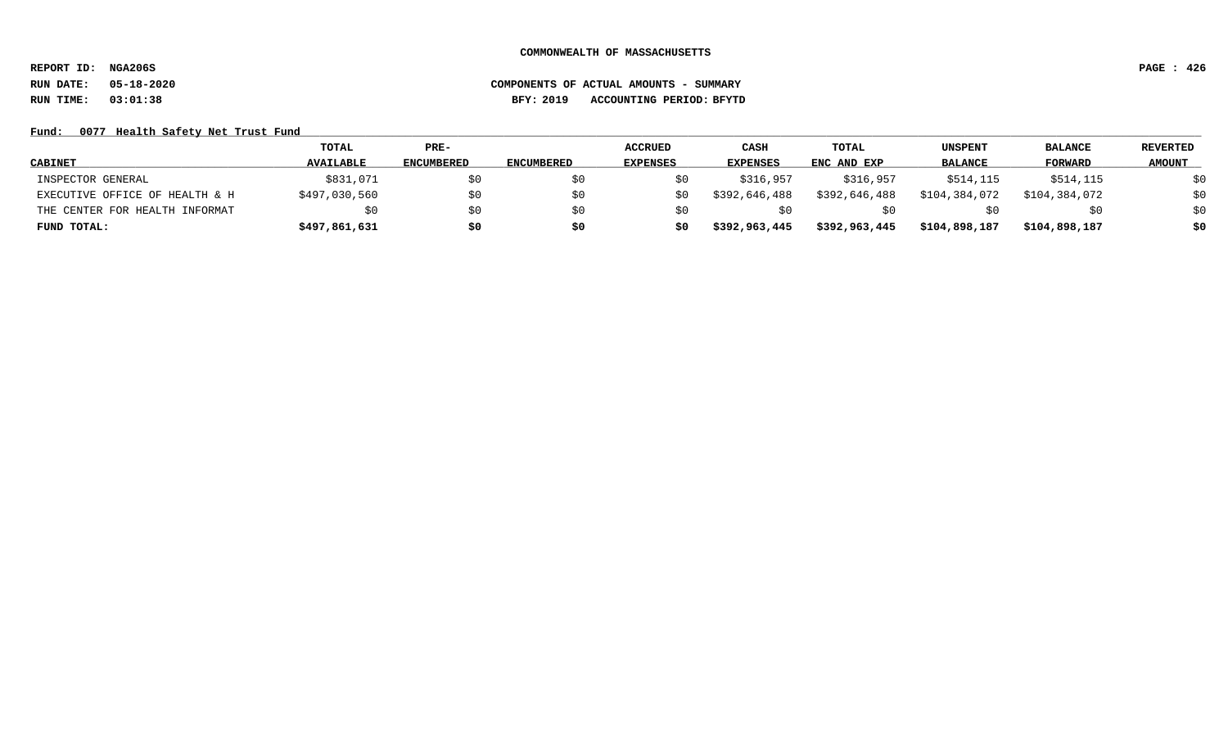**REPORT ID: NGA206S PAGE : 426**

# **RUN DATE: 05-18-2020 COMPONENTS OF ACTUAL AMOUNTS - SUMMARY RUN TIME: 03:01:38 BFY: 2019 ACCOUNTING PERIOD: BFYTD**

## Fund: 0077 Health Safety Net Trust Fund

|                                | TOTAL            | $PRE-$            |                   | <b>ACCRUED</b>  | CASH            | <b>TOTAL</b>  | UNSPENT        | <b>BALANCE</b> | <b>REVERTED</b> |
|--------------------------------|------------------|-------------------|-------------------|-----------------|-----------------|---------------|----------------|----------------|-----------------|
| <b>CABINET</b>                 | <b>AVAILABLE</b> | <b>ENCUMBERED</b> | <b>ENCUMBERED</b> | <b>EXPENSES</b> | <b>EXPENSES</b> | ENC AND EXP   | <b>BALANCE</b> | <b>FORWARD</b> | <b>AMOUNT</b>   |
| INSPECTOR GENERAL              | \$831,071        | \$0               |                   |                 | \$316,957       | \$316,957     | \$514,115      | \$514,115      | \$0             |
| EXECUTIVE OFFICE OF HEALTH & H | \$497,030,560    | \$0               | SO.               | SO.             | \$392,646,488   | \$392,646,488 | \$104,384,072  | \$104,384,072  | \$0             |
| THE CENTER FOR HEALTH INFORMAT |                  | \$0               | SO.               |                 |                 |               |                |                | \$0             |
| FUND TOTAL:                    | \$497,861,631    | \$0               | S0                | S0              | \$392,963,445   | \$392,963,445 | \$104,898,187  | \$104,898,187  | \$0             |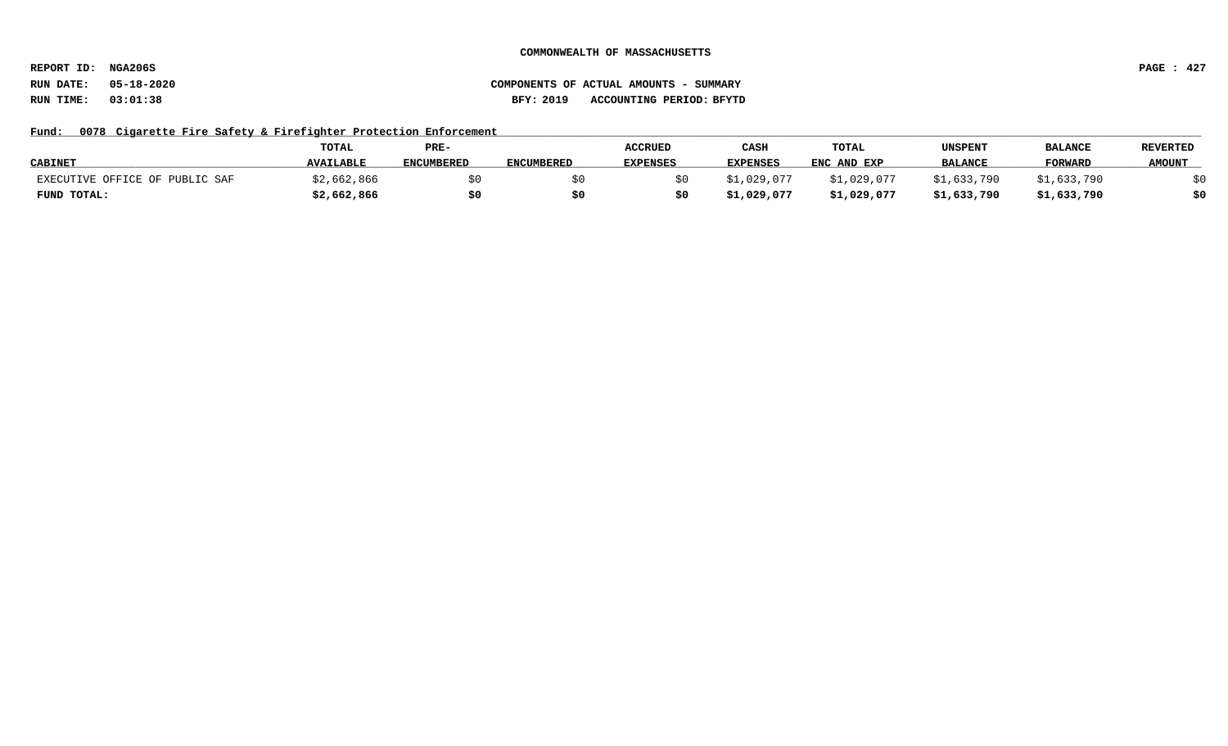**REPORT ID: NGA206S PAGE : 427**

# **RUN DATE: 05-18-2020 COMPONENTS OF ACTUAL AMOUNTS - SUMMARY RUN TIME: 03:01:38 BFY: 2019 ACCOUNTING PERIOD: BFYTD**

## Fund: 0078 Cigarette Fire Safety & Firefighter Protection Enforcement

|                                | <b>TOTAL</b>     | PRE-              |                   | <b>ACCRUED</b>  | CASH            | TOTAL       | UNSPENT        | <b>BALANCI</b> | <b>REVERTED</b> |
|--------------------------------|------------------|-------------------|-------------------|-----------------|-----------------|-------------|----------------|----------------|-----------------|
| <b>CABINET</b>                 | <b>AVAILABLE</b> | <b>ENCUMBERED</b> | <b>ENCUMBERED</b> | <b>EXPENSES</b> | <b>EXPENSES</b> | ENC AND EXP | <b>BALANCE</b> | <b>FORWARD</b> | <b>AMOUNT</b>   |
| EXECUTIVE OFFICE OF PUBLIC SAF | 3,662,866;       |                   |                   |                 | .1,029,077      | \$1,029,077 | \$1,633,790    | \$1,633,790    |                 |
| FUND TOTAL:                    | \$2,662,866      | \$0               |                   |                 | \$1,029,077     | \$1,029,077 | \$1,633,790    | \$1,633,790    | \$0             |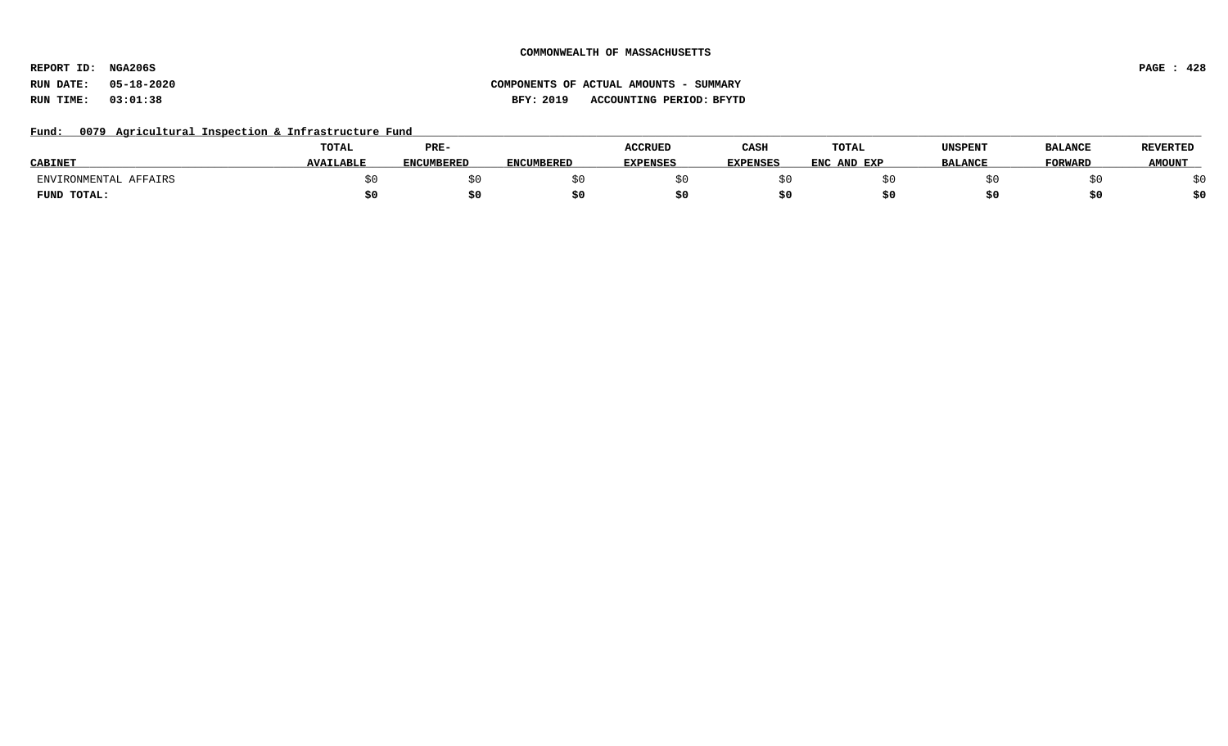**REPORT ID: NGA206S PAGE : 428**

# **RUN DATE: 05-18-2020 COMPONENTS OF ACTUAL AMOUNTS - SUMMARY RUN TIME: 03:01:38 BFY: 2019 ACCOUNTING PERIOD: BFYTD**

## Fund: 0079 Agricultural Inspection & Infrastructure Fund

|                       | <b>TOTAL</b>     | PRE-              |                   | <b>ACCRUED</b>  | CASH            | TOTAL       | UNSPENT        | <b>BALANCE</b> | <b>REVERTED</b> |
|-----------------------|------------------|-------------------|-------------------|-----------------|-----------------|-------------|----------------|----------------|-----------------|
| <b>CABINET</b>        | <b>AVAILABLE</b> | <b>ENCUMBERED</b> | <b>ENCUMBERED</b> | <b>EXPENSES</b> | <b>EXPENSES</b> | ENC AND EXP | <b>BALANCE</b> | <b>FORWARD</b> | <b>AMOUNT</b>   |
| AFFAIRS<br>"RONMENTAL |                  |                   |                   |                 |                 |             |                |                | ςU<br>Y V       |
| FUND TOTAL:           | S0               |                   |                   |                 |                 |             |                | ъu             | \$0             |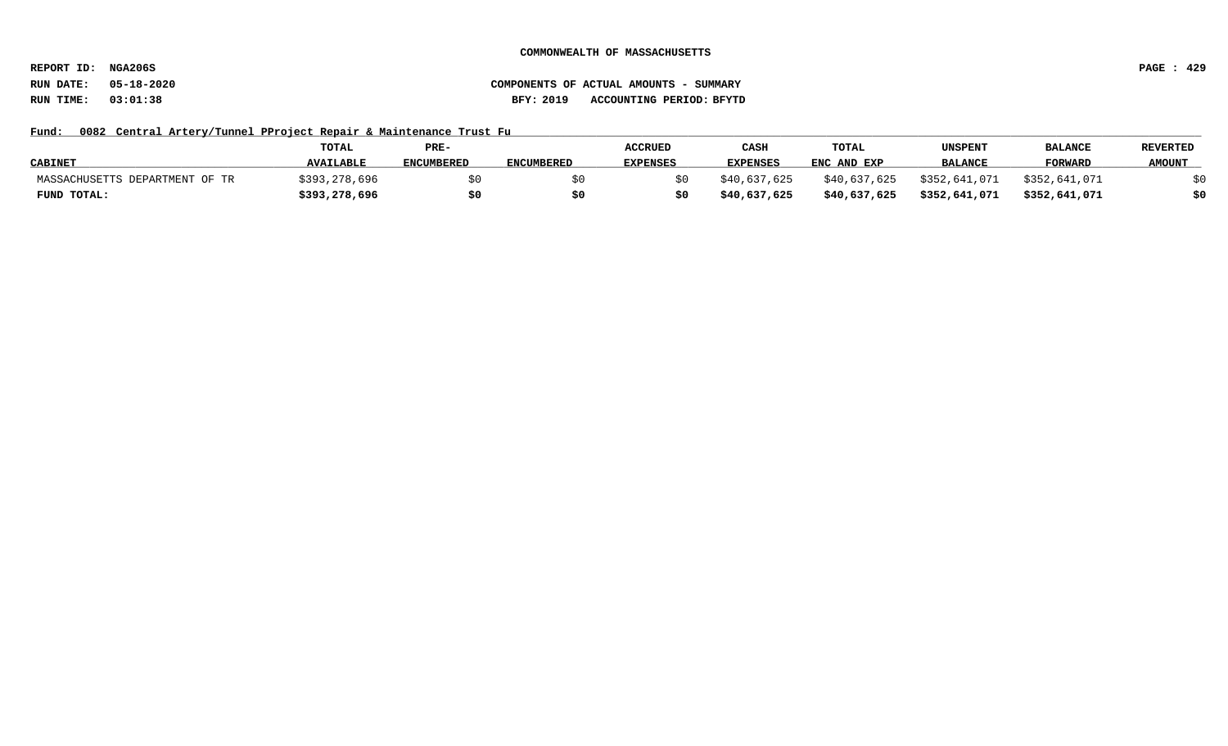**REPORT ID: NGA206S PAGE : 429**

# **RUN DATE: 05-18-2020 COMPONENTS OF ACTUAL AMOUNTS - SUMMARY RUN TIME: 03:01:38 BFY: 2019 ACCOUNTING PERIOD: BFYTD**

## Fund: 0082 Central Artery/Tunnel PProject Repair & Maintenance Trust Fu

|                                     | <b>TOTAL</b>     | PRE-              |                   | ACCRUED         | CASE            | <b>TOTAL</b> | UNSPENT        | <b>BALANCI</b> | <b>REVERTED</b> |
|-------------------------------------|------------------|-------------------|-------------------|-----------------|-----------------|--------------|----------------|----------------|-----------------|
| <b>CABINET</b>                      | <b>AVAILABLE</b> | <b>ENCUMBERED</b> | <b>ENCUMBERED</b> | <b>EXPENSES</b> | <b>EXPENSES</b> | ENC AND EXP  | <b>BALANCE</b> | <b>FORWARD</b> | <b>AMOUNT</b>   |
| MASSACHUSETTS<br>, DEPARTMENT OF TR | \$393,278,696    |                   |                   |                 | \$40,637,625    | \$40,637,625 | \$352,641,071  | \$352,641,071  |                 |
| FUND TOTAL:                         | \$393,278,696    | \$0               |                   |                 | \$40,637,625    | \$40,637,625 | \$352,641,071  | \$352,641,071  | \$0             |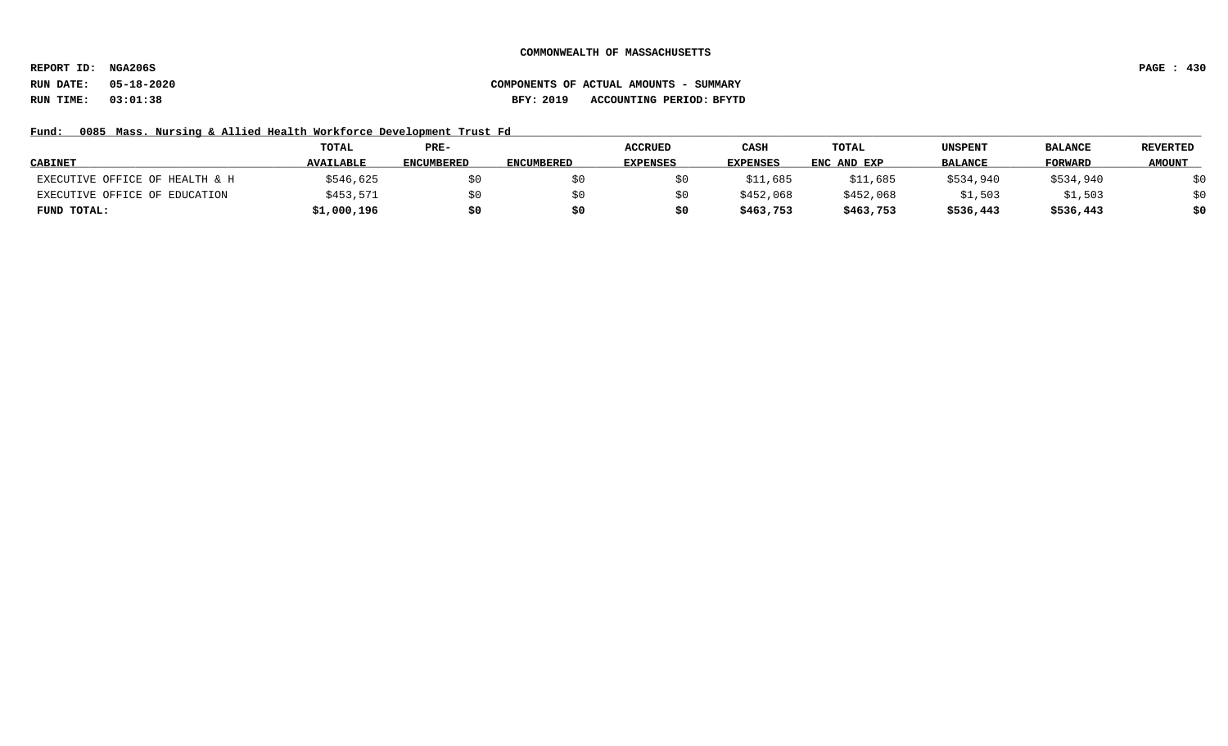**REPORT ID: NGA206S PAGE : 430**

# **RUN DATE: 05-18-2020 COMPONENTS OF ACTUAL AMOUNTS - SUMMARY RUN TIME: 03:01:38 BFY: 2019 ACCOUNTING PERIOD: BFYTD**

## Fund: 0085 Mass. Nursing & Allied Health Workforce Development Trust Fd

|                                | <b>TOTAL</b>     | PRE-              |                   | <b>ACCRUED</b>  | CASH            | TOTAL       | UNSPENT        | <b>BALANCE</b> | <b>REVERTED</b> |
|--------------------------------|------------------|-------------------|-------------------|-----------------|-----------------|-------------|----------------|----------------|-----------------|
| <b>CABINET</b>                 | <b>AVAILABLE</b> | <b>ENCUMBERED</b> | <b>ENCUMBERED</b> | <b>EXPENSES</b> | <b>EXPENSES</b> | ENC AND EXP | <b>BALANCE</b> | <b>FORWARD</b> | <b>AMOUNT</b>   |
| EXECUTIVE OFFICE OF HEALTH & H | \$546,625        | \$0               |                   |                 | \$11,685        | \$11,685    | \$534,940      | \$534,940      | \$0             |
| EXECUTIVE OFFICE OF EDUCATION  | \$453,571        | \$0               |                   |                 | \$452,068       | \$452,068   | \$1,503        | \$1,503        | \$0             |
| FUND TOTAL:                    | \$1,000,196      | \$0               |                   |                 | \$463,753       | \$463,753   | \$536,443      | \$536,443      | \$0             |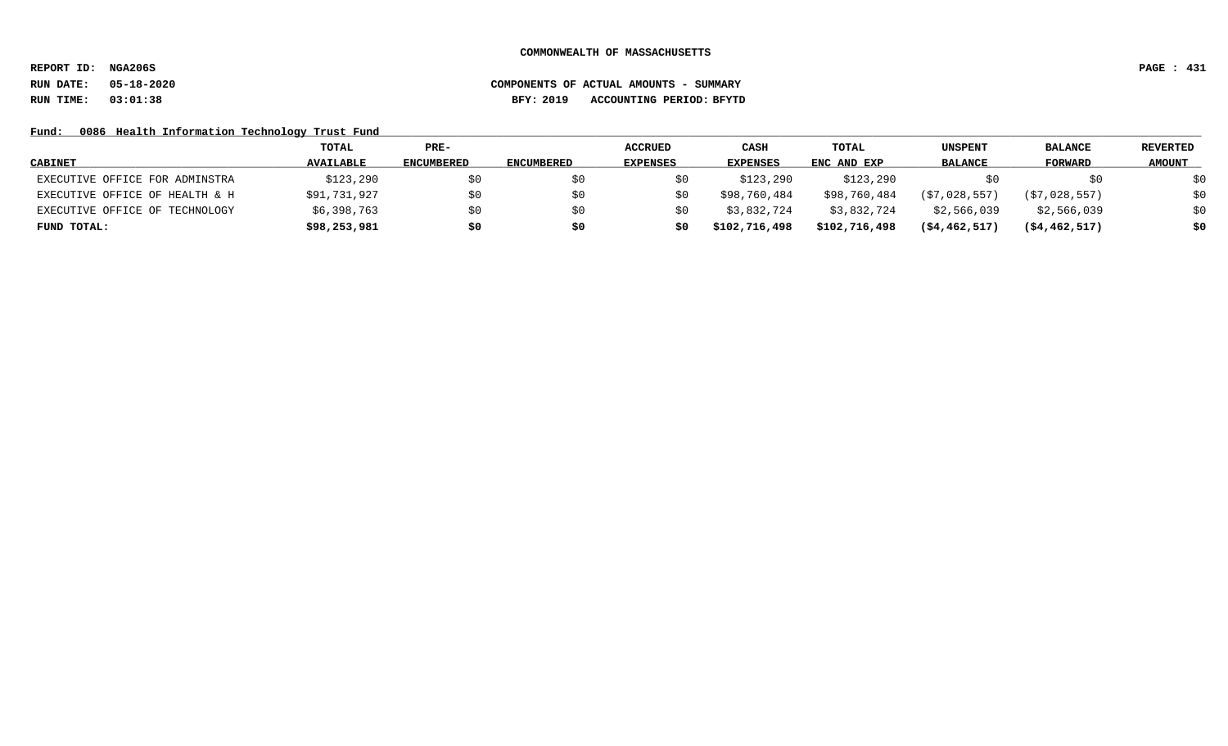**REPORT ID: NGA206S PAGE : 431**

# **RUN DATE: 05-18-2020 COMPONENTS OF ACTUAL AMOUNTS - SUMMARY RUN TIME: 03:01:38 BFY: 2019 ACCOUNTING PERIOD: BFYTD**

Fund: 0086 Health Information Technology Trust Fund

|                                | TOTAL            | PRE-       |                   | <b>ACCRUED</b>  | <b>CASH</b>   | <b>TOTAL</b>  | UNSPENT        | <b>BALANCE</b>   | REVERTED      |
|--------------------------------|------------------|------------|-------------------|-----------------|---------------|---------------|----------------|------------------|---------------|
| <b>CABINET</b>                 | <b>AVAILABLE</b> | ENCUMBERED | <b>ENCUMBERED</b> | <b>EXPENSES</b> | EXPENSES      | ENC AND EXP   | <b>BALANCE</b> | FORWARD          | <b>AMOUNT</b> |
| EXECUTIVE OFFICE FOR ADMINSTRA | \$123,290        | \$0        |                   |                 | \$123,290     | \$123,290     |                | SO.              | \$0           |
| EXECUTIVE OFFICE OF HEALTH & H | \$91,731,927     | \$0        |                   |                 | \$98,760,484  | \$98,760,484  | (\$7,028,557)  | (S7, 028, 557)   | \$0           |
| EXECUTIVE OFFICE OF TECHNOLOGY | \$6,398,763      | \$0        |                   |                 | \$3,832,724   | \$3,832,724   | \$2,566,039    | \$2,566,039      | \$0           |
| FUND TOTAL:                    | \$98,253,981     | \$0        | \$0               |                 | \$102,716,498 | \$102,716,498 | (54, 462, 517) | $($ \$4,462,517) | \$0           |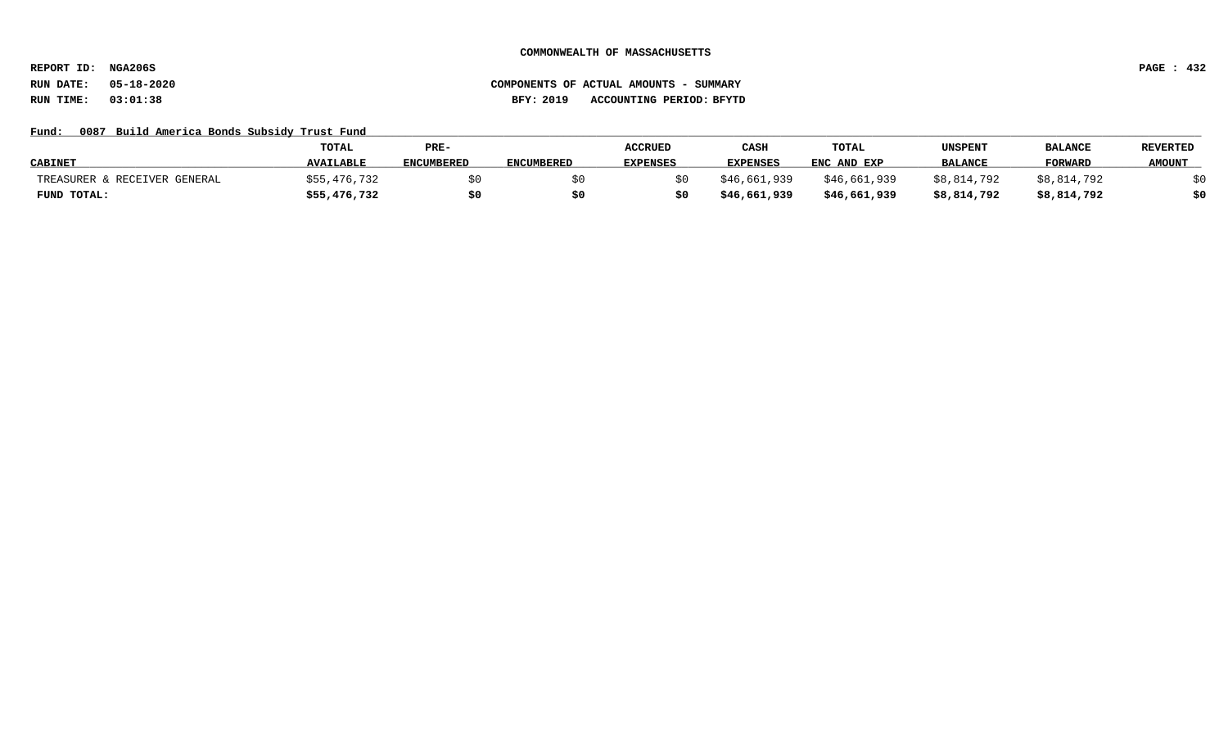**REPORT ID: NGA206S PAGE : 432**

# **RUN DATE: 05-18-2020 COMPONENTS OF ACTUAL AMOUNTS - SUMMARY RUN TIME: 03:01:38 BFY: 2019 ACCOUNTING PERIOD: BFYTD**

## Fund: 0087 Build America Bonds Subsidy Trust Fund

|                              | <b>TOTAL</b>     | PRE-       |                   | <b>ACCRUED</b>  | CASH         | <b>TOTAL</b> | UNSPENT        | <b>BALANCE</b> | <b>REVERTED</b> |
|------------------------------|------------------|------------|-------------------|-----------------|--------------|--------------|----------------|----------------|-----------------|
| <b>CABINET</b>               | <b>AVAILABLE</b> | ENCUMBERED | <b>ENCUMBERED</b> | <b>EXPENSES</b> | EXPENSES     | ENC AND EXP  | <b>BALANCE</b> | <b>FORWARD</b> | <b>AMOUNT</b>   |
| TREASURER & RECEIVER GENERAL | \$55,476,732     |            |                   |                 | \$46,661,939 | \$46,661,939 | \$8,814,792    | \$8,814,792    |                 |
| FUND TOTAL:                  | \$55,476,732     | \$0        |                   |                 | \$46,661,939 | \$46,661,939 | \$8,814,792    | \$8,814,792    | \$0             |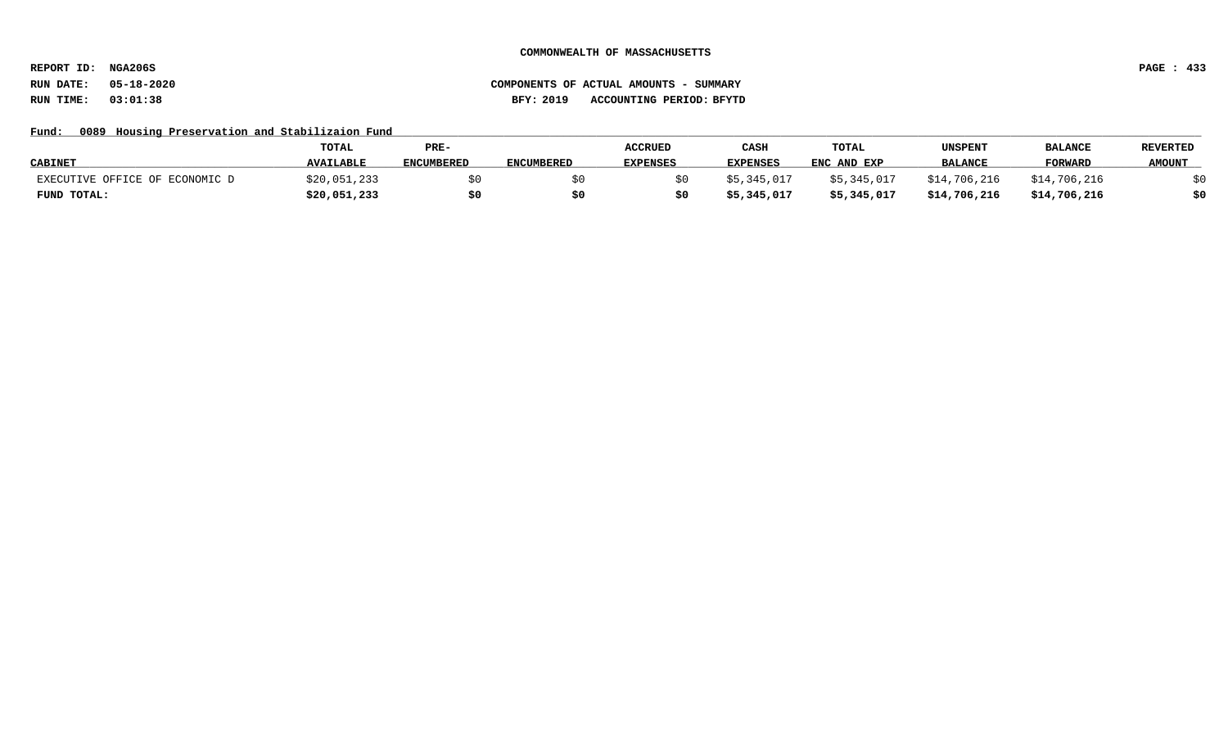**REPORT ID: NGA206S PAGE : 433**

## Fund: 0089 Housing Preservation and Stabilizaion Fund

|                                | TOTAL            | PRE-              |                   | <b>ACCRUED</b>  | CASE            | TOTAL       | UNSPENT        | <b>BALANCE</b> | <b>REVERTED</b> |
|--------------------------------|------------------|-------------------|-------------------|-----------------|-----------------|-------------|----------------|----------------|-----------------|
| <b>CABINET</b>                 | <b>AVAILABLE</b> | <b>ENCUMBERED</b> | <b>ENCUMBERED</b> | <b>EXPENSES</b> | <b>EXPENSES</b> | ENC AND EXP | <b>BALANCE</b> | <b>FORWARD</b> | <b>AMOUNT</b>   |
| EXECUTIVE OFFICE OF ECONOMIC D | \$20,051,233     |                   |                   |                 | \$5.345.017     | \$5,345,017 | \$14,706,216   | \$14,706,216   |                 |
| FUND TOTAL:                    | \$20,051,233     | \$0               | S0                |                 | \$5,345,017     | \$5,345,017 | \$14,706,216   | \$14,706,216   | \$0             |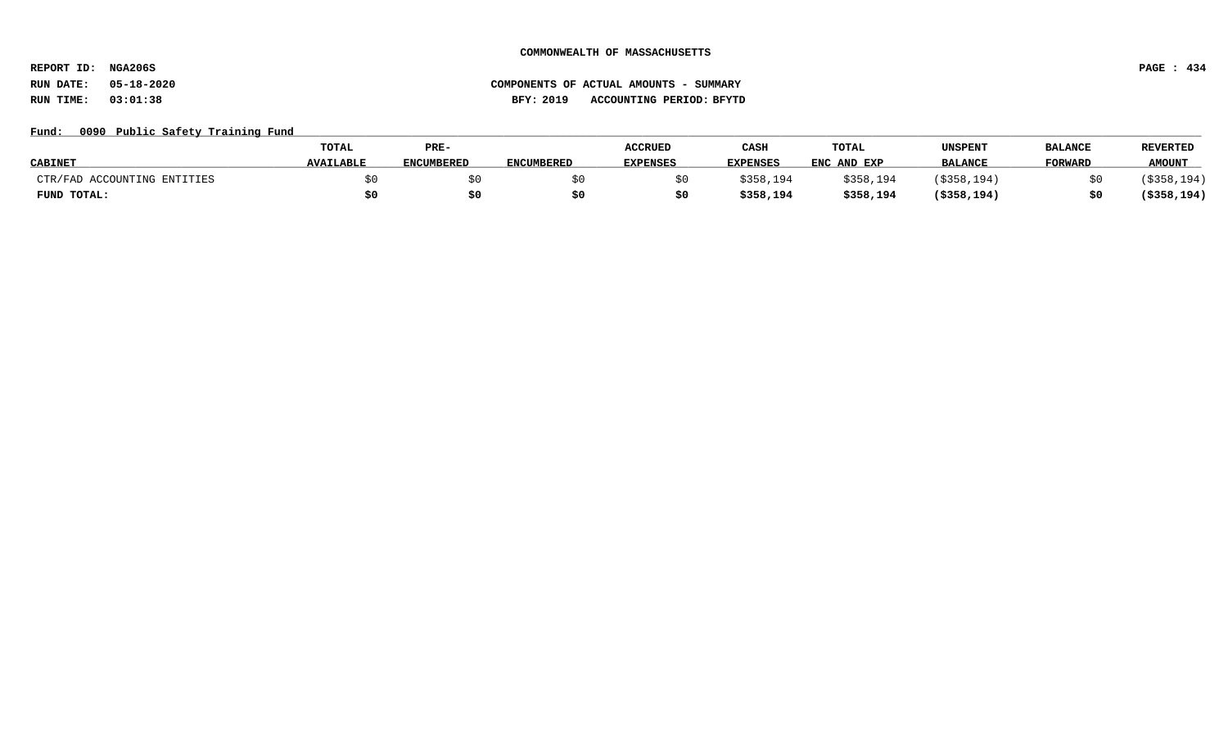**REPORT ID: NGA206S PAGE : 434**

### Fund: 0090 Public Safety Training Fund

|                             | <b>TOTAL</b>     | PRE-              |                   | <b>ACCRUED</b>  | CASH            | TOTAL       | UNSPENT        | <b>BALANCE</b> | <b>REVERTED</b> |
|-----------------------------|------------------|-------------------|-------------------|-----------------|-----------------|-------------|----------------|----------------|-----------------|
| <b>CABINET</b>              | <b>AVAILABLE</b> | <b>ENCUMBERED</b> | <b>ENCUMBERED</b> | <b>EXPENSES</b> | <b>EXPENSES</b> | ENC AND EXP | <b>BALANCE</b> | <b>FORWARI</b> | <b>AMOUNT</b>   |
| CTR/FAD ACCOUNTING ENTITIES |                  |                   |                   |                 | \$358,194       | \$358,194   | \$358,194      |                | (\$358,194)     |
| FUND TOTAL:                 |                  | \$0               |                   |                 | \$358,194       | \$358,194   | $($ \$358,194  |                | (\$358,194)     |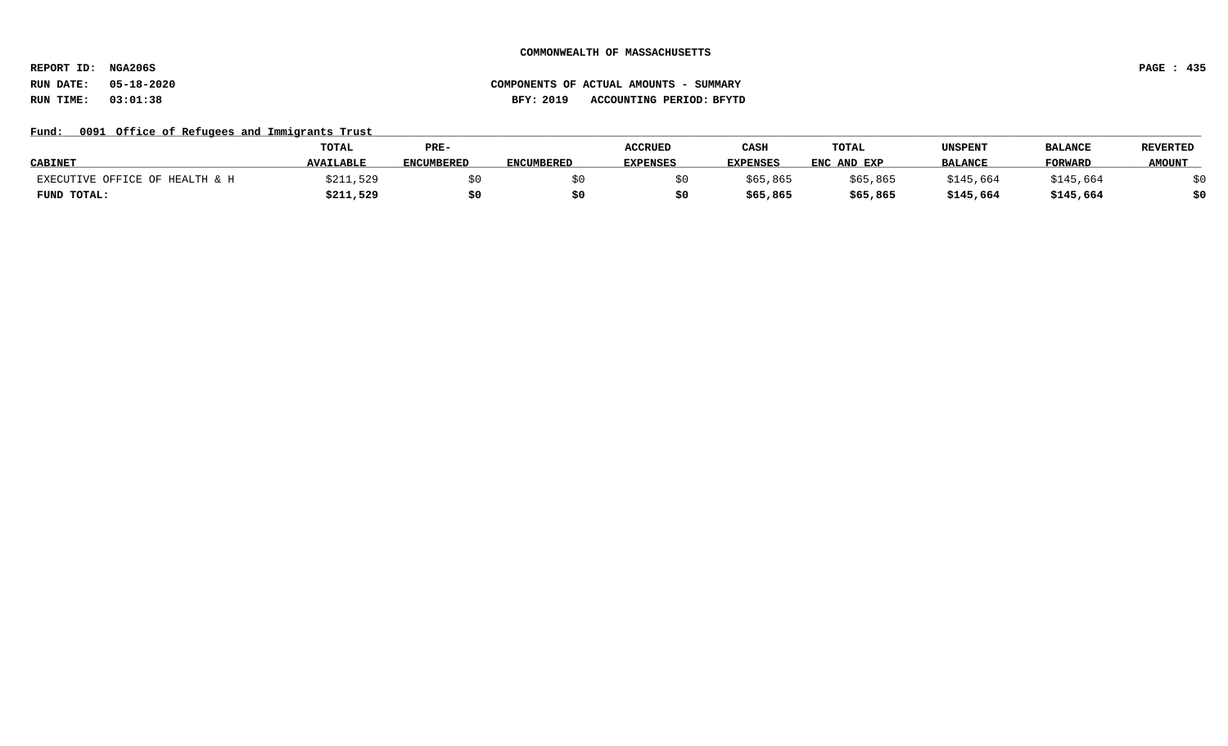**REPORT ID: NGA206S PAGE : 435**

# **RUN DATE: 05-18-2020 COMPONENTS OF ACTUAL AMOUNTS - SUMMARY RUN TIME: 03:01:38 BFY: 2019 ACCOUNTING PERIOD: BFYTD**

### Fund: 0091 Office of Refugees and Immigrants Trust

|                                | <b>TOTAL</b>     | PRE-              |                   | <b>ACCRUED</b> | CASH            | TOTAL       | UNSPENT        | <b>BALANCE</b> | <b>REVERTED</b> |
|--------------------------------|------------------|-------------------|-------------------|----------------|-----------------|-------------|----------------|----------------|-----------------|
| <b>CABINET</b>                 | <b>AVAILABLE</b> | <b>ENCUMBERED</b> | <b>ENCUMBERED</b> | EXPENSES       | <b>EXPENSES</b> | ENC AND EXP | <b>BALANCE</b> | <b>FORWARD</b> | <b>AMOUNT</b>   |
| EXECUTIVE OFFICE OF HEALTH & H | \$211,529        |                   |                   |                | \$65,865        | \$65,865    | \$145,664      | \$145,664      |                 |
| FUND TOTAL:                    | \$211,529        | \$0               |                   |                | \$65,865        | \$65,865    | \$145,664      | \$145,664      | \$0             |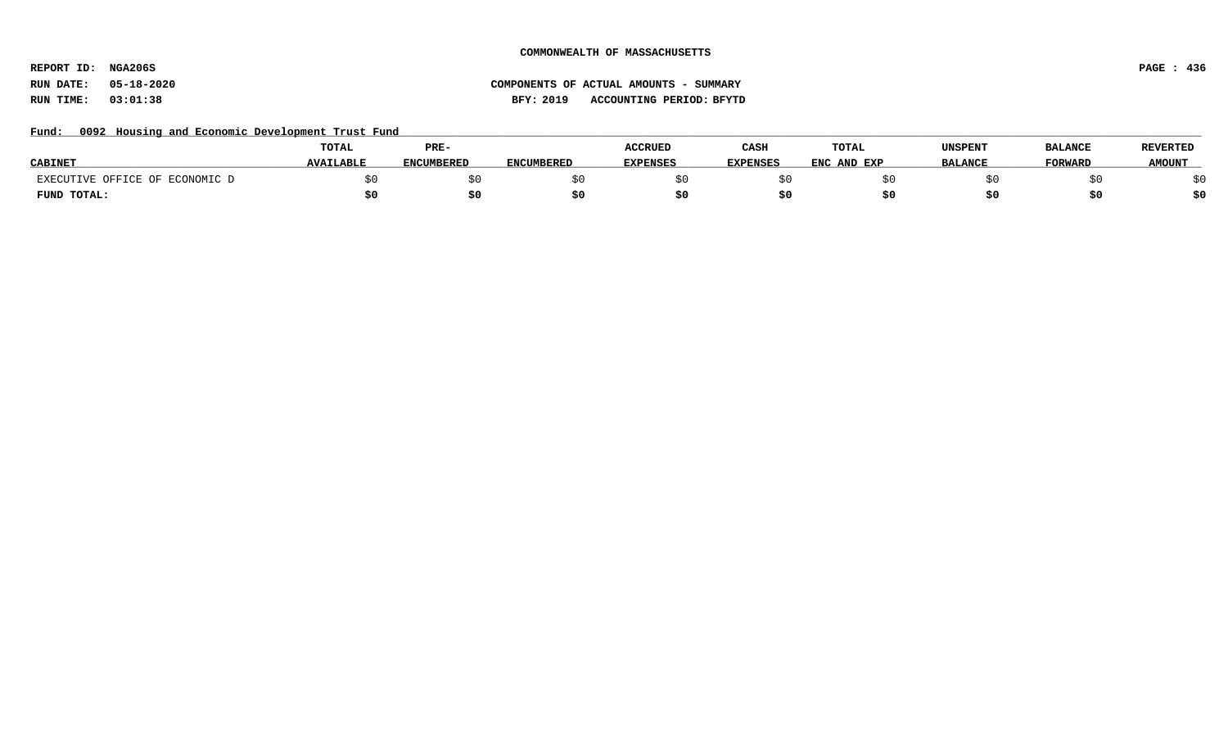**REPORT ID: NGA206S PAGE : 436**

# **RUN DATE: 05-18-2020 COMPONENTS OF ACTUAL AMOUNTS - SUMMARY RUN TIME: 03:01:38 BFY: 2019 ACCOUNTING PERIOD: BFYTD**

### Fund: 0092 Housing and Economic Development Trust Fund

|                                | <b>TOTAL</b>     | PRE-       |                   | <b>ACCRUED</b>  | CASH            | TOTAL       | UNSPENT        | <b>BALANCE</b> | <b>REVERTED</b> |
|--------------------------------|------------------|------------|-------------------|-----------------|-----------------|-------------|----------------|----------------|-----------------|
| <b>CABINET</b>                 | <b>AVAILABLE</b> | ENCUMBERED | <b>ENCUMBERED</b> | <b>EXPENSES</b> | <b>EXPENSES</b> | ENC AND EXP | <b>BALANCE</b> | <b>FORWARD</b> | <b>AMOUNT</b>   |
| EXECUTIVE OFFICE OF ECONOMIC D |                  |            |                   |                 |                 |             |                |                |                 |
| FUND TOTAL:                    |                  | \$0        |                   |                 |                 |             |                | \$0            |                 |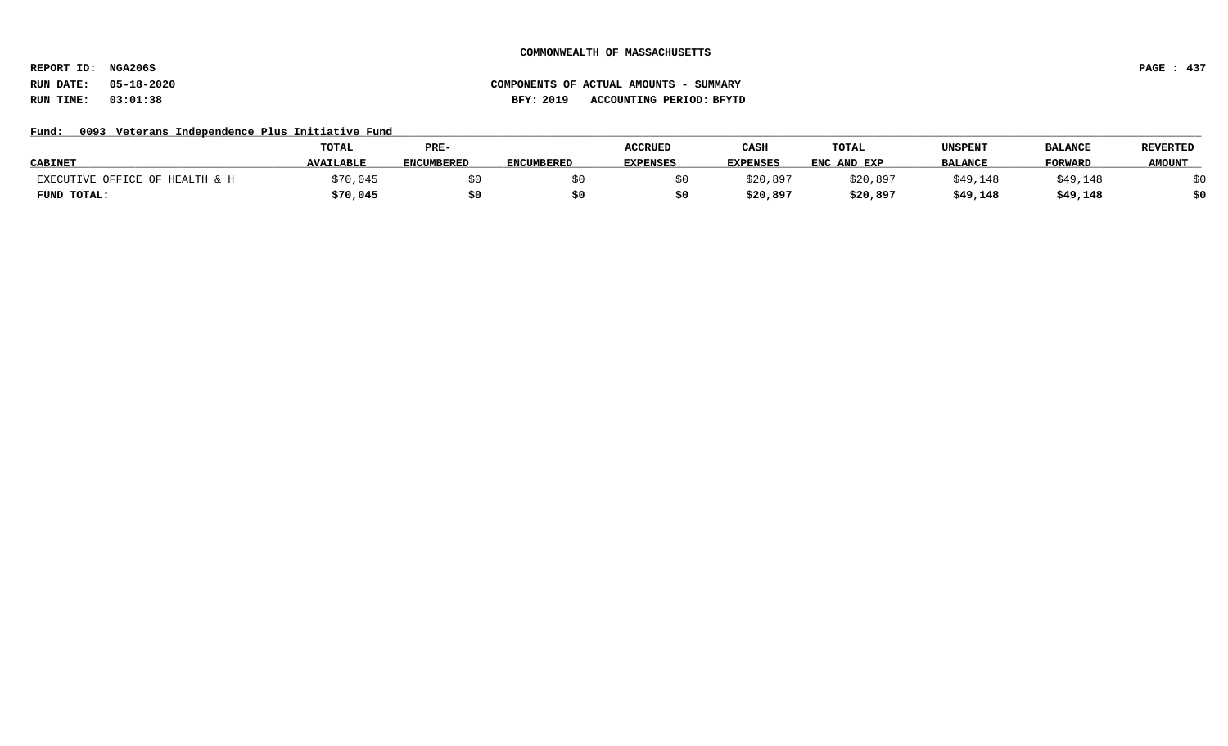**REPORT ID: NGA206S PAGE : 437**

# **RUN DATE: 05-18-2020 COMPONENTS OF ACTUAL AMOUNTS - SUMMARY RUN TIME: 03:01:38 BFY: 2019 ACCOUNTING PERIOD: BFYTD**

### Fund: 0093 Veterans Independence Plus Initiative Fund

|                                | TOTAL            | PRE-       |                   | <b>ACCRUED</b>  | CASH     | <b>TOTAL</b> | UNSPENT        | <b>BALANCE</b> | <b>REVERTED</b> |
|--------------------------------|------------------|------------|-------------------|-----------------|----------|--------------|----------------|----------------|-----------------|
| <b>CABINET</b>                 | <b>AVAILABLE</b> | ENCUMBERED | <b>ENCUMBERED</b> | <b>EXPENSES</b> | EXPENSES | ENC AND EXP  | <b>BALANCE</b> | FORWARD        | <b>AMOUNT</b>   |
| EXECUTIVE OFFICE OF HEALTH & H | ;70,045          |            |                   |                 | \$20,897 | \$20,897     | \$49,148       | \$49,148       |                 |
| FUND TOTAL:                    | \$70,045         | \$0        |                   |                 | \$20,897 | \$20,897     | \$49,148       | \$49,148       | \$0             |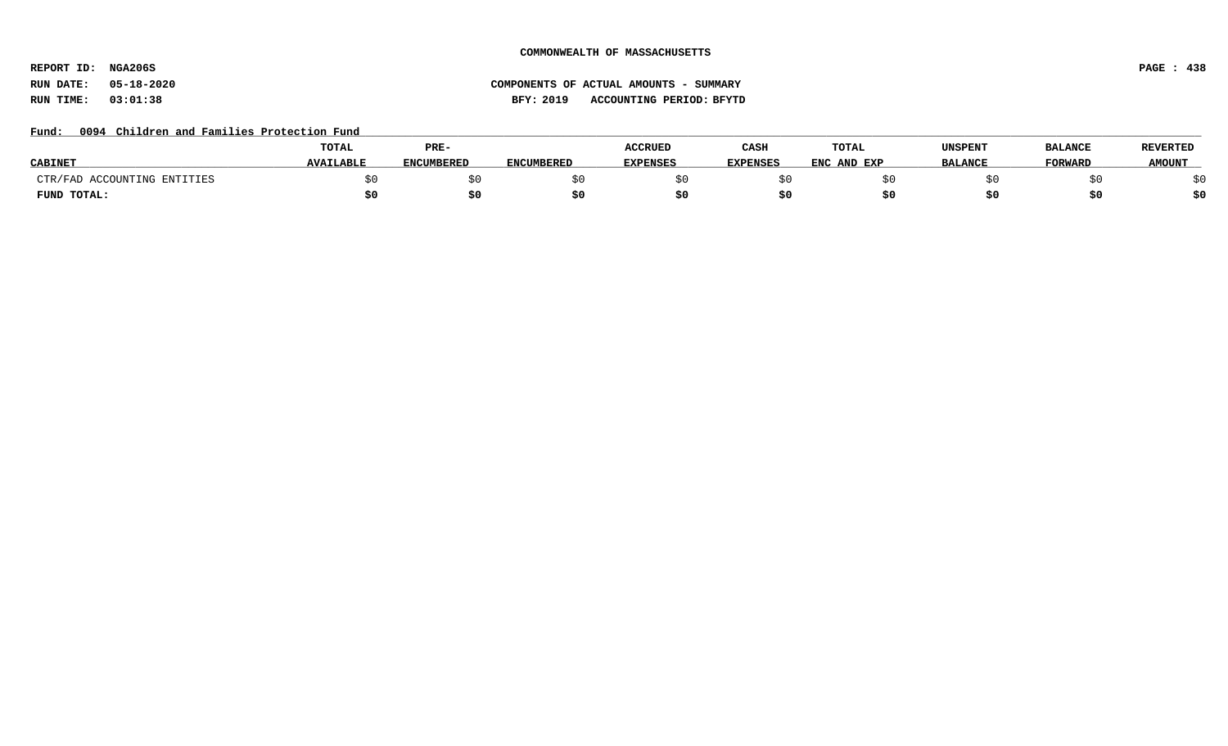**REPORT ID: NGA206S PAGE : 438**

# **RUN DATE: 05-18-2020 COMPONENTS OF ACTUAL AMOUNTS - SUMMARY RUN TIME: 03:01:38 BFY: 2019 ACCOUNTING PERIOD: BFYTD**

### Fund: 0094 Children and Families Protection Fund

|                             | TOTAL            | PRE-              |            | ACCRUED         | CASH            | TOTAL       | UNSPENT        | <b>BALANCE</b> | <b>REVERTED</b> |
|-----------------------------|------------------|-------------------|------------|-----------------|-----------------|-------------|----------------|----------------|-----------------|
| <b>CABINET</b>              | <b>AVAILABLE</b> | <b>ENCUMBERED</b> | ENCUMBERED | <b>EXPENSES</b> | <b>EXPENSES</b> | ENC AND EXP | <b>BALANCE</b> | <b>FORWARD</b> | <b>AMOUNT</b>   |
| CTR/FAD ACCOUNTING ENTITIES |                  |                   |            |                 |                 |             |                |                |                 |
| FUND TOTAL:                 |                  | \$0               |            |                 |                 |             |                |                | \$0             |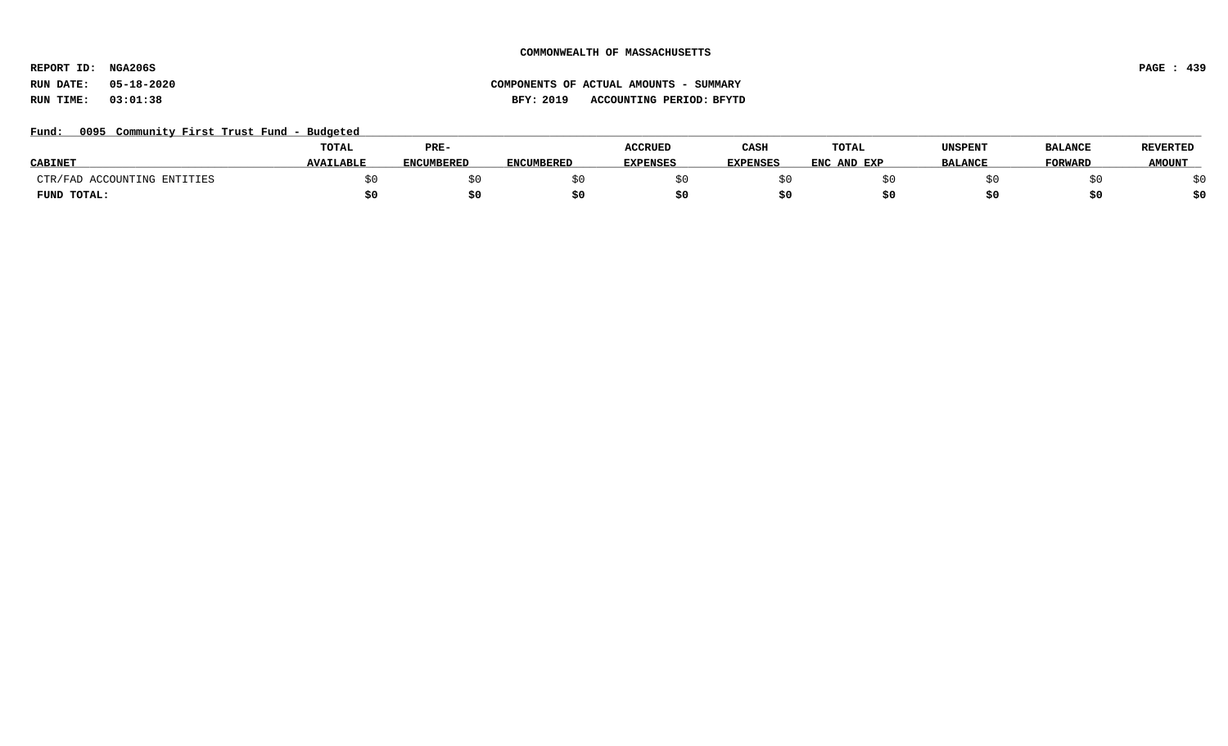**REPORT ID: NGA206S PAGE : 439**

# **RUN DATE: 05-18-2020 COMPONENTS OF ACTUAL AMOUNTS - SUMMARY RUN TIME: 03:01:38 BFY: 2019 ACCOUNTING PERIOD: BFYTD**

### Fund: 0095 Community First Trust Fund - Budgeted

|                             | <b>TOTAL</b>     | PRE-              |                   |                 | CASH            | <b>TOTAL</b> | UNSPENT        | <b>BALANCE</b> | <b>REVERTED</b> |
|-----------------------------|------------------|-------------------|-------------------|-----------------|-----------------|--------------|----------------|----------------|-----------------|
| <b>CABINET</b>              | <b>AVAILABLE</b> | <b>ENCUMBERED</b> | <b>ENCUMBERED</b> | <b>EXPENSES</b> | <b>EXPENSES</b> | ENC AND EXP  | <b>BALANCE</b> | FORWARD        | <b>AMOUNT</b>   |
| CTR/FAD ACCOUNTING ENTITIES |                  |                   |                   |                 |                 |              |                |                |                 |
| FUND TOTAL:                 |                  | \$0               |                   |                 |                 |              |                |                | \$0             |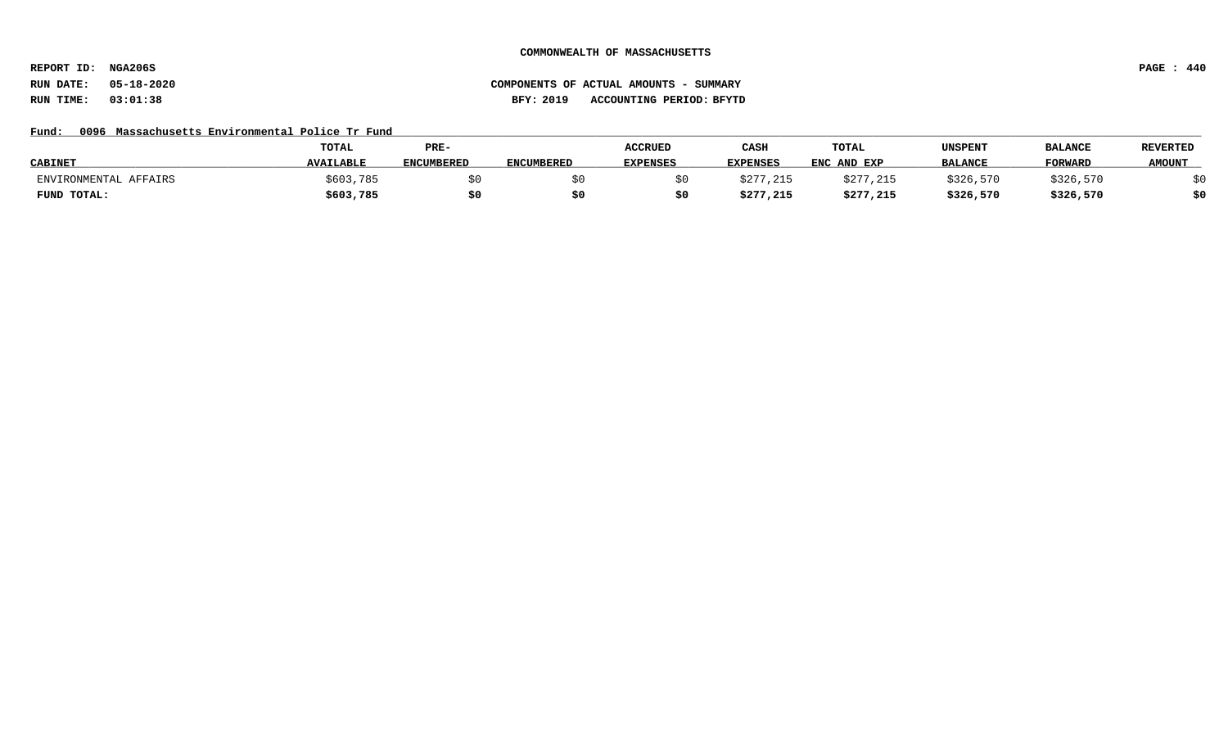**REPORT ID: NGA206S PAGE : 440**

# **RUN DATE: 05-18-2020 COMPONENTS OF ACTUAL AMOUNTS - SUMMARY RUN TIME: 03:01:38 BFY: 2019 ACCOUNTING PERIOD: BFYTD**

### Fund: 0096 Massachusetts Environmental Police Tr Fund

|                       | <b>TOTAL</b>     | PRE-              |                   | <b>ACCRUED</b>  | CASH            | TOTAL       | UNSPENT        | <b>BALANCE</b> | <b>REVERTED</b> |
|-----------------------|------------------|-------------------|-------------------|-----------------|-----------------|-------------|----------------|----------------|-----------------|
| <b>CABINET</b>        | <b>AVAILABLE</b> | <b>ENCUMBERED</b> | <b>ENCUMBERED</b> | <b>EXPENSES</b> | <b>EXPENSES</b> | ENC AND EXP | <b>BALANCE</b> | <b>FORWARI</b> | <b>AMOUNT</b>   |
| ENVIRONMENTAL AFFAIRS | \$603,785        |                   |                   |                 | \$277,215       | \$277,215   | \$326,570      | \$326,570      |                 |
| FUND TOTAL:           | \$603,785        |                   |                   |                 | \$277,215       | \$277,215   | \$326,570      | \$326,570      | \$0             |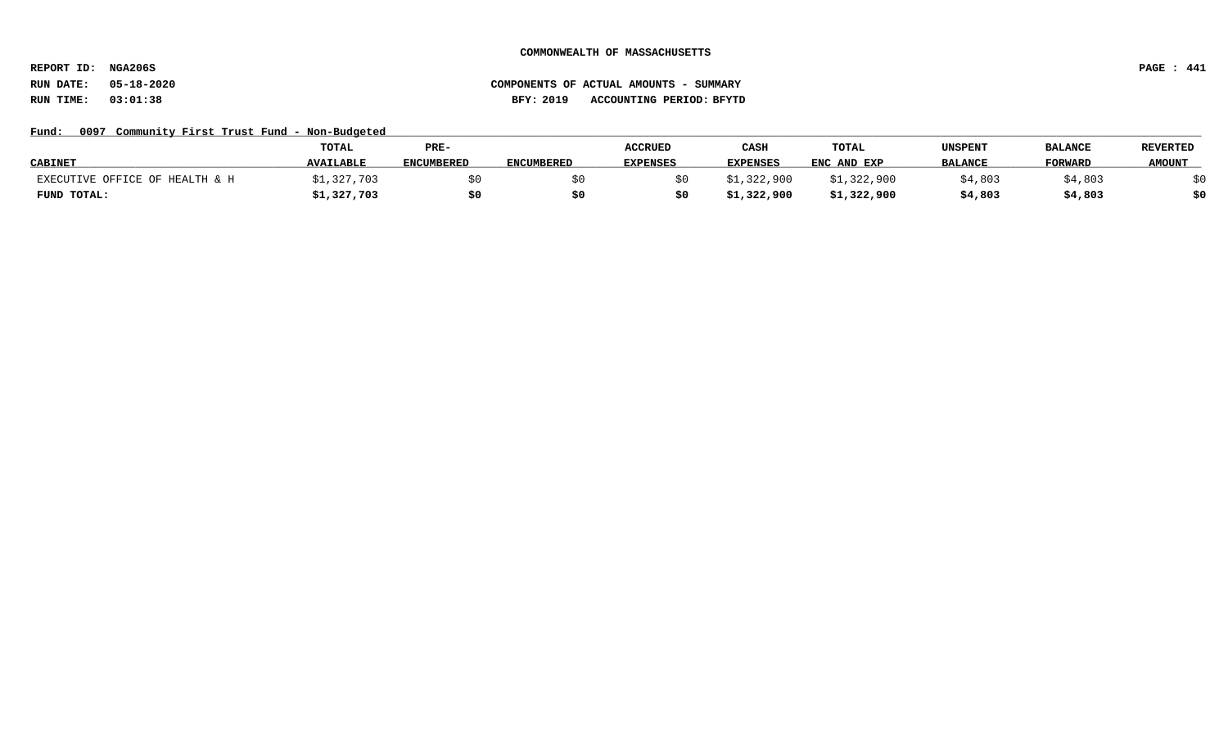**REPORT ID: NGA206S PAGE : 441**

# **RUN DATE: 05-18-2020 COMPONENTS OF ACTUAL AMOUNTS - SUMMARY RUN TIME: 03:01:38 BFY: 2019 ACCOUNTING PERIOD: BFYTD**

### Fund: 0097 Community First Trust Fund - Non-Budgeted

|                                | TOTAL            | PRE-       |                   | <b>ACCRUED</b>  | CASH        | <b>TOTAL</b> | UNSPENT        | <b>BALANCE</b> | <b>REVERTED</b> |
|--------------------------------|------------------|------------|-------------------|-----------------|-------------|--------------|----------------|----------------|-----------------|
| <b>CABINET</b>                 | <b>AVAILABLE</b> | ENCUMBERED | <b>ENCUMBERED</b> | <b>EXPENSES</b> | EXPENSES    | ENC AND EXP  | <b>BALANCE</b> | <b>FORWARD</b> | <b>AMOUNT</b>   |
| EXECUTIVE OFFICE OF HEALTH & H | \$1,327,703      |            |                   |                 | \$1,322,900 | \$1,322,900  | \$4,803        | ;4,803         | どの              |
| FUND TOTAL:                    | \$1,327,703      | \$0        |                   |                 | \$1,322,900 | \$1,322,900  | \$4,803        | \$4,803        | \$0             |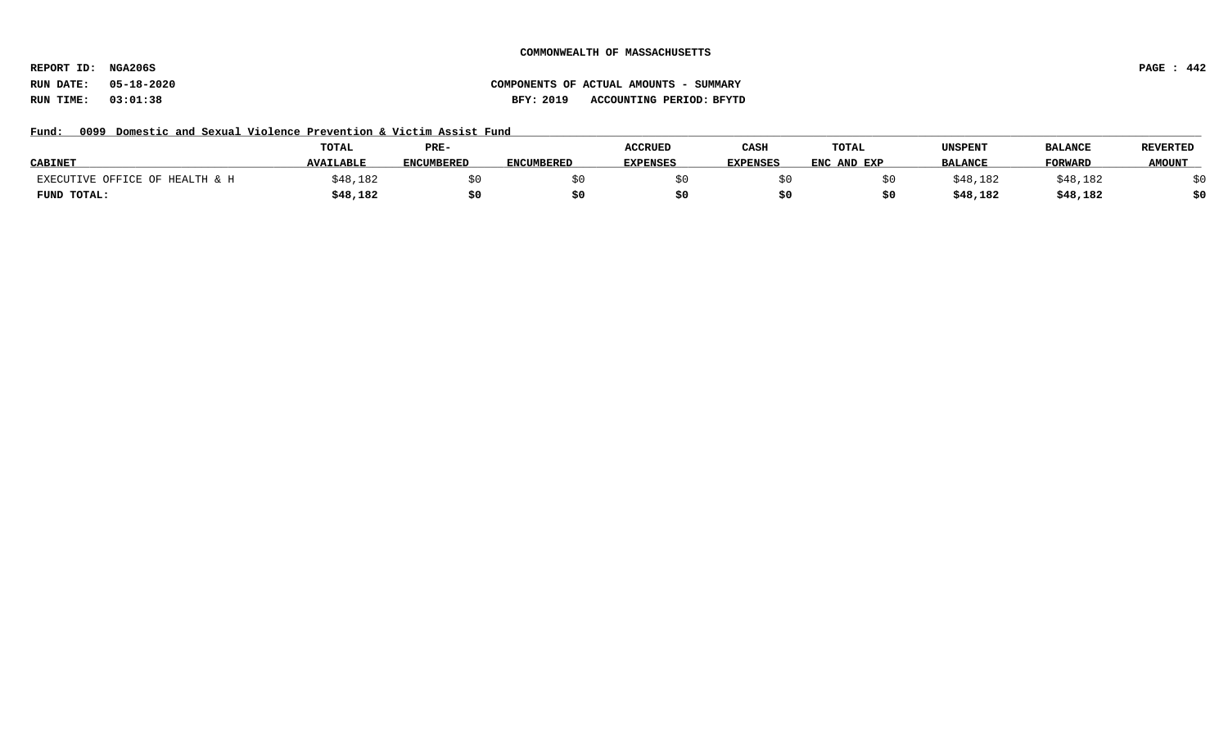**REPORT ID: NGA206S PAGE : 442**

# **RUN DATE: 05-18-2020 COMPONENTS OF ACTUAL AMOUNTS - SUMMARY RUN TIME: 03:01:38 BFY: 2019 ACCOUNTING PERIOD: BFYTD**

Fund: 0099 Domestic and Sexual Violence Prevention & Victim Assist Fund

|                                | <b>TOTAL</b>     | PRE-              |                   | <b>ACCRUED</b>  | CASH            | <b>TOTAL</b> | UNSPENT        | <b>BALANCE</b> | <b>REVERTED</b> |
|--------------------------------|------------------|-------------------|-------------------|-----------------|-----------------|--------------|----------------|----------------|-----------------|
| <b>CABINET</b>                 | <b>AVAILABLE</b> | <b>ENCUMBERED</b> | <b>ENCUMBERED</b> | <b>EXPENSES</b> | <b>EXPENSES</b> | ENC AND EXP  | <b>BALANCE</b> | <b>FORWARD</b> | <b>AMOUNT</b>   |
| EXECUTIVE OFFICE OF HEALTH & H | ;48,182          |                   |                   |                 |                 |              | \$48,182       | \$48,182       |                 |
| FUND TOTAL:                    | \$48,182         |                   |                   |                 |                 |              | \$48,182       | \$48,182       |                 |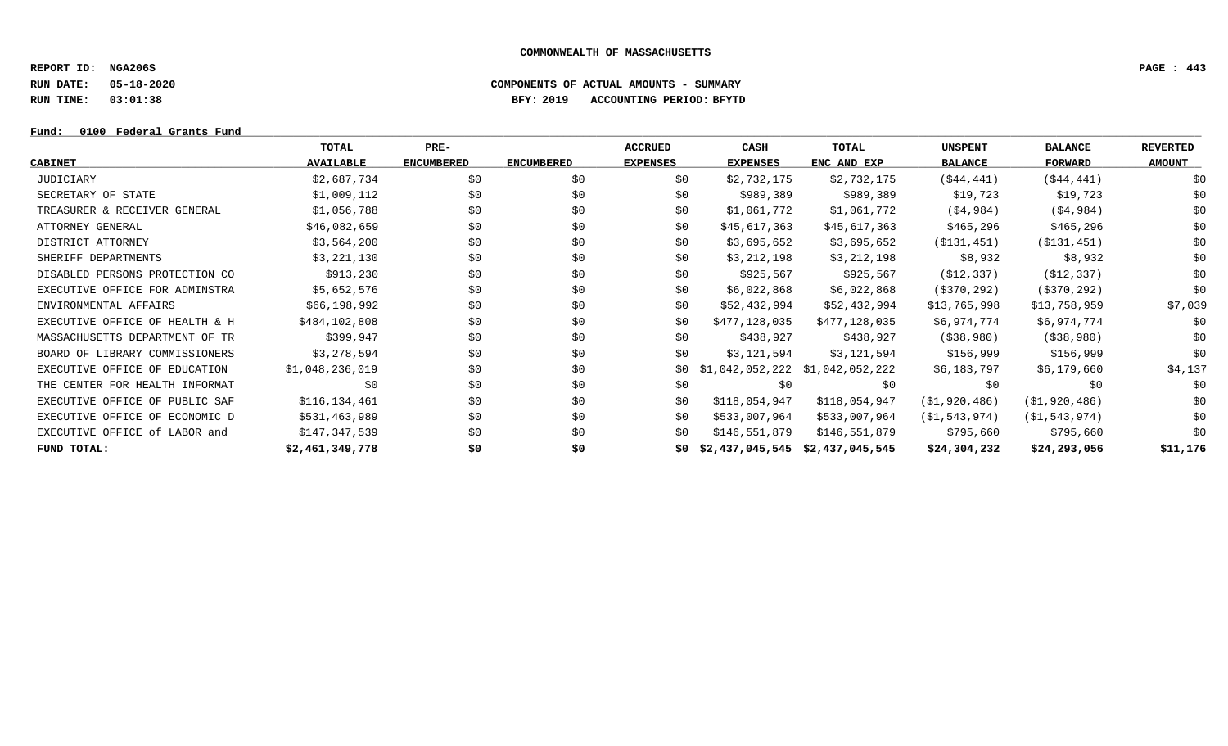**REPORT ID: NGA206S PAGE : 443**

**RUN DATE: 05-18-2020 COMPONENTS OF ACTUAL AMOUNTS - SUMMARY**

**RUN TIME: 03:01:38 BFY: 2019 ACCOUNTING PERIOD: BFYTD**

### **Fund: \_\_\_\_\_\_\_\_\_\_\_\_\_\_\_\_\_\_\_\_\_\_\_\_\_\_\_\_\_\_\_\_\_\_\_\_\_\_\_\_\_\_\_\_\_\_\_\_\_\_\_\_\_\_\_\_\_\_\_\_\_\_\_\_\_\_\_\_\_\_\_\_\_\_\_\_\_\_\_\_\_\_\_\_\_\_\_\_\_\_\_\_\_\_\_\_\_\_\_\_\_\_\_\_\_\_\_\_\_\_\_\_\_\_\_\_\_\_\_\_\_\_\_\_\_\_\_\_\_\_\_\_\_\_\_\_\_\_\_\_\_\_\_\_\_\_\_\_\_\_\_\_\_\_\_\_\_\_\_\_\_\_\_\_\_\_\_\_\_\_\_\_\_\_\_\_\_\_ 0100 Federal Grants Fund**

|                                | TOTAL            | PRE-              |                   | <b>ACCRUED</b>  | CASH                            | TOTAL                           | <b>UNSPENT</b>   | <b>BALANCE</b>   | <b>REVERTED</b> |
|--------------------------------|------------------|-------------------|-------------------|-----------------|---------------------------------|---------------------------------|------------------|------------------|-----------------|
| <b>CABINET</b>                 | <b>AVAILABLE</b> | <b>ENCUMBERED</b> | <b>ENCUMBERED</b> | <b>EXPENSES</b> | <b>EXPENSES</b>                 | ENC AND EXP                     | <b>BALANCE</b>   | FORWARD          | <b>AMOUNT</b>   |
| JUDICIARY                      | \$2,687,734      | \$0               | \$0               | \$0             | \$2,732,175                     | \$2,732,175                     | ( \$44, 441)     | ( \$44, 441)     | \$0             |
| SECRETARY OF STATE             | \$1,009,112      | \$0               | \$0               | \$0             | \$989,389                       | \$989,389                       | \$19,723         | \$19,723         | \$0             |
| TREASURER & RECEIVER GENERAL   | \$1,056,788      | \$0               | \$0               | \$0             | \$1,061,772                     | \$1,061,772                     | ( \$4, 984)      | ( \$4, 984)      | \$0             |
| ATTORNEY GENERAL               | \$46,082,659     | \$0               | \$0               | \$0             | \$45,617,363                    | \$45,617,363                    | \$465,296        | \$465,296        | \$0             |
| DISTRICT ATTORNEY              | \$3,564,200      | \$0               | \$0               | \$0             | \$3,695,652                     | \$3,695,652                     | ( \$131, 451)    | ( \$131, 451)    | \$0             |
| SHERIFF DEPARTMENTS            | \$3,221,130      | \$0               | \$0               | \$0             | \$3,212,198                     | \$3,212,198                     | \$8,932          | \$8,932          | \$0             |
| DISABLED PERSONS PROTECTION CO | \$913,230        | \$0               | \$0               | \$0             | \$925,567                       | \$925,567                       | (\$12,337)       | ( \$12, 337)     | \$0             |
| EXECUTIVE OFFICE FOR ADMINSTRA | \$5,652,576      | \$0               | \$0               | \$0             | \$6,022,868                     | \$6,022,868                     | (\$370,292)      | ( \$370, 292)    | \$0             |
| ENVIRONMENTAL AFFAIRS          | \$66,198,992     | \$0               | \$0               | \$0             | \$52,432,994                    | \$52,432,994                    | \$13,765,998     | \$13,758,959     | \$7,039         |
| EXECUTIVE OFFICE OF HEALTH & H | \$484,102,808    | \$0               | \$0               | \$0             | \$477,128,035                   | \$477,128,035                   | \$6,974,774      | \$6,974,774      | \$0             |
| MASSACHUSETTS DEPARTMENT OF TR | \$399,947        | \$0               | \$0               | \$0             | \$438,927                       | \$438,927                       | ( \$38, 980)     | ( \$38, 980)     | \$0             |
| BOARD OF LIBRARY COMMISSIONERS | \$3,278,594      | \$0               | \$0               | \$0             | \$3,121,594                     | \$3,121,594                     | \$156,999        | \$156,999        | \$0             |
| EXECUTIVE OFFICE OF EDUCATION  | \$1,048,236,019  | \$0               | \$0               | \$0             |                                 | \$1,042,052,222 \$1,042,052,222 | \$6,183,797      | \$6,179,660      | \$4,137         |
| THE CENTER FOR HEALTH INFORMAT | \$0              | \$0               | \$0               | \$0             | \$0                             | \$0                             | \$0              | \$0              | \$0             |
| EXECUTIVE OFFICE OF PUBLIC SAF | \$116,134,461    | \$0               | \$0               | \$0             | \$118,054,947                   | \$118,054,947                   | ( \$1, 920, 486) | ( \$1, 920, 486) | \$0             |
| EXECUTIVE OFFICE OF ECONOMIC D | \$531,463,989    | \$0               | \$0               | \$0             | \$533,007,964                   | \$533,007,964                   | (S1, 543, 974)   | ( \$1, 543, 974) | \$0             |
| EXECUTIVE OFFICE of LABOR and  | \$147,347,539    | \$0               | \$0               | \$0             | \$146,551,879                   | \$146,551,879                   | \$795,660        | \$795,660        | \$0             |
| FUND TOTAL:                    | \$2,461,349,778  | \$0               | \$0               | SO.             | \$2,437,045,545 \$2,437,045,545 |                                 | \$24,304,232     | \$24,293,056     | \$11,176        |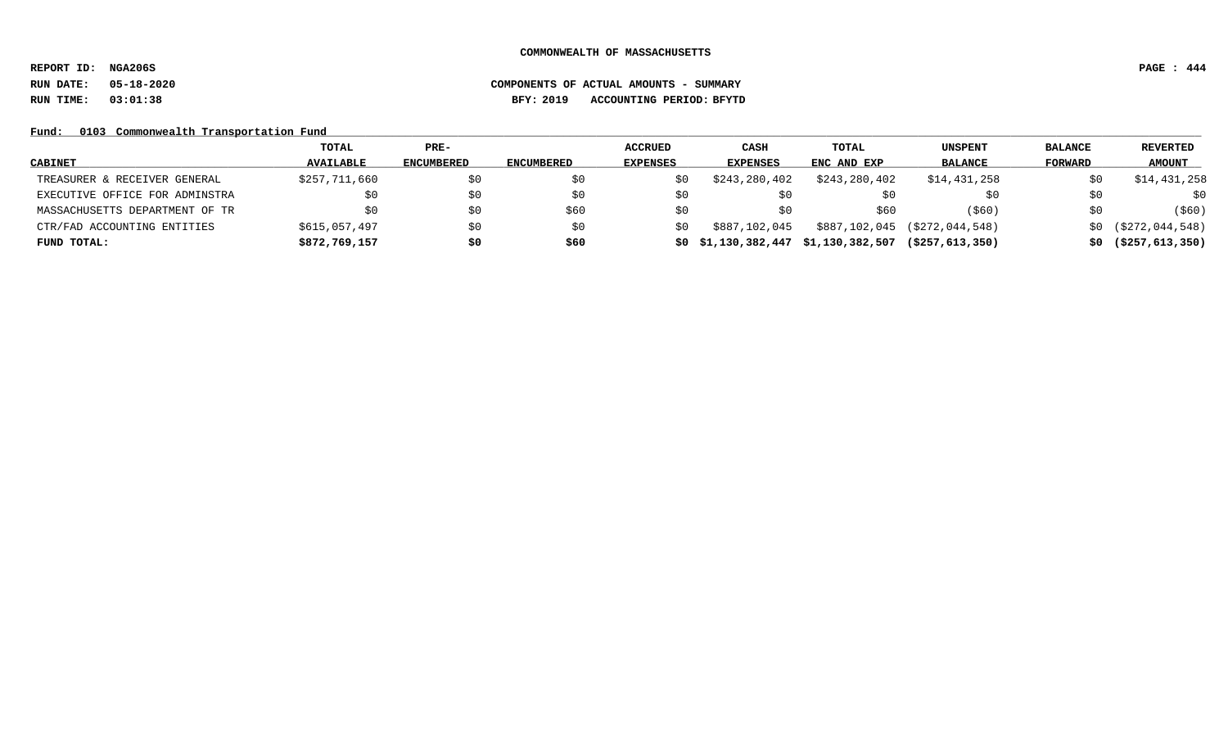**REPORT ID: NGA206S PAGE : 444**

# **RUN DATE: 05-18-2020 COMPONENTS OF ACTUAL AMOUNTS - SUMMARY RUN TIME: 03:01:38 BFY: 2019 ACCOUNTING PERIOD: BFYTD**

### Fund: 0103 Commonwealth Transportation Fund

|                                | <b>TOTAL</b>     | $PRE-$            |            | <b>ACCRUED</b> | <b>CASH</b>     | TOTAL                             | <b>UNSPENT</b>     | <b>BALANCE</b> | <b>REVERTED</b>          |
|--------------------------------|------------------|-------------------|------------|----------------|-----------------|-----------------------------------|--------------------|----------------|--------------------------|
| <b>CABINET</b>                 | <b>AVAILABLE</b> | <b>ENCUMBERED</b> | ENCUMBERED | EXPENSES       | <b>EXPENSES</b> | ENC AND EXP                       | <b>BALANCE</b>     | FORWARD        | <b>AMOUNT</b>            |
| TREASURER & RECEIVER GENERAL   | \$257,711,660    | \$0               | \$0        | S0             | \$243,280,402   | \$243,280,402                     | \$14,431,258       | \$0            | \$14,431,258             |
| EXECUTIVE OFFICE FOR ADMINSTRA |                  | \$0               | \$0        | 5U             |                 |                                   |                    | \$0            | \$0                      |
| MASSACHUSETTS DEPARTMENT OF TR |                  | \$0               | \$60       | S0             | SU.             | \$60                              | (\$60)             | \$0            | ( \$60)                  |
| CTR/FAD ACCOUNTING ENTITIES    | \$615,057,497    | \$0               | \$0        | S0             | \$887,102,045   | \$887,102,045                     | (\$272,044,548)    |                | $$0$ $( $272, 044, 548)$ |
| FUND TOTAL:                    | \$872,769,157    | \$0               | \$60       |                |                 | \$0\$1,130,382,447\$1,130,382,507 | ( \$257, 613, 350) |                | $$0$ (\$257,613,350)     |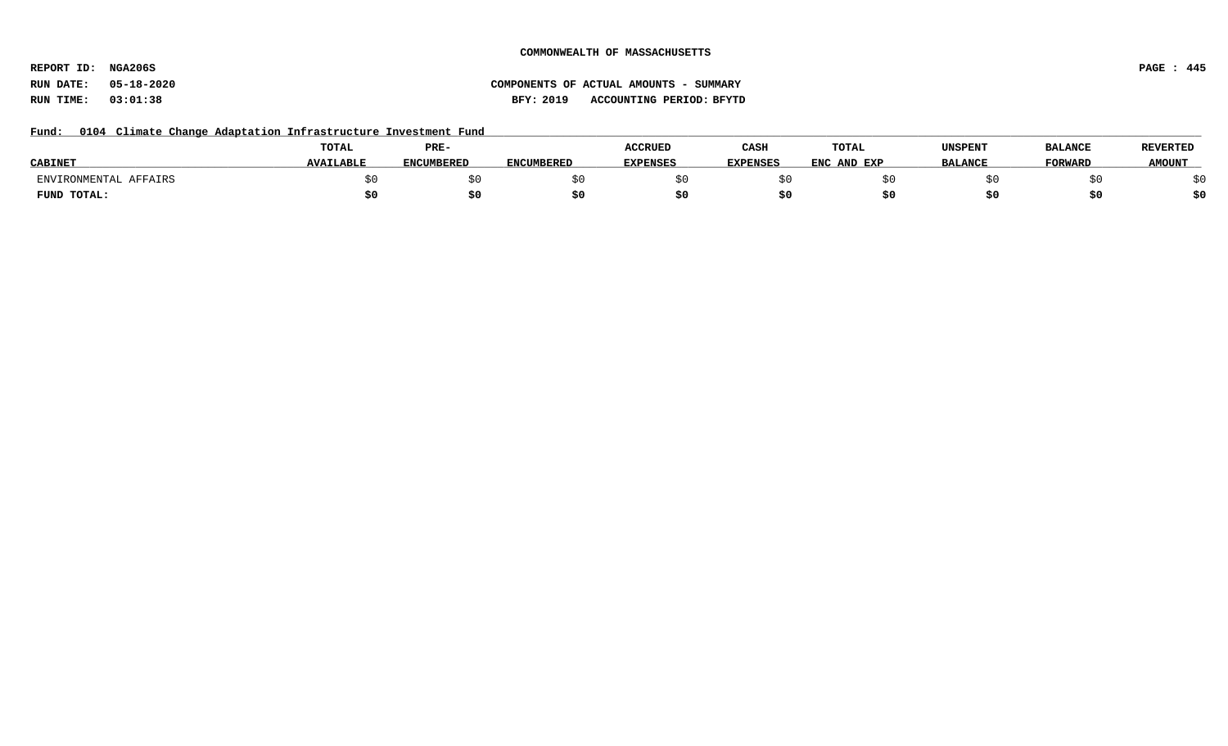**REPORT ID: NGA206S PAGE : 445**

# **RUN DATE: 05-18-2020 COMPONENTS OF ACTUAL AMOUNTS - SUMMARY RUN TIME: 03:01:38 BFY: 2019 ACCOUNTING PERIOD: BFYTD**

### Fund: 0104 Climate Change Adaptation Infrastructure Investment Fund

|                       | TOTAL            | PRE-              |                   | <b>ACCRUED</b>  | CASH            | <b>TOTAL</b> | UNSPENT        | <b>BALANCE</b> | <b>REVERTED</b> |
|-----------------------|------------------|-------------------|-------------------|-----------------|-----------------|--------------|----------------|----------------|-----------------|
| <b>CABINET</b>        | <b>AVAILABLE</b> | <b>ENCUMBERED</b> | <b>ENCUMBERED</b> | <b>EXPENSES</b> | <b>EXPENSES</b> | ENC AND EXP  | <b>BALANCE</b> | FORWARD        | <b>AMOUNT</b>   |
| ENVIRONMENTAL AFFAIRS |                  |                   |                   |                 |                 |              |                |                |                 |
| FUND TOTAL:           |                  |                   |                   |                 |                 |              |                |                | \$0             |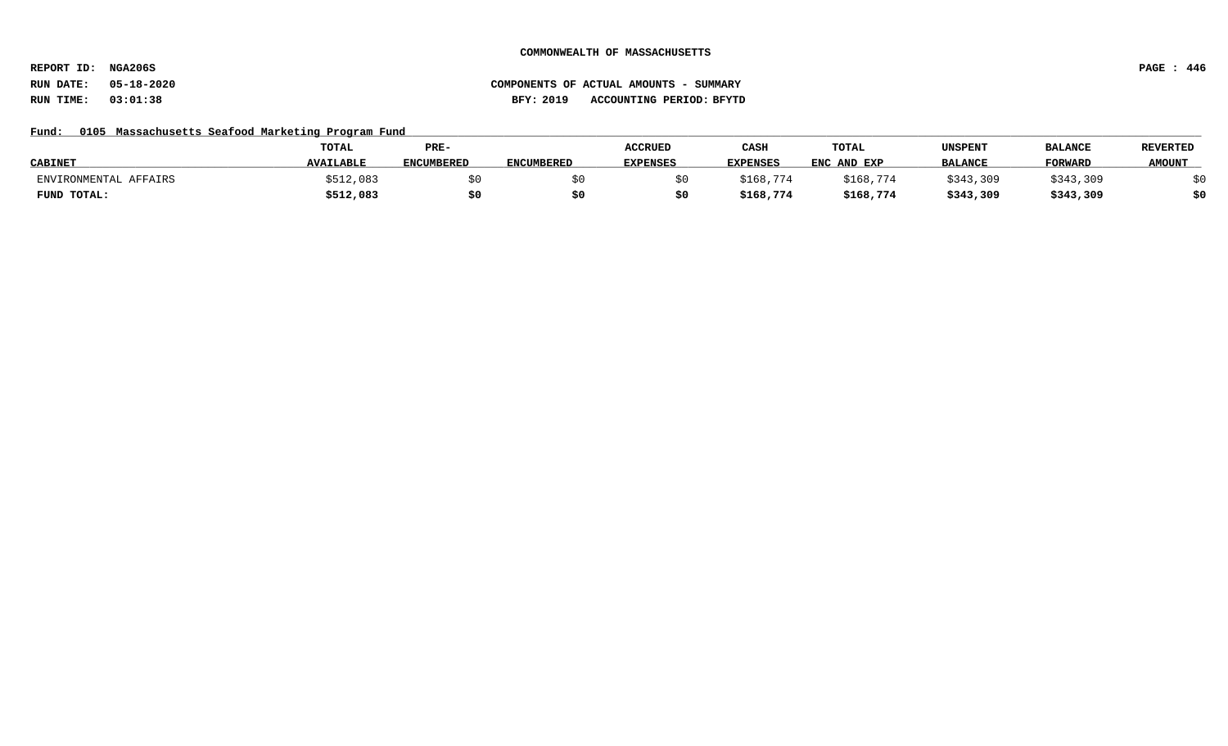**REPORT ID: NGA206S PAGE : 446**

# **RUN DATE: 05-18-2020 COMPONENTS OF ACTUAL AMOUNTS - SUMMARY RUN TIME: 03:01:38 BFY: 2019 ACCOUNTING PERIOD: BFYTD**

### Fund: 0105 Massachusetts Seafood Marketing Program Fund

|                       | <b>TOTAL</b>     | PRE-              |                   | <b>ACCRUED</b>  | CASH              | TOTAL       | UNSPENT        | <b>BALANCE</b> | <b>REVERTED</b> |
|-----------------------|------------------|-------------------|-------------------|-----------------|-------------------|-------------|----------------|----------------|-----------------|
| <b>CABINET</b>        | <b>AVAILABLE</b> | <b>ENCUMBERED</b> | <b>ENCUMBERED</b> | <b>EXPENSES</b> | <b>EXPENSES</b>   | ENC AND EXP | <b>BALANCE</b> | <b>FORWARL</b> | <b>AMOUNT</b>   |
| ENVIRONMENTAL AFFAIRS | \$512,083        |                   |                   |                 | \$168,7.<br>. 774 | \$168,774   | \$343,309      | \$343,309      |                 |
| FUND TOTAL:           | \$512,083        |                   |                   |                 | \$168,774         | \$168,774   | \$343,309      | \$343,309      | \$0             |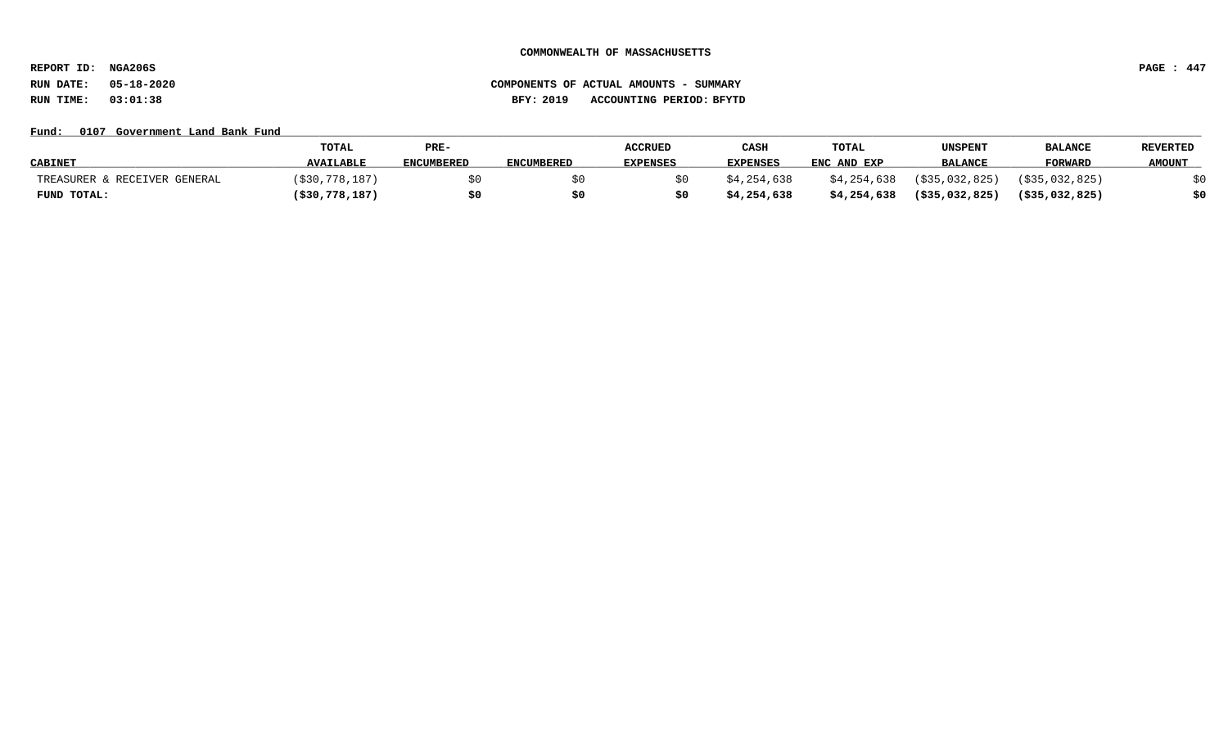**REPORT ID: NGA206S PAGE : 447**

# **RUN DATE: 05-18-2020 COMPONENTS OF ACTUAL AMOUNTS - SUMMARY RUN TIME: 03:01:38 BFY: 2019 ACCOUNTING PERIOD: BFYTD**

### Fund: 0107 Government Land Bank Fund

|                              | TOTAL             | PRE-              |                   | <b>ACCRUED</b>  | CASH            | TOTAL       | UNSPENT           | <b>BALANCE</b>    | <b>REVERTED</b> |
|------------------------------|-------------------|-------------------|-------------------|-----------------|-----------------|-------------|-------------------|-------------------|-----------------|
| <b>CABINET</b>               | <b>AVAILABLE</b>  | <b>ENCUMBERED</b> | <b>ENCUMBERED</b> | <b>EXPENSES</b> | <b>EXPENSES</b> | ENC AND EXP | <b>BALANCE</b>    | <b>FORWARD</b>    | <b>AMOUNT</b>   |
| TREASURER & RECEIVER GENERAL | (530.778.187)     |                   |                   |                 | \$4,254,638     | \$4,254,638 | (\$35,032,825)    | $($ \$35,032,825) |                 |
| FUND TOTAL:                  | $($ \$30,778,187) | \$0               |                   |                 | \$4,254,638     | \$4,254,638 | $($ \$35,032,825) | ( \$35,032,825)   | \$0             |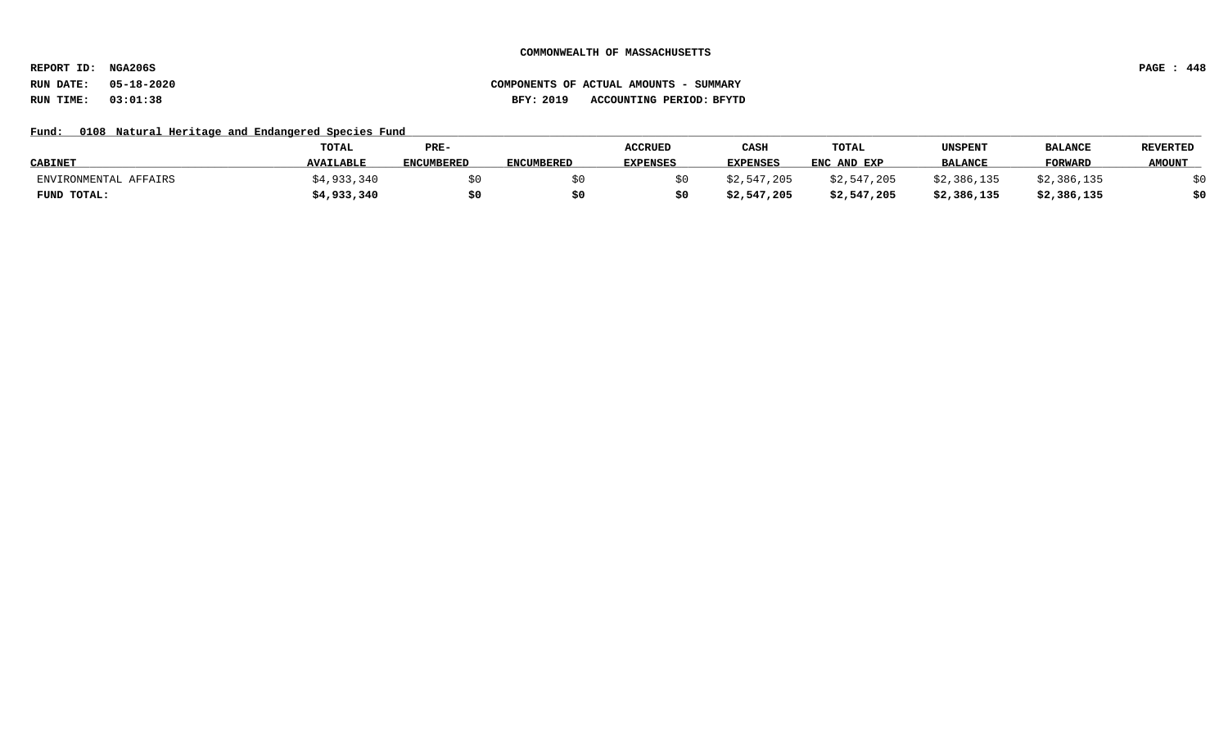**REPORT ID: NGA206S PAGE : 448**

# **RUN DATE: 05-18-2020 COMPONENTS OF ACTUAL AMOUNTS - SUMMARY RUN TIME: 03:01:38 BFY: 2019 ACCOUNTING PERIOD: BFYTD**

### Fund: 0108 Natural Heritage and Endangered Species Fund

|                       | TOTAL            | PRE-       |                   | <b>ACCRUED</b>  | CASH        | <b>TOTAL</b> | UNSPENT        | <b>BALANCE</b> | <b>REVERTED</b> |
|-----------------------|------------------|------------|-------------------|-----------------|-------------|--------------|----------------|----------------|-----------------|
| <b>CABINET</b>        | <b>AVAILABLE</b> | ENCUMBERED | <b>ENCUMBERED</b> | <b>EXPENSES</b> | EXPENSES    | ENC AND EXP  | <b>BALANCE</b> | <b>FORWARD</b> | <b>AMOUNT</b>   |
| ENVIRONMENTAL AFFAIRS | \$4,933,340      |            |                   |                 | \$2,547,205 | \$2,547,205  | \$2,386,135    | \$2,386,135    |                 |
| FUND TOTAL:           | \$4,933,340      | \$0        |                   |                 | \$2,547,205 | \$2,547,205  | \$2,386,135    | \$2,386,135    | \$0             |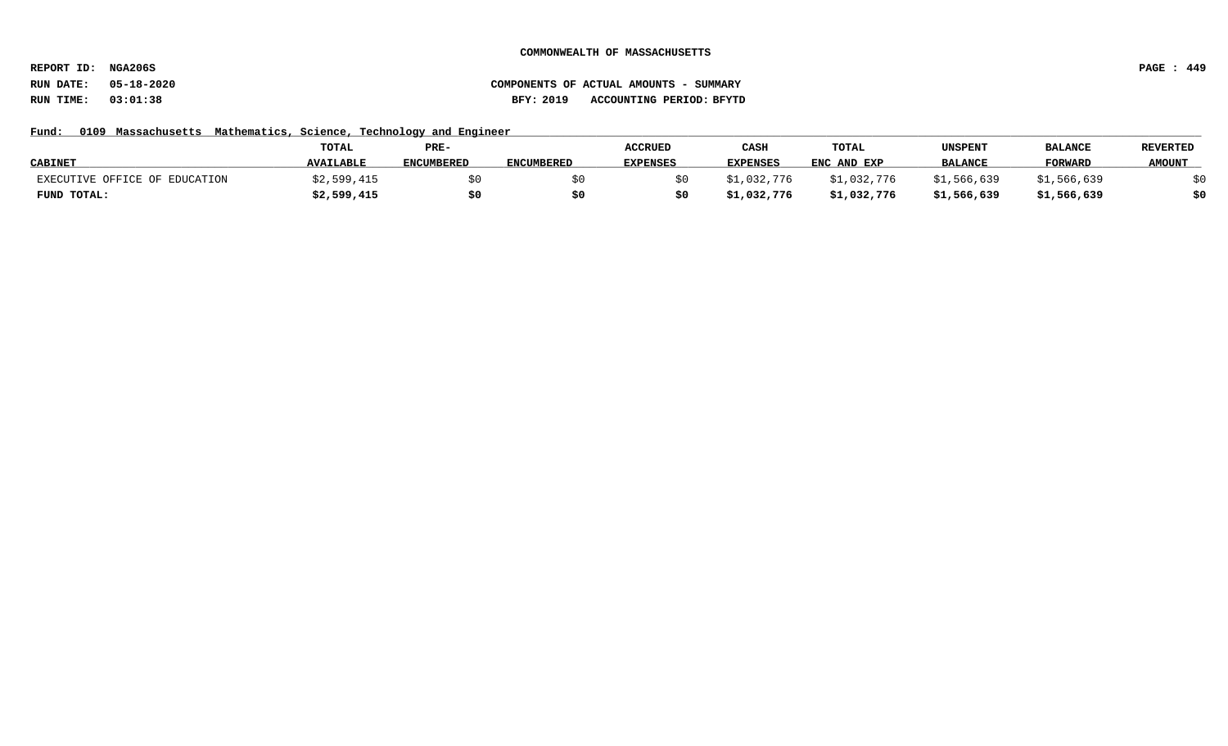**REPORT ID: NGA206S PAGE : 449**

# **RUN DATE: 05-18-2020 COMPONENTS OF ACTUAL AMOUNTS - SUMMARY RUN TIME: 03:01:38 BFY: 2019 ACCOUNTING PERIOD: BFYTD**

### Fund: 0109 Massachusetts Mathematics, Science, Technology and Engineer

|                               | TOTAL            | PRE-              |                   | <b>ACCRUED</b> | CASH            | TOTAL       | UNSPENT        | <b>BALANCE</b> | <b>REVERTED</b> |
|-------------------------------|------------------|-------------------|-------------------|----------------|-----------------|-------------|----------------|----------------|-----------------|
| <b>CABINET</b>                | <b>AVAILABLE</b> | <b>ENCUMBERED</b> | <b>ENCUMBERED</b> | EXPENSES       | <b>EXPENSES</b> | ENC AND EXP | <b>BALANCE</b> | <b>FORWARL</b> | <b>AMOUNT</b>   |
| EXECUTIVE OFFICE OF EDUCATION | ,599,415         |                   |                   |                | \$1,032,776     | \$1,032,776 | 566,639 ک      | ,566,639       |                 |
| FUND TOTAL:                   | \$2,599,415      | \$0               |                   |                | \$1,032,776     | \$1,032,776 | \$1,566,639    | \$1,566,639    | \$0             |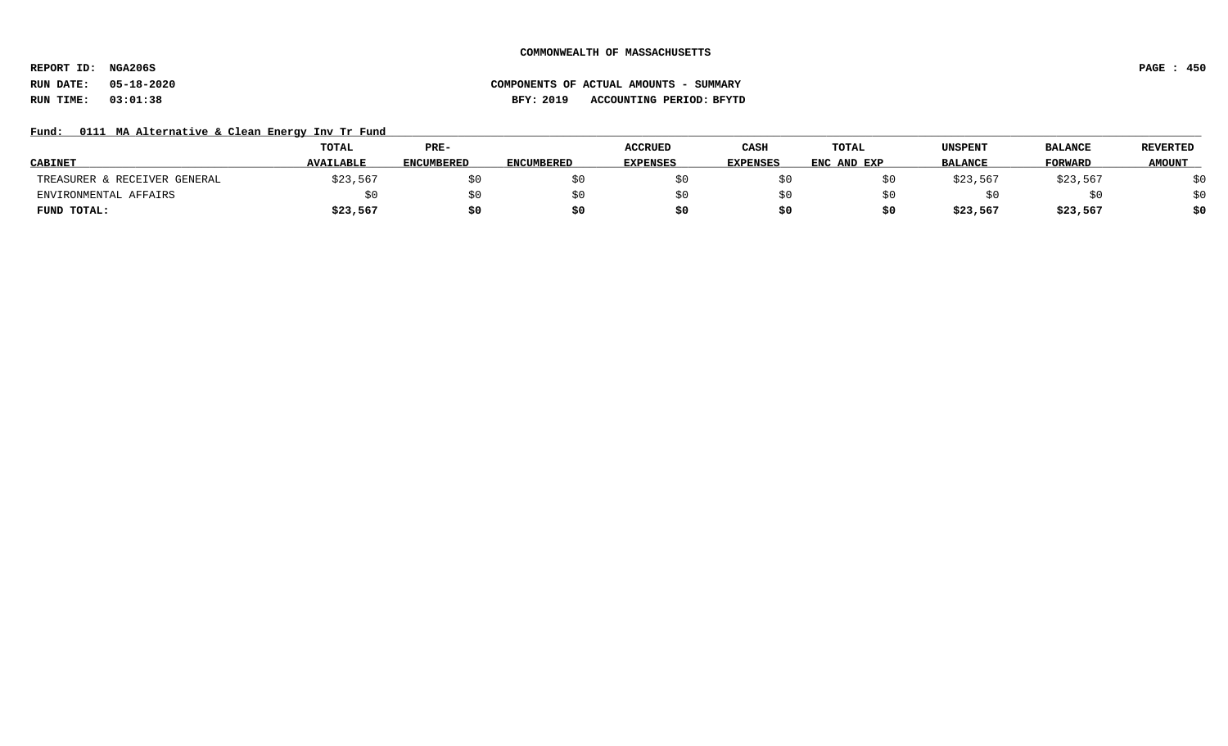**REPORT ID: NGA206S PAGE : 450**

# **RUN DATE: 05-18-2020 COMPONENTS OF ACTUAL AMOUNTS - SUMMARY RUN TIME: 03:01:38 BFY: 2019 ACCOUNTING PERIOD: BFYTD**

### Fund: 0111 MA Alternative & Clean Energy Inv Tr Fund

|                              | TOTAL            | PRE-              |                   | <b>ACCRUED</b>  | CASH            | <b>TOTAL</b> | UNSPENT        | <b>BALANCE</b> | <b>REVERTED</b> |
|------------------------------|------------------|-------------------|-------------------|-----------------|-----------------|--------------|----------------|----------------|-----------------|
| <b>CABINET</b>               | <b>AVAILABLE</b> | <b>ENCUMBERED</b> | <b>ENCUMBERED</b> | <b>EXPENSES</b> | <b>EXPENSES</b> | ENC AND EXP  | <b>BALANCE</b> | <b>FORWARD</b> | <b>AMOUNT</b>   |
| TREASURER & RECEIVER GENERAL | \$23,567         |                   |                   |                 |                 |              | \$23,567       | \$23,567       | \$0             |
| ENVIRONMENTAL AFFAIRS        |                  | \$0               |                   |                 |                 |              |                |                | \$0             |
| FUND TOTAL:                  | \$23,567         | \$0               |                   |                 | \$0             | S0           | \$23,567       | \$23,567       | \$0             |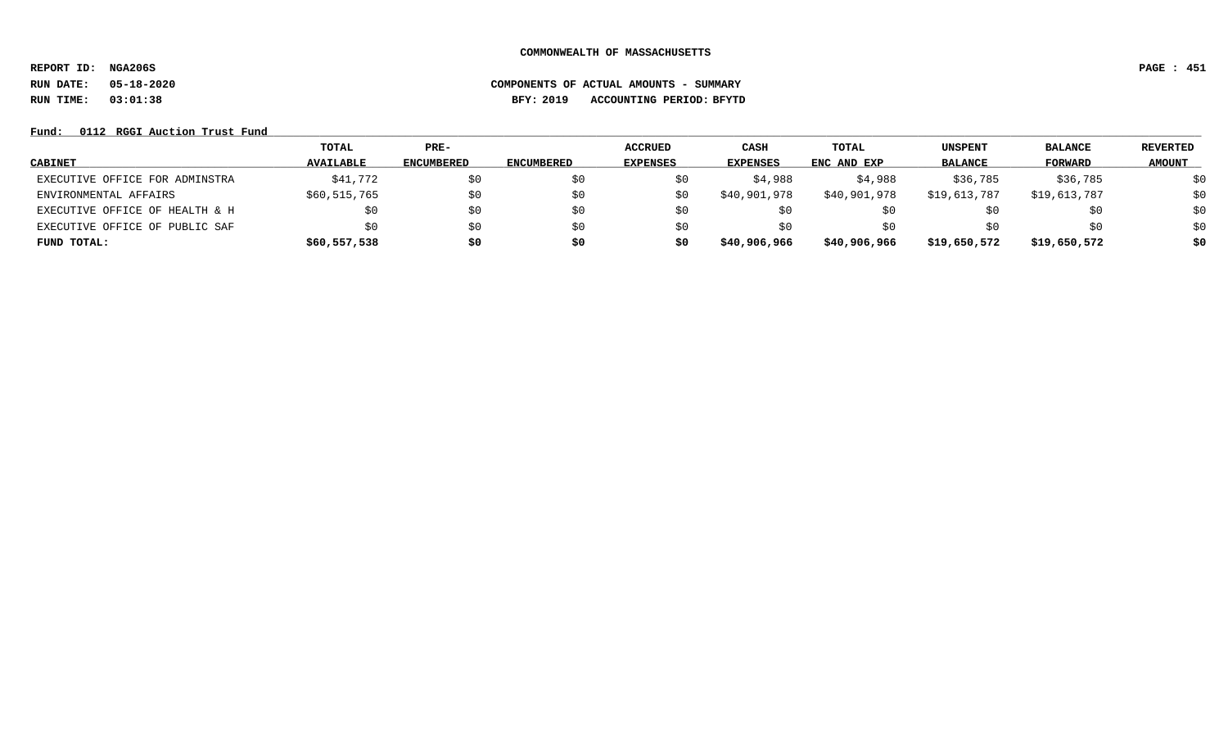**REPORT ID: NGA206S PAGE : 451**

# **RUN DATE: 05-18-2020 COMPONENTS OF ACTUAL AMOUNTS - SUMMARY RUN TIME: 03:01:38 BFY: 2019 ACCOUNTING PERIOD: BFYTD**

Fund: 0112 RGGI Auction Trust Fund

|                                | TOTAL            | PRE-              |                   | <b>ACCRUED</b>  | CASH            | <b>TOTAL</b> | <b>UNSPENT</b> | <b>BALANCE</b> | REVERTED      |
|--------------------------------|------------------|-------------------|-------------------|-----------------|-----------------|--------------|----------------|----------------|---------------|
| <b>CABINET</b>                 | <b>AVAILABLE</b> | <b>ENCUMBERED</b> | <b>ENCUMBERED</b> | <b>EXPENSES</b> | <b>EXPENSES</b> | ENC AND EXP  | <b>BALANCE</b> | FORWARD        | <b>AMOUNT</b> |
| EXECUTIVE OFFICE FOR ADMINSTRA | \$41,772         | \$0               |                   | Şυ              | \$4,988         | \$4,988      | \$36,785       | \$36,785       | \$0           |
| ENVIRONMENTAL AFFAIRS          | \$60,515,765     | \$0               | Ş0                | \$0             | \$40,901,978    | \$40,901,978 | \$19,613,787   | \$19,613,787   | \$0           |
| EXECUTIVE OFFICE OF HEALTH & H | \$0              | \$0               |                   | ŞΟ              |                 |              | SU.            | \$0            | \$0           |
| EXECUTIVE OFFICE OF PUBLIC SAF | \$0              | \$0               | SΟ                | SU              | SO.             |              | \$0            | \$0            | \$0           |
| FUND TOTAL:                    | \$60,557,538     | \$0               | \$0               | so              | \$40,906,966    | \$40,906,966 | \$19,650,572   | \$19,650,572   | \$0           |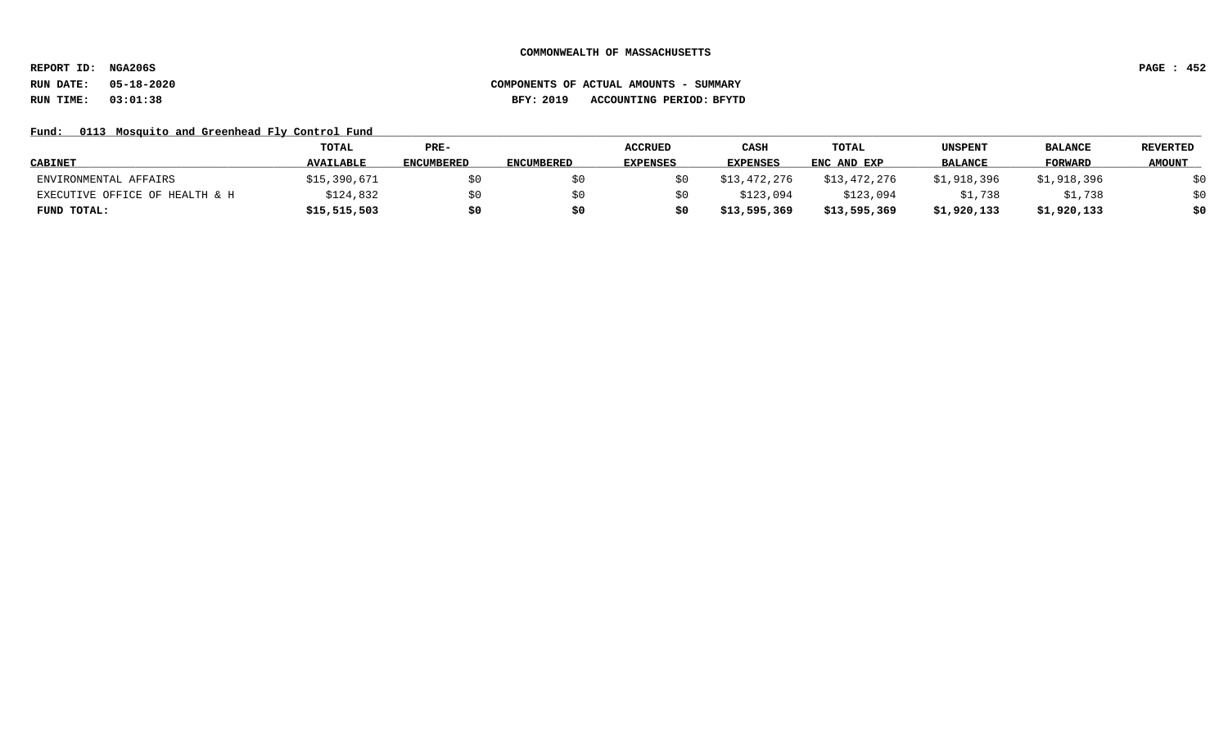**REPORT ID: NGA206S PAGE : 452**

# **RUN DATE: 05-18-2020 COMPONENTS OF ACTUAL AMOUNTS - SUMMARY RUN TIME: 03:01:38 BFY: 2019 ACCOUNTING PERIOD: BFYTD**

### Fund: 0113 Mosquito and Greenhead Fly Control Fund

|                                | TOTAL            | $PRE-$            |                   | <b>ACCRUED</b>  | CASH            | <b>TOTAL</b> | UNSPENT        | <b>BALANCE</b> | <b>REVERTED</b> |
|--------------------------------|------------------|-------------------|-------------------|-----------------|-----------------|--------------|----------------|----------------|-----------------|
| <b>CABINET</b>                 | <b>AVAILABLE</b> | <b>ENCUMBERED</b> | <b>ENCUMBERED</b> | <b>EXPENSES</b> | <b>EXPENSES</b> | ENC AND EXP  | <b>BALANCE</b> | <b>FORWARD</b> | <b>AMOUNT</b>   |
| ENVIRONMENTAL AFFAIRS          | \$15,390,671     | \$0               |                   |                 | \$13,472,276    | \$13,472,276 | \$1,918,396    | \$1,918,396    | \$0             |
| EXECUTIVE OFFICE OF HEALTH & H | \$124,832        | \$0               |                   |                 | \$123,094       | \$123,094    | \$1,738        | \$1,738        | \$0             |
| FUND TOTAL:                    | \$15,515,503     | \$0               |                   |                 | \$13,595,369    | \$13,595,369 | \$1,920,133    | \$1,920,133    | \$0             |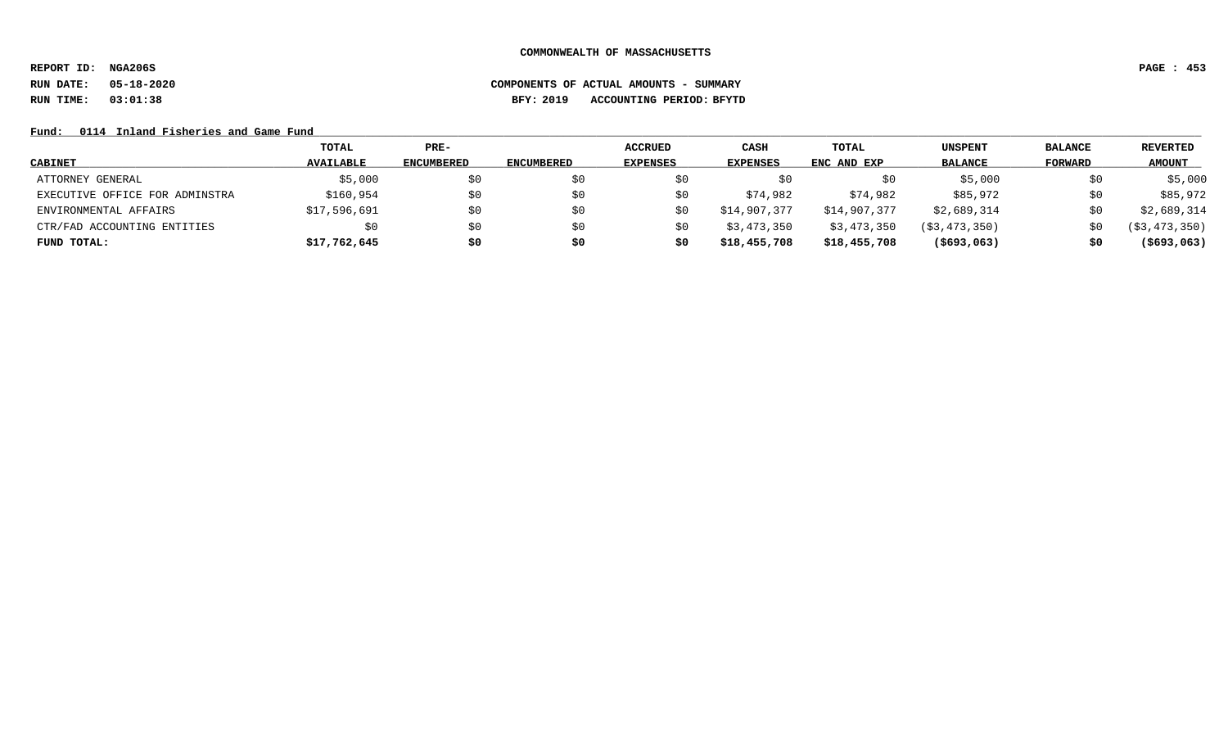**REPORT ID: NGA206S PAGE : 453**

# **RUN DATE: 05-18-2020 COMPONENTS OF ACTUAL AMOUNTS - SUMMARY RUN TIME: 03:01:38 BFY: 2019 ACCOUNTING PERIOD: BFYTD**

### Fund: 0114 Inland Fisheries and Game Fund

|                                | TOTAL            | $PRE-$            |            | <b>ACCRUED</b>  | CASH            | <b>TOTAL</b> | UNSPENT        | <b>BALANCE</b> | REVERTED       |
|--------------------------------|------------------|-------------------|------------|-----------------|-----------------|--------------|----------------|----------------|----------------|
| <b>CABINET</b>                 | <b>AVAILABLE</b> | <b>ENCUMBERED</b> | ENCUMBERED | <b>EXPENSES</b> | <b>EXPENSES</b> | ENC AND EXP  | <b>BALANCE</b> | FORWARD        | <b>AMOUNT</b>  |
| ATTORNEY GENERAL               | \$5,000          | \$0               | S0         |                 | SÜ              | S0           | \$5,000        | \$0            | \$5,000        |
| EXECUTIVE OFFICE FOR ADMINSTRA | \$160,954        | \$0               | SO.        | S0              | \$74,982        | \$74,982     | \$85,972       | \$0            | \$85,972       |
| ENVIRONMENTAL AFFAIRS          | \$17,596,691     | \$0               | S0         | S0              | \$14,907,377    | \$14,907,377 | \$2,689,314    | \$0            | \$2,689,314    |
| CTR/FAD ACCOUNTING ENTITIES    |                  | \$0               | S0         | S0              | \$3,473,350     | \$3,473,350  | (S3, 473, 350) | SO.            | ( \$3,473,350) |
| FUND TOTAL:                    | \$17,762,645     | \$0               | \$0        | S0              | \$18,455,708    | \$18,455,708 | ( \$693, 063)  | \$0            | $($ \$693,063) |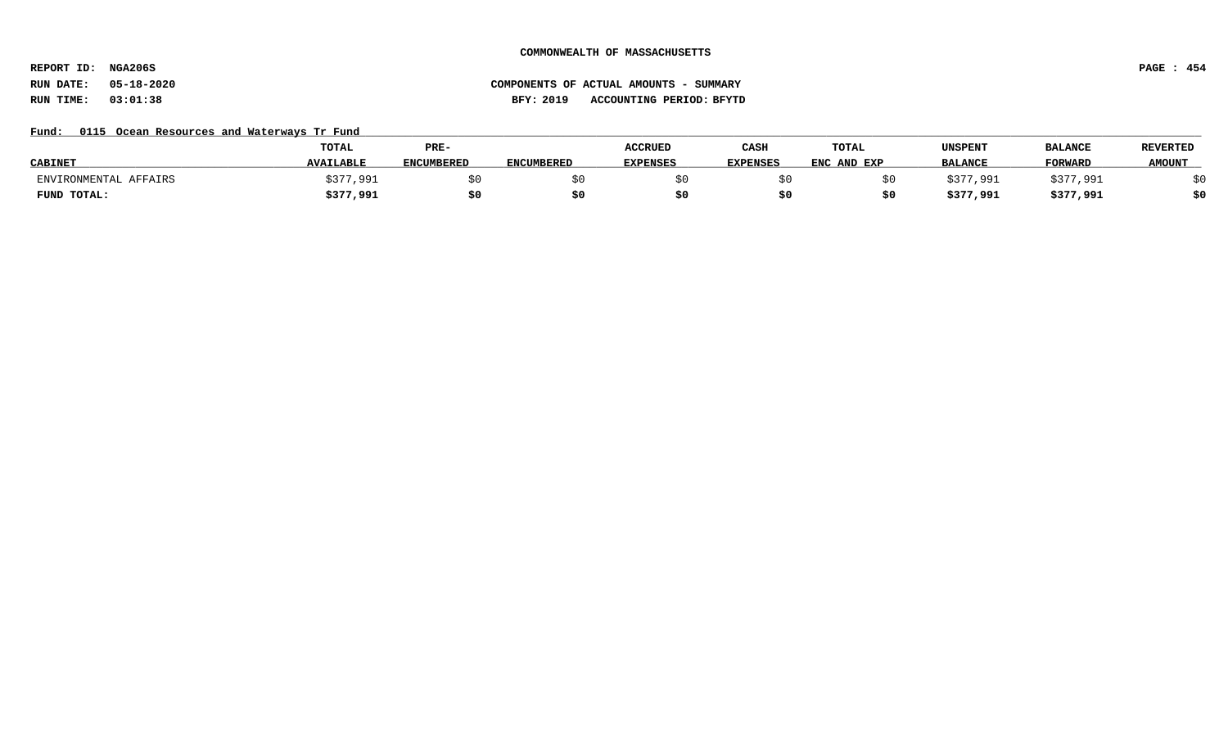**REPORT ID: NGA206S PAGE : 454**

# **RUN DATE: 05-18-2020 COMPONENTS OF ACTUAL AMOUNTS - SUMMARY RUN TIME: 03:01:38 BFY: 2019 ACCOUNTING PERIOD: BFYTD**

### Fund: 0115 Ocean Resources and Waterways Tr Fund

|                       | <b>TOTAL</b>     | PRE-              |                   | <b>ACCRUED</b>  | CASH            | <b>TOTAL</b> | UNSPENT        | <b>BALANCE</b> | <b>REVERTED</b> |
|-----------------------|------------------|-------------------|-------------------|-----------------|-----------------|--------------|----------------|----------------|-----------------|
| <b>CABINET</b>        | <b>AVAILABLE</b> | <b>ENCUMBERED</b> | <b>ENCUMBERED</b> | <b>EXPENSES</b> | <b>EXPENSES</b> | ENC AND EXP  | <b>BALANCE</b> | <b>FORWARD</b> | <b>AMOUNT</b>   |
| ENVIRONMENTAL AFFAIRS | \$377,991        |                   |                   |                 |                 |              | ;377.991       | \$377,991      |                 |
| FUND TOTAL:           | \$377,991        | \$0               |                   |                 |                 |              | \$377,991      | \$377,991      | \$0             |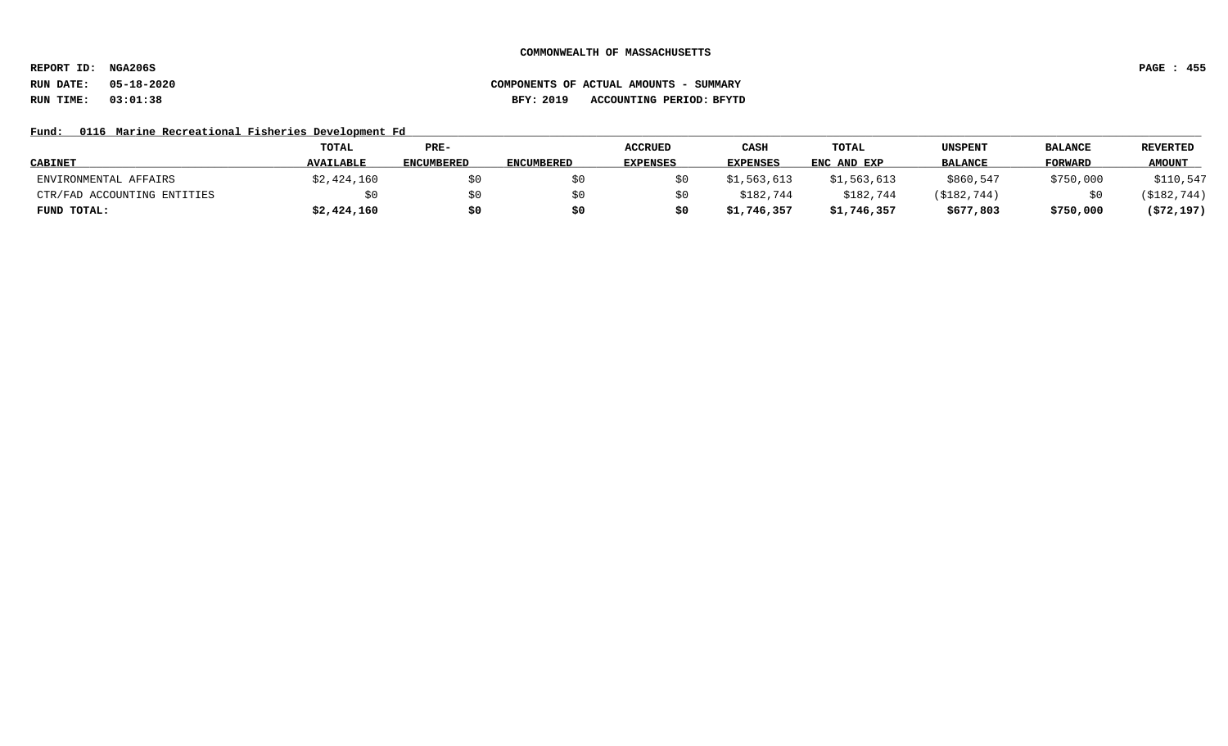**REPORT ID: NGA206S PAGE : 455**

# **RUN DATE: 05-18-2020 COMPONENTS OF ACTUAL AMOUNTS - SUMMARY RUN TIME: 03:01:38 BFY: 2019 ACCOUNTING PERIOD: BFYTD**

### Fund: 0116 Marine Recreational Fisheries Development Fd

|                             | <b>TOTAL</b>     | PRE-              |                   | <b>ACCRUED</b>  | CASH            | TOTAL       | <b>UNSPENT</b> | <b>BALANCE</b> | <b>REVERTED</b> |
|-----------------------------|------------------|-------------------|-------------------|-----------------|-----------------|-------------|----------------|----------------|-----------------|
| <b>CABINET</b>              | <b>AVAILABLE</b> | <b>ENCUMBERED</b> | <b>ENCUMBERED</b> | <b>EXPENSES</b> | <b>EXPENSES</b> | ENC AND EXP | <b>BALANCE</b> | <b>FORWARD</b> | <b>AMOUNT</b>   |
| ENVIRONMENTAL AFFAIRS       | \$2,424,160      | \$0               |                   |                 | \$1,563,613     | \$1,563,613 | \$860,547      | \$750,000      | \$110,547       |
| CTR/FAD ACCOUNTING ENTITIES | \$0              | \$0               |                   |                 | \$182,744       | \$182,744   | (\$182,744)    |                | (\$182,744)     |
| FUND TOTAL:                 | \$2,424,160      | \$0               |                   |                 | \$1,746,357     | \$1,746,357 | \$677,803      | \$750,000      | (572, 197)      |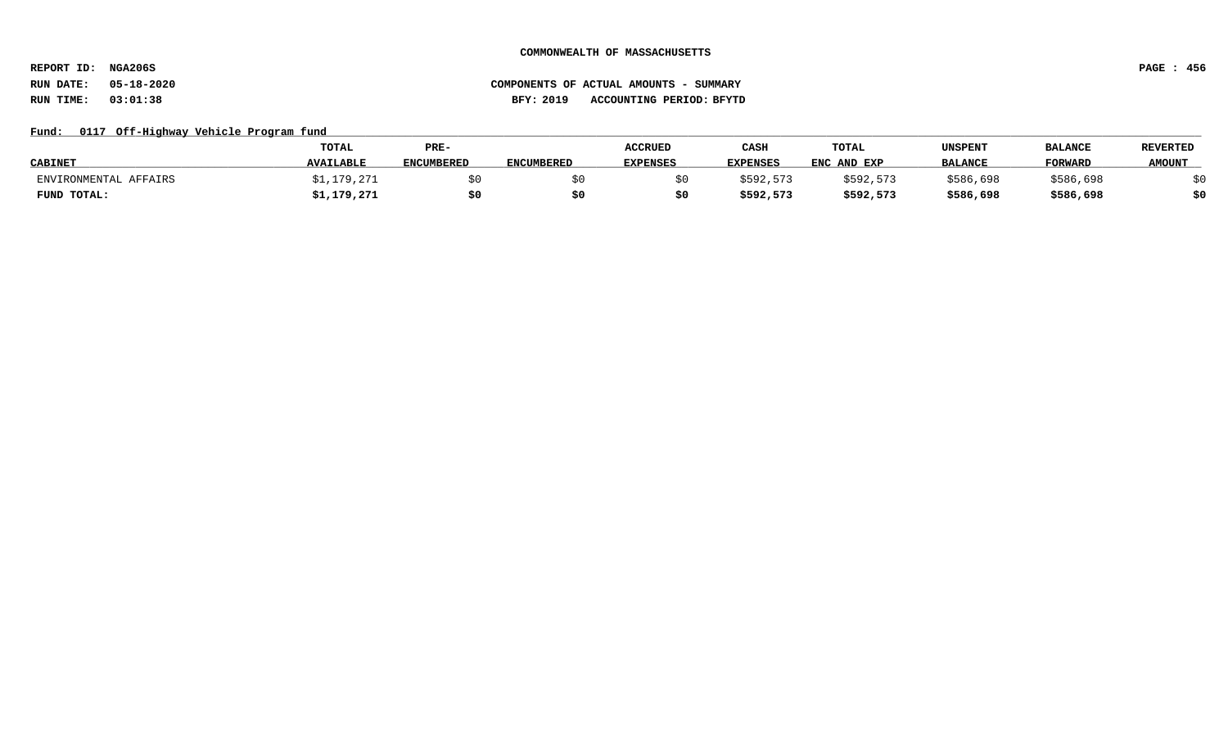**REPORT ID: NGA206S PAGE : 456**

# **RUN DATE: 05-18-2020 COMPONENTS OF ACTUAL AMOUNTS - SUMMARY RUN TIME: 03:01:38 BFY: 2019 ACCOUNTING PERIOD: BFYTD**

### Fund: 0117 Off-Highway Vehicle Program fund

|                       | TOTAL            | PRE-              |                   | <b>ACCRUED</b>  | CASH            | TOTAL       | UNSPENT        | <b>BALANCE</b> | <b>REVERTED</b> |
|-----------------------|------------------|-------------------|-------------------|-----------------|-----------------|-------------|----------------|----------------|-----------------|
| <b>CABINET</b>        | <b>AVAILABLE</b> | <b>ENCUMBERED</b> | <b>ENCUMBERED</b> | <b>EXPENSES</b> | <b>EXPENSES</b> | ENC AND EXP | <b>BALANCE</b> | <b>FORWARD</b> | <b>AMOUNT</b>   |
| ENVIRONMENTAL AFFAIRS | ;1,179,271       |                   |                   |                 | \$592,573       | \$592.573   | \$586,698      | \$586,698      |                 |
| FUND TOTAL:           | \$1,179,271      | \$0               |                   |                 | \$592,573       | \$592,573   | \$586,698      | \$586,698      | 40              |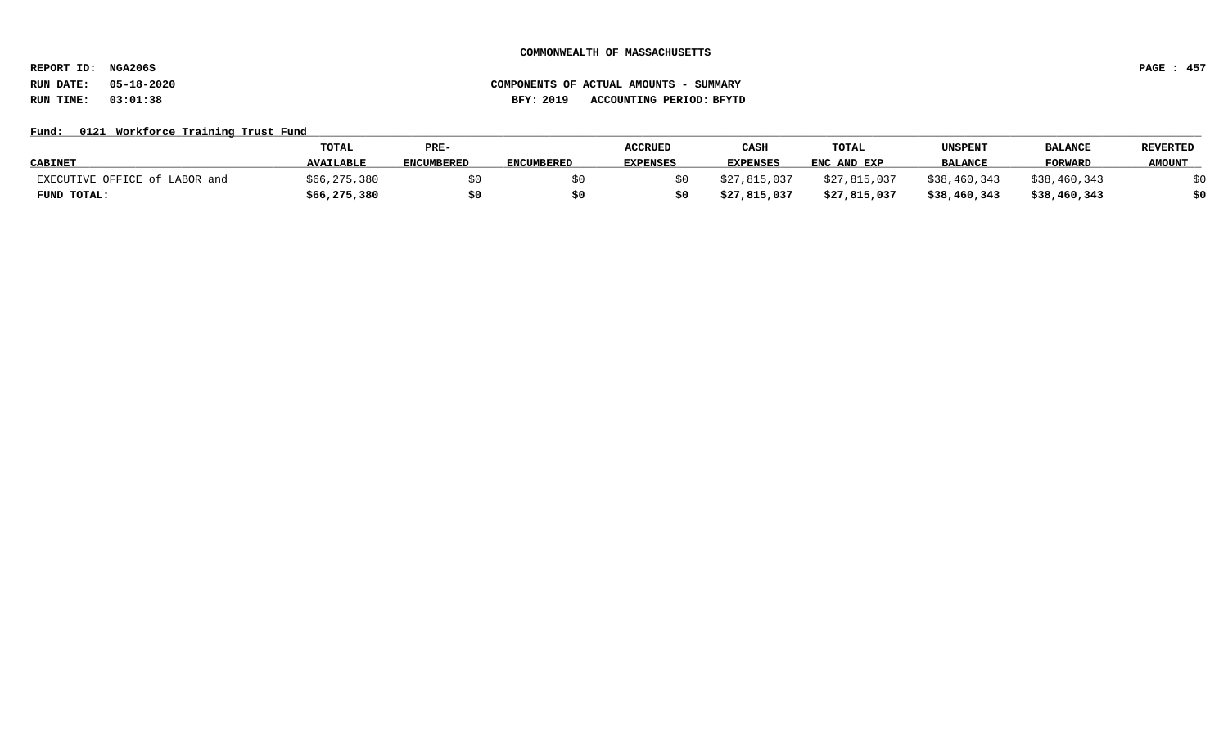**REPORT ID: NGA206S PAGE : 457**

# **RUN DATE: 05-18-2020 COMPONENTS OF ACTUAL AMOUNTS - SUMMARY RUN TIME: 03:01:38 BFY: 2019 ACCOUNTING PERIOD: BFYTD**

### Fund: 0121 Workforce Training Trust Fund

|                               | TOTAL            | PRE-              |                   | <b>ACCRUED</b>  | CASH            | TOTAL        | UNSPENT        | <b>BALANCI</b> | <b>REVERTED</b> |
|-------------------------------|------------------|-------------------|-------------------|-----------------|-----------------|--------------|----------------|----------------|-----------------|
| <b>CABINET</b>                | <b>AVAILABLE</b> | <b>ENCUMBERED</b> | <b>ENCUMBERED</b> | <b>EXPENSES</b> | <b>EXPENSES</b> | ENC AND EXP  | <b>BALANCE</b> | <b>FORWARD</b> | <b>AMOUNT</b>   |
| EXECUTIVE OFFICE of LABOR and | \$66,275,380     |                   |                   |                 | \$27,815,037    | \$27,815,037 | \$38,460,343   | \$38,460,343   |                 |
| FUND TOTAL:                   | \$66, 275, 380   | \$0               |                   |                 | \$27,815,037    | \$27,815,037 | \$38,460,343   | \$38,460,343   |                 |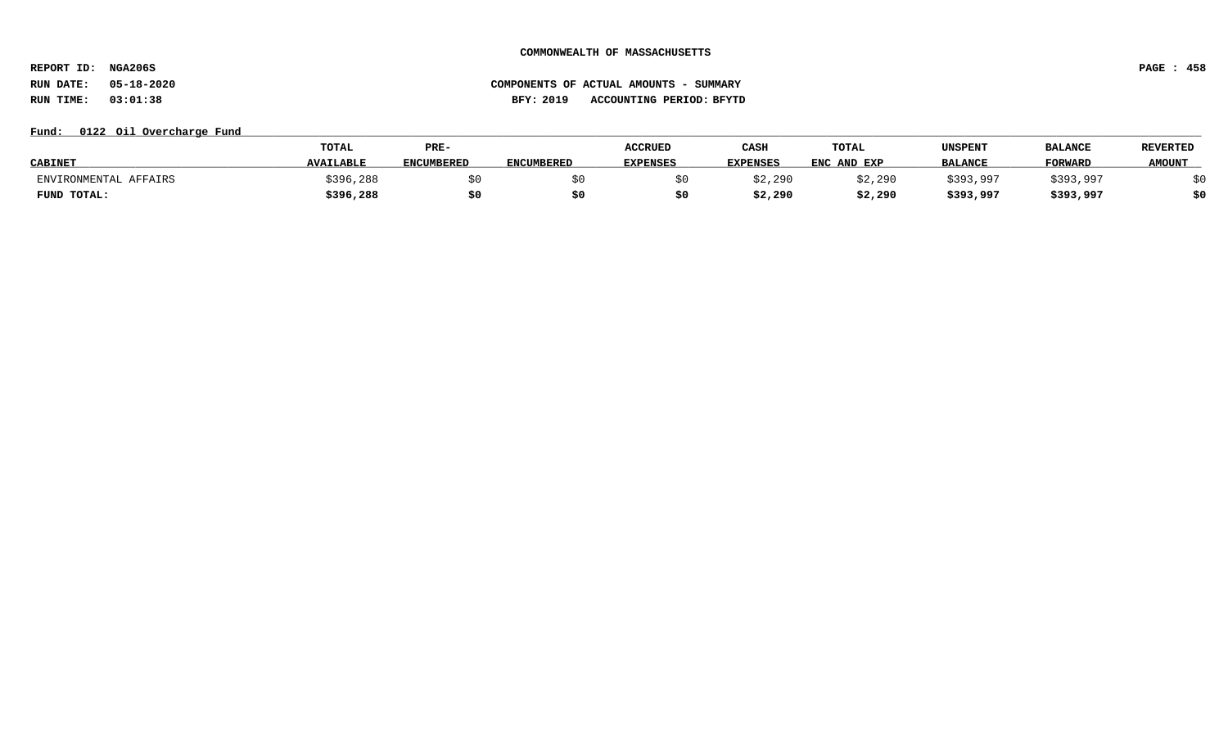**REPORT ID: NGA206S PAGE : 458**

# **RUN DATE: 05-18-2020 COMPONENTS OF ACTUAL AMOUNTS - SUMMARY RUN TIME: 03:01:38 BFY: 2019 ACCOUNTING PERIOD: BFYTD**

### Fund:  $0122$  Oil Overcharge Fund

|                       | <b>TOTAL</b>     | PRE-              |                   | <b>ACCRUED</b>  | CASH            | TOTAL       | UNSPENT        | <b>BALANCE</b> | <b>REVERTED</b> |
|-----------------------|------------------|-------------------|-------------------|-----------------|-----------------|-------------|----------------|----------------|-----------------|
| <b>CABINET</b>        | <b>AVAILABLE</b> | <b>ENCUMBERED</b> | <b>ENCUMBERED</b> | <b>EXPENSES</b> | <b>EXPENSES</b> | ENC AND EXP | <b>BALANCE</b> | <b>FORWARL</b> | <b>AMOUNT</b>   |
| ENVIRONMENTAL AFFAIRS | \$396,288        |                   |                   |                 | \$2,290         | \$2,290     | \$393,997      | \$393,997      |                 |
| FUND TOTAL:           | \$396,288        | \$0               |                   |                 | \$2,290         | \$2,290     | \$393,997      | \$393,997      | \$0             |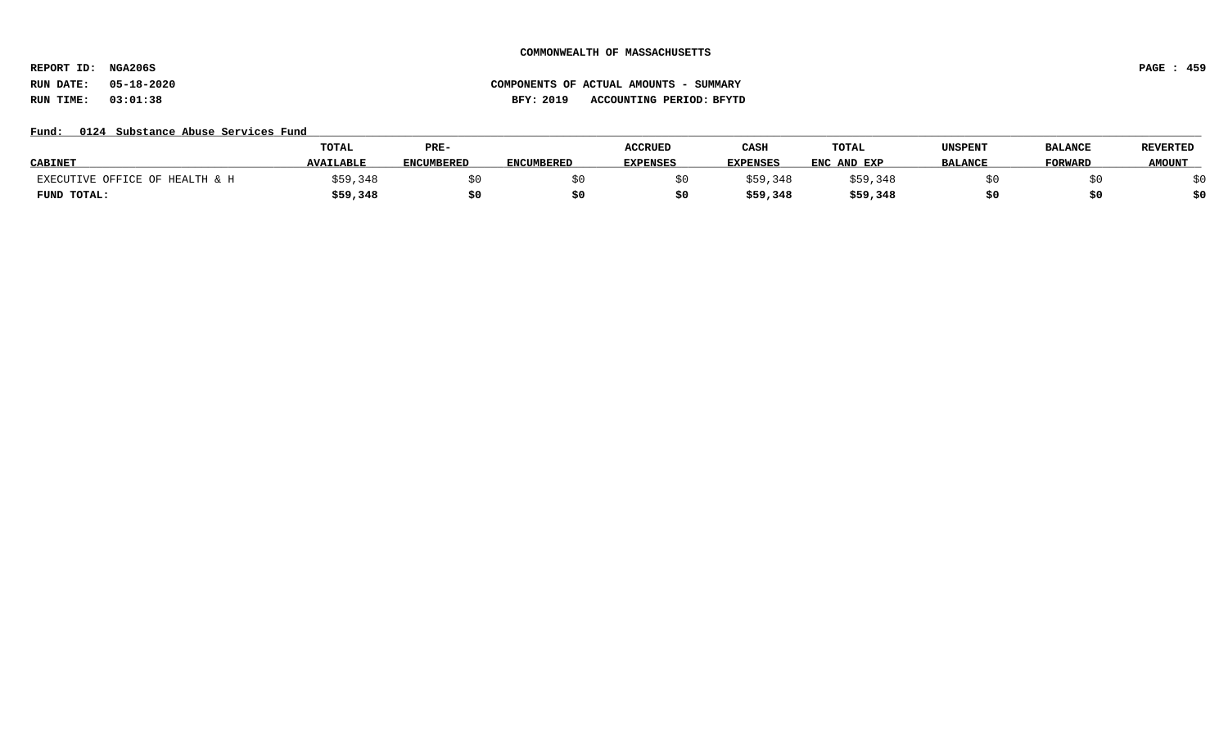**REPORT ID: NGA206S PAGE : 459**

### Fund: 0124 Substance Abuse Services Fund

|                                | TOTAL            | PRE-              |                   | <b>ACCRUED</b>  | CASH            | TOTAL       | UNSPENT        | <b>BALANCE</b> | <b>REVERTED</b> |
|--------------------------------|------------------|-------------------|-------------------|-----------------|-----------------|-------------|----------------|----------------|-----------------|
| <b>CABINET</b>                 | <b>AVAILABLE</b> | <b>ENCUMBERED</b> | <b>ENCUMBERED</b> | <b>EXPENSES</b> | <b>EXPENSES</b> | ENC AND EXP | <b>BALANCE</b> | <b>TORWARD</b> | <b>AMOUNT</b>   |
| EXECUTIVE OFFICE OF HEALTH & H | 59,348           |                   |                   |                 | \$59,348        | \$59,348    |                |                |                 |
| FUND TOTAL:                    | \$59,348         | \$0               |                   |                 | \$59,348        | \$59,348    |                |                | \$0             |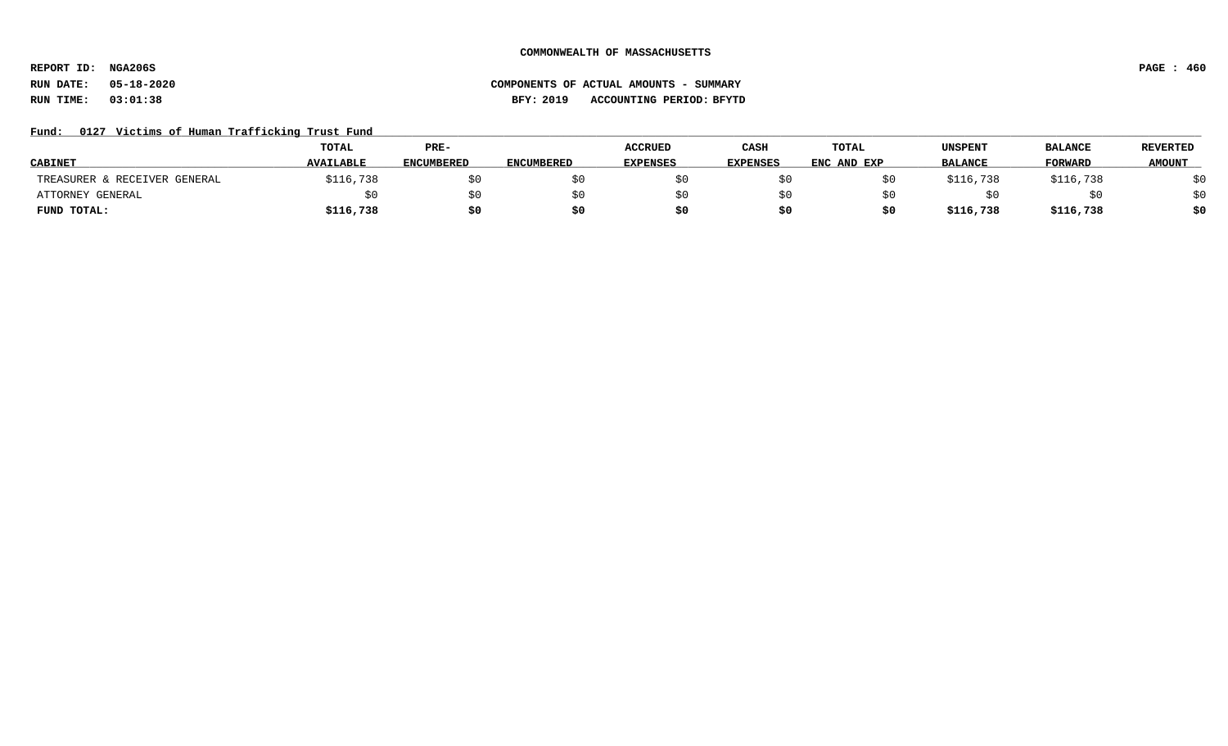**REPORT ID: NGA206S PAGE : 460**

# **RUN DATE: 05-18-2020 COMPONENTS OF ACTUAL AMOUNTS - SUMMARY RUN TIME: 03:01:38 BFY: 2019 ACCOUNTING PERIOD: BFYTD**

### Fund: 0127 Victims of Human Trafficking Trust Fund

|                              | TOTAL            | PRE-              |                   | <b>ACCRUED</b>  | CASH            | TOTAL       | UNSPENT        | <b>BALANCE</b> | <b>REVERTED</b> |
|------------------------------|------------------|-------------------|-------------------|-----------------|-----------------|-------------|----------------|----------------|-----------------|
| <b>CABINET</b>               | <b>AVAILABLE</b> | <b>ENCUMBERED</b> | <b>ENCUMBERED</b> | <b>EXPENSES</b> | <b>EXPENSES</b> | ENC AND EXP | <b>BALANCE</b> | <b>FORWARD</b> | <b>AMOUNT</b>   |
| TREASURER & RECEIVER GENERAL | \$116,738        |                   |                   |                 | 50              |             | \$116,738      | \$116,738      | \$0             |
| ATTORNEY GENERAL             |                  |                   |                   |                 |                 |             |                |                | \$0             |
| FUND TOTAL:                  | \$116,738        | \$0               |                   |                 | \$0             | SO.         | \$116,738      | \$116,738      | \$0             |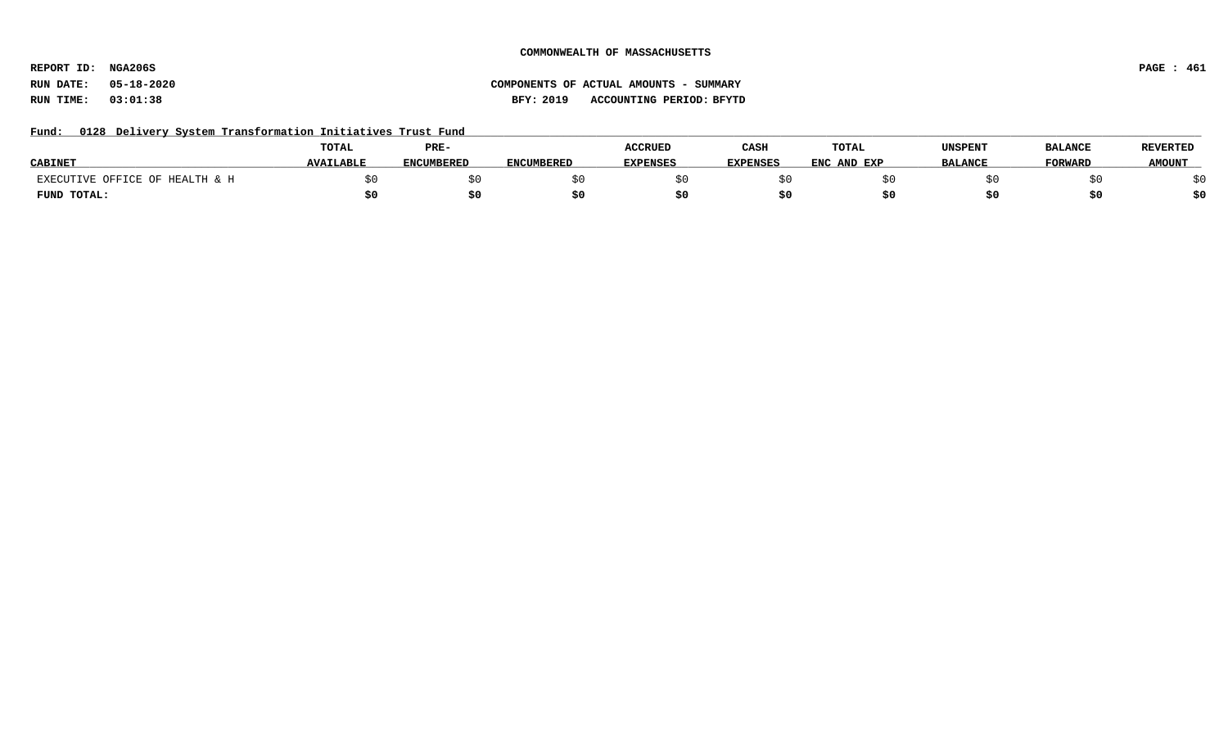**REPORT ID: NGA206S PAGE : 461**

# **RUN DATE: 05-18-2020 COMPONENTS OF ACTUAL AMOUNTS - SUMMARY RUN TIME: 03:01:38 BFY: 2019 ACCOUNTING PERIOD: BFYTD**

### Fund: 0128 Delivery System Transformation Initiatives Trust Fund

|                                    | TOTAL            | PRE-              |                   | <b>ACCRUED</b>  | CASH            | TOTAL       | UNSPENT        | <b>BALANCE</b> | <b>REVERTED</b> |
|------------------------------------|------------------|-------------------|-------------------|-----------------|-----------------|-------------|----------------|----------------|-----------------|
| <b>CABINET</b>                     | <b>AVAILABLE</b> | <b>ENCUMBERED</b> | <b>ENCUMBERED</b> | <b>EXPENSES</b> | <b>EXPENSES</b> | ENC AND EXP | <b>BALANCE</b> | <b>TORWARD</b> | <b>AMOUNT</b>   |
| TIVE OFFICE OF HEALTH & H<br>EXECU |                  |                   |                   |                 |                 |             |                |                |                 |
| FUND TOTAL:                        |                  |                   |                   |                 |                 |             |                |                | \$0             |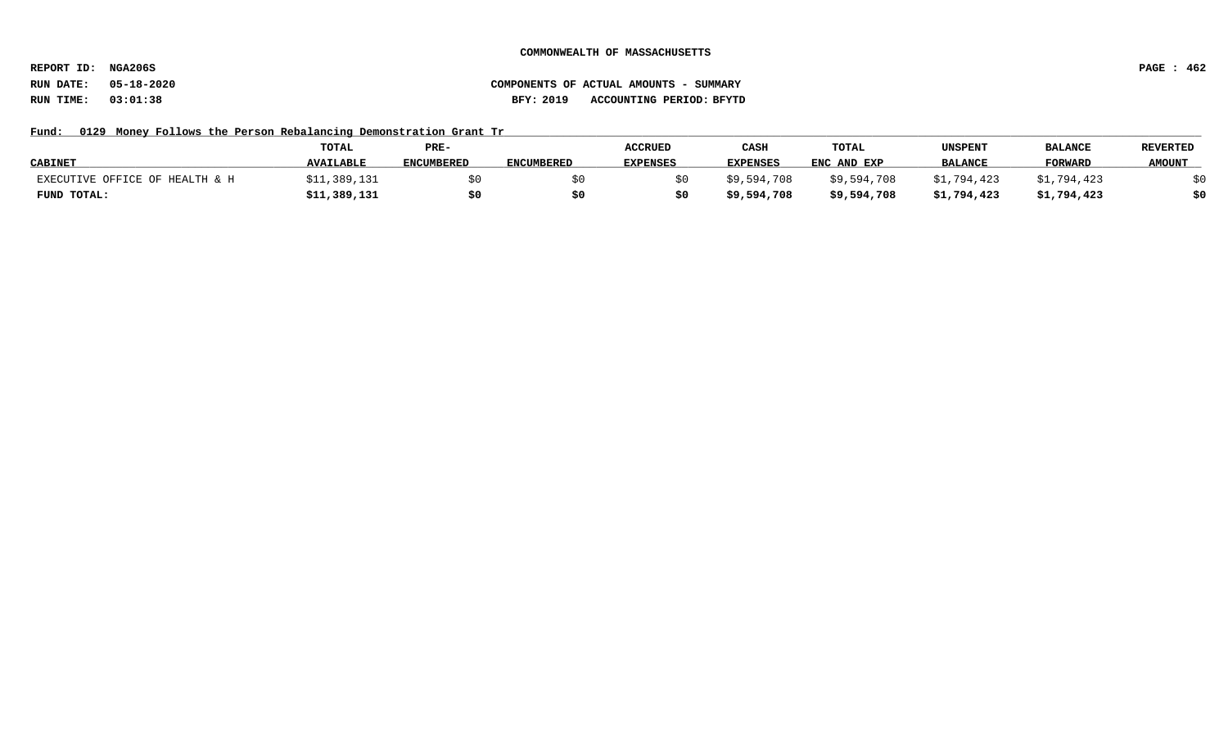**REPORT ID: NGA206S PAGE : 462**

# **RUN DATE: 05-18-2020 COMPONENTS OF ACTUAL AMOUNTS - SUMMARY RUN TIME: 03:01:38 BFY: 2019 ACCOUNTING PERIOD: BFYTD**

### Fund: 0129 Money Follows the Person Rebalancing Demonstration Grant Tr

|                                | <b>TOTAL</b>     | PRE-              |                   | <b>ACCRUED</b>  | CASH            | <b>TOTAL</b> | UNSPENT        | <b>BALANCE</b> | <b>REVERTED</b> |
|--------------------------------|------------------|-------------------|-------------------|-----------------|-----------------|--------------|----------------|----------------|-----------------|
| <b>CABINET</b>                 | <b>AVAILABLE</b> | <b>ENCUMBERED</b> | <b>ENCUMBERED</b> | <b>EXPENSES</b> | <b>EXPENSES</b> | ENC AND EXP  | <b>BALANCE</b> | FORWARD        | <b>AMOUNT</b>   |
| EXECUTIVE OFFICE OF HEALTH & H | \$11,389,131     |                   |                   |                 | \$9,594,708     | \$9,594,708  | \$1,794,423    | 794,423        |                 |
| FUND TOTAL:                    | \$11,389,131     | \$0               |                   |                 | \$9,594,708     | \$9,594,708  | \$1,794,423    | \$1,794,423    | \$0             |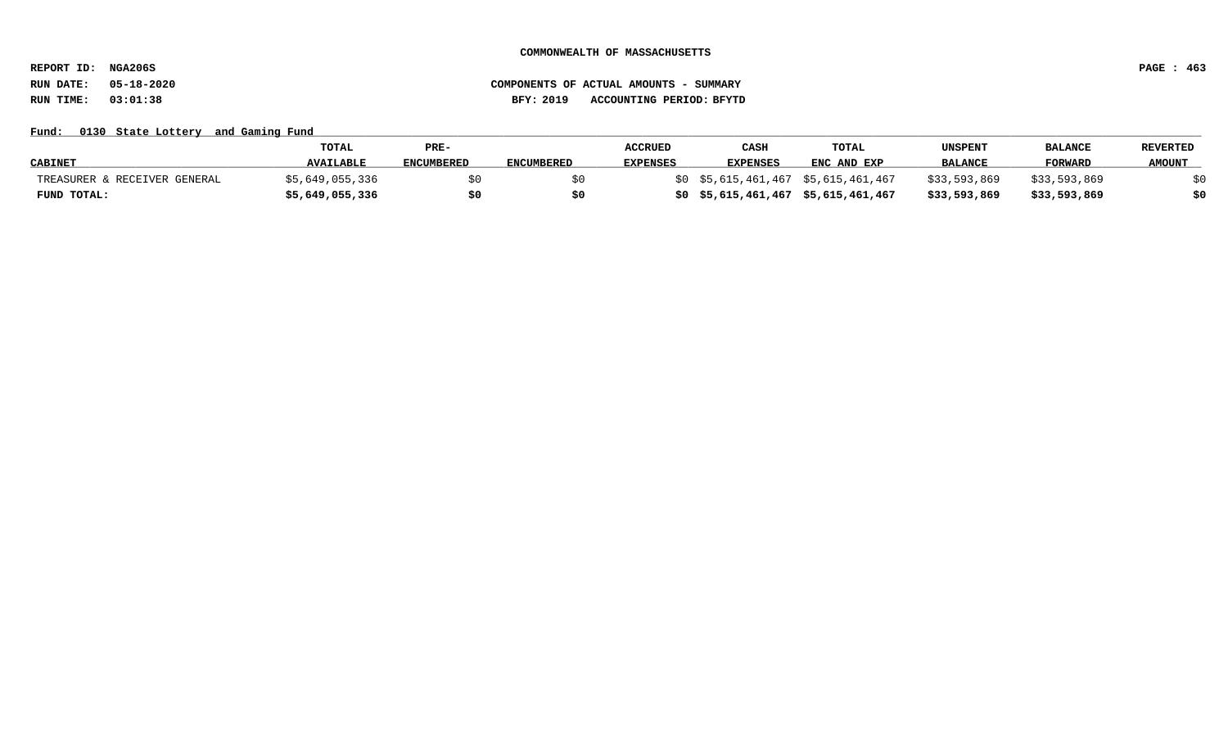**REPORT ID: NGA206S PAGE : 463**

# **RUN DATE: 05-18-2020 COMPONENTS OF ACTUAL AMOUNTS - SUMMARY RUN TIME: 03:01:38 BFY: 2019 ACCOUNTING PERIOD: BFYTD**

Fund: 0130 State Lottery and Gaming Fund

|                              | <b>TOTAL</b>     | PRE-              |                   | <b>ACCRUED</b>  | CASH            | TOTAL                             | UNSPENT        | <b>BALANCE</b> | <b>REVERTED</b> |
|------------------------------|------------------|-------------------|-------------------|-----------------|-----------------|-----------------------------------|----------------|----------------|-----------------|
| <b>CABINET</b>               | <b>AVAILABLE</b> | <b>ENCUMBERED</b> | <b>ENCUMBERED</b> | <b>EXPENSES</b> | <b>EXPENSES</b> | ENC AND EXP                       | <b>BALANCE</b> | <b>FORWARI</b> | <b>AMOUNT</b>   |
| TREASURER & RECEIVER GENERAL | \$5,649,055,336  |                   |                   |                 |                 | ) \$5,615,461,467 \$5,615,461,467 | \$33,593,869   | \$33,593,869   |                 |
| FUND TOTAL:                  | \$5,649,055,336  |                   |                   |                 |                 | \$5,615,461,467 \$5,615,461,467   | \$33,593,869   | \$33,593,869   | \$0             |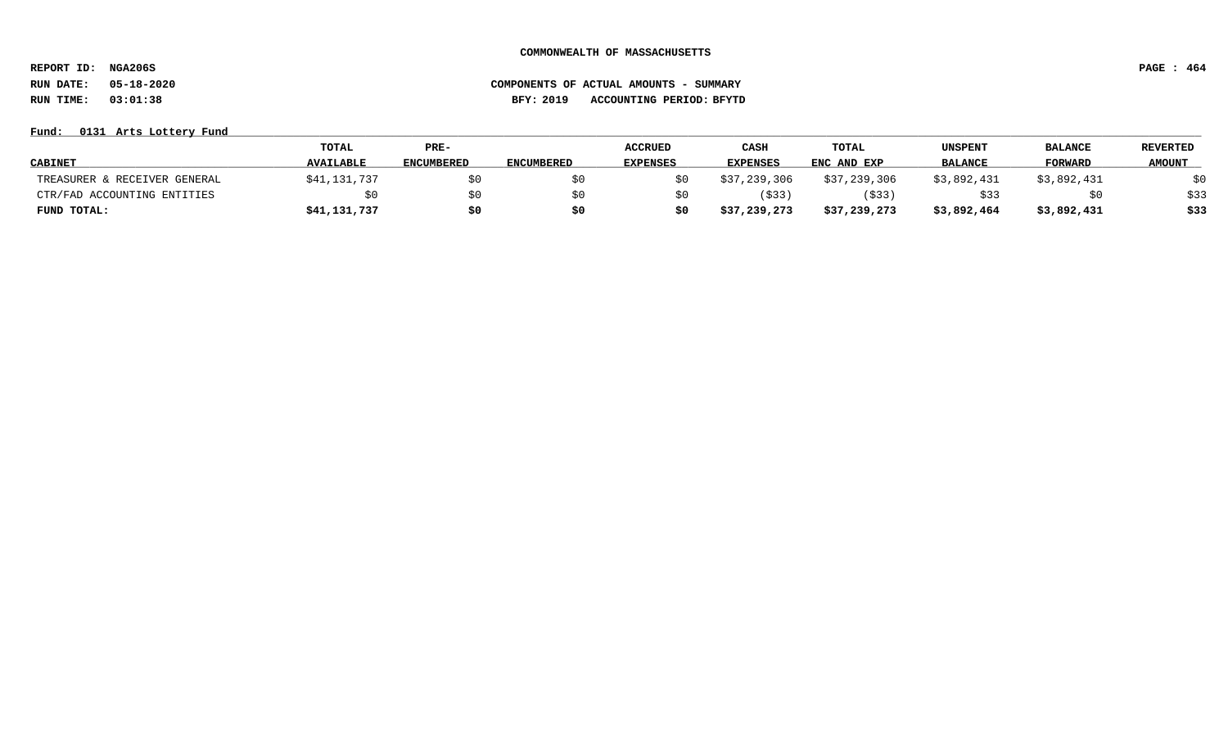**REPORT ID: NGA206S PAGE : 464**

**RUN DATE: 05-18-2020 COMPONENTS OF ACTUAL AMOUNTS - SUMMARY RUN TIME: 03:01:38 BFY: 2019 ACCOUNTING PERIOD: BFYTD**

**Fund: \_\_\_\_\_\_\_\_\_\_\_\_\_\_\_\_\_\_\_\_\_\_\_\_\_\_\_\_\_\_\_\_\_\_\_\_\_\_\_\_\_\_\_\_\_\_\_\_\_\_\_\_\_\_\_\_\_\_\_\_\_\_\_\_\_\_\_\_\_\_\_\_\_\_\_\_\_\_\_\_\_\_\_\_\_\_\_\_\_\_\_\_\_\_\_\_\_\_\_\_\_\_\_\_\_\_\_\_\_\_\_\_\_\_\_\_\_\_\_\_\_\_\_\_\_\_\_\_\_\_\_\_\_\_\_\_\_\_\_\_\_\_\_\_\_\_\_\_\_\_\_\_\_\_\_\_\_\_\_\_\_\_\_\_\_\_\_\_\_\_\_\_\_\_\_\_\_\_ 0131 Arts Lottery Fund**

|                              | TOTAL            | PRE-              |                   | <b>ACCRUED</b>  | CASH         | <b>TOTAL</b> | <b>UNSPENT</b> | <b>BALANCE</b> | <b>REVERTED</b> |
|------------------------------|------------------|-------------------|-------------------|-----------------|--------------|--------------|----------------|----------------|-----------------|
| <b>CABINET</b>               | <b>AVAILABLE</b> | <b>ENCUMBERED</b> | <b>ENCUMBERED</b> | <b>EXPENSES</b> | EXPENSES     | ENC AND EXP  | <b>BALANCE</b> | FORWARD        | <b>AMOUNT</b>   |
| TREASURER & RECEIVER GENERAL | \$41,131,737     | \$0               |                   |                 | \$37,239,306 | \$37,239,306 | \$3,892,431    | \$3,892,431    | \$0             |
| CTR/FAD ACCOUNTING ENTITIES  | \$0              | \$0               |                   |                 | \$33         | (\$33        | \$33           | \$0            | \$33            |
| FUND TOTAL:                  | \$41,131,737     | \$0               |                   |                 | \$37,239,273 | \$37,239,273 | \$3,892,464    | \$3,892,431    | \$33            |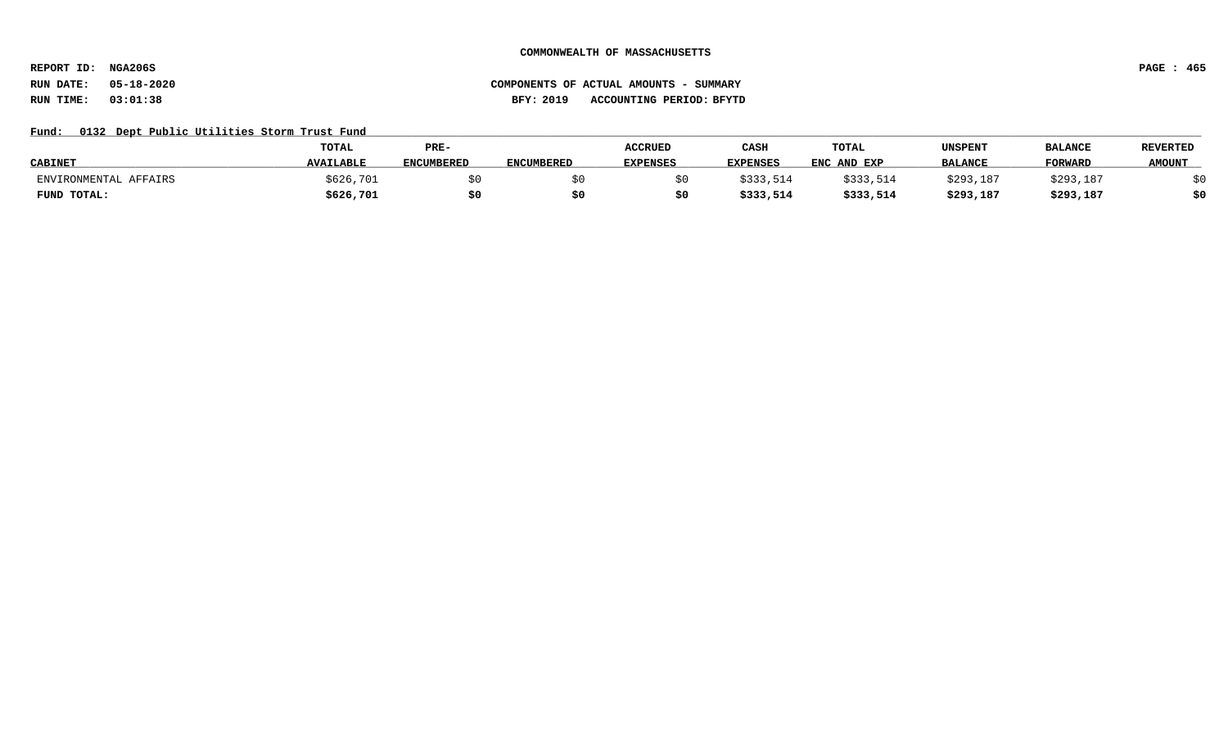**REPORT ID: NGA206S PAGE : 465**

# **RUN DATE: 05-18-2020 COMPONENTS OF ACTUAL AMOUNTS - SUMMARY RUN TIME: 03:01:38 BFY: 2019 ACCOUNTING PERIOD: BFYTD**

### Fund: 0132 Dept Public Utilities Storm Trust Fund

|                       | <b>TOTAL</b>     | PRE-              |                   | <b>ACCRUED</b> | CASH            | TOTAL       | UNSPENT        | <b>BALANCE</b> | <b>REVERTED</b> |
|-----------------------|------------------|-------------------|-------------------|----------------|-----------------|-------------|----------------|----------------|-----------------|
| <b>CABINET</b>        | <b>AVAILABLE</b> | <b>ENCUMBERED</b> | <b>ENCUMBERED</b> | EXPENSES       | <b>EXPENSES</b> | ENC AND EXP | <b>BALANCE</b> | <b>FORWARI</b> | <b>AMOUNT</b>   |
| ENVIRONMENTAL AFFAIRS | \$626,701        |                   |                   |                | \$333,514       | \$333,514   | \$293,187      | \$293,187      |                 |
| FUND TOTAL:           | \$626,701        |                   |                   |                | \$333,514       | \$333,514   | \$293,187      | \$293,187      | \$0             |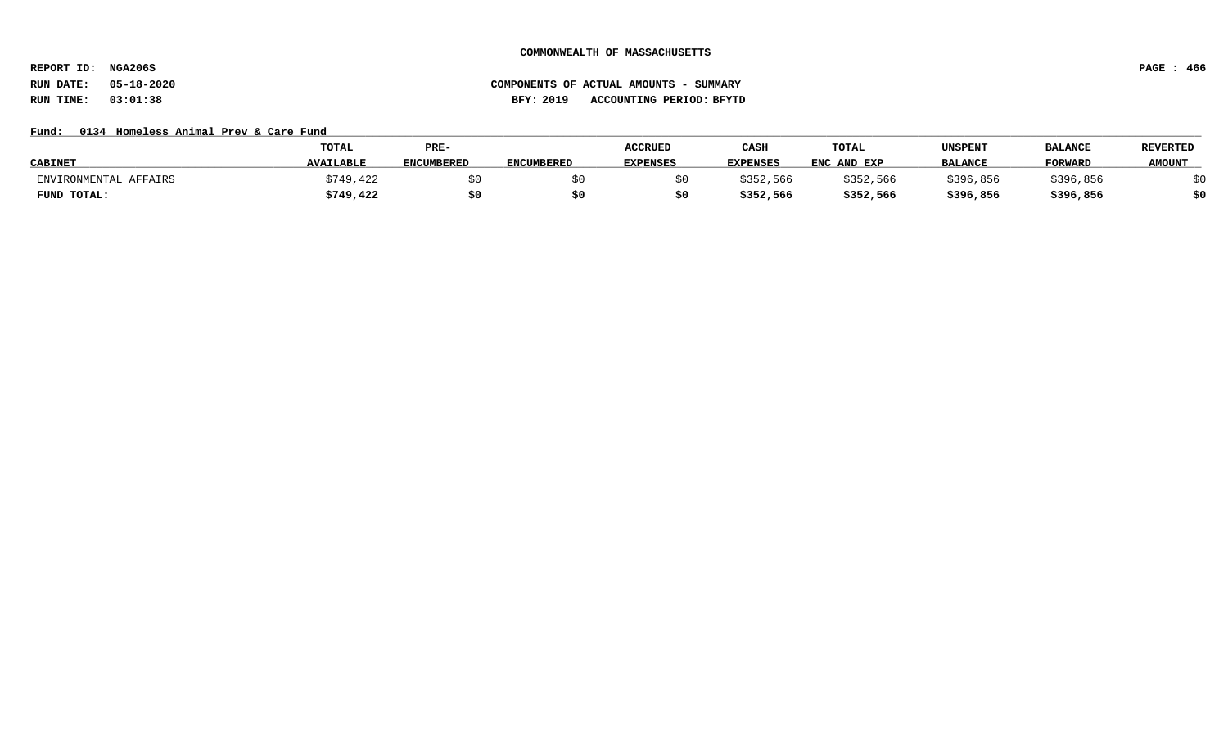**REPORT ID: NGA206S PAGE : 466**

# **RUN DATE: 05-18-2020 COMPONENTS OF ACTUAL AMOUNTS - SUMMARY RUN TIME: 03:01:38 BFY: 2019 ACCOUNTING PERIOD: BFYTD**

### Fund: 0134 Homeless Animal Prev & Care Fund

|                       | <b>TOTAL</b>     | PRE-              |                   | <b>ACCRUED</b>  | CASH            | TOTAL       | UNSPENT        | <b>BALANCE</b> | <b>REVERTED</b> |
|-----------------------|------------------|-------------------|-------------------|-----------------|-----------------|-------------|----------------|----------------|-----------------|
| <b>CABINET</b>        | <b>AVAILABLE</b> | <b>ENCUMBERED</b> | <b>ENCUMBERED</b> | <b>EXPENSES</b> | <b>EXPENSES</b> | ENC AND EXP | <b>BALANCE</b> | <b>FORWARD</b> | <b>AMOUNT</b>   |
| ENVIRONMENTAL AFFAIRS | \$749,422        |                   |                   |                 | \$352,566       | \$352,566   | \$396,856      | \$396,856      |                 |
| FUND TOTAL:           | \$749,422        | \$0               |                   |                 | \$352,566       | \$352,566   | \$396,856      | \$396,856      | \$0             |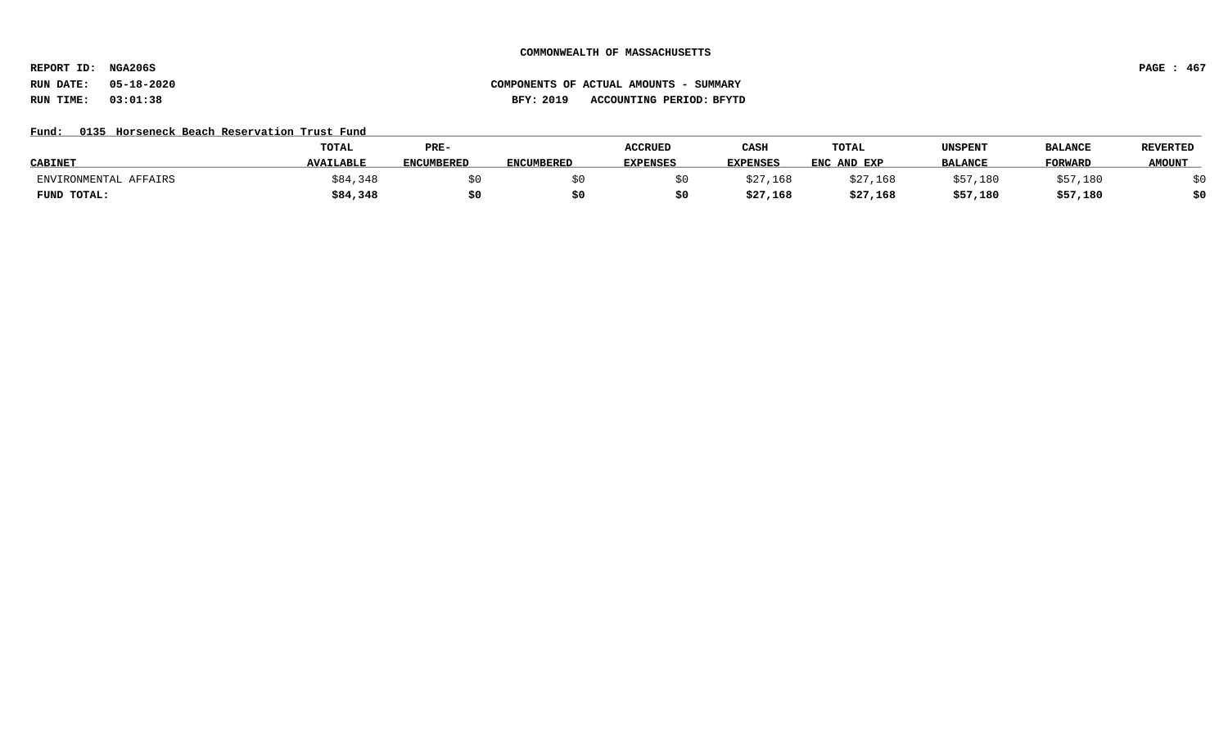**REPORT ID: NGA206S PAGE : 467**

# **RUN DATE: 05-18-2020 COMPONENTS OF ACTUAL AMOUNTS - SUMMARY RUN TIME: 03:01:38 BFY: 2019 ACCOUNTING PERIOD: BFYTD**

# Fund: 0135 Horseneck Beach Reservation Trust Fund

|                       | TOTAL            | PRE-       |                   | <b>ACCRUED</b>  | CASH     | <b>TOTAL</b> | UNSPENT        | <b>BALANCE</b> | <b>REVERTED</b> |
|-----------------------|------------------|------------|-------------------|-----------------|----------|--------------|----------------|----------------|-----------------|
| <b>CABINET</b>        | <b>AVAILABLE</b> | ENCUMBERED | <b>ENCUMBERED</b> | <b>EXPENSES</b> | EXPENSES | ENC AND EXP  | <b>BALANCE</b> | FORWARD        | <b>AMOUNT</b>   |
| ENVIRONMENTAL AFFAIRS | ;84,348          |            |                   |                 | \$27,168 | \$27,168     | \$57.180       | :57,180        |                 |
| FUND TOTAL:           | \$84,348         | \$0        |                   |                 | \$27,168 | \$27,168     | \$57,180       | \$57,180       | \$0             |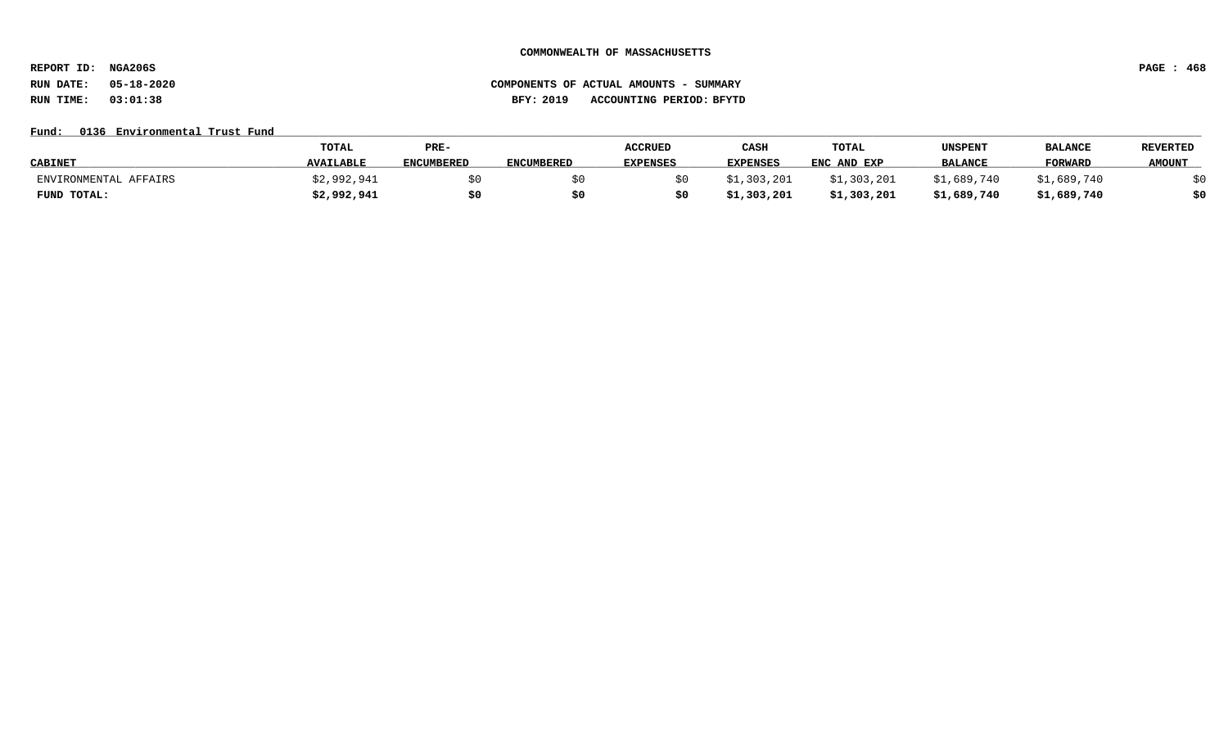**REPORT ID: NGA206S PAGE : 468**

# **RUN DATE: 05-18-2020 COMPONENTS OF ACTUAL AMOUNTS - SUMMARY RUN TIME: 03:01:38 BFY: 2019 ACCOUNTING PERIOD: BFYTD**

# Fund: 0136 Environmental Trust Fund

|                       | <b>TOTAL</b>     | PRE-              |                   | <b>ACCRUED</b>  | CASH            | TOTAL       | UNSPENT        | <b>BALANCE</b> | <b>REVERTED</b> |
|-----------------------|------------------|-------------------|-------------------|-----------------|-----------------|-------------|----------------|----------------|-----------------|
| <b>CABINET</b>        | <b>AVAILABLE</b> | <b>ENCUMBERED</b> | <b>ENCUMBERED</b> | <b>EXPENSES</b> | <b>EXPENSES</b> | ENC AND EXP | <b>BALANCE</b> | <b>FORWARD</b> | <b>AMOUNT</b>   |
| ENVIRONMENTAL AFFAIRS | \$2,992,941      |                   |                   |                 | \$1,303,201     | \$1,303,201 | \$1,689,740    | \$1,689,740    |                 |
| FUND TOTAL:           | \$2,992,941      |                   | S0                |                 | \$1,303,201     | \$1,303,201 | \$1,689,740    | \$1,689,740    | \$0             |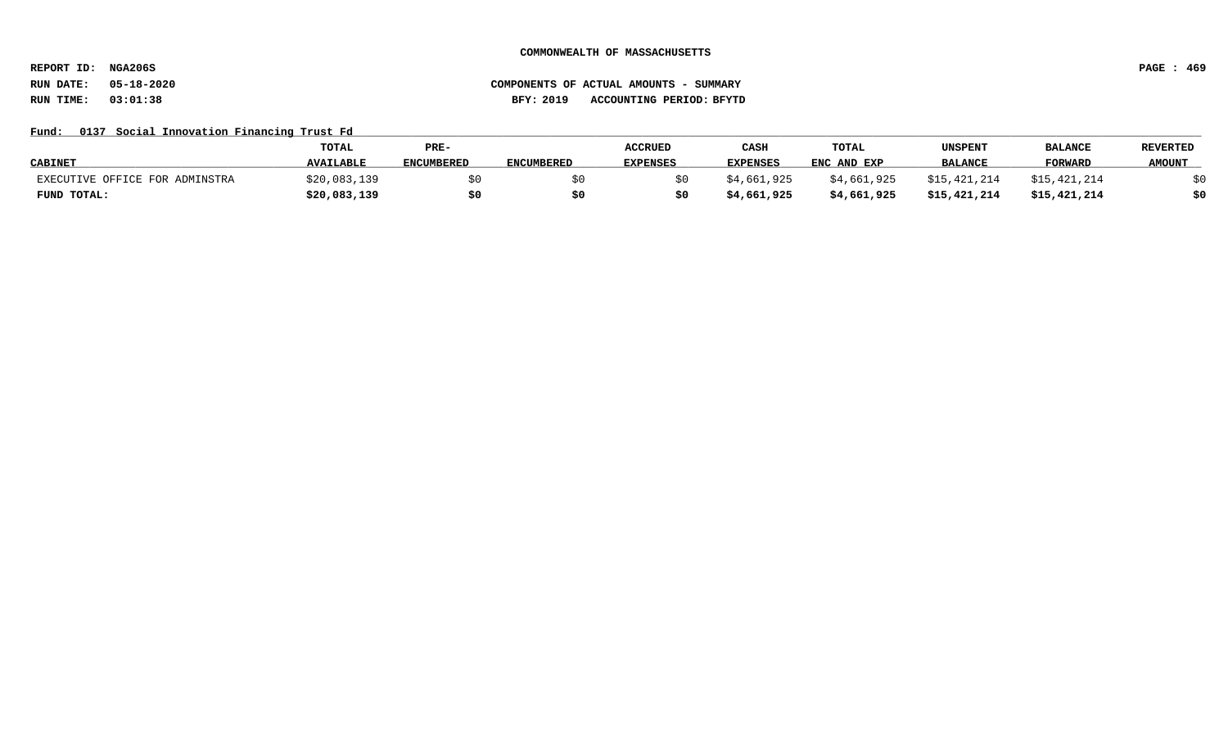**REPORT ID: NGA206S PAGE : 469**

# **RUN DATE: 05-18-2020 COMPONENTS OF ACTUAL AMOUNTS - SUMMARY RUN TIME: 03:01:38 BFY: 2019 ACCOUNTING PERIOD: BFYTD**

## Fund: 0137 Social Innovation Financing Trust Fd

|                                | <b>TOTAL</b>     | PRE-              |                   | <b>ACCRUED</b>  | CASH            | <b>TOTAL</b> | UNSPENT        | <b>BALANCE</b> | <b>REVERTED</b> |
|--------------------------------|------------------|-------------------|-------------------|-----------------|-----------------|--------------|----------------|----------------|-----------------|
| <b>CABINET</b>                 | <b>AVAILABLE</b> | <b>ENCUMBERED</b> | <b>ENCUMBERED</b> | <b>EXPENSES</b> | <b>EXPENSES</b> | ENC AND EXP  | <b>BALANCE</b> | <b>FORWARD</b> | <b>AMOUNT</b>   |
| EXECUTIVE OFFICE FOR ADMINSTRA | \$20,083,139     |                   |                   |                 | \$4,661,925     | \$4,661,925  | \$15,421,214   | \$15,421,214   | ረ ሀ             |
| FUND TOTAL:                    | \$20,083,139     |                   |                   |                 | \$4,661,925     | \$4,661,925  | \$15,421,214   | \$15,421,214   | \$0             |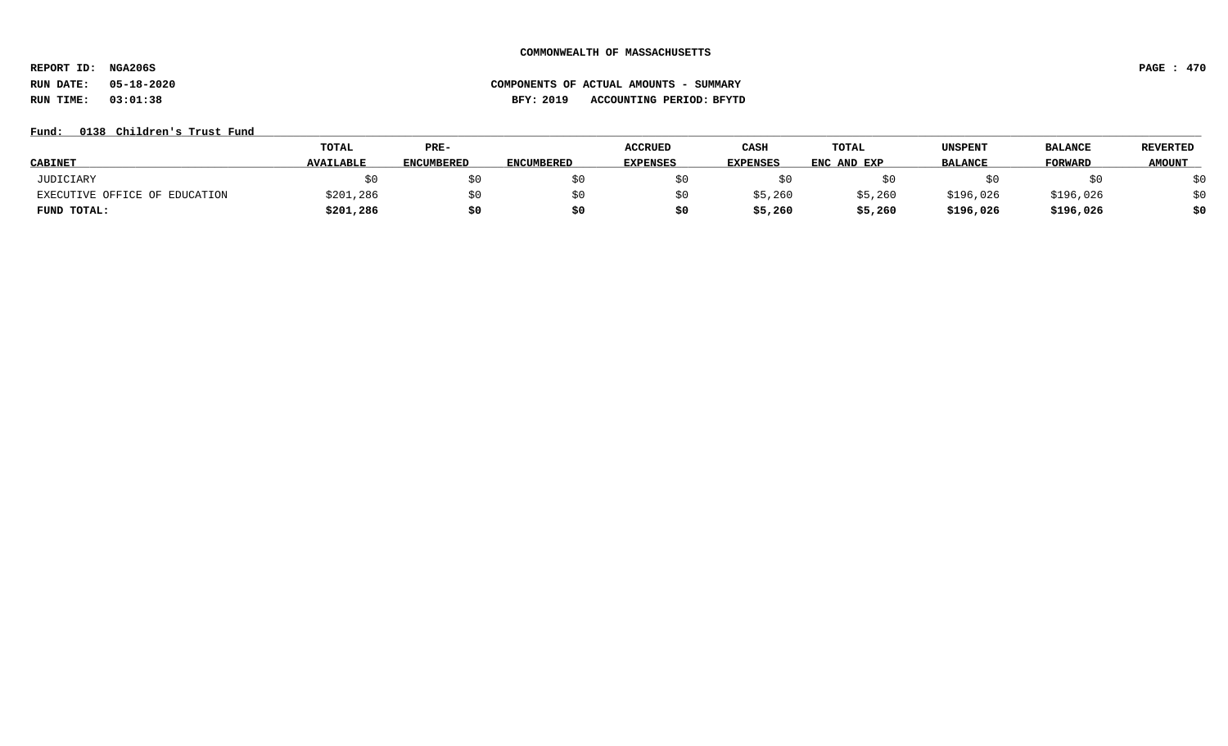**REPORT ID: NGA206S PAGE : 470**

# **RUN DATE: 05-18-2020 COMPONENTS OF ACTUAL AMOUNTS - SUMMARY RUN TIME: 03:01:38 BFY: 2019 ACCOUNTING PERIOD: BFYTD**

## Fund: 0138 Children's Trust Fund

|                               | <b>TOTAL</b>     | PRE-              |                   | <b>ACCRUED</b>  | CASH            | TOTAL       | UNSPENT        | <b>BALANCE</b> | <b>REVERTED</b> |
|-------------------------------|------------------|-------------------|-------------------|-----------------|-----------------|-------------|----------------|----------------|-----------------|
| <b>CABINET</b>                | <b>AVAILABLE</b> | <b>ENCUMBERED</b> | <b>ENCUMBERED</b> | <b>EXPENSES</b> | <b>EXPENSES</b> | ENC AND EXP | <b>BALANCE</b> | <b>FORWARD</b> | <b>AMOUNT</b>   |
| JUDICIARY                     |                  | \$0               |                   |                 |                 |             |                |                | \$0             |
| EXECUTIVE OFFICE OF EDUCATION | \$201,286        | \$0               |                   |                 | \$5,260         | \$5,260     | \$196,026      | \$196,026      | \$0             |
| FUND TOTAL:                   | \$201,286        | \$0               |                   |                 | \$5,260         | \$5,260     | \$196,026      | \$196,026      | \$0             |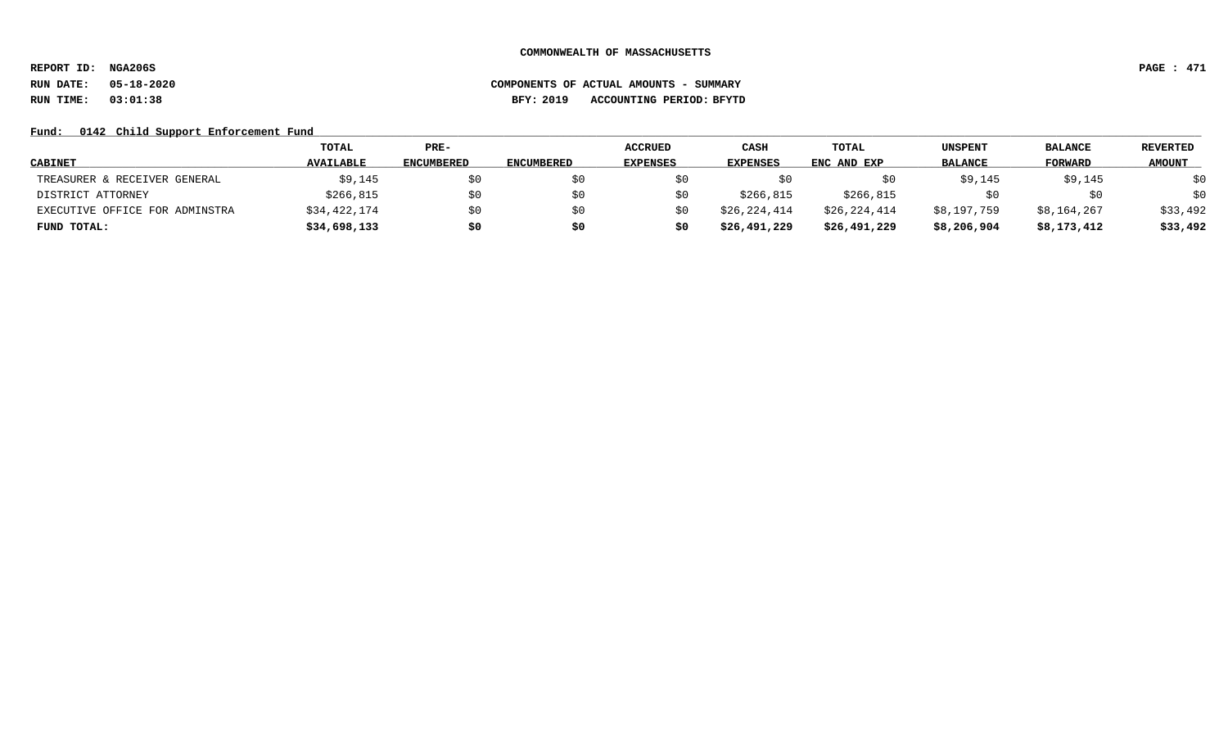**REPORT ID: NGA206S PAGE : 471**

# **RUN DATE: 05-18-2020 COMPONENTS OF ACTUAL AMOUNTS - SUMMARY RUN TIME: 03:01:38 BFY: 2019 ACCOUNTING PERIOD: BFYTD**

## Fund: 0142 Child Support Enforcement Fund

|                                | TOTAL            | PRE-              |                   | <b>ACCRUED</b>  | CASH            | TOTAL        | UNSPENT        | <b>BALANCE</b> | <b>REVERTED</b> |
|--------------------------------|------------------|-------------------|-------------------|-----------------|-----------------|--------------|----------------|----------------|-----------------|
| <b>CABINET</b>                 | <b>AVAILABLE</b> | <b>ENCUMBERED</b> | <b>ENCUMBERED</b> | <b>EXPENSES</b> | <b>EXPENSES</b> | ENC AND EXP  | <b>BALANCE</b> | <b>FORWARD</b> | <b>AMOUNT</b>   |
| TREASURER & RECEIVER GENERAL   | \$9,145          | \$0               |                   | S0              |                 | S U          | \$9,145        | \$9,145        | \$0             |
| DISTRICT ATTORNEY              | \$266,815        | \$0               |                   | S0              | \$266,815       | \$266,815    |                |                | \$0             |
| EXECUTIVE OFFICE FOR ADMINSTRA | \$34,422,174     | \$0               | S0                | S0              | \$26,224,414    | \$26,224,414 | \$8,197,759    | \$8,164,267    | \$33,492        |
| FUND TOTAL:                    | \$34,698,133     | \$0               | S0                | s0              | \$26,491,229    | \$26,491,229 | \$8,206,904    | \$8,173,412    | \$33,492        |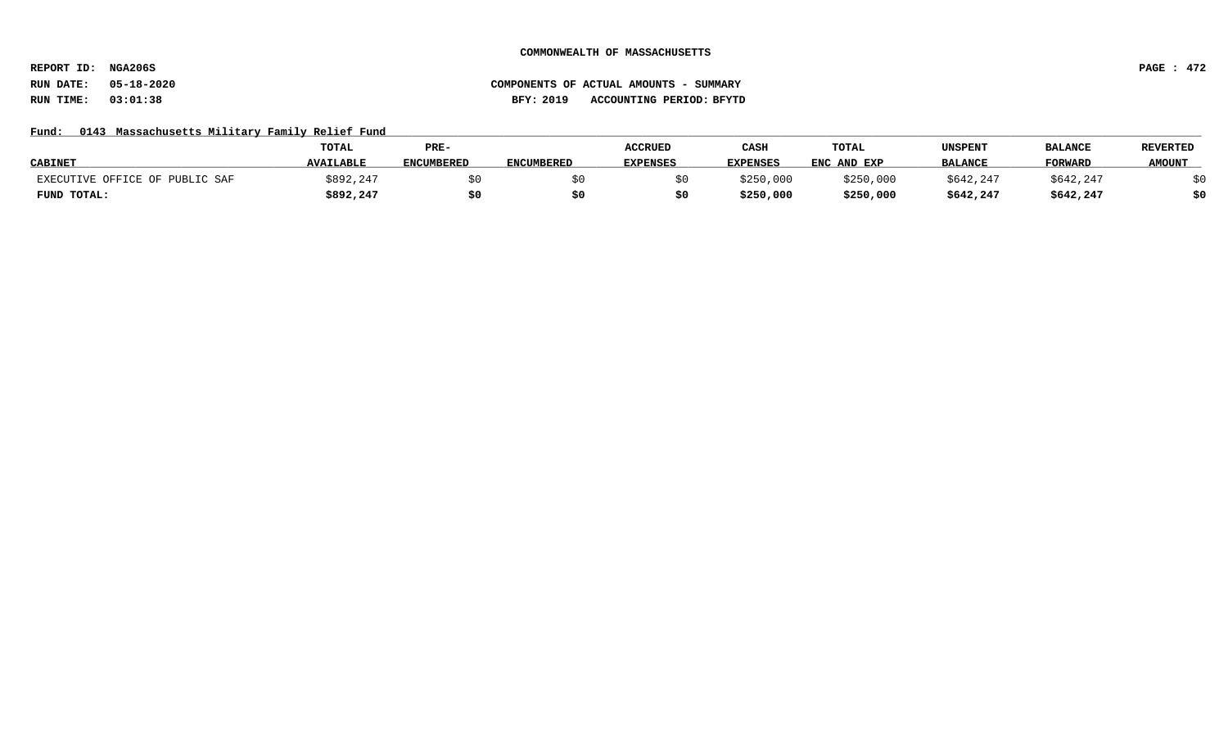**REPORT ID: NGA206S PAGE : 472**

## Fund: 0143 Massachusetts Military Family Relief Fund

|                                | <b>TOTAL</b>     | PRE-              |                   | <b>ACCRUED</b>  | CASH            | TOTAL       | UNSPENT        | <b>BALANCE</b> | <b>REVERTED</b> |
|--------------------------------|------------------|-------------------|-------------------|-----------------|-----------------|-------------|----------------|----------------|-----------------|
| <b>CABINET</b>                 | <b>AVAILABLE</b> | <b>ENCUMBERED</b> | <b>ENCUMBERED</b> | <b>EXPENSES</b> | <b>EXPENSES</b> | ENC AND EXP | <b>BALANCE</b> | <b>FORWARD</b> | <b>AMOUNT</b>   |
| EXECUTIVE OFFICE OF PUBLIC SAF | \$892,247        |                   |                   |                 | \$250,000       | \$250,000   | \$642,247      | \$642,247      |                 |
| FUND TOTAL:                    | \$892,247        | \$0               |                   |                 | \$250,000       | \$250,000   | \$642,247      | \$642,247      | \$0             |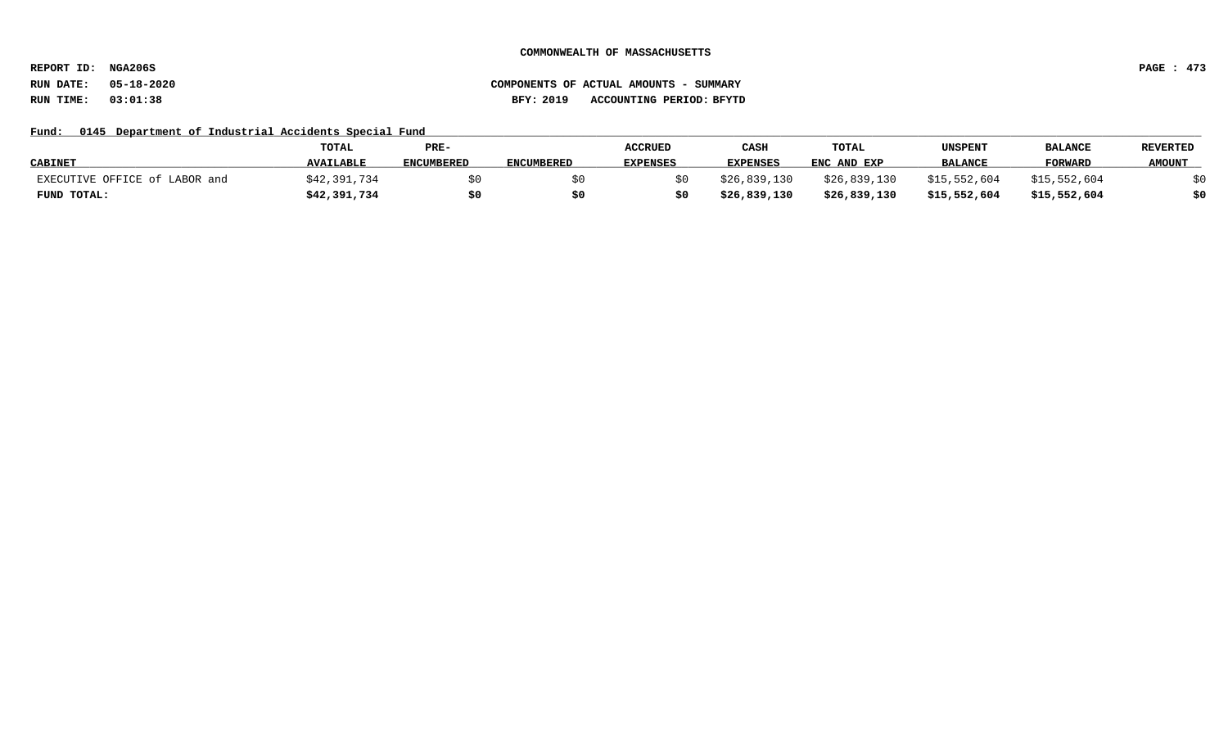**REPORT ID: NGA206S PAGE : 473**

## **RUN DATE: 05-18-2020 COMPONENTS OF ACTUAL AMOUNTS - SUMMARY RUN TIME: 03:01:38 BFY: 2019 ACCOUNTING PERIOD: BFYTD**

## Fund: 0145 Department of Industrial Accidents Special Fund

|                               | <b>TOTAL</b>     | PRE-              |                   | <b>ACCRUED</b>  | CASH            | <b>TOTAL</b> | UNSPENT        | <b>BALANCI</b> | <b>REVERTED</b> |
|-------------------------------|------------------|-------------------|-------------------|-----------------|-----------------|--------------|----------------|----------------|-----------------|
| <b>CABINET</b>                | <b>AVAILABLE</b> | <b>ENCUMBERED</b> | <b>ENCUMBERED</b> | <b>EXPENSES</b> | <b>EXPENSES</b> | ENC AND EXP  | <b>BALANCE</b> | <b>FORWARD</b> | <b>AMOUNT</b>   |
| EXECUTIVE OFFICE of LABOR and | \$42,391,734     |                   |                   |                 | \$26,839,130    | \$26,839,130 | \$15,552,604   | \$15,552,604   |                 |
| FUND TOTAL:                   | \$42,391,734     | \$0               | S0                |                 | \$26,839,130    | \$26,839,130 | \$15,552,604   | \$15,552,604   | \$0             |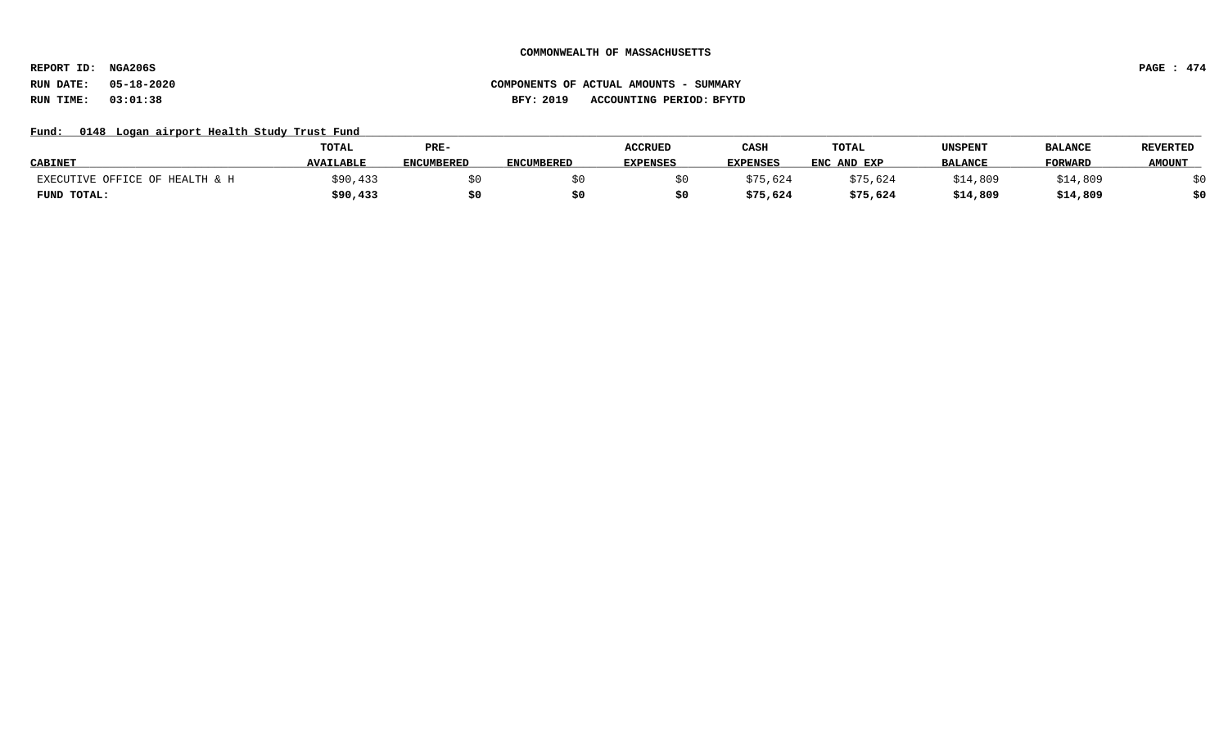**REPORT ID: NGA206S PAGE : 474**

# **RUN DATE: 05-18-2020 COMPONENTS OF ACTUAL AMOUNTS - SUMMARY RUN TIME: 03:01:38 BFY: 2019 ACCOUNTING PERIOD: BFYTD**

## Fund: 0148 Logan airport Health Study Trust Fund

|                                | TOTAL            | PRE-              |                   | <b>ACCRUED</b>  | CASH            | TOTAL       | UNSPENT        | <b>BALANCE</b> | <b>REVERTED</b> |
|--------------------------------|------------------|-------------------|-------------------|-----------------|-----------------|-------------|----------------|----------------|-----------------|
| <b>CABINET</b>                 | <b>AVAILABLE</b> | <b>ENCUMBERED</b> | <b>ENCUMBERED</b> | <b>EXPENSES</b> | <b>EXPENSES</b> | ENC AND EXP | <b>BALANCE</b> | <b>FORWARD</b> | <b>AMOUNT</b>   |
| EXECUTIVE OFFICE OF HEALTH & H | 190,433          |                   |                   |                 | \$75,624        | \$75,624    | \$14,809       | \$14,809       |                 |
| FUND TOTAL:                    | \$90,433         | \$0               |                   |                 | \$75,624        | \$75,624    | \$14,809       | \$14,809       | \$0             |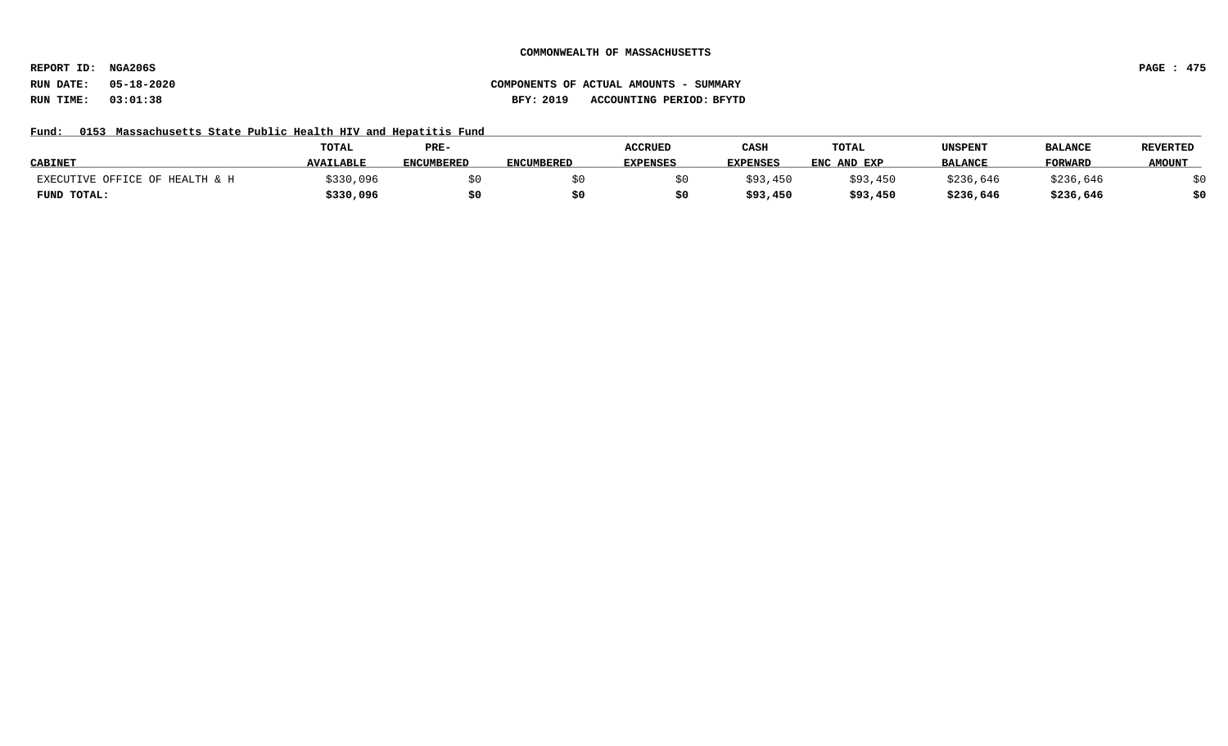**REPORT ID: NGA206S PAGE : 475**

# **RUN DATE: 05-18-2020 COMPONENTS OF ACTUAL AMOUNTS - SUMMARY RUN TIME: 03:01:38 BFY: 2019 ACCOUNTING PERIOD: BFYTD**

## Fund: 0153 Massachusetts State Public Health HIV and Hepatitis Fund

|                                | <b>TOTAL</b>     | PRE-              |                   | <b>ACCRUED</b>  | CASH            | TOTAL       | UNSPENT        | <b>BALANCE</b> | <b>REVERTED</b> |
|--------------------------------|------------------|-------------------|-------------------|-----------------|-----------------|-------------|----------------|----------------|-----------------|
| <b>CABINET</b>                 | <b>AVAILABLE</b> | <b>ENCUMBERED</b> | <b>ENCUMBERED</b> | <b>EXPENSES</b> | <b>EXPENSES</b> | ENC AND EXP | <b>BALANCE</b> | <b>FORWARD</b> | <b>AMOUNT</b>   |
| EXECUTIVE OFFICE OF HEALTH & H | \$330,096        |                   |                   |                 | \$93,450        | \$93,450    | \$236,646      | \$236,646      |                 |
| FUND TOTAL:                    | \$330,096        |                   |                   |                 | \$93,450        | \$93,450    | \$236,646      | \$236,646      | \$0             |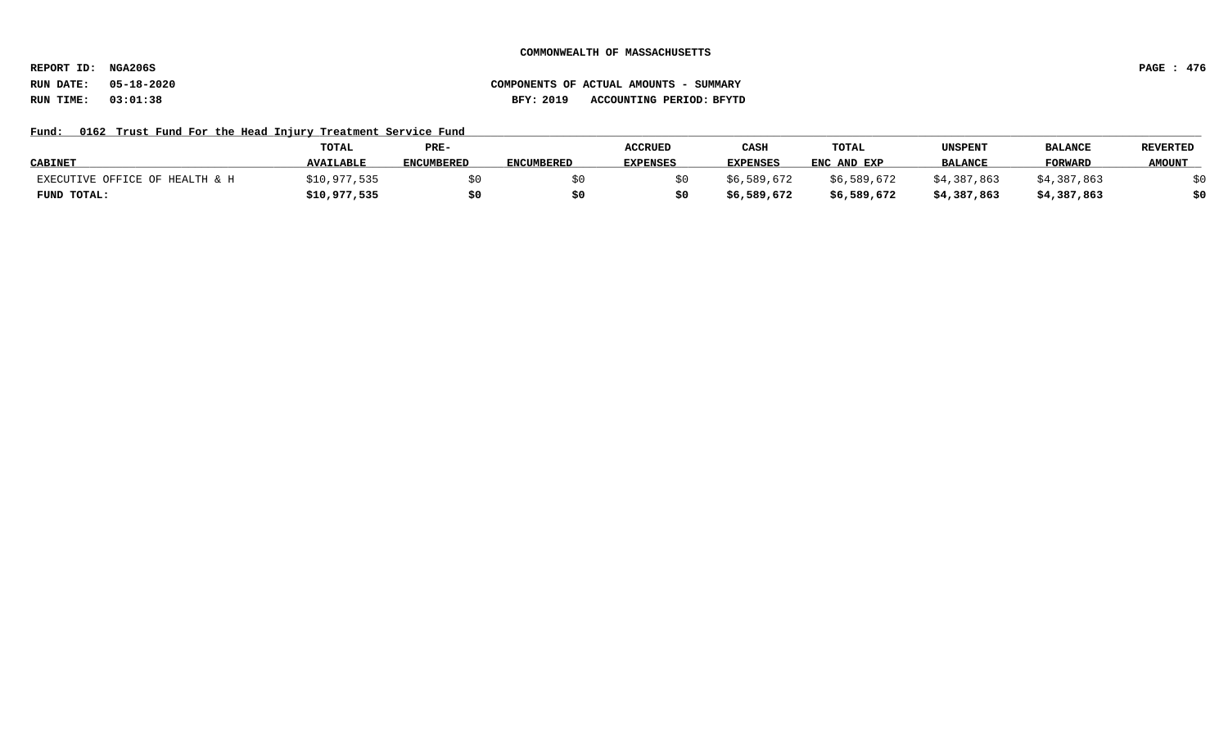**REPORT ID: NGA206S PAGE : 476**

# **RUN DATE: 05-18-2020 COMPONENTS OF ACTUAL AMOUNTS - SUMMARY RUN TIME: 03:01:38 BFY: 2019 ACCOUNTING PERIOD: BFYTD**

## Fund: 0162 Trust Fund For the Head Injury Treatment Service Fund

|                                | <b>TOTAL</b>     | PRE-              |                   | <b>ACCRUED</b>  | CASH            | TOTAL       | UNSPENT        | <b>BALANCI</b> | <b>REVERTED</b> |
|--------------------------------|------------------|-------------------|-------------------|-----------------|-----------------|-------------|----------------|----------------|-----------------|
| <b>CABINET</b>                 | <b>AVAILABLE</b> | <b>ENCUMBERED</b> | <b>ENCUMBERED</b> | <b>EXPENSES</b> | <b>EXPENSES</b> | ENC AND EXP | <b>BALANCE</b> | <b>FORWARD</b> | <b>AMOUNT</b>   |
| EXECUTIVE OFFICE OF HEALTH & H | \$10,977,535     |                   |                   |                 | \$6,589,672     | \$6,589,672 | \$4,387,863    | \$4,387,863    |                 |
| FUND TOTAL:                    | \$10,977,535     | \$0               | SO.               |                 | \$6,589,672     | \$6,589,672 | \$4,387,863    | \$4,387,863    | \$0             |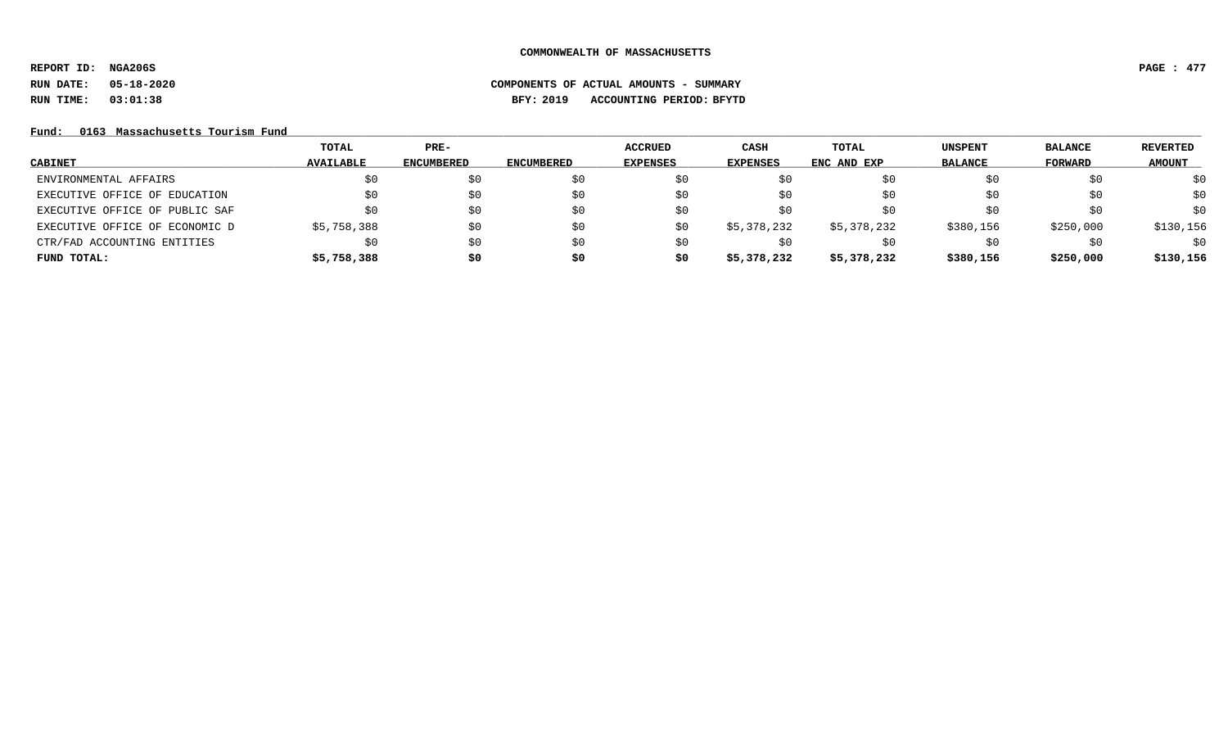**REPORT ID: NGA206S PAGE : 477**

# **RUN DATE: 05-18-2020 COMPONENTS OF ACTUAL AMOUNTS - SUMMARY RUN TIME: 03:01:38 BFY: 2019 ACCOUNTING PERIOD: BFYTD**

## Fund: 0163 Massachusetts Tourism Fund

|                                | TOTAL            | $PRE-$            |                   | <b>ACCRUED</b>  | CASH            | TOTAL       | UNSPENT        | <b>BALANCE</b> | <b>REVERTED</b> |
|--------------------------------|------------------|-------------------|-------------------|-----------------|-----------------|-------------|----------------|----------------|-----------------|
| <b>CABINET</b>                 | <b>AVAILABLE</b> | <b>ENCUMBERED</b> | <b>ENCUMBERED</b> | <b>EXPENSES</b> | <b>EXPENSES</b> | ENC AND EXP | <b>BALANCE</b> | FORWARD        | <b>AMOUNT</b>   |
| ENVIRONMENTAL AFFAIRS          |                  | \$0               | \$0               | SO.             | SΟ              | SO.         | \$0            | \$0            | \$0             |
| EXECUTIVE OFFICE OF EDUCATION  | S0               | \$0               | \$0               | SO.             | \$0             | S0          | \$0            | \$0            | \$0             |
| EXECUTIVE OFFICE OF PUBLIC SAF |                  | \$0               | \$0               | \$0             | \$0             | SO.         | S0             | \$0            | \$0             |
| EXECUTIVE OFFICE OF ECONOMIC D | \$5,758,388      | \$0               | \$0               | \$0             | \$5,378,232     | \$5,378,232 | \$380,156      | \$250,000      | \$130,156       |
| CTR/FAD ACCOUNTING ENTITIES    | S0               | \$0               | \$0               | SO.             |                 | S0          | S0             | \$0            | \$0             |
| FUND TOTAL:                    | \$5,758,388      | \$0               | \$0               | \$0             | \$5,378,232     | \$5,378,232 | \$380,156      | \$250,000      | \$130,156       |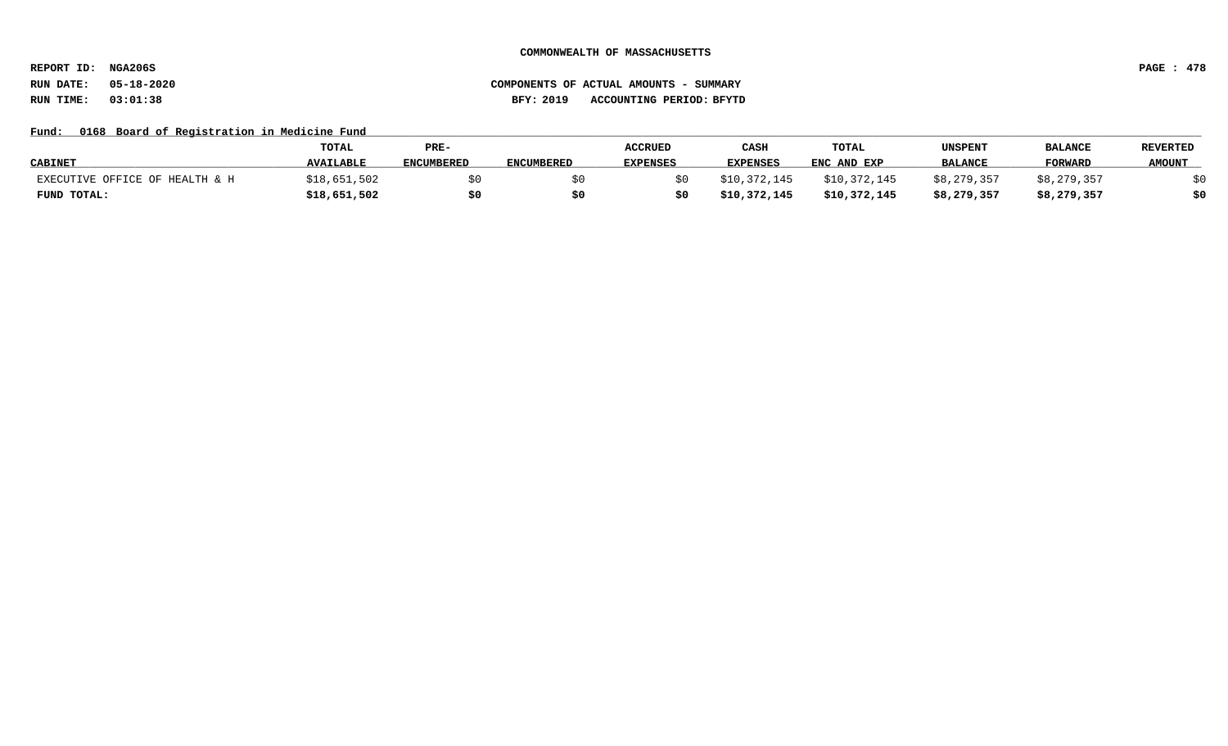**REPORT ID: NGA206S PAGE : 478**

## **RUN DATE: 05-18-2020 COMPONENTS OF ACTUAL AMOUNTS - SUMMARY RUN TIME: 03:01:38 BFY: 2019 ACCOUNTING PERIOD: BFYTD**

## Fund: 0168 Board of Registration in Medicine Fund

|                                | <b>TOTAL</b>     | PRE-              |                   | <b>ACCRUED</b>  | CASH            | TOTAL        | UNSPENT        | <b>BALANCE</b> | <b>REVERTED</b> |
|--------------------------------|------------------|-------------------|-------------------|-----------------|-----------------|--------------|----------------|----------------|-----------------|
| <b>CABINET</b>                 | <b>AVAILABLE</b> | <b>ENCUMBERED</b> | <b>ENCUMBERED</b> | <b>EXPENSES</b> | <b>EXPENSES</b> | ENC AND EXP  | <b>BALANCE</b> | <b>FORWARD</b> | <b>AMOUNT</b>   |
| EXECUTIVE OFFICE OF HEALTH & H | \$18,651,502     |                   |                   |                 | \$10,372,145    | \$10,372,145 | \$8,279,357    | \$8,279,357    |                 |
| FUND TOTAL:                    | \$18,651,502     | \$0               | S0                |                 | \$10,372,145    | \$10,372,145 | \$8,279,357    | \$8,279,357    | \$0             |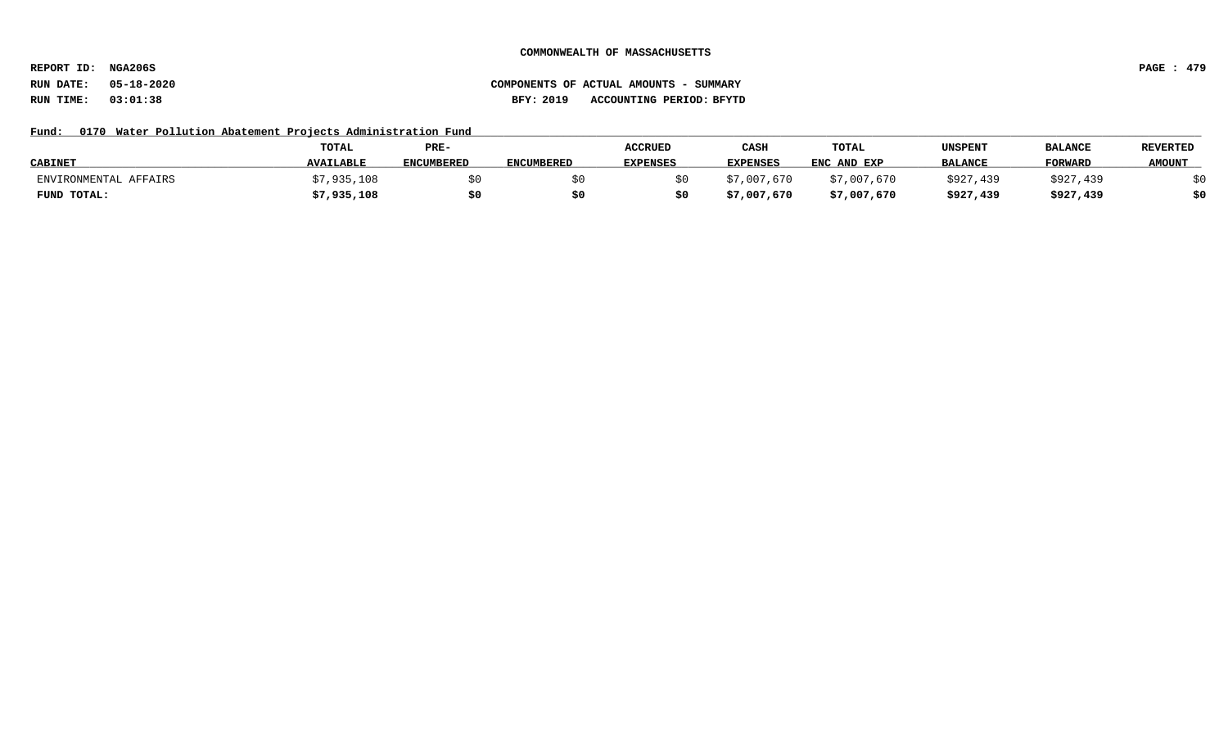**REPORT ID: NGA206S PAGE : 479**

## **RUN DATE: 05-18-2020 COMPONENTS OF ACTUAL AMOUNTS - SUMMARY RUN TIME: 03:01:38 BFY: 2019 ACCOUNTING PERIOD: BFYTD**

## Fund: 0170 Water Pollution Abatement Projects Administration Fund

|                       | TOTAL            | PRE-              |                   | <b>ACCRUED</b>  | CASH            | TOTAL       | UNSPENT        | <b>BALANCE</b> | <b>REVERTED</b> |
|-----------------------|------------------|-------------------|-------------------|-----------------|-----------------|-------------|----------------|----------------|-----------------|
| <b>CABINET</b>        | <b>AVAILABLE</b> | <b>ENCUMBERED</b> | <b>ENCUMBERED</b> | <b>EXPENSES</b> | <b>EXPENSES</b> | ENC AND EXP | <b>BALANCE</b> | <b>FORWARD</b> | <b>AMOUNT</b>   |
| ENVIRONMENTAL AFFAIRS | 7,935,108        |                   |                   |                 | \$7,007,670     | \$7,007,670 | \$927,439      | \$927,439      |                 |
| FUND TOTAL:           | \$7,935,108      | \$0               |                   |                 | \$7,007,670     | \$7,007,670 | \$927,439      | \$927,439      | \$0             |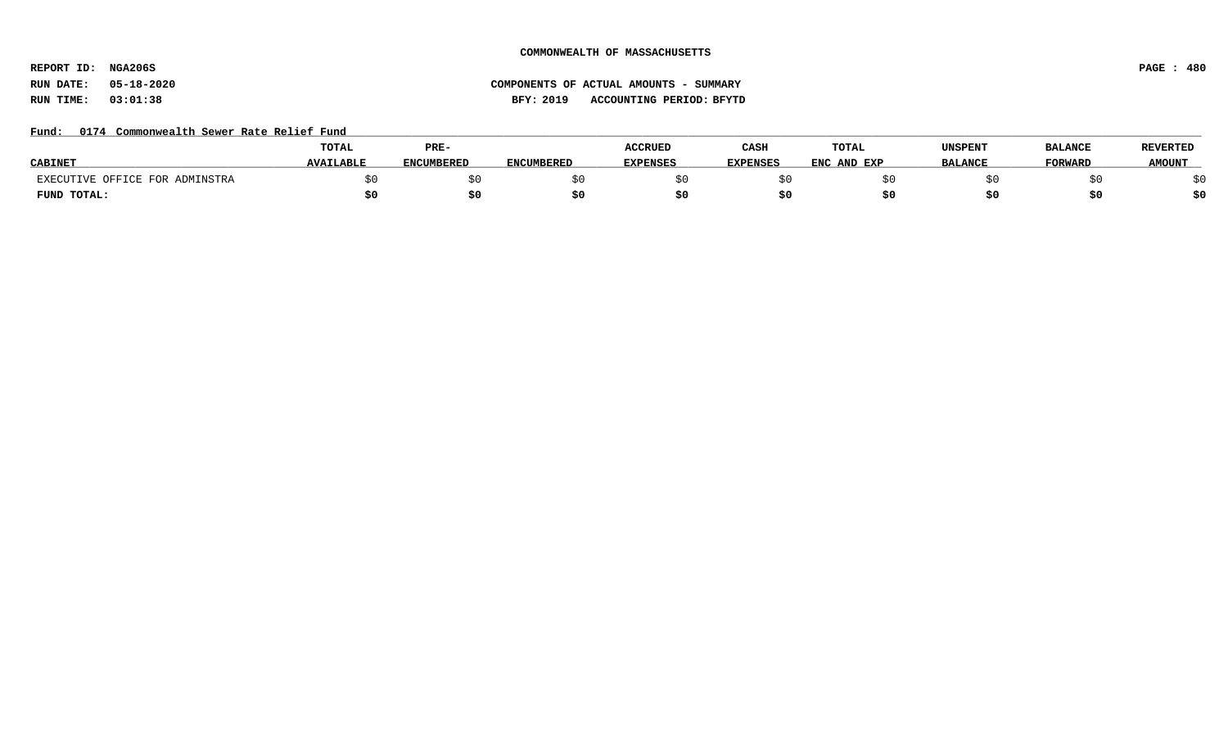**REPORT ID: NGA206S PAGE : 480**

# **RUN DATE: 05-18-2020 COMPONENTS OF ACTUAL AMOUNTS - SUMMARY RUN TIME: 03:01:38 BFY: 2019 ACCOUNTING PERIOD: BFYTD**

## Fund: 0174 Commonwealth Sewer Rate Relief Fund

|                                | <b>TOTAL</b>     | PRE-              |                   | <b>ACCRUED</b>  | CASH            | <b>TOTAL</b>     | UNSPENT        | <b>BALANCE</b> | <b>REVERTED</b> |
|--------------------------------|------------------|-------------------|-------------------|-----------------|-----------------|------------------|----------------|----------------|-----------------|
| <b>CABINE</b>                  | <b>AVAILABLE</b> | <b>ENCUMBERED</b> | <b>ENCUMBERED</b> | <b>EXPENSES</b> | <b>EXPENSES</b> | ENC<br>: AND EXP | <b>BALANCE</b> | <b>TORWARD</b> | <b>AMOUNT</b>   |
| EXECUTIVE OFFICE FOR ADMINSTRA |                  |                   |                   |                 |                 |                  |                |                |                 |
| FUND TOTAL:                    |                  |                   |                   |                 |                 |                  |                |                | \$0             |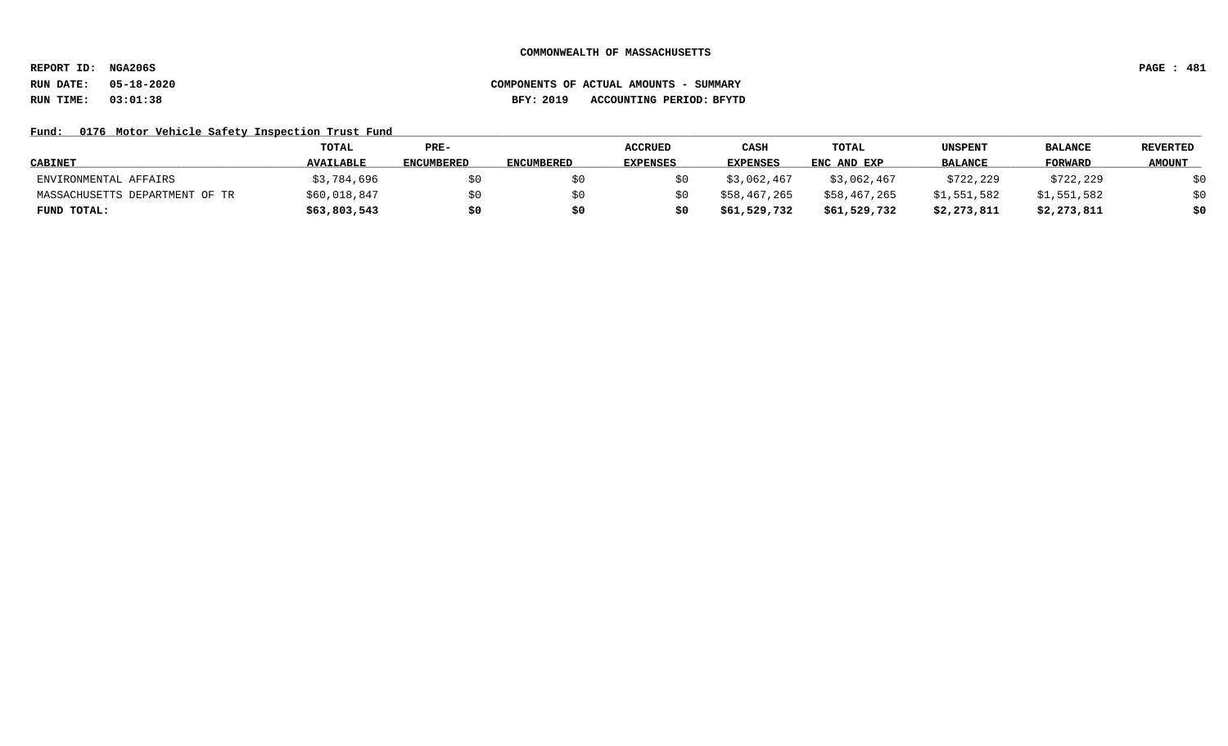**REPORT ID: NGA206S PAGE : 481**

# **RUN DATE: 05-18-2020 COMPONENTS OF ACTUAL AMOUNTS - SUMMARY RUN TIME: 03:01:38 BFY: 2019 ACCOUNTING PERIOD: BFYTD**

## Fund: 0176 Motor Vehicle Safety Inspection Trust Fund

|                                | TOTAL            | $PRE-$            |                   | <b>ACCRUED</b>  | CASH            | TOTAL        | UNSPENT        | <b>BALANCE</b> | <b>REVERTED</b> |
|--------------------------------|------------------|-------------------|-------------------|-----------------|-----------------|--------------|----------------|----------------|-----------------|
| <b>CABINET</b>                 | <b>AVAILABLE</b> | <b>ENCUMBERED</b> | <b>ENCUMBERED</b> | <b>EXPENSES</b> | <b>EXPENSES</b> | ENC AND EXP  | <b>BALANCE</b> | <b>FORWARD</b> | <b>AMOUNT</b>   |
| ENVIRONMENTAL AFFAIRS          | \$3,784,696      | \$0               |                   |                 | \$3,062,467     | \$3,062,467  | \$722,229      | \$722,229      | \$0             |
| MASSACHUSETTS DEPARTMENT OF TR | \$60,018,847     | \$0               |                   |                 | \$58,467,265    | \$58,467,265 | \$1,551,582    | \$1,551,582    | \$0             |
| FUND TOTAL:                    | \$63,803,543     | \$0               |                   |                 | \$61,529,732    | \$61,529,732 | \$2,273,811    | \$2,273,811    | \$0             |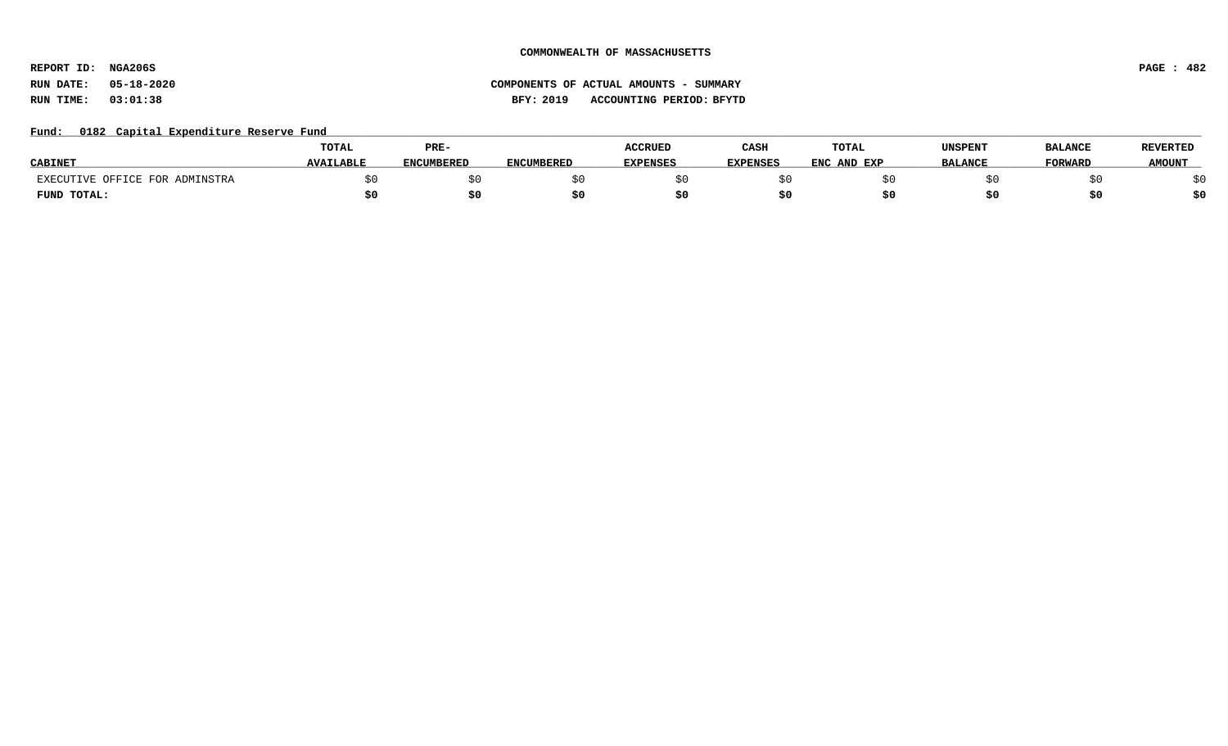**REPORT ID: NGA206S PAGE : 482**

# **RUN DATE: 05-18-2020 COMPONENTS OF ACTUAL AMOUNTS - SUMMARY RUN TIME: 03:01:38 BFY: 2019 ACCOUNTING PERIOD: BFYTD**

## Fund: 0182 Capital Expenditure Reserve Fund

|                                | <b>TOTAL</b>     | PRE-              |                   | <b>ACCRUED</b>  | CASH            | <b>TOTAL</b>   | UNSPENT        | <b>BALANCE</b> | <b>REVERTED</b> |
|--------------------------------|------------------|-------------------|-------------------|-----------------|-----------------|----------------|----------------|----------------|-----------------|
| <b>CABINE</b>                  | <b>AVAILABLE</b> | <b>ENCUMBERED</b> | <b>ENCUMBERED</b> | <b>EXPENSES</b> | <b>EXPENSES</b> | ENC<br>AND EXP | <b>BALANCE</b> | <b>FORWARD</b> | <b>AMOUNT</b>   |
| EXECUTIVE OFFICE FOR ADMINSTRA |                  |                   |                   |                 |                 |                |                |                |                 |
| FUND TOTAL:                    |                  | S0.               |                   |                 |                 |                |                |                | \$0             |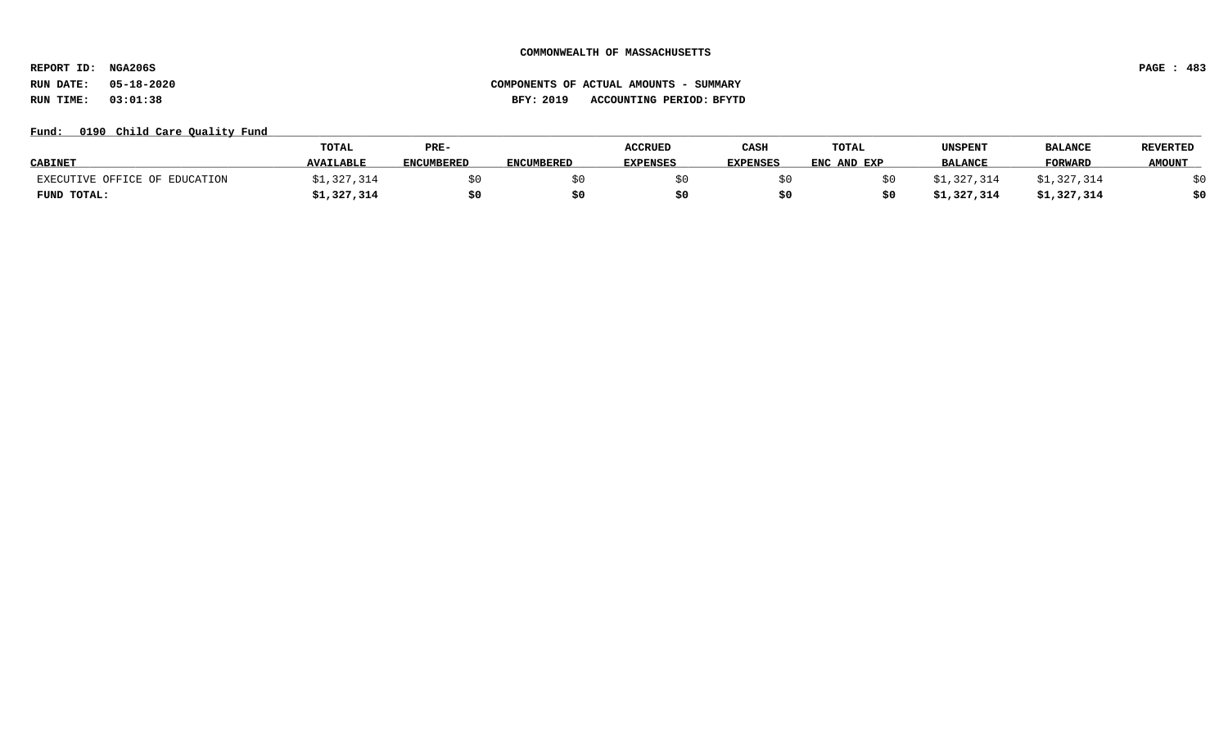**REPORT ID: NGA206S PAGE : 483**

# **RUN DATE: 05-18-2020 COMPONENTS OF ACTUAL AMOUNTS - SUMMARY RUN TIME: 03:01:38 BFY: 2019 ACCOUNTING PERIOD: BFYTD**

## Fund: 0190 Child Care Quality Fund

|                               | TOTAL            | PRE-              |                   | <b>ACCRUED</b>  | CASH            | TOTAL       | UNSPENT        | <b>BALANCE</b> | <b>REVERTED</b> |
|-------------------------------|------------------|-------------------|-------------------|-----------------|-----------------|-------------|----------------|----------------|-----------------|
| <b>CABINET</b>                | <b>AVAILABLE</b> | <b>ENCUMBERED</b> | <b>ENCUMBERED</b> | <b>EXPENSES</b> | <b>EXPENSES</b> | ENC AND EXP | <b>BALANCE</b> | <b>FORWARD</b> | <b>AMOUNT</b>   |
| EXECUTIVE OFFICE OF EDUCATION | 327,314,         |                   |                   |                 |                 |             | \$1,327,314    | \$1,327,314    |                 |
| FUND TOTAL:                   | ;1,327,314       | \$0               |                   |                 |                 |             | \$1,327,314    | \$1,327,314    | \$0             |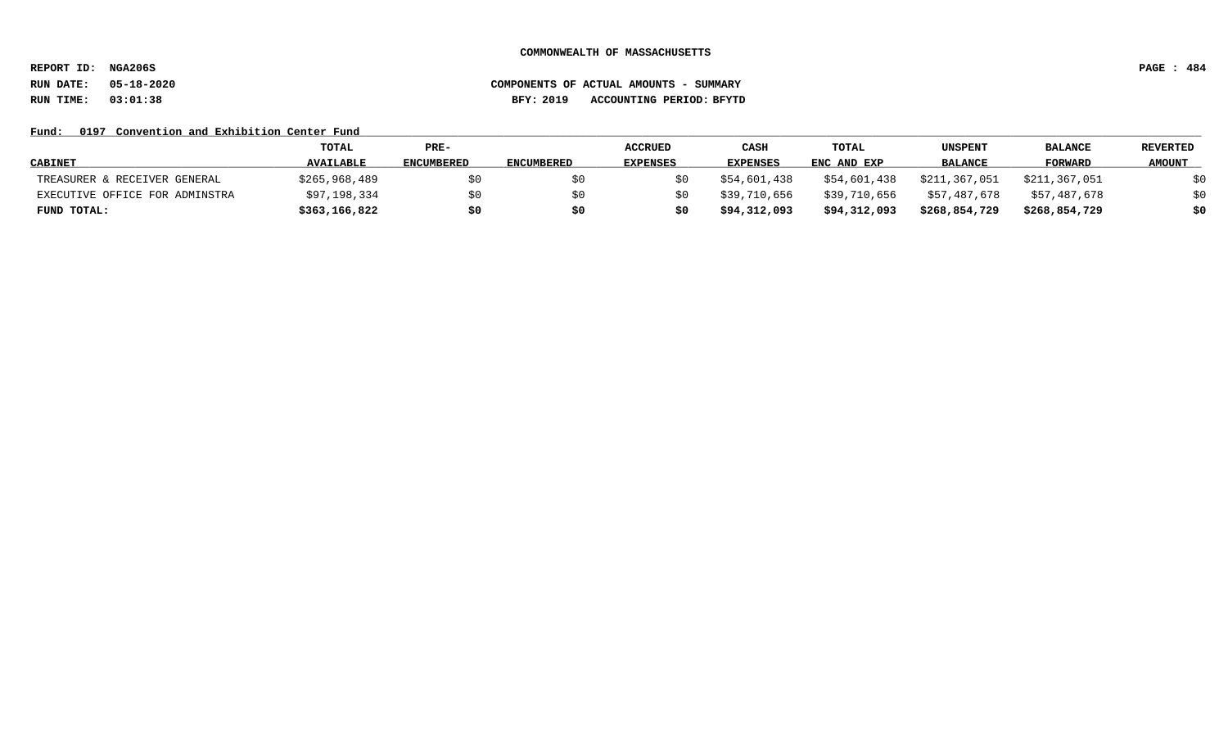**REPORT ID: NGA206S PAGE : 484**

# **RUN DATE: 05-18-2020 COMPONENTS OF ACTUAL AMOUNTS - SUMMARY RUN TIME: 03:01:38 BFY: 2019 ACCOUNTING PERIOD: BFYTD**

## Fund: 0197 Convention and Exhibition Center Fund

|                                | <b>TOTAL</b>     | PRE-              |                   | <b>ACCRUED</b>  | CASH            | <b>TOTAL</b> | UNSPENT        | <b>BALANCE</b> | <b>REVERTED</b> |
|--------------------------------|------------------|-------------------|-------------------|-----------------|-----------------|--------------|----------------|----------------|-----------------|
| <b>CABINET</b>                 | <b>AVAILABLE</b> | <b>ENCUMBERED</b> | <b>ENCUMBERED</b> | <b>EXPENSES</b> | <b>EXPENSES</b> | ENC AND EXP  | <b>BALANCE</b> | FORWARD        | <b>AMOUNT</b>   |
| TREASURER & RECEIVER GENERAL   | \$265,968,489    | \$0               |                   |                 | \$54,601,438    | \$54,601,438 | \$211,367,051  | \$211,367,051  | \$0             |
| EXECUTIVE OFFICE FOR ADMINSTRA | \$97,198,334     | \$0               |                   |                 | \$39,710,656    | \$39,710,656 | \$57,487,678   | \$57,487,678   | \$0             |
| FUND TOTAL:                    | \$363,166,822    | \$0               | S0                |                 | \$94,312,093    | \$94,312,093 | \$268,854,729  | \$268,854,729  | \$0             |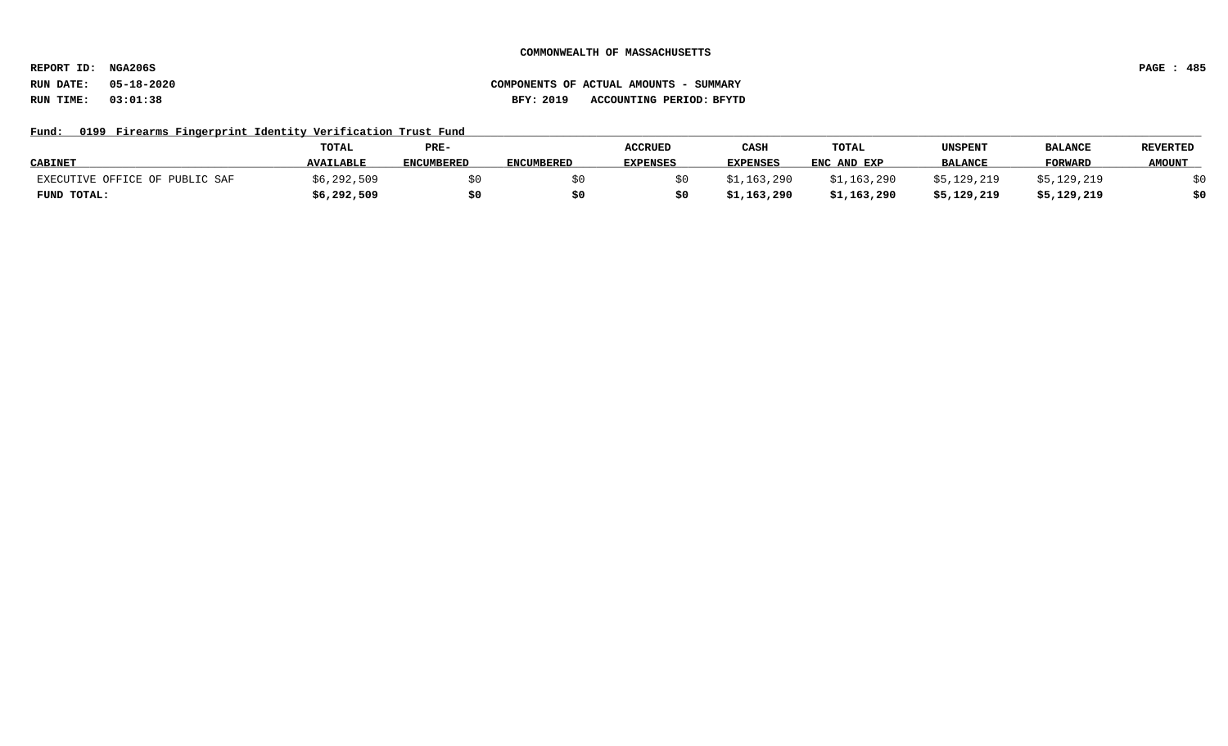**REPORT ID: NGA206S PAGE : 485**

# **RUN DATE: 05-18-2020 COMPONENTS OF ACTUAL AMOUNTS - SUMMARY RUN TIME: 03:01:38 BFY: 2019 ACCOUNTING PERIOD: BFYTD**

## Fund: 0199 Firearms Fingerprint Identity Verification Trust Fund

|                                | <b>TOTAL</b>     | PRE-       |                   | <b>ACCRUED</b>  | CASH            | <b>TOTAL</b> | UNSPENT        | <b>BALANCE</b> | <b>REVERTED</b> |
|--------------------------------|------------------|------------|-------------------|-----------------|-----------------|--------------|----------------|----------------|-----------------|
| <b>CABINET</b>                 | <b>AVAILABLE</b> | ENCUMBERED | <b>ENCUMBERED</b> | <b>EXPENSES</b> | <b>EXPENSES</b> | ENC AND EXP  | <b>BALANCE</b> | FORWARD        | <b>AMOUNT</b>   |
| EXECUTIVE OFFICE OF PUBLIC SAF | \$6,292,509      |            |                   |                 | \$1,163,290     | \$1,163,290  | \$5,129,219    | \$5,129,219    |                 |
| FUND TOTAL:                    | \$6,292,509      | \$0        |                   |                 | \$1,163,290     | \$1,163,290  | \$5,129,219    | \$5,129,219    | \$0             |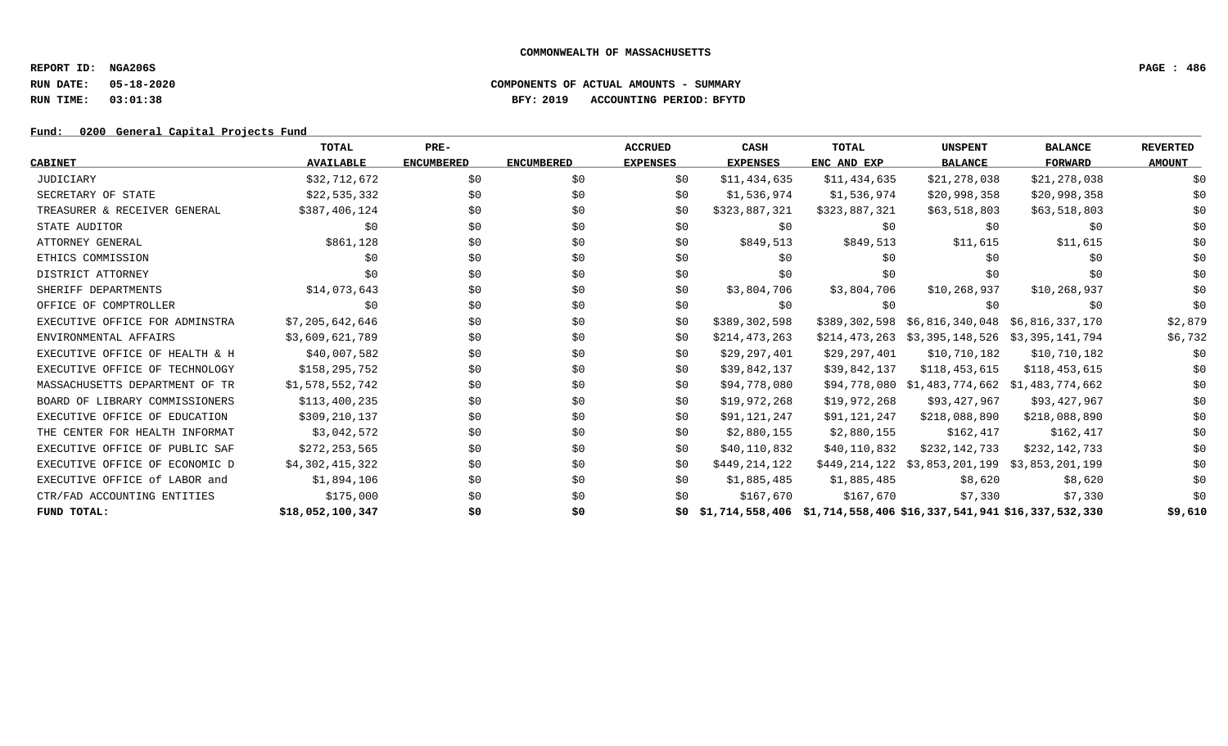**REPORT ID: NGA206S PAGE : 486**

## **RUN DATE: 05-18-2020 COMPONENTS OF ACTUAL AMOUNTS - SUMMARY RUN TIME: 03:01:38 BFY: 2019 ACCOUNTING PERIOD: BFYTD**

## Fund: 0200 General Capital Projects Fund

|                                | <b>TOTAL</b>     | PRE-              |                   | <b>ACCRUED</b>  | CASH            | TOTAL         | <b>UNSPENT</b>                                                        | <b>BALANCE</b> | <b>REVERTED</b> |
|--------------------------------|------------------|-------------------|-------------------|-----------------|-----------------|---------------|-----------------------------------------------------------------------|----------------|-----------------|
| <b>CABINET</b>                 | <b>AVAILABLE</b> | <b>ENCUMBERED</b> | <b>ENCUMBERED</b> | <b>EXPENSES</b> | <b>EXPENSES</b> | ENC AND EXP   | <b>BALANCE</b>                                                        | <b>FORWARD</b> | <b>AMOUNT</b>   |
| JUDICIARY                      | \$32,712,672     | \$0               | \$0               | \$0             | \$11,434,635    | \$11,434,635  | \$21,278,038                                                          | \$21,278,038   | \$0             |
| SECRETARY OF STATE             | \$22,535,332     | \$0               | \$0               | \$0             | \$1,536,974     | \$1,536,974   | \$20,998,358                                                          | \$20,998,358   | \$0             |
| TREASURER & RECEIVER GENERAL   | \$387,406,124    | \$0               | \$0               | \$0             | \$323,887,321   | \$323,887,321 | \$63,518,803                                                          | \$63,518,803   | \$0             |
| STATE AUDITOR                  | \$0              | \$0               | \$0               | \$0             | \$0             | \$0           | \$0                                                                   | \$0            | \$0             |
| ATTORNEY GENERAL               | \$861,128        | \$0               | \$0               | \$0             | \$849,513       | \$849,513     | \$11,615                                                              | \$11,615       | \$0             |
| ETHICS COMMISSION              | \$0              | \$0               | \$0               | \$0             | \$0             | \$0           | \$0                                                                   | \$0            | \$0             |
| DISTRICT ATTORNEY              | S0               | \$0               | \$0               | \$0             | \$0             | \$0           | \$0                                                                   | \$0            | \$0             |
| SHERIFF DEPARTMENTS            | \$14,073,643     | \$0               | \$0               | \$0             | \$3,804,706     | \$3,804,706   | \$10, 268, 937                                                        | \$10,268,937   | \$0             |
| OFFICE OF COMPTROLLER          | \$0              | \$0               | \$0               | \$0             | \$0             | \$0           | \$0                                                                   | \$0            | \$0             |
| EXECUTIVE OFFICE FOR ADMINSTRA | \$7,205,642,646  | \$0               | \$0               | \$0             | \$389,302,598   |               | \$389,302,598 \$6,816,340,048 \$6,816,337,170                         |                | \$2,879         |
| ENVIRONMENTAL AFFAIRS          | \$3,609,621,789  | \$0               | \$0               | \$0             | \$214,473,263   |               | $$214, 473, 263 \t$3, 395, 148, 526 \t$3, 395, 141, 794$              |                | \$6,732         |
| EXECUTIVE OFFICE OF HEALTH & H | \$40,007,582     | \$0               | \$0               | \$0             | \$29,297,401    | \$29,297,401  | \$10,710,182                                                          | \$10,710,182   | \$0             |
| EXECUTIVE OFFICE OF TECHNOLOGY | \$158,295,752    | \$0               | \$0               | \$0             | \$39,842,137    | \$39,842,137  | \$118,453,615                                                         | \$118,453,615  | \$0             |
| MASSACHUSETTS DEPARTMENT OF TR | \$1,578,552,742  | \$0               | \$0               | \$0             | \$94,778,080    |               | \$94,778,080 \$1,483,774,662 \$1,483,774,662                          |                | \$0             |
| BOARD OF LIBRARY COMMISSIONERS | \$113,400,235    | \$0               | \$0               | \$0             | \$19,972,268    | \$19,972,268  | \$93,427,967                                                          | \$93,427,967   | \$0             |
| EXECUTIVE OFFICE OF EDUCATION  | \$309,210,137    | \$0               | \$0               | \$0             | \$91,121,247    | \$91,121,247  | \$218,088,890                                                         | \$218,088,890  | \$0             |
| THE CENTER FOR HEALTH INFORMAT | \$3,042,572      | \$0               | \$0               | \$0             | \$2,880,155     | \$2,880,155   | \$162,417                                                             | \$162,417      | \$0             |
| EXECUTIVE OFFICE OF PUBLIC SAF | \$272,253,565    | \$0               | \$0               | \$0             | \$40,110,832    | \$40,110,832  | \$232,142,733                                                         | \$232,142,733  | \$0             |
| EXECUTIVE OFFICE OF ECONOMIC D | \$4,302,415,322  | \$0               | \$0               | \$0             | \$449,214,122   |               | \$449,214,122 \$3,853,201,199 \$3,853,201,199                         |                | \$0             |
| EXECUTIVE OFFICE of LABOR and  | \$1,894,106      | \$0               | \$0               | \$0             | \$1,885,485     | \$1,885,485   | \$8,620                                                               | \$8,620        | \$0             |
| CTR/FAD ACCOUNTING ENTITIES    | \$175,000        | \$0               | \$0               | \$0             | \$167,670       | \$167,670     | \$7,330                                                               | \$7,330        | \$0             |
| FUND TOTAL:                    | \$18,052,100,347 | \$0               | \$0               |                 |                 |               | $$1,714,558,406$ $$1,714,558,406$ $$16,337,541,941$ $$16,337,532,330$ |                | \$9,610         |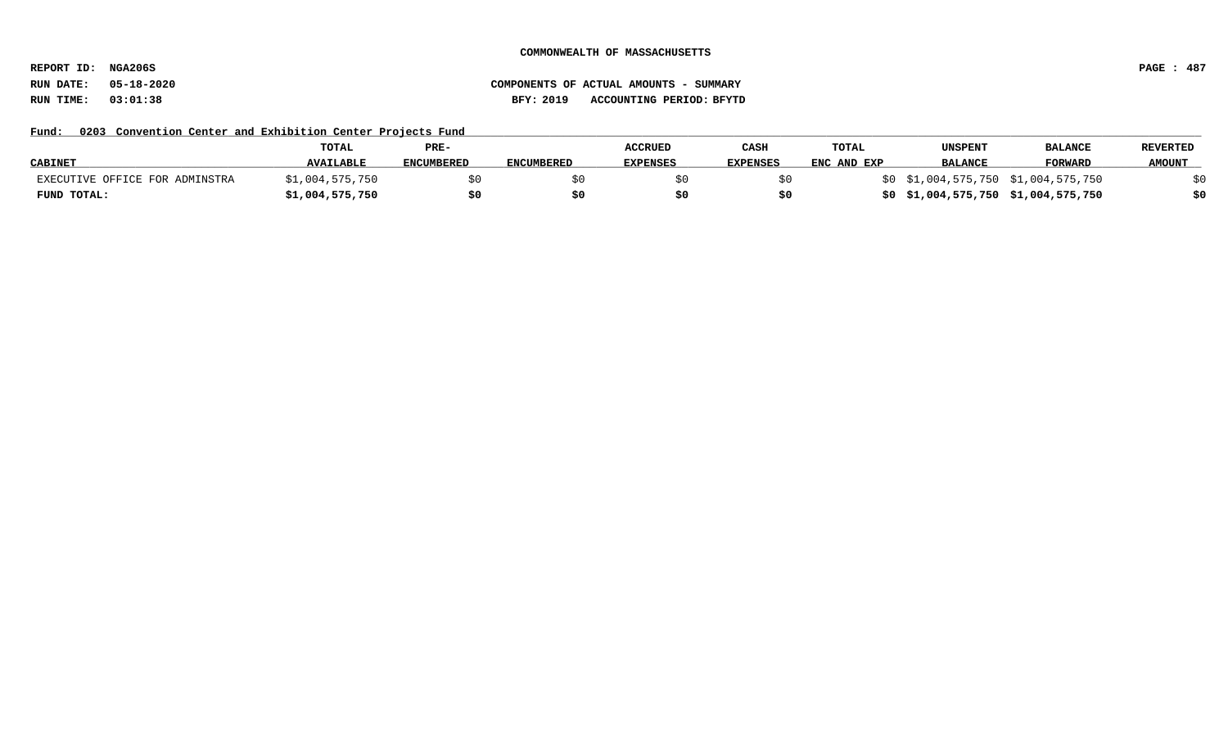**REPORT ID: NGA206S PAGE : 487**

# **RUN DATE: 05-18-2020 COMPONENTS OF ACTUAL AMOUNTS - SUMMARY RUN TIME: 03:01:38 BFY: 2019 ACCOUNTING PERIOD: BFYTD**

## Fund: 0203 Convention Center and Exhibition Center Projects Fund

|                                | TOTAL            | PRE-              |                   | <b>ACCRUED</b>  | CASH            | <b>TOTAL</b> | UNSPENT        | <b>BALANCE</b>                      | <b>REVERTED</b> |
|--------------------------------|------------------|-------------------|-------------------|-----------------|-----------------|--------------|----------------|-------------------------------------|-----------------|
| <b>CABINET</b>                 | <b>AVAILABLE</b> | <b>ENCUMBERED</b> | <b>ENCUMBERED</b> | <b>EXPENSES</b> | <b>EXPENSES</b> | ENC AND EXP  | <b>BALANCE</b> | <b>FORWARD</b>                      | <b>AMOUNT</b>   |
| EXECUTIVE OFFICE FOR ADMINSTRA | \$1,004,575,750  |                   |                   |                 |                 |              |                | \$0 \$1,004,575,750 \$1,004,575,750 |                 |
| FUND TOTAL:                    | \$1,004,575,750  |                   |                   |                 |                 |              |                | \$0 \$1,004,575,750 \$1,004,575,750 |                 |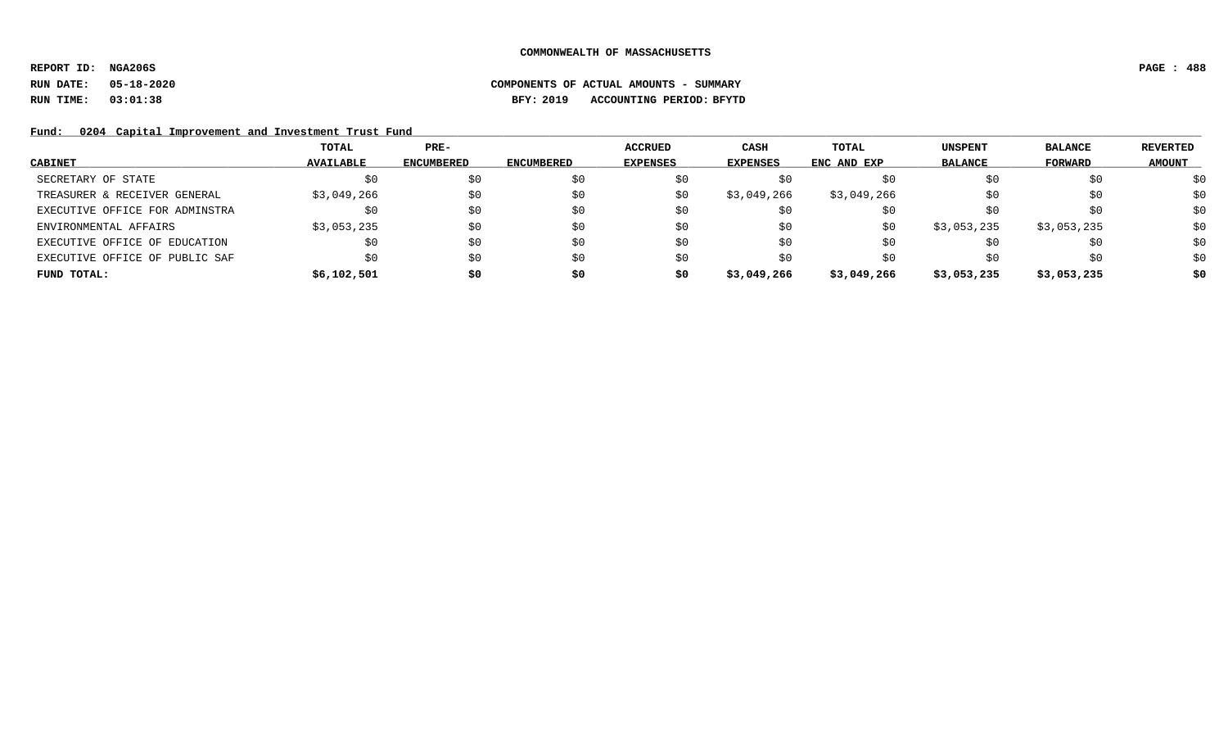**REPORT ID: NGA206S PAGE : 488**

# **RUN DATE: 05-18-2020 COMPONENTS OF ACTUAL AMOUNTS - SUMMARY RUN TIME: 03:01:38 BFY: 2019 ACCOUNTING PERIOD: BFYTD**

Fund: 0204 Capital Improvement and Investment Trust Fund

|                                | TOTAL            | $PRE-$            |                   | ACCRUED         | CASH        | TOTAL       | <b>UNSPENT</b> | <b>BALANCE</b> | <b>REVERTED</b> |
|--------------------------------|------------------|-------------------|-------------------|-----------------|-------------|-------------|----------------|----------------|-----------------|
| <b>CABINET</b>                 | <b>AVAILABLE</b> | <b>ENCUMBERED</b> | <b>ENCUMBERED</b> | <b>EXPENSES</b> | EXPENSES    | ENC AND EXP | <b>BALANCE</b> | <b>FORWARD</b> | <b>AMOUNT</b>   |
| SECRETARY OF STATE             | \$0              | \$0               | SO.               |                 | SO.         | SO.         | \$0            | \$0            | \$0             |
| TREASURER & RECEIVER GENERAL   | \$3,049,266      | \$0               | \$0               | S0              | \$3,049,266 | \$3,049,266 | S0             | \$0            | \$0             |
| EXECUTIVE OFFICE FOR ADMINSTRA | \$0              | \$0               | \$0               | \$0             | \$0         | \$0         | S0             | \$0            | \$0             |
| ENVIRONMENTAL AFFAIRS          | \$3,053,235      | \$0               | \$0               | \$0             | \$0         | \$0         | \$3,053,235    | \$3,053,235    | \$0             |
| EXECUTIVE OFFICE OF EDUCATION  |                  | \$0               | \$0               | \$0             | \$0         | S0          | \$0            | \$0            | \$0             |
| EXECUTIVE OFFICE OF PUBLIC SAF | \$0              | \$0               | \$0               | \$0             | \$0         | \$0         | S0             | \$0            | \$0             |
| FUND TOTAL:                    | \$6,102,501      | \$0               | \$0               | \$0             | \$3,049,266 | \$3,049,266 | \$3,053,235    | \$3,053,235    | \$0             |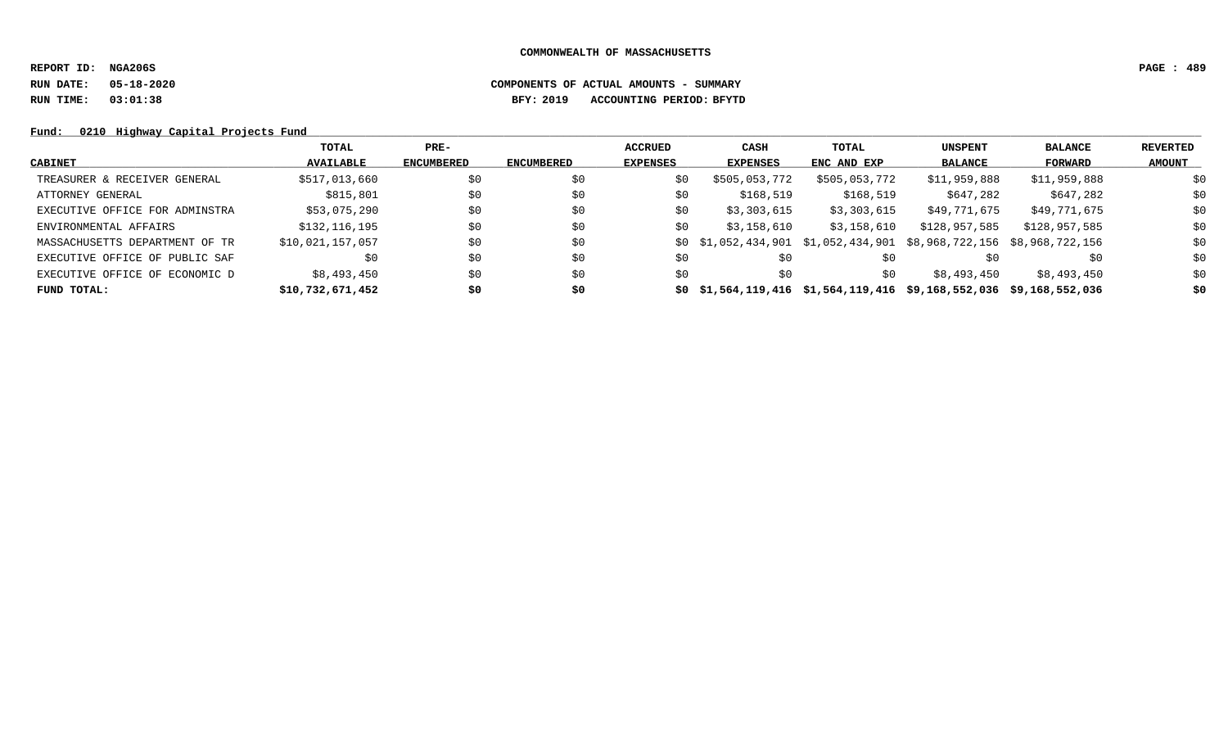**REPORT ID: NGA206S PAGE : 489**

# **RUN DATE: 05-18-2020 COMPONENTS OF ACTUAL AMOUNTS - SUMMARY RUN TIME: 03:01:38 BFY: 2019 ACCOUNTING PERIOD: BFYTD**

Fund: 0210 Highway Capital Projects Fund

|                                | TOTAL            | $PRE-$            |                   | <b>ACCRUED</b>  | CASH                                                                     | TOTAL         | <b>UNSPENT</b> | <b>BALANCE</b> | REVERTED      |
|--------------------------------|------------------|-------------------|-------------------|-----------------|--------------------------------------------------------------------------|---------------|----------------|----------------|---------------|
| <b>CABINET</b>                 | <b>AVAILABLE</b> | <b>ENCUMBERED</b> | <b>ENCUMBERED</b> | <b>EXPENSES</b> | <b>EXPENSES</b>                                                          | ENC AND EXP   | <b>BALANCE</b> | FORWARD        | <b>AMOUNT</b> |
| TREASURER & RECEIVER GENERAL   | \$517,013,660    | \$0               | \$0               | \$0             | \$505,053,772                                                            | \$505,053,772 | \$11,959,888   | \$11,959,888   | \$0           |
| ATTORNEY GENERAL               | \$815,801        | \$0               | \$0               | \$0             | \$168,519                                                                | \$168,519     | \$647,282      | \$647,282      | \$0           |
| EXECUTIVE OFFICE FOR ADMINSTRA | \$53,075,290     | \$0               | \$0               | \$0             | \$3,303,615                                                              | \$3,303,615   | \$49,771,675   | \$49,771,675   | \$0           |
| ENVIRONMENTAL AFFAIRS          | \$132,116,195    | \$0               | \$0               | \$0             | \$3,158,610                                                              | \$3,158,610   | \$128,957,585  | \$128,957,585  | \$0           |
| MASSACHUSETTS DEPARTMENT OF TR | \$10,021,157,057 | \$0               | \$0               |                 | $$0$ $$1,052,434,901$ $$1,052,434,901$ $$8,968,722,156$ $$8,968,722,156$ |               |                |                | \$0           |
| EXECUTIVE OFFICE OF PUBLIC SAF | \$0              | \$0               | \$0               | \$0             | \$0                                                                      | \$0           |                | \$0            | \$0           |
| EXECUTIVE OFFICE OF ECONOMIC D | \$8,493,450      | \$0               | \$0               | \$0             | \$0                                                                      | \$0           | \$8,493,450    | \$8,493,450    | \$0           |
| FUND TOTAL:                    | \$10,732,671,452 | \$0               | \$0               |                 | $$0$ $$1,564,119,416$ $$1,564,119,416$ $$9,168,552,036$ $$9,168,552,036$ |               |                |                | \$0           |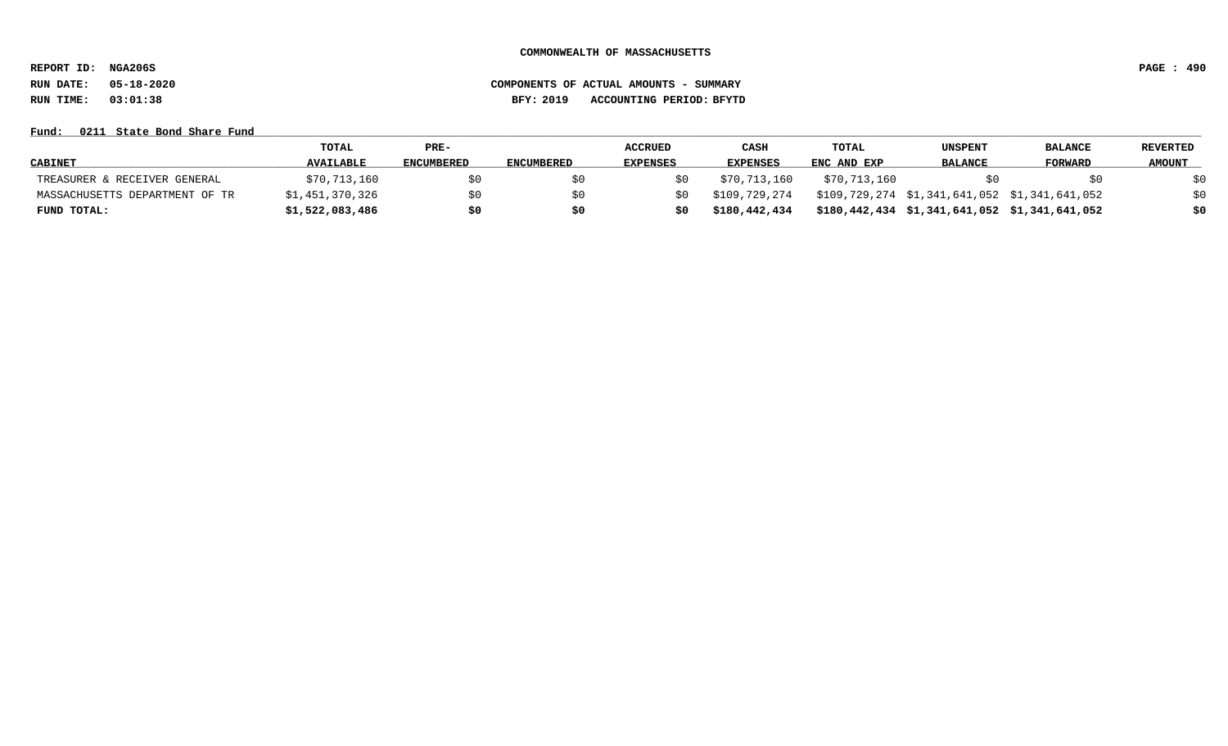**REPORT ID: NGA206S PAGE : 490**

# **RUN DATE: 05-18-2020 COMPONENTS OF ACTUAL AMOUNTS - SUMMARY RUN TIME: 03:01:38 BFY: 2019 ACCOUNTING PERIOD: BFYTD**

### Fund: 0211 State Bond Share Fund

|                                | TOTAL            | $PRE-$            |                   | <b>ACCRUED</b>  | CASH            | <b>TOTAL</b> | UNSPENT                                       | <b>BALANCE</b> | REVERTED      |
|--------------------------------|------------------|-------------------|-------------------|-----------------|-----------------|--------------|-----------------------------------------------|----------------|---------------|
| <b>CABINET</b>                 | <b>AVAILABLE</b> | <b>ENCUMBERED</b> | <b>ENCUMBERED</b> | <b>EXPENSES</b> | <b>EXPENSES</b> | ENC AND EXP  | <b>BALANCE</b>                                | FORWARD        | <b>AMOUNT</b> |
| TREASURER & RECEIVER GENERAL   | \$70,713,160     |                   | \$0               |                 | \$70,713,160    | \$70,713,160 |                                               |                |               |
| MASSACHUSETTS DEPARTMENT OF TR | \$1,451,370,326  |                   |                   |                 | \$109,729,274   |              | \$109,729,274 \$1,341,641,052 \$1,341,641,052 |                |               |
| FUND TOTAL:                    | \$1,522,083,486  |                   | \$0               | \$0             | \$180,442,434   |              | \$180,442,434 \$1,341,641,052 \$1,341,641,052 |                |               |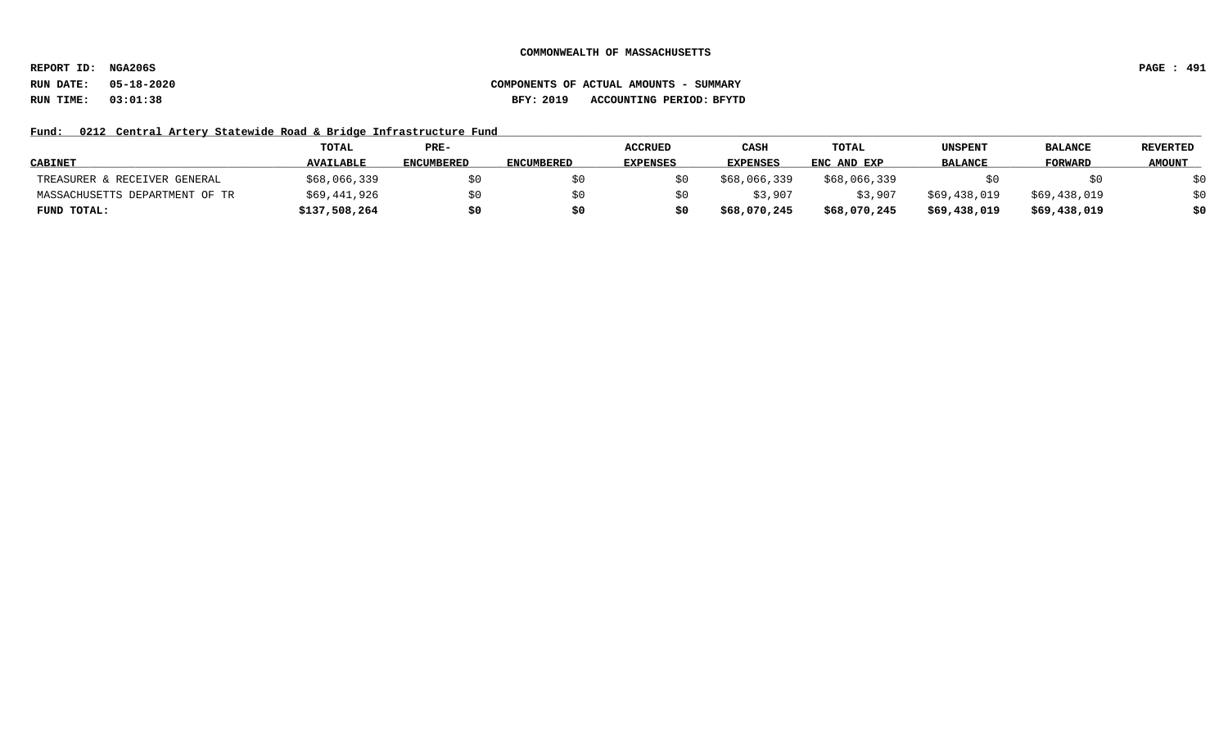**REPORT ID: NGA206S PAGE : 491**

# **RUN DATE: 05-18-2020 COMPONENTS OF ACTUAL AMOUNTS - SUMMARY RUN TIME: 03:01:38 BFY: 2019 ACCOUNTING PERIOD: BFYTD**

## Fund: 0212 Central Artery Statewide Road & Bridge Infrastructure Fund

|                                | TOTAL            | PRE-              |                   | <b>ACCRUED</b>  | CASH            | <b>TOTAL</b> | UNSPENT        | <b>BALANCE</b> | <b>REVERTED</b> |
|--------------------------------|------------------|-------------------|-------------------|-----------------|-----------------|--------------|----------------|----------------|-----------------|
| <b>CABINET</b>                 | <b>AVAILABLE</b> | <b>ENCUMBERED</b> | <b>ENCUMBERED</b> | <b>EXPENSES</b> | <b>EXPENSES</b> | ENC AND EXP  | <b>BALANCE</b> | <b>FORWARD</b> | <b>AMOUNT</b>   |
| TREASURER & RECEIVER GENERAL   | \$68,066,339     | S0                |                   |                 | \$68,066,339    | \$68,066,339 |                | \$0            | \$0             |
| MASSACHUSETTS DEPARTMENT OF TR | \$69,441,926     | S0                |                   |                 | \$3,907         | \$3,907      | \$69,438,019   | \$69,438,019   | \$0             |
| FUND TOTAL:                    | \$137,508,264    | \$0               |                   |                 | \$68,070,245    | \$68,070,245 | \$69,438,019   | \$69,438,019   | \$0             |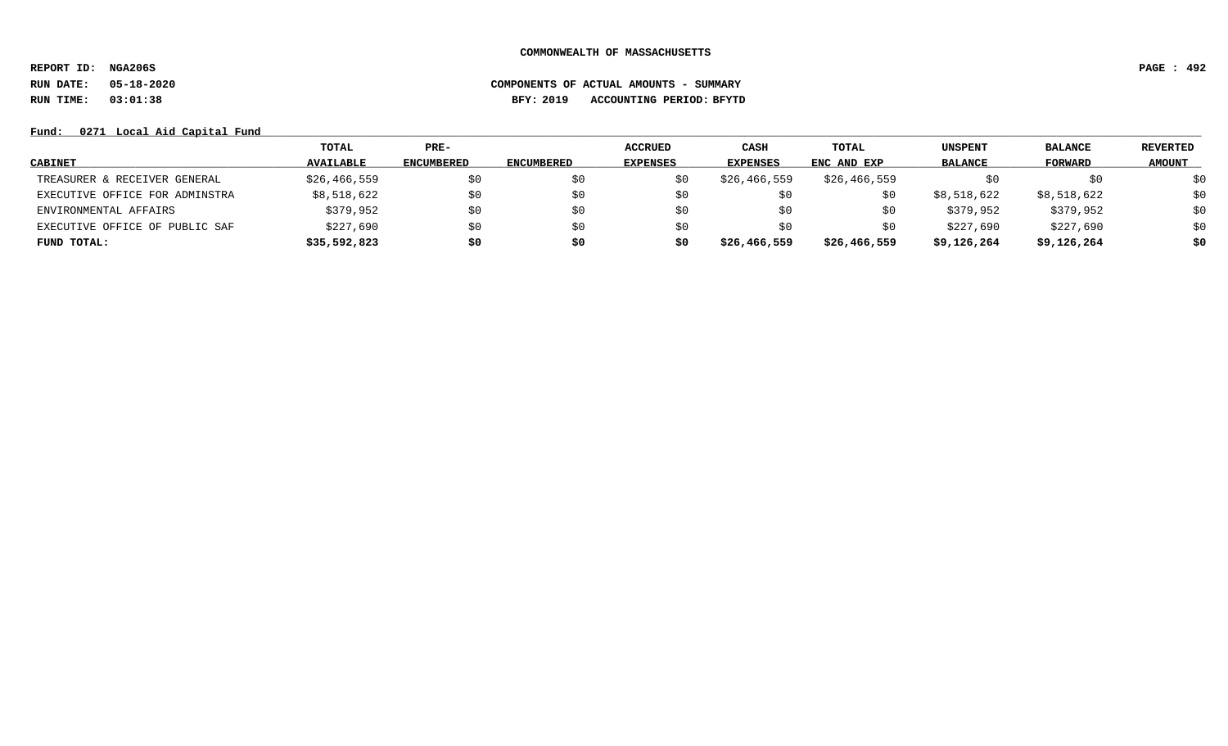**REPORT ID: NGA206S PAGE : 492**

# **RUN DATE: 05-18-2020 COMPONENTS OF ACTUAL AMOUNTS - SUMMARY RUN TIME: 03:01:38 BFY: 2019 ACCOUNTING PERIOD: BFYTD**

Fund: 0271 Local Aid Capital Fund

|                                | TOTAL            | PRE-              |                   | <b>ACCRUED</b>  | CASH            | TOTAL        | <b>UNSPENT</b> | <b>BALANCE</b> | <b>REVERTED</b> |
|--------------------------------|------------------|-------------------|-------------------|-----------------|-----------------|--------------|----------------|----------------|-----------------|
| <b>CABINET</b>                 | <b>AVAILABLE</b> | <b>ENCUMBERED</b> | <b>ENCUMBERED</b> | <b>EXPENSES</b> | <b>EXPENSES</b> | ENC AND EXP  | <b>BALANCE</b> | <b>FORWARD</b> | <b>AMOUNT</b>   |
| TREASURER & RECEIVER GENERAL   | \$26,466,559     | \$0               |                   |                 | \$26,466,559    | \$26,466,559 | \$0            | \$0            | \$0             |
| EXECUTIVE OFFICE FOR ADMINSTRA | \$8,518,622      | \$0               |                   | SU              | \$0             |              | \$8,518,622    | \$8,518,622    | \$0             |
| ENVIRONMENTAL AFFAIRS          | \$379,952        | \$0               |                   | S0              | SO.             |              | \$379,952      | \$379,952      | \$0             |
| EXECUTIVE OFFICE OF PUBLIC SAF | \$227,690        | \$0               |                   | S0              | \$0             |              | \$227,690      | \$227,690      | \$0             |
| FUND TOTAL:                    | \$35,592,823     | \$0               | s0                | s0              | \$26,466,559    | \$26,466,559 | \$9,126,264    | \$9,126,264    | \$0             |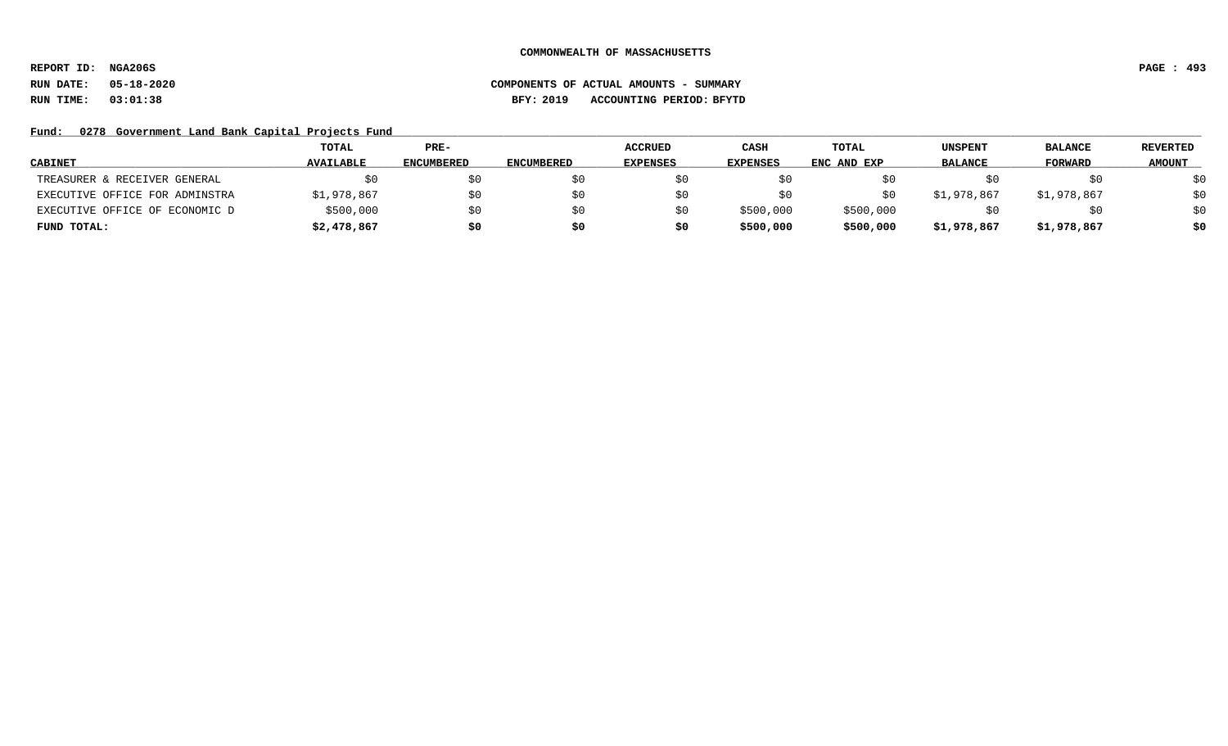**REPORT ID: NGA206S PAGE : 493**

# **RUN DATE: 05-18-2020 COMPONENTS OF ACTUAL AMOUNTS - SUMMARY RUN TIME: 03:01:38 BFY: 2019 ACCOUNTING PERIOD: BFYTD**

Fund: 0278 Government Land Bank Capital Projects Fund

|                                | TOTAL            | $PRE-$            |                   | <b>ACCRUED</b>  | CASH            | TOTAL       | <b>UNSPENT</b> | <b>BALANCE</b> | <b>REVERTED</b> |
|--------------------------------|------------------|-------------------|-------------------|-----------------|-----------------|-------------|----------------|----------------|-----------------|
| <b>CABINET</b>                 | <b>AVAILABLE</b> | <b>ENCUMBERED</b> | <b>ENCUMBERED</b> | <b>EXPENSES</b> | <b>EXPENSES</b> | ENC AND EXP | <b>BALANCE</b> | FORWARD        | <b>AMOUNT</b>   |
| TREASURER & RECEIVER GENERAL   | SO.              | S0                |                   |                 |                 |             |                | SO.            | \$0             |
| EXECUTIVE OFFICE FOR ADMINSTRA | \$1,978,867      | SO.               |                   |                 |                 |             | \$1,978,867    | \$1,978,867    | \$0             |
| EXECUTIVE OFFICE OF ECONOMIC D | \$500,000        | \$0               |                   |                 | \$500,000       | \$500,000   |                | \$0            | \$0             |
| FUND TOTAL:                    | \$2,478,867      | \$0               |                   |                 | \$500,000       | \$500,000   | \$1,978,867    | \$1,978,867    | \$0             |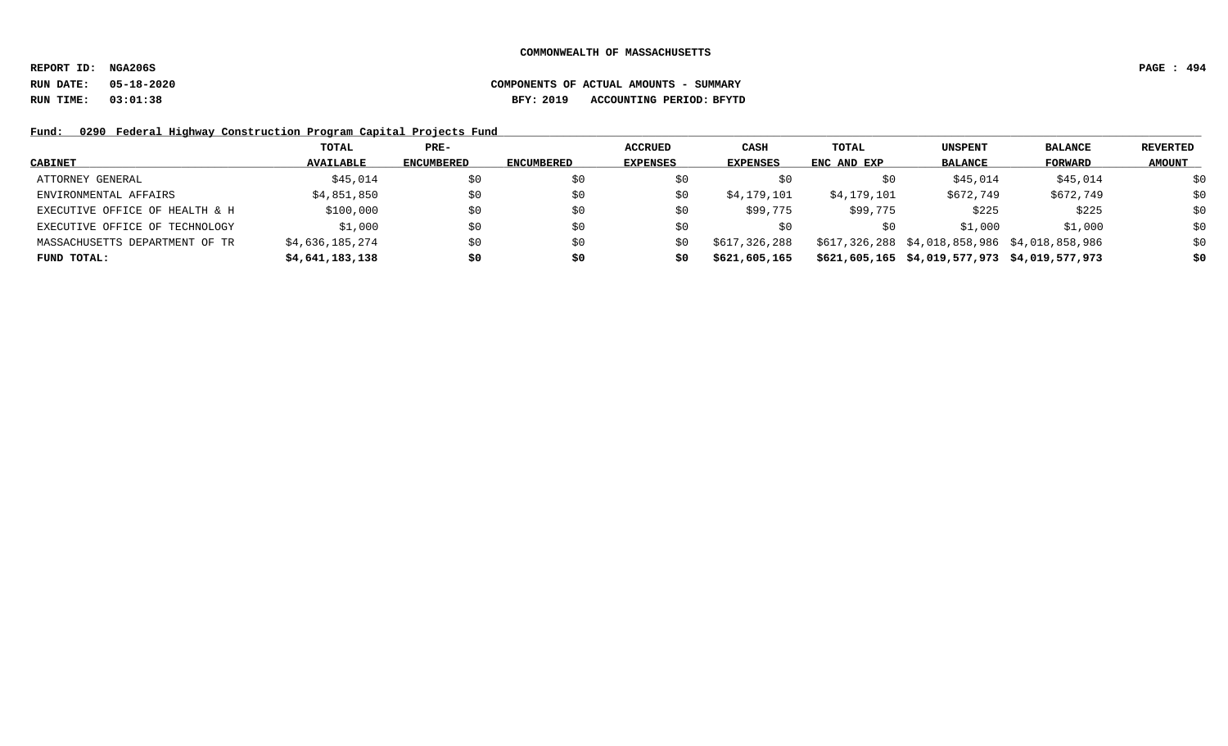**REPORT ID: NGA206S PAGE : 494**

## **RUN DATE: 05-18-2020 COMPONENTS OF ACTUAL AMOUNTS - SUMMARY RUN TIME: 03:01:38 BFY: 2019 ACCOUNTING PERIOD: BFYTD**

Fund: 0290 Federal Highway Construction Program Capital Projects Fund

|                                | TOTAL            | $PRE-$            |            | ACCRUED         | <b>CASH</b>     | TOTAL       | <b>UNSPENT</b>                                | <b>BALANCE</b> | REVERTED      |
|--------------------------------|------------------|-------------------|------------|-----------------|-----------------|-------------|-----------------------------------------------|----------------|---------------|
| <b>CABINET</b>                 | <b>AVAILABLE</b> | <b>ENCUMBERED</b> | ENCUMBERED | <b>EXPENSES</b> | <b>EXPENSES</b> | ENC AND EXP | <b>BALANCE</b>                                | FORWARD        | <b>AMOUNT</b> |
| ATTORNEY GENERAL               | \$45,014         | \$0               | S0         |                 | SO.             | ŜΟ          | \$45,014                                      | \$45,014       | \$0           |
| ENVIRONMENTAL AFFAIRS          | \$4,851,850      | \$0               | SO.        |                 | \$4,179,101     | \$4,179,101 | \$672,749                                     | \$672,749      | \$0           |
| EXECUTIVE OFFICE OF HEALTH & H | \$100,000        | \$0               | SO.        | S0              | \$99,775        | \$99,775    | \$225                                         | \$225          | \$0           |
| EXECUTIVE OFFICE OF TECHNOLOGY | \$1,000          | \$0               | \$0        | S0              | \$0             |             | \$1,000                                       | \$1,000        | \$0           |
| MASSACHUSETTS DEPARTMENT OF TR | \$4,636,185,274  | \$0               | \$0        | S0              | \$617,326,288   |             | \$617,326,288 \$4,018,858,986 \$4,018,858,986 |                | \$0           |
| FUND TOTAL:                    | \$4,641,183,138  | \$0               | S0         | S0              | \$621,605,165   |             | \$621,605,165 \$4,019,577,973 \$4,019,577,973 |                | \$0           |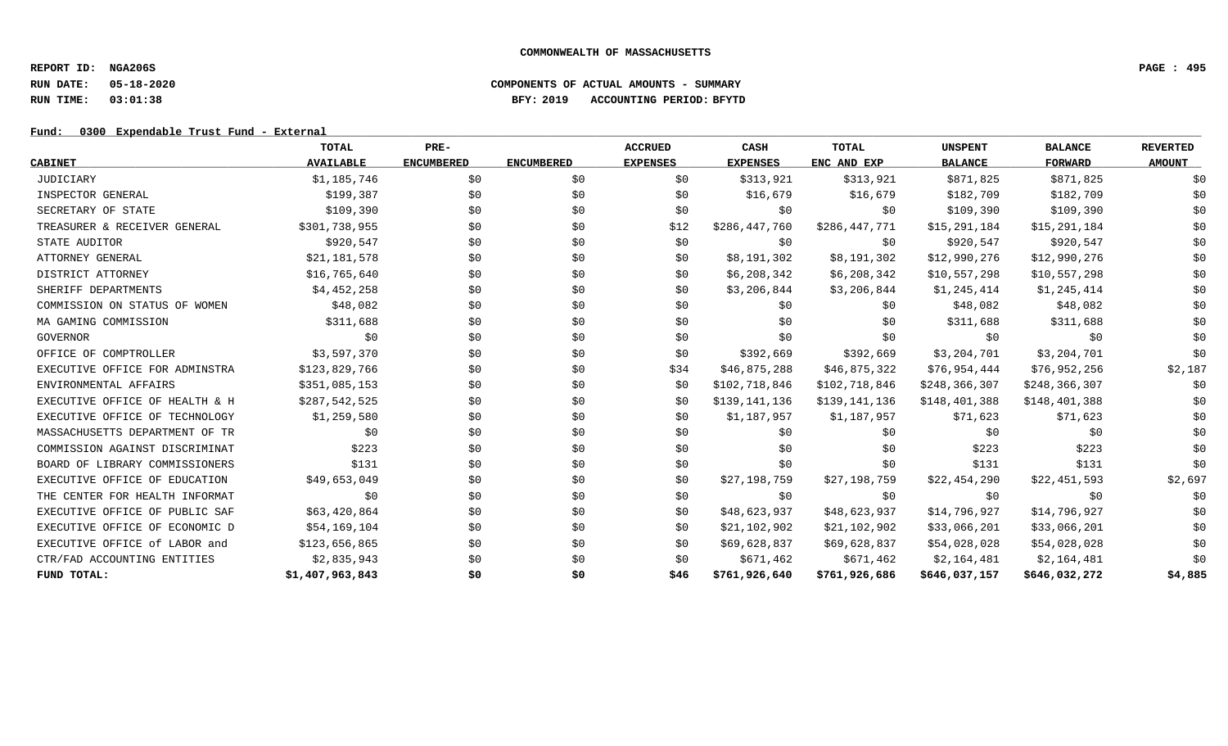**REPORT ID: NGA206S PAGE : 495**

# **RUN DATE: 05-18-2020 COMPONENTS OF ACTUAL AMOUNTS - SUMMARY RUN TIME: 03:01:38 BFY: 2019 ACCOUNTING PERIOD: BFYTD**

## Fund: 0300 Expendable Trust Fund - External

|                                | <b>TOTAL</b>     | PRE-              |                   | <b>ACCRUED</b>  | CASH            | <b>TOTAL</b>  | <b>UNSPENT</b>  | <b>BALANCE</b>  | <b>REVERTED</b> |
|--------------------------------|------------------|-------------------|-------------------|-----------------|-----------------|---------------|-----------------|-----------------|-----------------|
| <b>CABINET</b>                 | <b>AVAILABLE</b> | <b>ENCUMBERED</b> | <b>ENCUMBERED</b> | <b>EXPENSES</b> | <b>EXPENSES</b> | ENC AND EXP   | <b>BALANCE</b>  | <b>FORWARD</b>  | <b>AMOUNT</b>   |
| JUDICIARY                      | \$1,185,746      | \$0               | \$0               | \$0             | \$313,921       | \$313,921     | \$871,825       | \$871,825       | \$0             |
| INSPECTOR GENERAL              | \$199,387        | \$0               | \$0               | \$0             | \$16,679        | \$16,679      | \$182,709       | \$182,709       | \$0             |
| SECRETARY OF STATE             | \$109,390        | \$0               | \$0               | \$0             | \$0             | \$0           | \$109,390       | \$109,390       | \$0             |
| TREASURER & RECEIVER GENERAL   | \$301,738,955    | \$0               | \$0               | \$12            | \$286,447,760   | \$286,447,771 | \$15,291,184    | \$15,291,184    | \$0             |
| STATE AUDITOR                  | \$920,547        | \$0               | \$0               | \$0             | \$0             | \$0           | \$920,547       | \$920,547       | \$0             |
| ATTORNEY GENERAL               | \$21,181,578     | \$0               | \$0               | \$0             | \$8,191,302     | \$8,191,302   | \$12,990,276    | \$12,990,276    | \$0             |
| DISTRICT ATTORNEY              | \$16,765,640     | \$0               | \$0               | \$0             | \$6,208,342     | \$6,208,342   | \$10,557,298    | \$10,557,298    | \$0             |
| SHERIFF DEPARTMENTS            | \$4,452,258      | \$0               | \$0               | SO.             | \$3,206,844     | \$3,206,844   | \$1,245,414     | \$1,245,414     | \$0             |
| COMMISSION ON STATUS OF WOMEN  | \$48,082         | \$0               | \$0               | \$0             | \$0             | \$0           | \$48,082        | \$48,082        | \$0             |
| MA GAMING COMMISSION           | \$311,688        | \$0               | \$0               | \$0             | \$0             | SO.           | \$311,688       | \$311,688       | \$0             |
| GOVERNOR                       | \$0              | \$0               | \$0               | \$0             | \$0             | \$0           | \$0             | \$0             | \$0             |
| OFFICE OF COMPTROLLER          | \$3,597,370      | \$0               | \$0               | \$0             | \$392,669       | \$392,669     | \$3,204,701     | \$3,204,701     | \$0             |
| EXECUTIVE OFFICE FOR ADMINSTRA | \$123,829,766    | \$0               | \$0               | \$34            | \$46,875,288    | \$46,875,322  | \$76,954,444    | \$76,952,256    | \$2,187         |
| ENVIRONMENTAL AFFAIRS          | \$351,085,153    | \$0               | \$0               | \$0             | \$102,718,846   | \$102,718,846 | \$248, 366, 307 | \$248, 366, 307 | \$0             |
| EXECUTIVE OFFICE OF HEALTH & H | \$287,542,525    | \$0               | \$0               | \$0             | \$139,141,136   | \$139,141,136 | \$148,401,388   | \$148,401,388   | \$0             |
| EXECUTIVE OFFICE OF TECHNOLOGY | \$1,259,580      | \$0               | \$0               | \$0             | \$1,187,957     | \$1,187,957   | \$71,623        | \$71,623        | \$0             |
| MASSACHUSETTS DEPARTMENT OF TR | \$0              | \$0               | \$0               | \$0             | \$0             | \$0           | \$0             | \$0             | \$0             |
| COMMISSION AGAINST DISCRIMINAT | \$223            | \$0               | \$0               | \$0             | \$0             | \$0           | \$223           | \$223           | \$0             |
| BOARD OF LIBRARY COMMISSIONERS | \$131            | \$0               | \$0               | \$0             | \$0             | \$0           | \$131           | \$131           | \$0             |
| EXECUTIVE OFFICE OF EDUCATION  | \$49,653,049     | \$0               | \$0               | \$0             | \$27,198,759    | \$27,198,759  | \$22,454,290    | \$22,451,593    | \$2,697         |
| THE CENTER FOR HEALTH INFORMAT | \$0              | \$0               | \$0               | \$0             | \$0             | \$0           | \$0             | \$0             | \$0             |
| EXECUTIVE OFFICE OF PUBLIC SAF | \$63,420,864     | \$0               | \$0               | \$0             | \$48,623,937    | \$48,623,937  | \$14,796,927    | \$14,796,927    | \$0             |
| EXECUTIVE OFFICE OF ECONOMIC D | \$54,169,104     | \$0               | \$0               | \$0             | \$21,102,902    | \$21,102,902  | \$33,066,201    | \$33,066,201    | \$0             |
| EXECUTIVE OFFICE of LABOR and  | \$123,656,865    | \$0               | \$0               | \$0             | \$69,628,837    | \$69,628,837  | \$54,028,028    | \$54,028,028    | \$0             |
| CTR/FAD ACCOUNTING ENTITIES    | \$2,835,943      | \$0               | \$0               | \$0             | \$671,462       | \$671,462     | \$2,164,481     | \$2,164,481     | \$0             |
| FUND TOTAL:                    | \$1,407,963,843  | \$0               | \$0               | \$46            | \$761,926,640   | \$761,926,686 | \$646,037,157   | \$646,032,272   | \$4,885         |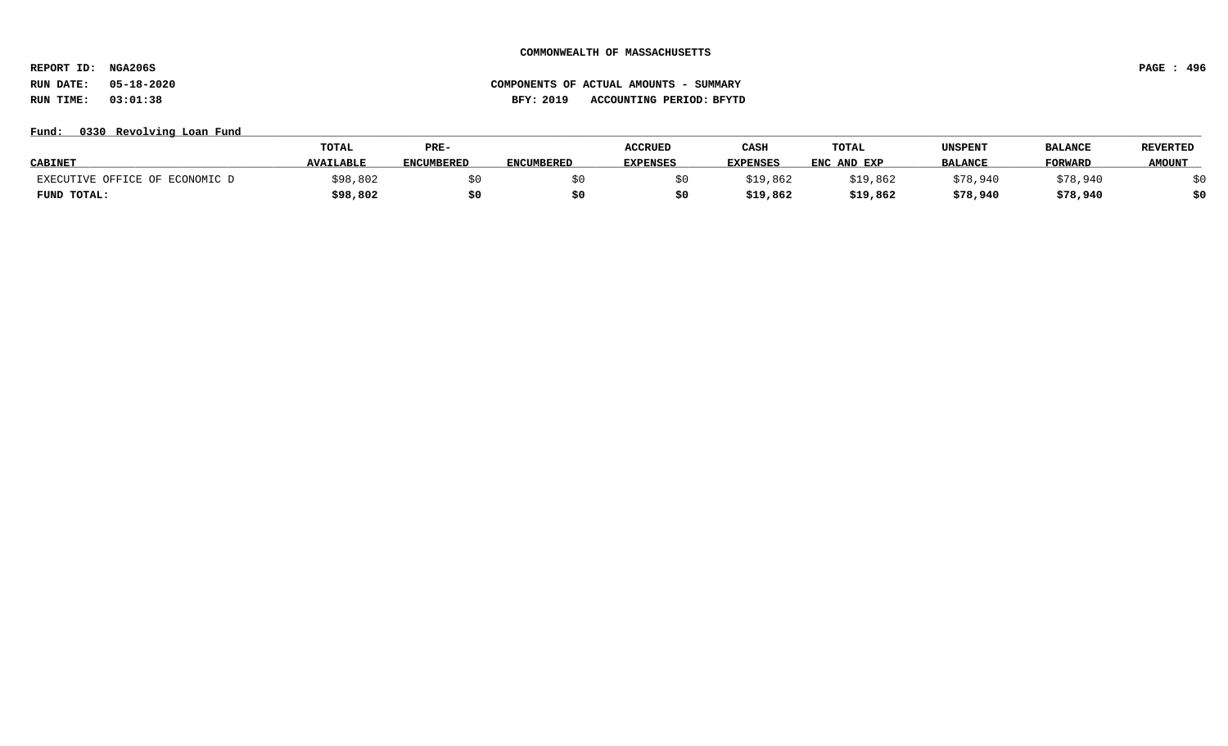**REPORT ID: NGA206S PAGE : 496**

# **RUN DATE: 05-18-2020 COMPONENTS OF ACTUAL AMOUNTS - SUMMARY RUN TIME: 03:01:38 BFY: 2019 ACCOUNTING PERIOD: BFYTD**

## **Fund: \_\_\_\_\_\_\_\_\_\_\_\_\_\_\_\_\_\_\_\_\_\_\_\_\_\_\_\_\_\_\_\_\_\_\_\_\_\_\_\_\_\_\_\_\_\_\_\_\_\_\_\_\_\_\_\_\_\_\_\_\_\_\_\_\_\_\_\_\_\_\_\_\_\_\_\_\_\_\_\_\_\_\_\_\_\_\_\_\_\_\_\_\_\_\_\_\_\_\_\_\_\_\_\_\_\_\_\_\_\_\_\_\_\_\_\_\_\_\_\_\_\_\_\_\_\_\_\_\_\_\_\_\_\_\_\_\_\_\_\_\_\_\_\_\_\_\_\_\_\_\_\_\_\_\_\_\_\_\_\_\_\_\_\_\_\_\_\_\_\_\_\_\_\_\_\_\_\_ 0330 Revolving Loan Fund**

|                                     | TOTAL            | PRE-              |                   | <b>ACCRUED</b>  | CASH            | TOTAL       | UNSPENT        | <b>BALANCI</b> | <b>REVERTED</b> |
|-------------------------------------|------------------|-------------------|-------------------|-----------------|-----------------|-------------|----------------|----------------|-----------------|
| <b>CABINET</b>                      | <b>AVAILABLE</b> | <b>ENCUMBERED</b> | <b>ENCUMBERED</b> | <b>EXPENSES</b> | <b>EXPENSES</b> | ENC AND EXP | <b>BALANCE</b> | <b>FORWARD</b> | <b>AMOUNT</b>   |
| ECONOMIC D<br>EXECUTIVE OFFICE OF 1 | \$98,802         |                   |                   |                 | \$19,862        | \$19,862    | \$78,940       | \$78,940       |                 |
| FUND TOTAL:                         | \$98,802         |                   |                   |                 | \$19,862        | \$19,862    | \$78,940       | \$78,940       | \$0             |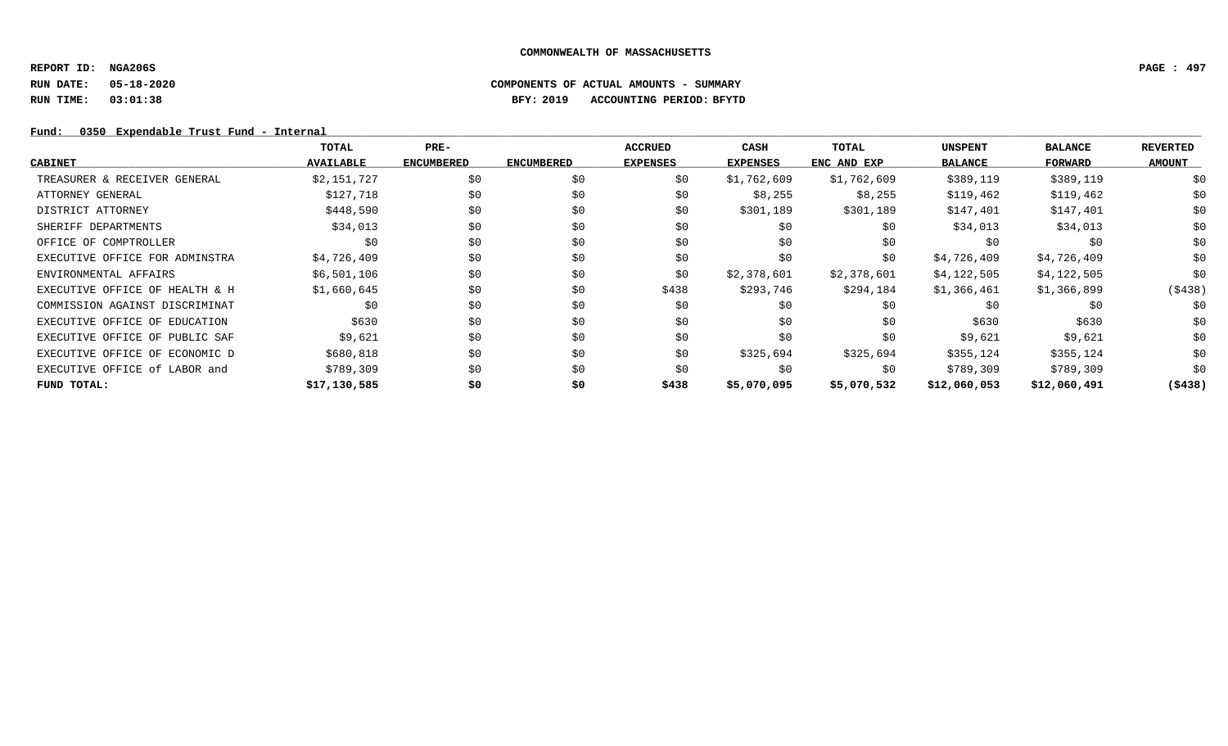**REPORT ID: NGA206S PAGE : 497**

# **RUN DATE: 05-18-2020 COMPONENTS OF ACTUAL AMOUNTS - SUMMARY RUN TIME: 03:01:38 BFY: 2019 ACCOUNTING PERIOD: BFYTD**

## Fund: 0350 Expendable Trust Fund - Internal

|                                | TOTAL            | $PRE-$            |                   | <b>ACCRUED</b>  | CASH            | TOTAL       | <b>UNSPENT</b> | <b>BALANCE</b> | <b>REVERTED</b> |
|--------------------------------|------------------|-------------------|-------------------|-----------------|-----------------|-------------|----------------|----------------|-----------------|
| <b>CABINET</b>                 | <b>AVAILABLE</b> | <b>ENCUMBERED</b> | <b>ENCUMBERED</b> | <b>EXPENSES</b> | <b>EXPENSES</b> | ENC AND EXP | <b>BALANCE</b> | FORWARD        | <b>AMOUNT</b>   |
| TREASURER & RECEIVER GENERAL   | \$2,151,727      | \$0               | \$0               | \$0             | \$1,762,609     | \$1,762,609 | \$389,119      | \$389,119      | \$0             |
| ATTORNEY GENERAL               | \$127,718        | \$0               | \$0               | \$0             | \$8,255         | \$8,255     | \$119,462      | \$119,462      | \$0             |
| DISTRICT ATTORNEY              | \$448,590        | \$0               | \$0               | \$0             | \$301,189       | \$301,189   | \$147,401      | \$147,401      | \$0             |
| SHERIFF DEPARTMENTS            | \$34,013         | \$0               | \$0               | \$0             | \$0             | \$0         | \$34,013       | \$34,013       | \$0             |
| OFFICE OF COMPTROLLER          | \$0              | \$0               | \$0               | \$0             | \$0             | \$0         | \$0            | \$0            | \$0             |
| EXECUTIVE OFFICE FOR ADMINSTRA | \$4,726,409      | \$0               | \$0               | \$0             | \$0             | \$0         | \$4,726,409    | \$4,726,409    | \$0             |
| ENVIRONMENTAL AFFAIRS          | \$6,501,106      | \$0               | \$0               | \$0             | \$2,378,601     | \$2,378,601 | \$4,122,505    | \$4,122,505    | \$0             |
| EXECUTIVE OFFICE OF HEALTH & H | \$1,660,645      | \$0               | \$0               | \$438           | \$293,746       | \$294,184   | \$1,366,461    | \$1,366,899    | ( \$438)        |
| COMMISSION AGAINST DISCRIMINAT | \$0              | \$0               | \$0               | \$0             | \$0             | \$0         | \$0            | \$0            | \$0             |
| EXECUTIVE OFFICE OF EDUCATION  | \$630            | \$0               | \$0               | \$0             | \$0             | \$0         | \$630          | \$630          | \$0             |
| EXECUTIVE OFFICE OF PUBLIC SAF | \$9,621          | \$0               | \$0               | \$0             | \$0             | \$0         | \$9,621        | \$9,621        | \$0             |
| EXECUTIVE OFFICE OF ECONOMIC D | \$680,818        | \$0               | \$0               | \$0             | \$325,694       | \$325,694   | \$355,124      | \$355,124      | \$0             |
| EXECUTIVE OFFICE of LABOR and  | \$789,309        | \$0               | \$0               | \$0             | \$0             | \$0         | \$789,309      | \$789,309      | \$0             |
| FUND TOTAL:                    | \$17,130,585     | \$0               | \$0               | \$438           | \$5,070,095     | \$5,070,532 | \$12,060,053   | \$12,060,491   | ( \$438)        |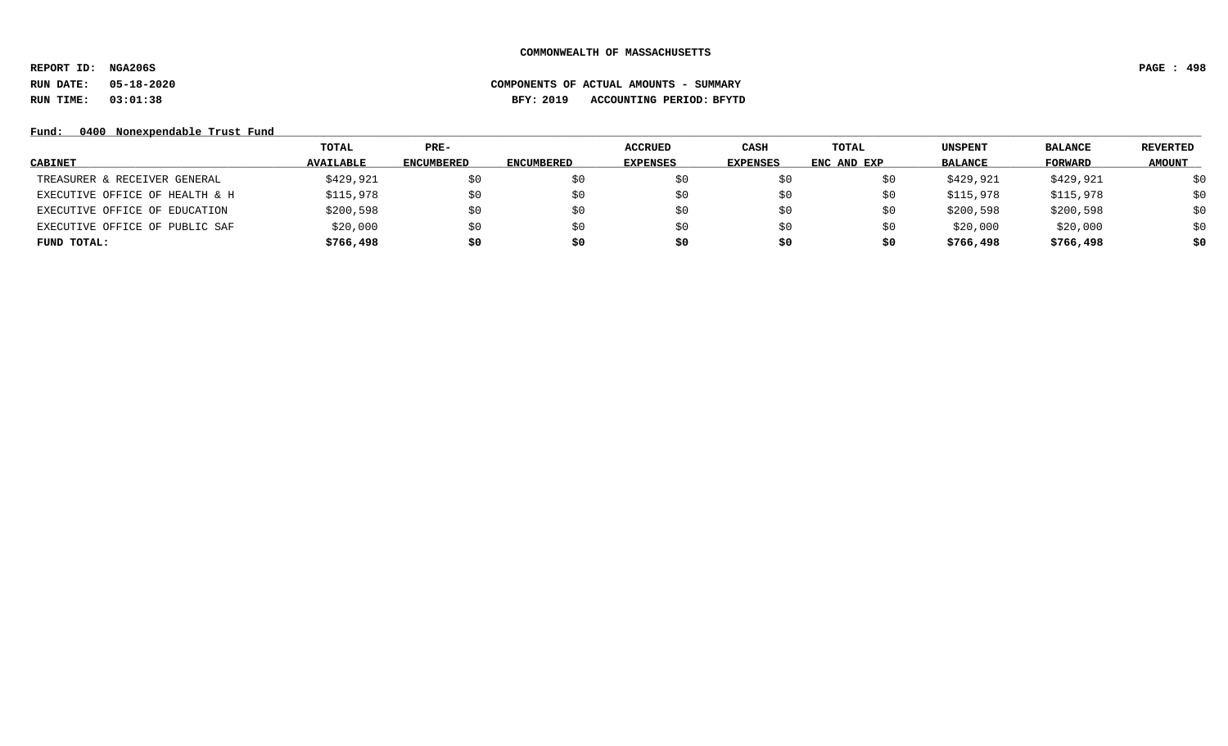**REPORT ID: NGA206S PAGE : 498**

# **RUN DATE: 05-18-2020 COMPONENTS OF ACTUAL AMOUNTS - SUMMARY RUN TIME: 03:01:38 BFY: 2019 ACCOUNTING PERIOD: BFYTD**

Fund: 0400 Nonexpendable Trust Fund

|                                | TOTAL            | PRE-              |                   | <b>ACCRUED</b>  | CASH            | <b>TOTAL</b> | <b>UNSPENT</b> | <b>BALANCE</b> | REVERTED      |
|--------------------------------|------------------|-------------------|-------------------|-----------------|-----------------|--------------|----------------|----------------|---------------|
| <b>CABINET</b>                 | <b>AVAILABLE</b> | <b>ENCUMBERED</b> | <b>ENCUMBERED</b> | <b>EXPENSES</b> | <b>EXPENSES</b> | ENC AND EXP  | <b>BALANCE</b> | FORWARD        | <b>AMOUNT</b> |
| TREASURER & RECEIVER GENERAL   | \$429,921        | S0                |                   | S U             |                 |              | \$429,921      | \$429,921      | \$0           |
| EXECUTIVE OFFICE OF HEALTH & H | \$115,978        | \$0               | S0                | \$0             | \$0             |              | \$115,978      | \$115,978      | \$0           |
| EXECUTIVE OFFICE OF EDUCATION  | \$200,598        | \$0               |                   | S0              | SO.             |              | \$200,598      | \$200,598      | \$0           |
| EXECUTIVE OFFICE OF PUBLIC SAF | \$20,000         | \$0               |                   | S0              | \$0             |              | \$20,000       | \$20,000       | \$0           |
| FUND TOTAL:                    | \$766,498        | \$0               | s0                | S0              | \$0             | S0           | \$766,498      | \$766,498      | \$0           |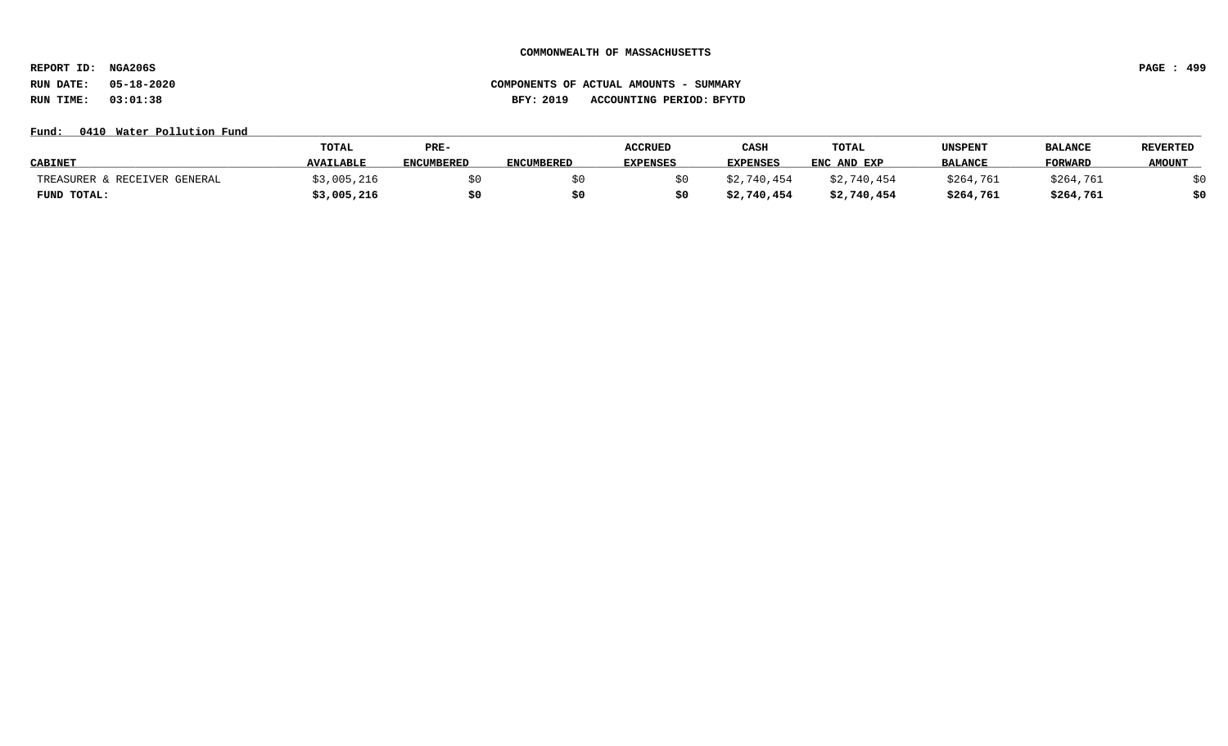**REPORT ID: NGA206S PAGE : 499**

# **RUN DATE: 05-18-2020 COMPONENTS OF ACTUAL AMOUNTS - SUMMARY RUN TIME: 03:01:38 BFY: 2019 ACCOUNTING PERIOD: BFYTD**

### **Fund: \_\_\_\_\_\_\_\_\_\_\_\_\_\_\_\_\_\_\_\_\_\_\_\_\_\_\_\_\_\_\_\_\_\_\_\_\_\_\_\_\_\_\_\_\_\_\_\_\_\_\_\_\_\_\_\_\_\_\_\_\_\_\_\_\_\_\_\_\_\_\_\_\_\_\_\_\_\_\_\_\_\_\_\_\_\_\_\_\_\_\_\_\_\_\_\_\_\_\_\_\_\_\_\_\_\_\_\_\_\_\_\_\_\_\_\_\_\_\_\_\_\_\_\_\_\_\_\_\_\_\_\_\_\_\_\_\_\_\_\_\_\_\_\_\_\_\_\_\_\_\_\_\_\_\_\_\_\_\_\_\_\_\_\_\_\_\_\_\_\_\_\_\_\_\_\_\_\_ 0410 Water Pollution Fund**

|                              | TOTAL            | PRE-              |                   | <b>ACCRUED</b>  | CASH            | TOTAL       | UNSPENT        | <b>BALANCI</b> | <b>REVERTED</b> |
|------------------------------|------------------|-------------------|-------------------|-----------------|-----------------|-------------|----------------|----------------|-----------------|
| <b>CABINET</b>               | <b>AVAILABLE</b> | <b>ENCUMBERED</b> | <b>ENCUMBERED</b> | <b>EXPENSES</b> | <b>EXPENSES</b> | ENC AND EXP | <b>BALANCE</b> | <b>FORWARD</b> | <b>AMOUNT</b>   |
| TREASURER & RECEIVER GENERAL | 3,005,216        |                   |                   |                 | \$2,740,454     | \$2,740,454 | \$264,761      | \$264,761      |                 |
| FUND TOTAL:                  | \$3,005,216      |                   |                   |                 | \$2,740,454     | \$2,740,454 | \$264,761      | \$264,761      | \$0             |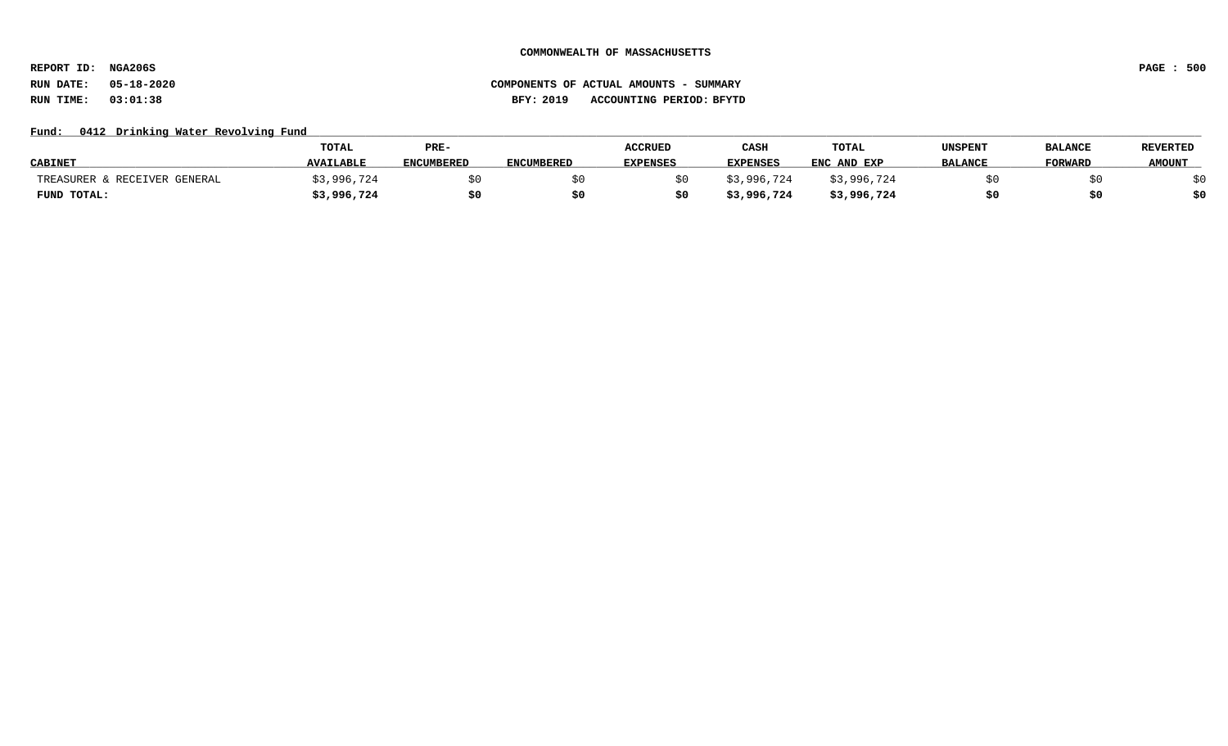**REPORT ID: NGA206S PAGE : 500**

# **RUN DATE: 05-18-2020 COMPONENTS OF ACTUAL AMOUNTS - SUMMARY RUN TIME: 03:01:38 BFY: 2019 ACCOUNTING PERIOD: BFYTD**

## Fund: 0412 Drinking Water Revolving Fund

|                              | <b>TOTAL</b>     | PRE-              |                   | <b>ACCRUED</b>  | CASH            | TOTAL       | UNSPENT        | <b>BALANCE</b> | <b>REVERTED</b> |
|------------------------------|------------------|-------------------|-------------------|-----------------|-----------------|-------------|----------------|----------------|-----------------|
| <b>CABINET</b>               | <b>AVAILABLE</b> | <b>ENCUMBERED</b> | <b>ENCUMBERED</b> | <b>EXPENSES</b> | <b>EXPENSES</b> | ENC AND EXP | <b>BALANCE</b> | <b>FORWARD</b> | <b>AMOUNT</b>   |
| TREASURER & RECEIVER GENERAL | ;3,996,724       |                   |                   |                 | \$3,996,724     | \$3,996,724 |                |                |                 |
| FUND TOTAL:                  | \$3,996,724      | \$0               |                   |                 | \$3,996,724     | \$3,996,724 |                |                | \$0             |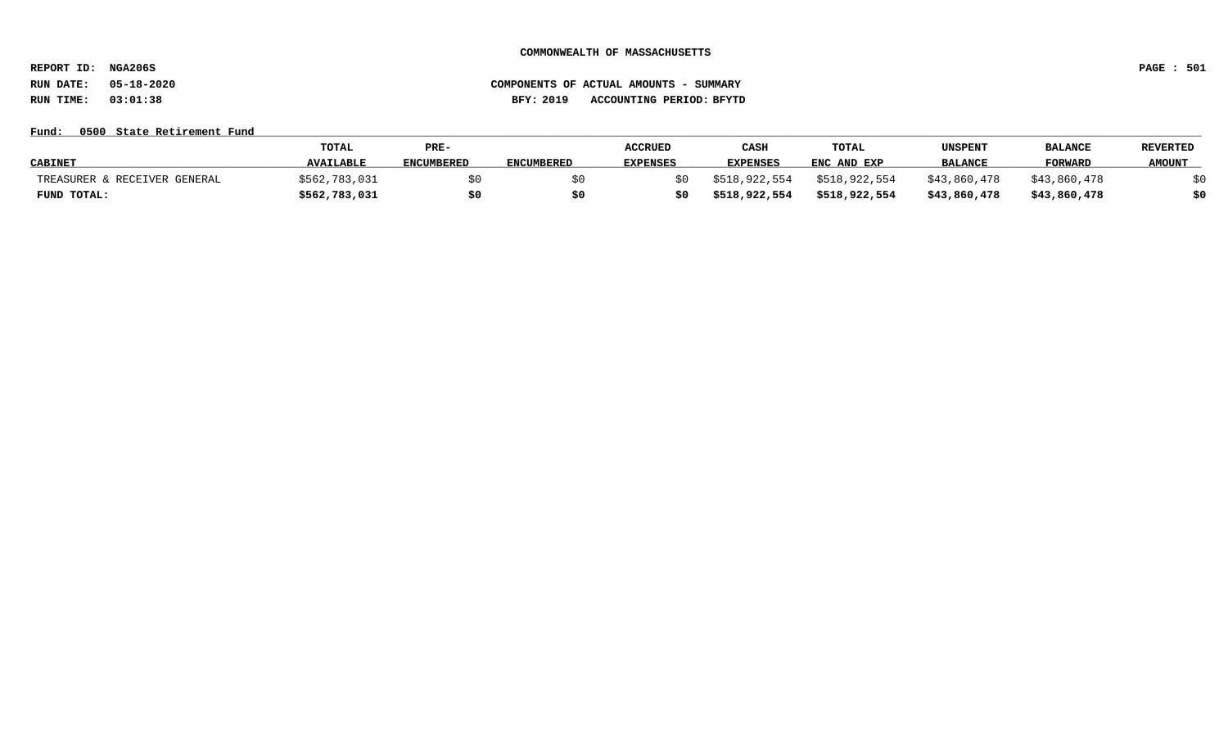**REPORT ID: NGA206S PAGE : 501**

# **RUN DATE: 05-18-2020 COMPONENTS OF ACTUAL AMOUNTS - SUMMARY RUN TIME: 03:01:38 BFY: 2019 ACCOUNTING PERIOD: BFYTD**

### Fund: 0500 State Retirement Fund

|                              | <b>TOTAL</b>     | PRE-              |                   | <b>ACCRUED</b>  | CASH            | TOTAL         | <b>UNSPENT</b> | <b>BALANCI</b> | <b>REVERTED</b> |
|------------------------------|------------------|-------------------|-------------------|-----------------|-----------------|---------------|----------------|----------------|-----------------|
| <b>CABINET</b>               | <b>AVAILABLE</b> | <b>ENCUMBERED</b> | <b>ENCUMBERED</b> | <b>EXPENSES</b> | <b>EXPENSES</b> | ENC AND EXP   | BALANCE        | <b>FORWARD</b> | <b>AMOUNT</b>   |
| TREASURER & RECEIVER GENERAL | \$562,783,031    |                   |                   |                 | \$518,922,554   | \$518,922,554 | \$43,860,478   | \$43,860,478   |                 |
| FUND TOTAL:                  | \$562,783,031    |                   | S0                |                 | \$518,922,554   | \$518,922,554 | \$43,860,478   | \$43,860,478   | \$0             |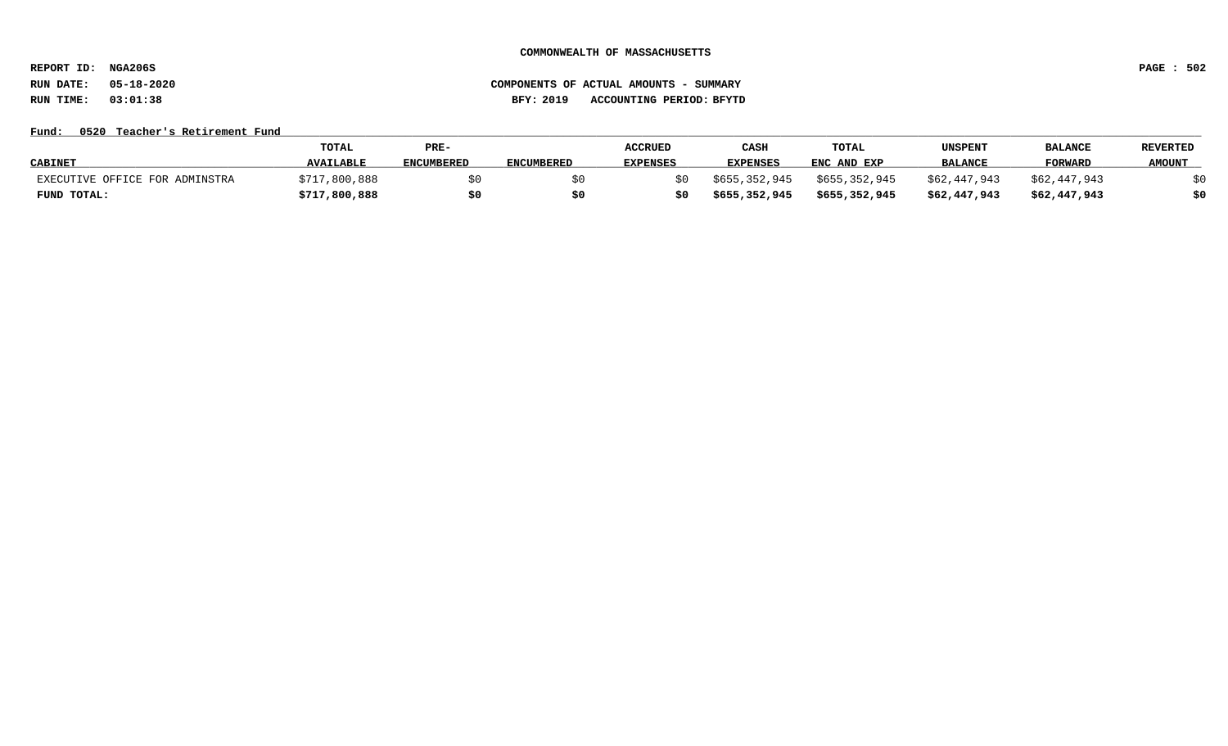**REPORT ID: NGA206S PAGE : 502**

# **RUN DATE: 05-18-2020 COMPONENTS OF ACTUAL AMOUNTS - SUMMARY RUN TIME: 03:01:38 BFY: 2019 ACCOUNTING PERIOD: BFYTD**

### Fund: 0520 Teacher's Retirement Fund

|                                | <b>TOTAL</b>     | PRE-              |                   | <b>ACCRUED</b>  | CASH            | TOTAL         | UNSPENT        | <b>BALANCE</b> | <b>REVERTED</b> |
|--------------------------------|------------------|-------------------|-------------------|-----------------|-----------------|---------------|----------------|----------------|-----------------|
| <b>CABINET</b>                 | <b>AVAILABLE</b> | <b>ENCUMBERED</b> | <b>ENCUMBERED</b> | <b>EXPENSES</b> | <b>EXPENSES</b> | ENC AND EXP   | <b>BALANCE</b> | FORWARD        | <b>AMOUNT</b>   |
| EXECUTIVE OFFICE FOR ADMINSTRA | \$717,800,888    |                   |                   | SO.             | \$655,352,945   | \$655,352,945 | \$62,447,943   | \$62,447,943   |                 |
| FUND TOTAL:                    | \$717,800,888    |                   |                   | \$0             | \$655,352,945   | \$655,352,945 | \$62,447,943   | \$62,447,943   |                 |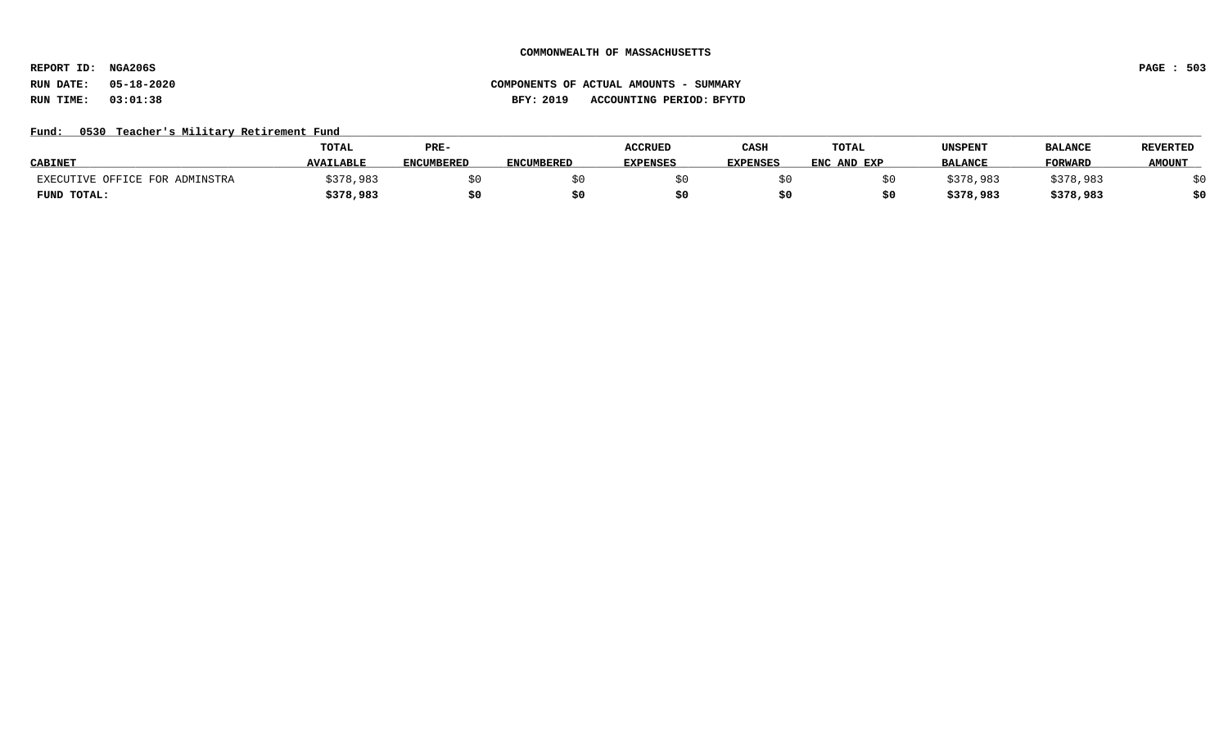**REPORT ID: NGA206S PAGE : 503**

# **RUN DATE: 05-18-2020 COMPONENTS OF ACTUAL AMOUNTS - SUMMARY RUN TIME: 03:01:38 BFY: 2019 ACCOUNTING PERIOD: BFYTD**

## Fund: 0530 Teacher's Military Retirement Fund

|                                | <b>TOTAL</b>     | PRE-              |                   | <b>ACCRUED</b> | CASH            | TOTAL       | UNSPENT        | <b>BALANCE</b> | <b>REVERTED</b> |
|--------------------------------|------------------|-------------------|-------------------|----------------|-----------------|-------------|----------------|----------------|-----------------|
| <b>CABINET</b>                 | <b>AVAILABLE</b> | <b>ENCUMBERED</b> | <b>ENCUMBERED</b> | EXPENSES       | <b>EXPENSES</b> | ENC AND EXP | <b>BALANCE</b> | <b>FORWARD</b> | <b>AMOUNT</b>   |
| EXECUTIVE OFFICE FOR ADMINSTRA | \$378,983        |                   |                   |                |                 |             | ;378,983       | \$378,983      |                 |
| FUND TOTAL:                    | \$378,983        | \$0               |                   |                |                 |             | \$378,983      | \$378,983      | 40              |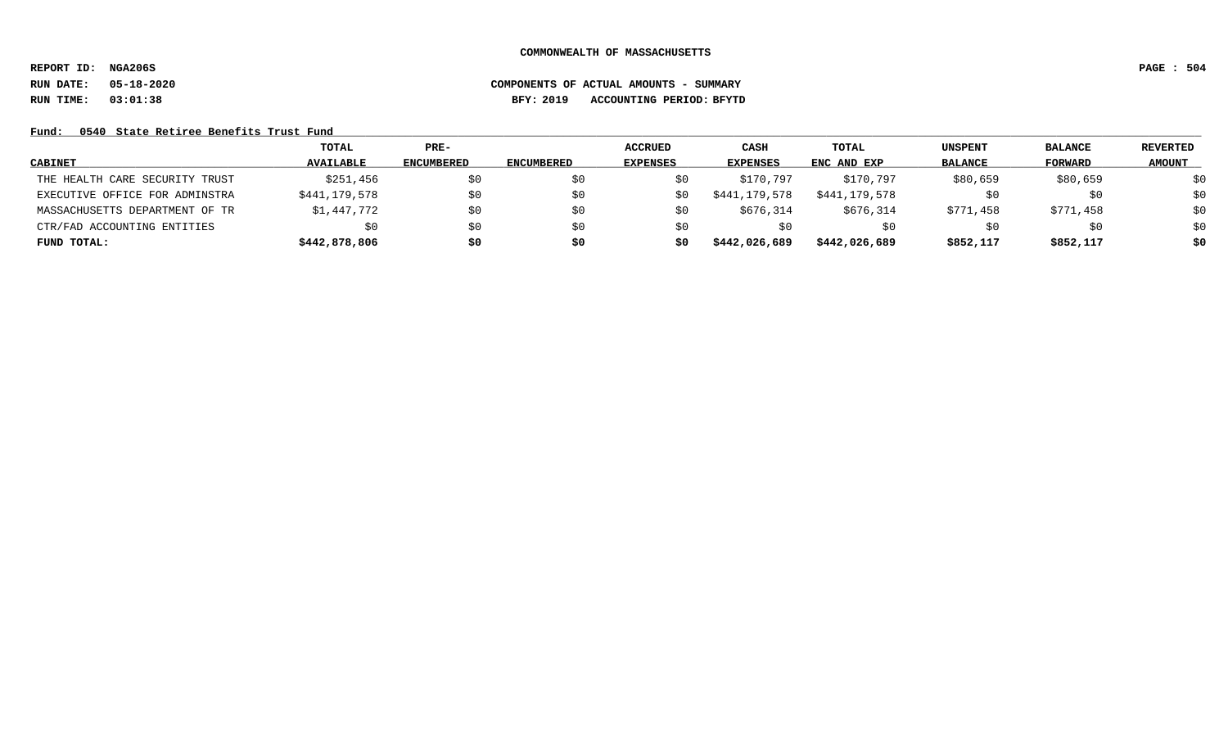**REPORT ID: NGA206S PAGE : 504**

# **RUN DATE: 05-18-2020 COMPONENTS OF ACTUAL AMOUNTS - SUMMARY RUN TIME: 03:01:38 BFY: 2019 ACCOUNTING PERIOD: BFYTD**

## Fund: 0540 State Retiree Benefits Trust Fund

|                                | TOTAL            | $PRE-$            |            | <b>ACCRUED</b>  | <b>CASH</b>     | TOTAL         | UNSPENT        | <b>BALANCE</b> | <b>REVERTED</b> |
|--------------------------------|------------------|-------------------|------------|-----------------|-----------------|---------------|----------------|----------------|-----------------|
| <b>CABINET</b>                 | <b>AVAILABLE</b> | <b>ENCUMBERED</b> | ENCUMBERED | <b>EXPENSES</b> | <b>EXPENSES</b> | ENC AND EXP   | <b>BALANCE</b> | <b>FORWARD</b> | <b>AMOUNT</b>   |
| THE HEALTH CARE SECURITY TRUST | \$251,456        | \$0               | \$0        |                 | \$170,797       | \$170,797     | \$80,659       | \$80,659       | \$0             |
| EXECUTIVE OFFICE FOR ADMINSTRA | \$441,179,578    | \$0               | \$0        | S0              | \$441,179,578   | \$441,179,578 |                | \$0            | \$0             |
| MASSACHUSETTS DEPARTMENT OF TR | \$1,447,772      | \$0               | \$0        | S0              | \$676,314       | \$676,314     | \$771,458      | \$771,458      | \$0             |
| CTR/FAD ACCOUNTING ENTITIES    | \$0              | \$0               | \$0        | S0              | SO.             | S0            | SU.            | \$0            | \$0             |
| FUND TOTAL:                    | \$442,878,806    | \$0               | \$0        | s0              | \$442,026,689   | \$442,026,689 | \$852,117      | \$852,117      | \$0             |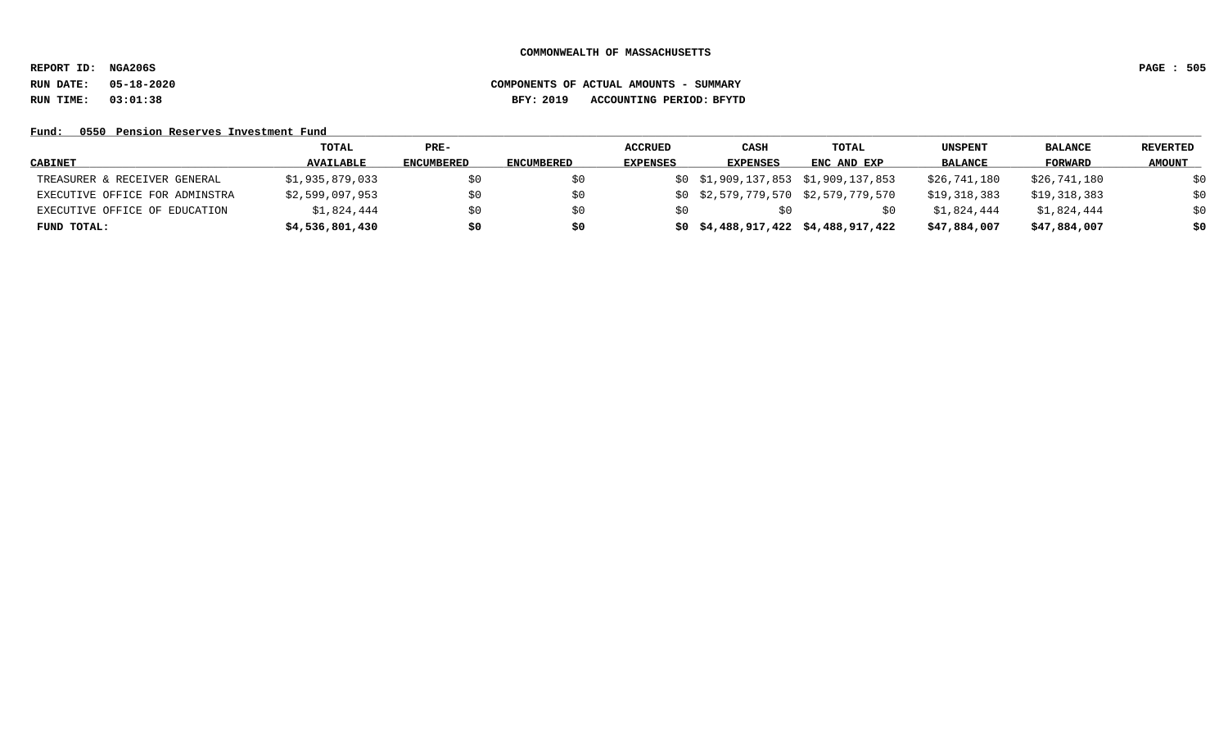**REPORT ID: NGA206S PAGE : 505**

# **RUN DATE: 05-18-2020 COMPONENTS OF ACTUAL AMOUNTS - SUMMARY RUN TIME: 03:01:38 BFY: 2019 ACCOUNTING PERIOD: BFYTD**

### Fund: 0550 Pension Reserves Investment Fund

|                                | TOTAL            | $PRE-$            |                   | <b>ACCRUED</b>  | CASH            | TOTAL                               | UNSPENT        | <b>BALANCE</b> | REVERTED      |
|--------------------------------|------------------|-------------------|-------------------|-----------------|-----------------|-------------------------------------|----------------|----------------|---------------|
| <b>CABINET</b>                 | <b>AVAILABLE</b> | <b>ENCUMBERED</b> | <b>ENCUMBERED</b> | <b>EXPENSES</b> | <b>EXPENSES</b> | ENC AND EXP                         | <b>BALANCE</b> | FORWARD        | <b>AMOUNT</b> |
| TREASURER & RECEIVER GENERAL   | \$1,935,879,033  | \$0               | SO.               |                 |                 | \$0 \$1,909,137,853 \$1,909,137,853 | \$26,741,180   | \$26,741,180   | \$0           |
| EXECUTIVE OFFICE FOR ADMINSTRA | \$2,599,097,953  | \$0               | \$0               |                 |                 | \$0 \$2,579,779,570 \$2,579,779,570 | \$19,318,383   | \$19,318,383   | \$0           |
| EXECUTIVE OFFICE OF EDUCATION  | \$1,824,444      | \$0               | \$0               |                 |                 | S0                                  | \$1,824,444    | \$1,824,444    | \$0           |
| FUND TOTAL:                    | \$4,536,801,430  | \$0               | \$0               |                 |                 | \$0\$4,488,917,422\$4,488,917,422   | \$47,884,007   | \$47,884,007   | \$0           |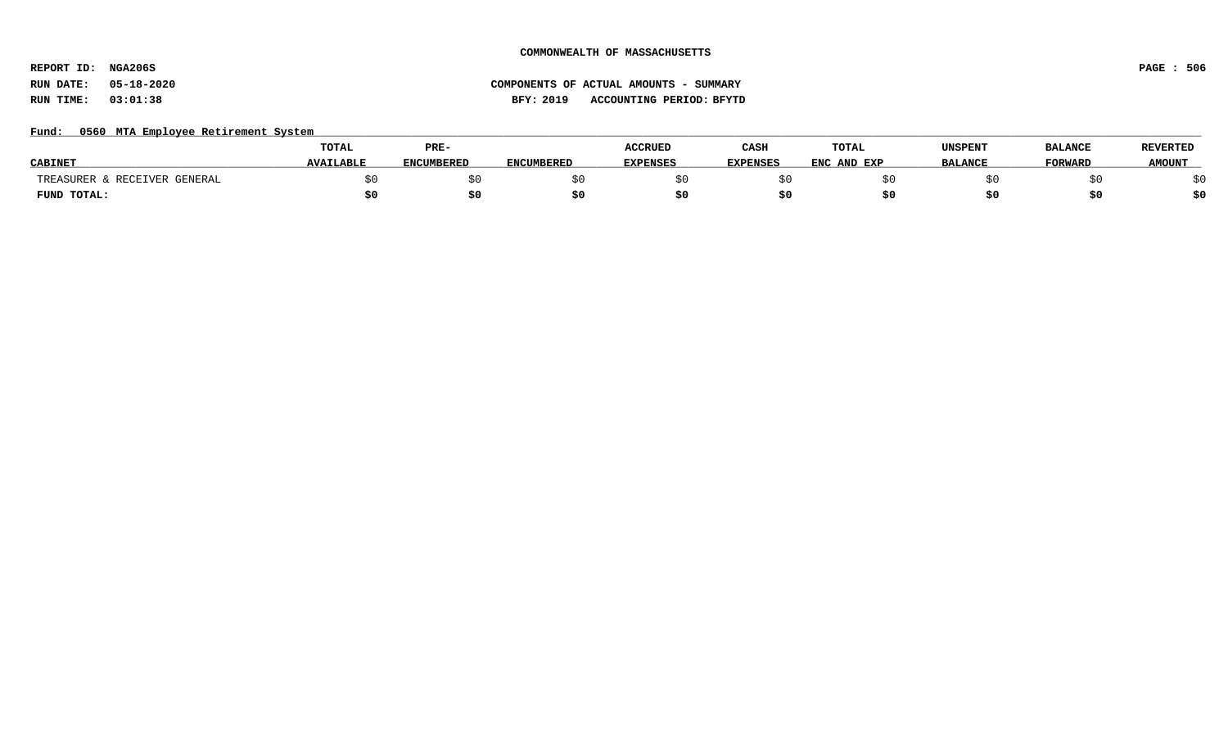**REPORT ID: NGA206S PAGE : 506**

### Fund: 0560 MTA Employee Retirement System

|                                 | <b>TOTAL</b>     | PRE-              |                   | <b>ACCRUED</b>  | CASH            | TOTAL          | UNSPENT        | <b>BALANCE</b> | <b>REVERTED</b> |
|---------------------------------|------------------|-------------------|-------------------|-----------------|-----------------|----------------|----------------|----------------|-----------------|
| <b>CABINE</b>                   | <b>AVAILABLE</b> | <b>ENCUMBERED</b> | <b>ENCUMBERED</b> | <b>EXPENSES</b> | <b>EXPENSES</b> | ENC<br>AND EXP | <b>BALANCE</b> | <b>TORWARD</b> | <b>AMOUNT</b>   |
| & RECEIVER GENERAL<br>TREASURER |                  |                   |                   |                 |                 |                |                |                |                 |
| FUND TOTAL:                     |                  | S0.               |                   |                 |                 |                |                |                | \$0             |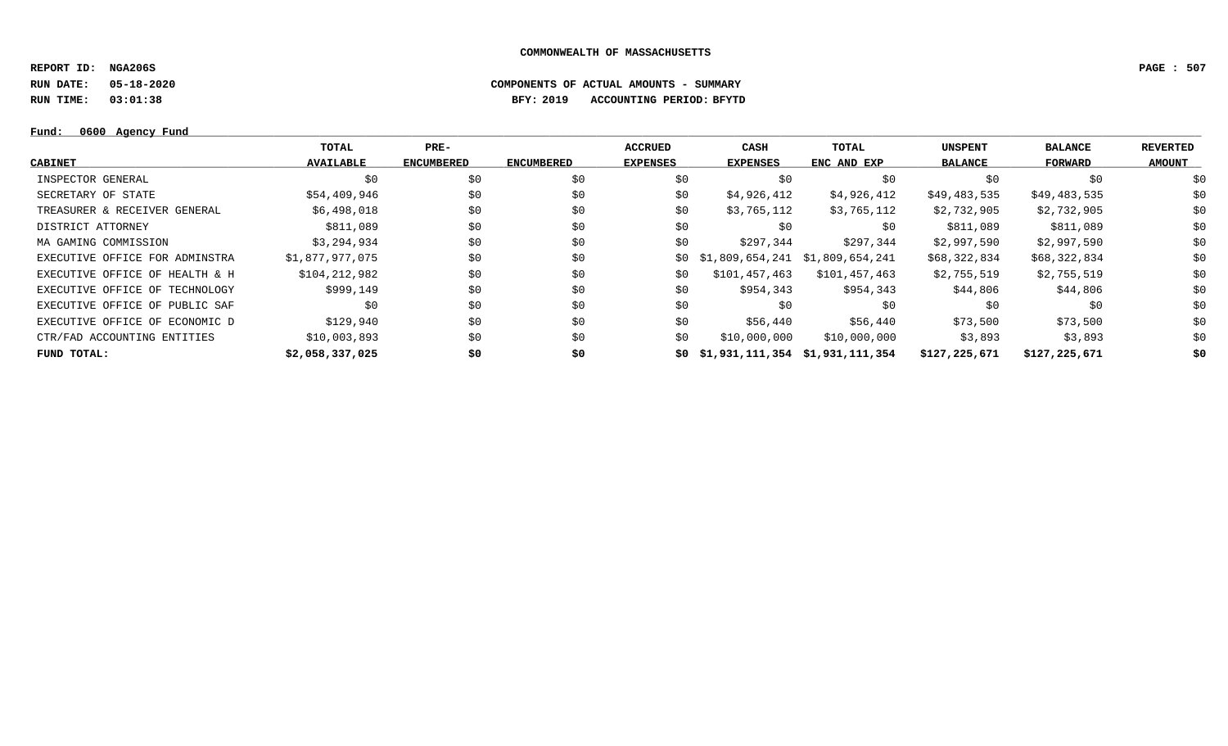**REPORT ID: NGA206S PAGE : 507**

**RUN DATE: 05-18-2020 COMPONENTS OF ACTUAL AMOUNTS - SUMMARY**

**RUN TIME: 03:01:38 BFY: 2019 ACCOUNTING PERIOD: BFYTD**

### $Fund: 0600 Agency Fund$ </u>

|                                | TOTAL            | $PRE-$            |                   | <b>ACCRUED</b>  | <b>CASH</b>                     | TOTAL         | <b>UNSPENT</b> | <b>BALANCE</b> | <b>REVERTED</b> |
|--------------------------------|------------------|-------------------|-------------------|-----------------|---------------------------------|---------------|----------------|----------------|-----------------|
| CABINET                        | <b>AVAILABLE</b> | <b>ENCUMBERED</b> | <b>ENCUMBERED</b> | <b>EXPENSES</b> | <b>EXPENSES</b>                 | ENC AND EXP   | <b>BALANCE</b> | FORWARD        | <b>AMOUNT</b>   |
| INSPECTOR GENERAL              | \$0              | \$0               | \$0               | \$0             | \$0                             | \$0           | \$0            | \$0            | \$0             |
| SECRETARY OF STATE             | \$54,409,946     | \$0               | \$0               | \$0             | \$4,926,412                     | \$4,926,412   | \$49,483,535   | \$49,483,535   | \$0             |
| TREASURER & RECEIVER GENERAL   | \$6,498,018      | \$0               | \$0               | \$0             | \$3,765,112                     | \$3,765,112   | \$2,732,905    | \$2,732,905    | \$0             |
| DISTRICT ATTORNEY              | \$811,089        | \$0               | \$0               | \$0             | \$0                             | \$0           | \$811,089      | \$811,089      | \$0             |
| MA GAMING COMMISSION           | \$3,294,934      | \$0               | \$0               | \$0             | \$297,344                       | \$297,344     | \$2,997,590    | \$2,997,590    | \$0             |
| EXECUTIVE OFFICE FOR ADMINSTRA | \$1,877,977,075  | \$0               | \$0               | SO.             | \$1,809,654,241 \$1,809,654,241 |               | \$68,322,834   | \$68,322,834   | \$0             |
| EXECUTIVE OFFICE OF HEALTH & H | \$104,212,982    | \$0               | \$0               | \$0             | \$101,457,463                   | \$101,457,463 | \$2,755,519    | \$2,755,519    | \$0             |
| EXECUTIVE OFFICE OF TECHNOLOGY | \$999,149        | \$0               | \$0               | \$0             | \$954,343                       | \$954,343     | \$44,806       | \$44,806       | \$0             |
| EXECUTIVE OFFICE OF PUBLIC SAF | S0               | \$0               | \$0               | \$0             | SO.                             | \$0           | S0             | \$0            | \$0             |
| EXECUTIVE OFFICE OF ECONOMIC D | \$129,940        | \$0               | \$0               | \$0             | \$56,440                        | \$56,440      | \$73,500       | \$73,500       | \$0             |
| CTR/FAD ACCOUNTING ENTITIES    | \$10,003,893     | \$0               | \$0               | \$0             | \$10,000,000                    | \$10,000,000  | \$3,893        | \$3,893        | \$0             |
| FUND TOTAL:                    | \$2,058,337,025  | \$0               | \$0               | SO.             | \$1,931,111,354 \$1,931,111,354 |               | \$127,225,671  | \$127,225,671  | \$0             |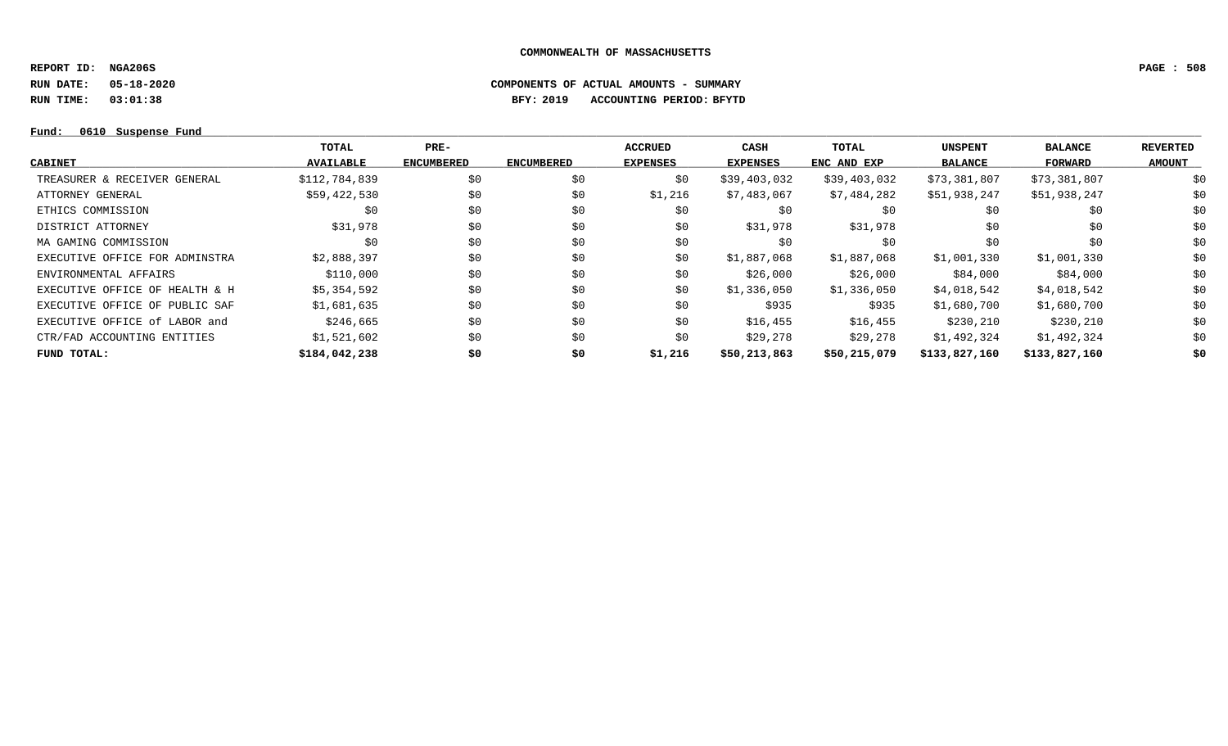**REPORT ID: NGA206S PAGE : 508**

**RUN DATE: 05-18-2020 COMPONENTS OF ACTUAL AMOUNTS - SUMMARY**

**RUN TIME: 03:01:38 BFY: 2019 ACCOUNTING PERIOD: BFYTD**

### **Fund: \_\_\_\_\_\_\_\_\_\_\_\_\_\_\_\_\_\_\_\_\_\_\_\_\_\_\_\_\_\_\_\_\_\_\_\_\_\_\_\_\_\_\_\_\_\_\_\_\_\_\_\_\_\_\_\_\_\_\_\_\_\_\_\_\_\_\_\_\_\_\_\_\_\_\_\_\_\_\_\_\_\_\_\_\_\_\_\_\_\_\_\_\_\_\_\_\_\_\_\_\_\_\_\_\_\_\_\_\_\_\_\_\_\_\_\_\_\_\_\_\_\_\_\_\_\_\_\_\_\_\_\_\_\_\_\_\_\_\_\_\_\_\_\_\_\_\_\_\_\_\_\_\_\_\_\_\_\_\_\_\_\_\_\_\_\_\_\_\_\_\_\_\_\_\_\_\_\_ 0610 Suspense Fund**

|                                | TOTAL            | PRE-              |                   | <b>ACCRUED</b>  | <b>CASH</b>     | TOTAL        | <b>UNSPENT</b> | <b>BALANCE</b> | <b>REVERTED</b> |
|--------------------------------|------------------|-------------------|-------------------|-----------------|-----------------|--------------|----------------|----------------|-----------------|
| CABINET                        | <b>AVAILABLE</b> | <b>ENCUMBERED</b> | <b>ENCUMBERED</b> | <b>EXPENSES</b> | <b>EXPENSES</b> | ENC AND EXP  | <b>BALANCE</b> | FORWARD        | <b>AMOUNT</b>   |
| TREASURER & RECEIVER GENERAL   | \$112,784,839    | \$0               | \$0               | \$0             | \$39,403,032    | \$39,403,032 | \$73,381,807   | \$73,381,807   | \$0             |
| ATTORNEY GENERAL               | \$59,422,530     | \$0               | \$0               | \$1,216         | \$7,483,067     | \$7,484,282  | \$51,938,247   | \$51,938,247   | \$0             |
| ETHICS COMMISSION              | \$0              | \$0               | \$0               | \$0             | \$0             | \$0          | \$0            | \$0            | \$0             |
| DISTRICT ATTORNEY              | \$31,978         | \$0               | \$0               | \$0             | \$31,978        | \$31,978     | \$0            | \$0            | \$0             |
| MA GAMING COMMISSION           | \$0              | \$0               | \$0               | \$0             | \$0             | \$0          | \$0            | \$0            | \$0             |
| EXECUTIVE OFFICE FOR ADMINSTRA | \$2,888,397      | \$0               | \$0               | \$0             | \$1,887,068     | \$1,887,068  | \$1,001,330    | \$1,001,330    | \$0             |
| ENVIRONMENTAL AFFAIRS          | \$110,000        | \$0               | \$0               | \$0             | \$26,000        | \$26,000     | \$84,000       | \$84,000       | \$0             |
| EXECUTIVE OFFICE OF HEALTH & H | \$5,354,592      | \$0               | \$0               | \$0             | \$1,336,050     | \$1,336,050  | \$4,018,542    | \$4,018,542    | \$0             |
| EXECUTIVE OFFICE OF PUBLIC SAF | \$1,681,635      | \$0               | \$0               | \$0             | \$935           | \$935        | \$1,680,700    | \$1,680,700    | \$0             |
| EXECUTIVE OFFICE of LABOR and  | \$246,665        | \$0               | \$0               | \$0             | \$16,455        | \$16,455     | \$230,210      | \$230,210      | \$0             |
| CTR/FAD ACCOUNTING ENTITIES    | \$1,521,602      | \$0               | \$0               | \$0             | \$29,278        | \$29,278     | \$1,492,324    | \$1,492,324    | \$0             |
| FUND TOTAL:                    | \$184,042,238    | \$0               | \$0               | \$1,216         | \$50,213,863    | \$50,215,079 | \$133,827,160  | \$133,827,160  | \$0             |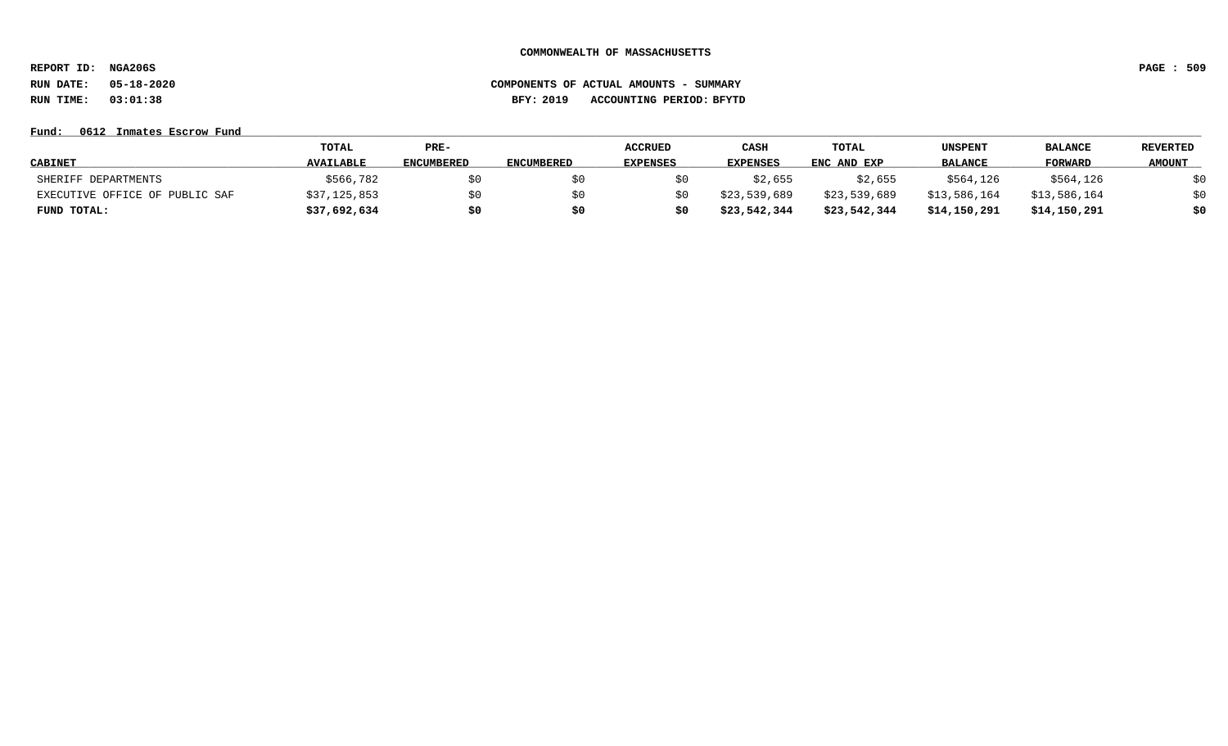**REPORT ID: NGA206S PAGE : 509**

# **RUN DATE: 05-18-2020 COMPONENTS OF ACTUAL AMOUNTS - SUMMARY RUN TIME: 03:01:38 BFY: 2019 ACCOUNTING PERIOD: BFYTD**

### **Fund: \_\_\_\_\_\_\_\_\_\_\_\_\_\_\_\_\_\_\_\_\_\_\_\_\_\_\_\_\_\_\_\_\_\_\_\_\_\_\_\_\_\_\_\_\_\_\_\_\_\_\_\_\_\_\_\_\_\_\_\_\_\_\_\_\_\_\_\_\_\_\_\_\_\_\_\_\_\_\_\_\_\_\_\_\_\_\_\_\_\_\_\_\_\_\_\_\_\_\_\_\_\_\_\_\_\_\_\_\_\_\_\_\_\_\_\_\_\_\_\_\_\_\_\_\_\_\_\_\_\_\_\_\_\_\_\_\_\_\_\_\_\_\_\_\_\_\_\_\_\_\_\_\_\_\_\_\_\_\_\_\_\_\_\_\_\_\_\_\_\_\_\_\_\_\_\_\_\_ 0612 Inmates Escrow Fund**

|                                | <b>TOTAL</b>     | $PRE-$            |                   | <b>ACCRUED</b>  | CASH         | TOTAL        | <b>UNSPENT</b> | <b>BALANCE</b> | <b>REVERTED</b> |
|--------------------------------|------------------|-------------------|-------------------|-----------------|--------------|--------------|----------------|----------------|-----------------|
| <b>CABINET</b>                 | <b>AVAILABLE</b> | <b>ENCUMBERED</b> | <b>ENCUMBERED</b> | <b>EXPENSES</b> | EXPENSES     | ENC AND EXP  | <b>BALANCE</b> | <b>FORWARD</b> | <b>AMOUNT</b>   |
| SHERIFF DEPARTMENTS            | \$566,782        | \$0               |                   |                 | \$2,655      | \$2,655      | \$564,126      | \$564,126      | \$0             |
| EXECUTIVE OFFICE OF PUBLIC SAF | \$37,125,853     | \$0               | S O               |                 | \$23,539,689 | \$23,539,689 | \$13,586,164   | \$13,586,164   | \$0             |
| FUND TOTAL:                    | \$37,692,634     | \$0               | S0                |                 | \$23,542,344 | \$23,542,344 | \$14,150,291   | \$14,150,291   | \$0             |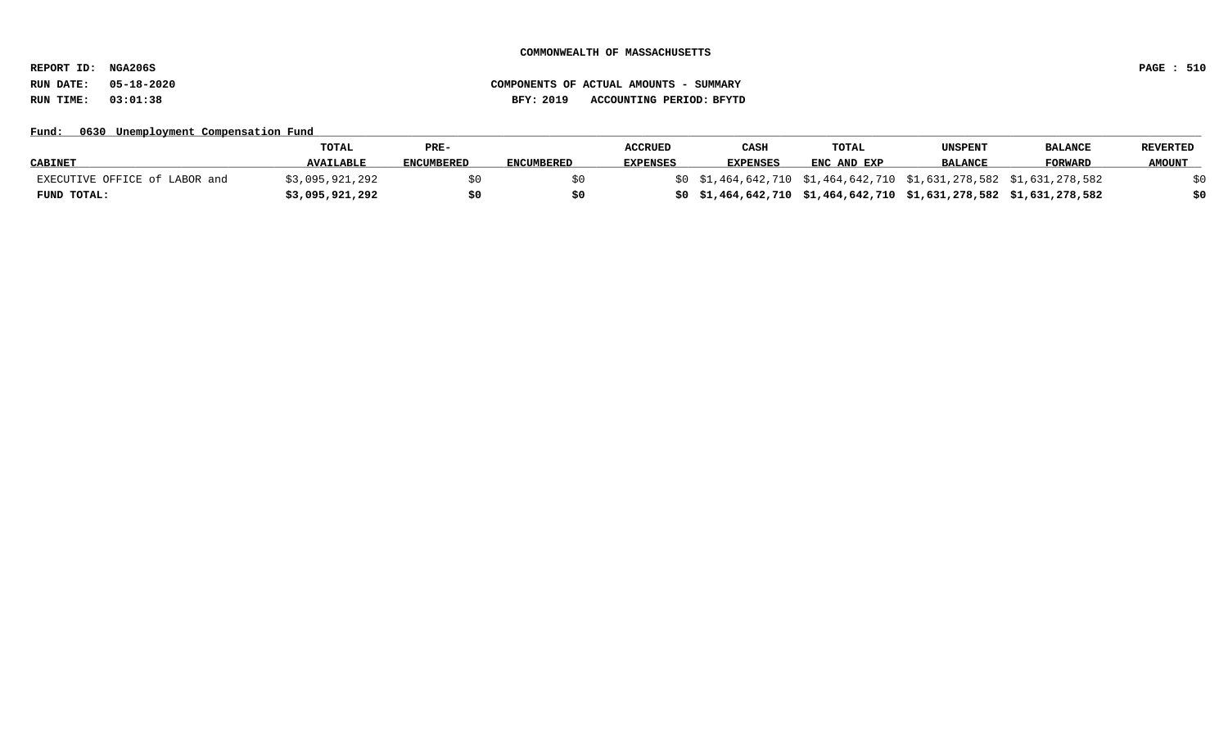**REPORT ID: NGA206S PAGE : 510**

# **RUN DATE: 05-18-2020 COMPONENTS OF ACTUAL AMOUNTS - SUMMARY RUN TIME: 03:01:38 BFY: 2019 ACCOUNTING PERIOD: BFYTD**

## Fund: 0630 Unemployment Compensation Fund

|                               | <b>TOTAL</b>     | PRE-              |                   | <b>ACCRUED</b>  | CASH                                                                | TOTAL       | <b>UNSPENT</b> | <b>BALANCE</b> | <b>REVERTED</b> |
|-------------------------------|------------------|-------------------|-------------------|-----------------|---------------------------------------------------------------------|-------------|----------------|----------------|-----------------|
| <b>CABINET</b>                | <b>AVAILABLE</b> | <b>ENCUMBERED</b> | <b>ENCUMBERED</b> | <b>EXPENSES</b> | <b>EXPENSES</b>                                                     | ENC AND EXP | <b>BALANCE</b> | <b>FORWARD</b> | <b>AMOUNT</b>   |
| EXECUTIVE OFFICE of LABOR and | \$3,095,921,292  |                   |                   |                 | \$0 \$1,464,642,710 \$1,464,642,710 \$1,631,278,582 \$1,631,278,582 |             |                |                |                 |
| FUND TOTAL:                   | \$3,095,921,292  |                   |                   |                 | \$0\$1,464,642,710\$1,464,642,710\$1,631,278,582\$1,631,278,582     |             |                |                |                 |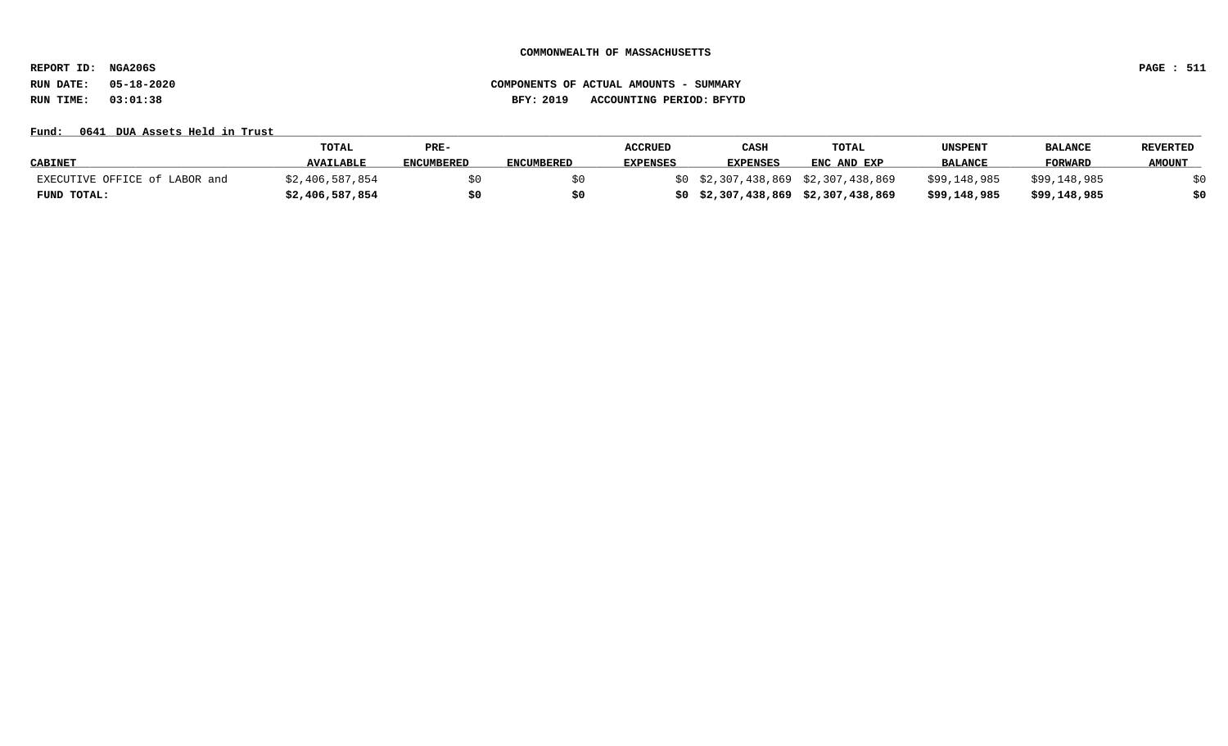**REPORT ID: NGA206S PAGE : 511**

# **RUN DATE: 05-18-2020 COMPONENTS OF ACTUAL AMOUNTS - SUMMARY RUN TIME: 03:01:38 BFY: 2019 ACCOUNTING PERIOD: BFYTD**

## Fund: 0641 DUA Assets Held in Trust

|                               | <b>TOTAL</b>     | PRE-              |                   | <b>ACCRUED</b>  | CASH            | TOTAL                               | <b>UNSPENT</b> | <b>BALANCE</b> | <b>REVERTED</b> |
|-------------------------------|------------------|-------------------|-------------------|-----------------|-----------------|-------------------------------------|----------------|----------------|-----------------|
| <b>CABINET</b>                | <b>AVAILABLE</b> | <b>ENCUMBERED</b> | <b>ENCUMBERED</b> | <b>EXPENSES</b> | <b>EXPENSES</b> | ENC AND EXP                         | <b>BALANCE</b> | FORWARD        | <b>AMOUNT</b>   |
| EXECUTIVE OFFICE of LABOR and | \$2,406,587,854  |                   |                   |                 |                 | \$0 \$2,307,438,869 \$2,307,438,869 | \$99,148,985   | \$99,148,985   |                 |
| FUND TOTAL:                   | \$2,406,587,854  |                   |                   |                 |                 | \$0\$2,307,438,869\$2,307,438,869   | \$99,148,985   | \$99,148,985   |                 |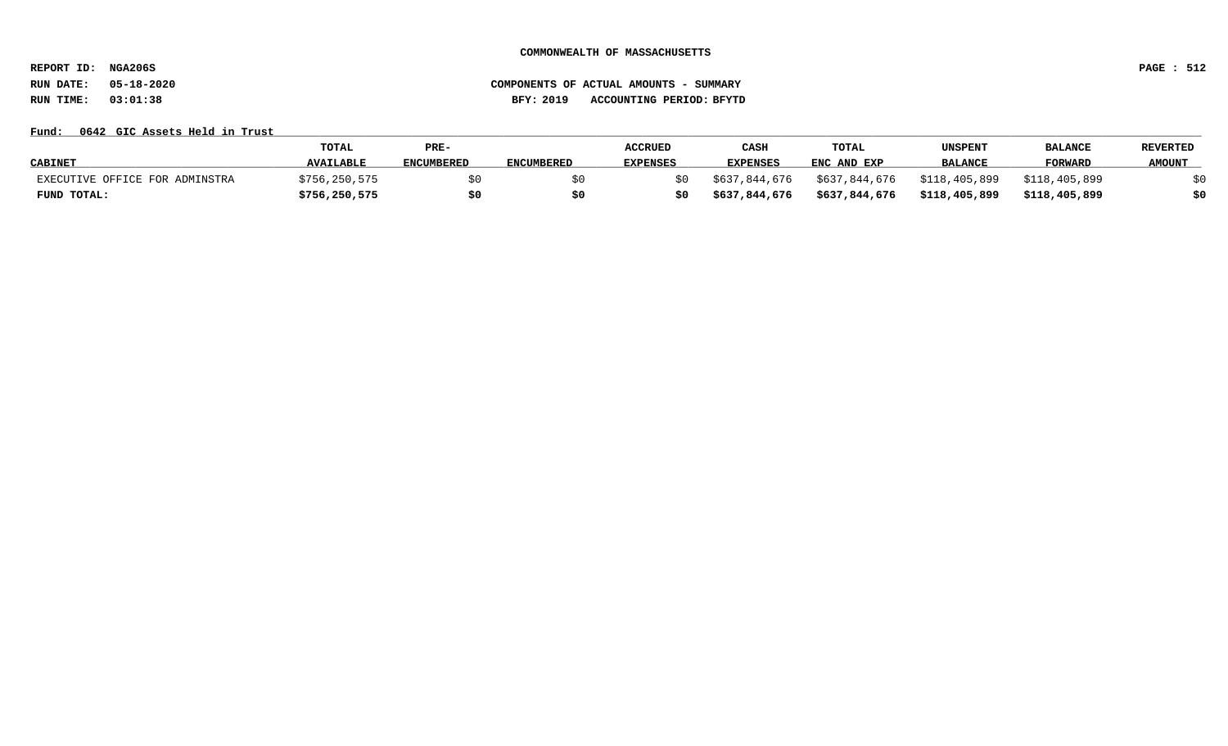**REPORT ID: NGA206S PAGE : 512**

## **RUN DATE: 05-18-2020 COMPONENTS OF ACTUAL AMOUNTS - SUMMARY RUN TIME: 03:01:38 BFY: 2019 ACCOUNTING PERIOD: BFYTD**

## Fund: 0642 GIC Assets Held in Trust

|                                | <b>TOTAL</b>     | PRE-              |                   | <b>ACCRUED</b>  | CASH            | TOTAL         | UNSPENT        | <b>BALANCI</b> | <b>REVERTED</b> |
|--------------------------------|------------------|-------------------|-------------------|-----------------|-----------------|---------------|----------------|----------------|-----------------|
| <b>CABINET</b>                 | <b>AVAILABLE</b> | <b>ENCUMBERED</b> | <b>ENCUMBERED</b> | <b>EXPENSES</b> | <b>EXPENSES</b> | ENC AND EXP   | <b>BALANCE</b> | FORWARD        | <b>AMOUNT</b>   |
| EXECUTIVE OFFICE FOR ADMINSTRA | \$756,250,575    |                   |                   | S O             | \$637,844,676   | \$637,844,676 | \$118,405,899  | \$118,405,899  |                 |
| FUND TOTAL:                    | \$756,250,575    |                   |                   | \$0             | \$637,844,676   | \$637,844,676 | \$118,405,899  | \$118,405,899  |                 |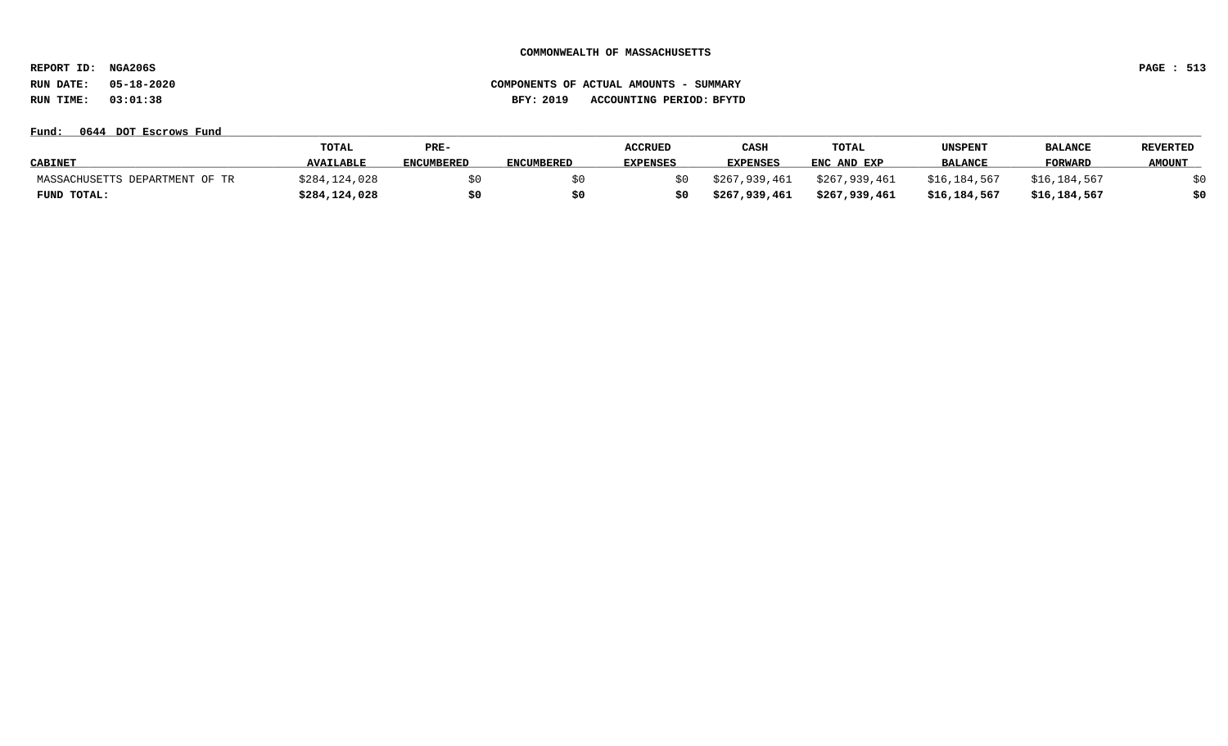**REPORT ID: NGA206S PAGE : 513**

## **RUN DATE: 05-18-2020 COMPONENTS OF ACTUAL AMOUNTS - SUMMARY RUN TIME: 03:01:38 BFY: 2019 ACCOUNTING PERIOD: BFYTD**

### **Fund: \_\_\_\_\_\_\_\_\_\_\_\_\_\_\_\_\_\_\_\_\_\_\_\_\_\_\_\_\_\_\_\_\_\_\_\_\_\_\_\_\_\_\_\_\_\_\_\_\_\_\_\_\_\_\_\_\_\_\_\_\_\_\_\_\_\_\_\_\_\_\_\_\_\_\_\_\_\_\_\_\_\_\_\_\_\_\_\_\_\_\_\_\_\_\_\_\_\_\_\_\_\_\_\_\_\_\_\_\_\_\_\_\_\_\_\_\_\_\_\_\_\_\_\_\_\_\_\_\_\_\_\_\_\_\_\_\_\_\_\_\_\_\_\_\_\_\_\_\_\_\_\_\_\_\_\_\_\_\_\_\_\_\_\_\_\_\_\_\_\_\_\_\_\_\_\_\_\_ 0644 DOT Escrows Fund**

|                                | TOTAL            | PRE-              |                   | <b>ACCRUED</b>  | CASH            | TOTAL         | UNSPENT        | <b>BALANCE</b> | <b>REVERTED</b> |
|--------------------------------|------------------|-------------------|-------------------|-----------------|-----------------|---------------|----------------|----------------|-----------------|
| <b>CABINET</b>                 | <b>AVAILABLE</b> | <b>ENCUMBERED</b> | <b>ENCUMBERED</b> | <b>EXPENSES</b> | <b>EXPENSES</b> | ENC AND EXP   | <b>BALANCE</b> | FORWARD        | <b>AMOUNT</b>   |
| MASSACHUSETTS DEPARTMENT OF TR | \$284,124,028    |                   |                   | S O             | \$267,939,461   | \$267,939,461 | \$16,184,567   | \$16,184,567   |                 |
| FUND TOTAL:                    | \$284,124,028    |                   | \$0               | \$0             | \$267,939,461   | \$267,939,461 | \$16,184,567   | \$16,184,567   | \$0             |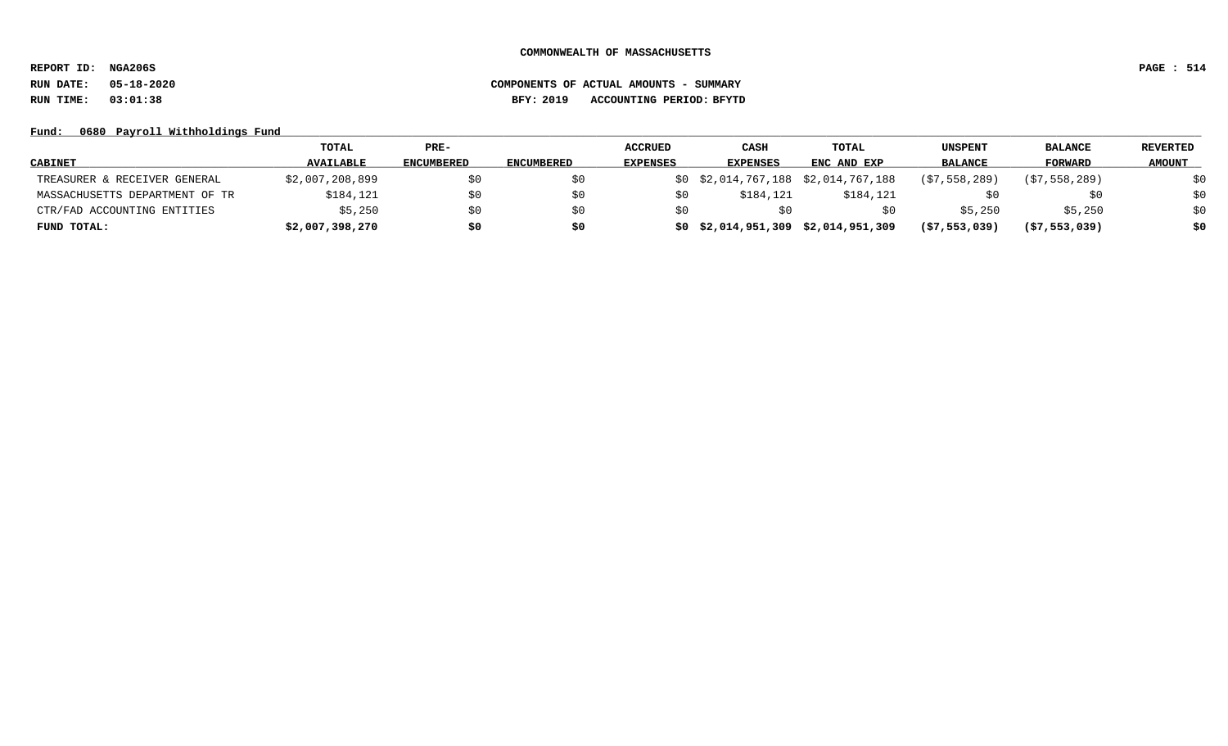**REPORT ID: NGA206S PAGE : 514**

# **RUN DATE: 05-18-2020 COMPONENTS OF ACTUAL AMOUNTS - SUMMARY RUN TIME: 03:01:38 BFY: 2019 ACCOUNTING PERIOD: BFYTD**

## Fund: 0680 Payroll Withholdings Fund

|                                | TOTAL            | $PRE-$            |                   | <b>ACCRUED</b>  | <b>CASH</b>                            | TOTAL       | UNSPENT        | <b>BALANCE</b> | <b>REVERTED</b> |
|--------------------------------|------------------|-------------------|-------------------|-----------------|----------------------------------------|-------------|----------------|----------------|-----------------|
| <b>CABINET</b>                 | <b>AVAILABLE</b> | <b>ENCUMBERED</b> | <b>ENCUMBERED</b> | <b>EXPENSES</b> | <b>EXPENSES</b>                        | ENC AND EXP | <b>BALANCE</b> | <b>FORWARD</b> | <b>AMOUNT</b>   |
| TREASURER & RECEIVER GENERAL   | \$2,007,208,899  |                   | SO.               |                 | \$0 \$2,014,767,188 \$2,014,767,188    |             | (S7, 558, 289) | (57, 558, 289) |                 |
| MASSACHUSETTS DEPARTMENT OF TR | \$184,121        | \$0               | SO.               | \$0             | \$184,121                              | \$184,121   |                | Ş0             | \$0             |
| CTR/FAD ACCOUNTING ENTITIES    | \$5,250          | \$0               | \$0               | \$0             |                                        |             | \$5,250        | \$5,250        | \$0             |
| FUND TOTAL:                    | \$2,007,398,270  | \$0               | \$0               |                 | $$0$ $$2,014,951,309$ $$2,014,951,309$ |             | (57, 553, 039) | (57, 553, 039) | \$0             |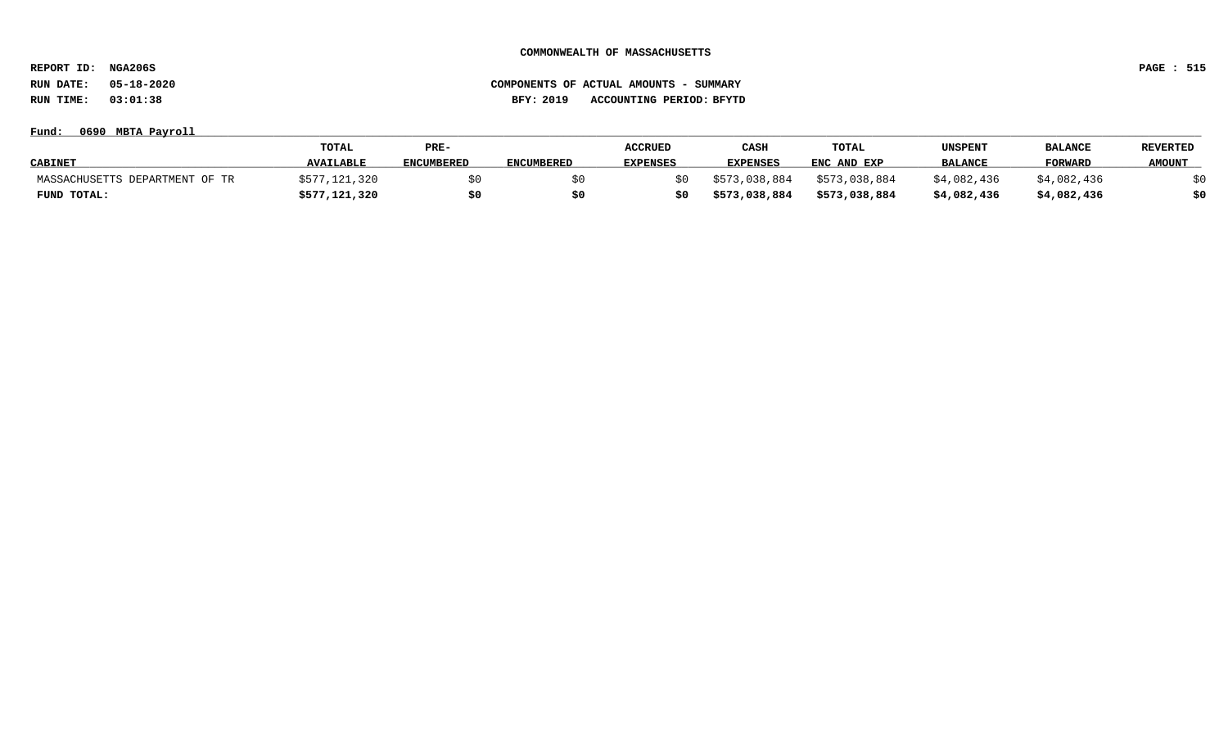**REPORT ID: NGA206S PAGE : 515**

**RUN DATE: 05-18-2020 COMPONENTS OF ACTUAL AMOUNTS - SUMMARY RUN TIME: 03:01:38 BFY: 2019 ACCOUNTING PERIOD: BFYTD**

**Fund: \_\_\_\_\_\_\_\_\_\_\_\_\_\_\_\_\_\_\_\_\_\_\_\_\_\_\_\_\_\_\_\_\_\_\_\_\_\_\_\_\_\_\_\_\_\_\_\_\_\_\_\_\_\_\_\_\_\_\_\_\_\_\_\_\_\_\_\_\_\_\_\_\_\_\_\_\_\_\_\_\_\_\_\_\_\_\_\_\_\_\_\_\_\_\_\_\_\_\_\_\_\_\_\_\_\_\_\_\_\_\_\_\_\_\_\_\_\_\_\_\_\_\_\_\_\_\_\_\_\_\_\_\_\_\_\_\_\_\_\_\_\_\_\_\_\_\_\_\_\_\_\_\_\_\_\_\_\_\_\_\_\_\_\_\_\_\_\_\_\_\_\_\_\_\_\_\_\_ 0690 MBTA Payroll**

|                                | <b>TOTAL</b>     | PRE-              |                   | <b>ACCRUED</b>  | CASH            | <b>TOTAL</b>  | UNSPENT        | <b>BALANCE</b> | REVERTED      |
|--------------------------------|------------------|-------------------|-------------------|-----------------|-----------------|---------------|----------------|----------------|---------------|
| <b>CABINET</b>                 | <b>AVAILABLE</b> | <b>ENCUMBERED</b> | <b>ENCUMBERED</b> | <b>EXPENSES</b> | <b>EXPENSES</b> | ENC AND EXP   | <b>BALANCE</b> | <b>FORWARD</b> | <b>AMOUNT</b> |
| MASSACHUSETTS DEPARTMENT OF TR | /,121,320        |                   |                   |                 | \$573,038,884   | \$573,038,884 | \$4,082,436    | \$4,082,436    |               |
| FUND TOTAL:                    | \$577,121,320    | \$0               |                   |                 | \$573,038,884   | \$573,038,884 | \$4,082,436    | \$4,082,436    |               |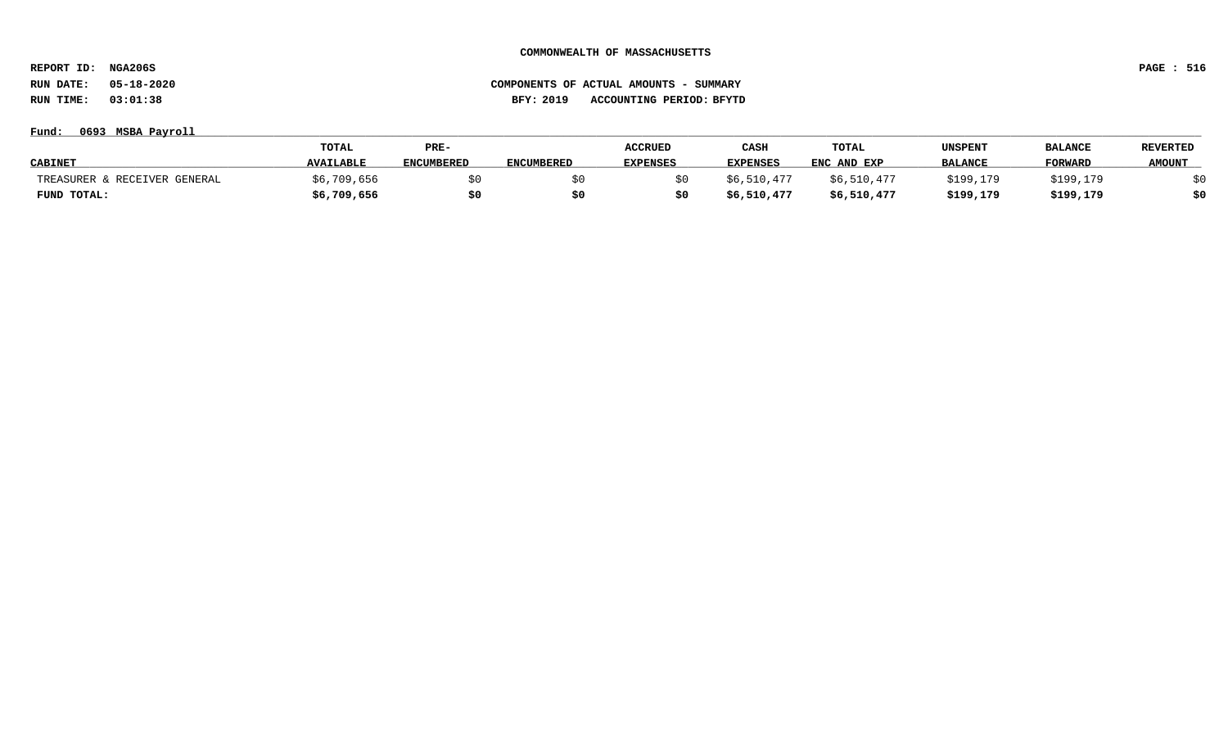**REPORT ID: NGA206S PAGE : 516**

## **Fund: \_\_\_\_\_\_\_\_\_\_\_\_\_\_\_\_\_\_\_\_\_\_\_\_\_\_\_\_\_\_\_\_\_\_\_\_\_\_\_\_\_\_\_\_\_\_\_\_\_\_\_\_\_\_\_\_\_\_\_\_\_\_\_\_\_\_\_\_\_\_\_\_\_\_\_\_\_\_\_\_\_\_\_\_\_\_\_\_\_\_\_\_\_\_\_\_\_\_\_\_\_\_\_\_\_\_\_\_\_\_\_\_\_\_\_\_\_\_\_\_\_\_\_\_\_\_\_\_\_\_\_\_\_\_\_\_\_\_\_\_\_\_\_\_\_\_\_\_\_\_\_\_\_\_\_\_\_\_\_\_\_\_\_\_\_\_\_\_\_\_\_\_\_\_\_\_\_\_ 0693 MSBA Payroll**

|                              | <b>TOTAL</b>     | PRE-              |                   | <b>ACCRUED</b>  | CASH            | TOTAL       | <b>UNSPENT</b> | <b>BALANCE</b> | <b>REVERTED</b> |
|------------------------------|------------------|-------------------|-------------------|-----------------|-----------------|-------------|----------------|----------------|-----------------|
| <b>CABINET</b>               | <b>AVAILABLE</b> | <b>ENCUMBERED</b> | <b>ENCUMBERED</b> | <b>EXPENSES</b> | <b>EXPENSES</b> | ENC AND EXP | <b>BALANCE</b> | <b>FORWARD</b> | <b>AMOUNT</b>   |
| TREASURER & RECEIVER GENERAL | \$6,709,656      |                   |                   |                 | \$6,510,477     | \$6,510,477 | \$199,179      | \$199,179      |                 |
| FUND TOTAL:                  | \$6,709,656      |                   | S0                |                 | \$6,510,477     | \$6,510,477 | \$199,179      | \$199,179      | \$0             |

# **RUN DATE: 05-18-2020 COMPONENTS OF ACTUAL AMOUNTS - SUMMARY RUN TIME: 03:01:38 BFY: 2019 ACCOUNTING PERIOD: BFYTD**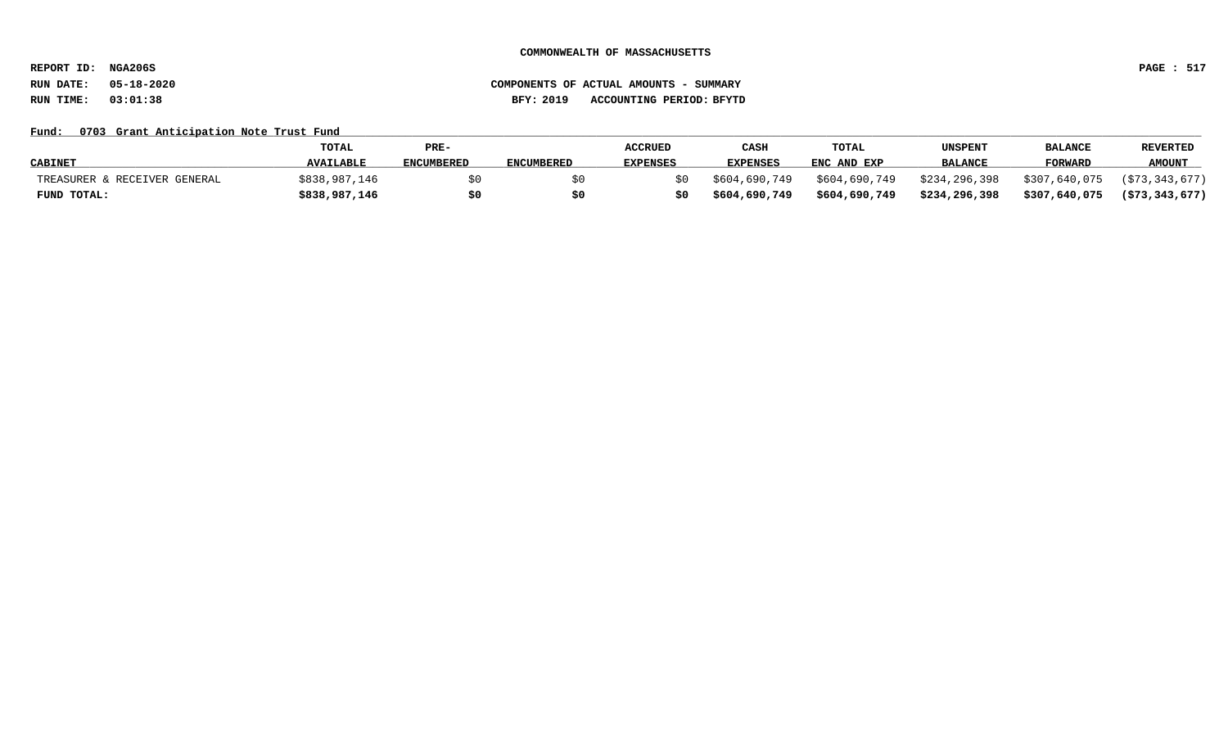**REPORT ID: NGA206S PAGE : 517**

## **RUN DATE: 05-18-2020 COMPONENTS OF ACTUAL AMOUNTS - SUMMARY RUN TIME: 03:01:38 BFY: 2019 ACCOUNTING PERIOD: BFYTD**

## Fund: 0703 Grant Anticipation Note Trust Fund

|                              | <b>TOTAL</b>     | PRE-              |                   | <b>ACCRUED</b>  | CASH            | <b>TOTAL</b>  | <b>UNSPENT</b> | <b>BALANCE</b> | <b>REVERTED</b>   |
|------------------------------|------------------|-------------------|-------------------|-----------------|-----------------|---------------|----------------|----------------|-------------------|
| <b>CABINET</b>               | <b>AVAILABLE</b> | <b>ENCUMBERED</b> | <b>ENCUMBERED</b> | <b>EXPENSES</b> | <b>EXPENSES</b> | ENC AND EXP   | <b>BALANCE</b> | FORWARD        | <b>AMOUNT</b>     |
| TREASURER & RECEIVER GENERAL | \$838,987,146    |                   |                   | S O             | \$604,690,749   | \$604,690,749 | \$234,296,398  | \$307,640,075  | (\$73,343,677)    |
| FUND TOTAL:                  | \$838,987,146    |                   |                   | \$0             | \$604,690,749   | \$604,690,749 | \$234,296,398  | \$307,640,075  | $($ \$73,343,677) |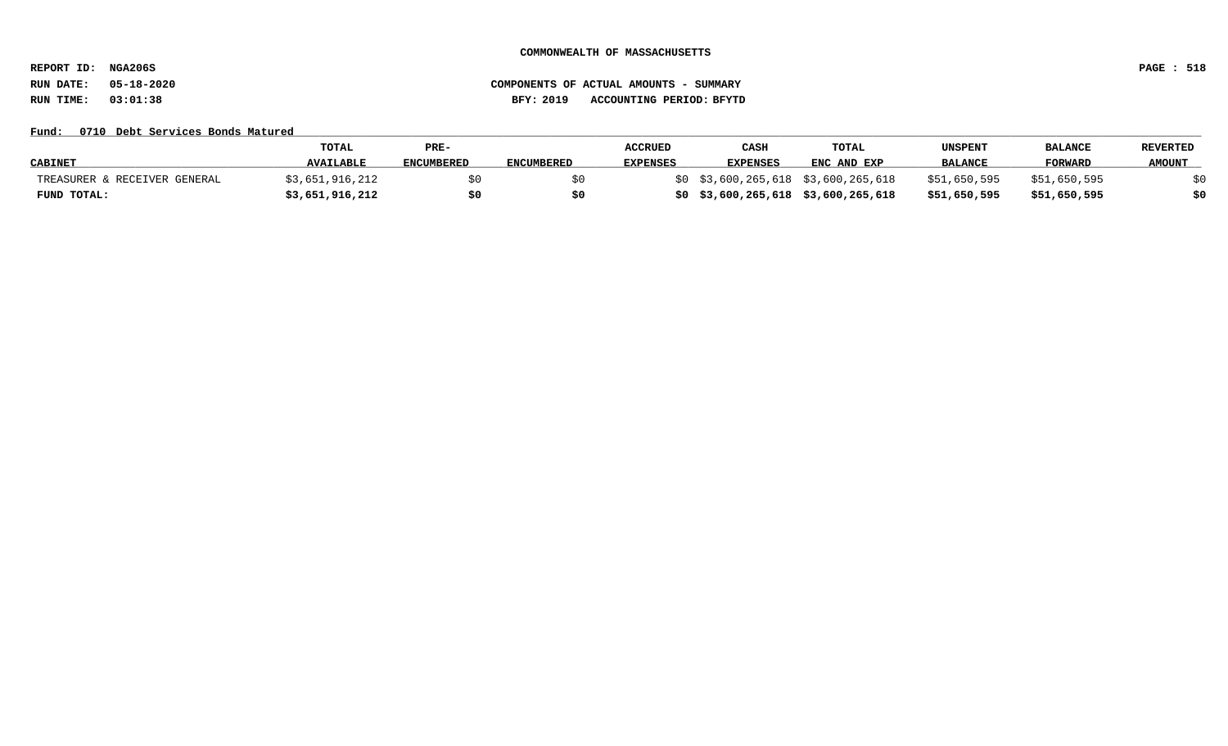**REPORT ID: NGA206S PAGE : 518**

# **RUN DATE: 05-18-2020 COMPONENTS OF ACTUAL AMOUNTS - SUMMARY RUN TIME: 03:01:38 BFY: 2019 ACCOUNTING PERIOD: BFYTD**

### Fund: 0710 Debt Services Bonds Matured

|                              | <b>TOTAL</b>     | PRE-              |                   | <b>ACCRUED</b>  | CASH                                | TOTAL       | <b>UNSPENT</b> | <b>BALANCE</b> | <b>REVERTED</b> |
|------------------------------|------------------|-------------------|-------------------|-----------------|-------------------------------------|-------------|----------------|----------------|-----------------|
| <b>CABINET</b>               | <b>AVAILABLE</b> | <b>ENCUMBERED</b> | <b>ENCUMBERED</b> | <b>EXPENSES</b> | <b>EXPENSES</b>                     | ENC AND EXP | <b>BALANCE</b> | <b>FORWARD</b> | <b>AMOUNT</b>   |
| TREASURER & RECEIVER GENERAL | \$3,651,916,212  |                   |                   |                 | \$0 \$3,600,265,618 \$3,600,265,618 |             | \$51,650,595   | \$51,650,595   |                 |
| FUND TOTAL:                  | \$3,651,916,212  |                   |                   |                 | \$0\$3,600,265,618\$3,600,265,618   |             | \$51,650,595   | \$51,650,595   |                 |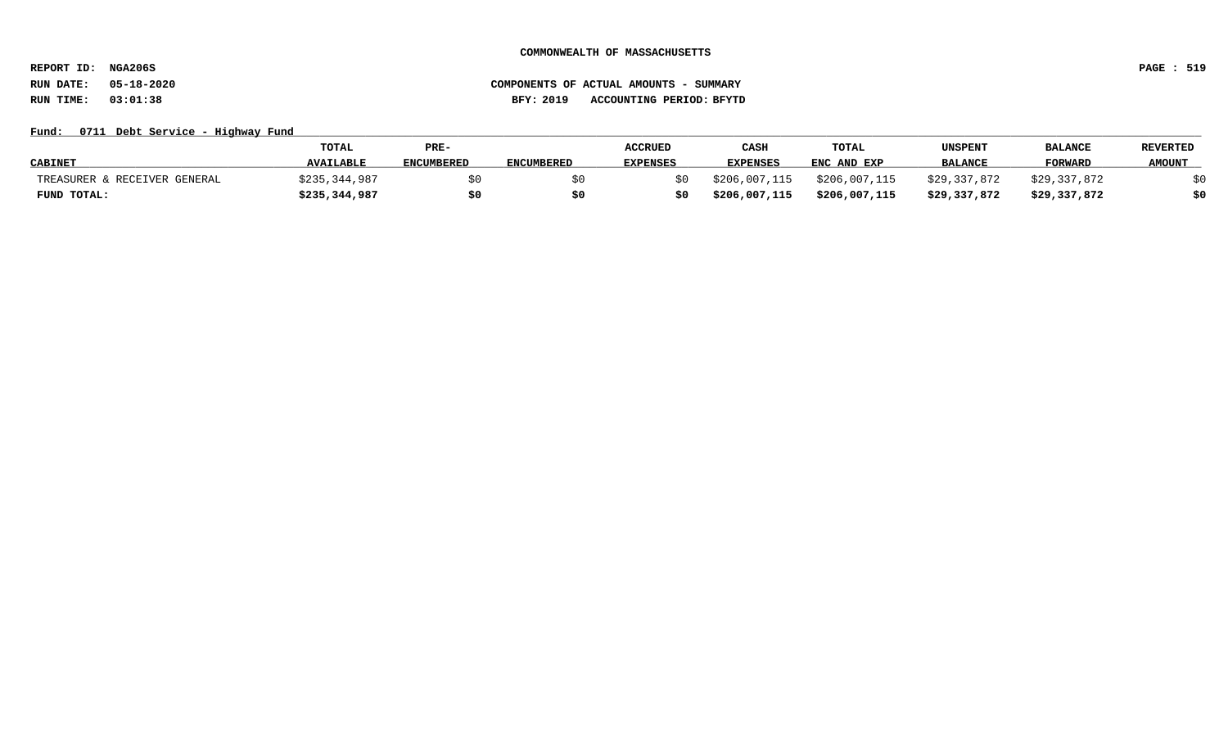**REPORT ID: NGA206S PAGE : 519**

# **RUN DATE: 05-18-2020 COMPONENTS OF ACTUAL AMOUNTS - SUMMARY RUN TIME: 03:01:38 BFY: 2019 ACCOUNTING PERIOD: BFYTD**

## Fund: 0711 Debt Service - Highway Fund

|                              | <b>TOTAL</b>     | PRE-              |                   | <b>ACCRUED</b>  | CASE          | <b>TOTAL</b>  | UNSPENT        | <b>BALANCE</b> | <b>REVERTED</b> |
|------------------------------|------------------|-------------------|-------------------|-----------------|---------------|---------------|----------------|----------------|-----------------|
| <b>CABINET</b>               | <b>AVAILABLE</b> | <b>ENCUMBERED</b> | <b>ENCUMBERED</b> | <b>EXPENSES</b> | EXPENSES      | ENC AND EXP   | <b>BALANCE</b> | <b>FORWARD</b> | <b>AMOUNT</b>   |
| TREASURER & RECEIVER GENERAL | \$235,344,987    |                   |                   |                 | \$206,007,115 | \$206,007,115 | \$29,337,872   | \$29,337,872   |                 |
| FUND TOTAL:                  | \$235,344,987    | \$0               | S0                |                 | \$206,007,115 | \$206,007,115 | \$29,337,872   | \$29,337,872   | \$0             |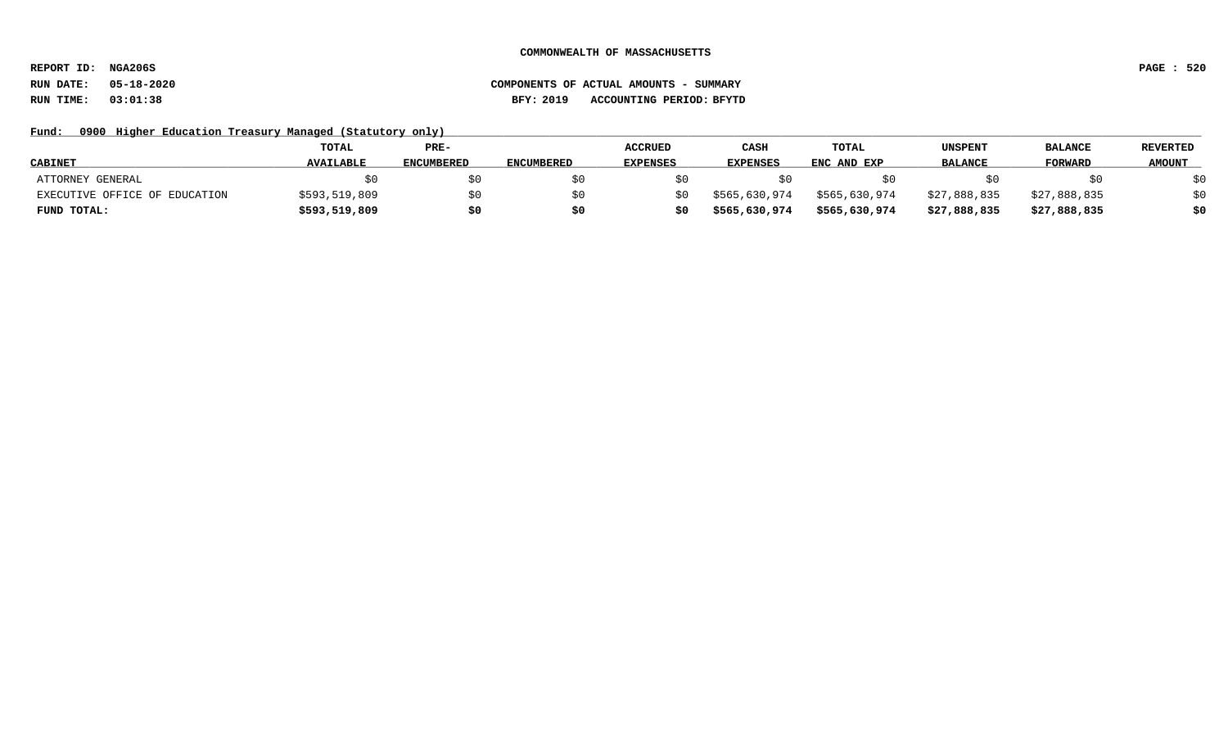**REPORT ID: NGA206S PAGE : 520**

# **RUN DATE: 05-18-2020 COMPONENTS OF ACTUAL AMOUNTS - SUMMARY RUN TIME: 03:01:38 BFY: 2019 ACCOUNTING PERIOD: BFYTD**

Fund: 0900 Higher Education Treasury Managed (Statutory only)

|                               | TOTAL            | PRE-              |                   | <b>ACCRUED</b>  | CASH          | TOTAL         | UNSPENT        | <b>BALANCE</b> | <b>REVERTED</b> |
|-------------------------------|------------------|-------------------|-------------------|-----------------|---------------|---------------|----------------|----------------|-----------------|
| <b>CABINET</b>                | <b>AVAILABLE</b> | <b>ENCUMBERED</b> | <b>ENCUMBERED</b> | <b>EXPENSES</b> | EXPENSES      | ENC AND EXP   | <b>BALANCE</b> | <b>FORWARD</b> | <b>AMOUNT</b>   |
| ATTORNEY GENERAL              |                  |                   |                   |                 |               |               |                |                | \$0             |
| EXECUTIVE OFFICE OF EDUCATION | \$593,519,809    | SO.               |                   |                 | \$565,630,974 | \$565,630,974 | \$27,888,835   | \$27,888,835   | \$0             |
| FUND TOTAL:                   | \$593,519,809    | \$0               |                   |                 | \$565,630,974 | \$565,630,974 | \$27,888,835   | \$27,888,835   | \$0             |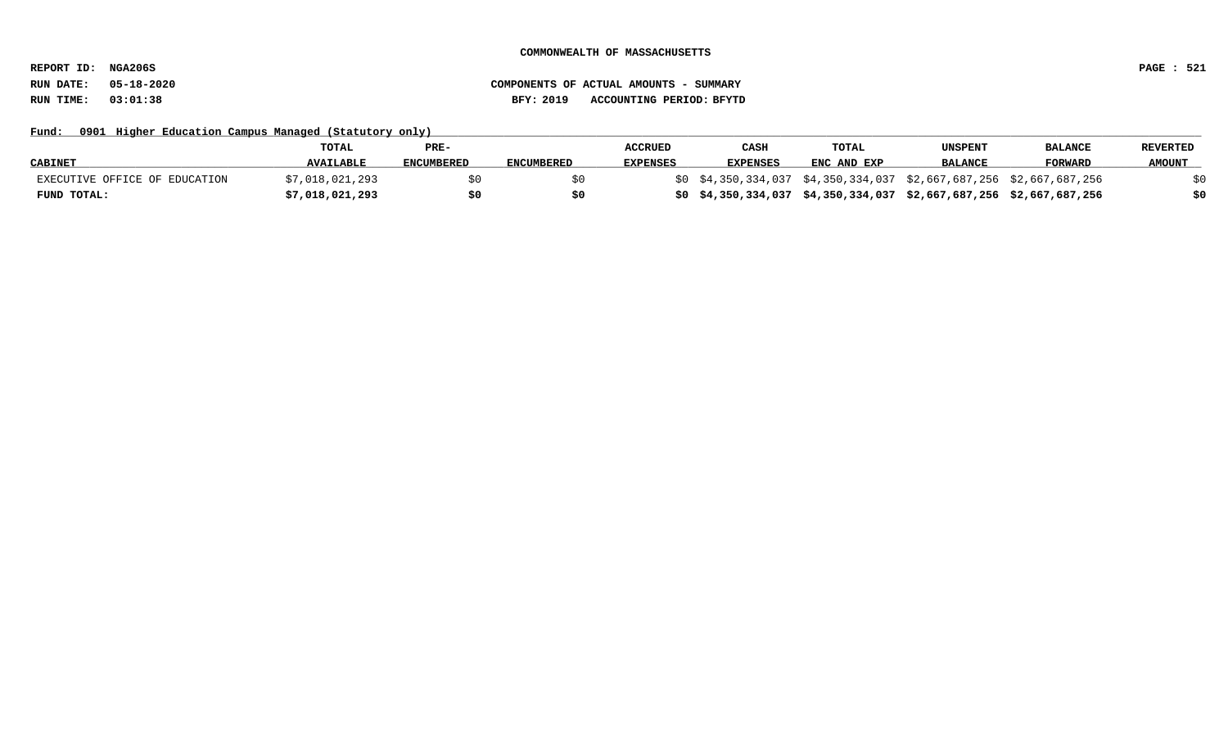**REPORT ID: NGA206S PAGE : 521**

Fund: 0901 Higher Education Campus Managed (Statutory only)

|                               | <b>TOTAL</b>     | PRE-       |                   | <b>ACCRUED</b>  | CASH            | <b>TOTAL</b> | UNSPENT        | <b>BALANCE</b>                                                      | <b>REVERTED</b> |
|-------------------------------|------------------|------------|-------------------|-----------------|-----------------|--------------|----------------|---------------------------------------------------------------------|-----------------|
| <b>CABINET</b>                | <b>AVAILABLE</b> | ENCUMBERED | <b>ENCUMBERED</b> | <b>EXPENSES</b> | <b>EXPENSES</b> | ENC AND EXP  | <b>BALANCE</b> | <b>FORWARD</b>                                                      | <b>AMOUNT</b>   |
| EXECUTIVE OFFICE OF EDUCATION | \$7,018,021,293  |            |                   |                 |                 |              |                | \$0 \$4,350,334,037 \$4,350,334,037 \$2,667,687,256 \$2,667,687,256 |                 |
| FUND TOTAL:                   | \$7,018,021,293  | \$0        |                   |                 |                 |              |                | \$0 \$4,350,334,037 \$4,350,334,037 \$2,667,687,256 \$2,667,687,256 | \$0             |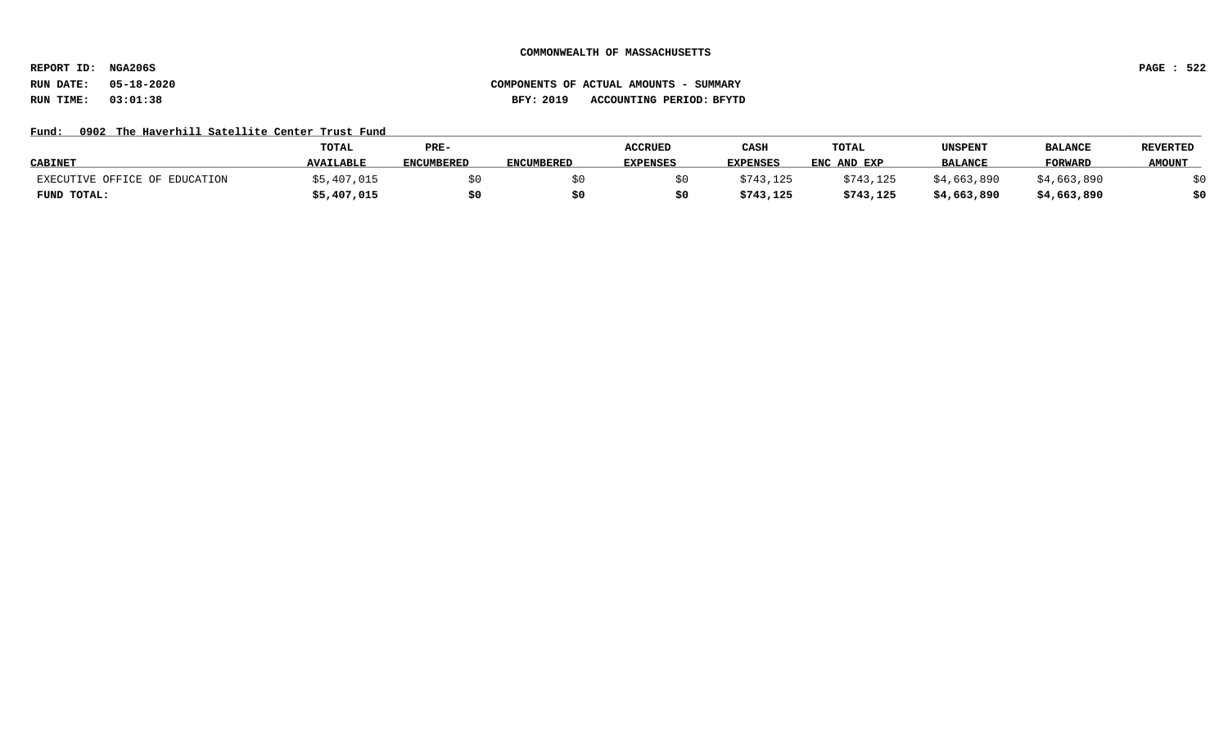**REPORT ID: NGA206S PAGE : 522**

## **RUN DATE: 05-18-2020 COMPONENTS OF ACTUAL AMOUNTS - SUMMARY RUN TIME: 03:01:38 BFY: 2019 ACCOUNTING PERIOD: BFYTD**

## Fund: 0902 The Haverhill Satellite Center Trust Fund

|                               | <b>TOTAL</b>     | PRE-       |                   | <b>ACCRUED</b>  | CASH      | <b>TOTAL</b> | UNSPENT        | <b>BALANCE</b> | <b>REVERTED</b> |
|-------------------------------|------------------|------------|-------------------|-----------------|-----------|--------------|----------------|----------------|-----------------|
| <b>CABINET</b>                | <b>AVAILABLE</b> | ENCUMBERED | <b>ENCUMBERED</b> | <b>EXPENSES</b> | EXPENSES  | ENC AND EXP  | <b>BALANCE</b> | <b>FORWARD</b> | <b>AMOUNT</b>   |
| EXECUTIVE OFFICE OF EDUCATION | \$5,407,015      |            |                   |                 | \$743,125 | \$743,125    | \$4,663,890    | \$4,663,890    |                 |
| FUND TOTAL:                   | \$5,407,015      | \$0        |                   |                 | \$743,125 | \$743,125    | \$4,663,890    | \$4,663,890    | \$0             |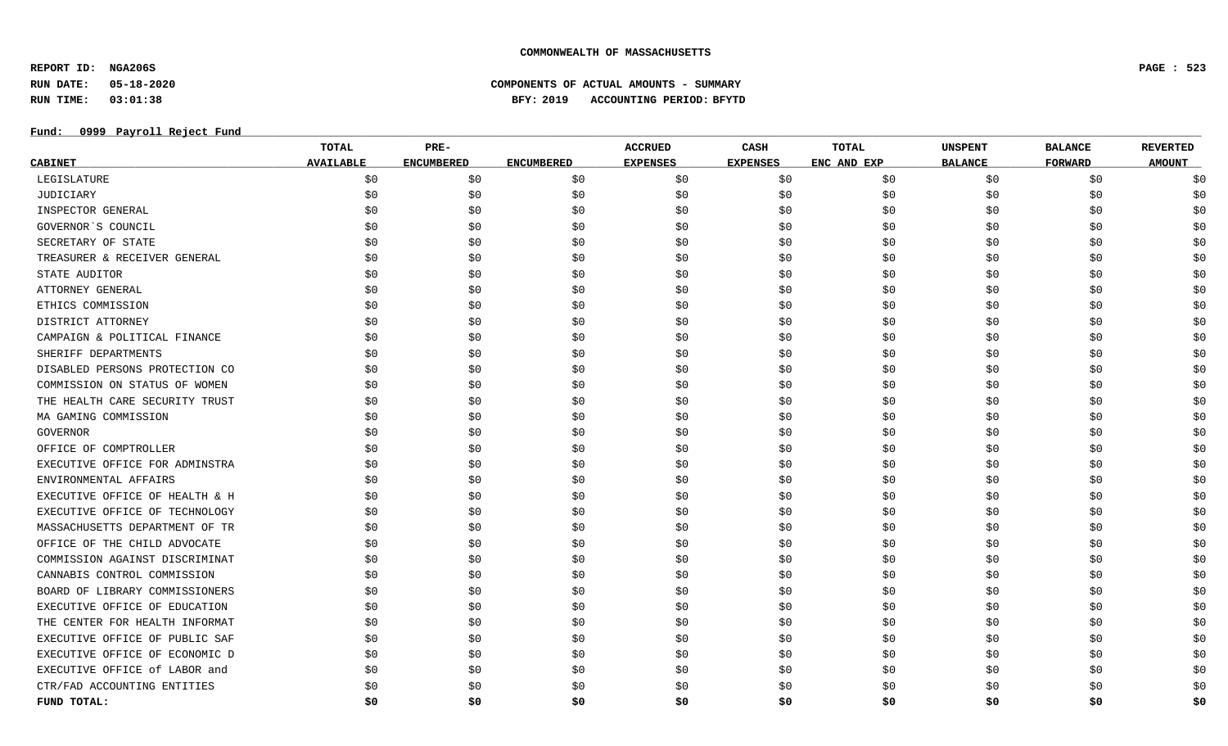**REPORT ID: NGA206S PAGE : 523**

**RUN DATE: 05-18-2020 COMPONENTS OF ACTUAL AMOUNTS - SUMMARY**

**RUN TIME: 03:01:38 BFY: 2019 ACCOUNTING PERIOD: BFYTD**

## **Fund: \_\_\_\_\_\_\_\_\_\_\_\_\_\_\_\_\_\_\_\_\_\_\_\_\_\_\_\_\_\_\_\_\_\_\_\_\_\_\_\_\_\_\_\_\_\_\_\_\_\_\_\_\_\_\_\_\_\_\_\_\_\_\_\_\_\_\_\_\_\_\_\_\_\_\_\_\_\_\_\_\_\_\_\_\_\_\_\_\_\_\_\_\_\_\_\_\_\_\_\_\_\_\_\_\_\_\_\_\_\_\_\_\_\_\_\_\_\_\_\_\_\_\_\_\_\_\_\_\_\_\_\_\_\_\_\_\_\_\_\_\_\_\_\_\_\_\_\_\_\_\_\_\_\_\_\_\_\_\_\_\_\_\_\_\_\_\_\_\_\_\_\_\_\_\_\_\_\_ 0999 Payroll Reject Fund**

|                                | <b>TOTAL</b>     | PRE-              |                   | <b>ACCRUED</b>  | CASH            | <b>TOTAL</b> | <b>UNSPENT</b> | <b>BALANCE</b> | <b>REVERTED</b> |
|--------------------------------|------------------|-------------------|-------------------|-----------------|-----------------|--------------|----------------|----------------|-----------------|
| <u>CABINET</u>                 | <b>AVAILABLE</b> | <b>ENCUMBERED</b> | <b>ENCUMBERED</b> | <b>EXPENSES</b> | <b>EXPENSES</b> | ENC AND EXP  | <b>BALANCE</b> | <b>FORWARD</b> | <b>AMOUNT</b>   |
| LEGISLATURE                    | \$0              | \$0               | \$0               | \$0             | \$0             | \$0\$        | \$0            | \$0            | \$0             |
| JUDICIARY                      | \$0              | \$0               | \$0               | \$0             | \$0             | \$0          | \$0            | \$0            | \$0             |
| INSPECTOR GENERAL              | \$0              | \$0               | \$0               | \$0             | \$0             | \$0          | \$0            | \$0            | \$0             |
| GOVERNOR'S COUNCIL             | \$0              | \$0               | \$0               | \$0             | \$0             | \$0          | \$0            | \$0            | \$0             |
| SECRETARY OF STATE             | \$0              | \$0               | \$0               | \$0             | \$0             | \$0          | \$0            | \$0            | \$0             |
| TREASURER & RECEIVER GENERAL   | \$0              | \$0               | \$0               | \$0             | \$0             | \$0          | \$0            | \$0            | \$0             |
| STATE AUDITOR                  | \$0              | \$0               | \$0               | \$0             | \$0             | \$0          | \$0            | \$0            | \$0             |
| ATTORNEY GENERAL               | \$0              | \$0               | \$0               | \$0             | \$0             | \$0          | \$0            | \$0            | \$0             |
| ETHICS COMMISSION              | \$0              | \$0               | \$0               | \$0             | \$0             | \$0          | \$0            | \$0            | \$0             |
| DISTRICT ATTORNEY              | \$0              | \$0               | \$0               | \$0             | \$0             | \$0          | \$0            | \$0            | \$0             |
| CAMPAIGN & POLITICAL FINANCE   | \$0              | \$0               | \$0               | \$0             | \$0             | \$0          | \$0            | \$0            | \$0             |
| SHERIFF DEPARTMENTS            | \$0              | \$0               | \$0               | \$0             | \$0             | \$0          | \$0            | \$0            | \$0             |
| DISABLED PERSONS PROTECTION CO | \$0              | \$0               | \$0               | \$0             | \$0             | \$0          | \$0            | \$0            | \$0             |
| COMMISSION ON STATUS OF WOMEN  | \$0              | \$0               | \$0               | \$0             | \$0             | \$0          | \$0            | \$0            | \$0             |
| THE HEALTH CARE SECURITY TRUST | \$0              | \$0               | \$0               | \$0             | \$0             | \$0          | \$0            | \$0            | \$0             |
| MA GAMING COMMISSION           | \$0              | \$0               | \$0               | \$0             | \$0             | \$0          | \$0            | \$0            | \$0             |
| GOVERNOR                       | \$0              | \$0               | \$0               | \$0             | \$0             | \$0          | \$0            | \$0            | \$0             |
| OFFICE OF COMPTROLLER          | \$0              | \$0               | \$0               | \$0             | \$0             | \$0          | \$0            | \$0            | \$0             |
| EXECUTIVE OFFICE FOR ADMINSTRA | \$0              | \$0               | \$0               | \$0             | \$0             | \$0          | \$0            | \$0            | \$0             |
| ENVIRONMENTAL AFFAIRS          | \$0              | \$0               | \$0               | \$0             | \$0             | \$0          | \$0            | \$0            | \$0             |
| EXECUTIVE OFFICE OF HEALTH & H | \$0              | \$0               | \$0               | \$0             | \$0             | \$0          | \$0            | \$0            | \$0             |
| EXECUTIVE OFFICE OF TECHNOLOGY | \$0              | \$0               | \$0               | \$0             | \$0             | \$0          | \$0            | \$0            | \$0             |
| MASSACHUSETTS DEPARTMENT OF TR | \$0              | \$0               | \$0               | \$0             | \$0             | \$0          | \$0            | \$0            | \$0             |
| OFFICE OF THE CHILD ADVOCATE   | \$0              | \$0               | \$0               | \$0             | \$0             | \$0          | \$0            | \$0            | \$0             |
| COMMISSION AGAINST DISCRIMINAT | \$0              | \$0               | \$0               | \$0             | \$0             | \$0          | \$0            | \$0            | \$0             |
| CANNABIS CONTROL COMMISSION    | \$0              | \$0               | \$0               | \$0             | \$0             | \$0          | \$0            | \$0            | \$0             |
| BOARD OF LIBRARY COMMISSIONERS | \$0              | \$0               | \$0               | \$0             | \$0             | \$0          | \$0            | \$0            | \$0             |
| EXECUTIVE OFFICE OF EDUCATION  | \$0              | \$0               | \$0               | \$0             | \$0             | \$0          | \$0            | \$0            | \$0             |
| THE CENTER FOR HEALTH INFORMAT | \$0              | \$0               | \$0               | \$0             | \$0             | \$0          | \$0            | \$0            | \$0             |
| EXECUTIVE OFFICE OF PUBLIC SAF | \$0              | \$0               | \$0               | \$0             | \$0             | \$0          | \$0            | \$0            | \$0             |
| EXECUTIVE OFFICE OF ECONOMIC D | \$0              | \$0               | \$0               | \$0             | \$0             | \$0          | \$0\$          | \$0            | \$0             |
| EXECUTIVE OFFICE of LABOR and  | \$0              | \$0               | \$0               | \$0             | \$0             | \$0          | \$0            | \$0            | \$0             |
| CTR/FAD ACCOUNTING ENTITIES    | \$0              | \$0               | \$0               | \$0             | \$0             | \$0          | \$0            | \$0            | \$0             |
| FUND TOTAL:                    | \$0              | \$0               | \$0               | S0              | \$0             | S0           | \$0            | \$0            | \$0             |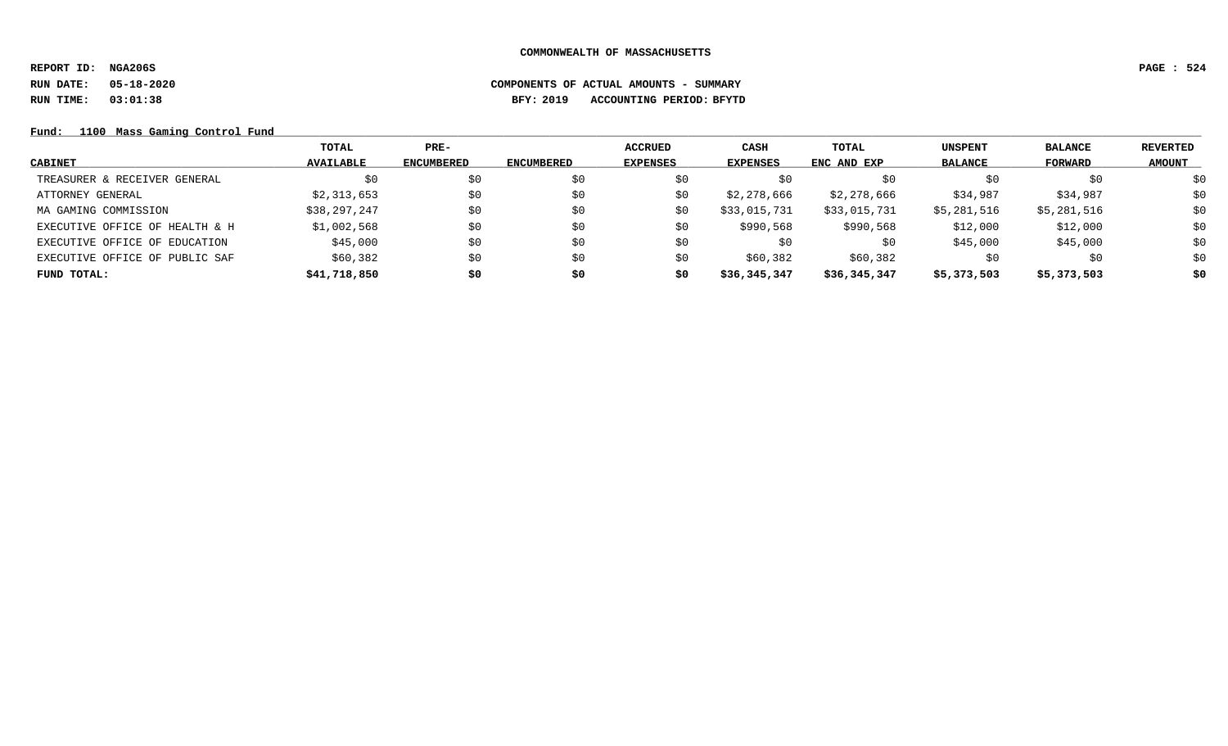**REPORT ID: NGA206S PAGE : 524**

# **RUN DATE: 05-18-2020 COMPONENTS OF ACTUAL AMOUNTS - SUMMARY RUN TIME: 03:01:38 BFY: 2019 ACCOUNTING PERIOD: BFYTD**

Fund: 1100 Mass Gaming Control Fund

|                                | TOTAL            | PRE-              |            | <b>ACCRUED</b>  | CASH            | TOTAL        | <b>UNSPENT</b> | <b>BALANCE</b> | <b>REVERTED</b> |
|--------------------------------|------------------|-------------------|------------|-----------------|-----------------|--------------|----------------|----------------|-----------------|
| <b>CABINET</b>                 | <b>AVAILABLE</b> | <b>ENCUMBERED</b> | ENCUMBERED | <b>EXPENSES</b> | <b>EXPENSES</b> | ENC AND EXP  | <b>BALANCE</b> | <b>FORWARD</b> | <b>AMOUNT</b>   |
| TREASURER & RECEIVER GENERAL   | \$0              | \$0               | \$0        | \$0             | \$0             | S0           | S0             | \$0            | \$0             |
| ATTORNEY GENERAL               | \$2,313,653      | \$0               | S0         | \$0             | \$2,278,666     | \$2,278,666  | \$34,987       | \$34,987       | \$0             |
| MA GAMING COMMISSION           | \$38,297,247     | \$0               | S0         | \$0             | \$33,015,731    | \$33,015,731 | \$5,281,516    | \$5,281,516    | \$0             |
| EXECUTIVE OFFICE OF HEALTH & H | \$1,002,568      | \$0               | \$0        | S0              | \$990,568       | \$990,568    | \$12,000       | \$12,000       | \$0             |
| EXECUTIVE OFFICE OF EDUCATION  | \$45,000         | \$0               | \$0        | \$0             | \$0             | \$0          | \$45,000       | \$45,000       | \$0             |
| EXECUTIVE OFFICE OF PUBLIC SAF | \$60,382         | \$0               | \$0        | S0              | \$60,382        | \$60,382     | S0             | \$0            | \$0             |
| FUND TOTAL:                    | \$41,718,850     | \$0               | \$0        | \$0             | \$36,345,347    | \$36,345,347 | \$5,373,503    | \$5,373,503    | \$0             |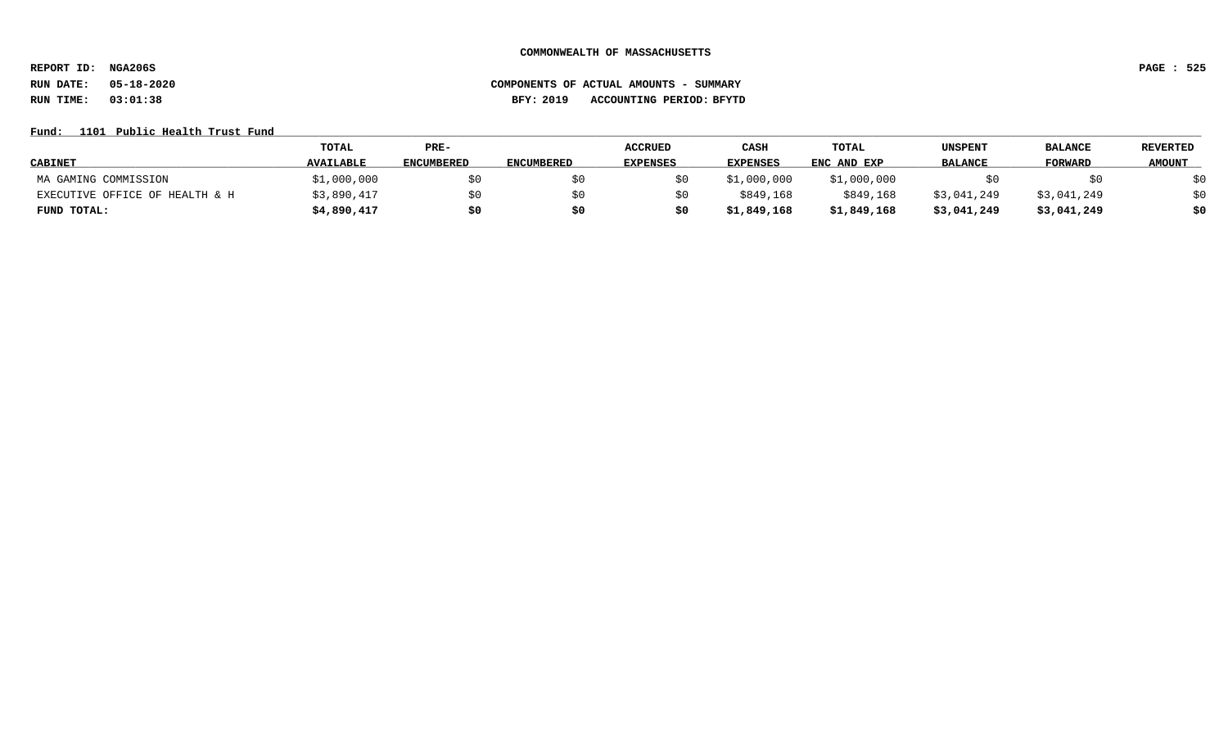**REPORT ID: NGA206S PAGE : 525**

# **RUN DATE: 05-18-2020 COMPONENTS OF ACTUAL AMOUNTS - SUMMARY RUN TIME: 03:01:38 BFY: 2019 ACCOUNTING PERIOD: BFYTD**

## Fund: 1101 Public Health Trust Fund

|                                | <b>TOTAL</b>     | PRE-              |            | <b>ACCRUED</b>  | CASH        | TOTAL       | UNSPENT        | <b>BALANCE</b> | <b>REVERTED</b> |
|--------------------------------|------------------|-------------------|------------|-----------------|-------------|-------------|----------------|----------------|-----------------|
| <b>CABINET</b>                 | <b>AVAILABLE</b> | <b>ENCUMBERED</b> | ENCUMBERED | <b>EXPENSES</b> | EXPENSES    | ENC AND EXP | <b>BALANCE</b> | <b>FORWARD</b> | <b>AMOUNT</b>   |
| MA GAMING COMMISSION           | \$1,000,000      | \$0               |            |                 | \$1,000,000 | \$1,000,000 |                |                | \$0             |
| EXECUTIVE OFFICE OF HEALTH & H | \$3,890,417      | \$0               |            |                 | \$849,168   | \$849,168   | \$3,041,249    | \$3,041,249    | \$0             |
| FUND TOTAL:                    | \$4,890,417      | \$0               | S0         | \$0             | \$1,849,168 | \$1,849,168 | \$3,041,249    | \$3,041,249    | \$0             |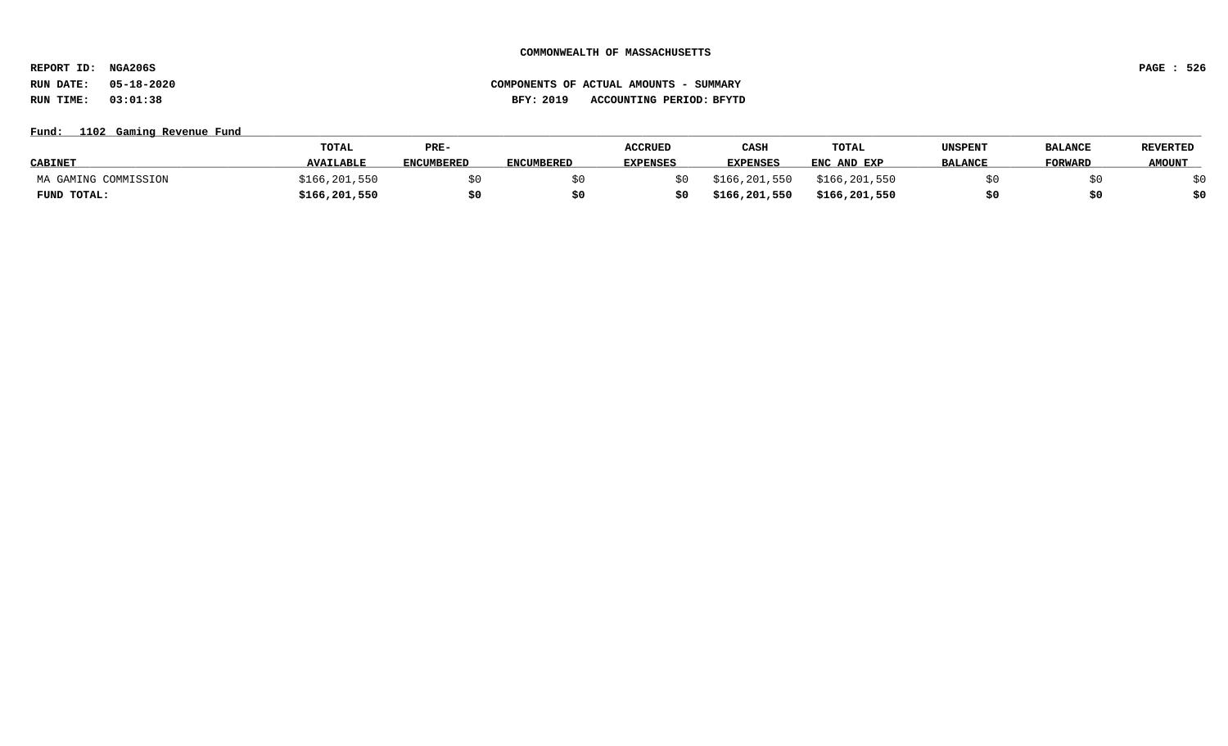**REPORT ID: NGA206S PAGE : 526**

## **RUN DATE: 05-18-2020 COMPONENTS OF ACTUAL AMOUNTS - SUMMARY RUN TIME: 03:01:38 BFY: 2019 ACCOUNTING PERIOD: BFYTD**

## **Fund: \_\_\_\_\_\_\_\_\_\_\_\_\_\_\_\_\_\_\_\_\_\_\_\_\_\_\_\_\_\_\_\_\_\_\_\_\_\_\_\_\_\_\_\_\_\_\_\_\_\_\_\_\_\_\_\_\_\_\_\_\_\_\_\_\_\_\_\_\_\_\_\_\_\_\_\_\_\_\_\_\_\_\_\_\_\_\_\_\_\_\_\_\_\_\_\_\_\_\_\_\_\_\_\_\_\_\_\_\_\_\_\_\_\_\_\_\_\_\_\_\_\_\_\_\_\_\_\_\_\_\_\_\_\_\_\_\_\_\_\_\_\_\_\_\_\_\_\_\_\_\_\_\_\_\_\_\_\_\_\_\_\_\_\_\_\_\_\_\_\_\_\_\_\_\_\_\_\_ 1102 Gaming Revenue Fund**

|                      | <b>TOTAL</b>     | PRE-              |                   | <b>ACCRUED</b>  | CASH            | TOTAL         | UNSPENT        | <b>BALANCE</b> | <b>REVERTED</b> |
|----------------------|------------------|-------------------|-------------------|-----------------|-----------------|---------------|----------------|----------------|-----------------|
| <b>CABINET</b>       | <b>AVAILABLE</b> | <b>ENCUMBERED</b> | <b>ENCUMBERED</b> | <b>EXPENSES</b> | <b>EXPENSES</b> | ENC AND EXP   | <b>BALANCE</b> | FORWARD        | <b>AMOUNT</b>   |
| MA GAMING COMMISSION | \$166,201,550    |                   |                   |                 | \$166,201,550   | \$166,201,550 |                |                |                 |
| FUND TOTAL:          | \$166,201,550    |                   |                   |                 | \$166,201,550   | \$166,201,550 |                |                | \$0             |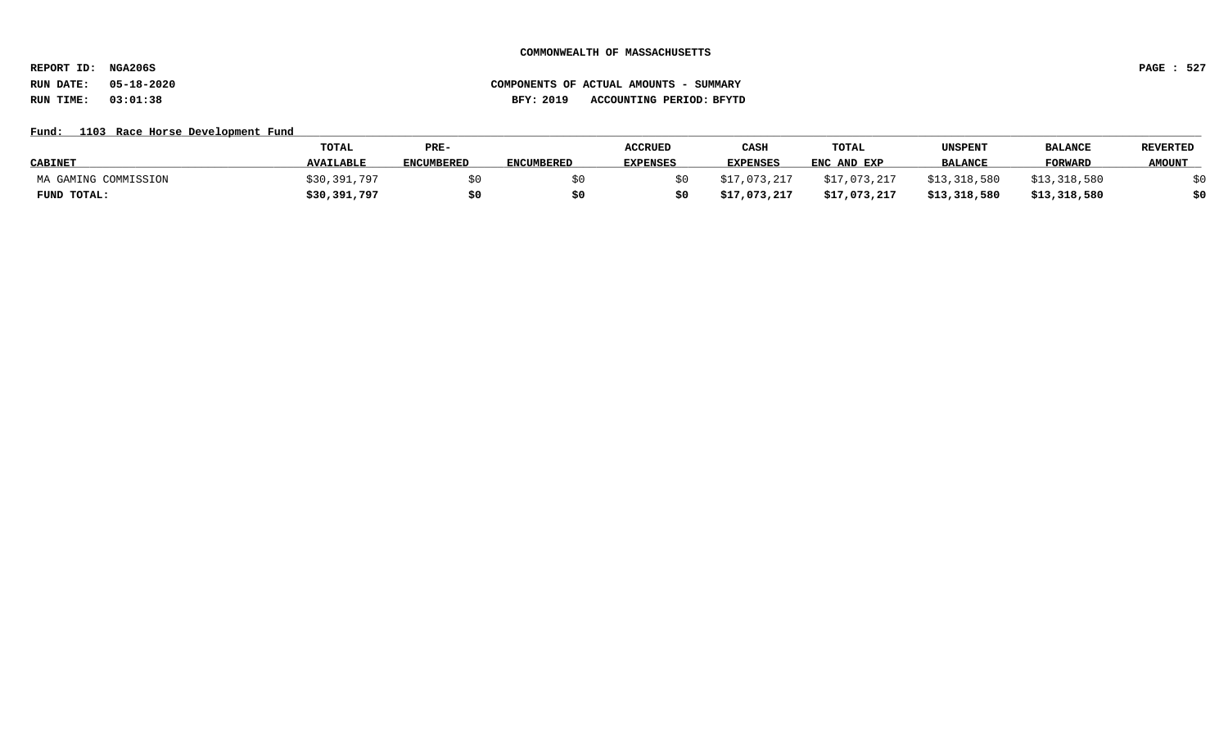**REPORT ID: NGA206S PAGE : 527**

# **RUN DATE: 05-18-2020 COMPONENTS OF ACTUAL AMOUNTS - SUMMARY RUN TIME: 03:01:38 BFY: 2019 ACCOUNTING PERIOD: BFYTD**

### Fund: 1103 Race Horse Development Fund

|                      | TOTAL            | PRE-              |                   | <b>ACCRUED</b>  | CASH            | TOTAL        | UNSPENT        | <b>BALANCE</b> | <b>REVERTED</b> |
|----------------------|------------------|-------------------|-------------------|-----------------|-----------------|--------------|----------------|----------------|-----------------|
| <b>CABINET</b>       | <b>AVAILABLE</b> | <b>ENCUMBERED</b> | <b>ENCUMBERED</b> | <b>EXPENSES</b> | <b>EXPENSES</b> | ENC AND EXP  | <b>BALANCE</b> | <b>FORWARD</b> | <b>AMOUNT</b>   |
| MA GAMING COMMISSION | \$30,391,797     |                   |                   |                 | \$17,073,217    | \$17,073,217 | \$13,318,580   | \$13,318,580   |                 |
| FUND TOTAL:          | \$30,391,797     | \$C               |                   |                 | \$17,073,217    | \$17,073,217 | \$13,318,580   | \$13,318,580   | \$0             |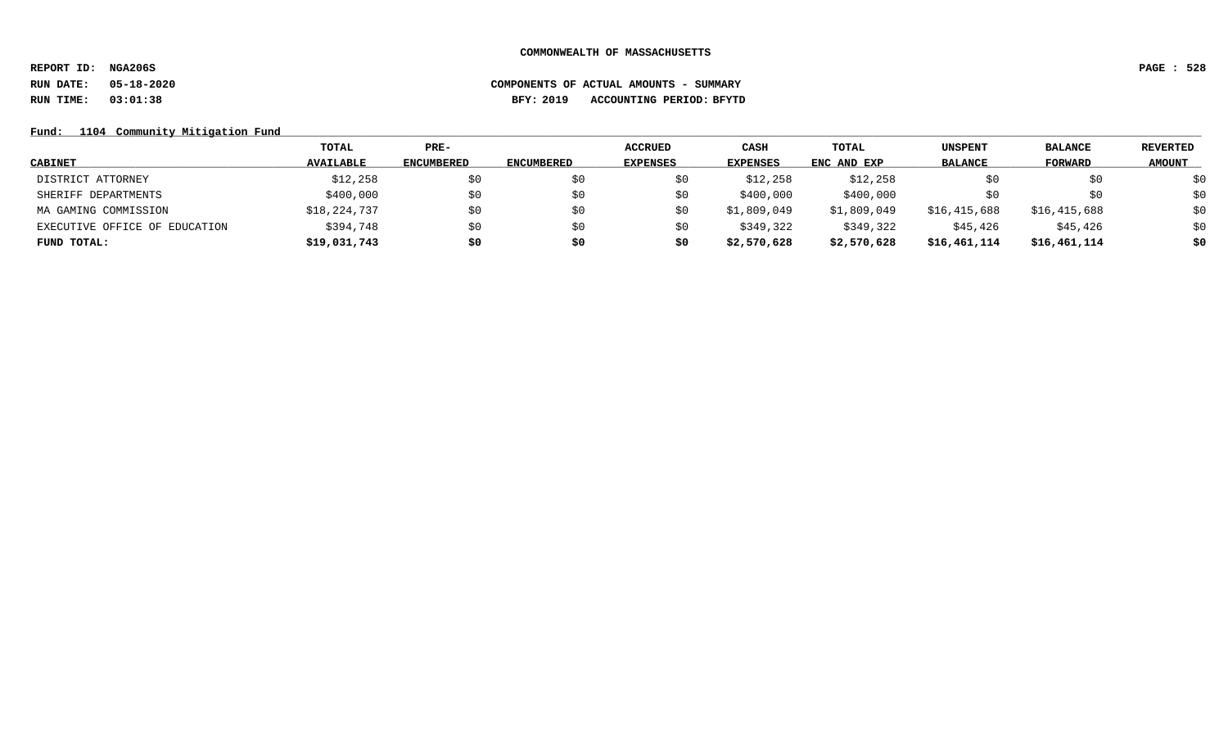**REPORT ID: NGA206S PAGE : 528 RUN DATE: 05-18-2020 COMPONENTS OF ACTUAL AMOUNTS - SUMMARY**

**RUN TIME: 03:01:38 BFY: 2019 ACCOUNTING PERIOD: BFYTD**

## Fund: 1104 Community Mitigation Fund

|                               | TOTAL            | $PRE-$            |                   | <b>ACCRUED</b>  | CASH            | TOTAL       | <b>UNSPENT</b> | <b>BALANCE</b> | REVERTED      |
|-------------------------------|------------------|-------------------|-------------------|-----------------|-----------------|-------------|----------------|----------------|---------------|
| <b>CABINET</b>                | <b>AVAILABLE</b> | <b>ENCUMBERED</b> | <b>ENCUMBERED</b> | <b>EXPENSES</b> | <b>EXPENSES</b> | ENC AND EXP | <b>BALANCE</b> | FORWARD        | <b>AMOUNT</b> |
| DISTRICT ATTORNEY             | \$12,258         | \$0               | S0                | \$0             | \$12,258        | \$12,258    |                | \$0            | \$0           |
| SHERIFF DEPARTMENTS           | \$400,000        | \$0               | SO.               | \$0             | \$400,000       | \$400,000   |                | \$0            | \$0           |
| MA GAMING COMMISSION          | \$18,224,737     | \$0               | SO.               | \$0             | \$1,809,049     | \$1,809,049 | \$16,415,688   | \$16,415,688   | \$0           |
| EXECUTIVE OFFICE OF EDUCATION | \$394,748        | \$0               | SO.               | SO.             | \$349,322       | \$349,322   | \$45,426       | \$45,426       | \$0           |
| FUND TOTAL:                   | \$19,031,743     | \$0               | \$0               | \$0             | \$2,570,628     | \$2,570,628 | \$16,461,114   | \$16,461,114   | \$0           |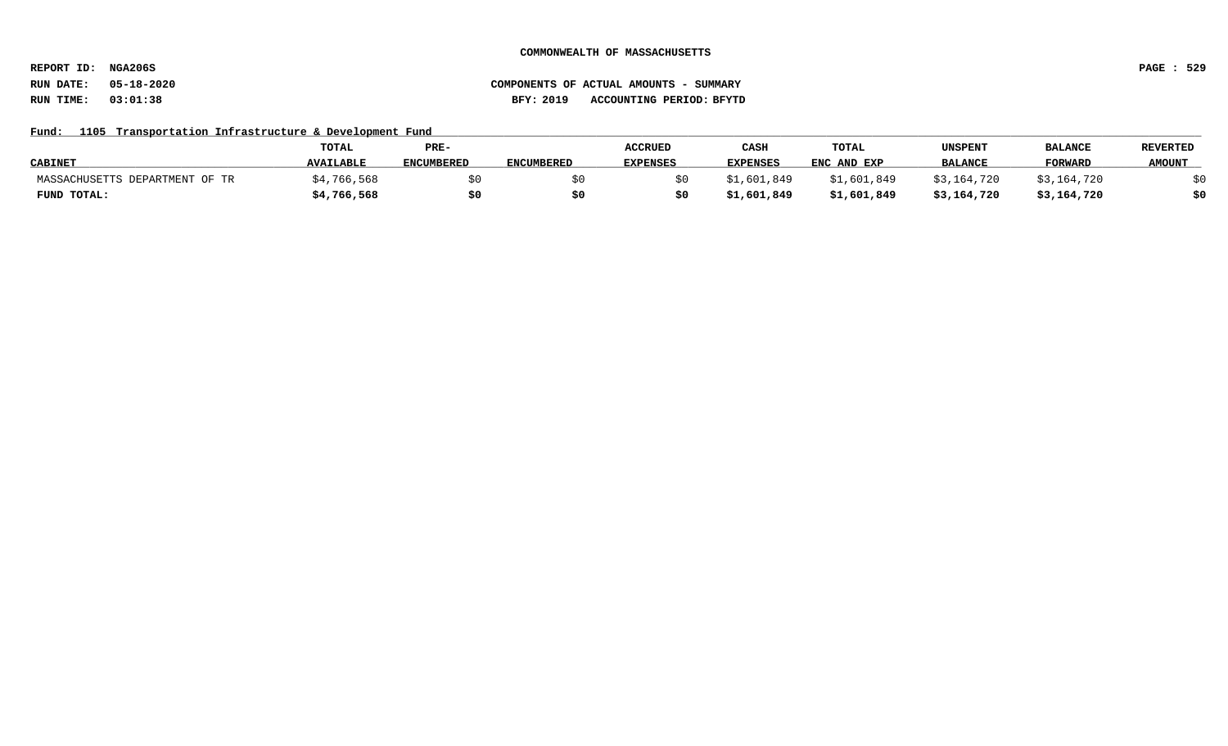**REPORT ID: NGA206S PAGE : 529**

## **RUN DATE: 05-18-2020 COMPONENTS OF ACTUAL AMOUNTS - SUMMARY RUN TIME: 03:01:38 BFY: 2019 ACCOUNTING PERIOD: BFYTD**

## Fund: 1105 Transportation Infrastructure & Development Fund

|                                | <b>TOTAL</b>     | PRE-              |                   | <b>ACCRUED</b>  | CASH            | TOTAL       | UNSPENT        | <b>BALANCE</b> | <b>REVERTED</b> |
|--------------------------------|------------------|-------------------|-------------------|-----------------|-----------------|-------------|----------------|----------------|-----------------|
| <b>CABINET</b>                 | <b>AVAILABLE</b> | <b>ENCUMBERED</b> | <b>ENCUMBERED</b> | <b>EXPENSES</b> | <b>EXPENSES</b> | ENC AND EXP | <b>BALANCE</b> | <b>FORWARD</b> | <b>AMOUNT</b>   |
| MASSACHUSETTS DEPARTMENT OF TR | 766,568          |                   |                   |                 | \$1,601,849     | \$1,601,849 | \$3,164,720    | \$3,164,720    |                 |
| FUND TOTAL:                    | \$4,766,568      |                   |                   |                 | \$1,601,849     | \$1,601,849 | \$3,164,720    | \$3,164,720    | \$0             |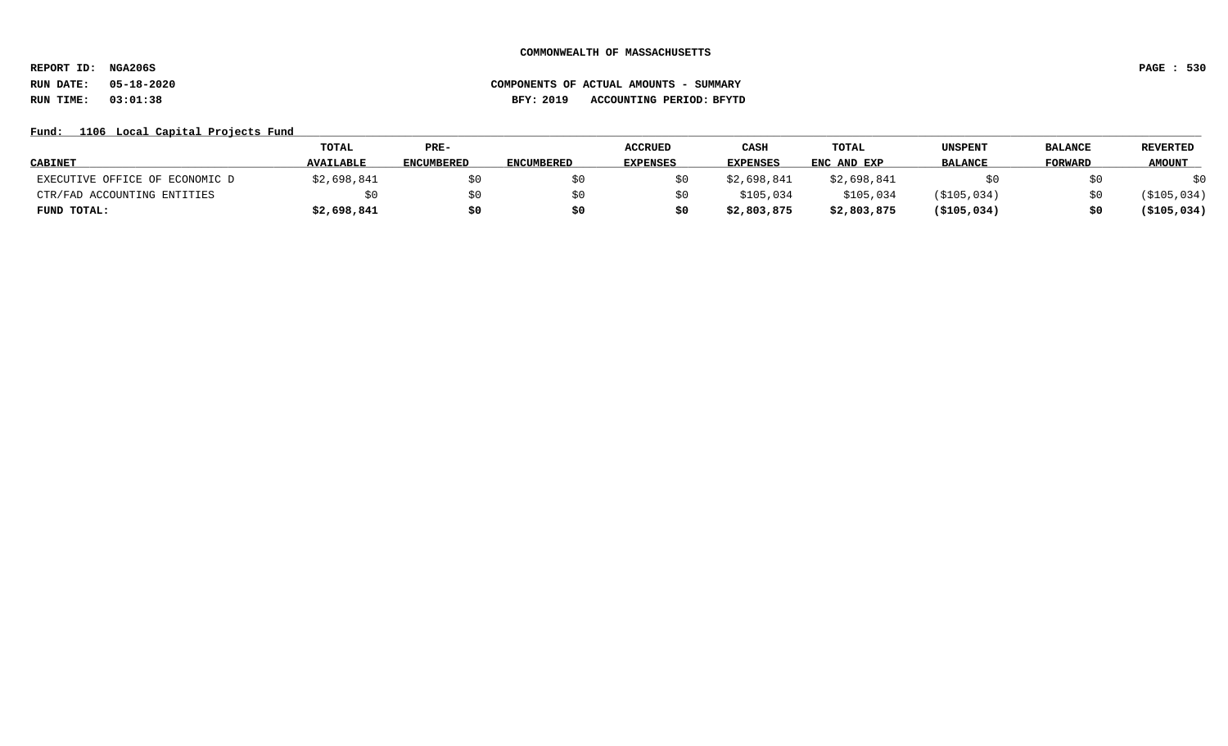**REPORT ID: NGA206S PAGE : 530**

# **RUN DATE: 05-18-2020 COMPONENTS OF ACTUAL AMOUNTS - SUMMARY RUN TIME: 03:01:38 BFY: 2019 ACCOUNTING PERIOD: BFYTD**

## Fund: 1106 Local Capital Projects Fund

|                                | <b>TOTAL</b>     | PRE-              |                   | <b>ACCRUED</b>  | CASH            | TOTAL       | <b>UNSPENT</b> | <b>BALANCE</b> | <b>REVERTED</b> |
|--------------------------------|------------------|-------------------|-------------------|-----------------|-----------------|-------------|----------------|----------------|-----------------|
| <b>CABINET</b>                 | <b>AVAILABLE</b> | <b>ENCUMBERED</b> | <b>ENCUMBERED</b> | <b>EXPENSES</b> | <b>EXPENSES</b> | ENC AND EXP | <b>BALANCE</b> | <b>FORWARD</b> | <b>AMOUNT</b>   |
| EXECUTIVE OFFICE OF ECONOMIC D | \$2,698,841      | SO.               |                   |                 | \$2,698,841     | \$2,698,841 |                |                | \$0             |
| CTR/FAD ACCOUNTING ENTITIES    |                  | \$0               |                   |                 | \$105,034       | \$105,034   | (\$105,034)    |                | ( \$105, 034)   |
| FUND TOTAL:                    | \$2,698,841      | \$0               | \$0               |                 | \$2,803,875     | \$2,803,875 | ( \$105, 034 ) |                | ( \$105, 034)   |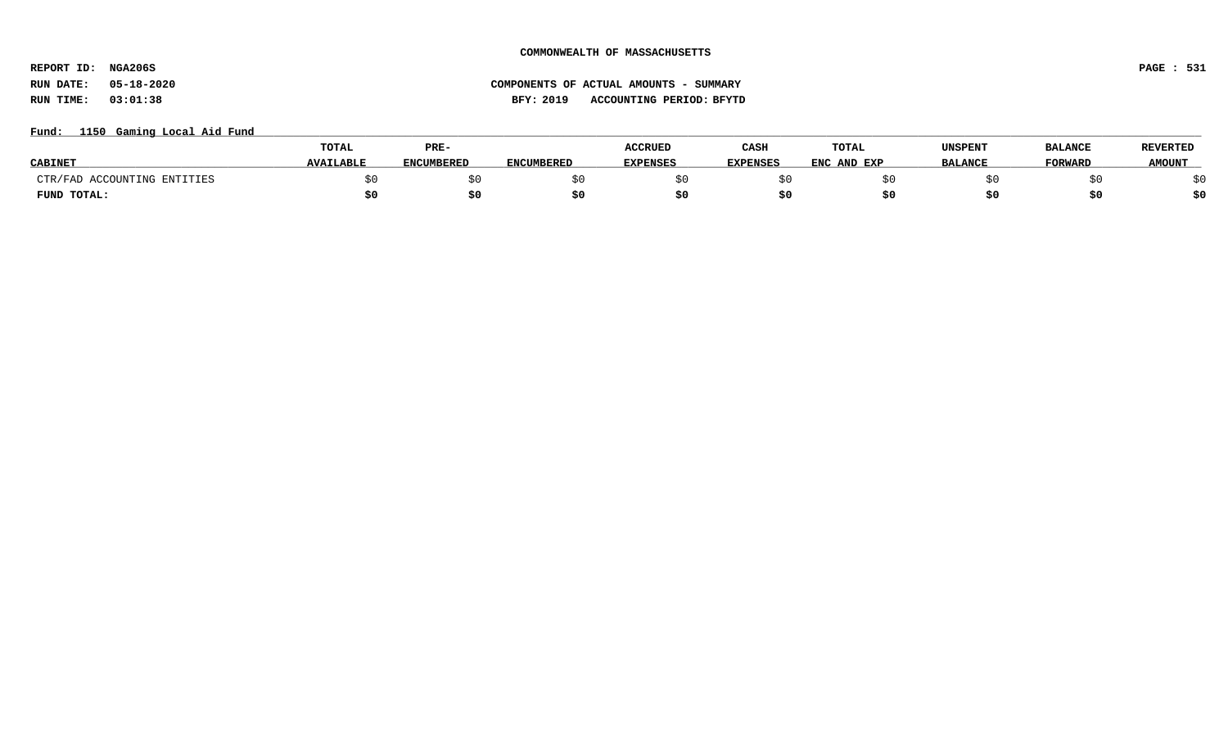**REPORT ID: NGA206S PAGE : 531**

# **RUN DATE: 05-18-2020 COMPONENTS OF ACTUAL AMOUNTS - SUMMARY RUN TIME: 03:01:38 BFY: 2019 ACCOUNTING PERIOD: BFYTD**

## Fund: 1150 Gaming Local Aid Fund

|                             | TOTAL            | PRE-              |                   | <b>ACCRUED</b>  | CASH            | TOTAL       | UNSPENT        | <b>BALANCE</b> | <b>REVERTED</b> |
|-----------------------------|------------------|-------------------|-------------------|-----------------|-----------------|-------------|----------------|----------------|-----------------|
| <b>CABINE</b> .             | <b>AVAILABLE</b> | <b>ENCUMBERED</b> | <b>ENCUMBERED</b> | <b>EXPENSES</b> | <b>EXPENSES</b> | ENC AND EXP | <b>BALANCE</b> | <b>FORWARD</b> | <b>AMOUNT</b>   |
| CTR/FAD ACCOUNTING ENTITIES |                  |                   |                   |                 |                 |             |                |                |                 |
| FUND TOTAL:                 |                  |                   |                   |                 |                 |             |                |                | \$0             |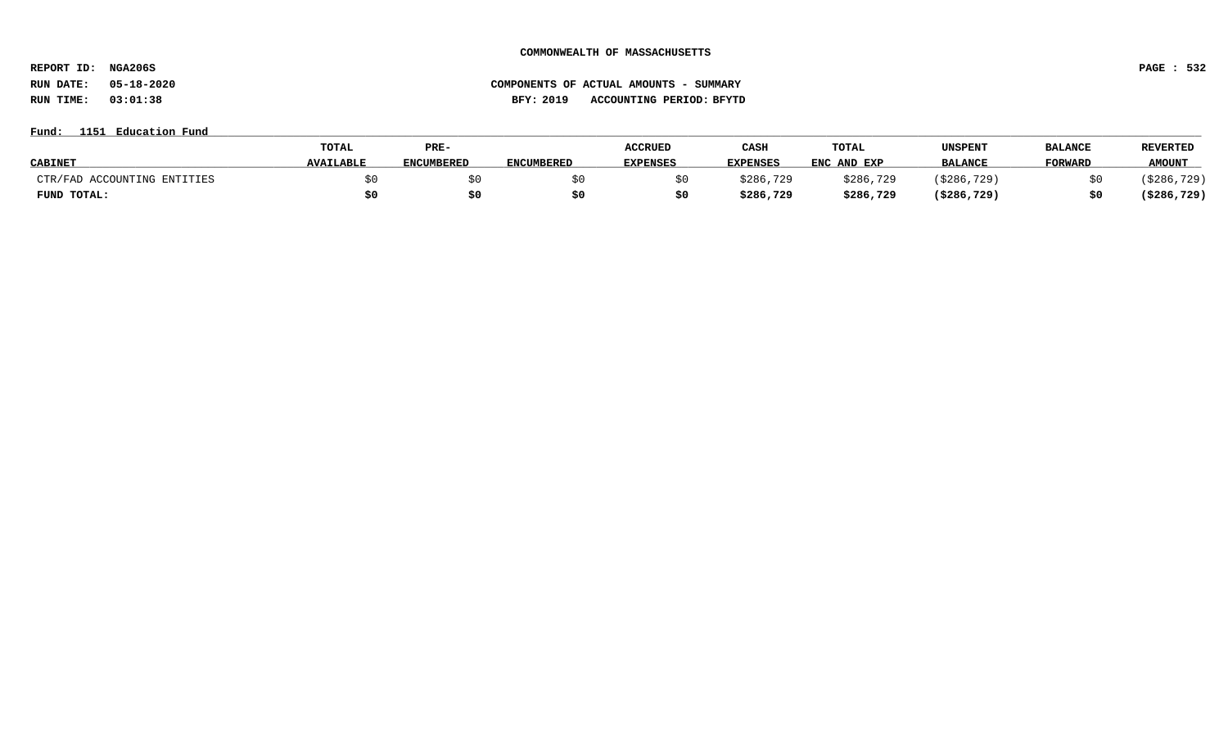**REPORT ID: NGA206S PAGE : 532**

# **RUN DATE: 05-18-2020 COMPONENTS OF ACTUAL AMOUNTS - SUMMARY RUN TIME: 03:01:38 BFY: 2019 ACCOUNTING PERIOD: BFYTD**

**Fund: \_\_\_\_\_\_\_\_\_\_\_\_\_\_\_\_\_\_\_\_\_\_\_\_\_\_\_\_\_\_\_\_\_\_\_\_\_\_\_\_\_\_\_\_\_\_\_\_\_\_\_\_\_\_\_\_\_\_\_\_\_\_\_\_\_\_\_\_\_\_\_\_\_\_\_\_\_\_\_\_\_\_\_\_\_\_\_\_\_\_\_\_\_\_\_\_\_\_\_\_\_\_\_\_\_\_\_\_\_\_\_\_\_\_\_\_\_\_\_\_\_\_\_\_\_\_\_\_\_\_\_\_\_\_\_\_\_\_\_\_\_\_\_\_\_\_\_\_\_\_\_\_\_\_\_\_\_\_\_\_\_\_\_\_\_\_\_\_\_\_\_\_\_\_\_\_\_\_ 1151 Education Fund**

|                             | TOTAL            | PRE-              |                   | <b>ACCRUED</b>  | CASH            | TOTAL       | UNSPENT        | <b>BALANCE</b> | <b>REVERTED</b> |
|-----------------------------|------------------|-------------------|-------------------|-----------------|-----------------|-------------|----------------|----------------|-----------------|
| <b>CABINET</b>              | <b>AVAILABLE</b> | <b>ENCUMBERED</b> | <b>ENCUMBERED</b> | <b>EXPENSES</b> | <b>EXPENSES</b> | ENC AND EXP | <b>BALANCE</b> | <b>FORWARD</b> | <b>AMOUNT</b>   |
| CTR/FAD ACCOUNTING ENTITIES |                  |                   |                   |                 | \$286,729       | \$286,729   | ( \$286, 729 ) |                | \$286,729)      |
| FUND TOTAL:                 |                  | \$0               |                   |                 | \$286,729       | \$286,729   | (\$286,729)    | \$0            | ( \$286, 729)   |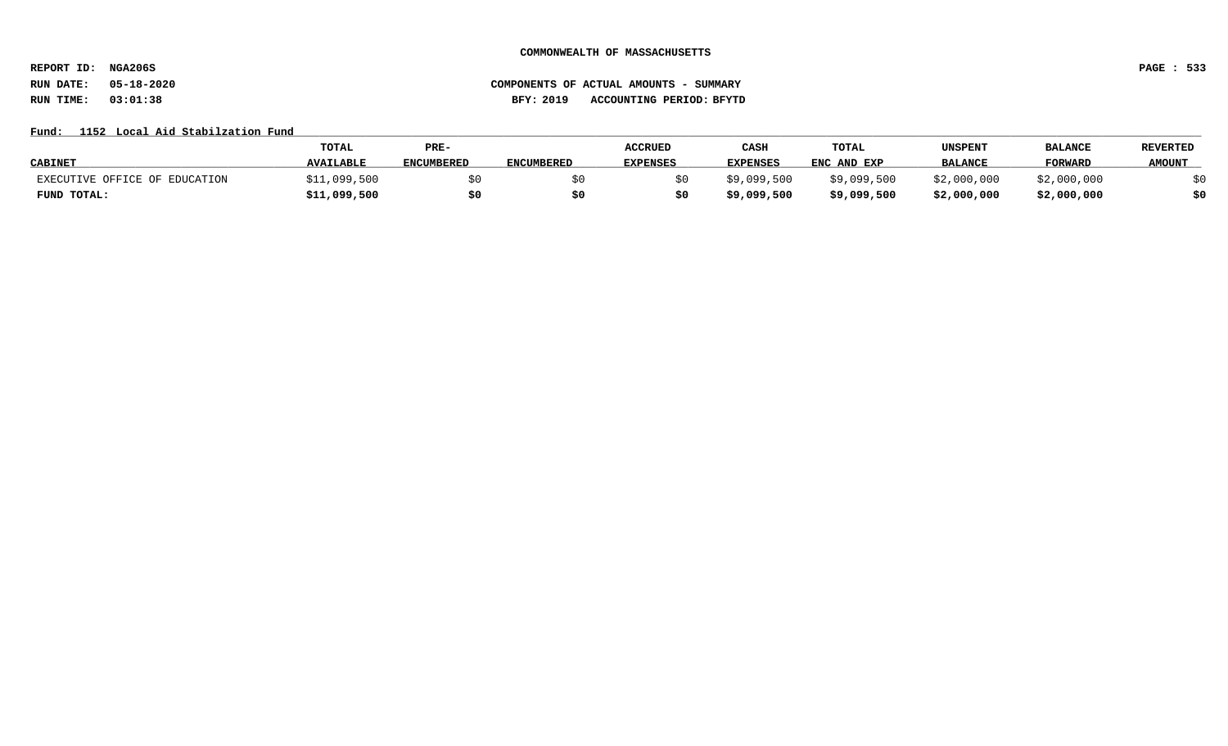**REPORT ID: NGA206S PAGE : 533**

# **RUN DATE: 05-18-2020 COMPONENTS OF ACTUAL AMOUNTS - SUMMARY RUN TIME: 03:01:38 BFY: 2019 ACCOUNTING PERIOD: BFYTD**

## Fund: 1152 Local Aid Stabilzation Fund

|                               | TOTAL            | PRE-              |                   | <b>ACCRUED</b>  | CASH            | TOTAL       | UNSPENT        | <b>BALANCI</b> | <b>REVERTED</b> |
|-------------------------------|------------------|-------------------|-------------------|-----------------|-----------------|-------------|----------------|----------------|-----------------|
| <b>CABINET</b>                | <b>AVAILABLE</b> | <b>ENCUMBERED</b> | <b>ENCUMBERED</b> | <b>EXPENSES</b> | <b>EXPENSES</b> | ENC AND EXP | <b>BALANCE</b> | <b>FORWARD</b> | <b>AMOUNT</b>   |
| EXECUTIVE OFFICE OF EDUCATION | \$11,099,500     |                   |                   |                 | \$9,099,500     | \$9,099,500 | \$2,000,000    | \$2,000,000    |                 |
| FUND TOTAL:                   | \$11,099,500     | \$0               |                   |                 | \$9,099,500     | \$9,099,500 | \$2,000,000    | \$2,000,000    |                 |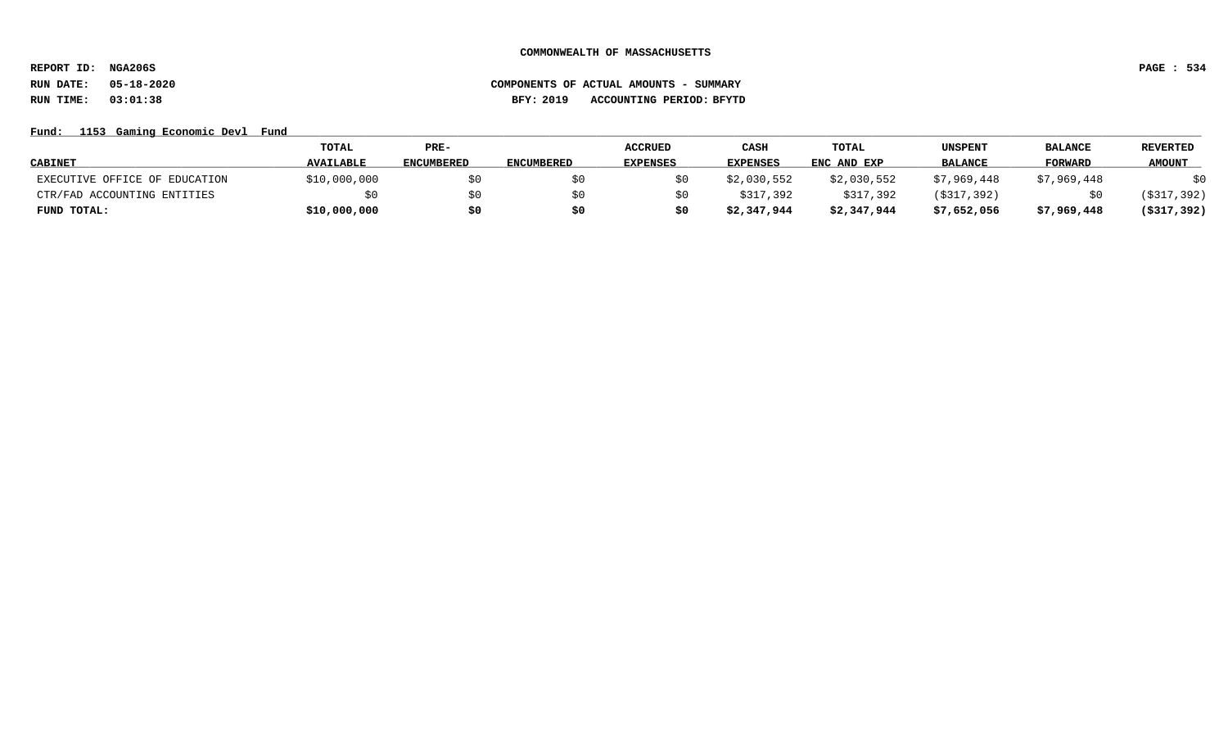**REPORT ID: NGA206S PAGE : 534**

# **RUN DATE: 05-18-2020 COMPONENTS OF ACTUAL AMOUNTS - SUMMARY RUN TIME: 03:01:38 BFY: 2019 ACCOUNTING PERIOD: BFYTD**

## Fund: 1153 Gaming Economic Devl Fund

|                               | TOTAL            | $PRE-$            |            | <b>ACCRUED</b>  | CASH            | <b>TOTAL</b> | <b>UNSPENT</b> | <b>BALANCE</b> | <b>REVERTED</b> |
|-------------------------------|------------------|-------------------|------------|-----------------|-----------------|--------------|----------------|----------------|-----------------|
| <b>CABINET</b>                | <b>AVAILABLE</b> | <b>ENCUMBERED</b> | ENCUMBERED | <b>EXPENSES</b> | <b>EXPENSES</b> | ENC AND EXP  | <b>BALANCE</b> | <b>FORWARD</b> | <b>AMOUNT</b>   |
| EXECUTIVE OFFICE OF EDUCATION | \$10,000,000     | \$0               |            |                 | \$2,030,552     | \$2,030,552  | \$7,969,448    | \$7,969,448    | \$0             |
| CTR/FAD ACCOUNTING ENTITIES   |                  | \$0               |            |                 | \$317,392       | \$317,392    | (\$317,392)    |                | (\$317,392)     |
| FUND TOTAL:                   | \$10,000,000     | \$0               |            |                 | \$2,347,944     | \$2,347,944  | \$7,652,056    | \$7,969,448    | $($ \$317,392)  |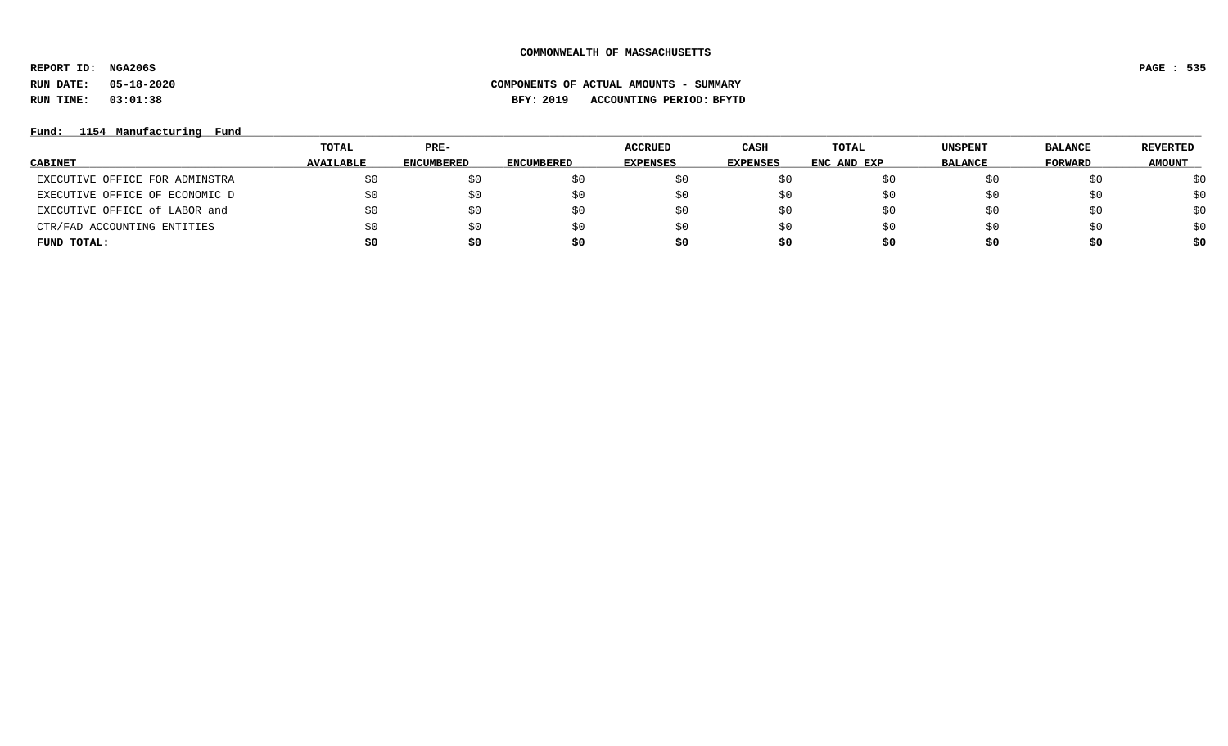**REPORT ID: NGA206S PAGE : 535**

# **RUN DATE: 05-18-2020 COMPONENTS OF ACTUAL AMOUNTS - SUMMARY RUN TIME: 03:01:38 BFY: 2019 ACCOUNTING PERIOD: BFYTD**

**Fund: \_\_\_\_\_\_\_\_\_\_\_\_\_\_\_\_\_\_\_\_\_\_\_\_\_\_\_\_\_\_\_\_\_\_\_\_\_\_\_\_\_\_\_\_\_\_\_\_\_\_\_\_\_\_\_\_\_\_\_\_\_\_\_\_\_\_\_\_\_\_\_\_\_\_\_\_\_\_\_\_\_\_\_\_\_\_\_\_\_\_\_\_\_\_\_\_\_\_\_\_\_\_\_\_\_\_\_\_\_\_\_\_\_\_\_\_\_\_\_\_\_\_\_\_\_\_\_\_\_\_\_\_\_\_\_\_\_\_\_\_\_\_\_\_\_\_\_\_\_\_\_\_\_\_\_\_\_\_\_\_\_\_\_\_\_\_\_\_\_\_\_\_\_\_\_\_\_\_ 1154 Manufacturing Fund**

|                                | TOTAL            | $PRE-$            |                   | <b>ACCRUED</b>  | CASH     | TOTAL       | <b>UNSPENT</b> | <b>BALANCE</b> | REVERTED      |
|--------------------------------|------------------|-------------------|-------------------|-----------------|----------|-------------|----------------|----------------|---------------|
| <b>CABINET</b>                 | <b>AVAILABLE</b> | <b>ENCUMBERED</b> | <b>ENCUMBERED</b> | <b>EXPENSES</b> | EXPENSES | ENC AND EXP | <b>BALANCE</b> | FORWARD        | <b>AMOUNT</b> |
| EXECUTIVE OFFICE FOR ADMINSTRA |                  | \$0               |                   |                 |          |             | ŞΟ             | \$0            | \$0           |
| EXECUTIVE OFFICE OF ECONOMIC D | \$0              | \$0               |                   | SU.             | S0       |             | SU.            | \$0            | \$0           |
| EXECUTIVE OFFICE of LABOR and  | \$0              | \$0               |                   | SU.             | SO.      |             | S0             | \$0            | \$0           |
| CTR/FAD ACCOUNTING ENTITIES    | \$0              | \$0               |                   | SU.             | S0       |             | S0             | \$0            | \$0           |
| FUND TOTAL:                    | \$0              | \$0               | s0                | Ş0              | S0       | S0          | \$0            | \$0            | \$0           |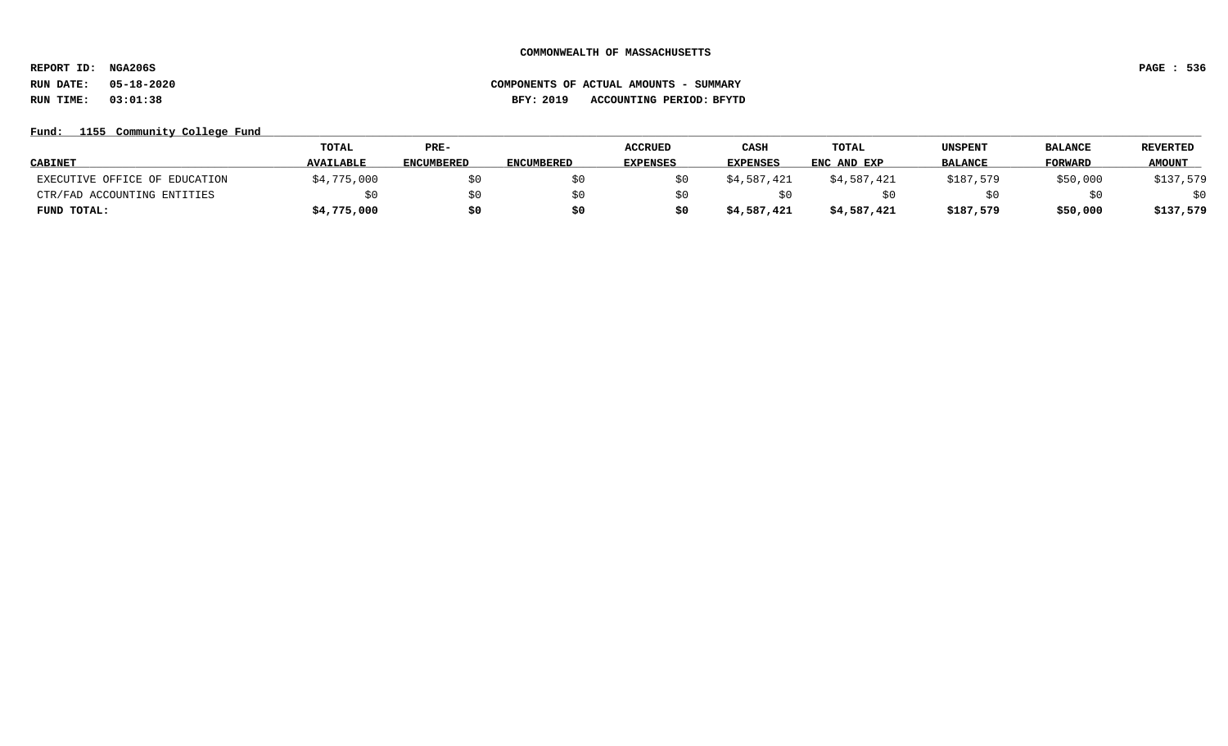**REPORT ID: NGA206S PAGE : 536**

# **RUN DATE: 05-18-2020 COMPONENTS OF ACTUAL AMOUNTS - SUMMARY RUN TIME: 03:01:38 BFY: 2019 ACCOUNTING PERIOD: BFYTD**

## Fund: 1155 Community College Fund

|                               | <b>TOTAL</b>     | PRE-              |                   | <b>ACCRUED</b>  | CASH            | TOTAL       | UNSPENT        | <b>BALANCE</b> | <b>REVERTED</b> |
|-------------------------------|------------------|-------------------|-------------------|-----------------|-----------------|-------------|----------------|----------------|-----------------|
| <b>CABINET</b>                | <b>AVAILABLE</b> | <b>ENCUMBERED</b> | <b>ENCUMBERED</b> | <b>EXPENSES</b> | <b>EXPENSES</b> | ENC AND EXP | <b>BALANCE</b> | <b>FORWARD</b> | <b>AMOUNT</b>   |
| EXECUTIVE OFFICE OF EDUCATION | \$4,775,000      | \$0               |                   |                 | \$4,587,421     | \$4,587,421 | \$187,579      | \$50,000       | \$137,579       |
| CTR/FAD ACCOUNTING ENTITIES   |                  | \$0               |                   |                 |                 |             |                |                | \$0             |
| FUND TOTAL:                   | \$4,775,000      | \$0               | S0                |                 | \$4,587,421     | \$4,587,421 | \$187,579      | \$50,000       | \$137,579       |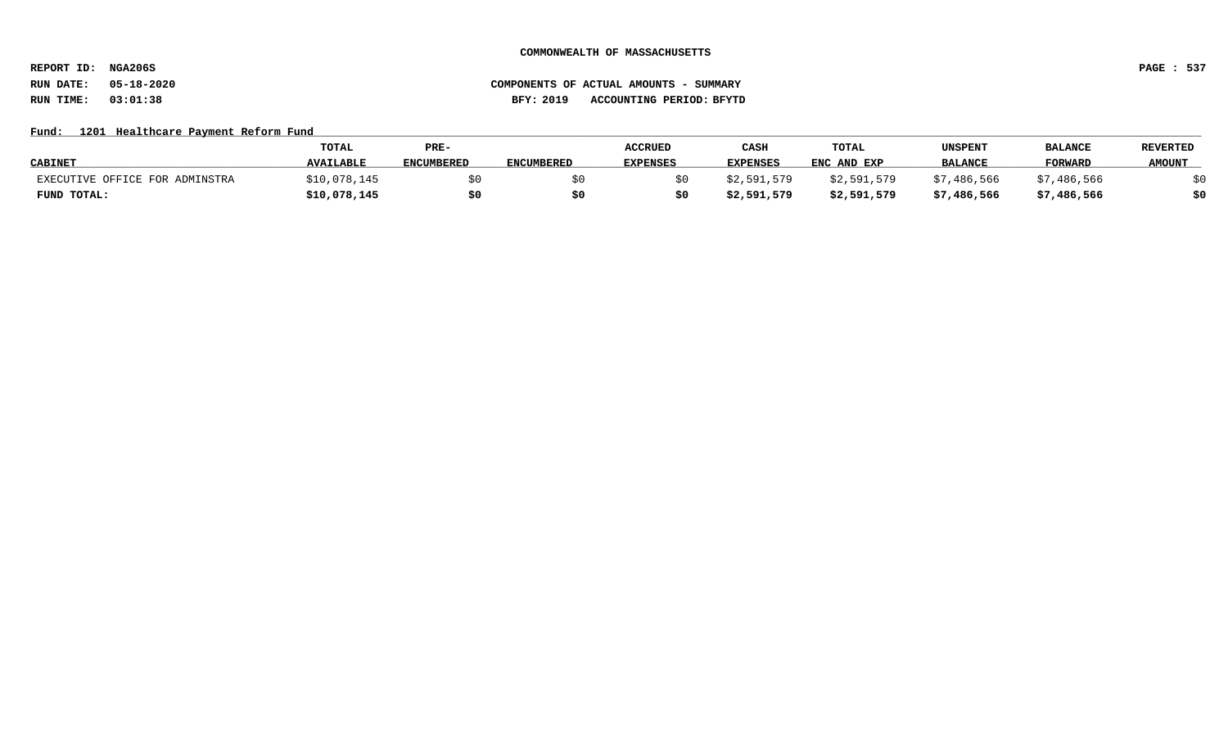**REPORT ID: NGA206S PAGE : 537**

# **RUN DATE: 05-18-2020 COMPONENTS OF ACTUAL AMOUNTS - SUMMARY RUN TIME: 03:01:38 BFY: 2019 ACCOUNTING PERIOD: BFYTD**

### Fund: 1201 Healthcare Payment Reform Fund

|                                | TOTAL            | PRE-              |                   | <b>ACCRUED</b>  | CASH            | TOTAL       | UNSPENT        | <b>BALANCI</b> | <b>REVERTED</b> |
|--------------------------------|------------------|-------------------|-------------------|-----------------|-----------------|-------------|----------------|----------------|-----------------|
| <b>CABINET</b>                 | <b>AVAILABLE</b> | <b>ENCUMBERED</b> | <b>ENCUMBERED</b> | <b>EXPENSES</b> | <b>EXPENSES</b> | ENC AND EXP | <b>BALANCE</b> | <b>FORWARD</b> | <b>AMOUNT</b>   |
| EXECUTIVE OFFICE FOR ADMINSTRA | \$10,078,145     |                   |                   |                 | \$2,591,579     | \$2,591,579 | \$7,486,566    | \$7,486,566    |                 |
| FUND TOTAL:                    | \$10,078,145     |                   |                   |                 | \$2,591,579     | \$2,591,579 | \$7,486,566    | \$7,486,566    | \$0             |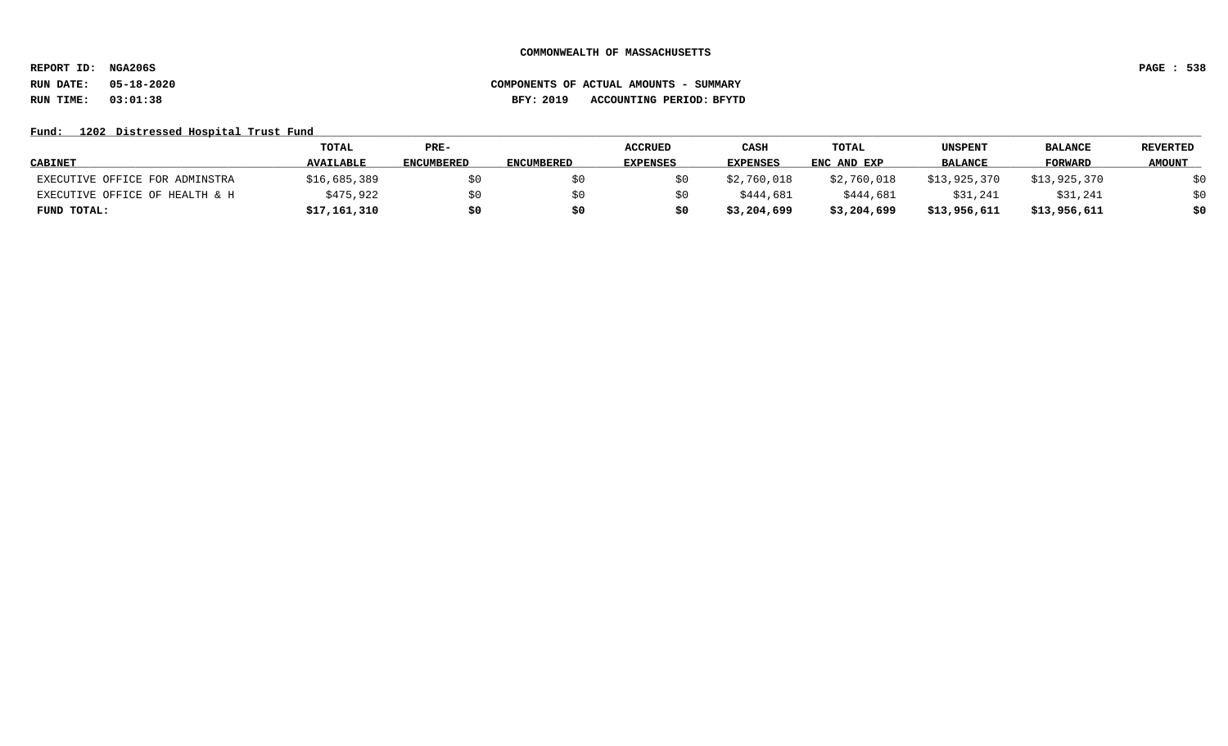**REPORT ID: NGA206S PAGE : 538**

# **RUN DATE: 05-18-2020 COMPONENTS OF ACTUAL AMOUNTS - SUMMARY RUN TIME: 03:01:38 BFY: 2019 ACCOUNTING PERIOD: BFYTD**

## Fund: 1202 Distressed Hospital Trust Fund

|                                | <b>TOTAL</b>     | PRE-              |            | <b>ACCRUED</b> | CASH        | TOTAL       | UNSPENT        | <b>BALANCE</b> | <b>REVERTED</b> |
|--------------------------------|------------------|-------------------|------------|----------------|-------------|-------------|----------------|----------------|-----------------|
| <b>CABINET</b>                 | <b>AVAILABLE</b> | <b>ENCUMBERED</b> | ENCUMBERED | EXPENSES       | EXPENSES    | ENC AND EXP | <b>BALANCE</b> | <b>FORWARD</b> | <b>AMOUNT</b>   |
| EXECUTIVE OFFICE FOR ADMINSTRA | \$16,685,389     | \$0               |            |                | \$2,760,018 | \$2,760,018 | \$13,925,370   | \$13,925,370   | \$0             |
| EXECUTIVE OFFICE OF HEALTH & H | \$475,922        | \$0               |            |                | \$444,681   | \$444,681   | \$31,241       | \$31,241       | \$0             |
| FUND TOTAL:                    | \$17,161,310     | \$0               | S0         | \$0            | \$3,204,699 | \$3,204,699 | \$13,956,611   | \$13,956,611   | \$0             |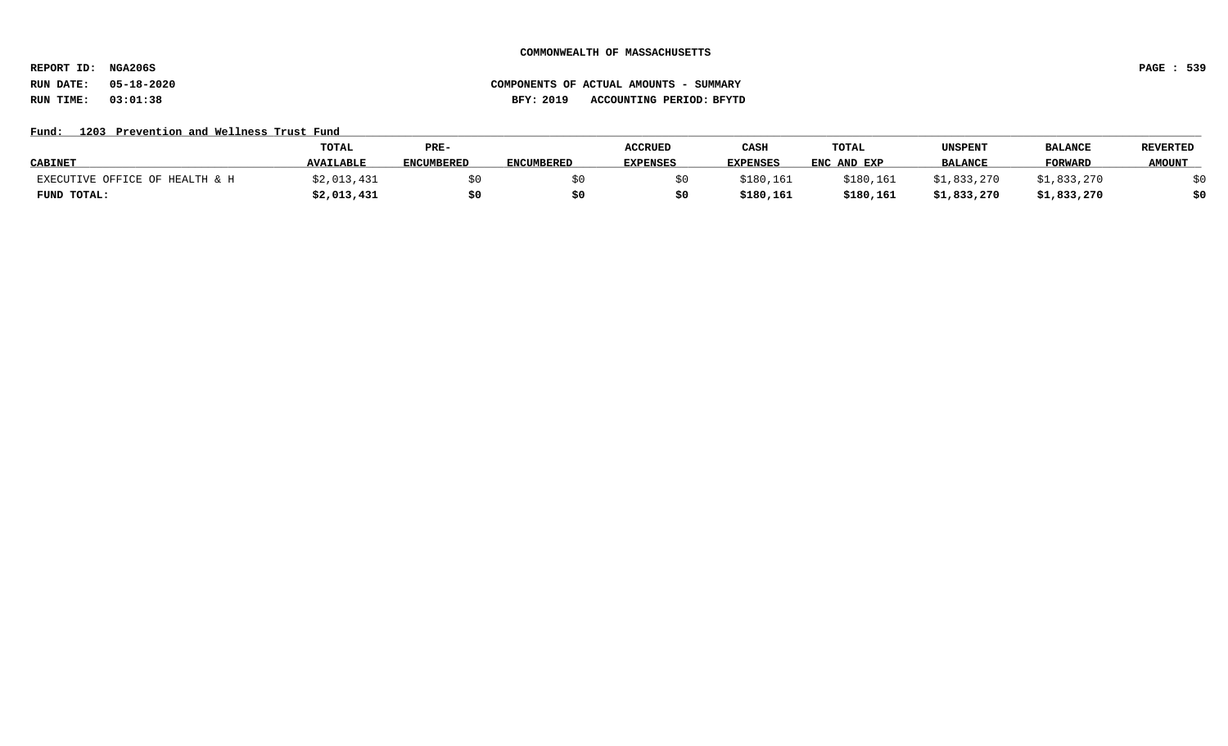**REPORT ID: NGA206S PAGE : 539**

# **RUN DATE: 05-18-2020 COMPONENTS OF ACTUAL AMOUNTS - SUMMARY RUN TIME: 03:01:38 BFY: 2019 ACCOUNTING PERIOD: BFYTD**

## Fund: 1203 Prevention and Wellness Trust Fund

|                                | <b>TOTAL</b>     | PRE-              |                   | <b>ACCRUED</b>  | CASH            | <b>TOTAL</b> | UNSPENT        | <b>BALANCI</b> | <b>REVERTED</b> |
|--------------------------------|------------------|-------------------|-------------------|-----------------|-----------------|--------------|----------------|----------------|-----------------|
| <b>CABINET</b>                 | <b>AVAILABLE</b> | <b>ENCUMBERED</b> | <b>ENCUMBERED</b> | <b>EXPENSES</b> | <b>EXPENSES</b> | ENC AND EXP  | <b>BALANCE</b> | <b>FORWARD</b> | <b>AMOUNT</b>   |
| EXECUTIVE OFFICE OF HEALTH & H | ;2,013,431       |                   |                   |                 | \$180,161       | \$180.161    | \$1,833,270    | \$1,833,270    |                 |
| FUND TOTAL:                    | \$2,013,431      | \$0               |                   |                 | \$180,161       | \$180,161    | \$1,833,270    | \$1,833,270    | \$0             |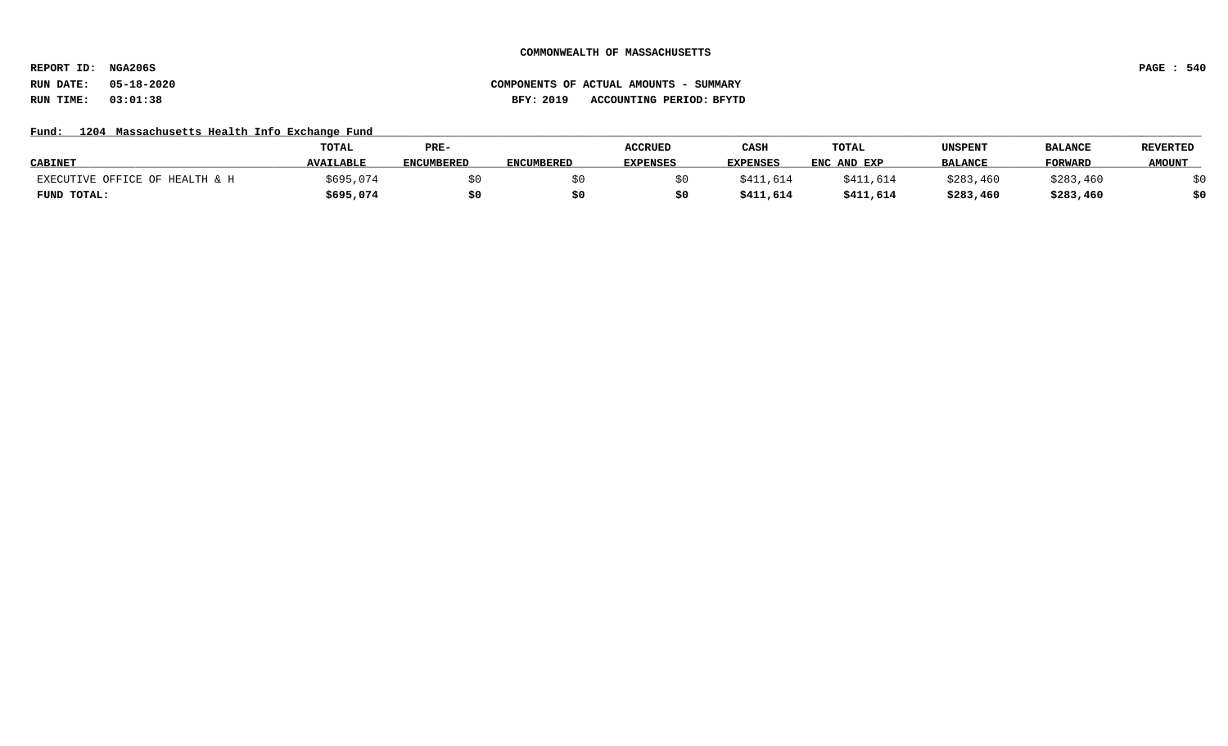**REPORT ID: NGA206S PAGE : 540**

## **RUN DATE: 05-18-2020 COMPONENTS OF ACTUAL AMOUNTS - SUMMARY RUN TIME: 03:01:38 BFY: 2019 ACCOUNTING PERIOD: BFYTD**

## Fund: 1204 Massachusetts Health Info Exchange Fund

|                                | <b>TOTAL</b>     | PRE-              |                   | <b>ACCRUED</b> | CASH            | TOTAL       | UNSPENT        | <b>BALANCE</b> | <b>REVERTED</b> |
|--------------------------------|------------------|-------------------|-------------------|----------------|-----------------|-------------|----------------|----------------|-----------------|
| <b>CABINET</b>                 | <b>AVAILABLE</b> | <b>ENCUMBERED</b> | <b>ENCUMBERED</b> | EXPENSES       | <b>EXPENSES</b> | ENC AND EXP | <b>BALANCE</b> | <b>FORWARI</b> | <b>AMOUNT</b>   |
| EXECUTIVE OFFICE OF HEALTH & H | \$695,074        |                   |                   |                | \$411,614       | \$411,614   | \$283,460      | \$283,460      |                 |
| FUND TOTAL:                    | \$695,074        |                   |                   |                | \$411,614       | \$411,614   | \$283,460      | \$283,460      | \$0             |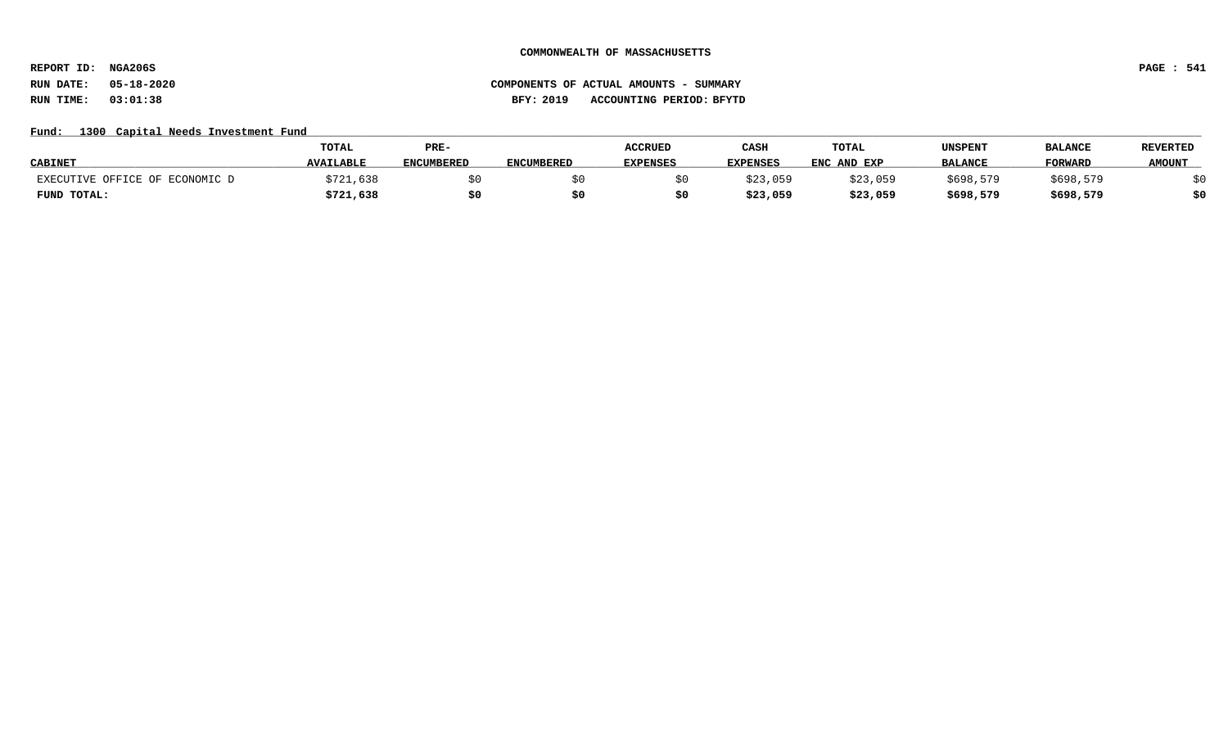**REPORT ID: NGA206S PAGE : 541**

# **RUN DATE: 05-18-2020 COMPONENTS OF ACTUAL AMOUNTS - SUMMARY RUN TIME: 03:01:38 BFY: 2019 ACCOUNTING PERIOD: BFYTD**

# Fund: 1300 Capital Needs Investment Fund

|                                | <b>TOTAL</b>     | PRE-              |                   | <b>ACCRUED</b>  | CASH            | TOTAL       | UNSPENT        | <b>BALANCE</b> | <b>REVERTED</b> |
|--------------------------------|------------------|-------------------|-------------------|-----------------|-----------------|-------------|----------------|----------------|-----------------|
| <b>CABINET</b>                 | <b>AVAILABLE</b> | <b>ENCUMBERED</b> | <b>ENCUMBERED</b> | <b>EXPENSES</b> | <b>EXPENSES</b> | ENC AND EXP | <b>BALANCE</b> | <b>FORWARD</b> | <b>AMOUNT</b>   |
| EXECUTIVE OFFICE OF ECONOMIC D | \$721,638        |                   |                   |                 | \$23,059        | \$23,059    | \$698,579      | \$698,579      |                 |
| FUND TOTAL:                    | \$721,638        | \$0               |                   |                 | \$23,059        | \$23,059    | \$698,579      | \$698,579      | \$0             |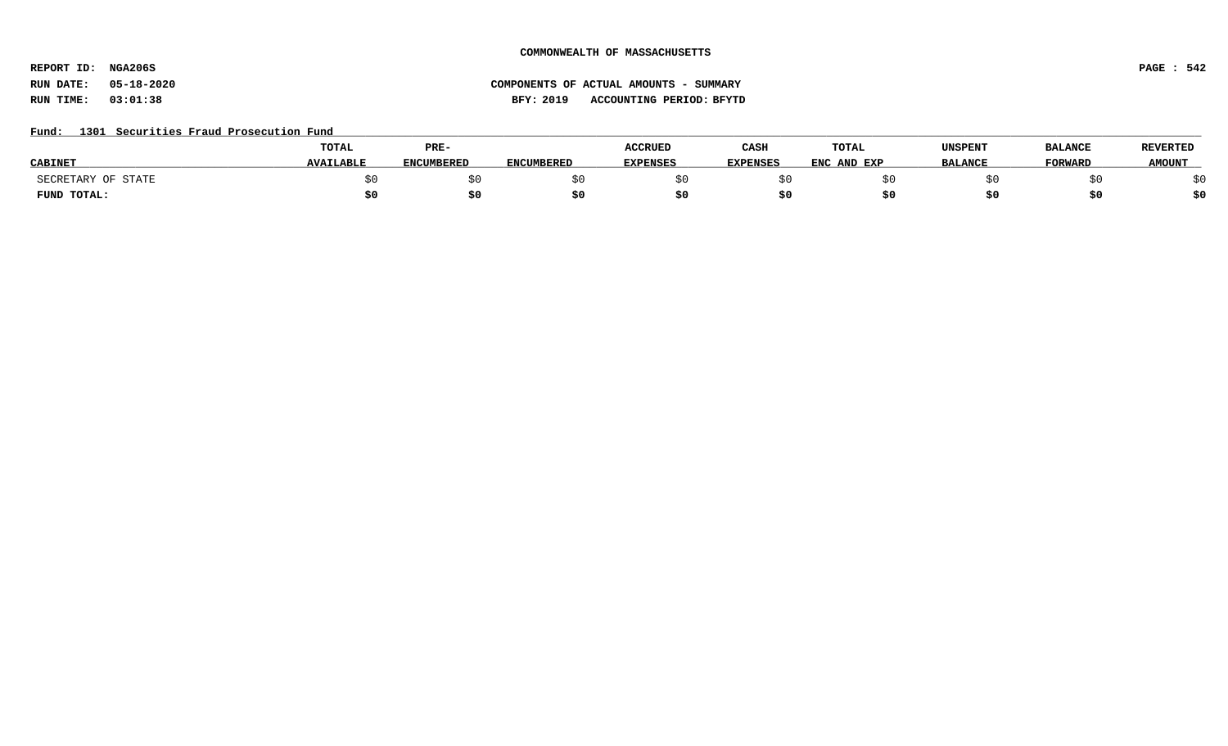**REPORT ID: NGA206S PAGE : 542**

# **RUN DATE: 05-18-2020 COMPONENTS OF ACTUAL AMOUNTS - SUMMARY RUN TIME: 03:01:38 BFY: 2019 ACCOUNTING PERIOD: BFYTD**

## Fund: 1301 Securities Fraud Prosecution Fund

|                    | <b>TOTAL</b>     | PRE-              |                   | <b>ACCRUED</b>  | CASH            | TOTAL            | UNSPENT        | <b>BALANCE</b> | <b>REVERTED</b> |
|--------------------|------------------|-------------------|-------------------|-----------------|-----------------|------------------|----------------|----------------|-----------------|
| <b>CABINE</b>      | <b>AVAILABLE</b> | <b>ENCUMBERED</b> | <b>ENCUMBERED</b> | <b>EXPENSES</b> | <b>EXPENSES</b> | ENC<br>: AND EXP | <b>BALANCE</b> | <b>TORWARD</b> | <b>AMOUNT</b>   |
| SECRETARY OF STATE |                  |                   |                   |                 |                 |                  |                |                |                 |
| FUND TOTAL:        |                  |                   |                   |                 |                 |                  |                |                | \$0             |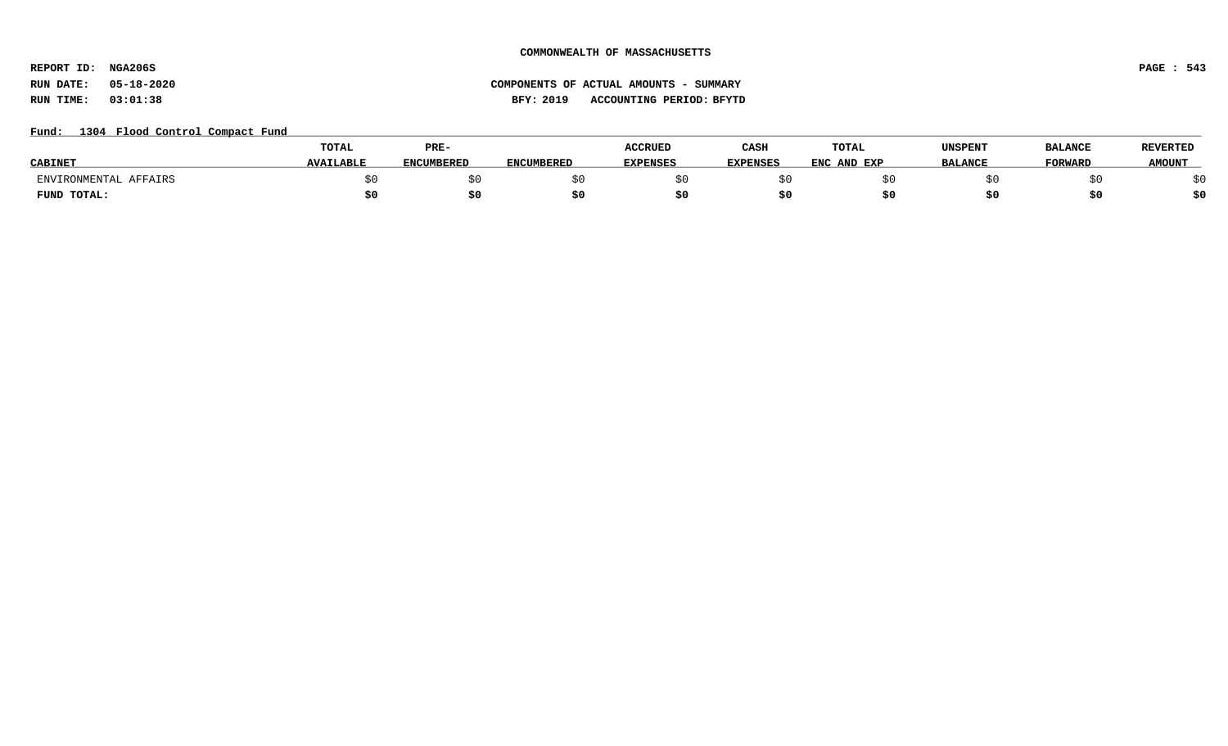**REPORT ID: NGA206S PAGE : 543**

# **RUN DATE: 05-18-2020 COMPONENTS OF ACTUAL AMOUNTS - SUMMARY RUN TIME: 03:01:38 BFY: 2019 ACCOUNTING PERIOD: BFYTD**

## Fund: 1304 Flood Control Compact Fund

|                          | <b>TOTAL</b>     | PRE-              |                   | <b>ACCRUED</b>  | CASH            | <b>TOTAL</b> | UNSPENT        | <b>BALANCE</b> | <b>REVERTED</b> |
|--------------------------|------------------|-------------------|-------------------|-----------------|-----------------|--------------|----------------|----------------|-----------------|
| <b>CABINET</b>           | <b>AVAILABLE</b> | <b>ENCUMBERED</b> | <b>ENCUMBERED</b> | <b>EXPENSES</b> | <b>EXPENSES</b> | ENC AND EXP  | <b>BALANCE</b> | <b>FORWARD</b> | <b>AMOUNT</b>   |
| ENVIRONMENTAL<br>AFFAIRS |                  |                   |                   |                 |                 |              |                |                |                 |
| FUND TOTAL:              |                  |                   |                   |                 | эı.             |              |                |                | \$0             |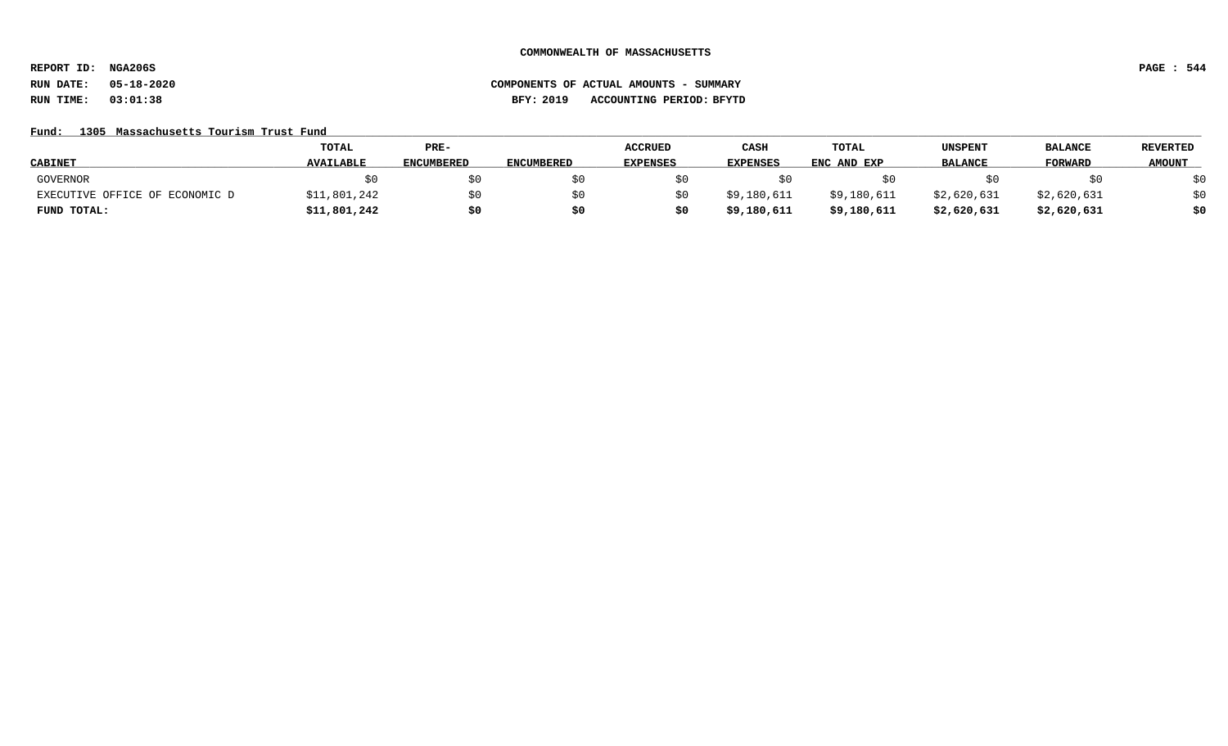**REPORT ID: NGA206S PAGE : 544**

# **RUN DATE: 05-18-2020 COMPONENTS OF ACTUAL AMOUNTS - SUMMARY RUN TIME: 03:01:38 BFY: 2019 ACCOUNTING PERIOD: BFYTD**

## Fund: 1305 Massachusetts Tourism Trust Fund

|                                | <b>TOTAL</b>     | PRE-              |                   | <b>ACCRUED</b>  | CASH            | <b>TOTAL</b> | UNSPENT        | <b>BALANCE</b> | REVERTED      |
|--------------------------------|------------------|-------------------|-------------------|-----------------|-----------------|--------------|----------------|----------------|---------------|
| <b>CABINET</b>                 | <b>AVAILABLE</b> | <b>ENCUMBERED</b> | <b>ENCUMBERED</b> | <b>EXPENSES</b> | <b>EXPENSES</b> | ENC AND EXP  | <b>BALANCE</b> | FORWARD        | <b>AMOUNT</b> |
| GOVERNOR                       |                  | \$0               |                   |                 |                 |              |                |                | \$0           |
| EXECUTIVE OFFICE OF ECONOMIC D | \$11,801,242     | \$0               |                   |                 | \$9,180,611     | \$9,180,611  | \$2,620,631    | \$2,620,631    | \$0           |
| FUND TOTAL:                    | \$11,801,242     | \$0               |                   |                 | \$9,180,611     | \$9,180,611  | \$2,620,631    | \$2,620,631    | \$0           |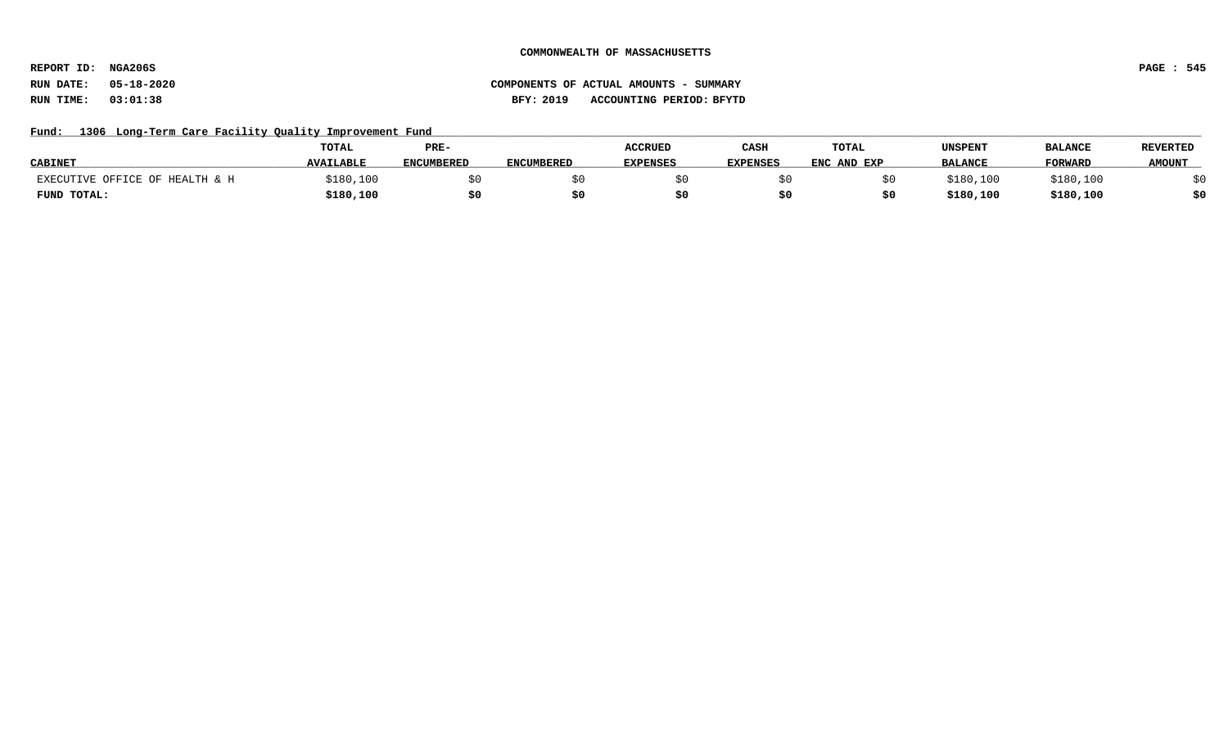**REPORT ID: NGA206S PAGE : 545**

# Fund: 1306 Long-Term Care Facility Quality Improvement Fund

|                                | <b>TOTAL</b>     | PRE-              |                   | <b>ACCRUED</b>  | CASH            | <b>TOTAL</b> | UNSPENT        | <b>BALANCE</b> | <b>REVERTED</b> |
|--------------------------------|------------------|-------------------|-------------------|-----------------|-----------------|--------------|----------------|----------------|-----------------|
| <b>CABINET</b>                 | <b>AVAILABLE</b> | <b>ENCUMBERED</b> | <b>ENCUMBERED</b> | <b>EXPENSES</b> | <b>EXPENSES</b> | ENC AND EXP  | <b>BALANCE</b> | <b>FORWARD</b> | <b>AMOUNT</b>   |
| EXECUTIVE OFFICE OF HEALTH & H | \$180,100        |                   |                   |                 |                 |              | 3180.100       | \$180,100      |                 |
| FUND TOTAL:                    | \$180,100        | \$0               |                   |                 |                 |              | \$180,100      | \$180,100      | \$0             |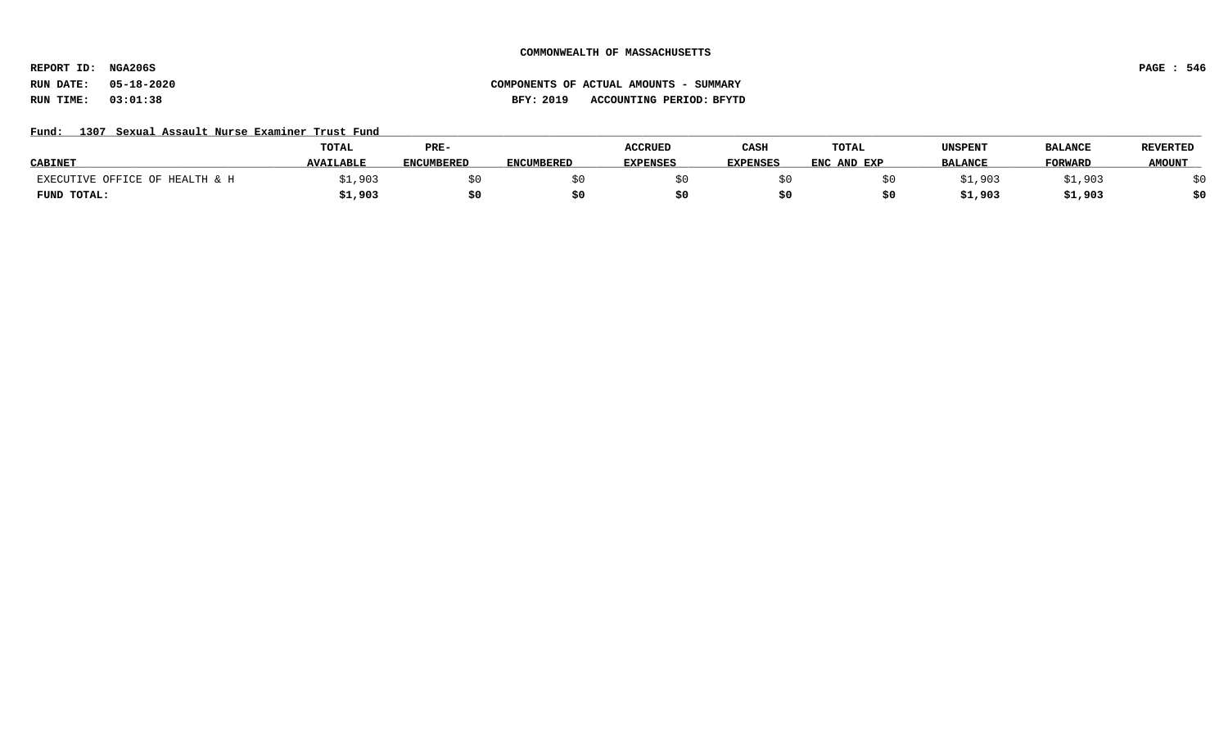**REPORT ID: NGA206S PAGE : 546**

## **RUN DATE: 05-18-2020 COMPONENTS OF ACTUAL AMOUNTS - SUMMARY RUN TIME: 03:01:38 BFY: 2019 ACCOUNTING PERIOD: BFYTD**

## Fund: 1307 Sexual Assault Nurse Examiner Trust Fund

|                                | TOTAL            | PRE-              |                   | <b>ACCRUED</b>  | CASH            | TOTAL       | UNSPENT        | <b>BALANCE</b> | <b>REVERTED</b> |
|--------------------------------|------------------|-------------------|-------------------|-----------------|-----------------|-------------|----------------|----------------|-----------------|
| <b>CABINET</b>                 | <b>AVAILABLE</b> | <b>ENCUMBERED</b> | <b>ENCUMBERED</b> | <b>EXPENSES</b> | <b>EXPENSES</b> | ENC AND EXP | <b>BALANCE</b> | <b>FORWARD</b> | <b>AMOUNT</b>   |
| EXECUTIVE OFFICE OF HEALTH & H | :1,903           |                   |                   |                 |                 |             | \$1,903        | 903,           |                 |
| FUND TOTAL:                    | 31,903           | \$0               |                   |                 |                 |             | 31,903         | \$1,903        | ċ٨              |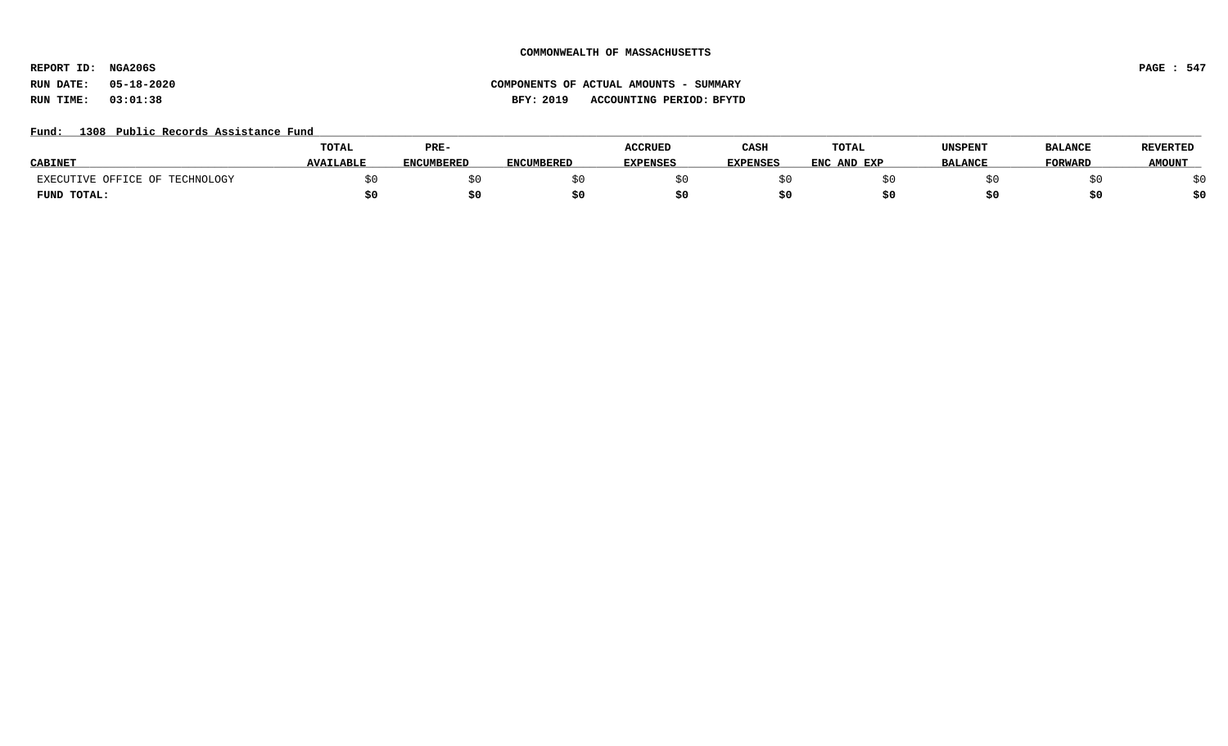**REPORT ID: NGA206S PAGE : 547**

## Fund: 1308 Public Records Assistance Fund

|                                | TOTAL            | PRE-              |                   | <b>ACCRUED</b>  | CASH            | TOTAL            | UNSPENT        | <b>BALANCE</b> | <b>REVERTED</b> |
|--------------------------------|------------------|-------------------|-------------------|-----------------|-----------------|------------------|----------------|----------------|-----------------|
| <b>CABINE</b>                  | <b>AVAILABLE</b> | <b>ENCUMBERED</b> | <b>ENCUMBERED</b> | <b>EXPENSES</b> | <b>EXPENSES</b> | . AND EXP<br>ENC | <b>BALANCE</b> | <b>FORWARD</b> | <b>AMOUNT</b>   |
| EXECUTIVE OFFICE OF TECHNOLOGY |                  |                   |                   |                 |                 |                  |                |                |                 |
| FUND TOTAL:                    |                  | . .<br>5U         |                   |                 |                 |                  |                |                | ċ٨              |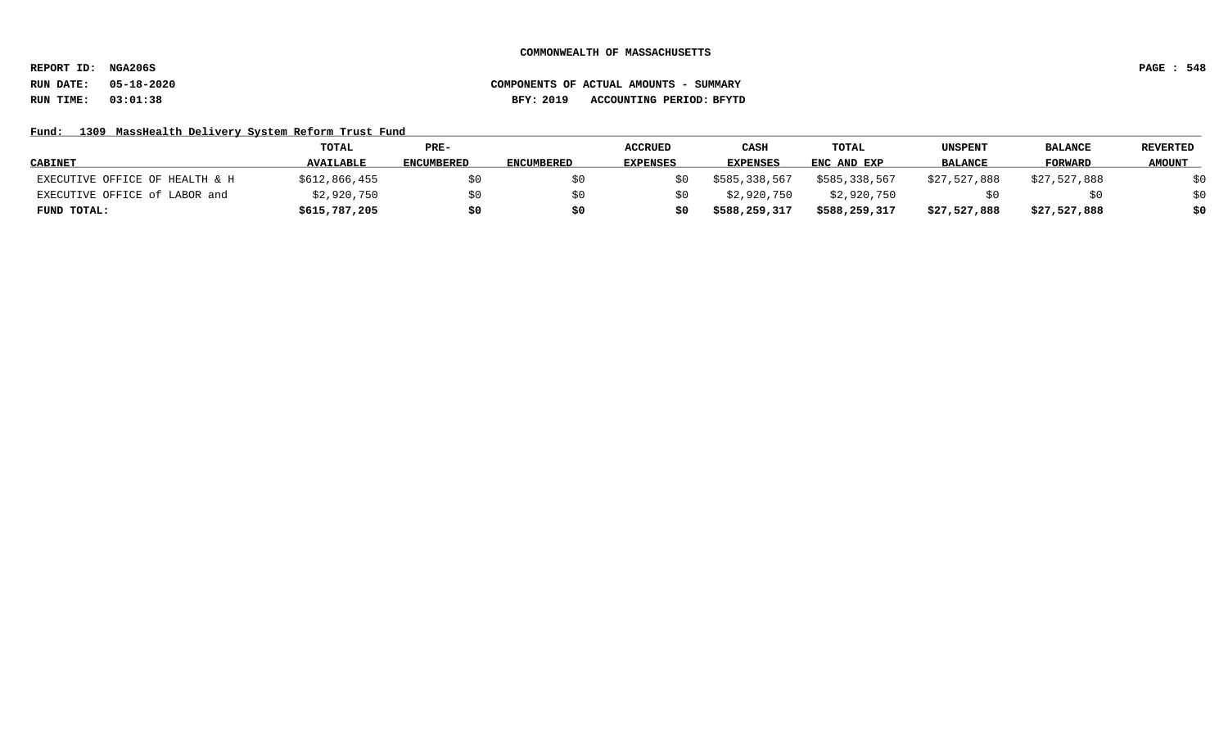**REPORT ID: NGA206S PAGE : 548**

# **RUN DATE: 05-18-2020 COMPONENTS OF ACTUAL AMOUNTS - SUMMARY RUN TIME: 03:01:38 BFY: 2019 ACCOUNTING PERIOD: BFYTD**

## Fund: 1309 MassHealth Delivery System Reform Trust Fund

|                                | TOTAL            | PRE-              |                   | <b>ACCRUED</b>  | CASH            | <b>TOTAL</b>  | UNSPENT        | <b>BALANCE</b> | <b>REVERTED</b> |
|--------------------------------|------------------|-------------------|-------------------|-----------------|-----------------|---------------|----------------|----------------|-----------------|
| <b>CABINET</b>                 | <b>AVAILABLE</b> | <b>ENCUMBERED</b> | <b>ENCUMBERED</b> | <b>EXPENSES</b> | <b>EXPENSES</b> | ENC AND EXP   | <b>BALANCE</b> | FORWARD        | <b>AMOUNT</b>   |
| EXECUTIVE OFFICE OF HEALTH & H | \$612,866,455    | \$0               |                   |                 | \$585,338,567   | \$585,338,567 | \$27,527,888   | \$27,527,888   | \$0             |
| EXECUTIVE OFFICE of LABOR and  | \$2,920,750      | \$0               |                   |                 | \$2,920,750     | \$2,920,750   |                |                | \$0             |
| FUND TOTAL:                    | \$615,787,205    | \$0               |                   |                 | \$588,259,317   | \$588,259,317 | \$27,527,888   | \$27,527,888   | \$0             |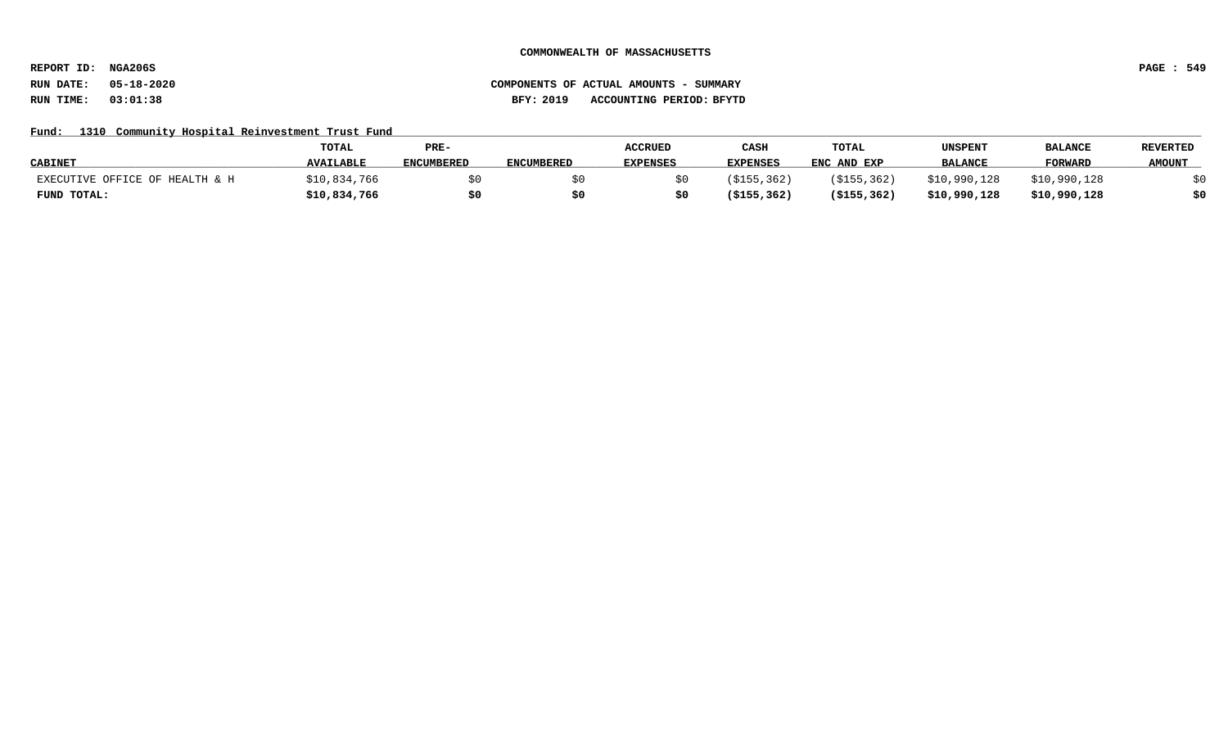**REPORT ID: NGA206S PAGE : 549**

# **RUN DATE: 05-18-2020 COMPONENTS OF ACTUAL AMOUNTS - SUMMARY RUN TIME: 03:01:38 BFY: 2019 ACCOUNTING PERIOD: BFYTD**

## Fund: 1310 Community Hospital Reinvestment Trust Fund

|                                | <b>TOTAL</b>     | PRE-              |                   | <b>ACCRUED</b>  | CASH            | TOTAL         | UNSPENT        | <b>BALANCE</b> | <b>REVERTED</b> |
|--------------------------------|------------------|-------------------|-------------------|-----------------|-----------------|---------------|----------------|----------------|-----------------|
| <b>CABINET</b>                 | <b>AVAILABLE</b> | <b>ENCUMBERED</b> | <b>ENCUMBERED</b> | <b>EXPENSES</b> | <b>EXPENSES</b> | ENC AND EXP   | <b>BALANCE</b> | <b>FORWARD</b> | <b>AMOUNT</b>   |
| EXECUTIVE OFFICE OF HEALTH & H | \$10,834,766     |                   |                   |                 | ( \$155, 362)   | (S155, 362)   | \$10,990,128   | \$10,990,128   |                 |
| FUND TOTAL:                    | \$10,834,766     |                   |                   |                 | ( \$155, 362)   | ( \$155, 362) | \$10,990,128   | \$10,990,128   | \$0             |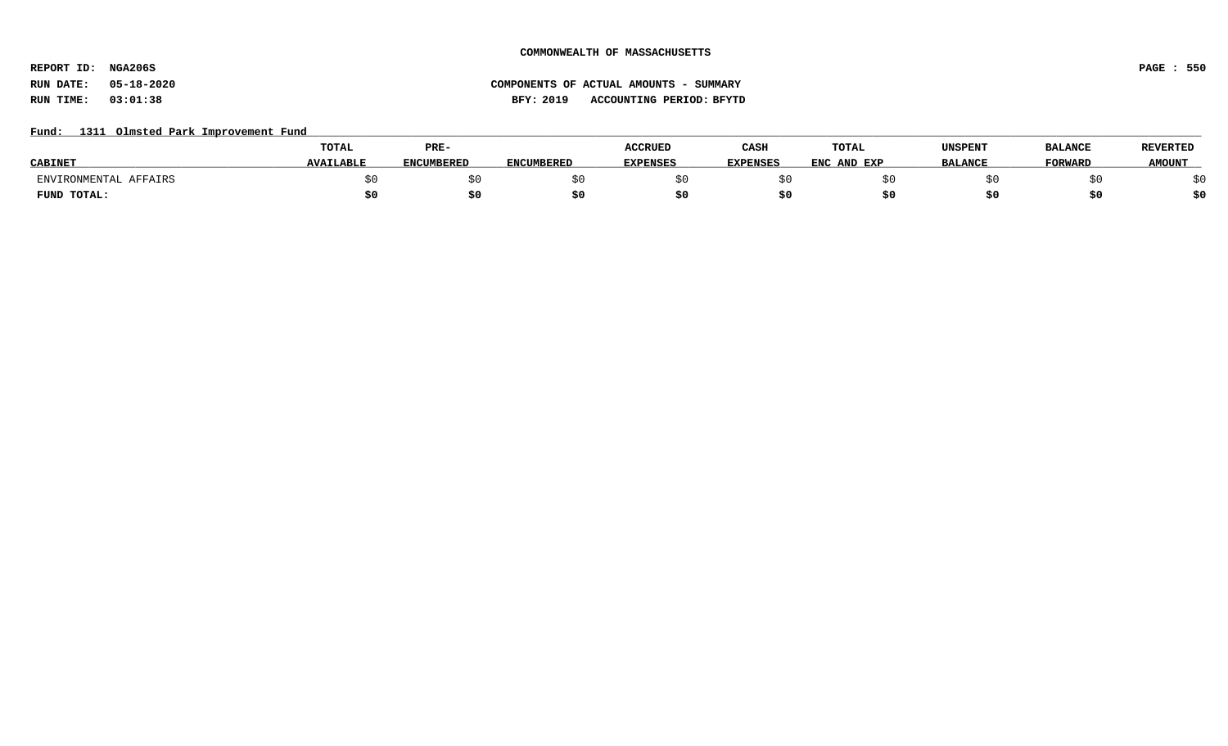**REPORT ID: NGA206S PAGE : 550**

# **RUN DATE: 05-18-2020 COMPONENTS OF ACTUAL AMOUNTS - SUMMARY RUN TIME: 03:01:38 BFY: 2019 ACCOUNTING PERIOD: BFYTD**

## Fund: 1311 Olmsted Park Improvement Fund

|                       | TOTAL            | PRE-       |                   | <b>ACCRUED</b>  | CASH            | <b>TOTAL</b> | UNSPENT        | <b>BALANCE</b> | <b>REVERTED</b> |
|-----------------------|------------------|------------|-------------------|-----------------|-----------------|--------------|----------------|----------------|-----------------|
| <b>CABINET</b>        | <b>AVAILABLE</b> | ENCUMBERED | <b>ENCUMBERED</b> | <b>EXPENSES</b> | <b>EXPENSES</b> | ENC AND EXP  | <b>BALANCE</b> | <b>FORWARD</b> | <b>AMOUNT</b>   |
| ENVIRONMENTAL AFFAIRS |                  |            |                   |                 |                 |              |                |                |                 |
| FUND TOTAL:           |                  | \$0        |                   |                 |                 |              |                |                | \$0             |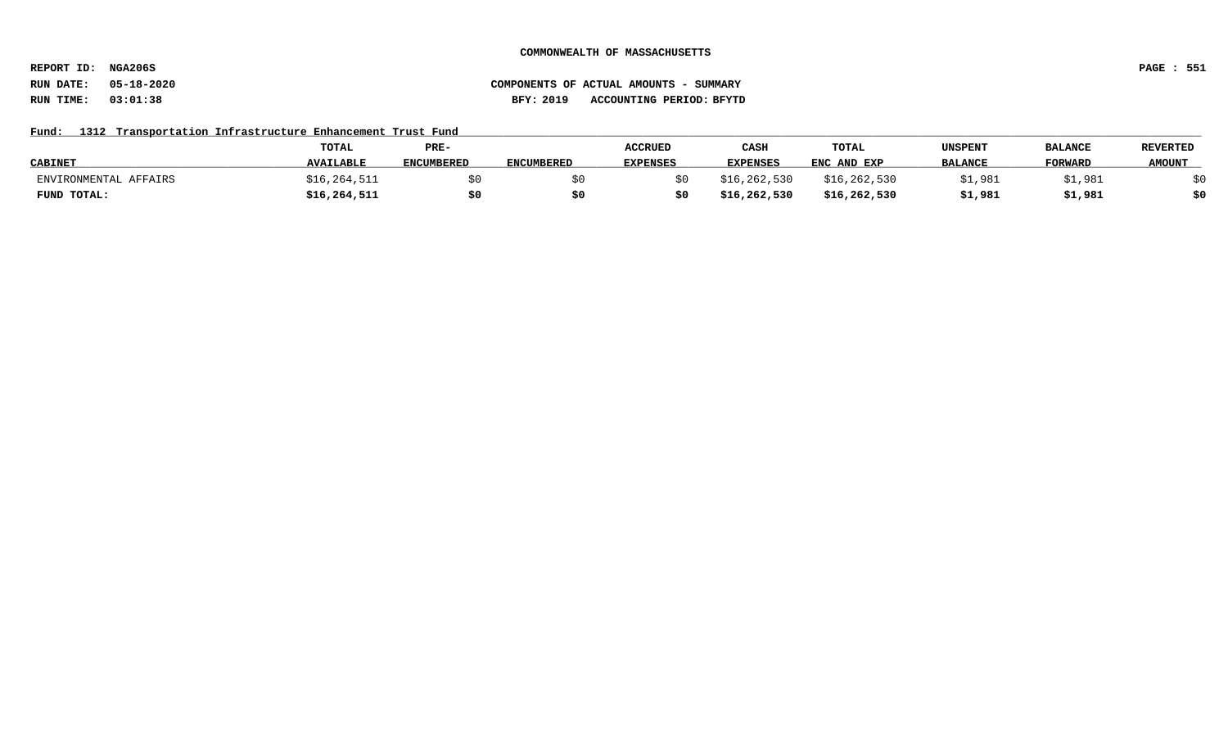**REPORT ID: NGA206S PAGE : 551**

# **RUN DATE: 05-18-2020 COMPONENTS OF ACTUAL AMOUNTS - SUMMARY RUN TIME: 03:01:38 BFY: 2019 ACCOUNTING PERIOD: BFYTD**

# Fund: 1312 Transportation Infrastructure Enhancement Trust Fund

|                       | <b>TOTAL</b>     | PRE-              |                   | <b>ACCRUED</b> | CASH            | TOTAL          | UNSPENT        | <b>BALANCE</b> | <b>REVERTED</b> |
|-----------------------|------------------|-------------------|-------------------|----------------|-----------------|----------------|----------------|----------------|-----------------|
| <b>CABINET</b>        | <b>AVAILABLE</b> | <b>ENCUMBERED</b> | <b>ENCUMBERED</b> | EXPENSES       | <b>EXPENSES</b> | ENC AND EXP    | <b>BALANCE</b> | <b>FORWARL</b> | <b>AMOUNT</b>   |
| ENVIRONMENTAL AFFAIRS | \$16,264,511     |                   |                   |                | \$16,262,530    | \$16, 262, 530 | \$1,981        | ;1,981         |                 |
| FUND TOTAL:           | \$16, 264, 511   | \$0               |                   |                | \$16,262,530    | \$16,262,530   | \$1,981        | \$1,981        | \$0             |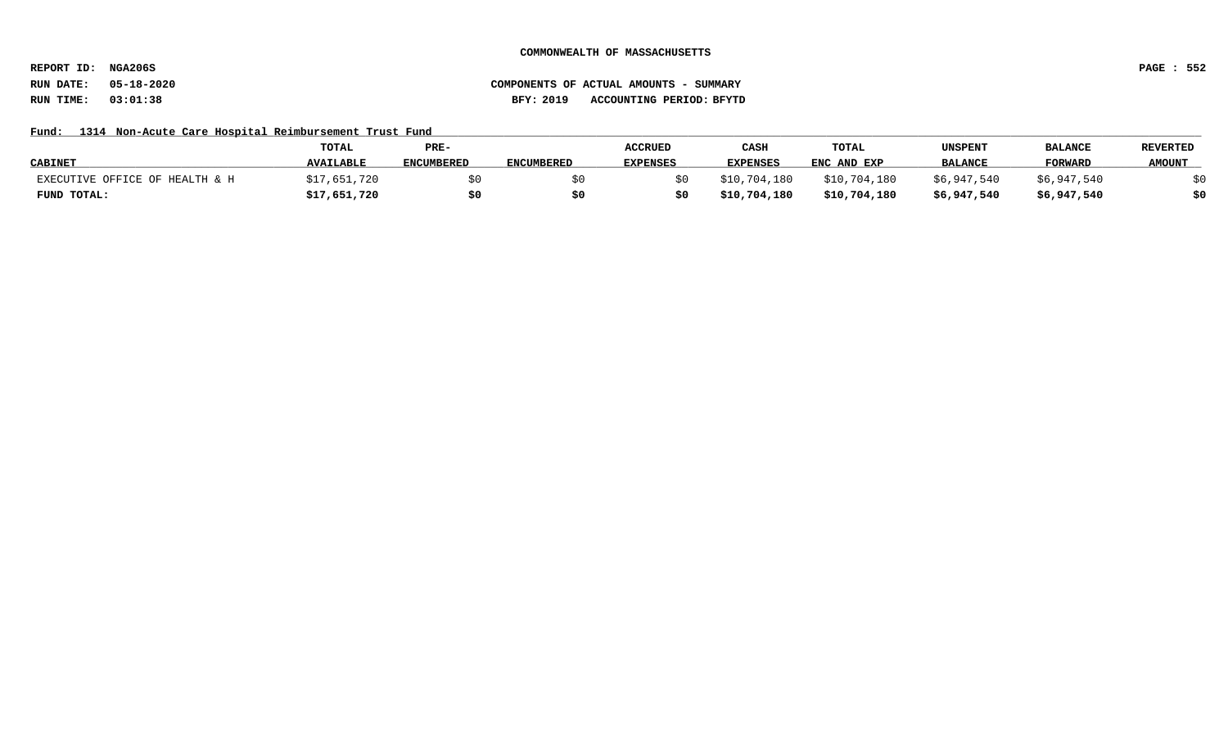**REPORT ID: NGA206S PAGE : 552**

# **RUN DATE: 05-18-2020 COMPONENTS OF ACTUAL AMOUNTS - SUMMARY RUN TIME: 03:01:38 BFY: 2019 ACCOUNTING PERIOD: BFYTD**

## Fund: 1314 Non-Acute Care Hospital Reimbursement Trust Fund

|                                | <b>TOTAL</b>     | PRE-              |                   | <b>ACCRUED</b>  | CASH            | TOTAL        | UNSPENT        | <b>BALANCE</b> | <b>REVERTED</b> |
|--------------------------------|------------------|-------------------|-------------------|-----------------|-----------------|--------------|----------------|----------------|-----------------|
| <b>CABINET</b>                 | <b>AVAILABLE</b> | <b>ENCUMBERED</b> | <b>ENCUMBERED</b> | <b>EXPENSES</b> | <b>EXPENSES</b> | ENC AND EXP  | <b>BALANCE</b> | <b>FORWARD</b> | <b>AMOUNT</b>   |
| EXECUTIVE OFFICE OF HEALTH & H | \$17,651,720     |                   |                   |                 | \$10,704,180    | \$10,704,180 | \$6,947,540    | \$6,947,540    |                 |
| FUND TOTAL:                    | \$17,651,720     | \$0               | 50.               |                 | \$10,704,180    | \$10,704,180 | \$6,947,540    | \$6,947,540    | \$0             |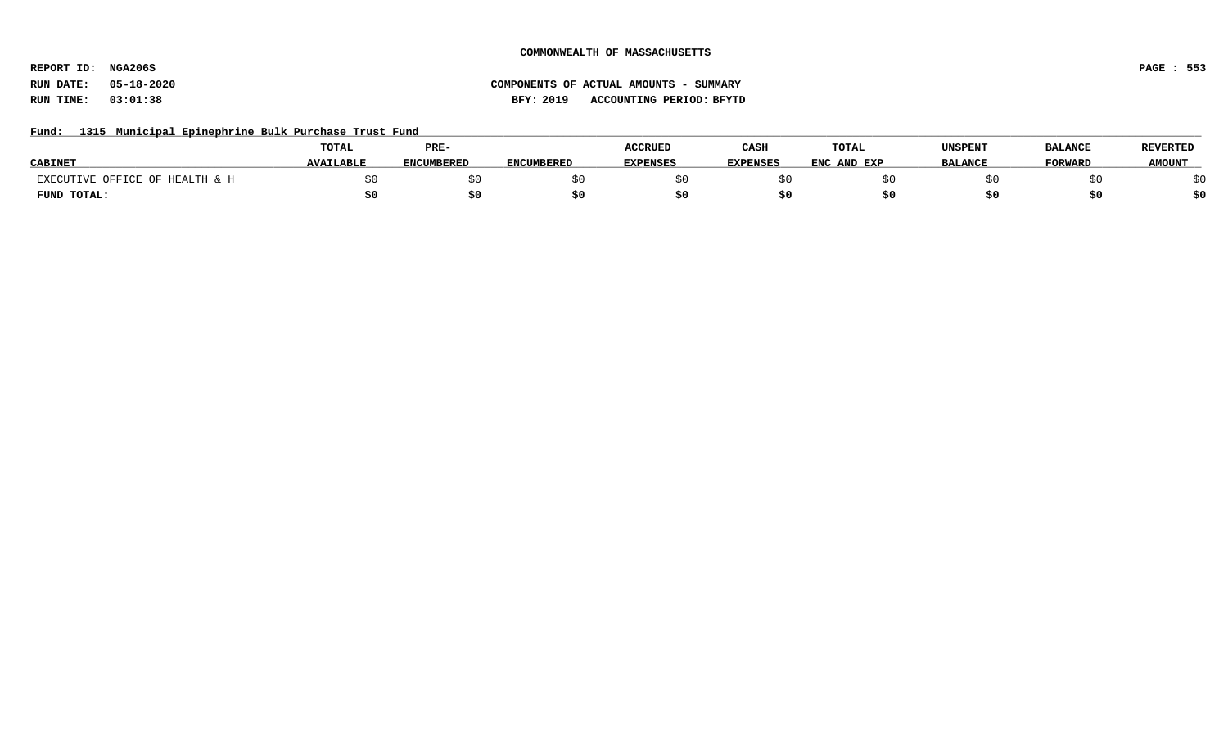**REPORT ID: NGA206S PAGE : 553**

# **RUN DATE: 05-18-2020 COMPONENTS OF ACTUAL AMOUNTS - SUMMARY RUN TIME: 03:01:38 BFY: 2019 ACCOUNTING PERIOD: BFYTD**

## Fund: 1315 Municipal Epinephrine Bulk Purchase Trust Fund

|                                | <b>TOTAL</b>     | PRE-              |                   | <b>ACCRUED</b>  | CASH            | <b>TOTAL</b> | UNSPENT        | <b>BALANCE</b> | REVERTED      |
|--------------------------------|------------------|-------------------|-------------------|-----------------|-----------------|--------------|----------------|----------------|---------------|
| <b>CABINET</b>                 | <b>AVAILABLE</b> | <b>ENCUMBERED</b> | <b>ENCUMBERED</b> | <b>EXPENSES</b> | <b>EXPENSES</b> | ENC AND EXP  | <b>BALANCE</b> | <b>FORWARD</b> | <b>AMOUNT</b> |
| EXECUTIVE OFFICE OF HEALTH & H |                  |                   |                   |                 |                 |              |                |                |               |
| FUND TOTAL:                    |                  |                   |                   |                 |                 |              |                |                | \$0           |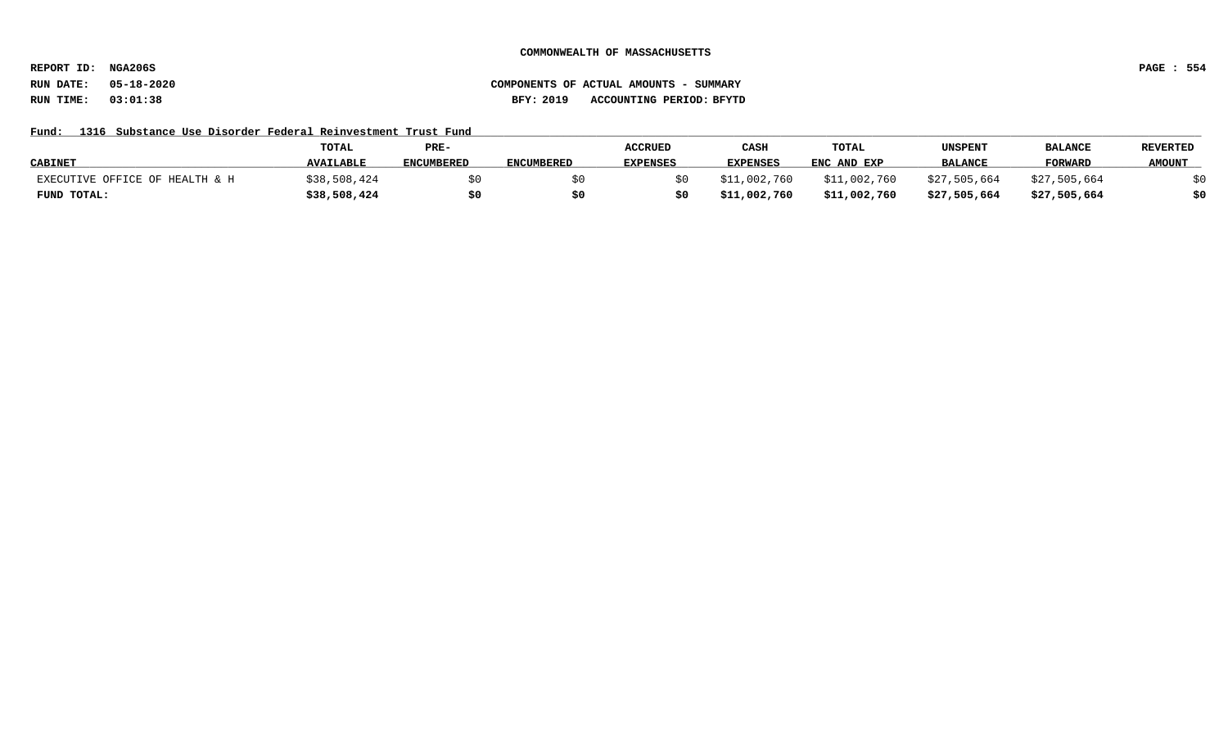**REPORT ID: NGA206S PAGE : 554**

# **RUN DATE: 05-18-2020 COMPONENTS OF ACTUAL AMOUNTS - SUMMARY RUN TIME: 03:01:38 BFY: 2019 ACCOUNTING PERIOD: BFYTD**

## Fund: 1316 Substance Use Disorder Federal Reinvestment Trust Fund

|                                | <b>TOTAL</b>     | PRE-              |            | <b>ACCRUED</b>  | CASH            | TOTAL        | UNSPENT        | <b>BALANCE</b> | <b>REVERTED</b> |
|--------------------------------|------------------|-------------------|------------|-----------------|-----------------|--------------|----------------|----------------|-----------------|
| <b>CABINET</b>                 | <b>AVAILABLE</b> | <b>ENCUMBERED</b> | ENCUMBERED | <b>EXPENSES</b> | <b>EXPENSES</b> | ENC AND EXP  | <b>BALANCE</b> | <b>FORWARD</b> | <b>AMOUNT</b>   |
| EXECUTIVE OFFICE OF HEALTH & H | \$38,508,424     |                   |            |                 | \$11,002,760    | \$11,002,760 | \$27,505,664   | \$27,505,664   |                 |
| FUND TOTAL:                    | \$38,508,424     | \$0               |            |                 | \$11,002,760    | \$11,002,760 | \$27,505,664   | \$27,505,664   | \$0             |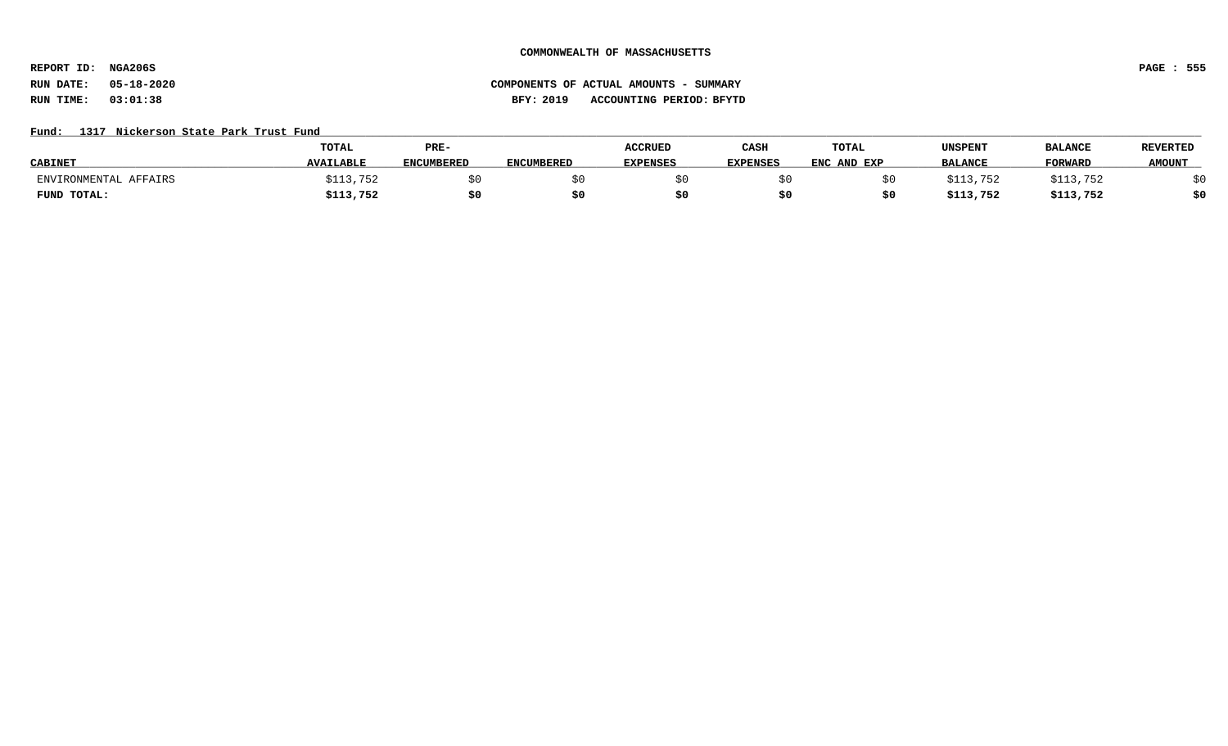**REPORT ID: NGA206S PAGE : 555**

# **RUN DATE: 05-18-2020 COMPONENTS OF ACTUAL AMOUNTS - SUMMARY RUN TIME: 03:01:38 BFY: 2019 ACCOUNTING PERIOD: BFYTD**

### Fund: 1317 Nickerson State Park Trust Fund

|                       | <b>TOTAL</b>     | PRE-              |            | <b>ACCRUED</b>  | CASH            | <b>TOTAL</b> | UNSPENT        | <b>BALANCE</b> | <b>REVERTED</b> |
|-----------------------|------------------|-------------------|------------|-----------------|-----------------|--------------|----------------|----------------|-----------------|
| <b>CABINET</b>        | <b>AVAILABLE</b> | <b>ENCUMBERED</b> | ENCUMBERED | <b>EXPENSES</b> | <b>EXPENSES</b> | ENC AND EXP  | <b>BALANCE</b> | <b>FORWARD</b> | <b>AMOUNT</b>   |
| ENVIRONMENTAL AFFAIRS | 113,752ء         |                   |            |                 |                 |              | 5113.752       | \$113,752      |                 |
| FUND TOTAL:           | \$113,752        | \$0               |            |                 |                 |              | \$113,752      | \$113,752      | \$0             |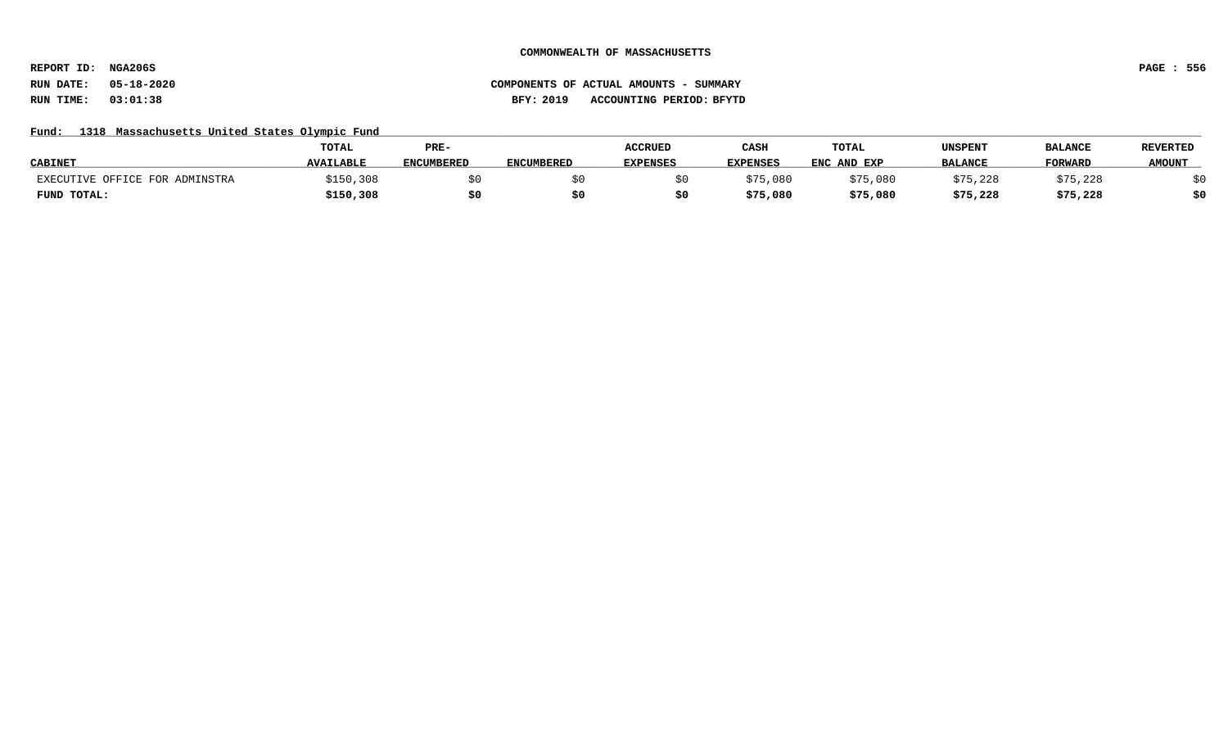**REPORT ID: NGA206S PAGE : 556**

## **RUN DATE: 05-18-2020 COMPONENTS OF ACTUAL AMOUNTS - SUMMARY RUN TIME: 03:01:38 BFY: 2019 ACCOUNTING PERIOD: BFYTD**

## Fund: 1318 Massachusetts United States Olympic Fund

|                                | TOTAL            | PRE-              |                   | <b>ACCRUED</b>  | CASH            | TOTAL       | UNSPENT        | <b>BALANCE</b> | <b>REVERTED</b> |
|--------------------------------|------------------|-------------------|-------------------|-----------------|-----------------|-------------|----------------|----------------|-----------------|
| <b>CABINET</b>                 | <b>AVAILABLE</b> | <b>ENCUMBERED</b> | <b>ENCUMBERED</b> | <b>EXPENSES</b> | <b>EXPENSES</b> | ENC AND EXP | <b>BALANCE</b> | <b>FORWARD</b> | <b>AMOUNT</b>   |
| EXECUTIVE OFFICE FOR ADMINSTRA | \$150,308        |                   |                   |                 | \$75,080        | \$75,080    | \$75,228       | \$75,228       |                 |
| FUND TOTAL:                    | \$150,308        | \$0               |                   |                 | \$75,080        | \$75,080    | \$75,228       | \$75,228       | \$0             |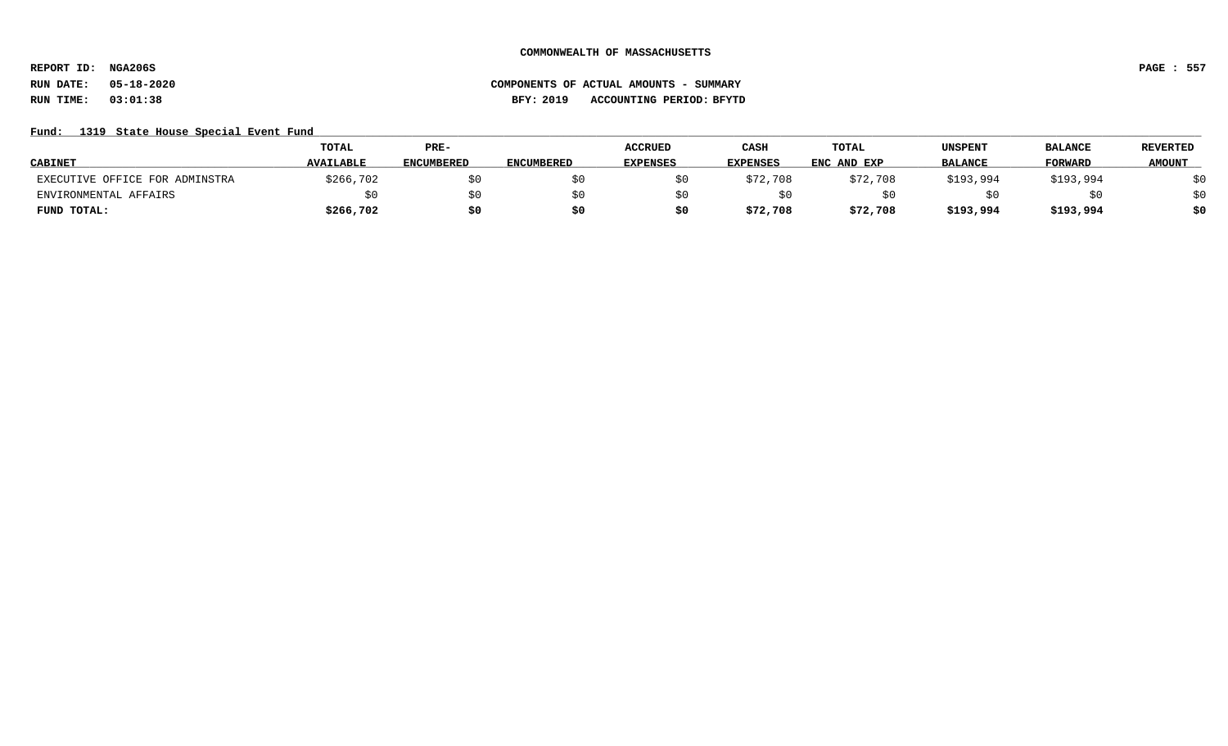**REPORT ID: NGA206S PAGE : 557**

# **RUN DATE: 05-18-2020 COMPONENTS OF ACTUAL AMOUNTS - SUMMARY RUN TIME: 03:01:38 BFY: 2019 ACCOUNTING PERIOD: BFYTD**

## Fund: 1319 State House Special Event Fund

|                                | <b>TOTAL</b>     | PRE-              |                   | <b>ACCRUED</b>  | CASH            | TOTAL       | UNSPENT        | <b>BALANCE</b> | <b>REVERTED</b> |
|--------------------------------|------------------|-------------------|-------------------|-----------------|-----------------|-------------|----------------|----------------|-----------------|
| <b>CABINET</b>                 | <b>AVAILABLE</b> | <b>ENCUMBERED</b> | <b>ENCUMBERED</b> | <b>EXPENSES</b> | <b>EXPENSES</b> | ENC AND EXP | <b>BALANCE</b> | <b>FORWARD</b> | <b>AMOUNT</b>   |
| EXECUTIVE OFFICE FOR ADMINSTRA | \$266,702        | \$0               |                   |                 | \$72,708        | \$72,708    | \$193,994      | \$193,994      | \$0             |
| ENVIRONMENTAL AFFAIRS          |                  | \$0               |                   |                 |                 |             |                |                | \$0             |
| FUND TOTAL:                    | \$266,702        | \$0               | S0                |                 | \$72,708        | \$72,708    | \$193,994      | \$193,994      | \$0             |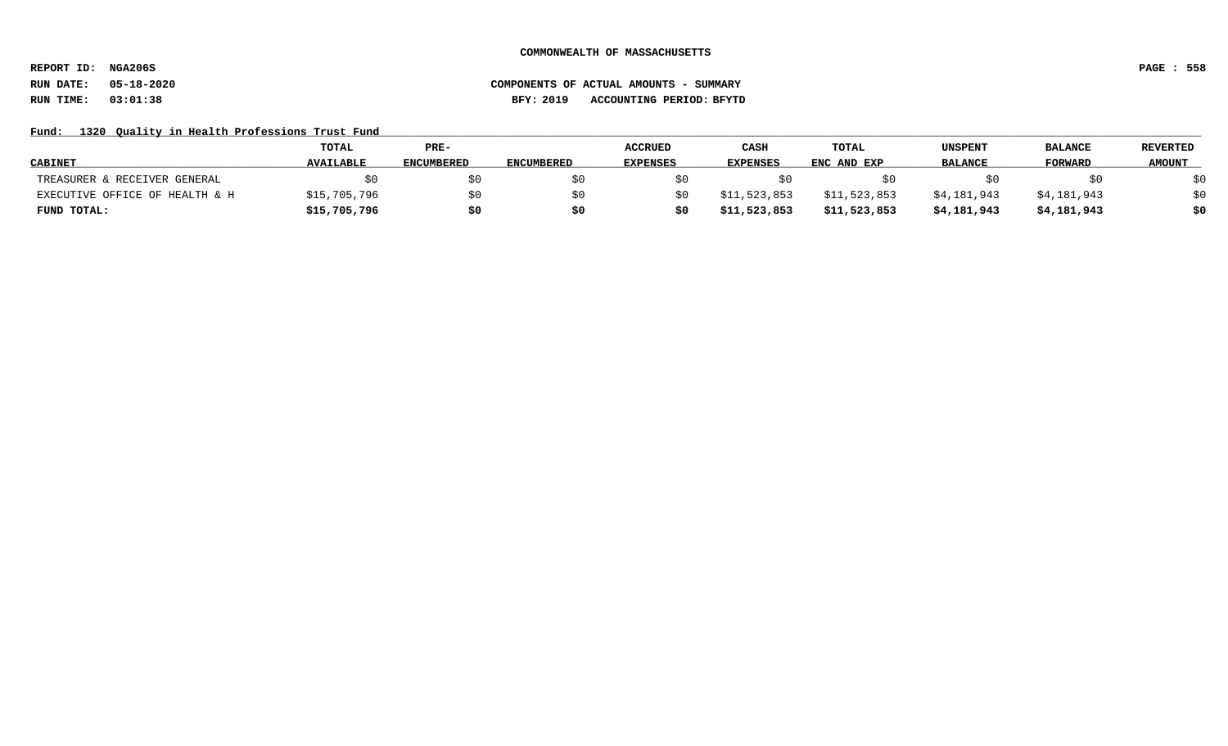**REPORT ID: NGA206S PAGE : 558**

# **RUN DATE: 05-18-2020 COMPONENTS OF ACTUAL AMOUNTS - SUMMARY RUN TIME: 03:01:38 BFY: 2019 ACCOUNTING PERIOD: BFYTD**

## Fund: 1320 Quality in Health Professions Trust Fund

|                                | <b>TOTAL</b>     | $PRE-$            |                   | <b>ACCRUED</b>  | CASH            | <b>TOTAL</b> | UNSPENT        | <b>BALANCE</b> | <b>REVERTED</b> |
|--------------------------------|------------------|-------------------|-------------------|-----------------|-----------------|--------------|----------------|----------------|-----------------|
| <b>CABINET</b>                 | <b>AVAILABLE</b> | <b>ENCUMBERED</b> | <b>ENCUMBERED</b> | <b>EXPENSES</b> | <b>EXPENSES</b> | ENC AND EXP  | <b>BALANCE</b> | <b>FORWARD</b> | <b>AMOUNT</b>   |
| TREASURER & RECEIVER GENERAL   |                  | \$0               |                   |                 |                 |              |                |                | \$0             |
| EXECUTIVE OFFICE OF HEALTH & H | \$15,705,796     | \$0               |                   |                 | \$11,523,853    | \$11,523,853 | \$4,181,943    | \$4,181,943    | \$0             |
| FUND TOTAL:                    | \$15,705,796     | \$0               |                   |                 | \$11,523,853    | \$11,523,853 | \$4,181,943    | \$4,181,943    | \$0             |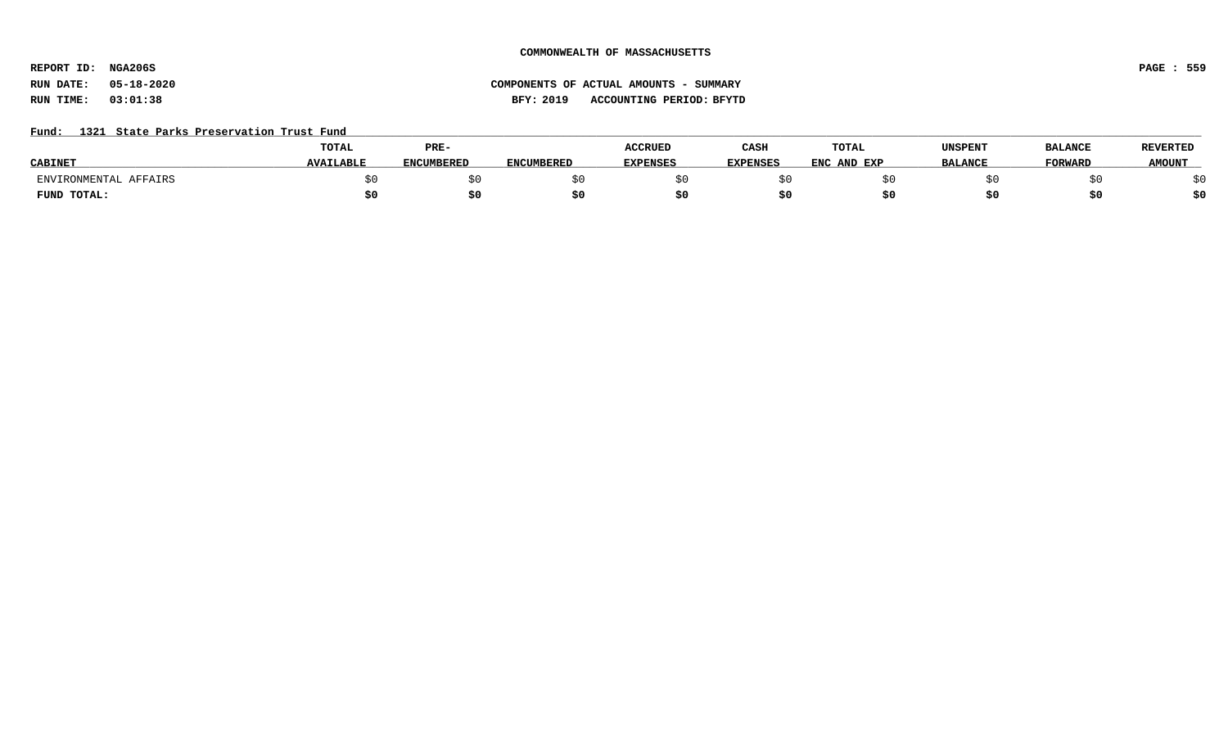**REPORT ID: NGA206S PAGE : 559**

# **RUN DATE: 05-18-2020 COMPONENTS OF ACTUAL AMOUNTS - SUMMARY RUN TIME: 03:01:38 BFY: 2019 ACCOUNTING PERIOD: BFYTD**

## Fund: 1321 State Parks Preservation Trust Fund

|                       | <b>TOTAL</b>     | PRE-              |            | <b>ACCRUED</b>  | CASH            | <b>TOTAL</b> | UNSPENT        | <b>BALANCE</b> | <b>REVERTED</b> |
|-----------------------|------------------|-------------------|------------|-----------------|-----------------|--------------|----------------|----------------|-----------------|
| <b>CABINE</b>         | <b>AVAILABLE</b> | <b>ENCUMBERED</b> | ENCUMBERED | <b>EXPENSES</b> | <b>EXPENSES</b> | ENC AND EXP  | <b>BALANCE</b> | <b>FORWARD</b> | <b>AMOUNT</b>   |
| ENVIRONMENTAL AFFAIRS |                  |                   |            |                 |                 |              |                |                |                 |
| FUND TOTAL:           |                  | S0                |            |                 |                 |              |                |                | \$0             |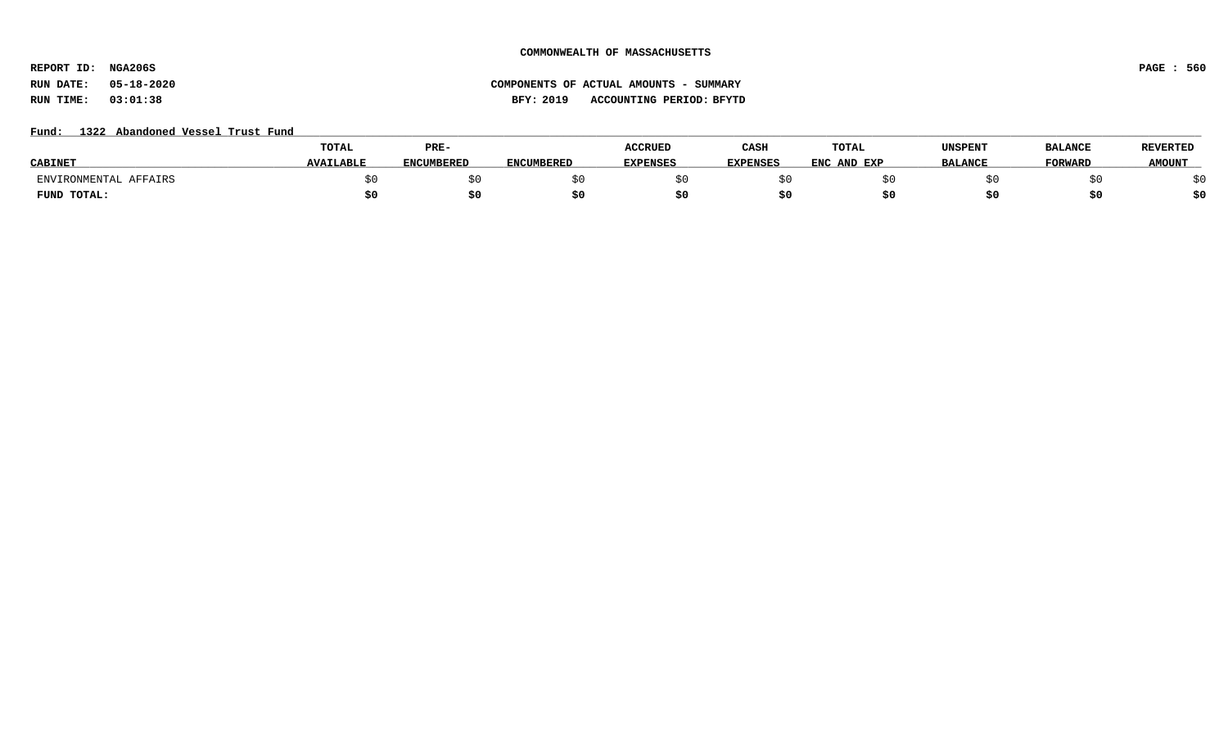**REPORT ID: NGA206S PAGE : 560**

## Fund: 1322 Abandoned Vessel Trust Fund

|                       | TOTAL            | PRE-              |            | ACCRUED         | CASH            | TOTAL       | UNSPENT        | <b>BALANCE</b> | <b>REVERTED</b> |
|-----------------------|------------------|-------------------|------------|-----------------|-----------------|-------------|----------------|----------------|-----------------|
| <b>CABINET</b>        | <b>AVAILABLE</b> | <b>ENCUMBERED</b> | ENCUMBERED | <b>EXPENSES</b> | <b>EXPENSES</b> | ENC AND EXP | <b>BALANCE</b> | <b>FORWARL</b> | <b>AMOUNT</b>   |
| ENVIRONMENTAL AFFAIRS |                  |                   |            |                 |                 |             |                |                |                 |
| FUND TOTAL:           |                  | \$0               |            |                 |                 |             |                |                | \$0             |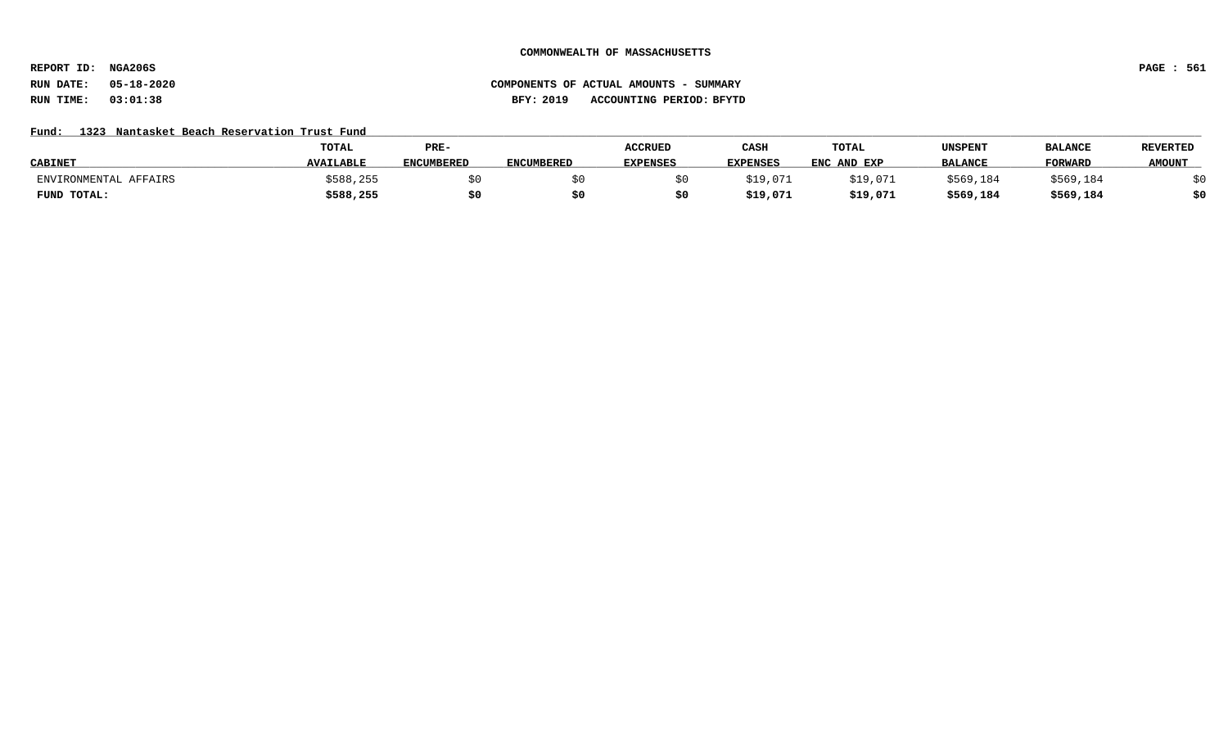**REPORT ID: NGA206S PAGE : 561**

# **RUN DATE: 05-18-2020 COMPONENTS OF ACTUAL AMOUNTS - SUMMARY RUN TIME: 03:01:38 BFY: 2019 ACCOUNTING PERIOD: BFYTD**

## Fund: 1323 Nantasket Beach Reservation Trust Fund

|                       | <b>TOTAL</b>     | PRE-              |                   | <b>ACCRUED</b>  | CASH            | TOTAL       | UNSPENT        | <b>BALANCE</b> | <b>REVERTED</b> |
|-----------------------|------------------|-------------------|-------------------|-----------------|-----------------|-------------|----------------|----------------|-----------------|
| <b>CABINE</b> .       | <b>AVAILABLE</b> | <b>ENCUMBERED</b> | <b>ENCUMBERED</b> | <b>EXPENSES</b> | <b>EXPENSES</b> | ENC AND EXP | <b>BALANCE</b> | <b>FORWARD</b> | <b>AMOUNT</b>   |
| ENVIRONMENTAL AFFAIRS | \$588,255        |                   |                   |                 | \$19,071        | \$19,071    | \$569,184      | \$569,184      |                 |
| FUND TOTAL:           | \$588,255        | \$0               |                   |                 | \$19,071        | \$19,071    | \$569,184      | \$569,184      | \$0             |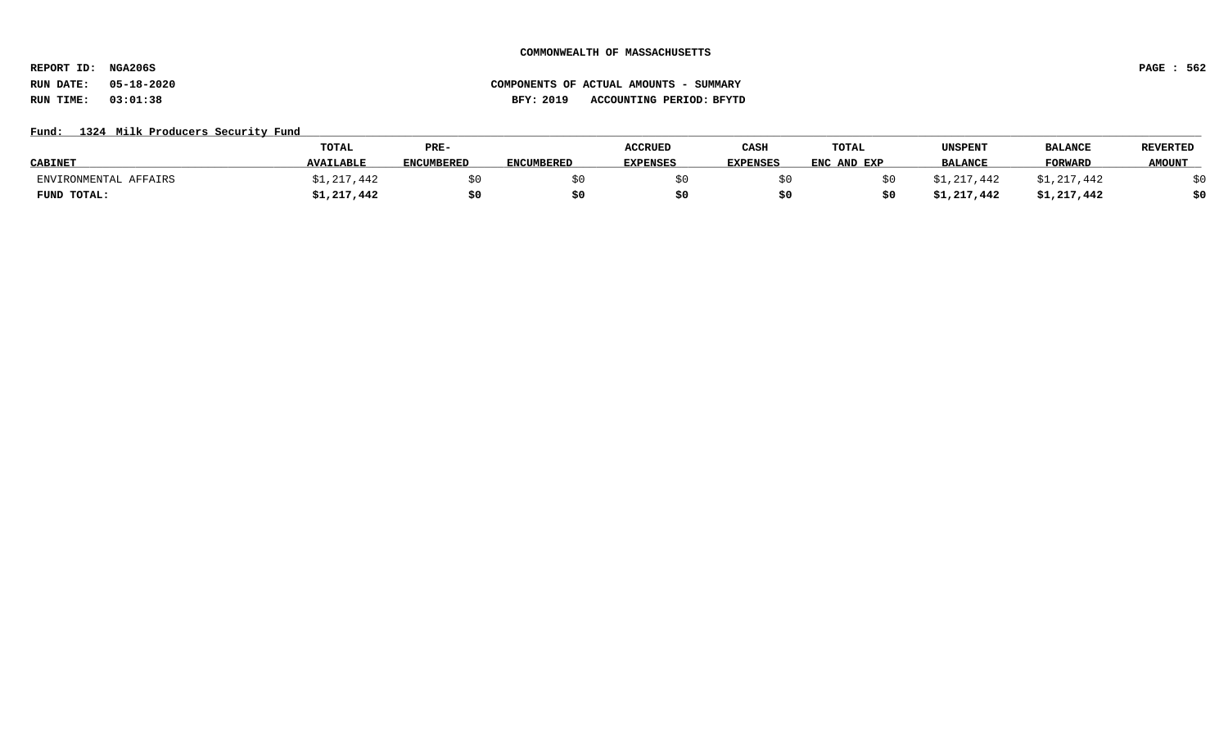**REPORT ID: NGA206S PAGE : 562**

# **RUN DATE: 05-18-2020 COMPONENTS OF ACTUAL AMOUNTS - SUMMARY RUN TIME: 03:01:38 BFY: 2019 ACCOUNTING PERIOD: BFYTD**

## Fund: 1324 Milk Producers Security Fund

|                       | TOTAL            | PRE-              |            | <b>ACCRUED</b>  | CASH            | TOTAL       | UNSPENT        | <b>BALANCE</b> | <b>REVERTED</b> |
|-----------------------|------------------|-------------------|------------|-----------------|-----------------|-------------|----------------|----------------|-----------------|
| <b>CABINET</b>        | <b>AVAILABLE</b> | <b>ENCUMBERED</b> | ENCUMBERED | <b>EXPENSES</b> | <b>EXPENSES</b> | ENC AND EXP | <b>BALANCE</b> | <b>FORWARD</b> | <b>AMOUNT</b>   |
| ENVIRONMENTAL AFFAIRS | \$1,217,442      |                   |            |                 |                 |             | \$1,217,442    | \$1,217,442    |                 |
| FUND TOTAL:           | \$1,217,442      | \$0               |            |                 |                 |             | \$1,217,442    | \$1,217,442    | \$0             |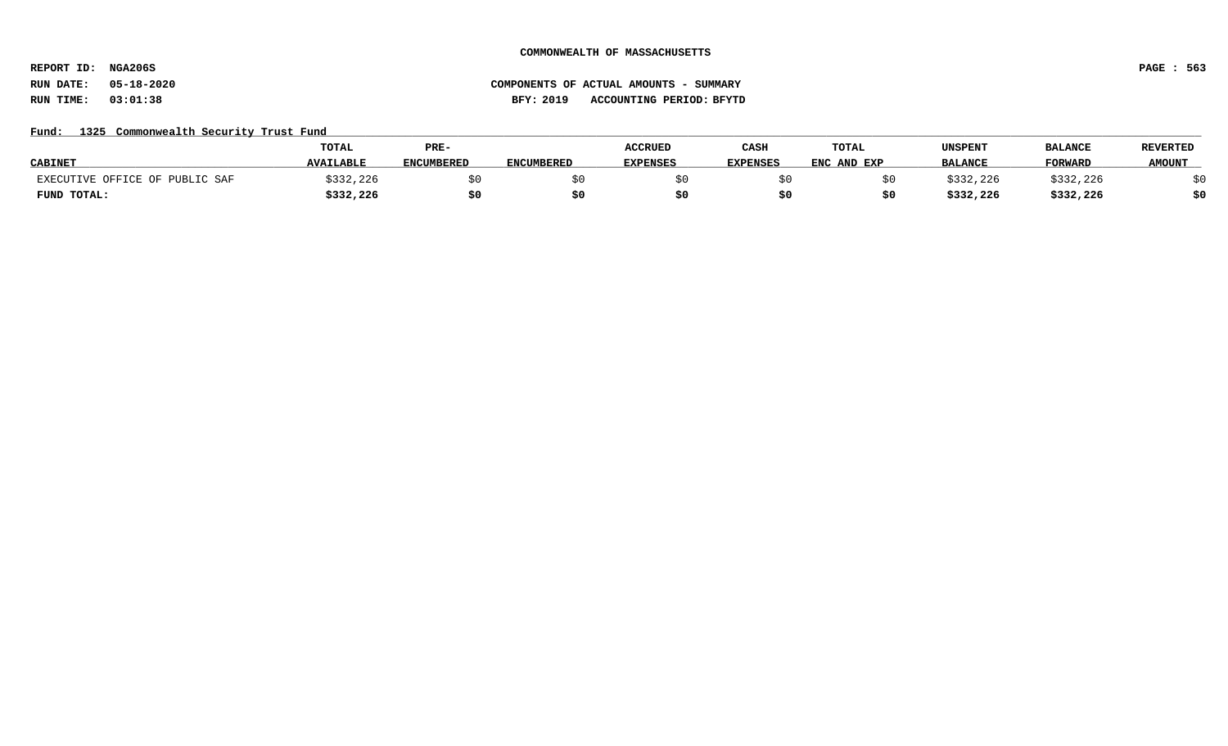**REPORT ID: NGA206S PAGE : 563**

# **RUN DATE: 05-18-2020 COMPONENTS OF ACTUAL AMOUNTS - SUMMARY RUN TIME: 03:01:38 BFY: 2019 ACCOUNTING PERIOD: BFYTD**

## Fund: 1325 Commonwealth Security Trust Fund

|                        | <b>TOTAL</b>     | PRE-              |                   | <b>ACCRUED</b>  | CASH            | <b>TOTAL</b> | UNSPENT        | <b>BALANCE</b> | <b>REVERTED</b> |
|------------------------|------------------|-------------------|-------------------|-----------------|-----------------|--------------|----------------|----------------|-----------------|
| <b>CABINET</b>         | <b>AVAILABLE</b> | <b>ENCUMBERED</b> | <b>ENCUMBERED</b> | <b>EXPENSES</b> | <b>EXPENSES</b> | ENC AND EXP  | <b>BALANCE</b> | FORWARD        | <b>AMOUNT</b>   |
| C OFFICE OF PUBLIC SAF | \$332,226        |                   |                   |                 |                 |              | 1332,226       | \$332,226      |                 |
| FUND TOTAL:            | \$332,226        | \$0               |                   |                 |                 |              | \$332,226      | \$332,226      | \$0             |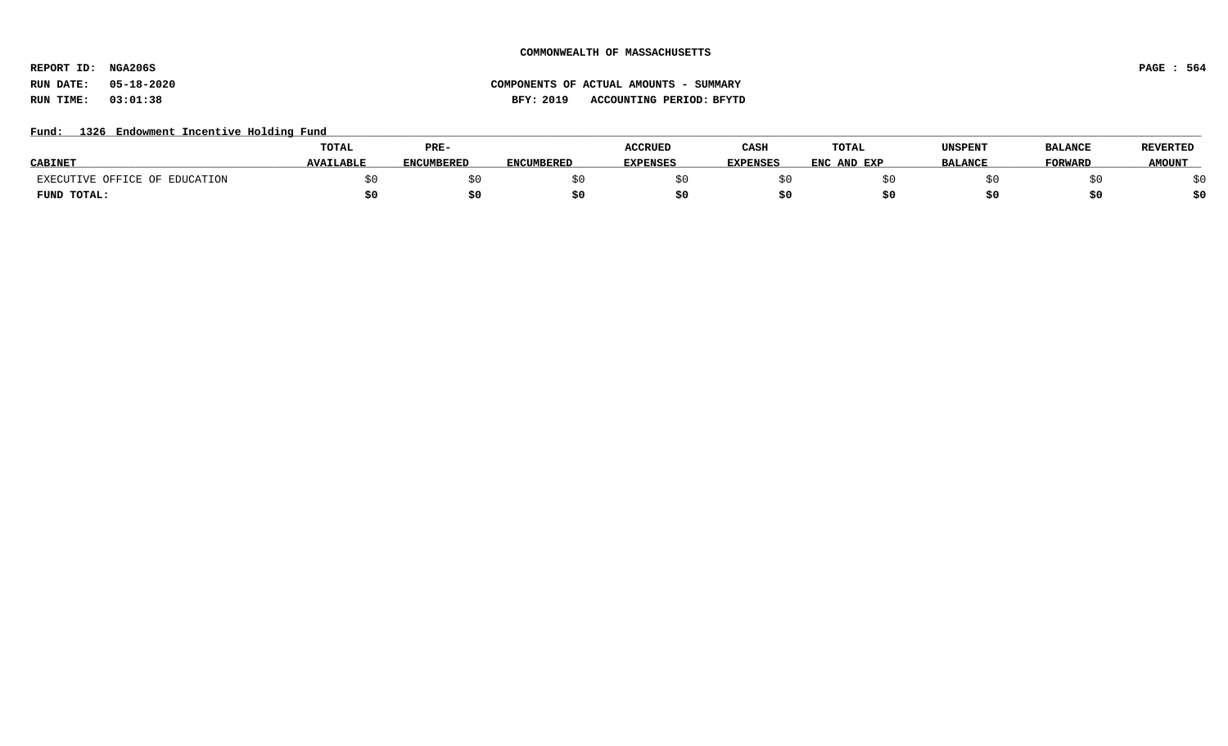**REPORT ID: NGA206S PAGE : 564**

## Fund: 1326 Endowment Incentive Holding Fund

|                               | TOTAL            | PRE-       |                   | <b>ACCRUED</b>  | CASH            | <b>TOTAL</b> | UNSPENT        | <b>BALANCE</b> | <b>REVERTED</b> |
|-------------------------------|------------------|------------|-------------------|-----------------|-----------------|--------------|----------------|----------------|-----------------|
| <b>CABINET</b>                | <b>AVAILABLE</b> | ENCUMBERED | <b>ENCUMBERED</b> | <b>EXPENSES</b> | <b>EXPENSES</b> | ENC AND EXP  | <b>BALANCE</b> | FORWARD        | <b>AMOUNT</b>   |
| EXECUTIVE OFFICE OF EDUCATION |                  |            |                   |                 |                 |              |                |                |                 |
| FUND TOTAL:                   |                  | \$0        |                   |                 |                 |              |                |                | \$0             |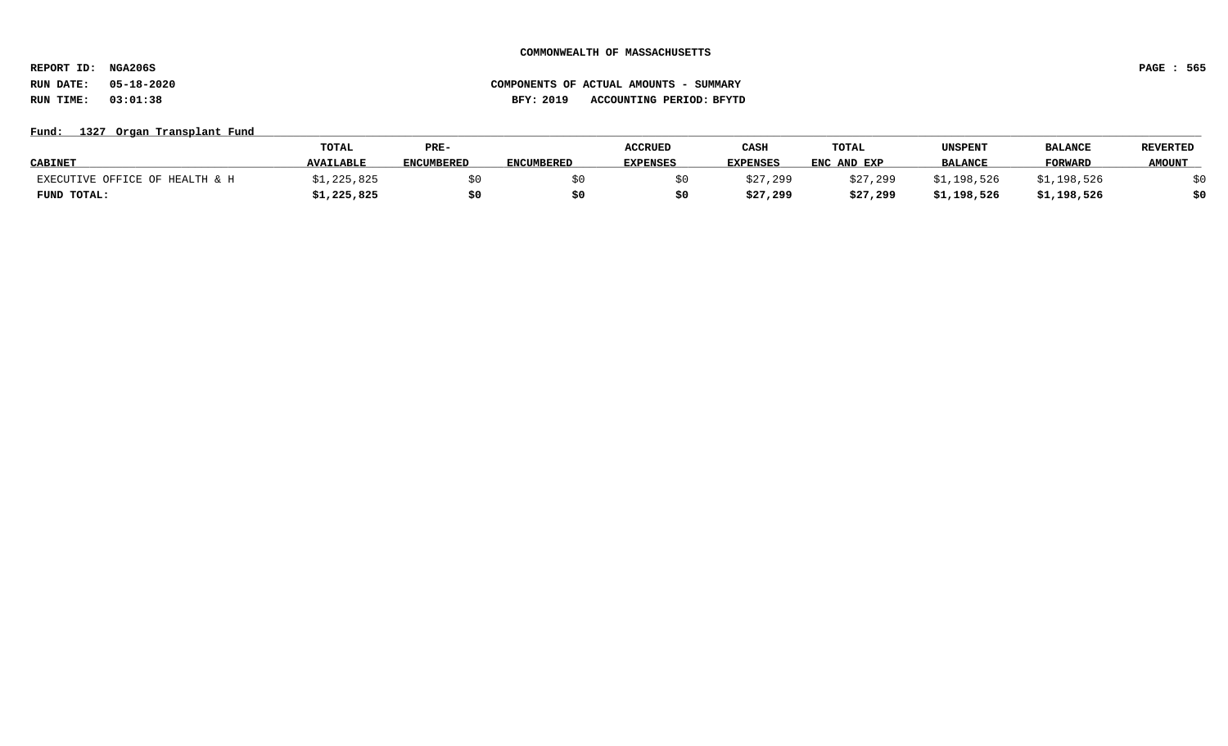**REPORT ID: NGA206S PAGE : 565**

# **RUN DATE: 05-18-2020 COMPONENTS OF ACTUAL AMOUNTS - SUMMARY RUN TIME: 03:01:38 BFY: 2019 ACCOUNTING PERIOD: BFYTD**

## Fund: 1327 Organ Transplant Fund

|                                | <b>TOTAL</b>     | PRE-              |                   | <b>ACCRUED</b>  | CASH            | TOTAL       | UNSPENT        | <b>BALANCI</b> | <b>REVERTED</b> |
|--------------------------------|------------------|-------------------|-------------------|-----------------|-----------------|-------------|----------------|----------------|-----------------|
| <b>CABINET</b>                 | <b>AVAILABLE</b> | <b>ENCUMBERED</b> | <b>ENCUMBERED</b> | <b>EXPENSES</b> | <b>EXPENSES</b> | ENC AND EXP | <b>BALANCE</b> | <b>FORWARD</b> | <b>AMOUNT</b>   |
| EXECUTIVE OFFICE OF HEALTH & H | 325,825∠         |                   |                   |                 | \$27,299        | \$27,299    | \$1,198,526    | \$1,198,526    |                 |
| FUND TOTAL:                    | \$1,225,825      |                   |                   |                 | \$27,299        | \$27,299    | \$1,198,526    | \$1,198,526    | \$0             |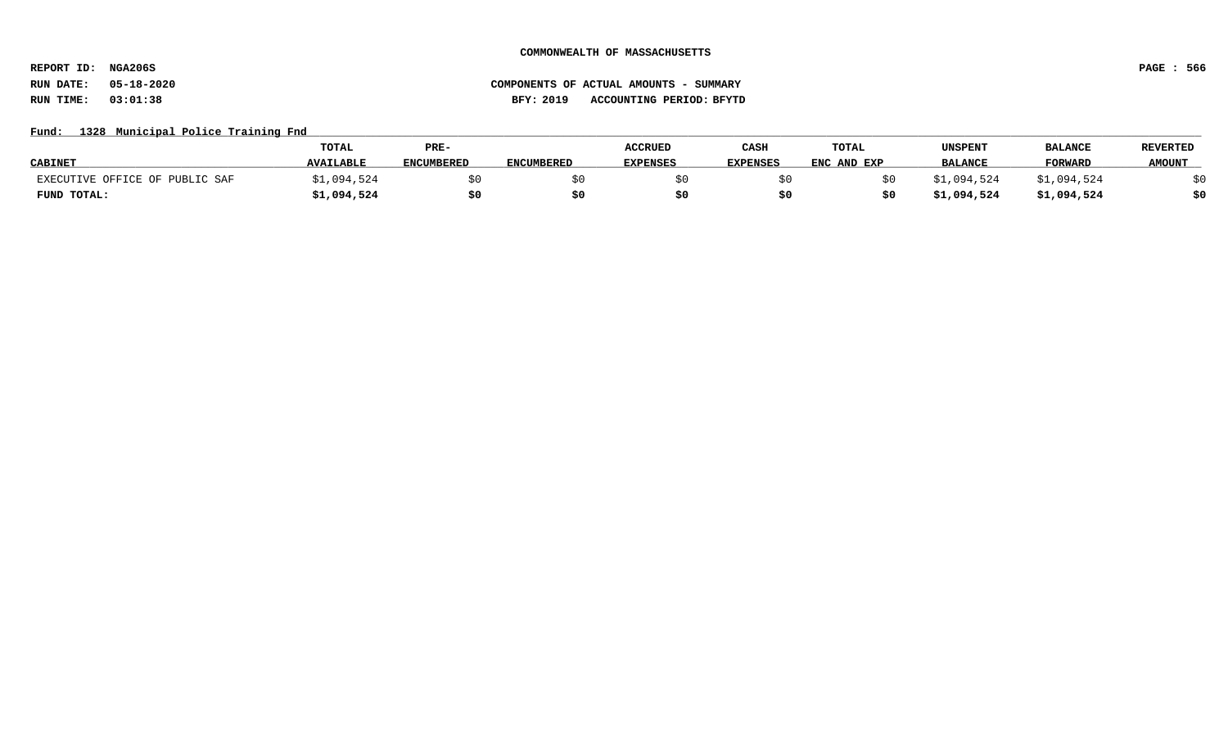**REPORT ID: NGA206S PAGE : 566**

# **RUN DATE: 05-18-2020 COMPONENTS OF ACTUAL AMOUNTS - SUMMARY RUN TIME: 03:01:38 BFY: 2019 ACCOUNTING PERIOD: BFYTD**

## Fund: 1328 Municipal Police Training Fnd

|                                | <b>TOTAL</b>     | PRE-              |                   | ACCRUED         | CASH            | TOTAL       | UNSPENT        | <b>BALANCE</b> | <b>REVERTED</b> |
|--------------------------------|------------------|-------------------|-------------------|-----------------|-----------------|-------------|----------------|----------------|-----------------|
| <b>CABINET</b>                 | <b>AVAILABLE</b> | <b>ENCUMBERED</b> | <b>ENCUMBERED</b> | <b>EXPENSES</b> | <b>EXPENSES</b> | ENC AND EXP | <b>BALANCE</b> | <b>FORWARD</b> | <b>AMOUNT</b>   |
| EXECUTIVE OFFICE OF PUBLIC SAF | ,094,524         |                   |                   |                 |                 |             | 1,094,524ټ     | \$1,094,524    |                 |
| FUND TOTAL:                    | \$1,094,524      | \$0               |                   |                 |                 |             | \$1,094,524    | \$1,094,524    | \$0             |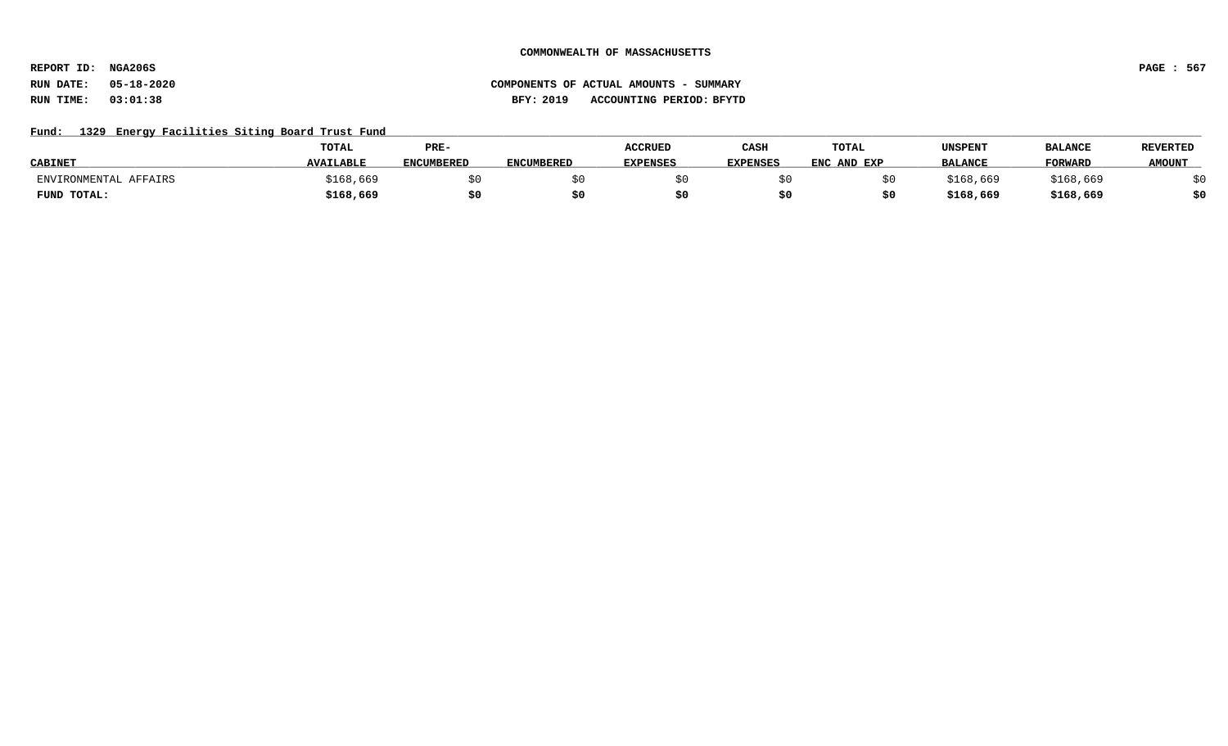**REPORT ID: NGA206S PAGE : 567**

## Fund: 1329 Energy Facilities Siting Board Trust Fund

|                       | <b>TOTAL</b>     | PRE-              |                   | <b>ACCRUED</b>  | CASH            | TOTAL       | UNSPENT        | <b>BALANCE</b> | <b>REVERTED</b> |
|-----------------------|------------------|-------------------|-------------------|-----------------|-----------------|-------------|----------------|----------------|-----------------|
| <b>CABINET</b>        | <b>AVAILABLE</b> | <b>ENCUMBERED</b> | <b>ENCUMBERED</b> | <b>EXPENSES</b> | <b>EXPENSES</b> | ENC AND EXP | <b>BALANCE</b> | <b>FORWARD</b> | <b>AMOUNT</b>   |
| ENVIRONMENTAL AFFAIRS | \$168,669        |                   |                   |                 |                 |             | \$168.669      | \$168,669      |                 |
| FUND TOTAL:           | \$168,669        |                   |                   |                 |                 |             | \$168,669      | \$168,669      | 40              |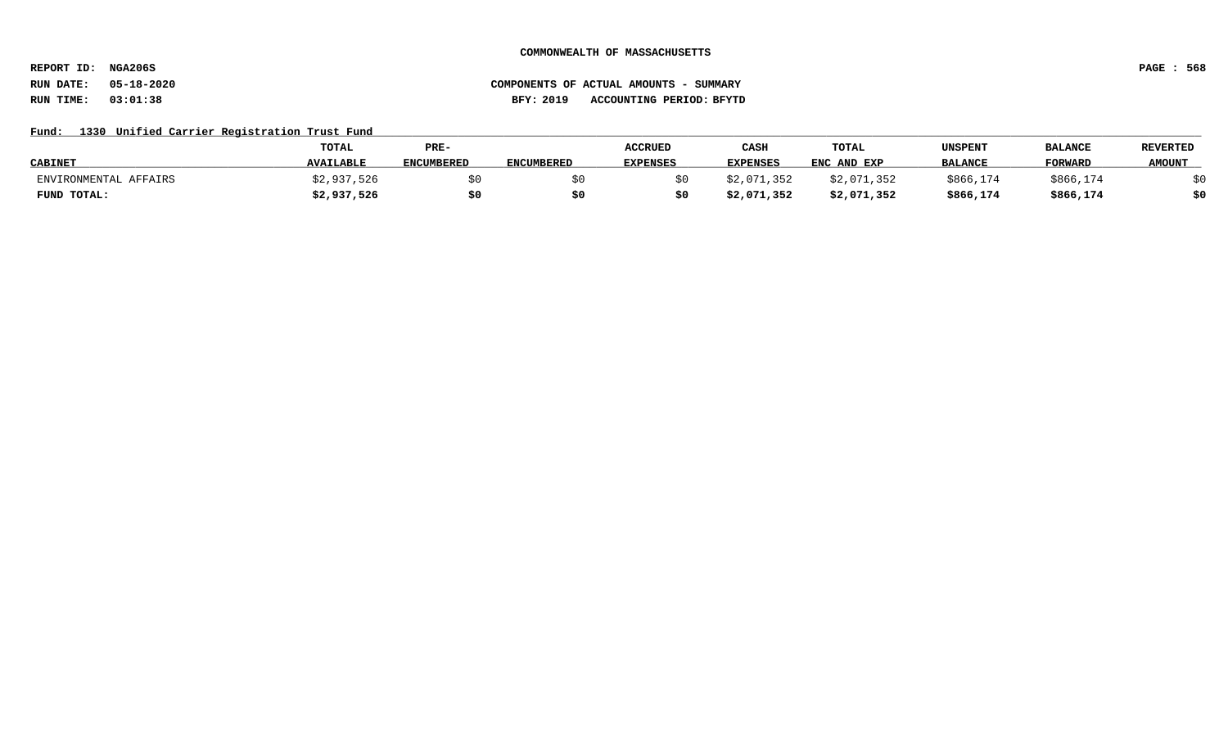**REPORT ID: NGA206S PAGE : 568**

# **RUN DATE: 05-18-2020 COMPONENTS OF ACTUAL AMOUNTS - SUMMARY RUN TIME: 03:01:38 BFY: 2019 ACCOUNTING PERIOD: BFYTD**

## Fund: 1330 Unified Carrier Registration Trust Fund

|                       | <b>TOTAL</b>     | PRE-              |                   | <b>ACCRUED</b>  | CASH            | <b>TOTAL</b> | UNSPENT        | <b>BALANCE</b> | <b>REVERTED</b> |
|-----------------------|------------------|-------------------|-------------------|-----------------|-----------------|--------------|----------------|----------------|-----------------|
| <b>CABINET</b>        | <b>AVAILABLE</b> | <b>ENCUMBERED</b> | <b>ENCUMBERED</b> | <b>EXPENSES</b> | <b>EXPENSES</b> | ENC AND EXP  | <b>BALANCE</b> | <b>FORWARD</b> | <b>AMOUNT</b>   |
| ENVIRONMENTAL AFFAIRS | 937,526          |                   |                   |                 | ;2,071,352      | \$2,071,352  | \$866,174      | \$866,174      |                 |
| FUND TOTAL:           | \$2,937,526      | \$0               |                   |                 | \$2,071,352     | \$2,071,352  | \$866,174      | \$866,174      | 40              |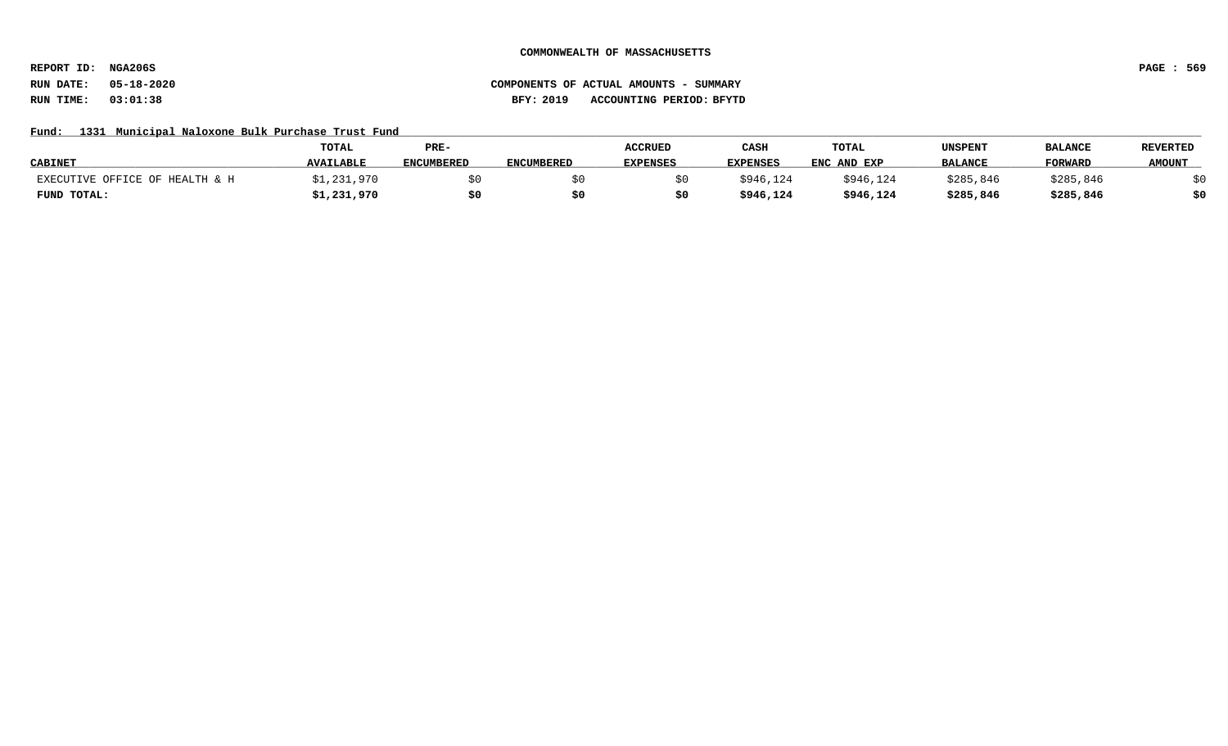**REPORT ID: NGA206S PAGE : 569**

## Fund: 1331 Municipal Naloxone Bulk Purchase Trust Fund

|                                | TOTAL            | PRE-              |                   | <b>ACCRUED</b>  | CASH            | <b>TOTAL</b> | UNSPENT        | <b>BALANCE</b> | <b>REVERTED</b> |
|--------------------------------|------------------|-------------------|-------------------|-----------------|-----------------|--------------|----------------|----------------|-----------------|
| <b>CABINET</b>                 | <b>AVAILABLE</b> | <b>ENCUMBERED</b> | <b>ENCUMBERED</b> | <b>EXPENSES</b> | <b>EXPENSES</b> | ENC AND EXP  | <b>BALANCE</b> | <b>FORWARD</b> | <b>AMOUNT</b>   |
| EXECUTIVE OFFICE OF HEALTH & H | ;1,231,970       |                   |                   |                 | \$946,124       | \$946,124    | \$285,846      | \$285,846      |                 |
| FUND TOTAL:                    | \$1,231,970      | \$0               |                   |                 | \$946,124       | \$946,124    | \$285,846      | \$285,846      | \$0             |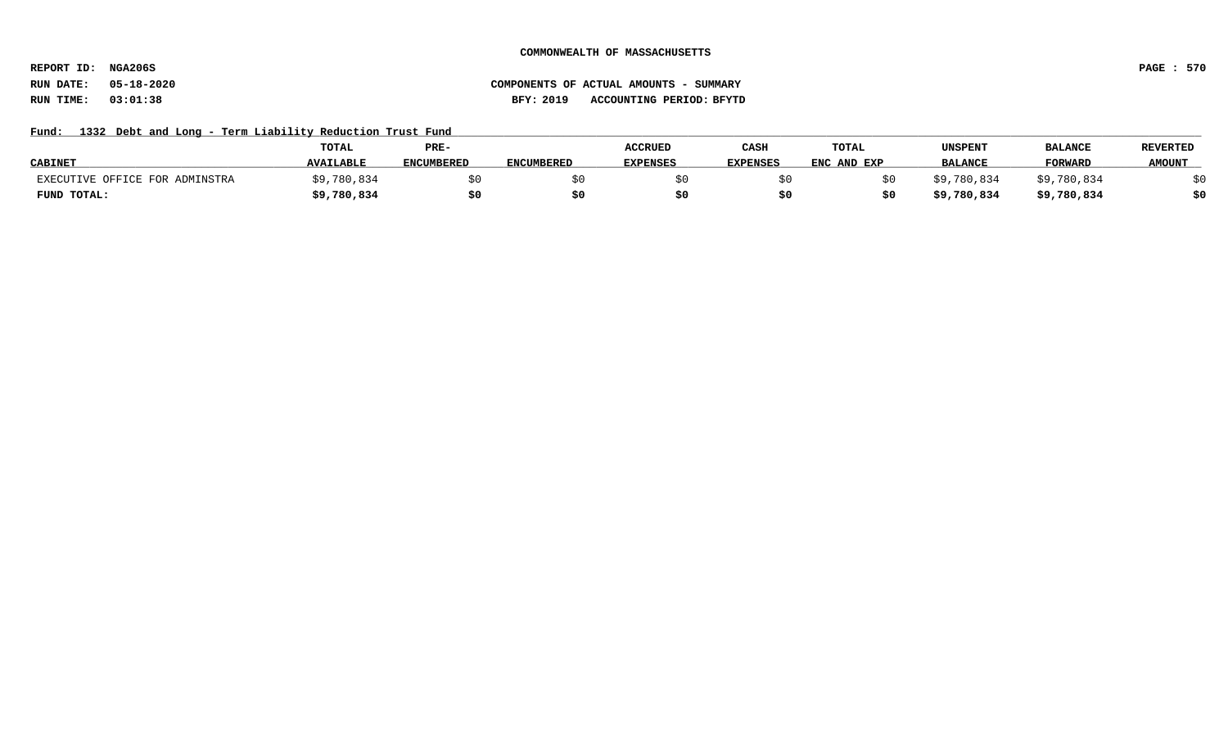**REPORT ID: NGA206S PAGE : 570**

# **RUN DATE: 05-18-2020 COMPONENTS OF ACTUAL AMOUNTS - SUMMARY RUN TIME: 03:01:38 BFY: 2019 ACCOUNTING PERIOD: BFYTD**

## Fund: 1332 Debt and Long - Term Liability Reduction Trust Fund

|                                | TOTAL            | PRE-              |                   | <b>ACCRUED</b>  | CASH     | TOTAL       | UNSPENT        | <b>BALANCE</b>   | <b>REVERTED</b> |
|--------------------------------|------------------|-------------------|-------------------|-----------------|----------|-------------|----------------|------------------|-----------------|
| <b>CABINET</b>                 | <b>AVAILABLE</b> | <b>ENCUMBERED</b> | <b>ENCUMBERED</b> | <b>EXPENSES</b> | EXPENSES | ENC AND EXP | <b>BALANCE</b> | <b>FORWARD</b>   | <b>AMOUNT</b>   |
| EXECUTIVE OFFICE FOR ADMINSTRA | ,780,834         |                   |                   |                 |          |             | \$9,780,834    | \$9.<br>,780,834 |                 |
| FUND TOTAL:                    | \$9,780,834      | \$0               |                   |                 |          |             | \$9,780,834    | \$9,780,834      | \$0             |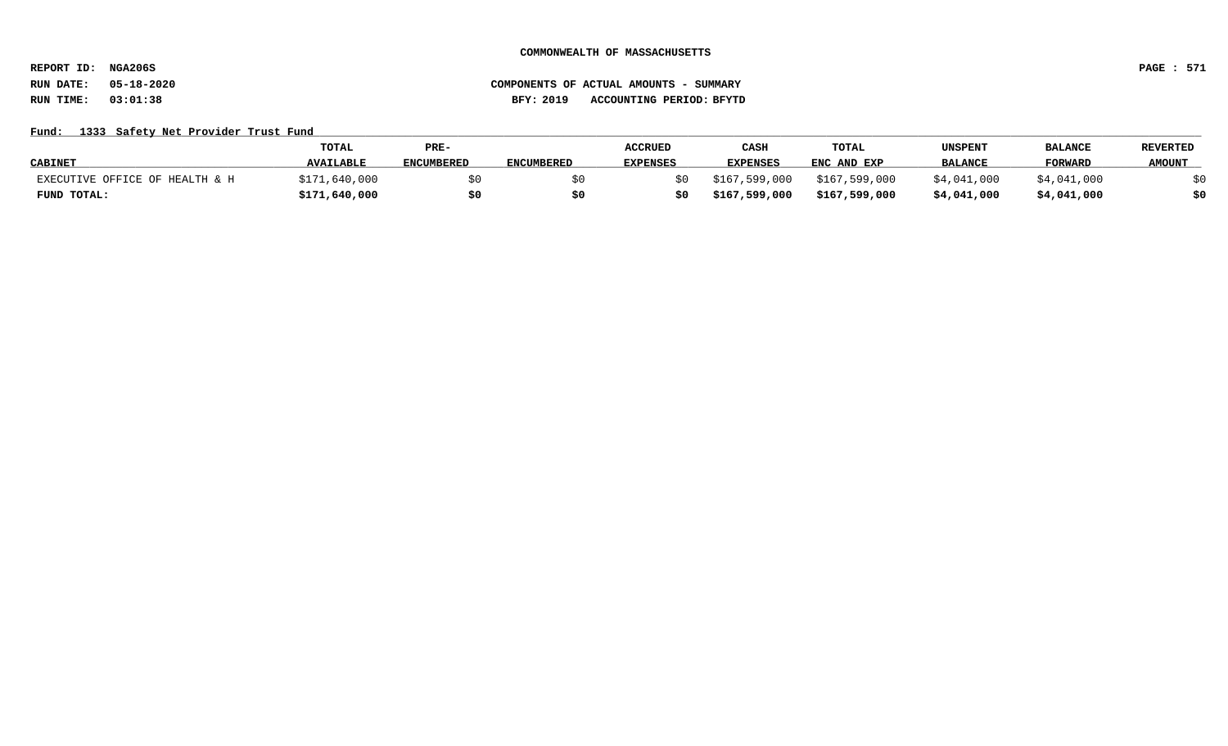**REPORT ID: NGA206S PAGE : 571**

# **RUN DATE: 05-18-2020 COMPONENTS OF ACTUAL AMOUNTS - SUMMARY RUN TIME: 03:01:38 BFY: 2019 ACCOUNTING PERIOD: BFYTD**

### Fund: 1333 Safety Net Provider Trust Fund

|                                | TOTAL            | PRE-              |                   | <b>ACCRUED</b>  | CASH            | TOTAL         | UNSPENT        | <b>BALANCI</b> | <b>REVERTED</b> |
|--------------------------------|------------------|-------------------|-------------------|-----------------|-----------------|---------------|----------------|----------------|-----------------|
| <b>CABINET</b>                 | <b>AVAILABLE</b> | <b>ENCUMBERED</b> | <b>ENCUMBERED</b> | <b>EXPENSES</b> | <b>EXPENSES</b> | ENC AND EXP   | <b>BALANCE</b> | FORWARD        | <b>AMOUNT</b>   |
| EXECUTIVE OFFICE OF HEALTH & H | \$171,640,000    |                   |                   |                 | \$167,599,000   | \$167,599,000 | \$4,041,000    | \$4,041,000    |                 |
| FUND TOTAL:                    | \$171,640,000    |                   |                   |                 | \$167,599,000   | \$167,599,000 | \$4,041,000    | \$4,041,000    |                 |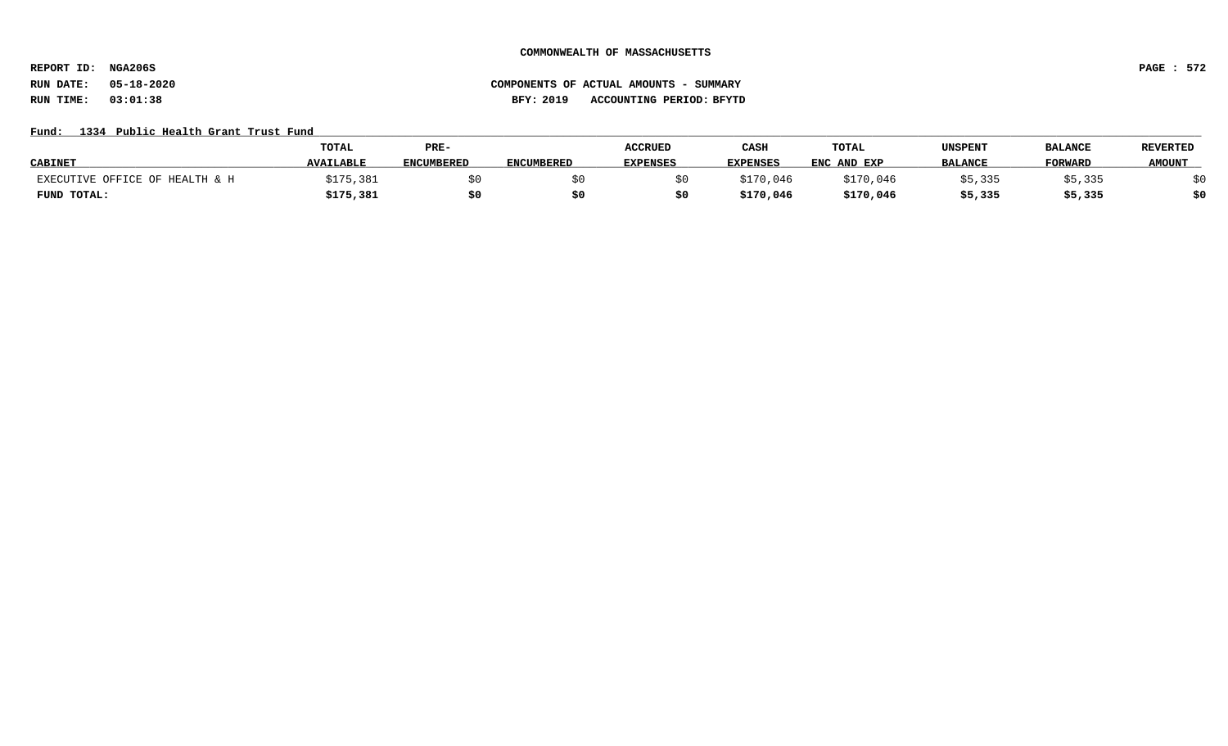**REPORT ID: NGA206S PAGE : 572**

# **RUN DATE: 05-18-2020 COMPONENTS OF ACTUAL AMOUNTS - SUMMARY RUN TIME: 03:01:38 BFY: 2019 ACCOUNTING PERIOD: BFYTD**

## Fund: 1334 Public Health Grant Trust Fund

|                                | TOTAL            | PRE-              |                   | <b>ACCRUED</b>  | CASH            | TOTAL       | UNSPENT        | <b>BALANCE</b> | <b>REVERTED</b> |
|--------------------------------|------------------|-------------------|-------------------|-----------------|-----------------|-------------|----------------|----------------|-----------------|
| <b>CABINET</b>                 | <b>AVAILABLE</b> | <b>ENCUMBERED</b> | <b>ENCUMBERED</b> | <b>EXPENSES</b> | <b>EXPENSES</b> | ENC AND EXP | <b>BALANCE</b> | <b>FORWARD</b> | <b>AMOUNT</b>   |
| EXECUTIVE OFFICE OF HEALTH & H | 175,381          |                   |                   |                 | \$170,046       | \$170.046   | \$5,335        | 335, دَ        |                 |
| FUND TOTAL:                    | \$175,381        | \$0               |                   |                 | \$170,046       | \$170,046   | \$5,335        | \$5,335        | \$0             |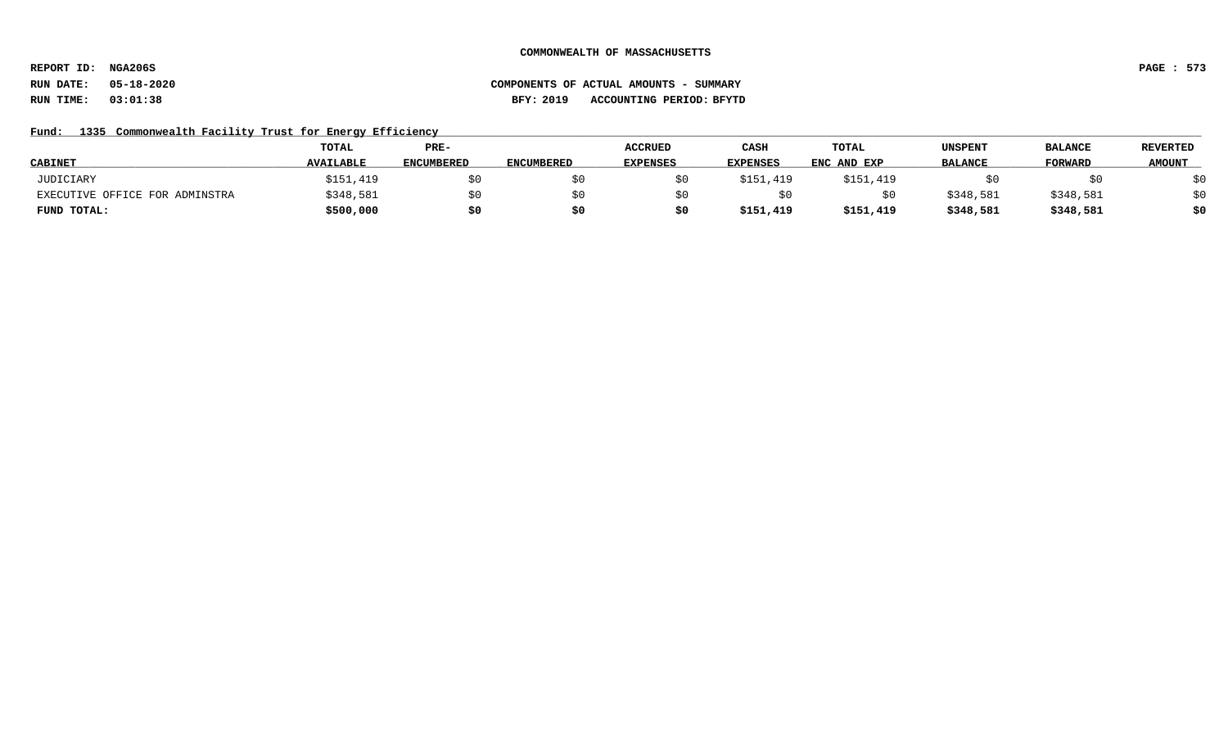**REPORT ID: NGA206S PAGE : 573**

# Fund: 1335 Commonwealth Facility Trust for Energy Efficiency

|                                | TOTAL            | PRE-              |                   | <b>ACCRUED</b>  | CASH            | TOTAL       | <b>UNSPENT</b> | <b>BALANCE</b> | <b>REVERTED</b> |
|--------------------------------|------------------|-------------------|-------------------|-----------------|-----------------|-------------|----------------|----------------|-----------------|
| <b>CABINET</b>                 | <b>AVAILABLE</b> | <b>ENCUMBERED</b> | <b>ENCUMBERED</b> | <b>EXPENSES</b> | <b>EXPENSES</b> | ENC AND EXP | <b>BALANCE</b> | <b>FORWARD</b> | <b>AMOUNT</b>   |
| JUDICIARY                      | \$151,419        | \$0               |                   |                 | \$151,419       | \$151,419   |                |                | \$0             |
| EXECUTIVE OFFICE FOR ADMINSTRA | \$348,581        | \$0               |                   |                 |                 |             | \$348,581      | \$348,581      | \$0             |
| FUND TOTAL:                    | \$500,000        | \$0               |                   |                 | \$151,419       | \$151,419   | \$348,581      | \$348,581      | \$0             |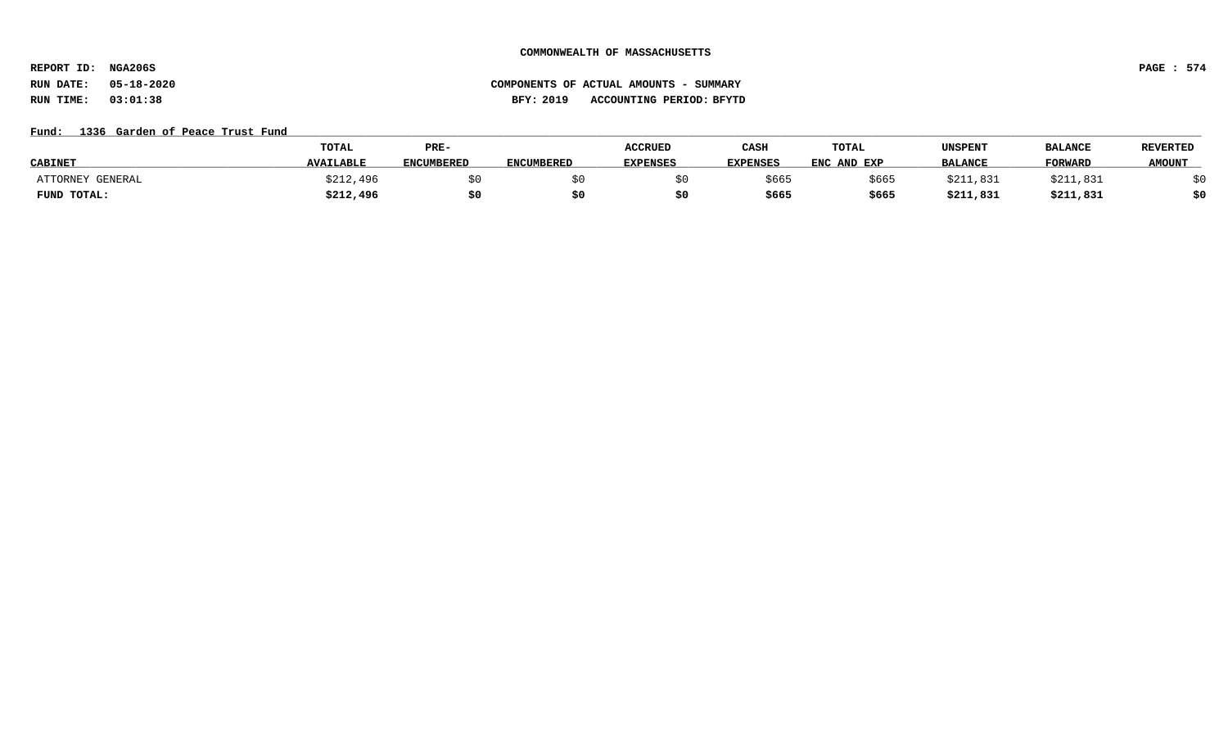**REPORT ID: NGA206S PAGE : 574**

# **RUN DATE: 05-18-2020 COMPONENTS OF ACTUAL AMOUNTS - SUMMARY RUN TIME: 03:01:38 BFY: 2019 ACCOUNTING PERIOD: BFYTD**

### Fund: 1336 Garden of Peace Trust Fund

|                            | TOTAL            | PRE-              |                   | <b>ACCRUED</b>  | CASH            | TOTAL       | UNSPENT        | <b>BALANCE</b> | <b>REVERTED</b> |
|----------------------------|------------------|-------------------|-------------------|-----------------|-----------------|-------------|----------------|----------------|-----------------|
| <b>CABINET</b>             | <b>AVAILABLE</b> | <b>ENCUMBERED</b> | <b>ENCUMBERED</b> | <b>EXPENSES</b> | <b>EXPENSES</b> | ENC AND EXP | <b>BALANCE</b> | <b>FORWARL</b> | <b>AMOUNT</b>   |
| ATTORNEY<br><b>GENERAL</b> | \$212,496        |                   |                   |                 | \$665           | \$665       | \$211,831      | \$211,831      |                 |
| FUND TOTAL:                | \$212,496        | \$0               |                   |                 | \$665           | \$665       | \$211,831      | \$211,831      | \$0             |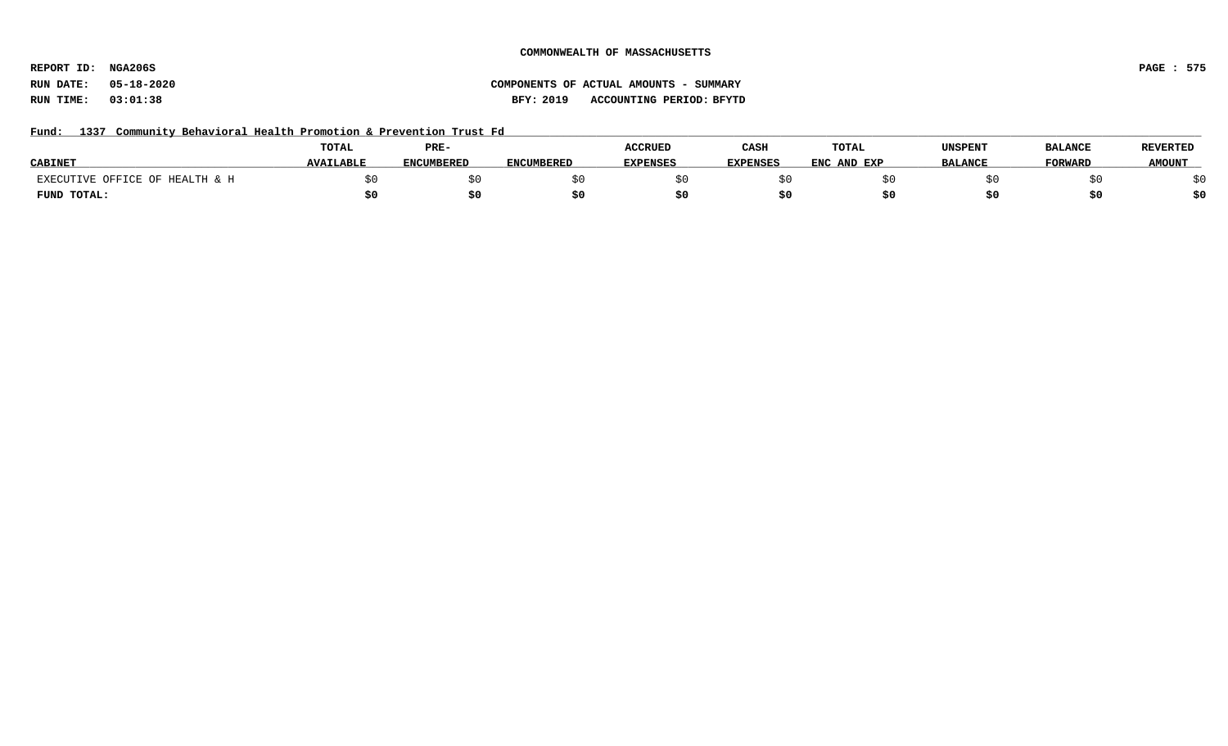**REPORT ID: NGA206S PAGE : 575**

# **RUN DATE: 05-18-2020 COMPONENTS OF ACTUAL AMOUNTS - SUMMARY RUN TIME: 03:01:38 BFY: 2019 ACCOUNTING PERIOD: BFYTD**

Fund: 1337 Community Behavioral Health Promotion & Prevention Trust Fd

|                                | <b>TOTAL</b>     | PRE-              |                   | <b>ACCRUED</b>  | CASH            | TOTAL       | <b>UNSPENT</b> | <b>BALANCE</b> | <b>REVERTED</b> |
|--------------------------------|------------------|-------------------|-------------------|-----------------|-----------------|-------------|----------------|----------------|-----------------|
| <b>CABINET</b>                 | <b>AVAILABLE</b> | <b>ENCUMBERED</b> | <b>ENCUMBERED</b> | <b>EXPENSES</b> | <b>EXPENSES</b> | ENC AND EXP | <b>BALANCE</b> | <b>FORWARD</b> | <b>AMOUNT</b>   |
| EXECUTIVE OFFICE OF HEALTH & H |                  |                   |                   |                 |                 |             |                |                |                 |
| FUND TOTAL:                    |                  |                   |                   |                 |                 |             |                | S0             |                 |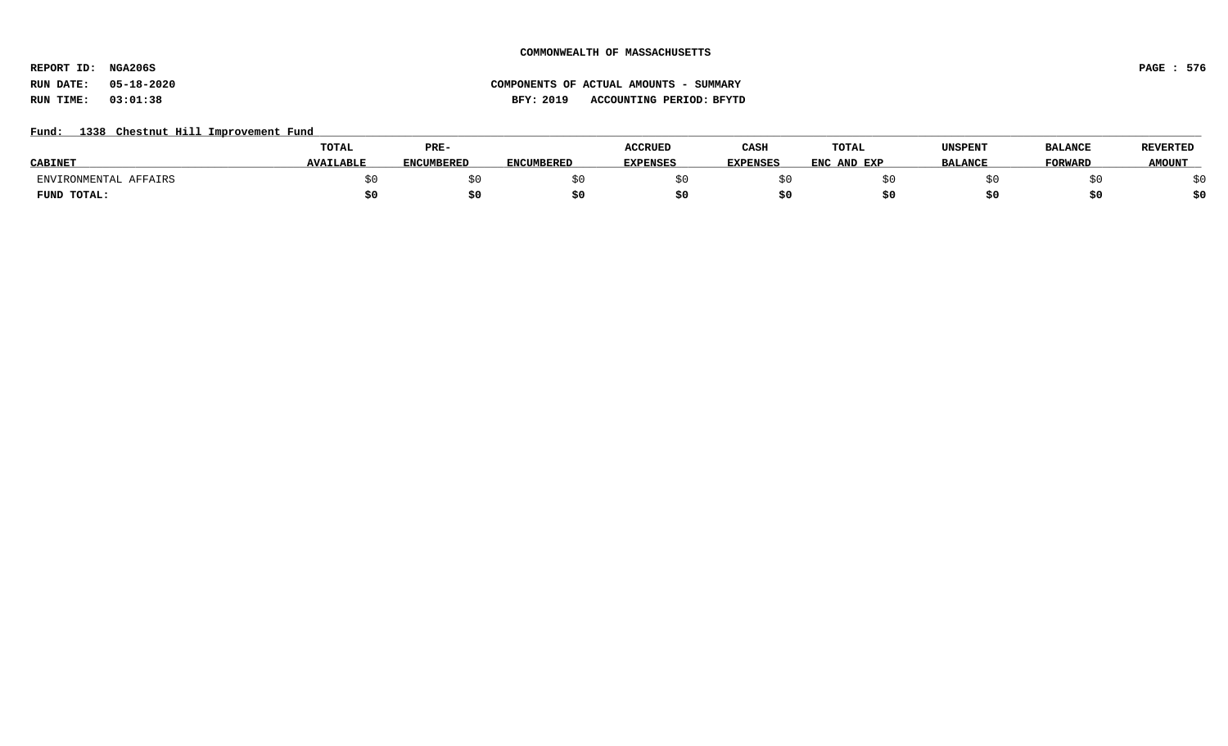**REPORT ID: NGA206S PAGE : 576**

# **RUN DATE: 05-18-2020 COMPONENTS OF ACTUAL AMOUNTS - SUMMARY RUN TIME: 03:01:38 BFY: 2019 ACCOUNTING PERIOD: BFYTD**

## Fund: 1338 Chestnut Hill Improvement Fund

|                       | <b>TOTAL</b>     | PRE-              |                   | <b>ACCRUED</b>  | CASH            | <b>TOTAL</b>     | UNSPENT        | <b>BALANCE</b> | <b>REVERTED</b> |
|-----------------------|------------------|-------------------|-------------------|-----------------|-----------------|------------------|----------------|----------------|-----------------|
| <b>CABINE</b>         | <b>AVAILABLE</b> | <b>ENCUMBERED</b> | <b>ENCUMBERED</b> | <b>EXPENSES</b> | <b>EXPENSES</b> | ENC .<br>AND EXP | <b>BALANCE</b> | <b>FORWARD</b> | <b>AMOUNT</b>   |
| ENVIRONMENTAL AFFAIRS |                  |                   |                   |                 |                 |                  |                |                |                 |
| FUND TOTAL:           |                  | S0.               |                   |                 |                 |                  |                |                | \$0             |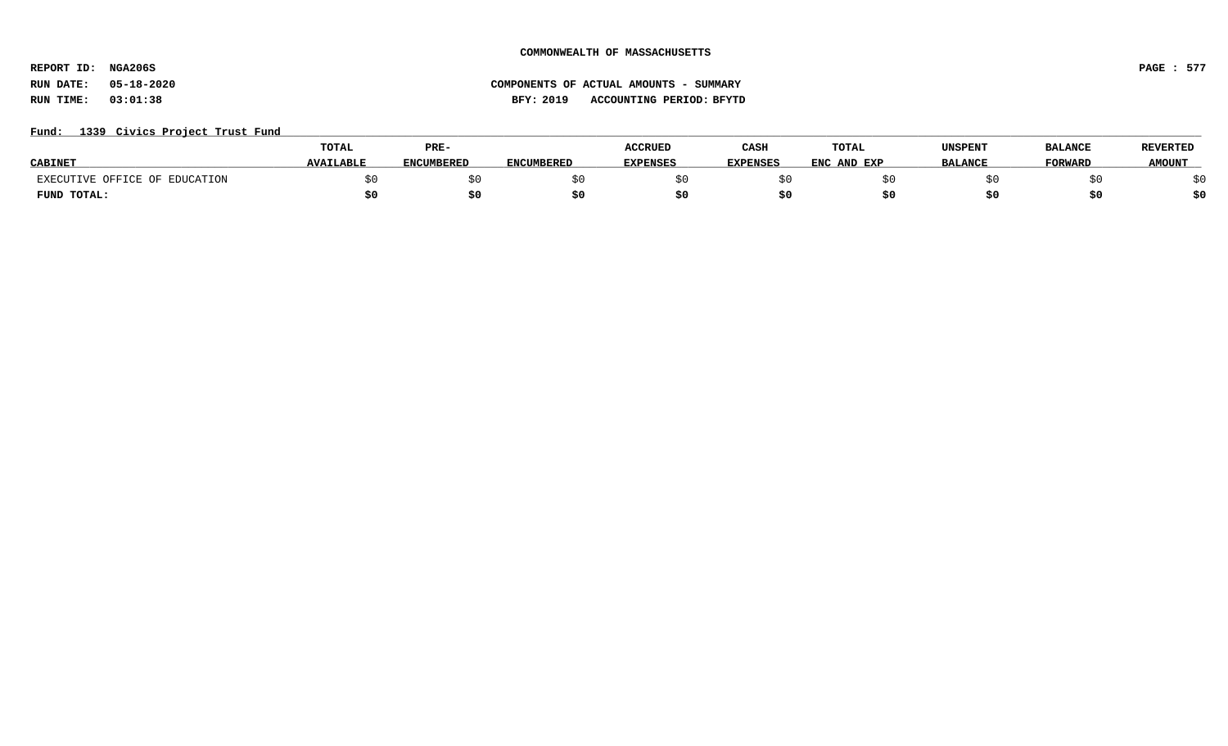**REPORT ID: NGA206S PAGE : 577**

### Fund: 1339 Civics Project Trust Fund

|                               | TOTAL            | PRE-              |            | <b>ACCRUED</b>  | CASH            | <b>TOTAL</b> | UNSPENT        | <b>BALANCE</b> | <b>REVERTED</b> |
|-------------------------------|------------------|-------------------|------------|-----------------|-----------------|--------------|----------------|----------------|-----------------|
| <b>CABINET</b>                | <b>AVAILABLE</b> | <b>ENCUMBERED</b> | ENCUMBERED | <b>EXPENSES</b> | <b>EXPENSES</b> | ENC AND EXP  | <b>BALANCE</b> | <b>FORWARD</b> | <b>AMOUNT</b>   |
| EXECUTIVE OFFICE OF EDUCATION |                  |                   |            |                 |                 |              |                |                |                 |
| FUND TOTAL:                   |                  | \$0               |            |                 |                 |              |                |                | ċ٨              |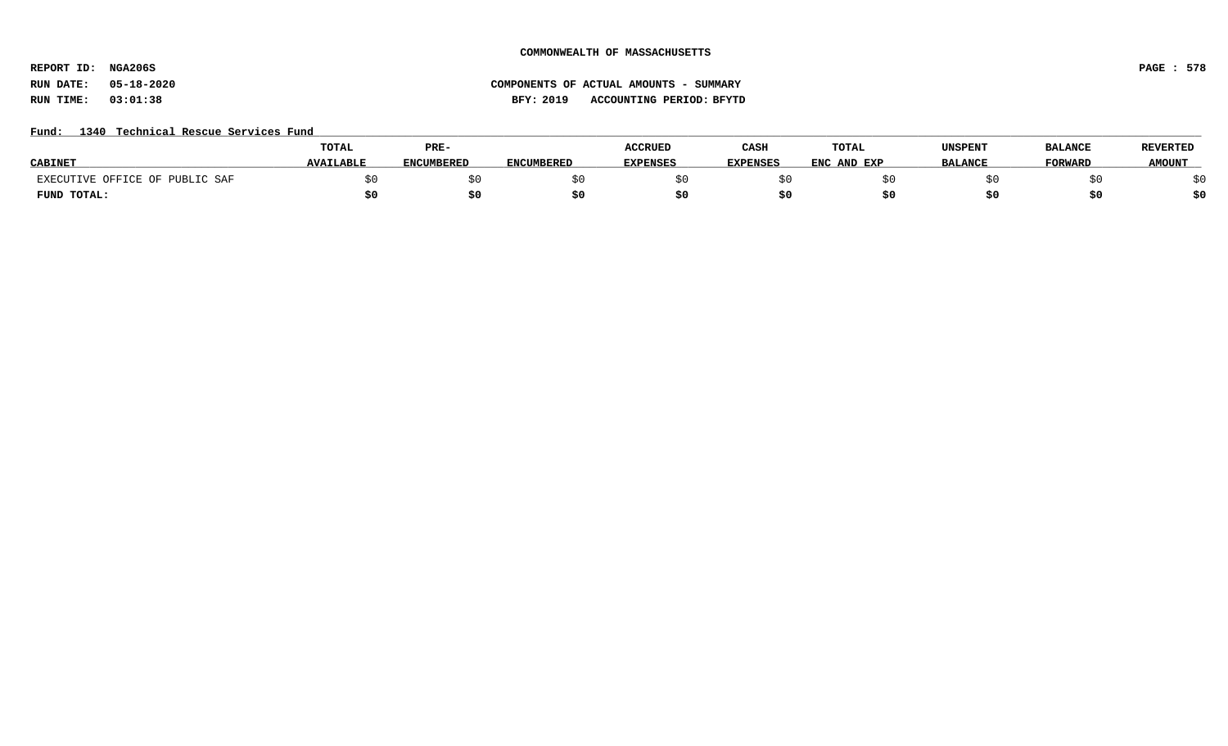**REPORT ID: NGA206S PAGE : 578**

# **RUN DATE: 05-18-2020 COMPONENTS OF ACTUAL AMOUNTS - SUMMARY RUN TIME: 03:01:38 BFY: 2019 ACCOUNTING PERIOD: BFYTD**

### Fund: 1340 Technical Rescue Services Fund

|                                | <b>TOTAL</b>     | PRE-              |                   | <b>ACCRUED</b>  | CASH            | <b>TOTAL</b>   | UNSPENT        | <b>BALANCE</b> | <b>REVERTED</b> |
|--------------------------------|------------------|-------------------|-------------------|-----------------|-----------------|----------------|----------------|----------------|-----------------|
| <b>CABINE</b>                  | <b>AVAILABLE</b> | <b>ENCUMBERED</b> | <b>ENCUMBERED</b> | <b>EXPENSES</b> | <b>EXPENSES</b> | ENC<br>AND EXP | <b>BALANCE</b> | <b>FORWARD</b> | <b>AMOUNT</b>   |
| EXECUTIVE OFFICE OF PUBLIC SAF |                  |                   |                   |                 |                 |                |                |                |                 |
| FUND TOTAL:                    |                  | S0                |                   |                 |                 |                |                |                | \$0             |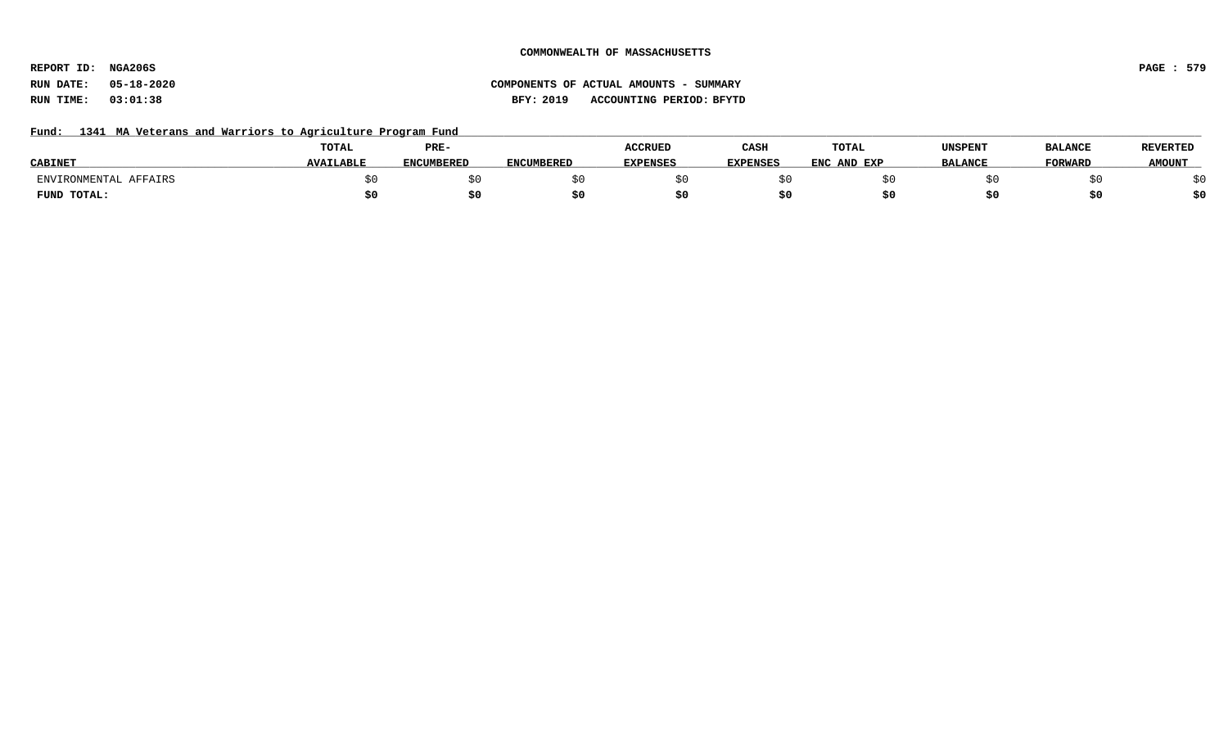**REPORT ID: NGA206S PAGE : 579**

# **RUN DATE: 05-18-2020 COMPONENTS OF ACTUAL AMOUNTS - SUMMARY RUN TIME: 03:01:38 BFY: 2019 ACCOUNTING PERIOD: BFYTD**

### Fund: 1341 MA Veterans and Warriors to Agriculture Program Fund

| <b>CABINET</b>        | <b>TOTAL</b><br><b>AVAILABLE</b> | PRE-              |                   | <b>ACCRUED</b><br><b>EXPENSES</b> | CASH            | TOTAL       | UNSPENT        | <b>BALANCE</b><br><b>FORWARD</b> | <b>REVERTED</b><br><b>AMOUNT</b> |
|-----------------------|----------------------------------|-------------------|-------------------|-----------------------------------|-----------------|-------------|----------------|----------------------------------|----------------------------------|
|                       |                                  | <b>ENCUMBERED</b> | <b>ENCUMBERED</b> |                                   | <b>EXPENSES</b> | ENC AND EXP | <b>BALANCE</b> |                                  |                                  |
| AFFAIRS<br>TRONMENTAL |                                  |                   |                   |                                   |                 |             |                |                                  | ςU<br>Y U                        |
| FUND TOTAL:           | S0                               |                   |                   |                                   |                 |             |                | טכ                               | \$0                              |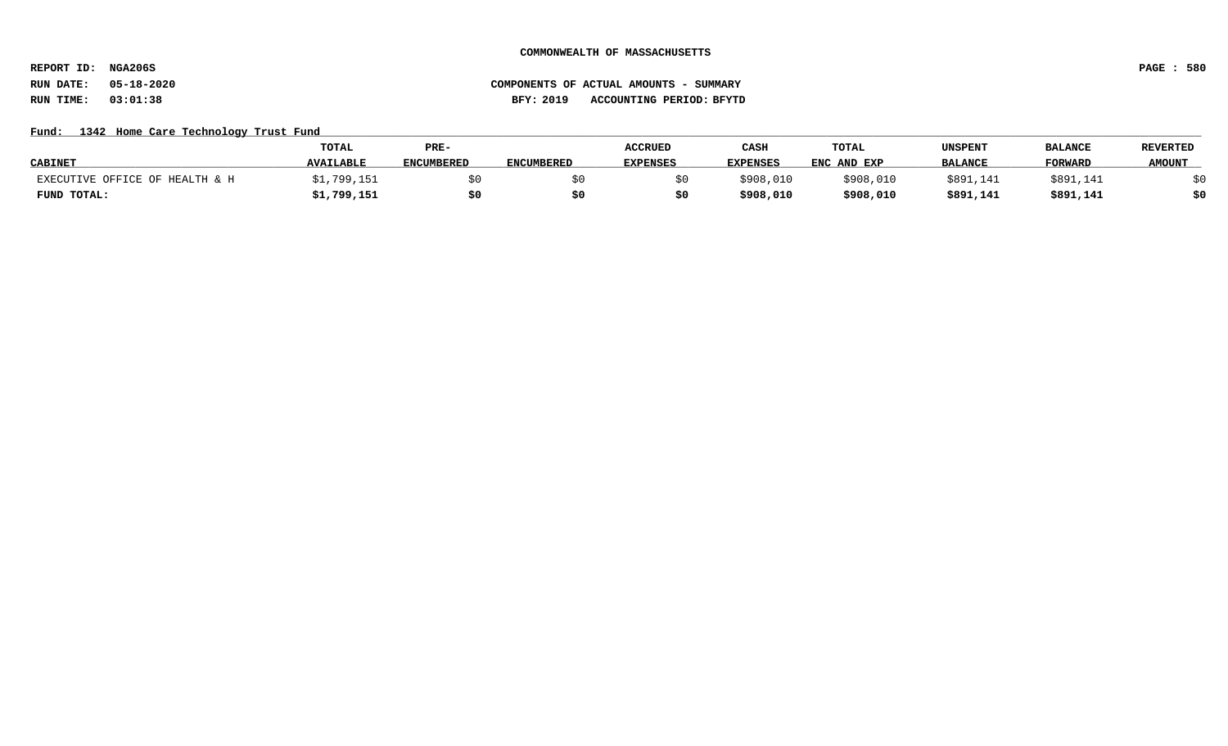**REPORT ID: NGA206S PAGE : 580**

# **RUN DATE: 05-18-2020 COMPONENTS OF ACTUAL AMOUNTS - SUMMARY RUN TIME: 03:01:38 BFY: 2019 ACCOUNTING PERIOD: BFYTD**

### Fund: 1342 Home Care Technology Trust Fund

|                                | <b>TOTAL</b>     | PRE-              |                   | <b>ACCRUED</b>  | CASH            | <b>TOTAL</b> | UNSPENT        | <b>BALANCI</b> | <b>REVERTED</b> |
|--------------------------------|------------------|-------------------|-------------------|-----------------|-----------------|--------------|----------------|----------------|-----------------|
| <b>CABINET</b>                 | <b>AVAILABLE</b> | <b>ENCUMBERED</b> | <b>ENCUMBERED</b> | <b>EXPENSES</b> | <b>EXPENSES</b> | ENC AND EXP  | <b>BALANCE</b> | <b>FORWARD</b> | <b>AMOUNT</b>   |
| EXECUTIVE OFFICE OF HEALTH & H | .799,151         |                   |                   |                 | \$908,010       | \$908,010    | \$891,141      | \$891,141      |                 |
| FUND TOTAL:                    | \$1,799,151      | \$0               |                   |                 | \$908,010       | \$908,010    | \$891,141      | \$891,141      | \$0             |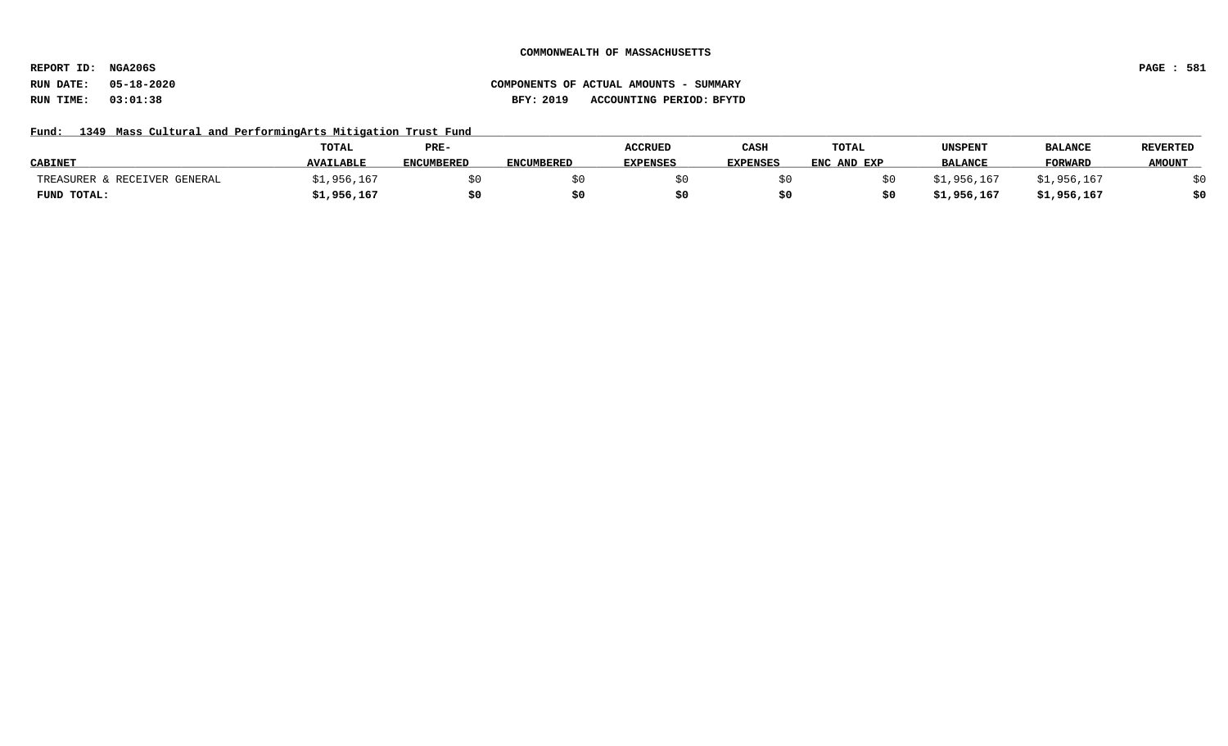**REPORT ID: NGA206S PAGE : 581**

## **RUN DATE: 05-18-2020 COMPONENTS OF ACTUAL AMOUNTS - SUMMARY RUN TIME: 03:01:38 BFY: 2019 ACCOUNTING PERIOD: BFYTD**

### Fund: 1349 Mass Cultural and PerformingArts Mitigation Trust Fund

|                              | <b>TOTAL</b>     | PRE-              |                   | <b>ACCRUED</b>  | CASH            | TOTAL       | UNSPENT        | <b>BALANCI</b> | <b>REVERTED</b> |
|------------------------------|------------------|-------------------|-------------------|-----------------|-----------------|-------------|----------------|----------------|-----------------|
| <b>CABINET</b>               | <b>AVAILABLE</b> | <b>ENCUMBERED</b> | <b>ENCUMBERED</b> | <b>EXPENSES</b> | <b>EXPENSES</b> | ENC AND EXP | <b>BALANCE</b> | <b>FORWARD</b> | <b>AMOUNT</b>   |
| TREASURER & RECEIVER GENERAL | 956,167          |                   |                   |                 |                 |             | 167, 956, 1؍   | 167,956,⊥ډ     |                 |
| FUND TOTAL:                  | ,1,956,167       | \$0               |                   |                 |                 |             | 167, 956, 15   | \$1,956,167    | ċ٨              |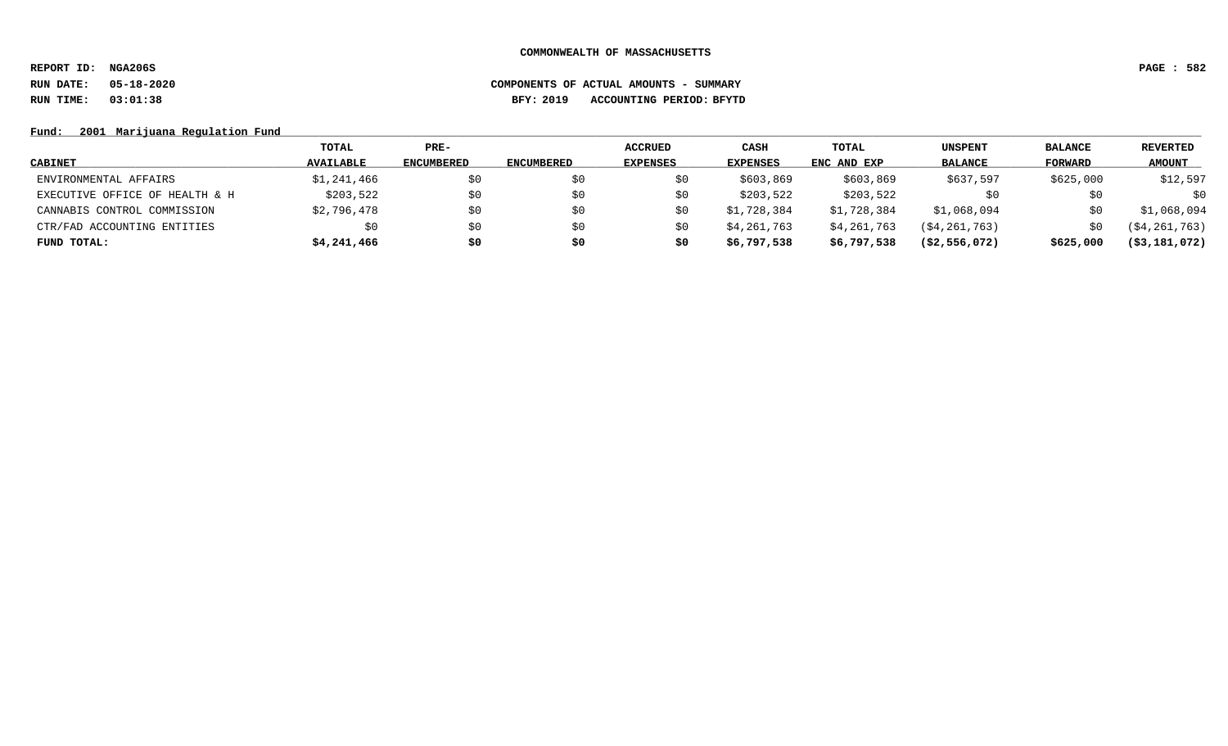**REPORT ID: NGA206S PAGE : 582**

# **RUN DATE: 05-18-2020 COMPONENTS OF ACTUAL AMOUNTS - SUMMARY RUN TIME: 03:01:38 BFY: 2019 ACCOUNTING PERIOD: BFYTD**

### Fund: 2001 Marijuana Regulation Fund

|                                | TOTAL            | $PRE-$            |                   | ACCRUED         | CASH            | TOTAL       | <b>UNSPENT</b> | <b>BALANCE</b> | <b>REVERTED</b>  |
|--------------------------------|------------------|-------------------|-------------------|-----------------|-----------------|-------------|----------------|----------------|------------------|
| <b>CABINET</b>                 | <b>AVAILABLE</b> | <b>ENCUMBERED</b> | <b>ENCUMBERED</b> | <b>EXPENSES</b> | <b>EXPENSES</b> | ENC AND EXP | <b>BALANCE</b> | FORWARD        | <b>AMOUNT</b>    |
| ENVIRONMENTAL AFFAIRS          | \$1,241,466      | \$0               |                   |                 | \$603,869       | \$603,869   | \$637,597      | \$625,000      | \$12,597         |
| EXECUTIVE OFFICE OF HEALTH & H | \$203,522        | \$0               | SO.               | S0              | \$203,522       | \$203,522   |                | \$0            | \$0              |
| CANNABIS CONTROL COMMISSION    | \$2,796,478      | \$0               | S0                |                 | \$1,728,384     | \$1,728,384 | \$1,068,094    | SO.            | \$1,068,094      |
| CTR/FAD ACCOUNTING ENTITIES    | \$0              | \$0               | S0                |                 | \$4,261,763     | \$4,261,763 | (S4, 261, 763) | SO.            | ( \$4, 261, 763) |
| FUND TOTAL:                    | \$4,241,466      | \$0               | \$0               | \$0             | \$6,797,538     | \$6,797,538 | (S2, 556, 072) | \$625,000      | $($ \$3,181,072) |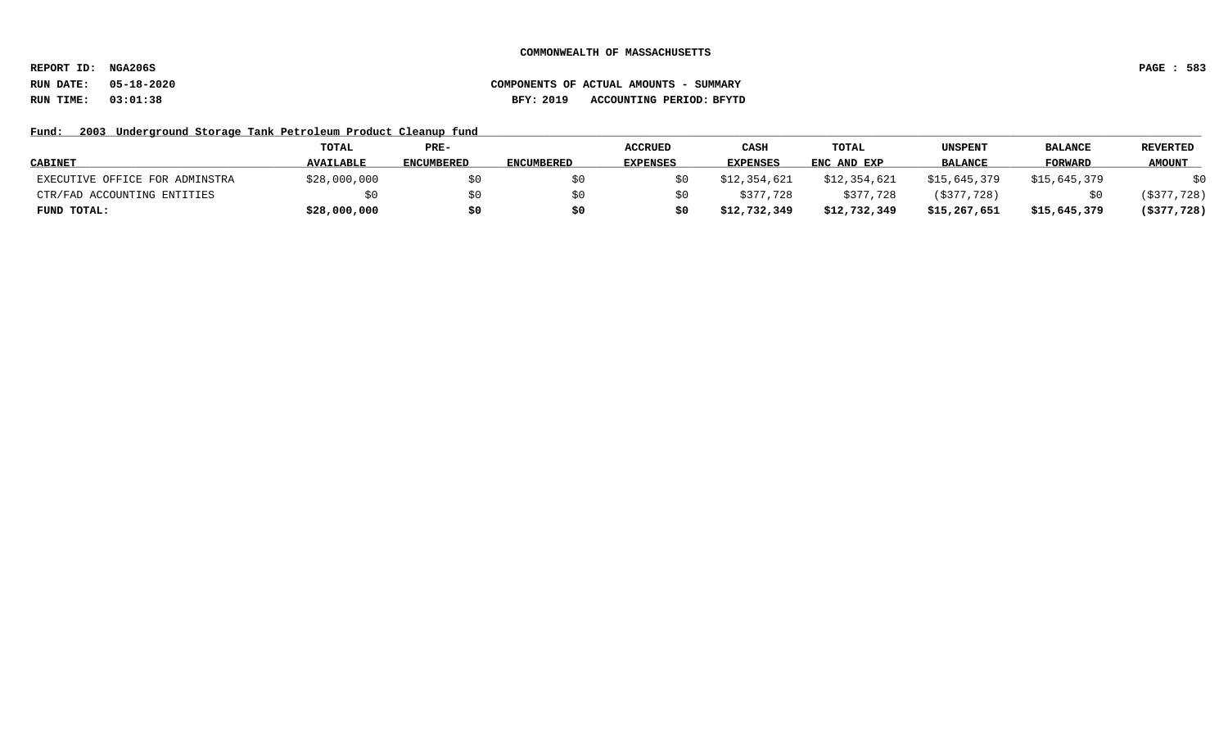**REPORT ID: NGA206S PAGE : 583**

## **RUN DATE: 05-18-2020 COMPONENTS OF ACTUAL AMOUNTS - SUMMARY RUN TIME: 03:01:38 BFY: 2019 ACCOUNTING PERIOD: BFYTD**

### Fund: 2003 Underground Storage Tank Petroleum Product Cleanup fund

|                                | <b>TOTAL</b>     | PRE-              |                   | <b>ACCRUED</b>  | CASH         | <b>TOTAL</b> | UNSPENT        | <b>BALANCE</b> | REVERTED       |
|--------------------------------|------------------|-------------------|-------------------|-----------------|--------------|--------------|----------------|----------------|----------------|
| <b>CABINET</b>                 | <b>AVAILABLE</b> | <b>ENCUMBERED</b> | <b>ENCUMBERED</b> | <b>EXPENSES</b> | EXPENSES     | ENC AND EXP  | <b>BALANCE</b> | <b>FORWARD</b> | <b>AMOUNT</b>  |
| EXECUTIVE OFFICE FOR ADMINSTRA | \$28,000,000     | \$0               |                   |                 | \$12,354,621 | \$12,354,621 | \$15,645,379   | \$15,645,379   | \$0            |
| CTR/FAD ACCOUNTING ENTITIES    | \$0              | \$0               |                   |                 | \$377,728    | \$377,728    | ( \$377, 728)  |                | ( \$377, 728)  |
| FUND TOTAL:                    | \$28,000,000     | \$0               |                   |                 | \$12,732,349 | \$12,732,349 | \$15,267,651   | \$15,645,379   | $($ \$377,728) |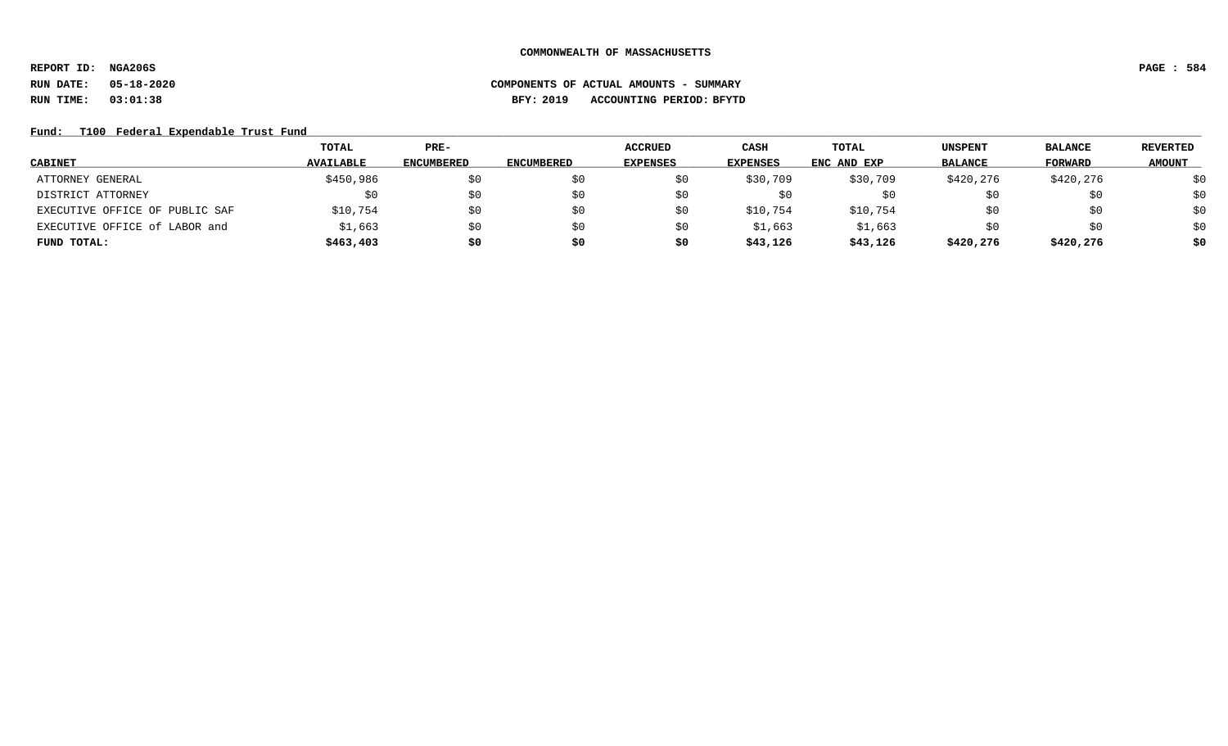**REPORT ID: NGA206S PAGE : 584**

# **RUN DATE: 05-18-2020 COMPONENTS OF ACTUAL AMOUNTS - SUMMARY RUN TIME: 03:01:38 BFY: 2019 ACCOUNTING PERIOD: BFYTD**

### Fund: T100 Federal Expendable Trust Fund

|                                | TOTAL            | $PRE-$            |                   | <b>ACCRUED</b>  | <b>CASH</b>     | TOTAL       | UNSPENT        | <b>BALANCE</b> | REVERTED      |
|--------------------------------|------------------|-------------------|-------------------|-----------------|-----------------|-------------|----------------|----------------|---------------|
| <b>CABINET</b>                 | <b>AVAILABLE</b> | <b>ENCUMBERED</b> | <b>ENCUMBERED</b> | <b>EXPENSES</b> | <b>EXPENSES</b> | ENC AND EXP | <b>BALANCE</b> | FORWARD        | <b>AMOUNT</b> |
| ATTORNEY GENERAL               | \$450,986        | \$0               |                   |                 | \$30,709        | \$30,709    | \$420,276      | \$420,276      | \$0           |
| DISTRICT ATTORNEY              | \$0              | \$0               | \$0               | Şυ              | Şυ              |             |                | \$0            | \$0           |
| EXECUTIVE OFFICE OF PUBLIC SAF | \$10,754         | \$0               | \$0               |                 | \$10,754        | \$10,754    |                | \$0            | \$0           |
| EXECUTIVE OFFICE of LABOR and  | \$1,663          | \$0               | SO.               | Şυ              | \$1,663         | \$1,663     | S0             | \$0            | \$0           |
| FUND TOTAL:                    | \$463,403        | \$0               | S0                | S0              | \$43,126        | \$43,126    | \$420,276      | \$420,276      | \$0           |